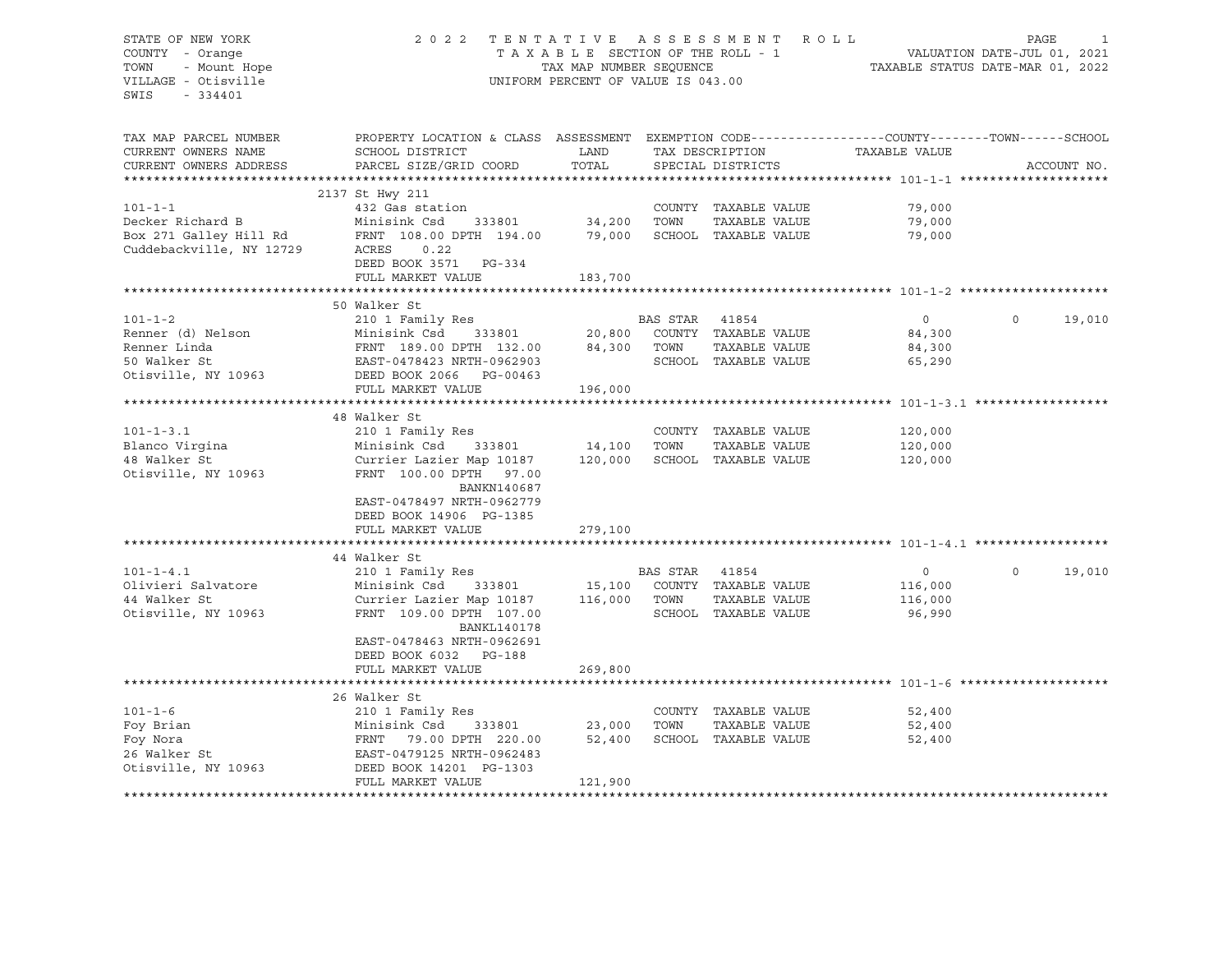# STATE OF NEW YORK 2 0 2 2 T E N T A T I V E A S S E S S M E N T R O L L PAGE 1 COUNTY - Orange T A X A B L E SECTION OF THE ROLL - 1 VALUATION DATE-JUL 01, 2021 TOWN - Mount Hope TAX MAP NUMBER SEQUENCE TAXABLE STATUS DATE-MAR 01, 2022 VILLAGE - Otisville UNIFORM PERCENT OF VALUE IS 043.00

| TAX MAP PARCEL NUMBER<br>CURRENT OWNERS NAME | PROPERTY LOCATION & CLASS ASSESSMENT EXEMPTION CODE----------------COUNTY-------TOWN------SCHOOL<br>SCHOOL DISTRICT | LAND          |          | TAX DESCRIPTION      | TAXABLE VALUE |             |             |
|----------------------------------------------|---------------------------------------------------------------------------------------------------------------------|---------------|----------|----------------------|---------------|-------------|-------------|
| CURRENT OWNERS ADDRESS                       | PARCEL SIZE/GRID COORD                                                                                              | TOTAL         |          | SPECIAL DISTRICTS    |               |             | ACCOUNT NO. |
|                                              |                                                                                                                     |               |          |                      |               |             |             |
|                                              | 2137 St Hwy 211                                                                                                     |               |          |                      |               |             |             |
| $101 - 1 - 1$                                | 432 Gas station                                                                                                     |               |          | COUNTY TAXABLE VALUE | 79,000        |             |             |
| Decker Richard B                             | Minisink Csd<br>333801                                                                                              | 34,200        | TOWN     | TAXABLE VALUE        | 79,000        |             |             |
| Box 271 Galley Hill Rd                       | FRNT 108.00 DPTH 194.00                                                                                             | 79,000        |          | SCHOOL TAXABLE VALUE | 79,000        |             |             |
| Cuddebackville, NY 12729                     | ACRES<br>0.22                                                                                                       |               |          |                      |               |             |             |
|                                              | DEED BOOK 3571 PG-334                                                                                               |               |          |                      |               |             |             |
|                                              |                                                                                                                     |               |          |                      |               |             |             |
|                                              | FULL MARKET VALUE                                                                                                   | 183,700       |          |                      |               |             |             |
|                                              |                                                                                                                     |               |          |                      |               |             |             |
|                                              | 50 Walker St                                                                                                        |               |          |                      |               |             |             |
| $101 - 1 - 2$                                | 210 1 Family Res                                                                                                    |               | BAS STAR | 41854                | $\circ$       | $\mathbf 0$ | 19,010      |
| Renner (d) Nelson                            | Minisink Csd                                                                                                        | 333801 20,800 |          | COUNTY TAXABLE VALUE | 84,300        |             |             |
| Renner Linda                                 | FRNT 189.00 DPTH 132.00                                                                                             | 84,300        | TOWN     | TAXABLE VALUE        | 84,300        |             |             |
| 50 Walker St                                 | EAST-0478423 NRTH-0962903                                                                                           |               |          | SCHOOL TAXABLE VALUE | 65,290        |             |             |
| Otisville, NY 10963                          | DEED BOOK 2066 PG-00463                                                                                             |               |          |                      |               |             |             |
|                                              | FULL MARKET VALUE                                                                                                   | 196,000       |          |                      |               |             |             |
|                                              |                                                                                                                     |               |          |                      |               |             |             |
|                                              | 48 Walker St                                                                                                        |               |          |                      |               |             |             |
| $101 - 1 - 3.1$                              | 210 1 Family Res                                                                                                    |               |          | COUNTY TAXABLE VALUE | 120,000       |             |             |
| Blanco Virgina                               | Minisink Csd<br>333801                                                                                              | 14,100        | TOWN     | TAXABLE VALUE        | 120,000       |             |             |
| 48 Walker St                                 | Currier Lazier Map 10187                                                                                            | 120,000       |          | SCHOOL TAXABLE VALUE | 120,000       |             |             |
| Otisville, NY 10963                          | FRNT 100.00 DPTH 97.00                                                                                              |               |          |                      |               |             |             |
|                                              | BANKN140687                                                                                                         |               |          |                      |               |             |             |
|                                              | EAST-0478497 NRTH-0962779                                                                                           |               |          |                      |               |             |             |
|                                              | DEED BOOK 14906 PG-1385                                                                                             |               |          |                      |               |             |             |
|                                              | FULL MARKET VALUE                                                                                                   | 279,100       |          |                      |               |             |             |
|                                              |                                                                                                                     |               |          |                      |               |             |             |
|                                              | 44 Walker St                                                                                                        |               |          |                      |               |             |             |
| $101 - 1 - 4.1$                              | 210 1 Family Res                                                                                                    |               | BAS STAR | 41854                | $\circ$       | $\circ$     | 19,010      |
|                                              |                                                                                                                     |               |          |                      |               |             |             |
| Olivieri Salvatore                           | Minisink Csd<br>333801                                                                                              | 15,100        |          | COUNTY TAXABLE VALUE | 116,000       |             |             |
| 44 Walker St                                 | Currier Lazier Map 10187                                                                                            | 116,000       | TOWN     | TAXABLE VALUE        | 116,000       |             |             |
| Otisville, NY 10963                          | FRNT 109.00 DPTH 107.00                                                                                             |               |          | SCHOOL TAXABLE VALUE | 96,990        |             |             |
|                                              | <b>BANKL140178</b>                                                                                                  |               |          |                      |               |             |             |
|                                              | EAST-0478463 NRTH-0962691                                                                                           |               |          |                      |               |             |             |
|                                              | DEED BOOK 6032 PG-188                                                                                               |               |          |                      |               |             |             |
|                                              | FULL MARKET VALUE                                                                                                   | 269,800       |          |                      |               |             |             |
|                                              |                                                                                                                     |               |          |                      |               |             |             |
|                                              | 26 Walker St                                                                                                        |               |          |                      |               |             |             |
| $101 - 1 - 6$                                | 210 1 Family Res                                                                                                    |               |          | COUNTY TAXABLE VALUE | 52,400        |             |             |
| Foy Brian                                    | Minisink Csd<br>333801                                                                                              | 23,000        | TOWN     | TAXABLE VALUE        | 52,400        |             |             |
| Foy Nora                                     | FRNT 79.00 DPTH 220.00                                                                                              | 52,400        |          | SCHOOL TAXABLE VALUE | 52,400        |             |             |
| 26 Walker St                                 | EAST-0479125 NRTH-0962483                                                                                           |               |          |                      |               |             |             |
| Otisville, NY 10963                          | DEED BOOK 14201 PG-1303                                                                                             |               |          |                      |               |             |             |
|                                              | FULL MARKET VALUE                                                                                                   | 121,900       |          |                      |               |             |             |
|                                              |                                                                                                                     |               |          |                      |               |             |             |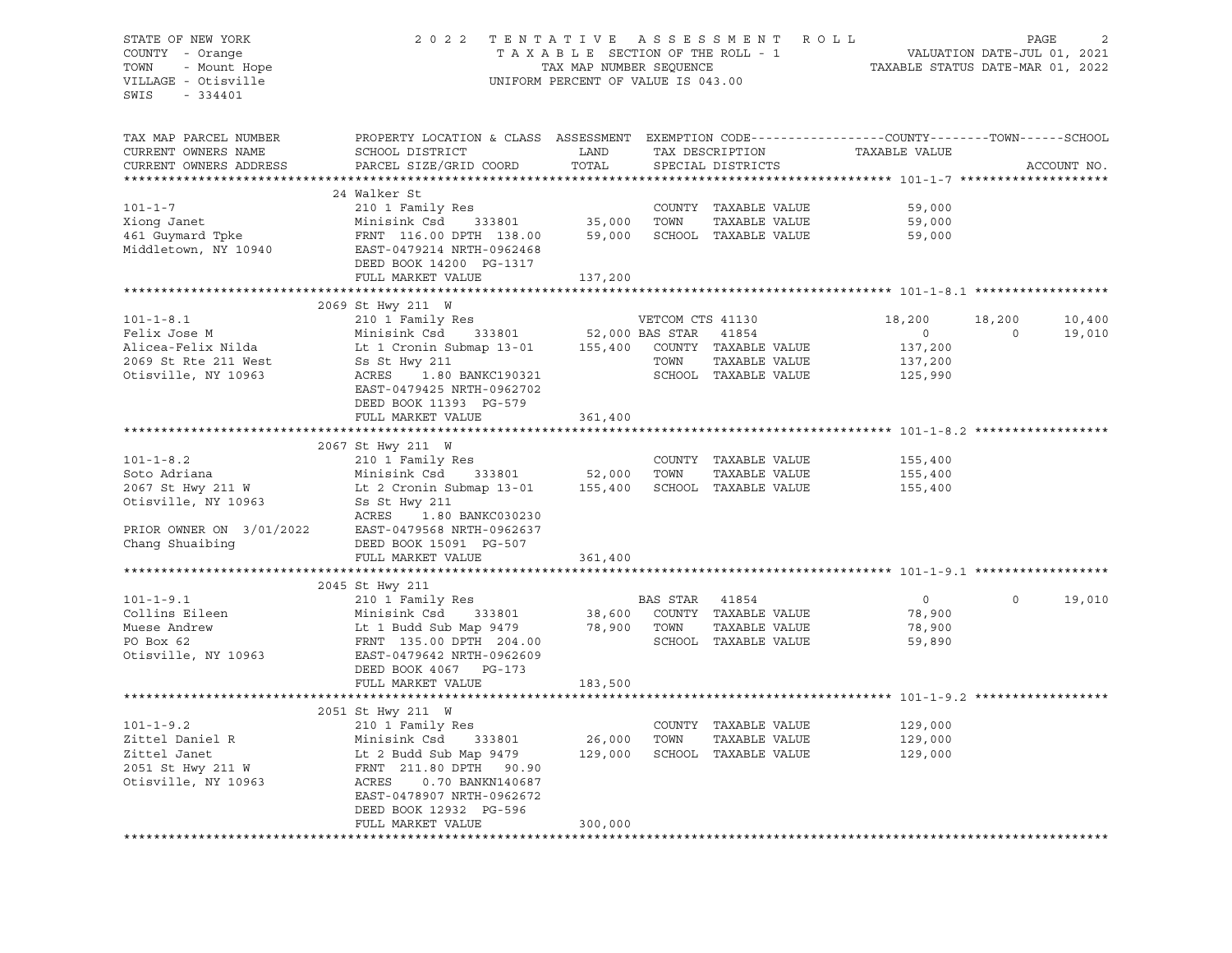# STATE OF NEW YORK 2 0 2 2 T E N T A T I V E A S S E S S M E N T R O L L PAGE 2 COUNTY - Orange T A X A B L E SECTION OF THE ROLL - 1 VALUATION DATE-JUL 01, 2021 TOWN - Mount Hope TAX MAP NUMBER SEQUENCE TAXABLE STATUS DATE-MAR 01, 2022 VILLAGE - Otisville UNIFORM PERCENT OF VALUE IS 043.00

| TAX MAP PARCEL NUMBER<br>CURRENT OWNERS NAME<br>CURRENT OWNERS ADDRESS                                                | PROPERTY LOCATION & CLASS ASSESSMENT<br>SCHOOL DISTRICT                                                                                                                                                      | LAND<br>TOTAL           |                | TAX DESCRIPTION<br>SPECIAL DISTRICTS                                 | EXEMPTION CODE-----------------COUNTY-------TOWN------SCHOOL<br>TAXABLE VALUE |                    | ACCOUNT NO.      |
|-----------------------------------------------------------------------------------------------------------------------|--------------------------------------------------------------------------------------------------------------------------------------------------------------------------------------------------------------|-------------------------|----------------|----------------------------------------------------------------------|-------------------------------------------------------------------------------|--------------------|------------------|
|                                                                                                                       | PARCEL SIZE/GRID COORD                                                                                                                                                                                       |                         |                |                                                                      |                                                                               |                    |                  |
|                                                                                                                       | 24 Walker St                                                                                                                                                                                                 |                         |                |                                                                      |                                                                               |                    |                  |
| $101 - 1 - 7$<br>Xiong Janet<br>461 Guymard Tpke<br>Middletown, NY 10940                                              | 210 1 Family Res<br>Minisink Csd<br>FRNT 116.00 DPTH 138.00<br>EAST-0479214 NRTH-0962468<br>DEED BOOK 14200 PG-1317                                                                                          | 333801 35,000<br>59,000 | TOWN           | COUNTY TAXABLE VALUE<br>TAXABLE VALUE<br>SCHOOL TAXABLE VALUE        | 59,000<br>59,000<br>59,000                                                    |                    |                  |
|                                                                                                                       | FULL MARKET VALUE                                                                                                                                                                                            | 137,200                 |                |                                                                      |                                                                               |                    |                  |
|                                                                                                                       |                                                                                                                                                                                                              |                         |                |                                                                      |                                                                               |                    |                  |
|                                                                                                                       | 2069 St Hwy 211 W                                                                                                                                                                                            |                         |                |                                                                      |                                                                               |                    |                  |
| $101 - 1 - 8.1$<br>Felix Jose M<br>Alicea-Felix Nilda<br>2069 St Rte 211 West<br>Otisville, NY 10963                  | 210 I Family Res<br>Minisink Csd 333801 52,000 BAS STAR 41854<br>Lt 1 Cronin Submap 13-01 155,400 COUNTY TAXABLE VALUE<br>Ss St Hwy 211<br>ACRES<br>1.80 BANKC190321                                         |                         | TOWN           | TAXABLE VALUE<br>SCHOOL TAXABLE VALUE                                | 18,200<br>$\overline{0}$<br>137,200<br>137,200<br>125,990                     | 18,200<br>$\Omega$ | 10,400<br>19,010 |
|                                                                                                                       | EAST-0479425 NRTH-0962702<br>DEED BOOK 11393 PG-579<br>FULL MARKET VALUE                                                                                                                                     | 361,400                 |                |                                                                      |                                                                               |                    |                  |
|                                                                                                                       |                                                                                                                                                                                                              |                         |                |                                                                      |                                                                               |                    |                  |
| $101 - 1 - 8.2$<br>Soto Adriana<br>2067 St Hwy 211 W<br>Otisville, NY 10963 Ss St Hwy 211<br>PRIOR OWNER ON 3/01/2022 | 2067 St Hwy 211 W<br>210 1 Family Res<br>Minisink Csd 333801 52,000 TOWN TAXABLE VALUE<br>Lt 2 Cronin Submap 13-01 155,400 SCHOOL TAXABLE VALUE<br>ACRES<br>1.80 BANKC030230<br>EAST-0479568 NRTH-0962637    |                         |                | COUNTY TAXABLE VALUE                                                 | 155,400<br>155,400<br>155,400                                                 |                    |                  |
| Chang Shuaibing                                                                                                       | DEED BOOK 15091 PG-507                                                                                                                                                                                       |                         |                |                                                                      |                                                                               |                    |                  |
|                                                                                                                       | FULL MARKET VALUE                                                                                                                                                                                            | 361,400                 |                |                                                                      |                                                                               |                    |                  |
|                                                                                                                       | 2045 St Hwy 211                                                                                                                                                                                              |                         |                |                                                                      |                                                                               |                    |                  |
| $101 - 1 - 9.1$<br>Collins Eileen<br>Muese Andrew<br>PO Box 62<br>Otisville, NY 10963                                 | 210 1 Family Res<br>Minisink Csd 333801 38,600 COUNT<br>Lt 1 Budd Sub Map 9479 78,900 TOWN<br>FRNT 135.00 DPTH 204.00 SCHOO<br>FRNT 135.00 DPTH 204.00<br>EAST-0479642 NRTH-0962609<br>DEED BOOK 4067 PG-173 |                         | BAS STAR 41854 | 38,600 COUNTY TAXABLE VALUE<br>TAXABLE VALUE<br>SCHOOL TAXABLE VALUE | $\circ$<br>78,900<br>78,900<br>59,890                                         | $\Omega$           | 19,010           |
|                                                                                                                       | FULL MARKET VALUE                                                                                                                                                                                            | 183,500                 |                |                                                                      |                                                                               |                    |                  |
|                                                                                                                       |                                                                                                                                                                                                              |                         |                |                                                                      |                                                                               |                    |                  |
| $101 - 1 - 9.2$<br>Zittel Daniel R<br>Zittel Janet<br>2051 St Hwy 211 W<br>Otisville, NY 10963                        | 2051 St Hwy 211 W<br>210 1 Family Res<br>Minisink Csd<br>333801<br>Lt 2 Budd Sub Map 9479<br>FRNT 211.80 DPTH 90.90<br>ACRES<br>0.70 BANKN140687<br>EAST-0478907 NRTH-0962672                                | 26,000<br>129,000       | TOWN           | COUNTY TAXABLE VALUE<br>TAXABLE VALUE<br>SCHOOL TAXABLE VALUE        | 129,000<br>129,000<br>129,000                                                 |                    |                  |
|                                                                                                                       | DEED BOOK 12932 PG-596<br>FULL MARKET VALUE                                                                                                                                                                  | 300,000                 |                |                                                                      |                                                                               |                    |                  |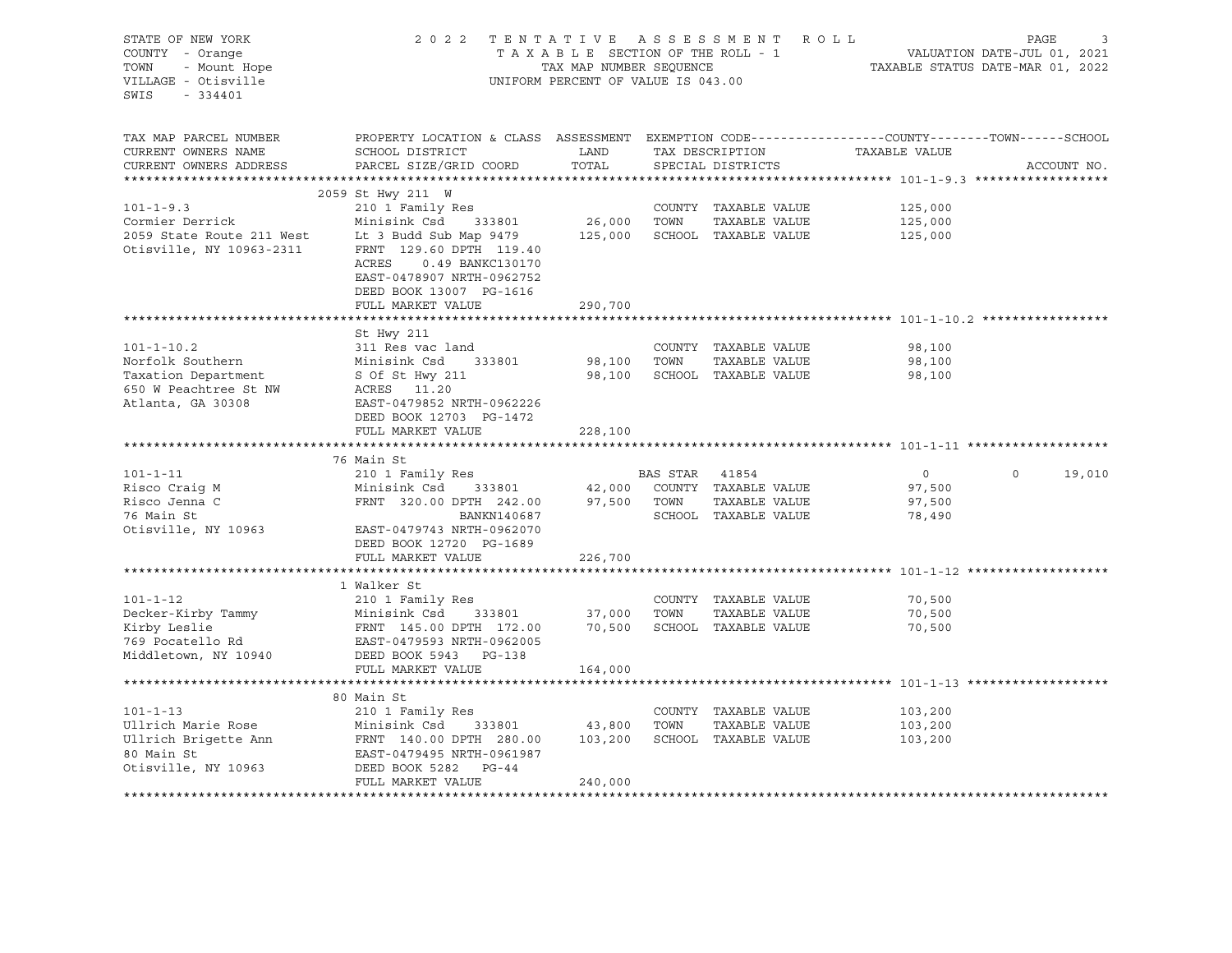| STATE OF NEW YORK                                                                                                                                                                                                                                  | 2 0 2 2                                                                                                                  |                                    |                | TENTATIVE ASSESSMENT ROLL              |                                                  | PAGE<br>3          |
|----------------------------------------------------------------------------------------------------------------------------------------------------------------------------------------------------------------------------------------------------|--------------------------------------------------------------------------------------------------------------------------|------------------------------------|----------------|----------------------------------------|--------------------------------------------------|--------------------|
| COUNTY - Orange                                                                                                                                                                                                                                    |                                                                                                                          |                                    |                | TAXABLE SECTION OF THE ROLL - 1        |                                                  |                    |
| TOWN                                                                                                                                                                                                                                               |                                                                                                                          | TAX MAP NUMBER SEQUENCE            |                |                                        | 1<br>1, 2021<br>TAXABLE STATUS DATE-MAR 01, 2022 |                    |
| - Orange<br>- Mount Hope<br>- Listending<br>VILLAGE - Otisville                                                                                                                                                                                    |                                                                                                                          | UNIFORM PERCENT OF VALUE IS 043.00 |                |                                        |                                                  |                    |
| SWIS<br>$-334401$                                                                                                                                                                                                                                  |                                                                                                                          |                                    |                |                                        |                                                  |                    |
|                                                                                                                                                                                                                                                    |                                                                                                                          |                                    |                |                                        |                                                  |                    |
|                                                                                                                                                                                                                                                    |                                                                                                                          |                                    |                |                                        |                                                  |                    |
| TAX MAP PARCEL NUMBER                                                                                                                                                                                                                              | PROPERTY LOCATION & CLASS ASSESSMENT EXEMPTION CODE----------------COUNTY-------TOWN------SCHOOL                         |                                    |                |                                        |                                                  |                    |
| CURRENT OWNERS NAME                                                                                                                                                                                                                                | SCHOOL DISTRICT                                                                                                          | LAND                               |                |                                        | TAX DESCRIPTION TAXABLE VALUE                    |                    |
| CURRENT OWNERS ADDRESS                                                                                                                                                                                                                             | PARCEL SIZE/GRID COORD                                                                                                   | TOTAL                              |                | SPECIAL DISTRICTS                      |                                                  | ACCOUNT NO.        |
|                                                                                                                                                                                                                                                    |                                                                                                                          |                                    |                |                                        |                                                  |                    |
|                                                                                                                                                                                                                                                    | 2059 St Hwy 211 W                                                                                                        |                                    |                |                                        |                                                  |                    |
| $101 - 1 - 9.3$                                                                                                                                                                                                                                    | 210 1 Family Res                                                                                                         |                                    |                | COUNTY TAXABLE VALUE                   | 125,000                                          |                    |
| Cormier Derrick                                                                                                                                                                                                                                    |                                                                                                                          |                                    |                | TAXABLE VALUE                          | 125,000                                          |                    |
| 2059 State Route 211 West Lt 3 Budd Sub Map 9479<br>Otisville, NY 10963-2311 FRNT 129.60 DPTH 119.40                                                                                                                                               | 210 1 Family Res<br>Minisink Csd 333801 26,000 TOWN TAXABLE VALUE<br>IP 2 Budd Sub Map 9479 125,000 SCHOOL TAXABLE VALUE |                                    |                |                                        | 125,000                                          |                    |
|                                                                                                                                                                                                                                                    |                                                                                                                          |                                    |                |                                        |                                                  |                    |
|                                                                                                                                                                                                                                                    | ACRES<br>0.49 BANKC130170                                                                                                |                                    |                |                                        |                                                  |                    |
|                                                                                                                                                                                                                                                    | EAST-0478907 NRTH-0962752                                                                                                |                                    |                |                                        |                                                  |                    |
|                                                                                                                                                                                                                                                    | DEED BOOK 13007 PG-1616                                                                                                  |                                    |                |                                        |                                                  |                    |
|                                                                                                                                                                                                                                                    | FULL MARKET VALUE                                                                                                        | 290,700                            |                |                                        |                                                  |                    |
|                                                                                                                                                                                                                                                    |                                                                                                                          |                                    |                |                                        |                                                  |                    |
|                                                                                                                                                                                                                                                    | St Hwy 211                                                                                                               |                                    |                |                                        |                                                  |                    |
| $101 - 1 - 10.2$                                                                                                                                                                                                                                   | 311 Res vac land                                                                                                         |                                    |                | COUNTY TAXABLE VALUE                   | 98,100                                           |                    |
|                                                                                                                                                                                                                                                    |                                                                                                                          | 98,100 TOWN                        |                | TAXABLE VALUE                          | 98,100                                           |                    |
| Norfolk Southern<br>Taxation Department<br>Sof St Hwy 211<br>Sof St Hwy 211<br>Sof St Hwy 211<br>ACRES 11.20                                                                                                                                       |                                                                                                                          |                                    |                | 98,100 SCHOOL TAXABLE VALUE            | 98,100                                           |                    |
| 650 W Peachtree St NW<br>Atlanta, GA 30308                                                                                                                                                                                                         |                                                                                                                          |                                    |                |                                        |                                                  |                    |
|                                                                                                                                                                                                                                                    | EAST-0479852 NRTH-0962226                                                                                                |                                    |                |                                        |                                                  |                    |
|                                                                                                                                                                                                                                                    | DEED BOOK 12703 PG-1472                                                                                                  |                                    |                |                                        |                                                  |                    |
|                                                                                                                                                                                                                                                    | FULL MARKET VALUE                                                                                                        | 228,100                            |                |                                        |                                                  |                    |
|                                                                                                                                                                                                                                                    |                                                                                                                          |                                    |                |                                        |                                                  |                    |
|                                                                                                                                                                                                                                                    | 76 Main St                                                                                                               |                                    |                |                                        |                                                  |                    |
| $101 - 1 - 11$                                                                                                                                                                                                                                     | 210 1 Family Res                                                                                                         |                                    | BAS STAR 41854 |                                        | $0 \qquad \qquad$                                | $\Omega$<br>19,010 |
| Risco Craig M                                                                                                                                                                                                                                      | Minisink Csd                                                                                                             |                                    |                | $333801$ $42,000$ COUNTY TAXABLE VALUE | 97,500                                           |                    |
| Risco Jenna C                                                                                                                                                                                                                                      | FRNT 320.00 DPTH 242.00 97,500 TOWN                                                                                      |                                    |                | TAXABLE VALUE                          | 97,500                                           |                    |
| 76 Main St                                                                                                                                                                                                                                         | BANKN140687                                                                                                              |                                    |                | SCHOOL TAXABLE VALUE                   | 78,490                                           |                    |
| Otisville, NY 10963 EAST-0479743 NRTH-0962070                                                                                                                                                                                                      |                                                                                                                          |                                    |                |                                        |                                                  |                    |
|                                                                                                                                                                                                                                                    | DEED BOOK 12720 PG-1689                                                                                                  |                                    |                |                                        |                                                  |                    |
|                                                                                                                                                                                                                                                    | FULL MARKET VALUE                                                                                                        | 226,700                            |                |                                        |                                                  |                    |
|                                                                                                                                                                                                                                                    |                                                                                                                          |                                    |                |                                        |                                                  |                    |
|                                                                                                                                                                                                                                                    | 1 Walker St                                                                                                              |                                    |                |                                        |                                                  |                    |
| $101 - 1 - 12$                                                                                                                                                                                                                                     | 210 1 Family Res<br>333801 37,000 TOWN                                                                                   |                                    |                | COUNTY TAXABLE VALUE                   | 70,500                                           |                    |
| Decker-Kirby Tammy<br>The Minisink Csd<br>The Minisink Csd<br>Tecker-Kirby Tammy<br>Tecker-Kirby Tammy<br>Terminisink Csd<br>Text 145.00 DPTH<br>The S33801<br>Text 145.00 DPTH<br>Text 172.00<br>Middletown, NY 10940<br>DEED BOOK 5943<br>PG-138 |                                                                                                                          |                                    |                | TAXABLE VALUE                          | 70,500                                           |                    |
|                                                                                                                                                                                                                                                    |                                                                                                                          |                                    |                | 70,500 SCHOOL TAXABLE VALUE            | 70,500                                           |                    |
|                                                                                                                                                                                                                                                    |                                                                                                                          |                                    |                |                                        |                                                  |                    |
|                                                                                                                                                                                                                                                    |                                                                                                                          |                                    |                |                                        |                                                  |                    |
|                                                                                                                                                                                                                                                    | FULL MARKET VALUE                                                                                                        | 164,000                            |                |                                        |                                                  |                    |
|                                                                                                                                                                                                                                                    | 80 Main St                                                                                                               |                                    |                |                                        |                                                  |                    |
| $101 - 1 - 13$                                                                                                                                                                                                                                     | 210 1 Family Res                                                                                                         |                                    |                |                                        |                                                  |                    |
| Ullrich Marie Rose                                                                                                                                                                                                                                 |                                                                                                                          |                                    | TOWN           | COUNTY TAXABLE VALUE<br>TAXABLE VALUE  | 103,200<br>103,200                               |                    |
|                                                                                                                                                                                                                                                    |                                                                                                                          |                                    |                | SCHOOL TAXABLE VALUE                   | 103,200                                          |                    |
|                                                                                                                                                                                                                                                    |                                                                                                                          |                                    |                |                                        |                                                  |                    |
| Ullrich Brigette Ann<br>80 Main St<br>Otisville, NY 10963                                                                                                                                                                                          | Minisink Csd 333801 43,800<br>FRNT 140.00 DPTH 280.00 103,200<br>EAST-0479495 NRTH-0961987<br>DEED BOOK 5282 PG-44       |                                    |                |                                        |                                                  |                    |
|                                                                                                                                                                                                                                                    | FULL MARKET VALUE                                                                                                        | 240,000                            |                |                                        |                                                  |                    |
|                                                                                                                                                                                                                                                    |                                                                                                                          |                                    |                |                                        |                                                  |                    |
|                                                                                                                                                                                                                                                    |                                                                                                                          |                                    |                |                                        |                                                  |                    |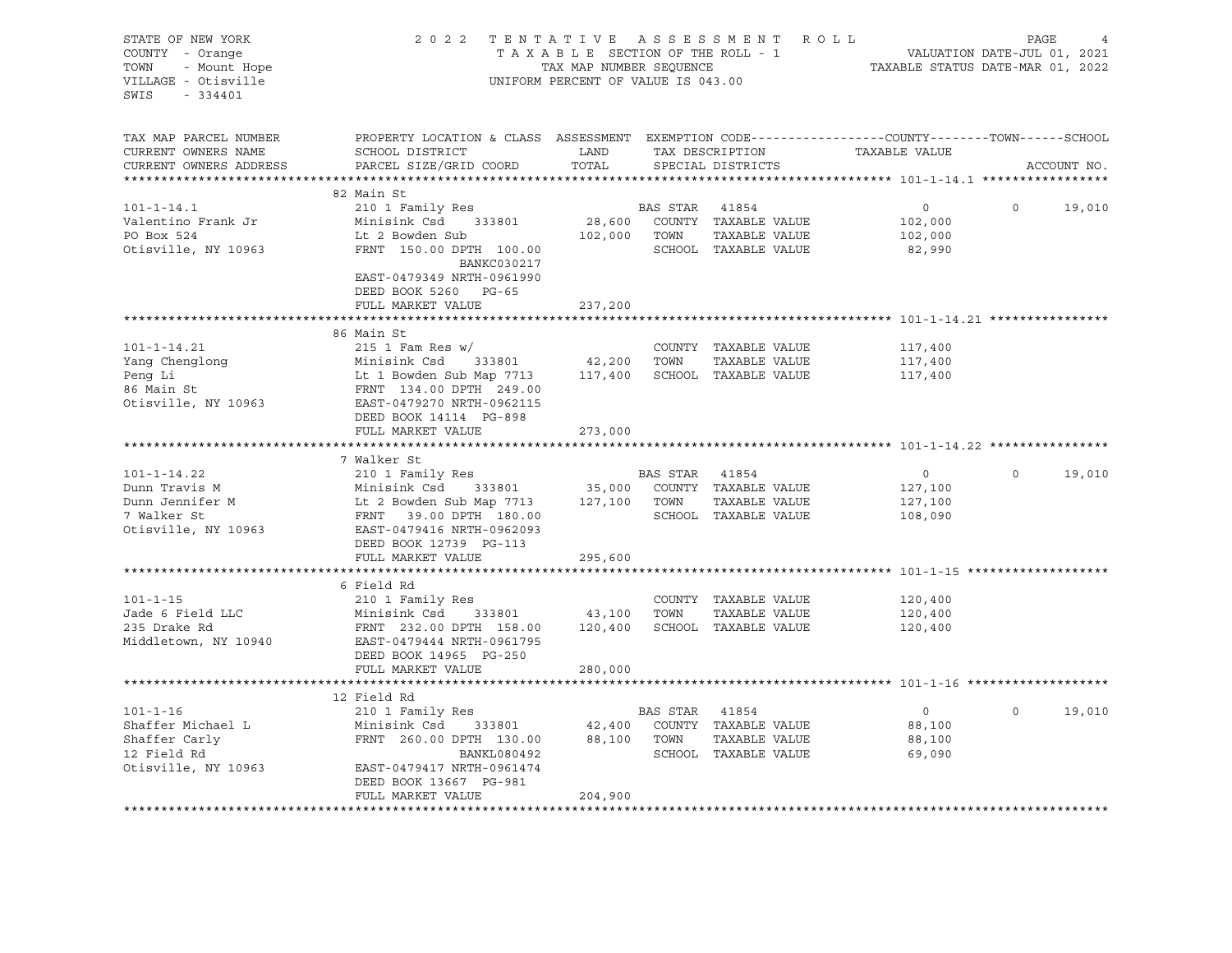| STATE OF NEW YORK                             | 2022 TENTATIVE ASSESSMENT ROLL                                                                          |                                    |                |                                      |                                                                 | PAGE     |             |        |
|-----------------------------------------------|---------------------------------------------------------------------------------------------------------|------------------------------------|----------------|--------------------------------------|-----------------------------------------------------------------|----------|-------------|--------|
| COUNTY - Orange<br>TOWN<br>- Mount Hope       |                                                                                                         | TAX MAP NUMBER SEQUENCE            |                | TAXABLE SECTION OF THE ROLL - 1      | VALUATION DATE-JUL 01, 2021<br>TAXABLE STATUS DATE-MAR 01, 2022 |          |             |        |
| VILLAGE - Otisville<br>SWIS<br>$-334401$      |                                                                                                         | UNIFORM PERCENT OF VALUE IS 043.00 |                |                                      |                                                                 |          |             |        |
| TAX MAP PARCEL NUMBER                         | PROPERTY LOCATION & CLASS ASSESSMENT EXEMPTION CODE----------------COUNTY-------TOWN------SCHOOL        |                                    |                |                                      |                                                                 |          |             |        |
| CURRENT OWNERS NAME<br>CURRENT OWNERS ADDRESS | SCHOOL DISTRICT<br>PARCEL SIZE/GRID COORD                                                               | LAND<br>TOTAL                      |                | TAX DESCRIPTION<br>SPECIAL DISTRICTS | TAXABLE VALUE                                                   |          | ACCOUNT NO. |        |
| ***********************                       |                                                                                                         |                                    |                |                                      |                                                                 |          |             |        |
|                                               | 82 Main St                                                                                              |                                    |                |                                      |                                                                 |          |             |        |
| $101 - 1 - 14.1$                              | 210 1 Family Res                                                                                        |                                    | BAS STAR 41854 |                                      | $\overline{0}$                                                  | $\Omega$ |             | 19,010 |
| Valentino Frank Jr                            | Minisink Csd<br>333801                                                                                  |                                    |                | 28,600 COUNTY TAXABLE VALUE          | 102,000                                                         |          |             |        |
| PO Box 524                                    | Lt 2 Bowden Sub                                                                                         |                                    | 102,000 TOWN   | TAXABLE VALUE                        | 102,000                                                         |          |             |        |
| Otisville, NY 10963                           | FRNT 150.00 DPTH 100.00<br><b>BANKC030217</b>                                                           |                                    |                | SCHOOL TAXABLE VALUE                 | 82,990                                                          |          |             |        |
|                                               | EAST-0479349 NRTH-0961990<br>DEED BOOK 5260 PG-65                                                       |                                    |                |                                      |                                                                 |          |             |        |
|                                               | FULL MARKET VALUE                                                                                       | 237,200                            |                |                                      |                                                                 |          |             |        |
|                                               |                                                                                                         |                                    |                |                                      |                                                                 |          |             |        |
|                                               | 86 Main St                                                                                              |                                    |                |                                      |                                                                 |          |             |        |
| $101 - 1 - 14.21$                             | 215    1    Fam Res w/                                                                                  |                                    |                | COUNTY TAXABLE VALUE                 | 117,400                                                         |          |             |        |
| Yang Chenglong                                |                                                                                                         | 42,200 TOWN                        |                | TAXABLE VALUE                        | 117,400                                                         |          |             |        |
| Peng Li                                       | Minisink Csd 333801<br>Lt 1 Bowden Sub Map 7713<br>FRNT 134.00 DPTH 249.00<br>EAST-0479270 NRTH-0962115 |                                    |                | 117,400 SCHOOL TAXABLE VALUE         | 117,400                                                         |          |             |        |
| 86 Main St                                    |                                                                                                         |                                    |                |                                      |                                                                 |          |             |        |
| Otisville, NY 10963                           | DEED BOOK 14114 PG-898                                                                                  |                                    |                |                                      |                                                                 |          |             |        |
|                                               | FULL MARKET VALUE                                                                                       | 273,000                            |                |                                      |                                                                 |          |             |        |
|                                               |                                                                                                         |                                    |                |                                      |                                                                 |          |             |        |
|                                               | 7 Walker St                                                                                             |                                    |                |                                      |                                                                 |          |             |        |
| $101 - 1 - 14.22$                             | 210 1 Family Res                                                                                        |                                    | BAS STAR       | 41854                                | $\overline{0}$                                                  | $\circ$  |             | 19,010 |
| Dunn Travis M                                 |                                                                                                         |                                    |                | 35,000 COUNTY TAXABLE VALUE          | 127,100                                                         |          |             |        |
| Dunn Jennifer M                               |                                                                                                         |                                    | 127,100 TOWN   | TAXABLE VALUE                        | 127,100                                                         |          |             |        |
| 7 Walker St<br>Otisville, NY 10963            | Minisium<br>Lt 2 Bowden Sub Map<br>FRNT 39.00 DPTH 180.00<br>2001 - 2003 PM 113                         |                                    |                | SCHOOL TAXABLE VALUE                 | 108,090                                                         |          |             |        |
|                                               | DEED BOOK 12739 PG-113                                                                                  |                                    |                |                                      |                                                                 |          |             |        |
|                                               | FULL MARKET VALUE                                                                                       | 295,600                            |                |                                      |                                                                 |          |             |        |
|                                               |                                                                                                         |                                    |                |                                      |                                                                 |          |             |        |
|                                               | 6 Field Rd                                                                                              |                                    |                |                                      |                                                                 |          |             |        |
| $101 - 1 - 15$                                | 210 1 Family Res                                                                                        |                                    |                | COUNTY TAXABLE VALUE                 | 120,400                                                         |          |             |        |
| Jade 6 Field LLC                              | Minisink Csd 333801                                                                                     | 43,100 TOWN                        |                | TAXABLE VALUE                        | 120,400                                                         |          |             |        |
| 235 Drake Rd<br>Middletown, NY 10940          | FRNT 232.00 DPTH 158.00<br>EAST-0479444 NRTH-0961795                                                    | 120,400                            |                | SCHOOL TAXABLE VALUE                 | 120,400                                                         |          |             |        |
|                                               | DEED BOOK 14965 PG-250                                                                                  |                                    |                |                                      |                                                                 |          |             |        |
|                                               | FULL MARKET VALUE                                                                                       | 280,000                            |                |                                      |                                                                 |          |             |        |
|                                               |                                                                                                         |                                    |                |                                      |                                                                 |          |             |        |
|                                               | 12 Field Rd                                                                                             |                                    |                |                                      |                                                                 |          |             |        |
| $101 - 1 - 16$                                | 210 1 Family Res                                                                                        |                                    | BAS STAR 41854 |                                      | $\circ$                                                         | $\Omega$ |             | 19,010 |
| Shaffer Michael L                             | Minisink Csd<br>333801                                                                                  |                                    |                | 42,400 COUNTY TAXABLE VALUE          | 88,100                                                          |          |             |        |
| Shaffer Carly                                 | FRNT 260.00 DPTH 130.00                                                                                 |                                    | 88,100 TOWN    | TAXABLE VALUE                        | 88,100                                                          |          |             |        |
| 12 Field Rd<br>Otisville, NY 10963            | BANKL080492<br>EAST-0479417 NRTH-0961474                                                                |                                    |                | SCHOOL TAXABLE VALUE                 | 69,090                                                          |          |             |        |
|                                               | DEED BOOK 13667 PG-981                                                                                  |                                    |                |                                      |                                                                 |          |             |        |
|                                               | FULL MARKET VALUE                                                                                       | 204,900                            |                |                                      |                                                                 |          |             |        |
|                                               |                                                                                                         |                                    |                |                                      |                                                                 |          |             |        |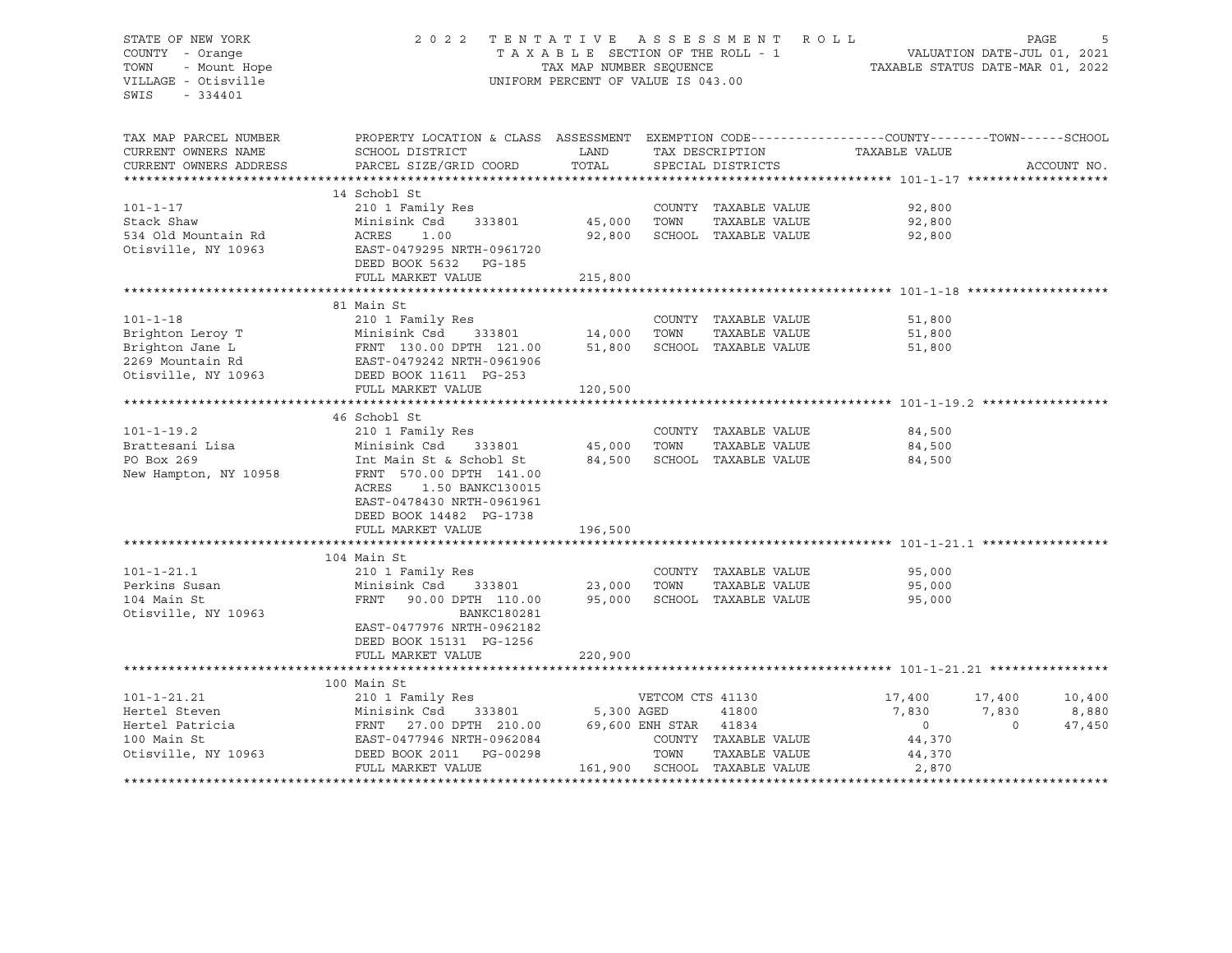## STATE OF NEW YORK 2 0 2 2 T E N T A T I V E A S S E S S M E N T R O L L PAGE 5 COUNTY - Orange T A X A B L E SECTION OF THE ROLL - 1 VALUATION DATE-JUL 01, 2021 TOWN - Mount Hope TAX NAP NUMBER SEQUENCE TAXABLE STATUS DATE-MAR 01, 2022<br>TILLAGE - Otisville Taxable Taxable Taxable Status UNIFORM PERCENT OF VALUE IS 043.00 UNIFORM PERCENT OF VALUE IS 043.00

| TAX MAP PARCEL NUMBER  | PROPERTY LOCATION & CLASS ASSESSMENT EXEMPTION CODE----------------COUNTY-------TOWN------SCHOOL                                        |                    |                       |                              |                |          |             |
|------------------------|-----------------------------------------------------------------------------------------------------------------------------------------|--------------------|-----------------------|------------------------------|----------------|----------|-------------|
| CURRENT OWNERS NAME    | SCHOOL DISTRICT                                                                                                                         | LAND               |                       | TAX DESCRIPTION              | TAXABLE VALUE  |          |             |
| CURRENT OWNERS ADDRESS | PARCEL SIZE/GRID COORD                                                                                                                  | TOTAL              |                       | SPECIAL DISTRICTS            |                |          | ACCOUNT NO. |
|                        |                                                                                                                                         |                    |                       |                              |                |          |             |
|                        | 14 Schobl St                                                                                                                            |                    |                       |                              |                |          |             |
| $101 - 1 - 17$         | 210 1 Family Res                                                                                                                        |                    |                       | COUNTY TAXABLE VALUE         | 92,800         |          |             |
| Stack Shaw             | Minisink Csd<br>333801                                                                                                                  | 45,000             | TOWN                  | TAXABLE VALUE                | 92,800         |          |             |
| 534 Old Mountain Rd    | ACRES<br>1.00                                                                                                                           | 92,800             |                       | SCHOOL TAXABLE VALUE         | 92,800         |          |             |
| Otisville, NY 10963    | EAST-0479295 NRTH-0961720                                                                                                               |                    |                       |                              |                |          |             |
|                        | DEED BOOK 5632 PG-185                                                                                                                   |                    |                       |                              |                |          |             |
|                        | FULL MARKET VALUE                                                                                                                       | 215,800            |                       |                              |                |          |             |
|                        |                                                                                                                                         |                    |                       |                              |                |          |             |
|                        | 81 Main St                                                                                                                              |                    |                       |                              |                |          |             |
| $101 - 1 - 18$         | 210 1 Family Res                                                                                                                        |                    |                       | COUNTY TAXABLE VALUE         | 51,800         |          |             |
|                        | Brighton Leroy T<br>Brighton Jane L<br>2269 Mountain Rd<br>2269 Mountain Rd<br>2269 Mountain Rd<br>2269 Mountain Rd<br>2269 Mountain Rd | 333801 14,000 TOWN |                       | TAXABLE VALUE                | 51,800         |          |             |
|                        |                                                                                                                                         |                    |                       | 51,800 SCHOOL TAXABLE VALUE  | 51,800         |          |             |
|                        |                                                                                                                                         |                    |                       |                              |                |          |             |
| Otisville, NY 10963    | DEED BOOK 11611 PG-253                                                                                                                  |                    |                       |                              |                |          |             |
|                        | FULL MARKET VALUE                                                                                                                       | 120,500            |                       |                              |                |          |             |
|                        |                                                                                                                                         |                    |                       |                              |                |          |             |
|                        | 46 Schobl St                                                                                                                            |                    |                       |                              |                |          |             |
| $101 - 1 - 19.2$       | 210 1 Family Res                                                                                                                        |                    |                       | COUNTY TAXABLE VALUE         | 84,500         |          |             |
| Brattesani Lisa        | Minisink Csd<br>333801                                                                                                                  | 45,000             | TOWN                  | TAXABLE VALUE                | 84,500         |          |             |
| PO Box 269             | Int Main St & Schobl St                                                                                                                 | 84,500             |                       | SCHOOL TAXABLE VALUE         | 84,500         |          |             |
| New Hampton, NY 10958  | FRNT 570.00 DPTH 141.00                                                                                                                 |                    |                       |                              |                |          |             |
|                        | 1.50 BANKC130015<br>ACRES                                                                                                               |                    |                       |                              |                |          |             |
|                        | EAST-0478430 NRTH-0961961                                                                                                               |                    |                       |                              |                |          |             |
|                        | DEED BOOK 14482 PG-1738                                                                                                                 |                    |                       |                              |                |          |             |
|                        | FULL MARKET VALUE                                                                                                                       | 196,500            |                       |                              |                |          |             |
|                        |                                                                                                                                         |                    |                       |                              |                |          |             |
|                        | 104 Main St                                                                                                                             |                    |                       |                              |                |          |             |
| $101 - 1 - 21.1$       | 210 1 Family Res                                                                                                                        |                    |                       | COUNTY TAXABLE VALUE         | 95,000         |          |             |
| Perkins Susan          | 333801<br>Minisink Csd                                                                                                                  | 23,000             | TOWN                  | TAXABLE VALUE                | 95,000         |          |             |
| 104 Main St            | FRNT<br>90.00 DPTH 110.00                                                                                                               | 95,000             |                       | SCHOOL TAXABLE VALUE         | 95,000         |          |             |
| Otisville, NY 10963    | BANKC180281                                                                                                                             |                    |                       |                              |                |          |             |
|                        | EAST-0477976 NRTH-0962182                                                                                                               |                    |                       |                              |                |          |             |
|                        | DEED BOOK 15131 PG-1256                                                                                                                 |                    |                       |                              |                |          |             |
|                        | FULL MARKET VALUE                                                                                                                       | 220,900            |                       |                              |                |          |             |
|                        | 100 Main St                                                                                                                             |                    |                       |                              |                |          |             |
| $101 - 1 - 21.21$      | 210 1 Family Res                                                                                                                        |                    | VETCOM CTS 41130      |                              | 17,400         | 17,400   | 10,400      |
| Hertel Steven          | Minisink Csd<br>333801                                                                                                                  | 5,300 AGED         |                       | 41800                        | 7,830          | 7,830    | 8,880       |
| Hertel Patricia        | FRNT 27.00 DPTH 210.00                                                                                                                  |                    | 69,600 ENH STAR 41834 |                              | $\overline{0}$ | $\Omega$ | 47,450      |
| 100 Main St            | EAST-0477946 NRTH-0962084                                                                                                               |                    |                       | COUNTY TAXABLE VALUE         | 44,370         |          |             |
| Otisville, NY 10963    | DEED BOOK 2011    PG-00298                                                                                                              |                    | TOWN                  | TAXABLE VALUE                | 44,370         |          |             |
|                        | FULL MARKET VALUE                                                                                                                       |                    |                       | 161,900 SCHOOL TAXABLE VALUE | 2,870          |          |             |
|                        |                                                                                                                                         |                    |                       |                              |                |          |             |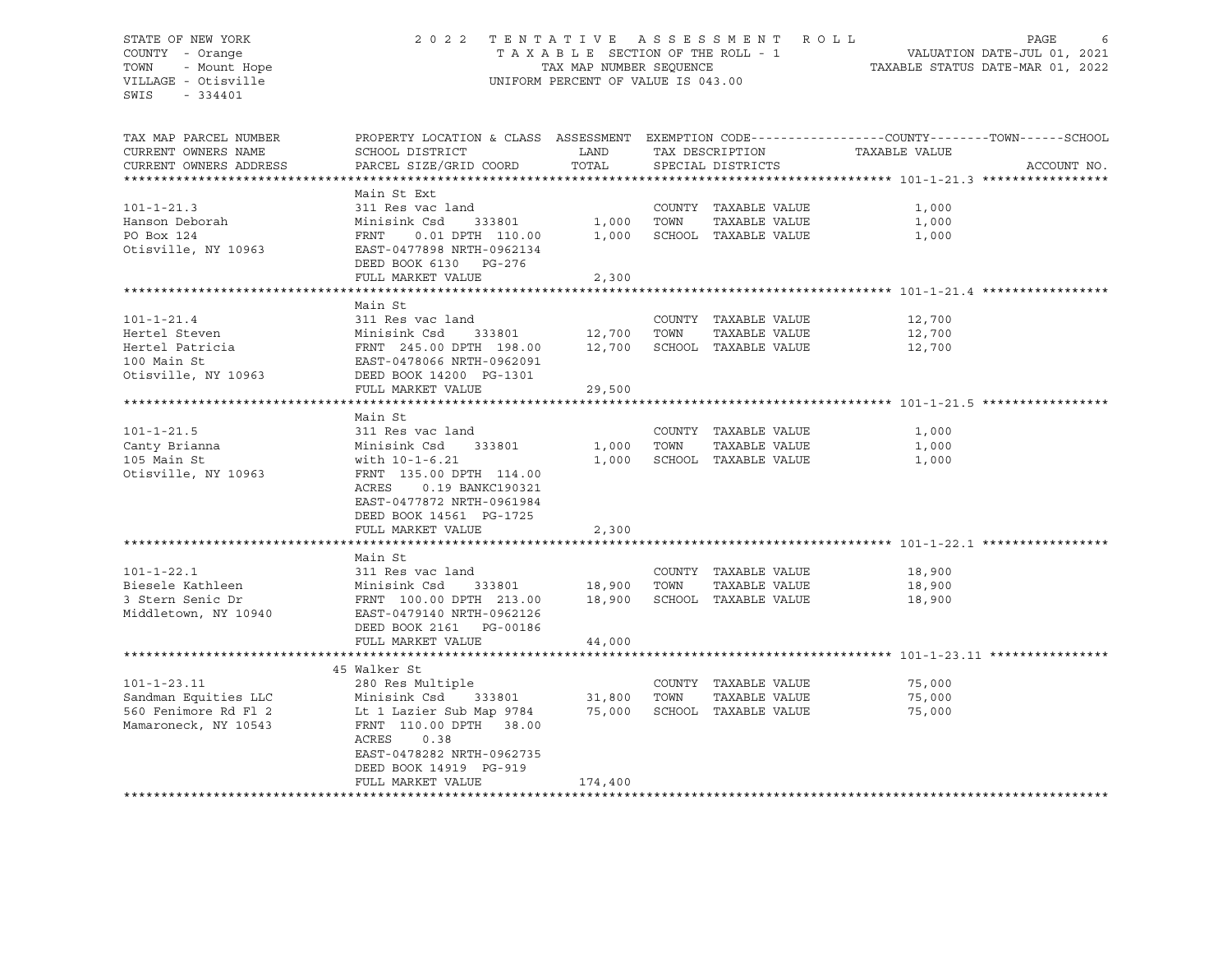# STATE OF NEW YORK 2 0 2 2 T E N T A T I V E A S S E S S M E N T R O L L PAGE 6 COUNTY - Orange T A X A B L E SECTION OF THE ROLL - 1 VALUATION DATE-JUL 01, 2021 TOWN - Mount Hope TAX MAP NUMBER SEQUENCE TAXABLE STATUS DATE-MAR 01, 2022 VILLAGE - Otisville UNIFORM PERCENT OF VALUE IS 043.00

| TAX MAP PARCEL NUMBER<br>CURRENT OWNERS NAME<br>CURRENT OWNERS ADDRESS                     | PROPERTY LOCATION & CLASS ASSESSMENT<br>SCHOOL DISTRICT<br>PARCEL SIZE/GRID COORD                                                                                                                            | LAND<br>TOTAL               |      | TAX DESCRIPTION<br>SPECIAL DISTRICTS                          | EXEMPTION CODE-----------------COUNTY-------TOWN------SCHOOL<br>TAXABLE VALUE | ACCOUNT NO. |
|--------------------------------------------------------------------------------------------|--------------------------------------------------------------------------------------------------------------------------------------------------------------------------------------------------------------|-----------------------------|------|---------------------------------------------------------------|-------------------------------------------------------------------------------|-------------|
|                                                                                            |                                                                                                                                                                                                              |                             |      |                                                               |                                                                               |             |
| $101 - 1 - 21.3$<br>Hanson Deborah<br>PO Box 124<br>Otisville, NY 10963                    | Main St Ext<br>311 Res vac land<br>333801<br>Minisink Csd<br>FRNT<br>0.01 DPTH 110.00<br>EAST-0477898 NRTH-0962134<br>DEED BOOK 6130 PG-276<br>FULL MARKET VALUE                                             | 1,000<br>1,000<br>2,300     | TOWN | COUNTY TAXABLE VALUE<br>TAXABLE VALUE<br>SCHOOL TAXABLE VALUE | 1,000<br>1,000<br>1,000                                                       |             |
|                                                                                            |                                                                                                                                                                                                              |                             |      |                                                               |                                                                               |             |
| $101 - 1 - 21.4$<br>Hertel Steven<br>Hertel Patricia<br>100 Main St<br>Otisville, NY 10963 | Main St<br>311 Res vac land<br>Minisink Csd<br>333801<br>FRNT 245.00 DPTH 198.00<br>EAST-0478066 NRTH-0962091<br>DEED BOOK 14200 PG-1301<br>FULL MARKET VALUE                                                | 12,700<br>12,700<br>29,500  | TOWN | COUNTY TAXABLE VALUE<br>TAXABLE VALUE<br>SCHOOL TAXABLE VALUE | 12,700<br>12,700<br>12,700                                                    |             |
|                                                                                            |                                                                                                                                                                                                              |                             |      |                                                               |                                                                               |             |
| $101 - 1 - 21.5$<br>Canty Brianna<br>105 Main St<br>Otisville, NY 10963                    | Main St<br>311 Res vac land<br>Minisink Csd<br>333801<br>with 10-1-6.21<br>FRNT 135.00 DPTH 114.00<br>ACRES<br>0.19 BANKC190321<br>EAST-0477872 NRTH-0961984<br>DEED BOOK 14561 PG-1725<br>FULL MARKET VALUE | 1,000<br>1,000<br>2,300     | TOWN | COUNTY TAXABLE VALUE<br>TAXABLE VALUE<br>SCHOOL TAXABLE VALUE | 1,000<br>1,000<br>1,000                                                       |             |
|                                                                                            | Main St                                                                                                                                                                                                      |                             |      |                                                               |                                                                               |             |
| $101 - 1 - 22.1$<br>Biesele Kathleen<br>3 Stern Senic Dr<br>Middletown, NY 10940           | 311 Res vac land<br>Minisink Csd<br>333801<br>FRNT 100.00 DPTH 213.00<br>EAST-0479140 NRTH-0962126<br>DEED BOOK 2161 PG-00186<br>FULL MARKET VALUE                                                           | 18,900<br>18,900<br>44,000  | TOWN | COUNTY TAXABLE VALUE<br>TAXABLE VALUE<br>SCHOOL TAXABLE VALUE | 18,900<br>18,900<br>18,900                                                    |             |
|                                                                                            |                                                                                                                                                                                                              |                             |      |                                                               |                                                                               |             |
| $101 - 1 - 23.11$<br>Sandman Equities LLC<br>560 Fenimore Rd Fl 2<br>Mamaroneck, NY 10543  | 45 Walker St<br>280 Res Multiple<br>Minisink Csd<br>333801<br>Lt 1 Lazier Sub Map 9784<br>FRNT 110.00 DPTH 38.00<br>ACRES 0.38<br>EAST-0478282 NRTH-0962735<br>DEED BOOK 14919 PG-919<br>FULL MARKET VALUE   | 31,800<br>75,000<br>174,400 | TOWN | COUNTY TAXABLE VALUE<br>TAXABLE VALUE<br>SCHOOL TAXABLE VALUE | 75,000<br>75,000<br>75,000                                                    |             |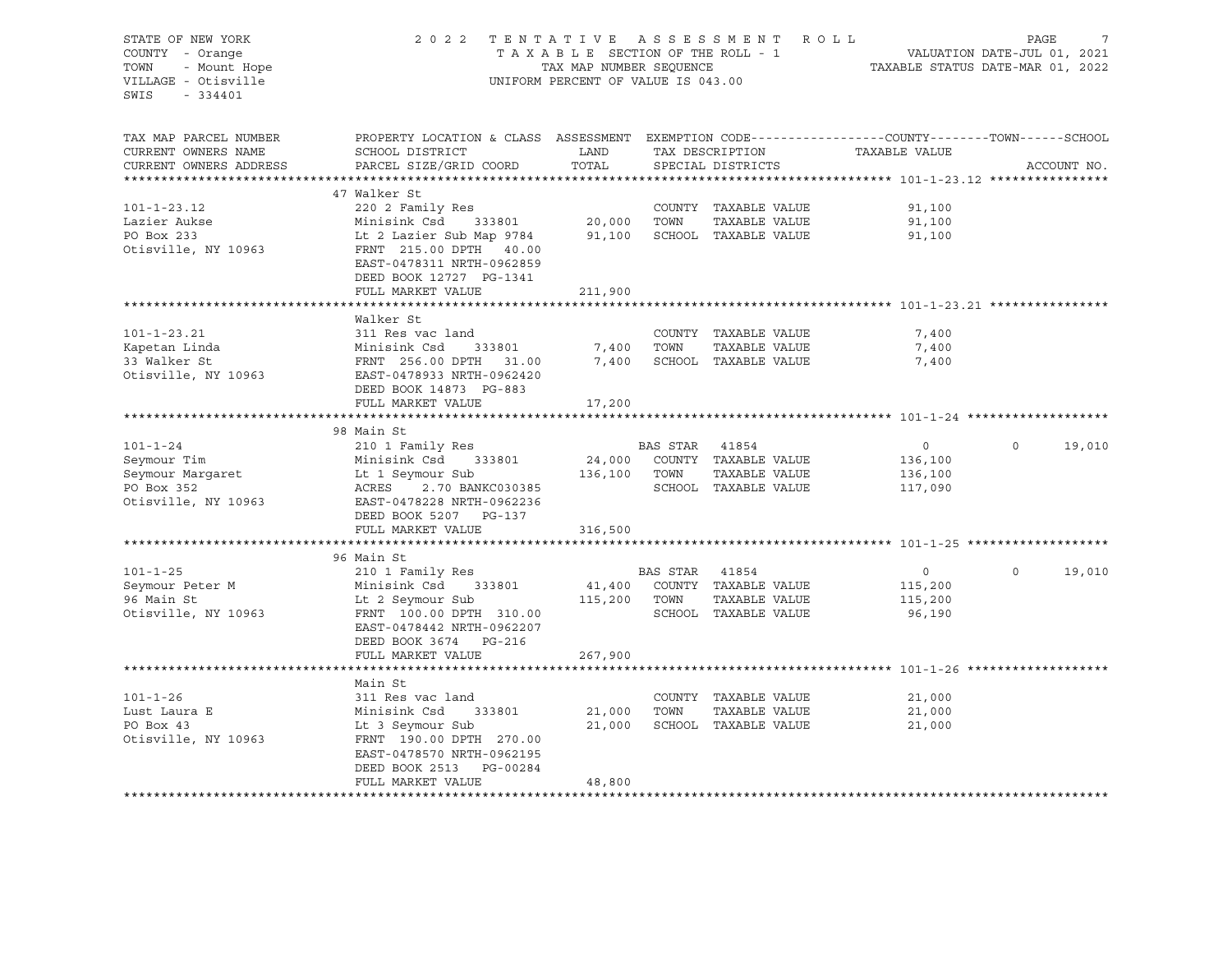| STATE OF NEW YORK                            | 2 0 2 2                                                                                          |                                    |                | TENTATIVE ASSESSMENT ROLL       |                                                                          | PAGE     | 7           |
|----------------------------------------------|--------------------------------------------------------------------------------------------------|------------------------------------|----------------|---------------------------------|--------------------------------------------------------------------------|----------|-------------|
| COUNTY - Orange                              |                                                                                                  |                                    |                | TAXABLE SECTION OF THE ROLL - 1 | ROLL - 1 VALUATION DATE-JUL 01, 2021<br>TAXABLE STATUS DATE-MAR 01, 2022 |          |             |
| - Mount Hope<br>TOWN                         |                                                                                                  | TAX MAP NUMBER SEQUENCE            |                |                                 |                                                                          |          |             |
| VILLAGE - Otisville                          |                                                                                                  | UNIFORM PERCENT OF VALUE IS 043.00 |                |                                 |                                                                          |          |             |
| SWIS<br>$-334401$                            |                                                                                                  |                                    |                |                                 |                                                                          |          |             |
|                                              |                                                                                                  |                                    |                |                                 |                                                                          |          |             |
| TAX MAP PARCEL NUMBER                        | PROPERTY LOCATION & CLASS ASSESSMENT EXEMPTION CODE----------------COUNTY-------TOWN------SCHOOL |                                    |                |                                 |                                                                          |          |             |
| CURRENT OWNERS NAME                          | SCHOOL DISTRICT                                                                                  | LAND                               |                |                                 | TAX DESCRIPTION TAXABLE VALUE                                            |          |             |
| CURRENT OWNERS ADDRESS                       | PARCEL SIZE/GRID COORD                                                                           | TOTAL                              |                | SPECIAL DISTRICTS               |                                                                          |          | ACCOUNT NO. |
|                                              |                                                                                                  |                                    |                |                                 |                                                                          |          |             |
|                                              | 47 Walker St                                                                                     |                                    |                |                                 |                                                                          |          |             |
| $101 - 1 - 23.12$                            | 220 2 Family Res                                                                                 |                                    |                | COUNTY TAXABLE VALUE            | 91,100                                                                   |          |             |
| Lazier Aukse                                 | $333801$ 20,000<br>Minisink Csd                                                                  |                                    | TOWN           | TAXABLE VALUE                   | 91,100                                                                   |          |             |
| PO Box 233                                   | Lt 2 Lazier Sub Map 9784                                                                         |                                    |                | 91,100 SCHOOL TAXABLE VALUE     | 91,100                                                                   |          |             |
| Otisville, NY 10963                          | FRNT 215.00 DPTH 40.00                                                                           |                                    |                |                                 |                                                                          |          |             |
|                                              | EAST-0478311 NRTH-0962859                                                                        |                                    |                |                                 |                                                                          |          |             |
|                                              | DEED BOOK 12727 PG-1341                                                                          |                                    |                |                                 |                                                                          |          |             |
|                                              | FULL MARKET VALUE                                                                                | 211,900                            |                |                                 |                                                                          |          |             |
|                                              |                                                                                                  |                                    |                |                                 |                                                                          |          |             |
|                                              | Walker St                                                                                        |                                    |                |                                 |                                                                          |          |             |
| $101 - 1 - 23.21$                            | 311 Res vac land                                                                                 |                                    |                | COUNTY TAXABLE VALUE            | 7,400                                                                    |          |             |
| Kapetan Linda                                | 333801<br>Minisink Csd                                                                           | 7,400 TOWN                         |                | TAXABLE VALUE                   | 7,400                                                                    |          |             |
| 33 Walker St                                 | FRNT 256.00 DPTH 31.00                                                                           |                                    |                | 7,400 SCHOOL TAXABLE VALUE      | 7,400                                                                    |          |             |
| Otisville, NY 10963                          | EAST-0478933 NRTH-0962420                                                                        |                                    |                |                                 |                                                                          |          |             |
|                                              | DEED BOOK 14873 PG-883                                                                           |                                    |                |                                 |                                                                          |          |             |
|                                              | FULL MARKET VALUE                                                                                | 17,200                             |                |                                 |                                                                          |          |             |
|                                              |                                                                                                  |                                    |                |                                 |                                                                          |          |             |
|                                              | 98 Main St                                                                                       |                                    |                |                                 |                                                                          |          |             |
| $101 - 1 - 24$                               | 210 1 Family Res                                                                                 |                                    | BAS STAR 41854 |                                 | $\overline{0}$                                                           | $\circ$  | 19,010      |
| Seymour Tim                                  | Minisink Csd 333801                                                                              |                                    |                | 24,000 COUNTY TAXABLE VALUE     | 136,100                                                                  |          |             |
|                                              |                                                                                                  | 136,100 TOWN                       |                | TAXABLE VALUE                   | 136,100                                                                  |          |             |
| Seymour Margaret<br>PO Box 352<br>PO Box 352 | Minisink Csd 333801<br>Lt 1 Seymour Sub<br>ACRES 2.70 BANKC030385<br>EAST-0478228 NRTH-0962236   |                                    |                | SCHOOL TAXABLE VALUE            | 117,090                                                                  |          |             |
| Otisville, NY 10963                          |                                                                                                  |                                    |                |                                 |                                                                          |          |             |
|                                              | DEED BOOK 5207 PG-137                                                                            |                                    |                |                                 |                                                                          |          |             |
|                                              | FULL MARKET VALUE                                                                                | 316,500                            |                |                                 |                                                                          |          |             |
|                                              |                                                                                                  |                                    |                |                                 |                                                                          |          |             |
|                                              | 96 Main St                                                                                       |                                    |                |                                 |                                                                          |          |             |
| $101 - 1 - 25$                               | 210 1 Family Res                                                                                 |                                    | BAS STAR 41854 |                                 | $\overline{0}$                                                           | $\Omega$ | 19,010      |
| Seymour Peter M                              | Minisink Csd 333801                                                                              |                                    |                | 41,400 COUNTY TAXABLE VALUE     | 115,200                                                                  |          |             |
| 96 Main St                                   | Lt 2 Seymour Sub 115,200 TOWN                                                                    |                                    |                | TAXABLE VALUE                   | 115,200                                                                  |          |             |
| Otisville, NY 10963                          | FRNT 100.00 DPTH 310.00                                                                          |                                    |                | SCHOOL TAXABLE VALUE            | 96,190                                                                   |          |             |
|                                              | EAST-0478442 NRTH-0962207                                                                        |                                    |                |                                 |                                                                          |          |             |
|                                              | DEED BOOK 3674 PG-216                                                                            |                                    |                |                                 |                                                                          |          |             |
|                                              | FULL MARKET VALUE                                                                                | 267,900                            |                |                                 |                                                                          |          |             |
|                                              |                                                                                                  |                                    |                |                                 |                                                                          |          |             |
|                                              | Main St                                                                                          |                                    |                |                                 |                                                                          |          |             |
| $101 - 1 - 26$                               | 311 Res vac land                                                                                 |                                    |                | COUNTY TAXABLE VALUE            | 21,000                                                                   |          |             |
| Lust Laura E                                 | Minisink Csd 333801                                                                              | 21,000 TOWN                        |                | TAXABLE VALUE                   | 21,000                                                                   |          |             |
| PO Box 43                                    | Lt 3 Seymour Sub                                                                                 |                                    |                | 21,000 SCHOOL TAXABLE VALUE     | 21,000                                                                   |          |             |
| Otisville, NY 10963                          | FRNT 190.00 DPTH 270.00                                                                          |                                    |                |                                 |                                                                          |          |             |
|                                              | EAST-0478570 NRTH-0962195                                                                        |                                    |                |                                 |                                                                          |          |             |
|                                              | DEED BOOK 2513 PG-00284                                                                          |                                    |                |                                 |                                                                          |          |             |
|                                              | FULL MARKET VALUE                                                                                | 48,800                             |                |                                 |                                                                          |          |             |
|                                              |                                                                                                  |                                    |                |                                 |                                                                          |          |             |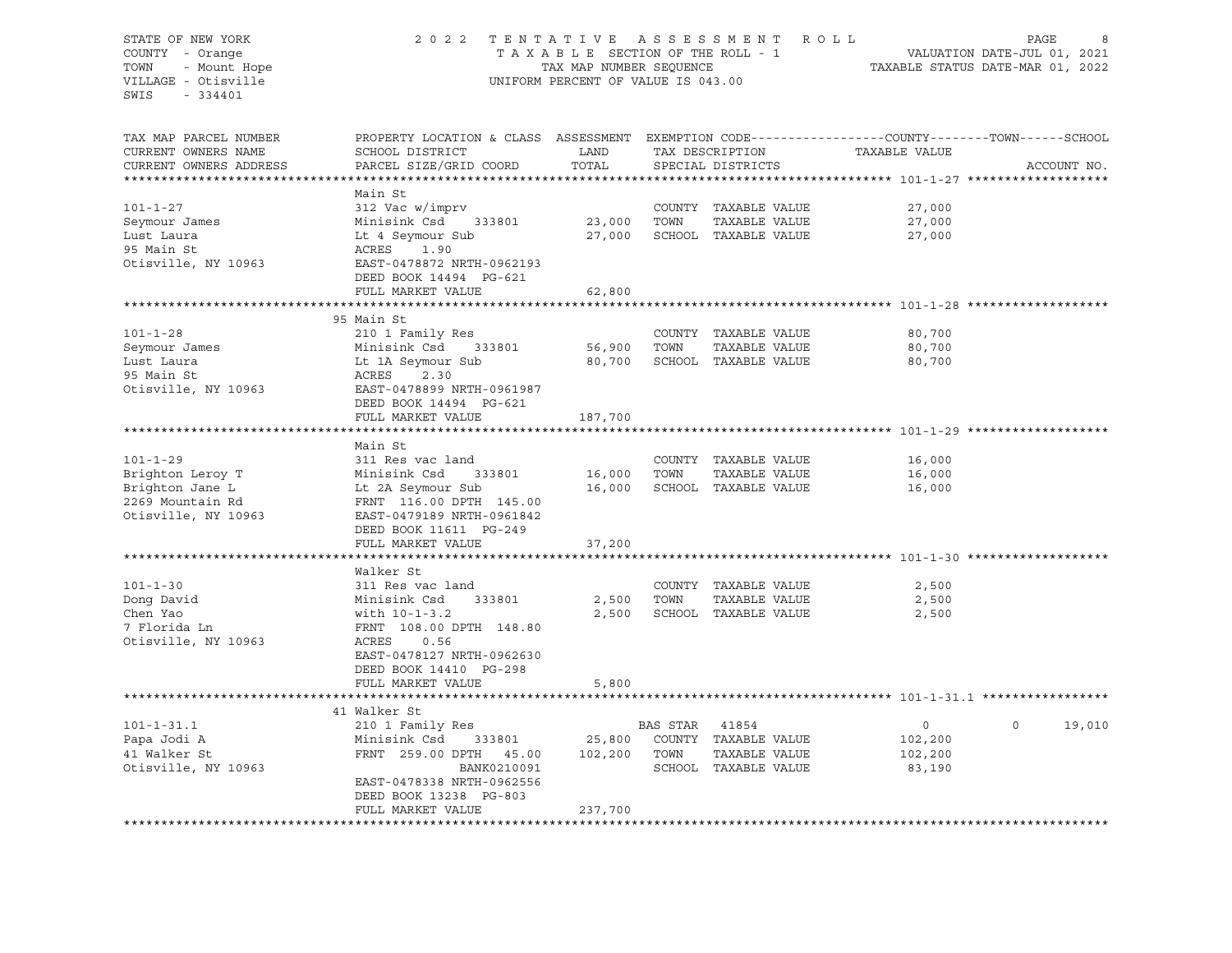STATE OF NEW YORK 2 0 2 2 T E N T A T I V E A S S E S S M E N T R O L L PAGE 8 COUNTY - Orange T A X A B L E SECTION OF THE ROLL - 1 TOWN - Mount Hope TAX MAP NUMBER SEQUENCE TAX ALL TAXABLE STATUS DATE-MAR 01, 2022 VILLAGE - Otisville UNIFORM PERCENT OF VALUE IS 043.00 SWIS - 334401 TAX MAP PARCEL NUMBER PROPERTY LOCATION & CLASS ASSESSMENT EXEMPTION CODE----------------COUNTY-------TOWN-----SCHOOL CURRENT OWNERS NAME SCHOOL DISTRICT LAND TAX DESCRIPTION TAXABLE VALUE CURRENT OWNERS ADDRESS PARCEL SIZE/GRID COORD TOTAL SPECIAL DISTRICTS ACCOUNT NO. \*\*\*\*\*\*\*\*\*\*\*\*\*\*\*\*\*\*\*\*\*\*\*\*\*\*\*\*\*\*\*\*\*\*\*\*\*\*\*\*\*\*\*\*\*\*\*\*\*\*\*\*\*\*\*\*\*\*\*\*\*\*\*\*\*\*\*\*\*\*\*\*\*\*\*\*\*\*\*\*\*\*\*\*\*\*\*\*\*\*\*\*\*\*\*\*\*\*\*\*\*\*\* 101-1-27 \*\*\*\*\*\*\*\*\*\*\*\*\*\*\*\*\*\*\* Main St 101-1-27 312 Vac w/imprv COUNTY TAXABLE VALUE 27,000 Seymour James Minisink Csd 333801 23,000 TOWN TAXABLE VALUE 27,000 Lust Laura Lt 4 Seymour Sub 27,000 SCHOOL TAXABLE VALUE 27,000 95 Main St **ACRES** 1.90 Otisville, NY 10963 EAST-0478872 NRTH-0962193 DEED BOOK 14494 PG-621 FULL MARKET VALUE 62,800 \*\*\*\*\*\*\*\*\*\*\*\*\*\*\*\*\*\*\*\*\*\*\*\*\*\*\*\*\*\*\*\*\*\*\*\*\*\*\*\*\*\*\*\*\*\*\*\*\*\*\*\*\*\*\*\*\*\*\*\*\*\*\*\*\*\*\*\*\*\*\*\*\*\*\*\*\*\*\*\*\*\*\*\*\*\*\*\*\*\*\*\*\*\*\*\*\*\*\*\*\*\*\* 101-1-28 \*\*\*\*\*\*\*\*\*\*\*\*\*\*\*\*\*\*\* 95 Main St 101-1-28 210 1 Family Res COUNTY TAXABLE VALUE 80,700 Seymour James Minisink Csd 333801 56,900 TOWN TAXABLE VALUE 80,700 Lust Laura Lt 1A Seymour Sub 80,700 SCHOOL TAXABLE VALUE 80,700 95 Main St **ACRES** 2.30 Otisville, NY 10963 EAST-0478899 NRTH-0961987 DEED BOOK 14494 PG-621 FULL MARKET VALUE 187,700 \*\*\*\*\*\*\*\*\*\*\*\*\*\*\*\*\*\*\*\*\*\*\*\*\*\*\*\*\*\*\*\*\*\*\*\*\*\*\*\*\*\*\*\*\*\*\*\*\*\*\*\*\*\*\*\*\*\*\*\*\*\*\*\*\*\*\*\*\*\*\*\*\*\*\*\*\*\*\*\*\*\*\*\*\*\*\*\*\*\*\*\*\*\*\*\*\*\*\*\*\*\*\* 101-1-29 \*\*\*\*\*\*\*\*\*\*\*\*\*\*\*\*\*\*\* Main St 101-1-29 311 Res vac land COUNTY TAXABLE VALUE 16,000 Brighton Leroy T Minisink Csd 333801 16,000 TOWN TAXABLE VALUE 16,000 Brighton Jane Lands Lt 2A Seymour Sub 16,000 SCHOOL TAXABLE VALUE 16,000 2269 Mountain Rd FRNT 116.00 DPTH 145.00 Otisville, NY 10963 EAST-0479189 NRTH-0961842 DEED BOOK 11611 PG-249 FULL MARKET VALUE 37,200 \*\*\*\*\*\*\*\*\*\*\*\*\*\*\*\*\*\*\*\*\*\*\*\*\*\*\*\*\*\*\*\*\*\*\*\*\*\*\*\*\*\*\*\*\*\*\*\*\*\*\*\*\*\*\*\*\*\*\*\*\*\*\*\*\*\*\*\*\*\*\*\*\*\*\*\*\*\*\*\*\*\*\*\*\*\*\*\*\*\*\*\*\*\*\*\*\*\*\*\*\*\*\* 101-1-30 \*\*\*\*\*\*\*\*\*\*\*\*\*\*\*\*\*\*\* Walker St 101-1-30 311 Res vac land COUNTY TAXABLE VALUE 2,500 Dong David Minisink Csd 333801 2,500 TOWN TAXABLE VALUE 2,500 Chen Yao with 10-1-3.2 2,500 SCHOOL TAXABLE VALUE 2,500 7 Florida Ln FRNT 108.00 DPTH 148.80 Otisville, NY 10963 ACRES 0.56 EAST-0478127 NRTH-0962630 DEED BOOK 14410 PG-298 FULL MARKET VALUE 5,800 \*\*\*\*\*\*\*\*\*\*\*\*\*\*\*\*\*\*\*\*\*\*\*\*\*\*\*\*\*\*\*\*\*\*\*\*\*\*\*\*\*\*\*\*\*\*\*\*\*\*\*\*\*\*\*\*\*\*\*\*\*\*\*\*\*\*\*\*\*\*\*\*\*\*\*\*\*\*\*\*\*\*\*\*\*\*\*\*\*\*\*\*\*\*\*\*\*\*\*\*\*\*\* 101-1-31.1 \*\*\*\*\*\*\*\*\*\*\*\*\*\*\*\*\* 41 Walker St 101-1-31.1 210 1 Family Res BAS STAR 41854 0 0 19,010 Papa Jodi A Minisink Csd 333801 25,800 COUNTY TAXABLE VALUE 102,200 41 Walker St FRNT 259.00 DPTH 45.00 102,200 TOWN TAXABLE VALUE 102,200 Otisville, NY 10963 BANK0210091 SCHOOL TAXABLE VALUE 83,190 EAST-0478338 NRTH-0962556 DEED BOOK 13238 PG-803 FULL MARKET VALUE 237,700 \*\*\*\*\*\*\*\*\*\*\*\*\*\*\*\*\*\*\*\*\*\*\*\*\*\*\*\*\*\*\*\*\*\*\*\*\*\*\*\*\*\*\*\*\*\*\*\*\*\*\*\*\*\*\*\*\*\*\*\*\*\*\*\*\*\*\*\*\*\*\*\*\*\*\*\*\*\*\*\*\*\*\*\*\*\*\*\*\*\*\*\*\*\*\*\*\*\*\*\*\*\*\*\*\*\*\*\*\*\*\*\*\*\*\*\*\*\*\*\*\*\*\*\*\*\*\*\*\*\*\*\*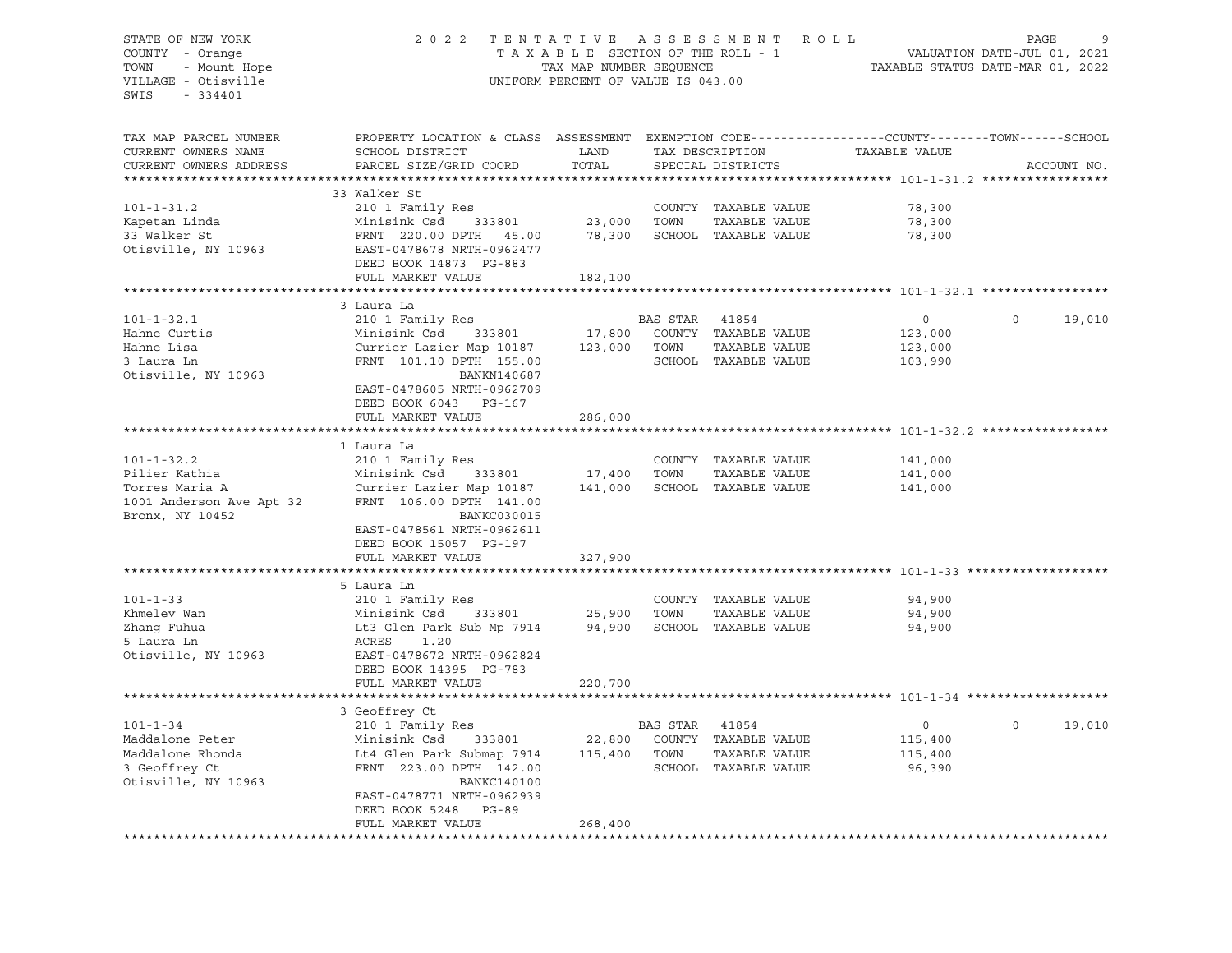# STATE OF NEW YORK 2 0 2 2 T E N T A T I V E A S S E S S M E N T R O L L PAGE 9 COUNTY - Orange T A X A B L E SECTION OF THE ROLL - 1 VALUATION DATE-JUL 01, 2021 TOWN - Mount Hope TAX MAP NUMBER SEQUENCE TAXABLE STATUS DATE-MAR 01, 2022 VILLAGE - Otisville UNIFORM PERCENT OF VALUE IS 043.00

| TAX MAP PARCEL NUMBER    | PROPERTY LOCATION & CLASS ASSESSMENT EXEMPTION CODE----------------COUNTY-------TOWN------SCHOOL |               |                |                      |               |                    |
|--------------------------|--------------------------------------------------------------------------------------------------|---------------|----------------|----------------------|---------------|--------------------|
| CURRENT OWNERS NAME      | SCHOOL DISTRICT                                                                                  | LAND          |                | TAX DESCRIPTION      | TAXABLE VALUE |                    |
| CURRENT OWNERS ADDRESS   | PARCEL SIZE/GRID COORD                                                                           | TOTAL         |                | SPECIAL DISTRICTS    |               | ACCOUNT NO.        |
|                          |                                                                                                  |               |                |                      |               |                    |
|                          | 33 Walker St                                                                                     |               |                |                      |               |                    |
| $101 - 1 - 31.2$         | 210 1 Family Res                                                                                 |               |                | COUNTY TAXABLE VALUE | 78,300        |                    |
| Kapetan Linda            | Minisink Csd<br>333801                                                                           | 23,000        | TOWN           | TAXABLE VALUE        | 78,300        |                    |
| 33 Walker St             | FRNT 220.00 DPTH 45.00                                                                           | 78,300        |                | SCHOOL TAXABLE VALUE | 78,300        |                    |
| Otisville, NY 10963      | EAST-0478678 NRTH-0962477                                                                        |               |                |                      |               |                    |
|                          | DEED BOOK 14873 PG-883                                                                           |               |                |                      |               |                    |
|                          |                                                                                                  |               |                |                      |               |                    |
|                          | FULL MARKET VALUE                                                                                | 182,100       |                |                      |               |                    |
|                          |                                                                                                  |               |                |                      |               |                    |
|                          | 3 Laura La                                                                                       |               |                |                      |               |                    |
| $101 - 1 - 32.1$         | 210 1 Family Res                                                                                 |               | BAS STAR       | 41854                | $\circ$       | $\Omega$<br>19,010 |
| Hahne Curtis             | Minisink Csd 333801                                                                              | 17,800        |                | COUNTY TAXABLE VALUE | 123,000       |                    |
| Hahne Lisa               | Currier Lazier Map 10187                                                                         | 123,000       | TOWN           | TAXABLE VALUE        | 123,000       |                    |
| 3 Laura Ln               | FRNT 101.10 DPTH 155.00                                                                          |               |                | SCHOOL TAXABLE VALUE | 103,990       |                    |
| Otisville, NY 10963      | BANKN140687                                                                                      |               |                |                      |               |                    |
|                          | EAST-0478605 NRTH-0962709                                                                        |               |                |                      |               |                    |
|                          | DEED BOOK 6043 PG-167                                                                            |               |                |                      |               |                    |
|                          | FULL MARKET VALUE                                                                                | 286,000       |                |                      |               |                    |
|                          |                                                                                                  |               |                |                      |               |                    |
|                          | 1 Laura La                                                                                       |               |                |                      |               |                    |
| $101 - 1 - 32.2$         | 210 1 Family Res                                                                                 |               |                | COUNTY TAXABLE VALUE | 141,000       |                    |
| Pilier Kathia            | Minisink Csd                                                                                     | 333801 17,400 | TOWN           | TAXABLE VALUE        | 141,000       |                    |
| Torres Maria A           | Currier Lazier Map 10187                                                                         | 141,000       |                | SCHOOL TAXABLE VALUE | 141,000       |                    |
| 1001 Anderson Ave Apt 32 | FRNT 106.00 DPTH 141.00                                                                          |               |                |                      |               |                    |
| Bronx, NY 10452          | BANKC030015                                                                                      |               |                |                      |               |                    |
|                          | EAST-0478561 NRTH-0962611                                                                        |               |                |                      |               |                    |
|                          |                                                                                                  |               |                |                      |               |                    |
|                          | DEED BOOK 15057 PG-197                                                                           |               |                |                      |               |                    |
|                          | FULL MARKET VALUE                                                                                | 327,900       |                |                      |               |                    |
|                          |                                                                                                  |               |                |                      |               |                    |
|                          | 5 Laura Ln                                                                                       |               |                |                      |               |                    |
| $101 - 1 - 33$           | 210 1 Family Res                                                                                 |               |                | COUNTY TAXABLE VALUE | 94,900        |                    |
| Khmelev Wan              | Minisink Csd<br>333801                                                                           | 25,900        | TOWN           | TAXABLE VALUE        | 94,900        |                    |
| Zhang Fuhua              | Lt3 Glen Park Sub Mp 7914                                                                        | 94,900        |                | SCHOOL TAXABLE VALUE | 94,900        |                    |
| 5 Laura Ln               | ACRES<br>1.20                                                                                    |               |                |                      |               |                    |
| Otisville, NY 10963      | EAST-0478672 NRTH-0962824                                                                        |               |                |                      |               |                    |
|                          | DEED BOOK 14395 PG-783                                                                           |               |                |                      |               |                    |
|                          | FULL MARKET VALUE                                                                                | 220,700       |                |                      |               |                    |
|                          |                                                                                                  |               |                |                      |               |                    |
|                          | 3 Geoffrey Ct                                                                                    |               |                |                      |               |                    |
| $101 - 1 - 34$           | 210 1 Family Res                                                                                 |               | BAS STAR 41854 |                      | $\circ$       | $\Omega$<br>19,010 |
| Maddalone Peter          | Minisink Csd<br>333801                                                                           | 22,800        |                | COUNTY TAXABLE VALUE | 115,400       |                    |
| Maddalone Rhonda         | Lt4 Glen Park Submap 7914                                                                        | 115,400       | TOWN           | TAXABLE VALUE        | 115,400       |                    |
| 3 Geoffrey Ct            | FRNT 223.00 DPTH 142.00                                                                          |               |                | SCHOOL TAXABLE VALUE | 96,390        |                    |
| Otisville, NY 10963      | <b>BANKC140100</b>                                                                               |               |                |                      |               |                    |
|                          | EAST-0478771 NRTH-0962939                                                                        |               |                |                      |               |                    |
|                          | DEED BOOK 5248 PG-89                                                                             |               |                |                      |               |                    |
|                          | FULL MARKET VALUE                                                                                | 268,400       |                |                      |               |                    |
|                          |                                                                                                  |               |                |                      |               |                    |
|                          |                                                                                                  |               |                |                      |               |                    |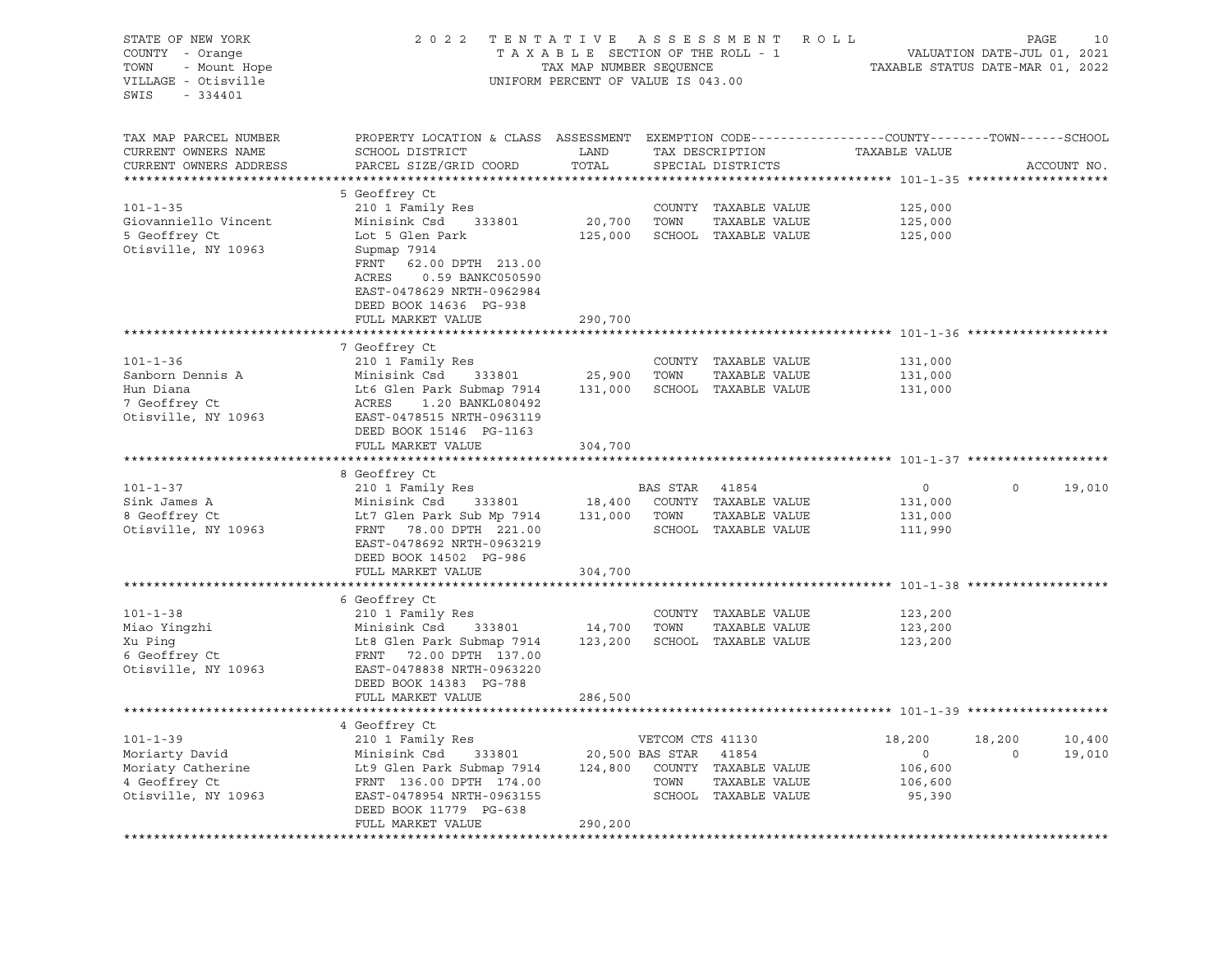| STATE OF NEW YORK<br>COUNTY - Orange<br>- Mount Hope<br>TOWN<br>VILLAGE - Otisville<br>$-334401$<br>SWIS | 2 0 2 2<br>ASSESSMENT ROLL<br>TENTATIVE<br>TAXABLE SECTION OF THE ROLL - 1<br>TAX MAP NUMBER SEQUENCE<br>UNIFORM PERCENT OF VALUE IS 043.00   |                       |                  |                                       |                                         |                    | PAGE<br>VALUATION DATE-JUL 01, 2021<br>TAXABLE STATUS DATE-MAR 01, 2022 | 10 |
|----------------------------------------------------------------------------------------------------------|-----------------------------------------------------------------------------------------------------------------------------------------------|-----------------------|------------------|---------------------------------------|-----------------------------------------|--------------------|-------------------------------------------------------------------------|----|
| TAX MAP PARCEL NUMBER<br>CURRENT OWNERS NAME<br>CURRENT OWNERS ADDRESS                                   | PROPERTY LOCATION & CLASS ASSESSMENT EXEMPTION CODE----------------COUNTY-------TOWN------SCHOOL<br>SCHOOL DISTRICT<br>PARCEL SIZE/GRID COORD | LAND<br>TOTAL         |                  | TAX DESCRIPTION<br>SPECIAL DISTRICTS  | TAXABLE VALUE                           |                    | ACCOUNT NO.                                                             |    |
| ***********************                                                                                  |                                                                                                                                               |                       |                  |                                       |                                         |                    |                                                                         |    |
|                                                                                                          | 5 Geoffrey Ct                                                                                                                                 |                       |                  |                                       |                                         |                    |                                                                         |    |
| $101 - 1 - 35$                                                                                           | 210 1 Family Res                                                                                                                              |                       |                  | COUNTY TAXABLE VALUE                  | 125,000                                 |                    |                                                                         |    |
| Giovanniello Vincent                                                                                     | Minisink Csd<br>333801                                                                                                                        | 20,700                | TOWN             | TAXABLE VALUE                         | 125,000                                 |                    |                                                                         |    |
| 5 Geoffrey Ct                                                                                            | Lot 5 Glen Park                                                                                                                               | 125,000               |                  | SCHOOL TAXABLE VALUE                  | 125,000                                 |                    |                                                                         |    |
| Otisville, NY 10963                                                                                      | Supmap 7914<br>FRNT<br>62.00 DPTH 213.00<br>ACRES<br>0.59 BANKC050590<br>EAST-0478629 NRTH-0962984<br>DEED BOOK 14636 PG-938                  |                       |                  |                                       |                                         |                    |                                                                         |    |
|                                                                                                          | FULL MARKET VALUE                                                                                                                             | 290,700               |                  |                                       |                                         |                    |                                                                         |    |
|                                                                                                          | ***************************                                                                                                                   | *************         |                  |                                       | ****************************** 101-1-36 |                    |                                                                         |    |
|                                                                                                          | 7 Geoffrey Ct                                                                                                                                 |                       |                  |                                       |                                         |                    |                                                                         |    |
| $101 - 1 - 36$<br>Sanborn Dennis A                                                                       | 210 1 Family Res<br>Minisink Csd<br>333801                                                                                                    | 25,900                | TOWN             | COUNTY TAXABLE VALUE<br>TAXABLE VALUE | 131,000<br>131,000                      |                    |                                                                         |    |
| Hun Diana                                                                                                | Lt6 Glen Park Submap 7914                                                                                                                     | 131,000               |                  | SCHOOL TAXABLE VALUE                  | 131,000                                 |                    |                                                                         |    |
| 7 Geoffrey Ct                                                                                            | ACRES 1.20 BANKL080492                                                                                                                        |                       |                  |                                       |                                         |                    |                                                                         |    |
| Otisville, NY 10963                                                                                      | EAST-0478515 NRTH-0963119                                                                                                                     |                       |                  |                                       |                                         |                    |                                                                         |    |
|                                                                                                          | DEED BOOK 15146 PG-1163                                                                                                                       |                       |                  |                                       |                                         |                    |                                                                         |    |
|                                                                                                          | FULL MARKET VALUE                                                                                                                             | 304,700               |                  |                                       |                                         |                    |                                                                         |    |
|                                                                                                          |                                                                                                                                               |                       |                  |                                       |                                         |                    |                                                                         |    |
|                                                                                                          | 8 Geoffrey Ct                                                                                                                                 |                       |                  |                                       |                                         |                    |                                                                         |    |
| $101 - 1 - 37$                                                                                           | 210 1 Family Res                                                                                                                              |                       | BAS STAR         | 41854                                 | $\circ$                                 | $\Omega$           | 19,010                                                                  |    |
| Sink James A                                                                                             | Minisink Csd<br>333801                                                                                                                        |                       |                  | 18,400 COUNTY TAXABLE VALUE           | 131,000                                 |                    |                                                                         |    |
| 8 Geoffrey Ct                                                                                            | Lt7 Glen Park Sub Mp 7914                                                                                                                     |                       | 131,000 TOWN     | TAXABLE VALUE                         | 131,000                                 |                    |                                                                         |    |
| Otisville, NY 10963                                                                                      | FRNT 78.00 DPTH 221.00                                                                                                                        |                       |                  | SCHOOL TAXABLE VALUE                  | 111,990                                 |                    |                                                                         |    |
|                                                                                                          | EAST-0478692 NRTH-0963219                                                                                                                     |                       |                  |                                       |                                         |                    |                                                                         |    |
|                                                                                                          | DEED BOOK 14502 PG-986<br>FULL MARKET VALUE                                                                                                   | 304,700               |                  |                                       |                                         |                    |                                                                         |    |
|                                                                                                          |                                                                                                                                               |                       |                  |                                       |                                         |                    |                                                                         |    |
|                                                                                                          | 6 Geoffrey Ct                                                                                                                                 |                       |                  |                                       |                                         |                    |                                                                         |    |
| $101 - 1 - 38$                                                                                           | 210 1 Family Res                                                                                                                              |                       |                  | COUNTY TAXABLE VALUE                  | 123,200                                 |                    |                                                                         |    |
| Miao Yingzhi                                                                                             | Minisink Csd<br>333801                                                                                                                        | 14,700                | TOWN             | TAXABLE VALUE                         | 123,200                                 |                    |                                                                         |    |
| Xu Ping                                                                                                  | Lt8 Glen Park Submap 7914                                                                                                                     | 123,200               |                  | SCHOOL TAXABLE VALUE                  | 123,200                                 |                    |                                                                         |    |
| 6 Geoffrey Ct                                                                                            | FRNT 72.00 DPTH 137.00                                                                                                                        |                       |                  |                                       |                                         |                    |                                                                         |    |
| Otisville, NY 10963                                                                                      | EAST-0478838 NRTH-0963220                                                                                                                     |                       |                  |                                       |                                         |                    |                                                                         |    |
|                                                                                                          | DEED BOOK 14383 PG-788                                                                                                                        |                       |                  |                                       |                                         |                    |                                                                         |    |
|                                                                                                          | FULL MARKET VALUE                                                                                                                             | 286,500               |                  |                                       |                                         |                    |                                                                         |    |
|                                                                                                          |                                                                                                                                               |                       |                  |                                       |                                         |                    |                                                                         |    |
|                                                                                                          | 4 Geoffrey Ct                                                                                                                                 |                       |                  |                                       |                                         |                    |                                                                         |    |
| $101 - 1 - 39$                                                                                           | 210 1 Family Res<br>Minisink Csd                                                                                                              | 20,500 BAS STAR 41854 | VETCOM CTS 41130 |                                       | 18,200<br>$\circ$                       | 18,200<br>$\Omega$ | 10,400<br>19,010                                                        |    |
| Moriarty David<br>Moriaty Catherine                                                                      | 333801<br>Lt9 Glen Park Submap 7914                                                                                                           |                       |                  | 124,800 COUNTY TAXABLE VALUE          | 106,600                                 |                    |                                                                         |    |
| 4 Geoffrey Ct                                                                                            | FRNT 136.00 DPTH 174.00                                                                                                                       |                       | TOWN             | TAXABLE VALUE                         | 106,600                                 |                    |                                                                         |    |
| Otisville, NY 10963                                                                                      | EAST-0478954 NRTH-0963155                                                                                                                     |                       |                  | SCHOOL TAXABLE VALUE                  | 95,390                                  |                    |                                                                         |    |
|                                                                                                          | DEED BOOK 11779 PG-638                                                                                                                        |                       |                  |                                       |                                         |                    |                                                                         |    |
|                                                                                                          | FULL MARKET VALUE                                                                                                                             | 290,200               |                  |                                       |                                         |                    |                                                                         |    |
|                                                                                                          |                                                                                                                                               |                       |                  |                                       |                                         |                    |                                                                         |    |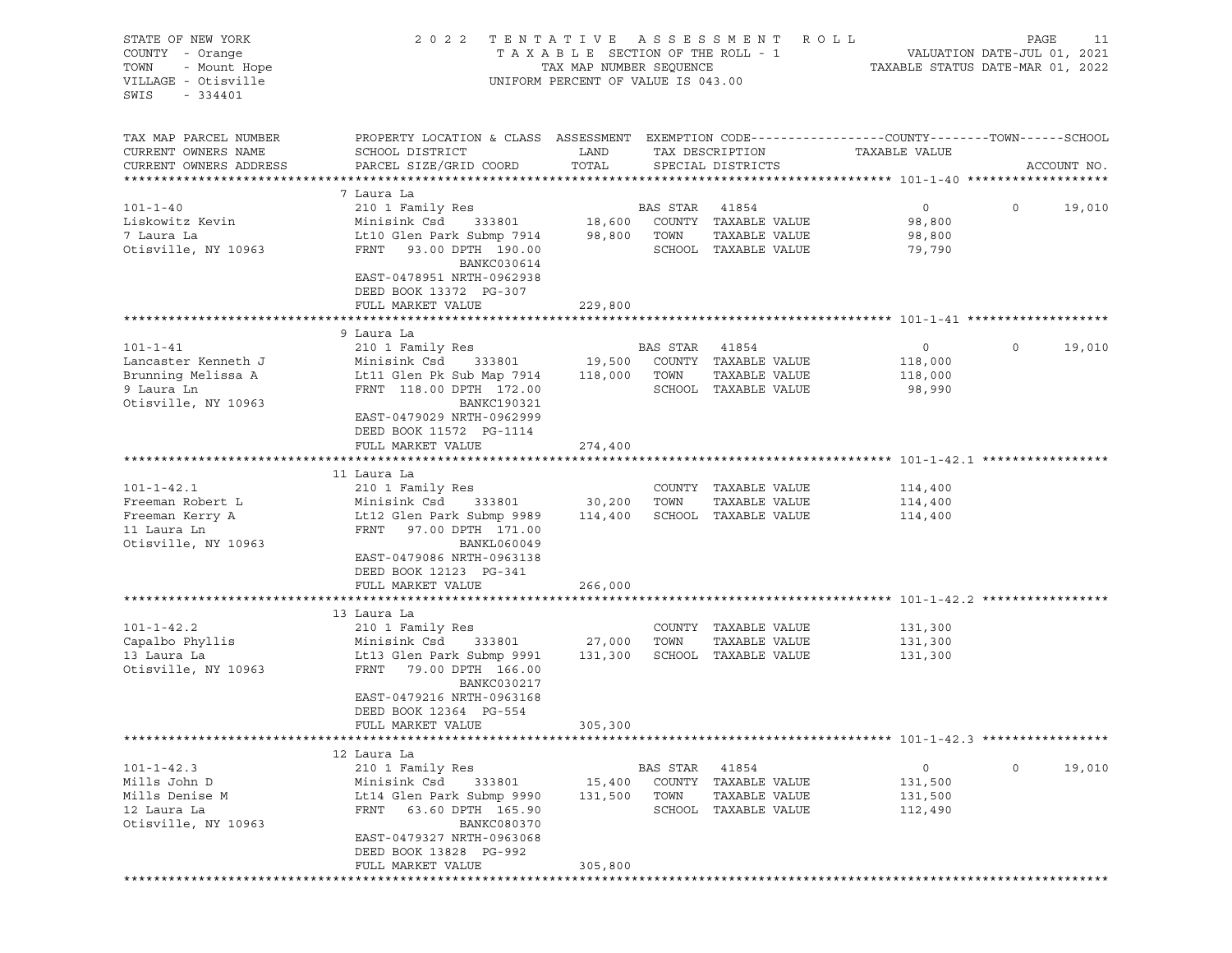| STATE OF NEW YORK<br>COUNTY - Orange<br>- Mount Hope<br>TOWN<br>VILLAGE - Otisville<br>SWIS<br>$-334401$ | 2 0 2 2                                                                                                                                      | TENTATIVE ASSESSMENT<br>TAXABLE SECTION OF THE ROLL - 1<br>TAX MAP NUMBER SEQUENCE<br>UNIFORM PERCENT OF VALUE IS 043.00 |          |                                       | R O L L<br>TAXABLE STATUS DATE-MAR 01, 2022 | PAGE<br>VALUATION DATE-JUL 01, 2021 | 11          |
|----------------------------------------------------------------------------------------------------------|----------------------------------------------------------------------------------------------------------------------------------------------|--------------------------------------------------------------------------------------------------------------------------|----------|---------------------------------------|---------------------------------------------|-------------------------------------|-------------|
| TAX MAP PARCEL NUMBER<br>CURRENT OWNERS NAME<br>CURRENT OWNERS ADDRESS                                   | PROPERTY LOCATION & CLASS ASSESSMENT EXEMPTION CODE---------------COUNTY-------TOWN------SCHOOL<br>SCHOOL DISTRICT<br>PARCEL SIZE/GRID COORD | LAND<br>TOTAL                                                                                                            |          | TAX DESCRIPTION<br>SPECIAL DISTRICTS  | TAXABLE VALUE                               |                                     | ACCOUNT NO. |
|                                                                                                          |                                                                                                                                              |                                                                                                                          |          |                                       |                                             |                                     |             |
| $101 - 1 - 40$                                                                                           | 7 Laura La<br>210 1 Family Res                                                                                                               |                                                                                                                          | BAS STAR | 41854                                 | $\circ$                                     | $\circ$                             | 19,010      |
| Liskowitz Kevin                                                                                          | Minisink Csd<br>333801                                                                                                                       | 18,600                                                                                                                   | TOWN     | COUNTY TAXABLE VALUE<br>TAXABLE VALUE | 98,800                                      |                                     |             |
| 7 Laura La<br>Otisville, NY 10963                                                                        | Lt10 Glen Park Submp 7914<br>FRNT<br>93.00 DPTH 190.00<br>BANKC030614<br>EAST-0478951 NRTH-0962938<br>DEED BOOK 13372 PG-307                 | 98,800                                                                                                                   |          | SCHOOL TAXABLE VALUE                  | 98,800<br>79,790                            |                                     |             |
|                                                                                                          | FULL MARKET VALUE                                                                                                                            | 229,800                                                                                                                  |          |                                       |                                             |                                     |             |
|                                                                                                          |                                                                                                                                              |                                                                                                                          |          |                                       |                                             |                                     |             |
|                                                                                                          | 9 Laura La                                                                                                                                   |                                                                                                                          |          |                                       |                                             |                                     |             |
| $101 - 1 - 41$                                                                                           | 210 1 Family Res                                                                                                                             |                                                                                                                          | BAS STAR | 41854                                 | 0                                           | $\circ$                             | 19,010      |
| Lancaster Kenneth J                                                                                      | Minisink Csd<br>333801                                                                                                                       | 19,500                                                                                                                   |          | COUNTY TAXABLE VALUE                  | 118,000                                     |                                     |             |
| Brunning Melissa A                                                                                       | Lt11 Glen Pk Sub Map 7914                                                                                                                    | 118,000                                                                                                                  | TOWN     | TAXABLE VALUE                         | 118,000                                     |                                     |             |
| 9 Laura Ln<br>Otisville, NY 10963                                                                        | FRNT 118.00 DPTH 172.00<br><b>BANKC190321</b><br>EAST-0479029 NRTH-0962999<br>DEED BOOK 11572 PG-1114                                        |                                                                                                                          |          | SCHOOL TAXABLE VALUE                  | 98,990                                      |                                     |             |
|                                                                                                          | FULL MARKET VALUE                                                                                                                            | 274,400                                                                                                                  |          |                                       |                                             |                                     |             |
|                                                                                                          |                                                                                                                                              |                                                                                                                          |          |                                       |                                             |                                     |             |
|                                                                                                          | 11 Laura La                                                                                                                                  |                                                                                                                          |          |                                       |                                             |                                     |             |
| $101 - 1 - 42.1$                                                                                         | 210 1 Family Res                                                                                                                             |                                                                                                                          |          | COUNTY TAXABLE VALUE                  | 114,400                                     |                                     |             |
| Freeman Robert L                                                                                         | Minisink Csd<br>333801                                                                                                                       | 30,200                                                                                                                   | TOWN     | TAXABLE VALUE                         | 114,400                                     |                                     |             |
| Freeman Kerry A                                                                                          | Lt12 Glen Park Submp 9989                                                                                                                    | 114,400                                                                                                                  |          | SCHOOL TAXABLE VALUE                  | 114,400                                     |                                     |             |
| 11 Laura Ln                                                                                              | FRNT<br>97.00 DPTH 171.00                                                                                                                    |                                                                                                                          |          |                                       |                                             |                                     |             |
| Otisville, NY 10963                                                                                      | <b>BANKL060049</b><br>EAST-0479086 NRTH-0963138<br>DEED BOOK 12123 PG-341                                                                    |                                                                                                                          |          |                                       |                                             |                                     |             |
|                                                                                                          | FULL MARKET VALUE                                                                                                                            | 266,000                                                                                                                  |          |                                       |                                             |                                     |             |
|                                                                                                          |                                                                                                                                              |                                                                                                                          |          |                                       |                                             |                                     |             |
|                                                                                                          | 13 Laura La                                                                                                                                  |                                                                                                                          |          |                                       |                                             |                                     |             |
| $101 - 1 - 42.2$                                                                                         | 210 1 Family Res                                                                                                                             |                                                                                                                          |          | COUNTY TAXABLE VALUE                  | 131,300                                     |                                     |             |
| Capalbo Phyllis                                                                                          | Minisink Csd<br>333801                                                                                                                       | 27,000                                                                                                                   | TOWN     | TAXABLE VALUE                         | 131,300                                     |                                     |             |
| 13 Laura La<br>Otisville, NY 10963                                                                       | Lt13 Glen Park Submp 9991<br>FRNT<br>79.00 DPTH 166.00<br><b>BANKC030217</b>                                                                 | 131,300                                                                                                                  |          | SCHOOL TAXABLE VALUE                  | 131,300                                     |                                     |             |
|                                                                                                          | EAST-0479216 NRTH-0963168<br>DEED BOOK 12364 PG-554<br>FULL MARKET VALUE                                                                     |                                                                                                                          |          |                                       |                                             |                                     |             |
|                                                                                                          |                                                                                                                                              | 305,300                                                                                                                  |          |                                       |                                             |                                     |             |
|                                                                                                          | 12 Laura La                                                                                                                                  |                                                                                                                          |          |                                       |                                             |                                     |             |
| $101 - 1 - 42.3$                                                                                         | 210 1 Family Res                                                                                                                             |                                                                                                                          | BAS STAR | 41854                                 | 0                                           | $\circ$                             | 19,010      |
| Mills John D                                                                                             | Minisink Csd<br>333801                                                                                                                       | 15,400                                                                                                                   |          | COUNTY TAXABLE VALUE                  | 131,500                                     |                                     |             |
| Mills Denise M                                                                                           | Lt14 Glen Park Submp 9990                                                                                                                    | 131,500                                                                                                                  | TOWN     | TAXABLE VALUE                         | 131,500                                     |                                     |             |
| 12 Laura La                                                                                              | 63.60 DPTH 165.90<br>FRNT                                                                                                                    |                                                                                                                          |          | SCHOOL TAXABLE VALUE                  | 112,490                                     |                                     |             |
| Otisville, NY 10963                                                                                      | BANKC080370                                                                                                                                  |                                                                                                                          |          |                                       |                                             |                                     |             |
|                                                                                                          | EAST-0479327 NRTH-0963068                                                                                                                    |                                                                                                                          |          |                                       |                                             |                                     |             |
|                                                                                                          | DEED BOOK 13828 PG-992                                                                                                                       |                                                                                                                          |          |                                       |                                             |                                     |             |
|                                                                                                          | FULL MARKET VALUE                                                                                                                            | 305,800                                                                                                                  |          |                                       |                                             |                                     |             |
|                                                                                                          |                                                                                                                                              |                                                                                                                          |          |                                       |                                             |                                     |             |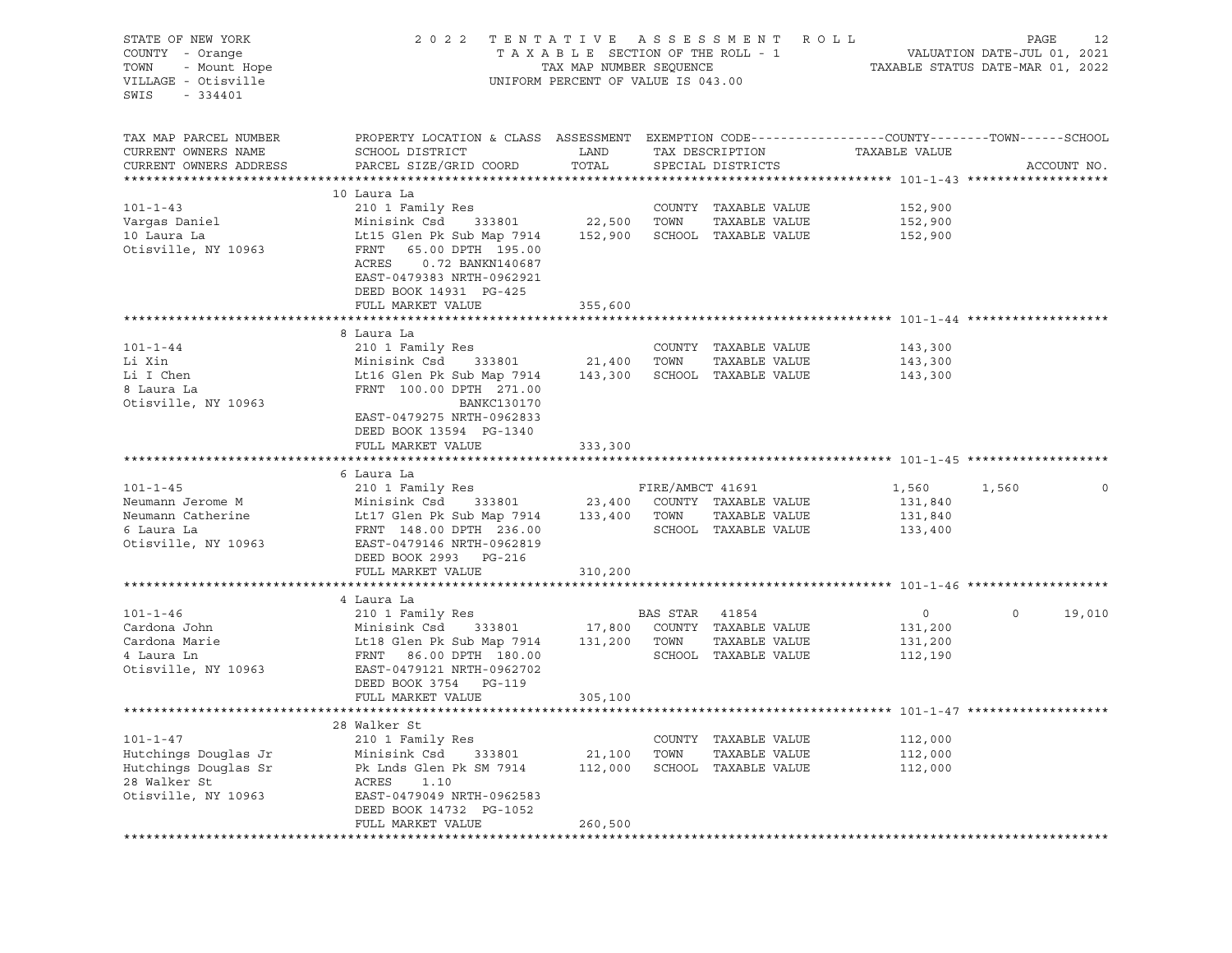| STATE OF NEW YORK<br>COUNTY - Orange<br>TOWN<br>- Mount Hope<br>VILLAGE - Otisville<br>SWIS<br>$-334401$ | 2022 TENTATIVE ASSESSMENT ROLL<br>TAXABLE SECTION OF THE ROLL - 1<br>TAX MAP NUMBER SEQUENCE<br>UNIFORM PERCENT OF VALUE IS 043.00            | VALUATION DATE-JUL 01, 2021<br>TAXABLE STATUS DATE-MAR 01, 2022 | PAGE             | 12                                   |                    |         |             |
|----------------------------------------------------------------------------------------------------------|-----------------------------------------------------------------------------------------------------------------------------------------------|-----------------------------------------------------------------|------------------|--------------------------------------|--------------------|---------|-------------|
| TAX MAP PARCEL NUMBER<br>CURRENT OWNERS NAME<br>CURRENT OWNERS ADDRESS                                   | PROPERTY LOCATION & CLASS ASSESSMENT EXEMPTION CODE----------------COUNTY-------TOWN------SCHOOL<br>SCHOOL DISTRICT<br>PARCEL SIZE/GRID COORD | LAND<br>TOTAL                                                   |                  | TAX DESCRIPTION<br>SPECIAL DISTRICTS | TAXABLE VALUE      |         | ACCOUNT NO. |
|                                                                                                          |                                                                                                                                               |                                                                 |                  |                                      |                    |         |             |
| $101 - 1 - 43$                                                                                           | 10 Laura La<br>210 1 Family Res                                                                                                               |                                                                 |                  | COUNTY TAXABLE VALUE                 | 152,900            |         |             |
| Vargas Daniel                                                                                            | Minisink Csd 333801                                                                                                                           | 22,500                                                          | TOWN             | TAXABLE VALUE                        | 152,900            |         |             |
| 10 Laura La                                                                                              | Lt15 Glen Pk Sub Map 7914                                                                                                                     | 152,900                                                         |                  | SCHOOL TAXABLE VALUE                 | 152,900            |         |             |
| Otisville, NY 10963                                                                                      | FRNT<br>65.00 DPTH 195.00<br>ACRES<br>0.72 BANKN140687<br>EAST-0479383 NRTH-0962921<br>DEED BOOK 14931 PG-425<br>FULL MARKET VALUE            | 355,600                                                         |                  |                                      |                    |         |             |
|                                                                                                          |                                                                                                                                               |                                                                 |                  |                                      |                    |         |             |
|                                                                                                          | 8 Laura La                                                                                                                                    |                                                                 |                  |                                      |                    |         |             |
| $101 - 1 - 44$                                                                                           | 210 1 Family Res                                                                                                                              |                                                                 |                  | COUNTY TAXABLE VALUE                 | 143,300            |         |             |
| Li Xin                                                                                                   | 333801<br>Minisink Csd                                                                                                                        | 21,400 TOWN                                                     |                  | TAXABLE VALUE                        | 143,300            |         |             |
| Li I Chen                                                                                                | Lt16 Glen Pk Sub Map 7914                                                                                                                     |                                                                 |                  | 143,300 SCHOOL TAXABLE VALUE         | 143,300            |         |             |
| 8 Laura La                                                                                               | FRNT 100.00 DPTH 271.00                                                                                                                       |                                                                 |                  |                                      |                    |         |             |
| Otisville, NY 10963                                                                                      | BANKC130170<br>EAST-0479275 NRTH-0962833<br>DEED BOOK 13594 PG-1340<br>FULL MARKET VALUE                                                      | 333,300                                                         |                  |                                      |                    |         |             |
|                                                                                                          |                                                                                                                                               |                                                                 |                  |                                      |                    |         |             |
|                                                                                                          | 6 Laura La                                                                                                                                    |                                                                 |                  |                                      |                    |         |             |
| $101 - 1 - 45$                                                                                           | 210 1 Family Res                                                                                                                              |                                                                 | FIRE/AMBCT 41691 |                                      | 1,560              | 1,560   |             |
| Neumann Jerome M                                                                                         | Minisink Csd 333801                                                                                                                           |                                                                 |                  | 23,400 COUNTY TAXABLE VALUE          | 131,840            |         |             |
| Neumann Catherine                                                                                        | Lt17 Glen Pk Sub Map 7914                                                                                                                     |                                                                 | 133,400 TOWN     | TAXABLE VALUE                        | 131,840            |         |             |
| 6 Laura La<br>Otisville, NY 10963                                                                        | FRNT 148.00 DPTH 236.00<br>EAST-0479146 NRTH-0962819<br>DEED BOOK 2993 PG-216                                                                 |                                                                 |                  | SCHOOL TAXABLE VALUE                 | 133,400            |         |             |
|                                                                                                          | FULL MARKET VALUE                                                                                                                             | 310,200                                                         |                  |                                      |                    |         |             |
|                                                                                                          |                                                                                                                                               |                                                                 |                  |                                      |                    |         |             |
|                                                                                                          | 4 Laura La                                                                                                                                    |                                                                 |                  |                                      |                    | $\circ$ |             |
| $101 - 1 - 46$<br>Cardona John                                                                           | 210 1 Family Res<br>Minisink Csd 333801                                                                                                       |                                                                 | BAS STAR 41854   | 17,800 COUNTY TAXABLE VALUE          | $\circ$<br>131,200 |         | 19,010      |
| Cardona Marie                                                                                            | Lt18 Glen Pk Sub Map 7914                                                                                                                     |                                                                 | 131,200 TOWN     | TAXABLE VALUE                        | 131,200            |         |             |
| 4 Laura Ln                                                                                               | FRNT 86.00 DPTH 180.00                                                                                                                        |                                                                 |                  | SCHOOL TAXABLE VALUE                 | 112,190            |         |             |
| Otisville, NY 10963                                                                                      | EAST-0479121 NRTH-0962702                                                                                                                     |                                                                 |                  |                                      |                    |         |             |
|                                                                                                          | DEED BOOK 3754 PG-119                                                                                                                         |                                                                 |                  |                                      |                    |         |             |
|                                                                                                          | FULL MARKET VALUE                                                                                                                             | 305,100                                                         |                  |                                      |                    |         |             |
|                                                                                                          |                                                                                                                                               |                                                                 |                  |                                      |                    |         |             |
|                                                                                                          | 28 Walker St                                                                                                                                  |                                                                 |                  |                                      |                    |         |             |
| $101 - 1 - 47$                                                                                           | 210 1 Family Res                                                                                                                              |                                                                 |                  | COUNTY TAXABLE VALUE                 | 112,000            |         |             |
| Hutchings Douglas Jr                                                                                     | Minisink Csd<br>333801                                                                                                                        | 21,100 TOWN                                                     |                  | TAXABLE VALUE                        | 112,000            |         |             |
| Hutchings Douglas Sr                                                                                     | Pk Lnds Glen Pk SM 7914                                                                                                                       |                                                                 |                  | 112,000 SCHOOL TAXABLE VALUE         | 112,000            |         |             |
| 28 Walker St                                                                                             | ACRES<br>1.10                                                                                                                                 |                                                                 |                  |                                      |                    |         |             |
| Otisville, NY 10963                                                                                      | EAST-0479049 NRTH-0962583                                                                                                                     |                                                                 |                  |                                      |                    |         |             |
|                                                                                                          | DEED BOOK 14732 PG-1052                                                                                                                       |                                                                 |                  |                                      |                    |         |             |
|                                                                                                          | FULL MARKET VALUE                                                                                                                             | 260,500                                                         |                  |                                      |                    |         |             |
|                                                                                                          |                                                                                                                                               |                                                                 |                  |                                      |                    |         |             |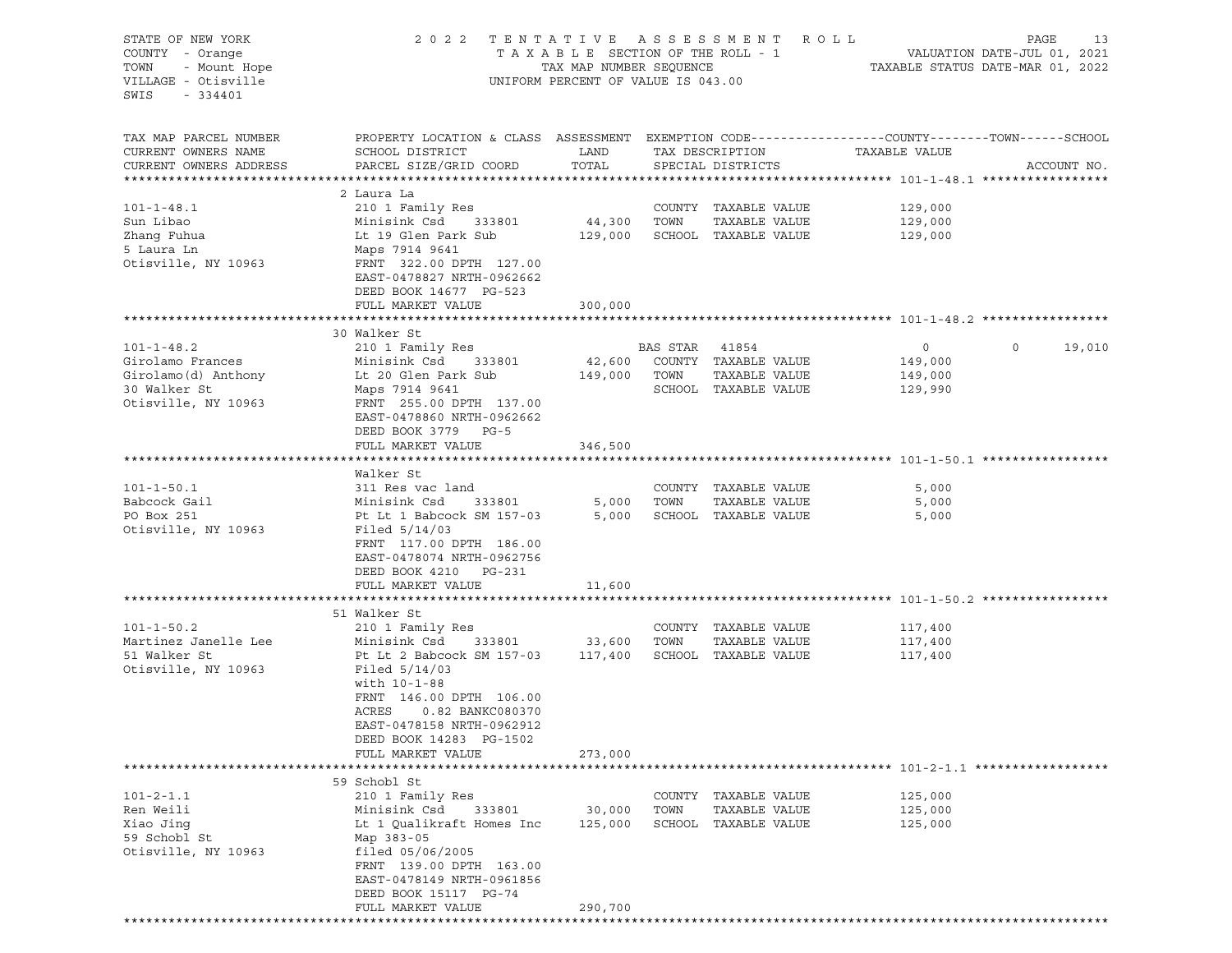| STATE OF NEW YORK                 | 2 0 2 2                                                                                         | TENTATIVE                          |                | A S S E S S M E N T  | R O L L       | PAGE<br>13                       |
|-----------------------------------|-------------------------------------------------------------------------------------------------|------------------------------------|----------------|----------------------|---------------|----------------------------------|
| COUNTY - Orange                   |                                                                                                 | TAXABLE SECTION OF THE ROLL - 1    |                |                      |               | VALUATION DATE-JUL 01, 2021      |
| TOWN<br>- Mount Hope              |                                                                                                 | TAX MAP NUMBER SEQUENCE            |                |                      |               | TAXABLE STATUS DATE-MAR 01, 2022 |
| VILLAGE - Otisville               |                                                                                                 | UNIFORM PERCENT OF VALUE IS 043.00 |                |                      |               |                                  |
|                                   |                                                                                                 |                                    |                |                      |               |                                  |
| SWIS<br>$-334401$                 |                                                                                                 |                                    |                |                      |               |                                  |
|                                   |                                                                                                 |                                    |                |                      |               |                                  |
|                                   |                                                                                                 |                                    |                |                      |               |                                  |
| TAX MAP PARCEL NUMBER             | PROPERTY LOCATION & CLASS ASSESSMENT EXEMPTION CODE---------------COUNTY-------TOWN------SCHOOL |                                    |                |                      |               |                                  |
| CURRENT OWNERS NAME               | SCHOOL DISTRICT                                                                                 | LAND                               |                | TAX DESCRIPTION      | TAXABLE VALUE |                                  |
| CURRENT OWNERS ADDRESS            | PARCEL SIZE/GRID COORD                                                                          | TOTAL                              |                | SPECIAL DISTRICTS    |               | ACCOUNT NO.                      |
|                                   |                                                                                                 |                                    |                |                      |               |                                  |
|                                   | 2 Laura La                                                                                      |                                    |                |                      |               |                                  |
| $101 - 1 - 48.1$                  | 210 1 Family Res                                                                                |                                    |                | COUNTY TAXABLE VALUE | 129,000       |                                  |
| Sun Libao                         | Minisink Csd<br>333801                                                                          |                                    | TOWN           | TAXABLE VALUE        |               |                                  |
|                                   |                                                                                                 | 44,300                             |                |                      | 129,000       |                                  |
| Zhang Fuhua                       | Lt 19 Glen Park Sub                                                                             | 129,000                            |                | SCHOOL TAXABLE VALUE | 129,000       |                                  |
| 5 Laura Ln                        | Maps 7914 9641                                                                                  |                                    |                |                      |               |                                  |
| Otisville, NY 10963               | FRNT 322.00 DPTH 127.00                                                                         |                                    |                |                      |               |                                  |
|                                   | EAST-0478827 NRTH-0962662                                                                       |                                    |                |                      |               |                                  |
|                                   | DEED BOOK 14677 PG-523                                                                          |                                    |                |                      |               |                                  |
|                                   | FULL MARKET VALUE                                                                               | 300,000                            |                |                      |               |                                  |
|                                   |                                                                                                 |                                    |                |                      |               |                                  |
|                                   | 30 Walker St                                                                                    |                                    |                |                      |               |                                  |
|                                   |                                                                                                 |                                    |                |                      |               |                                  |
| $101 - 1 - 48.2$                  | 210 1 Family Res                                                                                |                                    | BAS STAR 41854 |                      | $\circ$       | $\mathbf 0$<br>19,010            |
| Girolamo Frances                  | Minisink Csd<br>333801                                                                          | 42,600                             |                | COUNTY TAXABLE VALUE | 149,000       |                                  |
| Girolamo(d) Anthony               | Lt 20 Glen Park Sub                                                                             | 149,000                            | TOWN           | TAXABLE VALUE        | 149,000       |                                  |
| 30 Walker St                      | Maps 7914 9641                                                                                  |                                    |                | SCHOOL TAXABLE VALUE | 129,990       |                                  |
| Otisville, NY 10963               | FRNT 255.00 DPTH 137.00                                                                         |                                    |                |                      |               |                                  |
|                                   | EAST-0478860 NRTH-0962662                                                                       |                                    |                |                      |               |                                  |
|                                   | DEED BOOK 3779 PG-5                                                                             |                                    |                |                      |               |                                  |
|                                   | FULL MARKET VALUE                                                                               | 346,500                            |                |                      |               |                                  |
|                                   |                                                                                                 |                                    |                |                      |               |                                  |
|                                   |                                                                                                 |                                    |                |                      |               |                                  |
|                                   | Walker St                                                                                       |                                    |                |                      |               |                                  |
| $101 - 1 - 50.1$                  | 311 Res vac land                                                                                |                                    |                | COUNTY TAXABLE VALUE | 5,000         |                                  |
| Babcock Gail                      | Minisink Csd<br>333801                                                                          | 5,000                              | TOWN           | TAXABLE VALUE        | 5,000         |                                  |
| PO Box 251                        | Pt Lt 1 Babcock SM 157-03                                                                       | 5,000                              |                | SCHOOL TAXABLE VALUE | 5,000         |                                  |
| Otisville, NY 10963               | Filed $5/14/03$                                                                                 |                                    |                |                      |               |                                  |
|                                   | FRNT 117.00 DPTH 186.00                                                                         |                                    |                |                      |               |                                  |
|                                   | EAST-0478074 NRTH-0962756                                                                       |                                    |                |                      |               |                                  |
|                                   |                                                                                                 |                                    |                |                      |               |                                  |
|                                   | DEED BOOK 4210 PG-231                                                                           |                                    |                |                      |               |                                  |
|                                   | FULL MARKET VALUE                                                                               | 11,600                             |                |                      |               |                                  |
|                                   |                                                                                                 |                                    |                |                      |               |                                  |
|                                   | 51 Walker St                                                                                    |                                    |                |                      |               |                                  |
| $101 - 1 - 50.2$                  | 210 1 Family Res                                                                                |                                    |                | COUNTY TAXABLE VALUE | 117,400       |                                  |
| Martinez Janelle Lee              | Minisink Csd<br>333801                                                                          | 33,600                             | TOWN           | TAXABLE VALUE        | 117,400       |                                  |
| 51 Walker St                      | Pt Lt 2 Babcock SM 157-03                                                                       | 117,400                            |                | SCHOOL TAXABLE VALUE | 117,400       |                                  |
| Otisville, NY 10963               | Filed $5/14/03$                                                                                 |                                    |                |                      |               |                                  |
|                                   | with 10-1-88                                                                                    |                                    |                |                      |               |                                  |
|                                   |                                                                                                 |                                    |                |                      |               |                                  |
|                                   | FRNT 146.00 DPTH 106.00                                                                         |                                    |                |                      |               |                                  |
|                                   | ACRES<br>0.82 BANKC080370                                                                       |                                    |                |                      |               |                                  |
|                                   | EAST-0478158 NRTH-0962912                                                                       |                                    |                |                      |               |                                  |
|                                   | DEED BOOK 14283 PG-1502                                                                         |                                    |                |                      |               |                                  |
|                                   | FULL MARKET VALUE                                                                               | 273,000                            |                |                      |               |                                  |
| ********************************* |                                                                                                 |                                    |                |                      |               |                                  |
|                                   | 59 Schobl St                                                                                    |                                    |                |                      |               |                                  |
| $101 - 2 - 1.1$                   | 210 1 Family Res                                                                                |                                    |                | COUNTY TAXABLE VALUE | 125,000       |                                  |
|                                   | Minisink Csd                                                                                    |                                    |                |                      |               |                                  |
| Ren Weili                         | 333801                                                                                          | 30,000                             | TOWN           | TAXABLE VALUE        | 125,000       |                                  |
| Xiao Jing                         | Lt 1 Oualikraft Homes Inc                                                                       | 125,000                            |                | SCHOOL TAXABLE VALUE | 125,000       |                                  |
| 59 Schobl St                      | Map 383-05                                                                                      |                                    |                |                      |               |                                  |
| Otisville, NY 10963               | filed 05/06/2005                                                                                |                                    |                |                      |               |                                  |
|                                   | FRNT 139.00 DPTH 163.00                                                                         |                                    |                |                      |               |                                  |
|                                   | EAST-0478149 NRTH-0961856                                                                       |                                    |                |                      |               |                                  |
|                                   | DEED BOOK 15117 PG-74                                                                           |                                    |                |                      |               |                                  |
|                                   | FULL MARKET VALUE                                                                               | 290,700                            |                |                      |               |                                  |
|                                   |                                                                                                 |                                    |                |                      |               |                                  |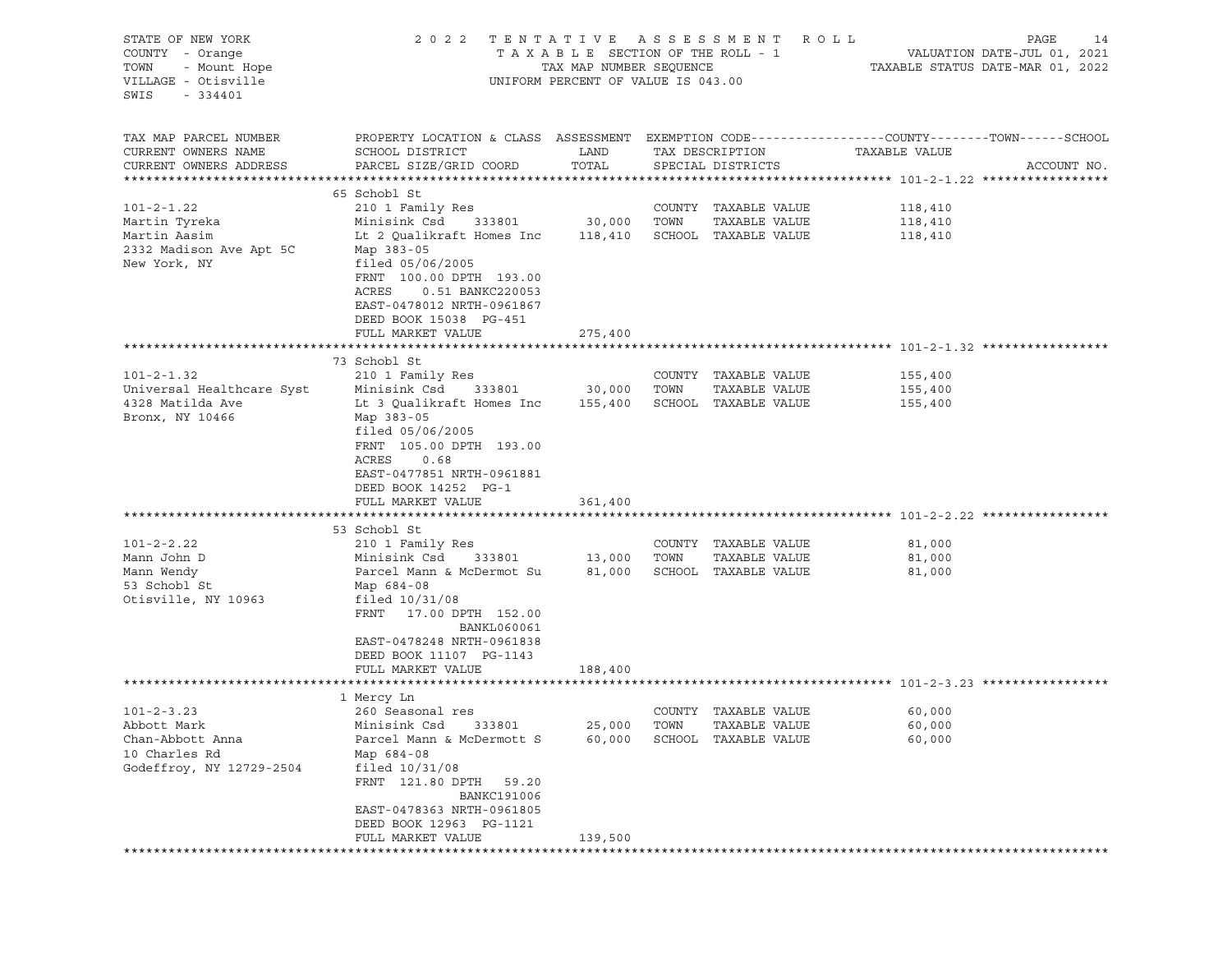| STATE OF NEW YORK<br>COUNTY - Orange<br>TOWN<br>- Mount Hope<br>VILLAGE - Otisville<br>SWIS<br>- 334401                                                                      | 2 0 2 2                                                                                                                                                                                                                                                                                                                                                                                                                                      | TAXABLE SECTION OF THE ROLL - 1<br>TAX MAP NUMBER SEQUENCE<br>UNIFORM PERCENT OF VALUE IS 043.00 |              | TENTATIVE ASSESSMENT ROLL                                                                                                      |                                                             | PAGE<br>14<br>VALUATION DATE-JUL 01, 2021<br>TAXABLE STATUS DATE-MAR 01, 2022 |
|------------------------------------------------------------------------------------------------------------------------------------------------------------------------------|----------------------------------------------------------------------------------------------------------------------------------------------------------------------------------------------------------------------------------------------------------------------------------------------------------------------------------------------------------------------------------------------------------------------------------------------|--------------------------------------------------------------------------------------------------|--------------|--------------------------------------------------------------------------------------------------------------------------------|-------------------------------------------------------------|-------------------------------------------------------------------------------|
| TAX MAP PARCEL NUMBER<br>CURRENT OWNERS NAME<br>CURRENT OWNERS ADDRESS                                                                                                       | PROPERTY LOCATION & CLASS ASSESSMENT EXEMPTION CODE---------------COUNTY-------TOWN------SCHOOL<br>SCHOOL DISTRICT<br>PARCEL SIZE/GRID COORD                                                                                                                                                                                                                                                                                                 | LAND<br>TOTAL                                                                                    |              | TAX DESCRIPTION<br>SPECIAL DISTRICTS                                                                                           | TAXABLE VALUE                                               | ACCOUNT NO.                                                                   |
|                                                                                                                                                                              | 65 Schobl St                                                                                                                                                                                                                                                                                                                                                                                                                                 |                                                                                                  |              |                                                                                                                                |                                                             |                                                                               |
| $101 - 2 - 1.22$<br>Martin Tyreka<br>Martin Aasim<br>2332 Madison Ave Apt 5C<br>New York, NY                                                                                 | 210 1 Family Res<br>Minisink Csd<br>333801<br>Lt 2 Qualikraft Homes Inc 118,410<br>Map 383-05<br>filed $05/06/2005$<br>FRNT 100.00 DPTH 193.00                                                                                                                                                                                                                                                                                               | 30,000                                                                                           | TOWN         | COUNTY TAXABLE VALUE<br>TAXABLE VALUE<br>SCHOOL TAXABLE VALUE                                                                  | 118,410<br>118,410<br>118,410                               |                                                                               |
|                                                                                                                                                                              | ACRES<br>0.51 BANKC220053<br>EAST-0478012 NRTH-0961867<br>DEED BOOK 15038 PG-451<br>FULL MARKET VALUE                                                                                                                                                                                                                                                                                                                                        | 275,400                                                                                          |              |                                                                                                                                |                                                             |                                                                               |
|                                                                                                                                                                              | 73 Schobl St                                                                                                                                                                                                                                                                                                                                                                                                                                 |                                                                                                  |              |                                                                                                                                |                                                             |                                                                               |
| $101 - 2 - 1.32$<br>Universal Healthcare Syst<br>4328 Matilda Ave<br>Bronx, NY 10466<br>$101 - 2 - 2.22$<br>Mann John D<br>Mann Wendy<br>53 Schobl St<br>Otisville, NY 10963 | 210 1 Family Res<br>Minisink Csd<br>333801<br>Lt 3 Qualikraft Homes Inc 155,400<br>Map 383-05<br>filed $05/06/2005$<br>FRNT 105.00 DPTH 193.00<br>ACRES<br>0.68<br>EAST-0477851 NRTH-0961881<br>DEED BOOK 14252 PG-1<br>FULL MARKET VALUE<br>53 Schobl St<br>210 1 Family Res<br>Minisink Csd<br>333801<br>Parcel Mann & McDermot Su<br>Map 684-08<br>filed $10/31/08$<br>FRNT 17.00 DPTH 152.00<br>BANKL060061<br>EAST-0478248 NRTH-0961838 | 30,000<br>361,400<br>13,000<br>81,000                                                            | TOWN<br>TOWN | COUNTY TAXABLE VALUE<br>TAXABLE VALUE<br>SCHOOL TAXABLE VALUE<br>COUNTY TAXABLE VALUE<br>TAXABLE VALUE<br>SCHOOL TAXABLE VALUE | 155,400<br>155,400<br>155,400<br>81,000<br>81,000<br>81,000 |                                                                               |
|                                                                                                                                                                              | DEED BOOK 11107 PG-1143<br>FULL MARKET VALUE                                                                                                                                                                                                                                                                                                                                                                                                 | 188,400                                                                                          |              |                                                                                                                                |                                                             |                                                                               |
|                                                                                                                                                                              | 1 Mercy Ln                                                                                                                                                                                                                                                                                                                                                                                                                                   |                                                                                                  |              |                                                                                                                                |                                                             |                                                                               |
| $101 - 2 - 3.23$<br>Abbott Mark<br>Chan-Abbott Anna<br>10 Charles Rd<br>Godeffroy, NY 12729-2504                                                                             | 260 Seasonal res<br>Minisink Csd 333801<br>Parcel Mann & McDermott S<br>Map 684-08<br>filed $10/31/08$<br>FRNT 121.80 DPTH 59.20<br><b>BANKC191006</b><br>EAST-0478363 NRTH-0961805                                                                                                                                                                                                                                                          | 25,000                                                                                           | TOWN         | COUNTY TAXABLE VALUE<br>TAXABLE VALUE<br>60,000 SCHOOL TAXABLE VALUE                                                           | 60,000<br>60,000<br>60,000                                  |                                                                               |
|                                                                                                                                                                              | DEED BOOK 12963 PG-1121<br>FULL MARKET VALUE                                                                                                                                                                                                                                                                                                                                                                                                 | 139,500                                                                                          |              |                                                                                                                                |                                                             |                                                                               |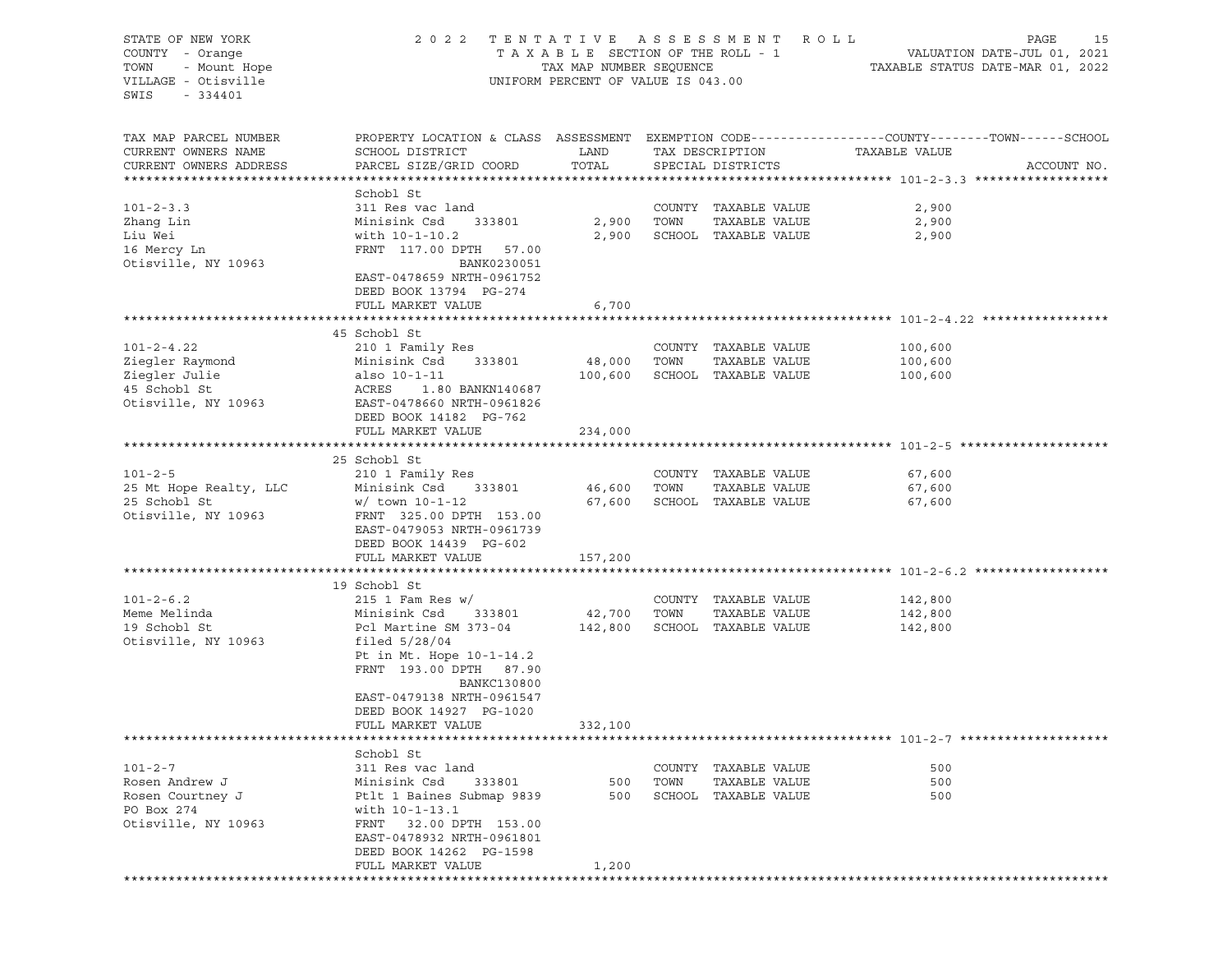| STATE OF NEW YORK      | 2 0 2 2                                                                                         | TENTATIVE ASSESSMENT               | R O L L<br>PAGE<br>15 |                      |               |                                  |
|------------------------|-------------------------------------------------------------------------------------------------|------------------------------------|-----------------------|----------------------|---------------|----------------------------------|
| COUNTY - Orange        |                                                                                                 | TAXABLE SECTION OF THE ROLL - 1    |                       |                      |               |                                  |
| TOWN<br>- Mount Hope   |                                                                                                 | TAX MAP NUMBER SEQUENCE            |                       |                      |               | TAXABLE STATUS DATE-MAR 01, 2022 |
| VILLAGE - Otisville    |                                                                                                 | UNIFORM PERCENT OF VALUE IS 043.00 |                       |                      |               |                                  |
| SWIS<br>$-334401$      |                                                                                                 |                                    |                       |                      |               |                                  |
|                        |                                                                                                 |                                    |                       |                      |               |                                  |
| TAX MAP PARCEL NUMBER  | PROPERTY LOCATION & CLASS ASSESSMENT EXEMPTION CODE---------------COUNTY-------TOWN------SCHOOL |                                    |                       |                      |               |                                  |
| CURRENT OWNERS NAME    | SCHOOL DISTRICT                                                                                 | LAND                               |                       | TAX DESCRIPTION      | TAXABLE VALUE |                                  |
| CURRENT OWNERS ADDRESS | PARCEL SIZE/GRID COORD                                                                          | TOTAL                              |                       | SPECIAL DISTRICTS    |               | ACCOUNT NO.                      |
|                        |                                                                                                 |                                    |                       |                      |               |                                  |
|                        | Schobl St                                                                                       |                                    |                       |                      |               |                                  |
| $101 - 2 - 3.3$        | 311 Res vac land                                                                                |                                    |                       | COUNTY TAXABLE VALUE | 2,900         |                                  |
| Zhang Lin              | 333801<br>Minisink Csd                                                                          | 2,900                              | TOWN                  | TAXABLE VALUE        | 2,900         |                                  |
| Liu Wei                | with 10-1-10.2                                                                                  | 2,900                              |                       | SCHOOL TAXABLE VALUE | 2,900         |                                  |
| 16 Mercy Ln            | FRNT 117.00 DPTH 57.00                                                                          |                                    |                       |                      |               |                                  |
| Otisville, NY 10963    | BANK0230051                                                                                     |                                    |                       |                      |               |                                  |
|                        | EAST-0478659 NRTH-0961752                                                                       |                                    |                       |                      |               |                                  |
|                        | DEED BOOK 13794 PG-274                                                                          |                                    |                       |                      |               |                                  |
|                        | FULL MARKET VALUE                                                                               | 6,700                              |                       |                      |               |                                  |
|                        | 45 Schobl St                                                                                    |                                    |                       |                      |               |                                  |
| $101 - 2 - 4.22$       | 210 1 Family Res                                                                                |                                    |                       | COUNTY TAXABLE VALUE | 100,600       |                                  |
| Ziegler Raymond        | 333801<br>Minisink Csd                                                                          | 48,000                             | TOWN                  | TAXABLE VALUE        | 100,600       |                                  |
| Ziegler Julie          | also 10-1-11                                                                                    | 100,600                            |                       | SCHOOL TAXABLE VALUE | 100,600       |                                  |
| 45 Schobl St           | ACRES<br>1.80 BANKN140687                                                                       |                                    |                       |                      |               |                                  |
| Otisville, NY 10963    | EAST-0478660 NRTH-0961826                                                                       |                                    |                       |                      |               |                                  |
|                        | DEED BOOK 14182 PG-762                                                                          |                                    |                       |                      |               |                                  |
|                        | FULL MARKET VALUE                                                                               | 234,000                            |                       |                      |               |                                  |
|                        |                                                                                                 |                                    |                       |                      |               |                                  |
|                        | 25 Schobl St                                                                                    |                                    |                       |                      |               |                                  |
| $101 - 2 - 5$          | 210 1 Family Res                                                                                |                                    |                       | COUNTY TAXABLE VALUE | 67,600        |                                  |
| 25 Mt Hope Realty, LLC | Minisink Csd<br>333801                                                                          | 46,600                             | TOWN                  | TAXABLE VALUE        | 67,600        |                                  |
| 25 Schobl St           | $w/$ town 10-1-12                                                                               | 67,600                             |                       | SCHOOL TAXABLE VALUE | 67,600        |                                  |
| Otisville, NY 10963    | FRNT 325.00 DPTH 153.00                                                                         |                                    |                       |                      |               |                                  |
|                        | EAST-0479053 NRTH-0961739                                                                       |                                    |                       |                      |               |                                  |
|                        | DEED BOOK 14439 PG-602                                                                          |                                    |                       |                      |               |                                  |
|                        | FULL MARKET VALUE                                                                               | 157,200                            |                       |                      |               |                                  |
|                        |                                                                                                 |                                    |                       |                      |               |                                  |
|                        | 19 Schobl St                                                                                    |                                    |                       |                      |               |                                  |
| $101 - 2 - 6.2$        | $215$ 1 Fam Res w/                                                                              |                                    |                       | COUNTY TAXABLE VALUE | 142,800       |                                  |
| Meme Melinda           | Minisink Csd<br>333801                                                                          | 42,700                             | TOWN                  | TAXABLE VALUE        | 142,800       |                                  |
| 19 Schobl St           | Pcl Martine SM 373-04                                                                           | 142,800                            |                       | SCHOOL TAXABLE VALUE | 142,800       |                                  |
| Otisville, NY 10963    | filed $5/28/04$                                                                                 |                                    |                       |                      |               |                                  |
|                        | Pt in Mt. Hope 10-1-14.2                                                                        |                                    |                       |                      |               |                                  |
|                        | FRNT 193.00 DPTH 87.90                                                                          |                                    |                       |                      |               |                                  |
|                        | BANKC130800                                                                                     |                                    |                       |                      |               |                                  |
|                        | EAST-0479138 NRTH-0961547                                                                       |                                    |                       |                      |               |                                  |
|                        | DEED BOOK 14927 PG-1020<br>FULL MARKET VALUE                                                    | 332,100                            |                       |                      |               |                                  |
|                        |                                                                                                 |                                    |                       |                      |               |                                  |
|                        | Schobl St                                                                                       |                                    |                       |                      |               |                                  |
| $101 - 2 - 7$          | 311 Res vac land                                                                                |                                    |                       | COUNTY TAXABLE VALUE | 500           |                                  |
| Rosen Andrew J         | Minisink Csd<br>333801                                                                          | 500                                | TOWN                  | TAXABLE VALUE        | 500           |                                  |
| Rosen Courtney J       | Ptlt 1 Baines Submap 9839                                                                       | 500                                |                       | SCHOOL TAXABLE VALUE | 500           |                                  |
| PO Box 274             | with 10-1-13.1                                                                                  |                                    |                       |                      |               |                                  |
| Otisville, NY 10963    | 32.00 DPTH 153.00<br>FRNT                                                                       |                                    |                       |                      |               |                                  |
|                        | EAST-0478932 NRTH-0961801                                                                       |                                    |                       |                      |               |                                  |
|                        | DEED BOOK 14262 PG-1598                                                                         |                                    |                       |                      |               |                                  |
|                        | FULL MARKET VALUE                                                                               | 1,200                              |                       |                      |               |                                  |
|                        |                                                                                                 |                                    |                       |                      |               |                                  |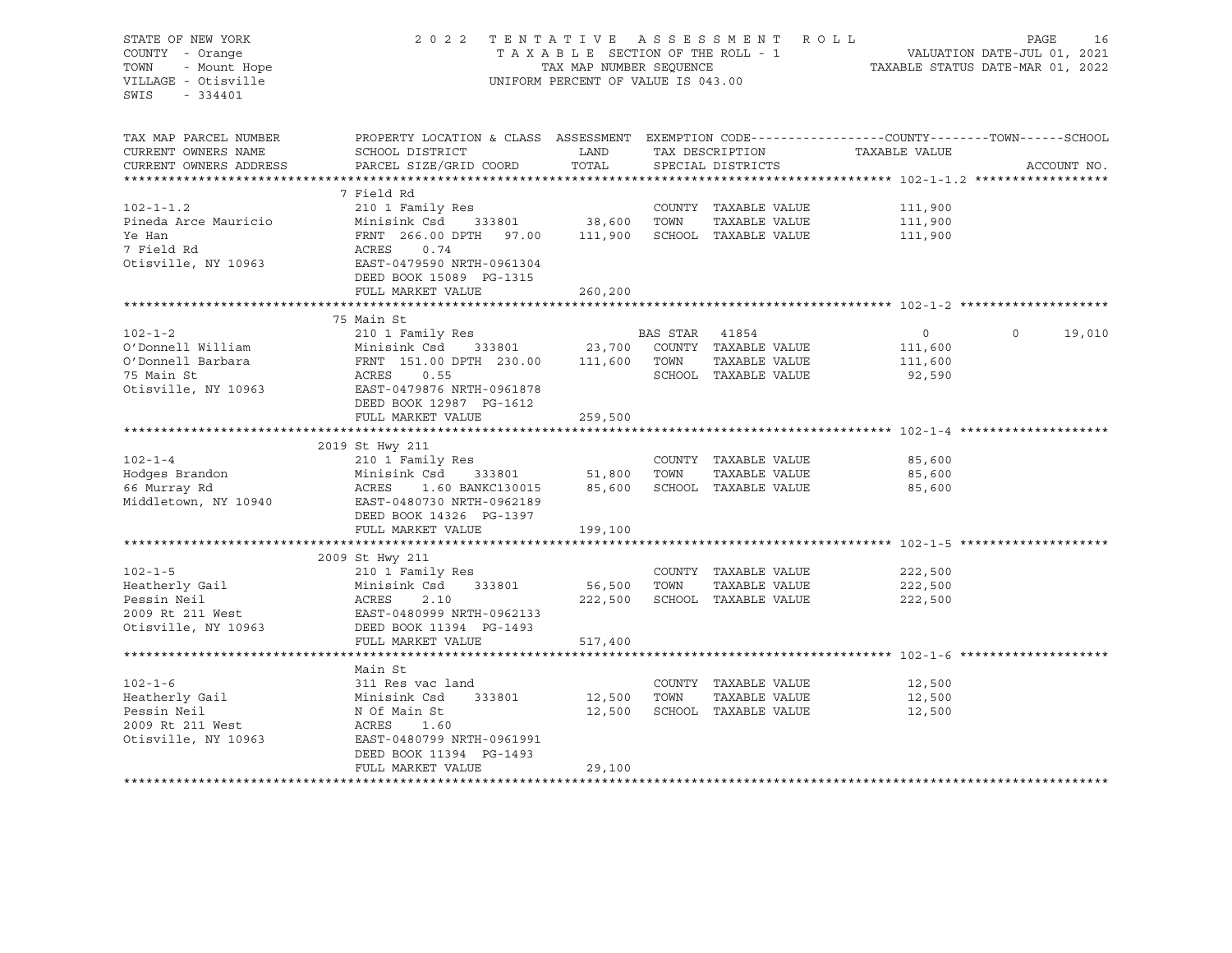# STATE OF NEW YORK 2 0 2 2 T E N T A T I V E A S S E S S M E N T R O L L PAGE 16 COUNTY - Orange T A X A B L E SECTION OF THE ROLL - 1 VALUATION DATE-JUL 01, 2021 TOWN - Mount Hope TAX MAP NUMBER SEQUENCE TAXABLE STATUS DATE-MAR 01, 2022 VILLAGE - Otisville UNIFORM PERCENT OF VALUE IS 043.00

| TAX MAP PARCEL NUMBER<br>CURRENT OWNERS NAME<br>CURRENT OWNERS ADDRESS                 | PROPERTY LOCATION & CLASS ASSESSMENT EXEMPTION CODE----------------COUNTY-------TOWN------SCHOOL<br>SCHOOL DISTRICT<br>PARCEL SIZE/GRID COORD | LAND<br>TOTAL |          | TAX DESCRIPTION<br>SPECIAL DISTRICTS | TAXABLE VALUE | ACCOUNT NO.        |
|----------------------------------------------------------------------------------------|-----------------------------------------------------------------------------------------------------------------------------------------------|---------------|----------|--------------------------------------|---------------|--------------------|
|                                                                                        |                                                                                                                                               |               |          |                                      |               |                    |
|                                                                                        | 7 Field Rd                                                                                                                                    |               |          |                                      |               |                    |
| $102 - 1 - 1.2$                                                                        | 210 1 Family Res                                                                                                                              |               |          | COUNTY TAXABLE VALUE                 | 111,900       |                    |
| Pineda Arce Mauricio                                                                   | Minisink Csd<br>333801                                                                                                                        | 38,600        | TOWN     | TAXABLE VALUE                        | 111,900       |                    |
| Ye Han                                                                                 | FRNT 266.00 DPTH 97.00                                                                                                                        | 111,900       |          | SCHOOL TAXABLE VALUE                 | 111,900       |                    |
| 7 Field Rd                                                                             | 0.74                                                                                                                                          |               |          |                                      |               |                    |
| Otisville, NY 10963                                                                    | ACRES<br>EAST-0479590 NRTH-0961304                                                                                                            |               |          |                                      |               |                    |
|                                                                                        |                                                                                                                                               |               |          |                                      |               |                    |
|                                                                                        | DEED BOOK 15089 PG-1315                                                                                                                       |               |          |                                      |               |                    |
|                                                                                        | FULL MARKET VALUE                                                                                                                             | 260,200       |          |                                      |               |                    |
|                                                                                        | 75 Main St                                                                                                                                    |               |          |                                      |               |                    |
| $102 - 1 - 2$                                                                          | 210 1 Family Res                                                                                                                              |               | BAS STAR | 41854                                | $\circ$       | $\Omega$<br>19,010 |
| O'Donnell William                                                                      | Minisink Csd<br>333801 23,700                                                                                                                 |               |          | COUNTY TAXABLE VALUE                 | 111,600       |                    |
| O'Donnell Barbara                                                                      | Minisink Csd     333801<br>FRNT  151.00 DPTH  230.00                                                                                          | 111,600       | TOWN     | TAXABLE VALUE                        | 111,600       |                    |
| 75 Main St                                                                             | ACRES<br>0.55                                                                                                                                 |               |          | SCHOOL TAXABLE VALUE                 | 92,590        |                    |
| Otisville, NY 10963                                                                    | EAST-0479876 NRTH-0961878                                                                                                                     |               |          |                                      |               |                    |
|                                                                                        | DEED BOOK 12987 PG-1612                                                                                                                       |               |          |                                      |               |                    |
|                                                                                        | FULL MARKET VALUE                                                                                                                             | 259,500       |          |                                      |               |                    |
|                                                                                        |                                                                                                                                               |               |          |                                      |               |                    |
|                                                                                        | 2019 St Hwy 211                                                                                                                               |               |          |                                      |               |                    |
| $102 - 1 - 4$                                                                          | 210 1 Family Res                                                                                                                              |               |          | COUNTY TAXABLE VALUE                 | 85,600        |                    |
| Hodges Brandon                                                                         | Minisink Csd<br>333801                                                                                                                        | 51,800        | TOWN     | TAXABLE VALUE                        | 85,600        |                    |
| 66 Murray Rd                                                                           | ACRES<br>1.60 BANKC130015                                                                                                                     | 85,600        |          | SCHOOL TAXABLE VALUE                 | 85,600        |                    |
| Middletown, NY 10940                                                                   | EAST-0480730 NRTH-0962189                                                                                                                     |               |          |                                      |               |                    |
|                                                                                        | DEED BOOK 14326 PG-1397                                                                                                                       |               |          |                                      |               |                    |
|                                                                                        | FULL MARKET VALUE                                                                                                                             | 199,100       |          |                                      |               |                    |
|                                                                                        |                                                                                                                                               |               |          |                                      |               |                    |
|                                                                                        | 2009 St Hwy 211                                                                                                                               |               |          |                                      |               |                    |
| $102 - 1 - 5$                                                                          | 210 1 Family Res                                                                                                                              |               |          | COUNTY TAXABLE VALUE                 | 222,500       |                    |
| Heatherly Gail                                                                         | Minisink Csd<br>333801                                                                                                                        | 56,500        | TOWN     | TAXABLE VALUE                        | 222,500       |                    |
| Pessin Neil                                                                            | 2.10<br>ACRES                                                                                                                                 | 222,500       |          | SCHOOL TAXABLE VALUE                 | 222,500       |                    |
|                                                                                        |                                                                                                                                               |               |          |                                      |               |                    |
| 2009 Rt 211 West<br>Otisville, NY 10963 DEED BOOK 11394 PG-1493<br>Otisville, NY 10963 |                                                                                                                                               |               |          |                                      |               |                    |
|                                                                                        | FULL MARKET VALUE                                                                                                                             | 517,400       |          |                                      |               |                    |
|                                                                                        |                                                                                                                                               |               |          |                                      |               |                    |
|                                                                                        | Main St                                                                                                                                       |               |          |                                      |               |                    |
| $102 - 1 - 6$                                                                          | 311 Res vac land                                                                                                                              |               |          | COUNTY TAXABLE VALUE                 | 12,500        |                    |
| Heatherly Gail                                                                         | Minisink Csd<br>333801                                                                                                                        | 12,500        | TOWN     | TAXABLE VALUE                        | 12,500        |                    |
| Pessin Neil                                                                            | N Of Main St                                                                                                                                  | 12,500        |          | SCHOOL TAXABLE VALUE                 | 12,500        |                    |
| 2009 Rt 211 West                                                                       | ACRES<br>1.60                                                                                                                                 |               |          |                                      |               |                    |
| Otisville, NY 10963                                                                    | EAST-0480799 NRTH-0961991                                                                                                                     |               |          |                                      |               |                    |
|                                                                                        | DEED BOOK 11394 PG-1493                                                                                                                       |               |          |                                      |               |                    |
|                                                                                        | FULL MARKET VALUE                                                                                                                             | 29,100        |          |                                      |               |                    |
|                                                                                        |                                                                                                                                               |               |          |                                      |               |                    |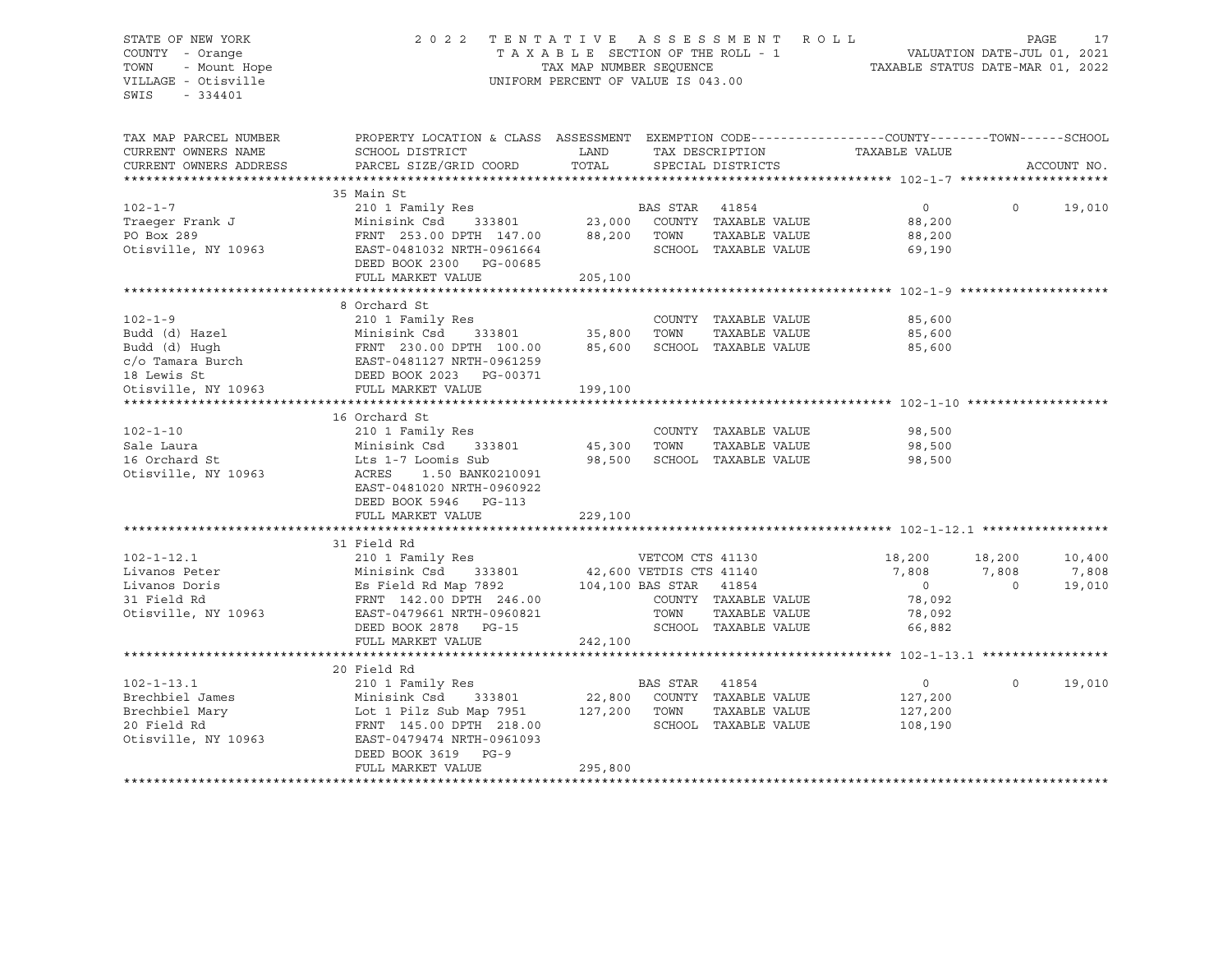# STATE OF NEW YORK 2 0 2 2 T E N T A T I V E A S S E S S M E N T R O L L PAGE 17 COUNTY - Orange T A X A B L E SECTION OF THE ROLL - 1 VALUATION DATE-JUL 01, 2021 TOWN - Mount Hope TAX MAP NUMBER SEQUENCE TAXABLE STATUS DATE-MAR 01, 2022 VILLAGE - Otisville UNIFORM PERCENT OF VALUE IS 043.00

| TAX MAP PARCEL NUMBER<br>CURRENT OWNERS NAME                                                                                                                                                                                                           | PROPERTY LOCATION & CLASS ASSESSMENT EXEMPTION CODE----------------COUNTY-------TOWN------SCHOOL<br>SCHOOL DISTRICT<br>PARCEL SIZE/GRID COORD                                                                                          | LAND<br>TOTAL               |                | TAX DESCRIPTION<br>SPECIAL DISTRICTS                                              | TAXABLE VALUE                                                          |                  | ACCOUNT NO.               |
|--------------------------------------------------------------------------------------------------------------------------------------------------------------------------------------------------------------------------------------------------------|----------------------------------------------------------------------------------------------------------------------------------------------------------------------------------------------------------------------------------------|-----------------------------|----------------|-----------------------------------------------------------------------------------|------------------------------------------------------------------------|------------------|---------------------------|
| CURRENT OWNERS ADDRESS                                                                                                                                                                                                                                 |                                                                                                                                                                                                                                        |                             |                |                                                                                   |                                                                        |                  |                           |
|                                                                                                                                                                                                                                                        | 35 Main St                                                                                                                                                                                                                             |                             |                |                                                                                   |                                                                        |                  |                           |
| $102 - 1 - 7$<br>Traeqer Frank J<br>PO Box 289                                                                                                                                                                                                         |                                                                                                                                                                                                                                        |                             |                | TAXABLE VALUE                                                                     | $\overline{0}$<br>88,200<br>88,200                                     | $\Omega$         | 19,010                    |
| Otisville, NY 10963                                                                                                                                                                                                                                    | FRNT 253.00 DPTH 147.00 88,200 TOWN<br>EAST-0481032 NRTH-0961664 SCHOO<br>DEED BOOK 2300 PG-00685<br>FULL MARKET VALUE                                                                                                                 | 205,100                     |                | SCHOOL TAXABLE VALUE                                                              | 69,190                                                                 |                  |                           |
|                                                                                                                                                                                                                                                        |                                                                                                                                                                                                                                        |                             |                |                                                                                   |                                                                        |                  |                           |
| $102 - 1 - 9$<br>Example 210 1 Family Res<br>Budd (d) Hazel Minisink Csd 333801<br>Budd (d) Hugh FRNT 230.00 DPTH 100.00<br>c/o Tamara Burch EAST-0481127 NRTH-0961259<br>18 Lewis St DEED BOOK 2023 PG-00371<br>Otisville, NY 10963 FULL MARKET VALUE | 8 Orchard St<br>210 1 Family Res<br>333801<br>16 Orchard St                                                                                                                                                                            | 35,800<br>85,600<br>199,100 | TOWN           | COUNTY TAXABLE VALUE<br>TAXABLE VALUE<br>SCHOOL TAXABLE VALUE                     | 85,600<br>85,600<br>85,600                                             |                  |                           |
| $102 - 1 - 10$<br>Sale Laura<br>16 Orchard St<br>Otisville, NY 10963                                                                                                                                                                                   | 210 1 Family Res<br>Minisink Csd 333801<br>Minisink Csu<br>Lts 1-7 Loomis Sub<br>Lis 1-7 Loomis Sub<br>ACRES<br>1.50 BANK0210091                                                                                                       | 45,300 TOWN<br>98,500       |                | TAXABLE VALUE<br>SCHOOL TAXABLE VALUE                                             | COUNTY TAXABLE VALUE 98,500<br>98,500<br>98,500                        |                  |                           |
|                                                                                                                                                                                                                                                        | EAST-0481020 NRTH-0960922<br>DEED BOOK 5946 PG-113<br>FULL MARKET VALUE                                                                                                                                                                | 229,100                     |                |                                                                                   |                                                                        |                  |                           |
| $102 - 1 - 12.1$<br>Livanos Peter<br>Livanos Doris<br>31 Field Rd<br>Otisville, NY 10963                                                                                                                                                               | 31 Field Rd<br>210 1 Family Res<br>333801 42,600 VETDIS CTS 41140<br>Minisink Csd<br>EAST-0479661 NRTH-0960821<br>DEED BOOK 2878 PG-15<br>FULL MARKET VALUE                                                                            | 242,100                     | TOWN           | VETCOM CTS 41130<br>COUNTY TAXABLE VALUE<br>TAXABLE VALUE<br>SCHOOL TAXABLE VALUE | 18,200 18,200<br>7,808<br>$\overline{0}$<br>78,092<br>78,092<br>66,882 | 7,808<br>$\circ$ | 10,400<br>7,808<br>19,010 |
| $102 - 1 - 13.1$<br>Brechbiel James<br>Brechbiel Mary<br>20 Field Rd<br>Otisville, NY 10963                                                                                                                                                            | 20 Field Rd<br>210 1 Family Res<br>Minisink Csd<br>333801<br>Lot 1 Pilz Sub Map 7951 127,200 TOWN<br>FRNT 145.00 DPTH 218.00 SCHOO<br>FRNT 145.00 DPTH 218.00<br>EAST-0479474 NRTH-0961093<br>DEED BOOK 3619 PG-9<br>FULL MARKET VALUE | 295,800                     | BAS STAR 41854 | 22,800 COUNTY TAXABLE VALUE<br>TAXABLE VALUE<br>SCHOOL TAXABLE VALUE              | $\Omega$<br>127,200<br>127,200<br>108,190                              | $\Omega$         | 19,010                    |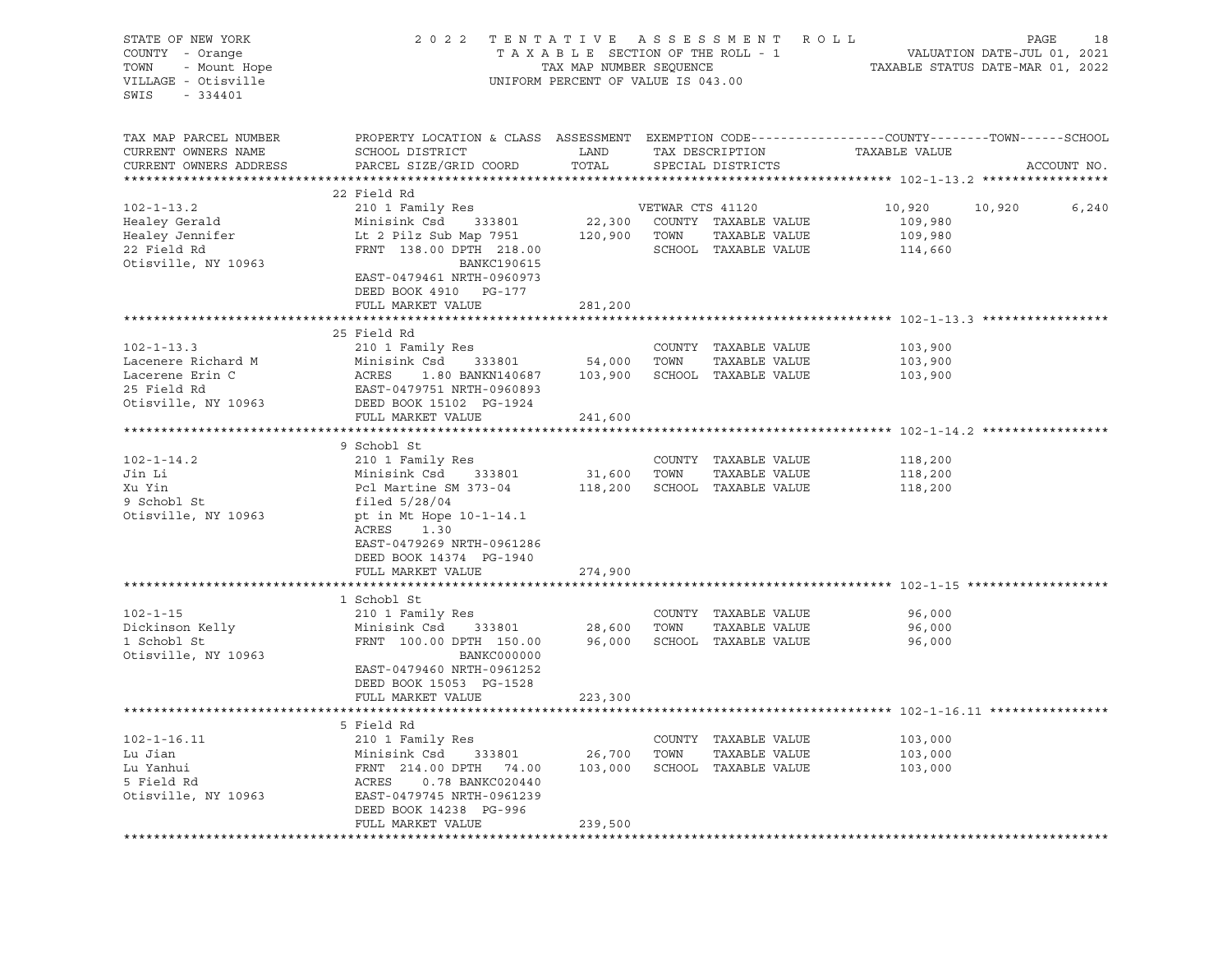| STATE OF NEW YORK<br>COUNTY - Orange<br>TOWN<br>VILLAGE - Otisville<br>SWIS - 334401                                                                                                                                                   | 2022 TENTATIVE ASSESSMENT ROLL                                                                                                                     | UNIFORM PERCENT OF VALUE IS 043.00                    |             |                             | FENTATIVE ASSESSMENT ROLL PAGE 18<br>TAXABLE SECTION OF THE ROLL - 1 VALUATION DATE-JUL 01, 2021<br>TAXABLE STATUS DATE-MAR 01, 2022 |              |             |
|----------------------------------------------------------------------------------------------------------------------------------------------------------------------------------------------------------------------------------------|----------------------------------------------------------------------------------------------------------------------------------------------------|-------------------------------------------------------|-------------|-----------------------------|--------------------------------------------------------------------------------------------------------------------------------------|--------------|-------------|
| TAX MAP PARCEL NUMBER<br>CURRENT OWNERS NAME<br>CURRENT OWNERS ADDRESS                                                                                                                                                                 | PROPERTY LOCATION & CLASS ASSESSMENT EXEMPTION CODE---------------COUNTY-------TOWN------SCHOOL<br>SCHOOL DISTRICT<br>PARCEL SIZE/GRID COORD TOTAL | LAND TAX DESCRIPTION<br>COORD TOTAL SPECIAL DISTRICTS |             | SPECIAL DISTRICTS           | TAXABLE VALUE                                                                                                                        |              | ACCOUNT NO. |
|                                                                                                                                                                                                                                        | 22 Field Rd                                                                                                                                        |                                                       |             |                             |                                                                                                                                      |              |             |
| $102 - 1 - 13.2$                                                                                                                                                                                                                       |                                                                                                                                                    |                                                       |             |                             | 10,920                                                                                                                               | 10,920 6,240 |             |
| Healey Gerald                                                                                                                                                                                                                          | 210 1 Family Res<br>Minisink Csd     333801                                                                                                        | VETWAR CTS 41120<br>22,300 COUNTY TAXABLE VALUE       |             |                             | 109,980                                                                                                                              |              |             |
| Healey Jennifer<br>22 Field Rd                                                                                                                                                                                                         | Lt 2 Pilz Sub Map 7951 120,900 TOWN TAXABLE VALUE                                                                                                  |                                                       |             |                             | 109,980                                                                                                                              |              |             |
|                                                                                                                                                                                                                                        | FRNT 138.00 DPTH 218.00                                                                                                                            |                                                       |             |                             | SCHOOL TAXABLE VALUE 114,660                                                                                                         |              |             |
| Otisville, NY 10963                                                                                                                                                                                                                    | BANKC190615<br>EAST-0479461 NRTH-0960973<br>DEED BOOK 4910 PG-177<br>FULL MARKET VALUE                                                             | 281,200                                               |             |                             |                                                                                                                                      |              |             |
|                                                                                                                                                                                                                                        |                                                                                                                                                    |                                                       |             |                             |                                                                                                                                      |              |             |
|                                                                                                                                                                                                                                        | 25 Field Rd                                                                                                                                        |                                                       |             |                             |                                                                                                                                      |              |             |
| $102 - 1 - 13.3$                                                                                                                                                                                                                       | 210 1 Family Res                                                                                                                                   |                                                       |             | COUNTY TAXABLE VALUE        | 103,900                                                                                                                              |              |             |
| COUNTY TAXABLE VALUE<br>Lacenere Richard M Minisink Csd 333801 54,000 TOWN TAXABLE VALUE<br>Lacerene Erin C ACRES 1.80 BANKN140687 103,900 SCHOOL TAXABLE VALUE<br>25 Field Rd EAST-0479751 NRTH-0960893<br>Otisville, NY 10963 DEED B |                                                                                                                                                    |                                                       |             | TAXABLE VALUE               | 103,900                                                                                                                              |              |             |
|                                                                                                                                                                                                                                        |                                                                                                                                                    |                                                       |             |                             | 103,900                                                                                                                              |              |             |
|                                                                                                                                                                                                                                        |                                                                                                                                                    |                                                       |             |                             |                                                                                                                                      |              |             |
|                                                                                                                                                                                                                                        |                                                                                                                                                    |                                                       |             |                             |                                                                                                                                      |              |             |
|                                                                                                                                                                                                                                        | FULL MARKET VALUE                                                                                                                                  | 241,600                                               |             |                             |                                                                                                                                      |              |             |
|                                                                                                                                                                                                                                        | 9 Schobl St                                                                                                                                        |                                                       |             |                             |                                                                                                                                      |              |             |
| $102 - 1 - 14.2$                                                                                                                                                                                                                       | 210 1 Family Res                                                                                                                                   |                                                       |             | COUNTY TAXABLE VALUE        | 118,200                                                                                                                              |              |             |
| Jin Li                                                                                                                                                                                                                                 | Minisink Csd 333801                                                                                                                                | 31,600 TOWN                                           |             | TAXABLE VALUE               | 118,200                                                                                                                              |              |             |
| Xu Yin                                                                                                                                                                                                                                 | Pcl Martine SM 373-04                                                                                                                              | 118,200 SCHOOL TAXABLE VALUE                          |             |                             | 118,200                                                                                                                              |              |             |
| 9 Schobl St                                                                                                                                                                                                                            | filed 5/28/04                                                                                                                                      |                                                       |             |                             |                                                                                                                                      |              |             |
| Otisville, NY 10963                                                                                                                                                                                                                    | pt in Mt Hope 10-1-14.1                                                                                                                            |                                                       |             |                             |                                                                                                                                      |              |             |
|                                                                                                                                                                                                                                        | ACRES 1.30                                                                                                                                         |                                                       |             |                             |                                                                                                                                      |              |             |
|                                                                                                                                                                                                                                        | EAST-0479269 NRTH-0961286<br>DEED BOOK 14374 PG-1940                                                                                               |                                                       |             |                             |                                                                                                                                      |              |             |
|                                                                                                                                                                                                                                        | FULL MARKET VALUE                                                                                                                                  | 274,900                                               |             |                             |                                                                                                                                      |              |             |
|                                                                                                                                                                                                                                        |                                                                                                                                                    |                                                       |             |                             |                                                                                                                                      |              |             |
|                                                                                                                                                                                                                                        | 1 Schobl St                                                                                                                                        |                                                       |             |                             |                                                                                                                                      |              |             |
| $102 - 1 - 15$                                                                                                                                                                                                                         | 210 1 Family Res                                                                                                                                   |                                                       |             | COUNTY TAXABLE VALUE        | 96,000                                                                                                                               |              |             |
| Dickinson Kelly                                                                                                                                                                                                                        | ---<br>Minisink Csd 333801<br>FRNT 100.00 בייחים הייחס                                                                                             |                                                       | 28,600 TOWN | TAXABLE VALUE               | 96,000                                                                                                                               |              |             |
| 1 Schobl St                                                                                                                                                                                                                            | FRNT 100.00 DPTH 150.00                                                                                                                            |                                                       |             | 96,000 SCHOOL TAXABLE VALUE | 96,000                                                                                                                               |              |             |
| Otisville, NY 10963                                                                                                                                                                                                                    | BANKC000000                                                                                                                                        |                                                       |             |                             |                                                                                                                                      |              |             |
|                                                                                                                                                                                                                                        | EAST-0479460 NRTH-0961252                                                                                                                          |                                                       |             |                             |                                                                                                                                      |              |             |
|                                                                                                                                                                                                                                        | DEED BOOK 15053 PG-1528<br>FULL MARKET VALUE                                                                                                       |                                                       |             |                             |                                                                                                                                      |              |             |
|                                                                                                                                                                                                                                        |                                                                                                                                                    | 223,300                                               |             |                             |                                                                                                                                      |              |             |
|                                                                                                                                                                                                                                        | 5 Field Rd                                                                                                                                         |                                                       |             |                             |                                                                                                                                      |              |             |
| 102-1-16.11 210 1 Family Res COUNTY TAXABLE VALUE<br>Lu Jian Minisink Csd 333801 26,700 TOWN TAXABLE VALUE<br>Lu Yanhui FRNT 214.00 DPTH 74.00 103,000 SCHOOL TAXABLE VALUE<br>5 Field Rd ACRES 0.78 BANKC020440<br>Otisville, NY 1096 |                                                                                                                                                    |                                                       |             |                             | 103,000                                                                                                                              |              |             |
|                                                                                                                                                                                                                                        |                                                                                                                                                    |                                                       |             |                             | 103,000                                                                                                                              |              |             |
|                                                                                                                                                                                                                                        |                                                                                                                                                    |                                                       |             |                             | 103,000                                                                                                                              |              |             |
|                                                                                                                                                                                                                                        |                                                                                                                                                    |                                                       |             |                             |                                                                                                                                      |              |             |
|                                                                                                                                                                                                                                        |                                                                                                                                                    |                                                       |             |                             |                                                                                                                                      |              |             |
|                                                                                                                                                                                                                                        | DEED BOOK 14238 PG-996                                                                                                                             |                                                       |             |                             |                                                                                                                                      |              |             |
|                                                                                                                                                                                                                                        | FULL MARKET VALUE                                                                                                                                  | 239,500                                               |             |                             |                                                                                                                                      |              |             |
|                                                                                                                                                                                                                                        |                                                                                                                                                    |                                                       |             |                             |                                                                                                                                      |              |             |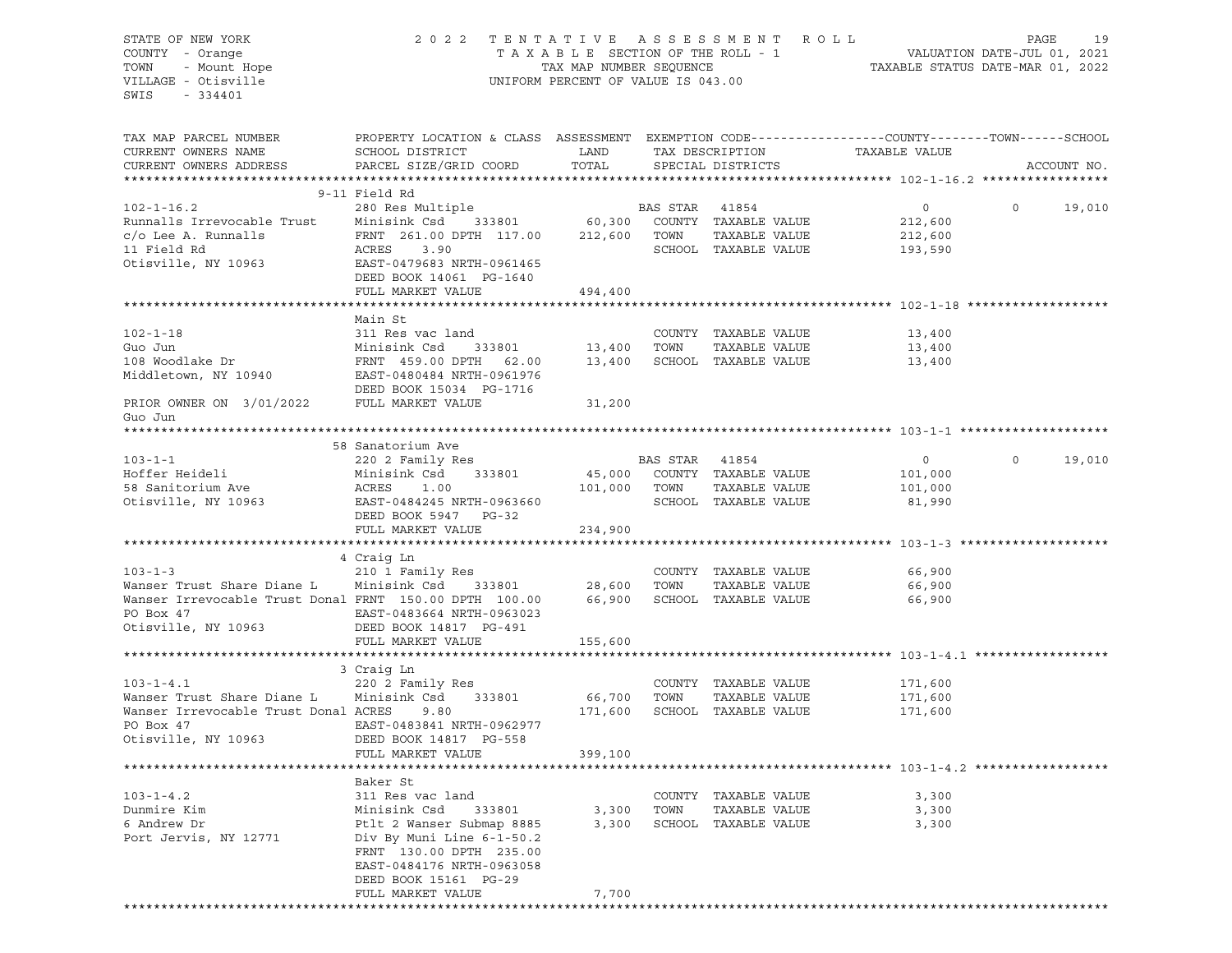| STATE OF NEW YORK                                      | 2 0 2 2                                                                                         | TENTATIVE                                                  |          | A S S E S S M E N T                   | R O L L            | PAGE<br>19                                                      |
|--------------------------------------------------------|-------------------------------------------------------------------------------------------------|------------------------------------------------------------|----------|---------------------------------------|--------------------|-----------------------------------------------------------------|
| COUNTY - Orange<br>TOWN<br>- Mount Hope                |                                                                                                 | TAXABLE SECTION OF THE ROLL - 1<br>TAX MAP NUMBER SEQUENCE |          |                                       |                    | VALUATION DATE-JUL 01, 2021<br>TAXABLE STATUS DATE-MAR 01, 2022 |
| VILLAGE - Otisville                                    |                                                                                                 | UNIFORM PERCENT OF VALUE IS 043.00                         |          |                                       |                    |                                                                 |
| SWIS<br>$-334401$                                      |                                                                                                 |                                                            |          |                                       |                    |                                                                 |
|                                                        |                                                                                                 |                                                            |          |                                       |                    |                                                                 |
| TAX MAP PARCEL NUMBER                                  | PROPERTY LOCATION & CLASS ASSESSMENT EXEMPTION CODE---------------COUNTY-------TOWN------SCHOOL |                                                            |          |                                       |                    |                                                                 |
| CURRENT OWNERS NAME                                    | SCHOOL DISTRICT                                                                                 | LAND                                                       |          | TAX DESCRIPTION                       | TAXABLE VALUE      |                                                                 |
| CURRENT OWNERS ADDRESS                                 | PARCEL SIZE/GRID COORD                                                                          | TOTAL                                                      |          | SPECIAL DISTRICTS                     |                    | ACCOUNT NO.                                                     |
|                                                        | 9-11 Field Rd                                                                                   |                                                            |          |                                       |                    |                                                                 |
| $102 - 1 - 16.2$                                       | 280 Res Multiple                                                                                |                                                            | BAS STAR | 41854                                 | $\circ$            | 19,010<br>$\circ$                                               |
| Runnalls Irrevocable Trust                             | Minisink Csd<br>333801                                                                          | 60,300                                                     |          | COUNTY TAXABLE VALUE                  | 212,600            |                                                                 |
| $c$ /o Lee A. Runnalls                                 | FRNT 261.00 DPTH 117.00                                                                         | 212,600                                                    | TOWN     | TAXABLE VALUE                         | 212,600            |                                                                 |
| 11 Field Rd                                            | ACRES<br>3.90                                                                                   |                                                            |          | SCHOOL TAXABLE VALUE                  | 193,590            |                                                                 |
| Otisville, NY 10963                                    | EAST-0479683 NRTH-0961465                                                                       |                                                            |          |                                       |                    |                                                                 |
|                                                        | DEED BOOK 14061 PG-1640                                                                         |                                                            |          |                                       |                    |                                                                 |
|                                                        | FULL MARKET VALUE                                                                               | 494,400                                                    |          |                                       |                    |                                                                 |
|                                                        |                                                                                                 |                                                            |          |                                       |                    |                                                                 |
|                                                        | Main St                                                                                         |                                                            |          |                                       |                    |                                                                 |
| $102 - 1 - 18$                                         | 311 Res vac land                                                                                |                                                            |          | COUNTY TAXABLE VALUE                  | 13,400             |                                                                 |
| Guo Jun<br>108 Woodlake Dr                             | Minisink Csd<br>333801<br>FRNT 459.00 DPTH<br>62.00                                             | 13,400<br>13,400                                           | TOWN     | TAXABLE VALUE<br>SCHOOL TAXABLE VALUE | 13,400<br>13,400   |                                                                 |
| Middletown, NY 10940                                   | EAST-0480484 NRTH-0961976                                                                       |                                                            |          |                                       |                    |                                                                 |
|                                                        | DEED BOOK 15034 PG-1716                                                                         |                                                            |          |                                       |                    |                                                                 |
| PRIOR OWNER ON 3/01/2022                               | FULL MARKET VALUE                                                                               | 31,200                                                     |          |                                       |                    |                                                                 |
| Guo Jun                                                |                                                                                                 |                                                            |          |                                       |                    |                                                                 |
|                                                        |                                                                                                 |                                                            |          |                                       |                    |                                                                 |
|                                                        | 58 Sanatorium Ave                                                                               |                                                            |          |                                       |                    |                                                                 |
| $103 - 1 - 1$                                          | 220 2 Family Res                                                                                |                                                            | BAS STAR | 41854                                 | $\circ$            | $\mathbf 0$<br>19,010                                           |
| Hoffer Heideli                                         | Minisink Csd<br>333801                                                                          | 45,000                                                     |          | COUNTY TAXABLE VALUE                  | 101,000            |                                                                 |
| 58 Sanitorium Ave                                      | ACRES<br>1.00                                                                                   | 101,000                                                    | TOWN     | TAXABLE VALUE                         | 101,000            |                                                                 |
| Otisville, NY 10963                                    | EAST-0484245 NRTH-0963660                                                                       |                                                            |          | SCHOOL TAXABLE VALUE                  | 81,990             |                                                                 |
|                                                        | DEED BOOK 5947<br>PG-32                                                                         |                                                            |          |                                       |                    |                                                                 |
|                                                        | FULL MARKET VALUE                                                                               | 234,900                                                    |          |                                       |                    |                                                                 |
|                                                        | 4 Craig Ln                                                                                      |                                                            |          |                                       |                    |                                                                 |
| $103 - 1 - 3$                                          | 210 1 Family Res                                                                                |                                                            |          | COUNTY TAXABLE VALUE                  | 66,900             |                                                                 |
| Wanser Trust Share Diane L                             | Minisink Csd<br>333801                                                                          | 28,600                                                     | TOWN     | TAXABLE VALUE                         | 66,900             |                                                                 |
| Wanser Irrevocable Trust Donal FRNT 150.00 DPTH 100.00 |                                                                                                 | 66,900                                                     |          | SCHOOL TAXABLE VALUE                  | 66,900             |                                                                 |
| PO Box 47                                              | EAST-0483664 NRTH-0963023                                                                       |                                                            |          |                                       |                    |                                                                 |
| Otisville, NY 10963                                    | DEED BOOK 14817 PG-491                                                                          |                                                            |          |                                       |                    |                                                                 |
|                                                        | FULL MARKET VALUE                                                                               | 155,600                                                    |          |                                       |                    |                                                                 |
|                                                        |                                                                                                 |                                                            |          |                                       |                    |                                                                 |
|                                                        | 3 Craig Ln                                                                                      |                                                            |          |                                       |                    |                                                                 |
| $103 - 1 - 4.1$<br>Wanser Trust Share Diane L          | 220 2 Family Res                                                                                |                                                            |          | COUNTY TAXABLE VALUE                  | 171,600            |                                                                 |
| Wanser Irrevocable Trust Donal ACRES                   | Minisink Csd<br>333801<br>9.80                                                                  | 66,700<br>171,600                                          | TOWN     | TAXABLE VALUE<br>SCHOOL TAXABLE VALUE | 171,600<br>171,600 |                                                                 |
| PO Box 47                                              | EAST-0483841 NRTH-0962977                                                                       |                                                            |          |                                       |                    |                                                                 |
| Otisville, NY 10963                                    | DEED BOOK 14817 PG-558                                                                          |                                                            |          |                                       |                    |                                                                 |
|                                                        | FULL MARKET VALUE                                                                               | 399,100                                                    |          |                                       |                    |                                                                 |
|                                                        |                                                                                                 |                                                            |          |                                       |                    |                                                                 |
|                                                        | Baker St                                                                                        |                                                            |          |                                       |                    |                                                                 |
| $103 - 1 - 4.2$                                        | 311 Res vac land                                                                                |                                                            | COUNTY   | TAXABLE VALUE                         | 3,300              |                                                                 |
| Dunmire Kim                                            | Minisink Csd<br>333801                                                                          | 3,300                                                      | TOWN     | TAXABLE VALUE                         | 3,300              |                                                                 |
| 6 Andrew Dr                                            | Ptlt 2 Wanser Submap 8885                                                                       | 3,300                                                      |          | SCHOOL TAXABLE VALUE                  | 3,300              |                                                                 |
| Port Jervis, NY 12771                                  | Div By Muni Line 6-1-50.2                                                                       |                                                            |          |                                       |                    |                                                                 |
|                                                        | FRNT 130.00 DPTH 235.00                                                                         |                                                            |          |                                       |                    |                                                                 |
|                                                        | EAST-0484176 NRTH-0963058<br>DEED BOOK 15161 PG-29                                              |                                                            |          |                                       |                    |                                                                 |
|                                                        | FULL MARKET VALUE                                                                               | 7,700                                                      |          |                                       |                    |                                                                 |
|                                                        |                                                                                                 |                                                            |          |                                       |                    |                                                                 |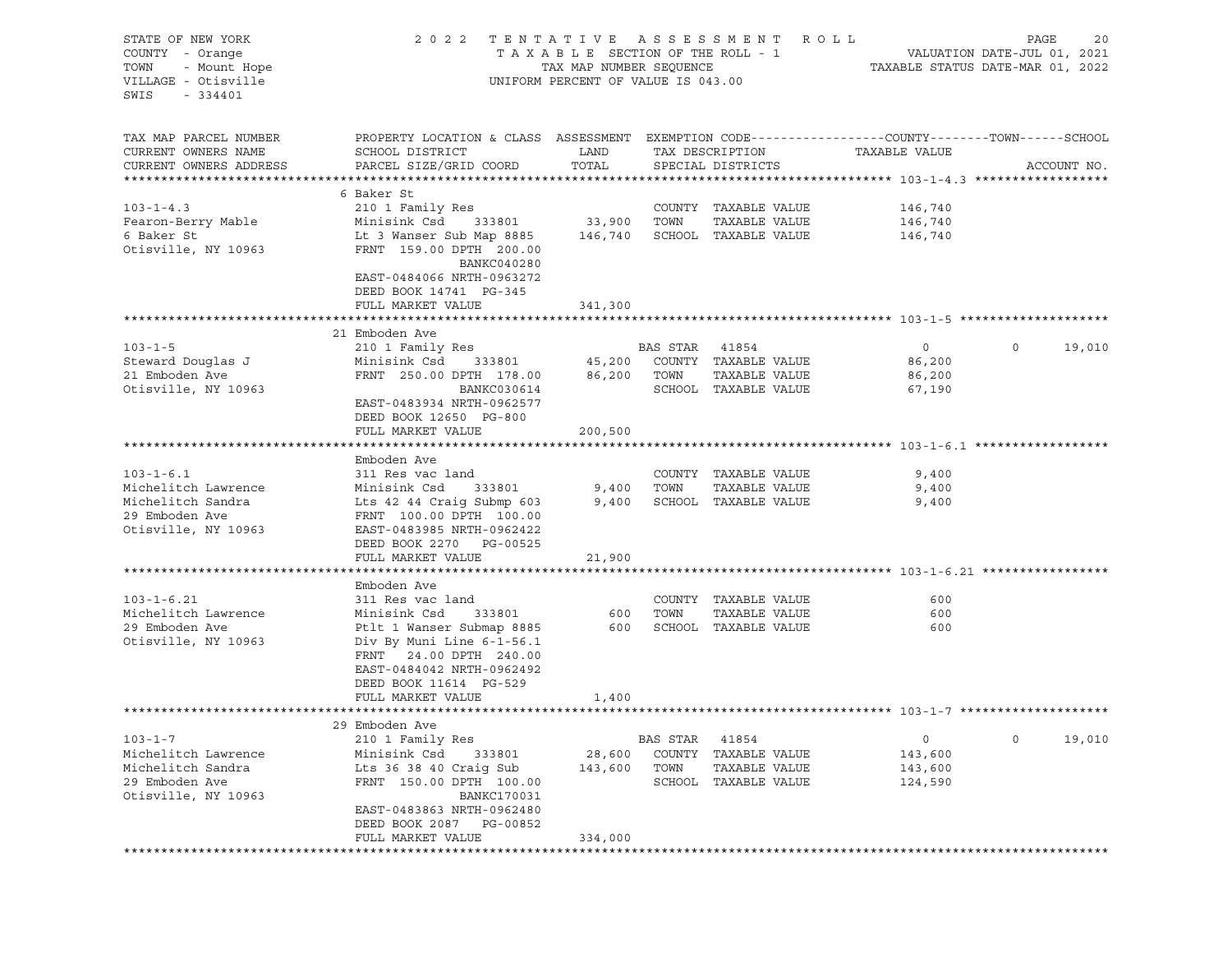| STATE OF NEW YORK<br>COUNTY - Orange<br>TOWN<br>- Mount Hope<br>VILLAGE - Otisville<br>$-334401$<br>SWIS | 2022 TENTATIVE ASSESSMENT ROLL                                                                                                                                                | UNIFORM PERCENT OF VALUE IS 043.00 |                                      |                                                                                    | PAGE<br>20                                    |         |             |  |
|----------------------------------------------------------------------------------------------------------|-------------------------------------------------------------------------------------------------------------------------------------------------------------------------------|------------------------------------|--------------------------------------|------------------------------------------------------------------------------------|-----------------------------------------------|---------|-------------|--|
| TAX MAP PARCEL NUMBER<br>CURRENT OWNERS NAME<br>CURRENT OWNERS ADDRESS                                   | PROPERTY LOCATION & CLASS ASSESSMENT EXEMPTION CODE---------------COUNTY-------TOWN-----SCHOOL<br>SCHOOL DISTRICT<br>PARCEL SIZE/GRID COORD                                   | LAND<br>TOTAL                      |                                      | TAX DESCRIPTION<br>SPECIAL DISTRICTS                                               | TAXABLE VALUE                                 |         | ACCOUNT NO. |  |
|                                                                                                          |                                                                                                                                                                               |                                    |                                      |                                                                                    |                                               |         |             |  |
| $103 - 1 - 4.3$<br>Fearon-Berry Mable<br>6 Baker St<br>Otisville, NY 10963                               | 6 Baker St<br>210 1 Family Res<br>FRNT 159.00 DPTH 200.00<br>BANKC040280<br>EAST-0484066 NRTH-0963272<br>DEED BOOK 14741 PG-345                                               |                                    |                                      | COUNTY TAXABLE VALUE<br>TAXABLE VALUE                                              | 146,740<br>146,740<br>146,740                 |         |             |  |
|                                                                                                          | FULL MARKET VALUE                                                                                                                                                             | 341,300                            |                                      |                                                                                    |                                               |         |             |  |
| $103 - 1 - 5$<br>Steward Douglas J<br>21 Emboden Ave<br>Otisville, NY 10963                              | 21 Emboden Ave<br>210 1 Family Res<br>Minisink Csd 333801 45,200 COUNTY TAXABLE VALUE<br>FRNT 250.00 DPTH 178.00<br>BANKC030614<br>EAST-0483934 NRTH-0962577                  | 86,200                             | BAS STAR 41854<br>TOWN               | TAXABLE VALUE<br>SCHOOL TAXABLE VALUE                                              | $\overline{0}$<br>86,200<br>86,200<br>67,190  | $\circ$ | 19,010      |  |
|                                                                                                          | DEED BOOK 12650 PG-800<br>FULL MARKET VALUE                                                                                                                                   | 200,500                            |                                      |                                                                                    |                                               |         |             |  |
|                                                                                                          |                                                                                                                                                                               |                                    |                                      |                                                                                    |                                               |         |             |  |
|                                                                                                          | Emboden Ave                                                                                                                                                                   |                                    |                                      |                                                                                    |                                               |         |             |  |
| $103 - 1 - 6.1$                                                                                          | 311 Res vac land                                                                                                                                                              |                                    |                                      | COUNTY TAXABLE VALUE                                                               | 9,400                                         |         |             |  |
| Michelitch Lawrence<br>Michelitch Sandra<br>29 Emboden Ave<br>Otisville, NY 10963                        | Minisink Csd<br>333801<br>Lts 42 44 Craig Submp 603<br>FRNT 100.00 DPTH 100.00<br>EAST-0483985 NRTH-0962422<br>DEED BOOK 2270 PG-00525                                        | 9,400<br>9,400                     | TOWN                                 | TAXABLE VALUE<br>SCHOOL TAXABLE VALUE                                              | 9,400<br>9,400                                |         |             |  |
|                                                                                                          | FULL MARKET VALUE                                                                                                                                                             | 21,900                             |                                      |                                                                                    |                                               |         |             |  |
|                                                                                                          | Emboden Ave                                                                                                                                                                   |                                    |                                      |                                                                                    |                                               |         |             |  |
| $103 - 1 - 6.21$<br>Michelitch Lawrence<br>29 Emboden Ave<br>Otisville, NY 10963                         | 311 Res vac land<br>Minisink Csd<br>Ptlt 1 Wanser Submap 8885<br>Div By Muni Line 6-1-56.1<br>FRNT 24.00 DPTH 240.00<br>EAST-0484042 NRTH-0962492<br>DEED BOOK 11614 PG-529   |                                    |                                      | COUNTY TAXABLE VALUE<br>333801 600 TOWN TAXABLE VALUE<br>1000 SCHOOL TAXABLE VALUE | 600<br>600<br>600                             |         |             |  |
|                                                                                                          | FULL MARKET VALUE                                                                                                                                                             | 1,400                              |                                      |                                                                                    |                                               |         |             |  |
|                                                                                                          | 29 Emboden Ave                                                                                                                                                                |                                    |                                      |                                                                                    |                                               |         |             |  |
| $103 - 1 - 7$<br>Michelitch Lawrence<br>Michelitch Sandra<br>29 Emboden Ave<br>Otisville, NY 10963       | 210 1 Family Res<br>Minisink Csd<br>333801<br>Lts 36 38 40 Craig Sub<br>FRNT 150.00 DPTH 100.00<br><b>BANKC170031</b><br>EAST-0483863 NRTH-0962480<br>DEED BOOK 2087 PG-00852 | 28,600<br>143,600<br>334,000       | BAS STAR<br>COUNTY<br>TOWN<br>SCHOOL | 41854<br>TAXABLE VALUE<br>TAXABLE VALUE<br>TAXABLE VALUE                           | $\mathsf{O}$<br>143,600<br>143,600<br>124,590 | $\circ$ | 19,010      |  |
|                                                                                                          | FULL MARKET VALUE<br>*******************                                                                                                                                      | ********************               |                                      |                                                                                    |                                               |         |             |  |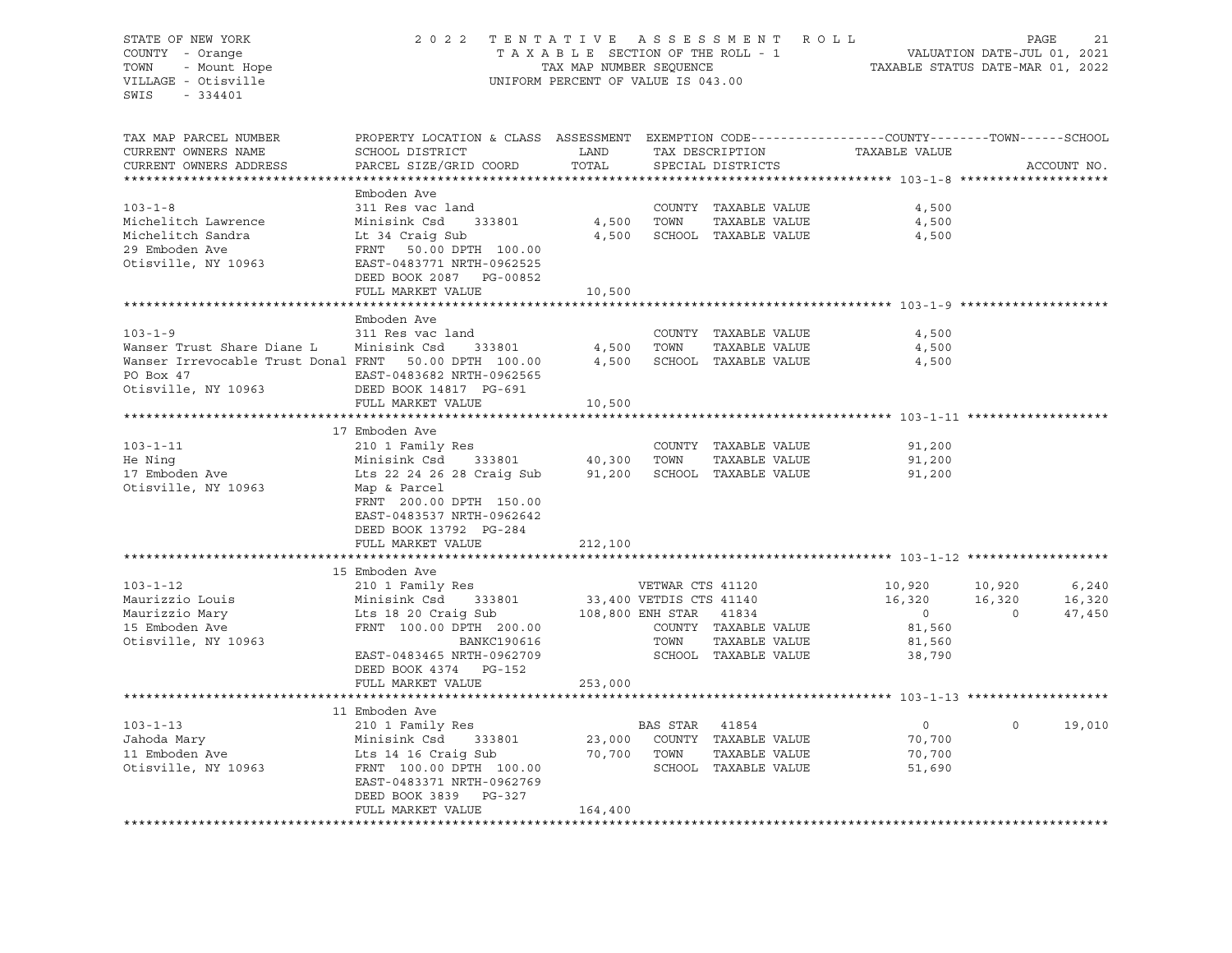STATE OF NEW YORK 2 0 2 2 T E N T A T I V E A S S E S S M E N T R O L L PAGE 21 COUNTY - Orange T A X A B L E SECTION OF THE ROLL - 1 TOWN - Mount Hope TAX MAP NUMBER SEQUENCE TAXABLE STATUS DATE-MAR 01, 2022 VILLAGE - Otisville UNIFORM PERCENT OF VALUE IS 043.00 SWIS - 334401 TAX MAP PARCEL NUMBER PROPERTY LOCATION & CLASS ASSESSMENT EXEMPTION CODE------------------COUNTY--------TOWN------SCHOOL CURRENT OWNERS NAME SCHOOL DISTRICT LAND TAX DESCRIPTION TAXABLE VALUE CURRENT OWNERS ADDRESS PARCEL SIZE/GRID COORD TOTAL SPECIAL DISTRICTS ACCOUNT NO. \*\*\*\*\*\*\*\*\*\*\*\*\*\*\*\*\*\*\*\*\*\*\*\*\*\*\*\*\*\*\*\*\*\*\*\*\*\*\*\*\*\*\*\*\*\*\*\*\*\*\*\*\*\*\*\*\*\*\*\*\*\*\*\*\*\*\*\*\*\*\*\*\*\*\*\*\*\*\*\*\*\*\*\*\*\*\*\*\*\*\*\*\*\*\*\*\*\*\*\*\*\*\* 103-1-8 \*\*\*\*\*\*\*\*\*\*\*\*\*\*\*\*\*\*\*\* Emboden Ave 103-1-8 311 Res vac land COUNTY TAXABLE VALUE 4,500 Michelitch Lawrence Minisink Csd 333801 4,500 TOWN TAXABLE VALUE 4,500 Michelitch Sandra Lt 34 Craig Sub 4,500 SCHOOL TAXABLE VALUE 4,500 29 Emboden Ave FRNT 50.00 DPTH 100.00 Otisville, NY 10963 EAST-0483771 NRTH-0962525 DEED BOOK 2087 PG-00852 FULL MARKET VALUE 10,500 \*\*\*\*\*\*\*\*\*\*\*\*\*\*\*\*\*\*\*\*\*\*\*\*\*\*\*\*\*\*\*\*\*\*\*\*\*\*\*\*\*\*\*\*\*\*\*\*\*\*\*\*\*\*\*\*\*\*\*\*\*\*\*\*\*\*\*\*\*\*\*\*\*\*\*\*\*\*\*\*\*\*\*\*\*\*\*\*\*\*\*\*\*\*\*\*\*\*\*\*\*\*\* 103-1-9 \*\*\*\*\*\*\*\*\*\*\*\*\*\*\*\*\*\*\*\* Emboden Ave 103-1-9 311 Res vac land COUNTY TAXABLE VALUE 4,500<br>Wanser Trust Share Diane L Minisink Csd 333801 4,500 TOWN TAXABLE VALUE 4.500 Wanser Trust Share Diane L Minisink Csd 333801 4,500 TOWN TAXABLE VALUE 4,500 Wanser Irrevocable Trust Donal FRNT 50.00 DPTH 100.00 4,500 SCHOOL TAXABLE VALUE 4,500 PO Box 47 EAST-0483682 NRTH-0962565 Otisville, NY 10963 DEED BOOK 14817 PG-691 FULL MARKET VALUE 10,500 \*\*\*\*\*\*\*\*\*\*\*\*\*\*\*\*\*\*\*\*\*\*\*\*\*\*\*\*\*\*\*\*\*\*\*\*\*\*\*\*\*\*\*\*\*\*\*\*\*\*\*\*\*\*\*\*\*\*\*\*\*\*\*\*\*\*\*\*\*\*\*\*\*\*\*\*\*\*\*\*\*\*\*\*\*\*\*\*\*\*\*\*\*\*\*\*\*\*\*\*\*\*\* 103-1-11 \*\*\*\*\*\*\*\*\*\*\*\*\*\*\*\*\*\*\* 17 Emboden Ave 103-1-11 210 1 Family Res COUNTY TAXABLE VALUE 91,200 He Ning Minisink Csd 333801 40,300 TOWN TAXABLE VALUE 91,200 17 Emboden Ave Lts 22 24 26 28 Craig Sub 91,200 SCHOOL TAXABLE VALUE 91,200 Otisville, NY 10963 Map & Parcel FRNT 200.00 DPTH 150.00 EAST-0483537 NRTH-0962642 DEED BOOK 13792 PG-284 FULL MARKET VALUE 212,100 \*\*\*\*\*\*\*\*\*\*\*\*\*\*\*\*\*\*\*\*\*\*\*\*\*\*\*\*\*\*\*\*\*\*\*\*\*\*\*\*\*\*\*\*\*\*\*\*\*\*\*\*\*\*\*\*\*\*\*\*\*\*\*\*\*\*\*\*\*\*\*\*\*\*\*\*\*\*\*\*\*\*\*\*\*\*\*\*\*\*\*\*\*\*\*\*\*\*\*\*\*\*\* 103-1-12 \*\*\*\*\*\*\*\*\*\*\*\*\*\*\*\*\*\*\* 15 Emboden Ave 103-1-12 210 1 Family Res VETWAR CTS 41120 10,920 10,920 6,240 Maurizzio Louis Minisink Csd 333801 33,400 VETDIS CTS 41140 16,320 16,320 16,320 Maurizzio Mary Lts 18 20 Craig Sub 108,800 ENH STAR 41834 0 0 47,450 15 Emboden Ave FRNT 100.00 DPTH 200.00 COUNTY TAXABLE VALUE 81,560 Otisville, NY 10963 BANKC190616 TOWN TAXABLE VALUE 81,560 EAST-0483465 NRTH-0962709 SCHOOL TAXABLE VALUE 38,790 DEED BOOK 4374 PG-152 FULL MARKET VALUE 253,000 \*\*\*\*\*\*\*\*\*\*\*\*\*\*\*\*\*\*\*\*\*\*\*\*\*\*\*\*\*\*\*\*\*\*\*\*\*\*\*\*\*\*\*\*\*\*\*\*\*\*\*\*\*\*\*\*\*\*\*\*\*\*\*\*\*\*\*\*\*\*\*\*\*\*\*\*\*\*\*\*\*\*\*\*\*\*\*\*\*\*\*\*\*\*\*\*\*\*\*\*\*\*\* 103-1-13 \*\*\*\*\*\*\*\*\*\*\*\*\*\*\*\*\*\*\* 11 Emboden Ave 103-1-13 210 1 Family Res BAS STAR 41854 0 0 19,010 Jahoda Mary Minisink Csd 333801 23,000 COUNTY TAXABLE VALUE 70,700 11 Emboden Ave Lts 14 16 Craig Sub 70,700 TOWN TAXABLE VALUE 70,700 Otisville, NY 10963 FRNT 100.00 DPTH 100.00 SCHOOL TAXABLE VALUE 51,690 EAST-0483371 NRTH-0962769 DEED BOOK 3839 PG-327 FULL MARKET VALUE 164,400 \*\*\*\*\*\*\*\*\*\*\*\*\*\*\*\*\*\*\*\*\*\*\*\*\*\*\*\*\*\*\*\*\*\*\*\*\*\*\*\*\*\*\*\*\*\*\*\*\*\*\*\*\*\*\*\*\*\*\*\*\*\*\*\*\*\*\*\*\*\*\*\*\*\*\*\*\*\*\*\*\*\*\*\*\*\*\*\*\*\*\*\*\*\*\*\*\*\*\*\*\*\*\*\*\*\*\*\*\*\*\*\*\*\*\*\*\*\*\*\*\*\*\*\*\*\*\*\*\*\*\*\*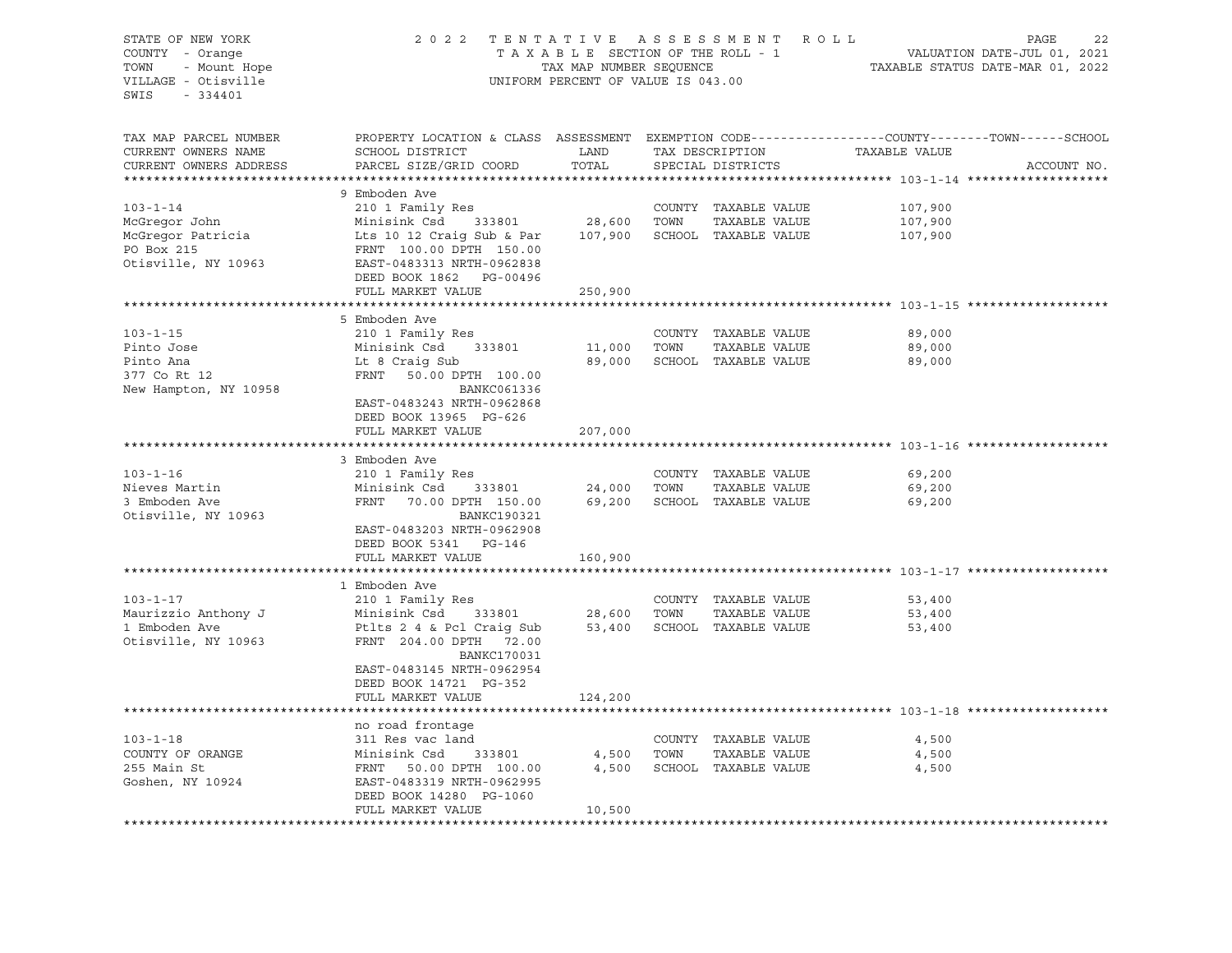| STATE OF NEW YORK      | 2 0 2 2                                                                    |                                    |                                                                                                | TENTATIVE ASSESSMENT ROLL   |                                  | PAGE<br>22  |
|------------------------|----------------------------------------------------------------------------|------------------------------------|------------------------------------------------------------------------------------------------|-----------------------------|----------------------------------|-------------|
| COUNTY - Orange        |                                                                            | TAXABLE SECTION OF THE ROLL - 1    |                                                                                                |                             | VALUATION DATE-JUL 01, 2021      |             |
| TOWN<br>- Mount Hope   |                                                                            | TAX MAP NUMBER SEQUENCE            |                                                                                                |                             | TAXABLE STATUS DATE-MAR 01, 2022 |             |
| VILLAGE - Otisville    |                                                                            | UNIFORM PERCENT OF VALUE IS 043.00 |                                                                                                |                             |                                  |             |
| $-334401$<br>SWIS      |                                                                            |                                    |                                                                                                |                             |                                  |             |
|                        |                                                                            |                                    |                                                                                                |                             |                                  |             |
|                        |                                                                            |                                    |                                                                                                |                             |                                  |             |
| TAX MAP PARCEL NUMBER  |                                                                            |                                    | PROPERTY LOCATION & CLASS ASSESSMENT EXEMPTION CODE---------------COUNTY-------TOWN-----SCHOOL |                             |                                  |             |
| CURRENT OWNERS NAME    | SCHOOL DISTRICT                                                            | LAND                               |                                                                                                | TAX DESCRIPTION             | TAXABLE VALUE                    |             |
| CURRENT OWNERS ADDRESS | PARCEL SIZE/GRID COORD                                                     | TOTAL                              | SPECIAL DISTRICTS                                                                              |                             |                                  | ACCOUNT NO. |
|                        |                                                                            |                                    |                                                                                                |                             |                                  |             |
|                        | 9 Emboden Ave                                                              |                                    |                                                                                                |                             |                                  |             |
| $103 - 1 - 14$         | 210 1 Family Res                                                           |                                    |                                                                                                | COUNTY TAXABLE VALUE        | 107,900                          |             |
| McGregor John          | Minisink Csd 333801                                                        | 28,600                             | TOWN                                                                                           | TAXABLE VALUE               | 107,900                          |             |
| McGregor Patricia      | Lts 10 12 Craig Sub & Par                                                  | 107,900                            |                                                                                                | SCHOOL TAXABLE VALUE        | 107,900                          |             |
| PO Box 215             | Lts 10 12 Craig Company<br>FRNT 100.00 DPTH 150.00<br>COMPANY NRTH-0962838 |                                    |                                                                                                |                             |                                  |             |
| Otisville, NY 10963    |                                                                            |                                    |                                                                                                |                             |                                  |             |
|                        | DEED BOOK 1862 PG-00496                                                    |                                    |                                                                                                |                             |                                  |             |
|                        | FULL MARKET VALUE                                                          | 250,900                            |                                                                                                |                             |                                  |             |
|                        |                                                                            |                                    |                                                                                                |                             |                                  |             |
|                        | 5 Emboden Ave                                                              |                                    |                                                                                                |                             |                                  |             |
| $103 - 1 - 15$         | 210 1 Family Res                                                           |                                    |                                                                                                | COUNTY TAXABLE VALUE        | 89,000                           |             |
| Pinto Jose             | Minisink Csd 333801                                                        | 11,000                             | TOWN                                                                                           | TAXABLE VALUE               | 89,000                           |             |
| Pinto Ana              | Lt 8 Craig Sub                                                             | 89,000                             |                                                                                                | SCHOOL TAXABLE VALUE        | 89,000                           |             |
| 377 Co Rt 12           | FRNT 50.00 DPTH 100.00                                                     |                                    |                                                                                                |                             |                                  |             |
| New Hampton, NY 10958  | BANKC061336                                                                |                                    |                                                                                                |                             |                                  |             |
|                        | EAST-0483243 NRTH-0962868                                                  |                                    |                                                                                                |                             |                                  |             |
|                        | DEED BOOK 13965 PG-626                                                     |                                    |                                                                                                |                             |                                  |             |
|                        | FULL MARKET VALUE                                                          | 207,000                            |                                                                                                |                             |                                  |             |
|                        |                                                                            |                                    |                                                                                                |                             |                                  |             |
|                        | 3 Emboden Ave                                                              |                                    |                                                                                                |                             |                                  |             |
| $103 - 1 - 16$         | 210 1 Family Res                                                           |                                    |                                                                                                | COUNTY TAXABLE VALUE        | 69,200                           |             |
| Nieves Martin          | Minisink Csd 333801                                                        | 24,000 TOWN                        |                                                                                                | TAXABLE VALUE               | 69,200                           |             |
| 3 Emboden Ave          | FRNT 70.00 DPTH 150.00                                                     |                                    |                                                                                                | 69,200 SCHOOL TAXABLE VALUE | 69,200                           |             |
| Otisville, NY 10963    | BANKC190321                                                                |                                    |                                                                                                |                             |                                  |             |
|                        | EAST-0483203 NRTH-0962908                                                  |                                    |                                                                                                |                             |                                  |             |
|                        | DEED BOOK 5341 PG-146                                                      |                                    |                                                                                                |                             |                                  |             |
|                        | FULL MARKET VALUE                                                          | 160,900                            |                                                                                                |                             |                                  |             |
|                        |                                                                            |                                    |                                                                                                |                             |                                  |             |
|                        | 1 Emboden Ave                                                              |                                    |                                                                                                |                             |                                  |             |
| $103 - 1 - 17$         | 210 1 Family Res                                                           |                                    |                                                                                                | COUNTY TAXABLE VALUE        | 53,400                           |             |
| Maurizzio Anthony J    | Minisink Csd                                                               | 333801 28,600 TOWN                 |                                                                                                | TAXABLE VALUE               | 53,400                           |             |
| 1 Emboden Ave          | Ptlts 2 4 & Pcl Craig Sub                                                  |                                    |                                                                                                | 53,400 SCHOOL TAXABLE VALUE | 53,400                           |             |
| Otisville, NY 10963    | FRNT 204.00 DPTH 72.00                                                     |                                    |                                                                                                |                             |                                  |             |
|                        | <b>BANKC170031</b>                                                         |                                    |                                                                                                |                             |                                  |             |
|                        | EAST-0483145 NRTH-0962954                                                  |                                    |                                                                                                |                             |                                  |             |
|                        | DEED BOOK 14721 PG-352                                                     |                                    |                                                                                                |                             |                                  |             |
|                        | FULL MARKET VALUE                                                          | 124,200                            |                                                                                                |                             |                                  |             |
|                        |                                                                            |                                    |                                                                                                |                             |                                  |             |
|                        | no road frontage                                                           |                                    |                                                                                                |                             |                                  |             |
| $103 - 1 - 18$         | 311 Res vac land                                                           |                                    |                                                                                                | COUNTY TAXABLE VALUE        | 4,500                            |             |
| COUNTY OF ORANGE       |                                                                            | 4,500                              | TOWN                                                                                           | TAXABLE VALUE               | 4,500                            |             |
| 255 Main St            | Minisink Csd 333801<br>FPNT 50.00 DPTH 100.00<br>FRNT 50.00 DPTH 100.00    | 4,500                              |                                                                                                | SCHOOL TAXABLE VALUE        | 4,500                            |             |
| Goshen, NY 10924       | EAST-0483319 NRTH-0962995                                                  |                                    |                                                                                                |                             |                                  |             |
|                        | DEED BOOK 14280 PG-1060                                                    |                                    |                                                                                                |                             |                                  |             |
|                        | FULL MARKET VALUE                                                          | 10,500                             |                                                                                                |                             |                                  |             |
|                        |                                                                            |                                    |                                                                                                |                             |                                  |             |
|                        |                                                                            |                                    |                                                                                                |                             |                                  |             |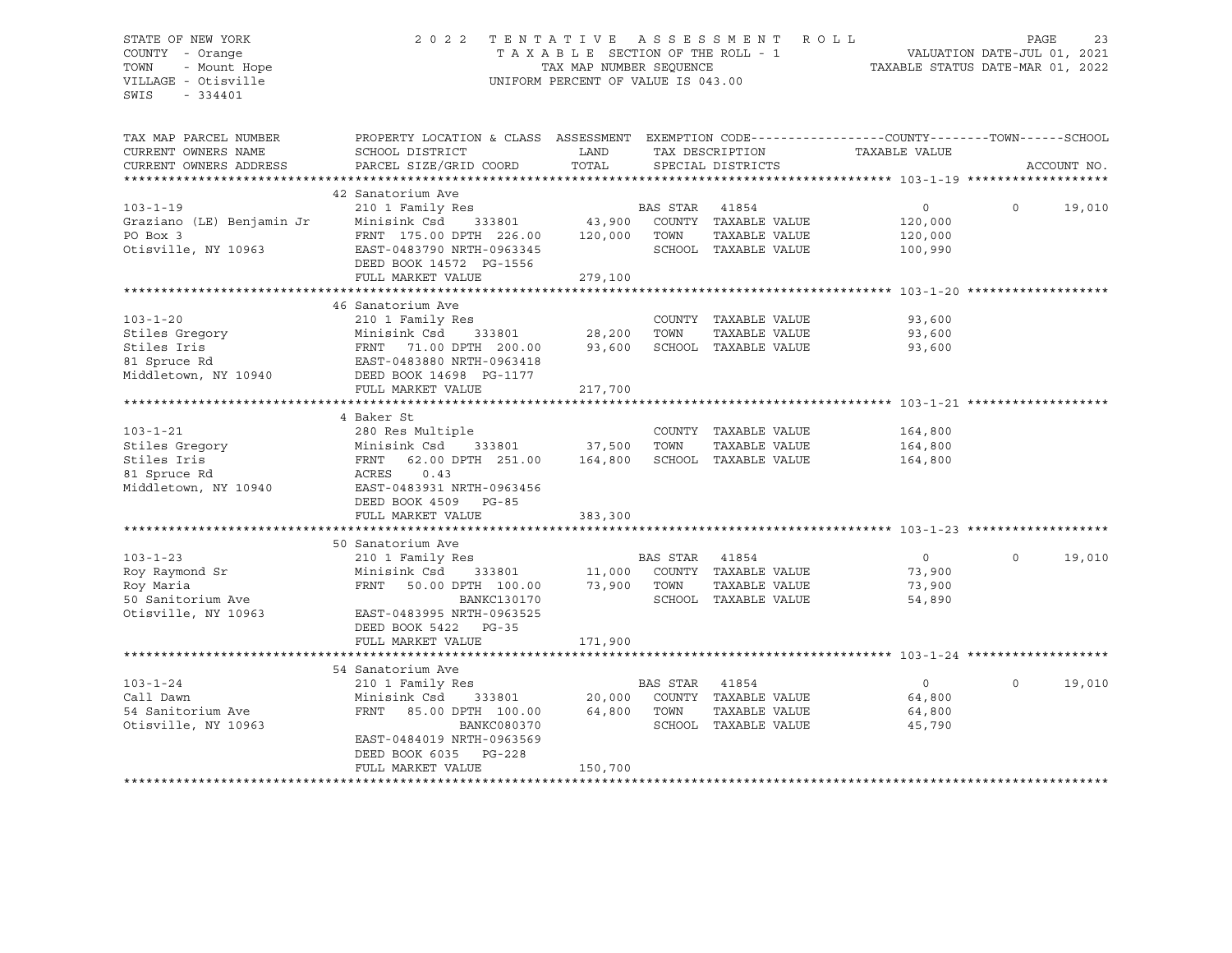# STATE OF NEW YORK 2 0 2 2 T E N T A T I V E A S S E S S M E N T R O L L PAGE 23 COUNTY - Orange T A X A B L E SECTION OF THE ROLL - 1 VALUATION DATE-JUL 01, 2021 TOWN - Mount Hope TAX MAP NUMBER SEQUENCE TAXABLE STATUS DATE-MAR 01, 2022 VILLAGE - Otisville UNIFORM PERCENT OF VALUE IS 043.00

| TAX MAP PARCEL NUMBER<br>CURRENT OWNERS NAME | PROPERTY LOCATION & CLASS ASSESSMENT EXEMPTION CODE----------------COUNTY-------TOWN------SCHOOL<br>SCHOOL DISTRICT | LAND        |                | TAX DESCRIPTION                         | TAXABLE VALUE  |          |             |
|----------------------------------------------|---------------------------------------------------------------------------------------------------------------------|-------------|----------------|-----------------------------------------|----------------|----------|-------------|
| CURRENT OWNERS ADDRESS                       | PARCEL SIZE/GRID COORD                                                                                              | TOTAL       |                | SPECIAL DISTRICTS                       |                |          | ACCOUNT NO. |
|                                              |                                                                                                                     |             |                |                                         |                |          |             |
| $103 - 1 - 19$                               | 42 Sanatorium Ave<br>210 1 Family Res                                                                               |             |                | s<br>333801 43,900 COUNTY TAXABLE VALUE | $\circ$        | $\Omega$ | 19,010      |
|                                              |                                                                                                                     |             |                |                                         | 120,000        |          |             |
|                                              |                                                                                                                     |             |                | TAXABLE VALUE                           | 120,000        |          |             |
|                                              | DEED BOOK 14572 PG-1556                                                                                             |             |                | SCHOOL TAXABLE VALUE                    | 100,990        |          |             |
|                                              | FULL MARKET VALUE                                                                                                   | 279,100     |                |                                         |                |          |             |
|                                              |                                                                                                                     |             |                |                                         |                |          |             |
|                                              | 46 Sanatorium Ave                                                                                                   |             |                |                                         |                |          |             |
| $103 - 1 - 20$                               | 210 1 Family Res                                                                                                    |             |                | COUNTY TAXABLE VALUE                    | 93,600         |          |             |
| Stiles Gregory                               | 333801 28,200<br>Minisink Csd                                                                                       |             | TOWN           | TAXABLE VALUE                           | 93,600         |          |             |
| Stiles Iris                                  | FRNT 71.00 DPTH 200.00<br>EAST-0483880 NRTH-0963418                                                                 | 93,600      |                | SCHOOL TAXABLE VALUE                    | 93,600         |          |             |
| 81 Spruce Rd                                 |                                                                                                                     |             |                |                                         |                |          |             |
| Middletown, NY 10940                         | DEED BOOK 14698 PG-1177                                                                                             |             |                |                                         |                |          |             |
|                                              | FULL MARKET VALUE                                                                                                   | 217,700     |                |                                         |                |          |             |
|                                              |                                                                                                                     |             |                |                                         |                |          |             |
|                                              | 4 Baker St                                                                                                          |             |                |                                         |                |          |             |
| $103 - 1 - 21$                               | 280 Res Multiple                                                                                                    |             |                | COUNTY TAXABLE VALUE                    | 164,800        |          |             |
| Stiles Gregory                               | Minisink Csd 333801 37,500 TOWN TAXABLE VALUE<br>FRNT 62.00 DPTH 251.00 164,800 SCHOOL TAXABLE VALUE                |             |                |                                         | 164,800        |          |             |
| Stiles Iris                                  |                                                                                                                     |             |                |                                         | 164,800        |          |             |
| 81 Spruce Rd                                 | ACRES<br>0.43                                                                                                       |             |                |                                         |                |          |             |
| Middletown, NY 10940                         | EAST-0483931 NRTH-0963456                                                                                           |             |                |                                         |                |          |             |
|                                              | DEED BOOK 4509 PG-85                                                                                                |             |                |                                         |                |          |             |
|                                              | FULL MARKET VALUE                                                                                                   | 383,300     |                |                                         |                |          |             |
|                                              |                                                                                                                     |             |                |                                         |                |          |             |
|                                              | 50 Sanatorium Ave                                                                                                   |             |                |                                         |                |          |             |
| $103 - 1 - 23$                               | 210 1 Family Res                                                                                                    |             | BAS STAR 41854 |                                         | $\overline{0}$ | $\circ$  | 19,010      |
| Roy Raymond Sr                               | Minisink Csd                                                                                                        |             |                | 333801 11,000 COUNTY TAXABLE VALUE      | 73,900         |          |             |
| Roy Maria                                    | FRNT 50.00 DPTH 100.00 73,900 TOWN                                                                                  |             |                | TAXABLE VALUE                           | 73,900         |          |             |
| 50 Sanitorium Ave                            | BANKC130170                                                                                                         |             |                | SCHOOL TAXABLE VALUE                    | 54,890         |          |             |
| Otisville, NY 10963                          | EAST-0483995 NRTH-0963525                                                                                           |             |                |                                         |                |          |             |
|                                              | DEED BOOK 5422 PG-35                                                                                                |             |                |                                         |                |          |             |
|                                              | FULL MARKET VALUE                                                                                                   | 171,900     |                |                                         |                |          |             |
|                                              |                                                                                                                     |             |                |                                         |                |          |             |
|                                              | 54 Sanatorium Ave                                                                                                   |             |                |                                         |                |          |             |
| $103 - 1 - 24$                               | 210 1 Family Res                                                                                                    |             | BAS STAR 41854 |                                         | $\overline{0}$ | $\Omega$ | 19,010      |
| Call Dawn                                    | Minisink Csd<br>333801                                                                                              |             |                | 20,000 COUNTY TAXABLE VALUE             | 64,800         |          |             |
| 54 Sanitorium Ave                            | FRNT<br>85.00 DPTH 100.00                                                                                           | 64,800 TOWN |                | TAXABLE VALUE                           | 64,800         |          |             |
| Otisville, NY 10963                          | BANKC080370                                                                                                         |             |                | SCHOOL TAXABLE VALUE                    | 45,790         |          |             |
|                                              | EAST-0484019 NRTH-0963569                                                                                           |             |                |                                         |                |          |             |
|                                              | DEED BOOK 6035 PG-228                                                                                               |             |                |                                         |                |          |             |
|                                              | FULL MARKET VALUE                                                                                                   | 150,700     |                |                                         |                |          |             |
|                                              |                                                                                                                     |             |                |                                         |                |          |             |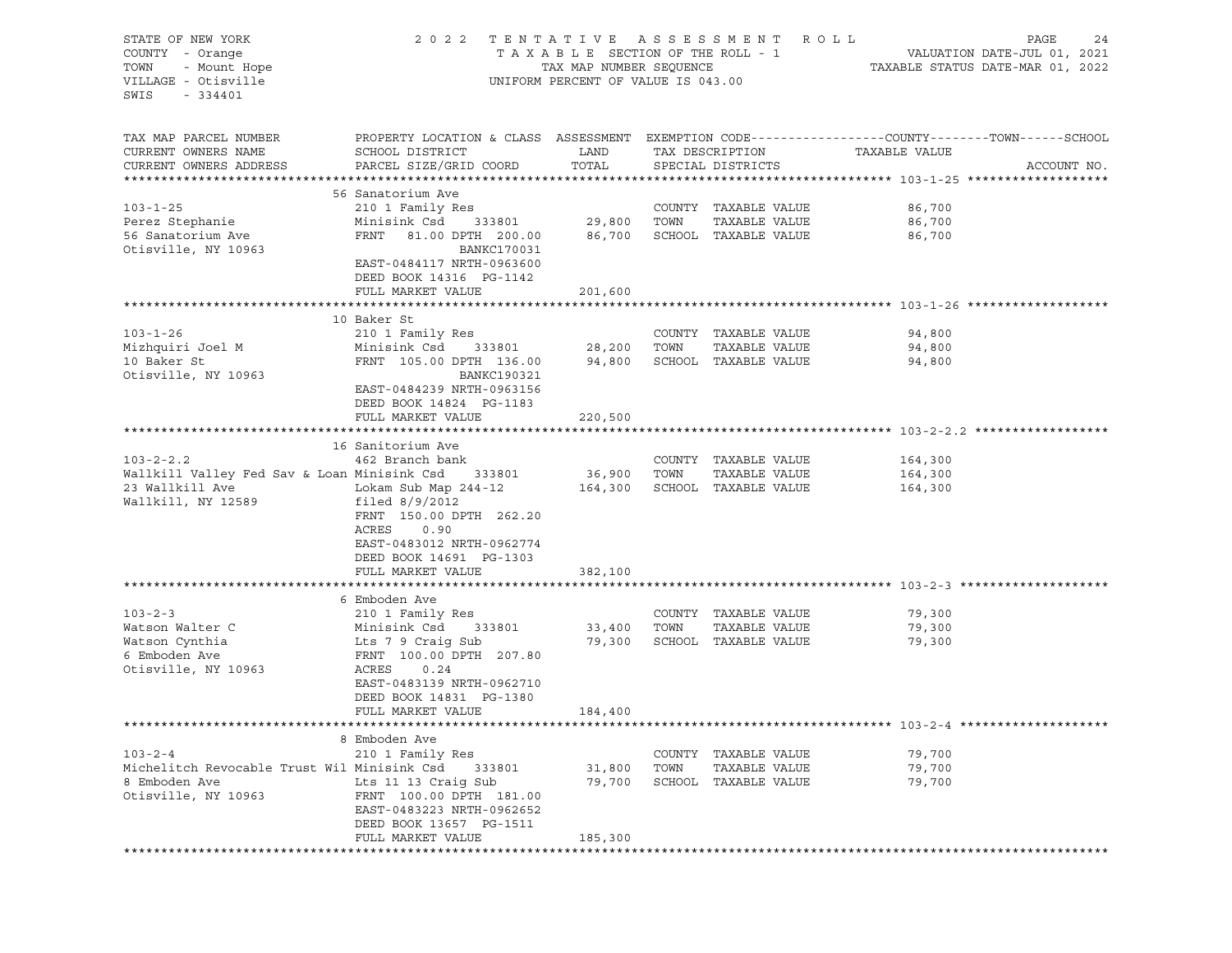| STATE OF NEW YORK<br>COUNTY - Orange<br>- Mount Hope<br>TOWN<br>VILLAGE - Otisville<br>SWIS<br>- 334401        | 2 0 2 2                                                                                                                                                                                         | UNIFORM PERCENT OF VALUE IS 043.00 |                          | TENTATIVE ASSESSMENT ROLL                                            |                               | PAGE | 24          |
|----------------------------------------------------------------------------------------------------------------|-------------------------------------------------------------------------------------------------------------------------------------------------------------------------------------------------|------------------------------------|--------------------------|----------------------------------------------------------------------|-------------------------------|------|-------------|
| TAX MAP PARCEL NUMBER<br>CURRENT OWNERS NAME<br>CURRENT OWNERS ADDRESS                                         | PROPERTY LOCATION & CLASS ASSESSMENT EXEMPTION CODE---------------COUNTY-------TOWN-----SCHOOL<br>SCHOOL DISTRICT<br>PARCEL SIZE/GRID COORD                                                     | LAND<br>TOTAL                      |                          | TAX DESCRIPTION<br>SPECIAL DISTRICTS                                 | TAXABLE VALUE                 |      | ACCOUNT NO. |
| $103 - 1 - 25$<br>Perez Stephanie<br>56 Sanatorium Ave<br>Otisville, NY 10963                                  | 56 Sanatorium Ave<br>210 1 Family Res<br>333801<br>Minisink Csd<br>FRNT<br>81.00 DPTH 200.00<br><b>BANKC170031</b><br>EAST-0484117 NRTH-0963600<br>DEED BOOK 14316 PG-1142<br>FULL MARKET VALUE | 29,800 TOWN<br>201,600             |                          | COUNTY TAXABLE VALUE<br>TAXABLE VALUE<br>86,700 SCHOOL TAXABLE VALUE | 86,700<br>86,700<br>86,700    |      |             |
|                                                                                                                |                                                                                                                                                                                                 |                                    |                          |                                                                      |                               |      |             |
| $103 - 1 - 26$<br>Mizhquiri Joel M<br>10 Baker St<br>Otisville, NY 10963                                       | 10 Baker St<br>210 1 Family Res<br>Minisink Csd 333801<br>FRNT 105.00 DPTH 136.00<br><b>BANKC190321</b><br>EAST-0484239 NRTH-0963156<br>DEED BOOK 14824 PG-1183<br>FULL MARKET VALUE            | 28,200<br>94,800<br>220,500        | TOWN                     | COUNTY TAXABLE VALUE<br>TAXABLE VALUE<br>SCHOOL TAXABLE VALUE        | 94,800<br>94,800<br>94,800    |      |             |
|                                                                                                                |                                                                                                                                                                                                 |                                    |                          |                                                                      |                               |      |             |
|                                                                                                                | 16 Sanitorium Ave                                                                                                                                                                               |                                    |                          |                                                                      |                               |      |             |
| $103 - 2 - 2.2$<br>Wallkill Valley Fed Sav & Loan Minisink Csd 333801<br>23 Wallkill Ave<br>Wallkill, NY 12589 | 462 Branch bank<br>Lokam Sub Map 244-12<br>filed $8/9/2012$<br>FRNT 150.00 DPTH 262.20<br>0.90<br>ACRES<br>EAST-0483012 NRTH-0962774<br>DEED BOOK 14691 PG-1303<br>FULL MARKET VALUE            | 36,900<br>164,300<br>382,100       | TOWN                     | COUNTY TAXABLE VALUE<br>TAXABLE VALUE<br>SCHOOL TAXABLE VALUE        | 164,300<br>164,300<br>164,300 |      |             |
|                                                                                                                |                                                                                                                                                                                                 |                                    |                          |                                                                      |                               |      |             |
| $103 - 2 - 3$<br>Watson Walter C<br>Watson Cynthia<br>6 Emboden Ave<br>Otisville, NY 10963                     | 6 Emboden Ave<br>210 1 Family Res<br>Minisink Csd 333801<br>Lts 7 9 Craig Sub<br>FRNT 100.00 DPTH 207.80<br>ACRES<br>0.24<br>EAST-0483139 NRTH-0962710<br>DEED BOOK 14831 PG-1380               | 33,400<br>79,300                   | TOWN                     | COUNTY TAXABLE VALUE<br>TAXABLE VALUE<br>SCHOOL TAXABLE VALUE        | 79,300<br>79,300<br>79,300    |      |             |
|                                                                                                                | FULL MARKET VALUE                                                                                                                                                                               | 184,400                            |                          |                                                                      |                               |      |             |
|                                                                                                                |                                                                                                                                                                                                 |                                    |                          |                                                                      |                               |      |             |
| $103 - 2 - 4$<br>Michelitch Revocable Trust Wil Minisink Csd<br>8 Emboden Ave<br>Otisville, NY 10963           | 8 Emboden Ave<br>210 1 Family Res<br>333801<br>Lts 11 13 Craig Sub<br>FRNT 100.00 DPTH 181.00<br>EAST-0483223 NRTH-0962652<br>DEED BOOK 13657 PG-1511                                           | 31,800<br>79,700                   | COUNTY<br>TOWN<br>SCHOOL | TAXABLE VALUE<br>TAXABLE VALUE<br>TAXABLE VALUE                      | 79,700<br>79,700<br>79,700    |      |             |
|                                                                                                                | FULL MARKET VALUE                                                                                                                                                                               | 185,300                            |                          |                                                                      |                               |      |             |
|                                                                                                                |                                                                                                                                                                                                 |                                    |                          |                                                                      |                               |      |             |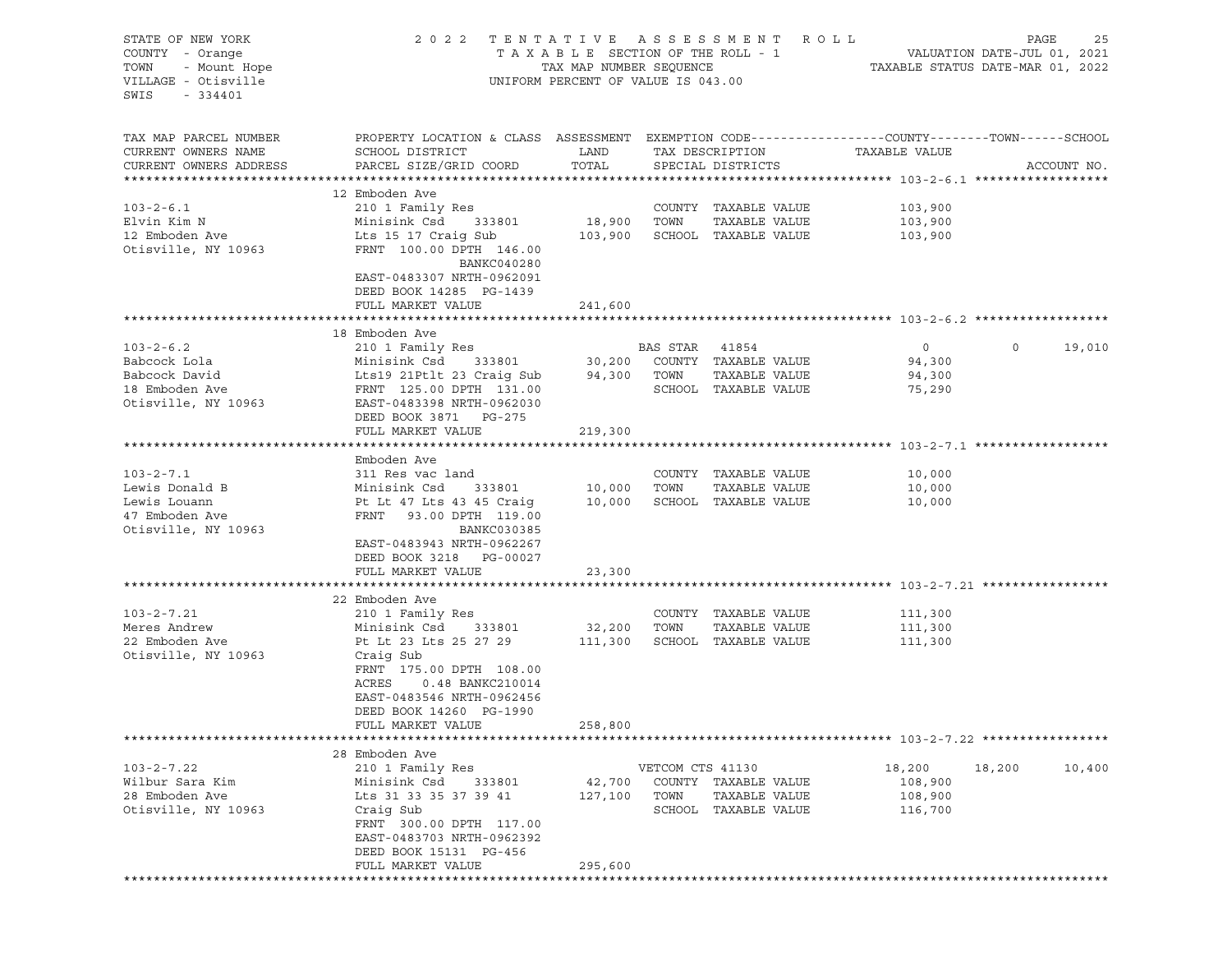| STATE OF NEW YORK<br>COUNTY - Orange<br>- Mount Hope<br>TOWN<br>VILLAGE - Otisville<br>SWIS<br>- 334401 | 2022 TENTATIVE ASSESSMENT ROLL                                                                                            | TAX MAP NUMBER SEQUENCE<br>UNIFORM PERCENT OF VALUE IS 043.00 |                  |                              | PAGE<br>25<br>T A X A B L E SECTION OF THE ROLL - 1 VALUATION DATE-JUL 01, 2021<br>TAXABLE STATUS DATE-MAR 01, 2022 |             |        |  |
|---------------------------------------------------------------------------------------------------------|---------------------------------------------------------------------------------------------------------------------------|---------------------------------------------------------------|------------------|------------------------------|---------------------------------------------------------------------------------------------------------------------|-------------|--------|--|
| TAX MAP PARCEL NUMBER                                                                                   | PROPERTY LOCATION & CLASS ASSESSMENT EXEMPTION CODE---------------COUNTY-------TOWN------SCHOOL                           |                                                               |                  |                              |                                                                                                                     |             |        |  |
| CURRENT OWNERS NAME                                                                                     | SCHOOL DISTRICT                                                                                                           | LAND                                                          | TAX DESCRIPTION  |                              | TAXABLE VALUE                                                                                                       |             |        |  |
| CURRENT OWNERS ADDRESS                                                                                  | PARCEL SIZE/GRID COORD                                                                                                    | TOTAL                                                         |                  | SPECIAL DISTRICTS            |                                                                                                                     | ACCOUNT NO. |        |  |
|                                                                                                         |                                                                                                                           |                                                               |                  |                              |                                                                                                                     |             |        |  |
| $103 - 2 - 6.1$                                                                                         | 12 Emboden Ave                                                                                                            |                                                               |                  | COUNTY TAXABLE VALUE         | 103,900                                                                                                             |             |        |  |
| Elvin Kim N                                                                                             | 210 1 Family Res<br>Minisink Csd 333801                                                                                   | 18,900 TOWN                                                   |                  | TAXABLE VALUE                | 103,900                                                                                                             |             |        |  |
| 12 Emboden Ave                                                                                          | Lts 15 17 Craig Sub                                                                                                       |                                                               |                  | 103,900 SCHOOL TAXABLE VALUE | 103,900                                                                                                             |             |        |  |
| Otisville, NY 10963                                                                                     | FRNT 100.00 DPTH 146.00<br>BANKC040280<br>EAST-0483307 NRTH-0962091<br>DEED BOOK 14285 PG-1439                            |                                                               |                  |                              |                                                                                                                     |             |        |  |
|                                                                                                         | FULL MARKET VALUE                                                                                                         | 241,600                                                       |                  |                              |                                                                                                                     |             |        |  |
|                                                                                                         |                                                                                                                           |                                                               |                  |                              |                                                                                                                     |             |        |  |
|                                                                                                         | 18 Emboden Ave                                                                                                            |                                                               |                  |                              |                                                                                                                     | $\circ$     |        |  |
| $103 - 2 - 6.2$<br>Babcock Lola                                                                         | 210 1 Family Res<br>Minisink Csd 333801 30,200 COUNTY TAXABLE VALUE                                                       |                                                               | BAS STAR 41854   |                              | $\overline{0}$<br>94,300                                                                                            |             | 19,010 |  |
| Babcock David                                                                                           | Lts19 21Ptlt 23 Craig Sub                                                                                                 |                                                               | 94,300 TOWN      | TAXABLE VALUE                | 94,300                                                                                                              |             |        |  |
| 18 Emboden Ave                                                                                          | FRNT 125.00 DPTH 131.00                                                                                                   |                                                               |                  | SCHOOL TAXABLE VALUE         | 75,290                                                                                                              |             |        |  |
| Otisville, NY 10963                                                                                     | EAST-0483398 NRTH-0962030<br>DEED BOOK 3871 PG-275                                                                        |                                                               |                  |                              |                                                                                                                     |             |        |  |
|                                                                                                         | FULL MARKET VALUE                                                                                                         | 219,300                                                       |                  |                              |                                                                                                                     |             |        |  |
|                                                                                                         | Emboden Ave                                                                                                               |                                                               |                  |                              |                                                                                                                     |             |        |  |
| $103 - 2 - 7.1$                                                                                         | 311 Res vac land                                                                                                          |                                                               |                  | COUNTY TAXABLE VALUE         | 10,000                                                                                                              |             |        |  |
| Lewis Donald B                                                                                          | Minisink Csd 333801                                                                                                       | 10,000 TOWN                                                   |                  | TAXABLE VALUE                | 10,000                                                                                                              |             |        |  |
| Lewis Louann                                                                                            | Pt Lt 47 Lts 43 45 Craig                                                                                                  | 10,000                                                        |                  | SCHOOL TAXABLE VALUE         | 10,000                                                                                                              |             |        |  |
| 47 Emboden Ave                                                                                          | FRNT 93.00 DPTH 119.00                                                                                                    |                                                               |                  |                              |                                                                                                                     |             |        |  |
| Otisville, NY 10963                                                                                     | BANKC030385<br>EAST-0483943 NRTH-0962267<br>DEED BOOK 3218 PG-00027<br>FULL MARKET VALUE                                  | 23,300                                                        |                  |                              |                                                                                                                     |             |        |  |
|                                                                                                         |                                                                                                                           |                                                               |                  |                              |                                                                                                                     |             |        |  |
|                                                                                                         | 22 Emboden Ave                                                                                                            |                                                               |                  |                              |                                                                                                                     |             |        |  |
| $103 - 2 - 7.21$                                                                                        | 210 1 Family Res                                                                                                          |                                                               |                  | COUNTY TAXABLE VALUE         | 111,300                                                                                                             |             |        |  |
| Meres Andrew                                                                                            | Minisink Csd 333801                                                                                                       | 32,200 TOWN                                                   |                  | TAXABLE VALUE                | 111,300                                                                                                             |             |        |  |
| 22 Emboden Ave                                                                                          | Pt Lt 23 Lts 25 27 29 111,300                                                                                             |                                                               |                  | SCHOOL TAXABLE VALUE         | 111,300                                                                                                             |             |        |  |
| Otisville, NY 10963                                                                                     | Craig Sub<br>FRNT 175.00 DPTH 108.00<br>ACRES<br>0.48 BANKC210014<br>EAST-0483546 NRTH-0962456<br>DEED BOOK 14260 PG-1990 |                                                               |                  |                              |                                                                                                                     |             |        |  |
|                                                                                                         | FULL MARKET VALUE                                                                                                         | 258,800                                                       |                  |                              |                                                                                                                     |             |        |  |
|                                                                                                         | 28 Emboden Ave                                                                                                            |                                                               |                  |                              |                                                                                                                     |             |        |  |
| $103 - 2 - 7.22$                                                                                        | 210 1 Family Res                                                                                                          |                                                               | VETCOM CTS 41130 |                              | 18,200                                                                                                              | 18,200      | 10,400 |  |
| Wilbur Sara Kim                                                                                         | Minisink Csd<br>333801                                                                                                    | 42,700                                                        |                  | COUNTY TAXABLE VALUE         | 108,900                                                                                                             |             |        |  |
| 28 Emboden Ave                                                                                          | Lts 31 33 35 37 39 41                                                                                                     | 127,100                                                       | TOWN             | TAXABLE VALUE                | 108,900                                                                                                             |             |        |  |
| Otisville, NY 10963                                                                                     | Craig Sub                                                                                                                 |                                                               |                  | SCHOOL TAXABLE VALUE         | 116,700                                                                                                             |             |        |  |
|                                                                                                         | FRNT 300.00 DPTH 117.00<br>EAST-0483703 NRTH-0962392<br>DEED BOOK 15131 PG-456                                            |                                                               |                  |                              |                                                                                                                     |             |        |  |
|                                                                                                         | FULL MARKET VALUE                                                                                                         | 295,600                                                       |                  |                              |                                                                                                                     |             |        |  |
|                                                                                                         |                                                                                                                           |                                                               |                  |                              |                                                                                                                     |             |        |  |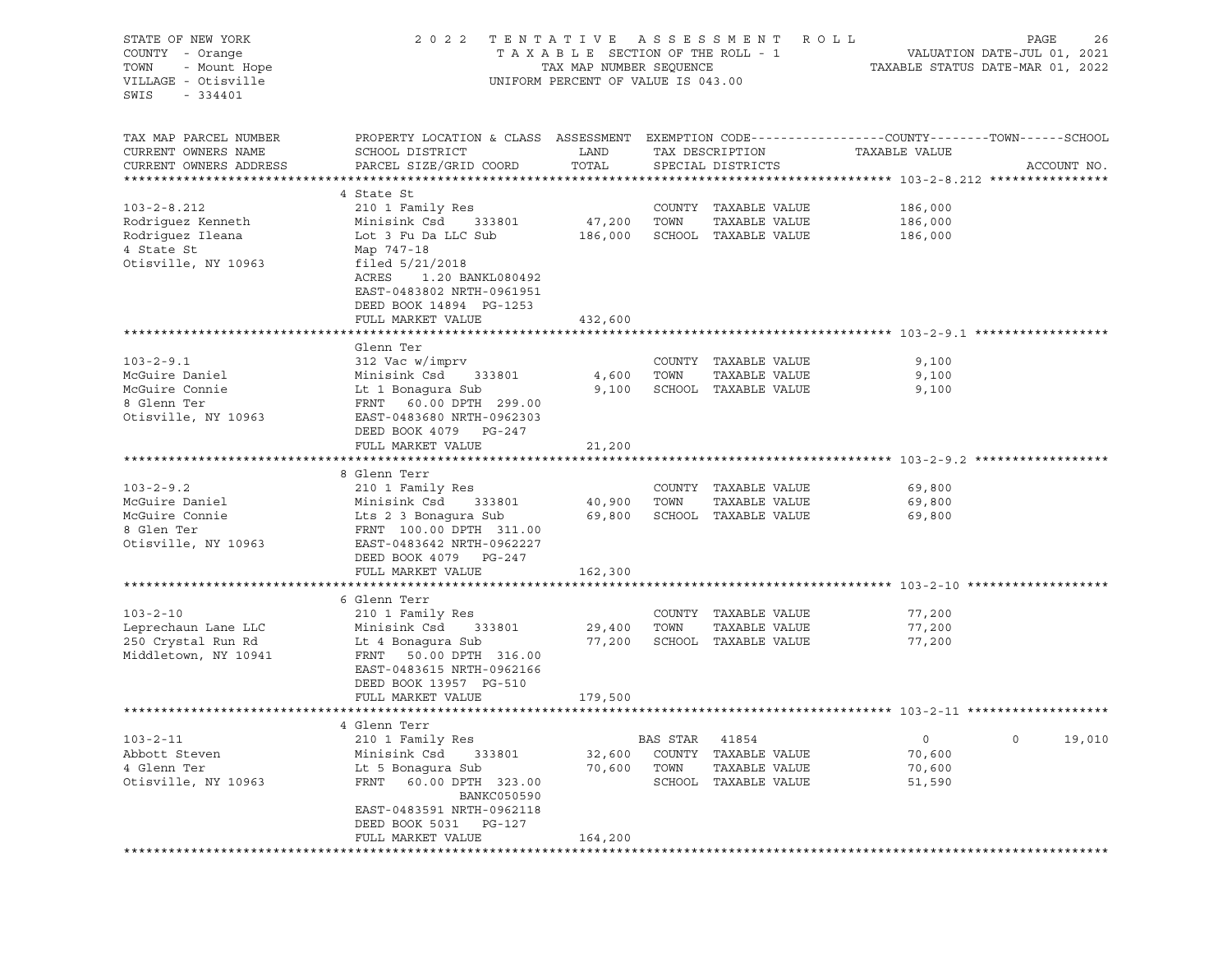STATE OF NEW YORK 2 0 2 2 T E N T A T I V E A S S E S S M E N T R O L L PAGE 26 COUNTY - Orange T A X A B L E SECTION OF THE ROLL - 1 TOWN - Mount Hope TAX NOW TAX MAP NUMBER SEQUENCE TAXABLE STATUS DATE-MAR 01, 2022<br>VILLAGE - Otisville Taxable Taxable Taxable Status UNIFORM PERCENT OF VALUE IS 043.00 UNIFORM PERCENT OF VALUE IS 043.00 SWIS - 334401 TAX MAP PARCEL NUMBER PROPERTY LOCATION & CLASS ASSESSMENT EXEMPTION CODE------------------COUNTY--------TOWN------SCHOOL CURRENT OWNERS NAME SCHOOL DISTRICT LAND TAX DESCRIPTION TAXABLE VALUE CURRENT OWNERS ADDRESS PARCEL SIZE/GRID COORD TOTAL SPECIAL DISTRICTS ACCOUNT NO. \*\*\*\*\*\*\*\*\*\*\*\*\*\*\*\*\*\*\*\*\*\*\*\*\*\*\*\*\*\*\*\*\*\*\*\*\*\*\*\*\*\*\*\*\*\*\*\*\*\*\*\*\*\*\*\*\*\*\*\*\*\*\*\*\*\*\*\*\*\*\*\*\*\*\*\*\*\*\*\*\*\*\*\*\*\*\*\*\*\*\*\*\*\*\*\*\*\*\*\*\*\*\* 103-2-8.212 \*\*\*\*\*\*\*\*\*\*\*\*\*\*\*\* 4 State St 103-2-8.212 210 1 Family Res COUNTY TAXABLE VALUE 186,000 Rodriguez Kenneth Minisink Csd 333801 47,200 TOWN TAXABLE VALUE 186,000 Rodriguez Ileana Lot 3 Fu Da LLC Sub 186,000 SCHOOL TAXABLE VALUE 186,000 4 State St Map 747-18 Otisville, NY 10963 filed 5/21/2018 ACRES 1.20 BANKL080492 EAST-0483802 NRTH-0961951 DEED BOOK 14894 PG-1253 FULL MARKET VALUE 432,600 \*\*\*\*\*\*\*\*\*\*\*\*\*\*\*\*\*\*\*\*\*\*\*\*\*\*\*\*\*\*\*\*\*\*\*\*\*\*\*\*\*\*\*\*\*\*\*\*\*\*\*\*\*\*\*\*\*\*\*\*\*\*\*\*\*\*\*\*\*\*\*\*\*\*\*\*\*\*\*\*\*\*\*\*\*\*\*\*\*\*\*\*\*\*\*\*\*\*\*\*\*\*\* 103-2-9.1 \*\*\*\*\*\*\*\*\*\*\*\*\*\*\*\*\*\* Glenn Ter<br>312 Vac w/imprv 103-2-9.1 312 Vac w/imprv COUNTY TAXABLE VALUE 9,100 McGuire Daniel Minisink Csd 333801 4,600 TOWN TAXABLE VALUE 9,100 McGuire Connie Lt 1 Bonagura Sub 9,100 SCHOOL TAXABLE VALUE 9,100 8 Glenn Ter FRNT 60.00 DPTH 299.00 Otisville, NY 10963 EAST-0483680 NRTH-0962303 DEED BOOK 4079 PG-247 FULL MARKET VALUE 21,200 \*\*\*\*\*\*\*\*\*\*\*\*\*\*\*\*\*\*\*\*\*\*\*\*\*\*\*\*\*\*\*\*\*\*\*\*\*\*\*\*\*\*\*\*\*\*\*\*\*\*\*\*\*\*\*\*\*\*\*\*\*\*\*\*\*\*\*\*\*\*\*\*\*\*\*\*\*\*\*\*\*\*\*\*\*\*\*\*\*\*\*\*\*\*\*\*\*\*\*\*\*\*\* 103-2-9.2 \*\*\*\*\*\*\*\*\*\*\*\*\*\*\*\*\*\* 8 Glenn Terr<br>210 1 Family Res 103-2-9.2 210 1 Family Res COUNTY TAXABLE VALUE 69,800 McGuire Daniel Minisink Csd 333801 40,900 TOWN TAXABLE VALUE 69,800 McGuire Connie Lts 2 3 Bonagura Sub 69,800 SCHOOL TAXABLE VALUE 69,800 8 Glen Ter FRNT 100.00 DPTH 311.00 Otisville, NY 10963 EAST-0483642 NRTH-0962227 DEED BOOK 4079 PG-247 FULL MARKET VALUE 162,300 \*\*\*\*\*\*\*\*\*\*\*\*\*\*\*\*\*\*\*\*\*\*\*\*\*\*\*\*\*\*\*\*\*\*\*\*\*\*\*\*\*\*\*\*\*\*\*\*\*\*\*\*\*\*\*\*\*\*\*\*\*\*\*\*\*\*\*\*\*\*\*\*\*\*\*\*\*\*\*\*\*\*\*\*\*\*\*\*\*\*\*\*\*\*\*\*\*\*\*\*\*\*\* 103-2-10 \*\*\*\*\*\*\*\*\*\*\*\*\*\*\*\*\*\*\* 6 Glenn Terr<br>210 1 Family Res 103-2-10 210 1 Family Res COUNTY TAXABLE VALUE 77,200 Leprechaun Lane LLC Minisink Csd 333801 29,400 TOWN TAXABLE VALUE 77,200 250 Crystal Run Rd Lt 4 Bonagura Sub 77,200 SCHOOL TAXABLE VALUE 77,200 Middletown, NY 10941 FRNT 50.00 DPTH 316.00 EAST-0483615 NRTH-0962166 DEED BOOK 13957 PG-510 FULL MARKET VALUE 179,500 \*\*\*\*\*\*\*\*\*\*\*\*\*\*\*\*\*\*\*\*\*\*\*\*\*\*\*\*\*\*\*\*\*\*\*\*\*\*\*\*\*\*\*\*\*\*\*\*\*\*\*\*\*\*\*\*\*\*\*\*\*\*\*\*\*\*\*\*\*\*\*\*\*\*\*\*\*\*\*\*\*\*\*\*\*\*\*\*\*\*\*\*\*\*\*\*\*\*\*\*\*\*\* 103-2-11 \*\*\*\*\*\*\*\*\*\*\*\*\*\*\*\*\*\*\* 4 Glenn Terr<br>210 1 Familv Res 103-2-11 210 1 Family Res BAS STAR 41854 0 0 19,010 Abbott Steven Minisink Csd 333801 32,600 COUNTY TAXABLE VALUE 70,600 4 Glenn Ter Lt 5 Bonagura Sub 70,600 TOWN TAXABLE VALUE 70,600 Otisville, NY 10963 FRNT 60.00 DPTH 323.00 SCHOOL TAXABLE VALUE 51,590 BANKC050590 EAST-0483591 NRTH-0962118 DEED BOOK 5031 PG-127 FULL MARKET VALUE 164,200 \*\*\*\*\*\*\*\*\*\*\*\*\*\*\*\*\*\*\*\*\*\*\*\*\*\*\*\*\*\*\*\*\*\*\*\*\*\*\*\*\*\*\*\*\*\*\*\*\*\*\*\*\*\*\*\*\*\*\*\*\*\*\*\*\*\*\*\*\*\*\*\*\*\*\*\*\*\*\*\*\*\*\*\*\*\*\*\*\*\*\*\*\*\*\*\*\*\*\*\*\*\*\*\*\*\*\*\*\*\*\*\*\*\*\*\*\*\*\*\*\*\*\*\*\*\*\*\*\*\*\*\*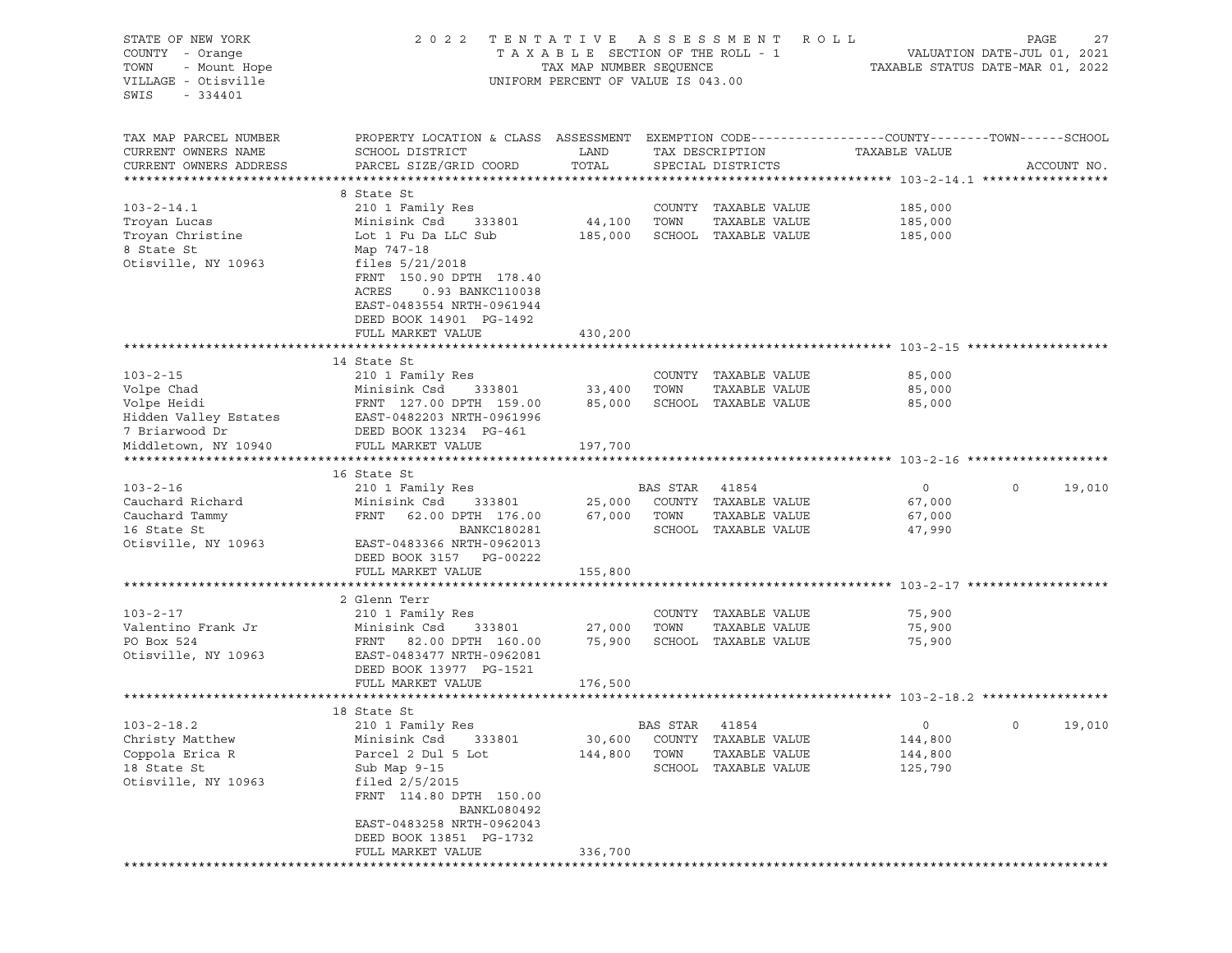STATE OF NEW YORK 2022 TENTATIVE ASSESSMENT ROLL PAGE 27 COUNTY - Orange T A X A B L E SECTION OF THE ROLL - 1 VALUATION DATE-JUL 01, 2021 TOWN - Mount Hope TAX MAP NUMBER SEQUENCE TAXABLE STATUS DATE-MAR 01, 2022 VILLAGE - Otisville UNIFORM PERCENT OF VALUE IS 043.00 SWIS - 334401 TAX MAP PARCEL NUMBER PROPERTY LOCATION & CLASS ASSESSMENT EXEMPTION CODE----------------COUNTY-------TOWN-----SCHOOL CURRENT OWNERS NAME SCHOOL DISTRICT LAND TAX DESCRIPTION TAXABLE VALUE CURRENT OWNERS ADDRESS PARCEL SIZE/GRID COORD TOTAL SPECIAL DISTRICTS ACCOUNT NO. \*\*\*\*\*\*\*\*\*\*\*\*\*\*\*\*\*\*\*\*\*\*\*\*\*\*\*\*\*\*\*\*\*\*\*\*\*\*\*\*\*\*\*\*\*\*\*\*\*\*\*\*\*\*\*\*\*\*\*\*\*\*\*\*\*\*\*\*\*\*\*\*\*\*\*\*\*\*\*\*\*\*\*\*\*\*\*\*\*\*\*\*\*\*\*\*\*\*\*\*\*\*\* 103-2-14.1 \*\*\*\*\*\*\*\*\*\*\*\*\*\*\*\*\* 8 State St 103-2-14.1 210 1 Family Res COUNTY TAXABLE VALUE 185,000 Troyan Lucas Minisink Csd 333801 44,100 TOWN TAXABLE VALUE 185,000 Troyan Christine Lot 1 Fu Da LLC Sub 185,000 SCHOOL TAXABLE VALUE 185,000 8 State St Map 747-18 Otisville, NY 10963 files 5/21/2018 FRNT 150.90 DPTH 178.40 ACRES 0.93 BANKC110038 EAST-0483554 NRTH-0961944 DEED BOOK 14901 PG-1492 FULL MARKET VALUE 430,200 \*\*\*\*\*\*\*\*\*\*\*\*\*\*\*\*\*\*\*\*\*\*\*\*\*\*\*\*\*\*\*\*\*\*\*\*\*\*\*\*\*\*\*\*\*\*\*\*\*\*\*\*\*\*\*\*\*\*\*\*\*\*\*\*\*\*\*\*\*\*\*\*\*\*\*\*\*\*\*\*\*\*\*\*\*\*\*\*\*\*\*\*\*\*\*\*\*\*\*\*\*\*\* 103-2-15 \*\*\*\*\*\*\*\*\*\*\*\*\*\*\*\*\*\*\* 14 State St 103-2-15 210 1 Family Res COUNTY TAXABLE VALUE 85,000 Volpe Chad Minisink Csd 333801 33,400 TOWN TAXABLE VALUE 85,000 Volpe Heidi FRNT 127.00 DPTH 159.00 85,000 SCHOOL TAXABLE VALUE 85,000 Hidden Valley Estates EAST-0482203 NRTH-0961996 7 Briarwood Dr DEED BOOK 13234 PG-461 Middletown, NY 10940 FULL MARKET VALUE 197,700 \*\*\*\*\*\*\*\*\*\*\*\*\*\*\*\*\*\*\*\*\*\*\*\*\*\*\*\*\*\*\*\*\*\*\*\*\*\*\*\*\*\*\*\*\*\*\*\*\*\*\*\*\*\*\*\*\*\*\*\*\*\*\*\*\*\*\*\*\*\*\*\*\*\*\*\*\*\*\*\*\*\*\*\*\*\*\*\*\*\*\*\*\*\*\*\*\*\*\*\*\*\*\* 103-2-16 \*\*\*\*\*\*\*\*\*\*\*\*\*\*\*\*\*\*\* 16 State St 103-2-16 210 1 Family Res BAS STAR 41854 0 0 19,010 Cauchard Richard Minisink Csd 333801 25,000 COUNTY TAXABLE VALUE 67,000 Cauchard Tammy 67,000 FRNT 62.00 DPTH 176.00 67,000 TOWN TAXABLE VALUE 67,000 16 State St BANKC180281 SCHOOL TAXABLE VALUE 47,990 Otisville, NY 10963 EAST-0483366 NRTH-0962013 DEED BOOK 3157 PG-00222 FULL MARKET VALUE 155,800 \*\*\*\*\*\*\*\*\*\*\*\*\*\*\*\*\*\*\*\*\*\*\*\*\*\*\*\*\*\*\*\*\*\*\*\*\*\*\*\*\*\*\*\*\*\*\*\*\*\*\*\*\*\*\*\*\*\*\*\*\*\*\*\*\*\*\*\*\*\*\*\*\*\*\*\*\*\*\*\*\*\*\*\*\*\*\*\*\*\*\*\*\*\*\*\*\*\*\*\*\*\*\* 103-2-17 \*\*\*\*\*\*\*\*\*\*\*\*\*\*\*\*\*\*\* 2 Glenn Terr 103-2-17 210 1 Family Res COUNTY TAXABLE VALUE 75,900 Valentino Frank Jr Minisink Csd 333801 27,000 TOWN TAXABLE VALUE 75,900 76,900 PO Box 524 FRNT 82.00 DPTH 160.00 75,900 SCHOOL TAXABLE VALUE 75,900 Otisville, NY 10963 EAST-0483477 NRTH-0962081 DEED BOOK 13977 PG-1521 FULL MARKET VALUE 176,500 \*\*\*\*\*\*\*\*\*\*\*\*\*\*\*\*\*\*\*\*\*\*\*\*\*\*\*\*\*\*\*\*\*\*\*\*\*\*\*\*\*\*\*\*\*\*\*\*\*\*\*\*\*\*\*\*\*\*\*\*\*\*\*\*\*\*\*\*\*\*\*\*\*\*\*\*\*\*\*\*\*\*\*\*\*\*\*\*\*\*\*\*\*\*\*\*\*\*\*\*\*\*\* 103-2-18.2 \*\*\*\*\*\*\*\*\*\*\*\*\*\*\*\*\* 18 State St 103-2-18.2 210 1 Family Res BAS STAR 41854 0 0 19,010 Christy Matthew Minisink Csd 333801 30,600 COUNTY TAXABLE VALUE 144,800 Coppola Erica R Parcel 2 Dul 5 Lot 144,800 TOWN TAXABLE VALUE 144,800 18 State St Sub Map 9-15 SCHOOL TAXABLE VALUE 125,790 Otisville, NY 10963 filed 2/5/2015 FRNT 114.80 DPTH 150.00 BANKL080492 EAST-0483258 NRTH-0962043 DEED BOOK 13851 PG-1732 FULL MARKET VALUE 336,700 \*\*\*\*\*\*\*\*\*\*\*\*\*\*\*\*\*\*\*\*\*\*\*\*\*\*\*\*\*\*\*\*\*\*\*\*\*\*\*\*\*\*\*\*\*\*\*\*\*\*\*\*\*\*\*\*\*\*\*\*\*\*\*\*\*\*\*\*\*\*\*\*\*\*\*\*\*\*\*\*\*\*\*\*\*\*\*\*\*\*\*\*\*\*\*\*\*\*\*\*\*\*\*\*\*\*\*\*\*\*\*\*\*\*\*\*\*\*\*\*\*\*\*\*\*\*\*\*\*\*\*\*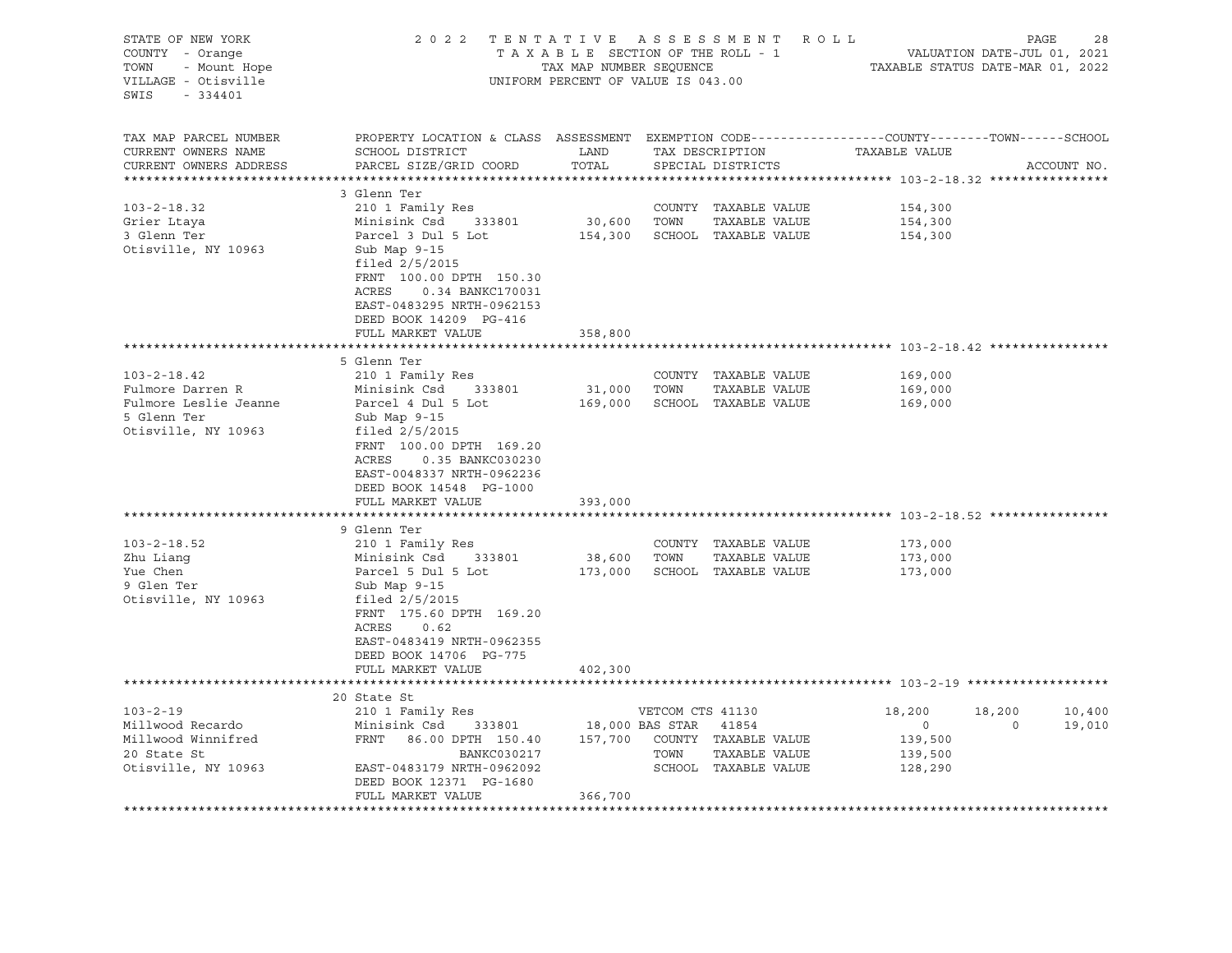| STATE OF NEW YORK<br>COUNTY - Orange<br>- Mount Hope<br>TOWN<br>VILLAGE - Otisville<br>SWIS<br>$-334401$ | 2022 TENTATIVE ASSESSMENT ROLL                                                                                                                                                                                                                        | TAX MAP NUMBER SEQUENCE<br>UNIFORM PERCENT OF VALUE IS 043.00 |      | TAXABLE SECTION OF THE ROLL - 1                                       | VALUATION DATE-JUL 01, 2021<br>TAXABLE STATUS DATE-MAR 01, 2022 | PAGE              |                  | 28 |
|----------------------------------------------------------------------------------------------------------|-------------------------------------------------------------------------------------------------------------------------------------------------------------------------------------------------------------------------------------------------------|---------------------------------------------------------------|------|-----------------------------------------------------------------------|-----------------------------------------------------------------|-------------------|------------------|----|
| TAX MAP PARCEL NUMBER<br>CURRENT OWNERS NAME<br>CURRENT OWNERS ADDRESS<br>**********************         | PROPERTY LOCATION & CLASS ASSESSMENT EXEMPTION CODE----------------COUNTY-------TOWN-----SCHOOL<br>SCHOOL DISTRICT<br>PARCEL SIZE/GRID COORD                                                                                                          | LAND<br>TOTAL                                                 |      | SPECIAL DISTRICTS                                                     | TAX DESCRIPTION TAXABLE VALUE                                   |                   | ACCOUNT NO.      |    |
| $103 - 2 - 18.32$<br>Grier Ltaya<br>3 Glenn Ter<br>Otisville, NY 10963                                   | 3 Glenn Ter<br>210 1 Family Res<br>Minisink Csd 333801<br>Parcel 3 Dul 5 Lot<br>Sub Map 9-15<br>filed $2/5/2015$<br>FRNT 100.00 DPTH 150.30<br>ACRES<br>0.34 BANKC170031<br>EAST-0483295 NRTH-0962153<br>DEED BOOK 14209 PG-416                       | 30,600 TOWN                                                   |      | COUNTY TAXABLE VALUE<br>TAXABLE VALUE<br>154,300 SCHOOL TAXABLE VALUE | 154,300<br>154,300<br>154,300                                   |                   |                  |    |
|                                                                                                          | FULL MARKET VALUE                                                                                                                                                                                                                                     | 358,800                                                       |      |                                                                       |                                                                 |                   |                  |    |
| $103 - 2 - 18.42$<br>Fulmore Darren R<br>Fulmore Leslie Jeanne<br>5 Glenn Ter<br>Otisville, NY 10963     | 5 Glenn Ter<br>210 1 Family Res<br>Minisink Csd 333801<br>Parcel 4 Dul 5 Lot<br>Sub Map 9-15<br>filed $2/5/2015$<br>FRNT 100.00 DPTH 169.20<br>ACRES<br>0.35 BANKC030230<br>EAST-0048337 NRTH-0962236<br>DEED BOOK 14548 PG-1000<br>FULL MARKET VALUE | 31,000 TOWN<br>393,000                                        |      | COUNTY TAXABLE VALUE<br>TAXABLE VALUE<br>169,000 SCHOOL TAXABLE VALUE | 169,000<br>169,000<br>169,000                                   |                   |                  |    |
| $103 - 2 - 18.52$<br>Zhu Lianq<br>Yue Chen<br>9 Glen Ter<br>Otisville, NY 10963                          | 9 Glenn Ter<br>210 1 Family Res<br>Minisink Csd<br>333801<br>Parcel 5 Dul 5 Lot<br>Sub Map 9-15<br>filed $2/5/2015$<br>FRNT 175.60 DPTH 169.20<br>ACRES<br>0.62<br>EAST-0483419 NRTH-0962355<br>DEED BOOK 14706 PG-775<br>FULL MARKET VALUE           | 38,600 TOWN<br>402,300                                        |      | COUNTY TAXABLE VALUE<br>TAXABLE VALUE<br>173,000 SCHOOL TAXABLE VALUE | 173,000<br>173,000<br>173,000                                   |                   |                  |    |
|                                                                                                          |                                                                                                                                                                                                                                                       |                                                               |      |                                                                       |                                                                 |                   |                  |    |
| $103 - 2 - 19$<br>Millwood Recardo<br>Millwood Winnifred<br>20 State St<br>Otisville, NY 10963           | 20 State St<br>210 1 Family Res<br>333801 18,000 BAS STAR 41854<br>Minisink Csd<br>FRNT 86.00 DPTH 150.40 157,700 COUNTY TAXABLE VALUE<br>BANKC030217<br>EAST-0483179 NRTH-0962092<br>DEED BOOK 12371 PG-1680<br>FULL MARKET VALUE                    | 366,700                                                       | TOWN | VETCOM CTS 41130<br>TAXABLE VALUE<br>SCHOOL TAXABLE VALUE             | 18,200<br>$\overline{0}$<br>139,500<br>139,500<br>128,290       | 18,200<br>$\circ$ | 10,400<br>19,010 |    |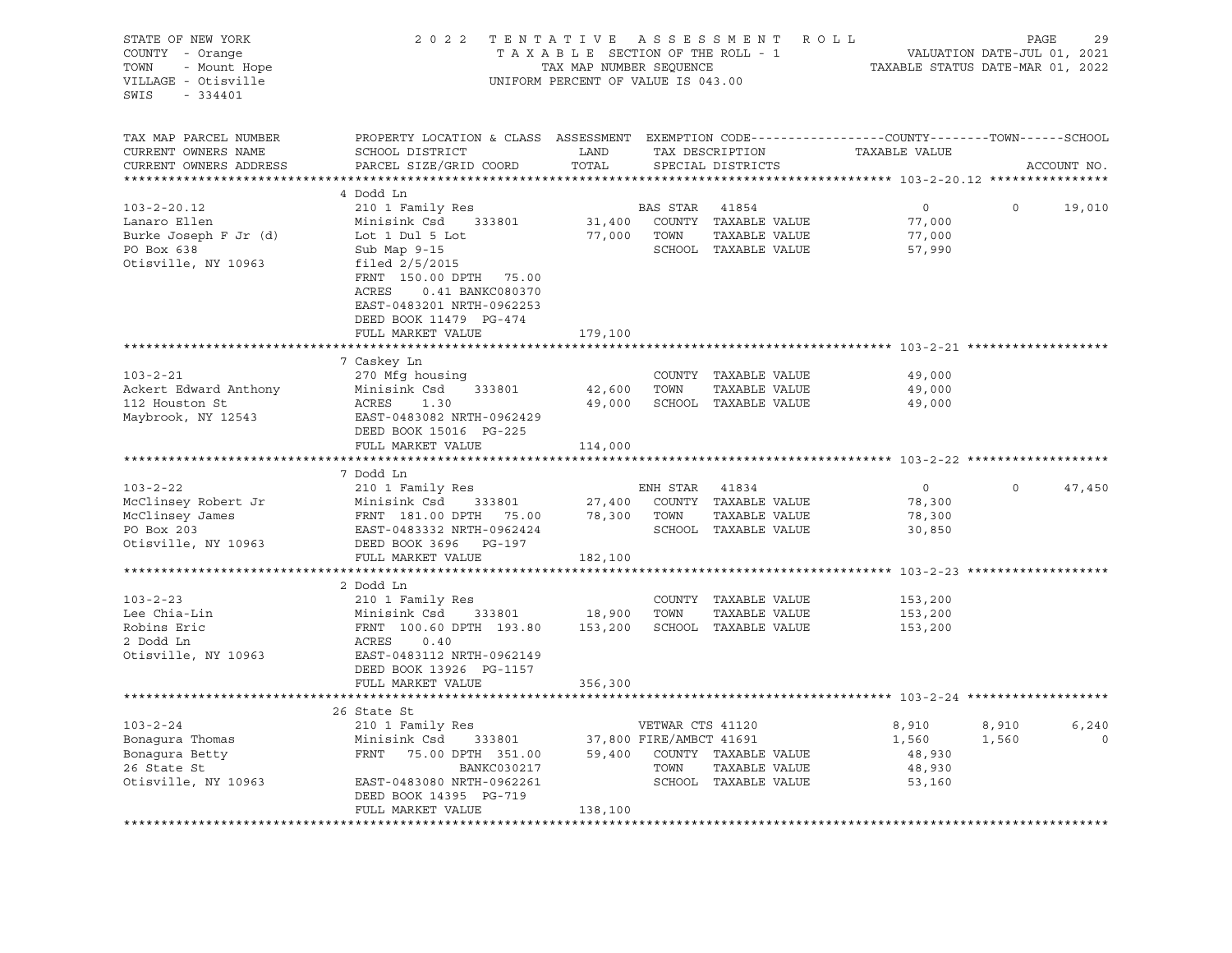| STATE OF NEW YORK<br>COUNTY - Orange<br>TOWN<br>- Mount Hope<br>VILLAGE - Otisville<br>$-334401$<br>SWIS | 2 0 2 2<br>TENTATIVE ASSESSMENT ROLL<br>TAXABLE SECTION OF THE ROLL - 1<br>TAX MAP NUMBER SEQUENCE<br>UNIFORM PERCENT OF VALUE IS 043.00                                                                                |                                  |                          |                                                                               |                                              | 29<br>PAGE<br>VALUATION DATE-JUL 01, 2021<br>TAXABLE STATUS DATE-MAR 01, 2022 |                  |  |  |
|----------------------------------------------------------------------------------------------------------|-------------------------------------------------------------------------------------------------------------------------------------------------------------------------------------------------------------------------|----------------------------------|--------------------------|-------------------------------------------------------------------------------|----------------------------------------------|-------------------------------------------------------------------------------|------------------|--|--|
| TAX MAP PARCEL NUMBER<br>CURRENT OWNERS NAME<br>CURRENT OWNERS ADDRESS                                   | PROPERTY LOCATION & CLASS ASSESSMENT EXEMPTION CODE---------------COUNTY-------TOWN------SCHOOL<br>SCHOOL DISTRICT<br>PARCEL SIZE/GRID COORD                                                                            | LAND<br>TOTAL                    |                          | TAX DESCRIPTION<br>SPECIAL DISTRICTS                                          | TAXABLE VALUE                                |                                                                               | ACCOUNT NO.      |  |  |
|                                                                                                          |                                                                                                                                                                                                                         |                                  |                          |                                                                               |                                              |                                                                               |                  |  |  |
| $103 - 2 - 20.12$<br>Lanaro Ellen<br>Burke Joseph F Jr (d)<br>PO Box 638<br>Otisville, NY 10963          | 4 Dodd Ln<br>210 1 Family Res<br>Minisink Csd 333801<br>Lot 1 Dul 5 Lot<br>Sub Map 9-15<br>filed 2/5/2015<br>FRNT 150.00 DPTH 75.00<br>ACRES<br>0.41 BANKC080370<br>EAST-0483201 NRTH-0962253<br>DEED BOOK 11479 PG-474 |                                  | BAS STAR<br>77,000 TOWN  | 41854<br>31,400 COUNTY TAXABLE VALUE<br>TAXABLE VALUE<br>SCHOOL TAXABLE VALUE | $\overline{0}$<br>77,000<br>77,000<br>57,990 | $\circ$                                                                       | 19,010           |  |  |
|                                                                                                          | FULL MARKET VALUE                                                                                                                                                                                                       | 179,100                          |                          |                                                                               |                                              |                                                                               |                  |  |  |
| $103 - 2 - 21$<br>Ackert Edward Anthony<br>112 Houston St<br>Maybrook, NY 12543                          | 7 Caskey Ln<br>270 Mfg housing<br>Minisink Csd<br>333801<br>ACRES<br>1.30<br>EAST-0483082 NRTH-0962429<br>DEED BOOK 15016 PG-225<br>FULL MARKET VALUE                                                                   | 42,600 TOWN<br>49,000<br>114,000 |                          | COUNTY TAXABLE VALUE<br>TAXABLE VALUE<br>SCHOOL TAXABLE VALUE                 | 49,000<br>49,000<br>49,000                   |                                                                               |                  |  |  |
|                                                                                                          |                                                                                                                                                                                                                         |                                  |                          |                                                                               |                                              |                                                                               |                  |  |  |
| $103 - 2 - 22$<br>McClinsey Robert Jr<br>McClinsey James<br>PO Box 203<br>Otisville, NY 10963            | 7 Dodd Ln<br>210 1 Family Res<br>Minisink Csd 333801<br>FRNT 181.00 DPTH 75.00<br>EAST-0483332 NRTH-0962424<br>DEED BOOK 3696 PG-197<br>FULL MARKET VALUE                                                               | 78,300 TOWN<br>182,100           | ENH STAR 41834           | 27,400 COUNTY TAXABLE VALUE<br>TAXABLE VALUE<br>SCHOOL TAXABLE VALUE          | $\overline{0}$<br>78,300<br>78,300<br>30,850 | $\Omega$                                                                      | 47,450           |  |  |
|                                                                                                          |                                                                                                                                                                                                                         |                                  |                          |                                                                               |                                              |                                                                               |                  |  |  |
| $103 - 2 - 23$<br>Lee Chia-Lin<br>Robins Eric<br>2 Dodd Ln<br>Otisville, NY 10963                        | 2 Dodd Ln<br>210 1 Family Res<br>Minisink Csd 333801<br>FRNT 100.60 DPTH 193.80<br>333801 18,900 TOWN<br>ACRES<br>0.40<br>EAST-0483112 NRTH-0962149<br>DEED BOOK 13926 PG-1157                                          |                                  |                          | COUNTY TAXABLE VALUE<br>TAXABLE VALUE<br>153,200 SCHOOL TAXABLE VALUE         | 153,200<br>153,200<br>153,200                |                                                                               |                  |  |  |
|                                                                                                          | FULL MARKET VALUE                                                                                                                                                                                                       | 356,300                          |                          |                                                                               |                                              |                                                                               |                  |  |  |
|                                                                                                          |                                                                                                                                                                                                                         |                                  |                          |                                                                               |                                              |                                                                               |                  |  |  |
| $103 - 2 - 24$<br>Bonagura Thomas<br>Bonagura Betty<br>26 State St<br>Otisville, NY 10963                | 26 State St<br>210 1 Family Res<br>333801 37,800 FIRE/AMBCT 41691<br>Minisink Csd<br>FRNT 75.00 DPTH 351.00<br>BANKC030217<br>EAST-0483080 NRTH-0962261<br>DEED BOOK 14395 PG-719<br>FULL MARKET VALUE                  | 138,100                          | VETWAR CTS 41120<br>TOWN | 59,400 COUNTY TAXABLE VALUE<br>TAXABLE VALUE<br>SCHOOL TAXABLE VALUE          | 8,910<br>1,560<br>48,930<br>48,930<br>53,160 | 8,910<br>1,560                                                                | 6,240<br>$\circ$ |  |  |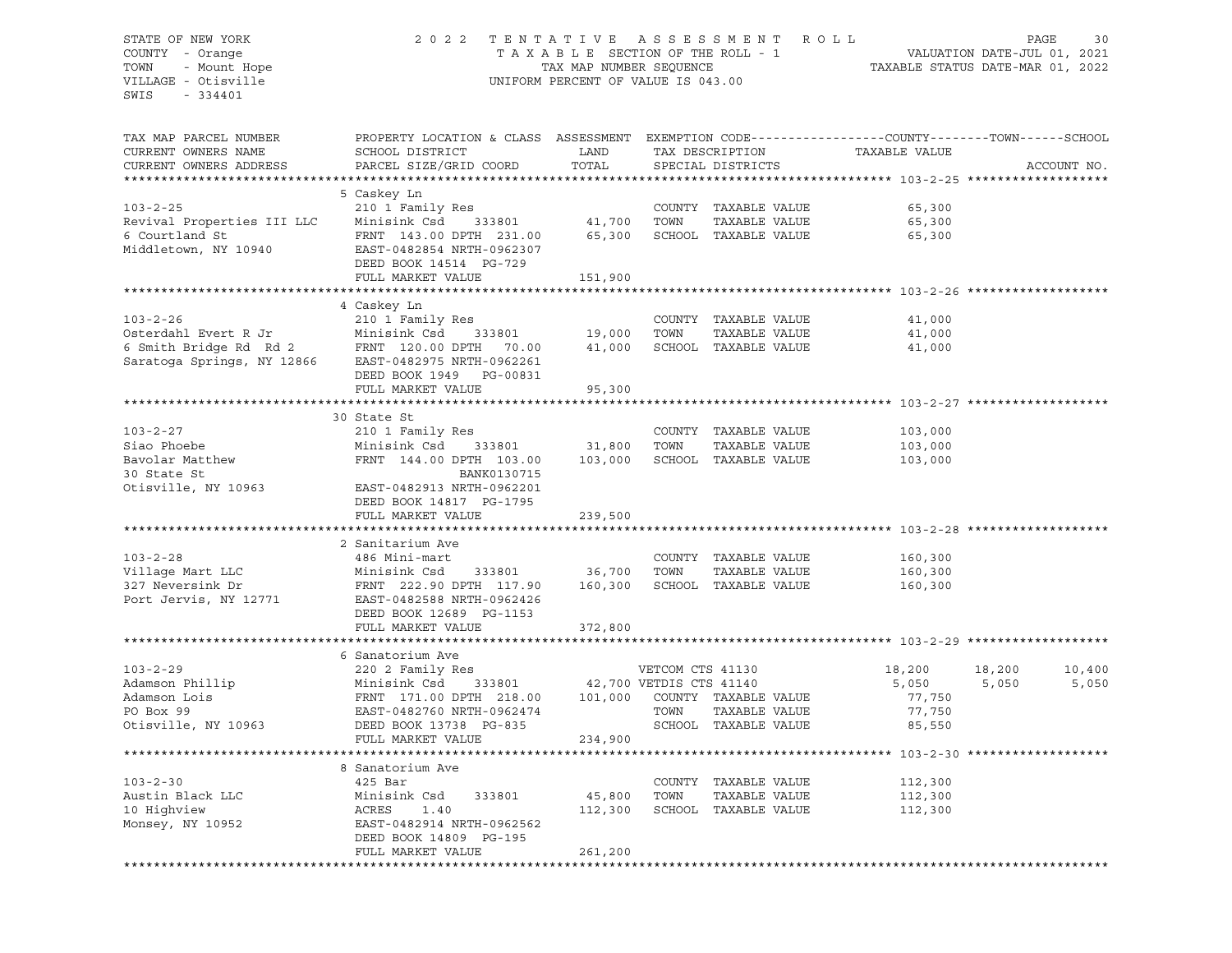# STATE OF NEW YORK 2 0 2 2 T E N T A T I V E A S S E S S M E N T R O L L PAGE 30 COUNTY - Orange T A X A B L E SECTION OF THE ROLL - 1 VALUATION DATE-JUL 01, 2021 TOWN - Mount Hope TAX MAP NUMBER SEQUENCE TAXABLE STATUS DATE-MAR 01, 2022 VILLAGE - Otisville UNIFORM PERCENT OF VALUE IS 043.00

| TAX MAP PARCEL NUMBER<br>CURRENT OWNERS NAME<br>CURRENT OWNERS ADDRESS                 | PROPERTY LOCATION & CLASS ASSESSMENT EXEMPTION CODE----------------COUNTY-------TOWN------SCHOOL<br>SCHOOL DISTRICT<br>PARCEL SIZE/GRID COORD | LAND<br>TOTAL           |                  | TAX DESCRIPTION<br>SPECIAL DISTRICTS                          | TAXABLE VALUE              | ACCOUNT NO.      |
|----------------------------------------------------------------------------------------|-----------------------------------------------------------------------------------------------------------------------------------------------|-------------------------|------------------|---------------------------------------------------------------|----------------------------|------------------|
|                                                                                        |                                                                                                                                               |                         |                  |                                                               |                            |                  |
| $103 - 2 - 25$<br>Revival Properties III LLC<br>6 Courtland St<br>Middletown, NY 10940 | 5 Caskey Ln<br>210 1 Family Res<br>Minisink Csd 333801<br>FRNT 143.00 DPTH 231.00<br>EAST-0482854 NRTH-0962307                                | 41,700<br>65,300        | TOWN             | COUNTY TAXABLE VALUE<br>TAXABLE VALUE<br>SCHOOL TAXABLE VALUE | 65,300<br>65,300<br>65,300 |                  |
|                                                                                        | DEED BOOK 14514 PG-729<br>FULL MARKET VALUE                                                                                                   | 151,900                 |                  |                                                               |                            |                  |
|                                                                                        | 4 Caskey Ln                                                                                                                                   |                         |                  |                                                               |                            |                  |
| $103 - 2 - 26$                                                                         | 210 1 Family Res                                                                                                                              |                         |                  | COUNTY TAXABLE VALUE                                          | 41,000                     |                  |
| Osterdahl Evert R Jr                                                                   | Minisink Csd<br>333801                                                                                                                        | 19,000                  | TOWN             | TAXABLE VALUE                                                 | 41,000                     |                  |
|                                                                                        | 6 Smith Bridge Rd Rd 2 FRNT 120.00 DPTH 70.00<br>Saratoga Springs, NY 12866 EAST-0482975 NRTH-0962261                                         | 41,000                  |                  | SCHOOL TAXABLE VALUE                                          | 41,000                     |                  |
|                                                                                        | DEED BOOK 1949 PG-00831<br>FULL MARKET VALUE                                                                                                  | 95,300                  |                  |                                                               |                            |                  |
|                                                                                        |                                                                                                                                               |                         |                  |                                                               |                            |                  |
|                                                                                        | 30 State St                                                                                                                                   |                         |                  |                                                               |                            |                  |
| $103 - 2 - 27$                                                                         | 210 1 Family Res                                                                                                                              |                         |                  | COUNTY TAXABLE VALUE                                          | 103,000                    |                  |
| Siao Phoebe                                                                            | 333801<br>Minisink Csd                                                                                                                        | 31,800                  | TOWN             | TAXABLE VALUE                                                 | 103,000                    |                  |
| Bavolar Matthew                                                                        | FRNT 144.00 DPTH 103.00                                                                                                                       | 103,000                 |                  | SCHOOL TAXABLE VALUE                                          | 103,000                    |                  |
| 30 State St                                                                            | BANK0130715                                                                                                                                   |                         |                  |                                                               |                            |                  |
| Otisville, NY 10963                                                                    | EAST-0482913 NRTH-0962201                                                                                                                     |                         |                  |                                                               |                            |                  |
|                                                                                        | DEED BOOK 14817 PG-1795                                                                                                                       |                         |                  |                                                               |                            |                  |
|                                                                                        | FULL MARKET VALUE                                                                                                                             | 239,500                 |                  |                                                               |                            |                  |
|                                                                                        |                                                                                                                                               |                         |                  |                                                               |                            |                  |
|                                                                                        | 2 Sanitarium Ave                                                                                                                              |                         |                  |                                                               |                            |                  |
| $103 - 2 - 28$                                                                         | 486 Mini-mart                                                                                                                                 |                         |                  | COUNTY TAXABLE VALUE                                          | 160,300                    |                  |
| Village Mart LLC                                                                       | Minisink Csd<br>333801                                                                                                                        | 36,700                  | TOWN             | TAXABLE VALUE                                                 | 160,300                    |                  |
| 327 Neversink Dr<br>Port Jervis, NY 12771                                              | FRNT 222.90 DPTH 117.90<br>EAST-0482588 NRTH-0962426<br>DEED BOOK 12689 PG-1153                                                               | 160,300                 |                  | SCHOOL TAXABLE VALUE                                          | 160,300                    |                  |
|                                                                                        | FULL MARKET VALUE                                                                                                                             | 372,800                 |                  |                                                               |                            |                  |
|                                                                                        |                                                                                                                                               |                         |                  |                                                               |                            |                  |
|                                                                                        | 6 Sanatorium Ave                                                                                                                              |                         |                  |                                                               |                            |                  |
| $103 - 2 - 29$                                                                         | 220 2 Family Res                                                                                                                              |                         | VETCOM CTS 41130 |                                                               | 18,200                     | 18,200<br>10,400 |
| Adamson Phillip                                                                        | 333801<br>Minisink Csd                                                                                                                        | 42,700 VETDIS CTS 41140 |                  |                                                               | 5,050                      | 5,050<br>5,050   |
| Adamson Lois                                                                           | FRNT 171.00 DPTH 218.00                                                                                                                       |                         |                  | 101,000 COUNTY TAXABLE VALUE                                  | 77,750                     |                  |
| PO Box 99<br>Otisville, NY 10963                                                       | EAST-0482760 NRTH-0962474<br>DEED BOOK 13738 PG-835                                                                                           |                         | TOWN             | TAXABLE VALUE<br>SCHOOL TAXABLE VALUE                         | 77,750<br>85,550           |                  |
|                                                                                        | FULL MARKET VALUE                                                                                                                             | 234,900                 |                  |                                                               |                            |                  |
|                                                                                        |                                                                                                                                               |                         |                  |                                                               |                            |                  |
|                                                                                        | 8 Sanatorium Ave                                                                                                                              |                         |                  |                                                               |                            |                  |
| $103 - 2 - 30$                                                                         | 425 Bar                                                                                                                                       |                         |                  | COUNTY TAXABLE VALUE                                          | 112,300                    |                  |
| Austin Black LLC                                                                       | Minisink Csd<br>333801                                                                                                                        | 45,800                  | TOWN             | TAXABLE VALUE                                                 | 112,300                    |                  |
| 10 Highview                                                                            | ACRES<br>1.40                                                                                                                                 | 112,300                 |                  | SCHOOL TAXABLE VALUE                                          | 112,300                    |                  |
| Monsey, NY 10952                                                                       | EAST-0482914 NRTH-0962562<br>DEED BOOK 14809 PG-195                                                                                           |                         |                  |                                                               |                            |                  |
|                                                                                        | FULL MARKET VALUE                                                                                                                             | 261,200                 |                  |                                                               |                            |                  |
|                                                                                        |                                                                                                                                               |                         |                  |                                                               |                            |                  |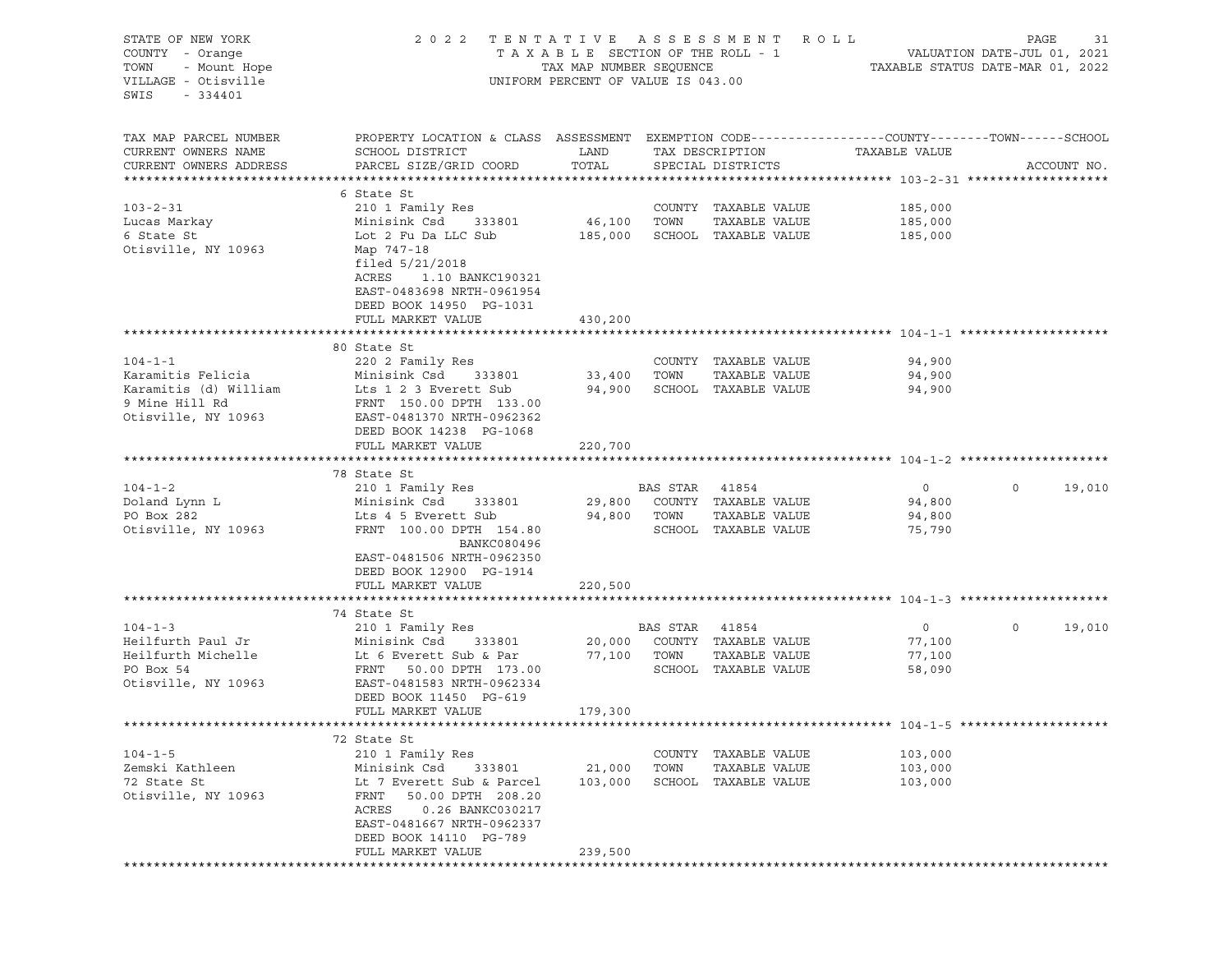| STATE OF NEW YORK      | 2 0 2 2                                                                                          | TENTATIVE ASSESSMENT            |          |                      | ROLL                             | PAGE<br>31             |
|------------------------|--------------------------------------------------------------------------------------------------|---------------------------------|----------|----------------------|----------------------------------|------------------------|
| COUNTY - Orange        |                                                                                                  | TAXABLE SECTION OF THE ROLL - 1 |          |                      |                                  |                        |
| TOWN<br>- Mount Hope   | TAX MAP NUMBER SEQUENCE<br>UNIFORM PERCENT OF VALUE IS 043.00                                    |                                 |          |                      | TAXABLE STATUS DATE-MAR 01, 2022 |                        |
| VILLAGE - Otisville    |                                                                                                  |                                 |          |                      |                                  |                        |
| SWIS<br>$-334401$      |                                                                                                  |                                 |          |                      |                                  |                        |
|                        |                                                                                                  |                                 |          |                      |                                  |                        |
|                        |                                                                                                  |                                 |          |                      |                                  |                        |
| TAX MAP PARCEL NUMBER  | PROPERTY LOCATION & CLASS ASSESSMENT EXEMPTION CODE----------------COUNTY-------TOWN------SCHOOL |                                 |          |                      |                                  |                        |
| CURRENT OWNERS NAME    | SCHOOL DISTRICT                                                                                  | LAND                            |          | TAX DESCRIPTION      | TAXABLE VALUE                    |                        |
| CURRENT OWNERS ADDRESS | PARCEL SIZE/GRID COORD                                                                           | TOTAL                           |          | SPECIAL DISTRICTS    |                                  | ACCOUNT NO.            |
|                        |                                                                                                  |                                 |          |                      |                                  |                        |
|                        | 6 State St                                                                                       |                                 |          |                      |                                  |                        |
| $103 - 2 - 31$         | 210 1 Family Res                                                                                 |                                 |          | COUNTY TAXABLE VALUE | 185,000                          |                        |
| Lucas Markay           | 333801<br>Minisink Csd                                                                           | 46,100                          | TOWN     | TAXABLE VALUE        | 185,000                          |                        |
| 6 State St             | Lot 2 Fu Da LLC Sub                                                                              | 185,000                         |          | SCHOOL TAXABLE VALUE | 185,000                          |                        |
| Otisville, NY 10963    | Map 747-18                                                                                       |                                 |          |                      |                                  |                        |
|                        | filed $5/21/2018$                                                                                |                                 |          |                      |                                  |                        |
|                        | ACRES<br>1.10 BANKC190321                                                                        |                                 |          |                      |                                  |                        |
|                        | EAST-0483698 NRTH-0961954                                                                        |                                 |          |                      |                                  |                        |
|                        | DEED BOOK 14950 PG-1031                                                                          |                                 |          |                      |                                  |                        |
|                        | FULL MARKET VALUE                                                                                | 430,200                         |          |                      |                                  |                        |
|                        |                                                                                                  |                                 |          |                      |                                  |                        |
|                        | 80 State St                                                                                      |                                 |          |                      |                                  |                        |
| $104 - 1 - 1$          | 220 2 Family Res                                                                                 |                                 |          | COUNTY TAXABLE VALUE | 94,900                           |                        |
| Karamitis Felicia      | Minisink Csd<br>333801                                                                           | 33,400                          | TOWN     | TAXABLE VALUE        | 94,900                           |                        |
| Karamitis (d) William  | Lts 1 2 3 Everett Sub                                                                            | 94,900                          |          | SCHOOL TAXABLE VALUE | 94,900                           |                        |
| 9 Mine Hill Rd         | FRNT 150.00 DPTH 133.00                                                                          |                                 |          |                      |                                  |                        |
| Otisville, NY 10963    | EAST-0481370 NRTH-0962362                                                                        |                                 |          |                      |                                  |                        |
|                        | DEED BOOK 14238 PG-1068                                                                          |                                 |          |                      |                                  |                        |
|                        | FULL MARKET VALUE                                                                                | 220,700                         |          |                      |                                  |                        |
|                        |                                                                                                  |                                 |          |                      |                                  |                        |
|                        | 78 State St                                                                                      |                                 |          |                      |                                  |                        |
| $104 - 1 - 2$          | 210 1 Family Res                                                                                 |                                 | BAS STAR | 41854                | $\circ$                          | $\mathsf{O}$<br>19,010 |
| Doland Lynn L          | Minisink Csd<br>333801                                                                           | 29,800                          |          | COUNTY TAXABLE VALUE | 94,800                           |                        |
| PO Box 282             | Lts 4 5 Everett Sub                                                                              | 94,800                          | TOWN     | TAXABLE VALUE        | 94,800                           |                        |
| Otisville, NY 10963    | FRNT 100.00 DPTH 154.80                                                                          |                                 |          | SCHOOL TAXABLE VALUE | 75,790                           |                        |
|                        | BANKC080496                                                                                      |                                 |          |                      |                                  |                        |
|                        | EAST-0481506 NRTH-0962350                                                                        |                                 |          |                      |                                  |                        |
|                        | DEED BOOK 12900 PG-1914                                                                          |                                 |          |                      |                                  |                        |
|                        | FULL MARKET VALUE                                                                                | 220,500                         |          |                      |                                  |                        |
|                        |                                                                                                  |                                 |          |                      |                                  |                        |
|                        | 74 State St                                                                                      |                                 |          |                      |                                  |                        |
| $104 - 1 - 3$          | 210 1 Family Res                                                                                 |                                 | BAS STAR | 41854                | $\circ$                          | $\circ$<br>19,010      |
| Heilfurth Paul Jr      | Minisink Csd<br>333801                                                                           | 20,000                          |          | COUNTY TAXABLE VALUE | 77,100                           |                        |
| Heilfurth Michelle     | Lt 6 Everett Sub & Par                                                                           | 77,100                          | TOWN     | TAXABLE VALUE        | 77,100                           |                        |
| PO Box 54              | FRNT 50.00 DPTH 173.00                                                                           |                                 |          | SCHOOL TAXABLE VALUE | 58,090                           |                        |
| Otisville, NY 10963    | EAST-0481583 NRTH-0962334                                                                        |                                 |          |                      |                                  |                        |
|                        | DEED BOOK 11450 PG-619                                                                           |                                 |          |                      |                                  |                        |
|                        | FULL MARKET VALUE                                                                                | 179,300                         |          |                      |                                  |                        |
|                        |                                                                                                  |                                 |          |                      |                                  |                        |
|                        | 72 State St                                                                                      |                                 |          |                      |                                  |                        |
| $104 - 1 - 5$          | 210 1 Family Res                                                                                 |                                 | COUNTY   | TAXABLE VALUE        | 103,000                          |                        |
| Zemski Kathleen        | Minisink Csd<br>333801                                                                           | 21,000                          | TOWN     | TAXABLE VALUE        | 103,000                          |                        |
| 72 State St            | Lt 7 Everett Sub & Parcel                                                                        | 103,000                         | SCHOOL   | TAXABLE VALUE        | 103,000                          |                        |
| Otisville, NY 10963    | FRNT<br>50.00 DPTH 208.20                                                                        |                                 |          |                      |                                  |                        |
|                        | ACRES<br>0.26 BANKC030217                                                                        |                                 |          |                      |                                  |                        |
|                        | EAST-0481667 NRTH-0962337                                                                        |                                 |          |                      |                                  |                        |
|                        | DEED BOOK 14110 PG-789                                                                           |                                 |          |                      |                                  |                        |
|                        | FULL MARKET VALUE                                                                                | 239,500                         |          |                      |                                  |                        |
|                        |                                                                                                  |                                 |          |                      |                                  |                        |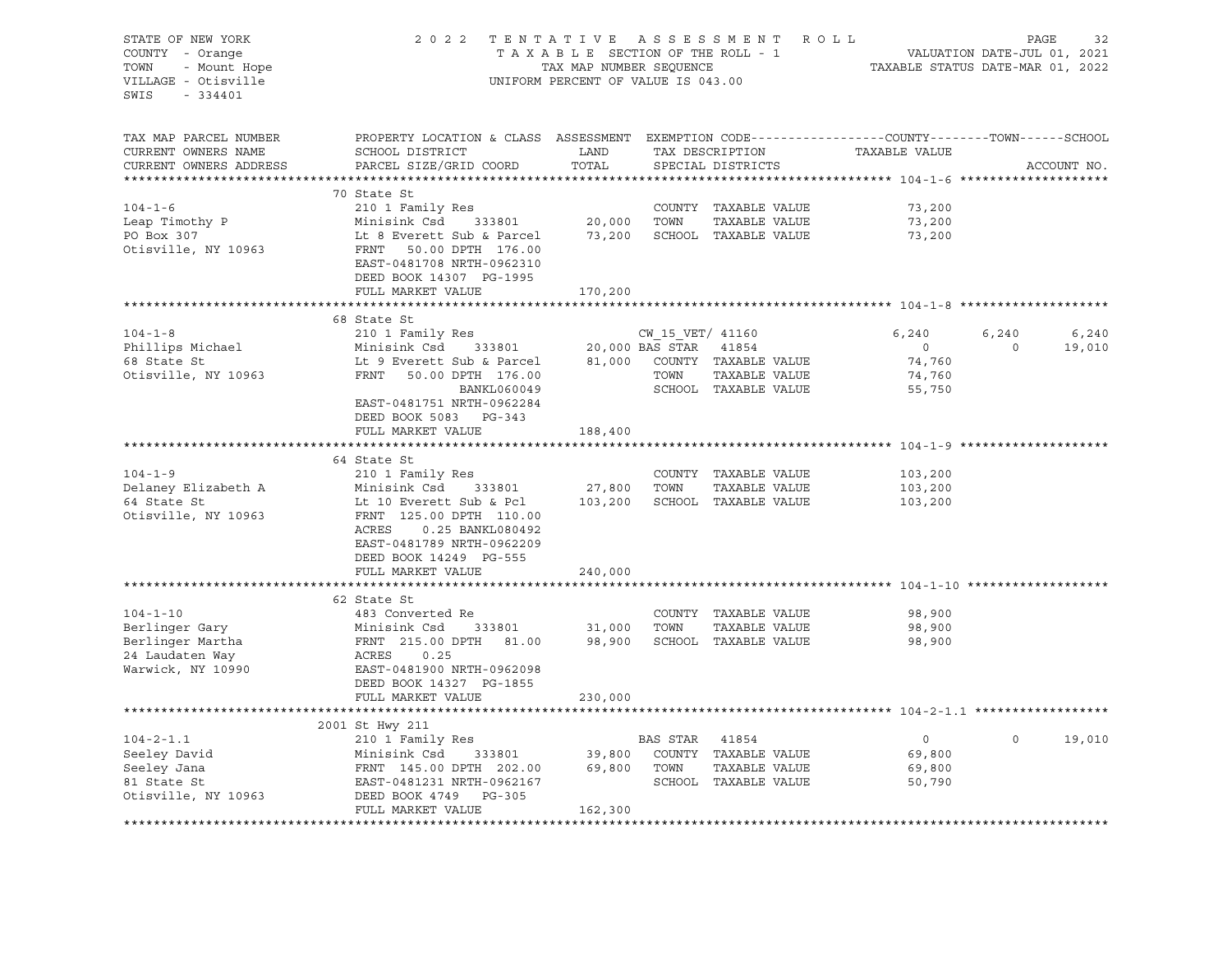| STATE OF NEW YORK<br>COUNTY - Orange<br>TOWN<br>VILLAGE - Otisville<br>SWIS - 334401 | 2 0 2 2<br>UNIFORM PERCENT OF VALUE IS 043.00                                                                                                                                                                                                                                                                                                    | TENTATIVE ASSESSMENT ROLL PAGE 32<br>TAXABLE SECTION OF THE ROLL - 1 VALUATION DATE-JUL 01, 2021<br>TAXABLE STATUS DATE-MAR 01, 2022<br>TAXABLE STATUS DATE-MAR 01, 2022 |                                       |                                             |                   |                 |
|--------------------------------------------------------------------------------------|--------------------------------------------------------------------------------------------------------------------------------------------------------------------------------------------------------------------------------------------------------------------------------------------------------------------------------------------------|--------------------------------------------------------------------------------------------------------------------------------------------------------------------------|---------------------------------------|---------------------------------------------|-------------------|-----------------|
| TAX MAP PARCEL NUMBER<br>CURRENT OWNERS NAME<br>CURRENT OWNERS ADDRESS               | PROPERTY LOCATION & CLASS ASSESSMENT EXEMPTION CODE---------------COUNTY-------TOWN------SCHOOL<br><b>EXAMPLE EXAMPLE EXAMPLE EXAMPLE EXAMPLE EXAMPLE EXAMPLE EXAMPLE EXAMPLE EXAMPLE EXAMPLE EXAMPLE EXAMPLE EXAMPLE EXAMPLE EXAMPLE EXAMPLE EXAMPLE EXAMPLE EXAMPLE EXAMPLE EXAMPLE EXAMPLE E</b><br>SCHOOL DISTRICT<br>PARCEL SIZE/GRID COORD | TOTAL                                                                                                                                                                    | SPECIAL DISTRICTS                     | TAX DESCRIPTION TAXABLE VALUE               |                   | ACCOUNT NO.     |
|                                                                                      |                                                                                                                                                                                                                                                                                                                                                  |                                                                                                                                                                          |                                       |                                             |                   |                 |
|                                                                                      | 70 State St                                                                                                                                                                                                                                                                                                                                      |                                                                                                                                                                          |                                       |                                             |                   |                 |
| $104 - 1 - 6$                                                                        | 210 1 Family Res<br>Minisink Csd 333801                                                                                                                                                                                                                                                                                                          |                                                                                                                                                                          | COUNTY TAXABLE VALUE<br>TAXABLE VALUE | 73,200<br>73,200                            |                   |                 |
| Leap Timothy P<br>DO Boy 307                                                         | Lt 8 Everett Sub & Parcel 73,200 SCHOOL TAXABLE VALUE                                                                                                                                                                                                                                                                                            |                                                                                                                                                                          |                                       | 73,200                                      |                   |                 |
| Otisville, NY 10963                                                                  | Minisink Csd 333801<br>Lt 8 Everett Sub & Parcel<br>FRNT 50.00 DPTH 176.00<br>EAST-0481708 NRTH-0962310<br>DEED BOOK 14307 PG-1995                                                                                                                                                                                                               |                                                                                                                                                                          |                                       |                                             |                   |                 |
|                                                                                      | FULL MARKET VALUE                                                                                                                                                                                                                                                                                                                                | 170,200                                                                                                                                                                  |                                       |                                             |                   |                 |
|                                                                                      |                                                                                                                                                                                                                                                                                                                                                  |                                                                                                                                                                          |                                       |                                             |                   |                 |
|                                                                                      | 68 State St<br>104-1-8<br>Phillips Michael 20,000 BAS STAR 41854<br>FRNT 50.00 DPTH 176.00<br>MINISTRE SERIE 20,000 BAS STAR 41854<br>20,000 BAS STAR 41854<br>20,000 BAS STAR 41854<br>20,000 BAS STAR 41854<br>20,000 BAS STAR 41854<br>20,000 BAS STAR 418                                                                                    |                                                                                                                                                                          |                                       | 6,240<br>$\overline{0}$<br>74,760<br>74,760 | 6,240<br>$\Omega$ | 6,240<br>19,010 |
|                                                                                      | EAST-0481751 NRTH-0962284<br>DEED BOOK 5083 PG-343<br>FULL MARKET VALUE                                                                                                                                                                                                                                                                          | 188,400                                                                                                                                                                  |                                       | 55,750                                      |                   |                 |
|                                                                                      |                                                                                                                                                                                                                                                                                                                                                  |                                                                                                                                                                          |                                       |                                             |                   |                 |
|                                                                                      | 64 State St                                                                                                                                                                                                                                                                                                                                      |                                                                                                                                                                          |                                       |                                             |                   |                 |
| $104 - 1 - 9$                                                                        | 210 1 Family Res                                                                                                                                                                                                                                                                                                                                 |                                                                                                                                                                          | COUNTY TAXABLE VALUE                  | 103,200                                     |                   |                 |
| Delaney Elizabeth A                                                                  |                                                                                                                                                                                                                                                                                                                                                  | 27,800 TOWN                                                                                                                                                              | TAXABLE VALUE                         | 103,200                                     |                   |                 |
| 64 State St<br>Otisville, NY 10963                                                   | Minisink Csd 333801<br>Lt 10 Everett Sub & Pcl<br>FRNT 125.00 DPTH 110.00<br>ACRES<br>0.25 BANKL080492<br>EAST-0481789 NRTH-0962209<br>DEED BOOK 14249 PG-555                                                                                                                                                                                    |                                                                                                                                                                          | 103,200 SCHOOL TAXABLE VALUE          | 103,200                                     |                   |                 |
|                                                                                      | FULL MARKET VALUE                                                                                                                                                                                                                                                                                                                                | 240,000                                                                                                                                                                  |                                       |                                             |                   |                 |
|                                                                                      | 62 State St                                                                                                                                                                                                                                                                                                                                      |                                                                                                                                                                          |                                       |                                             |                   |                 |
| $104 - 1 - 10$                                                                       | 483 Converted Re                                                                                                                                                                                                                                                                                                                                 |                                                                                                                                                                          | COUNTY TAXABLE VALUE                  | 98,900                                      |                   |                 |
|                                                                                      |                                                                                                                                                                                                                                                                                                                                                  |                                                                                                                                                                          |                                       | 98,900                                      |                   |                 |
|                                                                                      |                                                                                                                                                                                                                                                                                                                                                  |                                                                                                                                                                          |                                       | 98,900                                      |                   |                 |
| Berlinger Gary<br>Berlinger Martha<br>24 Laudaten Way<br>Warwick, NY 10990           | Minisink Csd 333801 31,000 TOWN TAXABLE VALUE<br>FRNT 215.00 DPTH 81.00 98,900 SCHOOL TAXABLE VALUE<br>ACRES 0.25<br>EAST-0481900 NRTH-0962098<br>DEED BOOK 14327 PG-1855                                                                                                                                                                        |                                                                                                                                                                          |                                       |                                             |                   |                 |
|                                                                                      | FULL MARKET VALUE                                                                                                                                                                                                                                                                                                                                | 230,000                                                                                                                                                                  |                                       |                                             |                   |                 |
|                                                                                      |                                                                                                                                                                                                                                                                                                                                                  |                                                                                                                                                                          |                                       |                                             |                   |                 |
| $104 - 2 - 1.1$                                                                      | 2001 St Hwy 211                                                                                                                                                                                                                                                                                                                                  |                                                                                                                                                                          |                                       | $\overline{0}$                              | $\Omega$          | 19,010          |
|                                                                                      |                                                                                                                                                                                                                                                                                                                                                  |                                                                                                                                                                          |                                       | 69,800                                      |                   |                 |
|                                                                                      |                                                                                                                                                                                                                                                                                                                                                  |                                                                                                                                                                          |                                       | 69,800                                      |                   |                 |
|                                                                                      |                                                                                                                                                                                                                                                                                                                                                  |                                                                                                                                                                          |                                       | 50,790                                      |                   |                 |
| Seeley David<br>Seeley Jana<br>81 State St<br>Otisville, NY 10963                    | EXECUTE 18 BAS STAR 41854<br>210 1 Family Res<br>Minisink Csd 333801 39,800 COUNTY TAXABLE VALUE<br>FRNT 145.00 DPTH 202.00 69,800 TOWN TAXABLE VALUE<br>EAST-0481231 NRTH-0962167 SCHOOL TAXABLE VALUE<br>DEED BOOK 4749 PG-305<br>THE MO<br>FULL MARKET VALUE                                                                                  | 162,300                                                                                                                                                                  |                                       |                                             |                   |                 |
|                                                                                      |                                                                                                                                                                                                                                                                                                                                                  |                                                                                                                                                                          |                                       |                                             |                   |                 |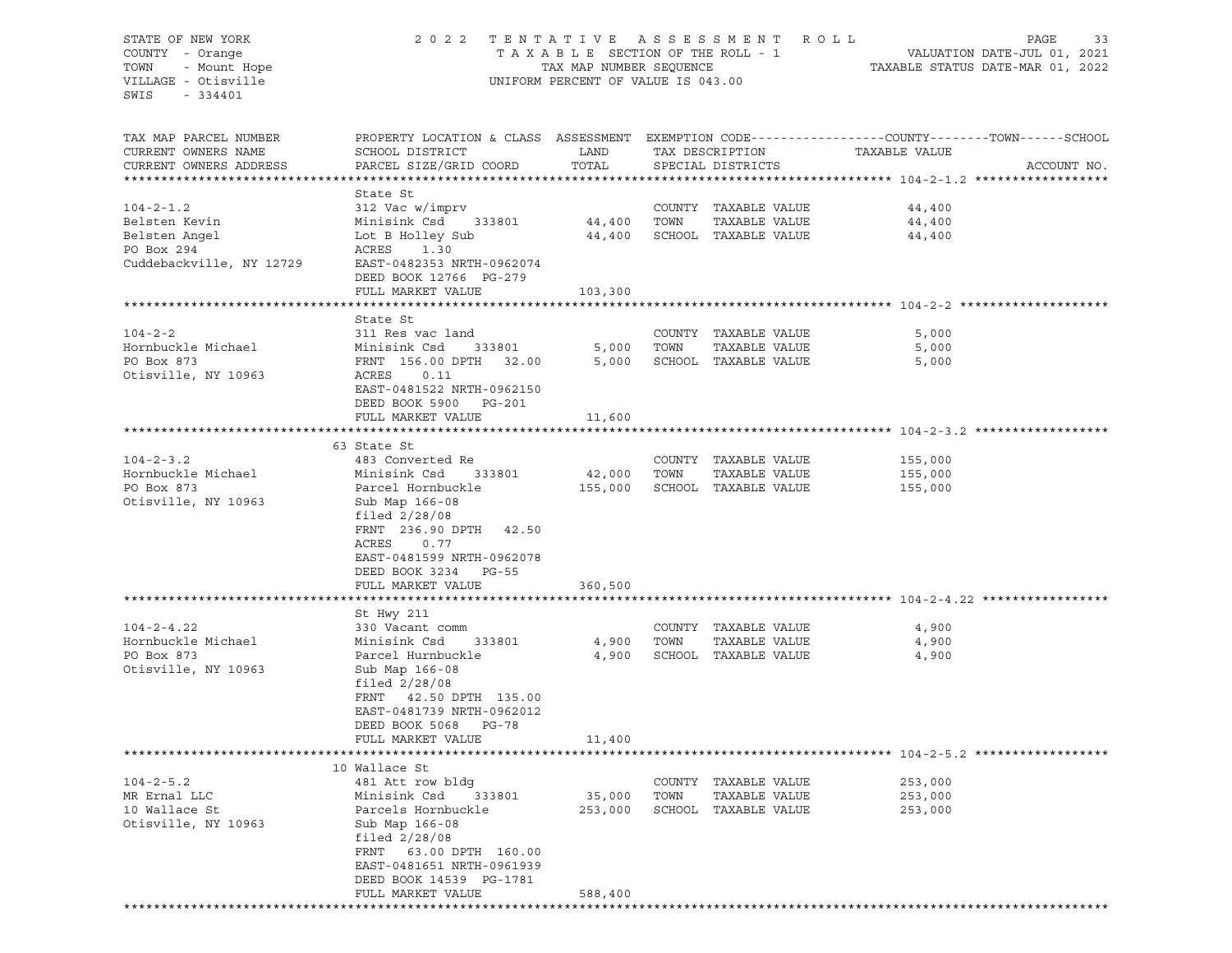STATE OF NEW YORK 2022 TENTATIVE ASSESSMENT ROLL PAGE 33 COUNTY - Orange T A X A B L E SECTION OF THE ROLL - 1 VALUATION DATE-JUL 01, 2021 TOWN - Mount Hope TAX MAP NUMBER SEQUENCE TAXABLE STATUS DATE-MAR 01, 2022 VILLAGE - Otisville UNIFORM PERCENT OF VALUE IS 043.00 SWIS - 334401 TAX MAP PARCEL NUMBER PROPERTY LOCATION & CLASS ASSESSMENT EXEMPTION CODE------------------COUNTY--------TOWN------SCHOOL CURRENT OWNERS NAME SCHOOL DISTRICT TAND TAX DESCRIPTION CURRENT OWNERS ADDRESS PARCEL SIZE/GRID COORD TOTAL SPECIAL DISTRICTS ACCOUNT NO. \*\*\*\*\*\*\*\*\*\*\*\*\*\*\*\*\*\*\*\*\*\*\*\*\*\*\*\*\*\*\*\*\*\*\*\*\*\*\*\*\*\*\*\*\*\*\*\*\*\*\*\*\*\*\*\*\*\*\*\*\*\*\*\*\*\*\*\*\*\*\*\*\*\*\*\*\*\*\*\*\*\*\*\*\*\*\*\*\*\*\*\*\*\*\*\*\*\*\*\*\*\*\* 104-2-1.2 \*\*\*\*\*\*\*\*\*\*\*\*\*\*\*\*\*\* State St 104-2-1.2 312 Vac w/imprv COUNTY TAXABLE VALUE 44,400 Belsten Kevin Minisink Csd 333801 44,400 TOWN TAXABLE VALUE 44,400 Belsten Angel Lot B Holley Sub 44,400 SCHOOL TAXABLE VALUE 44,400 PO Box 294 ACRES 1.30 Cuddebackville, NY 12729 EAST-0482353 NRTH-0962074 DEED BOOK 12766 PG-279 FULL MARKET VALUE 103,300 \*\*\*\*\*\*\*\*\*\*\*\*\*\*\*\*\*\*\*\*\*\*\*\*\*\*\*\*\*\*\*\*\*\*\*\*\*\*\*\*\*\*\*\*\*\*\*\*\*\*\*\*\*\*\*\*\*\*\*\*\*\*\*\*\*\*\*\*\*\*\*\*\*\*\*\*\*\*\*\*\*\*\*\*\*\*\*\*\*\*\*\*\*\*\*\*\*\*\*\*\*\*\* 104-2-2 \*\*\*\*\*\*\*\*\*\*\*\*\*\*\*\*\*\*\*\* State St 104-2-2 311 Res vac land COUNTY TAXABLE VALUE 5,000 Hornbuckle Michael Minisink Csd 333801 5,000 TOWN TAXABLE VALUE 5,000 PO Box 873 FRNT 156.00 DPTH 32.00 5,000 SCHOOL TAXABLE VALUE 5,000 Otisville, NY 10963 ACRES 0.11 EAST-0481522 NRTH-0962150 DEED BOOK 5900 PG-201 FULL MARKET VALUE 11,600 \*\*\*\*\*\*\*\*\*\*\*\*\*\*\*\*\*\*\*\*\*\*\*\*\*\*\*\*\*\*\*\*\*\*\*\*\*\*\*\*\*\*\*\*\*\*\*\*\*\*\*\*\*\*\*\*\*\*\*\*\*\*\*\*\*\*\*\*\*\*\*\*\*\*\*\*\*\*\*\*\*\*\*\*\*\*\*\*\*\*\*\*\*\*\*\*\*\*\*\*\*\*\* 104-2-3.2 \*\*\*\*\*\*\*\*\*\*\*\*\*\*\*\*\*\* 63 State St 104-2-3.2 483 Converted Re COUNTY TAXABLE VALUE 155,000 Hornbuckle Michael Minisink Csd 333801 42,000 TOWN TAXABLE VALUE 155,000 PO Box 873 Parcel Hornbuckle 155,000 SCHOOL TAXABLE VALUE 155,000 Otisville, NY 10963 Sub Map 166-08 filed 2/28/08 FRNT 236.90 DPTH 42.50 ACRES 0.77 EAST-0481599 NRTH-0962078 DEED BOOK 3234 PG-55 FULL MARKET VALUE 360,500 \*\*\*\*\*\*\*\*\*\*\*\*\*\*\*\*\*\*\*\*\*\*\*\*\*\*\*\*\*\*\*\*\*\*\*\*\*\*\*\*\*\*\*\*\*\*\*\*\*\*\*\*\*\*\*\*\*\*\*\*\*\*\*\*\*\*\*\*\*\*\*\*\*\*\*\*\*\*\*\*\*\*\*\*\*\*\*\*\*\*\*\*\*\*\*\*\*\*\*\*\*\*\* 104-2-4.22 \*\*\*\*\*\*\*\*\*\*\*\*\*\*\*\*\* St Hwy 211 104-2-4.22 330 Vacant comm COUNTY TAXABLE VALUE 4,900 Hornbuckle Michael Minisink Csd 333801 4,900 TOWN TAXABLE VALUE 4,900 PO Box 873 Parcel Hurnbuckle 4,900 SCHOOL TAXABLE VALUE 4,900 Otisville, NY 10963 Sub Map 166-08 filed 2/28/08 FRNT 42.50 DPTH 135.00 EAST-0481739 NRTH-0962012 DEED BOOK 5068 PG-78 FULL MARKET VALUE 11,400 \*\*\*\*\*\*\*\*\*\*\*\*\*\*\*\*\*\*\*\*\*\*\*\*\*\*\*\*\*\*\*\*\*\*\*\*\*\*\*\*\*\*\*\*\*\*\*\*\*\*\*\*\*\*\*\*\*\*\*\*\*\*\*\*\*\*\*\*\*\*\*\*\*\*\*\*\*\*\*\*\*\*\*\*\*\*\*\*\*\*\*\*\*\*\*\*\*\*\*\*\*\*\* 104-2-5.2 \*\*\*\*\*\*\*\*\*\*\*\*\*\*\*\*\*\* 10 Wallace St 104-2-5.2 481 Att row bldg COUNTY TAXABLE VALUE 253,000 MR Ernal LLC Minisink Csd 333801 35,000 TOWN TAXABLE VALUE 253,000 10 Wallace St Parcels Hornbuckle 253,000 SCHOOL TAXABLE VALUE 253,000 Otisville, NY 10963 Sub Map 166-08 filed 2/28/08 FRNT 63.00 DPTH 160.00 EAST-0481651 NRTH-0961939 DEED BOOK 14539 PG-1781 FULL MARKET VALUE 588,400 \*\*\*\*\*\*\*\*\*\*\*\*\*\*\*\*\*\*\*\*\*\*\*\*\*\*\*\*\*\*\*\*\*\*\*\*\*\*\*\*\*\*\*\*\*\*\*\*\*\*\*\*\*\*\*\*\*\*\*\*\*\*\*\*\*\*\*\*\*\*\*\*\*\*\*\*\*\*\*\*\*\*\*\*\*\*\*\*\*\*\*\*\*\*\*\*\*\*\*\*\*\*\*\*\*\*\*\*\*\*\*\*\*\*\*\*\*\*\*\*\*\*\*\*\*\*\*\*\*\*\*\*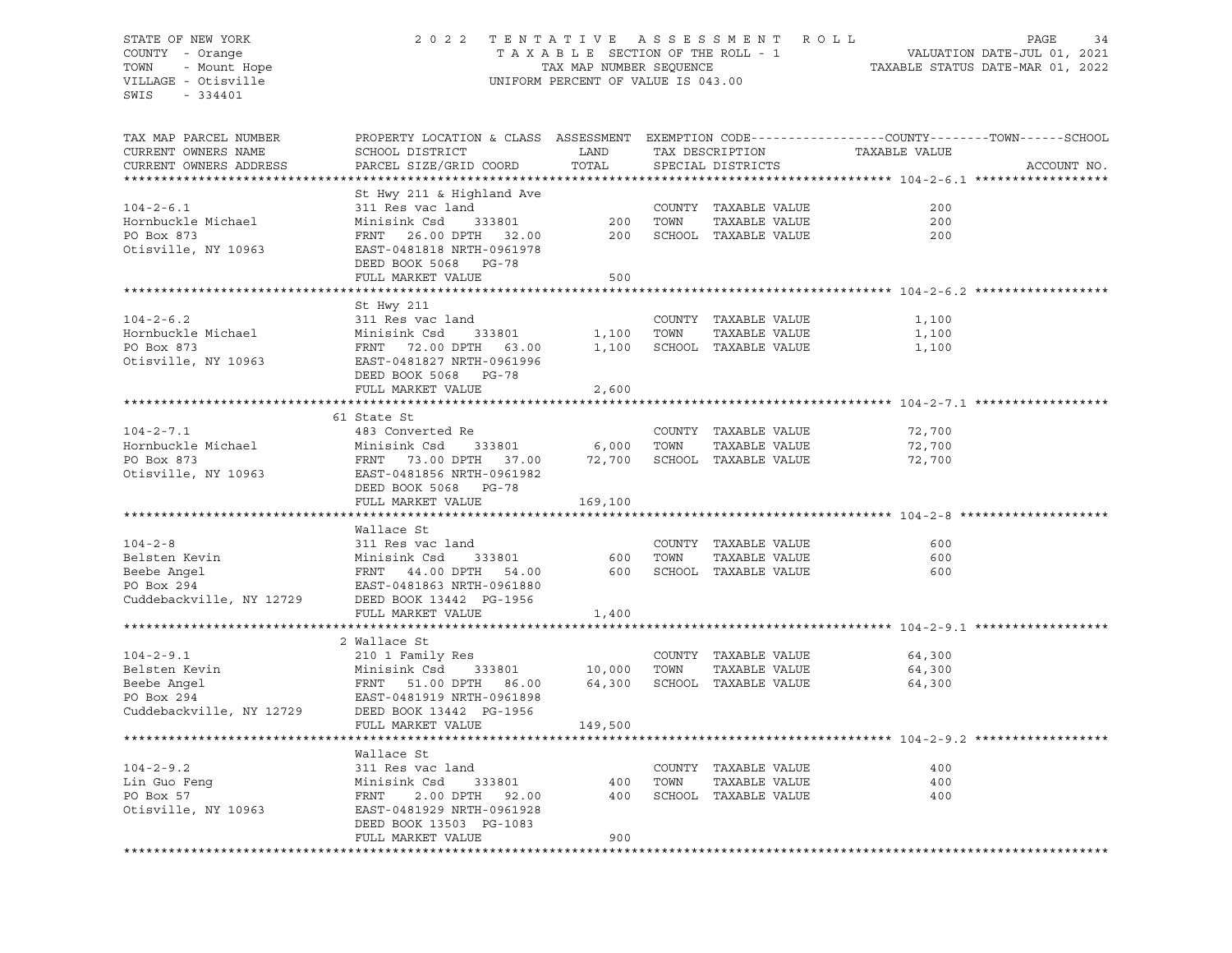# STATE OF NEW YORK 2 0 2 2 T E N T A T I V E A S S E S S M E N T R O L L PAGE 34 COUNTY - Orange T A X A B L E SECTION OF THE ROLL - 1 VALUATION DATE-JUL 01, 2021 TOWN - Mount Hope TAX MAP NUMBER SEQUENCE TAXABLE STATUS DATE-MAR 01, 2022 VILLAGE - Otisville UNIFORM PERCENT OF VALUE IS 043.00

| TAX MAP PARCEL NUMBER<br>CURRENT OWNERS NAME<br>CURRENT OWNERS ADDRESS     | PROPERTY LOCATION & CLASS ASSESSMENT EXEMPTION CODE----------------COUNTY-------TOWN------SCHOOL<br>SCHOOL DISTRICT<br>PARCEL SIZE/GRID COORD         | LAND<br>TOTAL |      | TAX DESCRIPTION<br>SPECIAL DISTRICTS                          | TAXABLE VALUE     | ACCOUNT NO. |
|----------------------------------------------------------------------------|-------------------------------------------------------------------------------------------------------------------------------------------------------|---------------|------|---------------------------------------------------------------|-------------------|-------------|
|                                                                            |                                                                                                                                                       |               |      |                                                               |                   |             |
| $104 - 2 - 6.1$<br>Hornbuckle Michael<br>PO Box 873<br>Otisville, NY 10963 | St Hwy 211 & Highland Ave<br>311 Res vac land<br>Minisink Csd<br>333801<br>FRNT 26.00 DPTH 32.00<br>EAST-0481818 NRTH-0961978<br>DEED BOOK 5068 PG-78 | 200<br>200    | TOWN | COUNTY TAXABLE VALUE<br>TAXABLE VALUE<br>SCHOOL TAXABLE VALUE | 200<br>200<br>200 |             |
|                                                                            | FULL MARKET VALUE                                                                                                                                     | 500           |      |                                                               |                   |             |
|                                                                            |                                                                                                                                                       |               |      |                                                               |                   |             |
|                                                                            | St Hwy 211                                                                                                                                            |               |      |                                                               |                   |             |
| $104 - 2 - 6.2$                                                            | 311 Res vac land                                                                                                                                      |               |      | COUNTY TAXABLE VALUE                                          | 1,100             |             |
| Hornbuckle Michael                                                         | Minisink Csd<br>333801                                                                                                                                | 1,100         | TOWN | TAXABLE VALUE                                                 | 1,100             |             |
| PO Box 873<br>Otisville, NY 10963                                          | FRNT 72.00 DPTH 63.00<br>EAST-0481827 NRTH-0961996<br>DEED BOOK 5068 PG-78                                                                            | 1,100         |      | SCHOOL TAXABLE VALUE                                          | 1,100             |             |
|                                                                            | FULL MARKET VALUE                                                                                                                                     | 2,600         |      |                                                               |                   |             |
|                                                                            |                                                                                                                                                       |               |      |                                                               |                   |             |
|                                                                            | 61 State St                                                                                                                                           |               |      |                                                               |                   |             |
| $104 - 2 - 7.1$                                                            | 483 Converted Re                                                                                                                                      |               |      | COUNTY TAXABLE VALUE                                          | 72,700            |             |
| Hornbuckle Michael                                                         | Minisink Csd<br>333801                                                                                                                                | 6,000         | TOWN | TAXABLE VALUE                                                 | 72,700            |             |
| PO Box 873                                                                 | FRNT 73.00 DPTH 37.00                                                                                                                                 | 72,700        |      | SCHOOL TAXABLE VALUE                                          | 72,700            |             |
| Otisville, NY 10963                                                        | EAST-0481856 NRTH-0961982<br>DEED BOOK 5068 PG-78                                                                                                     |               |      |                                                               |                   |             |
|                                                                            | FULL MARKET VALUE                                                                                                                                     | 169,100       |      |                                                               |                   |             |
|                                                                            | Wallace St                                                                                                                                            |               |      |                                                               |                   |             |
| $104 - 2 - 8$                                                              | 311 Res vac land                                                                                                                                      |               |      | COUNTY TAXABLE VALUE                                          | 600               |             |
| Belsten Kevin                                                              | Minisink Csd<br>333801                                                                                                                                | 600           | TOWN | TAXABLE VALUE                                                 | 600               |             |
| Beebe Angel                                                                | FRNT 44.00 DPTH<br>54.00                                                                                                                              | 600           |      | SCHOOL TAXABLE VALUE                                          | 600               |             |
| PO Box 294                                                                 | EAST-0481863 NRTH-0961880                                                                                                                             |               |      |                                                               |                   |             |
| Cuddebackville, NY 12729                                                   | DEED BOOK 13442 PG-1956                                                                                                                               |               |      |                                                               |                   |             |
|                                                                            | FULL MARKET VALUE                                                                                                                                     | 1,400         |      |                                                               |                   |             |
|                                                                            |                                                                                                                                                       |               |      |                                                               |                   |             |
|                                                                            | 2 Wallace St                                                                                                                                          |               |      |                                                               |                   |             |
| $104 - 2 - 9.1$                                                            | 210 1 Family Res                                                                                                                                      |               |      | COUNTY TAXABLE VALUE                                          | 64,300            |             |
| Belsten Kevin                                                              | Minisink Csd<br>333801                                                                                                                                | 10,000        | TOWN | TAXABLE VALUE                                                 | 64,300            |             |
| Beebe Angel                                                                | FRNT 51.00 DPTH<br>86.00                                                                                                                              | 64,300        |      | SCHOOL TAXABLE VALUE                                          | 64,300            |             |
| PO Box 294                                                                 | EAST-0481919 NRTH-0961898                                                                                                                             |               |      |                                                               |                   |             |
| Cuddebackville, NY 12729                                                   | DEED BOOK 13442 PG-1956                                                                                                                               |               |      |                                                               |                   |             |
|                                                                            | FULL MARKET VALUE                                                                                                                                     | 149,500       |      |                                                               |                   |             |
|                                                                            |                                                                                                                                                       |               |      |                                                               |                   |             |
|                                                                            | Wallace St                                                                                                                                            |               |      |                                                               |                   |             |
| $104 - 2 - 9.2$                                                            | 311 Res vac land                                                                                                                                      |               |      | COUNTY TAXABLE VALUE                                          | 400               |             |
| Lin Guo Fenq                                                               | Minisink Csd<br>333801                                                                                                                                | 400           | TOWN | TAXABLE VALUE                                                 | 400               |             |
| PO Box 57                                                                  | FRNT<br>2.00 DPTH<br>92.00                                                                                                                            | 400           |      | SCHOOL TAXABLE VALUE                                          | 400               |             |
| Otisville, NY 10963                                                        | EAST-0481929 NRTH-0961928<br>DEED BOOK 13503 PG-1083                                                                                                  |               |      |                                                               |                   |             |
|                                                                            | FULL MARKET VALUE                                                                                                                                     | 900           |      |                                                               |                   |             |
|                                                                            |                                                                                                                                                       |               |      |                                                               |                   |             |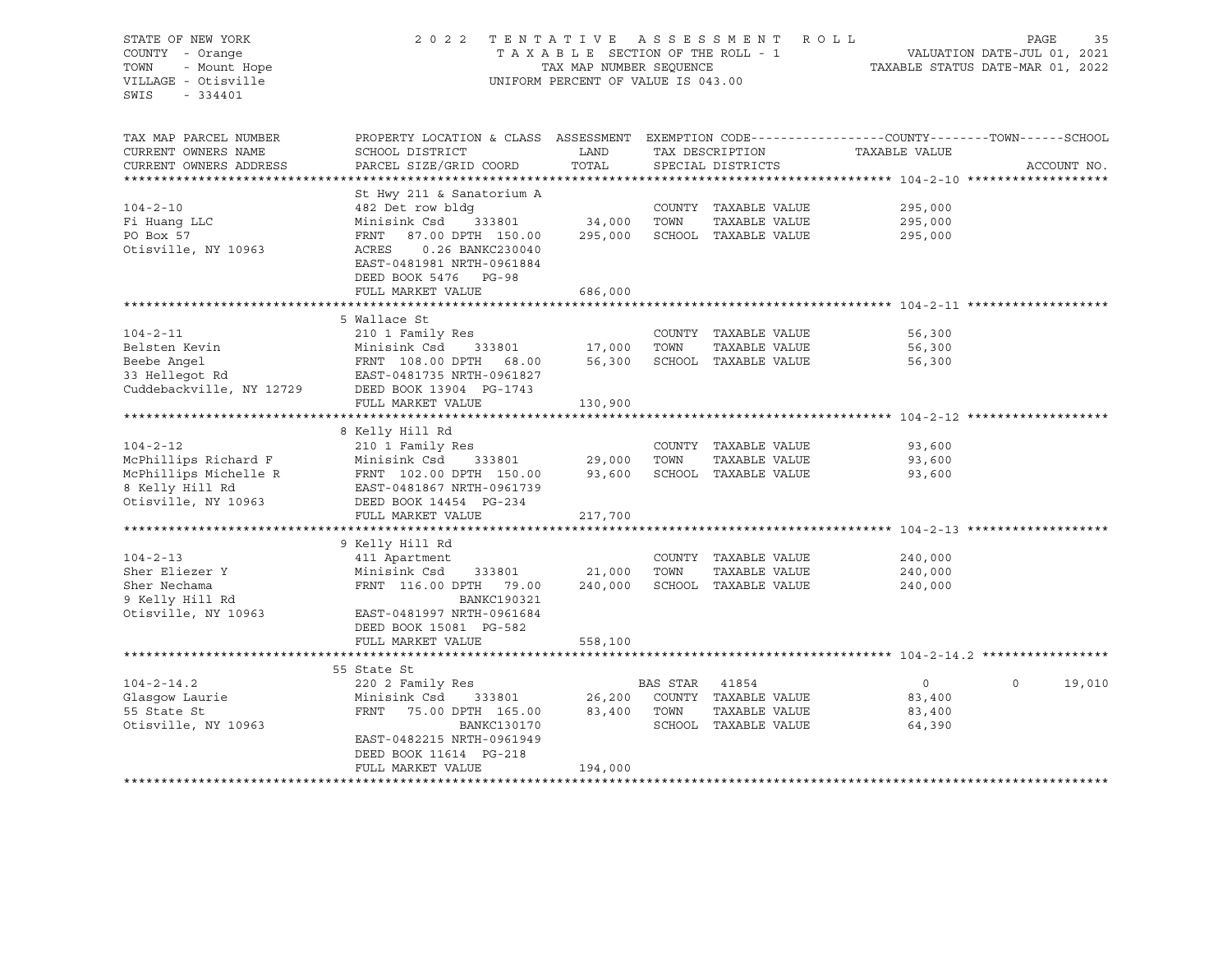| STATE OF NEW YORK      | 2 0 2 2                                                                                                                                                                 |                                  |                | TENTATIVE ASSESSMENT ROLL    |                                                  | PAGE        | 35     |
|------------------------|-------------------------------------------------------------------------------------------------------------------------------------------------------------------------|----------------------------------|----------------|------------------------------|--------------------------------------------------|-------------|--------|
| COUNTY - Orange        |                                                                                                                                                                         | TAXABLE SECTION OF THE ROLL - 1  |                |                              | VALUATION DATE-JUL 01, 2021                      |             |        |
| - Mount Hope<br>TOWN   | TAX MAP NUMBER SEQUENCE                                                                                                                                                 | TAXABLE STATUS DATE-MAR 01, 2022 |                |                              |                                                  |             |        |
| VILLAGE - Otisville    | UNIFORM PERCENT OF VALUE IS 043.00                                                                                                                                      |                                  |                |                              |                                                  |             |        |
| SWIS<br>- 334401       |                                                                                                                                                                         |                                  |                |                              |                                                  |             |        |
|                        |                                                                                                                                                                         |                                  |                |                              |                                                  |             |        |
|                        |                                                                                                                                                                         |                                  |                |                              |                                                  |             |        |
| TAX MAP PARCEL NUMBER  | PROPERTY LOCATION & CLASS ASSESSMENT EXEMPTION CODE----------------COUNTY-------TOWN-----SCHOOL                                                                         |                                  |                |                              |                                                  |             |        |
| CURRENT OWNERS NAME    | SCHOOL DISTRICT                                                                                                                                                         | LAND                             |                | TAX DESCRIPTION              | TAXABLE VALUE                                    |             |        |
|                        | PARCEL SIZE/GRID COORD                                                                                                                                                  | TOTAL                            |                |                              |                                                  | ACCOUNT NO. |        |
| CURRENT OWNERS ADDRESS |                                                                                                                                                                         |                                  |                | SPECIAL DISTRICTS            |                                                  |             |        |
|                        |                                                                                                                                                                         |                                  |                |                              |                                                  |             |        |
|                        | St Hwy 211 & Sanatorium A                                                                                                                                               |                                  |                |                              |                                                  |             |        |
| $104 - 2 - 10$         | 482 Det row bldg                                                                                                                                                        |                                  |                | COUNTY TAXABLE VALUE         | 295,000                                          |             |        |
| Fi Huang LLC           | 333801<br>Minisink Csd                                                                                                                                                  | 34,000 TOWN                      |                | TAXABLE VALUE                | 295,000                                          |             |        |
| PO Box 57              | 87.00 DPTH 150.00<br>FRNT                                                                                                                                               |                                  |                | 295,000 SCHOOL TAXABLE VALUE | 295,000                                          |             |        |
| Otisville, NY 10963    | ACRES<br>0.26 BANKC230040                                                                                                                                               |                                  |                |                              |                                                  |             |        |
|                        | EAST-0481981 NRTH-0961884                                                                                                                                               |                                  |                |                              |                                                  |             |        |
|                        | DEED BOOK 5476 PG-98                                                                                                                                                    |                                  |                |                              |                                                  |             |        |
|                        | FULL MARKET VALUE                                                                                                                                                       | 686,000                          |                |                              |                                                  |             |        |
|                        |                                                                                                                                                                         |                                  |                |                              |                                                  |             |        |
|                        | 5 Wallace St                                                                                                                                                            |                                  |                |                              |                                                  |             |        |
| $104 - 2 - 11$         | 210 1 Family Res                                                                                                                                                        |                                  |                | COUNTY TAXABLE VALUE         | 56,300                                           |             |        |
|                        |                                                                                                                                                                         |                                  | TOWN           | TAXABLE VALUE                | 56,300                                           |             |        |
|                        |                                                                                                                                                                         | 17,000<br>56,300<br>56,300       |                | SCHOOL TAXABLE VALUE         | 56,300                                           |             |        |
|                        | Belsten Kevin Minisink Csd 333801<br>Beebe Angel FRNT 108.00 DPTH 68.00<br>33 Hellegot Rd EAST-0481735 NRTH-0961827<br>Cuddebackville, NY 12729 DEED BOOK 13904 PG-1743 |                                  |                |                              |                                                  |             |        |
|                        |                                                                                                                                                                         |                                  |                |                              |                                                  |             |        |
|                        |                                                                                                                                                                         |                                  |                |                              |                                                  |             |        |
|                        | FULL MARKET VALUE                                                                                                                                                       | 130,900                          |                |                              |                                                  |             |        |
|                        |                                                                                                                                                                         |                                  |                |                              |                                                  |             |        |
|                        | 8 Kelly Hill Rd                                                                                                                                                         |                                  |                |                              |                                                  |             |        |
| $104 - 2 - 12$         | 210 1 Family Res                                                                                                                                                        |                                  |                | COUNTY TAXABLE VALUE         | 93,600                                           |             |        |
| McPhillips Richard F   | 333801<br>Minisink Csd                                                                                                                                                  | 29,000                           | TOWN           | TAXABLE VALUE                | 93,600                                           |             |        |
| McPhillips Michelle R  | FRNT 102.00 DPTH 150.00                                                                                                                                                 |                                  |                | 93,600 SCHOOL TAXABLE VALUE  | 93,600                                           |             |        |
| 8 Kelly Hill Rd        | EAST-0481867 NRTH-0961739                                                                                                                                               |                                  |                |                              |                                                  |             |        |
| Otisville, NY 10963    | DEED BOOK 14454 PG-234                                                                                                                                                  |                                  |                |                              |                                                  |             |        |
|                        | FULL MARKET VALUE                                                                                                                                                       | 217,700                          |                |                              |                                                  |             |        |
|                        | *******************************                                                                                                                                         | ************                     |                |                              | ******************************* 104-2-13 ******* |             |        |
|                        | 9 Kelly Hill Rd                                                                                                                                                         |                                  |                |                              |                                                  |             |        |
| $104 - 2 - 13$         | 411 Apartment                                                                                                                                                           |                                  |                | COUNTY TAXABLE VALUE         | 240,000                                          |             |        |
| Sher Eliezer Y         | Minisink Csd<br>333801                                                                                                                                                  | 21,000                           | TOWN           | TAXABLE VALUE                | 240,000                                          |             |        |
| Sher Nechama           | FRNT 116.00 DPTH 79.00                                                                                                                                                  | 240,000                          |                | SCHOOL TAXABLE VALUE         | 240,000                                          |             |        |
|                        | <b>BANKC190321</b>                                                                                                                                                      |                                  |                |                              |                                                  |             |        |
| 9 Kelly Hill Rd        |                                                                                                                                                                         |                                  |                |                              |                                                  |             |        |
| Otisville, NY 10963    | EAST-0481997 NRTH-0961684                                                                                                                                               |                                  |                |                              |                                                  |             |        |
|                        | DEED BOOK 15081 PG-582                                                                                                                                                  |                                  |                |                              |                                                  |             |        |
|                        | FULL MARKET VALUE                                                                                                                                                       | 558,100                          |                |                              |                                                  |             |        |
|                        |                                                                                                                                                                         |                                  |                |                              |                                                  |             |        |
|                        | 55 State St                                                                                                                                                             |                                  |                |                              |                                                  |             |        |
| $104 - 2 - 14.2$       | 220 2 Family Res                                                                                                                                                        |                                  | BAS STAR 41854 |                              | $\overline{0}$                                   | $\circ$     | 19,010 |
| Glasgow Laurie         | Minisink Csd<br>333801                                                                                                                                                  |                                  |                | 26,200 COUNTY TAXABLE VALUE  | 83,400                                           |             |        |
| 55 State St            | FRNT<br>75.00 DPTH 165.00                                                                                                                                               | 83,400 TOWN                      |                | TAXABLE VALUE                | 83,400                                           |             |        |
| Otisville, NY 10963    | BANKC130170                                                                                                                                                             |                                  |                | SCHOOL TAXABLE VALUE         | 64,390                                           |             |        |
|                        | EAST-0482215 NRTH-0961949                                                                                                                                               |                                  |                |                              |                                                  |             |        |
|                        | DEED BOOK 11614 PG-218                                                                                                                                                  |                                  |                |                              |                                                  |             |        |
|                        | FULL MARKET VALUE                                                                                                                                                       | 194,000                          |                |                              |                                                  |             |        |
|                        |                                                                                                                                                                         |                                  |                |                              |                                                  |             |        |
|                        |                                                                                                                                                                         |                                  |                |                              |                                                  |             |        |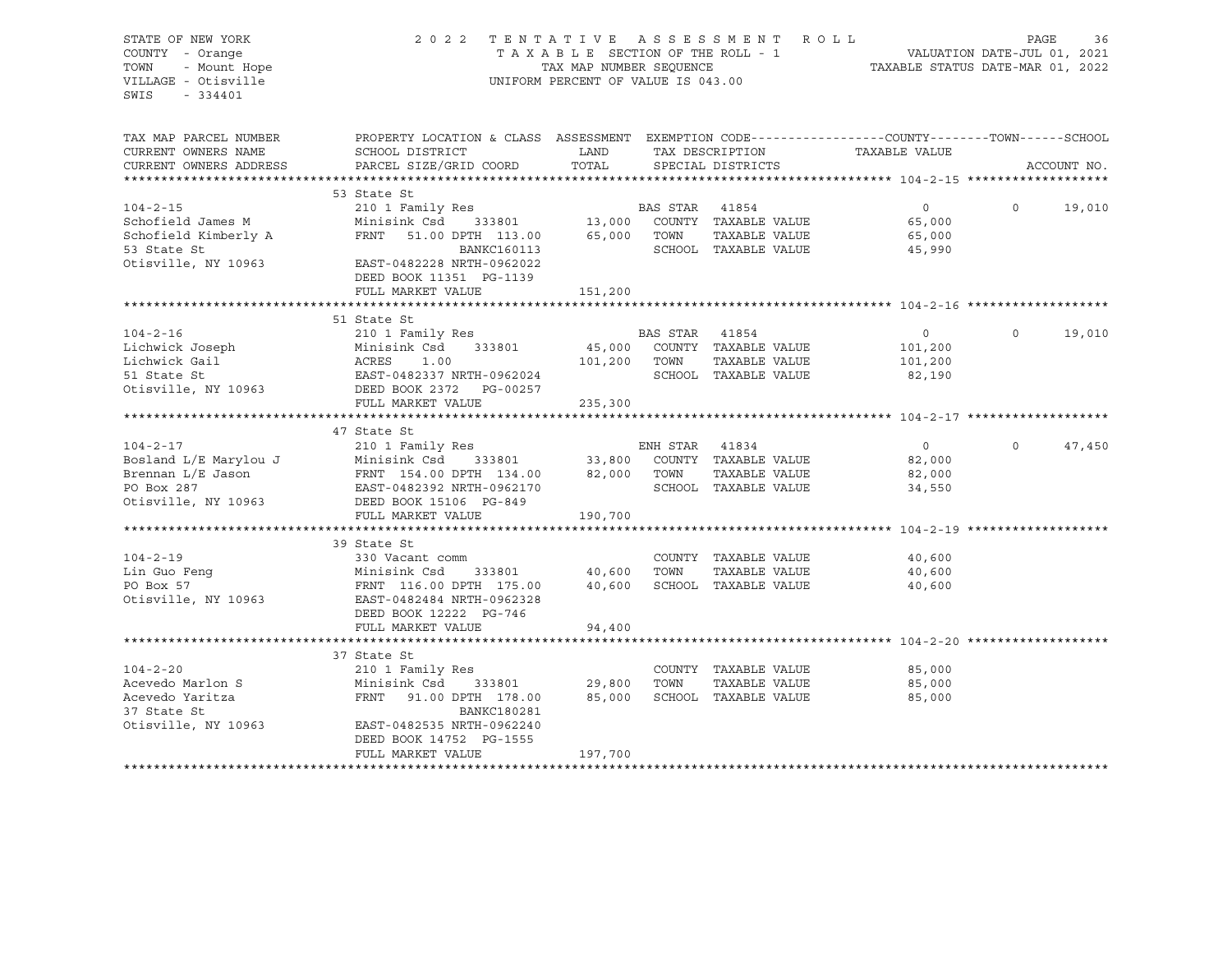STATE OF NEW YORK 2022 TENTATIVE ASSESSMENT ROLL PAGE 36 COUNTY - Orange 2021 2 2 TENTAXELE SECTION OF THE ROLL - 1 COUNTY - Orange T A X A B L E SECTION OF THE ROLL - 1 TOWN - Mount Hope TAX MAP NUMBER SEQUENCE TAXABLE STATUS DATE-MAR 01, 2022 VILLAGE - Otisville UNIFORM PERCENT OF VALUE IS 043.00 SWIS - 334401 TAX MAP PARCEL NUMBER PROPERTY LOCATION & CLASS ASSESSMENT EXEMPTION CODE------------------COUNTY--------TOWN------SCHOOL CURRENT OWNERS NAME SCHOOL DISTRICT TAX DAND TAX DESCRIPTION TAXABLE VALUE CURRENT OWNERS ADDRESS PARCEL SIZE/GRID COORD TOTAL SPECIAL DISTRICTS ACCOUNT NO. \*\*\*\*\*\*\*\*\*\*\*\*\*\*\*\*\*\*\*\*\*\*\*\*\*\*\*\*\*\*\*\*\*\*\*\*\*\*\*\*\*\*\*\*\*\*\*\*\*\*\*\*\*\*\*\*\*\*\*\*\*\*\*\*\*\*\*\*\*\*\*\*\*\*\*\*\*\*\*\*\*\*\*\*\*\*\*\*\*\*\*\*\*\*\*\*\*\*\*\*\*\*\* 104-2-15 \*\*\*\*\*\*\*\*\*\*\*\*\*\*\*\*\*\*\* 53 State St 104-2-15 210 1 Family Res BAS STAR 41854 0 0 19,010 Schofield James M Minisink Csd 333801 13,000 COUNTY TAXABLE VALUE 65,000 Schofield Kimberly A FRNT 51.00 DPTH 113.00 65,000 TOWN TAXABLE VALUE 65,000 53 State St BANKC160113 SCHOOL TAXABLE VALUE 45,990 Otisville, NY 10963 EAST-0482228 NRTH-0962022 DEED BOOK 11351 PG-1139 FULL MARKET VALUE 151,200 \*\*\*\*\*\*\*\*\*\*\*\*\*\*\*\*\*\*\*\*\*\*\*\*\*\*\*\*\*\*\*\*\*\*\*\*\*\*\*\*\*\*\*\*\*\*\*\*\*\*\*\*\*\*\*\*\*\*\*\*\*\*\*\*\*\*\*\*\*\*\*\*\*\*\*\*\*\*\*\*\*\*\*\*\*\*\*\*\*\*\*\*\*\*\*\*\*\*\*\*\*\*\* 104-2-16 \*\*\*\*\*\*\*\*\*\*\*\*\*\*\*\*\*\*\* 51 State St 104-2-16 210 1 Family Res BAS STAR 41854 0 0 19,010 Lichwick Joseph Minisink Csd 333801 45,000 COUNTY TAXABLE VALUE 101,200 Lichwick Gail ACRES 1.00 101,200 TOWN TAXABLE VALUE 101,200 51 State St EAST-0482337 NRTH-0962024 SCHOOL TAXABLE VALUE 82,190 Otisville, NY 10963 DEED BOOK 2372 PG-00257 FULL MARKET VALUE 235,300 \*\*\*\*\*\*\*\*\*\*\*\*\*\*\*\*\*\*\*\*\*\*\*\*\*\*\*\*\*\*\*\*\*\*\*\*\*\*\*\*\*\*\*\*\*\*\*\*\*\*\*\*\*\*\*\*\*\*\*\*\*\*\*\*\*\*\*\*\*\*\*\*\*\*\*\*\*\*\*\*\*\*\*\*\*\*\*\*\*\*\*\*\*\*\*\*\*\*\*\*\*\*\* 104-2-17 \*\*\*\*\*\*\*\*\*\*\*\*\*\*\*\*\*\*\* 47 State St 104-2-17 210 1 Family Res ENH STAR 41834 0 0 47,450 Bosland L/E Marylou J Minisink Csd 333801 33,800 COUNTY TAXABLE VALUE 82,000 Brennan L/E Jason FRNT 154.00 DPTH 134.00 82,000 TOWN TAXABLE VALUE 82,000 PO Box 287 EAST-0482392 NRTH-0962170 SCHOOL TAXABLE VALUE 34,550 Otisville, NY 10963 DEED BOOK 15106 PG-849 FULL MARKET VALUE 190,700 \*\*\*\*\*\*\*\*\*\*\*\*\*\*\*\*\*\*\*\*\*\*\*\*\*\*\*\*\*\*\*\*\*\*\*\*\*\*\*\*\*\*\*\*\*\*\*\*\*\*\*\*\*\*\*\*\*\*\*\*\*\*\*\*\*\*\*\*\*\*\*\*\*\*\*\*\*\*\*\*\*\*\*\*\*\*\*\*\*\*\*\*\*\*\*\*\*\*\*\*\*\*\* 104-2-19 \*\*\*\*\*\*\*\*\*\*\*\*\*\*\*\*\*\*\* 39 State St 104-2-19 330 Vacant comm COUNTY TAXABLE VALUE 40,600 Lin Guo Fenq 600 Minisink Csd 333801 40,600 TOWN TAXABLE VALUE 40,600 PO Box 57 FRNT 116.00 DPTH 175.00 40,600 SCHOOL TAXABLE VALUE 40,600 Otisville, NY 10963 EAST-0482484 NRTH-0962328 DEED BOOK 12222 PG-746 FULL MARKET VALUE 94,400 \*\*\*\*\*\*\*\*\*\*\*\*\*\*\*\*\*\*\*\*\*\*\*\*\*\*\*\*\*\*\*\*\*\*\*\*\*\*\*\*\*\*\*\*\*\*\*\*\*\*\*\*\*\*\*\*\*\*\*\*\*\*\*\*\*\*\*\*\*\*\*\*\*\*\*\*\*\*\*\*\*\*\*\*\*\*\*\*\*\*\*\*\*\*\*\*\*\*\*\*\*\*\* 104-2-20 \*\*\*\*\*\*\*\*\*\*\*\*\*\*\*\*\*\*\* 37 State St 104-2-20 210 1 Family Res COUNTY TAXABLE VALUE 85,000 Acevedo Marlon S Minisink Csd 333801 29,800 TOWN TAXABLE VALUE 85,000 Acevedo Yaritza FRNT 91.00 DPTH 178.00 85,000 SCHOOL TAXABLE VALUE 85,000 37 State St BANKC180281 Otisville, NY 10963 EAST-0482535 NRTH-0962240 DEED BOOK 14752 PG-1555 FULL MARKET VALUE 197,700 \*\*\*\*\*\*\*\*\*\*\*\*\*\*\*\*\*\*\*\*\*\*\*\*\*\*\*\*\*\*\*\*\*\*\*\*\*\*\*\*\*\*\*\*\*\*\*\*\*\*\*\*\*\*\*\*\*\*\*\*\*\*\*\*\*\*\*\*\*\*\*\*\*\*\*\*\*\*\*\*\*\*\*\*\*\*\*\*\*\*\*\*\*\*\*\*\*\*\*\*\*\*\*\*\*\*\*\*\*\*\*\*\*\*\*\*\*\*\*\*\*\*\*\*\*\*\*\*\*\*\*\*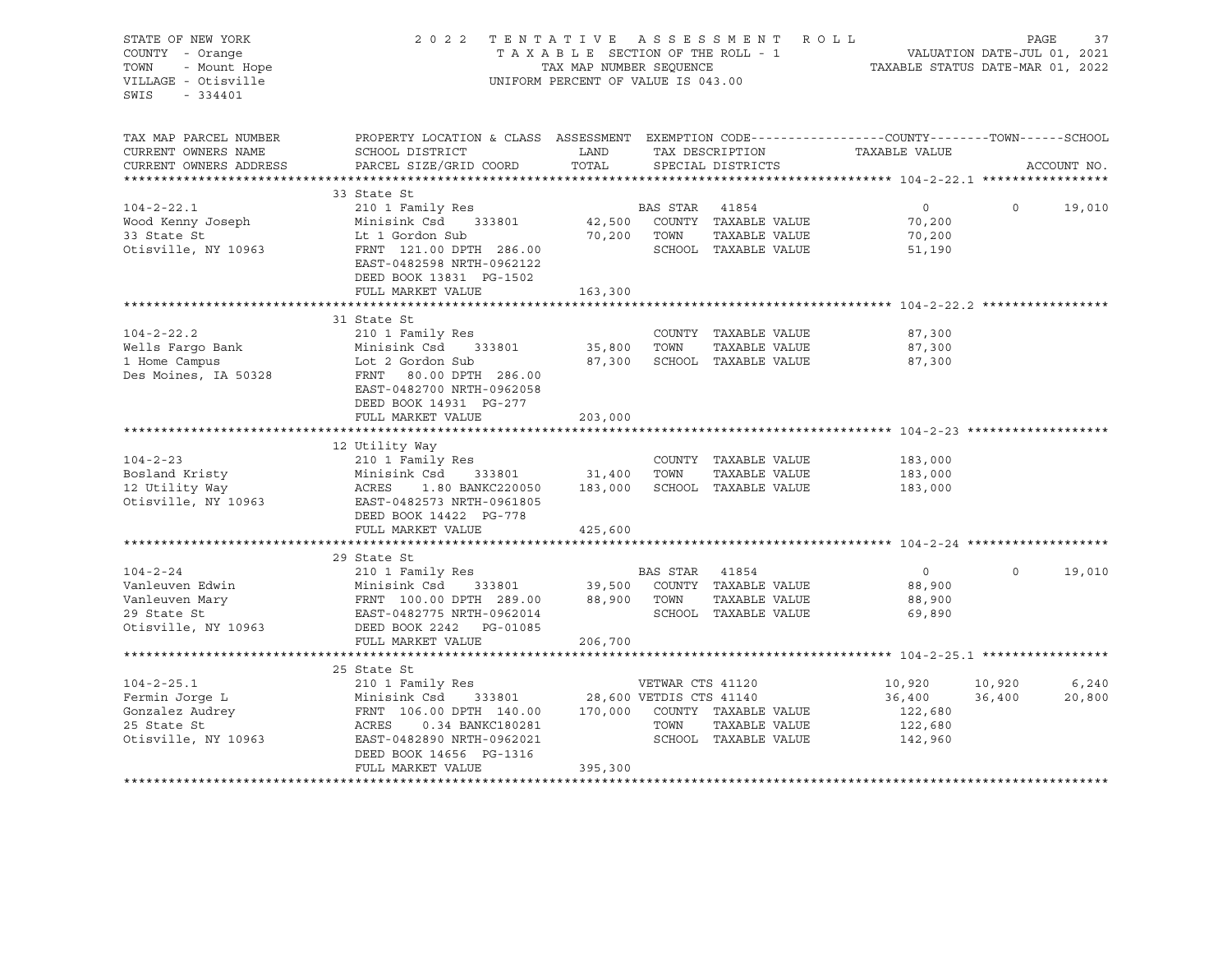| STATE OF NEW YORK<br>COUNTY - Orange<br>- Mount Hope<br>TOWN | 2 0 2 2<br>TENTATIVE ASSESSMENT ROLL<br>TAXABLE SECTION OF THE ROLL - 1<br>TAX MAP NUMBER SEOUENCE                                               | VALUATION DATE-JUL 01, 2021<br>TAXABLE STATUS DATE-MAR 01, 2022 |                | PAGE<br>37                                               |                    |          |             |
|--------------------------------------------------------------|--------------------------------------------------------------------------------------------------------------------------------------------------|-----------------------------------------------------------------|----------------|----------------------------------------------------------|--------------------|----------|-------------|
| VILLAGE - Otisville<br>SWIS<br>$-334401$                     | UNIFORM PERCENT OF VALUE IS 043.00                                                                                                               |                                                                 |                |                                                          |                    |          |             |
| TAX MAP PARCEL NUMBER                                        | PROPERTY LOCATION & CLASS ASSESSMENT EXEMPTION CODE----------------COUNTY-------TOWN------SCHOOL                                                 |                                                                 |                |                                                          |                    |          |             |
| CURRENT OWNERS NAME<br>CURRENT OWNERS ADDRESS                | SCHOOL DISTRICT<br>PARCEL SIZE/GRID COORD                                                                                                        | LAND<br>TOTAL                                                   |                | TAX DESCRIPTION<br>SPECIAL DISTRICTS                     | TAXABLE VALUE      |          | ACCOUNT NO. |
|                                                              |                                                                                                                                                  |                                                                 |                |                                                          |                    |          |             |
|                                                              | 33 State St                                                                                                                                      |                                                                 |                |                                                          |                    |          |             |
| $104 - 2 - 22.1$                                             | 210 1 Family Res                                                                                                                                 |                                                                 | BAS STAR 41854 |                                                          | $\overline{0}$     | $\circ$  | 19,010      |
| Wood Kenny Joseph<br>33 State St                             |                                                                                                                                                  |                                                                 |                | 42,500 COUNTY TAXABLE VALUE<br>70,200 TOWN TAXABLE VALUE | 70,200<br>70,200   |          |             |
| Otisville, NY 10963                                          | Minisink Csd<br>Lt 1 Gordon Sub<br>FRNT 121.00 DPTH 286.00                                                                                       |                                                                 |                | SCHOOL TAXABLE VALUE                                     | 51,190             |          |             |
|                                                              | EAST-0482598 NRTH-0962122                                                                                                                        |                                                                 |                |                                                          |                    |          |             |
|                                                              | DEED BOOK 13831 PG-1502                                                                                                                          |                                                                 |                |                                                          |                    |          |             |
|                                                              | FULL MARKET VALUE                                                                                                                                | 163,300                                                         |                |                                                          |                    |          |             |
|                                                              | 31 State St                                                                                                                                      |                                                                 |                |                                                          |                    |          |             |
| $104 - 2 - 22.2$                                             | 210 1 Family Res                                                                                                                                 |                                                                 |                | COUNTY TAXABLE VALUE                                     | 87,300             |          |             |
|                                                              | Minisink Csd 333801                                                                                                                              | 35,800                                                          | TOWN           | TAXABLE VALUE                                            | 87,300             |          |             |
| Wells Fargo Bank<br>1 Home Campus<br>1 Home Campus           | Lot 2 Gordon Sub                                                                                                                                 | 87,300                                                          |                | SCHOOL TAXABLE VALUE                                     | 87,300             |          |             |
| Des Moines, IA 50328                                         | FRNT 80.00 DPTH 286.00                                                                                                                           |                                                                 |                |                                                          |                    |          |             |
|                                                              | EAST-0482700 NRTH-0962058                                                                                                                        |                                                                 |                |                                                          |                    |          |             |
|                                                              | DEED BOOK 14931 PG-277                                                                                                                           |                                                                 |                |                                                          |                    |          |             |
|                                                              | FULL MARKET VALUE                                                                                                                                | 203,000                                                         |                |                                                          |                    |          |             |
|                                                              |                                                                                                                                                  |                                                                 |                |                                                          |                    |          |             |
| $104 - 2 - 23$                                               | 12 Utility Way                                                                                                                                   |                                                                 |                |                                                          |                    |          |             |
|                                                              | 210 1 Family Res<br>Minisink Csd 333801                                                                                                          |                                                                 | 31,400 TOWN    | COUNTY TAXABLE VALUE<br>TAXABLE VALUE                    | 183,000<br>183,000 |          |             |
| 104-2-23<br>Bosland Kristy<br>Albert Way                     | ACRES<br>1.80 BANKC220050 183,000                                                                                                                |                                                                 |                | SCHOOL TAXABLE VALUE                                     | 183,000            |          |             |
| Otisville, NY 10963                                          | EAST-0482573 NRTH-0961805                                                                                                                        |                                                                 |                |                                                          |                    |          |             |
|                                                              | DEED BOOK 14422 PG-778                                                                                                                           |                                                                 |                |                                                          |                    |          |             |
|                                                              | FULL MARKET VALUE                                                                                                                                | 425,600                                                         |                |                                                          |                    |          |             |
|                                                              |                                                                                                                                                  |                                                                 |                |                                                          |                    |          |             |
|                                                              | 29 State St                                                                                                                                      |                                                                 |                |                                                          |                    |          |             |
| $104 - 2 - 24$                                               | 210 1 Family Res                                                                                                                                 |                                                                 |                | BAS STAR 41854<br>39,500 COUNTY TAXABLE VALUE            | $\overline{0}$     | $\Omega$ | 19,010      |
|                                                              |                                                                                                                                                  |                                                                 |                |                                                          | 88,900             |          |             |
|                                                              |                                                                                                                                                  |                                                                 |                |                                                          | 88,900<br>69,890   |          |             |
| Otisville, NY 10963                                          | DEED BOOK 2242 PG-01085                                                                                                                          |                                                                 |                |                                                          |                    |          |             |
|                                                              | FULL MARKET VALUE                                                                                                                                | 206,700                                                         |                |                                                          |                    |          |             |
|                                                              |                                                                                                                                                  |                                                                 |                |                                                          |                    |          |             |
|                                                              | 25 State St                                                                                                                                      |                                                                 |                |                                                          |                    |          |             |
| $104 - 2 - 25.1$                                             | 210 1 Family Res                                                                                                                                 |                                                                 |                | VETWAR CTS 41120                                         | 10,920             | 10,920   | 6,240       |
| Fermin Jorge L<br>Gonzalez Audrey                            | Minisink Csd 333801 28,600 VETDIS CTS 41140<br>FRNT 106.00 DPTH 140.00 170,000 COUNTY TAXABLE VALUE<br>ACRES 0.34 BANKC180281 TOWN TAXABLE VALUE |                                                                 |                |                                                          | 36,400             | 36,400   | 20,800      |
|                                                              |                                                                                                                                                  |                                                                 |                |                                                          | 122,680            |          |             |
| 25 State St                                                  |                                                                                                                                                  |                                                                 |                |                                                          | 122,680            |          |             |
| Otisville, NY 10963                                          | EAST-0482890 NRTH-0962021                                                                                                                        |                                                                 |                | SCHOOL TAXABLE VALUE                                     | 142,960            |          |             |
|                                                              | DEED BOOK 14656 PG-1316<br>FULL MARKET VALUE                                                                                                     | 395,300                                                         |                |                                                          |                    |          |             |
|                                                              |                                                                                                                                                  |                                                                 |                |                                                          |                    |          |             |
|                                                              |                                                                                                                                                  |                                                                 |                |                                                          |                    |          |             |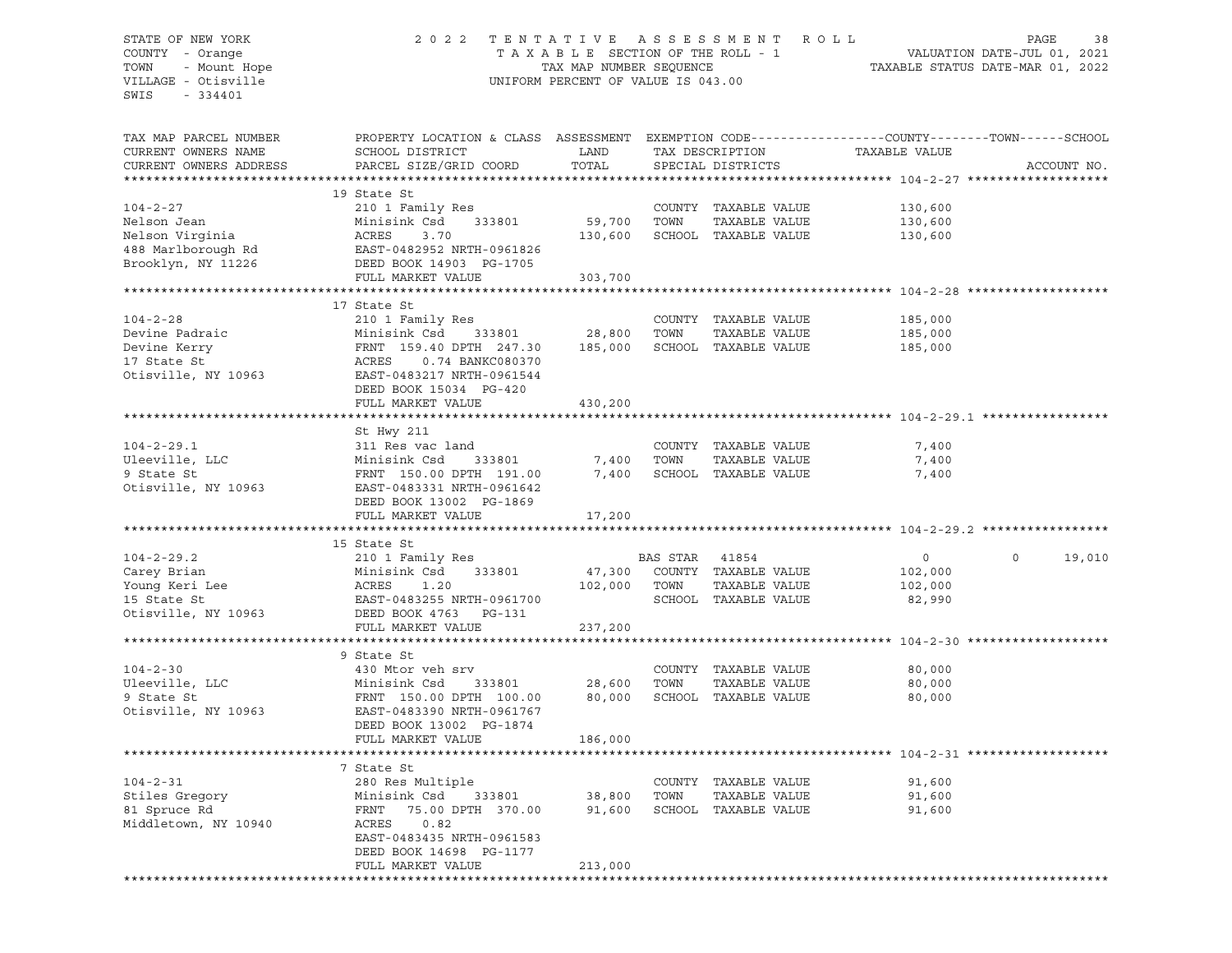## STATE OF NEW YORK 2 0 2 2 T E N T A T I V E A S S E S S M E N T R O L L PAGE 38 COUNTY - Orange T A X A B L E SECTION OF THE ROLL - 1 VALUATION DATE-JUL 01, 2021 TOWN - Mount Hope TAX MAP NUMBER SEQUENCE TAXABLE STATUS DATE-MAR 01, 2022 VILLAGE - Otisville UNIFORM PERCENT OF VALUE IS 043.00

| TAX MAP PARCEL NUMBER<br>CURRENT OWNERS NAME<br>CURRENT OWNERS ADDRESS                       | PROPERTY LOCATION & CLASS ASSESSMENT<br>SCHOOL DISTRICT<br>PARCEL SIZE/GRID COORD                                                                                         | LAND<br>TOTAL                      |                        | TAX DESCRIPTION<br>SPECIAL DISTRICTS                          | EXEMPTION CODE-----------------COUNTY-------TOWN------SCHOOL<br>TAXABLE VALUE | ACCOUNT NO.       |
|----------------------------------------------------------------------------------------------|---------------------------------------------------------------------------------------------------------------------------------------------------------------------------|------------------------------------|------------------------|---------------------------------------------------------------|-------------------------------------------------------------------------------|-------------------|
|                                                                                              |                                                                                                                                                                           |                                    |                        |                                                               |                                                                               |                   |
| $104 - 2 - 27$<br>Nelson Jean<br>Nelson Virginia<br>488 Marlborough Rd<br>Brooklyn, NY 11226 | 19 State St<br>210 1 Family Res<br>Minisink Csd<br>333801<br>ACRES<br>3.70<br>EAST-0482952 NRTH-0961826<br>DEED BOOK 14903 PG-1705                                        | 59,700<br>130,600                  | TOWN                   | COUNTY TAXABLE VALUE<br>TAXABLE VALUE<br>SCHOOL TAXABLE VALUE | 130,600<br>130,600<br>130,600                                                 |                   |
|                                                                                              | FULL MARKET VALUE                                                                                                                                                         | 303,700                            |                        |                                                               |                                                                               |                   |
|                                                                                              |                                                                                                                                                                           |                                    |                        |                                                               |                                                                               |                   |
| $104 - 2 - 28$<br>Devine Padraic<br>Devine Kerry<br>17 State St<br>Otisville, NY 10963       | 17 State St<br>210 1 Family Res<br>333801<br>Minisink Csd<br>FRNT 159.40 DPTH 247.30<br>0.74 BANKC080370<br>ACRES<br>EAST-0483217 NRTH-0961544<br>DEED BOOK 15034 PG-420  | 28,800<br>185,000                  | TOWN                   | COUNTY TAXABLE VALUE<br>TAXABLE VALUE<br>SCHOOL TAXABLE VALUE | 185,000<br>185,000<br>185,000                                                 |                   |
|                                                                                              | FULL MARKET VALUE                                                                                                                                                         | 430,200                            |                        |                                                               |                                                                               |                   |
|                                                                                              |                                                                                                                                                                           |                                    |                        |                                                               |                                                                               |                   |
|                                                                                              | St Hwy 211                                                                                                                                                                |                                    |                        |                                                               |                                                                               |                   |
| $104 - 2 - 29.1$<br>Uleeville, LLC<br>9 State St<br>Otisville, NY 10963                      | 311 Res vac land<br>Minisink Csd<br>333801<br>FRNT 150.00 DPTH 191.00<br>EAST-0483331 NRTH-0961642<br>DEED BOOK 13002 PG-1869                                             | 7,400<br>7,400                     | TOWN                   | COUNTY TAXABLE VALUE<br>TAXABLE VALUE<br>SCHOOL TAXABLE VALUE | 7,400<br>7,400<br>7,400                                                       |                   |
|                                                                                              | FULL MARKET VALUE                                                                                                                                                         | 17,200                             |                        |                                                               |                                                                               |                   |
|                                                                                              |                                                                                                                                                                           |                                    |                        |                                                               |                                                                               |                   |
| $104 - 2 - 29.2$<br>Carey Brian<br>Young Keri Lee<br>15 State St<br>Otisville, NY 10963      | 15 State St<br>210 1 Family Res<br>Minisink Csd<br>333801<br>ACRES<br>1.20<br>EAST-0483255 NRTH-0961700<br>DEED BOOK 4763<br>PG-131                                       | 47,300<br>102,000                  | BAS STAR 41854<br>TOWN | COUNTY TAXABLE VALUE<br>TAXABLE VALUE<br>SCHOOL TAXABLE VALUE | $\circ$<br>102,000<br>102,000<br>82,990                                       | 19,010<br>$\circ$ |
|                                                                                              | FULL MARKET VALUE                                                                                                                                                         | 237,200                            |                        |                                                               |                                                                               |                   |
|                                                                                              |                                                                                                                                                                           |                                    |                        |                                                               |                                                                               |                   |
| $104 - 2 - 30$<br>Uleeville, LLC<br>9 State St<br>Otisville, NY 10963                        | 9 State St<br>430 Mtor veh srv<br>Minisink Csd<br>333801<br>FRNT 150.00 DPTH 100.00<br>EAST-0483390 NRTH-0961767<br>DEED BOOK 13002 PG-1874<br>FULL MARKET VALUE          | 28,600<br>80,000<br>186,000        | TOWN                   | COUNTY TAXABLE VALUE<br>TAXABLE VALUE<br>SCHOOL TAXABLE VALUE | 80,000<br>80,000<br>80,000                                                    |                   |
|                                                                                              |                                                                                                                                                                           |                                    |                        |                                                               |                                                                               |                   |
| $104 - 2 - 31$<br>Stiles Gregory<br>81 Spruce Rd<br>Middletown, NY 10940                     | 7 State St<br>280 Res Multiple<br>Minisink Csd<br>75.00 DPTH 370.00<br>FRNT<br>ACRES<br>0.82<br>EAST-0483435 NRTH-0961583<br>DEED BOOK 14698 PG-1177<br>FULL MARKET VALUE | 333801 38,800<br>91,600<br>213,000 | TOWN                   | COUNTY TAXABLE VALUE<br>TAXABLE VALUE<br>SCHOOL TAXABLE VALUE | 91,600<br>91,600<br>91,600                                                    |                   |
|                                                                                              |                                                                                                                                                                           |                                    |                        |                                                               |                                                                               |                   |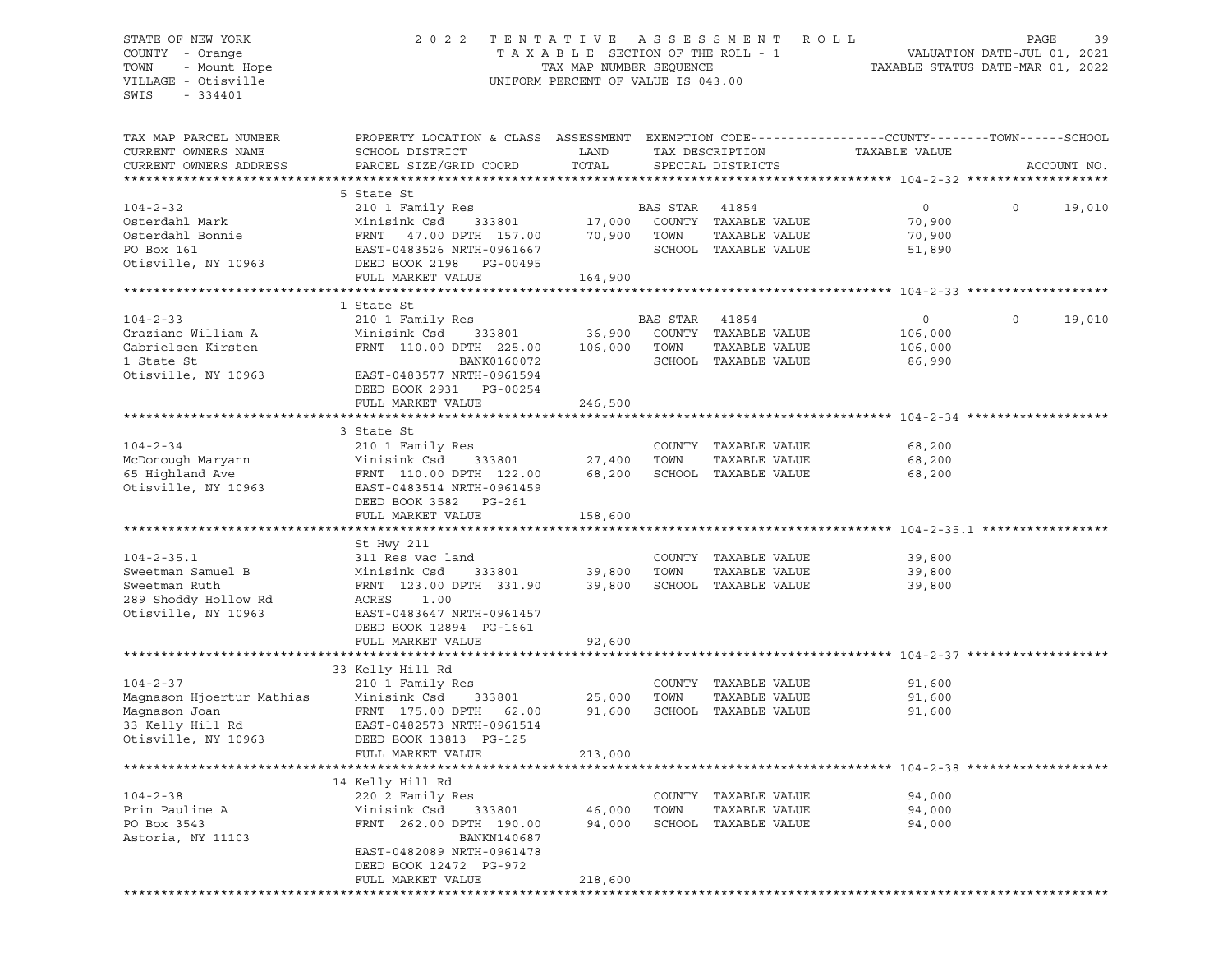#### STATE OF NEW YORK 2 0 2 2 T E N T A T I V E A S S E S S M E N T R O L L PAGE 39 COUNTY - Orange T A X A B L E SECTION OF THE ROLL - 1 VALUATION DATE-JUL 01, 2021 TOWN - Mount Hope TAX MAP NUMBER SEQUENCE TAXABLE STATUS DATE-MAR 01, 2022 VILLAGE - Otisville UNIFORM PERCENT OF VALUE IS 043.00

| TAX MAP PARCEL NUMBER     | PROPERTY LOCATION & CLASS ASSESSMENT EXEMPTION CODE----------------COUNTY-------TOWN------SCHOOL |              |                |                             |                                             |          |             |
|---------------------------|--------------------------------------------------------------------------------------------------|--------------|----------------|-----------------------------|---------------------------------------------|----------|-------------|
| CURRENT OWNERS NAME       | SCHOOL DISTRICT                                                                                  | LAND         |                | TAX DESCRIPTION             | TAXABLE VALUE                               |          |             |
| CURRENT OWNERS ADDRESS    | PARCEL SIZE/GRID COORD                                                                           | TOTAL        |                | SPECIAL DISTRICTS           |                                             |          | ACCOUNT NO. |
| ********************      |                                                                                                  |              |                |                             |                                             |          |             |
|                           | 5 State St                                                                                       |              |                |                             |                                             |          |             |
|                           |                                                                                                  |              |                |                             |                                             |          |             |
| $104 - 2 - 32$            | 210 1 Family Res                                                                                 |              | BAS STAR       | 41854                       | $\circ$                                     | 0        | 19,010      |
| Osterdahl Mark            | Minisink Csd<br>333801                                                                           | 17,000       |                | COUNTY TAXABLE VALUE        | 70,900                                      |          |             |
| Osterdahl Bonnie          | FRNT 47.00 DPTH 157.00                                                                           | 70,900       | TOWN           | TAXABLE VALUE               | 70,900                                      |          |             |
| PO Box 161                | EAST-0483526 NRTH-0961667                                                                        |              |                | SCHOOL TAXABLE VALUE        | 51,890                                      |          |             |
| Otisville, NY 10963       | DEED BOOK 2198 PG-00495                                                                          |              |                |                             |                                             |          |             |
|                           | FULL MARKET VALUE                                                                                | 164,900      |                |                             |                                             |          |             |
|                           |                                                                                                  |              |                |                             |                                             |          |             |
|                           | 1 State St                                                                                       |              |                |                             |                                             |          |             |
| $104 - 2 - 33$            |                                                                                                  |              |                |                             |                                             | $\Omega$ | 19,010      |
|                           | 210 1 Family Res                                                                                 |              | BAS STAR 41854 |                             | $\overline{0}$                              |          |             |
| Graziano William A        | Minisink Csd 333801                                                                              | 36,900       |                | COUNTY TAXABLE VALUE        | 106,000                                     |          |             |
| Gabrielsen Kirsten        | FRNT 110.00 DPTH 225.00                                                                          | 106,000      | TOWN           | TAXABLE VALUE               | 106,000                                     |          |             |
| 1 State St                | BANK0160072                                                                                      |              |                | SCHOOL TAXABLE VALUE        | 86,990                                      |          |             |
| Otisville, NY 10963       | EAST-0483577 NRTH-0961594                                                                        |              |                |                             |                                             |          |             |
|                           | DEED BOOK 2931 PG-00254                                                                          |              |                |                             |                                             |          |             |
|                           | FULL MARKET VALUE                                                                                | 246,500      |                |                             |                                             |          |             |
|                           |                                                                                                  |              |                |                             | ****************************** 104-2-34     |          |             |
|                           |                                                                                                  |              |                |                             |                                             |          |             |
|                           | 3 State St                                                                                       |              |                |                             |                                             |          |             |
| $104 - 2 - 34$            | 210 1 Family Res                                                                                 |              |                | COUNTY TAXABLE VALUE        | 68,200                                      |          |             |
| McDonough Maryann         | Minisink Csd<br>333801                                                                           | 27,400       | TOWN           | TAXABLE VALUE               | 68,200                                      |          |             |
| 65 Highland Ave           | FRNT 110.00 DPTH 122.00                                                                          |              |                | 68,200 SCHOOL TAXABLE VALUE | 68,200                                      |          |             |
| Otisville, NY 10963       | EAST-0483514 NRTH-0961459                                                                        |              |                |                             |                                             |          |             |
|                           | DEED BOOK 3582 PG-261                                                                            |              |                |                             |                                             |          |             |
|                           | FULL MARKET VALUE                                                                                | 158,600      |                |                             |                                             |          |             |
|                           |                                                                                                  |              |                |                             |                                             |          |             |
|                           | St Hwy 211                                                                                       |              |                |                             |                                             |          |             |
|                           |                                                                                                  |              |                |                             |                                             |          |             |
| $104 - 2 - 35.1$          | 311 Res vac land                                                                                 |              |                | COUNTY TAXABLE VALUE        | 39,800                                      |          |             |
| Sweetman Samuel B         | Minisink Csd<br>333801                                                                           | 39,800       | TOWN           | TAXABLE VALUE               | 39,800                                      |          |             |
| Sweetman Ruth             | FRNT 123.00 DPTH 331.90                                                                          | 39,800       |                | SCHOOL TAXABLE VALUE        | 39,800                                      |          |             |
| 289 Shoddy Hollow Rd      | ACRES 1.00                                                                                       |              |                |                             |                                             |          |             |
| Otisville, NY 10963       | EAST-0483647 NRTH-0961457                                                                        |              |                |                             |                                             |          |             |
|                           | DEED BOOK 12894 PG-1661                                                                          |              |                |                             |                                             |          |             |
|                           | FULL MARKET VALUE                                                                                | 92,600       |                |                             |                                             |          |             |
|                           |                                                                                                  | ************ |                |                             | **************************** 104-2-37 ***** |          |             |
|                           | 33 Kelly Hill Rd                                                                                 |              |                |                             |                                             |          |             |
|                           |                                                                                                  |              |                |                             |                                             |          |             |
| $104 - 2 - 37$            | 210 1 Family Res                                                                                 |              |                | COUNTY TAXABLE VALUE        | 91,600                                      |          |             |
| Magnason Hjoertur Mathias | Minisink Csd<br>333801                                                                           | 25,000       | TOWN           | TAXABLE VALUE               | 91,600                                      |          |             |
| Magnason Joan             | FRNT 175.00 DPTH 62.00                                                                           | 91,600       |                | SCHOOL TAXABLE VALUE        | 91,600                                      |          |             |
| 33 Kelly Hill Rd          | EAST-0482573 NRTH-0961514                                                                        |              |                |                             |                                             |          |             |
| Otisville, NY 10963       | DEED BOOK 13813 PG-125                                                                           |              |                |                             |                                             |          |             |
|                           | FULL MARKET VALUE                                                                                | 213,000      |                |                             |                                             |          |             |
|                           |                                                                                                  |              |                |                             |                                             |          |             |
|                           | 14 Kelly Hill Rd                                                                                 |              |                |                             |                                             |          |             |
| $104 - 2 - 38$            | 220 2 Family Res                                                                                 |              |                | COUNTY TAXABLE VALUE        | 94,000                                      |          |             |
|                           |                                                                                                  |              |                |                             |                                             |          |             |
| Prin Pauline A            | Minisink Csd<br>333801                                                                           | 46,000       | TOWN           | TAXABLE VALUE               | 94,000                                      |          |             |
| PO Box 3543               | FRNT 262.00 DPTH 190.00                                                                          | 94,000       |                | SCHOOL TAXABLE VALUE        | 94,000                                      |          |             |
| Astoria, NY 11103         | BANKN140687                                                                                      |              |                |                             |                                             |          |             |
|                           | EAST-0482089 NRTH-0961478                                                                        |              |                |                             |                                             |          |             |
|                           | DEED BOOK 12472 PG-972                                                                           |              |                |                             |                                             |          |             |
|                           | FULL MARKET VALUE                                                                                | 218,600      |                |                             |                                             |          |             |
|                           |                                                                                                  |              |                |                             |                                             |          |             |
|                           |                                                                                                  |              |                |                             |                                             |          |             |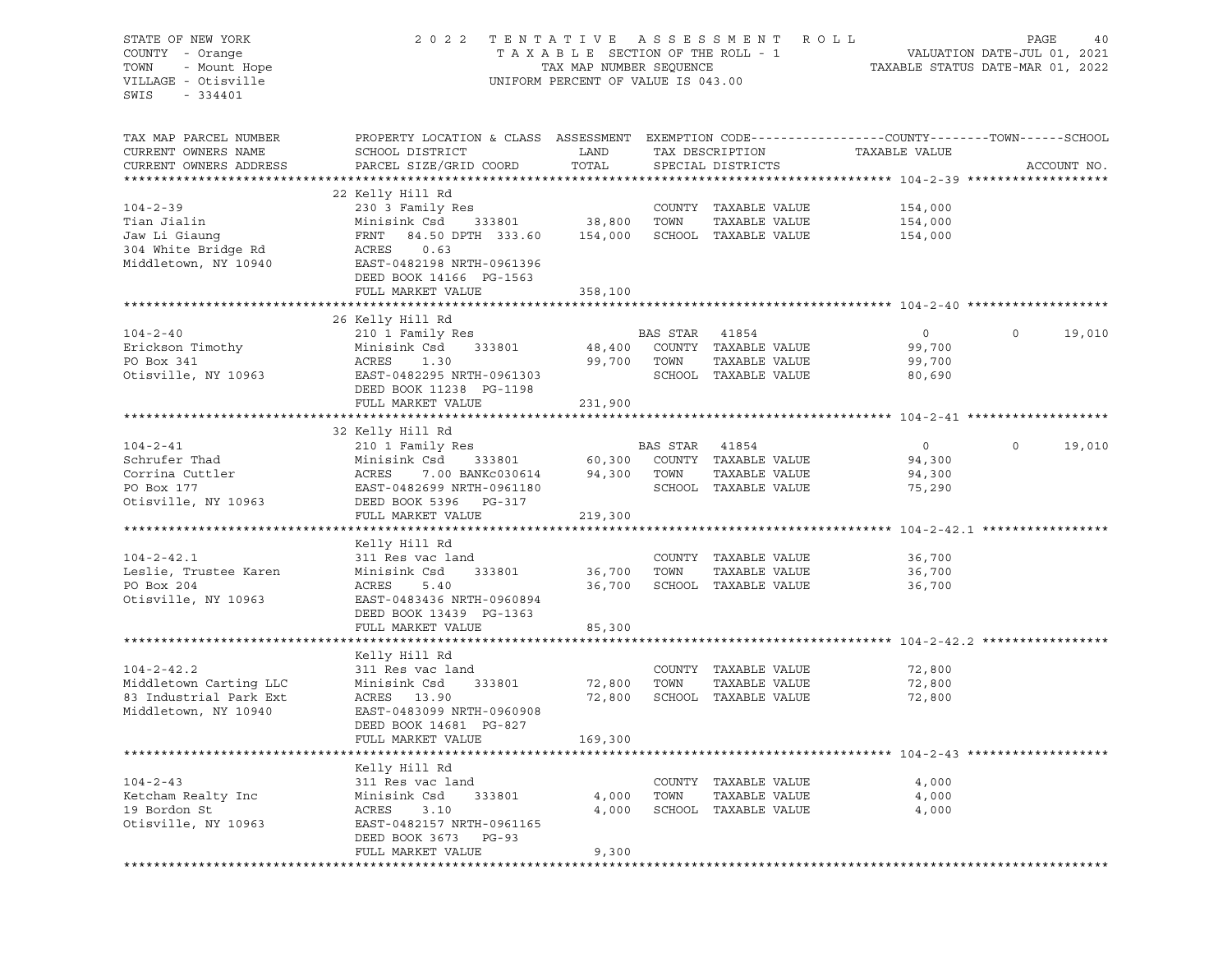## STATE OF NEW YORK 2 0 2 2 T E N T A T I V E A S S E S S M E N T R O L L PAGE 40 COUNTY - Orange T A X A B L E SECTION OF THE ROLL - 1 VALUATION DATE-JUL 01, 2021 TOWN - Mount Hope TAX MAP NUMBER SEQUENCE TAXABLE STATUS DATE-MAR 01, 2022 VILLAGE - Otisville UNIFORM PERCENT OF VALUE IS 043.00

| TAX MAP PARCEL NUMBER<br>CURRENT OWNERS NAME<br>CURRENT OWNERS ADDRESS                        | PROPERTY LOCATION & CLASS ASSESSMENT EXEMPTION CODE----------------COUNTY-------TOWN------SCHOOL<br>SCHOOL DISTRICT<br>PARCEL SIZE/GRID COORD                                                | LAND<br>TOTAL          |                | TAX DESCRIPTION<br>SPECIAL DISTRICTS                                        | TAXABLE VALUE                                |          | ACCOUNT NO. |
|-----------------------------------------------------------------------------------------------|----------------------------------------------------------------------------------------------------------------------------------------------------------------------------------------------|------------------------|----------------|-----------------------------------------------------------------------------|----------------------------------------------|----------|-------------|
|                                                                                               |                                                                                                                                                                                              |                        |                |                                                                             |                                              |          |             |
| $104 - 2 - 39$<br>Tian Jialin<br>Jaw Li Giaung<br>304 White Bridge Rd<br>Middletown, NY 10940 | 22 Kelly Hill Rd<br>230 3 Family Res<br>Minisink Csd 333801 38,800 TOWN<br>FRNT 84.50 DPTH 333.60<br>ACRES 0.63<br>EAST-0482198 NRTH-0961396<br>DEED BOOK 14166 PG-1563<br>FULL MARKET VALUE | 358,100                |                | COUNTY TAXABLE VALUE<br>TAXABLE VALUE<br>154,000 SCHOOL TAXABLE VALUE       | 154,000<br>154,000<br>154,000                |          |             |
|                                                                                               |                                                                                                                                                                                              |                        |                |                                                                             |                                              |          |             |
| $104 - 2 - 40$<br>Erickson Timothy<br>PO Box 341<br>Otisville, NY 10963                       | 26 Kelly Hill Rd<br>210 1 Family Res<br>333801<br>Minisink Csd<br>1.30<br>ACRES<br>EAST-0482295 NRTH-0961303<br>DEED BOOK 11238 PG-1198<br>FULL MARKET VALUE                                 | 99,700 TOWN<br>231,900 | BAS STAR 41854 | 48,400 COUNTY TAXABLE VALUE<br>TAXABLE VALUE<br>SCHOOL TAXABLE VALUE        | $\overline{0}$<br>99,700<br>99,700<br>80,690 | $\circ$  | 19,010      |
|                                                                                               |                                                                                                                                                                                              |                        |                |                                                                             |                                              |          |             |
| $104 - 2 - 41$<br>Schrufer Thad<br>Corrina Cuttler<br>Otisville, NY 10963                     | 32 Kelly Hill Rd<br>210 1 Family Res<br>Minisink Csd 333801<br>ACRES 7.00 BANKc030614<br>EAST-0482699 NRTH-0961180<br>DEED BOOK 5396 PG-317                                                  | 94,300 TOWN            | BAS STAR 41854 | 333801 60,300 COUNTY TAXABLE VALUE<br>TAXABLE VALUE<br>SCHOOL TAXABLE VALUE | $\overline{0}$<br>94,300<br>94,300<br>75,290 | $\Omega$ | 19,010      |
|                                                                                               | FULL MARKET VALUE                                                                                                                                                                            | 219,300                |                |                                                                             |                                              |          |             |
|                                                                                               | Kelly Hill Rd                                                                                                                                                                                |                        |                |                                                                             |                                              |          |             |
| $104 - 2 - 42.1$<br>Leslie, Trustee Karen<br>PO Box 204<br>Otisville, NY 10963                | 311 Res vac land<br>Minisink Csd<br>333801<br>ACRES 5.40<br>EAST-0483436 NRTH-0960894<br>DEED BOOK 13439 PG-1363<br>FULL MARKET VALUE                                                        | 36,700 TOWN<br>85,300  |                | COUNTY TAXABLE VALUE<br>TAXABLE VALUE<br>36,700 SCHOOL TAXABLE VALUE        | 36,700<br>36,700<br>36,700                   |          |             |
|                                                                                               |                                                                                                                                                                                              |                        |                |                                                                             |                                              |          |             |
| $104 - 2 - 42.2$<br>Middletown Carting LLC<br>83 Industrial Park Ext<br>Middletown, NY 10940  | Kelly Hill Rd<br>311 Res vac land<br>Minisink Csd<br>333801<br>ACRES 13.90<br>EAST-0483099 NRTH-0960908<br>DEED BOOK 14681 PG-827                                                            | 72,800 TOWN            |                | COUNTY TAXABLE VALUE<br>TAXABLE VALUE<br>72,800 SCHOOL TAXABLE VALUE        | 72,800<br>72,800<br>72,800                   |          |             |
|                                                                                               | FULL MARKET VALUE                                                                                                                                                                            | 169,300                |                |                                                                             |                                              |          |             |
|                                                                                               |                                                                                                                                                                                              |                        |                |                                                                             |                                              |          |             |
| $104 - 2 - 43$<br>Ketcham Realty Inc<br>19 Bordon St<br>Otisville, NY 10963                   | Kelly Hill Rd<br>311 Res vac land<br>Minisink Csd<br>333801<br>ACRES 3.10<br>EAST-0482157 NRTH-0961165<br>DEED BOOK 3673 PG-93                                                               | 4,000<br>4,000         | TOWN           | COUNTY TAXABLE VALUE<br>TAXABLE VALUE<br>SCHOOL TAXABLE VALUE               | 4,000<br>4,000<br>4,000                      |          |             |
|                                                                                               | FULL MARKET VALUE                                                                                                                                                                            | 9,300                  |                |                                                                             |                                              |          |             |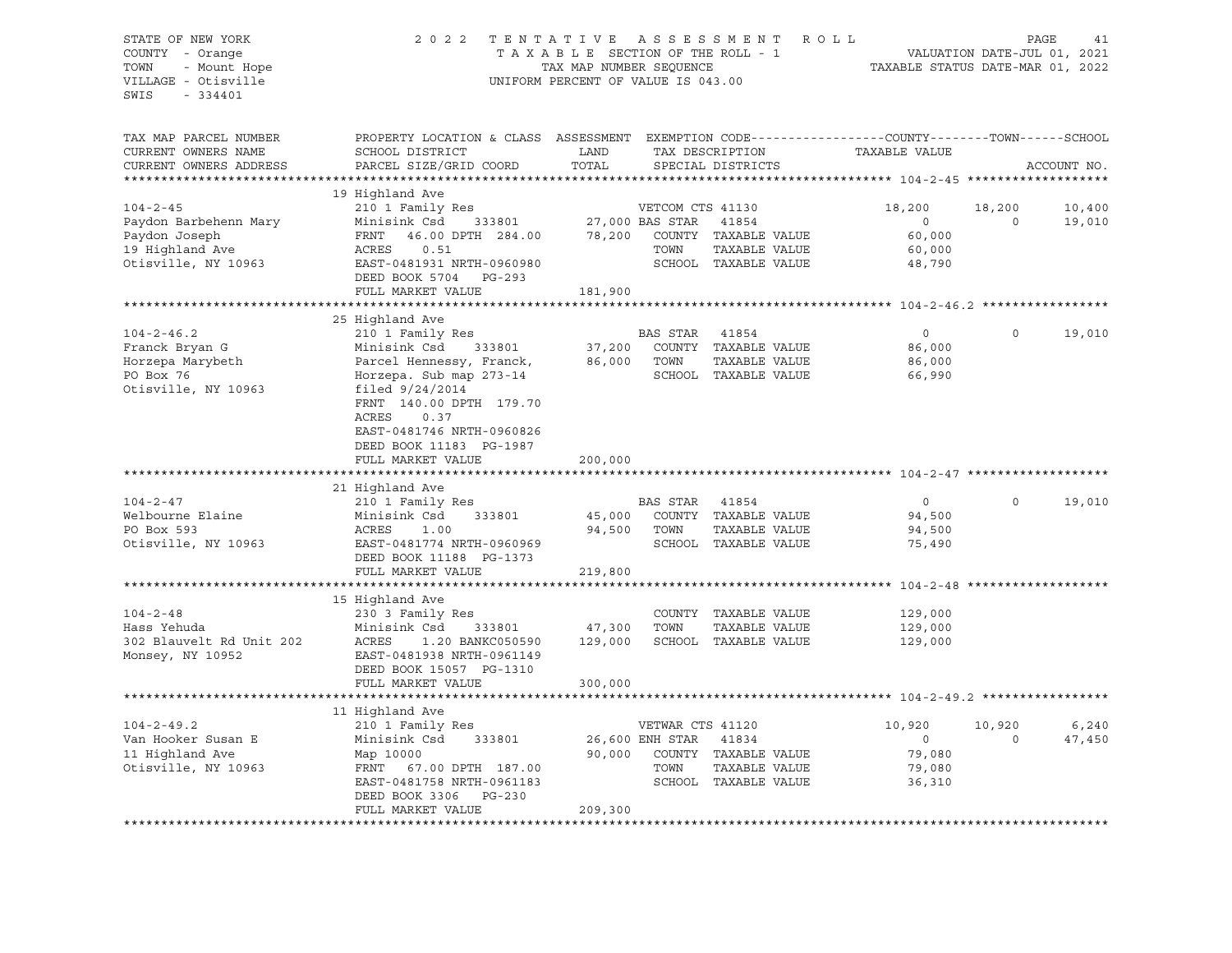STATE OF NEW YORK 2 0 2 2 T E N T A T I V E A S S E S S M E N T R O L L PAGE 41 COUNTY - Orange T A X A B L E SECTION OF THE ROLL - 1 TOWN - Mount Hope TAX NOW TAX MAP NUMBER SEQUENCE TAXABLE STATUS DATE-MAR 01, 2022<br>TILLAGE - Otisville Taxable Taxable Taxable Status UNIFORM PERCENT OF VALUE IS 043.00 UNIFORM PERCENT OF VALUE IS 043.00 SWIS - 334401 TAX MAP PARCEL NUMBER PROPERTY LOCATION & CLASS ASSESSMENT EXEMPTION CODE----------------COUNTY-------TOWN-----SCHOOL CURRENT OWNERS NAME SCHOOL DISTRICT LAND TAX DESCRIPTION TAXABLE VALUE CURRENT OWNERS ADDRESS PARCEL SIZE/GRID COORD TOTAL SPECIAL DISTRICTS ACCOUNT NO. \*\*\*\*\*\*\*\*\*\*\*\*\*\*\*\*\*\*\*\*\*\*\*\*\*\*\*\*\*\*\*\*\*\*\*\*\*\*\*\*\*\*\*\*\*\*\*\*\*\*\*\*\*\*\*\*\*\*\*\*\*\*\*\*\*\*\*\*\*\*\*\*\*\*\*\*\*\*\*\*\*\*\*\*\*\*\*\*\*\*\*\*\*\*\*\*\*\*\*\*\*\*\* 104-2-45 \*\*\*\*\*\*\*\*\*\*\*\*\*\*\*\*\*\*\* 19 Highland Ave 104-2-45 210 1 Family Res VETCOM CTS 41130 18,200 18,200 10,400 Paydon Barbehenn Mary Minisink Csd 333801 27,000 BAS STAR 41854 0 0 19,010 Paydon Joseph FRNT 46.00 DPTH 284.00 78,200 COUNTY TAXABLE VALUE 60,000 19 Highland Ave ACRES 0.51 TOWN TAXABLE VALUE 60,000 Otisville, NY 10963 EAST-0481931 NRTH-0960980 SCHOOL TAXABLE VALUE 48,790 DEED BOOK 5704 PG-293 FULL MARKET VALUE 181,900 \*\*\*\*\*\*\*\*\*\*\*\*\*\*\*\*\*\*\*\*\*\*\*\*\*\*\*\*\*\*\*\*\*\*\*\*\*\*\*\*\*\*\*\*\*\*\*\*\*\*\*\*\*\*\*\*\*\*\*\*\*\*\*\*\*\*\*\*\*\*\*\*\*\*\*\*\*\*\*\*\*\*\*\*\*\*\*\*\*\*\*\*\*\*\*\*\*\*\*\*\*\*\* 104-2-46.2 \*\*\*\*\*\*\*\*\*\*\*\*\*\*\*\*\* 25 Highland Ave 104-2-46.2 210 1 Family Res BAS STAR 41854 0 0 19,010 Franck Bryan G Minisink Csd 333801 37,200 COUNTY TAXABLE VALUE 86,000 Horzepa Marybeth Parcel Hennessy, Franck, 86,000 TOWN TAXABLE VALUE 86,000 PO Box 76 Horzepa. Sub map 273-14 SCHOOL TAXABLE VALUE 66,990 Otisville, NY 10963 filed 9/24/2014 FRNT 140.00 DPTH 179.70 ACRES 0.37 EAST-0481746 NRTH-0960826 DEED BOOK 11183 PG-1987 FULL MARKET VALUE 200,000 \*\*\*\*\*\*\*\*\*\*\*\*\*\*\*\*\*\*\*\*\*\*\*\*\*\*\*\*\*\*\*\*\*\*\*\*\*\*\*\*\*\*\*\*\*\*\*\*\*\*\*\*\*\*\*\*\*\*\*\*\*\*\*\*\*\*\*\*\*\*\*\*\*\*\*\*\*\*\*\*\*\*\*\*\*\*\*\*\*\*\*\*\*\*\*\*\*\*\*\*\*\*\* 104-2-47 \*\*\*\*\*\*\*\*\*\*\*\*\*\*\*\*\*\*\* 21 Highland Ave 104-2-47 210 1 Family Res BAS STAR 41854 0 0 19,010 Welbourne Elaine Minisink Csd 333801 45,000 COUNTY TAXABLE VALUE 94,500 PO Box 593 ACRES 1.00 94,500 TOWN TAXABLE VALUE 94,500 Otisville, NY 10963 EAST-0481774 NRTH-0960969 SCHOOL TAXABLE VALUE 75,490 DEED BOOK 11188 PG-1373 FULL MARKET VALUE 219,800 \*\*\*\*\*\*\*\*\*\*\*\*\*\*\*\*\*\*\*\*\*\*\*\*\*\*\*\*\*\*\*\*\*\*\*\*\*\*\*\*\*\*\*\*\*\*\*\*\*\*\*\*\*\*\*\*\*\*\*\*\*\*\*\*\*\*\*\*\*\*\*\*\*\*\*\*\*\*\*\*\*\*\*\*\*\*\*\*\*\*\*\*\*\*\*\*\*\*\*\*\*\*\* 104-2-48 \*\*\*\*\*\*\*\*\*\*\*\*\*\*\*\*\*\*\* 15 Highland Ave 104-2-48 1990 104-2-48 104-2-48 230 3 Family Res COUNTY TAXABLE VALUE 129,000 Hass Yehuda Minisink Csd 333801 47,300 TOWN TAXABLE VALUE 129,000 302 Blauvelt Rd Unit 202 ACRES 1.20 BANKC050590 129,000 SCHOOL TAXABLE VALUE 129,000 Monsey, NY 10952 EAST-0481938 NRTH-0961149 DEED BOOK 15057 PG-1310 FULL MARKET VALUE 300,000 \*\*\*\*\*\*\*\*\*\*\*\*\*\*\*\*\*\*\*\*\*\*\*\*\*\*\*\*\*\*\*\*\*\*\*\*\*\*\*\*\*\*\*\*\*\*\*\*\*\*\*\*\*\*\*\*\*\*\*\*\*\*\*\*\*\*\*\*\*\*\*\*\*\*\*\*\*\*\*\*\*\*\*\*\*\*\*\*\*\*\*\*\*\*\*\*\*\*\*\*\*\*\* 104-2-49.2 \*\*\*\*\*\*\*\*\*\*\*\*\*\*\*\*\* 11 Highland Ave 104-2-49.2 210 1 Family Res VETWAR CTS 41120 10,920 10,920 6,240 Van Hooker Susan E Minisink Csd 333801 26,600 ENH STAR 41834 0 0 10,020 0 47,450 11 Highland Ave Map 10000 90,000 COUNTY TAXABLE VALUE 79,080 Otisville, NY 10963 FRNT 67.00 DPTH 187.00 TOWN TAXABLE VALUE 79,080 EAST-0481758 NRTH-0961183 SCHOOL TAXABLE VALUE 36,310 DEED BOOK 3306 PG-230 FULL MARKET VALUE 209,300 \*\*\*\*\*\*\*\*\*\*\*\*\*\*\*\*\*\*\*\*\*\*\*\*\*\*\*\*\*\*\*\*\*\*\*\*\*\*\*\*\*\*\*\*\*\*\*\*\*\*\*\*\*\*\*\*\*\*\*\*\*\*\*\*\*\*\*\*\*\*\*\*\*\*\*\*\*\*\*\*\*\*\*\*\*\*\*\*\*\*\*\*\*\*\*\*\*\*\*\*\*\*\*\*\*\*\*\*\*\*\*\*\*\*\*\*\*\*\*\*\*\*\*\*\*\*\*\*\*\*\*\*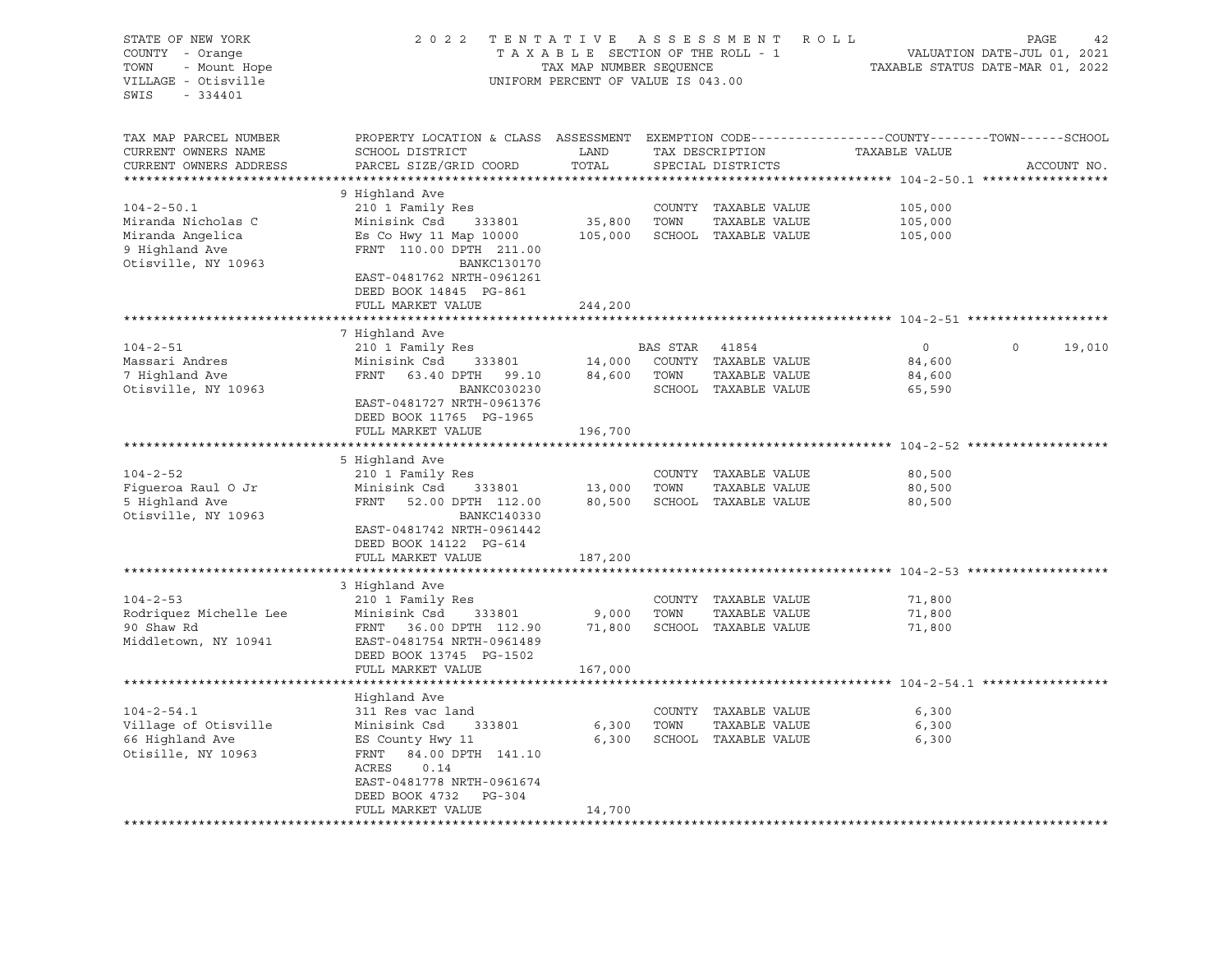| STATE OF NEW YORK<br>COUNTY - Orange<br>- Mount Hope<br>TOWN<br>VILLAGE - Otisville | 2 0 2 2<br>TENTATIVE<br>TAXABLE SECTION OF THE ROLL - 1<br>TAX MAP NUMBER SEQUENCE<br>UNIFORM PERCENT OF VALUE IS 043.00 | R O L L          | PAGE<br>42<br>VALUATION DATE-JUL 01, 2021<br>TAXABLE STATUS DATE-MAR 01, 2022 |                                       |                  |                    |
|-------------------------------------------------------------------------------------|--------------------------------------------------------------------------------------------------------------------------|------------------|-------------------------------------------------------------------------------|---------------------------------------|------------------|--------------------|
| SWIS<br>- 334401                                                                    |                                                                                                                          |                  |                                                                               |                                       |                  |                    |
| TAX MAP PARCEL NUMBER                                                               | PROPERTY LOCATION & CLASS ASSESSMENT EXEMPTION CODE----------------COUNTY-------TOWN------SCHOOL                         |                  |                                                                               |                                       |                  |                    |
| CURRENT OWNERS NAME<br>CURRENT OWNERS ADDRESS                                       | SCHOOL DISTRICT<br>PARCEL SIZE/GRID COORD                                                                                | LAND<br>TOTAL    |                                                                               | TAX DESCRIPTION<br>SPECIAL DISTRICTS  | TAXABLE VALUE    | ACCOUNT NO.        |
| *************************                                                           |                                                                                                                          |                  |                                                                               |                                       |                  |                    |
|                                                                                     | 9 Highland Ave                                                                                                           |                  |                                                                               |                                       |                  |                    |
| $104 - 2 - 50.1$                                                                    | 210 1 Family Res                                                                                                         |                  |                                                                               | COUNTY TAXABLE VALUE                  | 105,000          |                    |
| Miranda Nicholas C                                                                  | Minisink Csd 333801                                                                                                      | 35,800           | TOWN                                                                          | TAXABLE VALUE                         | 105,000          |                    |
| Miranda Angelica                                                                    | Es Co Hwy 11 Map 10000                                                                                                   | 105,000          |                                                                               | SCHOOL TAXABLE VALUE                  | 105,000          |                    |
| 9 Highland Ave                                                                      | FRNT 110.00 DPTH 211.00                                                                                                  |                  |                                                                               |                                       |                  |                    |
| Otisville, NY 10963                                                                 | <b>BANKC130170</b>                                                                                                       |                  |                                                                               |                                       |                  |                    |
|                                                                                     | EAST-0481762 NRTH-0961261                                                                                                |                  |                                                                               |                                       |                  |                    |
|                                                                                     | DEED BOOK 14845 PG-861                                                                                                   |                  |                                                                               |                                       |                  |                    |
|                                                                                     | FULL MARKET VALUE                                                                                                        | 244,200          |                                                                               |                                       |                  |                    |
|                                                                                     |                                                                                                                          |                  |                                                                               |                                       |                  |                    |
|                                                                                     | 7 Highland Ave                                                                                                           |                  |                                                                               |                                       |                  |                    |
| $104 - 2 - 51$                                                                      | 210 1 Family Res                                                                                                         |                  | BAS STAR 41854                                                                |                                       | $\Omega$         | $\Omega$<br>19,010 |
| Massari Andres                                                                      | Minisink Csd<br>333801<br>FRNT                                                                                           | 14,000<br>84,600 | TOWN                                                                          | COUNTY TAXABLE VALUE                  | 84,600           |                    |
| 7 Highland Ave<br>Otisville, NY 10963                                               | 63.40 DPTH 99.10<br>BANKC030230                                                                                          |                  |                                                                               | TAXABLE VALUE<br>SCHOOL TAXABLE VALUE | 84,600<br>65,590 |                    |
|                                                                                     | EAST-0481727 NRTH-0961376                                                                                                |                  |                                                                               |                                       |                  |                    |
|                                                                                     | DEED BOOK 11765 PG-1965                                                                                                  |                  |                                                                               |                                       |                  |                    |
|                                                                                     | FULL MARKET VALUE                                                                                                        | 196,700          |                                                                               |                                       |                  |                    |
|                                                                                     |                                                                                                                          |                  |                                                                               |                                       |                  |                    |
|                                                                                     | 5 Highland Ave                                                                                                           |                  |                                                                               |                                       |                  |                    |
| $104 - 2 - 52$                                                                      | 210 1 Family Res                                                                                                         |                  |                                                                               | COUNTY TAXABLE VALUE                  | 80,500           |                    |
| Figueroa Raul O Jr                                                                  | Minisink Csd<br>333801                                                                                                   | 13,000           | TOWN                                                                          | TAXABLE VALUE                         | 80,500           |                    |
| 5 Highland Ave                                                                      | FRNT<br>52.00 DPTH 112.00                                                                                                | 80,500           |                                                                               | SCHOOL TAXABLE VALUE                  | 80,500           |                    |
| Otisville, NY 10963                                                                 | BANKC140330                                                                                                              |                  |                                                                               |                                       |                  |                    |
|                                                                                     | EAST-0481742 NRTH-0961442                                                                                                |                  |                                                                               |                                       |                  |                    |
|                                                                                     | DEED BOOK 14122 PG-614                                                                                                   |                  |                                                                               |                                       |                  |                    |
|                                                                                     | FULL MARKET VALUE                                                                                                        | 187,200          |                                                                               |                                       |                  |                    |
|                                                                                     |                                                                                                                          |                  |                                                                               |                                       |                  |                    |
|                                                                                     | 3 Highland Ave                                                                                                           |                  |                                                                               |                                       |                  |                    |
| $104 - 2 - 53$<br>Rodriquez Michelle Lee                                            | 210 1 Family Res                                                                                                         |                  |                                                                               | COUNTY TAXABLE VALUE                  | 71,800           |                    |
| 90 Shaw Rd                                                                          | Minisink Csd<br>333801<br>FRNT 36.00 DPTH 112.90                                                                         | 9,000<br>71,800  | TOWN                                                                          | TAXABLE VALUE<br>SCHOOL TAXABLE VALUE | 71,800<br>71,800 |                    |
| Middletown, NY 10941                                                                | EAST-0481754 NRTH-0961489                                                                                                |                  |                                                                               |                                       |                  |                    |
|                                                                                     | DEED BOOK 13745 PG-1502                                                                                                  |                  |                                                                               |                                       |                  |                    |
|                                                                                     | FULL MARKET VALUE                                                                                                        | 167,000          |                                                                               |                                       |                  |                    |
|                                                                                     |                                                                                                                          |                  |                                                                               |                                       |                  |                    |
|                                                                                     | Highland Ave                                                                                                             |                  |                                                                               |                                       |                  |                    |
| $104 - 2 - 54.1$                                                                    | 311 Res vac land                                                                                                         |                  |                                                                               | COUNTY TAXABLE VALUE                  | 6,300            |                    |
| Village of Otisville                                                                | Minisink Csd<br>333801                                                                                                   | 6,300            | TOWN                                                                          | TAXABLE VALUE                         | 6,300            |                    |
| 66 Highland Ave                                                                     | ES County Hwy 11                                                                                                         | 6,300            |                                                                               | SCHOOL TAXABLE VALUE                  | 6,300            |                    |
| Otisille, NY 10963                                                                  | 84.00 DPTH 141.10<br>FRNT                                                                                                |                  |                                                                               |                                       |                  |                    |
|                                                                                     | ACRES<br>0.14                                                                                                            |                  |                                                                               |                                       |                  |                    |
|                                                                                     | EAST-0481778 NRTH-0961674                                                                                                |                  |                                                                               |                                       |                  |                    |
|                                                                                     | DEED BOOK 4732<br>PG-304                                                                                                 |                  |                                                                               |                                       |                  |                    |
|                                                                                     | FULL MARKET VALUE                                                                                                        | 14,700           |                                                                               |                                       |                  |                    |
| *********************                                                               |                                                                                                                          |                  |                                                                               |                                       |                  |                    |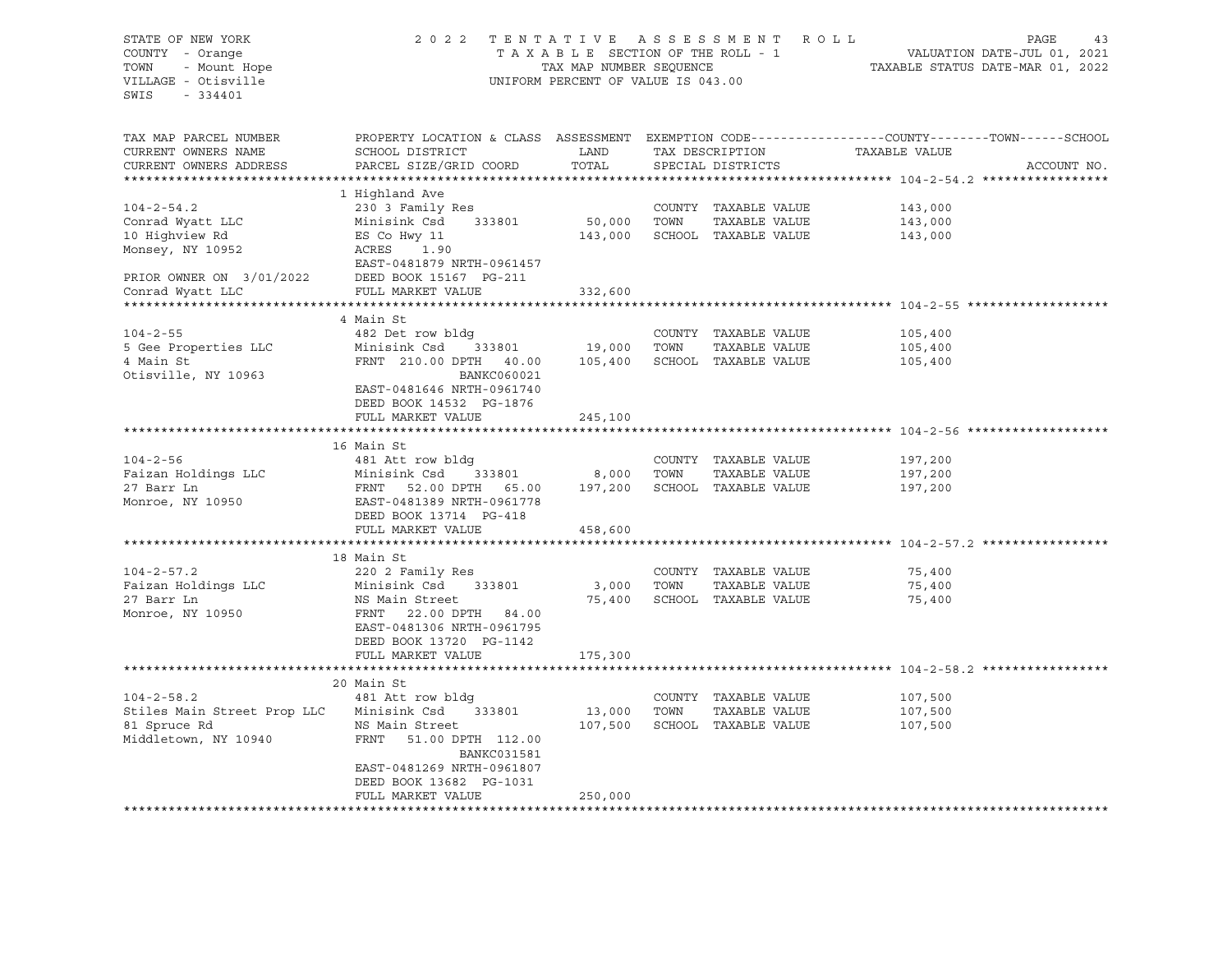# STATE OF NEW YORK 2 0 2 2 T E N T A T I V E A S S E S S M E N T R O L L PAGE 43 TAXABLE SECTION OF THE ROLL - 1 TOWN - Mount Hope TAX MAP NUMBER SEQUENCE TAX ALL TAXABLE STATUS DATE-MAR 01, 2022 VILLAGE - Otisville UNIFORM PERCENT OF VALUE IS 043.00

TAX MAP PARCEL NUMBER PROPERTY LOCATION & CLASS ASSESSMENT EXEMPTION CODE------------------COUNTY--------TOWN------SCHOOL CURRENT OWNERS NAME SCHOOL DISTRICT TAX DAND TAX DESCRIPTION TAXABLE VALUE CURRENT OWNERS ADDRESS PARCEL SIZE/GRID COORD TOTAL SPECIAL DISTRICTS ACCOUNT NO. \*\*\*\*\*\*\*\*\*\*\*\*\*\*\*\*\*\*\*\*\*\*\*\*\*\*\*\*\*\*\*\*\*\*\*\*\*\*\*\*\*\*\*\*\*\*\*\*\*\*\*\*\*\*\*\*\*\*\*\*\*\*\*\*\*\*\*\*\*\*\*\*\*\*\*\*\*\*\*\*\*\*\*\*\*\*\*\*\*\*\*\*\*\*\*\*\*\*\*\*\*\*\* 104-2-54.2 \*\*\*\*\*\*\*\*\*\*\*\*\*\*\*\*\* 1 Highland Ave 104-2-54.2 230 3 Family Res COUNTY TAXABLE VALUE 143,000 Conrad Wyatt LLC Minisink Csd 333801 50,000 TOWN TAXABLE VALUE 143,000 10 Highview Rd ES Co Hwy 11 143,000 SCHOOL TAXABLE VALUE 143,000 Monsey, NY 10952 <br>
ACRES 1.90 EAST-0481879 NRTH-0961457 PRIOR OWNER ON 3/01/2022 DEED BOOK 15167 PG-211 Conrad Wyatt LLC FULL MARKET VALUE 332,600 \*\*\*\*\*\*\*\*\*\*\*\*\*\*\*\*\*\*\*\*\*\*\*\*\*\*\*\*\*\*\*\*\*\*\*\*\*\*\*\*\*\*\*\*\*\*\*\*\*\*\*\*\*\*\*\*\*\*\*\*\*\*\*\*\*\*\*\*\*\*\*\*\*\*\*\*\*\*\*\*\*\*\*\*\*\*\*\*\*\*\*\*\*\*\*\*\*\*\*\*\*\*\* 104-2-55 \*\*\*\*\*\*\*\*\*\*\*\*\*\*\*\*\*\*\* 4 Main St<br>104-2-55 482 Det 104-2-55 482 Det row bldg COUNTY TAXABLE VALUE 105,400 5 Gee Properties LLC Minisink Csd 333801 19,000 TOWN TAXABLE VALUE 105,400 4 Main St FRNT 210.00 DPTH 40.00 105,400 SCHOOL TAXABLE VALUE 105,400 Otisville, NY 10963 BANKC060021 EAST-0481646 NRTH-0961740 DEED BOOK 14532 PG-1876 FULL MARKET VALUE 245,100 \*\*\*\*\*\*\*\*\*\*\*\*\*\*\*\*\*\*\*\*\*\*\*\*\*\*\*\*\*\*\*\*\*\*\*\*\*\*\*\*\*\*\*\*\*\*\*\*\*\*\*\*\*\*\*\*\*\*\*\*\*\*\*\*\*\*\*\*\*\*\*\*\*\*\*\*\*\*\*\*\*\*\*\*\*\*\*\*\*\*\*\*\*\*\*\*\*\*\*\*\*\*\* 104-2-56 \*\*\*\*\*\*\*\*\*\*\*\*\*\*\*\*\*\*\* 16 Main St 104-2-56 481 Att row bldg COUNTY TAXABLE VALUE 197,200 Faizan Holdings LLC Minisink Csd 333801 8,000 TOWN TAXABLE VALUE 197,200 27 Barr Ln FRNT 52.00 DPTH 65.00 197,200 SCHOOL TAXABLE VALUE 197,200 Monroe, NY 10950 EAST-0481389 NRTH-0961778 DEED BOOK 13714 PG-418 FULL MARKET VALUE 458,600 \*\*\*\*\*\*\*\*\*\*\*\*\*\*\*\*\*\*\*\*\*\*\*\*\*\*\*\*\*\*\*\*\*\*\*\*\*\*\*\*\*\*\*\*\*\*\*\*\*\*\*\*\*\*\*\*\*\*\*\*\*\*\*\*\*\*\*\*\*\*\*\*\*\*\*\*\*\*\*\*\*\*\*\*\*\*\*\*\*\*\*\*\*\*\*\*\*\*\*\*\*\*\* 104-2-57.2 \*\*\*\*\*\*\*\*\*\*\*\*\*\*\*\*\* 18 Main St 104-2-57.2 220 2 Family Res COUNTY TAXABLE VALUE 75,400 Faizan Holdings LLC Minisink Csd 333801 3,000 TOWN TAXABLE VALUE 75,400 27 Barr Ln NS Main Street 75,400 SCHOOL TAXABLE VALUE 75,400 Monroe, NY 10950 FRNT 22.00 DPTH 84.00 EAST-0481306 NRTH-0961795 DEED BOOK 13720 PG-1142 FULL MARKET VALUE 175,300 \*\*\*\*\*\*\*\*\*\*\*\*\*\*\*\*\*\*\*\*\*\*\*\*\*\*\*\*\*\*\*\*\*\*\*\*\*\*\*\*\*\*\*\*\*\*\*\*\*\*\*\*\*\*\*\*\*\*\*\*\*\*\*\*\*\*\*\*\*\*\*\*\*\*\*\*\*\*\*\*\*\*\*\*\*\*\*\*\*\*\*\*\*\*\*\*\*\*\*\*\*\*\* 104-2-58.2 \*\*\*\*\*\*\*\*\*\*\*\*\*\*\*\*\* 20 Main St 104-2-58.2 481 Att row bldg COUNTY TAXABLE VALUE 107,500 Stiles Main Street Prop LLC Minisink Csd 333801 13,000 TOWN TAXABLE VALUE 107,500 BUILES MAIN SUICUL TIOP LILE MINISION CSA SOSSOL 107,500 TOMY IMMEDIA WAS MADE 107,500<br>81 Spruce Rd NS Main Street 107,500 SCHOOL TAXABLE VALUE 107,500 Middletown, NY 10940 FRNT 51.00 DPTH 112.00 BANKC031581 EAST-0481269 NRTH-0961807 DEED BOOK 13682 PG-1031 FULL MARKET VALUE 250,000 \*\*\*\*\*\*\*\*\*\*\*\*\*\*\*\*\*\*\*\*\*\*\*\*\*\*\*\*\*\*\*\*\*\*\*\*\*\*\*\*\*\*\*\*\*\*\*\*\*\*\*\*\*\*\*\*\*\*\*\*\*\*\*\*\*\*\*\*\*\*\*\*\*\*\*\*\*\*\*\*\*\*\*\*\*\*\*\*\*\*\*\*\*\*\*\*\*\*\*\*\*\*\*\*\*\*\*\*\*\*\*\*\*\*\*\*\*\*\*\*\*\*\*\*\*\*\*\*\*\*\*\*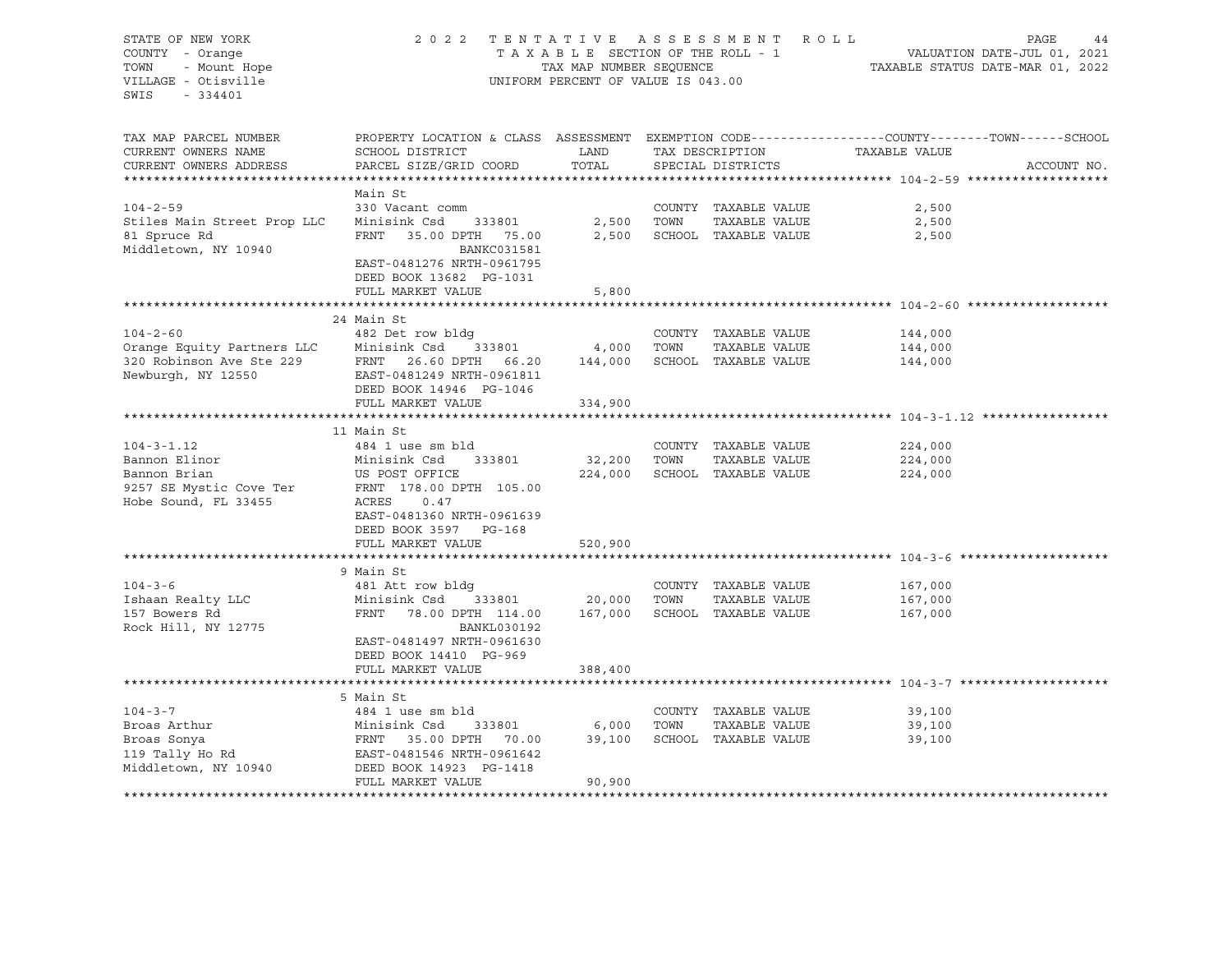STATE OF NEW YORK CONSULTED A SINGLE 2022 TENTATIVE ASSESSMENT ROLL TROULD FAGE 44<br>COUNTY - Orange COUNTY - Orange COUNTY - COUNTY - Orange COUNTY - Orange T A X A B L E SECTION OF THE ROLL - 1 TOWN - Mount Hope TAX MAP NUMBER SEQUENCE TAXABLE STATUS DATE-MAR 01, 2022 VILLAGE - Otisville UNIFORM PERCENT OF VALUE IS 043.00 SWIS - 334401 TAX MAP PARCEL NUMBER PROPERTY LOCATION & CLASS ASSESSMENT EXEMPTION CODE------------------COUNTY--------TOWN------SCHOOL CURRENT OWNERS NAME SCHOOL DISTRICT LAND TAX DESCRIPTION TAXABLE VALUE CURRENT OWNERS ADDRESS PARCEL SIZE/GRID COORD TOTAL SPECIAL DISTRICTS ACCOUNT NO. \*\*\*\*\*\*\*\*\*\*\*\*\*\*\*\*\*\*\*\*\*\*\*\*\*\*\*\*\*\*\*\*\*\*\*\*\*\*\*\*\*\*\*\*\*\*\*\*\*\*\*\*\*\*\*\*\*\*\*\*\*\*\*\*\*\*\*\*\*\*\*\*\*\*\*\*\*\*\*\*\*\*\*\*\*\*\*\*\*\*\*\*\*\*\*\*\*\*\*\*\*\*\* 104-2-59 \*\*\*\*\*\*\*\*\*\*\*\*\*\*\*\*\*\*\* Main St 104-2-59 330 Vacant comm COUNTY TAXABLE VALUE 2,500 Stiles Main Street Prop LLC Minisink Csd 333801 2,500 TOWN TAXABLE VALUE 2,500 81 Spruce Rd FRNT 35.00 DPTH 75.00 2,500 SCHOOL TAXABLE VALUE 2,500 Middletown, NY 10940 BANKC031581 EAST-0481276 NRTH-0961795 DEED BOOK 13682 PG-1031 FULL MARKET VALUE 5,800 \*\*\*\*\*\*\*\*\*\*\*\*\*\*\*\*\*\*\*\*\*\*\*\*\*\*\*\*\*\*\*\*\*\*\*\*\*\*\*\*\*\*\*\*\*\*\*\*\*\*\*\*\*\*\*\*\*\*\*\*\*\*\*\*\*\*\*\*\*\*\*\*\*\*\*\*\*\*\*\*\*\*\*\*\*\*\*\*\*\*\*\*\*\*\*\*\*\*\*\*\*\*\* 104-2-60 \*\*\*\*\*\*\*\*\*\*\*\*\*\*\*\*\*\*\* 24 Main St 104-2-60 482 Det row bldg COUNTY TAXABLE VALUE 144,000 Orange Equity Partners LLC Minisink Csd 333801 4,000 TOWN TAXABLE VALUE 144,000 320 Robinson Ave Ste 229 FRNT 26.60 DPTH 66.20 144,000 SCHOOL TAXABLE VALUE 144,000 Newburgh, NY 12550 EAST-0481249 NRTH-0961811 DEED BOOK 14946 PG-1046 FULL MARKET VALUE 334,900 \*\*\*\*\*\*\*\*\*\*\*\*\*\*\*\*\*\*\*\*\*\*\*\*\*\*\*\*\*\*\*\*\*\*\*\*\*\*\*\*\*\*\*\*\*\*\*\*\*\*\*\*\*\*\*\*\*\*\*\*\*\*\*\*\*\*\*\*\*\*\*\*\*\*\*\*\*\*\*\*\*\*\*\*\*\*\*\*\*\*\*\*\*\*\*\*\*\*\*\*\*\*\* 104-3-1.12 \*\*\*\*\*\*\*\*\*\*\*\*\*\*\*\*\* 11 Main St 104-3-1.12 484 1 use sm bld COUNTY TAXABLE VALUE 224,000 Bannon Elinor Minisink Csd 333801 32,200 TOWN TAXABLE VALUE 224,000 Bannon Brian US POST OFFICE 224,000 SCHOOL TAXABLE VALUE 224,000 9257 SE Mystic Cove Ter FRNT 178.00 DPTH 105.00 Hobe Sound, FL 33455 ACRES 0.47 EAST-0481360 NRTH-0961639 DEED BOOK 3597 PG-168 FULL MARKET VALUE 520,900 \*\*\*\*\*\*\*\*\*\*\*\*\*\*\*\*\*\*\*\*\*\*\*\*\*\*\*\*\*\*\*\*\*\*\*\*\*\*\*\*\*\*\*\*\*\*\*\*\*\*\*\*\*\*\*\*\*\*\*\*\*\*\*\*\*\*\*\*\*\*\*\*\*\*\*\*\*\*\*\*\*\*\*\*\*\*\*\*\*\*\*\*\*\*\*\*\*\*\*\*\*\*\* 104-3-6 \*\*\*\*\*\*\*\*\*\*\*\*\*\*\*\*\*\*\*\* 9 Main St 104-3-6 481 Att row bldg COUNTY TAXABLE VALUE 167,000 Ishaan Realty LLC Minisink Csd 333801 20,000 TOWN TAXABLE VALUE 167,000 157 Bowers Rd FRNT 78.00 DPTH 114.00 167,000 SCHOOL TAXABLE VALUE 167,000 Rock Hill, NY 12775 BANKL030192 EAST-0481497 NRTH-0961630 DEED BOOK 14410 PG-969 FULL MARKET VALUE 388,400 \*\*\*\*\*\*\*\*\*\*\*\*\*\*\*\*\*\*\*\*\*\*\*\*\*\*\*\*\*\*\*\*\*\*\*\*\*\*\*\*\*\*\*\*\*\*\*\*\*\*\*\*\*\*\*\*\*\*\*\*\*\*\*\*\*\*\*\*\*\*\*\*\*\*\*\*\*\*\*\*\*\*\*\*\*\*\*\*\*\*\*\*\*\*\*\*\*\*\*\*\*\*\* 104-3-7 \*\*\*\*\*\*\*\*\*\*\*\*\*\*\*\*\*\*\*\* 5 Main St 104-3-7 484 1 use sm bld COUNTY TAXABLE VALUE 39,100 Broas Arthur Minisink Csd 333801 6,000 TOWN TAXABLE VALUE 39,100 Broas Sonya FRNT 35.00 DPTH 70.00 39,100 SCHOOL TAXABLE VALUE 39,100 EAST-0481546 NRTH-0961642 Middletown, NY 10940 DEED BOOK 14923 PG-1418 FULL MARKET VALUE 90,900 \*\*\*\*\*\*\*\*\*\*\*\*\*\*\*\*\*\*\*\*\*\*\*\*\*\*\*\*\*\*\*\*\*\*\*\*\*\*\*\*\*\*\*\*\*\*\*\*\*\*\*\*\*\*\*\*\*\*\*\*\*\*\*\*\*\*\*\*\*\*\*\*\*\*\*\*\*\*\*\*\*\*\*\*\*\*\*\*\*\*\*\*\*\*\*\*\*\*\*\*\*\*\*\*\*\*\*\*\*\*\*\*\*\*\*\*\*\*\*\*\*\*\*\*\*\*\*\*\*\*\*\*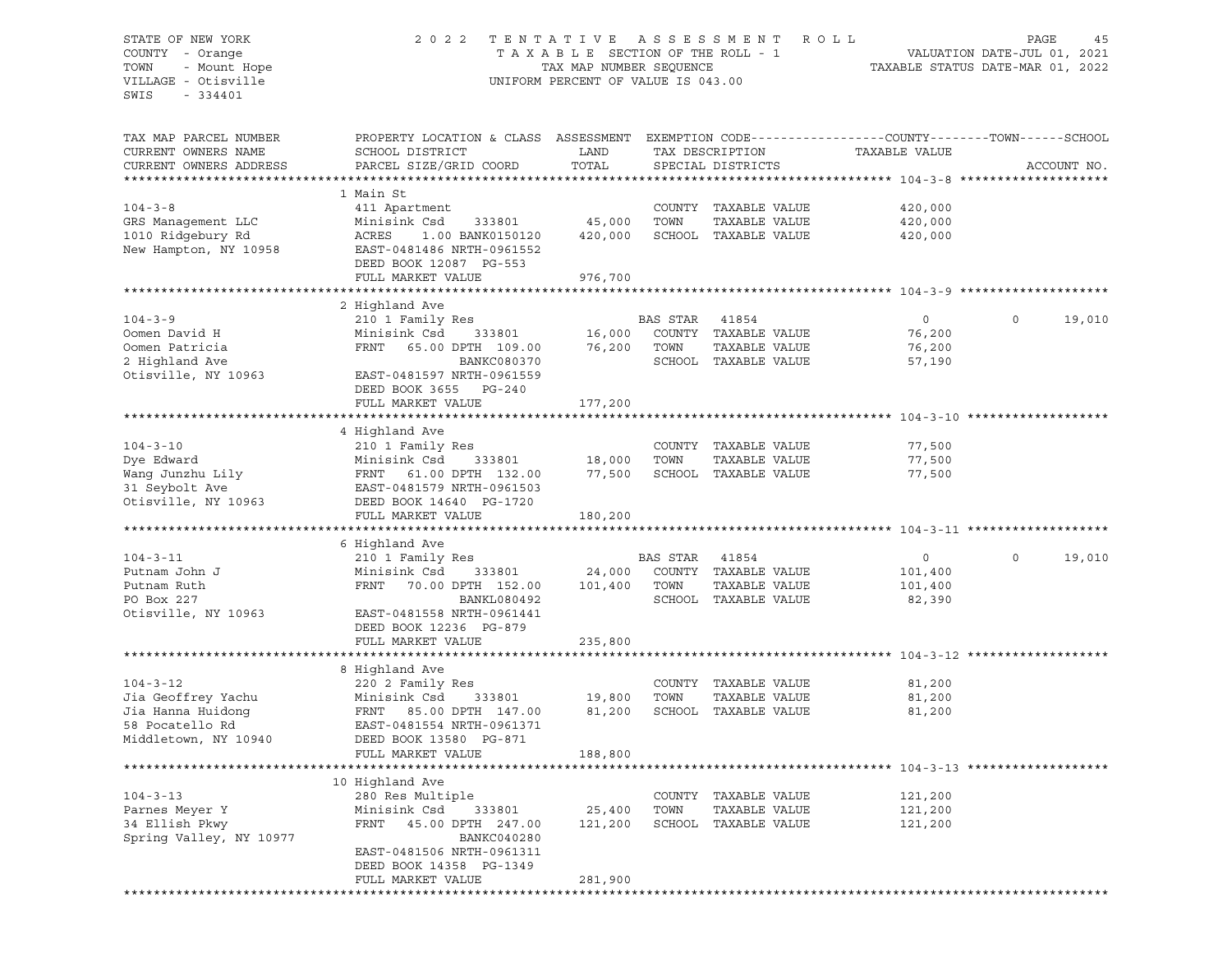## STATE OF NEW YORK 2 0 2 2 T E N T A T I V E A S S E S S M E N T R O L L PAGE 45 COUNTY - Orange T A X A B L E SECTION OF THE ROLL - 1 VALUATION DATE-JUL 01, 2021 TOWN - Mount Hope TAX MAP NUMBER SEQUENCE TAXABLE STATUS DATE-MAR 01, 2022 VILLAGE - Otisville UNIFORM PERCENT OF VALUE IS 043.00

| TAX MAP PARCEL NUMBER<br>CURRENT OWNERS NAME<br>CURRENT OWNERS ADDRESS | PROPERTY LOCATION & CLASS ASSESSMENT<br>SCHOOL DISTRICT<br>PARCEL SIZE/GRID COORD | LAND<br>TOTAL |                | TAX DESCRIPTION<br>SPECIAL DISTRICTS | TAXABLE VALUE                      | EXEMPTION CODE-----------------COUNTY-------TOWN------SCHOOL<br>ACCOUNT NO. |
|------------------------------------------------------------------------|-----------------------------------------------------------------------------------|---------------|----------------|--------------------------------------|------------------------------------|-----------------------------------------------------------------------------|
| ********************                                                   | ***********************                                                           |               |                |                                      |                                    | ********************                                                        |
|                                                                        | 1 Main St                                                                         |               |                |                                      |                                    |                                                                             |
| $104 - 3 - 8$                                                          |                                                                                   |               |                | COUNTY TAXABLE VALUE                 | 420,000                            |                                                                             |
|                                                                        | 411 Apartment                                                                     |               |                |                                      |                                    |                                                                             |
| GRS Management LLC                                                     | Minisink Csd<br>333801                                                            | 45,000        | TOWN           | TAXABLE VALUE                        | 420,000                            |                                                                             |
| 1010 Ridgebury Rd                                                      | ACRES<br>1.00 BANK0150120                                                         | 420,000       |                | SCHOOL TAXABLE VALUE                 | 420,000                            |                                                                             |
| New Hampton, NY 10958                                                  | EAST-0481486 NRTH-0961552                                                         |               |                |                                      |                                    |                                                                             |
|                                                                        | DEED BOOK 12087 PG-553                                                            |               |                |                                      |                                    |                                                                             |
|                                                                        | FULL MARKET VALUE                                                                 | 976,700       |                |                                      |                                    |                                                                             |
|                                                                        |                                                                                   |               |                |                                      |                                    |                                                                             |
|                                                                        | 2 Highland Ave                                                                    |               |                |                                      |                                    |                                                                             |
| $104 - 3 - 9$                                                          | 210 1 Family Res                                                                  |               | BAS STAR       | 41854                                | $\circ$                            | $\Omega$<br>19,010                                                          |
| Oomen David H                                                          | Minisink Csd<br>333801                                                            | 16,000        |                | COUNTY TAXABLE VALUE                 | 76,200                             |                                                                             |
| Oomen Patricia                                                         | FRNT<br>65.00 DPTH 109.00                                                         | 76,200        | TOWN           | TAXABLE VALUE                        | 76,200                             |                                                                             |
| 2 Highland Ave                                                         | BANKC080370                                                                       |               |                | SCHOOL TAXABLE VALUE                 | 57,190                             |                                                                             |
| Otisville, NY 10963                                                    | EAST-0481597 NRTH-0961559                                                         |               |                |                                      |                                    |                                                                             |
|                                                                        | DEED BOOK 3655 PG-240                                                             |               |                |                                      |                                    |                                                                             |
|                                                                        | FULL MARKET VALUE                                                                 | 177,200       |                |                                      |                                    |                                                                             |
|                                                                        |                                                                                   |               |                |                                      | ******************** 104-3-10      |                                                                             |
|                                                                        | 4 Highland Ave                                                                    |               |                |                                      |                                    |                                                                             |
| $104 - 3 - 10$                                                         | 210 1 Family Res                                                                  |               |                | COUNTY TAXABLE VALUE                 | 77,500                             |                                                                             |
| Dye Edward                                                             | Minisink Csd<br>333801                                                            | 18,000        | TOWN           | TAXABLE VALUE                        | 77,500                             |                                                                             |
| Wang Junzhu Lily                                                       | FRNT 61.00 DPTH 132.00                                                            | 77,500        |                | SCHOOL TAXABLE VALUE                 | 77,500                             |                                                                             |
| 31 Seybolt Ave                                                         | EAST-0481579 NRTH-0961503                                                         |               |                |                                      |                                    |                                                                             |
| Otisville, NY 10963                                                    | DEED BOOK 14640 PG-1720                                                           |               |                |                                      |                                    |                                                                             |
|                                                                        | FULL MARKET VALUE                                                                 | 180,200       |                |                                      |                                    |                                                                             |
|                                                                        |                                                                                   |               |                |                                      |                                    |                                                                             |
|                                                                        | 6 Highland Ave                                                                    |               |                |                                      |                                    |                                                                             |
| $104 - 3 - 11$                                                         | 210 1 Family Res                                                                  |               | BAS STAR 41854 |                                      | $\circ$                            | $\circ$<br>19,010                                                           |
| Putnam John J                                                          | Minisink Csd<br>333801                                                            | 24,000        |                | COUNTY TAXABLE VALUE                 | 101,400                            |                                                                             |
| Putnam Ruth                                                            | FRNT<br>70.00 DPTH 152.00                                                         | 101,400       | TOWN           | TAXABLE VALUE                        | 101,400                            |                                                                             |
| PO Box 227                                                             | BANKL080492                                                                       |               |                | SCHOOL TAXABLE VALUE                 | 82,390                             |                                                                             |
| Otisville, NY 10963                                                    | EAST-0481558 NRTH-0961441                                                         |               |                |                                      |                                    |                                                                             |
|                                                                        | DEED BOOK 12236 PG-879                                                            |               |                |                                      |                                    |                                                                             |
|                                                                        | FULL MARKET VALUE                                                                 | 235,800       |                |                                      |                                    |                                                                             |
|                                                                        |                                                                                   |               |                |                                      | ******************** 104-3-12 **** |                                                                             |
|                                                                        | 8 Highland Ave                                                                    |               |                |                                      |                                    |                                                                             |
| $104 - 3 - 12$                                                         | 220 2 Family Res                                                                  |               |                | COUNTY TAXABLE VALUE                 | 81,200                             |                                                                             |
| Jia Geoffrey Yachu                                                     | Minisink Csd<br>333801                                                            | 19,800        | TOWN           | TAXABLE VALUE                        | 81,200                             |                                                                             |
| Jia Hanna Huidong                                                      | FRNT 85.00 DPTH 147.00                                                            | 81,200        |                | SCHOOL TAXABLE VALUE                 | 81,200                             |                                                                             |
| 58 Pocatello Rd                                                        | EAST-0481554 NRTH-0961371                                                         |               |                |                                      |                                    |                                                                             |
| Middletown, NY 10940                                                   | DEED BOOK 13580 PG-871                                                            |               |                |                                      |                                    |                                                                             |
|                                                                        | FULL MARKET VALUE                                                                 | 188,800       |                |                                      |                                    |                                                                             |
|                                                                        |                                                                                   |               |                |                                      |                                    |                                                                             |
|                                                                        | 10 Highland Ave                                                                   |               |                |                                      |                                    |                                                                             |
| $104 - 3 - 13$                                                         | 280 Res Multiple                                                                  |               |                | COUNTY TAXABLE VALUE                 | 121,200                            |                                                                             |
| Parnes Meyer Y                                                         | Minisink Csd<br>333801                                                            | 25,400        | TOWN           | TAXABLE VALUE                        | 121,200                            |                                                                             |
| 34 Ellish Pkwy                                                         | FRNT<br>45.00 DPTH 247.00                                                         | 121,200       |                | SCHOOL TAXABLE VALUE                 | 121,200                            |                                                                             |
| Spring Valley, NY 10977                                                | BANKC040280                                                                       |               |                |                                      |                                    |                                                                             |
|                                                                        | EAST-0481506 NRTH-0961311                                                         |               |                |                                      |                                    |                                                                             |
|                                                                        | DEED BOOK 14358 PG-1349                                                           |               |                |                                      |                                    |                                                                             |
|                                                                        | FULL MARKET VALUE                                                                 | 281,900       |                |                                      |                                    |                                                                             |
|                                                                        |                                                                                   |               |                |                                      |                                    |                                                                             |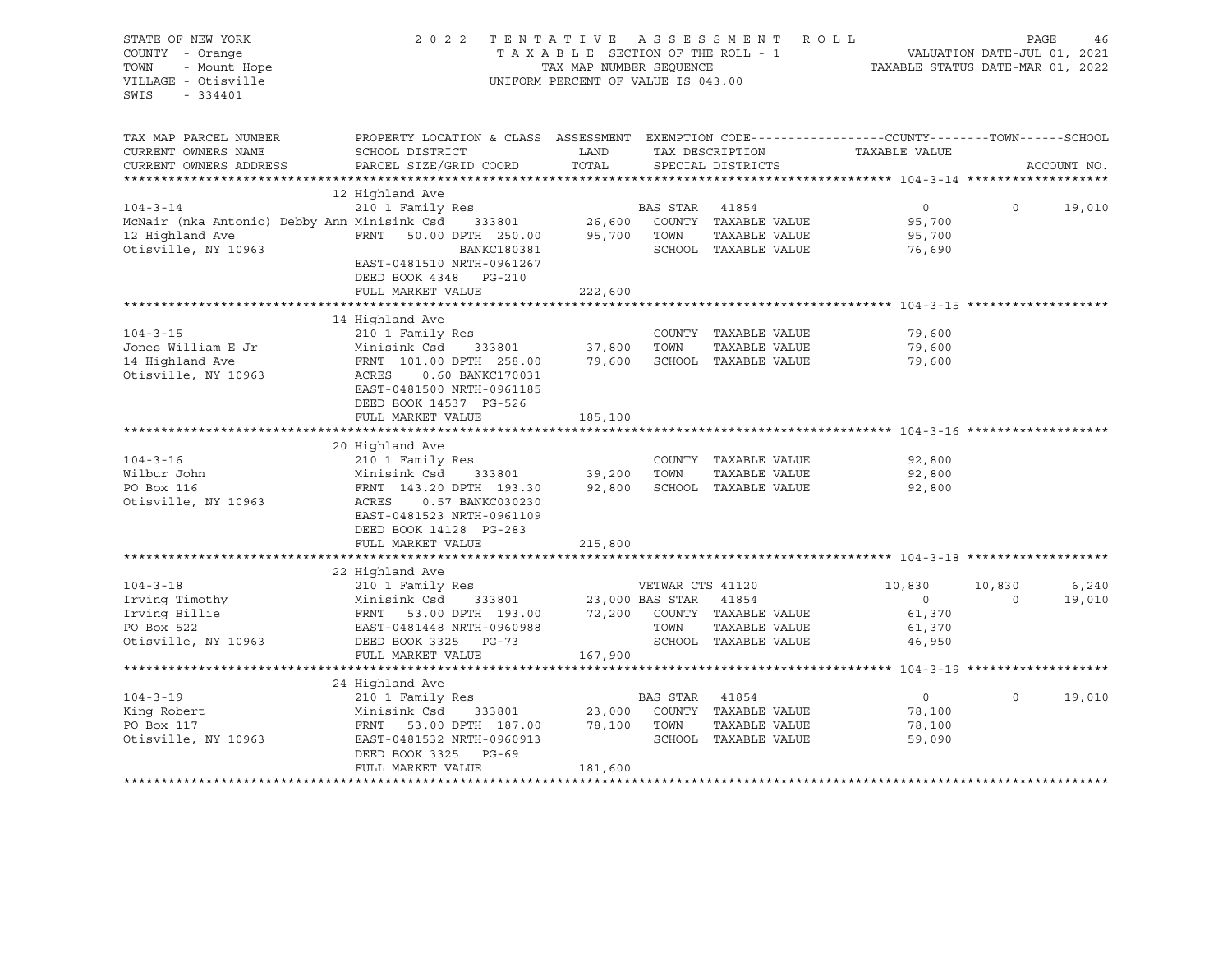| STATE OF NEW YORK<br>COUNTY - Orange<br>- Mount Hope<br>TOWN<br>VILLAGE - Otisville<br>SWIS<br>$-334401$ | 2 0 2 2                                                                                                             | TAX MAP NUMBER SEQUENCE<br>UNIFORM PERCENT OF VALUE IS 043.00 |                  | TENTATIVE ASSESSMENT<br>TAXABLE SECTION OF THE ROLL - 1 | ROLL<br>TAXABLE STATUS DATE-MAR 01, 2022 | PAGE<br>VALUATION DATE-JUL 01, 2021 | 46          |
|----------------------------------------------------------------------------------------------------------|---------------------------------------------------------------------------------------------------------------------|---------------------------------------------------------------|------------------|---------------------------------------------------------|------------------------------------------|-------------------------------------|-------------|
| TAX MAP PARCEL NUMBER<br>CURRENT OWNERS NAME                                                             | PROPERTY LOCATION & CLASS ASSESSMENT EXEMPTION CODE----------------COUNTY-------TOWN------SCHOOL<br>SCHOOL DISTRICT | LAND                                                          |                  | TAX DESCRIPTION                                         | TAXABLE VALUE                            |                                     |             |
| CURRENT OWNERS ADDRESS                                                                                   | PARCEL SIZE/GRID COORD                                                                                              | TOTAL                                                         |                  | SPECIAL DISTRICTS                                       |                                          |                                     | ACCOUNT NO. |
|                                                                                                          | 12 Highland Ave                                                                                                     |                                                               |                  |                                                         |                                          |                                     |             |
| $104 - 3 - 14$                                                                                           | 210 1 Family Res                                                                                                    |                                                               | BAS STAR         | 41854                                                   | $\circ$                                  | $\circ$                             | 19,010      |
| McNair (nka Antonio) Debby Ann Minisink Csd 333801                                                       |                                                                                                                     | 26,600                                                        |                  | COUNTY TAXABLE VALUE                                    | 95,700                                   |                                     |             |
| 12 Highland Ave                                                                                          | FRNT<br>50.00 DPTH 250.00                                                                                           | 95,700                                                        | TOWN             | TAXABLE VALUE                                           | 95,700                                   |                                     |             |
| Otisville, NY 10963                                                                                      | BANKC180381                                                                                                         |                                                               |                  | SCHOOL TAXABLE VALUE                                    | 76,690                                   |                                     |             |
|                                                                                                          | EAST-0481510 NRTH-0961267<br>DEED BOOK 4348 PG-210                                                                  |                                                               |                  |                                                         |                                          |                                     |             |
|                                                                                                          | FULL MARKET VALUE                                                                                                   | 222,600                                                       |                  |                                                         |                                          |                                     |             |
|                                                                                                          |                                                                                                                     |                                                               |                  |                                                         |                                          |                                     |             |
|                                                                                                          | 14 Highland Ave                                                                                                     |                                                               |                  |                                                         |                                          |                                     |             |
| $104 - 3 - 15$                                                                                           | 210 1 Family Res                                                                                                    |                                                               |                  | COUNTY TAXABLE VALUE                                    | 79,600                                   |                                     |             |
| Jones William E Jr                                                                                       | Minisink Csd<br>333801                                                                                              | 37,800                                                        | TOWN             | TAXABLE VALUE                                           | 79,600                                   |                                     |             |
| 14 Highland Ave                                                                                          | FRNT 101.00 DPTH 258.00                                                                                             | 79,600                                                        |                  | SCHOOL TAXABLE VALUE                                    | 79,600                                   |                                     |             |
| Otisville, NY 10963                                                                                      | 0.60 BANKC170031<br>ACRES                                                                                           |                                                               |                  |                                                         |                                          |                                     |             |
|                                                                                                          | EAST-0481500 NRTH-0961185                                                                                           |                                                               |                  |                                                         |                                          |                                     |             |
|                                                                                                          | DEED BOOK 14537 PG-526                                                                                              |                                                               |                  |                                                         |                                          |                                     |             |
|                                                                                                          | FULL MARKET VALUE                                                                                                   | 185,100                                                       |                  |                                                         |                                          |                                     |             |
|                                                                                                          |                                                                                                                     |                                                               |                  |                                                         |                                          |                                     |             |
|                                                                                                          | 20 Highland Ave                                                                                                     |                                                               |                  |                                                         |                                          |                                     |             |
| $104 - 3 - 16$                                                                                           | 210 1 Family Res                                                                                                    |                                                               |                  | COUNTY TAXABLE VALUE                                    | 92,800                                   |                                     |             |
| Wilbur John<br>PO Box 116                                                                                | Minisink Csd<br>333801<br>FRNT 143.20 DPTH 193.30                                                                   | 39,200<br>92,800                                              | TOWN             | TAXABLE VALUE<br>SCHOOL TAXABLE VALUE                   | 92,800<br>92,800                         |                                     |             |
| Otisville, NY 10963                                                                                      | 0.57 BANKC030230<br>ACRES                                                                                           |                                                               |                  |                                                         |                                          |                                     |             |
|                                                                                                          | EAST-0481523 NRTH-0961109                                                                                           |                                                               |                  |                                                         |                                          |                                     |             |
|                                                                                                          | DEED BOOK 14128 PG-283                                                                                              |                                                               |                  |                                                         |                                          |                                     |             |
|                                                                                                          | FULL MARKET VALUE                                                                                                   | 215,800                                                       |                  |                                                         |                                          |                                     |             |
|                                                                                                          |                                                                                                                     |                                                               |                  |                                                         |                                          |                                     |             |
|                                                                                                          | 22 Highland Ave                                                                                                     |                                                               |                  |                                                         |                                          |                                     |             |
| $104 - 3 - 18$                                                                                           | 210 1 Family Res                                                                                                    |                                                               | VETWAR CTS 41120 |                                                         | 10,830                                   | 10,830                              | 6,240       |
| Irving Timothy                                                                                           | Minisink Csd<br>333801                                                                                              |                                                               | 23,000 BAS STAR  | 41854                                                   | $\overline{0}$                           | $\circ$                             | 19,010      |
| Irving Billie                                                                                            |                                                                                                                     |                                                               |                  | 72,200 COUNTY TAXABLE VALUE                             | 61,370                                   |                                     |             |
| PO Box 522                                                                                               |                                                                                                                     |                                                               | TOWN             | TAXABLE VALUE                                           | 61,370                                   |                                     |             |
| Otisville, NY 10963                                                                                      |                                                                                                                     |                                                               |                  | SCHOOL TAXABLE VALUE                                    | 46,950                                   |                                     |             |
|                                                                                                          | FULL MARKET VALUE                                                                                                   | 167,900                                                       |                  |                                                         |                                          |                                     |             |
|                                                                                                          |                                                                                                                     |                                                               |                  |                                                         |                                          |                                     |             |
|                                                                                                          | 24 Highland Ave                                                                                                     |                                                               |                  |                                                         |                                          |                                     |             |
| $104 - 3 - 19$                                                                                           | 210 1 Family Res                                                                                                    |                                                               | BAS STAR         | 41854                                                   | $\overline{0}$                           | $\circ$                             | 19,010      |
| King Robert                                                                                              | Minisink Csd<br>333801                                                                                              | 23,000                                                        |                  | COUNTY TAXABLE VALUE                                    | 78,100                                   |                                     |             |
| PO Box 117                                                                                               | FRNT<br>53.00 DPTH 187.00                                                                                           | 78,100                                                        | TOWN             | TAXABLE VALUE                                           | 78,100                                   |                                     |             |
| Otisville, NY 10963                                                                                      | EAST-0481532 NRTH-0960913                                                                                           |                                                               |                  | SCHOOL TAXABLE VALUE                                    | 59,090                                   |                                     |             |
|                                                                                                          | DEED BOOK 3325 PG-69                                                                                                |                                                               |                  |                                                         |                                          |                                     |             |
|                                                                                                          | FULL MARKET VALUE                                                                                                   | 181,600                                                       |                  |                                                         |                                          |                                     |             |
|                                                                                                          |                                                                                                                     |                                                               |                  |                                                         |                                          |                                     |             |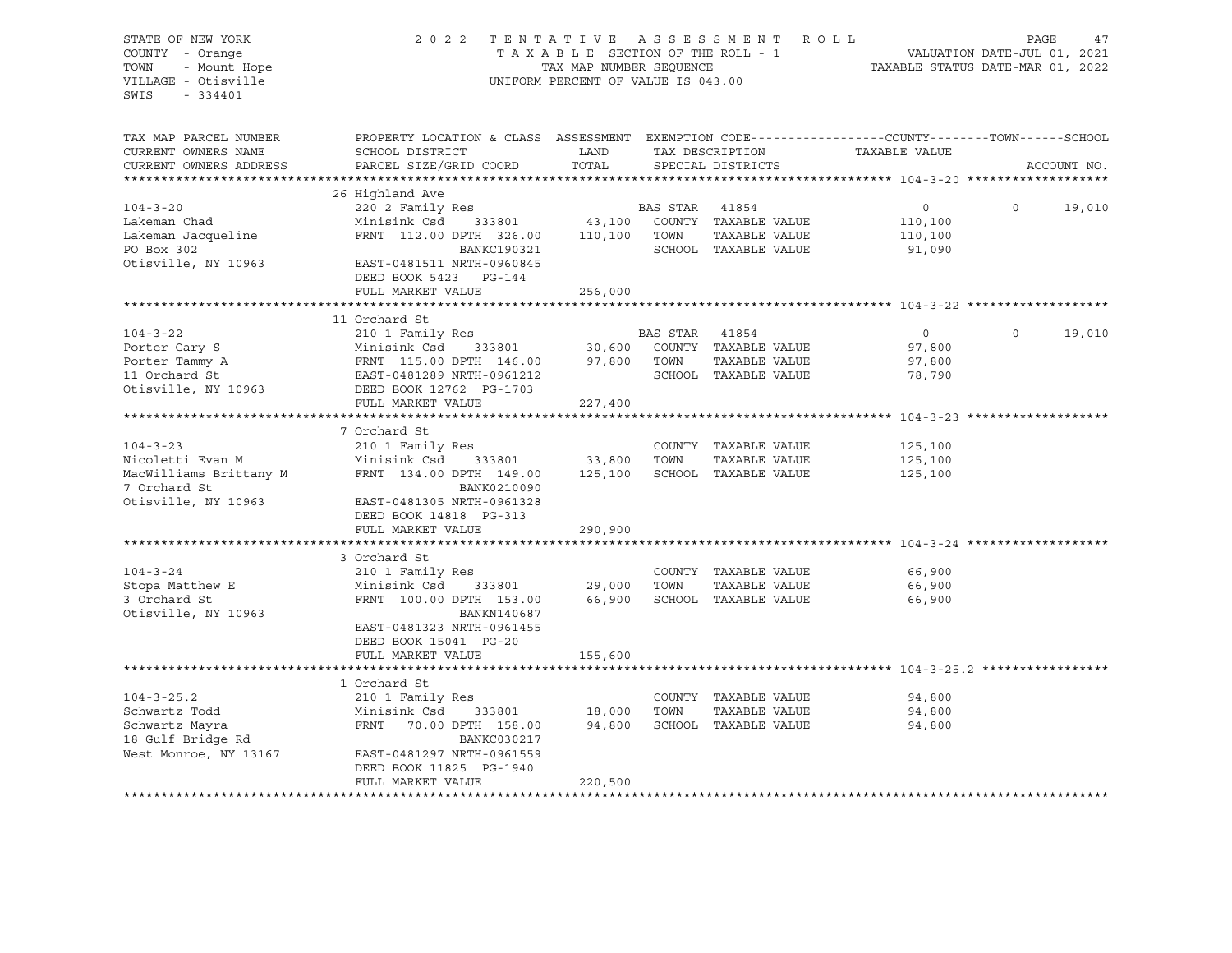| STATE OF NEW YORK                                      |                                                                                                                                                                                                                            |                                    |                |                                 | 2022 TENTATIVE ASSESSMENT ROLL                                              | PAGE     |             | 47     |
|--------------------------------------------------------|----------------------------------------------------------------------------------------------------------------------------------------------------------------------------------------------------------------------------|------------------------------------|----------------|---------------------------------|-----------------------------------------------------------------------------|----------|-------------|--------|
| COUNTY - Orange                                        |                                                                                                                                                                                                                            |                                    |                | TAXABLE SECTION OF THE ROLL - 1 | ROLL - 1<br>VALUATION DATE-JUL 01, 2021<br>TAXABLE STATUS DATE-MAR 01, 2022 |          |             |        |
| TOWN                                                   |                                                                                                                                                                                                                            | TAX MAP NUMBER SEQUENCE            |                |                                 |                                                                             |          |             |        |
| VILLAGE - Otisville                                    |                                                                                                                                                                                                                            | UNIFORM PERCENT OF VALUE IS 043.00 |                |                                 |                                                                             |          |             |        |
| SWIS - 334401                                          |                                                                                                                                                                                                                            |                                    |                |                                 |                                                                             |          |             |        |
|                                                        |                                                                                                                                                                                                                            |                                    |                |                                 |                                                                             |          |             |        |
|                                                        |                                                                                                                                                                                                                            |                                    |                |                                 |                                                                             |          |             |        |
| TAX MAP PARCEL NUMBER                                  | PROPERTY LOCATION & CLASS ASSESSMENT EXEMPTION CODE---------------COUNTY-------TOWN-----SCHOOL                                                                                                                             |                                    |                |                                 |                                                                             |          |             |        |
| CURRENT OWNERS NAME                                    | SCHOOL DISTRICT                                                                                                                                                                                                            | <b>EXAMPLE TO A LAND</b>           |                | TAX DESCRIPTION                 | TAXABLE VALUE                                                               |          |             |        |
| CURRENT OWNERS ADDRESS                                 | PARCEL SIZE/GRID COORD                                                                                                                                                                                                     | TOTAL                              |                | SPECIAL DISTRICTS               |                                                                             |          | ACCOUNT NO. |        |
|                                                        |                                                                                                                                                                                                                            |                                    |                |                                 |                                                                             |          |             |        |
|                                                        | 26 Highland Ave                                                                                                                                                                                                            |                                    |                |                                 |                                                                             |          |             |        |
| $104 - 3 - 20$                                         | 220 2 Family Res                                                                                                                                                                                                           |                                    | BAS STAR 41854 |                                 | $\overline{0}$                                                              | $\circ$  |             | 19,010 |
| Lakeman Chad                                           |                                                                                                                                                                                                                            |                                    |                |                                 | 110,100                                                                     |          |             |        |
| Lakeman Jacqueline                                     |                                                                                                                                                                                                                            |                                    |                |                                 | 110,100                                                                     |          |             |        |
| PO Box 302                                             | BANKC190321                                                                                                                                                                                                                |                                    |                | SCHOOL TAXABLE VALUE            | 91,090                                                                      |          |             |        |
| Otisville, NY 10963                                    | EAST-0481511 NRTH-0960845                                                                                                                                                                                                  |                                    |                |                                 |                                                                             |          |             |        |
|                                                        | DEED BOOK 5423 PG-144                                                                                                                                                                                                      |                                    |                |                                 |                                                                             |          |             |        |
|                                                        |                                                                                                                                                                                                                            |                                    |                |                                 |                                                                             |          |             |        |
|                                                        | FULL MARKET VALUE                                                                                                                                                                                                          | 256,000                            |                |                                 |                                                                             |          |             |        |
|                                                        |                                                                                                                                                                                                                            |                                    |                |                                 |                                                                             |          |             |        |
|                                                        | 210 1 Family Res<br>Minisink Csd 333801 30,600 COUNTY TAXABLE VALUE<br>FRNT 115.00 DPTH 146.00 97,800 TOWN TAXABLE VALUE<br>EAST-0481289 NRTH-0961212 SCHOOL TAXABLE VALUE<br>DEED BOOK 12762 PG-1703<br>FULL MARKET VALUE |                                    |                |                                 |                                                                             |          |             |        |
| $104 - 3 - 22$                                         |                                                                                                                                                                                                                            |                                    |                |                                 | $\overline{0}$                                                              | $\Omega$ |             | 19,010 |
| Porter Gary S                                          |                                                                                                                                                                                                                            |                                    |                |                                 | 97,800                                                                      |          |             |        |
| Porter Tammy A<br>11 Orchard St<br>Otisville, NY 10963 |                                                                                                                                                                                                                            |                                    |                |                                 | 97,800                                                                      |          |             |        |
|                                                        |                                                                                                                                                                                                                            |                                    |                |                                 | 78,790                                                                      |          |             |        |
|                                                        |                                                                                                                                                                                                                            |                                    |                |                                 |                                                                             |          |             |        |
|                                                        | FULL MARKET VALUE                                                                                                                                                                                                          | 227,400                            |                |                                 |                                                                             |          |             |        |
|                                                        |                                                                                                                                                                                                                            |                                    |                |                                 |                                                                             |          |             |        |
|                                                        | 7 Orchard St                                                                                                                                                                                                               |                                    |                |                                 |                                                                             |          |             |        |
| $104 - 3 - 23$                                         | 210 1 Family Res                                                                                                                                                                                                           |                                    |                | COUNTY TAXABLE VALUE            | 125,100                                                                     |          |             |        |
| Nicoletti Evan M                                       | Minisink Csd 333801                                                                                                                                                                                                        | 33,800 TOWN                        |                | TAXABLE VALUE                   | 125,100                                                                     |          |             |        |
| MacWilliams Brittany M                                 | FRNT 134.00 DPTH 149.00                                                                                                                                                                                                    | 125,100                            |                | SCHOOL TAXABLE VALUE            | 125,100                                                                     |          |             |        |
| 7 Orchard St                                           | BANK0210090                                                                                                                                                                                                                |                                    |                |                                 |                                                                             |          |             |        |
| Otisville, NY 10963                                    | EAST-0481305 NRTH-0961328                                                                                                                                                                                                  |                                    |                |                                 |                                                                             |          |             |        |
|                                                        | DEED BOOK 14818 PG-313                                                                                                                                                                                                     |                                    |                |                                 |                                                                             |          |             |        |
|                                                        | FULL MARKET VALUE                                                                                                                                                                                                          | 290,900                            |                |                                 |                                                                             |          |             |        |
|                                                        |                                                                                                                                                                                                                            |                                    |                |                                 |                                                                             |          |             |        |
|                                                        | 3 Orchard St                                                                                                                                                                                                               |                                    |                |                                 |                                                                             |          |             |        |
| $104 - 3 - 24$                                         | 210 1 Family Res                                                                                                                                                                                                           |                                    |                | COUNTY TAXABLE VALUE            | 66,900                                                                      |          |             |        |
|                                                        | Minisink Csd 333801                                                                                                                                                                                                        |                                    | 29,000 TOWN    | TAXABLE VALUE                   | 66,900                                                                      |          |             |        |
| $104 - 5 = 1$<br>Stopa Matthew E<br>3 Orchard St       | FRNT 100.00 DPTH 153.00                                                                                                                                                                                                    |                                    |                | 66,900 SCHOOL TAXABLE VALUE     | 66,900                                                                      |          |             |        |
| Otisville, NY 10963                                    | BANKN140687                                                                                                                                                                                                                |                                    |                |                                 |                                                                             |          |             |        |
|                                                        | EAST-0481323 NRTH-0961455                                                                                                                                                                                                  |                                    |                |                                 |                                                                             |          |             |        |
|                                                        | DEED BOOK 15041 PG-20                                                                                                                                                                                                      |                                    |                |                                 |                                                                             |          |             |        |
|                                                        | FULL MARKET VALUE                                                                                                                                                                                                          | 155,600                            |                |                                 |                                                                             |          |             |        |
|                                                        |                                                                                                                                                                                                                            |                                    |                |                                 |                                                                             |          |             |        |
|                                                        | 1 Orchard St                                                                                                                                                                                                               |                                    |                |                                 |                                                                             |          |             |        |
|                                                        |                                                                                                                                                                                                                            |                                    |                |                                 | 94,800                                                                      |          |             |        |
|                                                        |                                                                                                                                                                                                                            |                                    |                |                                 |                                                                             |          |             |        |
|                                                        |                                                                                                                                                                                                                            |                                    |                |                                 | 94,800                                                                      |          |             |        |
|                                                        |                                                                                                                                                                                                                            |                                    |                |                                 | 94,800                                                                      |          |             |        |
|                                                        |                                                                                                                                                                                                                            |                                    |                |                                 |                                                                             |          |             |        |
| West Monroe, NY 13167                                  | EAST-0481297 NRTH-0961559                                                                                                                                                                                                  |                                    |                |                                 |                                                                             |          |             |        |
|                                                        | DEED BOOK 11825 PG-1940                                                                                                                                                                                                    |                                    |                |                                 |                                                                             |          |             |        |
|                                                        | FULL MARKET VALUE                                                                                                                                                                                                          | 220,500                            |                |                                 |                                                                             |          |             |        |
|                                                        |                                                                                                                                                                                                                            |                                    |                |                                 |                                                                             |          |             |        |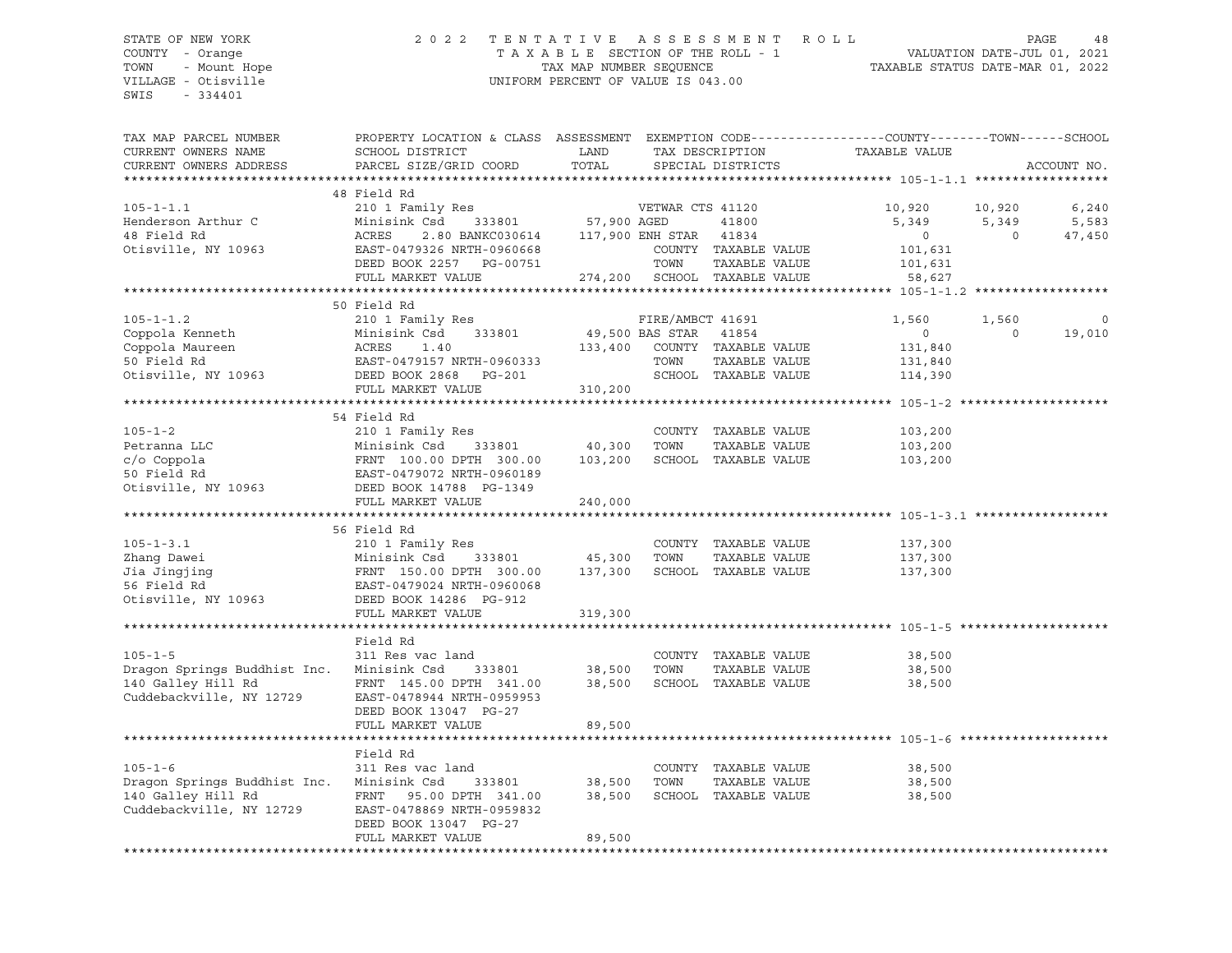## STATE OF NEW YORK 2 0 2 2 T E N T A T I V E A S S E S S M E N T R O L L PAGE 48 COUNTY - Orange T A X A B L E SECTION OF THE ROLL - 1 VALUATION DATE-JUL 01, 2021 TOWN - Mount Hope TAX MAP NUMBER SEQUENCE TAXABLE STATUS DATE-MAR 01, 2022 VILLAGE - Otisville UNIFORM PERCENT OF VALUE IS 043.00

| TAX MAP PARCEL NUMBER<br>CURRENT OWNERS NAME<br>CURRENT OWNERS ADDRESS                                       | PROPERTY LOCATION & CLASS ASSESSMENT<br>SCHOOL DISTRICT<br>PARCEL SIZE/GRID COORD                                                                                   | LAND<br>TOTAL                         |                                              | TAX DESCRIPTION<br>SPECIAL DISTRICTS                                                    | EXEMPTION CODE-----------------COUNTY-------TOWN-----SCHOOL<br>TAXABLE VALUE |                             | ACCOUNT NO.              |
|--------------------------------------------------------------------------------------------------------------|---------------------------------------------------------------------------------------------------------------------------------------------------------------------|---------------------------------------|----------------------------------------------|-----------------------------------------------------------------------------------------|------------------------------------------------------------------------------|-----------------------------|--------------------------|
|                                                                                                              |                                                                                                                                                                     |                                       |                                              |                                                                                         |                                                                              |                             |                          |
| $105 - 1 - 1.1$<br>Henderson Arthur C<br>48 Field Rd<br>Otisville, NY 10963                                  | 48 Field Rd<br>210 1 Family Res<br>Minisink Csd<br>333801<br>ACRES<br>2.80 BANKC030614<br>EAST-0479326 NRTH-0960668<br>DEED BOOK 2257 PG-00751<br>FULL MARKET VALUE | 57,900 AGED                           | VETWAR CTS 41120<br>117,900 ENH STAR<br>TOWN | 41800<br>41834<br>COUNTY TAXABLE VALUE<br>TAXABLE VALUE<br>274,200 SCHOOL TAXABLE VALUE | 10,920<br>5,349<br>$\circ$<br>101,631<br>101,631<br>58,627                   | 10,920<br>5,349<br>$\Omega$ | 6,240<br>5,583<br>47,450 |
|                                                                                                              |                                                                                                                                                                     |                                       |                                              |                                                                                         |                                                                              |                             |                          |
| $105 - 1 - 1.2$<br>Coppola Kenneth<br>Coppola Maureen<br>50 Field Rd<br>Otisville, NY 10963                  | 50 Field Rd<br>210 1 Family Res<br>Minisink Csd<br>333801<br>ACRES<br>1.40<br>EAST-0479157 NRTH-0960333<br>DEED BOOK 2868<br>PG-201<br>FULL MARKET VALUE            | 49,500 BAS STAR<br>133,400<br>310,200 | FIRE/AMBCT 41691<br>TOWN                     | 41854<br>COUNTY TAXABLE VALUE<br>TAXABLE VALUE<br>SCHOOL TAXABLE VALUE                  | 1,560<br>$\circ$<br>131,840<br>131,840<br>114,390                            | 1,560<br>$\Omega$           | $\mathbf 0$<br>19,010    |
|                                                                                                              |                                                                                                                                                                     |                                       |                                              |                                                                                         |                                                                              |                             |                          |
| $105 - 1 - 2$<br>Petranna LLC<br>c/o Coppola<br>50 Field Rd<br>Otisville, NY 10963                           | 54 Field Rd<br>210 1 Family Res<br>Minisink Csd<br>333801<br>FRNT 100.00 DPIN JOURNAL<br>EAST-0479072 NRTH-0960189<br>DEED BOOK 14788 PG-1349<br>FULL MARKET VALUE  | 40,300<br>103,200<br>240,000          | TOWN                                         | COUNTY TAXABLE VALUE<br>TAXABLE VALUE<br>SCHOOL TAXABLE VALUE                           | 103,200<br>103,200<br>103,200                                                |                             |                          |
|                                                                                                              |                                                                                                                                                                     |                                       |                                              |                                                                                         |                                                                              |                             |                          |
| $105 - 1 - 3.1$<br>Zhang Dawei<br>Jia Jingjing<br>56 Field Rd<br>Otisville, NY 10963                         | 56 Field Rd<br>210 1 Family Res<br>Minisink Csd<br>333801<br>FRNT 150.00 DPTH 300.00<br>EAST-0479024 NRTH-0960068<br>DEED BOOK 14286 PG-912<br>FULL MARKET VALUE    | 45,300<br>137,300<br>319,300          | TOWN                                         | COUNTY TAXABLE VALUE<br>TAXABLE VALUE<br>SCHOOL TAXABLE VALUE                           | 137,300<br>137,300<br>137,300                                                |                             |                          |
|                                                                                                              |                                                                                                                                                                     |                                       |                                              |                                                                                         |                                                                              |                             |                          |
| $105 - 1 - 5$<br>Dragon Springs Buddhist Inc. Minisink Csd<br>140 Galley Hill Rd<br>Cuddebackville, NY 12729 | Field Rd<br>311 Res vac land<br>333801<br>FRNT 145.00 DPTH 341.00<br>EAST-0478944 NRTH-0959953<br>DEED BOOK 13047 PG-27<br>FULL MARKET VALUE                        | 38,500<br>38,500<br>89,500            | TOWN                                         | COUNTY TAXABLE VALUE<br>TAXABLE VALUE<br>SCHOOL TAXABLE VALUE                           | 38,500<br>38,500<br>38,500                                                   |                             |                          |
|                                                                                                              |                                                                                                                                                                     |                                       |                                              |                                                                                         |                                                                              |                             |                          |
| $105 - 1 - 6$<br>Dragon Springs Buddhist Inc.<br>140 Galley Hill Rd<br>Cuddebackville, NY 12729              | Field Rd<br>311 Res vac land<br>Minisink Csd<br>333801<br>FRNT<br>95.00 DPTH 341.00<br>EAST-0478869 NRTH-0959832<br>DEED BOOK 13047 PG-27<br>FULL MARKET VALUE      | 38,500<br>38,500<br>89,500            | TOWN                                         | COUNTY TAXABLE VALUE<br>TAXABLE VALUE<br>SCHOOL TAXABLE VALUE                           | 38,500<br>38,500<br>38,500                                                   |                             |                          |
|                                                                                                              |                                                                                                                                                                     |                                       |                                              |                                                                                         |                                                                              |                             |                          |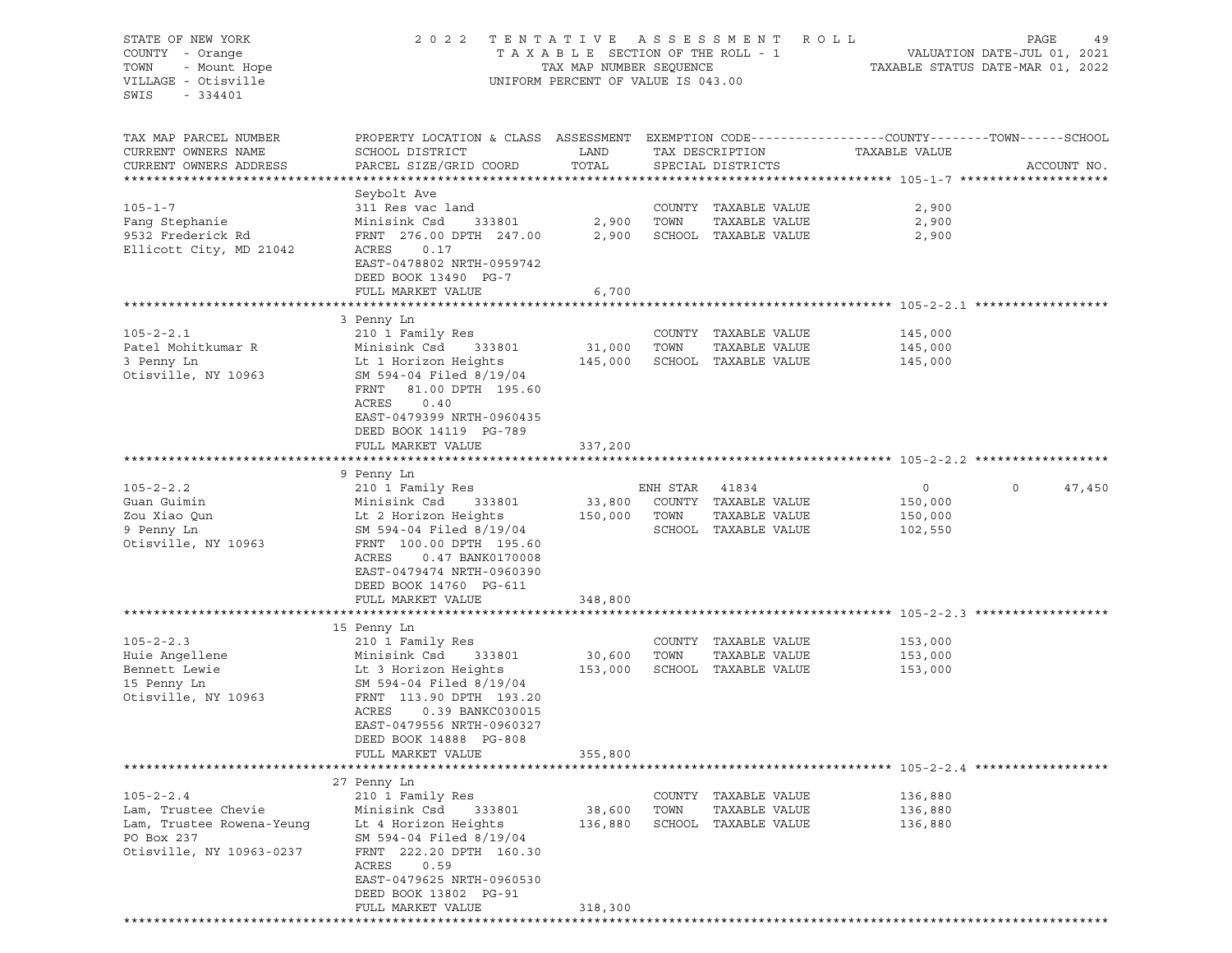| STATE OF NEW YORK<br>COUNTY - Orange<br>TOWN<br>- Mount Hope<br>VILLAGE - Otisville<br>SWIS<br>$-334401$      | 2 0 2 2                                                                                                                                                                                                                           | TENTATIVE ASSESSMENT<br>TAXABLE SECTION OF THE ROLL - 1<br>TAX MAP NUMBER SEQUENCE<br>UNIFORM PERCENT OF VALUE IS 043.00 |                          |                                                                        | ROLL                               | PAGE<br>49<br>VALUATION DATE-JUL 01, 2021<br>TAXABLE STATUS DATE-MAR 01, 2022 |
|---------------------------------------------------------------------------------------------------------------|-----------------------------------------------------------------------------------------------------------------------------------------------------------------------------------------------------------------------------------|--------------------------------------------------------------------------------------------------------------------------|--------------------------|------------------------------------------------------------------------|------------------------------------|-------------------------------------------------------------------------------|
| TAX MAP PARCEL NUMBER<br>CURRENT OWNERS NAME<br>CURRENT OWNERS ADDRESS                                        | PROPERTY LOCATION & CLASS ASSESSMENT EXEMPTION CODE---------------COUNTY-------TOWN------SCHOOL<br>SCHOOL DISTRICT<br>PARCEL SIZE/GRID COORD                                                                                      | LAND<br>TOTAL                                                                                                            |                          | TAX DESCRIPTION<br>SPECIAL DISTRICTS                                   | TAXABLE VALUE                      | ACCOUNT NO.                                                                   |
| $105 - 1 - 7$<br>Fang Stephanie<br>9532 Frederick Rd<br>Ellicott City, MD 21042                               | Seybolt Ave<br>311 Res vac land<br>Minisink Csd<br>333801<br>FRNT 276.00 DPTH 247.00<br>ACRES<br>0.17<br>EAST-0478802 NRTH-0959742<br>DEED BOOK 13490 PG-7<br>FULL MARKET VALUE                                                   | 2,900<br>2,900<br>6,700                                                                                                  | TOWN                     | COUNTY TAXABLE VALUE<br>TAXABLE VALUE<br>SCHOOL TAXABLE VALUE          | 2,900<br>2,900<br>2,900            |                                                                               |
|                                                                                                               |                                                                                                                                                                                                                                   |                                                                                                                          |                          |                                                                        |                                    |                                                                               |
| $105 - 2 - 2.1$<br>Patel Mohitkumar R<br>3 Penny Ln<br>Otisville, NY 10963                                    | 3 Penny Ln<br>210 1 Family Res<br>Minisink Csd<br>333801<br>Lt 1 Horizon Heights<br>SM 594-04 Filed 8/19/04<br>FRNT<br>81.00 DPTH 195.60<br>ACRES<br>0.40<br>EAST-0479399 NRTH-0960435                                            | 31,000<br>145,000                                                                                                        | TOWN                     | COUNTY TAXABLE VALUE<br>TAXABLE VALUE<br>SCHOOL TAXABLE VALUE          | 145,000<br>145,000<br>145,000      |                                                                               |
|                                                                                                               | DEED BOOK 14119 PG-789<br>FULL MARKET VALUE                                                                                                                                                                                       | 337,200                                                                                                                  |                          |                                                                        |                                    |                                                                               |
|                                                                                                               |                                                                                                                                                                                                                                   |                                                                                                                          |                          |                                                                        |                                    |                                                                               |
|                                                                                                               | 9 Penny Ln                                                                                                                                                                                                                        |                                                                                                                          |                          |                                                                        |                                    |                                                                               |
| $105 - 2 - 2.2$<br>Guan Guimin<br>Zou Xiao Qun<br>9 Penny Ln<br>Otisville, NY 10963                           | 210 1 Family Res<br>Minisink Csd<br>333801<br>Lt 2 Horizon Heights<br>SM 594-04 Filed 8/19/04<br>FRNT 100.00 DPTH 195.60<br>ACRES<br>0.47 BANK0170008<br>EAST-0479474 NRTH-0960390<br>DEED BOOK 14760 PG-611<br>FULL MARKET VALUE | 33,800<br>150,000<br>348,800                                                                                             | ENH STAR<br>TOWN         | 41834<br>COUNTY TAXABLE VALUE<br>TAXABLE VALUE<br>SCHOOL TAXABLE VALUE | 0<br>150,000<br>150,000<br>102,550 | $\circ$<br>47,450                                                             |
|                                                                                                               |                                                                                                                                                                                                                                   |                                                                                                                          |                          |                                                                        |                                    |                                                                               |
| $105 - 2 - 2.3$<br>Huie Angellene<br>Bennett Lewie<br>15 Penny Ln<br>Otisville, NY 10963                      | 15 Penny Ln<br>210 1 Family Res<br>Minisink Csd<br>333801<br>Lt 3 Horizon Heights<br>SM 594-04 Filed 8/19/04<br>FRNT 113.90 DPTH 193.20<br>ACRES<br>0.39 BANKC030015<br>EAST-0479556 NRTH-0960327<br>DEED BOOK 14888 PG-808       | 30,600<br>153,000                                                                                                        | TOWN                     | COUNTY TAXABLE VALUE<br>TAXABLE VALUE<br>SCHOOL TAXABLE VALUE          | 153,000<br>153,000<br>153,000      |                                                                               |
|                                                                                                               | FULL MARKET VALUE                                                                                                                                                                                                                 | 355,800                                                                                                                  |                          |                                                                        |                                    |                                                                               |
|                                                                                                               |                                                                                                                                                                                                                                   |                                                                                                                          |                          |                                                                        |                                    |                                                                               |
| $105 - 2 - 2.4$<br>Lam, Trustee Chevie<br>Lam, Trustee Rowena-Yeunq<br>PO Box 237<br>Otisville, NY 10963-0237 | 27 Penny Ln<br>210 1 Family Res<br>Minisink Csd<br>333801<br>Lt 4 Horizon Heights<br>SM 594-04 Filed 8/19/04<br>FRNT 222.20 DPTH 160.30<br>0.59<br>ACRES<br>EAST-0479625 NRTH-0960530<br>DEED BOOK 13802 PG-91                    | 38,600<br>136,880                                                                                                        | COUNTY<br>TOWN<br>SCHOOL | TAXABLE VALUE<br>TAXABLE VALUE<br>TAXABLE VALUE                        | 136,880<br>136,880<br>136,880      |                                                                               |
|                                                                                                               | FULL MARKET VALUE                                                                                                                                                                                                                 | 318,300                                                                                                                  |                          |                                                                        |                                    |                                                                               |
|                                                                                                               |                                                                                                                                                                                                                                   |                                                                                                                          |                          |                                                                        |                                    |                                                                               |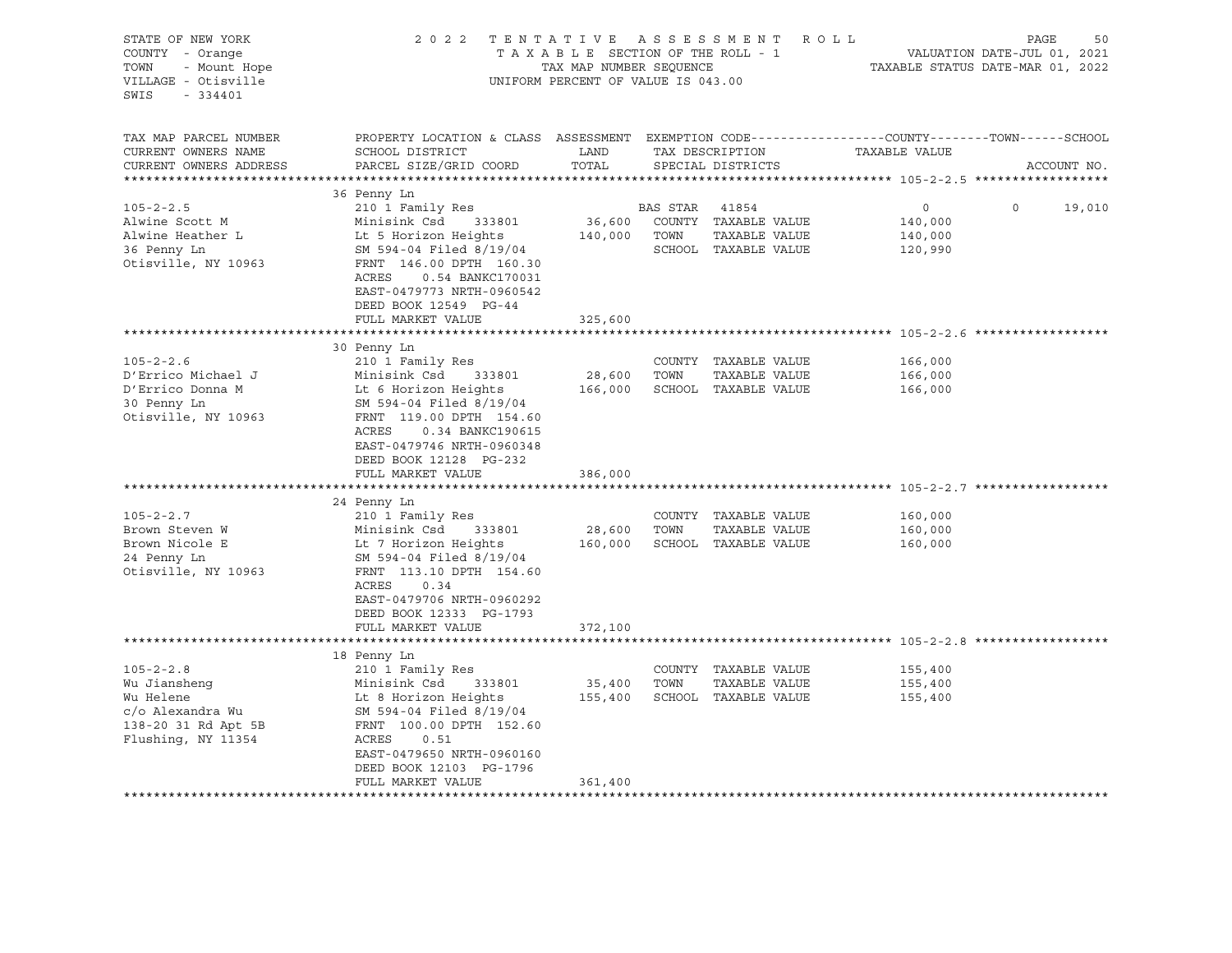| STATE OF NEW YORK                                                                                             | 2022 TENTATIVE ASSESSMENT ROLL                                                                                                                                                                                                                |                                                                                                  |                          |                                                                               |                                                                 | PAGE     | 50          |
|---------------------------------------------------------------------------------------------------------------|-----------------------------------------------------------------------------------------------------------------------------------------------------------------------------------------------------------------------------------------------|--------------------------------------------------------------------------------------------------|--------------------------|-------------------------------------------------------------------------------|-----------------------------------------------------------------|----------|-------------|
| COUNTY - Orange<br>- Mount Hope<br>TOWN<br>VILLAGE - Otisville<br>SWIS<br>$-334401$                           |                                                                                                                                                                                                                                               | TAXABLE SECTION OF THE ROLL - 1<br>TAX MAP NUMBER SEQUENCE<br>UNIFORM PERCENT OF VALUE IS 043.00 |                          |                                                                               | VALUATION DATE-JUL 01, 2021<br>TAXABLE STATUS DATE-MAR 01, 2022 |          |             |
| TAX MAP PARCEL NUMBER<br>CURRENT OWNERS NAME<br>CURRENT OWNERS ADDRESS                                        | PROPERTY LOCATION & CLASS ASSESSMENT EXEMPTION CODE----------------COUNTY-------TOWN------SCHOOL<br>SCHOOL DISTRICT<br>PARCEL SIZE/GRID COORD                                                                                                 | LAND<br>TOTAL                                                                                    |                          | TAX DESCRIPTION<br>SPECIAL DISTRICTS                                          | TAXABLE VALUE                                                   |          | ACCOUNT NO. |
|                                                                                                               |                                                                                                                                                                                                                                               |                                                                                                  |                          |                                                                               |                                                                 |          |             |
| $105 - 2 - 2.5$<br>Alwine Scott M<br>Alwine Heather L<br>36 Penny Ln<br>Otisville, NY 10963                   | 36 Penny Ln<br>210 1 Family Res<br>Minisink Csd<br>333801<br>Lt 5 Horizon Heights<br>SM 594-04 Filed 8/19/04<br>FRNT 146.00 DPTH 160.30<br>ACRES<br>0.54 BANKC170031<br>EAST-0479773 NRTH-0960542<br>DEED BOOK 12549 PG-44                    |                                                                                                  | BAS STAR<br>140,000 TOWN | 41854<br>36,600 COUNTY TAXABLE VALUE<br>TAXABLE VALUE<br>SCHOOL TAXABLE VALUE | $\circ$<br>140,000<br>140,000<br>120,990                        | $\Omega$ | 19,010      |
|                                                                                                               | FULL MARKET VALUE                                                                                                                                                                                                                             | 325,600                                                                                          |                          |                                                                               |                                                                 |          |             |
|                                                                                                               |                                                                                                                                                                                                                                               |                                                                                                  |                          |                                                                               |                                                                 |          |             |
| $105 - 2 - 2.6$<br>D'Errico Michael J<br>D'Errico Donna M<br>30 Penny Ln<br>Otisville, NY 10963               | 30 Penny Ln<br>210 1 Family Res<br>Minisink Csd 333801<br>Lt 6 Horizon Heights<br>SM 594-04 Filed 8/19/04<br>FRNT 119.00 DPTH 154.60<br>ACRES<br>0.34 BANKC190615<br>EAST-0479746 NRTH-0960348<br>DEED BOOK 12128 PG-232<br>FULL MARKET VALUE | 28,600<br>166,000<br>386,000                                                                     | TOWN                     | COUNTY TAXABLE VALUE<br>TAXABLE VALUE<br>SCHOOL TAXABLE VALUE                 | 166,000<br>166,000<br>166,000                                   |          |             |
|                                                                                                               |                                                                                                                                                                                                                                               |                                                                                                  |                          |                                                                               |                                                                 |          |             |
| $105 - 2 - 2.7$<br>Brown Steven W<br>Brown Nicole E<br>24 Penny Ln<br>Otisville, NY 10963                     | 24 Penny Ln<br>210 1 Family Res<br>Minisink Csd<br>333801<br>Lt 7 Horizon Heights<br>SM 594-04 Filed 8/19/04<br>FRNT 113.10 DPTH 154.60<br>ACRES<br>0.34<br>EAST-0479706 NRTH-0960292<br>DEED BOOK 12333 PG-1793                              | 28,600 TOWN                                                                                      |                          | COUNTY TAXABLE VALUE<br>TAXABLE VALUE<br>160,000 SCHOOL TAXABLE VALUE         | 160,000<br>160,000<br>160,000                                   |          |             |
|                                                                                                               | FULL MARKET VALUE                                                                                                                                                                                                                             | 372,100                                                                                          |                          |                                                                               |                                                                 |          |             |
|                                                                                                               | 18 Penny Ln                                                                                                                                                                                                                                   |                                                                                                  |                          |                                                                               |                                                                 |          |             |
| $105 - 2 - 2.8$<br>Wu Jiansheng<br>Wu Helene<br>c/o Alexandra Wu<br>138-20 31 Rd Apt 5B<br>Flushing, NY 11354 | 210 1 Family Res<br>Minisink Csd 333801<br>Lt 8 Horizon Heights<br>SM 594-04 Filed 8/19/04<br>FRNT 100.00 DPTH 152.60<br>ACRES<br>0.51<br>EAST-0479650 NRTH-0960160<br>DEED BOOK 12103 PG-1796<br>FULL MARKET VALUE                           | 35,400<br>155,400<br>361,400                                                                     | TOWN                     | COUNTY TAXABLE VALUE<br>TAXABLE VALUE<br>SCHOOL TAXABLE VALUE                 | 155,400<br>155,400<br>155,400                                   |          |             |
|                                                                                                               |                                                                                                                                                                                                                                               |                                                                                                  |                          |                                                                               |                                                                 |          |             |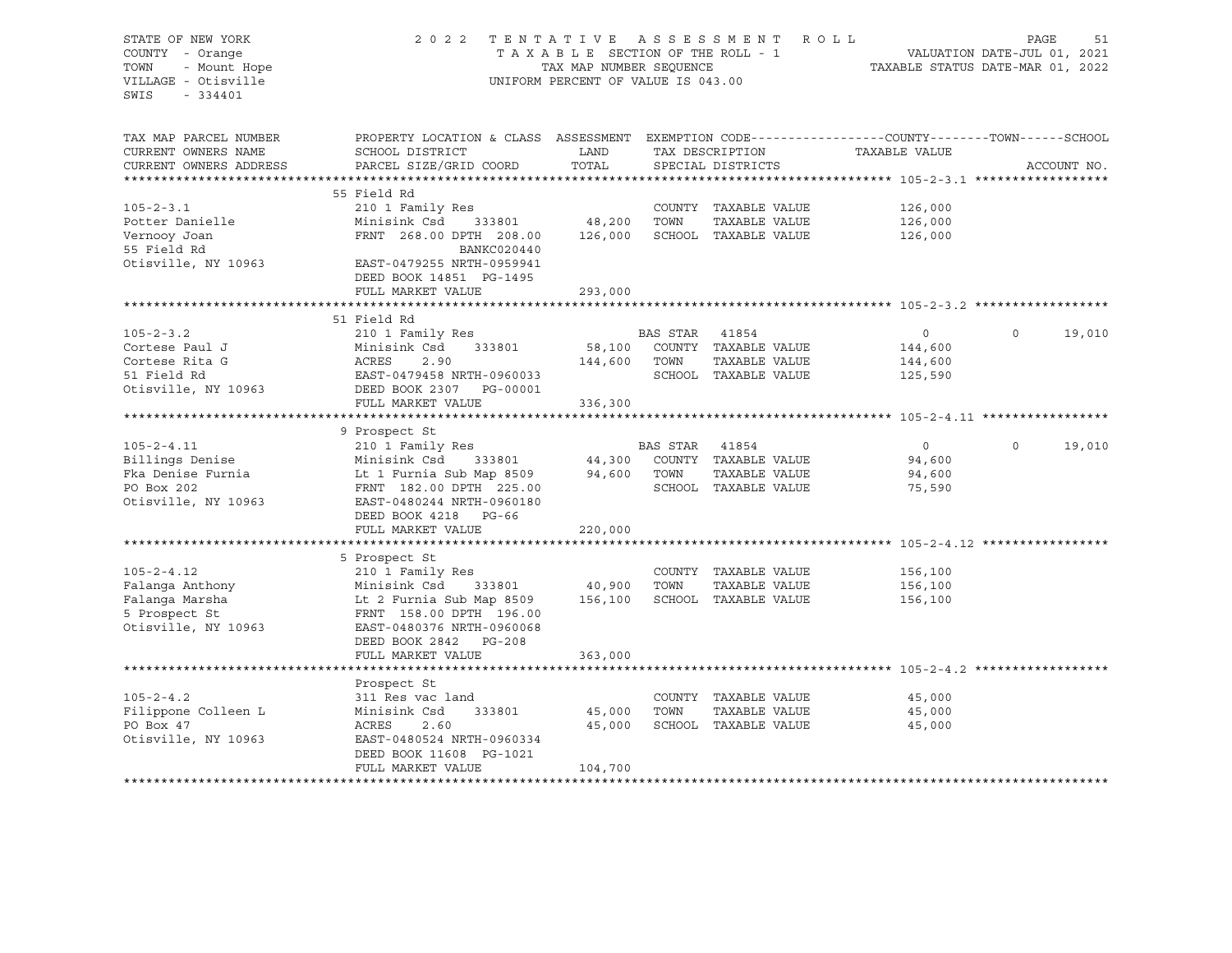## STATE OF NEW YORK 2 0 2 2 T E N T A T I V E A S S E S S M E N T R O L L PAGE 51 COUNTY - Orange T A X A B L E SECTION OF THE ROLL - 1 VALUATION DATE-JUL 01, 2021 TOWN - Mount Hope TAX MAP NUMBER SEQUENCE TAXABLE STATUS DATE-MAR 01, 2022 VILLAGE - Otisville UNIFORM PERCENT OF VALUE IS 043.00

| TAX MAP PARCEL NUMBER  | PROPERTY LOCATION & CLASS ASSESSMENT |         |                 |                      | EXEMPTION CODE-----------------COUNTY-------TOWN------SCHOOL |                    |
|------------------------|--------------------------------------|---------|-----------------|----------------------|--------------------------------------------------------------|--------------------|
| CURRENT OWNERS NAME    | SCHOOL DISTRICT                      | LAND    |                 | TAX DESCRIPTION      | TAXABLE VALUE                                                |                    |
| CURRENT OWNERS ADDRESS | PARCEL SIZE/GRID COORD               | TOTAL   |                 | SPECIAL DISTRICTS    |                                                              | ACCOUNT NO.        |
| ****************       |                                      |         |                 |                      |                                                              |                    |
|                        | 55 Field Rd                          |         |                 |                      |                                                              |                    |
| $105 - 2 - 3.1$        | 210 1 Family Res                     |         |                 | COUNTY TAXABLE VALUE | 126,000                                                      |                    |
| Potter Danielle        | Minisink Csd<br>333801               | 48,200  | TOWN            | TAXABLE VALUE        | 126,000                                                      |                    |
| Vernooy Joan           | FRNT 268.00 DPTH 208.00              | 126,000 |                 | SCHOOL TAXABLE VALUE | 126,000                                                      |                    |
| 55 Field Rd            | BANKC020440                          |         |                 |                      |                                                              |                    |
| Otisville, NY 10963    | EAST-0479255 NRTH-0959941            |         |                 |                      |                                                              |                    |
|                        | DEED BOOK 14851 PG-1495              |         |                 |                      |                                                              |                    |
|                        | FULL MARKET VALUE                    | 293,000 |                 |                      |                                                              |                    |
|                        |                                      |         |                 |                      |                                                              |                    |
|                        | 51 Field Rd                          |         |                 |                      |                                                              |                    |
| $105 - 2 - 3.2$        | 210 1 Family Res                     |         | BAS STAR        | 41854                | $\mathbf 0$                                                  | $\Omega$<br>19,010 |
| Cortese Paul J         | Minisink Csd<br>333801               | 58,100  |                 | COUNTY TAXABLE VALUE | 144,600                                                      |                    |
| Cortese Rita G         | ACRES<br>2.90                        | 144,600 | TOWN            | TAXABLE VALUE        | 144,600                                                      |                    |
| 51 Field Rd            | EAST-0479458 NRTH-0960033            |         |                 | SCHOOL TAXABLE VALUE | 125,590                                                      |                    |
| Otisville, NY 10963    | DEED BOOK 2307<br>PG-00001           |         |                 |                      |                                                              |                    |
|                        | FULL MARKET VALUE                    | 336,300 |                 |                      |                                                              |                    |
|                        |                                      |         |                 |                      |                                                              |                    |
|                        | 9 Prospect St                        |         |                 |                      |                                                              |                    |
| $105 - 2 - 4.11$       | 210 1 Family Res                     |         | <b>BAS STAR</b> | 41854                | $\circ$                                                      | $\Omega$<br>19,010 |
| Billings Denise        | Minisink Csd<br>333801               | 44,300  |                 | COUNTY TAXABLE VALUE | 94,600                                                       |                    |
| Fka Denise Furnia      | Lt 1 Furnia Sub Map 8509             | 94,600  | TOWN            | TAXABLE VALUE        | 94,600                                                       |                    |
| PO Box 202             | FRNT 182.00 DPTH 225.00              |         |                 | SCHOOL TAXABLE VALUE | 75,590                                                       |                    |
| Otisville, NY 10963    | EAST-0480244 NRTH-0960180            |         |                 |                      |                                                              |                    |
|                        | DEED BOOK 4218<br>PG-66              |         |                 |                      |                                                              |                    |
|                        | FULL MARKET VALUE                    | 220,000 |                 |                      |                                                              |                    |
|                        | 5 Prospect St                        |         |                 |                      |                                                              |                    |
| $105 - 2 - 4.12$       | 210 1 Family Res                     |         |                 | COUNTY TAXABLE VALUE | 156,100                                                      |                    |
| Falanga Anthony        | Minisink Csd<br>333801               | 40,900  | TOWN            | TAXABLE VALUE        | 156,100                                                      |                    |
| Falanga Marsha         | Lt 2 Furnia Sub Map 8509             | 156,100 |                 | SCHOOL TAXABLE VALUE | 156,100                                                      |                    |
| 5 Prospect St          | FRNT 158.00 DPTH 196.00              |         |                 |                      |                                                              |                    |
| Otisville, NY 10963    | EAST-0480376 NRTH-0960068            |         |                 |                      |                                                              |                    |
|                        | DEED BOOK 2842<br>PG-208             |         |                 |                      |                                                              |                    |
|                        | FULL MARKET VALUE                    | 363,000 |                 |                      |                                                              |                    |
|                        |                                      |         |                 |                      |                                                              |                    |
|                        | Prospect St                          |         |                 |                      |                                                              |                    |
| $105 - 2 - 4.2$        | 311 Res vac land                     |         |                 | COUNTY TAXABLE VALUE | 45,000                                                       |                    |
| Filippone Colleen L    | 333801<br>Minisink Csd               | 45,000  | TOWN            | TAXABLE VALUE        | 45,000                                                       |                    |
| PO Box 47              | ACRES<br>2.60                        | 45,000  |                 | SCHOOL TAXABLE VALUE | 45,000                                                       |                    |
| Otisville, NY 10963    | EAST-0480524 NRTH-0960334            |         |                 |                      |                                                              |                    |
|                        | DEED BOOK 11608 PG-1021              |         |                 |                      |                                                              |                    |
|                        | FULL MARKET VALUE                    | 104,700 |                 |                      |                                                              |                    |
|                        |                                      |         |                 |                      |                                                              |                    |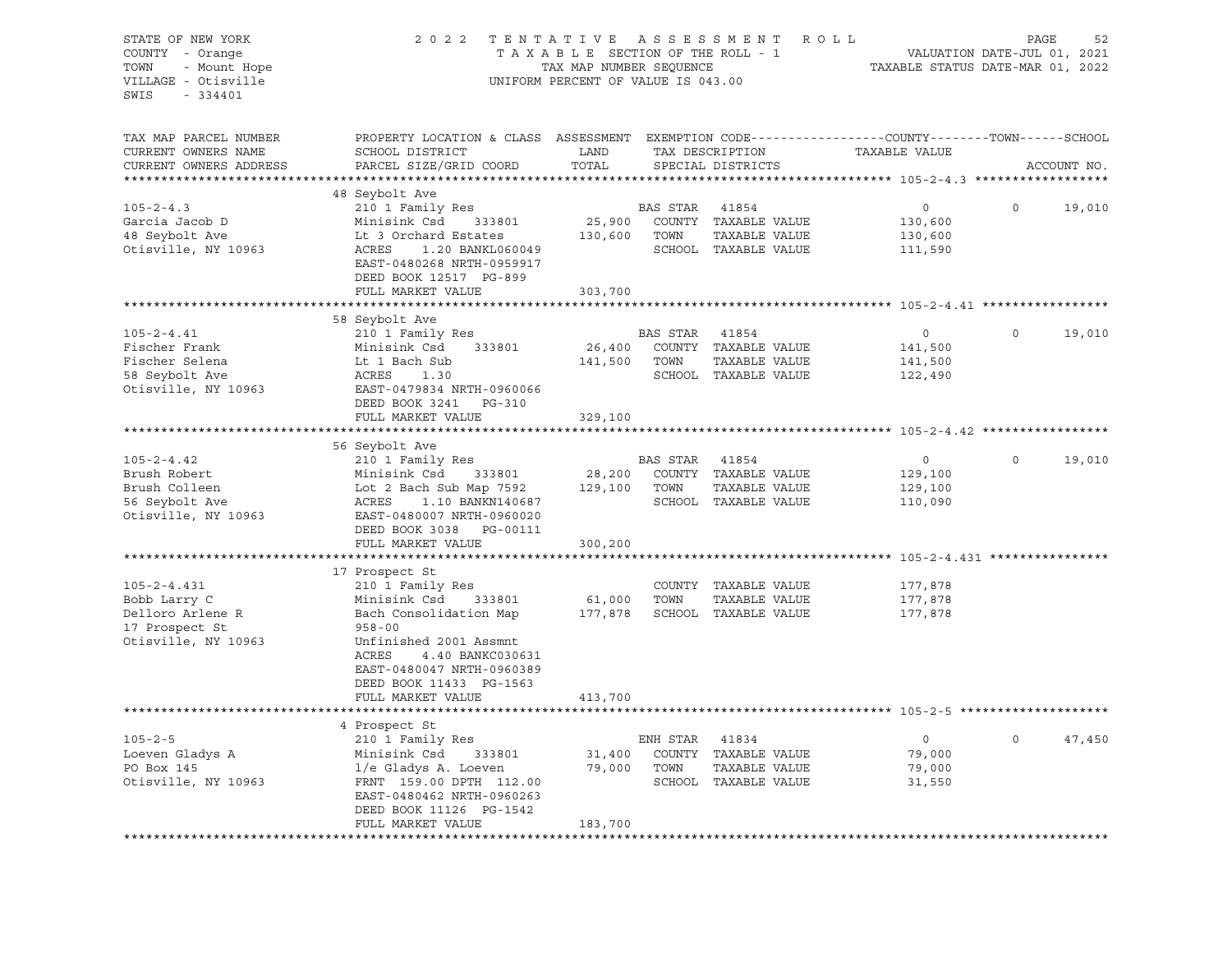| STATE OF NEW YORK<br>COUNTY - Orange<br>TOWN<br>- Mount Hope<br>VILLAGE - Otisville<br>SWIS<br>- 334401 | 2022 TENTATIVE ASSESSMENT ROLL                                                                                                                | TAXABLE SECTION OF THE ROLL - 1<br>TAX MAP NUMBER SEQUENCE<br>UNIFORM PERCENT OF VALUE IS 043.00 |                |                                              | VALUATION DATE-JUL 01, 2021<br>TAXABLE STATUS DATE-MAR 01, 2022 | PAGE         | 52          |
|---------------------------------------------------------------------------------------------------------|-----------------------------------------------------------------------------------------------------------------------------------------------|--------------------------------------------------------------------------------------------------|----------------|----------------------------------------------|-----------------------------------------------------------------|--------------|-------------|
| TAX MAP PARCEL NUMBER<br>CURRENT OWNERS NAME<br>CURRENT OWNERS ADDRESS                                  | PROPERTY LOCATION & CLASS ASSESSMENT EXEMPTION CODE----------------COUNTY-------TOWN------SCHOOL<br>SCHOOL DISTRICT<br>PARCEL SIZE/GRID COORD | LAND<br>TOTAL                                                                                    |                | TAX DESCRIPTION<br>SPECIAL DISTRICTS         | TAXABLE VALUE                                                   |              | ACCOUNT NO. |
|                                                                                                         |                                                                                                                                               |                                                                                                  |                |                                              |                                                                 |              |             |
|                                                                                                         | 48 Seybolt Ave                                                                                                                                |                                                                                                  |                |                                              |                                                                 |              |             |
| $105 - 2 - 4.3$                                                                                         | 210 1 Family Res                                                                                                                              |                                                                                                  | BAS STAR       | 41854                                        | $\circ$                                                         | $\Omega$     | 19,010      |
| Garcia Jacob D<br>48 Seybolt Ave                                                                        | Minisink Csd<br>333801<br>Lt 3 Orchard Estates                                                                                                |                                                                                                  | 130,600 TOWN   | 25,900 COUNTY TAXABLE VALUE<br>TAXABLE VALUE | 130,600<br>130,600                                              |              |             |
| Otisville, NY 10963                                                                                     | ACRES<br>1.20 BANKL060049<br>EAST-0480268 NRTH-0959917<br>DEED BOOK 12517 PG-899                                                              |                                                                                                  |                | SCHOOL TAXABLE VALUE                         | 111,590                                                         |              |             |
|                                                                                                         | FULL MARKET VALUE                                                                                                                             | 303,700                                                                                          |                |                                              |                                                                 |              |             |
|                                                                                                         |                                                                                                                                               | * * * * * * * * * * * *                                                                          |                |                                              |                                                                 |              |             |
| $105 - 2 - 4.41$                                                                                        | 58 Seybolt Ave                                                                                                                                |                                                                                                  | BAS STAR 41854 |                                              | $\circ$                                                         | $\circ$      | 19,010      |
| Fischer Frank                                                                                           | 210 1 Family Res<br>Minisink Csd<br>333801                                                                                                    | 26,400                                                                                           |                | COUNTY TAXABLE VALUE                         | 141,500                                                         |              |             |
| Fischer Selena                                                                                          | Lt 1 Bach Sub                                                                                                                                 | 141,500 TOWN                                                                                     |                | TAXABLE VALUE                                | 141,500                                                         |              |             |
| 58 Seybolt Ave                                                                                          | ACRES<br>1.30                                                                                                                                 |                                                                                                  |                | SCHOOL TAXABLE VALUE                         | 122,490                                                         |              |             |
| Otisville, NY 10963                                                                                     | EAST-0479834 NRTH-0960066<br>DEED BOOK 3241 PG-310                                                                                            |                                                                                                  |                |                                              |                                                                 |              |             |
|                                                                                                         | FULL MARKET VALUE                                                                                                                             | 329,100                                                                                          |                |                                              |                                                                 |              |             |
|                                                                                                         |                                                                                                                                               |                                                                                                  |                |                                              |                                                                 |              |             |
|                                                                                                         | 56 Seybolt Ave                                                                                                                                |                                                                                                  |                |                                              |                                                                 | $\Omega$     |             |
| $105 - 2 - 4.42$                                                                                        | 210 1 Family Res                                                                                                                              |                                                                                                  | BAS STAR 41854 |                                              | $\circ$                                                         |              | 19,010      |
| Brush Robert<br>Brush Colleen                                                                           | Minisink Csd<br>333801<br>Lot 2 Bach Sub Map 7592                                                                                             | 28,200                                                                                           | 129,100 TOWN   | COUNTY TAXABLE VALUE<br>TAXABLE VALUE        | 129,100<br>129,100                                              |              |             |
| 56 Seybolt Ave                                                                                          | ACRES 1.10 BANKN140687                                                                                                                        |                                                                                                  |                | SCHOOL TAXABLE VALUE                         | 110,090                                                         |              |             |
| Otisville, NY 10963                                                                                     | EAST-0480007 NRTH-0960020<br>DEED BOOK 3038 PG-00111                                                                                          |                                                                                                  |                |                                              |                                                                 |              |             |
|                                                                                                         | FULL MARKET VALUE                                                                                                                             | 300,200                                                                                          |                |                                              |                                                                 |              |             |
|                                                                                                         |                                                                                                                                               |                                                                                                  |                |                                              |                                                                 |              |             |
|                                                                                                         | 17 Prospect St                                                                                                                                |                                                                                                  |                |                                              |                                                                 |              |             |
| $105 - 2 - 4.431$                                                                                       | 210 1 Family Res                                                                                                                              |                                                                                                  |                | COUNTY TAXABLE VALUE                         | 177,878                                                         |              |             |
| Bobb Larry C                                                                                            | Minisink Csd<br>333801                                                                                                                        | 61,000                                                                                           | TOWN           | TAXABLE VALUE                                | 177,878                                                         |              |             |
| Delloro Arlene R                                                                                        | Bach Consolidation Map<br>$958 - 00$                                                                                                          |                                                                                                  |                | 177,878 SCHOOL TAXABLE VALUE                 | 177,878                                                         |              |             |
| 17 Prospect St<br>Otisville, NY 10963                                                                   | Unfinished 2001 Assmnt<br>ACRES<br>4.40 BANKC030631<br>EAST-0480047 NRTH-0960389<br>DEED BOOK 11433 PG-1563                                   |                                                                                                  |                |                                              |                                                                 |              |             |
|                                                                                                         | FULL MARKET VALUE                                                                                                                             | 413,700                                                                                          |                |                                              |                                                                 |              |             |
|                                                                                                         |                                                                                                                                               |                                                                                                  |                |                                              |                                                                 |              |             |
|                                                                                                         | 4 Prospect St                                                                                                                                 |                                                                                                  |                |                                              |                                                                 |              |             |
| $105 - 2 - 5$                                                                                           | 210 1 Family Res                                                                                                                              |                                                                                                  | ENH STAR 41834 |                                              | $\overline{0}$                                                  | $\mathsf{O}$ | 47,450      |
| Loeven Gladys A                                                                                         | Minisink Csd<br>333801                                                                                                                        | 31,400                                                                                           |                | COUNTY TAXABLE VALUE                         | 79,000                                                          |              |             |
| PO Box 145                                                                                              | l/e Gladys A. Loeven                                                                                                                          |                                                                                                  | 79,000 TOWN    | TAXABLE VALUE                                | 79,000                                                          |              |             |
| Otisville, NY 10963                                                                                     | FRNT 159.00 DPTH 112.00<br>EAST-0480462 NRTH-0960263<br>DEED BOOK 11126 PG-1542                                                               |                                                                                                  |                | SCHOOL TAXABLE VALUE                         | 31,550                                                          |              |             |
|                                                                                                         | FULL MARKET VALUE                                                                                                                             | 183,700                                                                                          |                |                                              |                                                                 |              |             |
|                                                                                                         |                                                                                                                                               |                                                                                                  |                |                                              |                                                                 |              |             |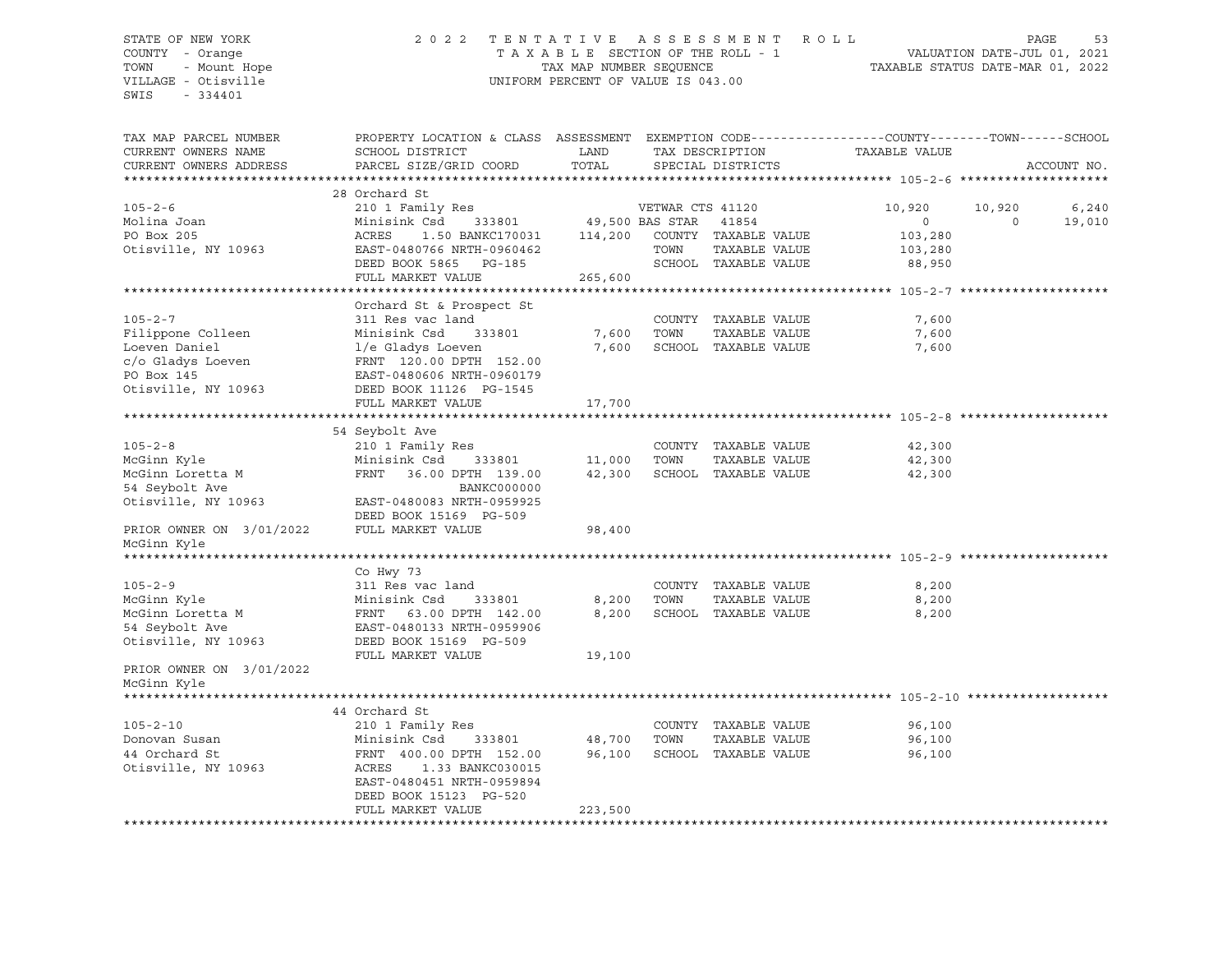## STATE OF NEW YORK 2 0 2 2 T E N T A T I V E A S S E S S M E N T R O L L PAGE 53 COUNTY - Orange T A X A B L E SECTION OF THE ROLL - 1 VALUATION DATE-JUL 01, 2021 TOWN - Mount Hope TAX MAP NUMBER SEQUENCE TAXABLE STATUS DATE-MAR 01, 2022 VILLAGE - Otisville UNIFORM PERCENT OF VALUE IS 043.00

| TAX MAP PARCEL NUMBER<br>CURRENT OWNERS NAME<br>CURRENT OWNERS ADDRESS | PROPERTY LOCATION & CLASS ASSESSMENT EXEMPTION CODE----------------COUNTY-------TOWN------SCHOOL<br>SCHOOL DISTRICT<br>PARCEL SIZE/GRID COORD | LAND<br>TOTAL   |                  | TAX DESCRIPTION<br>SPECIAL DISTRICTS | TAXABLE VALUE |             | ACCOUNT NO. |
|------------------------------------------------------------------------|-----------------------------------------------------------------------------------------------------------------------------------------------|-----------------|------------------|--------------------------------------|---------------|-------------|-------------|
|                                                                        |                                                                                                                                               |                 |                  |                                      |               |             |             |
|                                                                        | 28 Orchard St                                                                                                                                 |                 |                  |                                      |               |             |             |
| $105 - 2 - 6$                                                          | 210 1 Family Res                                                                                                                              |                 | VETWAR CTS 41120 |                                      | 10,920        | 10,920      | 6,240       |
| Molina Joan                                                            | Minisink Csd<br>333801                                                                                                                        | 49,500 BAS STAR |                  | 41854                                | $\circ$       | $\mathbf 0$ | 19,010      |
| PO Box 205                                                             | 1.50 BANKC170031 114,200<br>ACRES                                                                                                             |                 |                  | COUNTY TAXABLE VALUE                 | 103,280       |             |             |
| Otisville, NY 10963                                                    | EAST-0480766 NRTH-0960462                                                                                                                     |                 | TOWN             | TAXABLE VALUE                        | 103,280       |             |             |
|                                                                        | DEED BOOK 5865 PG-185                                                                                                                         |                 |                  | SCHOOL TAXABLE VALUE                 | 88,950        |             |             |
|                                                                        | FULL MARKET VALUE                                                                                                                             | 265,600         |                  |                                      |               |             |             |
|                                                                        |                                                                                                                                               |                 |                  |                                      |               |             |             |
|                                                                        | Orchard St & Prospect St                                                                                                                      |                 |                  |                                      |               |             |             |
| $105 - 2 - 7$                                                          | 311 Res vac land                                                                                                                              |                 |                  | COUNTY TAXABLE VALUE                 | 7,600         |             |             |
| Filippone Colleen                                                      | Minisink Csd<br>333801                                                                                                                        | 7,600           | TOWN             | TAXABLE VALUE                        | 7,600         |             |             |
| Loeven Daniel                                                          | l/e Gladys Loeven                                                                                                                             | 7,600           |                  | SCHOOL TAXABLE VALUE                 | 7,600         |             |             |
| c/o Gladys Loeven                                                      | FRNT 120.00 DPTH 152.00<br>EAST-0480606 NRTH-0960179                                                                                          |                 |                  |                                      |               |             |             |
| PO Box 145                                                             | EAST-0480606 NRTH-0960179                                                                                                                     |                 |                  |                                      |               |             |             |
| Otisville, NY 10963                                                    | DEED BOOK 11126 PG-1545                                                                                                                       |                 |                  |                                      |               |             |             |
|                                                                        | FULL MARKET VALUE                                                                                                                             | 17,700          |                  |                                      |               |             |             |
|                                                                        |                                                                                                                                               |                 |                  |                                      |               |             |             |
|                                                                        | 54 Seybolt Ave                                                                                                                                |                 |                  |                                      |               |             |             |
| $105 - 2 - 8$                                                          | 210 1 Family Res                                                                                                                              |                 |                  | COUNTY TAXABLE VALUE                 | 42,300        |             |             |
| McGinn Kyle                                                            | Minisink Csd<br>333801                                                                                                                        | 11,000          | TOWN             | TAXABLE VALUE                        | 42,300        |             |             |
| McGinn Loretta M                                                       | FRNT<br>36.00 DPTH 139.00                                                                                                                     | 42,300          |                  | SCHOOL TAXABLE VALUE                 | 42,300        |             |             |
| 54 Seybolt Ave                                                         | BANKC000000                                                                                                                                   |                 |                  |                                      |               |             |             |
| Otisville, NY 10963                                                    | EAST-0480083 NRTH-0959925                                                                                                                     |                 |                  |                                      |               |             |             |
|                                                                        | DEED BOOK 15169 PG-509                                                                                                                        |                 |                  |                                      |               |             |             |
| PRIOR OWNER ON 3/01/2022                                               | FULL MARKET VALUE                                                                                                                             | 98,400          |                  |                                      |               |             |             |
| McGinn Kyle                                                            |                                                                                                                                               |                 |                  |                                      |               |             |             |
|                                                                        |                                                                                                                                               |                 |                  |                                      |               |             |             |
|                                                                        | Co Hwy 73                                                                                                                                     |                 |                  |                                      |               |             |             |
| $105 - 2 - 9$                                                          | 311 Res vac land                                                                                                                              |                 |                  | COUNTY TAXABLE VALUE                 | 8,200         |             |             |
| McGinn Kyle                                                            | Minisink Csd<br>333801                                                                                                                        | 8,200           | TOWN             | TAXABLE VALUE                        | 8,200         |             |             |
| McGinn Loretta M                                                       | FRNT 63.00 DPTH 142.00                                                                                                                        | 8,200           |                  | SCHOOL TAXABLE VALUE                 | 8,200         |             |             |
| 54 Seybolt Ave                                                         | EAST-0480133 NRTH-0959906                                                                                                                     |                 |                  |                                      |               |             |             |
| Otisville, NY 10963                                                    | DEED BOOK 15169 PG-509                                                                                                                        |                 |                  |                                      |               |             |             |
|                                                                        | FULL MARKET VALUE                                                                                                                             | 19,100          |                  |                                      |               |             |             |
| PRIOR OWNER ON 3/01/2022                                               |                                                                                                                                               |                 |                  |                                      |               |             |             |
| McGinn Kyle                                                            |                                                                                                                                               |                 |                  |                                      |               |             |             |
| ******************                                                     |                                                                                                                                               |                 |                  |                                      |               |             |             |
|                                                                        | 44 Orchard St                                                                                                                                 |                 |                  |                                      |               |             |             |
| $105 - 2 - 10$                                                         | 210 1 Family Res                                                                                                                              |                 |                  | COUNTY TAXABLE VALUE                 | 96,100        |             |             |
| Donovan Susan                                                          | Minisink Csd<br>333801                                                                                                                        | 48,700          | TOWN             | TAXABLE VALUE                        | 96,100        |             |             |
| 44 Orchard St                                                          | FRNT 400.00 DPTH 152.00                                                                                                                       | 96,100          |                  | SCHOOL TAXABLE VALUE                 | 96,100        |             |             |
| Otisville, NY 10963                                                    | ACRES<br>1.33 BANKC030015                                                                                                                     |                 |                  |                                      |               |             |             |
|                                                                        | EAST-0480451 NRTH-0959894                                                                                                                     |                 |                  |                                      |               |             |             |
|                                                                        | DEED BOOK 15123 PG-520                                                                                                                        |                 |                  |                                      |               |             |             |
|                                                                        | FULL MARKET VALUE                                                                                                                             | 223,500         |                  |                                      |               |             |             |
|                                                                        |                                                                                                                                               |                 |                  |                                      |               |             |             |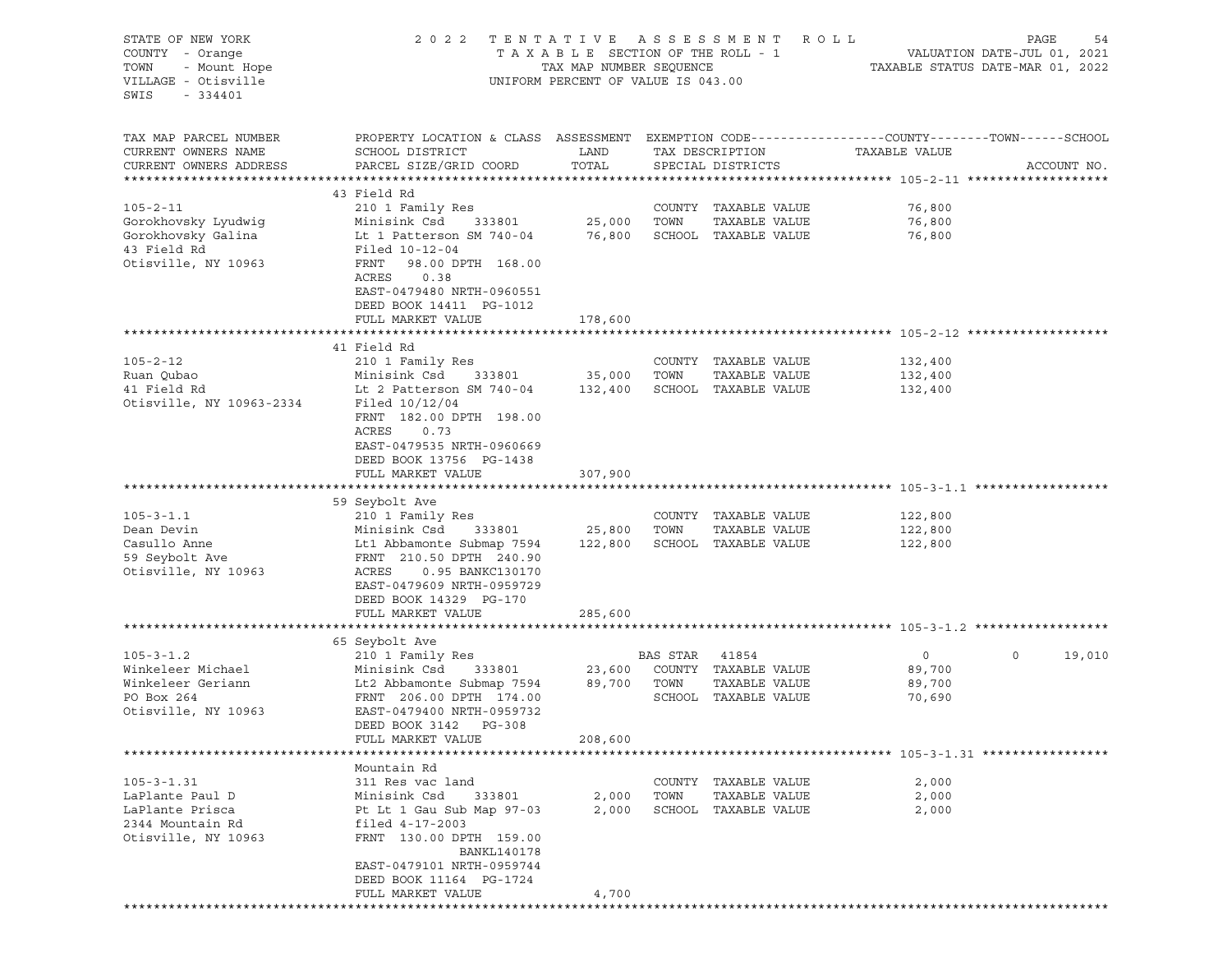| STATE OF NEW YORK        | 2 0 2 2                                                                                         | TENTATIVE                          |          | A S S E S S M E N T  | R O L L       | PAGE<br>54                       |
|--------------------------|-------------------------------------------------------------------------------------------------|------------------------------------|----------|----------------------|---------------|----------------------------------|
| COUNTY - Orange          |                                                                                                 | TAXABLE SECTION OF THE ROLL - 1    |          |                      |               | VALUATION DATE-JUL 01, 2021      |
| TOWN<br>- Mount Hope     |                                                                                                 | TAX MAP NUMBER SEQUENCE            |          |                      |               | TAXABLE STATUS DATE-MAR 01, 2022 |
| VILLAGE - Otisville      |                                                                                                 | UNIFORM PERCENT OF VALUE IS 043.00 |          |                      |               |                                  |
| SWIS<br>$-334401$        |                                                                                                 |                                    |          |                      |               |                                  |
|                          |                                                                                                 |                                    |          |                      |               |                                  |
|                          |                                                                                                 |                                    |          |                      |               |                                  |
| TAX MAP PARCEL NUMBER    | PROPERTY LOCATION & CLASS ASSESSMENT EXEMPTION CODE---------------COUNTY-------TOWN------SCHOOL |                                    |          |                      |               |                                  |
| CURRENT OWNERS NAME      | SCHOOL DISTRICT                                                                                 | LAND                               |          | TAX DESCRIPTION      | TAXABLE VALUE |                                  |
| CURRENT OWNERS ADDRESS   | PARCEL SIZE/GRID COORD                                                                          | TOTAL                              |          | SPECIAL DISTRICTS    |               | ACCOUNT NO.                      |
|                          |                                                                                                 |                                    |          |                      |               |                                  |
|                          | 43 Field Rd                                                                                     |                                    |          |                      |               |                                  |
| $105 - 2 - 11$           | 210 1 Family Res                                                                                |                                    |          | COUNTY TAXABLE VALUE | 76,800        |                                  |
| Gorokhovsky Lyudwig      | Minisink Csd<br>333801                                                                          | 25,000                             | TOWN     | TAXABLE VALUE        | 76,800        |                                  |
| Gorokhovsky Galina       | Lt 1 Patterson SM 740-04                                                                        | 76,800                             |          | SCHOOL TAXABLE VALUE | 76,800        |                                  |
| 43 Field Rd              | Filed 10-12-04                                                                                  |                                    |          |                      |               |                                  |
| Otisville, NY 10963      | FRNT<br>98.00 DPTH 168.00                                                                       |                                    |          |                      |               |                                  |
|                          | ACRES<br>0.38                                                                                   |                                    |          |                      |               |                                  |
|                          | EAST-0479480 NRTH-0960551                                                                       |                                    |          |                      |               |                                  |
|                          | DEED BOOK 14411 PG-1012                                                                         |                                    |          |                      |               |                                  |
|                          | FULL MARKET VALUE                                                                               | 178,600                            |          |                      |               |                                  |
|                          |                                                                                                 |                                    |          |                      |               |                                  |
|                          | 41 Field Rd                                                                                     |                                    |          |                      |               |                                  |
| $105 - 2 - 12$           | 210 1 Family Res                                                                                |                                    |          | COUNTY TAXABLE VALUE | 132,400       |                                  |
| Ruan Qubao               | Minisink Csd<br>333801                                                                          | 35,000                             | TOWN     | TAXABLE VALUE        | 132,400       |                                  |
| 41 Field Rd              | Lt 2 Patterson SM 740-04                                                                        | 132,400                            |          | SCHOOL TAXABLE VALUE | 132,400       |                                  |
| Otisville, NY 10963-2334 | Filed 10/12/04                                                                                  |                                    |          |                      |               |                                  |
|                          |                                                                                                 |                                    |          |                      |               |                                  |
|                          | FRNT 182.00 DPTH 198.00<br>ACRES<br>0.73                                                        |                                    |          |                      |               |                                  |
|                          |                                                                                                 |                                    |          |                      |               |                                  |
|                          | EAST-0479535 NRTH-0960669                                                                       |                                    |          |                      |               |                                  |
|                          | DEED BOOK 13756 PG-1438                                                                         |                                    |          |                      |               |                                  |
|                          | FULL MARKET VALUE                                                                               | 307,900                            |          |                      |               |                                  |
|                          |                                                                                                 |                                    |          |                      |               |                                  |
|                          | 59 Seybolt Ave                                                                                  |                                    |          |                      |               |                                  |
| $105 - 3 - 1.1$          | 210 1 Family Res                                                                                |                                    |          | COUNTY TAXABLE VALUE | 122,800       |                                  |
| Dean Devin               | Minisink Csd<br>333801                                                                          | 25,800                             | TOWN     | TAXABLE VALUE        | 122,800       |                                  |
| Casullo Anne             | Lt1 Abbamonte Submap 7594                                                                       | 122,800                            |          | SCHOOL TAXABLE VALUE | 122,800       |                                  |
| 59 Seybolt Ave           | FRNT 210.50 DPTH 240.90                                                                         |                                    |          |                      |               |                                  |
| Otisville, NY 10963      | ACRES<br>0.95 BANKC130170                                                                       |                                    |          |                      |               |                                  |
|                          | EAST-0479609 NRTH-0959729                                                                       |                                    |          |                      |               |                                  |
|                          | DEED BOOK 14329 PG-170                                                                          |                                    |          |                      |               |                                  |
|                          | FULL MARKET VALUE                                                                               | 285,600                            |          |                      |               |                                  |
|                          |                                                                                                 |                                    |          |                      |               |                                  |
|                          | 65 Seybolt Ave                                                                                  |                                    |          |                      |               |                                  |
| $105 - 3 - 1.2$          | 210 1 Family Res                                                                                |                                    | BAS STAR | 41854                | $\circ$       | $\circ$<br>19,010                |
| Winkeleer Michael        | Minisink Csd<br>333801                                                                          | 23,600                             |          | COUNTY TAXABLE VALUE | 89,700        |                                  |
| Winkeleer Geriann        | Lt2 Abbamonte Submap 7594                                                                       | 89,700                             | TOWN     | TAXABLE VALUE        | 89,700        |                                  |
| PO Box 264               | FRNT 206.00 DPTH 174.00                                                                         |                                    |          | SCHOOL TAXABLE VALUE | 70,690        |                                  |
| Otisville, NY 10963      | EAST-0479400 NRTH-0959732                                                                       |                                    |          |                      |               |                                  |
|                          | DEED BOOK 3142<br>PG-308                                                                        |                                    |          |                      |               |                                  |
|                          | FULL MARKET VALUE                                                                               | 208,600                            |          |                      |               |                                  |
|                          |                                                                                                 |                                    |          |                      |               |                                  |
|                          | Mountain Rd                                                                                     |                                    |          |                      |               |                                  |
| $105 - 3 - 1.31$         | 311 Res vac land                                                                                |                                    |          | COUNTY TAXABLE VALUE | 2,000         |                                  |
| LaPlante Paul D          | Minisink Csd<br>333801                                                                          | 2,000                              | TOWN     | TAXABLE VALUE        | 2,000         |                                  |
| LaPlante Prisca          | Pt Lt 1 Gau Sub Map 97-03                                                                       | 2,000                              |          | SCHOOL TAXABLE VALUE | 2,000         |                                  |
| 2344 Mountain Rd         | filed 4-17-2003                                                                                 |                                    |          |                      |               |                                  |
| Otisville, NY 10963      | FRNT 130.00 DPTH 159.00                                                                         |                                    |          |                      |               |                                  |
|                          | BANKL140178                                                                                     |                                    |          |                      |               |                                  |
|                          | EAST-0479101 NRTH-0959744                                                                       |                                    |          |                      |               |                                  |
|                          | DEED BOOK 11164 PG-1724                                                                         |                                    |          |                      |               |                                  |
|                          | FULL MARKET VALUE                                                                               |                                    |          |                      |               |                                  |
|                          |                                                                                                 | 4,700                              |          |                      |               |                                  |
|                          |                                                                                                 |                                    |          |                      |               |                                  |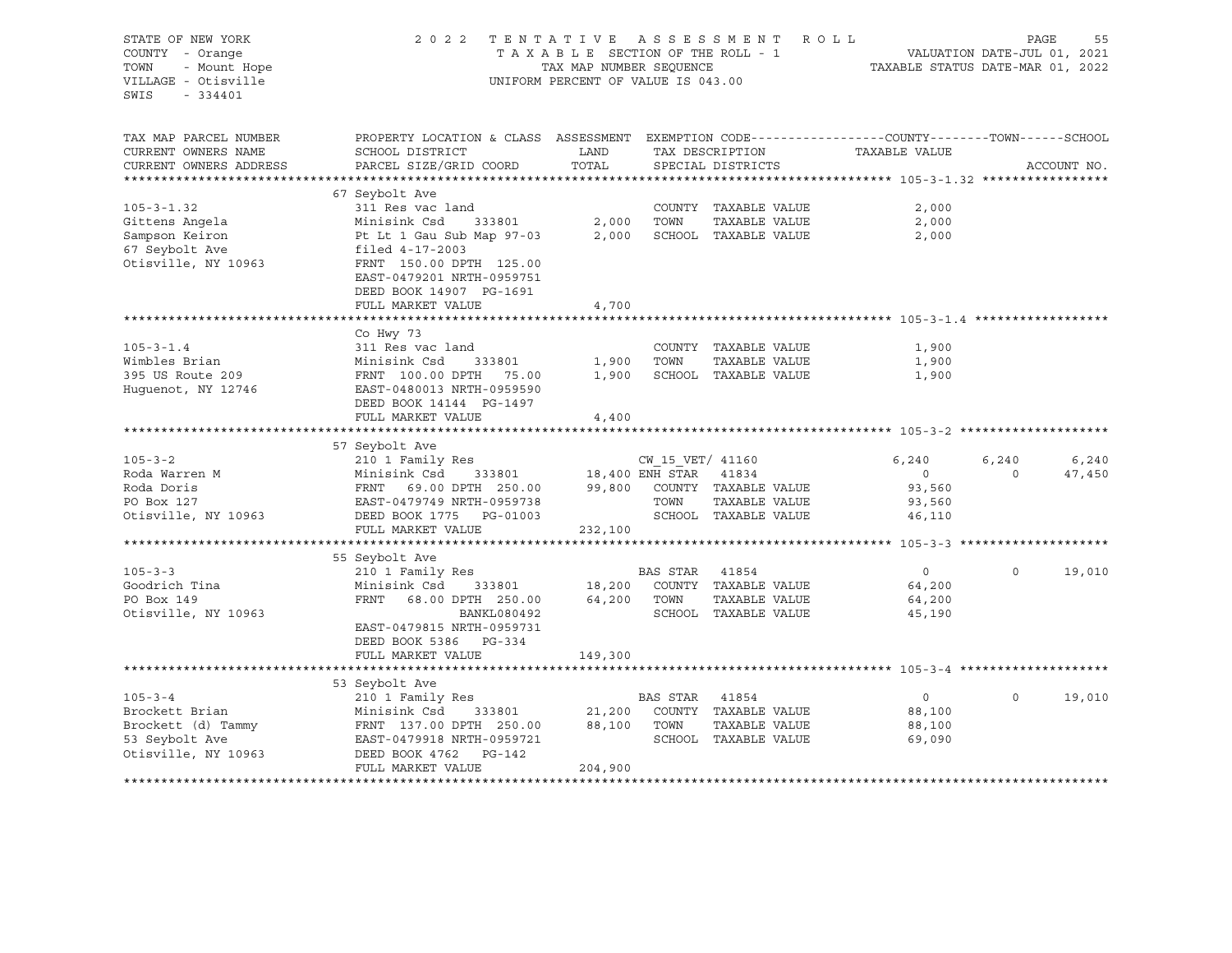| STATE OF NEW YORK      | 2 0 2 2                                                                                        | TENTATIVE ASSESSMENT               |                                                                                                                                                                                                                            | R O L L                     |                                  | PAGE                        | 55          |
|------------------------|------------------------------------------------------------------------------------------------|------------------------------------|----------------------------------------------------------------------------------------------------------------------------------------------------------------------------------------------------------------------------|-----------------------------|----------------------------------|-----------------------------|-------------|
| COUNTY - Orange        |                                                                                                | TAXABLE SECTION OF THE ROLL - 1    |                                                                                                                                                                                                                            |                             |                                  | VALUATION DATE-JUL 01, 2021 |             |
| - Mount Hope<br>TOWN   |                                                                                                | TAX MAP NUMBER SEQUENCE            |                                                                                                                                                                                                                            |                             | TAXABLE STATUS DATE-MAR 01, 2022 |                             |             |
| VILLAGE - Otisville    |                                                                                                | UNIFORM PERCENT OF VALUE IS 043.00 |                                                                                                                                                                                                                            |                             |                                  |                             |             |
| SWIS<br>$-334401$      |                                                                                                |                                    |                                                                                                                                                                                                                            |                             |                                  |                             |             |
|                        |                                                                                                |                                    |                                                                                                                                                                                                                            |                             |                                  |                             |             |
|                        |                                                                                                |                                    |                                                                                                                                                                                                                            |                             |                                  |                             |             |
| TAX MAP PARCEL NUMBER  | PROPERTY LOCATION & CLASS ASSESSMENT EXEMPTION CODE---------------COUNTY-------TOWN-----SCHOOL |                                    |                                                                                                                                                                                                                            |                             |                                  |                             |             |
| CURRENT OWNERS NAME    | SCHOOL DISTRICT                                                                                | LAND                               |                                                                                                                                                                                                                            | TAX DESCRIPTION             | TAXABLE VALUE                    |                             |             |
| CURRENT OWNERS ADDRESS | PARCEL SIZE/GRID COORD                                                                         | TOTAL                              |                                                                                                                                                                                                                            | SPECIAL DISTRICTS           |                                  |                             | ACCOUNT NO. |
|                        |                                                                                                |                                    |                                                                                                                                                                                                                            |                             |                                  |                             |             |
|                        | 67 Seybolt Ave                                                                                 |                                    |                                                                                                                                                                                                                            |                             |                                  |                             |             |
| $105 - 3 - 1.32$       | 311 Res vac land                                                                               |                                    |                                                                                                                                                                                                                            |                             |                                  |                             |             |
|                        |                                                                                                |                                    |                                                                                                                                                                                                                            | COUNTY TAXABLE VALUE        | 2,000                            |                             |             |
| Gittens Angela         | Minisink Csd<br>333801                                                                         | 2,000                              | TOWN                                                                                                                                                                                                                       | TAXABLE VALUE               | 2,000                            |                             |             |
| Sampson Keiron         | Pt Lt 1 Gau Sub Map 97-03                                                                      | 2,000                              |                                                                                                                                                                                                                            | SCHOOL TAXABLE VALUE        | 2,000                            |                             |             |
| 67 Seybolt Ave         | filed 4-17-2003                                                                                |                                    |                                                                                                                                                                                                                            |                             |                                  |                             |             |
| Otisville, NY 10963    | FRNT 150.00 DPTH 125.00                                                                        |                                    |                                                                                                                                                                                                                            |                             |                                  |                             |             |
|                        | EAST-0479201 NRTH-0959751                                                                      |                                    |                                                                                                                                                                                                                            |                             |                                  |                             |             |
|                        | DEED BOOK 14907 PG-1691                                                                        |                                    |                                                                                                                                                                                                                            |                             |                                  |                             |             |
|                        | FULL MARKET VALUE                                                                              | 4,700                              |                                                                                                                                                                                                                            |                             |                                  |                             |             |
|                        |                                                                                                |                                    |                                                                                                                                                                                                                            |                             |                                  |                             |             |
|                        | Co Hwy 73                                                                                      |                                    |                                                                                                                                                                                                                            |                             |                                  |                             |             |
| $105 - 3 - 1.4$        | 311 Res vac land                                                                               |                                    |                                                                                                                                                                                                                            | COUNTY TAXABLE VALUE        | 1,900                            |                             |             |
| Wimbles Brian          | Minisink Csd<br>333801                                                                         | 1,900                              | TOWN                                                                                                                                                                                                                       | TAXABLE VALUE               | 1,900                            |                             |             |
| 395 US Route 209       | FRNT 100.00 DPTH 75.00                                                                         | 1,900                              |                                                                                                                                                                                                                            | SCHOOL TAXABLE VALUE        | 1,900                            |                             |             |
| Huguenot, NY 12746     | EAST-0480013 NRTH-0959590                                                                      |                                    |                                                                                                                                                                                                                            |                             |                                  |                             |             |
|                        | DEED BOOK 14144 PG-1497                                                                        |                                    |                                                                                                                                                                                                                            |                             |                                  |                             |             |
|                        |                                                                                                |                                    |                                                                                                                                                                                                                            |                             |                                  |                             |             |
|                        | FULL MARKET VALUE                                                                              | 4,400                              |                                                                                                                                                                                                                            |                             |                                  |                             |             |
|                        |                                                                                                |                                    |                                                                                                                                                                                                                            |                             |                                  |                             |             |
|                        | 57 Seybolt Ave                                                                                 |                                    |                                                                                                                                                                                                                            |                             |                                  |                             |             |
| $105 - 3 - 2$          | 210 1 Family Res                                                                               |                                    | $\begin{tabular}{ccccc} & & & & & & & & \\ & & & & & & & \\ \hline 18,400 & ENH & STAR & & 41834 \\ & & & & & & \\ & & & & & \\ & & & & & & \\ & & & & & & \\ \hline & & & & & & \\ & & & & & & & \\ \hline \end{tabular}$ |                             | 6,240                            | 6,240                       | 6,240       |
| Roda Warren M          | Minisink Csd 333801                                                                            |                                    |                                                                                                                                                                                                                            |                             | $\overline{0}$                   | $\Omega$                    | 47,450      |
| Roda Doris             | FRNT 69.00 DPTH 250.00                                                                         |                                    |                                                                                                                                                                                                                            | 99,800 COUNTY TAXABLE VALUE | 93,560                           |                             |             |
| PO Box 127             |                                                                                                |                                    | TOWN                                                                                                                                                                                                                       | TAXABLE VALUE               | 93,560                           |                             |             |
| Otisville, NY 10963    | DEED BOOK 1775 PG-01003                                                                        |                                    |                                                                                                                                                                                                                            | SCHOOL TAXABLE VALUE        | 46,110                           |                             |             |
|                        | FULL MARKET VALUE                                                                              | 232,100                            |                                                                                                                                                                                                                            |                             |                                  |                             |             |
|                        |                                                                                                |                                    |                                                                                                                                                                                                                            |                             |                                  |                             |             |
|                        | 55 Seybolt Ave                                                                                 |                                    |                                                                                                                                                                                                                            |                             |                                  |                             |             |
| $105 - 3 - 3$          | 210 1 Family Res                                                                               |                                    | BAS STAR                                                                                                                                                                                                                   | 41854                       | $\circ$                          | $\Omega$                    | 19,010      |
| Goodrich Tina          | Minisink Csd<br>333801                                                                         | 18,200                             |                                                                                                                                                                                                                            | COUNTY TAXABLE VALUE        | 64,200                           |                             |             |
| PO Box 149             | FRNT<br>68.00 DPTH 250.00                                                                      | 64,200                             | TOWN                                                                                                                                                                                                                       | TAXABLE VALUE               | 64,200                           |                             |             |
| Otisville, NY 10963    | BANKL080492                                                                                    |                                    |                                                                                                                                                                                                                            | SCHOOL TAXABLE VALUE        | 45,190                           |                             |             |
|                        | EAST-0479815 NRTH-0959731                                                                      |                                    |                                                                                                                                                                                                                            |                             |                                  |                             |             |
|                        | DEED BOOK 5386 PG-334                                                                          |                                    |                                                                                                                                                                                                                            |                             |                                  |                             |             |
|                        | FULL MARKET VALUE                                                                              |                                    |                                                                                                                                                                                                                            |                             |                                  |                             |             |
|                        |                                                                                                | 149,300                            |                                                                                                                                                                                                                            |                             |                                  |                             |             |
|                        |                                                                                                |                                    |                                                                                                                                                                                                                            |                             |                                  |                             |             |
|                        | 53 Seybolt Ave                                                                                 |                                    |                                                                                                                                                                                                                            |                             |                                  |                             |             |
| $105 - 3 - 4$          | 210 1 Family Res                                                                               |                                    | BAS STAR                                                                                                                                                                                                                   | 41854                       | $\overline{0}$                   | $\circ$                     | 19,010      |
| Brockett Brian         | Minisink Csd<br>333801                                                                         | 21,200                             |                                                                                                                                                                                                                            | COUNTY TAXABLE VALUE        | 88,100                           |                             |             |
| Brockett (d) Tammy     | FRNT 137.00 DPTH 250.00                                                                        | 88,100                             | TOWN                                                                                                                                                                                                                       | TAXABLE VALUE               | 88,100                           |                             |             |
| 53 Seybolt Ave         | EAST-0479918 NRTH-0959721                                                                      |                                    |                                                                                                                                                                                                                            | SCHOOL TAXABLE VALUE        | 69,090                           |                             |             |
| Otisville, NY 10963    | DEED BOOK 4762<br>PG-142                                                                       |                                    |                                                                                                                                                                                                                            |                             |                                  |                             |             |
|                        | FULL MARKET VALUE                                                                              | 204,900                            |                                                                                                                                                                                                                            |                             |                                  |                             |             |
|                        |                                                                                                |                                    |                                                                                                                                                                                                                            |                             |                                  |                             |             |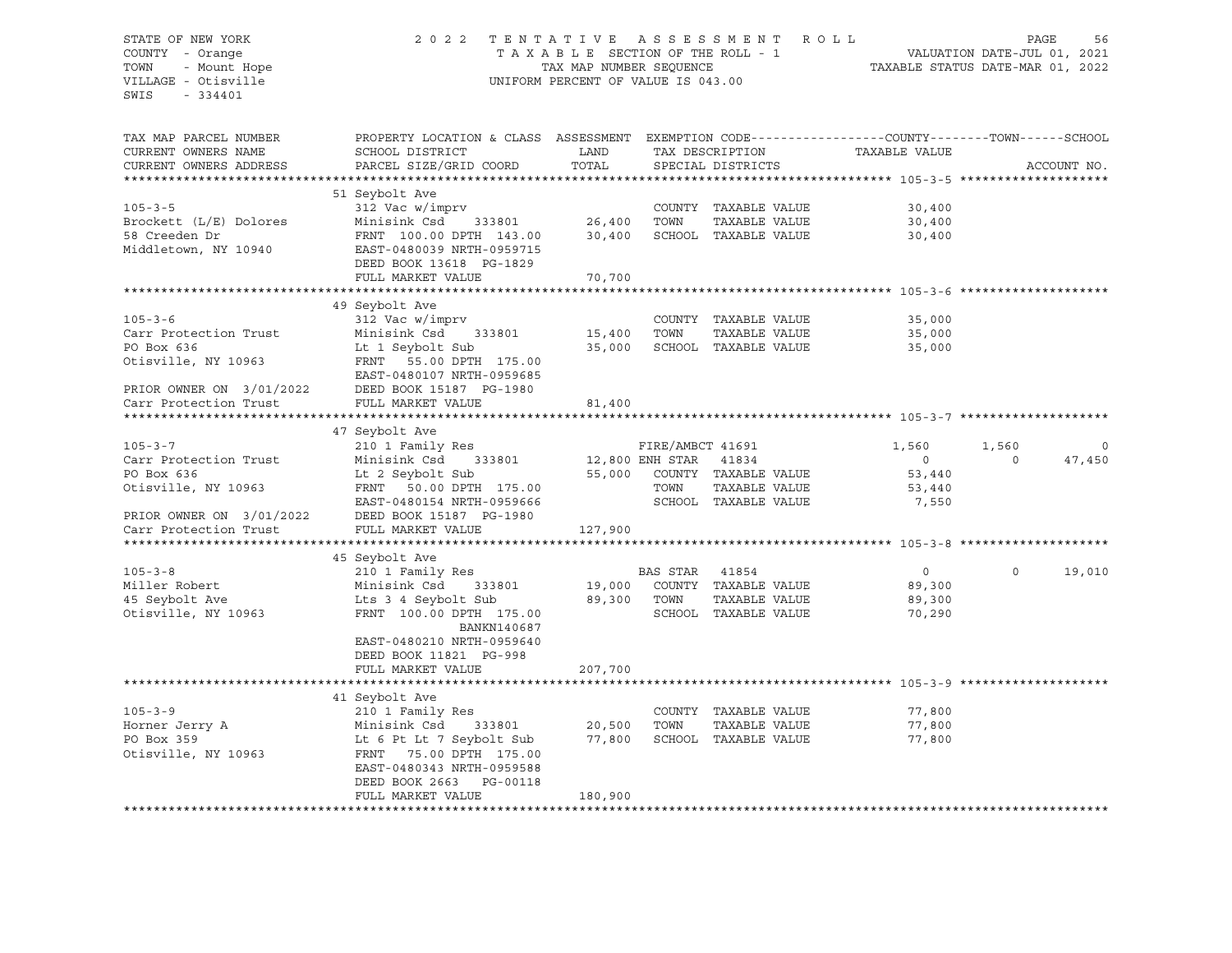## STATE OF NEW YORK 2 0 2 2 T E N T A T I V E A S S E S S M E N T R O L L PAGE 56 COUNTY - Orange T A X A B L E SECTION OF THE ROLL - 1 VALUATION DATE-JUL 01, 2021 TOWN - Mount Hope TAX MAP NUMBER SEQUENCE TAXABLE STATUS DATE-MAR 01, 2022 VILLAGE - Otisville UNIFORM PERCENT OF VALUE IS 043.00

| TAX MAP PARCEL NUMBER<br>CURRENT OWNERS NAME<br>CURRENT OWNERS ADDRESS | PROPERTY LOCATION & CLASS ASSESSMENT<br>SCHOOL DISTRICT<br>PARCEL SIZE/GRID COORD | LAND<br>TOTAL   |                  | TAX DESCRIPTION<br>SPECIAL DISTRICTS | EXEMPTION CODE-----------------COUNTY-------TOWN------SCHOOL<br>TAXABLE VALUE |             | ACCOUNT NO. |
|------------------------------------------------------------------------|-----------------------------------------------------------------------------------|-----------------|------------------|--------------------------------------|-------------------------------------------------------------------------------|-------------|-------------|
|                                                                        |                                                                                   |                 |                  |                                      |                                                                               |             |             |
| $105 - 3 - 5$                                                          | 51 Seybolt Ave<br>312 Vac w/imprv                                                 |                 |                  | COUNTY TAXABLE VALUE                 | 30,400                                                                        |             |             |
| Brockett (L/E) Dolores                                                 | Minisink Csd<br>333801                                                            | 26,400          | TOWN             | TAXABLE VALUE                        | 30,400                                                                        |             |             |
| 58 Creeden Dr<br>Middletown, NY 10940                                  | FRNT 100.00 DPTH 143.00<br>EAST-0480039 NRTH-0959715<br>DEED BOOK 13618 PG-1829   | 30,400          |                  | SCHOOL TAXABLE VALUE                 | 30,400                                                                        |             |             |
|                                                                        | FULL MARKET VALUE                                                                 | 70,700          |                  |                                      |                                                                               |             |             |
|                                                                        |                                                                                   |                 |                  |                                      |                                                                               |             |             |
|                                                                        | 49 Seybolt Ave                                                                    |                 |                  |                                      |                                                                               |             |             |
| $105 - 3 - 6$                                                          | 312 Vac w/imprv                                                                   |                 |                  | COUNTY TAXABLE VALUE                 | 35,000                                                                        |             |             |
| Carr Protection Trust                                                  | Minisink Csd<br>333801                                                            | 15,400          | TOWN             | TAXABLE VALUE                        | 35,000                                                                        |             |             |
| PO Box 636                                                             | Lt 1 Seybolt Sub                                                                  | 35,000          |                  | SCHOOL TAXABLE VALUE                 | 35,000                                                                        |             |             |
| Otisville, NY 10963                                                    | FRNT 55.00 DPTH 175.00<br>EAST-0480107 NRTH-0959685                               |                 |                  |                                      |                                                                               |             |             |
| PRIOR OWNER ON 3/01/2022                                               | DEED BOOK 15187 PG-1980                                                           |                 |                  |                                      |                                                                               |             |             |
| Carr Protection Trust                                                  | FULL MARKET VALUE                                                                 | 81,400          |                  |                                      |                                                                               |             |             |
|                                                                        |                                                                                   |                 |                  |                                      |                                                                               |             |             |
|                                                                        | 47 Seybolt Ave                                                                    |                 |                  |                                      |                                                                               |             |             |
| $105 - 3 - 7$                                                          | 210 1 Family Res                                                                  |                 | FIRE/AMBCT 41691 |                                      | 1,560                                                                         | 1,560       | $\mathbf 0$ |
| Carr Protection Trust                                                  | Minisink Csd<br>333801                                                            | 12,800 ENH STAR |                  | 41834                                | $\circ$                                                                       | $\Omega$    | 47,450      |
| PO Box 636                                                             | Lt 2 Seybolt Sub                                                                  |                 |                  | 55,000 COUNTY TAXABLE VALUE          | 53,440                                                                        |             |             |
| Otisville, NY 10963                                                    | FRNT 50.00 DPTH 175.00                                                            |                 | TOWN             | TAXABLE VALUE                        | 53,440                                                                        |             |             |
|                                                                        | EAST-0480154 NRTH-0959666                                                         |                 |                  | SCHOOL TAXABLE VALUE                 | 7,550                                                                         |             |             |
| PRIOR OWNER ON 3/01/2022                                               | DEED BOOK 15187 PG-1980                                                           |                 |                  |                                      |                                                                               |             |             |
| Carr Protection Trust                                                  | FULL MARKET VALUE                                                                 | 127,900         |                  |                                      |                                                                               |             |             |
|                                                                        |                                                                                   |                 |                  |                                      |                                                                               |             |             |
|                                                                        | 45 Seybolt Ave                                                                    |                 |                  |                                      |                                                                               |             |             |
| $105 - 3 - 8$                                                          | 210 1 Family Res                                                                  |                 | BAS STAR         | 41854                                | $\circ$                                                                       | $\mathbf 0$ | 19,010      |
| Miller Robert                                                          | Minisink Csd<br>333801                                                            | 19,000          |                  | COUNTY TAXABLE VALUE                 | 89,300                                                                        |             |             |
| 45 Seybolt Ave                                                         | Lts 3 4 Seybolt Sub                                                               | 89,300          | TOWN             | TAXABLE VALUE                        | 89,300                                                                        |             |             |
| Otisville, NY 10963                                                    | FRNT 100.00 DPTH 175.00                                                           |                 |                  | SCHOOL TAXABLE VALUE                 | 70,290                                                                        |             |             |
|                                                                        | BANKN140687<br>EAST-0480210 NRTH-0959640                                          |                 |                  |                                      |                                                                               |             |             |
|                                                                        | DEED BOOK 11821 PG-998                                                            |                 |                  |                                      |                                                                               |             |             |
|                                                                        | FULL MARKET VALUE                                                                 | 207,700         |                  |                                      |                                                                               |             |             |
|                                                                        |                                                                                   |                 |                  |                                      |                                                                               |             |             |
|                                                                        | 41 Seybolt Ave                                                                    |                 |                  |                                      |                                                                               |             |             |
| $105 - 3 - 9$                                                          | 210 1 Family Res                                                                  |                 |                  | COUNTY TAXABLE VALUE                 | 77,800                                                                        |             |             |
| Horner Jerry A                                                         | Minisink Csd<br>333801                                                            | 20,500          | TOWN             | TAXABLE VALUE                        | 77,800                                                                        |             |             |
| PO Box 359                                                             | Lt 6 Pt Lt 7 Seybolt Sub                                                          | 77,800          |                  | SCHOOL TAXABLE VALUE                 | 77,800                                                                        |             |             |
| Otisville, NY 10963                                                    | FRNT 75.00 DPTH 175.00                                                            |                 |                  |                                      |                                                                               |             |             |
|                                                                        | EAST-0480343 NRTH-0959588                                                         |                 |                  |                                      |                                                                               |             |             |
|                                                                        | DEED BOOK 2663 PG-00118                                                           |                 |                  |                                      |                                                                               |             |             |
|                                                                        | FULL MARKET VALUE                                                                 | 180,900         |                  |                                      |                                                                               |             |             |
|                                                                        |                                                                                   |                 |                  |                                      |                                                                               |             |             |
|                                                                        |                                                                                   |                 |                  |                                      |                                                                               |             |             |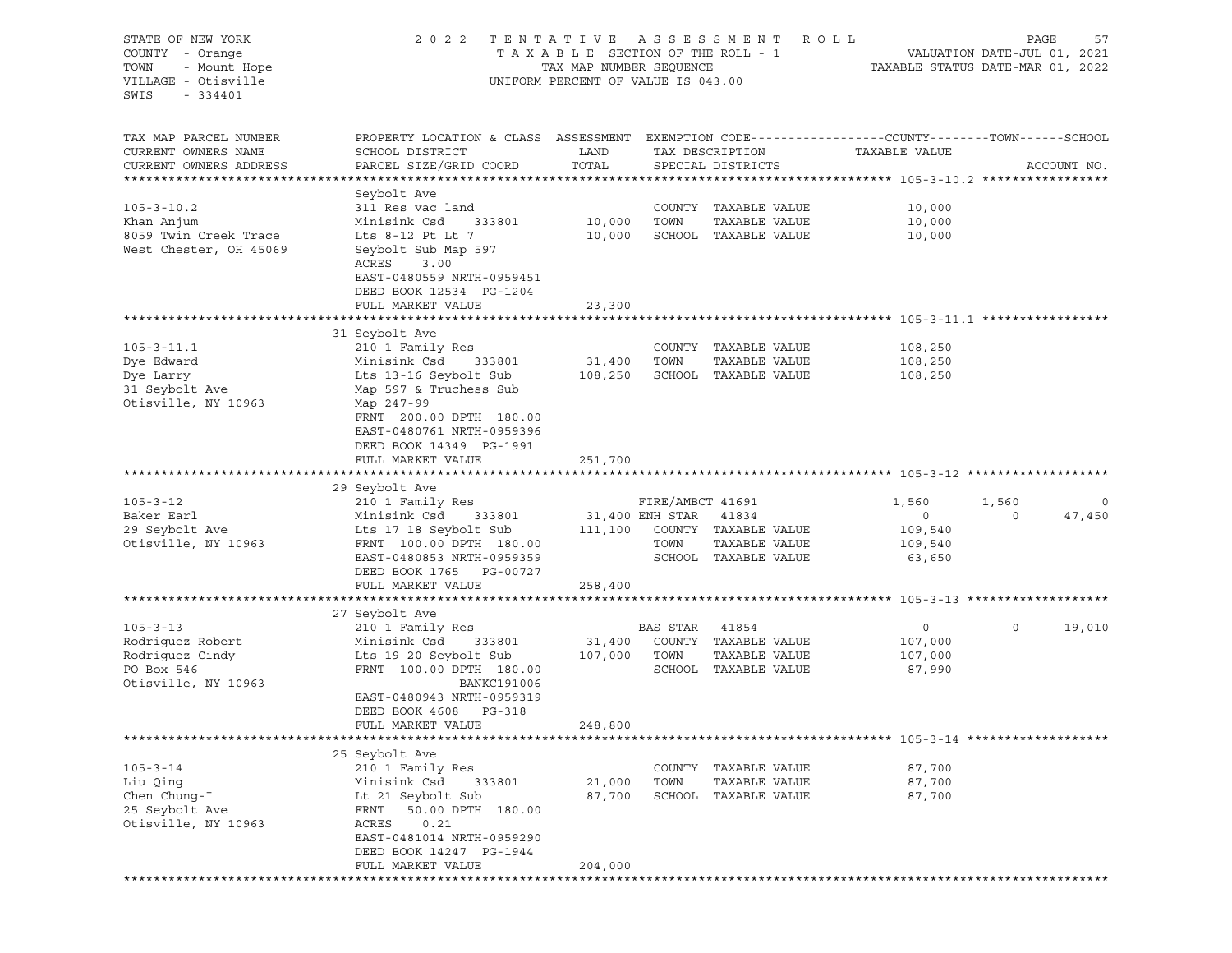| STATE OF NEW YORK<br>COUNTY - Orange<br>TOWN<br>- Mount Hope<br>VILLAGE - Otisville<br>SWIS<br>$-334401$ | 2 0 2 2                                                                                                                                      | TAXABLE SECTION OF THE ROLL - 1<br>TAX MAP NUMBER SEQUENCE<br>UNIFORM PERCENT OF VALUE IS 043.00 |                       | TENTATIVE ASSESSMENT ROLL             | TAXABLE STATUS DATE-MAR 01, 2022 | PAGE<br>VALUATION DATE-JUL 01, 2021 | 57          |
|----------------------------------------------------------------------------------------------------------|----------------------------------------------------------------------------------------------------------------------------------------------|--------------------------------------------------------------------------------------------------|-----------------------|---------------------------------------|----------------------------------|-------------------------------------|-------------|
| TAX MAP PARCEL NUMBER<br>CURRENT OWNERS NAME<br>CURRENT OWNERS ADDRESS                                   | PROPERTY LOCATION & CLASS ASSESSMENT EXEMPTION CODE---------------COUNTY-------TOWN------SCHOOL<br>SCHOOL DISTRICT<br>PARCEL SIZE/GRID COORD | LAND<br>TOTAL                                                                                    |                       | TAX DESCRIPTION<br>SPECIAL DISTRICTS  | TAXABLE VALUE                    |                                     | ACCOUNT NO. |
|                                                                                                          |                                                                                                                                              |                                                                                                  |                       |                                       |                                  |                                     |             |
|                                                                                                          | Seybolt Ave                                                                                                                                  |                                                                                                  |                       |                                       |                                  |                                     |             |
| $105 - 3 - 10.2$                                                                                         | 311 Res vac land                                                                                                                             |                                                                                                  |                       | COUNTY TAXABLE VALUE                  | 10,000                           |                                     |             |
| Khan Anjum                                                                                               | Minisink Csd<br>333801                                                                                                                       | 10,000                                                                                           | TOWN                  | TAXABLE VALUE                         | 10,000                           |                                     |             |
| 8059 Twin Creek Trace                                                                                    | Lts 8-12 Pt Lt 7                                                                                                                             | 10,000                                                                                           |                       | SCHOOL TAXABLE VALUE                  | 10,000                           |                                     |             |
| West Chester, OH 45069                                                                                   | Seybolt Sub Map 597<br>ACRES<br>3.00<br>EAST-0480559 NRTH-0959451<br>DEED BOOK 12534 PG-1204                                                 |                                                                                                  |                       |                                       |                                  |                                     |             |
|                                                                                                          | FULL MARKET VALUE                                                                                                                            | 23,300                                                                                           |                       |                                       |                                  |                                     |             |
|                                                                                                          |                                                                                                                                              |                                                                                                  |                       |                                       |                                  |                                     |             |
|                                                                                                          | 31 Seybolt Ave                                                                                                                               |                                                                                                  |                       |                                       |                                  |                                     |             |
| $105 - 3 - 11.1$                                                                                         | 210 1 Family Res                                                                                                                             |                                                                                                  |                       | COUNTY TAXABLE VALUE                  | 108,250                          |                                     |             |
| Dye Edward                                                                                               | Minisink Csd<br>333801                                                                                                                       | 31,400                                                                                           | TOWN                  | TAXABLE VALUE                         | 108,250                          |                                     |             |
| Dye Larry                                                                                                | Lts 13-16 Seybolt Sub                                                                                                                        | 108,250                                                                                          |                       | SCHOOL TAXABLE VALUE                  | 108,250                          |                                     |             |
| 31 Seybolt Ave<br>Otisville, NY 10963                                                                    | Map 597 & Truchess Sub<br>Map 247-99                                                                                                         |                                                                                                  |                       |                                       |                                  |                                     |             |
|                                                                                                          | FRNT 200.00 DPTH 180.00                                                                                                                      |                                                                                                  |                       |                                       |                                  |                                     |             |
|                                                                                                          | EAST-0480761 NRTH-0959396                                                                                                                    |                                                                                                  |                       |                                       |                                  |                                     |             |
|                                                                                                          | DEED BOOK 14349 PG-1991                                                                                                                      |                                                                                                  |                       |                                       |                                  |                                     |             |
|                                                                                                          | FULL MARKET VALUE                                                                                                                            | 251,700                                                                                          |                       |                                       |                                  |                                     |             |
|                                                                                                          |                                                                                                                                              |                                                                                                  |                       |                                       |                                  |                                     |             |
|                                                                                                          | 29 Seybolt Ave                                                                                                                               |                                                                                                  |                       |                                       |                                  |                                     |             |
| $105 - 3 - 12$                                                                                           | 210 1 Family Res                                                                                                                             |                                                                                                  | FIRE/AMBCT 41691      |                                       | 1,560                            | 1,560                               | $\circ$     |
| Baker Earl                                                                                               | Minisink Csd<br>333801                                                                                                                       |                                                                                                  | 31,400 ENH STAR 41834 |                                       | $\circ$                          | $\circ$                             | 47,450      |
| 29 Seybolt Ave                                                                                           | Lts 17 18 Seybolt Sub                                                                                                                        | 111,100                                                                                          |                       | COUNTY TAXABLE VALUE                  | 109,540                          |                                     |             |
| Otisville, NY 10963                                                                                      | FRNT 100.00 DPTH 180.00                                                                                                                      |                                                                                                  | TOWN                  | TAXABLE VALUE<br>SCHOOL TAXABLE VALUE | 109,540                          |                                     |             |
|                                                                                                          | EAST-0480853 NRTH-0959359<br>DEED BOOK 1765 PG-00727                                                                                         |                                                                                                  |                       |                                       | 63,650                           |                                     |             |
|                                                                                                          | FULL MARKET VALUE                                                                                                                            | 258,400                                                                                          |                       |                                       |                                  |                                     |             |
|                                                                                                          |                                                                                                                                              |                                                                                                  |                       |                                       |                                  |                                     |             |
|                                                                                                          | 27 Seybolt Ave                                                                                                                               |                                                                                                  |                       |                                       |                                  |                                     |             |
| $105 - 3 - 13$                                                                                           | 210 1 Family Res                                                                                                                             |                                                                                                  | BAS STAR              | 41854                                 | $\circ$                          | $\mathbf 0$                         | 19,010      |
| Rodriguez Robert                                                                                         | Minisink Csd<br>333801                                                                                                                       | 31,400                                                                                           |                       | COUNTY TAXABLE VALUE                  | 107,000                          |                                     |             |
| Rodriguez Cindy                                                                                          | Lts 19 20 Seybolt Sub                                                                                                                        | 107,000                                                                                          | TOWN                  | TAXABLE VALUE                         | 107,000                          |                                     |             |
| PO Box 546                                                                                               | FRNT 100.00 DPTH 180.00                                                                                                                      |                                                                                                  |                       | SCHOOL TAXABLE VALUE                  | 87,990                           |                                     |             |
| Otisville, NY 10963                                                                                      | BANKC191006                                                                                                                                  |                                                                                                  |                       |                                       |                                  |                                     |             |
|                                                                                                          | EAST-0480943 NRTH-0959319                                                                                                                    |                                                                                                  |                       |                                       |                                  |                                     |             |
|                                                                                                          | DEED BOOK 4608 PG-318                                                                                                                        |                                                                                                  |                       |                                       |                                  |                                     |             |
|                                                                                                          | FULL MARKET VALUE                                                                                                                            | 248,800                                                                                          |                       |                                       |                                  |                                     |             |
|                                                                                                          |                                                                                                                                              |                                                                                                  |                       |                                       |                                  |                                     |             |
| $105 - 3 - 14$                                                                                           | 25 Seybolt Ave<br>210 1 Family Res                                                                                                           |                                                                                                  |                       | COUNTY TAXABLE VALUE                  | 87,700                           |                                     |             |
| Liu Qing                                                                                                 | Minisink Csd<br>333801                                                                                                                       | 21,000                                                                                           | TOWN                  | TAXABLE VALUE                         | 87,700                           |                                     |             |
| Chen Chung-I                                                                                             | Lt 21 Seybolt Sub                                                                                                                            | 87,700                                                                                           |                       | SCHOOL TAXABLE VALUE                  | 87,700                           |                                     |             |
| 25 Seybolt Ave                                                                                           | FRNT<br>50.00 DPTH 180.00                                                                                                                    |                                                                                                  |                       |                                       |                                  |                                     |             |
| Otisville, NY 10963                                                                                      | ACRES<br>0.21                                                                                                                                |                                                                                                  |                       |                                       |                                  |                                     |             |
|                                                                                                          | EAST-0481014 NRTH-0959290                                                                                                                    |                                                                                                  |                       |                                       |                                  |                                     |             |
|                                                                                                          | DEED BOOK 14247 PG-1944                                                                                                                      |                                                                                                  |                       |                                       |                                  |                                     |             |
|                                                                                                          | FULL MARKET VALUE                                                                                                                            | 204,000                                                                                          |                       |                                       |                                  |                                     |             |
|                                                                                                          |                                                                                                                                              |                                                                                                  |                       |                                       |                                  |                                     |             |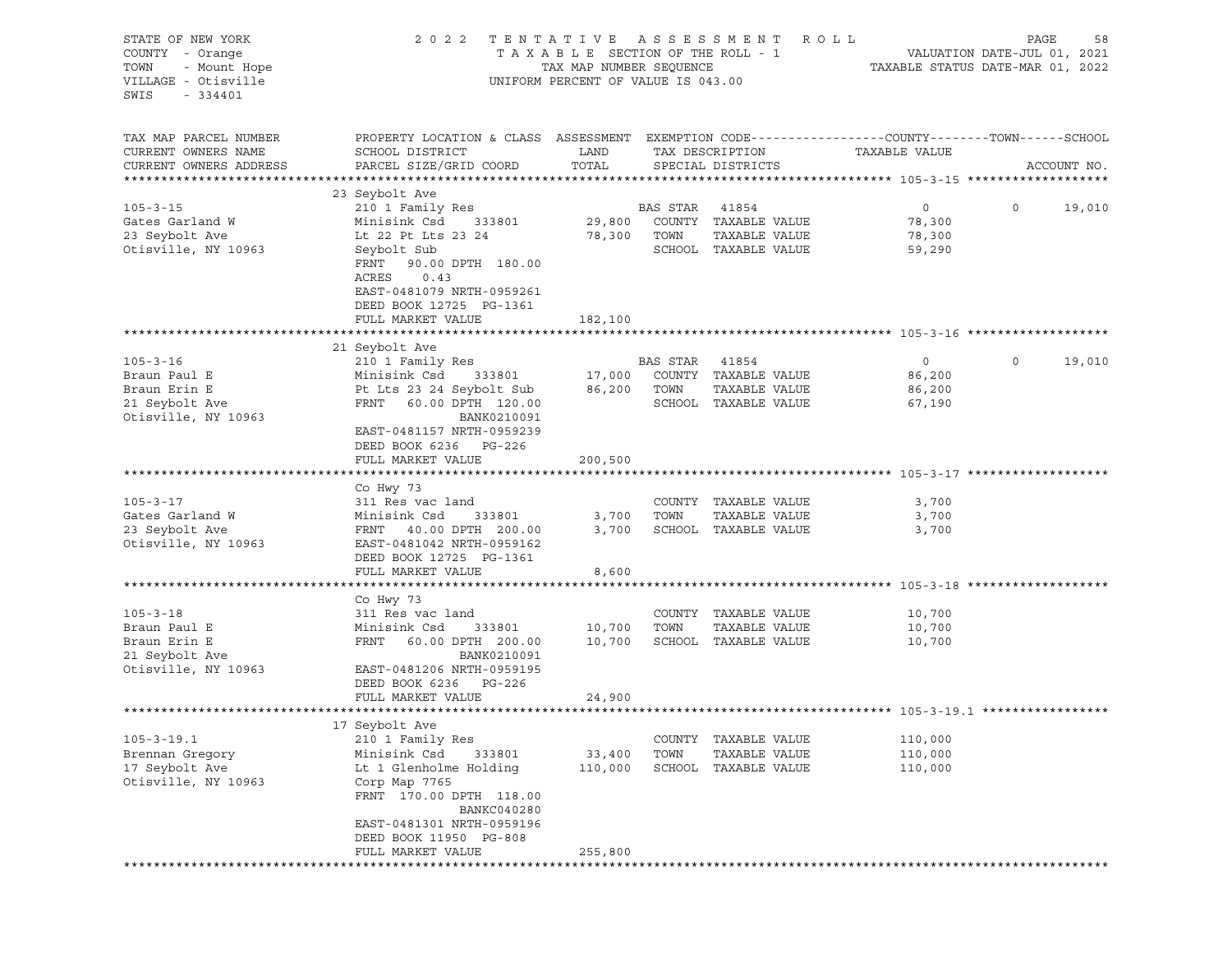| STATE OF NEW YORK<br>COUNTY - Orange<br>TOWN<br>- Mount Hope<br>VILLAGE - Otisville | 2022 TENTATIVE ASSESSMENT                                                                       | TAXABLE SECTION OF THE ROLL - 1<br>TAX MAP NUMBER SEQUENCE<br>UNIFORM PERCENT OF VALUE IS 043.00 | R O L L<br>PAGE<br>VALUATION DATE-JUL 01, 2021<br>TAXABLE STATUS DATE-MAR 01, 2022 |                                       |                  |             |             |
|-------------------------------------------------------------------------------------|-------------------------------------------------------------------------------------------------|--------------------------------------------------------------------------------------------------|------------------------------------------------------------------------------------|---------------------------------------|------------------|-------------|-------------|
| SWIS<br>$-334401$                                                                   |                                                                                                 |                                                                                                  |                                                                                    |                                       |                  |             |             |
| TAX MAP PARCEL NUMBER                                                               | PROPERTY LOCATION & CLASS ASSESSMENT EXEMPTION CODE---------------COUNTY-------TOWN------SCHOOL |                                                                                                  |                                                                                    |                                       |                  |             |             |
| CURRENT OWNERS NAME<br>CURRENT OWNERS ADDRESS                                       | SCHOOL DISTRICT<br>PARCEL SIZE/GRID COORD                                                       | LAND<br>TOTAL                                                                                    |                                                                                    | TAX DESCRIPTION<br>SPECIAL DISTRICTS  | TAXABLE VALUE    |             | ACCOUNT NO. |
|                                                                                     |                                                                                                 |                                                                                                  |                                                                                    |                                       |                  |             |             |
|                                                                                     | 23 Seybolt Ave                                                                                  |                                                                                                  |                                                                                    |                                       |                  |             |             |
| $105 - 3 - 15$                                                                      | 210 1 Family Res                                                                                |                                                                                                  | BAS STAR                                                                           | 41854                                 | $\overline{0}$   | $\circ$     | 19,010      |
| Gates Garland W                                                                     | Minisink Csd<br>333801                                                                          | 29,800                                                                                           |                                                                                    | COUNTY TAXABLE VALUE                  | 78,300           |             |             |
| 23 Seybolt Ave                                                                      | Lt 22 Pt Lts 23 24                                                                              | 78,300                                                                                           | TOWN                                                                               | TAXABLE VALUE                         | 78,300           |             |             |
| Otisville, NY 10963                                                                 | Seybolt Sub<br>FRNT<br>90.00 DPTH 180.00                                                        |                                                                                                  |                                                                                    | SCHOOL TAXABLE VALUE                  | 59,290           |             |             |
|                                                                                     | ACRES<br>0.43                                                                                   |                                                                                                  |                                                                                    |                                       |                  |             |             |
|                                                                                     | EAST-0481079 NRTH-0959261<br>DEED BOOK 12725 PG-1361                                            |                                                                                                  |                                                                                    |                                       |                  |             |             |
|                                                                                     | FULL MARKET VALUE                                                                               | 182,100                                                                                          |                                                                                    |                                       |                  |             |             |
|                                                                                     |                                                                                                 |                                                                                                  |                                                                                    |                                       |                  |             |             |
|                                                                                     | 21 Seybolt Ave                                                                                  |                                                                                                  |                                                                                    |                                       |                  |             |             |
| $105 - 3 - 16$                                                                      | 210 1 Family Res                                                                                |                                                                                                  | BAS STAR                                                                           | 41854                                 | $\circ$          | $\mathbf 0$ | 19,010      |
| Braun Paul E                                                                        | Minisink Csd 333801                                                                             | 17,000                                                                                           |                                                                                    | COUNTY TAXABLE VALUE                  | 86,200           |             |             |
| Braun Erin E<br>21 Seybolt Ave                                                      | Pt Lts 23 24 Seybolt Sub<br>FRNT 60.00 DPTH 120.00                                              | 86,200                                                                                           | TOWN                                                                               | TAXABLE VALUE<br>SCHOOL TAXABLE VALUE | 86,200<br>67,190 |             |             |
| Otisville, NY 10963                                                                 | BANK0210091                                                                                     |                                                                                                  |                                                                                    |                                       |                  |             |             |
|                                                                                     | EAST-0481157 NRTH-0959239                                                                       |                                                                                                  |                                                                                    |                                       |                  |             |             |
|                                                                                     | DEED BOOK 6236 PG-226                                                                           |                                                                                                  |                                                                                    |                                       |                  |             |             |
|                                                                                     | FULL MARKET VALUE                                                                               | 200,500                                                                                          |                                                                                    |                                       |                  |             |             |
|                                                                                     |                                                                                                 |                                                                                                  |                                                                                    |                                       |                  |             |             |
| $105 - 3 - 17$                                                                      | Co Hwy 73<br>311 Res vac land                                                                   |                                                                                                  |                                                                                    | COUNTY TAXABLE VALUE                  | 3,700            |             |             |
| Gates Garland W                                                                     | Minisink Csd 333801                                                                             | 3,700                                                                                            | TOWN                                                                               | TAXABLE VALUE                         | 3,700            |             |             |
| 23 Seybolt Ave                                                                      | FRNT 40.00 DPTH 200.00                                                                          | 3,700                                                                                            |                                                                                    | SCHOOL TAXABLE VALUE                  | 3,700            |             |             |
| Otisville, NY 10963                                                                 | EAST-0481042 NRTH-0959162                                                                       |                                                                                                  |                                                                                    |                                       |                  |             |             |
|                                                                                     | DEED BOOK 12725 PG-1361                                                                         |                                                                                                  |                                                                                    |                                       |                  |             |             |
|                                                                                     | FULL MARKET VALUE                                                                               | 8,600                                                                                            |                                                                                    |                                       |                  |             |             |
|                                                                                     | Co Hwy 73                                                                                       |                                                                                                  |                                                                                    |                                       |                  |             |             |
| $105 - 3 - 18$                                                                      | 311 Res vac land                                                                                |                                                                                                  |                                                                                    | COUNTY TAXABLE VALUE                  | 10,700           |             |             |
| Braun Paul E                                                                        | Minisink Csd<br>333801                                                                          | 10,700                                                                                           | TOWN                                                                               | TAXABLE VALUE                         | 10,700           |             |             |
| Braun Erin E                                                                        | FRNT<br>60.00 DPTH 200.00                                                                       | 10,700                                                                                           |                                                                                    | SCHOOL TAXABLE VALUE                  | 10,700           |             |             |
| 21 Seybolt Ave                                                                      | BANK0210091                                                                                     |                                                                                                  |                                                                                    |                                       |                  |             |             |
| Otisville, NY 10963                                                                 | EAST-0481206 NRTH-0959195<br>DEED BOOK 6236 PG-226                                              |                                                                                                  |                                                                                    |                                       |                  |             |             |
|                                                                                     | FULL MARKET VALUE                                                                               | 24,900                                                                                           |                                                                                    |                                       |                  |             |             |
|                                                                                     |                                                                                                 |                                                                                                  |                                                                                    |                                       |                  |             |             |
|                                                                                     | 17 Seybolt Ave                                                                                  |                                                                                                  |                                                                                    |                                       |                  |             |             |
| $105 - 3 - 19.1$                                                                    | 210 1 Family Res                                                                                |                                                                                                  | COUNTY                                                                             | TAXABLE VALUE                         | 110,000          |             |             |
| Brennan Gregory                                                                     | Minisink Csd<br>333801                                                                          | 33,400                                                                                           | TOWN                                                                               | TAXABLE VALUE                         | 110,000          |             |             |
| 17 Seybolt Ave<br>Otisville, NY 10963                                               | Lt 1 Glenholme Holding<br>Corp Map 7765                                                         | 110,000                                                                                          | SCHOOL                                                                             | TAXABLE VALUE                         | 110,000          |             |             |
|                                                                                     | FRNT 170.00 DPTH 118.00                                                                         |                                                                                                  |                                                                                    |                                       |                  |             |             |
|                                                                                     | BANKC040280<br>EAST-0481301 NRTH-0959196                                                        |                                                                                                  |                                                                                    |                                       |                  |             |             |
|                                                                                     | DEED BOOK 11950 PG-808                                                                          |                                                                                                  |                                                                                    |                                       |                  |             |             |
|                                                                                     | FULL MARKET VALUE                                                                               | 255,800                                                                                          |                                                                                    |                                       |                  |             |             |
|                                                                                     |                                                                                                 |                                                                                                  |                                                                                    |                                       |                  |             |             |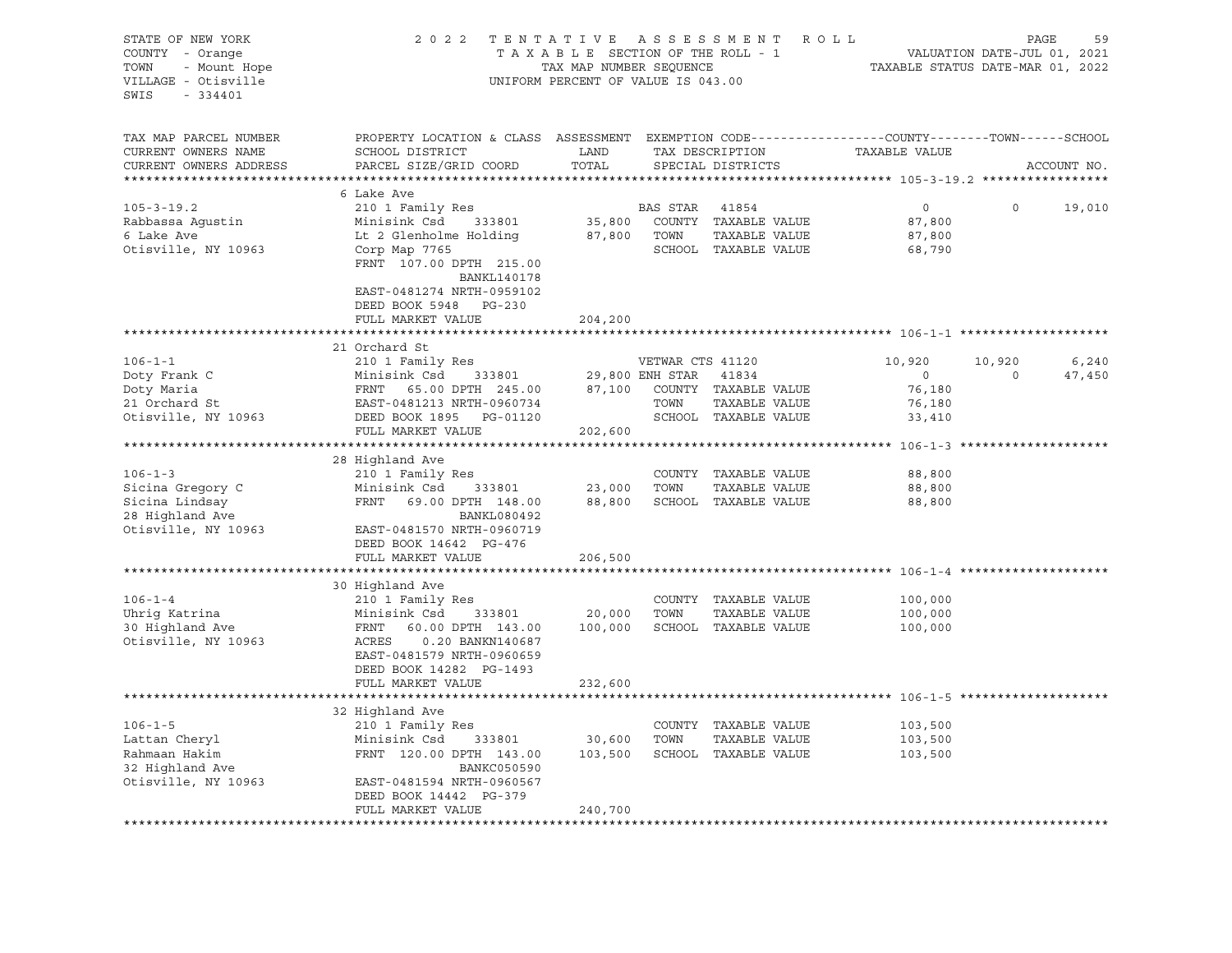| STATE OF NEW YORK                           | 2 0 2 2                                                                                                                                                                                         | TENTATIVE                       |                  | ASSESSMENT ROLL              |                                  | PAGE                        | 59          |
|---------------------------------------------|-------------------------------------------------------------------------------------------------------------------------------------------------------------------------------------------------|---------------------------------|------------------|------------------------------|----------------------------------|-----------------------------|-------------|
| COUNTY - Orange                             |                                                                                                                                                                                                 | TAXABLE SECTION OF THE ROLL - 1 |                  |                              |                                  | VALUATION DATE-JUL 01, 2021 |             |
| - Mount Hope<br>TOWN                        |                                                                                                                                                                                                 | TAX MAP NUMBER SEQUENCE         |                  |                              | TAXABLE STATUS DATE-MAR 01, 2022 |                             |             |
| VILLAGE - Otisville                         | UNIFORM PERCENT OF VALUE IS 043.00                                                                                                                                                              |                                 |                  |                              |                                  |                             |             |
| SWIS<br>$-334401$                           |                                                                                                                                                                                                 |                                 |                  |                              |                                  |                             |             |
|                                             |                                                                                                                                                                                                 |                                 |                  |                              |                                  |                             |             |
| TAX MAP PARCEL NUMBER                       | PROPERTY LOCATION & CLASS ASSESSMENT EXEMPTION CODE---------------COUNTY-------TOWN------SCHOOL                                                                                                 |                                 |                  |                              |                                  |                             |             |
| CURRENT OWNERS NAME                         | SCHOOL DISTRICT                                                                                                                                                                                 | LAND                            |                  | TAX DESCRIPTION              | TAXABLE VALUE                    |                             |             |
| CURRENT OWNERS ADDRESS                      | PARCEL SIZE/GRID COORD                                                                                                                                                                          | TOTAL                           |                  | SPECIAL DISTRICTS            |                                  |                             | ACCOUNT NO. |
| ***********************                     |                                                                                                                                                                                                 |                                 |                  |                              |                                  |                             |             |
|                                             | 6 Lake Ave                                                                                                                                                                                      |                                 |                  |                              |                                  |                             |             |
| $105 - 3 - 19.2$                            | 210 1 Family Res                                                                                                                                                                                |                                 | BAS STAR         | 41854                        | $\overline{0}$                   | $\circ$                     | 19,010      |
| Rabbassa Agustin                            | Minisink Csd 333801                                                                                                                                                                             |                                 |                  | 35,800 COUNTY TAXABLE VALUE  | 87,800                           |                             |             |
| 6 Lake Ave                                  | Lt 2 Glenholme Holding                                                                                                                                                                          | 87,800 TOWN                     |                  | TAXABLE VALUE                | 87,800                           |                             |             |
| Otisville, NY 10963                         | Corp Map 7765                                                                                                                                                                                   |                                 |                  | SCHOOL TAXABLE VALUE         | 68,790                           |                             |             |
|                                             | FRNT 107.00 DPTH 215.00                                                                                                                                                                         |                                 |                  |                              |                                  |                             |             |
|                                             | BANKL140178                                                                                                                                                                                     |                                 |                  |                              |                                  |                             |             |
|                                             | EAST-0481274 NRTH-0959102                                                                                                                                                                       |                                 |                  |                              |                                  |                             |             |
|                                             | DEED BOOK 5948 PG-230                                                                                                                                                                           |                                 |                  |                              |                                  |                             |             |
|                                             | FULL MARKET VALUE                                                                                                                                                                               | 204,200                         |                  |                              |                                  |                             |             |
|                                             |                                                                                                                                                                                                 |                                 |                  |                              |                                  |                             |             |
|                                             | 21 Orchard St                                                                                                                                                                                   |                                 |                  |                              |                                  |                             |             |
| $106 - 1 - 1$                               | 210 1 Family Res                                                                                                                                                                                |                                 | VETWAR CTS 41120 |                              | 10,920                           | 10,920                      | 6,240       |
| Doty Frank C<br>Doty Maria<br>21 Orchard St |                                                                                                                                                                                                 |                                 |                  |                              | $\overline{0}$                   | $\circ$                     | 47,450      |
|                                             |                                                                                                                                                                                                 |                                 |                  |                              | 76,180                           |                             |             |
|                                             |                                                                                                                                                                                                 |                                 |                  | TAXABLE VALUE                | 76,180                           |                             |             |
| Otisville, NY 10963                         | Minisink Csd 333801 29,800 ENH STAR 41834<br>FRNT 65.00 DPTH 245.00 87,100 COUNTY TAXABLE VALUE<br>EAST-0481213 NRTH-0960734 TOWN TAXABLE VALUE<br>DEED BOOK 1895 PG-01120 SCHOOL TAXABLE VALUE |                                 |                  |                              | 33,410                           |                             |             |
|                                             | FULL MARKET VALUE                                                                                                                                                                               | 202,600                         |                  |                              |                                  |                             |             |
|                                             |                                                                                                                                                                                                 |                                 |                  |                              |                                  |                             |             |
|                                             | 28 Highland Ave                                                                                                                                                                                 |                                 |                  |                              |                                  |                             |             |
| $106 - 1 - 3$                               | 210 1 Family Res                                                                                                                                                                                |                                 |                  | COUNTY TAXABLE VALUE         | 88,800                           |                             |             |
| Sicina Gregory C                            | Minisink Csd<br>333801                                                                                                                                                                          |                                 | 23,000 TOWN      | TAXABLE VALUE                | 88,800                           |                             |             |
| Sicina Lindsay                              | FRNT 69.00 DPTH 148.00                                                                                                                                                                          |                                 |                  | 88,800 SCHOOL TAXABLE VALUE  | 88,800                           |                             |             |
| 28 Highland Ave                             | BANKL080492                                                                                                                                                                                     |                                 |                  |                              |                                  |                             |             |
| Otisville, NY 10963                         | EAST-0481570 NRTH-0960719                                                                                                                                                                       |                                 |                  |                              |                                  |                             |             |
|                                             | DEED BOOK 14642 PG-476<br>FULL MARKET VALUE                                                                                                                                                     |                                 |                  |                              |                                  |                             |             |
|                                             |                                                                                                                                                                                                 | 206,500                         |                  |                              |                                  |                             |             |
|                                             | 30 Highland Ave                                                                                                                                                                                 |                                 |                  |                              |                                  |                             |             |
| $106 - 1 - 4$                               | 210 1 Family Res                                                                                                                                                                                |                                 |                  | COUNTY TAXABLE VALUE         | 100,000                          |                             |             |
| Uhrig Katrina                               | Minisink Csd<br>333801                                                                                                                                                                          | 20,000 TOWN                     |                  | TAXABLE VALUE                | 100,000                          |                             |             |
| 30 Highland Ave                             | FRNT<br>60.00 DPTH 143.00                                                                                                                                                                       |                                 |                  | 100,000 SCHOOL TAXABLE VALUE | 100,000                          |                             |             |
| Otisville, NY 10963                         | ACRES<br>0.20 BANKN140687                                                                                                                                                                       |                                 |                  |                              |                                  |                             |             |
|                                             | EAST-0481579 NRTH-0960659                                                                                                                                                                       |                                 |                  |                              |                                  |                             |             |
|                                             | DEED BOOK 14282 PG-1493                                                                                                                                                                         |                                 |                  |                              |                                  |                             |             |
|                                             | FULL MARKET VALUE                                                                                                                                                                               | 232,600                         |                  |                              |                                  |                             |             |
|                                             |                                                                                                                                                                                                 |                                 |                  |                              |                                  |                             |             |
|                                             | 32 Highland Ave                                                                                                                                                                                 |                                 |                  |                              |                                  |                             |             |
| $106 - 1 - 5$                               | 210 1 Family Res                                                                                                                                                                                |                                 |                  | COUNTY TAXABLE VALUE         | 103,500                          |                             |             |
| Lattan Cheryl                               | Minisink Csd<br>333801                                                                                                                                                                          | 30,600                          | TOWN             | TAXABLE VALUE                | 103,500                          |                             |             |
| Rahmaan Hakim                               | FRNT 120.00 DPTH 143.00                                                                                                                                                                         |                                 |                  | 103,500 SCHOOL TAXABLE VALUE | 103,500                          |                             |             |
| 32 Highland Ave                             | BANKC050590                                                                                                                                                                                     |                                 |                  |                              |                                  |                             |             |
| Otisville, NY 10963                         | EAST-0481594 NRTH-0960567                                                                                                                                                                       |                                 |                  |                              |                                  |                             |             |
|                                             | DEED BOOK 14442 PG-379                                                                                                                                                                          |                                 |                  |                              |                                  |                             |             |
|                                             | FULL MARKET VALUE                                                                                                                                                                               | 240,700                         |                  |                              |                                  |                             |             |
|                                             |                                                                                                                                                                                                 |                                 |                  |                              |                                  |                             |             |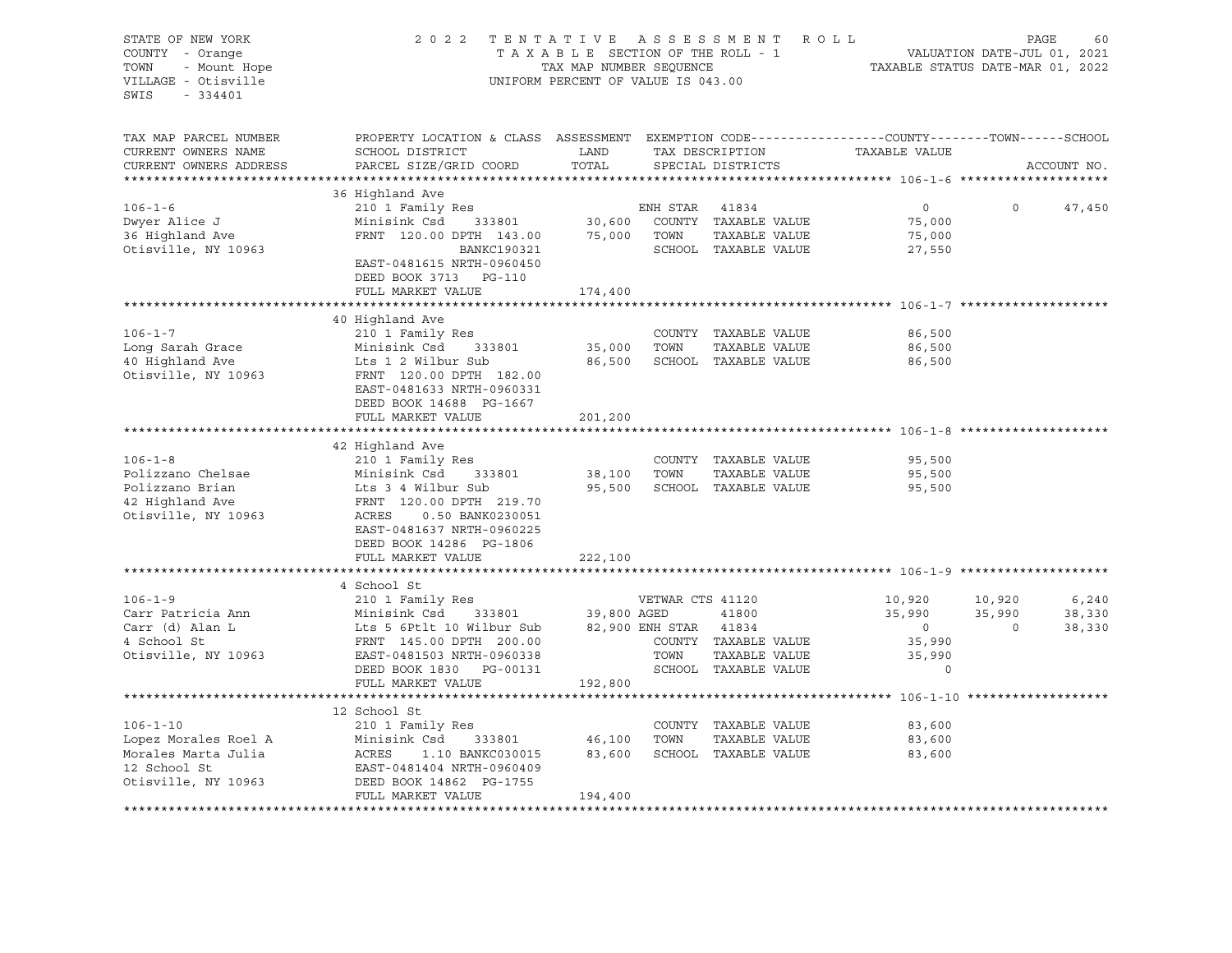| STATE OF NEW YORK                        | 2 0 2 2                                                                                          | TENTATIVE ASSESSMENT               |                             | ROLL                                  |                  | PAGE<br>60 |             |  |
|------------------------------------------|--------------------------------------------------------------------------------------------------|------------------------------------|-----------------------------|---------------------------------------|------------------|------------|-------------|--|
| COUNTY - Orange<br>TOWN<br>- Mount Hope  | TAXABLE SECTION OF THE ROLL - 1<br>TAX MAP NUMBER SEQUENCE                                       | TAXABLE STATUS DATE-MAR 01, 2022   | VALUATION DATE-JUL 01, 2021 |                                       |                  |            |             |  |
| VILLAGE - Otisville<br>SWIS<br>$-334401$ |                                                                                                  | UNIFORM PERCENT OF VALUE IS 043.00 |                             |                                       |                  |            |             |  |
| TAX MAP PARCEL NUMBER                    | PROPERTY LOCATION & CLASS ASSESSMENT EXEMPTION CODE----------------COUNTY-------TOWN------SCHOOL |                                    |                             |                                       |                  |            |             |  |
| CURRENT OWNERS NAME                      | SCHOOL DISTRICT                                                                                  | LAND                               |                             | TAX DESCRIPTION                       | TAXABLE VALUE    |            |             |  |
| CURRENT OWNERS ADDRESS                   | PARCEL SIZE/GRID COORD                                                                           | TOTAL                              |                             | SPECIAL DISTRICTS                     |                  |            | ACCOUNT NO. |  |
|                                          | 36 Highland Ave                                                                                  |                                    |                             |                                       |                  |            |             |  |
| $106 - 1 - 6$                            | 210 1 Family Res                                                                                 |                                    | ENH STAR                    | 41834                                 | $\overline{0}$   | $\Omega$   | 47,450      |  |
| Dwyer Alice J                            | Minisink Csd<br>333801                                                                           | 30,600                             |                             | COUNTY TAXABLE VALUE                  | 75,000           |            |             |  |
| 36 Highland Ave                          | FRNT 120.00 DPTH 143.00                                                                          | 75,000                             | TOWN                        | TAXABLE VALUE                         | 75,000           |            |             |  |
| Otisville, NY 10963                      | BANKC190321                                                                                      |                                    |                             | SCHOOL TAXABLE VALUE                  | 27,550           |            |             |  |
|                                          | EAST-0481615 NRTH-0960450                                                                        |                                    |                             |                                       |                  |            |             |  |
|                                          | DEED BOOK 3713 PG-110                                                                            |                                    |                             |                                       |                  |            |             |  |
|                                          | FULL MARKET VALUE                                                                                | 174,400                            |                             |                                       |                  |            |             |  |
|                                          |                                                                                                  |                                    |                             |                                       |                  |            |             |  |
|                                          | 40 Highland Ave                                                                                  |                                    |                             |                                       |                  |            |             |  |
| $106 - 1 - 7$                            | 210 1 Family Res                                                                                 |                                    |                             | COUNTY TAXABLE VALUE                  | 86,500           |            |             |  |
| Long Sarah Grace<br>40 Highland Ave      | Minisink Csd<br>333801<br>Lts 1 2 Wilbur Sub                                                     | 35,000<br>86,500                   | TOWN                        | TAXABLE VALUE<br>SCHOOL TAXABLE VALUE | 86,500<br>86,500 |            |             |  |
| Otisville, NY 10963                      | FRNT 120.00 DPTH 182.00                                                                          |                                    |                             |                                       |                  |            |             |  |
|                                          | EAST-0481633 NRTH-0960331                                                                        |                                    |                             |                                       |                  |            |             |  |
|                                          | DEED BOOK 14688 PG-1667                                                                          |                                    |                             |                                       |                  |            |             |  |
|                                          | FULL MARKET VALUE                                                                                | 201,200                            |                             |                                       |                  |            |             |  |
|                                          |                                                                                                  |                                    |                             |                                       |                  |            |             |  |
|                                          | 42 Highland Ave                                                                                  |                                    |                             |                                       |                  |            |             |  |
| $106 - 1 - 8$                            | 210 1 Family Res                                                                                 |                                    |                             | COUNTY TAXABLE VALUE                  | 95,500           |            |             |  |
| Polizzano Chelsae                        | Minisink Csd<br>333801                                                                           | 38,100                             | TOWN                        | TAXABLE VALUE                         | 95,500           |            |             |  |
| Polizzano Brian<br>42 Highland Ave       | Lts 3 4 Wilbur Sub<br>FRNT 120.00 DPTH 219.70                                                    | 95,500                             |                             | SCHOOL TAXABLE VALUE                  | 95,500           |            |             |  |
| Otisville, NY 10963                      | ACRES<br>0.50 BANK0230051                                                                        |                                    |                             |                                       |                  |            |             |  |
|                                          | EAST-0481637 NRTH-0960225                                                                        |                                    |                             |                                       |                  |            |             |  |
|                                          | DEED BOOK 14286 PG-1806                                                                          |                                    |                             |                                       |                  |            |             |  |
|                                          | FULL MARKET VALUE                                                                                | 222,100                            |                             |                                       |                  |            |             |  |
|                                          |                                                                                                  |                                    |                             |                                       |                  |            |             |  |
|                                          | 4 School St                                                                                      |                                    |                             |                                       |                  |            |             |  |
| $106 - 1 - 9$                            | 210 1 Family Res                                                                                 |                                    | VETWAR CTS 41120            |                                       | 10,920           | 10,920     | 6, 240      |  |
| Carr Patricia Ann                        | Minisink Csd<br>333801                                                                           | 39,800 AGED                        |                             | 41800                                 | 35,990           | 35,990     | 38,330      |  |
| Carr (d) Alan L                          | Lts 5 6Ptlt 10 Wilbur Sub                                                                        |                                    | 82,900 ENH STAR             | 41834                                 | $\circ$          | $\Omega$   | 38,330      |  |
| 4 School St                              | FRNT 145.00 DPTH 200.00                                                                          |                                    | TOWN                        | COUNTY TAXABLE VALUE                  | 35,990<br>35,990 |            |             |  |
| Otisville, NY 10963                      | EAST-0481503 NRTH-0960338<br>DEED BOOK 1830 PG-00131                                             |                                    |                             | TAXABLE VALUE<br>SCHOOL TAXABLE VALUE | $\circ$          |            |             |  |
|                                          | FULL MARKET VALUE                                                                                | 192,800                            |                             |                                       |                  |            |             |  |
|                                          |                                                                                                  |                                    |                             |                                       |                  |            |             |  |
|                                          | 12 School St                                                                                     |                                    |                             |                                       |                  |            |             |  |
| $106 - 1 - 10$                           | 210 1 Family Res                                                                                 |                                    |                             | COUNTY TAXABLE VALUE                  | 83,600           |            |             |  |
| Lopez Morales Roel A                     | Minisink Csd<br>333801                                                                           | 46,100                             | TOWN                        | TAXABLE VALUE                         | 83,600           |            |             |  |
| Morales Marta Julia                      | ACRES<br>1.10 BANKC030015                                                                        | 83,600                             |                             | SCHOOL TAXABLE VALUE                  | 83,600           |            |             |  |
| 12 School St                             | EAST-0481404 NRTH-0960409                                                                        |                                    |                             |                                       |                  |            |             |  |
| Otisville, NY 10963                      | DEED BOOK 14862 PG-1755                                                                          |                                    |                             |                                       |                  |            |             |  |
|                                          | FULL MARKET VALUE                                                                                | 194,400                            |                             |                                       |                  |            |             |  |
|                                          |                                                                                                  |                                    |                             |                                       |                  |            |             |  |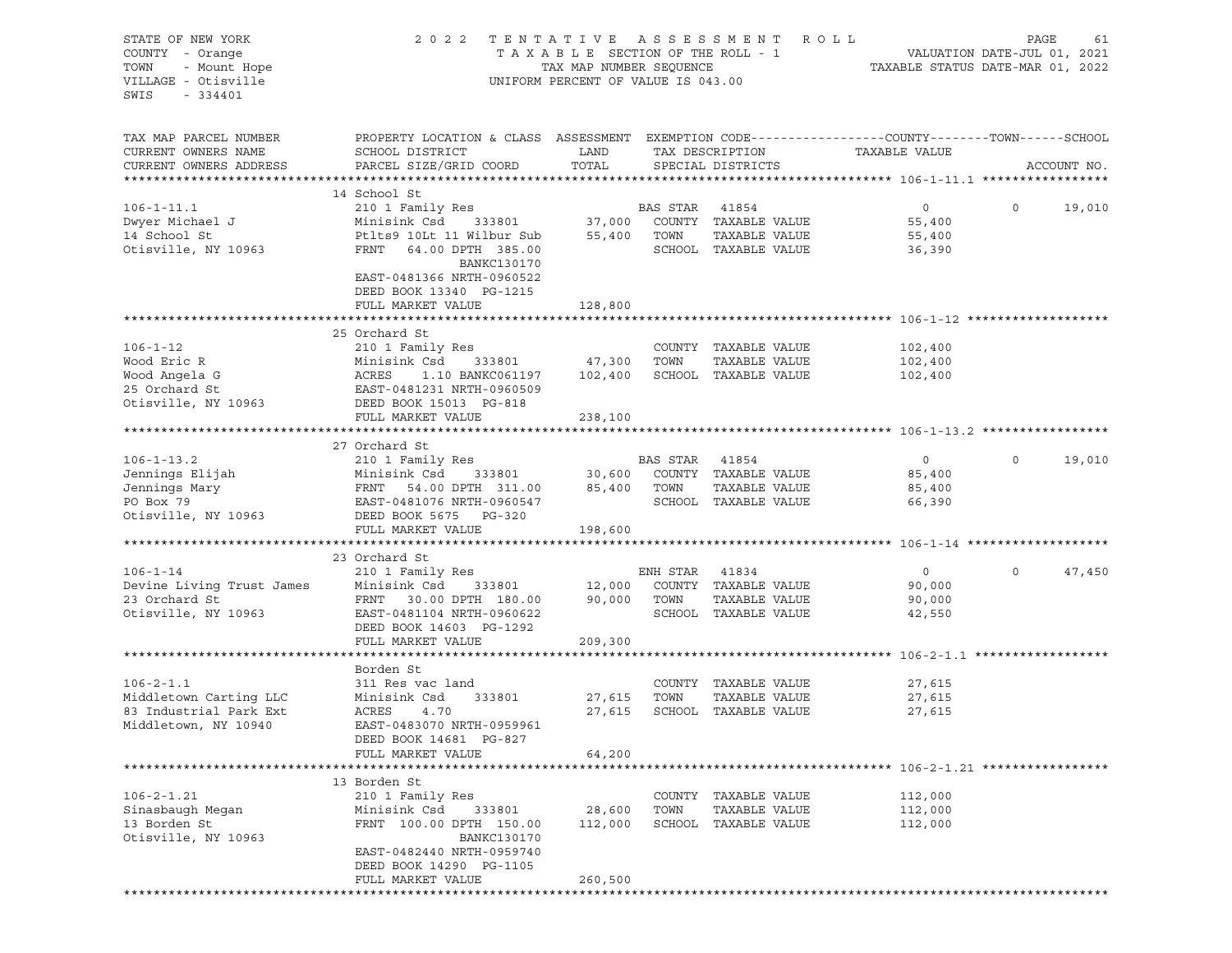| STATE OF NEW YORK<br>COUNTY - Orange<br>OF NEW YORK<br>I - Orange<br>- Mount Hope<br>$\sim i$ sville<br>TOWN                                                                                                                           | 2022 TENTATIVE ASSESSMENT ROLL                                                                                            | PAGE<br>TAXABLE SECTION OF THE ROLL - 1<br>TAXABLE STATUS DATE-JUL 01, 2021<br>TAXABLE STATUS DATE-MAR 01, 2022 |        |                             | 61                 |                   |             |        |
|----------------------------------------------------------------------------------------------------------------------------------------------------------------------------------------------------------------------------------------|---------------------------------------------------------------------------------------------------------------------------|-----------------------------------------------------------------------------------------------------------------|--------|-----------------------------|--------------------|-------------------|-------------|--------|
| VILLAGE - Otisville<br>SWIS                                                                                                                                                                                                            |                                                                                                                           | UNIFORM PERCENT OF VALUE IS 043.00                                                                              |        |                             |                    |                   |             |        |
| TAX MAP PARCEL NUMBER<br>CURRENT OWNERS NAME                                                                                                                                                                                           | PROPERTY LOCATION & CLASS ASSESSMENT EXEMPTION CODE-----------------COUNTY-------TOWN------SCHOOL<br>SCHOOL DISTRICT LAND |                                                                                                                 |        | TAX DESCRIPTION             | TAXABLE VALUE      |                   |             |        |
| CURRENT OWNERS ADDRESS                                                                                                                                                                                                                 | PARCEL SIZE/GRID COORD TOTAL                                                                                              |                                                                                                                 |        | SPECIAL DISTRICTS           |                    |                   | ACCOUNT NO. |        |
|                                                                                                                                                                                                                                        | 14 School St                                                                                                              |                                                                                                                 |        |                             |                    |                   |             |        |
|                                                                                                                                                                                                                                        |                                                                                                                           |                                                                                                                 |        |                             | $\overline{0}$     | $0 \qquad \qquad$ | 19,010      |        |
|                                                                                                                                                                                                                                        |                                                                                                                           |                                                                                                                 |        |                             | 55,400             |                   |             |        |
|                                                                                                                                                                                                                                        |                                                                                                                           |                                                                                                                 |        |                             | 55,400             |                   |             |        |
|                                                                                                                                                                                                                                        | BANKC130170<br>EAST-0481366 NRTH-0960522                                                                                  |                                                                                                                 |        | SCHOOL TAXABLE VALUE        | 36,390             |                   |             |        |
|                                                                                                                                                                                                                                        | DEED BOOK 13340 PG-1215                                                                                                   |                                                                                                                 |        |                             |                    |                   |             |        |
|                                                                                                                                                                                                                                        | FULL MARKET VALUE                                                                                                         | 128,800                                                                                                         |        |                             |                    |                   |             |        |
|                                                                                                                                                                                                                                        |                                                                                                                           |                                                                                                                 |        |                             |                    |                   |             |        |
|                                                                                                                                                                                                                                        | 25 Orchard St                                                                                                             |                                                                                                                 |        |                             |                    |                   |             |        |
|                                                                                                                                                                                                                                        |                                                                                                                           |                                                                                                                 |        |                             | 102,400            |                   |             |        |
|                                                                                                                                                                                                                                        |                                                                                                                           |                                                                                                                 |        | TAXABLE VALUE               | 102,400<br>102,400 |                   |             |        |
|                                                                                                                                                                                                                                        |                                                                                                                           |                                                                                                                 |        |                             |                    |                   |             |        |
| 106-1-12 210 1 Family Res<br>Wood Eric R Minisink Csd 333801 47,300 TOWN TAXABLE VALUE<br>Wood Angela G ACRES 1.10 BANKC061197 102,400 SCHOOL TAXABLE VALUE<br>25 Orchard St EAST-0481231 NRTH-0960509<br>Otisville, NY 10963 DEED BOO |                                                                                                                           |                                                                                                                 |        |                             |                    |                   |             |        |
|                                                                                                                                                                                                                                        | FULL MARKET VALUE                                                                                                         | 238,100                                                                                                         |        |                             |                    |                   |             |        |
|                                                                                                                                                                                                                                        |                                                                                                                           |                                                                                                                 |        |                             |                    |                   |             |        |
|                                                                                                                                                                                                                                        | 27 Orchard St                                                                                                             |                                                                                                                 |        |                             |                    |                   |             |        |
|                                                                                                                                                                                                                                        |                                                                                                                           |                                                                                                                 |        |                             |                    | $\circ$           |             | 19,010 |
|                                                                                                                                                                                                                                        |                                                                                                                           |                                                                                                                 |        |                             |                    |                   |             |        |
|                                                                                                                                                                                                                                        |                                                                                                                           |                                                                                                                 |        |                             |                    |                   |             |        |
| 106-1-13.2<br>Jennings Elijah 210 1 Family Res BAS STAR 41854 0<br>Jennings Mary FRNT 54.00 DPTH 311.00 85,400 TOWN TAXABLE VALUE 85,400<br>PO Box 79 EAST-0481076 NRTH-0960547 SCHOOL TAXABLE VALUE 66,390<br>Otisville, NY 10963 DE  |                                                                                                                           |                                                                                                                 |        |                             |                    |                   |             |        |
|                                                                                                                                                                                                                                        | FULL MARKET VALUE                                                                                                         | 198,600                                                                                                         |        |                             |                    |                   |             |        |
|                                                                                                                                                                                                                                        |                                                                                                                           |                                                                                                                 |        |                             |                    |                   |             |        |
|                                                                                                                                                                                                                                        | 23 Orchard St                                                                                                             |                                                                                                                 |        |                             |                    |                   |             |        |
|                                                                                                                                                                                                                                        |                                                                                                                           |                                                                                                                 |        |                             |                    | $\circ$           |             | 47,450 |
|                                                                                                                                                                                                                                        |                                                                                                                           |                                                                                                                 |        |                             |                    |                   |             |        |
| Otisville, NY 10963 EAST-0481104 NRTH-0960622                                                                                                                                                                                          |                                                                                                                           |                                                                                                                 |        | SCHOOL TAXABLE VALUE        |                    |                   |             |        |
|                                                                                                                                                                                                                                        | DEED BOOK 14603 PG-1292                                                                                                   |                                                                                                                 |        |                             | 42,550             |                   |             |        |
|                                                                                                                                                                                                                                        | FULL MARKET VALUE                                                                                                         | 209,300                                                                                                         |        |                             |                    |                   |             |        |
|                                                                                                                                                                                                                                        |                                                                                                                           |                                                                                                                 |        |                             |                    |                   |             |        |
|                                                                                                                                                                                                                                        | Borden St                                                                                                                 |                                                                                                                 |        |                             |                    |                   |             |        |
| $106 - 2 - 1.1$                                                                                                                                                                                                                        |                                                                                                                           |                                                                                                                 |        | COUNTY TAXABLE VALUE        | 27,615             |                   |             |        |
| Middletown Carting LLC                                                                                                                                                                                                                 | 311 Res vac land<br>Minisink Csd 33<br>ACRES 4 70<br>333801 27,615                                                        |                                                                                                                 | TOWN   | TAXABLE VALUE               | 27,615             |                   |             |        |
| 83 Industrial Park Ext<br>Middletown, NY 10940                                                                                                                                                                                         | EAST-0483070 NRTH-0959961                                                                                                 |                                                                                                                 |        | 27,615 SCHOOL TAXABLE VALUE | 27,615             |                   |             |        |
|                                                                                                                                                                                                                                        | DEED BOOK 14681 PG-827                                                                                                    |                                                                                                                 |        |                             |                    |                   |             |        |
|                                                                                                                                                                                                                                        | FULL MARKET VALUE                                                                                                         | 64,200                                                                                                          |        |                             |                    |                   |             |        |
|                                                                                                                                                                                                                                        |                                                                                                                           |                                                                                                                 |        |                             |                    |                   |             |        |
|                                                                                                                                                                                                                                        | 13 Borden St                                                                                                              |                                                                                                                 |        |                             |                    |                   |             |        |
| $106 - 2 - 1.21$                                                                                                                                                                                                                       | 210 1 Family Res                                                                                                          |                                                                                                                 | COUNTY | TAXABLE VALUE               | 112,000            |                   |             |        |
| Sinasbaugh Megan                                                                                                                                                                                                                       | Minisink Csd<br>333801                                                                                                    | 28,600                                                                                                          | TOWN   | TAXABLE VALUE               | 112,000            |                   |             |        |
| 13 Borden St                                                                                                                                                                                                                           | FRNT 100.00 DPTH 150.00                                                                                                   | 112,000                                                                                                         |        | SCHOOL TAXABLE VALUE        | 112,000            |                   |             |        |
| Otisville, NY 10963                                                                                                                                                                                                                    | <b>BANKC130170</b>                                                                                                        |                                                                                                                 |        |                             |                    |                   |             |        |
|                                                                                                                                                                                                                                        | EAST-0482440 NRTH-0959740<br>DEED BOOK 14290 PG-1105                                                                      |                                                                                                                 |        |                             |                    |                   |             |        |
|                                                                                                                                                                                                                                        | FULL MARKET VALUE                                                                                                         | 260,500                                                                                                         |        |                             |                    |                   |             |        |
|                                                                                                                                                                                                                                        |                                                                                                                           |                                                                                                                 |        |                             |                    |                   |             |        |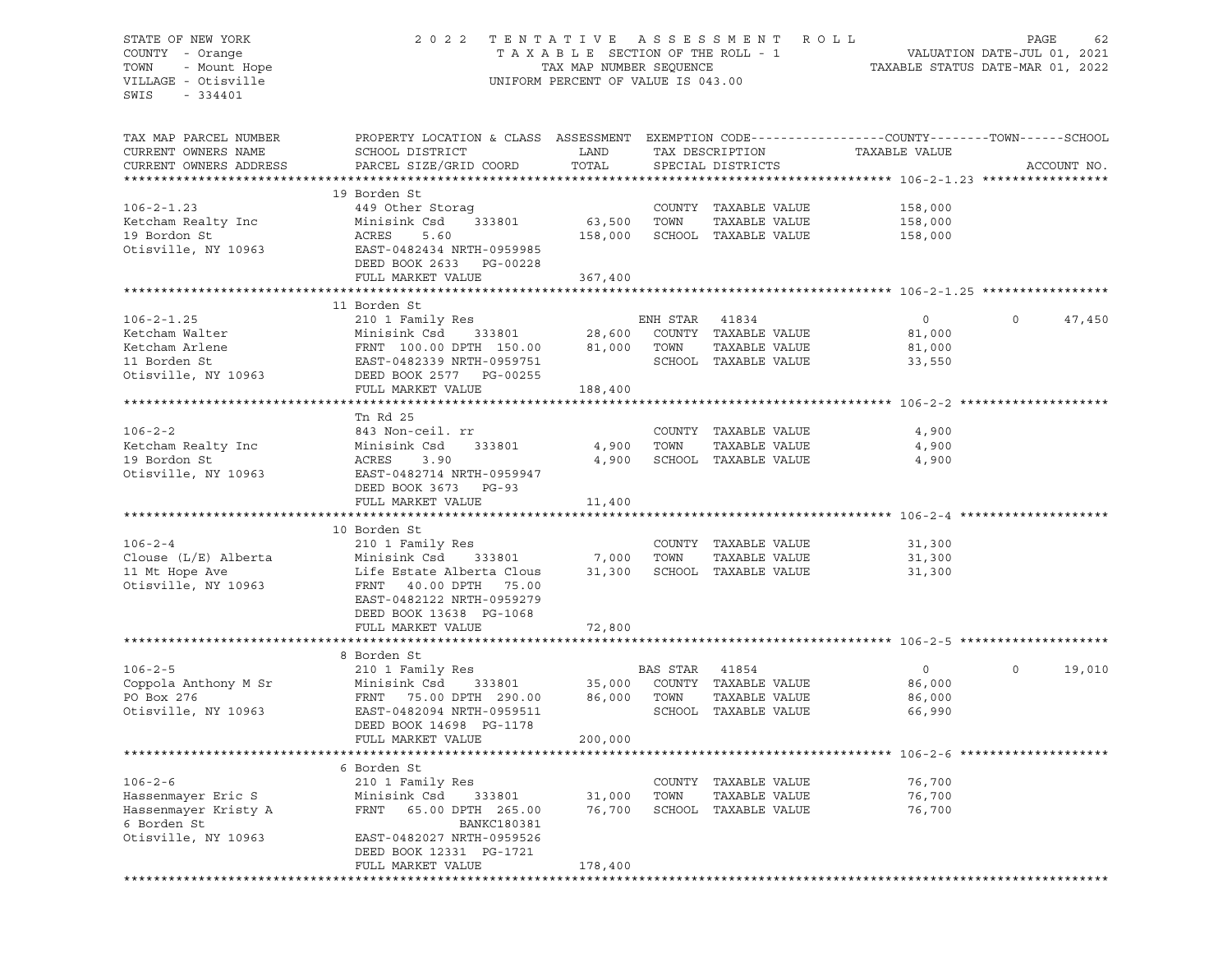## STATE OF NEW YORK 2 0 2 2 T E N T A T I V E A S S E S S M E N T R O L L PAGE 62 COUNTY - Orange T A X A B L E SECTION OF THE ROLL - 1 VALUATION DATE-JUL 01, 2021 TOWN - Mount Hope TAX MAP NUMBER SEQUENCE TAXABLE STATUS DATE-MAR 01, 2022 VILLAGE - Otisville UNIFORM PERCENT OF VALUE IS 043.00

| TAX MAP PARCEL NUMBER<br>CURRENT OWNERS NAME<br>CURRENT OWNERS ADDRESS                            | PROPERTY LOCATION & CLASS ASSESSMENT EXEMPTION CODE----------------COUNTY-------TOWN------SCHOOL<br>SCHOOL DISTRICT<br>PARCEL SIZE/GRID COORD                                          | LAND<br>TOTAL          |                | TAX DESCRIPTION<br>SPECIAL DISTRICTS                                   | TAXABLE VALUE                                | ACCOUNT NO.        |
|---------------------------------------------------------------------------------------------------|----------------------------------------------------------------------------------------------------------------------------------------------------------------------------------------|------------------------|----------------|------------------------------------------------------------------------|----------------------------------------------|--------------------|
| ********************                                                                              | **************************                                                                                                                                                             |                        |                |                                                                        |                                              |                    |
| $106 - 2 - 1.23$<br>Ketcham Realty Inc<br>19 Bordon St<br>Otisville, NY 10963                     | 19 Borden St<br>449 Other Storaq<br>Minisink Csd<br>333801<br>ACRES<br>5.60<br>EAST-0482434 NRTH-0959985                                                                               | 63,500<br>158,000      | TOWN           | COUNTY TAXABLE VALUE<br>TAXABLE VALUE<br>SCHOOL TAXABLE VALUE          | 158,000<br>158,000<br>158,000                |                    |
|                                                                                                   | DEED BOOK 2633 PG-00228<br>FULL MARKET VALUE                                                                                                                                           |                        |                |                                                                        |                                              |                    |
|                                                                                                   |                                                                                                                                                                                        | 367,400                |                |                                                                        |                                              |                    |
|                                                                                                   | 11 Borden St                                                                                                                                                                           |                        |                |                                                                        |                                              |                    |
| $106 - 2 - 1.25$<br>Ketcham Walter<br>Ketcham Arlene<br>11 Borden St<br>Otisville, NY 10963       | 210 1 Family Res<br>Minisink Csd<br>FRNT 100.00 DPTH 150.00 81,000 TOWN<br>EAST-0482339 NRTH-0959751<br>DEED BOOK 2577<br>PG-00255                                                     | 333801 28,600          | ENH STAR       | 41834<br>COUNTY TAXABLE VALUE<br>TAXABLE VALUE<br>SCHOOL TAXABLE VALUE | $\overline{0}$<br>81,000<br>81,000<br>33,550 | $\Omega$<br>47,450 |
|                                                                                                   | FULL MARKET VALUE                                                                                                                                                                      | 188,400                |                |                                                                        |                                              |                    |
|                                                                                                   |                                                                                                                                                                                        |                        |                |                                                                        |                                              |                    |
| $106 - 2 - 2$<br>Ketcham Realty Inc<br>19 Bordon St<br>Otisville, NY 10963                        | Tn Rd 25<br>843 Non-ceil. rr<br>Minisink Csd<br>333801<br>ACRES<br>3.90<br>EAST-0482714 NRTH-0959947<br>DEED BOOK 3673 PG-93                                                           | 4,900<br>4,900         | TOWN           | COUNTY TAXABLE VALUE<br>TAXABLE VALUE<br>SCHOOL TAXABLE VALUE          | 4,900<br>4,900<br>4,900                      |                    |
|                                                                                                   | FULL MARKET VALUE                                                                                                                                                                      | 11,400                 |                |                                                                        |                                              |                    |
|                                                                                                   | 10 Borden St                                                                                                                                                                           |                        |                |                                                                        |                                              |                    |
| $106 - 2 - 4$<br>Clouse $(L/E)$ Alberta<br>11 Mt Hope Ave<br>Otisville, NY 10963                  | 210 1 Family Res<br>333801 7,000 TOWN<br>Minisink Csd<br>Life Estate Alberta Clous<br>FRNT 40.00 DPTH 75.00<br>EAST-0482122 NRTH-0959279<br>DEED BOOK 13638 PG-1068                    |                        |                | COUNTY TAXABLE VALUE<br>TAXABLE VALUE<br>31,300 SCHOOL TAXABLE VALUE   | 31,300<br>31,300<br>31,300                   |                    |
|                                                                                                   | FULL MARKET VALUE                                                                                                                                                                      | 72,800                 |                |                                                                        |                                              |                    |
|                                                                                                   |                                                                                                                                                                                        |                        |                |                                                                        |                                              |                    |
| $106 - 2 - 5$<br>Coppola Anthony M Sr<br>PO Box 276<br>Otisville, NY 10963                        | 8 Borden St<br>210 1 Family Res<br>Minisink Csd 333801<br>FRNT 75.00 DPTH 290.00<br>EAST-0482094 NRTH-0959511<br>DEED BOOK 14698 PG-1178<br>FULL MARKET VALUE                          | 86,000 TOWN<br>200,000 | BAS STAR 41854 | 35,000 COUNTY TAXABLE VALUE<br>TAXABLE VALUE<br>SCHOOL TAXABLE VALUE   | $\overline{0}$<br>86,000<br>86,000<br>66,990 | $\circ$<br>19,010  |
|                                                                                                   |                                                                                                                                                                                        |                        |                |                                                                        |                                              |                    |
| $106 - 2 - 6$<br>Hassenmayer Eric S<br>Hassenmayer Kristy A<br>6 Borden St<br>Otisville, NY 10963 | 6 Borden St<br>210 1 Family Res<br>Minisink Csd<br>333801<br>FRNT 65.00 DPTH 265.00<br><b>BANKC180381</b><br>EAST-0482027 NRTH-0959526<br>DEED BOOK 12331 PG-1721<br>FULL MARKET VALUE | 31,000<br>178,400      | TOWN           | COUNTY TAXABLE VALUE<br>TAXABLE VALUE<br>76,700 SCHOOL TAXABLE VALUE   | 76,700<br>76,700<br>76,700                   |                    |
|                                                                                                   |                                                                                                                                                                                        |                        |                |                                                                        |                                              |                    |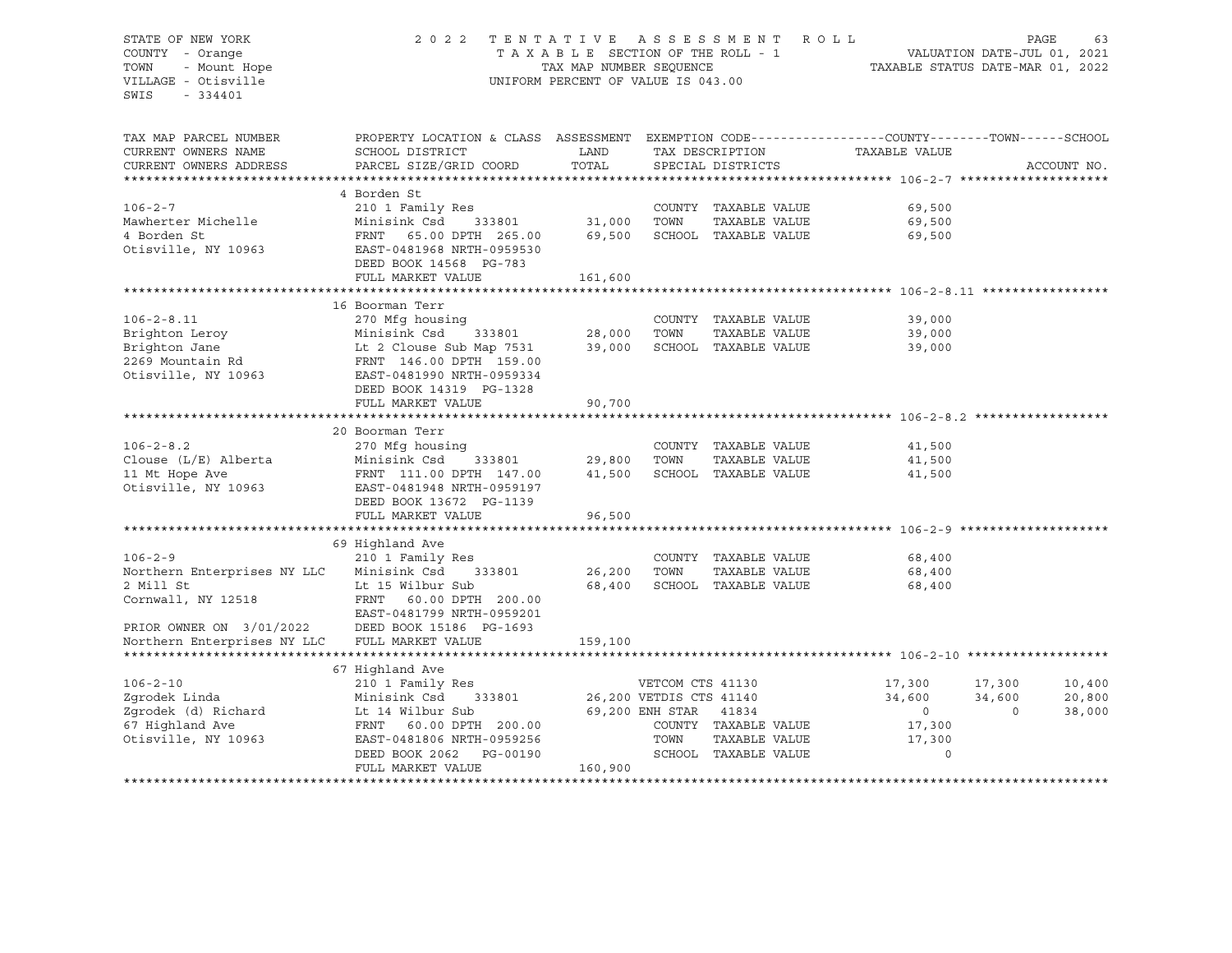#### STATE OF NEW YORK 2 0 2 2 T E N T A T I V E A S S E S S M E N T R O L L PAGE 63 COUNTY - Orange T A X A B L E SECTION OF THE ROLL - 1 VALUATION DATE-JUL 01, 2021 TOWN - Mount Hope TAX NAP NUMBER SEQUENCE TAXABLE STATUS DATE-MAR 01, 2022<br>TILLAGE - Otisville TAXABLE STATUS DATE-MAR 01, 2022 UNIFORM PERCENT OF VALUE IS 043.00

| TAX MAP PARCEL NUMBER<br>CURRENT OWNERS NAME                               | PROPERTY LOCATION & CLASS ASSESSMENT EXEMPTION CODE----------------COUNTY-------TOWN------SCHOOL<br>SCHOOL DISTRICT | LAND                    |                       | TAX DESCRIPTION      | TAXABLE VALUE                  |             |        |
|----------------------------------------------------------------------------|---------------------------------------------------------------------------------------------------------------------|-------------------------|-----------------------|----------------------|--------------------------------|-------------|--------|
| CURRENT OWNERS ADDRESS                                                     | PARCEL SIZE/GRID COORD                                                                                              | TOTAL                   |                       | SPECIAL DISTRICTS    |                                | ACCOUNT NO. |        |
|                                                                            |                                                                                                                     |                         |                       |                      |                                |             |        |
| $106 - 2 - 7$                                                              | 4 Borden St<br>210 1 Family Res                                                                                     |                         |                       | COUNTY TAXABLE VALUE | 69,500                         |             |        |
| Mawherter Michelle                                                         | Minisink Csd<br>333801                                                                                              | 31,000                  | TOWN                  | TAXABLE VALUE        | 69,500                         |             |        |
| 4 Borden St                                                                | FRNT 65.00 DPTH 265.00                                                                                              | 69,500                  |                       | SCHOOL TAXABLE VALUE | 69,500                         |             |        |
| Otisville, NY 10963                                                        | EAST-0481968 NRTH-0959530<br>DEED BOOK 14568 PG-783                                                                 |                         |                       |                      |                                |             |        |
|                                                                            | FULL MARKET VALUE                                                                                                   | 161,600                 |                       |                      |                                |             |        |
|                                                                            |                                                                                                                     |                         |                       |                      |                                |             |        |
|                                                                            | 16 Boorman Terr                                                                                                     |                         |                       |                      |                                |             |        |
| $106 - 2 - 8.11$                                                           | 270 Mfg housing<br>333801                                                                                           |                         |                       | COUNTY TAXABLE VALUE | 39,000                         |             |        |
| Brighton Leroy                                                             | Minisink Csd                                                                                                        | 28,000                  | TOWN                  | TAXABLE VALUE        | 39,000                         |             |        |
| Brighton Jane 12 Clouse Sub Map 7531<br>2269 Mountain Rd 16.00 DPTH 159.00 |                                                                                                                     | 39,000                  |                       |                      | SCHOOL TAXABLE VALUE<br>39,000 |             |        |
|                                                                            |                                                                                                                     |                         |                       |                      |                                |             |        |
| Otisville, NY 10963                                                        | EAST-0481990 NRTH-0959334                                                                                           |                         |                       |                      |                                |             |        |
|                                                                            | DEED BOOK 14319 PG-1328                                                                                             |                         |                       |                      |                                |             |        |
|                                                                            | FULL MARKET VALUE                                                                                                   | 90,700                  |                       |                      |                                |             |        |
|                                                                            |                                                                                                                     |                         |                       |                      |                                |             |        |
|                                                                            | 20 Boorman Terr                                                                                                     |                         |                       |                      |                                |             |        |
| $106 - 2 - 8.2$                                                            | 270 Mfg housing                                                                                                     |                         |                       | COUNTY TAXABLE VALUE | 41,500                         |             |        |
| Clouse $(L/E)$ Alberta                                                     | Minisink Csd 333801                                                                                                 | 29,800                  | TOWN                  | TAXABLE VALUE        | 41,500                         |             |        |
| 11 Mt Hope Ave                                                             | FRNT 111.00 DPTH 147.00                                                                                             | 41,500                  |                       | SCHOOL TAXABLE VALUE | 41,500                         |             |        |
| Otisville, NY 10963                                                        | EAST-0481948 NRTH-0959197                                                                                           |                         |                       |                      |                                |             |        |
|                                                                            | DEED BOOK 13672 PG-1139                                                                                             |                         |                       |                      |                                |             |        |
|                                                                            | FULL MARKET VALUE                                                                                                   | 96,500                  |                       |                      |                                |             |        |
|                                                                            |                                                                                                                     |                         |                       |                      |                                |             |        |
|                                                                            | 69 Highland Ave                                                                                                     |                         |                       |                      |                                |             |        |
| $106 - 2 - 9$                                                              | 210 1 Family Res                                                                                                    |                         |                       | COUNTY TAXABLE VALUE | 68,400                         |             |        |
| Northern Enterprises NY LLC Minisink Csd                                   | 333801                                                                                                              | 26,200                  | TOWN                  | TAXABLE VALUE        | 68,400                         |             |        |
| 2 Mill St                                                                  | Lt 15 Wilbur Sub                                                                                                    | 68,400                  |                       | SCHOOL TAXABLE VALUE | 68,400                         |             |        |
| Cornwall, NY 12518                                                         | FRNT 60.00 DPTH 200.00                                                                                              |                         |                       |                      |                                |             |        |
|                                                                            | EAST-0481799 NRTH-0959201                                                                                           |                         |                       |                      |                                |             |        |
| PRIOR OWNER ON 3/01/2022                                                   | DEED BOOK 15186 PG-1693                                                                                             |                         |                       |                      |                                |             |        |
| Northern Enterprises NY LLC                                                | FULL MARKET VALUE                                                                                                   | 159,100                 |                       |                      |                                |             |        |
|                                                                            |                                                                                                                     |                         |                       |                      |                                |             |        |
|                                                                            | 67 Highland Ave                                                                                                     |                         |                       |                      |                                |             |        |
| $106 - 2 - 10$                                                             | 210 1 Family Res                                                                                                    |                         | VETCOM CTS 41130      |                      | 17,300                         | 17,300      | 10,400 |
| Zqrodek Linda                                                              | 333801<br>Minisink Csd                                                                                              | 26,200 VETDIS CTS 41140 |                       |                      | 34,600                         | 34,600      | 20,800 |
| Zgrodek (d) Richard                                                        | Lt 14 Wilbur Sub                                                                                                    |                         | 69,200 ENH STAR 41834 |                      | $\overline{0}$                 | $\Omega$    | 38,000 |
| 67 Highland Ave                                                            | FRNT 60.00 DPTH 200.00                                                                                              |                         |                       | COUNTY TAXABLE VALUE | 17,300                         |             |        |
| Otisville, NY 10963                                                        | EAST-0481806 NRTH-0959256                                                                                           |                         | TOWN                  | TAXABLE VALUE        | 17,300                         |             |        |
|                                                                            | DEED BOOK 2062<br>PG-00190                                                                                          |                         |                       | SCHOOL TAXABLE VALUE | $\Omega$                       |             |        |
|                                                                            | FULL MARKET VALUE                                                                                                   | 160,900                 |                       |                      |                                |             |        |
|                                                                            |                                                                                                                     |                         |                       |                      |                                |             |        |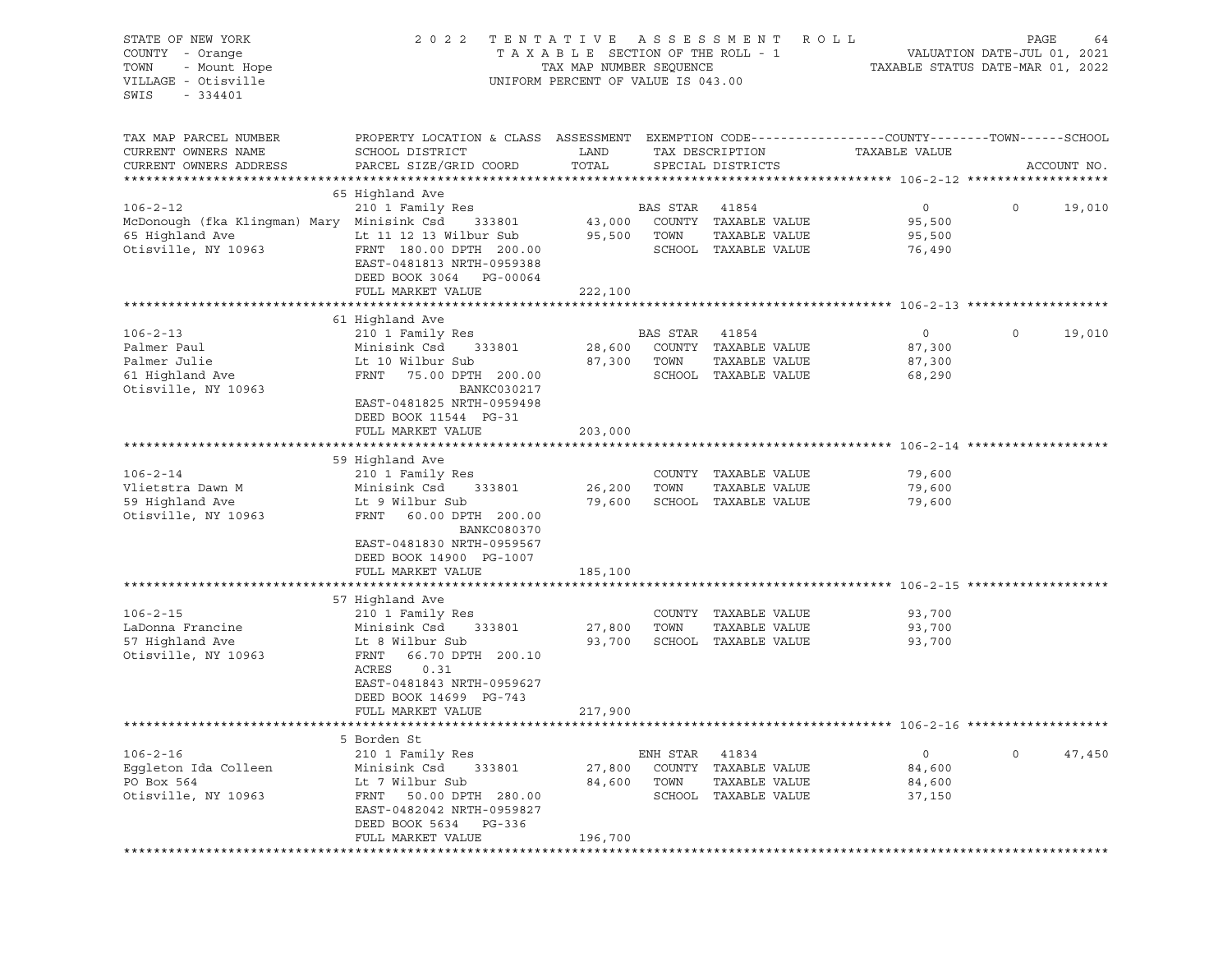| TAXABLE SECTION OF THE ROLL - 1<br>VALUATION DATE-JUL 01, 2021<br>TAX MAP NUMBER SEQUENCE<br>- Mount Hope<br>TAXABLE STATUS DATE-MAR 01, 2022<br>UNIFORM PERCENT OF VALUE IS 043.00<br>$-334401$<br>TAX MAP PARCEL NUMBER<br>PROPERTY LOCATION & CLASS ASSESSMENT EXEMPTION CODE---------------COUNTY-------TOWN------SCHOOL<br>CURRENT OWNERS NAME<br>SCHOOL DISTRICT<br>LAND<br>TAX DESCRIPTION<br>TAXABLE VALUE<br>TOTAL<br>PARCEL SIZE/GRID COORD<br>SPECIAL DISTRICTS<br>ACCOUNT NO.<br>65 Highland Ave<br>$106 - 2 - 12$<br>210 1 Family Res<br>BAS STAR<br>41854<br>$\overline{0}$<br>19,010<br>$\circ$<br>McDonough (fka Klingman) Mary Minisink Csd<br>43,000<br>COUNTY TAXABLE VALUE<br>333801<br>95,500<br>Lt 11 12 13 Wilbur Sub<br>95,500<br>TOWN<br>TAXABLE VALUE<br>65 Highland Ave<br>95,500<br>Otisville, NY 10963<br>FRNT 180.00 DPTH 200.00<br>SCHOOL TAXABLE VALUE<br>76,490<br>EAST-0481813 NRTH-0959388<br>DEED BOOK 3064<br>PG-00064<br>FULL MARKET VALUE<br>222,100<br>61 Highland Ave<br>210 1 Family Res<br>BAS STAR<br>19,010<br>$106 - 2 - 13$<br>41854<br>$\overline{0}$<br>$\circ$<br>Minisink Csd 333801<br>COUNTY TAXABLE VALUE<br>28,600<br>87,300<br>Palmer Julie<br>Lt 10 Wilbur Sub<br>87,300<br>TOWN<br>TAXABLE VALUE<br>87,300<br>FRNT<br>75.00 DPTH 200.00<br>SCHOOL TAXABLE VALUE<br>68,290<br>BANKC030217<br>EAST-0481825 NRTH-0959498<br>DEED BOOK 11544 PG-31<br>FULL MARKET VALUE<br>203,000<br>59 Highland Ave<br>$106 - 2 - 14$<br>COUNTY TAXABLE VALUE<br>210 1 Family Res<br>79,600<br>Vlietstra Dawn M<br>Minisink Csd<br>26,200<br>TOWN<br>TAXABLE VALUE<br>79,600<br>333801<br>59 Highland Ave<br>Lt 9 Wilbur Sub<br>79,600<br>SCHOOL TAXABLE VALUE<br>79,600<br>Otisville, NY 10963<br>FRNT 60.00 DPTH 200.00<br><b>BANKC080370</b><br>EAST-0481830 NRTH-0959567<br>DEED BOOK 14900 PG-1007<br>FULL MARKET VALUE<br>185,100<br>57 Highland Ave<br>$106 - 2 - 15$<br>210 1 Family Res<br>COUNTY TAXABLE VALUE<br>93,700<br>LaDonna Francine<br>Minisink Csd<br>333801<br>27,800<br>TOWN<br>TAXABLE VALUE<br>93,700<br>57 Highland Ave<br>93,700<br>SCHOOL TAXABLE VALUE<br>Lt 8 Wilbur Sub<br>93,700<br>FRNT<br>66.70 DPTH 200.10<br>ACRES<br>0.31<br>EAST-0481843 NRTH-0959627<br>DEED BOOK 14699 PG-743<br>FULL MARKET VALUE<br>217,900<br>5 Borden St | STATE OF NEW YORK<br>COUNTY - Orange | 2 0 2 2 | TENTATIVE | ASSESSMENT<br>ROLL | PAGE | 64 |
|-------------------------------------------------------------------------------------------------------------------------------------------------------------------------------------------------------------------------------------------------------------------------------------------------------------------------------------------------------------------------------------------------------------------------------------------------------------------------------------------------------------------------------------------------------------------------------------------------------------------------------------------------------------------------------------------------------------------------------------------------------------------------------------------------------------------------------------------------------------------------------------------------------------------------------------------------------------------------------------------------------------------------------------------------------------------------------------------------------------------------------------------------------------------------------------------------------------------------------------------------------------------------------------------------------------------------------------------------------------------------------------------------------------------------------------------------------------------------------------------------------------------------------------------------------------------------------------------------------------------------------------------------------------------------------------------------------------------------------------------------------------------------------------------------------------------------------------------------------------------------------------------------------------------------------------------------------------------------------------------------------------------------------------------------------------------------------------------------------------------------------------------------------------------------------------------------------------------------------------------------------------------------------------------------------------|--------------------------------------|---------|-----------|--------------------|------|----|
|                                                                                                                                                                                                                                                                                                                                                                                                                                                                                                                                                                                                                                                                                                                                                                                                                                                                                                                                                                                                                                                                                                                                                                                                                                                                                                                                                                                                                                                                                                                                                                                                                                                                                                                                                                                                                                                                                                                                                                                                                                                                                                                                                                                                                                                                                                             | TOWN<br>VILLAGE - Otisville<br>SWIS  |         |           |                    |      |    |
|                                                                                                                                                                                                                                                                                                                                                                                                                                                                                                                                                                                                                                                                                                                                                                                                                                                                                                                                                                                                                                                                                                                                                                                                                                                                                                                                                                                                                                                                                                                                                                                                                                                                                                                                                                                                                                                                                                                                                                                                                                                                                                                                                                                                                                                                                                             |                                      |         |           |                    |      |    |
|                                                                                                                                                                                                                                                                                                                                                                                                                                                                                                                                                                                                                                                                                                                                                                                                                                                                                                                                                                                                                                                                                                                                                                                                                                                                                                                                                                                                                                                                                                                                                                                                                                                                                                                                                                                                                                                                                                                                                                                                                                                                                                                                                                                                                                                                                                             |                                      |         |           |                    |      |    |
|                                                                                                                                                                                                                                                                                                                                                                                                                                                                                                                                                                                                                                                                                                                                                                                                                                                                                                                                                                                                                                                                                                                                                                                                                                                                                                                                                                                                                                                                                                                                                                                                                                                                                                                                                                                                                                                                                                                                                                                                                                                                                                                                                                                                                                                                                                             | CURRENT OWNERS ADDRESS               |         |           |                    |      |    |
|                                                                                                                                                                                                                                                                                                                                                                                                                                                                                                                                                                                                                                                                                                                                                                                                                                                                                                                                                                                                                                                                                                                                                                                                                                                                                                                                                                                                                                                                                                                                                                                                                                                                                                                                                                                                                                                                                                                                                                                                                                                                                                                                                                                                                                                                                                             |                                      |         |           |                    |      |    |
|                                                                                                                                                                                                                                                                                                                                                                                                                                                                                                                                                                                                                                                                                                                                                                                                                                                                                                                                                                                                                                                                                                                                                                                                                                                                                                                                                                                                                                                                                                                                                                                                                                                                                                                                                                                                                                                                                                                                                                                                                                                                                                                                                                                                                                                                                                             |                                      |         |           |                    |      |    |
|                                                                                                                                                                                                                                                                                                                                                                                                                                                                                                                                                                                                                                                                                                                                                                                                                                                                                                                                                                                                                                                                                                                                                                                                                                                                                                                                                                                                                                                                                                                                                                                                                                                                                                                                                                                                                                                                                                                                                                                                                                                                                                                                                                                                                                                                                                             |                                      |         |           |                    |      |    |
|                                                                                                                                                                                                                                                                                                                                                                                                                                                                                                                                                                                                                                                                                                                                                                                                                                                                                                                                                                                                                                                                                                                                                                                                                                                                                                                                                                                                                                                                                                                                                                                                                                                                                                                                                                                                                                                                                                                                                                                                                                                                                                                                                                                                                                                                                                             |                                      |         |           |                    |      |    |
|                                                                                                                                                                                                                                                                                                                                                                                                                                                                                                                                                                                                                                                                                                                                                                                                                                                                                                                                                                                                                                                                                                                                                                                                                                                                                                                                                                                                                                                                                                                                                                                                                                                                                                                                                                                                                                                                                                                                                                                                                                                                                                                                                                                                                                                                                                             |                                      |         |           |                    |      |    |
|                                                                                                                                                                                                                                                                                                                                                                                                                                                                                                                                                                                                                                                                                                                                                                                                                                                                                                                                                                                                                                                                                                                                                                                                                                                                                                                                                                                                                                                                                                                                                                                                                                                                                                                                                                                                                                                                                                                                                                                                                                                                                                                                                                                                                                                                                                             |                                      |         |           |                    |      |    |
|                                                                                                                                                                                                                                                                                                                                                                                                                                                                                                                                                                                                                                                                                                                                                                                                                                                                                                                                                                                                                                                                                                                                                                                                                                                                                                                                                                                                                                                                                                                                                                                                                                                                                                                                                                                                                                                                                                                                                                                                                                                                                                                                                                                                                                                                                                             |                                      |         |           |                    |      |    |
|                                                                                                                                                                                                                                                                                                                                                                                                                                                                                                                                                                                                                                                                                                                                                                                                                                                                                                                                                                                                                                                                                                                                                                                                                                                                                                                                                                                                                                                                                                                                                                                                                                                                                                                                                                                                                                                                                                                                                                                                                                                                                                                                                                                                                                                                                                             |                                      |         |           |                    |      |    |
|                                                                                                                                                                                                                                                                                                                                                                                                                                                                                                                                                                                                                                                                                                                                                                                                                                                                                                                                                                                                                                                                                                                                                                                                                                                                                                                                                                                                                                                                                                                                                                                                                                                                                                                                                                                                                                                                                                                                                                                                                                                                                                                                                                                                                                                                                                             |                                      |         |           |                    |      |    |
|                                                                                                                                                                                                                                                                                                                                                                                                                                                                                                                                                                                                                                                                                                                                                                                                                                                                                                                                                                                                                                                                                                                                                                                                                                                                                                                                                                                                                                                                                                                                                                                                                                                                                                                                                                                                                                                                                                                                                                                                                                                                                                                                                                                                                                                                                                             |                                      |         |           |                    |      |    |
|                                                                                                                                                                                                                                                                                                                                                                                                                                                                                                                                                                                                                                                                                                                                                                                                                                                                                                                                                                                                                                                                                                                                                                                                                                                                                                                                                                                                                                                                                                                                                                                                                                                                                                                                                                                                                                                                                                                                                                                                                                                                                                                                                                                                                                                                                                             |                                      |         |           |                    |      |    |
|                                                                                                                                                                                                                                                                                                                                                                                                                                                                                                                                                                                                                                                                                                                                                                                                                                                                                                                                                                                                                                                                                                                                                                                                                                                                                                                                                                                                                                                                                                                                                                                                                                                                                                                                                                                                                                                                                                                                                                                                                                                                                                                                                                                                                                                                                                             | Palmer Paul                          |         |           |                    |      |    |
|                                                                                                                                                                                                                                                                                                                                                                                                                                                                                                                                                                                                                                                                                                                                                                                                                                                                                                                                                                                                                                                                                                                                                                                                                                                                                                                                                                                                                                                                                                                                                                                                                                                                                                                                                                                                                                                                                                                                                                                                                                                                                                                                                                                                                                                                                                             |                                      |         |           |                    |      |    |
|                                                                                                                                                                                                                                                                                                                                                                                                                                                                                                                                                                                                                                                                                                                                                                                                                                                                                                                                                                                                                                                                                                                                                                                                                                                                                                                                                                                                                                                                                                                                                                                                                                                                                                                                                                                                                                                                                                                                                                                                                                                                                                                                                                                                                                                                                                             | 61 Highland Ave                      |         |           |                    |      |    |
|                                                                                                                                                                                                                                                                                                                                                                                                                                                                                                                                                                                                                                                                                                                                                                                                                                                                                                                                                                                                                                                                                                                                                                                                                                                                                                                                                                                                                                                                                                                                                                                                                                                                                                                                                                                                                                                                                                                                                                                                                                                                                                                                                                                                                                                                                                             | Otisville, NY 10963                  |         |           |                    |      |    |
|                                                                                                                                                                                                                                                                                                                                                                                                                                                                                                                                                                                                                                                                                                                                                                                                                                                                                                                                                                                                                                                                                                                                                                                                                                                                                                                                                                                                                                                                                                                                                                                                                                                                                                                                                                                                                                                                                                                                                                                                                                                                                                                                                                                                                                                                                                             |                                      |         |           |                    |      |    |
|                                                                                                                                                                                                                                                                                                                                                                                                                                                                                                                                                                                                                                                                                                                                                                                                                                                                                                                                                                                                                                                                                                                                                                                                                                                                                                                                                                                                                                                                                                                                                                                                                                                                                                                                                                                                                                                                                                                                                                                                                                                                                                                                                                                                                                                                                                             |                                      |         |           |                    |      |    |
|                                                                                                                                                                                                                                                                                                                                                                                                                                                                                                                                                                                                                                                                                                                                                                                                                                                                                                                                                                                                                                                                                                                                                                                                                                                                                                                                                                                                                                                                                                                                                                                                                                                                                                                                                                                                                                                                                                                                                                                                                                                                                                                                                                                                                                                                                                             |                                      |         |           |                    |      |    |
|                                                                                                                                                                                                                                                                                                                                                                                                                                                                                                                                                                                                                                                                                                                                                                                                                                                                                                                                                                                                                                                                                                                                                                                                                                                                                                                                                                                                                                                                                                                                                                                                                                                                                                                                                                                                                                                                                                                                                                                                                                                                                                                                                                                                                                                                                                             |                                      |         |           |                    |      |    |
|                                                                                                                                                                                                                                                                                                                                                                                                                                                                                                                                                                                                                                                                                                                                                                                                                                                                                                                                                                                                                                                                                                                                                                                                                                                                                                                                                                                                                                                                                                                                                                                                                                                                                                                                                                                                                                                                                                                                                                                                                                                                                                                                                                                                                                                                                                             |                                      |         |           |                    |      |    |
|                                                                                                                                                                                                                                                                                                                                                                                                                                                                                                                                                                                                                                                                                                                                                                                                                                                                                                                                                                                                                                                                                                                                                                                                                                                                                                                                                                                                                                                                                                                                                                                                                                                                                                                                                                                                                                                                                                                                                                                                                                                                                                                                                                                                                                                                                                             |                                      |         |           |                    |      |    |
|                                                                                                                                                                                                                                                                                                                                                                                                                                                                                                                                                                                                                                                                                                                                                                                                                                                                                                                                                                                                                                                                                                                                                                                                                                                                                                                                                                                                                                                                                                                                                                                                                                                                                                                                                                                                                                                                                                                                                                                                                                                                                                                                                                                                                                                                                                             |                                      |         |           |                    |      |    |
|                                                                                                                                                                                                                                                                                                                                                                                                                                                                                                                                                                                                                                                                                                                                                                                                                                                                                                                                                                                                                                                                                                                                                                                                                                                                                                                                                                                                                                                                                                                                                                                                                                                                                                                                                                                                                                                                                                                                                                                                                                                                                                                                                                                                                                                                                                             |                                      |         |           |                    |      |    |
|                                                                                                                                                                                                                                                                                                                                                                                                                                                                                                                                                                                                                                                                                                                                                                                                                                                                                                                                                                                                                                                                                                                                                                                                                                                                                                                                                                                                                                                                                                                                                                                                                                                                                                                                                                                                                                                                                                                                                                                                                                                                                                                                                                                                                                                                                                             |                                      |         |           |                    |      |    |
|                                                                                                                                                                                                                                                                                                                                                                                                                                                                                                                                                                                                                                                                                                                                                                                                                                                                                                                                                                                                                                                                                                                                                                                                                                                                                                                                                                                                                                                                                                                                                                                                                                                                                                                                                                                                                                                                                                                                                                                                                                                                                                                                                                                                                                                                                                             |                                      |         |           |                    |      |    |
|                                                                                                                                                                                                                                                                                                                                                                                                                                                                                                                                                                                                                                                                                                                                                                                                                                                                                                                                                                                                                                                                                                                                                                                                                                                                                                                                                                                                                                                                                                                                                                                                                                                                                                                                                                                                                                                                                                                                                                                                                                                                                                                                                                                                                                                                                                             |                                      |         |           |                    |      |    |
|                                                                                                                                                                                                                                                                                                                                                                                                                                                                                                                                                                                                                                                                                                                                                                                                                                                                                                                                                                                                                                                                                                                                                                                                                                                                                                                                                                                                                                                                                                                                                                                                                                                                                                                                                                                                                                                                                                                                                                                                                                                                                                                                                                                                                                                                                                             |                                      |         |           |                    |      |    |
|                                                                                                                                                                                                                                                                                                                                                                                                                                                                                                                                                                                                                                                                                                                                                                                                                                                                                                                                                                                                                                                                                                                                                                                                                                                                                                                                                                                                                                                                                                                                                                                                                                                                                                                                                                                                                                                                                                                                                                                                                                                                                                                                                                                                                                                                                                             |                                      |         |           |                    |      |    |
|                                                                                                                                                                                                                                                                                                                                                                                                                                                                                                                                                                                                                                                                                                                                                                                                                                                                                                                                                                                                                                                                                                                                                                                                                                                                                                                                                                                                                                                                                                                                                                                                                                                                                                                                                                                                                                                                                                                                                                                                                                                                                                                                                                                                                                                                                                             |                                      |         |           |                    |      |    |
|                                                                                                                                                                                                                                                                                                                                                                                                                                                                                                                                                                                                                                                                                                                                                                                                                                                                                                                                                                                                                                                                                                                                                                                                                                                                                                                                                                                                                                                                                                                                                                                                                                                                                                                                                                                                                                                                                                                                                                                                                                                                                                                                                                                                                                                                                                             |                                      |         |           |                    |      |    |
|                                                                                                                                                                                                                                                                                                                                                                                                                                                                                                                                                                                                                                                                                                                                                                                                                                                                                                                                                                                                                                                                                                                                                                                                                                                                                                                                                                                                                                                                                                                                                                                                                                                                                                                                                                                                                                                                                                                                                                                                                                                                                                                                                                                                                                                                                                             |                                      |         |           |                    |      |    |
|                                                                                                                                                                                                                                                                                                                                                                                                                                                                                                                                                                                                                                                                                                                                                                                                                                                                                                                                                                                                                                                                                                                                                                                                                                                                                                                                                                                                                                                                                                                                                                                                                                                                                                                                                                                                                                                                                                                                                                                                                                                                                                                                                                                                                                                                                                             |                                      |         |           |                    |      |    |
|                                                                                                                                                                                                                                                                                                                                                                                                                                                                                                                                                                                                                                                                                                                                                                                                                                                                                                                                                                                                                                                                                                                                                                                                                                                                                                                                                                                                                                                                                                                                                                                                                                                                                                                                                                                                                                                                                                                                                                                                                                                                                                                                                                                                                                                                                                             | Otisville, NY 10963                  |         |           |                    |      |    |
|                                                                                                                                                                                                                                                                                                                                                                                                                                                                                                                                                                                                                                                                                                                                                                                                                                                                                                                                                                                                                                                                                                                                                                                                                                                                                                                                                                                                                                                                                                                                                                                                                                                                                                                                                                                                                                                                                                                                                                                                                                                                                                                                                                                                                                                                                                             |                                      |         |           |                    |      |    |
|                                                                                                                                                                                                                                                                                                                                                                                                                                                                                                                                                                                                                                                                                                                                                                                                                                                                                                                                                                                                                                                                                                                                                                                                                                                                                                                                                                                                                                                                                                                                                                                                                                                                                                                                                                                                                                                                                                                                                                                                                                                                                                                                                                                                                                                                                                             |                                      |         |           |                    |      |    |
|                                                                                                                                                                                                                                                                                                                                                                                                                                                                                                                                                                                                                                                                                                                                                                                                                                                                                                                                                                                                                                                                                                                                                                                                                                                                                                                                                                                                                                                                                                                                                                                                                                                                                                                                                                                                                                                                                                                                                                                                                                                                                                                                                                                                                                                                                                             |                                      |         |           |                    |      |    |
|                                                                                                                                                                                                                                                                                                                                                                                                                                                                                                                                                                                                                                                                                                                                                                                                                                                                                                                                                                                                                                                                                                                                                                                                                                                                                                                                                                                                                                                                                                                                                                                                                                                                                                                                                                                                                                                                                                                                                                                                                                                                                                                                                                                                                                                                                                             |                                      |         |           |                    |      |    |
|                                                                                                                                                                                                                                                                                                                                                                                                                                                                                                                                                                                                                                                                                                                                                                                                                                                                                                                                                                                                                                                                                                                                                                                                                                                                                                                                                                                                                                                                                                                                                                                                                                                                                                                                                                                                                                                                                                                                                                                                                                                                                                                                                                                                                                                                                                             |                                      |         |           |                    |      |    |
|                                                                                                                                                                                                                                                                                                                                                                                                                                                                                                                                                                                                                                                                                                                                                                                                                                                                                                                                                                                                                                                                                                                                                                                                                                                                                                                                                                                                                                                                                                                                                                                                                                                                                                                                                                                                                                                                                                                                                                                                                                                                                                                                                                                                                                                                                                             |                                      |         |           |                    |      |    |
| 210 1 Family Res<br>0<br>47,450<br>ENH STAR<br>41834<br>0                                                                                                                                                                                                                                                                                                                                                                                                                                                                                                                                                                                                                                                                                                                                                                                                                                                                                                                                                                                                                                                                                                                                                                                                                                                                                                                                                                                                                                                                                                                                                                                                                                                                                                                                                                                                                                                                                                                                                                                                                                                                                                                                                                                                                                                   | $106 - 2 - 16$                       |         |           |                    |      |    |
| Minisink Csd<br>COUNTY<br>TAXABLE VALUE<br>333801<br>27,800<br>84,600                                                                                                                                                                                                                                                                                                                                                                                                                                                                                                                                                                                                                                                                                                                                                                                                                                                                                                                                                                                                                                                                                                                                                                                                                                                                                                                                                                                                                                                                                                                                                                                                                                                                                                                                                                                                                                                                                                                                                                                                                                                                                                                                                                                                                                       | Eggleton Ida Colleen                 |         |           |                    |      |    |
| Lt 7 Wilbur Sub<br>84,600<br>TOWN<br>TAXABLE VALUE<br>84,600                                                                                                                                                                                                                                                                                                                                                                                                                                                                                                                                                                                                                                                                                                                                                                                                                                                                                                                                                                                                                                                                                                                                                                                                                                                                                                                                                                                                                                                                                                                                                                                                                                                                                                                                                                                                                                                                                                                                                                                                                                                                                                                                                                                                                                                | PO Box 564                           |         |           |                    |      |    |
| FRNT<br>50.00 DPTH 280.00<br>SCHOOL<br>TAXABLE VALUE<br>37,150                                                                                                                                                                                                                                                                                                                                                                                                                                                                                                                                                                                                                                                                                                                                                                                                                                                                                                                                                                                                                                                                                                                                                                                                                                                                                                                                                                                                                                                                                                                                                                                                                                                                                                                                                                                                                                                                                                                                                                                                                                                                                                                                                                                                                                              | Otisville, NY 10963                  |         |           |                    |      |    |
| EAST-0482042 NRTH-0959827                                                                                                                                                                                                                                                                                                                                                                                                                                                                                                                                                                                                                                                                                                                                                                                                                                                                                                                                                                                                                                                                                                                                                                                                                                                                                                                                                                                                                                                                                                                                                                                                                                                                                                                                                                                                                                                                                                                                                                                                                                                                                                                                                                                                                                                                                   |                                      |         |           |                    |      |    |
| DEED BOOK 5634<br>PG-336<br>FULL MARKET VALUE                                                                                                                                                                                                                                                                                                                                                                                                                                                                                                                                                                                                                                                                                                                                                                                                                                                                                                                                                                                                                                                                                                                                                                                                                                                                                                                                                                                                                                                                                                                                                                                                                                                                                                                                                                                                                                                                                                                                                                                                                                                                                                                                                                                                                                                               |                                      |         |           |                    |      |    |
| 196,700                                                                                                                                                                                                                                                                                                                                                                                                                                                                                                                                                                                                                                                                                                                                                                                                                                                                                                                                                                                                                                                                                                                                                                                                                                                                                                                                                                                                                                                                                                                                                                                                                                                                                                                                                                                                                                                                                                                                                                                                                                                                                                                                                                                                                                                                                                     |                                      |         |           |                    |      |    |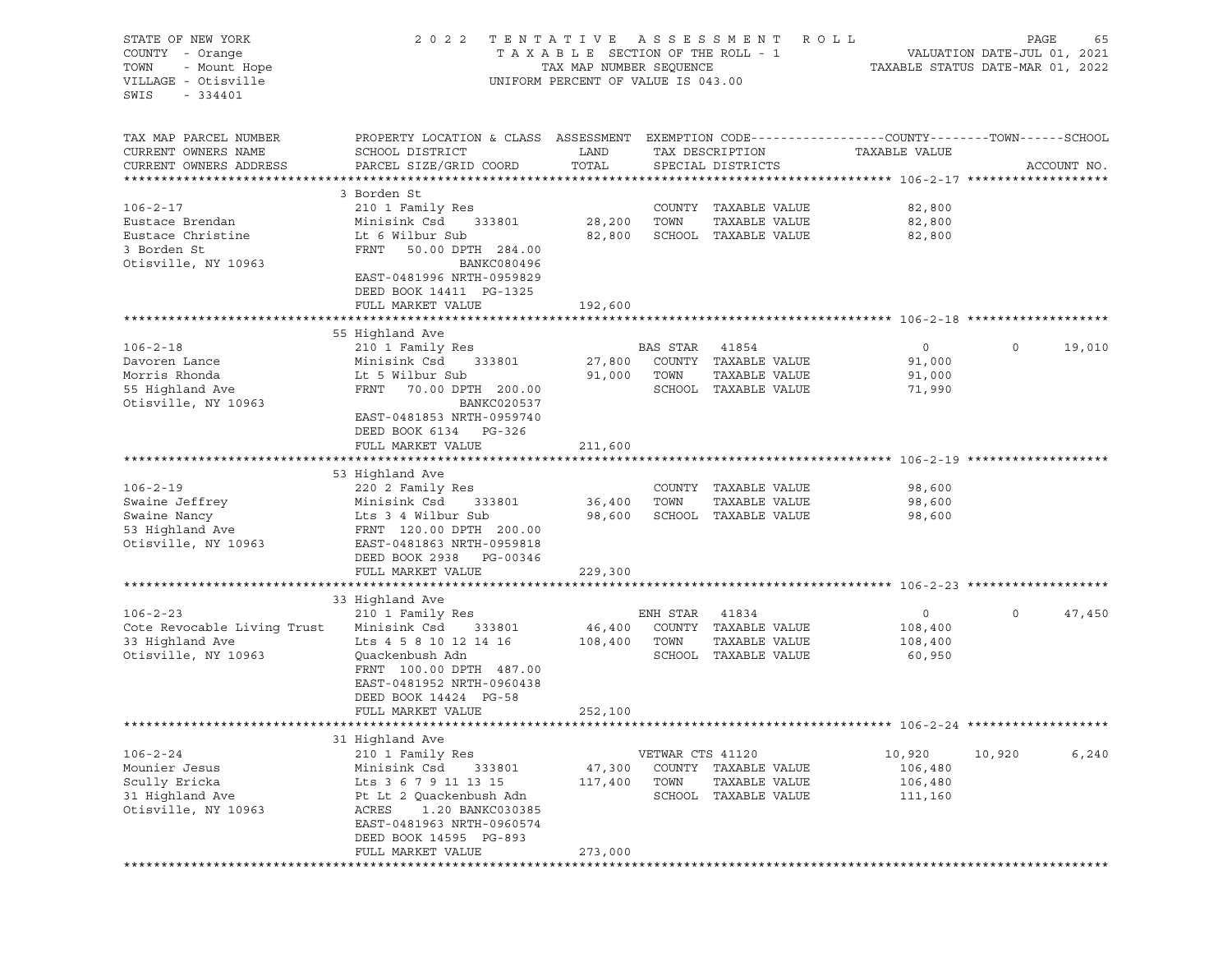| STATE OF NEW YORK           | 2 0 2 2                                                                                         | TENTATIVE                          |                             | A S S E S S M E N T  | ROLL                             |             | PAGE<br>65  |
|-----------------------------|-------------------------------------------------------------------------------------------------|------------------------------------|-----------------------------|----------------------|----------------------------------|-------------|-------------|
| COUNTY - Orange             | TAXABLE SECTION OF THE ROLL - 1                                                                 |                                    | VALUATION DATE-JUL 01, 2021 |                      |                                  |             |             |
| TOWN<br>- Mount Hope        |                                                                                                 | TAX MAP NUMBER SEQUENCE            |                             |                      | TAXABLE STATUS DATE-MAR 01, 2022 |             |             |
| VILLAGE - Otisville         |                                                                                                 | UNIFORM PERCENT OF VALUE IS 043.00 |                             |                      |                                  |             |             |
| SWIS<br>$-334401$           |                                                                                                 |                                    |                             |                      |                                  |             |             |
|                             |                                                                                                 |                                    |                             |                      |                                  |             |             |
|                             |                                                                                                 |                                    |                             |                      |                                  |             |             |
| TAX MAP PARCEL NUMBER       | PROPERTY LOCATION & CLASS ASSESSMENT EXEMPTION CODE----------------COUNTY-------TOWN-----SCHOOL |                                    |                             |                      |                                  |             |             |
| CURRENT OWNERS NAME         | SCHOOL DISTRICT                                                                                 | LAND                               |                             | TAX DESCRIPTION      | TAXABLE VALUE                    |             |             |
| CURRENT OWNERS ADDRESS      | PARCEL SIZE/GRID COORD                                                                          | TOTAL                              |                             | SPECIAL DISTRICTS    |                                  |             | ACCOUNT NO. |
|                             | 3 Borden St                                                                                     |                                    |                             |                      |                                  |             |             |
|                             |                                                                                                 |                                    |                             |                      |                                  |             |             |
| $106 - 2 - 17$              | 210 1 Family Res                                                                                |                                    |                             | COUNTY TAXABLE VALUE | 82,800                           |             |             |
| Eustace Brendan             | Minisink Csd<br>333801                                                                          | 28,200                             | TOWN                        | TAXABLE VALUE        | 82,800                           |             |             |
| Eustace Christine           | Lt 6 Wilbur Sub                                                                                 | 82,800                             |                             | SCHOOL TAXABLE VALUE | 82,800                           |             |             |
| 3 Borden St                 | FRNT<br>50.00 DPTH 284.00                                                                       |                                    |                             |                      |                                  |             |             |
| Otisville, NY 10963         | BANKC080496                                                                                     |                                    |                             |                      |                                  |             |             |
|                             | EAST-0481996 NRTH-0959829                                                                       |                                    |                             |                      |                                  |             |             |
|                             | DEED BOOK 14411 PG-1325                                                                         |                                    |                             |                      |                                  |             |             |
|                             | FULL MARKET VALUE                                                                               | 192,600                            |                             |                      |                                  |             |             |
|                             |                                                                                                 |                                    |                             |                      |                                  |             |             |
|                             | 55 Highland Ave                                                                                 |                                    |                             |                      |                                  |             |             |
| $106 - 2 - 18$              | 210 1 Family Res                                                                                |                                    | BAS STAR 41854              |                      | $\circ$                          | $\mathbf 0$ | 19,010      |
| Davoren Lance               | Minisink Csd<br>333801                                                                          | 27,800                             |                             | COUNTY TAXABLE VALUE | 91,000                           |             |             |
| Morris Rhonda               | Lt 5 Wilbur Sub                                                                                 | 91,000                             | TOWN                        | TAXABLE VALUE        | 91,000                           |             |             |
| 55 Highland Ave             | FRNT<br>70.00 DPTH 200.00                                                                       |                                    |                             | SCHOOL TAXABLE VALUE | 71,990                           |             |             |
|                             | BANKC020537                                                                                     |                                    |                             |                      |                                  |             |             |
| Otisville, NY 10963         |                                                                                                 |                                    |                             |                      |                                  |             |             |
|                             | EAST-0481853 NRTH-0959740                                                                       |                                    |                             |                      |                                  |             |             |
|                             | DEED BOOK 6134 PG-326                                                                           |                                    |                             |                      |                                  |             |             |
|                             | FULL MARKET VALUE                                                                               | 211,600                            |                             |                      |                                  |             |             |
|                             |                                                                                                 |                                    |                             |                      |                                  |             |             |
|                             | 53 Highland Ave                                                                                 |                                    |                             |                      |                                  |             |             |
| $106 - 2 - 19$              | 220 2 Family Res                                                                                |                                    |                             | COUNTY TAXABLE VALUE | 98,600                           |             |             |
| Swaine Jeffrey              | Minisink Csd<br>333801                                                                          | 36,400                             | TOWN                        | TAXABLE VALUE        | 98,600                           |             |             |
| Swaine Nancy                | Lts 3 4 Wilbur Sub                                                                              | 98,600                             |                             | SCHOOL TAXABLE VALUE | 98,600                           |             |             |
| 53 Highland Ave             | FRNT 120.00 DPTH 200.00                                                                         |                                    |                             |                      |                                  |             |             |
| Otisville, NY 10963         | EAST-0481863 NRTH-0959818                                                                       |                                    |                             |                      |                                  |             |             |
|                             | DEED BOOK 2938 PG-00346                                                                         |                                    |                             |                      |                                  |             |             |
|                             | FULL MARKET VALUE                                                                               | 229,300                            |                             |                      |                                  |             |             |
|                             |                                                                                                 |                                    |                             |                      |                                  |             |             |
|                             | 33 Highland Ave                                                                                 |                                    |                             |                      |                                  |             |             |
| $106 - 2 - 23$              | 210 1 Family Res                                                                                |                                    | ENH STAR                    | 41834                | $\circ$                          | $\circ$     | 47,450      |
| Cote Revocable Living Trust | Minisink Csd 333801                                                                             | 46,400                             |                             | COUNTY TAXABLE VALUE | 108,400                          |             |             |
| 33 Highland Ave             | Lts 4 5 8 10 12 14 16                                                                           | 108,400                            | TOWN                        | TAXABLE VALUE        | 108,400                          |             |             |
|                             |                                                                                                 |                                    |                             |                      |                                  |             |             |
| Otisville, NY 10963         | Quackenbush Adn                                                                                 |                                    |                             | SCHOOL TAXABLE VALUE | 60,950                           |             |             |
|                             | FRNT 100.00 DPTH 487.00                                                                         |                                    |                             |                      |                                  |             |             |
|                             | EAST-0481952 NRTH-0960438                                                                       |                                    |                             |                      |                                  |             |             |
|                             | DEED BOOK 14424 PG-58                                                                           |                                    |                             |                      |                                  |             |             |
|                             | FULL MARKET VALUE                                                                               | 252,100                            |                             |                      |                                  |             |             |
|                             |                                                                                                 |                                    |                             |                      |                                  |             |             |
|                             | 31 Highland Ave                                                                                 |                                    |                             |                      |                                  |             |             |
| $106 - 2 - 24$              | 210 1 Family Res                                                                                |                                    | VETWAR CTS 41120            |                      | 10,920                           | 10,920      | 6,240       |
| Mounier Jesus               | Minisink Csd<br>333801                                                                          | 47,300                             |                             | COUNTY TAXABLE VALUE | 106,480                          |             |             |
| Scully Ericka               | Lts 3 6 7 9 11 13 15                                                                            | 117,400                            | TOWN                        | TAXABLE VALUE        | 106,480                          |             |             |
| 31 Highland Ave             | Pt Lt 2 Quackenbush Adn                                                                         |                                    | SCHOOL                      | TAXABLE VALUE        | 111,160                          |             |             |
| Otisville, NY 10963         | ACRES<br>1.20 BANKC030385                                                                       |                                    |                             |                      |                                  |             |             |
|                             | EAST-0481963 NRTH-0960574                                                                       |                                    |                             |                      |                                  |             |             |
|                             | DEED BOOK 14595 PG-893                                                                          |                                    |                             |                      |                                  |             |             |
|                             | FULL MARKET VALUE                                                                               |                                    |                             |                      |                                  |             |             |
|                             | ******************                                                                              | 273,000<br>*************           |                             |                      |                                  |             |             |
|                             |                                                                                                 |                                    |                             |                      |                                  |             |             |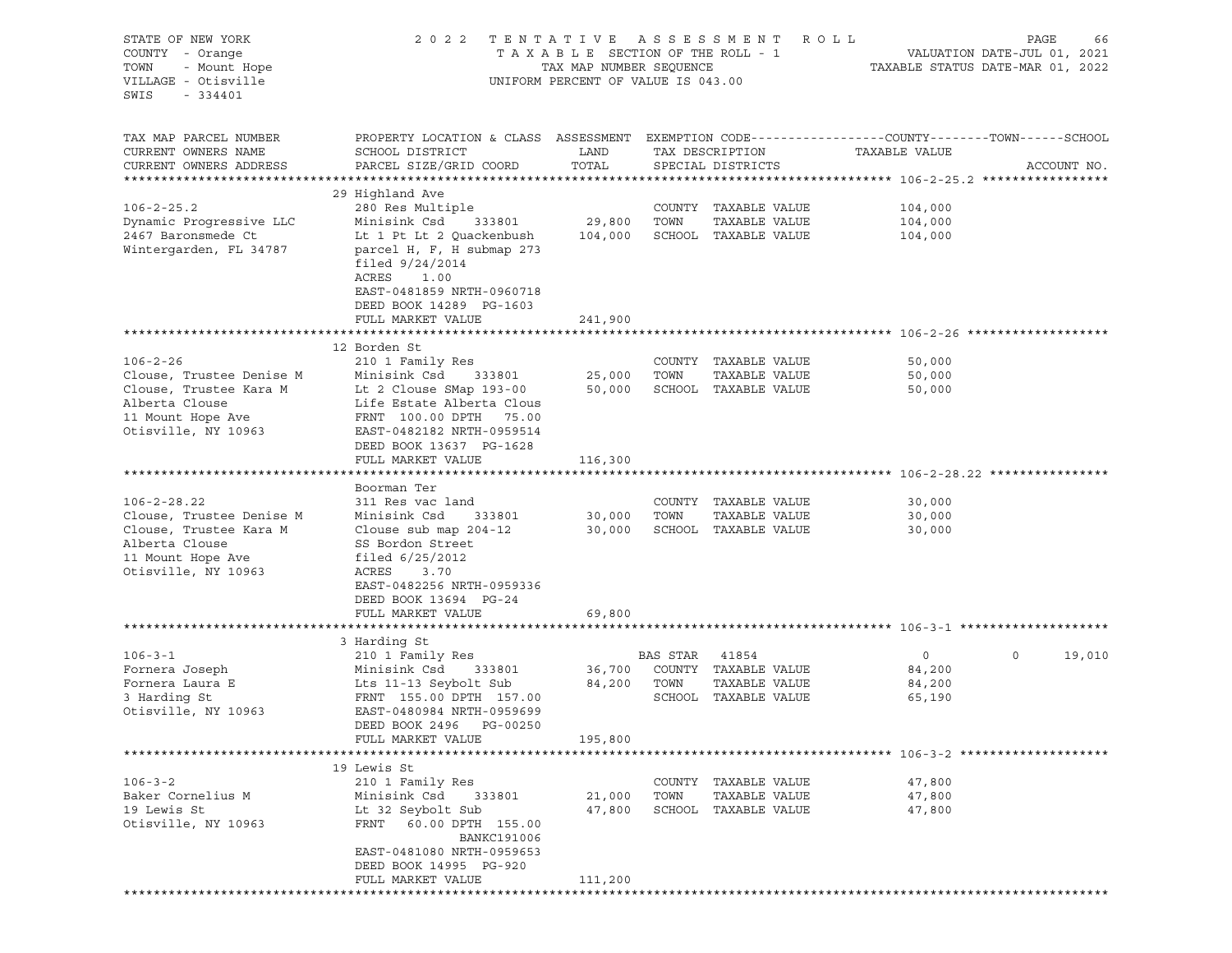| STATE OF NEW YORK<br>COUNTY - Orange<br>- Mount Hope<br>TOWN<br>VILLAGE - Otisville<br>SWIS<br>$-334401$ | TENTATIVE<br>2 0 2 2<br>TAXABLE SECTION OF THE ROLL - 1<br>TAX MAP NUMBER SEQUENCE<br>UNIFORM PERCENT OF VALUE IS 043.00                                                 | R O L L<br>PAGE<br>VALUATION DATE-JUL 01, 2021<br>TAXABLE STATUS DATE-MAR 01, 2022 |                |                                       |                                                                               |             |             |
|----------------------------------------------------------------------------------------------------------|--------------------------------------------------------------------------------------------------------------------------------------------------------------------------|------------------------------------------------------------------------------------|----------------|---------------------------------------|-------------------------------------------------------------------------------|-------------|-------------|
| TAX MAP PARCEL NUMBER<br>CURRENT OWNERS NAME<br>CURRENT OWNERS ADDRESS                                   | PROPERTY LOCATION & CLASS ASSESSMENT<br>SCHOOL DISTRICT<br>PARCEL SIZE/GRID COORD                                                                                        | LAND<br>TOTAL                                                                      |                | TAX DESCRIPTION<br>SPECIAL DISTRICTS  | EXEMPTION CODE-----------------COUNTY-------TOWN------SCHOOL<br>TAXABLE VALUE |             | ACCOUNT NO. |
|                                                                                                          | 29 Highland Ave                                                                                                                                                          |                                                                                    |                |                                       |                                                                               |             |             |
| $106 - 2 - 25.2$                                                                                         | 280 Res Multiple                                                                                                                                                         |                                                                                    |                | COUNTY TAXABLE VALUE                  | 104,000                                                                       |             |             |
| Dynamic Progressive LLC                                                                                  | Minisink Csd<br>333801                                                                                                                                                   | 29,800                                                                             | TOWN           | TAXABLE VALUE                         | 104,000                                                                       |             |             |
| 2467 Baronsmede Ct<br>Wintergarden, FL 34787                                                             | Lt 1 Pt Lt 2 Quackenbush<br>parcel H, F, H submap 273<br>filed $9/24/2014$<br>ACRES<br>1.00<br>EAST-0481859 NRTH-0960718<br>DEED BOOK 14289 PG-1603<br>FULL MARKET VALUE | 104,000<br>241,900                                                                 |                | SCHOOL TAXABLE VALUE                  | 104,000                                                                       |             |             |
|                                                                                                          |                                                                                                                                                                          |                                                                                    |                |                                       |                                                                               |             |             |
|                                                                                                          | 12 Borden St                                                                                                                                                             |                                                                                    |                |                                       |                                                                               |             |             |
| $106 - 2 - 26$                                                                                           | 210 1 Family Res                                                                                                                                                         |                                                                                    |                | COUNTY TAXABLE VALUE                  | 50,000                                                                        |             |             |
| Clouse, Trustee Denise M                                                                                 | Minisink Csd<br>333801                                                                                                                                                   | 25,000                                                                             | TOWN           | TAXABLE VALUE                         | 50,000                                                                        |             |             |
| Clouse, Trustee Kara M<br>Alberta Clouse                                                                 | Lt 2 Clouse SMap 193-00<br>Life Estate Alberta Clous                                                                                                                     | 50,000                                                                             |                | SCHOOL TAXABLE VALUE                  | 50,000                                                                        |             |             |
| 11 Mount Hope Ave                                                                                        | FRNT 100.00 DPTH<br>75.00                                                                                                                                                |                                                                                    |                |                                       |                                                                               |             |             |
| Otisville, NY 10963                                                                                      | EAST-0482182 NRTH-0959514                                                                                                                                                |                                                                                    |                |                                       |                                                                               |             |             |
|                                                                                                          | DEED BOOK 13637 PG-1628                                                                                                                                                  |                                                                                    |                |                                       |                                                                               |             |             |
|                                                                                                          | FULL MARKET VALUE                                                                                                                                                        | 116,300                                                                            |                |                                       |                                                                               |             |             |
|                                                                                                          |                                                                                                                                                                          |                                                                                    |                |                                       |                                                                               |             |             |
|                                                                                                          | Boorman Ter                                                                                                                                                              |                                                                                    |                |                                       |                                                                               |             |             |
| $106 - 2 - 28.22$                                                                                        | 311 Res vac land                                                                                                                                                         |                                                                                    | TOWN           | COUNTY TAXABLE VALUE<br>TAXABLE VALUE | 30,000                                                                        |             |             |
| Clouse, Trustee Denise M<br>Clouse, Trustee Kara M                                                       | Minisink Csd<br>333801<br>Clouse sub map $204-12$                                                                                                                        | 30,000<br>30,000                                                                   |                | SCHOOL TAXABLE VALUE                  | 30,000<br>30,000                                                              |             |             |
| Alberta Clouse                                                                                           | SS Bordon Street                                                                                                                                                         |                                                                                    |                |                                       |                                                                               |             |             |
| 11 Mount Hope Ave                                                                                        | filed $6/25/2012$                                                                                                                                                        |                                                                                    |                |                                       |                                                                               |             |             |
| Otisville, NY 10963                                                                                      | ACRES<br>3.70                                                                                                                                                            |                                                                                    |                |                                       |                                                                               |             |             |
|                                                                                                          | EAST-0482256 NRTH-0959336                                                                                                                                                |                                                                                    |                |                                       |                                                                               |             |             |
|                                                                                                          | DEED BOOK 13694 PG-24                                                                                                                                                    |                                                                                    |                |                                       |                                                                               |             |             |
|                                                                                                          | FULL MARKET VALUE                                                                                                                                                        | 69,800                                                                             |                |                                       |                                                                               |             |             |
|                                                                                                          | 3 Harding St                                                                                                                                                             |                                                                                    |                |                                       |                                                                               |             |             |
| $106 - 3 - 1$                                                                                            | 210 1 Family Res                                                                                                                                                         |                                                                                    | BAS STAR       | 41854                                 | $\circ$                                                                       | $\mathbf 0$ | 19,010      |
| Fornera Joseph                                                                                           | Minisink Csd<br>333801                                                                                                                                                   | 36,700                                                                             |                | COUNTY TAXABLE VALUE                  | 84,200                                                                        |             |             |
| Fornera Laura E                                                                                          | Lts 11-13 Seybolt Sub                                                                                                                                                    | 84,200                                                                             | TOWN           | TAXABLE VALUE                         | 84,200                                                                        |             |             |
| 3 Harding St                                                                                             | FRNT 155.00 DPTH 157.00                                                                                                                                                  |                                                                                    |                | SCHOOL TAXABLE VALUE                  | 65,190                                                                        |             |             |
| Otisville, NY 10963                                                                                      | EAST-0480984 NRTH-0959699                                                                                                                                                |                                                                                    |                |                                       |                                                                               |             |             |
|                                                                                                          | DEED BOOK 2496<br>PG-00250                                                                                                                                               |                                                                                    |                |                                       |                                                                               |             |             |
|                                                                                                          |                                                                                                                                                                          |                                                                                    |                |                                       |                                                                               |             |             |
|                                                                                                          | FULL MARKET VALUE                                                                                                                                                        | 195,800                                                                            |                |                                       |                                                                               |             |             |
|                                                                                                          |                                                                                                                                                                          |                                                                                    |                |                                       |                                                                               |             |             |
|                                                                                                          | 19 Lewis St                                                                                                                                                              |                                                                                    |                |                                       |                                                                               |             |             |
| $106 - 3 - 2$                                                                                            | 210 1 Family Res                                                                                                                                                         |                                                                                    | COUNTY         | TAXABLE VALUE                         | 47,800                                                                        |             |             |
| Baker Cornelius M<br>19 Lewis St                                                                         | Minisink Csd<br>333801<br>Lt 32 Seybolt Sub                                                                                                                              | 21,000<br>47,800                                                                   | TOWN<br>SCHOOL | TAXABLE VALUE<br>TAXABLE VALUE        | 47,800<br>47,800                                                              |             |             |
| Otisville, NY 10963                                                                                      | FRNT<br>60.00 DPTH 155.00                                                                                                                                                |                                                                                    |                |                                       |                                                                               |             |             |
|                                                                                                          | <b>BANKC191006</b>                                                                                                                                                       |                                                                                    |                |                                       |                                                                               |             |             |
|                                                                                                          | EAST-0481080 NRTH-0959653                                                                                                                                                |                                                                                    |                |                                       |                                                                               |             |             |
|                                                                                                          | DEED BOOK 14995 PG-920<br>FULL MARKET VALUE                                                                                                                              | 111,200                                                                            |                |                                       |                                                                               |             |             |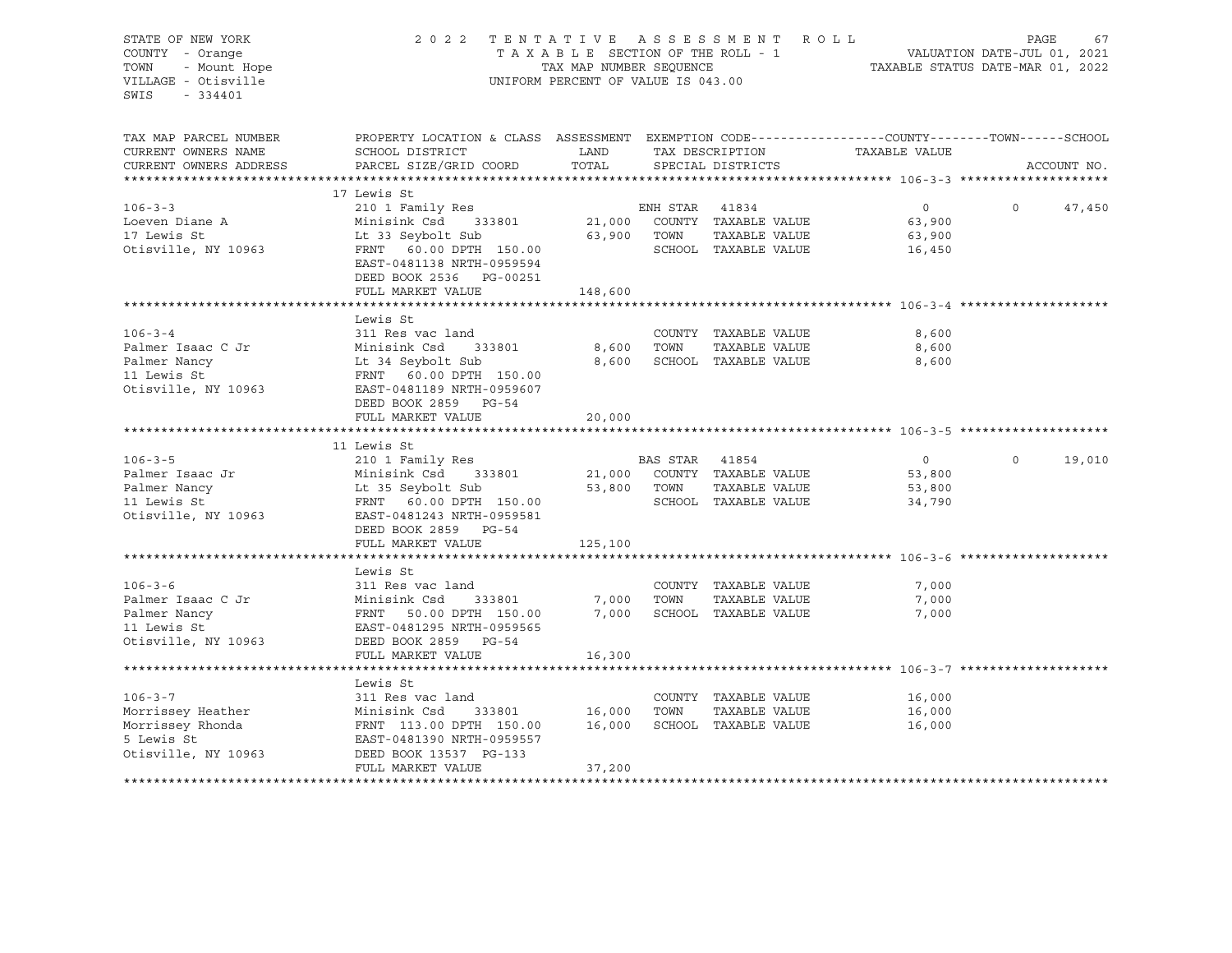STATE OF NEW YORK 2 0 2 2 T E N T A T I V E A S S E S S M E N T R O L L PAGE 67 COUNTY - Orange T A X A B L E SECTION OF THE ROLL - 1 TOWN - Mount Hope TAX NOT TAX MAP NUMBER SEQUENCE TAXABLE STATUS DATE-MAR 01, 2022<br>VILLAGE - Otisville Taxable Taxable Taxable Status UNIFORM PERCENT OF VALUE IS 043.00 UNIFORM PERCENT OF VALUE IS 043.00 SWIS - 334401 TAX MAP PARCEL NUMBER PROPERTY LOCATION & CLASS ASSESSMENT EXEMPTION CODE------------------COUNTY--------TOWN------SCHOOL CURRENT OWNERS NAME SCHOOL DISTRICT LAND TAX DESCRIPTION TAXABLE VALUE CURRENT OWNERS ADDRESS PARCEL SIZE/GRID COORD TOTAL SPECIAL DISTRICTS ACCOUNT NO. \*\*\*\*\*\*\*\*\*\*\*\*\*\*\*\*\*\*\*\*\*\*\*\*\*\*\*\*\*\*\*\*\*\*\*\*\*\*\*\*\*\*\*\*\*\*\*\*\*\*\*\*\*\*\*\*\*\*\*\*\*\*\*\*\*\*\*\*\*\*\*\*\*\*\*\*\*\*\*\*\*\*\*\*\*\*\*\*\*\*\*\*\*\*\*\*\*\*\*\*\*\*\* 106-3-3 \*\*\*\*\*\*\*\*\*\*\*\*\*\*\*\*\*\*\*\* 17 Lewis St 106-3-3 210 1 Family Res ENH STAR 41834 0 0 47,450 Loeven Diane A Minisink Csd 333801 21,000 COUNTY TAXABLE VALUE 63,900 17 Lewis St Lt 33 Seybolt Sub 63,900 TOWN TAXABLE VALUE 63,900 Otisville, NY 10963 FRNT 60.00 DPTH 150.00 SCHOOL TAXABLE VALUE 16,450 EAST-0481138 NRTH-0959594 DEED BOOK 2536 PG-00251 FULL MARKET VALUE 148,600 \*\*\*\*\*\*\*\*\*\*\*\*\*\*\*\*\*\*\*\*\*\*\*\*\*\*\*\*\*\*\*\*\*\*\*\*\*\*\*\*\*\*\*\*\*\*\*\*\*\*\*\*\*\*\*\*\*\*\*\*\*\*\*\*\*\*\*\*\*\*\*\*\*\*\*\*\*\*\*\*\*\*\*\*\*\*\*\*\*\*\*\*\*\*\*\*\*\*\*\*\*\*\* 106-3-4 \*\*\*\*\*\*\*\*\*\*\*\*\*\*\*\*\*\*\*\* Lewis St 106-3-4 311 Res vac land COUNTY TAXABLE VALUE 8,600 Palmer Isaac C Jr Minisink Csd 333801 8,600 TOWN TAXABLE VALUE 8,600 Palmer Nancy Lt 34 Seybolt Sub 8,600 SCHOOL TAXABLE VALUE 8,600 Palmer Nancy<br>11 Lewis St FRNT 60.00 DPTH 150.00 Otisville, NY 10963 EAST-0481189 NRTH-0959607 DEED BOOK 2859 PG-54 FULL MARKET VALUE 20,000 \*\*\*\*\*\*\*\*\*\*\*\*\*\*\*\*\*\*\*\*\*\*\*\*\*\*\*\*\*\*\*\*\*\*\*\*\*\*\*\*\*\*\*\*\*\*\*\*\*\*\*\*\*\*\*\*\*\*\*\*\*\*\*\*\*\*\*\*\*\*\*\*\*\*\*\*\*\*\*\*\*\*\*\*\*\*\*\*\*\*\*\*\*\*\*\*\*\*\*\*\*\*\* 106-3-5 \*\*\*\*\*\*\*\*\*\*\*\*\*\*\*\*\*\*\*\* 11 Lewis St 106-3-5 210 1 Family Res BAS STAR 41854 0 0 19,010 Palmer Isaac Jr Minisink Csd 333801 21,000 COUNTY TAXABLE VALUE 53,800 Palmer Nancy Lt 35 Seybolt Sub 53,800 TOWN TAXABLE VALUE 53,800 11 Lewis St FRNT 60.00 DPTH 150.00 SCHOOL TAXABLE VALUE 34,790 Otisville, NY 10963 EAST-0481243 NRTH-0959581 DEED BOOK 2859 PG-54 FULL MARKET VALUE 125,100 \*\*\*\*\*\*\*\*\*\*\*\*\*\*\*\*\*\*\*\*\*\*\*\*\*\*\*\*\*\*\*\*\*\*\*\*\*\*\*\*\*\*\*\*\*\*\*\*\*\*\*\*\*\*\*\*\*\*\*\*\*\*\*\*\*\*\*\*\*\*\*\*\*\*\*\*\*\*\*\*\*\*\*\*\*\*\*\*\*\*\*\*\*\*\*\*\*\*\*\*\*\*\* 106-3-6 \*\*\*\*\*\*\*\*\*\*\*\*\*\*\*\*\*\*\*\* Lewis St 106-3-6 311 Res vac land COUNTY TAXABLE VALUE 7,000 Palmer Isaac C Jr Minisink Csd 333801 7,000 TOWN TAXABLE VALUE 7,000 Palmer Nancy FRNT 50.00 DPTH 150.00 7,000 SCHOOL TAXABLE VALUE 7,000 11 Lewis St EAST-0481295 NRTH-0959565 Otisville, NY 10963 DEED BOOK 2859 PG-54 FULL MARKET VALUE 16,300 \*\*\*\*\*\*\*\*\*\*\*\*\*\*\*\*\*\*\*\*\*\*\*\*\*\*\*\*\*\*\*\*\*\*\*\*\*\*\*\*\*\*\*\*\*\*\*\*\*\*\*\*\*\*\*\*\*\*\*\*\*\*\*\*\*\*\*\*\*\*\*\*\*\*\*\*\*\*\*\*\*\*\*\*\*\*\*\*\*\*\*\*\*\*\*\*\*\*\*\*\*\*\* 106-3-7 \*\*\*\*\*\*\*\*\*\*\*\*\*\*\*\*\*\*\*\* Lewis St 106-3-7 311 Res vac land COUNTY TAXABLE VALUE 16,000 Morrissey Heather **Minisink Csd** 333801 16,000 TOWN TAXABLE VALUE 16,000 Morrissey Rhonda FRNT 113.00 DPTH 150.00 16,000 SCHOOL TAXABLE VALUE 16,000 5 Lewis St EAST-0481390 NRTH-0959557 Otisville, NY 10963 DEED BOOK 13537 PG-133 FULL MARKET VALUE 37,200 \*\*\*\*\*\*\*\*\*\*\*\*\*\*\*\*\*\*\*\*\*\*\*\*\*\*\*\*\*\*\*\*\*\*\*\*\*\*\*\*\*\*\*\*\*\*\*\*\*\*\*\*\*\*\*\*\*\*\*\*\*\*\*\*\*\*\*\*\*\*\*\*\*\*\*\*\*\*\*\*\*\*\*\*\*\*\*\*\*\*\*\*\*\*\*\*\*\*\*\*\*\*\*\*\*\*\*\*\*\*\*\*\*\*\*\*\*\*\*\*\*\*\*\*\*\*\*\*\*\*\*\*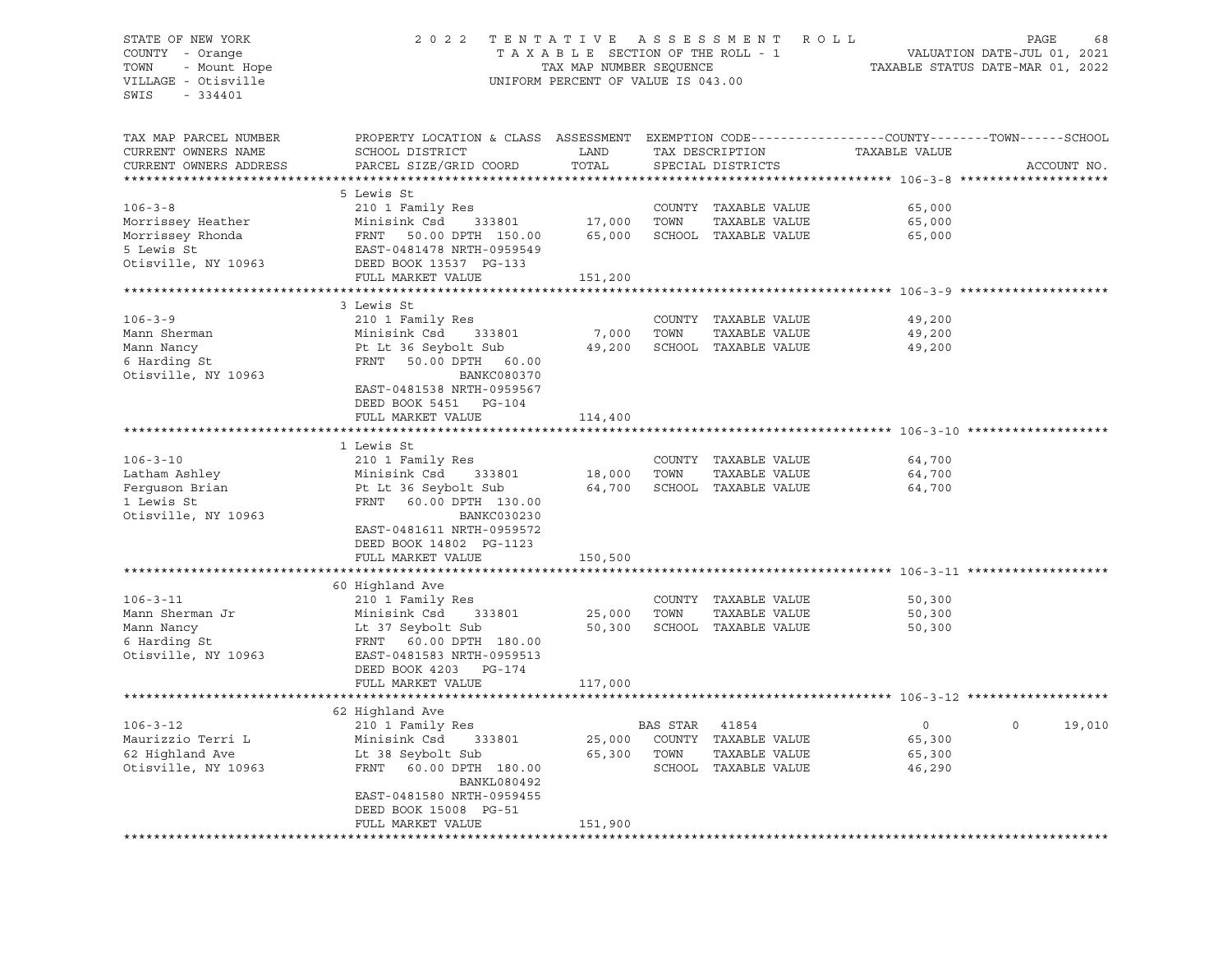## STATE OF NEW YORK 2 0 2 2 T E N T A T I V E A S S E S S M E N T R O L L PAGE 68 COUNTY - Orange T A X A B L E SECTION OF THE ROLL - 1 TOWN - Mount Hope TAX NOW TAX MAP NUMBER SEQUENCE TAXABLE STATUS DATE-MAR 01, 2022<br>TILLAGE - Otisville Taxable Taxable Taxable Status UNIFORM PERCENT OF VALUE IS 043.00 UNIFORM PERCENT OF VALUE IS 043.00

TAX MAP PARCEL NUMBER PROPERTY LOCATION & CLASS ASSESSMENT EXEMPTION CODE------------------COUNTY--------TOWN------SCHOOL CURRENT OWNERS NAME SCHOOL DISTRICT LAND TAX DESCRIPTION TAXABLE VALUE CURRENT OWNERS ADDRESS PARCEL SIZE/GRID COORD TOTAL SPECIAL DISTRICTS ACCOUNT NO. \*\*\*\*\*\*\*\*\*\*\*\*\*\*\*\*\*\*\*\*\*\*\*\*\*\*\*\*\*\*\*\*\*\*\*\*\*\*\*\*\*\*\*\*\*\*\*\*\*\*\*\*\*\*\*\*\*\*\*\*\*\*\*\*\*\*\*\*\*\*\*\*\*\*\*\*\*\*\*\*\*\*\*\*\*\*\*\*\*\*\*\*\*\*\*\*\*\*\*\*\*\*\* 106-3-8 \*\*\*\*\*\*\*\*\*\*\*\*\*\*\*\*\*\*\*\* 5 Lewis St 106-3-8 210 1 Family Res COUNTY TAXABLE VALUE 65,000 Morrissey Heather Minisink Csd 333801 17,000 TOWN TAXABLE VALUE 65,000 Morrissey Rhonda FRNT 50.00 DPTH 150.00 65,000 SCHOOL TAXABLE VALUE 65,000 5 Lewis St EAST-0481478 NRTH-0959549 Otisville, NY 10963 DEED BOOK 13537 PG-133 FULL MARKET VALUE 151,200 \*\*\*\*\*\*\*\*\*\*\*\*\*\*\*\*\*\*\*\*\*\*\*\*\*\*\*\*\*\*\*\*\*\*\*\*\*\*\*\*\*\*\*\*\*\*\*\*\*\*\*\*\*\*\*\*\*\*\*\*\*\*\*\*\*\*\*\*\*\*\*\*\*\*\*\*\*\*\*\*\*\*\*\*\*\*\*\*\*\*\*\*\*\*\*\*\*\*\*\*\*\*\* 106-3-9 \*\*\*\*\*\*\*\*\*\*\*\*\*\*\*\*\*\*\*\* 3 Lewis St 106-3-9 210 1 Family Res COUNTY TAXABLE VALUE 49,200 Mann Sherman Minisink Csd 333801 7,000 TOWN TAXABLE VALUE 49,200 Mann Nancy Pt Lt 36 Seybolt Sub 49,200 SCHOOL TAXABLE VALUE 49,200 6 Harding St FRNT 50.00 DPTH 60.00 Otisville, NY 10963 BANKC080370 EAST-0481538 NRTH-0959567 DEED BOOK 5451 PG-104 FULL MARKET VALUE 114,400 \*\*\*\*\*\*\*\*\*\*\*\*\*\*\*\*\*\*\*\*\*\*\*\*\*\*\*\*\*\*\*\*\*\*\*\*\*\*\*\*\*\*\*\*\*\*\*\*\*\*\*\*\*\*\*\*\*\*\*\*\*\*\*\*\*\*\*\*\*\*\*\*\*\*\*\*\*\*\*\*\*\*\*\*\*\*\*\*\*\*\*\*\*\*\*\*\*\*\*\*\*\*\* 106-3-10 \*\*\*\*\*\*\*\*\*\*\*\*\*\*\*\*\*\*\* 1 Lewis St 106-3-10 210 1 Family Res COUNTY TAXABLE VALUE 64,700 Latham Ashley Minisink Csd 333801 18,000 TOWN TAXABLE VALUE 64,700 Ferguson Brian Pt Lt 36 Seybolt Sub 64,700 SCHOOL TAXABLE VALUE 64,700 1 Lewis St FRNT 60.00 DPTH 130.00 Otisville, NY 10963 BANKC030230 EAST-0481611 NRTH-0959572 DEED BOOK 14802 PG-1123 FULL MARKET VALUE 150,500 \*\*\*\*\*\*\*\*\*\*\*\*\*\*\*\*\*\*\*\*\*\*\*\*\*\*\*\*\*\*\*\*\*\*\*\*\*\*\*\*\*\*\*\*\*\*\*\*\*\*\*\*\*\*\*\*\*\*\*\*\*\*\*\*\*\*\*\*\*\*\*\*\*\*\*\*\*\*\*\*\*\*\*\*\*\*\*\*\*\*\*\*\*\*\*\*\*\*\*\*\*\*\* 106-3-11 \*\*\*\*\*\*\*\*\*\*\*\*\*\*\*\*\*\*\* 60 Highland Ave 106-3-11 210 1 Family Res COUNTY TAXABLE VALUE 50,300 Mann Sherman Jr Minisink Csd 333801 25,000 TOWN TAXABLE VALUE 50,300 Mann Nancy Lt 37 Seybolt Sub 50,300 SCHOOL TAXABLE VALUE 50,300 6 Harding St FRNT 60.00 DPTH 180.00 EAST-0481583 NRTH-0959513 DEED BOOK 4203 PG-174 FULL MARKET VALUE 117,000 \*\*\*\*\*\*\*\*\*\*\*\*\*\*\*\*\*\*\*\*\*\*\*\*\*\*\*\*\*\*\*\*\*\*\*\*\*\*\*\*\*\*\*\*\*\*\*\*\*\*\*\*\*\*\*\*\*\*\*\*\*\*\*\*\*\*\*\*\*\*\*\*\*\*\*\*\*\*\*\*\*\*\*\*\*\*\*\*\*\*\*\*\*\*\*\*\*\*\*\*\*\*\* 106-3-12 \*\*\*\*\*\*\*\*\*\*\*\*\*\*\*\*\*\*\* 62 Highland Ave 106-3-12 210 1 Family Res BAS STAR 41854 0 0 19,010 Maurizzio Terri L Minisink Csd 333801 25,000 COUNTY TAXABLE VALUE 65,300 62 Highland Ave Lt 38 Seybolt Sub 65,300 TOWN TAXABLE VALUE 65,300 Otisville, NY 10963 FRNT 60.00 DPTH 180.00 SCHOOL TAXABLE VALUE 46,290 BANKL080492 EAST-0481580 NRTH-0959455 DEED BOOK 15008 PG-51 FULL MARKET VALUE 151,900 \*\*\*\*\*\*\*\*\*\*\*\*\*\*\*\*\*\*\*\*\*\*\*\*\*\*\*\*\*\*\*\*\*\*\*\*\*\*\*\*\*\*\*\*\*\*\*\*\*\*\*\*\*\*\*\*\*\*\*\*\*\*\*\*\*\*\*\*\*\*\*\*\*\*\*\*\*\*\*\*\*\*\*\*\*\*\*\*\*\*\*\*\*\*\*\*\*\*\*\*\*\*\*\*\*\*\*\*\*\*\*\*\*\*\*\*\*\*\*\*\*\*\*\*\*\*\*\*\*\*\*\*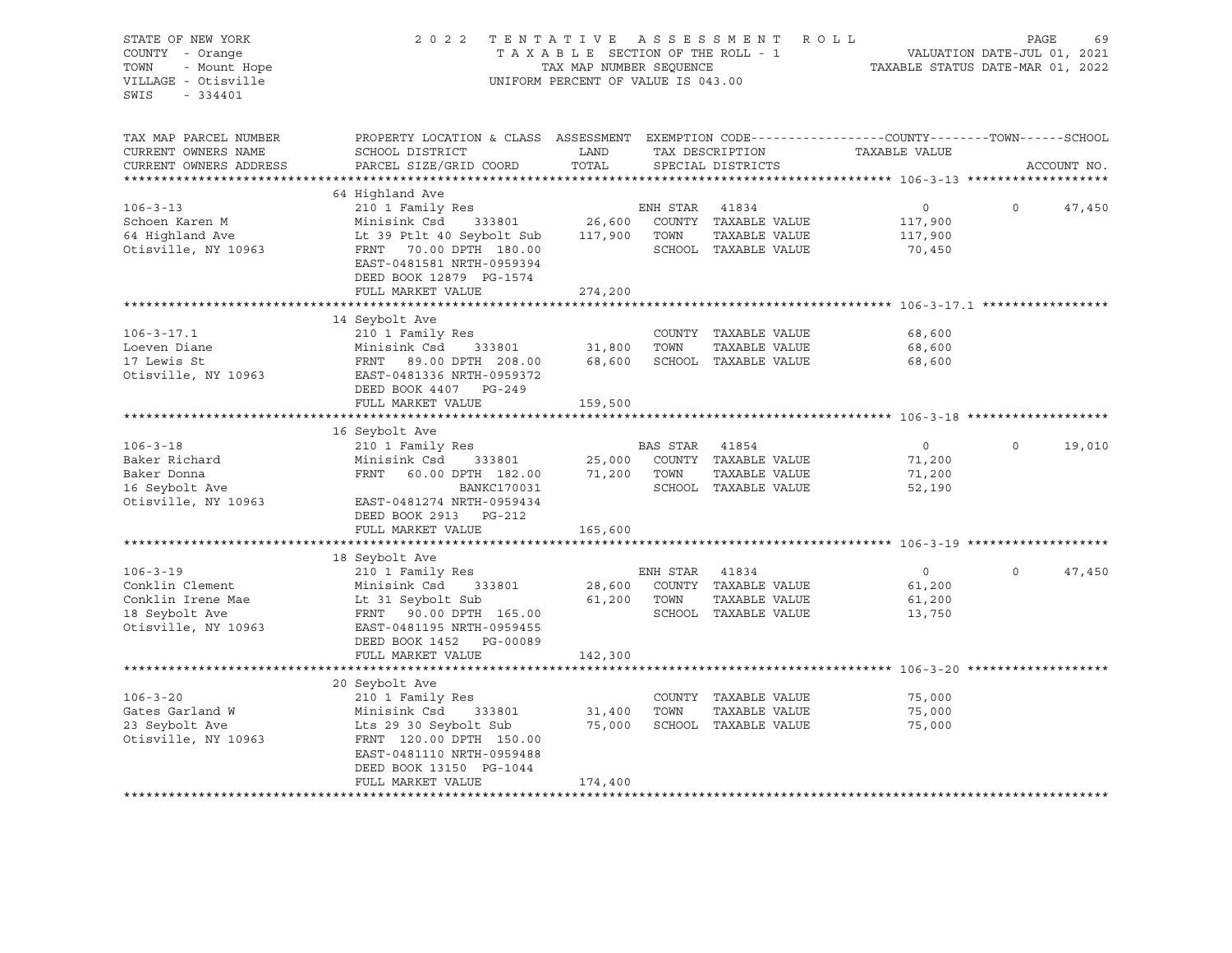| STATE OF NEW YORK<br>COUNTY - Orange<br>- Mount Hope<br>TOWN<br>VILLAGE - Otisville<br>SWIS<br>- 334401 | 2022 TENTATIVE ASSESSMENT ROLL                                                                                                              | TAX MAP NUMBER SEQUENCE<br>UNIFORM PERCENT OF VALUE IS 043.00 |                | TAXABLE SECTION OF THE ROLL - 1       | VALUATION DATE-JUL 01, 2021<br>TAXABLE STATUS DATE-MAR 01, 2022 | PAGE     | 69          |
|---------------------------------------------------------------------------------------------------------|---------------------------------------------------------------------------------------------------------------------------------------------|---------------------------------------------------------------|----------------|---------------------------------------|-----------------------------------------------------------------|----------|-------------|
| TAX MAP PARCEL NUMBER<br>CURRENT OWNERS NAME<br>CURRENT OWNERS ADDRESS                                  | PROPERTY LOCATION & CLASS ASSESSMENT EXEMPTION CODE---------------COUNTY-------TOWN-----SCHOOL<br>SCHOOL DISTRICT<br>PARCEL SIZE/GRID COORD | LAND<br>TOTAL                                                 |                | TAX DESCRIPTION<br>SPECIAL DISTRICTS  | TAXABLE VALUE                                                   |          | ACCOUNT NO. |
|                                                                                                         |                                                                                                                                             |                                                               |                |                                       |                                                                 |          |             |
| $106 - 3 - 13$                                                                                          | 64 Highland Ave<br>210 1 Family Res                                                                                                         |                                                               | ENH STAR 41834 |                                       | $\overline{0}$                                                  | $\Omega$ | 47,450      |
| Schoen Karen M                                                                                          | Minisink Csd                                                                                                                                |                                                               |                | 333801 26,600 COUNTY TAXABLE VALUE    | 117,900                                                         |          |             |
| 64 Highland Ave                                                                                         | Lt 39 Ptlt 40 Seybolt Sub                                                                                                                   | 117,900 TOWN                                                  |                | TAXABLE VALUE                         | 117,900                                                         |          |             |
| Otisville, NY 10963                                                                                     | FRNT 70.00 DPTH 180.00<br>EAST-0481581 NRTH-0959394<br>DEED BOOK 12879 PG-1574                                                              |                                                               |                | SCHOOL TAXABLE VALUE                  | 70,450                                                          |          |             |
|                                                                                                         | FULL MARKET VALUE                                                                                                                           | 274,200                                                       |                |                                       |                                                                 |          |             |
|                                                                                                         |                                                                                                                                             |                                                               |                |                                       |                                                                 |          |             |
|                                                                                                         | 14 Seybolt Ave                                                                                                                              |                                                               |                |                                       |                                                                 |          |             |
| $106 - 3 - 17.1$<br>Loeven Diane                                                                        | 210 1 Family Res<br>Minisink Csd<br>333801                                                                                                  | 31,800 TOWN                                                   |                | COUNTY TAXABLE VALUE<br>TAXABLE VALUE | 68,600<br>68,600                                                |          |             |
| 17 Lewis St                                                                                             | FRNT 89.00 DPTH 208.00                                                                                                                      |                                                               |                | 68,600 SCHOOL TAXABLE VALUE           | 68,600                                                          |          |             |
| Otisville, NY 10963                                                                                     | EAST-0481336 NRTH-0959372<br>DEED BOOK 4407 PG-249                                                                                          |                                                               |                |                                       |                                                                 |          |             |
|                                                                                                         | FULL MARKET VALUE                                                                                                                           | 159,500                                                       |                |                                       |                                                                 |          |             |
|                                                                                                         |                                                                                                                                             |                                                               |                |                                       |                                                                 |          |             |
| $106 - 3 - 18$                                                                                          | 16 Seybolt Ave<br>210 1 Family Res                                                                                                          |                                                               | BAS STAR 41854 |                                       | $\overline{0}$                                                  | $\Omega$ | 19,010      |
| Baker Richard                                                                                           | Minisink Csd<br>333801                                                                                                                      |                                                               |                | 25,000 COUNTY TAXABLE VALUE           | 71,200                                                          |          |             |
| Baker Donna                                                                                             | FRNT 60.00 DPTH 182.00                                                                                                                      |                                                               | 71,200 TOWN    | TAXABLE VALUE                         | 71,200                                                          |          |             |
| 16 Seybolt Ave                                                                                          | BANKC170031                                                                                                                                 |                                                               |                | SCHOOL TAXABLE VALUE                  | 52,190                                                          |          |             |
| Otisville, NY 10963                                                                                     | EAST-0481274 NRTH-0959434<br>DEED BOOK 2913 PG-212                                                                                          |                                                               |                |                                       |                                                                 |          |             |
|                                                                                                         | FULL MARKET VALUE                                                                                                                           | 165,600                                                       |                |                                       |                                                                 |          |             |
|                                                                                                         |                                                                                                                                             |                                                               |                |                                       |                                                                 |          |             |
| $106 - 3 - 19$                                                                                          | 18 Seybolt Ave                                                                                                                              |                                                               |                |                                       | $\overline{0}$                                                  | $\Omega$ |             |
| Conklin Clement                                                                                         | 210 1 Family Res<br>Minisink Csd 333801                                                                                                     | 28,600                                                        | ENH STAR 41834 | COUNTY TAXABLE VALUE                  | 61,200                                                          |          | 47,450      |
| Conklin Irene Mae                                                                                       | Lt 31 Seybolt Sub                                                                                                                           |                                                               | 61,200 TOWN    | TAXABLE VALUE                         | 61,200                                                          |          |             |
| 18 Seybolt Ave                                                                                          | FRNT 90.00 DPTH 165.00                                                                                                                      |                                                               |                | SCHOOL TAXABLE VALUE                  | 13,750                                                          |          |             |
| Otisville, NY 10963                                                                                     | EAST-0481195 NRTH-0959455<br>DEED BOOK 1452 PG-00089                                                                                        |                                                               |                |                                       |                                                                 |          |             |
| **********************                                                                                  | FULL MARKET VALUE                                                                                                                           | 142,300                                                       |                |                                       |                                                                 |          |             |
|                                                                                                         | 20 Seybolt Ave                                                                                                                              |                                                               |                |                                       |                                                                 |          |             |
| $106 - 3 - 20$                                                                                          | 210 1 Family Res                                                                                                                            |                                                               |                | COUNTY TAXABLE VALUE                  | 75,000                                                          |          |             |
| Gates Garland W                                                                                         | Minisink Csd 333801                                                                                                                         | 31,400                                                        | TOWN           | TAXABLE VALUE                         | 75,000                                                          |          |             |
| 23 Seybolt Ave                                                                                          | Lts 29 30 Seybolt Sub                                                                                                                       |                                                               |                | 75,000 SCHOOL TAXABLE VALUE           | 75,000                                                          |          |             |
| Otisville, NY 10963                                                                                     | FRNT 120.00 DPTH 150.00<br>EAST-0481110 NRTH-0959488                                                                                        |                                                               |                |                                       |                                                                 |          |             |
|                                                                                                         | DEED BOOK 13150 PG-1044<br>FULL MARKET VALUE                                                                                                | 174,400                                                       |                |                                       |                                                                 |          |             |
|                                                                                                         |                                                                                                                                             |                                                               |                |                                       |                                                                 |          |             |
|                                                                                                         |                                                                                                                                             |                                                               |                |                                       |                                                                 |          |             |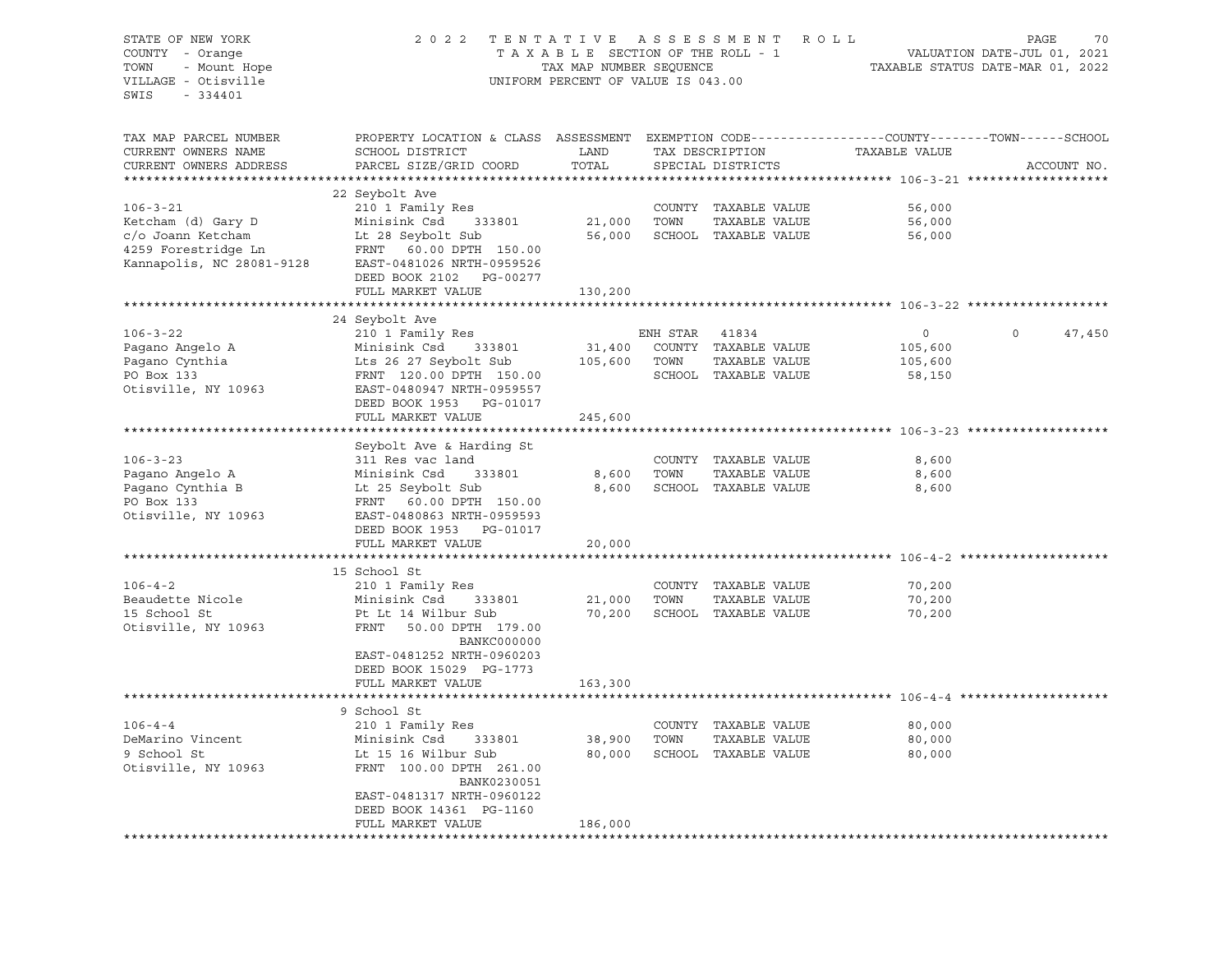| STATE OF NEW YORK<br>COUNTY - Orange<br>- Mount Hope<br>TOWN<br>VILLAGE - Otisville<br>$-334401$<br>SWIS      | 2 0 2 2<br>TENTATIVE<br>TAXABLE SECTION OF THE ROLL - 1<br>TAX MAP NUMBER SEQUENCE<br>UNIFORM PERCENT OF VALUE IS 043.00                                                                                | ASSESSMENT ROLL             | 70<br>PAGE<br>VALUATION DATE-JUL 01, 2021<br>TAXABLE STATUS DATE-MAR 01, 2022 |                                                                     |                                         |                    |
|---------------------------------------------------------------------------------------------------------------|---------------------------------------------------------------------------------------------------------------------------------------------------------------------------------------------------------|-----------------------------|-------------------------------------------------------------------------------|---------------------------------------------------------------------|-----------------------------------------|--------------------|
| TAX MAP PARCEL NUMBER<br>CURRENT OWNERS NAME<br>CURRENT OWNERS ADDRESS<br>***********************             | PROPERTY LOCATION & CLASS ASSESSMENT EXEMPTION CODE----------------COUNTY-------TOWN-----SCHOOL<br>SCHOOL DISTRICT<br>PARCEL SIZE/GRID COORD                                                            | LAND<br>TOTAL               |                                                                               | TAX DESCRIPTION<br>SPECIAL DISTRICTS                                | TAXABLE VALUE                           | ACCOUNT NO.        |
| $106 - 3 - 21$<br>Ketcham (d) Gary D<br>c/o Joann Ketcham<br>4259 Forestridge Ln<br>Kannapolis, NC 28081-9128 | 22 Seybolt Ave<br>210 1 Family Res<br>Minisink Csd<br>333801<br>Lt 28 Seybolt Sub<br>FRNT 60.00 DPTH 150.00<br>EAST-0481026 NRTH-0959526<br>DEED BOOK 2102 PG-00277<br>FULL MARKET VALUE                | 21,000<br>56,000<br>130,200 | TOWN                                                                          | COUNTY TAXABLE VALUE<br>TAXABLE VALUE<br>SCHOOL TAXABLE VALUE       | 56,000<br>56,000<br>56,000              |                    |
|                                                                                                               | 24 Seybolt Ave                                                                                                                                                                                          |                             |                                                                               |                                                                     |                                         |                    |
| $106 - 3 - 22$<br>Pagano Angelo A<br>Paqano Cynthia<br>PO Box 133<br>Otisville, NY 10963                      | 210 1 Family Res<br>Minisink Csd<br>333801<br>Lts 26 27 Seybolt Sub<br>FRNT 120.00 DPTH 150.00<br>EAST-0480947 NRTH-0959557<br>DEED BOOK 1953 PG-01017                                                  | 31,400<br>105,600           | ENH STAR 41834<br>TOWN                                                        | COUNTY TAXABLE VALUE<br>TAXABLE VALUE<br>SCHOOL TAXABLE VALUE       | $\circ$<br>105,600<br>105,600<br>58,150 | $\Omega$<br>47,450 |
|                                                                                                               | FULL MARKET VALUE                                                                                                                                                                                       | 245,600                     |                                                                               |                                                                     |                                         |                    |
|                                                                                                               | Seybolt Ave & Harding St                                                                                                                                                                                |                             |                                                                               |                                                                     |                                         |                    |
| $106 - 3 - 23$<br>Pagano Angelo A<br>Pagano Cynthia B<br>PO Box 133<br>Otisville, NY 10963                    | 311 Res vac land<br>Minisink Csd<br>333801<br>Lt 25 Seybolt Sub<br>FRNT 60.00 DPTH 150.00<br>EAST-0480863 NRTH-0959593<br>DEED BOOK 1953 PG-01017<br>FULL MARKET VALUE                                  | 8,600<br>20,000             | TOWN                                                                          | COUNTY TAXABLE VALUE<br>TAXABLE VALUE<br>8,600 SCHOOL TAXABLE VALUE | 8,600<br>8,600<br>8,600                 |                    |
|                                                                                                               |                                                                                                                                                                                                         |                             |                                                                               |                                                                     |                                         |                    |
| $106 - 4 - 2$<br>Beaudette Nicole<br>15 School St<br>Otisville, NY 10963                                      | 15 School St<br>210 1 Family Res<br>Minisink Csd<br>333801<br>Pt Lt 14 Wilbur Sub<br>FRNT 50.00 DPTH 179.00<br>BANKC000000<br>EAST-0481252 NRTH-0960203<br>DEED BOOK 15029 PG-1773                      | 21,000<br>70,200            | TOWN                                                                          | COUNTY TAXABLE VALUE<br>TAXABLE VALUE<br>SCHOOL TAXABLE VALUE       | 70,200<br>70,200<br>70,200              |                    |
|                                                                                                               | FULL MARKET VALUE                                                                                                                                                                                       | 163,300                     |                                                                               |                                                                     |                                         |                    |
| $106 - 4 - 4$<br>DeMarino Vincent<br>9 School St<br>Otisville, NY 10963                                       | 9 School St<br>210 1 Family Res<br>Minisink Csd<br>333801<br>Lt 15 16 Wilbur Sub<br>FRNT 100.00 DPTH 261.00<br>BANK0230051<br>EAST-0481317 NRTH-0960122<br>DEED BOOK 14361 PG-1160<br>FULL MARKET VALUE | 38,900<br>80,000<br>186,000 | TOWN                                                                          | COUNTY TAXABLE VALUE<br>TAXABLE VALUE<br>SCHOOL TAXABLE VALUE       | 80,000<br>80,000<br>80,000              |                    |
|                                                                                                               |                                                                                                                                                                                                         |                             |                                                                               |                                                                     |                                         |                    |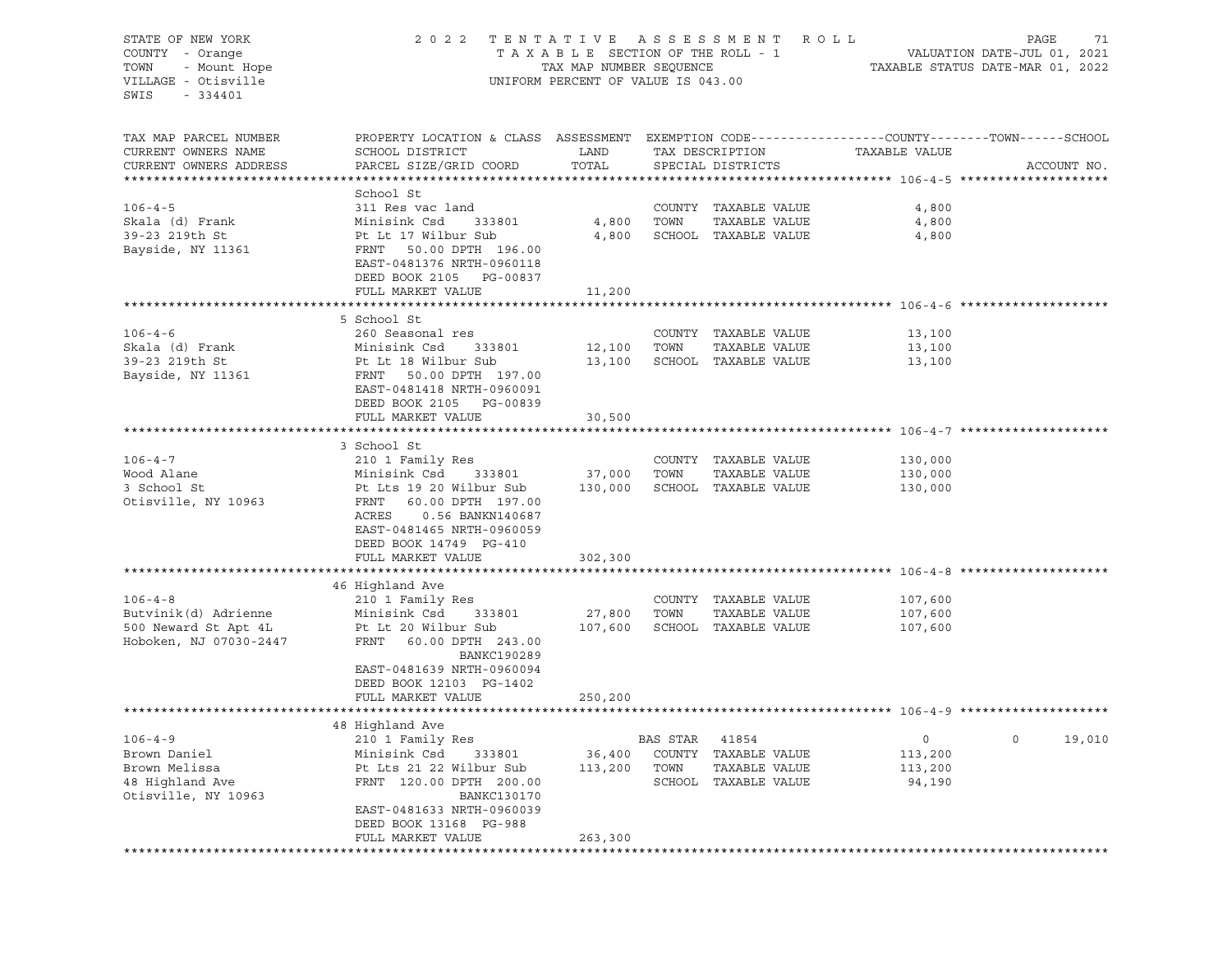| STATE OF NEW YORK<br>COUNTY - Orange<br>TOWN<br>- Mount Hope<br>VILLAGE - Otisville<br>SWIS<br>$-334401$ | 2 0 2 2<br>TENTATIVE ASSESSMENT<br>R O L L<br>TAXABLE SECTION OF THE ROLL - 1<br>VALUATION DATE-JUL 01, 2021<br>TAX MAP NUMBER SEQUENCE<br>TAXABLE STATUS DATE-MAR 01, 2022<br>UNIFORM PERCENT OF VALUE IS 043.00 |                  |          |                                       |               |             |  |
|----------------------------------------------------------------------------------------------------------|-------------------------------------------------------------------------------------------------------------------------------------------------------------------------------------------------------------------|------------------|----------|---------------------------------------|---------------|-------------|--|
| TAX MAP PARCEL NUMBER                                                                                    | PROPERTY LOCATION & CLASS ASSESSMENT EXEMPTION CODE---------------COUNTY-------TOWN------SCHOOL                                                                                                                   |                  |          |                                       |               |             |  |
| CURRENT OWNERS NAME                                                                                      | SCHOOL DISTRICT                                                                                                                                                                                                   | LAND             |          | TAX DESCRIPTION                       | TAXABLE VALUE |             |  |
| CURRENT OWNERS ADDRESS                                                                                   | PARCEL SIZE/GRID COORD                                                                                                                                                                                            | TOTAL            |          | SPECIAL DISTRICTS                     |               | ACCOUNT NO. |  |
|                                                                                                          | School St                                                                                                                                                                                                         |                  |          |                                       |               |             |  |
| $106 - 4 - 5$                                                                                            | 311 Res vac land                                                                                                                                                                                                  |                  |          | COUNTY TAXABLE VALUE                  | 4,800         |             |  |
| Skala (d) Frank                                                                                          | Minisink Csd<br>333801                                                                                                                                                                                            | 4,800            | TOWN     | TAXABLE VALUE                         | 4,800         |             |  |
| 39-23 219th St                                                                                           | Pt Lt 17 Wilbur Sub                                                                                                                                                                                               | 4,800            |          | SCHOOL TAXABLE VALUE                  | 4,800         |             |  |
| Bayside, NY 11361                                                                                        | FRNT 50.00 DPTH 196.00<br>EAST-0481376 NRTH-0960118<br>DEED BOOK 2105 PG-00837                                                                                                                                    |                  |          |                                       |               |             |  |
|                                                                                                          | FULL MARKET VALUE                                                                                                                                                                                                 | 11,200           |          |                                       |               |             |  |
|                                                                                                          |                                                                                                                                                                                                                   |                  |          |                                       |               |             |  |
|                                                                                                          | 5 School St                                                                                                                                                                                                       |                  |          |                                       |               |             |  |
| $106 - 4 - 6$                                                                                            | 260 Seasonal res                                                                                                                                                                                                  |                  |          | COUNTY TAXABLE VALUE                  | 13,100        |             |  |
| Skala (d) Frank<br>39-23 219th St                                                                        | Minisink Csd<br>333801<br>Pt Lt 18 Wilbur Sub                                                                                                                                                                     | 12,100<br>13,100 | TOWN     | TAXABLE VALUE<br>SCHOOL TAXABLE VALUE | 13,100        |             |  |
| Bayside, NY 11361                                                                                        | FRNT<br>50.00 DPTH 197.00<br>EAST-0481418 NRTH-0960091<br>DEED BOOK 2105 PG-00839<br>FULL MARKET VALUE                                                                                                            | 30,500           |          |                                       | 13,100        |             |  |
|                                                                                                          |                                                                                                                                                                                                                   |                  |          |                                       |               |             |  |
|                                                                                                          | 3 School St                                                                                                                                                                                                       |                  |          |                                       |               |             |  |
| $106 - 4 - 7$                                                                                            | 210 1 Family Res                                                                                                                                                                                                  |                  |          | COUNTY TAXABLE VALUE                  | 130,000       |             |  |
| Wood Alane                                                                                               | Minisink Csd<br>333801                                                                                                                                                                                            | 37,000           | TOWN     | TAXABLE VALUE                         | 130,000       |             |  |
| 3 School St                                                                                              | Pt Lts 19 20 Wilbur Sub                                                                                                                                                                                           | 130,000          |          | SCHOOL TAXABLE VALUE                  | 130,000       |             |  |
| Otisville, NY 10963                                                                                      | FRNT<br>60.00 DPTH 197.00<br>ACRES<br>0.56 BANKN140687<br>EAST-0481465 NRTH-0960059<br>DEED BOOK 14749 PG-410<br>FULL MARKET VALUE                                                                                | 302,300          |          |                                       |               |             |  |
|                                                                                                          |                                                                                                                                                                                                                   |                  |          |                                       |               |             |  |
|                                                                                                          | 46 Highland Ave                                                                                                                                                                                                   |                  |          |                                       |               |             |  |
| $106 - 4 - 8$                                                                                            | 210 1 Family Res                                                                                                                                                                                                  |                  |          | COUNTY TAXABLE VALUE                  | 107,600       |             |  |
| Butvinik(d) Adrienne                                                                                     | Minisink Csd<br>333801                                                                                                                                                                                            | 27,800           | TOWN     | TAXABLE VALUE                         | 107,600       |             |  |
| 500 Neward St Apt 4L<br>Hoboken, NJ 07030-2447                                                           | Pt Lt 20 Wilbur Sub<br>FRNT<br>60.00 DPTH 243.00<br><b>BANKC190289</b><br>EAST-0481639 NRTH-0960094<br>DEED BOOK 12103 PG-1402                                                                                    | 107,600          |          | SCHOOL TAXABLE VALUE                  | 107,600       |             |  |
|                                                                                                          | FULL MARKET VALUE                                                                                                                                                                                                 | 250,200          |          |                                       |               |             |  |
|                                                                                                          |                                                                                                                                                                                                                   |                  |          |                                       |               |             |  |
|                                                                                                          | 48 Highland Ave                                                                                                                                                                                                   |                  |          |                                       |               |             |  |
| $106 - 4 - 9$                                                                                            | 210 1 Family Res                                                                                                                                                                                                  |                  | BAS STAR | 41854                                 | 0             | 0<br>19,010 |  |
| Brown Daniel                                                                                             | Minisink Csd<br>333801                                                                                                                                                                                            | 36,400           | COUNTY   | TAXABLE VALUE                         | 113,200       |             |  |
| Brown Melissa                                                                                            | Pt Lts 21 22 Wilbur Sub                                                                                                                                                                                           | 113,200          | TOWN     | TAXABLE VALUE                         | 113,200       |             |  |
| 48 Highland Ave<br>Otisville, NY 10963                                                                   | FRNT 120.00 DPTH 200.00<br><b>BANKC130170</b><br>EAST-0481633 NRTH-0960039                                                                                                                                        |                  | SCHOOL   | TAXABLE VALUE                         | 94,190        |             |  |
|                                                                                                          | DEED BOOK 13168 PG-988                                                                                                                                                                                            |                  |          |                                       |               |             |  |
|                                                                                                          | FULL MARKET VALUE                                                                                                                                                                                                 | 263,300          |          |                                       |               |             |  |
|                                                                                                          |                                                                                                                                                                                                                   |                  |          |                                       |               |             |  |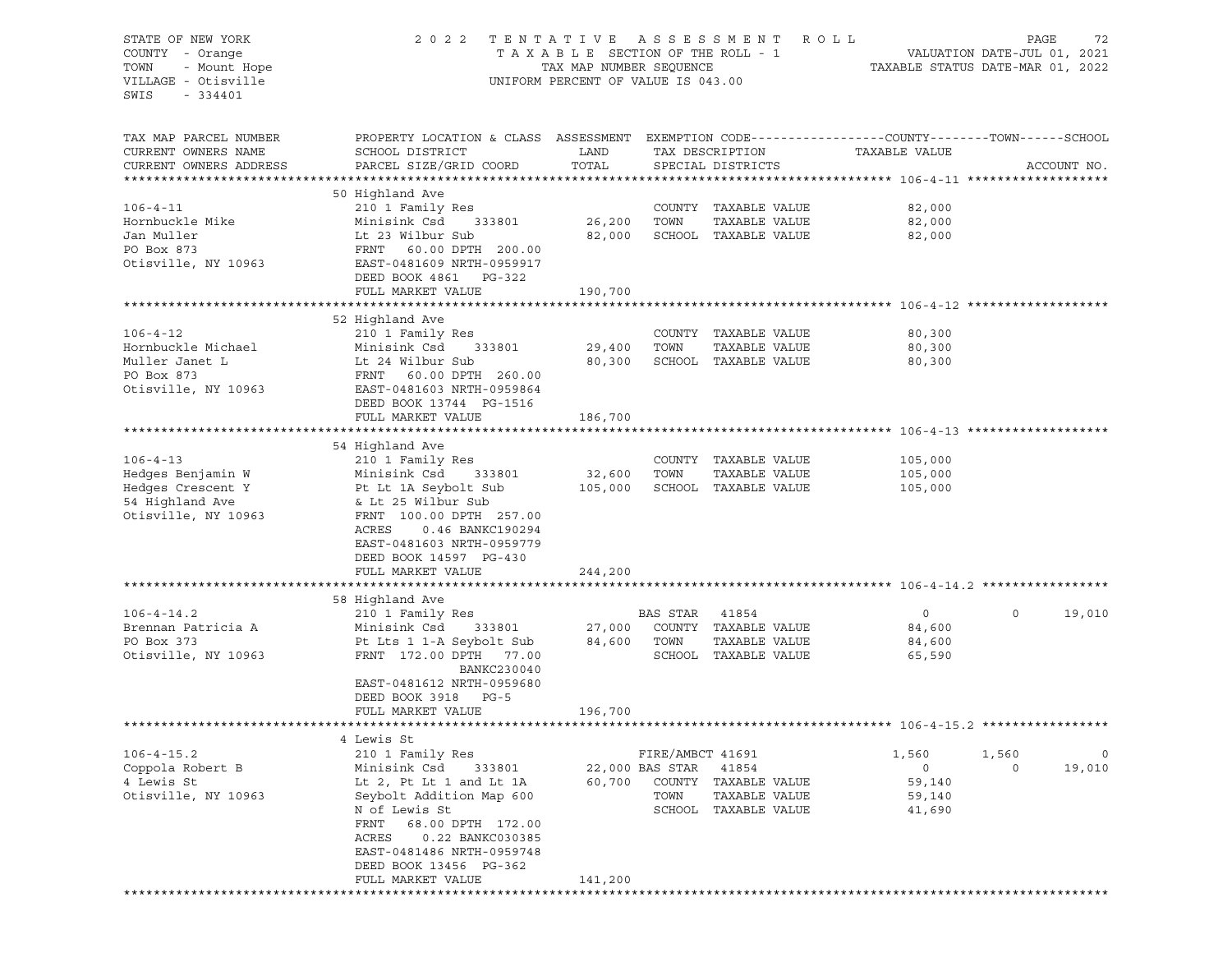| STATE OF NEW YORK      | 2 0 2 2                                                                                         | TENTATIVE ASSESSMENT               |                  |                      | ROLL                             | PAGE                        | 72          |
|------------------------|-------------------------------------------------------------------------------------------------|------------------------------------|------------------|----------------------|----------------------------------|-----------------------------|-------------|
| COUNTY - Orange        |                                                                                                 | TAXABLE SECTION OF THE ROLL - 1    |                  |                      |                                  | VALUATION DATE-JUL 01, 2021 |             |
| TOWN<br>- Mount Hope   |                                                                                                 | TAX MAP NUMBER SEQUENCE            |                  |                      | TAXABLE STATUS DATE-MAR 01, 2022 |                             |             |
| VILLAGE - Otisville    |                                                                                                 | UNIFORM PERCENT OF VALUE IS 043.00 |                  |                      |                                  |                             |             |
| SWIS<br>$-334401$      |                                                                                                 |                                    |                  |                      |                                  |                             |             |
|                        |                                                                                                 |                                    |                  |                      |                                  |                             |             |
|                        |                                                                                                 |                                    |                  |                      |                                  |                             |             |
| TAX MAP PARCEL NUMBER  | PROPERTY LOCATION & CLASS ASSESSMENT EXEMPTION CODE---------------COUNTY-------TOWN------SCHOOL |                                    |                  |                      |                                  |                             |             |
| CURRENT OWNERS NAME    | SCHOOL DISTRICT                                                                                 | LAND                               |                  | TAX DESCRIPTION      | TAXABLE VALUE                    |                             |             |
| CURRENT OWNERS ADDRESS | PARCEL SIZE/GRID COORD                                                                          | TOTAL                              |                  | SPECIAL DISTRICTS    |                                  |                             | ACCOUNT NO. |
|                        |                                                                                                 |                                    |                  |                      |                                  |                             |             |
|                        | 50 Highland Ave                                                                                 |                                    |                  |                      |                                  |                             |             |
| $106 - 4 - 11$         | 210 1 Family Res                                                                                |                                    |                  | COUNTY TAXABLE VALUE | 82,000                           |                             |             |
| Hornbuckle Mike        | Minisink Csd<br>333801                                                                          | 26,200                             | TOWN             | TAXABLE VALUE        | 82,000                           |                             |             |
| Jan Muller             | Lt 23 Wilbur Sub                                                                                | 82,000                             |                  | SCHOOL TAXABLE VALUE | 82,000                           |                             |             |
| PO Box 873             | FRNT 60.00 DPTH 200.00                                                                          |                                    |                  |                      |                                  |                             |             |
| Otisville, NY 10963    | EAST-0481609 NRTH-0959917                                                                       |                                    |                  |                      |                                  |                             |             |
|                        | DEED BOOK 4861<br>PG-322                                                                        |                                    |                  |                      |                                  |                             |             |
|                        | FULL MARKET VALUE                                                                               | 190,700                            |                  |                      |                                  |                             |             |
|                        |                                                                                                 |                                    |                  |                      |                                  |                             |             |
|                        | 52 Highland Ave                                                                                 |                                    |                  |                      |                                  |                             |             |
| $106 - 4 - 12$         | 210 1 Family Res                                                                                |                                    |                  | COUNTY TAXABLE VALUE | 80,300                           |                             |             |
| Hornbuckle Michael     | Minisink Csd<br>333801                                                                          | 29,400                             | TOWN             | TAXABLE VALUE        | 80,300                           |                             |             |
| Muller Janet L         | Lt 24 Wilbur Sub                                                                                | 80,300                             |                  | SCHOOL TAXABLE VALUE |                                  |                             |             |
| PO Box 873             | FRNT                                                                                            |                                    |                  |                      | 80,300                           |                             |             |
|                        | 60.00 DPTH 260.00                                                                               |                                    |                  |                      |                                  |                             |             |
| Otisville, NY 10963    | EAST-0481603 NRTH-0959864                                                                       |                                    |                  |                      |                                  |                             |             |
|                        | DEED BOOK 13744 PG-1516                                                                         |                                    |                  |                      |                                  |                             |             |
|                        | FULL MARKET VALUE                                                                               | 186,700                            |                  |                      |                                  |                             |             |
|                        |                                                                                                 |                                    |                  |                      |                                  |                             |             |
|                        | 54 Highland Ave                                                                                 |                                    |                  |                      |                                  |                             |             |
| $106 - 4 - 13$         | 210 1 Family Res                                                                                |                                    |                  | COUNTY TAXABLE VALUE | 105,000                          |                             |             |
| Hedges Benjamin W      | Minisink Csd<br>333801                                                                          | 32,600                             | TOWN             | TAXABLE VALUE        | 105,000                          |                             |             |
| Hedges Crescent Y      | Pt Lt 1A Seybolt Sub                                                                            | 105,000                            |                  | SCHOOL TAXABLE VALUE | 105,000                          |                             |             |
| 54 Highland Ave        | & Lt 25 Wilbur Sub                                                                              |                                    |                  |                      |                                  |                             |             |
| Otisville, NY 10963    | FRNT 100.00 DPTH 257.00                                                                         |                                    |                  |                      |                                  |                             |             |
|                        | ACRES<br>0.46 BANKC190294                                                                       |                                    |                  |                      |                                  |                             |             |
|                        | EAST-0481603 NRTH-0959779                                                                       |                                    |                  |                      |                                  |                             |             |
|                        | DEED BOOK 14597 PG-430                                                                          |                                    |                  |                      |                                  |                             |             |
|                        | FULL MARKET VALUE                                                                               | 244,200                            |                  |                      |                                  |                             |             |
|                        |                                                                                                 |                                    |                  |                      |                                  |                             |             |
|                        | 58 Highland Ave                                                                                 |                                    |                  |                      |                                  |                             |             |
| $106 - 4 - 14.2$       | 210 1 Family Res                                                                                |                                    | BAS STAR         | 41854                | $\circ$                          | $\circ$                     | 19,010      |
| Brennan Patricia A     | Minisink Csd<br>333801                                                                          | 27,000                             |                  | COUNTY TAXABLE VALUE | 84,600                           |                             |             |
| PO Box 373             | Pt Lts 1 1-A Seybolt Sub                                                                        | 84,600                             | TOWN             | TAXABLE VALUE        | 84,600                           |                             |             |
| Otisville, NY 10963    | FRNT 172.00 DPTH 77.00                                                                          |                                    |                  | SCHOOL TAXABLE VALUE | 65,590                           |                             |             |
|                        | BANKC230040                                                                                     |                                    |                  |                      |                                  |                             |             |
|                        | EAST-0481612 NRTH-0959680                                                                       |                                    |                  |                      |                                  |                             |             |
|                        | DEED BOOK 3918<br>$PG-5$                                                                        |                                    |                  |                      |                                  |                             |             |
|                        | FULL MARKET VALUE                                                                               | 196,700                            |                  |                      |                                  |                             |             |
|                        |                                                                                                 |                                    |                  |                      |                                  |                             |             |
|                        | 4 Lewis St                                                                                      |                                    |                  |                      |                                  |                             |             |
|                        |                                                                                                 |                                    |                  |                      |                                  |                             |             |
| $106 - 4 - 15.2$       | 210 1 Family Res                                                                                |                                    | FIRE/AMBCT 41691 |                      | 1,560                            | 1,560                       | 0           |
| Coppola Robert B       | Minisink Csd<br>333801                                                                          |                                    | 22,000 BAS STAR  | 41854                | $\circ$                          | 0                           | 19,010      |
| 4 Lewis St             | Lt 2, Pt Lt 1 and Lt 1A                                                                         | 60,700                             | COUNTY           | TAXABLE VALUE        | 59,140                           |                             |             |
| Otisville, NY 10963    | Seybolt Addition Map 600                                                                        |                                    | TOWN             | TAXABLE VALUE        | 59,140                           |                             |             |
|                        | N of Lewis St                                                                                   |                                    | SCHOOL           | TAXABLE VALUE        | 41,690                           |                             |             |
|                        | FRNT<br>68.00 DPTH 172.00                                                                       |                                    |                  |                      |                                  |                             |             |
|                        | <b>ACRES</b><br>0.22 BANKC030385                                                                |                                    |                  |                      |                                  |                             |             |
|                        | EAST-0481486 NRTH-0959748                                                                       |                                    |                  |                      |                                  |                             |             |
|                        | DEED BOOK 13456 PG-362                                                                          |                                    |                  |                      |                                  |                             |             |
|                        | FULL MARKET VALUE                                                                               | 141,200                            |                  |                      |                                  |                             |             |
|                        |                                                                                                 |                                    |                  |                      |                                  |                             |             |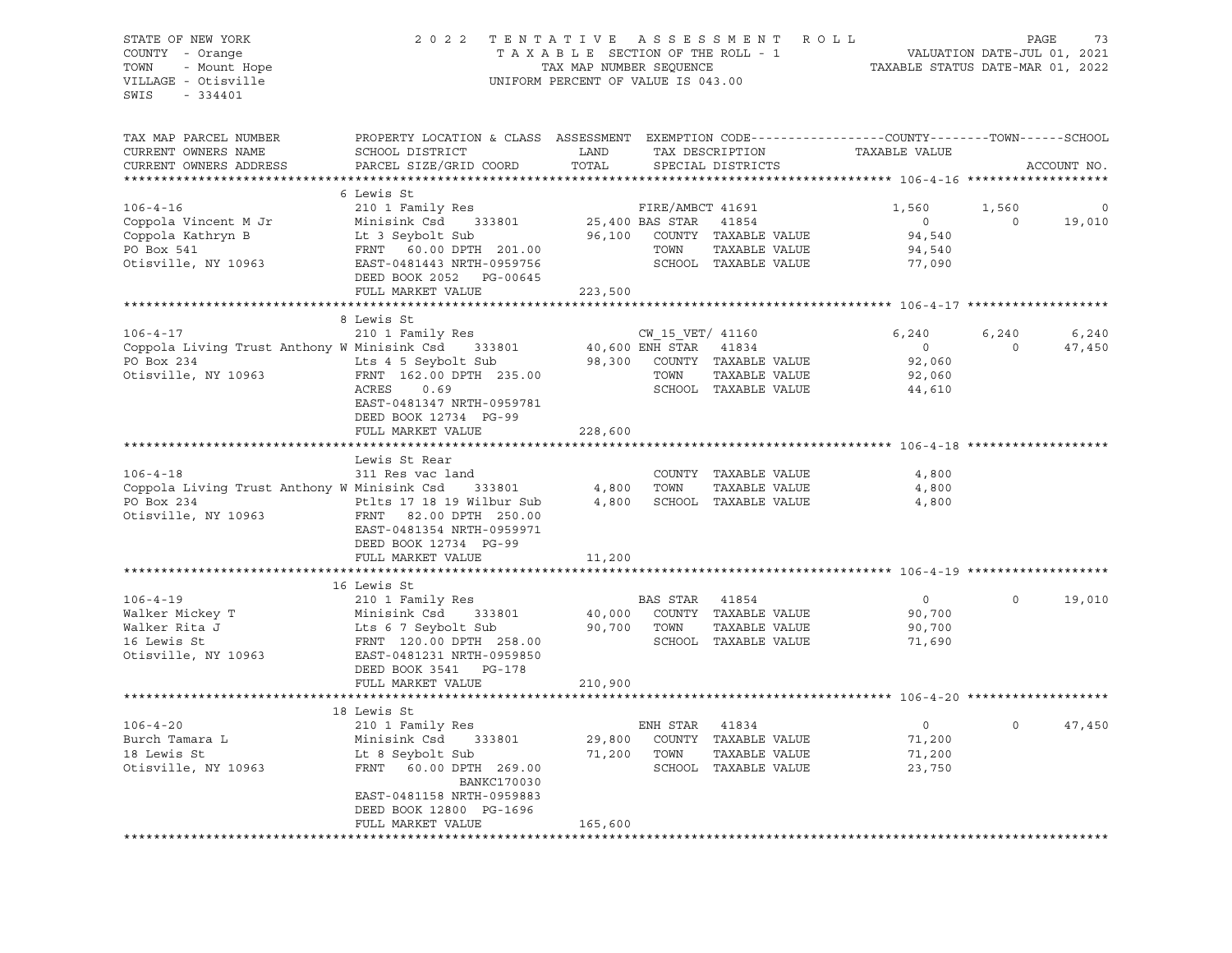STATE OF NEW YORK 2 0 2 2 T E N T A T I V E A S S E S S M E N T R O L L PAGE 73 COUNTY - Orange T A X A B L E SECTION OF THE ROLL - 1 TOWN - Mount Hope TAX NOW TAX MAP NUMBER SEQUENCE TAXABLE STATUS DATE-MAR 01, 2022<br>VILLAGE - Otisville Taxable Taxable Taxable Status UNIFORM PERCENT OF VALUE IS 043.00 UNIFORM PERCENT OF VALUE IS 043.00 SWIS - 334401 TAX MAP PARCEL NUMBER PROPERTY LOCATION & CLASS ASSESSMENT EXEMPTION CODE------------------COUNTY--------TOWN------SCHOOL CURRENT OWNERS NAME SCHOOL DISTRICT LAND TAX DESCRIPTION TAXABLE VALUE CURRENT OWNERS ADDRESS PARCEL SIZE/GRID COORD TOTAL SPECIAL DISTRICTS ACCOUNT NO. \*\*\*\*\*\*\*\*\*\*\*\*\*\*\*\*\*\*\*\*\*\*\*\*\*\*\*\*\*\*\*\*\*\*\*\*\*\*\*\*\*\*\*\*\*\*\*\*\*\*\*\*\*\*\*\*\*\*\*\*\*\*\*\*\*\*\*\*\*\*\*\*\*\*\*\*\*\*\*\*\*\*\*\*\*\*\*\*\*\*\*\*\*\*\*\*\*\*\*\*\*\*\* 106-4-16 \*\*\*\*\*\*\*\*\*\*\*\*\*\*\*\*\*\*\* 6 Lewis St 106-4-16 210 1 Family Res FIRE/AMBCT 41691 1,560 1,560 0 Coppola Vincent M Jr Minisink Csd 333801 25,400 BAS STAR 41854 0 0 19,010 Coppola Kathryn B Lt 3 Seybolt Sub 96,100 COUNTY TAXABLE VALUE 94,540 PO Box 541 FRNT 60.00 DPTH 201.00 TOWN TAXABLE VALUE 94,540 Otisville, NY 10963 EAST-0481443 NRTH-0959756 SCHOOL TAXABLE VALUE 77,090 DEED BOOK 2052 PG-00645 FULL MARKET VALUE 223,500 \*\*\*\*\*\*\*\*\*\*\*\*\*\*\*\*\*\*\*\*\*\*\*\*\*\*\*\*\*\*\*\*\*\*\*\*\*\*\*\*\*\*\*\*\*\*\*\*\*\*\*\*\*\*\*\*\*\*\*\*\*\*\*\*\*\*\*\*\*\*\*\*\*\*\*\*\*\*\*\*\*\*\*\*\*\*\*\*\*\*\*\*\*\*\*\*\*\*\*\*\*\*\* 106-4-17 \*\*\*\*\*\*\*\*\*\*\*\*\*\*\*\*\*\*\* 8 Lewis St 106-4-17 210 1 Family Res CW\_15\_VET/ 41160 6,240 6,240 6,240 Coppola Living Trust Anthony W Minisink Csd 333801 40,600 ENH STAR 41834 0 0 47,450 PO Box 234 Lts 4 5 Seybolt Sub 98,300 COUNTY TAXABLE VALUE 92,060 Otisville, NY 10963 FRNT 162.00 DPTH 235.00 TOWN TAXABLE VALUE 92,060 ACRES 0.69 SCHOOL TAXABLE VALUE 44,610 EAST-0481347 NRTH-0959781 DEED BOOK 12734 PG-99 FULL MARKET VALUE 228,600 \*\*\*\*\*\*\*\*\*\*\*\*\*\*\*\*\*\*\*\*\*\*\*\*\*\*\*\*\*\*\*\*\*\*\*\*\*\*\*\*\*\*\*\*\*\*\*\*\*\*\*\*\*\*\*\*\*\*\*\*\*\*\*\*\*\*\*\*\*\*\*\*\*\*\*\*\*\*\*\*\*\*\*\*\*\*\*\*\*\*\*\*\*\*\*\*\*\*\*\*\*\*\* 106-4-18 \*\*\*\*\*\*\*\*\*\*\*\*\*\*\*\*\*\*\* Lewis St Rear 106-4-18 311 Res vac land COUNTY TAXABLE VALUE 4,800<br>Coppola Living Trust Anthony W Minisink Csd 333801 4,800 TOWN TAXABLE VALUE 4.800 Coppola Living Trust Anthony W Minisink Csd 333801 4,800 TOWN TAXABLE VALUE 4,800 PO Box 234 **PELES 17 18 19 Wilbur Sub** 4,800 SCHOOL TAXABLE VALUE 4,800 Otisville, NY 10963 FRNT 82.00 DPTH 250.00 EAST-0481354 NRTH-0959971 DEED BOOK 12734 PG-99 FULL MARKET VALUE 11,200 \*\*\*\*\*\*\*\*\*\*\*\*\*\*\*\*\*\*\*\*\*\*\*\*\*\*\*\*\*\*\*\*\*\*\*\*\*\*\*\*\*\*\*\*\*\*\*\*\*\*\*\*\*\*\*\*\*\*\*\*\*\*\*\*\*\*\*\*\*\*\*\*\*\*\*\*\*\*\*\*\*\*\*\*\*\*\*\*\*\*\*\*\*\*\*\*\*\*\*\*\*\*\* 106-4-19 \*\*\*\*\*\*\*\*\*\*\*\*\*\*\*\*\*\*\* 16 Lewis St 106-4-19 210 1 Family Res BAS STAR 41854 0 0 19,010 Walker Mickey T Minisink Csd 333801 40,000 COUNTY TAXABLE VALUE 90,700 Walker Rita J Lts 6 7 Seybolt Sub 90,700 TOWN TAXABLE VALUE 90,700 16 Lewis St FRNT 120.00 DPTH 258.00 SCHOOL TAXABLE VALUE 71,690 Otisville, NY 10963 EAST-0481231 NRTH-0959850 DEED BOOK 3541 PG-178 FULL MARKET VALUE 210,900 \*\*\*\*\*\*\*\*\*\*\*\*\*\*\*\*\*\*\*\*\*\*\*\*\*\*\*\*\*\*\*\*\*\*\*\*\*\*\*\*\*\*\*\*\*\*\*\*\*\*\*\*\*\*\*\*\*\*\*\*\*\*\*\*\*\*\*\*\*\*\*\*\*\*\*\*\*\*\*\*\*\*\*\*\*\*\*\*\*\*\*\*\*\*\*\*\*\*\*\*\*\*\* 106-4-20 \*\*\*\*\*\*\*\*\*\*\*\*\*\*\*\*\*\*\* 18 Lewis St 106-4-20 210 1 Family Res ENH STAR 41834 0 0 47,450 Burch Tamara L Minisink Csd 333801 29,800 COUNTY TAXABLE VALUE 71,200 18 Lewis St Lt 8 Seybolt Sub 71,200 TOWN TAXABLE VALUE 71,200 Otisville, NY 10963 FRNT 60.00 DPTH 269.00 SCHOOL TAXABLE VALUE 23,750 BANKC170030 EAST-0481158 NRTH-0959883 DEED BOOK 12800 PG-1696 FULL MARKET VALUE 165,600 \*\*\*\*\*\*\*\*\*\*\*\*\*\*\*\*\*\*\*\*\*\*\*\*\*\*\*\*\*\*\*\*\*\*\*\*\*\*\*\*\*\*\*\*\*\*\*\*\*\*\*\*\*\*\*\*\*\*\*\*\*\*\*\*\*\*\*\*\*\*\*\*\*\*\*\*\*\*\*\*\*\*\*\*\*\*\*\*\*\*\*\*\*\*\*\*\*\*\*\*\*\*\*\*\*\*\*\*\*\*\*\*\*\*\*\*\*\*\*\*\*\*\*\*\*\*\*\*\*\*\*\*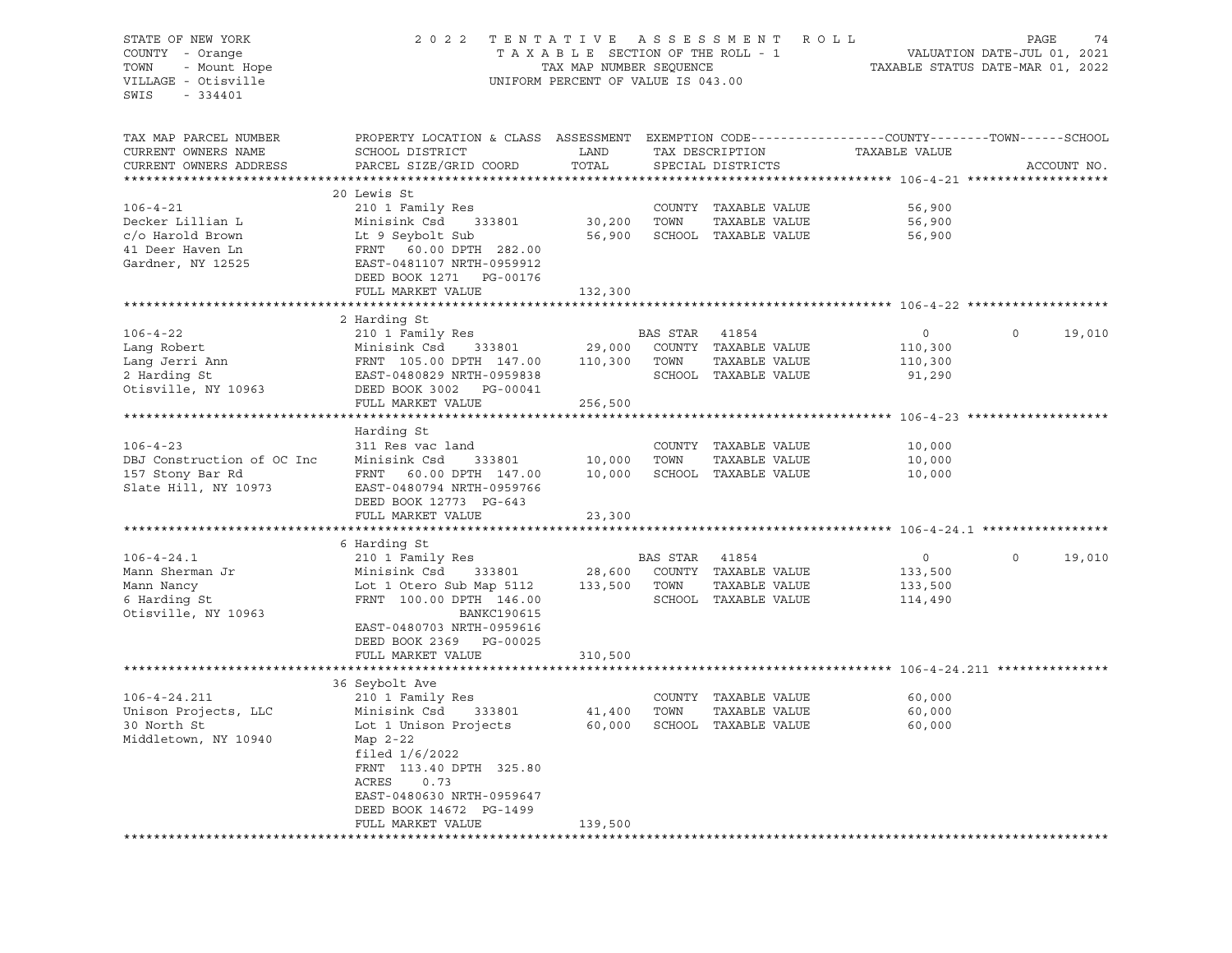### STATE OF NEW YORK 2 0 2 2 T E N T A T I V E A S S E S S M E N T R O L L PAGE 74 COUNTY - Orange T A X A B L E SECTION OF THE ROLL - 1 VALUATION DATE-JUL 01, 2021 TOWN - Mount Hope TAX MAP NUMBER SEQUENCE TAXABLE STATUS DATE-MAR 01, 2022 VILLAGE - Otisville UNIFORM PERCENT OF VALUE IS 043.00

| TAX MAP PARCEL NUMBER<br>CURRENT OWNERS NAME<br>CURRENT OWNERS ADDRESS | PROPERTY LOCATION & CLASS ASSESSMENT<br>SCHOOL DISTRICT<br>PARCEL SIZE/GRID COORD                                                                         | LAND<br>TOTAL    |          | TAX DESCRIPTION<br>SPECIAL DISTRICTS                          | EXEMPTION CODE-----------------COUNTY-------TOWN------SCHOOL<br>TAXABLE VALUE |          | ACCOUNT NO. |
|------------------------------------------------------------------------|-----------------------------------------------------------------------------------------------------------------------------------------------------------|------------------|----------|---------------------------------------------------------------|-------------------------------------------------------------------------------|----------|-------------|
| **********************                                                 |                                                                                                                                                           |                  |          |                                                               |                                                                               |          |             |
| $106 - 4 - 21$<br>Decker Lillian L<br>c/o Harold Brown                 | 20 Lewis St<br>210 1 Family Res<br>Minisink Csd<br>333801<br>Lt 9 Seybolt Sub                                                                             | 30,200<br>56,900 | TOWN     | COUNTY TAXABLE VALUE<br>TAXABLE VALUE<br>SCHOOL TAXABLE VALUE | 56,900<br>56,900<br>56,900                                                    |          |             |
| 41 Deer Haven Ln<br>Gardner, NY 12525                                  | FRNT 60.00 DPTH 282.00<br>EAST-0481107 NRTH-0959912<br>DEED BOOK 1271 PG-00176<br>FULL MARKET VALUE                                                       | 132,300          |          |                                                               |                                                                               |          |             |
|                                                                        |                                                                                                                                                           |                  |          |                                                               |                                                                               |          |             |
|                                                                        | 2 Harding St                                                                                                                                              |                  |          |                                                               |                                                                               |          |             |
| $106 - 4 - 22$<br>Lang Robert                                          | 210 1 Family Res<br>Minisink Csd<br>333801                                                                                                                | 29,000           | BAS STAR | 41854<br>COUNTY TAXABLE VALUE                                 | $\mathbf{0}$<br>110,300                                                       | $\Omega$ | 19,010      |
| Lang Jerri Ann                                                         | FRNT 105.00 DPTH 147.00                                                                                                                                   | 110,300          | TOWN     | TAXABLE VALUE                                                 | 110,300                                                                       |          |             |
| 2 Harding St<br>Otisville, NY 10963                                    | EAST-0480829 NRTH-0959838<br>DEED BOOK 3002 PG-00041                                                                                                      |                  |          | SCHOOL TAXABLE VALUE                                          | 91,290                                                                        |          |             |
|                                                                        | FULL MARKET VALUE                                                                                                                                         | 256,500          |          |                                                               |                                                                               |          |             |
|                                                                        | Harding St                                                                                                                                                |                  |          |                                                               |                                                                               |          |             |
| $106 - 4 - 23$                                                         | 311 Res vac land                                                                                                                                          |                  |          | COUNTY TAXABLE VALUE                                          | 10,000                                                                        |          |             |
| DBJ Construction of OC Inc                                             | Minisink Csd<br>333801                                                                                                                                    | 10,000           | TOWN     | TAXABLE VALUE                                                 | 10,000                                                                        |          |             |
| 157 Stony Bar Rd<br>Slate Hill, NY 10973                               | FRNT 60.00 DPTH 147.00<br>EAST-0480794 NRTH-0959766<br>DEED BOOK 12773 PG-643                                                                             | 10,000           |          | SCHOOL TAXABLE VALUE                                          | 10,000                                                                        |          |             |
|                                                                        | FULL MARKET VALUE                                                                                                                                         | 23,300           |          |                                                               |                                                                               |          |             |
|                                                                        | 6 Harding St                                                                                                                                              |                  |          |                                                               |                                                                               |          |             |
| $106 - 4 - 24.1$                                                       | 210 1 Family Res                                                                                                                                          |                  | BAS STAR | 41854                                                         | $\circ$                                                                       | $\Omega$ | 19,010      |
| Mann Sherman Jr                                                        | Minisink Csd<br>333801                                                                                                                                    | 28,600           |          | COUNTY TAXABLE VALUE                                          | 133,500                                                                       |          |             |
| Mann Nancy                                                             | Lot 1 Otero Sub Map 5112                                                                                                                                  | 133,500          | TOWN     | TAXABLE VALUE                                                 | 133,500                                                                       |          |             |
| 6 Harding St<br>Otisville, NY 10963                                    | FRNT 100.00 DPTH 146.00<br><b>BANKC190615</b><br>EAST-0480703 NRTH-0959616<br>DEED BOOK 2369 PG-00025                                                     |                  |          | SCHOOL TAXABLE VALUE                                          | 114,490                                                                       |          |             |
|                                                                        | FULL MARKET VALUE                                                                                                                                         | 310,500          |          |                                                               |                                                                               |          |             |
|                                                                        |                                                                                                                                                           |                  |          |                                                               |                                                                               |          |             |
|                                                                        | 36 Seybolt Ave                                                                                                                                            |                  |          |                                                               |                                                                               |          |             |
| $106 - 4 - 24.211$                                                     | 210 1 Family Res                                                                                                                                          |                  |          | COUNTY TAXABLE VALUE                                          | 60,000                                                                        |          |             |
| Unison Projects, LLC                                                   | Minisink Csd<br>333801                                                                                                                                    | 41,400           | TOWN     | TAXABLE VALUE                                                 | 60,000                                                                        |          |             |
| 30 North St<br>Middletown, NY 10940                                    | Lot 1 Unison Projects<br>Map 2-22<br>filed $1/6/2022$<br>FRNT 113.40 DPTH 325.80<br>ACRES<br>0.73<br>EAST-0480630 NRTH-0959647<br>DEED BOOK 14672 PG-1499 | 60,000           |          | SCHOOL TAXABLE VALUE                                          | 60,000                                                                        |          |             |
|                                                                        | FULL MARKET VALUE                                                                                                                                         | 139,500          |          |                                                               |                                                                               |          |             |
|                                                                        | *******************                                                                                                                                       |                  |          |                                                               |                                                                               |          |             |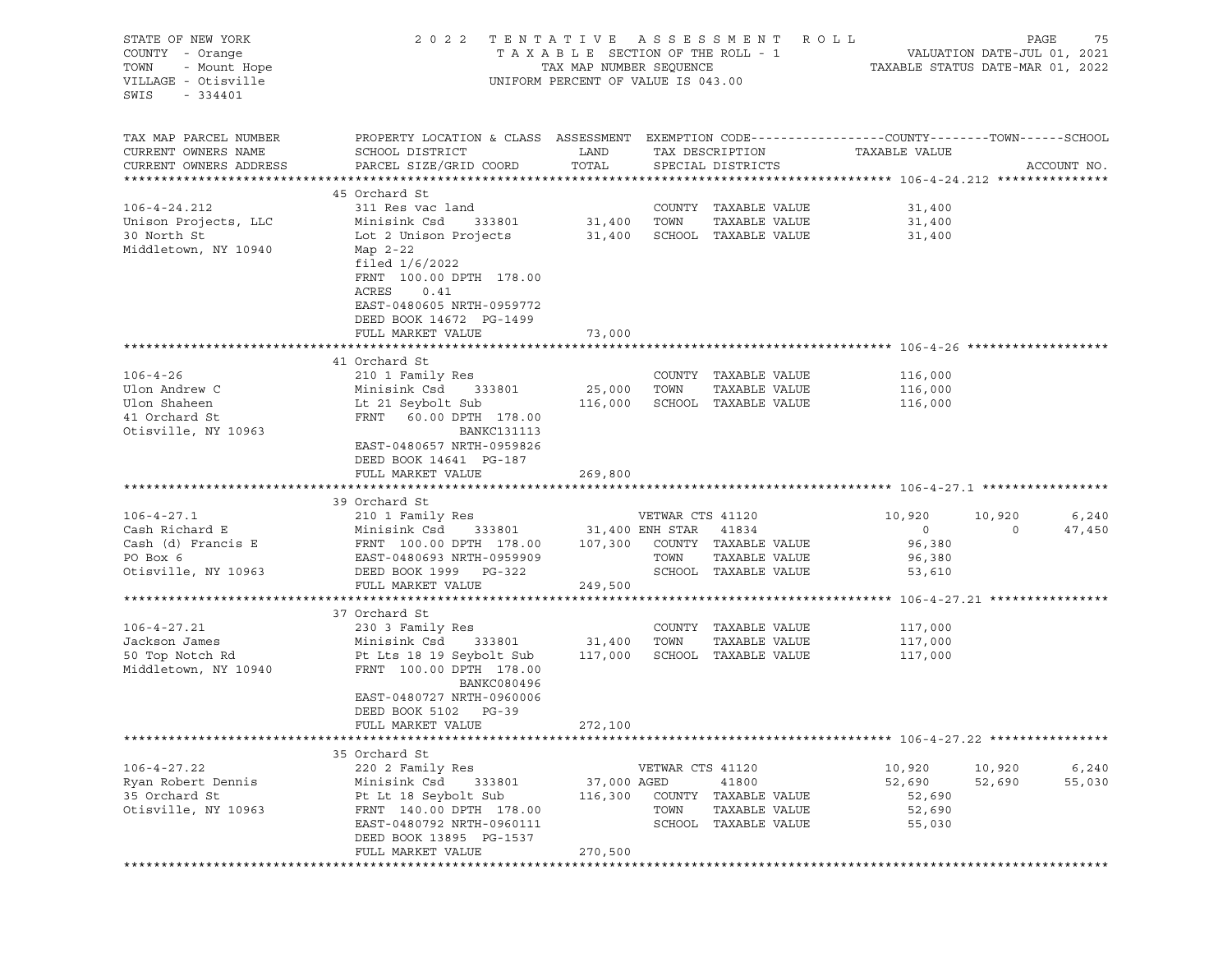| STATE OF NEW YORK<br>COUNTY - Orange<br>- Mount Hope<br>TOWN<br>VILLAGE - Otisville<br>SWIS<br>- 334401 | 2022                                                                                                                                         | TAXABLE SECTION OF THE ROLL - 1<br>TAX MAP NUMBER SEQUENCE<br>UNIFORM PERCENT OF VALUE IS 043.00 |                       | TENTATIVE ASSESSMENT ROLL             | TAXABLE STATUS DATE-MAR 01, 2022 | PAGE<br>VALUATION DATE-JUL 01, 2021 | 75          |
|---------------------------------------------------------------------------------------------------------|----------------------------------------------------------------------------------------------------------------------------------------------|--------------------------------------------------------------------------------------------------|-----------------------|---------------------------------------|----------------------------------|-------------------------------------|-------------|
| TAX MAP PARCEL NUMBER<br>CURRENT OWNERS NAME<br>CURRENT OWNERS ADDRESS                                  | PROPERTY LOCATION & CLASS ASSESSMENT EXEMPTION CODE----------------COUNTY-------TOWN-----SCHOOL<br>SCHOOL DISTRICT<br>PARCEL SIZE/GRID COORD | LAND<br>TOTAL                                                                                    |                       | TAX DESCRIPTION<br>SPECIAL DISTRICTS  | TAXABLE VALUE                    |                                     | ACCOUNT NO. |
|                                                                                                         |                                                                                                                                              |                                                                                                  |                       |                                       |                                  |                                     |             |
| $106 - 4 - 24.212$                                                                                      | 45 Orchard St<br>311 Res vac land                                                                                                            |                                                                                                  |                       | COUNTY TAXABLE VALUE                  | 31,400                           |                                     |             |
| Unison Projects, LLC                                                                                    | Minisink Csd<br>333801                                                                                                                       | 31,400                                                                                           | TOWN                  | TAXABLE VALUE                         | 31,400                           |                                     |             |
| 30 North St                                                                                             | Lot 2 Unison Projects                                                                                                                        | 31,400                                                                                           |                       | SCHOOL TAXABLE VALUE                  | 31,400                           |                                     |             |
| Middletown, NY 10940                                                                                    | Map 2-22<br>filed $1/6/2022$<br>FRNT 100.00 DPTH 178.00<br>ACRES<br>0.41<br>EAST-0480605 NRTH-0959772<br>DEED BOOK 14672 PG-1499             |                                                                                                  |                       |                                       |                                  |                                     |             |
|                                                                                                         | FULL MARKET VALUE                                                                                                                            | 73,000                                                                                           |                       |                                       |                                  |                                     |             |
|                                                                                                         |                                                                                                                                              |                                                                                                  |                       |                                       |                                  |                                     |             |
|                                                                                                         | 41 Orchard St                                                                                                                                |                                                                                                  |                       |                                       |                                  |                                     |             |
| $106 - 4 - 26$                                                                                          | 210 1 Family Res                                                                                                                             |                                                                                                  |                       | COUNTY TAXABLE VALUE                  | 116,000                          |                                     |             |
| Ulon Andrew C                                                                                           | Minisink Csd<br>333801                                                                                                                       | 25,000                                                                                           | TOWN                  | TAXABLE VALUE                         | 116,000                          |                                     |             |
| Ulon Shaheen<br>41 Orchard St                                                                           | Lt 21 Seybolt Sub<br>FRNT 60.00 DPTH 178.00                                                                                                  | 116,000                                                                                          |                       | SCHOOL TAXABLE VALUE                  | 116,000                          |                                     |             |
| Otisville, NY 10963                                                                                     | <b>BANKC131113</b><br>EAST-0480657 NRTH-0959826<br>DEED BOOK 14641 PG-187                                                                    |                                                                                                  |                       |                                       |                                  |                                     |             |
|                                                                                                         | FULL MARKET VALUE                                                                                                                            | 269,800                                                                                          |                       |                                       |                                  |                                     |             |
|                                                                                                         |                                                                                                                                              |                                                                                                  |                       |                                       |                                  |                                     |             |
|                                                                                                         | 39 Orchard St                                                                                                                                |                                                                                                  |                       |                                       |                                  |                                     |             |
| $106 - 4 - 27.1$                                                                                        | 210 1 Family Res                                                                                                                             |                                                                                                  | VETWAR CTS 41120      |                                       | 10,920                           | 10,920                              | 6,240       |
| Cash Richard E                                                                                          | Minisink Csd<br>333801                                                                                                                       |                                                                                                  | 31,400 ENH STAR 41834 |                                       | $\circ$                          | $\circ$                             | 47,450      |
| Cash (d) Francis E<br>PO Box 6                                                                          | FRNT 100.00 DPTH 178.00<br>EAST-0480693 NRTH-0959909                                                                                         | 107,300                                                                                          | TOWN                  | COUNTY TAXABLE VALUE<br>TAXABLE VALUE | 96,380<br>96,380                 |                                     |             |
| Otisville, NY 10963                                                                                     | DEED BOOK 1999 PG-322                                                                                                                        |                                                                                                  |                       | SCHOOL TAXABLE VALUE                  | 53,610                           |                                     |             |
|                                                                                                         | FULL MARKET VALUE                                                                                                                            | 249,500                                                                                          |                       |                                       |                                  |                                     |             |
|                                                                                                         |                                                                                                                                              |                                                                                                  |                       |                                       |                                  |                                     |             |
|                                                                                                         | 37 Orchard St                                                                                                                                |                                                                                                  |                       |                                       |                                  |                                     |             |
| $106 - 4 - 27.21$                                                                                       | 230 3 Family Res                                                                                                                             |                                                                                                  |                       | COUNTY TAXABLE VALUE                  | 117,000                          |                                     |             |
| Jackson James                                                                                           | Minisink Csd<br>333801                                                                                                                       | 31,400                                                                                           | TOWN                  | TAXABLE VALUE                         | 117,000                          |                                     |             |
| 50 Top Notch Rd<br>Middletown, NY 10940                                                                 | Pt Lts 18 19 Seybolt Sub<br>FRNT 100.00 DPTH 178.00<br>BANKC080496<br>EAST-0480727 NRTH-0960006<br>DEED BOOK 5102 PG-39                      | 117,000                                                                                          |                       | SCHOOL TAXABLE VALUE                  | 117,000                          |                                     |             |
|                                                                                                         | FULL MARKET VALUE                                                                                                                            | 272,100                                                                                          |                       |                                       |                                  |                                     |             |
|                                                                                                         |                                                                                                                                              |                                                                                                  |                       |                                       |                                  |                                     |             |
|                                                                                                         | 35 Orchard St                                                                                                                                |                                                                                                  |                       |                                       |                                  |                                     |             |
| $106 - 4 - 27.22$                                                                                       | 220 2 Family Res                                                                                                                             |                                                                                                  | VETWAR CTS 41120      |                                       | 10,920                           | 10,920                              | 6,240       |
| Ryan Robert Dennis                                                                                      | Minisink Csd<br>333801                                                                                                                       | 37,000 AGED                                                                                      |                       | 41800                                 | 52,690                           | 52,690                              | 55,030      |
| 35 Orchard St                                                                                           | Pt Lt 18 Seybolt Sub                                                                                                                         | 116,300                                                                                          |                       | COUNTY TAXABLE VALUE                  | 52,690                           |                                     |             |
| Otisville, NY 10963                                                                                     | FRNT 140.00 DPTH 178.00                                                                                                                      |                                                                                                  | TOWN                  | TAXABLE VALUE                         | 52,690                           |                                     |             |
|                                                                                                         | EAST-0480792 NRTH-0960111<br>DEED BOOK 13895 PG-1537<br>FULL MARKET VALUE                                                                    | 270,500                                                                                          |                       | SCHOOL TAXABLE VALUE                  | 55,030                           |                                     |             |
|                                                                                                         |                                                                                                                                              |                                                                                                  |                       |                                       |                                  |                                     |             |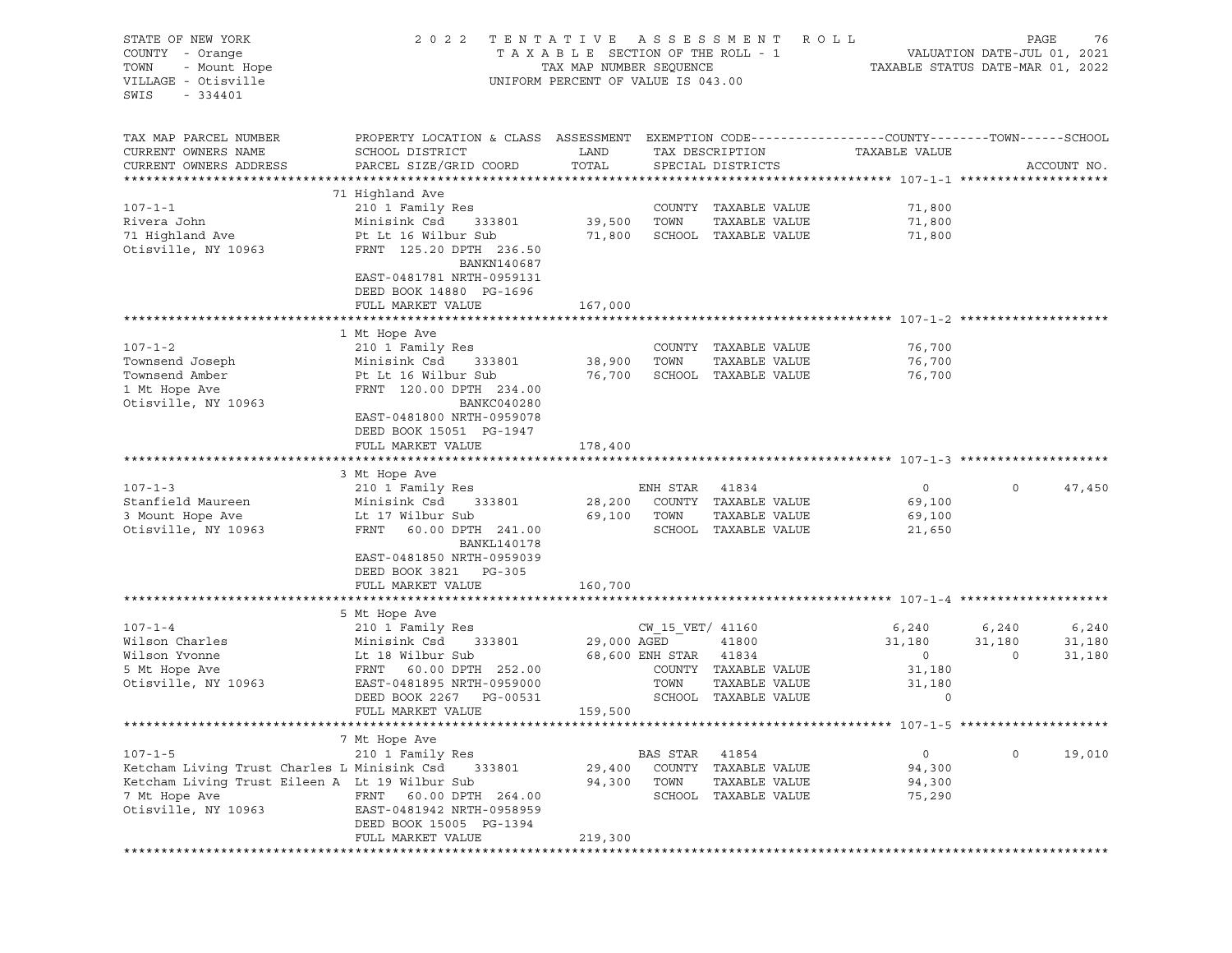| STATE OF NEW YORK<br>COUNTY - Orange<br>- Mount Hope<br>TOWN<br>VILLAGE - Otisville<br>SWIS<br>$-334401$                                               | 2 0 2 2                                                                                                                                                                              | TAXABLE SECTION OF THE ROLL - 1<br>TAX MAP NUMBER SEQUENCE<br>UNIFORM PERCENT OF VALUE IS 043.00 |                                                                  | TENTATIVE ASSESSMENT ROLL                                              | VALUATION DATE-JUL 01, 2021<br>TAXABLE STATUS DATE-MAR 01, 2022   | PAGE                       | 76                        |
|--------------------------------------------------------------------------------------------------------------------------------------------------------|--------------------------------------------------------------------------------------------------------------------------------------------------------------------------------------|--------------------------------------------------------------------------------------------------|------------------------------------------------------------------|------------------------------------------------------------------------|-------------------------------------------------------------------|----------------------------|---------------------------|
| TAX MAP PARCEL NUMBER<br>CURRENT OWNERS NAME<br>CURRENT OWNERS ADDRESS                                                                                 | PROPERTY LOCATION & CLASS ASSESSMENT EXEMPTION CODE----------------COUNTY-------TOWN------SCHOOL<br>SCHOOL DISTRICT<br>PARCEL SIZE/GRID COORD                                        | LAND<br>TOTAL                                                                                    |                                                                  | TAX DESCRIPTION<br>SPECIAL DISTRICTS                                   | TAXABLE VALUE                                                     |                            | ACCOUNT NO.               |
|                                                                                                                                                        | 71 Highland Ave                                                                                                                                                                      |                                                                                                  |                                                                  |                                                                        |                                                                   |                            |                           |
| $107 - 1 - 1$<br>Rivera John<br>71 Highland Ave<br>Otisville, NY 10963                                                                                 | 210 1 Family Res<br>Minisink Csd<br>333801<br>Pt Lt 16 Wilbur Sub<br>FRNT 125.20 DPTH 236.50<br>BANKN140687<br>EAST-0481781 NRTH-0959131                                             | 39,500 TOWN<br>71,800                                                                            |                                                                  | COUNTY TAXABLE VALUE<br>TAXABLE VALUE<br>SCHOOL TAXABLE VALUE          | 71,800<br>71,800<br>71,800                                        |                            |                           |
|                                                                                                                                                        | DEED BOOK 14880 PG-1696<br>FULL MARKET VALUE                                                                                                                                         | 167,000                                                                                          |                                                                  |                                                                        |                                                                   |                            |                           |
|                                                                                                                                                        |                                                                                                                                                                                      |                                                                                                  |                                                                  |                                                                        |                                                                   |                            |                           |
| $107 - 1 - 2$<br>Townsend Joseph<br>Townsend Amber<br>1 Mt Hope Ave<br>Otisville, NY 10963                                                             | 1 Mt Hope Ave<br>210 1 Family Res<br>Minisink Csd<br>333801<br>Pt Lt 16 Wilbur Sub<br>FRNT 120.00 DPTH 234.00<br>BANKC040280<br>EAST-0481800 NRTH-0959078<br>DEED BOOK 15051 PG-1947 | 38,900<br>76,700                                                                                 | TOWN                                                             | COUNTY TAXABLE VALUE<br>TAXABLE VALUE<br>SCHOOL TAXABLE VALUE          | 76,700<br>76,700<br>76,700                                        |                            |                           |
|                                                                                                                                                        | FULL MARKET VALUE                                                                                                                                                                    | 178,400                                                                                          |                                                                  |                                                                        |                                                                   |                            |                           |
|                                                                                                                                                        |                                                                                                                                                                                      |                                                                                                  |                                                                  |                                                                        |                                                                   |                            |                           |
| $107 - 1 - 3$<br>Stanfield Maureen<br>3 Mount Hope Ave<br>Otisville, NY 10963                                                                          | 3 Mt Hope Ave<br>210 1 Family Res<br>Minisink Csd<br>333801<br>Lt 17 Wilbur Sub<br>FRNT<br>60.00 DPTH 241.00<br><b>BANKL140178</b>                                                   |                                                                                                  | ENH STAR 41834<br>69,100 TOWN                                    | 28,200 COUNTY TAXABLE VALUE<br>TAXABLE VALUE<br>SCHOOL TAXABLE VALUE   | $0 \qquad \qquad$<br>69,100<br>69,100<br>21,650                   | $\Omega$                   | 47,450                    |
|                                                                                                                                                        | EAST-0481850 NRTH-0959039<br>DEED BOOK 3821 PG-305<br>FULL MARKET VALUE                                                                                                              | 160,700                                                                                          |                                                                  |                                                                        |                                                                   |                            |                           |
|                                                                                                                                                        |                                                                                                                                                                                      |                                                                                                  |                                                                  |                                                                        |                                                                   |                            |                           |
| $107 - 1 - 4$<br>Wilson Charles<br>Wilson Yvonne<br>5 Mt Hope Ave<br>Otisville, NY 10963                                                               | 5 Mt Hope Ave<br>210 1 Family Res<br>Minisink Csd<br>333801<br>Lt 18 Wilbur Sub<br>FRNT 60.00 DPTH 252.00<br>EAST-0481895 NRTH-0959000<br>DEED BOOK 2267 PG-00531                    |                                                                                                  | CW 15 VET/ 41160<br>29,000 AGED<br>68,600 ENH STAR 41834<br>TOWN | 41800<br>COUNTY TAXABLE VALUE<br>TAXABLE VALUE<br>SCHOOL TAXABLE VALUE | 6,240<br>31,180<br>$\overline{0}$<br>31,180<br>31,180<br>$\Omega$ | 6,240<br>31,180<br>$\circ$ | 6,240<br>31,180<br>31,180 |
|                                                                                                                                                        | FULL MARKET VALUE                                                                                                                                                                    | 159,500                                                                                          |                                                                  |                                                                        |                                                                   |                            |                           |
|                                                                                                                                                        | 7 Mt Hope Ave                                                                                                                                                                        |                                                                                                  |                                                                  |                                                                        |                                                                   |                            |                           |
| $107 - 1 - 5$<br>Ketcham Living Trust Charles L Minisink Csd<br>Ketcham Living Trust Eileen A Lt 19 Wilbur Sub<br>7 Mt Hope Ave<br>Otisville, NY 10963 | 210 1 Family Res<br>333801<br>FRNT<br>60.00 DPTH 264.00<br>EAST-0481942 NRTH-0958959<br>DEED BOOK 15005 PG-1394<br>FULL MARKET VALUE                                                 | 29,400<br>94,300<br>219,300                                                                      | BAS STAR<br>COUNTY<br>TOWN<br>SCHOOL                             | 41854<br>TAXABLE VALUE<br>TAXABLE VALUE<br>TAXABLE VALUE               | 0<br>94,300<br>94,300<br>75,290                                   | $\circ$                    | 19,010                    |
|                                                                                                                                                        |                                                                                                                                                                                      |                                                                                                  |                                                                  |                                                                        |                                                                   |                            |                           |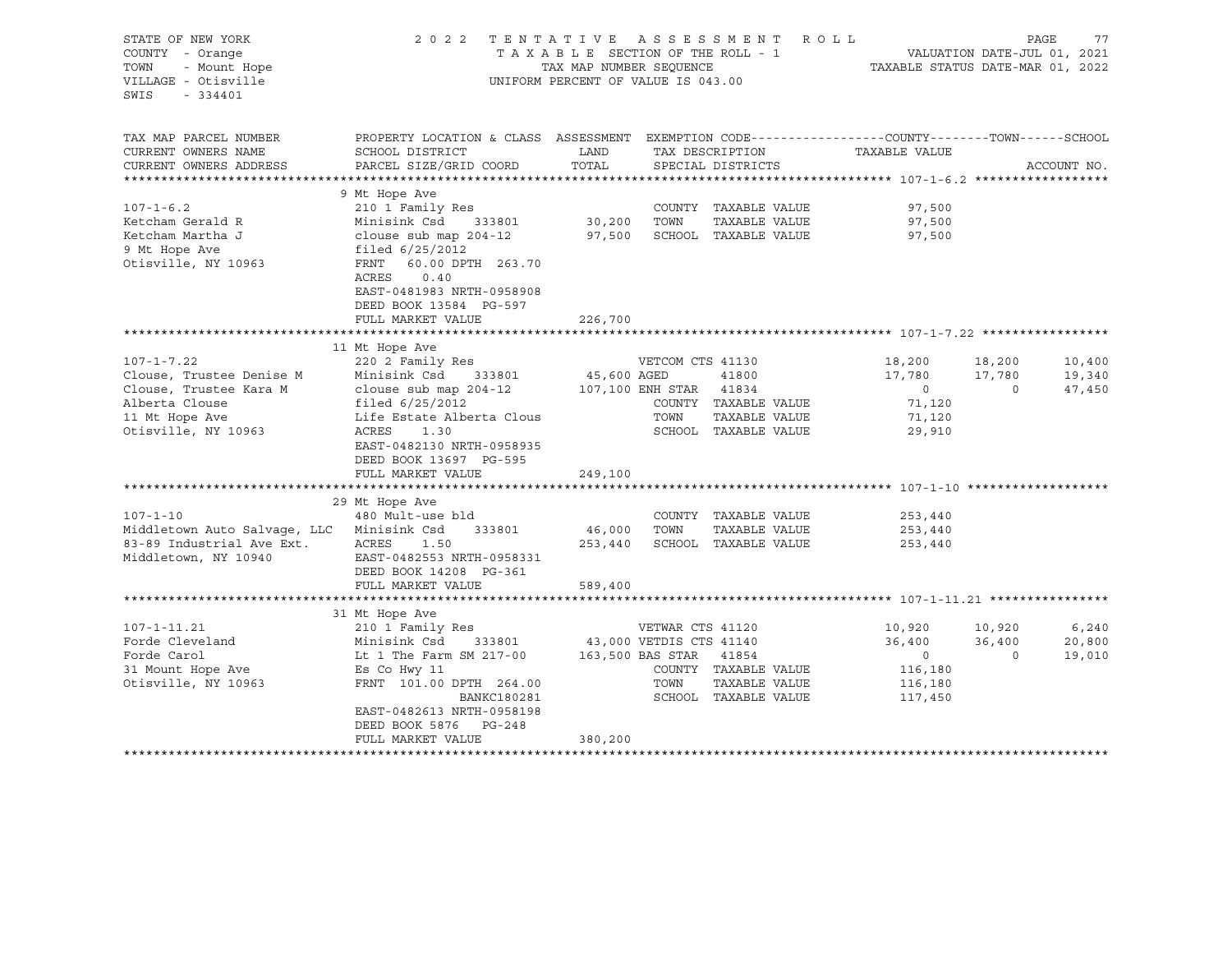| STATE OF NEW YORK<br>COUNTY - Orange<br>TOWN<br>- Mount Hope<br>VILLAGE - Otisville<br>SWIS<br>$-334401$ | 2 0 2 2                                                                                                                                         | TENTATIVE ASSESSMENT<br>TAXABLE SECTION OF THE ROLL - 1<br>TAX MAP NUMBER SEQUENCE<br>UNIFORM PERCENT OF VALUE IS 043.00 |                  | R O L L                               | TAXABLE STATUS DATE-MAR 01, 2022 | VALUATION DATE-JUL 01, 2021 | PAGE             | 77 |
|----------------------------------------------------------------------------------------------------------|-------------------------------------------------------------------------------------------------------------------------------------------------|--------------------------------------------------------------------------------------------------------------------------|------------------|---------------------------------------|----------------------------------|-----------------------------|------------------|----|
| TAX MAP PARCEL NUMBER<br>CURRENT OWNERS NAME                                                             | PROPERTY LOCATION & CLASS ASSESSMENT EXEMPTION CODE----------------COUNTY-------TOWN-----SCHOOL<br>SCHOOL DISTRICT                              | LAND                                                                                                                     |                  | TAX DESCRIPTION                       | TAXABLE VALUE                    |                             |                  |    |
| CURRENT OWNERS ADDRESS                                                                                   | PARCEL SIZE/GRID COORD                                                                                                                          | TOTAL                                                                                                                    |                  | SPECIAL DISTRICTS                     |                                  |                             | ACCOUNT NO.      |    |
|                                                                                                          |                                                                                                                                                 |                                                                                                                          |                  |                                       |                                  |                             |                  |    |
|                                                                                                          | 9 Mt Hope Ave                                                                                                                                   |                                                                                                                          |                  |                                       |                                  |                             |                  |    |
| $107 - 1 - 6.2$                                                                                          | 210 1 Family Res                                                                                                                                |                                                                                                                          |                  | COUNTY TAXABLE VALUE                  | 97,500                           |                             |                  |    |
| Ketcham Gerald R                                                                                         | Minisink Csd<br>333801                                                                                                                          | 30,200                                                                                                                   | TOWN             | TAXABLE VALUE                         | 97,500                           |                             |                  |    |
| Ketcham Martha J<br>9 Mt Hope Ave<br>Otisville, NY 10963                                                 | clouse sub map 204-12<br>filed $6/25/2012$<br>FRNT<br>60.00 DPTH 263.70<br>ACRES<br>0.40<br>EAST-0481983 NRTH-0958908<br>DEED BOOK 13584 PG-597 | 97,500                                                                                                                   |                  | SCHOOL TAXABLE VALUE                  | 97,500                           |                             |                  |    |
|                                                                                                          | FULL MARKET VALUE                                                                                                                               | 226,700                                                                                                                  |                  |                                       |                                  |                             |                  |    |
|                                                                                                          |                                                                                                                                                 |                                                                                                                          |                  |                                       |                                  |                             |                  |    |
|                                                                                                          | 11 Mt Hope Ave                                                                                                                                  |                                                                                                                          |                  |                                       |                                  |                             |                  |    |
| $107 - 1 - 7.22$<br>Clouse, Trustee Denise M                                                             | 220 2 Family Res<br>Minisink Csd<br>333801                                                                                                      | 45,600 AGED                                                                                                              | VETCOM CTS 41130 | 41800                                 | 18,200<br>17,780                 | 18,200<br>17,780            | 10,400<br>19,340 |    |
| Clouse, Trustee Kara M                                                                                   | clouse sub map 204-12                                                                                                                           | 107,100 ENH STAR 41834                                                                                                   |                  |                                       | $\circ$                          | $\overline{0}$              | 47,450           |    |
| Alberta Clouse                                                                                           | filed $6/25/2012$                                                                                                                               |                                                                                                                          |                  | COUNTY TAXABLE VALUE                  | 71,120                           |                             |                  |    |
| 11 Mt Hope Ave                                                                                           | Life Estate Alberta Clous                                                                                                                       |                                                                                                                          | TOWN             | TAXABLE VALUE                         | 71,120                           |                             |                  |    |
| Otisville, NY 10963                                                                                      | ACRES<br>1.30<br>EAST-0482130 NRTH-0958935<br>DEED BOOK 13697 PG-595                                                                            |                                                                                                                          |                  | SCHOOL TAXABLE VALUE                  | 29,910                           |                             |                  |    |
|                                                                                                          | FULL MARKET VALUE                                                                                                                               | 249,100                                                                                                                  |                  |                                       |                                  |                             |                  |    |
|                                                                                                          | 29 Mt Hope Ave                                                                                                                                  |                                                                                                                          |                  |                                       |                                  |                             |                  |    |
| $107 - 1 - 10$                                                                                           | 480 Mult-use bld                                                                                                                                |                                                                                                                          |                  | COUNTY TAXABLE VALUE                  | 253,440                          |                             |                  |    |
| Middletown Auto Salvage, LLC                                                                             | Minisink Csd<br>333801                                                                                                                          | 46,000                                                                                                                   | TOWN             | TAXABLE VALUE                         | 253,440                          |                             |                  |    |
| 83-89 Industrial Ave Ext.<br>Middletown, NY 10940                                                        | ACRES<br>1.50<br>EAST-0482553 NRTH-0958331<br>DEED BOOK 14208 PG-361<br>FULL MARKET VALUE                                                       | 253,440<br>589,400                                                                                                       |                  | SCHOOL TAXABLE VALUE                  | 253,440                          |                             |                  |    |
|                                                                                                          |                                                                                                                                                 |                                                                                                                          |                  |                                       |                                  |                             |                  |    |
|                                                                                                          | 31 Mt Hope Ave                                                                                                                                  |                                                                                                                          |                  |                                       |                                  |                             |                  |    |
| $107 - 1 - 11.21$                                                                                        | 210 1 Family Res                                                                                                                                |                                                                                                                          | VETWAR CTS 41120 |                                       | 10,920                           | 10,920                      | 6,240            |    |
| Forde Cleveland                                                                                          | Minisink Csd<br>333801                                                                                                                          | 43,000 VETDIS CTS 41140                                                                                                  |                  |                                       | 36,400                           | 36,400                      | 20,800           |    |
| Forde Carol                                                                                              | Lt 1 The Farm SM 217-00                                                                                                                         | 163,500 BAS STAR 41854                                                                                                   |                  |                                       | $\sim$ 0                         | $\overline{0}$              | 19,010           |    |
| 31 Mount Hope Ave                                                                                        | Es Co Hwy 11                                                                                                                                    |                                                                                                                          |                  | COUNTY TAXABLE VALUE                  | 116,180                          |                             |                  |    |
| Otisville, NY 10963                                                                                      | FRNT 101.00 DPTH 264.00<br>BANKC180281                                                                                                          |                                                                                                                          | TOWN             | TAXABLE VALUE<br>SCHOOL TAXABLE VALUE | 116,180<br>117,450               |                             |                  |    |
|                                                                                                          | EAST-0482613 NRTH-0958198<br>DEED BOOK 5876 PG-248                                                                                              |                                                                                                                          |                  |                                       |                                  |                             |                  |    |
|                                                                                                          | FULL MARKET VALUE                                                                                                                               | 380,200                                                                                                                  |                  |                                       |                                  |                             |                  |    |
|                                                                                                          |                                                                                                                                                 |                                                                                                                          |                  |                                       |                                  |                             |                  |    |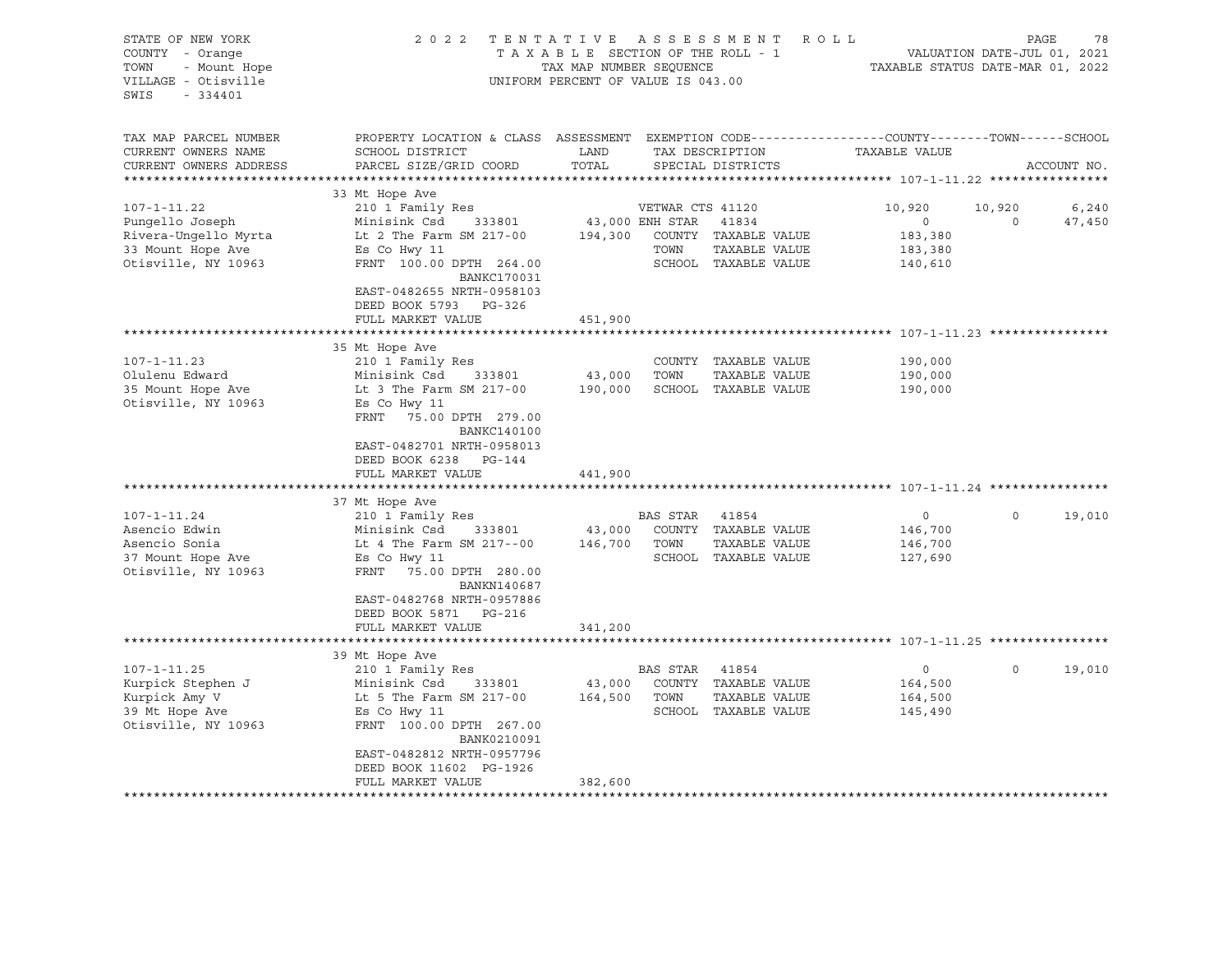| STATE OF NEW YORK<br>COUNTY - Orange<br>- Mount Hope<br>TOWN<br>VILLAGE - Otisville<br>$-334401$<br>SWIS | 2 0 2 2                                                                                                                                                                                                                                                                  | TAXABLE SECTION OF THE ROLL - 1<br>TAX MAP NUMBER SEQUENCE<br>UNIFORM PERCENT OF VALUE IS 043.00 |                                             | TENTATIVE ASSESSMENT ROLL                                              |                                                            | PAGE<br>VALUATION DATE-JUL 01, 2021<br>TAXABLE STATUS DATE-MAR 01, 2022 | 78              |
|----------------------------------------------------------------------------------------------------------|--------------------------------------------------------------------------------------------------------------------------------------------------------------------------------------------------------------------------------------------------------------------------|--------------------------------------------------------------------------------------------------|---------------------------------------------|------------------------------------------------------------------------|------------------------------------------------------------|-------------------------------------------------------------------------|-----------------|
| TAX MAP PARCEL NUMBER<br>CURRENT OWNERS NAME<br>CURRENT OWNERS ADDRESS                                   | PROPERTY LOCATION & CLASS ASSESSMENT EXEMPTION CODE---------------COUNTY-------TOWN------SCHOOL<br>SCHOOL DISTRICT<br>PARCEL SIZE/GRID COORD                                                                                                                             | LAND<br>TOTAL                                                                                    |                                             | TAX DESCRIPTION<br>SPECIAL DISTRICTS                                   | TAXABLE VALUE                                              | ACCOUNT NO.                                                             |                 |
| $107 - 1 - 11.22$<br>Pungello Joseph<br>Rivera-Ungello Myrta<br>33 Mount Hope Ave<br>Otisville, NY 10963 | 33 Mt Hope Ave<br>210 1 Family Res<br>Minisink Csd<br>333801<br>Lt 2 The Farm SM 217-00<br>Es Co Hwy 11<br>FRNT 100.00 DPTH 264.00<br><b>BANKC170031</b><br>EAST-0482655 NRTH-0958103<br>DEED BOOK 5793 PG-326<br>FULL MARKET VALUE                                      | 194,300<br>451,900                                                                               | VETWAR CTS 41120<br>43,000 ENH STAR<br>TOWN | 41834<br>COUNTY TAXABLE VALUE<br>TAXABLE VALUE<br>SCHOOL TAXABLE VALUE | 10,920<br>$\circ$<br>183,380<br>183,380<br>140,610         | 10,920<br>$\circ$                                                       | 6,240<br>47,450 |
|                                                                                                          |                                                                                                                                                                                                                                                                          |                                                                                                  |                                             |                                                                        |                                                            |                                                                         |                 |
| $107 - 1 - 11.23$<br>Olulenu Edward<br>35 Mount Hope Ave<br>Otisville, NY 10963<br>$107 - 1 - 11.24$     | 35 Mt Hope Ave<br>210 1 Family Res<br>Minisink Csd<br>333801<br>Lt 3 The Farm SM 217-00<br>Es Co Hwy 11<br>FRNT 75.00 DPTH 279.00<br><b>BANKC140100</b><br>EAST-0482701 NRTH-0958013<br>DEED BOOK 6238 PG-144<br>FULL MARKET VALUE<br>37 Mt Hope Ave<br>210 1 Family Res | 43,000<br>190,000<br>441,900                                                                     | TOWN<br>BAS STAR                            | COUNTY TAXABLE VALUE<br>TAXABLE VALUE<br>SCHOOL TAXABLE VALUE<br>41854 | 190,000<br>190,000<br>190,000<br>$\circ$                   | $\Omega$                                                                | 19,010          |
| Asencio Edwin<br>Asencio Sonia<br>37 Mount Hope Ave<br>Otisville, NY 10963                               | Minisink Csd<br>333801<br>Lt 4 The Farm SM 217--00<br>Es Co Hwy 11<br>FRNT<br>75.00 DPTH 280.00<br>BANKN140687<br>EAST-0482768 NRTH-0957886<br>DEED BOOK 5871<br>PG-216<br>FULL MARKET VALUE                                                                             | 43,000<br>146,700<br>341,200                                                                     | TOWN                                        | COUNTY TAXABLE VALUE<br>TAXABLE VALUE<br>SCHOOL TAXABLE VALUE          | 146,700<br>146,700<br>127,690                              |                                                                         |                 |
|                                                                                                          |                                                                                                                                                                                                                                                                          | **********                                                                                       |                                             |                                                                        | ***************************** 107-1-11.25 **************** |                                                                         |                 |
| $107 - 1 - 11.25$<br>Kurpick Stephen J<br>Kurpick Amy V<br>39 Mt Hope Ave<br>Otisville, NY 10963         | 39 Mt Hope Ave<br>210 1 Family Res<br>Minisink Csd<br>333801<br>Lt 5 The Farm SM 217-00<br>Es Co Hwy 11<br>FRNT 100.00 DPTH 267.00<br>BANK0210091<br>EAST-0482812 NRTH-0957796<br>DEED BOOK 11602 PG-1926<br>FULL MARKET VALUE                                           | 43,000<br>164,500<br>382,600                                                                     | BAS STAR<br>TOWN                            | 41854<br>COUNTY TAXABLE VALUE<br>TAXABLE VALUE<br>SCHOOL TAXABLE VALUE | $\circ$<br>164,500<br>164,500<br>145,490                   | $\Omega$                                                                | 19,010          |
|                                                                                                          | ***********************                                                                                                                                                                                                                                                  |                                                                                                  |                                             |                                                                        |                                                            |                                                                         |                 |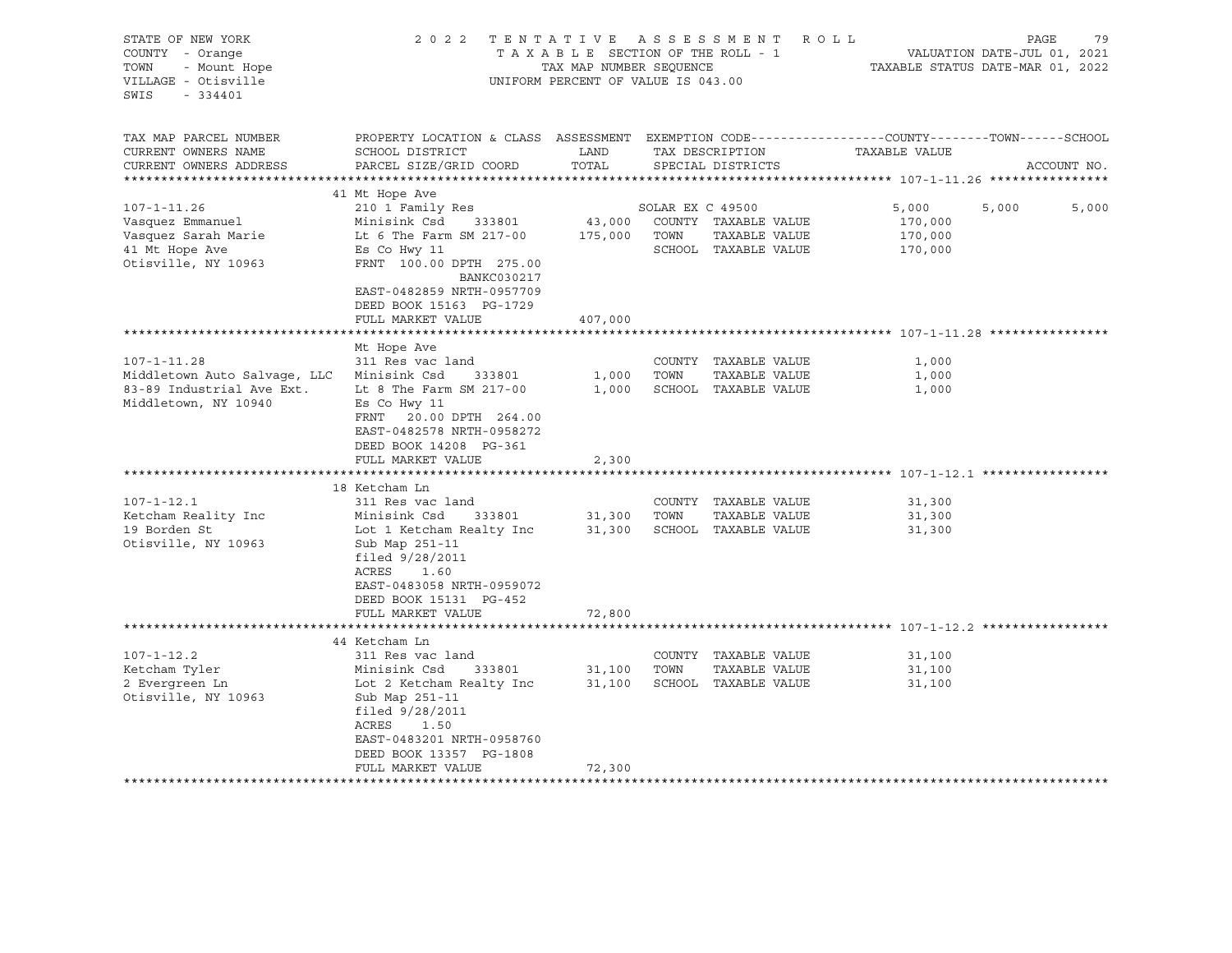| STATE OF NEW YORK<br>COUNTY - Orange<br>- Mount Hope<br>TOWN<br>VILLAGE - Otisville<br>SWIS<br>$-334401$ | 2 0 2 2                                                                                                                                  | TAX MAP NUMBER SEQUENCE | TENTATIVE ASSESSMENT<br>TAXABLE SECTION OF THE ROLL - 1<br>UNIFORM PERCENT OF VALUE IS 043.00 | ROLL          | TAXABLE STATUS DATE-MAR 01, 2022 | PAGE<br>VALUATION DATE-JUL 01, 2021 | 79    |
|----------------------------------------------------------------------------------------------------------|------------------------------------------------------------------------------------------------------------------------------------------|-------------------------|-----------------------------------------------------------------------------------------------|---------------|----------------------------------|-------------------------------------|-------|
| TAX MAP PARCEL NUMBER<br>CURRENT OWNERS NAME                                                             | PROPERTY LOCATION & CLASS ASSESSMENT EXEMPTION CODE----------------COUNTY-------TOWN-----SCHOOL<br>SCHOOL DISTRICT                       | LAND                    | TAX DESCRIPTION                                                                               |               | TAXABLE VALUE                    |                                     |       |
| CURRENT OWNERS ADDRESS                                                                                   | PARCEL SIZE/GRID COORD                                                                                                                   | TOTAL                   | SPECIAL DISTRICTS                                                                             |               |                                  | ACCOUNT NO.                         |       |
|                                                                                                          |                                                                                                                                          |                         |                                                                                               |               |                                  |                                     |       |
|                                                                                                          | 41 Mt Hope Ave                                                                                                                           |                         |                                                                                               |               |                                  |                                     |       |
| $107 - 1 - 11.26$                                                                                        | 210 1 Family Res<br>Minisink Csd<br>333801                                                                                               | 43,000                  | SOLAR EX C 49500<br>COUNTY TAXABLE VALUE                                                      |               | 5,000<br>170,000                 | 5,000                               | 5,000 |
| Vasquez Emmanuel<br>Vasquez Sarah Marie                                                                  | Lt 6 The Farm SM 217-00                                                                                                                  | 175,000                 | TOWN                                                                                          | TAXABLE VALUE | 170,000                          |                                     |       |
| 41 Mt Hope Ave                                                                                           | Es Co Hwy 11                                                                                                                             |                         | SCHOOL TAXABLE VALUE                                                                          |               | 170,000                          |                                     |       |
| Otisville, NY 10963                                                                                      | FRNT 100.00 DPTH 275.00<br>BANKC030217                                                                                                   |                         |                                                                                               |               |                                  |                                     |       |
|                                                                                                          | EAST-0482859 NRTH-0957709<br>DEED BOOK 15163 PG-1729                                                                                     |                         |                                                                                               |               |                                  |                                     |       |
|                                                                                                          | FULL MARKET VALUE                                                                                                                        | 407,000                 |                                                                                               |               |                                  |                                     |       |
|                                                                                                          |                                                                                                                                          |                         |                                                                                               |               |                                  |                                     |       |
|                                                                                                          | Mt Hope Ave                                                                                                                              |                         |                                                                                               |               |                                  |                                     |       |
| $107 - 1 - 11.28$<br>Middletown Auto Salvage, LLC                                                        | 311 Res vac land<br>Minisink Csd<br>333801                                                                                               | 1,000                   | COUNTY TAXABLE VALUE<br>TOWN                                                                  | TAXABLE VALUE | 1,000<br>1,000                   |                                     |       |
| 83-89 Industrial Ave Ext.                                                                                | Lt 8 The Farm SM 217-00                                                                                                                  | 1,000                   | SCHOOL TAXABLE VALUE                                                                          |               | 1,000                            |                                     |       |
| Middletown, NY 10940                                                                                     | Es Co Hwy 11<br>FRNT<br>20.00 DPTH 264.00<br>EAST-0482578 NRTH-0958272                                                                   |                         |                                                                                               |               |                                  |                                     |       |
|                                                                                                          | DEED BOOK 14208 PG-361                                                                                                                   |                         |                                                                                               |               |                                  |                                     |       |
|                                                                                                          | FULL MARKET VALUE                                                                                                                        | 2,300                   |                                                                                               |               |                                  |                                     |       |
|                                                                                                          |                                                                                                                                          |                         |                                                                                               |               |                                  |                                     |       |
|                                                                                                          | 18 Ketcham Ln                                                                                                                            |                         |                                                                                               |               |                                  |                                     |       |
| $107 - 1 - 12.1$                                                                                         | 311 Res vac land                                                                                                                         |                         | COUNTY TAXABLE VALUE                                                                          |               | 31,300                           |                                     |       |
| Ketcham Reality Inc                                                                                      | Minisink Csd<br>333801                                                                                                                   | 31,300                  | TOWN                                                                                          | TAXABLE VALUE | 31,300                           |                                     |       |
| 19 Borden St<br>Otisville, NY 10963                                                                      | Lot 1 Ketcham Realty Inc<br>Sub Map 251-11<br>filed $9/28/2011$<br>ACRES<br>1.60<br>EAST-0483058 NRTH-0959072<br>DEED BOOK 15131 PG-452  | 31,300                  | SCHOOL TAXABLE VALUE                                                                          |               | 31,300                           |                                     |       |
|                                                                                                          | FULL MARKET VALUE                                                                                                                        | 72,800                  |                                                                                               |               |                                  |                                     |       |
|                                                                                                          | 44 Ketcham Ln                                                                                                                            |                         |                                                                                               |               |                                  |                                     |       |
| $107 - 1 - 12.2$                                                                                         | 311 Res vac land                                                                                                                         |                         | COUNTY TAXABLE VALUE                                                                          |               | 31,100                           |                                     |       |
| Ketcham Tyler                                                                                            | Minisink Csd<br>333801                                                                                                                   | 31,100                  | TOWN                                                                                          | TAXABLE VALUE | 31,100                           |                                     |       |
| 2 Evergreen Ln<br>Otisville, NY 10963                                                                    | Lot 2 Ketcham Realty Inc<br>Sub Map 251-11<br>filed $9/28/2011$<br>ACRES<br>1.50<br>EAST-0483201 NRTH-0958760<br>DEED BOOK 13357 PG-1808 | 31,100                  | SCHOOL TAXABLE VALUE                                                                          |               | 31,100                           |                                     |       |
|                                                                                                          | FULL MARKET VALUE                                                                                                                        | 72,300                  |                                                                                               |               |                                  |                                     |       |
|                                                                                                          |                                                                                                                                          |                         |                                                                                               |               |                                  |                                     |       |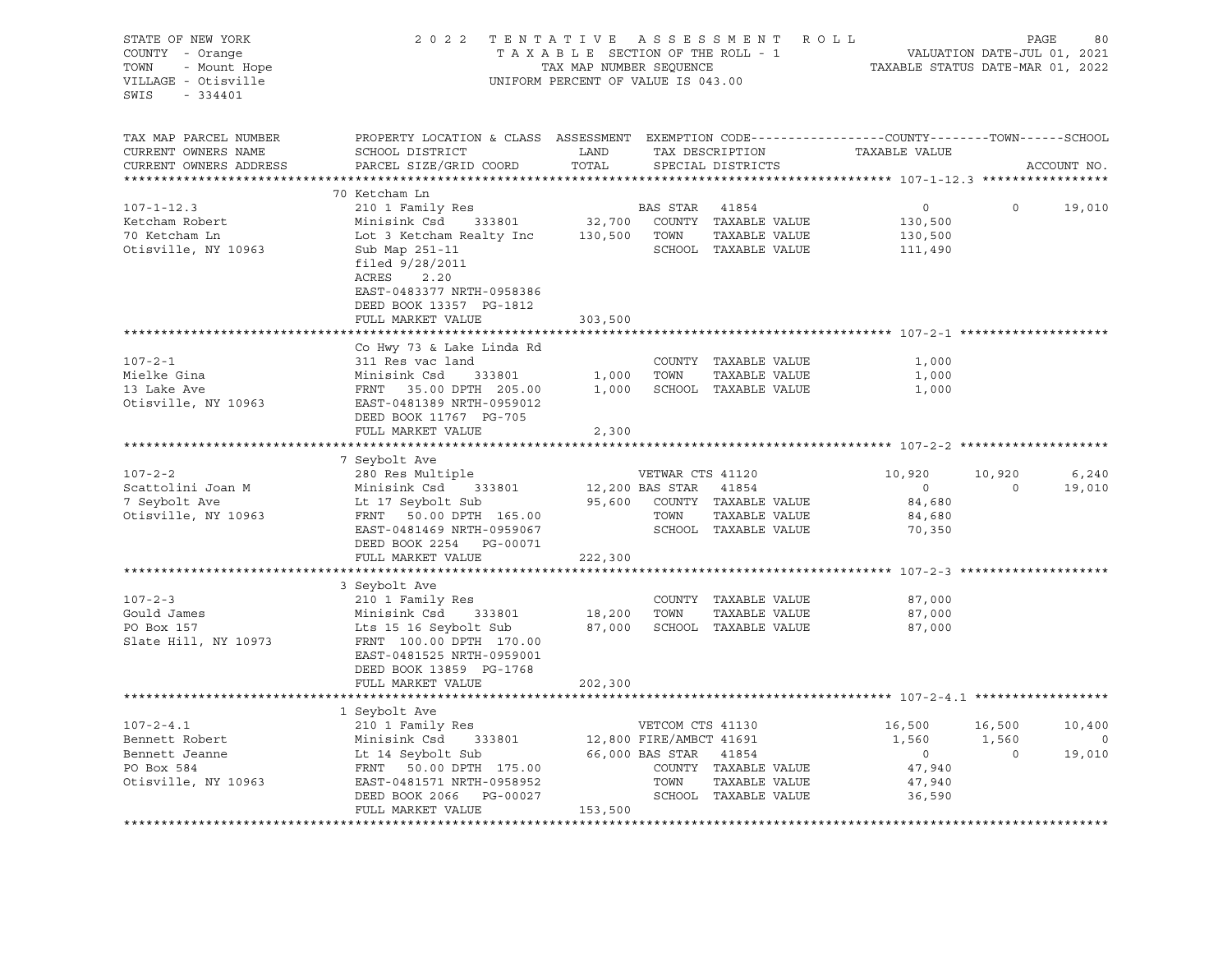| STATE OF NEW YORK<br>COUNTY - Orange<br>- Mount Hope<br>TOWN<br>VILLAGE - Otisville<br>$-334401$<br>SWIS |                                                                                                                                                          | 2022 TENTATIVE ASSESSMENT ROLL<br>TAXABLE SECTION OF THE ROLL - 1<br>TAX MAP NUMBER SEQUENCE<br>UNIFORM PERCENT OF VALUE IS 043.00 |                       |                                                        |                   |                          | PAGE<br>80<br>VALUATION DATE-JUL 01, 2021<br>TAXABLE STATUS DATE-MAR 01, 2022 |
|----------------------------------------------------------------------------------------------------------|----------------------------------------------------------------------------------------------------------------------------------------------------------|------------------------------------------------------------------------------------------------------------------------------------|-----------------------|--------------------------------------------------------|-------------------|--------------------------|-------------------------------------------------------------------------------|
| TAX MAP PARCEL NUMBER<br>CURRENT OWNERS NAME<br>CURRENT OWNERS ADDRESS                                   | PROPERTY LOCATION & CLASS ASSESSMENT EXEMPTION CODE---------------COUNTY-------TOWN-----SCHOOL<br>SCHOOL DISTRICT<br>PARCEL SIZE/GRID COORD              | LAND<br>TOTAL                                                                                                                      |                       | TAX DESCRIPTION<br>SPECIAL DISTRICTS                   | TAXABLE VALUE     |                          | ACCOUNT NO.                                                                   |
|                                                                                                          | 70 Ketcham Ln                                                                                                                                            |                                                                                                                                    |                       |                                                        |                   |                          |                                                                               |
| $107 - 1 - 12.3$                                                                                         | 210 1 Family Res                                                                                                                                         |                                                                                                                                    | BAS STAR              | 41854                                                  | $0 \qquad \qquad$ | $\circ$                  | 19,010                                                                        |
| Ketcham Robert                                                                                           | Minisink Csd 333801                                                                                                                                      |                                                                                                                                    |                       | 32,700 COUNTY TAXABLE VALUE                            | 130,500           |                          |                                                                               |
| 70 Ketcham Ln                                                                                            | Lot 3 Ketcham Realty Inc 130,500 TOWN                                                                                                                    |                                                                                                                                    |                       | TAXABLE VALUE                                          | 130,500           |                          |                                                                               |
| Otisville, NY 10963                                                                                      | Sub Map 251-11<br>filed $9/28/2011$<br>ACRES 2.20<br>EAST-0483377 NRTH-0958386<br>DEED BOOK 13357 PG-1812<br>FULL MARKET VALUE                           | 303,500                                                                                                                            |                       | SCHOOL TAXABLE VALUE                                   | 111,490           |                          |                                                                               |
|                                                                                                          |                                                                                                                                                          |                                                                                                                                    |                       |                                                        |                   |                          |                                                                               |
|                                                                                                          | Co Hwy 73 & Lake Linda Rd                                                                                                                                |                                                                                                                                    |                       |                                                        |                   |                          |                                                                               |
| $107 - 2 - 1$                                                                                            | 311 Res vac land                                                                                                                                         |                                                                                                                                    |                       | COUNTY TAXABLE VALUE                                   | 1,000             |                          |                                                                               |
| Mielke Gina                                                                                              |                                                                                                                                                          |                                                                                                                                    |                       | TAXABLE VALUE                                          | 1,000             |                          |                                                                               |
| 13 Lake Ave<br>Otisville, NY 10963                                                                       | Minisink Csd 333801<br>FRNT 35.00 DPTH 205.00<br>EAST-0481389 NRTH-0959012<br>DEED BOOK 11767 PG-705<br>FULL MARKET VALUE                                | 2,300                                                                                                                              |                       | 1,000 TOWN TAXABLE VALUE<br>1,000 SCHOOL TAXABLE VALUE | 1,000             |                          |                                                                               |
|                                                                                                          |                                                                                                                                                          |                                                                                                                                    |                       |                                                        |                   |                          |                                                                               |
|                                                                                                          | 7 Seybolt Ave                                                                                                                                            |                                                                                                                                    |                       |                                                        |                   |                          |                                                                               |
| $107 - 2 - 2$                                                                                            | 280 Res Multiple                                                                                                                                         | 12,200 BAS STAR 41854                                                                                                              | VETWAR CTS 41120      |                                                        | 10,920            | 10,920                   | 6,240                                                                         |
| Scattolini Joan M                                                                                        |                                                                                                                                                          |                                                                                                                                    |                       | 95,600 COUNTY TAXABLE VALUE                            | $\overline{0}$    | $\overline{0}$           | 19,010                                                                        |
| 7 Seybolt Ave<br>Otisville, NY 10963                                                                     | 280 Res Multiple<br>Minisink Csd 333801<br>Lt 17 Seybolt Sub<br>FRNT 50.00 DPTH 165.00                                                                   |                                                                                                                                    |                       | TAXABLE VALUE                                          | 84,680<br>84,680  |                          |                                                                               |
|                                                                                                          | EAST-0481469 NRTH-0959067                                                                                                                                |                                                                                                                                    |                       | TOWN TAXABLE VALUE<br>SCHOOL TAXABLE VALUE             | 70,350            |                          |                                                                               |
|                                                                                                          | DEED BOOK 2254 PG-00071                                                                                                                                  |                                                                                                                                    |                       |                                                        |                   |                          |                                                                               |
|                                                                                                          | FULL MARKET VALUE                                                                                                                                        | 222,300                                                                                                                            |                       |                                                        |                   |                          |                                                                               |
|                                                                                                          |                                                                                                                                                          |                                                                                                                                    |                       |                                                        |                   |                          |                                                                               |
|                                                                                                          | 3 Seybolt Ave                                                                                                                                            |                                                                                                                                    |                       |                                                        |                   |                          |                                                                               |
| $107 - 2 - 3$                                                                                            | 210 1 Family Res                                                                                                                                         |                                                                                                                                    |                       | COUNTY TAXABLE VALUE                                   | 87,000            |                          |                                                                               |
| Gould James                                                                                              | 333801                                                                                                                                                   | 18,200 TOWN                                                                                                                        |                       | TAXABLE VALUE                                          | 87,000            |                          |                                                                               |
| PO Box 157<br>Slate Hill, NY 10973                                                                       | Minisink Csd 333801<br>Lts 15 16 Seybolt Sub<br>Lts 15 16 Seybolt Sub<br>FRNT 100.00 DPTH 170.00<br>EAST-0481525 NRTH-0959001<br>DEED BOOK 13859 PG-1768 |                                                                                                                                    |                       | 87,000 SCHOOL TAXABLE VALUE                            | 87,000            |                          |                                                                               |
|                                                                                                          | FULL MARKET VALUE                                                                                                                                        | 202,300                                                                                                                            |                       |                                                        |                   |                          |                                                                               |
|                                                                                                          |                                                                                                                                                          |                                                                                                                                    |                       |                                                        |                   |                          |                                                                               |
| $107 - 2 - 4.1$                                                                                          | 1 Seybolt Ave                                                                                                                                            |                                                                                                                                    | VETCOM CTS 41130      |                                                        | 16,500            | 16,500                   | 10,400                                                                        |
| Bennett Robert                                                                                           | 210 1 Family Res                                                                                                                                         |                                                                                                                                    |                       |                                                        | 1,560             | 1,560                    | 0                                                                             |
| Bennett Jeanne                                                                                           | Minisink Csd 333801<br>Lt 14 Seybolt Sub<br>FRNT 50.00 DPTH 175.00<br>COLORER NOTEL 175.00<br>333801 12,800 FIRE/AMBCT 41691                             |                                                                                                                                    | 66,000 BAS STAR 41854 |                                                        | $\overline{0}$    | $\overline{\phantom{0}}$ | 19,010                                                                        |
| PO Box 584                                                                                               |                                                                                                                                                          |                                                                                                                                    |                       | COUNTY TAXABLE VALUE                                   | 47,940            |                          |                                                                               |
| Otisville, NY 10963 EAST-0481571 NRTH-0958952                                                            |                                                                                                                                                          |                                                                                                                                    | TOWN                  | TAXABLE VALUE                                          | 47,940            |                          |                                                                               |
|                                                                                                          | DEED BOOK 2066 PG-00027                                                                                                                                  |                                                                                                                                    |                       | SCHOOL TAXABLE VALUE                                   | 36,590            |                          |                                                                               |
|                                                                                                          | FULL MARKET VALUE                                                                                                                                        | 153,500                                                                                                                            |                       |                                                        |                   |                          |                                                                               |
|                                                                                                          |                                                                                                                                                          |                                                                                                                                    |                       |                                                        |                   |                          |                                                                               |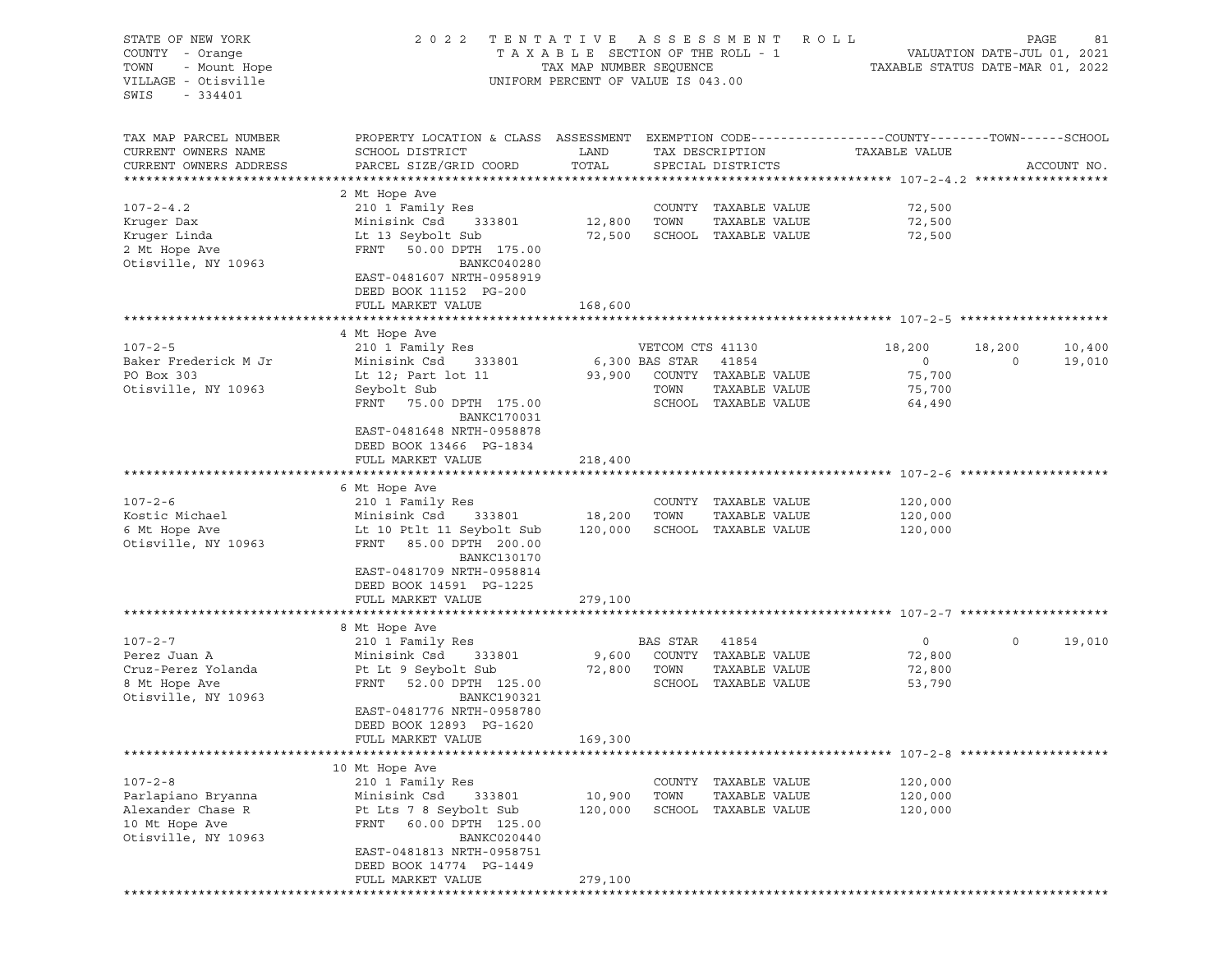| STATE OF NEW YORK<br>COUNTY - Orange<br>- Mount Hope<br>TOWN<br>VILLAGE - Otisville<br>$-334401$<br>SWIS | 2022<br>TENTATIVE<br>TAXABLE SECTION OF THE ROLL - 1<br>TAX MAP NUMBER SEQUENCE<br>UNIFORM PERCENT OF VALUE IS 043.00 | PAGE<br>R O L L<br>81<br>VALUATION DATE-JUL 01, 2021<br>TAXABLE STATUS DATE-MAR 01, 2022 |                      |                                |                    |              |             |
|----------------------------------------------------------------------------------------------------------|-----------------------------------------------------------------------------------------------------------------------|------------------------------------------------------------------------------------------|----------------------|--------------------------------|--------------------|--------------|-------------|
| TAX MAP PARCEL NUMBER<br>CURRENT OWNERS NAME                                                             | PROPERTY LOCATION & CLASS ASSESSMENT EXEMPTION CODE---------------COUNTY-------TOWN------SCHOOL<br>SCHOOL DISTRICT    | LAND                                                                                     |                      | TAX DESCRIPTION                | TAXABLE VALUE      |              |             |
| CURRENT OWNERS ADDRESS                                                                                   | PARCEL SIZE/GRID COORD                                                                                                | TOTAL                                                                                    |                      | SPECIAL DISTRICTS              |                    |              | ACCOUNT NO. |
|                                                                                                          | 2 Mt Hope Ave                                                                                                         |                                                                                          |                      |                                |                    |              |             |
| $107 - 2 - 4.2$                                                                                          | 210 1 Family Res                                                                                                      |                                                                                          |                      | COUNTY TAXABLE VALUE           | 72,500             |              |             |
| Kruger Dax                                                                                               | Minisink Csd<br>333801                                                                                                | 12,800                                                                                   | TOWN                 | TAXABLE VALUE                  | 72,500             |              |             |
| Kruger Linda                                                                                             | Lt 13 Seybolt Sub                                                                                                     | 72,500                                                                                   |                      | SCHOOL TAXABLE VALUE           | 72,500             |              |             |
| 2 Mt Hope Ave                                                                                            | FRNT<br>50.00 DPTH 175.00                                                                                             |                                                                                          |                      |                                |                    |              |             |
| Otisville, NY 10963                                                                                      | BANKC040280<br>EAST-0481607 NRTH-0958919<br>DEED BOOK 11152 PG-200                                                    |                                                                                          |                      |                                |                    |              |             |
|                                                                                                          | FULL MARKET VALUE                                                                                                     | 168,600                                                                                  |                      |                                |                    |              |             |
|                                                                                                          |                                                                                                                       |                                                                                          |                      |                                |                    |              |             |
|                                                                                                          | 4 Mt Hope Ave                                                                                                         |                                                                                          |                      |                                |                    |              |             |
| $107 - 2 - 5$                                                                                            | 210 1 Family Res                                                                                                      |                                                                                          | VETCOM CTS 41130     |                                | 18,200             | 18,200       | 10,400      |
| Baker Frederick M Jr                                                                                     | Minisink Csd<br>333801                                                                                                |                                                                                          | 6,300 BAS STAR 41854 |                                | $\circ$            | $\Omega$     | 19,010      |
| PO Box 303                                                                                               | Lt 12; Part lot 11                                                                                                    | 93,900                                                                                   |                      | COUNTY TAXABLE VALUE           | 75,700             |              |             |
| Otisville, NY 10963                                                                                      | Seybolt Sub                                                                                                           |                                                                                          | TOWN                 | TAXABLE VALUE                  | 75,700             |              |             |
|                                                                                                          | FRNT<br>75.00 DPTH 175.00<br>BANKC170031                                                                              |                                                                                          |                      | SCHOOL TAXABLE VALUE           | 64,490             |              |             |
|                                                                                                          | EAST-0481648 NRTH-0958878<br>DEED BOOK 13466 PG-1834                                                                  |                                                                                          |                      |                                |                    |              |             |
|                                                                                                          | FULL MARKET VALUE                                                                                                     | 218,400                                                                                  |                      |                                |                    |              |             |
|                                                                                                          |                                                                                                                       |                                                                                          |                      |                                |                    |              |             |
|                                                                                                          | 6 Mt Hope Ave                                                                                                         |                                                                                          |                      |                                |                    |              |             |
| $107 - 2 - 6$                                                                                            | 210 1 Family Res                                                                                                      |                                                                                          |                      | COUNTY TAXABLE VALUE           | 120,000            |              |             |
| Kostic Michael                                                                                           | Minisink Csd<br>333801                                                                                                | 18,200                                                                                   | TOWN                 | TAXABLE VALUE                  | 120,000            |              |             |
| 6 Mt Hope Ave<br>Otisville, NY 10963                                                                     | Lt 10 Ptlt 11 Seybolt Sub<br>FRNT 85.00 DPTH 200.00<br>BANKC130170                                                    | 120,000                                                                                  |                      | SCHOOL TAXABLE VALUE           | 120,000            |              |             |
|                                                                                                          | EAST-0481709 NRTH-0958814<br>DEED BOOK 14591 PG-1225                                                                  |                                                                                          |                      |                                |                    |              |             |
|                                                                                                          | FULL MARKET VALUE                                                                                                     | 279,100                                                                                  |                      |                                |                    |              |             |
|                                                                                                          |                                                                                                                       |                                                                                          |                      |                                |                    |              |             |
| $107 - 2 - 7$                                                                                            | 8 Mt Hope Ave<br>210 1 Family Res                                                                                     |                                                                                          | BAS STAR             | 41854                          | $\circ$            | $\mathsf{O}$ | 19,010      |
| Perez Juan A                                                                                             | Minisink Csd<br>333801                                                                                                | 9,600                                                                                    |                      | COUNTY TAXABLE VALUE           | 72,800             |              |             |
| Cruz-Perez Yolanda                                                                                       | Pt Lt 9 Seybolt Sub                                                                                                   | 72,800                                                                                   | TOWN                 | TAXABLE VALUE                  | 72,800             |              |             |
| 8 Mt Hope Ave                                                                                            | FRNT<br>52.00 DPTH 125.00                                                                                             |                                                                                          |                      | SCHOOL TAXABLE VALUE           | 53,790             |              |             |
| Otisville, NY 10963                                                                                      | BANKC190321                                                                                                           |                                                                                          |                      |                                |                    |              |             |
|                                                                                                          | EAST-0481776 NRTH-0958780<br>DEED BOOK 12893 PG-1620                                                                  |                                                                                          |                      |                                |                    |              |             |
|                                                                                                          | FULL MARKET VALUE                                                                                                     | 169,300                                                                                  |                      |                                |                    |              |             |
|                                                                                                          |                                                                                                                       |                                                                                          |                      |                                |                    |              |             |
|                                                                                                          | 10 Mt Hope Ave                                                                                                        |                                                                                          |                      |                                |                    |              |             |
| $107 - 2 - 8$<br>Parlapiano Bryanna                                                                      | 210 1 Family Res<br>Minisink Csd<br>333801                                                                            | 10,900                                                                                   | COUNTY<br>TOWN       | TAXABLE VALUE<br>TAXABLE VALUE | 120,000<br>120,000 |              |             |
| Alexander Chase R                                                                                        | Pt Lts 7 8 Seybolt Sub                                                                                                | 120,000                                                                                  | SCHOOL               | TAXABLE VALUE                  | 120,000            |              |             |
| 10 Mt Hope Ave                                                                                           | 60.00 DPTH 125.00<br>FRNT                                                                                             |                                                                                          |                      |                                |                    |              |             |
| Otisville, NY 10963                                                                                      | BANKC020440                                                                                                           |                                                                                          |                      |                                |                    |              |             |
|                                                                                                          | EAST-0481813 NRTH-0958751                                                                                             |                                                                                          |                      |                                |                    |              |             |
|                                                                                                          | DEED BOOK 14774 PG-1449                                                                                               |                                                                                          |                      |                                |                    |              |             |
|                                                                                                          | FULL MARKET VALUE                                                                                                     | 279,100                                                                                  |                      |                                |                    |              |             |
|                                                                                                          |                                                                                                                       |                                                                                          |                      |                                |                    |              |             |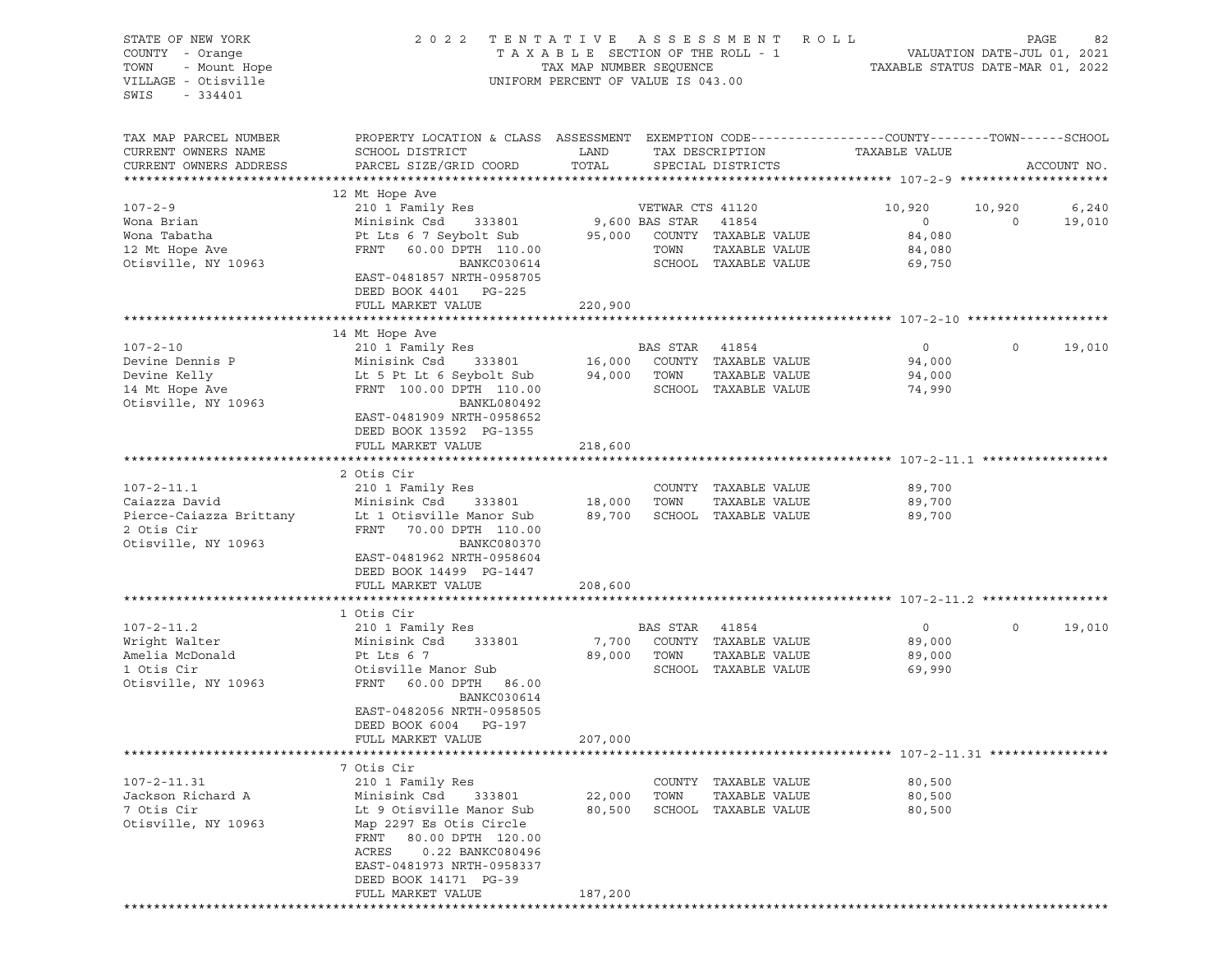| STATE OF NEW YORK<br>COUNTY - Orange<br>- Mount Hope<br>TOWN<br>VILLAGE - Otisville<br>$-334401$<br>SWIS | TENTATIVE ASSESSMENT ROLL<br>2 0 2 2<br>TAXABLE SECTION OF THE ROLL - 1<br>TAX MAP NUMBER SEQUENCE<br>UNIFORM PERCENT OF VALUE IS 043.00                                                                |                  |                                                  |                                                                      | 82 PAGE<br>VALUATION DATE-JUL 01, 2021<br>TAXABLE STATUS DATE MARICE |                   |                 |  |
|----------------------------------------------------------------------------------------------------------|---------------------------------------------------------------------------------------------------------------------------------------------------------------------------------------------------------|------------------|--------------------------------------------------|----------------------------------------------------------------------|----------------------------------------------------------------------|-------------------|-----------------|--|
| TAX MAP PARCEL NUMBER<br>CURRENT OWNERS NAME<br>CURRENT OWNERS ADDRESS                                   | PROPERTY LOCATION & CLASS ASSESSMENT EXEMPTION CODE----------------COUNTY-------TOWN-----SCHOOL<br>SCHOOL DISTRICT<br>PARCEL SIZE/GRID COORD                                                            | LAND<br>TOTAL    |                                                  | TAX DESCRIPTION<br>SPECIAL DISTRICTS                                 | TAXABLE VALUE                                                        |                   | ACCOUNT NO.     |  |
| $107 - 2 - 9$<br>Wona Brian<br>Wona Tabatha<br>12 Mt Hope Ave<br>Otisville, NY 10963                     | 12 Mt Hope Ave<br>210 1 Family Res<br>Minisink Csd 333801<br>Pt Lts 6 7 Seybolt Sub<br>FRNT 60.00 DPTH 110.00<br>BANKC030614<br>EAST-0481857 NRTH-0958705<br>DEED BOOK 4401 PG-225<br>FULL MARKET VALUE | 220,900          | VETWAR CTS 41120<br>9,600 BAS STAR 41854<br>TOWN | 95,000 COUNTY TAXABLE VALUE<br>TAXABLE VALUE<br>SCHOOL TAXABLE VALUE | 10,920<br>$\overline{0}$<br>84,080<br>84,080<br>69,750               | 10,920<br>$\circ$ | 6,240<br>19,010 |  |
|                                                                                                          |                                                                                                                                                                                                         |                  |                                                  |                                                                      |                                                                      |                   |                 |  |
| $107 - 2 - 10$<br>Devine Dennis P<br>Devine Kelly<br>14 Mt Hope Ave<br>Otisville, NY 10963               | 14 Mt Hope Ave<br>210 1 Family Res<br>Minisink Csd 333801<br>Lt 5 Pt Lt 6 Seybolt Sub<br>FRNT 100.00 DPTH 110.00<br>BANKL080492<br>EAST-0481909 NRTH-0958652                                            | 94,000           | BAS STAR 41854<br>TOWN                           | 16,000 COUNTY TAXABLE VALUE<br>TAXABLE VALUE<br>SCHOOL TAXABLE VALUE | $\circ$<br>94,000<br>94,000<br>74,990                                | $\circ$           | 19,010          |  |
|                                                                                                          | DEED BOOK 13592 PG-1355<br>FULL MARKET VALUE                                                                                                                                                            | 218,600          |                                                  |                                                                      |                                                                      |                   |                 |  |
|                                                                                                          | 2 Otis Cir                                                                                                                                                                                              |                  |                                                  |                                                                      |                                                                      |                   |                 |  |
| $107 - 2 - 11.1$<br>Caiazza David<br>Pierce-Caiazza Brittany<br>2 Otis Cir<br>Otisville, NY 10963        | 210 1 Family Res<br>Minisink Csd<br>Lt 1 Otisville Manor Sub<br>FRNT 70.00 DPTH 110.00<br>BANKC080370<br>EAST-0481962 NRTH-0958604<br>DEED BOOK 14499 PG-1447                                           | 333801 18,000    | TOWN                                             | COUNTY TAXABLE VALUE<br>TAXABLE VALUE<br>89,700 SCHOOL TAXABLE VALUE | 89,700<br>89,700<br>89,700                                           |                   |                 |  |
|                                                                                                          | FULL MARKET VALUE                                                                                                                                                                                       | 208,600          |                                                  |                                                                      |                                                                      |                   |                 |  |
|                                                                                                          | 1 Otis Cir                                                                                                                                                                                              |                  |                                                  |                                                                      |                                                                      |                   |                 |  |
| $107 - 2 - 11.2$<br>Wright Walter<br>Amelia McDonald<br>1 Otis Cir<br>Otisville, NY 10963                | 210 1 Family Res<br>Minisink Csd 333801<br>Pt Lts 6 7<br>Otisville Manor Sub<br>FRNT 60.00 DPTH 86.00<br>BANKC030614<br>EAST-0482056 NRTH-0958505<br>DEED BOOK 6004<br>PG-197                           | 7,700<br>89,000  | BAS STAR 41854<br>TOWN                           | COUNTY TAXABLE VALUE<br>TAXABLE VALUE<br>SCHOOL TAXABLE VALUE        | 0<br>89,000<br>89,000<br>69,990                                      | $\circ$           | 19,010          |  |
|                                                                                                          | FULL MARKET VALUE                                                                                                                                                                                       | 207,000          |                                                  |                                                                      |                                                                      |                   |                 |  |
|                                                                                                          |                                                                                                                                                                                                         | *********        |                                                  |                                                                      | *********************** 107-2-11.31 *****************                |                   |                 |  |
| $107 - 2 - 11.31$                                                                                        | 7 Otis Cir<br>210 1 Family Res                                                                                                                                                                          |                  | COUNTY                                           | TAXABLE VALUE                                                        | 80,500                                                               |                   |                 |  |
| Jackson Richard A<br>7 Otis Cir<br>Otisville, NY 10963                                                   | Minisink Csd<br>333801<br>Lt 9 Otisville Manor Sub<br>Map 2297 Es Otis Circle<br>FRNT<br>80.00 DPTH 120.00<br>ACRES<br>0.22 BANKC080496<br>EAST-0481973 NRTH-0958337<br>DEED BOOK 14171 PG-39           | 22,000<br>80,500 | TOWN<br>SCHOOL                                   | TAXABLE VALUE<br>TAXABLE VALUE                                       | 80,500<br>80,500                                                     |                   |                 |  |
|                                                                                                          | FULL MARKET VALUE<br>******************<br>********************                                                                                                                                         | 187,200          |                                                  |                                                                      |                                                                      |                   |                 |  |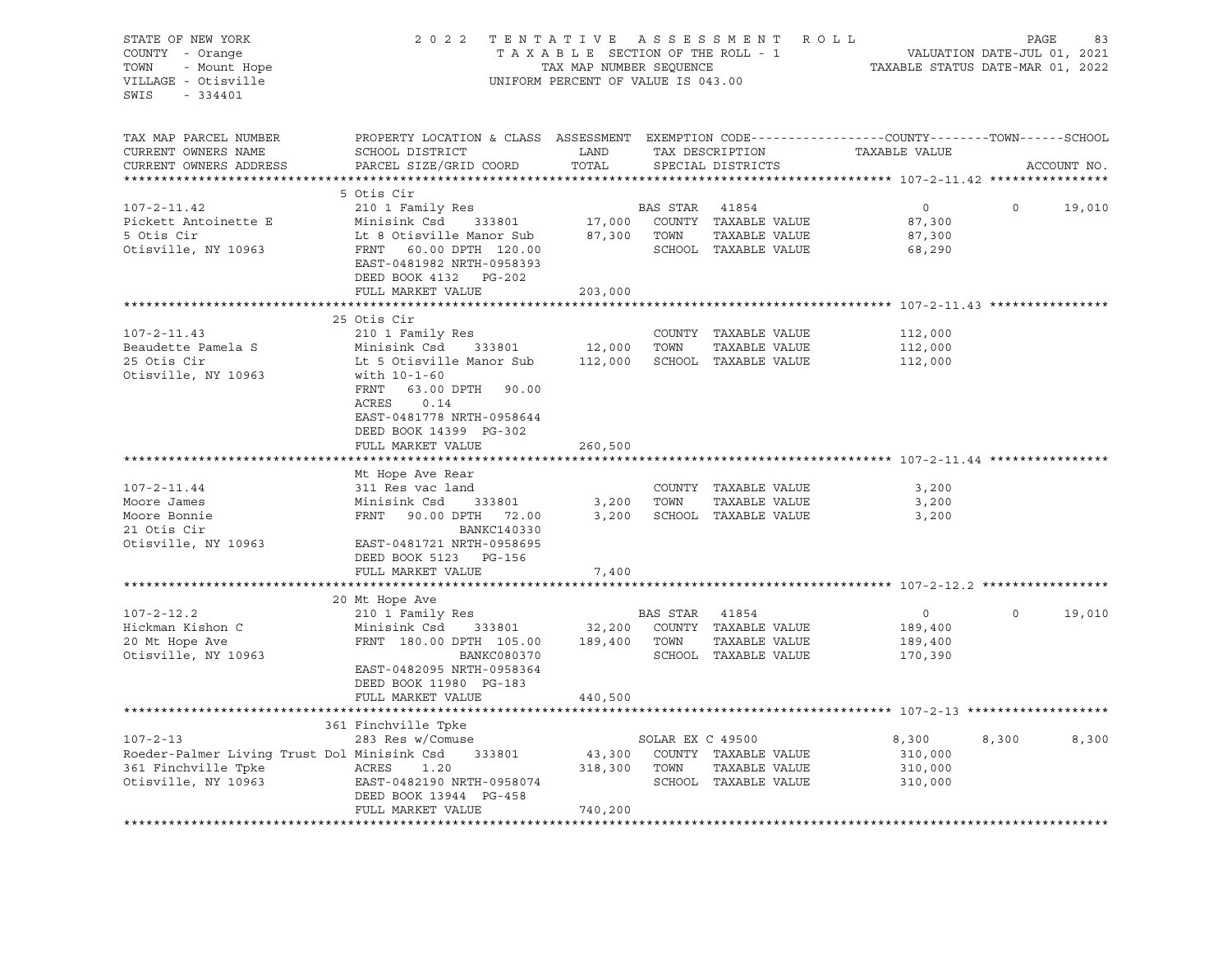| STATE OF NEW YORK<br>COUNTY - Orange<br>- Mount Hope<br>TOWN<br>VILLAGE - Otisville<br>SWIS<br>$-334401$           | 2 0 2 2                                                                                                                                                                                                                          | UNIFORM PERCENT OF VALUE IS 043.00 |                               | TENTATIVE ASSESSMENT ROLL                                     |                                                 | PAGE        | 83     |
|--------------------------------------------------------------------------------------------------------------------|----------------------------------------------------------------------------------------------------------------------------------------------------------------------------------------------------------------------------------|------------------------------------|-------------------------------|---------------------------------------------------------------|-------------------------------------------------|-------------|--------|
| TAX MAP PARCEL NUMBER<br>CURRENT OWNERS NAME<br>CURRENT OWNERS ADDRESS<br>**********************                   | PROPERTY LOCATION & CLASS ASSESSMENT EXEMPTION CODE----------------COUNTY-------TOWN-----SCHOOL<br>SCHOOL DISTRICT<br>PARCEL SIZE/GRID COORD                                                                                     | LAND<br>TOTAL                      |                               | SPECIAL DISTRICTS                                             | TAX DESCRIPTION TAXABLE VALUE                   | ACCOUNT NO. |        |
| $107 - 2 - 11.42$<br>Pickett Antoinette E<br>5 Otis Cir<br>Otisville, NY 10963                                     | 5 Otis Cir<br>210 1 Family Res<br>Minisink Csd 333801<br>Lt 8 Otisville Manor Sub<br>FRNT 60.00 DPTH 120.00<br>EAST-0481982 NRTH-0958393<br>DEED BOOK 4132 PG-202<br>FULL MARKET VALUE                                           | 17,000<br>203,000                  | BAS STAR 41854<br>87,300 TOWN | COUNTY TAXABLE VALUE<br>TAXABLE VALUE<br>SCHOOL TAXABLE VALUE | $\overline{0}$<br>87,300<br>87,300<br>68,290    | $\circ$     | 19,010 |
| $107 - 2 - 11.43$<br>Beaudette Pamela S<br>25 Otis Cir<br>Otisville, NY 10963                                      | 25 Otis Cir<br>210 1 Family Res<br>Minisink Csd 333801<br>Lt 5 Otisville Manor Sub 112,000<br>with 10-1-60<br>FRNT 63.00 DPTH 90.00<br>ACRES<br>0.14<br>EAST-0481778 NRTH-0958644<br>DEED BOOK 14399 PG-302<br>FULL MARKET VALUE | 12,000<br>260,500                  | TOWN                          | COUNTY TAXABLE VALUE<br>TAXABLE VALUE<br>SCHOOL TAXABLE VALUE | 112,000<br>112,000<br>112,000                   |             |        |
| $107 - 2 - 11.44$<br>Moore James<br>Moore Bonnie<br>21 Otis Cir<br>Otisville, NY 10963                             | Mt Hope Ave Rear<br>311 Res vac land<br>Minisink Csd<br>333801<br>FRNT 90.00 DPTH 72.00<br>BANKC140330<br>EAST-0481721 NRTH-0958695<br>DEED BOOK 5123 PG-156                                                                     | 3,200<br>3,200                     | TOWN                          | COUNTY TAXABLE VALUE<br>TAXABLE VALUE<br>SCHOOL TAXABLE VALUE | 3,200<br>3,200<br>3,200                         |             |        |
|                                                                                                                    | FULL MARKET VALUE                                                                                                                                                                                                                | 7,400                              |                               |                                                               |                                                 |             |        |
| $107 - 2 - 12.2$<br>Hickman Kishon C<br>20 Mt Hope Ave<br>Otisville, NY 10963                                      | 20 Mt Hope Ave<br>210 1 Family Res<br>Minisink Csd<br>333801<br>FRNT 180.00 DPTH 105.00<br>BANKC080370<br>EAST-0482095 NRTH-0958364<br>DEED BOOK 11980 PG-183<br>FULL MARKET VALUE                                               | 32,200<br>189,400<br>440,500       | BAS STAR 41854<br>TOWN        | COUNTY TAXABLE VALUE<br>TAXABLE VALUE<br>SCHOOL TAXABLE VALUE | $\overline{0}$<br>189,400<br>189,400<br>170,390 | $\circ$     | 19,010 |
|                                                                                                                    |                                                                                                                                                                                                                                  |                                    |                               |                                                               |                                                 |             |        |
| $107 - 2 - 13$<br>Roeder-Palmer Living Trust Dol Minisink Csd 333801<br>361 Finchville Tpke<br>Otisville, NY 10963 | 361 Finchville Tpke<br>283 Res w/Comuse<br>ACRES<br>1.20<br>EAST-0482190 NRTH-0958074<br>DEED BOOK 13944 PG-458<br>FULL MARKET VALUE                                                                                             | 43,300<br>318,300<br>740,200       | SOLAR EX C 49500<br>TOWN      | COUNTY TAXABLE VALUE<br>TAXABLE VALUE<br>SCHOOL TAXABLE VALUE | 8,300<br>310,000<br>310,000<br>310,000          | 8,300       | 8,300  |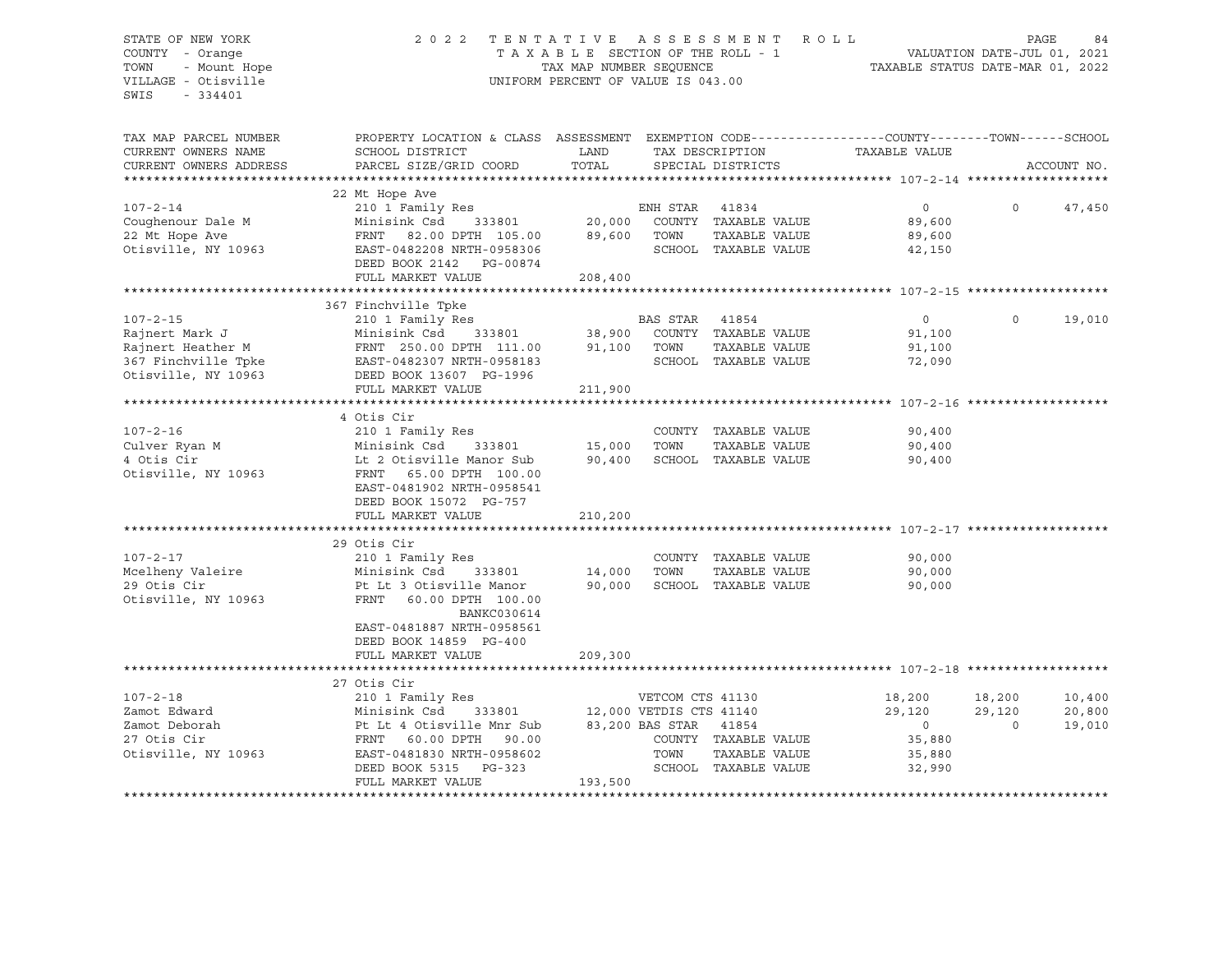### STATE OF NEW YORK 2 0 2 2 T E N T A T I V E A S S E S S M E N T R O L L PAGE 84 COUNTY - Orange T A X A B L E SECTION OF THE ROLL - 1 VALUATION DATE-JUL 01, 2021 TOWN - Mount Hope TAX MAP NUMBER SEQUENCE TAXABLE STATUS DATE-MAR 01, 2022 VILLAGE - Otisville UNIFORM PERCENT OF VALUE IS 043.00

| TAX MAP PARCEL NUMBER<br>CURRENT OWNERS NAME<br>CURRENT OWNERS ADDRESS                | PROPERTY LOCATION & CLASS ASSESSMENT<br>SCHOOL DISTRICT<br>PARCEL SIZE/GRID COORD                                                                                                                   | LAND<br>TOTAL     |                                                   | SPECIAL DISTRICTS                                                      | EXEMPTION CODE-----------------COUNTY-------TOWN------SCHOOL<br>TAX DESCRIPTION TAXABLE VALUE |                              | ACCOUNT NO.                |
|---------------------------------------------------------------------------------------|-----------------------------------------------------------------------------------------------------------------------------------------------------------------------------------------------------|-------------------|---------------------------------------------------|------------------------------------------------------------------------|-----------------------------------------------------------------------------------------------|------------------------------|----------------------------|
|                                                                                       | 22 Mt Hope Ave                                                                                                                                                                                      |                   |                                                   |                                                                        |                                                                                               |                              |                            |
| $107 - 2 - 14$<br>Coughenour Dale M<br>22 Mt Hope Ave<br>Otisville, NY 10963          | 210 1 Family Res<br>Minisink Csd<br>FRNT 82.00 DPTH 105.00 89,600<br>EAST-0482208 NRTH-0958306<br>DEED BOOK 2142    PG-00874<br>FULL MARKET VALUE                                                   | 208,400           | ENH STAR<br>TOWN                                  | 41834<br>COUNTY TAXABLE VALUE<br>TAXABLE VALUE<br>SCHOOL TAXABLE VALUE | $\overline{0}$<br>89,600<br>89,600<br>42,150                                                  | $\Omega$                     | 47,450                     |
|                                                                                       |                                                                                                                                                                                                     |                   |                                                   |                                                                        |                                                                                               |                              |                            |
| $107 - 2 - 15$<br>Rajnert Mark J<br>Rajnert Heather M                                 | 367 Finchville Tpke<br>210 1 Family Res<br>Minisink Csd 333801 38,900<br>FRNT 250.00 DPTH 111.00<br>FULL MARKET VALUE                                                                               | 91,100<br>211,900 | BAS STAR<br>TOWN                                  | 41854<br>COUNTY TAXABLE VALUE<br>TAXABLE VALUE<br>SCHOOL TAXABLE VALUE | $\circ$<br>91,100<br>91,100<br>72,090                                                         | $\Omega$                     | 19,010                     |
|                                                                                       |                                                                                                                                                                                                     |                   |                                                   |                                                                        |                                                                                               |                              |                            |
| $107 - 2 - 16$<br>Culver Ryan M<br>4 Otis Cir<br>Otisville, NY 10963                  | 4 Otis Cir<br>210 1 Family Res<br>333801 15,000<br>Minisink Csd<br>Lt 2 Otisville Manor Sub<br>FRNT 65.00 DPTH 100.00<br>EAST-0481902 NRTH-0958541<br>DEED BOOK 15072 PG-757<br>FULL MARKET VALUE   | 90,400<br>210,200 | TOWN                                              | COUNTY TAXABLE VALUE<br>TAXABLE VALUE<br>SCHOOL TAXABLE VALUE          | 90,400<br>90,400<br>90,400                                                                    |                              |                            |
| $107 - 2 - 17$<br>Mcelheny Valeire<br>29 Otis Cir<br>Otisville, NY 10963              | 29 Otis Cir<br>210 1 Family Res<br>333801 14,000<br>Minisink Csd<br>Pt Lt 3 Otisville Manor<br>FRNT 60.00 DPTH 100.00<br>BANKC030614<br>EAST-0481887 NRTH-0958561<br>DEED BOOK 14859 PG-400         | 90,000            | TOWN                                              | COUNTY TAXABLE VALUE<br>TAXABLE VALUE<br>SCHOOL TAXABLE VALUE          | 90,000<br>90,000<br>90,000                                                                    |                              |                            |
|                                                                                       | FULL MARKET VALUE                                                                                                                                                                                   | 209,300           |                                                   |                                                                        |                                                                                               |                              |                            |
|                                                                                       | 27 Otis Cir                                                                                                                                                                                         |                   |                                                   |                                                                        |                                                                                               |                              |                            |
| $107 - 2 - 18$<br>Zamot Edward<br>Zamot Deborah<br>27 Otis Cir<br>Otisville, NY 10963 | 210 1 Family Res<br>333801 12,000 VETDIS CTS 41140<br>Minisink Csd<br>Pt Lt 4 Otisville Mnr Sub<br>FRNT 60.00 DPTH 90.00<br>EAST-0481830 NRTH-0958602<br>DEED BOOK 5315 PG-323<br>FULL MARKET VALUE | 193,500           | VETCOM CTS 41130<br>83,200 BAS STAR 41854<br>TOWN | COUNTY TAXABLE VALUE<br>TAXABLE VALUE<br>SCHOOL TAXABLE VALUE          | 18,200<br>29,120<br>$\overline{0}$<br>35,880<br>35,880<br>32,990                              | 18,200<br>29,120<br>$\Omega$ | 10,400<br>20,800<br>19,010 |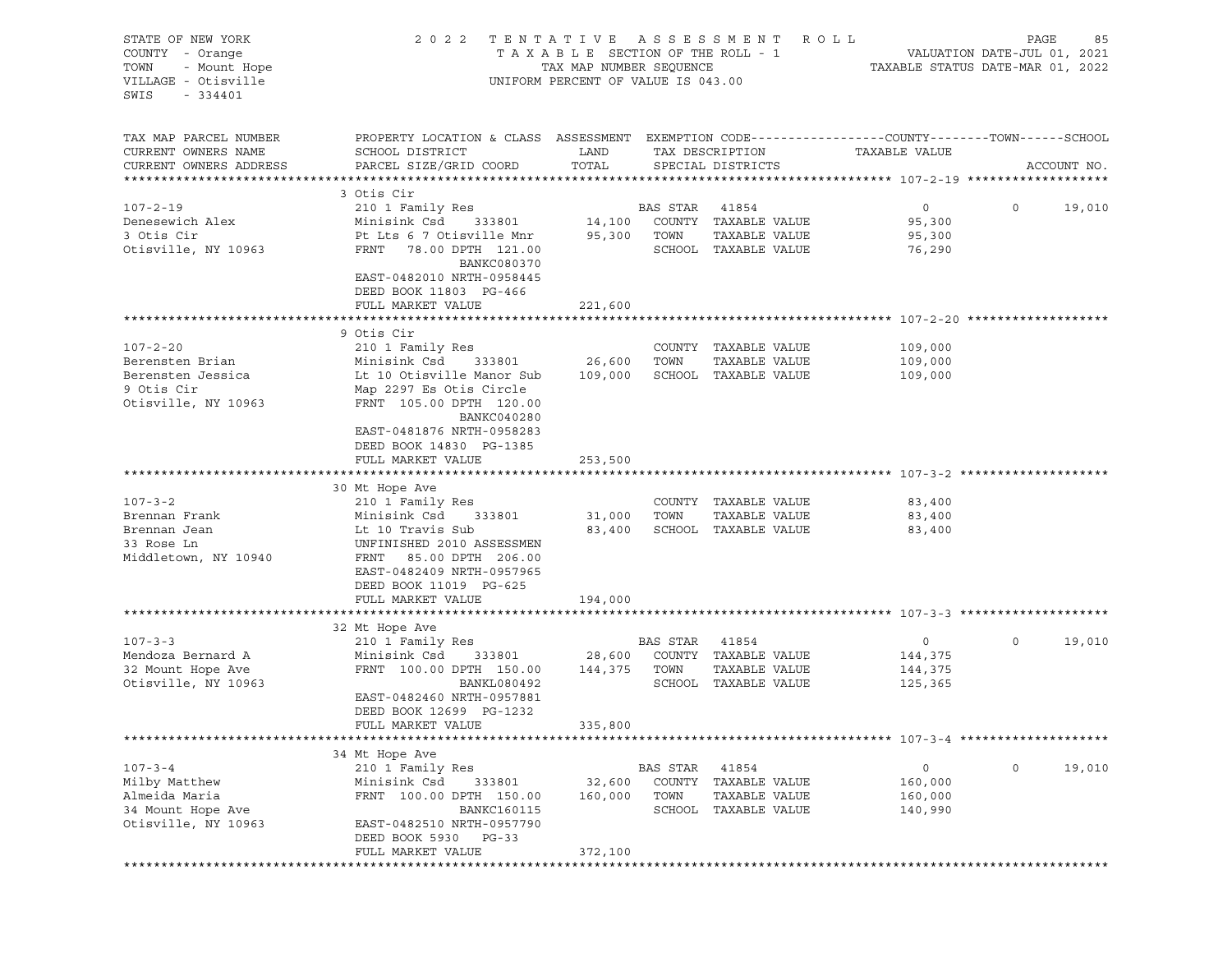| STATE OF NEW YORK<br>COUNTY - Orange<br>- Mount Hope<br>TOWN<br>VILLAGE - Otisville<br>SWIS<br>$-334401$ | 2 0 2 2                                                                                          | TENTATIVE ASSESSMENT<br>TAXABLE SECTION OF THE ROLL - 1<br>TAX MAP NUMBER SEQUENCE<br>UNIFORM PERCENT OF VALUE IS 043.00 |          | R O L L                               | TAXABLE STATUS DATE-MAR 01, 2022 | PAGE<br>VALUATION DATE-JUL 01, 2021 | 85          |
|----------------------------------------------------------------------------------------------------------|--------------------------------------------------------------------------------------------------|--------------------------------------------------------------------------------------------------------------------------|----------|---------------------------------------|----------------------------------|-------------------------------------|-------------|
| TAX MAP PARCEL NUMBER                                                                                    | PROPERTY LOCATION & CLASS ASSESSMENT EXEMPTION CODE----------------COUNTY-------TOWN------SCHOOL |                                                                                                                          |          |                                       |                                  |                                     |             |
| CURRENT OWNERS NAME<br>CURRENT OWNERS ADDRESS                                                            | SCHOOL DISTRICT<br>PARCEL SIZE/GRID COORD                                                        | LAND<br>TOTAL                                                                                                            |          | TAX DESCRIPTION<br>SPECIAL DISTRICTS  | TAXABLE VALUE                    |                                     | ACCOUNT NO. |
|                                                                                                          |                                                                                                  |                                                                                                                          |          |                                       |                                  |                                     |             |
|                                                                                                          | 3 Otis Cir                                                                                       |                                                                                                                          |          |                                       |                                  |                                     |             |
| $107 - 2 - 19$                                                                                           | 210 1 Family Res                                                                                 |                                                                                                                          | BAS STAR | 41854                                 | $\circ$                          | $\circ$                             | 19,010      |
| Denesewich Alex                                                                                          | Minisink Csd<br>333801                                                                           | 14,100                                                                                                                   |          | COUNTY TAXABLE VALUE                  | 95,300                           |                                     |             |
| 3 Otis Cir<br>Otisville, NY 10963                                                                        | Pt Lts 6 7 Otisville Mnr<br>FRNT 78.00 DPTH 121.00                                               | 95,300                                                                                                                   | TOWN     | TAXABLE VALUE<br>SCHOOL TAXABLE VALUE | 95,300                           |                                     |             |
|                                                                                                          | <b>BANKC080370</b><br>EAST-0482010 NRTH-0958445<br>DEED BOOK 11803 PG-466                        |                                                                                                                          |          |                                       | 76,290                           |                                     |             |
|                                                                                                          | FULL MARKET VALUE                                                                                | 221,600                                                                                                                  |          |                                       |                                  |                                     |             |
|                                                                                                          |                                                                                                  |                                                                                                                          |          |                                       |                                  |                                     |             |
| $107 - 2 - 20$                                                                                           | 9 Otis Cir<br>210 1 Family Res                                                                   |                                                                                                                          |          | COUNTY TAXABLE VALUE                  | 109,000                          |                                     |             |
| Berensten Brian                                                                                          | Minisink Csd<br>333801                                                                           | 26,600                                                                                                                   | TOWN     | TAXABLE VALUE                         | 109,000                          |                                     |             |
| Berensten Jessica                                                                                        | Lt 10 Otisville Manor Sub                                                                        | 109,000                                                                                                                  |          | SCHOOL TAXABLE VALUE                  | 109,000                          |                                     |             |
| 9 Otis Cir                                                                                               | Map 2297 Es Otis Circle                                                                          |                                                                                                                          |          |                                       |                                  |                                     |             |
| Otisville, NY 10963                                                                                      | FRNT 105.00 DPTH 120.00<br>BANKC040280                                                           |                                                                                                                          |          |                                       |                                  |                                     |             |
|                                                                                                          | EAST-0481876 NRTH-0958283<br>DEED BOOK 14830 PG-1385                                             |                                                                                                                          |          |                                       |                                  |                                     |             |
|                                                                                                          | FULL MARKET VALUE                                                                                | 253,500                                                                                                                  |          |                                       |                                  |                                     |             |
|                                                                                                          | 30 Mt Hope Ave                                                                                   |                                                                                                                          |          |                                       |                                  |                                     |             |
| $107 - 3 - 2$                                                                                            | 210 1 Family Res                                                                                 |                                                                                                                          |          | COUNTY TAXABLE VALUE                  | 83,400                           |                                     |             |
| Brennan Frank                                                                                            | Minisink Csd<br>333801                                                                           | 31,000                                                                                                                   | TOWN     | TAXABLE VALUE                         | 83,400                           |                                     |             |
| Brennan Jean                                                                                             | Lt 10 Travis Sub                                                                                 | 83,400                                                                                                                   |          | SCHOOL TAXABLE VALUE                  | 83,400                           |                                     |             |
| 33 Rose Ln<br>Middletown, NY 10940                                                                       | UNFINISHED 2010 ASSESSMEN<br>FRNT 85.00 DPTH 206.00<br>EAST-0482409 NRTH-0957965                 |                                                                                                                          |          |                                       |                                  |                                     |             |
|                                                                                                          | DEED BOOK 11019 PG-625                                                                           |                                                                                                                          |          |                                       |                                  |                                     |             |
|                                                                                                          | FULL MARKET VALUE                                                                                | 194,000                                                                                                                  |          |                                       |                                  |                                     |             |
|                                                                                                          |                                                                                                  |                                                                                                                          |          |                                       |                                  |                                     |             |
| $107 - 3 - 3$                                                                                            | 32 Mt Hope Ave                                                                                   |                                                                                                                          | BAS STAR | 41854                                 | $\circ$                          | 0                                   | 19,010      |
| Mendoza Bernard A                                                                                        | 210 1 Family Res<br>Minisink Csd<br>333801                                                       | 28,600                                                                                                                   |          | COUNTY TAXABLE VALUE                  | 144,375                          |                                     |             |
| 32 Mount Hope Ave                                                                                        | FRNT 100.00 DPTH 150.00                                                                          | 144,375                                                                                                                  | TOWN     | TAXABLE VALUE                         | 144,375                          |                                     |             |
| Otisville, NY 10963                                                                                      | BANKL080492                                                                                      |                                                                                                                          |          | SCHOOL TAXABLE VALUE                  | 125,365                          |                                     |             |
|                                                                                                          | EAST-0482460 NRTH-0957881<br>DEED BOOK 12699 PG-1232                                             |                                                                                                                          |          |                                       |                                  |                                     |             |
|                                                                                                          | FULL MARKET VALUE                                                                                | 335,800                                                                                                                  |          |                                       |                                  |                                     |             |
|                                                                                                          |                                                                                                  |                                                                                                                          |          |                                       |                                  |                                     |             |
| $107 - 3 - 4$                                                                                            | 34 Mt Hope Ave<br>210 1 Family Res                                                               |                                                                                                                          | BAS STAR | 41854                                 | 0                                | 0                                   | 19,010      |
| Milby Matthew                                                                                            | Minisink Csd<br>333801                                                                           | 32,600                                                                                                                   | COUNTY   | TAXABLE VALUE                         | 160,000                          |                                     |             |
| Almeida Maria                                                                                            | FRNT 100.00 DPTH 150.00                                                                          | 160,000                                                                                                                  | TOWN     | TAXABLE VALUE                         | 160,000                          |                                     |             |
| 34 Mount Hope Ave                                                                                        | BANKC160115                                                                                      |                                                                                                                          | SCHOOL   | TAXABLE VALUE                         | 140,990                          |                                     |             |
| Otisville, NY 10963                                                                                      | EAST-0482510 NRTH-0957790<br>DEED BOOK 5930<br>PG-33                                             |                                                                                                                          |          |                                       |                                  |                                     |             |
|                                                                                                          | FULL MARKET VALUE                                                                                | 372,100                                                                                                                  |          |                                       |                                  |                                     |             |
|                                                                                                          |                                                                                                  |                                                                                                                          |          |                                       |                                  |                                     |             |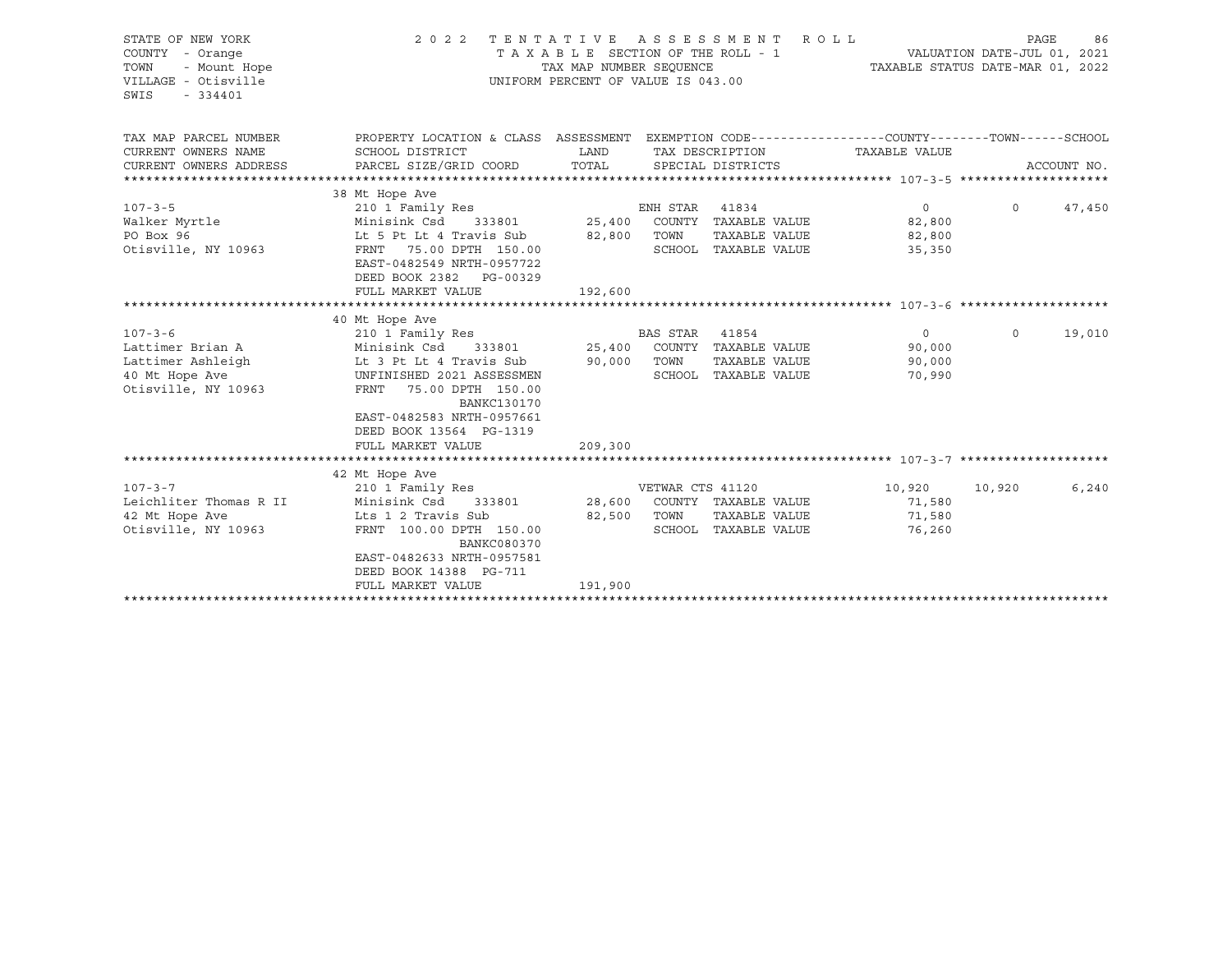| STATE OF NEW YORK<br>COUNTY - Orange<br>TOWN<br>- Mount Hope<br>VILLAGE - Otisville<br>SWIS<br>$-334401$ | 2 0 2 2                                                                                              | TENTATIVE ASSESSMENT<br>TAXABLE SECTION OF THE ROLL - 1<br>TAX MAP NUMBER SEOUENCE<br>UNIFORM PERCENT OF VALUE IS 043.00 |                  | <b>ROLL</b>                   | VALUATION DAIL CO.<br>TAXABLE STATUS DATE-MAR 01, 2022 | PAGE     | 86          |
|----------------------------------------------------------------------------------------------------------|------------------------------------------------------------------------------------------------------|--------------------------------------------------------------------------------------------------------------------------|------------------|-------------------------------|--------------------------------------------------------|----------|-------------|
| TAX MAP PARCEL NUMBER                                                                                    | PROPERTY LOCATION & CLASS ASSESSMENT EXEMPTION CODE---------------COUNTY-------TOWN-----SCHOOL       |                                                                                                                          |                  |                               |                                                        |          |             |
| CURRENT OWNERS NAME                                                                                      | SCHOOL DISTRICT                                                                                      | LAND                                                                                                                     |                  | TAX DESCRIPTION               | TAXABLE VALUE                                          |          |             |
| CURRENT OWNERS ADDRESS                                                                                   | PARCEL SIZE/GRID COORD                                                                               | TOTAL                                                                                                                    |                  | SPECIAL DISTRICTS             |                                                        |          | ACCOUNT NO. |
|                                                                                                          | 38 Mt Hope Ave                                                                                       |                                                                                                                          |                  |                               |                                                        |          |             |
| $107 - 3 - 5$                                                                                            | 210 1 Family Res                                                                                     |                                                                                                                          | ENH STAR         | 41834                         | $\overline{0}$                                         | $\Omega$ | 47,450      |
| Walker Myrtle                                                                                            | Minisink Csd<br>333801                                                                               |                                                                                                                          |                  | 25,400 COUNTY TAXABLE VALUE   | 82,800                                                 |          |             |
| PO Box 96                                                                                                | Lt 5 Pt Lt 4 Travis Sub                                                                              | 82,800                                                                                                                   | TOWN             | TAXABLE VALUE                 | 82,800                                                 |          |             |
| Otisville, NY 10963                                                                                      | FRNT 75.00 DPTH 150.00<br>EAST-0482549 NRTH-0957722<br>DEED BOOK 2382 PG-00329                       |                                                                                                                          |                  | SCHOOL TAXABLE VALUE          | 35,350                                                 |          |             |
|                                                                                                          | FULL MARKET VALUE                                                                                    | 192,600                                                                                                                  |                  |                               |                                                        |          |             |
|                                                                                                          |                                                                                                      |                                                                                                                          |                  |                               |                                                        |          |             |
|                                                                                                          | 40 Mt Hope Ave                                                                                       |                                                                                                                          |                  |                               |                                                        |          |             |
| $107 - 3 - 6$<br>Lattimer Brian A                                                                        | 210 1 Family Res<br>Minisink Csd                                                                     |                                                                                                                          | <b>BAS STAR</b>  | 41854<br>COUNTY TAXABLE VALUE | $\overline{0}$                                         | $\circ$  | 19,010      |
| Lattimer Ashleigh                                                                                        | Lt 3 Pt Lt 4 Travis Sub                                                                              | 333801 25,400<br>90,000                                                                                                  | TOWN             | TAXABLE VALUE                 | 90,000<br>90,000                                       |          |             |
| 40 Mt Hope Ave                                                                                           | UNFINISHED 2021 ASSESSMEN                                                                            |                                                                                                                          |                  | SCHOOL TAXABLE VALUE          | 70,990                                                 |          |             |
| Otisville, NY 10963                                                                                      | FRNT<br>75.00 DPTH 150.00<br><b>BANKC130170</b><br>EAST-0482583 NRTH-0957661                         |                                                                                                                          |                  |                               |                                                        |          |             |
|                                                                                                          | DEED BOOK 13564 PG-1319                                                                              |                                                                                                                          |                  |                               |                                                        |          |             |
|                                                                                                          | FULL MARKET VALUE                                                                                    | 209,300                                                                                                                  |                  |                               |                                                        |          |             |
|                                                                                                          |                                                                                                      |                                                                                                                          |                  |                               |                                                        |          |             |
|                                                                                                          | 42 Mt Hope Ave                                                                                       |                                                                                                                          |                  |                               |                                                        |          |             |
| $107 - 3 - 7$                                                                                            | 210 1 Family Res                                                                                     |                                                                                                                          | VETWAR CTS 41120 |                               | 10,920                                                 | 10,920   | 6,240       |
| Leichliter Thomas R II                                                                                   | Minisink Csd<br>333801                                                                               | 28,600                                                                                                                   |                  | COUNTY TAXABLE VALUE          | 71,580                                                 |          |             |
| 42 Mt Hope Ave                                                                                           | Lts 1 2 Travis Sub                                                                                   | 82,500                                                                                                                   | TOWN             | TAXABLE VALUE                 | 71,580                                                 |          |             |
| Otisville, NY 10963                                                                                      | FRNT 100.00 DPTH 150.00<br><b>BANKC080370</b><br>EAST-0482633 NRTH-0957581<br>DEED BOOK 14388 PG-711 |                                                                                                                          |                  | SCHOOL TAXABLE VALUE          | 76,260                                                 |          |             |
|                                                                                                          | FULL MARKET VALUE                                                                                    | 191,900                                                                                                                  |                  |                               |                                                        |          |             |
|                                                                                                          |                                                                                                      |                                                                                                                          |                  |                               |                                                        |          |             |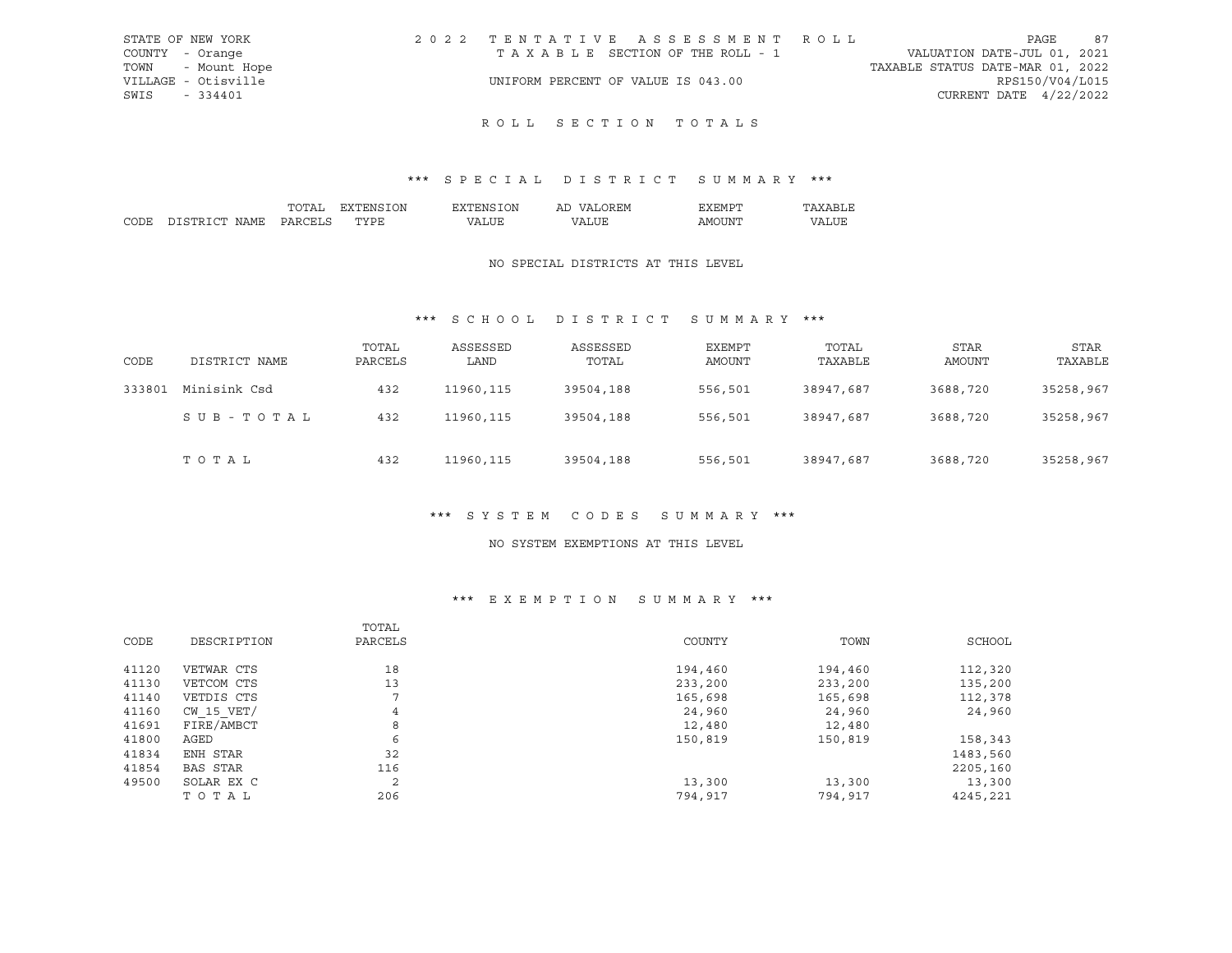| STATE OF NEW YORK   | 2022 TENTATIVE ASSESSMENT ROLL     |                                  | PAGE                        | 87 |
|---------------------|------------------------------------|----------------------------------|-----------------------------|----|
| COUNTY - Orange     | TAXABLE SECTION OF THE ROLL - 1    |                                  | VALUATION DATE-JUL 01, 2021 |    |
| TOWN - Mount Hope   |                                    | TAXABLE STATUS DATE-MAR 01, 2022 |                             |    |
| VILLAGE - Otisville | UNIFORM PERCENT OF VALUE IS 043.00 |                                  | RPS150/V04/L015             |    |
| SWIS - 334401       |                                    |                                  | CURRENT DATE $4/22/2022$    |    |
|                     |                                    |                                  |                             |    |

## \*\*\* S P E C I A L D I S T R I C T S U M M A R Y \*\*\*

|        |                 | ΩN | ገሌ | AL | . H'M                                                                                                                                                                                                                                                                                                                                                                                                                                                                                     |   |
|--------|-----------------|----|----|----|-------------------------------------------------------------------------------------------------------------------------------------------------------------------------------------------------------------------------------------------------------------------------------------------------------------------------------------------------------------------------------------------------------------------------------------------------------------------------------------------|---|
| $\sim$ | NT∆MF<br>,,,,,, | .  |    |    | ΔM<br>זו ונ<br>$\frac{1}{2} \left( \frac{1}{2} \right) \left( \frac{1}{2} \right) \left( \frac{1}{2} \right) \left( \frac{1}{2} \right) \left( \frac{1}{2} \right) \left( \frac{1}{2} \right) \left( \frac{1}{2} \right) \left( \frac{1}{2} \right) \left( \frac{1}{2} \right) \left( \frac{1}{2} \right) \left( \frac{1}{2} \right) \left( \frac{1}{2} \right) \left( \frac{1}{2} \right) \left( \frac{1}{2} \right) \left( \frac{1}{2} \right) \left( \frac{1}{2} \right) \left( \frac$ | . |

#### NO SPECIAL DISTRICTS AT THIS LEVEL

## \*\*\* S C H O O L D I S T R I C T S U M M A R Y \*\*\*

| CODE   | DISTRICT NAME | TOTAL<br>PARCELS | ASSESSED<br>LAND | ASSESSED<br>TOTAL | EXEMPT<br><b>AMOUNT</b> | TOTAL<br>TAXABLE | STAR<br><b>AMOUNT</b> | <b>STAR</b><br>TAXABLE |
|--------|---------------|------------------|------------------|-------------------|-------------------------|------------------|-----------------------|------------------------|
| 333801 | Minisink Csd  | 432              | 11960,115        | 39504,188         | 556,501                 | 38947,687        | 3688,720              | 35258,967              |
|        | SUB-TOTAL     | 432              | 11960, 115       | 39504,188         | 556,501                 | 38947,687        | 3688,720              | 35258,967              |
|        | TOTAL         | 432              | 11960, 115       | 39504,188         | 556,501                 | 38947,687        | 3688,720              | 35258,967              |

#### \*\*\* S Y S T E M C O D E S S U M M A R Y \*\*\*

#### NO SYSTEM EXEMPTIONS AT THIS LEVEL

## \*\*\* E X E M P T I O N S U M M A R Y \*\*\*

|       |                 | TOTAL   |         |         |          |
|-------|-----------------|---------|---------|---------|----------|
| CODE  | DESCRIPTION     | PARCELS | COUNTY  | TOWN    | SCHOOL   |
| 41120 | VETWAR CTS      | 18      | 194,460 | 194,460 | 112,320  |
| 41130 | VETCOM CTS      | 13      | 233,200 | 233,200 | 135,200  |
| 41140 | VETDIS CTS      | ⇁       | 165,698 | 165,698 | 112,378  |
| 41160 | $CW$ 15 $VET/$  | 4       | 24,960  | 24,960  | 24,960   |
| 41691 | FIRE/AMBCT      | 8       | 12,480  | 12,480  |          |
| 41800 | AGED            | 6       | 150,819 | 150,819 | 158,343  |
| 41834 | ENH STAR        | 32      |         |         | 1483,560 |
| 41854 | <b>BAS STAR</b> | 116     |         |         | 2205,160 |
| 49500 | SOLAR EX C      | 2       | 13,300  | 13,300  | 13,300   |
|       | TOTAL           | 206     | 794,917 | 794,917 | 4245,221 |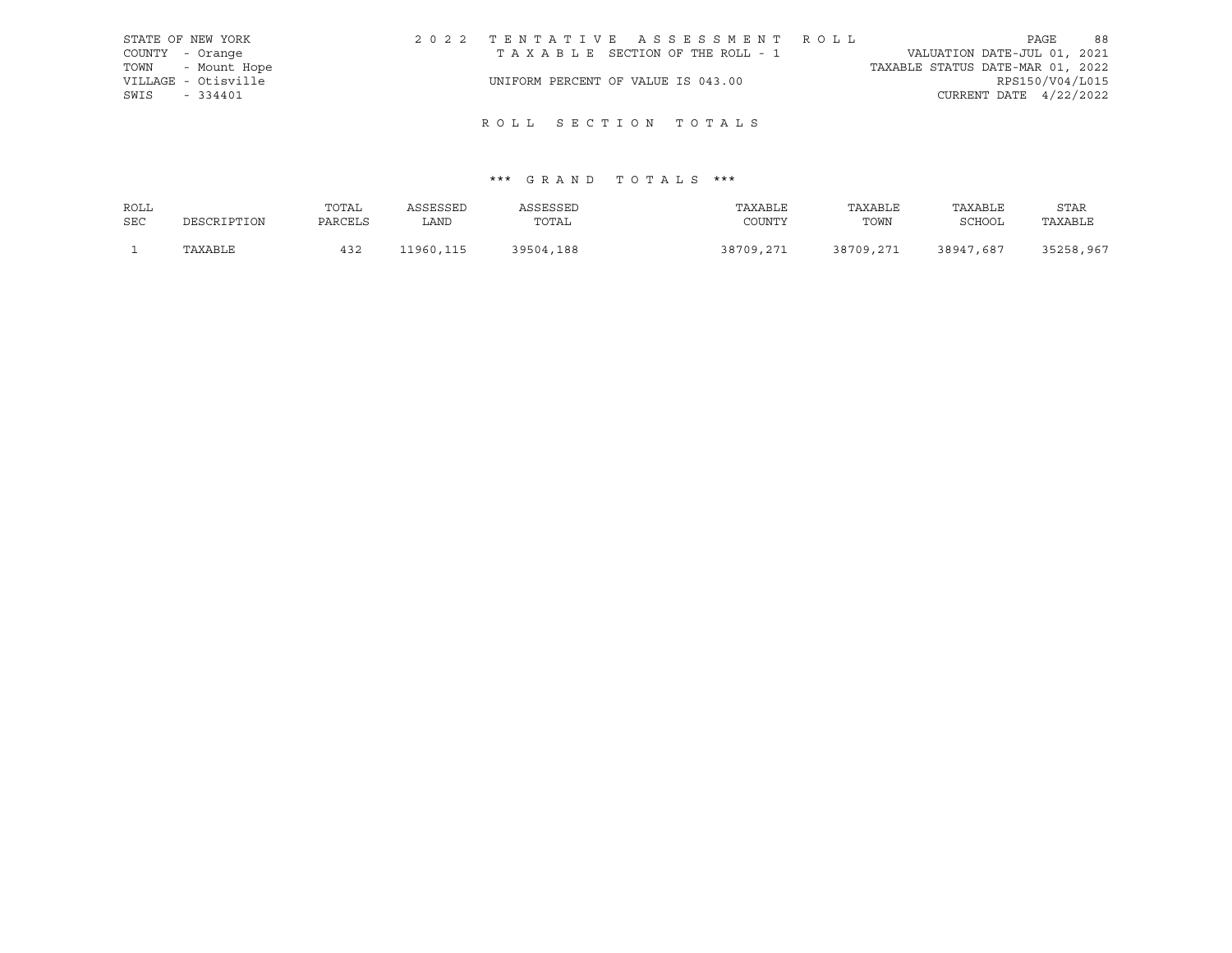|      | STATE OF NEW YORK   | 2022 TENTATIVE ASSESSMENT ROLL     |  |  |                                  |                        | PAGE | 88 |
|------|---------------------|------------------------------------|--|--|----------------------------------|------------------------|------|----|
|      | COUNTY - Orange     | TAXABLE SECTION OF THE ROLL - 1    |  |  | VALUATION DATE-JUL 01, 2021      |                        |      |    |
|      | TOWN - Mount Hope   |                                    |  |  | TAXABLE STATUS DATE-MAR 01, 2022 |                        |      |    |
|      | VILLAGE - Otisville | UNIFORM PERCENT OF VALUE IS 043.00 |  |  |                                  | RPS150/V04/L015        |      |    |
| SWIS | $-334401$           |                                    |  |  |                                  | CURRENT DATE 4/22/2022 |      |    |
|      |                     |                                    |  |  |                                  |                        |      |    |

| ROLL       |             | TOTAL   | ASSESSED  | ASSESSED  | TAXABLE   | TAXABLE   | TAXABLE   | <b>STAR</b> |
|------------|-------------|---------|-----------|-----------|-----------|-----------|-----------|-------------|
| <b>SEC</b> | DESCRIPTION | PARCELS | LAND      | TOTAL     | COUNTY    | TOWN      | SCHOOL    | TAXABLE     |
|            | TAXABLE     | 432     | 11960,115 | 39504,188 | 38709,271 | 38709,271 | 38947,687 | 35258,967   |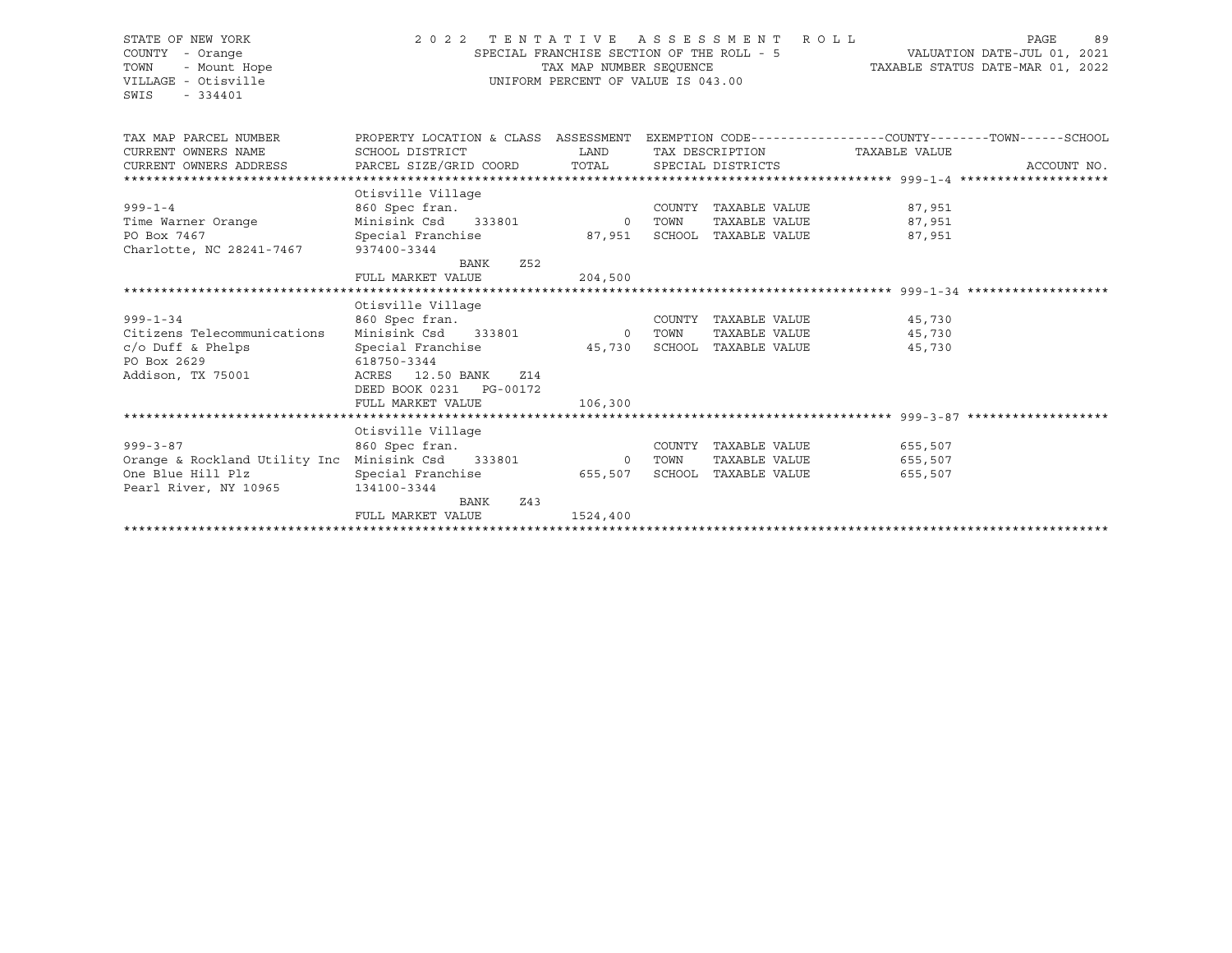#### STATE OF NEW YORK 2 0 2 2 T E N T A T I V E A S S E S S M E N T R O L L PAGE 89 COUNTY - Orange SPECIAL FRANCHISE SECTION OF THE ROLL - 5 VALUATION DATE-JUL 01, 2021 TOWN - Mount Hope TAX MAP NUMBER SEQUENCE TAXABLE STATUS DATE-MAR 01, 2022 VILLAGE - Otisville UNIFORM PERCENT OF VALUE IS 043.00

| TAX MAP PARCEL NUMBER                                                 | PROPERTY LOCATION & CLASS ASSESSMENT |                |        |                      |                               | EXEMPTION CODE-----------------COUNTY-------TOWN------SCHOOL |
|-----------------------------------------------------------------------|--------------------------------------|----------------|--------|----------------------|-------------------------------|--------------------------------------------------------------|
| CURRENT OWNERS NAME                                                   | SCHOOL DISTRICT                      | <b>LAND</b>    |        |                      | TAX DESCRIPTION TAXABLE VALUE |                                                              |
| CURRENT OWNERS ADDRESS BARCEL SIZE/GRID COORD TOTAL SPECIAL DISTRICTS |                                      |                |        |                      |                               | ACCOUNT NO.                                                  |
|                                                                       |                                      |                |        |                      |                               |                                                              |
|                                                                       | Otisville Village                    |                |        |                      |                               |                                                              |
| $999 - 1 - 4$                                                         | 860 Spec fran.                       |                | COUNTY |                      | TAXABLE VALUE 87,951          |                                                              |
| Time Warner Orange                                                    | Minisink Csd 333801 0 TOWN           |                |        | TAXABLE VALUE        | 87,951                        |                                                              |
| PO Box 7467                                                           | Special Franchise                    | 87,951         | SCHOOL | TAXABLE VALUE        | 87,951                        |                                                              |
| Charlotte, NC 28241-7467 937400-3344                                  |                                      |                |        |                      |                               |                                                              |
|                                                                       | Z <sub>52</sub><br>BANK              |                |        |                      |                               |                                                              |
|                                                                       | FULL MARKET VALUE                    | 204,500        |        |                      |                               |                                                              |
|                                                                       |                                      |                |        |                      |                               |                                                              |
|                                                                       | Otisville Village                    |                |        |                      |                               |                                                              |
| $999 - 1 - 34$                                                        |                                      |                |        | COUNTY TAXABLE VALUE | 45,730                        |                                                              |
| Citizens Telecommunications                                           |                                      | $\overline{0}$ | TOWN   | TAXABLE VALUE        | 45,730                        |                                                              |
| $c$ /o Duff & Phelps                                                  | Special Franchise 5,730              |                |        | SCHOOL TAXABLE VALUE | 45,730                        |                                                              |
| PO Box 2629                                                           | 618750-3344                          |                |        |                      |                               |                                                              |
| Addison, TX 75001                                                     | ACRES 12.50 BANK<br>Z14              |                |        |                      |                               |                                                              |
|                                                                       | DEED BOOK 0231 PG-00172              |                |        |                      |                               |                                                              |
|                                                                       | FULL MARKET VALUE                    | 106,300        |        |                      |                               |                                                              |
|                                                                       |                                      |                |        |                      |                               |                                                              |
|                                                                       | Otisville Village                    |                |        |                      |                               |                                                              |
| $999 - 3 - 87$                                                        | 860 Spec fran.                       |                |        | COUNTY TAXABLE VALUE | 655,507                       |                                                              |
| Orange & Rockland Utility Inc                                         | Minisink Csd 333801 0 TOWN           |                |        | TAXABLE VALUE        | 655,507                       |                                                              |
| One Blue Hill Plz                                                     |                                      |                | SCHOOL |                      |                               |                                                              |
|                                                                       | Special Franchise 655,507            |                |        | TAXABLE VALUE        | 655,507                       |                                                              |
| Pearl River, NY 10965                                                 | 134100-3344                          |                |        |                      |                               |                                                              |
|                                                                       | BANK<br>Z43                          |                |        |                      |                               |                                                              |
|                                                                       | FULL MARKET VALUE                    | 1524,400       |        |                      |                               |                                                              |
|                                                                       |                                      |                |        |                      |                               |                                                              |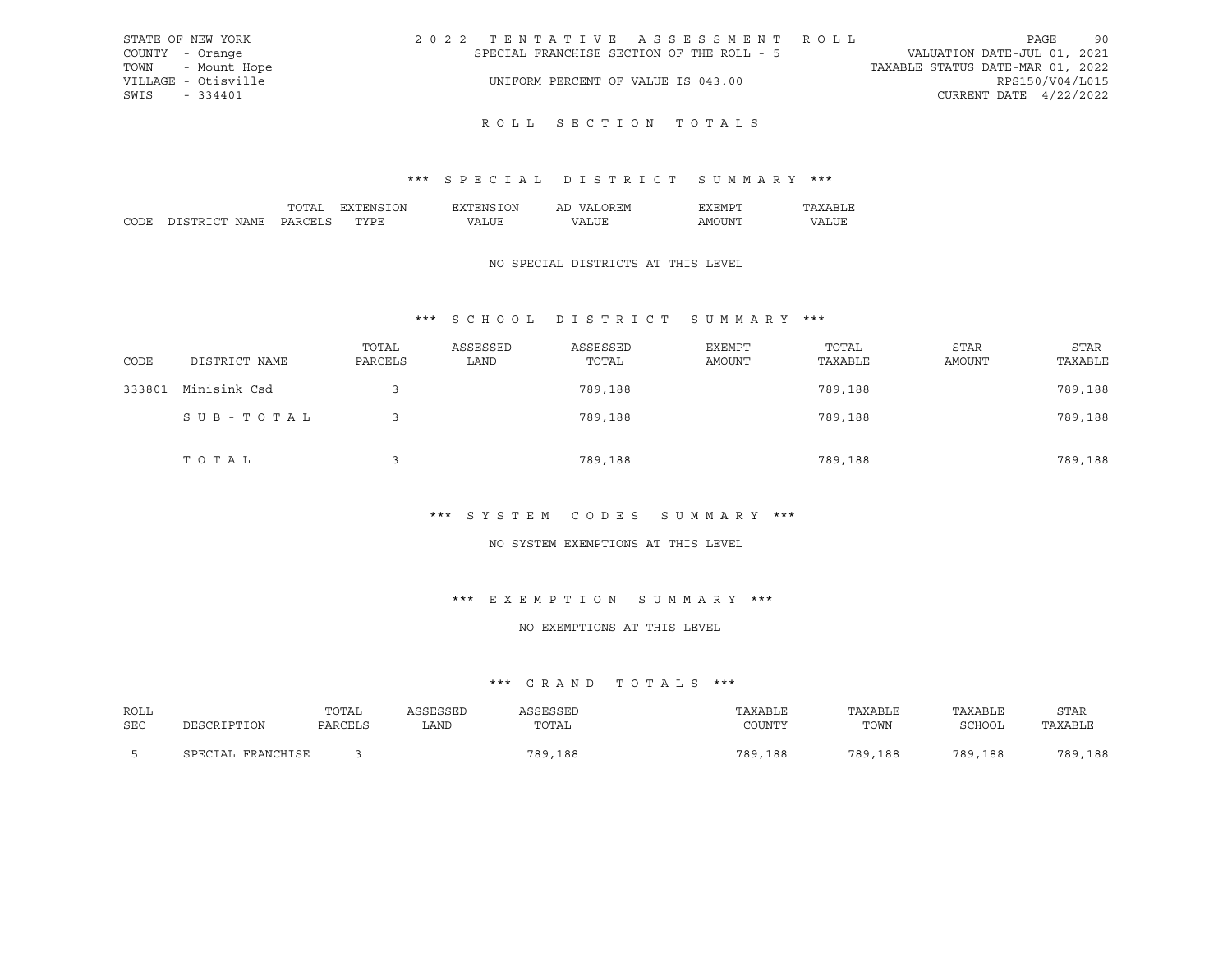| STATE OF NEW YORK   | 2022 TENTATIVE ASSESSMENT ROLL            | 90<br>PAGE                       |
|---------------------|-------------------------------------------|----------------------------------|
| COUNTY - Orange     | SPECIAL FRANCHISE SECTION OF THE ROLL - 5 | VALUATION DATE-JUL 01, 2021      |
| TOWN - Mount Hope   |                                           | TAXABLE STATUS DATE-MAR 01, 2022 |
| VILLAGE - Otisville | UNIFORM PERCENT OF VALUE IS 043.00        | RPS150/V04/L015                  |
| SWIS - 334401       |                                           | CURRENT DATE $4/22/2022$         |
|                     |                                           |                                  |

## \*\*\* S P E C I A L D I S T R I C T S U M M A R Y \*\*\*

|      |                     | ᠇ <i>᠆</i> | ΩN     | λN<br>' IN I | Αl             |                                                                                                                                                                                                                                                                                                                                                                                                                                                                                              |    |
|------|---------------------|------------|--------|--------------|----------------|----------------------------------------------------------------------------------------------------------------------------------------------------------------------------------------------------------------------------------------------------------------------------------------------------------------------------------------------------------------------------------------------------------------------------------------------------------------------------------------------|----|
| וחרי | $\cap$ mr<br>$\cap$ | י הדר      | .<br>້ | $\mathbf{v}$ | $\prime\prime$ | ∡ INP<br>ישו ב<br>$\frac{1}{2} \left( \frac{1}{2} \right) \left( \frac{1}{2} \right) \left( \frac{1}{2} \right) \left( \frac{1}{2} \right) \left( \frac{1}{2} \right) \left( \frac{1}{2} \right) \left( \frac{1}{2} \right) \left( \frac{1}{2} \right) \left( \frac{1}{2} \right) \left( \frac{1}{2} \right) \left( \frac{1}{2} \right) \left( \frac{1}{2} \right) \left( \frac{1}{2} \right) \left( \frac{1}{2} \right) \left( \frac{1}{2} \right) \left( \frac{1}{2} \right) \left( \frac$ | חי |

### NO SPECIAL DISTRICTS AT THIS LEVEL

## \*\*\* S C H O O L D I S T R I C T S U M M A R Y \*\*\*

| CODE   | DISTRICT NAME | TOTAL<br>PARCELS | ASSESSED<br>LAND | ASSESSED<br>TOTAL | EXEMPT<br>AMOUNT | TOTAL<br>TAXABLE | <b>STAR</b><br>AMOUNT | STAR<br>TAXABLE |
|--------|---------------|------------------|------------------|-------------------|------------------|------------------|-----------------------|-----------------|
| 333801 | Minisink Csd  |                  |                  | 789,188           |                  | 789,188          |                       | 789,188         |
|        | SUB-TOTAL     |                  |                  | 789,188           |                  | 789,188          |                       | 789,188         |
|        | TOTAL         |                  |                  | 789,188           |                  | 789,188          |                       | 789,188         |

#### \*\*\* S Y S T E M C O D E S S U M M A R Y \*\*\*

#### NO SYSTEM EXEMPTIONS AT THIS LEVEL

#### \*\*\* E X E M P T I O N S U M M A R Y \*\*\*

#### NO EXEMPTIONS AT THIS LEVEL

| ROLL | DESCRIPTION       | TOTAL   | ASSESSED | ASSESSED | TAXABLE | TAXABLE | TAXABLE | <b>STAR</b> |
|------|-------------------|---------|----------|----------|---------|---------|---------|-------------|
| SEC  |                   | PARCELS | LAND.    | TOTAL    | COUNTY  | TOWN    | SCHOOL  | TAXABLE     |
|      | SPECIAL FRANCHISE |         |          | 789,188  | 789,188 | 789,188 | 789,188 | 789,188     |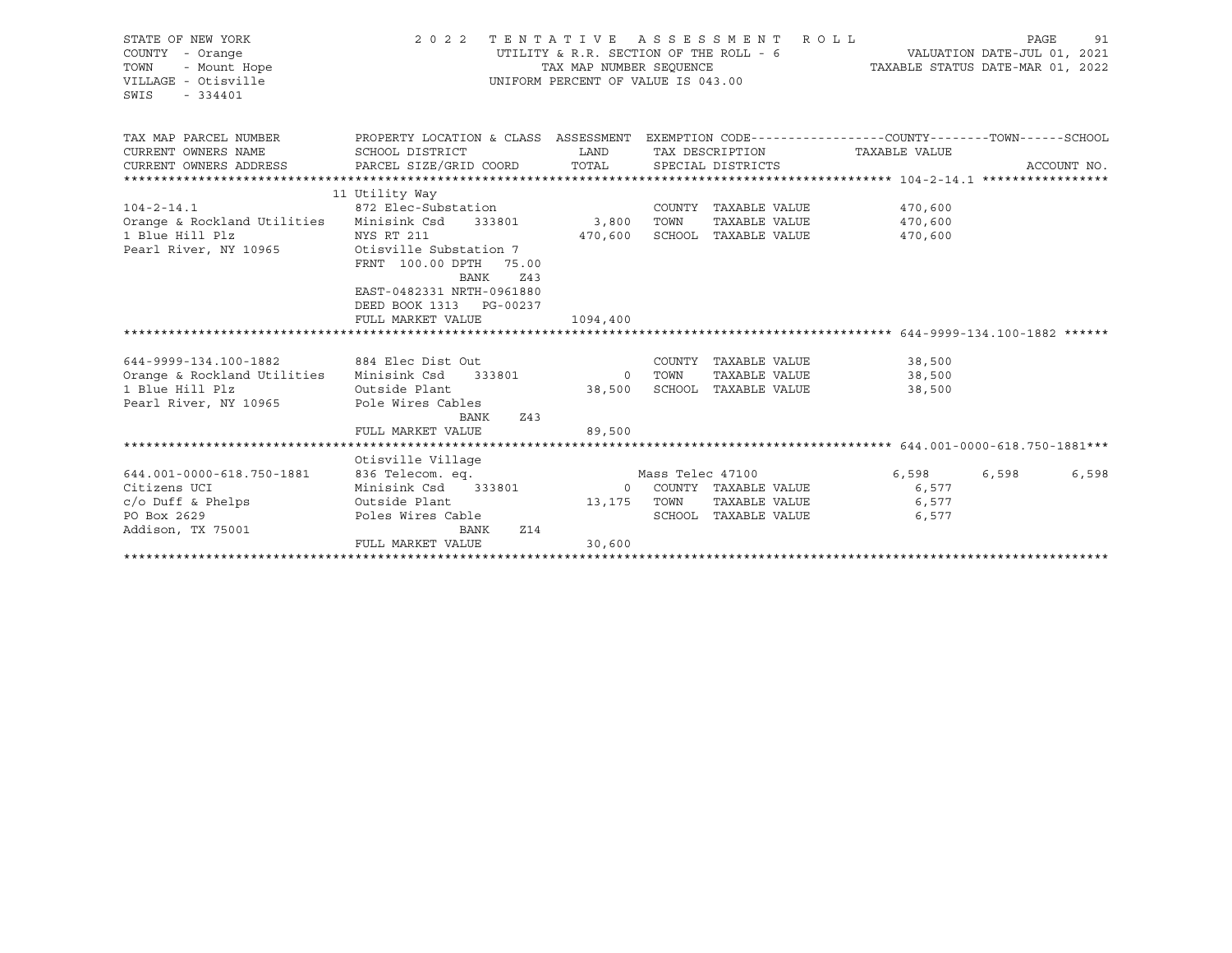| STATE OF NEW YORK<br>COUNTY - Orange<br>TOWN<br>- Mount Hope<br>VILLAGE - Otisville<br>SWIS<br>$-334401$ | 2 0 2 2                                                                                        | TAX MAP NUMBER SEOUENCE | TENTATIVE ASSESSMENT<br>UTILITY & R.R. SECTION OF THE ROLL - 6<br>UNIFORM PERCENT OF VALUE IS 043.00 | ROLL          | TAXABLE STATUS DATE-MAR 01, 2022 | PAGE<br>VALUATION DATE-JUL 01, 2021 | 91          |
|----------------------------------------------------------------------------------------------------------|------------------------------------------------------------------------------------------------|-------------------------|------------------------------------------------------------------------------------------------------|---------------|----------------------------------|-------------------------------------|-------------|
| TAX MAP PARCEL NUMBER                                                                                    | PROPERTY LOCATION & CLASS ASSESSMENT EXEMPTION CODE---------------COUNTY-------TOWN-----SCHOOL |                         |                                                                                                      |               |                                  |                                     |             |
| CURRENT OWNERS NAME                                                                                      | SCHOOL DISTRICT<br>PARCEL SIZE/GRID COORD                                                      | LAND<br>TOTAL           | TAX DESCRIPTION                                                                                      |               | TAXABLE VALUE                    |                                     |             |
| CURRENT OWNERS ADDRESS                                                                                   |                                                                                                |                         | SPECIAL DISTRICTS                                                                                    |               |                                  |                                     | ACCOUNT NO. |
|                                                                                                          | 11 Utility Way                                                                                 |                         |                                                                                                      |               |                                  |                                     |             |
| $104 - 2 - 14.1$                                                                                         | 872 Elec-Substation                                                                            |                         | COUNTY TAXABLE VALUE                                                                                 |               | 470,600                          |                                     |             |
| Orange & Rockland Utilities                                                                              | Minisink Csd 333801                                                                            | 3,800                   | TOWN                                                                                                 | TAXABLE VALUE | 470,600                          |                                     |             |
| 1 Blue Hill Plz                                                                                          | NYS RT 211                                                                                     | 470,600                 | SCHOOL TAXABLE VALUE                                                                                 |               | 470,600                          |                                     |             |
| Pearl River, NY 10965                                                                                    | Otisville Substation 7                                                                         |                         |                                                                                                      |               |                                  |                                     |             |
|                                                                                                          | FRNT 100.00 DPTH 75.00<br>BANK<br>Z43                                                          |                         |                                                                                                      |               |                                  |                                     |             |
|                                                                                                          | EAST-0482331 NRTH-0961880                                                                      |                         |                                                                                                      |               |                                  |                                     |             |
|                                                                                                          | DEED BOOK 1313 PG-00237                                                                        |                         |                                                                                                      |               |                                  |                                     |             |
|                                                                                                          | FULL MARKET VALUE                                                                              | 1094,400                |                                                                                                      |               |                                  |                                     |             |
|                                                                                                          |                                                                                                |                         |                                                                                                      |               |                                  |                                     |             |
|                                                                                                          |                                                                                                |                         |                                                                                                      |               |                                  |                                     |             |
| 644-9999-134.100-1882<br>Orange & Rockland Utilities                                                     | 884 Elec Dist Out<br>Minisink Csd 333801                                                       |                         | COUNTY TAXABLE VALUE<br>0 TOWN                                                                       | TAXABLE VALUE | 38,500<br>38,500                 |                                     |             |
| 1 Blue Hill Plz                                                                                          | Outside Plant                                                                                  | 38,500                  | SCHOOL TAXABLE VALUE                                                                                 |               | 38,500                           |                                     |             |
| Pearl River, NY 10965                                                                                    | Pole Wires Cables                                                                              |                         |                                                                                                      |               |                                  |                                     |             |
|                                                                                                          | Z43<br>BANK                                                                                    |                         |                                                                                                      |               |                                  |                                     |             |
|                                                                                                          | FULL MARKET VALUE                                                                              | 89,500                  |                                                                                                      |               |                                  |                                     |             |
|                                                                                                          |                                                                                                |                         |                                                                                                      |               |                                  |                                     |             |
|                                                                                                          | Otisville Village                                                                              |                         |                                                                                                      |               |                                  |                                     |             |
| 644.001-0000-618.750-1881                                                                                | 836 Telecom. eq.                                                                               |                         | Mass Telec 47100                                                                                     |               | 6,598                            | 6,598                               | 6,598       |
| Citizens UCI                                                                                             | Minisink Csd 333801                                                                            |                         | 0 COUNTY TAXABLE VALUE                                                                               |               | 6,577                            |                                     |             |
| $c$ /o Duff & Phelps<br>PO Box 2629                                                                      | Outside Plant<br>Poles Wires Cable                                                             | 13,175 TOWN             | SCHOOL TAXABLE VALUE                                                                                 | TAXABLE VALUE | 6,577<br>6,577                   |                                     |             |
| Addison, TX 75001                                                                                        | Z14<br>BANK                                                                                    |                         |                                                                                                      |               |                                  |                                     |             |
|                                                                                                          | FULL MARKET VALUE                                                                              | 30,600                  |                                                                                                      |               |                                  |                                     |             |
|                                                                                                          |                                                                                                |                         |                                                                                                      |               |                                  |                                     |             |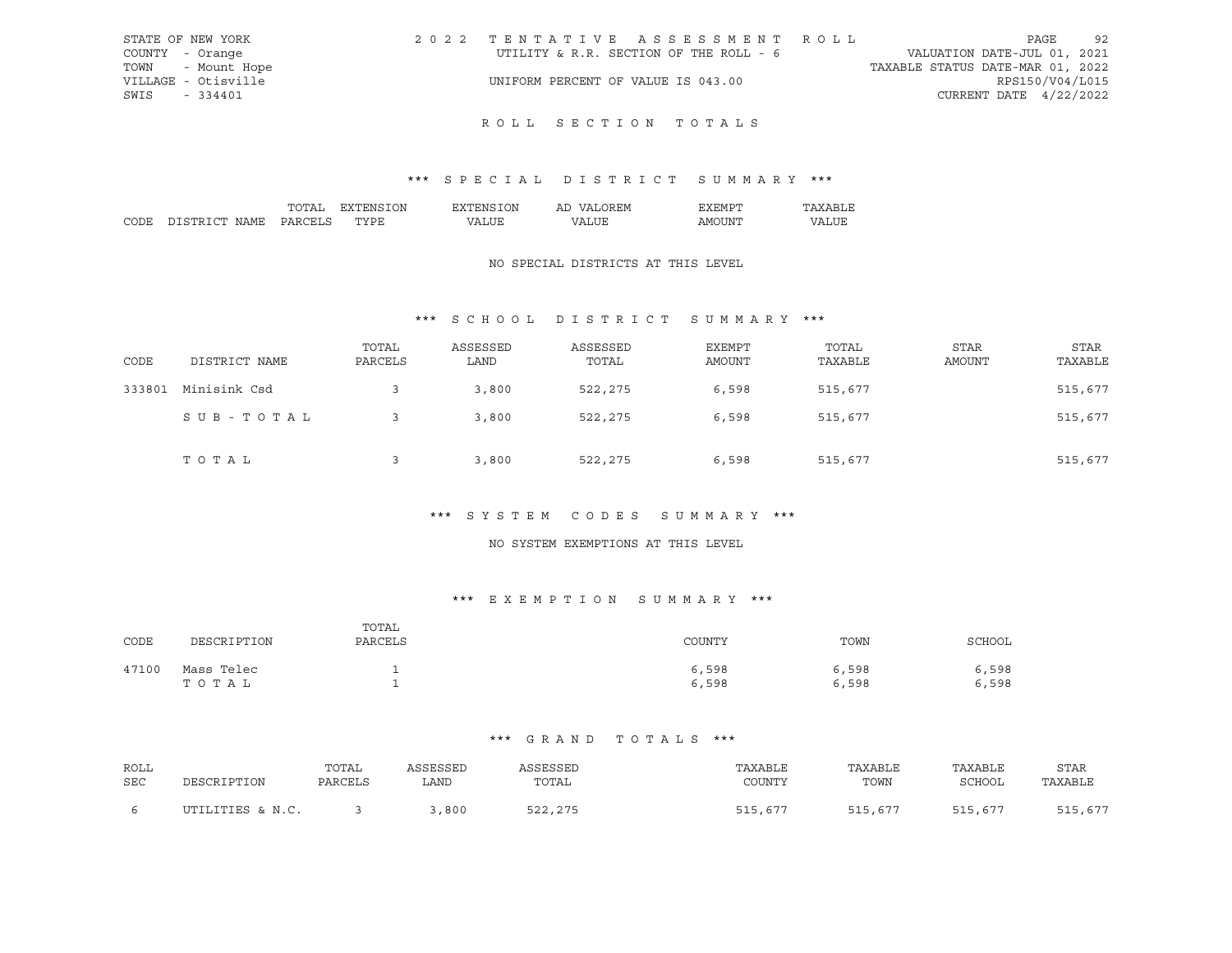|                 | STATE OF NEW YORK   | 2022 TENTATIVE ASSESSMENT ROLL         |  |                                  | PAGE            | 92 |
|-----------------|---------------------|----------------------------------------|--|----------------------------------|-----------------|----|
| COUNTY - Orange |                     | UTILITY & R.R. SECTION OF THE ROLL - 6 |  | VALUATION DATE-JUL 01, 2021      |                 |    |
|                 | TOWN - Mount Hope   |                                        |  | TAXABLE STATUS DATE-MAR 01, 2022 |                 |    |
|                 | VILLAGE - Otisville | UNIFORM PERCENT OF VALUE IS 043.00     |  |                                  | RPS150/V04/L015 |    |
| SWIS - 334401   |                     |                                        |  | CURRENT DATE $4/22/2022$         |                 |    |
|                 |                     |                                        |  |                                  |                 |    |

## \*\*\* S P E C I A L D I S T R I C T S U M M A R Y \*\*\*

|      |                     | ᠇ <i>᠆</i> | ΩN     | λN<br>' IN I | Αl             |                                                                                                                                                                                                                                                                                                                                                                                                                                                                                              |    |
|------|---------------------|------------|--------|--------------|----------------|----------------------------------------------------------------------------------------------------------------------------------------------------------------------------------------------------------------------------------------------------------------------------------------------------------------------------------------------------------------------------------------------------------------------------------------------------------------------------------------------|----|
| וחרי | $\cap$ mr<br>$\cap$ | י הדר      | .<br>້ | $\mathbf{v}$ | $\prime\prime$ | ∡ INP<br>ישו ב<br>$\frac{1}{2} \left( \frac{1}{2} \right) \left( \frac{1}{2} \right) \left( \frac{1}{2} \right) \left( \frac{1}{2} \right) \left( \frac{1}{2} \right) \left( \frac{1}{2} \right) \left( \frac{1}{2} \right) \left( \frac{1}{2} \right) \left( \frac{1}{2} \right) \left( \frac{1}{2} \right) \left( \frac{1}{2} \right) \left( \frac{1}{2} \right) \left( \frac{1}{2} \right) \left( \frac{1}{2} \right) \left( \frac{1}{2} \right) \left( \frac{1}{2} \right) \left( \frac$ | חי |

### NO SPECIAL DISTRICTS AT THIS LEVEL

## \*\*\* S C H O O L D I S T R I C T S U M M A R Y \*\*\*

| CODE   | DISTRICT NAME | TOTAL<br>PARCELS | ASSESSED<br>LAND | ASSESSED<br>TOTAL | <b>EXEMPT</b><br>AMOUNT | TOTAL<br>TAXABLE | <b>STAR</b><br>AMOUNT | <b>STAR</b><br>TAXABLE |
|--------|---------------|------------------|------------------|-------------------|-------------------------|------------------|-----------------------|------------------------|
| 333801 | Minisink Csd  |                  | 3,800            | 522,275           | 6,598                   | 515,677          |                       | 515,677                |
|        | SUB-TOTAL     |                  | 3,800            | 522,275           | 6,598                   | 515,677          |                       | 515,677                |
|        | TOTAL         |                  | 3,800            | 522,275           | 6,598                   | 515,677          |                       | 515,677                |

#### \*\*\* S Y S T E M C O D E S S U M M A R Y \*\*\*

### NO SYSTEM EXEMPTIONS AT THIS LEVEL

#### \*\*\* E X E M P T I O N S U M M A R Y \*\*\*

| CODE  | DESCRIPTION         | TOTAL<br>PARCELS | COUNTY         | TOWN           | SCHOOL         |
|-------|---------------------|------------------|----------------|----------------|----------------|
| 47100 | Mass Telec<br>TOTAL |                  | 6,598<br>6,598 | 6,598<br>6,598 | 6,598<br>6,598 |

| ROLL |                  | TOTAL   | ASSESSED | ASSESSED | TAXABLE | TAXABLE | TAXABLE       | <b>STAR</b> |
|------|------------------|---------|----------|----------|---------|---------|---------------|-------------|
| SEC  | DESCRIPTION      | PARCELS | LAND     | TOTAL    | COUNTY  | TOWN    | <b>SCHOOL</b> | TAXABLE     |
| -6   | UTILITIES & N.C. |         | 800      | 522,275  | 515,677 | 515,677 | 515,677       | 515,677     |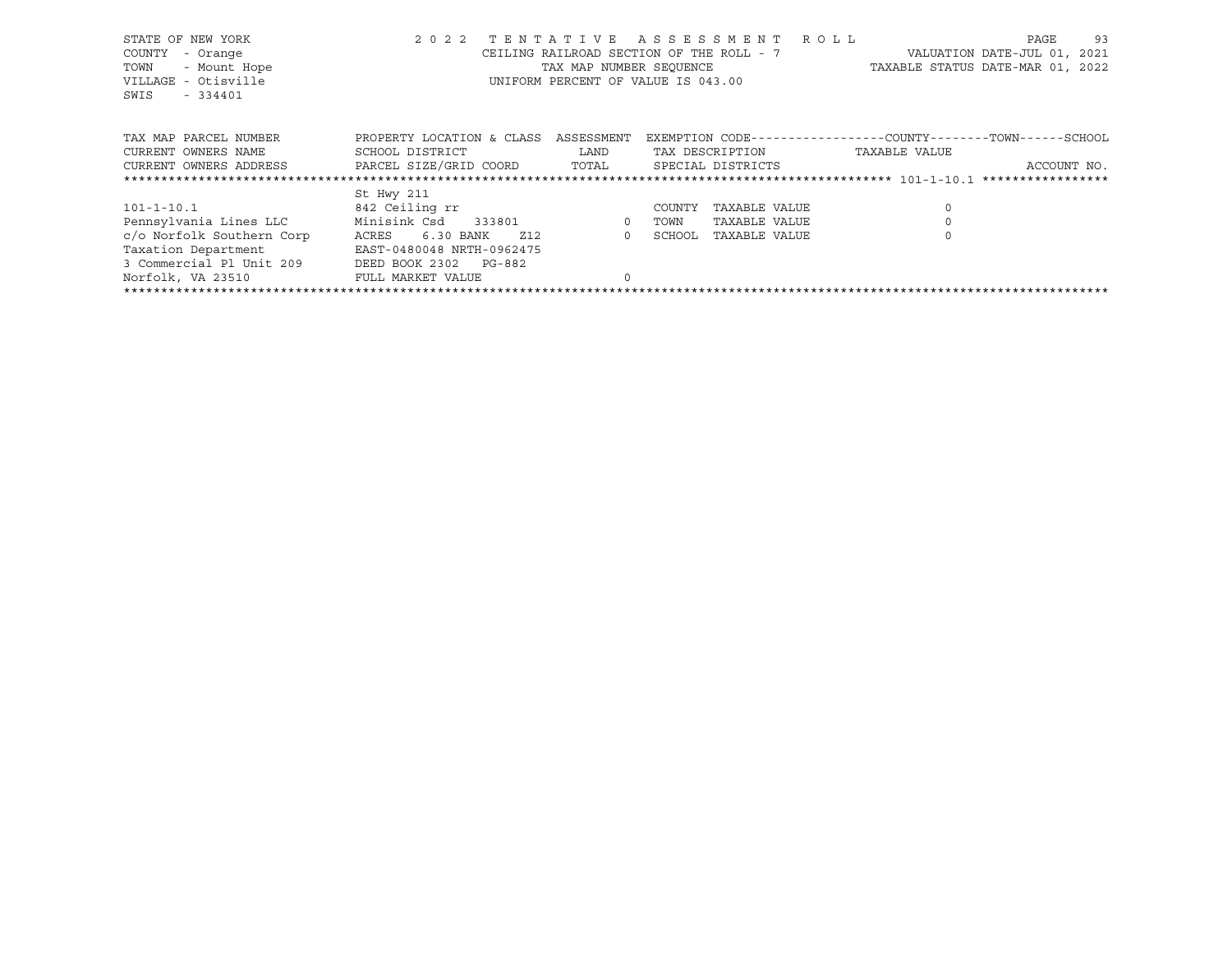| STATE OF NEW YORK<br>- Orange<br>COUNTY<br>TOWN<br>- Mount Hope<br>VILLAGE - Otisville<br>$-334401$<br>SWIS | 2 0 2 2                   | TENTATIVE  | A S S E S S M E N T<br>CEILING RAILROAD SECTION OF THE ROLL - 7<br>TAX MAP NUMBER SEQUENCE<br>UNIFORM PERCENT OF VALUE IS 043.00 | R O L L |               | PAGE<br>VALUATION DATE-JUL 01, 2021<br>TAXABLE STATUS DATE-MAR 01, 2022 | 93 |
|-------------------------------------------------------------------------------------------------------------|---------------------------|------------|----------------------------------------------------------------------------------------------------------------------------------|---------|---------------|-------------------------------------------------------------------------|----|
| TAX MAP PARCEL NUMBER                                                                                       | PROPERTY LOCATION & CLASS | ASSESSMENT | EXEMPTION CODE-----------------COUNTY-------TOWN------SCHOOL                                                                     |         |               |                                                                         |    |
| CURRENT OWNERS NAME                                                                                         | SCHOOL DISTRICT           | LAND       | TAX DESCRIPTION                                                                                                                  |         | TAXABLE VALUE |                                                                         |    |
| CURRENT OWNERS ADDRESS                                                                                      | PARCEL SIZE/GRID COORD    | TOTAL      | SPECIAL DISTRICTS                                                                                                                |         |               | ACCOUNT NO.                                                             |    |
|                                                                                                             |                           |            |                                                                                                                                  |         |               |                                                                         |    |
|                                                                                                             | St Hwy 211                |            |                                                                                                                                  |         |               |                                                                         |    |
| $101 - 1 - 10.1$                                                                                            | 842 Ceiling rr            |            | COUNTY<br>TAXABLE VALUE                                                                                                          |         | 0             |                                                                         |    |
| Pennsylvania Lines LLC                                                                                      | Minisink Csd<br>333801    | $\sim$ 0   | TAXABLE VALUE<br>TOWN                                                                                                            |         |               |                                                                         |    |
| c/o Norfolk Southern Corp                                                                                   | 6.30 BANK<br>Z12<br>ACRES | $\circ$    | TAXABLE VALUE<br>SCHOOL                                                                                                          |         |               |                                                                         |    |
| Taxation Department                                                                                         | EAST-0480048 NRTH-0962475 |            |                                                                                                                                  |         |               |                                                                         |    |
| 3 Commercial Pl Unit 209                                                                                    | DEED BOOK 2302<br>PG-882  |            |                                                                                                                                  |         |               |                                                                         |    |
| Norfolk, VA 23510                                                                                           | FULL MARKET VALUE         | $\Omega$   |                                                                                                                                  |         |               |                                                                         |    |
|                                                                                                             |                           |            |                                                                                                                                  |         |               |                                                                         |    |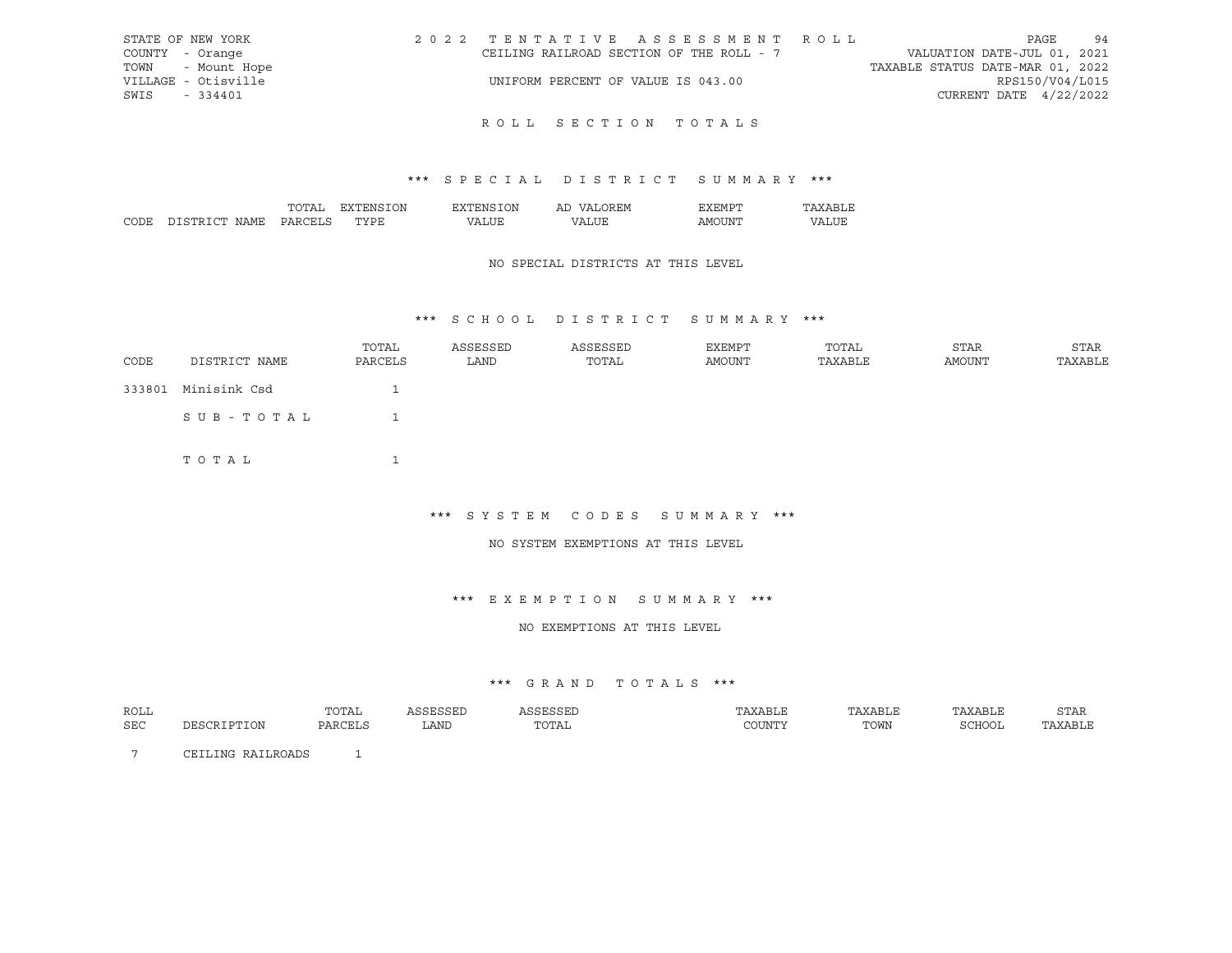| STATE OF NEW YORK   | 2022 TENTATIVE ASSESSMENT ROLL           | PAGE                             | 94              |
|---------------------|------------------------------------------|----------------------------------|-----------------|
| COUNTY - Orange     | CEILING RAILROAD SECTION OF THE ROLL - 7 | VALUATION DATE-JUL 01, 2021      |                 |
| TOWN - Mount Hope   |                                          | TAXABLE STATUS DATE-MAR 01, 2022 |                 |
| VILLAGE - Otisville | UNIFORM PERCENT OF VALUE IS 043.00       |                                  | RPS150/V04/L015 |
| SWIS<br>$-334401$   |                                          | CURRENT DATE $4/22/2022$         |                 |
|                     |                                          |                                  |                 |

## \*\*\* S P E C I A L D I S T R I C T S U M M A R Y \*\*\*

|                 | $\mathbf{r}$ | λN<br>∴NF         | ٦N | $\epsilon$<br>. .<br>-11 | . H.W H     |   |
|-----------------|--------------|-------------------|----|--------------------------|-------------|---|
| $\sim$<br>. ווי |              | $m \times m$<br>◡ |    | $^{\prime}$ $\wedge$     | - INI<br>ΔM | . |

### NO SPECIAL DISTRICTS AT THIS LEVEL

## \*\*\* S C H O O L D I S T R I C T S U M M A R Y \*\*\*

| CODE | DISTRICT NAME       | TOTAL<br>PARCELS | ASSESSED<br>LAND | ASSESSED<br>TOTAL | EXEMPT<br>AMOUNT | TOTAL<br>TAXABLE | STAR<br>AMOUNT | STAR<br>TAXABLE |
|------|---------------------|------------------|------------------|-------------------|------------------|------------------|----------------|-----------------|
|      | 333801 Minisink Csd |                  |                  |                   |                  |                  |                |                 |
|      | SUB-TOTAL           |                  |                  |                   |                  |                  |                |                 |
|      | TOTAL               | ᅩ                |                  |                   |                  |                  |                |                 |

\*\*\* S Y S T E M C O D E S S U M M A R Y \*\*\*

#### NO SYSTEM EXEMPTIONS AT THIS LEVEL

\*\*\* E X E M P T I O N S U M M A R Y \*\*\*

NO EXEMPTIONS AT THIS LEVEL

#### \*\*\* G R A N D T O T A L S \*\*\*

| ROLL       |                                         | TOTAL       |      |                                |      | $\cdots$ | ת החו<br>5 LAR |
|------------|-----------------------------------------|-------------|------|--------------------------------|------|----------|----------------|
| <b>SEC</b> | $\mathbf{H}$<br>$\pm$ $\pm$ $\sqrt{12}$ | $\sqrt{17}$ | LANI | $n \cap m \neq n$<br>. U 1 A 1 | TOWN | コモノモノエ   | ABLI           |

7 CEILING RAILROADS 1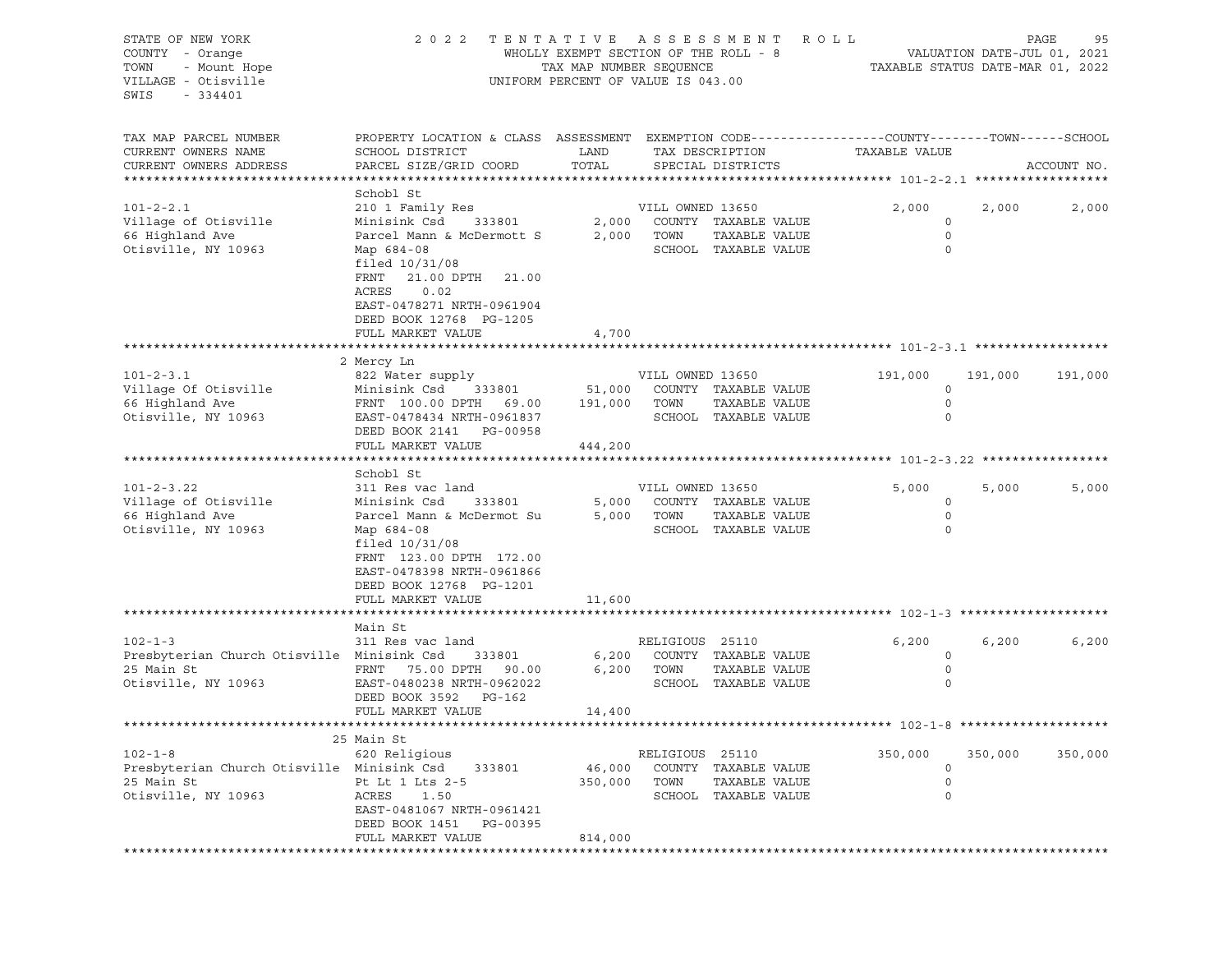| STATE OF NEW YORK<br>COUNTY - Orange<br>- Mount Hope<br>TOWN<br>VILLAGE - Otisville<br>SWIS<br>$-334401$ | 2 0 2 2                                                                                                                                                                                                           | TENTATIVE ASSESSMENT<br>WHOLLY EXEMPT SECTION OF THE ROLL - 8<br>TAX MAP NUMBER SEQUENCE<br>UNIFORM PERCENT OF VALUE IS 043.00 |                                             |                                                               | R O L L<br>TAXABLE STATUS DATE-MAR 01, 2022 |         | PAGE<br>95<br>VALUATION DATE-JUL 01, 2021 |
|----------------------------------------------------------------------------------------------------------|-------------------------------------------------------------------------------------------------------------------------------------------------------------------------------------------------------------------|--------------------------------------------------------------------------------------------------------------------------------|---------------------------------------------|---------------------------------------------------------------|---------------------------------------------|---------|-------------------------------------------|
| TAX MAP PARCEL NUMBER<br>CURRENT OWNERS NAME<br>CURRENT OWNERS ADDRESS                                   | PROPERTY LOCATION & CLASS ASSESSMENT EXEMPTION CODE---------------COUNTY-------TOWN------SCHOOL<br>SCHOOL DISTRICT<br>PARCEL SIZE/GRID COORD                                                                      | LAND<br>TOTAL                                                                                                                  |                                             | TAX DESCRIPTION<br>SPECIAL DISTRICTS                          | TAXABLE VALUE                               |         | ACCOUNT NO.                               |
|                                                                                                          | Schobl St                                                                                                                                                                                                         |                                                                                                                                |                                             |                                                               |                                             |         |                                           |
| $101 - 2 - 2.1$<br>Village of Otisville<br>66 Highland Ave<br>Otisville, NY 10963                        | 210 1 Family Res<br>Minisink Csd<br>333801<br>Parcel Mann & McDermott S<br>Map 684-08<br>filed $10/31/08$<br>FRNT<br>21.00 DPTH 21.00<br>ACRES<br>0.02                                                            | 2,000<br>2,000                                                                                                                 | VILL OWNED 13650<br>TOWN                    | COUNTY TAXABLE VALUE<br>TAXABLE VALUE<br>SCHOOL TAXABLE VALUE | 2,000<br>0<br>0<br>$\circ$                  | 2,000   | 2,000                                     |
|                                                                                                          | EAST-0478271 NRTH-0961904<br>DEED BOOK 12768 PG-1205                                                                                                                                                              |                                                                                                                                |                                             |                                                               |                                             |         |                                           |
|                                                                                                          | FULL MARKET VALUE                                                                                                                                                                                                 | 4,700                                                                                                                          |                                             |                                                               |                                             |         |                                           |
|                                                                                                          |                                                                                                                                                                                                                   |                                                                                                                                |                                             |                                                               |                                             |         |                                           |
| $101 - 2 - 3.1$<br>Village Of Otisville<br>66 Highland Ave<br>Otisville, NY 10963                        | 2 Mercy Ln<br>822 Water supply<br>Minisink Csd<br>333801<br>FRNT 100.00 DPTH 69.00<br>EAST-0478434 NRTH-0961837<br>DEED BOOK 2141 PG-00958                                                                        | 51,000<br>191,000                                                                                                              | VILL OWNED 13650<br>TOWN                    | COUNTY TAXABLE VALUE<br>TAXABLE VALUE<br>SCHOOL TAXABLE VALUE | 191,000<br>$\circ$<br>$\circ$<br>$\circ$    | 191,000 | 191,000                                   |
|                                                                                                          | FULL MARKET VALUE                                                                                                                                                                                                 | 444,200                                                                                                                        |                                             |                                                               |                                             |         |                                           |
|                                                                                                          | Schobl St                                                                                                                                                                                                         |                                                                                                                                |                                             |                                                               |                                             |         |                                           |
| $101 - 2 - 3.22$<br>Village of Otisville<br>66 Highland Ave<br>Otisville, NY 10963                       | 311 Res vac land<br>333801<br>Minisink Csd<br>Parcel Mann & McDermot Su<br>Map 684-08<br>filed $10/31/08$<br>FRNT 123.00 DPTH 172.00<br>EAST-0478398 NRTH-0961866<br>DEED BOOK 12768 PG-1201<br>FULL MARKET VALUE | 5,000<br>5,000<br>11,600                                                                                                       | VILL OWNED 13650<br>TOWN                    | COUNTY TAXABLE VALUE<br>TAXABLE VALUE<br>SCHOOL TAXABLE VALUE | 5,000<br>0<br>0<br>$\circ$                  | 5,000   | 5,000                                     |
|                                                                                                          |                                                                                                                                                                                                                   |                                                                                                                                |                                             |                                                               |                                             |         |                                           |
| $102 - 1 - 3$<br>Presbyterian Church Otisville Minisink Csd<br>25 Main St<br>Otisville, NY 10963         | Main St<br>311 Res vac land<br>333801<br>FRNT<br>75.00 DPTH<br>90.00<br>EAST-0480238 NRTH-0962022<br>DEED BOOK 3592<br>PG-162                                                                                     | 6,200<br>6,200                                                                                                                 | RELIGIOUS 25110<br>TOWN                     | COUNTY TAXABLE VALUE<br>TAXABLE VALUE<br>SCHOOL TAXABLE VALUE | 6,200<br>0<br>$\circ$<br>$\circ$            | 6,200   | 6,200                                     |
|                                                                                                          | FULL MARKET VALUE                                                                                                                                                                                                 | 14,400                                                                                                                         |                                             |                                                               |                                             |         |                                           |
|                                                                                                          |                                                                                                                                                                                                                   |                                                                                                                                |                                             |                                                               |                                             |         |                                           |
| $102 - 1 - 8$<br>Presbyterian Church Otisville Minisink Csd<br>25 Main St<br>Otisville, NY 10963         | 25 Main St<br>620 Religious<br>333801<br>Pt Lt 1 Lts 2-5<br>ACRES<br>1.50<br>EAST-0481067 NRTH-0961421                                                                                                            | 46,000<br>350,000                                                                                                              | RELIGIOUS 25110<br>COUNTY<br>TOWN<br>SCHOOL | TAXABLE VALUE<br>TAXABLE VALUE<br>TAXABLE VALUE               | 350,000<br>0<br>0<br>0                      | 350,000 | 350,000                                   |
|                                                                                                          | DEED BOOK 1451<br>PG-00395<br>FULL MARKET VALUE                                                                                                                                                                   | 814,000                                                                                                                        |                                             |                                                               |                                             |         |                                           |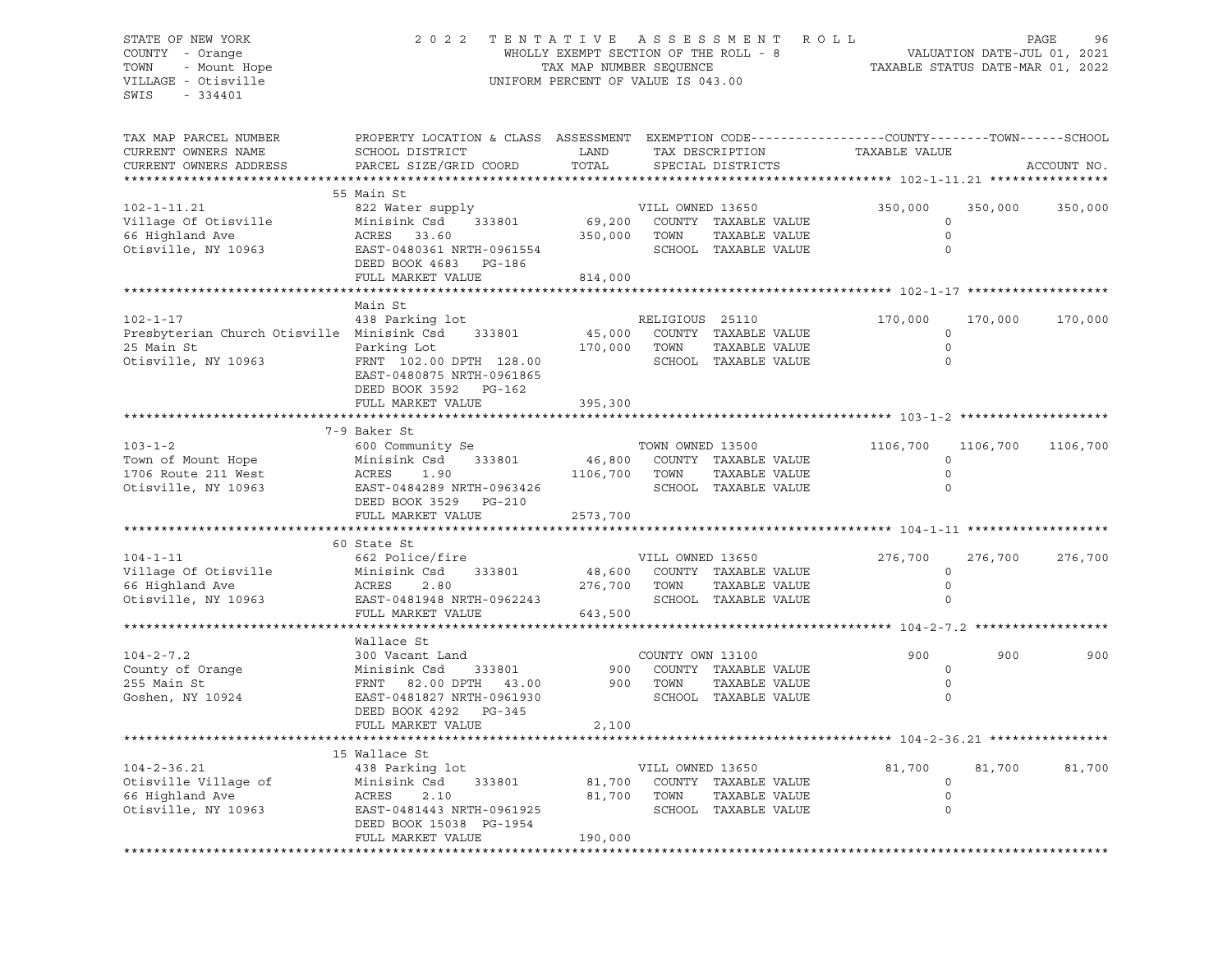### STATE OF NEW YORK 2 0 2 2 T E N T A T I V E A S S E S S M E N T R O L L PAGE 96 COUNTY - Orange WHOLLY EXEMPT SECTION OF THE ROLL - 8 VALUATION DATE-JUL 01, 2021 TOWN - Mount Hope TAX MAP NUMBER SEQUENCE TAXABLE STATUS DATE-MAR 01, 2022 VILLAGE - Otisville UNIFORM PERCENT OF VALUE IS 043.00

| TAX MAP PARCEL NUMBER<br>CURRENT OWNERS NAME | PROPERTY LOCATION & CLASS ASSESSMENT<br>SCHOOL DISTRICT | LAND     |                  | TAX DESCRIPTION      | EXEMPTION CODE-----------------COUNTY-------TOWN------SCHOOL<br>TAXABLE VALUE |          |             |
|----------------------------------------------|---------------------------------------------------------|----------|------------------|----------------------|-------------------------------------------------------------------------------|----------|-------------|
| CURRENT OWNERS ADDRESS                       | PARCEL SIZE/GRID COORD                                  | TOTAL    |                  | SPECIAL DISTRICTS    |                                                                               |          | ACCOUNT NO. |
|                                              |                                                         |          |                  |                      |                                                                               |          |             |
|                                              | 55 Main St                                              |          |                  |                      |                                                                               |          |             |
| $102 - 1 - 11.21$                            | 822 Water supply                                        |          | VILL OWNED 13650 |                      | 350,000                                                                       | 350,000  | 350,000     |
| Village Of Otisville                         | Minisink Csd<br>333801                                  | 69,200   |                  | COUNTY TAXABLE VALUE | $\Omega$                                                                      |          |             |
| 66 Highland Ave                              | ACRES<br>33.60                                          | 350,000  | TOWN             | TAXABLE VALUE        | $\circ$                                                                       |          |             |
| Otisville, NY 10963                          | EAST-0480361 NRTH-0961554                               |          |                  | SCHOOL TAXABLE VALUE | $\circ$                                                                       |          |             |
|                                              | DEED BOOK 4683<br>PG-186                                |          |                  |                      |                                                                               |          |             |
|                                              | FULL MARKET VALUE                                       | 814,000  |                  |                      |                                                                               |          |             |
|                                              |                                                         |          |                  |                      | *********** 102-1-17 ***********                                              |          |             |
|                                              | Main St                                                 |          |                  |                      |                                                                               |          |             |
| $102 - 1 - 17$                               | 438 Parking lot                                         |          | RELIGIOUS 25110  |                      | 170,000                                                                       | 170,000  | 170,000     |
| Presbyterian Church Otisville Minisink Csd   | 333801                                                  | 45,000   |                  | COUNTY TAXABLE VALUE | $\circ$                                                                       |          |             |
| 25 Main St                                   | Parking Lot                                             | 170,000  | TOWN             | TAXABLE VALUE        | $\circ$                                                                       |          |             |
| Otisville, NY 10963                          | FRNT 102.00 DPTH 128.00                                 |          |                  | SCHOOL TAXABLE VALUE | $\Omega$                                                                      |          |             |
|                                              | EAST-0480875 NRTH-0961865                               |          |                  |                      |                                                                               |          |             |
|                                              | DEED BOOK 3592 PG-162                                   |          |                  |                      |                                                                               |          |             |
|                                              | FULL MARKET VALUE                                       | 395,300  |                  |                      |                                                                               |          |             |
|                                              |                                                         |          |                  |                      |                                                                               |          |             |
|                                              | 7-9 Baker St                                            |          |                  |                      |                                                                               |          |             |
| $103 - 1 - 2$                                | 600 Community Se                                        |          | TOWN OWNED 13500 |                      | 1106,700                                                                      | 1106,700 | 1106,700    |
| Town of Mount Hope                           | Minisink Csd<br>333801                                  | 46,800   |                  | COUNTY TAXABLE VALUE | $\circ$                                                                       |          |             |
| 1706 Route 211 West                          | ACRES<br>1.90                                           | 1106,700 | TOWN             | TAXABLE VALUE        | $\circ$                                                                       |          |             |
| Otisville, NY 10963                          | EAST-0484289 NRTH-0963426                               |          |                  | SCHOOL TAXABLE VALUE | $\Omega$                                                                      |          |             |
|                                              | DEED BOOK 3529<br>PG-210                                |          |                  |                      |                                                                               |          |             |
|                                              | FULL MARKET VALUE                                       | 2573,700 |                  |                      |                                                                               |          |             |
|                                              |                                                         |          |                  |                      |                                                                               |          |             |
|                                              | 60 State St                                             |          |                  |                      |                                                                               |          |             |
| $104 - 1 - 11$                               | 662 Police/fire                                         |          | VILL OWNED 13650 |                      | 276,700                                                                       | 276,700  | 276,700     |
| Village Of Otisville                         | Minisink Csd<br>333801                                  | 48,600   |                  | COUNTY TAXABLE VALUE | $\circ$                                                                       |          |             |
| 66 Highland Ave                              | ACRES<br>2.80                                           | 276,700  | TOWN             | TAXABLE VALUE        | 0                                                                             |          |             |
| Otisville, NY 10963                          | EAST-0481948 NRTH-0962243                               |          |                  | SCHOOL TAXABLE VALUE | $\Omega$                                                                      |          |             |
|                                              | FULL MARKET VALUE                                       | 643,500  |                  |                      |                                                                               |          |             |
|                                              | **********************                                  |          |                  |                      | *********** 104-2-7.2 ****************                                        |          |             |
|                                              | Wallace St                                              |          |                  |                      |                                                                               |          |             |
| $104 - 2 - 7.2$                              | 300 Vacant Land                                         |          | COUNTY OWN 13100 |                      | 900                                                                           | 900      | 900         |
| County of Orange                             | Minisink Csd<br>333801                                  | 900      |                  | COUNTY TAXABLE VALUE | $\circ$                                                                       |          |             |
| 255 Main St                                  | 82.00 DPTH 43.00<br>FRNT                                | 900      | TOWN             | TAXABLE VALUE        | $\circ$<br>$\Omega$                                                           |          |             |
| Goshen, NY 10924                             | EAST-0481827 NRTH-0961930                               |          |                  | SCHOOL TAXABLE VALUE |                                                                               |          |             |
|                                              | DEED BOOK 4292<br>PG-345                                |          |                  |                      |                                                                               |          |             |
|                                              | FULL MARKET VALUE                                       | 2,100    |                  |                      |                                                                               |          |             |
|                                              | 15 Wallace St                                           |          |                  |                      |                                                                               |          |             |
| $104 - 2 - 36.21$                            | 438 Parking lot                                         |          | VILL OWNED 13650 |                      | 81,700                                                                        | 81,700   | 81,700      |
| Otisville Village of                         | Minisink Csd<br>333801                                  | 81,700   |                  | COUNTY TAXABLE VALUE | 0                                                                             |          |             |
| 66 Highland Ave                              | ACRES<br>2.10                                           | 81,700   | TOWN             | TAXABLE VALUE        | 0                                                                             |          |             |
| Otisville, NY 10963                          | EAST-0481443 NRTH-0961925                               |          |                  | SCHOOL TAXABLE VALUE | 0                                                                             |          |             |
|                                              | DEED BOOK 15038 PG-1954                                 |          |                  |                      |                                                                               |          |             |
|                                              | FULL MARKET VALUE                                       | 190,000  |                  |                      |                                                                               |          |             |
|                                              |                                                         |          |                  |                      |                                                                               |          |             |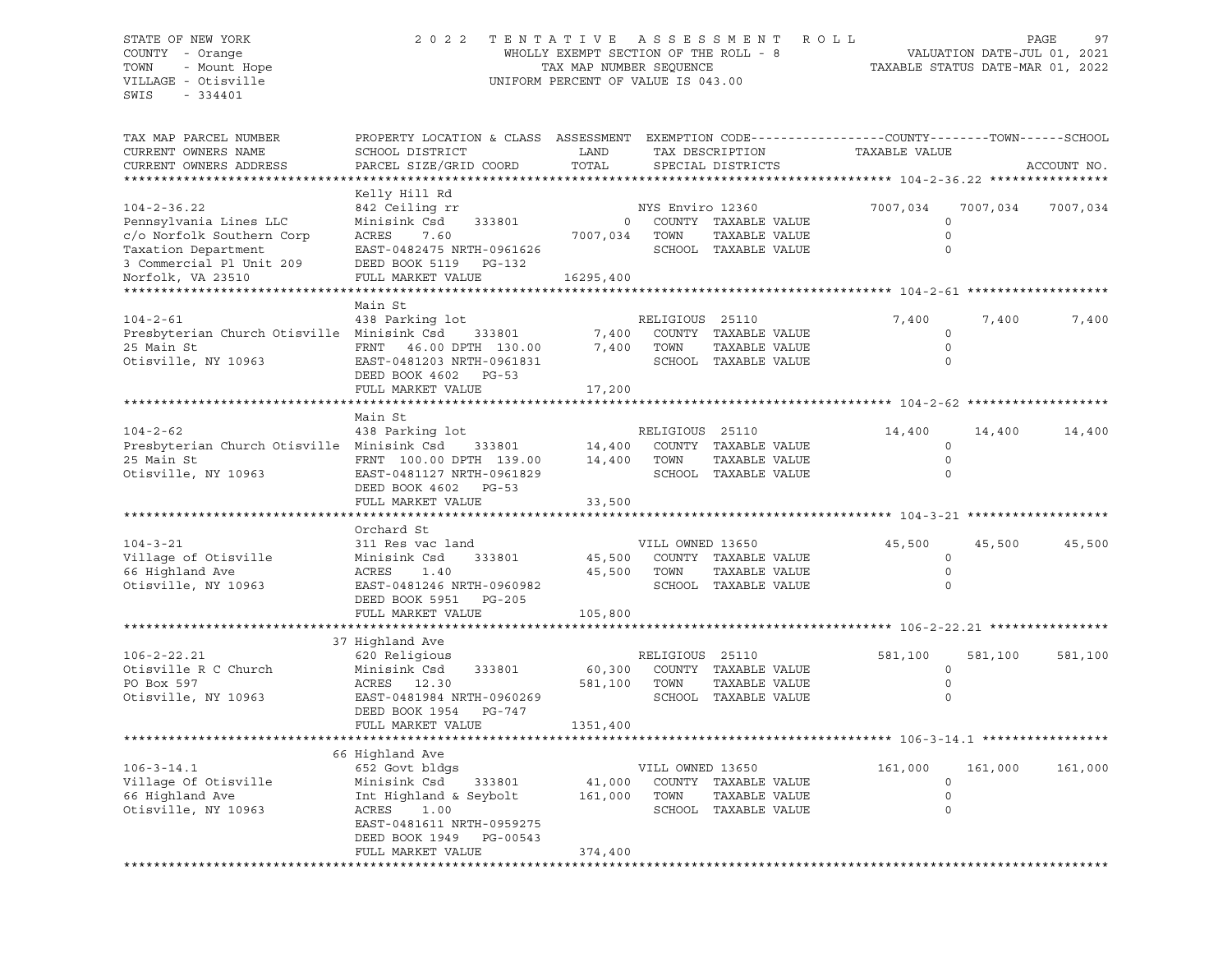### STATE OF NEW YORK 2 0 2 2 T E N T A T I V E A S S E S S M E N T R O L L PAGE 97 COUNTY - Orange WHOLLY EXEMPT SECTION OF THE ROLL - 8 VALUATION DATE-JUL 01, 2021 TOWN - Mount Hope TAX MAP NUMBER SEQUENCE TAXABLE STATUS DATE-MAR 01, 2022 VILLAGE - Otisville UNIFORM PERCENT OF VALUE IS 043.00

| Kelly Hill Rd<br>842 Ceiling rr<br>NYS Enviro 12360<br>7007,034<br>7007,034<br>7007,034<br>COUNTY TAXABLE VALUE<br>Minisink Csd<br>$\mathbf{0}$<br>$\circ$<br>333801<br>ACRES<br>TAXABLE VALUE<br>$\circ$<br>7.60<br>7007,034<br>TOWN<br>SCHOOL TAXABLE VALUE<br>$\mathbf 0$<br>EAST-0482475 NRTH-0961626<br>DEED BOOK 5119 PG-132<br>FULL MARKET VALUE<br>16295,400<br>Main St<br>438 Parking lot<br>7,400<br>RELIGIOUS 25110<br>7,400<br>7,400<br>Presbyterian Church Otisville Minisink Csd<br>COUNTY TAXABLE VALUE<br>7,400<br>333801<br>$\circ$<br>FRNT 46.00 DPTH 130.00<br>7,400<br>TOWN<br>TAXABLE VALUE<br>$\circ$<br>$\mathbf 0$<br>EAST-0481203 NRTH-0961831<br>SCHOOL TAXABLE VALUE<br>DEED BOOK 4602 PG-53<br>FULL MARKET VALUE<br>17,200<br>Main St<br>438 Parking lot<br>RELIGIOUS 25110<br>14,400<br>14,400<br>14,400<br>Presbyterian Church Otisville Minisink Csd<br>14,400<br>COUNTY TAXABLE VALUE<br>333801<br>$\circ$<br>14,400<br>TOWN<br>TAXABLE VALUE<br>FRNT 100.00 DPTH 139.00<br>$\Omega$<br>SCHOOL TAXABLE VALUE<br>$\circ$<br>EAST-0481127 NRTH-0961829<br>DEED BOOK 4602<br>$PG-53$<br>FULL MARKET VALUE<br>33,500<br>Orchard St<br>311 Res vac land<br>VILL OWNED 13650<br>45,500<br>45,500<br>45,500<br>45,500<br>COUNTY TAXABLE VALUE<br>$\circ$<br>Minisink Csd<br>333801<br>$\mathbf 0$<br>ACRES<br>1.40<br>45,500<br>TOWN<br>TAXABLE VALUE<br>SCHOOL TAXABLE VALUE<br>$\mathbf 0$<br>EAST-0481246 NRTH-0960982<br>DEED BOOK 5951<br>PG-205<br>FULL MARKET VALUE<br>105,800<br>37 Highland Ave<br>620 Religious<br>RELIGIOUS 25110<br>581,100<br>581,100<br>581,100<br>$\circ$<br>Minisink Csd<br>333801<br>60,300<br>COUNTY TAXABLE VALUE<br>TAXABLE VALUE<br>ACRES 12.30<br>581,100<br>TOWN<br>$\circ$<br>SCHOOL TAXABLE VALUE<br>$\Omega$<br>EAST-0481984 NRTH-0960269<br>DEED BOOK 1954<br>PG-747<br>1351,400<br>FULL MARKET VALUE<br>66 Highland Ave<br>652 Govt bldgs<br>VILL OWNED 13650<br>161,000<br>161,000<br>161,000<br>Minisink Csd<br>COUNTY TAXABLE VALUE<br>$\mathbf 0$<br>333801<br>41,000<br>Int Highland & Seybolt<br>161,000<br>TOWN<br>TAXABLE VALUE<br>$\circ$<br>ACRES<br>1.00<br>SCHOOL TAXABLE VALUE<br>$\Omega$<br>EAST-0481611 NRTH-0959275<br>DEED BOOK 1949<br>PG-00543<br>FULL MARKET VALUE<br>374,400 | TAX MAP PARCEL NUMBER<br>CURRENT OWNERS NAME<br>CURRENT OWNERS ADDRESS                                                                           | PROPERTY LOCATION & CLASS ASSESSMENT EXEMPTION CODE----------------COUNTY-------TOWN------SCHOOL<br>SCHOOL DISTRICT<br>PARCEL SIZE/GRID COORD | LAND<br>TOTAL | TAX DESCRIPTION<br>SPECIAL DISTRICTS | TAXABLE VALUE | ACCOUNT NO. |
|-------------------------------------------------------------------------------------------------------------------------------------------------------------------------------------------------------------------------------------------------------------------------------------------------------------------------------------------------------------------------------------------------------------------------------------------------------------------------------------------------------------------------------------------------------------------------------------------------------------------------------------------------------------------------------------------------------------------------------------------------------------------------------------------------------------------------------------------------------------------------------------------------------------------------------------------------------------------------------------------------------------------------------------------------------------------------------------------------------------------------------------------------------------------------------------------------------------------------------------------------------------------------------------------------------------------------------------------------------------------------------------------------------------------------------------------------------------------------------------------------------------------------------------------------------------------------------------------------------------------------------------------------------------------------------------------------------------------------------------------------------------------------------------------------------------------------------------------------------------------------------------------------------------------------------------------------------------------------------------------------------------------------------------------------------------------------------------------------------------------------------------------------------------------------------------------------------------------------------------------------------------------------|--------------------------------------------------------------------------------------------------------------------------------------------------|-----------------------------------------------------------------------------------------------------------------------------------------------|---------------|--------------------------------------|---------------|-------------|
|                                                                                                                                                                                                                                                                                                                                                                                                                                                                                                                                                                                                                                                                                                                                                                                                                                                                                                                                                                                                                                                                                                                                                                                                                                                                                                                                                                                                                                                                                                                                                                                                                                                                                                                                                                                                                                                                                                                                                                                                                                                                                                                                                                                                                                                                         |                                                                                                                                                  |                                                                                                                                               |               |                                      |               |             |
|                                                                                                                                                                                                                                                                                                                                                                                                                                                                                                                                                                                                                                                                                                                                                                                                                                                                                                                                                                                                                                                                                                                                                                                                                                                                                                                                                                                                                                                                                                                                                                                                                                                                                                                                                                                                                                                                                                                                                                                                                                                                                                                                                                                                                                                                         | $104 - 2 - 36.22$<br>Pennsylvania Lines LLC<br>c/o Norfolk Southern Corp<br>Taxation Department<br>3 Commercial Pl Unit 209<br>Norfolk, VA 23510 |                                                                                                                                               |               |                                      |               |             |
|                                                                                                                                                                                                                                                                                                                                                                                                                                                                                                                                                                                                                                                                                                                                                                                                                                                                                                                                                                                                                                                                                                                                                                                                                                                                                                                                                                                                                                                                                                                                                                                                                                                                                                                                                                                                                                                                                                                                                                                                                                                                                                                                                                                                                                                                         |                                                                                                                                                  |                                                                                                                                               |               |                                      |               |             |
|                                                                                                                                                                                                                                                                                                                                                                                                                                                                                                                                                                                                                                                                                                                                                                                                                                                                                                                                                                                                                                                                                                                                                                                                                                                                                                                                                                                                                                                                                                                                                                                                                                                                                                                                                                                                                                                                                                                                                                                                                                                                                                                                                                                                                                                                         | $104 - 2 - 61$<br>25 Main St<br>Otisville, NY 10963                                                                                              |                                                                                                                                               |               |                                      |               |             |
|                                                                                                                                                                                                                                                                                                                                                                                                                                                                                                                                                                                                                                                                                                                                                                                                                                                                                                                                                                                                                                                                                                                                                                                                                                                                                                                                                                                                                                                                                                                                                                                                                                                                                                                                                                                                                                                                                                                                                                                                                                                                                                                                                                                                                                                                         |                                                                                                                                                  |                                                                                                                                               |               |                                      |               |             |
|                                                                                                                                                                                                                                                                                                                                                                                                                                                                                                                                                                                                                                                                                                                                                                                                                                                                                                                                                                                                                                                                                                                                                                                                                                                                                                                                                                                                                                                                                                                                                                                                                                                                                                                                                                                                                                                                                                                                                                                                                                                                                                                                                                                                                                                                         |                                                                                                                                                  |                                                                                                                                               |               |                                      |               |             |
|                                                                                                                                                                                                                                                                                                                                                                                                                                                                                                                                                                                                                                                                                                                                                                                                                                                                                                                                                                                                                                                                                                                                                                                                                                                                                                                                                                                                                                                                                                                                                                                                                                                                                                                                                                                                                                                                                                                                                                                                                                                                                                                                                                                                                                                                         | $104 - 2 - 62$<br>25 Main St<br>Otisville, NY 10963                                                                                              |                                                                                                                                               |               |                                      |               |             |
|                                                                                                                                                                                                                                                                                                                                                                                                                                                                                                                                                                                                                                                                                                                                                                                                                                                                                                                                                                                                                                                                                                                                                                                                                                                                                                                                                                                                                                                                                                                                                                                                                                                                                                                                                                                                                                                                                                                                                                                                                                                                                                                                                                                                                                                                         |                                                                                                                                                  |                                                                                                                                               |               |                                      |               |             |
|                                                                                                                                                                                                                                                                                                                                                                                                                                                                                                                                                                                                                                                                                                                                                                                                                                                                                                                                                                                                                                                                                                                                                                                                                                                                                                                                                                                                                                                                                                                                                                                                                                                                                                                                                                                                                                                                                                                                                                                                                                                                                                                                                                                                                                                                         |                                                                                                                                                  |                                                                                                                                               |               |                                      |               |             |
|                                                                                                                                                                                                                                                                                                                                                                                                                                                                                                                                                                                                                                                                                                                                                                                                                                                                                                                                                                                                                                                                                                                                                                                                                                                                                                                                                                                                                                                                                                                                                                                                                                                                                                                                                                                                                                                                                                                                                                                                                                                                                                                                                                                                                                                                         | $104 - 3 - 21$<br>Village of Otisville<br>66 Highland Ave<br>Otisville, NY 10963                                                                 |                                                                                                                                               |               |                                      |               |             |
|                                                                                                                                                                                                                                                                                                                                                                                                                                                                                                                                                                                                                                                                                                                                                                                                                                                                                                                                                                                                                                                                                                                                                                                                                                                                                                                                                                                                                                                                                                                                                                                                                                                                                                                                                                                                                                                                                                                                                                                                                                                                                                                                                                                                                                                                         |                                                                                                                                                  |                                                                                                                                               |               |                                      |               |             |
|                                                                                                                                                                                                                                                                                                                                                                                                                                                                                                                                                                                                                                                                                                                                                                                                                                                                                                                                                                                                                                                                                                                                                                                                                                                                                                                                                                                                                                                                                                                                                                                                                                                                                                                                                                                                                                                                                                                                                                                                                                                                                                                                                                                                                                                                         | $106 - 2 - 22.21$<br>Otisville R C Church<br>PO Box 597<br>Otisville, NY 10963                                                                   |                                                                                                                                               |               |                                      |               |             |
|                                                                                                                                                                                                                                                                                                                                                                                                                                                                                                                                                                                                                                                                                                                                                                                                                                                                                                                                                                                                                                                                                                                                                                                                                                                                                                                                                                                                                                                                                                                                                                                                                                                                                                                                                                                                                                                                                                                                                                                                                                                                                                                                                                                                                                                                         |                                                                                                                                                  |                                                                                                                                               |               |                                      |               |             |
|                                                                                                                                                                                                                                                                                                                                                                                                                                                                                                                                                                                                                                                                                                                                                                                                                                                                                                                                                                                                                                                                                                                                                                                                                                                                                                                                                                                                                                                                                                                                                                                                                                                                                                                                                                                                                                                                                                                                                                                                                                                                                                                                                                                                                                                                         |                                                                                                                                                  |                                                                                                                                               |               |                                      |               |             |
|                                                                                                                                                                                                                                                                                                                                                                                                                                                                                                                                                                                                                                                                                                                                                                                                                                                                                                                                                                                                                                                                                                                                                                                                                                                                                                                                                                                                                                                                                                                                                                                                                                                                                                                                                                                                                                                                                                                                                                                                                                                                                                                                                                                                                                                                         | $106 - 3 - 14.1$<br>Village Of Otisville<br>66 Highland Ave<br>Otisville, NY 10963                                                               |                                                                                                                                               |               |                                      |               |             |
|                                                                                                                                                                                                                                                                                                                                                                                                                                                                                                                                                                                                                                                                                                                                                                                                                                                                                                                                                                                                                                                                                                                                                                                                                                                                                                                                                                                                                                                                                                                                                                                                                                                                                                                                                                                                                                                                                                                                                                                                                                                                                                                                                                                                                                                                         |                                                                                                                                                  |                                                                                                                                               |               |                                      |               |             |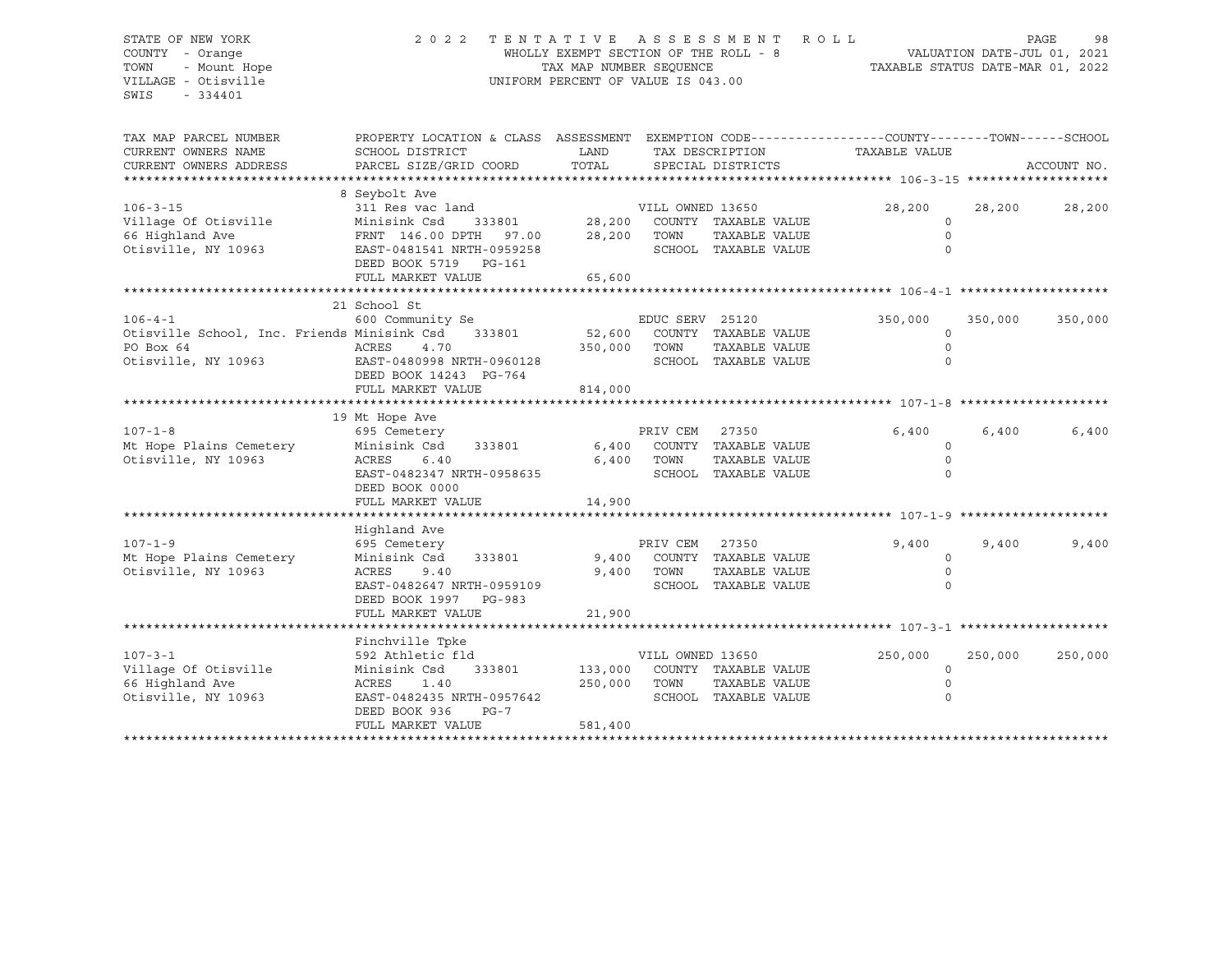### STATE OF NEW YORK 2 0 2 2 T E N T A T I V E A S S E S S M E N T R O L L PAGE 98 COUNTY - Orange WHOLLY EXEMPT SECTION OF THE ROLL - 8 VALUATION DATE-JUL 01, 2021 TOWN - Mount Hope TAX MAP NUMBER SEQUENCE TAXABLE STATUS DATE-MAR 01, 2022 VILLAGE - Otisville UNIFORM PERCENT OF VALUE IS 043.00

| SCHOOL DISTRICT<br>PARCEL SIZE/GRID COORD                                                                                                                           | LAND<br>TOTAL                                                                                                                                                     |                  |                                                                                               | TAXABLE VALUE                                                                                                                                                                                                                                                                                                                         |                 | ACCOUNT NO.                                                  |
|---------------------------------------------------------------------------------------------------------------------------------------------------------------------|-------------------------------------------------------------------------------------------------------------------------------------------------------------------|------------------|-----------------------------------------------------------------------------------------------|---------------------------------------------------------------------------------------------------------------------------------------------------------------------------------------------------------------------------------------------------------------------------------------------------------------------------------------|-----------------|--------------------------------------------------------------|
|                                                                                                                                                                     |                                                                                                                                                                   |                  |                                                                                               |                                                                                                                                                                                                                                                                                                                                       |                 |                                                              |
| 8 Seybolt Ave<br>311 Res vac land<br>Minisink Csd<br>333801<br>FRNT 146.00 DPTH 97.00<br>EAST-0481541 NRTH-0959258<br>DEED BOOK 5719<br>PG-161<br>FULL MARKET VALUE | 28,200<br>65,600                                                                                                                                                  | TOWN             | TAXABLE VALUE                                                                                 | 28,200<br>$\circ$<br>$\Omega$                                                                                                                                                                                                                                                                                                         | 28,200          | 28,200                                                       |
|                                                                                                                                                                     |                                                                                                                                                                   |                  |                                                                                               |                                                                                                                                                                                                                                                                                                                                       |                 |                                                              |
| 21 School St<br>600 Community Se<br>333801<br>ACRES<br>4.70<br>EAST-0480998 NRTH-0960128<br>DEED BOOK 14243 PG-764<br>FULL MARKET VALUE                             | 52,600<br>350,000<br>814,000                                                                                                                                      | TOWN             | TAXABLE VALUE                                                                                 | 350,000<br>$\circ$<br>$\Omega$<br>$\Omega$                                                                                                                                                                                                                                                                                            | 350,000         | 350,000                                                      |
|                                                                                                                                                                     |                                                                                                                                                                   |                  |                                                                                               |                                                                                                                                                                                                                                                                                                                                       |                 |                                                              |
| 695 Cemetery<br>Minisink Csd<br>333801<br>6.40<br>ACRES<br>EAST-0482347 NRTH-0958635<br>DEED BOOK 0000                                                              |                                                                                                                                                                   | PRIV CEM<br>TOWN | TAXABLE VALUE                                                                                 | 6,400<br>$\circ$<br>$\Omega$<br>$\Omega$                                                                                                                                                                                                                                                                                              | 6,400           | 6,400                                                        |
|                                                                                                                                                                     |                                                                                                                                                                   |                  |                                                                                               |                                                                                                                                                                                                                                                                                                                                       |                 |                                                              |
| Highland Ave<br>695 Cemetery<br>Minisink Csd<br>333801<br>ACRES<br>9.40<br>EAST-0482647 NRTH-0959109<br>DEED BOOK 1997 PG-983<br>FULL MARKET VALUE                  | 21,900                                                                                                                                                            | PRIV CEM<br>TOWN | 27350<br>TAXABLE VALUE                                                                        | 9,400<br>$\circ$                                                                                                                                                                                                                                                                                                                      | 9,400           | 9,400                                                        |
|                                                                                                                                                                     |                                                                                                                                                                   |                  |                                                                                               |                                                                                                                                                                                                                                                                                                                                       |                 |                                                              |
| Finchville Tpke<br>592 Athletic fld<br>Minisink Csd<br>333801<br>1.40<br>ACRES<br>EAST-0482435 NRTH-0957642<br>DEED BOOK 936<br>$PG-7$<br>FULL MARKET VALUE         | 250,000<br>581,400                                                                                                                                                | TOWN             | TAXABLE VALUE                                                                                 | 250,000<br>$\Omega$                                                                                                                                                                                                                                                                                                                   | 250,000         | 250,000                                                      |
|                                                                                                                                                                     | *********************<br>Otisville School, Inc. Friends Minisink Csd<br>19 Mt Hope Ave<br>Mt Hope Plains Cemetery<br>FULL MARKET VALUE<br>Mt Hope Plains Cemetery | 14,900           | PROPERTY LOCATION & CLASS ASSESSMENT<br>28,200<br>6,400<br>6,400<br>9,400<br>9,400<br>133,000 | SPECIAL DISTRICTS<br>VILL OWNED 13650<br>COUNTY TAXABLE VALUE<br>SCHOOL TAXABLE VALUE<br>EDUC SERV 25120<br>COUNTY TAXABLE VALUE<br>SCHOOL TAXABLE VALUE<br>27350<br>COUNTY TAXABLE VALUE<br>SCHOOL TAXABLE VALUE<br>COUNTY TAXABLE VALUE<br>SCHOOL TAXABLE VALUE<br>VILL OWNED 13650<br>COUNTY TAXABLE VALUE<br>SCHOOL TAXABLE VALUE | TAX DESCRIPTION | EXEMPTION CODE-----------------COUNTY-------TOWN------SCHOOL |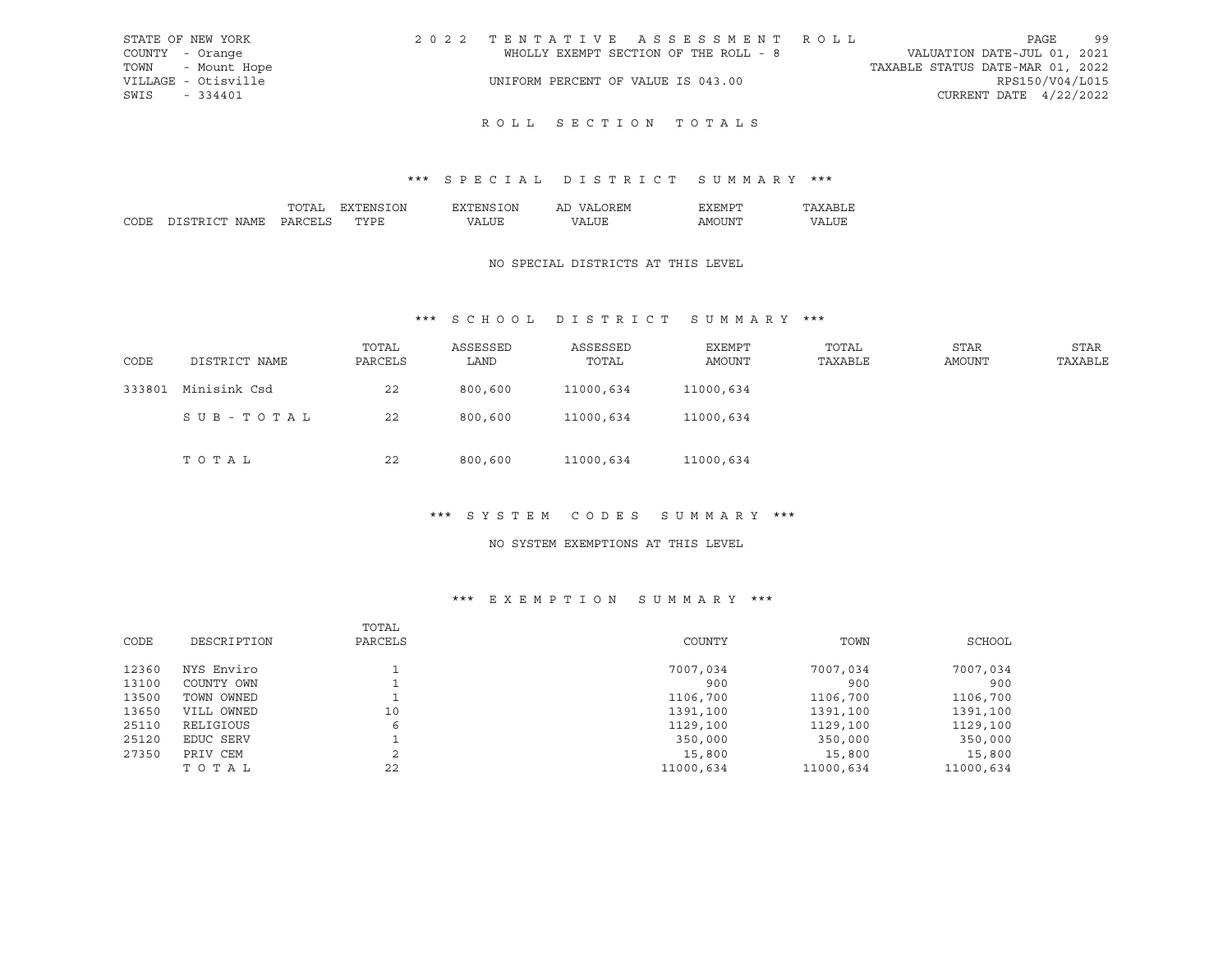| STATE OF NEW YORK   |                                    | 2022 TENTATIVE ASSESSMENT ROLL        |                                  |                          | PAGE | 99 |
|---------------------|------------------------------------|---------------------------------------|----------------------------------|--------------------------|------|----|
| COUNTY - Orange     |                                    | WHOLLY EXEMPT SECTION OF THE ROLL - 8 | VALUATION DATE-JUL 01, 2021      |                          |      |    |
| TOWN - Mount Hope   |                                    |                                       | TAXABLE STATUS DATE-MAR 01, 2022 |                          |      |    |
| VILLAGE - Otisville | UNIFORM PERCENT OF VALUE IS 043.00 |                                       |                                  | RPS150/V04/L015          |      |    |
| SWIS - 334401       |                                    |                                       |                                  | CURRENT DATE $4/22/2022$ |      |    |
|                     |                                    |                                       |                                  |                          |      |    |

## \*\*\* S P E C I A L D I S T R I C T S U M M A R Y \*\*\*

|       |                             | הת<br>$\mathbf{v}$ | ')N |     | ו או<br>l IV<br>. . | <b>HIVII</b><br>- -                                                                                                                                                                                                                                                                                                                                                                                                                                                                          |                  |
|-------|-----------------------------|--------------------|-----|-----|---------------------|----------------------------------------------------------------------------------------------------------------------------------------------------------------------------------------------------------------------------------------------------------------------------------------------------------------------------------------------------------------------------------------------------------------------------------------------------------------------------------------------|------------------|
| CODE. | <b>nm</b><br>דור<br>N A M H |                    | maz | ת י | <b>TTT-</b><br>.    | . INE<br>A IVI<br>$\frac{1}{2} \left( \frac{1}{2} \right) \left( \frac{1}{2} \right) \left( \frac{1}{2} \right) \left( \frac{1}{2} \right) \left( \frac{1}{2} \right) \left( \frac{1}{2} \right) \left( \frac{1}{2} \right) \left( \frac{1}{2} \right) \left( \frac{1}{2} \right) \left( \frac{1}{2} \right) \left( \frac{1}{2} \right) \left( \frac{1}{2} \right) \left( \frac{1}{2} \right) \left( \frac{1}{2} \right) \left( \frac{1}{2} \right) \left( \frac{1}{2} \right) \left( \frac$ | ----<br>.<br>. . |

#### NO SPECIAL DISTRICTS AT THIS LEVEL

## \*\*\* S C H O O L D I S T R I C T S U M M A R Y \*\*\*

| CODE   | DISTRICT NAME | TOTAL<br>PARCELS | ASSESSED<br>LAND | ASSESSED<br>TOTAL | EXEMPT<br>AMOUNT | TOTAL<br>TAXABLE | STAR<br>AMOUNT | <b>STAR</b><br>TAXABLE |
|--------|---------------|------------------|------------------|-------------------|------------------|------------------|----------------|------------------------|
| 333801 | Minisink Csd  | 22               | 800,600          | 11000,634         | 11000,634        |                  |                |                        |
|        | SUB-TOTAL     | 22               | 800,600          | 11000,634         | 11000,634        |                  |                |                        |
|        | TOTAL         | 22               | 800,600          | 11000,634         | 11000,634        |                  |                |                        |

#### \*\*\* S Y S T E M C O D E S S U M M A R Y \*\*\*

#### NO SYSTEM EXEMPTIONS AT THIS LEVEL

## \*\*\* E X E M P T I O N S U M M A R Y \*\*\*

|       |             | TOTAL   |           |           |           |
|-------|-------------|---------|-----------|-----------|-----------|
| CODE  | DESCRIPTION | PARCELS | COUNTY    | TOWN      | SCHOOL    |
| 12360 | NYS Enviro  |         | 7007,034  | 7007,034  | 7007,034  |
| 13100 | COUNTY OWN  |         | 900       | 900       | 900       |
| 13500 | TOWN OWNED  |         | 1106,700  | 1106,700  | 1106,700  |
| 13650 | VILL OWNED  | 10      | 1391,100  | 1391,100  | 1391,100  |
| 25110 | RELIGIOUS   | 6       | 1129,100  | 1129,100  | 1129,100  |
| 25120 | EDUC SERV   |         | 350,000   | 350,000   | 350,000   |
| 27350 | PRIV CEM    | $\sim$  | 15,800    | 15,800    | 15,800    |
|       | TOTAL       | 22      | 11000,634 | 11000,634 | 11000,634 |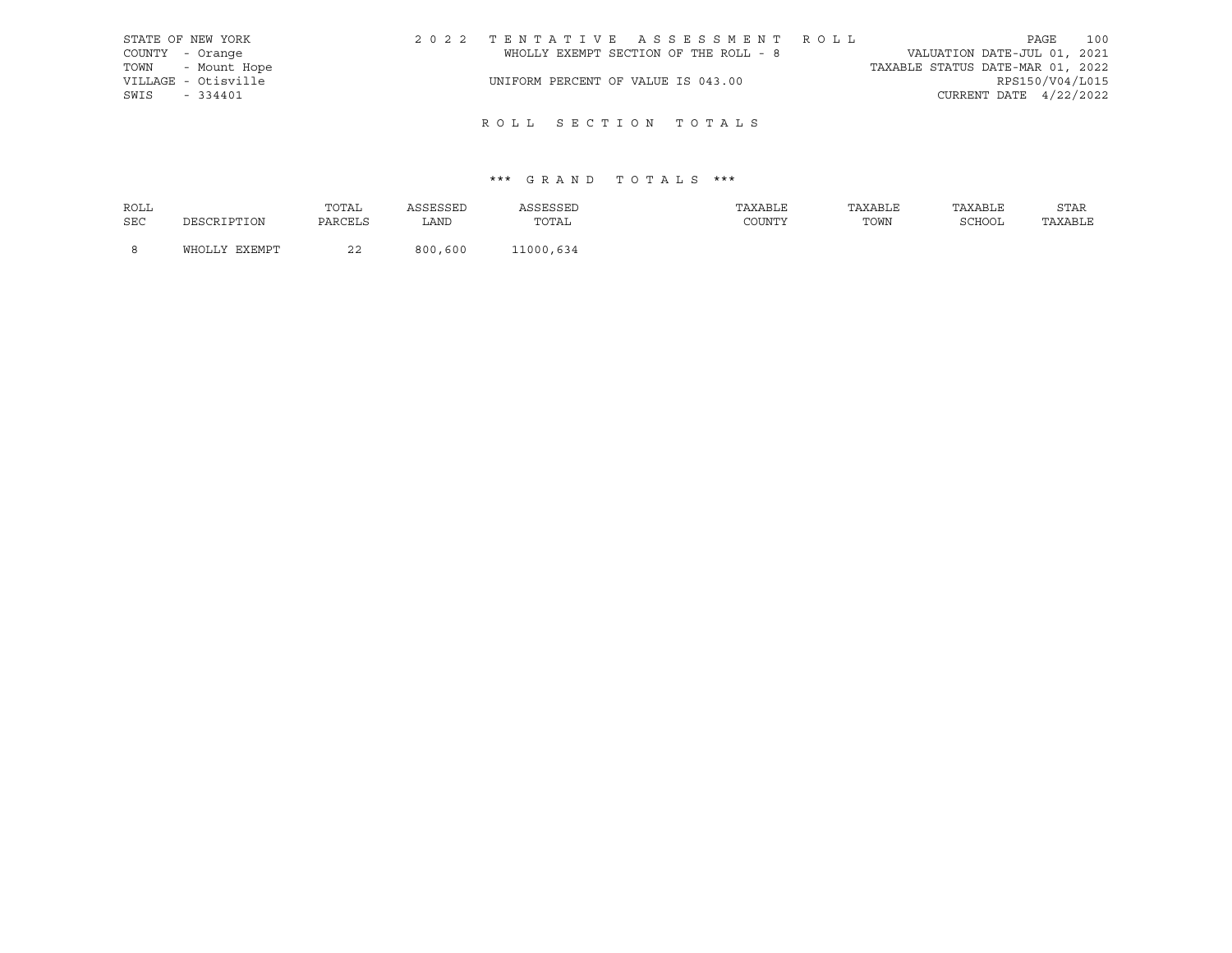|                 | STATE OF NEW YORK   | 2022 TENTATIVE ASSESSMENT ROLL        |  |                                  |                          | PAGE | 100 |
|-----------------|---------------------|---------------------------------------|--|----------------------------------|--------------------------|------|-----|
| COUNTY - Orange |                     | WHOLLY EXEMPT SECTION OF THE ROLL - 8 |  | VALUATION DATE-JUL 01, 2021      |                          |      |     |
|                 | TOWN - Mount Hope   |                                       |  | TAXABLE STATUS DATE-MAR 01, 2022 |                          |      |     |
|                 | VILLAGE - Otisville | UNIFORM PERCENT OF VALUE IS 043.00    |  |                                  | RPS150/V04/L015          |      |     |
| SWIS            | $-334401$           |                                       |  |                                  | CURRENT DATE $4/22/2022$ |      |     |
|                 |                     |                                       |  |                                  |                          |      |     |

| ROLL |               | TOTAL         | ACCECCEL | ASSESSED  | TAXABLE | TAXABLE | TAXABLE | STAR    |
|------|---------------|---------------|----------|-----------|---------|---------|---------|---------|
| SEC  | DESCRIPTION   | PARCELS       | ∴AND     | TOTAL     | COUNTY  | TOWN    | SCHOOL  | TAXABLE |
|      | WHOLLY EXEMPT | $\sim$<br>ـ ـ | 800,600  | L1000.634 |         |         |         |         |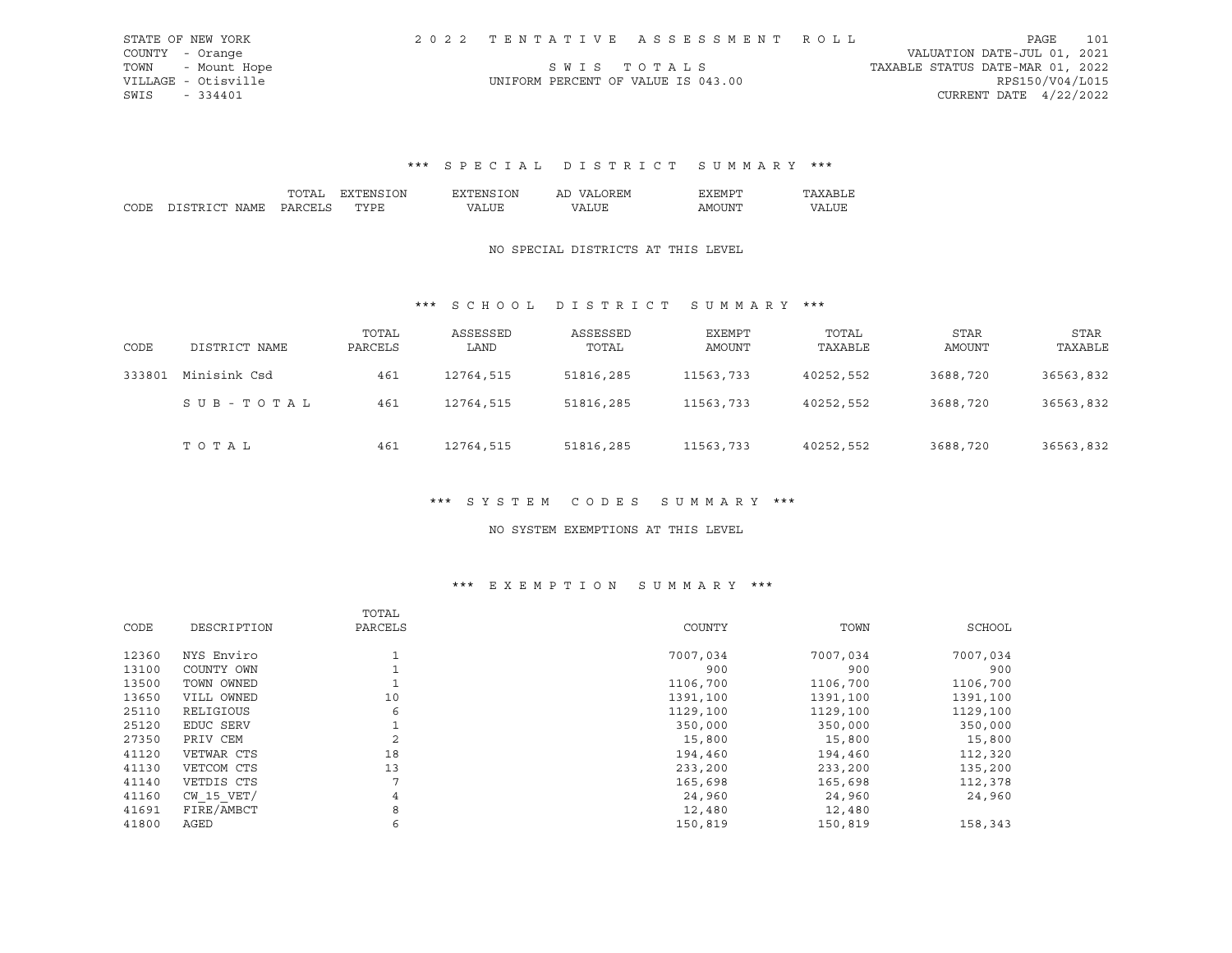|      | STATE OF NEW YORK   |                                    | 2022 TENTATIVE ASSESSMENT ROLL |                                  | PAGE            | 101 |
|------|---------------------|------------------------------------|--------------------------------|----------------------------------|-----------------|-----|
|      | COUNTY - Orange     |                                    |                                | VALUATION DATE-JUL 01, 2021      |                 |     |
|      | TOWN - Mount Hope   |                                    | SWIS TOTALS                    | TAXABLE STATUS DATE-MAR 01, 2022 |                 |     |
|      | VILLAGE - Otisville | UNIFORM PERCENT OF VALUE IS 043.00 |                                |                                  | RPS150/V04/L015 |     |
| SWIS | - 334401            |                                    |                                | CURRENT DATE $4/22/2022$         |                 |     |

## \*\*\* S P E C I A L D I S T R I C T S U M M A R Y \*\*\*

|                |                 | ON<br>÷М | ገለነ | AL | - H'M<br>. .                                                                                                                                                                                                                                                                                                                                                                                                                                                                               |      |
|----------------|-----------------|----------|-----|----|--------------------------------------------------------------------------------------------------------------------------------------------------------------------------------------------------------------------------------------------------------------------------------------------------------------------------------------------------------------------------------------------------------------------------------------------------------------------------------------------|------|
| $\sim$<br>ורור | NT∆MF<br>,,,,,, | T<br>້.  |     |    | ΔM<br>,, , ,<br>$\frac{1}{2} \left( \frac{1}{2} \right) \left( \frac{1}{2} \right) \left( \frac{1}{2} \right) \left( \frac{1}{2} \right) \left( \frac{1}{2} \right) \left( \frac{1}{2} \right) \left( \frac{1}{2} \right) \left( \frac{1}{2} \right) \left( \frac{1}{2} \right) \left( \frac{1}{2} \right) \left( \frac{1}{2} \right) \left( \frac{1}{2} \right) \left( \frac{1}{2} \right) \left( \frac{1}{2} \right) \left( \frac{1}{2} \right) \left( \frac{1}{2} \right) \left( \frac$ | דד י |

#### NO SPECIAL DISTRICTS AT THIS LEVEL

## \*\*\* S C H O O L D I S T R I C T S U M M A R Y \*\*\*

| CODE   | DISTRICT NAME | TOTAL<br>PARCELS | ASSESSED<br>LAND | ASSESSED<br>TOTAL | EXEMPT<br>AMOUNT | TOTAL<br>TAXABLE | <b>STAR</b><br>AMOUNT | STAR<br>TAXABLE |
|--------|---------------|------------------|------------------|-------------------|------------------|------------------|-----------------------|-----------------|
| 333801 | Minisink Csd  | 461              | 12764,515        | 51816,285         | 11563,733        | 40252,552        | 3688,720              | 36563,832       |
|        | SUB-TOTAL     | 461              | 12764,515        | 51816,285         | 11563,733        | 40252,552        | 3688,720              | 36563,832       |
|        | TOTAL         | 461              | 12764,515        | 51816,285         | 11563,733        | 40252,552        | 3688,720              | 36563,832       |

## \*\*\* S Y S T E M C O D E S S U M M A R Y \*\*\*

#### NO SYSTEM EXEMPTIONS AT THIS LEVEL

## \*\*\* E X E M P T I O N S U M M A R Y \*\*\*

| CODE<br>DESCRIPTION<br>PARCELS<br>COUNTY<br>TOWN<br>7007,034<br>12360<br>NYS Enviro<br>7007,034<br>7007,034<br>13100<br>COUNTY OWN<br>900<br>900<br>13500<br>TOWN OWNED<br>1106,700<br>1106,700<br>10<br>13650<br>VILL OWNED<br>1391,100<br>1391,100 |          |
|------------------------------------------------------------------------------------------------------------------------------------------------------------------------------------------------------------------------------------------------------|----------|
|                                                                                                                                                                                                                                                      | SCHOOL   |
|                                                                                                                                                                                                                                                      |          |
|                                                                                                                                                                                                                                                      | 900      |
|                                                                                                                                                                                                                                                      | 1106,700 |
|                                                                                                                                                                                                                                                      | 1391,100 |
| 25110<br>6<br>RELIGIOUS<br>1129,100<br>1129,100                                                                                                                                                                                                      | 1129,100 |
| 25120<br>EDUC SERV<br>350,000<br>350,000                                                                                                                                                                                                             | 350,000  |
| $\mathfrak{D}$<br>27350<br>PRIV CEM<br>15,800<br>15,800                                                                                                                                                                                              | 15,800   |
| 18<br>41120<br>VETWAR CTS<br>194,460<br>194,460                                                                                                                                                                                                      | 112,320  |
| 13<br>41130<br>VETCOM CTS<br>233,200<br>233,200                                                                                                                                                                                                      | 135,200  |
| 7<br>41140<br>VETDIS CTS<br>165,698<br>165,698                                                                                                                                                                                                       | 112,378  |
| $CW$ 15 $VET/$<br>41160<br>4<br>24,960<br>24,960                                                                                                                                                                                                     | 24,960   |
| FIRE/AMBCT<br>8<br>41691<br>12,480<br>12,480                                                                                                                                                                                                         |          |
| 6<br>41800<br>AGED<br>150,819<br>150,819                                                                                                                                                                                                             | 158,343  |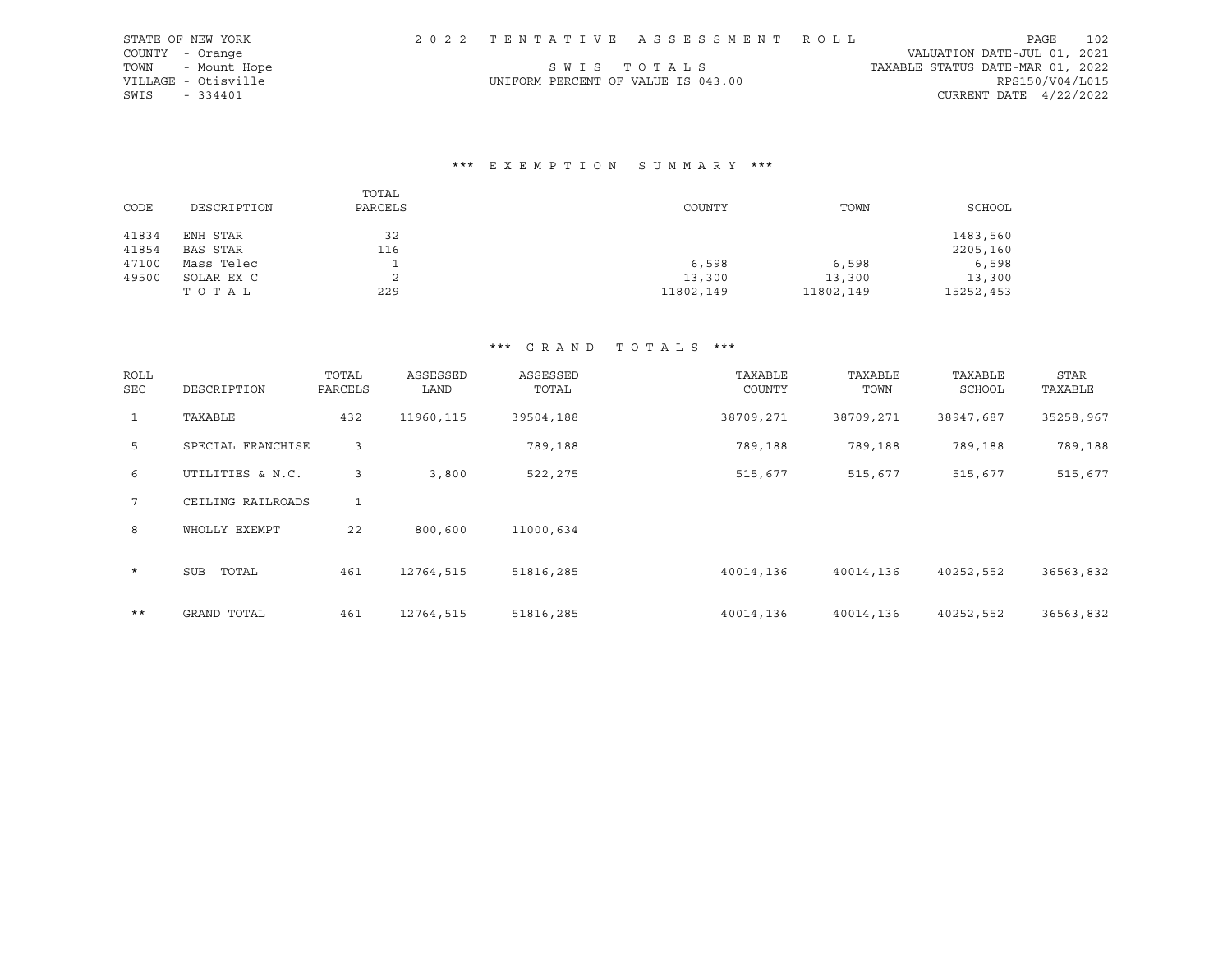|      | STATE OF NEW YORK   |                                    | 2022 TENTATIVE ASSESSMENT ROLL |                                  | PAGE | 102 |
|------|---------------------|------------------------------------|--------------------------------|----------------------------------|------|-----|
|      | COUNTY - Orange     |                                    |                                | VALUATION DATE-JUL 01, 2021      |      |     |
|      | TOWN - Mount Hope   |                                    | SWIS TOTALS                    | TAXABLE STATUS DATE-MAR 01, 2022 |      |     |
|      | VILLAGE - Otisville | UNIFORM PERCENT OF VALUE IS 043.00 |                                | RPS150/V04/L015                  |      |     |
| SWIS | $-334401$           |                                    |                                | CURRENT DATE $4/22/2022$         |      |     |

## \*\*\* E X E M P T I O N S U M M A R Y \*\*\*

| CODE  | DESCRIPTION | TOTAL<br>PARCELS | COUNTY    | TOWN      | <b>SCHOOL</b> |
|-------|-------------|------------------|-----------|-----------|---------------|
| 41834 | ENH STAR    | 32               |           |           | 1483,560      |
| 41854 | BAS STAR    | 116              |           |           | 2205,160      |
| 47100 | Mass Telec  |                  | 6,598     | 6,598     | 6,598         |
| 49500 | SOLAR EX C  |                  | 13,300    | 13,300    | 13,300        |
|       | TOTAL       | 229              | 11802,149 | 11802,149 | 15252,453     |

| <b>ROLL</b><br><b>SEC</b> | DESCRIPTION       | TOTAL<br>PARCELS | ASSESSED<br>LAND | ASSESSED<br>TOTAL | TAXABLE<br>COUNTY | TAXABLE<br>TOWN | TAXABLE<br>SCHOOL | <b>STAR</b><br>TAXABLE |
|---------------------------|-------------------|------------------|------------------|-------------------|-------------------|-----------------|-------------------|------------------------|
| $\mathbf{1}$              | TAXABLE           | 432              | 11960, 115       | 39504,188         | 38709,271         | 38709,271       | 38947,687         | 35258,967              |
| 5                         | SPECIAL FRANCHISE | 3                |                  | 789,188           | 789,188           | 789,188         | 789,188           | 789,188                |
| 6                         | UTILITIES & N.C.  | 3                | 3,800            | 522,275           | 515,677           | 515,677         | 515,677           | 515,677                |
| $7^{\circ}$               | CEILING RAILROADS | $\mathbf{1}$     |                  |                   |                   |                 |                   |                        |
| 8                         | WHOLLY EXEMPT     | 22               | 800,600          | 11000,634         |                   |                 |                   |                        |
| $\star$                   | TOTAL<br>SUB      | 461              | 12764,515        | 51816,285         | 40014,136         | 40014,136       | 40252,552         | 36563,832              |
| $***$                     | GRAND TOTAL       | 461              | 12764,515        | 51816,285         | 40014,136         | 40014,136       | 40252,552         | 36563,832              |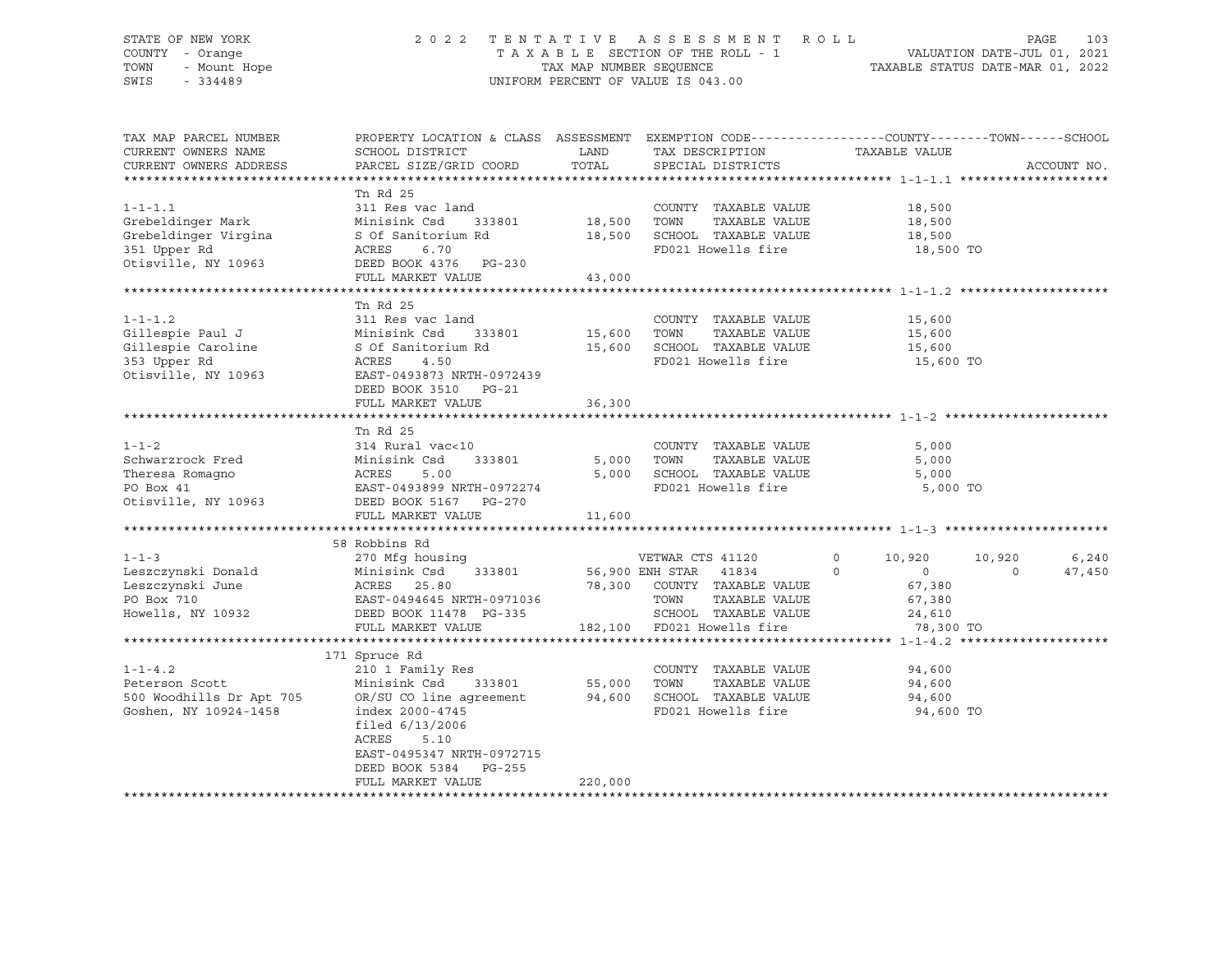#### STATE OF NEW YORK 2 0 2 2 T E N T A T I V E A S S E S S M E N T R O L L PAGE 103 COUNTY - Orange T A X A B L E SECTION OF THE ROLL - 1 VALUATION DATE-JUL 01, 2021 TOWN - Mount Hope TAX ARE NUMBER SEQUENCE TAX AND NUMBER SEQUENCE TAXABLE STATUS DATE-MAR 01, 2022<br>The Samillary of the Samillary Company of Taxable States of Taxable Status Date-Mar 01, 2022 UNIFORM PERCENT OF VALUE IS 043.00

TAX MAP PARCEL NUMBER PROPERTY LOCATION & CLASS ASSESSMENT EXEMPTION CODE------------------COUNTY--------TOWN------SCHOOL CURRENT OWNERS NAME SCHOOL DISTRICT LAND TAX DESCRIPTION TAXABLE VALUE CURRENT OWNERS ADDRESS PARCEL SIZE/GRID COORD TOTAL SPECIAL DISTRICTS ACCOUNT NO. \*\*\*\*\*\*\*\*\*\*\*\*\*\*\*\*\*\*\*\*\*\*\*\*\*\*\*\*\*\*\*\*\*\*\*\*\*\*\*\*\*\*\*\*\*\*\*\*\*\*\*\*\*\*\*\*\*\*\*\*\*\*\*\*\*\*\*\*\*\*\*\*\*\*\*\*\*\*\*\*\*\*\*\*\*\*\*\*\*\*\*\*\*\*\*\*\*\*\*\*\*\*\* 1-1-1.1 \*\*\*\*\*\*\*\*\*\*\*\*\*\*\*\*\*\*\*\* Tn Rd 25 1-1-1.1 311 Res vac land COUNTY TAXABLE VALUE 18,500 Grebeldinger Mark Minisink Csd 333801 18,500 TOWN TAXABLE VALUE 18,500 Grebeldinger Virgina S Of Sanitorium Rd 18,500 SCHOOL TAXABLE VALUE 18,500 351 Upper Rd ACRES 6.70 FD021 Howells fire 18,500 TO Otisville, 2001<br>
Otisville, NY 10963<br>
Otisville, NY 10963<br>
DEED BOOK 4376 PG-230 FULL MARKET VALUE 43,000 \*\*\*\*\*\*\*\*\*\*\*\*\*\*\*\*\*\*\*\*\*\*\*\*\*\*\*\*\*\*\*\*\*\*\*\*\*\*\*\*\*\*\*\*\*\*\*\*\*\*\*\*\*\*\*\*\*\*\*\*\*\*\*\*\*\*\*\*\*\*\*\*\*\*\*\*\*\*\*\*\*\*\*\*\*\*\*\*\*\*\*\*\*\*\*\*\*\*\*\*\*\*\* 1-1-1.2 \*\*\*\*\*\*\*\*\*\*\*\*\*\*\*\*\*\*\*\* Tn Rd 25 1-1-1.2 311 Res vac land COUNTY TAXABLE VALUE 15,600 Gillespie Paul J Minisink Csd 333801 15,600 TOWN TAXABLE VALUE 15,600 Gillespie Caroline S Of Sanitorium Rd 15,600 SCHOOL TAXABLE VALUE 15,600 353 Upper Rd ACRES 4.50 FD021 Howells fire 15,600 TO Otisville, NY 10963 EAST-0493873 NRTH-0972439 DEED BOOK 3510 PG-21 FULL MARKET VALUE 36,300 \*\*\*\*\*\*\*\*\*\*\*\*\*\*\*\*\*\*\*\*\*\*\*\*\*\*\*\*\*\*\*\*\*\*\*\*\*\*\*\*\*\*\*\*\*\*\*\*\*\*\*\*\*\*\*\*\*\*\*\*\*\*\*\*\*\*\*\*\*\*\*\*\*\*\*\*\*\*\*\*\*\*\*\*\*\*\*\*\*\*\*\*\*\*\*\*\*\*\*\*\*\*\* 1-1-2 \*\*\*\*\*\*\*\*\*\*\*\*\*\*\*\*\*\*\*\*\*\* Tn Rd 25 1-1-2 314 Rural vac<10 COUNTY TAXABLE VALUE 5,000 Schwarzrock Fred Minisink Csd 333801 5,000 TOWN TAXABLE VALUE 5,000 Theresa Romagno ACRES 5.00 5,000 SCHOOL TAXABLE VALUE 5,000 PO Box 41 EAST-0493899 NRTH-0972274 FD021 Howells fire 5,000 TO Otisville, NY 10963 DEED BOOK 5167 PG-270 FULL MARKET VALUE 11,600 \*\*\*\*\*\*\*\*\*\*\*\*\*\*\*\*\*\*\*\*\*\*\*\*\*\*\*\*\*\*\*\*\*\*\*\*\*\*\*\*\*\*\*\*\*\*\*\*\*\*\*\*\*\*\*\*\*\*\*\*\*\*\*\*\*\*\*\*\*\*\*\*\*\*\*\*\*\*\*\*\*\*\*\*\*\*\*\*\*\*\*\*\*\*\*\*\*\*\*\*\*\*\* 1-1-3 \*\*\*\*\*\*\*\*\*\*\*\*\*\*\*\*\*\*\*\*\*\* 58 Robbins Rd 1-1-3 270 Mfg housing VETWAR CTS 41120 0 10,920 10,920 6,240 Leszczynski Donald Minisink Csd 333801 56,900 ENH STAR 41834 0 0 0 47,450 Leszczynski June ACRES 25.80 78,300 COUNTY TAXABLE VALUE 67,380 PO Box 710 EAST-0494645 NRTH-0971036 TOWN TAXABLE VALUE 67,380 Howells, NY 10932 DEED BOOK 11478 PG-335 SCHOOL TAXABLE VALUE 24,610 FULL MARKET VALUE 182,100 FD021 Howells fire 78,300 TO \*\*\*\*\*\*\*\*\*\*\*\*\*\*\*\*\*\*\*\*\*\*\*\*\*\*\*\*\*\*\*\*\*\*\*\*\*\*\*\*\*\*\*\*\*\*\*\*\*\*\*\*\*\*\*\*\*\*\*\*\*\*\*\*\*\*\*\*\*\*\*\*\*\*\*\*\*\*\*\*\*\*\*\*\*\*\*\*\*\*\*\*\*\*\*\*\*\*\*\*\*\*\* 1-1-4.2 \*\*\*\*\*\*\*\*\*\*\*\*\*\*\*\*\*\*\*\* 171 Spruce Rd 1-1-4.2 210 1 Family Res COUNTY TAXABLE VALUE 94,600 Peterson Scott Minisink Csd 333801 55,000 TOWN TAXABLE VALUE 94,600 500 Woodhills Dr Apt 705 OR/SU CO line agreement 94,600 SCHOOL TAXABLE VALUE 94,600 Goshen, NY 10924-1458 index 2000-4745 FD021 Howells fire 94,600 TO filed 6/13/2006 ACRES 5.10 EAST-0495347 NRTH-0972715 DEED BOOK 5384 PG-255 FULL MARKET VALUE 220,000 \*\*\*\*\*\*\*\*\*\*\*\*\*\*\*\*\*\*\*\*\*\*\*\*\*\*\*\*\*\*\*\*\*\*\*\*\*\*\*\*\*\*\*\*\*\*\*\*\*\*\*\*\*\*\*\*\*\*\*\*\*\*\*\*\*\*\*\*\*\*\*\*\*\*\*\*\*\*\*\*\*\*\*\*\*\*\*\*\*\*\*\*\*\*\*\*\*\*\*\*\*\*\*\*\*\*\*\*\*\*\*\*\*\*\*\*\*\*\*\*\*\*\*\*\*\*\*\*\*\*\*\*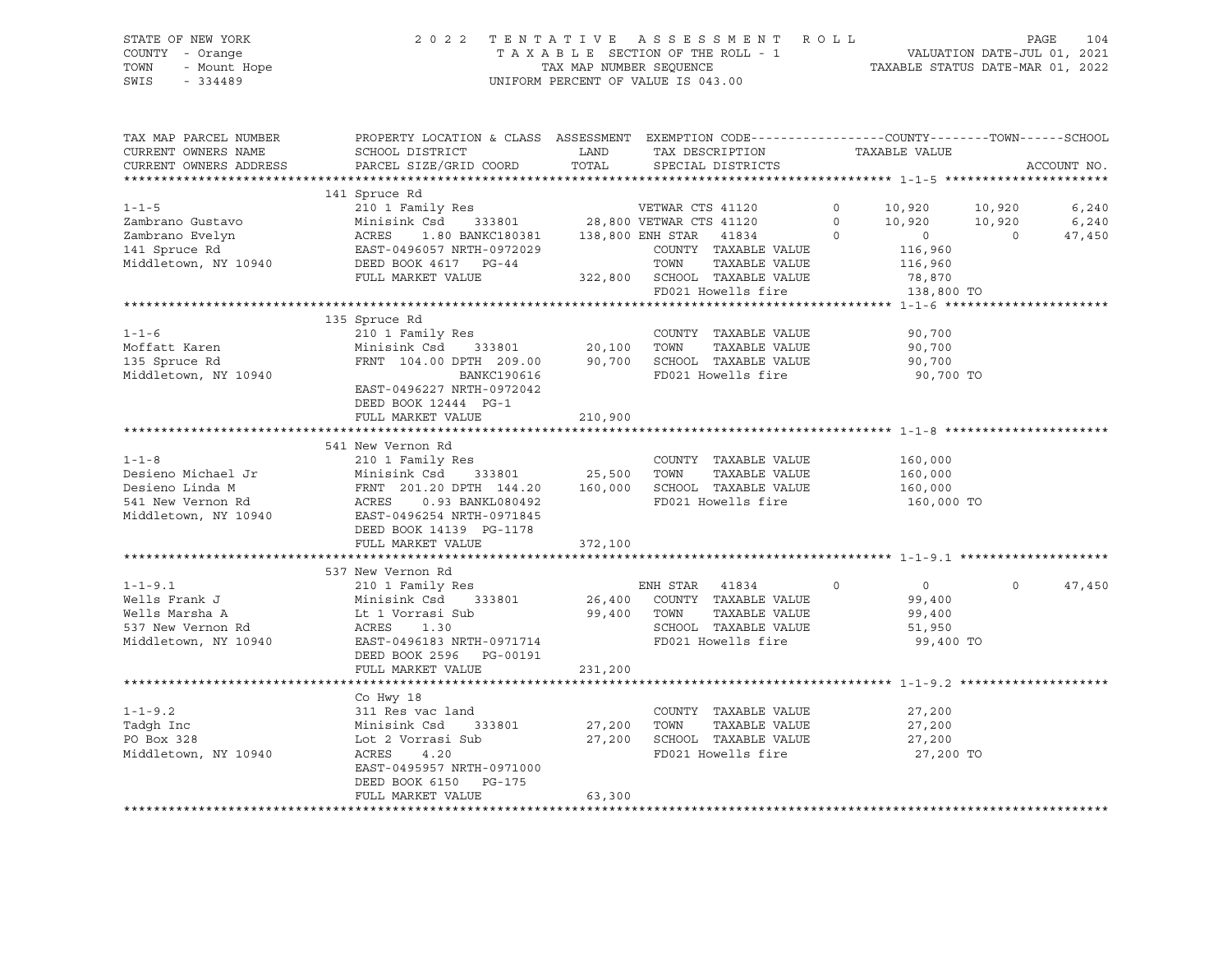### STATE OF NEW YORK 2 0 2 2 T E N T A T I V E A S S E S S M E N T R O L L PAGE 104 COUNTY - Orange T A X A B L E SECTION OF THE ROLL - 1 VALUATION DATE-JUL 01, 2021 TOWN - Mount Hope TAX MAP NUMBER SEQUENCE TAXABLE STATUS DATE-MAR 01, 2022 SWIS - 334489 UNIFORM PERCENT OF VALUE IS 043.00

| TAX MAP PARCEL NUMBER<br>CURRENT OWNERS NAME | PROPERTY LOCATION & CLASS ASSESSMENT EXEMPTION CODE----------------COUNTY-------TOWN------SCHOOL<br>SCHOOL DISTRICT | LAND        | TAX DESCRIPTION                     | TAXABLE VALUE             |          |             |
|----------------------------------------------|---------------------------------------------------------------------------------------------------------------------|-------------|-------------------------------------|---------------------------|----------|-------------|
| CURRENT OWNERS ADDRESS                       | PARCEL SIZE/GRID COORD                                                                                              |             | TOTAL SPECIAL DISTRICTS             |                           |          | ACCOUNT NO. |
|                                              | 141 Spruce Rd                                                                                                       |             |                                     |                           |          |             |
| $1 - 1 - 5$                                  |                                                                                                                     |             |                                     |                           |          | 6,240       |
| Zambrano Gustavo                             |                                                                                                                     |             |                                     |                           |          | 6,240       |
| Zambrano Evelyn                              | Minisink Csd 333801<br>ACRES 1.80 BANKC180381<br>EAST-0496057 NRTH-0972029<br>DEED BOOK 4617 PG-44                  |             |                                     |                           |          | 47,450      |
| 141 Spruce Rd                                |                                                                                                                     |             | COUNTY TAXABLE VALUE                | 116,960                   |          |             |
| Middletown, NY 10940                         |                                                                                                                     |             | TOWN<br>TAXABLE VALUE               | 116,960                   |          |             |
|                                              | FULL MARKET VALUE                                                                                                   |             | 322,800 SCHOOL TAXABLE VALUE 78,870 |                           |          |             |
|                                              |                                                                                                                     |             | FD021 Howells fire                  |                           |          |             |
|                                              |                                                                                                                     |             |                                     | 138,800 TO                |          |             |
|                                              | 135 Spruce Rd                                                                                                       |             |                                     |                           |          |             |
| $1 - 1 - 6$                                  |                                                                                                                     |             | COUNTY TAXABLE VALUE                |                           |          |             |
|                                              |                                                                                                                     |             | TAXABLE VALUE                       | 90,700                    |          |             |
| Moffatt Karen                                | FRNT 104.00 DPTH 209.00 90,700 SCHOOL TAXABLE VALUE                                                                 |             |                                     | 90,700                    |          |             |
| 135 Spruce Rd                                |                                                                                                                     |             |                                     | 90,700                    |          |             |
| Middletown, NY 10940                         | BANKC190616                                                                                                         |             | FD021 Howells fire                  | 90,700 TO                 |          |             |
|                                              | EAST-0496227 NRTH-0972042                                                                                           |             |                                     |                           |          |             |
|                                              | DEED BOOK 12444 PG-1                                                                                                |             |                                     |                           |          |             |
|                                              | FULL MARKET VALUE                                                                                                   | 210,900     |                                     |                           |          |             |
|                                              |                                                                                                                     |             |                                     |                           |          |             |
|                                              | 541 New Vernon Rd                                                                                                   |             |                                     |                           |          |             |
| $1 - 1 - 8$                                  | 210 1 Family Res<br>$333801$ 25,500                                                                                 |             | COUNTY TAXABLE VALUE                | 160,000<br>160,000        |          |             |
| Desieno Michael Jr                           | Minisink Csd                                                                                                        |             | TOWN<br>TAXABLE VALUE               |                           |          |             |
| Desieno Linda M                              | FRNT 201.20 DPTH 144.20 160,000                                                                                     |             | SCHOOL TAXABLE VALUE                | 160,000                   |          |             |
| 541 New Vernon Rd                            | ACRES 0.93 BANKL080492                                                                                              |             | FD021 Howells fire                  | 160,000 TO                |          |             |
| Middletown, NY 10940                         | EAST-0496254 NRTH-0971845                                                                                           |             |                                     |                           |          |             |
|                                              | DEED BOOK 14139 PG-1178                                                                                             |             |                                     |                           |          |             |
|                                              | FULL MARKET VALUE                                                                                                   | 372,100     |                                     |                           |          |             |
|                                              |                                                                                                                     |             |                                     |                           |          |             |
|                                              | 537 New Vernon Rd                                                                                                   |             |                                     |                           |          |             |
| $1 - 1 - 9.1$                                | 210 1 Family Res                                                                                                    |             | ENH STAR 41834                      | $\circ$<br>$\overline{0}$ | $\Omega$ | 47,450      |
| Wells Frank J                                | Minisink Csd                                                                                                        |             | 333801 26,400 COUNTY TAXABLE VALUE  | 99,400                    |          |             |
| Wells Marsha A                               | Lt 1 Vorrasi Sub                                                                                                    | 99,400 TOWN | TAXABLE VALUE                       | 99,400                    |          |             |
| 537 New Vernon Rd                            | ACRES<br>1.30                                                                                                       |             | SCHOOL TAXABLE VALUE                | 51,950                    |          |             |
| Middletown, NY 10940                         | EAST-0496183 NRTH-0971714                                                                                           |             | FD021 Howells fire                  | 99,400 TO                 |          |             |
|                                              | DEED BOOK 2596 PG-00191                                                                                             |             |                                     |                           |          |             |
|                                              | FULL MARKET VALUE                                                                                                   | 231,200     |                                     |                           |          |             |
|                                              |                                                                                                                     |             |                                     |                           |          |             |
|                                              | Co Hwy 18                                                                                                           |             |                                     |                           |          |             |
| $1 - 1 - 9.2$                                | 311 Res vac land                                                                                                    |             | COUNTY TAXABLE VALUE                | 27,200                    |          |             |
| Tadgh Inc                                    | 333801<br>Minisink Csd                                                                                              | 27,200      | TOWN<br>TAXABLE VALUE               | 27,200                    |          |             |
| PO Box 328                                   | Lot 2 Vorrasi Sub                                                                                                   | 27,200      | SCHOOL TAXABLE VALUE                | 27,200                    |          |             |
| Middletown, NY 10940                         | ACRES<br>4.20                                                                                                       |             | FD021 Howells fire                  | 27,200 TO                 |          |             |
|                                              | EAST-0495957 NRTH-0971000                                                                                           |             |                                     |                           |          |             |
|                                              | DEED BOOK 6150 PG-175                                                                                               |             |                                     |                           |          |             |
|                                              | FULL MARKET VALUE                                                                                                   | 63,300      |                                     |                           |          |             |
|                                              |                                                                                                                     |             |                                     |                           |          |             |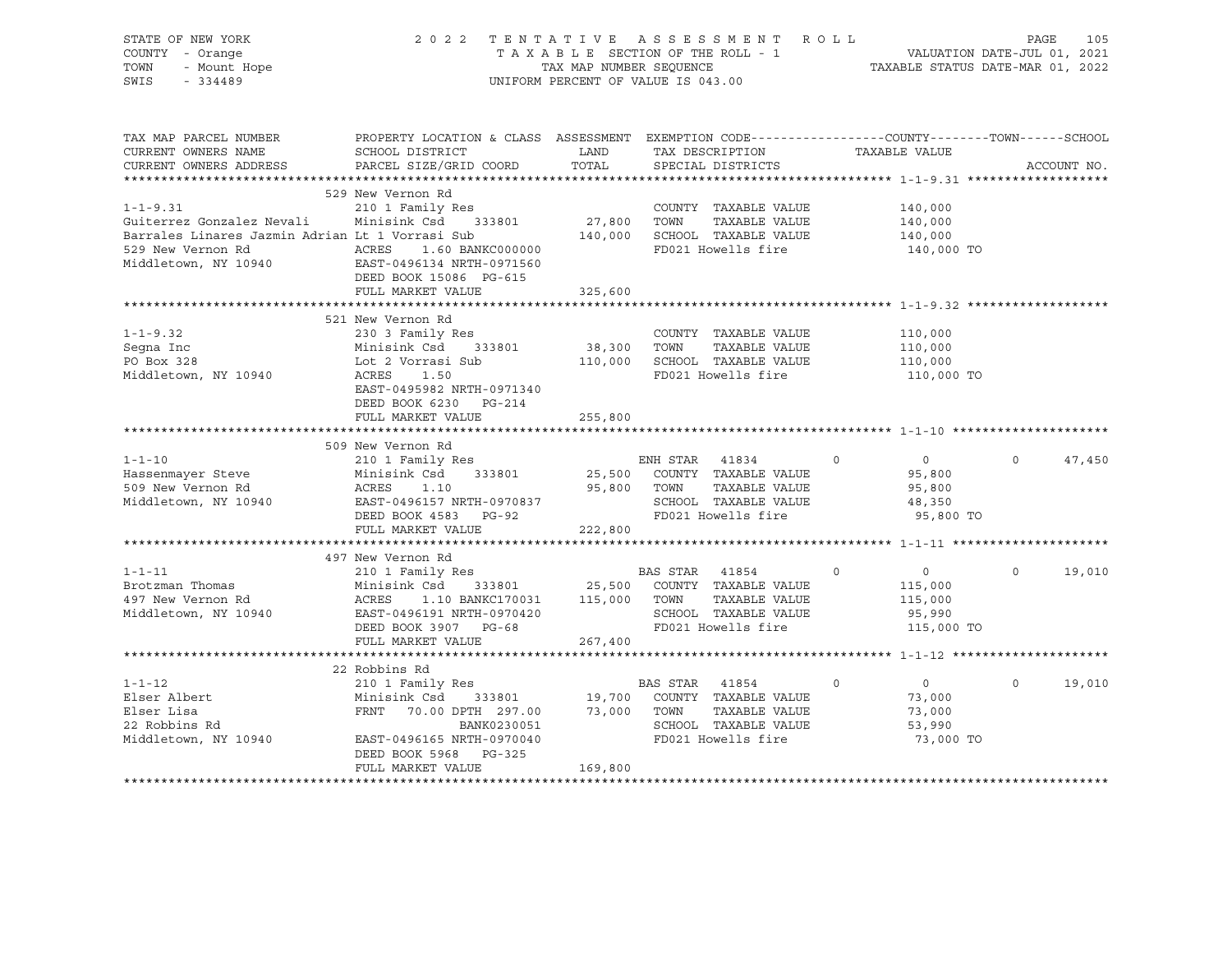| STATE OF NEW YORK<br>COUNTY - Orange<br>- Mount Hope<br>TOWN<br>SWIS<br>$-334489$ |                                                                                                                                                                                                        | TAX MAP NUMBER SEQUENCE | 2022 TENTATIVE ASSESSMENT ROLL<br>TAXABLE SECTION OF THE ROLL - 1<br>UNIFORM PERCENT OF VALUE IS 043.00 |                            | PAGE<br>- 1<br>VALUATION DATE-JUL 01, 2021<br>TAXABLE STATUS DATE-MAR 01, 2022 | 105         |
|-----------------------------------------------------------------------------------|--------------------------------------------------------------------------------------------------------------------------------------------------------------------------------------------------------|-------------------------|---------------------------------------------------------------------------------------------------------|----------------------------|--------------------------------------------------------------------------------|-------------|
| TAX MAP PARCEL NUMBER<br>CURRENT OWNERS NAME                                      | PROPERTY LOCATION & CLASS ASSESSMENT EXEMPTION CODE----------------COUNTY-------TOWN------SCHOOL<br>SCHOOL DISTRICT                                                                                    | <b>LAND</b>             | TAX DESCRIPTION                                                                                         | TAXABLE VALUE              |                                                                                |             |
| CURRENT OWNERS ADDRESS                                                            | PARCEL SIZE/GRID COORD                                                                                                                                                                                 | TOTAL                   | SPECIAL DISTRICTS                                                                                       |                            |                                                                                | ACCOUNT NO. |
|                                                                                   |                                                                                                                                                                                                        |                         |                                                                                                         |                            |                                                                                |             |
|                                                                                   | 529 New Vernon Rd                                                                                                                                                                                      |                         |                                                                                                         |                            |                                                                                |             |
| $1 - 1 - 9.31$                                                                    | 210 1 Family Res                                                                                                                                                                                       |                         | COUNTY TAXABLE VALUE                                                                                    |                            | 140,000                                                                        |             |
| Guiterrez Gonzalez Nevali Minisink Csd 333801                                     |                                                                                                                                                                                                        |                         | 27,800 TOWN<br>TAXABLE VALUE                                                                            | 140,000                    |                                                                                |             |
| Barrales Linares Jazmin Adrian Lt 1 Vorrasi Sub 140,000 SCHOOL TAXABLE VALUE      |                                                                                                                                                                                                        |                         |                                                                                                         | 140,000                    |                                                                                |             |
| 529 New Vernon Rd                                                                 | ACRES 1.60 BANKC000000<br>EAST-0496134 NRTH-0971560                                                                                                                                                    |                         | FD021 Howells fire                                                                                      |                            | 140,000 TO                                                                     |             |
| Middletown, NY 10940                                                              | DEED BOOK 15086 PG-615                                                                                                                                                                                 |                         |                                                                                                         |                            |                                                                                |             |
|                                                                                   | FULL MARKET VALUE                                                                                                                                                                                      | 325,600                 |                                                                                                         |                            |                                                                                |             |
|                                                                                   |                                                                                                                                                                                                        |                         |                                                                                                         |                            |                                                                                |             |
|                                                                                   | 521 New Vernon Rd                                                                                                                                                                                      |                         |                                                                                                         |                            |                                                                                |             |
| $1 - 1 - 9.32$                                                                    | 230 3 Family Res                                                                                                                                                                                       |                         | COUNTY TAXABLE VALUE                                                                                    |                            | 110,000                                                                        |             |
| Segna Inc<br>PO Box 328                                                           | Minisink Csd 333801                                                                                                                                                                                    | 38,300                  | TOWN<br>TAXABLE VALUE                                                                                   | 110,000                    |                                                                                |             |
|                                                                                   | Lot 2 Vorrasi Sub                                                                                                                                                                                      |                         | 110,000 SCHOOL TAXABLE VALUE                                                                            | 110,000                    |                                                                                |             |
| Middletown, NY 10940                                                              | ACRES 1.50                                                                                                                                                                                             |                         | FD021 Howells fire                                                                                      |                            | 110,000 TO                                                                     |             |
|                                                                                   | EAST-0495982 NRTH-0971340                                                                                                                                                                              |                         |                                                                                                         |                            |                                                                                |             |
|                                                                                   | DEED BOOK 6230 PG-214                                                                                                                                                                                  |                         |                                                                                                         |                            |                                                                                |             |
|                                                                                   | FULL MARKET VALUE                                                                                                                                                                                      | 255,800                 |                                                                                                         |                            |                                                                                |             |
|                                                                                   |                                                                                                                                                                                                        |                         |                                                                                                         |                            |                                                                                |             |
| $1 - 1 - 10$                                                                      | 509 New Vernon Rd<br>210 1 Family Res                                                                                                                                                                  |                         | ENH STAR 41834                                                                                          | $\circ$                    | $\overline{0}$<br>$\circ$                                                      | 47,450      |
| Hassenmayer Steve                                                                 | Minisink Csd 333801                                                                                                                                                                                    |                         | 25,500 COUNTY TAXABLE VALUE                                                                             |                            | 95,800                                                                         |             |
| 509 New Vernon Rd                                                                 | ACRES 1.10                                                                                                                                                                                             |                         | 95,800 TOWN TAXABLE VALUE                                                                               |                            | 95,800                                                                         |             |
| Middletown, NY 10940                                                              | ACRES 1.1.<br>EAST-0496157 NRTH-0970837<br>C-92 DG-92                                                                                                                                                  |                         | SCHOOL TAXABLE VALUE                                                                                    |                            | 48,350                                                                         |             |
|                                                                                   | DEED BOOK 4583 PG-92                                                                                                                                                                                   |                         | FD021 Howells fire                                                                                      |                            | 95,800 TO                                                                      |             |
|                                                                                   | FULL MARKET VALUE                                                                                                                                                                                      | 222,800                 |                                                                                                         |                            |                                                                                |             |
|                                                                                   |                                                                                                                                                                                                        |                         |                                                                                                         |                            |                                                                                |             |
|                                                                                   | 497 New Vernon Rd                                                                                                                                                                                      |                         |                                                                                                         |                            |                                                                                |             |
| $1 - 1 - 11$                                                                      |                                                                                                                                                                                                        |                         |                                                                                                         | $\Omega$<br>$\overline{0}$ | $\Omega$                                                                       | 19,010      |
| Brotzman Thomas                                                                   |                                                                                                                                                                                                        |                         |                                                                                                         |                            | 115,000                                                                        |             |
| 497 New Vernon Rd                                                                 |                                                                                                                                                                                                        |                         |                                                                                                         |                            | 115,000                                                                        |             |
| Middletown, NY 10940                                                              | BAS STAR 41854 (Minisink Csd 333801 25,500 COUNTY TAXABLE VALUE<br>ACRES 1.10 BANKC170031 115,000 TOWN TAXABLE VALUE<br>EAST-0496191 NRTH-0970420<br>EAST-0496191 NRTH-0970420<br>DEED BOOK 3907 PG-68 |                         |                                                                                                         |                            | 95,990                                                                         |             |
|                                                                                   | DEED BOOK 3907 PG-68                                                                                                                                                                                   |                         | FD021 Howells fire                                                                                      |                            | 115,000 TO                                                                     |             |
|                                                                                   | FULL MARKET VALUE                                                                                                                                                                                      | 267,400                 |                                                                                                         |                            |                                                                                |             |
|                                                                                   |                                                                                                                                                                                                        |                         |                                                                                                         |                            |                                                                                |             |
|                                                                                   | 22 Robbins Rd                                                                                                                                                                                          |                         |                                                                                                         |                            |                                                                                |             |
| $1 - 1 - 12$                                                                      | 210 1 Family Res                                                                                                                                                                                       |                         | BAS STAR 41854                                                                                          | $\circ$                    | $\circ$<br>$\overline{0}$                                                      | 19,010      |
|                                                                                   | Minisink Csd 333801 19,700 COUNTY TAXABLE VALUE                                                                                                                                                        |                         |                                                                                                         |                            | 73,000                                                                         |             |
| Elser Albert<br>Elser Lisa<br>22 Robbins Rd                                       | FRNT 70.00 DPTH 297.00 73,000 TOWN                                                                                                                                                                     |                         | TAXABLE VALUE                                                                                           |                            | 73,000                                                                         |             |
|                                                                                   | BANK0230051                                                                                                                                                                                            |                         | SCHOOL TAXABLE VALUE                                                                                    |                            | 53,990                                                                         |             |
| Middletown, NY 10940                                                              | EAST-0496165 NRTH-0970040                                                                                                                                                                              |                         | FD021 Howells fire                                                                                      |                            | 73,000 TO                                                                      |             |
|                                                                                   | DEED BOOK 5968 PG-325                                                                                                                                                                                  |                         |                                                                                                         |                            |                                                                                |             |
|                                                                                   | FULL MARKET VALUE                                                                                                                                                                                      | 169,800                 |                                                                                                         |                            |                                                                                |             |
|                                                                                   |                                                                                                                                                                                                        |                         |                                                                                                         |                            |                                                                                |             |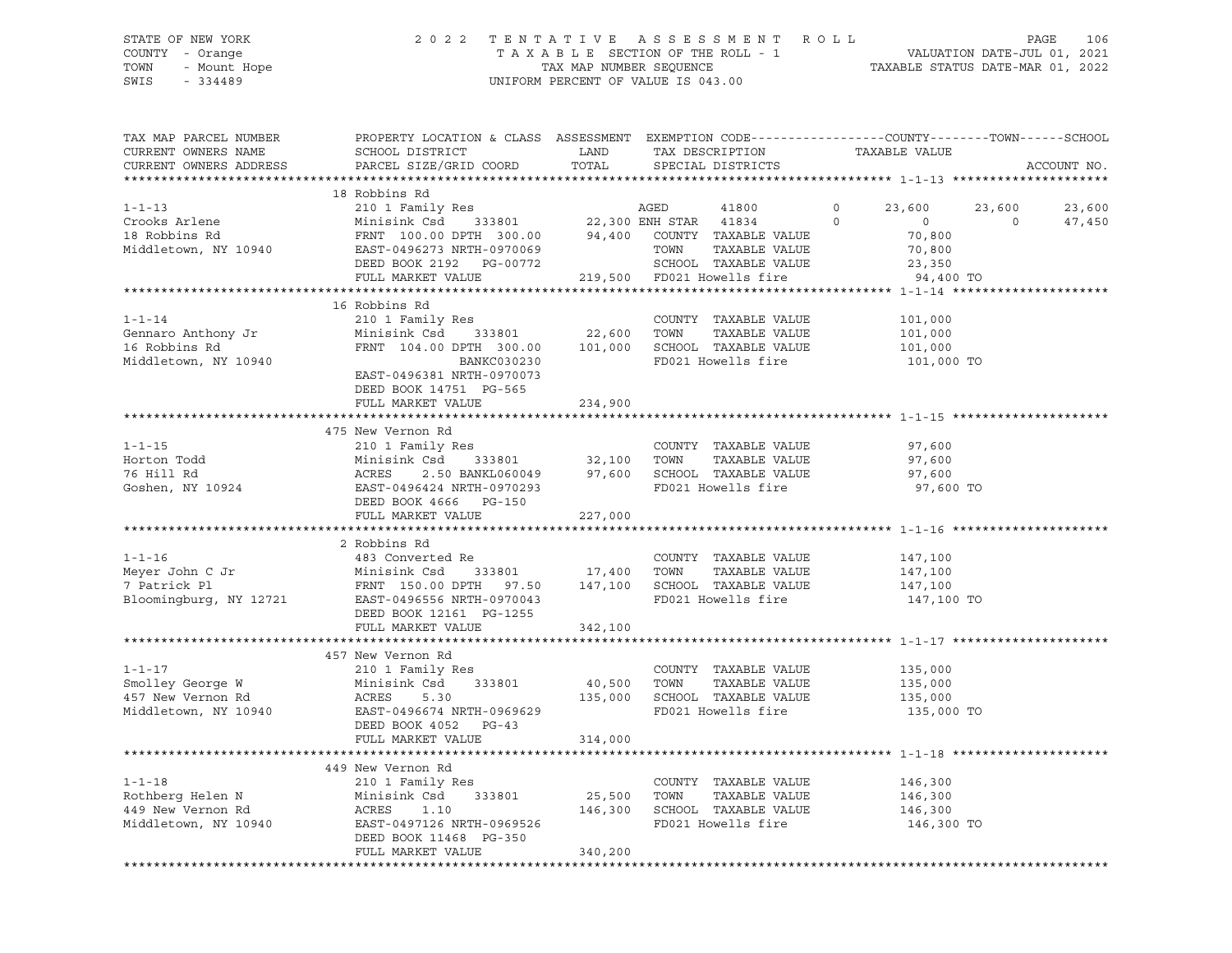### STATE OF NEW YORK 2 0 2 2 T E N T A T I V E A S S E S S M E N T R O L L PAGE 106 COUNTY - Orange T A X A B L E SECTION OF THE ROLL - 1 VALUATION DATE-JUL 01, 2021 TOWN - Mount Hope TAX MAP NUMBER SEQUENCE TAXABLE STATUS DATE-MAR 01, 2022 SWIS - 334489 UNIFORM PERCENT OF VALUE IS 043.00

| TAX MAP PARCEL NUMBER<br>CURRENT OWNERS NAME<br>CURRENT OWNERS ADDRESS                                                           | PROPERTY LOCATION & CLASS ASSESSMENT EXEMPTION CODE----------------COUNTY-------TOWN-----SCHOOL<br>SCHOOL DISTRICT<br>PARCEL SIZE/GRID COORD                                                                                                                                                                                                                                                                                                                                                   | LAND<br>TOTAL | TAX DESCRIPTION<br>SPECIAL DISTRICTS                                                                    | TAXABLE VALUE                                                                             | ACCOUNT NO.                           |
|----------------------------------------------------------------------------------------------------------------------------------|------------------------------------------------------------------------------------------------------------------------------------------------------------------------------------------------------------------------------------------------------------------------------------------------------------------------------------------------------------------------------------------------------------------------------------------------------------------------------------------------|---------------|---------------------------------------------------------------------------------------------------------|-------------------------------------------------------------------------------------------|---------------------------------------|
|                                                                                                                                  |                                                                                                                                                                                                                                                                                                                                                                                                                                                                                                |               |                                                                                                         |                                                                                           |                                       |
| $1 - 1 - 13$<br>Crooks Arlene<br>18 Robbins Rd<br>Middletown, NY 10940                                                           | 18 Robbins Rd<br>$\begin{tabular}{lllllllllllll} \bf 210 & I\text{ Family Res} & \text{AGED} & \text{41800} \\ \text{Minisink Csd} & \text{333801} & \text{22,300 EM STAR} & \text{41834} \end{tabular}$<br>$\begin{tabular}{lllllll} \multicolumn{2}{l}{{\bf FRNT}} & 100.00 & {\bf DPTH} & 300.00 & 94,400 & {\tt COUNTY} & {\tt TAXABLE VALUE} \end{tabular}$<br>EAST-0496273 NRTH-0970069<br>EASI-04962/3 NRTH-0970069<br>DEED BOOK 2192 PG-00772<br>FIII MARVER WILL<br>FULL MARKET VALUE |               | 41800<br>TOWN<br>TAXABLE VALUE<br>SCHOOL TAXABLE VALUE<br>219,500 FD021 Howells fire                    | $\circ$<br>23,600<br>$\circ$<br>$\overline{0}$<br>70,800<br>70,800<br>23,350<br>94,400 TO | 23,600<br>23,600<br>$\circ$<br>47,450 |
|                                                                                                                                  |                                                                                                                                                                                                                                                                                                                                                                                                                                                                                                |               |                                                                                                         |                                                                                           |                                       |
| $1 - 1 - 14$<br>Gennaro Anthony Jr<br>16 Robbins Rd<br>Middletown, NY 10940                                                      | 16 Robbins Rd<br>210 1 Family Res<br>Minisink Csd 333801 22,600 TOWN<br>FRNT 104.00 DPTH 300.00 101,000 SCHOOL TAXABLE VALUE<br>BANKC030230<br>EAST-0496381 NRTH-0970073<br>DEED BOOK 14751 PG-565<br>FULL MARKET VALUE                                                                                                                                                                                                                                                                        | 234,900       | COUNTY TAXABLE VALUE<br>TAXABLE VALUE<br>FD021 Howells fire                                             | 101,000<br>101,000<br>101,000<br>101,000 TO                                               |                                       |
|                                                                                                                                  |                                                                                                                                                                                                                                                                                                                                                                                                                                                                                                |               |                                                                                                         |                                                                                           |                                       |
| $1 - 1 - 15$<br>Horton Todd<br>76 Hill Rd<br>Goshen, NY 10924                                                                    | 475 New Vernon Rd<br>210 1 Family Res<br>Minisink Csd 333801 32,100 TOWN<br>ACRES 2.50 BANKL060049 97,600 SCHOOL TAXABLE VALUE<br>EAST-0496424 NRTH-0970293 FD021 Howells fire<br>DEED BOOK 4666 PG-150                                                                                                                                                                                                                                                                                        |               | COUNTY TAXABLE VALUE<br>TAXABLE VALUE<br>FD021 Howells fire                                             | 97,600<br>97,600<br>97,600<br>97,600 TO                                                   |                                       |
|                                                                                                                                  | FULL MARKET VALUE                                                                                                                                                                                                                                                                                                                                                                                                                                                                              | 227,000       |                                                                                                         |                                                                                           |                                       |
|                                                                                                                                  |                                                                                                                                                                                                                                                                                                                                                                                                                                                                                                |               |                                                                                                         |                                                                                           |                                       |
|                                                                                                                                  | 2 Robbins Rd<br>DEED BOOK 12161 PG-1255<br>FULL MARKET VALUE                                                                                                                                                                                                                                                                                                                                                                                                                                   | 342,100       |                                                                                                         | 147,100<br>147,100<br>147,100<br>147,100 TO                                               |                                       |
|                                                                                                                                  |                                                                                                                                                                                                                                                                                                                                                                                                                                                                                                |               |                                                                                                         |                                                                                           |                                       |
| $1 - 1 - 17$<br>Smolley George W Minisi<br>157 New Vernon Rd ACRES<br>157 New Vernon Rd ACRES<br>167 Niddletown. NY 10940 EAST-C | 457 New Vernon Rd<br>210 1 Family Res<br>Minisink Csd<br>333801<br>5.30<br>EAST-0496674 NRTH-0969629<br>DEED BOOK 4052 PG-43<br>FULL MARKET VALUE                                                                                                                                                                                                                                                                                                                                              |               | COUNTY TAXABLE VALUE<br>40,500 TOWN TAXABLE VALUE<br>135,000 SCHOOL TAXABLE VALUE<br>FD021 Howells fire | 135,000<br>135,000<br>135,000<br>135,000 TO                                               |                                       |
|                                                                                                                                  |                                                                                                                                                                                                                                                                                                                                                                                                                                                                                                | 314,000       |                                                                                                         |                                                                                           |                                       |
| $1 - 1 - 18$<br>Rothberg Helen N<br>449 New Vernon Rd<br>Middletown, NY 10940                                                    | 449 New Vernon Rd<br>210 1 Family Res<br>333801 25,500<br>Minisink Csd<br>Minisi<br>ACRES<br>1.10<br>EAST-0497126 NRTH-0969526<br>DEED BOOK 11468 PG-350<br>FULL MARKET VALUE                                                                                                                                                                                                                                                                                                                  | 340,200       | COUNTY TAXABLE VALUE<br>TOWN<br>TAXABLE VALUE<br>146,300 SCHOOL TAXABLE VALUE<br>FD021 Howells fire     | 146,300<br>146,300<br>146,300<br>146,300 TO                                               |                                       |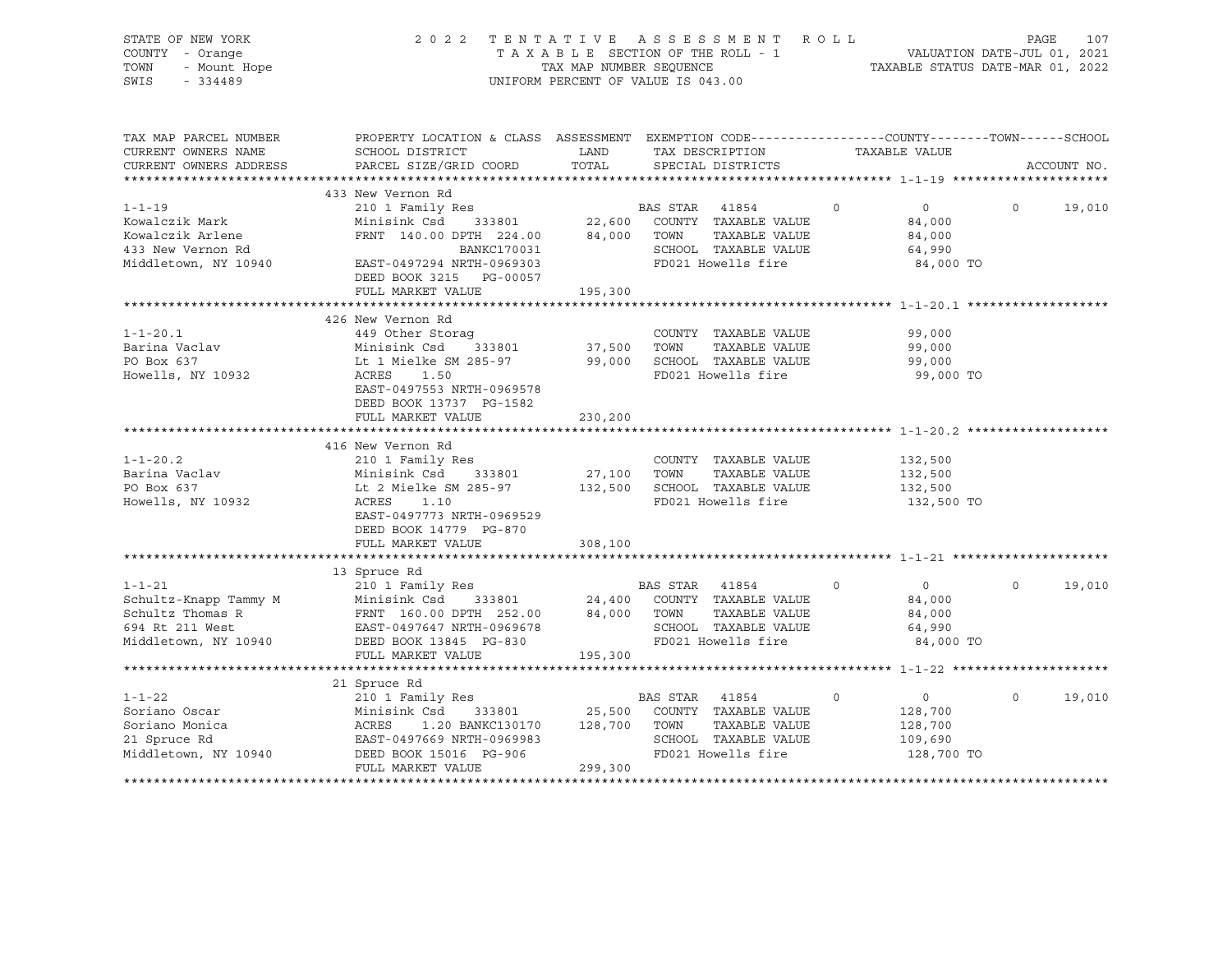| STATE OF NEW YORK<br>COUNTY - Orange<br>TOWN<br>- Mount Hope<br>SWIS<br>$-334489$ | 2022<br>TENTATIVE                                                                                                  |                  | ASSESSMENT ROLL<br>T A X A B L E SECTION OF THE ROLL - 1<br>T A X A B L E SECTION OF THE ROLL - 1<br>TAXABLE STATUS DATE-MAR 01, 2022<br>UNIFORM PERCENT OF VALUE IS 043.00 |               |                               | PAGE<br>107 |
|-----------------------------------------------------------------------------------|--------------------------------------------------------------------------------------------------------------------|------------------|-----------------------------------------------------------------------------------------------------------------------------------------------------------------------------|---------------|-------------------------------|-------------|
| TAX MAP PARCEL NUMBER<br>CURRENT OWNERS NAME                                      | PROPERTY LOCATION & CLASS ASSESSMENT EXEMPTION CODE----------------COUNTY-------TOWN-----SCHOOL<br>SCHOOL DISTRICT | LAND             | TAX DESCRIPTION                                                                                                                                                             | TAXABLE VALUE |                               |             |
| CURRENT OWNERS ADDRESS                                                            | PARCEL SIZE/GRID COORD                                                                                             | TOTAL            | SPECIAL DISTRICTS                                                                                                                                                           |               |                               | ACCOUNT NO. |
|                                                                                   | 433 New Vernon Rd                                                                                                  |                  |                                                                                                                                                                             |               |                               |             |
| $1 - 1 - 19$                                                                      | 210 1 Family Res                                                                                                   |                  | BAS STAR 41854                                                                                                                                                              | $\Omega$      | $0 \qquad \qquad$<br>$\Omega$ | 19,010      |
| Kowalczik Mark                                                                    | Minisink Csd 333801                                                                                                | 22,600           | COUNTY TAXABLE VALUE                                                                                                                                                        |               | 84,000                        |             |
| Kowalczik Arlene                                                                  | FRNT 140.00 DPTH 224.00                                                                                            | 84,000           | TOWN<br>TAXABLE VALUE                                                                                                                                                       |               | 84,000                        |             |
| 433 New Vernon Rd                                                                 | BANKC170031                                                                                                        |                  | SCHOOL TAXABLE VALUE                                                                                                                                                        |               | 64,990                        |             |
| Middletown, NY 10940                                                              | EAST-0497294 NRTH-0969303<br>DEED BOOK 3215<br>PG-00057                                                            |                  | FD021 Howells fire                                                                                                                                                          |               | 84,000 TO                     |             |
|                                                                                   | FULL MARKET VALUE                                                                                                  | 195,300          |                                                                                                                                                                             |               |                               |             |
|                                                                                   |                                                                                                                    |                  |                                                                                                                                                                             |               |                               |             |
|                                                                                   | 426 New Vernon Rd                                                                                                  |                  |                                                                                                                                                                             |               |                               |             |
| $1 - 1 - 20.1$                                                                    | 449 Other Storaq                                                                                                   |                  | COUNTY TAXABLE VALUE                                                                                                                                                        |               | 99,000                        |             |
| Barina Vaclav<br>PO Box 637                                                       | Minisink Csd<br>333801<br>Lt 1 Mielke SM 285-97                                                                    | 37,500<br>99,000 | TOWN<br>TAXABLE VALUE<br>SCHOOL TAXABLE VALUE                                                                                                                               |               | 99,000<br>99,000              |             |
| Howells, NY 10932                                                                 | ACRES<br>1.50                                                                                                      |                  | FD021 Howells fire                                                                                                                                                          |               | 99,000 TO                     |             |
|                                                                                   | EAST-0497553 NRTH-0969578                                                                                          |                  |                                                                                                                                                                             |               |                               |             |
|                                                                                   | DEED BOOK 13737 PG-1582                                                                                            |                  |                                                                                                                                                                             |               |                               |             |
|                                                                                   | FULL MARKET VALUE                                                                                                  | 230,200          |                                                                                                                                                                             |               |                               |             |
|                                                                                   |                                                                                                                    |                  |                                                                                                                                                                             |               |                               |             |
|                                                                                   | 416 New Vernon Rd                                                                                                  |                  |                                                                                                                                                                             |               |                               |             |
| $1 - 1 - 20.2$                                                                    | 210 1 Family Res                                                                                                   |                  | COUNTY TAXABLE VALUE                                                                                                                                                        |               | 132,500                       |             |
| Barina Vaclav                                                                     | Minisink Csd 333801                                                                                                | 27,100           | TOWN<br>TAXABLE VALUE                                                                                                                                                       |               | 132,500                       |             |
| PO Box 637                                                                        | Lt 2 Mielke SM 285-97 132,500                                                                                      |                  | SCHOOL TAXABLE VALUE<br>FD021 Howells fire                                                                                                                                  |               | 132,500                       |             |
| Howells, NY 10932                                                                 | ACRES<br>1.10<br>EAST-0497773 NRTH-0969529                                                                         |                  |                                                                                                                                                                             |               | 132,500 TO                    |             |
|                                                                                   | DEED BOOK 14779 PG-870                                                                                             |                  |                                                                                                                                                                             |               |                               |             |
|                                                                                   | FULL MARKET VALUE                                                                                                  | 308,100          |                                                                                                                                                                             |               |                               |             |
|                                                                                   |                                                                                                                    |                  |                                                                                                                                                                             |               |                               |             |
|                                                                                   | 13 Spruce Rd                                                                                                       |                  |                                                                                                                                                                             |               |                               |             |
| $1 - 1 - 21$                                                                      | 210 1 Family Res                                                                                                   |                  | BAS STAR 41854                                                                                                                                                              | $\circ$       | $\overline{0}$<br>$\Omega$    | 19,010      |
| Schultz-Knapp Tammy M                                                             | 333801                                                                                                             | 24,400           | COUNTY TAXABLE VALUE                                                                                                                                                        |               | 84,000                        |             |
| Schultz Thomas R                                                                  | Minisink Csd 333801<br>FRNT 160.00 DPTH 252.00<br>EAST-0497647 NRTH-0969678<br>DEED BOOK 13845 PG-830              | 84,000           | TOWN<br>TAXABLE VALUE                                                                                                                                                       |               | 84,000                        |             |
| 694 Rt 211 West                                                                   |                                                                                                                    |                  | SCHOOL TAXABLE VALUE                                                                                                                                                        |               | 64,990                        |             |
| Middletown, NY 10940                                                              |                                                                                                                    |                  | FD021 Howells fire                                                                                                                                                          |               | 84,000 TO                     |             |
|                                                                                   | FULL MARKET VALUE                                                                                                  | 195,300          |                                                                                                                                                                             |               |                               |             |
|                                                                                   | 21 Spruce Rd                                                                                                       |                  |                                                                                                                                                                             |               |                               |             |
| $1 - 1 - 22$                                                                      | 210 1 Family Res                                                                                                   |                  | BAS STAR 41854                                                                                                                                                              | $\circ$       | $\overline{0}$<br>$\Omega$    | 19,010      |
| Soriano Oscar                                                                     | 333801<br>Minisink Csd                                                                                             | 25,500           | COUNTY TAXABLE VALUE                                                                                                                                                        |               | 128,700                       |             |
| Soriano Monica                                                                    | ACRES<br>1.20 BANKC130170                                                                                          | 128,700          | TOWN<br>TAXABLE VALUE                                                                                                                                                       |               | 128,700                       |             |
| 21 Spruce Rd                                                                      | EAST-0497669 NRTH-0969983                                                                                          |                  | SCHOOL TAXABLE VALUE                                                                                                                                                        |               | 109,690                       |             |
| Middletown, NY 10940                                                              | DEED BOOK 15016 PG-906                                                                                             |                  | FD021 Howells fire                                                                                                                                                          |               | 128,700 TO                    |             |
|                                                                                   | FULL MARKET VALUE                                                                                                  | 299,300          |                                                                                                                                                                             |               |                               |             |
|                                                                                   |                                                                                                                    |                  |                                                                                                                                                                             |               |                               |             |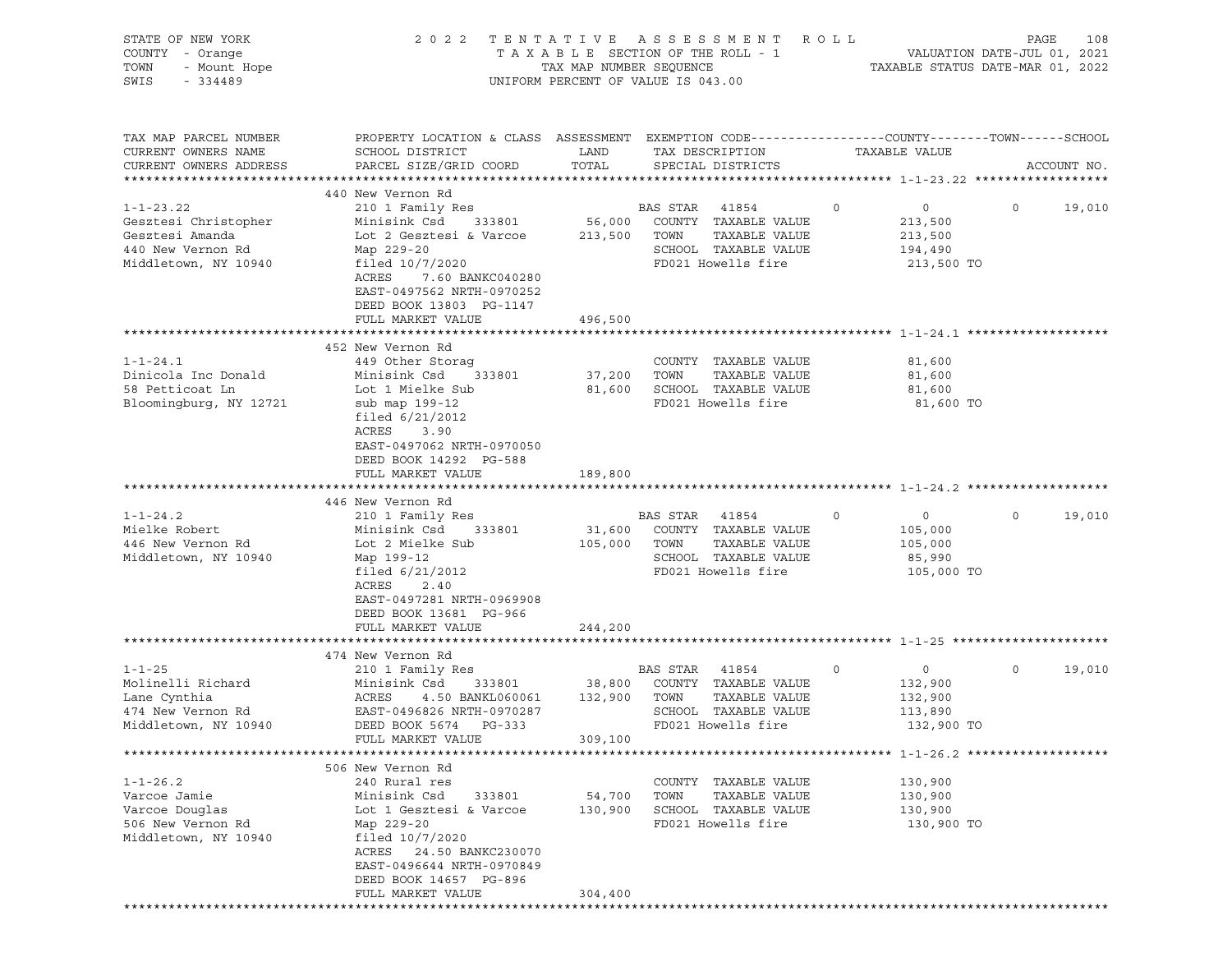| STATE OF NEW YORK<br>COUNTY - Orange<br>TOWN<br>- Mount Hope<br>SWIS<br>$-334489$                       | 2 0 2 2                                                                                                                                                                                                                              | TENTATIVE<br>TAX MAP NUMBER SEQUENCE | ASSESSMENT<br>TAXABLE SECTION OF THE ROLL - 1<br>UNIFORM PERCENT OF VALUE IS 043.00                              | R O L L                                                            | PAGE<br>108<br>VALUATION DATE-JUL 01, 2021<br>TAXABLE STATUS DATE-MAR 01, 2022 |
|---------------------------------------------------------------------------------------------------------|--------------------------------------------------------------------------------------------------------------------------------------------------------------------------------------------------------------------------------------|--------------------------------------|------------------------------------------------------------------------------------------------------------------|--------------------------------------------------------------------|--------------------------------------------------------------------------------|
| TAX MAP PARCEL NUMBER<br>CURRENT OWNERS NAME<br>CURRENT OWNERS ADDRESS                                  | PROPERTY LOCATION & CLASS ASSESSMENT EXEMPTION CODE----------------COUNTY-------TOWN------SCHOOL<br>SCHOOL DISTRICT<br>PARCEL SIZE/GRID COORD                                                                                        | LAND<br>TOTAL                        | TAX DESCRIPTION<br>SPECIAL DISTRICTS                                                                             | TAXABLE VALUE                                                      | ACCOUNT NO.                                                                    |
| $1 - 1 - 23.22$<br>Gesztesi Christopher<br>Gesztesi Amanda<br>440 New Vernon Rd<br>Middletown, NY 10940 | 440 New Vernon Rd<br>210 1 Family Res<br>Minisink Csd<br>333801<br>Lot 2 Gesztesi & Varcoe<br>Map 229-20<br>filed $10/7/2020$<br>ACRES<br>7.60 BANKC040280<br>EAST-0497562 NRTH-0970252<br>DEED BOOK 13803 PG-1147                   | 56,000<br>213,500 TOWN               | BAS STAR<br>41854<br>COUNTY TAXABLE VALUE<br>TAXABLE VALUE<br>SCHOOL TAXABLE VALUE<br>FD021 Howells fire         | $\circ$<br>$\circ$<br>213,500<br>213,500<br>194,490<br>213,500 TO  | $\circ$<br>19,010                                                              |
|                                                                                                         | FULL MARKET VALUE                                                                                                                                                                                                                    | 496,500                              |                                                                                                                  |                                                                    |                                                                                |
| $1 - 1 - 24.1$<br>Dinicola Inc Donald<br>58 Petticoat Ln<br>Bloomingburg, NY 12721                      | 452 New Vernon Rd<br>449 Other Storag<br>Minisink Csd<br>333801<br>Lot 1 Mielke Sub<br>sub map 199-12<br>filed $6/21/2012$<br>ACRES<br>3.90<br>EAST-0497062 NRTH-0970050<br>DEED BOOK 14292 PG-588<br>FULL MARKET VALUE              | 37,200 TOWN<br>189,800               | COUNTY TAXABLE VALUE<br>TAXABLE VALUE<br>81,600 SCHOOL TAXABLE VALUE<br>FD021 Howells fire                       | 81,600<br>81,600<br>81,600<br>81,600 TO                            |                                                                                |
|                                                                                                         |                                                                                                                                                                                                                                      |                                      |                                                                                                                  |                                                                    |                                                                                |
| $1 - 1 - 24.2$<br>Mielke Robert<br>446 New Vernon Rd<br>Middletown, NY 10940                            | 446 New Vernon Rd<br>210 1 Family Res<br>Minisink Csd<br>333801<br>Lot 2 Mielke Sub<br>Map 199-12<br>filed $6/21/2012$<br>ACRES<br>2.40<br>EAST-0497281 NRTH-0969908<br>DEED BOOK 13681 PG-966<br>FULL MARKET VALUE                  | 31,600<br>105,000<br>244,200         | BAS STAR<br>41854<br>COUNTY TAXABLE VALUE<br>TOWN<br>TAXABLE VALUE<br>SCHOOL TAXABLE VALUE<br>FD021 Howells fire | $\circ$<br>$\circ$<br>105,000<br>105,000<br>85,990<br>105,000 TO   | $\circ$<br>19,010                                                              |
|                                                                                                         |                                                                                                                                                                                                                                      |                                      |                                                                                                                  |                                                                    |                                                                                |
| $1 - 1 - 25$<br>Molinelli Richard<br>Lane Cynthia<br>474 New Vernon Rd<br>Middletown, NY 10940          | 474 New Vernon Rd<br>210 1 Family Res<br>Minisink Csd<br>333801<br>ACRES<br>4.50 BANKL060061<br>EAST-0496826 NRTH-0970287<br>DEED BOOK 5674 PG-333<br>FULL MARKET VALUE                                                              | 38,800<br>132,900<br>309,100         | BAS STAR<br>41854<br>COUNTY TAXABLE VALUE<br>TOWN<br>TAXABLE VALUE<br>SCHOOL TAXABLE VALUE<br>FD021 Howells fire | 0<br>$\overline{0}$<br>132,900<br>132,900<br>113,890<br>132,900 TO | 19,010<br>$\circ$                                                              |
|                                                                                                         |                                                                                                                                                                                                                                      |                                      |                                                                                                                  |                                                                    |                                                                                |
| $1 - 1 - 26.2$<br>Varcoe Jamie<br>Varcoe Douglas<br>506 New Vernon Rd<br>Middletown, NY 10940           | 506 New Vernon Rd<br>240 Rural res<br>Minisink Csd<br>333801<br>Lot 1 Gesztesi & Varcoe<br>Map 229-20<br>filed $10/7/2020$<br>ACRES<br>24.50 BANKC230070<br>EAST-0496644 NRTH-0970849<br>DEED BOOK 14657 PG-896<br>FULL MARKET VALUE | 54,700<br>130,900<br>304,400         | TAXABLE VALUE<br>COUNTY<br>TOWN<br>TAXABLE VALUE<br>SCHOOL TAXABLE VALUE<br>FD021 Howells fire                   | 130,900<br>130,900<br>130,900<br>130,900 TO                        |                                                                                |
|                                                                                                         |                                                                                                                                                                                                                                      |                                      |                                                                                                                  |                                                                    |                                                                                |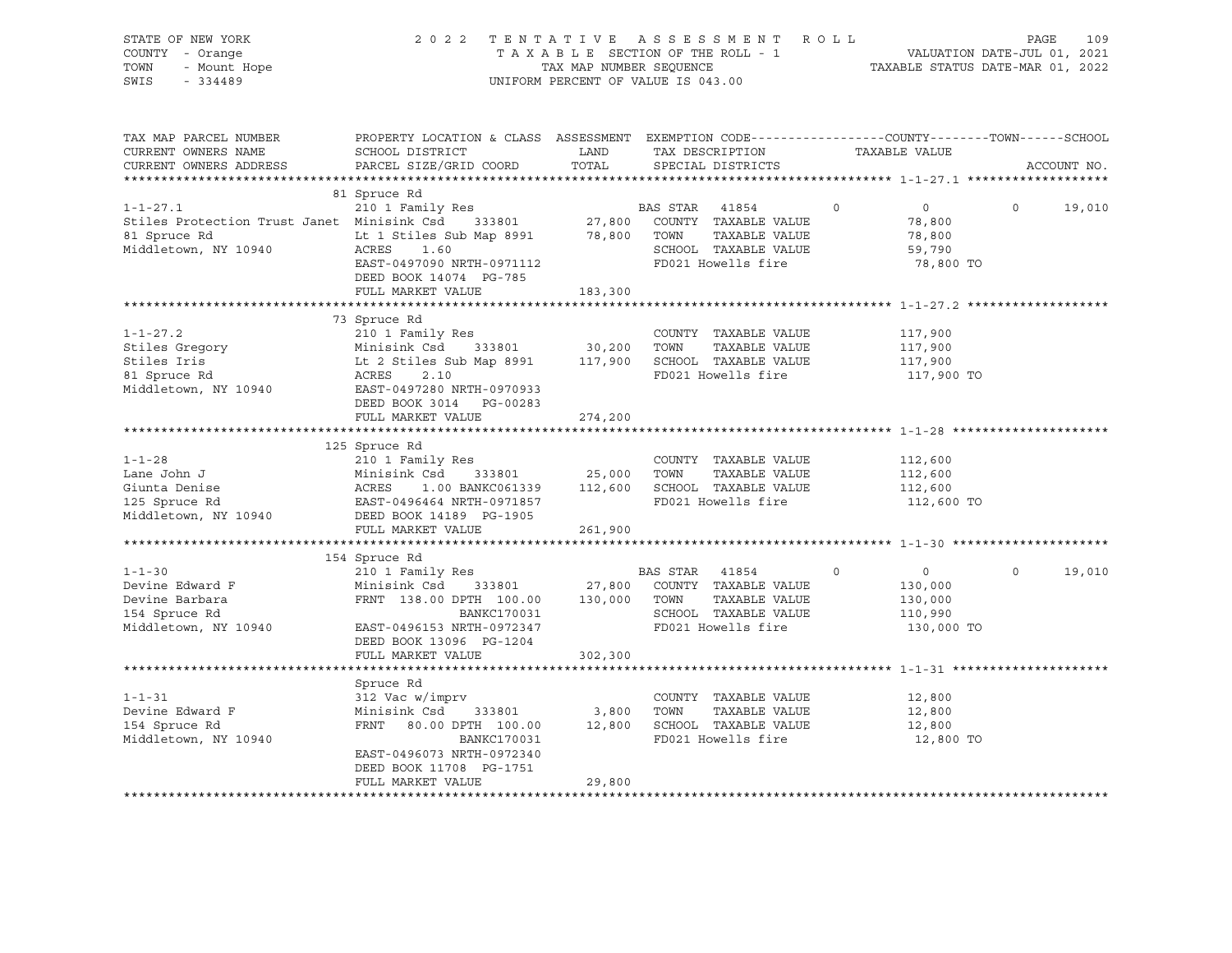| STATE OF NEW YORK<br>COUNTY - Orange<br>- Mount Hope<br>TOWN<br>SWIS<br>$-334489$                    | 2 0 2 2<br>ASSESSMENT<br>TENTATIVE<br>TAXABLE SECTION OF THE ROLL - 1<br>TAX MAP NUMBER SEQUENCE<br>UNIFORM PERCENT OF VALUE IS 043.00                                                  |                        |                |                                                                                                                           |         | ROLL<br>PAGE<br>VALUATION DATE-JUL 01, 2021<br>TAXABLE STATUS DATE-MAR 01, 2022 |         |             |  |  |
|------------------------------------------------------------------------------------------------------|-----------------------------------------------------------------------------------------------------------------------------------------------------------------------------------------|------------------------|----------------|---------------------------------------------------------------------------------------------------------------------------|---------|---------------------------------------------------------------------------------|---------|-------------|--|--|
| TAX MAP PARCEL NUMBER<br>CURRENT OWNERS NAME<br>CURRENT OWNERS ADDRESS                               | PROPERTY LOCATION & CLASS ASSESSMENT EXEMPTION CODE---------------COUNTY-------TOWN-----SCHOOL<br>SCHOOL DISTRICT<br>PARCEL SIZE/GRID COORD                                             | LAND<br>TOTAL          |                | TAX DESCRIPTION<br>SPECIAL DISTRICTS                                                                                      |         | TAXABLE VALUE                                                                   |         | ACCOUNT NO. |  |  |
|                                                                                                      | 81 Spruce Rd                                                                                                                                                                            |                        |                |                                                                                                                           |         |                                                                                 |         |             |  |  |
| $1 - 1 - 27.1$<br>Stiles Protection Trust Janet Minisink Csd<br>81 Spruce Rd<br>Middletown, NY 10940 | 210 1 Family Res<br>Lt 1 Stiles Sub Map 8991<br>ACRES<br>1.60<br>EAST-0497090 NRTH-0971112<br>DEED BOOK 14074 PG-785                                                                    |                        | BAS STAR 41854 | 333801 27,800 COUNTY TAXABLE VALUE<br>ub Map 8991 78,800 TOWN TAXABLE VALUE<br>SCHOOL TAXABLE VALUE<br>FD021 Howells fire | $\circ$ | $\overline{0}$<br>78,800<br>78,800<br>59,790<br>78,800 TO                       | $\circ$ | 19,010      |  |  |
|                                                                                                      | FULL MARKET VALUE                                                                                                                                                                       | 183,300                |                |                                                                                                                           |         |                                                                                 |         |             |  |  |
| $1 - 1 - 27.2$<br>Stiles Gregory<br>Stiles Iris<br>81 Spruce Rd<br>Middletown, NY 10940              | 73 Spruce Rd<br>210 1 Family Res<br>Minisink Csd<br>333801<br>Lt 2 Stiles Sub Map 8991<br>ACRES<br>2.10<br>EAST-0497280 NRTH-0970933<br>DEED BOOK 3014 PG-00283                         | 30,200 TOWN            |                | COUNTY TAXABLE VALUE<br>TAXABLE VALUE<br>117,900 SCHOOL TAXABLE VALUE<br>FD021 Howells fire                               |         | 117,900<br>117,900<br>117,900<br>117,900 TO                                     |         |             |  |  |
|                                                                                                      | FULL MARKET VALUE                                                                                                                                                                       | 274,200                |                |                                                                                                                           |         |                                                                                 |         |             |  |  |
| $1 - 1 - 28$<br>Lane John J<br>Giunta Denise<br>125 Spruce Rd<br>Middletown, NY 10940                | 125 Spruce Rd<br>210 1 Family Res<br>Minisink Csd<br>333801<br>Minis:<br>ACRES<br>1.00 BANKC061339 112,600 SCHOOL TAXABLE VALUE<br>EAST-0496464 NRTH-0971857<br>DEED BOOK 14189 PG-1905 | 25,000 TOWN            |                | COUNTY TAXABLE VALUE<br>TAXABLE VALUE<br>FD021 Howells fire                                                               |         | 112,600<br>112,600<br>112,600<br>112,600 TO                                     |         |             |  |  |
|                                                                                                      | FULL MARKET VALUE                                                                                                                                                                       | 261,900                |                |                                                                                                                           |         |                                                                                 |         |             |  |  |
|                                                                                                      |                                                                                                                                                                                         |                        |                |                                                                                                                           |         |                                                                                 |         |             |  |  |
| $1 - 1 - 30$<br>Devine Edward F<br>Devine Barbara<br>154 Spruce Rd<br>Middletown, NY 10940           | 154 Spruce Rd<br>210 1 Family Res<br>Minisink Csd<br>333801<br>FRNT 138.00 DPTH 100.00<br>BANKC170031<br>EAST-0496153 NRTH-0972347<br>DEED BOOK 13096 PG-1204                           | 27,800<br>130,000 TOWN | BAS STAR       | 41854<br>COUNTY TAXABLE VALUE<br>TAXABLE VALUE<br>SCHOOL TAXABLE VALUE<br>FD021 Howells fire                              | 0       | $\overline{0}$<br>130,000<br>130,000<br>110,990<br>130,000 TO                   | $\circ$ | 19,010      |  |  |
|                                                                                                      | FULL MARKET VALUE                                                                                                                                                                       | 302,300                |                |                                                                                                                           |         |                                                                                 |         |             |  |  |
| $1 - 1 - 31$<br>Devine Edward F<br>154 Spruce Rd                                                     | Spruce Rd<br>312 Vac w/imprv<br>Minisink Csd<br>333801<br>80.00 DPTH 100.00<br>FRNT                                                                                                     | 3,800                  | TOWN           | COUNTY TAXABLE VALUE<br>TAXABLE VALUE<br>12,800 SCHOOL TAXABLE VALUE                                                      |         | 12,800<br>12,800<br>12,800                                                      |         |             |  |  |
| Middletown, NY 10940                                                                                 | BANKC170031<br>EAST-0496073 NRTH-0972340<br>DEED BOOK 11708 PG-1751<br>FULL MARKET VALUE                                                                                                | 29,800                 |                | FD021 Howells fire                                                                                                        |         | 12,800 TO                                                                       |         |             |  |  |
|                                                                                                      |                                                                                                                                                                                         |                        |                |                                                                                                                           |         |                                                                                 |         |             |  |  |
|                                                                                                      |                                                                                                                                                                                         |                        |                |                                                                                                                           |         |                                                                                 |         |             |  |  |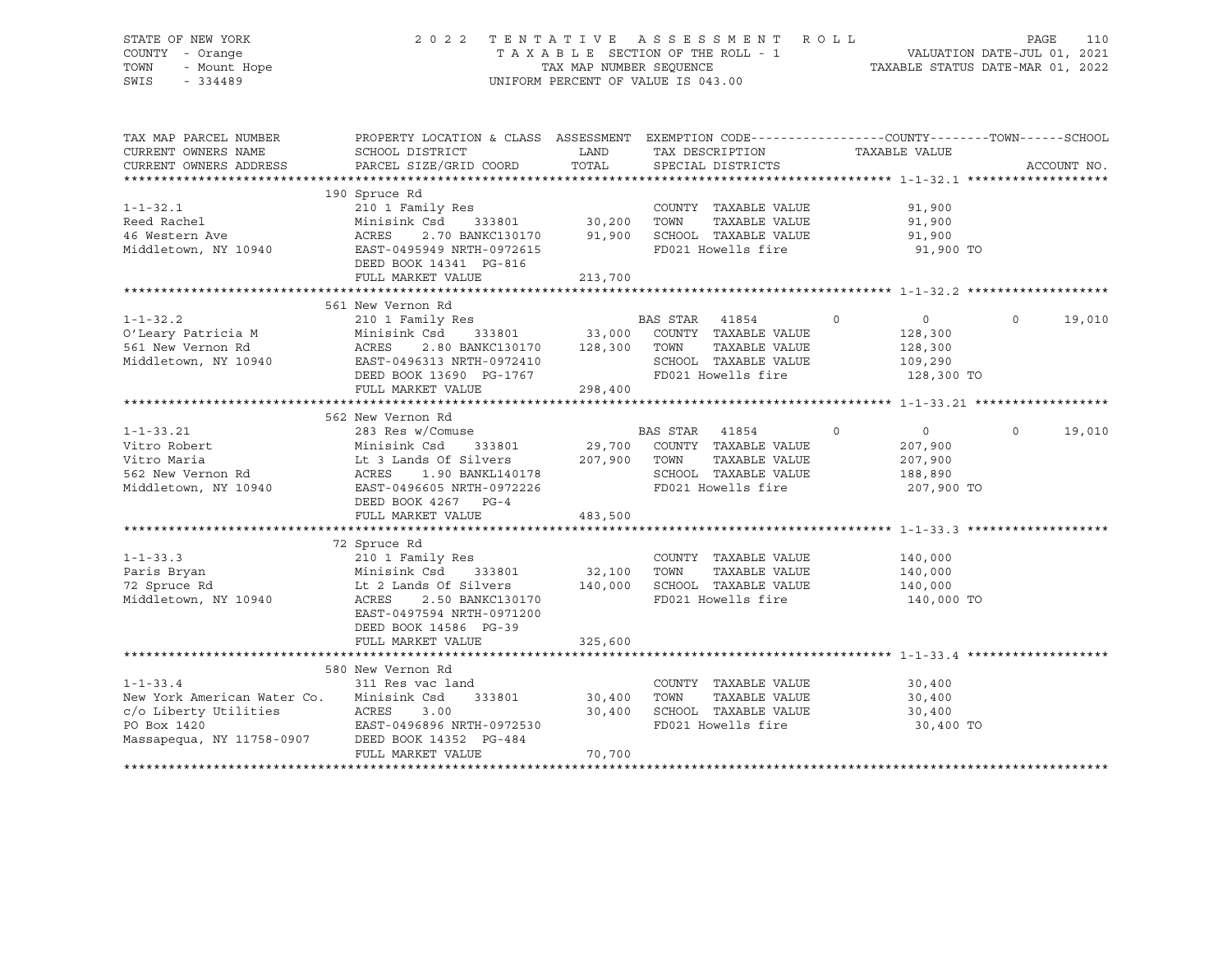# STATE OF NEW YORK 2 0 2 2 T E N T A T I V E A S S E S S M E N T R O L L PAGE 110 COUNTY - Orange T A X A B L E SECTION OF THE ROLL - 1 VALUATION DATE-JUL 01, 2021 TOWN - Mount Hope TAX MAP NUMBER SEQUENCE TAXABLE STATUS DATE-MAR 01, 2022 SWIS - 334489 UNIFORM PERCENT OF VALUE IS 043.00

| TAX MAP PARCEL NUMBER<br>CURRENT OWNERS NAME<br>CURRENT OWNERS ADDRESS            | PROPERTY LOCATION & CLASS ASSESSMENT<br>SCHOOL DISTRICT<br>PARCEL SIZE/GRID COORD                                                                                      | LAND<br>TOTAL     |                  | TAX DESCRIPTION<br>SPECIAL DISTRICTS                                                | TAXABLE VALUE |                                                               | EXEMPTION CODE-----------------COUNTY-------TOWN------SCHOOL<br>ACCOUNT NO. |        |
|-----------------------------------------------------------------------------------|------------------------------------------------------------------------------------------------------------------------------------------------------------------------|-------------------|------------------|-------------------------------------------------------------------------------------|---------------|---------------------------------------------------------------|-----------------------------------------------------------------------------|--------|
|                                                                                   |                                                                                                                                                                        |                   |                  |                                                                                     |               |                                                               |                                                                             |        |
| $1 - 1 - 32.1$                                                                    | 190 Spruce Rd<br>210 1 Family Res                                                                                                                                      |                   |                  | COUNTY TAXABLE VALUE                                                                |               | 91,900                                                        |                                                                             |        |
| Reed Rachel<br>46 Western Ave                                                     | Minisink Csd<br>333801<br>ACRES<br>2.70 BANKC130170                                                                                                                    | 30,200<br>91,900  | TOWN             | TAXABLE VALUE<br>SCHOOL TAXABLE VALUE                                               |               | 91,900<br>91,900                                              |                                                                             |        |
| Middletown, NY 10940                                                              | EAST-0495949 NRTH-0972615<br>DEED BOOK 14341 PG-816<br>FULL MARKET VALUE                                                                                               | 213,700           |                  | FD021 Howells fire                                                                  |               | 91,900 TO                                                     |                                                                             |        |
|                                                                                   |                                                                                                                                                                        |                   |                  |                                                                                     |               |                                                               |                                                                             |        |
|                                                                                   | 561 New Vernon Rd                                                                                                                                                      |                   |                  |                                                                                     |               |                                                               |                                                                             |        |
| $1 - 1 - 32.2$<br>O'Leary Patricia M<br>561 New Vernon Rd<br>Middletown, NY 10940 | 210 1 Family Res<br>Minisink Csd 333801 33,000 COUNTY TAXABLE VALUE<br>2.80 BANKC130170 128,300<br>ACRES<br>EAST-0496313 NRTH-0972410<br>DEED BOOK 13690 PG-1767       |                   | BAS STAR<br>TOWN | 41854<br>TAXABLE VALUE<br>SCHOOL TAXABLE VALUE<br>FD021 Howells fire                | $\circ$       | $\overline{0}$<br>128,300<br>128,300<br>109,290<br>128,300 TO | $\circ$                                                                     | 19,010 |
|                                                                                   | FULL MARKET VALUE                                                                                                                                                      | 298,400           |                  |                                                                                     |               |                                                               |                                                                             |        |
|                                                                                   |                                                                                                                                                                        |                   |                  |                                                                                     |               |                                                               |                                                                             |        |
| $1 - 1 - 33.21$                                                                   | 562 New Vernon Rd<br>283 Res w/Comuse                                                                                                                                  |                   | BAS STAR         | 41854                                                                               | $\mathbf 0$   | $\overline{0}$                                                | $\Omega$                                                                    | 19,010 |
| Vitro Robert<br>Vitro Maria<br>562 New Vernon Rd<br>Middletown, NY 10940          | Minisink Csd<br>333801<br>Lt 3 Lands Of Silvers<br>ACRES 1.90 BANKL140178<br>EAST-0496605 NRTH-0972226<br>DEED BOOK 4267 PG-4                                          | 29,700<br>207,900 | TOWN             | COUNTY TAXABLE VALUE<br>TAXABLE VALUE<br>SCHOOL TAXABLE VALUE<br>FD021 Howells fire |               | 207,900<br>207,900<br>188,890<br>207,900 TO                   |                                                                             |        |
|                                                                                   | FULL MARKET VALUE                                                                                                                                                      | 483,500           |                  |                                                                                     |               |                                                               |                                                                             |        |
|                                                                                   |                                                                                                                                                                        |                   |                  |                                                                                     |               |                                                               |                                                                             |        |
| $1 - 1 - 33.3$<br>Paris Bryan<br>72 Spruce Rd<br>Middletown, NY 10940             | 72 Spruce Rd<br>210 1 Family Res<br>Minisink Csd<br>333801<br>Lt 2 Lands Of Silvers<br>ACRES<br>2.50 BANKC130170<br>EAST-0497594 NRTH-0971200<br>DEED BOOK 14586 PG-39 | 32,100<br>140,000 | TOWN             | COUNTY TAXABLE VALUE<br>TAXABLE VALUE<br>SCHOOL TAXABLE VALUE<br>FD021 Howells fire |               | 140,000<br>140,000<br>140,000<br>140,000 TO                   |                                                                             |        |
|                                                                                   | FULL MARKET VALUE                                                                                                                                                      | 325,600           |                  |                                                                                     |               |                                                               |                                                                             |        |
|                                                                                   |                                                                                                                                                                        |                   |                  |                                                                                     |               |                                                               |                                                                             |        |
|                                                                                   | 580 New Vernon Rd                                                                                                                                                      |                   |                  |                                                                                     |               |                                                               |                                                                             |        |
| $1 - 1 - 33.4$                                                                    | 311 Res vac land                                                                                                                                                       |                   |                  | COUNTY TAXABLE VALUE                                                                |               | 30,400                                                        |                                                                             |        |
| New York American Water Co.                                                       | 333801<br>Minisink Csd                                                                                                                                                 | 30,400            | TOWN             | TAXABLE VALUE                                                                       |               | 30,400                                                        |                                                                             |        |
| c/o Liberty Utilities                                                             | ACRES<br>3.00                                                                                                                                                          | 30,400            |                  | SCHOOL TAXABLE VALUE                                                                |               | 30,400                                                        |                                                                             |        |
| PO Box 1420<br>Massapequa, NY 11758-0907                                          | EAST-0496896 NRTH-0972530<br>DEED BOOK 14352 PG-484<br>FULL MARKET VALUE                                                                                               | 70,700            |                  | FD021 Howells fire                                                                  |               | 30,400 TO                                                     |                                                                             |        |
|                                                                                   |                                                                                                                                                                        |                   |                  |                                                                                     |               |                                                               |                                                                             |        |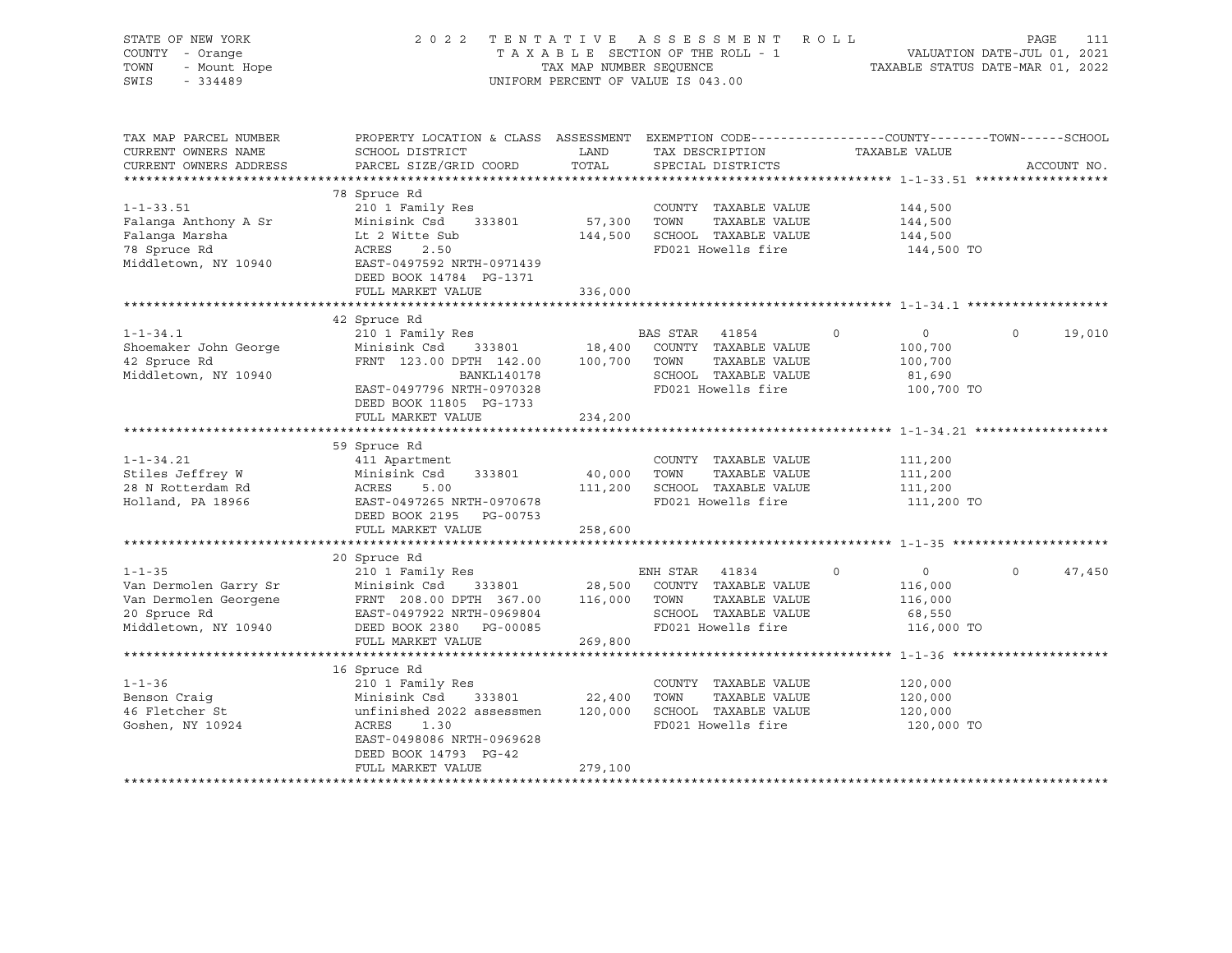| STATE OF NEW YORK<br>COUNTY - Orange<br>TOWN<br>- Mount Hope<br>$-334489$<br>SWIS                 | 2022                                                                                                                                                                                                 | TENTATIVE                    | ASSESSMENT ROLL<br>UNIFORM PERCENT OF VALUE IS 043.00                                                         |                                                                             | PAGE<br>111<br>VALUATION DATE-JUL 01, 2021<br>TAXABLE STATUS DATE-MAR 01, 2022 |
|---------------------------------------------------------------------------------------------------|------------------------------------------------------------------------------------------------------------------------------------------------------------------------------------------------------|------------------------------|---------------------------------------------------------------------------------------------------------------|-----------------------------------------------------------------------------|--------------------------------------------------------------------------------|
| TAX MAP PARCEL NUMBER<br>CURRENT OWNERS NAME<br>CURRENT OWNERS ADDRESS                            | PROPERTY LOCATION & CLASS ASSESSMENT EXEMPTION CODE----------------COUNTY-------TOWN-----SCHOOL<br>SCHOOL DISTRICT<br>PARCEL SIZE/GRID COORD                                                         | LAND<br>TOTAL                | TAX DESCRIPTION<br>SPECIAL DISTRICTS                                                                          | TAXABLE VALUE                                                               | ACCOUNT NO.                                                                    |
|                                                                                                   |                                                                                                                                                                                                      |                              |                                                                                                               |                                                                             |                                                                                |
| $1 - 1 - 33.51$<br>Falanga Anthony A Sr<br>Falanga Marsha<br>78 Spruce Rd<br>Middletown, NY 10940 | 78 Spruce Rd<br>210 1 Family Res<br>Minisink Csd 333801<br>Lt 2 Witte Sub<br>ACRES<br>2.50<br>EAST-0497592 NRTH-0971439<br>DEED BOOK 14784 PG-1371                                                   | 57,300<br>144,500            | COUNTY TAXABLE VALUE<br>TOWN<br>TAXABLE VALUE<br>SCHOOL TAXABLE VALUE<br>FD021 Howells fire                   | 144,500<br>144,500<br>144,500<br>144,500 TO                                 |                                                                                |
|                                                                                                   | FULL MARKET VALUE                                                                                                                                                                                    | 336,000                      |                                                                                                               |                                                                             |                                                                                |
|                                                                                                   | *************************                                                                                                                                                                            | *******************          |                                                                                                               |                                                                             |                                                                                |
| $1 - 1 - 34.1$<br>Shoemaker John George<br>42 Spruce Rd<br>Middletown, NY 10940                   | 42 Spruce Rd<br>210 1 Family Res<br>Minisink Csd 333801<br>FRNT 123.00 DPTH 142.00 100,700<br>BANKL140178<br>EAST-0497796 NRTH-0970328<br>DEED BOOK 11805 PG-1733<br>FULL MARKET VALUE               | 18,400<br>234,200            | BAS STAR 41854<br>COUNTY TAXABLE VALUE<br>TOWN<br>TAXABLE VALUE<br>SCHOOL TAXABLE VALUE<br>FD021 Howells fire | $\overline{0}$<br>$\circ$<br>100,700<br>100,700<br>81,690<br>100,700 TO     | $\circ$<br>19,010                                                              |
|                                                                                                   |                                                                                                                                                                                                      |                              |                                                                                                               |                                                                             |                                                                                |
| $1 - 1 - 34.21$<br>Stiles Jeffrey W<br>28 N Rotterdam Rd<br>Holland, PA 18966                     | 59 Spruce Rd<br>411 Apartment<br>Minisink Csd<br>333801<br>ACRES<br>5.00<br>EAST-0497265 NRTH-0970678<br>DEED BOOK 2195<br>PG-00753<br>FULL MARKET VALUE                                             | 40,000<br>111,200<br>258,600 | COUNTY TAXABLE VALUE<br>TOWN<br>TAXABLE VALUE<br>SCHOOL TAXABLE VALUE<br>FD021 Howells fire                   | 111,200<br>111,200<br>111,200<br>111,200 TO                                 |                                                                                |
|                                                                                                   |                                                                                                                                                                                                      |                              |                                                                                                               |                                                                             |                                                                                |
| $1 - 1 - 35$<br>Van Dermolen Garry Sr<br>20 Spruce Rd<br>Middletown, NY 10940                     | 20 Spruce Rd<br>210 1 Family Res<br>Minisink Csd 333801 28,500<br>Van Dermolen Georgene FRNT 208.00 DPTH 367.00 116,000<br>EAST-0497922 NRTH-0969804<br>DEED BOOK 2380 PG-00085<br>FULL MARKET VALUE | 269,800                      | ENH STAR 41834<br>COUNTY TAXABLE VALUE<br>TAXABLE VALUE<br>TOWN<br>SCHOOL TAXABLE VALUE<br>FD021 Howells fire | $0 \qquad \qquad$<br>$\Omega$<br>116,000<br>116,000<br>68,550<br>116,000 TO | $\Omega$<br>47,450                                                             |
|                                                                                                   |                                                                                                                                                                                                      |                              |                                                                                                               |                                                                             |                                                                                |
| $1 - 1 - 36$<br>Benson Craig<br>46 Fletcher St<br>Goshen, NY 10924                                | 16 Spruce Rd<br>210 1 Family Res<br>Minisink Csd 333801<br>unfinished 2022 assessmen 120,000<br>ACRES<br>1.30<br>EAST-0498086 NRTH-0969628<br>DEED BOOK 14793 PG-42<br>FULL MARKET VALUE             | 22,400<br>279,100            | COUNTY TAXABLE VALUE<br>TOWN<br>TAXABLE VALUE<br>SCHOOL TAXABLE VALUE<br>FD021 Howells fire                   | 120,000<br>120,000<br>120,000<br>120,000 TO                                 |                                                                                |
|                                                                                                   |                                                                                                                                                                                                      |                              |                                                                                                               |                                                                             |                                                                                |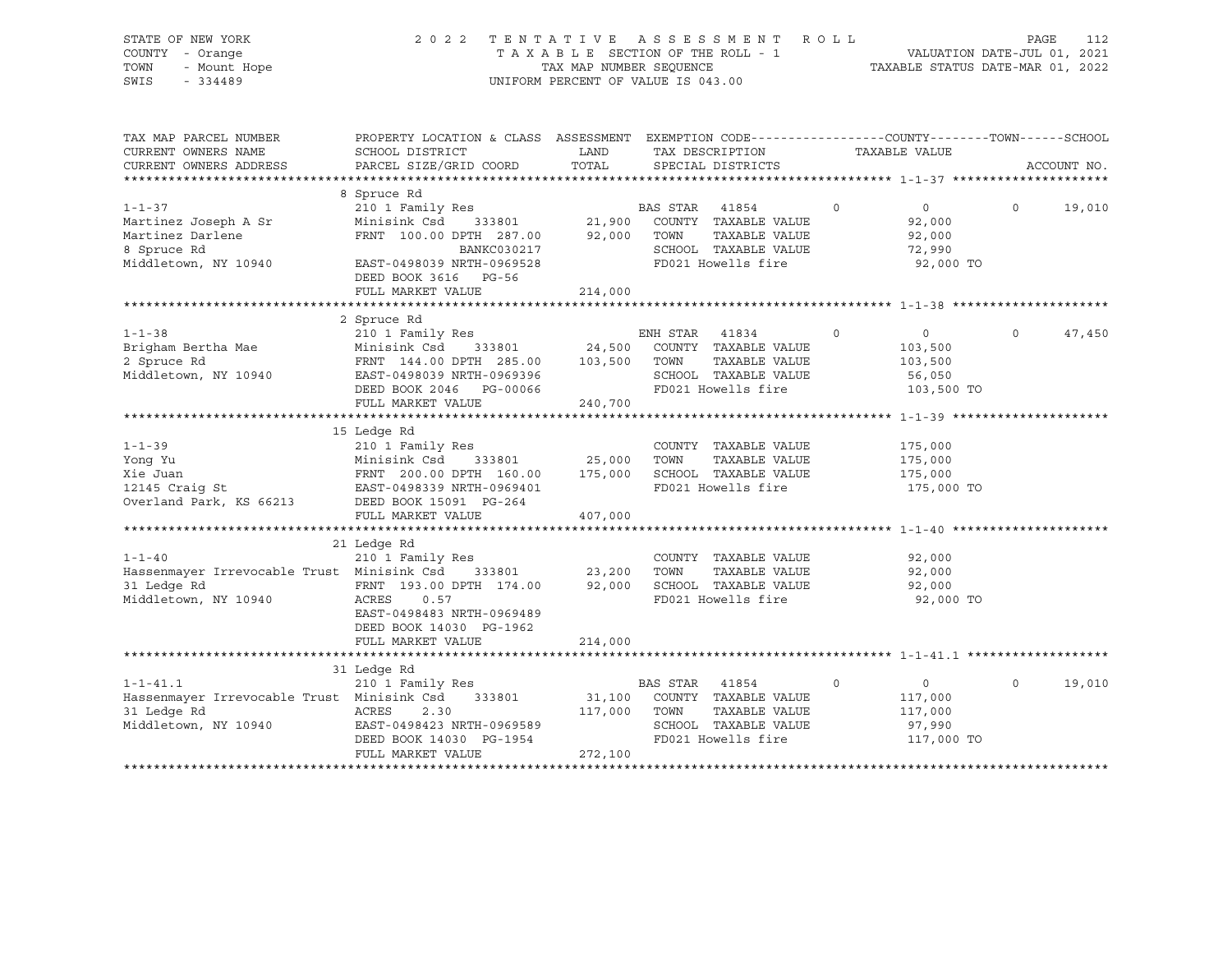| STATE OF NEW YORK<br>COUNTY - Orange<br>TOWN<br>- Mount Hope<br>SWIS<br>$-334489$               | 2 0 2 2                                                                                                                                                                    |                                                                                                                       | TENTATIVE ASSESSMENT ROLL<br>UNIFORM PERCENT OF VALUE IS 043.00                                                                                          |                                                                      | 112<br>PAGE       |
|-------------------------------------------------------------------------------------------------|----------------------------------------------------------------------------------------------------------------------------------------------------------------------------|-----------------------------------------------------------------------------------------------------------------------|----------------------------------------------------------------------------------------------------------------------------------------------------------|----------------------------------------------------------------------|-------------------|
| TAX MAP PARCEL NUMBER<br>CURRENT OWNERS NAME                                                    | PROPERTY LOCATION & CLASS ASSESSMENT EXEMPTION CODE---------------COUNTY-------TOWN-----SCHOOL<br>SCHOOL DISTRICT                                                          | <b>EXAMPLE DESCRIPTION OF STREET AND STREET AND STREET AND STREET AND STREET AND STREET AND STREET AND STREET AND</b> | TAX DESCRIPTION TAXABLE VALUE                                                                                                                            |                                                                      |                   |
| CURRENT OWNERS ADDRESS                                                                          | PARCEL SIZE/GRID COORD                                                                                                                                                     | TOTAL                                                                                                                 | SPECIAL DISTRICTS                                                                                                                                        |                                                                      | ACCOUNT NO.       |
|                                                                                                 |                                                                                                                                                                            |                                                                                                                       |                                                                                                                                                          |                                                                      |                   |
| $1 - 1 - 37$<br>Martinez Joseph A Sr<br>Martinez Darlene<br>8 Spruce Rd<br>Middletown, NY 10940 | 8 Spruce Rd<br>210 1 Family Res<br>Minisink Csd<br>FRNT 100.00 DPTH 287.00 92,000<br>BANKC030217<br>EAST-0498039 NRTH-0969528<br>DEED BOOK 3616 PG-56<br>FULL MARKET VALUE | 214,000                                                                                                               | BAS STAR 41854<br>333801 21,900 COUNTY TAXABLE VALUE<br>TOWN<br>TAXABLE VALUE<br>SCHOOL TAXABLE VALUE<br>FD021 Howells fire                              | $\circ$<br>$\overline{0}$<br>92,000<br>92,000<br>72,990<br>92,000 TO | 19,010<br>$\circ$ |
|                                                                                                 | 2 Spruce Rd                                                                                                                                                                |                                                                                                                       |                                                                                                                                                          |                                                                      |                   |
| $1 - 1 - 38$<br>Brigham Bertha Mae<br>2 Spruce Rd<br>Middletown, NY 10940                       | 210 1 Family Res<br>Minisink Csd<br>FRNT 144.00 DPTH 285.00 103,500<br>EAST-0498039 NRTH-0969396<br>DEED BOOK 2046<br>PG-00066<br>FULL MARKET VALUE                        | 240,700                                                                                                               | ENH STAR 41834<br>$\overline{0}$<br>333801 24,500 COUNTY TAXABLE VALUE<br>TOWN<br>TAXABLE VALUE<br>SCHOOL TAXABLE VALUE<br>FD021 Howells fire 103,500 TO | $\overline{0}$<br>103,500<br>103,500<br>56,050                       | $\circ$<br>47,450 |
|                                                                                                 |                                                                                                                                                                            |                                                                                                                       |                                                                                                                                                          |                                                                      |                   |
| $1 - 1 - 39$<br>Yong Yu<br>Xie Juan                                                             | 15 Ledge Rd<br>210 1 Family Res<br>Minisink Csd<br>FRNT 200.00 DPTH 160.00                                                                                                 | 333801 25,000<br>175,000                                                                                              | COUNTY TAXABLE VALUE<br>TOWN<br>TAXABLE VALUE<br>SCHOOL TAXABLE VALUE                                                                                    | 175,000<br>175,000<br>175,000                                        |                   |
| 12145 Craig St                                                                                  | EAST-0498339 NRTH-0969401                                                                                                                                                  |                                                                                                                       | FD021 Howells fire                                                                                                                                       | 175,000 TO                                                           |                   |

EAST-0498339 NRTH-0969401 Overland Park, KS 66213 DEED BOOK 15091 PG-264 FULL MARKET VALUE 407,000 \*\*\*\*\*\*\*\*\*\*\*\*\*\*\*\*\*\*\*\*\*\*\*\*\*\*\*\*\*\*\*\*\*\*\*\*\*\*\*\*\*\*\*\*\*\*\*\*\*\*\*\*\*\*\*\*\*\*\*\*\*\*\*\*\*\*\*\*\*\*\*\*\*\*\*\*\*\*\*\*\*\*\*\*\*\*\*\*\*\*\*\*\*\*\*\*\*\*\*\*\*\*\* 1-1-40 \*\*\*\*\*\*\*\*\*\*\*\*\*\*\*\*\*\*\*\*\*  $21 \text{ Ledge Rd}$   $210 \text{ 1 Fan}$ 1-1-40 210 1 Family Res COUNTY TAXABLE VALUE 92,000 Hassenmayer Irrevocable Trust Minisink Csd 333801 23,200 TOWN TAXABLE VALUE 92,000 92,000 SCHOOL TAXABLE VALUE Middletown, NY 10940 ACRES 0.57 FD021 Howells fire 92,000 TO EAST-0498483 NRTH-0969489 DEED BOOK 14030 PG-1962 FULL MARKET VALUE 214,000 \*\*\*\*\*\*\*\*\*\*\*\*\*\*\*\*\*\*\*\*\*\*\*\*\*\*\*\*\*\*\*\*\*\*\*\*\*\*\*\*\*\*\*\*\*\*\*\*\*\*\*\*\*\*\*\*\*\*\*\*\*\*\*\*\*\*\*\*\*\*\*\*\*\*\*\*\*\*\*\*\*\*\*\*\*\*\*\*\*\*\*\*\*\*\*\*\*\*\*\*\*\*\* 1-1-41.1 \*\*\*\*\*\*\*\*\*\*\*\*\*\*\*\*\*\*\* 31 Ledge Rd

| $1 - 1 - 41.1$                             | 210 1 Family Res          |         | BAS STAR 41854 |                      |            | 19,010 |
|--------------------------------------------|---------------------------|---------|----------------|----------------------|------------|--------|
| Hassenmayer Irrevocable Trust Minisink Csd | 333801                    | 31,100  | COUNTY         | TAXABLE VALUE        | 117,000    |        |
| 31 Ledge Rd                                | ACRES<br>2.30             | 117,000 | TOWN           | TAXABLE VALUE        | 117,000    |        |
| Middletown, NY 10940                       | EAST-0498423 NRTH-0969589 |         |                | SCHOOL TAXABLE VALUE | 97,990     |        |
|                                            | DEED BOOK 14030 PG-1954   |         |                | FD021 Howells fire   | 117,000 TO |        |
|                                            | FULL MARKET VALUE         | 272,100 |                |                      |            |        |
|                                            |                           |         |                |                      |            |        |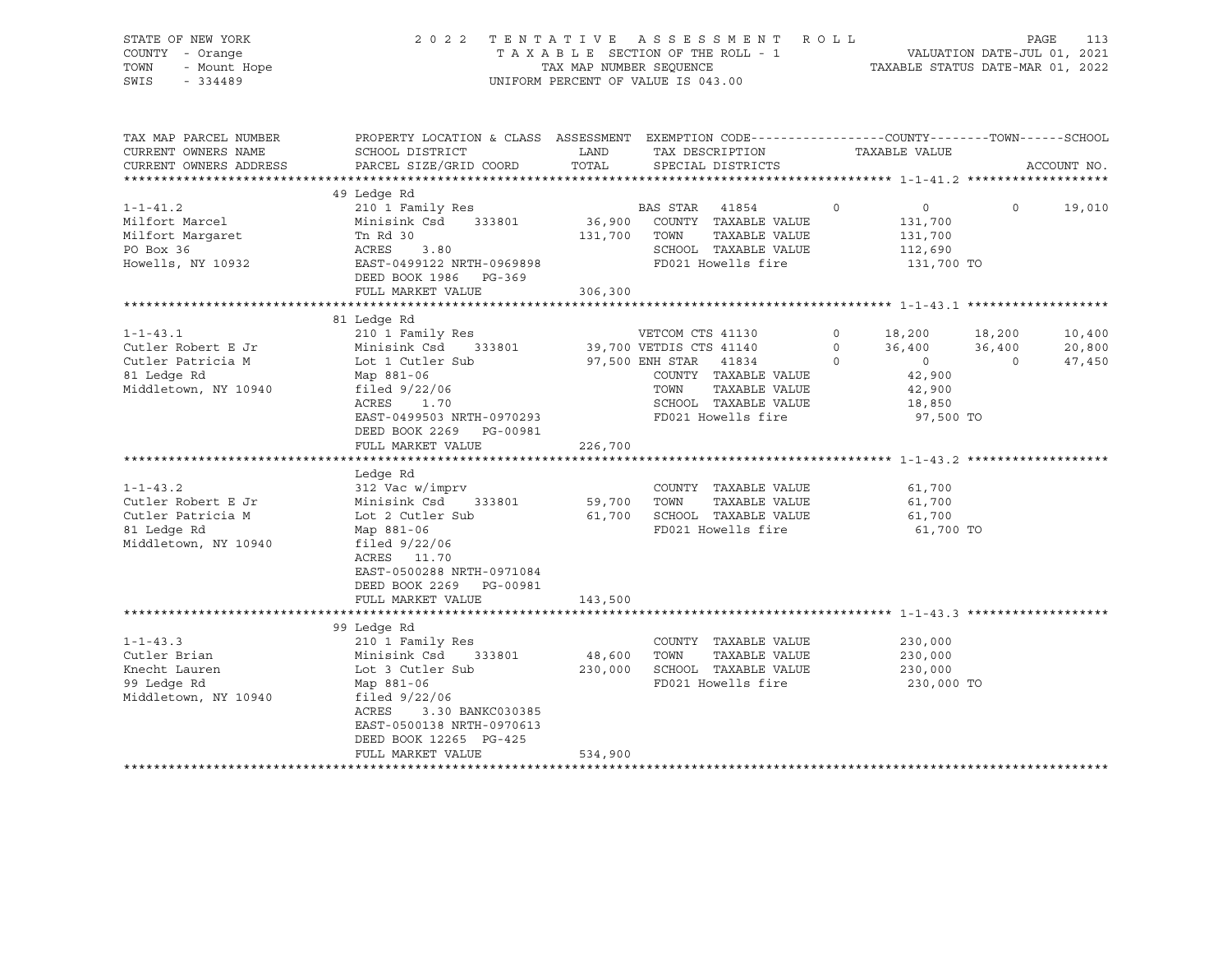| STATE OF NEW YORK<br>COUNTY - Orange<br>TOWN<br>- Mount Hope<br>SWIS<br>$-334489$                                                                                                                    |                                                                                                                                                                                                                                                                                                                                                                                                                             | TAX MAP NUMBER SEQUENCE | 2022 TENTATIVE ASSESSMENT ROLL<br>TAXABLE SECTION OF THE ROLL - 1<br>UNIFORM PERCENT OF VALUE IS 043.00                                                                                                                                                                                     |          | VALUATION DATE-JUL 01, 2021<br>TAXABLE STATUS DATE-MAR 01, 2022                                                                           | PAGE              | 113                        |
|------------------------------------------------------------------------------------------------------------------------------------------------------------------------------------------------------|-----------------------------------------------------------------------------------------------------------------------------------------------------------------------------------------------------------------------------------------------------------------------------------------------------------------------------------------------------------------------------------------------------------------------------|-------------------------|---------------------------------------------------------------------------------------------------------------------------------------------------------------------------------------------------------------------------------------------------------------------------------------------|----------|-------------------------------------------------------------------------------------------------------------------------------------------|-------------------|----------------------------|
| TAX MAP PARCEL NUMBER<br>CURRENT OWNERS NAME<br>CURRENT OWNERS ADDRESS                                                                                                                               | PROPERTY LOCATION & CLASS ASSESSMENT EXEMPTION CODE---------------COUNTY-------TOWN-----SCHOOL<br>SCHOOL DISTRICT<br>PARCEL SIZE/GRID COORD                                                                                                                                                                                                                                                                                 | LAND<br>TOTAL           | TAX DESCRIPTION<br>SPECIAL DISTRICTS                                                                                                                                                                                                                                                        |          | TAXABLE VALUE                                                                                                                             |                   | ACCOUNT NO.                |
|                                                                                                                                                                                                      |                                                                                                                                                                                                                                                                                                                                                                                                                             |                         |                                                                                                                                                                                                                                                                                             |          |                                                                                                                                           |                   |                            |
|                                                                                                                                                                                                      | 49 Ledge Rd                                                                                                                                                                                                                                                                                                                                                                                                                 |                         |                                                                                                                                                                                                                                                                                             |          |                                                                                                                                           |                   |                            |
| $1 - 1 - 41.2$<br>Milfort Marcel<br>Milfort Margaret<br>PO Box 36<br>Howells, NY 10932                                                                                                               | 210 1 Family Res<br>Minisink Csd 333801<br>Tn Rd 30<br>ACRES 3.80<br>EAST-0499122 NRTH-0969898<br>DEED BOOK 1986 PG-369                                                                                                                                                                                                                                                                                                     |                         | BAS STAR 41854<br>36,900 COUNTY TAXABLE VALUE<br>131,700 TOWN<br>TAXABLE VALUE<br>SCHOOL TAXABLE VALUE<br>FD021 Howells fire                                                                                                                                                                | $\circ$  | $\overline{0}$<br>131,700<br>131,700<br>112,690<br>131,700 TO                                                                             | $\mathsf{O}$      | 19,010                     |
|                                                                                                                                                                                                      | FULL MARKET VALUE                                                                                                                                                                                                                                                                                                                                                                                                           | 306,300                 |                                                                                                                                                                                                                                                                                             |          |                                                                                                                                           |                   |                            |
|                                                                                                                                                                                                      |                                                                                                                                                                                                                                                                                                                                                                                                                             |                         |                                                                                                                                                                                                                                                                                             |          |                                                                                                                                           |                   |                            |
| $1 - 1 - 43.1$<br>Cutler Robert E Jr<br>Cutler Patricia M<br>81 Ledge Rd<br>Middletown, NY 10940<br>$1 - 1 - 43.2$<br>Cutler Robert E Jr<br>Cutler Patricia M<br>81 Ledge Rd<br>Middletown, NY 10940 | 81 Ledge Rd<br>210 1 Family Res<br>Minisink Csd 333801<br>Lot 1 Cutler Sub<br>Map 881-06<br>filed $9/22/06$<br>ACRES 1.70<br>EAST-0499503 NRTH-0970293<br>DEED BOOK 2269 PG-00981<br>FULL MARKET VALUE<br>*******************************<br>Ledge Rd<br>312 Vac w/imprv<br>Minisink Csd 333801<br>Lot 2 Cutler Sub<br>Map 881-06<br>filed $9/22/06$<br>ACRES 11.70<br>EAST-0500288 NRTH-0971084<br>DEED BOOK 2269 PG-00981 | 226,700<br>61,700       | VETCOM CTS 41130<br>39,700 VETDIS CTS 41140<br>$\overline{0}$<br>97,500 ENH STAR 41834<br>COUNTY TAXABLE VALUE<br>TOWN<br>TAXABLE VALUE<br>SCHOOL TAXABLE VALUE<br>FD021 Howells fire<br>COUNTY TAXABLE VALUE<br>59,700 TOWN<br>TAXABLE VALUE<br>SCHOOL TAXABLE VALUE<br>FD021 Howells fire | $\Omega$ | $0 \t 18,200 \t 18,200$<br>36,400<br>$\overline{0}$<br>42,900<br>42,900<br>18,850<br>97,500 TO<br>61,700<br>61,700<br>61,700<br>61,700 TO | 36,400<br>$\circ$ | 10,400<br>20,800<br>47,450 |
|                                                                                                                                                                                                      | FULL MARKET VALUE                                                                                                                                                                                                                                                                                                                                                                                                           | 143,500                 |                                                                                                                                                                                                                                                                                             |          |                                                                                                                                           |                   |                            |
|                                                                                                                                                                                                      | 99 Ledge Rd                                                                                                                                                                                                                                                                                                                                                                                                                 |                         |                                                                                                                                                                                                                                                                                             |          |                                                                                                                                           |                   |                            |
| $1 - 1 - 43.3$<br>Cutler Brian<br>Knecht Lauren<br>99 Ledge Rd<br>Middletown, NY 10940                                                                                                               | 210 1 Family Res<br>Minisink Csd 333801<br>Lot 3 Cutler Sub<br>Map 881-06<br>filed $9/22/06$<br>ACRES<br>3.30 BANKC030385<br>EAST-0500138 NRTH-0970613<br>DEED BOOK 12265 PG-425                                                                                                                                                                                                                                            |                         | COUNTY TAXABLE VALUE<br>48,600 TOWN<br>TAXABLE VALUE<br>230,000 SCHOOL TAXABLE VALUE<br>FD021 Howells fire                                                                                                                                                                                  |          | 230,000<br>230,000<br>230,000<br>230,000 TO                                                                                               |                   |                            |
|                                                                                                                                                                                                      | FULL MARKET VALUE                                                                                                                                                                                                                                                                                                                                                                                                           | 534,900                 | **********************************                                                                                                                                                                                                                                                          |          |                                                                                                                                           |                   |                            |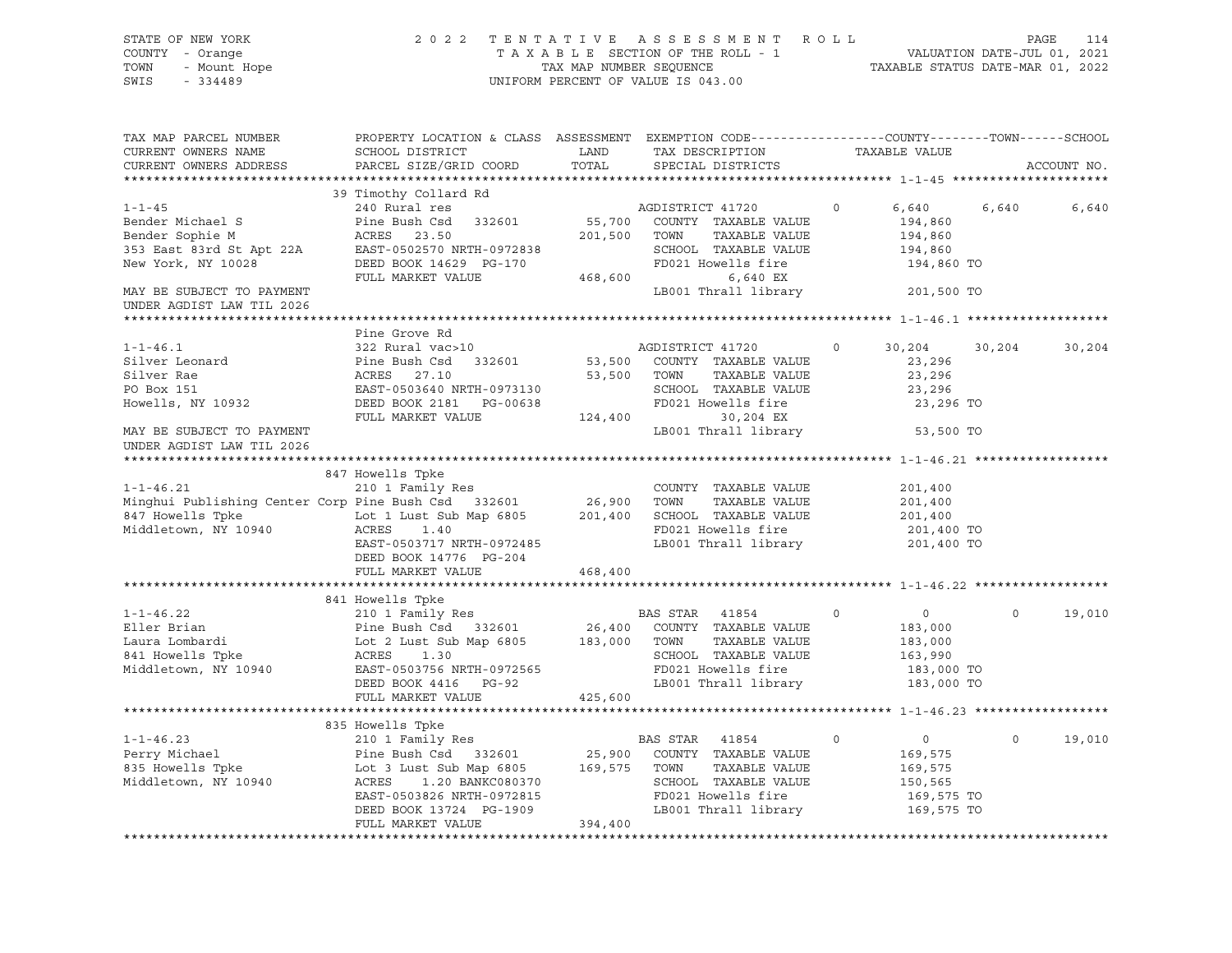| STATE OF NEW YORK<br>- Orange<br>- Mount Hope<br>- 224489<br>COUNTY - Orange<br>TOWN<br>SWIS<br>$-334489$                                                                                                                                                                                                                                                                                                                                       | T E N T A T I V E A S S E S S M E N T R O L L<br>T A X A B L E SECTION OF THE ROLL - 1 VALUATION DATE-JUL 01, 2021<br>TAX MAP NUMBER SEQUENCE<br>INIFORM PERCENT OF VALUE TO 042 00<br>2022 TENTATIVE ASSESSMENT ROLL<br>UNIFORM PERCENT OF VALUE IS 043.00 |                      |                                      |          |                    |         |             |
|-------------------------------------------------------------------------------------------------------------------------------------------------------------------------------------------------------------------------------------------------------------------------------------------------------------------------------------------------------------------------------------------------------------------------------------------------|-------------------------------------------------------------------------------------------------------------------------------------------------------------------------------------------------------------------------------------------------------------|----------------------|--------------------------------------|----------|--------------------|---------|-------------|
| TAX MAP PARCEL NUMBER<br>CURRENT OWNERS NAME<br>CURRENT OWNERS ADDRESS                                                                                                                                                                                                                                                                                                                                                                          | PROPERTY LOCATION & CLASS ASSESSMENT EXEMPTION CODE----------------COUNTY-------TOWN------SCHOOL<br>SCHOOL DISTRICT<br>PARCEL SIZE/GRID COORD                                                                                                               | <b>LAND</b><br>TOTAL | TAX DESCRIPTION<br>SPECIAL DISTRICTS |          | TAXABLE VALUE      |         | ACCOUNT NO. |
|                                                                                                                                                                                                                                                                                                                                                                                                                                                 | 39 Timothy Collard Rd                                                                                                                                                                                                                                       |                      |                                      |          |                    |         |             |
| $1 - 1 - 45$                                                                                                                                                                                                                                                                                                                                                                                                                                    | 240 Rural res                                                                                                                                                                                                                                               |                      | AGDISTRICT 41720                     | $\circ$  | 6,640              | 6,640   | 6,640       |
| 1-1-45 $\footnotesize$ 240 Rural res<br>Bender Michael S<br>Bender Sophie M<br>353 East 83rd St Apt 22A EAST-0502570 NRTH-0972838<br>New York, NY 10028 DEED BOOK 14629 PG-170 $\footnotesize$<br>MAY BEND FOR MARKET VALUE<br>MAY BEND FOR MARKET VALUE 4                                                                                                                                                                                      |                                                                                                                                                                                                                                                             |                      |                                      |          | 194,860            |         |             |
|                                                                                                                                                                                                                                                                                                                                                                                                                                                 |                                                                                                                                                                                                                                                             |                      |                                      |          | 194,860            |         |             |
|                                                                                                                                                                                                                                                                                                                                                                                                                                                 |                                                                                                                                                                                                                                                             |                      |                                      |          | 194,860            |         |             |
|                                                                                                                                                                                                                                                                                                                                                                                                                                                 |                                                                                                                                                                                                                                                             |                      |                                      |          | 194,860 TO         |         |             |
|                                                                                                                                                                                                                                                                                                                                                                                                                                                 |                                                                                                                                                                                                                                                             |                      |                                      |          |                    |         |             |
| MAY BE SUBJECT TO PAYMENT                                                                                                                                                                                                                                                                                                                                                                                                                       |                                                                                                                                                                                                                                                             |                      | LB001 Thrall library 301,500 TO      |          |                    |         |             |
| UNDER AGDIST LAW TIL 2026                                                                                                                                                                                                                                                                                                                                                                                                                       |                                                                                                                                                                                                                                                             |                      |                                      |          |                    |         |             |
|                                                                                                                                                                                                                                                                                                                                                                                                                                                 | Pine Grove Rd                                                                                                                                                                                                                                               |                      |                                      |          |                    |         |             |
|                                                                                                                                                                                                                                                                                                                                                                                                                                                 |                                                                                                                                                                                                                                                             |                      |                                      | $\Omega$ | 30,204             | 30,204  | 30,204      |
|                                                                                                                                                                                                                                                                                                                                                                                                                                                 |                                                                                                                                                                                                                                                             |                      |                                      |          | 23,296             |         |             |
|                                                                                                                                                                                                                                                                                                                                                                                                                                                 |                                                                                                                                                                                                                                                             |                      |                                      |          | 23,296             |         |             |
|                                                                                                                                                                                                                                                                                                                                                                                                                                                 |                                                                                                                                                                                                                                                             |                      |                                      |          | 23,296             |         |             |
|                                                                                                                                                                                                                                                                                                                                                                                                                                                 |                                                                                                                                                                                                                                                             |                      |                                      |          | 23,296 TO          |         |             |
| $\begin{tabular}{lllllllllllllllllll} \multicolumn{3}{l}{} & 1-1-46.1 & 322 \text{ Rural vac}& & & & & & \\ \text{filter Leonard} & \text{line Bush Csd} & 332601 & 53,500 & \text{COUNTY} & \text{TAXABLE VALUE} \\ \text{filter Re} & \text{ACES} & 27.10 & 53,500 & \text{TOWN} & \text{TAXABLE VALUE} \\ \text{PO Box 151} & \text{EAST-0503640 NRTH-0973130} & \text{SCHOOL TAXABLE VALUE} \\ \text{However, NY 10932} & \text{DEED BOK 2$ |                                                                                                                                                                                                                                                             |                      |                                      |          |                    |         |             |
| MAY BE SUBJECT TO PAYMENT<br>UNDER AGDIST LAW TIL 2026                                                                                                                                                                                                                                                                                                                                                                                          |                                                                                                                                                                                                                                                             |                      | LB001 Thrall library                 |          | 53,500 TO          |         |             |
|                                                                                                                                                                                                                                                                                                                                                                                                                                                 |                                                                                                                                                                                                                                                             |                      |                                      |          |                    |         |             |
|                                                                                                                                                                                                                                                                                                                                                                                                                                                 | 847 Howells Tpke                                                                                                                                                                                                                                            |                      |                                      |          |                    |         |             |
| $1 - 1 - 46.21$                                                                                                                                                                                                                                                                                                                                                                                                                                 | 210 1 Family Res                                                                                                                                                                                                                                            |                      | COUNTY TAXABLE VALUE                 |          | 201,400            |         |             |
| Minghui Publishing Center Corp Pine Bush Csd 332601 26,900 TOWN<br>847 Howells Trie Total Total Time Column 2012                                                                                                                                                                                                                                                                                                                                |                                                                                                                                                                                                                                                             |                      | TAXABLE VALUE                        |          | 201,400            |         |             |
|                                                                                                                                                                                                                                                                                                                                                                                                                                                 |                                                                                                                                                                                                                                                             |                      |                                      |          | 201,400            |         |             |
| 847 Howells Tpke I and the Lot 1 Lust Sub Map 6805 201,400 SCHOOL TAXABLE VALUE<br>Middletown, NY 10940 ACRES 1.40 RD021 Howells fire<br>EAST-0503717 NRTH-0972485 LB001 Thrall library                                                                                                                                                                                                                                                         |                                                                                                                                                                                                                                                             |                      | LB001 Thrall library 301,400 TO      |          | 201,400 TO         |         |             |
|                                                                                                                                                                                                                                                                                                                                                                                                                                                 | DEED BOOK 14776 PG-204                                                                                                                                                                                                                                      |                      |                                      |          |                    |         |             |
|                                                                                                                                                                                                                                                                                                                                                                                                                                                 | FULL MARKET VALUE                                                                                                                                                                                                                                           | 468,400              |                                      |          |                    |         |             |
|                                                                                                                                                                                                                                                                                                                                                                                                                                                 |                                                                                                                                                                                                                                                             |                      |                                      |          |                    |         |             |
|                                                                                                                                                                                                                                                                                                                                                                                                                                                 | 841 Howells Tpke                                                                                                                                                                                                                                            |                      |                                      |          |                    |         |             |
|                                                                                                                                                                                                                                                                                                                                                                                                                                                 |                                                                                                                                                                                                                                                             |                      |                                      |          |                    | $\circ$ | 19,010      |
|                                                                                                                                                                                                                                                                                                                                                                                                                                                 |                                                                                                                                                                                                                                                             |                      |                                      |          |                    |         |             |
|                                                                                                                                                                                                                                                                                                                                                                                                                                                 |                                                                                                                                                                                                                                                             |                      |                                      |          |                    |         |             |
|                                                                                                                                                                                                                                                                                                                                                                                                                                                 |                                                                                                                                                                                                                                                             |                      |                                      |          |                    |         |             |
|                                                                                                                                                                                                                                                                                                                                                                                                                                                 |                                                                                                                                                                                                                                                             |                      |                                      |          |                    |         |             |
|                                                                                                                                                                                                                                                                                                                                                                                                                                                 |                                                                                                                                                                                                                                                             |                      |                                      |          |                    |         |             |
|                                                                                                                                                                                                                                                                                                                                                                                                                                                 | FULL MARKET VALUE                                                                                                                                                                                                                                           | 425,600              |                                      |          |                    |         |             |
|                                                                                                                                                                                                                                                                                                                                                                                                                                                 |                                                                                                                                                                                                                                                             |                      |                                      |          |                    |         |             |
| 335 Howells The and Perry Middletown, NY 10940<br>Rery Middletown, NY 10940<br>Rery Middletown, NY 10940<br>Res 1.20 BANKC080370<br>EAST-0503826 NRTH-0972815<br>Perry ROOK 13724 PG-1909<br>COUNTY TAXABLE VALUE<br>Middletown, NY 10940<br>R                                                                                                                                                                                                  |                                                                                                                                                                                                                                                             |                      |                                      |          | $\overline{0}$     | $\circ$ |             |
|                                                                                                                                                                                                                                                                                                                                                                                                                                                 |                                                                                                                                                                                                                                                             |                      |                                      |          |                    |         | 19,010      |
|                                                                                                                                                                                                                                                                                                                                                                                                                                                 |                                                                                                                                                                                                                                                             |                      |                                      |          | 169,575<br>169,575 |         |             |
|                                                                                                                                                                                                                                                                                                                                                                                                                                                 |                                                                                                                                                                                                                                                             |                      |                                      |          | 150,565            |         |             |
|                                                                                                                                                                                                                                                                                                                                                                                                                                                 |                                                                                                                                                                                                                                                             |                      |                                      |          | 169,575 TO         |         |             |
|                                                                                                                                                                                                                                                                                                                                                                                                                                                 |                                                                                                                                                                                                                                                             |                      |                                      |          | 169,575 TO         |         |             |
|                                                                                                                                                                                                                                                                                                                                                                                                                                                 |                                                                                                                                                                                                                                                             |                      |                                      |          |                    |         |             |
| ************************                                                                                                                                                                                                                                                                                                                                                                                                                        |                                                                                                                                                                                                                                                             |                      |                                      |          |                    |         |             |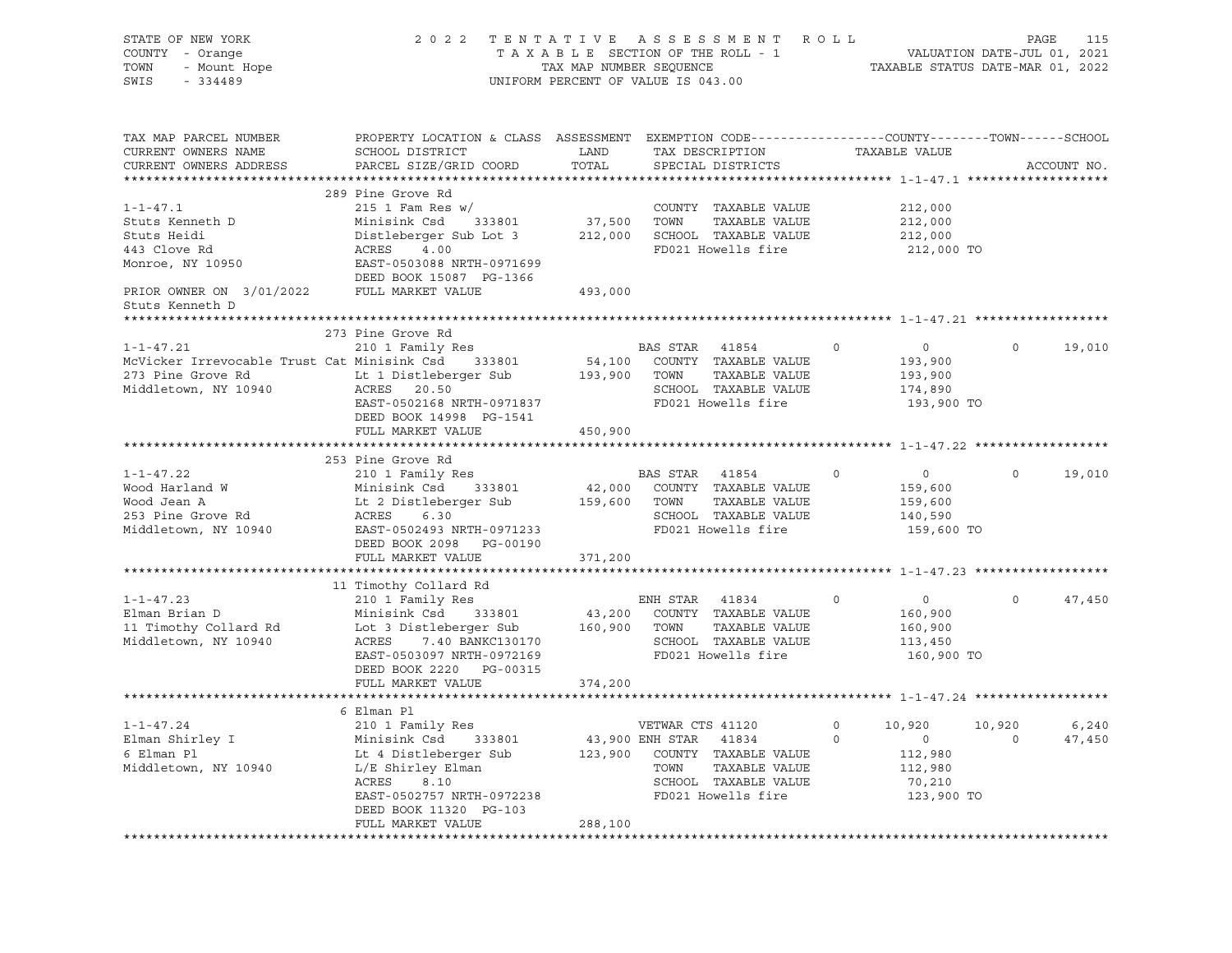| STATE OF NEW YORK<br>COUNTY - Orange<br>Y - Orange<br>- Mount Hope<br>TOWN<br>SWIS<br>$-334489$                                                                                                                                          | 2022 TENTATIVE ASSESSMENT ROLL                                                                                                                                                         | UNIFORM PERCENT OF VALUE IS 043.00 |                  | FENTATIVE ASSESSMENT ROLL<br>TAXABLE SECTION OF THE ROLL - 1 VALUATION DATE-JUL 01, 2021<br>TAX MAP NUMBER SEQUENCE TAXABLE STATUS DATE-MAR 01, 2022 |         |                       |          |               |
|------------------------------------------------------------------------------------------------------------------------------------------------------------------------------------------------------------------------------------------|----------------------------------------------------------------------------------------------------------------------------------------------------------------------------------------|------------------------------------|------------------|------------------------------------------------------------------------------------------------------------------------------------------------------|---------|-----------------------|----------|---------------|
| TAX MAP PARCEL NUMBER<br>CURRENT OWNERS NAME<br>CURRENT OWNERS ADDRESS                                                                                                                                                                   | PROPERTY LOCATION & CLASS ASSESSMENT EXEMPTION CODE---------------COUNTY-------TOWN-----SCHOOL                                                                                         |                                    |                  |                                                                                                                                                      |         |                       |          | ACCOUNT NO.   |
|                                                                                                                                                                                                                                          |                                                                                                                                                                                        |                                    |                  |                                                                                                                                                      |         |                       |          |               |
|                                                                                                                                                                                                                                          | 289 Pine Grove Rd                                                                                                                                                                      |                                    |                  |                                                                                                                                                      |         |                       |          |               |
| Stuts Kenneth D<br>Stuts Heidi Distleberger Sub Lot 3<br>443 Clove Rd<br>Monroe, NY 10950<br>PRIOR OWNER ON THE CONTRESS REST-0503088 NRTH-0971699<br>PRIOR OWNER ON THE CONTRESS PRIOR OWNER ON THE CONTRESS PRIOR OWNER ON THE CONTRES |                                                                                                                                                                                        |                                    |                  | COUNTY TAXABLE VALUE<br>37,500 TOWN TAXABLE VALUE<br>COUNTY TAXABLE VALUE                                                                            |         | 212,000               |          |               |
|                                                                                                                                                                                                                                          |                                                                                                                                                                                        |                                    |                  | 212,000 SCHOOL TAXABLE VALUE                                                                                                                         |         | 212,000               |          |               |
|                                                                                                                                                                                                                                          |                                                                                                                                                                                        |                                    |                  | FD021 Howells fire                                                                                                                                   |         | 212,000<br>212,000 TO |          |               |
|                                                                                                                                                                                                                                          |                                                                                                                                                                                        |                                    |                  |                                                                                                                                                      |         |                       |          |               |
|                                                                                                                                                                                                                                          |                                                                                                                                                                                        |                                    |                  |                                                                                                                                                      |         |                       |          |               |
| PRIOR OWNER ON $3/01/2022$ FULL MARKET VALUE                                                                                                                                                                                             |                                                                                                                                                                                        | 493,000                            |                  |                                                                                                                                                      |         |                       |          |               |
| Stuts Kenneth D                                                                                                                                                                                                                          |                                                                                                                                                                                        |                                    |                  |                                                                                                                                                      |         |                       |          |               |
| ***************                                                                                                                                                                                                                          |                                                                                                                                                                                        |                                    |                  |                                                                                                                                                      |         |                       |          |               |
|                                                                                                                                                                                                                                          | 273 Pine Grove Rd                                                                                                                                                                      |                                    |                  |                                                                                                                                                      |         |                       |          |               |
| $1 - 1 - 47.21$                                                                                                                                                                                                                          | 210 1 Family Res                                                                                                                                                                       |                                    |                  | BAS STAR 41854                                                                                                                                       | $\circ$ | $\overline{0}$        |          | $0 \t 19,010$ |
| McVicker Irrevocable Trust Cat Minisink Csd 333801 54,100 COUNTY TAXABLE VALUE                                                                                                                                                           |                                                                                                                                                                                        |                                    |                  |                                                                                                                                                      |         | 193,900               |          |               |
| 273 Pine Grove Rd Lt 1 Distleberger Sub                                                                                                                                                                                                  |                                                                                                                                                                                        |                                    |                  | 193,900 TOWN TAXABLE VALUE                                                                                                                           |         | 193,900               |          |               |
| Middletown, NY 10940                                                                                                                                                                                                                     | ACRES 20.50                                                                                                                                                                            |                                    |                  | SCHOOL TAXABLE VALUE                                                                                                                                 |         | 174,890               |          |               |
|                                                                                                                                                                                                                                          | EAST-0502168 NRTH-0971837 PD021 Howells fire                                                                                                                                           |                                    |                  |                                                                                                                                                      |         | 193,900 TO            |          |               |
|                                                                                                                                                                                                                                          | DEED BOOK 14998 PG-1541<br>FULL MARKET VALUE                                                                                                                                           | 450,900                            |                  |                                                                                                                                                      |         |                       |          |               |
|                                                                                                                                                                                                                                          |                                                                                                                                                                                        |                                    |                  |                                                                                                                                                      |         |                       |          |               |
|                                                                                                                                                                                                                                          | 253 Pine Grove Rd                                                                                                                                                                      |                                    |                  |                                                                                                                                                      |         |                       |          |               |
| $1 - 1 - 47.22$                                                                                                                                                                                                                          | 210 1 Family Res                                                                                                                                                                       |                                    |                  | BAS STAR 41854                                                                                                                                       | $\circ$ | $\overline{0}$        | $\Omega$ | 19,010        |
|                                                                                                                                                                                                                                          |                                                                                                                                                                                        |                                    |                  |                                                                                                                                                      |         |                       |          |               |
|                                                                                                                                                                                                                                          |                                                                                                                                                                                        |                                    |                  |                                                                                                                                                      |         | 159,600<br>159,600    |          |               |
| Wood Harland W<br>Wood Jean A<br>253 Pine Grove Rd                                                                                                                                                                                       |                                                                                                                                                                                        |                                    |                  |                                                                                                                                                      |         | 140,590               |          |               |
| Middletown, NY 10940                                                                                                                                                                                                                     | Minisink Csd 333801 42,000 COUNTY TAXABLE VALUE<br>Lt 2 Distleberger Sub 159,600 TOWN TAXABLE VALUE<br>ACRES 6.30 SCHOOL TAXABLE VALUE<br>EAST-0502493 NRTH-0971233 FD021 Howells fire |                                    |                  |                                                                                                                                                      |         | 159,600 TO            |          |               |
|                                                                                                                                                                                                                                          | DEED BOOK 2098 PG-00190                                                                                                                                                                |                                    |                  |                                                                                                                                                      |         |                       |          |               |
|                                                                                                                                                                                                                                          | FULL MARKET VALUE                                                                                                                                                                      | 371,200                            |                  |                                                                                                                                                      |         |                       |          |               |
|                                                                                                                                                                                                                                          |                                                                                                                                                                                        |                                    |                  |                                                                                                                                                      |         |                       |          |               |
| 11 TIMOthy Collard Rd 210 1 Family Res 210 1 Family Res 210 1 Family Res 210 1 Family Res 210 1 Family Res 210 1 Family Res 210 1 Family Res 210 1 Family Res 210 1 Family Res 210 1 Family Res 210 1 Family Res 21 Family Res           | 11 Timothy Collard Rd                                                                                                                                                                  |                                    |                  |                                                                                                                                                      |         |                       |          |               |
|                                                                                                                                                                                                                                          |                                                                                                                                                                                        |                                    |                  |                                                                                                                                                      | $\circ$ | $\overline{0}$        | $\circ$  | 47,450        |
|                                                                                                                                                                                                                                          |                                                                                                                                                                                        |                                    |                  |                                                                                                                                                      |         | 160,900<br>160,900    |          |               |
|                                                                                                                                                                                                                                          |                                                                                                                                                                                        |                                    |                  |                                                                                                                                                      |         | 113,450               |          |               |
|                                                                                                                                                                                                                                          |                                                                                                                                                                                        |                                    |                  |                                                                                                                                                      |         | 160,900 TO            |          |               |
|                                                                                                                                                                                                                                          | DEED BOOK 2220 PG-00315                                                                                                                                                                |                                    |                  |                                                                                                                                                      |         |                       |          |               |
|                                                                                                                                                                                                                                          | FULL MARKET VALUE                                                                                                                                                                      | 374,200                            |                  |                                                                                                                                                      |         |                       |          |               |
|                                                                                                                                                                                                                                          |                                                                                                                                                                                        |                                    |                  |                                                                                                                                                      |         |                       |          |               |
|                                                                                                                                                                                                                                          | 6 Elman Pl                                                                                                                                                                             |                                    |                  |                                                                                                                                                      |         |                       |          |               |
| $1 - 1 - 47.24$                                                                                                                                                                                                                          | 210 1 Family Res                                                                                                                                                                       |                                    | VETWAR CTS 41120 |                                                                                                                                                      |         | $0 \t 10,920$         | 10,920   | 6,240         |
| Elman Shirley I                                                                                                                                                                                                                          |                                                                                                                                                                                        |                                    |                  | 43,900 ENH STAR 41834 0<br>123,900 COUNTY TAXABLE VALUE                                                                                              |         | $\overline{0}$        | $\circ$  | 47,450        |
| 6 Elman Pl                                                                                                                                                                                                                               |                                                                                                                                                                                        |                                    |                  |                                                                                                                                                      |         | 112,980               |          |               |
| Middletown, NY 10940                                                                                                                                                                                                                     |                                                                                                                                                                                        |                                    | TOWN             | TAXABLE VALUE                                                                                                                                        |         | 112,980               |          |               |
|                                                                                                                                                                                                                                          |                                                                                                                                                                                        |                                    |                  | SCHOOL TAXABLE VALUE                                                                                                                                 |         | 70,210                |          |               |
|                                                                                                                                                                                                                                          | EAST-0502757 NRTH-0972238                                                                                                                                                              |                                    |                  | FD021 Howells fire                                                                                                                                   |         | 123,900 TO            |          |               |
|                                                                                                                                                                                                                                          | DEED BOOK 11320 PG-103                                                                                                                                                                 |                                    |                  |                                                                                                                                                      |         |                       |          |               |
|                                                                                                                                                                                                                                          | FULL MARKET VALUE                                                                                                                                                                      | 288,100                            |                  |                                                                                                                                                      |         |                       |          |               |
|                                                                                                                                                                                                                                          |                                                                                                                                                                                        |                                    |                  |                                                                                                                                                      |         |                       |          |               |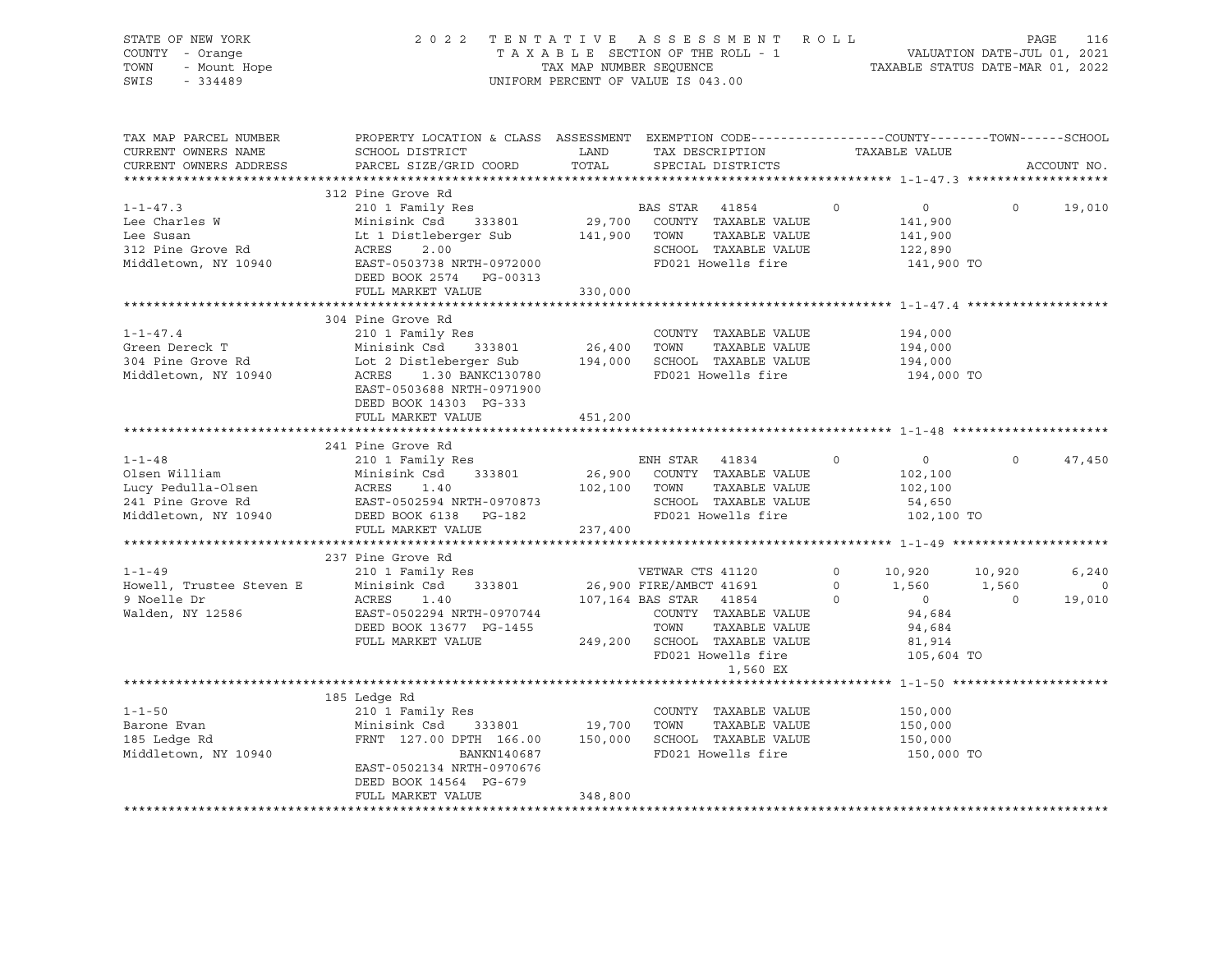| STATE OF NEW YORK<br>COUNTY - Orange<br>OF NEW Your<br>- Orange<br>- Mount Hope<br>TOWN<br>SWIS | 2022 TENTATIVE ASSESSMENT ROLL PAGE 116<br>TAXABLE SECTION OF THE ROLL - 1 VALUATION DATE-JUL 01, 2021<br>TAX MAP NUMBER SEQUENCE TAXABLE STATUS DATE-MAR 01, 2022<br>UNIFORM PERCENT OF VALUE IS 043.00                                                                                                                                                                               |         |                                  |  |                                             |                  |                            |
|-------------------------------------------------------------------------------------------------|----------------------------------------------------------------------------------------------------------------------------------------------------------------------------------------------------------------------------------------------------------------------------------------------------------------------------------------------------------------------------------------|---------|----------------------------------|--|---------------------------------------------|------------------|----------------------------|
| TAX MAP PARCEL NUMBER<br>CURRENT OWNERS NAME<br>CURRENT OWNERS ADDRESS                          | PROPERTY LOCATION & CLASS ASSESSMENT EXEMPTION CODE-----------------COUNTY-------TOWN------SCHOOL                                                                                                                                                                                                                                                                                      |         |                                  |  |                                             |                  | ACCOUNT NO.                |
|                                                                                                 |                                                                                                                                                                                                                                                                                                                                                                                        |         |                                  |  |                                             |                  |                            |
| $1 - 1 - 47.3$<br>Lee Charles W<br>Lee Susan<br>312 Pine Grove Rd                               | And the state of the control of the control of the control of the control of the control of the control of the control of the control of the control of the control of the control of the control of the control of the contro<br>312 Pine Grove Rd<br>Middletown, NY 10940<br>EAST-0503738 NRTH-0972000<br>FD021 Howells fire<br>DEED BOOK 2574 PG-00313<br>FULL MARKET VALUE 330,000 |         |                                  |  | 141,900 TO                                  |                  | 19,010                     |
|                                                                                                 |                                                                                                                                                                                                                                                                                                                                                                                        |         |                                  |  |                                             |                  |                            |
| $1 - 1 - 47.4$                                                                                  | 304 Pine Grove Rd<br>4 Plue Glove Ru<br>210 1 Family Res<br>COONTI TANDE VALUE 194,000<br>The Grove Rd Lot 2 Distleberger Sub 194,000<br>Minisink Csd 333801 26,400 TOWN TAXABLE VALUE 194,000<br>Middletown, NY 10940 ACRES 1.30 BANKC130780 FD021 Howells fire 194,000<br>Middletown, NY 10940 A<br>EAST-0503688 NRTH-0971900<br>DEED BOOK 14303 PG-333                              |         | COUNTY TAXABLE VALUE             |  | 194,000<br>194,000 TO                       |                  |                            |
|                                                                                                 | FULL MARKET VALUE                                                                                                                                                                                                                                                                                                                                                                      | 451,200 |                                  |  |                                             |                  |                            |
| $1 - 1 - 48$                                                                                    | 241 Pine Grove Rd<br>FULL MARKET VALUE                                                                                                                                                                                                                                                                                                                                                 | 237,400 |                                  |  |                                             | $\overline{0}$ 0 | 47,450                     |
|                                                                                                 |                                                                                                                                                                                                                                                                                                                                                                                        |         |                                  |  |                                             |                  |                            |
| 1-1-49<br>Howell, Trustee Steven E Minisin<br>ACRES<br>9 Noelle Dr<br>Walden, NY 12586          |                                                                                                                                                                                                                                                                                                                                                                                        |         | VETWAR CTS 41120 0 10,920 10,920 |  |                                             | $\overline{0}$   | 6,240<br>$\circ$<br>19,010 |
|                                                                                                 |                                                                                                                                                                                                                                                                                                                                                                                        |         |                                  |  |                                             |                  |                            |
| $1 - 1 - 50$<br>Barone Evan<br>185 Ledge Rd<br>Middletown, NY 10940                             | 185 Ledge Rd<br>210 1 Family Res<br>210 1 ramily Acs<br>Minisink Csd 333801 19,700 TOWN TAXABLE VALUE<br>FRNT 127.00 DPTH 166.00 150,000 SCHOOL TAXABLE VALUE<br>BANKN140687 FD021 Howells fire<br>EAST-0502134 NRTH-0970676<br>DEED BOOK 14564 PG-679<br>FULL MARKET VALUE                                                                                                            | 348,800 | COUNTY TAXABLE VALUE             |  | 150,000<br>150,000<br>150,000<br>150,000 TO |                  |                            |
|                                                                                                 |                                                                                                                                                                                                                                                                                                                                                                                        |         |                                  |  |                                             |                  |                            |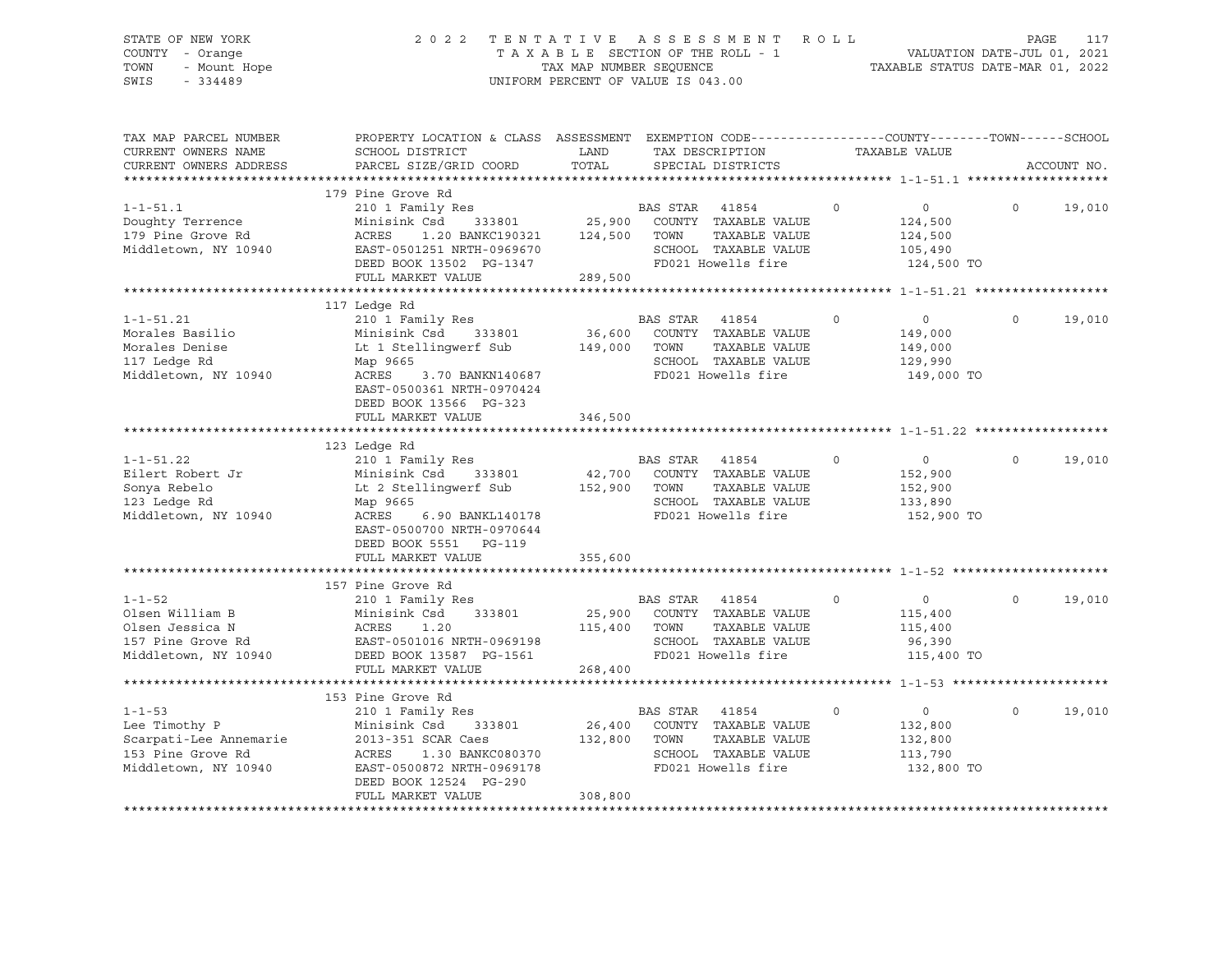# STATE OF NEW YORK 2 0 2 2 T E N T A T I V E A S S E S S M E N T R O L L PAGE 117 COUNTY - Orange T A X A B L E SECTION OF THE ROLL - 1 VALUATION DATE-JUL 01, 2021 TOWN - Mount Hope TAX MAP NUMBER SEQUENCE TAXABLE STATUS DATE-MAR 01, 2022 SWIS - 334489 UNIFORM PERCENT OF VALUE IS 043.00

| TAX MAP PARCEL NUMBER<br>CURRENT OWNERS NAME                                                         | PROPERTY LOCATION & CLASS ASSESSMENT EXEMPTION CODE----------------COUNTY-------TOWN------SCHOOL<br>SCHOOL DISTRICT                                                                            | LAND                         |                        | TAX DESCRIPTION                                                                                     | TAXABLE VALUE |                                                                  |          |             |
|------------------------------------------------------------------------------------------------------|------------------------------------------------------------------------------------------------------------------------------------------------------------------------------------------------|------------------------------|------------------------|-----------------------------------------------------------------------------------------------------|---------------|------------------------------------------------------------------|----------|-------------|
| CURRENT OWNERS ADDRESS                                                                               | PARCEL SIZE/GRID COORD                                                                                                                                                                         | TOTAL                        |                        | SPECIAL DISTRICTS                                                                                   |               |                                                                  |          | ACCOUNT NO. |
|                                                                                                      |                                                                                                                                                                                                |                              |                        |                                                                                                     |               |                                                                  |          |             |
| $1 - 1 - 51.1$<br>Doughty Terrence<br>179 Pine Grove Rd<br>Middletown, NY 10940                      | 179 Pine Grove Rd<br>210 1 Family Res<br>333801<br>Minisink Csd<br>ACRES<br>1.20 BANKC190321<br>EAST-0501251 NRTH-0969670<br>DEED BOOK 13502 PG-1347<br>FULL MARKET VALUE                      | 124,500<br>289,500           | BAS STAR<br>TOWN       | 41854<br>25,900 COUNTY TAXABLE VALUE<br>TAXABLE VALUE<br>SCHOOL TAXABLE VALUE<br>FD021 Howells fire | $\circ$       | $\overline{0}$<br>124,500<br>124,500<br>105,490<br>124,500 TO    | $\Omega$ | 19,010      |
|                                                                                                      |                                                                                                                                                                                                |                              |                        |                                                                                                     |               |                                                                  |          |             |
| $1 - 1 - 51.21$<br>Morales Basilio<br>Morales Denise<br>117 Ledge Rd<br>Middletown, NY 10940         | 117 Ledge Rd<br>210 1 Family Res<br>Minisink Csd<br>333801<br>Lt 1 Stellingwerf Sub<br>Map 9665<br>ACRES<br>3.70 BANKN140687<br>EAST-0500361 NRTH-0970424<br>DEED BOOK 13566 PG-323            | 149,000                      | BAS STAR 41854<br>TOWN | 36,600 COUNTY TAXABLE VALUE<br>TAXABLE VALUE<br>SCHOOL TAXABLE VALUE<br>FD021 Howells fire          | $\circ$       | $\overline{0}$<br>149,000<br>149,000<br>129,990<br>149,000 TO    | $\Omega$ | 19,010      |
|                                                                                                      | FULL MARKET VALUE                                                                                                                                                                              | 346,500                      |                        |                                                                                                     |               |                                                                  |          |             |
|                                                                                                      |                                                                                                                                                                                                |                              |                        |                                                                                                     |               |                                                                  |          |             |
| $1 - 1 - 51.22$<br>Eilert Robert Jr<br>Sonya Rebelo<br>123 Ledge Rd<br>Middletown, NY 10940          | 123 Ledge Rd<br>210 1 Family Res<br>Minisink Csd<br>333801<br>Lt 2 Stellingwerf Sub<br>Map 9665<br>6.90 BANKL140178<br>ACRES<br>EAST-0500700 NRTH-0970644<br>DEED BOOK 5551 PG-119             | 42,700<br>152,900            | BAS STAR 41854<br>TOWN | COUNTY TAXABLE VALUE<br>TAXABLE VALUE<br>SCHOOL TAXABLE VALUE<br>FD021 Howells fire                 | $\circ$       | $0 \qquad \qquad$<br>152,900<br>152,900<br>133,890<br>152,900 TO | $\Omega$ | 19,010      |
|                                                                                                      | FULL MARKET VALUE                                                                                                                                                                              | 355,600                      |                        |                                                                                                     |               |                                                                  |          |             |
|                                                                                                      | 157 Pine Grove Rd                                                                                                                                                                              |                              |                        |                                                                                                     |               |                                                                  |          |             |
| $1 - 1 - 52$<br>Olsen William B<br>Olsen Jessica N<br>157 Pine Grove Rd<br>Middletown, NY 10940      | 210 1 Family Res<br>Minisink Csd<br>333801<br>ACRES<br>1.20<br>EAST-0501016 NRTH-0969198<br>DEED BOOK 13587 PG-1561                                                                            | 115,400                      | BAS STAR 41854<br>TOWN | 25,900 COUNTY TAXABLE VALUE<br>TAXABLE VALUE<br>SCHOOL TAXABLE VALUE<br>FD021 Howells fire          | $\circ$       | $\overline{0}$<br>115,400<br>115,400<br>96,390<br>115,400 TO     | $\Omega$ | 19,010      |
|                                                                                                      | FULL MARKET VALUE                                                                                                                                                                              | 268,400                      |                        |                                                                                                     |               |                                                                  |          |             |
|                                                                                                      |                                                                                                                                                                                                |                              |                        |                                                                                                     |               |                                                                  |          |             |
| $1 - 1 - 53$<br>Lee Timothy P<br>Scarpati-Lee Annemarie<br>153 Pine Grove Rd<br>Middletown, NY 10940 | 153 Pine Grove Rd<br>210 1 Family Res<br>Minisink Csd<br>333801<br>2013-351 SCAR Caes<br>ACRES<br>1.30 BANKC080370<br>EAST-0500872 NRTH-0969178<br>DEED BOOK 12524 PG-290<br>FULL MARKET VALUE | 26,400<br>132,800<br>308,800 | BAS STAR 41854<br>TOWN | COUNTY TAXABLE VALUE<br>TAXABLE VALUE<br>SCHOOL TAXABLE VALUE<br>FD021 Howells fire                 | $\mathbf 0$   | $\overline{0}$<br>132,800<br>132,800<br>113,790<br>132,800 TO    | $\circ$  | 19,010      |
|                                                                                                      |                                                                                                                                                                                                |                              |                        |                                                                                                     |               |                                                                  |          |             |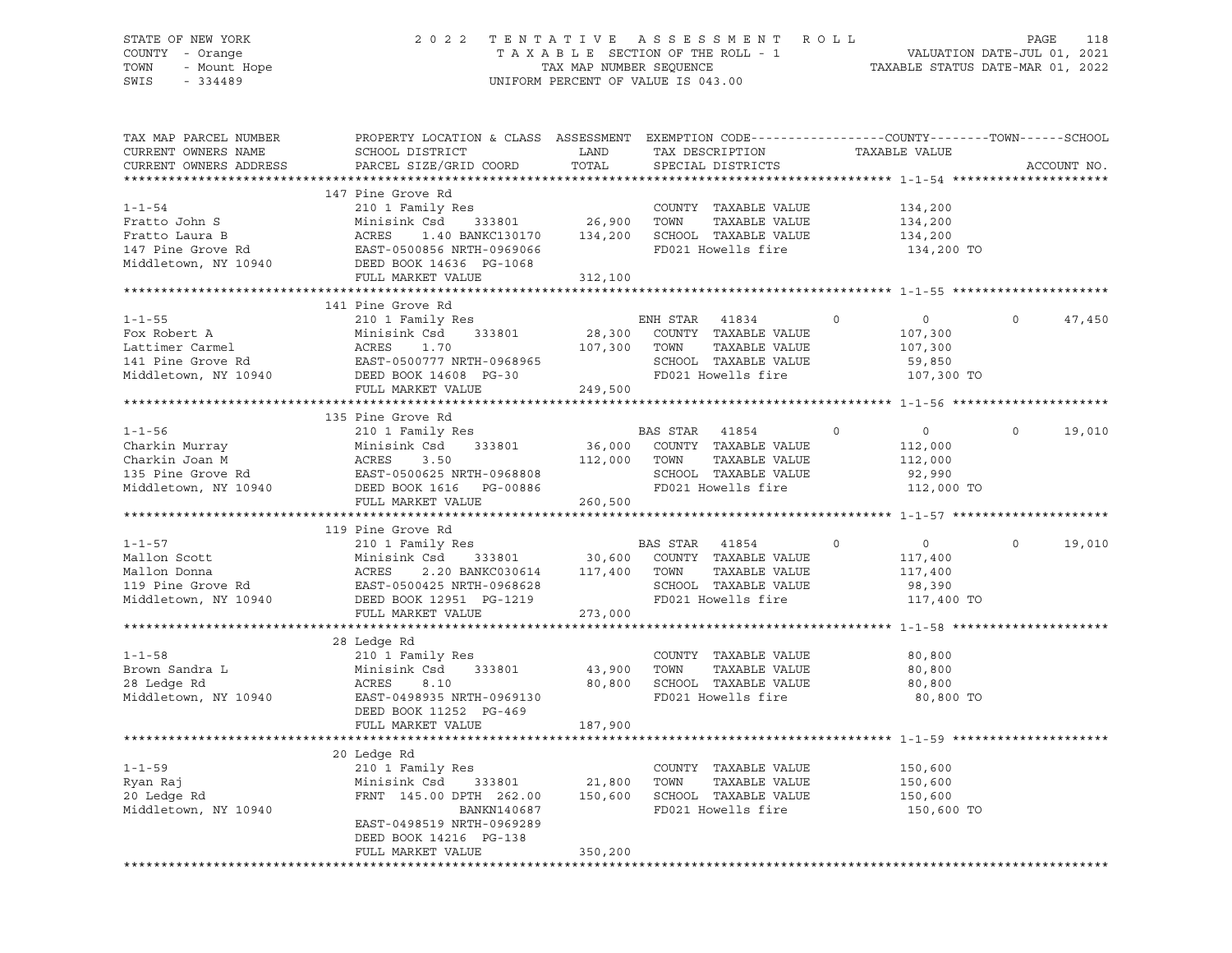# STATE OF NEW YORK 2 0 2 2 T E N T A T I V E A S S E S S M E N T R O L L PAGE 118 COUNTY - Orange T A X A B L E SECTION OF THE ROLL - 1 VALUATION DATE-JUL 01, 2021 TOWN - Mount Hope TAX MAP NUMBER SEQUENCE TAXABLE STATUS DATE-MAR 01, 2022 SWIS - 334489 UNIFORM PERCENT OF VALUE IS 043.00

| TAX MAP PARCEL NUMBER<br>CURRENT OWNERS NAME<br>CURRENT OWNERS ADDRESS                        | PROPERTY LOCATION & CLASS ASSESSMENT EXEMPTION CODE----------------COUNTY-------TOWN------SCHOOL<br>SCHOOL DISTRICT<br>PARCEL SIZE/GRID COORD                             | LAND<br>TOTAL                | TAX DESCRIPTION<br>SPECIAL DISTRICTS                                                                             | TAXABLE VALUE                                                               | ACCOUNT NO.        |
|-----------------------------------------------------------------------------------------------|---------------------------------------------------------------------------------------------------------------------------------------------------------------------------|------------------------------|------------------------------------------------------------------------------------------------------------------|-----------------------------------------------------------------------------|--------------------|
|                                                                                               |                                                                                                                                                                           |                              |                                                                                                                  |                                                                             |                    |
| $1 - 1 - 54$<br>Fratto John S<br>Fratto Laura B<br>147 Pine Grove Rd<br>Middletown, NY 10940  | 147 Pine Grove Rd<br>210 1 Family Res<br>333801<br>Minisink Csd<br>ACRES<br>1.40 BANKC130170<br>EAST-0500856 NRTH-0969066<br>DEED BOOK 14636 PG-1068<br>FULL MARKET VALUE | 26,900<br>134,200<br>312,100 | COUNTY TAXABLE VALUE<br>TOWN<br>TAXABLE VALUE<br>SCHOOL TAXABLE VALUE<br>FD021 Howells fire                      | 134,200<br>134,200<br>134,200<br>134,200 TO                                 |                    |
|                                                                                               |                                                                                                                                                                           |                              |                                                                                                                  |                                                                             |                    |
| $1 - 1 - 55$<br>Fox Robert A<br>Lattimer Carmel<br>141 Pine Grove Rd<br>Middletown, NY 10940  | 141 Pine Grove Rd<br>210 1 Family Res<br>Minisink Csd<br>333801<br>ACRES<br>1.70<br>DEED BOOK 14608 PG-30                                                                 | 28,300<br>107,300            | ENH STAR<br>41834<br>COUNTY TAXABLE VALUE<br>TOWN<br>TAXABLE VALUE<br>SCHOOL TAXABLE VALUE<br>FD021 Howells fire | $\Omega$<br>$\circ$<br>107,300<br>107,300<br>59,850<br>107,300 TO           | $\Omega$<br>47,450 |
|                                                                                               | FULL MARKET VALUE                                                                                                                                                         | 249,500                      |                                                                                                                  |                                                                             |                    |
|                                                                                               |                                                                                                                                                                           |                              |                                                                                                                  |                                                                             |                    |
| $1 - 1 - 56$<br>Charkin Murray<br>Charkin Joan M<br>135 Pine Grove Rd<br>Middletown, NY 10940 | 135 Pine Grove Rd<br>210 1 Family Res<br>333801<br>Minisink Csd<br>ACRES<br>3.50<br>EAST-0500625 NRTH-0968808<br>DEED BOOK 1616    PG-00886<br>FULL MARKET VALUE          | 112,000 TOWN<br>260,500      | BAS STAR 41854<br>36,000 COUNTY TAXABLE VALUE<br>TAXABLE VALUE<br>SCHOOL TAXABLE VALUE<br>FD021 Howells fire     | $\mathbf 0$<br>$\overline{0}$<br>112,000<br>112,000<br>92,990<br>112,000 TO | $\Omega$<br>19,010 |
|                                                                                               |                                                                                                                                                                           |                              |                                                                                                                  |                                                                             |                    |
|                                                                                               | 119 Pine Grove Rd                                                                                                                                                         |                              |                                                                                                                  |                                                                             |                    |
| $1 - 1 - 57$<br>Mallon Scott<br>Mallon Donna<br>119 Pine Grove Rd<br>Middletown, NY 10940     | 210 1 Family Res<br>333801 30,600<br>Minisink Csd<br>Minisi<br>ACRES<br>2.20 BANKC030614 117,400<br>EAST-0500425 NRTH-0968628<br>DEED BOOK 12951 PG-1219                  |                              | BAS STAR 41854<br>COUNTY TAXABLE VALUE<br>TOWN<br>TAXABLE VALUE<br>SCHOOL TAXABLE VALUE<br>FD021 Howells fire    | $\mathbf 0$<br>$\overline{0}$<br>117,400<br>117,400<br>98,390<br>117,400 TO | $\Omega$<br>19,010 |
|                                                                                               | FULL MARKET VALUE                                                                                                                                                         | 273,000                      |                                                                                                                  |                                                                             |                    |
| $1 - 1 - 58$<br>Brown Sandra L<br>28 Ledge Rd<br>Middletown, NY 10940                         | 28 Ledge Rd<br>210 1 Family Res<br>Minisink Csd<br>333801<br>ACRES<br>8.10<br>EAST-0498935 NRTH-0969130<br>DEED BOOK 11252 PG-469                                         | 43,900<br>80,800             | COUNTY TAXABLE VALUE<br>TAXABLE VALUE<br>TOWN<br>SCHOOL TAXABLE VALUE<br>FD021 Howells fire                      | 80,800<br>80,800<br>80,800<br>80,800 TO                                     |                    |
|                                                                                               | FULL MARKET VALUE                                                                                                                                                         | 187,900                      |                                                                                                                  |                                                                             |                    |
|                                                                                               | 20 Ledge Rd                                                                                                                                                               |                              |                                                                                                                  |                                                                             |                    |
| $1 - 1 - 59$<br>Ryan Raj<br>20 Ledge Rd<br>Middletown, NY 10940                               | 210 1 Family Res<br>Minisink Csd 333801<br>FRNT 145.00 DPTH 262.00<br>BANKN140687<br>EAST-0498519 NRTH-0969289<br>DEED BOOK 14216 PG-138                                  | 21,800<br>150,600            | COUNTY TAXABLE VALUE<br>TOWN<br>TAXABLE VALUE<br>SCHOOL TAXABLE VALUE<br>FD021 Howells fire                      | 150,600<br>150,600<br>150,600<br>150,600 TO                                 |                    |
|                                                                                               | FULL MARKET VALUE                                                                                                                                                         | 350,200                      |                                                                                                                  |                                                                             |                    |
|                                                                                               |                                                                                                                                                                           |                              |                                                                                                                  |                                                                             |                    |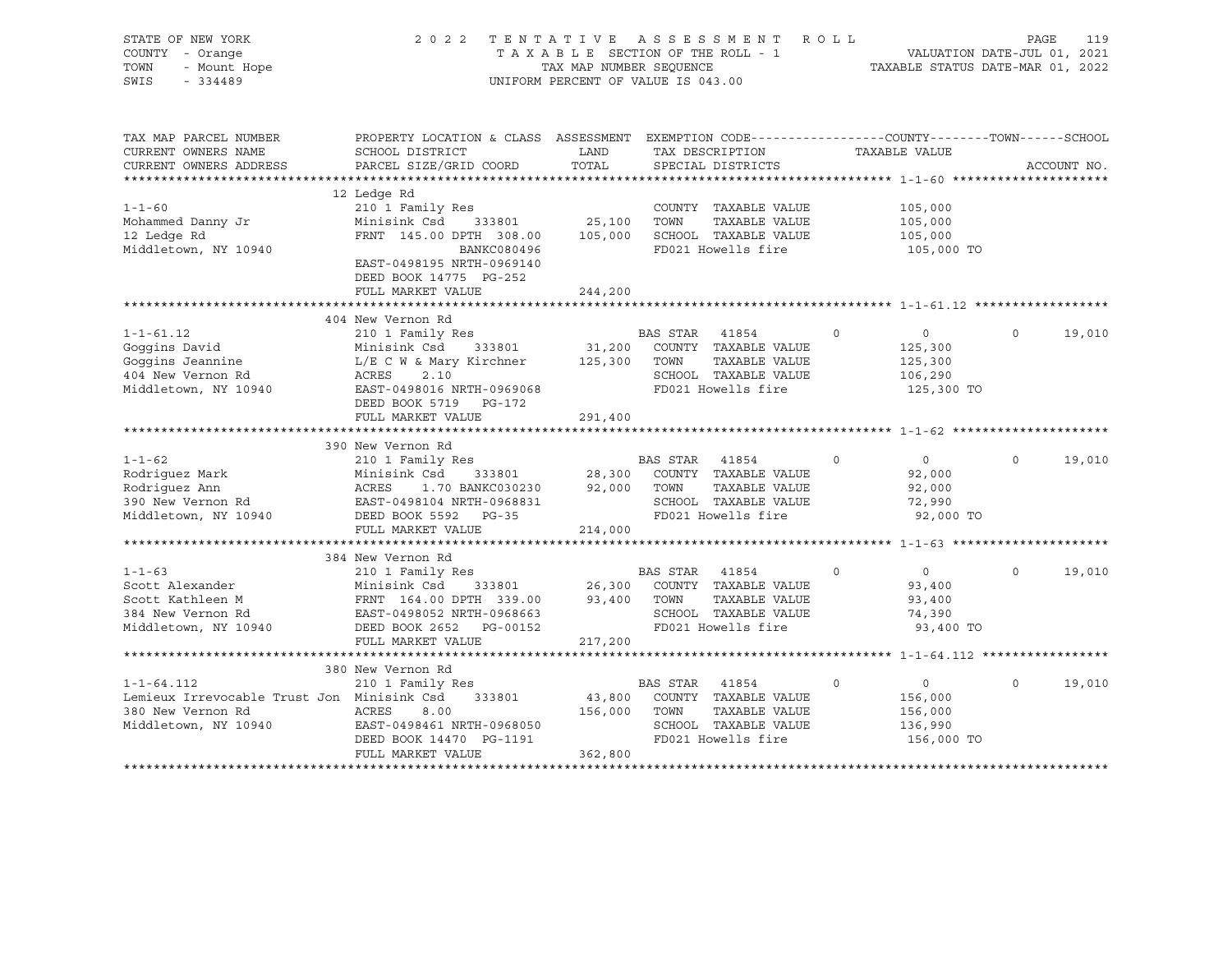| STATE OF NEW YORK<br>COUNTY - Orange<br>TOWN<br>- Mount Hope<br>SWIS<br>$-334489$                           | 2 0 2 2<br>TENTATIVE ASSESSMENT<br>TAXABLE SECTION OF THE ROLL - 1<br>TAX MAP NUMBER SEOUENCE<br>UNIFORM PERCENT OF VALUE IS 043.00                                    |                              |                                        |                                                                                     |          |                                                               | R O L L<br>PAGE<br>119<br>VALUATION DATE-JUL 01, 2021<br>TAXABLE STATUS DATE-MAR 01, 2022 |             |  |  |  |  |
|-------------------------------------------------------------------------------------------------------------|------------------------------------------------------------------------------------------------------------------------------------------------------------------------|------------------------------|----------------------------------------|-------------------------------------------------------------------------------------|----------|---------------------------------------------------------------|-------------------------------------------------------------------------------------------|-------------|--|--|--|--|
| TAX MAP PARCEL NUMBER<br>CURRENT OWNERS NAME                                                                | PROPERTY LOCATION & CLASS ASSESSMENT EXEMPTION CODE---------------COUNTY-------TOWN------SCHOOL<br>SCHOOL DISTRICT                                                     | LAND                         | TAX DESCRIPTION                        |                                                                                     |          | TAXABLE VALUE                                                 |                                                                                           |             |  |  |  |  |
| CURRENT OWNERS ADDRESS                                                                                      | PARCEL SIZE/GRID COORD                                                                                                                                                 | TOTAL                        | SPECIAL DISTRICTS                      |                                                                                     |          |                                                               |                                                                                           | ACCOUNT NO. |  |  |  |  |
|                                                                                                             |                                                                                                                                                                        |                              |                                        |                                                                                     |          |                                                               |                                                                                           |             |  |  |  |  |
| $1 - 1 - 60$<br>Mohammed Danny Jr<br>12 Ledge Rd<br>Middletown, NY 10940                                    | 12 Ledge Rd<br>210 1 Family Res<br>Minisink Csd<br>333801<br>FRNT 145.00 DPTH 308.00<br>BANKC080496<br>EAST-0498195 NRTH-0969140<br>DEED BOOK 14775 PG-252             | 25,100<br>105,000            | TOWN                                   | COUNTY TAXABLE VALUE<br>TAXABLE VALUE<br>SCHOOL TAXABLE VALUE<br>FD021 Howells fire |          | 105,000<br>105,000<br>105,000<br>105,000 TO                   |                                                                                           |             |  |  |  |  |
|                                                                                                             | FULL MARKET VALUE                                                                                                                                                      | 244,200                      |                                        |                                                                                     |          |                                                               |                                                                                           |             |  |  |  |  |
|                                                                                                             |                                                                                                                                                                        |                              |                                        |                                                                                     |          |                                                               |                                                                                           |             |  |  |  |  |
|                                                                                                             | 404 New Vernon Rd                                                                                                                                                      |                              |                                        |                                                                                     |          |                                                               |                                                                                           |             |  |  |  |  |
| $1 - 1 - 61.12$<br>Goggins David<br>Goggins Jeannine<br>404 New Vernon Rd<br>Middletown, NY 10940           | 210 1 Family Res<br>Minisink Csd 333801<br>$L/E$ C W & Mary Kirchner 125,300<br>ACRES<br>2.10<br>EAST-0498016 NRTH-0969068<br>DEED BOOK 5719 PG-172                    | 31,200                       | BAS STAR<br>TOWN<br>FD021 Howells fire | 41854<br>COUNTY TAXABLE VALUE<br>TAXABLE VALUE<br>SCHOOL TAXABLE VALUE              | $\circ$  | $\overline{0}$<br>125,300<br>125,300<br>106,290<br>125,300 TO | $\circ$                                                                                   | 19,010      |  |  |  |  |
|                                                                                                             | FULL MARKET VALUE                                                                                                                                                      | 291,400                      |                                        |                                                                                     |          |                                                               |                                                                                           |             |  |  |  |  |
|                                                                                                             |                                                                                                                                                                        |                              |                                        |                                                                                     |          |                                                               |                                                                                           |             |  |  |  |  |
| $1 - 1 - 62$<br>Rodriquez Mark<br>Rodriquez Ann<br>390 New Vernon Rd<br>Middletown, NY 10940                | 390 New Vernon Rd<br>210 1 Family Res<br>Minisink Csd<br>333801<br>ACRES<br>1.70 BANKC030230<br>EAST-0498104 NRTH-0968831<br>DEED BOOK 5592 PG-35<br>FULL MARKET VALUE | 28,300<br>92,000<br>214,000  | BAS STAR 41854<br>TOWN                 | COUNTY TAXABLE VALUE<br>TAXABLE VALUE<br>SCHOOL TAXABLE VALUE<br>FD021 Howells fire | $\circ$  | $\overline{0}$<br>92,000<br>92,000<br>72,990<br>92,000 TO     | $\Omega$                                                                                  | 19,010      |  |  |  |  |
|                                                                                                             |                                                                                                                                                                        |                              |                                        |                                                                                     |          |                                                               |                                                                                           |             |  |  |  |  |
| $1 - 1 - 63$                                                                                                | 384 New Vernon Rd<br>210 1 Family Res                                                                                                                                  |                              | BAS STAR                               | 41854                                                                               | $\Omega$ | $\overline{0}$                                                | $\Omega$                                                                                  | 19,010      |  |  |  |  |
| Scott Alexander<br>Scott Kathleen M<br>384 New Vernon Rd<br>Middletown, NY 10940                            | Minisink Csd 333801<br>FRNT 164.00 DPTH 339.00<br>EAST-0498052 NRTH-0968663<br>DEED BOOK 2652 PG-00152<br>FULL MARKET VALUE                                            | 26,300<br>93,400<br>217,200  | TOWN<br>FD021 Howells fire             | COUNTY TAXABLE VALUE<br>TAXABLE VALUE<br>SCHOOL TAXABLE VALUE                       |          | 93,400<br>93,400<br>74,390<br>93,400 TO                       |                                                                                           |             |  |  |  |  |
|                                                                                                             | 380 New Vernon Rd                                                                                                                                                      |                              |                                        |                                                                                     |          |                                                               |                                                                                           |             |  |  |  |  |
| $1 - 1 - 64.112$<br>Lemieux Irrevocable Trust Jon Minisink Csd<br>380 New Vernon Rd<br>Middletown, NY 10940 | 210 1 Family Res<br>333801<br>ACRES<br>8.00<br>EAST-0498461 NRTH-0968050<br>DEED BOOK 14470 PG-1191<br>FULL MARKET VALUE                                               | 43,800<br>156,000<br>362,800 | BAS STAR 41854<br>TOWN                 | COUNTY TAXABLE VALUE<br>TAXABLE VALUE<br>SCHOOL TAXABLE VALUE<br>FD021 Howells fire | $\Omega$ | $\overline{0}$<br>156,000<br>156,000<br>136,990<br>156,000 TO | $\Omega$                                                                                  | 19,010      |  |  |  |  |
|                                                                                                             |                                                                                                                                                                        |                              |                                        |                                                                                     |          |                                                               |                                                                                           |             |  |  |  |  |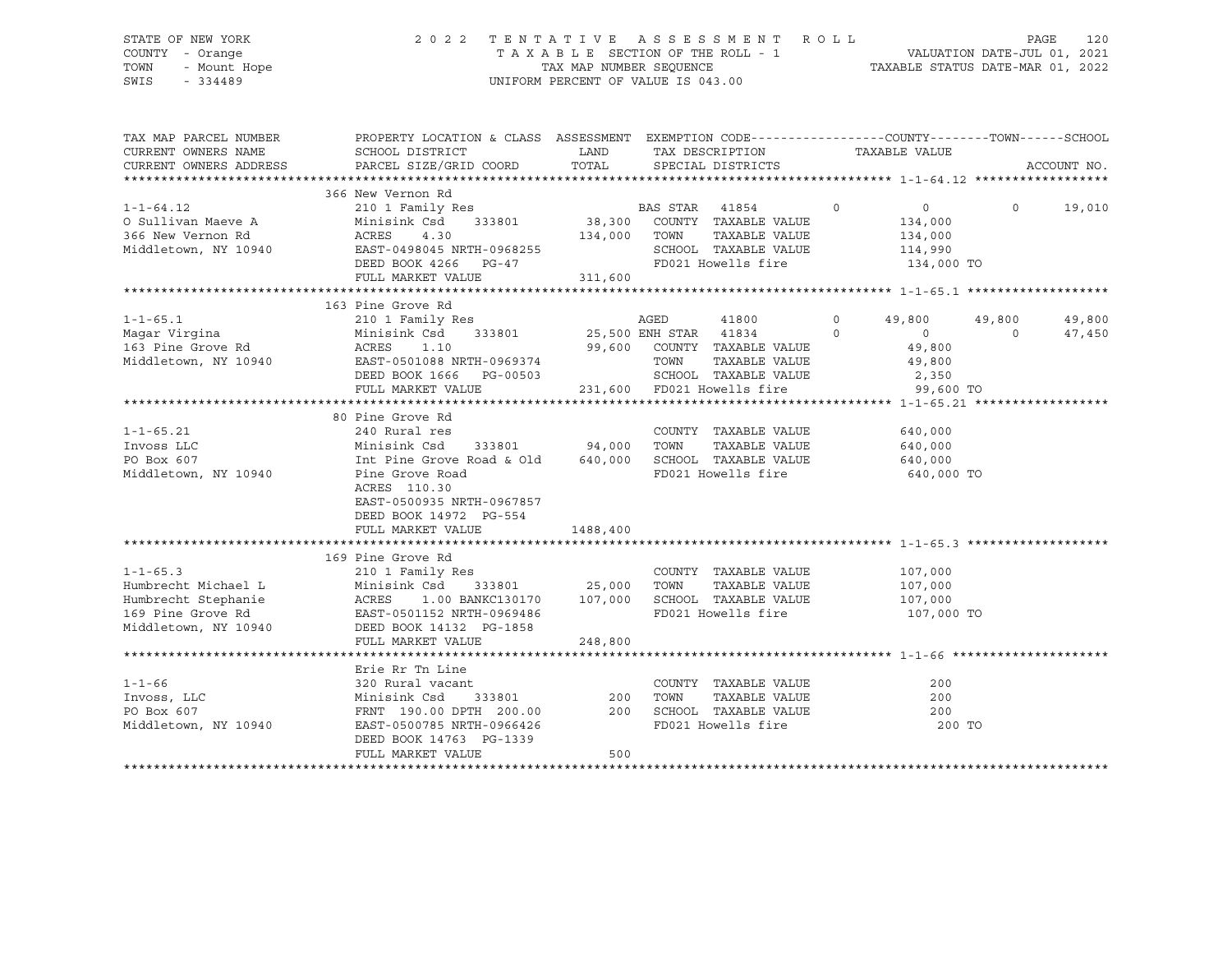# STATE OF NEW YORK 2 0 2 2 T E N T A T I V E A S S E S S M E N T R O L L PAGE 120 COUNTY - Orange T A X A B L E SECTION OF THE ROLL - 1 VALUATION DATE-JUL 01, 2021 TOWN - Mount Hope TAX MAP NUMBER SEQUENCE TAXABLE STATUS DATE-MAR 01, 2022 SWIS - 334489 UNIFORM PERCENT OF VALUE IS 043.00

| TAX MAP PARCEL NUMBER                       | PROPERTY LOCATION & CLASS ASSESSMENT EXEMPTION CODE---------------COUNTY-------TOWN-----SCHOOL |                                                                                         |      |                                                                                                             |                    |            |             |
|---------------------------------------------|------------------------------------------------------------------------------------------------|-----------------------------------------------------------------------------------------|------|-------------------------------------------------------------------------------------------------------------|--------------------|------------|-------------|
| CURRENT OWNERS NAME                         | SCHOOL DISTRICT                                                                                | <b>EXAMPLE THE STATE OF STATE OF STATE OF STATE OF STATE OF STATE OF STATE OF STATE</b> |      | TAX DESCRIPTION                                                                                             | TAXABLE VALUE      |            |             |
| CURRENT OWNERS ADDRESS                      | PARCEL SIZE/GRID COORD                                                                         | TOTAL                                                                                   |      | SPECIAL DISTRICTS                                                                                           |                    |            | ACCOUNT NO. |
|                                             |                                                                                                |                                                                                         |      |                                                                                                             |                    |            |             |
|                                             | 366 New Vernon Rd                                                                              |                                                                                         |      |                                                                                                             |                    |            |             |
| $1 - 1 - 64.12$                             | 210 1 Family Res<br>Minisink Csd 333801 38,300 COUNTY TAXABLE VALUE                            |                                                                                         |      | $\sim$ 0                                                                                                    | $\overline{0}$     | $\Omega$   | 19,010      |
| O Sullivan Maeve A                          | Minisink Csd                                                                                   |                                                                                         |      |                                                                                                             | 134,000            |            |             |
| 366 New Vernon Rd                           | ACRES<br>4.30                                                                                  | 134,000 TOWN                                                                            |      | TAXABLE VALUE                                                                                               | 134,000            |            |             |
| Middletown, NY 10940                        | EAST-0498045 NRTH-0968255                                                                      |                                                                                         |      | SCHOOL TAXABLE VALUE 114,990<br>FD021 Howells fire 134,000 TO                                               |                    |            |             |
|                                             | 1-02800-1-1710045 AKIH-0268255<br>DEED BOOK 4266 PG-47                                         |                                                                                         |      |                                                                                                             |                    |            |             |
|                                             | FULL MARKET VALUE                                                                              | 311,600                                                                                 |      |                                                                                                             |                    |            |             |
|                                             |                                                                                                |                                                                                         |      |                                                                                                             |                    |            |             |
|                                             | 163 Pine Grove Rd                                                                              |                                                                                         |      |                                                                                                             |                    |            |             |
| $1 - 1 - 65.1$                              |                                                                                                |                                                                                         |      |                                                                                                             | 49,800             | 49,800     | 49,800      |
| Maqar Virqina                               |                                                                                                |                                                                                         |      |                                                                                                             | $\sim$ 0           | $\bigcirc$ | 47,450      |
| 163 Pine Grove Rd ACRES                     | 1.10                                                                                           |                                                                                         |      | 99,600 COUNTY TAXABLE VALUE 49,800                                                                          |                    |            |             |
| Middletown, NY 10940                        |                                                                                                |                                                                                         |      |                                                                                                             |                    |            |             |
|                                             | EAST-0501088 NRTH-0969374<br>DEED BOOK 1666 PG-00503                                           |                                                                                         |      |                                                                                                             |                    |            |             |
|                                             | FULL MARKET VALUE                                                                              |                                                                                         |      | 99174 TOWN TAXABLE VALUE 49,800<br>00503 SCHOOL TAXABLE VALUE 2,350<br>231,600 FD021 Howells fire 99,600 TO |                    |            |             |
|                                             |                                                                                                |                                                                                         |      |                                                                                                             |                    |            |             |
|                                             | 80 Pine Grove Rd                                                                               |                                                                                         |      |                                                                                                             |                    |            |             |
| $1 - 1 - 65.21$                             | 240 Rural res                                                                                  |                                                                                         |      | COUNTY TAXABLE VALUE                                                                                        | 640,000            |            |             |
| Invoss LLC                                  | Minisink Csd 333801 94,000 TOWN                                                                |                                                                                         |      | TAXABLE VALUE                                                                                               | 640,000            |            |             |
| PO Box 607                                  | Int Pine Grove Road & Old 640,000                                                              |                                                                                         |      | SCHOOL TAXABLE VALUE 640,000                                                                                |                    |            |             |
| Middletown, NY 10940                        | Pine Grove Road                                                                                |                                                                                         |      | FD021 Howells fire                                                                                          | 640,000 TO         |            |             |
|                                             | ACRES 110.30                                                                                   |                                                                                         |      |                                                                                                             |                    |            |             |
|                                             | EAST-0500935 NRTH-0967857                                                                      |                                                                                         |      |                                                                                                             |                    |            |             |
|                                             | DEED BOOK 14972 PG-554                                                                         |                                                                                         |      |                                                                                                             |                    |            |             |
|                                             | FULL MARKET VALUE                                                                              | 1488,400                                                                                |      |                                                                                                             |                    |            |             |
|                                             |                                                                                                |                                                                                         |      |                                                                                                             |                    |            |             |
|                                             | 169 Pine Grove Rd                                                                              |                                                                                         |      |                                                                                                             |                    |            |             |
| $1 - 1 - 65.3$                              | 210 1 Family Res                                                                               |                                                                                         |      | COUNTY TAXABLE VALUE                                                                                        | 107,000            |            |             |
| Humbrecht Michael L                         | Minisink Csd                                                                                   |                                                                                         | TOWN | TAXABLE VALUE                                                                                               |                    |            |             |
| Minisi<br>ACRES<br>Humbrecht Stephanie      | nk Csd 333801 25,000<br>1.00 BANKC130170 107,000                                               |                                                                                         |      | SCHOOL TAXABLE VALUE                                                                                        | 107,000<br>107,000 |            |             |
| 169 Pine Grove Rd EAST-0501152 NRTH-0969486 |                                                                                                |                                                                                         |      | FD021 Howells fire 107,000 TO                                                                               |                    |            |             |
| Middletown, NY 10940                        | DEED BOOK 14132 PG-1858                                                                        |                                                                                         |      |                                                                                                             |                    |            |             |
|                                             | FULL MARKET VALUE                                                                              | 248,800                                                                                 |      |                                                                                                             |                    |            |             |
|                                             |                                                                                                |                                                                                         |      |                                                                                                             |                    |            |             |
|                                             | Erie Rr Tn Line                                                                                |                                                                                         |      |                                                                                                             |                    |            |             |
| $1 - 1 - 66$                                | 320 Rural vacant                                                                               |                                                                                         |      | COUNTY TAXABLE VALUE                                                                                        | 200                |            |             |
| Invoss, LLC                                 |                                                                                                |                                                                                         |      |                                                                                                             | 200                |            |             |
| PO Box 607                                  | Minisink Csd 333801 200<br>FRNT 190.00 DPTH 200.00 200                                         |                                                                                         |      | TOWN      TAXABLE VALUE<br>SCHOOL   TAXABLE VALUE                                                           | 200                |            |             |
| Middletown, NY 10940                        | EAST-0500785 NRTH-0966426                                                                      |                                                                                         |      | FD021 Howells fire                                                                                          | 200 TO             |            |             |
|                                             | DEED BOOK 14763 PG-1339                                                                        |                                                                                         |      |                                                                                                             |                    |            |             |
|                                             | FULL MARKET VALUE                                                                              | 500                                                                                     |      |                                                                                                             |                    |            |             |
|                                             |                                                                                                |                                                                                         |      |                                                                                                             |                    |            |             |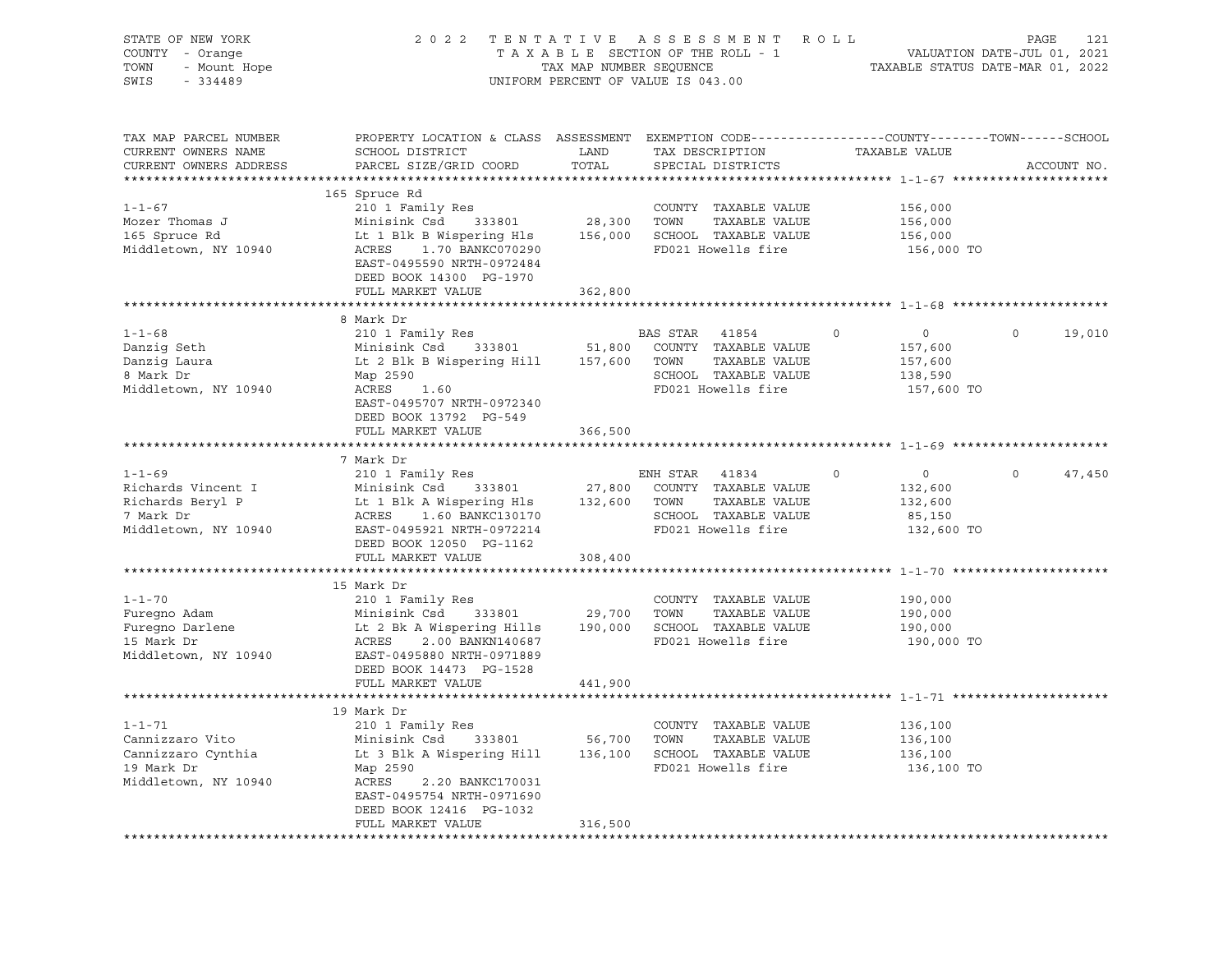| STATE OF NEW YORK<br>COUNTY - Orange<br>TOWN<br>$-334489$<br>SWIS                                  | FRIEW YORK A SSESSMENT ROLL PAGE 121<br>- Orange 2022 TENTATIVE A SSESSMENT ROLL - 1<br>- Mount Hope TAX MAP NUMBER SEQUENCE TAXIMAP TO THE ROLL - 1<br>- Mount Hope TAXIMAP NUMBER SEQUENCE TAXABLE STATUS DATE-MAR 01, 2022                                                         |         | UNIFORM PERCENT OF VALUE IS 043.00                 |                                  |                          |
|----------------------------------------------------------------------------------------------------|---------------------------------------------------------------------------------------------------------------------------------------------------------------------------------------------------------------------------------------------------------------------------------------|---------|----------------------------------------------------|----------------------------------|--------------------------|
| TAX MAP PARCEL NUMBER<br>CURRENT OWNERS NAME<br>CURRENT OWNERS ADDRESS<br>************************ | PROPERTY LOCATION & CLASS ASSESSMENT EXEMPTION CODE----------------COUNTY-------TOWN------SCHOOL<br>SCHOOL DISTRICT LAND<br>PARCEL SIZE/GRID COORD                                                                                                                                    | TOTAL   | TAX DESCRIPTION TAXABLE VALUE<br>SPECIAL DISTRICTS |                                  | ACCOUNT NO.              |
|                                                                                                    | 165 Spruce Rd                                                                                                                                                                                                                                                                         |         |                                                    |                                  |                          |
| $1 - 1 - 67$                                                                                       | 210 1 Family Res                                                                                                                                                                                                                                                                      |         | COUNTY TAXABLE VALUE                               | 156,000                          |                          |
| Mozer Thomas J                                                                                     |                                                                                                                                                                                                                                                                                       |         |                                                    | 156,000                          |                          |
| 165 Spruce Rd                                                                                      |                                                                                                                                                                                                                                                                                       |         |                                                    | 156,000                          |                          |
| Middletown, NY 10940                                                                               | 210 1 Family Res<br>Minisink Csd 333801 28,300 TOWN TAXABLE VALUE<br>Lt 1 Blk B Wispering Hls 156,000 SCHOOL TAXABLE VALUE<br>ACRES 1.70 BANKC070290 FD021 Howells fire<br>TOWN TAXABLE VALUE<br>TOWN TO SCHOOL TAXABLE VALUE<br>EAST-0495590 NRTH-0972484<br>DEED BOOK 14300 PG-1970 |         | FD021 Howells fire                                 | 156,000 TO                       |                          |
|                                                                                                    | FULL MARKET VALUE                                                                                                                                                                                                                                                                     | 362,800 |                                                    |                                  |                          |
|                                                                                                    |                                                                                                                                                                                                                                                                                       |         |                                                    |                                  |                          |
| $1 - 1 - 68$                                                                                       | 8 Mark Dr                                                                                                                                                                                                                                                                             |         |                                                    | $\overline{0}$<br>$\circ$        | $\Omega$                 |
|                                                                                                    | 210 1 Family Res<br>210 1 raminy Res<br>Minisink Csd 333801 51,800 COUNTY TAXABLE VALUE<br>Lt 2 Blk B Wispering Hill 157,600 TOWN TAXABLE VALUE<br>Map 2590 SCHOOL TAXABLE VALUE<br>Map 2590 SCHOOL TAXABLE VALUE                                                                     |         | <b>BAS STAR 41854</b>                              |                                  | 19,010                   |
| Danzig Seth<br>Danzig Laura<br><sup>9 Mark</sup> Dr                                                |                                                                                                                                                                                                                                                                                       |         |                                                    | 157,600<br>157,600               |                          |
|                                                                                                    |                                                                                                                                                                                                                                                                                       |         |                                                    | 138,590                          |                          |
| Middletown, NY 10940                                                                               | ACRES 1.60                                                                                                                                                                                                                                                                            |         | FD021 Howells fire                                 | 157,600 TO                       |                          |
|                                                                                                    | EAST-0495707 NRTH-0972340                                                                                                                                                                                                                                                             |         |                                                    |                                  |                          |
|                                                                                                    | DEED BOOK 13792 PG-549                                                                                                                                                                                                                                                                |         |                                                    |                                  |                          |
|                                                                                                    | FULL MARKET VALUE                                                                                                                                                                                                                                                                     | 366,500 |                                                    |                                  |                          |
|                                                                                                    |                                                                                                                                                                                                                                                                                       |         |                                                    |                                  |                          |
|                                                                                                    | 7 Mark Dr                                                                                                                                                                                                                                                                             |         |                                                    |                                  |                          |
| $1 - 1 - 69$                                                                                       | 210 1 Family Res                                                                                                                                                                                                                                                                      |         | ENH STAR 41834                                     | $\overline{0}$<br>$\overline{0}$ | $\overline{0}$<br>47,450 |
|                                                                                                    |                                                                                                                                                                                                                                                                                       |         |                                                    | 132,600                          |                          |
| Richards Vincent I<br>Richards Beryl P<br>7 Mark Dr                                                |                                                                                                                                                                                                                                                                                       |         |                                                    | 132,600<br>85,150                |                          |
| Middletown, NY 10940                                                                               | Minisink Csd 333801 27,800 COUNTY TAXABLE VALUE<br>Lt 1 Blk A Wispering Hls 132,600 TOWN TAXABLE VALUE<br>ACRES 1.60 BANKC130170 SCHOOL TAXABLE VALUE<br>EAST-0495921 NRTH-0972214 FD021 Howells fire                                                                                 |         |                                                    | 132,600 TO                       |                          |
|                                                                                                    | DEED BOOK 12050 PG-1162                                                                                                                                                                                                                                                               |         |                                                    |                                  |                          |
|                                                                                                    | FULL MARKET VALUE                                                                                                                                                                                                                                                                     | 308,400 |                                                    |                                  |                          |
|                                                                                                    |                                                                                                                                                                                                                                                                                       |         |                                                    |                                  |                          |
|                                                                                                    | 15 Mark Dr                                                                                                                                                                                                                                                                            |         |                                                    |                                  |                          |
| $1 - 1 - 70$                                                                                       |                                                                                                                                                                                                                                                                                       |         |                                                    | 190,000                          |                          |
|                                                                                                    |                                                                                                                                                                                                                                                                                       |         |                                                    | 190,000                          |                          |
| Furegno Adam<br>Furegno Darlene<br>15 Mark Dr                                                      | 210 I Family Res<br>Minisink Csd 333801 29,700 TOWN TAXABLE VALUE<br>Lt 2 Bk A Wispering Hills 190,000 SCHOOL TAXABLE VALUE<br>ACRES 2.00 BANKN140687 FD021 Howells fire<br>EAST-0495880 NRTH-0971889                                                                                 |         |                                                    | 190,000                          |                          |
|                                                                                                    |                                                                                                                                                                                                                                                                                       |         | FD021 Howells fire                                 | 190,000 TO                       |                          |
| Middletown, NY 10940                                                                               |                                                                                                                                                                                                                                                                                       |         |                                                    |                                  |                          |
|                                                                                                    | DEED BOOK 14473 PG-1528                                                                                                                                                                                                                                                               |         |                                                    |                                  |                          |
|                                                                                                    | FULL MARKET VALUE                                                                                                                                                                                                                                                                     | 441,900 |                                                    |                                  |                          |
|                                                                                                    |                                                                                                                                                                                                                                                                                       |         |                                                    |                                  |                          |
| $1 - 1 - 71$                                                                                       | 19 Mark Dr<br>210 1 Family Res                                                                                                                                                                                                                                                        |         |                                                    |                                  |                          |
| Cannizzaro Vito                                                                                    |                                                                                                                                                                                                                                                                                       |         | COUNTY TAXABLE VALUE                               | 136,100                          |                          |
| Cannizzaro Cynthia                                                                                 | Minisink Csd 333801 56,700 TOWN TAXABLE VALUE<br>Lt 3 Blk A Wispering Hill 136,100 SCHOOL TAXABLE VALUE                                                                                                                                                                               |         |                                                    | 136,100<br>136,100               |                          |
| 19 Mark Dr                                                                                         | Map 2590                                                                                                                                                                                                                                                                              |         | FD021 Howells fire                                 | 136,100 TO                       |                          |
| Middletown, NY 10940                                                                               | ACRES<br>2.20 BANKC170031                                                                                                                                                                                                                                                             |         |                                                    |                                  |                          |
|                                                                                                    | EAST-0495754 NRTH-0971690                                                                                                                                                                                                                                                             |         |                                                    |                                  |                          |
|                                                                                                    | DEED BOOK 12416 PG-1032                                                                                                                                                                                                                                                               |         |                                                    |                                  |                          |
|                                                                                                    | FULL MARKET VALUE                                                                                                                                                                                                                                                                     | 316,500 |                                                    |                                  |                          |
|                                                                                                    |                                                                                                                                                                                                                                                                                       |         |                                                    |                                  |                          |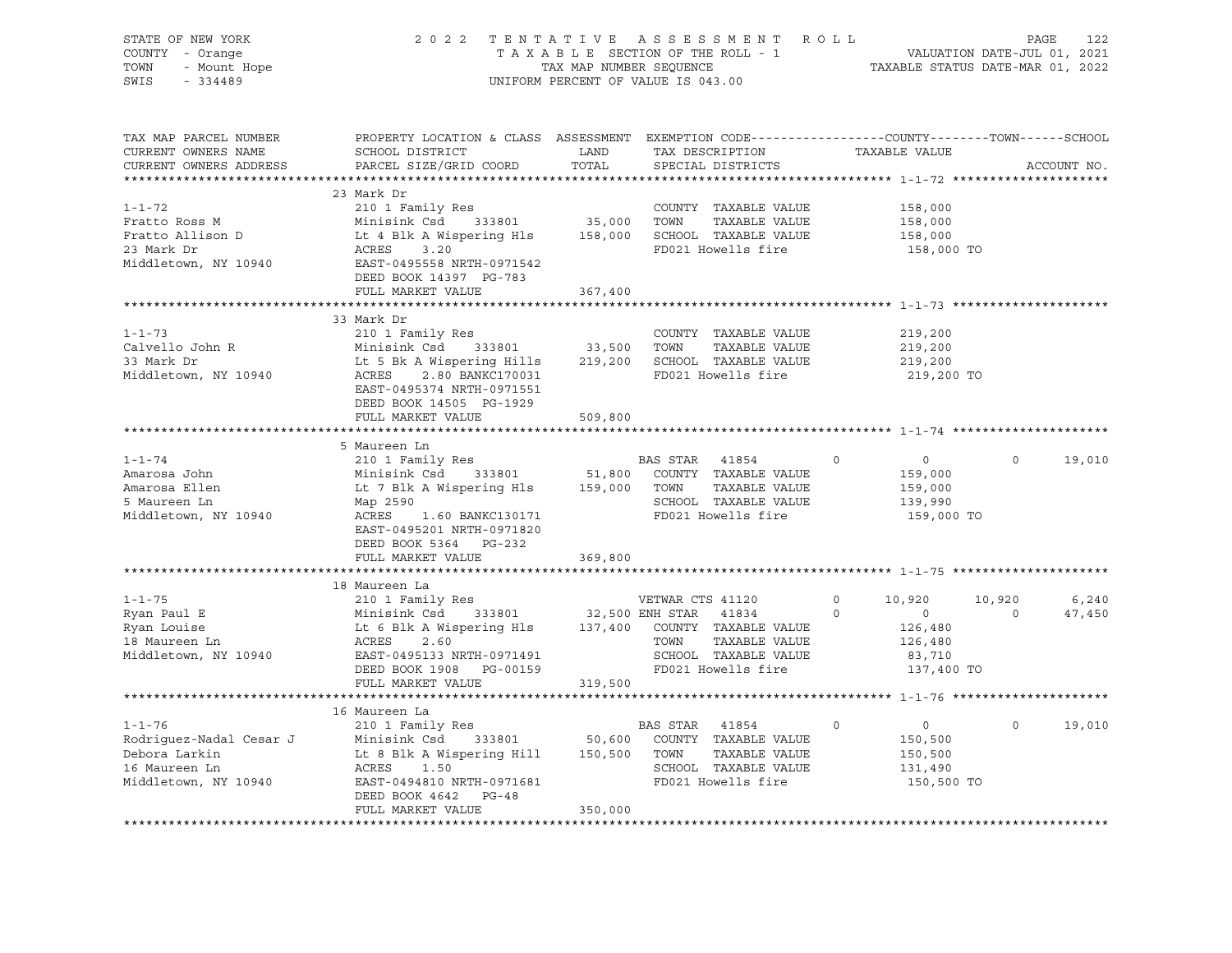| STATE OF NEW YORK<br>COUNTY - Orange<br>OF NEW TOOL<br>- Orange<br>- Mount Hope<br>TOWN<br>SWIS                                                                                                                                                                                    | UNIFORM PERCENT OF VALUE IS 043.00                                                                                                                                                                                                                                                                                            | 2022 TENTATIVE ASSESSMENT ROLL PAGE 122<br>TAXABLE SECTION OF THE ROLL - 1<br>TAX MAP NUMBER SEQUENCE TAXABLE STATUS DATE-MAR 01, 2021 |                                                                                                     |                                                                                   |                    |                 |
|------------------------------------------------------------------------------------------------------------------------------------------------------------------------------------------------------------------------------------------------------------------------------------|-------------------------------------------------------------------------------------------------------------------------------------------------------------------------------------------------------------------------------------------------------------------------------------------------------------------------------|----------------------------------------------------------------------------------------------------------------------------------------|-----------------------------------------------------------------------------------------------------|-----------------------------------------------------------------------------------|--------------------|-----------------|
| TAX MAP PARCEL NUMBER<br>CURRENT OWNERS NAME<br>CURRENT OWNERS ADDRESS                                                                                                                                                                                                             | PROPERTY LOCATION & CLASS ASSESSMENT EXEMPTION CODE----------------COUNTY-------TOWN------SCHOOL<br>SCHOOL DISTRICT LAND<br>PARCEL SIZE/GRID COORD                                                                                                                                                                            | TOTAL                                                                                                                                  | TAX DESCRIPTION TAXABLE VALUE<br>SPECIAL DISTRICTS                                                  |                                                                                   |                    | ACCOUNT NO.     |
|                                                                                                                                                                                                                                                                                    | 23 Mark Dr                                                                                                                                                                                                                                                                                                                    |                                                                                                                                        |                                                                                                     |                                                                                   |                    |                 |
| $1 - 1 - 72$<br>Fratto Ross M<br>Fratto Allison D<br>23 Mark Dr<br>Middletown, NY 10940                                                                                                                                                                                            | 210 1 Family Res<br>Minisink Csd 333801 35,000 TOWN TAXABLE VALUE<br>Lt 4 Blk A Wispering Hls 158,000 SCHOOL TAXABLE VALUE<br>ACRES 3 20<br>ACRES<br>3.20<br>------<br>EAST-0495558 NRTH-0971542<br>DEED BOOK 14397 PG-783                                                                                                    |                                                                                                                                        | COUNTY TAXABLE VALUE<br>FD021 Howells fire                                                          | 158,000<br>158,000<br>158,000<br>158,000 TO                                       |                    |                 |
|                                                                                                                                                                                                                                                                                    | FULL MARKET VALUE                                                                                                                                                                                                                                                                                                             | 367,400                                                                                                                                |                                                                                                     |                                                                                   |                    |                 |
| $1 - 1 - 73$<br>Calvello John R<br>33 Mark Dr<br>33 Mark Dr<br>Middletown, NY 10940                                                                                                                                                                                                | 33 Mark Dr<br>210 1 Family Res<br>210 1 Family Res<br>Minisink Csd 333801 33,500 TOWN TAXABLE VALUE<br>Lt 5 Bk A Wispering Hills 219,200 SCHOOL TAXABLE VALUE<br>ACRES 2.80 BANKC17031 FD021 Howells fire<br>THE CONSILE PRO21 FO21 Howells fire<br>EAST-0495374 NRTH-0971551<br>DEED BOOK 14505 PG-1929<br>FULL MARKET VALUE | 509,800                                                                                                                                | COUNTY TAXABLE VALUE<br>TAXABLE VALUE<br>FD021 Howells fire                                         | 219,200<br>219,200<br>219,200<br>219,200 TO                                       |                    |                 |
|                                                                                                                                                                                                                                                                                    |                                                                                                                                                                                                                                                                                                                               |                                                                                                                                        |                                                                                                     |                                                                                   |                    |                 |
| $1 - 1 - 74$<br>Amarosa John<br>Amarosa Ellen<br>5 Maureen Ln<br>Middletown, NY 10940                                                                                                                                                                                              | 5 Maureen Ln<br>210 1 Family Res<br>ACRES<br>1.60 BANKC130171<br>EAST-0495201 NRTH-0971820<br>DEED BOOK 5364 PG-232                                                                                                                                                                                                           |                                                                                                                                        | BAS STAR 41854<br>FD021 Howells fire                                                                | $\overline{0}$<br>$\circ$<br>159,000<br>159,000<br>139,990<br>159,000 TO          | $\circ$            | 19,010          |
|                                                                                                                                                                                                                                                                                    | FULL MARKET VALUE                                                                                                                                                                                                                                                                                                             | 369,800                                                                                                                                |                                                                                                     |                                                                                   |                    |                 |
|                                                                                                                                                                                                                                                                                    |                                                                                                                                                                                                                                                                                                                               |                                                                                                                                        |                                                                                                     |                                                                                   |                    |                 |
| $1 - 1 - 75$<br>Ryan Paul E<br>Ryan Louise<br>18 Maureen Ln<br>Middletown, NY 10940                                                                                                                                                                                                | 18 Maureen La<br>210 1 Family Res<br>Minisink Csd 333801 32,500 ENH STAR 41834 0<br>Lt 6 Blk A Wispering Hls 137,400 COUNTY TAXABLE VALUE<br>ACRES<br>2.60<br>EAST-0495133 NRTH-0971491<br>DEED BOOK 1908 PG-00159<br>FULL MARKET VALUE                                                                                       | 319,500                                                                                                                                | $\overline{0}$<br>TOWN TAXABLE VALUE<br>SCHOOL TAXABLE VALUE<br>FD021 Howells fire<br>TAXABLE VALUE | $\circ$<br>10,920<br>$\overline{0}$<br>126,480<br>126,480<br>83,710<br>137,400 TO | 10,920<br>$\sim$ 0 | 6,240<br>47,450 |
|                                                                                                                                                                                                                                                                                    |                                                                                                                                                                                                                                                                                                                               |                                                                                                                                        |                                                                                                     |                                                                                   |                    |                 |
| $1 - 1 - 76$<br>Rodriguez-Nadal Cesar J<br>Minisink Csd 333801 50,600 COUNTY TAXABLE VALUE<br>Debora Larkin Lt 8 Blk A Wispering Hill 150,500 TOWN TAXABLE VALUE<br>Debora Larkin Larkin Samuel Martin Communication County TaxaBLE VALUE<br>16 Maureen Ln<br>Middletown, NY 10940 | 16 Maureen La<br>210 1 Family Res<br>ACRES 1.50<br>EAST-0494810 NRTH-0971681<br>DEED BOOK 4642 PG-48<br>FULL MARKET VALUE                                                                                                                                                                                                     | 350,000                                                                                                                                | BAS STAR 41854<br>SCHOOL TAXABLE VALUE<br>FD021 Howells fire                                        | $\overline{0}$<br>$\Omega$<br>150,500<br>150,500<br>131,490<br>150,500 TO         | $\Omega$           | 19,010          |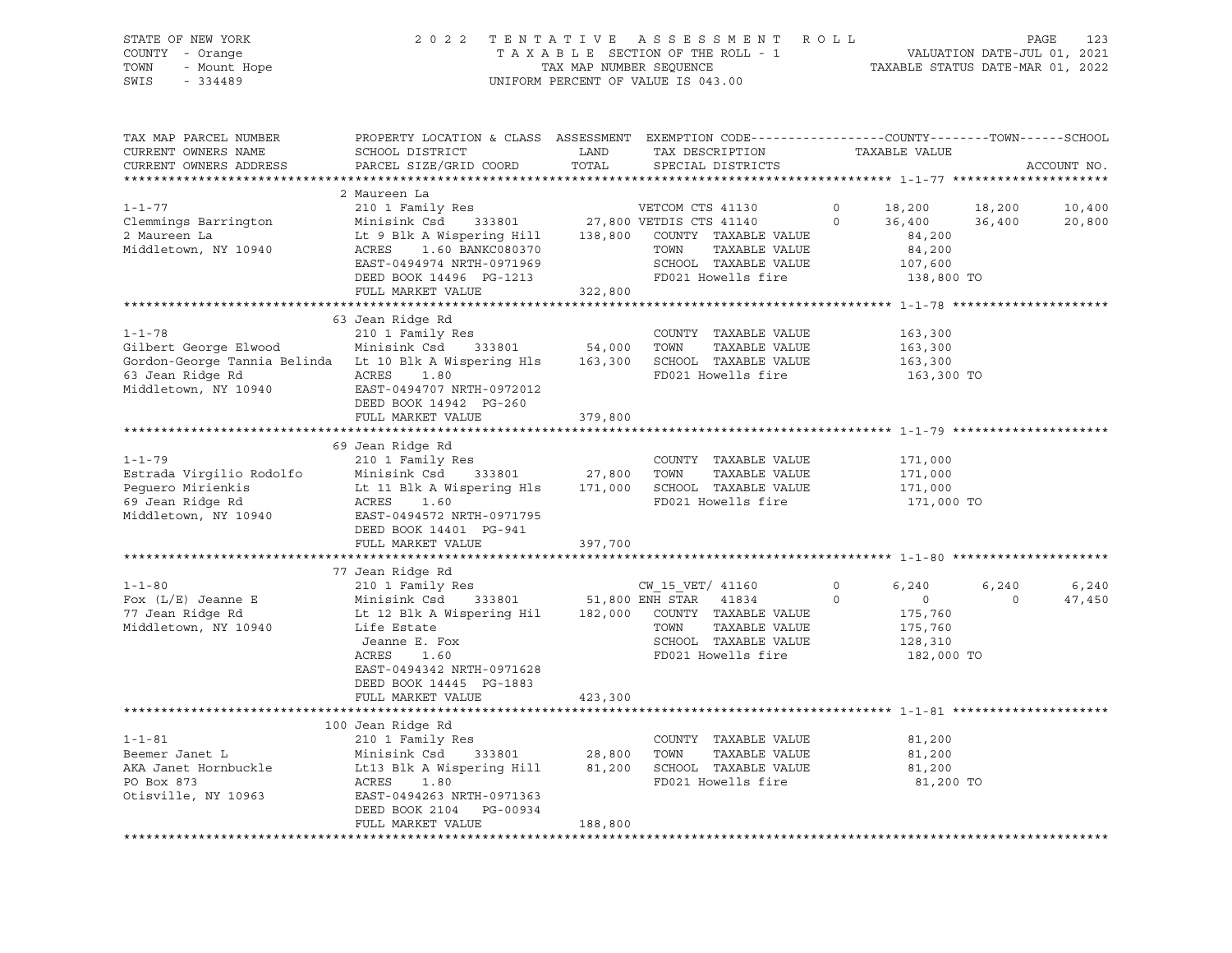# STATE OF NEW YORK 2 0 2 2 T E N T A T I V E A S S E S S M E N T R O L L PAGE 123 COUNTY - Orange T A X A B L E SECTION OF THE ROLL - 1 VALUATION DATE-JUL 01, 2021 TOWN - Mount Hope TAX MAP NUMBER SEQUENCE TAXABLE STATUS DATE-MAR 01, 2022 SWIS - 334489 UNIFORM PERCENT OF VALUE IS 043.00

| TAX MAP PARCEL NUMBER<br>CURRENT OWNERS NAME<br>CURRENT OWNERS ADDRESS                                                                      | PROPERTY LOCATION & CLASS ASSESSMENT<br>SCHOOL DISTRICT<br>PARCEL SIZE/GRID COORD                                                                                                                                                                    | LAND<br>TOTAL                                  | EXEMPTION CODE-----------------COUNTY--------TOWN------SCHOOL<br>TAX DESCRIPTION<br>SPECIAL DISTRICTS                     |                     | TAXABLE VALUE                                                                               | ACCOUNT NO.      |
|---------------------------------------------------------------------------------------------------------------------------------------------|------------------------------------------------------------------------------------------------------------------------------------------------------------------------------------------------------------------------------------------------------|------------------------------------------------|---------------------------------------------------------------------------------------------------------------------------|---------------------|---------------------------------------------------------------------------------------------|------------------|
|                                                                                                                                             |                                                                                                                                                                                                                                                      |                                                |                                                                                                                           |                     |                                                                                             |                  |
| $1 - 1 - 77$<br>Clemmings Barrington<br>2 Maureen La<br>Middletown, NY 10940                                                                | 2 Maureen La<br>210 1 Family Res<br>Minisink Csd<br>Lt 9 Blk A Wispering Hill 138,800 COUNTY TAXABLE VALUE<br>ACRES 1.60 BANKC080370<br>EAST-0494974 NRTH-0971969<br>DEED BOOK 14496 PG-1213<br>FULL MARKET VALUE                                    | 322,800                                        | VETCOM CTS 41130<br>333801 27,800 VETDIS CTS 41140<br>TAXABLE VALUE<br>TOWN<br>SCHOOL TAXABLE VALUE<br>FD021 Howells fire | $\circ$<br>$\circ$  | 18,200<br>18,200<br>36,400<br>36,400<br>84,200<br>84,200<br>107,600<br>138,800 TO           | 10,400<br>20,800 |
|                                                                                                                                             |                                                                                                                                                                                                                                                      |                                                |                                                                                                                           |                     |                                                                                             |                  |
| $1 - 1 - 78$<br>Gilbert George Elwood<br>Gordon-George Tannia Belinda Lt 10 Blk A Wispering Hls<br>63 Jean Ridge Rd<br>Middletown, NY 10940 | 63 Jean Ridge Rd<br>210 1 Family Res<br>Minisink Csd<br>ACRES<br>1.80<br>EAST-0494707 NRTH-0972012<br>DEED BOOK 14942 PG-260<br>FULL MARKET VALUE                                                                                                    | 333801 54,000<br>pering Hls 163,300<br>379,800 | COUNTY TAXABLE VALUE<br>TOWN<br>TAXABLE VALUE<br>SCHOOL TAXABLE VALUE<br>FD021 Howells fire                               |                     | 163,300<br>163,300<br>163,300<br>163,300 TO                                                 |                  |
|                                                                                                                                             |                                                                                                                                                                                                                                                      |                                                |                                                                                                                           |                     |                                                                                             |                  |
| $1 - 1 - 79$<br>Estrada Virgilio Rodolfo<br>Pequero Mirienkis<br>69 Jean Ridge Rd<br>Middletown, NY 10940                                   | 69 Jean Ridge Rd<br>210 1 Family Res<br>Minisink Csd<br>Lt 11 Blk A Wispering Hls<br>ACRES<br>1.60<br>EAST-0494572 NRTH-0971795<br>DEED BOOK 14401 PG-941<br>FULL MARKET VALUE                                                                       | 333801 27,800<br>397,700                       | COUNTY TAXABLE VALUE<br>TOWN<br>TAXABLE VALUE<br>171,000 SCHOOL TAXABLE VALUE<br>FD021 Howells fire                       |                     | 171,000<br>171,000<br>171,000<br>171,000 TO                                                 |                  |
|                                                                                                                                             |                                                                                                                                                                                                                                                      |                                                |                                                                                                                           |                     |                                                                                             |                  |
| $1 - 1 - 80$<br>Fox $(L/E)$ Jeanne E<br>77 Jean Ridge Rd<br>Middletown, NY 10940                                                            | 77 Jean Ridge Rd<br>210 1 Family Res<br>Minisink Csd 333801 51,800 ENH STAR 41834<br>Lt 12 Blk A Wispering Hil 182,000 COUNTY TAXABLE VALUE<br>Life Estate<br>Jeanne E. Fox<br>ACRES<br>1.60<br>EAST-0494342 NRTH-0971628<br>DEED BOOK 14445 PG-1883 |                                                | CW 15 VET/ 41160<br>TOWN<br>TAXABLE VALUE<br>SCHOOL TAXABLE VALUE<br>FD021 Howells fire                                   | $\circ$<br>$\Omega$ | 6,240<br>6,240<br>$\overline{0}$<br>$\Omega$<br>175,760<br>175,760<br>128,310<br>182,000 TO | 6,240<br>47,450  |
|                                                                                                                                             | FULL MARKET VALUE                                                                                                                                                                                                                                    | 423,300                                        |                                                                                                                           |                     |                                                                                             |                  |
|                                                                                                                                             |                                                                                                                                                                                                                                                      |                                                |                                                                                                                           |                     |                                                                                             |                  |
| $1 - 1 - 81$<br>Beemer Janet L<br>AKA Janet Hornbuckle<br>PO Box 873<br>Otisville, NY 10963                                                 | 100 Jean Ridge Rd<br>210 1 Family Res<br>$333801$ 28,800 TOWN<br>Minisink Csd<br>Lt13 Blk A Wispering Hill 81,200<br>ACRES<br>1.80<br>EAST-0494263 NRTH-0971363<br>DEED BOOK 2104<br>PG-00934<br>FULL MARKET VALUE                                   | 188,800                                        | COUNTY TAXABLE VALUE<br>TAXABLE VALUE<br>SCHOOL TAXABLE VALUE<br>FD021 Howells fire                                       |                     | 81,200<br>81,200<br>81,200<br>81,200 TO                                                     |                  |
|                                                                                                                                             |                                                                                                                                                                                                                                                      |                                                |                                                                                                                           |                     |                                                                                             |                  |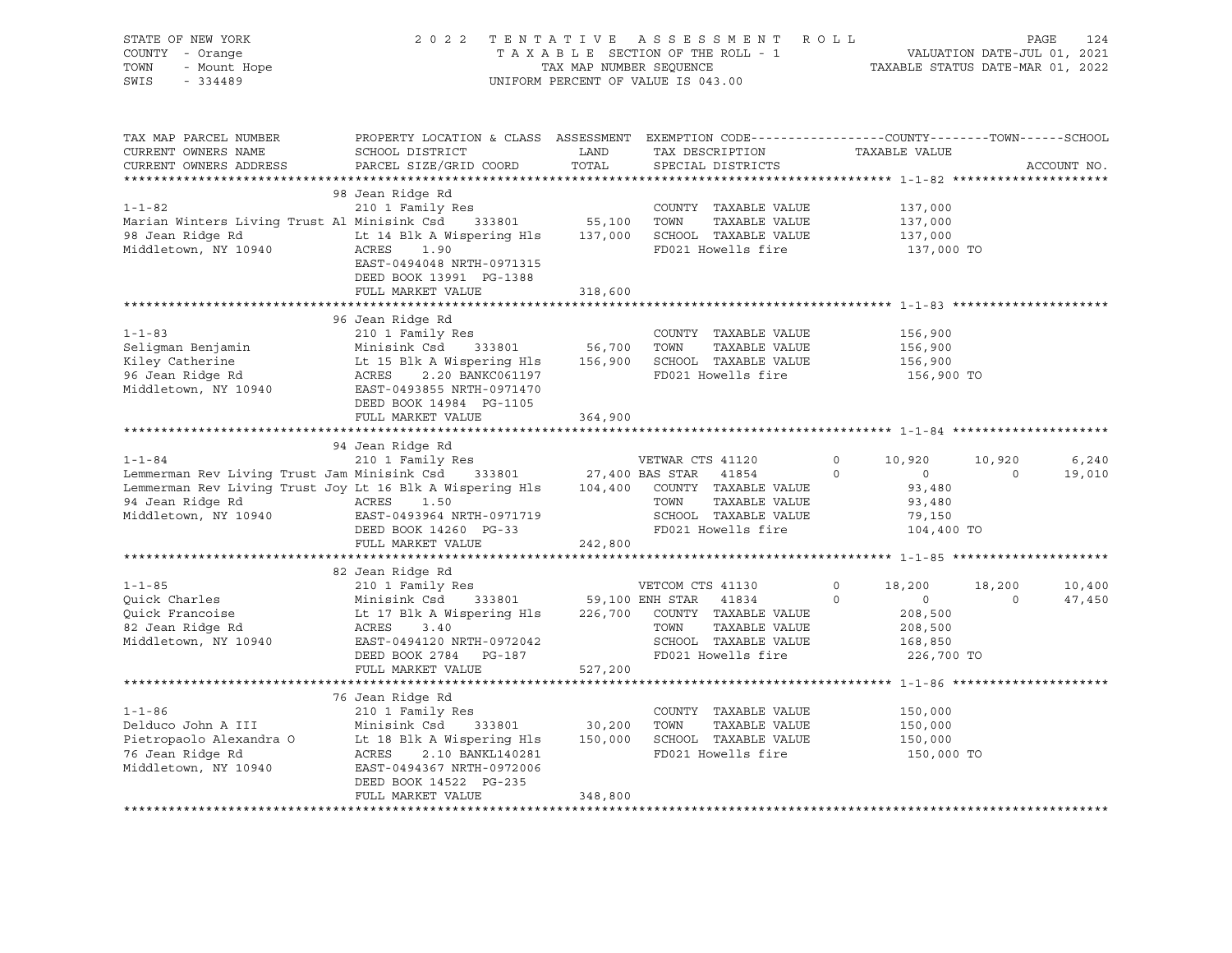| STATE OF NEW YORK<br>COUNTY - Orange<br>- Orange<br>- Mount Hope<br>TOWN<br>$-334489$<br>SWIS                                                                                                                                                                                                                                                                                                                               | 2022 TENTATIVE ASSESSMENT ROLL                                                                                                                |               | TAXABLE SECTION OF THE ROLL - 1<br>TAXABLE STATUS DATE-JUL 01, 2021<br>TAXABLE STATUS DATE-MAR 01, 2022<br>UNIFORM PERCENT OF VALUE IS 043.00 |         |                                                                         |                          | PAGE<br>124      |
|-----------------------------------------------------------------------------------------------------------------------------------------------------------------------------------------------------------------------------------------------------------------------------------------------------------------------------------------------------------------------------------------------------------------------------|-----------------------------------------------------------------------------------------------------------------------------------------------|---------------|-----------------------------------------------------------------------------------------------------------------------------------------------|---------|-------------------------------------------------------------------------|--------------------------|------------------|
| TAX MAP PARCEL NUMBER<br>CURRENT OWNERS NAME<br>CURRENT OWNERS ADDRESS                                                                                                                                                                                                                                                                                                                                                      | PROPERTY LOCATION & CLASS ASSESSMENT EXEMPTION CODE----------------COUNTY-------TOWN------SCHOOL<br>SCHOOL DISTRICT<br>PARCEL SIZE/GRID COORD | LAND<br>TOTAL | TAX DESCRIPTION TAXABLE VALUE<br>SPECIAL DISTRICTS                                                                                            |         |                                                                         |                          | ACCOUNT NO.      |
|                                                                                                                                                                                                                                                                                                                                                                                                                             |                                                                                                                                               |               |                                                                                                                                               |         |                                                                         |                          |                  |
| $1 - 1 - 82$<br>Marian Winters Living Trust Al Minisink Csd 333801 55,100 TOWN TAXABLE VALUE<br>98 Jean Ridge Rd Lt 14 Blk A Wispering Hls 137,000 SCHOOL TAXABLE VALUE<br>Middletown, NY 10940 ACRES 1.90 FD021 Howells fire                                                                                                                                                                                               | 98 Jean Ridge Rd<br>210 1 Family Res<br>EAST-0494048 NRTH-0971315<br>DEED BOOK 13991 PG-1388                                                  |               | COUNTY TAXABLE VALUE<br>FD021 Howells fire                                                                                                    |         | 137,000<br>137,000<br>137,000<br>137,000<br>137,000 TO                  |                          |                  |
|                                                                                                                                                                                                                                                                                                                                                                                                                             | FULL MARKET VALUE                                                                                                                             | 318,600       |                                                                                                                                               |         |                                                                         |                          |                  |
| $1 - 1 - 83$<br>Seligman Benjamin<br>Kiley Catherine Minisink Csd 333801 56,700 TOWN TAXABLE VALUE<br>2.20 BANKC061197 FD021 Howells fire<br>Middletown, NY 10940 EAST-0493855 NRTH-0971470                                                                                                                                                                                                                                 | 96 Jean Ridge Rd<br>210 1 Family Res<br>DEED BOOK 14984 PG-1105                                                                               |               | COUNTY TAXABLE VALUE<br>FD021 Howells fire                                                                                                    |         | 156,900<br>156,900<br>156,900<br>156,900 TO                             |                          |                  |
|                                                                                                                                                                                                                                                                                                                                                                                                                             | FULL MARKET VALUE                                                                                                                             | 364,900       |                                                                                                                                               |         |                                                                         |                          |                  |
|                                                                                                                                                                                                                                                                                                                                                                                                                             |                                                                                                                                               |               |                                                                                                                                               |         |                                                                         |                          |                  |
| 94 Jean Klage Ka (1-1-84 VETWAR CTS 41120 )<br>210 1 Family Res (210 1 27,400 BAS STAR 41854 )<br>27,400 BAS STAR 41854 (1854 )<br>27,400 BAS STAR 41854 (1854 ) Lemmerman Rev Living Trust Joy Lt 16 Blk A Wispering Hls (104,400 COUN<br>94 Jean Ridge Rd $\overline{R}$ ACRES 1.50 TOWN TAXABLE VALUE<br>Middletown, NY 10940 EAST-0493964 NRTH-0971719 SCHOOL TAXABLE VALUE<br>DEED BOOK 14260 PG-33 FD021 Howells fire | 94 Jean Ridge Rd                                                                                                                              |               | TAXABLE VALUE                                                                                                                                 |         | $0 \t 10,920$<br>$\sim$ 0<br>93,480<br>93,480<br>79,150<br>104,400 TO   | 10,920<br>$\overline{0}$ | 6,240<br>19,010  |
|                                                                                                                                                                                                                                                                                                                                                                                                                             | FULL MARKET VALUE                                                                                                                             | 242,800       |                                                                                                                                               |         |                                                                         |                          |                  |
| $1 - 1 - 85$<br>Quick Charles<br>Quick Francoise Minisink Csd 333801 59,100 ENH STAR 41834 0<br>Quick Francoise Lt 17 Blk A Wispering Hls 226,700 COUNTY TAXABLE VALUE<br>82 Jean Ridge Rd ACRES 3.40 TOWN TAXABLE VALUE<br>Middletown, NY 10940                                                                                                                                                                            | 82 Jean Ridge Rd<br>210 1 Family Res<br>ACRES 3.40<br>EAST-0494120 NRTH-0972042<br>DEED BOOK 2784 PG-187<br>FULL MARKET VALUE                 | 527,200       | VETCOM CTS 41130<br>SCHOOL TAXABLE VALUE<br>FD021 Howells fire                                                                                | $\circ$ | 18,200<br>$\overline{0}$<br>208,500<br>208,500<br>168,850<br>226,700 TO | 18,200<br>$\circ$        | 10,400<br>47,450 |
|                                                                                                                                                                                                                                                                                                                                                                                                                             |                                                                                                                                               |               |                                                                                                                                               |         |                                                                         |                          |                  |
| $1 - 1 - 86$<br>Delduco John A III and Thinking Country and Teaching Software and Teaching Software Pietropaolo Alexandra O and It 18 Blk A Wispering Hls 150,000 SCHOOL TAXABLE VALUE<br>The Team Ridge Rd and Team ACRES 2.10 BANKL140281 2010<br>76 Jean Ridge Rd<br>Middletown, NY 10940                                                                                                                                | 76 Jean Ridge Rd<br>210 1 Family Res<br>ACRES 2.10 BANKL140281<br>EAST-0494367 NRTH-0972006<br>DEED BOOK 14522 PG-235<br>FULL MARKET VALUE    | 348,800       | COUNTY TAXABLE VALUE<br>FD021 Howells fire                                                                                                    |         | 150,000<br>150,000<br>150,000<br>150,000 TO                             |                          |                  |
|                                                                                                                                                                                                                                                                                                                                                                                                                             |                                                                                                                                               |               |                                                                                                                                               |         |                                                                         |                          |                  |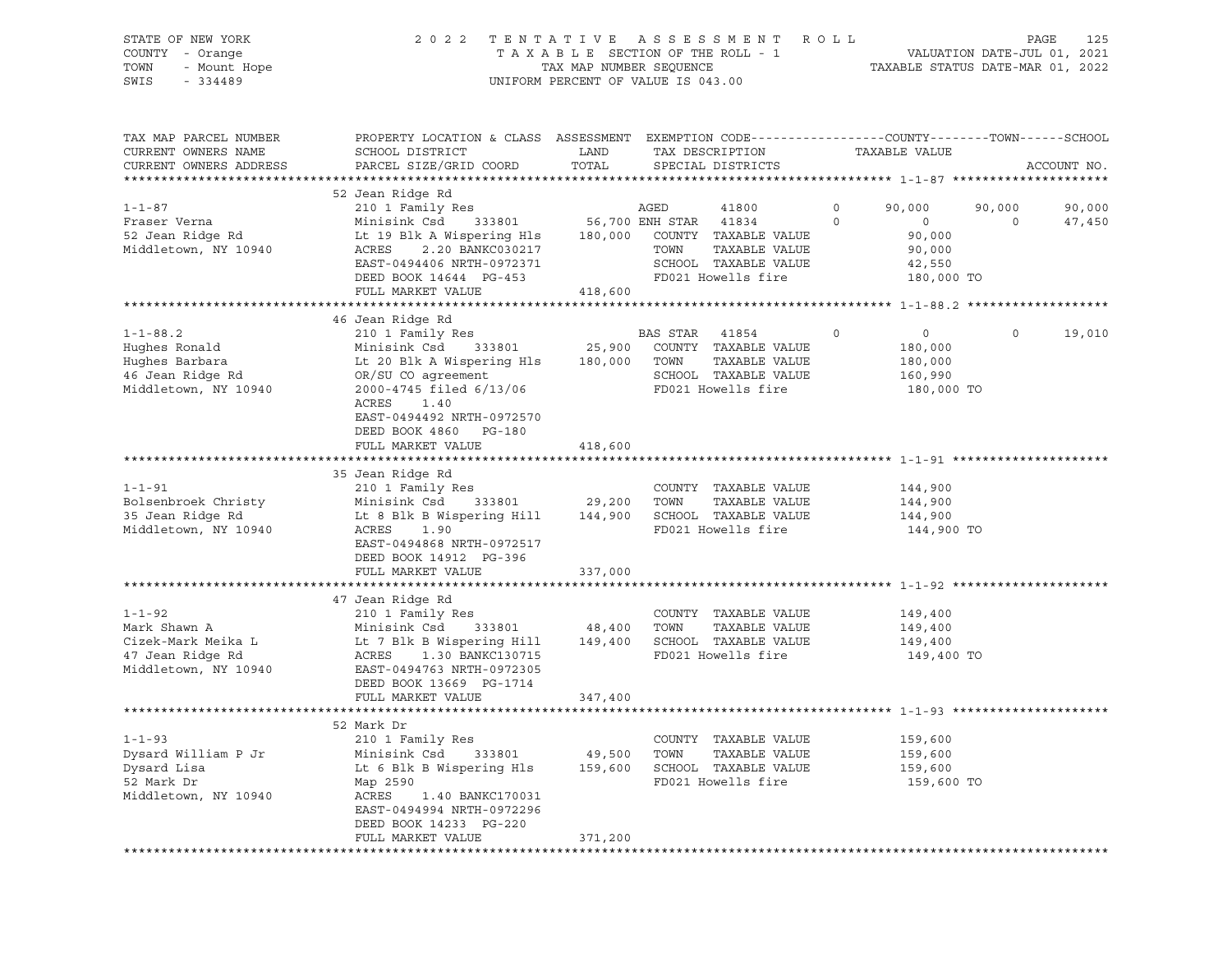| STATE OF NEW YORK<br>COUNTY - Orange<br>TOWN<br>- Mount Hope<br>SWIS<br>$-334489$ | 2 0 2 2                                                                                                                                       | TAX MAP NUMBER SEQUENCE | TENTATIVE ASSESSMENT ROLL<br>TAXABLE SECTION OF THE ROLL - 1<br>UNIFORM PERCENT OF VALUE IS 043.00 |                            | VALUATION DATE-JUL 01, 2021<br>TAXABLE STATUS DATE-MAR 01, 2022 | PAGE               | 125              |
|-----------------------------------------------------------------------------------|-----------------------------------------------------------------------------------------------------------------------------------------------|-------------------------|----------------------------------------------------------------------------------------------------|----------------------------|-----------------------------------------------------------------|--------------------|------------------|
| TAX MAP PARCEL NUMBER<br>CURRENT OWNERS NAME<br>CURRENT OWNERS ADDRESS            | PROPERTY LOCATION & CLASS ASSESSMENT EXEMPTION CODE----------------COUNTY-------TOWN------SCHOOL<br>SCHOOL DISTRICT<br>PARCEL SIZE/GRID COORD | LAND<br>TOTAL           | TAX DESCRIPTION<br>SPECIAL DISTRICTS                                                               |                            | TAXABLE VALUE                                                   |                    | ACCOUNT NO.      |
|                                                                                   | 52 Jean Ridge Rd                                                                                                                              |                         |                                                                                                    |                            |                                                                 |                    |                  |
| $1 - 1 - 87$<br>Fraser Verna                                                      | 210 1 Family Res<br>Minisink Csd                                                                                                              |                         | AGED<br>41800<br>333801 56,700 ENH STAR 41834                                                      | $\mathbf 0$<br>$\mathbf 0$ | 90,000<br>$\circ$                                               | 90,000<br>$\Omega$ | 90,000<br>47,450 |
| 52 Jean Ridge Rd                                                                  | Lt 19 Blk A Wispering Hls 180,000 COUNTY TAXABLE VALUE                                                                                        |                         |                                                                                                    |                            | 90,000                                                          |                    |                  |
| Middletown, NY 10940                                                              | ACRES<br>2.20 BANKC030217                                                                                                                     |                         | TAXABLE VALUE<br>TOWN                                                                              |                            | 90,000                                                          |                    |                  |
|                                                                                   | EAST-0494406 NRTH-0972371                                                                                                                     |                         | SCHOOL TAXABLE VALUE                                                                               |                            | 42,550                                                          |                    |                  |
|                                                                                   | DEED BOOK 14644 PG-453                                                                                                                        |                         | FD021 Howells fire                                                                                 |                            | 180,000 TO                                                      |                    |                  |
|                                                                                   | FULL MARKET VALUE                                                                                                                             | 418,600                 |                                                                                                    |                            |                                                                 |                    |                  |
|                                                                                   | 46 Jean Ridge Rd                                                                                                                              |                         |                                                                                                    |                            |                                                                 |                    |                  |
| $1 - 1 - 88.2$                                                                    | 210 1 Family Res                                                                                                                              |                         | BAS STAR<br>41854                                                                                  | $\circ$                    | $\circ$                                                         | $\circ$            | 19,010           |
| Hughes Ronald                                                                     | Minisink Csd 333801                                                                                                                           |                         | 25,900 COUNTY TAXABLE VALUE                                                                        |                            | 180,000                                                         |                    |                  |
| Hughes Barbara                                                                    | Lt 20 Blk A Wispering Hls                                                                                                                     | 180,000 TOWN            | TAXABLE VALUE                                                                                      |                            | 180,000                                                         |                    |                  |
| 46 Jean Ridge Rd                                                                  | OR/SU CO agreement                                                                                                                            |                         | SCHOOL TAXABLE VALUE                                                                               |                            | 160,990                                                         |                    |                  |
| Middletown, NY 10940                                                              | 2000-4745 filed 6/13/06<br>ACRES<br>1.40                                                                                                      |                         | FD021 Howells fire                                                                                 |                            | 180,000 TO                                                      |                    |                  |
|                                                                                   | EAST-0494492 NRTH-0972570                                                                                                                     |                         |                                                                                                    |                            |                                                                 |                    |                  |
|                                                                                   | DEED BOOK 4860 PG-180                                                                                                                         |                         |                                                                                                    |                            |                                                                 |                    |                  |
|                                                                                   | FULL MARKET VALUE                                                                                                                             | 418,600                 |                                                                                                    |                            |                                                                 |                    |                  |
|                                                                                   |                                                                                                                                               |                         |                                                                                                    |                            |                                                                 |                    |                  |
| $1 - 1 - 91$                                                                      | 35 Jean Ridge Rd                                                                                                                              |                         |                                                                                                    |                            |                                                                 |                    |                  |
| Bolsenbroek Christy                                                               | 210 1 Family Res<br>Minisink Csd<br>333801                                                                                                    | 29,200                  | COUNTY TAXABLE VALUE<br>TOWN<br>TAXABLE VALUE                                                      |                            | 144,900<br>144,900                                              |                    |                  |
| 35 Jean Ridge Rd                                                                  | Lt 8 Blk B Wispering Hill                                                                                                                     |                         | 144,900 SCHOOL TAXABLE VALUE                                                                       |                            | 144,900                                                         |                    |                  |
| Middletown, NY 10940                                                              | ACRES<br>1.90                                                                                                                                 |                         | FD021 Howells fire                                                                                 |                            | 144,900 TO                                                      |                    |                  |
|                                                                                   | EAST-0494868 NRTH-0972517                                                                                                                     |                         |                                                                                                    |                            |                                                                 |                    |                  |
|                                                                                   | DEED BOOK 14912 PG-396                                                                                                                        |                         |                                                                                                    |                            |                                                                 |                    |                  |
|                                                                                   | FULL MARKET VALUE                                                                                                                             | 337,000                 |                                                                                                    |                            |                                                                 |                    |                  |
|                                                                                   | 47 Jean Ridge Rd                                                                                                                              |                         |                                                                                                    |                            |                                                                 |                    |                  |
| $1 - 1 - 92$                                                                      | 210 1 Family Res                                                                                                                              |                         | COUNTY TAXABLE VALUE                                                                               |                            | 149,400                                                         |                    |                  |
| Mark Shawn A                                                                      | Minisink Csd<br>333801                                                                                                                        | 48,400                  | TOWN<br>TAXABLE VALUE                                                                              |                            | 149,400                                                         |                    |                  |
| Cizek-Mark Meika L                                                                | Lt 7 Blk B Wispering Hill                                                                                                                     | 149,400                 | SCHOOL TAXABLE VALUE                                                                               |                            | 149,400                                                         |                    |                  |
| 47 Jean Ridge Rd                                                                  | ACRES<br>1.30 BANKC130715                                                                                                                     |                         | FD021 Howells fire                                                                                 |                            | 149,400 TO                                                      |                    |                  |
| Middletown, NY 10940                                                              | EAST-0494763 NRTH-0972305<br>DEED BOOK 13669 PG-1714                                                                                          |                         |                                                                                                    |                            |                                                                 |                    |                  |
|                                                                                   | FULL MARKET VALUE                                                                                                                             | 347,400                 |                                                                                                    |                            |                                                                 |                    |                  |
|                                                                                   |                                                                                                                                               |                         |                                                                                                    |                            |                                                                 |                    |                  |
|                                                                                   | 52 Mark Dr                                                                                                                                    |                         |                                                                                                    |                            |                                                                 |                    |                  |
| $1 - 1 - 93$                                                                      | 210 1 Family Res                                                                                                                              |                         | COUNTY TAXABLE VALUE                                                                               |                            | 159,600                                                         |                    |                  |
| Dysard William P Jr                                                               | Minisink Csd<br>333801                                                                                                                        | 49,500                  | TOWN<br>TAXABLE VALUE                                                                              |                            | 159,600                                                         |                    |                  |
| Dysard Lisa<br>52 Mark Dr                                                         | Lt 6 Blk B Wispering Hls<br>Map 2590                                                                                                          | 159,600                 | SCHOOL TAXABLE VALUE<br>FD021 Howells fire                                                         |                            | 159,600<br>159,600 TO                                           |                    |                  |
| Middletown, NY 10940                                                              | ACRES<br>1.40 BANKC170031                                                                                                                     |                         |                                                                                                    |                            |                                                                 |                    |                  |
|                                                                                   | EAST-0494994 NRTH-0972296                                                                                                                     |                         |                                                                                                    |                            |                                                                 |                    |                  |
|                                                                                   | DEED BOOK 14233 PG-220                                                                                                                        |                         |                                                                                                    |                            |                                                                 |                    |                  |
|                                                                                   | FULL MARKET VALUE                                                                                                                             | 371,200                 |                                                                                                    |                            |                                                                 |                    |                  |
|                                                                                   |                                                                                                                                               |                         |                                                                                                    |                            |                                                                 |                    |                  |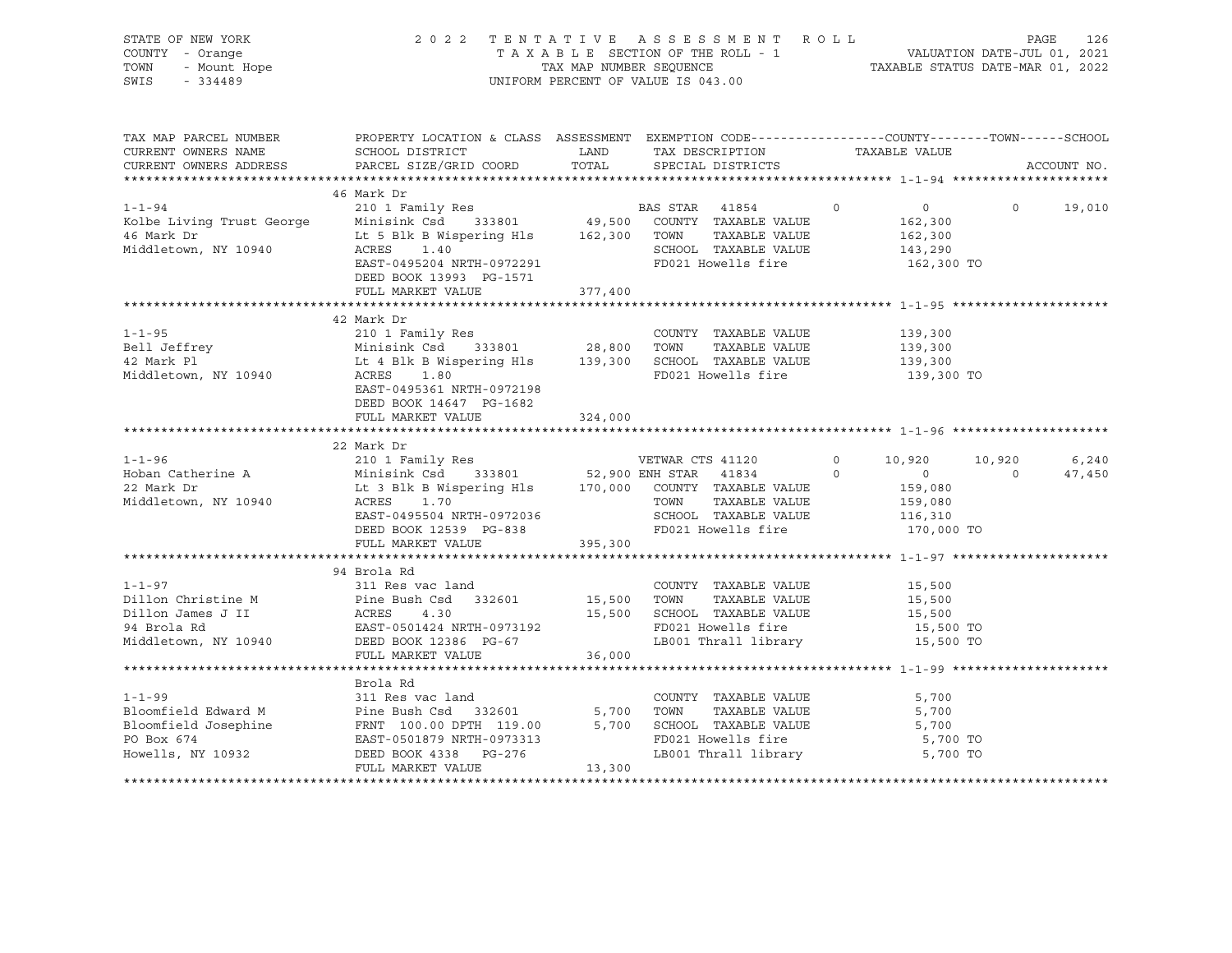| STATE OF NEW YORK<br>OF NEW YORK<br>7 - Orange<br>- Mount Hope<br>- 334489<br>COUNTY - Orange<br>TOWN<br>SWIS<br>$-334489$                                                                                                                                         |                                                                                                                                                                                                                       |         | UNIFORM PERCENT OF VALUE IS 043.00                                                                                      |                                                      |                          |                 |
|--------------------------------------------------------------------------------------------------------------------------------------------------------------------------------------------------------------------------------------------------------------------|-----------------------------------------------------------------------------------------------------------------------------------------------------------------------------------------------------------------------|---------|-------------------------------------------------------------------------------------------------------------------------|------------------------------------------------------|--------------------------|-----------------|
| CURRENT OWNERS NAME                                                                                                                                                                                                                                                | TAX MAP PARCEL NUMBER PROPERTY LOCATION & CLASS ASSESSMENT EXEMPTION CODE---------------COUNTY-------TOWN------SCHOOL<br>SCHOOL DISTRICT                   LAND         TAX DESCRIPTION                 TAXABLE VALUE |         |                                                                                                                         |                                                      |                          |                 |
|                                                                                                                                                                                                                                                                    |                                                                                                                                                                                                                       |         | SPECIAL DISTRICTS                                                                                                       |                                                      |                          | ACCOUNT NO.     |
|                                                                                                                                                                                                                                                                    | 46 Mark Dr                                                                                                                                                                                                            |         |                                                                                                                         |                                                      |                          |                 |
| 1-1-94 210 1 Family Res BAS STAR 41854 0<br>Kolbe Living Trust George Minisink Csd 333801 49,500 COUNTY TAXABLE VALUE<br>46 Mark Dr Lt 5 Blk B Wispering Hls 162,300 TOWN TAXABLE VALUE<br>Middletown, NY 10940 ACRES 1.40 SCHOOL TAXAB                            | ACRES 1.40<br>EAST-0495204 NRTH-0972291<br>DEED BOOK 13993 PG-1571                                                                                                                                                    |         | FD021 Howells fire 162,300 TO                                                                                           | $\overline{0}$<br>162,300<br>162,300<br>143,290      | $\Omega$                 | 19,010          |
|                                                                                                                                                                                                                                                                    | FULL MARKET VALUE                                                                                                                                                                                                     | 377,400 |                                                                                                                         |                                                      |                          |                 |
|                                                                                                                                                                                                                                                                    | 42 Mark Dr                                                                                                                                                                                                            |         |                                                                                                                         |                                                      |                          |                 |
|                                                                                                                                                                                                                                                                    | EAST-0495361 NRTH-0972198<br>DEED BOOK 14647 PG-1682                                                                                                                                                                  |         | FD021 Howells fire                                                                                                      | 139,300<br>139,300<br>139,300<br>139,300 TO          |                          |                 |
|                                                                                                                                                                                                                                                                    | FULL MARKET VALUE                                                                                                                                                                                                     | 324,000 |                                                                                                                         |                                                      |                          |                 |
|                                                                                                                                                                                                                                                                    | 22 Mark Dr                                                                                                                                                                                                            |         |                                                                                                                         |                                                      |                          |                 |
| 22 Mark Dr<br>22 Mark Dr<br>22 Mark Dr<br>22 Mark Dr<br>22 Mark Dr<br>22 Mark Dr<br>22 Mark Dr<br>22 Mark Dr<br>22 Mark Dr<br>22 Mark Dr<br>22 Mark Dr<br>22 Mark Dr<br>22 Mark Dr<br>22 Mark Dr<br>22 Mark Dr<br>22 Mark Dr<br>22 Mark Dr<br>22 Mark Dr<br>22 Mar | ACRES 1.70<br>EAST-0495504 NRTH-0972036<br>DEED BOOK 12539 PG-838<br>FULL MARKET VALUE 395,300                                                                                                                        |         |                                                                                                                         |                                                      | 10,920<br>$\overline{0}$ | 6,240<br>47,450 |
|                                                                                                                                                                                                                                                                    |                                                                                                                                                                                                                       |         |                                                                                                                         |                                                      |                          |                 |
| $1 - 1 - 97$<br>Dillon Christine M<br>Dillon James J II (ACRES 4.30 15,500<br>15,500<br>94 Brola Rd (EAST-0501424 NRTH-0973192<br>Middletown, NY 10940 DEED BOOK 12386 PG-67                                                                                       | 94 Brola Rd<br>311 Res vac land                                                                                                                                                                                       |         | COUNTY TAXABLE VALUE<br>TOWN TAXABLE VALUE<br>15,500 SCHOOL TAXABLE VALUE<br>FD021 Howells fire<br>LB001 Thrall library | 15,500<br>15,500<br>15,500<br>15,500 TO<br>15,500 TO |                          |                 |
|                                                                                                                                                                                                                                                                    | FULL MARKET VALUE                                                                                                                                                                                                     | 36,000  |                                                                                                                         |                                                      |                          |                 |
| COUNTY TAXABLE VALUE<br>Bloomfield Edward M<br>Bloomfield Josephine FRNT 100.00 DPTH 119.00 5,700 TOWN TAXABLE VALUE<br>PO Box 674 EAST-0501879 NRTH-0973313<br>Howells, NY 10932 DEED BOOK 4338 PG-276 LB001 Thrall library<br>FULL MAR                           | Brola Rd                                                                                                                                                                                                              |         | TAXABLE VALUE<br>FD021 Howells fire<br>LB001 Thrall library                                                             | 5,700<br>5,700<br>5,700<br>5,700 TO<br>5,700 TO      |                          |                 |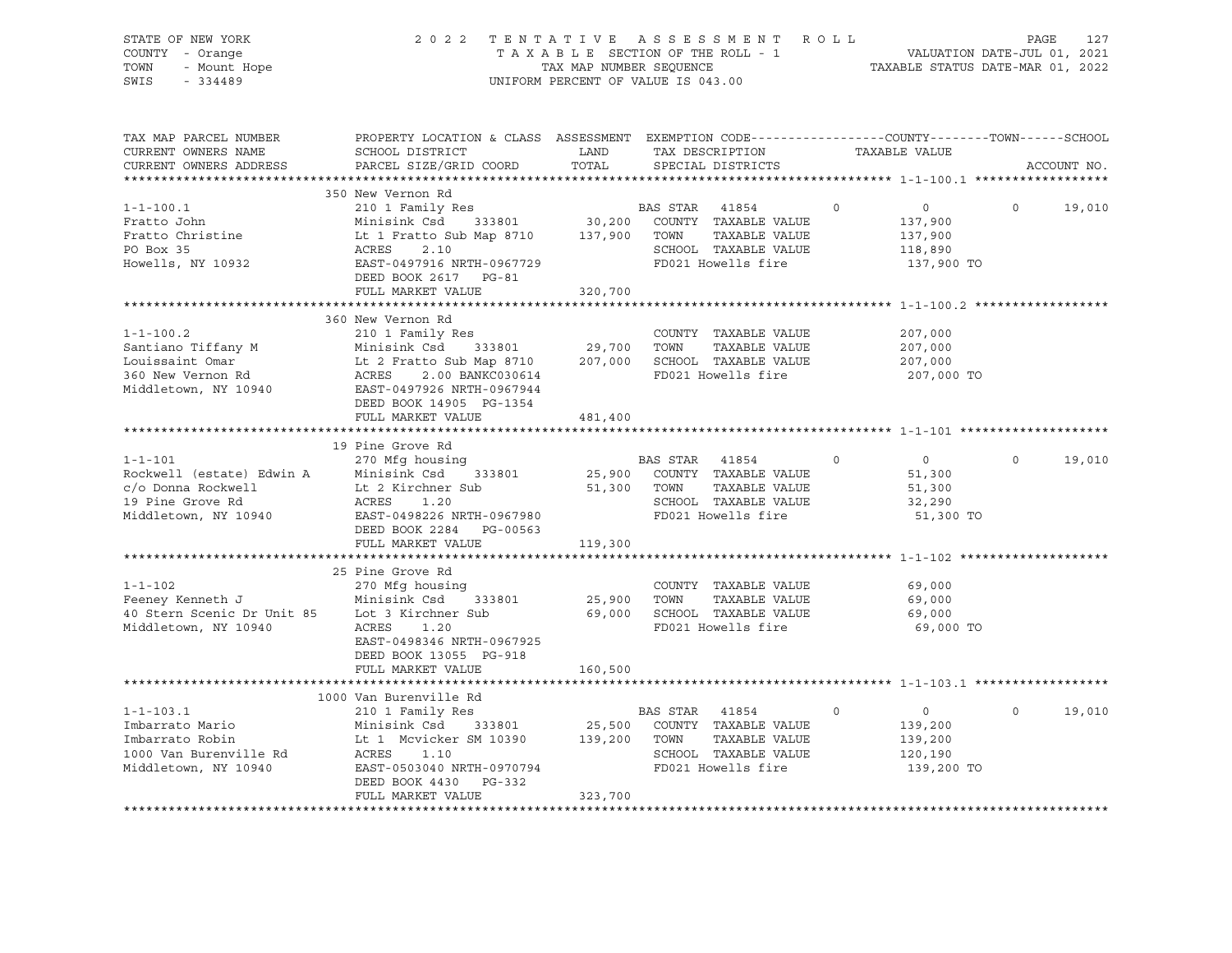| STATE OF NEW YORK<br>7 - Orange<br>- Mount Hope<br>- 334489<br>COUNTY - Orange<br>TOWN<br>SWIS<br>$-334489$                                                                                                                                                     |                                                                                                                                                                                                                                     |                                       | 2022 TENTATIVE ASSESSMENT ROLL<br>TAXABLE SECTION OF THE ROLL - 1<br>TAXABLE SECTION OF THE ROLL - 1<br>TAXABLE STATUS DATE-MAR 01, 2022<br>UNIFORM PERCENT OF VALUE IS 043.00 |                                                                           | PAGE               | 127 |
|-----------------------------------------------------------------------------------------------------------------------------------------------------------------------------------------------------------------------------------------------------------------|-------------------------------------------------------------------------------------------------------------------------------------------------------------------------------------------------------------------------------------|---------------------------------------|--------------------------------------------------------------------------------------------------------------------------------------------------------------------------------|---------------------------------------------------------------------------|--------------------|-----|
| TAX MAP PARCEL NUMBER<br>CURRENT OWNERS NAME<br>CURRENT OWNERS ADDRESS                                                                                                                                                                                          | PROPERTY LOCATION & CLASS ASSESSMENT EXEMPTION CODE----------------COUNTY-------TOWN------SCHOOL<br>SCHOOL DISTRICT<br>PARCEL SIZE/GRID COORD                                                                                       | <b>EXAMPLE SETTING STATE</b><br>TOTAL | TAX DESCRIPTION TAXABLE VALUE<br>SPECIAL DISTRICTS                                                                                                                             |                                                                           | ACCOUNT NO.        |     |
|                                                                                                                                                                                                                                                                 |                                                                                                                                                                                                                                     |                                       |                                                                                                                                                                                |                                                                           |                    |     |
| $1 - 1 - 100.1$<br>Fratto John<br>Fratto Christine<br>נכ מטע טוב באון בינו און בינו איז א ACRES 2.10<br>Howells, NY 10932 EAST-0497916 NRTH-0967729 FD021 Howells fire<br>בינו הוני המס חססת המשטר בינו המשורר המשורר המשטר בינו המשטר המשטר המשטר ה            | 350 New Vernon Rd<br>210 1 Family Res<br>Minisink Csd 333801 30,200 COUNTY TAXABLE VALUE<br>Lt 1 Fratto Sub Map 8710 137,900 TOWN TAXABLE VALUE<br>ACRES 2.10 300 COUNTY TAXABLE VALUE<br>DEED BOOK 2617 PG-81<br>FULL MARKET VALUE | 320,700                               | BAS STAR 41854                                                                                                                                                                 | $\circ$<br>$\overline{0}$<br>137,900<br>137,900<br>118,890<br>137,900 TO  | $\Omega$<br>19,010 |     |
|                                                                                                                                                                                                                                                                 |                                                                                                                                                                                                                                     |                                       |                                                                                                                                                                                |                                                                           |                    |     |
| $1 - 1 - 100.2$<br>Santiano Tiffany M<br>Louissaint Omar<br>Minisink Csd 333801 29,700 TOWN TAXABLE VALUE<br>360 New Vernon Rd<br>Minisink Csd 333801 207,000 SCHOOL TAXABLE VALUE<br>360 New Vernon Rd<br>Middletown, NY 10940 EAST-0497926 NRTH-0967944<br>ET | 360 New Vernon Rd<br>210 1 Family Res<br>DEED BOOK 14905 PG-1354                                                                                                                                                                    |                                       | COUNTY TAXABLE VALUE                                                                                                                                                           | 207,000<br>207,000<br>207,000<br>207,000 TO                               |                    |     |
|                                                                                                                                                                                                                                                                 | FULL MARKET VALUE                                                                                                                                                                                                                   | 481,400                               |                                                                                                                                                                                |                                                                           |                    |     |
|                                                                                                                                                                                                                                                                 |                                                                                                                                                                                                                                     |                                       |                                                                                                                                                                                |                                                                           |                    |     |
| $1 - 1 - 101$<br>Rockwell (estate) Edwin A Minisink Csd 333801 25,900 COUNTY TAXABLE VALUE<br>C/o Donna Rockwell Lt 2 Kirchner Sub 51,300 TOWN TAXABLE VALUE<br>19 Pine Grove Rd ACRES 1.20 SCHOOL TAXABLE VALUE<br>Middletown, NY 10940 EAST-0498226           | 19 Pine Grove Rd<br>270 Mfg housing                                                                                                                                                                                                 |                                       | <b>BAS STAR 41854</b>                                                                                                                                                          | $\overline{0}$<br>$\circ$<br>51,300<br>51,300<br>32,290                   | $\Omega$<br>19,010 |     |
|                                                                                                                                                                                                                                                                 |                                                                                                                                                                                                                                     |                                       |                                                                                                                                                                                | 51,300 TO                                                                 |                    |     |
|                                                                                                                                                                                                                                                                 | DEED BOOK 2284 PG-00563<br>FULL MARKET VALUE                                                                                                                                                                                        | 119,300                               |                                                                                                                                                                                |                                                                           |                    |     |
|                                                                                                                                                                                                                                                                 |                                                                                                                                                                                                                                     |                                       |                                                                                                                                                                                |                                                                           |                    |     |
| $1 - 1 - 102$<br>Example 1 1 270 Mtg housing<br>Feeney Kenneth J Minisink Csd 333<br>40 Stern Scenic Dr Unit 85 Lot 3 Kirchner Sub<br>Middletown, NY 10940 ACRES 1.20                                                                                           | 25 Pine Grove Rd<br>270 Mfg housing<br>EAST-0498346 NRTH-0967925<br>DEED BOOK 13055 PG-918                                                                                                                                          |                                       | COUNTY TAXABLE VALUE<br>FD021 Howells fire                                                                                                                                     | 69,000<br>69,000<br>69,000<br>69,000 TO                                   |                    |     |
|                                                                                                                                                                                                                                                                 | FULL MARKET VALUE                                                                                                                                                                                                                   | 160,500                               |                                                                                                                                                                                |                                                                           |                    |     |
|                                                                                                                                                                                                                                                                 |                                                                                                                                                                                                                                     |                                       |                                                                                                                                                                                |                                                                           |                    |     |
|                                                                                                                                                                                                                                                                 | 1000 Van Burenville Rd<br>210 1 Family Res<br>Minisink Csd 333801 25,500 COUNTY TAXABLE VALUE<br>Lt 1 Mcvicker SM 10390 139,200 TOWN TAXABLE VALUE<br>DEED BOOK 4430 PG-332<br>FULL MARKET VALUE                                    | 323,700                               | <b>BAS STAR</b> 41854                                                                                                                                                          | $\Omega$<br>$\overline{0}$<br>139,200<br>139,200<br>120,190<br>139,200 TO | $\Omega$<br>19,010 |     |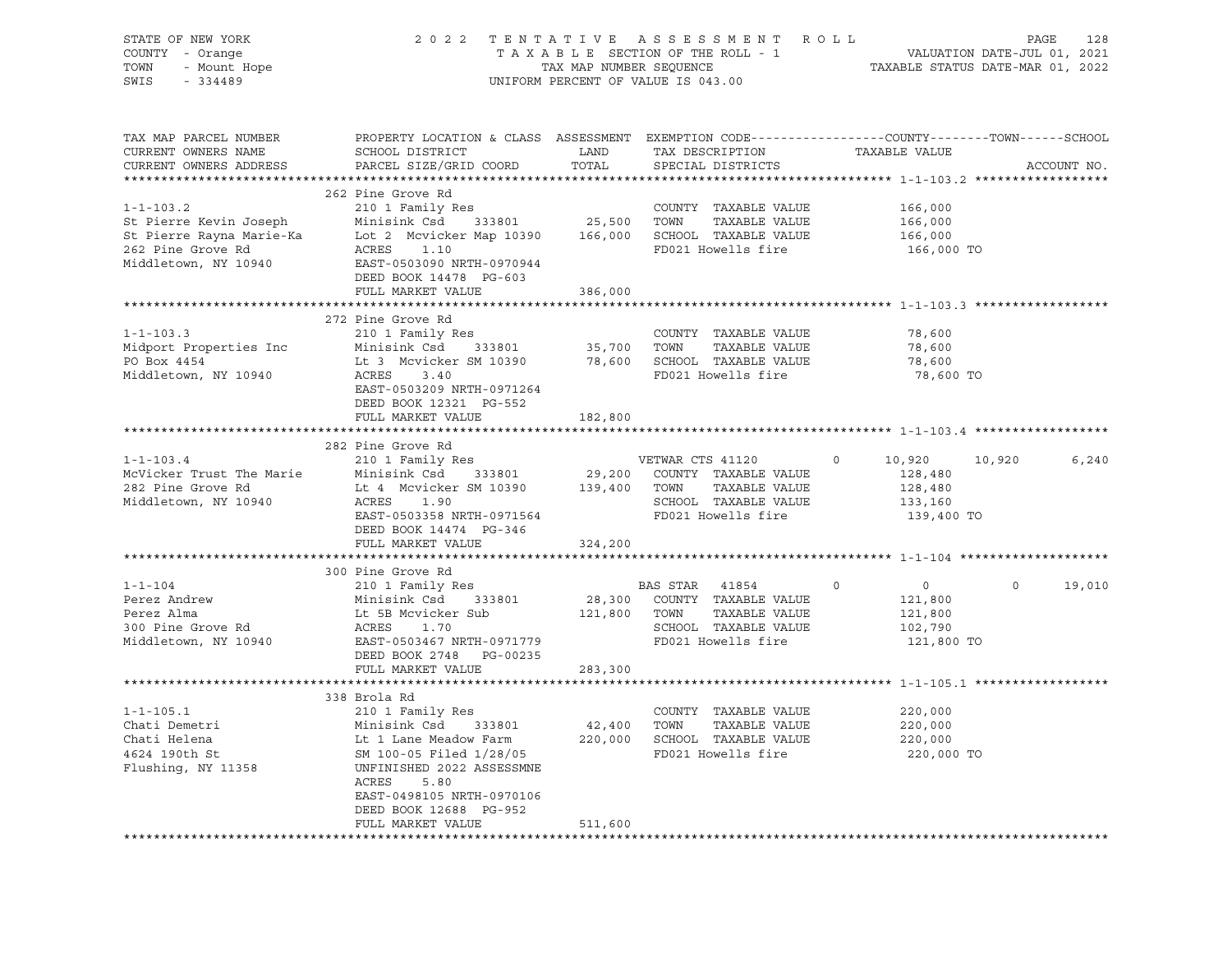| STATE OF NEW YORK<br>COUNTY - Orange<br>OF NEW YORK<br>Y - Orange<br>- Mount Hope<br>- 21100<br>TOWN<br>SWIS | UNIFORM PERCENT OF VALUE IS 043.00                                                                                                                                                                                                                                  | 2022 TENTATIVE ASSESSMENT ROLL PAGE 128<br>TAXABLE SECTION OF THE ROLL - 1 VALUATION DATE-JUL 01, 2021<br>TAX MAP NUMBER SEQUENCE TAXABLE STATUS DATE-MAR 01, 2022 |                                            |                           |                             |
|--------------------------------------------------------------------------------------------------------------|---------------------------------------------------------------------------------------------------------------------------------------------------------------------------------------------------------------------------------------------------------------------|--------------------------------------------------------------------------------------------------------------------------------------------------------------------|--------------------------------------------|---------------------------|-----------------------------|
|                                                                                                              |                                                                                                                                                                                                                                                                     |                                                                                                                                                                    |                                            |                           |                             |
| TAX MAP PARCEL NUMBER                                                                                        | PROPERTY LOCATION & CLASS ASSESSMENT EXEMPTION CODE----------------COUNTY-------TOWN------SCHOOL                                                                                                                                                                    |                                                                                                                                                                    |                                            |                           |                             |
| CURRENT OWNERS NAME<br>CURRENT OWNERS ADDRESS                                                                | SCHOOL DISTRICT LAND<br>PARCEL SIZE/GRID COORD                                                                                                                                                                                                                      | TOTAL                                                                                                                                                              | TAX DESCRIPTION<br>SPECIAL DISTRICTS       | TAXABLE VALUE             | ACCOUNT NO.                 |
|                                                                                                              |                                                                                                                                                                                                                                                                     |                                                                                                                                                                    |                                            |                           |                             |
|                                                                                                              | 262 Pine Grove Rd                                                                                                                                                                                                                                                   |                                                                                                                                                                    |                                            |                           |                             |
| $1 - 1 - 103.2$                                                                                              | 210 1 Family Res                                                                                                                                                                                                                                                    |                                                                                                                                                                    | COUNTY TAXABLE VALUE                       | 166,000                   |                             |
|                                                                                                              |                                                                                                                                                                                                                                                                     |                                                                                                                                                                    |                                            | 166,000                   |                             |
|                                                                                                              |                                                                                                                                                                                                                                                                     |                                                                                                                                                                    |                                            | 166,000                   |                             |
|                                                                                                              | St Pierre Kevin Joseph Minisink Csd 333801 25,500 TOWN TAXABLE VALUE<br>St Pierre Rayna Marie-Ka Lot 2 Mcvicker Map 10390 166,000 SCHOOL TAXABLE VALUE<br>262 Pine Grove Rd ACRES 1.10 RD RD021 Howells fire                                                        |                                                                                                                                                                    |                                            | 166,000 TO                |                             |
| Middletown, NY 10940                                                                                         | EAST-0503090 NRTH-0970944                                                                                                                                                                                                                                           |                                                                                                                                                                    |                                            |                           |                             |
|                                                                                                              | DEED BOOK 14478 PG-603                                                                                                                                                                                                                                              |                                                                                                                                                                    |                                            |                           |                             |
|                                                                                                              | FULL MARKET VALUE                                                                                                                                                                                                                                                   | 386,000                                                                                                                                                            |                                            |                           |                             |
|                                                                                                              | 272 Pine Grove Rd                                                                                                                                                                                                                                                   |                                                                                                                                                                    |                                            |                           |                             |
| $1 - 1 - 103.3$                                                                                              | 210 1 Family Res                                                                                                                                                                                                                                                    |                                                                                                                                                                    | COUNTY TAXABLE VALUE                       | 78,600                    |                             |
|                                                                                                              |                                                                                                                                                                                                                                                                     |                                                                                                                                                                    |                                            | 78,600                    |                             |
|                                                                                                              | $\begin{array}{ccccccccc} \text{Midport Properties Inc} & \text{Minisink Ca} & 333801 & 35,700 & \text{TOWN} & \text{TAXABLE VALUE} \\ \text{PO Box 4454} & \text{Inc} & \text{Lt 3} & \text{Mevicker SM 10390} & 78,600 & \text{SCHOOL TAXABLE VALUE} \end{array}$ |                                                                                                                                                                    |                                            | 78,600                    |                             |
| Middletown, NY 10940                                                                                         | ACRES 3.40                                                                                                                                                                                                                                                          |                                                                                                                                                                    | FD021 Howells fire                         | 78,600 TO                 |                             |
|                                                                                                              | EAST-0503209 NRTH-0971264                                                                                                                                                                                                                                           |                                                                                                                                                                    |                                            |                           |                             |
|                                                                                                              | DEED BOOK 12321 PG-552                                                                                                                                                                                                                                              |                                                                                                                                                                    |                                            |                           |                             |
|                                                                                                              | FULL MARKET VALUE                                                                                                                                                                                                                                                   | 182,800                                                                                                                                                            |                                            |                           |                             |
|                                                                                                              | 282 Pine Grove Rd                                                                                                                                                                                                                                                   |                                                                                                                                                                    |                                            |                           |                             |
| $1 - 1 - 103.4$                                                                                              |                                                                                                                                                                                                                                                                     |                                                                                                                                                                    |                                            | $\circ$<br>10,920 10,920  | 6,240                       |
|                                                                                                              | WETWAR CTS 41120<br>Minisink Csd 333801 29,200 COUNTY TAXABLE VALUE<br>Lt 4 Mcvicker SM 10390 139,400 TOWN TAXABLE VALUE<br>ACRES 1.90                                                                                                                              |                                                                                                                                                                    |                                            | 128,480                   |                             |
| 282 Pine Grove Rd                                                                                            | McVicker Trust The Marie Minisink Csd 333801<br>282 Pine Grove Rd 1.1 Marieker SM 10390                                                                                                                                                                             |                                                                                                                                                                    |                                            | 128,480                   |                             |
| Middletown, NY 10940                                                                                         | ACRES 1.90                                                                                                                                                                                                                                                          |                                                                                                                                                                    |                                            | 133,160                   |                             |
|                                                                                                              | EAST-0503358 NRTH-0971564                                                                                                                                                                                                                                           |                                                                                                                                                                    | SCHOOL TAXABLE VALUE<br>FD021 Howells fire | 139,400 TO                |                             |
|                                                                                                              | DEED BOOK 14474 PG-346                                                                                                                                                                                                                                              |                                                                                                                                                                    |                                            |                           |                             |
|                                                                                                              | FULL MARKET VALUE 324,200                                                                                                                                                                                                                                           |                                                                                                                                                                    |                                            |                           |                             |
|                                                                                                              |                                                                                                                                                                                                                                                                     |                                                                                                                                                                    |                                            |                           |                             |
| $1 - 1 - 104$                                                                                                | 300 Pine Grove Rd<br>210 1 Family Res                                                                                                                                                                                                                               |                                                                                                                                                                    | BAS STAR 41854                             | $\circ$<br>$\overline{0}$ | $0 \qquad \qquad$<br>19,010 |
|                                                                                                              |                                                                                                                                                                                                                                                                     |                                                                                                                                                                    |                                            | 121,800                   |                             |
|                                                                                                              |                                                                                                                                                                                                                                                                     |                                                                                                                                                                    |                                            | 121,800                   |                             |
|                                                                                                              | Perez Andrew Minisink Csd 333801 28,300 COUNTY TAXABLE VALUE<br>Perez Alma Lt 5B Movicker Sub 121,800 TOWN TAXABLE VALUE<br>300 Pine Grove Rd ACRES 1.70 SCHOOL TAXABLE VALUE<br>Middletown, NY 10940 EAST 1.70 FD021 Howells fire<br>                              |                                                                                                                                                                    |                                            | 102,790                   |                             |
|                                                                                                              |                                                                                                                                                                                                                                                                     |                                                                                                                                                                    |                                            | 121,800 TO                |                             |
|                                                                                                              | DEED BOOK 2748 PG-00235                                                                                                                                                                                                                                             |                                                                                                                                                                    |                                            |                           |                             |
|                                                                                                              | FULL MARKET VALUE                                                                                                                                                                                                                                                   | 283,300                                                                                                                                                            |                                            |                           |                             |
|                                                                                                              |                                                                                                                                                                                                                                                                     |                                                                                                                                                                    |                                            |                           |                             |
|                                                                                                              | 338 Brola Rd                                                                                                                                                                                                                                                        |                                                                                                                                                                    |                                            |                           |                             |
| $1 - 1 - 105.1$<br>Chati Demetri                                                                             | 210 1 Family Res                                                                                                                                                                                                                                                    |                                                                                                                                                                    | COUNTY TAXABLE VALUE                       | 220,000<br>220,000        |                             |
|                                                                                                              |                                                                                                                                                                                                                                                                     |                                                                                                                                                                    |                                            | 220,000                   |                             |
| cnati Helena<br>4624 190th St<br>Flu.                                                                        |                                                                                                                                                                                                                                                                     |                                                                                                                                                                    |                                            | 220,000 TO                |                             |
| Flushing, NY 11358                                                                                           | UNFINISHED 2022 ASSESSMNE                                                                                                                                                                                                                                           |                                                                                                                                                                    |                                            |                           |                             |
|                                                                                                              | ACRES<br>5.80                                                                                                                                                                                                                                                       |                                                                                                                                                                    |                                            |                           |                             |
|                                                                                                              | EAST-0498105 NRTH-0970106                                                                                                                                                                                                                                           |                                                                                                                                                                    |                                            |                           |                             |
|                                                                                                              | DEED BOOK 12688 PG-952                                                                                                                                                                                                                                              |                                                                                                                                                                    |                                            |                           |                             |
|                                                                                                              | FULL MARKET VALUE                                                                                                                                                                                                                                                   | 511,600                                                                                                                                                            |                                            |                           |                             |
|                                                                                                              |                                                                                                                                                                                                                                                                     |                                                                                                                                                                    |                                            |                           |                             |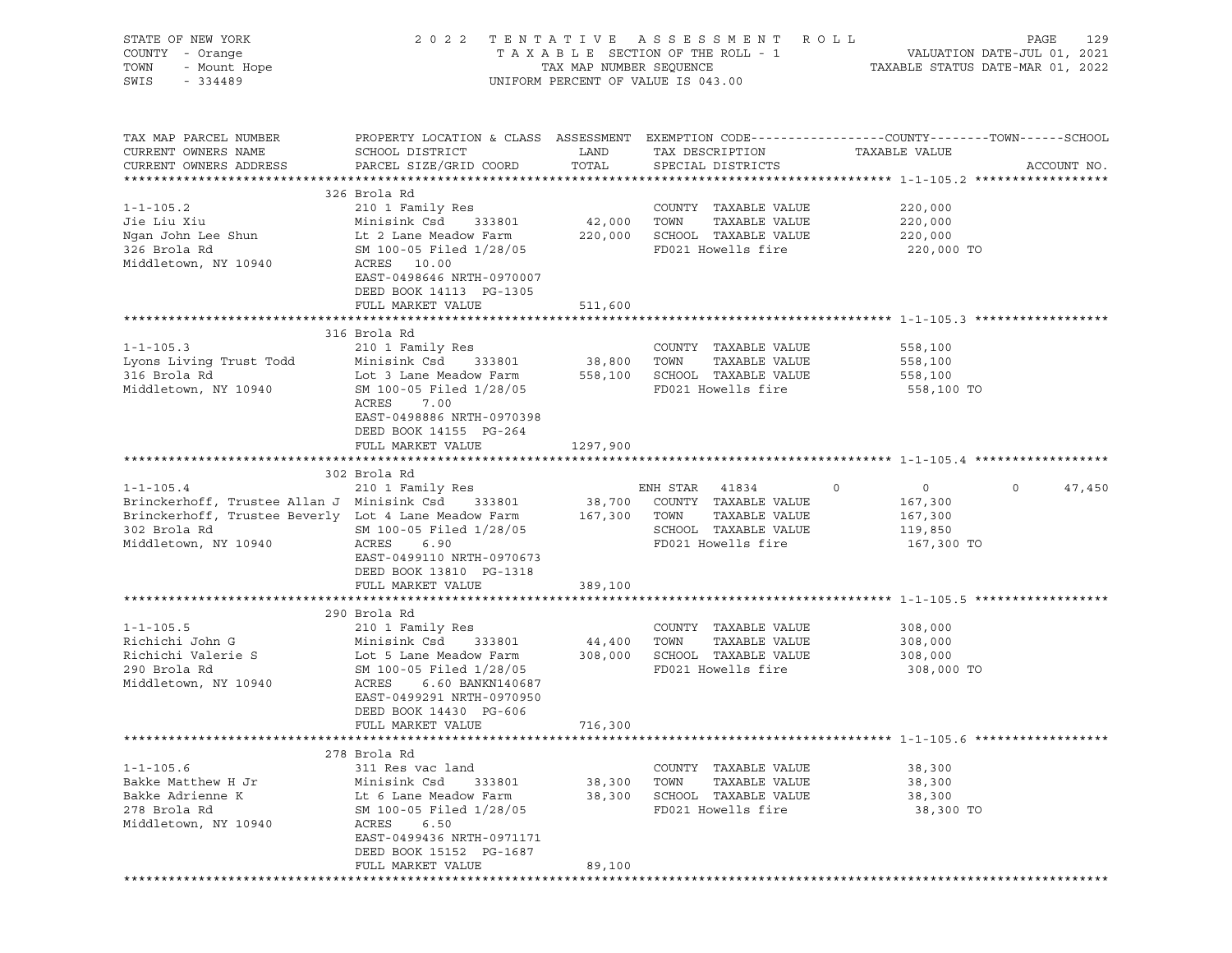|                                                                                                                                                                                              |                                                                                                                                                                                                          |                                                                                                                            | PAGE<br>129                                                                                                                                                                                                                                                                                                                                                                                                                                                                                                                                                                                                                                                                                                                                                                                                                                                                       |
|----------------------------------------------------------------------------------------------------------------------------------------------------------------------------------------------|----------------------------------------------------------------------------------------------------------------------------------------------------------------------------------------------------------|----------------------------------------------------------------------------------------------------------------------------|-----------------------------------------------------------------------------------------------------------------------------------------------------------------------------------------------------------------------------------------------------------------------------------------------------------------------------------------------------------------------------------------------------------------------------------------------------------------------------------------------------------------------------------------------------------------------------------------------------------------------------------------------------------------------------------------------------------------------------------------------------------------------------------------------------------------------------------------------------------------------------------|
| SCHOOL DISTRICT<br>PARCEL SIZE/GRID COORD                                                                                                                                                    | LAND                                                                                                                                                                                                     | TAX DESCRIPTION TAXABLE VALUE                                                                                              | ACCOUNT NO.                                                                                                                                                                                                                                                                                                                                                                                                                                                                                                                                                                                                                                                                                                                                                                                                                                                                       |
| 210 1 Family Res<br>SM 100-05 Filed 1/28/05<br>ACRES 10.00<br>EAST-0498646 NRTH-0970007<br>DEED BOOK 14113 PG-1305                                                                           |                                                                                                                                                                                                          | COUNTY TAXABLE VALUE<br>FD021 Howells fire                                                                                 | 220,000<br>220,000<br>220,000 TO                                                                                                                                                                                                                                                                                                                                                                                                                                                                                                                                                                                                                                                                                                                                                                                                                                                  |
|                                                                                                                                                                                              |                                                                                                                                                                                                          |                                                                                                                            |                                                                                                                                                                                                                                                                                                                                                                                                                                                                                                                                                                                                                                                                                                                                                                                                                                                                                   |
| 210 1 Family Res<br>Minisink Csd 333801<br>ACRES<br>7.00<br>EAST-0498886 NRTH-0970398                                                                                                        |                                                                                                                                                                                                          | COUNTY TAXABLE VALUE<br>TAXABLE VALUE<br>FD021 Howells fire                                                                | 558,100<br>558,100<br>558,100 TO                                                                                                                                                                                                                                                                                                                                                                                                                                                                                                                                                                                                                                                                                                                                                                                                                                                  |
| FULL MARKET VALUE                                                                                                                                                                            | 1297,900                                                                                                                                                                                                 |                                                                                                                            |                                                                                                                                                                                                                                                                                                                                                                                                                                                                                                                                                                                                                                                                                                                                                                                                                                                                                   |
|                                                                                                                                                                                              |                                                                                                                                                                                                          |                                                                                                                            |                                                                                                                                                                                                                                                                                                                                                                                                                                                                                                                                                                                                                                                                                                                                                                                                                                                                                   |
| ACRES<br>6.90<br>DEED BOOK 13810 PG-1318                                                                                                                                                     |                                                                                                                                                                                                          | SCHOOL TAXABLE VALUE<br>FD021 Howells fire                                                                                 | $\overline{0}$<br>$\circ$<br>47,450<br>$\circ$<br>167,300<br>167,300<br>119,850<br>167,300 TO                                                                                                                                                                                                                                                                                                                                                                                                                                                                                                                                                                                                                                                                                                                                                                                     |
| FULL MARKET VALUE                                                                                                                                                                            | 389,100                                                                                                                                                                                                  |                                                                                                                            |                                                                                                                                                                                                                                                                                                                                                                                                                                                                                                                                                                                                                                                                                                                                                                                                                                                                                   |
|                                                                                                                                                                                              |                                                                                                                                                                                                          |                                                                                                                            |                                                                                                                                                                                                                                                                                                                                                                                                                                                                                                                                                                                                                                                                                                                                                                                                                                                                                   |
| 210 1 Family Res<br>Minisink Csd 333801<br>SM 100-05 Filed 1/28/05<br>ACRES<br>6.60 BANKN140687<br>EAST-0499291 NRTH-0970950<br>DEED BOOK 14430 PG-606                                       |                                                                                                                                                                                                          | COUNTY TAXABLE VALUE<br>TAXABLE VALUE<br>FD021 Howells fire                                                                | 308,000<br>308,000<br>308,000 TO                                                                                                                                                                                                                                                                                                                                                                                                                                                                                                                                                                                                                                                                                                                                                                                                                                                  |
|                                                                                                                                                                                              |                                                                                                                                                                                                          |                                                                                                                            |                                                                                                                                                                                                                                                                                                                                                                                                                                                                                                                                                                                                                                                                                                                                                                                                                                                                                   |
| 311 Res vac land<br>Minisink Csd<br>333801<br>Lt 6 Lane Meadow Farm<br>SM 100-05 Filed 1/28/05<br>ACRES<br>6.50<br>EAST-0499436 NRTH-0971171<br>DEED BOOK 15152 PG-1687<br>FULL MARKET VALUE | 38,300<br>38,300<br>89,100                                                                                                                                                                               | COUNTY TAXABLE VALUE<br>TOWN<br>TAXABLE VALUE<br>SCHOOL TAXABLE VALUE<br>FD021 Howells fire                                | 38,300<br>38,300<br>38,300<br>38,300 TO                                                                                                                                                                                                                                                                                                                                                                                                                                                                                                                                                                                                                                                                                                                                                                                                                                           |
|                                                                                                                                                                                              | OF NEW JOINT<br>- Orange<br>- Mount Hope<br>224489<br>326 Brola Rd<br>Minisink Csd 333801<br>FULL MARKET VALUE<br>316 Brola Rd<br>DEED BOOK 14155 PG-264<br>302 Brola Rd<br>290 Brola Rd<br>278 Brola Rd | 511,600<br>SM 100-05 Filed 1/28/05<br>SM 100-05 Filed 1/28/05<br>EAST-0499110 NRTH-0970673<br>FULL MARKET VALUE<br>716,300 | 2022 TENTATIVE ASSESSMENT ROLL<br>TAXABLE SECTION OF THE ROLL - 1 VALUATION DATE-JUL 01, 2021<br>TAX MAP NUMBER SEQUENCE TAXABLE STATUS DATE-MAR 01, 2022<br>UNIFORM PERCENT OF VALUE IS 043.00<br>PROPERTY LOCATION & CLASS ASSESSMENT EXEMPTION CODE----------------COUNTY-------TOWN------SCHOOL<br>42,000 TOWN TAXABLE VALUE<br>Ngan John Lee Shun Music Lt 2 Lane Meadow Farm 220,000 SCHOOL TAXABLE VALUE 220,000<br>COUNTY<br>38,800      TOWN<br>Lot 3 Lane Meadow Farm 558,100 SCHOOL TAXABLE VALUE 558,100<br>1-1-105.4 210 1 Family Res ENH STAR 41834 0<br>Brinckerhoff, Trustee Allan J Minisink Csd 333801 38,700 COUNTY TAXABLE VALUE<br>Brinckerhoff, Trustee Beverly Lot 4 Lane Meadow Farm 167,300 TOWN TAXABLE VALUE<br>$44,400$ TOWN<br>Richichi Valerie S<br>Contra Lot 5 Lane Meadow Farm<br>2008,000 SCHOOL TAXABLE VALUE<br>2009,000 SCHOOL TAXABLE VALUE |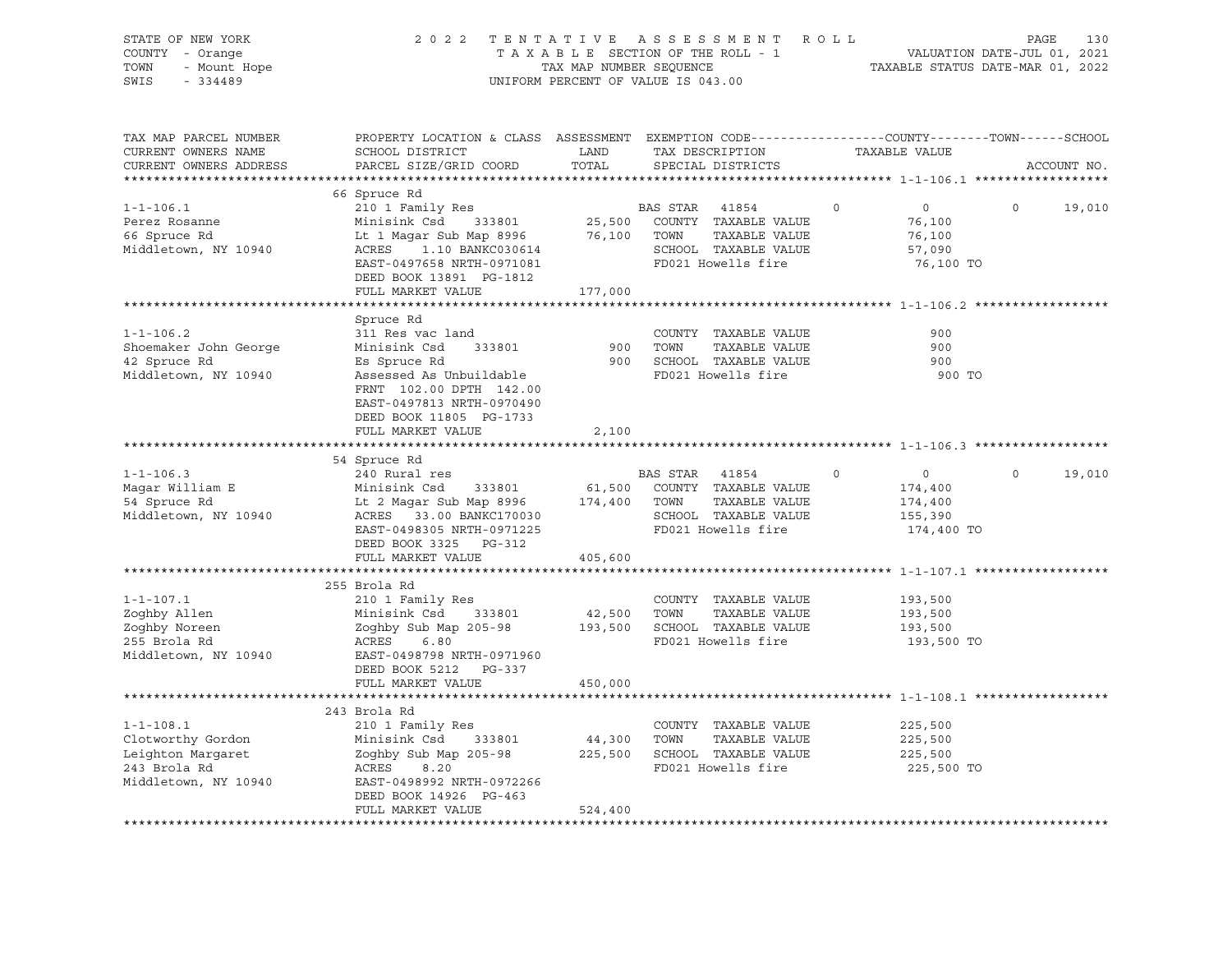| STATE OF NEW YORK<br>COUNTY - Orange<br>- Mount Hope<br>TOWN<br>SWIS<br>$-334489$ | TENTATIVE<br>2 0 2 2                                                                                                                         | TAX MAP NUMBER SEOUENCE | ASSESSMENT ROLL<br>TAXABLE SECTION OF THE ROLL - 1<br>UNIFORM PERCENT OF VALUE IS 043.00 |          | VALUATION DATE-JUL 01, 2021<br>TAXABLE STATUS DATE-MAR 01, 2022 | PAGE     | 130         |
|-----------------------------------------------------------------------------------|----------------------------------------------------------------------------------------------------------------------------------------------|-------------------------|------------------------------------------------------------------------------------------|----------|-----------------------------------------------------------------|----------|-------------|
| TAX MAP PARCEL NUMBER<br>CURRENT OWNERS NAME<br>CURRENT OWNERS ADDRESS            | PROPERTY LOCATION & CLASS ASSESSMENT EXEMPTION CODE----------------COUNTY-------TOWN-----SCHOOL<br>SCHOOL DISTRICT<br>PARCEL SIZE/GRID COORD | LAND<br>TOTAL           | TAX DESCRIPTION<br>SPECIAL DISTRICTS                                                     |          | TAXABLE VALUE                                                   |          | ACCOUNT NO. |
|                                                                                   | 66 Spruce Rd                                                                                                                                 |                         |                                                                                          |          |                                                                 |          |             |
|                                                                                   | 210 1 Family Res                                                                                                                             |                         |                                                                                          |          | $\overline{0}$                                                  | $\Omega$ |             |
| $1 - 1 - 106.1$<br>Perez Rosanne                                                  | Minisink Csd 333801                                                                                                                          | 25,500                  | BAS STAR<br>41854<br>COUNTY TAXABLE VALUE                                                |          | 76,100                                                          |          | 19,010      |
| 66 Spruce Rd                                                                      | Lt 1 Magar Sub Map 8996 76,100                                                                                                               |                         | TOWN<br>TAXABLE VALUE                                                                    |          | 76,100                                                          |          |             |
| Middletown, NY 10940                                                              | ACRES<br>1.10 BANKC030614                                                                                                                    |                         | SCHOOL TAXABLE VALUE                                                                     |          | 57,090                                                          |          |             |
|                                                                                   | EAST-0497658 NRTH-0971081                                                                                                                    |                         | FD021 Howells fire                                                                       |          | 76,100 TO                                                       |          |             |
|                                                                                   | DEED BOOK 13891 PG-1812                                                                                                                      |                         |                                                                                          |          |                                                                 |          |             |
|                                                                                   | FULL MARKET VALUE                                                                                                                            | 177,000                 |                                                                                          |          |                                                                 |          |             |
|                                                                                   |                                                                                                                                              |                         |                                                                                          |          |                                                                 |          |             |
|                                                                                   | Spruce Rd                                                                                                                                    |                         |                                                                                          |          |                                                                 |          |             |
| $1 - 1 - 106.2$                                                                   | 311 Res vac land                                                                                                                             |                         | COUNTY TAXABLE VALUE                                                                     |          | 900                                                             |          |             |
| Shoemaker John George                                                             | Minisink Csd 333801                                                                                                                          | 900                     | TOWN<br>TAXABLE VALUE                                                                    |          | 900                                                             |          |             |
| 42 Spruce Rd                                                                      | Es Spruce Rd                                                                                                                                 | 900                     | SCHOOL TAXABLE VALUE                                                                     |          | 900                                                             |          |             |
| Middletown, NY 10940                                                              | Assessed As Unbuildable                                                                                                                      |                         | FD021 Howells fire                                                                       |          | 900 TO                                                          |          |             |
|                                                                                   | FRNT 102.00 DPTH 142.00                                                                                                                      |                         |                                                                                          |          |                                                                 |          |             |
|                                                                                   | EAST-0497813 NRTH-0970490                                                                                                                    |                         |                                                                                          |          |                                                                 |          |             |
|                                                                                   | DEED BOOK 11805 PG-1733                                                                                                                      |                         |                                                                                          |          |                                                                 |          |             |
|                                                                                   | FULL MARKET VALUE                                                                                                                            | 2,100                   |                                                                                          |          |                                                                 |          |             |
|                                                                                   |                                                                                                                                              |                         |                                                                                          |          |                                                                 |          |             |
|                                                                                   | 54 Spruce Rd                                                                                                                                 |                         |                                                                                          |          |                                                                 |          |             |
| $1 - 1 - 106.3$                                                                   | 240 Rural res                                                                                                                                |                         | BAS STAR 41854                                                                           | $\Omega$ | $\overline{0}$                                                  | $\Omega$ | 19,010      |
| Magar William E                                                                   | Minisink Csd<br>333801                                                                                                                       | 61,500                  | COUNTY TAXABLE VALUE                                                                     |          | 174,400                                                         |          |             |
| 54 Spruce Rd                                                                      | Lt 2 Magar Sub Map 8996                                                                                                                      | 174,400                 | TOWN<br>TAXABLE VALUE                                                                    |          | 174,400                                                         |          |             |
| Middletown, NY 10940                                                              | ACRES 33.00 BANKC170030                                                                                                                      |                         | SCHOOL TAXABLE VALUE                                                                     |          | 155,390                                                         |          |             |
|                                                                                   | EAST-0498305 NRTH-0971225                                                                                                                    |                         | FD021 Howells fire                                                                       |          | 174,400 TO                                                      |          |             |
|                                                                                   | DEED BOOK 3325 PG-312                                                                                                                        |                         |                                                                                          |          |                                                                 |          |             |
|                                                                                   | FULL MARKET VALUE                                                                                                                            | 405,600                 |                                                                                          |          |                                                                 |          |             |
|                                                                                   |                                                                                                                                              |                         |                                                                                          |          |                                                                 |          |             |
|                                                                                   | 255 Brola Rd                                                                                                                                 |                         |                                                                                          |          |                                                                 |          |             |
| $1 - 1 - 107.1$                                                                   | 210 1 Family Res                                                                                                                             |                         | COUNTY TAXABLE VALUE                                                                     |          | 193,500                                                         |          |             |
| Zoghby Allen                                                                      | Minisink Csd<br>333801                                                                                                                       | 42,500                  | TOWN<br>TAXABLE VALUE                                                                    |          | 193,500                                                         |          |             |
| Zoghby Noreen                                                                     | Zoghby Sub Map 205-98                                                                                                                        | 193,500                 | SCHOOL TAXABLE VALUE                                                                     |          | 193,500                                                         |          |             |
| 255 Brola Rd                                                                      | ACRES<br>6.80                                                                                                                                |                         | FD021 Howells fire                                                                       |          | 193,500 TO                                                      |          |             |
| Middletown, NY 10940                                                              | EAST-0498798 NRTH-0971960                                                                                                                    |                         |                                                                                          |          |                                                                 |          |             |
|                                                                                   | DEED BOOK 5212 PG-337                                                                                                                        |                         |                                                                                          |          |                                                                 |          |             |
|                                                                                   |                                                                                                                                              |                         |                                                                                          |          |                                                                 |          |             |
|                                                                                   | FULL MARKET VALUE                                                                                                                            | 450,000                 |                                                                                          |          |                                                                 |          |             |
|                                                                                   |                                                                                                                                              |                         |                                                                                          |          |                                                                 |          |             |
|                                                                                   | 243 Brola Rd                                                                                                                                 |                         |                                                                                          |          |                                                                 |          |             |
| $1 - 1 - 108.1$                                                                   | 210 1 Family Res                                                                                                                             |                         | COUNTY TAXABLE VALUE                                                                     |          | 225,500                                                         |          |             |
| Clotworthy Gordon                                                                 | Minisink Csd<br>333801                                                                                                                       | 44,300                  | TOWN<br>TAXABLE VALUE                                                                    |          | 225,500                                                         |          |             |
| Leighton Margaret                                                                 | Zoghby Sub Map 205-98                                                                                                                        | 225,500                 | SCHOOL TAXABLE VALUE                                                                     |          | 225,500                                                         |          |             |
| 243 Brola Rd                                                                      | ACRES<br>8.20                                                                                                                                |                         | FD021 Howells fire                                                                       |          | 225,500 TO                                                      |          |             |
| Middletown, NY 10940                                                              | EAST-0498992 NRTH-0972266                                                                                                                    |                         |                                                                                          |          |                                                                 |          |             |
|                                                                                   | DEED BOOK 14926 PG-463                                                                                                                       |                         |                                                                                          |          |                                                                 |          |             |
|                                                                                   | FULL MARKET VALUE                                                                                                                            | 524,400                 |                                                                                          |          |                                                                 |          |             |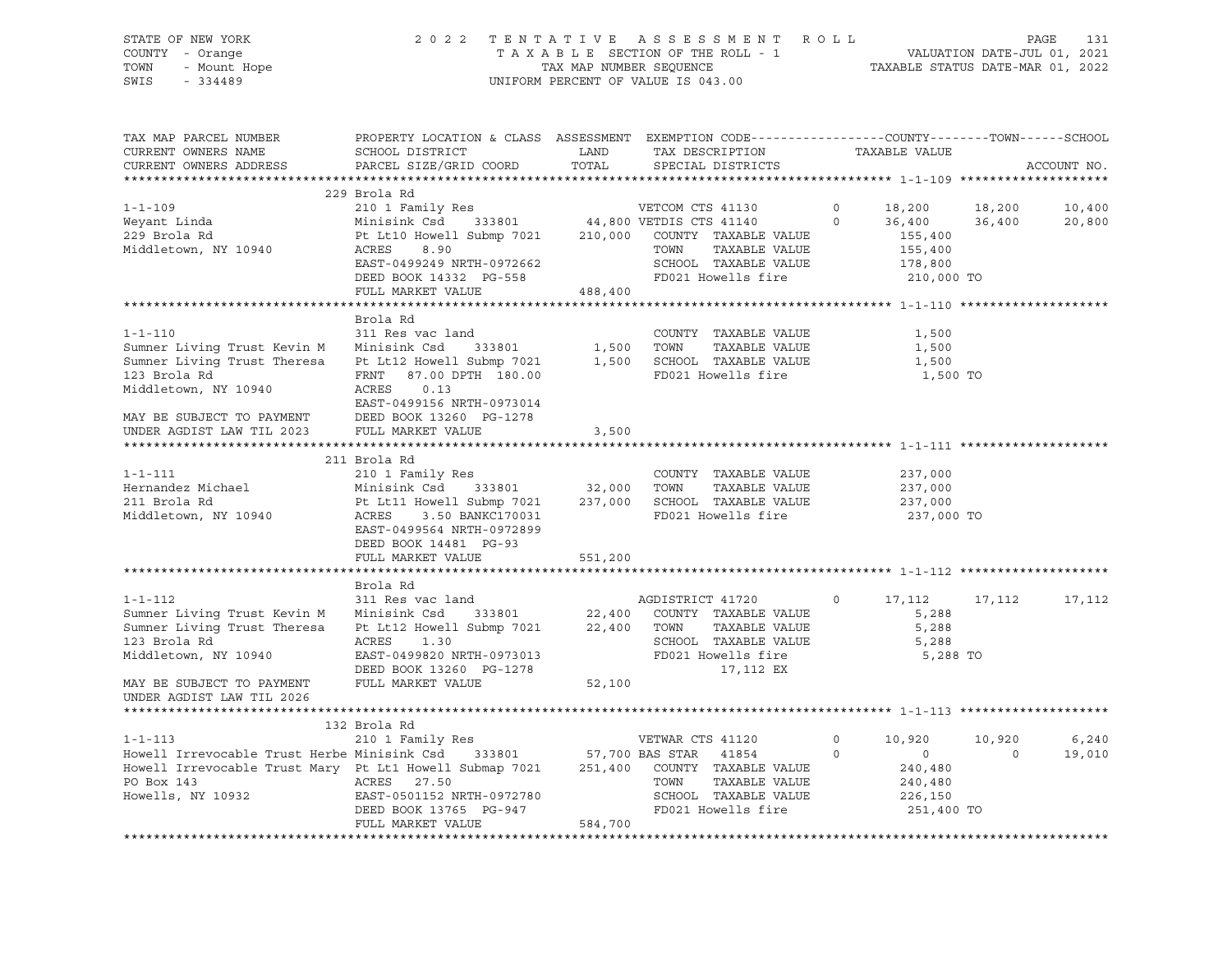## STATE OF NEW YORK 2 0 2 2 T E N T A T I V E A S S E S S M E N T R O L L PAGE 131 COUNTY - Orange T A X A B L E SECTION OF THE ROLL - 1 VALUATION DATE-JUL 01, 2021 TOWN - Mount Hope TAX ARE NUMBER SEQUENCE TAX AND NUMBER SEQUENCE TAXABLE STATUS DATE-MAR 01, 2022<br>The Samillary of the Samillary Company of Taxable States of Taxable Status Date-Mar 01, 2022 UNIFORM PERCENT OF VALUE IS 043.00

TAX MAP PARCEL NUMBER PROPERTY LOCATION & CLASS ASSESSMENT EXEMPTION CODE------------------COUNTY--------TOWN------SCHOOL CURRENT OWNERS NAME SCHOOL DISTRICT LAND TAX DESCRIPTION TAXABLE VALUE CURRENT OWNERS ADDRESS PARCEL SIZE/GRID COORD TOTAL SPECIAL DISTRICTS ACCOUNT NO. \*\*\*\*\*\*\*\*\*\*\*\*\*\*\*\*\*\*\*\*\*\*\*\*\*\*\*\*\*\*\*\*\*\*\*\*\*\*\*\*\*\*\*\*\*\*\*\*\*\*\*\*\*\*\*\*\*\*\*\*\*\*\*\*\*\*\*\*\*\*\*\*\*\*\*\*\*\*\*\*\*\*\*\*\*\*\*\*\*\*\*\*\*\*\*\*\*\*\*\*\*\*\* 1-1-109 \*\*\*\*\*\*\*\*\*\*\*\*\*\*\*\*\*\*\*\* 229 Brola Rd 1-1-109 210 1 Family Res VETCOM CTS 41130 0 18,200 18,200 10,400 Weyant Linda Minisink Csd 333801 44,800 VETDIS CTS 41140 0 36,400 36,400 20,800 229 Brola Rd Pt Lt10 Howell Submp 7021 210,000 COUNTY TAXABLE VALUE 155,400<br>Middletown, NY 10940 210RCRES 8.90 210,000 COUNTY TAXABLE VALUE 155,400 Middletown, NY 10940 ACRES 8.90 TOWN TAXABLE VALUE 155,400 EAST-0499249 NRTH-0972662 SCHOOL TAXABLE VALUE DEED BOOK 14332 PG-558 FD021 Howells fire 210,000 TO<br>FULL MARKET VALUE 488,400 FULL MARKET VALUE \*\*\*\*\*\*\*\*\*\*\*\*\*\*\*\*\*\*\*\*\*\*\*\*\*\*\*\*\*\*\*\*\*\*\*\*\*\*\*\*\*\*\*\*\*\*\*\*\*\*\*\*\*\*\*\*\*\*\*\*\*\*\*\*\*\*\*\*\*\*\*\*\*\*\*\*\*\*\*\*\*\*\*\*\*\*\*\*\*\*\*\*\*\*\*\*\*\*\*\*\*\*\* 1-1-110 \*\*\*\*\*\*\*\*\*\*\*\*\*\*\*\*\*\*\*\* Brola Rd 1-1-110 311 Res vac land COUNTY TAXABLE VALUE 1,500 Sumner Living Trust Kevin M Minisink Csd 333801 1,500 TOWN TAXABLE VALUE 1,500 Sumner Living Trust Theresa Pt Lt12 Howell Submp 7021 1,500 SCHOOL TAXABLE VALUE 1,500 123 Brola Rd FRNT 87.00 DPTH 180.00 FD021 Howells fire 1,500 TO Middletown, NY 10940 ACRES 0.13 EAST-0499156 NRTH-0973014 MAY BE SUBJECT TO PAYMENT DEED BOOK 13260 PG-1278 UNDER AGDIST LAW TIL 2023 FULL MARKET VALUE 3,500 \*\*\*\*\*\*\*\*\*\*\*\*\*\*\*\*\*\*\*\*\*\*\*\*\*\*\*\*\*\*\*\*\*\*\*\*\*\*\*\*\*\*\*\*\*\*\*\*\*\*\*\*\*\*\*\*\*\*\*\*\*\*\*\*\*\*\*\*\*\*\*\*\*\*\*\*\*\*\*\*\*\*\*\*\*\*\*\*\*\*\*\*\*\*\*\*\*\*\*\*\*\*\* 1-1-111 \*\*\*\*\*\*\*\*\*\*\*\*\*\*\*\*\*\*\*\* 211 Brola Rd 1-1-111 210 1 Family Res COUNTY TAXABLE VALUE 237,000 Hernandez Michael Minisink Csd 333801 32,000 TOWN TAXABLE VALUE 237,000 211 Brola Rd Pt Lt11 Howell Submp 7021 237,000 SCHOOL TAXABLE VALUE 237,000 Middletown, NY 10940 ACRES 3.50 BANKC170031 FD021 Howells fire 237,000 TO EAST-0499564 NRTH-0972899 DEED BOOK 14481 PG-93 FULL MARKET VALUE 551,200 \*\*\*\*\*\*\*\*\*\*\*\*\*\*\*\*\*\*\*\*\*\*\*\*\*\*\*\*\*\*\*\*\*\*\*\*\*\*\*\*\*\*\*\*\*\*\*\*\*\*\*\*\*\*\*\*\*\*\*\*\*\*\*\*\*\*\*\*\*\*\*\*\*\*\*\*\*\*\*\*\*\*\*\*\*\*\*\*\*\*\*\*\*\*\*\*\*\*\*\*\*\*\* 1-1-112 \*\*\*\*\*\*\*\*\*\*\*\*\*\*\*\*\*\*\*\* Brola Rd 1-1-112 311 Res vac land AGDISTRICT 41720 0 17,112 17,112 17,112 Sumner Living Trust Kevin M Minisink Csd 333801 22,400 COUNTY TAXABLE VALUE 5,288 Sumner Living Trust Theresa Pt Lt12 Howell Submp 7021 22,400 TOWN TAXABLE VALUE 5,288 123 Brola Rd ACRES 1.30 SCHOOL TAXABLE VALUE 5,288 EAST-0499820 NRTH-0973013 DEED BOOK 13260 PG-1278 17,112 EX MAY BE SUBJECT TO PAYMENT FULL MARKET VALUE 52,100 UNDER AGDIST LAW TIL 2026 \*\*\*\*\*\*\*\*\*\*\*\*\*\*\*\*\*\*\*\*\*\*\*\*\*\*\*\*\*\*\*\*\*\*\*\*\*\*\*\*\*\*\*\*\*\*\*\*\*\*\*\*\*\*\*\*\*\*\*\*\*\*\*\*\*\*\*\*\*\*\*\*\*\*\*\*\*\*\*\*\*\*\*\*\*\*\*\*\*\*\*\*\*\*\*\*\*\*\*\*\*\*\* 1-1-113 \*\*\*\*\*\*\*\*\*\*\*\*\*\*\*\*\*\*\*\* 132 Brola Rd 1-1-113 210 1 Family Res VETWAR CTS 41120 0 10,920 10,920 6,240 Howell Irrevocable Trust Herbe Minisink Csd 333801 57,700 BAS STAR 41854 0 0 0 19,010 Howell Irrevocable Trust Mary Pt Lt1 Howell Submap 7021 251,400 COUNTY TAXABLE VALUE 240,480 PO Box 143 ACRES 27.50 TOWN TAXABLE VALUE 240,480 Howells, NY 10932 EAST-0501152 NRTH-0972780 SCHOOL TAXABLE VALUE 226,150 DEED BOOK 13765 PG-947 FD021 Howells fire 251,400 TO FULL MARKET VALUE 584,700 \*\*\*\*\*\*\*\*\*\*\*\*\*\*\*\*\*\*\*\*\*\*\*\*\*\*\*\*\*\*\*\*\*\*\*\*\*\*\*\*\*\*\*\*\*\*\*\*\*\*\*\*\*\*\*\*\*\*\*\*\*\*\*\*\*\*\*\*\*\*\*\*\*\*\*\*\*\*\*\*\*\*\*\*\*\*\*\*\*\*\*\*\*\*\*\*\*\*\*\*\*\*\*\*\*\*\*\*\*\*\*\*\*\*\*\*\*\*\*\*\*\*\*\*\*\*\*\*\*\*\*\*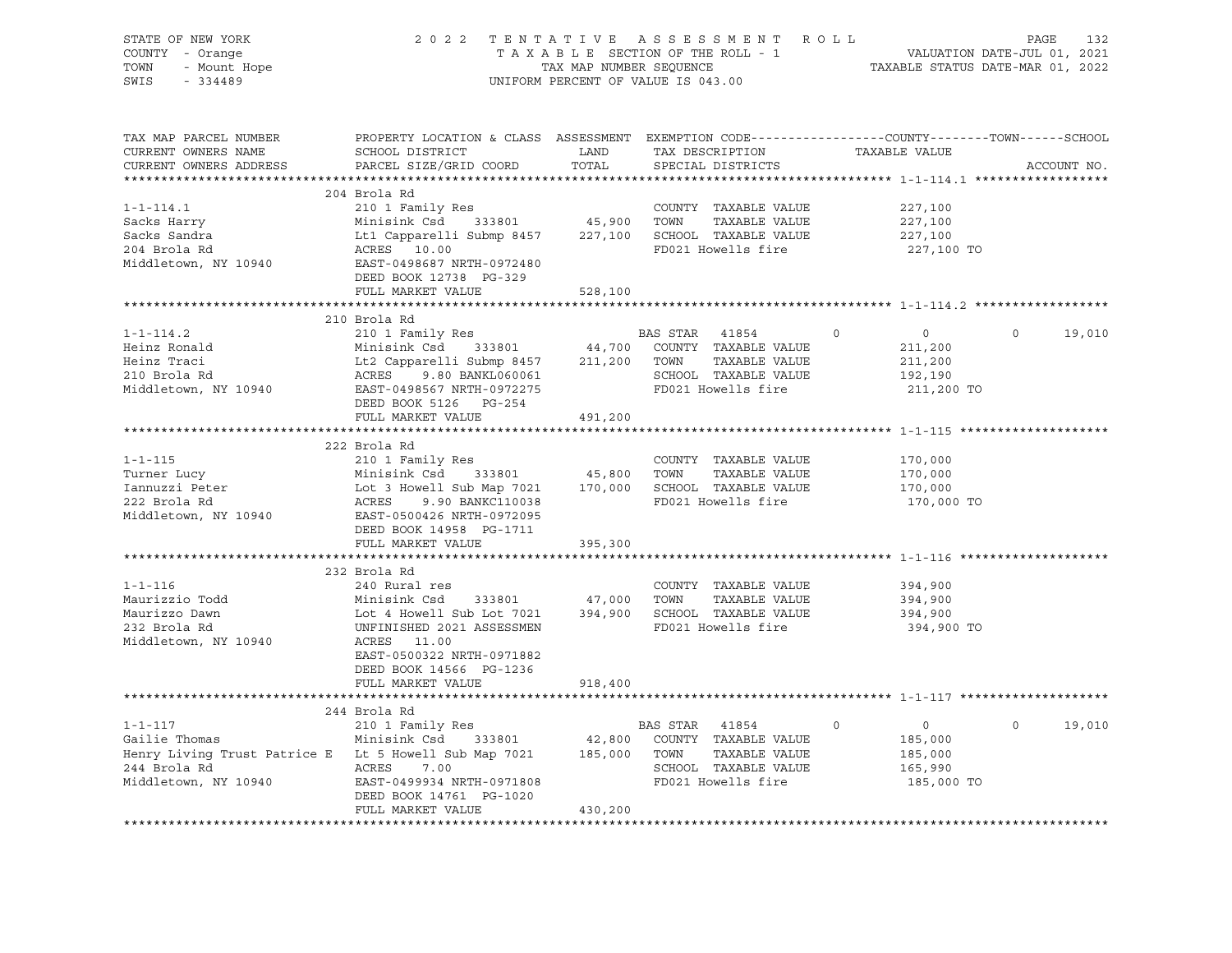| STATE OF NEW YORK<br>COUNTY - Orange<br>TOWN<br>- Mount Hope<br>$-334489$<br>SWIS      | 2022 TENTATIVE ASSESSMENT ROLL<br>TAXABLE SECTION OF THE ROLL - 1<br>TAX MAP NUMBER SEQUENCE<br>UNIFORM PERCENT OF VALUE IS 043.00                                                   |               | VALUATION DATE-JUL 01, 2021<br>TAXABLE STATUS DATE-MAR 01, 2022                                          | PAGE<br>132   |                                                                              |             |
|----------------------------------------------------------------------------------------|--------------------------------------------------------------------------------------------------------------------------------------------------------------------------------------|---------------|----------------------------------------------------------------------------------------------------------|---------------|------------------------------------------------------------------------------|-------------|
| TAX MAP PARCEL NUMBER<br>CURRENT OWNERS NAME<br>CURRENT OWNERS ADDRESS                 | PROPERTY LOCATION & CLASS ASSESSMENT EXEMPTION CODE----------------COUNTY-------TOWN-----SCHOOL<br>SCHOOL DISTRICT<br>PARCEL SIZE/GRID COORD                                         | LAND<br>TOTAL | TAX DESCRIPTION<br>SPECIAL DISTRICTS                                                                     | TAXABLE VALUE |                                                                              | ACCOUNT NO. |
|                                                                                        | 204 Brola Rd                                                                                                                                                                         |               |                                                                                                          |               |                                                                              |             |
| $1 - 1 - 114.1$<br>Sacks Harry<br>Sacks Sandra<br>204 Brola Rd<br>Middletown, NY 10940 | 210 1 Family Res<br>Minisink Csd 333801<br>Lt1 Capparelli Submp 8457<br>ACRES 10.00<br>EAST-0498687 NRTH-0972480<br>DEED BOOK 12738 PG-329                                           | 45,900        | COUNTY TAXABLE VALUE<br>TOWN<br>TAXABLE VALUE<br>227,100 SCHOOL TAXABLE VALUE<br>FD021 Howells fire      |               | 227,100<br>227,100<br>227,100<br>227,100 TO                                  |             |
|                                                                                        | FULL MARKET VALUE                                                                                                                                                                    | 528,100       |                                                                                                          |               |                                                                              |             |
|                                                                                        |                                                                                                                                                                                      |               |                                                                                                          |               |                                                                              |             |
| $1 - 1 - 114.2$<br>Heinz Ronald<br>Heinz Traci<br>210 Brola Rd<br>Middletown, NY 10940 | 210 Brola Rd<br>210 1 Family Res<br>333801<br>Minisink Csd<br>Lt2 Capparelli Submp 8457 211,200 TOWN<br>ACRES 9.80 BANKL060061<br>EAST-0498567 NRTH-0972275<br>DEED BOOK 5126 PG-254 | 44,700        | BAS STAR<br>41854<br>COUNTY TAXABLE VALUE<br>TAXABLE VALUE<br>SCHOOL TAXABLE VALUE<br>FD021 Howells fire | $\circ$       | $\mathbf 0$<br>$\overline{0}$<br>211,200<br>211,200<br>192,190<br>211,200 TO | 19,010      |
|                                                                                        | FULL MARKET VALUE                                                                                                                                                                    | 491,200       |                                                                                                          |               |                                                                              |             |
|                                                                                        |                                                                                                                                                                                      |               |                                                                                                          |               |                                                                              |             |
|                                                                                        | 222 Brola Rd                                                                                                                                                                         |               |                                                                                                          |               |                                                                              |             |
| $1 - 1 - 115$                                                                          | 210 1 Family Res                                                                                                                                                                     |               | COUNTY TAXABLE VALUE                                                                                     |               | 170,000                                                                      |             |
| Turner Lucy                                                                            | Minisink Csd 333801<br>LOT 3 Howell Sub Map 7021 170,000 SCHOOL TAXABLE VALUE                                                                                                        | 45,800        | TOWN<br>TAXABLE VALUE                                                                                    |               | 170,000<br>170,000                                                           |             |
| Turnei 2002<br>Iannuzzi Peter<br>Line Pd                                               | ACRES<br>9.90 BANKC110038                                                                                                                                                            |               | FD021 Howells fire                                                                                       |               | 170,000 TO                                                                   |             |
| Middletown, NY 10940                                                                   | EAST-0500426 NRTH-0972095<br>DEED BOOK 14958 PG-1711                                                                                                                                 |               |                                                                                                          |               |                                                                              |             |
|                                                                                        | FULL MARKET VALUE                                                                                                                                                                    | 395,300       |                                                                                                          |               |                                                                              |             |
|                                                                                        |                                                                                                                                                                                      |               |                                                                                                          |               |                                                                              |             |
| $1 - 1 - 116$                                                                          | 232 Brola Rd<br>240 Rural res                                                                                                                                                        |               | COUNTY TAXABLE VALUE                                                                                     |               | 394,900                                                                      |             |
| Maurizzio Todd                                                                         | Minisink Csd<br>333801                                                                                                                                                               | 47,000        | TOWN<br>TAXABLE VALUE                                                                                    |               | 394,900                                                                      |             |
| Maurizzo Dawn                                                                          | Lot 4 Howell Sub Lot 7021                                                                                                                                                            | 394,900       | SCHOOL TAXABLE VALUE                                                                                     |               | 394,900                                                                      |             |
| 232 Brola Rd<br>Middletown, NY 10940                                                   | UNFINISHED 2021 ASSESSMEN<br>ACRES 11.00<br>EAST-0500322 NRTH-0971882<br>DEED BOOK 14566 PG-1236                                                                                     |               | FD021 Howells fire                                                                                       |               | 394,900 TO                                                                   |             |
|                                                                                        | FULL MARKET VALUE                                                                                                                                                                    | 918,400       |                                                                                                          |               |                                                                              |             |
|                                                                                        | 244 Brola Rd                                                                                                                                                                         |               |                                                                                                          |               |                                                                              |             |
| $1 - 1 - 117$                                                                          | 210 1 Family Res                                                                                                                                                                     |               | BAS STAR 41854                                                                                           | 0             | 0<br>$\Omega$                                                                | 19,010      |
| Gailie Thomas                                                                          | Minisink Csd<br>333801                                                                                                                                                               | 42,800        | COUNTY TAXABLE VALUE                                                                                     |               | 185,000                                                                      |             |
| Henry Living Trust Patrice E Lt 5 Howell Sub Map 7021                                  |                                                                                                                                                                                      | 185,000       | TOWN<br>TAXABLE VALUE                                                                                    |               | 185,000                                                                      |             |
| 244 Brola Rd                                                                           | ACRES<br>7.00                                                                                                                                                                        |               | SCHOOL TAXABLE VALUE                                                                                     |               | 165,990                                                                      |             |
| Middletown, NY 10940                                                                   | EAST-0499934 NRTH-0971808<br>DEED BOOK 14761 PG-1020<br>FULL MARKET VALUE                                                                                                            | 430,200       | FD021 Howells fire                                                                                       |               | 185,000 TO                                                                   |             |
|                                                                                        |                                                                                                                                                                                      |               |                                                                                                          |               |                                                                              |             |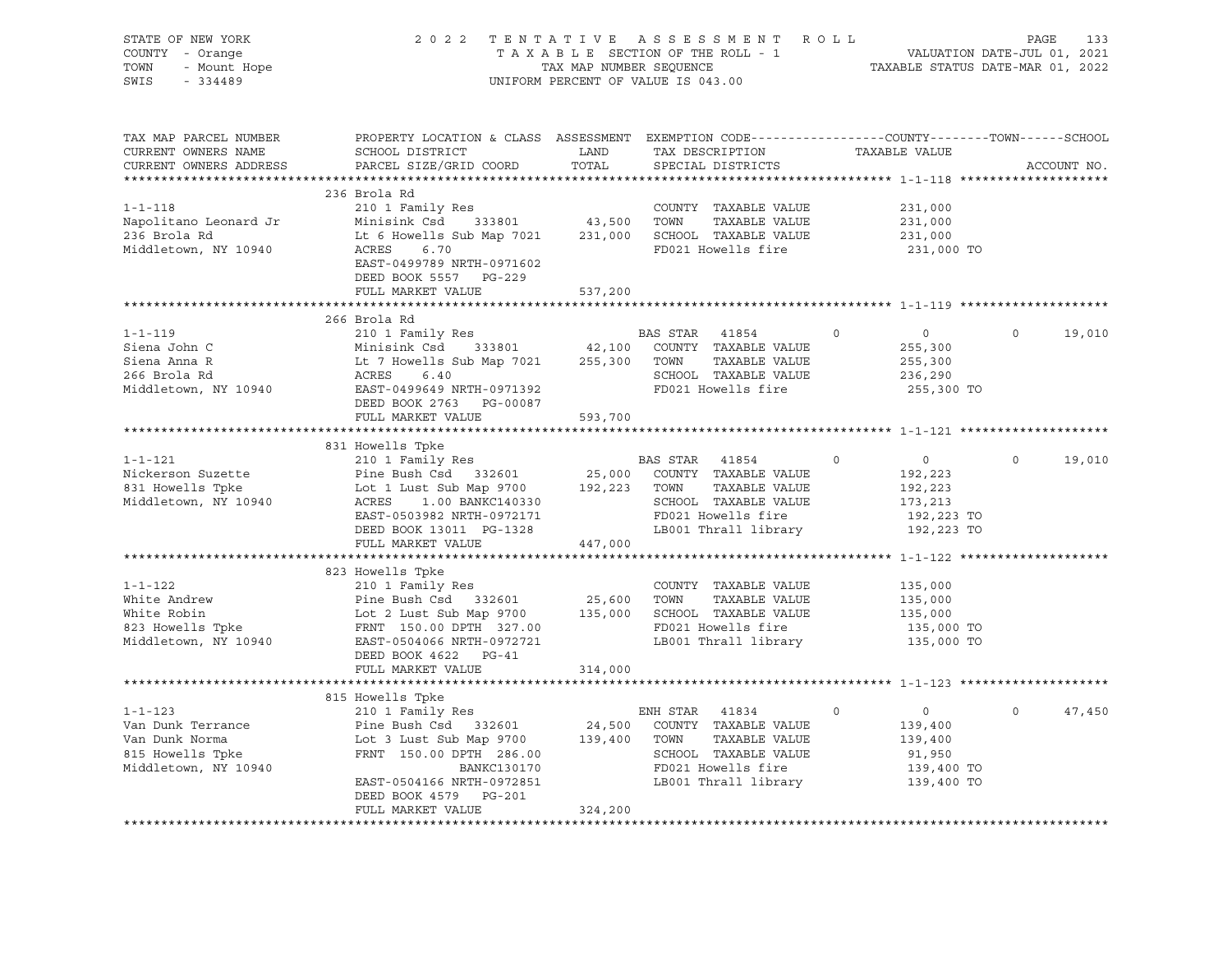| STATE OF NEW YORK               | 2022 TENTATIVE                                                                                                                                       |         | A S S E S S M E N T R O L L                               |                            | PAGE<br>133        |
|---------------------------------|------------------------------------------------------------------------------------------------------------------------------------------------------|---------|-----------------------------------------------------------|----------------------------|--------------------|
| COUNTY - Orange                 | VALUATION DATE-JUL 01, 2021<br>TAXABLE STATUS DATE-MAR 01, 2022<br>TAXABLE SECTION OF THE ROLL - 1                                                   |         |                                                           |                            |                    |
| TOWN<br>- Mount Hope            | TAX MAP NUMBER SEQUENCE                                                                                                                              |         |                                                           |                            |                    |
| SWIS<br>$-334489$               |                                                                                                                                                      |         | UNIFORM PERCENT OF VALUE IS 043.00                        |                            |                    |
|                                 |                                                                                                                                                      |         |                                                           |                            |                    |
|                                 |                                                                                                                                                      |         |                                                           |                            |                    |
| TAX MAP PARCEL NUMBER           | PROPERTY LOCATION & CLASS ASSESSMENT EXEMPTION CODE---------------COUNTY-------TOWN-----SCHOOL                                                       |         |                                                           |                            |                    |
|                                 |                                                                                                                                                      | LAND    |                                                           | TAXABLE VALUE              |                    |
| CURRENT OWNERS NAME             | SCHOOL DISTRICT                                                                                                                                      | TOTAL   | TAX DESCRIPTION                                           |                            |                    |
| CURRENT OWNERS ADDRESS          | PARCEL SIZE/GRID COORD                                                                                                                               |         | SPECIAL DISTRICTS                                         |                            | ACCOUNT NO.        |
|                                 | 236 Brola Rd                                                                                                                                         |         |                                                           |                            |                    |
| $1 - 1 - 118$                   | 210 1 Family Res                                                                                                                                     |         | COUNTY TAXABLE VALUE                                      | 231,000                    |                    |
| Napolitano Leonard Jr           | $210$ Traming RCB<br>Minisink Csd 333801 43,500                                                                                                      |         | TOWN<br>TAXABLE VALUE                                     | 231,000                    |                    |
| 236 Brola Rd                    | Lt 6 Howells Sub Map 7021                                                                                                                            |         | 231,000 SCHOOL TAXABLE VALUE                              | 231,000                    |                    |
| Middletown, NY 10940            | ACRES<br>6.70                                                                                                                                        |         | FD021 Howells fire                                        | 231,000 TO                 |                    |
|                                 | EAST-0499789 NRTH-0971602                                                                                                                            |         |                                                           |                            |                    |
|                                 |                                                                                                                                                      |         |                                                           |                            |                    |
|                                 | DEED BOOK 5557 PG-229                                                                                                                                |         |                                                           |                            |                    |
|                                 | FULL MARKET VALUE                                                                                                                                    | 537,200 |                                                           |                            |                    |
|                                 |                                                                                                                                                      |         |                                                           |                            |                    |
|                                 | 266 Brola Rd                                                                                                                                         |         |                                                           |                            |                    |
| $1 - 1 - 119$                   | 210 1 Family Res                                                                                                                                     |         | BAS STAR<br>41854                                         | $\circ$<br>$\circ$         | $\circ$<br>19,010  |
| Siena John C                    | Minisink Csd 333801 42,100 COUNTY TAXABLE VALUE                                                                                                      |         |                                                           | 255,300                    |                    |
| Siena Anna R                    |                                                                                                                                                      | 255,300 | TOWN<br>TAXABLE VALUE                                     | 255,300                    |                    |
| 266 Brola Rd                    |                                                                                                                                                      |         | SCHOOL TAXABLE VALUE                                      | 236,290                    |                    |
| Middletown, NY 10940            | EAST-0499649 NRTH-0971392                                                                                                                            |         | FD021 Howells fire                                        | 255,300 TO                 |                    |
|                                 | DEED BOOK 2763 PG-00087                                                                                                                              |         |                                                           |                            |                    |
|                                 | FULL MARKET VALUE                                                                                                                                    | 593,700 |                                                           |                            |                    |
|                                 |                                                                                                                                                      |         |                                                           |                            |                    |
|                                 | 831 Howells Tpke                                                                                                                                     |         |                                                           |                            |                    |
| $1 - 1 - 121$                   | 210 1 Family Res                                                                                                                                     |         | <b>BAS STAR 41854</b>                                     | $\Omega$<br>$\overline{0}$ | $\Omega$<br>19,010 |
| Nickerson Suzette               | Pine Bush Csd 332601<br>Lot 1 Lust Sub Map 9700                                                                                                      |         | 25,000 COUNTY TAXABLE VALUE<br>192,223 TOWN TAXABLE VALUE | 192,223                    |                    |
| 831 Howells Tpke                |                                                                                                                                                      |         | TAXABLE VALUE                                             | 192,223                    |                    |
| Middletown, NY 10940            | ACRES 1.00 BANKC140330                                                                                                                               |         | SCHOOL TAXABLE VALUE                                      | 173,213                    |                    |
|                                 | EAST-0503982 NRTH-0972171                                                                                                                            |         | FD021 Howells fire                                        | 192,223 TO                 |                    |
|                                 | DEED BOOK 13011 PG-1328                                                                                                                              |         | LB001 Thrall library                                      | 192,223 TO                 |                    |
|                                 | FULL MARKET VALUE                                                                                                                                    | 447,000 |                                                           |                            |                    |
|                                 |                                                                                                                                                      |         |                                                           |                            |                    |
|                                 | 823 Howells Tpke                                                                                                                                     |         |                                                           |                            |                    |
| $1 - 1 - 122$                   | 210 1 Family Res                                                                                                                                     |         | COUNTY TAXABLE VALUE                                      | 135,000                    |                    |
| White Andrew                    |                                                                                                                                                      |         |                                                           | 135,000                    |                    |
| white Robin<br>823 Howells Tpke | Pine Bush Csd 332601 25,600 TOWN TAXABLE VALUE<br>Lot 2 Lust Sub Map 9700 135,000 SCHOOL TAXABLE VALUE<br>FRNT 150.00 DPTH 327.00 FD021 Howells fire |         |                                                           | 135,000                    |                    |
|                                 |                                                                                                                                                      |         |                                                           | 135,000 TO                 |                    |
| Middletown, NY 10940            | EAST-0504066 NRTH-0972721                                                                                                                            |         | LB001 Thrall library                                      | 135,000 TO                 |                    |
|                                 | DEED BOOK 4622 PG-41                                                                                                                                 |         |                                                           |                            |                    |
|                                 | FULL MARKET VALUE                                                                                                                                    | 314,000 |                                                           |                            |                    |
|                                 |                                                                                                                                                      |         |                                                           |                            |                    |
|                                 | 815 Howells Tpke                                                                                                                                     |         |                                                           |                            |                    |
| $1 - 1 - 123$                   | 210 1 Family Res                                                                                                                                     |         | ENH STAR 41834                                            | $\Omega$<br>$\circ$        | $\Omega$<br>47,450 |
| Van Dunk Terrance               | Pine Bush Csd 332601                                                                                                                                 | 24,500  | COUNTY TAXABLE VALUE                                      | 139,400                    |                    |
| Van Dunk Norma                  | Lot 3 Lust Sub Map 9700                                                                                                                              | 139,400 | TOWN<br>TAXABLE VALUE                                     | 139,400                    |                    |
| 815 Howells Tpke                | FRNT 150.00 DPTH 286.00                                                                                                                              |         | SCHOOL TAXABLE VALUE                                      | 91,950                     |                    |
| Middletown, NY 10940            | BANKC130170                                                                                                                                          |         | FD021 Howells fire                                        | 139,400 TO                 |                    |
|                                 | EAST-0504166 NRTH-0972851                                                                                                                            |         | LB001 Thrall library                                      | 139,400 TO                 |                    |
|                                 | DEED BOOK 4579 PG-201                                                                                                                                |         |                                                           |                            |                    |
|                                 | FULL MARKET VALUE                                                                                                                                    | 324,200 |                                                           |                            |                    |
|                                 |                                                                                                                                                      |         |                                                           |                            |                    |
|                                 |                                                                                                                                                      |         |                                                           |                            |                    |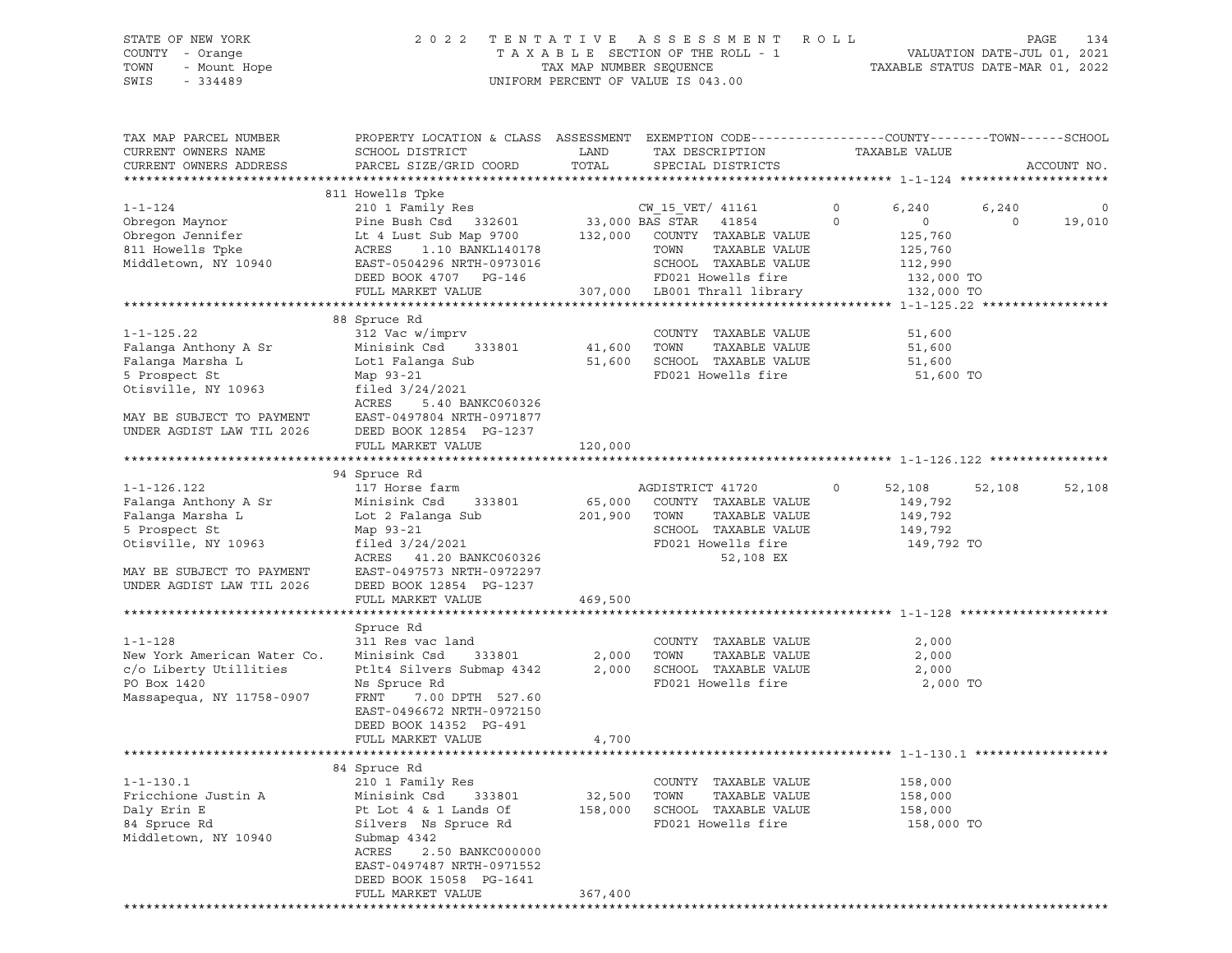# STATE OF NEW YORK 2 0 2 2 T E N T A T I V E A S S E S S M E N T R O L L PAGE 134 COUNTY - Orange T A X A B L E SECTION OF THE ROLL - 1 VALUATION DATE-JUL 01, 2021 TOWN - Mount Hope TAX MAP NUMBER SEQUENCE TAXABLE STATUS DATE-MAR 01, 2022 SWIS - 334489 UNIFORM PERCENT OF VALUE IS 043.00

| TAX MAP PARCEL NUMBER<br>CURRENT OWNERS NAME<br>CURRENT OWNERS ADDRESS                                                                                          | PROPERTY LOCATION & CLASS ASSESSMENT EXEMPTION CODE----------------COUNTY-------TOWN-----SCHOOL<br>SCHOOL DISTRICT<br>PARCEL SIZE/GRID COORD                                                                            | LAND<br>TOTAL                | TAX DESCRIPTION<br>SPECIAL DISTRICTS                                                                                                     |                        | TAXABLE VALUE                                                                    |                  | ACCOUNT NO. |
|-----------------------------------------------------------------------------------------------------------------------------------------------------------------|-------------------------------------------------------------------------------------------------------------------------------------------------------------------------------------------------------------------------|------------------------------|------------------------------------------------------------------------------------------------------------------------------------------|------------------------|----------------------------------------------------------------------------------|------------------|-------------|
| ********************                                                                                                                                            | **************                                                                                                                                                                                                          |                              |                                                                                                                                          |                        |                                                                                  |                  |             |
|                                                                                                                                                                 | 811 Howells Tpke                                                                                                                                                                                                        |                              |                                                                                                                                          |                        |                                                                                  |                  |             |
| $1 - 1 - 124$<br>Obregon Maynor<br>Obregon Jennifer<br>811 Howells Tpke<br>Middletown, NY 10940                                                                 | 210 1 Family Res<br>Pine Bush Csd 332601<br>Lt 4 Lust Sub Map 9700<br>ACRES<br>1.10 BANKL140178<br>EAST-0504296 NRTH-0973016<br>DEED BOOK 4707 PG-146                                                                   | 132,000                      | CW 15 VET/ 41161<br>33,000 BAS STAR 41854<br>COUNTY TAXABLE VALUE<br>TOWN<br>TAXABLE VALUE<br>SCHOOL TAXABLE VALUE<br>FD021 Howells fire | $\circ$<br>$\mathbf 0$ | 6,240<br>$\overline{\phantom{0}}$<br>125,760<br>125,760<br>112,990<br>132,000 TO | 6,240<br>$\circ$ | 0<br>19,010 |
| *********************                                                                                                                                           | FULL MARKET VALUE                                                                                                                                                                                                       |                              | 307,000 LB001 Thrall library                                                                                                             |                        | 132,000 TO                                                                       |                  |             |
|                                                                                                                                                                 |                                                                                                                                                                                                                         |                              |                                                                                                                                          |                        |                                                                                  |                  |             |
| $1 - 1 - 125.22$<br>Falanga Anthony A Sr<br>Falanga Marsha L<br>5 Prospect St<br>Otisville, NY 10963<br>MAY BE SUBJECT TO PAYMENT<br>UNDER AGDIST LAW TIL 2026  | 88 Spruce Rd<br>312 Vac w/imprv<br>Minisink Csd 333801<br>Lot1 Falanga Sub<br>Map 93-21<br>filed $3/24/2021$<br>ACRES<br>5.40 BANKC060326<br>EAST-0497804 NRTH-0971877<br>DEED BOOK 12854 PG-1237<br>FULL MARKET VALUE  | 41,600<br>51,600<br>120,000  | COUNTY TAXABLE VALUE<br>TOWN<br>TAXABLE VALUE<br>SCHOOL TAXABLE VALUE<br>FD021 Howells fire                                              |                        | 51,600<br>51,600<br>51,600<br>51,600 TO                                          |                  |             |
|                                                                                                                                                                 |                                                                                                                                                                                                                         |                              |                                                                                                                                          |                        |                                                                                  |                  |             |
| $1 - 1 - 126.122$<br>Falanga Anthony A Sr<br>Falanga Marsha L<br>5 Prospect St<br>Otisville, NY 10963<br>MAY BE SUBJECT TO PAYMENT<br>UNDER AGDIST LAW TIL 2026 | 94 Spruce Rd<br>117 Horse farm<br>Minisink Csd<br>333801<br>Lot 2 Falanga Sub<br>Map 93-21<br>filed $3/24/2021$<br>ACRES 41.20 BANKC060326<br>EAST-0497573 NRTH-0972297<br>DEED BOOK 12854 PG-1237<br>FULL MARKET VALUE | 65,000<br>201,900<br>469,500 | AGDISTRICT 41720<br>COUNTY TAXABLE VALUE<br>TOWN<br>TAXABLE VALUE<br>SCHOOL TAXABLE VALUE<br>FD021 Howells fire<br>52,108 EX             | $\circ$                | 52,108<br>149,792<br>149,792<br>149,792<br>149,792 TO                            | 52,108           | 52,108      |
|                                                                                                                                                                 |                                                                                                                                                                                                                         |                              |                                                                                                                                          |                        |                                                                                  |                  |             |
| $1 - 1 - 128$<br>New York American Water Co.<br>c/o Liberty Utillities<br>PO Box 1420<br>Massapequa, NY 11758-0907                                              | Spruce Rd<br>311 Res vac land<br>Minisink Csd<br>333801<br>Ptlt4 Silvers Submap 4342<br>Ns Spruce Rd<br>FRNT<br>7.00 DPTH 527.60<br>EAST-0496672 NRTH-0972150<br>DEED BOOK 14352 PG-491                                 | 2,000                        | COUNTY TAXABLE VALUE<br>TOWN<br>TAXABLE VALUE<br>2,000 SCHOOL TAXABLE VALUE<br>FD021 Howells fire                                        |                        | 2,000<br>2,000<br>2,000<br>2,000 TO                                              |                  |             |
|                                                                                                                                                                 | FULL MARKET VALUE                                                                                                                                                                                                       | 4,700                        |                                                                                                                                          |                        |                                                                                  |                  |             |
|                                                                                                                                                                 | *******************                                                                                                                                                                                                     |                              | ****************************** 1-1-130.1                                                                                                 |                        |                                                                                  |                  |             |
| $1 - 1 - 130.1$<br>Fricchione Justin A<br>Daly Erin E<br>84 Spruce Rd<br>Middletown, NY 10940                                                                   | 84 Spruce Rd<br>210 1 Family Res<br>Minisink Csd 333801<br>Pt Lot 4 & 1 Lands Of<br>Silvers Ns Spruce Rd<br>Submap 4342<br>ACRES<br>2.50 BANKC000000<br>EAST-0497487 NRTH-0971552<br>DEED BOOK 15058 PG-1641            | 32,500 TOWN                  | COUNTY TAXABLE VALUE<br>TAXABLE VALUE<br>158,000 SCHOOL TAXABLE VALUE<br>FD021 Howells fire                                              |                        | 158,000<br>158,000<br>158,000<br>158,000 TO                                      |                  |             |
|                                                                                                                                                                 | FULL MARKET VALUE                                                                                                                                                                                                       | 367,400                      |                                                                                                                                          |                        |                                                                                  |                  |             |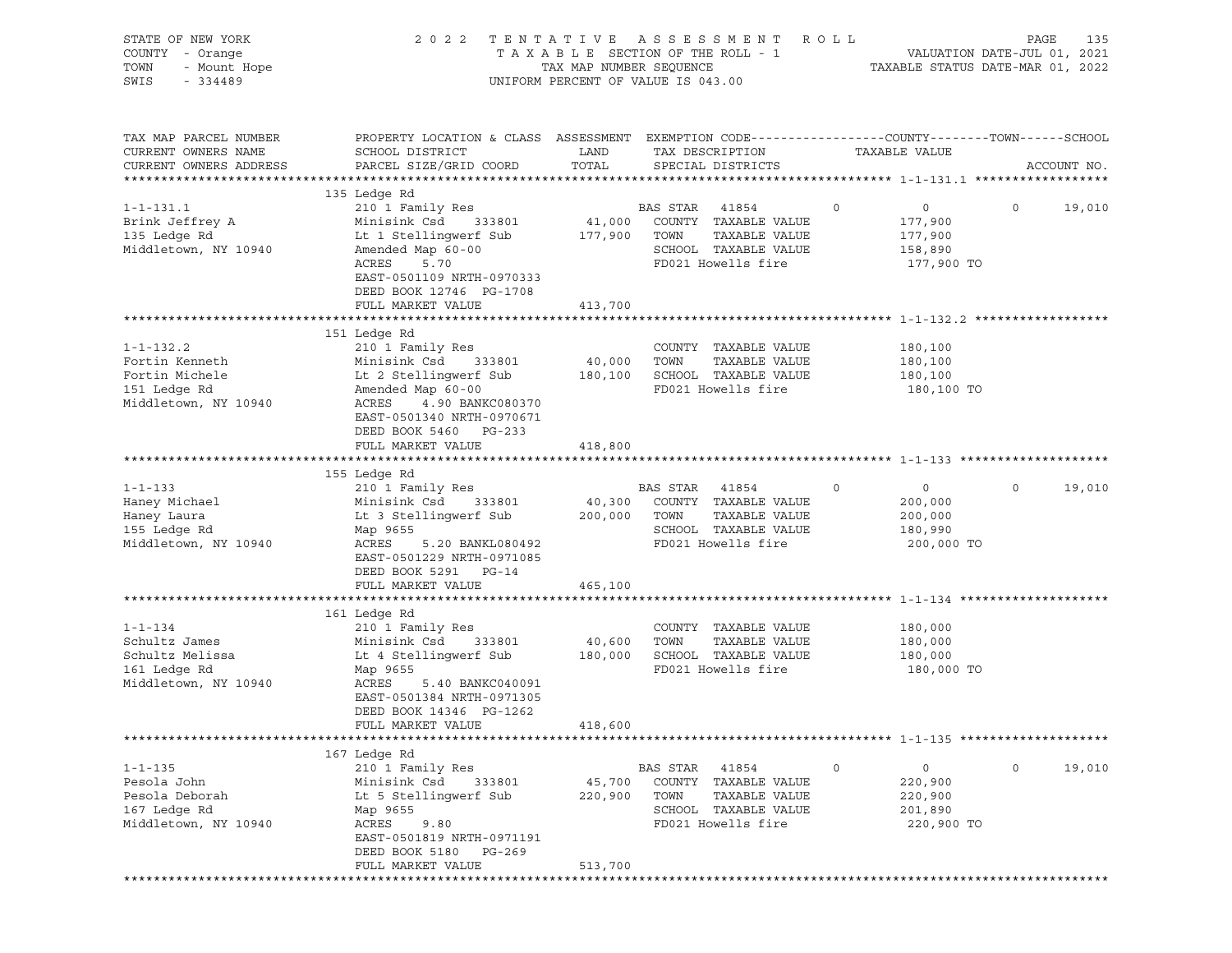| STATE OF NEW YORK<br>COUNTY - Orange<br>- Orange<br>- Mount Hope<br>TOWN<br>SWIS | 2022 TENTATIVE ASSESSMENT                                                                                         | TAXABLE SECTION OF THE ROLL - 1<br>TAX MAP NUMBER SEQUENCE<br>UNIFORM PERCENT OF VALUE IS 043.00 |                |                              | R O L L       | VALUATION DATE-JUL 01, 2021<br>TAXABLE STATUS DATE-MAR 01, 2022 | PAGE    | 135         |
|----------------------------------------------------------------------------------|-------------------------------------------------------------------------------------------------------------------|--------------------------------------------------------------------------------------------------|----------------|------------------------------|---------------|-----------------------------------------------------------------|---------|-------------|
| TAX MAP PARCEL NUMBER<br>CURRENT OWNERS NAME                                     | PROPERTY LOCATION & CLASS ASSESSMENT EXEMPTION CODE---------------COUNTY-------TOWN-----SCHOOL<br>SCHOOL DISTRICT | LAND                                                                                             |                | TAX DESCRIPTION              | TAXABLE VALUE |                                                                 |         |             |
| CURRENT OWNERS ADDRESS                                                           | PARCEL SIZE/GRID COORD                                                                                            | TOTAL                                                                                            |                | SPECIAL DISTRICTS            |               |                                                                 |         | ACCOUNT NO. |
|                                                                                  | 135 Ledge Rd                                                                                                      |                                                                                                  |                |                              |               |                                                                 |         |             |
| $1 - 1 - 131.1$                                                                  | 210 1 Family Res                                                                                                  |                                                                                                  | BAS STAR       | 41854                        | $\circ$       | $\overline{0}$                                                  | $\circ$ | 19,010      |
| Brink Jeffrey A                                                                  | Minisink Csd<br>333801                                                                                            |                                                                                                  |                | 41,000 COUNTY TAXABLE VALUE  |               | 177,900                                                         |         |             |
| 135 Ledge Rd                                                                     | Lt 1 Stellingwerf Sub                                                                                             | 177,900 TOWN                                                                                     |                | TAXABLE VALUE                |               | 177,900                                                         |         |             |
| Middletown, NY 10940                                                             | Amended Map 60-00                                                                                                 |                                                                                                  |                | SCHOOL TAXABLE VALUE         |               | 158,890                                                         |         |             |
|                                                                                  | ACRES<br>5.70<br>EAST-0501109 NRTH-0970333<br>DEED BOOK 12746 PG-1708                                             |                                                                                                  |                | FD021 Howells fire           |               | 177,900 TO                                                      |         |             |
|                                                                                  | FULL MARKET VALUE                                                                                                 | 413,700                                                                                          |                |                              |               |                                                                 |         |             |
|                                                                                  |                                                                                                                   |                                                                                                  |                |                              |               |                                                                 |         |             |
|                                                                                  | 151 Ledge Rd                                                                                                      |                                                                                                  |                |                              |               |                                                                 |         |             |
| $1 - 1 - 132.2$                                                                  | 210 1 Family Res                                                                                                  |                                                                                                  |                | COUNTY TAXABLE VALUE         |               | 180,100                                                         |         |             |
| Fortin Kenneth                                                                   | Minisink Csd 333801                                                                                               | 40,000 TOWN                                                                                      |                | TAXABLE VALUE                |               | 180,100                                                         |         |             |
| Fortin Michele                                                                   | Lt 2 Stellingwerf Sub                                                                                             |                                                                                                  |                | 180,100 SCHOOL TAXABLE VALUE |               | 180,100                                                         |         |             |
| 151 Ledge Rd<br>Middletown, NY 10940                                             | Amended Map 60-00<br>ACRES<br>4.90 BANKC080370                                                                    |                                                                                                  |                | FD021 Howells fire           |               | 180,100 TO                                                      |         |             |
|                                                                                  | EAST-0501340 NRTH-0970671<br>DEED BOOK 5460 PG-233                                                                |                                                                                                  |                |                              |               |                                                                 |         |             |
|                                                                                  | FULL MARKET VALUE                                                                                                 | 418,800                                                                                          |                |                              |               |                                                                 |         |             |
|                                                                                  |                                                                                                                   |                                                                                                  |                |                              |               |                                                                 |         |             |
|                                                                                  | 155 Ledge Rd                                                                                                      |                                                                                                  |                |                              |               |                                                                 |         |             |
| $1 - 1 - 133$                                                                    | 210 1 Family Res                                                                                                  |                                                                                                  | BAS STAR 41854 |                              | $\circ$       | $\overline{0}$                                                  | $\circ$ | 19,010      |
| Haney Michael                                                                    | Minisink Csd 333801                                                                                               |                                                                                                  |                | 40,300 COUNTY TAXABLE VALUE  |               | 200,000                                                         |         |             |
| Haney Laura                                                                      | Lt 3 Stellingwerf Sub                                                                                             | 200,000 TOWN                                                                                     |                | TAXABLE VALUE                |               | 200,000                                                         |         |             |
| 155 Ledge Rd                                                                     | Map 9655                                                                                                          |                                                                                                  |                | SCHOOL TAXABLE VALUE         |               | 180,990                                                         |         |             |
| Middletown, NY 10940                                                             | ACRES<br>5.20 BANKL080492<br>EAST-0501229 NRTH-0971085<br>DEED BOOK 5291 PG-14                                    |                                                                                                  |                | FD021 Howells fire           |               | 200,000 TO                                                      |         |             |
|                                                                                  | FULL MARKET VALUE                                                                                                 | 465,100                                                                                          |                |                              |               |                                                                 |         |             |
|                                                                                  |                                                                                                                   |                                                                                                  |                |                              |               |                                                                 |         |             |
|                                                                                  | 161 Ledge Rd                                                                                                      |                                                                                                  |                |                              |               |                                                                 |         |             |
| $1 - 1 - 134$                                                                    |                                                                                                                   |                                                                                                  |                |                              |               |                                                                 |         |             |
|                                                                                  | 210 1 Family Res                                                                                                  |                                                                                                  |                | COUNTY TAXABLE VALUE         |               | 180,000                                                         |         |             |
| Schultz James                                                                    | Minisink Csd 333801                                                                                               | 40,600                                                                                           | TOWN           | TAXABLE VALUE                |               | 180,000                                                         |         |             |
| Schultz Melissa                                                                  | Lt 4 Stellingwerf Sub                                                                                             | 180,000                                                                                          |                | SCHOOL TAXABLE VALUE         |               | 180,000                                                         |         |             |
| 161 Ledge Rd                                                                     | Map 9655                                                                                                          |                                                                                                  |                | FD021 Howells fire           |               | 180,000 TO                                                      |         |             |
| Middletown, NY 10940                                                             | ACRES<br>5.40 BANKC040091                                                                                         |                                                                                                  |                |                              |               |                                                                 |         |             |
|                                                                                  | EAST-0501384 NRTH-0971305                                                                                         |                                                                                                  |                |                              |               |                                                                 |         |             |
|                                                                                  | DEED BOOK 14346 PG-1262                                                                                           |                                                                                                  |                |                              |               |                                                                 |         |             |
|                                                                                  | FULL MARKET VALUE                                                                                                 | 418,600                                                                                          |                |                              |               |                                                                 |         |             |
|                                                                                  |                                                                                                                   |                                                                                                  |                |                              |               |                                                                 |         |             |
|                                                                                  | 167 Ledge Rd                                                                                                      |                                                                                                  |                |                              |               |                                                                 |         |             |
| $1 - 1 - 135$                                                                    | 210 1 Family Res                                                                                                  |                                                                                                  | BAS STAR       | 41854                        | $\circ$       | $\mathsf{O}\xspace$                                             | $\circ$ | 19,010      |
| Pesola John                                                                      | Minisink Csd<br>333801                                                                                            | 45,700                                                                                           |                | COUNTY TAXABLE VALUE         |               | 220,900                                                         |         |             |
| Pesola Deborah                                                                   | Lt 5 Stellingwerf Sub                                                                                             | 220,900                                                                                          | TOWN           | TAXABLE VALUE                |               | 220,900                                                         |         |             |
| 167 Ledge Rd                                                                     | Map 9655                                                                                                          |                                                                                                  |                | SCHOOL TAXABLE VALUE         |               | 201,890                                                         |         |             |
| Middletown, NY 10940                                                             | ACRES<br>9.80                                                                                                     |                                                                                                  |                | FD021 Howells fire           |               | 220,900 TO                                                      |         |             |
|                                                                                  | EAST-0501819 NRTH-0971191                                                                                         |                                                                                                  |                |                              |               |                                                                 |         |             |
|                                                                                  | DEED BOOK 5180 PG-269<br>FULL MARKET VALUE                                                                        | 513,700                                                                                          |                |                              |               |                                                                 |         |             |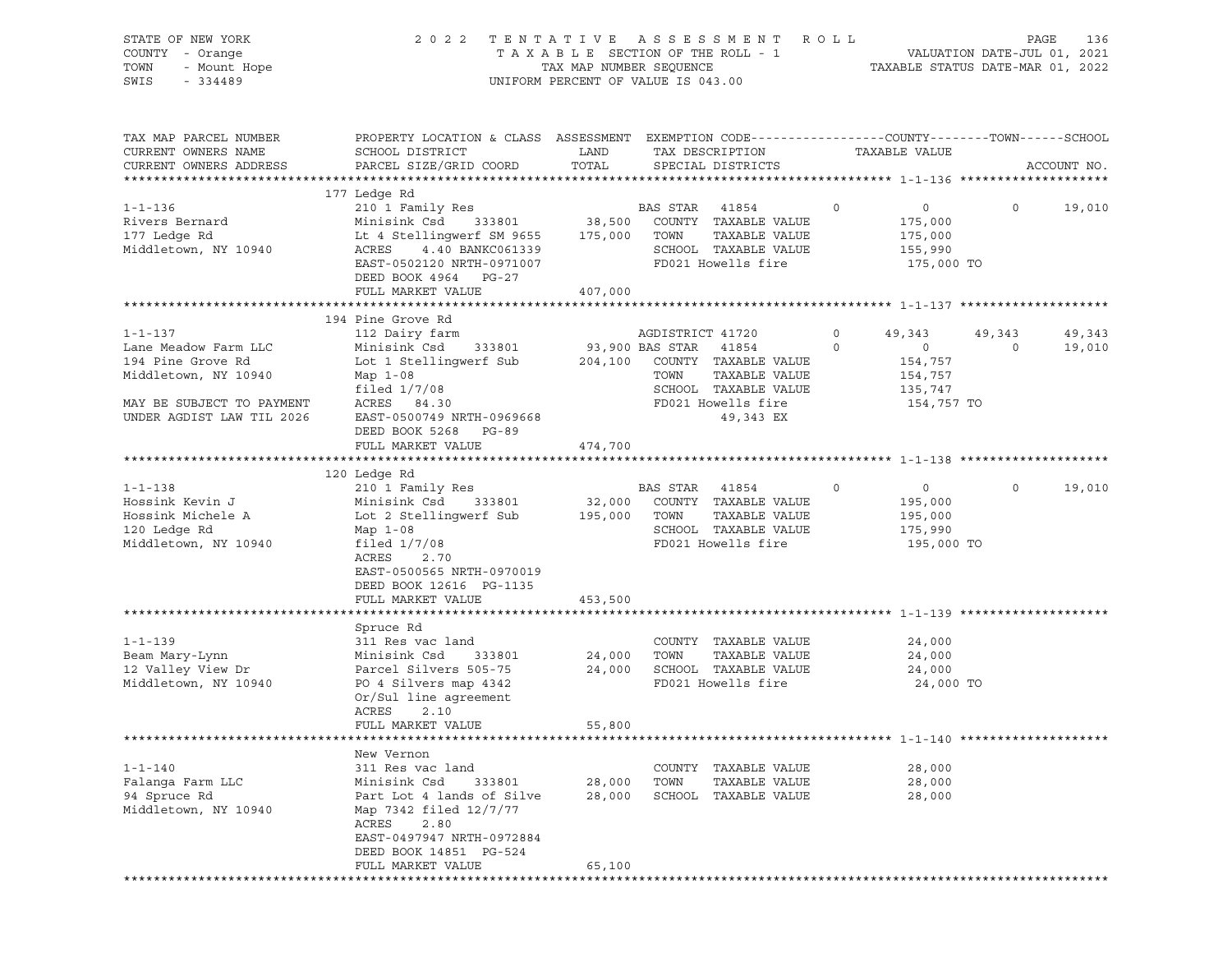| STATE OF NEW YORK<br>COUNTY - Orange<br>TOWN<br>- Mount Hope<br>SWIS<br>$-334489$                                                            | TENTATIVE ASSESSMENT<br>2 0 2 2<br>TAXABLE SECTION OF THE ROLL - 1<br>TAX MAP NUMBER SEQUENCE<br>UNIFORM PERCENT OF VALUE IS 043.00                                                                                | R O L L<br>136<br>PAGE<br>VALUATION DATE-JUL 01, 2021<br>TAXABLE STATUS DATE-MAR 01, 2022 |                                                                                                                                       |                                                                                        |                   |                  |
|----------------------------------------------------------------------------------------------------------------------------------------------|--------------------------------------------------------------------------------------------------------------------------------------------------------------------------------------------------------------------|-------------------------------------------------------------------------------------------|---------------------------------------------------------------------------------------------------------------------------------------|----------------------------------------------------------------------------------------|-------------------|------------------|
| TAX MAP PARCEL NUMBER<br>CURRENT OWNERS NAME<br>CURRENT OWNERS ADDRESS                                                                       | PROPERTY LOCATION & CLASS ASSESSMENT EXEMPTION CODE---------------COUNTY-------TOWN-----SCHOOL<br>SCHOOL DISTRICT<br>PARCEL SIZE/GRID COORD                                                                        | LAND<br>TOTAL                                                                             | TAX DESCRIPTION<br>SPECIAL DISTRICTS                                                                                                  | TAXABLE VALUE                                                                          |                   | ACCOUNT NO.      |
| $1 - 1 - 136$<br>Rivers Bernard<br>177 Ledge Rd<br>Middletown, NY 10940                                                                      | 177 Ledge Rd<br>210 1 Family Res<br>Minisink Csd 333801<br>Lt 4 Stellingwerf SM 9655<br>ACRES<br>4.40 BANKC061339<br>EAST-0502120 NRTH-0971007<br>DEED BOOK 4964 PG-27<br>FULL MARKET VALUE                        | 175,000 TOWN<br>407,000                                                                   | BAS STAR<br>41854<br>38,500 COUNTY TAXABLE VALUE<br>TAXABLE VALUE<br>SCHOOL TAXABLE VALUE<br>FD021 Howells fire                       | $\circ$<br>$\overline{0}$<br>175,000<br>175,000<br>155,990<br>175,000 TO               | $\circ$           | 19,010           |
|                                                                                                                                              |                                                                                                                                                                                                                    |                                                                                           |                                                                                                                                       |                                                                                        |                   |                  |
| $1 - 1 - 137$<br>Lane Meadow Farm LLC<br>194 Pine Grove Rd<br>Middletown, NY 10940<br>MAY BE SUBJECT TO PAYMENT<br>UNDER AGDIST LAW TIL 2026 | 194 Pine Grove Rd<br>112 Dairy farm<br>333801<br>Minisink Csd<br>Lot 1 Stellingwerf Sub<br>Map $1-08$<br>filed $1/7/08$<br>ACRES 84.30<br>EAST-0500749 NRTH-0969668<br>DEED BOOK 5268<br>PG-89                     | 93,900 BAS STAR<br>204,100                                                                | AGDISTRICT 41720<br>41854<br>COUNTY TAXABLE VALUE<br>TOWN<br>TAXABLE VALUE<br>SCHOOL TAXABLE VALUE<br>FD021 Howells fire<br>49,343 EX | 49,343<br>$\circ$<br>$\circ$<br>$\circ$<br>154,757<br>154,757<br>135,747<br>154,757 TO | 49,343<br>$\circ$ | 49,343<br>19,010 |
|                                                                                                                                              | FULL MARKET VALUE                                                                                                                                                                                                  | 474,700                                                                                   |                                                                                                                                       |                                                                                        |                   |                  |
|                                                                                                                                              |                                                                                                                                                                                                                    |                                                                                           |                                                                                                                                       |                                                                                        |                   |                  |
| $1 - 1 - 138$<br>Hossink Kevin J<br>Hossink Michele A<br>120 Ledge Rd<br>Middletown, NY 10940                                                | 120 Ledge Rd<br>210 1 Family Res<br>333801<br>Minisink Csd<br>Lot 2 Stellingwerf Sub<br>Map $1-08$<br>filed $1/7/08$<br>ACRES<br>2.70<br>EAST-0500565 NRTH-0970019<br>DEED BOOK 12616 PG-1135<br>FULL MARKET VALUE | 32,000<br>195,000 TOWN<br>453,500                                                         | BAS STAR<br>41854<br>COUNTY TAXABLE VALUE<br>TAXABLE VALUE<br>SCHOOL TAXABLE VALUE<br>FD021 Howells fire                              | $\circ$<br>$\overline{0}$<br>195,000<br>195,000<br>175,990<br>195,000 TO               | $\circ$           | 19,010           |
|                                                                                                                                              |                                                                                                                                                                                                                    |                                                                                           |                                                                                                                                       |                                                                                        |                   |                  |
| $1 - 1 - 139$<br>Beam Mary-Lynn<br>12 Valley View Dr<br>Middletown, NY 10940                                                                 | Spruce Rd<br>311 Res vac land<br>333801<br>Minisink Csd<br>Parcel Silvers 505-75<br>PO 4 Silvers map 4342<br>Or/Sul line agreement<br>ACRES<br>2.10                                                                | 24,000<br>24,000                                                                          | COUNTY TAXABLE VALUE<br>TOWN<br>TAXABLE VALUE<br>SCHOOL TAXABLE VALUE<br>FD021 Howells fire                                           | 24,000<br>24,000<br>24,000<br>24,000 TO                                                |                   |                  |
|                                                                                                                                              | FULL MARKET VALUE                                                                                                                                                                                                  | 55,800                                                                                    |                                                                                                                                       |                                                                                        |                   |                  |
| $1 - 1 - 140$<br>Falanga Farm LLC<br>94 Spruce Rd<br>Middletown, NY 10940                                                                    | New Vernon<br>311 Res vac land<br>Minisink Csd<br>333801<br>Part Lot 4 lands of Silve<br>Map 7342 filed 12/7/77<br>2.80<br>ACRES<br>EAST-0497947 NRTH-0972884<br>DEED BOOK 14851 PG-524<br>FULL MARKET VALUE       | 28,000<br>28,000<br>65,100                                                                | COUNTY TAXABLE VALUE<br>TOWN<br>TAXABLE VALUE<br>SCHOOL<br>TAXABLE VALUE                                                              | 28,000<br>28,000<br>28,000                                                             |                   |                  |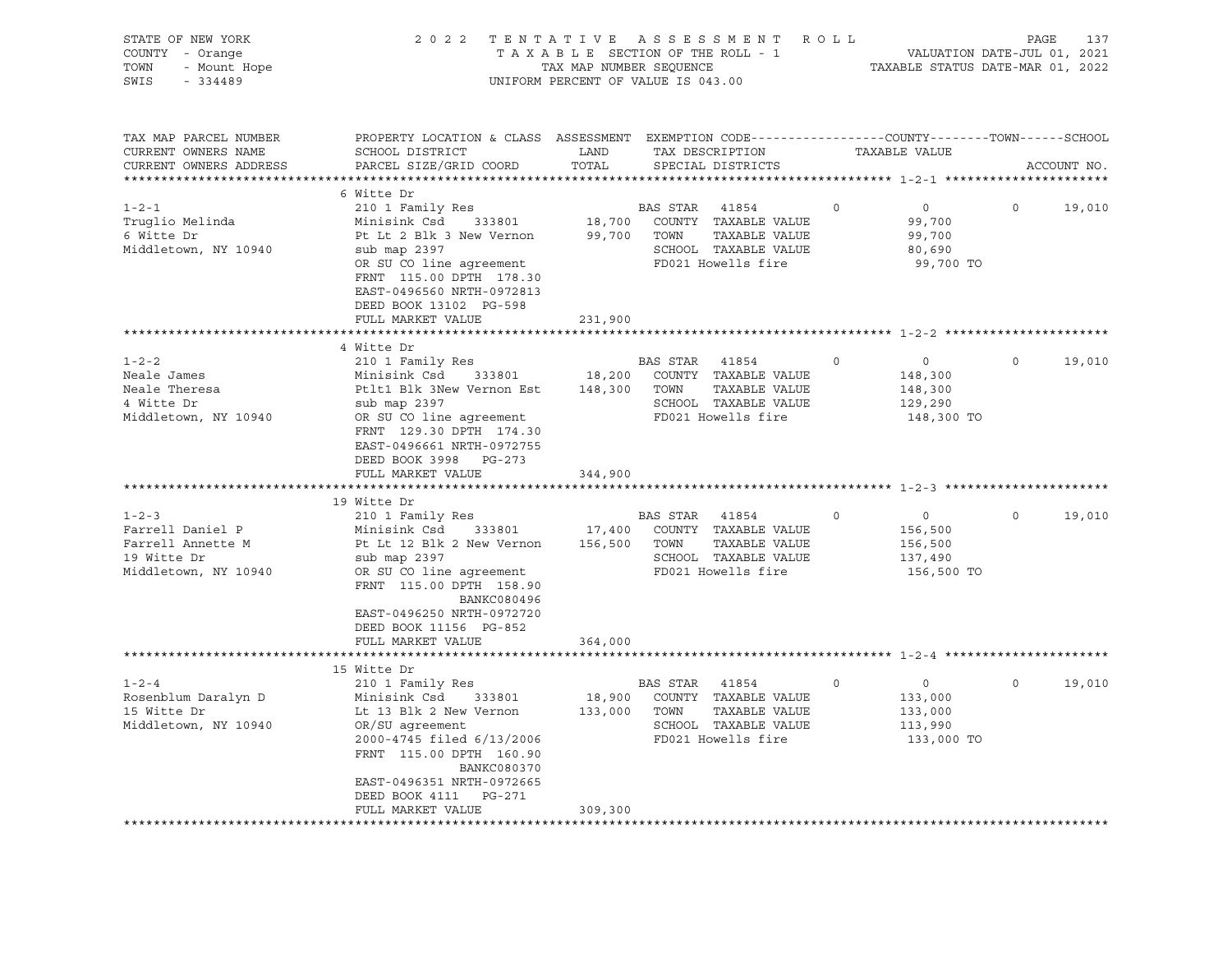| STATE OF NEW YORK<br>COUNTY - Orange<br>7 - Orange<br>- Mount Hope<br>224489<br>TOWN<br>SWIS<br>$-334489$                                                                        | 2022 TENTATIVE ASSESSMENT ROLL<br>T A X A B L E SECTION OF THE ROLL - 1 VALUATION DATE-JUL 01, 2021<br>TAX MAP NUMBER SEQUENCE TAXABLE STATUS DATE-MAR 01, 2022<br>UNIFORM PERCENT OF VALUE IS 043.00                                                                                                                                                                                                                                                                                                                                                                                       |                    |                                                                                                                              |                    | PAGE<br>137                                                                                                                    |                     |                  |
|----------------------------------------------------------------------------------------------------------------------------------------------------------------------------------|---------------------------------------------------------------------------------------------------------------------------------------------------------------------------------------------------------------------------------------------------------------------------------------------------------------------------------------------------------------------------------------------------------------------------------------------------------------------------------------------------------------------------------------------------------------------------------------------|--------------------|------------------------------------------------------------------------------------------------------------------------------|--------------------|--------------------------------------------------------------------------------------------------------------------------------|---------------------|------------------|
| TAX MAP PARCEL NUMBER<br>CURRENT OWNERS NAME<br>CURRENT OWNERS ADDRESS                                                                                                           | PROPERTY LOCATION & CLASS ASSESSMENT EXEMPTION CODE---------------COUNTY-------TOWN-----SCHOOL<br>SCHOOL DISTRICT LAND<br>PARCEL SIZE/GRID COORD                                                                                                                                                                                                                                                                                                                                                                                                                                            | TOTAL              | TAX DESCRIPTION<br>SPECIAL DISTRICTS                                                                                         |                    | TAXABLE VALUE                                                                                                                  |                     | ACCOUNT NO.      |
|                                                                                                                                                                                  | 6 Witte Dr                                                                                                                                                                                                                                                                                                                                                                                                                                                                                                                                                                                  |                    |                                                                                                                              |                    |                                                                                                                                |                     |                  |
| $1 - 2 - 1$<br>Truglio Melinda<br>6 Witte Dr<br>Middletown, NY 10940                                                                                                             | 210 1 Family Res<br>Minisink Csd 333801<br>Pt Lt 2 Blk 3 New Vernon 99,700 TOWN TAXABLE VALUE<br>sub map 2397<br>OR SU CO line agreement<br>FRNT 115.00 DPTH 178.30<br>EAST-0496560 NRTH-0972813<br>DEED BOOK 13102 PG-598                                                                                                                                                                                                                                                                                                                                                                  |                    | BAS STAR 41854<br>18,700 COUNTY TAXABLE VALUE<br>SCHOOL TAXABLE VALUE<br>FD021 Howells fire                                  | $0 \qquad \qquad$  | $\overline{0}$<br>99,700<br>99,700<br>80,690<br>99,700 TO                                                                      | $\circ$             | 19,010           |
|                                                                                                                                                                                  | FULL MARKET VALUE                                                                                                                                                                                                                                                                                                                                                                                                                                                                                                                                                                           | 231,900            |                                                                                                                              |                    |                                                                                                                                |                     |                  |
|                                                                                                                                                                                  | 4 Witte Dr                                                                                                                                                                                                                                                                                                                                                                                                                                                                                                                                                                                  |                    |                                                                                                                              |                    |                                                                                                                                |                     |                  |
| $1 - 2 - 2$<br>Neale James<br>Neale Theresa<br>4 Witte Dr<br>Middletown, NY 10940<br>$1 - 2 - 3$<br>Farrell Daniel P<br>Farrell Annette M<br>19 Witte Dr<br>Middletown, NY 10940 | 210 1 Family Res<br>Minisink Csd 333801 18,200 COUNTY TAXABLE VALUE<br>Ptlt1 Blk 3New Vernon Est 148,300 TOWN TAXABLE VALUE<br>sub map 2397<br>OR SU CO line agreement<br>FRNT 129.30 DPTH 174.30<br>EAST-0496661 NRTH-0972755<br>DEED BOOK 3998 PG-273<br>FULL MARKET VALUE<br>19 Witte Dr<br>210 1 Family Res<br>Minisink Csd 333801 17,400 COUNTY TAXABLE VALUE<br>Pt Lt 12 Blk 2 New Vernon 156,500 TOWN TAXABLE VALUE<br>sub map 2397<br>OR SU CO line agreement<br>FRNT 115.00 DPTH 158.90<br>BANKC080496<br>EAST-0496250 NRTH-0972720<br>DEED BOOK 11156 PG-852<br>FULL MARKET VALUE | 344,900<br>364,000 | BAS STAR 41854<br>SCHOOL TAXABLE VALUE<br>FD021 Howells fire<br>BAS STAR 41854<br>SCHOOL TAXABLE VALUE<br>FD021 Howells fire | $\circ$<br>$\circ$ | $\overline{0}$<br>148,300<br>148,300<br>129,290<br>148,300 TO<br>$\overline{0}$<br>156,500<br>156,500<br>137,490<br>156,500 TO | $\Omega$<br>$\circ$ | 19,010<br>19,010 |
|                                                                                                                                                                                  |                                                                                                                                                                                                                                                                                                                                                                                                                                                                                                                                                                                             |                    |                                                                                                                              |                    |                                                                                                                                |                     |                  |
| $1 - 2 - 4$<br>Rosenblum Daralyn D<br>15 Witte Dr<br>Middletown, NY 10940                                                                                                        | 15 Witte Dr<br>210 1 Family Res<br>Minisink Csd 333801<br>Lt 13 Blk 2 New Vernon<br>OR/SU aqreement<br>2000-4745 filed 6/13/2006<br>FRNT 115.00 DPTH 160.90<br>BANKC080370<br>EAST-0496351 NRTH-0972665<br>DEED BOOK 4111 PG-271<br>FULL MARKET VALUE                                                                                                                                                                                                                                                                                                                                       | 309,300            | BAS STAR 41854<br>18,900 COUNTY TAXABLE VALUE<br>133,000 TOWN TAXABLE VALUE<br>SCHOOL TAXABLE VALUE<br>FD021 Howells fire    | $\circ$            | $\overline{0}$<br>133,000<br>133,000<br>113,990<br>133,000 TO                                                                  | $\Omega$            | 19,010           |
|                                                                                                                                                                                  |                                                                                                                                                                                                                                                                                                                                                                                                                                                                                                                                                                                             |                    |                                                                                                                              |                    |                                                                                                                                |                     |                  |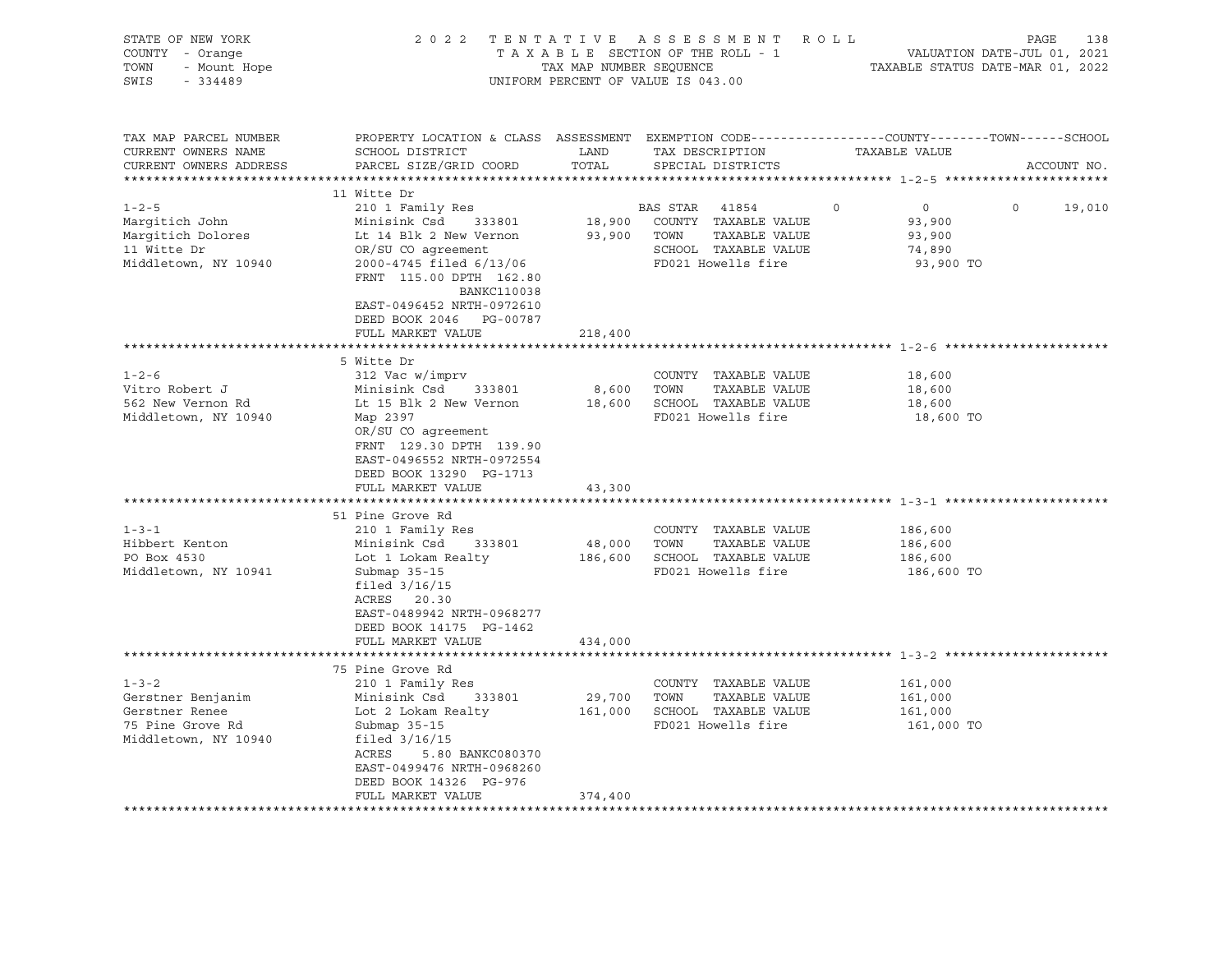| STATE OF NEW YORK<br>COUNTY - Orange<br>- Orange<br>- Mount Hope<br>TOWN<br>$-334489$<br>SWIS  |                                                                                                                                                                                                                             | TAX MAP NUMBER SEQUENCE | 2022 TENTATIVE ASSESSMENT ROLL<br>TAXABLE SECTION OF THE ROLL - 1<br>UNIFORM PERCENT OF VALUE IS 043.00      | VALUATION DATE-JUL 01, 2021<br>TAXABLE STATUS DATE-MAR 01, 2022      | PAGE<br>138       |
|------------------------------------------------------------------------------------------------|-----------------------------------------------------------------------------------------------------------------------------------------------------------------------------------------------------------------------------|-------------------------|--------------------------------------------------------------------------------------------------------------|----------------------------------------------------------------------|-------------------|
| TAX MAP PARCEL NUMBER<br>CURRENT OWNERS NAME<br>CURRENT OWNERS ADDRESS                         | PROPERTY LOCATION & CLASS ASSESSMENT EXEMPTION CODE----------------COUNTY-------TOWN------SCHOOL<br>SCHOOL DISTRICT<br>PARCEL SIZE/GRID COORD                                                                               | LAND<br>TOTAL           | TAX DESCRIPTION TAXABLE VALUE<br>SPECIAL DISTRICTS                                                           |                                                                      | ACCOUNT NO.       |
|                                                                                                | 11 Witte Dr                                                                                                                                                                                                                 |                         |                                                                                                              |                                                                      |                   |
| $1 - 2 - 5$<br>Margitich John<br>Margitich Dolores<br>11 Witte Dr<br>Middletown, NY 10940      | 210 1 Family Res<br>Minisink Csd 333801<br>Lt 14 Blk 2 New Vernon<br>OR/SU CO agreement<br>2000-4745 filed 6/13/06<br>FRNT 115.00 DPTH 162.80<br><b>BANKC110038</b><br>EAST-0496452 NRTH-0972610<br>DEED BOOK 2046 PG-00787 | 93,900 TOWN             | BAS STAR 41854<br>18,900 COUNTY TAXABLE VALUE<br>TAXABLE VALUE<br>SCHOOL TAXABLE VALUE<br>FD021 Howells fire | $\overline{0}$<br>$\circ$<br>93,900<br>93,900<br>74,890<br>93,900 TO | $\circ$<br>19,010 |
|                                                                                                | FULL MARKET VALUE                                                                                                                                                                                                           | 218,400                 |                                                                                                              |                                                                      |                   |
|                                                                                                |                                                                                                                                                                                                                             |                         |                                                                                                              |                                                                      |                   |
| $1 - 2 - 6$<br>Vitro Robert J<br>562 New Vernon Rd<br>Middletown, NY 10940                     | 5 Witte Dr<br>312 Vac w/imprv<br>Minisink Csd 333801<br>Lt 15 Blk 2 New Vernon<br>Map 2397<br>OR/SU CO agreement<br>FRNT 129.30 DPTH 139.90<br>EAST-0496552 NRTH-0972554<br>DEED BOOK 13290 PG-1713<br>FULL MARKET VALUE    | 43,300                  | COUNTY TAXABLE VALUE<br>8,600 TOWN<br>TAXABLE VALUE<br>18,600 SCHOOL TAXABLE VALUE<br>FD021 Howells fire     | 18,600<br>18,600<br>18,600<br>18,600 TO                              |                   |
|                                                                                                | 51 Pine Grove Rd                                                                                                                                                                                                            |                         |                                                                                                              |                                                                      |                   |
| $1 - 3 - 1$<br>Hibbert Kenton<br>PO Box 4530<br>Middletown, NY 10941                           | 210 1 Family Res<br>Minisink Csd 333801<br>Lot 1 Lokam Realty<br>Submap $35-15$<br>filed $3/16/15$<br>ACRES 20.30<br>EAST-0489942 NRTH-0968277<br>DEED BOOK 14175 PG-1462<br>FULL MARKET VALUE                              | 48,000 TOWN<br>434,000  | COUNTY TAXABLE VALUE<br>TAXABLE VALUE<br>186,600 SCHOOL TAXABLE VALUE<br>FD021 Howells fire                  | 186,600<br>186,600<br>186,600<br>186,600 TO                          |                   |
|                                                                                                |                                                                                                                                                                                                                             |                         |                                                                                                              |                                                                      |                   |
| $1 - 3 - 2$<br>Gerstner Benjanim<br>Gerstner Renee<br>75 Pine Grove Rd<br>Middletown, NY 10940 | 75 Pine Grove Rd<br>210 1 Family Res<br>Minisink Csd 333801<br>Lot 2 Lokam Realty<br>Submap 35-15<br>filed $3/16/15$<br>ACRES 5.80 BANKC080370<br>EAST-0499476 NRTH-0968260<br>DEED BOOK 14326 PG-976<br>FULL MARKET VALUE  | 29,700 TOWN<br>374,400  | COUNTY TAXABLE VALUE<br>TAXABLE VALUE<br>161,000 SCHOOL TAXABLE VALUE<br>FD021 Howells fire                  | 161,000<br>161,000<br>161,000<br>161,000 TO                          |                   |
|                                                                                                |                                                                                                                                                                                                                             |                         |                                                                                                              |                                                                      |                   |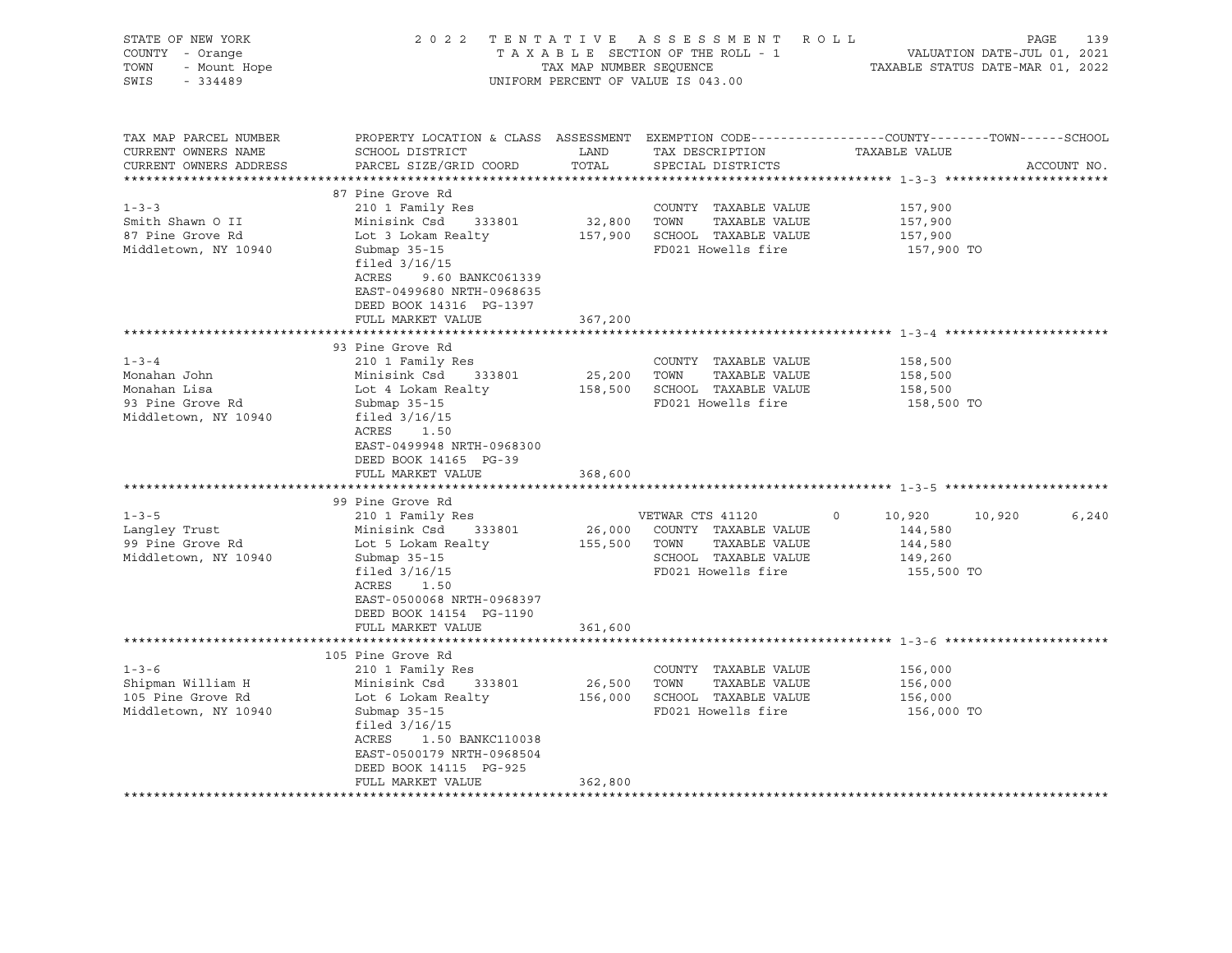| STATE OF NEW YORK<br>COUNTY - Orange<br>TOWN<br>- Mount Hope<br>SWIS<br>$-334489$       |                                                                                                                                                                                                                                        | TAX MAP NUMBER SEQUENCE | 2022 TENTATIVE ASSESSMENT ROLL<br>TAXABLE SECTION OF THE ROLL - 1<br>UNIFORM PERCENT OF VALUE IS 043.00        | VALUATION DATE-JUL 01, 2021<br>TAXABLE STATUS DATE-MAR 01, 2022                                                   | PAGE<br>139 |
|-----------------------------------------------------------------------------------------|----------------------------------------------------------------------------------------------------------------------------------------------------------------------------------------------------------------------------------------|-------------------------|----------------------------------------------------------------------------------------------------------------|-------------------------------------------------------------------------------------------------------------------|-------------|
| TAX MAP PARCEL NUMBER<br>CURRENT OWNERS NAME<br>CURRENT OWNERS ADDRESS                  | SCHOOL DISTRICT<br>PARCEL SIZE/GRID COORD                                                                                                                                                                                              | LAND<br>TOTAL           | TAX DESCRIPTION<br>SPECIAL DISTRICTS                                                                           | PROPERTY LOCATION & CLASS ASSESSMENT EXEMPTION CODE----------------COUNTY-------TOWN------SCHOOL<br>TAXABLE VALUE | ACCOUNT NO. |
| $1 - 3 - 3$<br>Smith Shawn O II<br>87 Pine Grove Rd<br>Middletown, NY 10940             | 87 Pine Grove Rd<br>210 1 Family Res<br>Minisink Csd<br>333801<br>Lot 3 Lokam Realty<br>Submap 35-15<br>filed $3/16/15$<br>ACRES<br>9.60 BANKC061339<br>EAST-0499680 NRTH-0968635<br>DEED BOOK 14316 PG-1397<br>FULL MARKET VALUE      | 32,800 TOWN<br>367,200  | COUNTY TAXABLE VALUE<br>TAXABLE VALUE<br>157,900 SCHOOL TAXABLE VALUE<br>FD021 Howells fire                    | 157,900<br>157,900<br>157,900<br>157,900 TO                                                                       |             |
|                                                                                         |                                                                                                                                                                                                                                        |                         |                                                                                                                |                                                                                                                   |             |
| $1 - 3 - 4$<br>Monahan John<br>Monahan Lisa<br>93 Pine Grove Rd<br>Middletown, NY 10940 | 93 Pine Grove Rd<br>210 1 Family Res<br>Minisink Csd<br>333801<br>Lot 4 Lokam Realty<br>Submap $35-15$<br>filed $3/16/15$<br>ACRES 1.50<br>EAST-0499948 NRTH-0968300<br>DEED BOOK 14165 PG-39<br>FULL MARKET VALUE<br>99 Pine Grove Rd | 25,200 TOWN<br>368,600  | COUNTY TAXABLE VALUE<br>TAXABLE VALUE<br>158,500 SCHOOL TAXABLE VALUE<br>FD021 Howells fire                    | 158,500<br>158,500<br>158,500<br>158,500 TO                                                                       |             |
| $1 - 3 - 5$<br>Langley Trust<br>99 Pine Grove Rd<br>Middletown, NY 10940                | 210 1 Family Res<br>Minisink Csd<br>333801<br>Lot 5 Lokam Realty<br>Submap 35-15<br>filed $3/16/15$<br>ACRES<br>1.50<br>EAST-0500068 NRTH-0968397<br>DEED BOOK 14154 PG-1190<br>FULL MARKET VALUE                                      | 155,500 TOWN<br>361,600 | VETWAR CTS 41120<br>26,000 COUNTY TAXABLE VALUE<br>TAXABLE VALUE<br>SCHOOL TAXABLE VALUE<br>FD021 Howells fire | 10,920<br>10,920<br>$\circ$<br>144,580<br>144,580<br>149,260<br>155,500 TO                                        | 6,240       |
|                                                                                         |                                                                                                                                                                                                                                        |                         |                                                                                                                |                                                                                                                   |             |
| $1 - 3 - 6$<br>Shipman William H<br>105 Pine Grove Rd<br>Middletown, NY 10940           | 105 Pine Grove Rd<br>210 1 Family Res<br>Minisink Csd<br>333801<br>Lot 6 Lokam Realty<br>Submap $35-15$<br>filed $3/16/15$<br>ACRES<br>1.50 BANKC110038<br>EAST-0500179 NRTH-0968504<br>DEED BOOK 14115 PG-925<br>FULL MARKET VALUE    | 26,500<br>362,800       | COUNTY TAXABLE VALUE<br>TOWN<br>TAXABLE VALUE<br>156,000 SCHOOL TAXABLE VALUE<br>FD021 Howells fire            | 156,000<br>156,000<br>156,000<br>156,000 TO                                                                       |             |
|                                                                                         |                                                                                                                                                                                                                                        |                         |                                                                                                                |                                                                                                                   |             |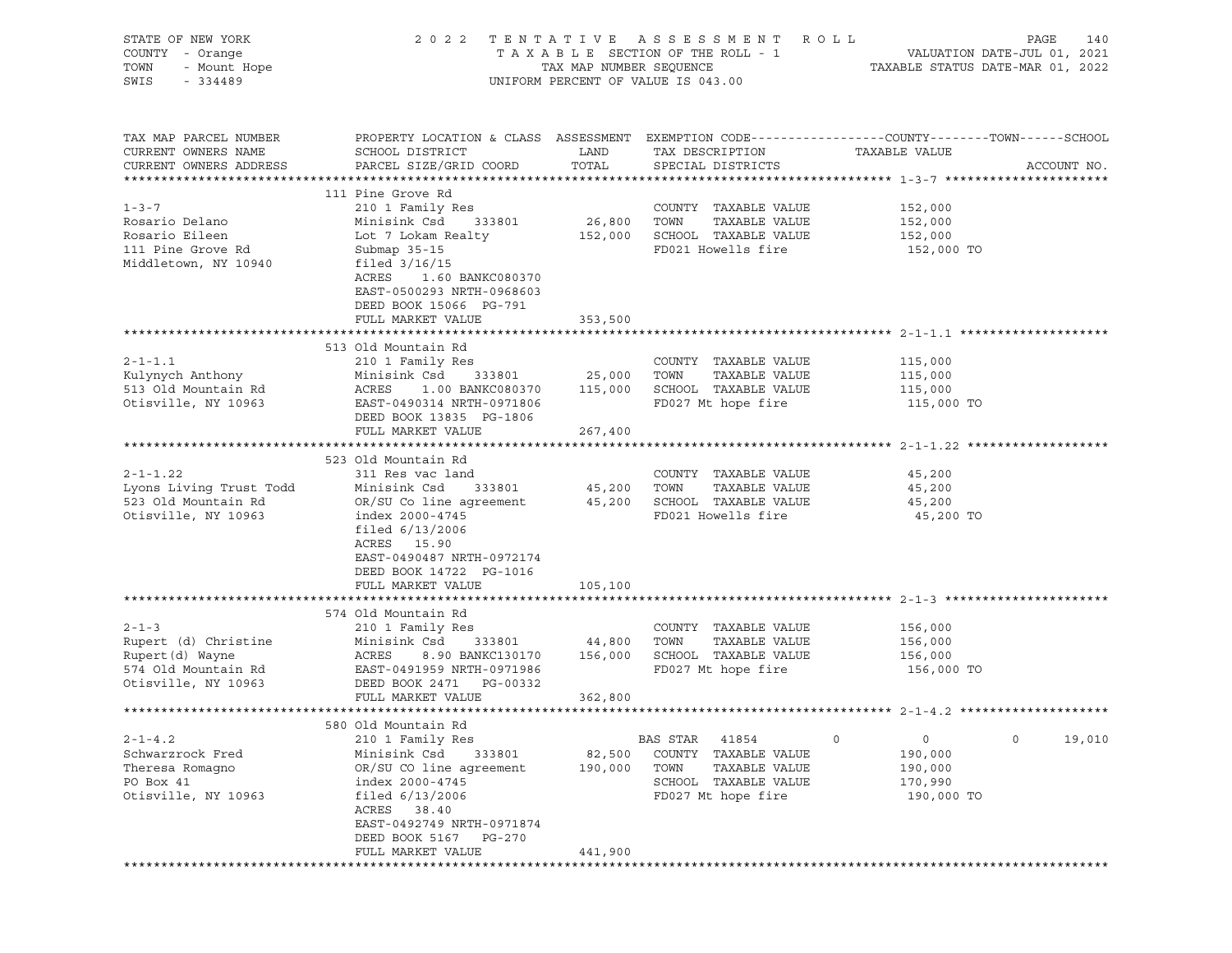| PROPERTY LOCATION & CLASS ASSESSMENT EXEMPTION CODE---------------COUNTY-------TOWN------SCHOOL<br>TAX MAP PARCEL NUMBER<br>CURRENT OWNERS NAME<br>SCHOOL DISTRICT<br>LAND<br>TAX DESCRIPTION<br>TAXABLE VALUE<br>CURRENT OWNERS ADDRESS<br>PARCEL SIZE/GRID COORD<br>TOTAL<br>SPECIAL DISTRICTS<br>ACCOUNT NO.<br>111 Pine Grove Rd<br>$1 - 3 - 7$<br>210 1 Family Res<br>COUNTY TAXABLE VALUE<br>152,000<br>Rosario Delano<br>333801<br>26,800<br>TOWN<br>Minisink Csd<br>TAXABLE VALUE<br>152,000<br>Rosario Eileen<br>SCHOOL TAXABLE VALUE<br>Lot 7 Lokam Realty<br>152,000<br>152,000<br>111 Pine Grove Rd<br>FD021 Howells fire<br>Submap 35-15<br>152,000 TO<br>Middletown, NY 10940<br>filed $3/16/15$<br>ACRES<br>1.60 BANKC080370<br>EAST-0500293 NRTH-0968603<br>DEED BOOK 15066 PG-791<br>FULL MARKET VALUE<br>353,500<br>513 Old Mountain Rd<br>$2 - 1 - 1.1$<br>210 1 Family Res<br>COUNTY TAXABLE VALUE<br>115,000<br>Kulynych Anthony<br>25,000<br>TAXABLE VALUE<br>Minisink Csd<br>333801<br>TOWN<br>115,000<br>SCHOOL TAXABLE VALUE<br>513 Old Mountain Rd<br>ACRES<br>115,000<br>1.00 BANKC080370<br>115,000<br>Otisville, NY 10963<br>EAST-0490314 NRTH-0971806<br>FD027 Mt hope fire<br>115,000 TO<br>DEED BOOK 13835 PG-1806<br>FULL MARKET VALUE<br>267,400<br>523 Old Mountain Rd<br>$2 - 1 - 1.22$<br>311 Res vac land<br>COUNTY TAXABLE VALUE<br>45,200<br>Lyons Living Trust Todd<br>Minisink Csd<br>333801<br>45,200<br>TOWN<br>TAXABLE VALUE<br>45,200<br>523 Old Mountain Rd<br>45,200 SCHOOL TAXABLE VALUE<br>OR/SU Co line agreement<br>45,200<br>Otisville, NY 10963<br>index 2000-4745<br>FD021 Howells fire<br>45,200 TO<br>filed $6/13/2006$<br>ACRES 15.90<br>EAST-0490487 NRTH-0972174<br>DEED BOOK 14722 PG-1016<br>FULL MARKET VALUE<br>105,100<br>574 Old Mountain Rd<br>$2 - 1 - 3$<br>210 1 Family Res<br>COUNTY TAXABLE VALUE<br>156,000<br>Rupert (d) Christine<br>TAXABLE VALUE<br>Minisink Csd<br>333801<br>44,800<br>TOWN<br>156,000<br>ACRES<br>156,000<br>SCHOOL TAXABLE VALUE<br>Rupert (d) Wayne<br>8.90 BANKC130170<br>156,000<br>574 Old Mountain Rd<br>FD027 Mt hope fire<br>EAST-0491959 NRTH-0971986<br>156,000 TO<br>Otisville, NY 10963<br>DEED BOOK 2471 PG-00332<br>FULL MARKET VALUE<br>362,800<br>580 Old Mountain Rd<br>$2 - 1 - 4.2$<br>210 1 Family Res<br>0<br>19,010<br>BAS STAR<br>41854<br>0<br>0<br>Schwarzrock Fred<br>Minisink Csd<br>333801<br>82,500<br>COUNTY<br>TAXABLE VALUE<br>190,000<br>OR/SU CO line agreement<br>Theresa Romagno<br>190,000<br>TOWN<br>TAXABLE VALUE<br>190,000<br>PO Box 41<br>index 2000-4745<br>SCHOOL TAXABLE VALUE<br>170,990<br>Otisville, NY 10963<br>filed $6/13/2006$<br>FD027 Mt hope fire<br>190,000 TO<br>ACRES<br>38.40<br>EAST-0492749 NRTH-0971874<br>DEED BOOK 5167<br>PG-270<br>FULL MARKET VALUE<br>441,900 | STATE OF NEW YORK<br>COUNTY - Orange<br>TOWN<br>- Mount Hope<br>SWIS<br>$-334489$ | 2 0 2 2 | TAX MAP NUMBER SEQUENCE | TENTATIVE ASSESSMENT<br>TAXABLE SECTION OF THE ROLL - 1<br>UNIFORM PERCENT OF VALUE IS 043.00 | R O L L | PAGE<br>140<br>VALUATION DATE-JUL 01, 2021<br>TAXABLE STATUS DATE-MAR 01, 2022 |
|----------------------------------------------------------------------------------------------------------------------------------------------------------------------------------------------------------------------------------------------------------------------------------------------------------------------------------------------------------------------------------------------------------------------------------------------------------------------------------------------------------------------------------------------------------------------------------------------------------------------------------------------------------------------------------------------------------------------------------------------------------------------------------------------------------------------------------------------------------------------------------------------------------------------------------------------------------------------------------------------------------------------------------------------------------------------------------------------------------------------------------------------------------------------------------------------------------------------------------------------------------------------------------------------------------------------------------------------------------------------------------------------------------------------------------------------------------------------------------------------------------------------------------------------------------------------------------------------------------------------------------------------------------------------------------------------------------------------------------------------------------------------------------------------------------------------------------------------------------------------------------------------------------------------------------------------------------------------------------------------------------------------------------------------------------------------------------------------------------------------------------------------------------------------------------------------------------------------------------------------------------------------------------------------------------------------------------------------------------------------------------------------------------------------------------------------------------------------------------------------------------------------------------------------------------------------------------------------------------------------------------------------------------------------------------------------------------------------------------------------------------------------------------------------------------------------------------|-----------------------------------------------------------------------------------|---------|-------------------------|-----------------------------------------------------------------------------------------------|---------|--------------------------------------------------------------------------------|
|                                                                                                                                                                                                                                                                                                                                                                                                                                                                                                                                                                                                                                                                                                                                                                                                                                                                                                                                                                                                                                                                                                                                                                                                                                                                                                                                                                                                                                                                                                                                                                                                                                                                                                                                                                                                                                                                                                                                                                                                                                                                                                                                                                                                                                                                                                                                                                                                                                                                                                                                                                                                                                                                                                                                                                                                                                  |                                                                                   |         |                         |                                                                                               |         |                                                                                |
|                                                                                                                                                                                                                                                                                                                                                                                                                                                                                                                                                                                                                                                                                                                                                                                                                                                                                                                                                                                                                                                                                                                                                                                                                                                                                                                                                                                                                                                                                                                                                                                                                                                                                                                                                                                                                                                                                                                                                                                                                                                                                                                                                                                                                                                                                                                                                                                                                                                                                                                                                                                                                                                                                                                                                                                                                                  |                                                                                   |         |                         |                                                                                               |         |                                                                                |
|                                                                                                                                                                                                                                                                                                                                                                                                                                                                                                                                                                                                                                                                                                                                                                                                                                                                                                                                                                                                                                                                                                                                                                                                                                                                                                                                                                                                                                                                                                                                                                                                                                                                                                                                                                                                                                                                                                                                                                                                                                                                                                                                                                                                                                                                                                                                                                                                                                                                                                                                                                                                                                                                                                                                                                                                                                  |                                                                                   |         |                         |                                                                                               |         |                                                                                |
|                                                                                                                                                                                                                                                                                                                                                                                                                                                                                                                                                                                                                                                                                                                                                                                                                                                                                                                                                                                                                                                                                                                                                                                                                                                                                                                                                                                                                                                                                                                                                                                                                                                                                                                                                                                                                                                                                                                                                                                                                                                                                                                                                                                                                                                                                                                                                                                                                                                                                                                                                                                                                                                                                                                                                                                                                                  |                                                                                   |         |                         |                                                                                               |         |                                                                                |
|                                                                                                                                                                                                                                                                                                                                                                                                                                                                                                                                                                                                                                                                                                                                                                                                                                                                                                                                                                                                                                                                                                                                                                                                                                                                                                                                                                                                                                                                                                                                                                                                                                                                                                                                                                                                                                                                                                                                                                                                                                                                                                                                                                                                                                                                                                                                                                                                                                                                                                                                                                                                                                                                                                                                                                                                                                  |                                                                                   |         |                         |                                                                                               |         |                                                                                |
|                                                                                                                                                                                                                                                                                                                                                                                                                                                                                                                                                                                                                                                                                                                                                                                                                                                                                                                                                                                                                                                                                                                                                                                                                                                                                                                                                                                                                                                                                                                                                                                                                                                                                                                                                                                                                                                                                                                                                                                                                                                                                                                                                                                                                                                                                                                                                                                                                                                                                                                                                                                                                                                                                                                                                                                                                                  |                                                                                   |         |                         |                                                                                               |         |                                                                                |
|                                                                                                                                                                                                                                                                                                                                                                                                                                                                                                                                                                                                                                                                                                                                                                                                                                                                                                                                                                                                                                                                                                                                                                                                                                                                                                                                                                                                                                                                                                                                                                                                                                                                                                                                                                                                                                                                                                                                                                                                                                                                                                                                                                                                                                                                                                                                                                                                                                                                                                                                                                                                                                                                                                                                                                                                                                  |                                                                                   |         |                         |                                                                                               |         |                                                                                |
|                                                                                                                                                                                                                                                                                                                                                                                                                                                                                                                                                                                                                                                                                                                                                                                                                                                                                                                                                                                                                                                                                                                                                                                                                                                                                                                                                                                                                                                                                                                                                                                                                                                                                                                                                                                                                                                                                                                                                                                                                                                                                                                                                                                                                                                                                                                                                                                                                                                                                                                                                                                                                                                                                                                                                                                                                                  |                                                                                   |         |                         |                                                                                               |         |                                                                                |
|                                                                                                                                                                                                                                                                                                                                                                                                                                                                                                                                                                                                                                                                                                                                                                                                                                                                                                                                                                                                                                                                                                                                                                                                                                                                                                                                                                                                                                                                                                                                                                                                                                                                                                                                                                                                                                                                                                                                                                                                                                                                                                                                                                                                                                                                                                                                                                                                                                                                                                                                                                                                                                                                                                                                                                                                                                  |                                                                                   |         |                         |                                                                                               |         |                                                                                |
|                                                                                                                                                                                                                                                                                                                                                                                                                                                                                                                                                                                                                                                                                                                                                                                                                                                                                                                                                                                                                                                                                                                                                                                                                                                                                                                                                                                                                                                                                                                                                                                                                                                                                                                                                                                                                                                                                                                                                                                                                                                                                                                                                                                                                                                                                                                                                                                                                                                                                                                                                                                                                                                                                                                                                                                                                                  |                                                                                   |         |                         |                                                                                               |         |                                                                                |
|                                                                                                                                                                                                                                                                                                                                                                                                                                                                                                                                                                                                                                                                                                                                                                                                                                                                                                                                                                                                                                                                                                                                                                                                                                                                                                                                                                                                                                                                                                                                                                                                                                                                                                                                                                                                                                                                                                                                                                                                                                                                                                                                                                                                                                                                                                                                                                                                                                                                                                                                                                                                                                                                                                                                                                                                                                  |                                                                                   |         |                         |                                                                                               |         |                                                                                |
|                                                                                                                                                                                                                                                                                                                                                                                                                                                                                                                                                                                                                                                                                                                                                                                                                                                                                                                                                                                                                                                                                                                                                                                                                                                                                                                                                                                                                                                                                                                                                                                                                                                                                                                                                                                                                                                                                                                                                                                                                                                                                                                                                                                                                                                                                                                                                                                                                                                                                                                                                                                                                                                                                                                                                                                                                                  |                                                                                   |         |                         |                                                                                               |         |                                                                                |
|                                                                                                                                                                                                                                                                                                                                                                                                                                                                                                                                                                                                                                                                                                                                                                                                                                                                                                                                                                                                                                                                                                                                                                                                                                                                                                                                                                                                                                                                                                                                                                                                                                                                                                                                                                                                                                                                                                                                                                                                                                                                                                                                                                                                                                                                                                                                                                                                                                                                                                                                                                                                                                                                                                                                                                                                                                  |                                                                                   |         |                         |                                                                                               |         |                                                                                |
|                                                                                                                                                                                                                                                                                                                                                                                                                                                                                                                                                                                                                                                                                                                                                                                                                                                                                                                                                                                                                                                                                                                                                                                                                                                                                                                                                                                                                                                                                                                                                                                                                                                                                                                                                                                                                                                                                                                                                                                                                                                                                                                                                                                                                                                                                                                                                                                                                                                                                                                                                                                                                                                                                                                                                                                                                                  |                                                                                   |         |                         |                                                                                               |         |                                                                                |
|                                                                                                                                                                                                                                                                                                                                                                                                                                                                                                                                                                                                                                                                                                                                                                                                                                                                                                                                                                                                                                                                                                                                                                                                                                                                                                                                                                                                                                                                                                                                                                                                                                                                                                                                                                                                                                                                                                                                                                                                                                                                                                                                                                                                                                                                                                                                                                                                                                                                                                                                                                                                                                                                                                                                                                                                                                  |                                                                                   |         |                         |                                                                                               |         |                                                                                |
|                                                                                                                                                                                                                                                                                                                                                                                                                                                                                                                                                                                                                                                                                                                                                                                                                                                                                                                                                                                                                                                                                                                                                                                                                                                                                                                                                                                                                                                                                                                                                                                                                                                                                                                                                                                                                                                                                                                                                                                                                                                                                                                                                                                                                                                                                                                                                                                                                                                                                                                                                                                                                                                                                                                                                                                                                                  |                                                                                   |         |                         |                                                                                               |         |                                                                                |
|                                                                                                                                                                                                                                                                                                                                                                                                                                                                                                                                                                                                                                                                                                                                                                                                                                                                                                                                                                                                                                                                                                                                                                                                                                                                                                                                                                                                                                                                                                                                                                                                                                                                                                                                                                                                                                                                                                                                                                                                                                                                                                                                                                                                                                                                                                                                                                                                                                                                                                                                                                                                                                                                                                                                                                                                                                  |                                                                                   |         |                         |                                                                                               |         |                                                                                |
|                                                                                                                                                                                                                                                                                                                                                                                                                                                                                                                                                                                                                                                                                                                                                                                                                                                                                                                                                                                                                                                                                                                                                                                                                                                                                                                                                                                                                                                                                                                                                                                                                                                                                                                                                                                                                                                                                                                                                                                                                                                                                                                                                                                                                                                                                                                                                                                                                                                                                                                                                                                                                                                                                                                                                                                                                                  |                                                                                   |         |                         |                                                                                               |         |                                                                                |
|                                                                                                                                                                                                                                                                                                                                                                                                                                                                                                                                                                                                                                                                                                                                                                                                                                                                                                                                                                                                                                                                                                                                                                                                                                                                                                                                                                                                                                                                                                                                                                                                                                                                                                                                                                                                                                                                                                                                                                                                                                                                                                                                                                                                                                                                                                                                                                                                                                                                                                                                                                                                                                                                                                                                                                                                                                  |                                                                                   |         |                         |                                                                                               |         |                                                                                |
|                                                                                                                                                                                                                                                                                                                                                                                                                                                                                                                                                                                                                                                                                                                                                                                                                                                                                                                                                                                                                                                                                                                                                                                                                                                                                                                                                                                                                                                                                                                                                                                                                                                                                                                                                                                                                                                                                                                                                                                                                                                                                                                                                                                                                                                                                                                                                                                                                                                                                                                                                                                                                                                                                                                                                                                                                                  |                                                                                   |         |                         |                                                                                               |         |                                                                                |
|                                                                                                                                                                                                                                                                                                                                                                                                                                                                                                                                                                                                                                                                                                                                                                                                                                                                                                                                                                                                                                                                                                                                                                                                                                                                                                                                                                                                                                                                                                                                                                                                                                                                                                                                                                                                                                                                                                                                                                                                                                                                                                                                                                                                                                                                                                                                                                                                                                                                                                                                                                                                                                                                                                                                                                                                                                  |                                                                                   |         |                         |                                                                                               |         |                                                                                |
|                                                                                                                                                                                                                                                                                                                                                                                                                                                                                                                                                                                                                                                                                                                                                                                                                                                                                                                                                                                                                                                                                                                                                                                                                                                                                                                                                                                                                                                                                                                                                                                                                                                                                                                                                                                                                                                                                                                                                                                                                                                                                                                                                                                                                                                                                                                                                                                                                                                                                                                                                                                                                                                                                                                                                                                                                                  |                                                                                   |         |                         |                                                                                               |         |                                                                                |
|                                                                                                                                                                                                                                                                                                                                                                                                                                                                                                                                                                                                                                                                                                                                                                                                                                                                                                                                                                                                                                                                                                                                                                                                                                                                                                                                                                                                                                                                                                                                                                                                                                                                                                                                                                                                                                                                                                                                                                                                                                                                                                                                                                                                                                                                                                                                                                                                                                                                                                                                                                                                                                                                                                                                                                                                                                  |                                                                                   |         |                         |                                                                                               |         |                                                                                |
|                                                                                                                                                                                                                                                                                                                                                                                                                                                                                                                                                                                                                                                                                                                                                                                                                                                                                                                                                                                                                                                                                                                                                                                                                                                                                                                                                                                                                                                                                                                                                                                                                                                                                                                                                                                                                                                                                                                                                                                                                                                                                                                                                                                                                                                                                                                                                                                                                                                                                                                                                                                                                                                                                                                                                                                                                                  |                                                                                   |         |                         |                                                                                               |         |                                                                                |
|                                                                                                                                                                                                                                                                                                                                                                                                                                                                                                                                                                                                                                                                                                                                                                                                                                                                                                                                                                                                                                                                                                                                                                                                                                                                                                                                                                                                                                                                                                                                                                                                                                                                                                                                                                                                                                                                                                                                                                                                                                                                                                                                                                                                                                                                                                                                                                                                                                                                                                                                                                                                                                                                                                                                                                                                                                  |                                                                                   |         |                         |                                                                                               |         |                                                                                |
|                                                                                                                                                                                                                                                                                                                                                                                                                                                                                                                                                                                                                                                                                                                                                                                                                                                                                                                                                                                                                                                                                                                                                                                                                                                                                                                                                                                                                                                                                                                                                                                                                                                                                                                                                                                                                                                                                                                                                                                                                                                                                                                                                                                                                                                                                                                                                                                                                                                                                                                                                                                                                                                                                                                                                                                                                                  |                                                                                   |         |                         |                                                                                               |         |                                                                                |
|                                                                                                                                                                                                                                                                                                                                                                                                                                                                                                                                                                                                                                                                                                                                                                                                                                                                                                                                                                                                                                                                                                                                                                                                                                                                                                                                                                                                                                                                                                                                                                                                                                                                                                                                                                                                                                                                                                                                                                                                                                                                                                                                                                                                                                                                                                                                                                                                                                                                                                                                                                                                                                                                                                                                                                                                                                  |                                                                                   |         |                         |                                                                                               |         |                                                                                |
|                                                                                                                                                                                                                                                                                                                                                                                                                                                                                                                                                                                                                                                                                                                                                                                                                                                                                                                                                                                                                                                                                                                                                                                                                                                                                                                                                                                                                                                                                                                                                                                                                                                                                                                                                                                                                                                                                                                                                                                                                                                                                                                                                                                                                                                                                                                                                                                                                                                                                                                                                                                                                                                                                                                                                                                                                                  |                                                                                   |         |                         |                                                                                               |         |                                                                                |
|                                                                                                                                                                                                                                                                                                                                                                                                                                                                                                                                                                                                                                                                                                                                                                                                                                                                                                                                                                                                                                                                                                                                                                                                                                                                                                                                                                                                                                                                                                                                                                                                                                                                                                                                                                                                                                                                                                                                                                                                                                                                                                                                                                                                                                                                                                                                                                                                                                                                                                                                                                                                                                                                                                                                                                                                                                  |                                                                                   |         |                         |                                                                                               |         |                                                                                |
|                                                                                                                                                                                                                                                                                                                                                                                                                                                                                                                                                                                                                                                                                                                                                                                                                                                                                                                                                                                                                                                                                                                                                                                                                                                                                                                                                                                                                                                                                                                                                                                                                                                                                                                                                                                                                                                                                                                                                                                                                                                                                                                                                                                                                                                                                                                                                                                                                                                                                                                                                                                                                                                                                                                                                                                                                                  |                                                                                   |         |                         |                                                                                               |         |                                                                                |
|                                                                                                                                                                                                                                                                                                                                                                                                                                                                                                                                                                                                                                                                                                                                                                                                                                                                                                                                                                                                                                                                                                                                                                                                                                                                                                                                                                                                                                                                                                                                                                                                                                                                                                                                                                                                                                                                                                                                                                                                                                                                                                                                                                                                                                                                                                                                                                                                                                                                                                                                                                                                                                                                                                                                                                                                                                  |                                                                                   |         |                         |                                                                                               |         |                                                                                |
|                                                                                                                                                                                                                                                                                                                                                                                                                                                                                                                                                                                                                                                                                                                                                                                                                                                                                                                                                                                                                                                                                                                                                                                                                                                                                                                                                                                                                                                                                                                                                                                                                                                                                                                                                                                                                                                                                                                                                                                                                                                                                                                                                                                                                                                                                                                                                                                                                                                                                                                                                                                                                                                                                                                                                                                                                                  |                                                                                   |         |                         |                                                                                               |         |                                                                                |
|                                                                                                                                                                                                                                                                                                                                                                                                                                                                                                                                                                                                                                                                                                                                                                                                                                                                                                                                                                                                                                                                                                                                                                                                                                                                                                                                                                                                                                                                                                                                                                                                                                                                                                                                                                                                                                                                                                                                                                                                                                                                                                                                                                                                                                                                                                                                                                                                                                                                                                                                                                                                                                                                                                                                                                                                                                  |                                                                                   |         |                         |                                                                                               |         |                                                                                |
|                                                                                                                                                                                                                                                                                                                                                                                                                                                                                                                                                                                                                                                                                                                                                                                                                                                                                                                                                                                                                                                                                                                                                                                                                                                                                                                                                                                                                                                                                                                                                                                                                                                                                                                                                                                                                                                                                                                                                                                                                                                                                                                                                                                                                                                                                                                                                                                                                                                                                                                                                                                                                                                                                                                                                                                                                                  |                                                                                   |         |                         |                                                                                               |         |                                                                                |
|                                                                                                                                                                                                                                                                                                                                                                                                                                                                                                                                                                                                                                                                                                                                                                                                                                                                                                                                                                                                                                                                                                                                                                                                                                                                                                                                                                                                                                                                                                                                                                                                                                                                                                                                                                                                                                                                                                                                                                                                                                                                                                                                                                                                                                                                                                                                                                                                                                                                                                                                                                                                                                                                                                                                                                                                                                  |                                                                                   |         |                         |                                                                                               |         |                                                                                |
|                                                                                                                                                                                                                                                                                                                                                                                                                                                                                                                                                                                                                                                                                                                                                                                                                                                                                                                                                                                                                                                                                                                                                                                                                                                                                                                                                                                                                                                                                                                                                                                                                                                                                                                                                                                                                                                                                                                                                                                                                                                                                                                                                                                                                                                                                                                                                                                                                                                                                                                                                                                                                                                                                                                                                                                                                                  |                                                                                   |         |                         |                                                                                               |         |                                                                                |
|                                                                                                                                                                                                                                                                                                                                                                                                                                                                                                                                                                                                                                                                                                                                                                                                                                                                                                                                                                                                                                                                                                                                                                                                                                                                                                                                                                                                                                                                                                                                                                                                                                                                                                                                                                                                                                                                                                                                                                                                                                                                                                                                                                                                                                                                                                                                                                                                                                                                                                                                                                                                                                                                                                                                                                                                                                  |                                                                                   |         |                         |                                                                                               |         |                                                                                |
|                                                                                                                                                                                                                                                                                                                                                                                                                                                                                                                                                                                                                                                                                                                                                                                                                                                                                                                                                                                                                                                                                                                                                                                                                                                                                                                                                                                                                                                                                                                                                                                                                                                                                                                                                                                                                                                                                                                                                                                                                                                                                                                                                                                                                                                                                                                                                                                                                                                                                                                                                                                                                                                                                                                                                                                                                                  |                                                                                   |         |                         |                                                                                               |         |                                                                                |
|                                                                                                                                                                                                                                                                                                                                                                                                                                                                                                                                                                                                                                                                                                                                                                                                                                                                                                                                                                                                                                                                                                                                                                                                                                                                                                                                                                                                                                                                                                                                                                                                                                                                                                                                                                                                                                                                                                                                                                                                                                                                                                                                                                                                                                                                                                                                                                                                                                                                                                                                                                                                                                                                                                                                                                                                                                  |                                                                                   |         |                         |                                                                                               |         |                                                                                |
|                                                                                                                                                                                                                                                                                                                                                                                                                                                                                                                                                                                                                                                                                                                                                                                                                                                                                                                                                                                                                                                                                                                                                                                                                                                                                                                                                                                                                                                                                                                                                                                                                                                                                                                                                                                                                                                                                                                                                                                                                                                                                                                                                                                                                                                                                                                                                                                                                                                                                                                                                                                                                                                                                                                                                                                                                                  |                                                                                   |         |                         |                                                                                               |         |                                                                                |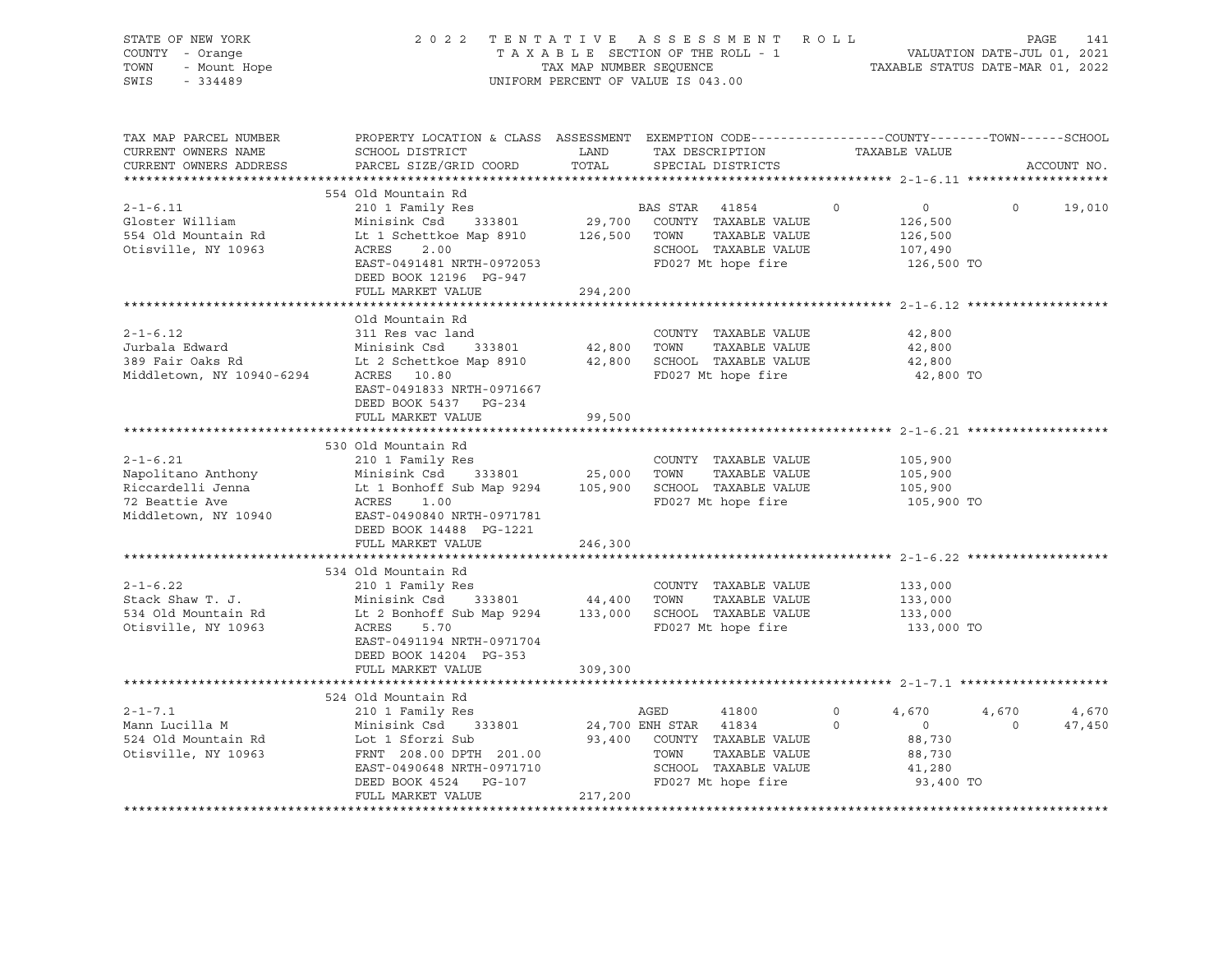| STATE OF NEW YORK<br>7 - Orange<br>- Mount Hope<br>- 334489<br>COUNTY - Orange<br>TOWN<br>SWIS<br>$-334489$                                                                                                                                                        |                                                                                                                                                                                                                                                                |                      | PAGE 141    PAGE 141    PAGE 141    PAGE 141    PAGE 141    PAGE 141    PAGE 141    PAGE 141    PAGE 141    PAGE 141    PAGE 141    PAGE 141    PAGE 141    PAGE 141    PAGE 141    PAGE 141    PAGE 141    PAGE 1620    PAGE<br>2022 TENTATIVE ASSESSMENT ROLL<br>UNIFORM PERCENT OF VALUE IS 043.00 |                                                                                |                                     |
|--------------------------------------------------------------------------------------------------------------------------------------------------------------------------------------------------------------------------------------------------------------------|----------------------------------------------------------------------------------------------------------------------------------------------------------------------------------------------------------------------------------------------------------------|----------------------|-------------------------------------------------------------------------------------------------------------------------------------------------------------------------------------------------------------------------------------------------------------------------------------------------------|--------------------------------------------------------------------------------|-------------------------------------|
| TAX MAP PARCEL NUMBER<br>CURRENT OWNERS NAME<br>CURRENT OWNERS ADDRESS                                                                                                                                                                                             | PROPERTY LOCATION & CLASS ASSESSMENT EXEMPTION CODE-----------------COUNTY-------TOWN------SCHOOL<br>SCHOOL DISTRICT<br>PARCEL SIZE/GRID COORD                                                                                                                 | <b>LAND</b><br>TOTAL | TAX DESCRIPTION TAXABLE VALUE<br>SPECIAL DISTRICTS                                                                                                                                                                                                                                                    |                                                                                | ACCOUNT NO.                         |
|                                                                                                                                                                                                                                                                    |                                                                                                                                                                                                                                                                |                      |                                                                                                                                                                                                                                                                                                       |                                                                                |                                     |
| $2 - 1 - 6.11$<br>Gloster William<br>554 Old Mountain Rd<br>Otisville, NY 10963                                                                                                                                                                                    | 554 Old Mountain Rd<br>210 1 Family Res<br>Minisink Csd 333801 29,700 COUNTY TAXABLE VALUE<br>Lt 1 Schettkoe Map 8910 126,500 TOWN TAXABLE VALUE<br>EAST-0491481 NRTH-0972053<br>EAST-0491481 NRTH-0972053<br>DEED POOK 13196 DR CAT<br>DEED BOOK 12196 PG-947 |                      | BAS STAR 41854                                                                                                                                                                                                                                                                                        | $\circ$<br>$\overline{0}$<br>126,500<br>126,500<br>107,490<br>126,500 TO       | $\Omega$<br>19,010                  |
|                                                                                                                                                                                                                                                                    | FULL MARKET VALUE                                                                                                                                                                                                                                              | 294,200              |                                                                                                                                                                                                                                                                                                       |                                                                                |                                     |
| $2 - 1 - 6.12$<br>Jurbala Edward Minisink Csd 333801<br>389 Fair Oaks Rd Lt 2 Schettkoe Map 8910<br>Middletown, NY 10940-6294 ACRES 10.80                                                                                                                          | Old Mountain Rd<br>311 Res vac land<br>$333801$ $42,800$ TOWN<br>EAST-0491833 NRTH-0971667<br>DEED BOOK 5437 PG-234                                                                                                                                            |                      | COUNTY TAXABLE VALUE<br>TAXABLE VALUE<br>42,800 SCHOOL TAXABLE VALUE<br>FD027 Mt hope fire                                                                                                                                                                                                            | 42,800<br>42,800<br>42,800<br>42,800 TO                                        |                                     |
|                                                                                                                                                                                                                                                                    | FULL MARKET VALUE                                                                                                                                                                                                                                              | 99,500               |                                                                                                                                                                                                                                                                                                       |                                                                                |                                     |
|                                                                                                                                                                                                                                                                    |                                                                                                                                                                                                                                                                |                      |                                                                                                                                                                                                                                                                                                       |                                                                                |                                     |
| $2 - 1 - 6.21$<br>Napolitano Anthony<br>Napolitano Anthony<br>Minisink Csd 333801 25,000 TOWN TAXABLE VALUE<br>Riccardelli Jenna Lt 1 Bonhoff Sub Map 9294 105,900 SCHOOL TAXABLE VALUE<br>72 Beattie Ave ACRES 1.00<br>Middletown, NY 10940 EACRES 1.00<br>       | 530 Old Mountain Rd<br>210 1 Family Res<br>DEED BOOK 14488 PG-1221                                                                                                                                                                                             |                      | COUNTY TAXABLE VALUE<br>TAXABLE VALUE                                                                                                                                                                                                                                                                 | 105,900<br>105,900<br>105,900<br>105,900 TO                                    |                                     |
|                                                                                                                                                                                                                                                                    | FULL MARKET VALUE                                                                                                                                                                                                                                              | 246,300              |                                                                                                                                                                                                                                                                                                       |                                                                                |                                     |
| $2 - 1 - 6.22$<br>Stack Shaw T. J.<br>534 Old Mountain Rd<br>Otisville, NY 10963                                                                                                                                                                                   | 534 Old Mountain Rd<br>210 1 Family Res<br>Minisink Csd 333801 44,400 TOWN TAXABLE VALUE<br>Lt 2 Bonhoff Sub Map 9294 133,000 SCHOOL TAXABLE VALUE<br>ACRES 5.70<br>EAST-0491194 NRTH-0971704<br>DEED BOOK 14204 PG-353<br>FULL MARKET VALUE                   | 309,300              | COUNTY TAXABLE VALUE<br>TAXABLE VALUE<br>FD027 Mt hope fire                                                                                                                                                                                                                                           | 133,000<br>133,000<br>133,000<br>133,000 TO                                    |                                     |
|                                                                                                                                                                                                                                                                    |                                                                                                                                                                                                                                                                |                      |                                                                                                                                                                                                                                                                                                       |                                                                                |                                     |
| $2 - 1 - 7.1$<br>AGED AGED AGED AND HAILY RES<br>Mann Lucilla M<br>524 Old Mountain Rd<br>524 Old Mountain Rd<br>524 Old Mountain Rd<br>524 Old Mountain Rd<br>524 Old Mountain Rd<br>524 Old Mountain Rd<br>524 Old Mountain Rd<br>524 Old Mountain Rd<br>524 Old | 524 Old Mountain Rd<br>210 1 Family Res<br>FULL MARKET VALUE                                                                                                                                                                                                   | 217,200              | AGED<br>41800<br>SCHOOL TAXABLE VALUE<br>FD027 Mt hope fire                                                                                                                                                                                                                                           | $\Omega$<br>4,670<br>$\circ$<br>$0$<br>88.730<br>88,730<br>41,280<br>93,400 TO | 4,670<br>4,670<br>$\circ$<br>47,450 |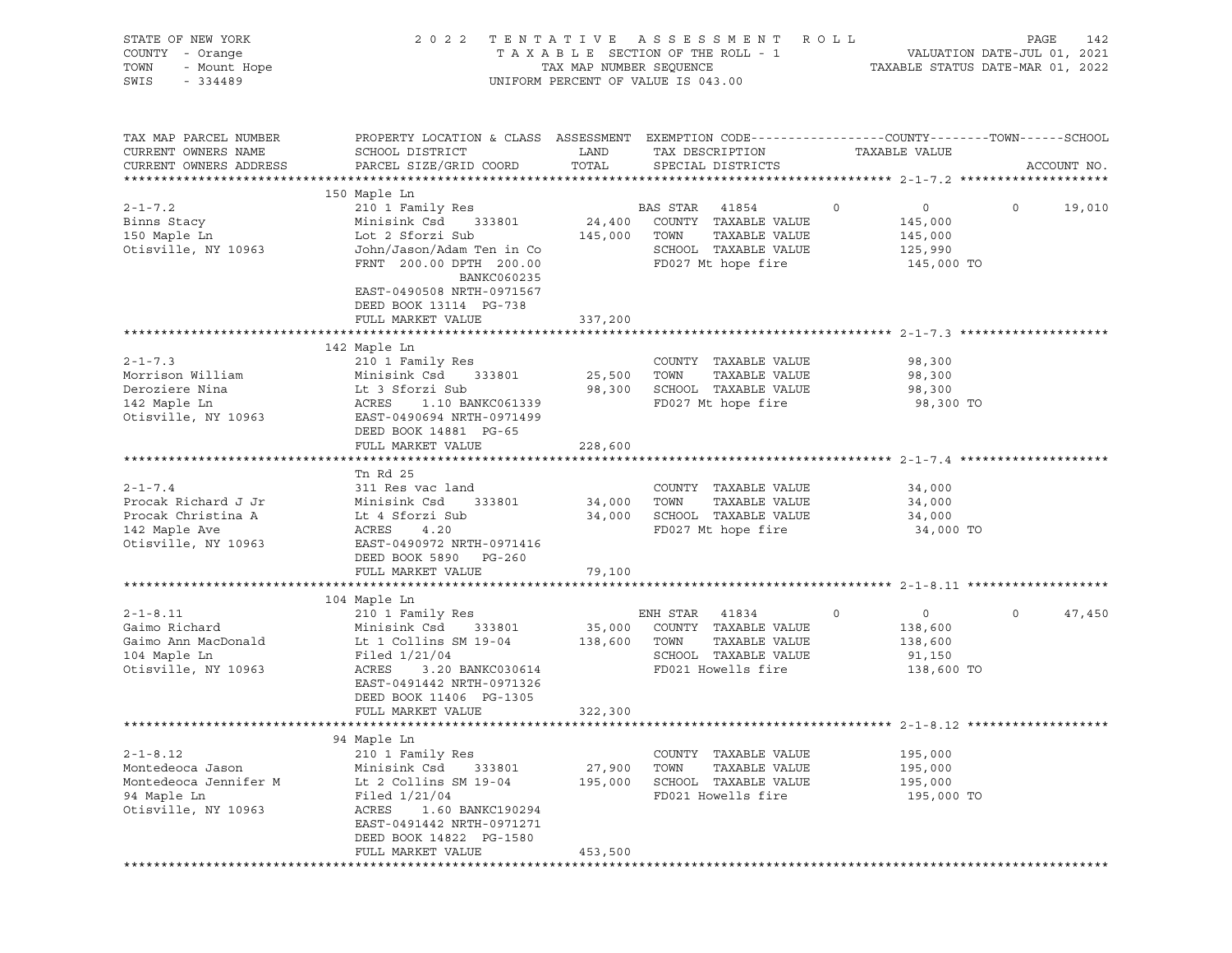| STATE OF NEW YORK<br>COUNTY - Orange<br>JF NEW YURA<br>- Orange<br>- Mount Hope<br>- 201199<br>TOWN<br>SWIS |                                                                                                                                                                                                            | TAX MAP NUMBER SEQUENCE | 2022 TENTATIVE ASSESSMENT ROLL<br>TAXABLE SECTION OF THE ROLL - 1<br>UNIFORM PERCENT OF VALUE IS 043.00         | VALUATION DATE-JUL 01, 2021<br>TAXABLE STATUS DATE-MAR 01, 2022          | PAGE<br>142              |
|-------------------------------------------------------------------------------------------------------------|------------------------------------------------------------------------------------------------------------------------------------------------------------------------------------------------------------|-------------------------|-----------------------------------------------------------------------------------------------------------------|--------------------------------------------------------------------------|--------------------------|
| TAX MAP PARCEL NUMBER<br>CURRENT OWNERS NAME<br>CURRENT OWNERS ADDRESS                                      | PROPERTY LOCATION & CLASS ASSESSMENT EXEMPTION CODE----------------COUNTY-------TOWN------SCHOOL<br>SCHOOL DISTRICT<br>PARCEL SIZE/GRID COORD                                                              | LAND<br>TOTAL           | TAX DESCRIPTION<br>SPECIAL DISTRICTS                                                                            | TAXABLE VALUE                                                            | ACCOUNT NO.              |
|                                                                                                             | 150 Maple Ln                                                                                                                                                                                               |                         |                                                                                                                 |                                                                          |                          |
| $2 - 1 - 7.2$<br>Binns Stacy<br>150 Maple Ln<br>Otisville, NY 10963                                         | 210 1 Family Res BAS STAR 41854<br>Minisink Csd 333801 24,400 COUNTY TAXABLE VALUE<br>Lot 2 Sforzi Sub<br>John/Jason/Adam Ten in Co<br>FRNT 200.00 DPTH 200.00<br>BANKC060235<br>EAST-0490508 NRTH-0971567 | 145,000 TOWN            | TAXABLE VALUE<br>SCHOOL TAXABLE VALUE<br>FD027 Mt hope fire                                                     | $\circ$<br>$\overline{0}$<br>145,000<br>145,000<br>125,990<br>145,000 TO | $\overline{0}$<br>19,010 |
|                                                                                                             | DEED BOOK 13114 PG-738<br>FULL MARKET VALUE                                                                                                                                                                | 337,200                 |                                                                                                                 |                                                                          |                          |
|                                                                                                             |                                                                                                                                                                                                            |                         |                                                                                                                 |                                                                          |                          |
| $2 - 1 - 7.3$<br>Morrison William<br>Deroziere Nina<br>142 Maple Ln                                         | 142 Maple Ln<br>210 1 Family Res<br>210 1 Family Res<br>Minisink Csd      333801<br>Lt 3 Sforzi Sub<br>ACRES - 1 10 BZ                                                                                     |                         | COUNTY TAXABLE VALUE<br>TAXABLE VALUE<br>98,300 SCHOOL TAXABLE VALUE<br>FD027 Mt hope fire                      | 98,300<br>98,300<br>98,300<br>98,300 TO                                  |                          |
| Otisville, NY 10963                                                                                         | ACRES 1.10 BANKC061339<br>EAST-0490694 NRTH-0971499<br>DEED BOOK 14881 PG-65<br>FULL MARKET VALUE                                                                                                          | 228,600                 |                                                                                                                 |                                                                          |                          |
|                                                                                                             |                                                                                                                                                                                                            |                         |                                                                                                                 |                                                                          |                          |
| $2 - 1 - 7.4$<br>Procak Richard J Jr<br>Procak Christina A<br>142 Maple Ave<br>Otisville, NY 10963          | Tn Rd 25<br>311 Res vac land<br>Minisink Csd<br>333801<br>Lt 4 Sforzi Sub<br>ACRES 4.20<br>EAST-0490972 מדיים<br>EAST-0490972 NRTH-0971416<br>DEED BOOK 5890 PG-260                                        | 34,000 TOWN             | COUNTY TAXABLE VALUE<br>TAXABLE VALUE<br>34,000 SCHOOL TAXABLE VALUE<br>FD027 Mt hope fire                      | 34,000<br>34,000<br>34,000<br>34,000 TO                                  |                          |
|                                                                                                             | FULL MARKET VALUE                                                                                                                                                                                          | 79,100                  |                                                                                                                 |                                                                          |                          |
|                                                                                                             | 104 Maple Ln                                                                                                                                                                                               |                         |                                                                                                                 |                                                                          |                          |
| $2 - 1 - 8.11$<br>Gaimo Richard<br>Gaimo Ann MacDonald<br>104 Maple Ln<br>Otisville, NY 10963               | 210 1 Family Res<br>Minisink Csd 333801<br>Lt 1 Collins SM 19-04 138,600 TOWN<br>Filed $1/21/04$<br>3.20 BANKC030614<br>ACRES<br>EAST-0491442 NRTH-0971326<br>DEED BOOK 11406 PG-1305<br>FULL MARKET VALUE | 322,300                 | ENH STAR<br>41834<br>35,000 COUNTY TAXABLE VALUE<br>TAXABLE VALUE<br>SCHOOL TAXABLE VALUE<br>FD021 Howells fire | $\circ$<br>$\overline{0}$<br>138,600<br>138,600<br>91,150<br>138,600 TO  | $\circ$<br>47,450        |
|                                                                                                             |                                                                                                                                                                                                            |                         |                                                                                                                 |                                                                          |                          |
| $2 - 1 - 8.12$<br>Montedeoca Jason<br>Montedeoca Jennifer M<br>94 Maple Ln<br>Otisville, NY 10963           | 94 Maple Ln<br>210 1 Family Res<br>Minisink Csd<br>333801<br>Lt 2 Collins SM 19-04<br>Filed $1/21/04$<br>ACRES<br>1.60 BANKC190294<br>EAST-0491442 NRTH-0971271<br>DEED BOOK 14822 PG-1580                 | 27,900<br>195,000       | COUNTY TAXABLE VALUE<br>TOWN<br>TAXABLE VALUE<br>SCHOOL TAXABLE VALUE<br>FD021 Howells fire                     | 195,000<br>195,000<br>195,000<br>195,000 TO                              |                          |
|                                                                                                             | FULL MARKET VALUE                                                                                                                                                                                          | 453,500                 |                                                                                                                 |                                                                          |                          |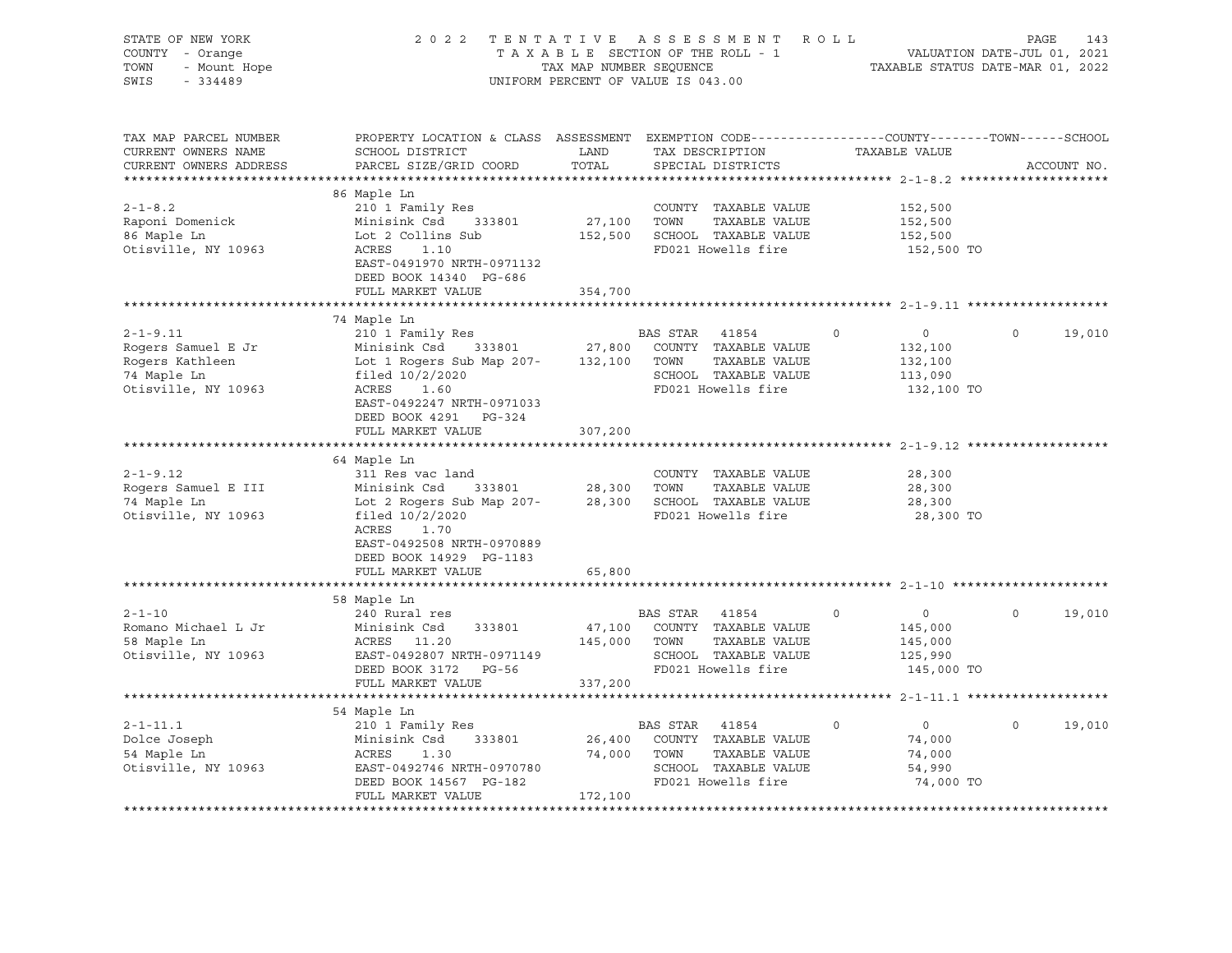| STATE OF NEW YORK<br>COUNTY - Orange<br>TOWN<br>- Mount Hope<br>SWIS<br>$-334489$             |                                                                                                                                                                    | TAX MAP NUMBER SEQUENCE | 2022 TENTATIVE ASSESSMENT ROLL<br>TAXABLE SECTION OF THE ROLL - 1<br>UNIFORM PERCENT OF VALUE IS 043.00                                                        | PAGE 143<br>VALUATION DATE-JUL 01, 2021<br>TAXABLE STATIIS DATE MAD 01    |                       |  |
|-----------------------------------------------------------------------------------------------|--------------------------------------------------------------------------------------------------------------------------------------------------------------------|-------------------------|----------------------------------------------------------------------------------------------------------------------------------------------------------------|---------------------------------------------------------------------------|-----------------------|--|
| TAX MAP PARCEL NUMBER<br>CURRENT OWNERS NAME<br>CURRENT OWNERS ADDRESS<br>*****************   | PROPERTY LOCATION & CLASS ASSESSMENT EXEMPTION CODE---------------COUNTY-------TOWN-----SCHOOL<br>SCHOOL DISTRICT<br>PARCEL SIZE/GRID COORD                        | LAND<br>TOTAL           | TAX DESCRIPTION<br>SPECIAL DISTRICTS                                                                                                                           | TAXABLE VALUE                                                             | ACCOUNT NO.           |  |
| $2 - 1 - 8.2$<br>Raponi Domenick<br>86 Maple Ln                                               | 86 Maple Ln<br>210 1 Family Res<br>Minisink Csd<br>333801<br>Lot 2 Collins Sub                                                                                     | 27,100                  | COUNTY TAXABLE VALUE<br>TOWN<br>TAXABLE VALUE<br>152,500 SCHOOL TAXABLE VALUE                                                                                  | 152,500<br>152,500<br>152,500                                             |                       |  |
| Otisville, NY 10963                                                                           | ACRES 1.10<br>EAST-0491970 NRTH-0971132<br>DEED BOOK 14340 PG-686<br>FULL MARKET VALUE                                                                             | 354,700                 | FD021 Howells fire                                                                                                                                             | 152,500 TO                                                                |                       |  |
|                                                                                               | 74 Maple Ln                                                                                                                                                        |                         |                                                                                                                                                                |                                                                           |                       |  |
| $2 - 1 - 9.11$<br>Rogers Samuel E Jr<br>Rogers Kathleen<br>74 Maple Ln<br>Otisville, NY 10963 | 210 1 Family Res<br>Minisink Csd<br>Lot 1 Rogers Sub Map 207-<br>filed 10/2/2020<br>$\overline{a}$<br>ACRES 1.60<br>EAST-0492247 NRTH-0971033                      | 132,100 TOWN            | BAS STAR 41854<br>$333801 \qquad \qquad 27,800 \qquad \text{COUNTY} \quad \text{TAXABLE VALUE}$<br>TAXABLE VALUE<br>SCHOOL TAXABLE VALUE<br>FD021 Howells fire | $\Omega$<br>$\overline{0}$<br>132,100<br>132,100<br>113,090<br>132,100 TO | $\Omega$<br>19,010    |  |
|                                                                                               | DEED BOOK 4291 PG-324<br>FULL MARKET VALUE                                                                                                                         | 307,200                 |                                                                                                                                                                |                                                                           |                       |  |
|                                                                                               | 64 Maple Ln                                                                                                                                                        |                         |                                                                                                                                                                |                                                                           |                       |  |
| $2 - 1 - 9.12$<br>Rogers Samuel E III<br>74 Maple Ln<br>Otisville, NY 10963                   | 311 Res vac land<br>Minisink Csd 333801<br>Lot 2 Rogers Sub Map 207-<br>filed $10/2/2020$<br>ACRES<br>1.70<br>EAST-0492508 NRTH-0970889<br>DEED BOOK 14929 PG-1183 | 28,300 TOWN             | COUNTY TAXABLE VALUE<br>TAXABLE VALUE<br>28,300 SCHOOL TAXABLE VALUE<br>FD021 Howells fire                                                                     | 28,300<br>28,300<br>28,300<br>28,300 TO                                   |                       |  |
|                                                                                               | FULL MARKET VALUE                                                                                                                                                  | 65,800                  |                                                                                                                                                                |                                                                           |                       |  |
|                                                                                               | 58 Maple Ln                                                                                                                                                        |                         |                                                                                                                                                                |                                                                           |                       |  |
| $2 - 1 - 10$<br>Romano Michael L Jr<br>58 Maple Ln<br>Otisville, NY 10963                     | 240 Rural res<br>Minisink Csd<br>333801<br>ACRES 11.20<br>EAST-0492807 NRTH-0971149<br>DEED BOOK 3172 PG-56<br>FULL MARKET VALUE                                   | 337,200                 | BAS STAR 41854<br>47,100 COUNTY TAXABLE VALUE<br>145,000 TOWN<br>TAXABLE VALUE<br>SCHOOL TAXABLE VALUE<br>FD021 Howells fire                                   | $\circ$<br>$\overline{0}$<br>145,000<br>145,000<br>125,990<br>145,000 TO  | 19,010<br>$\circ$     |  |
|                                                                                               |                                                                                                                                                                    |                         |                                                                                                                                                                |                                                                           |                       |  |
| $2 - 1 - 11.1$<br>Dolce Joseph<br>54 Maple Ln<br>Otisville, NY 10963                          | 54 Maple Ln<br>210 1 Family Res<br>Minisink Csd 333801<br>ACRES<br>1.30<br>EAST-0492746 NRTH-0970780<br>DEED BOOK 14567 PG-182                                     | 74,000 TOWN             | BAS STAR 41854<br>26,400 COUNTY TAXABLE VALUE<br>TAXABLE VALUE<br>SCHOOL TAXABLE VALUE<br>FD021 Howells fire                                                   | $\circ$<br>$\overline{0}$<br>74,000<br>74,000<br>54,990<br>74,000 TO      | $\mathbf 0$<br>19,010 |  |
|                                                                                               | FULL MARKET VALUE                                                                                                                                                  | 172,100                 |                                                                                                                                                                |                                                                           |                       |  |
|                                                                                               |                                                                                                                                                                    |                         |                                                                                                                                                                |                                                                           |                       |  |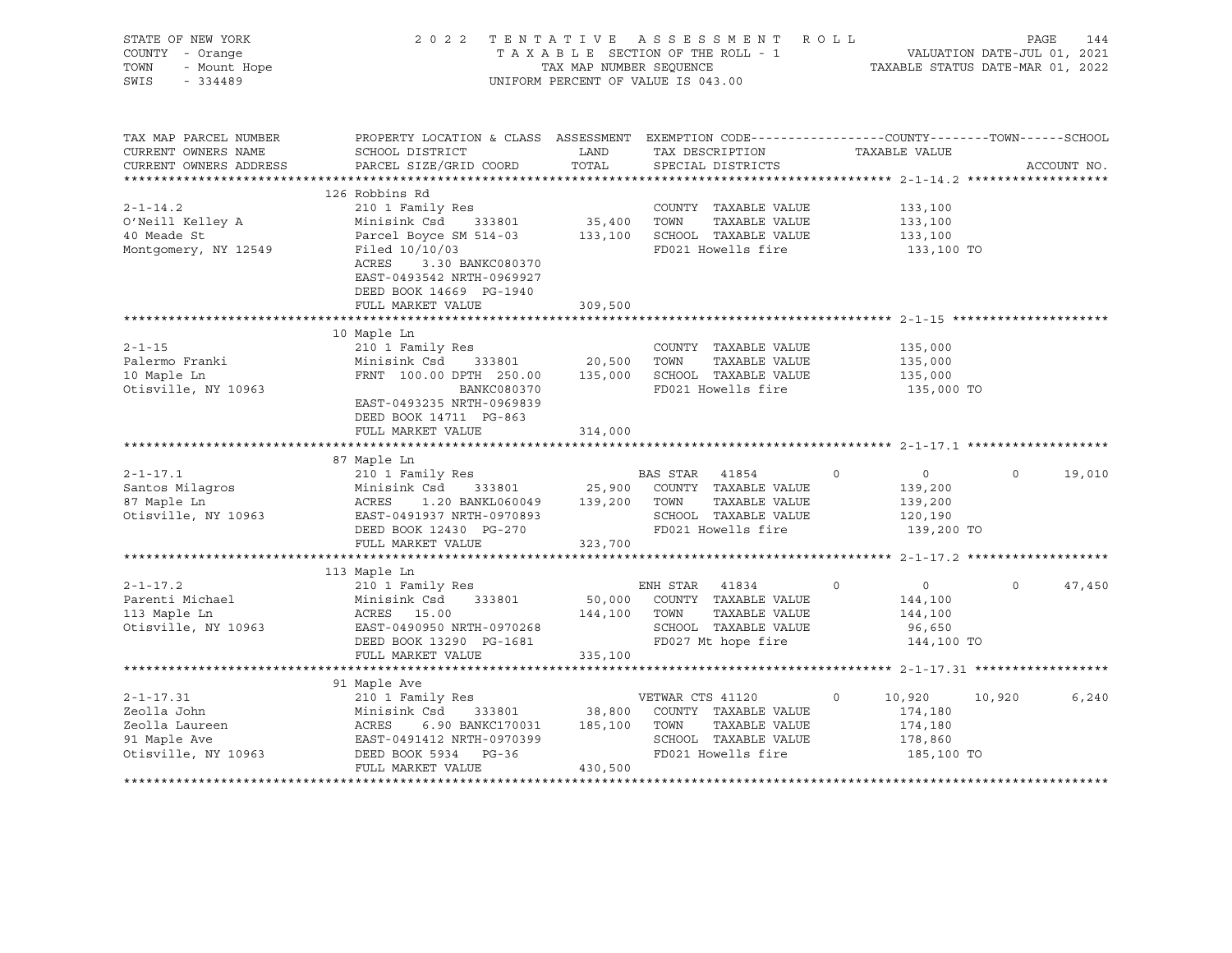| STATE OF NEW YORK<br><i>I –</i> Orange<br>- Mount Hope<br>- 334489<br>COUNTY - Orange<br>TOWN<br>SWIS |                                                                                                                                                                                                                       |                      | 2022 TENTATIVE ASSESSMENT ROLL<br>TAXABLE SECTION OF THE ROLL - 1<br>TAXABLE SECTION OF THE ROLL - 1<br>TAXABLE STATUS DATE-MAR 01, 2022<br>UNIFORM PERCENT OF VALUE IS 043.00 |                           | PAGE<br>144        |
|-------------------------------------------------------------------------------------------------------|-----------------------------------------------------------------------------------------------------------------------------------------------------------------------------------------------------------------------|----------------------|--------------------------------------------------------------------------------------------------------------------------------------------------------------------------------|---------------------------|--------------------|
| TAX MAP PARCEL NUMBER<br>CURRENT OWNERS NAME<br>CURRENT OWNERS ADDRESS                                | PROPERTY LOCATION & CLASS ASSESSMENT EXEMPTION CODE----------------COUNTY-------TOWN------SCHOOL<br>SCHOOL DISTRICT<br>PARCEL SIZE/GRID COORD                                                                         | <b>LAND</b><br>TOTAL | TAX DESCRIPTION<br>SPECIAL DISTRICTS                                                                                                                                           | TAXABLE VALUE             | ACCOUNT NO.        |
|                                                                                                       |                                                                                                                                                                                                                       |                      |                                                                                                                                                                                |                           |                    |
|                                                                                                       | 126 Robbins Rd                                                                                                                                                                                                        |                      |                                                                                                                                                                                |                           |                    |
| $2 - 1 - 14.2$                                                                                        | 210 1 Family Res                                                                                                                                                                                                      |                      | COUNTY TAXABLE VALUE                                                                                                                                                           | 133,100                   |                    |
| O'Neill Kelley A<br>40 Meade St                                                                       | Minisink Csd 333801 35,400 TOWN TAXABLE VALUE<br>Parcel Boyce SM 514-03 133,100 SCHOOL TAXABLE VALUE<br>Filed 10/10/03 FD021 Howells fire                                                                             |                      |                                                                                                                                                                                | 133,100<br>133,100        |                    |
| Montgomery, NY 12549                                                                                  |                                                                                                                                                                                                                       |                      |                                                                                                                                                                                | 133,100 TO                |                    |
|                                                                                                       | ACRES 3.30 BANKC080370<br>EAST-0493542 NRTH-0969927<br>DEED BOOK 14669 PG-1940<br>FULL MARKET VALUE                                                                                                                   | 309,500              |                                                                                                                                                                                |                           |                    |
|                                                                                                       |                                                                                                                                                                                                                       |                      |                                                                                                                                                                                |                           |                    |
| $2 - 1 - 15$                                                                                          | 10 Maple Ln<br>210 1 Family Res                                                                                                                                                                                       |                      | COUNTY TAXABLE VALUE                                                                                                                                                           | 135,000                   |                    |
| Palermo Franki                                                                                        | Minisink Csd 333801 20,500 TOWN TAXABLE VALUE<br>FRNT 100.00 DPTH 250.00 135,000 SCHOOL TAXABLE VALUE                                                                                                                 |                      |                                                                                                                                                                                | 135,000                   |                    |
| 10 Maple Ln                                                                                           |                                                                                                                                                                                                                       |                      |                                                                                                                                                                                | 135,000                   |                    |
| Otisville, NY 10963                                                                                   | BANKC080370<br>EAST-0493235 NRTH-0969839<br>DEED BOOK 14711 PG-863<br>FULL MARKET VALUE                                                                                                                               | 314,000              | FD021 Howells fire                                                                                                                                                             | 135,000 TO                |                    |
|                                                                                                       |                                                                                                                                                                                                                       |                      |                                                                                                                                                                                |                           |                    |
| $2 - 1 - 17.1$                                                                                        | 210 1 Family Res<br>Minisink Csd 333801 25,900 COUNTY TAXABLE VALUE<br>ACRES 1.20 BANKL060049 139,200 TOWN TAXABLE VALUE<br>EAST-0491937 NRTH-0970893                                                                 |                      |                                                                                                                                                                                | $\circ$<br>$\overline{0}$ | $\Omega$           |
|                                                                                                       |                                                                                                                                                                                                                       |                      |                                                                                                                                                                                | 139,200                   | 19,010             |
| Santos Milagros<br>87 Maple Ln                                                                        |                                                                                                                                                                                                                       |                      |                                                                                                                                                                                | 139,200                   |                    |
| Otisville, NY 10963                                                                                   |                                                                                                                                                                                                                       |                      | SCHOOL TAXABLE VALUE                                                                                                                                                           | 120,190                   |                    |
|                                                                                                       | EAST-0491937 NRTH-0970893<br>DEED BOOK 12430 PG-270                                                                                                                                                                   |                      | FD021 Howells fire                                                                                                                                                             | 139,200 TO                |                    |
|                                                                                                       | FULL MARKET VALUE                                                                                                                                                                                                     | 323,700              |                                                                                                                                                                                |                           |                    |
|                                                                                                       |                                                                                                                                                                                                                       |                      |                                                                                                                                                                                |                           |                    |
|                                                                                                       | 113 Maple Ln                                                                                                                                                                                                          |                      |                                                                                                                                                                                |                           |                    |
| $2 - 1 - 17.2$                                                                                        | 210 1 Family Res                                                                                                                                                                                                      |                      | ENH STAR 41834 0                                                                                                                                                               | $\overline{0}$            | 47,450<br>$\Omega$ |
| Parenti Michael                                                                                       | Minisink Csd<br>333801                                                                                                                                                                                                |                      | 50,000 COUNTY TAXABLE VALUE                                                                                                                                                    | 144,100                   |                    |
| 113 Maple Ln                                                                                          | ACRES 15.00                                                                                                                                                                                                           |                      | 144,100 TOWN TAXABLE VALUE<br>SCHOOL TAXABLE VALUE                                                                                                                             | 144,100                   |                    |
| Otisville, NY 10963                                                                                   | EAST-0490950 NRTH-0970268 SCHOOL TAXABLE VALUE<br>DEED BOOK 13290 PG-1681 FD027 Mt hope fire                                                                                                                          |                      |                                                                                                                                                                                | 96,650<br>144,100 TO      |                    |
|                                                                                                       | FULL MARKET VALUE                                                                                                                                                                                                     | 335,100              |                                                                                                                                                                                |                           |                    |
|                                                                                                       | ******************************                                                                                                                                                                                        |                      |                                                                                                                                                                                |                           |                    |
|                                                                                                       | 91 Maple Ave                                                                                                                                                                                                          |                      |                                                                                                                                                                                |                           |                    |
| $2 - 1 - 17.31$                                                                                       | 210 1 Family Res<br>Minisink Csd 333801 38,800 COUNTY TAXABLE VALUE<br>ACRES 6.90 BANKC170031 185,100 TOWN TAXABLE VALUE<br>EAST-0491412 NRTH-0970399 SCHOOL TAXABLE VALUE<br>DEED BOOK 5934 PG-36 FD021 Howells fire |                      |                                                                                                                                                                                | 10,920 10,920<br>$\circ$  | 6,240              |
| Zeolla John                                                                                           |                                                                                                                                                                                                                       |                      |                                                                                                                                                                                | 174,180                   |                    |
| Zeolla Laureen<br>91 Maple Ave                                                                        |                                                                                                                                                                                                                       |                      |                                                                                                                                                                                | 174,180                   |                    |
|                                                                                                       |                                                                                                                                                                                                                       |                      |                                                                                                                                                                                | 178,860                   |                    |
| Otisville, NY 10963                                                                                   |                                                                                                                                                                                                                       |                      |                                                                                                                                                                                | 185,100 TO                |                    |
|                                                                                                       | FULL MARKET VALUE                                                                                                                                                                                                     | 430,500              |                                                                                                                                                                                |                           |                    |
|                                                                                                       |                                                                                                                                                                                                                       |                      |                                                                                                                                                                                |                           |                    |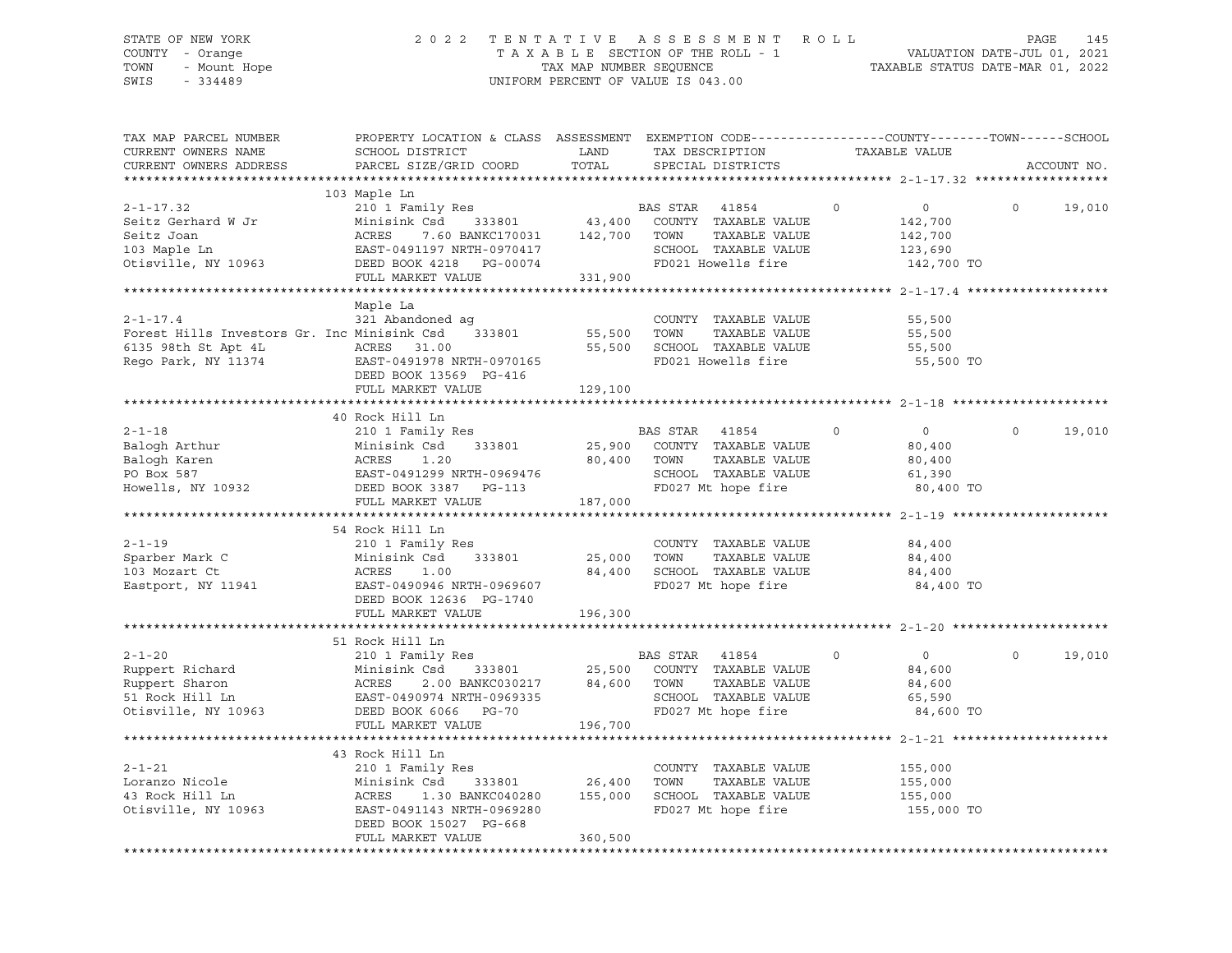# STATE OF NEW YORK 2 0 2 2 T E N T A T I V E A S S E S S M E N T R O L L PAGE 145 COUNTY - Orange T A X A B L E SECTION OF THE ROLL - 1 VALUATION DATE-JUL 01, 2021 TOWN - Mount Hope TAX MAP NUMBER SEQUENCE TAXABLE STATUS DATE-MAR 01, 2022 SWIS - 334489 UNIFORM PERCENT OF VALUE IS 043.00

| TAX MAP PARCEL NUMBER<br>CURRENT OWNERS NAME<br>CURRENT OWNERS ADDRESS                                      | PROPERTY LOCATION & CLASS ASSESSMENT EXEMPTION CODE----------------COUNTY-------TOWN-----SCHOOL<br>SCHOOL DISTRICT<br>PARCEL SIZE/GRID COORD                              | LAND<br>TOTAL                | TAX DESCRIPTION<br>SPECIAL DISTRICTS                                                                                 | TAXABLE VALUE                                                        | ACCOUNT NO.        |
|-------------------------------------------------------------------------------------------------------------|---------------------------------------------------------------------------------------------------------------------------------------------------------------------------|------------------------------|----------------------------------------------------------------------------------------------------------------------|----------------------------------------------------------------------|--------------------|
|                                                                                                             |                                                                                                                                                                           |                              |                                                                                                                      |                                                                      |                    |
| $2 - 1 - 17.32$<br>Seitz Gerhard W Jr<br>Seitz Joan<br>103 Maple Ln<br>Otisville, NY 10963                  | 103 Maple Ln<br>210 1 Family Res<br>Minisink Csd 333801<br>ACRES<br>7.60 BANKC170031 142,700<br>EAST-0491197 NRTH-0970417<br>DEED BOOK 4218 PG-00074<br>FULL MARKET VALUE | 331,900                      | BAS STAR 41854<br>43,400 COUNTY TAXABLE VALUE<br>TAXABLE VALUE<br>TOWN<br>SCHOOL TAXABLE VALUE<br>FD021 Howells fire | $\circ$<br>$\Omega$<br>142,700<br>142,700<br>123,690<br>142,700 TO   | $\Omega$<br>19,010 |
|                                                                                                             |                                                                                                                                                                           |                              |                                                                                                                      |                                                                      |                    |
| $2 - 1 - 17.4$<br>Forest Hills Investors Gr. Inc Minisink Csd<br>6135 98th St Apt 4L<br>Rego Park, NY 11374 | Maple La<br>321 Abandoned aq<br>333801<br>ACRES 31.00<br>EAST-0491978 N<br>EAST-0491978 NRTH-0970165<br>DEED BOOK 13569 PG-416<br>FULL MARKET VALUE                       | 55,500<br>55,500<br>129,100  | COUNTY TAXABLE VALUE<br>TOWN<br>TAXABLE VALUE<br>SCHOOL TAXABLE VALUE<br>FD021 Howells fire                          | 55,500<br>55,500<br>55,500<br>55,500 TO                              |                    |
|                                                                                                             |                                                                                                                                                                           |                              |                                                                                                                      |                                                                      |                    |
| $2 - 1 - 18$<br>Balogh Arthur<br>Balogh Karen<br>PO Box 587<br>Howells, NY 10932                            | 40 Rock Hill Ln<br>210 1 Family Res<br>Minisink Csd<br>333801<br>ACRES<br>1.20<br>EAST-0491299 NRTH-0969476<br>DEED BOOK 3387 PG-113<br>FULL MARKET VALUE                 | 25,900<br>80,400<br>187,000  | BAS STAR 41854<br>COUNTY TAXABLE VALUE<br>TOWN<br>TAXABLE VALUE<br>SCHOOL TAXABLE VALUE<br>FD027 Mt hope fire        | $\mathbf 0$<br>$\circ$<br>80,400<br>80,400<br>61,390<br>80,400 TO    | $\Omega$<br>19,010 |
|                                                                                                             |                                                                                                                                                                           |                              |                                                                                                                      |                                                                      |                    |
| $2 - 1 - 19$<br>-<br>Sparber Mark C<br>103 Mozart Ct<br>Eastport, NY 11941                                  | 54 Rock Hill Ln<br>210 1 Family Res<br>Minisink Csd<br>333801<br>ACRES<br>1.00<br>EAST-0490946 NRTH-0969607<br>DEED BOOK 12636 PG-1740<br>FULL MARKET VALUE               | 25,000<br>84,400<br>196,300  | COUNTY TAXABLE VALUE<br>TOWN<br>TAXABLE VALUE<br>SCHOOL TAXABLE VALUE<br>FD027 Mt hope fire                          | 84,400<br>84,400<br>84,400<br>84,400 TO                              |                    |
|                                                                                                             |                                                                                                                                                                           |                              |                                                                                                                      |                                                                      |                    |
| $2 - 1 - 20$<br>Ruppert Richard<br>Ruppert Sharon<br>51 Rock Hill Ln<br>Otisville, NY 10963                 | 51 Rock Hill Ln<br>210 1 Family Res<br>Minisink Csd<br>333801<br>ACRES<br>2.00 BANKC030217<br>EAST-0490974 NRTH-0969335<br>DEED BOOK 6066 PG-70<br>FULL MARKET VALUE      | 25,500<br>84,600<br>196,700  | BAS STAR<br>41854<br>COUNTY TAXABLE VALUE<br>TOWN<br>TAXABLE VALUE<br>SCHOOL TAXABLE VALUE<br>FD027 Mt hope fire     | $\circ$<br>$\overline{0}$<br>84,600<br>84,600<br>65,590<br>84,600 TO | $\Omega$<br>19,010 |
|                                                                                                             | 43 Rock Hill Ln                                                                                                                                                           |                              |                                                                                                                      |                                                                      |                    |
| $2 - 1 - 21$<br>Loranzo Nicole<br>43 Rock Hill Ln<br>Otisville, NY 10963                                    | 210 1 Family Res<br>Minisink Csd<br>333801<br>ACRES<br>1.30 BANKC040280<br>EAST-0491143 NRTH-0969280<br>DEED BOOK 15027 PG-668<br>FULL MARKET VALUE                       | 26,400<br>155,000<br>360,500 | COUNTY TAXABLE VALUE<br>TOWN<br>TAXABLE VALUE<br>SCHOOL TAXABLE VALUE<br>FD027 Mt hope fire                          | 155,000<br>155,000<br>155,000<br>155,000 TO                          |                    |
|                                                                                                             |                                                                                                                                                                           |                              |                                                                                                                      |                                                                      |                    |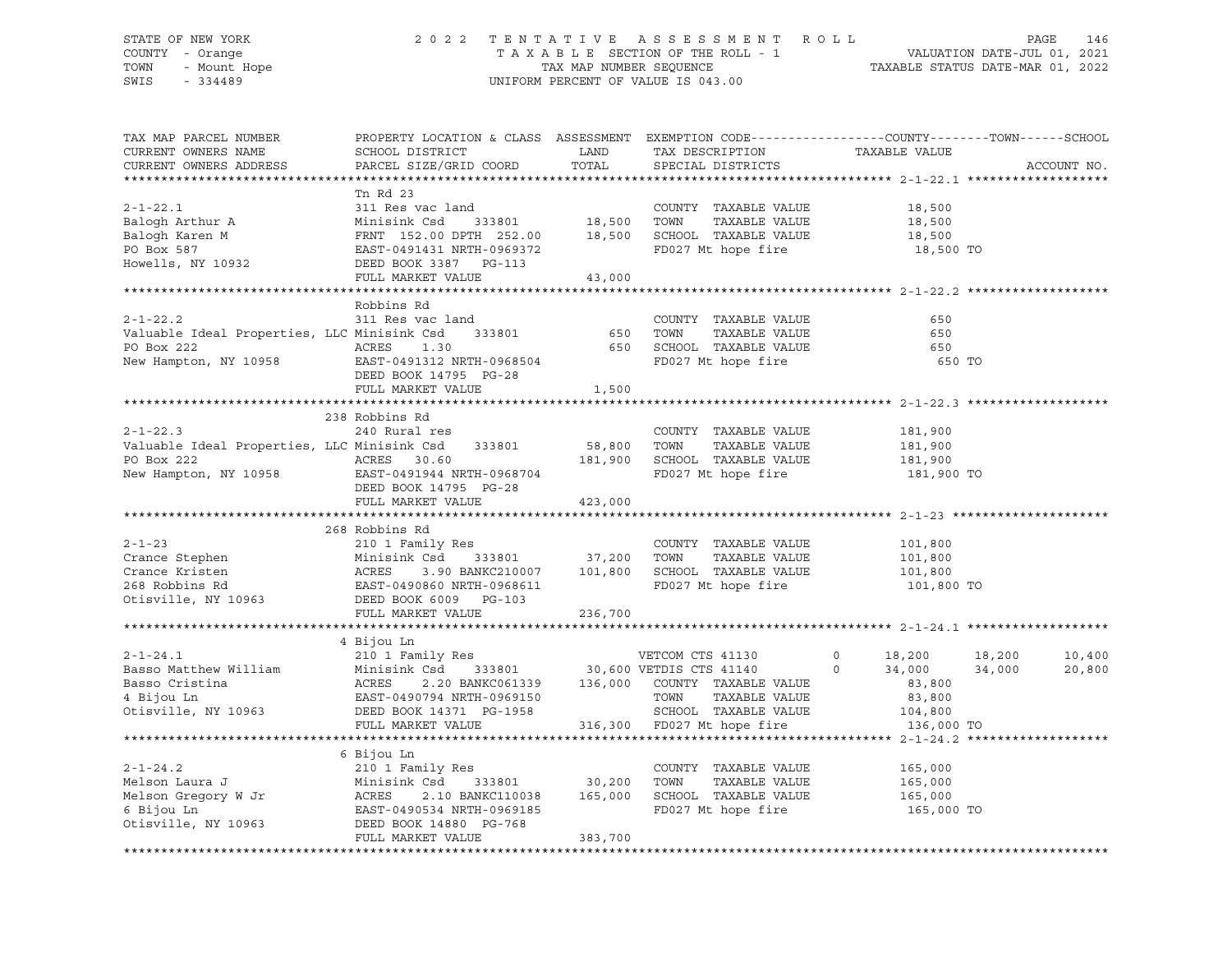#### STATE OF NEW YORK 2 0 2 2 T E N T A T I V E A S S E S S M E N T R O L L PAGE 146 COUNTY - Orange T A X A B L E SECTION OF THE ROLL - 1 VALUATION DATE-JUL 01, 2021 TOWN - Mount Hope TAX NAP NUMBER SEQUENCE TAXABLE STATUS DATE-MAR 01, 2022<br>TAXABLE STATUS DATE-MAR 01, 2022 UNIFORM PERCENT OF VALUE IS 043.00

TAX MAP PARCEL NUMBER PROPERTY LOCATION & CLASS ASSESSMENT EXEMPTION CODE------------------COUNTY--------TOWN------SCHOOL CURRENT OWNERS NAME SCHOOL DISTRICT LAND TAX DESCRIPTION TAXABLE VALUE CURRENT OWNERS ADDRESS PARCEL SIZE/GRID COORD TOTAL SPECIAL DISTRICTS ACCOUNT NO. \*\*\*\*\*\*\*\*\*\*\*\*\*\*\*\*\*\*\*\*\*\*\*\*\*\*\*\*\*\*\*\*\*\*\*\*\*\*\*\*\*\*\*\*\*\*\*\*\*\*\*\*\*\*\*\*\*\*\*\*\*\*\*\*\*\*\*\*\*\*\*\*\*\*\*\*\*\*\*\*\*\*\*\*\*\*\*\*\*\*\*\*\*\*\*\*\*\*\*\*\*\*\* 2-1-22.1 \*\*\*\*\*\*\*\*\*\*\*\*\*\*\*\*\*\*\* Tn Rd 23 2-1-22.1 311 Res vac land COUNTY TAXABLE VALUE 18,500 Balogh Arthur A Minisink Csd 333801 18,500 TOWN TAXABLE VALUE 18,500 Balogh Karen M FRNT 152.00 DPTH 252.00 18,500 SCHOOL TAXABLE VALUE 18,500 PO Box 587<br>
Po Box 587<br>
Po Box 587<br>
Po Box 587<br>
Po Box 587<br>
Po Box 587<br>
Po Box 587<br>
Po Box 587<br>
Po Box 587<br>
Po Box 587<br>
Po Box 587<br>
Po Box 587<br>
Po Box 587<br>
Po Box 587<br>
Po Box 587<br>
Po Box 587<br>
Po Box 587<br>
Po Box 587<br>
Po Box DEED BOOK 3387 PG-113 FULL MARKET VALUE 43,000 \*\*\*\*\*\*\*\*\*\*\*\*\*\*\*\*\*\*\*\*\*\*\*\*\*\*\*\*\*\*\*\*\*\*\*\*\*\*\*\*\*\*\*\*\*\*\*\*\*\*\*\*\*\*\*\*\*\*\*\*\*\*\*\*\*\*\*\*\*\*\*\*\*\*\*\*\*\*\*\*\*\*\*\*\*\*\*\*\*\*\*\*\*\*\*\*\*\*\*\*\*\*\* 2-1-22.2 \*\*\*\*\*\*\*\*\*\*\*\*\*\*\*\*\*\*\* Robbins Rd 2-1-22.2 311 Res vac land COUNTY TAXABLE VALUE 650 Valuable Ideal Properties, LLC Minisink Csd 333801 650 TOWN TAXABLE VALUE 650 PO Box 222 ACRES 1.30 650 SCHOOL TAXABLE VALUE 650 New Hampton, NY 10958 EAST-0491312 NRTH-0968504 FOND TO FOOT ME hope fire 650 TO DEED BOOK 14795 PG-28 FULL MARKET VALUE 1,500 \*\*\*\*\*\*\*\*\*\*\*\*\*\*\*\*\*\*\*\*\*\*\*\*\*\*\*\*\*\*\*\*\*\*\*\*\*\*\*\*\*\*\*\*\*\*\*\*\*\*\*\*\*\*\*\*\*\*\*\*\*\*\*\*\*\*\*\*\*\*\*\*\*\*\*\*\*\*\*\*\*\*\*\*\*\*\*\*\*\*\*\*\*\*\*\*\*\*\*\*\*\*\* 2-1-22.3 \*\*\*\*\*\*\*\*\*\*\*\*\*\*\*\*\*\*\* 238 Robbins Rd 2-1-22.3 240 Rural res COUNTY TAXABLE VALUE 181,900 Valuable Ideal Properties, LLC Minisink Csd 333801 58,800 TOWN TAXABLE VALUE 181,900 PO Box 222 **ACRES** 30.60 181,900 SCHOOL TAXABLE VALUE 181,900 New Hampton, NY 10958 EAST-0491944 NRTH-0968704 FD027 Mt hope fire 181,900 TO DEED BOOK 14795 PG-28 FULL MARKET VALUE 423,000 \*\*\*\*\*\*\*\*\*\*\*\*\*\*\*\*\*\*\*\*\*\*\*\*\*\*\*\*\*\*\*\*\*\*\*\*\*\*\*\*\*\*\*\*\*\*\*\*\*\*\*\*\*\*\*\*\*\*\*\*\*\*\*\*\*\*\*\*\*\*\*\*\*\*\*\*\*\*\*\*\*\*\*\*\*\*\*\*\*\*\*\*\*\*\*\*\*\*\*\*\*\*\* 2-1-23 \*\*\*\*\*\*\*\*\*\*\*\*\*\*\*\*\*\*\*\*\* 268 Robbins Rd 2-1-23 210 1 Family Res COUNTY TAXABLE VALUE 101,800 Crance Stephen Minisink Csd 333801 37,200 TOWN TAXABLE VALUE 101,800 Crance Kristen ACRES 3.90 BANKC210007 101,800 SCHOOL TAXABLE VALUE 101,800 268 Robbins Rd EAST-0490860 NRTH-0968611 FD027 Mt hope fire 101,800 TO Otisville, NY 10963 DEED BOOK 6009 PG-103 FULL MARKET VALUE 236,700 \*\*\*\*\*\*\*\*\*\*\*\*\*\*\*\*\*\*\*\*\*\*\*\*\*\*\*\*\*\*\*\*\*\*\*\*\*\*\*\*\*\*\*\*\*\*\*\*\*\*\*\*\*\*\*\*\*\*\*\*\*\*\*\*\*\*\*\*\*\*\*\*\*\*\*\*\*\*\*\*\*\*\*\*\*\*\*\*\*\*\*\*\*\*\*\*\*\*\*\*\*\*\* 2-1-24.1 \*\*\*\*\*\*\*\*\*\*\*\*\*\*\*\*\*\*\* 4 Bijou Ln 2-1-24.1 210 1 Family Res VETCOM CTS 41130 0 18,200 18,200 10,400 Basso Matthew William Minisink Csd 333801 30,600 VETDIS CTS 41140 0 34,000 34,000 20,800 Basso Cristina ACRES 2.20 BANKC061339 136,000 COUNTY TAXABLE VALUE 83,800 4 Bijou Ln EAST-0490794 NRTH-0969150 TOWN TAXABLE VALUE 83,800 Otisville, NY 10963 DEED BOOK 14371 PG-1958 SCHOOL TAXABLE VALUE 104,800 FULL MARKET VALUE 316,300 FD027 Mt hope fire 136,000 TO \*\*\*\*\*\*\*\*\*\*\*\*\*\*\*\*\*\*\*\*\*\*\*\*\*\*\*\*\*\*\*\*\*\*\*\*\*\*\*\*\*\*\*\*\*\*\*\*\*\*\*\*\*\*\*\*\*\*\*\*\*\*\*\*\*\*\*\*\*\*\*\*\*\*\*\*\*\*\*\*\*\*\*\*\*\*\*\*\*\*\*\*\*\*\*\*\*\*\*\*\*\*\* 2-1-24.2 \*\*\*\*\*\*\*\*\*\*\*\*\*\*\*\*\*\*\* 6 Bijou Ln 2-1-24.2 210 1 Family Res COUNTY TAXABLE VALUE 165,000 Melson Laura J Minisink Csd 333801 30,200 TOWN TAXABLE VALUE 165,000 Melson Laura Jackson (Minisink Csd. 193801 165,000 TOWN TAXABLE VALUE 165,000<br>Melson Gregory W Jr (ACRES 2.10 BANKC110038 165,000 SCHOOL TAXABLE VALUE 165,000 6 Bijou Ln EAST-0490534 NRTH-0969185 FD027 Mt hope fire 165,000 TO Otisville, NY 10963 DEED BOOK 14880 PG-768 FULL MARKET VALUE 383,700 \*\*\*\*\*\*\*\*\*\*\*\*\*\*\*\*\*\*\*\*\*\*\*\*\*\*\*\*\*\*\*\*\*\*\*\*\*\*\*\*\*\*\*\*\*\*\*\*\*\*\*\*\*\*\*\*\*\*\*\*\*\*\*\*\*\*\*\*\*\*\*\*\*\*\*\*\*\*\*\*\*\*\*\*\*\*\*\*\*\*\*\*\*\*\*\*\*\*\*\*\*\*\*\*\*\*\*\*\*\*\*\*\*\*\*\*\*\*\*\*\*\*\*\*\*\*\*\*\*\*\*\*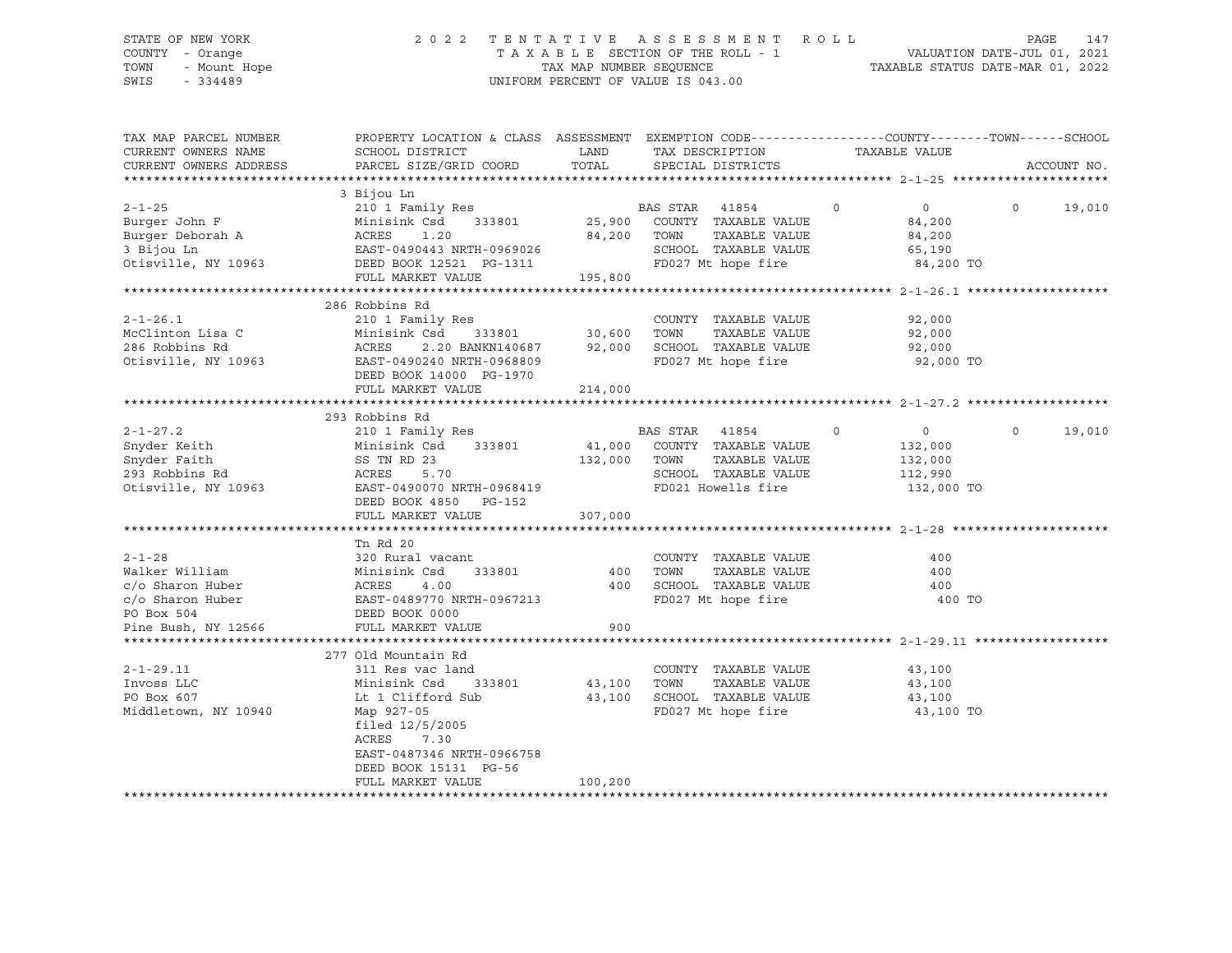# STATE OF NEW YORK 2 0 2 2 T E N T A T I V E A S S E S S M E N T R O L L PAGE 147 COUNTY - Orange T A X A B L E SECTION OF THE ROLL - 1 VALUATION DATE-JUL 01, 2021 TOWN - Mount Hope TAX MAP NUMBER SEQUENCE TAXABLE STATUS DATE-MAR 01, 2022 SWIS - 334489 UNIFORM PERCENT OF VALUE IS 043.00

| TAX MAP PARCEL NUMBER<br>CURRENT OWNERS NAME<br>CURRENT OWNERS ADDRESS                                      | PROPERTY LOCATION & CLASS ASSESSMENT EXEMPTION CODE----------------COUNTY-------TOWN------SCHOOL<br>SCHOOL DISTRICT<br>PARCEL SIZE/GRID COORD                                                                       | LAND<br>TOTAL          | TAX DESCRIPTION<br>SPECIAL DISTRICTS                                                                                         | TAXABLE VALUE                                                            |          | ACCOUNT NO. |
|-------------------------------------------------------------------------------------------------------------|---------------------------------------------------------------------------------------------------------------------------------------------------------------------------------------------------------------------|------------------------|------------------------------------------------------------------------------------------------------------------------------|--------------------------------------------------------------------------|----------|-------------|
| $2 - 1 - 25$<br>Burger John F<br>Otisville, NY 10963 DEED BOOK 12521 PG-1311                                | 3 Bijou Ln<br>210 1 Family Res<br>333801<br>Minisink Csd<br>FULL MARKET VALUE                                                                                                                                       |                        | BAS STAR 41854<br>25,900 COUNTY TAXABLE VALUE<br>TAXABLE VALUE<br>SCHOOL TAXABLE VALUE<br>FD027 Mt hope fire 84,200 TO       | $\overline{0}$<br>$\overline{0}$<br>84,200<br>84,200<br>65,190           | $\Omega$ | 19,010      |
| $2 - 1 - 26.1$<br>McClinton Lisa C<br>286 Robbins Rd<br>Otisville, NY 10963                                 | 286 Robbins Rd<br>210 1 Family Res<br>333801 30,600 TOWN<br>BANKN140687 92,000 SCHOO<br>Minisink Csd<br>ACRES 2.20<br>2.20 BANKN140687<br>EAST-0490240 NRTH-0968809<br>DEED BOOK 14000 PG-1970<br>FULL MARKET VALUE | 214,000                | COUNTY TAXABLE VALUE<br>TAXABLE VALUE<br>SCHOOL TAXABLE VALUE<br>FD027 Mt hope fire                                          | 92,000<br>92,000<br>92,000<br>92,000 TO                                  |          |             |
| $2 - 1 - 27.2$<br>Snyder Keith<br>buyuer Faith<br>293 Robbins Rd<br>Otisville, NY 10963                     | 293 Robbins Rd<br>210 1 Family Res<br>Minisink Csd 333801<br>SS TN RD 23<br>ACRES<br>5.70<br>EAST-0490070 NRTH-0968419<br>DEED BOOK 4850 PG-152<br>FULL MARKET VALUE                                                | 307,000                | BAS STAR 41854<br>41,000 COUNTY TAXABLE VALUE<br>132,000 TOWN<br>TAXABLE VALUE<br>SCHOOL TAXABLE VALUE<br>FD021 Howells fire | $\circ$<br>$\overline{0}$<br>132,000<br>132,000<br>112,990<br>132,000 TO | $\Omega$ | 19,010      |
| $2 - 1 - 28$<br>Walker William<br>c/o Sharon Huber<br>c/o Sharon Huber<br>PO Box 504<br>Pine Bush, NY 12566 | Tn Rd 20<br>320 Rural vacant<br>Minisink Csd 333801<br>ACRES 4.00<br>EAST-0489770 NRTH-0967213<br>333801                                                                                                            | 400<br>400<br>900      | COUNTY TAXABLE VALUE<br>TOWN<br>TAXABLE VALUE<br>SCHOOL TAXABLE VALUE<br>FD027 Mt hope fire                                  | 400<br>400<br>400<br>400 TO                                              |          |             |
| $2 - 1 - 29.11$<br>Invoss LLC<br>PO Box 607<br>Middletown, NY 10940                                         | 277 Old Mountain Rd<br>311 Res vac land<br>Minisink Csd 333801<br>Lt 1 Clifford Sub<br>Map 927-05<br>filed $12/5/2005$<br>ACRES 7.30<br>EAST-0487346 NRTH-0966758<br>DEED BOOK 15131 PG-56<br>FULL MARKET VALUE     | 43,100 TOWN<br>100,200 | COUNTY TAXABLE VALUE<br>TAXABLE VALUE<br>43,100 SCHOOL TAXABLE VALUE<br>FD027 Mt hope fire                                   | 43,100<br>43,100<br>43,100<br>43,100 TO                                  |          |             |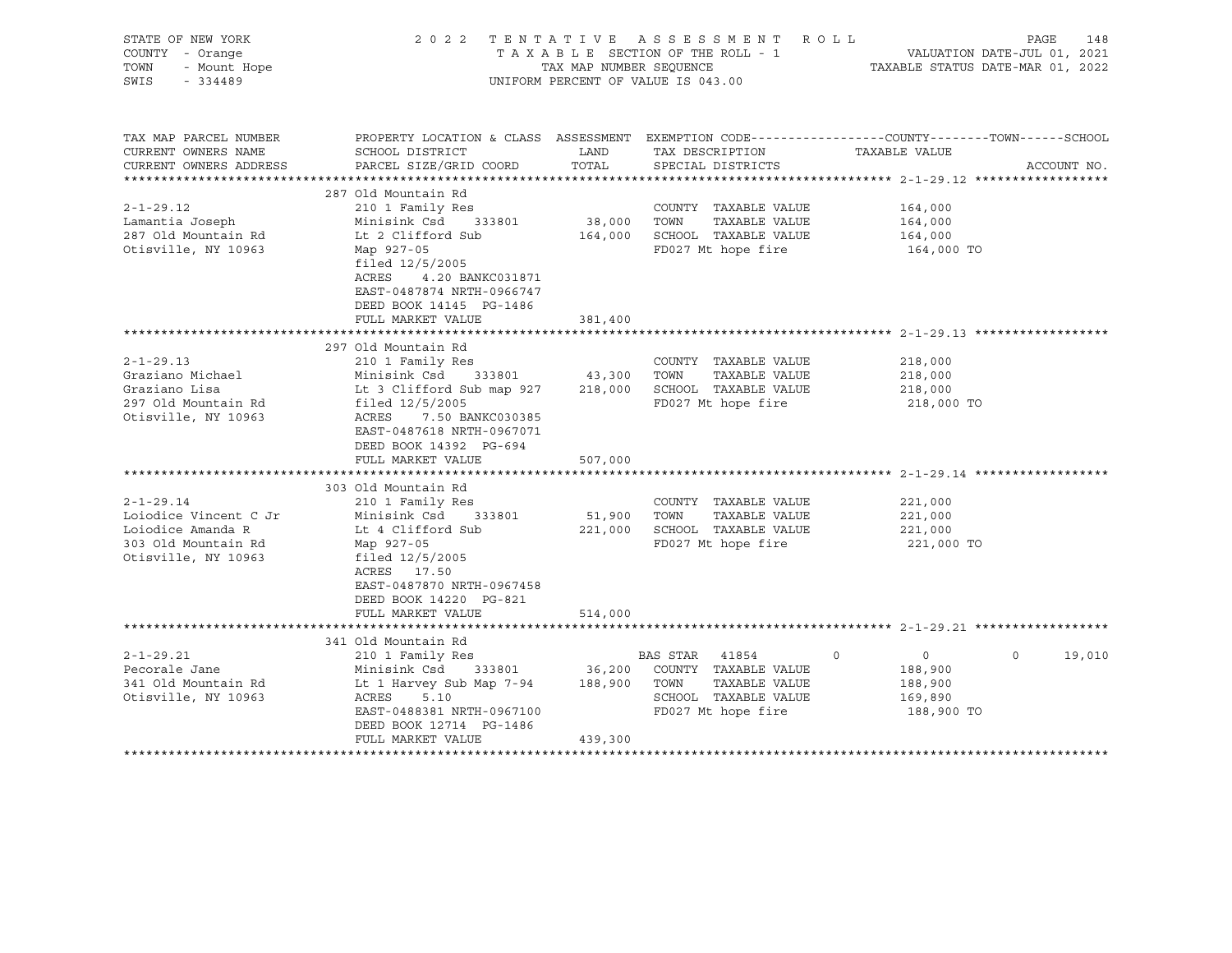| STATE OF NEW YORK<br>COUNTY - Orange<br>TOWN<br>- Mount Hope<br>SWIS<br>$-334489$                           | 2022 TENTATIVE                                                                                                                                                                                                       | TAX MAP NUMBER SEOUENCE      | ASSESSMENT ROLL<br>TAXABLE SECTION OF THE ROLL - 1<br>UNIFORM PERCENT OF VALUE IS 043.00                                    | PAGE<br>148<br>VALUATION DATE-JUL 01, 2021<br>TAXABLE STATUS DATE-MAR 01, 2022                                                   |
|-------------------------------------------------------------------------------------------------------------|----------------------------------------------------------------------------------------------------------------------------------------------------------------------------------------------------------------------|------------------------------|-----------------------------------------------------------------------------------------------------------------------------|----------------------------------------------------------------------------------------------------------------------------------|
| TAX MAP PARCEL NUMBER<br>CURRENT OWNERS NAME<br>CURRENT OWNERS ADDRESS<br>**********************            | SCHOOL DISTRICT<br>PARCEL SIZE/GRID COORD                                                                                                                                                                            | LAND<br>TOTAL                | TAX DESCRIPTION<br>SPECIAL DISTRICTS                                                                                        | PROPERTY LOCATION & CLASS ASSESSMENT EXEMPTION CODE----------------COUNTY-------TOWN------SCHOOL<br>TAXABLE VALUE<br>ACCOUNT NO. |
| $2 - 1 - 29.12$<br>Lamantia Joseph<br>287 Old Mountain Rd<br>Otisville, NY 10963                            | 287 Old Mountain Rd<br>210 1 Family Res<br>Minisink Csd 333801<br>Lt 2 Clifford Sub<br>Map 927-05<br>filed $12/5/2005$<br>ACRES<br>4.20 BANKC031871<br>EAST-0487874 NRTH-0966747<br>DEED BOOK 14145 PG-1486          | 38,000 TOWN<br>164,000       | COUNTY TAXABLE VALUE<br>TAXABLE VALUE<br>SCHOOL TAXABLE VALUE<br>FD027 Mt hope fire                                         | 164,000<br>164,000<br>164,000<br>164,000 TO                                                                                      |
|                                                                                                             | FULL MARKET VALUE                                                                                                                                                                                                    | 381,400                      |                                                                                                                             |                                                                                                                                  |
|                                                                                                             | 297 Old Mountain Rd                                                                                                                                                                                                  |                              |                                                                                                                             |                                                                                                                                  |
| $2 - 1 - 29.13$<br>Graziano Michael<br>Graziano Lisa<br>297 Old Mountain Rd<br>Otisville, NY 10963          | 210 1 Family Res<br>Minisink Csd<br>333801<br>Lt 3 Clifford Sub map 927<br>filed 12/5/2005<br>ACRES<br>7.50 BANKC030385<br>EAST-0487618 NRTH-0967071<br>DEED BOOK 14392 PG-694<br>FULL MARKET VALUE                  | 43,300<br>218,000<br>507,000 | COUNTY TAXABLE VALUE<br>TAXABLE VALUE<br>TOWN<br>SCHOOL TAXABLE VALUE<br>FD027 Mt hope fire                                 | 218,000<br>218,000<br>218,000<br>218,000 TO                                                                                      |
| $2 - 1 - 29.14$<br>Loiodice Vincent C Jr<br>Loiodice Amanda R<br>303 Old Mountain Rd<br>Otisville, NY 10963 | 303 Old Mountain Rd<br>210 1 Family Res<br>Minisink Csd<br>333801<br>Lt 4 Clifford Sub<br>Map 927-05<br>filed $12/5/2005$<br>ACRES 17.50<br>EAST-0487870 NRTH-0967458<br>DEED BOOK 14220 PG-821<br>FULL MARKET VALUE | 51,900 TOWN<br>514,000       | COUNTY TAXABLE VALUE<br>TAXABLE VALUE<br>221,000 SCHOOL TAXABLE VALUE<br>FD027 Mt hope fire                                 | 221,000<br>221,000<br>221,000<br>221,000 TO                                                                                      |
|                                                                                                             |                                                                                                                                                                                                                      |                              |                                                                                                                             |                                                                                                                                  |
| $2 - 1 - 29.21$<br>Pecorale Jane<br>341 Old Mountain Rd<br>Otisville, NY 10963                              | 341 Old Mountain Rd<br>210 1 Family Res<br>333801<br>Minisink Csd<br>Lt 1 Harvey Sub Map 7-94<br>ACRES<br>5.10<br>EAST-0488381 NRTH-0967100<br>DEED BOOK 12714 PG-1486<br>FULL MARKET VALUE                          | 36,200<br>188,900<br>439,300 | BAS STAR<br>41854<br>$\circ$<br>COUNTY TAXABLE VALUE<br>TAXABLE VALUE<br>TOWN<br>SCHOOL TAXABLE VALUE<br>FD027 Mt hope fire | $0 \qquad \qquad$<br>$\Omega$<br>19,010<br>188,900<br>188,900<br>169,890<br>188,900 TO                                           |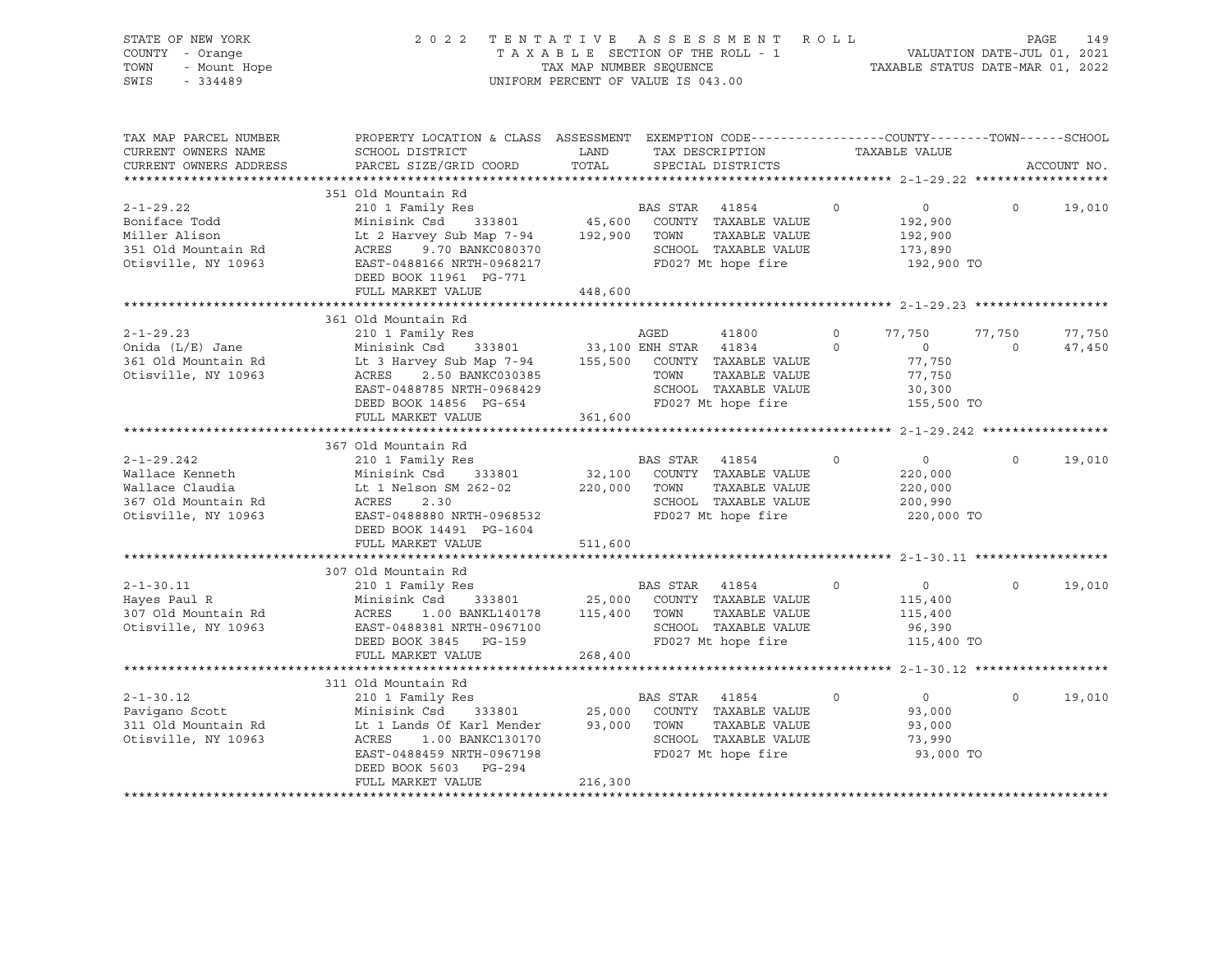| STATE OF NEW YORK<br>COUNTY - Orange<br>- Mount Hope<br>TOWN<br>SWIS<br>$-334489$               | 2 0 2 2                                                                                                                                                                           | TAXABLE SECTION OF THE ROLL - 1<br>TAX MAP NUMBER SEQUENCE<br>UNIFORM PERCENT OF VALUE IS 043.00 |                         | TENTATIVE ASSESSMENT ROLL                                                                    |                         | TAXABLE STATUS DATE-MAR 01, 2022                       | PAGE<br>VALUATION DATE-JUL 01, 2021 | 149              |
|-------------------------------------------------------------------------------------------------|-----------------------------------------------------------------------------------------------------------------------------------------------------------------------------------|--------------------------------------------------------------------------------------------------|-------------------------|----------------------------------------------------------------------------------------------|-------------------------|--------------------------------------------------------|-------------------------------------|------------------|
| TAX MAP PARCEL NUMBER<br>CURRENT OWNERS NAME<br>CURRENT OWNERS ADDRESS                          | PROPERTY LOCATION & CLASS ASSESSMENT EXEMPTION CODE----------------COUNTY-------TOWN-----SCHOOL<br>SCHOOL DISTRICT<br>PARCEL SIZE/GRID COORD                                      | LAND<br>TOTAL                                                                                    |                         | TAX DESCRIPTION<br>SPECIAL DISTRICTS                                                         |                         | TAXABLE VALUE                                          |                                     | ACCOUNT NO.      |
|                                                                                                 |                                                                                                                                                                                   |                                                                                                  |                         |                                                                                              |                         |                                                        |                                     |                  |
| $2 - 1 - 29.22$<br>Boniface Todd<br>Miller Alison<br>351 Old Mountain Rd<br>Otisville, NY 10963 | 351 Old Mountain Rd<br>210 1 Family Res<br>Minisink Csd<br>333801<br>Lt 2 Harvey Sub Map 7-94<br>9.70 BANKC080370<br>ACRES<br>EAST-0488166 NRTH-0968217<br>DEED BOOK 11961 PG-771 | 45,600<br>192,900                                                                                | BAS STAR<br>TOWN        | 41854<br>COUNTY TAXABLE VALUE<br>TAXABLE VALUE<br>SCHOOL TAXABLE VALUE<br>FD027 Mt hope fire | $\Omega$                | $\circ$<br>192,900<br>192,900<br>173,890<br>192,900 TO | $\mathbf 0$                         | 19,010           |
|                                                                                                 | FULL MARKET VALUE                                                                                                                                                                 | 448,600                                                                                          |                         |                                                                                              |                         |                                                        |                                     |                  |
| $2 - 1 - 29.23$<br>Onida (L/E) Jane                                                             | 361 Old Mountain Rd<br>210 1 Family Res<br>Minisink Csd<br>333801                                                                                                                 |                                                                                                  | AGED<br>33,100 ENH STAR | 41800<br>41834                                                                               | $\Omega$<br>$\mathbf 0$ | 77,750<br>$\overline{0}$                               | 77,750<br>$\circ$                   | 77,750<br>47,450 |
| 361 Old Mountain Rd<br>Otisville, NY 10963                                                      | Lt 3 Harvey Sub Map 7-94<br>ACRES<br>2.50 BANKC030385<br>EAST-0488785 NRTH-0968429<br>DEED BOOK 14856 PG-654                                                                      | 155,500                                                                                          | TOWN                    | COUNTY TAXABLE VALUE<br>TAXABLE VALUE<br>SCHOOL TAXABLE VALUE<br>FD027 Mt hope fire          |                         | 77,750<br>77,750<br>30,300<br>155,500 TO               |                                     |                  |
|                                                                                                 | FULL MARKET VALUE                                                                                                                                                                 | 361,600                                                                                          |                         |                                                                                              |                         |                                                        |                                     |                  |
|                                                                                                 | 367 Old Mountain Rd                                                                                                                                                               |                                                                                                  |                         |                                                                                              |                         |                                                        |                                     |                  |
| $2 - 1 - 29.242$                                                                                | 210 1 Family Res                                                                                                                                                                  |                                                                                                  | BAS STAR 41854          |                                                                                              | $\Omega$                | $\circ$                                                | $\Omega$                            | 19,010           |
| Wallace Kenneth                                                                                 | Minisink Csd<br>333801                                                                                                                                                            | 32,100                                                                                           |                         | COUNTY TAXABLE VALUE                                                                         |                         | 220,000                                                |                                     |                  |
| Wallace Claudia                                                                                 | Lt 1 Nelson SM 262-02                                                                                                                                                             | 220,000                                                                                          | TOWN                    | TAXABLE VALUE                                                                                |                         | 220,000                                                |                                     |                  |
| 367 Old Mountain Rd                                                                             | 2.30<br>ACRES                                                                                                                                                                     |                                                                                                  |                         | SCHOOL TAXABLE VALUE                                                                         |                         | 200,990                                                |                                     |                  |
| Otisville, NY 10963                                                                             | EAST-0488880 NRTH-0968532                                                                                                                                                         |                                                                                                  |                         | FD027 Mt hope fire                                                                           |                         | 220,000 TO                                             |                                     |                  |
|                                                                                                 | DEED BOOK 14491 PG-1604                                                                                                                                                           |                                                                                                  |                         |                                                                                              |                         |                                                        |                                     |                  |
|                                                                                                 | FULL MARKET VALUE                                                                                                                                                                 | 511,600                                                                                          |                         |                                                                                              |                         |                                                        |                                     |                  |
|                                                                                                 | 307 Old Mountain Rd                                                                                                                                                               |                                                                                                  |                         |                                                                                              |                         |                                                        |                                     |                  |
| $2 - 1 - 30.11$                                                                                 | 210 1 Family Res                                                                                                                                                                  |                                                                                                  | BAS STAR                | 41854                                                                                        | $\Omega$                | $\overline{0}$                                         | $\Omega$                            | 19,010           |
| Hayes Paul R                                                                                    | Minisink Csd<br>333801                                                                                                                                                            | 25,000                                                                                           |                         | COUNTY TAXABLE VALUE                                                                         |                         | 115,400                                                |                                     |                  |
| 307 Old Mountain Rd                                                                             | ACRES<br>1.00 BANKL140178                                                                                                                                                         | 115,400                                                                                          | TOWN                    | TAXABLE VALUE                                                                                |                         | 115,400                                                |                                     |                  |
| Otisville, NY 10963                                                                             | EAST-0488381 NRTH-0967100                                                                                                                                                         |                                                                                                  |                         | SCHOOL TAXABLE VALUE                                                                         |                         | 96,390                                                 |                                     |                  |
|                                                                                                 | DEED BOOK 3845 PG-159                                                                                                                                                             |                                                                                                  |                         | FD027 Mt hope fire                                                                           |                         | 115,400 TO                                             |                                     |                  |
|                                                                                                 | FULL MARKET VALUE                                                                                                                                                                 | 268,400                                                                                          |                         |                                                                                              |                         |                                                        |                                     |                  |
|                                                                                                 | 311 Old Mountain Rd                                                                                                                                                               |                                                                                                  |                         |                                                                                              |                         |                                                        |                                     |                  |
| $2 - 1 - 30.12$                                                                                 | 210 1 Family Res                                                                                                                                                                  |                                                                                                  | BAS STAR                | 41854                                                                                        | $\mathbf 0$             | $\overline{0}$                                         | $\Omega$                            | 19,010           |
| Pavigano Scott                                                                                  | Minisink Csd<br>333801                                                                                                                                                            | 25,000                                                                                           |                         | COUNTY TAXABLE VALUE                                                                         |                         | 93,000                                                 |                                     |                  |
| 311 Old Mountain Rd                                                                             | Lt 1 Lands Of Karl Mender                                                                                                                                                         | 93,000                                                                                           | TOWN                    | TAXABLE VALUE                                                                                |                         | 93,000                                                 |                                     |                  |
| Otisville, NY 10963                                                                             | 1.00 BANKC130170<br>ACRES                                                                                                                                                         |                                                                                                  |                         | SCHOOL TAXABLE VALUE                                                                         |                         | 73,990                                                 |                                     |                  |
|                                                                                                 | EAST-0488459 NRTH-0967198                                                                                                                                                         |                                                                                                  |                         | FD027 Mt hope fire                                                                           |                         | 93,000 TO                                              |                                     |                  |
|                                                                                                 | DEED BOOK 5603 PG-294                                                                                                                                                             |                                                                                                  |                         |                                                                                              |                         |                                                        |                                     |                  |
|                                                                                                 | FULL MARKET VALUE                                                                                                                                                                 | 216,300                                                                                          |                         |                                                                                              |                         |                                                        |                                     |                  |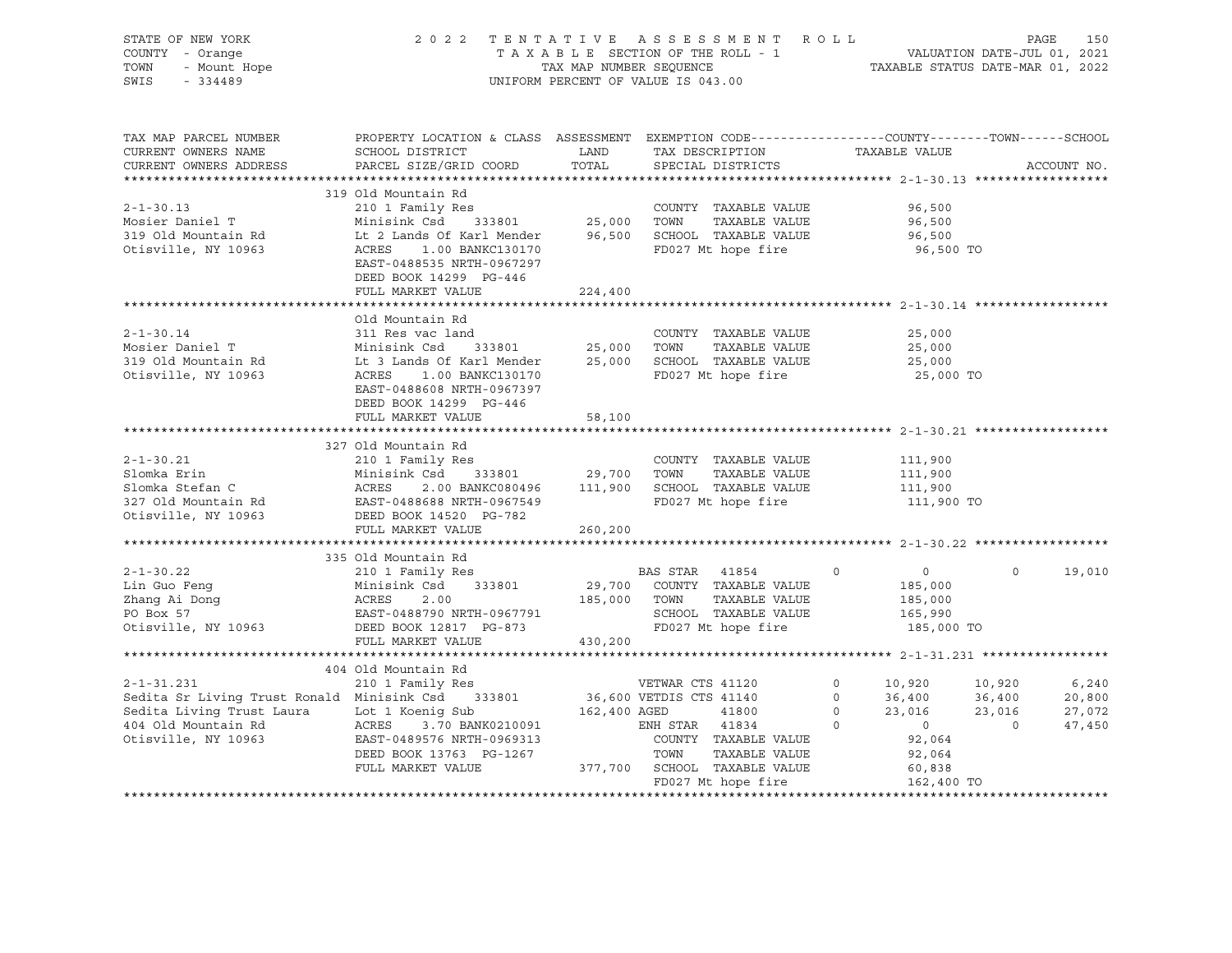| STATE OF NEW YORK<br>COUNTY - Orange<br>OF NEW YORK<br>I - Orange<br>- Mount Hope<br>- Alian<br>TOWN<br>SWIS                                                                                                                                            | 2022 TENTATIVE ASSESSMENT ROLL PAGE 150<br>TAXABLE SECTION OF THE ROLL - 1 VALUATION DATE-JUL 01, 2021<br>TAX MAP NUMBER SEQUENCE TAXABLE STATUS DATE-MAR 01, 2022<br>UNIFORM PERCENT OF VALUE IS 043.00 |               |                                      |                                                                                                                                                                                                    |                                                                                                                                                                                                 |             |
|---------------------------------------------------------------------------------------------------------------------------------------------------------------------------------------------------------------------------------------------------------|----------------------------------------------------------------------------------------------------------------------------------------------------------------------------------------------------------|---------------|--------------------------------------|----------------------------------------------------------------------------------------------------------------------------------------------------------------------------------------------------|-------------------------------------------------------------------------------------------------------------------------------------------------------------------------------------------------|-------------|
| TAX MAP PARCEL NUMBER<br>CURRENT OWNERS NAME<br>CURRENT OWNERS ADDRESS                                                                                                                                                                                  | PROPERTY LOCATION & CLASS ASSESSMENT EXEMPTION CODE---------------COUNTY-------TOWN-----SCHOOL<br>SCHOOL DISTRICT<br>PARCEL SIZE/GRID COORD                                                              | LAND<br>TOTAL | TAX DESCRIPTION<br>SPECIAL DISTRICTS | TAXABLE VALUE                                                                                                                                                                                      |                                                                                                                                                                                                 | ACCOUNT NO. |
| 2-1-30.13<br>Mosier Daniel T<br>Mosier Daniel T<br>319 Old Mountain Rd<br>319 Old Mountain Rd<br>319 Old Mountain Rd<br>319 Old Mountain Rd<br>319 Old Mountain Rd<br>319 Old Mountain Rd<br>32 COUNTY TAXABLE VALUE<br>333801<br>25,000 TOWN<br>25,00  | 319 Old Mountain Rd<br>EAST-0488535 NRTH-0967297<br>DEED BOOK 14299 PG-446<br>FULL MARKET VALUE                                                                                                          |               |                                      | 96,500<br>96,500<br>96,500<br>96,500 TO                                                                                                                                                            |                                                                                                                                                                                                 |             |
|                                                                                                                                                                                                                                                         |                                                                                                                                                                                                          | 224,400       |                                      |                                                                                                                                                                                                    |                                                                                                                                                                                                 |             |
| $2 - 1 - 30.14$<br>2-1-30.14 311 Res vac land COUNTY TAXABLE VALUE<br>Mosier Daniel T Minisink Csd 333801 25,000 TOWN TAXABLE VALUE<br>319 Old Mountain Rd Lt 3 Lands Of Karl Mender 25,000 SCHOOL TAXABLE VALUE<br>0tisville, NY 10963 ACRES 1.00 BANK | Old Mountain Rd<br>311 Res vac land<br>EAST-0488608 NRTH-0967397<br>DEED BOOK 14299 PG-446<br>FULL MARKET VALUE                                                                                          | 58,100        | COUNTY TAXABLE VALUE                 | 25,000<br>25,000<br>25,000<br>25,000 TO                                                                                                                                                            |                                                                                                                                                                                                 |             |
|                                                                                                                                                                                                                                                         |                                                                                                                                                                                                          |               |                                      |                                                                                                                                                                                                    |                                                                                                                                                                                                 |             |
| 210 1 Family Res<br>Slomka Erin Minisink Csd 333801 29,700 TOWN TAXABLE VALUE<br>Slomka Stefan C ACRES 2.00 BANKC080496 111,900 SCHOOL TAXABLE VALUE<br>327 Old Mountain Rd EAST-0488688 NRTH-0967549 FD027 Mt hope fire<br>Otisville,                  |                                                                                                                                                                                                          |               | COUNTY TAXABLE VALUE 111,900         | 111,900<br>111,900<br>111,900 TO                                                                                                                                                                   |                                                                                                                                                                                                 |             |
|                                                                                                                                                                                                                                                         |                                                                                                                                                                                                          |               |                                      |                                                                                                                                                                                                    |                                                                                                                                                                                                 |             |
| 335 Old Mountain Rd<br>2-1-30.22 210 1 Family Res<br>Lin Guo Feng<br>29,700 COUNTY TAXABLE VALUE<br>29,700 COUNTY TAXABLE VALUE<br>29,700 COUNTY TAXABLE VALUE<br>29,700 COUNTY TAXABLE VALUE<br>29,700 COUNTY TAXABLE VALUE<br>29,700 COUNTY           | 335 Old Mountain Rd<br>FULL MARKET VALUE 430,200                                                                                                                                                         |               |                                      | $\begin{array}{ccc} & & 0 & & \hline \end{array}$<br>185,000<br>185,000<br>165,990<br>185,000 TO                                                                                                   | $\Omega$                                                                                                                                                                                        | 19,010      |
|                                                                                                                                                                                                                                                         |                                                                                                                                                                                                          |               |                                      |                                                                                                                                                                                                    |                                                                                                                                                                                                 |             |
| 310 1 Family Res<br>Sedita Sr Living Trust Ronald Minisink Csd 333801 36,600 VETDIS CTS 41140<br>Sedita Living Trust Laura Lot 1 Koenig Sub 162,400 AGED 41800<br>404 Old Mountain Rd ACRES 3.70 BANK0210091 ENH STAR 41834<br>Otisvil                  | 404 Old Mountain Rd                                                                                                                                                                                      |               | FD027 Mt hope fire                   | $\begin{array}{cccc} 0 & & 10,920 \\ 0 & & 36,400 \\ 0 & & 23,016 \\ 0 & & & 0 \\ 7 & & & & 92,064 \end{array}$<br>$36,400$ $36,400$<br>23,016 23,016<br>92,064<br>60,838<br>162,400<br>162,400 TO | $\begin{array}{ccc} 10\, , 920 & \qquad & 6\, , 240 \\ 36\, , 400 & \qquad & 20\, , 800 \\ 23\, , 016 & \qquad & 27\, , 072 \\ 0 & \qquad & 47\, , 450 \end{array}$<br>10,920<br>$\overline{0}$ |             |
|                                                                                                                                                                                                                                                         |                                                                                                                                                                                                          |               |                                      |                                                                                                                                                                                                    |                                                                                                                                                                                                 |             |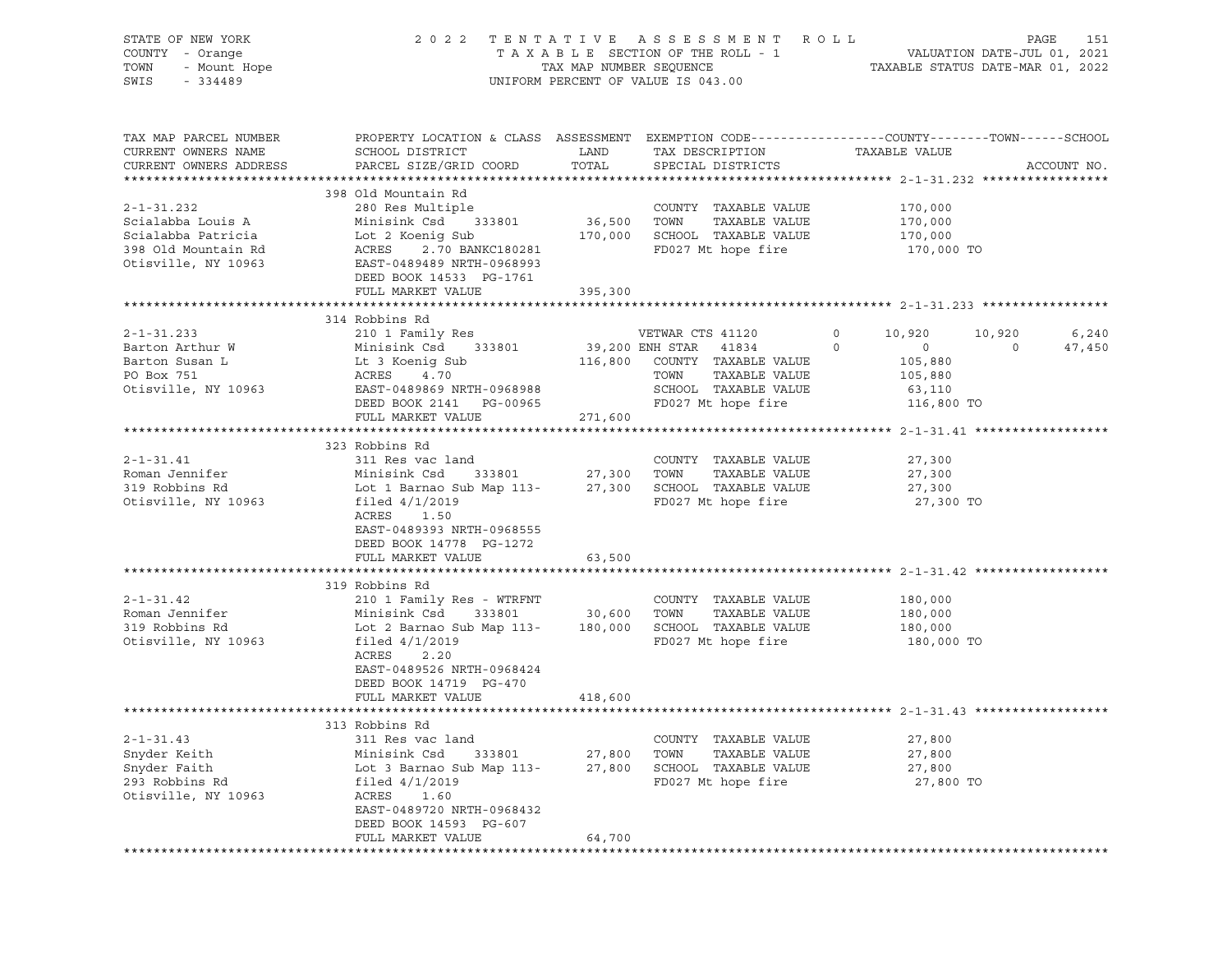| STATE OF NEW YORK<br>COUNTY - Orange<br>OF NEW YORK<br>7 - Orange<br>- Mount Hope<br>11100<br>TOWN<br>SWIS              |                                                                                                                                                                                                                                                |                  | 2022 TENTATIVE ASSESSMENT ROLL<br>TAXABLE SECTION OF THE ROLL - 1<br>TAXABLE STATUS DATE-JUL 01, 2021<br>TAXABLE STATUS DATE-MAR 01, 2022<br>UNIFORM PERCENT OF VALUE IS 043.00 |                                                                                          |                | PAGE<br>151            |
|-------------------------------------------------------------------------------------------------------------------------|------------------------------------------------------------------------------------------------------------------------------------------------------------------------------------------------------------------------------------------------|------------------|---------------------------------------------------------------------------------------------------------------------------------------------------------------------------------|------------------------------------------------------------------------------------------|----------------|------------------------|
| TAX MAP PARCEL NUMBER<br>CURRENT OWNERS NAME<br>CURRENT OWNERS ADDRESS                                                  | PROPERTY LOCATION & CLASS ASSESSMENT EXEMPTION CODE-----------------COUNTY-------TOWN------SCHOOL<br>SCHOOL DISTRICT<br>PARCEL SIZE/GRID COORD                                                                                                 | LAND<br>TOTAL    | TAX DESCRIPTION TAXABLE VALUE<br>SPECIAL DISTRICTS                                                                                                                              |                                                                                          |                | ACCOUNT NO.            |
| $2 - 1 - 31.232$<br>Scialabba Louis A<br>Scialabba Patricia<br>398 Old Mountain Rd<br>Otisville, NY 10963               | 398 Old Mountain Rd<br>280 Res Multiple<br>Minisink Csd 333801 36,500 TOWN<br>Lot 2 Koenig Sub 170,000 SCHOOL TAXABLE VALUE<br>Lot 2<br>ACRES<br>2.70 BANKC180281<br>EAST-0489489 NRTH-0968993<br>DEED BOOK 14533 PG-1761<br>FULL MARKET VALUE | 395,300          | COUNTY TAXABLE VALUE<br>TAXABLE VALUE<br>FD027 Mt hope fire                                                                                                                     | 170,000<br>170,000<br>170,000<br>170,000 TO                                              |                |                        |
|                                                                                                                         |                                                                                                                                                                                                                                                |                  |                                                                                                                                                                                 |                                                                                          |                |                        |
| $2 - 1 - 31.233$<br>Barton Arthur W<br>Barton Susan L<br>PO Box 751<br>0tisville, NY 10963<br>EAST-0489869 NRTH-0968988 | 314 Robbins Rd<br>210 1 Family Res<br>Minisink Csd 333801<br>Minisink Csd     33<br>Lt 3 Koenig Sub<br>ACRES     4.70<br>ACRES 4.70<br>DEED BOOK 2141 PG-00965<br>FULL MARKET VALUE                                                            | 271,600          | VETWAR CTS 41120<br>39,200 ENH STAR 41834<br>116,800 COUNTY TAXABLE VALUE<br>TAXABLE VALUE<br>TOWN<br>SCHOOL TAXABLE VALUE<br>FD027 Mt hope fire                                | $0 \t 10,920$<br>$\circ$<br>$\overline{0}$<br>105,880<br>105,880<br>63,110<br>116,800 TO | $\overline{0}$ | 10,920 6,240<br>47,450 |
|                                                                                                                         | 323 Robbins Rd                                                                                                                                                                                                                                 |                  |                                                                                                                                                                                 |                                                                                          |                |                        |
| $2 - 1 - 31.41$<br>Roman Jennifer<br>319 Robbins Rd<br>Otisville, NY 10963                                              | 311 Res vac land<br>Minisink Csd<br>Lot 1 Barnao Sub Map 113-<br>filed $4/1/2019$<br>ACRES 1.50<br>EAST-0489393 NRTH-0968555<br>DEED BOOK 14778 PG-1272<br>FULL MARKET VALUE                                                                   | 63,500           | COUNTY TAXABLE VALUE<br>TAXABLE VALUE<br>27,300 SCHOOL TAXABLE VALUE<br>VALUE VALUE<br>FD027 Mt hope fire                                                                       | 27,300<br>27,300<br>27,300<br>27,300 TO                                                  |                |                        |
|                                                                                                                         |                                                                                                                                                                                                                                                |                  |                                                                                                                                                                                 |                                                                                          |                |                        |
| $2 - 1 - 31.42$<br>Roman Jennifer<br>319 Robbins Rd<br>Otisville, NY 10963                                              | 319 Robbins Rd<br>210 1 Family Res - WTRFNT<br>Minisink Csd<br>333801<br>Lot 2 Barnao Sub Map 113- 180,000 SCHOOL TAXABLE VALUE<br>filed $4/1/2019$<br>ACRES 2.20<br>EAST-0489526 NRTH-0968424<br>DEED BOOK 14719 PG-470                       | 30,600 TOWN      | COUNTY TAXABLE VALUE<br>TAXABLE VALUE<br>FD027 Mt hope fire                                                                                                                     | 180,000<br>180,000<br>180,000<br>180,000 TO                                              |                |                        |
|                                                                                                                         | FULL MARKET VALUE                                                                                                                                                                                                                              | 418,600          |                                                                                                                                                                                 |                                                                                          |                |                        |
|                                                                                                                         | 313 Robbins Rd                                                                                                                                                                                                                                 |                  |                                                                                                                                                                                 |                                                                                          |                |                        |
| $2 - 1 - 31.43$<br>Snyder Keith<br>Snyder Faith<br>293 Robbins Rd<br>Otisville, NY 10963                                | 311 Res vac land<br>Minisink Csd<br>333801<br>Lot 3 Barnao Sub Map 113-<br>filed $4/1/2019$<br>ACRES<br>1.60<br>EAST-0489720 NRTH-0968432<br>DEED BOOK 14593 PG-607                                                                            | 27,800<br>27,800 | COUNTY TAXABLE VALUE<br>TOWN<br>TAXABLE VALUE<br>SCHOOL TAXABLE VALUE<br>FD027 Mt hope fire                                                                                     | 27,800<br>27,800<br>27,800<br>27,800 TO                                                  |                |                        |
|                                                                                                                         | FULL MARKET VALUE                                                                                                                                                                                                                              | 64,700           |                                                                                                                                                                                 |                                                                                          |                |                        |
|                                                                                                                         |                                                                                                                                                                                                                                                |                  |                                                                                                                                                                                 |                                                                                          |                |                        |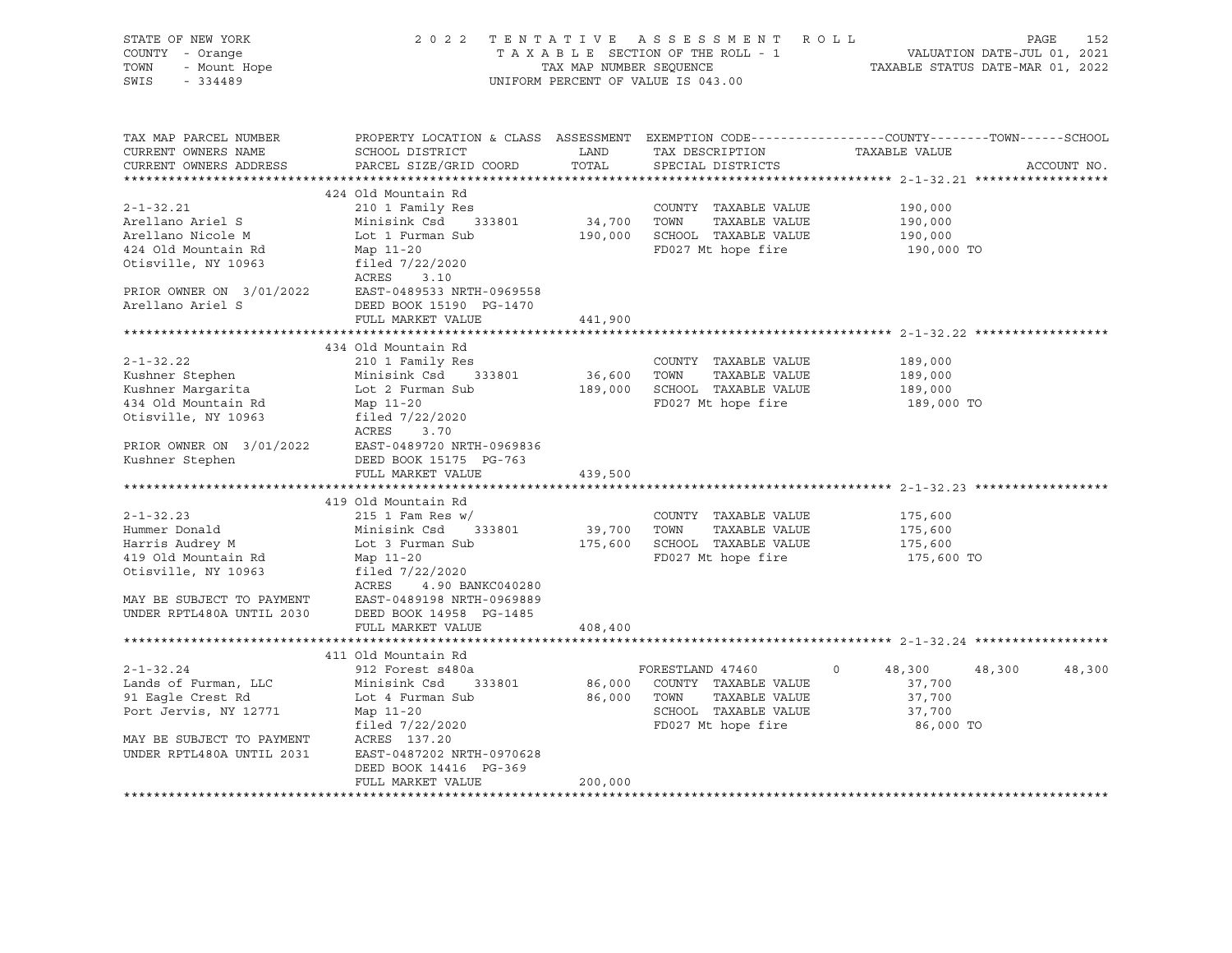| STATE OF NEW YORK<br>COUNTY - Orange<br>F NEW YORK<br>- Orange<br>- Mount Hope<br>TOWN<br>SWIS                                                               |                                                                                                                                                                                                                                                                                                        | TAX MAP NUMBER SEQUENCE          | 2022 TENTATIVE ASSESSMENT ROLL<br>TAXABLE SECTION OF THE ROLL - 1<br>UNIFORM PERCENT OF VALUE IS 043.00                                      | OLL - 1<br>VALUATION DATE-JUL 01, 2021<br>TAXABLE STATUS DATE-MAR 01, 2022                                      | 152<br>PAGE |
|--------------------------------------------------------------------------------------------------------------------------------------------------------------|--------------------------------------------------------------------------------------------------------------------------------------------------------------------------------------------------------------------------------------------------------------------------------------------------------|----------------------------------|----------------------------------------------------------------------------------------------------------------------------------------------|-----------------------------------------------------------------------------------------------------------------|-------------|
| TAX MAP PARCEL NUMBER<br>CURRENT OWNERS NAME<br>CURRENT OWNERS ADDRESS                                                                                       | SCHOOL DISTRICT<br>PARCEL SIZE/GRID COORD                                                                                                                                                                                                                                                              | LAND<br>TOTAL                    | TAX DESCRIPTION<br>SPECIAL DISTRICTS                                                                                                         | PROPERTY LOCATION & CLASS ASSESSMENT EXEMPTION CODE---------------COUNTY-------TOWN-----SCHOOL<br>TAXABLE VALUE | ACCOUNT NO. |
|                                                                                                                                                              |                                                                                                                                                                                                                                                                                                        |                                  |                                                                                                                                              |                                                                                                                 |             |
| $2 - 1 - 32.21$<br>Arellano Ariel S<br>Arellano Nicole M<br>424 Old Mountain Rd<br>Otisville, NY 10963                                                       | 424 Old Mountain Rd<br>210 1 Family Res<br>Minisink Csd<br>333801<br>Lot 1 Furman Sub<br>Map 11-20<br>filed 7/22/2020<br>ACRES 3.10                                                                                                                                                                    | 34,700 TOWN                      | COUNTY TAXABLE VALUE<br>TAXABLE VALUE<br>190,000 SCHOOL TAXABLE VALUE<br>FD027 Mt hope fire                                                  | 190,000<br>190,000<br>190,000<br>190,000 TO                                                                     |             |
|                                                                                                                                                              | PRIOR OWNER ON 3/01/2022<br>Arellano Ariel S BEED BOOK 15190 PG-1470                                                                                                                                                                                                                                   |                                  |                                                                                                                                              |                                                                                                                 |             |
|                                                                                                                                                              | FULL MARKET VALUE                                                                                                                                                                                                                                                                                      | 441,900                          |                                                                                                                                              |                                                                                                                 |             |
|                                                                                                                                                              |                                                                                                                                                                                                                                                                                                        |                                  |                                                                                                                                              |                                                                                                                 |             |
|                                                                                                                                                              | 434 Old Mountain Rd                                                                                                                                                                                                                                                                                    |                                  |                                                                                                                                              |                                                                                                                 |             |
| $2 - 1 - 32.22$<br>Kushner Stephen<br>Kushner Marqarita<br>434 Old Mountain Rd<br>Otisville, NY 10963<br>Kushner Stephen<br>$2 - 1 - 32.23$<br>Hummer Donald | 210 1 Family Res<br>Minisink Csd 333801<br>Lot 2 Furman Sub<br>Map 11-20<br>filed 7/22/2020<br>ACRES 3.70<br>PRIOR OWNER ON 3/01/2022 EAST-0489720 NRTH-0969836<br>DEED BOOK 15175 PG-763<br>FULL MARKET VALUE<br>419 Old Mountain Rd<br>$215$ 1 Fam Res w/<br>Minisink Csd 333801<br>Ict 3 Eurman Sub | 36,600<br>439,500<br>39,700 TOWN | COUNTY TAXABLE VALUE<br>TOWN<br>TAXABLE VALUE<br>189,000 SCHOOL TAXABLE VALUE<br>FD027 Mt hope fire<br>COUNTY TAXABLE VALUE<br>TAXABLE VALUE | 189,000<br>189,000<br>189,000<br>189,000 TO<br>175,600<br>175,600                                               |             |
| Harris Audrey M<br>419 Old Mountain Rd<br>Otisville, NY 10963<br>MAY BE SUBJECT TO PAYMENT<br>UNDER RPTL480A UNTIL 2030                                      | Lot 3 Furman Sub<br>Map 11-20<br>ACRES 4.90 BANKC040280<br>EAST-0489198 NRTH-0969889<br>DEED BOOK 14958 PG-1485                                                                                                                                                                                        |                                  | 175,600 SCHOOL TAXABLE VALUE<br>FD027 Mt hope fire                                                                                           | 175,600<br>175,600 TO                                                                                           |             |
|                                                                                                                                                              | FULL MARKET VALUE                                                                                                                                                                                                                                                                                      | 408,400                          |                                                                                                                                              |                                                                                                                 |             |
|                                                                                                                                                              | 411 Old Mountain Rd                                                                                                                                                                                                                                                                                    |                                  |                                                                                                                                              |                                                                                                                 |             |
| $2 - 1 - 32.24$<br>Lands of Furman, LLC<br>91 Eagle Crest Rd<br>Port Jervis, NY 12771<br>MAY BE SUBJECT TO PAYMENT<br>UNDER RPTL480A UNTIL 2031              | 912 Forest s480a<br>Minisink Csd 333801<br>Lot 4 Furman Sub<br>Map 11-20<br>Map 11-20<br>filed 7/22/2020<br>ACRES 137.20<br>EAST-0487202 NRTH-0970628<br>DEED BOOK 14416 PG-369<br>FULL MARKET VALUE                                                                                                   | 200,000                          | FORESTLAND 47460<br>86,000 COUNTY TAXABLE VALUE<br>86,000 TOWN<br>TAXABLE VALUE<br>SCHOOL TAXABLE VALUE<br>FD027 Mt hope fire                | 48,300<br>48,300<br>$\circ$<br>37,700<br>37,700<br>37,700<br>86,000 TO                                          | 48,300      |
|                                                                                                                                                              |                                                                                                                                                                                                                                                                                                        |                                  |                                                                                                                                              |                                                                                                                 |             |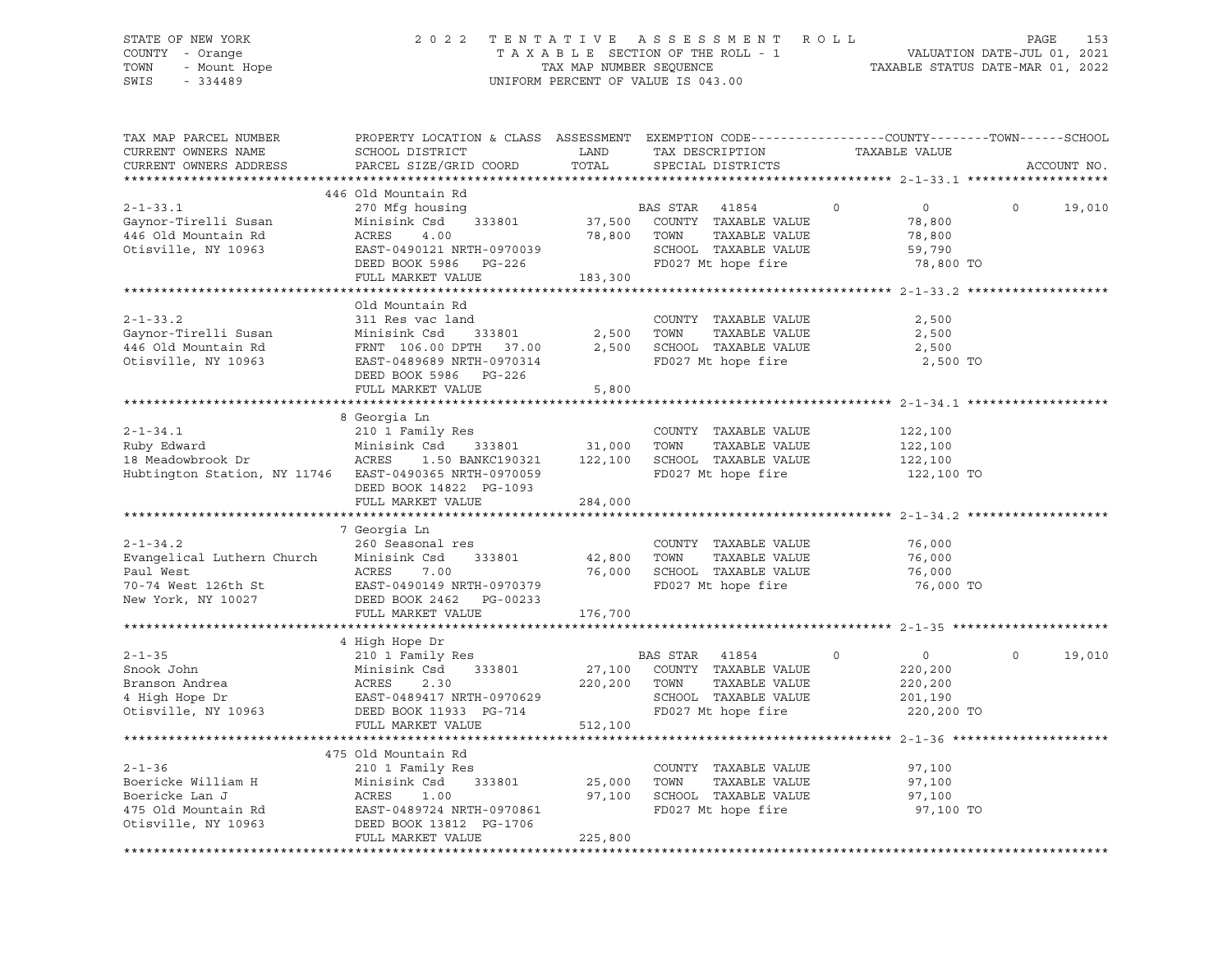# STATE OF NEW YORK 2 0 2 2 T E N T A T I V E A S S E S S M E N T R O L L PAGE 153 COUNTY - Orange T A X A B L E SECTION OF THE ROLL - 1 VALUATION DATE-JUL 01, 2021 TOWN - Mount Hope TAX MAP NUMBER SEQUENCE TAXABLE STATUS DATE-MAR 01, 2022 SWIS - 334489 UNIFORM PERCENT OF VALUE IS 043.00

| TAX MAP PARCEL NUMBER<br>CURRENT OWNERS NAME<br>CURRENT OWNERS ADDRESS                                             | PROPERTY LOCATION & CLASS ASSESSMENT EXEMPTION CODE----------------COUNTY-------TOWN-----SCHOOL<br>SCHOOL DISTRICT<br>PARCEL SIZE/GRID COORD                    | LAND<br>TOTAL               | TAX DESCRIPTION<br>SPECIAL DISTRICTS                                                                                    | TAXABLE VALUE                                                            |          | ACCOUNT NO. |
|--------------------------------------------------------------------------------------------------------------------|-----------------------------------------------------------------------------------------------------------------------------------------------------------------|-----------------------------|-------------------------------------------------------------------------------------------------------------------------|--------------------------------------------------------------------------|----------|-------------|
| **********************                                                                                             |                                                                                                                                                                 |                             |                                                                                                                         |                                                                          |          |             |
| $2 - 1 - 33.1$<br>Gaynor-Tirelli Susan<br>446 Old Mountain Rd<br>Otisville, NY 10963                               | 446 Old Mountain Rd<br>270 Mfg housing<br>Minisink Csd<br>333801<br>ACRES<br>4.00<br>EAST-0490121 NRTH-0970039<br>DEED BOOK 5986 PG-226<br>FULL MARKET VALUE    | 37,500<br>78,800<br>183,300 | BAS STAR<br>41854<br>COUNTY TAXABLE VALUE<br>TOWN<br>TAXABLE VALUE<br>SCHOOL TAXABLE VALUE<br>FD027 Mt hope fire        | 0<br>$\circ$<br>78,800<br>78,800<br>59,790<br>78,800 TO                  | $\Omega$ | 19,010      |
|                                                                                                                    |                                                                                                                                                                 |                             |                                                                                                                         |                                                                          |          |             |
| $2 - 1 - 33.2$<br>Gaynor-Tirelli Susan<br>446 Old Mountain Rd<br>Otisville, NY 10963                               | Old Mountain Rd<br>311 Res vac land<br>Minisink Csd<br>333801<br>FRNT 106.00 DPTH 37.00<br>EAST-0489689 NRTH-0970314<br>DEED BOOK 5986 PG-226                   | 2,500<br>2,500              | COUNTY TAXABLE VALUE<br>TAXABLE VALUE<br>TOWN<br>SCHOOL TAXABLE VALUE<br>FD027 Mt hope fire                             | 2,500<br>2,500<br>2,500<br>2,500 TO                                      |          |             |
|                                                                                                                    | FULL MARKET VALUE                                                                                                                                               | 5,800                       | ********************************** 2-1-34.1 ****                                                                        |                                                                          |          |             |
| $2 - 1 - 34.1$<br>Ruby Edward<br>18 Meadowbrook Dr ACRES<br>Hubtington Station, NY 11746 EAST-0490365 NRTH-0970059 | 8 Georgia Ln<br>210 1 Family Res<br>Minisink Csd<br>333801                                                                                                      | 31,000                      | COUNTY TAXABLE VALUE<br>TOWN<br>TAXABLE VALUE<br>1.50 BANKC190321 122,100 SCHOOL TAXABLE VALUE<br>FD027 Mt hope fire    | 122,100<br>122,100<br>122,100<br>122,100 TO                              |          |             |
|                                                                                                                    | DEED BOOK 14822 PG-1093<br>FULL MARKET VALUE                                                                                                                    | 284,000                     |                                                                                                                         |                                                                          |          |             |
|                                                                                                                    | 7 Georgia Ln                                                                                                                                                    |                             |                                                                                                                         |                                                                          |          |             |
| $2 - 1 - 34.2$<br>Evangelical Luthern Church<br>Paul West<br>70-74 West 126th St<br>New York, NY 10027             | 260 Seasonal res<br>333801<br>Minisink Csd<br>ACRES<br>7.00<br>EAST-0490149 NRTH-0970379<br>DEED BOOK 2462<br>PG-00233<br>FULL MARKET VALUE                     | 42,800 TOWN                 | COUNTY TAXABLE VALUE<br>TAXABLE VALUE<br>76,000 SCHOOL TAXABLE VALUE<br>FD027 Mt hope fire                              | 76,000<br>76,000<br>76,000<br>76,000 TO                                  |          |             |
|                                                                                                                    |                                                                                                                                                                 | 176,700                     |                                                                                                                         |                                                                          |          |             |
| $2 - 1 - 35$<br>Snook John<br>Otisville, NY 10963                                                                  | 4 High Hope Dr<br>210 1 Family Res<br>333801<br>Minisink Csd<br>DEED BOOK 11933 PG-714<br>FULL MARKET VALUE                                                     | 220,200<br>512,100          | BAS STAR<br>41854<br>27,100 COUNTY TAXABLE VALUE<br>TAXABLE VALUE<br>TOWN<br>SCHOOL TAXABLE VALUE<br>FD027 Mt hope fire | $\overline{0}$<br>$\circ$<br>220,200<br>220,200<br>201,190<br>220,200 TO | $\Omega$ | 19,010      |
|                                                                                                                    |                                                                                                                                                                 |                             |                                                                                                                         |                                                                          |          |             |
| $2 - 1 - 36$<br>Boericke William H<br>Boericke Lan J<br>475 Old Mountain Rd<br>Otisville, NY 10963                 | 475 Old Mountain Rd<br>210 1 Family Res<br>333801<br>Minisink Csd<br>ACRES<br>1.00<br>EAST-0489724 NRTH-0970861<br>DEED BOOK 13812 PG-1706<br>FULL MARKET VALUE | 25,000<br>97,100<br>225,800 | COUNTY TAXABLE VALUE<br>TOWN<br>TAXABLE VALUE<br>SCHOOL TAXABLE VALUE<br>FD027 Mt hope fire                             | 97,100<br>97,100<br>97,100<br>97,100 TO                                  |          |             |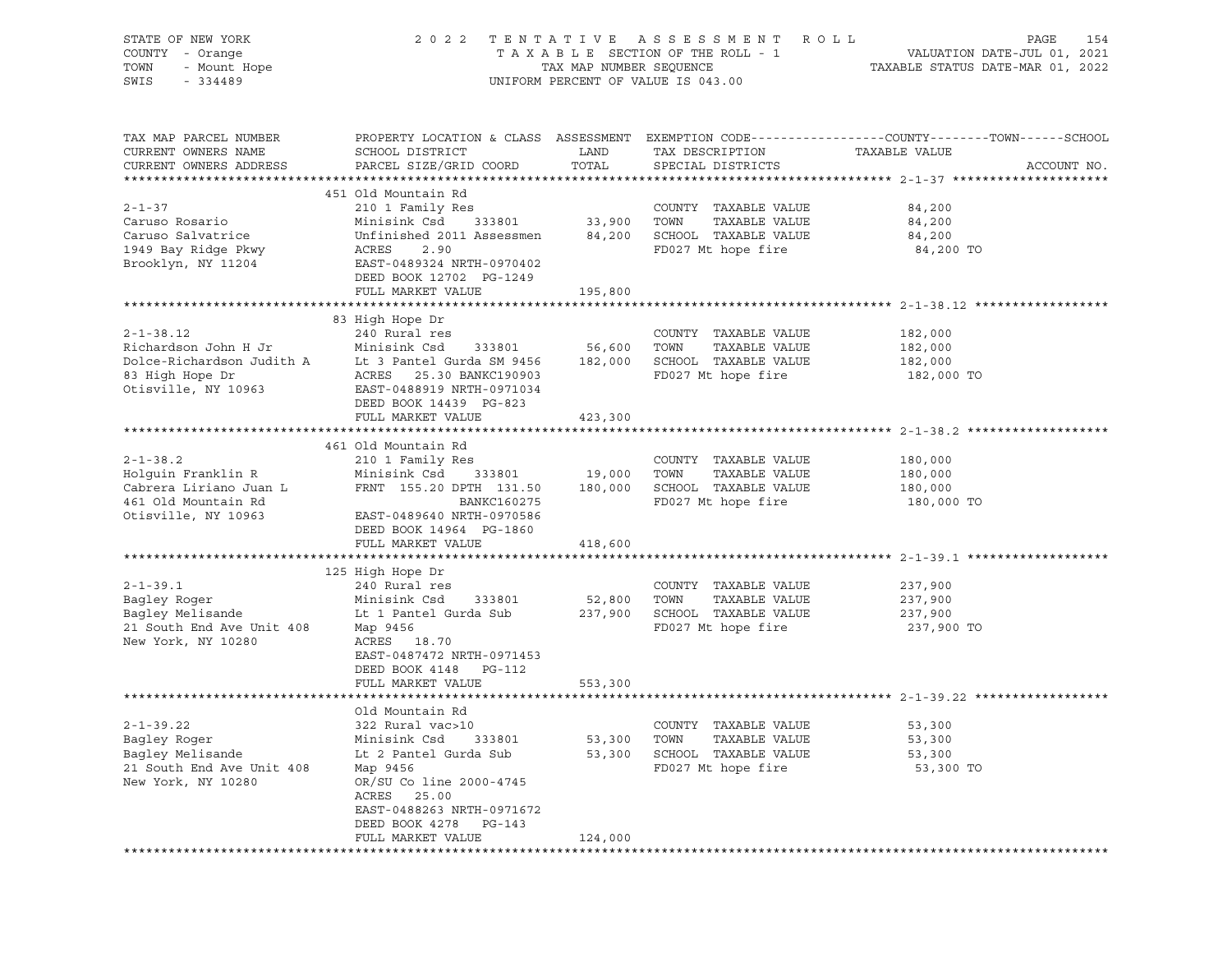| STATE OF NEW YORK<br>COUNTY - Orange |                                                             |                         | 2022 TENTATIVE ASSESSMENT ROLL<br>TAXABLE SECTION OF THE ROLL - 1 | PAGE<br>154                                                                                     |
|--------------------------------------|-------------------------------------------------------------|-------------------------|-------------------------------------------------------------------|-------------------------------------------------------------------------------------------------|
| - Mount Hope<br>TOWN                 |                                                             | TAX MAP NUMBER SEQUENCE |                                                                   | VALUATION DATE-JUL 01, 2021<br>TAXABLE STATUS DATE-MAR 01, 2022                                 |
| SWIS<br>$-334489$                    |                                                             |                         | UNIFORM PERCENT OF VALUE IS 043.00                                |                                                                                                 |
|                                      |                                                             |                         |                                                                   |                                                                                                 |
| TAX MAP PARCEL NUMBER                |                                                             |                         |                                                                   | PROPERTY LOCATION & CLASS ASSESSMENT EXEMPTION CODE----------------COUNTY-------TOWN-----SCHOOL |
| CURRENT OWNERS NAME                  | SCHOOL DISTRICT                                             | LAND                    | TAX DESCRIPTION                                                   | TAXABLE VALUE                                                                                   |
| CURRENT OWNERS ADDRESS               | PARCEL SIZE/GRID COORD                                      | TOTAL                   | SPECIAL DISTRICTS                                                 | ACCOUNT NO.                                                                                     |
|                                      |                                                             |                         |                                                                   |                                                                                                 |
| $2 - 1 - 37$                         | 451 Old Mountain Rd                                         |                         | COUNTY TAXABLE VALUE                                              |                                                                                                 |
| Caruso Rosario                       | 210 1 Family Res<br>Minisink Csd<br>333801                  | 33,900 TOWN             | TAXABLE VALUE                                                     | 84,200<br>84,200                                                                                |
| Caruso Salvatrice                    | Unfinished 2011 Assessmen                                   |                         | 84,200 SCHOOL TAXABLE VALUE                                       | 84,200                                                                                          |
| 1949 Bay Ridge Pkwy                  | ACRES<br>2.90                                               |                         | FD027 Mt hope fire                                                | 84,200 TO                                                                                       |
| Brooklyn, NY 11204                   | EAST-0489324 NRTH-0970402                                   |                         |                                                                   |                                                                                                 |
|                                      | DEED BOOK 12702 PG-1249                                     |                         |                                                                   |                                                                                                 |
|                                      | FULL MARKET VALUE                                           | 195,800                 |                                                                   |                                                                                                 |
|                                      |                                                             |                         |                                                                   |                                                                                                 |
|                                      | 83 High Hope Dr                                             |                         |                                                                   |                                                                                                 |
| $2 - 1 - 38.12$                      | 240 Rural res                                               |                         | COUNTY TAXABLE VALUE                                              | 182,000                                                                                         |
| Richardson John H Jr                 | Minisink Csd<br>333801                                      | 56,600                  | TOWN<br>TAXABLE VALUE                                             | 182,000                                                                                         |
|                                      | Dolce-Richardson Judith A Lt 3 Pantel Gurda SM 9456 182,000 |                         | SCHOOL TAXABLE VALUE                                              | 182,000                                                                                         |
| 83 High Hope Dr                      | ACRES 25.30 BANKC190903                                     |                         | FD027 Mt hope fire                                                | 182,000 TO                                                                                      |
| Otisville, NY 10963                  | EAST-0488919 NRTH-0971034                                   |                         |                                                                   |                                                                                                 |
|                                      | DEED BOOK 14439 PG-823                                      |                         |                                                                   |                                                                                                 |
|                                      | FULL MARKET VALUE                                           | 423,300                 |                                                                   |                                                                                                 |
|                                      | 461 Old Mountain Rd                                         |                         |                                                                   |                                                                                                 |
| $2 - 1 - 38.2$                       | 210 1 Family Res                                            |                         | COUNTY TAXABLE VALUE                                              | 180,000                                                                                         |
| Holquin Franklin R                   | Minisink Csd 333801                                         | 19,000                  | TOWN<br>TAXABLE VALUE                                             | 180,000                                                                                         |
| Cabrera Liriano Juan L               | FRNT 155.20 DPTH 131.50                                     | 180,000                 | SCHOOL TAXABLE VALUE                                              | 180,000                                                                                         |
| 461 Old Mountain Rd                  | BANKC160275                                                 |                         | FD027 Mt hope fire                                                | 180,000 TO                                                                                      |
| Otisville, NY 10963                  | EAST-0489640 NRTH-0970586                                   |                         |                                                                   |                                                                                                 |
|                                      | DEED BOOK 14964 PG-1860                                     |                         |                                                                   |                                                                                                 |
|                                      | FULL MARKET VALUE                                           | 418,600                 |                                                                   |                                                                                                 |
|                                      |                                                             |                         |                                                                   |                                                                                                 |
|                                      | 125 High Hope Dr                                            |                         |                                                                   |                                                                                                 |
| $2 - 1 - 39.1$                       | 240 Rural res                                               |                         | COUNTY TAXABLE VALUE                                              | 237,900                                                                                         |
| Bagley Roger                         | Minisink Csd<br>333801                                      | 52,800 TOWN             | TAXABLE VALUE                                                     | 237,900                                                                                         |
| Bagley Melisande                     | Lt 1 Pantel Gurda Sub                                       |                         | 237,900 SCHOOL TAXABLE VALUE                                      | 237,900                                                                                         |
| 21 South End Ave Unit 408            | Map 9456                                                    |                         | FD027 Mt hope fire                                                | 237,900 TO                                                                                      |
| New York, NY 10280                   | ACRES 18.70<br>EAST-0487472 NRTH-0971453                    |                         |                                                                   |                                                                                                 |
|                                      | DEED BOOK 4148 PG-112                                       |                         |                                                                   |                                                                                                 |
|                                      | FULL MARKET VALUE                                           | 553,300                 |                                                                   |                                                                                                 |
|                                      |                                                             |                         |                                                                   |                                                                                                 |
|                                      | Old Mountain Rd                                             |                         |                                                                   |                                                                                                 |
| $2 - 1 - 39.22$                      | 322 Rural vac>10                                            |                         | COUNTY TAXABLE VALUE                                              | 53,300                                                                                          |
| Bagley Roger                         | Minisink Csd<br>333801                                      | 53,300                  | TOWN<br>TAXABLE VALUE                                             | 53,300                                                                                          |
| Bagley Melisande                     | Lt 2 Pantel Gurda Sub                                       | 53,300                  | SCHOOL TAXABLE VALUE                                              | 53,300                                                                                          |
| 21 South End Ave Unit 408            | Map 9456                                                    |                         | FD027 Mt hope fire                                                | 53,300 TO                                                                                       |
| New York, NY 10280                   | OR/SU Co line 2000-4745                                     |                         |                                                                   |                                                                                                 |
|                                      | ACRES<br>25.00                                              |                         |                                                                   |                                                                                                 |
|                                      | EAST-0488263 NRTH-0971672                                   |                         |                                                                   |                                                                                                 |
|                                      | DEED BOOK 4278<br>PG-143                                    |                         |                                                                   |                                                                                                 |
|                                      | FULL MARKET VALUE                                           | 124,000                 |                                                                   |                                                                                                 |
|                                      |                                                             |                         |                                                                   |                                                                                                 |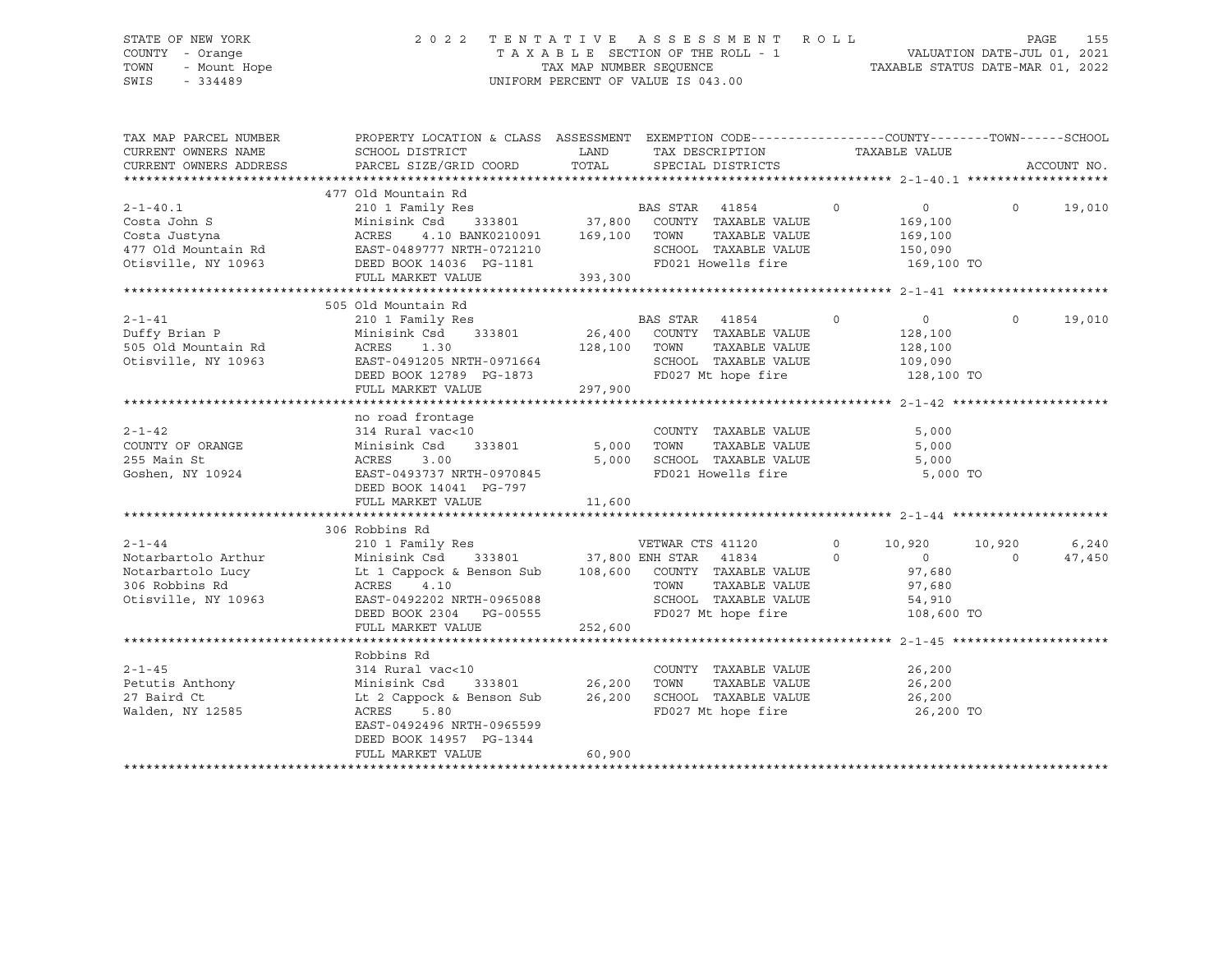# STATE OF NEW YORK 2 0 2 2 T E N T A T I V E A S S E S S M E N T R O L L PAGE 155 COUNTY - Orange T A X A B L E SECTION OF THE ROLL - 1 VALUATION DATE-JUL 01, 2021 TOWN - Mount Hope TAX MAP NUMBER SEQUENCE TAXABLE STATUS DATE-MAR 01, 2022 SWIS - 334489 UNIFORM PERCENT OF VALUE IS 043.00

| TAX MAP PARCEL NUMBER<br>CURRENT OWNERS NAME<br>CURRENT OWNERS ADDRESS | PROPERTY LOCATION & CLASS ASSESSMENT EXEMPTION CODE---------------COUNTY-------TOWN------SCHOOL<br>SCHOOL DISTRICT<br>PARCEL SIZE/GRID COORD | LAND<br>TOTAL | TAX DESCRIPTION<br>SPECIAL DISTRICTS | TAXABLE VALUE              | ACCOUNT NO.        |
|------------------------------------------------------------------------|----------------------------------------------------------------------------------------------------------------------------------------------|---------------|--------------------------------------|----------------------------|--------------------|
|                                                                        |                                                                                                                                              |               |                                      |                            |                    |
|                                                                        | 477 Old Mountain Rd                                                                                                                          |               |                                      |                            |                    |
| $2 - 1 - 40.1$                                                         | 210 1 Family Res                                                                                                                             |               | BAS STAR 41854                       | $\circ$<br>$\overline{0}$  | $\Omega$<br>19,010 |
| Costa John S                                                           |                                                                                                                                              |               |                                      | 169,100                    |                    |
| Costa Justyna                                                          |                                                                                                                                              |               | TAXABLE VALUE                        | 169,100                    |                    |
| 477 Old Mountain Rd BAST-0489777 NRTH-0721210                          |                                                                                                                                              |               | SCHOOL TAXABLE VALUE                 | 150,090                    |                    |
| Otisville, NY 10963                                                    | DEED BOOK 14036 PG-1181                                                                                                                      |               | FD021 Howells fire                   | 169,100 TO                 |                    |
|                                                                        | FULL MARKET VALUE                                                                                                                            | 393,300       |                                      |                            |                    |
|                                                                        |                                                                                                                                              |               |                                      |                            |                    |
|                                                                        | 505 Old Mountain Rd                                                                                                                          |               |                                      |                            |                    |
| $2 - 1 - 41$                                                           | 210 1 Family Res                                                                                                                             |               | BAS STAR 41854<br>$\sim$ 0           | $\overline{0}$             | $\Omega$<br>19,010 |
| Duffy Brian P                                                          | Minisink Csd 333801                                                                                                                          |               | 26,400 COUNTY TAXABLE VALUE          | 128,100                    |                    |
| 505 Old Mountain Rd                                                    | 1.30<br>ACRES                                                                                                                                | 128,100 TOWN  | TAXABLE VALUE                        | 128,100                    |                    |
| Otisville, NY 10963                                                    | EAST-0491205 NRTH-0971664<br>DEED BOOK 12789 PG-1873                                                                                         |               | SCHOOL TAXABLE VALUE                 | 109,090                    |                    |
|                                                                        |                                                                                                                                              |               | FD027 Mt hope fire                   | 128,100 TO                 |                    |
|                                                                        | FULL MARKET VALUE                                                                                                                            | 297,900       |                                      |                            |                    |
|                                                                        |                                                                                                                                              |               |                                      |                            |                    |
|                                                                        | no road frontage                                                                                                                             |               |                                      |                            |                    |
| $2 - 1 - 42$                                                           | 314 Rural vac<10                                                                                                                             |               | COUNTY TAXABLE VALUE                 | 5,000                      |                    |
| COUNTY OF ORANGE                                                       | Minisink Csd<br>333801                                                                                                                       | 5,000 TOWN    | TAXABLE VALUE                        | 5,000                      |                    |
| 255 Main St                                                            | ACRES<br>3.00                                                                                                                                | 5,000         | SCHOOL TAXABLE VALUE                 | 5,000                      |                    |
| Goshen, NY 10924                                                       | EAST-0493737 NRTH-0970845                                                                                                                    |               | FD021 Howells fire                   |                            | 5,000 TO           |
|                                                                        | DEED BOOK 14041 PG-797                                                                                                                       |               |                                      |                            |                    |
|                                                                        | FULL MARKET VALUE                                                                                                                            | 11,600        |                                      |                            |                    |
|                                                                        | 306 Robbins Rd                                                                                                                               |               |                                      |                            |                    |
| $2 - 1 - 44$                                                           |                                                                                                                                              |               |                                      | $\circ$<br>10,920          | 10,920<br>6,240    |
| Notarbartolo Arthur                                                    |                                                                                                                                              |               |                                      | $\Omega$<br>$\overline{0}$ | 47,450<br>$\Omega$ |
| Notarbartolo Lucy                                                      | Lt 1 Cappock & Benson Sub 108,600 COUNTY TAXABLE VALUE                                                                                       |               |                                      | 97,680                     |                    |
| 306 Robbins Rd                                                         | ACRES<br>4.10                                                                                                                                |               | TOWN<br>TAXABLE VALUE                | 97,680                     |                    |
| Otisville, NY 10963                                                    | EAST-0492202 NRTH-0965088                                                                                                                    |               | SCHOOL TAXABLE VALUE                 | 54,910                     |                    |
|                                                                        | DEED BOOK 2304 PG-00555                                                                                                                      |               | FD027 Mt hope fire                   |                            | 108,600 TO         |
|                                                                        | FULL MARKET VALUE                                                                                                                            | 252,600       |                                      |                            |                    |
|                                                                        |                                                                                                                                              |               |                                      |                            |                    |
|                                                                        | Robbins Rd                                                                                                                                   |               |                                      |                            |                    |
| $2 - 1 - 45$                                                           | 314 Rural vac<10                                                                                                                             |               | COUNTY TAXABLE VALUE                 | 26,200                     |                    |
| Petutis Anthony                                                        | Minisink Csd<br>333801                                                                                                                       | 26,200        | TOWN<br>TAXABLE VALUE                | 26,200                     |                    |
| 27 Baird Ct                                                            | Lt 2 Cappock & Benson Sub                                                                                                                    | 26,200        | SCHOOL TAXABLE VALUE                 | 26,200                     |                    |
| Walden, NY 12585                                                       | ACRES<br>5.80                                                                                                                                |               | FD027 Mt hope fire                   |                            | 26,200 TO          |
|                                                                        | EAST-0492496 NRTH-0965599                                                                                                                    |               |                                      |                            |                    |
|                                                                        | DEED BOOK 14957 PG-1344                                                                                                                      |               |                                      |                            |                    |
|                                                                        | FULL MARKET VALUE                                                                                                                            | 60,900        |                                      |                            |                    |
|                                                                        |                                                                                                                                              |               |                                      |                            |                    |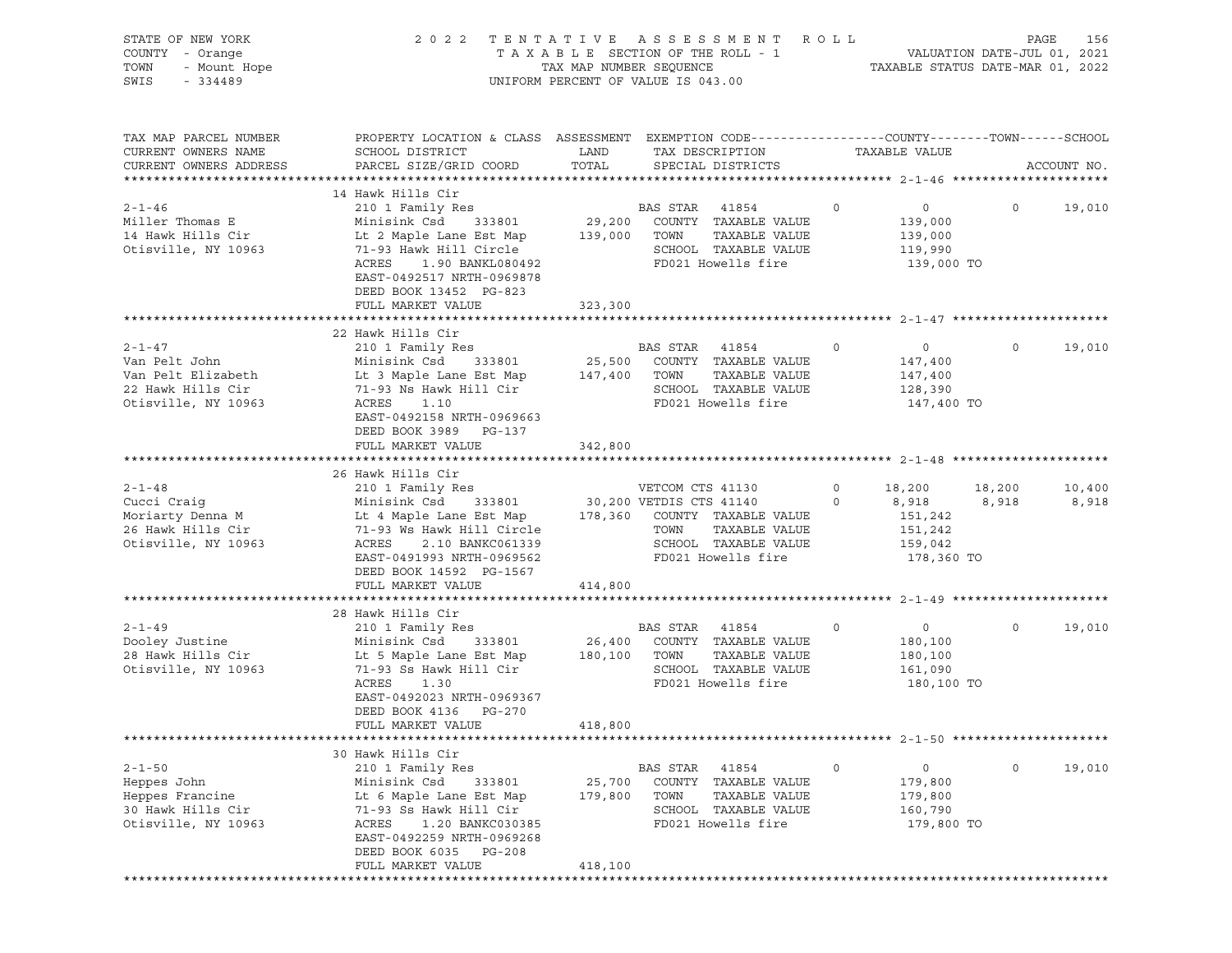| STATE OF NEW YORK<br>OF NEW YORK<br>$I - \text{Orange}$<br>$- \text{ Mount Hope}$<br>$- 334489$<br>COUNTY - Orange<br>TOWN<br>SWIS |                                                                                                                                                                            | TAX MAP NUMBER SEQUENCE | 2022 TENTATIVE ASSESSMENT ROLL<br>TAXABLE SECTION OF THE ROLL - 1<br>UNIFORM PERCENT OF VALUE IS 043.00 |         | VALUATION DATE-JUL 01, 2021<br>TAXABLE STATUS DATE-MAR 01, 2022 | PAGE           | 156         |
|------------------------------------------------------------------------------------------------------------------------------------|----------------------------------------------------------------------------------------------------------------------------------------------------------------------------|-------------------------|---------------------------------------------------------------------------------------------------------|---------|-----------------------------------------------------------------|----------------|-------------|
| TAX MAP PARCEL NUMBER<br>CURRENT OWNERS NAME                                                                                       | PROPERTY LOCATION & CLASS ASSESSMENT EXEMPTION CODE----------------COUNTY-------TOWN------SCHOOL<br>SCHOOL DISTRICT                                                        | LAND                    | TAX DESCRIPTION                                                                                         |         | TAXABLE VALUE                                                   |                |             |
| CURRENT OWNERS ADDRESS                                                                                                             | PARCEL SIZE/GRID COORD                                                                                                                                                     | TOTAL                   | SPECIAL DISTRICTS                                                                                       |         |                                                                 |                | ACCOUNT NO. |
|                                                                                                                                    | 14 Hawk Hills Cir                                                                                                                                                          |                         |                                                                                                         |         |                                                                 |                |             |
| $2 - 1 - 46$                                                                                                                       | 210 1 Family Res                                                                                                                                                           |                         | <b>BAS STAR 41854</b>                                                                                   | $\circ$ | $\overline{0}$                                                  | $\overline{0}$ | 19,010      |
| Miller Thomas E                                                                                                                    | Minisink Csd 333801 29,200 COUNTY TAXABLE VALUE                                                                                                                            |                         |                                                                                                         |         | 139,000                                                         |                |             |
| 14 Hawk Hills Cir                                                                                                                  | Lt 2 Maple Lane Est Map<br>21.03 Upsile Uill Givele                                                                                                                        |                         |                                                                                                         |         | 139,000                                                         |                |             |
| Otisville, NY 10963                                                                                                                | 71-93 Hawk Hill Circle                                                                                                                                                     |                         | SCHOOL TAXABLE VALUE                                                                                    |         | 119,990                                                         |                |             |
|                                                                                                                                    | ACRES 1.90 BANKL080492<br>EAST-0492517 NRTH-0969878<br>DEED BOOK 13452 PG-823                                                                                              |                         | FD021 Howells fire                                                                                      |         | 139,000 TO                                                      |                |             |
|                                                                                                                                    | FULL MARKET VALUE                                                                                                                                                          | 323,300                 |                                                                                                         |         |                                                                 |                |             |
|                                                                                                                                    | 22 Hawk Hills Cir                                                                                                                                                          |                         |                                                                                                         |         |                                                                 |                |             |
| $2 - 1 - 47$                                                                                                                       | 210 1 Family Res                                                                                                                                                           |                         | BAS STAR 41854                                                                                          | $\circ$ | $\circ$                                                         | $\circ$        | 19,010      |
| Van Pelt John                                                                                                                      |                                                                                                                                                                            |                         |                                                                                                         |         | 147,400                                                         |                |             |
| Van Pelt Elizabeth                                                                                                                 |                                                                                                                                                                            |                         | 147,400 TOWN TAXABLE VALUE                                                                              |         | 147,400                                                         |                |             |
| 22 Hawk Hills Cir                                                                                                                  |                                                                                                                                                                            |                         | SCHOOL TAXABLE VALUE                                                                                    |         | 128,390                                                         |                |             |
| Otisville, NY 10963                                                                                                                | ACRES 1.10<br>EAST-0492158 NRTH-0969663<br>DEED BOOK 3989 PG-137                                                                                                           |                         | FD021 Howells fire                                                                                      |         | 147,400 TO                                                      |                |             |
|                                                                                                                                    | FULL MARKET VALUE                                                                                                                                                          | 342,800                 |                                                                                                         |         |                                                                 |                |             |
|                                                                                                                                    |                                                                                                                                                                            |                         |                                                                                                         |         |                                                                 |                |             |
|                                                                                                                                    | 26 Hawk Hills Cir                                                                                                                                                          |                         |                                                                                                         |         |                                                                 |                |             |
| $2 - 1 - 48$                                                                                                                       | 210 1 Family Res                                                                                                                                                           |                         | VETCOM CTS 41130                                                                                        | $\circ$ | 18,200 18,200                                                   |                | 10,400      |
| Cucci Craig                                                                                                                        | Minisink Csd 333801 30,200 VETDIS CTS 41140                                                                                                                                |                         |                                                                                                         | $\circ$ | 8,918                                                           | 8,918          | 8,918       |
| Moriarty Denna M<br>26 Hawk Hills Cir                                                                                              |                                                                                                                                                                            |                         |                                                                                                         |         | 151,242<br>151,242                                              |                |             |
| Otisville, NY 10963                                                                                                                | Minisink Csd 333801 30,200 00000 178,360<br>Lt 4 Maple Lane Est Map 178,360 COUNTY TAXABLE VALUE<br>71-93 Ws Hawk Hill Circle TOWN TAXABLE VALUE<br>ACRES 2.10 BANKC061339 |                         | SCHOOL TAXABLE VALUE                                                                                    |         | 159,042                                                         |                |             |
|                                                                                                                                    | EAST-0491993 NRTH-0969562                                                                                                                                                  |                         | FD021 Howells fire                                                                                      |         | 178,360 TO                                                      |                |             |
|                                                                                                                                    | DEED BOOK 14592 PG-1567                                                                                                                                                    |                         |                                                                                                         |         |                                                                 |                |             |
|                                                                                                                                    | FULL MARKET VALUE                                                                                                                                                          | 414,800                 |                                                                                                         |         |                                                                 |                |             |
|                                                                                                                                    |                                                                                                                                                                            |                         |                                                                                                         |         |                                                                 |                |             |
|                                                                                                                                    | 28 Hawk Hills Cir                                                                                                                                                          |                         |                                                                                                         |         |                                                                 |                |             |
| $2 - 1 - 49$                                                                                                                       | 210 1 Family Res                                                                                                                                                           |                         | BAS STAR 41854                                                                                          | $\circ$ | $\overline{0}$                                                  | $\circ$        | 19,010      |
| Dooley Justine                                                                                                                     | Minisink Csd     333801<br>Lt 5 Maple Lane Est Map                                                                                                                         |                         | 26,400 COUNTY TAXABLE VALUE                                                                             |         | 180,100                                                         |                |             |
| 28 Hawk Hills Cir                                                                                                                  | Lt 5 Maple Lane Est Map                                                                                                                                                    | 180,100 TOWN            | TAXABLE VALUE                                                                                           |         | 180,100                                                         |                |             |
| Otisville, NY 10963                                                                                                                | 71-93 Ss Hawk Hill Cir                                                                                                                                                     |                         | SCHOOL TAXABLE VALUE<br>FD021 Howells fire                                                              |         | 161,090                                                         |                |             |
|                                                                                                                                    | ACRES 1.30<br>EAST-0492023 NRTH-0969367                                                                                                                                    |                         |                                                                                                         |         | 180,100 TO                                                      |                |             |
|                                                                                                                                    | DEED BOOK 4136 PG-270                                                                                                                                                      |                         |                                                                                                         |         |                                                                 |                |             |
|                                                                                                                                    | FULL MARKET VALUE                                                                                                                                                          | 418,800                 |                                                                                                         |         |                                                                 |                |             |
|                                                                                                                                    |                                                                                                                                                                            |                         |                                                                                                         |         |                                                                 |                |             |
|                                                                                                                                    | 30 Hawk Hills Cir                                                                                                                                                          |                         |                                                                                                         |         |                                                                 |                |             |
| $2 - 1 - 50$                                                                                                                       | 210 1 Family Res                                                                                                                                                           |                         | BAS STAR<br>41854                                                                                       | $\circ$ | $\mathsf{O}$                                                    | $\circ$        | 19,010      |
| Heppes John                                                                                                                        | Minisink Csd<br>333801                                                                                                                                                     | 25,700                  | COUNTY TAXABLE VALUE                                                                                    |         | 179,800                                                         |                |             |
| Heppes Francine                                                                                                                    | Lt 6 Maple Lane Est Map                                                                                                                                                    | 179,800                 | TAXABLE VALUE<br>TOWN                                                                                   |         | 179,800                                                         |                |             |
| 30 Hawk Hills Cir                                                                                                                  | 71-93 Ss Hawk Hill Cir                                                                                                                                                     |                         | SCHOOL TAXABLE VALUE                                                                                    |         | 160,790                                                         |                |             |
| Otisville, NY 10963                                                                                                                | ACRES<br>1.20 BANKC030385                                                                                                                                                  |                         | FD021 Howells fire                                                                                      |         | 179,800 TO                                                      |                |             |
|                                                                                                                                    | EAST-0492259 NRTH-0969268<br>DEED BOOK 6035 PG-208                                                                                                                         |                         |                                                                                                         |         |                                                                 |                |             |
|                                                                                                                                    | FULL MARKET VALUE                                                                                                                                                          | 418,100                 |                                                                                                         |         |                                                                 |                |             |
|                                                                                                                                    |                                                                                                                                                                            |                         |                                                                                                         |         |                                                                 |                |             |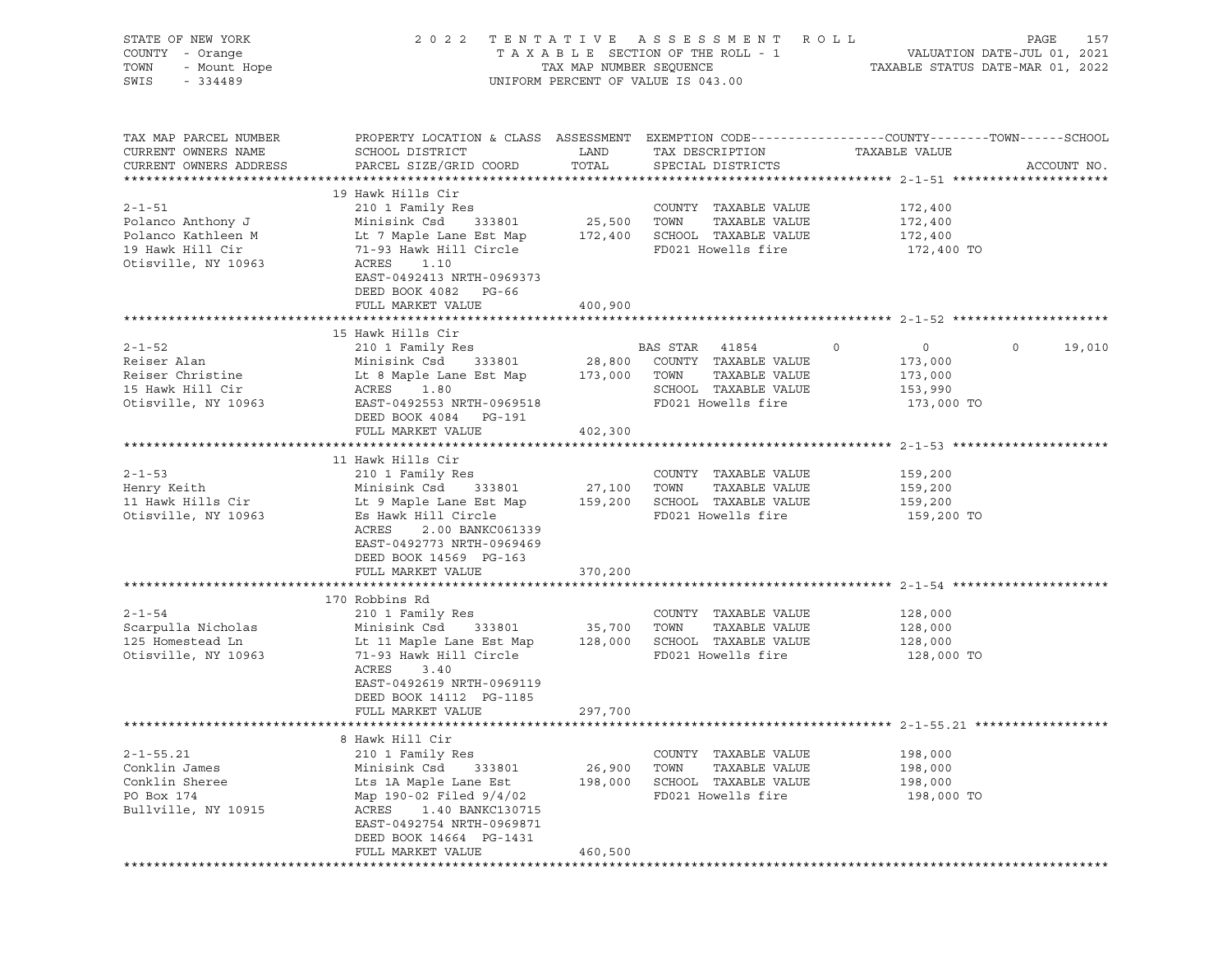| STATE OF NEW YORK<br>COUNTY - Orange<br>- Mount Hope<br>TOWN<br>SWIS<br>$-334489$          |                                                                                                                                                                                                                                                                                                                                                                                                                       |                              | 2022 TENTATIVE ASSESSMENT ROLL<br>UNIFORM PERCENT OF VALUE IS 043.00                                            |                                                                          | PAGE<br>157              |
|--------------------------------------------------------------------------------------------|-----------------------------------------------------------------------------------------------------------------------------------------------------------------------------------------------------------------------------------------------------------------------------------------------------------------------------------------------------------------------------------------------------------------------|------------------------------|-----------------------------------------------------------------------------------------------------------------|--------------------------------------------------------------------------|--------------------------|
| TAX MAP PARCEL NUMBER<br>CURRENT OWNERS NAME<br>CURRENT OWNERS ADDRESS                     | PROPERTY LOCATION & CLASS ASSESSMENT EXEMPTION CODE----------------COUNTY-------TOWN------SCHOOL<br>SCHOOL DISTRICT<br>PARCEL SIZE/GRID COORD                                                                                                                                                                                                                                                                         | LAND<br>TOTAL                | TAX DESCRIPTION<br>SPECIAL DISTRICTS                                                                            | TAXABLE VALUE                                                            | ACCOUNT NO.              |
| $2 - 1 - 51$<br>Polanco Anthony J<br>19 Hawk Hill Cir<br>Otisville, NY 10963               | 19 Hawk Hills Cir<br>210 1 Family Res<br>Minisink Csd 333801<br>Polanco Kathleen M<br>19 Hawk Hill Circle 19 Hawk Hill Circle 19 Hawk Hill Circle 19 Hawk Hill Circle 19 Hawk Hill Circle 19 Hawk Hill Circle 19 Hawk Hill Circle 19 Hawk Hill Circle 19 Hawk Hill Circle 19 Hawk Hill Circle 19<br>71-93 Hawk Hill Circle<br>ACRES<br>1.10<br>EAST-0492413 NRTH-0969373<br>DEED BOOK 4082 PG-66<br>FULL MARKET VALUE | 25,500 TOWN<br>400,900       | COUNTY TAXABLE VALUE<br>TAXABLE VALUE<br>FD021 Howells fire                                                     | 172,400<br>172,400<br>172,400<br>172,400 TO                              |                          |
|                                                                                            |                                                                                                                                                                                                                                                                                                                                                                                                                       |                              |                                                                                                                 |                                                                          |                          |
| $2 - 1 - 52$<br>Reiser Alan<br>Reiser Christine<br>15 Hawk Hill Cir<br>Otisville, NY 10963 | 15 Hawk Hills Cir<br>210 1 Family Res<br>Minisink Csd 333801<br>Lt 8 Maple Lane Est Map 173,000 TOWN<br>ACRES 1.80<br>EAST-0492553 NRTH-0969518<br>DEED BOOK 4084 PG-191<br>FULL MARKET VALUE                                                                                                                                                                                                                         | 402,300                      | BAS STAR 41854<br>28,800 COUNTY TAXABLE VALUE<br>TAXABLE VALUE<br>SCHOOL TAXABLE VALUE<br>FD021 Howells fire    | $\circ$<br>$\overline{0}$<br>173,000<br>173,000<br>153,990<br>173,000 TO | 19,010<br>$\circ$        |
|                                                                                            |                                                                                                                                                                                                                                                                                                                                                                                                                       |                              |                                                                                                                 |                                                                          |                          |
| $2 - 1 - 53$<br>Henry Keith<br>11 Hawk Hills Cir<br>Otisville, NY 10963                    | 11 Hawk Hills Cir<br>210 1 Family Res<br>Minisink Cau<br>Lt 9 Maple Lane Est Map<br>Aliment Circle<br>Es Hawk Hill Circle<br>ACRES<br>2.00 BANKC061339<br>EAST-0492773 NRTH-0969469<br>DEED BOOK 14569 PG-163<br>FULL MARKET VALUE                                                                                                                                                                                    | 370,200                      | COUNTY TAXABLE VALUE<br>27,100   TOWN    TAXABLE VALUE<br>159,200   SCHOOL  TAXABLE VALUE<br>FD021 Howells fire | 159,200<br>159,200<br>159,200<br>159,200 TO                              |                          |
|                                                                                            |                                                                                                                                                                                                                                                                                                                                                                                                                       |                              |                                                                                                                 |                                                                          |                          |
| $2 - 1 - 54$<br>Scarpulla Nicholas<br>125 Homestead Ln<br>Otisville, NY 10963              | 170 Robbins Rd<br>210 1 Family Res<br>Minisink Csd      333801                  35,700    TOWN      TAXABLE VALUE<br>Lt 11 Maple Lane Est Map         128,000    SCHOOL   TAXABLE VALUE<br>71-93 Hawk Hill Circle<br>ACRES<br>3.40<br>EAST-0492619 NRTH-0969119<br>DEED BOOK 14112 PG-1185<br>FULL MARKET VALUE                                                                                                       | 297,700                      | COUNTY TAXABLE VALUE<br>FD021 Howells fire                                                                      | 128,000<br>128,000<br>128,000<br>128,000 TO                              |                          |
|                                                                                            |                                                                                                                                                                                                                                                                                                                                                                                                                       |                              |                                                                                                                 |                                                                          |                          |
| $2 - 1 - 55.21$<br>Conklin James<br>Conklin Sheree<br>PO Box 174<br>Bullville, NY 10915    | 8 Hawk Hill Cir<br>210 1 Family Res<br>Minisink Csd<br>333801<br>Lts 1A Maple Lane Est<br>Map 190-02 Filed 9/4/02<br>ACRES<br>1.40 BANKC130715<br>EAST-0492754 NRTH-0969871<br>DEED BOOK 14664 PG-1431<br>FULL MARKET VALUE                                                                                                                                                                                           | 26,900<br>198,000<br>460,500 | COUNTY TAXABLE VALUE<br>TOWN<br>TAXABLE VALUE<br>SCHOOL TAXABLE VALUE<br>FD021 Howells fire                     | 198,000<br>198,000<br>198,000<br>198,000 TO                              | ************************ |
|                                                                                            |                                                                                                                                                                                                                                                                                                                                                                                                                       |                              |                                                                                                                 |                                                                          |                          |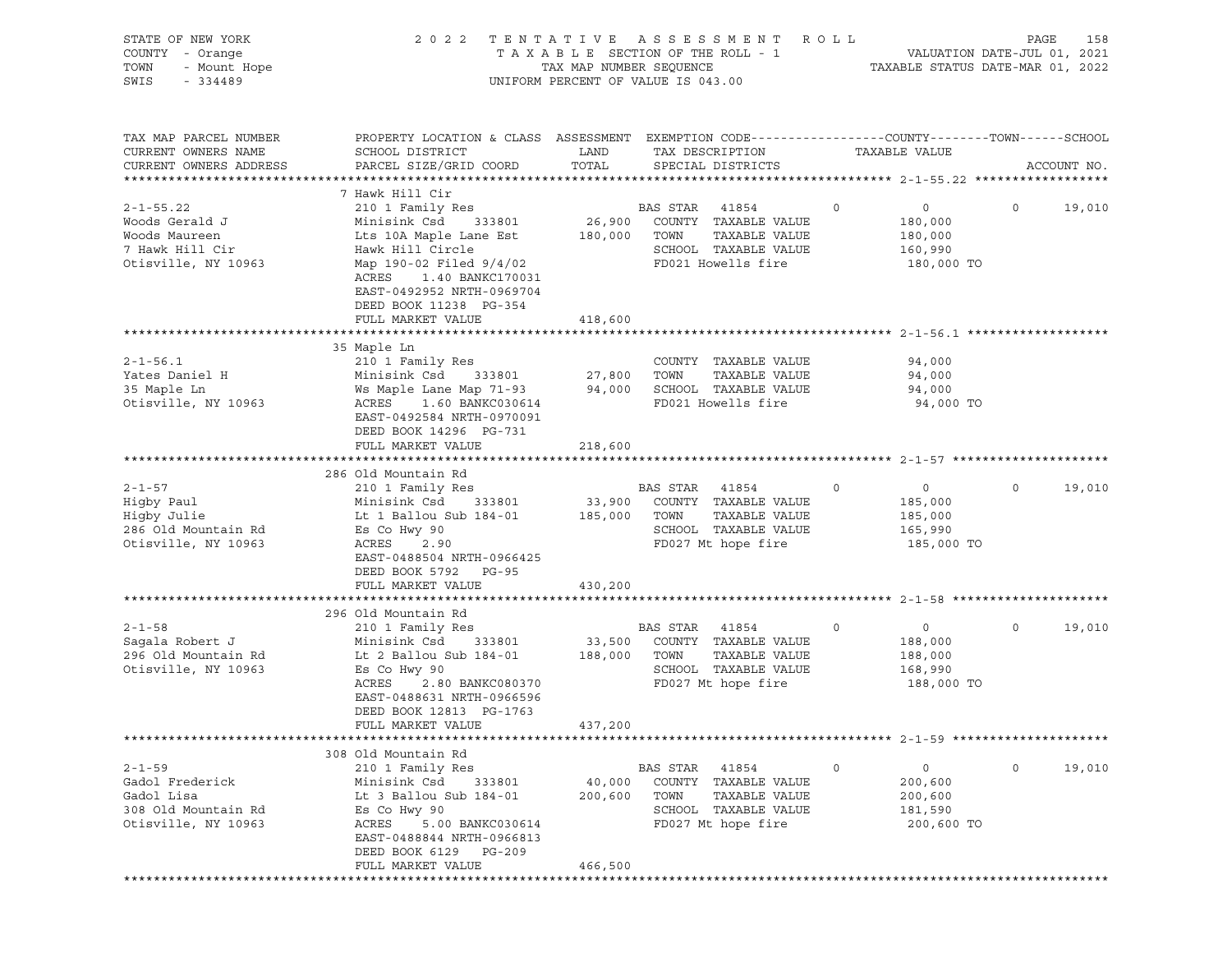| STATE OF NEW YORK<br>COUNTY - Orange<br>TOWN<br>- Mount Hope<br>SWIS<br>$-334489$            | 2 0 2 2                                                                                                                                                                                                                                         | TAX MAP NUMBER SEQUENCE      | TENTATIVE ASSESSMENT<br>TAXABLE SECTION OF THE ROLL - 1<br>UNIFORM PERCENT OF VALUE IS 043.00                    | R O L L                                                           | 158<br>PAGE<br>VALUATION DATE-JUL 01, 2021<br>TAXABLE STATUS DATE-MAR 01, 2022 |
|----------------------------------------------------------------------------------------------|-------------------------------------------------------------------------------------------------------------------------------------------------------------------------------------------------------------------------------------------------|------------------------------|------------------------------------------------------------------------------------------------------------------|-------------------------------------------------------------------|--------------------------------------------------------------------------------|
| TAX MAP PARCEL NUMBER<br>CURRENT OWNERS NAME<br>CURRENT OWNERS ADDRESS                       | PROPERTY LOCATION & CLASS ASSESSMENT EXEMPTION CODE---------------COUNTY-------TOWN-----SCHOOL<br>SCHOOL DISTRICT<br>PARCEL SIZE/GRID COORD                                                                                                     | LAND<br>TOTAL                | TAX DESCRIPTION<br>SPECIAL DISTRICTS                                                                             | TAXABLE VALUE                                                     | ACCOUNT NO.                                                                    |
| $2 - 1 - 55.22$<br>Woods Gerald J<br>Woods Maureen<br>7 Hawk Hill Cir<br>Otisville, NY 10963 | 7 Hawk Hill Cir<br>210 1 Family Res<br>Minisink Csd<br>333801<br>Lts 10A Maple Lane Est<br>Hawk Hill Circle<br>Map 190-02 Filed 9/4/02<br>ACRES<br>1.40 BANKC170031<br>EAST-0492952 NRTH-0969704<br>DEED BOOK 11238 PG-354<br>FULL MARKET VALUE | 26,900<br>180,000<br>418,600 | BAS STAR<br>41854<br>COUNTY TAXABLE VALUE<br>TAXABLE VALUE<br>TOWN<br>SCHOOL TAXABLE VALUE<br>FD021 Howells fire | $\circ$<br>$\circ$<br>180,000<br>180,000<br>160,990<br>180,000 TO | $\circ$<br>19,010                                                              |
| $2 - 1 - 56.1$<br>Yates Daniel H<br>35 Maple Ln<br>Otisville, NY 10963                       | 35 Maple Ln<br>210 1 Family Res<br>Minisink Csd<br>333801<br>Ws Maple Lane Map 71-93<br>ACRES<br>1.60 BANKC030614<br>EAST-0492584 NRTH-0970091<br>DEED BOOK 14296 PG-731<br>FULL MARKET VALUE                                                   | 27,800<br>94,000<br>218,600  | COUNTY TAXABLE VALUE<br>TAXABLE VALUE<br>TOWN<br>SCHOOL TAXABLE VALUE<br>FD021 Howells fire                      | 94,000<br>94,000<br>94,000<br>94,000 TO                           |                                                                                |
| $2 - 1 - 57$<br>Higby Paul<br>Higby Julie<br>286 Old Mountain Rd<br>Otisville, NY 10963      | 286 Old Mountain Rd<br>210 1 Family Res<br>Minisink Csd<br>333801<br>Lt 1 Ballou Sub 184-01<br>Es Co Hwy 90<br>ACRES<br>2.90<br>EAST-0488504 NRTH-0966425<br>DEED BOOK 5792 PG-95                                                               | 33,900<br>185,000            | BAS STAR<br>41854<br>COUNTY TAXABLE VALUE<br>TAXABLE VALUE<br>TOWN<br>SCHOOL TAXABLE VALUE<br>FD027 Mt hope fire | 0<br>$\circ$<br>185,000<br>185,000<br>165,990<br>185,000 TO       | $\circ$<br>19,010                                                              |
|                                                                                              | FULL MARKET VALUE                                                                                                                                                                                                                               | 430,200                      |                                                                                                                  |                                                                   |                                                                                |
| $2 - 1 - 58$<br>Sagala Robert J<br>296 Old Mountain Rd<br>Otisville, NY 10963                | 296 Old Mountain Rd<br>210 1 Family Res<br>Minisink Csd<br>333801<br>Lt 2 Ballou Sub 184-01<br>Es Co Hwy 90<br>ACRES<br>2.80 BANKC080370<br>EAST-0488631 NRTH-0966596<br>DEED BOOK 12813 PG-1763<br>FULL MARKET VALUE                           | 33,500<br>188,000<br>437,200 | BAS STAR<br>41854<br>COUNTY TAXABLE VALUE<br>TOWN<br>TAXABLE VALUE<br>SCHOOL TAXABLE VALUE<br>FD027 Mt hope fire | 0<br>$\circ$<br>188,000<br>188,000<br>168,990<br>188,000 TO       | 19,010<br>$\circ$                                                              |
|                                                                                              |                                                                                                                                                                                                                                                 |                              |                                                                                                                  |                                                                   |                                                                                |
| $2 - 1 - 59$<br>Gadol Frederick<br>Gadol Lisa<br>308 Old Mountain Rd<br>Otisville, NY 10963  | 308 Old Mountain Rd<br>210 1 Family Res<br>Minisink Csd<br>333801<br>Lt 3 Ballou Sub 184-01<br>Es Co Hwy 90<br>ACRES<br>5.00 BANKC030614<br>EAST-0488844 NRTH-0966813<br>DEED BOOK 6129<br>PG-209<br>FULL MARKET VALUE                          | 40,000<br>200,600            | BAS STAR<br>41854<br>COUNTY TAXABLE VALUE<br>TOWN<br>TAXABLE VALUE<br>SCHOOL TAXABLE VALUE<br>FD027 Mt hope fire | 0<br>0<br>200,600<br>200,600<br>181,590<br>200,600 TO             | $\mathsf{O}$<br>19,010                                                         |
|                                                                                              |                                                                                                                                                                                                                                                 | 466,500                      |                                                                                                                  |                                                                   |                                                                                |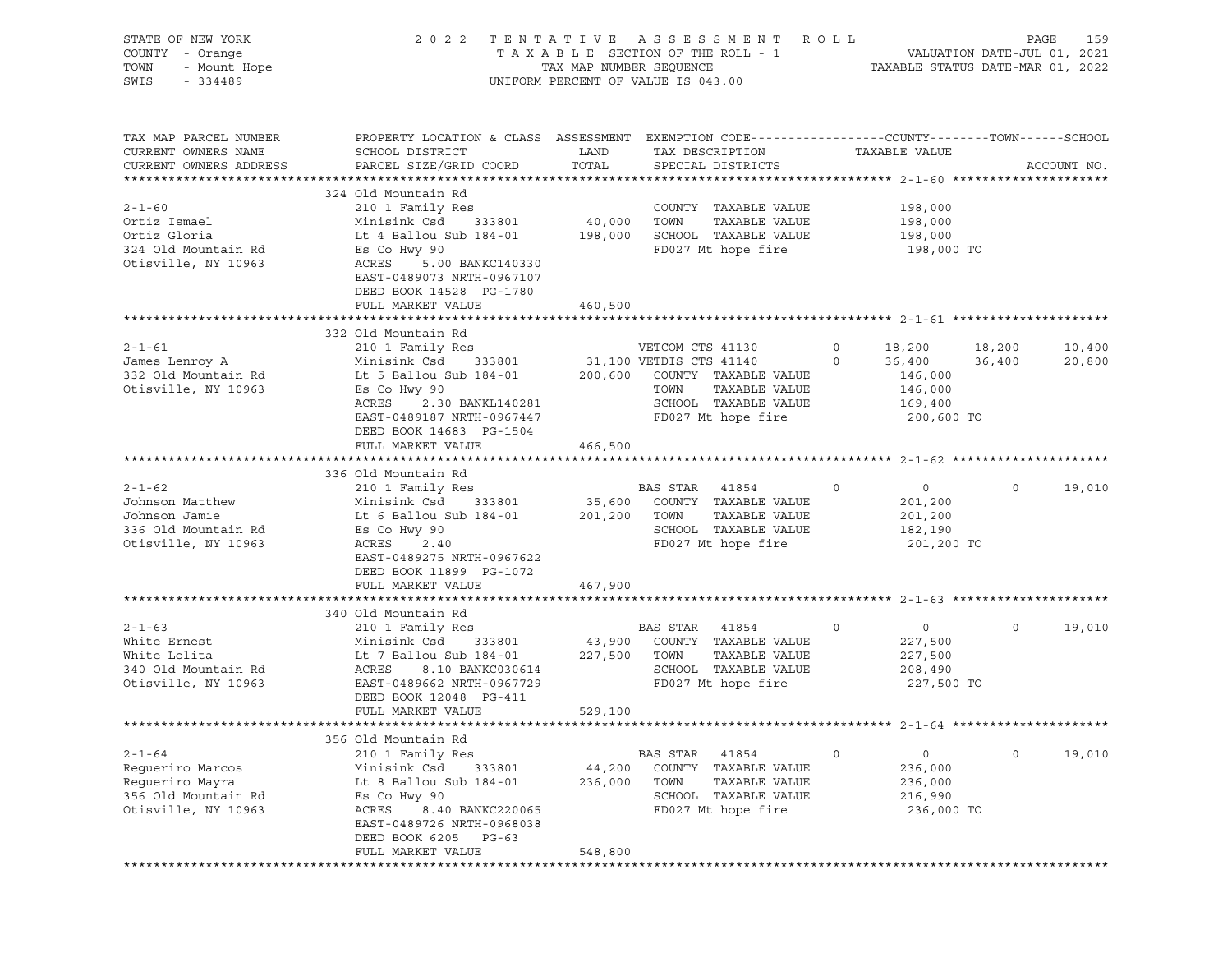| STATE OF NEW YORK<br>COUNTY - Orange<br>TOWN<br>- Mount Hope<br>SWIS<br>$-334489$                 | 2 0 2 2                                                                                                                                                                                                                    | TAX MAP NUMBER SEQUENCE | TENTATIVE ASSESSMENT ROLL<br>TAXABLE SECTION OF THE ROLL - 1<br>UNIFORM PERCENT OF VALUE IS 043.00                     |              | VALUATION DATE-JUL 01, 2021<br>TAXABLE STATUS DATE-MAR 01, 2022        | PAGE        | 159              |
|---------------------------------------------------------------------------------------------------|----------------------------------------------------------------------------------------------------------------------------------------------------------------------------------------------------------------------------|-------------------------|------------------------------------------------------------------------------------------------------------------------|--------------|------------------------------------------------------------------------|-------------|------------------|
| TAX MAP PARCEL NUMBER<br>CURRENT OWNERS NAME<br>CURRENT OWNERS ADDRESS                            | PROPERTY LOCATION & CLASS ASSESSMENT EXEMPTION CODE---------------COUNTY-------TOWN-----SCHOOL<br>SCHOOL DISTRICT<br>PARCEL SIZE/GRID COORD                                                                                | LAND<br>TOTAL           | TAX DESCRIPTION<br>SPECIAL DISTRICTS                                                                                   |              | TAXABLE VALUE                                                          |             | ACCOUNT NO.      |
| $2 - 1 - 60$<br>Ortiz Ismael<br>Ortiz Gloria<br>324 Old Mountain Rd<br>Otisville, NY 10963        | 324 Old Mountain Rd<br>210 1 Family Res<br>Minisink Csd 333801<br>Lt 4 Ballou Sub 184-01 198,000<br>Es Co Hwy 90<br>ACRES<br>5.00 BANKC140330<br>EAST-0489073 NRTH-0967107<br>DEED BOOK 14528 PG-1780<br>FULL MARKET VALUE | 40,000<br>460,500       | COUNTY TAXABLE VALUE<br>TAXABLE VALUE<br>TOWN<br>SCHOOL TAXABLE VALUE<br>FD027 Mt hope fire                            |              | 198,000<br>198,000<br>198,000<br>198,000 TO                            |             |                  |
|                                                                                                   |                                                                                                                                                                                                                            |                         |                                                                                                                        |              |                                                                        |             |                  |
| $2 - 1 - 61$<br>James Lenroy A<br>332 Old Mountain Rd<br>Otisville, NY 10963                      | 332 Old Mountain Rd<br>210 1 Family Res<br>Minisink Csd 333801<br>Lt 5 Ballou Sub 184-01 200,600 COUNTY TAXABLE VALUE<br>Es Co Hwy 90<br>ACRES<br>2.30 BANKL140281<br>EAST-0489187 NRTH-0967447<br>DEED BOOK 14683 PG-1504 |                         | VETCOM CTS 41130<br>31,100 VETDIS CTS 41140<br>TAXABLE VALUE<br>TOWN<br>SCHOOL TAXABLE VALUE<br>FD027 Mt hope fire     | 0<br>0       | 18,200 18,200<br>36,400<br>146,000<br>146,000<br>169,400<br>200,600 TO | 36,400      | 10,400<br>20,800 |
|                                                                                                   | FULL MARKET VALUE                                                                                                                                                                                                          | 466,500                 |                                                                                                                        |              |                                                                        |             |                  |
|                                                                                                   |                                                                                                                                                                                                                            |                         |                                                                                                                        |              |                                                                        |             |                  |
| $2 - 1 - 62$<br>Johnson Matthew<br>Johnson Jamie<br>336 Old Mountain Rd<br>Otisville, NY 10963    | 336 Old Mountain Rd<br>210 1 Family Res<br>Minisink Csd 333801<br>Lt 6 Ballou Sub 184-01 201,200<br>Es Co Hwy 90<br>ACRES<br>2.40<br>EAST-0489275 NRTH-0967622<br>DEED BOOK 11899 PG-1072                                  | 35,600                  | BAS STAR<br>41854<br>COUNTY TAXABLE VALUE<br>TOWN<br>TAXABLE VALUE<br>SCHOOL TAXABLE VALUE<br>FD027 Mt hope fire       | $\circ$      | $\overline{0}$<br>201,200<br>201,200<br>182,190<br>201,200 TO          | $\mathbf 0$ | 19,010           |
|                                                                                                   | FULL MARKET VALUE                                                                                                                                                                                                          | 467,900                 |                                                                                                                        |              |                                                                        |             |                  |
|                                                                                                   |                                                                                                                                                                                                                            |                         |                                                                                                                        |              |                                                                        |             |                  |
| $2 - 1 - 63$<br>White Ernest<br>White Lolita<br>340 Old Mountain Rd<br>Otisville, NY 10963        | 340 Old Mountain Rd<br>210 1 Family Res<br>Minisink Csd 333801<br>Lt 7 Ballou Sub 184-01<br>ACRES<br>8.10 BANKC030614<br>EAST-0489662 NRTH-0967729<br>DEED BOOK 12048 PG-411<br>FULL MARKET VALUE                          | 43,900<br>227,500       | BAS STAR<br>41854<br>COUNTY TAXABLE VALUE<br>TOWN<br>TAXABLE VALUE<br>SCHOOL TAXABLE VALUE<br>FD027 Mt hope fire       | $\mathsf{O}$ | $\overline{0}$<br>227,500<br>227,500<br>208,490<br>227,500 TO          | $\mathbf 0$ | 19,010           |
|                                                                                                   |                                                                                                                                                                                                                            | 529,100                 |                                                                                                                        |              |                                                                        |             |                  |
| $2 - 1 - 64$<br>Requeriro Marcos<br>Regueriro Mayra<br>356 Old Mountain Rd<br>Otisville, NY 10963 | 356 Old Mountain Rd<br>210 1 Family Res<br>Minisink Csd<br>333801<br>Lt 8 Ballou Sub 184-01<br>Es Co Hwy 90<br>ACRES<br>8.40 BANKC220065<br>EAST-0489726 NRTH-0968038<br>DEED BOOK 6205<br>PG-63                           | 44,200<br>236,000       | BAS STAR<br>41854<br>COUNTY<br>TAXABLE VALUE<br>TOWN<br>TAXABLE VALUE<br>SCHOOL<br>TAXABLE VALUE<br>FD027 Mt hope fire | 0            | 0<br>236,000<br>236,000<br>216,990<br>236,000 TO                       | 0           | 19,010           |
|                                                                                                   | FULL MARKET VALUE                                                                                                                                                                                                          | 548,800                 |                                                                                                                        |              |                                                                        |             |                  |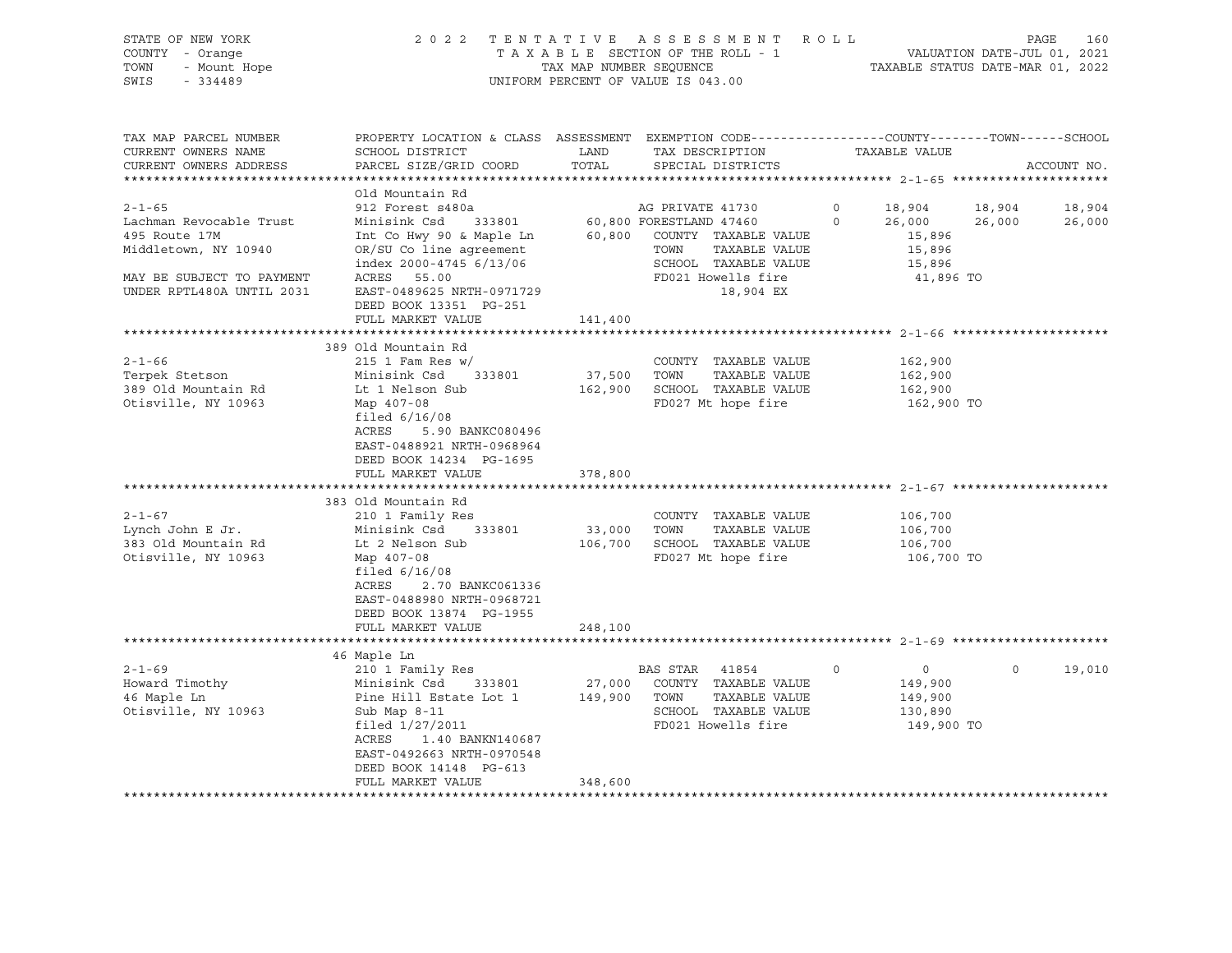# STATE OF NEW YORK 2 0 2 2 T E N T A T I V E A S S E S S M E N T R O L L PAGE 160 COUNTY - Orange T A X A B L E SECTION OF THE ROLL - 1 VALUATION DATE-JUL 01, 2021 TOWN - Mount Hope TAX MAP NUMBER SEQUENCE TAXABLE STATUS DATE-MAR 01, 2022 SWIS - 334489 UNIFORM PERCENT OF VALUE IS 043.00

| TAX MAP PARCEL NUMBER<br>CURRENT OWNERS NAME<br>CURRENT OWNERS ADDRESS                                                                     | PROPERTY LOCATION & CLASS ASSESSMENT<br>SCHOOL DISTRICT<br>PARCEL SIZE/GRID COORD                                                                                                                                                              | LAND<br>TOTAL                | EXEMPTION CODE-----------------COUNTY-------TOWN------SCHOOL<br>TAX DESCRIPTION<br>SPECIAL DISTRICTS                                                           |                    | TAXABLE VALUE                                                 |                  | ACCOUNT NO.      |
|--------------------------------------------------------------------------------------------------------------------------------------------|------------------------------------------------------------------------------------------------------------------------------------------------------------------------------------------------------------------------------------------------|------------------------------|----------------------------------------------------------------------------------------------------------------------------------------------------------------|--------------------|---------------------------------------------------------------|------------------|------------------|
| $2 - 1 - 65$<br>Lachman Revocable Trust<br>495 Route 17M<br>Middletown, NY 10940<br>MAY BE SUBJECT TO PAYMENT<br>UNDER RPTL480A UNTIL 2031 | Old Mountain Rd<br>912 Forest s480a<br>333801<br>Minisink Csd<br>Int Co Hwy 90 & Maple Ln<br>OR/SU Co line agreement<br>index $2000 - 4745$ 6/13/06<br>ACRES 55.00<br>EAST-0489625 NRTH-0971729<br>DEED BOOK 13351 PG-251<br>FULL MARKET VALUE | 141,400                      | AG PRIVATE 41730<br>60,800 FORESTLAND 47460<br>60,800 COUNTY TAXABLE VALUE<br>TOWN<br>TAXABLE VALUE<br>SCHOOL TAXABLE VALUE<br>FD021 Howells fire<br>18,904 EX | $\circ$<br>$\circ$ | 18,904<br>26,000<br>15,896<br>15,896<br>15,896<br>41,896 TO   | 18,904<br>26,000 | 18,904<br>26,000 |
| $2 - 1 - 66$<br>Terpek Stetson<br>389 Old Mountain Rd<br>Otisville, NY 10963                                                               | 389 Old Mountain Rd<br>$215$ 1 Fam Res w/<br>Minisink Csd<br>333801<br>Lt 1 Nelson Sub<br>Map 407-08<br>filed $6/16/08$<br>ACRES<br>5.90 BANKC080496<br>EAST-0488921 NRTH-0968964<br>DEED BOOK 14234 PG-1695<br>FULL MARKET VALUE              | 37,500<br>162,900<br>378,800 | COUNTY TAXABLE VALUE<br>TAXABLE VALUE<br>TOWN<br>SCHOOL TAXABLE VALUE<br>FD027 Mt hope fire                                                                    |                    | 162,900<br>162,900<br>162,900<br>162,900 TO                   |                  |                  |
| $2 - 1 - 67$<br>Lynch John E Jr.<br>383 Old Mountain Rd<br>Otisville, NY 10963                                                             | 383 Old Mountain Rd<br>210 1 Family Res<br>Minisink Csd<br>333801<br>Lt 2 Nelson Sub<br>Map 407-08<br>filed $6/16/08$<br>ACRES<br>2.70 BANKC061336<br>EAST-0488980 NRTH-0968721<br>DEED BOOK 13874 PG-1955<br>FULL MARKET VALUE                | 33,000<br>106,700<br>248,100 | COUNTY TAXABLE VALUE<br>TOWN<br>TAXABLE VALUE<br>SCHOOL TAXABLE VALUE<br>FD027 Mt hope fire                                                                    |                    | 106,700<br>106,700<br>106,700<br>106,700 TO                   |                  |                  |
| $2 - 1 - 69$<br>Howard Timothy<br>46 Maple Ln<br>Otisville, NY 10963                                                                       | 46 Maple Ln<br>210 1 Family Res<br>Minisink Csd 333801<br>Pine Hill Estate Lot 1<br>Sub Map 8-11<br>filed 1/27/2011<br>ACRES<br>1.40 BANKN140687<br>EAST-0492663 NRTH-0970548<br>DEED BOOK 14148 PG-613<br>FULL MARKET VALUE                   | 27,000<br>149,900<br>348,600 | BAS STAR<br>41854<br>COUNTY TAXABLE VALUE<br>TOWN<br>TAXABLE VALUE<br>SCHOOL TAXABLE VALUE<br>FD021 Howells fire                                               | $\circ$            | $\overline{0}$<br>149,900<br>149,900<br>130,890<br>149,900 TO | $\circ$          | 19,010           |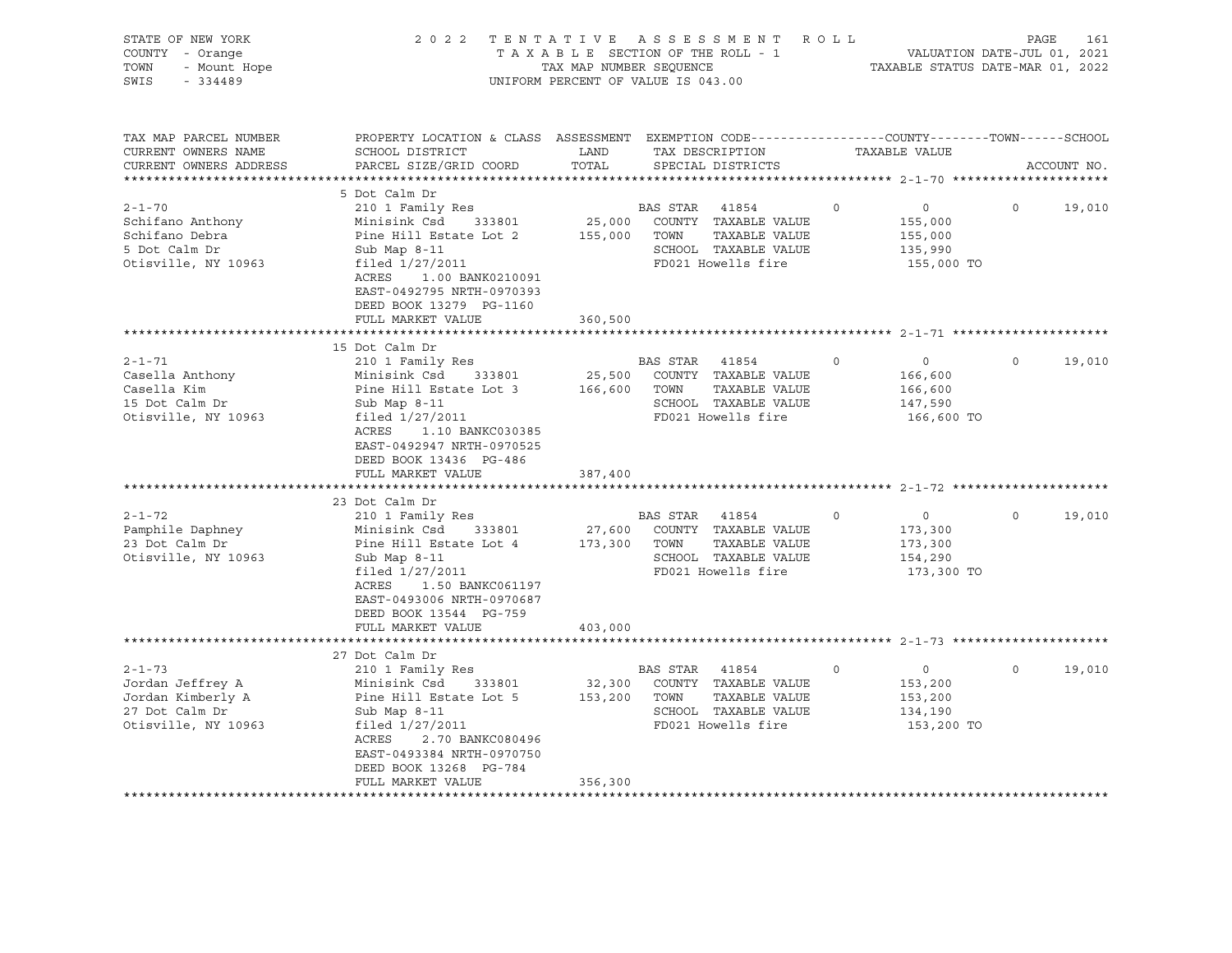| 2 0 2 2                                                                                                                                                                                                                                                                                                                                                                                                                |                                             |         |                                                         |                                                                                                                                                                                                                                                                                                                                                                                                                                                                                                                 |                                                                                                           | PAGE               | 161                                                                                                                                                                                                         |
|------------------------------------------------------------------------------------------------------------------------------------------------------------------------------------------------------------------------------------------------------------------------------------------------------------------------------------------------------------------------------------------------------------------------|---------------------------------------------|---------|---------------------------------------------------------|-----------------------------------------------------------------------------------------------------------------------------------------------------------------------------------------------------------------------------------------------------------------------------------------------------------------------------------------------------------------------------------------------------------------------------------------------------------------------------------------------------------------|-----------------------------------------------------------------------------------------------------------|--------------------|-------------------------------------------------------------------------------------------------------------------------------------------------------------------------------------------------------------|
| SCHOOL DISTRICT<br>PARCEL SIZE/GRID COORD                                                                                                                                                                                                                                                                                                                                                                              | LAND<br>TOTAL                               |         |                                                         |                                                                                                                                                                                                                                                                                                                                                                                                                                                                                                                 |                                                                                                           |                    | ACCOUNT NO.                                                                                                                                                                                                 |
|                                                                                                                                                                                                                                                                                                                                                                                                                        |                                             |         |                                                         |                                                                                                                                                                                                                                                                                                                                                                                                                                                                                                                 |                                                                                                           |                    |                                                                                                                                                                                                             |
| 5 Dot Calm Dr<br>210 1 Family Res<br>Minisink Csd 333801<br>Pine Hill Estate Lot 2<br>Sub Map 8-11<br>filed 1/27/2011<br>ACRES<br>1.00 BANK0210091<br>EAST-0492795 NRTH-0970393<br>DEED BOOK 13279 PG-1160                                                                                                                                                                                                             |                                             |         | TAXABLE VALUE                                           | $\Omega$                                                                                                                                                                                                                                                                                                                                                                                                                                                                                                        | $\overline{0}$<br>155,000<br>155,000<br>135,990                                                           | $\Omega$           | 19,010                                                                                                                                                                                                      |
| FULL MARKET VALUE                                                                                                                                                                                                                                                                                                                                                                                                      | 360,500                                     |         |                                                         |                                                                                                                                                                                                                                                                                                                                                                                                                                                                                                                 |                                                                                                           |                    |                                                                                                                                                                                                             |
| 15 Dot Calm Dr<br>210 1 Family Res<br>Minisink Csd 333801<br>Pine Hill Estate Lot 3<br>Sub Map 8-11<br>filed 1/27/2011<br>ACRES<br>1.10 BANKC030385<br>EAST-0492947 NRTH-0970525<br>DEED BOOK 13436 PG-486<br>FULL MARKET VALUE<br>23 Dot Calm Dr<br>210 1 Family Res<br>Minisink Csd<br>333801<br>Pine Hill Estate Lot 4<br>Sub Map 8-11<br>filed 1/27/2011<br>ACRES<br>1.50 BANKC061197<br>EAST-0493006 NRTH-0970687 | 25,500<br>387,400<br>27,600                 | TOWN    | TAXABLE VALUE<br>TAXABLE VALUE                          | $\circ$<br>$\circ$                                                                                                                                                                                                                                                                                                                                                                                                                                                                                              | $\circ$<br>166,600<br>166,600<br>147,590<br>166,600 TO<br>$\overline{0}$<br>173,300<br>173,300<br>154,290 | $\circ$<br>$\circ$ | 19,010<br>19,010                                                                                                                                                                                            |
|                                                                                                                                                                                                                                                                                                                                                                                                                        |                                             |         |                                                         |                                                                                                                                                                                                                                                                                                                                                                                                                                                                                                                 |                                                                                                           |                    |                                                                                                                                                                                                             |
|                                                                                                                                                                                                                                                                                                                                                                                                                        |                                             |         |                                                         |                                                                                                                                                                                                                                                                                                                                                                                                                                                                                                                 |                                                                                                           |                    |                                                                                                                                                                                                             |
| 27 Dot Calm Dr<br>210 1 Family Res<br>Minisink Csd<br>333801<br>Pine Hill Estate Lot 5<br>Sub Map 8-11<br>filed 1/27/2011<br>ACRES<br>2.70 BANKC080496<br>EAST-0493384 NRTH-0970750<br>DEED BOOK 13268 PG-784<br>FULL MARKET VALUE                                                                                                                                                                                     | 32,300<br>356,300                           |         | TAXABLE VALUE                                           | $\circ$                                                                                                                                                                                                                                                                                                                                                                                                                                                                                                         | $\overline{0}$<br>153,200<br>153,200<br>134,190                                                           | $\circ$            | 19,010                                                                                                                                                                                                      |
|                                                                                                                                                                                                                                                                                                                                                                                                                        | DEED BOOK 13544 PG-759<br>FULL MARKET VALUE | 403,000 | 155,000 TOWN<br>166,600<br>173,300 TOWN<br>153,200 TOWN | TAXABLE SECTION OF THE ROLL - 1<br>TAX MAP NUMBER SEQUENCE<br>UNIFORM PERCENT OF VALUE IS 043.00<br>TAX DESCRIPTION<br>SPECIAL DISTRICTS<br>BAS STAR 41854<br>25,000 COUNTY TAXABLE VALUE<br>SCHOOL TAXABLE VALUE<br>FD021 Howells fire<br>BAS STAR 41854<br>COUNTY TAXABLE VALUE<br>SCHOOL TAXABLE VALUE<br>FD021 Howells fire<br>BAS STAR 41854<br>COUNTY TAXABLE VALUE<br>SCHOOL TAXABLE VALUE<br>FD021 Howells fire<br>BAS STAR 41854<br>COUNTY TAXABLE VALUE<br>SCHOOL TAXABLE VALUE<br>FD021 Howells fire | TENTATIVE ASSESSMENT ROLL                                                                                 | TAXABLE VALUE      | VALUATION DATE-JUL 01, 2021<br>TAXABLE STATUS DATE-MAR 01, 2022<br>PROPERTY LOCATION & CLASS ASSESSMENT EXEMPTION CODE---------------COUNTY-------TOWN-----SCHOOL<br>155,000 TO<br>173,300 TO<br>153,200 TO |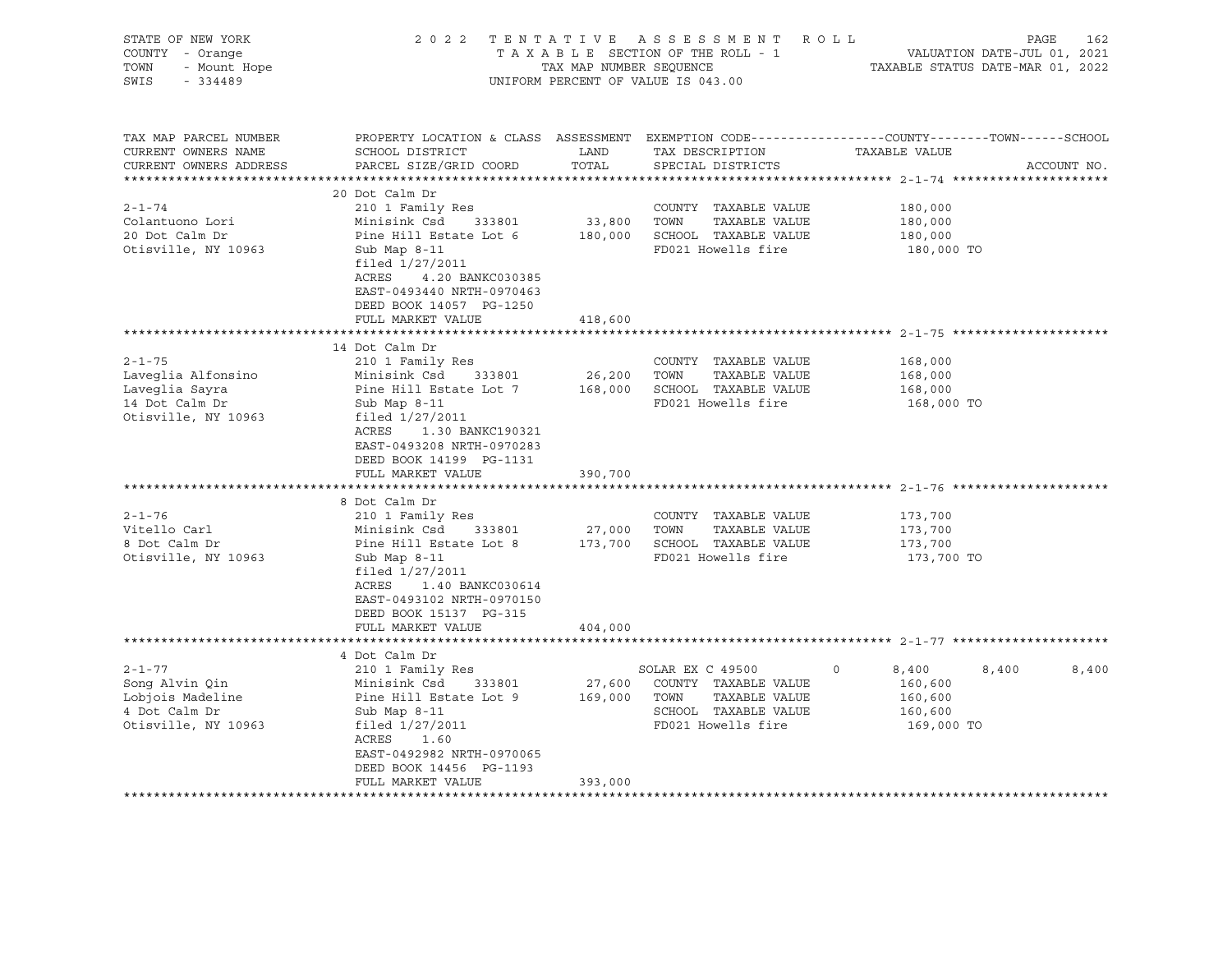| STATE OF NEW YORK<br>COUNTY - Orange<br>TOWN<br>- Mount Hope<br>SWIS<br>$-334489$                                                                                     |                                                                                                                                                                                                                                                                                                                                                                                                                                               | TAX MAP NUMBER SEOUENCE      | 2022 TENTATIVE ASSESSMENT<br>TAXABLE SECTION OF THE ROLL - 1<br>UNIFORM PERCENT OF VALUE IS 043.00                                                                                                         | ROLL<br>PAGE<br>VALUATION DATE-JUL 01, 2021<br>TAXABLE STATUS DATE-MAR 01, 2022                                 | 162         |
|-----------------------------------------------------------------------------------------------------------------------------------------------------------------------|-----------------------------------------------------------------------------------------------------------------------------------------------------------------------------------------------------------------------------------------------------------------------------------------------------------------------------------------------------------------------------------------------------------------------------------------------|------------------------------|------------------------------------------------------------------------------------------------------------------------------------------------------------------------------------------------------------|-----------------------------------------------------------------------------------------------------------------|-------------|
| TAX MAP PARCEL NUMBER<br>CURRENT OWNERS NAME<br>CURRENT OWNERS ADDRESS                                                                                                | SCHOOL DISTRICT<br>PARCEL SIZE/GRID COORD                                                                                                                                                                                                                                                                                                                                                                                                     | LAND<br>TOTAL                | TAX DESCRIPTION<br>SPECIAL DISTRICTS                                                                                                                                                                       | PROPERTY LOCATION & CLASS ASSESSMENT EXEMPTION CODE---------------COUNTY-------TOWN-----SCHOOL<br>TAXABLE VALUE | ACCOUNT NO. |
| $2 - 1 - 74$<br>Colantuono Lori<br>20 Dot Calm Dr<br>Otisville, NY 10963                                                                                              | 20 Dot Calm Dr<br>210 1 Family Res<br>Minisink Csd<br>333801<br>Pine Hill Estate Lot 6<br>Sub Map 8-11<br>filed 1/27/2011<br>ACRES<br>4.20 BANKC030385<br>EAST-0493440 NRTH-0970463<br>DEED BOOK 14057 PG-1250<br>FULL MARKET VALUE                                                                                                                                                                                                           | 33,800 TOWN<br>418,600       | COUNTY TAXABLE VALUE<br>TAXABLE VALUE<br>180,000 SCHOOL TAXABLE VALUE<br>FD021 Howells fire                                                                                                                | 180,000<br>180,000<br>180,000<br>180,000 TO                                                                     |             |
|                                                                                                                                                                       |                                                                                                                                                                                                                                                                                                                                                                                                                                               |                              |                                                                                                                                                                                                            |                                                                                                                 |             |
| $2 - 1 - 75$<br>Laveglia Alfonsino<br>Laveglia Sayra<br>14 Dot Calm Dr<br>Otisville, NY 10963<br>$2 - 1 - 76$<br>Vitello Carl<br>8 Dot Calm Dr<br>Otisville, NY 10963 | 14 Dot Calm Dr<br>210 1 Family Res<br>Minisink Csd 333801<br>Pine Hill Estate Lot 7<br>Sub Map 8-11<br>filed 1/27/2011<br>ACRES 1.30 BANKC190321<br>EAST-0493208 NRTH-0970283<br>DEED BOOK 14199 PG-1131<br>FULL MARKET VALUE<br>8 Dot Calm Dr<br>210 1 Family Res<br>Minisink Csd<br>333801<br>Pine Hill Estate Lot 8<br>Sub Map 8-11<br>filed 1/27/2011<br>ACRES<br>1.40 BANKC030614<br>EAST-0493102 NRTH-0970150<br>DEED BOOK 15137 PG-315 | 26,200<br>390,700<br>27,000  | COUNTY TAXABLE VALUE<br>TOWN<br>TAXABLE VALUE<br>168,000 SCHOOL TAXABLE VALUE<br>FD021 Howells fire<br>COUNTY TAXABLE VALUE<br>TAXABLE VALUE<br>TOWN<br>173,700 SCHOOL TAXABLE VALUE<br>FD021 Howells fire | 168,000<br>168,000<br>168,000<br>168,000 TO<br>173,700<br>173,700<br>173,700<br>173,700 TO                      |             |
|                                                                                                                                                                       | FULL MARKET VALUE                                                                                                                                                                                                                                                                                                                                                                                                                             | 404,000                      |                                                                                                                                                                                                            |                                                                                                                 |             |
| $2 - 1 - 77$<br>Song Alvin Qin<br>Lobjois Madeline<br>4 Dot Calm Dr<br>Otisville, NY 10963                                                                            | 4 Dot Calm Dr<br>210 1 Family Res<br>Minisink Csd<br>333801<br>Pine Hill Estate Lot 9<br>Sub Map $8-11$<br>filed 1/27/2011<br>ACRES<br>1.60<br>EAST-0492982 NRTH-0970065<br>DEED BOOK 14456 PG-1193<br>FULL MARKET VALUE                                                                                                                                                                                                                      | 27,600<br>169,000<br>393,000 | SOLAR EX C 49500<br>COUNTY TAXABLE VALUE<br>TOWN<br>TAXABLE VALUE<br>SCHOOL TAXABLE VALUE<br>FD021 Howells fire                                                                                            | 8,400<br>8,400<br>$\circ$<br>160,600<br>160,600<br>160,600<br>169,000 TO                                        | 8,400       |
|                                                                                                                                                                       |                                                                                                                                                                                                                                                                                                                                                                                                                                               |                              |                                                                                                                                                                                                            |                                                                                                                 |             |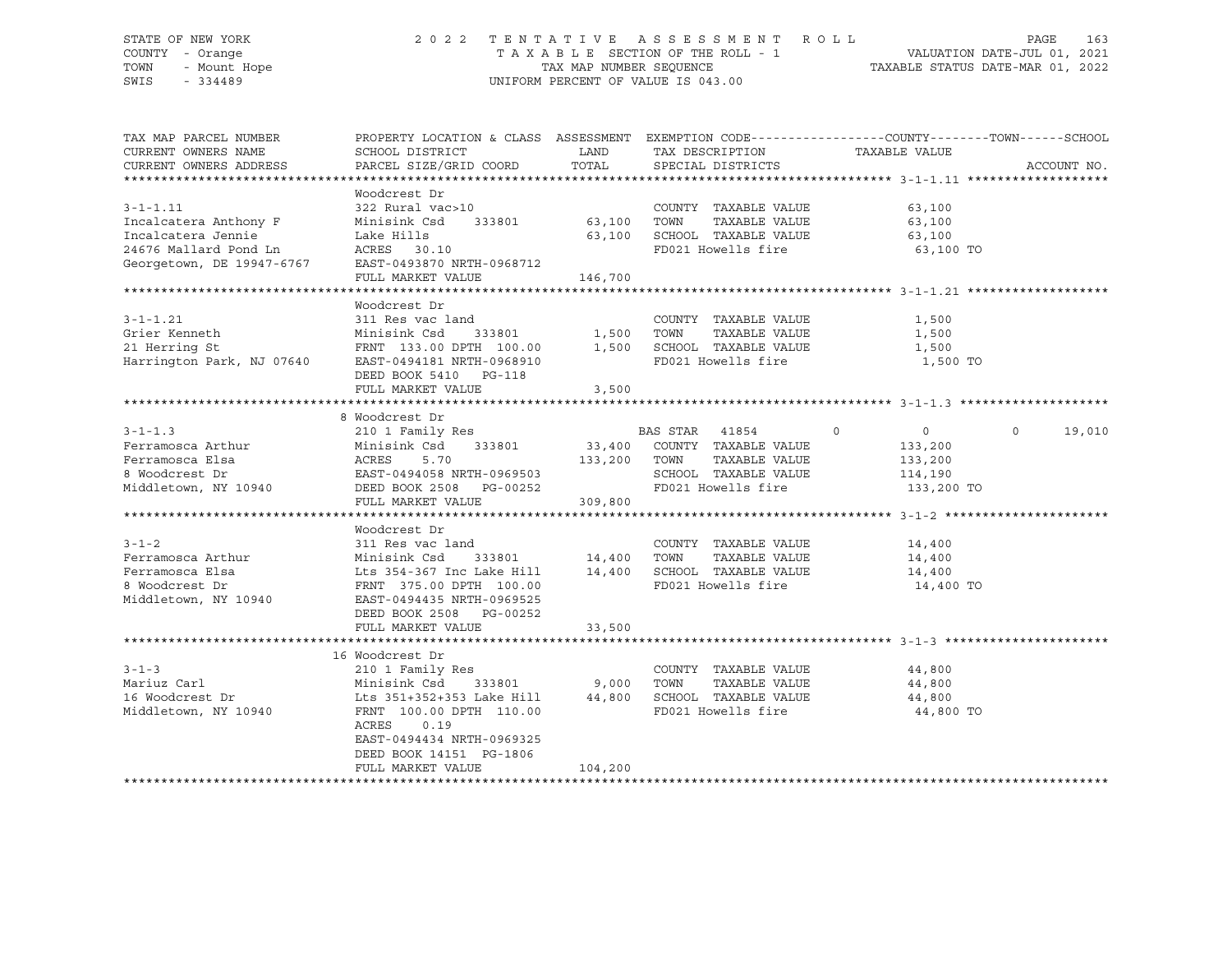# STATE OF NEW YORK 2 0 2 2 T E N T A T I V E A S S E S S M E N T R O L L PAGE 163 COUNTY - Orange T A X A B L E SECTION OF THE ROLL - 1 VALUATION DATE-JUL 01, 2021 TOWN - Mount Hope TAX MAP NUMBER SEQUENCE TAXABLE STATUS DATE-MAR 01, 2022 SWIS - 334489 UNIFORM PERCENT OF VALUE IS 043.00

| TAX MAP PARCEL NUMBER<br>CURRENT OWNERS NAME | PROPERTY LOCATION & CLASS ASSESSMENT EXEMPTION CODE----------------COUNTY-------TOWN------SCHOOL<br>SCHOOL DISTRICT | LAND         | TAX DESCRIPTION                                           | TAXABLE VALUE  |                   |
|----------------------------------------------|---------------------------------------------------------------------------------------------------------------------|--------------|-----------------------------------------------------------|----------------|-------------------|
| CURRENT OWNERS ADDRESS                       | PARCEL SIZE/GRID COORD                                                                                              | TOTAL        | SPECIAL DISTRICTS                                         |                | ACCOUNT NO.       |
|                                              |                                                                                                                     |              |                                                           |                |                   |
|                                              | Woodcrest Dr                                                                                                        |              |                                                           |                |                   |
| $3 - 1 - 1.11$                               | 322 Rural vac>10                                                                                                    |              | COUNTY TAXABLE VALUE                                      | 63,100         |                   |
| Incalcatera Anthony F                        | Minisink Csd                                                                                                        |              | TAXABLE VALUE                                             | 63,100         |                   |
| Incalcatera Jennie                           | Lake Hills                                                                                                          |              | 63,100 SCHOOL TAXABLE VALUE                               | 63,100         |                   |
| 24676 Mallard Pond Ln                        | ACRES 30.10                                                                                                         |              | FD021 Howells fire                                        | 63,100 TO      |                   |
| Georgetown, DE 19947-6767                    | EAST-0493870 NRTH-0968712                                                                                           |              |                                                           |                |                   |
|                                              | FULL MARKET VALUE                                                                                                   | 146,700      |                                                           |                |                   |
|                                              |                                                                                                                     |              |                                                           |                |                   |
|                                              | Woodcrest Dr                                                                                                        |              |                                                           |                |                   |
| $3 - 1 - 1.21$                               | 311 Res vac land                                                                                                    |              | COUNTY TAXABLE VALUE                                      | 1,500          |                   |
|                                              |                                                                                                                     | 333801 1,500 | TOWN<br>TAXABLE VALUE                                     | 1,500          |                   |
|                                              |                                                                                                                     |              | SCHOOL TAXABLE VALUE                                      | 1,500          |                   |
|                                              |                                                                                                                     |              | FD021 Howells fire                                        | 1,500 TO       |                   |
|                                              | DEED BOOK 5410 PG-118                                                                                               |              |                                                           |                |                   |
|                                              | FULL MARKET VALUE                                                                                                   | 3,500        |                                                           |                |                   |
|                                              |                                                                                                                     |              |                                                           |                |                   |
|                                              | 8 Woodcrest Dr                                                                                                      |              |                                                           |                |                   |
| $3 - 1 - 1.3$                                | 210 1 Family Res                                                                                                    |              | BAS STAR 41854<br>$\sim$ 0                                | $\overline{0}$ | $\circ$<br>19,010 |
| Ferramosca Arthur                            |                                                                                                                     |              | 33,400 COUNTY TAXABLE VALUE<br>133,200 TOWN TAXABLE VALUE | 133,200        |                   |
| Ferramosca Elsa                              |                                                                                                                     |              |                                                           | 133,200        |                   |
| 8 Woodcrest Dr                               |                                                                                                                     |              | SCHOOL TAXABLE VALUE                                      | 114,190        |                   |
| Middletown, NY 10940                         | 2 Minisink Csd 333801 33,400<br>ACRES 5.70 133,200<br>EAST-0494058 NRTH-0969503<br>DEED BOOK 2508 PG-00252          |              | FD021 Howells fire                                        | 133,200 TO     |                   |
|                                              | FULL MARKET VALUE                                                                                                   | 309,800      |                                                           |                |                   |
|                                              |                                                                                                                     |              |                                                           |                |                   |
|                                              | Woodcrest Dr                                                                                                        |              |                                                           |                |                   |
| $3 - 1 - 2$                                  | 311 Res vac land                                                                                                    |              | COUNTY TAXABLE VALUE                                      | 14,400         |                   |
| Ferramosca Arthur                            | 311 kes vac 1<br>Minisink Csd                                                                                       |              | TAXABLE VALUE                                             | 14,400         |                   |
| Ferramosca Elsa                              |                                                                                                                     |              |                                                           |                |                   |
| 8 Woodcrest Dr                               | FRNT 375.00 DPTH 100.00                                                                                             |              | FD021 Howells fire                                        | 14,400 TO      |                   |
| Middletown, NY 10940                         | EAST-0494435 NRTH-0969525                                                                                           |              |                                                           |                |                   |
|                                              | DEED BOOK 2508 PG-00252                                                                                             |              |                                                           |                |                   |
|                                              | FULL MARKET VALUE                                                                                                   | 33,500       |                                                           |                |                   |
|                                              |                                                                                                                     |              |                                                           |                |                   |
|                                              | 16 Woodcrest Dr                                                                                                     |              |                                                           |                |                   |
| $3 - 1 - 3$                                  | 210 1 Family Res                                                                                                    |              | COUNTY TAXABLE VALUE                                      | 44,800         |                   |
| Mariuz Carl                                  |                                                                                                                     |              | TOWN<br>TAXABLE VALUE                                     | 44,800         |                   |
| 16 Woodcrest Dr                              | Minisink Csd 333801 9,000<br>Lts 351+352+353 Lake Hill 44,800                                                       |              | SCHOOL TAXABLE VALUE                                      | 44,800         |                   |
|                                              |                                                                                                                     |              |                                                           |                |                   |
| Middletown, NY 10940                         | FRNT 100.00 DPTH 110.00<br>ACRES<br>0.19                                                                            |              | FD021 Howells fire                                        | 44,800 TO      |                   |
|                                              |                                                                                                                     |              |                                                           |                |                   |
|                                              | EAST-0494434 NRTH-0969325                                                                                           |              |                                                           |                |                   |
|                                              | DEED BOOK 14151 PG-1806                                                                                             |              |                                                           |                |                   |
|                                              | FULL MARKET VALUE                                                                                                   | 104,200      |                                                           |                |                   |
|                                              |                                                                                                                     |              |                                                           |                |                   |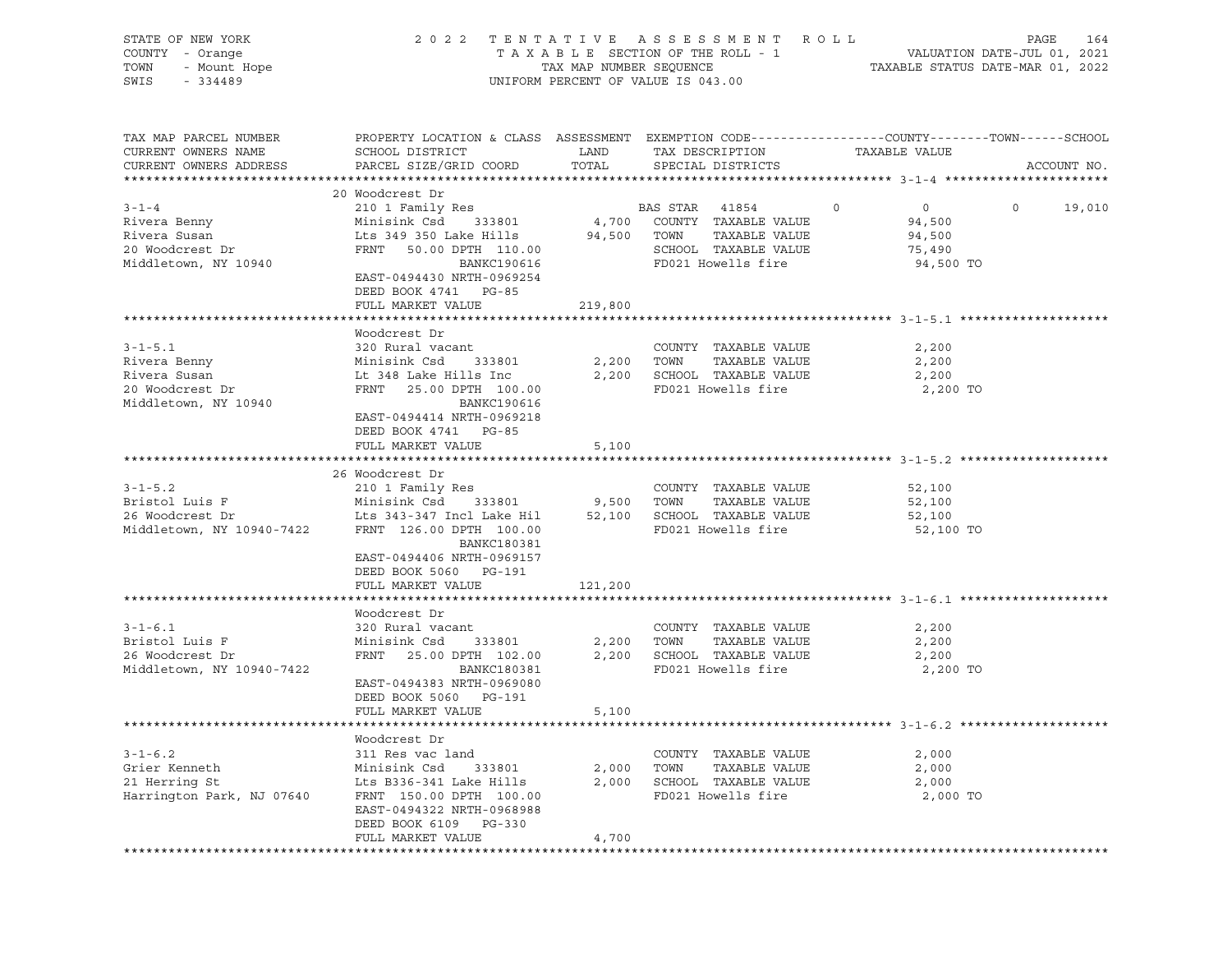| STATE OF NEW YORK<br>COUNTY - Orange<br>TOWN<br>- Mount Hope<br>SWIS<br>$-334489$        | 2 0 2 2                                                                                                                                                                                                         | TAX MAP NUMBER SEQUENCE | TENTATIVE ASSESSMENT ROLL<br>TAXABLE SECTION OF THE ROLL - 1<br>UNIFORM PERCENT OF VALUE IS 043.00                         | PAGE<br>VALUATION DATE-JUL 01, 2021<br>TAXABLE STATUS DATE-MAR 01, 2022                                           | 164         |
|------------------------------------------------------------------------------------------|-----------------------------------------------------------------------------------------------------------------------------------------------------------------------------------------------------------------|-------------------------|----------------------------------------------------------------------------------------------------------------------------|-------------------------------------------------------------------------------------------------------------------|-------------|
| TAX MAP PARCEL NUMBER<br>CURRENT OWNERS NAME<br>CURRENT OWNERS ADDRESS                   | SCHOOL DISTRICT<br>PARCEL SIZE/GRID COORD                                                                                                                                                                       | LAND<br>TOTAL           | TAX DESCRIPTION<br>SPECIAL DISTRICTS                                                                                       | PROPERTY LOCATION & CLASS ASSESSMENT EXEMPTION CODE----------------COUNTY-------TOWN------SCHOOL<br>TAXABLE VALUE | ACCOUNT NO. |
|                                                                                          | 20 Woodcrest Dr                                                                                                                                                                                                 |                         |                                                                                                                            |                                                                                                                   |             |
| $3 - 1 - 4$<br>Rivera Benny<br>Rivera Susan<br>20 Woodcrest Dr<br>Middletown, NY 10940   | 210 1 Family Res<br>Minisink Csd<br>333801<br>Lts 349 350 Lake Hills<br>FRNT 50.00 DPTH 110.00<br>BANKC190616<br>EAST-0494430 NRTH-0969254<br>DEED BOOK 4741 PG-85                                              |                         | BAS STAR 41854<br>4,700 COUNTY TAXABLE VALUE<br>94,500 TOWN<br>TAXABLE VALUE<br>SCHOOL TAXABLE VALUE<br>FD021 Howells fire | $\circ$<br>$\overline{0}$<br>$\circ$<br>94,500<br>94,500<br>75,490<br>94,500 TO                                   | 19,010      |
|                                                                                          | FULL MARKET VALUE                                                                                                                                                                                               | 219,800                 |                                                                                                                            |                                                                                                                   |             |
| $3 - 1 - 5.1$<br>Rivera Benny<br>Rivera Susan<br>20 Woodcrest Dr<br>Middletown, NY 10940 | Woodcrest Dr<br>320 Rural vacant<br>Minisink Csd<br>333801<br>Lt 348 Lake Hills Inc<br>FRNT 25.00 DPTH 100.00<br>BANKC190616<br>EAST-0494414 NRTH-0969218<br>DEED BOOK 4741 PG-85<br>FULL MARKET VALUE          | 2,200<br>2,200<br>5,100 | COUNTY TAXABLE VALUE<br>TOWN<br>TAXABLE VALUE<br>SCHOOL TAXABLE VALUE<br>FD021 Howells fire                                | 2,200<br>2,200<br>2,200<br>2,200 TO                                                                               |             |
|                                                                                          |                                                                                                                                                                                                                 |                         |                                                                                                                            |                                                                                                                   |             |
| $3 - 1 - 5.2$<br>Bristol Luis F<br>26 Woodcrest Dr<br>Middletown, NY 10940-7422          | 26 Woodcrest Dr<br>210 1 Family Res<br>Minisink Csd<br>333801<br>Lts 343-347 Incl Lake Hil<br>FRNT 126.00 DPTH 100.00<br>BANKC180381<br>EAST-0494406 NRTH-0969157<br>DEED BOOK 5060 PG-191<br>FULL MARKET VALUE | 9,500 TOWN<br>121,200   | COUNTY TAXABLE VALUE<br>TAXABLE VALUE<br>52,100 SCHOOL TAXABLE VALUE<br>FD021 Howells fire                                 | 52,100<br>52,100<br>52,100<br>52,100 TO                                                                           |             |
|                                                                                          |                                                                                                                                                                                                                 |                         |                                                                                                                            |                                                                                                                   |             |
| $3 - 1 - 6.1$<br>Bristol Luis F<br>26 Woodcrest Dr<br>Middletown, NY 10940-7422          | Woodcrest Dr<br>320 Rural vacant<br>Minisink Csd<br>333801<br>FRNT 25.00 DPTH 102.00<br><b>BANKC180381</b><br>EAST-0494383 NRTH-0969080                                                                         | 2,200<br>2,200          | COUNTY TAXABLE VALUE<br>TOWN<br>TAXABLE VALUE<br>SCHOOL TAXABLE VALUE<br>FD021 Howells fire                                | 2,200<br>2,200<br>2,200<br>2,200 TO                                                                               |             |
|                                                                                          | DEED BOOK 5060 PG-191<br>FULL MARKET VALUE                                                                                                                                                                      | 5,100                   |                                                                                                                            |                                                                                                                   |             |
| $3 - 1 - 6.2$<br>Grier Kenneth<br>21 Herring St<br>Harrington Park, NJ 07640             | Woodcrest Dr<br>311 Res vac land<br>Minisink Csd<br>333801<br>Lts B336-341 Lake Hills<br>FRNT 150.00 DPTH 100.00<br>EAST-0494322 NRTH-0968988<br>DEED BOOK 6109<br>$PG-330$<br>FULL MARKET VALUE                | 2,000<br>2,000<br>4,700 | COUNTY TAXABLE VALUE<br>TOWN<br>TAXABLE VALUE<br>SCHOOL TAXABLE VALUE<br>FD021 Howells fire                                | 2,000<br>2,000<br>2,000<br>2,000 TO                                                                               |             |
|                                                                                          |                                                                                                                                                                                                                 |                         |                                                                                                                            |                                                                                                                   |             |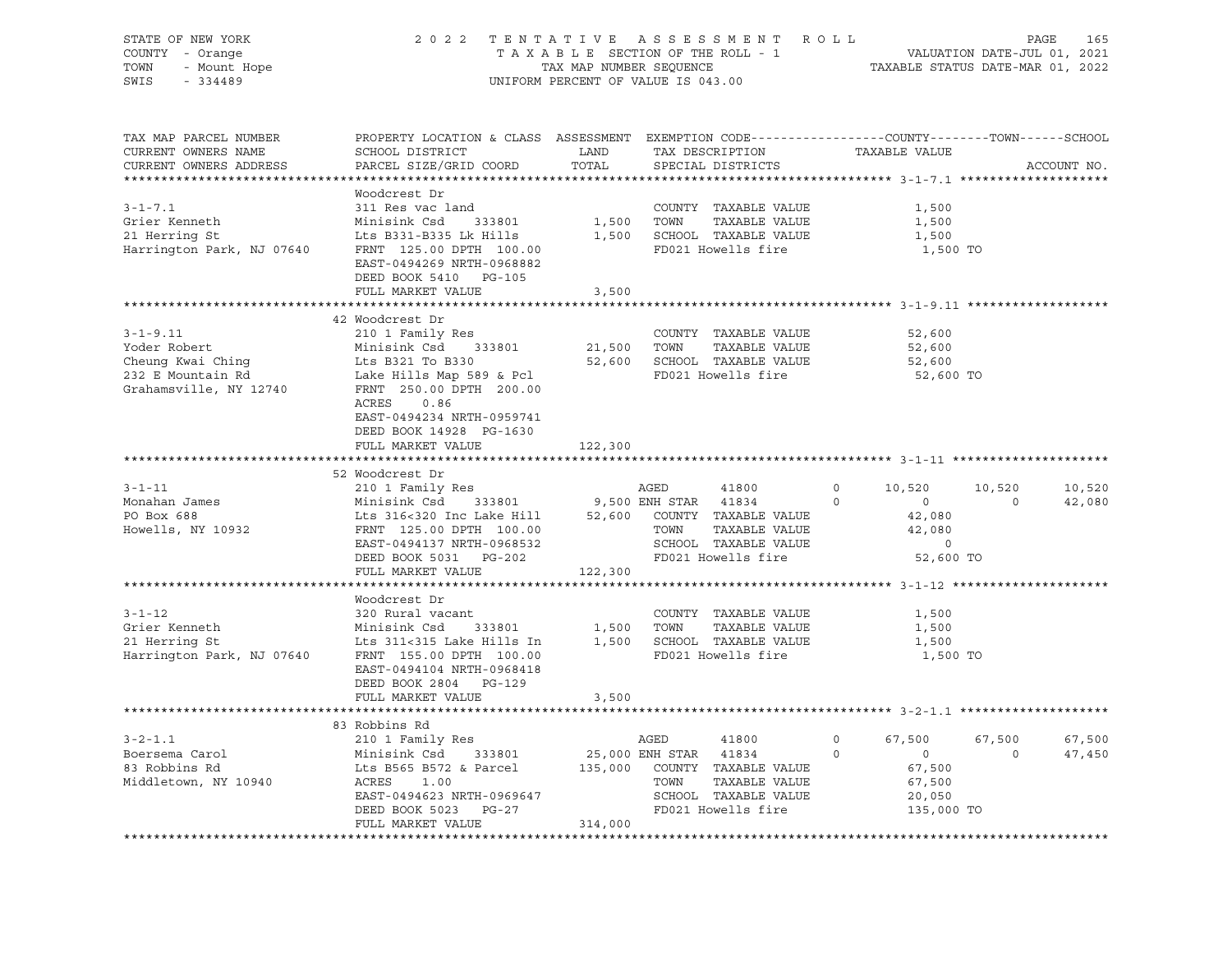| STATE OF NEW YORK<br>COUNTY - Orange<br>- Mount Hope<br>TOWN<br>SWIS<br>$-334489$                  | 2022 TENTATIVE                                                                                                                                                                                                                      | TAX MAP NUMBER SEQUENCE | ASSESSMENT ROLL<br>TAXABLE SECTION OF THE ROLL - 1<br>UNIFORM PERCENT OF VALUE IS 043.00                                                      | TAXABLE STATUS DATE-MAR 01, 2022                                                                   | PAGE<br>165<br>VALUATION DATE-JUL 01, 2021 |
|----------------------------------------------------------------------------------------------------|-------------------------------------------------------------------------------------------------------------------------------------------------------------------------------------------------------------------------------------|-------------------------|-----------------------------------------------------------------------------------------------------------------------------------------------|----------------------------------------------------------------------------------------------------|--------------------------------------------|
| TAX MAP PARCEL NUMBER<br>CURRENT OWNERS NAME<br>CURRENT OWNERS ADDRESS                             | PROPERTY LOCATION & CLASS ASSESSMENT EXEMPTION CODE----------------COUNTY-------TOWN-----SCHOOL<br>SCHOOL DISTRICT<br>PARCEL SIZE/GRID COORD                                                                                        | LAND<br>TOTAL           | TAX DESCRIPTION<br>SPECIAL DISTRICTS                                                                                                          | TAXABLE VALUE                                                                                      | ACCOUNT NO.                                |
| $3 - 1 - 7.1$<br>Grier Kenneth<br>21 Herring St<br>Harrington Park, NJ 07640                       | Woodcrest Dr<br>311 Res vac land<br>Minisink Csd<br>333801<br>Lts B331-B335 Lk Hills<br>FRNT 125.00 DPTH 100.00<br>EAST-0494269 NRTH-0968882<br>DEED BOOK 5410 PG-105<br>FULL MARKET VALUE                                          | 1,500<br>3,500          | COUNTY TAXABLE VALUE<br>TOWN<br>TAXABLE VALUE<br>1,500 SCHOOL TAXABLE VALUE<br>FD021 Howells fire                                             | 1,500<br>1,500<br>1,500<br>1,500 TO                                                                |                                            |
| $3 - 1 - 9.11$<br>Yoder Robert<br>Cheung Kwai Ching<br>232 E Mountain Rd<br>Grahamsville, NY 12740 | 42 Woodcrest Dr<br>210 1 Family Res<br>Minisink Csd 333801<br>Lts B321 To B330<br>Lake Hills Map 589 & Pcl<br>FRNT 250.00 DPTH 200.00<br>ACRES<br>0.86<br>EAST-0494234 NRTH-0959741<br>DEED BOOK 14928 PG-1630<br>FULL MARKET VALUE | 21,500 TOWN<br>122,300  | COUNTY TAXABLE VALUE<br>TAXABLE VALUE<br>52,600 SCHOOL TAXABLE VALUE<br>FD021 Howells fire                                                    | 52,600<br>52,600<br>52,600<br>52,600 TO                                                            |                                            |
| $3 - 1 - 11$<br>Monahan James<br>PO Box 688<br>Howells, NY 10932                                   | 52 Woodcrest Dr<br>210 1 Family Res<br>Minisink Csd 333801<br>Lts 316<320 Inc Lake Hill<br>FRNT 125.00 DPTH 100.00<br>EAST-0494137 NRTH-0968532<br>DEED BOOK 5031 PG-202                                                            |                         | AGED<br>41800<br>9,500 ENH STAR 41834<br>52,600 COUNTY TAXABLE VALUE<br>TOWN<br>TAXABLE VALUE<br>SCHOOL TAXABLE VALUE<br>FD021 Howells fire   | $\circ$<br>10,520<br>$\Omega$<br>$\overline{0}$<br>42,080<br>42,080<br>$\overline{0}$<br>52,600 TO | 10,520<br>10,520<br>42,080<br>$\circ$      |
| $3 - 1 - 12$<br>Grier Kenneth<br>21 Herring St<br>Harrington Park, NJ 07640                        | FULL MARKET VALUE<br>Woodcrest Dr<br>320 Rural vacant<br>Minisink Csd 333801<br>Lts 311<315 Lake Hills In<br>FRNT 155.00 DPTH 100.00<br>EAST-0494104 NRTH-0968418<br>DEED BOOK 2804<br>PG-129<br>FULL MARKET VALUE                  | 122,300<br>3,500        | COUNTY TAXABLE VALUE<br>1,500 TOWN<br>TAXABLE VALUE<br>1,500 SCHOOL TAXABLE VALUE<br>FD021 Howells fire                                       | 1,500<br>1,500<br>1,500<br>1,500 TO                                                                |                                            |
| $3 - 2 - 1.1$<br>Boersema Carol<br>83 Robbins Rd<br>Middletown, NY 10940                           | 83 Robbins Rd<br>210 1 Family Res<br>Minisink Csd<br>333801<br>Lts B565 B572 & Parcel<br>ACRES<br>1.00<br>EAST-0494623 NRTH-0969647<br>DEED BOOK 5023 PG-27                                                                         |                         | AGED<br>41800<br>25,000 ENH STAR 41834<br>135,000 COUNTY TAXABLE VALUE<br>TOWN<br>TAXABLE VALUE<br>SCHOOL TAXABLE VALUE<br>FD021 Howells fire | 67,500<br>$\circ$<br>$\overline{0}$<br>$\Omega$<br>67,500<br>67,500<br>20,050<br>135,000 TO        | 67,500<br>67,500<br>$\Omega$<br>47,450     |
|                                                                                                    | FULL MARKET VALUE                                                                                                                                                                                                                   | 314,000                 |                                                                                                                                               |                                                                                                    |                                            |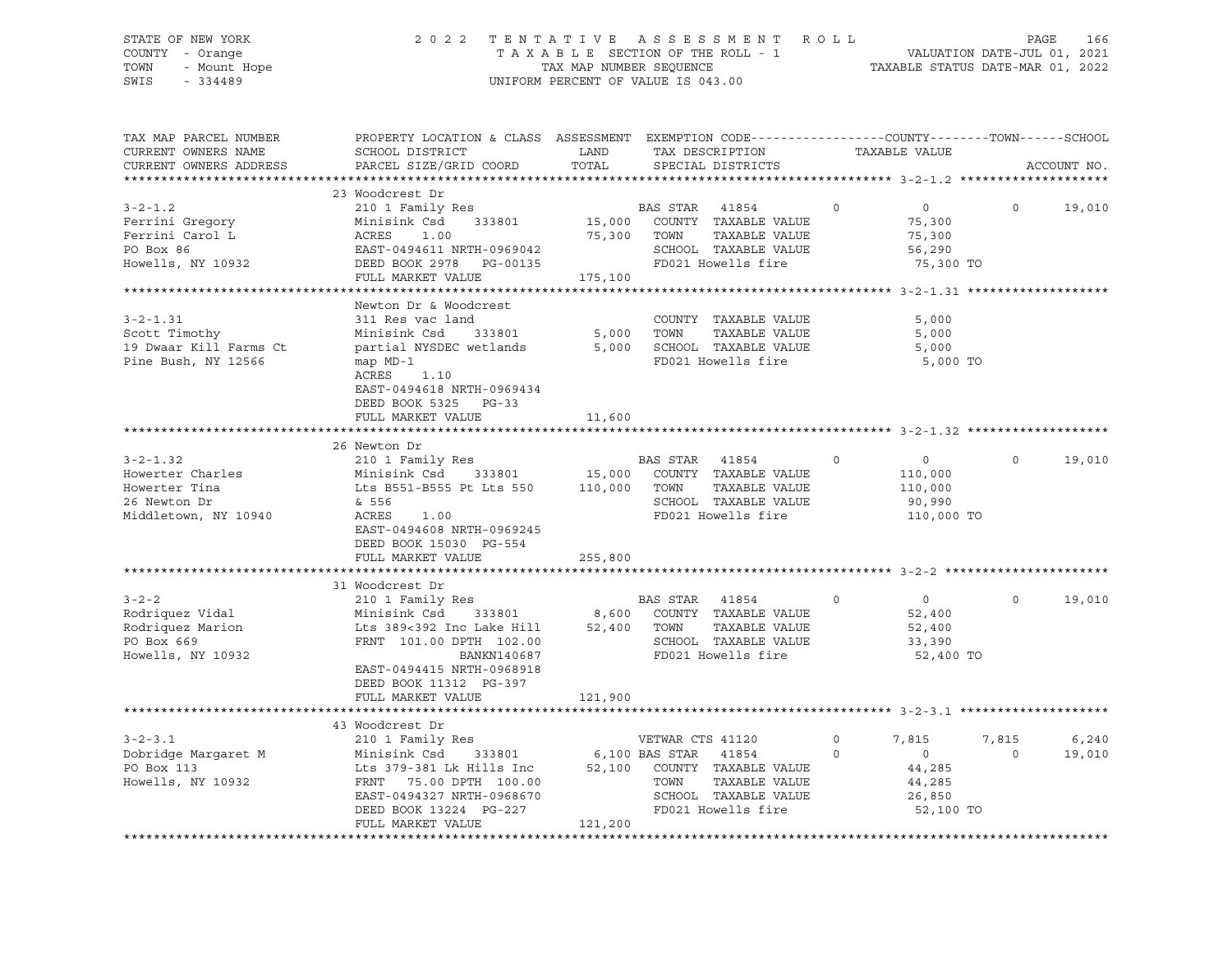# STATE OF NEW YORK 2 0 2 2 T E N T A T I V E A S S E S S M E N T R O L L PAGE 166 COUNTY - Orange T A X A B L E SECTION OF THE ROLL - 1 TOWN - Mount Hope TAX MAP NUMBER SEQUENCE TAXABLE STATUS DATE-MAR 01, 2022<br>TAXABLE STATUS DATE-MAR 01, 2022 UNIFORM PERCENT OF VALUE IS 043.00

TAX MAP PARCEL NUMBER PROPERTY LOCATION & CLASS ASSESSMENT EXEMPTION CODE------------------COUNTY--------TOWN------SCHOOL CURRENT OWNERS NAME SCHOOL DISTRICT LAND TAX DESCRIPTION TAXABLE VALUE CURRENT OWNERS ADDRESS PARCEL SIZE/GRID COORD TOTAL SPECIAL DISTRICTS ACCOUNT NO. \*\*\*\*\*\*\*\*\*\*\*\*\*\*\*\*\*\*\*\*\*\*\*\*\*\*\*\*\*\*\*\*\*\*\*\*\*\*\*\*\*\*\*\*\*\*\*\*\*\*\*\*\*\*\*\*\*\*\*\*\*\*\*\*\*\*\*\*\*\*\*\*\*\*\*\*\*\*\*\*\*\*\*\*\*\*\*\*\*\*\*\*\*\*\*\*\*\*\*\*\*\*\* 3-2-1.2 \*\*\*\*\*\*\*\*\*\*\*\*\*\*\*\*\*\*\*\* 23 Woodcrest Dr 3-2-1.2 210 1 Family Res BAS STAR 41854 0 0 0 19,010 Ferrini Gregory Minisink Csd 333801 15,000 COUNTY TAXABLE VALUE 75,300 Ferrini Carol L ACRES 1.00 75,300 TOWN TAXABLE VALUE 75,300 PO Box 86 EAST-0494611 NRTH-0969042 SCHOOL TAXABLE VALUE 56,290 Howells, NY 10932 DEED BOOK 2978 PG-00135 FD021 Howells fire 75,300 TO FULL MARKET VALUE 175,100 \*\*\*\*\*\*\*\*\*\*\*\*\*\*\*\*\*\*\*\*\*\*\*\*\*\*\*\*\*\*\*\*\*\*\*\*\*\*\*\*\*\*\*\*\*\*\*\*\*\*\*\*\*\*\*\*\*\*\*\*\*\*\*\*\*\*\*\*\*\*\*\*\*\*\*\*\*\*\*\*\*\*\*\*\*\*\*\*\*\*\*\*\*\*\*\*\*\*\*\*\*\*\* 3-2-1.31 \*\*\*\*\*\*\*\*\*\*\*\*\*\*\*\*\*\*\* Newton Dr & Woodcrest 3-2-1.31 311 Res vac land COUNTY TAXABLE VALUE 5,000 Scott Timothy Minisink Csd 333801 5,000 TOWN TAXABLE VALUE 5,000 19 Dwaar Kill Farms Ct partial NYSDEC wetlands 5,000 SCHOOL TAXABLE VALUE 5,000 Pine Bush, NY 12566 map MD-1 FD021 Howells fire 5,000 TO ACRES 1.10 EAST-0494618 NRTH-0969434 DEED BOOK 5325 PG-33 FULL MARKET VALUE 11,600 \*\*\*\*\*\*\*\*\*\*\*\*\*\*\*\*\*\*\*\*\*\*\*\*\*\*\*\*\*\*\*\*\*\*\*\*\*\*\*\*\*\*\*\*\*\*\*\*\*\*\*\*\*\*\*\*\*\*\*\*\*\*\*\*\*\*\*\*\*\*\*\*\*\*\*\*\*\*\*\*\*\*\*\*\*\*\*\*\*\*\*\*\*\*\*\*\*\*\*\*\*\*\* 3-2-1.32 \*\*\*\*\*\*\*\*\*\*\*\*\*\*\*\*\*\*\* 26 Newton Dr 3-2-1.32 210 1 Family Res BAS STAR 41854 0 0 0 19,010 Howerter Charles Minisink Csd 333801 15,000 COUNTY TAXABLE VALUE 110,000 Howerter Tina Lts B551-B555 Pt Lts 550 110,000 TOWN TAXABLE VALUE 110,000 26 Newton Dr & 556 SCHOOL TAXABLE VALUE 90,990 Middletown, NY 10940 ACRES 1.00 FD021 Howells fire 110,000 TO EAST-0494608 NRTH-0969245 DEED BOOK 15030 PG-554 FULL MARKET VALUE 255,800 \*\*\*\*\*\*\*\*\*\*\*\*\*\*\*\*\*\*\*\*\*\*\*\*\*\*\*\*\*\*\*\*\*\*\*\*\*\*\*\*\*\*\*\*\*\*\*\*\*\*\*\*\*\*\*\*\*\*\*\*\*\*\*\*\*\*\*\*\*\*\*\*\*\*\*\*\*\*\*\*\*\*\*\*\*\*\*\*\*\*\*\*\*\*\*\*\*\*\*\*\*\*\* 3-2-2 \*\*\*\*\*\*\*\*\*\*\*\*\*\*\*\*\*\*\*\*\*\* 31 Woodcrest Dr 3-2-2 210 1 Family Res BAS STAR 41854 0 0 0 19,010 Rodriquez Vidal Minisink Csd 333801 8,600 COUNTY TAXABLE VALUE 52,400 Rodriguez Marion 1 Lts 389<392 Inc Lake Hill 52,400 TOWN TAXABLE VALUE 52,400 PO Box 669 FRNT 101.00 DPTH 102.00 SCHOOL TAXABLE VALUE 33,390 Howells, NY 10932 BANKN140687 FD021 Howells fire 52,400 TO EAST-0494415 NRTH-0968918 DEED BOOK 11312 PG-397 FULL MARKET VALUE 121,900 \*\*\*\*\*\*\*\*\*\*\*\*\*\*\*\*\*\*\*\*\*\*\*\*\*\*\*\*\*\*\*\*\*\*\*\*\*\*\*\*\*\*\*\*\*\*\*\*\*\*\*\*\*\*\*\*\*\*\*\*\*\*\*\*\*\*\*\*\*\*\*\*\*\*\*\*\*\*\*\*\*\*\*\*\*\*\*\*\*\*\*\*\*\*\*\*\*\*\*\*\*\*\* 3-2-3.1 \*\*\*\*\*\*\*\*\*\*\*\*\*\*\*\*\*\*\*\* 43 Woodcrest Dr 3-2-3.1 210 1 Family Res VETWAR CTS 41120 0 7,815 7,815 6,240 Dobridge Margaret M Minisink Csd 333801 6,100 BAS STAR 41854 0 0 0 19,010 PO Box 113 Lts 379-381 Lk Hills Inc 52,100 COUNTY TAXABLE VALUE 44,285 Howells, NY 10932 FRNT 75.00 DPTH 100.00 TOWN TAXABLE VALUE 44,285 EAST-0494327 NRTH-0968670 SCHOOL TAXABLE VALUE 26,850 DEED BOOK 13224 PG-227 FD021 Howells fire 52,100 TO FULL MARKET VALUE 121,200 \*\*\*\*\*\*\*\*\*\*\*\*\*\*\*\*\*\*\*\*\*\*\*\*\*\*\*\*\*\*\*\*\*\*\*\*\*\*\*\*\*\*\*\*\*\*\*\*\*\*\*\*\*\*\*\*\*\*\*\*\*\*\*\*\*\*\*\*\*\*\*\*\*\*\*\*\*\*\*\*\*\*\*\*\*\*\*\*\*\*\*\*\*\*\*\*\*\*\*\*\*\*\*\*\*\*\*\*\*\*\*\*\*\*\*\*\*\*\*\*\*\*\*\*\*\*\*\*\*\*\*\*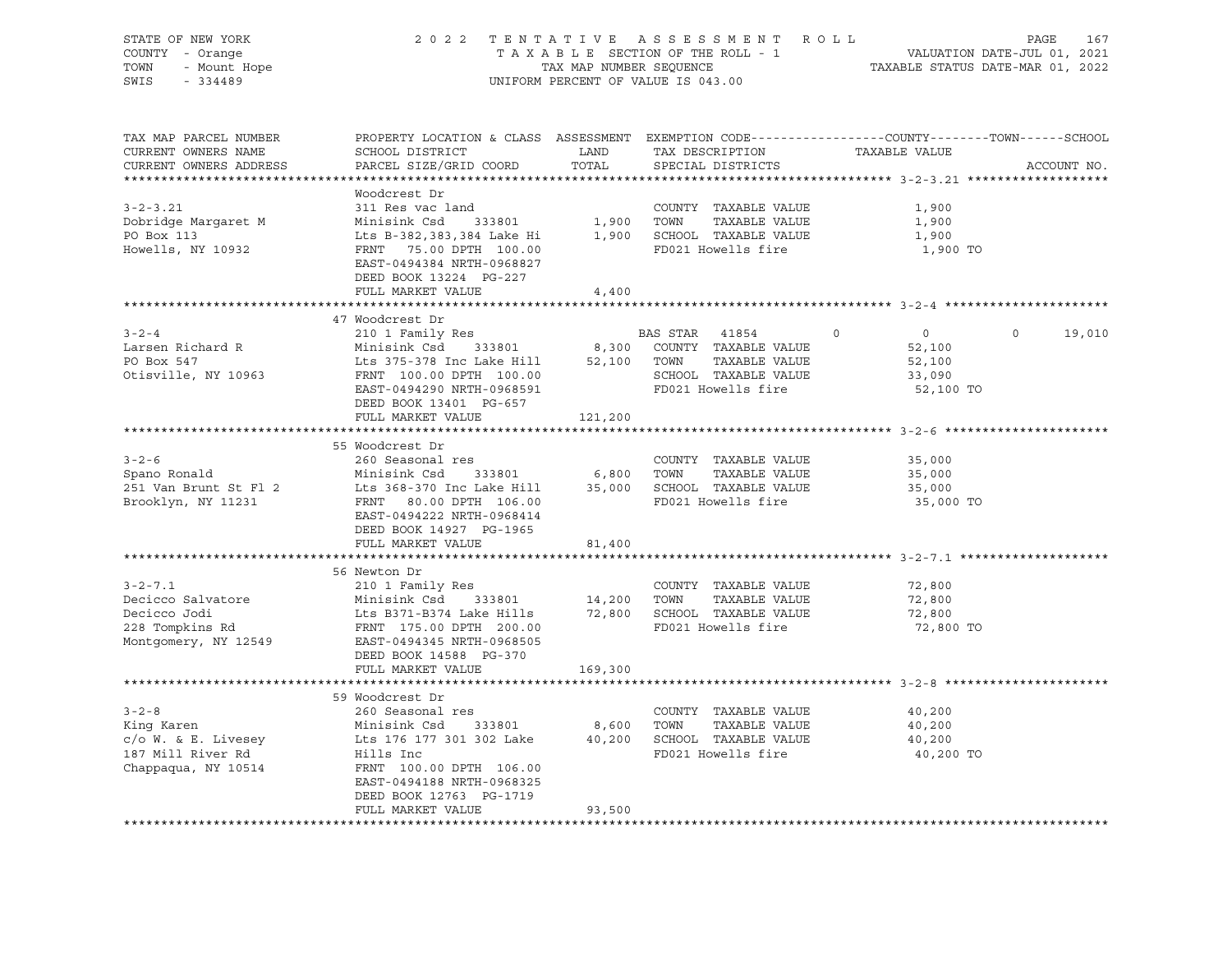| STATE OF NEW YORK<br>COUNTY - Orange | 2 0 2 2                                                                                          |             | TENTATIVE ASSESSMENT ROLL                         |                                  | PAGE<br>167<br>VALUATION DATE-JUL 01, 2021 |
|--------------------------------------|--------------------------------------------------------------------------------------------------|-------------|---------------------------------------------------|----------------------------------|--------------------------------------------|
| - Mount Hope<br>TOWN                 | TAXABLE SECTION OF THE ROLL - 1<br>TAX MAP NUMBER SEQUENCE                                       |             |                                                   | TAXABLE STATUS DATE-MAR 01, 2022 |                                            |
| SWIS<br>$-334489$                    |                                                                                                  |             | UNIFORM PERCENT OF VALUE IS 043.00                |                                  |                                            |
|                                      |                                                                                                  |             |                                                   |                                  |                                            |
| TAX MAP PARCEL NUMBER                | PROPERTY LOCATION & CLASS ASSESSMENT EXEMPTION CODE----------------COUNTY-------TOWN------SCHOOL |             |                                                   |                                  |                                            |
| CURRENT OWNERS NAME                  | SCHOOL DISTRICT                                                                                  | LAND        | TAX DESCRIPTION                                   | TAXABLE VALUE                    |                                            |
| CURRENT OWNERS ADDRESS               | PARCEL SIZE/GRID COORD                                                                           | TOTAL       | SPECIAL DISTRICTS                                 |                                  | ACCOUNT NO.                                |
|                                      |                                                                                                  |             |                                                   |                                  |                                            |
|                                      | Woodcrest Dr                                                                                     |             |                                                   |                                  |                                            |
| $3 - 2 - 3.21$                       | 311 Res vac land                                                                                 |             | COUNTY TAXABLE VALUE                              | 1,900                            |                                            |
| Dobridge Margaret M                  | 333801<br>Minisink Csd                                                                           |             | 1,900 TOWN<br>TAXABLE VALUE                       | 1,900                            |                                            |
| PO Box 113                           | Lts B-382,383,384 Lake Hi                                                                        |             | 1,900 SCHOOL TAXABLE VALUE                        | 1,900                            |                                            |
| Howells, NY 10932                    | FRNT 75.00 DPTH 100.00                                                                           |             | FD021 Howells fire                                | 1,900 TO                         |                                            |
|                                      | EAST-0494384 NRTH-0968827                                                                        |             |                                                   |                                  |                                            |
|                                      | DEED BOOK 13224 PG-227                                                                           |             |                                                   |                                  |                                            |
|                                      | FULL MARKET VALUE                                                                                | 4,400       |                                                   |                                  |                                            |
|                                      |                                                                                                  |             |                                                   |                                  |                                            |
|                                      | 47 Woodcrest Dr                                                                                  |             |                                                   |                                  |                                            |
| $3 - 2 - 4$                          | 210 1 Family Res                                                                                 |             | BAS STAR 41854                                    | $\overline{0}$<br>$\Omega$       | $\Omega$<br>19,010                         |
| Larsen Richard R                     | Minisink Csd 333801                                                                              |             | 8,300 COUNTY TAXABLE VALUE                        | 52,100                           |                                            |
| PO Box 547                           | Lts 375-378 Inc Lake Hill                                                                        |             | 52,100 TOWN<br>TAXABLE VALUE                      | 52,100                           |                                            |
| Otisville, NY 10963                  | FRNT 100.00 DPTH 100.00                                                                          |             | SCHOOL TAXABLE VALUE                              | 33,090                           |                                            |
|                                      | EAST-0494290 NRTH-0968591                                                                        |             | FD021 Howells fire                                | 52,100 TO                        |                                            |
|                                      | DEED BOOK 13401 PG-657                                                                           |             |                                                   |                                  |                                            |
|                                      | FULL MARKET VALUE                                                                                | 121,200     |                                                   |                                  |                                            |
|                                      |                                                                                                  |             |                                                   |                                  |                                            |
|                                      | 55 Woodcrest Dr                                                                                  |             |                                                   |                                  |                                            |
| $3 - 2 - 6$                          | 260 Seasonal res                                                                                 |             | COUNTY TAXABLE VALUE                              | 35,000                           |                                            |
| Spano Ronald                         | Minisink Csd<br>333801                                                                           | 6,800       | TOWN<br>TAXABLE VALUE                             | 35,000                           |                                            |
| 251 Van Brunt St Fl 2                | Lts 368-370 Inc Lake Hill                                                                        |             | 35,000 SCHOOL TAXABLE VALUE<br>FD021 Howells fire | 35,000                           |                                            |
| Brooklyn, NY 11231                   | FRNT 80.00 DPTH 106.00<br>EAST-0494222 NRTH-0968414                                              |             |                                                   | 35,000 TO                        |                                            |
|                                      | DEED BOOK 14927 PG-1965                                                                          |             |                                                   |                                  |                                            |
|                                      | FULL MARKET VALUE                                                                                | 81,400      |                                                   |                                  |                                            |
|                                      |                                                                                                  |             |                                                   |                                  |                                            |
|                                      | 56 Newton Dr                                                                                     |             |                                                   |                                  |                                            |
| $3 - 2 - 7.1$                        | 210 1 Family Res                                                                                 |             | COUNTY TAXABLE VALUE                              | 72,800                           |                                            |
| Decicco Salvatore                    | Minisink Csd 333801                                                                              | 14,200 TOWN | TAXABLE VALUE                                     | 72,800                           |                                            |
| Decicco Jodi                         | Lts B371-B374 Lake Hills                                                                         |             | 72,800 SCHOOL TAXABLE VALUE                       | 72,800                           |                                            |
| Decicco Jodi<br>228 Tompkins Rd      | FRNT 175.00 DPTH 200.00                                                                          |             | FD021 Howells fire                                | 72,800 TO                        |                                            |
| Montgomery, NY 12549                 | EAST-0494345 NRTH-0968505                                                                        |             |                                                   |                                  |                                            |
|                                      | DEED BOOK 14588 PG-370                                                                           |             |                                                   |                                  |                                            |
|                                      | FULL MARKET VALUE                                                                                | 169,300     |                                                   |                                  |                                            |
|                                      |                                                                                                  |             |                                                   |                                  |                                            |
|                                      | 59 Woodcrest Dr                                                                                  |             |                                                   |                                  |                                            |
| $3 - 2 - 8$                          | 260 Seasonal res                                                                                 |             | COUNTY TAXABLE VALUE                              | 40,200                           |                                            |
| King Karen                           | Minisink Csd 333801                                                                              | 8,600 TOWN  | TAXABLE VALUE                                     | 40,200                           |                                            |
| c/o W. & E. Livesey                  | Lts 176 177 301 302 Lake 40,200 SCHOOL TAXABLE VALUE                                             |             |                                                   | 40,200                           |                                            |
| 187 Mill River Rd                    | Hills Inc                                                                                        |             | FD021 Howells fire                                | 40,200 TO                        |                                            |
| Chappaqua, NY 10514                  | FRNT 100.00 DPTH 106.00                                                                          |             |                                                   |                                  |                                            |
|                                      | EAST-0494188 NRTH-0968325                                                                        |             |                                                   |                                  |                                            |
|                                      | DEED BOOK 12763 PG-1719                                                                          |             |                                                   |                                  |                                            |
|                                      | FULL MARKET VALUE                                                                                | 93,500      |                                                   |                                  |                                            |
|                                      |                                                                                                  |             |                                                   |                                  |                                            |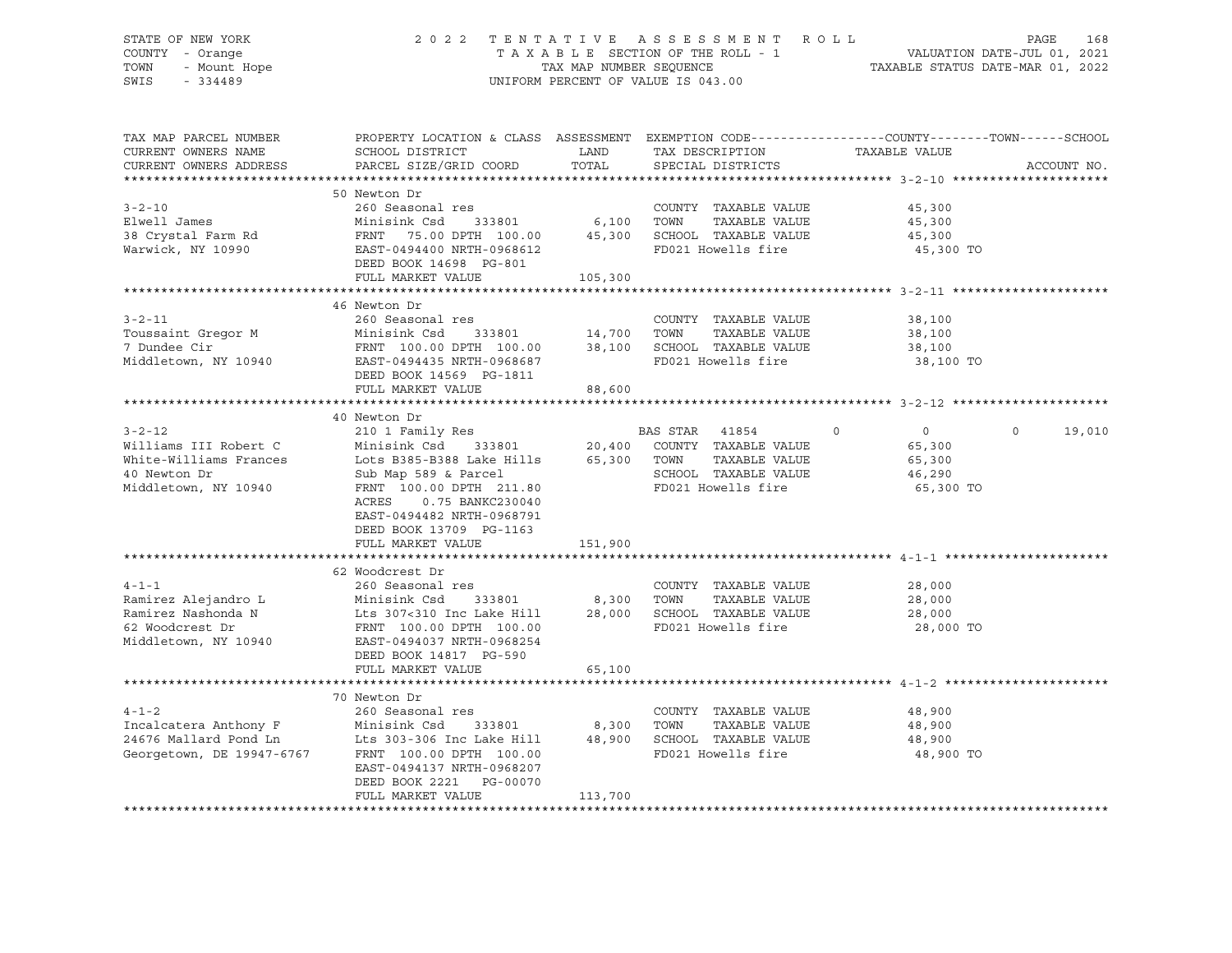# STATE OF NEW YORK 2 0 2 2 T E N T A T I V E A S S E S S M E N T R O L L PAGE 168 COUNTY - Orange T A X A B L E SECTION OF THE ROLL - 1 VALUATION DATE-JUL 01, 2021 TOWN - Mount Hope TAX MAP NUMBER SEQUENCE TAXABLE STATUS DATE-MAR 01, 2022 SWIS - 334489 UNIFORM PERCENT OF VALUE IS 043.00

| TAX MAP PARCEL NUMBER<br>CURRENT OWNERS NAME<br>CURRENT OWNERS ADDRESS                                  | PROPERTY LOCATION & CLASS ASSESSMENT EXEMPTION CODE---------------COUNTY-------TOWN------SCHOOL<br>SCHOOL DISTRICT<br>PARCEL SIZE/GRID COORD                                                                                                              | LAND<br>TOTAL                  | TAX DESCRIPTION<br>SPECIAL DISTRICTS                                                        | TAXABLE VALUE                                                        | ACCOUNT NO.        |
|---------------------------------------------------------------------------------------------------------|-----------------------------------------------------------------------------------------------------------------------------------------------------------------------------------------------------------------------------------------------------------|--------------------------------|---------------------------------------------------------------------------------------------|----------------------------------------------------------------------|--------------------|
|                                                                                                         |                                                                                                                                                                                                                                                           |                                |                                                                                             |                                                                      |                    |
| $3 - 2 - 10$<br>Elwell James                                                                            | 50 Newton Dr<br>260 Seasonal res<br>Minisink Csd                                                                                                                                                                                                          | 333801 6,100                   | COUNTY TAXABLE VALUE<br>TOWN<br>TAXABLE VALUE                                               | 45,300<br>45,300                                                     |                    |
| 38 Crystal Farm Rd<br>Warwick, NY 10990                                                                 | FRNT 75.00 DPTH 100.00 45,300 SCHOOL TAXABLE VALUE<br>EAST-0494400 NRTH-0968612 FD021 Howells fire<br>DEED BOOK 14698 PG-801                                                                                                                              |                                | FD021 Howells fire                                                                          | 45,300<br>45,300 TO                                                  |                    |
|                                                                                                         | FULL MARKET VALUE                                                                                                                                                                                                                                         | 105,300                        |                                                                                             |                                                                      |                    |
|                                                                                                         |                                                                                                                                                                                                                                                           |                                |                                                                                             |                                                                      |                    |
| $3 - 2 - 11$<br>Toussaint Gregor M                                                                      | 46 Newton Dr<br>260 Seasonal res<br>Minisink Csd                                                                                                                                                                                                          | 333801 14,700                  | COUNTY TAXABLE VALUE<br>TOWN<br>TAXABLE VALUE                                               | 38,100<br>38,100<br>38,100<br>38,100 TO                              |                    |
|                                                                                                         | DEED BOOK 14569 PG-1811                                                                                                                                                                                                                                   |                                |                                                                                             |                                                                      |                    |
|                                                                                                         | FULL MARKET VALUE                                                                                                                                                                                                                                         | 88,600                         |                                                                                             |                                                                      |                    |
|                                                                                                         |                                                                                                                                                                                                                                                           |                                |                                                                                             |                                                                      |                    |
|                                                                                                         | 40 Newton Dr                                                                                                                                                                                                                                              |                                |                                                                                             |                                                                      |                    |
| $3 - 2 - 12$<br>Williams III Robert C<br>White-Williams Frances<br>40 Newton Dr<br>Middletown, NY 10940 | 210 1 Family Res<br>Minisink Csd<br>Lots B385-B388 Lake Hills 65,300 TOWN<br>Sub Map 589 & Parcel<br>FRNT 100.00 DPTH 211.80<br>ACRES<br>0.75 BANKC230040<br>EAST-0494482 NRTH-0968791<br>DEED BOOK 13709 PG-1163<br>FULL MARKET VALUE<br>62 Woodcrest Dr | 151,900                        | TAXABLE VALUE<br>SCHOOL TAXABLE VALUE<br>FD021 Howells fire                                 | $\circ$<br>$\overline{0}$<br>65,300<br>65,300<br>46,290<br>65,300 TO | $\Omega$<br>19,010 |
| $4 - 1 - 1$                                                                                             | 260 Seasonal res                                                                                                                                                                                                                                          |                                | COUNTY TAXABLE VALUE                                                                        | 28,000                                                               |                    |
| Ramirez Alejandro L                                                                                     |                                                                                                                                                                                                                                                           |                                | TOWN<br>TAXABLE VALUE                                                                       | 28,000                                                               |                    |
| Ramirez Nashonda N<br>62 Woodcrest Dr<br>Middletown, NY 10940                                           | Minisink Csd 333801 8,300<br>Lts 307<310 Inc Lake Hill 28,000<br>FRNT 100.00 DPTH 100.00<br>EAST-0494037 NRTH-0968254<br>DEED BOOK 14817 PG-590                                                                                                           |                                | SCHOOL TAXABLE VALUE<br>FD021 Howells fire                                                  | 28,000<br>28,000 TO                                                  |                    |
|                                                                                                         | FULL MARKET VALUE                                                                                                                                                                                                                                         | 65,100                         |                                                                                             |                                                                      |                    |
|                                                                                                         | 70 Newton Dr                                                                                                                                                                                                                                              |                                |                                                                                             |                                                                      |                    |
| $4 - 1 - 2$<br>Georgetown, DE 19947-6767                                                                | 260 Seasonal res<br>Incalcatera Anthony F Minisink Csd 333801<br>24676 Mallard Pond Ln Lts 303-306 Inc Lake Hill<br>333801<br>FRNT 100.00 DPTH 100.00<br>EAST-0494137 NRTH-0968207<br>DEED BOOK 2221<br>PG-00070<br>FULL MARKET VALUE                     | $8,300$<br>$48,900$<br>113,700 | COUNTY TAXABLE VALUE<br>TAXABLE VALUE<br>TOWN<br>SCHOOL TAXABLE VALUE<br>FD021 Howells fire | 48,900<br>48,900<br>48,900<br>48,900 TO                              |                    |
|                                                                                                         |                                                                                                                                                                                                                                                           |                                |                                                                                             |                                                                      |                    |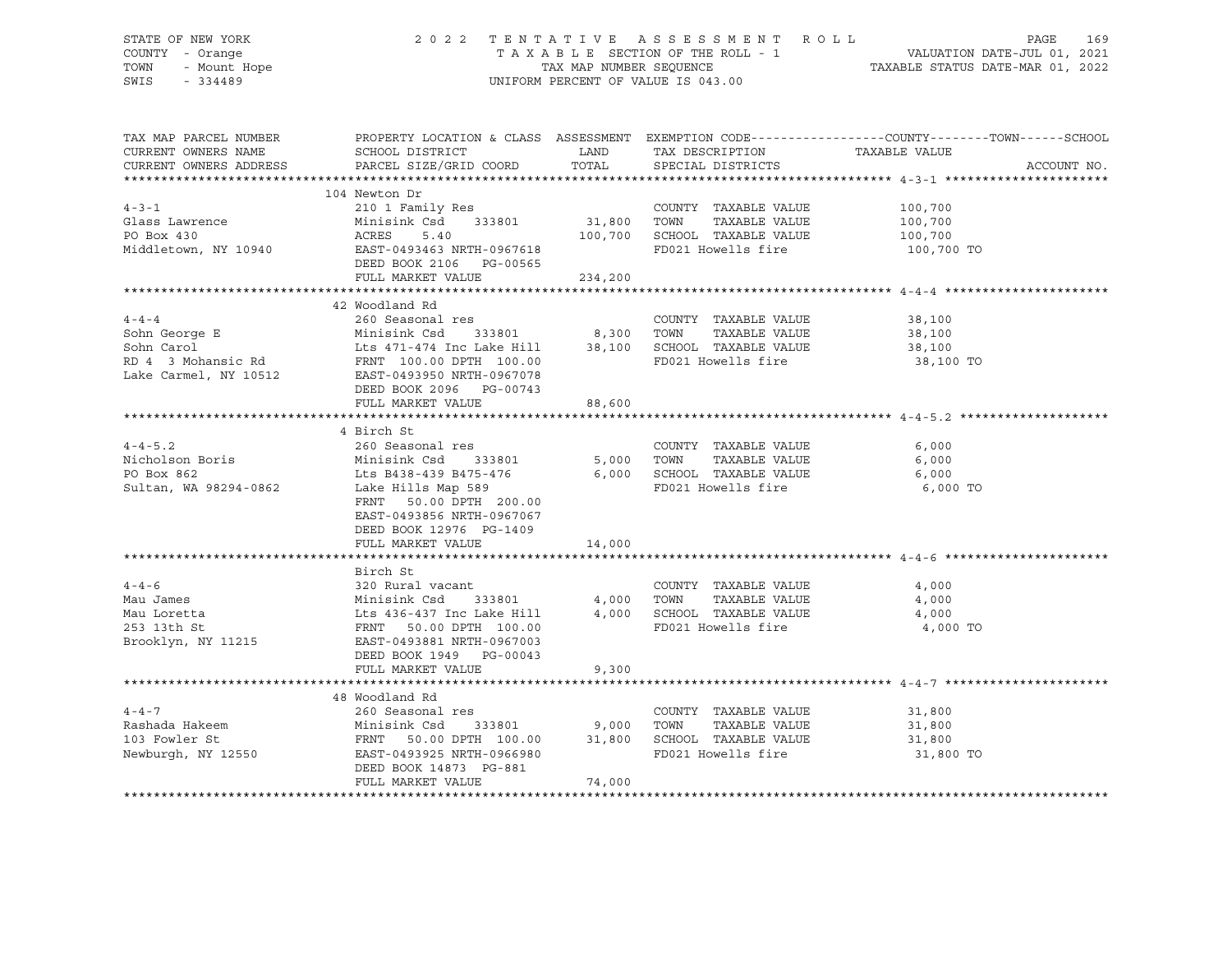#### STATE OF NEW YORK 2 0 2 2 T E N T A T I V E A S S E S S M E N T R O L L PAGE 169 COUNTY - Orange T A X A B L E SECTION OF THE ROLL - 1 VALUATION DATE-JUL 01, 2021 TOWN - Mount Hope TAX NAP NUMBER SEQUENCE TAXABLE STATUS DATE-MAR 01, 2022<br>TAXABLE STATUS DATE-MAR 01, 2022 UNIFORM PERCENT OF VALUE IS 043.00

TAX MAP PARCEL NUMBER PROPERTY LOCATION & CLASS ASSESSMENT EXEMPTION CODE------------------COUNTY--------TOWN------SCHOOL CURRENT OWNERS NAME SCHOOL DISTRICT A LAND TAX DESCRIPTION TAXABLE VALUE CURRENT OWNERS ADDRESS PARCEL SIZE/GRID COORD TOTAL SPECIAL DISTRICTS ACCOUNT NO. \*\*\*\*\*\*\*\*\*\*\*\*\*\*\*\*\*\*\*\*\*\*\*\*\*\*\*\*\*\*\*\*\*\*\*\*\*\*\*\*\*\*\*\*\*\*\*\*\*\*\*\*\*\*\*\*\*\*\*\*\*\*\*\*\*\*\*\*\*\*\*\*\*\*\*\*\*\*\*\*\*\*\*\*\*\*\*\*\*\*\*\*\*\*\*\*\*\*\*\*\*\*\* 4-3-1 \*\*\*\*\*\*\*\*\*\*\*\*\*\*\*\*\*\*\*\*\*\* 104 Newton Dr 4-3-1 210 1 Family Res COUNTY TAXABLE VALUE 100,700 Glass Lawrence Minisink Csd 333801 31,800 TOWN TAXABLE VALUE 100,700 PO Box 430 ACRES 5.40 100,700 SCHOOL TAXABLE VALUE 100,700 Middletown, NY 10940 **EAST-0493463 NRTH-0967618** FD021 Howells fire 100,700 TO DEED BOOK 2106 PG-00565 FULL MARKET VALUE 234,200 \*\*\*\*\*\*\*\*\*\*\*\*\*\*\*\*\*\*\*\*\*\*\*\*\*\*\*\*\*\*\*\*\*\*\*\*\*\*\*\*\*\*\*\*\*\*\*\*\*\*\*\*\*\*\*\*\*\*\*\*\*\*\*\*\*\*\*\*\*\*\*\*\*\*\*\*\*\*\*\*\*\*\*\*\*\*\*\*\*\*\*\*\*\*\*\*\*\*\*\*\*\*\* 4-4-4 \*\*\*\*\*\*\*\*\*\*\*\*\*\*\*\*\*\*\*\*\*\* 42 Woodland Rd 4-4-4 260 Seasonal res COUNTY TAXABLE VALUE 38,100 Sohn George E Minisink Csd 333801 8,300 TOWN TAXABLE VALUE 38,100 Sohn Carol Lts 471-474 Inc Lake Hill 38,100 SCHOOL TAXABLE VALUE 38,100 RD 4 3 Mohansic Rd FRNT 100.00 DPTH 100.00 FD021 Howells fire 38,100 TO Lake Carmel, NY 10512 EAST-0493950 NRTH-0967078 RD 4 3 Mohansic Rd<br>
Lake Carmel, NY 10512<br>
DEED BOOK 2096 PG-00743<br>
DEED BOOK 2096 PG-00743 FULL MARKET VALUE 88,600 \*\*\*\*\*\*\*\*\*\*\*\*\*\*\*\*\*\*\*\*\*\*\*\*\*\*\*\*\*\*\*\*\*\*\*\*\*\*\*\*\*\*\*\*\*\*\*\*\*\*\*\*\*\*\*\*\*\*\*\*\*\*\*\*\*\*\*\*\*\*\*\*\*\*\*\*\*\*\*\*\*\*\*\*\*\*\*\*\*\*\*\*\*\*\*\*\*\*\*\*\*\*\* 4-4-5.2 \*\*\*\*\*\*\*\*\*\*\*\*\*\*\*\*\*\*\*\* 4 Birch St 4-4-5.2 260 Seasonal res COUNTY TAXABLE VALUE 6,000 Nicholson Boris Minisink Csd 333801 5,000 TOWN TAXABLE VALUE 6,000 PO Box 862 Lts B438-439 B475-476 6,000 SCHOOL TAXABLE VALUE 6,000 Sultan, WA 98294-0862 Lake Hills Map 589 FD021 Howells fire 6,000 TO FRNT 50.00 DPTH 200.00 EAST-0493856 NRTH-0967067 DEED BOOK 12976 PG-1409 FULL MARKET VALUE 14,000 \*\*\*\*\*\*\*\*\*\*\*\*\*\*\*\*\*\*\*\*\*\*\*\*\*\*\*\*\*\*\*\*\*\*\*\*\*\*\*\*\*\*\*\*\*\*\*\*\*\*\*\*\*\*\*\*\*\*\*\*\*\*\*\*\*\*\*\*\*\*\*\*\*\*\*\*\*\*\*\*\*\*\*\*\*\*\*\*\*\*\*\*\*\*\*\*\*\*\*\*\*\*\* 4-4-6 \*\*\*\*\*\*\*\*\*\*\*\*\*\*\*\*\*\*\*\*\*\* Birch St<br>320 Rural vacant 4-4-6 320 Rural vacant COUNTY TAXABLE VALUE 4,000 Mau James Minisink Csd 333801 4,000 TOWN TAXABLE VALUE 4,000 Mau Loretta Lts 436-437 Inc Lake Hill 4,000 SCHOOL TAXABLE VALUE 4,000 253 13th St FRNT 50.00 DPTH 100.00 FD021 Howells fire 4,000 TO<br>Brooklyn, NY 11215 EAST-0493881 NRTH-0967003 EAST-0493881 NRTH-0967003 DEED BOOK 1949 PG-00043 FULL MARKET VALUE 9,300 \*\*\*\*\*\*\*\*\*\*\*\*\*\*\*\*\*\*\*\*\*\*\*\*\*\*\*\*\*\*\*\*\*\*\*\*\*\*\*\*\*\*\*\*\*\*\*\*\*\*\*\*\*\*\*\*\*\*\*\*\*\*\*\*\*\*\*\*\*\*\*\*\*\*\*\*\*\*\*\*\*\*\*\*\*\*\*\*\*\*\*\*\*\*\*\*\*\*\*\*\*\*\* 4-4-7 \*\*\*\*\*\*\*\*\*\*\*\*\*\*\*\*\*\*\*\*\*\* 48 Woodland Rd 4-4-7 260 Seasonal res COUNTY TAXABLE VALUE 31,800 Rashada Hakeem Minisink Csd 333801 9,000 TOWN TAXABLE VALUE 31,800 103 Fowler St FRNT 50.00 DPTH 100.00 31,800 SCHOOL TAXABLE VALUE 31,800 Newburgh, NY 12550 EAST-0493925 NRTH-0966980 FD021 Howells fire 31,800 TO DEED BOOK 14873 PG-881 FULL MARKET VALUE 74,000 \*\*\*\*\*\*\*\*\*\*\*\*\*\*\*\*\*\*\*\*\*\*\*\*\*\*\*\*\*\*\*\*\*\*\*\*\*\*\*\*\*\*\*\*\*\*\*\*\*\*\*\*\*\*\*\*\*\*\*\*\*\*\*\*\*\*\*\*\*\*\*\*\*\*\*\*\*\*\*\*\*\*\*\*\*\*\*\*\*\*\*\*\*\*\*\*\*\*\*\*\*\*\*\*\*\*\*\*\*\*\*\*\*\*\*\*\*\*\*\*\*\*\*\*\*\*\*\*\*\*\*\*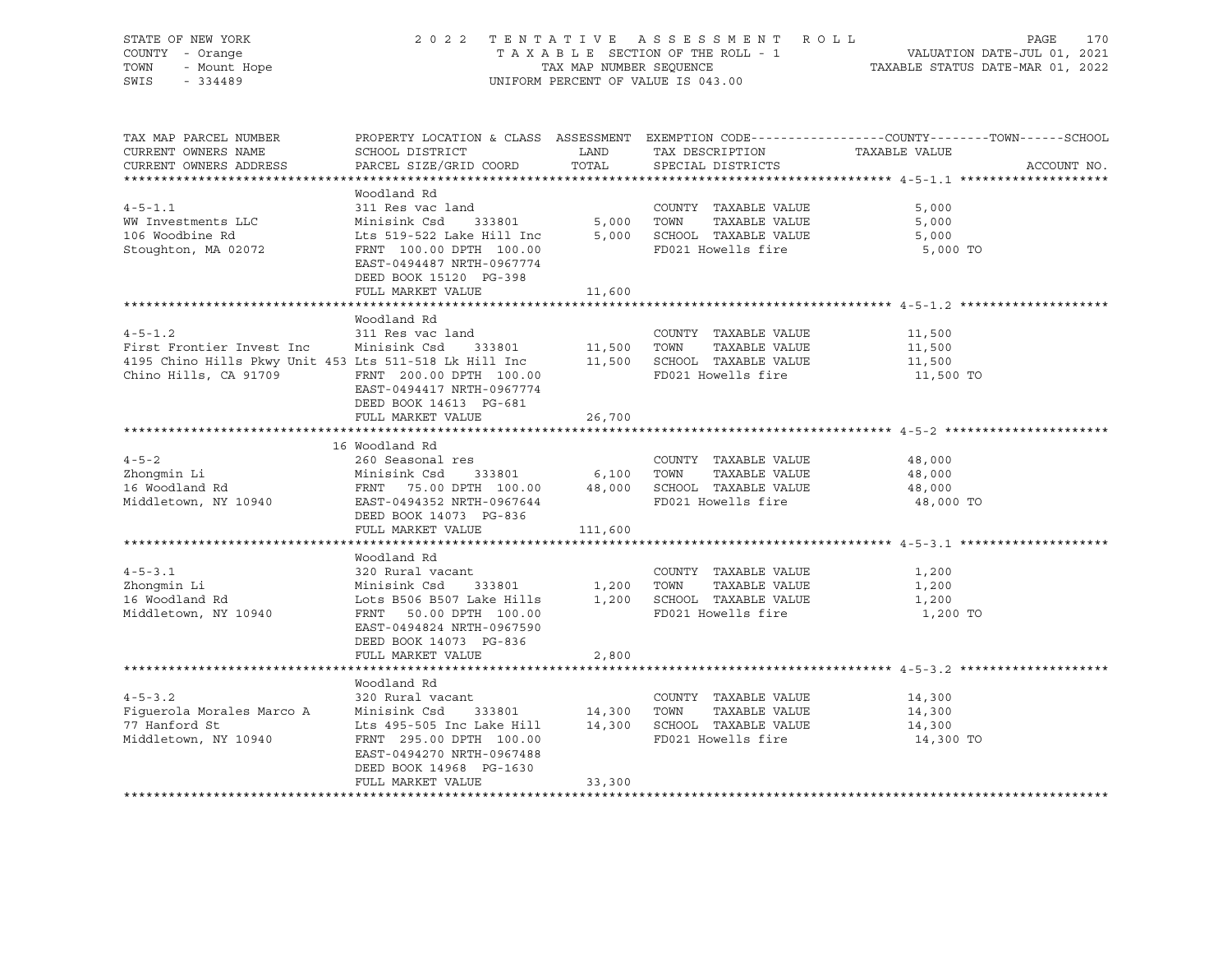| STATE OF NEW YORK<br>OF NEW YORK<br>Y - Orange<br>- Mount Hope<br>A Care Corea<br>COUNTY - Orange<br>TOWN<br>SWIS - 334489                                                                                                                            | 2022 TENTATIVE ASSESSMENT ROLL                                                                                                                                                                                                                    |         | UNIFORM PERCENT OF VALUE IS 043.00         | PAGE<br>170<br>TAXABLE SECTION OF THE ROLL - 1 VALUATION DATE-JUL 01, 2021<br>TAX MAP NUMBER SEQUENCE TAXABLE STATUS DATE-MAR 01, 2022 |
|-------------------------------------------------------------------------------------------------------------------------------------------------------------------------------------------------------------------------------------------------------|---------------------------------------------------------------------------------------------------------------------------------------------------------------------------------------------------------------------------------------------------|---------|--------------------------------------------|----------------------------------------------------------------------------------------------------------------------------------------|
| TAX MAP PARCEL NUMBER<br>CURRENT OWNERS NAME<br>CURRENT OWNERS ADDRESS                                                                                                                                                                                | SCHOOL DISTRICT<br>PARCEL SIZE/GRID COORD                                                                                                                                                                                                         | TOTAL   | LAND TAX DESCRIPTION<br>SPECIAL DISTRICTS  | PROPERTY LOCATION & CLASS ASSESSMENT EXEMPTION CODE---------------COUNTY-------TOWN-----SCHOOL<br>TAXABLE VALUE<br>ACCOUNT NO.         |
| $4 - 5 - 1.1$<br>WW Investments LLC<br>106 Woodbine Rd<br>106 Woodbine Rd<br>106 Woodbine Rd<br>106 Woodbine Rd<br>100.00 DPTH<br>100.00 PD021 Howells fire<br>FD021 Howells fire                                                                     | Woodland Rd<br>311 Res vac land<br>EAST-0494487 NRTH-0967774<br>DEED BOOK 15120 PG-398<br>FULL MARKET VALUE                                                                                                                                       | 11,600  | COUNTY TAXABLE VALUE                       | 5,000<br>5,000<br>5,000<br>5,000 TO                                                                                                    |
|                                                                                                                                                                                                                                                       |                                                                                                                                                                                                                                                   |         |                                            |                                                                                                                                        |
| $4 - 5 - 1.2$<br>First Frontier Invest Inc Minisink Csd 333801 11,500 TOWN TAXABLE VALUE<br>4195 Chino Hills Pkwy Unit 453 Lts 511-518 Lk Hill Inc 11,500 SCHOOL TAXABLE VALUE<br>Chino Hills, CA 91709 FRNT 200.00 DPTH 100.00 FD021 Howells fire    | Woodland Rd<br>311 Res vac land<br>EAST-0494417 NRTH-0967774<br>DEED BOOK 14613 PG-681<br>FULL MARKET VALUE                                                                                                                                       | 26,700  | COUNTY TAXABLE VALUE                       | 11,500<br>11,500<br>11,500<br>11,500 TO                                                                                                |
|                                                                                                                                                                                                                                                       |                                                                                                                                                                                                                                                   |         |                                            |                                                                                                                                        |
| $4 - 5 - 2$<br>4-5-2 260 Seasonal res COUNTY TAXABLE VALUE<br>2hongmin Li Minisink Csd 333801 6,100 TOWN TAXABLE VALUE<br>16 Woodland Rd FRNT 75.00 DPTH 100.00 48,000 SCHOOL TAXABLE VALUE<br>2013 Minisink Csd 333801 6,100 TOWN TAXABLE VALUE<br>2 | 16 Woodland Rd<br>DEED BOOK 14073 PG-836<br>FULL MARKET VALUE                                                                                                                                                                                     | 111,600 | COUNTY TAXABLE VALUE                       | 48,000<br>48,000<br>48,000<br>48,000 TO                                                                                                |
|                                                                                                                                                                                                                                                       |                                                                                                                                                                                                                                                   |         |                                            |                                                                                                                                        |
| $4 - 5 - 3 \cdot 1$<br>Zhonqmin Li<br>16 Woodland Rd<br>Middletown, NY 10940                                                                                                                                                                          | Woodland Rd<br>320 Rural vacant<br>Minisink Csd 333801 1,200 TOWN TAXABLE VALUE<br>EAST-0494824 NRTH-0967590<br>DEED BOOK 14073 PG-836<br>FULL MARKET VALUE                                                                                       | 2,800   | COUNTY TAXABLE VALUE                       | 1,200<br>1,200<br>1,200<br>1,200 TO                                                                                                    |
|                                                                                                                                                                                                                                                       |                                                                                                                                                                                                                                                   |         |                                            |                                                                                                                                        |
| $4 - 5 - 3.2$<br>Figuerola Morales Marco A<br>77 Hanford St<br>Middletown, NY 10940                                                                                                                                                                   | Woodland Rd<br>320 Rural vacant<br>Minisink Csd 333801 14,300 TOWN TAXABLE VALUE<br>Lts 495-505 Inc Lake Hill 14,300 SCHOOL TAXABLE VALUE<br>FRNT 295.00 DPTH 100.00<br>EAST-0494270 NRTH-0967488<br>DEED BOOK 14968 PG-1630<br>FULL MARKET VALUE | 33,300  | COUNTY TAXABLE VALUE<br>FD021 Howells fire | 14,300<br>14,300<br>14,300<br>14,300 TO                                                                                                |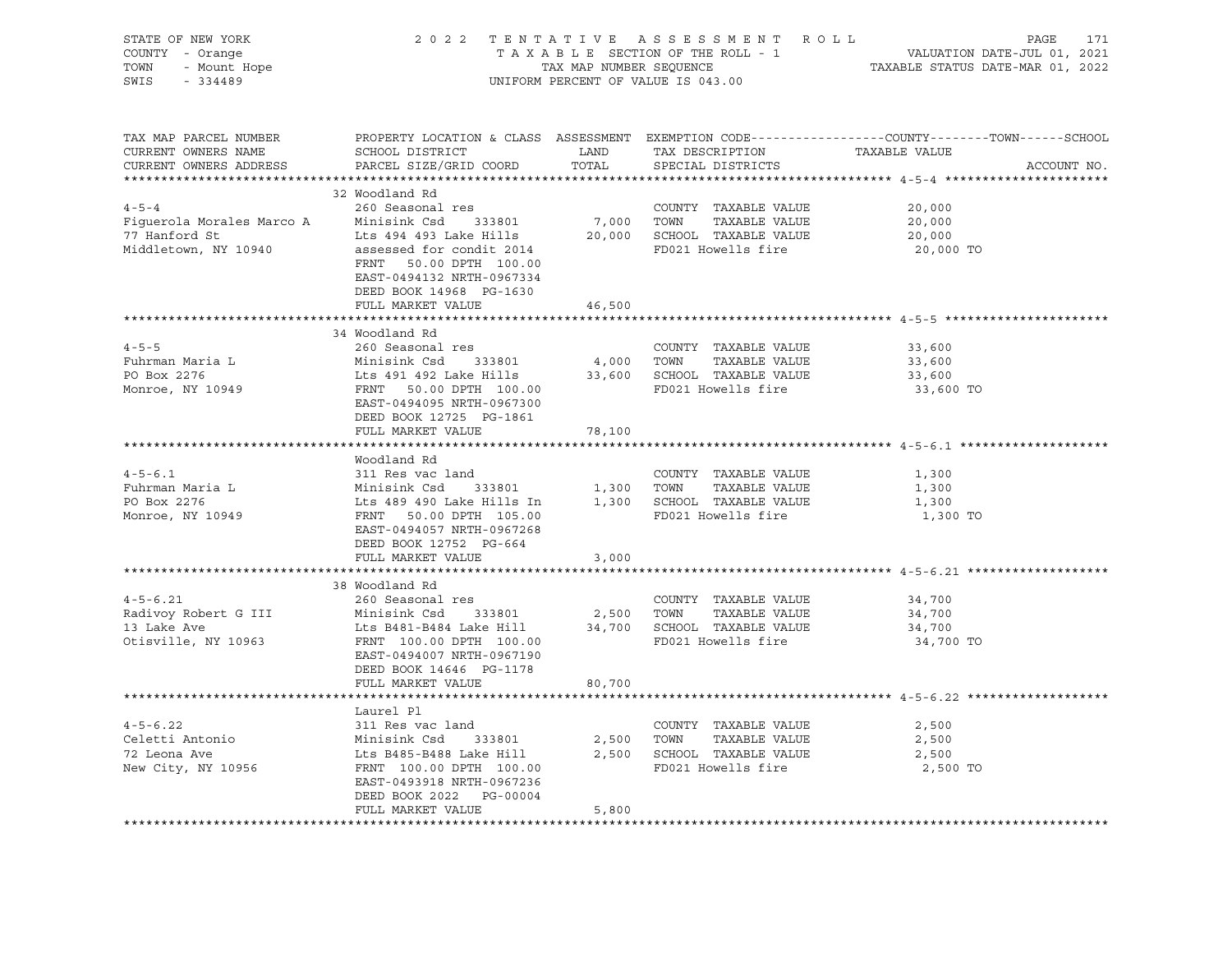| STATE OF NEW YORK<br>COUNTY - Orange<br>TOWN - Mount Hope<br>SWIS - 334489                                                                                                                          |                                                                                                                                                                                            |               | 2022 TENTATIVE ASSESSMENT ROLL<br>UNIFORM PERCENT OF VALUE IS 043.00                                  | FENTATIVE ASSESSMENT ROLL PAGE 171<br>TAXABLE SECTION OF THE ROLL - 1 VALUATION DATE-JUL 01, 2021<br>TAXABLE STATUS DATE-MAR 01, 2022 |
|-----------------------------------------------------------------------------------------------------------------------------------------------------------------------------------------------------|--------------------------------------------------------------------------------------------------------------------------------------------------------------------------------------------|---------------|-------------------------------------------------------------------------------------------------------|---------------------------------------------------------------------------------------------------------------------------------------|
| TAX MAP PARCEL NUMBER<br>CURRENT OWNERS NAME<br>CURRENT OWNERS ADDRESS                                                                                                                              | SCHOOL DISTRICT<br>PARCEL SIZE/GRID COORD                                                                                                                                                  | LAND<br>TOTAL | TAX DESCRIPTION<br>SPECIAL DISTRICTS                                                                  | PROPERTY LOCATION & CLASS ASSESSMENT EXEMPTION CODE---------------COUNTY-------TOWN-----SCHOOL<br>TAXABLE VALUE<br>ACCOUNT NO.        |
|                                                                                                                                                                                                     |                                                                                                                                                                                            |               |                                                                                                       |                                                                                                                                       |
| $4 - 5 - 4$                                                                                                                                                                                         | 32 Woodland Rd<br>260 Seasonal res                                                                                                                                                         |               | COUNTY TAXABLE VALUE                                                                                  | 20,000                                                                                                                                |
|                                                                                                                                                                                                     |                                                                                                                                                                                            |               | 7,000 TOWN TAXABLE VALUE                                                                              | 20,000                                                                                                                                |
|                                                                                                                                                                                                     |                                                                                                                                                                                            |               | 20,000 SCHOOL TAXABLE VALUE                                                                           | 20,000                                                                                                                                |
| Figuerola Morales Marco A Minisink Csd 333801 7,00<br>77 Hanford St                             Lts 494 493 Lake Hills             20,00<br>Middletown, NY 10940           assessed for condit 2014 | FRNT 50.00 DPTH 100.00<br>EAST-0494132 NRTH-0967334<br>DEED BOOK 14968 PG-1630                                                                                                             |               | FD021 Howells fire                                                                                    | 20,000 TO                                                                                                                             |
|                                                                                                                                                                                                     | FULL MARKET VALUE                                                                                                                                                                          | 46,500        |                                                                                                       |                                                                                                                                       |
|                                                                                                                                                                                                     |                                                                                                                                                                                            |               |                                                                                                       |                                                                                                                                       |
| $4 - 5 - 5$<br>Fuhrman Maria L<br>PO Box 2276<br>Monroe, NY 10949                                                                                                                                   | 34 Woodland Rd<br>260 Seasonal res<br>Minisink Csd 333801<br>Lts 491 492 Lake Hills<br>FRNT 50.00 DPTH 100.00<br>EAST-0494095 NRTH-0967300                                                 |               | COUNTY TAXABLE VALUE<br>4,000 TOWN TAXABLE VALUE<br>33,600 SCHOOL TAXABLE VALUE<br>FD021 Howells fire | 33,600<br>33,600<br>33,600<br>33,600 TO                                                                                               |
|                                                                                                                                                                                                     | DEED BOOK 12725 PG-1861                                                                                                                                                                    |               |                                                                                                       |                                                                                                                                       |
|                                                                                                                                                                                                     | FULL MARKET VALUE                                                                                                                                                                          | 78,100        |                                                                                                       |                                                                                                                                       |
|                                                                                                                                                                                                     |                                                                                                                                                                                            |               |                                                                                                       |                                                                                                                                       |
|                                                                                                                                                                                                     | Woodland Rd                                                                                                                                                                                |               |                                                                                                       |                                                                                                                                       |
| $4 - 5 - 6.1$                                                                                                                                                                                       | 311 Res vac land                                                                                                                                                                           |               | COUNTY TAXABLE VALUE                                                                                  | 1,300                                                                                                                                 |
| Fuhrman Maria L                                                                                                                                                                                     |                                                                                                                                                                                            |               |                                                                                                       | 1,300                                                                                                                                 |
| PO Box 2276<br>Monroe, NY 10949                                                                                                                                                                     |                                                                                                                                                                                            |               |                                                                                                       | 1,300<br>1,300 TO                                                                                                                     |
|                                                                                                                                                                                                     | DEED BOOK 12752 PG-664                                                                                                                                                                     |               |                                                                                                       |                                                                                                                                       |
|                                                                                                                                                                                                     | FULL MARKET VALUE                                                                                                                                                                          | 3,000         |                                                                                                       |                                                                                                                                       |
|                                                                                                                                                                                                     | 38 Woodland Rd                                                                                                                                                                             |               |                                                                                                       |                                                                                                                                       |
| $4 - 5 - 6.21$<br>Radivoy Robert G III<br>13 Lake Ave<br>Otisville, NY 10963                                                                                                                        | 260 Seasonal res<br>Minisink Csd 333801<br>------<br>Lts B481-B484 Lake Hill<br>"""" ווחסם וחדים 100.00<br>FRNT 100.00 DPTH 100.00<br>EAST-0494007 NRTH-0967190<br>DEED BOOK 14646 PG-1178 |               | COUNTY TAXABLE VALUE<br>2,500 TOWN TAXABLE VALUE<br>34,700 SCHOOL TAXABLE VALUE<br>FD021 Howells fire | 34,700<br>34,700<br>34,700<br>34,700 TO                                                                                               |
|                                                                                                                                                                                                     | FULL MARKET VALUE                                                                                                                                                                          | 80,700        |                                                                                                       |                                                                                                                                       |
|                                                                                                                                                                                                     |                                                                                                                                                                                            |               |                                                                                                       |                                                                                                                                       |
|                                                                                                                                                                                                     | Laurel Pl                                                                                                                                                                                  |               |                                                                                                       |                                                                                                                                       |
| $4 - 5 - 6.22$                                                                                                                                                                                      | 311 Res vac land                                                                                                                                                                           |               | COUNTY TAXABLE VALUE                                                                                  | 2,500                                                                                                                                 |
| Celetti Antonio                                                                                                                                                                                     | Minisink Csd 333801                                                                                                                                                                        |               | 2,500 TOWN TAXABLE VALUE                                                                              | 2,500                                                                                                                                 |
| 72 Leona Ave                                                                                                                                                                                        | Lts B485-B488 Lake Hill                                                                                                                                                                    |               | 2,500 SCHOOL TAXABLE VALUE                                                                            | 2,500                                                                                                                                 |
| New City, NY 10956                                                                                                                                                                                  | FRNT 100.00 DPTH 100.00<br>EAST-0493918 NRTH-0967236<br>DEED BOOK 2022 PG-00004                                                                                                            |               | FD021 Howells fire                                                                                    | 2,500 TO                                                                                                                              |
|                                                                                                                                                                                                     | FULL MARKET VALUE                                                                                                                                                                          | 5,800         |                                                                                                       |                                                                                                                                       |
|                                                                                                                                                                                                     |                                                                                                                                                                                            |               |                                                                                                       |                                                                                                                                       |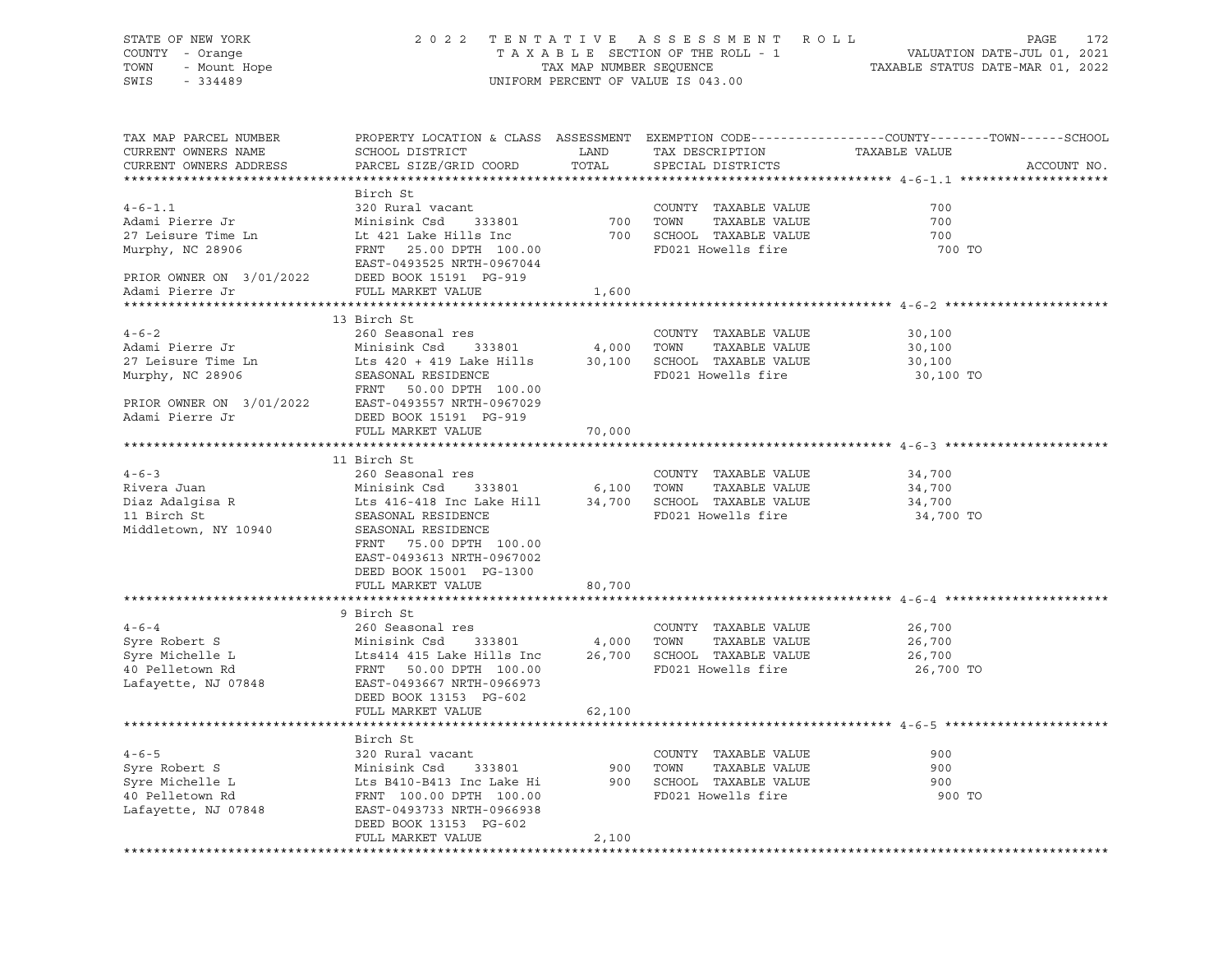| STATE OF NEW YORK                             |                                    |                         | 2022 TENTATIVE ASSESSMENT ROLL     |                                                                                                  | 172<br>PAGE |
|-----------------------------------------------|------------------------------------|-------------------------|------------------------------------|--------------------------------------------------------------------------------------------------|-------------|
| COUNTY - Orange                               |                                    |                         | TAXABLE SECTION OF THE ROLL - 1    | VALUATION DATE-JUL 01, 2021                                                                      |             |
| - Mount Hope<br>TOWN                          |                                    | TAX MAP NUMBER SEQUENCE |                                    | TAXABLE STATUS DATE-MAR 01, 2022                                                                 |             |
| $-334489$<br>SWIS                             |                                    |                         | UNIFORM PERCENT OF VALUE IS 043.00 |                                                                                                  |             |
|                                               |                                    |                         |                                    |                                                                                                  |             |
|                                               |                                    |                         |                                    |                                                                                                  |             |
|                                               |                                    |                         |                                    |                                                                                                  |             |
| TAX MAP PARCEL NUMBER                         |                                    |                         |                                    | PROPERTY LOCATION & CLASS ASSESSMENT EXEMPTION CODE----------------COUNTY-------TOWN------SCHOOL |             |
| CURRENT OWNERS NAME                           | SCHOOL DISTRICT                    | LAND                    | TAX DESCRIPTION                    | TAXABLE VALUE                                                                                    |             |
| CURRENT OWNERS ADDRESS                        | PARCEL SIZE/GRID COORD             | TOTAL                   | SPECIAL DISTRICTS                  |                                                                                                  | ACCOUNT NO. |
|                                               |                                    |                         |                                    |                                                                                                  |             |
|                                               | Birch St                           |                         |                                    |                                                                                                  |             |
| $4 - 6 - 1$ , 1                               | 320 Rural vacant                   |                         | COUNTY TAXABLE VALUE               | 700                                                                                              |             |
| Adami Pierre Jr                               | Minisink Csd 333801                |                         | TAXABLE VALUE                      | 700                                                                                              |             |
|                                               |                                    |                         | 700 TOWN                           |                                                                                                  |             |
| 27 Leisure Time Ln                            | Lt 421 Lake Hills Inc              |                         | 700 SCHOOL TAXABLE VALUE           | 700                                                                                              |             |
| Murphy, NC 28906                              | FRNT 25.00 DPTH 100.00             |                         | FD021 Howells fire                 | 700 TO                                                                                           |             |
|                                               | EAST-0493525 NRTH-0967044          |                         |                                    |                                                                                                  |             |
| PRIOR OWNER ON 3/01/2022                      | DEED BOOK 15191 PG-919             |                         |                                    |                                                                                                  |             |
| Adami Pierre Jr                               | FULL MARKET VALUE                  | 1,600                   |                                    |                                                                                                  |             |
| ******************                            | ********************************** | ***********             |                                    | ********************************* 4-6-2 **********                                               |             |
|                                               | 13 Birch St                        |                         |                                    |                                                                                                  |             |
| $4 - 6 - 2$                                   | 260 Seasonal res                   |                         | COUNTY TAXABLE VALUE               | 30,100                                                                                           |             |
| Adami Pierre Jr                               | Minisink Csd<br>333801             | 4,000                   | TOWN<br>TAXABLE VALUE              | 30,100                                                                                           |             |
| 27 Leisure Time Ln                            | Lts $420 + 419$ Lake Hills         | 30,100                  | SCHOOL TAXABLE VALUE               | 30,100                                                                                           |             |
|                                               | SEASONAL RESIDENCE                 |                         | FD021 Howells fire                 |                                                                                                  |             |
| Murphy, NC 28906                              |                                    |                         |                                    | 30,100 TO                                                                                        |             |
|                                               | FRNT 50.00 DPTH 100.00             |                         |                                    |                                                                                                  |             |
| PRIOR OWNER ON 3/01/2022                      | EAST-0493557 NRTH-0967029          |                         |                                    |                                                                                                  |             |
| Adami Pierre Jr                               | DEED BOOK 15191 PG-919             |                         |                                    |                                                                                                  |             |
|                                               | FULL MARKET VALUE                  | 70,000                  |                                    |                                                                                                  |             |
|                                               |                                    |                         |                                    |                                                                                                  |             |
|                                               | 11 Birch St                        |                         |                                    |                                                                                                  |             |
| $4 - 6 - 3$                                   | 260 Seasonal res                   |                         | COUNTY TAXABLE VALUE               | 34,700                                                                                           |             |
| Rivera Juan                                   | Minisink Csd<br>333801             | 6,100 TOWN              | TAXABLE VALUE                      | 34,700                                                                                           |             |
|                                               | Lts 416-418 Inc Lake Hill          |                         | 34,700 SCHOOL TAXABLE VALUE        | 34,700                                                                                           |             |
| Diaz Adalgisa R<br>11 Birch St<br>11 Birch St | SEASONAL RESIDENCE                 |                         | FD021 Howells fire                 | 34,700 TO                                                                                        |             |
| Middletown, NY 10940                          | SEASONAL RESIDENCE                 |                         |                                    |                                                                                                  |             |
|                                               |                                    |                         |                                    |                                                                                                  |             |
|                                               | FRNT 75.00 DPTH 100.00             |                         |                                    |                                                                                                  |             |
|                                               | EAST-0493613 NRTH-0967002          |                         |                                    |                                                                                                  |             |
|                                               | DEED BOOK 15001 PG-1300            |                         |                                    |                                                                                                  |             |
|                                               | FULL MARKET VALUE                  | 80,700                  |                                    |                                                                                                  |             |
|                                               |                                    |                         |                                    |                                                                                                  |             |
|                                               | 9 Birch St                         |                         |                                    |                                                                                                  |             |
| $4 - 6 - 4$                                   | 260 Seasonal res                   |                         | COUNTY TAXABLE VALUE               | 26,700                                                                                           |             |
| Syre Robert S                                 | Minisink Csd<br>333801             | 4,000                   | TOWN<br>TAXABLE VALUE              | 26,700                                                                                           |             |
| Syre Michelle L                               | Lts414 415 Lake Hills Inc          |                         | 26,700 SCHOOL TAXABLE VALUE        | 26,700                                                                                           |             |
| 40 Pelletown Rd                               | FRNT 50.00 DPTH 100.00             |                         | FD021 Howells fire                 | 26,700 TO                                                                                        |             |
| Lafayette, NJ 07848                           | EAST-0493667 NRTH-0966973          |                         |                                    |                                                                                                  |             |
|                                               |                                    |                         |                                    |                                                                                                  |             |
|                                               | DEED BOOK 13153 PG-602             |                         |                                    |                                                                                                  |             |
|                                               | FULL MARKET VALUE                  | 62,100                  |                                    |                                                                                                  |             |
|                                               |                                    |                         |                                    |                                                                                                  |             |
|                                               | Birch St                           |                         |                                    |                                                                                                  |             |
| $4 - 6 - 5$                                   | 320 Rural vacant                   |                         | COUNTY TAXABLE VALUE               | 900                                                                                              |             |
| Syre Robert S                                 | Minisink Csd 333801                | 900                     | TOWN<br>TAXABLE VALUE              | 900                                                                                              |             |
|                                               |                                    |                         |                                    |                                                                                                  |             |

Syre Michelle L Lts B410-B413 Inc Lake Hi 900 SCHOOL TAXABLE VALUE 900 40 Pelletown Rd FRNT 100.00 DPTH 100.00 FD021 Howells fire 900 TO Lafayette, NJ 07848 EAST-0493733 NRTH-0966938 DEED BOOK 13153 PG-602 FULL MARKET VALUE 2,100 \*\*\*\*\*\*\*\*\*\*\*\*\*\*\*\*\*\*\*\*\*\*\*\*\*\*\*\*\*\*\*\*\*\*\*\*\*\*\*\*\*\*\*\*\*\*\*\*\*\*\*\*\*\*\*\*\*\*\*\*\*\*\*\*\*\*\*\*\*\*\*\*\*\*\*\*\*\*\*\*\*\*\*\*\*\*\*\*\*\*\*\*\*\*\*\*\*\*\*\*\*\*\*\*\*\*\*\*\*\*\*\*\*\*\*\*\*\*\*\*\*\*\*\*\*\*\*\*\*\*\*\*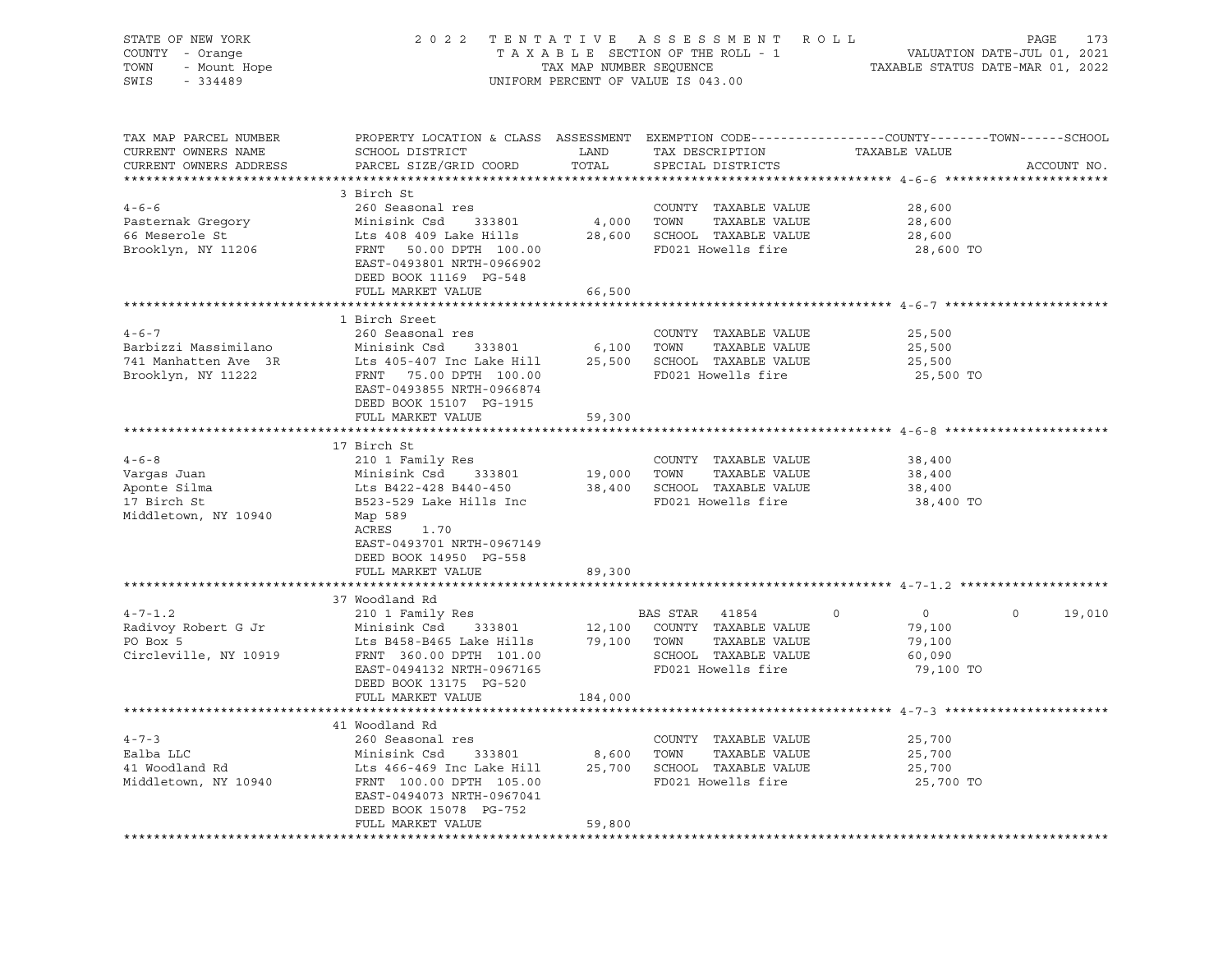| STATE OF NEW YORK<br>COUNTY - Orange<br>TOWN - Mount Hope<br>SWIS - 334489 | 2022 TENTATIVE ASSESSMENT ROLL                                                                                                                                                                                                                                          | PAGE<br>173<br>TAXABLE SECTION OF THE ROLL - 1<br>TAX MAP NUMBER SEQUENCE TAXABLE STATUS DATE-JUL 01, 2021<br>TAXABLE STATUS DATE-MAR 01, 2022 |                                            |                          |                   |
|----------------------------------------------------------------------------|-------------------------------------------------------------------------------------------------------------------------------------------------------------------------------------------------------------------------------------------------------------------------|------------------------------------------------------------------------------------------------------------------------------------------------|--------------------------------------------|--------------------------|-------------------|
|                                                                            |                                                                                                                                                                                                                                                                         |                                                                                                                                                | UNIFORM PERCENT OF VALUE IS 043.00         |                          |                   |
| CURRENT OWNERS NAME                                                        | TAX MAP PARCEL NUMBER THE PROPERTY LOCATION & CLASS ASSESSMENT EXEMPTION CODE--------------COUNTY--------TOWN------SCHOOL                                                                                                                                               |                                                                                                                                                |                                            |                          |                   |
| CURRENT OWNERS ADDRESS                                                     | PARCEL SIZE/GRID COORD TOTAL                                                                                                                                                                                                                                            |                                                                                                                                                | SPECIAL DISTRICTS                          |                          | ACCOUNT NO.       |
|                                                                            | 3 Birch St                                                                                                                                                                                                                                                              |                                                                                                                                                |                                            |                          |                   |
|                                                                            |                                                                                                                                                                                                                                                                         |                                                                                                                                                |                                            | 28,600                   |                   |
|                                                                            |                                                                                                                                                                                                                                                                         |                                                                                                                                                | TAXABLE VALUE                              | 28,600                   |                   |
|                                                                            |                                                                                                                                                                                                                                                                         |                                                                                                                                                |                                            | 28,600                   |                   |
|                                                                            | 260 Seasonal res<br>Pasternak Gregory Minisink Csd 333801 4,000 TOWN TAXABLE VALUE<br>66 Meserole St Lts 408 409 Lake Hills 28,600 SCHOOL TAXABLE VALUE<br>Brooklyn, NY 11206 FRNT 50.00 DPTH 100.00 FD021 Howells fire<br>EAST-049380<br>DEED BOOK 11169 PG-548        |                                                                                                                                                |                                            | 28,600 TO                |                   |
|                                                                            | FULL MARKET VALUE                                                                                                                                                                                                                                                       | 66,500                                                                                                                                         |                                            |                          |                   |
|                                                                            | 1 Birch Sreet                                                                                                                                                                                                                                                           |                                                                                                                                                |                                            |                          |                   |
| $4 - 6 - 7$                                                                | 260 Seasonal res                                                                                                                                                                                                                                                        |                                                                                                                                                | COUNTY TAXABLE VALUE                       | 25,500                   |                   |
|                                                                            |                                                                                                                                                                                                                                                                         |                                                                                                                                                |                                            | 25,500                   |                   |
|                                                                            |                                                                                                                                                                                                                                                                         |                                                                                                                                                |                                            | 25,500                   |                   |
|                                                                            | Barbizzi Massimilano Minisink Csd 333801 6,100 TOWN TAXABLE VALUE<br>741 Manhatten Ave 3R Lts 405-407 Inc Lake Hill 25,500 SCHOOL TAXABLE VALUE<br>Brooklyn, NY 11222 FRNT 75.00 DPTH 100.00 FD021 Howells fire<br>EAST-0493855 NRTH-0966874<br>DEED BOOK 15107 PG-1915 |                                                                                                                                                |                                            | 25,500 TO                |                   |
|                                                                            | FULL MARKET VALUE                                                                                                                                                                                                                                                       | 59,300                                                                                                                                         |                                            |                          |                   |
|                                                                            | 17 Birch St                                                                                                                                                                                                                                                             |                                                                                                                                                |                                            |                          |                   |
|                                                                            |                                                                                                                                                                                                                                                                         |                                                                                                                                                | COUNTY TAXABLE VALUE                       | 38,400                   |                   |
|                                                                            |                                                                                                                                                                                                                                                                         |                                                                                                                                                |                                            | 38,400                   |                   |
|                                                                            |                                                                                                                                                                                                                                                                         |                                                                                                                                                |                                            | 38,400                   |                   |
|                                                                            |                                                                                                                                                                                                                                                                         |                                                                                                                                                |                                            | 38,400 TO                |                   |
|                                                                            | ACRES 1.70                                                                                                                                                                                                                                                              |                                                                                                                                                |                                            |                          |                   |
|                                                                            | EAST-0493701 NRTH-0967149                                                                                                                                                                                                                                               |                                                                                                                                                |                                            |                          |                   |
|                                                                            | DEED BOOK 14950 PG-558                                                                                                                                                                                                                                                  |                                                                                                                                                |                                            |                          |                   |
|                                                                            | FULL MARKET VALUE                                                                                                                                                                                                                                                       | 89,300                                                                                                                                         |                                            |                          |                   |
|                                                                            |                                                                                                                                                                                                                                                                         |                                                                                                                                                |                                            |                          |                   |
|                                                                            | 37 Woodland Rd                                                                                                                                                                                                                                                          |                                                                                                                                                |                                            |                          |                   |
|                                                                            |                                                                                                                                                                                                                                                                         |                                                                                                                                                | BAS STAR 41854 0                           | $\overline{0}$<br>79,100 | $\circ$<br>19,010 |
|                                                                            | 4-7-1.2<br>Radivoy Robert G Jr<br>Minisink Csd 333801<br>DO Box 5<br>Circleville, NY 10919<br>Minisink Csd 333801<br>Lts B458-B465 Lake Hills<br>TAXABLE VALUE<br>TAXABLE VALUE<br>Circleville, NY 10919<br>TAXABLE VALUE<br>TAXABLE VALUE<br>TAXABLE                   |                                                                                                                                                |                                            | 79,100                   |                   |
|                                                                            |                                                                                                                                                                                                                                                                         |                                                                                                                                                |                                            | 60,090                   |                   |
|                                                                            | EAST-0494132 NRTH-0967165                                                                                                                                                                                                                                               |                                                                                                                                                | SCHOOL TAXABLE VALUE<br>FD021 Howells fire | 79,100 TO                |                   |
|                                                                            | DEED BOOK 13175 PG-520                                                                                                                                                                                                                                                  |                                                                                                                                                |                                            |                          |                   |
|                                                                            | FULL MARKET VALUE                                                                                                                                                                                                                                                       | 184,000                                                                                                                                        |                                            |                          |                   |
|                                                                            | 41 Woodland Rd                                                                                                                                                                                                                                                          |                                                                                                                                                |                                            |                          |                   |
| $4 - 7 - 3$                                                                |                                                                                                                                                                                                                                                                         |                                                                                                                                                |                                            | 25,700                   |                   |
|                                                                            |                                                                                                                                                                                                                                                                         |                                                                                                                                                |                                            | 25,700                   |                   |
| 4-7-3<br>Ealba LLC<br>41 Woodland Rd                                       |                                                                                                                                                                                                                                                                         |                                                                                                                                                |                                            | 25,700                   |                   |
| Middletown, NY 10940                                                       | 260 Seasonal res<br>Minisink Csd 333801 8,600 TOWN TAXABLE VALUE<br>Lts 466-469 Inc Lake Hill 25,700 SCHOOL TAXABLE VALUE<br>FRNT 100.00 DPTH 105.00 FD021 Howells fire<br>FRNT 0484073 NPTH 0967041<br>EAST-0494073 NRTH-0967041<br>DEED BOOK 15078 PG-752             |                                                                                                                                                |                                            | 25,700 TO                |                   |
|                                                                            | FULL MARKET VALUE                                                                                                                                                                                                                                                       | 59,800                                                                                                                                         |                                            |                          |                   |
|                                                                            |                                                                                                                                                                                                                                                                         |                                                                                                                                                |                                            |                          |                   |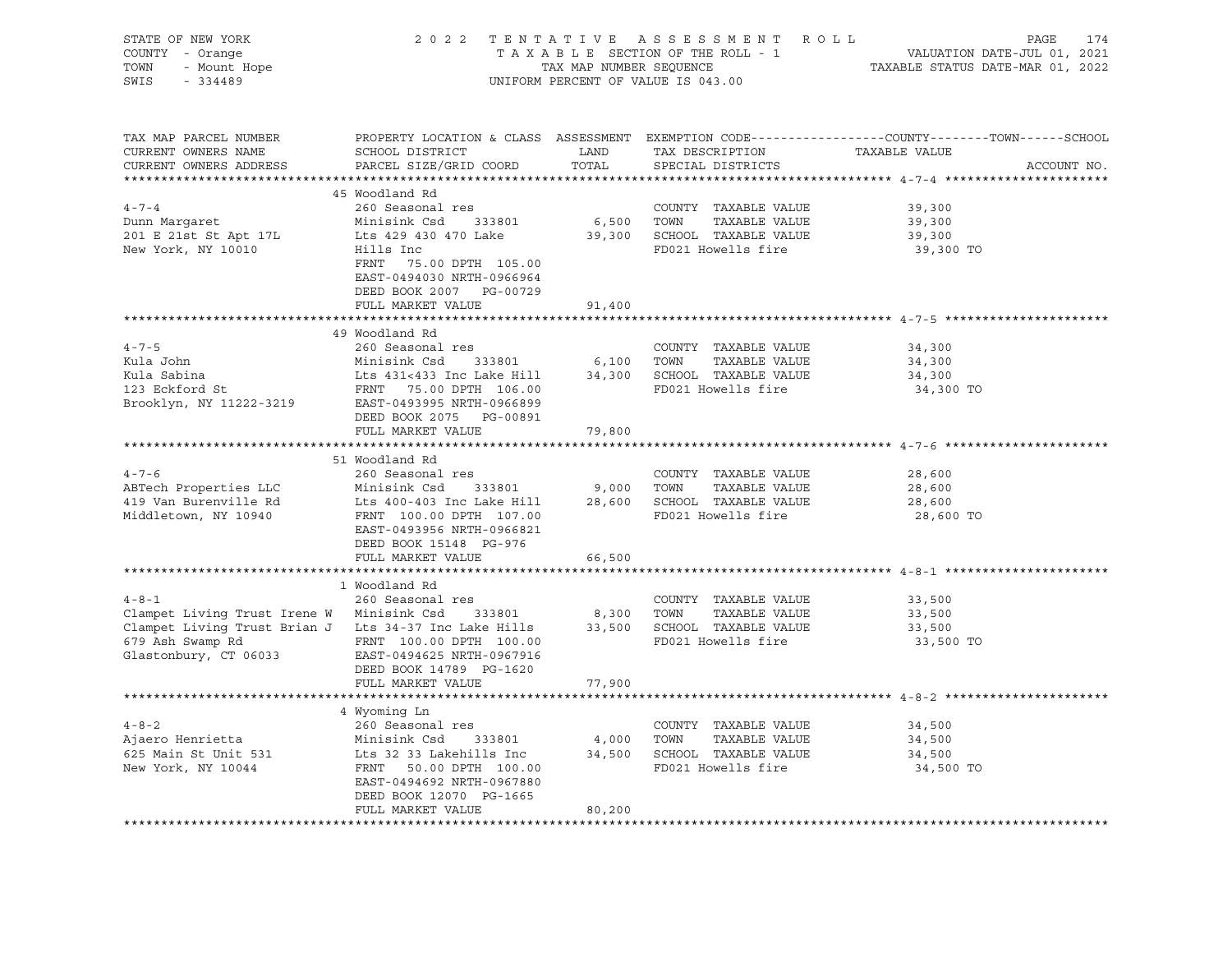| STATE OF NEW YORK<br>$Y = 0$ range<br>- Mount Hope<br>- 334489<br>COUNTY - Orange<br>TOWN<br>SWIS - 334489                                                                                                                                                                                 |                                                                                                                                                                                                            |        | 2022 TENTATIVE ASSESSMENT ROLL<br>UNIFORM PERCENT OF VALUE IS 043.00                                        | TENTATIVE ASSESSMENT ROLL PAGE 174<br>TAXABLE SECTION OF THE ROLL - 1 VALUATION DATE-JUL 01, 2021<br>TAX MAP NUMBER SEQUENCE TAXABLE STATUS DATE-MAR 01, 2022 |
|--------------------------------------------------------------------------------------------------------------------------------------------------------------------------------------------------------------------------------------------------------------------------------------------|------------------------------------------------------------------------------------------------------------------------------------------------------------------------------------------------------------|--------|-------------------------------------------------------------------------------------------------------------|---------------------------------------------------------------------------------------------------------------------------------------------------------------|
| TAX MAP PARCEL NUMBER<br>CURRENT OWNERS NAME<br>CURRENT OWNERS ADDRESS                                                                                                                                                                                                                     | SCHOOL DISTRICT<br>PARCEL SIZE/GRID COORD                                                                                                                                                                  |        | TAX DESCRIPTION TAXABLE VALUE<br>TAX DESCRIPTION TAXABLE VALUE<br>TOTAL SPECIAL DISTRICTS                   | PROPERTY LOCATION & CLASS ASSESSMENT EXEMPTION CODE---------------COUNTY-------TOWN-----SCHOOL<br>ACCOUNT NO.                                                 |
|                                                                                                                                                                                                                                                                                            | 45 Woodland Rd                                                                                                                                                                                             |        |                                                                                                             |                                                                                                                                                               |
| $4 - 7 - 4$                                                                                                                                                                                                                                                                                | 260 Seasonal res                                                                                                                                                                                           |        | COUNTY TAXABLE VALUE                                                                                        | 39,300                                                                                                                                                        |
|                                                                                                                                                                                                                                                                                            |                                                                                                                                                                                                            |        | 6,500 TOWN TAXABLE VALUE                                                                                    | 39,300                                                                                                                                                        |
|                                                                                                                                                                                                                                                                                            |                                                                                                                                                                                                            |        |                                                                                                             | 39,300                                                                                                                                                        |
| 201 E 21st St Apt 17L Minisink Csd 333801 b, 500 10mm Margaret<br>201 E 21st St Apt 17L Lts 429 430 470 Lake 39,300 SCHOOL TAXABLE VALUE                                                                                                                                                   | FRNT 75.00 DPTH 105.00<br>EAST-0494030 NRTH-0966964<br>DEED BOOK 2007 PG-00729<br>FULL MARKET VALUE                                                                                                        | 91,400 |                                                                                                             | 39,300 TO                                                                                                                                                     |
|                                                                                                                                                                                                                                                                                            |                                                                                                                                                                                                            |        |                                                                                                             |                                                                                                                                                               |
|                                                                                                                                                                                                                                                                                            | 49 Woodland Rd                                                                                                                                                                                             |        |                                                                                                             | 34,300<br>34,300                                                                                                                                              |
| Xula John Minisink Csd 333801 6,100 TOWN TAXABLE VALUE<br>Xula Sabina Lts 431<433 Inc Lake Hill 34,300 SCHOOL TAXABLE VALUE<br>123 Eckford St FRNT 75.00 DPTH 106.00 FD021 Howells fire<br>Brooklyn, NY 11222-3219 EAST-0493995 NRTH                                                       | DEED BOOK 2075 PG-00891                                                                                                                                                                                    |        |                                                                                                             | 34,300<br>34,300 TO                                                                                                                                           |
|                                                                                                                                                                                                                                                                                            | FULL MARKET VALUE                                                                                                                                                                                          | 79,800 |                                                                                                             |                                                                                                                                                               |
|                                                                                                                                                                                                                                                                                            | 51 Woodland Rd                                                                                                                                                                                             |        |                                                                                                             |                                                                                                                                                               |
| $4 - 7 - 6$                                                                                                                                                                                                                                                                                | 260 Seasonal res                                                                                                                                                                                           |        | COUNTY TAXABLE VALUE                                                                                        | 28,600                                                                                                                                                        |
| ABTech Properties LLC                                                                                                                                                                                                                                                                      |                                                                                                                                                                                                            |        |                                                                                                             | 28,600                                                                                                                                                        |
| 419 Van Burenville Rd<br>Middletown, NY 10940                                                                                                                                                                                                                                              | Minisink Csd 333801 9,000 TOWN TAXABLE VALUE<br>Lts 400-403 Inc Lake Hill 28,600 SCHOOL TAXABLE VALUE<br>FRNT 100.00 DPTH 107.00 FD021 Howells fire<br>EAST-0493956 NRTH-0966821<br>DEED BOOK 15148 PG-976 |        |                                                                                                             | 28,600<br>28,600 TO                                                                                                                                           |
|                                                                                                                                                                                                                                                                                            | FULL MARKET VALUE                                                                                                                                                                                          | 66,500 |                                                                                                             |                                                                                                                                                               |
|                                                                                                                                                                                                                                                                                            |                                                                                                                                                                                                            |        |                                                                                                             |                                                                                                                                                               |
| $4 - 8 - 1$<br>Clampet Living Trust Irene W Minisink Csd 333801 8,300 TOWN TAXABLE VALUE<br>Clampet Living Trust Brian J Lts 34-37 Inc Lake Hills 33,500 SCHOOL TAXABLE VALUE<br>679 Ash Swamp Rd FRNT 100.00 DPTH 100.00 CPD021 Howells fire<br>679 Ash Swamp Rd<br>Glastonbury, CT 06033 | 1 Woodland Rd<br>260 Seasonal res<br>EAST-0494625 NRTH-0967916                                                                                                                                             |        | COUNTY TAXABLE VALUE<br>FD021 Howells fire                                                                  | 33,500<br>33,500<br>33,500<br>33,500 TO                                                                                                                       |
|                                                                                                                                                                                                                                                                                            | DEED BOOK 14789 PG-1620<br>FULL MARKET VALUE                                                                                                                                                               | 77,900 |                                                                                                             |                                                                                                                                                               |
|                                                                                                                                                                                                                                                                                            |                                                                                                                                                                                                            |        |                                                                                                             |                                                                                                                                                               |
|                                                                                                                                                                                                                                                                                            | 4 Wyoming Ln                                                                                                                                                                                               |        |                                                                                                             |                                                                                                                                                               |
|                                                                                                                                                                                                                                                                                            |                                                                                                                                                                                                            |        | COUNTY TAXABLE VALUE                                                                                        | 34,500                                                                                                                                                        |
|                                                                                                                                                                                                                                                                                            |                                                                                                                                                                                                            |        | TAXABLE VALUE                                                                                               | 34,500                                                                                                                                                        |
|                                                                                                                                                                                                                                                                                            |                                                                                                                                                                                                            |        | 333801 4,000 TOWN TAXABLE VALUE<br>ehills Inc 34,500 SCHOOL TAXABLE VALUE<br>DPTH 100.00 FD021 Howells fire | 34,500                                                                                                                                                        |
|                                                                                                                                                                                                                                                                                            | EAST-0494692 NRTH-0967880<br>DEED BOOK 12070 PG-1665                                                                                                                                                       |        | FD021 Howells fire                                                                                          | 34,500 TO                                                                                                                                                     |
|                                                                                                                                                                                                                                                                                            | FULL MARKET VALUE                                                                                                                                                                                          | 80,200 |                                                                                                             |                                                                                                                                                               |
|                                                                                                                                                                                                                                                                                            |                                                                                                                                                                                                            |        |                                                                                                             |                                                                                                                                                               |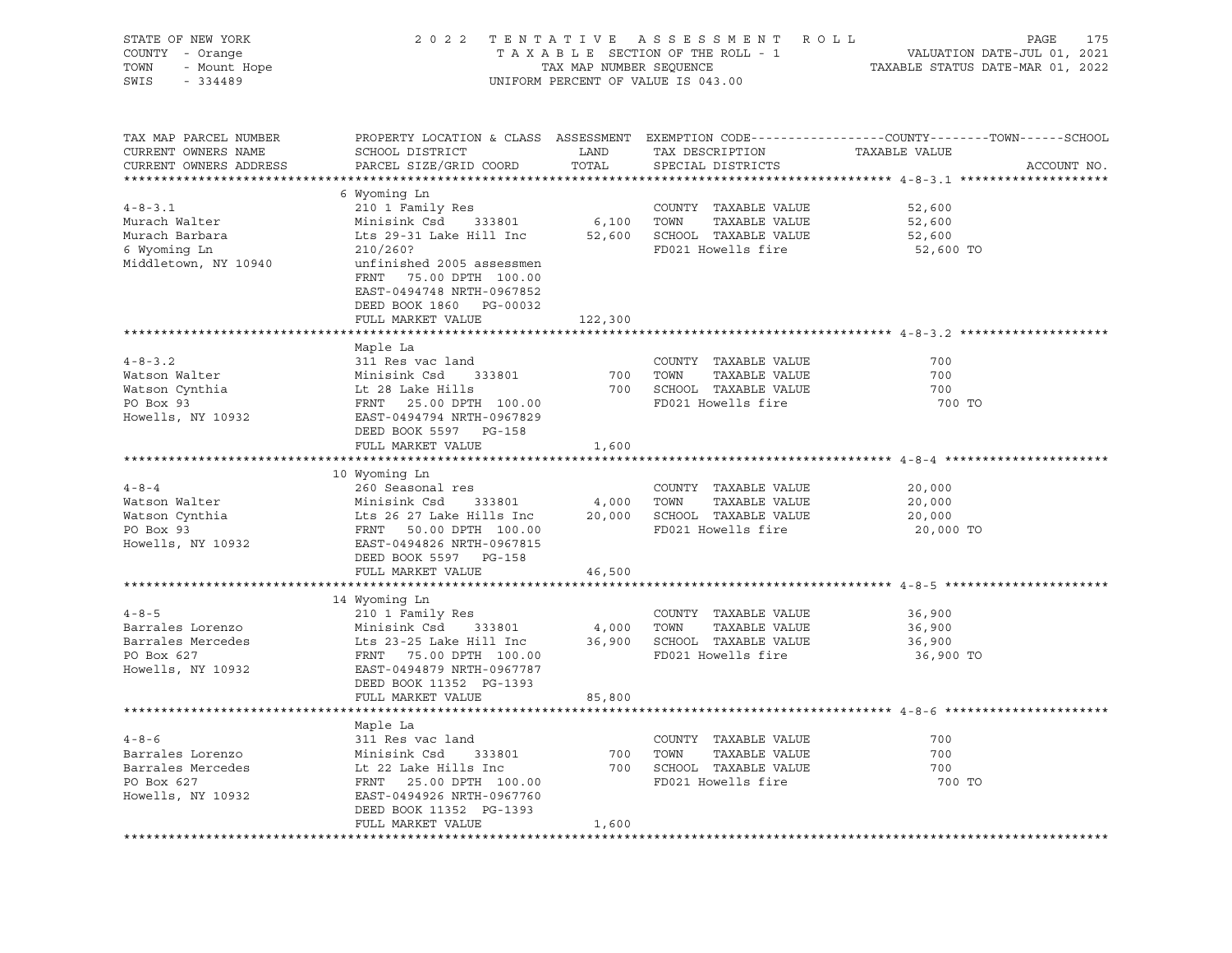| STATE OF NEW YORK<br>Y - Orange<br>- Mount Hope<br>COUNTY - Orange<br>TOWN<br>SWIS<br>$-334489$                                                                                      |                                                                                                                     |                     | 2022 TENTATIVE ASSESSMENT ROLL<br>UNIFORM PERCENT OF VALUE IS 043.00     | PAGE<br>175<br>TAXABLE SECTION OF THE ROLL - 1<br>TAXABLE SECTION OF THE ROLL - 1<br>TAXABLE STATUS DATE-MAR 01, 2022 |
|--------------------------------------------------------------------------------------------------------------------------------------------------------------------------------------|---------------------------------------------------------------------------------------------------------------------|---------------------|--------------------------------------------------------------------------|-----------------------------------------------------------------------------------------------------------------------|
| TAX MAP PARCEL NUMBER<br>CURRENT OWNERS NAME<br>CURRENT OWNERS ADDRESS                                                                                                               | SCHOOL DISTRICT<br>PARCEL SIZE/GRID COORD                                                                           | LAND<br>COORD TOTAL | TAX DESCRIPTION TAXABLE VALUE<br>SPECIAL DISTRICTS                       | PROPERTY LOCATION & CLASS ASSESSMENT EXEMPTION CODE----------------COUNTY-------TOWN-----SCHOOL<br>ACCOUNT NO.        |
|                                                                                                                                                                                      |                                                                                                                     |                     |                                                                          |                                                                                                                       |
| $4 - 8 - 3$ . 1                                                                                                                                                                      | 6 Wyoming Ln                                                                                                        |                     |                                                                          | 52,600                                                                                                                |
| Murach Walter                                                                                                                                                                        | 210 1 Family Res                                                                                                    |                     | COUNTY TAXABLE VALUE<br>6,100 TOWN TAXABLE VALUE<br>COUNTY TAXABLE VALUE | 52,600                                                                                                                |
| Murach Barbara                                                                                                                                                                       | Minisink Csd 333801<br>Lts 29-31 Lake Hill Inc                                                                      |                     | 52,600 SCHOOL TAXABLE VALUE                                              | 52,600                                                                                                                |
| 6 Wyoming Ln                                                                                                                                                                         | 210/260?                                                                                                            |                     | FD021 Howells fire                                                       | 52,600 TO                                                                                                             |
| Middletown, NY 10940                                                                                                                                                                 | unfinished 2005 assessmen                                                                                           |                     |                                                                          |                                                                                                                       |
|                                                                                                                                                                                      | FRNT 75.00 DPTH 100.00                                                                                              |                     |                                                                          |                                                                                                                       |
|                                                                                                                                                                                      | EAST-0494748 NRTH-0967852                                                                                           |                     |                                                                          |                                                                                                                       |
|                                                                                                                                                                                      | DEED BOOK 1860 PG-00032                                                                                             |                     |                                                                          |                                                                                                                       |
|                                                                                                                                                                                      | FULL MARKET VALUE                                                                                                   | 122,300             |                                                                          |                                                                                                                       |
|                                                                                                                                                                                      |                                                                                                                     |                     |                                                                          |                                                                                                                       |
|                                                                                                                                                                                      | Maple La                                                                                                            |                     |                                                                          |                                                                                                                       |
| $4 - 8 - 3.2$                                                                                                                                                                        | 311 Res vac land                                                                                                    |                     | COUNTY TAXABLE VALUE                                                     | 700                                                                                                                   |
|                                                                                                                                                                                      |                                                                                                                     | 700                 | TOWN<br>TAXABLE VALUE                                                    | 700                                                                                                                   |
|                                                                                                                                                                                      |                                                                                                                     |                     | 700 SCHOOL TAXABLE VALUE                                                 | 700                                                                                                                   |
| Figure 1.1 Matson Walter<br>Watson Cynthia Minisink Csd 333801<br>Watson Cynthia Lt 28 Lake Hills<br>PO Box 93 FRNT 25.00 DPTH 100.00<br>Howells, NY 10932 EAST-0494794 NRTH-0967829 |                                                                                                                     |                     | FD021 Howells fire                                                       | 700 TO                                                                                                                |
|                                                                                                                                                                                      |                                                                                                                     |                     |                                                                          |                                                                                                                       |
|                                                                                                                                                                                      | DEED BOOK 5597 PG-158                                                                                               |                     |                                                                          |                                                                                                                       |
|                                                                                                                                                                                      | FULL MARKET VALUE                                                                                                   | 1,600               |                                                                          |                                                                                                                       |
|                                                                                                                                                                                      |                                                                                                                     |                     |                                                                          |                                                                                                                       |
| $4 - 8 - 4$                                                                                                                                                                          | 10 Wyoming Ln                                                                                                       |                     |                                                                          |                                                                                                                       |
| Watson Walter                                                                                                                                                                        | 260 Seasonal res                                                                                                    |                     | COUNTY TAXABLE VALUE<br>TOWN TAXABLE VALUE                               | 20,000<br>20,000                                                                                                      |
|                                                                                                                                                                                      |                                                                                                                     |                     | 20,000 SCHOOL TAXABLE VALUE                                              | 20,000                                                                                                                |
| Watson Cynthia<br>PO Box 93                                                                                                                                                          |                                                                                                                     |                     | FD021 Howells fire                                                       | 20,000 TO                                                                                                             |
| Howells, NY 10932                                                                                                                                                                    | Minisink Csd 333801 4,000<br>Lts 26 27 Lake Hills Inc 20,000<br>FRNT 50.00 DPTH 100.00<br>EAST-0494826 NRTH-0967815 |                     |                                                                          |                                                                                                                       |
|                                                                                                                                                                                      | DEED BOOK 5597 PG-158                                                                                               |                     |                                                                          |                                                                                                                       |
|                                                                                                                                                                                      | FULL MARKET VALUE                                                                                                   | 46,500              |                                                                          |                                                                                                                       |
|                                                                                                                                                                                      |                                                                                                                     |                     |                                                                          |                                                                                                                       |
|                                                                                                                                                                                      | 14 Wyoming Ln                                                                                                       |                     |                                                                          |                                                                                                                       |
| $4 - 8 - 5$                                                                                                                                                                          | 210 1 Family Res                                                                                                    |                     | COUNTY TAXABLE VALUE                                                     | 36,900                                                                                                                |
| Barrales Lorenzo<br>Barrales Mercedes<br>Do Dow Carl Carl List 23-25 Lake Hill Inc                                                                                                   |                                                                                                                     |                     | 4,000 TOWN TAXABLE VALUE                                                 | 36,900                                                                                                                |
|                                                                                                                                                                                      |                                                                                                                     |                     | 36,900 SCHOOL TAXABLE VALUE                                              | 36,900                                                                                                                |
| PO Box 627                                                                                                                                                                           |                                                                                                                     |                     | FD021 Howells fire                                                       | 36,900 TO                                                                                                             |
| Howells, NY 10932                                                                                                                                                                    |                                                                                                                     |                     |                                                                          |                                                                                                                       |
|                                                                                                                                                                                      | DEED BOOK 11352 PG-1393                                                                                             |                     |                                                                          |                                                                                                                       |
|                                                                                                                                                                                      | FULL MARKET VALUE                                                                                                   | 85,800              |                                                                          |                                                                                                                       |
|                                                                                                                                                                                      |                                                                                                                     |                     |                                                                          |                                                                                                                       |
|                                                                                                                                                                                      | Maple La                                                                                                            |                     |                                                                          |                                                                                                                       |
| $4 - 8 - 6$                                                                                                                                                                          | 311 Res vac land                                                                                                    |                     | COUNTY TAXABLE VALUE                                                     | 700                                                                                                                   |
| Barrales Lorenzo                                                                                                                                                                     |                                                                                                                     | 700                 | TAXABLE VALUE<br>TOWN                                                    | 700                                                                                                                   |
| Barrales Mercedes                                                                                                                                                                    |                                                                                                                     |                     | 700 SCHOOL TAXABLE VALUE                                                 | 700                                                                                                                   |
| PO Box 627<br>Howells, NY 10932<br>EAST-0494926 NRTH-0967760                                                                                                                         |                                                                                                                     |                     | FD021 Howells fire                                                       | 700 TO                                                                                                                |
|                                                                                                                                                                                      | DEED BOOK 11352 PG-1393                                                                                             |                     |                                                                          |                                                                                                                       |
|                                                                                                                                                                                      | FULL MARKET VALUE                                                                                                   | 1,600               |                                                                          |                                                                                                                       |
|                                                                                                                                                                                      |                                                                                                                     |                     |                                                                          |                                                                                                                       |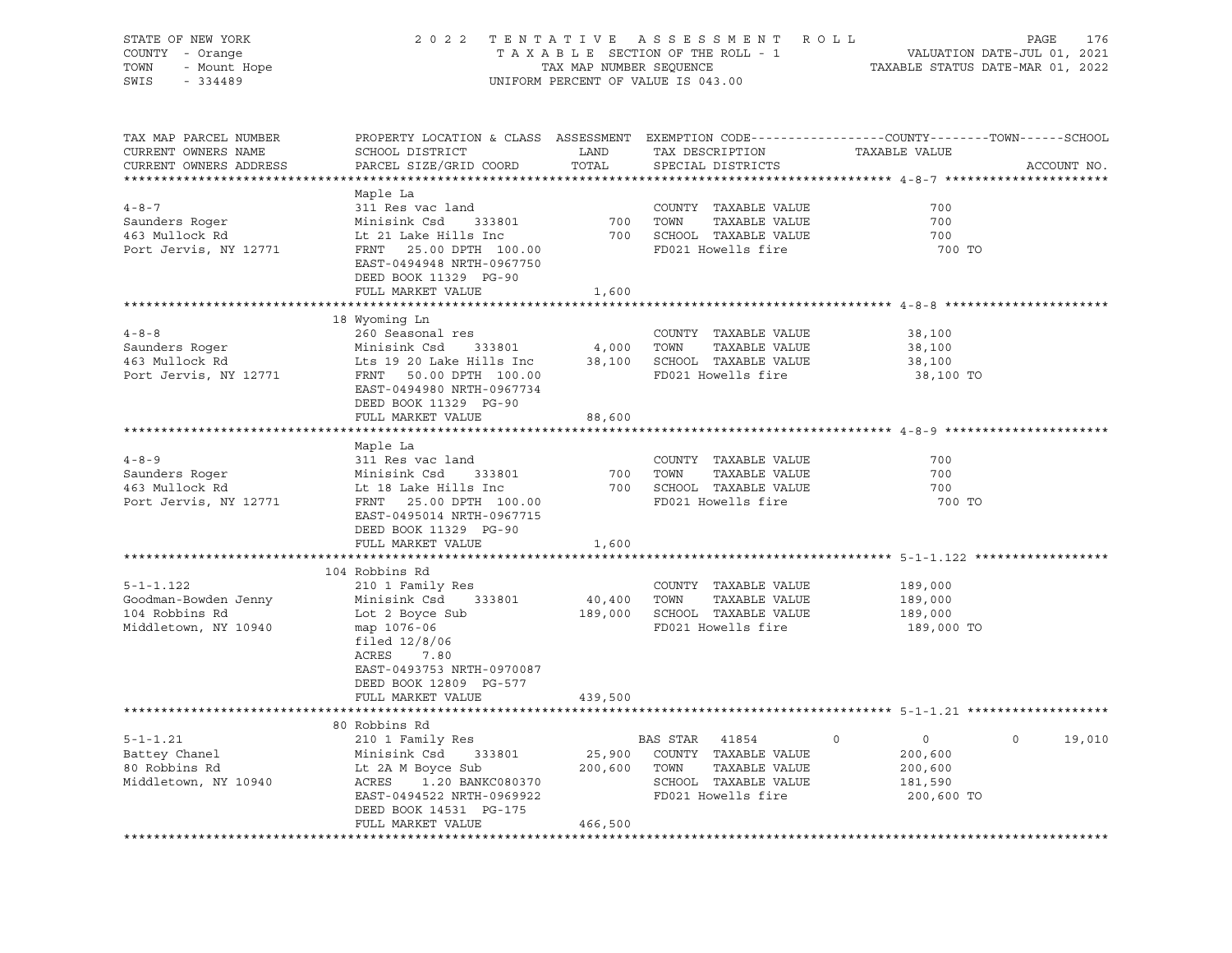| STATE OF NEW YORK<br>COUNTY - Orange<br>represented<br>- Orange<br>- Mount Hope<br>224489<br>TOWN<br>SWIS                                                                                                                                                  | 2022 TENTATIVE ASSESSMENT ROLL<br>UNIFORM PERCENT OF VALUE IS 043.00                                                                                                                                                                                                                                                                                                                                                                                  | PAGE<br>176<br>T A X A B L E SECTION OF THE ROLL - 1<br>TAX MAP NUMBER SEQUENCE TAXABLE STATUS DATE-JUL 01, 2021<br>TAXABLE STATUS DATE-MAR 01, 2022 |                                               |                                                                                                                   |             |
|------------------------------------------------------------------------------------------------------------------------------------------------------------------------------------------------------------------------------------------------------------|-------------------------------------------------------------------------------------------------------------------------------------------------------------------------------------------------------------------------------------------------------------------------------------------------------------------------------------------------------------------------------------------------------------------------------------------------------|------------------------------------------------------------------------------------------------------------------------------------------------------|-----------------------------------------------|-------------------------------------------------------------------------------------------------------------------|-------------|
|                                                                                                                                                                                                                                                            |                                                                                                                                                                                                                                                                                                                                                                                                                                                       |                                                                                                                                                      |                                               |                                                                                                                   |             |
| TAX MAP PARCEL NUMBER<br>CURRENT OWNERS NAME<br>CURRENT OWNERS ADDRESS                                                                                                                                                                                     | SCHOOL DISTRICT LAND<br>PARCEL SIZE/GRID COORD                                                                                                                                                                                                                                                                                                                                                                                                        | TOTAL                                                                                                                                                | TAX DESCRIPTION<br>SPECIAL DISTRICTS          | PROPERTY LOCATION & CLASS ASSESSMENT EXEMPTION CODE----------------COUNTY-------TOWN------SCHOOL<br>TAXABLE VALUE | ACCOUNT NO. |
|                                                                                                                                                                                                                                                            | Maple La                                                                                                                                                                                                                                                                                                                                                                                                                                              |                                                                                                                                                      |                                               |                                                                                                                   |             |
| $4 - 8 - 7$                                                                                                                                                                                                                                                | 311 Res vac land                                                                                                                                                                                                                                                                                                                                                                                                                                      |                                                                                                                                                      | COUNTY TAXABLE VALUE                          | 700                                                                                                               |             |
|                                                                                                                                                                                                                                                            | Minisink Csd 333801                                                                                                                                                                                                                                                                                                                                                                                                                                   | 700 TOWN                                                                                                                                             | TAXABLE VALUE                                 | 700                                                                                                               |             |
| Saunders Roger<br>463 Mullock Rd                                                                                                                                                                                                                           | Lt 21 Lake Hills Inc                                                                                                                                                                                                                                                                                                                                                                                                                                  |                                                                                                                                                      | 700 SCHOOL TAXABLE VALUE                      | 700                                                                                                               |             |
| Port Jervis, NY 12771                                                                                                                                                                                                                                      | FRNT 25.00 DPTH 100.00<br>EAST-0494948 NRTH-0967750<br>DEED BOOK 11329 PG-90                                                                                                                                                                                                                                                                                                                                                                          |                                                                                                                                                      | FD021 Howells fire                            | 700 TO                                                                                                            |             |
|                                                                                                                                                                                                                                                            | FULL MARKET VALUE                                                                                                                                                                                                                                                                                                                                                                                                                                     | 1,600                                                                                                                                                |                                               |                                                                                                                   |             |
|                                                                                                                                                                                                                                                            | 18 Wyoming Ln                                                                                                                                                                                                                                                                                                                                                                                                                                         |                                                                                                                                                      |                                               |                                                                                                                   |             |
| $4 - 8 - 8$                                                                                                                                                                                                                                                | 260 Seasonal res                                                                                                                                                                                                                                                                                                                                                                                                                                      |                                                                                                                                                      | COUNTY TAXABLE VALUE                          | 38,100                                                                                                            |             |
| Saunders Roger<br>463 Mullock Rd                                                                                                                                                                                                                           |                                                                                                                                                                                                                                                                                                                                                                                                                                                       |                                                                                                                                                      | 4,000 TOWN<br>TAXABLE VALUE                   | 38,100                                                                                                            |             |
|                                                                                                                                                                                                                                                            | Minisink Csd     333801<br>Lts 19 20 Lake Hills Inc<br>FRNT   50.00 DPTH  100.00                                                                                                                                                                                                                                                                                                                                                                      |                                                                                                                                                      | 38,100 SCHOOL TAXABLE VALUE                   | 38,100                                                                                                            |             |
| Port Jervis, NY 12771                                                                                                                                                                                                                                      | EAST-0494980 NRTH-0967734<br>DEED BOOK 11329 PG-90                                                                                                                                                                                                                                                                                                                                                                                                    |                                                                                                                                                      | FD021 Howells fire                            | 38,100 TO                                                                                                         |             |
|                                                                                                                                                                                                                                                            | FULL MARKET VALUE                                                                                                                                                                                                                                                                                                                                                                                                                                     | 88,600                                                                                                                                               |                                               |                                                                                                                   |             |
|                                                                                                                                                                                                                                                            | Maple La                                                                                                                                                                                                                                                                                                                                                                                                                                              |                                                                                                                                                      |                                               |                                                                                                                   |             |
|                                                                                                                                                                                                                                                            |                                                                                                                                                                                                                                                                                                                                                                                                                                                       |                                                                                                                                                      | COUNTY TAXABLE VALUE                          | 700                                                                                                               |             |
|                                                                                                                                                                                                                                                            |                                                                                                                                                                                                                                                                                                                                                                                                                                                       |                                                                                                                                                      | 700 TOWN<br>TAXABLE VALUE                     | 700                                                                                                               |             |
|                                                                                                                                                                                                                                                            |                                                                                                                                                                                                                                                                                                                                                                                                                                                       |                                                                                                                                                      | 700 SCHOOL TAXABLE VALUE                      | 700                                                                                                               |             |
| 4-8-9<br>Saunders Roger<br>163 Mullock Rd<br>163 Mullock Rd<br>163 Mullock Rd<br>163 Mullock Rd<br>163 Mullock Rd<br>163 Mullock Rd<br>163 Mullock Rd<br>163 Mullock Rd<br>163 Mullock Rd<br>163 Mullock Rd<br>163 Mullock Rd<br>163 Mullock Rd<br>163 Mul | EAST-0495014 NRTH-0967715<br>DEED BOOK 11329 PG-90                                                                                                                                                                                                                                                                                                                                                                                                    |                                                                                                                                                      | FD021 Howells fire                            | 700 TO                                                                                                            |             |
|                                                                                                                                                                                                                                                            | FULL MARKET VALUE                                                                                                                                                                                                                                                                                                                                                                                                                                     | 1,600                                                                                                                                                |                                               |                                                                                                                   |             |
|                                                                                                                                                                                                                                                            |                                                                                                                                                                                                                                                                                                                                                                                                                                                       |                                                                                                                                                      |                                               |                                                                                                                   |             |
|                                                                                                                                                                                                                                                            | 104 Robbins Rd                                                                                                                                                                                                                                                                                                                                                                                                                                        |                                                                                                                                                      |                                               |                                                                                                                   |             |
| $5 - 1 - 1.122$                                                                                                                                                                                                                                            | 210 1 Family Res                                                                                                                                                                                                                                                                                                                                                                                                                                      | $40,400$ TOWN                                                                                                                                        | COUNTY TAXABLE VALUE                          | 189,000                                                                                                           |             |
| Goodman-Bowden Jenny<br>104 Robbins Rd                                                                                                                                                                                                                     | Minisink Csd 333801<br>Lot 2 Boyce Sub                                                                                                                                                                                                                                                                                                                                                                                                                |                                                                                                                                                      | TAXABLE VALUE<br>189,000 SCHOOL TAXABLE VALUE | 189,000<br>189,000                                                                                                |             |
| Middletown, NY 10940                                                                                                                                                                                                                                       | map 1076-06<br>filed $12/8/06$<br>ACRES 7.80<br>EAST-0493753 NRTH-0970087                                                                                                                                                                                                                                                                                                                                                                             |                                                                                                                                                      | FD021 Howells fire                            | 189,000 TO                                                                                                        |             |
|                                                                                                                                                                                                                                                            | DEED BOOK 12809 PG-577                                                                                                                                                                                                                                                                                                                                                                                                                                |                                                                                                                                                      |                                               |                                                                                                                   |             |
|                                                                                                                                                                                                                                                            | FULL MARKET VALUE                                                                                                                                                                                                                                                                                                                                                                                                                                     | 439,500                                                                                                                                              |                                               |                                                                                                                   |             |
|                                                                                                                                                                                                                                                            |                                                                                                                                                                                                                                                                                                                                                                                                                                                       |                                                                                                                                                      |                                               |                                                                                                                   |             |
| $5 - 1 - 1.21$                                                                                                                                                                                                                                             | 80 Robbins Rd                                                                                                                                                                                                                                                                                                                                                                                                                                         |                                                                                                                                                      |                                               | $\overline{0}$<br>$\circ$<br>$\circ$                                                                              | 19,010      |
|                                                                                                                                                                                                                                                            |                                                                                                                                                                                                                                                                                                                                                                                                                                                       |                                                                                                                                                      |                                               | 200,600                                                                                                           |             |
| Battey Chanel<br>80 Robbins Rd<br>80 Robbins Rd                                                                                                                                                                                                            |                                                                                                                                                                                                                                                                                                                                                                                                                                                       |                                                                                                                                                      |                                               | 200,600                                                                                                           |             |
| Middletown, NY 10940                                                                                                                                                                                                                                       |                                                                                                                                                                                                                                                                                                                                                                                                                                                       |                                                                                                                                                      |                                               | 181,590                                                                                                           |             |
|                                                                                                                                                                                                                                                            | $\begin{tabular}{lllllllllllll} 80 \text{ Robbins}\text{ka} & \text{BAS STR} & 41004 \\ 210 1 \text{ Family Res} & \text{BAS STR} & 41004 \\ \text{Minisink Csd} & 333801 & 25,900 & \text{COUNTY} & \text{TAXABLE VALUE} \\ \text{Lt 2A M Boyce Sub & 200,600 & \text{TOWN} & \text{TAXABLE VALUE} \\ \text{ACRES} & 1.20 \text{ BANKC080370} & \text{SCHOOL TAXABLE VALUE} \\ \text{\#D021 Howells fire} & \end{tabular}$<br>DEED BOOK 14531 PG-175 |                                                                                                                                                      |                                               | 200,600 TO                                                                                                        |             |
|                                                                                                                                                                                                                                                            | FULL MARKET VALUE                                                                                                                                                                                                                                                                                                                                                                                                                                     | 466,500                                                                                                                                              |                                               |                                                                                                                   |             |
|                                                                                                                                                                                                                                                            |                                                                                                                                                                                                                                                                                                                                                                                                                                                       |                                                                                                                                                      |                                               |                                                                                                                   |             |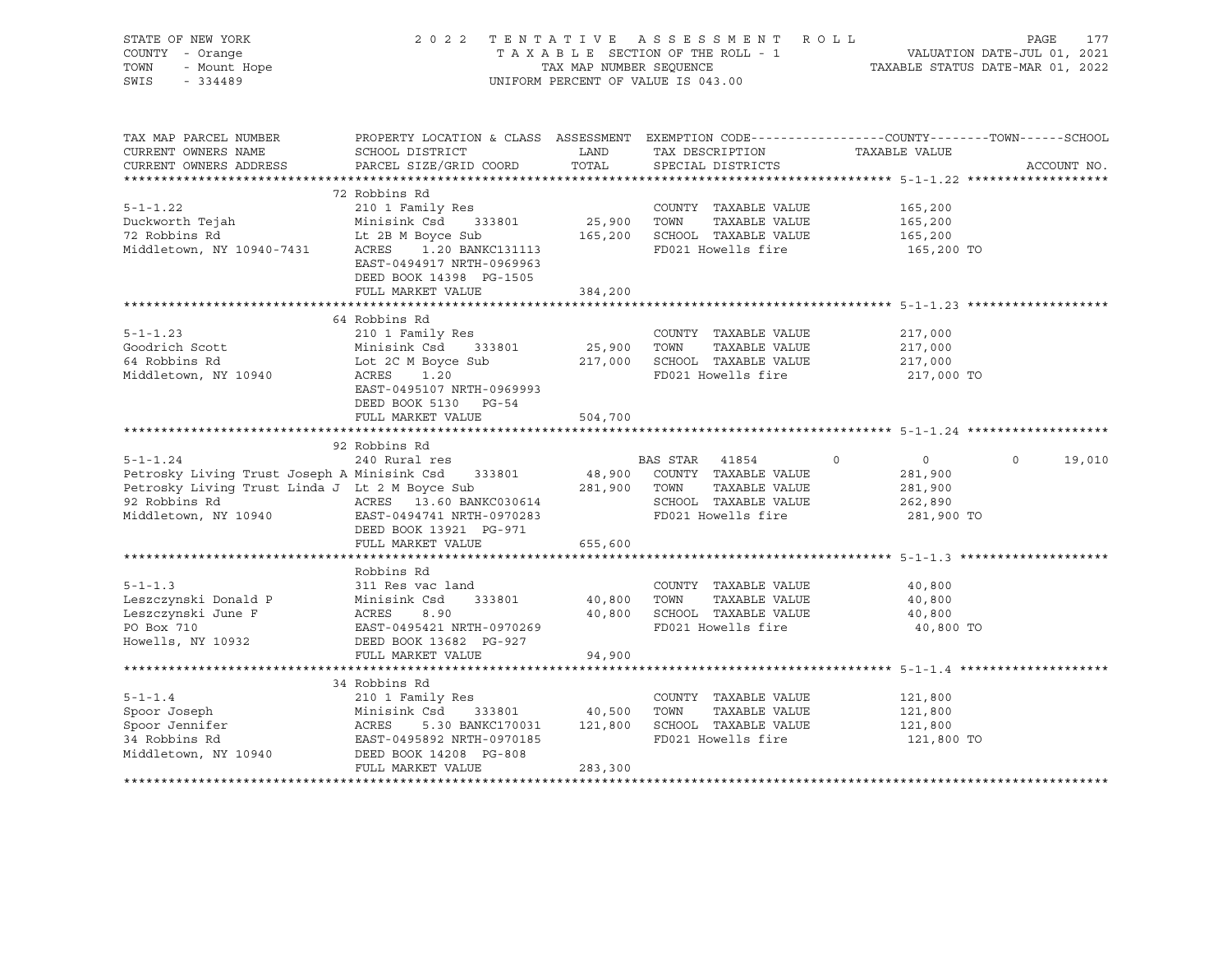| STATE OF NEW YORK<br>COUNTY - Orange<br>- Mount Hope<br>TOWN<br>SWIS<br>$-334489$                                                                                                                                                 |                                                                                                    | TAX MAP NUMBER SEQUENCE | 2022 TENTATIVE ASSESSMENT ROLL<br>TAXABLE SECTION OF THE ROLL - 1<br>UNIFORM PERCENT OF VALUE IS 043.00 | VALUATION DATE-JUL 01, 2021<br>TAXABLE STATUS DATE-MAR 01, 2022 | PAGE<br>177       |
|-----------------------------------------------------------------------------------------------------------------------------------------------------------------------------------------------------------------------------------|----------------------------------------------------------------------------------------------------|-------------------------|---------------------------------------------------------------------------------------------------------|-----------------------------------------------------------------|-------------------|
|                                                                                                                                                                                                                                   |                                                                                                    |                         |                                                                                                         |                                                                 |                   |
| TAX MAP PARCEL NUMBER                                                                                                                                                                                                             | PROPERTY LOCATION & CLASS ASSESSMENT EXEMPTION CODE----------------COUNTY-------TOWN------SCHOOL   |                         |                                                                                                         |                                                                 |                   |
| CURRENT OWNERS NAME                                                                                                                                                                                                               | SCHOOL DISTRICT                                                                                    | LAND                    | TAX DESCRIPTION                                                                                         | TAXABLE VALUE                                                   |                   |
| CURRENT OWNERS ADDRESS                                                                                                                                                                                                            | PARCEL SIZE/GRID COORD                                                                             | TOTAL                   | SPECIAL DISTRICTS                                                                                       |                                                                 | ACCOUNT NO.       |
|                                                                                                                                                                                                                                   | 72 Robbins Rd                                                                                      |                         |                                                                                                         |                                                                 |                   |
| $5 - 1 - 1.22$                                                                                                                                                                                                                    | 210 1 Family Res                                                                                   |                         | COUNTY TAXABLE VALUE                                                                                    | 165,200                                                         |                   |
|                                                                                                                                                                                                                                   |                                                                                                    |                         |                                                                                                         | 165,200                                                         |                   |
|                                                                                                                                                                                                                                   |                                                                                                    |                         |                                                                                                         | 165,200                                                         |                   |
| 9-1-1.22 210 I Family Res<br>Duckworth Tejah Minisink Csd 333801 25,900 TOWN TAXABLE VALUE<br>72 Robbins Rd Lt 2B M Boyce Sub 165,200 SCHOOL TAXABLE VALUE<br>Middletown, NY 10940-7431 ACRES 1.20 BANKC131113 FD021 Howells fire |                                                                                                    |                         | FD021 Howells fire                                                                                      | 165,200 TO                                                      |                   |
|                                                                                                                                                                                                                                   | EAST-0494917 NRTH-0969963                                                                          |                         |                                                                                                         |                                                                 |                   |
|                                                                                                                                                                                                                                   | DEED BOOK 14398 PG-1505                                                                            |                         |                                                                                                         |                                                                 |                   |
|                                                                                                                                                                                                                                   | FULL MARKET VALUE                                                                                  | 384,200                 |                                                                                                         |                                                                 |                   |
|                                                                                                                                                                                                                                   |                                                                                                    |                         |                                                                                                         |                                                                 |                   |
| $5 - 1 - 1.23$                                                                                                                                                                                                                    | 64 Robbins Rd                                                                                      |                         |                                                                                                         |                                                                 |                   |
| Goodrich Scott                                                                                                                                                                                                                    | 210 1 Family Res<br>Minisink Csd 333801                                                            | 25,900 TOWN             | COUNTY TAXABLE VALUE<br>TAXABLE VALUE                                                                   | 217,000<br>217,000                                              |                   |
| 64 Robbins Rd                                                                                                                                                                                                                     | Lot 2C M Boyce Sub                                                                                 |                         | 217,000 SCHOOL TAXABLE VALUE                                                                            | 217,000                                                         |                   |
| Middletown, NY 10940                                                                                                                                                                                                              | ACRES 1.20                                                                                         |                         | FD021 Howells fire                                                                                      | 217,000 TO                                                      |                   |
|                                                                                                                                                                                                                                   | EAST-0495107 NRTH-0969993                                                                          |                         |                                                                                                         |                                                                 |                   |
|                                                                                                                                                                                                                                   | DEED BOOK 5130 PG-54                                                                               |                         |                                                                                                         |                                                                 |                   |
|                                                                                                                                                                                                                                   | FULL MARKET VALUE                                                                                  | 504,700                 |                                                                                                         |                                                                 |                   |
|                                                                                                                                                                                                                                   |                                                                                                    |                         |                                                                                                         |                                                                 |                   |
|                                                                                                                                                                                                                                   | 92 Robbins Rd                                                                                      |                         |                                                                                                         |                                                                 |                   |
| $5 - 1 - 1.24$                                                                                                                                                                                                                    | 240 Rural res                                                                                      |                         | BAS STAR 41854                                                                                          | $\overline{0}$<br>$\circ$                                       | $\circ$<br>19,010 |
| Petrosky Living Trust Joseph A Minisink Csd 333801                                                                                                                                                                                |                                                                                                    |                         | 48,900 COUNTY TAXABLE VALUE                                                                             | 281,900                                                         |                   |
| Petrosky Living Trust Linda J Lt 2 M Boyce Sub 281,900 TOWN                                                                                                                                                                       |                                                                                                    |                         | TAXABLE VALUE                                                                                           | 281,900                                                         |                   |
| 92 Robbins Rd<br>Middletown, NY 10940<br>EAST-0494741 NRTH-0970283                                                                                                                                                                |                                                                                                    |                         | SCHOOL TAXABLE VALUE<br>FD021 Howells fire                                                              | 262,890<br>281,900 TO                                           |                   |
|                                                                                                                                                                                                                                   | DEED BOOK 13921 PG-971                                                                             |                         |                                                                                                         |                                                                 |                   |
|                                                                                                                                                                                                                                   | FULL MARKET VALUE                                                                                  | 655,600                 |                                                                                                         |                                                                 |                   |
|                                                                                                                                                                                                                                   |                                                                                                    |                         |                                                                                                         |                                                                 |                   |
|                                                                                                                                                                                                                                   | Robbins Rd                                                                                         |                         |                                                                                                         |                                                                 |                   |
| $5 - 1 - 1.3$                                                                                                                                                                                                                     | 311 Res vac land                                                                                   |                         | COUNTY TAXABLE VALUE                                                                                    | 40,800                                                          |                   |
|                                                                                                                                                                                                                                   | 333801                                                                                             | 40,800 TOWN             | TAXABLE VALUE                                                                                           | 40,800                                                          |                   |
| Leszczynski Donald P Minisink Csd<br>Leszczynski June F ACRES 8.90<br>DON PROGRES PROGRES                                                                                                                                         |                                                                                                    |                         | 40,800 SCHOOL TAXABLE VALUE                                                                             | 40,800                                                          |                   |
| PO Box 710                                                                                                                                                                                                                        | EAST-0495421 NRTH-0970269                                                                          |                         | FD021 Howells fire                                                                                      | 40,800 TO                                                       |                   |
| Howells, NY 10932                                                                                                                                                                                                                 | DEED BOOK 13682 PG-927                                                                             |                         |                                                                                                         |                                                                 |                   |
|                                                                                                                                                                                                                                   | FULL MARKET VALUE                                                                                  | 94,900                  |                                                                                                         |                                                                 |                   |
|                                                                                                                                                                                                                                   | 34 Robbins Rd                                                                                      |                         |                                                                                                         |                                                                 |                   |
| $5 - 1 - 1.4$                                                                                                                                                                                                                     | 210 1 Family Res                                                                                   |                         | COUNTY TAXABLE VALUE                                                                                    | 121,800                                                         |                   |
| Spoor Joseph                                                                                                                                                                                                                      | 333801 40,500                                                                                      |                         | TAXABLE VALUE<br>TOWN                                                                                   | 121,800                                                         |                   |
|                                                                                                                                                                                                                                   |                                                                                                    |                         | 5.30 BANKC170031 121,800 SCHOOL TAXABLE VALUE                                                           | 121,800                                                         |                   |
| Spoor Jennifer<br>34 Robbins Rd                                                                                                                                                                                                   | EAST-0495892 NRTH-0970185                                                                          |                         | FD021 Howells fire                                                                                      | 121,800 TO                                                      |                   |
| Middletown, NY 10940                                                                                                                                                                                                              | Minisink Csd 333801<br>ACRES 5.30 BANKC17003<br>EAST-0495892 NRTH-097018<br>DEED BOOK 14208 PG-808 |                         |                                                                                                         |                                                                 |                   |
|                                                                                                                                                                                                                                   | FULL MARKET VALUE                                                                                  | 283,300                 |                                                                                                         |                                                                 |                   |
|                                                                                                                                                                                                                                   |                                                                                                    |                         |                                                                                                         |                                                                 |                   |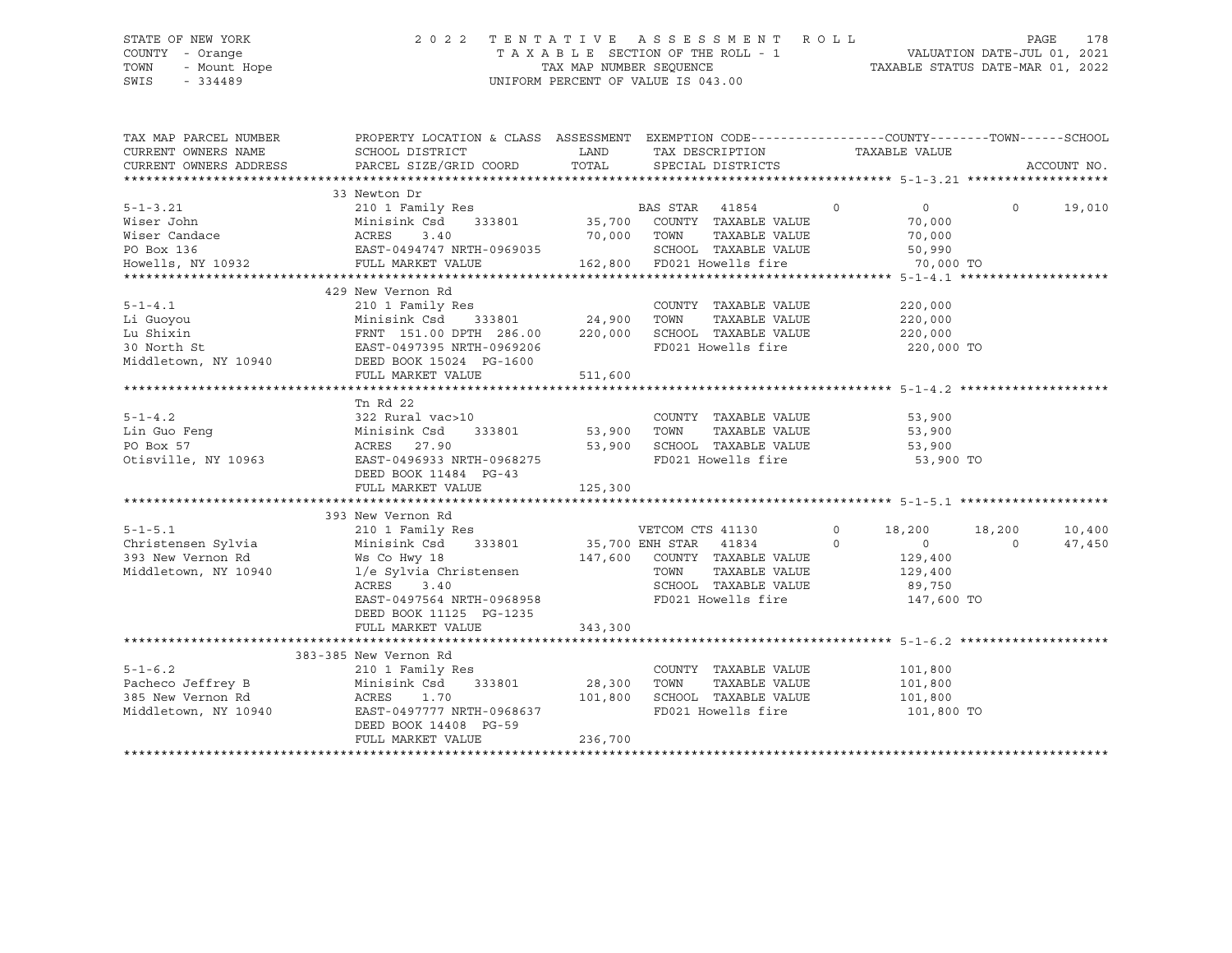# STATE OF NEW YORK 2 0 2 2 T E N T A T I V E A S S E S S M E N T R O L L PAGE 178 COUNTY - Orange T A X A B L E SECTION OF THE ROLL - 1 VALUATION DATE-JUL 01, 2021 TOWN - Mount Hope TAX MAP NUMBER SEQUENCE TAXABLE STATUS DATE-MAR 01, 2022 SWIS - 334489 UNIFORM PERCENT OF VALUE IS 043.00

| CURRENT OWNERS NAME<br>SCHOOL DISTRICT<br>LAND TAX DESCRIPTION<br>TAXABLE VALUE<br>PARCEL SIZE/GRID COORD TOTAL SPECIAL DISTRICTS<br>CURRENT OWNERS ADDRESS<br>ACCOUNT NO.<br>33 Newton Dr<br>210 1 Family Res<br>$5 - 1 - 3.21$<br>$\overline{0}$<br>BAS STAR 41854<br>$\sim$ 0<br>$\Omega$<br>19,010<br>5-1-3.21 210 1 Family Res BAS STAR 41854 0<br>Wiser John Minisink Csd 333801 35,700 COUNTY TAXABLE VALUE<br>Wiser Candace ACRES 3.40 70,000 TOWN TAXABLE VALUE<br>PO Box 136 EAST-0494747 NRTH-0969035 SCHOOL TAXABLE VALUE<br>Howells<br>70,000<br>70,000<br>SCHOOL TAXABLE VALUE<br>50,990<br>70,000 TO<br>429 New Vernon Rd<br>210 1 Family Res<br>5-1-4.1<br>Li Guoyou<br>COUNTY TAXABLE VALUE<br>220,000<br>Minisink Csd 333801 24,900 TOWN TAXABLE VALUE<br>220,000<br>Lu Shixin<br>30 North St<br>30 North St<br>30 North St<br>320,000<br>220,000<br>220,000<br>220,000<br>220,000<br>220,000<br>220,000<br>220,000<br>220,000<br>220,000<br>220,000<br>220,000<br>220,000<br>220,000<br>220,000<br>220,000<br>220,000<br>SCHOOL TAXABLE VALUE 220,000<br>FD021 Howells fire<br>220,000 TO<br>FULL MARKET VALUE<br>511,600<br>Tn Rd 22<br>$5 - 1 - 4.2$<br>COUNTY<br>Minisink Csd 333801 53,900 TOWN<br>ACRES 27.90 53,900 TOWN<br>COUNTY TAXABLE VALUE 53,900<br>Lin Guo Feng<br>PO Box 57<br>0tisville, NY 10963<br>EAST-0496933 NRTH-0968275<br>FD021 Howells fire 53,900 TO<br>DEED BOOK 11484 PG-43<br>393 New Vernon Rd<br>210 1 Family Res<br>$5 - 1 - 5.1$<br>VETCOM CTS 41130<br>18,200 18,200<br>10,400<br>$\circ$<br>Christensen Sylvia Minisink Csd 333801 35,700 ENH STAR 41834<br>$\sim$ 0<br>$\overline{0}$<br>$\Omega$<br>47,450<br>393 New Vernon Rd<br>393 New Vernon Rd<br>Middletown, NY 10940<br>2014 1/e Sylvia Christensen<br>2014 11125 PG-1235<br>147,600 COUNTY TAXABLE VALUE<br>129,400<br>129,400<br>TAXABLE VALUE<br>TOWN<br>SCHOOL TAXABLE VALUE 89,750<br>FD021 Howells fire<br>147,600 TO<br>343,300<br>FULL MARKET VALUE<br>383-385 New Vernon Rd<br>$5 - 1 - 6.2$<br>COUNTY TAXABLE VALUE<br>210 1 Family Res<br>101,800<br>28,300 TOWN<br>TAXABLE VALUE<br>101,800<br>101,800 SCHOOL TAXABLE VALUE 101,800<br>Middletown, NY 10940 EAST-0497777 NRTH-0968637<br>FD021 Howells fire 101,800 TO<br>DEED BOOK 14408 PG-59<br>236,700<br>FULL MARKET VALUE | TAX MAP PARCEL NUMBER | PROPERTY LOCATION & CLASS ASSESSMENT EXEMPTION CODE----------------COUNTY-------TOWN------SCHOOL |  |  |
|-------------------------------------------------------------------------------------------------------------------------------------------------------------------------------------------------------------------------------------------------------------------------------------------------------------------------------------------------------------------------------------------------------------------------------------------------------------------------------------------------------------------------------------------------------------------------------------------------------------------------------------------------------------------------------------------------------------------------------------------------------------------------------------------------------------------------------------------------------------------------------------------------------------------------------------------------------------------------------------------------------------------------------------------------------------------------------------------------------------------------------------------------------------------------------------------------------------------------------------------------------------------------------------------------------------------------------------------------------------------------------------------------------------------------------------------------------------------------------------------------------------------------------------------------------------------------------------------------------------------------------------------------------------------------------------------------------------------------------------------------------------------------------------------------------------------------------------------------------------------------------------------------------------------------------------------------------------------------------------------------------------------------------------------------------------------------------------------------------------------------------------------------------------------------------------------------------------------------------------------------------------------------------------------------------------|-----------------------|--------------------------------------------------------------------------------------------------|--|--|
|                                                                                                                                                                                                                                                                                                                                                                                                                                                                                                                                                                                                                                                                                                                                                                                                                                                                                                                                                                                                                                                                                                                                                                                                                                                                                                                                                                                                                                                                                                                                                                                                                                                                                                                                                                                                                                                                                                                                                                                                                                                                                                                                                                                                                                                                                                             |                       |                                                                                                  |  |  |
|                                                                                                                                                                                                                                                                                                                                                                                                                                                                                                                                                                                                                                                                                                                                                                                                                                                                                                                                                                                                                                                                                                                                                                                                                                                                                                                                                                                                                                                                                                                                                                                                                                                                                                                                                                                                                                                                                                                                                                                                                                                                                                                                                                                                                                                                                                             |                       |                                                                                                  |  |  |
|                                                                                                                                                                                                                                                                                                                                                                                                                                                                                                                                                                                                                                                                                                                                                                                                                                                                                                                                                                                                                                                                                                                                                                                                                                                                                                                                                                                                                                                                                                                                                                                                                                                                                                                                                                                                                                                                                                                                                                                                                                                                                                                                                                                                                                                                                                             |                       |                                                                                                  |  |  |
|                                                                                                                                                                                                                                                                                                                                                                                                                                                                                                                                                                                                                                                                                                                                                                                                                                                                                                                                                                                                                                                                                                                                                                                                                                                                                                                                                                                                                                                                                                                                                                                                                                                                                                                                                                                                                                                                                                                                                                                                                                                                                                                                                                                                                                                                                                             |                       |                                                                                                  |  |  |
|                                                                                                                                                                                                                                                                                                                                                                                                                                                                                                                                                                                                                                                                                                                                                                                                                                                                                                                                                                                                                                                                                                                                                                                                                                                                                                                                                                                                                                                                                                                                                                                                                                                                                                                                                                                                                                                                                                                                                                                                                                                                                                                                                                                                                                                                                                             |                       |                                                                                                  |  |  |
|                                                                                                                                                                                                                                                                                                                                                                                                                                                                                                                                                                                                                                                                                                                                                                                                                                                                                                                                                                                                                                                                                                                                                                                                                                                                                                                                                                                                                                                                                                                                                                                                                                                                                                                                                                                                                                                                                                                                                                                                                                                                                                                                                                                                                                                                                                             |                       |                                                                                                  |  |  |
|                                                                                                                                                                                                                                                                                                                                                                                                                                                                                                                                                                                                                                                                                                                                                                                                                                                                                                                                                                                                                                                                                                                                                                                                                                                                                                                                                                                                                                                                                                                                                                                                                                                                                                                                                                                                                                                                                                                                                                                                                                                                                                                                                                                                                                                                                                             |                       |                                                                                                  |  |  |
|                                                                                                                                                                                                                                                                                                                                                                                                                                                                                                                                                                                                                                                                                                                                                                                                                                                                                                                                                                                                                                                                                                                                                                                                                                                                                                                                                                                                                                                                                                                                                                                                                                                                                                                                                                                                                                                                                                                                                                                                                                                                                                                                                                                                                                                                                                             |                       |                                                                                                  |  |  |
|                                                                                                                                                                                                                                                                                                                                                                                                                                                                                                                                                                                                                                                                                                                                                                                                                                                                                                                                                                                                                                                                                                                                                                                                                                                                                                                                                                                                                                                                                                                                                                                                                                                                                                                                                                                                                                                                                                                                                                                                                                                                                                                                                                                                                                                                                                             |                       |                                                                                                  |  |  |
|                                                                                                                                                                                                                                                                                                                                                                                                                                                                                                                                                                                                                                                                                                                                                                                                                                                                                                                                                                                                                                                                                                                                                                                                                                                                                                                                                                                                                                                                                                                                                                                                                                                                                                                                                                                                                                                                                                                                                                                                                                                                                                                                                                                                                                                                                                             |                       |                                                                                                  |  |  |
|                                                                                                                                                                                                                                                                                                                                                                                                                                                                                                                                                                                                                                                                                                                                                                                                                                                                                                                                                                                                                                                                                                                                                                                                                                                                                                                                                                                                                                                                                                                                                                                                                                                                                                                                                                                                                                                                                                                                                                                                                                                                                                                                                                                                                                                                                                             |                       |                                                                                                  |  |  |
|                                                                                                                                                                                                                                                                                                                                                                                                                                                                                                                                                                                                                                                                                                                                                                                                                                                                                                                                                                                                                                                                                                                                                                                                                                                                                                                                                                                                                                                                                                                                                                                                                                                                                                                                                                                                                                                                                                                                                                                                                                                                                                                                                                                                                                                                                                             |                       |                                                                                                  |  |  |
|                                                                                                                                                                                                                                                                                                                                                                                                                                                                                                                                                                                                                                                                                                                                                                                                                                                                                                                                                                                                                                                                                                                                                                                                                                                                                                                                                                                                                                                                                                                                                                                                                                                                                                                                                                                                                                                                                                                                                                                                                                                                                                                                                                                                                                                                                                             |                       |                                                                                                  |  |  |
|                                                                                                                                                                                                                                                                                                                                                                                                                                                                                                                                                                                                                                                                                                                                                                                                                                                                                                                                                                                                                                                                                                                                                                                                                                                                                                                                                                                                                                                                                                                                                                                                                                                                                                                                                                                                                                                                                                                                                                                                                                                                                                                                                                                                                                                                                                             |                       |                                                                                                  |  |  |
|                                                                                                                                                                                                                                                                                                                                                                                                                                                                                                                                                                                                                                                                                                                                                                                                                                                                                                                                                                                                                                                                                                                                                                                                                                                                                                                                                                                                                                                                                                                                                                                                                                                                                                                                                                                                                                                                                                                                                                                                                                                                                                                                                                                                                                                                                                             |                       |                                                                                                  |  |  |
|                                                                                                                                                                                                                                                                                                                                                                                                                                                                                                                                                                                                                                                                                                                                                                                                                                                                                                                                                                                                                                                                                                                                                                                                                                                                                                                                                                                                                                                                                                                                                                                                                                                                                                                                                                                                                                                                                                                                                                                                                                                                                                                                                                                                                                                                                                             |                       |                                                                                                  |  |  |
|                                                                                                                                                                                                                                                                                                                                                                                                                                                                                                                                                                                                                                                                                                                                                                                                                                                                                                                                                                                                                                                                                                                                                                                                                                                                                                                                                                                                                                                                                                                                                                                                                                                                                                                                                                                                                                                                                                                                                                                                                                                                                                                                                                                                                                                                                                             |                       |                                                                                                  |  |  |
|                                                                                                                                                                                                                                                                                                                                                                                                                                                                                                                                                                                                                                                                                                                                                                                                                                                                                                                                                                                                                                                                                                                                                                                                                                                                                                                                                                                                                                                                                                                                                                                                                                                                                                                                                                                                                                                                                                                                                                                                                                                                                                                                                                                                                                                                                                             |                       |                                                                                                  |  |  |
|                                                                                                                                                                                                                                                                                                                                                                                                                                                                                                                                                                                                                                                                                                                                                                                                                                                                                                                                                                                                                                                                                                                                                                                                                                                                                                                                                                                                                                                                                                                                                                                                                                                                                                                                                                                                                                                                                                                                                                                                                                                                                                                                                                                                                                                                                                             |                       |                                                                                                  |  |  |
|                                                                                                                                                                                                                                                                                                                                                                                                                                                                                                                                                                                                                                                                                                                                                                                                                                                                                                                                                                                                                                                                                                                                                                                                                                                                                                                                                                                                                                                                                                                                                                                                                                                                                                                                                                                                                                                                                                                                                                                                                                                                                                                                                                                                                                                                                                             |                       |                                                                                                  |  |  |
|                                                                                                                                                                                                                                                                                                                                                                                                                                                                                                                                                                                                                                                                                                                                                                                                                                                                                                                                                                                                                                                                                                                                                                                                                                                                                                                                                                                                                                                                                                                                                                                                                                                                                                                                                                                                                                                                                                                                                                                                                                                                                                                                                                                                                                                                                                             |                       |                                                                                                  |  |  |
|                                                                                                                                                                                                                                                                                                                                                                                                                                                                                                                                                                                                                                                                                                                                                                                                                                                                                                                                                                                                                                                                                                                                                                                                                                                                                                                                                                                                                                                                                                                                                                                                                                                                                                                                                                                                                                                                                                                                                                                                                                                                                                                                                                                                                                                                                                             |                       |                                                                                                  |  |  |
|                                                                                                                                                                                                                                                                                                                                                                                                                                                                                                                                                                                                                                                                                                                                                                                                                                                                                                                                                                                                                                                                                                                                                                                                                                                                                                                                                                                                                                                                                                                                                                                                                                                                                                                                                                                                                                                                                                                                                                                                                                                                                                                                                                                                                                                                                                             |                       |                                                                                                  |  |  |
|                                                                                                                                                                                                                                                                                                                                                                                                                                                                                                                                                                                                                                                                                                                                                                                                                                                                                                                                                                                                                                                                                                                                                                                                                                                                                                                                                                                                                                                                                                                                                                                                                                                                                                                                                                                                                                                                                                                                                                                                                                                                                                                                                                                                                                                                                                             |                       |                                                                                                  |  |  |
|                                                                                                                                                                                                                                                                                                                                                                                                                                                                                                                                                                                                                                                                                                                                                                                                                                                                                                                                                                                                                                                                                                                                                                                                                                                                                                                                                                                                                                                                                                                                                                                                                                                                                                                                                                                                                                                                                                                                                                                                                                                                                                                                                                                                                                                                                                             |                       |                                                                                                  |  |  |
|                                                                                                                                                                                                                                                                                                                                                                                                                                                                                                                                                                                                                                                                                                                                                                                                                                                                                                                                                                                                                                                                                                                                                                                                                                                                                                                                                                                                                                                                                                                                                                                                                                                                                                                                                                                                                                                                                                                                                                                                                                                                                                                                                                                                                                                                                                             |                       |                                                                                                  |  |  |
|                                                                                                                                                                                                                                                                                                                                                                                                                                                                                                                                                                                                                                                                                                                                                                                                                                                                                                                                                                                                                                                                                                                                                                                                                                                                                                                                                                                                                                                                                                                                                                                                                                                                                                                                                                                                                                                                                                                                                                                                                                                                                                                                                                                                                                                                                                             |                       |                                                                                                  |  |  |
|                                                                                                                                                                                                                                                                                                                                                                                                                                                                                                                                                                                                                                                                                                                                                                                                                                                                                                                                                                                                                                                                                                                                                                                                                                                                                                                                                                                                                                                                                                                                                                                                                                                                                                                                                                                                                                                                                                                                                                                                                                                                                                                                                                                                                                                                                                             |                       |                                                                                                  |  |  |
|                                                                                                                                                                                                                                                                                                                                                                                                                                                                                                                                                                                                                                                                                                                                                                                                                                                                                                                                                                                                                                                                                                                                                                                                                                                                                                                                                                                                                                                                                                                                                                                                                                                                                                                                                                                                                                                                                                                                                                                                                                                                                                                                                                                                                                                                                                             |                       |                                                                                                  |  |  |
|                                                                                                                                                                                                                                                                                                                                                                                                                                                                                                                                                                                                                                                                                                                                                                                                                                                                                                                                                                                                                                                                                                                                                                                                                                                                                                                                                                                                                                                                                                                                                                                                                                                                                                                                                                                                                                                                                                                                                                                                                                                                                                                                                                                                                                                                                                             |                       |                                                                                                  |  |  |
|                                                                                                                                                                                                                                                                                                                                                                                                                                                                                                                                                                                                                                                                                                                                                                                                                                                                                                                                                                                                                                                                                                                                                                                                                                                                                                                                                                                                                                                                                                                                                                                                                                                                                                                                                                                                                                                                                                                                                                                                                                                                                                                                                                                                                                                                                                             |                       |                                                                                                  |  |  |
|                                                                                                                                                                                                                                                                                                                                                                                                                                                                                                                                                                                                                                                                                                                                                                                                                                                                                                                                                                                                                                                                                                                                                                                                                                                                                                                                                                                                                                                                                                                                                                                                                                                                                                                                                                                                                                                                                                                                                                                                                                                                                                                                                                                                                                                                                                             |                       |                                                                                                  |  |  |
|                                                                                                                                                                                                                                                                                                                                                                                                                                                                                                                                                                                                                                                                                                                                                                                                                                                                                                                                                                                                                                                                                                                                                                                                                                                                                                                                                                                                                                                                                                                                                                                                                                                                                                                                                                                                                                                                                                                                                                                                                                                                                                                                                                                                                                                                                                             |                       |                                                                                                  |  |  |
|                                                                                                                                                                                                                                                                                                                                                                                                                                                                                                                                                                                                                                                                                                                                                                                                                                                                                                                                                                                                                                                                                                                                                                                                                                                                                                                                                                                                                                                                                                                                                                                                                                                                                                                                                                                                                                                                                                                                                                                                                                                                                                                                                                                                                                                                                                             |                       |                                                                                                  |  |  |
|                                                                                                                                                                                                                                                                                                                                                                                                                                                                                                                                                                                                                                                                                                                                                                                                                                                                                                                                                                                                                                                                                                                                                                                                                                                                                                                                                                                                                                                                                                                                                                                                                                                                                                                                                                                                                                                                                                                                                                                                                                                                                                                                                                                                                                                                                                             |                       |                                                                                                  |  |  |
|                                                                                                                                                                                                                                                                                                                                                                                                                                                                                                                                                                                                                                                                                                                                                                                                                                                                                                                                                                                                                                                                                                                                                                                                                                                                                                                                                                                                                                                                                                                                                                                                                                                                                                                                                                                                                                                                                                                                                                                                                                                                                                                                                                                                                                                                                                             |                       |                                                                                                  |  |  |
|                                                                                                                                                                                                                                                                                                                                                                                                                                                                                                                                                                                                                                                                                                                                                                                                                                                                                                                                                                                                                                                                                                                                                                                                                                                                                                                                                                                                                                                                                                                                                                                                                                                                                                                                                                                                                                                                                                                                                                                                                                                                                                                                                                                                                                                                                                             |                       |                                                                                                  |  |  |
|                                                                                                                                                                                                                                                                                                                                                                                                                                                                                                                                                                                                                                                                                                                                                                                                                                                                                                                                                                                                                                                                                                                                                                                                                                                                                                                                                                                                                                                                                                                                                                                                                                                                                                                                                                                                                                                                                                                                                                                                                                                                                                                                                                                                                                                                                                             |                       |                                                                                                  |  |  |
|                                                                                                                                                                                                                                                                                                                                                                                                                                                                                                                                                                                                                                                                                                                                                                                                                                                                                                                                                                                                                                                                                                                                                                                                                                                                                                                                                                                                                                                                                                                                                                                                                                                                                                                                                                                                                                                                                                                                                                                                                                                                                                                                                                                                                                                                                                             |                       |                                                                                                  |  |  |
|                                                                                                                                                                                                                                                                                                                                                                                                                                                                                                                                                                                                                                                                                                                                                                                                                                                                                                                                                                                                                                                                                                                                                                                                                                                                                                                                                                                                                                                                                                                                                                                                                                                                                                                                                                                                                                                                                                                                                                                                                                                                                                                                                                                                                                                                                                             |                       |                                                                                                  |  |  |
|                                                                                                                                                                                                                                                                                                                                                                                                                                                                                                                                                                                                                                                                                                                                                                                                                                                                                                                                                                                                                                                                                                                                                                                                                                                                                                                                                                                                                                                                                                                                                                                                                                                                                                                                                                                                                                                                                                                                                                                                                                                                                                                                                                                                                                                                                                             |                       |                                                                                                  |  |  |
|                                                                                                                                                                                                                                                                                                                                                                                                                                                                                                                                                                                                                                                                                                                                                                                                                                                                                                                                                                                                                                                                                                                                                                                                                                                                                                                                                                                                                                                                                                                                                                                                                                                                                                                                                                                                                                                                                                                                                                                                                                                                                                                                                                                                                                                                                                             |                       |                                                                                                  |  |  |
|                                                                                                                                                                                                                                                                                                                                                                                                                                                                                                                                                                                                                                                                                                                                                                                                                                                                                                                                                                                                                                                                                                                                                                                                                                                                                                                                                                                                                                                                                                                                                                                                                                                                                                                                                                                                                                                                                                                                                                                                                                                                                                                                                                                                                                                                                                             |                       |                                                                                                  |  |  |
|                                                                                                                                                                                                                                                                                                                                                                                                                                                                                                                                                                                                                                                                                                                                                                                                                                                                                                                                                                                                                                                                                                                                                                                                                                                                                                                                                                                                                                                                                                                                                                                                                                                                                                                                                                                                                                                                                                                                                                                                                                                                                                                                                                                                                                                                                                             |                       |                                                                                                  |  |  |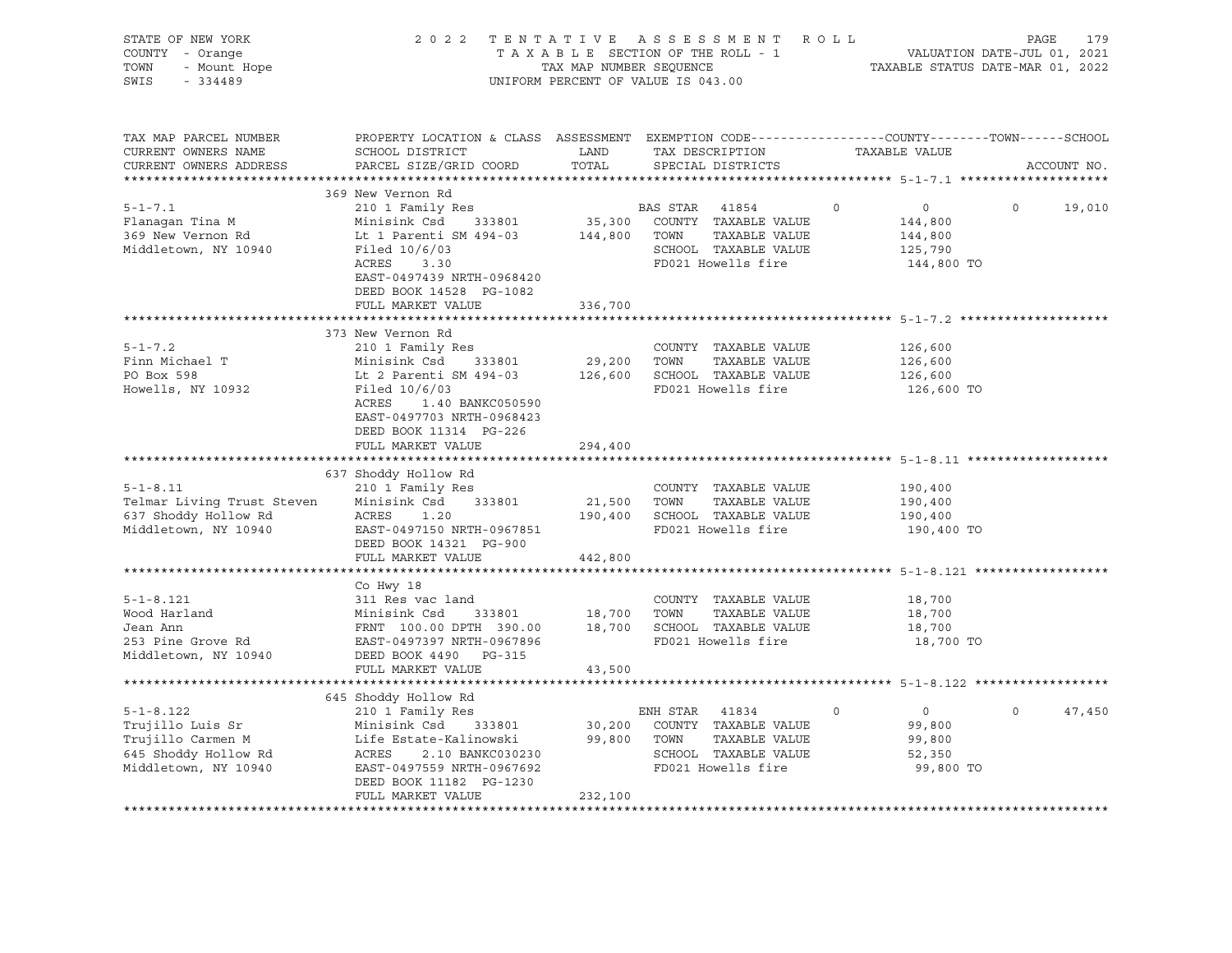| STATE OF NEW YORK<br>COUNTY - Orange<br>TOWN<br>- Mount Hope<br>SWIS<br>$-334489$                        | 2022 TENTATIVE ASSESSMENT ROLL                                                                                                                                                                                                                                                                                                                         | UNIFORM PERCENT OF VALUE IS 043.00 |                |                                                                                                         | T A X A B L E SECTION OF THE ROLL - 1<br>T A X A B L E SECTION OF THE ROLL - 1<br>TAXABLE STATUS DATE-MAR 01, 2022 | PAGE     | 179         |
|----------------------------------------------------------------------------------------------------------|--------------------------------------------------------------------------------------------------------------------------------------------------------------------------------------------------------------------------------------------------------------------------------------------------------------------------------------------------------|------------------------------------|----------------|---------------------------------------------------------------------------------------------------------|--------------------------------------------------------------------------------------------------------------------|----------|-------------|
| TAX MAP PARCEL NUMBER<br>CURRENT OWNERS NAME<br>CURRENT OWNERS ADDRESS<br>**********************         | PROPERTY LOCATION & CLASS ASSESSMENT EXEMPTION CODE----------------COUNTY-------TOWN------SCHOOL<br>SCHOOL DISTRICT<br>PARCEL SIZE/GRID COORD                                                                                                                                                                                                          | TOTAL                              |                | SPECIAL DISTRICTS                                                                                       | LAND TAX DESCRIPTION TAXABLE VALUE                                                                                 |          | ACCOUNT NO. |
| $5 - 1 - 7.1$<br>Flanagan Tina M<br>369 New Vernon Rd<br>Middletown, NY 10940                            | 369 New Vernon Rd<br>210 1 Family Res<br>Minisink Csd<br>333801<br>Lt 1 Parenti SM 494-03<br>Filed 10/6/03<br>/ 6 / 03<br>3 .3 0<br>ACRES<br>EAST-0497439 NRTH-0968420<br>DEED BOOK 14528 PG-1082<br>FULL MARKET VALUE                                                                                                                                 | 336,700                            | BAS STAR 41854 | 35,300 COUNTY TAXABLE VALUE<br>144,800 TOWN TAXABLE VALUE<br>SCHOOL TAXABLE VALUE<br>FD021 Howells fire | $\Omega$<br>$\overline{0}$<br>144,800<br>144,800<br>125,790<br>144,800 TO                                          | $\Omega$ | 19,010      |
|                                                                                                          |                                                                                                                                                                                                                                                                                                                                                        |                                    |                |                                                                                                         |                                                                                                                    |          |             |
| $5 - 1 - 7.2$<br>Finn Michael T<br>PO Box 598<br>Howells, NY 10932                                       | 373 New Vernon Rd<br>210 1 Family Res<br>Minisink Csd 333801<br>Lt 2 Parenti SM 494-03<br>Filed 10/6/03<br>1.40 BANKC050590<br>ACRES<br>EAST-0497703 NRTH-0968423<br>DEED BOOK 11314 PG-226<br>FULL MARKET VALUE                                                                                                                                       | 29,200 TOWN<br>294,400             |                | COUNTY TAXABLE VALUE<br>TAXABLE VALUE<br>126,600 SCHOOL TAXABLE VALUE<br>FD021 Howells fire             | 126,600<br>126,600<br>126,600<br>126,600 TO                                                                        |          |             |
|                                                                                                          |                                                                                                                                                                                                                                                                                                                                                        |                                    |                |                                                                                                         |                                                                                                                    |          |             |
| $5 - 1 - 8.11$<br>Telmar Living Trust Steven<br>637 Shoddy Hollow Rd<br>Middletown, NY 10940             | 637 Shoddy Hollow Rd<br>210 1 Family Res<br>Minisink Csd 333801<br>ACRES<br>1.20<br>EAST-0497150 NRTH-0967851<br>DEED BOOK 14321 PG-900<br>FULL MARKET VALUE                                                                                                                                                                                           | 21,500 TOWN<br>442,800             |                | COUNTY TAXABLE VALUE<br>TAXABLE VALUE<br>190,400 SCHOOL TAXABLE VALUE<br>FD021 Howells fire             | 190,400<br>190,400<br>190,400<br>190,400 TO                                                                        |          |             |
|                                                                                                          |                                                                                                                                                                                                                                                                                                                                                        |                                    |                |                                                                                                         |                                                                                                                    |          |             |
| $5 - 1 - 8.121$<br>Wood Harland<br>Jean Ann<br>253 Pine Grove Rd<br>Middletown, NY 10940                 | Co Hwy 18<br>311 Res vac land<br>311 Res vac land<br>Minisink Csd 333801 18,700 TOWN TAXABLE VALUE<br>FRNT 100.00 DPTH 390.00 18,700 SCHOOL TAXABLE VALUE<br>EAST-0497397 NRTH-0967896 FD021 Howells fire<br>DEED BOOK 4490 PG-315                                                                                                                     |                                    |                | COUNTY TAXABLE VALUE                                                                                    | 18,700<br>18,700<br>18,700<br>18,700 TO                                                                            |          |             |
|                                                                                                          | FULL MARKET VALUE                                                                                                                                                                                                                                                                                                                                      | 43,500                             |                |                                                                                                         |                                                                                                                    |          |             |
| $5 - 1 - 8.122$<br>Trujillo Luis Sr<br>Trujillo Carmen M<br>645 Shoddy Hollow Rd<br>Middletown, NY 10940 | 645 Shoddy Hollow Rd<br>210 1 Family Res<br>Minisink Csd 333801 30,200 COUNTY TAXABLE VALUE<br>Life Estate-Kalinowski 99,800 TOWN TAXABLE VALUE<br>--- - ramilly Res<br>Minisink Csd 333801<br>Life Estate-Kalinowski<br>ACRES - 2.10 PANTYSSES<br>ACRES 2.10 BANKC030230<br>EAST-0497559 NRTH-0967692<br>DEED BOOK 11182 PG-1230<br>FULL MARKET VALUE | 232,100                            | ENH STAR 41834 | TAXABLE VALUE<br>SCHOOL TAXABLE VALUE<br>FD021 Howells fire                                             | $\overline{0}$<br>$\circ$<br>99,800<br>99,800<br>52,350<br>99,800 TO                                               | $\circ$  | 47,450      |
|                                                                                                          |                                                                                                                                                                                                                                                                                                                                                        |                                    |                |                                                                                                         |                                                                                                                    |          |             |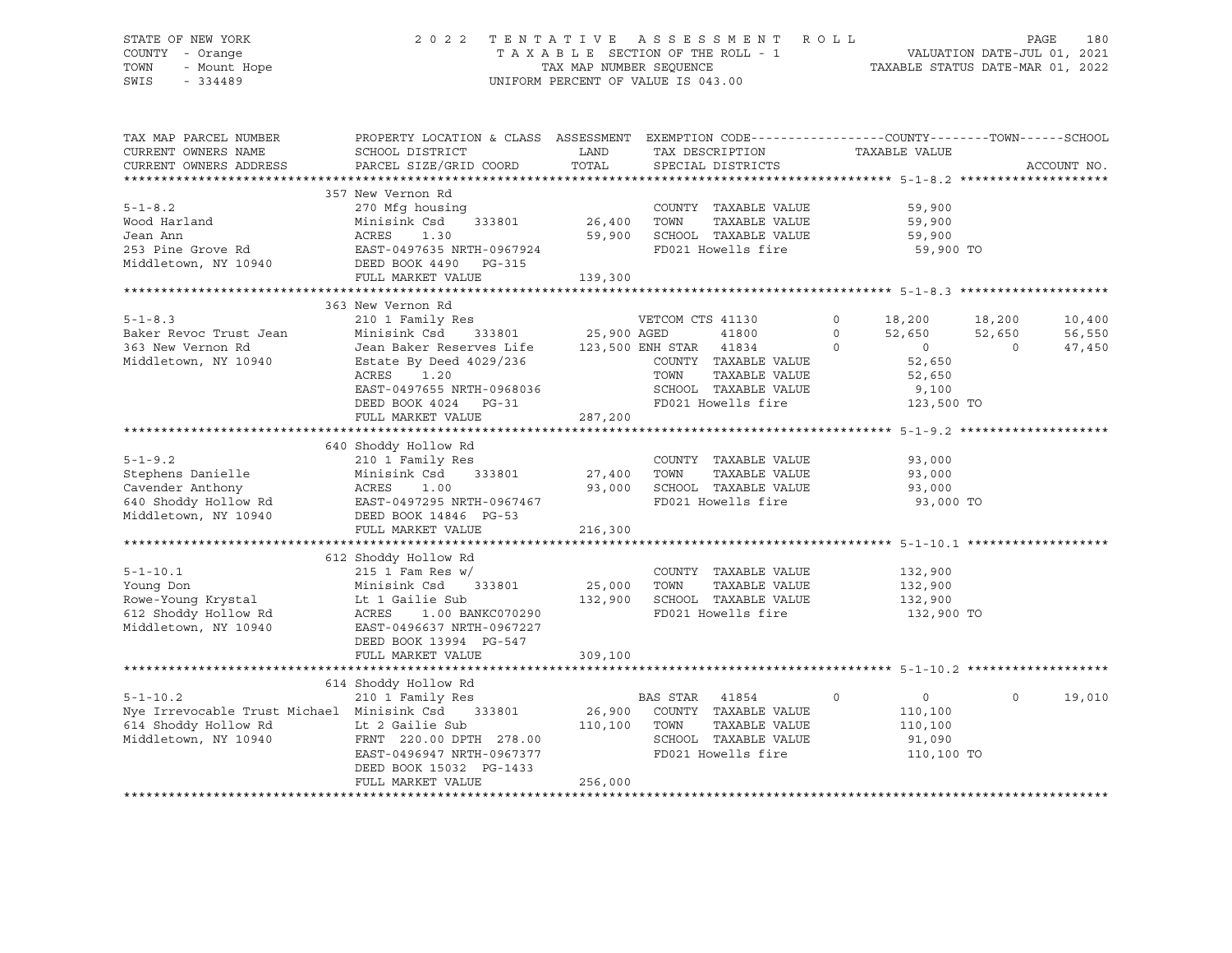# STATE OF NEW YORK 2 0 2 2 T E N T A T I V E A S S E S S M E N T R O L L PAGE 180 COUNTY - Orange T A X A B L E SECTION OF THE ROLL - 1 VALUATION DATE-JUL 01, 2021 TOWN - Mount Hope TAX MAP NUMBER SEQUENCE TAXABLE STATUS DATE-MAR 01, 2022 SWIS - 334489 UNIFORM PERCENT OF VALUE IS 043.00

| TAX MAP PARCEL NUMBER<br>CURRENT OWNERS NAME<br>CURRENT OWNERS ADDRESS                                                                                                                                                                                       | SCHOOL DISTRICT<br>PARCEL SIZE/GRID COORD                                                                                                                                                   | <b>LAND</b><br>TOTAL | TAX DESCRIPTION<br>SPECIAL DISTRICTS                                                      | PROPERTY LOCATION & CLASS ASSESSMENT EXEMPTION CODE----------------COUNTY-------TOWN------SCHOOL<br>TAXABLE VALUE |                                      |                | ACCOUNT NO.      |
|--------------------------------------------------------------------------------------------------------------------------------------------------------------------------------------------------------------------------------------------------------------|---------------------------------------------------------------------------------------------------------------------------------------------------------------------------------------------|----------------------|-------------------------------------------------------------------------------------------|-------------------------------------------------------------------------------------------------------------------|--------------------------------------|----------------|------------------|
|                                                                                                                                                                                                                                                              |                                                                                                                                                                                             |                      |                                                                                           |                                                                                                                   |                                      |                |                  |
| $5 - 1 - 8.2$                                                                                                                                                                                                                                                | 357 New Vernon Rd<br>270 Mfg housing                                                                                                                                                        |                      | COUNTY TAXABLE VALUE<br>TAXABLE VALUE 59,900                                              |                                                                                                                   | 59,900                               |                |                  |
| Mood Harland Minisink Csd 333801 26,400 TOWN TAXABLE VALUE 59,900<br>Tean Ann Minisink Csd 333801 26,400 TOWN TAXABLE VALUE 59,900<br>253 Pine Grove Rd EAST-0497635 NRTH-0967924 FD021 Howells fire 59,900 TO<br>Middletown, NY 10940 DEED BOOK 4490 PG-315 |                                                                                                                                                                                             |                      |                                                                                           |                                                                                                                   |                                      |                |                  |
|                                                                                                                                                                                                                                                              |                                                                                                                                                                                             |                      |                                                                                           |                                                                                                                   |                                      |                |                  |
| $5 - 1 - 8.3$<br>Baker Revoc Trust Jean                                                                                                                                                                                                                      | 363 New Vernon Rd<br>210 1 Family Res<br>210 1 Family Res<br>210 1 Family Res<br>25,900 AGED 41800 0 52,650<br>333801 25,900 AGED 41800 0 52,650<br>333801 25,900 AGED 41834 0 0<br>218,200 |                      |                                                                                           |                                                                                                                   | 18,200 18,200<br>$52,650$ $52,650$ 0 |                | 10,400<br>56,550 |
| 363 New Vernon Rd<br>Middletown, NY 10940                                                                                                                                                                                                                    | FULL MARKET VALUE                                                                                                                                                                           | 287,200              |                                                                                           |                                                                                                                   | 52,650<br>52,650                     | $\overline{0}$ | 47,450           |
|                                                                                                                                                                                                                                                              |                                                                                                                                                                                             |                      |                                                                                           |                                                                                                                   |                                      |                |                  |
| $5 - 1 - 9.2$<br>Stephens Danielle Minisink Csd 333801 27,400 TOWN TAXABLE VALUE 93,000<br>Cavender Anthony ACRES 1.00 93,000 SCHOOL TAXABLE VALUE 93,000<br>640 Shoddy Hollow Rd EAST-0497295 NRTH-0967467 FD021 Howells fire 93,000 TO<br>Middletown,      | 640 Shoddy Hollow Rd<br>Shoddy Hollow Rd<br>210 1 Family Res<br>FULL MARKET VALUE                                                                                                           | 216,300              | COUNTY TAXABLE VALUE                                                                      |                                                                                                                   | 93,000                               |                |                  |
|                                                                                                                                                                                                                                                              |                                                                                                                                                                                             |                      |                                                                                           |                                                                                                                   |                                      |                |                  |
| 1 23,900<br>25,000 TOWN TAXABLE VALUE<br>25,000 TOWN TAXABLE VALUE<br>25,000 TOWN TAXABLE VALUE<br>25,000 TOWN TAXABLE VALUE<br>25,000 TOWN TAXABLE VALUE<br>25,000 TOWN TAXABLE VALUE<br>25,000 TOWN TAXABLE VALUE<br>25,000 TOWN TAXABLE VAL               |                                                                                                                                                                                             |                      | FD021 Howells fire 3132,900 TO                                                            |                                                                                                                   |                                      |                |                  |
|                                                                                                                                                                                                                                                              | FULL MARKET VALUE                                                                                                                                                                           | 309,100              |                                                                                           |                                                                                                                   |                                      |                |                  |
|                                                                                                                                                                                                                                                              |                                                                                                                                                                                             |                      |                                                                                           |                                                                                                                   |                                      |                |                  |
| 5-1-10.2<br>Nye Irrevocable Trust Michael Minisink Csd 333801 26,900 COUNTY TAXABLE VALUE<br>614 Shoddy Hollow Rd Lt 2 Gailie Sub 110,100 TOWN TAXABLE VALUE<br>Middletown, NY 10940 FRNT 220.00 DPTH 278.00 SCHOOL TAXABLE VALUE<br>E                       | 614 Shoddy Hollow Rd<br>DEED BOOK 15032 PG-1433<br>FULL MARKET VALUE                                                                                                                        | 256,000              | $\sim$ 0<br>TAXABLE VALUE<br>SCHOOL TAXABLE VALUE 91,090<br>FD021 Howells fire 110,100 TO |                                                                                                                   | $\overline{0}$<br>110,100<br>110,100 | $\circ$        | 19,010           |
|                                                                                                                                                                                                                                                              |                                                                                                                                                                                             |                      |                                                                                           |                                                                                                                   |                                      |                |                  |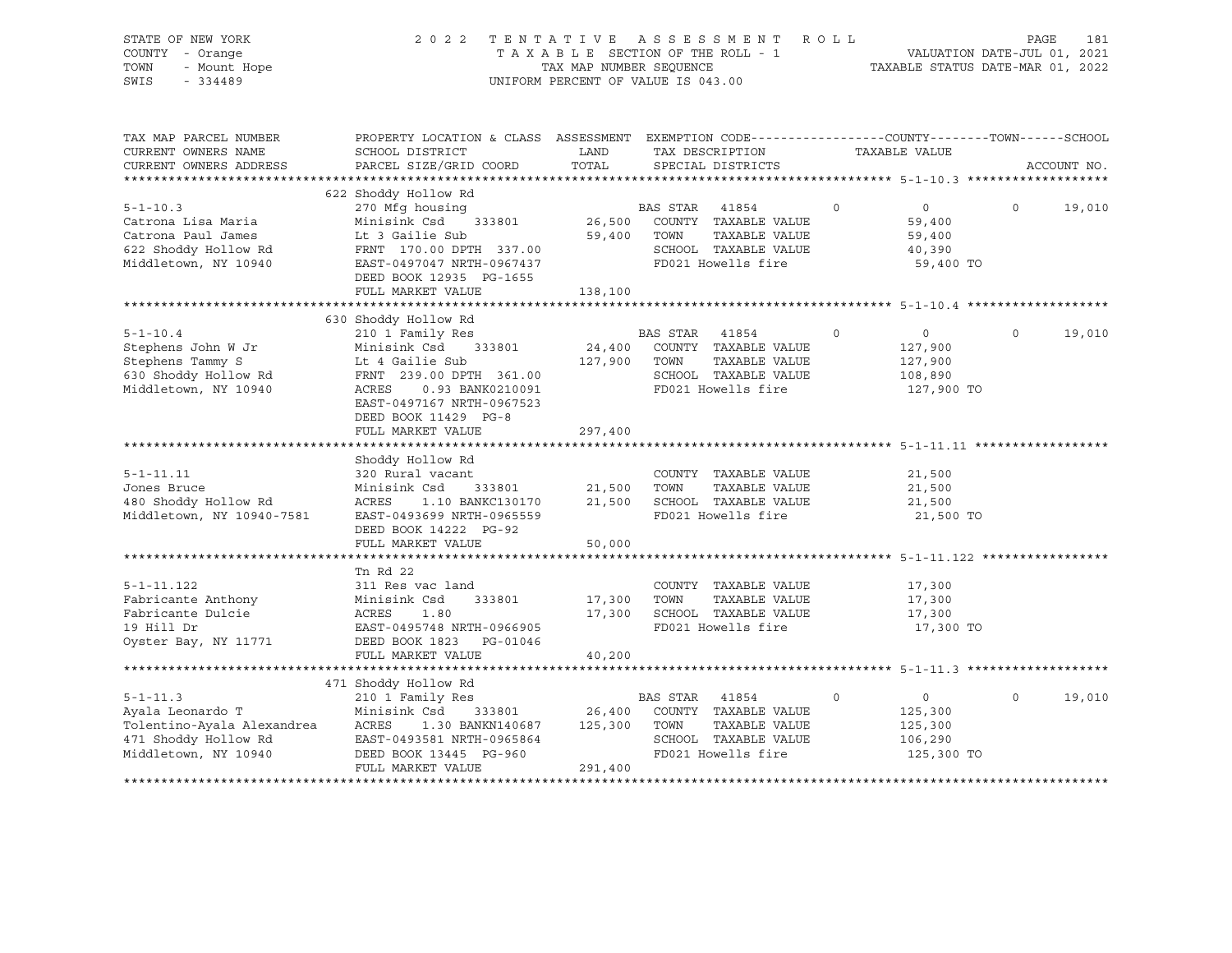| STATE OF NEW YORK<br>COUNTY - Orange<br>- Mount Hope<br>TOWN<br>$-334489$<br>SWIS                                | 2 0 2 2                                                                                                                                                                                      | TAX MAP NUMBER SEQUENCE      | TENTATIVE ASSESSMENT ROLL<br>TAXABLE SECTION OF THE ROLL - 1<br>UNIFORM PERCENT OF VALUE IS 043.00                          |             | VALUATION DATE-JUL 01, 2021<br>TAXABLE STATUS DATE-MAR 01, 2022 | PAGE     | 181         |
|------------------------------------------------------------------------------------------------------------------|----------------------------------------------------------------------------------------------------------------------------------------------------------------------------------------------|------------------------------|-----------------------------------------------------------------------------------------------------------------------------|-------------|-----------------------------------------------------------------|----------|-------------|
| TAX MAP PARCEL NUMBER<br>CURRENT OWNERS NAME<br>CURRENT OWNERS ADDRESS                                           | PROPERTY LOCATION & CLASS ASSESSMENT EXEMPTION CODE---------------COUNTY-------TOWN------SCHOOL<br>SCHOOL DISTRICT<br>PARCEL SIZE/GRID COORD                                                 | LAND<br>TOTAL                | TAX DESCRIPTION<br>SPECIAL DISTRICTS                                                                                        |             | TAXABLE VALUE                                                   |          | ACCOUNT NO. |
|                                                                                                                  |                                                                                                                                                                                              |                              |                                                                                                                             |             |                                                                 |          |             |
| $5 - 1 - 10.3$<br>Catrona Lisa Maria<br>Catrona Paul James<br>622 Shoddy Hollow Rd<br>Middletown, NY 10940       | 622 Shoddy Hollow Rd<br>270 Mfg housing<br>Minisink Csd<br>333801<br>Lt 3 Gailie Sub<br>FRNT 170.00 DPTH 337.00<br>EAST-0497047 NRTH-0967437<br>DEED BOOK 12935 PG-1655<br>FULL MARKET VALUE | 138,100                      | BAS STAR 41854<br>26,500 COUNTY TAXABLE VALUE<br>59,400 TOWN<br>TAXABLE VALUE<br>SCHOOL TAXABLE VALUE<br>FD021 Howells fire | $\Omega$    | $\overline{0}$<br>59,400<br>59,400<br>40,390<br>59,400 TO       | $\Omega$ | 19,010      |
|                                                                                                                  |                                                                                                                                                                                              |                              |                                                                                                                             |             |                                                                 |          |             |
| $5 - 1 - 10.4$                                                                                                   | 630 Shoddy Hollow Rd<br>210 1 Family Res                                                                                                                                                     |                              | BAS STAR 41854                                                                                                              | 0           | $\overline{0}$                                                  | $\Omega$ | 19,010      |
| Stephens John W Jr<br>Stephens Tammy S<br>630 Shoddy Hollow Rd<br>Middletown, NY 10940                           | Minisink Csd<br>333801<br>Lt 4 Gailie Sub<br>FRNT 239.00 DPTH 361.00<br>ACRES<br>0.93 BANK0210091<br>EAST-0497167 NRTH-0967523<br>DEED BOOK 11429 PG-8                                       | 24,400                       | COUNTY TAXABLE VALUE<br>127,900 TOWN<br>TAXABLE VALUE<br>SCHOOL TAXABLE VALUE<br>FD021 Howells fire                         |             | 127,900<br>127,900<br>108,890<br>127,900 TO                     |          |             |
|                                                                                                                  | FULL MARKET VALUE                                                                                                                                                                            | 297,400                      |                                                                                                                             |             |                                                                 |          |             |
|                                                                                                                  |                                                                                                                                                                                              |                              |                                                                                                                             |             |                                                                 |          |             |
| $5 - 1 - 11.11$<br>Jones Bruce<br>480 Shoddy Hollow Rd<br>Middletown, NY 10940-7581                              | Shoddy Hollow Rd<br>320 Rural vacant<br>Minisink Csd<br>333801<br>ACRES<br>1.10 BANKC130170<br>EAST-0493699 NRTH-0965559<br>DEED BOOK 14222 PG-92<br>FULL MARKET VALUE                       | 21,500<br>50,000             | COUNTY TAXABLE VALUE<br>TOWN<br>TAXABLE VALUE<br>21,500 SCHOOL TAXABLE VALUE<br>FD021 Howells fire                          |             | 21,500<br>21,500<br>21,500<br>21,500 TO                         |          |             |
|                                                                                                                  |                                                                                                                                                                                              |                              |                                                                                                                             |             |                                                                 |          |             |
| $5 - 1 - 11.122$<br>Fabricante Anthony<br>Fabricante Dulcie<br>19 Hill Dr                                        | Tn Rd 22<br>311 Res vac land<br>Minisink Csd<br>333801<br>ACRES<br>1.80<br>EAST-0495748 NRTH-0966905                                                                                         | 17,300                       | COUNTY TAXABLE VALUE<br>TOWN<br>TAXABLE VALUE<br>17,300 SCHOOL TAXABLE VALUE<br>FD021 Howells fire                          |             | 17,300<br>17,300<br>17,300<br>17,300 TO                         |          |             |
| Oyster Bay, NY 11771                                                                                             | DEED BOOK 1823 PG-01046<br>FULL MARKET VALUE                                                                                                                                                 | 40,200                       |                                                                                                                             |             |                                                                 |          |             |
|                                                                                                                  |                                                                                                                                                                                              |                              |                                                                                                                             |             |                                                                 |          |             |
|                                                                                                                  | 471 Shoddy Hollow Rd                                                                                                                                                                         |                              |                                                                                                                             |             |                                                                 |          |             |
| $5 - 1 - 11.3$<br>Ayala Leonardo T<br>Tolentino-Ayala Alexandrea<br>471 Shoddy Hollow Rd<br>Middletown, NY 10940 | 210 1 Family Res<br>Minisink Csd<br>333801<br>ACRES<br>1.30 BANKN140687<br>EAST-0493581 NRTH-0965864<br>DEED BOOK 13445 PG-960<br>FULL MARKET VALUE                                          | 26,400<br>125,300<br>291,400 | BAS STAR<br>41854<br>COUNTY TAXABLE VALUE<br>TAXABLE VALUE<br>TOWN<br>SCHOOL TAXABLE VALUE<br>FD021 Howells fire            | $\mathbf 0$ | $\circ$<br>125,300<br>125,300<br>106,290<br>125,300 TO          | $\Omega$ | 19,010      |
|                                                                                                                  |                                                                                                                                                                                              |                              |                                                                                                                             |             |                                                                 |          |             |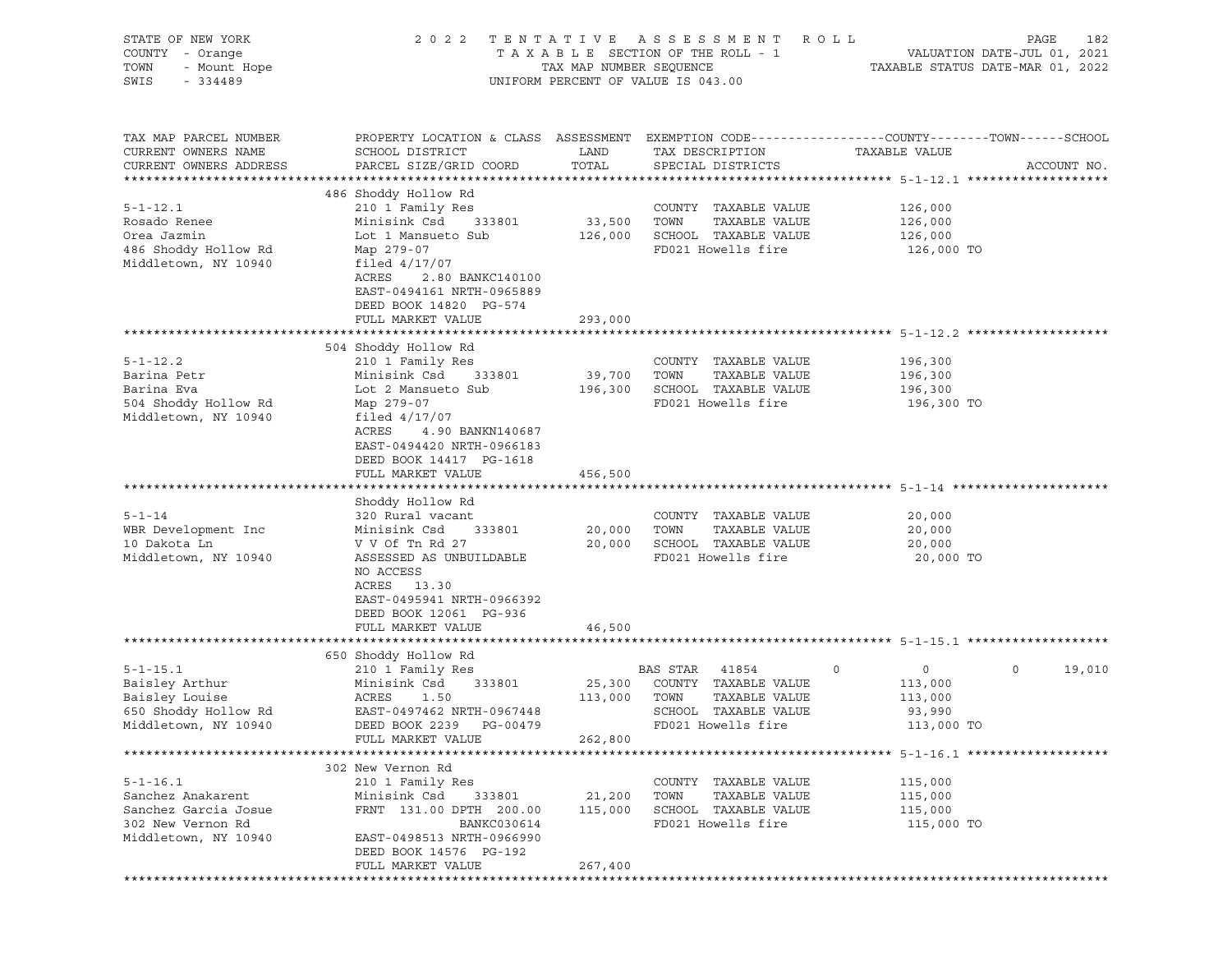| STATE OF NEW YORK<br>COUNTY - Orange<br>TOWN<br>- Mount Hope<br>SWIS<br>$-334489$ | 2 0 2 2<br>TENTATIVE<br>TAXABLE SECTION OF THE ROLL - 1<br>TAX MAP NUMBER SEQUENCE<br>UNIFORM PERCENT OF VALUE IS 043.00                | ROLL<br>PAGE<br>182<br>VALUATION DATE-JUL 01, 2021<br>TAXABLE STATUS DATE-MAR 01, 2022 |                                                                       |                                                                                                                                |  |
|-----------------------------------------------------------------------------------|-----------------------------------------------------------------------------------------------------------------------------------------|----------------------------------------------------------------------------------------|-----------------------------------------------------------------------|--------------------------------------------------------------------------------------------------------------------------------|--|
| TAX MAP PARCEL NUMBER<br>CURRENT OWNERS NAME<br>CURRENT OWNERS ADDRESS            | SCHOOL DISTRICT<br>PARCEL SIZE/GRID COORD                                                                                               | LAND<br>TOTAL                                                                          | TAX DESCRIPTION<br>SPECIAL DISTRICTS                                  | PROPERTY LOCATION & CLASS ASSESSMENT EXEMPTION CODE---------------COUNTY-------TOWN-----SCHOOL<br>TAXABLE VALUE<br>ACCOUNT NO. |  |
|                                                                                   | 486 Shoddy Hollow Rd                                                                                                                    |                                                                                        |                                                                       |                                                                                                                                |  |
| $5 - 1 - 12.1$<br>Rosado Renee<br>Orea Jazmin                                     | 210 1 Family Res<br>Minisink Csd<br>333801<br>Lot 1 Mansueto Sub                                                                        | 33,500 TOWN                                                                            | COUNTY TAXABLE VALUE<br>TAXABLE VALUE<br>126,000 SCHOOL TAXABLE VALUE | 126,000<br>126,000<br>126,000                                                                                                  |  |
| 486 Shoddy Hollow Rd<br>Middletown, NY 10940                                      | Map 279-07<br>filed $4/17/07$<br>ACRES<br>2.80 BANKC140100<br>EAST-0494161 NRTH-0965889<br>DEED BOOK 14820 PG-574<br>FULL MARKET VALUE  | 293,000                                                                                | FD021 Howells fire                                                    | 126,000 TO                                                                                                                     |  |
|                                                                                   |                                                                                                                                         |                                                                                        |                                                                       |                                                                                                                                |  |
| $5 - 1 - 12.2$                                                                    | 504 Shoddy Hollow Rd<br>210 1 Family Res                                                                                                |                                                                                        | COUNTY TAXABLE VALUE                                                  | 196,300                                                                                                                        |  |
| Barina Petr                                                                       | Minisink Csd<br>333801                                                                                                                  | 39,700 TOWN                                                                            | TAXABLE VALUE                                                         | 196,300                                                                                                                        |  |
| Barina Eva                                                                        | Lot 2 Mansueto Sub                                                                                                                      |                                                                                        | 196,300 SCHOOL TAXABLE VALUE                                          | 196,300                                                                                                                        |  |
| 504 Shoddy Hollow Rd<br>Middletown, NY 10940                                      | Map 279-07<br>filed $4/17/07$<br>ACRES<br>4.90 BANKN140687<br>EAST-0494420 NRTH-0966183<br>DEED BOOK 14417 PG-1618<br>FULL MARKET VALUE | 456,500                                                                                | FD021 Howells fire                                                    | 196,300 TO                                                                                                                     |  |
|                                                                                   |                                                                                                                                         |                                                                                        |                                                                       |                                                                                                                                |  |
|                                                                                   | Shoddy Hollow Rd                                                                                                                        |                                                                                        |                                                                       |                                                                                                                                |  |
| $5 - 1 - 14$                                                                      | 320 Rural vacant                                                                                                                        |                                                                                        | COUNTY TAXABLE VALUE                                                  | 20,000                                                                                                                         |  |
| WBR Development Inc                                                               | Minisink Csd<br>333801                                                                                                                  | 20,000                                                                                 | TOWN<br>TAXABLE VALUE                                                 | 20,000                                                                                                                         |  |
| 10 Dakota Ln                                                                      | V V Of Tn Rd 27                                                                                                                         | 20,000                                                                                 | SCHOOL TAXABLE VALUE                                                  | 20,000                                                                                                                         |  |
| Middletown, NY 10940                                                              | ASSESSED AS UNBUILDABLE<br>NO ACCESS<br>ACRES<br>13.30<br>EAST-0495941 NRTH-0966392<br>DEED BOOK 12061 PG-936                           |                                                                                        | FD021 Howells fire                                                    | 20,000 TO                                                                                                                      |  |
|                                                                                   | FULL MARKET VALUE                                                                                                                       | 46,500                                                                                 |                                                                       |                                                                                                                                |  |
|                                                                                   |                                                                                                                                         |                                                                                        |                                                                       |                                                                                                                                |  |
|                                                                                   | 650 Shoddy Hollow Rd                                                                                                                    |                                                                                        |                                                                       |                                                                                                                                |  |
| $5 - 1 - 15.1$                                                                    | 210 1 Family Res                                                                                                                        |                                                                                        | BAS STAR<br>41854                                                     | $\circ$<br>$\overline{0}$<br>$\circ$<br>19,010                                                                                 |  |
| Baisley Arthur                                                                    | Minisink Csd<br>333801                                                                                                                  | 25,300                                                                                 | COUNTY TAXABLE VALUE                                                  | 113,000                                                                                                                        |  |
| Baisley Louise                                                                    | ACRES<br>1.50                                                                                                                           | 113,000 TOWN                                                                           | TAXABLE VALUE                                                         | 113,000                                                                                                                        |  |
| 650 Shoddy Hollow Rd                                                              | EAST-0497462 NRTH-0967448                                                                                                               |                                                                                        | SCHOOL TAXABLE VALUE<br>FD021 Howells fire                            | 93,990                                                                                                                         |  |
| Middletown, NY 10940                                                              | DEED BOOK 2239 PG-00479<br>FULL MARKET VALUE                                                                                            | 262,800                                                                                |                                                                       | 113,000 TO                                                                                                                     |  |
|                                                                                   |                                                                                                                                         |                                                                                        |                                                                       |                                                                                                                                |  |
|                                                                                   | 302 New Vernon Rd                                                                                                                       |                                                                                        |                                                                       |                                                                                                                                |  |
| $5 - 1 - 16.1$                                                                    | 210 1 Family Res                                                                                                                        |                                                                                        | COUNTY TAXABLE VALUE                                                  | 115,000                                                                                                                        |  |
| Sanchez Anakarent                                                                 | Minisink Csd<br>333801                                                                                                                  | 21,200                                                                                 | TOWN<br>TAXABLE VALUE                                                 | 115,000                                                                                                                        |  |
| Sanchez Garcia Josue                                                              | FRNT 131.00 DPTH 200.00                                                                                                                 | 115,000                                                                                | SCHOOL TAXABLE VALUE                                                  | 115,000                                                                                                                        |  |
| 302 New Vernon Rd                                                                 | BANKC030614                                                                                                                             |                                                                                        | FD021 Howells fire                                                    | 115,000 TO                                                                                                                     |  |
| Middletown, NY 10940                                                              | EAST-0498513 NRTH-0966990                                                                                                               |                                                                                        |                                                                       |                                                                                                                                |  |
|                                                                                   | DEED BOOK 14576 PG-192                                                                                                                  |                                                                                        |                                                                       |                                                                                                                                |  |
|                                                                                   | FULL MARKET VALUE                                                                                                                       | 267,400                                                                                |                                                                       |                                                                                                                                |  |
|                                                                                   |                                                                                                                                         |                                                                                        |                                                                       |                                                                                                                                |  |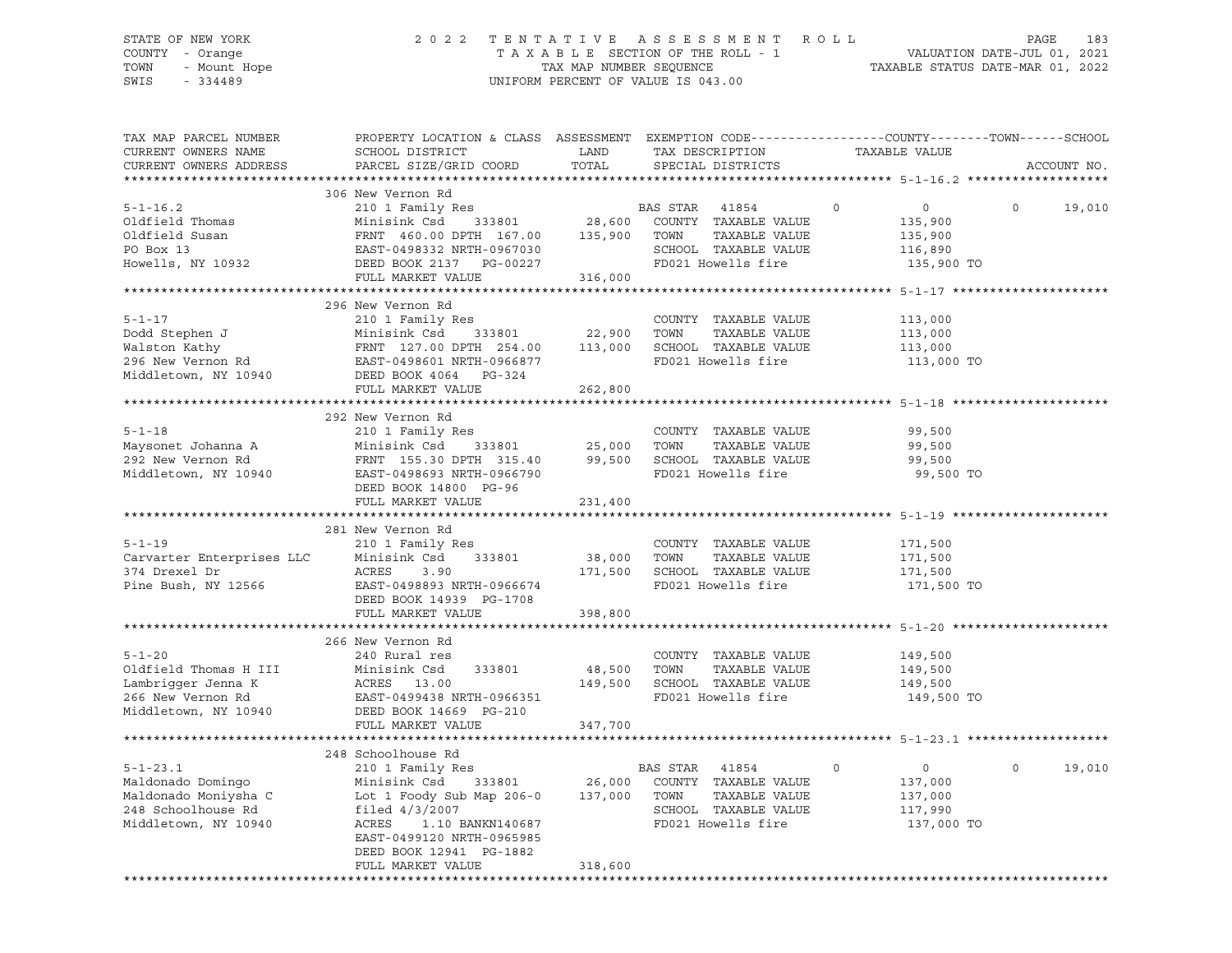# STATE OF NEW YORK 2 0 2 2 T E N T A T I V E A S S E S S M E N T R O L L PAGE 183 COUNTY - Orange T A X A B L E SECTION OF THE ROLL - 1 VALUATION DATE-JUL 01, 2021 TOWN - Mount Hope TAX MAP NUMBER SEQUENCE TAXABLE STATUS DATE-MAR 01, 2022 SWIS - 334489 UNIFORM PERCENT OF VALUE IS 043.00

| TAX MAP PARCEL NUMBER<br>CURRENT OWNERS NAME<br>CURRENT OWNERS ADDRESS | PROPERTY LOCATION & CLASS ASSESSMENT EXEMPTION CODE----------------COUNTY-------TOWN-----SCHOOL<br>SCHOOL DISTRICT<br>PARCEL SIZE/GRID COORD                                                                                                                                                                         | LAND<br>TOTAL | TAX DESCRIPTION<br>SPECIAL DISTRICTS                                                                                             | TAXABLE VALUE                                                            | ACCOUNT NO.        |
|------------------------------------------------------------------------|----------------------------------------------------------------------------------------------------------------------------------------------------------------------------------------------------------------------------------------------------------------------------------------------------------------------|---------------|----------------------------------------------------------------------------------------------------------------------------------|--------------------------------------------------------------------------|--------------------|
| ***********************                                                |                                                                                                                                                                                                                                                                                                                      |               |                                                                                                                                  |                                                                          |                    |
| $5 - 1 - 16.2$                                                         | 306 New Vernon Rd<br>210 1 Family Res<br>EAS SIAK 41854<br>Minisink Csd 333801 28,600 COUNTY TAXABLE VALUE<br>This is a series of the series of the series of the series of the series of the series of the series of the s                                                                                          |               | BAS STAR 41854<br>TAXABLE VALUE<br>SCHOOL TAXABLE VALUE<br>FD021 Howells fire                                                    | $\overline{0}$<br>$\circ$<br>135,900<br>135,900<br>116,890<br>135,900 TO | $\Omega$<br>19,010 |
|                                                                        |                                                                                                                                                                                                                                                                                                                      |               |                                                                                                                                  |                                                                          |                    |
| $5 - 1 - 17$                                                           | 296 New Vernon Rd<br>210 1 Family Res<br>Dodd Stephen J<br>Walston Kathy<br>Walston Kathy<br>296 New Vernon Rd<br>296 New Vernon Rd<br>296 New Vernon Rd<br>296 New Vernon Rd<br>296 New Vernon Rd<br>296 New Vernon Rd<br>296 New Vernon Rd<br>296 New Vernon Rd<br>296 New Vernon Rd<br>296 N<br>FULL MARKET VALUE | 262,800       | COUNTY TAXABLE VALUE<br>FD021 Howells fire                                                                                       | 113,000<br>113,000<br>113,000<br>113,000 TO                              |                    |
|                                                                        |                                                                                                                                                                                                                                                                                                                      |               |                                                                                                                                  |                                                                          |                    |
|                                                                        | 292 New Vernon Rd<br>Naysonet Johanna A (1994)<br>292 New Vernon Rd (1994)<br>292 New Vernon Rd (1994)<br>292 New Vernon Rd (1996693 NRTH-0966790 (1996790 (19961)<br>299,500 SCHOOL (1996693 NRTH-0966790 (199821)<br>2021 DEED ROOK 14900 (1996790 (19981)<br>FULL MARKET VALUE                                    | 231,400       | COUNTY TAXABLE VALUE<br>TAXABLE VALUE<br>SCHOOL TAXABLE VALUE<br>FD021 Howells fire                                              | 99,500<br>99,500<br>99,500<br>99,500 TO                                  |                    |
|                                                                        |                                                                                                                                                                                                                                                                                                                      |               |                                                                                                                                  |                                                                          |                    |
| $5 - 1 - 19$                                                           | 281 New Vernon Rd<br>210 1 Family Res<br>Carvarter Enterprises LLC Minisink Csd 333801 38,000 TOWN TAXABLE VALUE<br>374 Drexel Dr ACRES 3.90 171,500 SCHOOL TAXABLE VALUE<br>Pine Bush, NY 12566 EAST-0498893 NRTH-0966674 FD021 Howells fire<br>FO21 Howells fire<br>DEED BOOK 14939 PG-1708<br>FULL MARKET VALUE   | 398,800       | COUNTY TAXABLE VALUE<br>FD021 Howells fire                                                                                       | 171,500<br>171,500<br>171,500<br>171,500 TO                              |                    |
|                                                                        | 266 New Vernon Rd                                                                                                                                                                                                                                                                                                    |               |                                                                                                                                  |                                                                          |                    |
| $5 - 1 - 20$                                                           | 240 Rural res<br>Oldfield Thomas H III Minisink Csd 333801<br>Lambrigger Jenna K ACRES 13.00<br>266 New Vernon Rd EAST-0499438 NRTH-0966351<br>Middletown, NY 10940 DEED BOOK 14669 PG-210                                                                                                                           | 48,500 TOWN   | COUNTY TAXABLE VALUE<br>TAXABLE VALUE<br>149,500 SCHOOL TAXABLE VALUE<br>FD021 Howells fire                                      | 149,500<br>149,500<br>149,500<br>149,500 TO                              |                    |
|                                                                        | FULL MARKET VALUE                                                                                                                                                                                                                                                                                                    | 347,700       |                                                                                                                                  |                                                                          |                    |
| $5 - 1 - 23.1$                                                         | 248 Schoolhouse Rd<br>210 1 Family Res<br>EAST-0499120 NRTH-0965985<br>DEED BOOK 12941 PG-1882<br>FULL MARKET VALUE                                                                                                                                                                                                  | 318,600       | BAS STAR 41854<br>المحمد المستقطة المعرفية المحمد المعرفية المستقطة.<br>333801 26,000 COUNTY TAXABLE VALUE<br>FD021 Howells fire | $\circ$<br>$\overline{0}$<br>137,000<br>137,000<br>117,990<br>137,000 TO | 19,010<br>$\circ$  |
|                                                                        |                                                                                                                                                                                                                                                                                                                      |               |                                                                                                                                  |                                                                          |                    |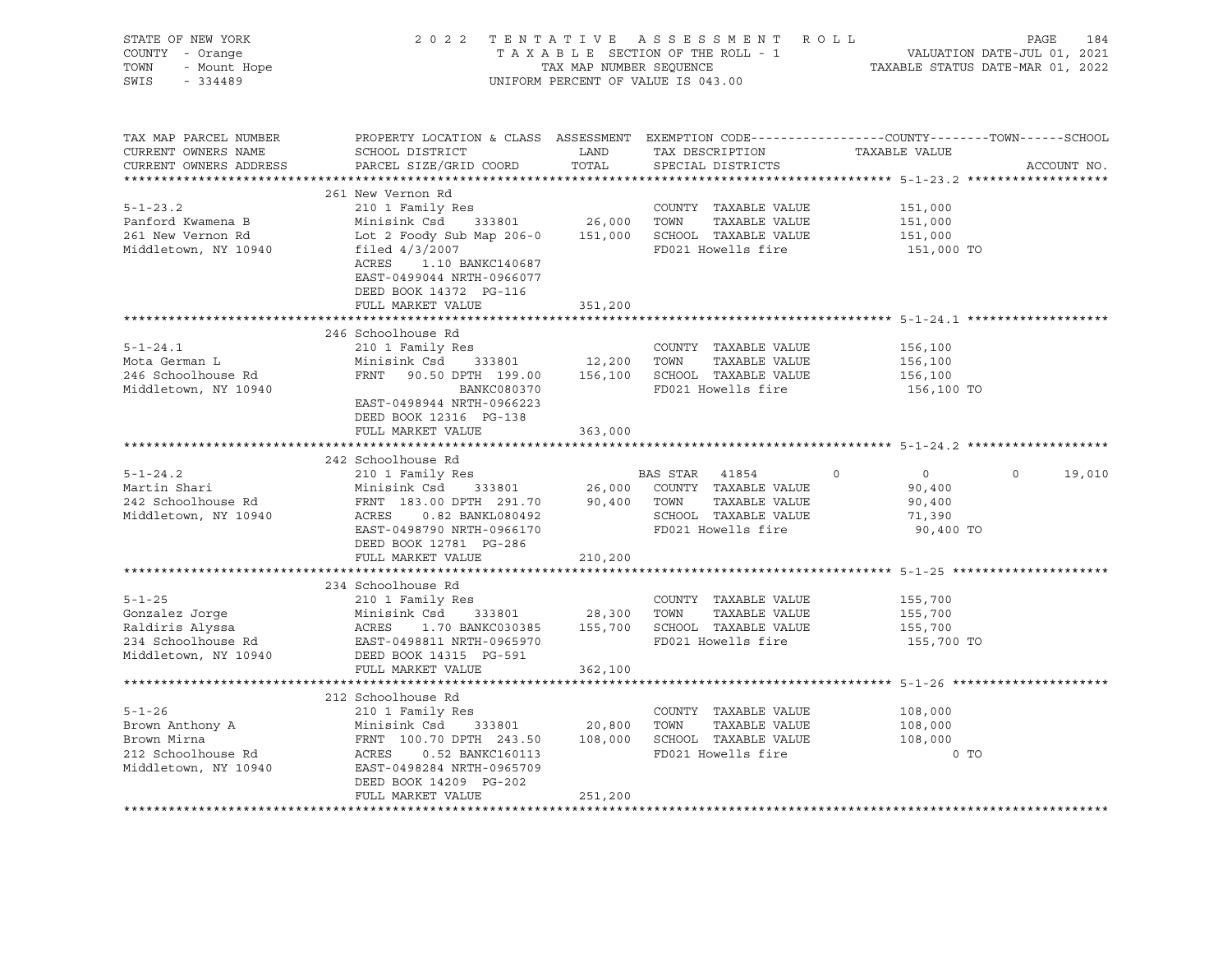| STATE OF NEW YORK<br>COUNTY - Orange<br>TOWN<br>- Mount Hope<br>SWIS<br>$-334489$               |                                                                                                                                                                                                                                              |                               | 2022 TENTATIVE ASSESSMENT ROLL<br>UNIFORM PERCENT OF VALUE IS 043.00                                         | TAXABLE SECTION OF THE ROLL - 1<br>TAXABLE SECTION OF THE ROLL - 1<br>TAXABLE STATUS DATE-MAR 01, 2022 | PAGE<br>184 |
|-------------------------------------------------------------------------------------------------|----------------------------------------------------------------------------------------------------------------------------------------------------------------------------------------------------------------------------------------------|-------------------------------|--------------------------------------------------------------------------------------------------------------|--------------------------------------------------------------------------------------------------------|-------------|
| TAX MAP PARCEL NUMBER<br>CURRENT OWNERS NAME<br>CURRENT OWNERS ADDRESS                          | PROPERTY LOCATION & CLASS ASSESSMENT EXEMPTION CODE----------------COUNTY-------TOWN------SCHOOL<br>SCHOOL DISTRICT<br>PARCEL SIZE/GRID COORD                                                                                                | LAND<br>TOTAL                 | TAX DESCRIPTION TAXABLE VALUE<br>SPECIAL DISTRICTS                                                           |                                                                                                        | ACCOUNT NO. |
| $5 - 1 - 23.2$<br>Panford Kwamena B<br>261 New Vernon Rd<br>Middletown, NY 10940                | 261 New Vernon Rd<br>210 1 Family Res<br>Minisink Csd<br>Lot 2 Foody Sub Map 206-0 151,000 SCHOOL TAXABLE VALUE<br>filed $4/3/2007$<br>ACRES<br>1.10 BANKC140687<br>EAST-0499044 NRTH-0966077<br>DEED BOOK 14372 PG-116<br>FULL MARKET VALUE | 333801 26,000 TOWN<br>351,200 | COUNTY TAXABLE VALUE<br>TAXABLE VALUE<br>FD021 Howells fire                                                  | 151,000<br>151,000<br>151,000<br>151,000 TO                                                            |             |
|                                                                                                 |                                                                                                                                                                                                                                              |                               |                                                                                                              |                                                                                                        |             |
| $5 - 1 - 24.1$<br>Mota German L<br>246 Schoolhouse Rd<br>Middletown, NY 10940                   | 246 Schoolhouse Rd<br>210 1 Family Res<br>Minisink Csd<br>333801<br>FRNT 90.50 DPTH 199.00 156,100 SCHOOL TAXABLE VALUE<br>BANKC080370<br>EAST-0498944 NRTH-0966223<br>DEED BOOK 12316 PG-138<br>FULL MARKET VALUE                           | 12,200 TOWN<br>363,000        | COUNTY TAXABLE VALUE<br>TAXABLE VALUE<br>FD021 Howells fire                                                  | 156,100<br>156,100<br>156,100<br>156,100 TO                                                            |             |
|                                                                                                 |                                                                                                                                                                                                                                              |                               |                                                                                                              |                                                                                                        |             |
| $5 - 1 - 24.2$<br>Martin Shari<br>242 Schoolhouse Rd<br>Middletown, NY 10940                    | 242 Schoolhouse Rd<br>210 1 Family Res<br>Minisink Csd 333801<br>EAST-0498790 NRTH-0966170<br>DEED BOOK 12781 PG-286<br>FULL MARKET VALUE                                                                                                    | 210,200                       | BAS STAR 41854<br>26,000 COUNTY TAXABLE VALUE<br>SCHOOL TAXABLE VALUE<br>FD021 Howells fire                  | $\overline{0}$<br>$\circ$<br>$\circ$<br>90,400<br>90,400<br>71,390<br>90,400 TO                        | 19,010      |
|                                                                                                 | 234 Schoolhouse Rd                                                                                                                                                                                                                           |                               |                                                                                                              |                                                                                                        |             |
| $5 - 1 - 25$<br>Gonzalez Jorge<br>Raldiris Alyssa<br>234 Schoolhouse Rd<br>Middletown, NY 10940 | 210 1 Family Res<br>Minisink Csd<br>333801<br>ACRES<br>EAST-0498811 NRTH-0965970<br>DEED BOOK 14315 PG-591<br>FULL MARKET VALUE                                                                                                              | 28,300 TOWN<br>362,100        | COUNTY TAXABLE VALUE<br>TAXABLE VALUE<br>1.70 BANKC030385 155,700 SCHOOL TAXABLE VALUE<br>FD021 Howells fire | 155,700<br>155,700<br>155,700<br>155,700 TO                                                            |             |
|                                                                                                 |                                                                                                                                                                                                                                              |                               |                                                                                                              |                                                                                                        |             |
| $5 - 1 - 26$<br>Brown Anthony A<br>Brown Mirna<br>212 Schoolhouse Rd<br>Middletown, NY 10940    | 212 Schoolhouse Rd<br>210 1 Family Res<br>333801 20,800<br>Minisink Csd<br>ACRES<br>0.52 BANKC160113<br>EAST-0498284 NRTH-0965709<br>DEED BOOK 14209 PG-202<br>FULL MARKET VALUE                                                             | 251,200                       | COUNTY TAXABLE VALUE<br>TOWN<br>TAXABLE VALUE<br>FD021 Howells fire                                          | 108,000<br>108,000<br>108,000<br>$0$ TO                                                                |             |
|                                                                                                 |                                                                                                                                                                                                                                              |                               |                                                                                                              |                                                                                                        |             |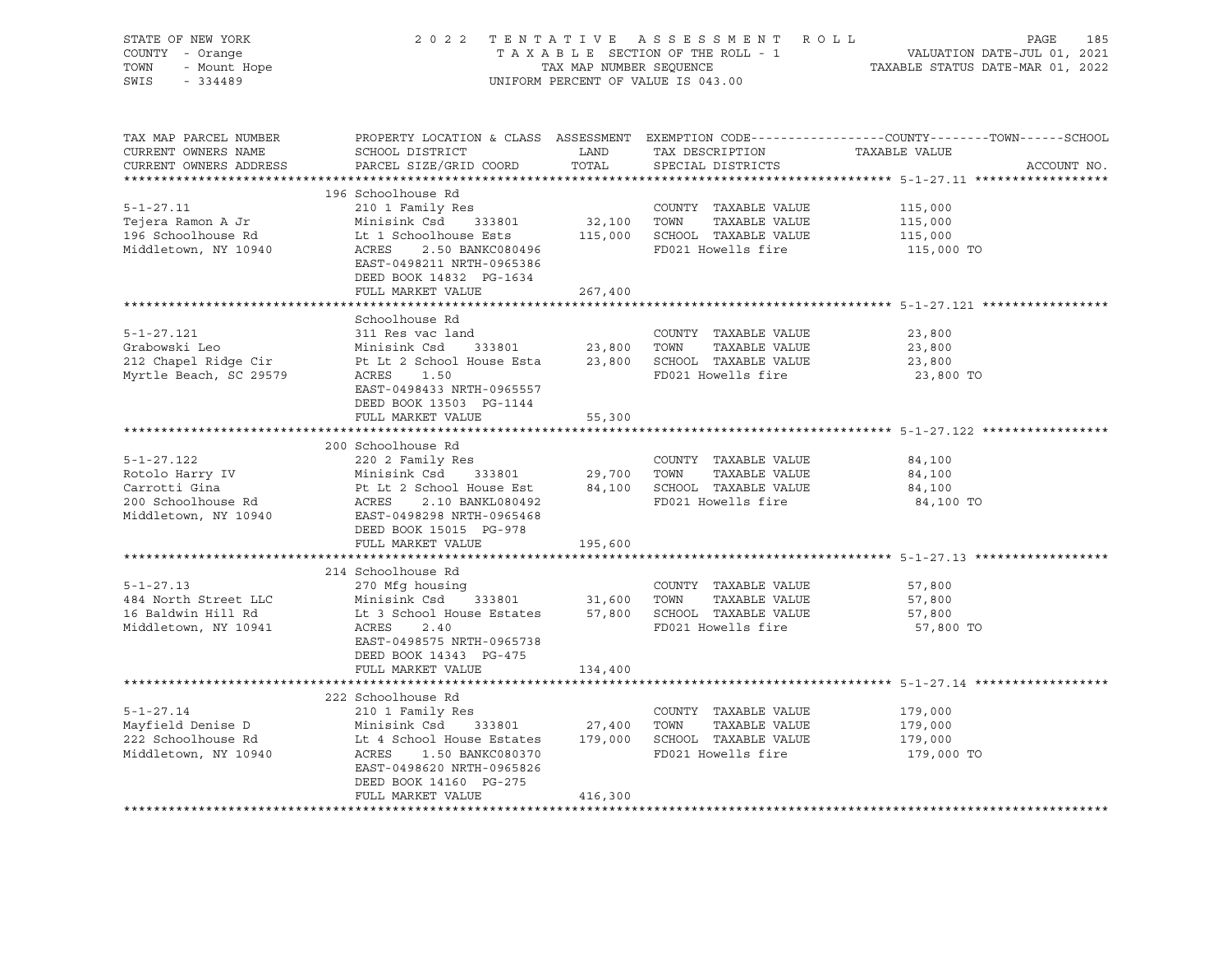| STATE OF NEW YORK<br>COUNTY - Orange<br>TOWN<br>SWIS<br>$-334489$                                                                            | 2022 TENTATIVE ASSESSMENT ROLL<br>TAXABLE SECTION OF THE ROLL - 1<br>TAX MAP NUMBER SEQUENCE<br>UNIFORM PERCENT OF VALUE IS 043.00                 | PAGE<br>185<br>VALUATION DATE-JUL 01, 2021<br>TAXABLE STATUS DATE-MAR 01, 2022 |                                      |                                                                                                                                  |  |
|----------------------------------------------------------------------------------------------------------------------------------------------|----------------------------------------------------------------------------------------------------------------------------------------------------|--------------------------------------------------------------------------------|--------------------------------------|----------------------------------------------------------------------------------------------------------------------------------|--|
| TAX MAP PARCEL NUMBER<br>CURRENT OWNERS NAME<br>CURRENT OWNERS ADDRESS                                                                       | SCHOOL DISTRICT<br>PARCEL SIZE/GRID COORD                                                                                                          | LAND<br>TOTAL                                                                  | TAX DESCRIPTION<br>SPECIAL DISTRICTS | PROPERTY LOCATION & CLASS ASSESSMENT EXEMPTION CODE----------------COUNTY-------TOWN------SCHOOL<br>TAXABLE VALUE<br>ACCOUNT NO. |  |
|                                                                                                                                              | 196 Schoolhouse Rd                                                                                                                                 |                                                                                |                                      |                                                                                                                                  |  |
| $5 - 1 - 27.11$                                                                                                                              | 210 1 Family Res                                                                                                                                   |                                                                                | COUNTY TAXABLE VALUE                 | 115,000                                                                                                                          |  |
| Tejera Ramon A Jr                                                                                                                            | Minisink Csd 333801                                                                                                                                |                                                                                | 32,100 TOWN TAXABLE VALUE            | 115,000                                                                                                                          |  |
| 196 Schoolhouse Rd                                                                                                                           | Lt 1 Schoolhouse Ests 115,000 SCHOOL TAXABLE VALUE                                                                                                 |                                                                                |                                      | 115,000                                                                                                                          |  |
| Middletown, NY 10940                                                                                                                         | ACRES<br>2.50 BANKC080496<br>EAST-0498211 NRTH-0965386<br>DEED BOOK 14832 PG-1634                                                                  |                                                                                | FD021 Howells fire                   | 115,000 TO                                                                                                                       |  |
|                                                                                                                                              | FULL MARKET VALUE                                                                                                                                  | 267,400                                                                        |                                      |                                                                                                                                  |  |
|                                                                                                                                              |                                                                                                                                                    |                                                                                |                                      |                                                                                                                                  |  |
| $5 - 1 - 27.121$                                                                                                                             | Schoolhouse Rd<br>311 Res vac land                                                                                                                 |                                                                                | COUNTY TAXABLE VALUE                 | 23,800                                                                                                                           |  |
|                                                                                                                                              |                                                                                                                                                    |                                                                                |                                      | 23,800                                                                                                                           |  |
|                                                                                                                                              |                                                                                                                                                    |                                                                                |                                      | 23,800                                                                                                                           |  |
| Myrtle Beach, SC 29579                                                                                                                       | ACRES 1.50<br>EAST-0498433 NRTH-0965557<br>DEED BOOK 13503 PG-1144                                                                                 |                                                                                | FD021 Howells fire                   | 23,800 TO                                                                                                                        |  |
|                                                                                                                                              | FULL MARKET VALUE                                                                                                                                  | 55,300                                                                         |                                      |                                                                                                                                  |  |
|                                                                                                                                              |                                                                                                                                                    |                                                                                |                                      |                                                                                                                                  |  |
|                                                                                                                                              | 200 Schoolhouse Rd                                                                                                                                 |                                                                                |                                      |                                                                                                                                  |  |
| $5 - 1 - 27.122$                                                                                                                             | 220 2 Family Res                                                                                                                                   |                                                                                | COUNTY TAXABLE VALUE                 | 84,100                                                                                                                           |  |
| $b-1-z$<br>Rotolo Harry IV                                                                                                                   |                                                                                                                                                    |                                                                                |                                      | 84,100                                                                                                                           |  |
| Carrotti Gina<br>200 Schoolhouse Rd                                                                                                          | Minisink Csd 333801 29,700 TOWN TAXABLE VALUE<br>Pt Lt 2 School House Est 84,100 SCHOOL TAXABLE VALUE<br>ACRES 2.10 BANKL080492 FD021 Howells fire |                                                                                |                                      | 84,100<br>84,100 TO                                                                                                              |  |
| Middletown, NY 10940 EAST-0498298 NRTH-0965468                                                                                               | DEED BOOK 15015 PG-978                                                                                                                             |                                                                                |                                      |                                                                                                                                  |  |
|                                                                                                                                              | FULL MARKET VALUE                                                                                                                                  | 195,600                                                                        |                                      |                                                                                                                                  |  |
|                                                                                                                                              |                                                                                                                                                    |                                                                                |                                      |                                                                                                                                  |  |
|                                                                                                                                              | 214 Schoolhouse Rd                                                                                                                                 |                                                                                |                                      |                                                                                                                                  |  |
| $5 - 1 - 27.13$<br>484 North Street LLC                                                                                                      | 270 Mfg housing                                                                                                                                    |                                                                                | COUNTY TAXABLE VALUE                 | 57,800<br>57,800                                                                                                                 |  |
| 16 Baldwin Hill Rd                                                                                                                           | Minisink Csd 333801 31,600 TOWN TAXABLE VALUE<br>Lt 3 School House Estates 57,800 SCHOOL TAXABLE VALUE<br>Minisink Csd                             |                                                                                |                                      | 57,800                                                                                                                           |  |
| Middletown, NY 10941                                                                                                                         | ACRES<br>2.40<br>EAST-0498575 NRTH-0965738<br>DEED BOOK 14343 PG-475<br>FULL MARKET VALUE                                                          | 134,400                                                                        | FD021 Howells fire                   | 57,800 TO                                                                                                                        |  |
|                                                                                                                                              |                                                                                                                                                    |                                                                                |                                      |                                                                                                                                  |  |
|                                                                                                                                              | 222 Schoolhouse Rd                                                                                                                                 |                                                                                |                                      |                                                                                                                                  |  |
| $5 - 1 - 27.14$                                                                                                                              | 210 1 Family Res                                                                                                                                   |                                                                                | COUNTY TAXABLE VALUE                 | 179,000                                                                                                                          |  |
| Mayfield Denise D Minisink Csd 333801 27,400 TOWN TAXABLE VALUE<br>222 Schoolhouse Rd Lt 4 School House Estates 179,000 SCHOOL TAXABLE VALUE |                                                                                                                                                    |                                                                                |                                      | 179,000                                                                                                                          |  |
|                                                                                                                                              |                                                                                                                                                    |                                                                                |                                      | 179,000                                                                                                                          |  |
| Middletown, NY 10940                                                                                                                         | ACRES 1.50 BANKC080370<br>EAST-0498620 NRTH-0965826<br>DEED BOOK 14160 PG-275                                                                      |                                                                                | FD021 Howells fire                   | 179,000 TO                                                                                                                       |  |
|                                                                                                                                              | FULL MARKET VALUE                                                                                                                                  | 416,300                                                                        |                                      |                                                                                                                                  |  |
|                                                                                                                                              |                                                                                                                                                    |                                                                                |                                      |                                                                                                                                  |  |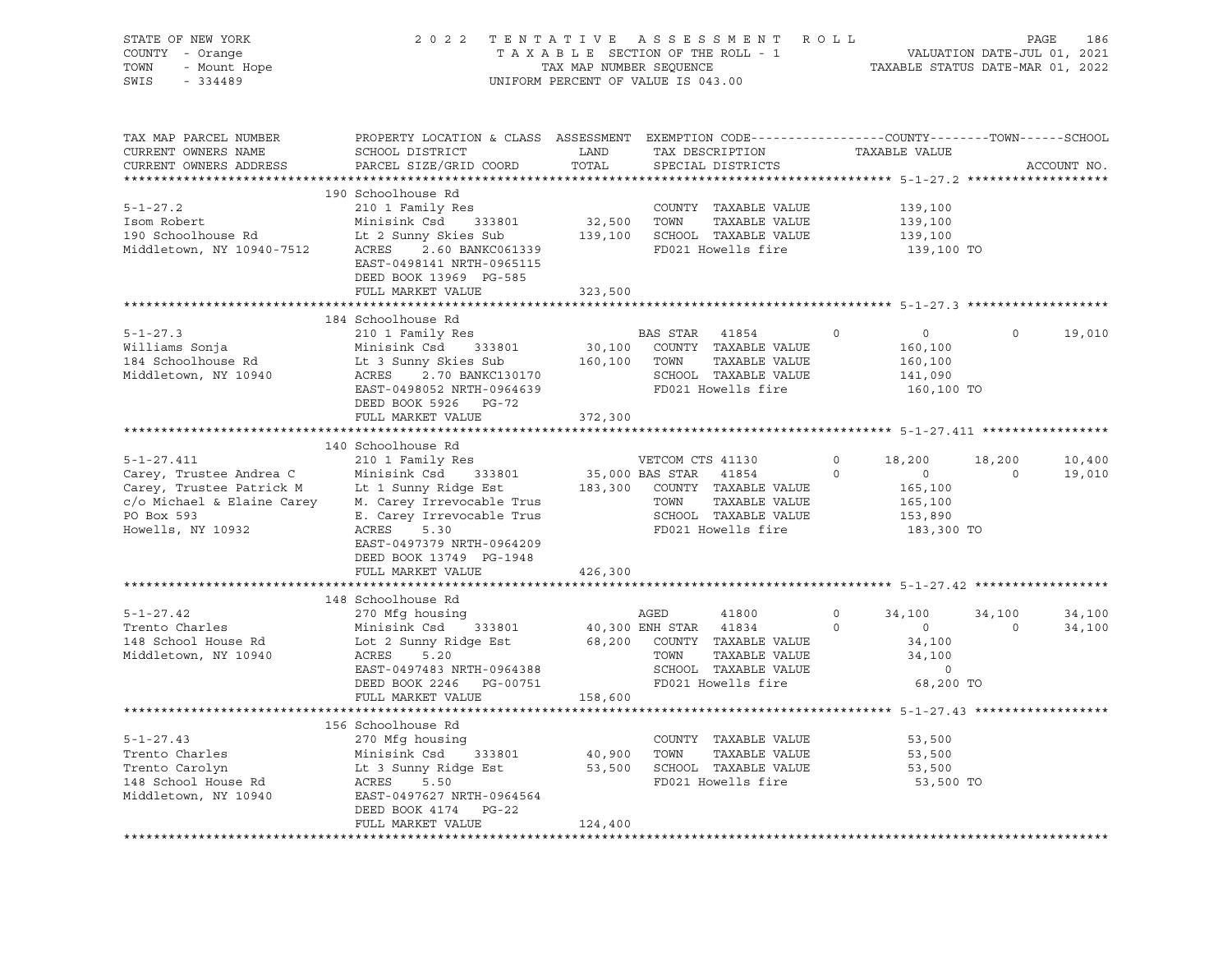| STATE OF NEW YORK<br>COUNTY - Orange<br>- Mount Hope<br>TOWN<br>$-334489$<br>SWIS | 2022 TENTATIVE ASSESSMENT ROLL                                                                                                                | TAX MAP NUMBER SEQUENCE<br>UNIFORM PERCENT OF VALUE IS 043.00 |                       | TAXABLE SECTION OF THE ROLL - 1                      |             | VALUATION DATE-JUL 01, 2021<br>TAXABLE STATUS DATE-MAR 01, 2022 |          | PAGE<br>186 |
|-----------------------------------------------------------------------------------|-----------------------------------------------------------------------------------------------------------------------------------------------|---------------------------------------------------------------|-----------------------|------------------------------------------------------|-------------|-----------------------------------------------------------------|----------|-------------|
| TAX MAP PARCEL NUMBER<br>CURRENT OWNERS NAME<br>CURRENT OWNERS ADDRESS            | PROPERTY LOCATION & CLASS ASSESSMENT EXEMPTION CODE----------------COUNTY-------TOWN------SCHOOL<br>SCHOOL DISTRICT<br>PARCEL SIZE/GRID COORD | LAND<br>TOTAL                                                 |                       | TAX DESCRIPTION<br>SPECIAL DISTRICTS                 |             | TAXABLE VALUE                                                   |          | ACCOUNT NO. |
|                                                                                   | 190 Schoolhouse Rd                                                                                                                            |                                                               |                       |                                                      |             |                                                                 |          |             |
| $5 - 1 - 27.2$                                                                    | 210 1 Family Res                                                                                                                              |                                                               |                       | COUNTY TAXABLE VALUE                                 |             | 139,100                                                         |          |             |
| Isom Robert                                                                       | Minisink Csd 333801                                                                                                                           | 32,500 TOWN                                                   |                       | TAXABLE VALUE                                        |             | 139,100                                                         |          |             |
| 190 Schoolhouse Rd<br>Middletown, NY 10940-7512                                   | Lt 2 Sunny Skies Sub<br>ACRES 2.60 BANKC061339<br>EAST-0498141 NRTH-0965115<br>DEED BOOK 13969 PG-585                                         |                                                               |                       | 139,100 SCHOOL TAXABLE VALUE<br>FD021 Howells fire   |             | 139,100<br>139,100 TO                                           |          |             |
|                                                                                   | FULL MARKET VALUE                                                                                                                             | 323,500                                                       |                       | ************************* 5-1-27.3 ***************** |             |                                                                 |          |             |
|                                                                                   | 184 Schoolhouse Rd                                                                                                                            | ***********                                                   |                       |                                                      |             |                                                                 |          |             |
| $5 - 1 - 27.3$                                                                    | 210 1 Family Res                                                                                                                              |                                                               | BAS STAR 41854        |                                                      | $\mathbf 0$ | $\overline{0}$                                                  | $\circ$  | 19,010      |
| Williams Sonja                                                                    | Minisink Csd 333801                                                                                                                           |                                                               |                       | 30,100 COUNTY TAXABLE VALUE                          |             | 160,100                                                         |          |             |
| 184 Schoolhouse Rd                                                                | Lt 3 Sunny Skies Sub 160,100 TOWN                                                                                                             |                                                               |                       | TAXABLE VALUE                                        |             | 160,100                                                         |          |             |
| Middletown, NY 10940                                                              | ACRES 2.70 BANKC130170                                                                                                                        |                                                               |                       | SCHOOL TAXABLE VALUE                                 |             | 141,090                                                         |          |             |
|                                                                                   | EAST-0498052 NRTH-0964639                                                                                                                     |                                                               |                       | FD021 Howells fire                                   |             | 160,100 TO                                                      |          |             |
|                                                                                   | DEED BOOK 5926 PG-72                                                                                                                          |                                                               |                       |                                                      |             |                                                                 |          |             |
|                                                                                   | FULL MARKET VALUE                                                                                                                             | 372,300                                                       |                       |                                                      |             |                                                                 |          |             |
|                                                                                   |                                                                                                                                               |                                                               |                       |                                                      |             |                                                                 |          |             |
|                                                                                   | 140 Schoolhouse Rd                                                                                                                            |                                                               |                       |                                                      |             |                                                                 |          |             |
| $5 - 1 - 27.411$                                                                  | 210 1 Family Res                                                                                                                              |                                                               | VETCOM CTS 41130      |                                                      | $\Omega$    | 18,200                                                          | 18,200   | 10,400      |
| Carey, Trustee Andrea C                                                           | Minisink Csd 333801                                                                                                                           |                                                               | 35,000 BAS STAR 41854 |                                                      | $\Omega$    | $\overline{0}$                                                  | $\Omega$ | 19,010      |
| Carey, Trustee Andrea C<br>Carey, Trustee Patrick M<br>c/o Michael & Elaine Carey | Lt 1 Sunny Ridge Est 183,300 COUNTY TAXABLE VALUE                                                                                             |                                                               |                       |                                                      |             | 165,100                                                         |          |             |
| PO Box 593                                                                        | M. Carey Irrevocable Trus<br>E. Carey Irrevocable Trus                                                                                        |                                                               |                       | TOWN      TAXABLE VALUE<br>SCHOOL   TAXABLE VALUE    |             | 165,100<br>153,890                                              |          |             |
| Howells, NY 10932                                                                 | ACRES<br>5.30                                                                                                                                 |                                                               |                       | FD021 Howells fire                                   |             | 183,300 TO                                                      |          |             |
|                                                                                   | EAST-0497379 NRTH-0964209                                                                                                                     |                                                               |                       |                                                      |             |                                                                 |          |             |
|                                                                                   | DEED BOOK 13749 PG-1948                                                                                                                       |                                                               |                       |                                                      |             |                                                                 |          |             |
|                                                                                   | FULL MARKET VALUE                                                                                                                             | 426,300                                                       |                       |                                                      |             |                                                                 |          |             |
|                                                                                   |                                                                                                                                               |                                                               |                       |                                                      |             |                                                                 |          |             |
|                                                                                   | 148 Schoolhouse Rd                                                                                                                            |                                                               |                       |                                                      |             |                                                                 |          |             |
| $5 - 1 - 27.42$                                                                   | 270 Mfg housing                                                                                                                               |                                                               | AGED                  | 41800                                                | $\circ$     | 34,100                                                          | 34,100   | 34,100      |
| Trento Charles                                                                    | Minisink Csd 333801                                                                                                                           |                                                               | 40,300 ENH STAR 41834 |                                                      | $\Omega$    | $\overline{0}$                                                  | $\Omega$ | 34,100      |
| 148 School House Rd                                                               | Lot 2 Sunny Ridge Est                                                                                                                         |                                                               |                       | 68,200 COUNTY TAXABLE VALUE                          |             | 34,100                                                          |          |             |
| Middletown, NY 10940                                                              | ACRES<br>5.20                                                                                                                                 |                                                               | TOWN                  | TAXABLE VALUE                                        |             | 34,100                                                          |          |             |
|                                                                                   | EAST-0497483 NRTH-0964388                                                                                                                     |                                                               |                       | SCHOOL TAXABLE VALUE                                 |             | $\overline{0}$                                                  |          |             |
|                                                                                   | DEED BOOK 2246 PG-00751<br>FULL MARKET VALUE                                                                                                  |                                                               |                       | FD021 Howells fire                                   |             | 68,200 TO                                                       |          |             |
|                                                                                   |                                                                                                                                               | 158,600                                                       |                       |                                                      |             |                                                                 |          |             |
|                                                                                   | 156 Schoolhouse Rd                                                                                                                            |                                                               |                       |                                                      |             |                                                                 |          |             |
| $5 - 1 - 27.43$                                                                   | 270 Mfg housing                                                                                                                               |                                                               |                       | COUNTY TAXABLE VALUE                                 |             | 53,500                                                          |          |             |
| Trento Charles                                                                    | Minisink Csd 333801                                                                                                                           |                                                               | 40,900 TOWN           | TAXABLE VALUE                                        |             | 53,500                                                          |          |             |
| Trento Carolyn                                                                    | Lt 3 Sunny Ridge Est                                                                                                                          |                                                               |                       | 53,500 SCHOOL TAXABLE VALUE                          |             | 53,500                                                          |          |             |
| 148 School House Rd                                                               | ACRES<br>5.50                                                                                                                                 |                                                               |                       | FD021 Howells fire                                   |             | 53,500 TO                                                       |          |             |
| Middletown, NY 10940                                                              | EAST-0497627 NRTH-0964564                                                                                                                     |                                                               |                       |                                                      |             |                                                                 |          |             |
|                                                                                   | DEED BOOK 4174 PG-22                                                                                                                          |                                                               |                       |                                                      |             |                                                                 |          |             |
|                                                                                   | FULL MARKET VALUE                                                                                                                             | 124,400                                                       |                       |                                                      |             |                                                                 |          |             |
|                                                                                   |                                                                                                                                               |                                                               |                       |                                                      |             |                                                                 |          |             |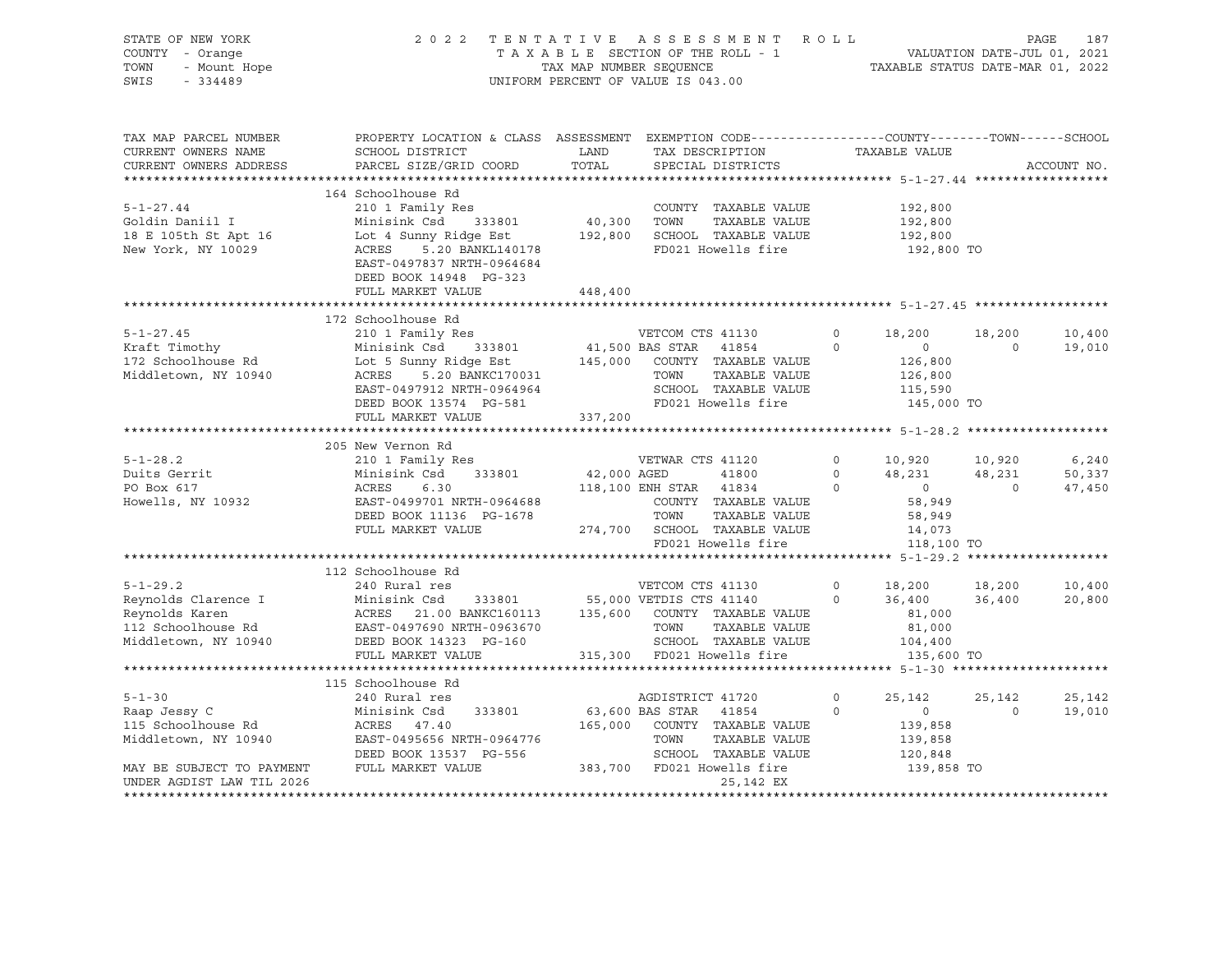| STATE OF NEW YORK<br>COUNTY - Orange<br>TOWN - Mount Hope<br>SWIS - 334489                                                                                                                                                                                                                                                                                                                                                                                                         |                                                                                                                                                                                                                                                              |         | 2022 TENTATIVE ASSESSMENT ROLL PAGE 187<br>TAXABLE SECTION OF THE ROLL - 1 VALUATION DATE-JUL 01, 2021<br>TAX MAP NUMBER SEQUENCE TAXABLE STATUS DATE-MAR 01, 2022<br>UNIFORM PERCENT OF VALUE IS 043.00 |                               |                                 |                  |
|------------------------------------------------------------------------------------------------------------------------------------------------------------------------------------------------------------------------------------------------------------------------------------------------------------------------------------------------------------------------------------------------------------------------------------------------------------------------------------|--------------------------------------------------------------------------------------------------------------------------------------------------------------------------------------------------------------------------------------------------------------|---------|----------------------------------------------------------------------------------------------------------------------------------------------------------------------------------------------------------|-------------------------------|---------------------------------|------------------|
| TAX MAP PARCEL NUMBER<br>CURRENT OWNERS NAME                                                                                                                                                                                                                                                                                                                                                                                                                                       | PROPERTY LOCATION & CLASS ASSESSMENT EXEMPTION CODE----------------COUNTY-------TOWN------SCHOOL<br>SCHOOL DISTRICT                        LAND        TAX DESCRIPTION                  TAXABLE VALUE<br>CURRENT OWNERS ADDRESS PARCEL SIZE/GRID COORD TOTAL |         | SPECIAL DISTRICTS                                                                                                                                                                                        |                               |                                 | ACCOUNT NO.      |
| $5 - 1 - 27.44$<br>5-1-27.44 210 1 Family Res<br>Goldin Daniil I Minisink Csd 333801 40,300 TOWN TAXABLE VALUE 192,800<br>18 E 105th St Apt 16 Lot 4 Sunny Ridge Est 192,800 SCHOOL TAXABLE VALUE 192,800<br>New York, NY 10029 ACRES 5.20 BANKL140178                                                                                                                                                                                                                             | 164 Schoolhouse Rd<br>210 1 Family Res<br>DEED BOOK 14948 PG-323<br>FULL MARKET VALUE                                                                                                                                                                        | 448,400 | COUNTY TAXABLE VALUE                                                                                                                                                                                     | 192,800<br>192,800<br>192,800 |                                 |                  |
|                                                                                                                                                                                                                                                                                                                                                                                                                                                                                    |                                                                                                                                                                                                                                                              |         |                                                                                                                                                                                                          |                               |                                 |                  |
|                                                                                                                                                                                                                                                                                                                                                                                                                                                                                    | 172 Schoolhouse Rd                                                                                                                                                                                                                                           |         |                                                                                                                                                                                                          |                               | 18,200                          | 10,400<br>19,010 |
| 1/2 SCROOLIQUE RAND Minisink Csd 333801 and 18,200 country TAXABLE VALUE 126,800 18,200 18,200 18,200 18,200 18,200 18,200 18,200 18,200 18,200 18,200 18,200 18,200 18,200 18,200 18,200 18,200 18,200 18,200 18,200 18,200 1                                                                                                                                                                                                                                                     | FULL MARKET VALUE                                                                                                                                                                                                                                            | 337,200 |                                                                                                                                                                                                          |                               |                                 |                  |
|                                                                                                                                                                                                                                                                                                                                                                                                                                                                                    |                                                                                                                                                                                                                                                              |         |                                                                                                                                                                                                          |                               |                                 |                  |
|                                                                                                                                                                                                                                                                                                                                                                                                                                                                                    | 205 New Vernon Rd                                                                                                                                                                                                                                            |         |                                                                                                                                                                                                          |                               |                                 |                  |
| $5 - 1 - 28.2$                                                                                                                                                                                                                                                                                                                                                                                                                                                                     |                                                                                                                                                                                                                                                              |         |                                                                                                                                                                                                          |                               |                                 |                  |
|                                                                                                                                                                                                                                                                                                                                                                                                                                                                                    |                                                                                                                                                                                                                                                              |         |                                                                                                                                                                                                          |                               |                                 |                  |
| Duits Gerrit<br>PO Box 617<br>Howells, NY 10932                                                                                                                                                                                                                                                                                                                                                                                                                                    | 205 New Vernon Rd<br>210 1 Family Res<br>210 1 Family Res<br>210 1 Family Res<br>210 1 Family Res<br>210 1 Family Res<br>210 Family Res<br>210 Family Res<br>210 Family Res<br>210 ACRES<br>218,100 ENH STAR<br>218,100 ENH STAR<br>221 48,231 48,231        |         |                                                                                                                                                                                                          |                               |                                 |                  |
|                                                                                                                                                                                                                                                                                                                                                                                                                                                                                    |                                                                                                                                                                                                                                                              |         |                                                                                                                                                                                                          |                               |                                 |                  |
|                                                                                                                                                                                                                                                                                                                                                                                                                                                                                    | 112 Schoolhouse Rd                                                                                                                                                                                                                                           |         |                                                                                                                                                                                                          |                               |                                 |                  |
|                                                                                                                                                                                                                                                                                                                                                                                                                                                                                    |                                                                                                                                                                                                                                                              |         |                                                                                                                                                                                                          |                               |                                 | 10,400<br>20,800 |
|                                                                                                                                                                                                                                                                                                                                                                                                                                                                                    |                                                                                                                                                                                                                                                              |         |                                                                                                                                                                                                          |                               |                                 |                  |
|                                                                                                                                                                                                                                                                                                                                                                                                                                                                                    | 115 Schoolhouse Rd                                                                                                                                                                                                                                           |         |                                                                                                                                                                                                          |                               |                                 |                  |
|                                                                                                                                                                                                                                                                                                                                                                                                                                                                                    |                                                                                                                                                                                                                                                              |         |                                                                                                                                                                                                          |                               | $25,142$<br>0<br>$\overline{0}$ | 25,142<br>19,010 |
| $\begin{tabular}{lllllllllllll} \multicolumn{4}{c }{\textbf{A334801}} & & & & & & & & & & & \\ \multicolumn{4}{c }{\textbf{15 Stopolhouse Rd}} & & & & & & & & & & & \\ \multicolumn{4}{c }{\textbf{15 Stabolhouse Rd}} & & & & & & & & & \\ \multicolumn{4}{c }{\textbf{15 Stabolhouse Rd}} & & & & & & & & \\ \multicolumn{4}{c }{\textbf{15 Stabolhouse Rd}} & & & & & & & & \\ \multicolumn{4}{c }{\textbf{15 Stabolhouse Rd}} & & & & & & & & \\ \multicolumn{4}{c }{\textbf$ |                                                                                                                                                                                                                                                              |         |                                                                                                                                                                                                          |                               |                                 |                  |
| UNDER AGDIST LAW TIL 2026                                                                                                                                                                                                                                                                                                                                                                                                                                                          |                                                                                                                                                                                                                                                              |         | 25,142 EX                                                                                                                                                                                                |                               |                                 |                  |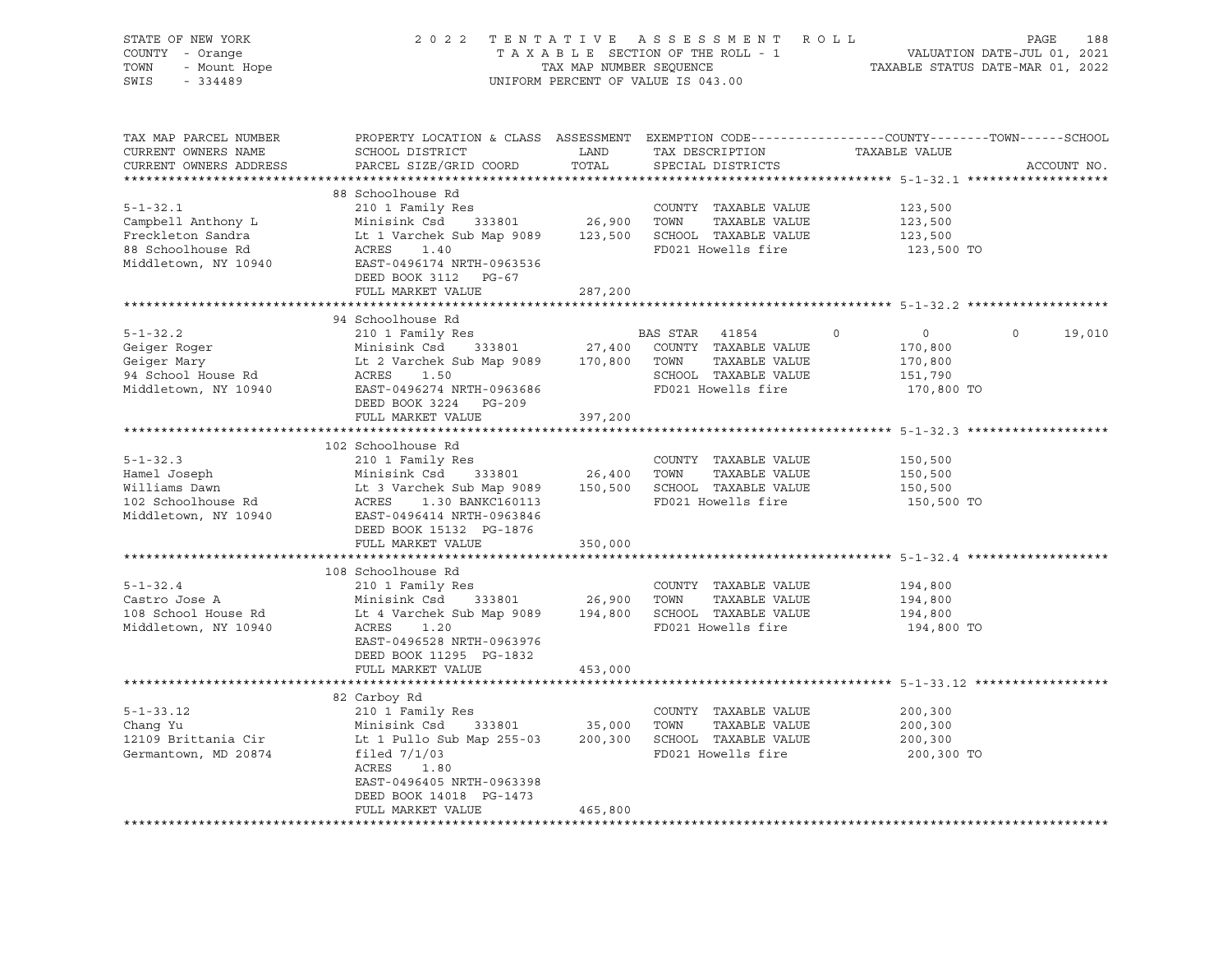| STATE OF NEW YORK      | 2 0 2 2                                                                                   | TENTATIVE                        | A S S E S S M E N T                | R O L L<br>PAGE<br>188                                                                           |  |  |  |
|------------------------|-------------------------------------------------------------------------------------------|----------------------------------|------------------------------------|--------------------------------------------------------------------------------------------------|--|--|--|
| COUNTY - Orange        | TAXABLE SECTION OF THE ROLL - 1<br>VALUATION DATE-JUL 01, 2021<br>TAX MAP NUMBER SEQUENCE |                                  |                                    |                                                                                                  |  |  |  |
| - Mount Hope<br>TOWN   |                                                                                           | TAXABLE STATUS DATE-MAR 01, 2022 |                                    |                                                                                                  |  |  |  |
| SWIS<br>$-334489$      |                                                                                           |                                  | UNIFORM PERCENT OF VALUE IS 043.00 |                                                                                                  |  |  |  |
|                        |                                                                                           |                                  |                                    |                                                                                                  |  |  |  |
|                        |                                                                                           |                                  |                                    |                                                                                                  |  |  |  |
| TAX MAP PARCEL NUMBER  |                                                                                           |                                  |                                    | PROPERTY LOCATION & CLASS ASSESSMENT EXEMPTION CODE----------------COUNTY-------TOWN------SCHOOL |  |  |  |
| CURRENT OWNERS NAME    | SCHOOL DISTRICT                                                                           | LAND                             | TAX DESCRIPTION                    | TAXABLE VALUE                                                                                    |  |  |  |
| CURRENT OWNERS ADDRESS | PARCEL SIZE/GRID COORD                                                                    | TOTAL                            | SPECIAL DISTRICTS                  | ACCOUNT NO.                                                                                      |  |  |  |
|                        |                                                                                           |                                  |                                    |                                                                                                  |  |  |  |
|                        | 88 Schoolhouse Rd                                                                         |                                  |                                    |                                                                                                  |  |  |  |
| $5 - 1 - 32.1$         | 210 1 Family Res                                                                          |                                  | COUNTY TAXABLE VALUE               | 123,500                                                                                          |  |  |  |
| Campbell Anthony L     | Minisink Csd<br>333801                                                                    | 26,900                           | TOWN<br>TAXABLE VALUE              | 123,500                                                                                          |  |  |  |
| Freckleton Sandra      | Lt 1 Varchek Sub Map 9089                                                                 | 123,500                          | SCHOOL TAXABLE VALUE               | 123,500                                                                                          |  |  |  |
| 88 Schoolhouse Rd      | ACRES<br>1.40                                                                             |                                  | FD021 Howells fire                 | 123,500 TO                                                                                       |  |  |  |
| Middletown, NY 10940   | EAST-0496174 NRTH-0963536                                                                 |                                  |                                    |                                                                                                  |  |  |  |
|                        | DEED BOOK 3112 PG-67                                                                      |                                  |                                    |                                                                                                  |  |  |  |
|                        | FULL MARKET VALUE                                                                         | 287,200                          |                                    |                                                                                                  |  |  |  |
|                        | 94 Schoolhouse Rd                                                                         |                                  |                                    |                                                                                                  |  |  |  |
| $5 - 1 - 32.2$         | 210 1 Family Res                                                                          |                                  | BAS STAR<br>41854                  | $\circ$<br>$\Omega$<br>0<br>19,010                                                               |  |  |  |
| Geiger Roger           | Minisink Csd<br>333801                                                                    | 27,400                           | COUNTY TAXABLE VALUE               | 170,800                                                                                          |  |  |  |
| Geiger Mary            | Lt 2 Varchek Sub Map 9089                                                                 | 170,800                          | TOWN<br>TAXABLE VALUE              | 170,800                                                                                          |  |  |  |
| 94 School House Rd     | ACRES<br>1.50                                                                             |                                  | SCHOOL TAXABLE VALUE               | 151,790                                                                                          |  |  |  |
| Middletown, NY 10940   | EAST-0496274 NRTH-0963686                                                                 |                                  | FD021 Howells fire                 | 170,800 TO                                                                                       |  |  |  |
|                        | DEED BOOK 3224<br>PG-209                                                                  |                                  |                                    |                                                                                                  |  |  |  |
|                        | FULL MARKET VALUE                                                                         | 397,200                          |                                    |                                                                                                  |  |  |  |
|                        |                                                                                           | *********                        |                                    | *********** 5-1-32.3 ********                                                                    |  |  |  |
|                        | 102 Schoolhouse Rd                                                                        |                                  |                                    |                                                                                                  |  |  |  |
| $5 - 1 - 32.3$         | 210 1 Family Res                                                                          |                                  | COUNTY TAXABLE VALUE               | 150,500                                                                                          |  |  |  |
| Hamel Joseph           | Minisink Csd<br>333801                                                                    | 26,400                           | TOWN<br>TAXABLE VALUE              | 150,500                                                                                          |  |  |  |
| Williams Dawn          | Lt 3 Varchek Sub Map 9089                                                                 |                                  | 150,500 SCHOOL TAXABLE VALUE       | 150,500                                                                                          |  |  |  |
| 102 Schoolhouse Rd     | ACRES<br>1.30 BANKC160113                                                                 |                                  | FD021 Howells fire                 | 150,500 TO                                                                                       |  |  |  |
| Middletown, NY 10940   | EAST-0496414 NRTH-0963846                                                                 |                                  |                                    |                                                                                                  |  |  |  |
|                        | DEED BOOK 15132 PG-1876                                                                   |                                  |                                    |                                                                                                  |  |  |  |
|                        | FULL MARKET VALUE                                                                         | 350,000                          |                                    |                                                                                                  |  |  |  |
|                        |                                                                                           |                                  |                                    |                                                                                                  |  |  |  |
|                        | 108 Schoolhouse Rd                                                                        |                                  |                                    |                                                                                                  |  |  |  |
| $5 - 1 - 32.4$         | 210 1 Family Res                                                                          |                                  | COUNTY TAXABLE VALUE               | 194,800                                                                                          |  |  |  |
| Castro Jose A          | Minisink Csd<br>333801                                                                    | 26,900                           | TOWN<br>TAXABLE VALUE              | 194,800                                                                                          |  |  |  |
| 108 School House Rd    | Lt 4 Varchek Sub Map 9089                                                                 | 194,800                          | SCHOOL TAXABLE VALUE               | 194,800                                                                                          |  |  |  |
| Middletown, NY 10940   | 1.20<br>ACRES                                                                             |                                  | FD021 Howells fire                 | 194,800 TO                                                                                       |  |  |  |
|                        | EAST-0496528 NRTH-0963976                                                                 |                                  |                                    |                                                                                                  |  |  |  |
|                        | DEED BOOK 11295 PG-1832                                                                   |                                  |                                    |                                                                                                  |  |  |  |
|                        | FULL MARKET VALUE                                                                         | 453,000                          |                                    |                                                                                                  |  |  |  |
|                        |                                                                                           |                                  |                                    |                                                                                                  |  |  |  |
|                        | 82 Carboy Rd                                                                              |                                  |                                    |                                                                                                  |  |  |  |
| $5 - 1 - 33.12$        | 210 1 Family Res                                                                          |                                  | COUNTY TAXABLE VALUE               | 200,300                                                                                          |  |  |  |
| Chang Yu               | 333801<br>Minisink Csd                                                                    | 35,000                           | TOWN<br>TAXABLE VALUE              | 200,300                                                                                          |  |  |  |
| 12109 Brittania Cir    | Lt 1 Pullo Sub Map 255-03                                                                 |                                  | 200,300 SCHOOL TAXABLE VALUE       | 200,300                                                                                          |  |  |  |
| Germantown, MD 20874   | filed $7/1/03$                                                                            |                                  | FD021 Howells fire                 | 200,300 TO                                                                                       |  |  |  |
|                        | ACRES<br>1.80                                                                             |                                  |                                    |                                                                                                  |  |  |  |
|                        | EAST-0496405 NRTH-0963398                                                                 |                                  |                                    |                                                                                                  |  |  |  |
|                        | DEED BOOK 14018 PG-1473<br>FULL MARKET VALUE                                              |                                  |                                    |                                                                                                  |  |  |  |
| ********************   |                                                                                           | 465,800                          |                                    |                                                                                                  |  |  |  |
|                        |                                                                                           |                                  |                                    |                                                                                                  |  |  |  |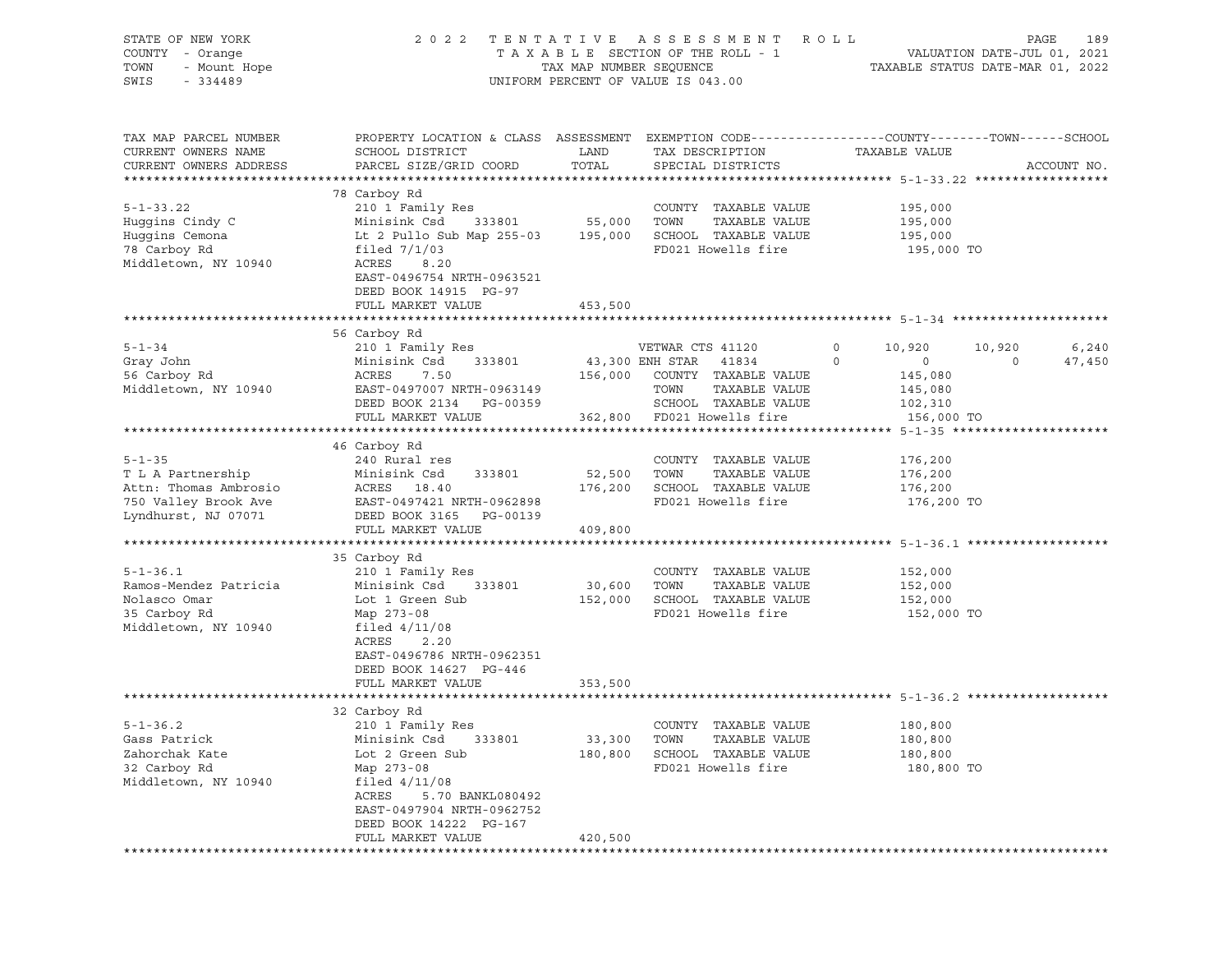| STATE OF NEW YORK<br>COUNTY - Orange<br>TOWN<br>- Mount Hope<br>SWIS<br>$-334489$                         |                                                                                                                                                                                                                          | TAX MAP NUMBER SEQUENCE       | 2022 TENTATIVE ASSESSMENT ROLL<br>TAXABLE SECTION OF THE ROLL - 1<br>UNIFORM PERCENT OF VALUE IS 043.00                                          |                    | TAXABLE STATUS DATE-MAR 01, 2022                          |                       | PAGE<br>189<br>VALUATION DATE-JUL 01, 2021 |
|-----------------------------------------------------------------------------------------------------------|--------------------------------------------------------------------------------------------------------------------------------------------------------------------------------------------------------------------------|-------------------------------|--------------------------------------------------------------------------------------------------------------------------------------------------|--------------------|-----------------------------------------------------------|-----------------------|--------------------------------------------|
| TAX MAP PARCEL NUMBER<br>CURRENT OWNERS NAME<br>CURRENT OWNERS ADDRESS                                    | PROPERTY LOCATION & CLASS ASSESSMENT EXEMPTION CODE----------------COUNTY-------TOWN------SCHOOL<br>SCHOOL DISTRICT<br>PARCEL SIZE/GRID COORD                                                                            | LAND<br>TOTAL                 | TAX DESCRIPTION<br>SPECIAL DISTRICTS                                                                                                             |                    | TAXABLE VALUE                                             |                       | ACCOUNT NO.                                |
| $5 - 1 - 33.22$<br>Huggins Cindy C<br>Huggins Cemona<br>78 Carboy Rd<br>Middletown, NY 10940              | 78 Carboy Rd<br>210 1 Family Res<br>Minisink Csd<br>Lt 2 Pullo Sub Map 255-03 195,000 SCHOOL TAXABLE VALUE<br>filed $7/1/03$<br>ACRES<br>8.20<br>EAST-0496754 NRTH-0963521<br>DEED BOOK 14915 PG-97<br>FULL MARKET VALUE | 333801 55,000 TOWN<br>453,500 | COUNTY TAXABLE VALUE<br>TAXABLE VALUE<br>FD021 Howells fire                                                                                      |                    | 195,000<br>195,000<br>195,000<br>195,000 TO               |                       |                                            |
|                                                                                                           |                                                                                                                                                                                                                          |                               |                                                                                                                                                  |                    |                                                           |                       |                                            |
| $5 - 1 - 34$<br>Gray John<br>56 Carboy Rd<br>Middletown, NY 10940                                         | 56 Carboy Rd<br>210 1 Family Res<br>Minisink Csd<br>333801<br>ACRES<br>7.50<br>EAST-0497007 NRTH-0963149<br>DEED BOOK 2134 PG-00359<br>FULL MARKET VALUE                                                                 | 156,000                       | VETWAR CTS 41120<br>43,300 ENH STAR 41834<br>COUNTY TAXABLE VALUE<br>TOWN<br>TAXABLE VALUE<br>SCHOOL TAXABLE VALUE<br>362,800 FD021 Howells fire | $\circ$<br>$\circ$ | 10,920<br>$\overline{0}$<br>145,080<br>145,080<br>102,310 | 10,920<br>$\mathbf 0$ | 6,240<br>47,450                            |
|                                                                                                           |                                                                                                                                                                                                                          |                               |                                                                                                                                                  |                    | 156,000 TO                                                |                       |                                            |
| $5 - 1 - 35$<br>T L A Partnership<br>Attn: Thomas Ambrosio<br>750 Valley Brook Ave<br>Lyndhurst, NJ 07071 | 46 Carboy Rd<br>240 Rural res<br>Minisink Csd<br>333801<br>ACRES 18.40<br>EAST-0497421 NRTH-0962898<br>DEED BOOK 3165 PG-00139<br>FULL MARKET VALUE                                                                      | 52,500<br>176,200<br>409,800  | COUNTY TAXABLE VALUE<br>TOWN<br>TAXABLE VALUE<br>SCHOOL TAXABLE VALUE<br>FD021 Howells fire                                                      |                    | 176,200<br>176,200<br>176,200<br>176,200 TO               |                       |                                            |
|                                                                                                           |                                                                                                                                                                                                                          |                               |                                                                                                                                                  |                    |                                                           |                       |                                            |
| $5 - 1 - 36.1$<br>Ramos-Mendez Patricia<br>Nolasco Omar<br>35 Carboy Rd<br>Middletown, NY 10940           | 35 Carboy Rd<br>210 1 Family Res<br>Minisink Csd<br>333801<br>Lot 1 Green Sub<br>Map 273-08<br>filed $4/11/08$<br>ACRES<br>2.20<br>EAST-0496786 NRTH-0962351<br>DEED BOOK 14627 PG-446                                   | 30,600<br>152,000             | COUNTY TAXABLE VALUE<br>TOWN<br>TAXABLE VALUE<br>SCHOOL TAXABLE VALUE<br>FD021 Howells fire                                                      |                    | 152,000<br>152,000<br>152,000<br>152,000 TO               |                       |                                            |
|                                                                                                           | FULL MARKET VALUE                                                                                                                                                                                                        | 353,500                       |                                                                                                                                                  |                    |                                                           |                       |                                            |
|                                                                                                           |                                                                                                                                                                                                                          |                               |                                                                                                                                                  |                    |                                                           |                       |                                            |
| $5 - 1 - 36.2$<br>Gass Patrick<br>Zahorchak Kate<br>32 Carboy Rd<br>Middletown, NY 10940                  | 32 Carboy Rd<br>210 1 Family Res<br>Minisink Csd<br>333801<br>Lot 2 Green Sub<br>Map 273-08<br>filed $4/11/08$<br>ACRES<br>5.70 BANKL080492<br>EAST-0497904 NRTH-0962752<br>DEED BOOK 14222 PG-167                       | 33,300<br>180,800             | COUNTY TAXABLE VALUE<br>TOWN<br>TAXABLE VALUE<br>SCHOOL TAXABLE VALUE<br>FD021 Howells fire                                                      |                    | 180,800<br>180,800<br>180,800<br>180,800 TO               |                       |                                            |
|                                                                                                           | FULL MARKET VALUE                                                                                                                                                                                                        | 420,500                       |                                                                                                                                                  |                    |                                                           |                       |                                            |
|                                                                                                           |                                                                                                                                                                                                                          |                               |                                                                                                                                                  |                    |                                                           |                       |                                            |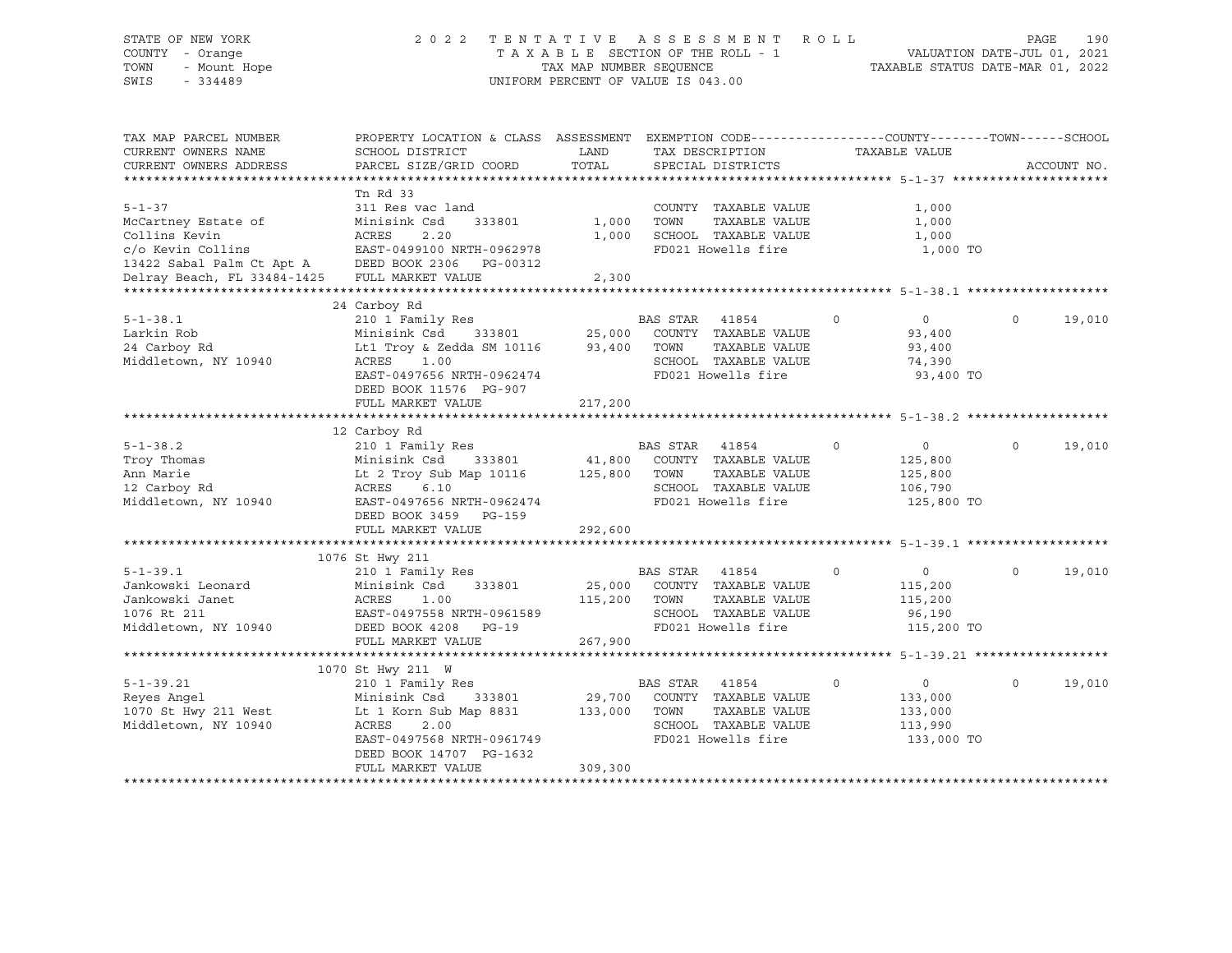# STATE OF NEW YORK 2 0 2 2 T E N T A T I V E A S S E S S M E N T R O L L PAGE 190 COUNTY - Orange T A X A B L E SECTION OF THE ROLL - 1 VALUATION DATE-JUL 01, 2021 TOWN - Mount Hope TAX MAP NUMBER SEQUENCE TAXABLE STATUS DATE-MAR 01, 2022 SWIS - 334489 UNIFORM PERCENT OF VALUE IS 043.00

| TAX MAP PARCEL NUMBER<br>CURRENT OWNERS NAME<br>CURRENT OWNERS ADDRESS | PROPERTY LOCATION & CLASS ASSESSMENT<br>SCHOOL DISTRICT<br>PARCEL SIZE/GRID COORD | LAND<br>TOTAL |                | EXEMPTION CODE-----------------COUNTY--------TOWN------SCHOOL<br>TAX DESCRIPTION<br>SPECIAL DISTRICTS | TAXABLE VALUE |                |          | ACCOUNT NO. |
|------------------------------------------------------------------------|-----------------------------------------------------------------------------------|---------------|----------------|-------------------------------------------------------------------------------------------------------|---------------|----------------|----------|-------------|
|                                                                        |                                                                                   |               |                |                                                                                                       |               |                |          |             |
| $5 - 1 - 37$                                                           | Tn Rd 33<br>311 Res vac land                                                      |               |                | COUNTY TAXABLE VALUE                                                                                  |               | 1,000          |          |             |
| McCartney Estate of                                                    | Minisink Csd<br>333801                                                            | 1,000         | TOWN           | TAXABLE VALUE                                                                                         |               | 1,000          |          |             |
| Collins Kevin                                                          | ACRES<br>2.20                                                                     | 1,000         |                | SCHOOL TAXABLE VALUE                                                                                  |               | 1,000          |          |             |
| c/o Kevin Collins                                                      | EAST-0499100 NRTH-0962978                                                         |               |                | FD021 Howells fire                                                                                    |               | 1,000 TO       |          |             |
| 13422 Sabal Palm Ct Apt A DEED BOOK 2306 PG-00312                      |                                                                                   |               |                |                                                                                                       |               |                |          |             |
| Delray Beach, FL 33484-1425 FULL MARKET VALUE                          |                                                                                   | 2,300         |                |                                                                                                       |               |                |          |             |
|                                                                        |                                                                                   |               |                |                                                                                                       |               |                |          |             |
|                                                                        | 24 Carboy Rd                                                                      |               |                |                                                                                                       |               |                |          |             |
| $5 - 1 - 38.1$                                                         | 210 1 Family Res                                                                  |               | BAS STAR 41854 |                                                                                                       | $\circ$       | $\overline{0}$ | $\Omega$ | 19,010      |
| Larkin Rob                                                             | 333801<br>Minisink Csd                                                            | 25,000        |                | COUNTY TAXABLE VALUE                                                                                  |               |                |          |             |
|                                                                        |                                                                                   |               |                |                                                                                                       |               | 93,400         |          |             |
| 24 Carboy Rd                                                           | Lt1 Troy & Zedda SM 10116                                                         | 93,400        | TOWN           | TAXABLE VALUE                                                                                         |               | 93,400         |          |             |
| Middletown, NY 10940                                                   | ACRES<br>1.00                                                                     |               |                | SCHOOL TAXABLE VALUE                                                                                  |               | 74,390         |          |             |
|                                                                        | EAST-0497656 NRTH-0962474                                                         |               |                | FD021 Howells fire                                                                                    |               | 93,400 TO      |          |             |
|                                                                        | DEED BOOK 11576 PG-907                                                            |               |                |                                                                                                       |               |                |          |             |
|                                                                        | FULL MARKET VALUE                                                                 | 217,200       |                |                                                                                                       |               |                |          |             |
|                                                                        |                                                                                   |               |                |                                                                                                       |               |                |          |             |
|                                                                        | 12 Carboy Rd                                                                      |               |                |                                                                                                       |               |                |          |             |
| $5 - 1 - 38.2$                                                         | 210 1 Family Res                                                                  |               | BAS STAR 41854 |                                                                                                       | $\circ$       | $\overline{0}$ | $\Omega$ | 19,010      |
| Troy Thomas                                                            | Minisink Csd 333801                                                               | 41,800        |                | COUNTY TAXABLE VALUE                                                                                  |               | 125,800        |          |             |
| Ann Marie                                                              | Lt 2 Troy Sub Map 10116 125,800                                                   |               | TOWN           | TAXABLE VALUE                                                                                         |               | 125,800        |          |             |
| 12 Carboy Rd                                                           | ACRES<br>6.10                                                                     |               |                | SCHOOL TAXABLE VALUE                                                                                  |               | 106,790        |          |             |
| Middletown, NY 10940                                                   | EAST-0497656 NRTH-0962474                                                         |               |                | FD021 Howells fire                                                                                    |               | 125,800 TO     |          |             |
|                                                                        | DEED BOOK 3459 PG-159                                                             |               |                |                                                                                                       |               |                |          |             |
|                                                                        |                                                                                   |               |                |                                                                                                       |               |                |          |             |
|                                                                        | FULL MARKET VALUE                                                                 | 292,600       |                |                                                                                                       |               |                |          |             |
|                                                                        |                                                                                   |               |                |                                                                                                       |               |                |          |             |
|                                                                        | 1076 St Hwy 211                                                                   |               |                |                                                                                                       |               |                |          |             |
| $5 - 1 - 39.1$                                                         | 210 1 Family Res                                                                  |               | BAS STAR       | $\sim$ 0<br>41854                                                                                     |               | $\overline{0}$ | $\Omega$ | 19,010      |
| Jankowski Leonard                                                      | Minisink Csd<br>333801                                                            |               |                | 25,000 COUNTY TAXABLE VALUE                                                                           |               | 115,200        |          |             |
| Jankowski Janet                                                        | ACRES<br>1.00                                                                     | 115,200       | TOWN           | TAXABLE VALUE                                                                                         |               | 115,200        |          |             |
| 1076 Rt 211                                                            | EAST-0497558 NRTH-0961589                                                         |               |                | SCHOOL TAXABLE VALUE                                                                                  |               | 96,190         |          |             |
| Middletown, NY 10940                                                   | DEED BOOK 4208 PG-19                                                              |               |                | FD021 Howells fire                                                                                    |               | 115,200 TO     |          |             |
|                                                                        | FULL MARKET VALUE                                                                 | 267,900       |                |                                                                                                       |               |                |          |             |
|                                                                        |                                                                                   |               |                |                                                                                                       |               |                |          |             |
|                                                                        | 1070 St Hwy 211 W                                                                 |               |                |                                                                                                       |               |                |          |             |
| $5 - 1 - 39.21$                                                        | 210 1 Family Res                                                                  |               | BAS STAR 41854 |                                                                                                       | $\mathbf 0$   | 0              | $\circ$  | 19,010      |
|                                                                        |                                                                                   | 29,700        |                | COUNTY TAXABLE VALUE                                                                                  |               |                |          |             |
| Reyes Angel                                                            | Minisink Csd<br>333801                                                            |               |                |                                                                                                       |               | 133,000        |          |             |
| 1070 St Hwy 211 West                                                   | Lt 1 Korn Sub Map 8831 133,000                                                    |               | TOWN           | TAXABLE VALUE                                                                                         |               | 133,000        |          |             |
| Middletown, NY 10940                                                   | ACRES<br>2.00                                                                     |               |                | SCHOOL TAXABLE VALUE                                                                                  |               | 113,990        |          |             |
|                                                                        | EAST-0497568 NRTH-0961749                                                         |               |                | FD021 Howells fire                                                                                    |               | 133,000 TO     |          |             |
|                                                                        | DEED BOOK 14707 PG-1632                                                           |               |                |                                                                                                       |               |                |          |             |
|                                                                        | FULL MARKET VALUE                                                                 | 309,300       |                |                                                                                                       |               |                |          |             |
|                                                                        |                                                                                   |               |                |                                                                                                       |               |                |          |             |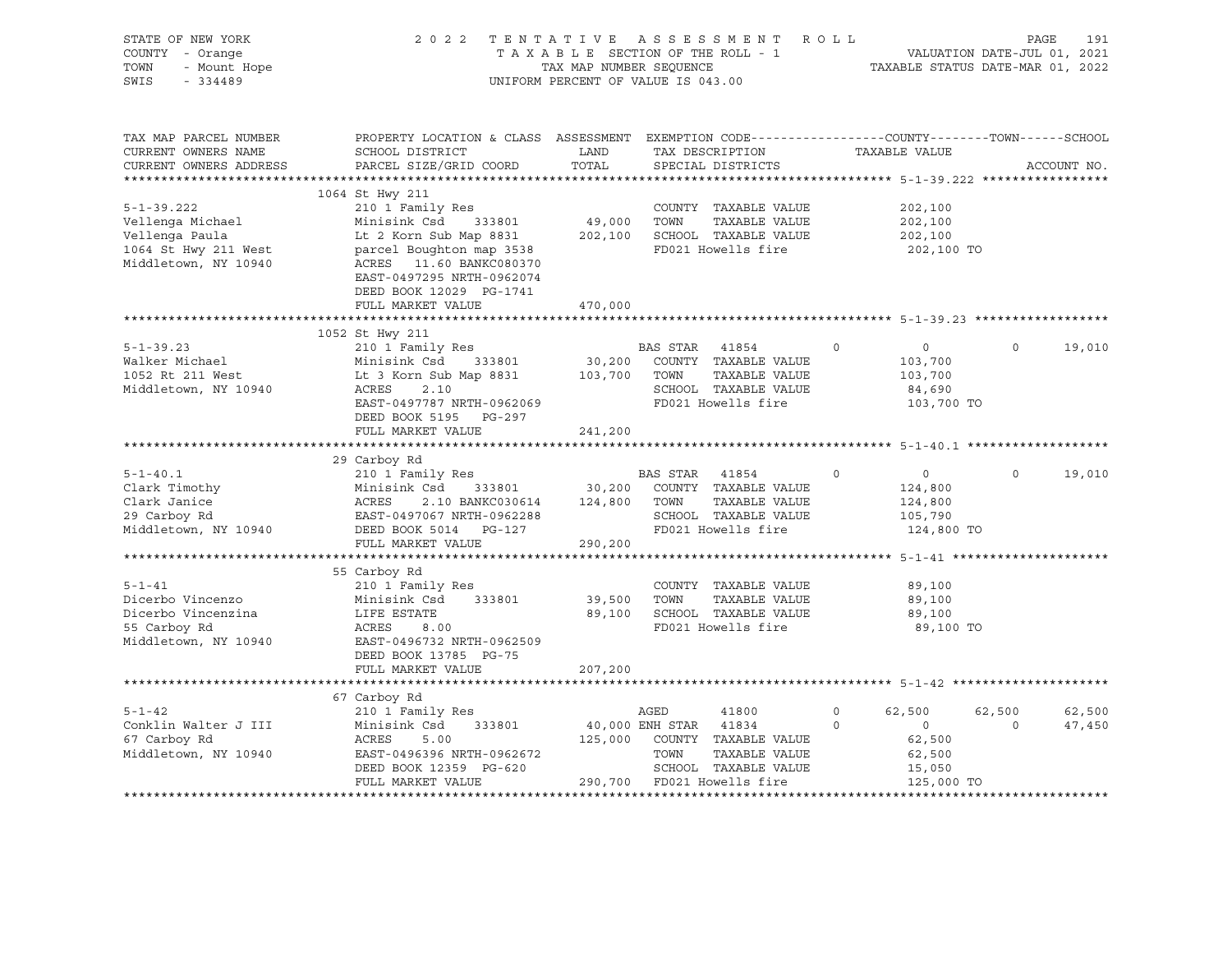| STATE OF NEW YORK<br>COUNTY - Orange<br>- Orange<br>- Mount Hope<br>TOWN<br>SWIS<br>$-334489$          | 2022 TENTATIVE ASSESSMENT ROLL                                                                                                                                                                                              |                   | UNIFORM PERCENT OF VALUE IS 043.00                                  |                                                                                     |                         |                                                                                             | PAGE               | 191              |
|--------------------------------------------------------------------------------------------------------|-----------------------------------------------------------------------------------------------------------------------------------------------------------------------------------------------------------------------------|-------------------|---------------------------------------------------------------------|-------------------------------------------------------------------------------------|-------------------------|---------------------------------------------------------------------------------------------|--------------------|------------------|
| TAX MAP PARCEL NUMBER<br>CURRENT OWNERS NAME<br>CURRENT OWNERS ADDRESS                                 | PROPERTY LOCATION & CLASS ASSESSMENT EXEMPTION CODE---------------COUNTY-------TOWN------SCHOOL<br>SCHOOL DISTRICT<br>PARCEL SIZE/GRID COORD                                                                                | LAND<br>TOTAL     | TAX DESCRIPTION<br>SPECIAL DISTRICTS                                |                                                                                     |                         | TAXABLE VALUE                                                                               |                    | ACCOUNT NO.      |
| $5 - 1 - 39.222$<br>Vellenga Michael<br>Vellenga Paula<br>1064 St Hwy 211 West<br>Middletown, NY 10940 | 1064 St Hwy 211<br>210 1 Family Res<br>Minisink Csd<br>333801<br>Lt 2 Korn Sub Map 8831<br>parcel Boughton map 3538<br>ACRES 11.60 BANKC080370<br>EAST-0497295 NRTH-0962074<br>DEED BOOK 12029 PG-1741<br>FULL MARKET VALUE | 49,000<br>470,000 | TOWN<br>202,100 SCHOOL TAXABLE VALUE                                | COUNTY TAXABLE VALUE<br>TAXABLE VALUE<br>FD021 Howells fire                         |                         | 202,100<br>202,100<br>202,100<br>202,100 TO                                                 |                    |                  |
|                                                                                                        |                                                                                                                                                                                                                             |                   |                                                                     |                                                                                     |                         |                                                                                             |                    |                  |
| $5 - 1 - 39.23$<br>Walker Michael<br>1052 Rt 211 West<br>Middletown, NY 10940                          | 1052 St Hwy 211<br>210 1 Family Res<br>Minisink Csd<br>333801<br>Lt 3 Korn Sub Map 8831<br>ACRES<br>2.10<br>EAST-0497787 NRTH-0962069                                                                                       | 103,700 TOWN      | BAS STAR 41854<br>30,200 COUNTY TAXABLE VALUE<br>FD021 Howells fire | TAXABLE VALUE<br>SCHOOL TAXABLE VALUE                                               | $\circ$                 | $\overline{0}$<br>103,700<br>103,700<br>84,690<br>103,700 TO                                | $\Omega$           | 19,010           |
|                                                                                                        | DEED BOOK 5195 PG-297<br>FULL MARKET VALUE                                                                                                                                                                                  | 241,200           |                                                                     |                                                                                     |                         |                                                                                             |                    |                  |
|                                                                                                        |                                                                                                                                                                                                                             |                   |                                                                     |                                                                                     |                         |                                                                                             |                    |                  |
| $5 - 1 - 40.1$<br>Clark Timothy<br>Clark Janice<br>29 Carbov Rd<br>Middletown, NY 10940                | 29 Carboy Rd<br>210 1 Family Res<br>--<br>Minisink Csd 333801<br>ACRES 2.10 BANKC030614<br>EAST-0497067 NRTH-0962288<br>333801 30,200<br>2.10 BANKC030614 124,800<br>DEED BOOK 5014 PG-127                                  |                   | BAS STAR 41854<br>TOWN<br>FD021 Howells fire                        | COUNTY TAXABLE VALUE<br>TAXABLE VALUE<br>SCHOOL TAXABLE VALUE                       | $\circ$                 | $\overline{0}$<br>124,800<br>124,800<br>105,790<br>124,800 TO                               | $\Omega$           | 19,010           |
|                                                                                                        | FULL MARKET VALUE                                                                                                                                                                                                           | 290,200           |                                                                     |                                                                                     |                         |                                                                                             |                    |                  |
| $5 - 1 - 41$<br>Dicerbo Vincenzo<br>Dicerbo Vincenzina<br>55 Carboy Rd<br>Middletown, NY 10940         | 55 Carboy Rd<br>210 1 Family Res<br>Minisink Csd<br>333801<br>LIFE ESTATE<br>ACRES<br>8.00<br>EAST-0496732 NRTH-0962509<br>DEED BOOK 13785 PG-75                                                                            | 39,500<br>89,100  | TOWN                                                                | COUNTY TAXABLE VALUE<br>TAXABLE VALUE<br>SCHOOL TAXABLE VALUE<br>FD021 Howells fire |                         | 89,100<br>89,100<br>89,100<br>89,100 TO                                                     |                    |                  |
|                                                                                                        | FULL MARKET VALUE                                                                                                                                                                                                           | 207,200           |                                                                     |                                                                                     |                         |                                                                                             |                    |                  |
|                                                                                                        | 67 Carboy Rd                                                                                                                                                                                                                |                   |                                                                     |                                                                                     |                         |                                                                                             |                    |                  |
| $5 - 1 - 42$<br>Conklin Walter J III<br>67 Carboy Rd<br>Middletown, NY 10940                           | 210 1 Family Res<br>Minisink Csd<br>333801<br>ACRES<br>5.00<br>EAST-0496396 NRTH-0962672<br>DEED BOOK 12359 PG-620<br>FULL MARKET VALUE                                                                                     |                   | AGED<br>40,000 ENH STAR 41834<br>TOWN<br>290,700 FD021 Howells fire | 41800<br>125,000 COUNTY TAXABLE VALUE<br>TAXABLE VALUE<br>SCHOOL TAXABLE VALUE      | $\mathbf 0$<br>$\Omega$ | 62,500<br>$\overline{0}$<br>62,500<br>62,500<br>15,050<br>125,000 TO<br>******************* | 62,500<br>$\Omega$ | 62,500<br>47,450 |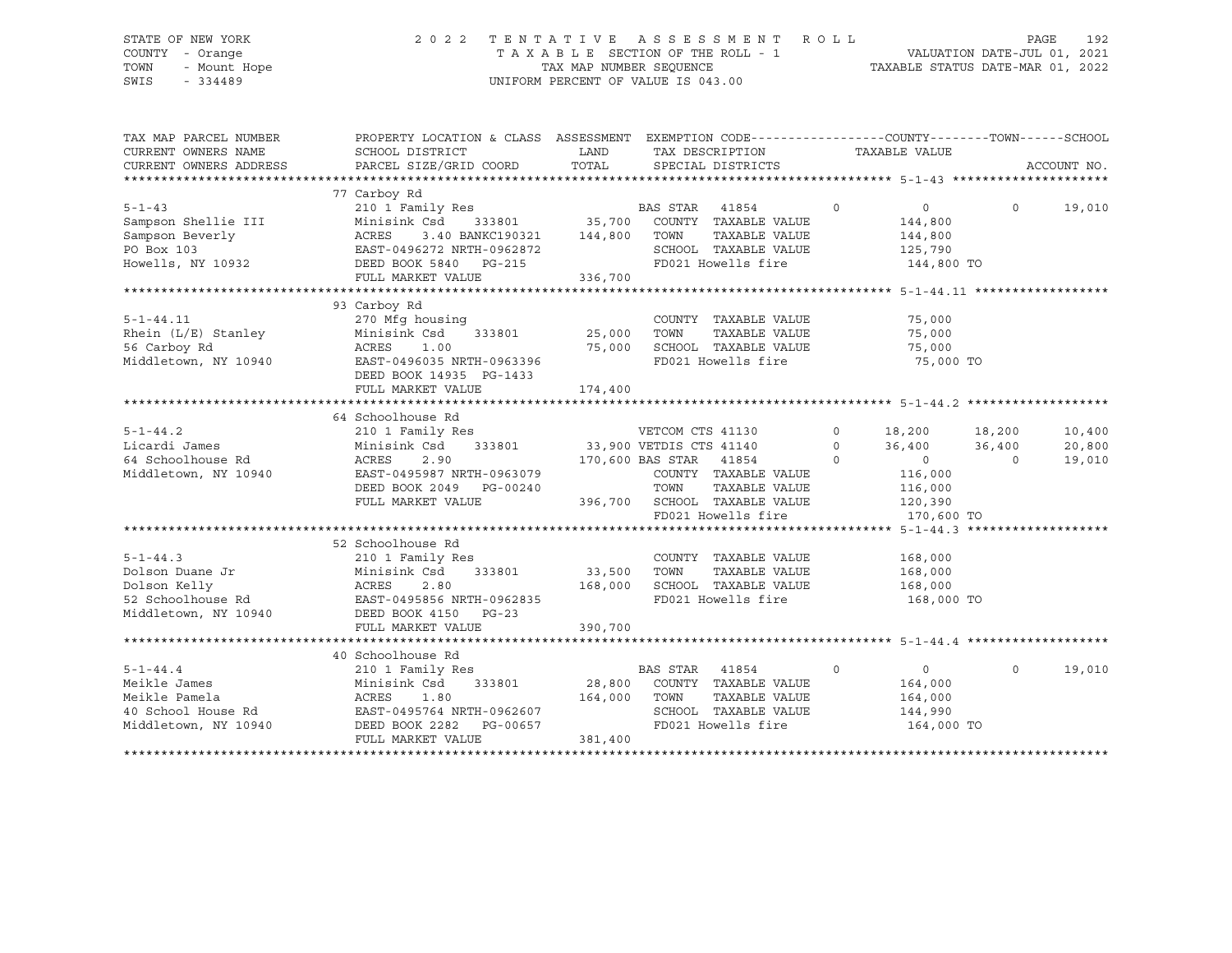# STATE OF NEW YORK 2 0 2 2 T E N T A T I V E A S S E S S M E N T R O L L PAGE 192 COUNTY - Orange T A X A B L E SECTION OF THE ROLL - 1 VALUATION DATE-JUL 01, 2021 TOWN - Mount Hope TAX MAP NUMBER SEQUENCE TAXABLE STATUS DATE-MAR 01, 2022 SWIS - 334489 UNIFORM PERCENT OF VALUE IS 043.00

| TAX MAP PARCEL NUMBER<br>CURRENT OWNERS NAME<br>CURRENT OWNERS ADDRESS                    | PROPERTY LOCATION & CLASS ASSESSMENT EXEMPTION CODE---------------COUNTY-------TOWN-----SCHOOL<br>SCHOOL DISTRICT<br>PARCEL SIZE/GRID COORD                                      | LAND<br>TOTAL                     | TAX DESCRIPTION<br>SPECIAL DISTRICTS                                                                                                                                 | TAXABLE VALUE                                                                                                         | ACCOUNT NO.                                                |
|-------------------------------------------------------------------------------------------|----------------------------------------------------------------------------------------------------------------------------------------------------------------------------------|-----------------------------------|----------------------------------------------------------------------------------------------------------------------------------------------------------------------|-----------------------------------------------------------------------------------------------------------------------|------------------------------------------------------------|
| $5 - 1 - 43$<br>Sampson Shellie III<br>Sampson Beverly<br>PO Box 103<br>Howells, NY 10932 | 77 Carboy Rd<br>210 1 Family Res<br>Minisink Csd<br>DEED BOOK 5840 PG-215<br>FULL MARKET VALUE                                                                                   | 144,800<br>336,700                | BAS STAR 41854<br>333801 35,700 COUNTY TAXABLE VALUE<br>TOWN<br>TAXABLE VALUE<br>SCHOOL TAXABLE VALUE<br>FD021 Howells fire                                          | $\circ$<br>$\Omega$<br>144,800<br>144,800<br>125,790<br>144,800 TO                                                    | $\Omega$<br>19,010                                         |
| $5 - 1 - 44.11$<br>Rhein $(L/E)$ Stanley<br>56 Carboy Rd<br>Middletown, NY 10940          | 93 Carboy Rd<br>270 Mfg housing<br>333801 25,000<br>Minisink Csd<br>$2.00$<br>EAST-0496035 NRTH-0963396<br>DEED ROOK 14005<br>DEED BOOK 14935 PG-1433<br>FULL MARKET VALUE       | 174,400                           | COUNTY TAXABLE VALUE<br>TOWN<br>TAXABLE VALUE<br>SCHOOL TAXABLE VALUE<br>FD021 Howells fire                                                                          | 75,000<br>75,000<br>75,000<br>75,000 TO                                                                               |                                                            |
| $5 - 1 - 44.2$<br>Licardi James<br>64 Schoolhouse Rd<br>Middletown, NY 10940              | 64 Schoolhouse Rd<br>210 1 Family Res<br>Minisink Csd<br>ACRES<br>2.90<br>EAST-0495987 NRTH-0963079<br>DEED BOOK 2049 PG-00240<br>FULL MARKET VALUE                              |                                   | s<br>333801 33,900 VETDIS CTS 41140<br>170,600 BAS STAR 41854<br>COUNTY TAXABLE VALUE<br>TOWN<br>TAXABLE VALUE<br>396,700 SCHOOL TAXABLE VALUE<br>FD021 Howells fire | $\circ$<br>18,200<br>$\Omega$<br>36,400<br>$\Omega$<br>$\overline{0}$<br>116,000<br>116,000<br>120, 390<br>170,600 TO | 18,200<br>10,400<br>36,400<br>20,800<br>$\Omega$<br>19,010 |
| $5 - 1 - 44.3$<br>Dolson Duane Jr                                                         | 52 Schoolhouse Rd<br>210 1 Family Res<br>Minisink Csd<br>333801<br>FULL MARKET VALUE                                                                                             | 33,500 TOWN<br>168,000<br>390,700 | COUNTY TAXABLE VALUE<br>TAXABLE VALUE<br>SCHOOL TAXABLE VALUE<br>FD021 Howells fire                                                                                  | 168,000<br>168,000<br>168,000<br>168,000 TO                                                                           |                                                            |
| $5 - 1 - 44.4$<br>Meikle James<br>Meikle Pamela<br>Middletown, NY 10940                   | 40 Schoolhouse Rd<br>210 1 Family Res<br>Minisink Csd<br>333801<br>ACRES<br>1.80<br>40 School House Rd EAST-0495764 NRTH-0962607<br>DEED BOOK 2282 PG-00657<br>FULL MARKET VALUE | 164,000<br>381,400                | BAS STAR<br>41854<br>28,800 COUNTY TAXABLE VALUE<br>TOWN<br>TAXABLE VALUE<br>SCHOOL TAXABLE VALUE<br>FD021 Howells fire                                              | $\circ$<br>$\overline{0}$<br>164,000<br>164,000<br>144,990<br>164,000 TO                                              | $\Omega$<br>19,010                                         |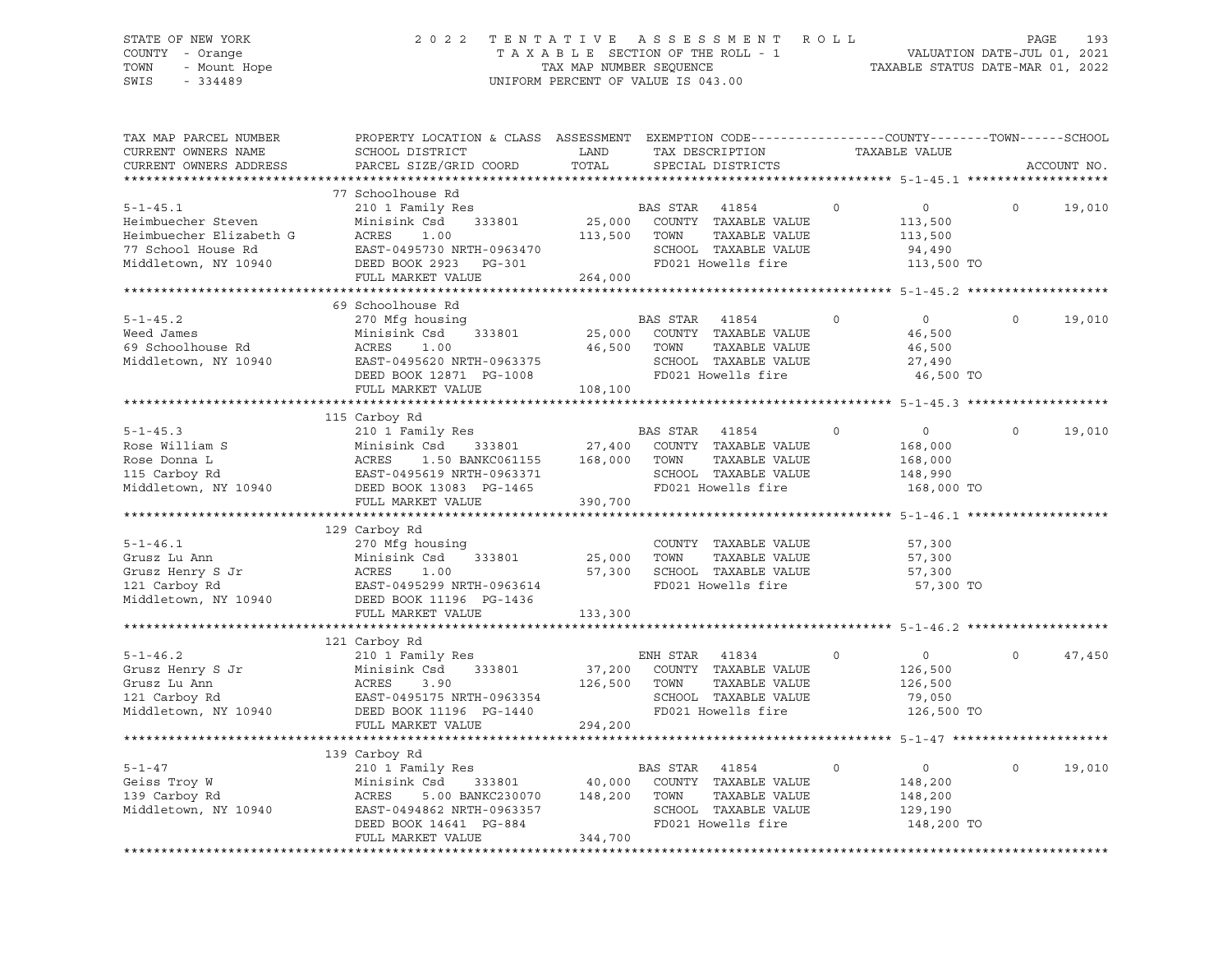# STATE OF NEW YORK 2 0 2 2 T E N T A T I V E A S S E S S M E N T R O L L PAGE 193 COUNTY - Orange T A X A B L E SECTION OF THE ROLL - 1 VALUATION DATE-JUL 01, 2021 TOWN - Mount Hope TAX MAP NUMBER SEQUENCE TAXABLE STATUS DATE-MAR 01, 2022 SWIS - 334489 UNIFORM PERCENT OF VALUE IS 043.00

| TAX MAP PARCEL NUMBER<br>CURRENT OWNERS NAME<br>CURRENT OWNERS ADDRESS                        | PROPERTY LOCATION & CLASS ASSESSMENT EXEMPTION CODE---------------COUNTY-------TOWN-----SCHOOL<br>SCHOOL DISTRICT<br>PARCEL SIZE/GRID COORD                                                                                                                                                                                                                       | LAND<br>TOTAL           | TAX DESCRIPTION<br>SPECIAL DISTRICTS                                                                            |               |          | TAXABLE VALUE                                                 |          | ACCOUNT NO. |
|-----------------------------------------------------------------------------------------------|-------------------------------------------------------------------------------------------------------------------------------------------------------------------------------------------------------------------------------------------------------------------------------------------------------------------------------------------------------------------|-------------------------|-----------------------------------------------------------------------------------------------------------------|---------------|----------|---------------------------------------------------------------|----------|-------------|
| ************************                                                                      |                                                                                                                                                                                                                                                                                                                                                                   |                         |                                                                                                                 |               |          |                                                               |          |             |
|                                                                                               | 77 Schoolhouse Rd                                                                                                                                                                                                                                                                                                                                                 |                         |                                                                                                                 |               |          |                                                               |          |             |
| $5 - 1 - 45.1$                                                                                | Heimbuecher Steven<br>Heimbuecher Elizabeth G<br>77 School House Rd<br>Middletown, NY 10940<br>Heimbuecher Bizabeth G<br>EAST-0495730 NRTH-0963470<br>DEED BOOK 2923 PG-301<br>PHIT MADVER WALLER WARD WALK                                                                                                                                                       | 113,500 TOWN            | SCHOOL TAXABLE VALUE<br>FD021 Howells fire                                                                      | TAXABLE VALUE | $\circ$  | $\overline{0}$<br>113,500<br>113,500<br>94,490<br>113,500 TO  | $\Omega$ | 19,010      |
|                                                                                               | FULL MARKET VALUE                                                                                                                                                                                                                                                                                                                                                 | 264,000                 |                                                                                                                 |               |          |                                                               |          |             |
|                                                                                               |                                                                                                                                                                                                                                                                                                                                                                   |                         |                                                                                                                 |               |          |                                                               |          |             |
|                                                                                               | 69 Schoolhouse Rd                                                                                                                                                                                                                                                                                                                                                 |                         |                                                                                                                 |               |          |                                                               |          |             |
| $5 - 1 - 45.2$<br>Weed James Minisi<br>69 Schoolhouse Rd ACRES<br>Middletown, NY 10940 EAST-0 | 270 Mfg housing<br>Minisink Csd 333801 25,000 COUNTY TAXABLE VALUE<br>Minisink Csd 333801 25,000 COUNTY TAXABLE VALUE<br>RCRES 1.00 46,500 TOWN TAXABLE VALUE<br>REST-0495620 NRTH-0963375 SCHOOL TAXABLE VALUE<br>DEED BOOK 12871 PG-1008 PD021 Howells                                                                                                          |                         | BAS STAR 41854<br>SCHOOL TAXABLE VALUE<br>FD021 Howells fire                                                    | TAXABLE VALUE | $\Omega$ | $\bigcirc$<br>46,500<br>46,500<br>27,490<br>46,500 TO         |          | 19,010      |
|                                                                                               |                                                                                                                                                                                                                                                                                                                                                                   |                         |                                                                                                                 |               |          |                                                               |          |             |
|                                                                                               |                                                                                                                                                                                                                                                                                                                                                                   |                         |                                                                                                                 |               |          |                                                               |          |             |
| $5 - 1 - 45.3$                                                                                | 115 Carboy Rd<br>210 1 Family Res<br>Minisink Csd 333801 27,400 COUNTY TAXABLE VALUE<br>EXAMPLE POSE WILLIAM S<br>Rose William S<br>Rose Donna L<br>Rose Donna L<br>Rose Donna L<br>ACRES<br>27,400 COUNTY TAXABLE VALUE<br>ROSE DONNA LACRES<br>27,400 COUNTY TAXABLE VALUE<br>TAXABLE VALUE<br>SCHOOL TAXABLE VALUE<br>Middletown, NY 1094<br>FULL MARKET VALUE | 390,700                 | BAS STAR 41854                                                                                                  |               | $\circ$  | $\overline{0}$<br>168,000<br>168,000<br>148,990<br>168,000 TO | $\Omega$ | 19,010      |
|                                                                                               |                                                                                                                                                                                                                                                                                                                                                                   |                         |                                                                                                                 |               |          |                                                               |          |             |
| $5 - 1 - 46.1$                                                                                | 129 Carboy Rd<br>270 Mfg housing<br>Grusz Lu Ann<br>Grusz Henry S Jr<br>121 Carboy Rd 121 Carboy Rd 122 Carboy Rd 2011<br>Middletown, NY 10940 DEED BOOK 11196 PG-1436                                                                                                                                                                                            | 25,000 TOWN             | COUNTY TAXABLE VALUE<br>vADUE<br>Z5,000 TOWN TAXABLE VALUE<br>57,300 SCHOOL TAXABLE VALUE<br>FD021 Howells find |               |          | 57,300<br>57,300<br>57,300<br>57,300 TO                       |          |             |
|                                                                                               | FULL MARKET VALUE                                                                                                                                                                                                                                                                                                                                                 | 133,300                 |                                                                                                                 |               |          |                                                               |          |             |
|                                                                                               |                                                                                                                                                                                                                                                                                                                                                                   |                         |                                                                                                                 |               |          |                                                               |          |             |
| $5 - 1 - 46.2$<br>Middletown, NY 10940                                                        | 121 Carboy Rd<br>210 1 Family Res<br>9-1-46.2<br>Grusz Henry S Jr Minisink Csd 333801<br>Grusz Lu Ann ACRES 3.90<br>121 Carboy Rd EAST-0495175 NRTH-0963354<br>DEED BOOK 11196 PG-1440<br>FULL MARKET VALUE                                                                                                                                                       | 126,500 TOWN<br>294,200 | ENH STAR 41834 0<br>37,200 COUNTY TAXABLE VALUE<br>SCHOOL TAXABLE VALUE<br>FD021 Howells fire                   | TAXABLE VALUE |          | $\overline{0}$<br>126,500<br>126,500<br>79,050<br>126,500 TO  | $\Omega$ | 47,450      |
|                                                                                               |                                                                                                                                                                                                                                                                                                                                                                   |                         |                                                                                                                 |               |          |                                                               |          |             |
| $5 - 1 - 47$<br>Geiss Troy W<br>139 Carboy Rd<br>139 Carboy Rd<br>Middletown, NY 10940        | 139 Carboy Rd<br>210 1 Family Res<br>Cari<br>210<br>Minis<br>ACRES<br>EAST<br>Minisink Csd<br>EAST-0494862 NRTH-0963357<br>DEED BOOK 14641 PG-884<br>FULL MARKET VALUE                                                                                                                                                                                            | 344,700                 | BAS STAR 41854<br>SCHOOL TAXABLE VALUE<br>FD021 Howells fire                                                    | TAXABLE VALUE | $\Omega$ | $\overline{0}$<br>148,200<br>148,200<br>129,190<br>148,200 TO | $\Omega$ | 19,010      |
|                                                                                               |                                                                                                                                                                                                                                                                                                                                                                   |                         |                                                                                                                 |               |          |                                                               |          |             |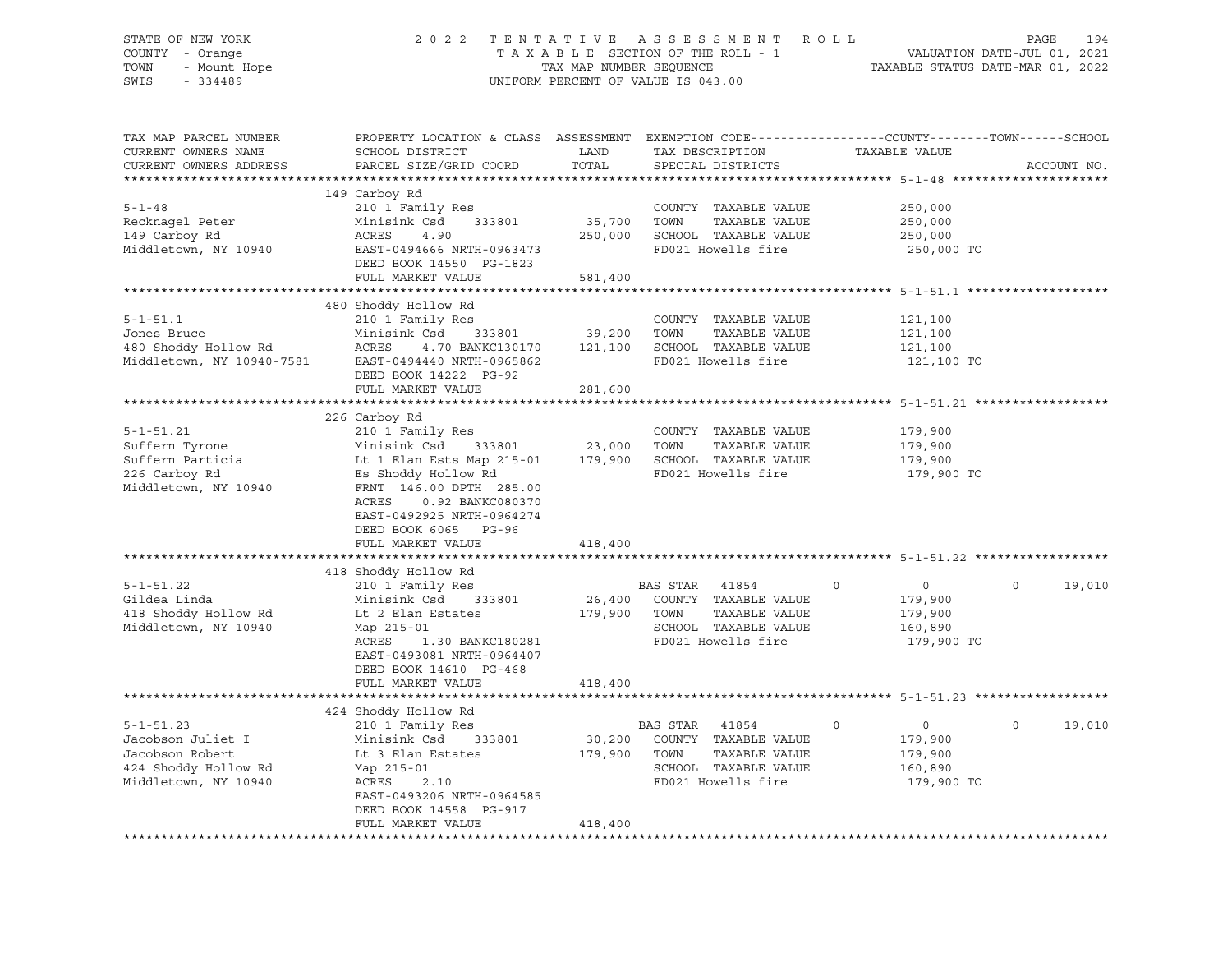# STATE OF NEW YORK 2 0 2 2 T E N T A T I V E A S S E S S M E N T R O L L PAGE 194 COUNTY - Orange T A X A B L E SECTION OF THE ROLL - 1 VALUATION DATE-JUL 01, 2021 TOWN - Mount Hope TAX MAP NUMBER SEQUENCE TAXABLE STATUS DATE-MAR 01, 2022 SWIS - 334489 UNIFORM PERCENT OF VALUE IS 043.00

| TAX MAP PARCEL NUMBER     | PROPERTY LOCATION & CLASS ASSESSMENT EXEMPTION CODE----------------COUNTY-------TOWN-----SCHOOL |         |                       |                            |                       |
|---------------------------|-------------------------------------------------------------------------------------------------|---------|-----------------------|----------------------------|-----------------------|
| CURRENT OWNERS NAME       | SCHOOL DISTRICT                                                                                 | LAND    | TAX DESCRIPTION       | TAXABLE VALUE              |                       |
| CURRENT OWNERS ADDRESS    | PARCEL SIZE/GRID COORD                                                                          | TOTAL   | SPECIAL DISTRICTS     |                            | ACCOUNT NO.           |
|                           |                                                                                                 |         |                       |                            |                       |
|                           | 149 Carboy Rd                                                                                   |         |                       |                            |                       |
| $5 - 1 - 48$              | 210 1 Family Res                                                                                |         | COUNTY TAXABLE VALUE  | 250,000                    |                       |
| Recknagel Peter           | Minisink Csd<br>333801                                                                          | 35,700  | TOWN<br>TAXABLE VALUE | 250,000                    |                       |
| 149 Carboy Rd             | ACRES<br>4.90                                                                                   | 250,000 | SCHOOL TAXABLE VALUE  | 250,000                    |                       |
| Middletown, NY 10940      | EAST-0494666 NRTH-0963473                                                                       |         | FD021 Howells fire    | 250,000 TO                 |                       |
|                           | DEED BOOK 14550 PG-1823                                                                         |         |                       |                            |                       |
|                           | FULL MARKET VALUE                                                                               | 581,400 |                       |                            |                       |
|                           |                                                                                                 |         |                       |                            |                       |
|                           | 480 Shoddy Hollow Rd                                                                            |         |                       |                            |                       |
| $5 - 1 - 51.1$            | 210 1 Family Res                                                                                |         | COUNTY TAXABLE VALUE  | 121,100                    |                       |
| Jones Bruce               | Minisink Csd<br>333801                                                                          | 39,200  | TOWN<br>TAXABLE VALUE | 121,100                    |                       |
| 480 Shoddy Hollow Rd      | ACRES<br>4.70 BANKC130170                                                                       | 121,100 | SCHOOL TAXABLE VALUE  | 121,100                    |                       |
| Middletown, NY 10940-7581 | EAST-0494440 NRTH-0965862                                                                       |         | FD021 Howells fire    | 121,100 TO                 |                       |
|                           | DEED BOOK 14222 PG-92                                                                           |         |                       |                            |                       |
|                           | FULL MARKET VALUE                                                                               | 281,600 |                       |                            |                       |
|                           |                                                                                                 |         |                       |                            |                       |
|                           | 226 Carboy Rd                                                                                   |         |                       |                            |                       |
| $5 - 1 - 51.21$           | 210 1 Family Res                                                                                |         | COUNTY TAXABLE VALUE  | 179,900                    |                       |
| Suffern Tyrone            | Minisink Csd<br>333801                                                                          | 23,000  | TOWN<br>TAXABLE VALUE | 179,900                    |                       |
| Suffern Particia          | Lt 1 Elan Ests Map 215-01                                                                       | 179,900 | SCHOOL TAXABLE VALUE  | 179,900                    |                       |
| 226 Carboy Rd             | Es Shoddy Hollow Rd                                                                             |         | FD021 Howells fire    | 179,900 TO                 |                       |
| Middletown, NY 10940      | FRNT 146.00 DPTH 285.00                                                                         |         |                       |                            |                       |
|                           | ACRES<br>0.92 BANKC080370                                                                       |         |                       |                            |                       |
|                           | EAST-0492925 NRTH-0964274                                                                       |         |                       |                            |                       |
|                           | DEED BOOK 6065 PG-96                                                                            |         |                       |                            |                       |
|                           | FULL MARKET VALUE                                                                               | 418,400 |                       |                            |                       |
|                           |                                                                                                 |         |                       |                            |                       |
|                           | 418 Shoddy Hollow Rd                                                                            |         |                       |                            |                       |
| $5 - 1 - 51.22$           | 210 1 Family Res                                                                                |         | BAS STAR 41854        | $\overline{0}$<br>$\circ$  | $\mathbf 0$<br>19,010 |
| Gildea Linda              | Minisink Csd<br>333801                                                                          | 26,400  | COUNTY TAXABLE VALUE  | 179,900                    |                       |
| 418 Shoddy Hollow Rd      | Lt 2 Elan Estates                                                                               | 179,900 | TAXABLE VALUE<br>TOWN | 179,900                    |                       |
| Middletown, NY 10940      | Map 215-01                                                                                      |         | SCHOOL TAXABLE VALUE  | 160,890                    |                       |
|                           | 1.30 BANKC180281<br>ACRES                                                                       |         | FD021 Howells fire    | 179,900 TO                 |                       |
|                           | EAST-0493081 NRTH-0964407                                                                       |         |                       |                            |                       |
|                           | DEED BOOK 14610 PG-468                                                                          |         |                       |                            |                       |
|                           | FULL MARKET VALUE                                                                               | 418,400 |                       |                            |                       |
|                           |                                                                                                 |         |                       |                            |                       |
|                           | 424 Shoddy Hollow Rd                                                                            |         |                       |                            |                       |
| $5 - 1 - 51.23$           | 210 1 Family Res                                                                                |         | BAS STAR 41854        | $\overline{0}$<br>$\Omega$ | $\Omega$<br>19,010    |
| Jacobson Juliet I         | Minisink Csd<br>333801                                                                          | 30,200  | COUNTY TAXABLE VALUE  | 179,900                    |                       |
| Jacobson Robert           | Lt 3 Elan Estates                                                                               | 179,900 | TOWN<br>TAXABLE VALUE | 179,900                    |                       |
| 424 Shoddy Hollow Rd      | Map 215-01                                                                                      |         | SCHOOL TAXABLE VALUE  | 160,890                    |                       |
| Middletown, NY 10940      | ACRES<br>2.10                                                                                   |         | FD021 Howells fire    | 179,900 TO                 |                       |
|                           | EAST-0493206 NRTH-0964585                                                                       |         |                       |                            |                       |
|                           | DEED BOOK 14558 PG-917                                                                          |         |                       |                            |                       |
|                           | FULL MARKET VALUE                                                                               | 418,400 |                       |                            |                       |
|                           |                                                                                                 |         |                       |                            |                       |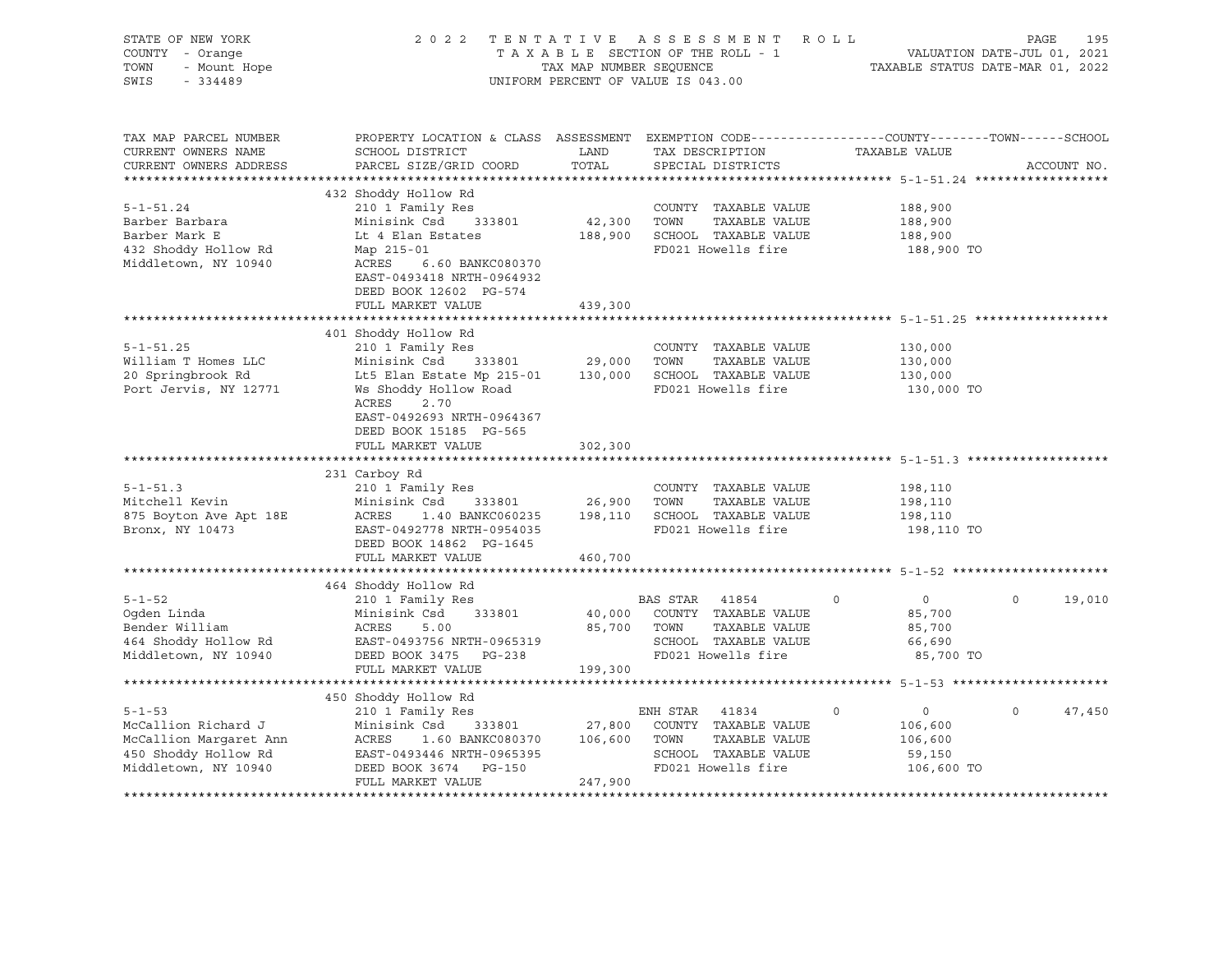| STATE OF NEW YORK<br>COUNTY - Orange<br>- Mount Hope<br>221155<br>TOWN<br>SWIS<br>$-334489$                   |                                                                                                                                                                                                                                                   |                        | 2022 TENTATIVE ASSESSMENT ROLL<br>T A X A B L E SECTION OF THE ROLL - 1<br>T A X A B L E SECTION OF THE ROLL - 1<br>TAXABLE STATUS DATE-MAR 01, 2022<br>UNIFORM PERCENT OF VALUE IS 043.00 |                                                                      | PAGE<br>195        |
|---------------------------------------------------------------------------------------------------------------|---------------------------------------------------------------------------------------------------------------------------------------------------------------------------------------------------------------------------------------------------|------------------------|--------------------------------------------------------------------------------------------------------------------------------------------------------------------------------------------|----------------------------------------------------------------------|--------------------|
| TAX MAP PARCEL NUMBER<br>CURRENT OWNERS NAME<br>CURRENT OWNERS ADDRESS                                        | PROPERTY LOCATION & CLASS ASSESSMENT EXEMPTION CODE---------------COUNTY-------TOWN-----SCHOOL<br>SCHOOL DISTRICT<br>PARCEL SIZE/GRID COORD                                                                                                       | LAND<br>TOTAL          | TAX DESCRIPTION<br>SPECIAL DISTRICTS                                                                                                                                                       | TAXABLE VALUE                                                        | ACCOUNT NO.        |
|                                                                                                               |                                                                                                                                                                                                                                                   |                        |                                                                                                                                                                                            |                                                                      |                    |
| $5 - 1 - 51.24$<br>Barber Barbara<br>Barber Mark E<br>432 Shoddy Hollow Rd<br>Middletown, NY 10940            | 432 Shoddy Hollow Rd<br>210 1 Family Res<br>Minisink Csd 333801<br>Lt 4 Elan Estates<br>Map 215-01<br>ACRES 6.60 BANKC080370<br>EAST-0493418 NRTH-0964932<br>DEED BOOK 12602 PG-574                                                               | 42,300 TOWN            | COUNTY TAXABLE VALUE<br>TAXABLE VALUE<br>188,900 SCHOOL TAXABLE VALUE<br>FD021 Howells fire                                                                                                | 188,900<br>188,900<br>188,900<br>188,900 TO                          |                    |
|                                                                                                               | FULL MARKET VALUE                                                                                                                                                                                                                                 | 439,300                |                                                                                                                                                                                            |                                                                      |                    |
|                                                                                                               | 401 Shoddy Hollow Rd                                                                                                                                                                                                                              |                        |                                                                                                                                                                                            |                                                                      |                    |
| $5 - 1 - 51.25$<br>William T Homes LLC<br>20 Springbrook Rd<br>Port Jervis, NY 12771                          | 210 1 Family Res<br>Minisink Csd 333801 29,000 TOWN TAXABLE VALUE<br>Lt5 Elan Estate Mp 215-01 130,000 SCHOOL TAXABLE VALUE<br>Ws Shoddy Hollow Road<br>ACRES<br>2.70<br>EAST-0492693 NRTH-0964367<br>DEED BOOK 15185 PG-565<br>FULL MARKET VALUE | 302,300                | COUNTY TAXABLE VALUE<br>FD021 Howells fire                                                                                                                                                 | 130,000<br>130,000<br>130,000<br>130,000 TO                          |                    |
|                                                                                                               |                                                                                                                                                                                                                                                   |                        |                                                                                                                                                                                            |                                                                      |                    |
| $5 - 1 - 51.3$<br>Mitchell Kevin<br>875 Boyton Ave Apt 18E<br>Bronx, NY 10473                                 | 231 Carboy Rd<br>210 1 Family Res<br>Minisink Csd 333801<br>ACRES<br>EAST-0492778 NRTH-0954035<br>DEED BOOK 14862 PG-1645<br>FULL MARKET VALUE                                                                                                    | 26,900 TOWN<br>460,700 | COUNTY TAXABLE VALUE<br>TAXABLE VALUE<br>1.40 BANKC060235 198,110 SCHOOL TAXABLE VALUE<br>FD021 Howells fire                                                                               | 198,110<br>198,110<br>198,110<br>198,110 TO                          |                    |
|                                                                                                               |                                                                                                                                                                                                                                                   |                        |                                                                                                                                                                                            |                                                                      |                    |
| $5 - 1 - 52$<br>Middletown, NY 10940                                                                          | 464 Shoddy Hollow Rd<br>210 1 Family Res<br>DEED BOOK 3475 PG-238                                                                                                                                                                                 |                        | BAS STAR 41854<br>40,000 COUNTY TAXABLE VALUE<br>85,700 TOWN<br>TAXABLE VALUE<br>SCHOOL TAXABLE VALUE<br>FD021 Howells fire                                                                | $\overline{0}$<br>$\circ$<br>85,700<br>85,700<br>66,690<br>85,700 TO | $\circ$<br>19,010  |
|                                                                                                               | FULL MARKET VALUE                                                                                                                                                                                                                                 | 199,300                |                                                                                                                                                                                            |                                                                      |                    |
| $5 - 1 - 53$<br>McCallion Richard J<br>McCallion Margaret Ann<br>450 Shoddy Hollow Rd<br>Middletown, NY 10940 | 450 Shoddy Hollow Rd<br>210 1 Family Res<br>Minisink Csd 333801 27,800 COUNTY TAXABLE VALUE<br>ACRES 1.60 BANKC080370 106,600 TOWN<br>DEED BOOK 3674 PG-150<br>FULL MARKET VALUE                                                                  | 247,900                | ENH STAR 41834<br>TAXABLE VALUE<br>SCHOOL TAXABLE VALUE<br>FD021 Howells fire                                                                                                              | $\circ$<br>0<br>106,600<br>106,600<br>59,150<br>106,600 TO           | 47,450<br>$\Omega$ |
|                                                                                                               |                                                                                                                                                                                                                                                   |                        |                                                                                                                                                                                            |                                                                      |                    |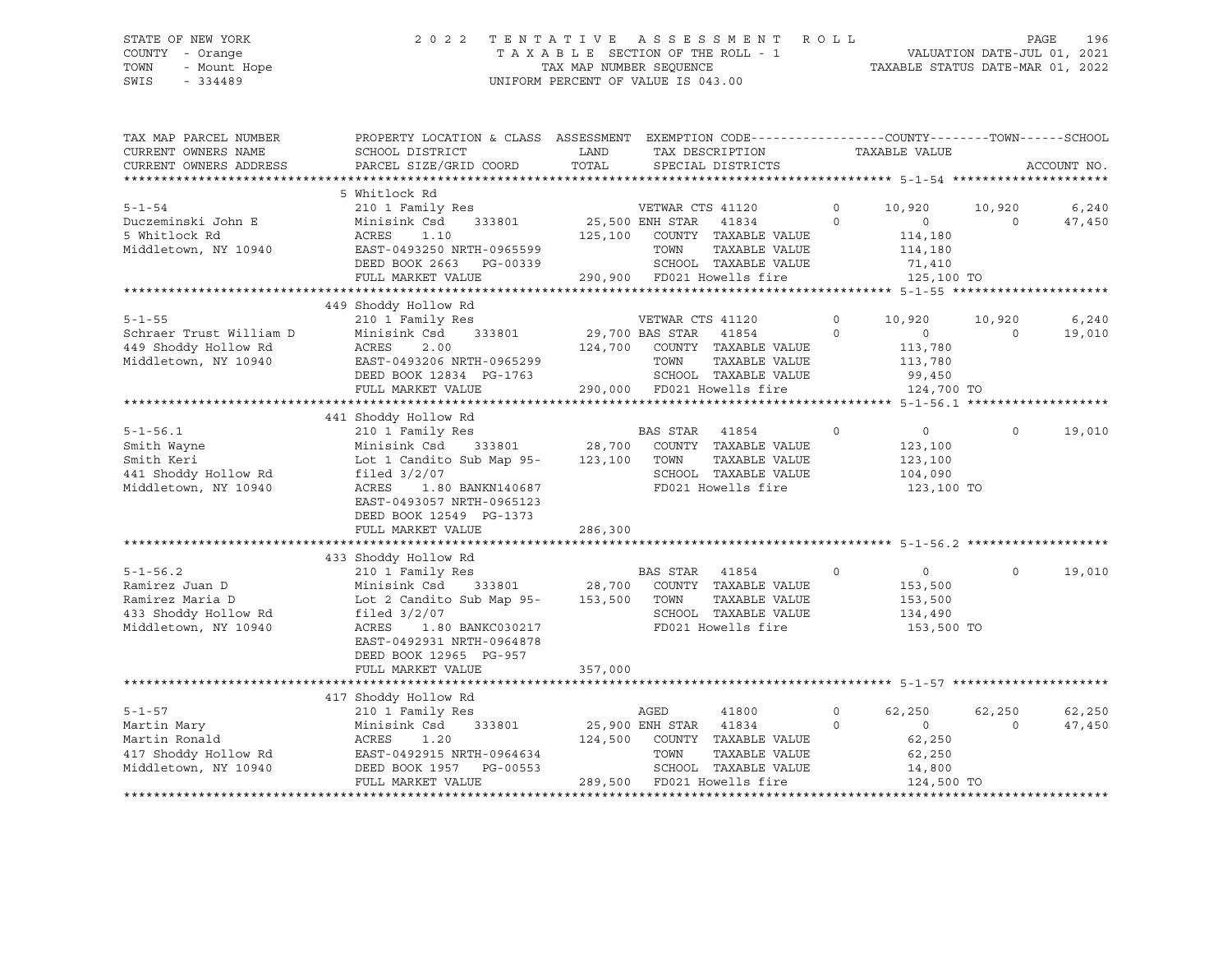# STATE OF NEW YORK 2 0 2 2 T E N T A T I V E A S S E S S M E N T R O L L PAGE 196 COUNTY - Orange T A X A B L E SECTION OF THE ROLL - 1 VALUATION DATE-JUL 01, 2021 TOWN - Mount Hope TAX MAP NUMBER SEQUENCE TAXABLE STATUS DATE-MAR 01, 2022 SWIS - 334489 UNIFORM PERCENT OF VALUE IS 043.00

| TAX MAP PARCEL NUMBER<br>CURRENT OWNERS NAME<br>CURRENT OWNERS ADDRESS | PROPERTY LOCATION & CLASS ASSESSMENT EXEMPTION CODE----------------COUNTY-------TOWN------SCHOOL<br>SCHOOL DISTRICT<br>PARCEL SIZE/GRID COORD | LAND<br>TOTAL         |                  | TAX DESCRIPTION<br>SPECIAL DISTRICTS                                  |                   | TAXABLE VALUE                |                    | ACCOUNT NO.     |
|------------------------------------------------------------------------|-----------------------------------------------------------------------------------------------------------------------------------------------|-----------------------|------------------|-----------------------------------------------------------------------|-------------------|------------------------------|--------------------|-----------------|
|                                                                        |                                                                                                                                               |                       |                  |                                                                       |                   |                              |                    |                 |
| $5 - 1 - 54$<br>Duczeminski John E                                     | 5 Whitlock Rd<br>210 1 Family Res<br>Minisink Csd<br>333801                                                                                   | 25,500 ENH STAR       | VETWAR CTS 41120 | 41834                                                                 | 0<br>$\mathbf{0}$ | 10,920<br>$\overline{0}$     | 10,920<br>$\Omega$ | 6,240<br>47,450 |
| 5 Whitlock Rd<br>Middletown, NY 10940                                  | ACRES<br>1.10<br>EAST-0493250 NRTH-0965599<br>DEED BOOK 2663 PG-00339                                                                         |                       | TOWN             | 125,100 COUNTY TAXABLE VALUE<br>TAXABLE VALUE<br>SCHOOL TAXABLE VALUE |                   | 114,180<br>114,180<br>71,410 |                    |                 |
|                                                                        | FULL MARKET VALUE                                                                                                                             |                       |                  | 290,900 FD021 Howells fire                                            |                   | 125,100 TO                   |                    |                 |
|                                                                        |                                                                                                                                               |                       |                  |                                                                       |                   |                              |                    |                 |
|                                                                        |                                                                                                                                               |                       |                  |                                                                       |                   |                              |                    |                 |
|                                                                        | 449 Shoddy Hollow Rd                                                                                                                          |                       |                  |                                                                       |                   |                              |                    |                 |
| $5 - 1 - 55$                                                           | 210 1 Family Res                                                                                                                              |                       | VETWAR CTS 41120 |                                                                       | $\mathbf 0$       | 10,920                       | 10,920             | 6,240           |
| Schraer Trust William D                                                | Minisink Csd<br>333801                                                                                                                        | 29,700 BAS STAR       |                  | 41854                                                                 | $\Omega$          | $\overline{0}$               | $\Omega$           | 19,010          |
| 449 Shoddy Hollow Rd                                                   | 2.00<br>ACRES                                                                                                                                 |                       |                  | 124,700 COUNTY TAXABLE VALUE                                          |                   | 113,780                      |                    |                 |
| Middletown, NY 10940                                                   | EAST-0493206 NRTH-0965299                                                                                                                     |                       | TOWN             | TAXABLE VALUE                                                         |                   | 113,780                      |                    |                 |
|                                                                        | DEED BOOK 12834 PG-1763                                                                                                                       |                       |                  | SCHOOL TAXABLE VALUE                                                  |                   | 99,450                       |                    |                 |
|                                                                        | FULL MARKET VALUE                                                                                                                             |                       |                  | 290,000 FD021 Howells fire                                            |                   | 124,700 TO                   |                    |                 |
|                                                                        |                                                                                                                                               |                       |                  |                                                                       |                   |                              |                    |                 |
|                                                                        | 441 Shoddy Hollow Rd                                                                                                                          |                       |                  |                                                                       |                   |                              |                    |                 |
| $5 - 1 - 56.1$                                                         | 210 1 Family Res                                                                                                                              |                       | BAS STAR         | 41854                                                                 | $\circ$           | $\circ$                      | $\Omega$           | 19,010          |
| Smith Wayne                                                            | 333801<br>Minisink Csd                                                                                                                        | 28,700                |                  | COUNTY TAXABLE VALUE                                                  |                   | 123,100                      |                    |                 |
| Smith Keri                                                             | Lot 1 Candito Sub Map 95-                                                                                                                     | 123,100               | TOWN             | TAXABLE VALUE                                                         |                   | 123,100                      |                    |                 |
| 441 Shoddy Hollow Rd                                                   | filed $3/2/07$                                                                                                                                |                       |                  | SCHOOL TAXABLE VALUE                                                  |                   | 104,090                      |                    |                 |
| Middletown, NY 10940                                                   | ACRES<br>1.80 BANKN140687                                                                                                                     |                       |                  | FD021 Howells fire                                                    |                   | 123,100 TO                   |                    |                 |
|                                                                        | EAST-0493057 NRTH-0965123                                                                                                                     |                       |                  |                                                                       |                   |                              |                    |                 |
|                                                                        |                                                                                                                                               |                       |                  |                                                                       |                   |                              |                    |                 |
|                                                                        | DEED BOOK 12549 PG-1373                                                                                                                       |                       |                  |                                                                       |                   |                              |                    |                 |
|                                                                        | FULL MARKET VALUE                                                                                                                             | 286,300               |                  |                                                                       |                   |                              |                    |                 |
|                                                                        |                                                                                                                                               |                       |                  |                                                                       |                   |                              |                    |                 |
|                                                                        | 433 Shoddy Hollow Rd                                                                                                                          |                       |                  |                                                                       |                   |                              |                    |                 |
| $5 - 1 - 56.2$                                                         | 210 1 Family Res                                                                                                                              |                       | BAS STAR 41854   |                                                                       | $\circ$           | $\overline{\phantom{0}}$     | $\Omega$           | 19,010          |
| Ramirez Juan D                                                         | Minisink Csd                                                                                                                                  |                       |                  | 333801 28,700 COUNTY TAXABLE VALUE                                    |                   | 153,500                      |                    |                 |
| Ramirez Maria D                                                        | Lot 2 Candito Sub Map 95-                                                                                                                     | 153,500               | TOWN             | TAXABLE VALUE                                                         |                   | 153,500                      |                    |                 |
| 433 Shoddy Hollow Rd                                                   | filed $3/2/07$                                                                                                                                |                       |                  | SCHOOL TAXABLE VALUE                                                  |                   | 134,490                      |                    |                 |
| Middletown, NY 10940                                                   | ACRES<br>1.80 BANKC030217                                                                                                                     |                       |                  | FD021 Howells fire                                                    |                   | 153,500 TO                   |                    |                 |
|                                                                        | EAST-0492931 NRTH-0964878                                                                                                                     |                       |                  |                                                                       |                   |                              |                    |                 |
|                                                                        | DEED BOOK 12965 PG-957                                                                                                                        |                       |                  |                                                                       |                   |                              |                    |                 |
|                                                                        | FULL MARKET VALUE                                                                                                                             | 357,000               |                  |                                                                       |                   |                              |                    |                 |
|                                                                        |                                                                                                                                               |                       |                  |                                                                       |                   |                              |                    |                 |
|                                                                        | 417 Shoddy Hollow Rd                                                                                                                          |                       |                  |                                                                       |                   |                              |                    |                 |
| $5 - 1 - 57$                                                           |                                                                                                                                               |                       |                  |                                                                       |                   |                              |                    |                 |
|                                                                        | 210 1 Family Res                                                                                                                              |                       | AGED             | 41800                                                                 | 0<br>$\Omega$     | 62,250                       | 62,250<br>$\Omega$ | 62,250          |
| Martin Mary                                                            | Minisink Csd<br>333801                                                                                                                        | 25,900 ENH STAR 41834 |                  |                                                                       |                   | $\circ$                      |                    | 47,450          |
| Martin Ronald                                                          | ACRES<br>1.20                                                                                                                                 |                       |                  | 124,500 COUNTY TAXABLE VALUE                                          |                   | 62,250                       |                    |                 |
| 417 Shoddy Hollow Rd                                                   | EAST-0492915 NRTH-0964634                                                                                                                     |                       | TOWN             | TAXABLE VALUE                                                         |                   | 62,250                       |                    |                 |
| Middletown, NY 10940                                                   | DEED BOOK 1957 PG-00553                                                                                                                       |                       |                  | SCHOOL TAXABLE VALUE                                                  |                   | 14,800                       |                    |                 |
|                                                                        | FULL MARKET VALUE                                                                                                                             |                       |                  | 289,500 FD021 Howells fire                                            |                   | 124,500 TO                   |                    |                 |
|                                                                        |                                                                                                                                               |                       |                  |                                                                       |                   |                              |                    |                 |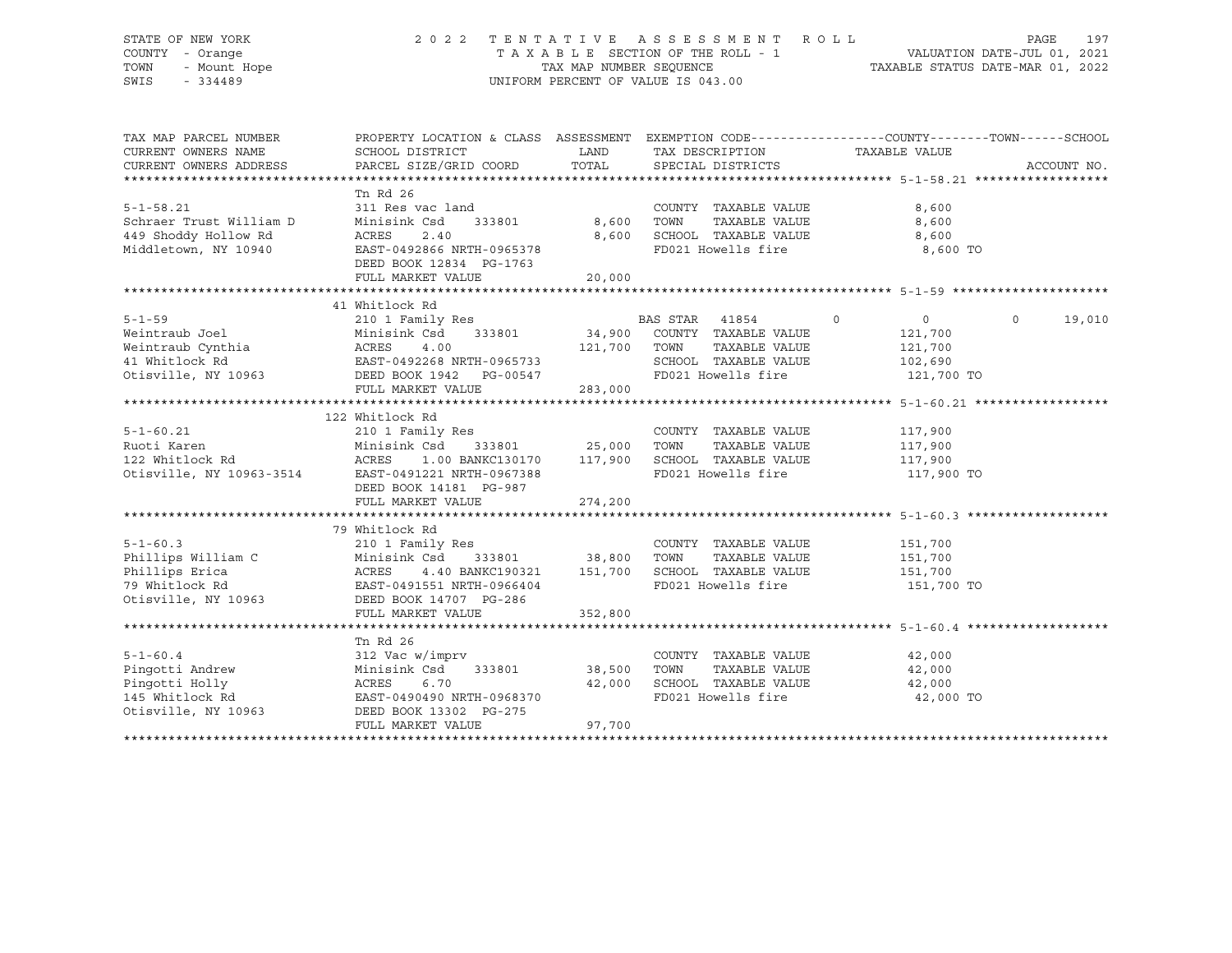# STATE OF NEW YORK 2 0 2 2 T E N T A T I V E A S S E S S M E N T R O L L PAGE 197 COUNTY - Orange T A X A B L E SECTION OF THE ROLL - 1 VALUATION DATE-JUL 01, 2021 TOWN - Mount Hope TAX MAP NUMBER SEQUENCE TAXABLE STATUS DATE-MAR 01, 2022 SWIS - 334489 UNIFORM PERCENT OF VALUE IS 043.00

| TAX MAP PARCEL NUMBER<br>CURRENT OWNERS NAME<br>CURRENT OWNERS ADDRESS                               | PROPERTY LOCATION & CLASS ASSESSMENT EXEMPTION CODE---------------COUNTY-------TOWN------SCHOOL<br>SCHOOL DISTRICT<br>PARCEL SIZE/GRID COORD     | LAND<br>TOTAL                     | TAX DESCRIPTION<br>SPECIAL DISTRICTS                                                                | TAXABLE VALUE                               | ACCOUNT NO.        |
|------------------------------------------------------------------------------------------------------|--------------------------------------------------------------------------------------------------------------------------------------------------|-----------------------------------|-----------------------------------------------------------------------------------------------------|---------------------------------------------|--------------------|
|                                                                                                      |                                                                                                                                                  |                                   |                                                                                                     |                                             |                    |
| $5 - 1 - 58.21$<br>Schraer Trust William D                                                           | Tn Rd 26<br>311 Res vac land<br>Minisink Csd                                                                                                     | 333801 8,600                      | COUNTY TAXABLE VALUE<br>TOWN<br>TAXABLE VALUE                                                       | 8,600<br>8,600                              |                    |
| 449 Shoddy Hollow Rd<br>Middletown, NY 10940                                                         | ACRES<br>2.40<br>EAST-0492866 NRTH-0965378<br>DEED BOOK 12834 PG-1763<br>FULL MARKET VALUE                                                       | 8,600<br>20,000                   | SCHOOL TAXABLE VALUE<br>FD021 Howells fire                                                          | 8,600<br>8,600 TO                           |                    |
|                                                                                                      |                                                                                                                                                  |                                   |                                                                                                     |                                             |                    |
| $5 - 1 - 59$                                                                                         | 41 Whitlock Rd<br>210 1 Family Res<br>Minisink Csd                                                                                               |                                   | BAS STAR 41854<br>$\sim$ 0<br>333801 34,900 COUNTY TAXABLE VALUE                                    | $\overline{0}$<br>121,700                   | $\Omega$<br>19,010 |
|                                                                                                      | 4.00<br>Weincraw Cynchia<br>41 Whitlock Rd<br>0tisville, NY 10963<br>2000 Martin Martin Martin Control PG-00547                                  | 121,700                           | TOWN<br>TAXABLE VALUE<br>SCHOOL TAXABLE VALUE 102,690<br>FD021 Howells fire                         | 121,700<br>121,700 TO                       |                    |
|                                                                                                      | FULL MARKET VALUE                                                                                                                                | 283,000                           |                                                                                                     |                                             |                    |
|                                                                                                      | 122 Whitlock Rd                                                                                                                                  |                                   |                                                                                                     |                                             |                    |
| $5 - 1 - 60.21$<br>Ruoti Karen<br>122 Whitlock Rd<br>Otisville, NY 10963-3514                        | 210 1 Family Res<br>Minisink Csd<br>1.00 BANKC130170 117,900<br>ACRES<br>EAST-0491221 NRTH-0967388<br>DEED BOOK 14181 PG-987                     | 333801 25,000                     | COUNTY TAXABLE VALUE<br>TOWN<br>TAXABLE VALUE<br>SCHOOL TAXABLE VALUE 117,900<br>FD021 Howells fire | 117,900<br>117,900<br>117,900 TO            |                    |
|                                                                                                      | FULL MARKET VALUE                                                                                                                                | 274,200                           |                                                                                                     |                                             |                    |
|                                                                                                      |                                                                                                                                                  |                                   |                                                                                                     |                                             |                    |
| $5 - 1 - 60.3$                                                                                       | 79 Whitlock Rd<br>210 1 Family Res<br>Minisink Csd 333801 38,800<br>ACRES 4.40 BANKC190321 151,700<br>Otisville, NY 10963 DEED BOOK 14707 PG-286 |                                   | COUNTY TAXABLE VALUE<br>TOWN<br>TAXABLE VALUE<br>SCHOOL TAXABLE VALUE<br>FD021 Howells fire         | 151,700<br>151,700<br>151,700<br>151,700 TO |                    |
|                                                                                                      | FULL MARKET VALUE                                                                                                                                | 352,800                           |                                                                                                     |                                             |                    |
|                                                                                                      | Tn Rd 26                                                                                                                                         |                                   |                                                                                                     |                                             |                    |
| $5 - 1 - 60.4$<br>Pingotti Andrew<br>963<br>Pingotti Holly<br>145 Whitlock Rd<br>Otisville, NY 10963 | 312 Vac w/imprv<br>Minisink Csd<br>ACRES<br>6.70<br>EAST-0490490 NRTH-0968370<br>DEED BOOK 13302 PG-275<br>FULL MARKET VALUE                     | 333801 38,500<br>42,000<br>97,700 | COUNTY TAXABLE VALUE<br>TOWN<br>TAXABLE VALUE<br>SCHOOL TAXABLE VALUE 42,000<br>FD021 Howells fire  | 42,000<br>42,000<br>42,000 TO               |                    |
|                                                                                                      |                                                                                                                                                  |                                   |                                                                                                     |                                             |                    |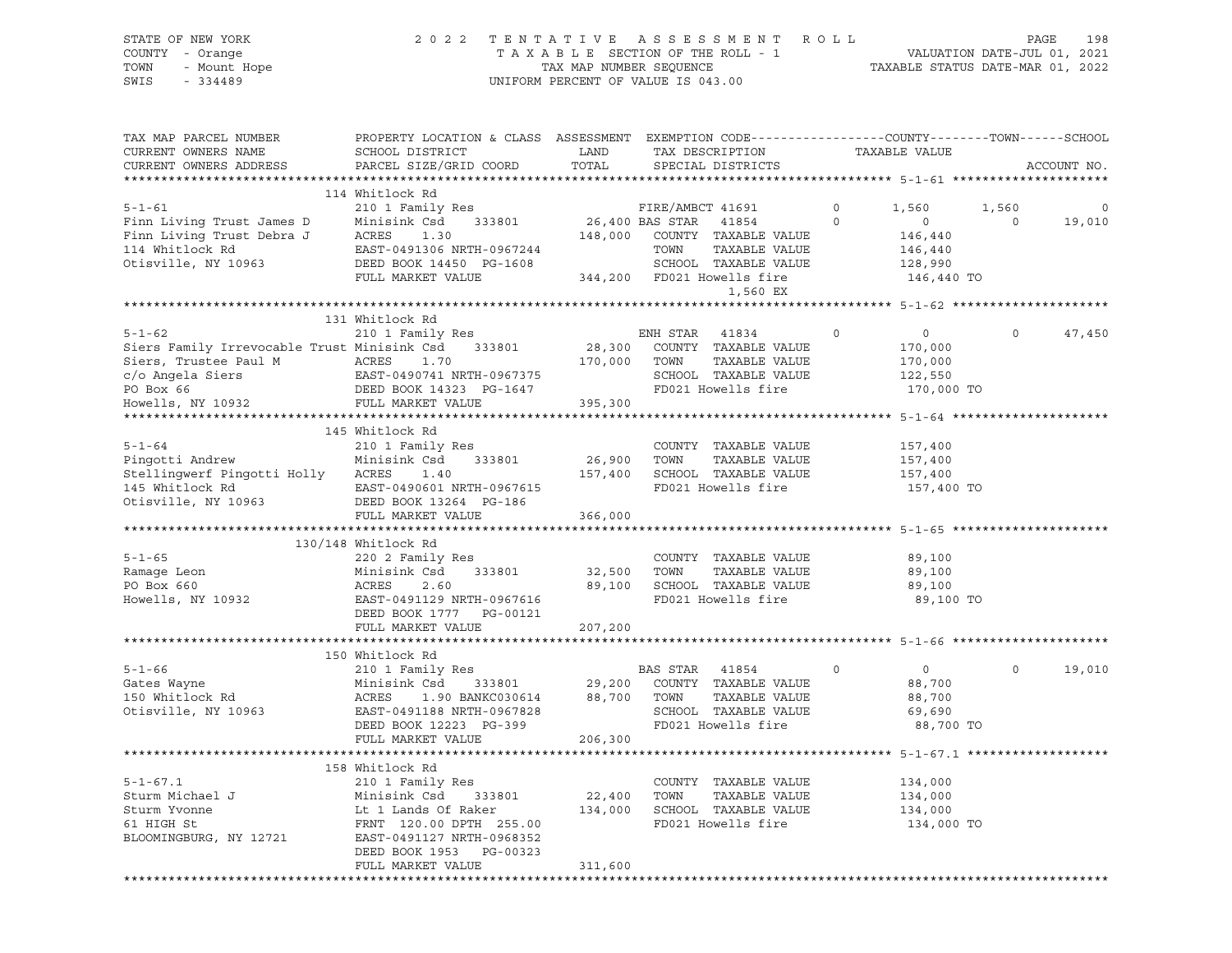# STATE OF NEW YORK 2 0 2 2 T E N T A T I V E A S S E S S M E N T R O L L PAGE 198 COUNTY - Orange T A X A B L E SECTION OF THE ROLL - 1 VALUATION DATE-JUL 01, 2021 TOWN - Mount Hope TAX MAP NUMBER SEQUENCE TAXABLE STATUS DATE-MAR 01, 2022 SWIS - 334489 UNIFORM PERCENT OF VALUE IS 043.00

| TAX MAP PARCEL NUMBER<br>CURRENT OWNERS NAME                                                                          | PROPERTY LOCATION & CLASS ASSESSMENT EXEMPTION CODE---------------COUNTY-------TOWN------SCHOOL<br>SCHOOL DISTRICT                                         | LAND              | TAX DESCRIPTION                                                                                               |                     | TAXABLE VALUE                                                 |                  |             |
|-----------------------------------------------------------------------------------------------------------------------|------------------------------------------------------------------------------------------------------------------------------------------------------------|-------------------|---------------------------------------------------------------------------------------------------------------|---------------------|---------------------------------------------------------------|------------------|-------------|
| CURRENT OWNERS ADDRESS<br>*************************                                                                   | PARCEL SIZE/GRID COORD                                                                                                                                     | TOTAL             | SPECIAL DISTRICTS                                                                                             |                     |                                                               |                  | ACCOUNT NO. |
|                                                                                                                       | 114 Whitlock Rd                                                                                                                                            |                   |                                                                                                               |                     |                                                               |                  |             |
| $5 - 1 - 61$<br>Finn Living Trust James D<br>Finn Living Trust Debra J                                                | 210 1 Family Res<br>Minisink Csd<br>333801<br>ACRES<br>1.30                                                                                                | 148,000           | FIRE/AMBCT 41691<br>26,400 BAS STAR 41854<br>COUNTY TAXABLE VALUE                                             | $\circ$<br>$\Omega$ | 1,560<br>$\circ$<br>146,440                                   | 1,560<br>$\circ$ | 0<br>19,010 |
| 114 Whitlock Rd<br>Otisville, NY 10963                                                                                | EAST-0491306 NRTH-0967244<br>DEED BOOK 14450 PG-1608<br>FULL MARKET VALUE                                                                                  |                   | TOWN<br>TAXABLE VALUE<br>SCHOOL TAXABLE VALUE<br>344,200 FD021 Howells fire<br>1,560 EX                       |                     | 146,440<br>128,990<br>146,440 TO                              |                  |             |
|                                                                                                                       |                                                                                                                                                            |                   |                                                                                                               |                     |                                                               |                  |             |
|                                                                                                                       | 131 Whitlock Rd                                                                                                                                            |                   |                                                                                                               |                     |                                                               |                  |             |
| $5 - 1 - 62$<br>Siers Family Irrevocable Trust Minisink Csd<br>Siers, Trustee Paul M<br>c/o Angela Siers<br>PO Box 66 | 210 1 Family Res<br>333801<br>ACRES<br>1.70<br>EAST-0490741 NRTH-0967375<br>DEED BOOK 14323 PG-1647                                                        | 28,300<br>170,000 | ENH STAR 41834<br>COUNTY TAXABLE VALUE<br>TOWN<br>TAXABLE VALUE<br>SCHOOL TAXABLE VALUE<br>FD021 Howells fire | $\circ$             | $\overline{0}$<br>170,000<br>170,000<br>122,550<br>170,000 TO | $\circ$          | 47,450      |
| Howells, NY 10932                                                                                                     | ---<br>FULL MARKET VALUE                                                                                                                                   | 395,300           |                                                                                                               |                     |                                                               |                  |             |
|                                                                                                                       |                                                                                                                                                            |                   |                                                                                                               |                     |                                                               |                  |             |
| $5 - 1 - 64$<br>Pingotti Andrew<br>Stellingwerf Pingotti Holly ACRES<br>145 Whitlock Rd<br>Otisville, NY 10963        | 145 Whitlock Rd<br>210 1 Family Res<br>Minisink Csd<br>333801<br>1.40<br>EAST-0490601 NRTH-0967615<br>DEED BOOK 13264 PG-186                               | 26,900<br>157,400 | COUNTY TAXABLE VALUE<br>TOWN<br>TAXABLE VALUE<br>SCHOOL TAXABLE VALUE<br>FD021 Howells fire                   |                     | 157,400<br>157,400<br>157,400<br>157,400 TO                   |                  |             |
|                                                                                                                       | FULL MARKET VALUE                                                                                                                                          | 366,000           |                                                                                                               |                     |                                                               |                  |             |
|                                                                                                                       |                                                                                                                                                            |                   |                                                                                                               |                     |                                                               |                  |             |
|                                                                                                                       | 130/148 Whitlock Rd                                                                                                                                        |                   |                                                                                                               |                     |                                                               |                  |             |
| $5 - 1 - 65$                                                                                                          | 220 2 Family Res<br>333801                                                                                                                                 | 32,500            | COUNTY TAXABLE VALUE<br>TOWN<br>TAXABLE VALUE                                                                 |                     | 89,100                                                        |                  |             |
| Ramaqe Leon<br>PO Box 660                                                                                             | Minisink Csd<br>ACRES<br>2.60                                                                                                                              | 89,100            | SCHOOL TAXABLE VALUE                                                                                          |                     | 89,100<br>89,100                                              |                  |             |
| Howells, NY 10932                                                                                                     | EAST-0491129 NRTH-0967616<br>DEED BOOK 1777 PG-00121<br>FULL MARKET VALUE                                                                                  | 207,200           | FD021 Howells fire                                                                                            |                     | 89,100 TO                                                     |                  |             |
|                                                                                                                       |                                                                                                                                                            |                   |                                                                                                               |                     |                                                               |                  |             |
|                                                                                                                       | 150 Whitlock Rd                                                                                                                                            |                   |                                                                                                               |                     |                                                               |                  |             |
| $5 - 1 - 66$<br>Gates Wayne<br>150 Whitlock Rd<br>Otisville, NY 10963                                                 | 210 1 Family Res<br>Minisink Csd<br>333801<br>1.90 BANKC030614 88,700<br>ACRES<br>EAST-0491188 NRTH-0967828<br>DEED BOOK 12223 PG-399<br>FULL MARKET VALUE | 29,200<br>206,300 | BAS STAR 41854<br>COUNTY TAXABLE VALUE<br>TAXABLE VALUE<br>TOWN<br>SCHOOL TAXABLE VALUE<br>FD021 Howells fire | $\Omega$            | $\overline{0}$<br>88,700<br>88,700<br>69,690<br>88,700 TO     | $\Omega$         | 19,010      |
|                                                                                                                       |                                                                                                                                                            |                   |                                                                                                               |                     |                                                               |                  |             |
|                                                                                                                       | 158 Whitlock Rd                                                                                                                                            |                   |                                                                                                               |                     |                                                               |                  |             |
| $5 - 1 - 67.1$<br>Sturm Michael J<br>Sturm Yvonne<br>61 HIGH St<br>BLOOMINGBURG, NY 12721                             | 210 1 Family Res<br>Minisink Csd<br>333801<br>Lt 1 Lands Of Raker<br>FRNT 120.00 DPTH 255.00<br>EAST-0491127 NRTH-0968352<br>DEED BOOK 1953<br>PG-00323    | 22,400<br>134,000 | COUNTY TAXABLE VALUE<br>TAXABLE VALUE<br>TOWN<br>SCHOOL TAXABLE VALUE<br>FD021 Howells fire                   |                     | 134,000<br>134,000<br>134,000<br>134,000 TO                   |                  |             |
|                                                                                                                       | FULL MARKET VALUE                                                                                                                                          | 311,600           |                                                                                                               |                     |                                                               |                  |             |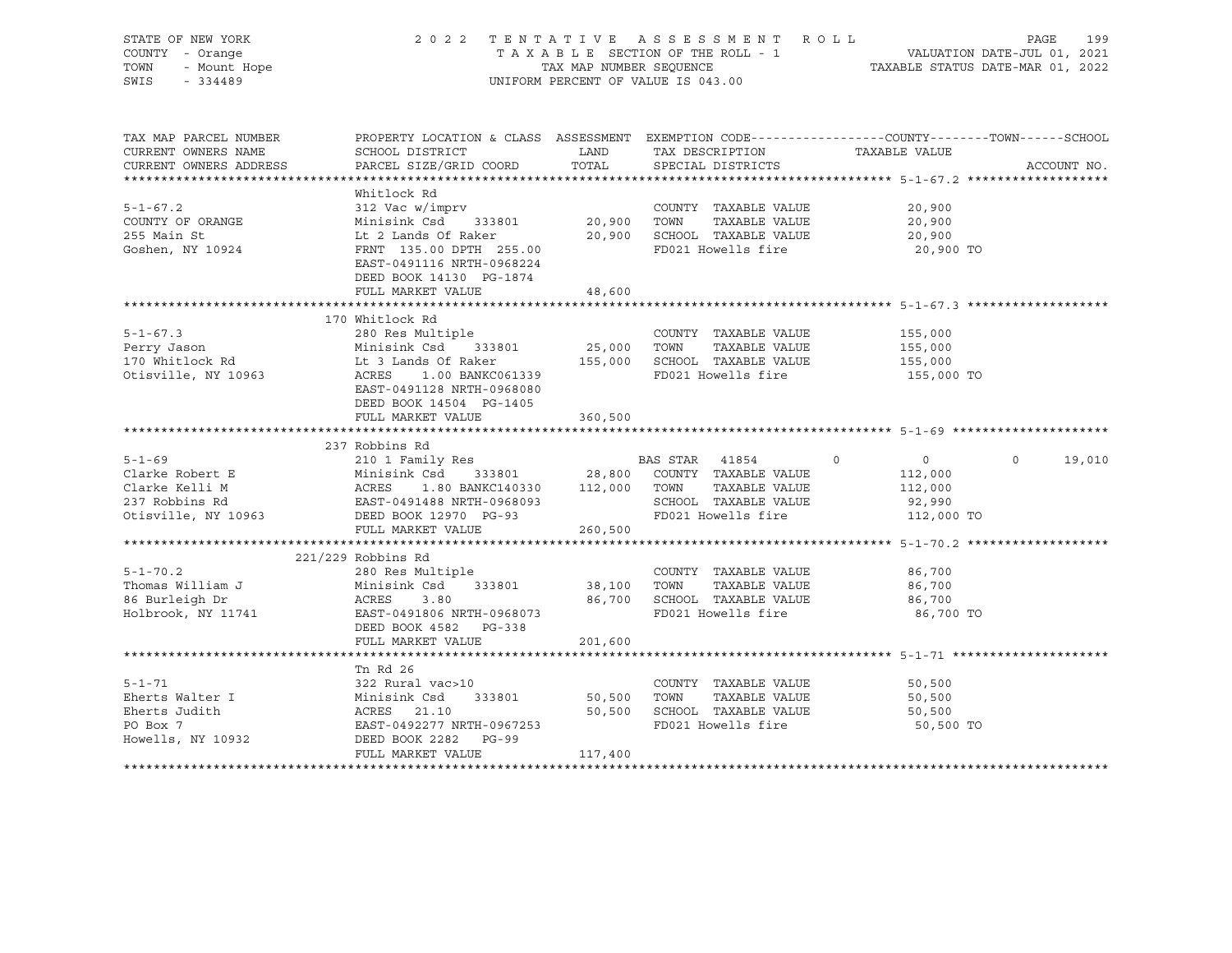| STATE OF NEW YORK<br>COUNTY - Orange<br>OF NEW YORK<br>1 - Orange<br>- Mount Hope<br>- 1100<br>TOWN<br>SWIS - 334489                                                                                                                            |                                                                                                                                                                                                                                              |         | 2022 TENTATIVE ASSESSMENT ROLL<br>TAXABLE SECTION OF THE ROLL - 1 VALUATION DATE-JUL 01, 2021<br>TAX MAP NUMBER SEQUENCE TAXABLE STATUS DATE-MAR 01, 2022<br>UNIFORM PERCENT OF VALUE IS 043.00 |                                                              | 199<br>PAGE       |
|-------------------------------------------------------------------------------------------------------------------------------------------------------------------------------------------------------------------------------------------------|----------------------------------------------------------------------------------------------------------------------------------------------------------------------------------------------------------------------------------------------|---------|-------------------------------------------------------------------------------------------------------------------------------------------------------------------------------------------------|--------------------------------------------------------------|-------------------|
| TAX MAP PARCEL NUMBER<br>CURRENT OWNERS NAME<br>CURRENT OWNERS ADDRESS                                                                                                                                                                          | PROPERTY LOCATION & CLASS ASSESSMENT EXEMPTION CODE----------------COUNTY-------TOWN------SCHOOL<br>SCHOOL DISTRICT                        LAND         TAX DESCRIPTION                 TAXABLE VALUE<br>PARCEL SIZE/GRID COORD              | TOTAL   | SPECIAL DISTRICTS                                                                                                                                                                               |                                                              | ACCOUNT NO.       |
|                                                                                                                                                                                                                                                 |                                                                                                                                                                                                                                              |         |                                                                                                                                                                                                 |                                                              |                   |
|                                                                                                                                                                                                                                                 | Whitlock Rd                                                                                                                                                                                                                                  |         |                                                                                                                                                                                                 |                                                              |                   |
| $5 - 1 - 67.2$<br>COUNTY OF ORANGE<br>255 Main St<br>Goshen, NY 10924                                                                                                                                                                           | 312 vac w/1mprv<br>Minisink Csd 333801 20,900 TOWN TAXABLE VALUE<br>Lt 2 Lands Of Raker 20,900 SCHOOL TAXABLE VALUE<br>FRNT 135.00 DPTH 255.00 FD021 Howells fire<br>FRNT 135.00 DPTH 255.00 FD021 Howells fire<br>EAST-0491116 NRTH-0968224 |         |                                                                                                                                                                                                 | 20,900<br>20,900<br>20,900<br>20,900 TO                      |                   |
|                                                                                                                                                                                                                                                 | DEED BOOK 14130 PG-1874                                                                                                                                                                                                                      |         |                                                                                                                                                                                                 |                                                              |                   |
|                                                                                                                                                                                                                                                 | FULL MARKET VALUE                                                                                                                                                                                                                            | 48,600  |                                                                                                                                                                                                 |                                                              |                   |
|                                                                                                                                                                                                                                                 | 170 Whitlock Rd                                                                                                                                                                                                                              |         |                                                                                                                                                                                                 |                                                              |                   |
| 91-67.3<br>280 Res Multiple<br>280 Res Multiple<br>290 Res Multiple<br>25,000 TOWN TAXABLE VALUE<br>25,000 TOWN TAXABLE VALUE<br>25,000 TOWN TAXABLE VALUE<br>25,000 TOWN TAXABLE VALUE<br>25,000 SCHOOL TAXABLE VALUE<br>25,000 SCHOOL TAXABLE | EAST-0491128 NRTH-0968080<br>DEED BOOK 14504 PG-1405                                                                                                                                                                                         |         | COUNTY TAXABLE VALUE 155,000                                                                                                                                                                    | 155,000<br>155,000<br>155,000 TO                             |                   |
|                                                                                                                                                                                                                                                 | FULL MARKET VALUE                                                                                                                                                                                                                            | 360,500 |                                                                                                                                                                                                 |                                                              |                   |
|                                                                                                                                                                                                                                                 |                                                                                                                                                                                                                                              |         |                                                                                                                                                                                                 |                                                              |                   |
|                                                                                                                                                                                                                                                 | 237 Robbins Rd                                                                                                                                                                                                                               |         |                                                                                                                                                                                                 |                                                              |                   |
| 5-1-69<br>Clarke Robert E Minisink Csd 333801 28,800 COUNTY TAXABLE VALUE<br>Clarke Kelli M ACRES 1.80 BANKC140330 112,000 TOWN TAXABLE VALUE<br>237 Robbins Rd EAST-0491488 NRTH-0968093 SCHOOL TAXABLE VALUE<br>237 Robbins Rd EAST-          | FULL MARKET VALUE 260,500                                                                                                                                                                                                                    |         |                                                                                                                                                                                                 | $\overline{0}$<br>112,000<br>112,000<br>92,990<br>112,000 TO | $\circ$<br>19,010 |
|                                                                                                                                                                                                                                                 |                                                                                                                                                                                                                                              |         |                                                                                                                                                                                                 |                                                              |                   |
|                                                                                                                                                                                                                                                 | $221/229$ Robbins Rd                                                                                                                                                                                                                         |         |                                                                                                                                                                                                 |                                                              |                   |
|                                                                                                                                                                                                                                                 | DEED BOOK 4582    PG-338                                                                                                                                                                                                                     |         | COUNTY TAXABLE VALUE 86,700<br>86,700 SCHOOL TAXABLE VALUE                                                                                                                                      | 86,700<br>86,700<br>86,700 TO                                |                   |
|                                                                                                                                                                                                                                                 | FULL MARKET VALUE                                                                                                                                                                                                                            | 201,600 |                                                                                                                                                                                                 |                                                              |                   |
|                                                                                                                                                                                                                                                 |                                                                                                                                                                                                                                              |         |                                                                                                                                                                                                 |                                                              |                   |
| 5-1-71<br>Eherts Walter I<br>Eherts Judith Minisink Csd 333801 50,500 TOWN TAXABLE VALUE<br>Eherts Judith ACRES 21.10 50,500 SCHOOL TAXABLE VALUE<br>PO Box 7 EAST-0492277 NRTH-0967253 FD021 Howells fire<br>Howells, NY 10932 DEED B          | Tn Rd 26                                                                                                                                                                                                                                     |         |                                                                                                                                                                                                 | 50,500<br>50,500<br>50,500<br>50,500 TO                      |                   |
|                                                                                                                                                                                                                                                 | FULL MARKET VALUE                                                                                                                                                                                                                            | 117,400 |                                                                                                                                                                                                 |                                                              |                   |
|                                                                                                                                                                                                                                                 |                                                                                                                                                                                                                                              |         |                                                                                                                                                                                                 |                                                              |                   |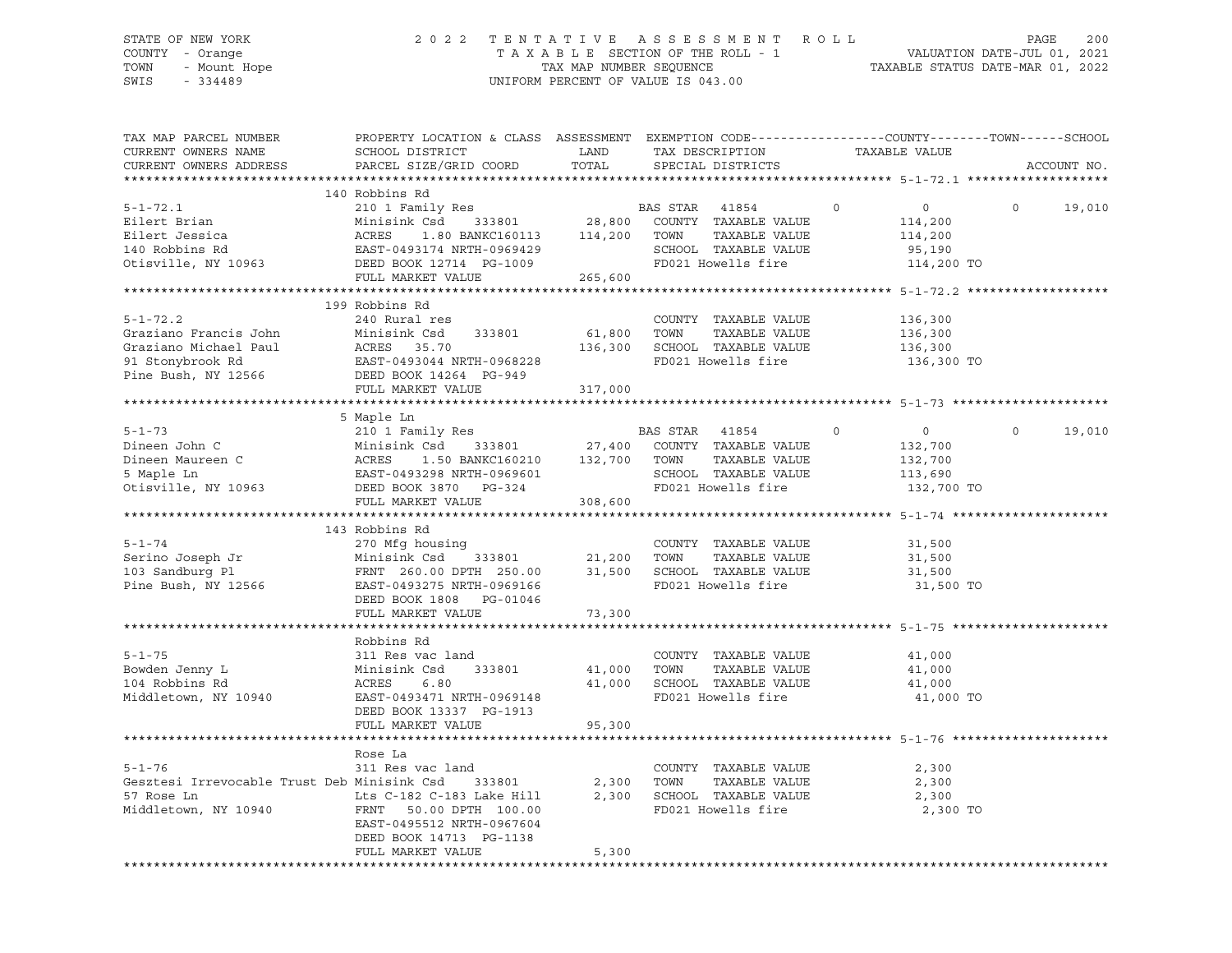## STATE OF NEW YORK 2 0 2 2 T E N T A T I V E A S S E S S M E N T R O L L PAGE 200 COUNTY - Orange T A X A B L E SECTION OF THE ROLL - 1 VALUATION DATE-JUL 01, 2021 TOWN - Mount Hope TAX NAP NUMBER SEQUENCE TAXABLE STATUS DATE-MAR 01, 2022<br>TAXABLE STATUS DATE-MAR 01, 2022 UNIFORM PERCENT OF VALUE IS 043.00

TAX MAP PARCEL NUMBER PROPERTY LOCATION & CLASS ASSESSMENT EXEMPTION CODE------------------COUNTY--------TOWN------SCHOOL CURRENT OWNERS NAME SCHOOL DISTRICT TAX DAND TAX DESCRIPTION TAXABLE VALUE CURRENT OWNERS ADDRESS PARCEL SIZE/GRID COORD TOTAL SPECIAL DISTRICTS ACCOUNT NO. \*\*\*\*\*\*\*\*\*\*\*\*\*\*\*\*\*\*\*\*\*\*\*\*\*\*\*\*\*\*\*\*\*\*\*\*\*\*\*\*\*\*\*\*\*\*\*\*\*\*\*\*\*\*\*\*\*\*\*\*\*\*\*\*\*\*\*\*\*\*\*\*\*\*\*\*\*\*\*\*\*\*\*\*\*\*\*\*\*\*\*\*\*\*\*\*\*\*\*\*\*\*\* 5-1-72.1 \*\*\*\*\*\*\*\*\*\*\*\*\*\*\*\*\*\*\* 140 Robbins Rd 5-1-72.1 210 1 Family Res BAS STAR 41854 0 0 0 19,010 Eilert Brian Minisink Csd 333801 28,800 COUNTY TAXABLE VALUE 114,200 Eilert Jessica ACRES 1.80 BANKC160113 114,200 TOWN TAXABLE VALUE 114,200 140 Robbins Rd EAST-0493174 NRTH-0969429 SCHOOL TAXABLE VALUE 95,190 Otisville, NY 10963 DEED BOOK 12714 PG-1009 FD021 Howells fire 114,200 TO FULL MARKET VALUE 265,600 \*\*\*\*\*\*\*\*\*\*\*\*\*\*\*\*\*\*\*\*\*\*\*\*\*\*\*\*\*\*\*\*\*\*\*\*\*\*\*\*\*\*\*\*\*\*\*\*\*\*\*\*\*\*\*\*\*\*\*\*\*\*\*\*\*\*\*\*\*\*\*\*\*\*\*\*\*\*\*\*\*\*\*\*\*\*\*\*\*\*\*\*\*\*\*\*\*\*\*\*\*\*\* 5-1-72.2 \*\*\*\*\*\*\*\*\*\*\*\*\*\*\*\*\*\*\* 199 Robbins Rd 5-1-72.2 240 Rural res COUNTY TAXABLE VALUE 136,300 Graziano Francis John Minisink Csd 333801 61,800 TOWN TAXABLE VALUE 136,300 Graziano Michael Paul ACRES 35.70 136,300 SCHOOL TAXABLE VALUE 136,300 91 Stonybrook Rd EAST-0493044 NRTH-0968228 FD021 Howells fire 136,300 TO Pine Bush, NY 12566 DEED BOOK 14264 PG-949 FULL MARKET VALUE 317,000 \*\*\*\*\*\*\*\*\*\*\*\*\*\*\*\*\*\*\*\*\*\*\*\*\*\*\*\*\*\*\*\*\*\*\*\*\*\*\*\*\*\*\*\*\*\*\*\*\*\*\*\*\*\*\*\*\*\*\*\*\*\*\*\*\*\*\*\*\*\*\*\*\*\*\*\*\*\*\*\*\*\*\*\*\*\*\*\*\*\*\*\*\*\*\*\*\*\*\*\*\*\*\* 5-1-73 \*\*\*\*\*\*\*\*\*\*\*\*\*\*\*\*\*\*\*\*\* 5 Maple Ln 5-1-73 210 1 Family Res BAS STAR 41854 0 0 0 19,010 Dineen John C Minisink Csd 333801 27,400 COUNTY TAXABLE VALUE 132,700 Dineen Maureen C ACRES 1.50 BANKC160210 132,700 TOWN TAXABLE VALUE 132,700 5 Maple Ln EAST-0493298 NRTH-0969601 SCHOOL TAXABLE VALUE 113,690 Otisville, NY 10963 DEED BOOK 3870 PG-324 FD021 Howells fire 132,700 TO FULL MARKET VALUE<br>
FULL MARKET VALUE 308,600 \*\*\*\*\*\*\*\*\*\*\*\*\*\*\*\*\*\*\*\*\*\*\*\*\*\*\*\*\*\*\*\*\*\*\*\*\*\*\*\*\*\*\*\*\*\*\*\*\*\*\*\*\*\*\*\*\*\*\*\*\*\*\*\*\*\*\*\*\*\*\*\*\*\*\*\*\*\*\*\*\*\*\*\*\*\*\*\*\*\*\*\*\*\*\*\*\*\*\*\*\*\*\* 5-1-74 \*\*\*\*\*\*\*\*\*\*\*\*\*\*\*\*\*\*\*\*\* 143 Robbins Rd 5-1-74 270 Mfg housing COUNTY TAXABLE VALUE 31,500 Serino Joseph Jr Minisink Csd 333801 21,200 TOWN TAXABLE VALUE 31,500 103 Sandburg Pl FRNT 260.00 DPTH 250.00 31,500 SCHOOL TAXABLE VALUE 31,500 Pine Bush, NY 12566 EAST-0493275 NRTH-0969166 FD021 Howells fire 31,500 TO DEED BOOK 1808 PG-01046 FULL MARKET VALUE 73,300 \*\*\*\*\*\*\*\*\*\*\*\*\*\*\*\*\*\*\*\*\*\*\*\*\*\*\*\*\*\*\*\*\*\*\*\*\*\*\*\*\*\*\*\*\*\*\*\*\*\*\*\*\*\*\*\*\*\*\*\*\*\*\*\*\*\*\*\*\*\*\*\*\*\*\*\*\*\*\*\*\*\*\*\*\*\*\*\*\*\*\*\*\*\*\*\*\*\*\*\*\*\*\* 5-1-75 \*\*\*\*\*\*\*\*\*\*\*\*\*\*\*\*\*\*\*\*\* Robbins Rd<br>311 Res vac land 5-1-75 311 Res vac land COUNTY TAXABLE VALUE 41,000 Bowden Jenny L Minisink Csd 333801 41,000 TOWN TAXABLE VALUE 41,000 104 Robbins Rd ACRES 6.80 41,000 SCHOOL TAXABLE VALUE 41,000 Middletown, NY 10940 EAST-0493471 NRTH-0969148 FD021 Howells fire 41,000 TO DEED BOOK 13337 PG-1913 FULL MARKET VALUE 95,300 \*\*\*\*\*\*\*\*\*\*\*\*\*\*\*\*\*\*\*\*\*\*\*\*\*\*\*\*\*\*\*\*\*\*\*\*\*\*\*\*\*\*\*\*\*\*\*\*\*\*\*\*\*\*\*\*\*\*\*\*\*\*\*\*\*\*\*\*\*\*\*\*\*\*\*\*\*\*\*\*\*\*\*\*\*\*\*\*\*\*\*\*\*\*\*\*\*\*\*\*\*\*\* 5-1-76 \*\*\*\*\*\*\*\*\*\*\*\*\*\*\*\*\*\*\*\*\* Rose La<br>311 Res vac land 5-1-76 311 Res vac land COUNTY TAXABLE VALUE 2,300 Gesztesi Irrevocable Trust Deb Minisink Csd 333801 2,300 TOWN TAXABLE VALUE 2,300 57 Rose Ln Lts C-182 C-183 Lake Hill 2,300 SCHOOL TAXABLE VALUE 2,300 Middletown, NY 10940 FRNT 50.00 DPTH 100.00 FD021 Howells fire 2,300 TO EAST-0495512 NRTH-0967604 DEED BOOK 14713 PG-1138 FULL MARKET VALUE 5,300 \*\*\*\*\*\*\*\*\*\*\*\*\*\*\*\*\*\*\*\*\*\*\*\*\*\*\*\*\*\*\*\*\*\*\*\*\*\*\*\*\*\*\*\*\*\*\*\*\*\*\*\*\*\*\*\*\*\*\*\*\*\*\*\*\*\*\*\*\*\*\*\*\*\*\*\*\*\*\*\*\*\*\*\*\*\*\*\*\*\*\*\*\*\*\*\*\*\*\*\*\*\*\*\*\*\*\*\*\*\*\*\*\*\*\*\*\*\*\*\*\*\*\*\*\*\*\*\*\*\*\*\*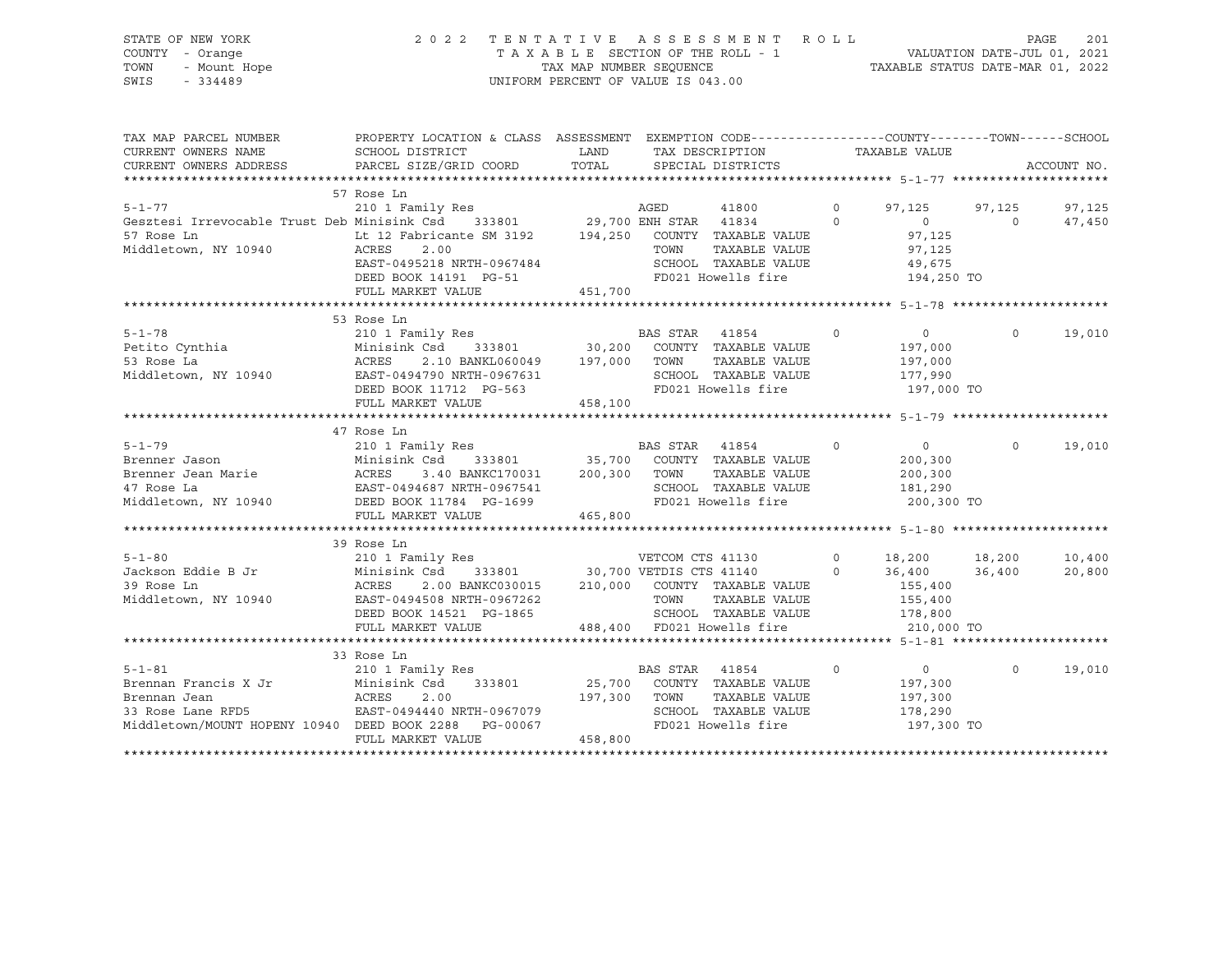STATE OF NEW YORK 2 0 2 2 T E N T A T I V E A S S E S S M E N T R O L L PAGE 201 COUNTY - Orange T A X A B L E SECTION OF THE ROLL - 1 VALUATION DATE-JUL 01, 2021 TOWN - Mount Hope TAX MAP NUMBER SEQUENCE TAXABLE STATUS DATE-MAR 01, 2022 SWIS - 334489 UNIFORM PERCENT OF VALUE IS 043.00

| TAX MAP PARCEL NUMBER<br>CURRENT OWNERS NAME<br>CURRENT OWNERS ADDRESS                                                                                                 | PROPERTY LOCATION & CLASS ASSESSMENT<br>SCHOOL DISTRICT<br>PARCEL SIZE/GRID COORD                                                                                                                                                                       | LAND<br>TOTAL      |                  | EXEMPTION CODE-----------------COUNTY-------TOWN------SCHOOL<br>TAX DESCRIPTION TAXABLE VALUE<br>SPECIAL DISTRICTS |                |                                                               |          | ACCOUNT NO.      |
|------------------------------------------------------------------------------------------------------------------------------------------------------------------------|---------------------------------------------------------------------------------------------------------------------------------------------------------------------------------------------------------------------------------------------------------|--------------------|------------------|--------------------------------------------------------------------------------------------------------------------|----------------|---------------------------------------------------------------|----------|------------------|
| $5 - 1 - 77$                                                                                                                                                           | 57 Rose Ln<br>210 1 Family Res                                                                                                                                                                                                                          |                    | AGED             | 41800                                                                                                              | $\Omega$       | 97,125                                                        | 97,125   | 97,125           |
| Gesztesi Irrevocable Trust Deb Minisink Csd 333801 29,700 ENH STAR 41834 0<br>57 Rose Ln Lt 12 Fabricante SM 3192 194,250 COUNTY TAXABLE VALUE<br>Middletown, NY 10940 | ACRES<br>ACRES 2.00<br>EAST-0495218 NRTH-0967484                                                                                                                                                                                                        |                    | TOWN             | TAXABLE VALUE<br>SCHOOL TAXABLE VALUE<br>FD021 Howells fire                                                        | $\Omega$       | $\overline{0}$<br>97,125<br>97,125<br>49,675<br>194,250 TO    | $\circ$  | 47,450           |
|                                                                                                                                                                        | FULL MARKET VALUE                                                                                                                                                                                                                                       | 451,700            |                  |                                                                                                                    |                |                                                               |          |                  |
| $5 - 1 - 78$<br>Petito Cynthia<br>53 Pose La                                                                                                                           | 53 Rose Ln<br>210 1 Family Res<br>$\begin{array}{lllllllll} \text{Minisink } \text{Cs} & 333801 & 30,200 & \text{COUNTY} & \text{TAXABLE VALUE} \\ \text{ACRES} & 2.10 & \text{BANKL060049} & 197,000 & \text{TOWN} & \text{TAXABLE VALUE} \end{array}$ |                    | <b>BAS STAR</b>  | 41854<br>$\sim$ 0<br>SCHOOL TAXABLE VALUE 177,990<br>FD021 Howells fire 197,000 TO                                 |                | $\sim$ 0<br>197,000<br>197,000                                | $\Omega$ | 19,010           |
|                                                                                                                                                                        |                                                                                                                                                                                                                                                         |                    |                  |                                                                                                                    |                |                                                               |          |                  |
|                                                                                                                                                                        | 47 Rose Ln                                                                                                                                                                                                                                              |                    |                  |                                                                                                                    |                |                                                               |          |                  |
| $5 - 1 - 79$<br>Middletown, NY 10940 DEED BOOK 11784 PG-1699                                                                                                           | 210 1 Family Res<br>3.40 BANKC170031 200,300 TOWN                                                                                                                                                                                                       |                    | BAS STAR 41854   | 333801 35,700 COUNTY TAXABLE VALUE<br>TAXABLE VALUE<br>SCHOOL TAXABLE VALUE<br>FD021 Howells fire                  | $\Omega$       | $\overline{0}$<br>200,300<br>200,300<br>181,290<br>200,300 TO | $\Omega$ | 19,010           |
|                                                                                                                                                                        | FULL MARKET VALUE                                                                                                                                                                                                                                       | 465,800            |                  |                                                                                                                    |                |                                                               |          |                  |
|                                                                                                                                                                        | 39 Rose Ln                                                                                                                                                                                                                                              |                    |                  |                                                                                                                    |                |                                                               |          |                  |
| $5 - 1 - 80$<br>Jackson Eddie B Jr<br>39 Rose Ln<br>Middletown, NY 10940                                                                                               | $2.00\quad \text{BANKC030015}\qquad \quad 210\, ,000\qquad \text{COUNTY}\quad \text{TAXABLE VALUE}\qquad \qquad 155\, ,400$<br>ACRES<br>LASI-0494508 NRTH-0967262<br>DEED BOOK 14521 PG-1865<br>FULL MARKET VALUE                                       |                    |                  | TOWN TAXABLE VALUE 155,400<br>SCHOOL TAXABLE VALUE 178,800<br>488,400 FD021 Howells fire 310,000 TO                |                | 18,200 18,200<br>36,400 36,400                                |          | 10,400<br>20,800 |
|                                                                                                                                                                        |                                                                                                                                                                                                                                                         |                    |                  |                                                                                                                    |                |                                                               |          |                  |
| Middletown/MOUNT HOPENY 10940 DEED BOOK 2288 PG-00067                                                                                                                  | 33 Rose Ln<br>210 1 Family Res<br>333801<br>EAST-0494440 NRTH-0967079<br>DEED BOOK 2288 PG-00067<br>FULL MARKET VALUE                                                                                                                                   | 197,300<br>458,800 | BAS STAR<br>TOWN | 41854<br>25,700 COUNTY TAXABLE VALUE<br>TAXABLE VALUE<br>SCHOOL TAXABLE VALUE<br>FD021 Howells fire                | $\overline{0}$ | $\overline{0}$<br>197,300<br>197,300<br>178,290<br>197,300 TO | $\Omega$ | 19,010           |
|                                                                                                                                                                        |                                                                                                                                                                                                                                                         |                    |                  |                                                                                                                    |                |                                                               |          |                  |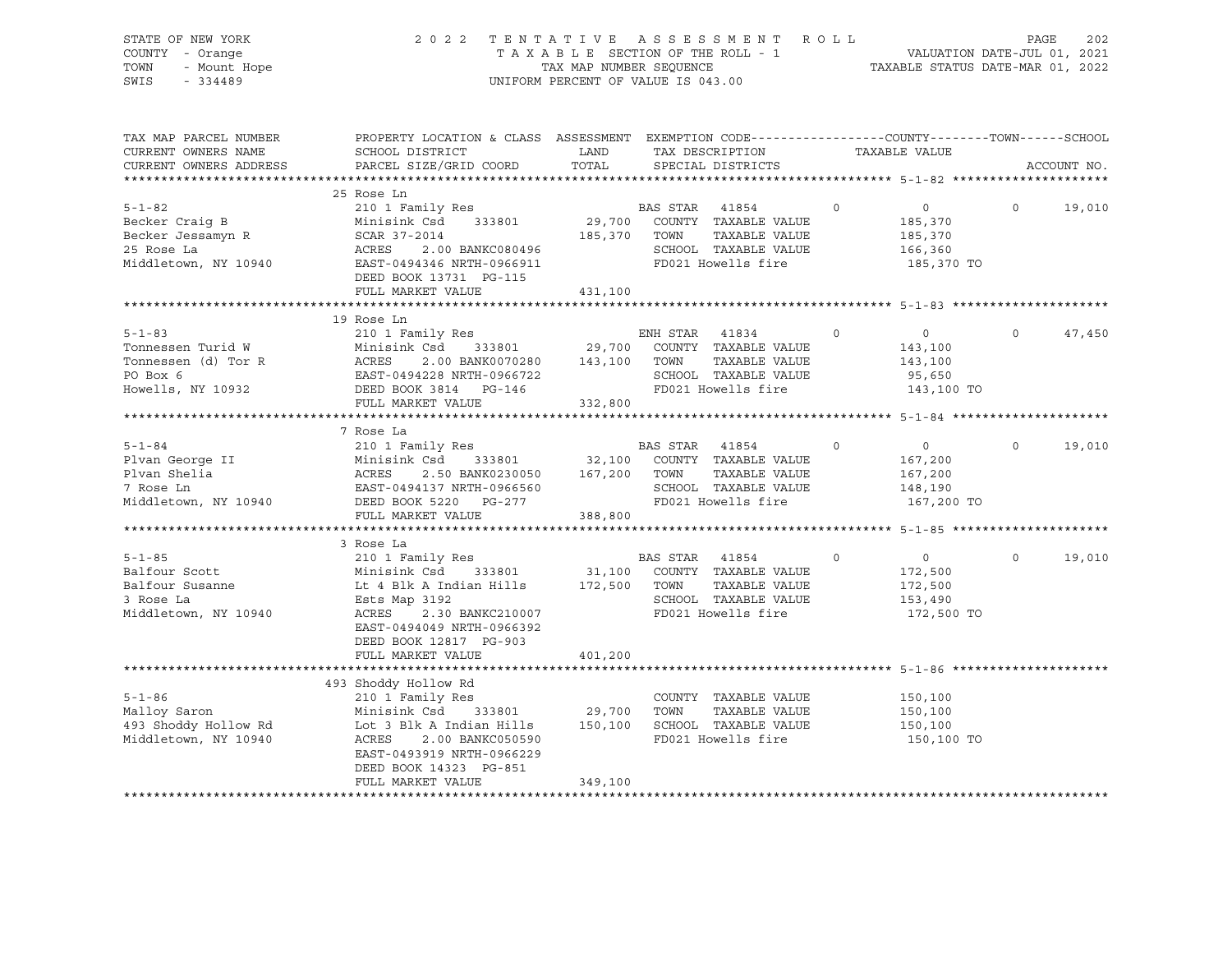| $Y - \text{Orange}$<br>- Mount Hope<br>- 334489                                                                           |                                                                                                                                                                                                                                                                                                                                                                  |                 |                                                                                                                                                                 |                                                                                                                                                                                                                                                                                                                                                                                                                                                                                                                                                                                                                                                                                                                                                                                                                                                                                                                                                                                                                                                                                          | PAGE                                                       | 202                                                                                                                                                                                                                                                                                                                                        |
|---------------------------------------------------------------------------------------------------------------------------|------------------------------------------------------------------------------------------------------------------------------------------------------------------------------------------------------------------------------------------------------------------------------------------------------------------------------------------------------------------|-----------------|-----------------------------------------------------------------------------------------------------------------------------------------------------------------|------------------------------------------------------------------------------------------------------------------------------------------------------------------------------------------------------------------------------------------------------------------------------------------------------------------------------------------------------------------------------------------------------------------------------------------------------------------------------------------------------------------------------------------------------------------------------------------------------------------------------------------------------------------------------------------------------------------------------------------------------------------------------------------------------------------------------------------------------------------------------------------------------------------------------------------------------------------------------------------------------------------------------------------------------------------------------------------|------------------------------------------------------------|--------------------------------------------------------------------------------------------------------------------------------------------------------------------------------------------------------------------------------------------------------------------------------------------------------------------------------------------|
|                                                                                                                           |                                                                                                                                                                                                                                                                                                                                                                  | TAX DESCRIPTION |                                                                                                                                                                 |                                                                                                                                                                                                                                                                                                                                                                                                                                                                                                                                                                                                                                                                                                                                                                                                                                                                                                                                                                                                                                                                                          |                                                            | ACCOUNT NO.                                                                                                                                                                                                                                                                                                                                |
|                                                                                                                           |                                                                                                                                                                                                                                                                                                                                                                  |                 |                                                                                                                                                                 |                                                                                                                                                                                                                                                                                                                                                                                                                                                                                                                                                                                                                                                                                                                                                                                                                                                                                                                                                                                                                                                                                          |                                                            |                                                                                                                                                                                                                                                                                                                                            |
| 25 Rose Ln                                                                                                                |                                                                                                                                                                                                                                                                                                                                                                  |                 |                                                                                                                                                                 |                                                                                                                                                                                                                                                                                                                                                                                                                                                                                                                                                                                                                                                                                                                                                                                                                                                                                                                                                                                                                                                                                          |                                                            |                                                                                                                                                                                                                                                                                                                                            |
| DEED BOOK 13731 PG-115                                                                                                    |                                                                                                                                                                                                                                                                                                                                                                  |                 |                                                                                                                                                                 | $\overline{0}$<br>185,370<br>185,370<br>166,360                                                                                                                                                                                                                                                                                                                                                                                                                                                                                                                                                                                                                                                                                                                                                                                                                                                                                                                                                                                                                                          | $\circ$                                                    | 19,010                                                                                                                                                                                                                                                                                                                                     |
| FULL MARKET VALUE                                                                                                         |                                                                                                                                                                                                                                                                                                                                                                  |                 |                                                                                                                                                                 |                                                                                                                                                                                                                                                                                                                                                                                                                                                                                                                                                                                                                                                                                                                                                                                                                                                                                                                                                                                                                                                                                          |                                                            |                                                                                                                                                                                                                                                                                                                                            |
|                                                                                                                           |                                                                                                                                                                                                                                                                                                                                                                  |                 |                                                                                                                                                                 |                                                                                                                                                                                                                                                                                                                                                                                                                                                                                                                                                                                                                                                                                                                                                                                                                                                                                                                                                                                                                                                                                          |                                                            |                                                                                                                                                                                                                                                                                                                                            |
| 210 1 Family Res                                                                                                          |                                                                                                                                                                                                                                                                                                                                                                  |                 |                                                                                                                                                                 | $\overline{0}$<br>143,100<br>143,100                                                                                                                                                                                                                                                                                                                                                                                                                                                                                                                                                                                                                                                                                                                                                                                                                                                                                                                                                                                                                                                     | $\Omega$                                                   | 47,450                                                                                                                                                                                                                                                                                                                                     |
|                                                                                                                           |                                                                                                                                                                                                                                                                                                                                                                  |                 |                                                                                                                                                                 |                                                                                                                                                                                                                                                                                                                                                                                                                                                                                                                                                                                                                                                                                                                                                                                                                                                                                                                                                                                                                                                                                          |                                                            |                                                                                                                                                                                                                                                                                                                                            |
|                                                                                                                           |                                                                                                                                                                                                                                                                                                                                                                  |                 |                                                                                                                                                                 |                                                                                                                                                                                                                                                                                                                                                                                                                                                                                                                                                                                                                                                                                                                                                                                                                                                                                                                                                                                                                                                                                          |                                                            |                                                                                                                                                                                                                                                                                                                                            |
| 210 1 Family Res<br>Plvan George II<br>Plvan Shelia<br>7 Rose Ln<br>DEED BOOK 5220 PG-277<br>Middletown, NY 10940         |                                                                                                                                                                                                                                                                                                                                                                  |                 |                                                                                                                                                                 | 167,200<br>167,200<br>148,190                                                                                                                                                                                                                                                                                                                                                                                                                                                                                                                                                                                                                                                                                                                                                                                                                                                                                                                                                                                                                                                            |                                                            | $0 \t 19,010$                                                                                                                                                                                                                                                                                                                              |
|                                                                                                                           |                                                                                                                                                                                                                                                                                                                                                                  |                 |                                                                                                                                                                 |                                                                                                                                                                                                                                                                                                                                                                                                                                                                                                                                                                                                                                                                                                                                                                                                                                                                                                                                                                                                                                                                                          |                                                            |                                                                                                                                                                                                                                                                                                                                            |
|                                                                                                                           |                                                                                                                                                                                                                                                                                                                                                                  |                 |                                                                                                                                                                 |                                                                                                                                                                                                                                                                                                                                                                                                                                                                                                                                                                                                                                                                                                                                                                                                                                                                                                                                                                                                                                                                                          |                                                            |                                                                                                                                                                                                                                                                                                                                            |
| EAST-0494049 NRTH-0966392                                                                                                 |                                                                                                                                                                                                                                                                                                                                                                  |                 | $\circ$                                                                                                                                                         | $\overline{0}$<br>172,500<br>153,490                                                                                                                                                                                                                                                                                                                                                                                                                                                                                                                                                                                                                                                                                                                                                                                                                                                                                                                                                                                                                                                     | $\Omega$                                                   | 19,010                                                                                                                                                                                                                                                                                                                                     |
|                                                                                                                           |                                                                                                                                                                                                                                                                                                                                                                  |                 |                                                                                                                                                                 |                                                                                                                                                                                                                                                                                                                                                                                                                                                                                                                                                                                                                                                                                                                                                                                                                                                                                                                                                                                                                                                                                          |                                                            |                                                                                                                                                                                                                                                                                                                                            |
|                                                                                                                           |                                                                                                                                                                                                                                                                                                                                                                  |                 |                                                                                                                                                                 |                                                                                                                                                                                                                                                                                                                                                                                                                                                                                                                                                                                                                                                                                                                                                                                                                                                                                                                                                                                                                                                                                          |                                                            |                                                                                                                                                                                                                                                                                                                                            |
| 493 Shoddy Hollow Rd<br>210 1 Family Res<br>ACRES 2.00 BANKC050590<br>EAST-0493919 NRTH-0966229<br>DEED BOOK 14323 PG-851 |                                                                                                                                                                                                                                                                                                                                                                  |                 |                                                                                                                                                                 | 150,100<br>150,100<br>150,100                                                                                                                                                                                                                                                                                                                                                                                                                                                                                                                                                                                                                                                                                                                                                                                                                                                                                                                                                                                                                                                            |                                                            |                                                                                                                                                                                                                                                                                                                                            |
|                                                                                                                           | PARCEL SIZE/GRID COORD<br>210 1 Family Res<br>Example 210 1 Family Res<br>Becker Craig B Minisink Csd 333801<br>Becker Jessamyn R SCAR 37-2014<br>25 Rose La ACRES 2.00 BANKC080496<br>Middletown NV 10040<br>19 Rose Ln<br>FULL MARKET VALUE<br>7 Rose La<br>FULL MARKET VALUE<br>3 Rose La<br>DEED BOOK 12817 PG-903<br>FULL MARKET VALUE<br>FULL MARKET VALUE | TOTAL           | UNIFORM PERCENT OF VALUE IS 043.00<br>SCHOOL DISTRICT LAND<br>SPECIAL DISTRICTS<br><b>BAS STAR 41854</b><br>431,100<br>332,800<br>388,800<br>401,200<br>349,100 | $\overline{0}$<br>333801 29,700 COUNTY TAXABLE VALUE<br>185,370 TOWN TAXABLE VALUE<br>ENH STAR 41834 0<br>5-1-83<br>Tonnessen Turid W Minisink Csd 333801 29,700 COUNTY TAXABLE VALUE<br>Tonnessen (d) Tor R ACRES 2.00 BANK0070280 143,100 TOWN TAXABLE VALUE<br>PO Box 6 EAST-0494228 NRTH-0966722<br>Howells, NY 10932 DEED BOOK 3814 PG-146<br>BAS STAR 41854 0<br>210 1 ramily Res (1894 RAS STAK 41854<br>Minisink Csd 333801 32,100 COUNTY TAXABLE VALUE<br>ACRES 2.50 BANK0230050 167,200 TOWN TAXABLE VALUE<br>EAST-0494137 NRTH-0966560 SCHOOL TAXABLE VALUE<br>SCHOOL TAXABLE VALUE<br>FD021 Howells fire<br>210 1 Family Res<br>Minisink Csd 333801 31,100 COUNTY TAXABLE VALUE<br>Lt 4 Blk A Indian Hills 172,500 TOWN TAXABLE VALUE<br>Ests Map 3192 SCHOOL TAXABLE VALUE<br>ACRES 2.30 BANKC210007 FD021 Howells fire<br>TAXABLE VALUE<br>SCHOOL TAXABLE VALUE<br>BANKC210007 FD021 Howells fire<br>COUNTY TAXABLE VALUE<br>Minisink Csd 333801 29,700 TOWN TAXABLE VALUE<br>Lot 3 Blk A Indian Hills 150,100 SCHOOL TAXABLE VALUE<br>TAXABLE VALUE<br>FD021 Howells fire | 2022 TENTATIVE ASSESSMENT ROLL<br>TAXABLE VALUE<br>172,500 | PAGE 202<br>TAXABLE SECTION OF THE ROLL - 1 VALUATION DATE-JUL 01, 2021<br>TAX MAP NUMBER SEQUENCE TAXABLE STATUS DATE-MAR 01, 2022<br>PROPERTY LOCATION & CLASS ASSESSMENT EXEMPTION CODE-----------------COUNTY-------TOWN------SCHOOL<br>185,370 TO<br>95,650<br>143,100 TO<br>$\overline{0}$<br>167,200 TO<br>172,500 TO<br>150,100 TO |

\*\*\*\*\*\*\*\*\*\*\*\*\*\*\*\*\*\*\*\*\*\*\*\*\*\*\*\*\*\*\*\*\*\*\*\*\*\*\*\*\*\*\*\*\*\*\*\*\*\*\*\*\*\*\*\*\*\*\*\*\*\*\*\*\*\*\*\*\*\*\*\*\*\*\*\*\*\*\*\*\*\*\*\*\*\*\*\*\*\*\*\*\*\*\*\*\*\*\*\*\*\*\*\*\*\*\*\*\*\*\*\*\*\*\*\*\*\*\*\*\*\*\*\*\*\*\*\*\*\*\*\*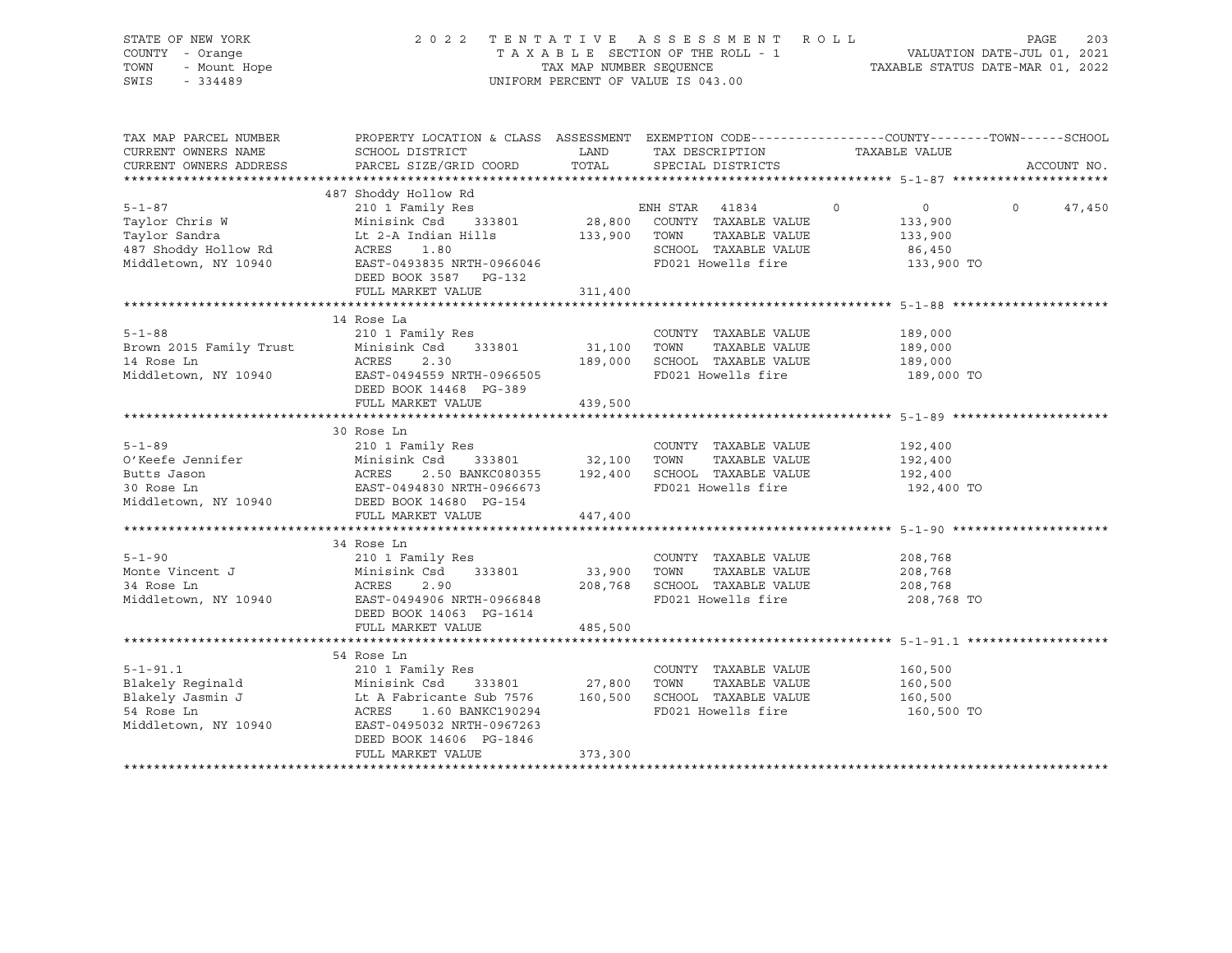| STATE OF NEW YORK<br>COUNTY - Orange<br>S - Orange<br>- Mount Hope<br>- 224499<br>TOWN<br>SWIS - 334489 | 2022 TENTATIVE ASSESSMENT ROLL<br>UNIFORM PERCENT OF VALUE IS 043.00                                                                                                                                                                                                                                                                    |                      | 203<br>PAGE                                                                                    |                                                                     |                    |
|---------------------------------------------------------------------------------------------------------|-----------------------------------------------------------------------------------------------------------------------------------------------------------------------------------------------------------------------------------------------------------------------------------------------------------------------------------------|----------------------|------------------------------------------------------------------------------------------------|---------------------------------------------------------------------|--------------------|
| TAX MAP PARCEL NUMBER<br>CURRENT OWNERS NAME<br>CURRENT OWNERS ADDRESS                                  | PROPERTY LOCATION & CLASS ASSESSMENT EXEMPTION CODE-----------------COUNTY-------TOWN------SCHOOL<br>SCHOOL DISTRICT<br>PARCEL SIZE/GRID COORD                                                                                                                                                                                          | <b>LAND</b><br>TOTAL | TAX DESCRIPTION<br>SPECIAL DISTRICTS                                                           | TAXABLE VALUE                                                       | ACCOUNT NO.        |
|                                                                                                         |                                                                                                                                                                                                                                                                                                                                         |                      |                                                                                                |                                                                     |                    |
| $5 - 1 - 87$                                                                                            | 487 Shoddy Hollow Rd<br>210 1 Family Res<br>3-1-8/<br>Taylor Chris W 2010 1 Family Res ENH STAR 41834<br>Taylor Chris W Minisink Csd 333801 28,800 COUNTY TAXABLE VALUE<br>Taylor Sandra Lt 2-A Indian Hills 133,900 TOWN TAXABLE VALUE<br>487 Shoddy Hollow Rd ACRES 1.80 SCHOOL<br>DEED BOOK 3587 PG-132                              |                      | ENH STAR 41834<br>FD021 Howells fire 133,900 TO                                                | $0 \qquad \qquad$<br>$\overline{0}$<br>133,900<br>133,900<br>86,450 | $\Omega$<br>47,450 |
|                                                                                                         | FULL MARKET VALUE                                                                                                                                                                                                                                                                                                                       | 311,400              |                                                                                                |                                                                     |                    |
| $5 - 1 - 88$                                                                                            | 14 Rose La<br>210 1 Family Res<br>Brown 2015 Family Trust 210 I Family Res 233801 31,100 TOWN TAXABLE VALUE<br>14 Rose Ln 2016 ACRES 2.30 189,000 SCHOOL TAXABLE VALUE<br>2.30 189,000 SCHOOL TAXABLE VALUE<br>2.30 189,000 SCHOOL TAXABLE VALUE<br>DEED BOOK 14468 PG-389<br>FULL MARKET VALUE                                         | 439,500              | COUNTY TAXABLE VALUE 189,000<br>31,100 TOWN TAXABLE VALUE<br>2.30 189,000 SCHOOL TAXABLE VALUE | 189,000<br>189,000<br>189,000 TO                                    |                    |
|                                                                                                         |                                                                                                                                                                                                                                                                                                                                         |                      |                                                                                                |                                                                     |                    |
| $5 - 1 - 89$                                                                                            | 30 Rose Ln<br>210 1 Family Res<br>910 1 Family Res<br>0'Keefe Jennifer Minisink Csd 333801 32,100 TOWN TAXABLE VALUE<br>Butts Jason MCRES 2.50 BANKC080355 192,400 SCHOOL TAXABLE VALUE<br>30 Rose Ln EAST-0494830 NRTH-0966673 FD021 Howells fire<br>1.1540 PC-154<br>Middletown, NY 10940 DEED BOOK 14680 PG-154<br>FULL MARKET VALUE | 447,400              | COUNTY TAXABLE VALUE                                                                           | 192,400<br>192,400<br>192,400<br>192,400 TO                         |                    |
|                                                                                                         |                                                                                                                                                                                                                                                                                                                                         |                      |                                                                                                |                                                                     |                    |
| $5 - 1 - 90$                                                                                            | 34 Rose Ln<br>210 1 Family Res<br>Monte Vincent J<br>Monte Vincent J<br>34 Rose Ln<br>34 Rose Ln<br>34 Rose Ln<br>208,768 SCHOOL<br>34 Rose Ln<br>Middletown, NY 10940<br>EAST-0494906 NRTH-0966848<br>EAST-0494906 NRTH-0966848<br>ED021 Howells fire<br>FD021 Howells fire<br>DEED BOOK 14063 PG-1614                                 |                      | COUNTY TAXABLE VALUE<br>TAXABLE VALUE<br>FD021 Howells fire                                    | 208,768<br>208,768<br>208,768<br>208,768 TO                         |                    |
|                                                                                                         | FULL MARKET VALUE                                                                                                                                                                                                                                                                                                                       | 485,500              |                                                                                                |                                                                     |                    |
| $5 - 1 - 91.1$                                                                                          | 54 Rose Ln<br>210 1 Family Res<br>DEED BOOK 14606 PG-1846<br>FULL MARKET VALUE                                                                                                                                                                                                                                                          | 373,300              | COUNTY TAXABLE VALUE 160,500                                                                   | 160,500<br>160,500<br>160,500 TO                                    |                    |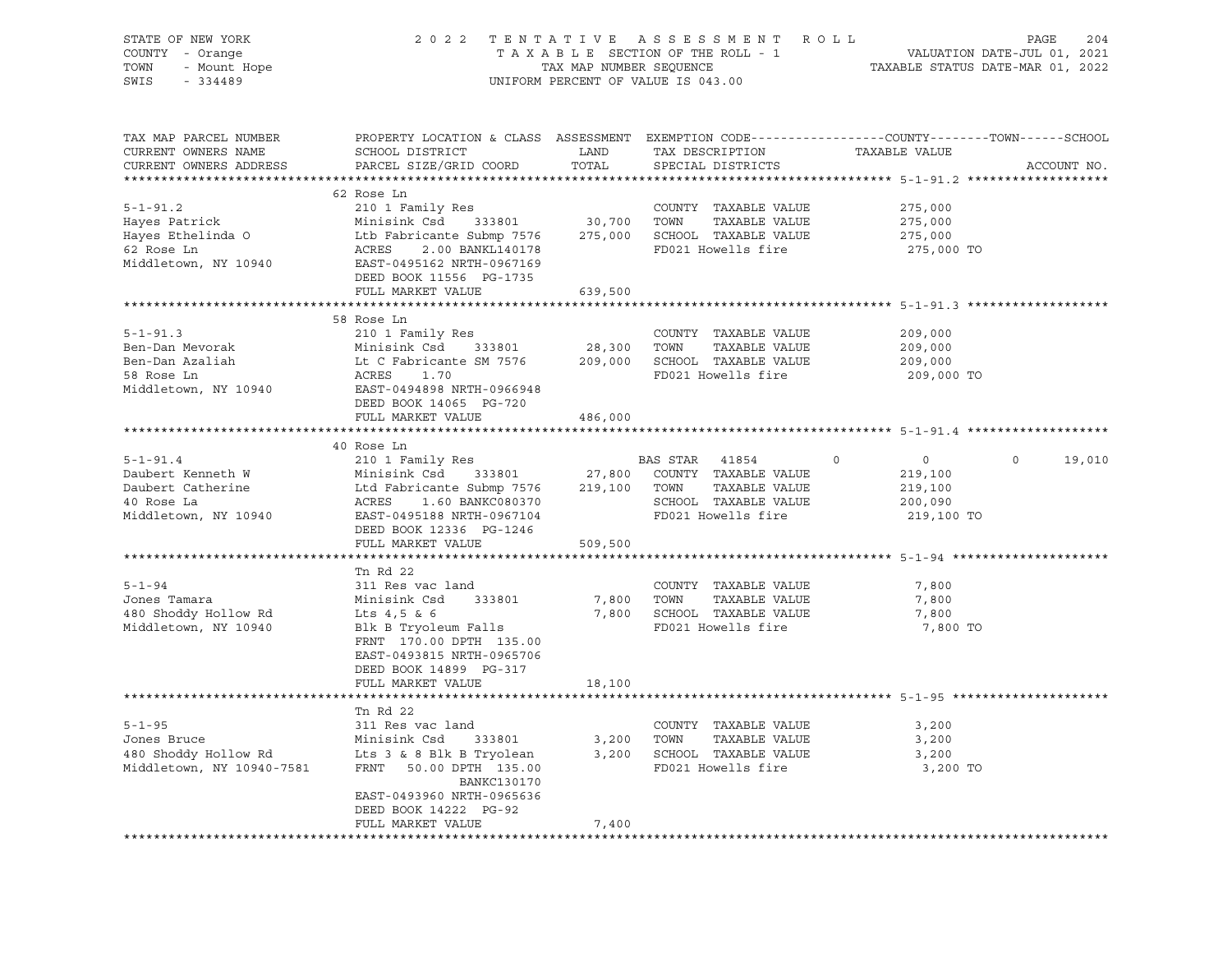| STATE OF NEW YORK<br>COUNTY - Orange<br>TOWN                                                                                                                                                                                         | TAX MAP NUMBER SEQUENCE<br>UNIFORM PERCENT OF VALUE IS 043.00                                                                                                                                                                              | OF NEW YORK (2012)<br>2022 TENTATIVE ASSESSMENT ROLL PAGE 204<br>TAXABLE SECTION OF THE ROLL - 1 VALUATION DATE-JUL 01, 2021<br>7AXABLE STATUS DATE-MAR 01, 2022<br>7AXABLE STATUS DATE-MAR 01, 2022<br>7334489 |                                             |                                                                |                       |
|--------------------------------------------------------------------------------------------------------------------------------------------------------------------------------------------------------------------------------------|--------------------------------------------------------------------------------------------------------------------------------------------------------------------------------------------------------------------------------------------|-----------------------------------------------------------------------------------------------------------------------------------------------------------------------------------------------------------------|---------------------------------------------|----------------------------------------------------------------|-----------------------|
| SWIS                                                                                                                                                                                                                                 |                                                                                                                                                                                                                                            |                                                                                                                                                                                                                 |                                             |                                                                |                       |
| TAX MAP PARCEL NUMBER<br>CURRENT OWNERS NAME                                                                                                                                                                                         | PROPERTY LOCATION & CLASS ASSESSMENT EXEMPTION CODE----------------COUNTY-------TOWN------SCHOOL<br>SCHOOL DISTRICT LAND                                                                                                                   |                                                                                                                                                                                                                 | TAX DESCRIPTION TAXABLE VALUE               |                                                                |                       |
| CURRENT OWNERS ADDRESS                                                                                                                                                                                                               | PARCEL SIZE/GRID COORD                                                                                                                                                                                                                     | TOTAL                                                                                                                                                                                                           | SPECIAL DISTRICTS                           |                                                                | ACCOUNT NO.           |
|                                                                                                                                                                                                                                      |                                                                                                                                                                                                                                            |                                                                                                                                                                                                                 |                                             |                                                                |                       |
|                                                                                                                                                                                                                                      | 62 Rose Ln                                                                                                                                                                                                                                 |                                                                                                                                                                                                                 |                                             |                                                                |                       |
| $5 - 1 - 91.2$                                                                                                                                                                                                                       | 210 1 Family Res                                                                                                                                                                                                                           |                                                                                                                                                                                                                 | COUNTY TAXABLE VALUE                        | 275,000                                                        |                       |
|                                                                                                                                                                                                                                      |                                                                                                                                                                                                                                            |                                                                                                                                                                                                                 |                                             | 275,000                                                        |                       |
|                                                                                                                                                                                                                                      |                                                                                                                                                                                                                                            |                                                                                                                                                                                                                 |                                             | 275,000                                                        |                       |
| Example 1991 Minisink Csd 333801 30,700 TOWNT TAXABLE VALUE<br>Hayes Ethelinda O 100 Ltb Fabricante Submp 7576 30,700 TOWN TAXABLE VALUE<br>62 Rose Ln ACRES 2.00 BANKL140178 FD021 Howells fire<br>Middletown, NY 10940 ERST-049516 |                                                                                                                                                                                                                                            |                                                                                                                                                                                                                 |                                             | 275,000 TO                                                     |                       |
|                                                                                                                                                                                                                                      | DEED BOOK 11556 PG-1735                                                                                                                                                                                                                    |                                                                                                                                                                                                                 |                                             |                                                                |                       |
|                                                                                                                                                                                                                                      | FULL MARKET VALUE                                                                                                                                                                                                                          | 639,500                                                                                                                                                                                                         |                                             |                                                                |                       |
|                                                                                                                                                                                                                                      |                                                                                                                                                                                                                                            |                                                                                                                                                                                                                 |                                             | ******************************** 5-1-91.3 ******************** |                       |
|                                                                                                                                                                                                                                      | 58 Rose Ln                                                                                                                                                                                                                                 |                                                                                                                                                                                                                 |                                             |                                                                |                       |
| $5 - 1 - 91.3$                                                                                                                                                                                                                       | 210 1 Family Res                                                                                                                                                                                                                           |                                                                                                                                                                                                                 | COUNTY TAXABLE VALUE                        | 209,000                                                        |                       |
| Ben-Dan Mevorak                                                                                                                                                                                                                      |                                                                                                                                                                                                                                            |                                                                                                                                                                                                                 |                                             | 209,000                                                        |                       |
| Ben-Dan Azaliah<br>58 Rose Ln                                                                                                                                                                                                        | Minisink Csd 333801 28,300 TOWN TAXABLE VALUE<br>Lt C Fabricante SM 7576 209,000 SCHOOL TAXABLE VALUE                                                                                                                                      |                                                                                                                                                                                                                 |                                             | 209,000                                                        |                       |
| 58 Rose Ln                                                                                                                                                                                                                           | ACRES 1.70<br>EAST-0494898 NRTH-0966948                                                                                                                                                                                                    |                                                                                                                                                                                                                 | FD021 Howells fire                          | 209,000 TO                                                     |                       |
| Middletown, NY 10940                                                                                                                                                                                                                 |                                                                                                                                                                                                                                            |                                                                                                                                                                                                                 |                                             |                                                                |                       |
|                                                                                                                                                                                                                                      | DEED BOOK 14065 PG-720                                                                                                                                                                                                                     |                                                                                                                                                                                                                 |                                             |                                                                |                       |
|                                                                                                                                                                                                                                      | FULL MARKET VALUE                                                                                                                                                                                                                          | 486,000                                                                                                                                                                                                         |                                             |                                                                |                       |
|                                                                                                                                                                                                                                      |                                                                                                                                                                                                                                            |                                                                                                                                                                                                                 |                                             |                                                                |                       |
| $5 - 1 - 91.4$                                                                                                                                                                                                                       |                                                                                                                                                                                                                                            |                                                                                                                                                                                                                 |                                             | $\overline{0}$<br>$\circ$                                      | $\mathbf 0$<br>19,010 |
| Daubert Kenneth W                                                                                                                                                                                                                    |                                                                                                                                                                                                                                            |                                                                                                                                                                                                                 |                                             | 219,100                                                        |                       |
| Daubert Catherine                                                                                                                                                                                                                    |                                                                                                                                                                                                                                            |                                                                                                                                                                                                                 |                                             | 219,100                                                        |                       |
| 40 Rose La                                                                                                                                                                                                                           |                                                                                                                                                                                                                                            |                                                                                                                                                                                                                 |                                             | 200,090                                                        |                       |
| Middletown, NY 10940 EAST-0495188 NRTH-0967104                                                                                                                                                                                       | 40 Rose Ln<br>210 1 Family Res<br>Minisink Csd<br>333801 27,800 COUNTY TAXABLE VALUE<br>Ltd Fabricante Submp 7576 219,100 TOWN TAXABLE VALUE<br>ACRES 1.60 BANKC080370 SCHOOL TAXABLE VALUE<br>FAST-0495188 NRTH-0967104 FD021 Howells fir |                                                                                                                                                                                                                 |                                             | 219,100 TO                                                     |                       |
|                                                                                                                                                                                                                                      | FULL MARKET VALUE                                                                                                                                                                                                                          | 509,500                                                                                                                                                                                                         |                                             |                                                                |                       |
|                                                                                                                                                                                                                                      |                                                                                                                                                                                                                                            |                                                                                                                                                                                                                 |                                             |                                                                |                       |
| $5 - 1 - 94$                                                                                                                                                                                                                         | Tn Rd 22<br>311 Res vac land                                                                                                                                                                                                               |                                                                                                                                                                                                                 | COUNTY TAXABLE VALUE                        | 7,800                                                          |                       |
| Jones Tamara                                                                                                                                                                                                                         | Minisink Csd 333801                                                                                                                                                                                                                        | 7,800 TOWN                                                                                                                                                                                                      | TAXABLE VALUE                               | 7,800                                                          |                       |
| 480 Shoddy Hollow Rd                                                                                                                                                                                                                 | FILILISTIK CSG 333001<br>Lts 4,5 & 6                                                                                                                                                                                                       |                                                                                                                                                                                                                 | 7,800 SCHOOL TAXABLE VALUE                  | 7,800                                                          |                       |
| Middletown, NY 10940                                                                                                                                                                                                                 | Blk B Tryoleum Falls                                                                                                                                                                                                                       |                                                                                                                                                                                                                 | FD021 Howells fire                          | 7,800 TO                                                       |                       |
|                                                                                                                                                                                                                                      | FRNT 170.00 DPTH 135.00                                                                                                                                                                                                                    |                                                                                                                                                                                                                 |                                             |                                                                |                       |
|                                                                                                                                                                                                                                      | EAST-0493815 NRTH-0965706                                                                                                                                                                                                                  |                                                                                                                                                                                                                 |                                             |                                                                |                       |
|                                                                                                                                                                                                                                      | DEED BOOK 14899 PG-317                                                                                                                                                                                                                     |                                                                                                                                                                                                                 |                                             |                                                                |                       |
|                                                                                                                                                                                                                                      | FULL MARKET VALUE                                                                                                                                                                                                                          | 18,100                                                                                                                                                                                                          |                                             |                                                                |                       |
|                                                                                                                                                                                                                                      |                                                                                                                                                                                                                                            |                                                                                                                                                                                                                 |                                             |                                                                |                       |
|                                                                                                                                                                                                                                      | Tn Rd 22                                                                                                                                                                                                                                   |                                                                                                                                                                                                                 |                                             |                                                                |                       |
| $5 - 1 - 95$                                                                                                                                                                                                                         | 311 Res vac land                                                                                                                                                                                                                           |                                                                                                                                                                                                                 | COUNTY TAXABLE VALUE                        | 3,200                                                          |                       |
| Jones Bruce<br>1990 Shoddy Hollow Rd 1990 Shoddy Hollow Rd 19940-7581<br>TERNT 19940-7581<br>TERNT 19940-7581<br>TERNT 19940-7581<br>TERNT 1990 DANKC130170                                                                          | Minisink Csd 333801 3,200 TOWN<br>Lts 3 & 8 Blk B Tryolean 3,200 SCHOOL                                                                                                                                                                    |                                                                                                                                                                                                                 | TAXABLE VALUE<br>3,200 SCHOOL TAXABLE VALUE | 3,200<br>3,200                                                 |                       |
|                                                                                                                                                                                                                                      | FRNT 50.00 DPTH 135.00                                                                                                                                                                                                                     |                                                                                                                                                                                                                 | FD021 Howells fire                          | 3,200 TO                                                       |                       |
|                                                                                                                                                                                                                                      | BANKC130170<br>EAST-0493960 NRTH-0965636                                                                                                                                                                                                   |                                                                                                                                                                                                                 |                                             |                                                                |                       |
|                                                                                                                                                                                                                                      | DEED BOOK 14222 PG-92                                                                                                                                                                                                                      |                                                                                                                                                                                                                 |                                             |                                                                |                       |
|                                                                                                                                                                                                                                      | FULL MARKET VALUE                                                                                                                                                                                                                          | 7,400                                                                                                                                                                                                           |                                             |                                                                |                       |
|                                                                                                                                                                                                                                      |                                                                                                                                                                                                                                            |                                                                                                                                                                                                                 |                                             |                                                                |                       |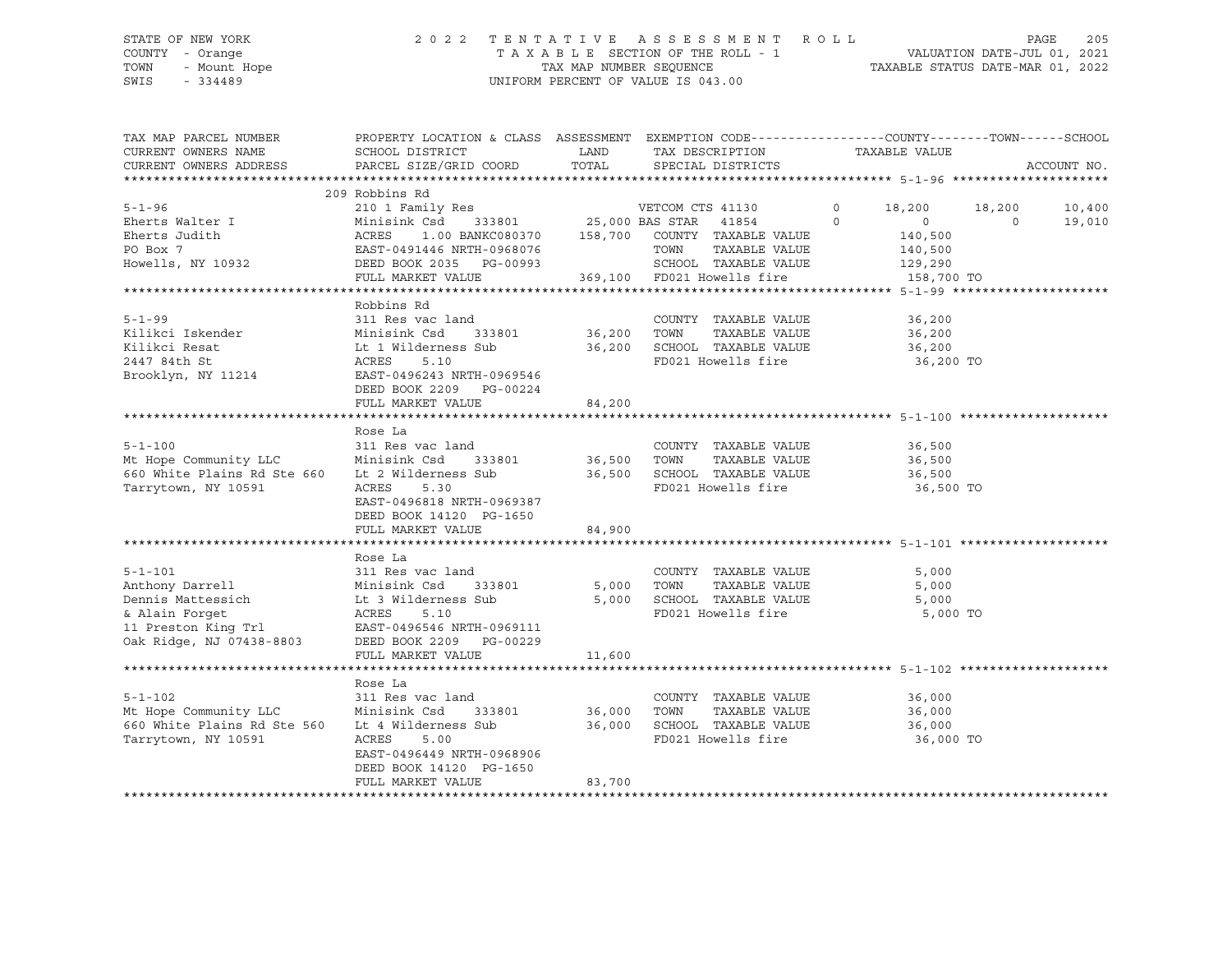# STATE OF NEW YORK 2 0 2 2 T E N T A T I V E A S S E S S M E N T R O L L PAGE 205 COUNTY - Orange T A X A B L E SECTION OF THE ROLL - 1 VALUATION DATE-JUL 01, 2021 TOWN - Mount Hope TAX MAP NUMBER SEQUENCE TAXABLE STATUS DATE-MAR 01, 2022 SWIS - 334489 UNIFORM PERCENT OF VALUE IS 043.00

| TAX MAP PARCEL NUMBER                                                                                                                                                                                                                                                                                                                                                                    | PROPERTY LOCATION & CLASS ASSESSMENT EXEMPTION CODE----------------COUNTY-------TOWN------SCHOOL<br>PARCEL SIZE/GRID COORD TOTAL SPECIAL DISTRICTS |        |                    |           |             |
|------------------------------------------------------------------------------------------------------------------------------------------------------------------------------------------------------------------------------------------------------------------------------------------------------------------------------------------------------------------------------------------|----------------------------------------------------------------------------------------------------------------------------------------------------|--------|--------------------|-----------|-------------|
| CURRENT OWNERS ADDRESS                                                                                                                                                                                                                                                                                                                                                                   |                                                                                                                                                    |        |                    |           | ACCOUNT NO. |
| $\begin{tabular}{lcccccc} 5-1-96 & 209 Robbins Rd & 210 1 Family Res & 210 1 Family Res & 25,000 BAS STAR & 4130 & 0 & 18,200 & 18,200 & 10,400 \\ \hline \texttt{Eherts Walter I} & Minisink Csd & 333801 & 25,000 BAS STAR & 41854 & 0 & 0 & 19,010 \\ \texttt{Eherts Judith} & ACRES & 1.00 BANKC080370 & 158,700 & COUNTY TAXABLE VALUE & 140,500 \\ \texttt{PO Box 7} & EAST-04914$ |                                                                                                                                                    |        |                    |           |             |
| RODDIN RODDIN RODDIN RODDIN RODDIN RODDIN RODDIN RODDIN ROW COUNTY TAXABLE VALUE 36,200<br>Kilikci Iskender Minisink Csd 333801 36,200 TOWN TAXABLE VALUE 36,200<br>Kilikci Resat Lt 1 Wilderness Sub 36,200 SCHOOL TAXABLE VALUE                                                                                                                                                        | Robbins Rd<br>FULL MARKET VALUE 84,200                                                                                                             |        |                    | 36,200 TO |             |
| 311 Res vac land<br>Mt Hope Community LLC Minisink Csd 333801 36,500 TOWN TAXABLE VALUE<br>660 White Plains Rd Ste 660 Lt 2 Wilderness Sub 36,500 SCHOOL TAXABLE VALUE 36,500 36,500<br>Tarrytown, NY 10591 ACRES 5.30 REPO21 Howell                                                                                                                                                     | Rose La<br>EAST-0496818 NRTH-0969387<br>DEED BOOK 14120 PG-1650                                                                                    |        |                    | 36,500 TO |             |
| 5-1-101<br>Anthony Darrell 311 Res vac land<br>2000 Dennis Mattessich Lt 3 Wilderness Sub<br>311 Res vac land<br>2000 TOWN TAXABLE VALUE<br>5,000 TOWN TAXABLE VALUE<br>5,000 SCHOOL TAXABLE VALUE<br>5,000 SCHOOL TAXABLE VALUE<br>5,000 SCHO                                                                                                                                           | Rose La                                                                                                                                            |        |                    | 5,000 TO  |             |
| 5-1-102 36,000 311 Res vac land COUNTY TAXABLE VALUE 36,000<br>Mt Hope Community LLC Minisink Csd 333801 36,000 TOWN TAXABLE VALUE 36,000<br>660 White Plains Rd Ste 560 Lt 4 Wilderness Sub 36,000 SCHOOL TAXABLE VALUE 36,000<br>Tarrytown, NY 10591                                                                                                                                   | Rose La<br>ACRES 5.00<br>EAST-0496449 NRTH-0968906<br>DEED BOOK 14120 PG-1650<br>FULL MARKET VALUE                                                 | 83,700 | FD021 Howells fire | 36,000 TO |             |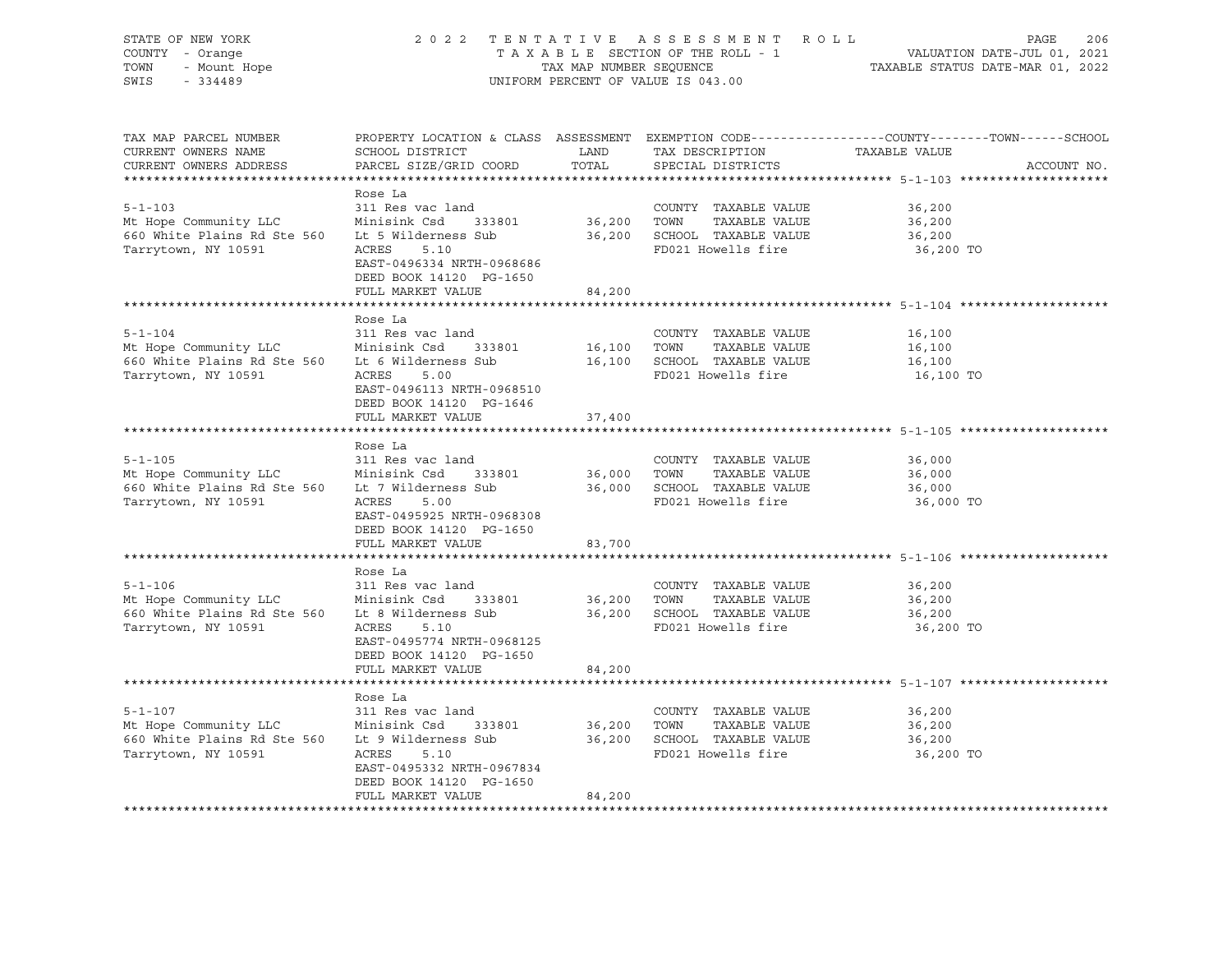| STATE OF NEW YORK<br>COUNTY - Orange<br>- Mount Hope<br>224499<br>TOWN<br>SWIS<br>$-334489$                      | 2 0 2 2                                                                                                                                                                    | TAX MAP NUMBER SEQUENCE | TENTATIVE ASSESSMENT ROLL<br>TAXABLE SECTION OF THE ROLL - 1<br>UNIFORM PERCENT OF VALUE IS 043.00                  | PAGE<br>VALUATION DATE-JUL 01, 2021<br>TAXABLE STATUS DATE-MAR 01, 2022                                                         | 206 |
|------------------------------------------------------------------------------------------------------------------|----------------------------------------------------------------------------------------------------------------------------------------------------------------------------|-------------------------|---------------------------------------------------------------------------------------------------------------------|---------------------------------------------------------------------------------------------------------------------------------|-----|
| TAX MAP PARCEL NUMBER<br>CURRENT OWNERS NAME<br>CURRENT OWNERS ADDRESS                                           | SCHOOL DISTRICT<br>PARCEL SIZE/GRID COORD                                                                                                                                  | LAND<br>TOTAL           | TAX DESCRIPTION<br>SPECIAL DISTRICTS                                                                                | PROPERTY LOCATION & CLASS ASSESSMENT EXEMPTION CODE---------------COUNTY-------TOWN------SCHOOL<br>TAXABLE VALUE<br>ACCOUNT NO. |     |
| $5 - 1 - 103$<br>Mt Hope Community LLC<br>660 White Plains Rd Ste 560<br>Tarrytown, NY 10591                     | Rose La<br>311 Res vac land<br>Minisink Csd 333801<br>Lt 5 Wilderness Sub<br>ACRES<br>5.10<br>EAST-0496334 NRTH-0968686<br>DEED BOOK 14120 PG-1650<br>FULL MARKET VALUE    | 36,200 TOWN<br>84,200   | COUNTY TAXABLE VALUE<br>TAXABLE VALUE<br>36,200 SCHOOL TAXABLE VALUE<br>FD021 Howells fire                          | 36,200<br>36,200<br>36,200<br>36,200 TO                                                                                         |     |
|                                                                                                                  |                                                                                                                                                                            |                         |                                                                                                                     |                                                                                                                                 |     |
| $5 - 1 - 104$<br>Mt Hope Community LLC<br>660 White Plains Rd Ste 560<br>Tarrytown, NY 10591                     | Rose La<br>311 Res vac land<br>Minisink Csd 333801<br>Lt 6 Wilderness Sub 16,100 SCHOOL TAXABLE VALUE<br>ACRES 5.00 FD021 Howells fire<br>EAST-0496113 NRTH-0968510        | 16,100 TOWN             | COUNTY TAXABLE VALUE<br>TAXABLE VALUE                                                                               | 16,100<br>16,100<br>16,100<br>16,100 TO                                                                                         |     |
|                                                                                                                  | DEED BOOK 14120 PG-1646<br>FULL MARKET VALUE                                                                                                                               | 37,400                  |                                                                                                                     |                                                                                                                                 |     |
|                                                                                                                  |                                                                                                                                                                            |                         |                                                                                                                     |                                                                                                                                 |     |
| $5 - 1 - 105$<br>Mt Hope Community LLC<br>660 White Plains Rd Ste 560<br>Tarrytown, NY 10591                     | Rose La<br>311 Res vac land<br>Minisink Csd<br>333801<br>Lt 7 Wilderness Sub<br>ACRES<br>5.00<br>EAST-0495925 NRTH-0968308<br>DEED BOOK 14120 PG-1650<br>FULL MARKET VALUE | 83,700                  | COUNTY TAXABLE VALUE<br>36,000 TOWN TAXABLE VALUE<br>36,000 SCHOOL TAXABLE VALUE<br>FD021 Howells fire              | 36,000<br>36,000<br>36,000<br>36,000 TO                                                                                         |     |
|                                                                                                                  |                                                                                                                                                                            |                         |                                                                                                                     |                                                                                                                                 |     |
| $5 - 1 - 106$<br>Mt Hope Community LLC<br>660 White Plains Rd Ste 560<br>Tarrytown, NY 10591                     | Rose La<br>311 Res vac land<br>Minisink Csd<br>333801<br>Lt 8 Wilderness Sub<br>ACRES<br>5.10<br>EAST-0495774 NRTH-0968125<br>DEED BOOK 14120 PG-1650<br>FULL MARKET VALUE | 84,200                  | COUNTY TAXABLE VALUE<br>36,200    TOWN      TAXABLE VALUE<br>36,200    SCHOOL   TAXABLE VALUE<br>FD021 Howells fire | 36,200<br>36,200<br>36,200<br>36,200 TO                                                                                         |     |
|                                                                                                                  |                                                                                                                                                                            |                         |                                                                                                                     | ********************************* 5-1-107 ********************                                                                  |     |
| $5 - 1 - 107$<br>Mt Hope Community LLC<br>660 White Plains Rd Ste 560 Lt 9 Wilderness Sub<br>Tarrytown, NY 10591 | Rose La<br>311 Res vac land<br>Minisink Csd<br>333801<br>ACRES<br>5.10<br>EAST-0495332 NRTH-0967834<br>DEED BOOK 14120 PG-1650<br>FULL MARKET VALUE                        | 84,200                  | COUNTY TAXABLE VALUE<br>36,200 TOWN TAXABLE VALUE<br>36,200 SCHOOL TAXABLE VALUE<br>FD021 Howells fire              | 36,200<br>36,200<br>36,200<br>36,200 TO                                                                                         |     |
|                                                                                                                  |                                                                                                                                                                            |                         |                                                                                                                     |                                                                                                                                 |     |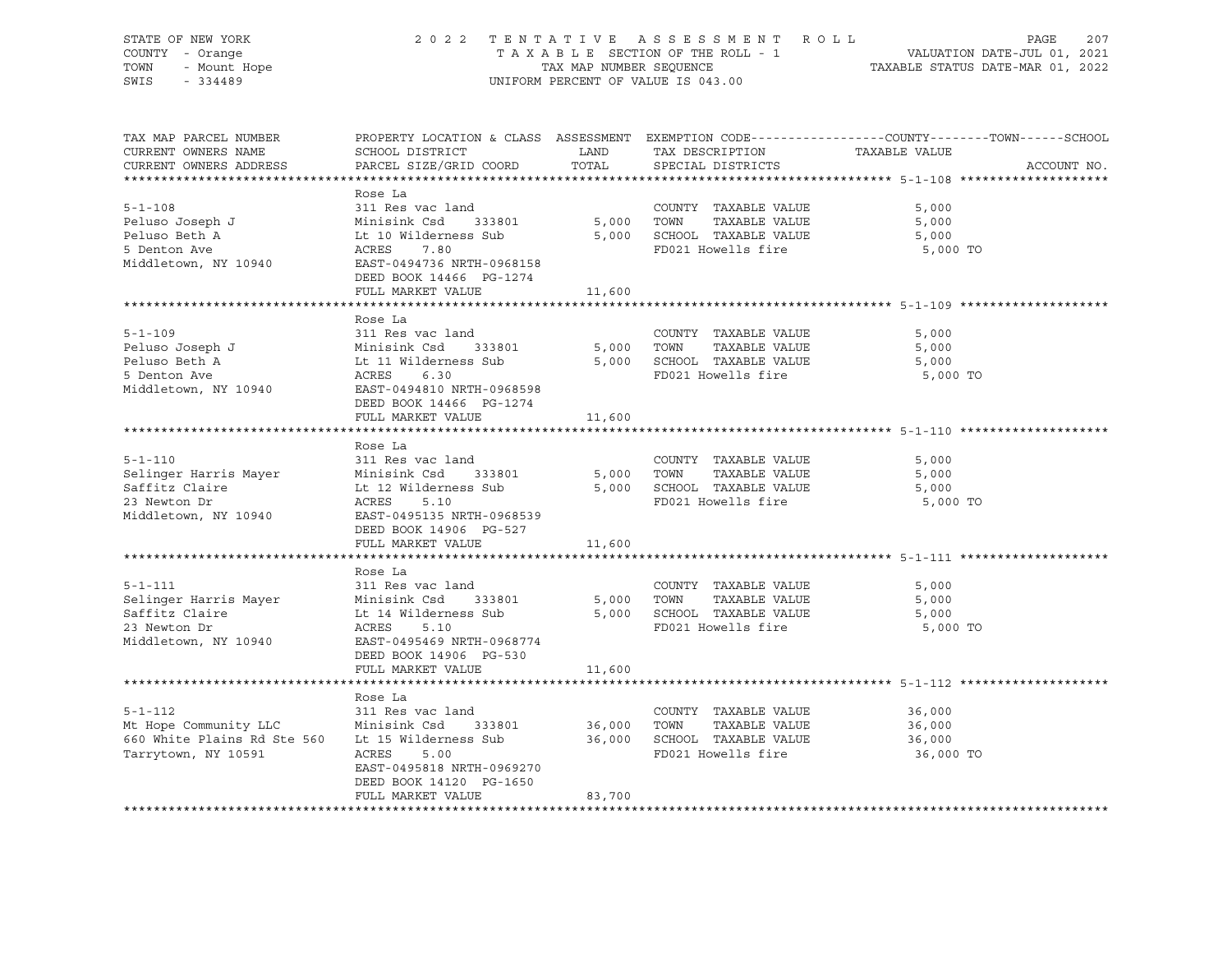STATE OF NEW YORK 20 2 2 2 2 2 2 2 2 2 3 3 5 5 5 7 K O L L PAGE 207 COUNTY - Orange COUNTY - Orange COUNTY - Orange COUNTY - Orange COUNTY - Orange COUNTY - Orange COUNTY - Orange<br>TA X A B L E SECTION OF THE ROLL - 1 VALUATION DATE-JUL 01, 2021<br>TOWN - Mount Hope COUNTY - Mount Hope TAX NAP TOWN - Mount Hope TAX ARE NUMBER SEQUENCE TAX AND NUMBER SEQUENCE TAXABLE STATUS DATE-MAR 01, 2022<br>The Samillary of the Samillary Company of Taxable States of Taxable Status Date-Mar 01, 2022 UNIFORM PERCENT OF VALUE IS 043.00 TAX MAP PARCEL NUMBER PROPERTY LOCATION & CLASS ASSESSMENT EXEMPTION CODE------------------COUNTY--------TOWN------SCHOOL CURRENT OWNERS NAME SCHOOL DISTRICT LAND TAX DESCRIPTION TAXABLE VALUE CURRENT OWNERS ADDRESS PARCEL SIZE/GRID COORD TOTAL SPECIAL DISTRICTS ACCOUNT NO. \*\*\*\*\*\*\*\*\*\*\*\*\*\*\*\*\*\*\*\*\*\*\*\*\*\*\*\*\*\*\*\*\*\*\*\*\*\*\*\*\*\*\*\*\*\*\*\*\*\*\*\*\*\*\*\*\*\*\*\*\*\*\*\*\*\*\*\*\*\*\*\*\*\*\*\*\*\*\*\*\*\*\*\*\*\*\*\*\*\*\*\*\*\*\*\*\*\*\*\*\*\*\* 5-1-108 \*\*\*\*\*\*\*\*\*\*\*\*\*\*\*\*\*\*\*\* Rose La 5-1-108 311 Res vac land COUNTY TAXABLE VALUE 5,000 Peluso Joseph J Minisink Csd 333801 5,000 TOWN TAXABLE VALUE 5,000 Peluso Beth A Lt 10 Wilderness Sub 5,000 SCHOOL TAXABLE VALUE 5,000 5 Deluso Joseph James (1990) - المستوى المستوى المستوى المستوى المستوى المستوى المستوى المستوى المستوى المستوى<br>1990) - Teluso Beth A (1990) - The Mulderness Sub (5,000 SCHOOL TAXABLE VALUE (5,000 TO<br>1990) - Teluso Books A Middletown, NY 10940 EAST-0494736 NRTH-0968158 DEED BOOK 14466 PG-1274 FULL MARKET VALUE 11,600 \*\*\*\*\*\*\*\*\*\*\*\*\*\*\*\*\*\*\*\*\*\*\*\*\*\*\*\*\*\*\*\*\*\*\*\*\*\*\*\*\*\*\*\*\*\*\*\*\*\*\*\*\*\*\*\*\*\*\*\*\*\*\*\*\*\*\*\*\*\*\*\*\*\*\*\*\*\*\*\*\*\*\*\*\*\*\*\*\*\*\*\*\*\*\*\*\*\*\*\*\*\*\* 5-1-109 \*\*\*\*\*\*\*\*\*\*\*\*\*\*\*\*\*\*\*\* Rose La 5-1-109 311 Res vac land COUNTY TAXABLE VALUE 5,000 Peluso Joseph J Minisink Csd 333801 5,000 TOWN TAXABLE VALUE 5,000 Peluso Beth A Lt 11 Wilderness Sub 5,000 SCHOOL TAXABLE VALUE 5,000 5 Denton Ave ACRES 6.30 FD021 Howells fire 5,000 TO Middletown, NY 10940 EAST-0494810 NRTH-0968598 DEED BOOK 14466 PG-1274 FULL MARKET VALUE 11,600

\*\*\*\*\*\*\*\*\*\*\*\*\*\*\*\*\*\*\*\*\*\*\*\*\*\*\*\*\*\*\*\*\*\*\*\*\*\*\*\*\*\*\*\*\*\*\*\*\*\*\*\*\*\*\*\*\*\*\*\*\*\*\*\*\*\*\*\*\*\*\*\*\*\*\*\*\*\*\*\*\*\*\*\*\*\*\*\*\*\*\*\*\*\*\*\*\*\*\*\*\*\*\* 5-1-110 \*\*\*\*\*\*\*\*\*\*\*\*\*\*\*\*\*\*\*\* Rose La<br>311 Res vac land 5-1-110 311 Res vac land COUNTY TAXABLE VALUE 5,000 Selinger Harris Mayer Minisink Csd 333801 5,000 TOWN TAXABLE VALUE 5,000 Saffitz Claire Lt 12 Wilderness Sub 5,000 SCHOOL TAXABLE VALUE 5,000 23 Newton Dr ACRES 5.10 FD021 Howells fire 5,000 TO Middletown, NY 10940 EAST-0495135 NRTH-0968539 DEED BOOK 14906 PG-527 FULL MARKET VALUE 11,600 \*\*\*\*\*\*\*\*\*\*\*\*\*\*\*\*\*\*\*\*\*\*\*\*\*\*\*\*\*\*\*\*\*\*\*\*\*\*\*\*\*\*\*\*\*\*\*\*\*\*\*\*\*\*\*\*\*\*\*\*\*\*\*\*\*\*\*\*\*\*\*\*\*\*\*\*\*\*\*\*\*\*\*\*\*\*\*\*\*\*\*\*\*\*\*\*\*\*\*\*\*\*\* 5-1-111 \*\*\*\*\*\*\*\*\*\*\*\*\*\*\*\*\*\*\*\* Rose La 5-1-111 311 Res vac land COUNTY TAXABLE VALUE 5,000 Selinger Harris Mayer Minisink Csd 333801 5,000 TOWN TAXABLE VALUE 5,000 Saffitz Claire Lt 14 Wilderness Sub 5,000 SCHOOL TAXABLE VALUE 5,000 23 Newton Dr ACRES 5.10 FD021 Howells fire 5,000 TO EAST-0495469 NRTH-0968774 DEED BOOK 14906 PG-530 FULL MARKET VALUE 11,600 \*\*\*\*\*\*\*\*\*\*\*\*\*\*\*\*\*\*\*\*\*\*\*\*\*\*\*\*\*\*\*\*\*\*\*\*\*\*\*\*\*\*\*\*\*\*\*\*\*\*\*\*\*\*\*\*\*\*\*\*\*\*\*\*\*\*\*\*\*\*\*\*\*\*\*\*\*\*\*\*\*\*\*\*\*\*\*\*\*\*\*\*\*\*\*\*\*\*\*\*\*\*\* 5-1-112 \*\*\*\*\*\*\*\*\*\*\*\*\*\*\*\*\*\*\*\* Rose La 5-1-112 311 Res vac land COUNTY TAXABLE VALUE 36,000 Mt Hope Community LLC Minisink Csd 333801 36,000 TOWN TAXABLE VALUE 36,000 660 White Plains Rd Ste 560 Lt 15 Wilderness Sub 36,000 SCHOOL TAXABLE VALUE 36,000 Tarrytown, NY 10591 ACRES 5.00 FD021 Howells fire 36,000 TO EAST-0495818 NRTH-0969270 DEED BOOK 14120 PG-1650 FULL MARKET VALUE 83,700 \*\*\*\*\*\*\*\*\*\*\*\*\*\*\*\*\*\*\*\*\*\*\*\*\*\*\*\*\*\*\*\*\*\*\*\*\*\*\*\*\*\*\*\*\*\*\*\*\*\*\*\*\*\*\*\*\*\*\*\*\*\*\*\*\*\*\*\*\*\*\*\*\*\*\*\*\*\*\*\*\*\*\*\*\*\*\*\*\*\*\*\*\*\*\*\*\*\*\*\*\*\*\*\*\*\*\*\*\*\*\*\*\*\*\*\*\*\*\*\*\*\*\*\*\*\*\*\*\*\*\*\*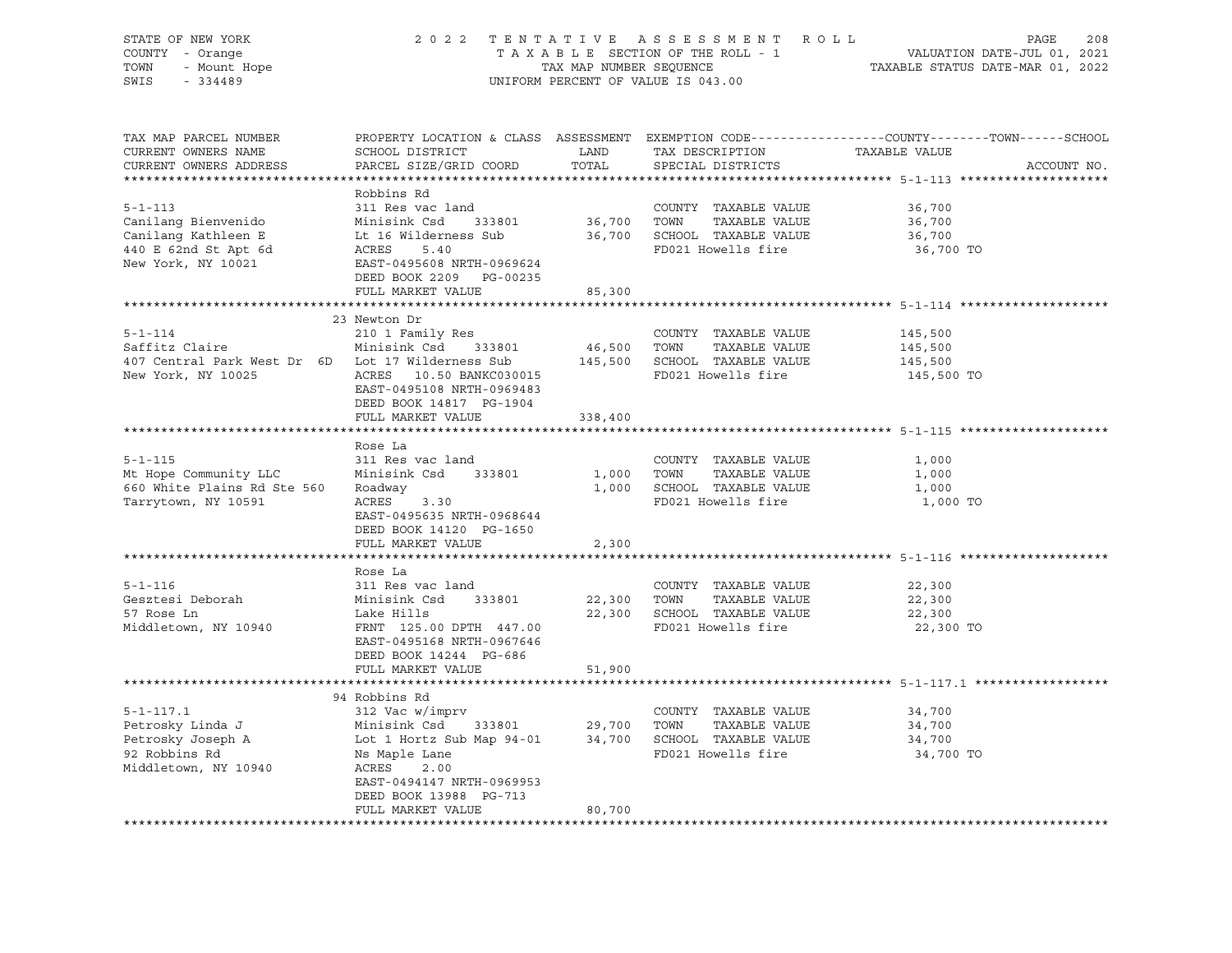| STATE OF NEW YORK<br>OF NEW TOOL<br>7 - Orange<br>- Mount Hope<br>101100                                                                                       | 2022 TENTATIVE ASSESSMENT ROLL |                         |                                    | 208<br>PAGE                                                                                    |
|----------------------------------------------------------------------------------------------------------------------------------------------------------------|--------------------------------|-------------------------|------------------------------------|------------------------------------------------------------------------------------------------|
| COUNTY - Orange                                                                                                                                                |                                |                         | TAXABLE SECTION OF THE ROLL - 1    | VALUATION DATE-JUL 01, 2021<br>TAXABLE STATUS DATE-MAR 01, 2022                                |
| TOWN<br>SWIS                                                                                                                                                   |                                | TAX MAP NUMBER SEQUENCE | UNIFORM PERCENT OF VALUE IS 043.00 |                                                                                                |
|                                                                                                                                                                |                                |                         |                                    |                                                                                                |
|                                                                                                                                                                |                                |                         |                                    |                                                                                                |
| TAX MAP PARCEL NUMBER                                                                                                                                          |                                |                         |                                    | PROPERTY LOCATION & CLASS ASSESSMENT EXEMPTION CODE---------------COUNTY-------TOWN-----SCHOOL |
| CURRENT OWNERS NAME                                                                                                                                            | SCHOOL DISTRICT                | LAND                    | TAX DESCRIPTION TAXABLE VALUE      |                                                                                                |
| CURRENT OWNERS ADDRESS                                                                                                                                         | PARCEL SIZE/GRID COORD         | TOTAL                   | SPECIAL DISTRICTS                  | ACCOUNT NO.                                                                                    |
|                                                                                                                                                                |                                |                         |                                    |                                                                                                |
|                                                                                                                                                                | Robbins Rd                     |                         |                                    |                                                                                                |
| $5 - 1 - 113$                                                                                                                                                  | 311 Res vac land               |                         | COUNTY TAXABLE VALUE               | 36,700                                                                                         |
| Canilang Bienvenido                                                                                                                                            | Minisink Csd 333801            | 36,700 TOWN             | TAXABLE VALUE                      | 36,700                                                                                         |
| Canilang Kathleen E                                                                                                                                            | Lt 16 Wilderness Sub           |                         | 36,700 SCHOOL TAXABLE VALUE        | 36,700                                                                                         |
| Minis<br>Lt 16 W<br>ACRES<br>EAST-(<br>440 E 62nd St Apt 6d                                                                                                    | 5.40                           |                         | FD021 Howells fire                 | 36,700 TO                                                                                      |
| New York, NY 10021                                                                                                                                             | EAST-0495608 NRTH-0969624      |                         |                                    |                                                                                                |
|                                                                                                                                                                | DEED BOOK 2209 PG-00235        |                         |                                    |                                                                                                |
|                                                                                                                                                                | FULL MARKET VALUE              | 85,300                  |                                    |                                                                                                |
|                                                                                                                                                                |                                |                         |                                    |                                                                                                |
|                                                                                                                                                                | 23 Newton Dr                   |                         |                                    |                                                                                                |
| $5 - 1 - 114$                                                                                                                                                  | 210 1 Family Res               |                         | COUNTY TAXABLE VALUE               | 145,500                                                                                        |
| Saffitz Claire                                                                                                                                                 | Minisink Csd 333801            | 46,500 TOWN             | TAXABLE VALUE                      | 145,500                                                                                        |
| 407 Central Park West Dr 6D Lot 17 Wilderness Sub                                                                                                              |                                |                         | 145,500 SCHOOL TAXABLE VALUE       | 145,500                                                                                        |
| New York, NY 10025                                                                                                                                             | ACRES 10.50 BANKC030015        |                         | FD021 Howells fire                 | 145,500 TO                                                                                     |
|                                                                                                                                                                | EAST-0495108 NRTH-0969483      |                         |                                    |                                                                                                |
|                                                                                                                                                                | DEED BOOK 14817 PG-1904        |                         |                                    |                                                                                                |
|                                                                                                                                                                | FULL MARKET VALUE              | 338,400                 |                                    |                                                                                                |
|                                                                                                                                                                |                                |                         |                                    |                                                                                                |
| $5 - 1 - 115$                                                                                                                                                  | Rose La<br>311 Res vac land    |                         | COUNTY TAXABLE VALUE               | 1,000                                                                                          |
| Mt Hope Community LLC                                                                                                                                          | Minisink Csd 333801            | 1,000 TOWN              | TAXABLE VALUE                      | 1,000                                                                                          |
| 660 White Plains Rd Ste 560                                                                                                                                    | Roadway                        |                         | 1,000 SCHOOL TAXABLE VALUE         | 1,000                                                                                          |
| Tarrytown, NY 10591                                                                                                                                            | ACRES<br>3.30                  |                         | FD021 Howells fire                 | 1,000 TO                                                                                       |
|                                                                                                                                                                | EAST-0495635 NRTH-0968644      |                         |                                    |                                                                                                |
|                                                                                                                                                                | DEED BOOK 14120 PG-1650        |                         |                                    |                                                                                                |
|                                                                                                                                                                | FULL MARKET VALUE              | 2,300                   |                                    |                                                                                                |
|                                                                                                                                                                | **************************     | **********              |                                    | ****************************** 5-1-116 ********************                                    |
|                                                                                                                                                                | Rose La                        |                         |                                    |                                                                                                |
| $5 - 1 - 116$                                                                                                                                                  | 311 Res vac land               |                         | COUNTY TAXABLE VALUE               | 22,300                                                                                         |
| Gesztesi Deborah                                                                                                                                               | Minisink Csd 333801            |                         | 22,300 TOWN<br>TAXABLE VALUE       | 22,300                                                                                         |
| 57 Rose Ln                                                                                                                                                     | Lake Hills                     |                         | 22,300 SCHOOL TAXABLE VALUE        | 22,300                                                                                         |
| Middletown, NY 10940                                                                                                                                           | FRNT 125.00 DPTH 447.00        |                         | FD021 Howells fire                 | 22,300 TO                                                                                      |
|                                                                                                                                                                | EAST-0495168 NRTH-0967646      |                         |                                    |                                                                                                |
|                                                                                                                                                                | DEED BOOK 14244 PG-686         |                         |                                    |                                                                                                |
|                                                                                                                                                                | FULL MARKET VALUE              | 51,900                  |                                    |                                                                                                |
|                                                                                                                                                                |                                |                         |                                    |                                                                                                |
|                                                                                                                                                                | 94 Robbins Rd                  |                         |                                    |                                                                                                |
| $5 - 1 - 117.1$                                                                                                                                                | 312 Vac w/imprv                |                         | COUNTY TAXABLE VALUE               | 34,700                                                                                         |
|                                                                                                                                                                |                                |                         |                                    | 34,700                                                                                         |
| Petrosky Linda J<br>Petrosky Joseph A Minisink Csd 333801 29,700 TOWN TAXABLE VALUE<br>Petrosky Joseph A Lot 1 Hortz Sub Map 94-01 34,700 SCHOOL TAXABLE VALUE |                                |                         |                                    | 34,700                                                                                         |
| 92 Robbins Rd                                                                                                                                                  | Ns Maple Lane                  |                         | FD021 Howells fire                 | 34,700 TO                                                                                      |
| Middletown, NY 10940                                                                                                                                           | ACRES 2.00                     |                         |                                    |                                                                                                |
|                                                                                                                                                                | EAST-0494147 NRTH-0969953      |                         |                                    |                                                                                                |
|                                                                                                                                                                | DEED BOOK 13988 PG-713         |                         |                                    |                                                                                                |
|                                                                                                                                                                | FULL MARKET VALUE              | 80,700                  |                                    |                                                                                                |
|                                                                                                                                                                |                                |                         |                                    |                                                                                                |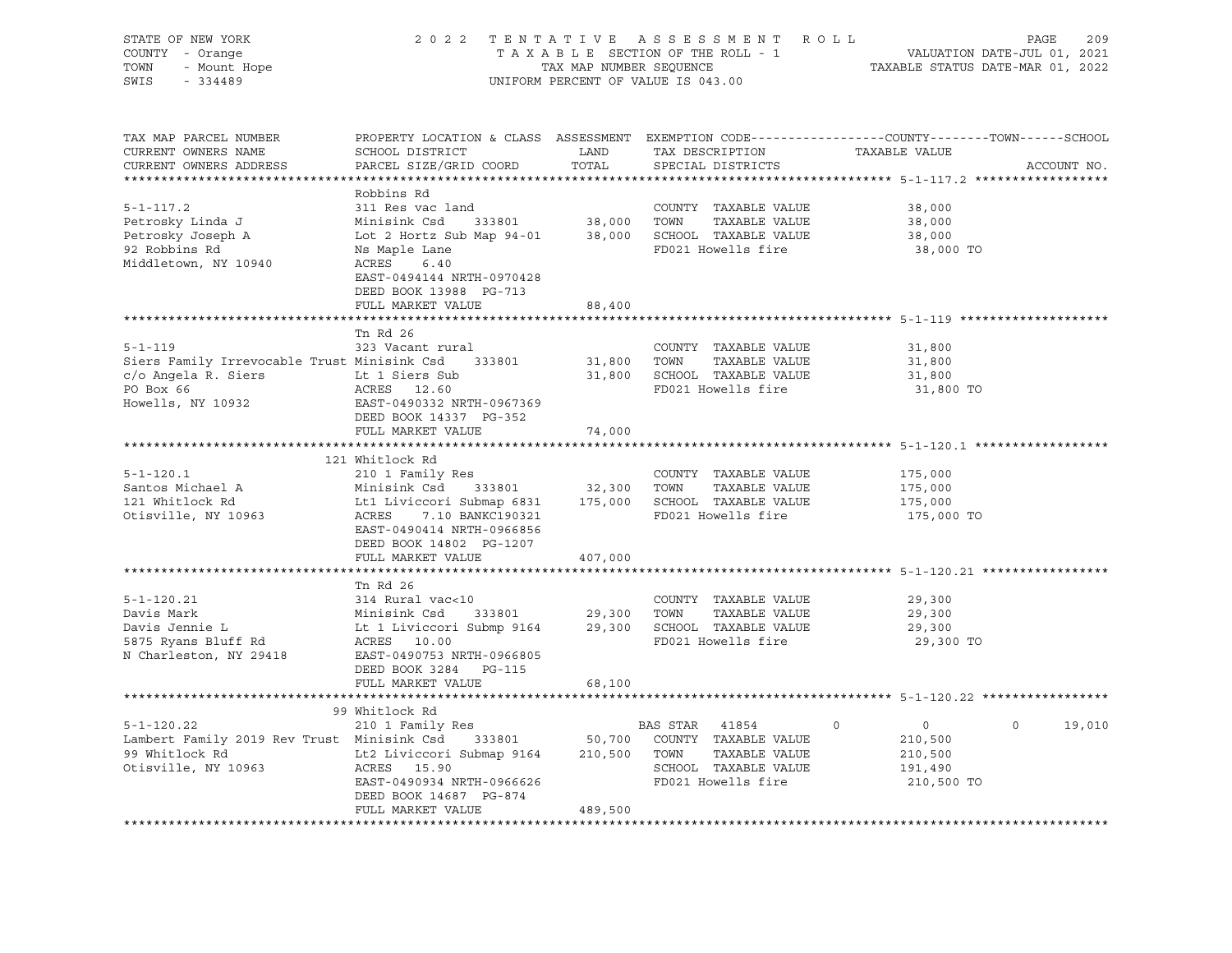| STATE OF NEW YORK                                  | 2 0 2 2                                                                                                                                                         |                         | TENTATIVE ASSESSMENT ROLL                         |                                  | 209<br>PAGE              |
|----------------------------------------------------|-----------------------------------------------------------------------------------------------------------------------------------------------------------------|-------------------------|---------------------------------------------------|----------------------------------|--------------------------|
| COUNTY - Orange                                    |                                                                                                                                                                 |                         | TAXABLE SECTION OF THE ROLL - 1                   | VALUATION DATE-JUL 01, 2021      |                          |
| - Mount Hope<br>TOWN                               |                                                                                                                                                                 | TAX MAP NUMBER SEQUENCE |                                                   | TAXABLE STATUS DATE-MAR 01, 2022 |                          |
| SWIS<br>$-334489$                                  |                                                                                                                                                                 |                         | UNIFORM PERCENT OF VALUE IS 043.00                |                                  |                          |
|                                                    |                                                                                                                                                                 |                         |                                                   |                                  |                          |
| TAX MAP PARCEL NUMBER                              | PROPERTY LOCATION & CLASS ASSESSMENT EXEMPTION CODE---------------COUNTY-------TOWN-----SCHOOL                                                                  |                         |                                                   |                                  |                          |
| CURRENT OWNERS NAME                                | SCHOOL DISTRICT                                                                                                                                                 | LAND                    | TAX DESCRIPTION                                   | TAXABLE VALUE                    |                          |
| CURRENT OWNERS ADDRESS                             | PARCEL SIZE/GRID COORD                                                                                                                                          | TOTAL                   | SPECIAL DISTRICTS                                 |                                  | ACCOUNT NO.              |
|                                                    |                                                                                                                                                                 |                         |                                                   |                                  |                          |
|                                                    | Robbins Rd                                                                                                                                                      |                         |                                                   |                                  |                          |
| $5 - 1 - 117.2$                                    | 311 Res vac land                                                                                                                                                |                         | COUNTY TAXABLE VALUE                              | 38,000                           |                          |
| Petrosky Linda J                                   |                                                                                                                                                                 |                         |                                                   | 38,000                           |                          |
| Petrosky Joseph A                                  | Minisink Csd 333801 38,000 TOWN TAXABLE VALUE<br>Lot 2 Hortz Sub Map 94-01 38,000 SCHOOL TAXABLE VALUE<br>Lot 2 Hortz Sub Map 94-01 38,000 SCHOOL TAXABLE VALUE |                         |                                                   | 38,000                           |                          |
| 92 Robbins Rd                                      | Ns Maple Lane                                                                                                                                                   |                         | FD021 Howells fire                                | 38,000 TO                        |                          |
| Middletown, NY 10940                               | ACRES<br>6.40                                                                                                                                                   |                         |                                                   |                                  |                          |
|                                                    | EAST-0494144 NRTH-0970428                                                                                                                                       |                         |                                                   |                                  |                          |
|                                                    | DEED BOOK 13988 PG-713                                                                                                                                          |                         |                                                   |                                  |                          |
|                                                    | FULL MARKET VALUE                                                                                                                                               | 88,400                  |                                                   |                                  |                          |
|                                                    |                                                                                                                                                                 |                         |                                                   |                                  |                          |
|                                                    | Tn Rd 26                                                                                                                                                        |                         |                                                   |                                  |                          |
| $5 - 1 - 119$                                      | 323 Vacant rural                                                                                                                                                |                         | COUNTY TAXABLE VALUE                              | 31,800                           |                          |
| Siers Family Irrevocable Trust Minisink Csd 333801 |                                                                                                                                                                 | 31,800 TOWN             | TAXABLE VALUE                                     | 31,800                           |                          |
| c/o Angela R. Siers<br>Lt 1 Siers Sub              |                                                                                                                                                                 |                         | 31,800 SCHOOL TAXABLE VALUE                       | 31,800                           |                          |
| PO Box 66                                          | ACRES 12.60                                                                                                                                                     |                         | FD021 Howells fire                                | 31,800 TO                        |                          |
| Howells, NY 10932                                  | EAST-0490332 NRTH-0967369                                                                                                                                       |                         |                                                   |                                  |                          |
|                                                    | DEED BOOK 14337 PG-352                                                                                                                                          |                         |                                                   |                                  |                          |
|                                                    | FULL MARKET VALUE                                                                                                                                               | 74,000                  |                                                   |                                  |                          |
|                                                    |                                                                                                                                                                 |                         |                                                   |                                  |                          |
| $5 - 1 - 120.1$                                    | 121 Whitlock Rd                                                                                                                                                 |                         |                                                   |                                  |                          |
| Santos Michael A                                   | 210 1 Family Res<br>Minisink Csd 333801                                                                                                                         |                         | COUNTY TAXABLE VALUE<br>32,300 TOWN TAXABLE VALUE | 175,000<br>175,000               |                          |
| 121 Whitlock Rd                                    |                                                                                                                                                                 |                         |                                                   | 175,000                          |                          |
| Otisville, NY 10963                                | Lt1 Liviccori Submap 6831 175,000 SCHOOL TAXABLE VALUE<br>ACRES 7.10 BANKC190321 FD021 Howells fire                                                             |                         |                                                   | 175,000 TO                       |                          |
|                                                    | EAST-0490414 NRTH-0966856                                                                                                                                       |                         |                                                   |                                  |                          |
|                                                    | DEED BOOK 14802 PG-1207                                                                                                                                         |                         |                                                   |                                  |                          |
|                                                    | FULL MARKET VALUE                                                                                                                                               | 407,000                 |                                                   |                                  |                          |
|                                                    |                                                                                                                                                                 |                         |                                                   |                                  |                          |
|                                                    | Tn Rd 26                                                                                                                                                        |                         |                                                   |                                  |                          |
| $5 - 1 - 120.21$                                   | 314 Rural vac<10                                                                                                                                                |                         | COUNTY TAXABLE VALUE                              | 29,300                           |                          |
| Davis Mark                                         |                                                                                                                                                                 | 29,300 TOWN             | TAXABLE VALUE                                     | 29,300                           |                          |
| Davis Jennie L                                     | Minisink Csd 333801<br>Lt 1 Liviccori Submp 9164<br>200E 10.00                                                                                                  |                         | 29,300 SCHOOL TAXABLE VALUE                       | 29,300                           |                          |
| 5875 Ryans Bluff Rd<br>N Charleston, NY 29418      | ACRES 10.00                                                                                                                                                     |                         | FD021 Howells fire                                | 29,300 TO                        |                          |
|                                                    | EAST-0490753 NRTH-0966805                                                                                                                                       |                         |                                                   |                                  |                          |
|                                                    | DEED BOOK 3284 PG-115                                                                                                                                           |                         |                                                   |                                  |                          |
|                                                    | FULL MARKET VALUE                                                                                                                                               | 68,100                  |                                                   |                                  |                          |
|                                                    |                                                                                                                                                                 |                         |                                                   |                                  |                          |
|                                                    | 99 Whitlock Rd                                                                                                                                                  |                         |                                                   |                                  |                          |
| $5 - 1 - 120.22$                                   | 210 1 Family Res                                                                                                                                                |                         | BAS STAR 41854                                    | $\circ$<br>$\overline{0}$        | $\overline{0}$<br>19,010 |
| Lambert Family 2019 Rev Trust Minisink Csd         |                                                                                                                                                                 |                         | 333801 50,700 COUNTY TAXABLE VALUE                | 210,500                          |                          |
| 99 Whitlock Rd                                     |                                                                                                                                                                 |                         |                                                   | 210,500                          |                          |
| Otisville, NY 10963                                |                                                                                                                                                                 |                         |                                                   | 191,490                          |                          |
|                                                    | EAST-0490934 NRTH-0966626                                                                                                                                       |                         | FD021 Howells fire                                | 210,500 TO                       |                          |
|                                                    | DEED BOOK 14687 PG-874                                                                                                                                          |                         |                                                   |                                  |                          |
|                                                    | FULL MARKET VALUE                                                                                                                                               | 489,500                 |                                                   |                                  |                          |
|                                                    |                                                                                                                                                                 |                         |                                                   |                                  |                          |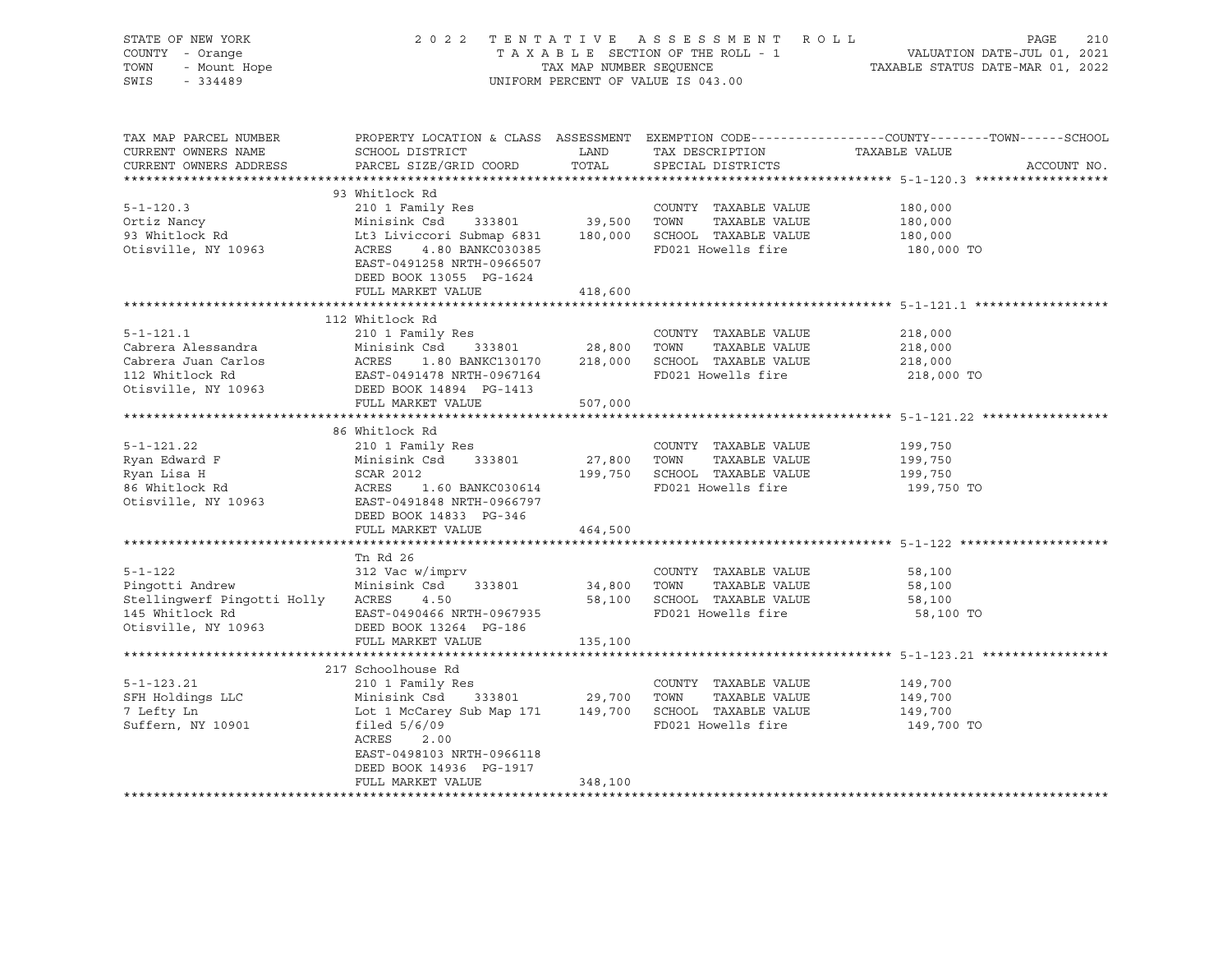| STATE OF NEW YORK<br>OF NEW YORK<br>- Orange<br>- Mount Hope<br>COUNTY - Orange<br>TOWN<br>SWIS<br>$-334489$                                                                                                                                                    |                                                                                                                                                                                                                         |             | 2022 TENTATIVE ASSESSMENT ROLL<br>UNIFORM PERCENT OF VALUE IS 043.00                        | TENTATIVE ASSESSMENT ROLL PAGE 210<br>TAXABLE SECTION OF THE ROLL - 1 VALUATION DATE-JUL 01, 2021<br>TAXABLE STATUS DATE-MAR 01, 2022<br>ITAXABLE STATUS DATE-MAR 01, 2022 |
|-----------------------------------------------------------------------------------------------------------------------------------------------------------------------------------------------------------------------------------------------------------------|-------------------------------------------------------------------------------------------------------------------------------------------------------------------------------------------------------------------------|-------------|---------------------------------------------------------------------------------------------|----------------------------------------------------------------------------------------------------------------------------------------------------------------------------|
|                                                                                                                                                                                                                                                                 |                                                                                                                                                                                                                         |             |                                                                                             |                                                                                                                                                                            |
| TAX MAP PARCEL NUMBER<br>CURRENT OWNERS NAME<br>CURRENT OWNERS ADDRESS                                                                                                                                                                                          | SCHOOL DISTRICT<br>PARCEL SIZE/GRID COORD                                                                                                                                                                               | TOTAL       | LAND TAX DESCRIPTION TAXABLE VALUE<br>SPECIAL DISTRICTS                                     | PROPERTY LOCATION & CLASS ASSESSMENT EXEMPTION CODE----------------COUNTY-------TOWN-----SCHOOL<br>ACCOUNT NO.                                                             |
|                                                                                                                                                                                                                                                                 |                                                                                                                                                                                                                         |             |                                                                                             |                                                                                                                                                                            |
| $5 - 1 - 120.3$<br>Ortiz Nancy<br>93 Whitlock Rd<br>Otisville, NY 10963                                                                                                                                                                                         | 93 Whitlock Rd<br>210 1 Family Res<br>Minisink Csd 333801 39,500 TOWN TAXABLE VALUE<br>Lt3 Liviccori Submap 6831 180,000 SCHOOL TAXABLE VALUE<br>ACRES 4.80 BANKC030385 FD021 Howells fire<br>EAST-0491258 NRTH-0966507 |             | COUNTY TAXABLE VALUE                                                                        | 180,000<br>180,000<br>180,000<br>180,000 TO                                                                                                                                |
|                                                                                                                                                                                                                                                                 | DEED BOOK 13055 PG-1624<br>FULL MARKET VALUE                                                                                                                                                                            | 418,600     |                                                                                             |                                                                                                                                                                            |
|                                                                                                                                                                                                                                                                 |                                                                                                                                                                                                                         |             |                                                                                             |                                                                                                                                                                            |
| $5 - 1 - 121.1$<br>Cohera Alessandra<br>Cabrera Alessandra<br>Cabrera Juan Carlos<br>Cabrera Juan Carlos<br>Cabrera Juan Carlos<br>ACRES 1.80 BANKC130170 218,000 SCHOOL TAXABLE VALUE<br>112 Whitlock Rd<br>DEED BOOK 14894 PG-1413<br>DEED BOOK 14894 PG-1413 | 112 Whitlock Rd<br>210 1 Family Res                                                                                                                                                                                     |             | COUNTY TAXABLE VALUE                                                                        | 218,000<br>218,000<br>218,000<br>218,000 TO                                                                                                                                |
|                                                                                                                                                                                                                                                                 | FULL MARKET VALUE                                                                                                                                                                                                       | 507,000     |                                                                                             |                                                                                                                                                                            |
|                                                                                                                                                                                                                                                                 |                                                                                                                                                                                                                         |             |                                                                                             |                                                                                                                                                                            |
|                                                                                                                                                                                                                                                                 | 86 Whitlock Rd                                                                                                                                                                                                          |             |                                                                                             |                                                                                                                                                                            |
| $5 - 1 - 121.22$<br>Ryan Edward F<br>Rvan Lisa H<br>Ryan Lisa H<br>86 Whitlock Rd<br>Otisville, NY 10963                                                                                                                                                        | 210 1 Family Res<br>Minisink Csd 333801<br>Minisink Csd 333801<br>SCAR 2012<br>ACRES 1.60 BANKC030614<br>EAST-0491848 NRTH-0966797<br>DEED BOOK 14833 PG-346                                                            | 27,800 TOWN | COUNTY TAXABLE VALUE<br>TAXABLE VALUE<br>199,750 SCHOOL TAXABLE VALUE<br>FD021 Howells fire | 199,750<br>199,750<br>199,750<br>199,750 TO                                                                                                                                |
|                                                                                                                                                                                                                                                                 | FULL MARKET VALUE                                                                                                                                                                                                       | 464,500     |                                                                                             |                                                                                                                                                                            |
|                                                                                                                                                                                                                                                                 |                                                                                                                                                                                                                         |             |                                                                                             |                                                                                                                                                                            |
| $5 - 1 - 122$<br>Pingotti Andrew<br>Stellingwerf Pingotti Holly ACRES<br>145 Whitlock Rd<br>Otisville, NY 10963                                                                                                                                                 | Tn Rd 26<br>312 Vac w/imprv<br>Minisink Csd 333801<br>4.50<br>EAST-0490466 NRTH-0967935<br>DEED BOOK 13264 PG-186                                                                                                       | 34,800 TOWN | COUNTY TAXABLE VALUE<br>TAXABLE VALUE<br>58,100 SCHOOL TAXABLE VALUE<br>FD021 Howells fire  | 58,100<br>58,100<br>58,100<br>58,100 TO                                                                                                                                    |
|                                                                                                                                                                                                                                                                 | FULL MARKET VALUE                                                                                                                                                                                                       | 135,100     |                                                                                             |                                                                                                                                                                            |
|                                                                                                                                                                                                                                                                 | 217 Schoolhouse Rd                                                                                                                                                                                                      |             |                                                                                             |                                                                                                                                                                            |
| $5 - 1 - 123.21$<br>SFH Holdings LLC<br>7 Lefty Ln<br>Suffern, NY 10901                                                                                                                                                                                         | 210 1 Family Res<br>Minisink Csd 333801 29,700 TOWN TAXABLE VALUE<br>Lot 1 McCarey Sub Map 171 149,700 SCHOOL TAXABLE VALUE<br>filed 5/6/09 FD021 Howells fire<br>EAST-0498103 NRTH-0966118<br>DEED BOOK 14936 PG-1917  |             |                                                                                             | 149,700<br>149,700<br>149,700<br>149,700 TO                                                                                                                                |
|                                                                                                                                                                                                                                                                 | FULL MARKET VALUE                                                                                                                                                                                                       | 348,100     |                                                                                             |                                                                                                                                                                            |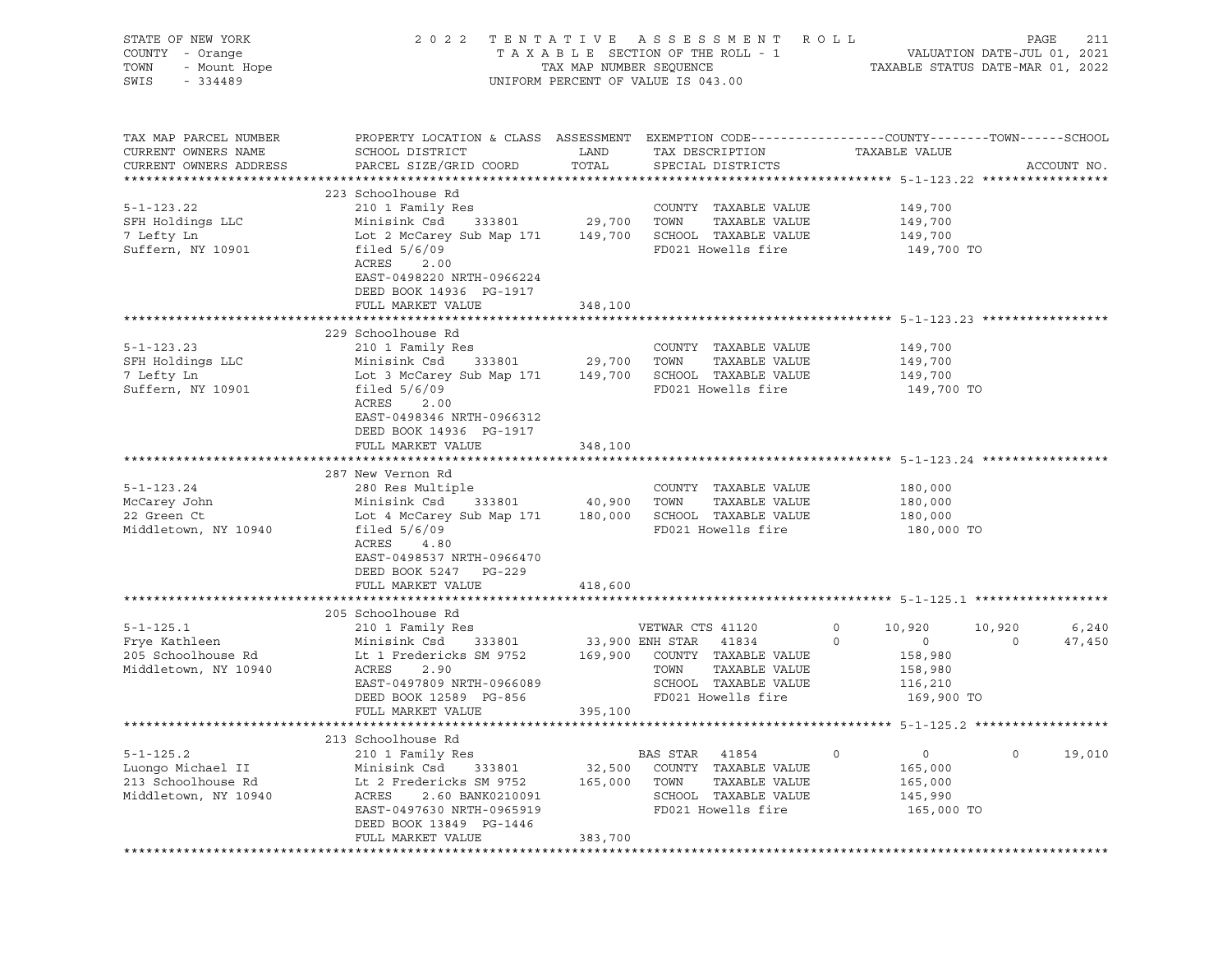| STATE OF NEW YORK<br>COUNTY - Orange<br>TOWN<br>- Mount Hope<br>SWIS<br>$-334489$ | 2 0 2 2                                                                                                                                         | TAX MAP NUMBER SEQUENCE<br>UNIFORM PERCENT OF VALUE IS 043.00 |                  | TENTATIVE ASSESSMENT ROLL<br>TAXABLE SECTION OF THE ROLL - 1 |                    | TAXABLE STATUS DATE-MAR 01, 2022 | PAGE<br>VALUATION DATE-JUL 01, 2021 | 211         |
|-----------------------------------------------------------------------------------|-------------------------------------------------------------------------------------------------------------------------------------------------|---------------------------------------------------------------|------------------|--------------------------------------------------------------|--------------------|----------------------------------|-------------------------------------|-------------|
| TAX MAP PARCEL NUMBER<br>CURRENT OWNERS NAME<br>CURRENT OWNERS ADDRESS            | PROPERTY LOCATION & CLASS ASSESSMENT EXEMPTION CODE----------------COUNTY-------TOWN------SCHOOL<br>SCHOOL DISTRICT<br>PARCEL SIZE/GRID COORD   | LAND<br>TOTAL                                                 |                  | TAX DESCRIPTION<br>SPECIAL DISTRICTS                         |                    | TAXABLE VALUE                    |                                     | ACCOUNT NO. |
|                                                                                   | 223 Schoolhouse Rd                                                                                                                              |                                                               |                  |                                                              |                    |                                  |                                     |             |
| $5 - 1 - 123.22$                                                                  | 210 1 Family Res                                                                                                                                |                                                               |                  | COUNTY TAXABLE VALUE                                         |                    | 149,700                          |                                     |             |
| SFH Holdings LLC                                                                  | Minisink Csd<br>333801                                                                                                                          | 29,700 TOWN                                                   |                  | TAXABLE VALUE                                                |                    | 149,700                          |                                     |             |
| 7 Lefty Ln                                                                        | Lot 2 McCarey Sub Map 171 149,700 SCHOOL TAXABLE VALUE                                                                                          |                                                               |                  |                                                              |                    | 149,700                          |                                     |             |
| Suffern, NY 10901                                                                 | filed $5/6/09$<br>ACRES<br>2.00<br>EAST-0498220 NRTH-0966224<br>DEED BOOK 14936 PG-1917<br>FULL MARKET VALUE                                    | 348,100                                                       |                  | FD021 Howells fire                                           |                    | 149,700 TO                       |                                     |             |
|                                                                                   |                                                                                                                                                 |                                                               |                  |                                                              |                    |                                  |                                     |             |
|                                                                                   | 229 Schoolhouse Rd                                                                                                                              |                                                               |                  |                                                              |                    |                                  |                                     |             |
| $5 - 1 - 123.23$                                                                  | 210 1 Family Res                                                                                                                                |                                                               |                  | COUNTY TAXABLE VALUE                                         |                    | 149,700                          |                                     |             |
| SFH Holdings LLC                                                                  | Minisink Csd 333801                                                                                                                             | 29,700 TOWN                                                   |                  | TAXABLE VALUE                                                |                    | 149,700                          |                                     |             |
| 7 Lefty Ln                                                                        | Lot 3 McCarey Sub Map 171                                                                                                                       |                                                               |                  | 149,700 SCHOOL TAXABLE VALUE                                 |                    | 149,700                          |                                     |             |
| Suffern, NY 10901                                                                 | filed $5/6/09$<br>ACRES<br>2.00<br>EAST-0498346 NRTH-0966312<br>DEED BOOK 14936 PG-1917                                                         |                                                               |                  | FD021 Howells fire                                           |                    | 149,700 TO                       |                                     |             |
|                                                                                   | FULL MARKET VALUE                                                                                                                               | 348,100                                                       |                  |                                                              |                    |                                  |                                     |             |
|                                                                                   |                                                                                                                                                 |                                                               |                  |                                                              |                    |                                  |                                     |             |
|                                                                                   | 287 New Vernon Rd                                                                                                                               |                                                               |                  |                                                              |                    |                                  |                                     |             |
| $5 - 1 - 123.24$                                                                  | 280 Res Multiple                                                                                                                                |                                                               |                  | COUNTY TAXABLE VALUE                                         |                    | 180,000                          |                                     |             |
| McCarey John                                                                      | Minisink Csd<br>333801                                                                                                                          | 40,900 TOWN                                                   |                  | TAXABLE VALUE                                                |                    | 180,000                          |                                     |             |
| 22 Green Ct<br>Middletown, NY 10940                                               | Lot 4 McCarey Sub Map 171 180,000 SCHOOL TAXABLE VALUE<br>filed $5/6/09$<br>ACRES<br>4.80<br>EAST-0498537 NRTH-0966470<br>DEED BOOK 5247 PG-229 |                                                               |                  | FD021 Howells fire                                           |                    | 180,000<br>180,000 TO            |                                     |             |
|                                                                                   | FULL MARKET VALUE                                                                                                                               | 418,600                                                       |                  |                                                              |                    |                                  |                                     |             |
|                                                                                   |                                                                                                                                                 |                                                               |                  |                                                              |                    |                                  |                                     |             |
|                                                                                   | 205 Schoolhouse Rd                                                                                                                              |                                                               |                  |                                                              |                    |                                  |                                     |             |
| $5 - 1 - 125.1$                                                                   | 210 1 Family Res                                                                                                                                | 33,900 ENH STAR                                               | VETWAR CTS 41120 | 41834                                                        | $\circ$<br>$\circ$ | 10,920                           | 10,920<br>$\circ$                   | 6,240       |
| Frye Kathleen<br>205 Schoolhouse Rd                                               | Minisink Csd 333801<br>Lt 1 Fredericks SM 9752 169,900 COUNTY TAXABLE VALUE                                                                     |                                                               |                  |                                                              |                    | $\circ$<br>158,980               |                                     | 47,450      |
| Middletown, NY 10940                                                              | ACRES<br>2.90                                                                                                                                   |                                                               | TOWN             | TAXABLE VALUE                                                |                    | 158,980                          |                                     |             |
|                                                                                   | EAST-0497809 NRTH-0966089                                                                                                                       |                                                               |                  | SCHOOL TAXABLE VALUE                                         |                    | 116,210                          |                                     |             |
|                                                                                   | DEED BOOK 12589 PG-856                                                                                                                          |                                                               |                  | FD021 Howells fire                                           |                    | 169,900 TO                       |                                     |             |
|                                                                                   | FULL MARKET VALUE                                                                                                                               | 395,100                                                       |                  |                                                              |                    |                                  |                                     |             |
|                                                                                   |                                                                                                                                                 |                                                               |                  |                                                              |                    |                                  |                                     |             |
|                                                                                   | 213 Schoolhouse Rd                                                                                                                              |                                                               |                  |                                                              |                    |                                  |                                     |             |
| $5 - 1 - 125.2$                                                                   | 210 1 Family Res                                                                                                                                |                                                               | BAS STAR         | 41854                                                        | 0                  | $\mathsf{O}$                     | $\circ$                             | 19,010      |
| Luongo Michael II                                                                 | Minisink Csd<br>333801                                                                                                                          | 32,500                                                        | COUNTY           | TAXABLE VALUE                                                |                    | 165,000                          |                                     |             |
| 213 Schoolhouse Rd                                                                | Lt 2 Fredericks SM 9752                                                                                                                         | 165,000                                                       | TOWN             | TAXABLE VALUE                                                |                    | 165,000                          |                                     |             |
| Middletown, NY 10940                                                              | ACRES<br>2.60 BANK0210091<br>EAST-0497630 NRTH-0965919                                                                                          |                                                               |                  | SCHOOL TAXABLE VALUE<br>FD021 Howells fire                   |                    | 145,990                          |                                     |             |
|                                                                                   | DEED BOOK 13849 PG-1446                                                                                                                         |                                                               |                  |                                                              |                    | 165,000 TO                       |                                     |             |
|                                                                                   | FULL MARKET VALUE                                                                                                                               | 383,700                                                       |                  |                                                              |                    |                                  |                                     |             |
|                                                                                   | **************************                                                                                                                      | *******************                                           |                  |                                                              |                    |                                  |                                     |             |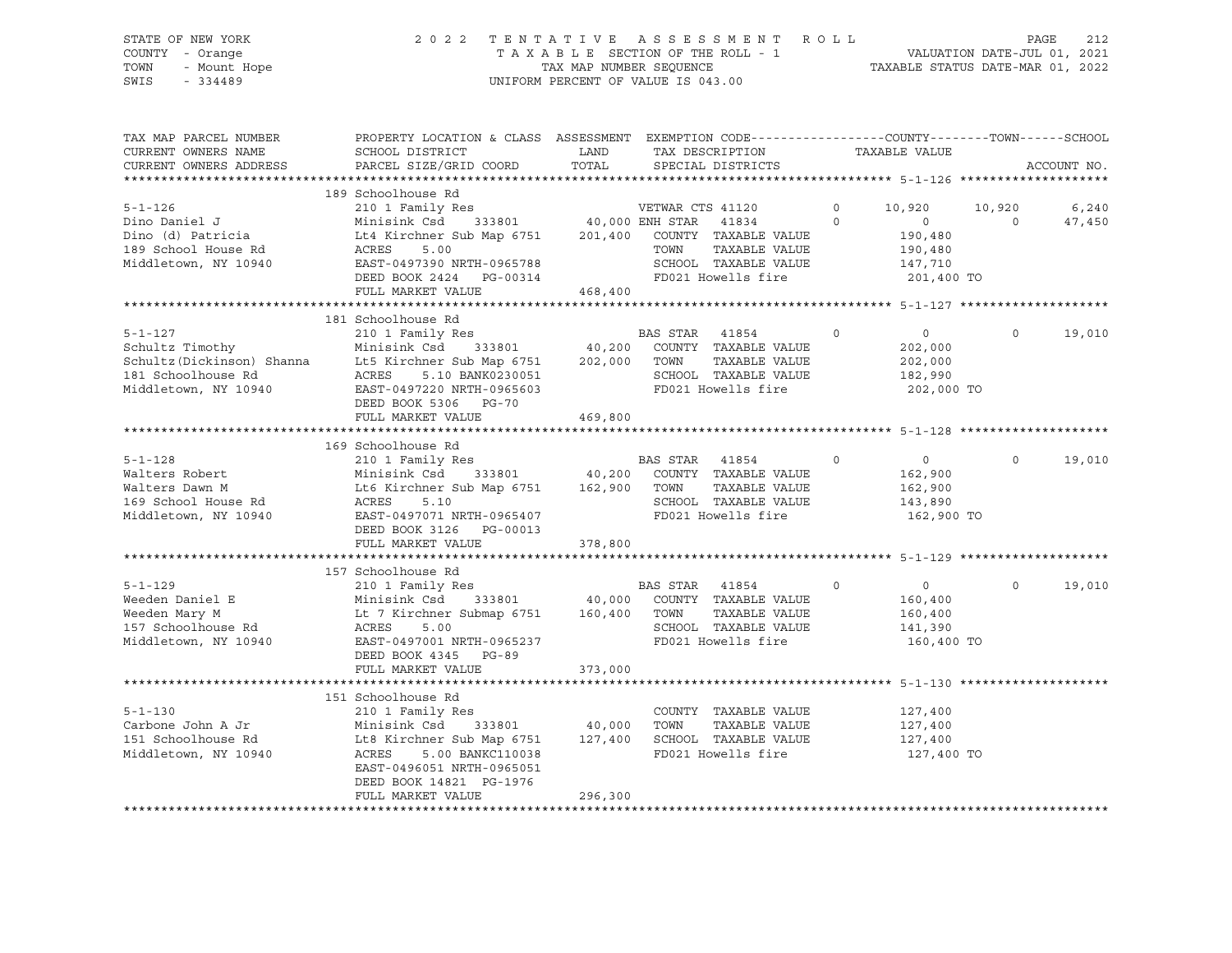# STATE OF NEW YORK 2 0 2 2 T E N T A T I V E A S S E S S M E N T R O L L PAGE 212 COUNTY - Orange T A X A B L E SECTION OF THE ROLL - 1 VALUATION DATE-JUL 01, 2021 TOWN - Mount Hope TAX MAP NUMBER SEQUENCE TAXABLE STATUS DATE-MAR 01, 2022 SWIS - 334489 UNIFORM PERCENT OF VALUE IS 043.00

| TAX MAP PARCEL NUMBER  | PROPERTY LOCATION & CLASS ASSESSMENT EXEMPTION CODE---------------COUNTY-------TOWN------SCHOOL                   |         |                                                                               |          |                       |          |             |
|------------------------|-------------------------------------------------------------------------------------------------------------------|---------|-------------------------------------------------------------------------------|----------|-----------------------|----------|-------------|
| CURRENT OWNERS NAME    | SCHOOL DISTRICT                                                                                                   | LAND    | TAX DESCRIPTION                                                               |          | TAXABLE VALUE         |          |             |
| CURRENT OWNERS ADDRESS | PARCEL SIZE/GRID COORD                                                                                            | TOTAL   | SPECIAL DISTRICTS                                                             |          |                       |          | ACCOUNT NO. |
|                        |                                                                                                                   |         |                                                                               |          |                       |          |             |
|                        | 189 Schoolhouse Rd                                                                                                |         |                                                                               |          |                       |          |             |
| $5 - 1 - 126$          | 210 1 Family Res                                                                                                  |         | VETWAR CTS 41120                                                              | $\circ$  | 10,920                | 10,920   | 6,240       |
| Dino Daniel J          | Minisink Csd 333801 40,000 ENH STAR 41834                                                                         |         |                                                                               | $\Omega$ | $\Omega$              | $\Omega$ | 47,450      |
| Dino (d) Patricia      | Lt4 Kirchner Sub Map 6751                                                                                         |         | 201,400 COUNTY TAXABLE VALUE                                                  |          | 190,480               |          |             |
| 189 School House Rd    | ACRES<br>5.00                                                                                                     |         | TOWN<br>TAXABLE VALUE                                                         |          | 190,480               |          |             |
| Middletown, NY 10940   | EAST-0497390 NRTH-0965788                                                                                         |         | SCHOOL TAXABLE VALUE                                                          |          | 147,710               |          |             |
|                        | DEED BOOK 2424 PG-00314                                                                                           |         | FD021 Howells fire                                                            |          | 201,400 TO            |          |             |
|                        | FULL MARKET VALUE                                                                                                 | 468,400 |                                                                               |          |                       |          |             |
|                        | 181 Schoolhouse Rd                                                                                                |         |                                                                               |          |                       |          |             |
| $5 - 1 - 127$          |                                                                                                                   |         |                                                                               |          |                       | $\Omega$ |             |
|                        |                                                                                                                   |         |                                                                               | $\circ$  | $\overline{0}$        |          | 19,010      |
| Schultz Timothy        |                                                                                                                   |         | TAXABLE VALUE                                                                 |          | 202,000               |          |             |
|                        | Schultz (Dickinson) Shanna Lt5 Kirchner Sub Map 6751 202,000 TOWN 181 Schoolhouse Rd ACRES 5.10 BANK0230051 SCHOO |         | SCHOOL TAXABLE VALUE                                                          |          | 202,000               |          |             |
| Middletown, NY 10940   | EAST-0497220 NRTH-0965603                                                                                         |         | FD021 Howells fire                                                            |          | 182,990<br>202,000 TO |          |             |
|                        | DEED BOOK 5306 PG-70                                                                                              |         |                                                                               |          |                       |          |             |
|                        | FULL MARKET VALUE                                                                                                 | 469,800 |                                                                               |          |                       |          |             |
|                        |                                                                                                                   |         |                                                                               |          |                       |          |             |
|                        | 169 Schoolhouse Rd                                                                                                |         |                                                                               |          |                       |          |             |
| $5 - 1 - 128$          | 210 1 Family Res                                                                                                  |         | BAS STAR 41854                                                                | $\circ$  | $\overline{0}$        | $\Omega$ | 19,010      |
| Walters Robert         | Minisink Csd                                                                                                      |         | $333801$ 40,200 COUNTY TAXABLE VALUE                                          |          | 162,900               |          |             |
| Walters Dawn M         | Lt6 Kirchner Sub Map 6751 162,900 TOWN                                                                            |         | TAXABLE VALUE                                                                 |          | 162,900               |          |             |
| 169 School House Rd    | ACRES<br>5.10                                                                                                     |         | SCHOOL TAXABLE VALUE                                                          |          | 143,890               |          |             |
| Middletown, NY 10940   | EAST-0497071 NRTH-0965407                                                                                         |         | FD021 Howells fire                                                            |          | 162,900 TO            |          |             |
|                        | DEED BOOK 3126 PG-00013                                                                                           |         |                                                                               |          |                       |          |             |
|                        | FULL MARKET VALUE                                                                                                 | 378,800 |                                                                               |          |                       |          |             |
|                        |                                                                                                                   |         |                                                                               |          |                       |          |             |
|                        | 157 Schoolhouse Rd                                                                                                |         |                                                                               |          |                       |          |             |
| $5 - 1 - 129$          | 210 1 Family Res                                                                                                  |         | BAS STAR 41854                                                                | $\circ$  | $\overline{0}$        | $\Omega$ | 19,010      |
| Weeden Daniel E        |                                                                                                                   |         | $333801 \qquad \qquad 40,000 \qquad \text{COUNTY} \quad \text{TAXABLE VALUE}$ |          | 160,400               |          |             |
| Weeden Mary M          | Minisink Csd 333801 40,000 COONITY<br>Lt 7 Kirchner Submap 6751 160,400 TOWN                                      |         | TAXABLE VALUE                                                                 |          | 160,400               |          |             |
| 157 Schoolhouse Rd     | ACRES<br>5.00                                                                                                     |         | SCHOOL TAXABLE VALUE                                                          |          | 141,390               |          |             |
| Middletown, NY 10940   | EAST-0497001 NRTH-0965237                                                                                         |         | FD021 Howells fire                                                            |          | 160,400 TO            |          |             |
|                        | DEED BOOK 4345 PG-89                                                                                              |         |                                                                               |          |                       |          |             |
|                        | FULL MARKET VALUE                                                                                                 | 373,000 |                                                                               |          |                       |          |             |
|                        |                                                                                                                   |         |                                                                               |          |                       |          |             |
|                        | 151 Schoolhouse Rd                                                                                                |         |                                                                               |          |                       |          |             |
| $5 - 1 - 130$          | 210 1 Family Res                                                                                                  |         | COUNTY TAXABLE VALUE                                                          |          | 127,400               |          |             |
| Carbone John A Jr      | Minisink Csd<br>333801 40,000                                                                                     |         | TAXABLE VALUE<br>TOWN                                                         |          | 127,400               |          |             |
| 151 Schoolhouse Rd     | Lt8 Kirchner Sub Map 6751 127,400 SCHOOL TAXABLE VALUE                                                            |         |                                                                               |          | 127,400               |          |             |
| Middletown, NY 10940   | ACRES 5.00 BANKC110038                                                                                            |         | FD021 Howells fire                                                            |          | 127,400 TO            |          |             |
|                        | EAST-0496051 NRTH-0965051                                                                                         |         |                                                                               |          |                       |          |             |
|                        | DEED BOOK 14821 PG-1976                                                                                           |         |                                                                               |          |                       |          |             |
|                        | FULL MARKET VALUE                                                                                                 | 296,300 |                                                                               |          |                       |          |             |
|                        |                                                                                                                   |         |                                                                               |          |                       |          |             |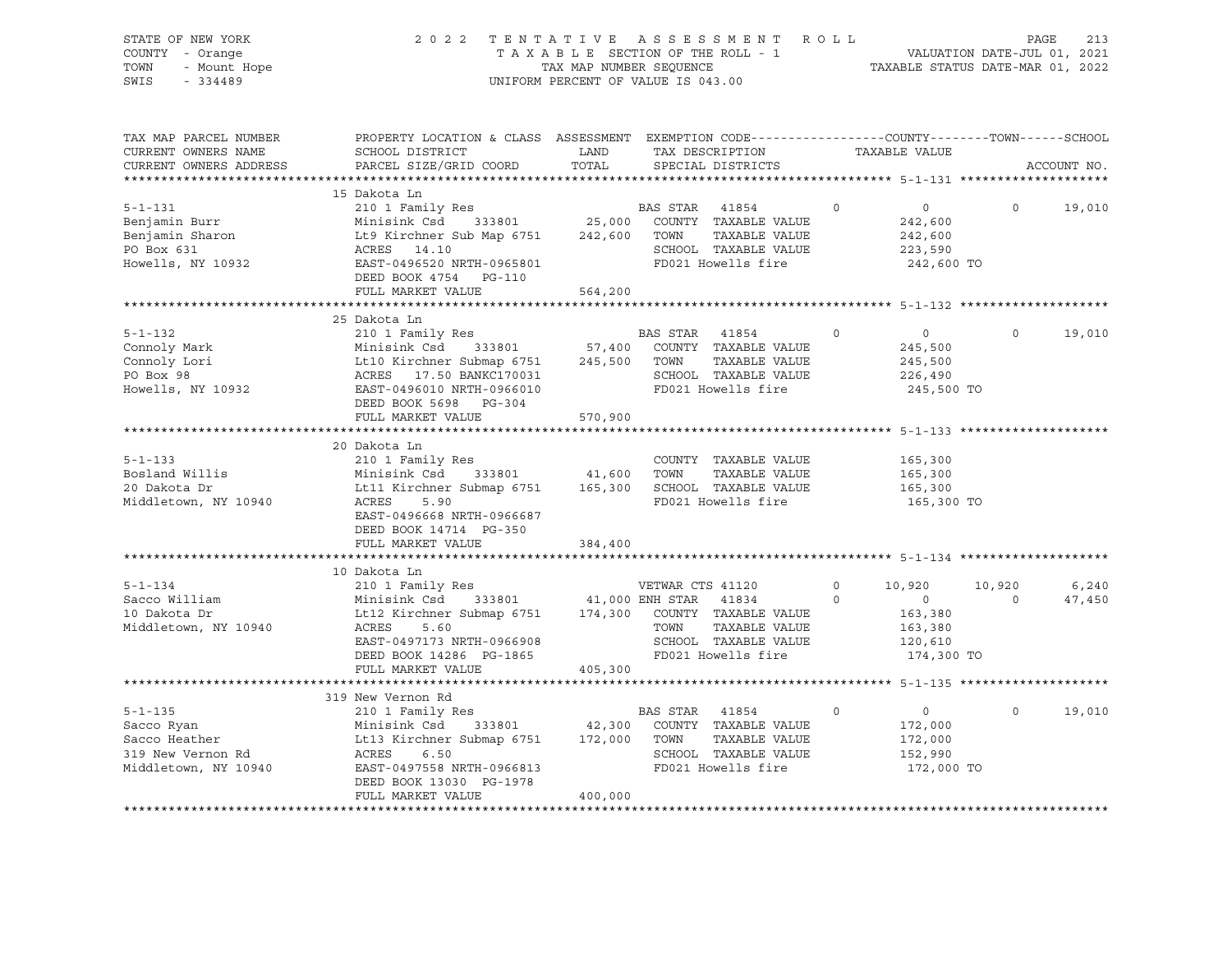| STATE OF NEW YORK<br>COUNTY - Orange<br>TOWN<br>- Mount Hope<br>$-334489$<br>SWIS         | 2 0 2 2                                                                                                                                                                                                  | TENTATIVE                           | ASSESSMENT ROLL<br>TAXABLE SECTION OF THE ROLL - 1<br>TAXABLE SECTION OF THE ROLL - 1<br>TAXABLE STATUS DATE-MAR 01, 2022<br>UNIFORM PERCENT OF VALUE IS 043.00 |                     |                                                                         | PAGE              | 213             |
|-------------------------------------------------------------------------------------------|----------------------------------------------------------------------------------------------------------------------------------------------------------------------------------------------------------|-------------------------------------|-----------------------------------------------------------------------------------------------------------------------------------------------------------------|---------------------|-------------------------------------------------------------------------|-------------------|-----------------|
| TAX MAP PARCEL NUMBER<br>CURRENT OWNERS NAME<br>CURRENT OWNERS ADDRESS                    | PROPERTY LOCATION & CLASS ASSESSMENT EXEMPTION CODE----------------COUNTY-------TOWN------SCHOOL<br>SCHOOL DISTRICT<br>PARCEL SIZE/GRID COORD                                                            | LAND<br>TOTAL                       | TAX DESCRIPTION TAXABLE VALUE<br>SPECIAL DISTRICTS                                                                                                              |                     |                                                                         |                   | ACCOUNT NO.     |
| $5 - 1 - 131$<br>Benjamin Burr<br>Benjamin Sharon<br>PO Box 631<br>Howells, NY 10932      | 15 Dakota Ln<br>210 1 Family Res<br>Minisink Csd 333801<br>Lt9 Kirchner Sub Map 6751<br>ACRES 14.10<br>EAST-0496520 NRTH-0965801<br>DEED BOOK 4754 PG-110<br>FULL MARKET VALUE                           | 333801 25,000<br>242,600<br>564,200 | BAS STAR 41854<br>COUNTY TAXABLE VALUE<br>TOWN<br>TAXABLE VALUE<br>SCHOOL TAXABLE VALUE<br>FD021 Howells fire                                                   | $\Omega$            | $\overline{0}$<br>242,600<br>242,600<br>223,590<br>242,600 TO           | $\Omega$          | 19,010          |
|                                                                                           |                                                                                                                                                                                                          |                                     |                                                                                                                                                                 |                     |                                                                         |                   |                 |
| $5 - 1 - 132$<br>Connoly Mark<br>Connoly Lori<br>PO Box 98<br>Howells, NY 10932           | 25 Dakota Ln<br>210 1 Family Res<br>333801 57,400<br>Minisink Csd      333801<br>Lt10 Kirchner Submap 6751<br>ACRES    17.50 BANKC170031<br>EAST-0496010 NRTH-0966010<br>DEED BOOK 5698 PG-304           | 245,500                             | BAS STAR 41854<br>COUNTY TAXABLE VALUE<br>TAXABLE VALUE<br>TOWN<br>SCHOOL TAXABLE VALUE<br>FD021 Howells fire                                                   | $\Omega$            | $\overline{0}$<br>245,500<br>245,500<br>226,490<br>245,500 TO           | $\Omega$          | 19,010          |
|                                                                                           | FULL MARKET VALUE                                                                                                                                                                                        | 570,900                             |                                                                                                                                                                 |                     |                                                                         |                   |                 |
| $5 - 1 - 133$<br>Bosland Willis<br>20 Dakota Dr<br>Middletown, NY 10940                   | 20 Dakota Ln<br>210 1 Family Res<br>333801 41,600<br>Minisink Csd<br>Lt11 Kirchner Submap 6751 165,300<br>ACRES<br>5.90<br>EAST-0496668 NRTH-0966687<br>DEED BOOK 14714 PG-350<br>FULL MARKET VALUE      | 384,400                             | COUNTY TAXABLE VALUE<br>TOWN<br>TAXABLE VALUE<br>SCHOOL TAXABLE VALUE<br>FD021 Howells fire                                                                     |                     | 165,300<br>165,300<br>165,300<br>165,300 TO                             |                   |                 |
|                                                                                           |                                                                                                                                                                                                          |                                     |                                                                                                                                                                 |                     |                                                                         |                   |                 |
| $5 - 1 - 134$<br>Sacco William<br>10 Dakota Dr<br>Middletown, NY 10940                    | 10 Dakota Ln<br>210 1 Family Res<br>Minisink Csd<br>Lt12 Kirchner Submap 6751 174,300 COUNTY TAXABLE VALUE<br>ACRES<br>5.60<br>EAST-0497173 NRTH-0966908<br>DEED BOOK 14286 PG-1865<br>FULL MARKET VALUE | 405,300                             | VETWAR CTS 41120<br>333801 41,000 ENH STAR 41834<br>TAXABLE VALUE<br>TOWN<br>SCHOOL TAXABLE VALUE<br>FD021 Howells fire                                         | $\Omega$<br>$\circ$ | 10,920<br>$\overline{0}$<br>163,380<br>163,380<br>120,610<br>174,300 TO | 10,920<br>$\circ$ | 6,240<br>47,450 |
|                                                                                           |                                                                                                                                                                                                          |                                     |                                                                                                                                                                 |                     |                                                                         |                   |                 |
| $5 - 1 - 135$<br>Sacco Ryan<br>Sacco Heather<br>319 New Vernon Rd<br>Middletown, NY 10940 | 319 New Vernon Rd<br>210 1 Family Res<br>Minisink Csd 333801<br>Lt13 Kirchner Submap 6751<br>19PE 658<br>ACRES<br>6.50<br>EAST-0497558 NRTH-0966813<br>DEED BOOK 13030 PG-1978<br>FULL MARKET VALUE      | 333801 42,300<br>172,000<br>400,000 | BAS STAR 41854<br>COUNTY TAXABLE VALUE<br>TOWN<br>TAXABLE VALUE<br>SCHOOL TAXABLE VALUE<br>FD021 Howells fire                                                   | $\Omega$            | $\overline{0}$<br>172,000<br>172,000<br>152,990<br>172,000 TO           | $\Omega$          | 19,010          |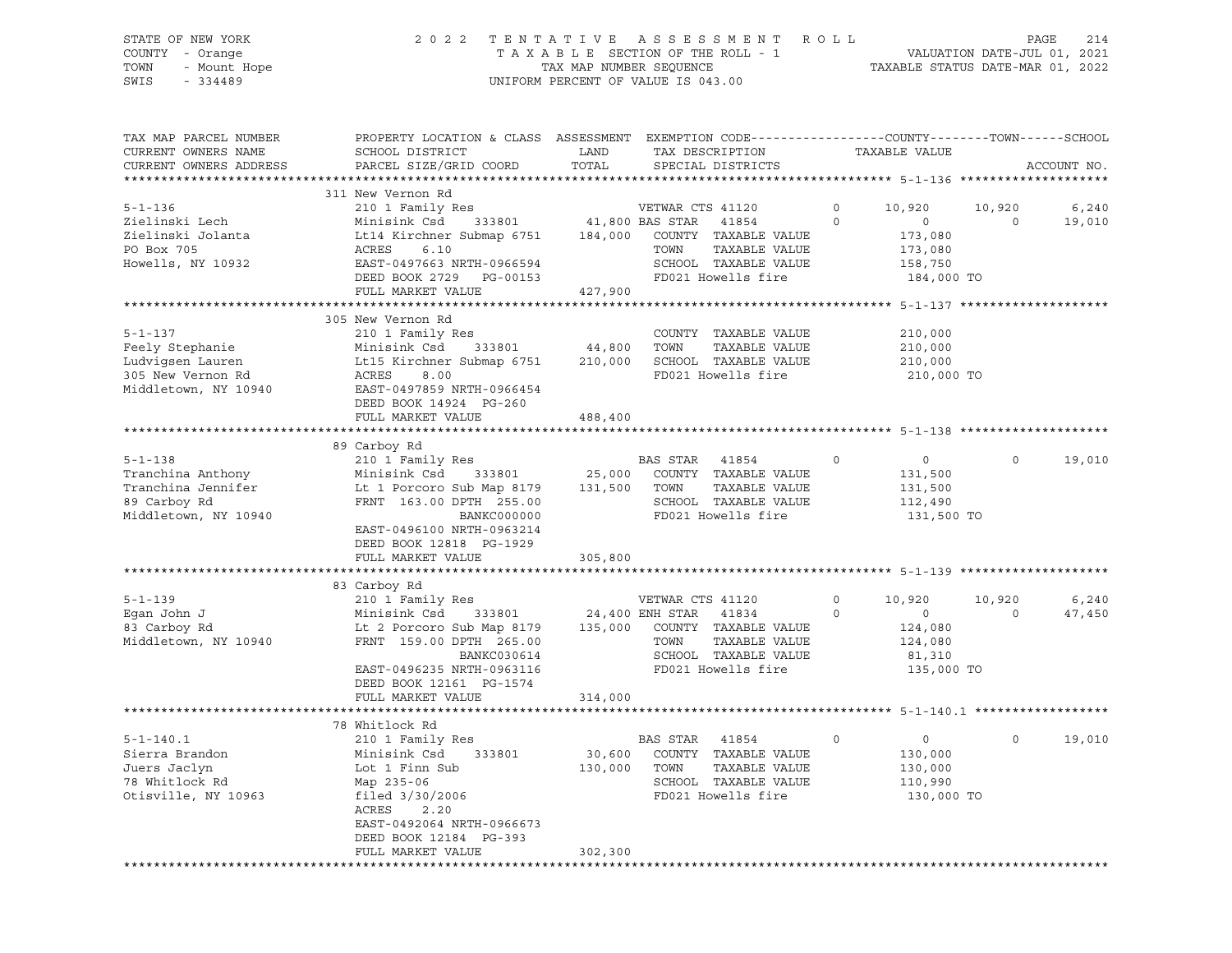# STATE OF NEW YORK 2 0 2 2 T E N T A T I V E A S S E S S M E N T R O L L PAGE 214 COUNTY - Orange T A X A B L E SECTION OF THE ROLL - 1 VALUATION DATE-JUL 01, 2021 TOWN - Mount Hope TAX MAP NUMBER SEQUENCE TAXABLE STATUS DATE-MAR 01, 2022 SWIS - 334489 UNIFORM PERCENT OF VALUE IS 043.00

| TAX MAP PARCEL NUMBER<br>CURRENT OWNERS NAME<br>CURRENT OWNERS ADDRESS                            | PROPERTY LOCATION & CLASS ASSESSMENT EXEMPTION CODE----------------COUNTY-------TOWN------SCHOOL<br>SCHOOL DISTRICT<br>PARCEL SIZE/GRID COORD                                                               | LAND<br>TOTAL                         | TAX DESCRIPTION<br>SPECIAL DISTRICTS                                                                                                             |                     | TAXABLE VALUE                                                           |                          | ACCOUNT NO.     |
|---------------------------------------------------------------------------------------------------|-------------------------------------------------------------------------------------------------------------------------------------------------------------------------------------------------------------|---------------------------------------|--------------------------------------------------------------------------------------------------------------------------------------------------|---------------------|-------------------------------------------------------------------------|--------------------------|-----------------|
|                                                                                                   |                                                                                                                                                                                                             |                                       |                                                                                                                                                  |                     |                                                                         |                          |                 |
| $5 - 1 - 136$<br>Zielinski Lech<br>Zielinski Jolanta<br>PO Box 705<br>Howells, NY 10932           | 311 New Vernon Rd<br>210 1 Family Res<br>333801<br>Minisink Csd<br>Lt14 Kirchner Submap 6751<br>ACRES<br>6.10<br>EAST-0497663 NRTH-0966594<br>DEED BOOK 2729 PG-00153<br>FULL MARKET VALUE                  | 41,800 BAS STAR<br>184,000<br>427,900 | VETWAR CTS 41120<br>41854<br>COUNTY TAXABLE VALUE<br>TAXABLE VALUE<br>TOWN<br>SCHOOL TAXABLE VALUE<br>FD021 Howells fire                         | $\circ$<br>$\circ$  | 10,920<br>$\overline{0}$<br>173,080<br>173,080<br>158,750<br>184,000 TO | 10,920<br>$\overline{0}$ | 6,240<br>19,010 |
|                                                                                                   |                                                                                                                                                                                                             |                                       |                                                                                                                                                  |                     |                                                                         |                          |                 |
| $5 - 1 - 137$<br>Feely Stephanie<br>Ludvigsen Lauren<br>305 New Vernon Rd<br>Middletown, NY 10940 | 305 New Vernon Rd<br>210 1 Family Res<br>Minisink Csd<br>Lt15 Kirchner Submap 6751<br>ACRES<br>8.00<br>EAST-0497859 NRTH-0966454<br>DEED BOOK 14924 PG-260                                                  | 333801 44,800                         | COUNTY TAXABLE VALUE<br>TOWN<br>TAXABLE VALUE<br>210,000 SCHOOL TAXABLE VALUE<br>FD021 Howells fire                                              |                     | 210,000<br>210,000<br>210,000<br>210,000 TO                             |                          |                 |
|                                                                                                   | FULL MARKET VALUE                                                                                                                                                                                           | 488,400                               |                                                                                                                                                  |                     |                                                                         |                          |                 |
|                                                                                                   |                                                                                                                                                                                                             |                                       |                                                                                                                                                  |                     |                                                                         |                          |                 |
| $5 - 1 - 138$<br>Tranchina Anthony<br>Tranchina Jennifer<br>89 Carboy Rd<br>Middletown, NY 10940  | 89 Carboy Rd<br>210 1 Family Res<br>Minisink Csd 333801<br>Lt 1 Porcoro Sub Map 8179<br>FRNT 163.00 DPTH 255.00<br>BANKC000000<br>EAST-0496100 NRTH-0963214<br>DEED BOOK 12818 PG-1929<br>FULL MARKET VALUE | 131,500 TOWN<br>305,800               | BAS STAR 41854<br>25,000 COUNTY TAXABLE VALUE<br>TAXABLE VALUE<br>SCHOOL TAXABLE VALUE<br>FD021 Howells fire                                     | $\circ$             | $\overline{0}$<br>131,500<br>131,500<br>112,490<br>131,500 TO           | $\circ$                  | 19,010          |
|                                                                                                   |                                                                                                                                                                                                             |                                       |                                                                                                                                                  |                     |                                                                         |                          |                 |
| $5 - 1 - 139$<br>Eqan John J<br>83 Carboy Rd<br>Middletown, NY 10940                              | 83 Carboy Rd<br>210 1 Family Res<br>Minisink Csd 333801<br>Lt 2 Porcoro Sub Map 8179<br>FRNT 159.00 DPTH 265.00<br>BANKC030614<br>EAST-0496235 NRTH-0963116<br>DEED BOOK 12161 PG-1574<br>FULL MARKET VALUE | 314,000                               | VETWAR CTS 41120<br>24,400 ENH STAR 41834<br>135,000 COUNTY TAXABLE VALUE<br>TOWN<br>TAXABLE VALUE<br>SCHOOL TAXABLE VALUE<br>FD021 Howells fire | $\circ$<br>$\Omega$ | 10,920<br>$\overline{0}$<br>124,080<br>124,080<br>81,310<br>135,000 TO  | 10,920<br>$\overline{0}$ | 6,240<br>47,450 |
|                                                                                                   |                                                                                                                                                                                                             |                                       |                                                                                                                                                  |                     |                                                                         |                          |                 |
| $5 - 1 - 140.1$<br>Sierra Brandon<br>Juers Jaclyn<br>78 Whitlock Rd<br>Otisville, NY 10963        | 78 Whitlock Rd<br>210 1 Family Res<br>Minisink Csd<br>333801<br>Lot 1 Finn Sub<br>Map 235-06<br>$filed$ 3/30/2006<br>ACRES<br>2.20<br>EAST-0492064 NRTH-0966673<br>DEED BOOK 12184 PG-393                   | 30,600<br>130,000 TOWN                | BAS STAR 41854<br>COUNTY TAXABLE VALUE<br>TAXABLE VALUE<br>SCHOOL TAXABLE VALUE<br>FD021 Howells fire                                            | $\circ$             | $\overline{0}$<br>130,000<br>130,000<br>110,990<br>130,000 TO           | $\circ$                  | 19,010          |
|                                                                                                   | FULL MARKET VALUE                                                                                                                                                                                           | 302,300                               |                                                                                                                                                  |                     |                                                                         |                          |                 |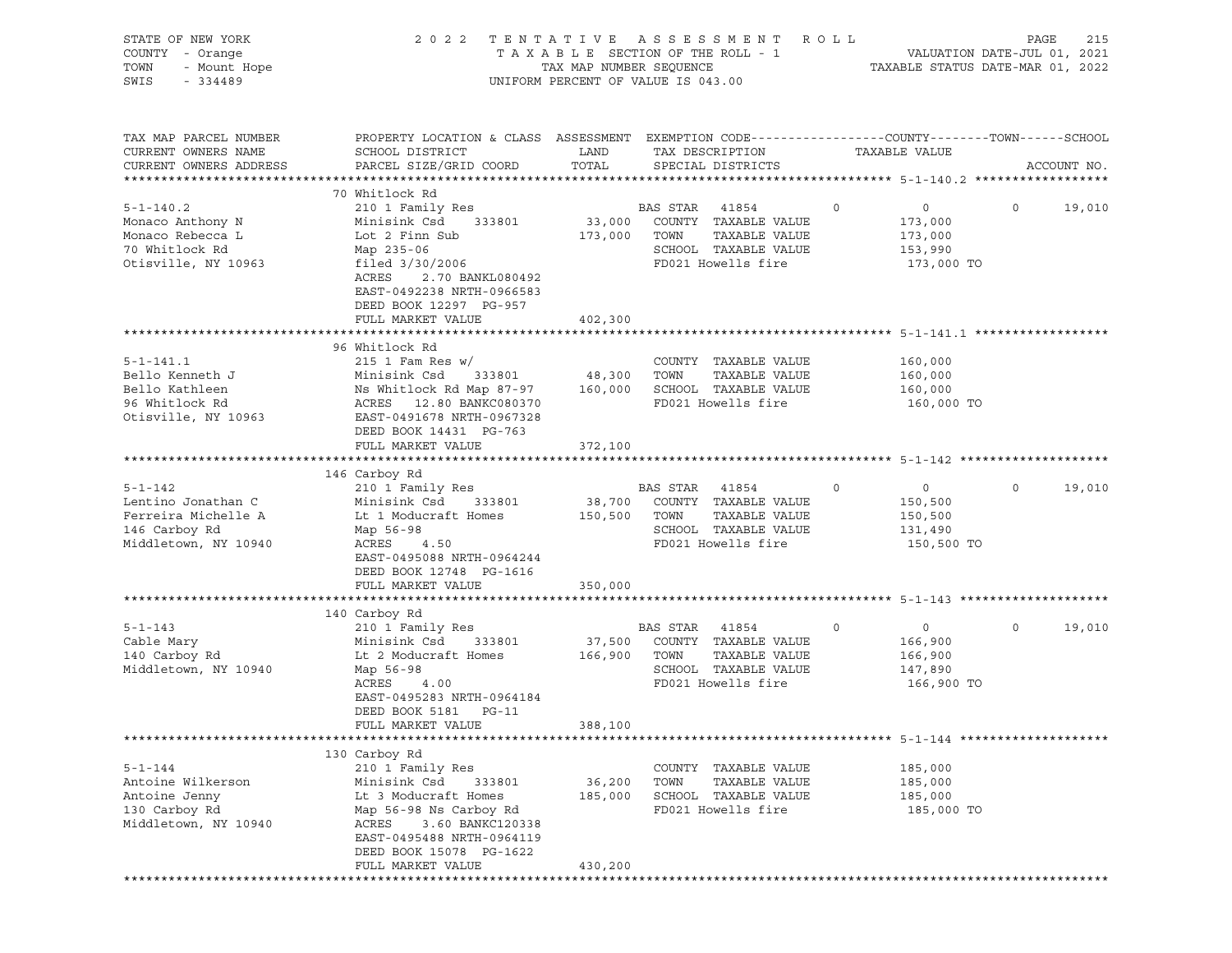| STATE OF NEW YORK<br>COUNTY - Orange<br>TOWN<br>- Mount Hope<br>SWIS<br>$-334489$                   | 2 0 2 2                                                                                                                                                                                                                  | TAX MAP NUMBER SEQUENCE      | TENTATIVE ASSESSMENT<br>TAXABLE SECTION OF THE ROLL - 1<br>UNIFORM PERCENT OF VALUE IS 043.00                    | R O L L                                                                  | 215<br>PAGE<br>VALUATION DATE-JUL 01, 2021<br>TAXABLE STATUS DATE-MAR 01, 2022 |
|-----------------------------------------------------------------------------------------------------|--------------------------------------------------------------------------------------------------------------------------------------------------------------------------------------------------------------------------|------------------------------|------------------------------------------------------------------------------------------------------------------|--------------------------------------------------------------------------|--------------------------------------------------------------------------------|
| TAX MAP PARCEL NUMBER<br>CURRENT OWNERS NAME<br>CURRENT OWNERS ADDRESS                              | PROPERTY LOCATION & CLASS ASSESSMENT EXEMPTION CODE---------------COUNTY-------TOWN-----SCHOOL<br>SCHOOL DISTRICT<br>PARCEL SIZE/GRID COORD                                                                              | LAND<br>TOTAL                | TAX DESCRIPTION<br>SPECIAL DISTRICTS                                                                             | TAXABLE VALUE                                                            | ACCOUNT NO.                                                                    |
| $5 - 1 - 140.2$<br>Monaco Anthony N<br>Monaco Rebecca L<br>70 Whitlock Rd<br>Otisville, NY 10963    | 70 Whitlock Rd<br>210 1 Family Res<br>333801<br>Minisink Csd<br>Lot 2 Finn Sub<br>Map 235-06<br>filed 3/30/2006<br>ACRES<br>2.70 BANKL080492<br>EAST-0492238 NRTH-0966583<br>DEED BOOK 12297 PG-957<br>FULL MARKET VALUE | 173,000 TOWN<br>402,300      | BAS STAR<br>41854<br>33,000 COUNTY TAXABLE VALUE<br>TAXABLE VALUE<br>SCHOOL TAXABLE VALUE<br>FD021 Howells fire  | $\circ$<br>$\circ$<br>173,000<br>173,000<br>153,990<br>173,000 TO        | 19,010<br>$\circ$                                                              |
| $5 - 1 - 141.1$<br>Bello Kenneth J<br>Bello Kathleen<br>96 Whitlock Rd<br>Otisville, NY 10963       | 96 Whitlock Rd<br>215 1 Fam Res $w/$<br>Minisink Csd<br>333801<br>Ns Whitlock Rd Map 87-97<br>ACRES 12.80 BANKC080370<br>EAST-0491678 NRTH-0967328<br>DEED BOOK 14431 PG-763<br>FULL MARKET VALUE                        | 48,300<br>160,000<br>372,100 | COUNTY TAXABLE VALUE<br>TAXABLE VALUE<br>TOWN<br>SCHOOL TAXABLE VALUE<br>FD021 Howells fire                      | 160,000<br>160,000<br>160,000<br>160,000 TO                              |                                                                                |
|                                                                                                     |                                                                                                                                                                                                                          |                              |                                                                                                                  |                                                                          |                                                                                |
| $5 - 1 - 142$<br>Lentino Jonathan C<br>Ferreira Michelle A<br>146 Carboy Rd<br>Middletown, NY 10940 | 146 Carboy Rd<br>210 1 Family Res<br>Minisink Csd<br>333801<br>Lt 1 Moducraft Homes<br>Map 56-98<br>ACRES<br>4.50<br>EAST-0495088 NRTH-0964244<br>DEED BOOK 12748 PG-1616<br>FULL MARKET VALUE                           | 150,500 TOWN<br>350,000      | BAS STAR 41854<br>38,700 COUNTY TAXABLE VALUE<br>TAXABLE VALUE<br>SCHOOL TAXABLE VALUE<br>FD021 Howells fire     | $\circ$<br>$\overline{0}$<br>150,500<br>150,500<br>131,490<br>150,500 TO | $\circ$<br>19,010                                                              |
|                                                                                                     |                                                                                                                                                                                                                          |                              |                                                                                                                  |                                                                          |                                                                                |
| $5 - 1 - 143$<br>Cable Mary<br>140 Carboy Rd<br>Middletown, NY 10940                                | 140 Carboy Rd<br>210 1 Family Res<br>Minisink Csd<br>333801<br>Lt 2 Moducraft Homes<br>Map 56-98<br>ACRES<br>4.00<br>EAST-0495283 NRTH-0964184<br>DEED BOOK 5181<br>$PG-11$                                              | 37,500<br>166,900            | BAS STAR<br>41854<br>COUNTY TAXABLE VALUE<br>TOWN<br>TAXABLE VALUE<br>SCHOOL TAXABLE VALUE<br>FD021 Howells fire | 0<br>$\circ$<br>166,900<br>166,900<br>147,890<br>166,900 TO              | $\mathsf{O}$<br>19,010                                                         |
|                                                                                                     | FULL MARKET VALUE                                                                                                                                                                                                        | 388,100                      |                                                                                                                  |                                                                          |                                                                                |
| $5 - 1 - 144$<br>Antoine Wilkerson<br>Antoine Jenny<br>130 Carboy Rd<br>Middletown, NY 10940        | 130 Carboy Rd<br>210 1 Family Res<br>Minisink Csd<br>333801<br>Lt 3 Moducraft Homes<br>Map 56-98 Ns Carboy Rd<br>ACRES<br>3.60 BANKC120338<br>EAST-0495488 NRTH-0964119<br>DEED BOOK 15078 PG-1622<br>FULL MARKET VALUE  | 36,200<br>185,000<br>430,200 | COUNTY TAXABLE VALUE<br>TOWN<br>TAXABLE VALUE<br>SCHOOL TAXABLE VALUE<br>FD021 Howells fire                      | 185,000<br>185,000<br>185,000<br>185,000 TO                              |                                                                                |
|                                                                                                     |                                                                                                                                                                                                                          |                              |                                                                                                                  |                                                                          |                                                                                |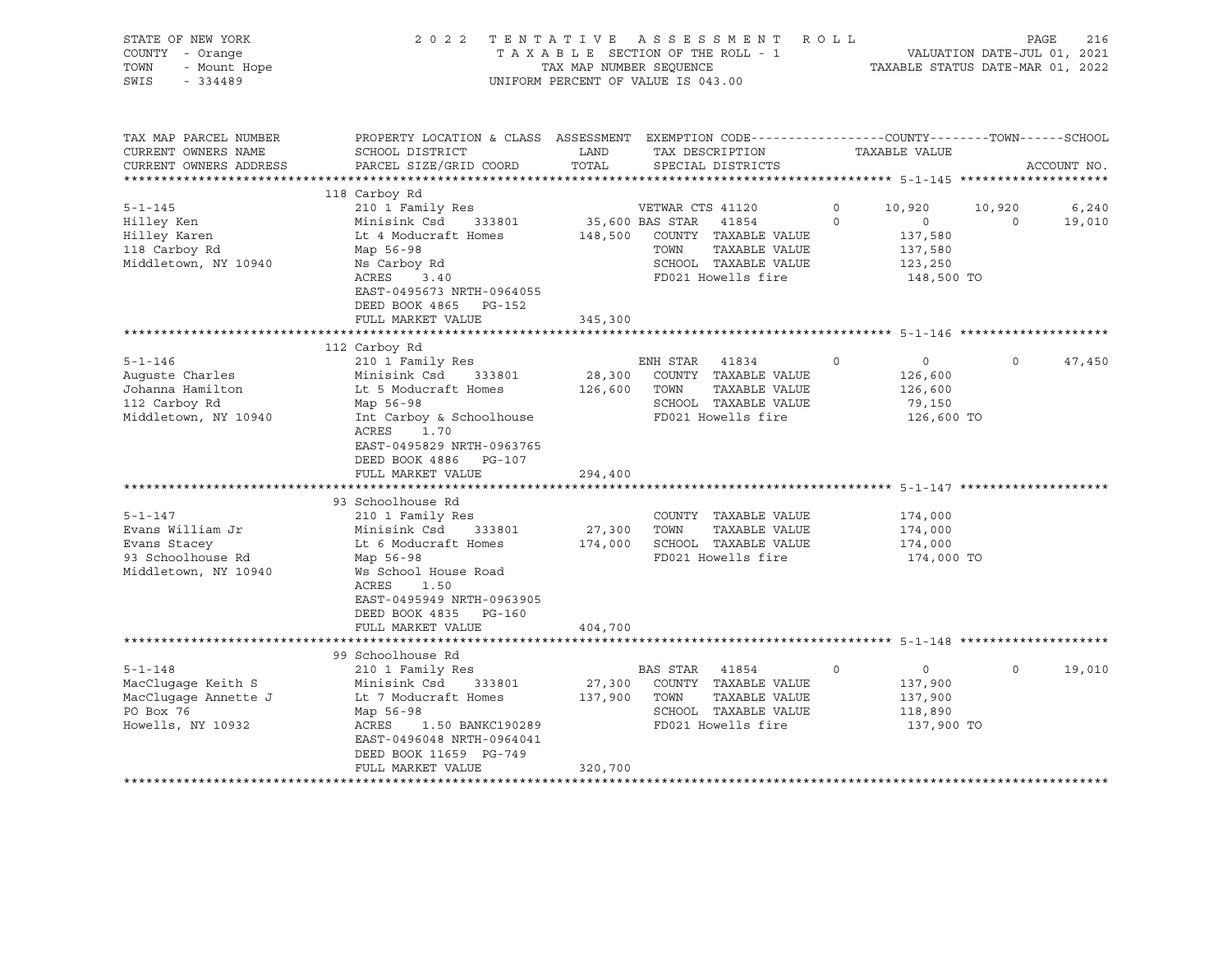| STATE OF NEW YORK<br>COUNTY - Orange<br>- Mount Hope<br>TOWN<br>SWIS<br>$-334489$                                                                                                               |                                                                                                                                                                                                                                                                                                                                                                                                                                        | TAX MAP NUMBER SEQUENCE | 2022 TENTATIVE ASSESSMENT ROLL<br>TAXABLE SECTION OF THE ROLL - 1<br>UNIFORM PERCENT OF VALUE IS 043.00                                                                                                             | VALUATION DATE-JUL 01, 2021<br>TAXABLE STATUS DATE-MAR 01, 2022                                                         |                    | 216<br>PAGE     |
|-------------------------------------------------------------------------------------------------------------------------------------------------------------------------------------------------|----------------------------------------------------------------------------------------------------------------------------------------------------------------------------------------------------------------------------------------------------------------------------------------------------------------------------------------------------------------------------------------------------------------------------------------|-------------------------|---------------------------------------------------------------------------------------------------------------------------------------------------------------------------------------------------------------------|-------------------------------------------------------------------------------------------------------------------------|--------------------|-----------------|
| TAX MAP PARCEL NUMBER<br>CURRENT OWNERS NAME<br>CURRENT OWNERS ADDRESS                                                                                                                          | PROPERTY LOCATION & CLASS ASSESSMENT EXEMPTION CODE----------------COUNTY-------TOWN------SCHOOL<br>SCHOOL DISTRICT<br>PARCEL SIZE/GRID COORD                                                                                                                                                                                                                                                                                          | LAND<br>TOTAL           | TAX DESCRIPTION TAXABLE VALUE<br>SPECIAL DISTRICTS                                                                                                                                                                  |                                                                                                                         |                    | ACCOUNT NO.     |
|                                                                                                                                                                                                 |                                                                                                                                                                                                                                                                                                                                                                                                                                        |                         |                                                                                                                                                                                                                     |                                                                                                                         |                    |                 |
| $5 - 1 - 145$<br>Hilley Ken<br>Hilley Karen<br>118 Carboy Rd<br>Middletown, NY 10940                                                                                                            | 118 Carboy Rd<br>210 1 Family Res<br>Minisink Csd 333801<br>Lt 4 Moducraft Homes<br>Map 56-98<br>Ns Carboy Rd<br>ACRES<br>3.40<br>EAST-0495673 NRTH-0964055                                                                                                                                                                                                                                                                            |                         | VETWAR CTS 41120<br>35,600 BAS STAR 41854<br>148,500 COUNTY TAXABLE VALUE<br>TAXABLE VALUE<br>TOWN<br>SCHOOL TAXABLE VALUE<br>FD021 Howells fire                                                                    | $\circ$<br>10,920<br>$\circ$<br>$\overline{0}$<br>137,580<br>137,580<br>123,250<br>148,500 TO                           | 10,920<br>$\sim$ 0 | 6,240<br>19,010 |
|                                                                                                                                                                                                 | DEED BOOK 4865 PG-152<br>FULL MARKET VALUE                                                                                                                                                                                                                                                                                                                                                                                             | 345,300                 |                                                                                                                                                                                                                     |                                                                                                                         |                    |                 |
|                                                                                                                                                                                                 |                                                                                                                                                                                                                                                                                                                                                                                                                                        |                         |                                                                                                                                                                                                                     |                                                                                                                         |                    |                 |
| $5 - 1 - 146$<br>Auguste Charles<br>Johanna Hamilton<br>112 Carboy Rd<br>Middletown, NY 10940<br>$5 - 1 - 147$<br>Evans William Jr<br>Evans Stacey<br>93 Schoolhouse Rd<br>Middletown, NY 10940 | 112 Carboy Rd<br>210 1 Family Res<br>Minisink Csd 333801<br>Lt 5 Moducraft Homes 126,600 TOWN<br>Map 56-98<br>Int Carboy & Schoolhouse<br>ACRES 1.70<br>EAST-0495829 NRTH-0963765<br>DEED BOOK 4886 PG-107<br>FULL MARKET VALUE<br>93 Schoolhouse Rd<br>210 1 Family Res<br>Minisink Csd<br>333801<br>Lt 6 Moducraft Homes<br>Map 56-98<br>Ws School House Road<br>ACRES<br>1.50<br>EAST-0495949 NRTH-0963905<br>DEED BOOK 4835 PG-160 | 294,400<br>27,300       | ENH STAR 41834<br>28,300 COUNTY TAXABLE VALUE<br>TAXABLE VALUE<br>SCHOOL TAXABLE VALUE<br>FD021 Howells fire<br>COUNTY TAXABLE VALUE<br>TOWN<br>TAXABLE VALUE<br>174,000 SCHOOL TAXABLE VALUE<br>FD021 Howells fire | $\Omega$<br>$\overline{0}$<br>126,600<br>126,600<br>79,150<br>126,600 TO<br>174,000<br>174,000<br>174,000<br>174,000 TO | $\Omega$           | 47,450          |
|                                                                                                                                                                                                 | FULL MARKET VALUE                                                                                                                                                                                                                                                                                                                                                                                                                      | 404,700                 |                                                                                                                                                                                                                     |                                                                                                                         |                    |                 |
| $5 - 1 - 148$<br>MacCluqaqe Keith S<br>MacClugage Annette J<br>PO Box 76<br>Howells, NY 10932                                                                                                   | 99 Schoolhouse Rd<br>210 1 Family Res<br>Minisink Csd<br>333801<br>Lt 7 Moducraft Homes<br>Map 56-98<br>ACRES 1.50 BANKC190289<br>EAST-0496048 NRTH-0964041<br>DEED BOOK 11659 PG-749<br>FULL MARKET VALUE                                                                                                                                                                                                                             | 320,700                 | BAS STAR 41854<br>27,300 COUNTY TAXABLE VALUE<br>137,900 TOWN<br>TAXABLE VALUE<br>SCHOOL TAXABLE VALUE<br>FD021 Howells fire                                                                                        | $\circ$<br>$\overline{0}$<br>137,900<br>137,900<br>118,890<br>137,900 TO                                                | $\Omega$           | 19,010          |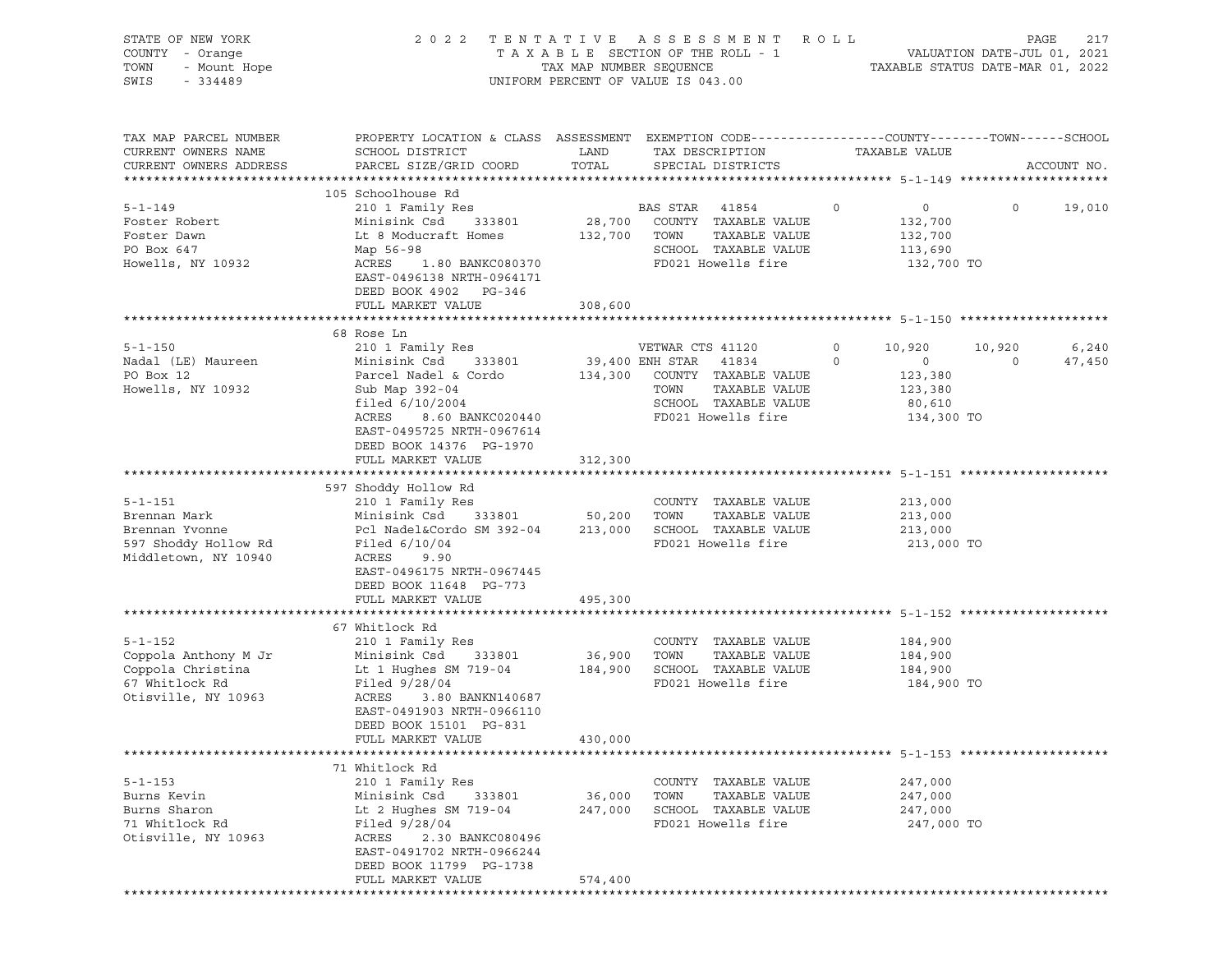| STATE OF NEW YORK<br>COUNTY - Orange<br>TOWN - Mount Hope<br>234489                            |                                                                                                                                                                                                                                                                                               |                   | 2022 TENTATIVE ASSESSMENT ROLL<br>UNIFORM PERCENT OF VALUE IS 043.00                                                                                                               |                                                                                               | PAGE                                        | 217 |
|------------------------------------------------------------------------------------------------|-----------------------------------------------------------------------------------------------------------------------------------------------------------------------------------------------------------------------------------------------------------------------------------------------|-------------------|------------------------------------------------------------------------------------------------------------------------------------------------------------------------------------|-----------------------------------------------------------------------------------------------|---------------------------------------------|-----|
| TAX MAP PARCEL NUMBER<br>CURRENT OWNERS NAME<br>CURRENT OWNERS ADDRESS                         | PROPERTY LOCATION & CLASS ASSESSMENT EXEMPTION CODE----------------COUNTY-------TOWN------SCHOOL<br>SCHOOL DISTRICT<br>PARCEL SIZE/GRID COORD TOTAL                                                                                                                                           | LAND              | TAX DESCRIPTION TAXABLE VALUE SPECIAL DISTRICTS<br>SPECIAL DISTRICTS                                                                                                               |                                                                                               | ACCOUNT NO.                                 |     |
|                                                                                                |                                                                                                                                                                                                                                                                                               |                   |                                                                                                                                                                                    |                                                                                               |                                             |     |
| $5 - 1 - 149$                                                                                  |                                                                                                                                                                                                                                                                                               |                   |                                                                                                                                                                                    | $\overline{0}$                                                                                | $0 \t 19,010$                               |     |
| Foster Robert<br>Foster Dawn<br>PO Box 647                                                     | Minisink Csd 333801 28,700 COUNTY TAXABLE VALUE 132,700<br>Min.<br>Lt 8 Moau<br>Map 56-98<br>ACRES<br>EAST-045<br>There<br>Lt 8 Moducraft Homes                                                                                                                                               |                   | 132,700 TOWN TAXABLE VALUE<br>SCHOOL TAXABLE VALUE 113,690                                                                                                                         | 132,700                                                                                       |                                             |     |
| Howells, NY 10932                                                                              | ACRES 1.80 BANKC080370<br>EAST-0496138 NRTH-0964171<br>DEED BOOK 4902 PG-346                                                                                                                                                                                                                  |                   | FD021 Howells fire                                                                                                                                                                 | 132,700 TO                                                                                    |                                             |     |
|                                                                                                | FULL MARKET VALUE                                                                                                                                                                                                                                                                             | 308,600           |                                                                                                                                                                                    |                                                                                               |                                             |     |
|                                                                                                | 68 Rose Ln                                                                                                                                                                                                                                                                                    |                   |                                                                                                                                                                                    |                                                                                               |                                             |     |
| 5-1-150<br>Nadal (LE) Maureen Minisink Csd 333801<br>Parcel Nadel & Cordo<br>Howells, NY 10932 | 210 1 Family Res<br>Minisink Csd 333801 39,400 ENH STAR 41834<br>Sub Map 392-04<br>filed 6/10/2004<br>ACRES<br>EAST-0495725 NRTH-0967614<br>DEED BOOK 14376 PG-1970                                                                                                                           |                   | VETWAR CTS 41120<br>134,300 COUNTY TAXABLE VALUE<br>TOWN TAXABLE VALUE<br>TOWN HAARLE VALUE<br>SCHOOL TAXABLE VALUE<br>SCHOOL TAXABLE VALUE<br>8.60 BANKC020440 PD021 Howells fire | $\circ$<br>10,920<br>$\overline{0}$<br>$\Omega$<br>123,380<br>123,380<br>80,610<br>134,300 TO | 6,240<br>10,920<br>$\overline{a}$<br>47,450 |     |
|                                                                                                | FULL MARKET VALUE                                                                                                                                                                                                                                                                             | 312,300           |                                                                                                                                                                                    |                                                                                               |                                             |     |
| 5-1-151<br>Brennan Mark<br>Brennan Yvonne<br>597 Shoddy Hollow Rd<br>Middletown, NY 10940      | 597 Shoddy Hollow Rd<br>210 1 Family Res<br>210 1 Family Res<br>Minisink Csd 333801 50,200 TOWN TAXABLE VALUE 213,000<br>Pcl Nadel&Cordo SM 392-04 213,000 SCHOOL TAXABLE VALUE 213,000<br>FD021 Howells fire 213,000<br>ACRES<br>9.90<br>EAST-0496175 NRTH-0967445<br>DEED BOOK 11648 PG-773 |                   |                                                                                                                                                                                    | 213,000 TO                                                                                    |                                             |     |
|                                                                                                | FULL MARKET VALUE                                                                                                                                                                                                                                                                             | 495,300           |                                                                                                                                                                                    |                                                                                               |                                             |     |
|                                                                                                | 67 Whitlock Rd                                                                                                                                                                                                                                                                                |                   |                                                                                                                                                                                    |                                                                                               |                                             |     |
| 67 Whitlock Rd<br>Otisville, $NY$ 10963                                                        | Filed 9/28/04<br>ACRES<br>3.80 BANKN140687<br>EAST-0491903 NRTH-0966110<br>DEED BOOK 15101 PG-831                                                                                                                                                                                             |                   | FD021 Howells fire                                                                                                                                                                 | 184,900 TO                                                                                    |                                             |     |
|                                                                                                | FULL MARKET VALUE                                                                                                                                                                                                                                                                             | 430,000           |                                                                                                                                                                                    |                                                                                               |                                             |     |
|                                                                                                | 71 Whitlock Rd                                                                                                                                                                                                                                                                                |                   |                                                                                                                                                                                    |                                                                                               |                                             |     |
| $5 - 1 - 153$<br>Burns Kevin<br>Burns Sharon<br>71 Whitlock Rd<br>Otisville, NY 10963          | 210 1 Family Res<br>Minisink Csd<br>333801<br>Lt 2 Hughes SM 719-04<br>Filed $9/28/04$<br>ACRES<br>2.30 BANKC080496<br>EAST-0491702 NRTH-0966244<br>DEED BOOK 11799 PG-1738                                                                                                                   | 36,000<br>247,000 | COUNTY TAXABLE VALUE<br>TOWN<br>TAXABLE VALUE<br>SCHOOL TAXABLE VALUE<br>FD021 Howells fire                                                                                        | 247,000<br>247,000<br>247,000<br>247,000 TO                                                   |                                             |     |
|                                                                                                | FULL MARKET VALUE                                                                                                                                                                                                                                                                             | 574,400           |                                                                                                                                                                                    |                                                                                               |                                             |     |
|                                                                                                |                                                                                                                                                                                                                                                                                               |                   |                                                                                                                                                                                    |                                                                                               |                                             |     |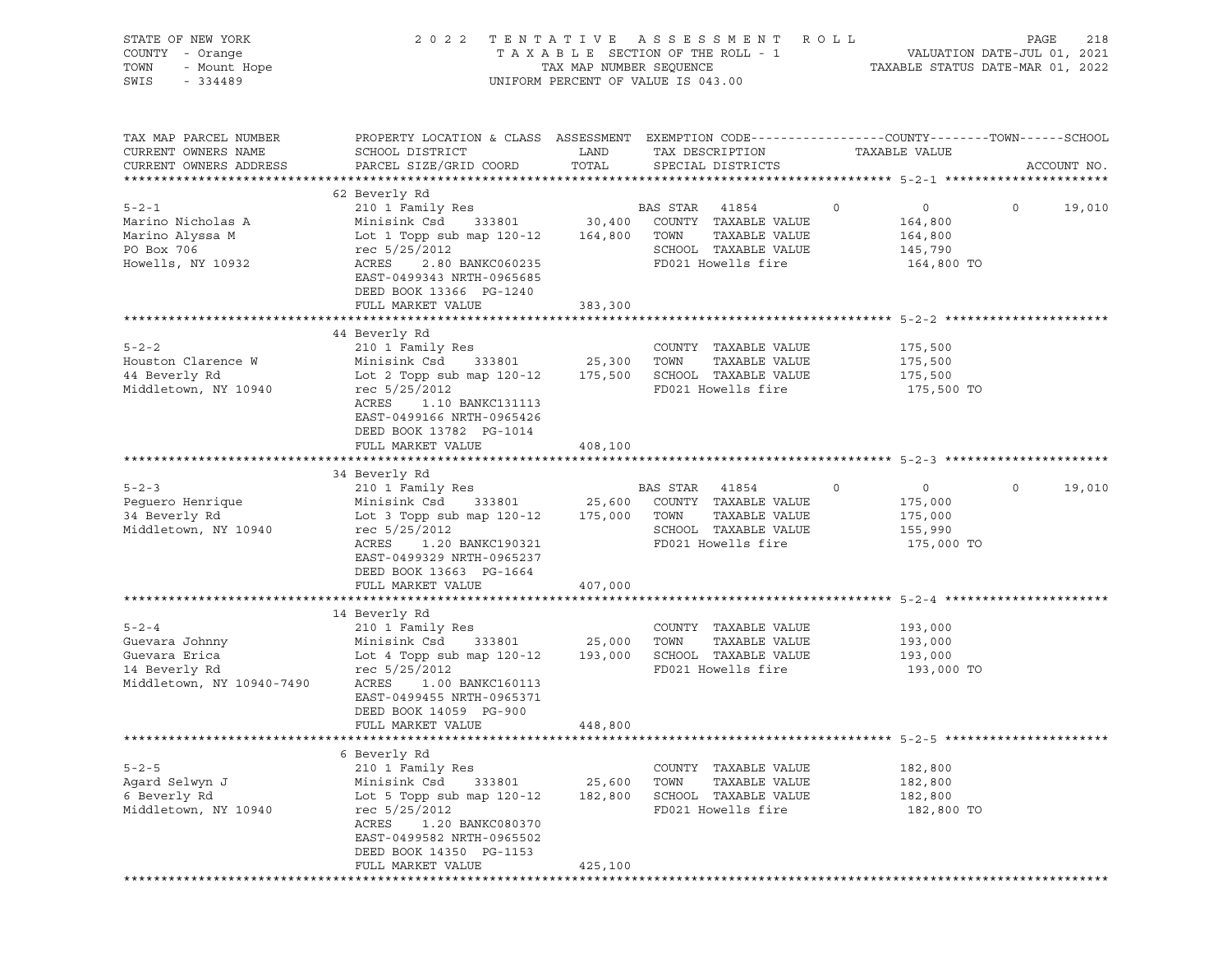| STATE OF NEW YORK<br>OF NEW YORK<br>I - Orange<br>- Mount Hope<br>- CALOR<br>COUNTY - Orange<br>TOWN<br>SWIS |                                                                                                                                                                                                                                                                                                  |                   | 2022 TENTATIVE ASSESSMENT ROLL<br>T A X A B L E SECTION OF THE ROLL - 1 VALUATION DATE-JUL 01, 2021<br>TAX MAP NUMBER SEQUENCE TAXIBLE STATUS DATE-MAR 01, 2022<br>UNIFORM PERCENT OF VALUE IS 043.00 |                                                                          | PAGE<br>218        |
|--------------------------------------------------------------------------------------------------------------|--------------------------------------------------------------------------------------------------------------------------------------------------------------------------------------------------------------------------------------------------------------------------------------------------|-------------------|-------------------------------------------------------------------------------------------------------------------------------------------------------------------------------------------------------|--------------------------------------------------------------------------|--------------------|
| TAX MAP PARCEL NUMBER<br>CURRENT OWNERS NAME<br>CURRENT OWNERS ADDRESS                                       | PROPERTY LOCATION & CLASS ASSESSMENT EXEMPTION CODE---------------COUNTY-------TOWN------SCHOOL<br>SCHOOL DISTRICT<br>PARCEL SIZE/GRID COORD                                                                                                                                                     | LAND<br>TOTAL     | TAX DESCRIPTION<br>SPECIAL DISTRICTS                                                                                                                                                                  | TAXABLE VALUE                                                            | ACCOUNT NO.        |
|                                                                                                              | 62 Beverly Rd                                                                                                                                                                                                                                                                                    |                   |                                                                                                                                                                                                       |                                                                          |                    |
| $5 - 2 - 1$<br>Marino Nicholas A<br>Marino Alyssa M<br>PO Box 706<br>Howells, NY 10932                       | 210 1 Family Res<br>Minisink Csd 333801 30,400 COUNTY TAXABLE VALUE<br>Lot 1 Topp sub map 120-12 164,800 TOWN TAXABLE VALUE<br>rec 5/25/2012 SCHOOL TAXABLE VALUE<br>ACRES 2.80 BANKC060235 FD021 Howells fire<br>ACRES 2.80 BANKC060235<br>EAST-0499343 NRTH-0965685<br>DEED BOOK 13366 PG-1240 |                   | <b>BAS STAR 41854</b><br>FD021 Howells fire                                                                                                                                                           | $\circ$<br>$\overline{0}$<br>164,800<br>164,800<br>145,790<br>164,800 TO | $\Omega$<br>19,010 |
|                                                                                                              | FULL MARKET VALUE                                                                                                                                                                                                                                                                                | 383,300           |                                                                                                                                                                                                       |                                                                          |                    |
|                                                                                                              |                                                                                                                                                                                                                                                                                                  |                   |                                                                                                                                                                                                       |                                                                          |                    |
| $5 - 2 - 2$<br>Houston Clarence W<br>44 Beverly Rd<br>Middletown, NY 10940                                   | 44 Beverly Rd<br>210 1 Family Res<br>Minisink Csd 333801 25,300 TOWN<br>Lot 2 Topp sub map 120-12 175,500 SCHOOL TAXABLE VALUE<br>rec 5/25/2012<br>ACRES<br>1.10 BANKC131113<br>EAST-0499166 NRTH-0965426                                                                                        |                   | COUNTY TAXABLE VALUE<br>TAXABLE VALUE<br>FD021 Howells fire                                                                                                                                           | 175,500<br>175,500<br>175,500<br>175,500 TO                              |                    |
|                                                                                                              | DEED BOOK 13782 PG-1014<br>FULL MARKET VALUE                                                                                                                                                                                                                                                     | 408,100           |                                                                                                                                                                                                       |                                                                          |                    |
|                                                                                                              | 34 Beverly Rd                                                                                                                                                                                                                                                                                    |                   |                                                                                                                                                                                                       |                                                                          |                    |
| $5 - 2 - 3$<br>Peguero Henrique<br>34 Beverly Rd<br>Middletown, NY 10940                                     | 210 1 Family Res<br>Minisink Csd 333801 25,600 COUNTY TAXABLE VALUE<br>Lot 3 Topp sub map 120-12 175,000 TOWN<br>rec 5/25/2012<br>ACRES 1.20 BANKC190321<br>EAST-0499329 NRTH-0965237<br>DEED BOOK 13663 PG-1664                                                                                 |                   | BAS STAR 41854<br>TAXABLE VALUE<br>SCHOOL TAXABLE VALUE<br>FD021 Howells fire                                                                                                                         | $\circ$<br>$\overline{0}$<br>175,000<br>175,000<br>155,990<br>175,000 TO | $\Omega$<br>19,010 |
|                                                                                                              | FULL MARKET VALUE                                                                                                                                                                                                                                                                                | 407,000           |                                                                                                                                                                                                       |                                                                          |                    |
| $5 - 2 - 4$<br>Guevara Johnny<br>Guevara Erica<br>14 Beverly Rd<br>Middletown, NY 10940-7490                 | 14 Beverly Rd<br>210 1 Family Res<br>Minisink Csd 333801 25,000 TOWN<br>Lot 4 Topp sub map 120-12 193,000 SCHOOL TAXABLE VALUE<br>rec 5/25/2012<br>ACRES 1.00 BANKC160113<br>EAST-0499455 NRTH-0965371<br>DEED BOOK 14059 PG-900                                                                 |                   | COUNTY TAXABLE VALUE<br>TAXABLE VALUE<br>FD021 Howells fire                                                                                                                                           | 193,000<br>193,000<br>193,000<br>193,000 TO                              |                    |
|                                                                                                              | FULL MARKET VALUE                                                                                                                                                                                                                                                                                | 448,800           |                                                                                                                                                                                                       |                                                                          |                    |
|                                                                                                              |                                                                                                                                                                                                                                                                                                  |                   |                                                                                                                                                                                                       |                                                                          |                    |
| $5 - 2 - 5$<br>Agard Selwyn J<br>6 Beverly Rd<br>Middletown, NY 10940                                        | 6 Beverly Rd<br>210 1 Family Res<br>Minisink Csd<br>333801<br>Lot 5 Topp sub map $120-12$<br>rec 5/25/2012<br>ACRES<br>1.20 BANKC080370<br>EAST-0499582 NRTH-0965502<br>DEED BOOK 14350 PG-1153                                                                                                  | 25,600<br>182,800 | COUNTY TAXABLE VALUE<br>TOWN<br>TAXABLE VALUE<br>SCHOOL TAXABLE VALUE<br>FD021 Howells fire                                                                                                           | 182,800<br>182,800<br>182,800<br>182,800 TO                              |                    |
|                                                                                                              | FULL MARKET VALUE                                                                                                                                                                                                                                                                                | 425,100           |                                                                                                                                                                                                       |                                                                          |                    |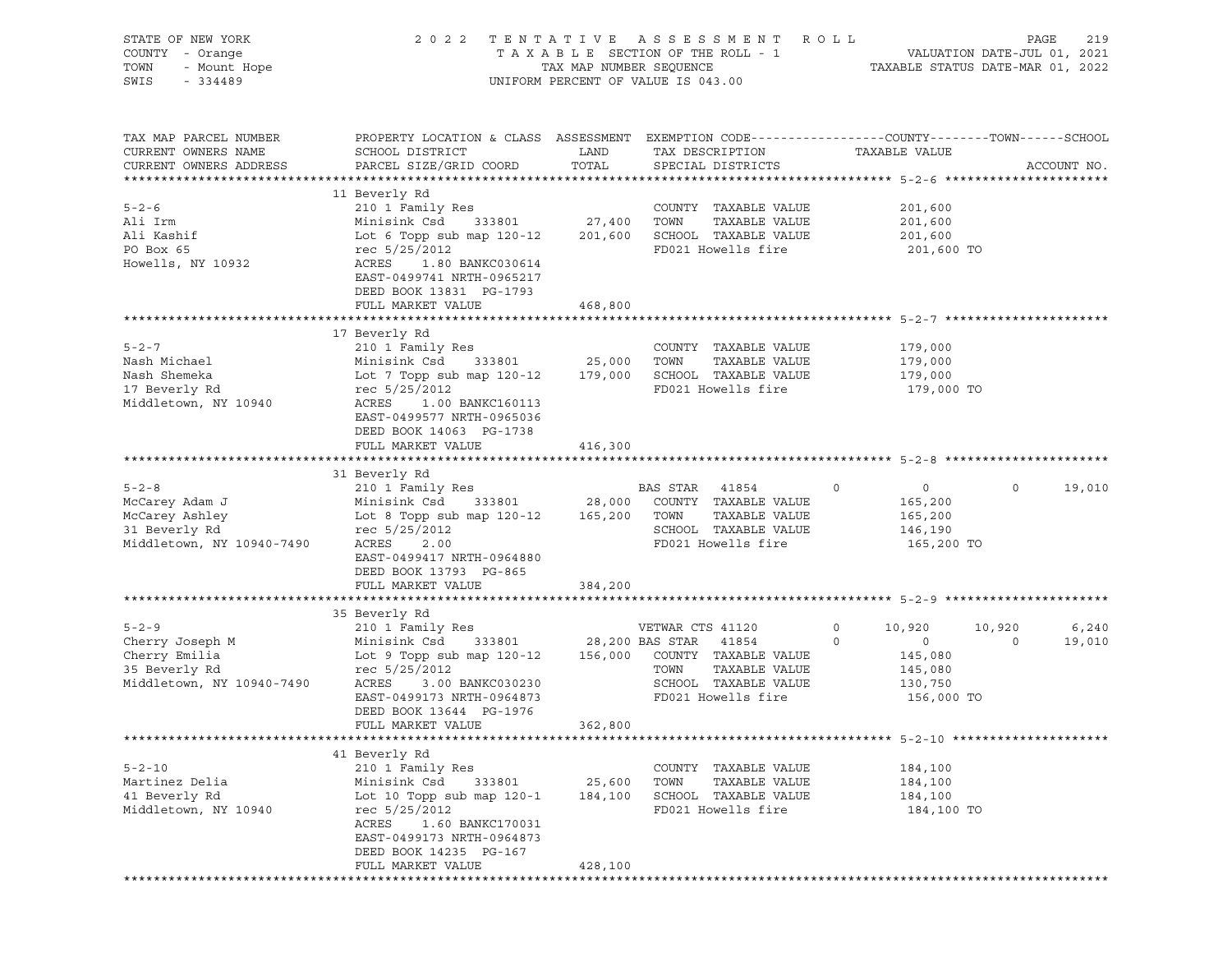| STATE OF NEW YORK<br>COUNTY - Orange<br>TOWN<br>- Mount Hope<br>SWIS<br>$-334489$             | 2 0 2 2                                                                                                                                                                                                                              |                              | TENTATIVE ASSESSMENT ROLL<br>UNIFORM PERCENT OF VALUE IS 043.00                             |                                                                                               |                   | PAGE<br>219     |
|-----------------------------------------------------------------------------------------------|--------------------------------------------------------------------------------------------------------------------------------------------------------------------------------------------------------------------------------------|------------------------------|---------------------------------------------------------------------------------------------|-----------------------------------------------------------------------------------------------|-------------------|-----------------|
| TAX MAP PARCEL NUMBER<br>CURRENT OWNERS NAME<br>CURRENT OWNERS ADDRESS                        | PROPERTY LOCATION & CLASS ASSESSMENT EXEMPTION CODE----------------COUNTY-------TOWN------SCHOOL<br>SCHOOL DISTRICT<br>PARCEL SIZE/GRID COORD TOTAL                                                                                  | LAND                         | TAX DESCRIPTION<br>SPECIAL DISTRICTS                                                        | TAXABLE VALUE                                                                                 |                   | ACCOUNT NO.     |
| $5 - 2 - 6$<br>Ali Irm<br>Ali Kashif<br>PO Box 65<br>Howells, NY 10932                        | 11 Beverly Rd<br>210 1 Family Res<br>Minisink Csd 333801 27,400 TOWN<br>Lot 6 Topp sub map 120-12 201,600 SCHOOL TAXABLE VALUE<br>rec 5/25/2012<br>ACRES<br>1.80 BANKC030614<br>EAST-0499741 NRTH-0965217<br>DEED BOOK 13831 PG-1793 |                              | COUNTY TAXABLE VALUE<br>TAXABLE VALUE<br>FD021 Howells fire                                 | 201,600<br>201,600<br>201,600<br>201,600 TO                                                   |                   |                 |
|                                                                                               | FULL MARKET VALUE                                                                                                                                                                                                                    | 468,800                      |                                                                                             |                                                                                               |                   |                 |
| $5 - 2 - 7$<br>Nash Michael<br>Nash Shemeka<br>17 Beverly Rd<br>Middletown, NY 10940          | 17 Beverly Rd<br>210 1 Family Res<br>Minisink Csd 333801 25,000<br>Lot 7 Topp sub map 120-12 179,000 SCHOOL TAXABLE VALUE<br>rec 5/25/2012<br>ACRES<br>1.00 BANKC160113<br>EAST-0499577 NRTH-0965036<br>DEED BOOK 14063 PG-1738      |                              | COUNTY TAXABLE VALUE<br>TOWN<br>TAXABLE VALUE<br>FD021 Howells fire                         | 179,000<br>179,000<br>179,000<br>179,000 TO                                                   |                   |                 |
|                                                                                               | FULL MARKET VALUE                                                                                                                                                                                                                    | 416,300                      |                                                                                             |                                                                                               |                   |                 |
|                                                                                               | 31 Beverly Rd                                                                                                                                                                                                                        |                              |                                                                                             |                                                                                               |                   |                 |
| $5 - 2 - 8$<br>McCarey Adam J<br>McCarey Ashley<br>31 Beverly Rd<br>Middletown, NY 10940-7490 | Lot 8 Topp sub map 120-12 165,200 TOWN<br>rec 5/25/2012 SCHOOL<br>rec 5/25/2012<br>ACRES<br>2.00<br>EAST-0499417 NRTH-0964880<br>DEED BOOK 13793 PG-865                                                                              |                              | TAXABLE VALUE<br>SCHOOL TAXABLE VALUE<br>FD021 Howells fire                                 | $\overline{0}$<br>$\overline{0}$<br>165,200<br>165,200<br>146,190<br>165,200 TO               | $\circ$           | 19,010          |
|                                                                                               | FULL MARKET VALUE                                                                                                                                                                                                                    | 384,200                      |                                                                                             |                                                                                               |                   |                 |
|                                                                                               | 35 Beverly Rd                                                                                                                                                                                                                        |                              |                                                                                             |                                                                                               |                   |                 |
| 5-2-9<br>Cherry Joseph M<br>Cherry Emilia<br>Cherry Emilia<br>Middletown, NY 10940-7490       | 210 1 Family Res<br>Minisink Csd 333801 28,200 BAS STAR 41854<br>Lot 9 Topp sub map 120-12 156,000 COUNTY TAXABLE VALUE<br>rec 5/25/2012<br>ACRES<br>3.00 BANKC030230<br>EAST-0499173 NRTH-0964873<br>DEED BOOK 13644 PG-1976        |                              | TOWN<br>TAXABLE VALUE<br>SCHOOL TAXABLE VALUE<br>FD021 Howells fire                         | $\circ$<br>10,920<br>$\overline{0}$<br>$\circ$<br>145,080<br>145,080<br>130,750<br>156,000 TO | 10,920<br>$\circ$ | 6,240<br>19,010 |
|                                                                                               | FULL MARKET VALUE 362,800                                                                                                                                                                                                            |                              |                                                                                             |                                                                                               |                   |                 |
| $5 - 2 - 10$<br>Martinez Delia<br>41 Beverly Rd<br>Middletown, NY 10940                       | 41 Beverly Rd<br>210 1 Family Res<br>Minisink Csd<br>333801<br>Lot 10 Topp sub map 120-1<br>rec 5/25/2012<br>1.60 BANKC170031<br>ACRES<br>EAST-0499173 NRTH-0964873<br>DEED BOOK 14235 PG-167<br>FULL MARKET VALUE                   | 25,600<br>184,100<br>428,100 | COUNTY TAXABLE VALUE<br>TAXABLE VALUE<br>TOWN<br>SCHOOL TAXABLE VALUE<br>FD021 Howells fire | 184,100<br>184,100<br>184,100<br>184,100 TO                                                   |                   |                 |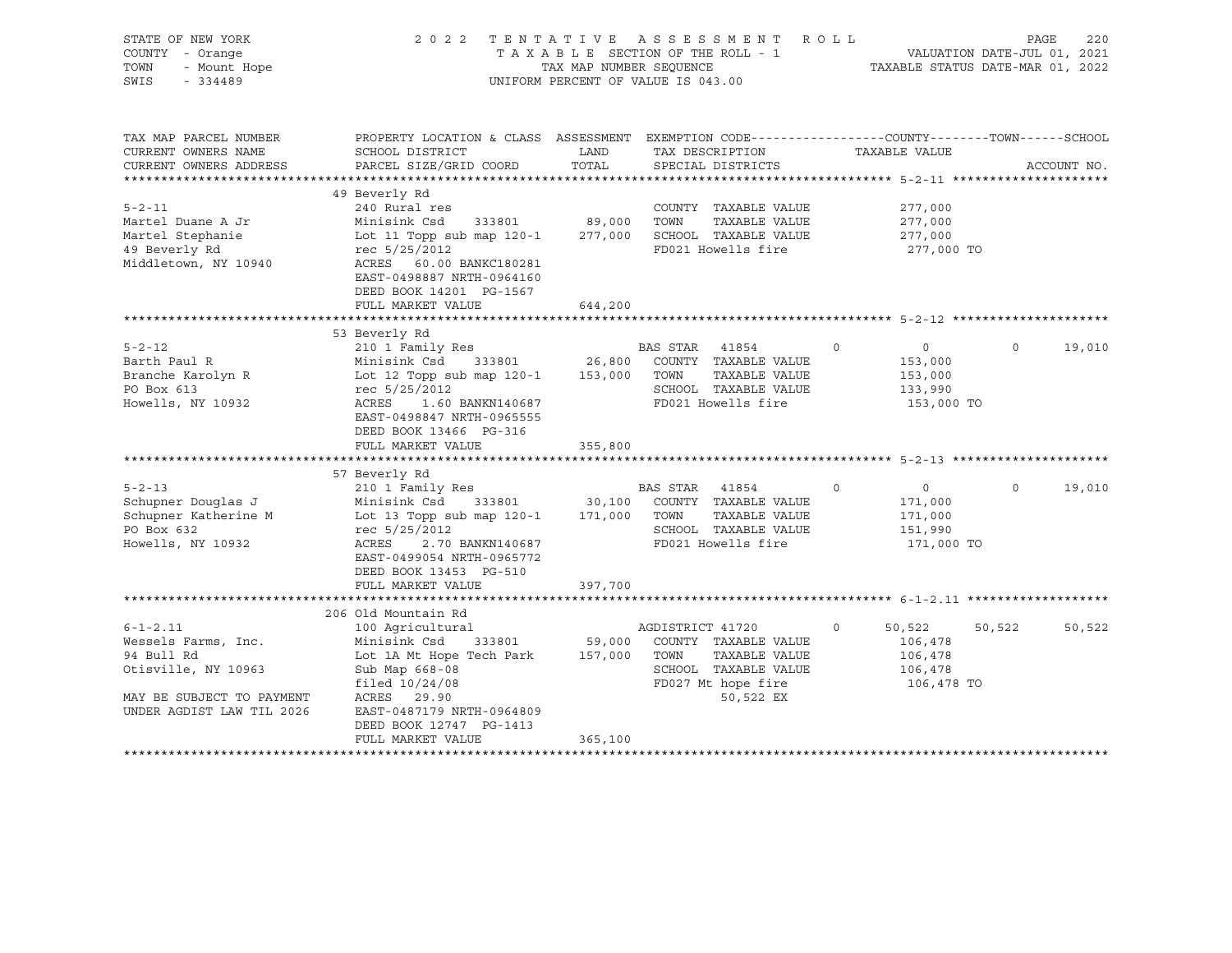| STATE OF NEW YORK<br>COUNTY - Orange<br>TOWN<br>- Mount Hope<br>SWIS<br>$-334489$                                                                                                     | 2 0 2 2                                                                                                                                                                                                                                                                                                                                                                                                          | TAX MAP NUMBER SEQUENCE                 | TENTATIVE ASSESSMENT ROLL<br>TAXABLE SECTION OF THE ROLL - 1<br>UNIFORM PERCENT OF VALUE IS 043.00                                                                                                                                    |                                                                                                                                               | PAGE<br>220<br>VALUATION DATE-JUL 01, 2021<br>TAXABLE STATUS DATE-MAR 01, 2022 |
|---------------------------------------------------------------------------------------------------------------------------------------------------------------------------------------|------------------------------------------------------------------------------------------------------------------------------------------------------------------------------------------------------------------------------------------------------------------------------------------------------------------------------------------------------------------------------------------------------------------|-----------------------------------------|---------------------------------------------------------------------------------------------------------------------------------------------------------------------------------------------------------------------------------------|-----------------------------------------------------------------------------------------------------------------------------------------------|--------------------------------------------------------------------------------|
| TAX MAP PARCEL NUMBER<br>CURRENT OWNERS NAME<br>CURRENT OWNERS ADDRESS                                                                                                                | PROPERTY LOCATION & CLASS ASSESSMENT EXEMPTION CODE----------------COUNTY-------TOWN-----SCHOOL<br>SCHOOL DISTRICT<br>PARCEL SIZE/GRID COORD                                                                                                                                                                                                                                                                     | LAND<br>TOTAL                           | TAX DESCRIPTION<br>SPECIAL DISTRICTS                                                                                                                                                                                                  | TAXABLE VALUE                                                                                                                                 | ACCOUNT NO.                                                                    |
| $5 - 2 - 11$<br>Martel Duane A Jr<br>Martel Stephanie<br>49 Beverly Rd<br>Middletown, NY 10940                                                                                        | 49 Beverly Rd<br>240 Rural res<br>Minisink Csd<br>333801<br>Lot 11 Topp sub map 120-1<br>rec 5/25/2012<br>ACRES 60.00 BANKC180281<br>EAST-0498887 NRTH-0964160<br>DEED BOOK 14201 PG-1567<br>FULL MARKET VALUE                                                                                                                                                                                                   | 89,000<br>277,000<br>644,200            | COUNTY TAXABLE VALUE<br>TOWN<br>TAXABLE VALUE<br>SCHOOL TAXABLE VALUE<br>FD021 Howells fire                                                                                                                                           | 277,000<br>277,000<br>277,000<br>277,000 TO                                                                                                   |                                                                                |
|                                                                                                                                                                                       |                                                                                                                                                                                                                                                                                                                                                                                                                  |                                         |                                                                                                                                                                                                                                       |                                                                                                                                               |                                                                                |
| $5 - 2 - 12$<br>Barth Paul R<br>Branche Karolyn R<br>PO Box 613<br>Howells, NY 10932<br>$5 - 2 - 13$<br>Schupner Douglas J<br>Schupner Katherine M<br>PO Box 632<br>Howells, NY 10932 | 53 Beverly Rd<br>210 1 Family Res<br>Minisink Csd 333801<br>Lot 12 Topp sub map 120-1<br>rec 5/25/2012<br>ACRES<br>1.60 BANKN140687<br>EAST-0498847 NRTH-0965555<br>DEED BOOK 13466 PG-316<br>FULL MARKET VALUE<br>57 Beverly Rd<br>210 1 Family Res<br>Minisink Csd<br>333801<br>Lot 13 Topp sub map 120-1<br>rec 5/25/2012<br>ACRES<br>2.70 BANKN140687<br>EAST-0499054 NRTH-0965772<br>DEED BOOK 13453 PG-510 | 153,000<br>355,800<br>30,100<br>171,000 | BAS STAR 41854<br>26,800 COUNTY TAXABLE VALUE<br>TOWN<br>TAXABLE VALUE<br>SCHOOL TAXABLE VALUE<br>FD021 Howells fire<br>BAS STAR 41854<br>COUNTY TAXABLE VALUE<br>TOWN<br>TAXABLE VALUE<br>SCHOOL TAXABLE VALUE<br>FD021 Howells fire | $\overline{0}$<br>$\circ$<br>153,000<br>153,000<br>133,990<br>153,000 TO<br>$\circ$<br>$\circ$<br>171,000<br>171,000<br>151,990<br>171,000 TO | $\circ$<br>19,010<br>$\Omega$<br>19,010                                        |
|                                                                                                                                                                                       | FULL MARKET VALUE                                                                                                                                                                                                                                                                                                                                                                                                | 397,700                                 |                                                                                                                                                                                                                                       |                                                                                                                                               |                                                                                |
|                                                                                                                                                                                       | 206 Old Mountain Rd                                                                                                                                                                                                                                                                                                                                                                                              |                                         |                                                                                                                                                                                                                                       |                                                                                                                                               |                                                                                |
| $6 - 1 - 2.11$<br>Wessels Farms, Inc.<br>94 Bull Rd<br>Otisville, NY 10963<br>MAY BE SUBJECT TO PAYMENT<br>UNDER AGDIST LAW TIL 2026                                                  | 100 Agricultural<br>Minisink Csd<br>333801<br>Lot 1A Mt Hope Tech Park<br>Sub Map 668-08<br>filed $10/24/08$<br>ACRES<br>29.90<br>EAST-0487179 NRTH-0964809<br>DEED BOOK 12747 PG-1413<br>FULL MARKET VALUE                                                                                                                                                                                                      | 59,000<br>157,000<br>365,100            | AGDISTRICT 41720<br>COUNTY TAXABLE VALUE<br>TOWN<br>TAXABLE VALUE<br>SCHOOL TAXABLE VALUE<br>FD027 Mt hope fire<br>50,522 EX                                                                                                          | 50,522<br>0<br>106,478<br>106,478<br>106,478<br>106,478 TO                                                                                    | 50,522<br>50,522                                                               |
|                                                                                                                                                                                       |                                                                                                                                                                                                                                                                                                                                                                                                                  |                                         |                                                                                                                                                                                                                                       |                                                                                                                                               |                                                                                |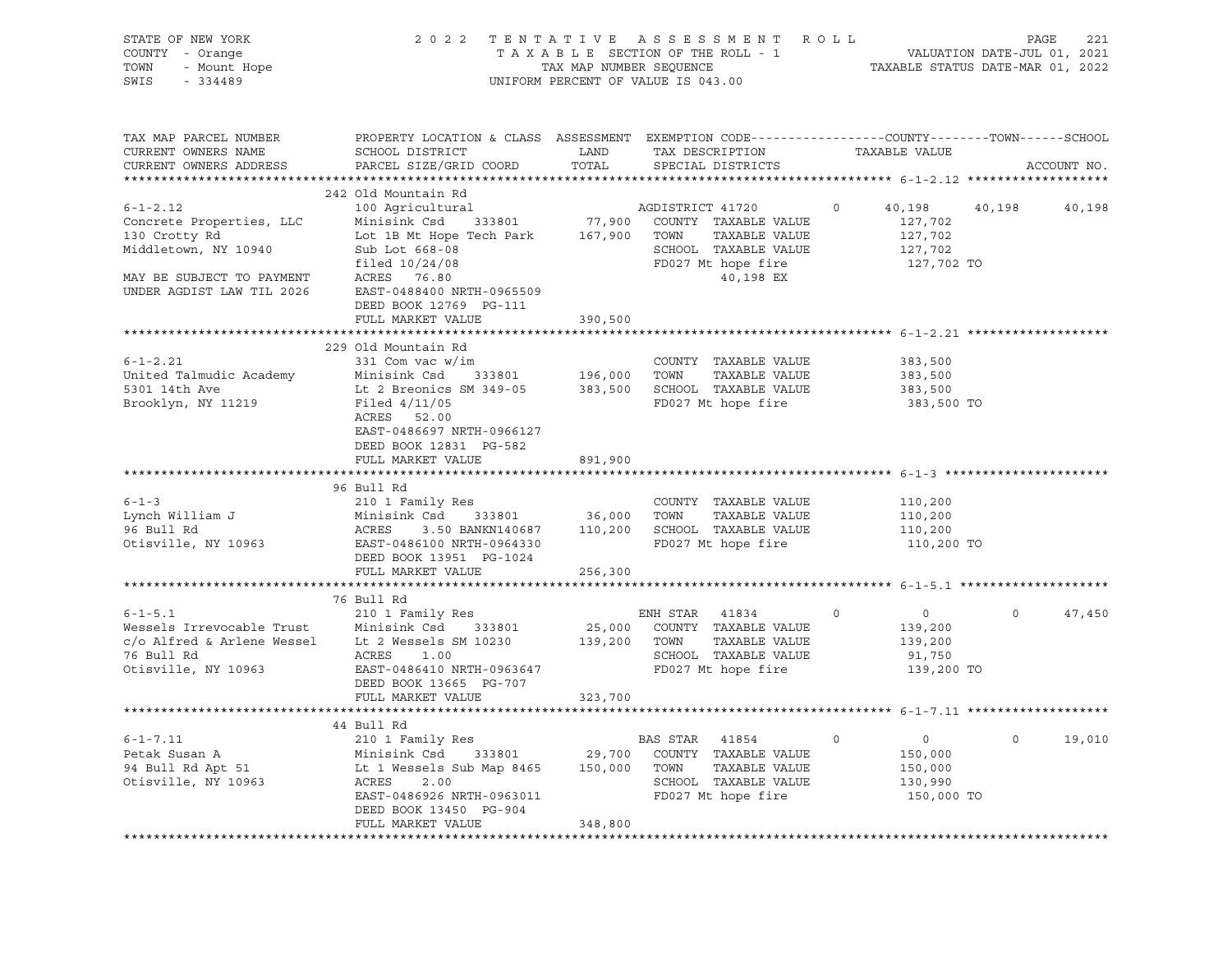| STATE OF NEW YORK<br>OF NEW YORK<br>- Orange<br>- Mount Hope<br>224499<br>COUNTY - Orange<br>TOWN<br>SWIS<br>$-334489$ |                                                                                                                                                                                                                                                                                                                                  |               | 2022 TENTATIVE ASSESSMENT ROLL PAGE 221<br>TAXABLE SECTION OF THE ROLL - 1 VALUATION DATE-JUL 01, 2021<br>TAX MAP NUMBER SEQUENCE TAXABLE STATUS DATE-MAR 01, 2022<br>UNIFORM PERCENT OF VALUE IS 043.00 |                |                                                                          |             |
|------------------------------------------------------------------------------------------------------------------------|----------------------------------------------------------------------------------------------------------------------------------------------------------------------------------------------------------------------------------------------------------------------------------------------------------------------------------|---------------|----------------------------------------------------------------------------------------------------------------------------------------------------------------------------------------------------------|----------------|--------------------------------------------------------------------------|-------------|
| TAX MAP PARCEL NUMBER<br>CURRENT OWNERS NAME<br>CURRENT OWNERS ADDRESS                                                 | PROPERTY LOCATION & CLASS ASSESSMENT EXEMPTION CODE-----------------COUNTY-------TOWN------SCHOOL<br>SCHOOL DISTRICT<br>PARCEL SIZE/GRID COORD                                                                                                                                                                                   | LAND<br>TOTAL | TAX DESCRIPTION TAXABLE VALUE<br>SPECIAL DISTRICTS                                                                                                                                                       |                |                                                                          | ACCOUNT NO. |
|                                                                                                                        | 242 Old Mountain Rd                                                                                                                                                                                                                                                                                                              |               |                                                                                                                                                                                                          |                |                                                                          |             |
| $6 - 1 - 2.12$<br>130 Crotty Rd<br>Middletown, NY 10940<br>MAY BE SUBJECT TO PAYMENT<br>UNDER AGDIST LAW TIL 2026      | 100 Agricultural<br>Concrete Properties, LLC (Minisink Csd 333801) 77,900 COUNTY TAXABLE VALUE<br>Lot 1B Mt Hope Tech Park 167,900 TOWN TAXABLE VALUE<br>Sub Lot 668-08<br>filed 10/24/08<br>ACRES 76.80<br>EAST-0488400 NRTH-0965509<br>DEED BOOK 12769 PG-111                                                                  |               | AGDISTRICT 41720<br>SCHOOL TAXABLE VALUE<br>FD027 Mt hope fire<br>40,198 EX                                                                                                                              | $\circ$        | 40,198<br>40,198<br>127,702<br>127,702<br>127,702<br>127,702 TO          | 40,198      |
|                                                                                                                        | FULL MARKET VALUE                                                                                                                                                                                                                                                                                                                | 390,500       |                                                                                                                                                                                                          |                |                                                                          |             |
|                                                                                                                        |                                                                                                                                                                                                                                                                                                                                  |               |                                                                                                                                                                                                          |                |                                                                          |             |
| $6 - 1 - 2.21$<br>United Talmudic Academy<br>5301 14th Ave<br>Brooklyn, NY 11219                                       | 229 Old Mountain Rd<br>331 Com vac w/im<br>331 Com vac w/im<br>Minisink Csd 333801 196,000 TOWN TAXABLE VALUE<br>Lt 2 Breonics SM 349-05 383,500 SCHOOL TAXABLE VALUE<br>Filed 4/11/05<br>ACRES 52.00<br>EAST-0486697 NRTH-0966127<br>DEED BOOK 12831 PG-582                                                                     |               | COUNTY TAXABLE VALUE<br>FD027 Mt hope fire                                                                                                                                                               |                | 383,500<br>383,500<br>383,500<br>383,500 TO                              |             |
|                                                                                                                        | FULL MARKET VALUE                                                                                                                                                                                                                                                                                                                | 891,900       |                                                                                                                                                                                                          |                |                                                                          |             |
|                                                                                                                        |                                                                                                                                                                                                                                                                                                                                  |               |                                                                                                                                                                                                          |                |                                                                          |             |
|                                                                                                                        | 96 Bull Rd<br>Example 1 210 1 Family Res<br>Lynch William J<br>210 1 Family Res<br>210 1 Family Res<br>210 1 Family Res<br>210 1 Family Res<br>210 1 Family Res<br>233801<br>26,000 TOWN TAXABLE VALUE<br>26 Bull Rd<br>26 Bull Rd<br>26 Bull Rd<br>26 Bull Rd<br>26 B<br>DEED BOOK 13951 PG-1024                                |               |                                                                                                                                                                                                          |                | 110,200<br>110,200<br>110,200<br>110,200 TO                              |             |
|                                                                                                                        | FULL MARKET VALUE                                                                                                                                                                                                                                                                                                                | 256,300       |                                                                                                                                                                                                          |                |                                                                          |             |
| 76 Bull Rd<br>Otisville, NY 10963                                                                                      | 76 Bull Rd<br>6-1-5.1<br>Wessels Irrevocable Trust<br>Comparing the Minisink Csd 333801<br>Comparing the Minisiph Comparison of the 25,000 COUNTY TAXABLE VALUE<br>COMPARISON COUNTY TAXABLE VALUE<br>COMPARISON COMPARISON COMPARISON TAXABLE VALUE<br><br>ACRES 1.00<br>EAST-0486410 NRTH-0963647<br>DEED BOOK 13665 PG-707    |               | SCHOOL TAXABLE VALUE<br>FD027 Mt hope fire                                                                                                                                                               | $\overline{0}$ | $\overline{0}$<br>$\circ$<br>139,200<br>139,200<br>91,750<br>139,200 TO  | 47,450      |
|                                                                                                                        | FULL MARKET VALUE                                                                                                                                                                                                                                                                                                                | 323,700       |                                                                                                                                                                                                          |                |                                                                          |             |
|                                                                                                                        |                                                                                                                                                                                                                                                                                                                                  |               |                                                                                                                                                                                                          |                |                                                                          |             |
|                                                                                                                        | $\begin{tabular}{lllllllllll} 6-1-7.11 & 210 & 1 Family Res & BAS STR & 41854 \\ & 210 & 1 Family Res & 29,700 & COUNTY & TAXABLE VALUE \\ & 94 Bull Rd Apt 51 & Lt 1 Wessels Sub Map 8465 & 150,000 & TOWN & TAXABLE VALUE \\ \hline \end{tabular}$<br>EAST-0486926 NRTH-0963011<br>DEED BOOK 13450 PG-904<br>FULL MARKET VALUE | 348,800       | SCHOOL TAXABLE VALUE<br>FD027 Mt hope fire                                                                                                                                                               | $\circ$        | $\circ$<br>$\overline{0}$<br>150,000<br>150,000<br>130,990<br>150,000 TO | 19,010      |
|                                                                                                                        |                                                                                                                                                                                                                                                                                                                                  |               |                                                                                                                                                                                                          |                |                                                                          |             |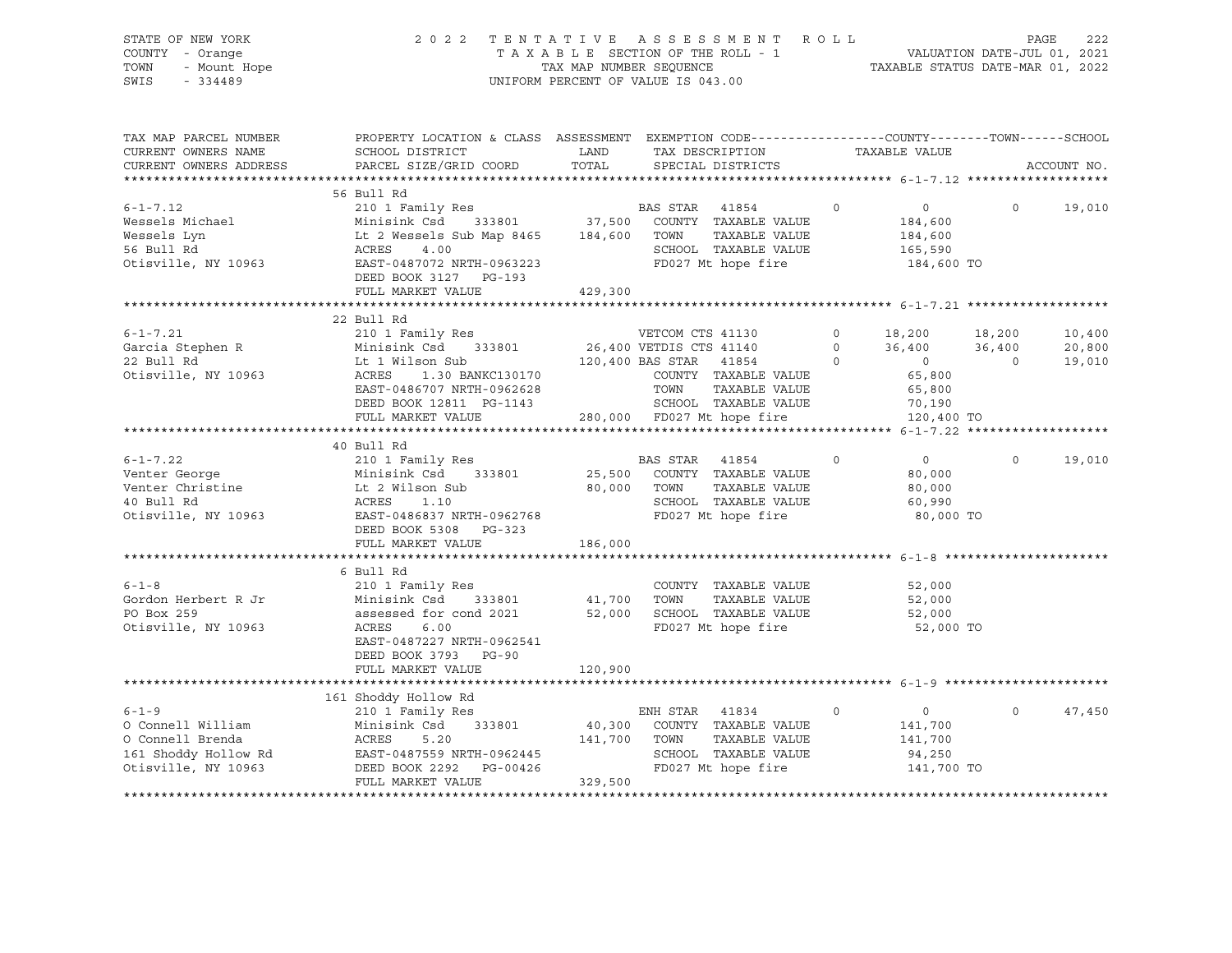| STATE OF NEW YORK<br>COUNTY<br>- Orange<br>TOWN<br>- Mount Hope<br>SWIS<br>$-334489$ |                                                         |         | 2022 TENTATIVE ASSESSMENT<br>TAXABLE SECTION OF THE ROLL - 1<br>TAX MAP NUMBER SEQUENCE<br>UNIFORM PERCENT OF VALUE IS 043.00 | R O L L       | 222<br>PAGE<br>VALUATION DATE-JUL 01, 2021<br>TAXABLE STATUS DATE-MAR 01, 2022 |  |
|--------------------------------------------------------------------------------------|---------------------------------------------------------|---------|-------------------------------------------------------------------------------------------------------------------------------|---------------|--------------------------------------------------------------------------------|--|
| TAX MAP PARCEL NUMBER<br>CURRENT OWNERS NAME                                         | PROPERTY LOCATION & CLASS ASSESSMENT<br>SCHOOL DISTRICT | LAND    | EXEMPTION CODE-----------------COUNTY-------TOWN------SCHOOL<br>TAX DESCRIPTION                                               | TAXABLE VALUE |                                                                                |  |
|                                                                                      | CURRENT OWNERS ADDRESS BARCEL SIZE/GRID COORD TOTAL     |         | SPECIAL DISTRICTS                                                                                                             |               | ACCOUNT NO.                                                                    |  |
|                                                                                      |                                                         |         |                                                                                                                               |               |                                                                                |  |
|                                                                                      | 56 Bull Rd                                              |         |                                                                                                                               |               |                                                                                |  |
| $6 - 1 - 7.12$                                                                       | 210 1 Family Res                                        |         | 41854 0<br>BAS STAR                                                                                                           | $\circ$       | 19,010<br>$\Omega$                                                             |  |
| Wessels Michael                                                                      | Minisink Csd 333801 37,500                              |         | COUNTY<br>TAXABLE VALUE                                                                                                       | 184,600       |                                                                                |  |
| Wessels Lyn                                                                          | Lt 2 Wessels Sub Map 8465                               | 184,600 | TAXABLE VALUE<br>TOWN                                                                                                         | 184,600       |                                                                                |  |
| 56 Bull Rd                                                                           | ACRES<br>4.00                                           |         | TAXABLE VALUE<br>SCHOOL                                                                                                       | 165,590       |                                                                                |  |
| Otisville, NY 10963                                                                  | EAST-0487072 NRTH-0963223<br>DEED BOOK 3127 PG-193      |         | FD027 Mt hope fire                                                                                                            | 184,600 TO    |                                                                                |  |

|                      | FULL MARKET VALUE          | 429,300                          |             |                |          |        |
|----------------------|----------------------------|----------------------------------|-------------|----------------|----------|--------|
|                      |                            |                                  |             |                |          |        |
|                      | 22 Bull Rd                 |                                  |             |                |          |        |
| $6 - 1 - 7.21$       | 210 1 Family Res           | VETCOM CTS 41130                 | $\circ$     | 18,200         | 18,200   | 10,400 |
| Garcia Stephen R     | Minisink Csd               | 333801 26,400 VETDIS CTS 41140   | $\circ$     | 36,400         | 36,400   | 20,800 |
| 22 Bull Rd           | Lt 1 Wilson Sub            | 120,400 BAS STAR<br>41854        | $\Omega$    | $\sim$ 0       | $\Omega$ | 19,010 |
| Otisville, NY 10963  | ACRES<br>1.30 BANKC130170  | COUNTY TAXABLE VALUE             |             | 65,800         |          |        |
|                      | EAST-0486707 NRTH-0962628  | TOWN<br>TAXABLE VALUE            |             | 65,800         |          |        |
|                      | DEED BOOK 12811 PG-1143    | SCHOOL TAXABLE VALUE             |             | 70,190         |          |        |
|                      | FULL MARKET VALUE          | 280,000 FD027 Mt hope fire       |             | 120,400 TO     |          |        |
|                      |                            |                                  |             |                |          |        |
|                      | 40 Bull Rd                 |                                  |             |                |          |        |
| $6 - 1 - 7.22$       | 210 1 Family Res           | <b>BAS STAR</b><br>41854         | $\circ$     | $\overline{0}$ | $\circ$  | 19,010 |
| Venter George        | Minisink Csd<br>333801     | 25,500 COUNTY TAXABLE VALUE      |             | 80,000         |          |        |
| Venter Christine     | Lt 2 Wilson Sub            | 80,000 TOWN<br>TAXABLE VALUE     |             | 80,000         |          |        |
| 40 Bull Rd           | ACRES<br>1.10              | SCHOOL TAXABLE VALUE             |             | 60,990         |          |        |
| Otisville, NY 10963  | EAST-0486837 NRTH-0962768  | FD027 Mt hope fire               |             | 80,000 TO      |          |        |
|                      | DEED BOOK 5308<br>PG-323   |                                  |             |                |          |        |
|                      | FULL MARKET VALUE          | 186,000                          |             |                |          |        |
|                      |                            |                                  |             |                |          |        |
|                      | 6 Bull Rd                  |                                  |             |                |          |        |
| $6 - 1 - 8$          | 210 1 Family Res           | COUNTY TAXABLE VALUE             |             | 52,000         |          |        |
| Gordon Herbert R Jr  | Minisink Csd<br>333801     | 41,700<br>TOWN<br>TAXABLE VALUE  |             | 52,000         |          |        |
| PO Box 259           | assessed for cond 2021     | SCHOOL TAXABLE VALUE<br>52,000   |             | 52,000         |          |        |
| Otisville, NY 10963  | 6.00<br>ACRES              | FD027 Mt hope fire               |             | 52,000 TO      |          |        |
|                      | EAST-0487227 NRTH-0962541  |                                  |             |                |          |        |
|                      | DEED BOOK 3793<br>$PG-90$  |                                  |             |                |          |        |
|                      | FULL MARKET VALUE          | 120,900                          |             |                |          |        |
|                      |                            |                                  |             |                |          |        |
|                      | 161 Shoddy Hollow Rd       |                                  |             |                |          |        |
| $6 - 1 - 9$          | 210 1 Family Res           | ENH STAR<br>41834                | $\mathbf 0$ | $\circ$        | $\circ$  | 47,450 |
| O Connell William    | Minisink Csd<br>333801     | 40,300 COUNTY TAXABLE VALUE      |             | 141,700        |          |        |
| O Connell Brenda     | 5.20<br>ACRES              | 141,700<br>TOWN<br>TAXABLE VALUE |             | 141,700        |          |        |
| 161 Shoddy Hollow Rd | EAST-0487559 NRTH-0962445  | SCHOOL TAXABLE VALUE             |             | 94,250         |          |        |
| Otisville, NY 10963  | DEED BOOK 2292<br>PG-00426 | FD027 Mt hope fire               |             | 141,700 TO     |          |        |
|                      | FULL MARKET VALUE          | 329,500                          |             |                |          |        |

\*\*\*\*\*\*\*\*\*\*\*\*\*\*\*\*\*\*\*\*\*\*\*\*\*\*\*\*\*\*\*\*\*\*\*\*\*\*\*\*\*\*\*\*\*\*\*\*\*\*\*\*\*\*\*\*\*\*\*\*\*\*\*\*\*\*\*\*\*\*\*\*\*\*\*\*\*\*\*\*\*\*\*\*\*\*\*\*\*\*\*\*\*\*\*\*\*\*\*\*\*\*\*\*\*\*\*\*\*\*\*\*\*\*\*\*\*\*\*\*\*\*\*\*\*\*\*\*\*\*\*\*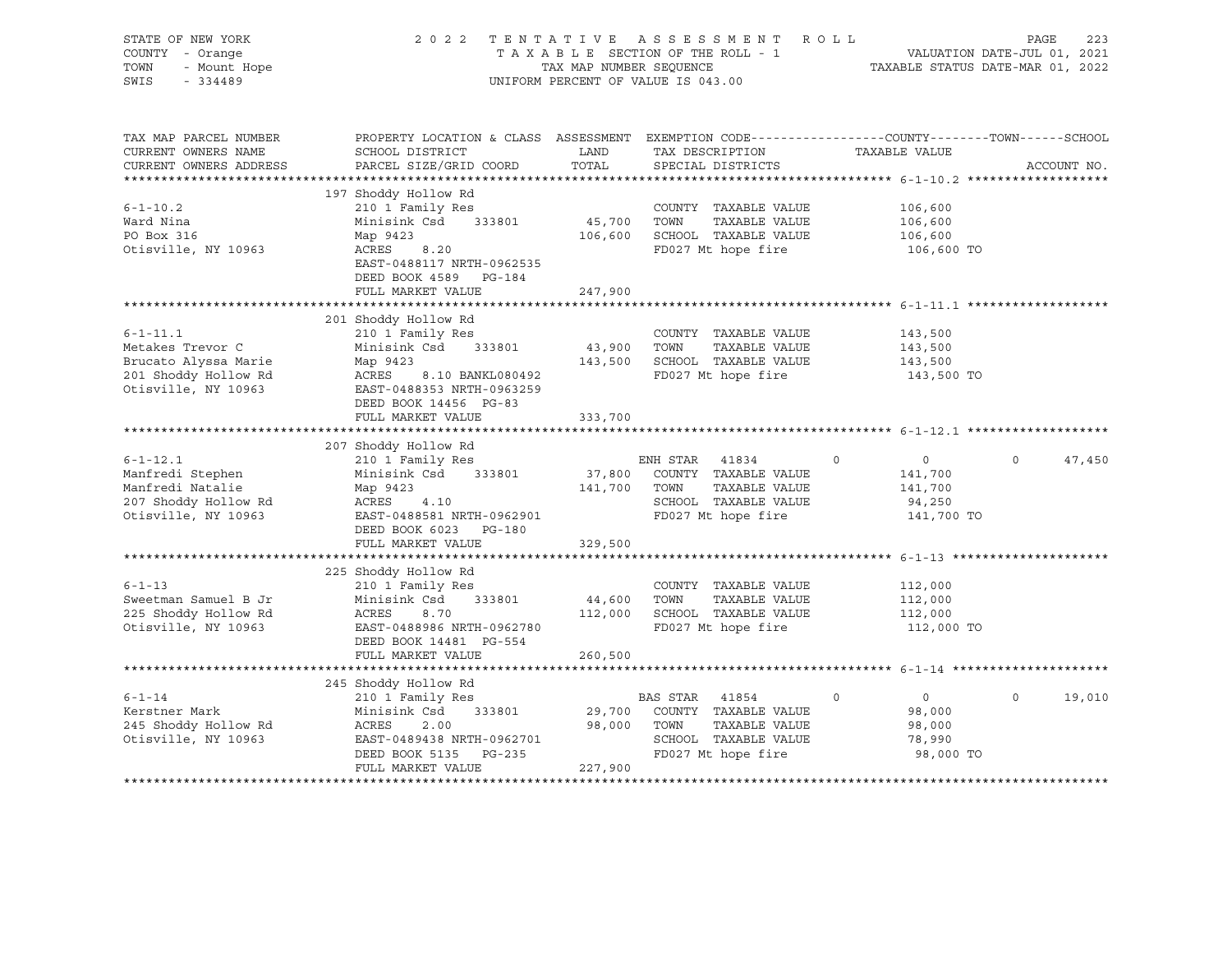| STATE OF NEW YORK<br>COUNTY - Orange<br>TOWN<br>- Mount Hope<br>SWIS<br>$-334489$                         |                                                                                                                                                             |                   | 2022 TENTATIVE ASSESSMENT ROLL<br>T A X A B L E SECTION OF THE ROLL - 1 VALUATION DATE-JUL 01, 2021<br>TAX MAP NUMBER SEQUENCE TAXABLE STATUS DATE-MAR 01, 2022<br>UNIFORM PERCENT OF VALUE IS 043.00 |                                                                          | PAGE<br>223        |
|-----------------------------------------------------------------------------------------------------------|-------------------------------------------------------------------------------------------------------------------------------------------------------------|-------------------|-------------------------------------------------------------------------------------------------------------------------------------------------------------------------------------------------------|--------------------------------------------------------------------------|--------------------|
| TAX MAP PARCEL NUMBER<br>CURRENT OWNERS NAME<br>CURRENT OWNERS ADDRESS                                    | PROPERTY LOCATION & CLASS ASSESSMENT EXEMPTION CODE----------------COUNTY-------TOWN-----SCHOOL<br>SCHOOL DISTRICT<br>PARCEL SIZE/GRID COORD                | LAND<br>TOTAL     | TAX DESCRIPTION<br>SPECIAL DISTRICTS                                                                                                                                                                  | TAXABLE VALUE                                                            | ACCOUNT NO.        |
|                                                                                                           |                                                                                                                                                             |                   |                                                                                                                                                                                                       |                                                                          |                    |
| $6 - 1 - 10.2$<br>Ward Nina<br>PO Box 316<br>Otisville, NY 10963                                          | 197 Shoddy Hollow Rd<br>210 1 Family Res<br>Minisink Csd 333801<br>Map 9423<br>8.20<br>ACRES<br>EAST-0488117 NRTH-0962535<br>DEED BOOK 4589 PG-184          | 45,700 TOWN       | COUNTY TAXABLE VALUE<br>TAXABLE VALUE<br>106,600 SCHOOL TAXABLE VALUE<br>FD027 Mt hope fire                                                                                                           | 106,600<br>106,600<br>106,600<br>106,600 TO                              |                    |
|                                                                                                           | FULL MARKET VALUE                                                                                                                                           | 247,900           |                                                                                                                                                                                                       |                                                                          |                    |
|                                                                                                           |                                                                                                                                                             |                   | ********************************* 6-1-11.1 ********************                                                                                                                                       |                                                                          |                    |
| $6 - 1 - 11.1$<br>Metakes Trevor C<br>Brucato Alyssa Marie<br>201 Shoddy Hollow Rd<br>Otisville, NY 10963 | 201 Shoddy Hollow Rd<br>210 1 Family Res<br>Minisink Csd 333801<br>Map 9423<br>ACRES 8.10 BANKL080492<br>EAST-0488353 NRTH-0963259<br>DEED BOOK 14456 PG-83 | 43,900<br>143,500 | COUNTY TAXABLE VALUE<br>TOWN<br>TAXABLE VALUE<br>SCHOOL TAXABLE VALUE<br>FD027 Mt hope fire                                                                                                           | 143,500<br>143,500<br>143,500<br>143,500 TO                              |                    |
|                                                                                                           | FULL MARKET VALUE                                                                                                                                           | 333,700           |                                                                                                                                                                                                       |                                                                          |                    |
|                                                                                                           |                                                                                                                                                             |                   |                                                                                                                                                                                                       |                                                                          |                    |
| $6 - 1 - 12.1$<br>Manfredi Stephen                                                                        | 207 Shoddy Hollow Rd<br>210 1 Family Res<br>Minisink Csd 333801                                                                                             |                   | ENH STAR 41834<br>37,800 COUNTY TAXABLE VALUE                                                                                                                                                         | $\circ$<br>$\overline{0}$<br>141,700                                     | $\Omega$<br>47,450 |
| Manfredi Natalie<br>207 Shoddy Hollow Rd<br>Otisville, NY 10963                                           | Map 9423<br>4.10<br>ACRES<br>EAST-0488581 NRTH-0962901<br>DEED BOOK 6023 PG-180                                                                             | 141,700           | TOWN<br>TAXABLE VALUE<br>SCHOOL TAXABLE VALUE<br>FD027 Mt hope fire                                                                                                                                   | 141,700<br>94,250<br>141,700 TO                                          |                    |
|                                                                                                           | FULL MARKET VALUE                                                                                                                                           | 329,500           |                                                                                                                                                                                                       |                                                                          |                    |
| $6 - 1 - 13$<br>Sweetman Samuel B Jr<br>225 Shoddy Hollow Rd<br>Otisville, NY 10963                       | 225 Shoddy Hollow Rd<br>210 1 Family Res<br>Minisink Csd<br>333801<br>ACRES<br>8.70<br>EAST-0488986 NRTH-0962780                                            | 44,600            | COUNTY TAXABLE VALUE<br>TOWN<br>TAXABLE VALUE<br>112,000 SCHOOL TAXABLE VALUE<br>FD027 Mt hope fire                                                                                                   | 112,000<br>112,000<br>112,000<br>112,000 TO                              |                    |
|                                                                                                           | DEED BOOK 14481 PG-554<br>FULL MARKET VALUE                                                                                                                 | 260,500           |                                                                                                                                                                                                       |                                                                          |                    |
|                                                                                                           |                                                                                                                                                             |                   |                                                                                                                                                                                                       |                                                                          |                    |
|                                                                                                           | 245 Shoddy Hollow Rd                                                                                                                                        |                   |                                                                                                                                                                                                       |                                                                          |                    |
| $6 - 1 - 14$<br>Kerstner Mark<br>245 Shoddy Hollow Rd<br>Otisville, NY 10963                              | 210 1 Family Res<br>Minisink Csd 333801<br>ACRES 2.00<br>EAST-0489438 NRTH-0962701<br>DEED BOOK 5135 PG-235<br>FULL MARKET VALUE                            | 98,000<br>227,900 | BAS STAR 41854<br>29,700 COUNTY TAXABLE VALUE<br>TOWN<br>TAXABLE VALUE<br>SCHOOL TAXABLE VALUE<br>FD027 Mt hope fire                                                                                  | $\overline{0}$<br>$\mathbf 0$<br>98,000<br>98,000<br>78,990<br>98,000 TO | $\Omega$<br>19,010 |
|                                                                                                           |                                                                                                                                                             |                   |                                                                                                                                                                                                       |                                                                          |                    |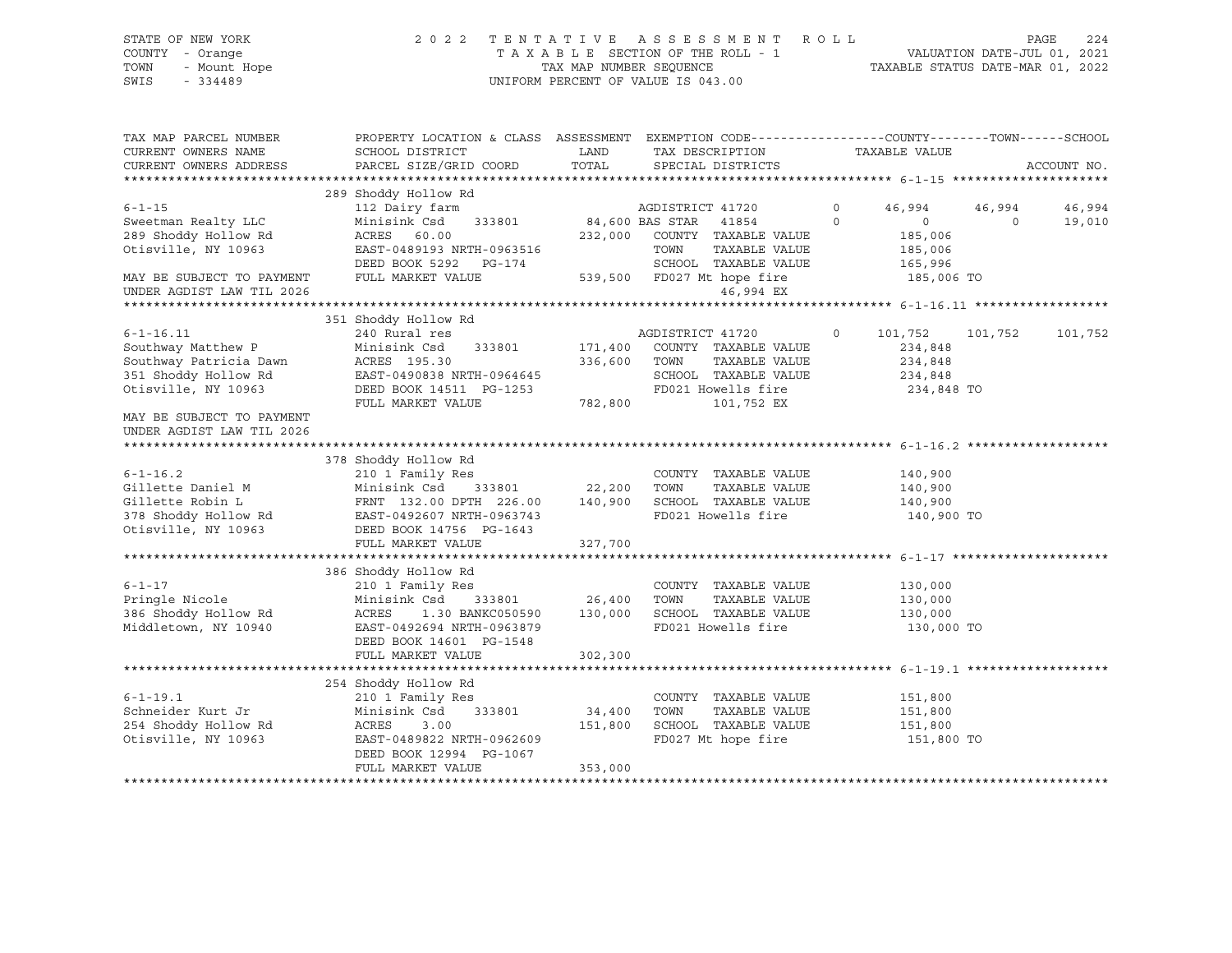# STATE OF NEW YORK 2 0 2 2 T E N T A T I V E A S S E S S M E N T R O L L PAGE 224 COUNTY - Orange T A X A B L E SECTION OF THE ROLL - 1 VALUATION DATE-JUL 01, 2021 TOWN - Mount Hope TAX MAP NUMBER SEQUENCE TAXABLE STATUS DATE-MAR 01, 2022 SWIS - 334489 UNIFORM PERCENT OF VALUE IS 043.00

| TAX MAP PARCEL NUMBER<br>CURRENT OWNERS NAME           | PROPERTY LOCATION & CLASS ASSESSMENT EXEMPTION CODE----------------COUNTY-------TOWN------SCHOOL<br>SCHOOL DISTRICT | LAND                         |                  | TAX DESCRIPTION TAXABLE VALUE |          |                |          |             |
|--------------------------------------------------------|---------------------------------------------------------------------------------------------------------------------|------------------------------|------------------|-------------------------------|----------|----------------|----------|-------------|
| CURRENT OWNERS ADDRESS                                 | PARCEL SIZE/GRID COORD                                                                                              | TOTAL                        |                  | SPECIAL DISTRICTS             |          |                |          | ACCOUNT NO. |
|                                                        |                                                                                                                     |                              |                  |                               |          |                |          |             |
|                                                        | 289 Shoddy Hollow Rd                                                                                                |                              |                  |                               |          |                |          |             |
| $6 - 1 - 15$                                           | 112 Dairy farm                                                                                                      |                              | AGDISTRICT 41720 |                               | $\Omega$ | 46,994         | 46,994   | 46,994      |
| Sweetman Realty LLC                                    | Minisink Csd                                                                                                        | 333801 84,600 BAS STAR 41854 |                  |                               | $\Omega$ | $\overline{0}$ | $\Omega$ | 19,010      |
| 289 Shoddy Hollow Rd                                   | ACRES 60.00                                                                                                         | 232,000                      |                  | COUNTY TAXABLE VALUE          |          | 185,006        |          |             |
| Otisville, NY 10963                                    | EAST-0489193 NRTH-0963516                                                                                           |                              | TOWN             | TAXABLE VALUE                 |          | 185,006        |          |             |
|                                                        | DEED BOOK 5292 PG-174                                                                                               |                              |                  | SCHOOL TAXABLE VALUE          |          | 165,996        |          |             |
| MAY BE SUBJECT TO PAYMENT                              | FULL MARKET VALUE                                                                                                   | 539,500 FD027 Mt hope fire   |                  |                               |          | 185,006 TO     |          |             |
| UNDER AGDIST LAW TIL 2026                              |                                                                                                                     |                              |                  | 46,994 EX                     |          |                |          |             |
|                                                        |                                                                                                                     |                              |                  |                               |          |                |          |             |
|                                                        | 351 Shoddy Hollow Rd                                                                                                |                              |                  |                               |          |                |          |             |
| $6 - 1 - 16.11$                                        | 240 Rural res                                                                                                       |                              | AGDISTRICT 41720 |                               | $\circ$  | 101,752        | 101,752  | 101,752     |
| Southway Matthew P                                     | Minisink Csd                                                                                                        | 333801 171,400               |                  | COUNTY TAXABLE VALUE          |          | 234,848        |          |             |
| Southway Patricia Dawn                                 | ACRES 195.30                                                                                                        | 336,600                      | TOWN             | TAXABLE VALUE                 |          | 234,848        |          |             |
| 351 Shoddy Hollow Rd                                   | EAST-0490838 NRTH-0964645                                                                                           |                              |                  | SCHOOL TAXABLE VALUE          |          | 234,848        |          |             |
| Otisville, NY 10963                                    | DEED BOOK 14511 PG-1253                                                                                             |                              |                  | FD021 Howells fire            |          | 234,848 TO     |          |             |
|                                                        | FULL MARKET VALUE                                                                                                   | 782,800                      |                  | 101,752 EX                    |          |                |          |             |
| MAY BE SUBJECT TO PAYMENT<br>UNDER AGDIST LAW TIL 2026 |                                                                                                                     |                              |                  |                               |          |                |          |             |
|                                                        |                                                                                                                     |                              |                  |                               |          |                |          |             |
|                                                        | 378 Shoddy Hollow Rd                                                                                                |                              |                  |                               |          |                |          |             |
| $6 - 1 - 16.2$                                         | 210 1 Family Res                                                                                                    |                              |                  | COUNTY TAXABLE VALUE          |          | 140,900        |          |             |
| Gillette Daniel M                                      |                                                                                                                     |                              | TOWN             | TAXABLE VALUE                 |          | 140,900        |          |             |
| Gillette Robin L                                       |                                                                                                                     |                              |                  | SCHOOL TAXABLE VALUE          |          | 140,900        |          |             |
| 378 Shoddy Hollow Rd EAST-0492607 NRTH-0963743         |                                                                                                                     |                              |                  | FD021 Howells fire            |          | 140,900 TO     |          |             |
| Otisville, NY 10963                                    | DEED BOOK 14756 PG-1643                                                                                             |                              |                  |                               |          |                |          |             |
|                                                        | FULL MARKET VALUE                                                                                                   | 327,700                      |                  |                               |          |                |          |             |
|                                                        |                                                                                                                     |                              |                  |                               |          |                |          |             |
|                                                        | 386 Shoddy Hollow Rd                                                                                                |                              |                  |                               |          |                |          |             |
| $6 - 1 - 17$                                           | 210 1 Family Res                                                                                                    |                              |                  | COUNTY TAXABLE VALUE          |          | 130,000        |          |             |
| Pringle Nicole                                         | Minisink Csd 333801 26,400                                                                                          |                              | TOWN             | TAXABLE VALUE                 |          | 130,000        |          |             |
| 386 Shoddy Hollow Rd                                   | ACRES<br>1.30 BANKC050590 130,000                                                                                   |                              |                  | SCHOOL TAXABLE VALUE          |          | 130,000        |          |             |
| Middletown, NY 10940                                   | EAST-0492694 NRTH-0963879                                                                                           |                              |                  | FD021 Howells fire            |          | 130,000 TO     |          |             |
|                                                        | DEED BOOK 14601 PG-1548                                                                                             |                              |                  |                               |          |                |          |             |
|                                                        | FULL MARKET VALUE                                                                                                   | 302,300                      |                  |                               |          |                |          |             |
|                                                        |                                                                                                                     |                              |                  |                               |          |                |          |             |
|                                                        | 254 Shoddy Hollow Rd                                                                                                |                              |                  |                               |          |                |          |             |
| $6 - 1 - 19.1$                                         | 210 1 Family Res                                                                                                    |                              |                  | COUNTY TAXABLE VALUE          |          | 151,800        |          |             |
| Schneider Kurt Jr                                      | 333801<br>Minisink Csd                                                                                              | 34,400                       | TOWN             | TAXABLE VALUE                 |          | 151,800        |          |             |
| 254 Shoddy Hollow Rd                                   | ACRES<br>3.00                                                                                                       | 151,800                      |                  | SCHOOL TAXABLE VALUE          |          | 151,800        |          |             |
| Otisville, NY 10963                                    | EAST-0489822 NRTH-0962609                                                                                           |                              |                  | FD027 Mt hope fire            |          | 151,800 TO     |          |             |
|                                                        | DEED BOOK 12994 PG-1067                                                                                             |                              |                  |                               |          |                |          |             |
|                                                        | FULL MARKET VALUE                                                                                                   | 353,000                      |                  |                               |          |                |          |             |
|                                                        |                                                                                                                     |                              |                  |                               |          |                |          |             |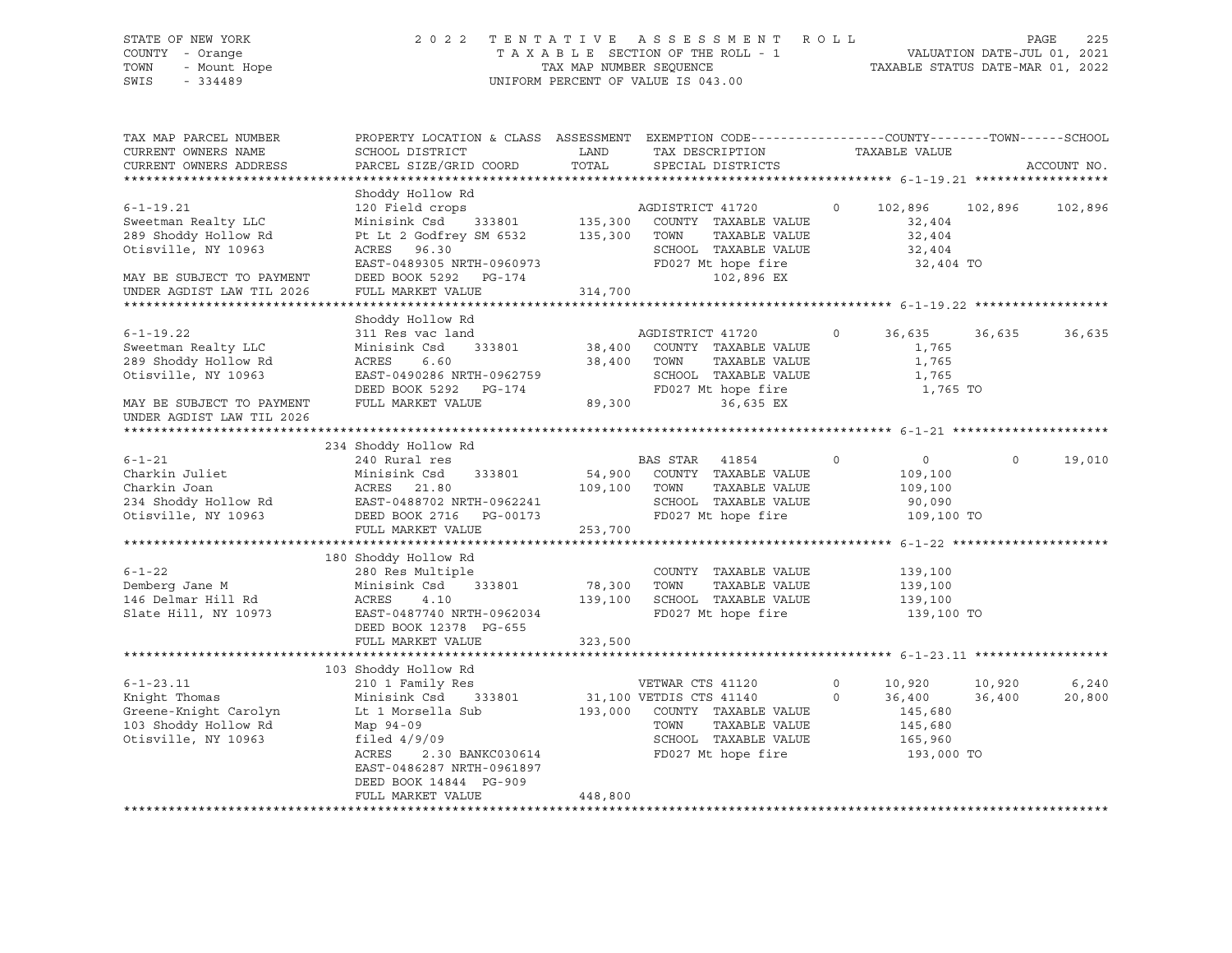# STATE OF NEW YORK 2 0 2 2 T E N T A T I V E A S S E S S M E N T R O L L PAGE 225 COUNTY - Orange T A X A B L E SECTION OF THE ROLL - 1 VALUATION DATE-JUL 01, 2021 TOWN - Mount Hope TAX MAP NUMBER SEQUENCE TAXABLE STATUS DATE-MAR 01, 2022 SWIS - 334489 UNIFORM PERCENT OF VALUE IS 043.00

| TAX MAP PARCEL NUMBER<br>CURRENT OWNERS NAME<br>CURRENT OWNERS ADDRESS                                                                          | PROPERTY LOCATION & CLASS ASSESSMENT<br>SCHOOL DISTRICT<br>PARCEL SIZE/GRID COORD                                                                                                                          | LAND<br>TOTAL                 | EXEMPTION CODE-----------------COUNTY-------TOWN-----SCHOOL<br>TAX DESCRIPTION<br>SPECIAL DISTRICTS                                        |                        | TAXABLE VALUE                                                   |                  | ACCOUNT NO.     |
|-------------------------------------------------------------------------------------------------------------------------------------------------|------------------------------------------------------------------------------------------------------------------------------------------------------------------------------------------------------------|-------------------------------|--------------------------------------------------------------------------------------------------------------------------------------------|------------------------|-----------------------------------------------------------------|------------------|-----------------|
|                                                                                                                                                 |                                                                                                                                                                                                            |                               |                                                                                                                                            |                        |                                                                 |                  |                 |
| $6 - 1 - 19.21$<br>Sweetman Realty LLC<br>289 Shoddy Hollow Rd<br>Otisville, NY 10963<br>MAY BE SUBJECT TO PAYMENT<br>UNDER AGDIST LAW TIL 2026 | Shoddy Hollow Rd<br>120 Field crops<br>Minisink Csd<br>333801<br>Pt Lt 2 Godfrey SM 6532<br>ACRES 96.30<br>EAST-0489305 NRTH-0960973<br>DEED BOOK 5292<br>PG-174<br>FULL MARKET VALUE                      | 135,300<br>135,300<br>314,700 | AGDISTRICT 41720<br>COUNTY TAXABLE VALUE<br>TAXABLE VALUE<br>TOWN<br>SCHOOL TAXABLE VALUE<br>FD027 Mt hope fire<br>102,896 EX              | $\circ$                | 102,896<br>32,404<br>32,404<br>32,404<br>32,404 TO              | 102,896          | 102,896         |
|                                                                                                                                                 |                                                                                                                                                                                                            |                               |                                                                                                                                            |                        |                                                                 |                  |                 |
| $6 - 1 - 19.22$<br>Sweetman Realty LLC<br>289 Shoddy Hollow Rd<br>Otisville, NY 10963<br>MAY BE SUBJECT TO PAYMENT<br>UNDER AGDIST LAW TIL 2026 | Shoddy Hollow Rd<br>311 Res vac land<br>333801<br>Minisink Csd<br>ACRES<br>6.60<br>EAST-0490286 NRTH-0962759<br>DEED BOOK 5292<br>PG-174<br>FULL MARKET VALUE                                              | 38,400<br>38,400<br>89,300    | AGDISTRICT 41720<br>COUNTY TAXABLE VALUE<br>TOWN<br>TAXABLE VALUE<br>SCHOOL TAXABLE VALUE<br>FD027 Mt hope fire<br>36,635 EX               | 0                      | 36,635<br>1,765<br>1,765<br>1,765<br>1,765 TO                   | 36,635           | 36,635          |
|                                                                                                                                                 |                                                                                                                                                                                                            |                               |                                                                                                                                            |                        |                                                                 |                  |                 |
| $6 - 1 - 21$<br>Charkin Juliet<br>Charkin Joan<br>234 Shoddy Hollow Rd<br>Otisville, NY 10963                                                   | 234 Shoddy Hollow Rd<br>240 Rural res<br>Minisink Csd<br>333801<br>ACRES<br>21.80<br>EAST-0488702 NRTH-0962241<br>DEED BOOK 2716<br>PG-00173<br>FULL MARKET VALUE                                          | 54,900<br>109,100<br>253,700  | BAS STAR<br>41854<br>COUNTY TAXABLE VALUE<br>TAXABLE VALUE<br>TOWN<br>SCHOOL TAXABLE VALUE<br>FD027 Mt hope fire                           | $\mathbf 0$            | $\overline{0}$<br>109,100<br>109,100<br>90,090<br>109,100 TO    | $\mathsf O$      | 19,010          |
|                                                                                                                                                 |                                                                                                                                                                                                            |                               |                                                                                                                                            |                        |                                                                 |                  |                 |
| $6 - 1 - 22$<br>Demberg Jane M<br>146 Delmar Hill Rd<br>Slate Hill, NY 10973                                                                    | 180 Shoddy Hollow Rd<br>280 Res Multiple<br>Minisink Csd<br>333801<br>ACRES<br>4.10<br>EAST-0487740 NRTH-0962034<br>DEED BOOK 12378 PG-655                                                                 | 78,300<br>139,100             | COUNTY TAXABLE VALUE<br>TOWN<br>TAXABLE VALUE<br>SCHOOL TAXABLE VALUE<br>FD027 Mt hope fire                                                |                        | 139,100<br>139,100<br>139,100<br>139,100 TO                     |                  |                 |
|                                                                                                                                                 | FULL MARKET VALUE                                                                                                                                                                                          | 323,500                       |                                                                                                                                            |                        |                                                                 |                  |                 |
| $6 - 1 - 23.11$<br>Knight Thomas<br>Greene-Knight Carolyn<br>103 Shoddy Hollow Rd<br>Otisville, NY 10963                                        | 103 Shoddy Hollow Rd<br>210 1 Family Res<br>Minisink Csd<br>333801<br>Lt 1 Morsella Sub<br>Map 94-09<br>filed $4/9/09$<br>ACRES<br>2.30 BANKC030614<br>EAST-0486287 NRTH-0961897<br>DEED BOOK 14844 PG-909 | 193,000                       | VETWAR CTS 41120<br>31,100 VETDIS CTS 41140<br>COUNTY TAXABLE VALUE<br>TAXABLE VALUE<br>TOWN<br>SCHOOL TAXABLE VALUE<br>FD027 Mt hope fire | $\mathbf 0$<br>$\circ$ | 10,920<br>36,400<br>145,680<br>145,680<br>165,960<br>193,000 TO | 10,920<br>36,400 | 6,240<br>20,800 |
|                                                                                                                                                 | FULL MARKET VALUE                                                                                                                                                                                          | 448,800                       |                                                                                                                                            |                        |                                                                 |                  |                 |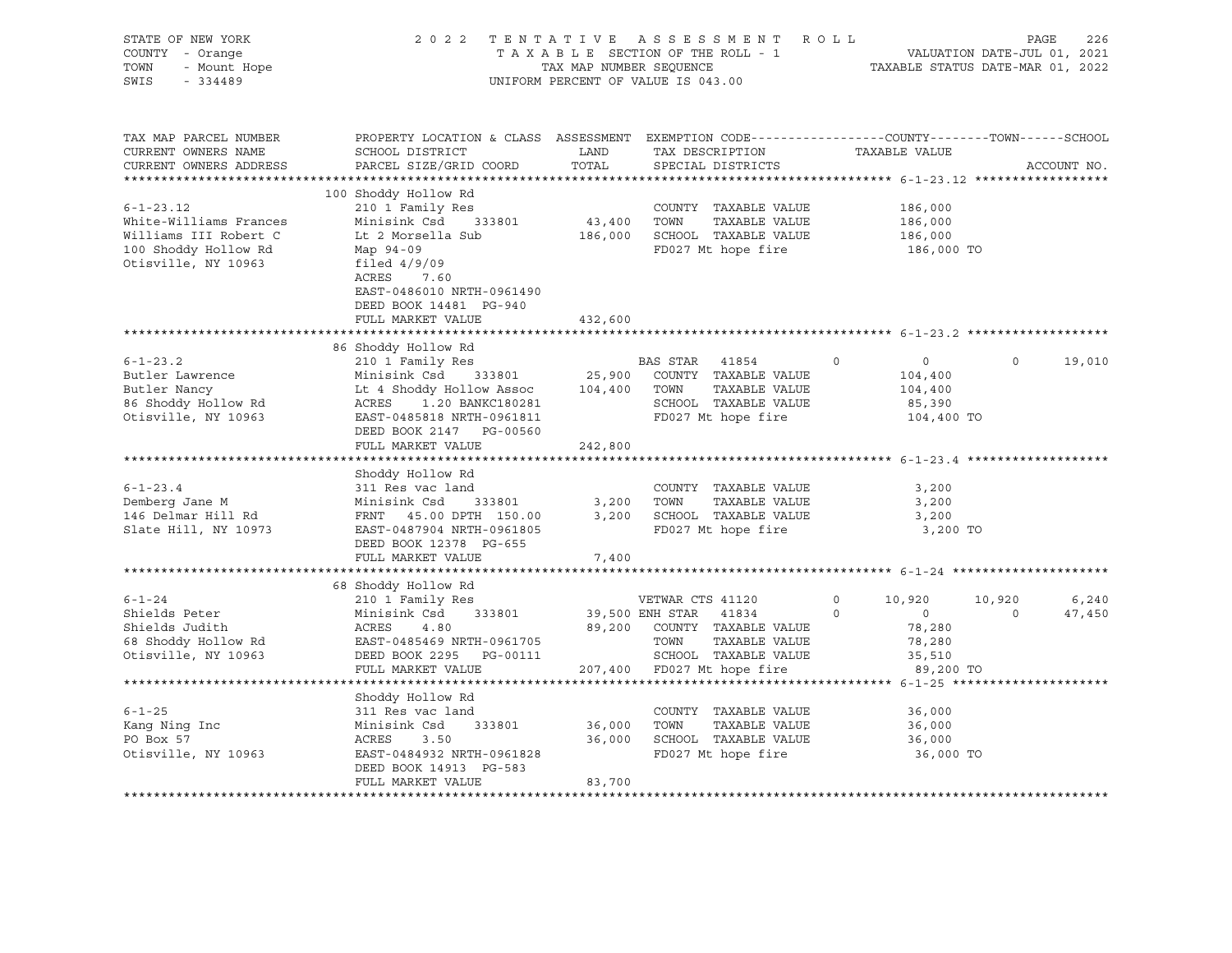| STATE OF NEW YORK<br>COUNTY - Orange<br>TOWN<br>- Mount Hope<br>SWIS<br>$-334489$                                 |                                                                                                                                                                                                                     | TAX MAP NUMBER SEQUENCE           | 2022 TENTATIVE ASSESSMENT<br>TAXABLE SECTION OF THE ROLL - 1<br>UNIFORM PERCENT OF VALUE IS 043.00                           | ROLL                                                                         | VALUATION DATE-JUL 01, 2021<br>TAXABLE STATUS DATE-MAR 01, 2022 | PAGE<br>226     |
|-------------------------------------------------------------------------------------------------------------------|---------------------------------------------------------------------------------------------------------------------------------------------------------------------------------------------------------------------|-----------------------------------|------------------------------------------------------------------------------------------------------------------------------|------------------------------------------------------------------------------|-----------------------------------------------------------------|-----------------|
| TAX MAP PARCEL NUMBER<br>CURRENT OWNERS NAME<br>CURRENT OWNERS ADDRESS                                            | PROPERTY LOCATION & CLASS ASSESSMENT EXEMPTION CODE----------------COUNTY-------TOWN-----SCHOOL<br>SCHOOL DISTRICT<br>PARCEL SIZE/GRID COORD                                                                        | LAND<br>TOTAL                     | TAX DESCRIPTION<br>SPECIAL DISTRICTS                                                                                         | TAXABLE VALUE                                                                |                                                                 | ACCOUNT NO.     |
| $6 - 1 - 23.12$<br>White-Williams Frances<br>Williams III Robert C<br>100 Shoddy Hollow Rd<br>Otisville, NY 10963 | 100 Shoddy Hollow Rd<br>210 1 Family Res<br>Minisink Csd<br>333801<br>Lt 2 Morsella Sub<br>Map 94-09<br>filed $4/9/09$<br>ACRES<br>7.60<br>EAST-0486010 NRTH-0961490<br>DEED BOOK 14481 PG-940<br>FULL MARKET VALUE | 43,400 TOWN<br>432,600            | COUNTY TAXABLE VALUE<br>TAXABLE VALUE<br>186,000 SCHOOL TAXABLE VALUE<br>FD027 Mt hope fire                                  | 186,000<br>186,000<br>186,000<br>186,000 TO                                  |                                                                 |                 |
|                                                                                                                   |                                                                                                                                                                                                                     |                                   |                                                                                                                              |                                                                              |                                                                 |                 |
| $6 - 1 - 23.2$<br>Butler Lawrence<br>Butler Nancy<br>86 Shoddy Hollow Rd<br>Otisville, NY 10963                   | 86 Shoddy Hollow Rd<br>210 1 Family Res<br>Minisink Csd<br>333801<br>Lt 4 Shoddy Hollow Assoc<br>1.20 BANKC180281<br>ACRES<br>EAST-0485818 NRTH-0961811<br>DEED BOOK 2147 PG-00560<br>FULL MARKET VALUE             | 25,900<br>104,400 TOWN<br>242,800 | BAS STAR<br>41854<br>COUNTY TAXABLE VALUE<br>TAXABLE VALUE<br>SCHOOL TAXABLE VALUE<br>FD027 Mt hope fire                     | $\circ$<br>$\circ$<br>104,400<br>104,400<br>85,390<br>104,400 TO             | $\circ$                                                         | 19,010          |
|                                                                                                                   |                                                                                                                                                                                                                     |                                   |                                                                                                                              |                                                                              |                                                                 |                 |
| $6 - 1 - 23.4$<br>Demberg Jane M<br>146 Delmar Hill Rd<br>Slate Hill, NY 10973                                    | Shoddy Hollow Rd<br>311 Res vac land<br>Minisink Csd<br>333801<br>FRNT 45.00 DPTH 150.00<br>EAST-0487904 NRTH-0961805<br>DEED BOOK 12378 PG-655<br>FULL MARKET VALUE                                                | 7,400                             | COUNTY TAXABLE VALUE<br>3,200 TOWN<br>TAXABLE VALUE<br>3,200 SCHOOL TAXABLE VALUE<br>FD027 Mt hope fire                      | 3,200<br>3,200<br>3,200<br>3,200 TO                                          |                                                                 |                 |
|                                                                                                                   |                                                                                                                                                                                                                     |                                   |                                                                                                                              |                                                                              |                                                                 |                 |
| $6 - 1 - 24$<br>Shields Peter<br>Shields Judith<br>68 Shoddy Hollow Rd<br>Otisville, NY 10963                     | 68 Shoddy Hollow Rd<br>210 1 Family Res<br>Minisink Csd<br>333801<br>ACRES<br>4.80<br>EAST-0485469 NRTH-0961705<br>DEED BOOK 2295 PG-00111                                                                          |                                   | VETWAR CTS 41120<br>39,500 ENH STAR<br>41834<br>89,200 COUNTY TAXABLE VALUE<br>TOWN<br>TAXABLE VALUE<br>SCHOOL TAXABLE VALUE | $\circ$<br>10,920<br>$\circ$<br>$\overline{0}$<br>78,280<br>78,280<br>35,510 | 10,920<br>$\circ$                                               | 6,240<br>47,450 |
|                                                                                                                   | FULL MARKET VALUE                                                                                                                                                                                                   |                                   | 207,400 FD027 Mt hope fire                                                                                                   | 89,200 TO                                                                    |                                                                 |                 |
| $6 - 1 - 25$<br>Kang Ning Inc<br>PO Box 57<br>Otisville, NY 10963                                                 | Shoddy Hollow Rd<br>311 Res vac land<br>333801<br>Minisink Csd<br>ACRES<br>3.50<br>EAST-0484932 NRTH-0961828<br>DEED BOOK 14913 PG-583<br>FULL MARKET VALUE                                                         | 36,000 TOWN<br>36,000<br>83,700   | COUNTY TAXABLE VALUE<br>TAXABLE VALUE<br>SCHOOL TAXABLE VALUE<br>FD027 Mt hope fire                                          | 36,000<br>36,000<br>36,000<br>36,000 TO                                      |                                                                 |                 |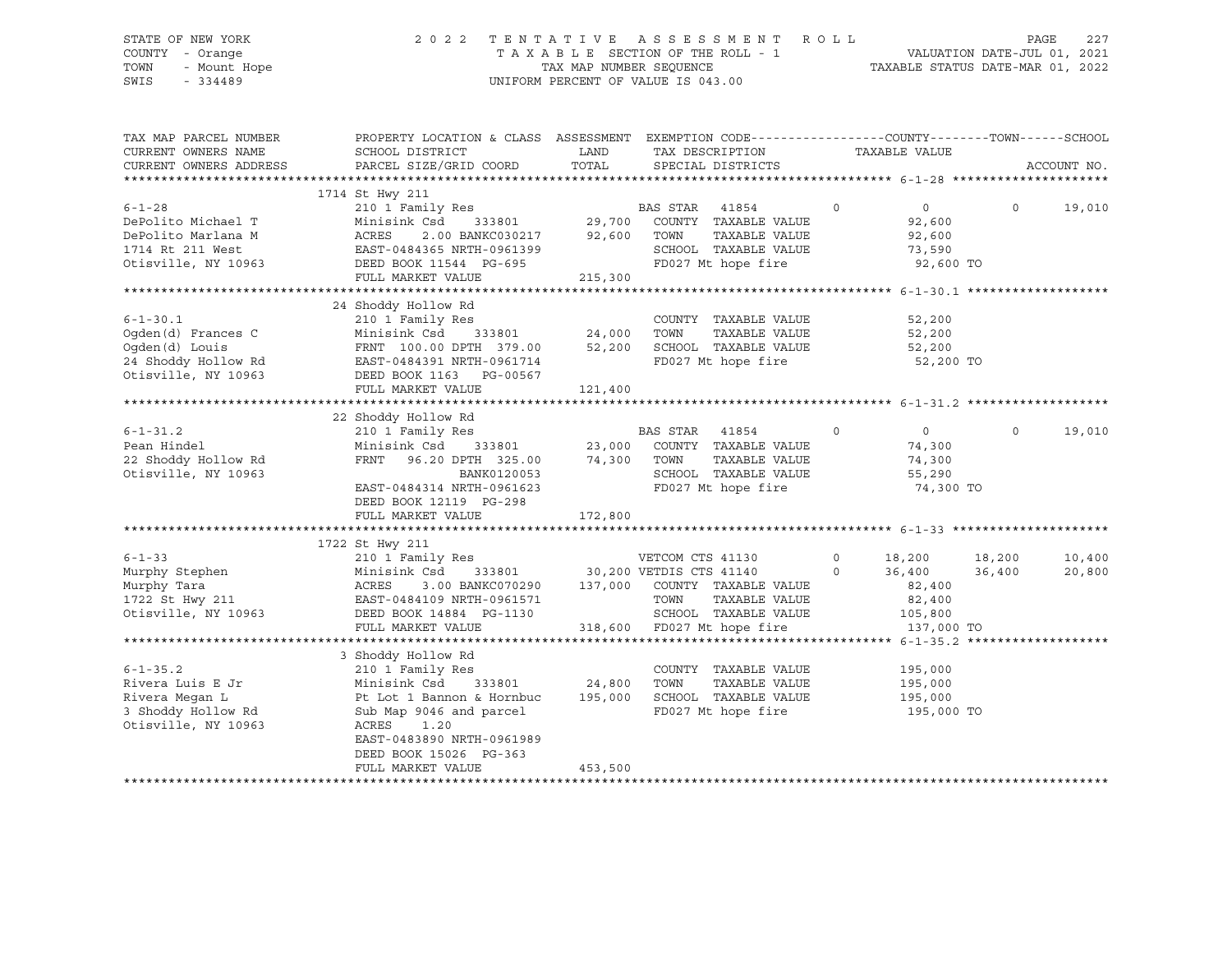# STATE OF NEW YORK 2 0 2 2 T E N T A T I V E A S S E S S M E N T R O L L PAGE 227 COUNTY - Orange T A X A B L E SECTION OF THE ROLL - 1 VALUATION DATE-JUL 01, 2021 TOWN - Mount Hope TAX MAP NUMBER SEQUENCE TAXABLE STATUS DATE-MAR 01, 2022 SWIS - 334489 UNIFORM PERCENT OF VALUE IS 043.00

| TAX MAP PARCEL NUMBER  | PROPERTY LOCATION & CLASS ASSESSMENT EXEMPTION CODE----------------COUNTY-------TOWN------SCHOOL                                                                                                            |         |                                                                               |                          |                            |             |
|------------------------|-------------------------------------------------------------------------------------------------------------------------------------------------------------------------------------------------------------|---------|-------------------------------------------------------------------------------|--------------------------|----------------------------|-------------|
| CURRENT OWNERS NAME    | SCHOOL DISTRICT                                                                                                                                                                                             | LAND    | TAX DESCRIPTION                                                               | TAXABLE VALUE            |                            |             |
| CURRENT OWNERS ADDRESS | PARCEL SIZE/GRID COORD                                                                                                                                                                                      | TOTAL   | SPECIAL DISTRICTS                                                             |                          |                            | ACCOUNT NO. |
|                        |                                                                                                                                                                                                             |         |                                                                               |                          |                            |             |
|                        | 1714 St Hwy 211                                                                                                                                                                                             |         |                                                                               |                          |                            |             |
| $6 - 1 - 28$           | 210 1 Family Res<br>210 1 Family Res<br>29,700 COUNTY TAXABLE VALUE                                                                                                                                         |         |                                                                               | $\circ$                  | $\overline{0}$<br>$\Omega$ | 19,010      |
| DePolito Michael T     |                                                                                                                                                                                                             |         |                                                                               |                          | 92,600                     |             |
| DePolito Marlana M     | 2.00 BANKC030217 92,600<br>ACRES                                                                                                                                                                            |         | TOWN<br>TAXABLE VALUE                                                         |                          | 92,600                     |             |
| 1714 Rt 211 West       | EAST-0484365 NRTH-0961399                                                                                                                                                                                   |         | SCHOOL TAXABLE VALUE                                                          |                          | 73,590                     |             |
| Otisville, NY 10963    | DEED BOOK 11544 PG-695                                                                                                                                                                                      |         | FD027 Mt hope fire                                                            |                          | 92,600 TO                  |             |
|                        | FULL MARKET VALUE                                                                                                                                                                                           | 215,300 |                                                                               |                          |                            |             |
|                        |                                                                                                                                                                                                             |         |                                                                               |                          |                            |             |
|                        | 24 Shoddy Hollow Rd                                                                                                                                                                                         |         |                                                                               |                          |                            |             |
| $6 - 1 - 30.1$         | Res<br>333801 24,000<br>210 1 Family Res                                                                                                                                                                    |         | COUNTY TAXABLE VALUE                                                          |                          | 52,200                     |             |
| Oqden(d) Frances C     | Minisink Csd                                                                                                                                                                                                |         | TOWN<br>TAXABLE VALUE                                                         |                          | 52,200                     |             |
| Oqden(d) Louis         | FRNT 100.00 DPTH 379.00                                                                                                                                                                                     | 52,200  | SCHOOL TAXABLE VALUE                                                          |                          | 52,200                     |             |
| 24 Shoddy Hollow Rd    | EAST-0484391 NRTH-0961714                                                                                                                                                                                   |         | FD027 Mt hope fire                                                            |                          | 52,200 TO                  |             |
| Otisville, NY 10963    | DEED BOOK 1163 PG-00567                                                                                                                                                                                     |         |                                                                               |                          |                            |             |
|                        | FULL MARKET VALUE                                                                                                                                                                                           | 121,400 |                                                                               |                          |                            |             |
|                        |                                                                                                                                                                                                             |         |                                                                               |                          |                            |             |
|                        | 22 Shoddy Hollow Rd                                                                                                                                                                                         |         |                                                                               |                          |                            |             |
| $6 - 1 - 31.2$         | 210 1 Family Res                                                                                                                                                                                            |         | BAS STAR<br>41854                                                             | $\overline{\phantom{0}}$ | $\overline{0}$<br>$\circ$  | 19,010      |
| Pean Hindel            |                                                                                                                                                                                                             |         |                                                                               |                          | 74,300                     |             |
| 22 Shoddy Hollow Rd    | $\begin{array}{cccccc} \text{Minisink Csd} & 333801 & 23,000 & \text{COUNTY} & \text{TAXABLE VALUE} \\ \text{FRNT} & 96.20 \text{ DPTH} & 325.00 & 74,300 & \text{TOWN} & \text{TAXABLE VALUE} \end{array}$ |         | TAXABLE VALUE                                                                 |                          | 74,300                     |             |
| Otisville, NY 10963    | BANK0120053                                                                                                                                                                                                 |         | SCHOOL TAXABLE VALUE                                                          |                          | 55,290                     |             |
|                        | EAST-0484314 NRTH-0961623                                                                                                                                                                                   |         | FD027 Mt hope fire                                                            |                          | 74,300 TO                  |             |
|                        | DEED BOOK 12119 PG-298                                                                                                                                                                                      |         |                                                                               |                          |                            |             |
|                        | FULL MARKET VALUE                                                                                                                                                                                           | 172,800 |                                                                               |                          |                            |             |
|                        |                                                                                                                                                                                                             |         |                                                                               |                          |                            |             |
|                        | 1722 St Hwy 211                                                                                                                                                                                             |         |                                                                               |                          |                            |             |
| $6 - 1 - 33$           | 210 1 Family Res                                                                                                                                                                                            |         | VETCOM CTS 41130                                                              |                          | $0 \t 18,200 \t 18,200$    | 10,400      |
|                        |                                                                                                                                                                                                             |         | 333801 30,200 VETDIS CTS 41140 0                                              |                          | 36,400 36,400              | 20,800      |
|                        |                                                                                                                                                                                                             |         |                                                                               |                          | 82,400                     |             |
|                        |                                                                                                                                                                                                             |         |                                                                               |                          | 82,400                     |             |
| Otisville, NY 10963    | DEED BOOK 14884 PG-1130                                                                                                                                                                                     |         |                                                                               |                          |                            |             |
|                        | FULL MARKET VALUE                                                                                                                                                                                           |         | 318,600 SCHOOL TAXABLE VALUE 105,800<br>318,600 FD027 Mt hope fire 137,000 TO |                          |                            |             |
|                        |                                                                                                                                                                                                             |         |                                                                               |                          |                            |             |
|                        | 3 Shoddy Hollow Rd                                                                                                                                                                                          |         |                                                                               |                          |                            |             |
| $6 - 1 - 35.2$         | 210 1 Family Res                                                                                                                                                                                            |         | COUNTY TAXABLE VALUE                                                          |                          |                            |             |
|                        |                                                                                                                                                                                                             |         |                                                                               |                          | 195,000                    |             |
| Rivera Luis E Jr       | Minisink Csd<br>333801 24,800                                                                                                                                                                               |         | TOWN<br>TAXABLE VALUE                                                         |                          | 195,000                    |             |
| Rivera Megan L         | Pt Lot 1 Bannon & Hornbuc                                                                                                                                                                                   | 195,000 | SCHOOL TAXABLE VALUE                                                          |                          | 195,000                    |             |
| 3 Shoddy Hollow Rd     | Sub Map 9046 and parcel                                                                                                                                                                                     |         | FD027 Mt hope fire                                                            |                          | 195,000 TO                 |             |
| Otisville, NY 10963    | ACRES<br>1.20                                                                                                                                                                                               |         |                                                                               |                          |                            |             |
|                        | EAST-0483890 NRTH-0961989                                                                                                                                                                                   |         |                                                                               |                          |                            |             |
|                        | DEED BOOK 15026 PG-363                                                                                                                                                                                      |         |                                                                               |                          |                            |             |
|                        | FULL MARKET VALUE                                                                                                                                                                                           | 453,500 |                                                                               |                          |                            |             |
|                        |                                                                                                                                                                                                             |         |                                                                               |                          |                            |             |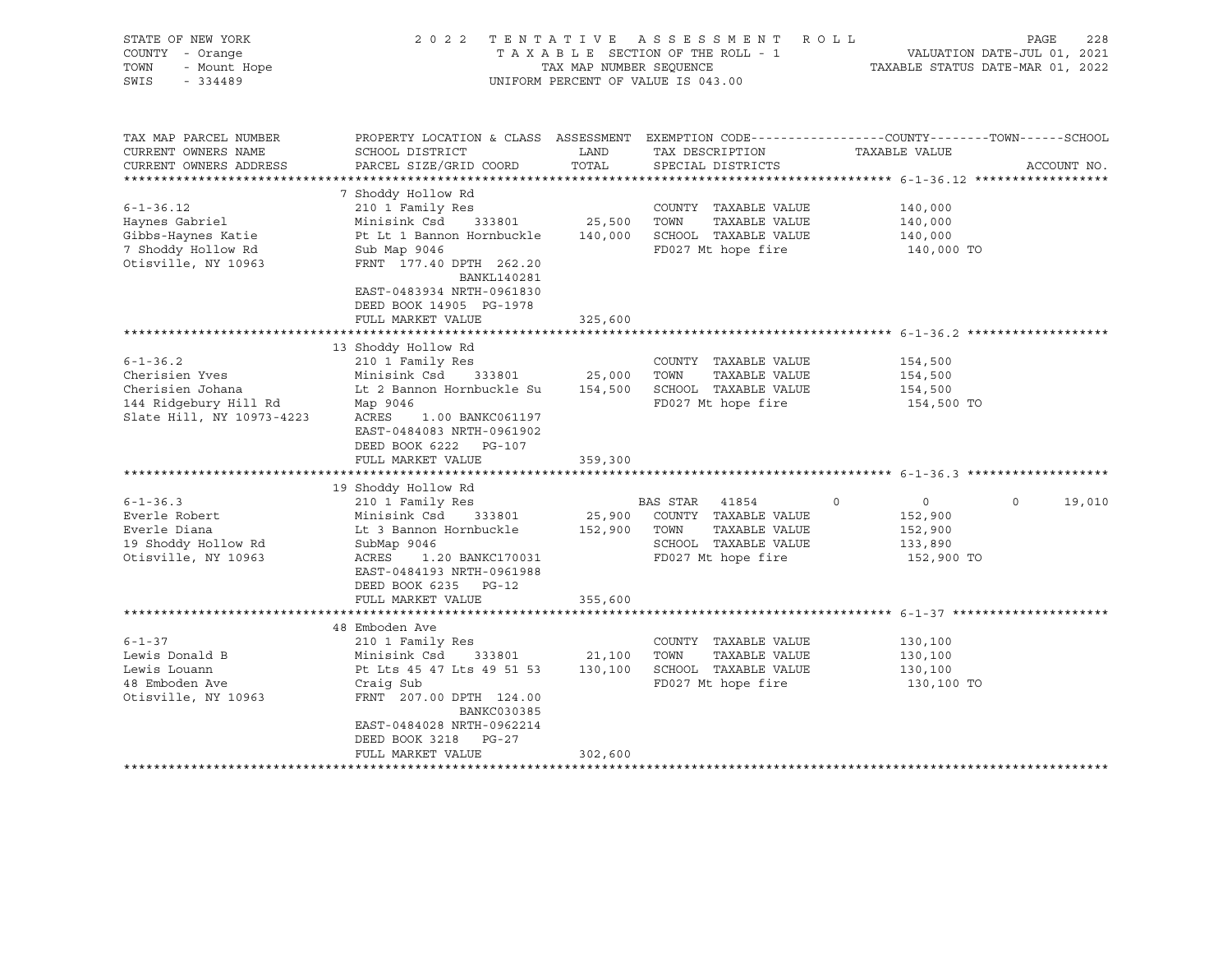| STATE OF NEW YORK<br>COUNTY - Orange<br>TOWN<br>- Mount Hope<br>SWIS<br>$-334489$                          | 2022 TENTATIVE ASSESSMENT ROLL<br>TAXABLE SECTION OF THE ROLL - 1<br>TAX MAP NUMBER SEQUENCE<br>UNIFORM PERCENT OF VALUE IS 043.00                                                                                            | PAGE<br>228<br>VALUATION DATE-JUL 01, 2021<br>TAXABLE STATUS DATE-MAR 01, 2022 |                                                                                                       |                                                                                                                                 |  |  |
|------------------------------------------------------------------------------------------------------------|-------------------------------------------------------------------------------------------------------------------------------------------------------------------------------------------------------------------------------|--------------------------------------------------------------------------------|-------------------------------------------------------------------------------------------------------|---------------------------------------------------------------------------------------------------------------------------------|--|--|
| TAX MAP PARCEL NUMBER<br>CURRENT OWNERS NAME<br>CURRENT OWNERS ADDRESS                                     | SCHOOL DISTRICT<br>PARCEL SIZE/GRID COORD                                                                                                                                                                                     | LAND<br>TOTAL                                                                  | TAX DESCRIPTION<br>SPECIAL DISTRICTS                                                                  | PROPERTY LOCATION & CLASS ASSESSMENT EXEMPTION CODE----------------COUNTY-------TOWN-----SCHOOL<br>TAXABLE VALUE<br>ACCOUNT NO. |  |  |
|                                                                                                            |                                                                                                                                                                                                                               |                                                                                |                                                                                                       |                                                                                                                                 |  |  |
| $6 - 1 - 36.12$<br>Haynes Gabriel<br>Gibbs-Haynes Katie<br>7 Shoddy Hollow Rd<br>Otisville, NY 10963       | 7 Shoddy Hollow Rd<br>210 1 Family Res<br>Minisink Csd<br>333801<br>Pt Lt 1 Bannon Hornbuckle<br>Sub Map 9046<br>FRNT 177.40 DPTH 262.20<br>BANKL140281<br>EAST-0483934 NRTH-0961830<br>DEED BOOK 14905 PG-1978               | 25,500 TOWN                                                                    | COUNTY TAXABLE VALUE<br>TAXABLE VALUE<br>140,000 SCHOOL TAXABLE VALUE<br>FD027 Mt hope fire           | 140,000<br>140,000<br>140,000<br>140,000 TO                                                                                     |  |  |
|                                                                                                            | FULL MARKET VALUE                                                                                                                                                                                                             | 325,600                                                                        |                                                                                                       |                                                                                                                                 |  |  |
|                                                                                                            |                                                                                                                                                                                                                               |                                                                                |                                                                                                       |                                                                                                                                 |  |  |
| $6 - 1 - 36.2$<br>Cherisien Yves<br>Cherisien Johana<br>144 Ridgebury Hill Rd<br>Slate Hill, NY 10973-4223 | 13 Shoddy Hollow Rd<br>210 1 Family Res<br>Minisink Csd<br>333801<br>Lt 2 Bannon Hornbuckle Su 154,500 SCHOOL TAXABLE VALUE<br>Map 9046<br>ACRES 1.00 BANKC061197<br>EAST-0484083 NRTH-0961902<br>DEED BOOK 6222 PG-107       | 25,000 TOWN                                                                    | COUNTY TAXABLE VALUE<br>TAXABLE VALUE<br>FD027 Mt hope fire                                           | 154,500<br>154,500<br>154,500<br>154,500 TO                                                                                     |  |  |
|                                                                                                            | FULL MARKET VALUE                                                                                                                                                                                                             | 359,300                                                                        |                                                                                                       |                                                                                                                                 |  |  |
|                                                                                                            | 19 Shoddy Hollow Rd                                                                                                                                                                                                           |                                                                                |                                                                                                       |                                                                                                                                 |  |  |
| $6 - 1 - 36.3$<br>Everle Robert<br>Everle Diana<br>19 Shoddy Hollow Rd<br>Otisville, NY 10963              | 210 1 Family Res<br>Minisink Csd 333801<br>Lt 3 Bannon Hornbuckle 152,900 TOWN<br>SubMap 9046<br>ACRES<br>1.20 BANKC170031<br>EAST-0484193 NRTH-0961988<br>DEED BOOK 6235 PG-12                                               | 25,900                                                                         | BAS STAR 41854<br>COUNTY TAXABLE VALUE<br>TAXABLE VALUE<br>SCHOOL TAXABLE VALUE<br>FD027 Mt hope fire | $\overline{\phantom{0}}$<br>$\circ$<br>19,010<br>$\circ$<br>152,900<br>152,900<br>133,890<br>152,900 TO                         |  |  |
|                                                                                                            | FULL MARKET VALUE                                                                                                                                                                                                             | 355,600                                                                        |                                                                                                       |                                                                                                                                 |  |  |
| $6 - 1 - 37$                                                                                               | 48 Emboden Ave<br>210 1 Family Res                                                                                                                                                                                            |                                                                                | COUNTY TAXABLE VALUE                                                                                  | 130,100                                                                                                                         |  |  |
| Lewis Donald B<br>Lewis Louann<br>48 Emboden Ave<br>Otisville, NY 10963                                    | Minisink Csd 333801 21,100 TOWN<br>Pt Lts 45 47 Lts 49 51 53 130,100 SCHOOL TAXABLE VALUE<br>Craig Sub<br>FRNT 207.00 DPTH 124.00<br>BANKC030385<br>EAST-0484028 NRTH-0962214<br>DEED BOOK 3218<br>PG-27<br>FULL MARKET VALUE | 302,600                                                                        | TAXABLE VALUE<br>FD027 Mt hope fire                                                                   | 130,100<br>130,100<br>130,100 TO                                                                                                |  |  |
|                                                                                                            |                                                                                                                                                                                                                               |                                                                                |                                                                                                       |                                                                                                                                 |  |  |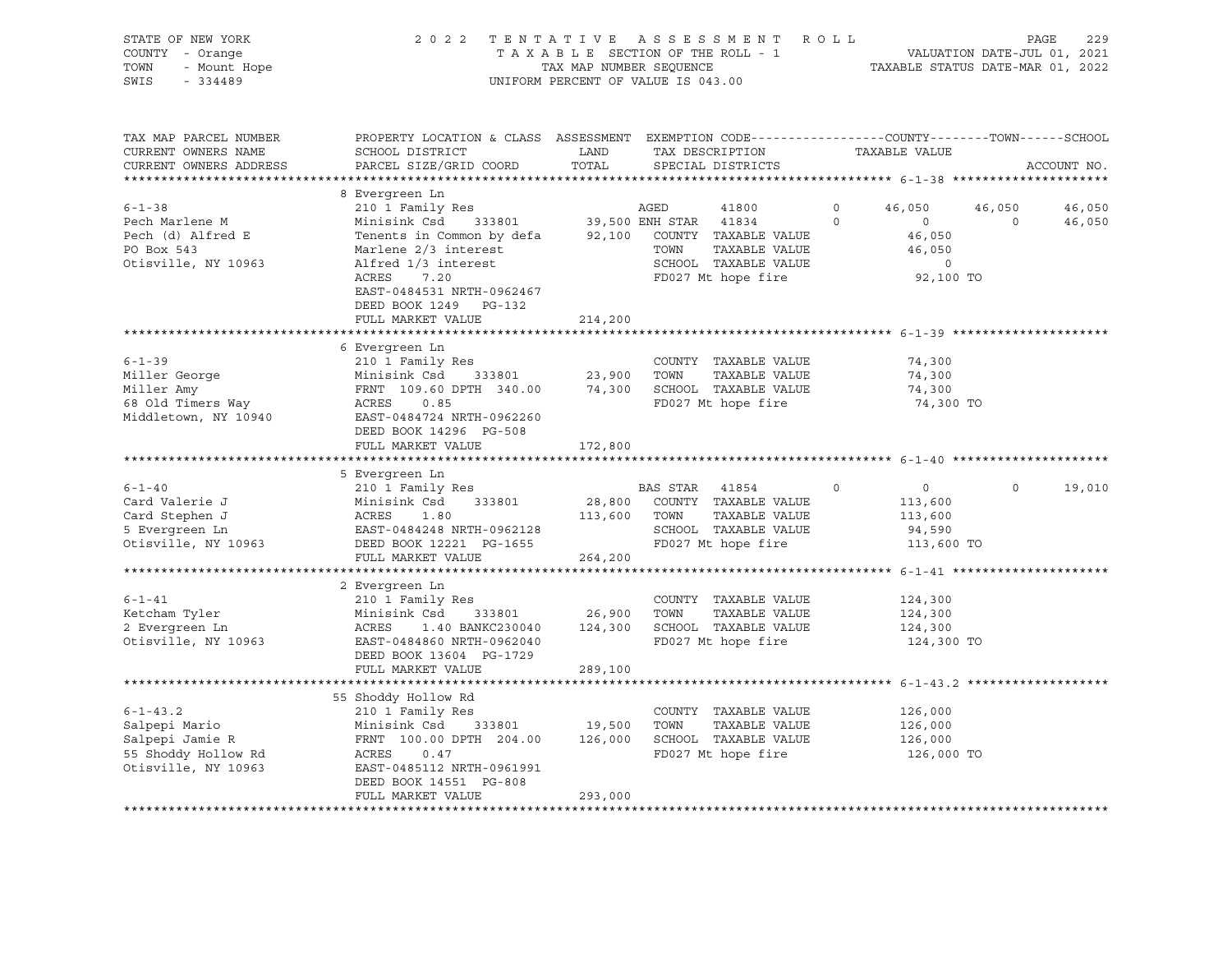| STATE OF NEW YORK    | 2022 TENTATIVE ASSESSMENT ROLL     | 229<br>PAGE                      |
|----------------------|------------------------------------|----------------------------------|
| COUNTY - Orange      | TAXABLE SECTION OF THE ROLL - 1    | VALUATION DATE-JUL 01, 2021      |
| TOWN<br>- Mount Hope | TAX MAP NUMBER SEOUENCE            | TAXABLE STATUS DATE-MAR 01, 2022 |
| SWIS - 334489        | UNIFORM PERCENT OF VALUE IS 043.00 |                                  |

| TAX MAP PARCEL NUMBER   | PROPERTY LOCATION & CLASS ASSESSMENT EXEMPTION CODE----------------COUNTY-------TOWN-----SCHOOL       |              |                |                      |          |                   |          |             |
|-------------------------|-------------------------------------------------------------------------------------------------------|--------------|----------------|----------------------|----------|-------------------|----------|-------------|
| CURRENT OWNERS NAME     | SCHOOL DISTRICT                                                                                       | LAND         |                | TAX DESCRIPTION      |          | TAXABLE VALUE     |          |             |
| CURRENT OWNERS ADDRESS  | PARCEL SIZE/GRID COORD                                                                                | TOTAL        |                | SPECIAL DISTRICTS    |          |                   |          | ACCOUNT NO. |
| *********************** |                                                                                                       |              |                |                      |          |                   |          |             |
|                         | 8 Evergreen Ln                                                                                        |              |                |                      |          |                   |          |             |
| $6 - 1 - 38$            |                                                                                                       |              |                |                      | $\Omega$ | 46,050            | 46,050   | 46,050      |
| Pech Marlene M          |                                                                                                       |              |                |                      | $\Omega$ | $\circ$           | $\Omega$ | 46,050      |
| Pech (d) Alfred E       | Tenents in Common by defa 92,100 COUNTY TAXABLE VALUE                                                 |              |                |                      |          | 46,050            |          |             |
| PO Box 543              | Marlene 2/3 interest                                                                                  |              | TOWN           | TAXABLE VALUE        |          | 46,050            |          |             |
| Otisville, NY 10963     | Alfred 1/3 interest                                                                                   |              |                | SCHOOL TAXABLE VALUE |          | $\circ$           |          |             |
|                         | ACRES<br>7.20                                                                                         |              |                | FD027 Mt hope fire   |          | 92,100 TO         |          |             |
|                         | EAST-0484531 NRTH-0962467                                                                             |              |                |                      |          |                   |          |             |
|                         | DEED BOOK 1249 PG-132                                                                                 |              |                |                      |          |                   |          |             |
|                         | FULL MARKET VALUE                                                                                     | 214,200      |                |                      |          |                   |          |             |
|                         |                                                                                                       |              |                |                      |          |                   |          |             |
|                         | 6 Evergreen Ln                                                                                        |              |                |                      |          |                   |          |             |
| $6 - 1 - 39$            | 210 1 Family Res                                                                                      |              |                | COUNTY TAXABLE VALUE |          | 74,300            |          |             |
| Miller George           | 333801 23,900 TOWN<br>Minisink Csd                                                                    |              |                | TAXABLE VALUE        |          | 74,300            |          |             |
| Miller Amy              |                                                                                                       |              |                |                      |          | 74,300            |          |             |
| 68 Old Timers Way       | FRNT 109.60 DPTH 340.00 74,300 SCHOOL TAXABLE VALUE<br>ACRES 0.85 FD027 Mt hope fire<br>ACRES<br>0.85 |              |                | FD027 Mt hope fire   |          | 74,300 TO         |          |             |
| Middletown, NY 10940    | EAST-0484724 NRTH-0962260                                                                             |              |                |                      |          |                   |          |             |
|                         | DEED BOOK 14296 PG-508                                                                                |              |                |                      |          |                   |          |             |
|                         | FULL MARKET VALUE                                                                                     | 172,800      |                |                      |          |                   |          |             |
|                         |                                                                                                       |              |                |                      |          |                   |          |             |
|                         | 5 Evergreen Ln                                                                                        |              |                |                      |          |                   |          |             |
| $6 - 1 - 40$            | 210 1 Family Res                                                                                      |              | BAS STAR 41854 |                      | $\circ$  | $0 \qquad \qquad$ | $\Omega$ | 19,010      |
| Card Valerie J          | Minisink Csd<br>333801                                                                                | 28,800       |                | COUNTY TAXABLE VALUE |          | 113,600           |          |             |
| Card Stephen J          | ACRES<br>1.80                                                                                         | 113,600 TOWN |                | TAXABLE VALUE        |          | 113,600           |          |             |
| 5 Evergreen Ln          |                                                                                                       |              |                | SCHOOL TAXABLE VALUE |          | 94,590            |          |             |
| Otisville, NY 10963     | EAST-0484248 NRTH-0962128<br>DEED BOOK 12221 PG-1655                                                  |              |                | FD027 Mt hope fire   |          | 113,600 TO        |          |             |
|                         | FULL MARKET VALUE                                                                                     | 264,200      |                |                      |          |                   |          |             |
|                         |                                                                                                       |              |                |                      |          |                   |          |             |
|                         | 2 Evergreen Ln                                                                                        |              |                |                      |          |                   |          |             |
| $6 - 1 - 41$            | 210 1 Family Res                                                                                      |              |                | COUNTY TAXABLE VALUE |          | 124,300           |          |             |
| Ketcham Tyler           | Minisink Csd<br>333801                                                                                | 26,900       | TOWN           | TAXABLE VALUE        |          | 124,300           |          |             |
| 2 Evergreen Ln          | ACRES<br>1.40 BANKC230040                                                                             | 124,300      |                | SCHOOL TAXABLE VALUE |          | 124,300           |          |             |
| Otisville, NY 10963     | EAST-0484860 NRTH-0962040                                                                             |              |                | FD027 Mt hope fire   |          | 124,300 TO        |          |             |
|                         | DEED BOOK 13604 PG-1729                                                                               |              |                |                      |          |                   |          |             |
|                         | FULL MARKET VALUE                                                                                     | 289,100      |                |                      |          |                   |          |             |
|                         |                                                                                                       |              |                |                      |          |                   |          |             |
|                         | 55 Shoddy Hollow Rd                                                                                   |              |                |                      |          |                   |          |             |
| $6 - 1 - 43.2$          | 210 1 Family Res                                                                                      |              |                | COUNTY TAXABLE VALUE |          | 126,000           |          |             |
| Salpepi Mario           | Minisink Csd<br>333801                                                                                | 19,500       | TOWN           | TAXABLE VALUE        |          | 126,000           |          |             |
| Salpepi Jamie R         | FRNT 100.00 DPTH 204.00                                                                               | 126,000      |                | SCHOOL TAXABLE VALUE |          | 126,000           |          |             |
| 55 Shoddy Hollow Rd     | ACRES 0.47                                                                                            |              |                | FD027 Mt hope fire   |          | 126,000 TO        |          |             |
| Otisville, NY 10963     | EAST-0485112 NRTH-0961991                                                                             |              |                |                      |          |                   |          |             |
|                         | DEED BOOK 14551 PG-808                                                                                |              |                |                      |          |                   |          |             |
|                         | FULL MARKET VALUE                                                                                     | 293,000      |                |                      |          |                   |          |             |
|                         |                                                                                                       |              |                |                      |          |                   |          |             |
|                         |                                                                                                       |              |                |                      |          |                   |          |             |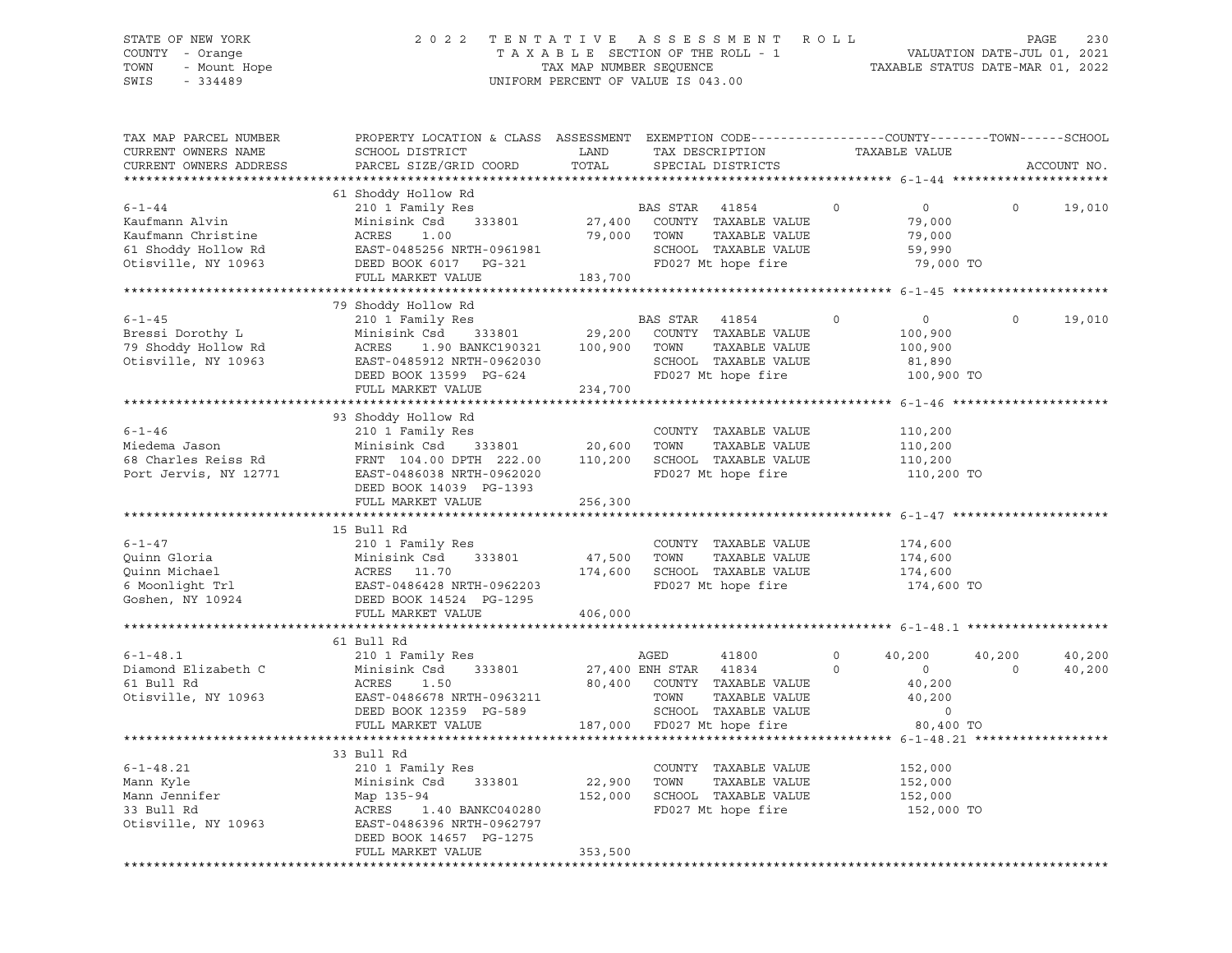# STATE OF NEW YORK 2 0 2 2 T E N T A T I V E A S S E S S M E N T R O L L PAGE 230 COUNTY - Orange T A X A B L E SECTION OF THE ROLL - 1 VALUATION DATE-JUL 01, 2021 TOWN - Mount Hope TAX MAP NUMBER SEQUENCE TAXABLE STATUS DATE-MAR 01, 2022 SWIS - 334489 UNIFORM PERCENT OF VALUE IS 043.00

| TAX MAP PARCEL NUMBER<br>CURRENT OWNERS NAME<br>CURRENT OWNERS ADDRESS                             | PROPERTY LOCATION & CLASS ASSESSMENT EXEMPTION CODE----------------COUNTY-------TOWN------SCHOOL<br>SCHOOL DISTRICT<br>PARCEL SIZE/GRID COORD | LAND<br>TOTAL    | TAX DESCRIPTION<br>SPECIAL DISTRICTS                                                                             |          | TAXABLE VALUE                                         |          | ACCOUNT NO. |
|----------------------------------------------------------------------------------------------------|-----------------------------------------------------------------------------------------------------------------------------------------------|------------------|------------------------------------------------------------------------------------------------------------------|----------|-------------------------------------------------------|----------|-------------|
|                                                                                                    |                                                                                                                                               |                  |                                                                                                                  |          |                                                       |          |             |
| $6 - 1 - 44$<br>Kaufmann Alvin<br>Kaufmann Christine<br>61 Shoddy Hollow Rd<br>Otisville, NY 10963 | 61 Shoddy Hollow Rd<br>210 1 Family Res<br>Minisink Csd<br>333801<br>ACRES<br>1.00<br>EAST-0485256 NRTH-0961981<br>DEED BOOK 6017 PG-321      | 27,400<br>79,000 | BAS STAR<br>41854<br>COUNTY TAXABLE VALUE<br>TOWN<br>TAXABLE VALUE<br>SCHOOL TAXABLE VALUE<br>FD027 Mt hope fire | 0        | $\circ$<br>79,000<br>79,000<br>59,990<br>79,000 TO    | $\circ$  | 19,010      |
|                                                                                                    | FULL MARKET VALUE                                                                                                                             | 183,700          |                                                                                                                  |          |                                                       |          |             |
|                                                                                                    |                                                                                                                                               |                  |                                                                                                                  |          |                                                       |          |             |
|                                                                                                    | 79 Shoddy Hollow Rd                                                                                                                           |                  |                                                                                                                  |          |                                                       |          |             |
| $6 - 1 - 45$<br>Bressi Dorothy L<br>79 Shoddy Hollow Rd<br>Otisville, NY 10963                     | 210 1 Family Res<br>Minisink Csd<br>333801<br>1.90 BANKC190321 100,900<br>ACRES<br>EAST-0485912 NRTH-0962030<br>DEED BOOK 13599 PG-624        | 29,200           | BAS STAR<br>41854<br>COUNTY TAXABLE VALUE<br>TOWN<br>TAXABLE VALUE<br>SCHOOL TAXABLE VALUE<br>FD027 Mt hope fire | $\Omega$ | $\circ$<br>100,900<br>100,900<br>81,890<br>100,900 TO | $\Omega$ | 19,010      |
|                                                                                                    | FULL MARKET VALUE                                                                                                                             | 234,700          |                                                                                                                  |          |                                                       |          |             |
|                                                                                                    |                                                                                                                                               |                  |                                                                                                                  |          |                                                       |          |             |
|                                                                                                    | 93 Shoddy Hollow Rd                                                                                                                           |                  |                                                                                                                  |          |                                                       |          |             |
| $6 - 1 - 46$                                                                                       | 210 1 Family Res                                                                                                                              |                  | COUNTY TAXABLE VALUE                                                                                             |          | 110,200                                               |          |             |
| Miedema Jason                                                                                      | Minisink Csd<br>333801                                                                                                                        | 20,600           | TOWN<br>TAXABLE VALUE                                                                                            |          | 110,200                                               |          |             |
| 68 Charles Reiss Rd                                                                                | FRNT 104.00 DPTH 222.00                                                                                                                       | 110,200          | SCHOOL TAXABLE VALUE                                                                                             |          | 110,200                                               |          |             |
| Port Jervis, NY 12771                                                                              | EAST-0486038 NRTH-0962020<br>DEED BOOK 14039 PG-1393<br>FULL MARKET VALUE                                                                     | 256,300          | FD027 Mt hope fire                                                                                               |          | 110,200 TO                                            |          |             |
|                                                                                                    |                                                                                                                                               |                  |                                                                                                                  |          |                                                       |          |             |
|                                                                                                    | 15 Bull Rd                                                                                                                                    |                  |                                                                                                                  |          |                                                       |          |             |
| $6 - 1 - 47$                                                                                       | 210 1 Family Res                                                                                                                              |                  | COUNTY TAXABLE VALUE                                                                                             |          | 174,600                                               |          |             |
| Quinn Gloria                                                                                       | Minisink Csd<br>333801                                                                                                                        | 47,500           | TAXABLE VALUE<br>TOWN                                                                                            |          | 174,600                                               |          |             |
| Quinn Michael                                                                                      | ACRES 11.70                                                                                                                                   | 174,600          | SCHOOL TAXABLE VALUE                                                                                             |          | 174,600                                               |          |             |
| Samman<br>Somoonlight Trl<br>Goshen, NY 10924                                                      | EAST-0486428 NRTH-0962203                                                                                                                     |                  | FD027 Mt hope fire                                                                                               |          | 174,600 TO                                            |          |             |
|                                                                                                    | DEED BOOK 14524 PG-1295                                                                                                                       |                  |                                                                                                                  |          |                                                       |          |             |
|                                                                                                    | FULL MARKET VALUE                                                                                                                             | 406,000          |                                                                                                                  |          |                                                       |          |             |
|                                                                                                    |                                                                                                                                               |                  |                                                                                                                  |          |                                                       |          |             |
|                                                                                                    | 61 Bull Rd                                                                                                                                    |                  |                                                                                                                  |          |                                                       |          |             |
| $6 - 1 - 48.1$                                                                                     | 210 1 Family Res                                                                                                                              |                  | AGED<br>41800                                                                                                    | $\circ$  | 40,200                                                | 40,200   | 40,200      |
| Diamond Elizabeth C                                                                                | Minisink Csd<br>333801                                                                                                                        |                  | 27,400 ENH STAR<br>41834                                                                                         | $\Omega$ | $\overline{0}$                                        | $\Omega$ | 40,200      |
| 61 Bull Rd                                                                                         | ACRES<br>1.50                                                                                                                                 |                  | 80,400 COUNTY TAXABLE VALUE                                                                                      |          | 40,200                                                |          |             |
| Otisville, NY 10963                                                                                | EAST-0486678 NRTH-0963211                                                                                                                     |                  | TOWN<br>TAXABLE VALUE                                                                                            |          | 40,200                                                |          |             |
|                                                                                                    | DEED BOOK 12359 PG-589                                                                                                                        |                  | SCHOOL TAXABLE VALUE                                                                                             |          | $\mathbf 0$                                           |          |             |
|                                                                                                    |                                                                                                                                               |                  |                                                                                                                  |          |                                                       |          |             |
|                                                                                                    | FULL MARKET VALUE                                                                                                                             |                  | 187,000 FD027 Mt hope fire                                                                                       |          | 80,400 TO                                             |          |             |
|                                                                                                    |                                                                                                                                               |                  |                                                                                                                  |          |                                                       |          |             |
|                                                                                                    | 33 Bull Rd                                                                                                                                    |                  |                                                                                                                  |          |                                                       |          |             |
| $6 - 1 - 48.21$                                                                                    | 210 1 Family Res                                                                                                                              |                  | COUNTY TAXABLE VALUE                                                                                             |          | 152,000                                               |          |             |
| Mann Kyle                                                                                          | Minisink Csd<br>333801                                                                                                                        | 22,900           | TOWN<br>TAXABLE VALUE                                                                                            |          | 152,000                                               |          |             |
| Mann Jennifer                                                                                      | Map 135-94                                                                                                                                    | 152,000          | SCHOOL TAXABLE VALUE                                                                                             |          | 152,000                                               |          |             |
| 33 Bull Rd                                                                                         | ACRES<br>1.40 BANKC040280                                                                                                                     |                  | FD027 Mt hope fire                                                                                               |          | 152,000 TO                                            |          |             |
| Otisville, NY 10963                                                                                | EAST-0486396 NRTH-0962797                                                                                                                     |                  |                                                                                                                  |          |                                                       |          |             |
|                                                                                                    | DEED BOOK 14657 PG-1275                                                                                                                       |                  |                                                                                                                  |          |                                                       |          |             |
|                                                                                                    | FULL MARKET VALUE                                                                                                                             | 353,500          |                                                                                                                  |          |                                                       |          |             |
|                                                                                                    |                                                                                                                                               |                  |                                                                                                                  |          |                                                       |          |             |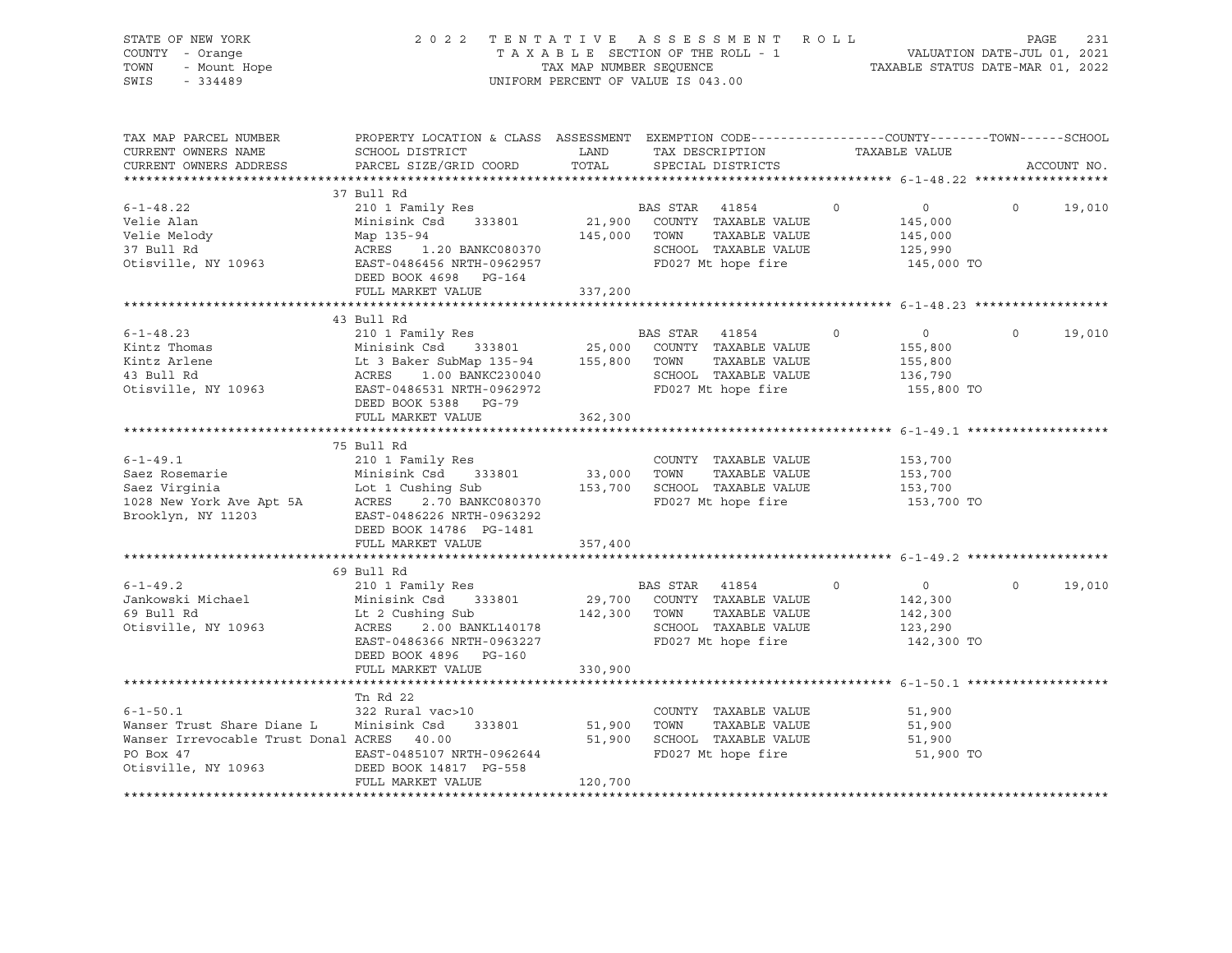| STATE OF NEW IVAN<br>COUNTY - Orange<br>TOWN - Mount Hope<br>224489                                                                                                                                                                                                                                                                                                                                                                                  | 2022 TENTATIVE ASSESSMENT ROLL PAGE 231<br>TAXABLE SECTION OF THE ROLL - 1 VALUATION DATE-JUL 01, 2021<br>TAX MAP NUMBER SEQUENCE TAXABLE STATUS DATE-MAR 01, 2022<br>UNIFORM PERCENT OF VALUE IS 043.00 |         |  |           |                |               |
|------------------------------------------------------------------------------------------------------------------------------------------------------------------------------------------------------------------------------------------------------------------------------------------------------------------------------------------------------------------------------------------------------------------------------------------------------|----------------------------------------------------------------------------------------------------------------------------------------------------------------------------------------------------------|---------|--|-----------|----------------|---------------|
| TAX MAP PARCEL NUMBER<br>CURRENT OWNERS NAME<br>CURRENT OWNERS ADDRESS                                                                                                                                                                                                                                                                                                                                                                               | PROPERTY LOCATION & CLASS ASSESSMENT EXEMPTION CODE----------------COUNTY-------TOWN------SCHOOL                                                                                                         |         |  |           |                | ACCOUNT NO.   |
|                                                                                                                                                                                                                                                                                                                                                                                                                                                      | 37 Bull Rd                                                                                                                                                                                               |         |  |           |                |               |
|                                                                                                                                                                                                                                                                                                                                                                                                                                                      |                                                                                                                                                                                                          |         |  |           |                |               |
|                                                                                                                                                                                                                                                                                                                                                                                                                                                      | FULL MARKET VALUE 337,200                                                                                                                                                                                |         |  |           |                |               |
|                                                                                                                                                                                                                                                                                                                                                                                                                                                      |                                                                                                                                                                                                          |         |  |           |                |               |
|                                                                                                                                                                                                                                                                                                                                                                                                                                                      | 43 Bull Rd                                                                                                                                                                                               |         |  |           |                |               |
| 45 BLC 1 + 8.23<br>Kintz Thomas<br>Kintz Arlene 155,800<br>Kintz Arlene 155,800<br>Kintz Arlene 155,800<br>Kintz Arlene 155,800<br>Kintz Arlene 155,800<br>Kintz Arlene 155,800<br>Kintz Arlene 155,800<br>ACRES 1.00 BANKC230040<br>ACRES 1.00 BA                                                                                                                                                                                                   |                                                                                                                                                                                                          |         |  |           |                | $0 \t 19,010$ |
|                                                                                                                                                                                                                                                                                                                                                                                                                                                      |                                                                                                                                                                                                          |         |  |           |                |               |
|                                                                                                                                                                                                                                                                                                                                                                                                                                                      | FULL MARKET VALUE                                                                                                                                                                                        | 362,300 |  |           |                |               |
|                                                                                                                                                                                                                                                                                                                                                                                                                                                      |                                                                                                                                                                                                          |         |  |           |                |               |
| $\begin{tabular}{lllllllllllll} 6-1-49.1 & 2101 Family Res \\ \texttt{Saez Rosemarie} & 2101 Family Res & 33,000 TOWN TAXABLE VALUE & 153,700 \\ \texttt{Saez Virginia} & \texttt{Lot1 Cushing Sub} & 33,000 TOWN & TAXABLE VALUE & 153,700 \\ \texttt{Saez Virginia} & \texttt{Lot1 Cushing Sub} & 153,700 SCHOOL TAXABLE VALUE & 153,700 \\ \texttt{1028 New York Ave Apt 5A} & \texttt{ACRES} & 2.70 BANKCO80370 & \texttt{FD027 Mt hope fire} &$ |                                                                                                                                                                                                          |         |  |           |                |               |
|                                                                                                                                                                                                                                                                                                                                                                                                                                                      | FULL MARKET VALUE 357,400                                                                                                                                                                                |         |  |           |                |               |
|                                                                                                                                                                                                                                                                                                                                                                                                                                                      |                                                                                                                                                                                                          |         |  |           |                |               |
| 6-1-49.2<br>Jankowski Michael 210 1 Family Res<br>59 Bull Rd Minisink Csd 333801<br>69 Bull Rd Lt 2 Cushing Sub 142,300 TOWN TAXABLE VALUE 142,300<br>69 Bull Rd Lt 2 Cushing Sub 142,300 TOWN TAXABLE VALUE 142,300<br>69 Bull Rd Lt 2                                                                                                                                                                                                              | 69 Bull Rd<br>DEED BOOK 4896 PG-160                                                                                                                                                                      |         |  |           | $\overline{0}$ | 19,010        |
|                                                                                                                                                                                                                                                                                                                                                                                                                                                      | FULL MARKET VALUE 330,900                                                                                                                                                                                |         |  |           |                |               |
| $\begin{tabular}{lcccccc} & & & & \text{Tr }\mathsf{Rd} & 22 & & & & \text{COUNTYY} & TAXABLE VALUE & & & & 51,900 \\ \text{Wanser Trust share Diane L} & & & \text{Minisink CSd} & 333801 & & 51,900 & TOWN & TAXABLE VALUE & & & 51,900 \\ \text{Wanser Irrevocable Trust Donald ACKES} & & & & & & 51,900 & 51,900 & TOWN & TAXABLE VALUE & & & 51,900 \\ \text{PO Box 47} & & & & & \text{EAST-0485107 NRTH-0962644} & & & & \text$              | Tn Rd 22<br>FULL MARKET VALUE                                                                                                                                                                            | 120,700 |  | 51,900 TO |                |               |
|                                                                                                                                                                                                                                                                                                                                                                                                                                                      |                                                                                                                                                                                                          |         |  |           |                |               |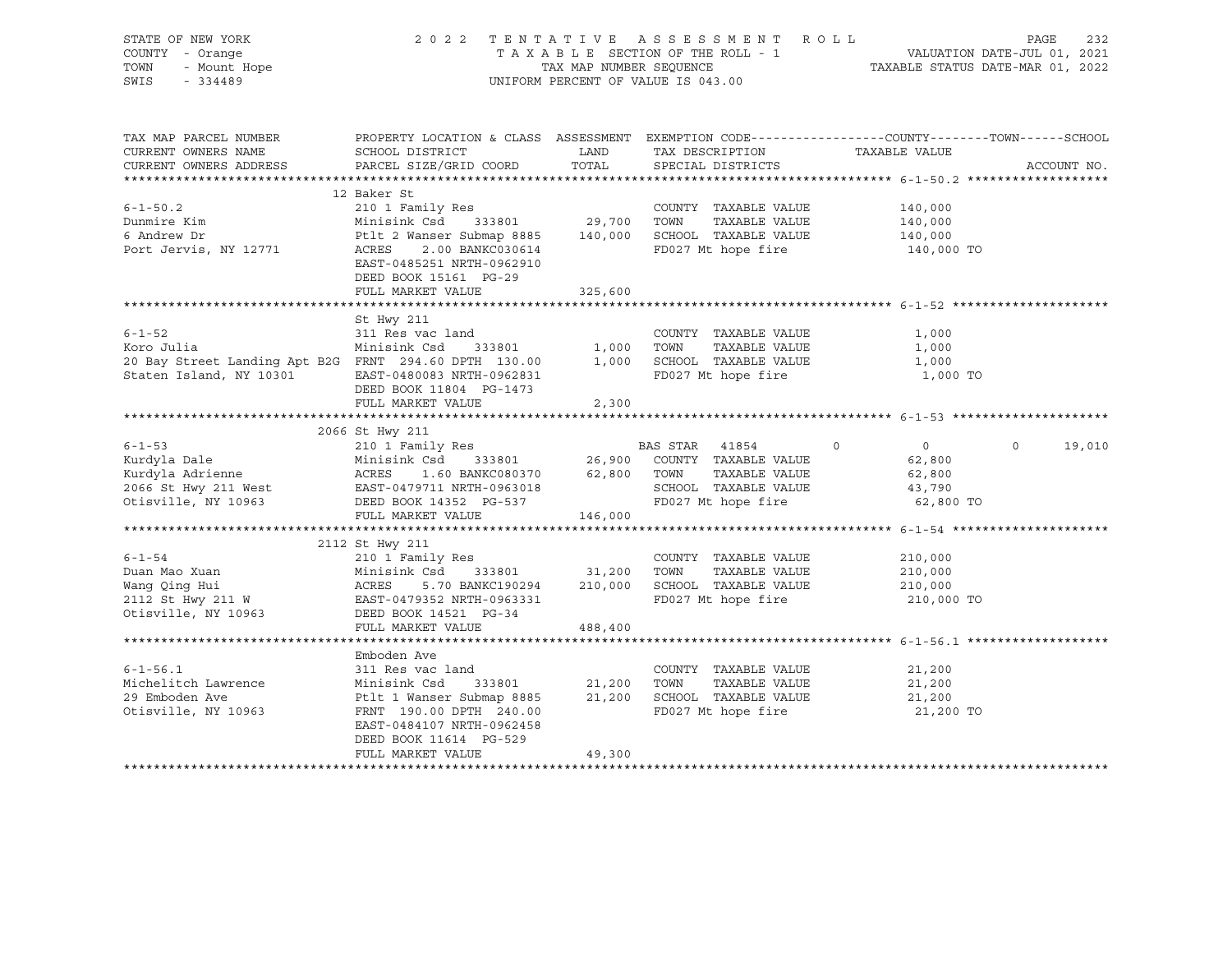| STATE OF NEW YORK<br>COUNTY - Orange<br>r<br>- Orange<br>- Mount Hope<br>TOWN<br>SWIS - 334489                                                                                                                                        | 2022 TENTATIVE ASSESSMENT ROLL<br>UNIFORM PERCENT OF VALUE IS 043.00                                                                                                                                                                                     | 232<br>PAGE                     |                                            |                                                                 |                    |
|---------------------------------------------------------------------------------------------------------------------------------------------------------------------------------------------------------------------------------------|----------------------------------------------------------------------------------------------------------------------------------------------------------------------------------------------------------------------------------------------------------|---------------------------------|--------------------------------------------|-----------------------------------------------------------------|--------------------|
| TAX MAP PARCEL NUMBER<br>CURRENT OWNERS NAME<br>CURRENT OWNERS ADDRESS                                                                                                                                                                | PROPERTY LOCATION & CLASS ASSESSMENT EXEMPTION CODE----------------COUNTY-------TOWN------SCHOOL<br>SCHOOL DISTRICT<br>PARCEL SIZE/GRID COORD                                                                                                            | <b>LAND</b><br>TOTAL            | TAX DESCRIPTION<br>SPECIAL DISTRICTS       | TAXABLE VALUE                                                   | ACCOUNT NO.        |
|                                                                                                                                                                                                                                       | 12 Baker St                                                                                                                                                                                                                                              |                                 |                                            |                                                                 |                    |
| $6 - 1 - 50.2$<br>Dunmire Kim<br>6 Andrew Dr<br>Port Jervis, NY 12771                                                                                                                                                                 | 210 1 Family Res<br>Minisink Csd 333801 29,700 TOWN TAXABLE VALUE<br>Ptlt 2 Wanser Submap 8885 140,000 SCHOOL TAXABLE VALUE<br>ACRES 2.00 BANKC030614 FD027 Mt hope fire<br>ACRES 2.00 BANKC030614<br>EAST-0485251 NRTH-0962910<br>DEED BOOK 15161 PG-29 |                                 | COUNTY TAXABLE VALUE<br>FD027 Mt hope fire | 140,000<br>140,000<br>140,000<br>140,000 TO                     |                    |
|                                                                                                                                                                                                                                       | FULL MARKET VALUE                                                                                                                                                                                                                                        | 325,600                         |                                            |                                                                 |                    |
|                                                                                                                                                                                                                                       |                                                                                                                                                                                                                                                          |                                 |                                            |                                                                 |                    |
| $6 - 1 - 52$<br>Koro Julia<br>20 Bay Street Landing Apt B2G FRNT 294.60 DPTH 130.00 1,000 SCHOOL TAXABLE VALUE<br>Staten Island, NY 10301 EAST-0480083 NRTH-0962831 FD027 Mt hope fire                                                | St Hwy 211<br>DEED BOOK 11804 PG-1473                                                                                                                                                                                                                    |                                 | COUNTY TAXABLE VALUE                       | 1,000<br>1,000<br>1,000<br>1,000 TO                             |                    |
|                                                                                                                                                                                                                                       | FULL MARKET VALUE                                                                                                                                                                                                                                        | 2,300                           |                                            |                                                                 |                    |
|                                                                                                                                                                                                                                       |                                                                                                                                                                                                                                                          |                                 |                                            |                                                                 |                    |
| EXAMPLE VALUE<br>Xurdyla Dale<br>Xurdyla Adrienne (ACRES 1.60 BANKC080370 62,800 TOWN TAXABLE VALUE<br>2066 St Hwy 211 West (EAST-0479711 NRTH-0963018 SCHOOL TAXABLE VALUE<br>2066 St Hwy 211 West (EAST-0479711 NRTH-0963018 SCHOOL | 2066 St Hwy 211                                                                                                                                                                                                                                          |                                 | SCHOOL TAXABLE VALUE<br>FD027 Mt hope fire | $\sim$ 0<br>$\Omega$<br>62,800<br>62,800<br>43,790<br>62,800 TO | $\Omega$<br>19,010 |
|                                                                                                                                                                                                                                       |                                                                                                                                                                                                                                                          |                                 |                                            |                                                                 |                    |
| $6 - 1 - 54$                                                                                                                                                                                                                          | 2112 St Hwy 211<br>210 1 Family Res<br>FULL MARKET VALUE                                                                                                                                                                                                 | 488,400                         | COUNTY TAXABLE VALUE<br>FD027 Mt hope fire | 210,000<br>210,000<br>210,000<br>210,000 TO                     |                    |
|                                                                                                                                                                                                                                       |                                                                                                                                                                                                                                                          |                                 |                                            |                                                                 |                    |
| $6 - 1 - 56.1$<br>Michelitch Lawrence<br>29 Emboden Ave<br>Otisville, NY 10963                                                                                                                                                        | Emboden Ave<br>311 Res vac land<br>Minisink Csd 333801<br>Ptlt 1 Wanser Submap 8885 21,200 SCHOOL TAXABLE VALUE<br>FRNT 190.00 DPTH 240.00 FD027 Mt hope fire<br>EAST-0484107 NRTH-0962458<br>DEED BOOK 11614 PG-529<br>FULL MARKET VALUE                | COUNTY<br>21,200 TOWN<br>49,300 | COUNTY TAXABLE VALUE<br>TAXABLE VALUE      | 21,200<br>21,200<br>21,200<br>21,200 TO                         |                    |
|                                                                                                                                                                                                                                       |                                                                                                                                                                                                                                                          |                                 |                                            |                                                                 |                    |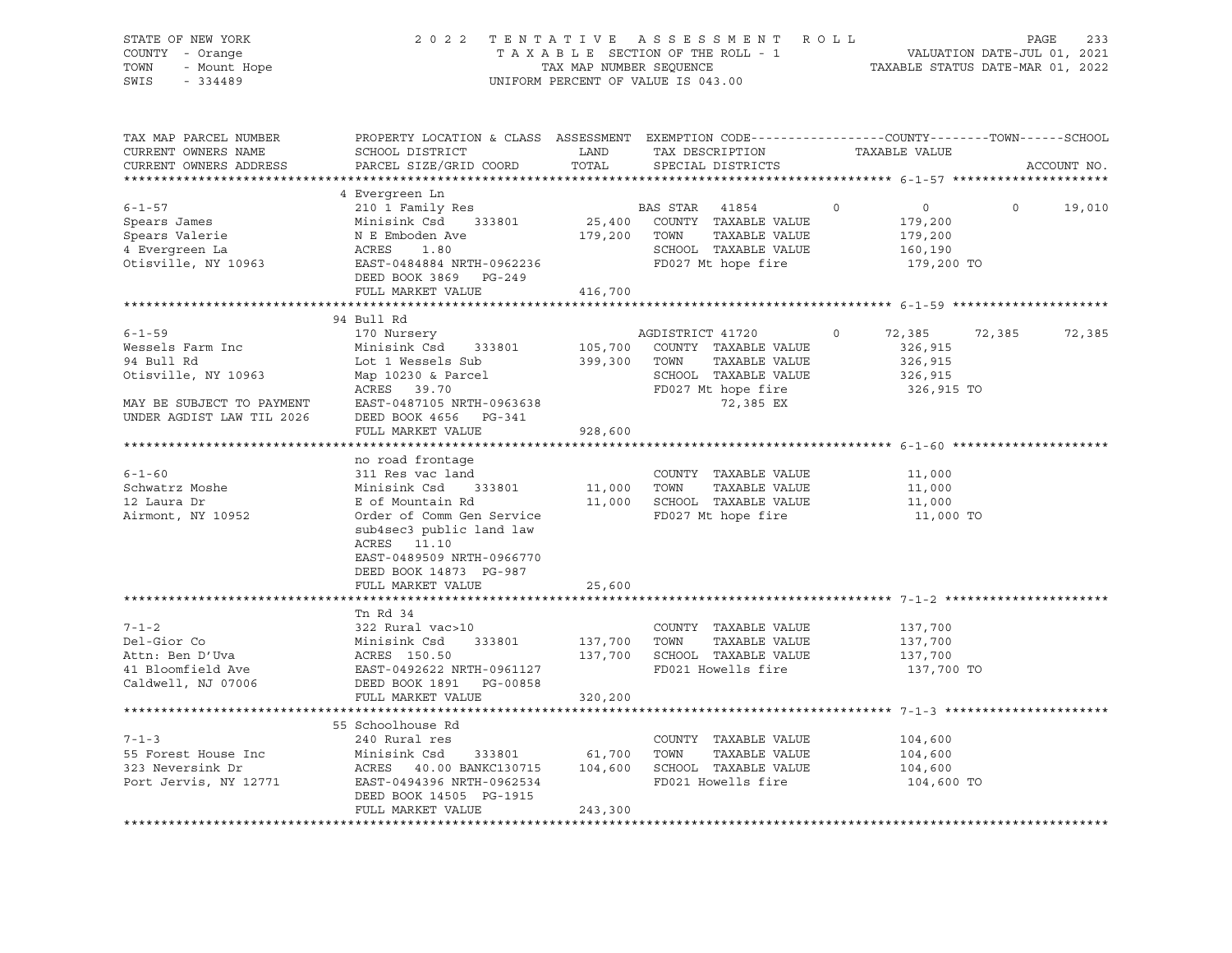| STATE OF NEW YORK<br>COUNTY - Orange<br>- Mount Hope<br>TOWN<br>SWIS<br>$-334489$ | 2 0 2 2<br>TENTATIVE ASSESSMENT ROLL<br>TAXABLE SECTION OF THE ROLL - 1<br>TAX MAP NUMBER SEQUENCE<br>UNIFORM PERCENT OF VALUE IS 043.00    |               | 233<br>PAGE<br>VALUATION DATE-JUL 01, 2021<br>TAXABLE STATUS DATE-MAR 01, 2022 |         |                    |         |             |
|-----------------------------------------------------------------------------------|---------------------------------------------------------------------------------------------------------------------------------------------|---------------|--------------------------------------------------------------------------------|---------|--------------------|---------|-------------|
| TAX MAP PARCEL NUMBER<br>CURRENT OWNERS NAME<br>CURRENT OWNERS ADDRESS            | PROPERTY LOCATION & CLASS ASSESSMENT EXEMPTION CODE---------------COUNTY-------TOWN-----SCHOOL<br>SCHOOL DISTRICT<br>PARCEL SIZE/GRID COORD | LAND<br>TOTAL | TAX DESCRIPTION<br>SPECIAL DISTRICTS                                           |         | TAXABLE VALUE      |         | ACCOUNT NO. |
|                                                                                   | 4 Evergreen Ln                                                                                                                              |               |                                                                                |         |                    |         |             |
| $6 - 1 - 57$                                                                      | 210 1 Family Res                                                                                                                            |               | BAS STAR<br>41854                                                              | $\circ$ | $0 \qquad \qquad$  | $\circ$ | 19,010      |
| Spears James                                                                      | Minisink Csd 333801                                                                                                                         |               | 25,400 COUNTY TAXABLE VALUE                                                    |         | 179,200            |         |             |
| Spears Valerie                                                                    | N E Emboden Ave                                                                                                                             |               | 179,200 TOWN<br>TAXABLE VALUE                                                  |         | 179,200            |         |             |
| 4 Evergreen La                                                                    | ACRES<br>1.80                                                                                                                               |               | SCHOOL TAXABLE VALUE                                                           |         | 160,190            |         |             |
| Otisville, NY 10963                                                               | EAST-0484884 NRTH-0962236                                                                                                                   |               | FD027 Mt hope fire                                                             |         | 179,200 TO         |         |             |
|                                                                                   | DEED BOOK 3869 PG-249                                                                                                                       |               |                                                                                |         |                    |         |             |
|                                                                                   | FULL MARKET VALUE                                                                                                                           | 416,700       |                                                                                |         |                    |         |             |
|                                                                                   |                                                                                                                                             |               |                                                                                |         |                    |         |             |
|                                                                                   | 94 Bull Rd                                                                                                                                  |               |                                                                                |         |                    |         |             |
| $6 - 1 - 59$<br>Wessels Farm Inc                                                  | 170 Nursery<br>Minisink Csd 333801                                                                                                          |               | AGDISTRICT 41720                                                               | $\circ$ | 72,385             | 72,385  | 72,385      |
| 94 Bull Rd                                                                        | Lot 1 Wessels Sub                                                                                                                           | 399,300       | 105,700 COUNTY TAXABLE VALUE<br>TOWN<br>TAXABLE VALUE                          |         | 326,915<br>326,915 |         |             |
| Otisville, NY 10963                                                               | Map 10230 & Parcel                                                                                                                          |               | SCHOOL TAXABLE VALUE                                                           |         | 326,915            |         |             |
|                                                                                   | ACRES 39.70                                                                                                                                 |               | FD027 Mt hope fire                                                             |         | 326,915 TO         |         |             |
| MAY BE SUBJECT TO PAYMENT<br>UNDER AGDIST LAW TIL 2026                            | EAST-0487105 NRTH-0963638<br>DEED BOOK 4656 PG-341                                                                                          |               | 72,385 EX                                                                      |         |                    |         |             |
|                                                                                   | FULL MARKET VALUE                                                                                                                           | 928,600       |                                                                                |         |                    |         |             |
|                                                                                   | no road frontage                                                                                                                            |               |                                                                                |         |                    |         |             |
| $6 - 1 - 60$                                                                      | 311 Res vac land                                                                                                                            |               | COUNTY TAXABLE VALUE                                                           |         | 11,000             |         |             |
| Schwatrz Moshe                                                                    | Minisink Csd 333801                                                                                                                         | 11,000 TOWN   | TAXABLE VALUE                                                                  |         | 11,000             |         |             |
| 12 Laura Dr                                                                       | E of Mountain Rd                                                                                                                            |               | 11,000 SCHOOL TAXABLE VALUE                                                    |         | 11,000             |         |             |
| Airmont, NY 10952                                                                 | Order of Comm Gen Service<br>sub4sec3 public land law<br>ACRES 11.10<br>EAST-0489509 NRTH-0966770<br>DEED BOOK 14873 PG-987                 |               | FD027 Mt hope fire                                                             |         | 11,000 TO          |         |             |
|                                                                                   | FULL MARKET VALUE                                                                                                                           | 25,600        |                                                                                |         |                    |         |             |
|                                                                                   |                                                                                                                                             |               | ****************************** 7-1-2 *******                                   |         |                    |         |             |
|                                                                                   | Tn Rd 34                                                                                                                                    |               |                                                                                |         |                    |         |             |
| $7 - 1 - 2$                                                                       | 322 Rural vac>10                                                                                                                            |               | COUNTY TAXABLE VALUE                                                           |         | 137,700            |         |             |
| Del-Gior Co                                                                       | Minisink Csd<br>ACRES 150.50<br>333801                                                                                                      | 137,700       | TOWN<br>TAXABLE VALUE                                                          |         | 137,700            |         |             |
| Attn: Ben D'Uva                                                                   |                                                                                                                                             |               | 137,700 SCHOOL TAXABLE VALUE                                                   |         | 137,700            |         |             |
| 41 Bloomfield Ave                                                                 | EAST-0492622 NRTH-0961127                                                                                                                   |               | FD021 Howells fire                                                             |         | 137,700 TO         |         |             |
| Caldwell, NJ 07006                                                                | DEED BOOK 1891 PG-00858                                                                                                                     |               |                                                                                |         |                    |         |             |
|                                                                                   | FULL MARKET VALUE                                                                                                                           | 320,200       |                                                                                |         |                    |         |             |
|                                                                                   | 55 Schoolhouse Rd                                                                                                                           |               |                                                                                |         |                    |         |             |
| $7 - 1 - 3$                                                                       | 240 Rural res                                                                                                                               |               | COUNTY TAXABLE VALUE                                                           |         | 104,600            |         |             |
| 55 Forest House Inc                                                               | Minisink Csd<br>333801                                                                                                                      | 61,700        | TOWN<br>TAXABLE VALUE                                                          |         | 104,600            |         |             |
| 323 Neversink Dr                                                                  | ${\tt ACKES} \qquad 40.00 \  \  {\tt BANKC130715} \qquad \quad 104\, ,600 \qquad {\tt SCHOOL} \quad \  {\tt TAXABLE} \  \  {\tt VALUE}$     |               |                                                                                |         | 104,600            |         |             |
| Port Jervis, NY 12771                                                             | EAST-0494396 NRTH-0962534<br>DEED BOOK 14505 PG-1915                                                                                        |               | FD021 Howells fire                                                             |         | 104,600 TO         |         |             |
|                                                                                   | FULL MARKET VALUE                                                                                                                           | 243,300       |                                                                                |         |                    |         |             |
|                                                                                   |                                                                                                                                             |               |                                                                                |         |                    |         |             |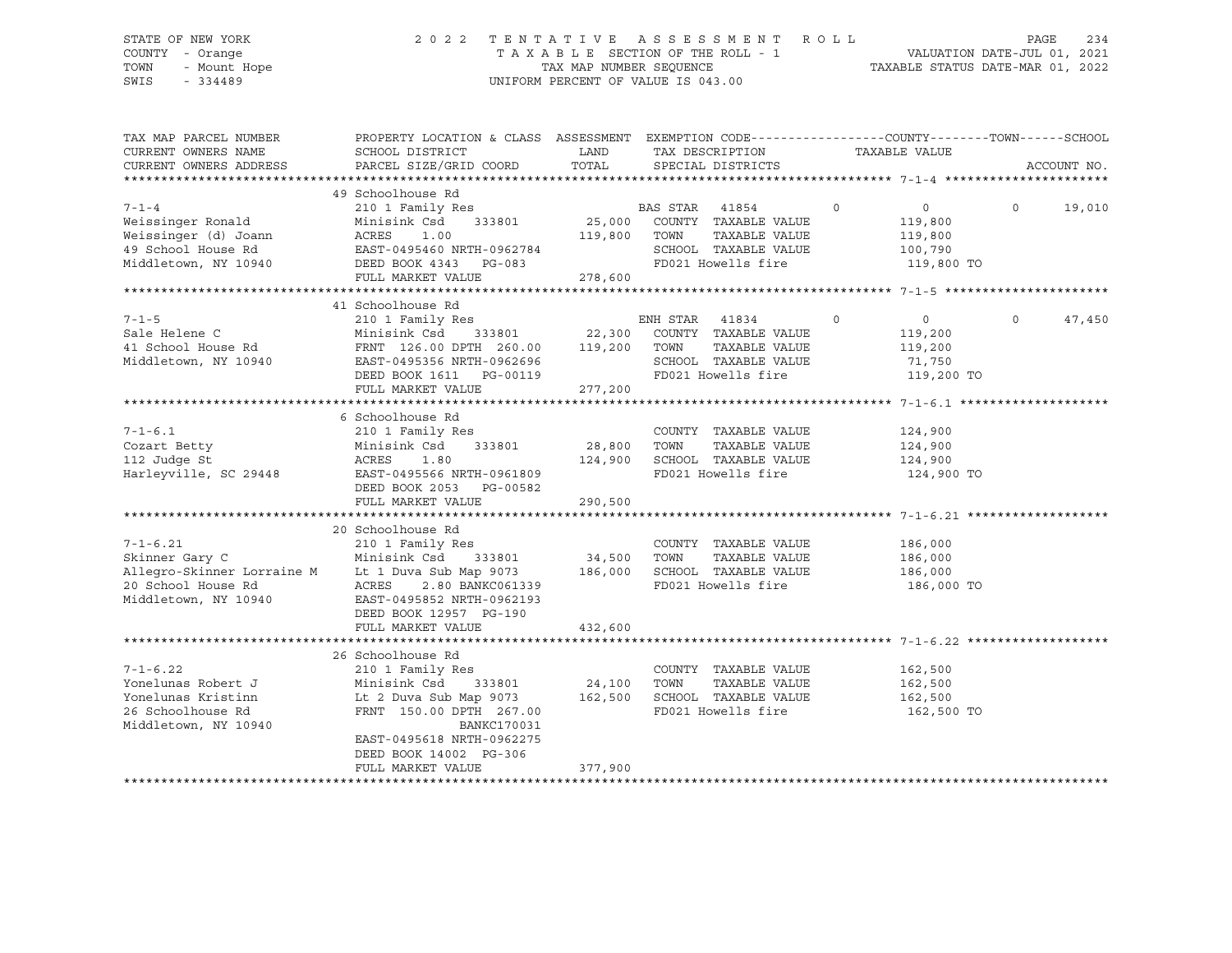# STATE OF NEW YORK 2 0 2 2 T E N T A T I V E A S S E S S M E N T R O L L PAGE 234 COUNTY - Orange T A X A B L E SECTION OF THE ROLL - 1 VALUATION DATE-JUL 01, 2021 TOWN - Mount Hope TAX MAP NUMBER SEQUENCE TAXABLE STATUS DATE-MAR 01, 2022 SWIS - 334489 UNIFORM PERCENT OF VALUE IS 043.00

| TAX MAP PARCEL NUMBER<br>CURRENT OWNERS NAME | PROPERTY LOCATION & CLASS ASSESSMENT EXEMPTION CODE----------------COUNTY-------TOWN-----SCHOOL<br>SCHOOL DISTRICT | LAND              | TAX DESCRIPTION                                     | TAXABLE VALUE                 |                    |
|----------------------------------------------|--------------------------------------------------------------------------------------------------------------------|-------------------|-----------------------------------------------------|-------------------------------|--------------------|
| CURRENT OWNERS ADDRESS                       | PARCEL SIZE/GRID COORD                                                                                             | TOTAL             | SPECIAL DISTRICTS                                   |                               | ACCOUNT NO.        |
|                                              |                                                                                                                    |                   |                                                     |                               |                    |
| $7 - 1 - 4$                                  | 49 Schoolhouse Rd<br>210 1 Family Res                                                                              |                   |                                                     | $\overline{0}$<br>$\circ$     | $\Omega$<br>19,010 |
| Weissinger Ronald                            | 333801<br>Minisink Csd                                                                                             |                   | BAS STAR 41854<br>33801 25,000 COUNTY TAXABLE VALUE | 119,800                       |                    |
| Weissinger (d) Joann                         | ACRES<br>1.00                                                                                                      | 119,800           | TOWN<br>TAXABLE VALUE                               | 119,800                       |                    |
| 49 School House Rd                           | EAST-0495460 NRTH-0962784                                                                                          |                   | SCHOOL TAXABLE VALUE                                | 100,790                       |                    |
|                                              | Middletown, NY 10940 DEED BOOK 4343 PG-083                                                                         |                   |                                                     | FD021 Howells fire 119,800 TO |                    |
|                                              | FULL MARKET VALUE                                                                                                  | 278,600           |                                                     |                               |                    |
|                                              |                                                                                                                    |                   |                                                     |                               |                    |
|                                              | 41 Schoolhouse Rd                                                                                                  |                   |                                                     |                               |                    |
| $7 - 1 - 5$                                  | 210 1 Family Res                                                                                                   |                   | ENH STAR 41834                                      | $\circ$<br>$\overline{0}$     | $\circ$<br>47,450  |
| Sale Helene C                                | Minisink Csd                                                                                                       |                   | 333801 22,300 COUNTY TAXABLE VALUE                  | 119,200                       |                    |
| 41 School House Rd                           | FRNT 126.00 DPTH 260.00 119,200                                                                                    |                   | TOWN<br>TAXABLE VALUE                               | 119,200                       |                    |
| Middletown, NY 10940                         | -----<br>EAST-0495356 NRTH-0962696                                                                                 |                   | SCHOOL TAXABLE VALUE                                | 71,750                        |                    |
|                                              | DEED BOOK 1611 PG-00119                                                                                            |                   | FD021 Howells fire                                  | 119,200 TO                    |                    |
|                                              | FULL MARKET VALUE                                                                                                  | 277,200           |                                                     |                               |                    |
|                                              |                                                                                                                    |                   |                                                     |                               |                    |
|                                              | 6 Schoolhouse Rd                                                                                                   |                   |                                                     |                               |                    |
| $7 - 1 - 6.1$                                | 210 1 Family Res                                                                                                   |                   | COUNTY TAXABLE VALUE                                | 124,900                       |                    |
| Cozart Betty                                 | 333801<br>Minisink Csd                                                                                             | 28,800            | TOWN<br>TAXABLE VALUE                               | 124,900                       |                    |
| 112 Judge St                                 | ACRES<br>1.80                                                                                                      | 124,900           | SCHOOL TAXABLE VALUE                                | 124,900                       |                    |
| Harleyville, SC 29448                        | EAST-0495566 NRTH-0961809                                                                                          |                   | FD021 Howells fire                                  | 124,900 TO                    |                    |
|                                              | DEED BOOK 2053 PG-00582                                                                                            |                   |                                                     |                               |                    |
|                                              | FULL MARKET VALUE                                                                                                  | 290,500           |                                                     |                               |                    |
|                                              |                                                                                                                    |                   |                                                     |                               |                    |
|                                              | 20 Schoolhouse Rd                                                                                                  |                   |                                                     |                               |                    |
| $7 - 1 - 6.21$                               | 210 1 Family Res                                                                                                   |                   | COUNTY TAXABLE VALUE                                | 186,000                       |                    |
| Skinner Gary C                               | Minisink Csd<br>333801 34,500 TOWN                                                                                 |                   | TAXABLE VALUE                                       | 186,000                       |                    |
|                                              | Allegro-Skinner Lorraine M Lt 1 Duva Sub Map 9073 186,000 SCHOOL TAXABLE VALUE                                     |                   |                                                     | 186,000                       |                    |
| 20 School House Rd                           | ACRES<br>2.80 BANKC061339                                                                                          |                   | FD021 Howells fire                                  | 186,000 TO                    |                    |
| Middletown, NY 10940                         | EAST-0495852 NRTH-0962193                                                                                          |                   |                                                     |                               |                    |
|                                              | DEED BOOK 12957 PG-190                                                                                             |                   |                                                     |                               |                    |
|                                              | FULL MARKET VALUE                                                                                                  | 432,600           |                                                     |                               |                    |
|                                              |                                                                                                                    |                   |                                                     |                               |                    |
|                                              | 26 Schoolhouse Rd                                                                                                  |                   |                                                     |                               |                    |
| $7 - 1 - 6.22$                               | 210 1 Family Res                                                                                                   |                   | COUNTY TAXABLE VALUE                                | 162,500                       |                    |
| Yonelunas Robert J                           | Minisink Csd<br>333801                                                                                             | 24,100<br>162,500 | TOWN<br>TAXABLE VALUE                               | 162,500                       |                    |
| Yonelunas Kristinn                           | Lt 2 Duva Sub Map 9073                                                                                             |                   | SCHOOL TAXABLE VALUE                                | 162,500                       |                    |
| 26 Schoolhouse Rd                            | FRNT 150.00 DPTH 267.00                                                                                            |                   | FD021 Howells fire                                  | 162,500 TO                    |                    |
| Middletown, NY 10940                         | <b>BANKC170031</b>                                                                                                 |                   |                                                     |                               |                    |
|                                              | EAST-0495618 NRTH-0962275                                                                                          |                   |                                                     |                               |                    |
|                                              | DEED BOOK 14002 PG-306                                                                                             |                   |                                                     |                               |                    |
|                                              | FULL MARKET VALUE                                                                                                  | 377,900           |                                                     |                               |                    |
|                                              |                                                                                                                    |                   |                                                     |                               |                    |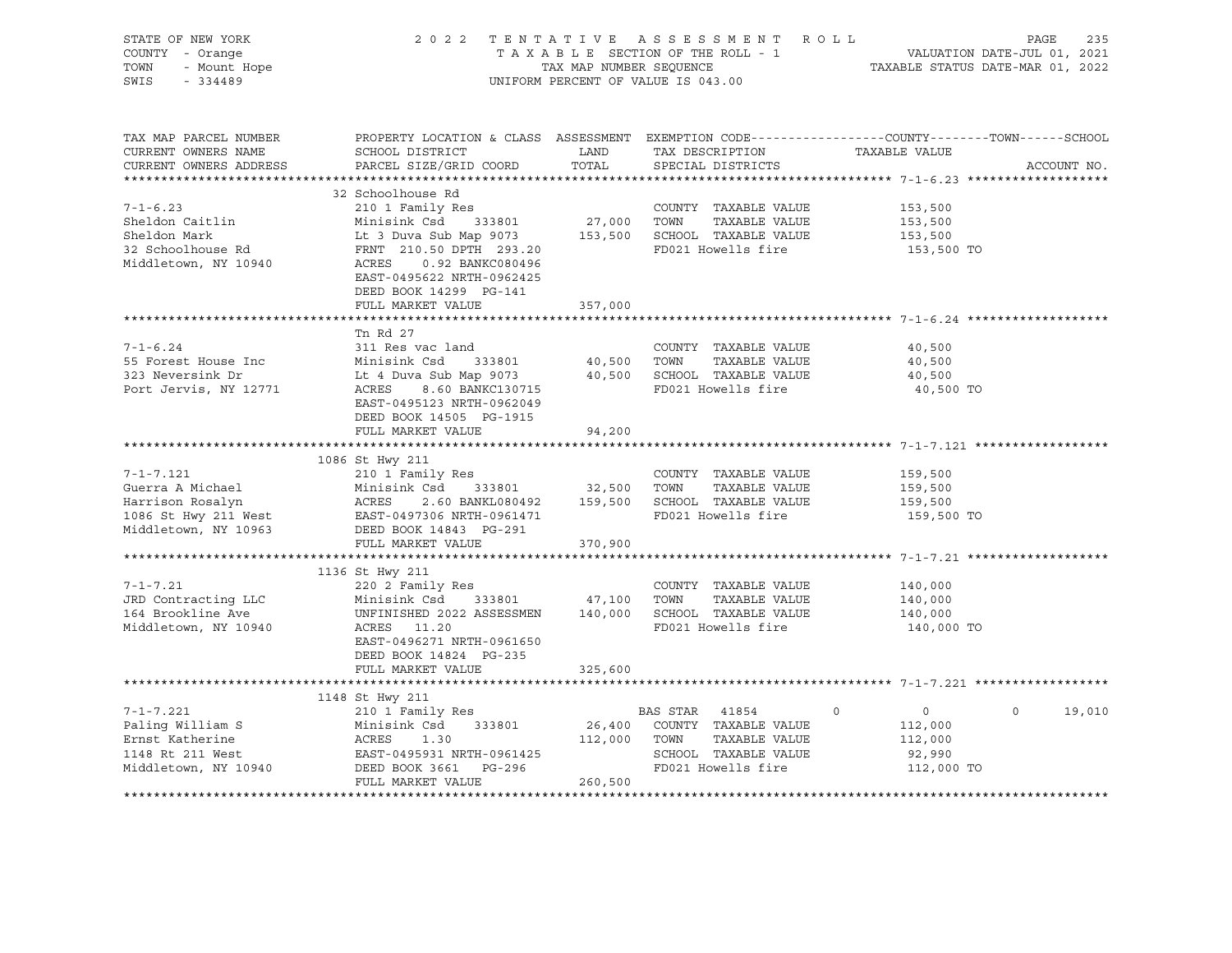|                                                                                                                                                                                |                                                                                             |                                                                                                                             |                                                                       |                                                                                                                                                                                                                                                                                                                                                                                                                                                                                                                                                                                                                                                             |                                                      | 235                                                                                                                                                                                                                                                                                                                                                                                                                                                                                                                                                                   |
|--------------------------------------------------------------------------------------------------------------------------------------------------------------------------------|---------------------------------------------------------------------------------------------|-----------------------------------------------------------------------------------------------------------------------------|-----------------------------------------------------------------------|-------------------------------------------------------------------------------------------------------------------------------------------------------------------------------------------------------------------------------------------------------------------------------------------------------------------------------------------------------------------------------------------------------------------------------------------------------------------------------------------------------------------------------------------------------------------------------------------------------------------------------------------------------------|------------------------------------------------------|-----------------------------------------------------------------------------------------------------------------------------------------------------------------------------------------------------------------------------------------------------------------------------------------------------------------------------------------------------------------------------------------------------------------------------------------------------------------------------------------------------------------------------------------------------------------------|
| SCHOOL DISTRICT<br>PARCEL SIZE/GRID COORD                                                                                                                                      | TOTAL                                                                                       |                                                                                                                             |                                                                       |                                                                                                                                                                                                                                                                                                                                                                                                                                                                                                                                                                                                                                                             |                                                      | ACCOUNT NO.                                                                                                                                                                                                                                                                                                                                                                                                                                                                                                                                                           |
| 32 Schoolhouse Rd<br>210 1 Family Res<br>Minisink Csd<br>333801<br>FRNT 210.50 DPTH 293.20<br>ACRES<br>0.92 BANKC080496<br>EAST-0495622 NRTH-0962425<br>DEED BOOK 14299 PG-141 |                                                                                             |                                                                                                                             |                                                                       |                                                                                                                                                                                                                                                                                                                                                                                                                                                                                                                                                                                                                                                             |                                                      |                                                                                                                                                                                                                                                                                                                                                                                                                                                                                                                                                                       |
|                                                                                                                                                                                |                                                                                             |                                                                                                                             |                                                                       |                                                                                                                                                                                                                                                                                                                                                                                                                                                                                                                                                                                                                                                             |                                                      |                                                                                                                                                                                                                                                                                                                                                                                                                                                                                                                                                                       |
| Tn Rd 27<br>311 Res vac land<br>Minisink Csd 333801<br>Lt 4 Duva Sub Map 9073<br>EAST-0495123 NRTH-0962049                                                                     |                                                                                             | TOWN                                                                                                                        |                                                                       |                                                                                                                                                                                                                                                                                                                                                                                                                                                                                                                                                                                                                                                             |                                                      |                                                                                                                                                                                                                                                                                                                                                                                                                                                                                                                                                                       |
|                                                                                                                                                                                |                                                                                             |                                                                                                                             |                                                                       |                                                                                                                                                                                                                                                                                                                                                                                                                                                                                                                                                                                                                                                             |                                                      |                                                                                                                                                                                                                                                                                                                                                                                                                                                                                                                                                                       |
|                                                                                                                                                                                |                                                                                             |                                                                                                                             |                                                                       |                                                                                                                                                                                                                                                                                                                                                                                                                                                                                                                                                                                                                                                             |                                                      |                                                                                                                                                                                                                                                                                                                                                                                                                                                                                                                                                                       |
| 1086 St Hwy 211                                                                                                                                                                |                                                                                             |                                                                                                                             |                                                                       |                                                                                                                                                                                                                                                                                                                                                                                                                                                                                                                                                                                                                                                             |                                                      |                                                                                                                                                                                                                                                                                                                                                                                                                                                                                                                                                                       |
| 210 1 Family Res<br>Minisink Csd<br>DEED BOOK 14843 PG-291                                                                                                                     |                                                                                             |                                                                                                                             |                                                                       |                                                                                                                                                                                                                                                                                                                                                                                                                                                                                                                                                                                                                                                             |                                                      |                                                                                                                                                                                                                                                                                                                                                                                                                                                                                                                                                                       |
| FULL MARKET VALUE                                                                                                                                                              | 370,900                                                                                     |                                                                                                                             |                                                                       |                                                                                                                                                                                                                                                                                                                                                                                                                                                                                                                                                                                                                                                             |                                                      |                                                                                                                                                                                                                                                                                                                                                                                                                                                                                                                                                                       |
| 1136 St Hwy 211<br>220 2 Family Res<br>Minisink Csd 333801<br>UNFINISHED 2022 ASSESSMEN<br>ACRES 11.20<br>EAST-0496271 NRTH-0961650                                            |                                                                                             | TOWN                                                                                                                        |                                                                       |                                                                                                                                                                                                                                                                                                                                                                                                                                                                                                                                                                                                                                                             |                                                      |                                                                                                                                                                                                                                                                                                                                                                                                                                                                                                                                                                       |
| FULL MARKET VALUE                                                                                                                                                              |                                                                                             |                                                                                                                             |                                                                       |                                                                                                                                                                                                                                                                                                                                                                                                                                                                                                                                                                                                                                                             |                                                      |                                                                                                                                                                                                                                                                                                                                                                                                                                                                                                                                                                       |
|                                                                                                                                                                                |                                                                                             |                                                                                                                             |                                                                       |                                                                                                                                                                                                                                                                                                                                                                                                                                                                                                                                                                                                                                                             |                                                      |                                                                                                                                                                                                                                                                                                                                                                                                                                                                                                                                                                       |
| 1148 St Hwy 211<br>210 1 Family Res<br>Minisink Csd 333801<br>ACRES<br>1.30<br>DEED BOOK 3661 PG-296<br>FULL MARKET VALUE                                                      | 260,500                                                                                     |                                                                                                                             |                                                                       | $\circ$                                                                                                                                                                                                                                                                                                                                                                                                                                                                                                                                                                                                                                                     | $\Omega$                                             | 19,010                                                                                                                                                                                                                                                                                                                                                                                                                                                                                                                                                                |
|                                                                                                                                                                                | FULL MARKET VALUE<br>DEED BOOK 14505 PG-1915<br>FULL MARKET VALUE<br>DEED BOOK 14824 PG-235 | LAND<br>357,000<br>ACRES 8.60 BANKC130715<br>94,200<br>EAST-0497306 NRTH-0961471<br>325,600<br>$RAST-0495931 \nRTH-0961425$ | 27,000 TOWN<br>40,500<br>333801 32,500 TOWN<br>47,100<br>112,000 TOWN | UNIFORM PERCENT OF VALUE IS 043.00<br>TAX DESCRIPTION<br>SPECIAL DISTRICTS<br>COUNTY TAXABLE VALUE<br>TAXABLE VALUE<br>Lt 3 Duva Sub Map 9073 153,500 SCHOOL TAXABLE VALUE<br>FRNT 210.50 DPTH 293.20 FD021 Howells fire<br>COUNTY TAXABLE VALUE<br>TAXABLE VALUE<br>40,500 SCHOOL TAXABLE VALUE<br>FD021 Howells fire<br>COUNTY TAXABLE VALUE<br>TAXABLE VALUE<br>ACRES 2.60 BANKL080492 159,500 SCHOOL TAXABLE VALUE<br>FD021 Howells fire<br>COUNTY TAXABLE VALUE<br>TAXABLE VALUE<br>140,000 SCHOOL TAXABLE VALUE<br>FD021 Howells fire<br>BAS STAR 41854<br>26,400 COUNTY TAXABLE VALUE<br>TAXABLE VALUE<br>SCHOOL TAXABLE VALUE<br>FD021 Howells fire | 2022 TENTATIVE ASSESSMENT ROLL<br>FD021 Howells fire | PAGE<br>T A X A B L E SECTION OF THE ROLL - 1<br>T A X A B L E SECTION OF THE ROLL - 1<br>TAXABLE STATUS DATE-MAR 01, 2022<br>PROPERTY LOCATION & CLASS ASSESSMENT EXEMPTION CODE---------------COUNTY-------TOWN------SCHOOL<br>TAXABLE VALUE<br>153,500<br>153,500<br>153,500<br>153,500 TO<br>40,500<br>40,500<br>40,500<br>40,500 TO<br>.************************************ 7-1-7.121 ********<br>159,500<br>159,500<br>159,500<br>159,500 TO<br>140,000<br>140,000<br>140,000<br>140,000 TO<br>$0 \qquad \qquad$<br>112,000<br>112,000<br>92,990<br>112,000 TO |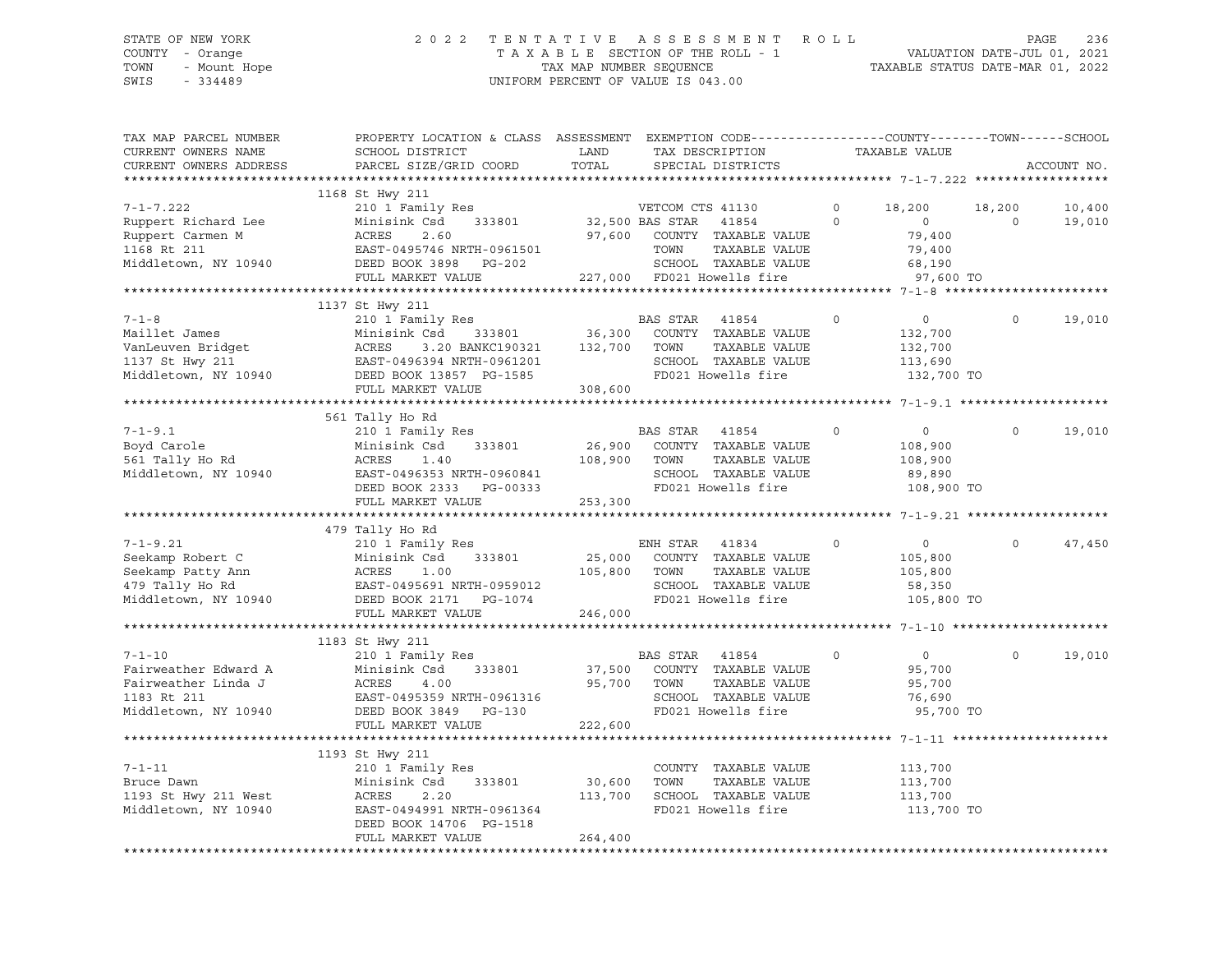# STATE OF NEW YORK 2 0 2 2 T E N T A T I V E A S S E S S M E N T R O L L PAGE 236 COUNTY - Orange T A X A B L E SECTION OF THE ROLL - 1 VALUATION DATE-JUL 01, 2021 TOWN - Mount Hope TAX MAP NUMBER SEQUENCE TAXABLE STATUS DATE-MAR 01, 2022 SWIS - 334489 UNIFORM PERCENT OF VALUE IS 043.00

| TAX MAP PARCEL NUMBER<br>CURRENT OWNERS NAME<br>CURRENT OWNERS ADDRESS                                                    | PROPERTY LOCATION & CLASS ASSESSMENT EXEMPTION CODE----------------COUNTY-------TOWN-----SCHOOL<br>SCHOOL DISTRICT<br>PARCEL SIZE/GRID COORD                                                                                                                  | LAND<br>TOTAL                | TAX DESCRIPTION<br>SPECIAL DISTRICTS                                                                                                                                                                                                                                                                                                                                                                                                                            |                    | TAXABLE VALUE                                                       |                    | ACCOUNT NO.      |
|---------------------------------------------------------------------------------------------------------------------------|---------------------------------------------------------------------------------------------------------------------------------------------------------------------------------------------------------------------------------------------------------------|------------------------------|-----------------------------------------------------------------------------------------------------------------------------------------------------------------------------------------------------------------------------------------------------------------------------------------------------------------------------------------------------------------------------------------------------------------------------------------------------------------|--------------------|---------------------------------------------------------------------|--------------------|------------------|
|                                                                                                                           |                                                                                                                                                                                                                                                               |                              |                                                                                                                                                                                                                                                                                                                                                                                                                                                                 |                    |                                                                     |                    |                  |
| $7 - 1 - 7.222$<br>Ruppert Richard Lee<br>Ruppert Carmen M<br>1168 Rt 211<br>Middletown, NY 10940                         | 1168 St Hwy 211<br>210 1 Family Res<br>Minisink Csd 333801<br>ACRES<br>2.60<br>EAST-0495746 NRTH-0961501<br>DEED BOOK 3898 PG-202<br>FULL MARKET VALUE                                                                                                        |                              | VETCOM CTS 41130<br>32,500 BAS STAR 41854<br>97,600 COUNTY TAXABLE VALUE<br>TOWN<br>TAXABLE VALUE<br>SCHOOL TAXABLE VALUE<br>227,000 FD021 Howells fire                                                                                                                                                                                                                                                                                                         | $\circ$<br>$\circ$ | 18,200<br>$\overline{0}$<br>79,400<br>79,400<br>68,190<br>97,600 TO | 18,200<br>$\Omega$ | 10,400<br>19,010 |
|                                                                                                                           | 1137 St Hwy 211                                                                                                                                                                                                                                               |                              |                                                                                                                                                                                                                                                                                                                                                                                                                                                                 |                    |                                                                     |                    |                  |
| $7 - 1 - 8$                                                                                                               | 210 1 Family Res<br>7-1-8<br>Maillet James Minisink Csd 333801<br>VanLeuven Bridget ACRES 3.20 BANKC190321 132,700<br>1137 St Hwy 211 EAST-0496394 NRTH-0961201<br>Middletown, NY 10940 DEED BOOK 13857 PG-1585<br>FULL MARKET VALUE 308,600<br>ACRES SOUR 13 |                              | BAS STAR 41854<br>COUNTY TAXABLE VALUE<br>TOWN<br>TAXABLE VALUE<br>SCHOOL TAXABLE VALUE<br>VALUE CHARGE SERVICE PD021 Howells fire                                                                                                                                                                                                                                                                                                                              | $\circ$            | $\overline{0}$<br>132,700<br>132,700<br>113,690<br>132,700 TO       | $\Omega$           | 19,010           |
|                                                                                                                           |                                                                                                                                                                                                                                                               |                              |                                                                                                                                                                                                                                                                                                                                                                                                                                                                 |                    |                                                                     |                    |                  |
|                                                                                                                           | 561 Tally Ho Rd                                                                                                                                                                                                                                               |                              |                                                                                                                                                                                                                                                                                                                                                                                                                                                                 |                    |                                                                     |                    |                  |
| $7 - 1 - 9.1$<br>Boyd Carole<br>561 Tally Ho Rd<br>Middletown, NY 10940                                                   | 210 1 Family Res<br>Minisink Csd<br>333801<br>108,900 TOWN<br>ACRES<br>1.40<br>EAST-0496353 NRTH-0960841<br>DEED BOOK 2333 PG-00333<br>FULL MARKET VALUE                                                                                                      | 253,300                      | BAS STAR 41854<br>26,900 COUNTY TAXABLE VALUE<br>TAXABLE VALUE<br>SCHOOL TAXABLE VALUE<br>FD021 Howells fire                                                                                                                                                                                                                                                                                                                                                    | $\mathbf 0$        | $\overline{0}$<br>108,900<br>108,900<br>89,890<br>108,900 TO        | $\Omega$           | 19,010           |
|                                                                                                                           |                                                                                                                                                                                                                                                               |                              |                                                                                                                                                                                                                                                                                                                                                                                                                                                                 |                    |                                                                     |                    |                  |
|                                                                                                                           | 479 Tally Ho Rd                                                                                                                                                                                                                                               |                              |                                                                                                                                                                                                                                                                                                                                                                                                                                                                 |                    |                                                                     |                    |                  |
| $7 - 1 - 9.21$<br>Seekamp Robert C<br>Seekamp Patty Ann<br>479 Tally Ho Rd<br>Middletown NW 10011<br>Middletown, NY 10940 | 210 1 Family Res<br>333801<br>Minisink Csd<br>ACRES<br>1.00<br>EAST-0495691 NRTH-0959012<br>DEED BOOK 2171 PG-1074                                                                                                                                            | 105,800 TOWN                 | ENH STAR 41834<br>$25,000$ $\overline{C}$ $\overline{C}$ $\overline{C}$ $\overline{C}$ $\overline{C}$ $\overline{C}$ $\overline{C}$ $\overline{C}$ $\overline{C}$ $\overline{C}$ $\overline{C}$ $\overline{C}$ $\overline{C}$ $\overline{C}$ $\overline{C}$ $\overline{C}$ $\overline{C}$ $\overline{C}$ $\overline{C}$ $\overline{C}$ $\overline{C}$ $\overline{C}$ $\overline{C}$ $\overline{$<br>TAXABLE VALUE<br>SCHOOL TAXABLE VALUE<br>FD021 Howells fire | $\circ$            | $\overline{0}$<br>105,800<br>105,800<br>58,350<br>105,800 TO        | $\Omega$           | 47,450           |
|                                                                                                                           | FULL MARKET VALUE                                                                                                                                                                                                                                             | 246,000                      |                                                                                                                                                                                                                                                                                                                                                                                                                                                                 |                    |                                                                     |                    |                  |
|                                                                                                                           | 1183 St Hwy 211                                                                                                                                                                                                                                               |                              |                                                                                                                                                                                                                                                                                                                                                                                                                                                                 |                    |                                                                     |                    |                  |
| $7 - 1 - 10$<br>Fairweather Edward A<br>Fairweather Linda J<br>1183 Rt 211<br>Middletown, NY 10940                        | 210 1 Family Res<br>333801<br>Minisink Csd<br>ACRES<br>4.00<br>EAST-0495359 NRTH-0961316<br>DEED BOOK 3849 PG-130<br>FULL MARKET VALUE                                                                                                                        | 95,700 TOWN<br>222,600       | BAS STAR 41854<br>37,500 COUNTY TAXABLE VALUE<br>TAXABLE VALUE<br>SCHOOL TAXABLE VALUE<br>FD021 Howells fire                                                                                                                                                                                                                                                                                                                                                    | $\circ$            | $\overline{0}$<br>95,700<br>95,700<br>76,690<br>95,700 TO           | $\Omega$           | 19,010           |
|                                                                                                                           | 1193 St Hwy 211                                                                                                                                                                                                                                               |                              |                                                                                                                                                                                                                                                                                                                                                                                                                                                                 |                    |                                                                     |                    |                  |
| $7 - 1 - 11$<br>Bruce Dawn<br>1193 St Hwy 211 West<br>Middletown, NY 10940                                                | 210 1 Family Res<br>333801<br>Minisink Csd<br>ACRES<br>2.20<br>EAST-0494991 NRTH-0961364<br>DEED BOOK 14706 PG-1518<br>FULL MARKET VALUE                                                                                                                      | 30,600<br>113,700<br>264,400 | COUNTY TAXABLE VALUE<br>TOWN<br>TAXABLE VALUE<br>SCHOOL TAXABLE VALUE<br>FD021 Howells fire                                                                                                                                                                                                                                                                                                                                                                     |                    | 113,700<br>113,700<br>113,700<br>113,700 TO                         |                    |                  |
|                                                                                                                           |                                                                                                                                                                                                                                                               |                              |                                                                                                                                                                                                                                                                                                                                                                                                                                                                 |                    |                                                                     |                    |                  |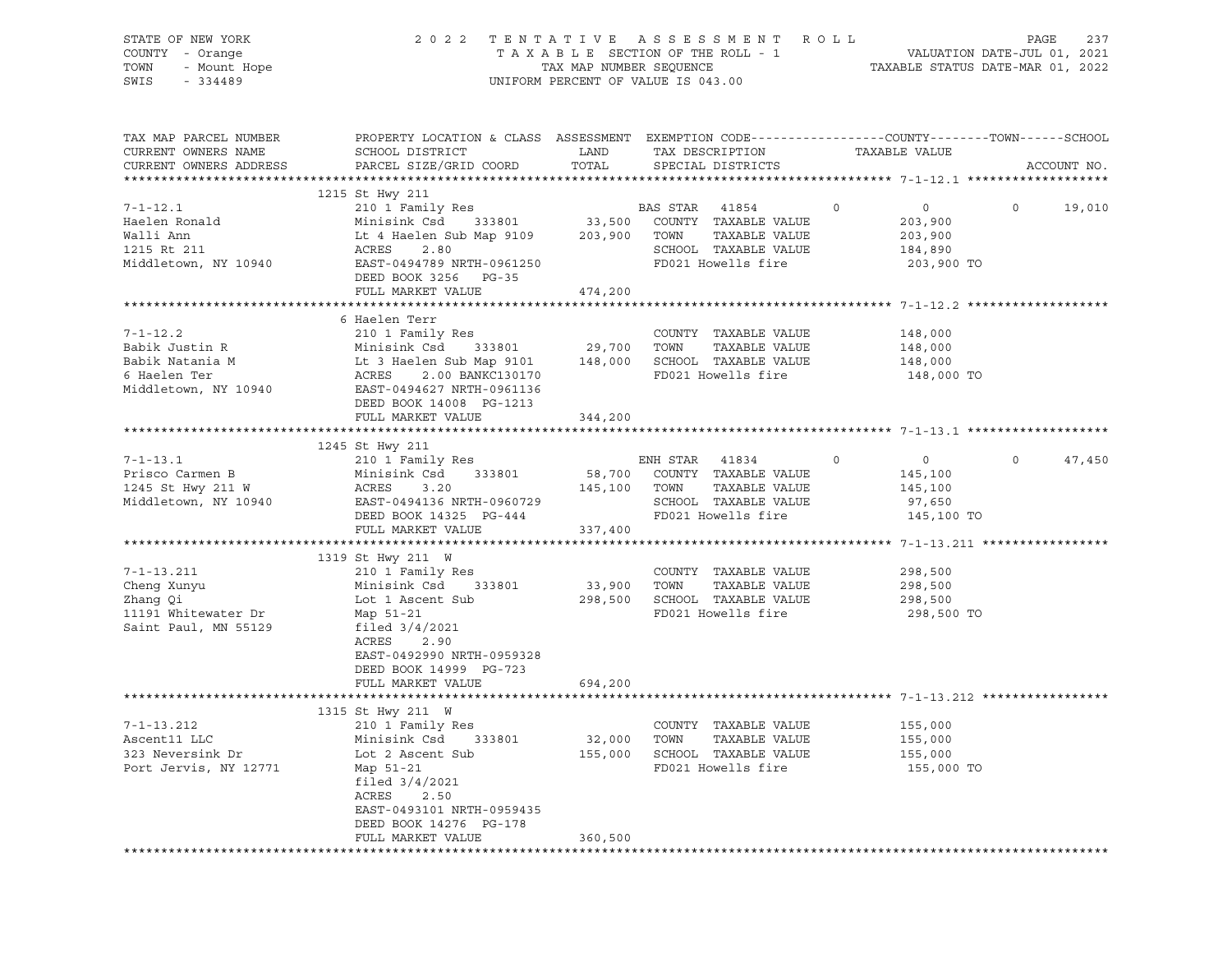| STATE OF NEW YORK<br>COUNTY - Orange<br>- Mount Hope<br>TOWN<br>SWIS<br>$-334489$ | 2 0 2 2                                                                                                                                      | UNIFORM PERCENT OF VALUE IS 043.00 |      | TENTATIVE ASSESSMENT ROLL                          |         |                       | PAGE    | 237         |
|-----------------------------------------------------------------------------------|----------------------------------------------------------------------------------------------------------------------------------------------|------------------------------------|------|----------------------------------------------------|---------|-----------------------|---------|-------------|
| TAX MAP PARCEL NUMBER<br>CURRENT OWNERS NAME<br>CURRENT OWNERS ADDRESS            | PROPERTY LOCATION & CLASS ASSESSMENT EXEMPTION CODE----------------COUNTY-------TOWN-----SCHOOL<br>SCHOOL DISTRICT<br>PARCEL SIZE/GRID COORD | LAND<br>TOTAL                      |      | TAX DESCRIPTION TAXABLE VALUE<br>SPECIAL DISTRICTS |         |                       |         | ACCOUNT NO. |
|                                                                                   | 1215 St Hwy 211                                                                                                                              |                                    |      |                                                    |         |                       |         |             |
| $7 - 1 - 12.1$                                                                    |                                                                                                                                              |                                    |      | BAS STAR 41854                                     | $\circ$ | $\overline{0}$        | $\circ$ | 19,010      |
| Haelen Ronald                                                                     |                                                                                                                                              |                                    |      |                                                    |         | 203,900               |         |             |
| Walli Ann                                                                         | Lt 4 Haelen Sub Map 9109 203,900 TOWN<br>ACRES 2.80 SCHOOL                                                                                   |                                    |      | TAXABLE VALUE                                      |         | 203,900               |         |             |
| 1215 Rt 211<br>Middletown, NY 10940                                               | ACRES<br>2.80<br>EAST-0494789 NRTH-0961250                                                                                                   |                                    |      | SCHOOL TAXABLE VALUE<br>FD021 Howells fire         |         | 184,890<br>203,900 TO |         |             |
|                                                                                   | DEED BOOK 3256 PG-35                                                                                                                         |                                    |      |                                                    |         |                       |         |             |
|                                                                                   | FULL MARKET VALUE                                                                                                                            | 474,200                            |      |                                                    |         |                       |         |             |
|                                                                                   |                                                                                                                                              |                                    |      |                                                    |         |                       |         |             |
|                                                                                   | 6 Haelen Terr                                                                                                                                |                                    |      |                                                    |         |                       |         |             |
| $7 - 1 - 12.2$                                                                    | 210 1 Family Res                                                                                                                             |                                    |      | COUNTY TAXABLE VALUE                               |         | 148,000               |         |             |
| Babik Justin R                                                                    |                                                                                                                                              |                                    |      | TOWN TAXABLE VALUE                                 |         | 148,000               |         |             |
| Babik Natania M<br>6 Haelen Ter                                                   | Minisink Csd 333801 29,700<br>Lt 3 Haelen Sub Map 9101 148,000<br>ACRES 2.00 BANKC130170                                                     |                                    |      | SCHOOL TAXABLE VALUE                               |         | 148,000               |         |             |
| Middletown, NY 10940                                                              | 2.00 BANKC130170<br>EAST-0494627 NRTH-0961136                                                                                                |                                    |      | FD021 Howells fire                                 |         | 148,000 TO            |         |             |
|                                                                                   | DEED BOOK 14008 PG-1213                                                                                                                      |                                    |      |                                                    |         |                       |         |             |
|                                                                                   | FULL MARKET VALUE                                                                                                                            | 344,200                            |      |                                                    |         |                       |         |             |
|                                                                                   |                                                                                                                                              |                                    |      |                                                    |         |                       |         |             |
|                                                                                   | 1245 St Hwy 211                                                                                                                              |                                    |      |                                                    |         |                       |         |             |
| $7 - 1 - 13.1$                                                                    | 210 1 Family Res<br>210 1 Family Res<br>Minisink Csd     333801                                                                              |                                    |      | ENH STAR 41834                                     | $\circ$ | $0 \qquad \qquad$     | $\circ$ | 47,450      |
| Prisco Carmen B                                                                   |                                                                                                                                              | 58,700                             |      | COUNTY TAXABLE VALUE                               |         | 145,100               |         |             |
| 1245 St Hwy 211 W                                                                 | <b>ACRES</b><br>3.20                                                                                                                         | 145,100                            | TOWN | TAXABLE VALUE                                      |         | 145,100               |         |             |
| Middletown, NY 10940                                                              | EAST-0494136 NRTH-0960729<br>DEED BOOK 14325 PG-444                                                                                          |                                    |      | SCHOOL TAXABLE VALUE<br>FD021 Howells fire         |         | 97,650<br>145,100 TO  |         |             |
|                                                                                   | FULL MARKET VALUE                                                                                                                            | 337,400                            |      |                                                    |         |                       |         |             |
|                                                                                   |                                                                                                                                              |                                    |      |                                                    |         |                       |         |             |
|                                                                                   | 1319 St Hwy 211 W                                                                                                                            |                                    |      |                                                    |         |                       |         |             |
| $7 - 1 - 13.211$                                                                  | 210 1 Family Res<br>210 1 Family Res<br>Minisink Csd  333801                                                                                 |                                    |      | COUNTY TAXABLE VALUE                               |         | 298,500               |         |             |
| Cheng Xunyu                                                                       |                                                                                                                                              | 33,900                             | TOWN | TAXABLE VALUE                                      |         | 298,500               |         |             |
| Zhang Qi                                                                          | Lot 1 Ascent Sub 298,500                                                                                                                     |                                    |      | SCHOOL TAXABLE VALUE                               |         | 298,500               |         |             |
| 11191 Whitewater Dr                                                               | Map 51-21                                                                                                                                    |                                    |      | FD021 Howells fire                                 |         | 298,500 TO            |         |             |
| Saint Paul, MN 55129                                                              | filed $3/4/2021$<br>ACRES<br>2.90                                                                                                            |                                    |      |                                                    |         |                       |         |             |
|                                                                                   | EAST-0492990 NRTH-0959328                                                                                                                    |                                    |      |                                                    |         |                       |         |             |
|                                                                                   | DEED BOOK 14999 PG-723                                                                                                                       |                                    |      |                                                    |         |                       |         |             |
|                                                                                   | FULL MARKET VALUE                                                                                                                            | 694,200                            |      |                                                    |         |                       |         |             |
|                                                                                   |                                                                                                                                              |                                    |      |                                                    |         |                       |         |             |
|                                                                                   | 1315 St Hwy 211 W                                                                                                                            |                                    |      |                                                    |         |                       |         |             |
| $7 - 1 - 13.212$                                                                  | 210 1 Family Res                                                                                                                             |                                    |      | COUNTY TAXABLE VALUE                               |         | 155,000               |         |             |
| Ascent11 LLC<br>323 Neversink Dr                                                  | Minisink Csd<br>333801                                                                                                                       | 32,000                             | TOWN | TAXABLE VALUE                                      |         | 155,000               |         |             |
| Port Jervis, NY 12771                                                             | Lot 2 Ascent Sub<br>Map 51-21                                                                                                                | 155,000                            |      | SCHOOL TAXABLE VALUE<br>FD021 Howells fire         |         | 155,000<br>155,000 TO |         |             |
|                                                                                   | filed $3/4/2021$                                                                                                                             |                                    |      |                                                    |         |                       |         |             |
|                                                                                   | ACRES<br>2.50                                                                                                                                |                                    |      |                                                    |         |                       |         |             |
|                                                                                   | EAST-0493101 NRTH-0959435                                                                                                                    |                                    |      |                                                    |         |                       |         |             |
|                                                                                   | DEED BOOK 14276 PG-178                                                                                                                       |                                    |      |                                                    |         |                       |         |             |
|                                                                                   | FULL MARKET VALUE                                                                                                                            | 360,500                            |      |                                                    |         |                       |         |             |
|                                                                                   |                                                                                                                                              |                                    |      |                                                    |         |                       |         |             |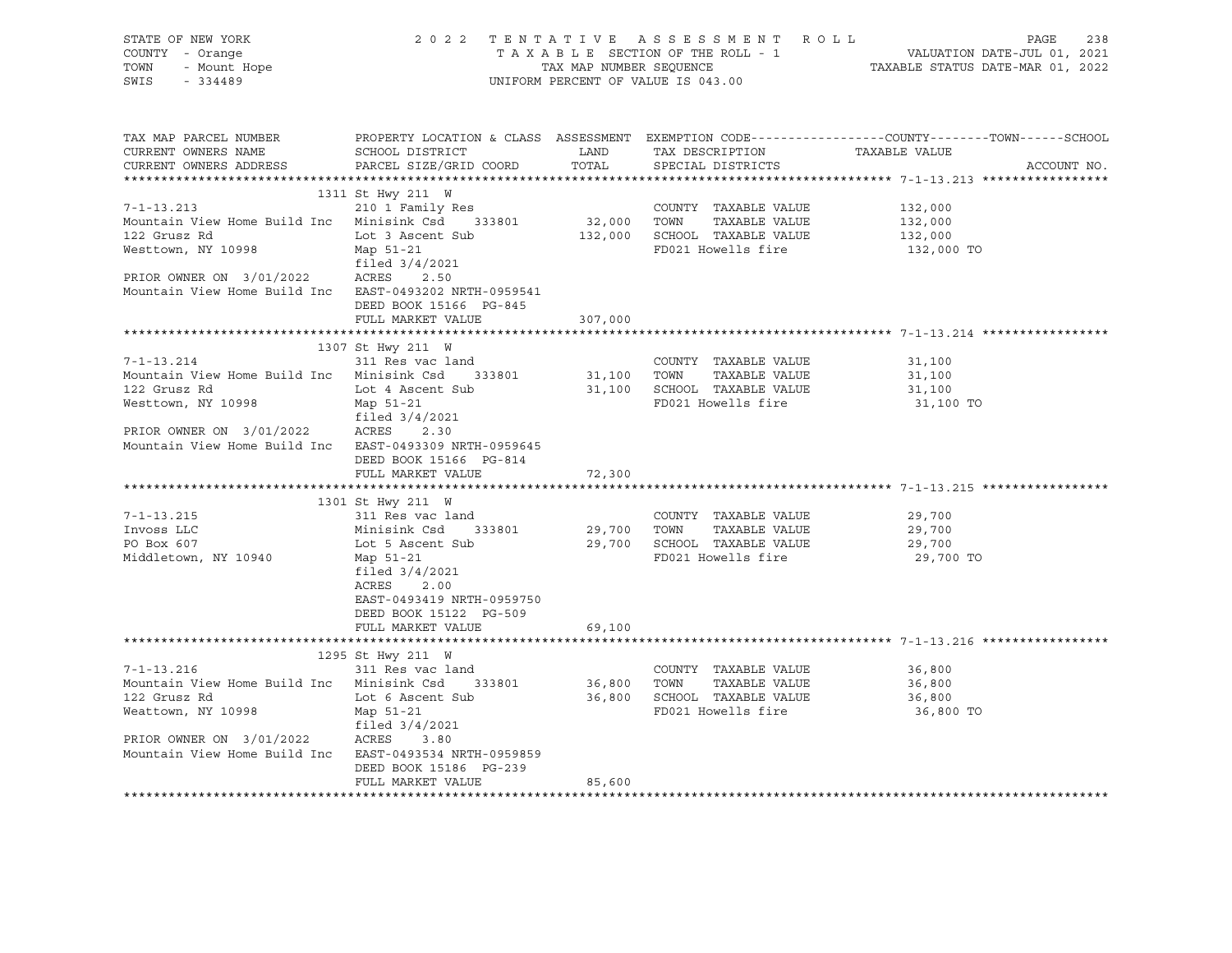| STATE OF NEW YORK 2 0 2<br>COUNTY - Orange<br>TOWN - Mount Hope<br>SWIS - 334489                                                                                                                                                                                                    |                                                                                                                                                                                                                                                            |         | 2022 TENTATIVE ASSESSMENT ROLL<br>UNIFORM PERCENT OF VALUE IS 043.00                                                                                                                 | PAGE<br>238<br>TAXABLE SECTION OF THE ROLL - 1<br>TAXABLE SECTION OF THE ROLL - 1<br>TAXABLE STATUS DATE-MAR 01, 2022                     |
|-------------------------------------------------------------------------------------------------------------------------------------------------------------------------------------------------------------------------------------------------------------------------------------|------------------------------------------------------------------------------------------------------------------------------------------------------------------------------------------------------------------------------------------------------------|---------|--------------------------------------------------------------------------------------------------------------------------------------------------------------------------------------|-------------------------------------------------------------------------------------------------------------------------------------------|
| CURRENT OWNERS NAME<br>CURRENT OWNERS ADDRESS PARCEL SIZE/GRID COORD                                                                                                                                                                                                                | SCHOOL DISTRICT                                                                                                                                                                                                                                            |         | LAND TAX DESCRIPTION TAXABLE VALUE<br>TOTAL SPECIAL DISTRICTS                                                                                                                        | TAX MAP PARCEL NUMBER THE PROPERTY LOCATION & CLASS ASSESSMENT EXEMPTION CODE---------------COUNTY--------TOWN------SCHOOL<br>ACCOUNT NO. |
|                                                                                                                                                                                                                                                                                     |                                                                                                                                                                                                                                                            |         |                                                                                                                                                                                      |                                                                                                                                           |
| $7 - 1 - 13.213$<br>Mountain View Home Build Inc Minisink Csd 333801<br>122 Grusz Rd<br>Westtown, NY 10998 Map 51-21<br>PRIOR OWNER ON 3/01/2022 ACRES 2.50<br>Mountain View Home Build Inc EAST-0493202 NRTH-0959541                                                               | 1311 St Hwy 211 W<br>210 1 Family Res<br>Lot 3 Ascent Sub<br>filed 3/4/2021<br>DEED BOOK 15166 PG-845                                                                                                                                                      |         | COUNTY TAXABLE VALUE<br>32,000 TOWN TAXABLE VALUE<br>132,000 SCHOOL TAXABLE VALUE<br>FD021 Howells fire                                                                              | 132,000<br>132,000<br>132,000<br>132,000 TO                                                                                               |
|                                                                                                                                                                                                                                                                                     | FULL MARKET VALUE                                                                                                                                                                                                                                          | 307,000 |                                                                                                                                                                                      |                                                                                                                                           |
|                                                                                                                                                                                                                                                                                     |                                                                                                                                                                                                                                                            |         |                                                                                                                                                                                      |                                                                                                                                           |
| $7 - 1 - 13.214$<br>Mountain View Home Build Inc Minisink Csd 333801<br>122 Grusz Rd<br>Westtown, NY 10998<br>PRIOR OWNER ON 3/01/2022 ACRES 2.30<br>Mountain View Home Build Inc EAST-0493309 NRTH-0959645<br>$7 - 1 - 13.215$<br>Invoss LLC<br>PO Box 607<br>Middletown, NY 10940 | 1307 St Hwy 211 W<br>311 Res vac land<br>Lot 4 Ascent Sub<br>Map 51-21<br>filed 3/4/2021<br>DEED BOOK 15166 PG-814<br>FULL MARKET VALUE<br>1301 St Hwy 211 W<br>311 Res vac land<br>Map 51-21<br>filed 3/4/2021<br>ACRES 2.00<br>EAST-0493419 NRTH-0959750 | 72,300  | COUNTY TAXABLE VALUE<br>COUNTY TAXABLE VALUE<br>31,100    TOWN      TAXABLE VALUE<br>31,100 SCHOOL TAXABLE VALUE<br>FD021 Howells fire<br>COUNTY TAXABLE VALUE<br>FD021 Howells fire | 31,100<br>31,100<br>31,100<br>31,100 TO<br>29,700<br>29,700<br>29,700<br>29,700 TO                                                        |
|                                                                                                                                                                                                                                                                                     | DEED BOOK 15122 PG-509<br>FULL MARKET VALUE                                                                                                                                                                                                                | 69,100  |                                                                                                                                                                                      |                                                                                                                                           |
|                                                                                                                                                                                                                                                                                     |                                                                                                                                                                                                                                                            |         |                                                                                                                                                                                      |                                                                                                                                           |
| $7 - 1 - 13.216$<br>Mountain View Home Build Inc Minisink Csd 333801 36,800 TOWN<br>122 Grusz Rd<br>Weattown, NY 10998<br>PRIOR OWNER ON 3/01/2022 ACRES 3.80<br>Mountain View Home Build Inc EAST-0493534 NRTH-0959859                                                             | 1295 St Hwy 211 W<br>311 Res vac land<br>Lot 6 Ascent Sub<br>Map 51-21<br>filed 3/4/2021<br>DEED BOOK 15186 PG-239<br>FULL MARKET VALUE                                                                                                                    | 85,600  | COUNTY TAXABLE VALUE<br>TAXABLE VALUE<br>36,800 SCHOOL TAXABLE VALUE<br>FD021 Howells fire                                                                                           | 36,800<br>36,800<br>36,800<br>36,800 TO                                                                                                   |
|                                                                                                                                                                                                                                                                                     |                                                                                                                                                                                                                                                            |         |                                                                                                                                                                                      |                                                                                                                                           |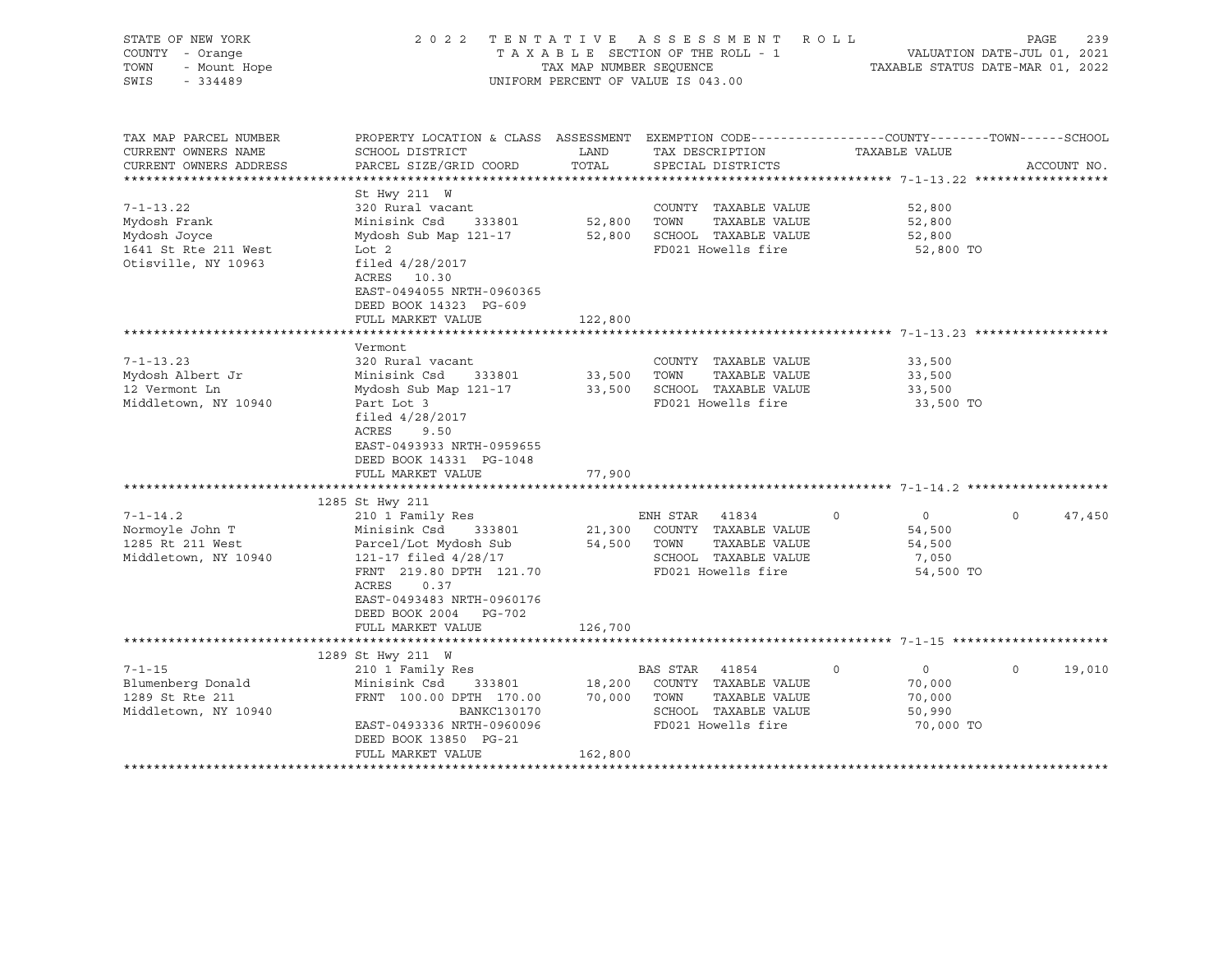| STATE OF NEW YORK<br>COUNTY - Orange<br>TOWN<br>- Mount Hope<br>SWIS<br>$-334489$              | 2022 TENTATIVE ASSESSMENT ROLL<br>TAXABLE SECTION OF THE ROLL - 1<br>TAX MAP NUMBER SEOUENCE<br>UNIFORM PERCENT OF VALUE IS 043.00                                                                                                    | VALUATION DATE-JUL 01, 2021<br>TAXABLE STATUS DATE-MAR 01, 2022 | PAGE<br>239                                                                                                                 |                                                                      |                    |
|------------------------------------------------------------------------------------------------|---------------------------------------------------------------------------------------------------------------------------------------------------------------------------------------------------------------------------------------|-----------------------------------------------------------------|-----------------------------------------------------------------------------------------------------------------------------|----------------------------------------------------------------------|--------------------|
| TAX MAP PARCEL NUMBER<br>CURRENT OWNERS NAME<br>CURRENT OWNERS ADDRESS                         | PROPERTY LOCATION & CLASS ASSESSMENT EXEMPTION CODE----------------COUNTY-------TOWN-----SCHOOL<br>SCHOOL DISTRICT<br>PARCEL SIZE/GRID COORD                                                                                          | LAND<br>TOTAL                                                   | TAX DESCRIPTION<br>SPECIAL DISTRICTS                                                                                        | TAXABLE VALUE                                                        | ACCOUNT NO.        |
| $7 - 1 - 13.22$<br>Mydosh Frank<br>Mydosh Joyce<br>1641 St Rte 211 West<br>Otisville, NY 10963 | St Hwy 211 W<br>320 Rural vacant<br>Minisink Csd 333801<br>Mydosh Sub Map 121-17<br>Lot 2<br>filed $4/28/2017$<br>ACRES 10.30<br>EAST-0494055 NRTH-0960365<br>DEED BOOK 14323 PG-609                                                  | 52,800 TOWN                                                     | COUNTY TAXABLE VALUE<br>TAXABLE VALUE<br>52,800 SCHOOL TAXABLE VALUE<br>FD021 Howells fire                                  | 52,800<br>52,800<br>52,800<br>52,800 TO                              |                    |
|                                                                                                | FULL MARKET VALUE                                                                                                                                                                                                                     | 122,800                                                         |                                                                                                                             |                                                                      |                    |
| $7 - 1 - 13.23$<br>Mydosh Albert Jr<br>12 Vermont Ln<br>Middletown, NY 10940                   | Vermont<br>320 Rural vacant<br>Minisink Csd<br>333801<br>Mydosh Sub Map 121-17<br>Part Lot 3<br>filed $4/28/2017$<br>ACRES<br>9.50<br>EAST-0493933 NRTH-0959655<br>DEED BOOK 14331 PG-1048<br>FULL MARKET VALUE                       | 33,500 TOWN<br>77,900                                           | COUNTY TAXABLE VALUE<br>TAXABLE VALUE<br>33,500 SCHOOL TAXABLE VALUE<br>FD021 Howells fire                                  | 33,500<br>33,500<br>33,500<br>33,500 TO                              |                    |
| $7 - 1 - 14.2$<br>Normoyle John T<br>1285 Rt 211 West<br>Middletown, NY 10940                  | 1285 St Hwy 211<br>210 1 Family Res<br>Minisink Csd<br>333801<br>Parcel/Lot Mydosh Sub<br>121-17 filed 4/28/17<br>FRNT 219.80 DPTH 121.70<br>ACRES<br>0.37<br>EAST-0493483 NRTH-0960176<br>DEED BOOK 2004 PG-702<br>FULL MARKET VALUE | 126,700                                                         | ENH STAR 41834<br>21,300 COUNTY TAXABLE VALUE<br>54,500 TOWN<br>TAXABLE VALUE<br>SCHOOL TAXABLE VALUE<br>FD021 Howells fire | $\overline{0}$<br>$\circ$<br>54,500<br>54,500<br>7,050<br>54,500 TO  | $\Omega$<br>47,450 |
|                                                                                                | 1289 St Hwy 211 W                                                                                                                                                                                                                     |                                                                 |                                                                                                                             |                                                                      |                    |
| $7 - 1 - 15$<br>Blumenberg Donald<br>1289 St Rte 211<br>Middletown, NY 10940                   | 210 1 Family Res<br>Minisink Csd<br>333801<br>FRNT 100.00 DPTH 170.00<br>BANKC130170<br>EAST-0493336 NRTH-0960096<br>DEED BOOK 13850 PG-21<br>FULL MARKET VALUE                                                                       | 18,200<br>162,800                                               | BAS STAR 41854<br>COUNTY TAXABLE VALUE<br>70,000 TOWN<br>TAXABLE VALUE<br>SCHOOL TAXABLE VALUE<br>FD021 Howells fire        | $\circ$<br>$\overline{0}$<br>70,000<br>70,000<br>50,990<br>70,000 TO | $\Omega$<br>19,010 |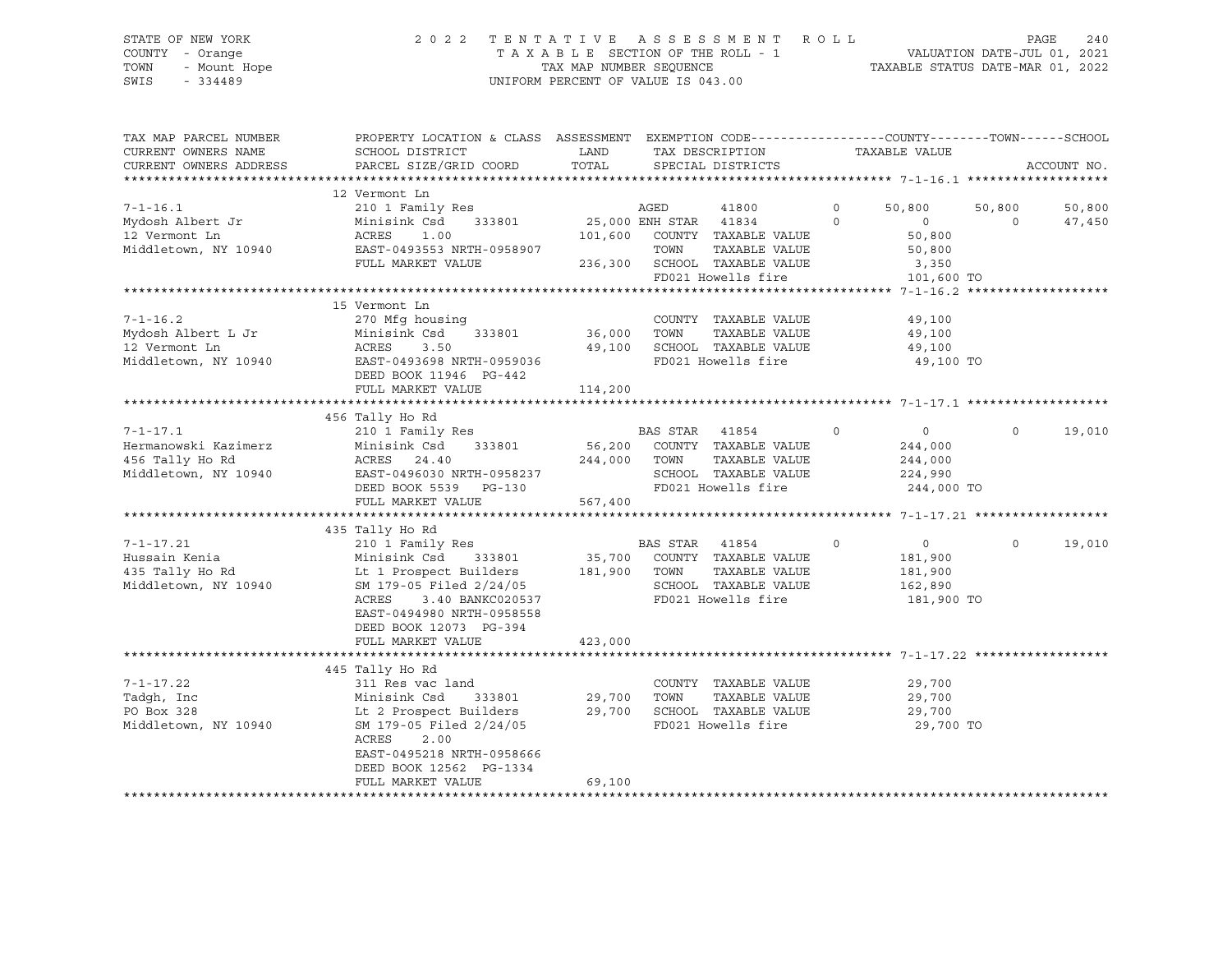# STATE OF NEW YORK 2 0 2 2 T E N T A T I V E A S S E S S M E N T R O L L PAGE 240 COUNTY - Orange T A X A B L E SECTION OF THE ROLL - 1 VALUATION DATE-JUL 01, 2021 TOWN - Mount Hope TAX MAP NUMBER SEQUENCE TAXABLE STATUS DATE-MAR 01, 2022 SWIS - 334489 UNIFORM PERCENT OF VALUE IS 043.00

| TAX MAP PARCEL NUMBER<br>CURRENT OWNERS NAME<br>CURRENT OWNERS ADDRESS            | PROPERTY LOCATION & CLASS ASSESSMENT<br>SCHOOL DISTRICT<br>PARCEL SIZE/GRID COORD                                                                                                                                        | LAND<br>TOTAL                | EXEMPTION CODE-----------------COUNTY--------TOWN------SCHOOL<br>TAX DESCRIPTION<br>SPECIAL DISTRICTS                                                    | TAXABLE VALUE                                                                          | ACCOUNT NO.                               |
|-----------------------------------------------------------------------------------|--------------------------------------------------------------------------------------------------------------------------------------------------------------------------------------------------------------------------|------------------------------|----------------------------------------------------------------------------------------------------------------------------------------------------------|----------------------------------------------------------------------------------------|-------------------------------------------|
| $7 - 1 - 16.1$<br>Mydosh Albert Jr<br>12 Vermont Ln<br>Middletown, NY 10940       | 12 Vermont Ln<br>210 1 Family Res<br>Minisink Csd<br>333801<br>ACRES<br>1.00<br>EAST-0493553 NRTH-0958907<br>FULL MARKET VALUE                                                                                           |                              | AGED<br>41800<br>25,000 ENH STAR<br>41834<br>101,600 COUNTY TAXABLE VALUE<br>TOWN<br>TAXABLE VALUE<br>236,300 SCHOOL TAXABLE VALUE<br>FD021 Howells fire | $\mathbf 0$<br>50,800<br>$\circ$<br>$\circ$<br>50,800<br>50,800<br>3,350<br>101,600 TO | 50,800<br>50,800<br>$\mathbf 0$<br>47,450 |
| $7 - 1 - 16.2$<br>Mydosh Albert L Jr<br>12 Vermont Ln<br>Middletown, NY 10940     | 15 Vermont Ln<br>270 Mfg housing<br>Minisink Csd<br>333801<br>ACRES<br>3.50<br>EAST-0493698 NRTH-0959036<br>DEED BOOK 11946 PG-442<br>FULL MARKET VALUE                                                                  | 36,000<br>49,100<br>114,200  | COUNTY TAXABLE VALUE<br>TOWN<br>TAXABLE VALUE<br>SCHOOL TAXABLE VALUE<br>FD021 Howells fire                                                              | 49,100<br>49,100<br>49,100<br>49,100 TO                                                |                                           |
| $7 - 1 - 17.1$<br>Hermanowski Kazimerz<br>456 Tally Ho Rd<br>Middletown, NY 10940 | 456 Tally Ho Rd<br>210 1 Family Res<br>Minisink Csd<br>333801<br>ACRES 24.40<br>EAST-0496030 NRTH-0958237<br>DEED BOOK 5539 PG-130<br>FULL MARKET VALUE                                                                  | 56,200<br>244,000<br>567,400 | BAS STAR 41854<br>COUNTY TAXABLE VALUE<br>TAXABLE VALUE<br>TOWN<br>SCHOOL TAXABLE VALUE<br>FD021 Howells fire                                            | $\Omega$<br>$\circ$<br>244,000<br>244,000<br>224,990<br>244,000 TO                     | $\Omega$<br>19,010                        |
| $7 - 1 - 17.21$<br>Hussain Kenia<br>435 Tally Ho Rd<br>Middletown, NY 10940       | 435 Tally Ho Rd<br>210 1 Family Res<br>Minisink Csd 333801<br>Lt 1 Prospect Builders<br>SM 179-05 Filed 2/24/05<br>3.40 BANKC020537<br>ACRES<br>EAST-0494980 NRTH-0958558<br>DEED BOOK 12073 PG-394<br>FULL MARKET VALUE | 35,700<br>181,900<br>423,000 | BAS STAR<br>41854<br>COUNTY TAXABLE VALUE<br>TOWN<br>TAXABLE VALUE<br>SCHOOL TAXABLE VALUE<br>FD021 Howells fire                                         | $\mathbf 0$<br>$\overline{0}$<br>181,900<br>181,900<br>162,890<br>181,900 TO           | 19,010<br>$\mathbf 0$                     |
| $7 - 1 - 17.22$<br>Tadgh, Inc<br>PO Box 328<br>Middletown, NY 10940               | 445 Tally Ho Rd<br>311 Res vac land<br>Minisink Csd<br>333801<br>Lt 2 Prospect Builders<br>SM 179-05 Filed 2/24/05<br>ACRES<br>2.00<br>EAST-0495218 NRTH-0958666<br>DEED BOOK 12562 PG-1334<br>FULL MARKET VALUE         | 29,700<br>29,700<br>69,100   | COUNTY TAXABLE VALUE<br>TOWN<br>TAXABLE VALUE<br>SCHOOL TAXABLE VALUE<br>FD021 Howells fire                                                              | 29,700<br>29,700<br>29,700<br>29,700 TO                                                |                                           |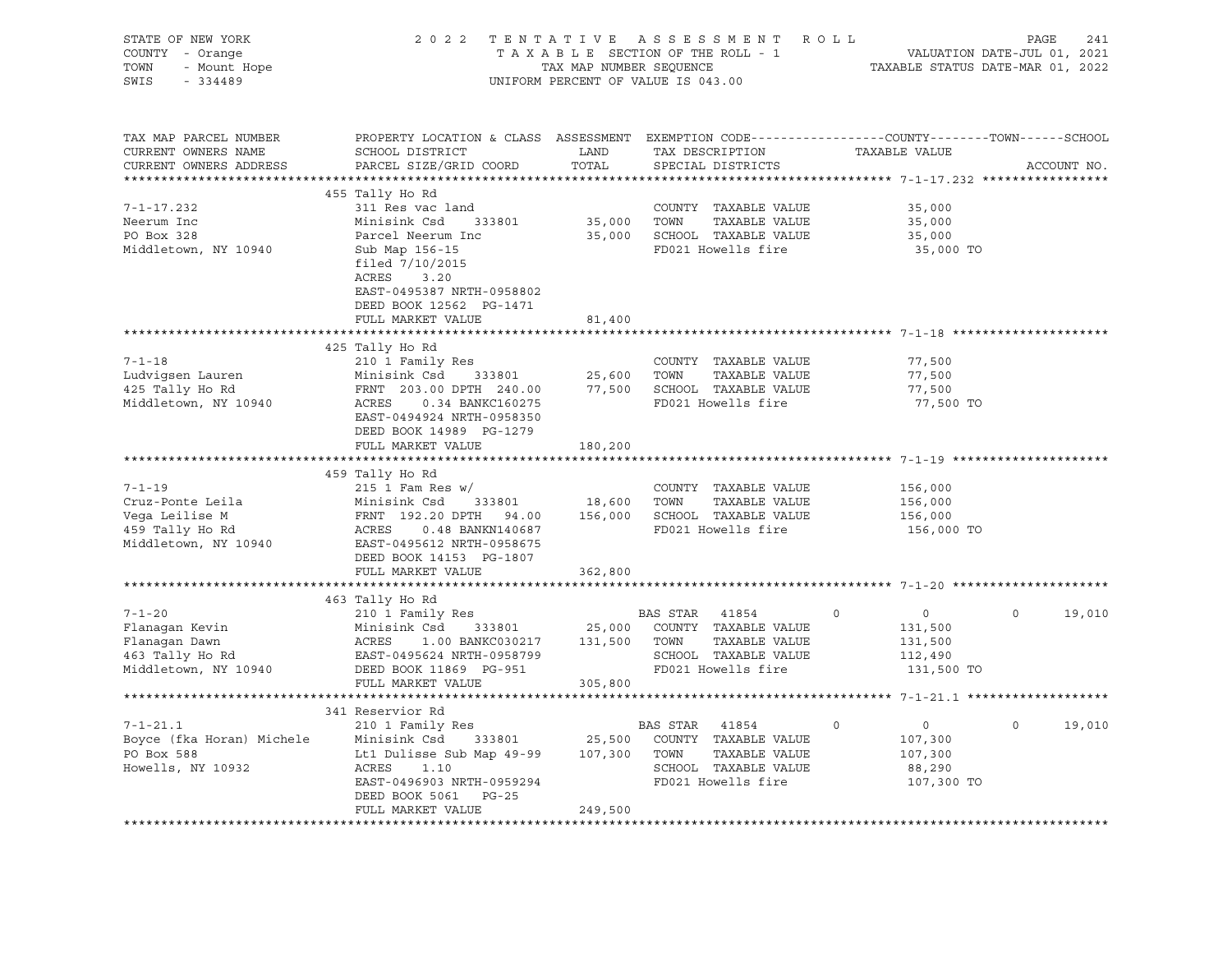| STATE OF NEW YORK<br>COUNTY - Orange<br>TOWN<br>- Mount Hope<br>SWIS<br>$-334489$ | 2022 TENTATIVE ASSESSMENT ROLL                                                                                                               | TAX MAP NUMBER SEQUENCE<br>UNIFORM PERCENT OF VALUE IS 043.00 |                | T A X A B L E SECTION OF THE ROLL - 1<br>TAX MAP NUMBER SEQUENCE TAXAI | TAXABLE STATUS DATE-MAR 01, 2022                       | PAGE<br>VALUATION DATE-JUL 01, 2021 | 241         |
|-----------------------------------------------------------------------------------|----------------------------------------------------------------------------------------------------------------------------------------------|---------------------------------------------------------------|----------------|------------------------------------------------------------------------|--------------------------------------------------------|-------------------------------------|-------------|
| TAX MAP PARCEL NUMBER<br>CURRENT OWNERS NAME<br>CURRENT OWNERS ADDRESS            | PROPERTY LOCATION & CLASS ASSESSMENT EXEMPTION CODE----------------COUNTY-------TOWN-----SCHOOL<br>SCHOOL DISTRICT<br>PARCEL SIZE/GRID COORD | LAND<br>TOTAL                                                 |                | TAX DESCRIPTION<br>SPECIAL DISTRICTS                                   | TAXABLE VALUE                                          |                                     | ACCOUNT NO. |
|                                                                                   |                                                                                                                                              |                                                               |                |                                                                        |                                                        |                                     |             |
|                                                                                   | 455 Tally Ho Rd                                                                                                                              |                                                               |                |                                                                        |                                                        |                                     |             |
| $7 - 1 - 17.232$                                                                  | 311 Res vac land                                                                                                                             |                                                               |                | COUNTY TAXABLE VALUE                                                   | 35,000                                                 |                                     |             |
| Neerum Inc                                                                        | Minisink Csd 333801                                                                                                                          | 35,000 TOWN                                                   |                | TAXABLE VALUE                                                          | 35,000                                                 |                                     |             |
| PO Box 328                                                                        | Parcel Neerum Inc                                                                                                                            |                                                               |                | 35,000 SCHOOL TAXABLE VALUE                                            | 35,000                                                 |                                     |             |
| Middletown, NY 10940                                                              | Sub Map 156-15<br>filed $7/10/2015$<br>ACRES<br>3.20<br>EAST-0495387 NRTH-0958802<br>DEED BOOK 12562 PG-1471                                 |                                                               |                | FD021 Howells fire                                                     | 35,000 TO                                              |                                     |             |
|                                                                                   | FULL MARKET VALUE                                                                                                                            | 81,400                                                        |                |                                                                        |                                                        |                                     |             |
|                                                                                   |                                                                                                                                              |                                                               |                |                                                                        |                                                        |                                     |             |
|                                                                                   | 425 Tally Ho Rd                                                                                                                              |                                                               |                |                                                                        |                                                        |                                     |             |
| $7 - 1 - 18$                                                                      | 210 1 Family Res                                                                                                                             |                                                               |                | COUNTY TAXABLE VALUE                                                   | 77,500                                                 |                                     |             |
| Ludvigsen Lauren                                                                  | 333801<br>Minisink Csd                                                                                                                       | 25,600                                                        | TOWN           | TAXABLE VALUE                                                          | 77,500                                                 |                                     |             |
| 425 Tally Ho Rd                                                                   | FRNT 203.00 DPTH 240.00<br>ACRES 0.34 BANKC160275                                                                                            |                                                               |                | 77,500 SCHOOL TAXABLE VALUE                                            | 77,500                                                 |                                     |             |
| Middletown, NY 10940                                                              | EAST-0494924 NRTH-0958350<br>DEED BOOK 14989 PG-1279                                                                                         |                                                               |                | FD021 Howells fire                                                     | 77,500 TO                                              |                                     |             |
|                                                                                   | FULL MARKET VALUE                                                                                                                            | 180,200                                                       |                |                                                                        |                                                        |                                     |             |
|                                                                                   |                                                                                                                                              |                                                               |                |                                                                        | ************************************* 7-1-19 ********* |                                     |             |
| $7 - 1 - 19$                                                                      | 459 Tally Ho Rd<br>$215$ 1 Fam Res w/                                                                                                        |                                                               |                | COUNTY TAXABLE VALUE                                                   | 156,000                                                |                                     |             |
| Cruz-Ponte Leila                                                                  | Minisink Csd 333801                                                                                                                          | 18,600                                                        | TOWN           | TAXABLE VALUE                                                          | 156,000                                                |                                     |             |
| Vega Leilise M                                                                    | FRNT 192.20 DPTH 94.00                                                                                                                       |                                                               |                | 156,000 SCHOOL TAXABLE VALUE                                           | 156,000                                                |                                     |             |
| 459 Tally Ho Rd                                                                   | ACRES   0.48 BANKN140687                                                                                                                     |                                                               |                | FD021 Howells fire                                                     | 156,000 TO                                             |                                     |             |
| Middletown, NY 10940                                                              | EAST-0495612 NRTH-0958675<br>DEED BOOK 14153 PG-1807                                                                                         |                                                               |                |                                                                        |                                                        |                                     |             |
|                                                                                   | FULL MARKET VALUE                                                                                                                            | 362,800                                                       |                |                                                                        |                                                        |                                     |             |
|                                                                                   |                                                                                                                                              |                                                               |                |                                                                        |                                                        |                                     |             |
|                                                                                   | 463 Tally Ho Rd                                                                                                                              |                                                               |                |                                                                        |                                                        |                                     |             |
| $7 - 1 - 20$                                                                      | 210 1 Family Res                                                                                                                             |                                                               | BAS STAR 41854 |                                                                        | $\Omega$<br>$\overline{0}$                             | $\Omega$                            | 19,010      |
| Flanagan Kevin                                                                    | Minisink Csd<br>333801                                                                                                                       |                                                               |                | 25,000 COUNTY TAXABLE VALUE                                            | 131,500                                                |                                     |             |
|                                                                                   | 1.00 BANKC030217 131,500<br>ACRES                                                                                                            |                                                               | TOWN           | TAXABLE VALUE                                                          | 131,500                                                |                                     |             |
| Flanagan Dawn<br>463 Tally Ho Rd<br>Middlet                                       | EAST-0495624 NRTH-0958799                                                                                                                    |                                                               |                | SCHOOL TAXABLE VALUE                                                   | 112,490                                                |                                     |             |
| Middletown, NY 10940                                                              | DEED BOOK 11869 PG-951                                                                                                                       |                                                               |                | FD021 Howells fire                                                     | 131,500 TO                                             |                                     |             |
|                                                                                   | FULL MARKET VALUE                                                                                                                            | 305,800                                                       |                |                                                                        |                                                        |                                     |             |
|                                                                                   |                                                                                                                                              |                                                               |                |                                                                        |                                                        |                                     |             |
|                                                                                   | 341 Reservior Rd                                                                                                                             |                                                               |                |                                                                        | $\circ$                                                | $\circ$                             |             |
| $7 - 1 - 21.1$                                                                    | 210 1 Family Res                                                                                                                             |                                                               | BAS STAR 41854 | 333801 25,500 COUNTY TAXABLE VALUE                                     | $\overline{0}$                                         |                                     | 19,010      |
| Boyce (fka Horan) Michele Minisink Csd<br>PO Box 588                              |                                                                                                                                              |                                                               |                | TAXABLE VALUE                                                          | 107,300<br>107,300                                     |                                     |             |
| Howells, NY 10932                                                                 | Lt1 Dulisse Sub Map 49-99 107,300 TOWN<br>ACRES<br>1.10                                                                                      |                                                               |                | SCHOOL TAXABLE VALUE                                                   | 88,290                                                 |                                     |             |
|                                                                                   | EAST-0496903 NRTH-0959294                                                                                                                    |                                                               |                | FD021 Howells fire                                                     | 107,300 TO                                             |                                     |             |
|                                                                                   | DEED BOOK 5061 PG-25                                                                                                                         |                                                               |                |                                                                        |                                                        |                                     |             |
|                                                                                   | FULL MARKET VALUE                                                                                                                            | 249,500                                                       |                |                                                                        |                                                        |                                     |             |
|                                                                                   |                                                                                                                                              |                                                               |                |                                                                        |                                                        |                                     |             |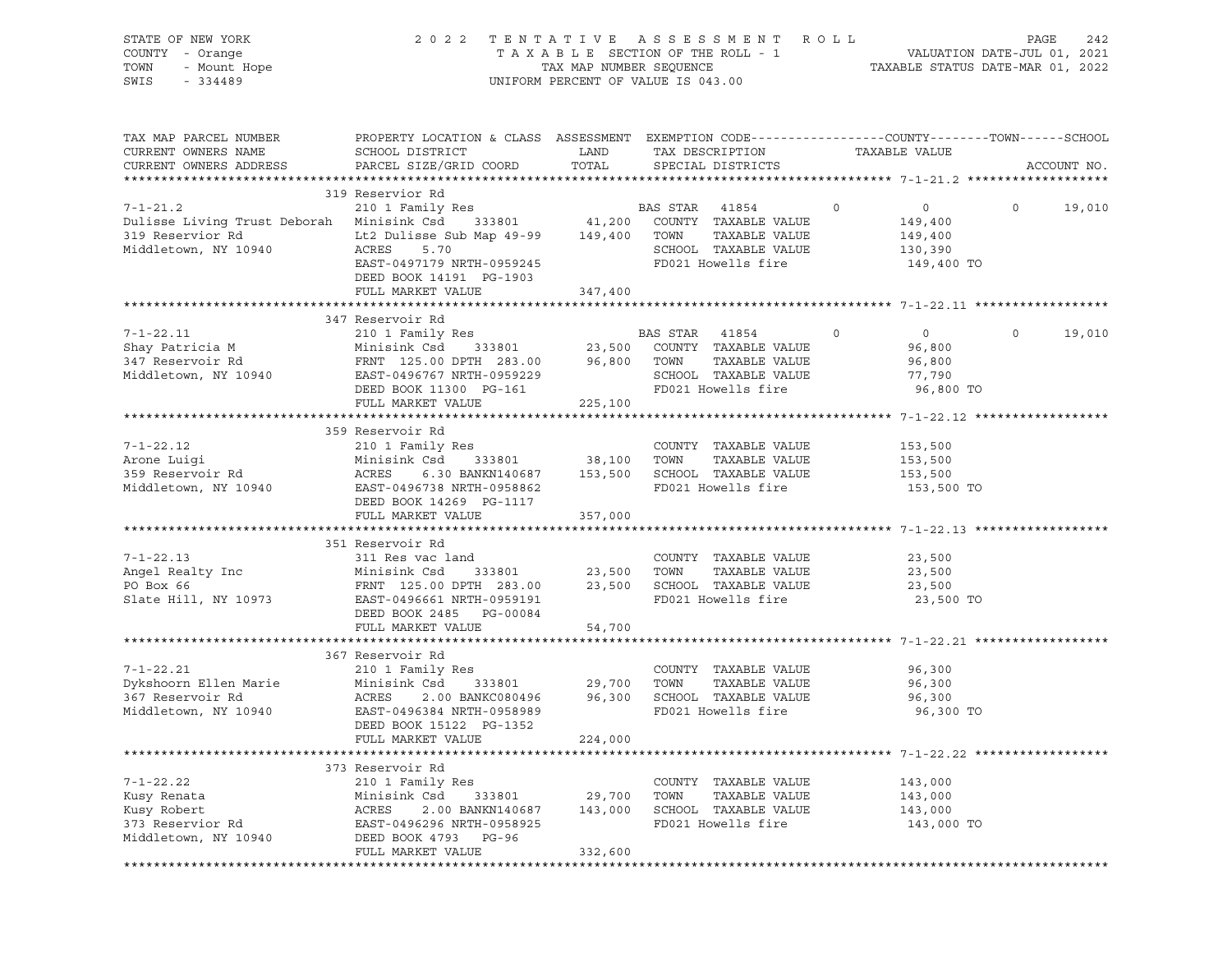| STATE OF NEW YORK<br>COUNTY - Orange<br>TOWN<br>- Mount Hope<br>SWIS<br>$-334489$                             | 2 0 2 2                                                                                                                                                                                                           |                                    | TENTATIVE ASSESSMENT ROLL<br>UNIFORM PERCENT OF VALUE IS 043.00                                                                 |                                                                          | PAGE    | 242         |
|---------------------------------------------------------------------------------------------------------------|-------------------------------------------------------------------------------------------------------------------------------------------------------------------------------------------------------------------|------------------------------------|---------------------------------------------------------------------------------------------------------------------------------|--------------------------------------------------------------------------|---------|-------------|
| TAX MAP PARCEL NUMBER<br>CURRENT OWNERS NAME<br>CURRENT OWNERS ADDRESS                                        | PROPERTY LOCATION & CLASS ASSESSMENT EXEMPTION CODE---------------COUNTY-------TOWN------SCHOOL<br>SCHOOL DISTRICT<br>PARCEL SIZE/GRID COORD                                                                      | LAND<br>TOTAL                      | TAX DESCRIPTION TAXABLE VALUE<br>SPECIAL DISTRICTS                                                                              |                                                                          |         | ACCOUNT NO. |
|                                                                                                               | 319 Reservior Rd                                                                                                                                                                                                  |                                    |                                                                                                                                 |                                                                          |         |             |
| $7 - 1 - 21.2$<br>Dulisse Living Trust Deborah Minisink Csd<br>319 Reservior Rd<br>Middletown, NY 10940       | Res B<br>333801 41,200<br>210 1 Family Res<br>Lt2 Dulisse Sub Map 49-99 149,400<br>ACRES<br>5.70<br>EAST-0497179 NRTH-0959245<br>DEED BOOK 14191 PG-1903<br>FULL MARKET VALUE                                     | 347,400                            | BAS STAR 41854<br>COUNTY TAXABLE VALUE<br>TOWN<br>TAXABLE VALUE<br>SCHOOL TAXABLE VALUE<br>FD021 Howells fire                   | $\overline{0}$<br>$\circ$<br>149,400<br>149,400<br>130,390<br>149,400 TO | $\circ$ | 19,010      |
|                                                                                                               |                                                                                                                                                                                                                   |                                    |                                                                                                                                 |                                                                          |         |             |
| $7 - 1 - 22.11$<br>Shay Patricia M<br>347 Reservoir Rd<br>Middletown, NY 10940                                | 347 Reservoir Rd<br>210 1 Family Res<br>333801 23,500<br>Minisink Csd<br>FRNT 125.00 DPTH 283.00 96,800<br>EAST-0496767 NRTH-0959229<br>0/07 0420 067 NKTH-0959229<br>DEED BOOK 11300 PG-161<br>FULL MARKET VALUE | 225,100                            | BAS STAR 41854<br>$\overline{0}$<br>COUNTY TAXABLE VALUE<br>TOWN<br>TAXABLE VALUE<br>SCHOOL TAXABLE VALUE<br>FD021 Howells fire | $\overline{0}$<br>96,800<br>96,800<br>77,790<br>96,800 TO                | $\circ$ | 19,010      |
|                                                                                                               |                                                                                                                                                                                                                   |                                    |                                                                                                                                 |                                                                          |         |             |
| $7 - 1 - 22.12$<br>Arone Luigi<br>359 Reservoir Rd<br>Midll<br>Middletown, NY 10940 EAST-0496738 NRTH-0958862 | 359 Reservoir Rd<br>210 1 Family Res<br>Minisink Csd<br>6.30 BANKN140687 153,500<br>ACRES<br>DEED BOOK 14269 PG-1117                                                                                              | 333801 38,100                      | COUNTY TAXABLE VALUE<br>TOWN<br>TAXABLE VALUE<br>SCHOOL TAXABLE VALUE<br>FD021 Howells fire                                     | 153,500<br>153,500<br>153,500<br>153,500 TO                              |         |             |
|                                                                                                               | FULL MARKET VALUE                                                                                                                                                                                                 | 357,000                            |                                                                                                                                 |                                                                          |         |             |
| $7 - 1 - 22.13$<br>Angel Realty Inc<br>PO Box 66<br>Slate Hill, NY 10973                                      | 351 Reservoir Rd<br>311 Res vac land<br>Minisink Csd<br>FRNT 125.00 DPTH 283.00 23,500<br>EAST-0496661 NRTH-0959191<br>DEED BOOK 2485 PG-00084<br>FULL MARKET VALUE                                               | 333801 23,500<br>54,700            | COUNTY TAXABLE VALUE<br>TOWN<br>TAXABLE VALUE<br>SCHOOL TAXABLE VALUE<br>FD021 Howells fire                                     | 23,500<br>23,500<br>23,500<br>23,500 TO                                  |         |             |
|                                                                                                               | 367 Reservoir Rd                                                                                                                                                                                                  |                                    |                                                                                                                                 |                                                                          |         |             |
| 7-1-22.21<br>Dykshoorn Ellen Marie Minisink<br>ACRES<br>Middletown, NY 10940                                  | 210 1 Family Res<br>Minisink Csd<br>2.00 BANKC080496<br>EAST-0496384 NRTH-0958989<br>DEED BOOK 15122 PG-1352<br>FULL MARKET VALUE                                                                                 | 333801 29,700<br>96,300<br>224,000 | COUNTY TAXABLE VALUE<br>TOWN<br>TAXABLE VALUE<br>SCHOOL TAXABLE VALUE<br>FD021 Howells fire                                     | 96,300<br>96,300<br>96,300<br>96,300 TO                                  |         |             |
|                                                                                                               |                                                                                                                                                                                                                   |                                    |                                                                                                                                 |                                                                          |         |             |
| $7 - 1 - 22.22$<br>Kusy Renata<br>Kusy Robert<br>373 Reservior Rd<br>Middletown, NY 10940                     | 373 Reservoir Rd<br>210 1 Family Res<br>Minisink Csd<br>333801<br>ACRES<br>2.00 BANKN140687<br>EAST-0496296 NRTH-0958925<br>DEED BOOK 4793<br>PG-96<br>FULL MARKET VALUE                                          | 29,700<br>143,000<br>332,600       | COUNTY TAXABLE VALUE<br>TOWN<br>TAXABLE VALUE<br>SCHOOL TAXABLE VALUE<br>FD021 Howells fire                                     | 143,000<br>143,000<br>143,000<br>143,000 TO                              |         |             |
|                                                                                                               |                                                                                                                                                                                                                   |                                    |                                                                                                                                 |                                                                          |         |             |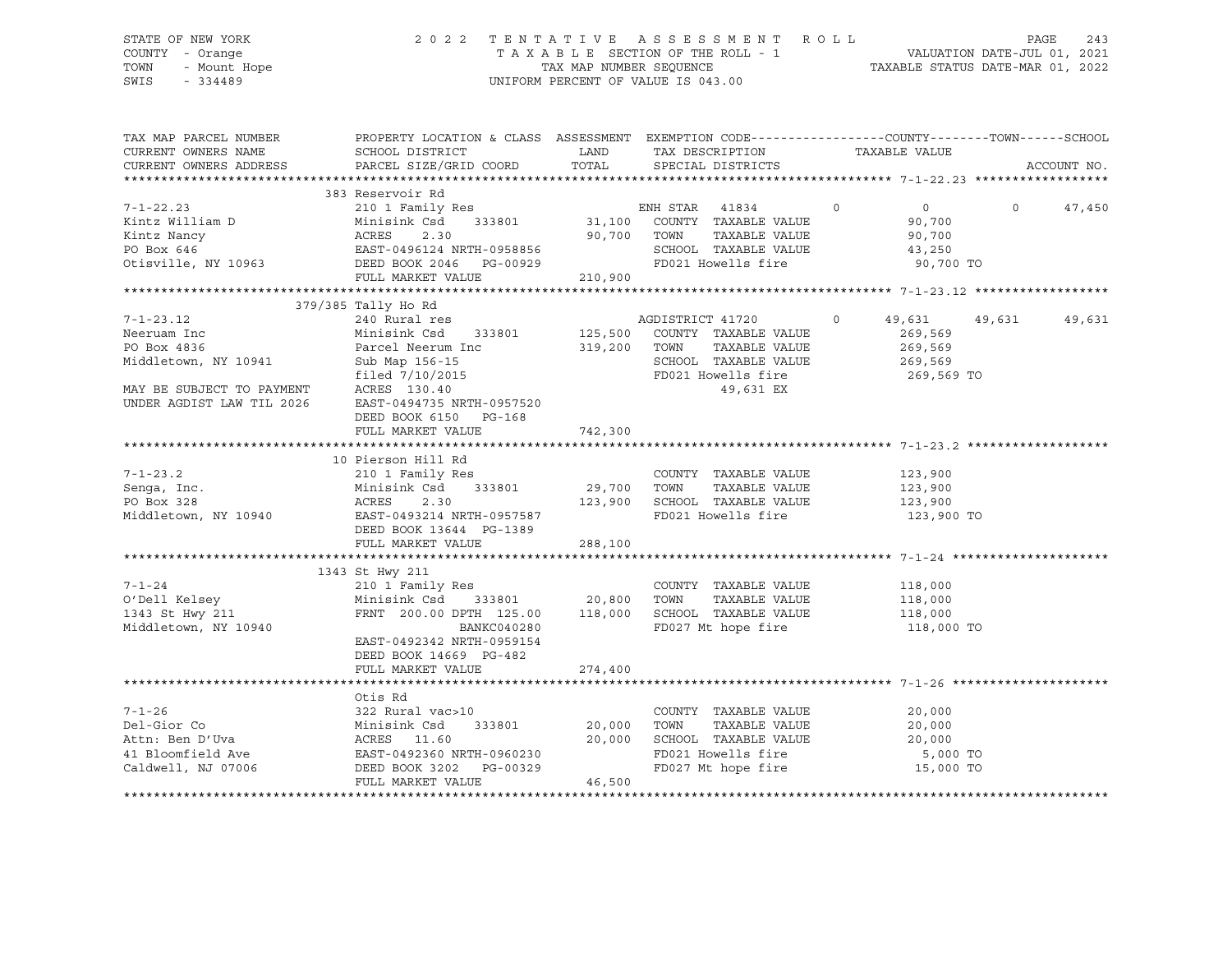# STATE OF NEW YORK 2 0 2 2 T E N T A T I V E A S S E S S M E N T R O L L PAGE 243 COUNTY - Orange T A X A B L E SECTION OF THE ROLL - 1 VALUATION DATE-JUL 01, 2021 TOWN - Mount Hope TAX MAP NUMBER SEQUENCE TAXABLE STATUS DATE-MAR 01, 2022 SWIS - 334489 UNIFORM PERCENT OF VALUE IS 043.00

| TAX MAP PARCEL NUMBER<br>CURRENT OWNERS NAME<br>CURRENT OWNERS ADDRESS | PROPERTY LOCATION & CLASS ASSESSMENT EXEMPTION CODE----------------COUNTY-------TOWN------SCHOOL<br>SCHOOL DISTRICT<br>PARCEL SIZE/GRID COORD                                                                                     |             | LAND TAX DESCRIPTION<br>TOTAL SPECIAL DISTRICTS                    | TAXABLE VALUE      |          | ACCOUNT NO. |
|------------------------------------------------------------------------|-----------------------------------------------------------------------------------------------------------------------------------------------------------------------------------------------------------------------------------|-------------|--------------------------------------------------------------------|--------------------|----------|-------------|
|                                                                        |                                                                                                                                                                                                                                   |             |                                                                    |                    |          |             |
|                                                                        | 383 Reservoir Rd                                                                                                                                                                                                                  |             |                                                                    |                    |          |             |
| $7 - 1 - 22.23$                                                        |                                                                                                                                                                                                                                   |             | $\sim$ 0                                                           | $\overline{0}$     | $\Omega$ | 47,450      |
| Kintz William D                                                        |                                                                                                                                                                                                                                   |             |                                                                    | 90,700             |          |             |
|                                                                        | Xintz Nancy<br>PO Box 646<br>Otisville, NY 10963<br>CHOOL<br>PO Box 646<br>CHOOL<br>DEED BOOK 2046<br>PULL MARKET VALUE<br>PULL MARKET VALUE<br>210,900<br>PD021 HO                                                               |             | TAXABLE VALUE<br>TOWN      TAXABLE VALUE<br>SCHOOL   TAXABLE VALUE | 90,700             |          |             |
|                                                                        |                                                                                                                                                                                                                                   |             |                                                                    | 43,250             |          |             |
|                                                                        |                                                                                                                                                                                                                                   |             | FD021 Howells fire 90,700 TO                                       |                    |          |             |
|                                                                        |                                                                                                                                                                                                                                   |             |                                                                    |                    |          |             |
|                                                                        | 379/385 Tally Ho Rd                                                                                                                                                                                                               |             |                                                                    |                    |          |             |
| $7 - 1 - 23.12$                                                        | 240 Rural res                                                                                                                                                                                                                     |             | AGDISTRICT 41720                                                   | $\Omega$<br>49,631 | 49,631   | 49,631      |
| Neeruam Inc                                                            | Minisink Code<br>Parcel Neerum Inc                                                                                                                                                                                                |             | 333801 $125,500$ COUNTY TAXABLE VALUE                              | 269,569            |          |             |
| PO Box 4836                                                            |                                                                                                                                                                                                                                   |             | 319,200 TOWN<br>TAXABLE VALUE                                      | 269,569            |          |             |
| Middletown, NY 10941                                                   |                                                                                                                                                                                                                                   |             | SCHOOL TAXABLE VALUE                                               | 269,569            |          |             |
|                                                                        | filed 7/10/2015                                                                                                                                                                                                                   |             | FD021 Howells fire                                                 | 269,569 TO         |          |             |
| MAY BE SUBJECT TO PAYMENT                                              | ACRES 130.40                                                                                                                                                                                                                      |             | 49,631 EX                                                          |                    |          |             |
| UNDER AGDIST LAW TIL 2026                                              | EAST-0494735 NRTH-0957520                                                                                                                                                                                                         |             |                                                                    |                    |          |             |
|                                                                        | DEED BOOK 6150 PG-168                                                                                                                                                                                                             |             |                                                                    |                    |          |             |
|                                                                        | FULL MARKET VALUE                                                                                                                                                                                                                 | 742,300     |                                                                    |                    |          |             |
|                                                                        |                                                                                                                                                                                                                                   |             |                                                                    |                    |          |             |
|                                                                        | 10 Pierson Hill Rd                                                                                                                                                                                                                |             |                                                                    |                    |          |             |
| $7 - 1 - 23.2$                                                         | rierson mili ku<br>210 1 Family Res                                                                                                                                                                                               |             | COUNTY TAXABLE VALUE                                               | 123,900            |          |             |
| Senga, Inc.                                                            | Minisink Csd 333801<br>ACRES 2.30                                                                                                                                                                                                 | 29,700 TOWN | TAXABLE VALUE                                                      | 123,900            |          |             |
|                                                                        |                                                                                                                                                                                                                                   |             |                                                                    | 123,900            |          |             |
|                                                                        |                                                                                                                                                                                                                                   |             | FD021 Howells fire                                                 | 123,900 TO         |          |             |
|                                                                        | DEED BOOK 13644 PG-1389                                                                                                                                                                                                           |             |                                                                    |                    |          |             |
|                                                                        | FULL MARKET VALUE 288,100                                                                                                                                                                                                         |             |                                                                    |                    |          |             |
|                                                                        |                                                                                                                                                                                                                                   |             |                                                                    |                    |          |             |
|                                                                        | 1343 St Hwy 211                                                                                                                                                                                                                   |             |                                                                    |                    |          |             |
| $7 - 1 - 24$                                                           | 210 1 Family Res                                                                                                                                                                                                                  |             | COUNTY TAXABLE VALUE                                               | 118,000            |          |             |
| O'Dell Kelsey                                                          | Minisink Csd 333801 20,800 TOWN                                                                                                                                                                                                   |             | TAXABLE VALUE                                                      | 118,000            |          |             |
| 1343 St Hwy 211                                                        | FRNT 200.00 DPTH 125.00 118,000                                                                                                                                                                                                   |             | SCHOOL TAXABLE VALUE                                               | 118,000            |          |             |
| Middletown, NY 10940                                                   | BANKC040280                                                                                                                                                                                                                       |             | FD027 Mt hope fire                                                 | 118,000 TO         |          |             |
|                                                                        | EAST-0492342 NRTH-0959154                                                                                                                                                                                                         |             |                                                                    |                    |          |             |
|                                                                        | DEED BOOK 14669 PG-482                                                                                                                                                                                                            |             |                                                                    |                    |          |             |
|                                                                        | FULL MARKET VALUE                                                                                                                                                                                                                 | 274,400     |                                                                    |                    |          |             |
|                                                                        |                                                                                                                                                                                                                                   |             |                                                                    |                    |          |             |
|                                                                        | Otis Rd                                                                                                                                                                                                                           |             |                                                                    |                    |          |             |
|                                                                        |                                                                                                                                                                                                                                   |             | COUNTY TAXABLE VALUE                                               | 20,000             |          |             |
|                                                                        |                                                                                                                                                                                                                                   | 20,000      | TAXABLE VALUE<br>TOWN                                              | 20,000             |          |             |
|                                                                        |                                                                                                                                                                                                                                   | 20,000      | SCHOOL TAXABLE VALUE                                               | 20,000             |          |             |
|                                                                        |                                                                                                                                                                                                                                   |             | FD021 Howells fire<br>FD027 Mt hope fire                           | 5,000 TO           |          |             |
|                                                                        | 7-1-26<br>Del-Gior Co Minisink Csd 333801 20,000<br>Attn: Ben D'Uva ACRES 11.60 20,000<br>41 Bloomfield Ave EAST-0492360 NRTH-0960230<br>Caldwell, NJ 07006 DEED BOOK 3202 PG-00329<br>Caldwell, NJ 07006 DEED BOOK 3202 PG-00329 |             |                                                                    | 15,000 TO          |          |             |
|                                                                        | FULL MARKET VALUE                                                                                                                                                                                                                 | 46,500      |                                                                    |                    |          |             |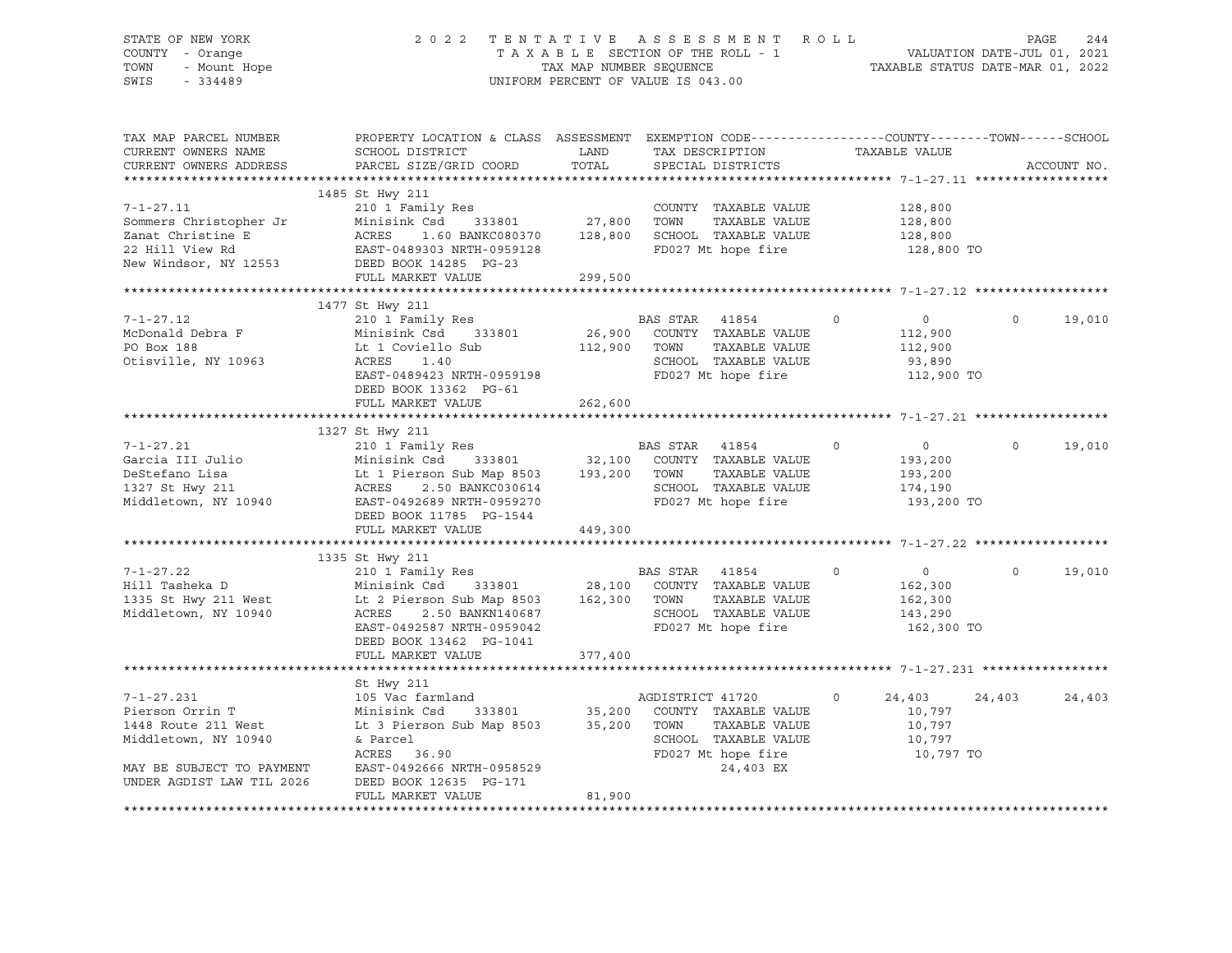# STATE OF NEW YORK 2 0 2 2 T E N T A T I V E A S S E S S M E N T R O L L PAGE 244 COUNTY - Orange T A X A B L E SECTION OF THE ROLL - 1 VALUATION DATE-JUL 01, 2021 TOWN - Mount Hope TAX MAP NUMBER SEQUENCE TAXABLE STATUS DATE-MAR 01, 2022 SWIS - 334489 UNIFORM PERCENT OF VALUE IS 043.00

| TAX MAP PARCEL NUMBER                                                                                                                                                                                                                | PROPERTY LOCATION & CLASS ASSESSMENT EXEMPTION CODE----------------COUNTY-------TOWN------SCHOOL |                       |                                                                            |                                  |                    |
|--------------------------------------------------------------------------------------------------------------------------------------------------------------------------------------------------------------------------------------|--------------------------------------------------------------------------------------------------|-----------------------|----------------------------------------------------------------------------|----------------------------------|--------------------|
| CURRENT OWNERS NAME                                                                                                                                                                                                                  | SCHOOL DISTRICT                                                                                  | LAND<br>LAND<br>TOTAL | TAX DESCRIPTION                                                            | TAXABLE VALUE                    |                    |
| CURRENT OWNERS ADDRESS                                                                                                                                                                                                               | PARCEL SIZE/GRID COORD                                                                           |                       | SPECIAL DISTRICTS                                                          |                                  | ACCOUNT NO.        |
|                                                                                                                                                                                                                                      |                                                                                                  |                       |                                                                            |                                  |                    |
|                                                                                                                                                                                                                                      | 1485 St Hwy 211                                                                                  |                       |                                                                            |                                  |                    |
| $7 - 1 - 27.11$                                                                                                                                                                                                                      | 210 1 Family Res                                                                                 |                       | COUNTY TAXABLE VALUE 128,800                                               |                                  |                    |
|                                                                                                                                                                                                                                      |                                                                                                  |                       | TAXABLE VALUE                                                              | 128,800                          |                    |
|                                                                                                                                                                                                                                      |                                                                                                  |                       |                                                                            | 128,800                          |                    |
| 7-1-27.11 210 1 Family Res<br>Sommers Christopher Jr Minisink Csd 333801 27,800 TOWN TAXABLE VALUE<br>Zanat Christine E ACRES 1.60 BANKC080370 128,800 SCHOOL TAXABLE VALUE<br>22 Hill View Rd EAST-0489303 NRTH-0959128 FD027 Mt ho |                                                                                                  |                       | FD027 Mt hope fire                                                         | 128,800 TO                       |                    |
|                                                                                                                                                                                                                                      |                                                                                                  |                       |                                                                            |                                  |                    |
|                                                                                                                                                                                                                                      | FULL MARKET VALUE                                                                                | 299,500               |                                                                            |                                  |                    |
|                                                                                                                                                                                                                                      |                                                                                                  |                       |                                                                            |                                  |                    |
|                                                                                                                                                                                                                                      | 1477 St Hwy 211                                                                                  |                       |                                                                            |                                  |                    |
| $7 - 1 - 27.12$                                                                                                                                                                                                                      | 210 1 Family Res                                                                                 |                       | BAS STAR 41854                                                             | $\overline{0}$<br>$\overline{0}$ | 19,010<br>$\Omega$ |
| McDonald Debra F                                                                                                                                                                                                                     | Minisink Csd 333801                                                                              |                       |                                                                            | 112,900                          |                    |
| PO Box 188                                                                                                                                                                                                                           | Lt 1 Coviello Sub                                                                                |                       | 26,900 COUNTY TAXABLE VALUE<br>112,900 TOWN TAXABLE VALUE<br>TAXABLE VALUE |                                  |                    |
|                                                                                                                                                                                                                                      |                                                                                                  |                       |                                                                            | 112,900                          |                    |
| Otisville, NY 10963                                                                                                                                                                                                                  | ACRES<br>1.40                                                                                    |                       | SCHOOL TAXABLE VALUE                                                       | 93,890                           |                    |
|                                                                                                                                                                                                                                      | EAST-0489423 NRTH-0959198                                                                        |                       | FD027 Mt hope fire                                                         | 112,900 TO                       |                    |
|                                                                                                                                                                                                                                      | DEED BOOK 13362 PG-61                                                                            |                       |                                                                            |                                  |                    |
|                                                                                                                                                                                                                                      | FULL MARKET VALUE                                                                                | 262,600               |                                                                            |                                  |                    |
|                                                                                                                                                                                                                                      |                                                                                                  |                       |                                                                            |                                  |                    |
|                                                                                                                                                                                                                                      | 1327 St Hwy 211                                                                                  |                       |                                                                            |                                  |                    |
| $7 - 1 - 27.21$                                                                                                                                                                                                                      | 210 1 Family Res                                                                                 |                       | BAS STAR 41854<br>$\sim$ 0                                                 | $\overline{0}$                   | $\Omega$<br>19,010 |
| Garcia III Julio                                                                                                                                                                                                                     | Minisink Csd 333801 32,100 COUNTY TAXABLE VALUE                                                  |                       |                                                                            | 193,200                          |                    |
| DeStefano Lisa                                                                                                                                                                                                                       | Lt 1 Pierson Sub Map 8503 193,200 TOWN                                                           |                       | TAXABLE VALUE                                                              | 193,200                          |                    |
| 1327 St Hwy 211                                                                                                                                                                                                                      | ACRES 2.50 BANKC030614                                                                           |                       |                                                                            | 174,190                          |                    |
| Middletown, NY 10940                                                                                                                                                                                                                 | EAST-0492689 NRTH-0959270                                                                        |                       | SCHOOL TAXABLE VALUE<br>FD027 Mt hope fire                                 | 193,200 TO                       |                    |
|                                                                                                                                                                                                                                      | DEED BOOK 11785 PG-1544                                                                          |                       |                                                                            |                                  |                    |
|                                                                                                                                                                                                                                      | FULL MARKET VALUE                                                                                | 449,300               |                                                                            |                                  |                    |
|                                                                                                                                                                                                                                      |                                                                                                  |                       |                                                                            |                                  |                    |
|                                                                                                                                                                                                                                      | 1335 St Hwy 211                                                                                  |                       |                                                                            |                                  |                    |
| $7 - 1 - 27.22$                                                                                                                                                                                                                      |                                                                                                  |                       | $\sim$ 0                                                                   | $\overline{0}$                   | 19,010<br>$\Omega$ |
| Hill Tasheka D                                                                                                                                                                                                                       |                                                                                                  |                       |                                                                            | 162,300                          |                    |
| 1335 St Hwy 211 West Lt 2 Pierson Sub Map 8503 162,300 TOWN                                                                                                                                                                          |                                                                                                  |                       | TAXABLE VALUE                                                              | 162,300                          |                    |
| Middletown, NY 10940                                                                                                                                                                                                                 | ACRES 2.50 BANKN140687                                                                           |                       | SCHOOL TAXABLE VALUE                                                       | 143,290                          |                    |
|                                                                                                                                                                                                                                      | EAST-0492587 NRTH-0959042                                                                        |                       | FD027 Mt hope fire                                                         | 162,300 TO                       |                    |
|                                                                                                                                                                                                                                      | DEED BOOK 13462 PG-1041                                                                          |                       |                                                                            |                                  |                    |
|                                                                                                                                                                                                                                      | FULL MARKET VALUE                                                                                | 377,400               |                                                                            |                                  |                    |
|                                                                                                                                                                                                                                      |                                                                                                  |                       |                                                                            |                                  |                    |
|                                                                                                                                                                                                                                      |                                                                                                  |                       |                                                                            |                                  |                    |
|                                                                                                                                                                                                                                      | St Hwy 211                                                                                       |                       |                                                                            |                                  |                    |
| $7 - 1 - 27.231$                                                                                                                                                                                                                     | 105 Vac farmland                                                                                 |                       | AGDISTRICT 41720                                                           | $\circ$<br>24,403                | 24,403<br>24,403   |
| Pierson Orrin T                                                                                                                                                                                                                      | Minisink Csd<br>333801                                                                           |                       | 35,200 COUNTY TAXABLE VALUE                                                | 10,797                           |                    |
| 1448 Route 211 West                                                                                                                                                                                                                  | Lt 3 Pierson Sub Map 8503                                                                        | 35,200                | TOWN<br>TAXABLE VALUE                                                      | 10,797                           |                    |
| Middletown, NY 10940                                                                                                                                                                                                                 | & Parcel                                                                                         |                       | SCHOOL TAXABLE VALUE                                                       | 10,797                           |                    |
|                                                                                                                                                                                                                                      | ACRES 36.90                                                                                      |                       | FD027 Mt hope fire                                                         | 10,797 TO                        |                    |
| MAY BE SUBJECT TO PAYMENT                                                                                                                                                                                                            | EAST-0492666 NRTH-0958529                                                                        |                       | 24,403 EX                                                                  |                                  |                    |
| UNDER AGDIST LAW TIL 2026                                                                                                                                                                                                            | DEED BOOK 12635 PG-171                                                                           |                       |                                                                            |                                  |                    |
|                                                                                                                                                                                                                                      | FULL MARKET VALUE                                                                                | 81,900                |                                                                            |                                  |                    |
| **************************                                                                                                                                                                                                           |                                                                                                  |                       |                                                                            |                                  |                    |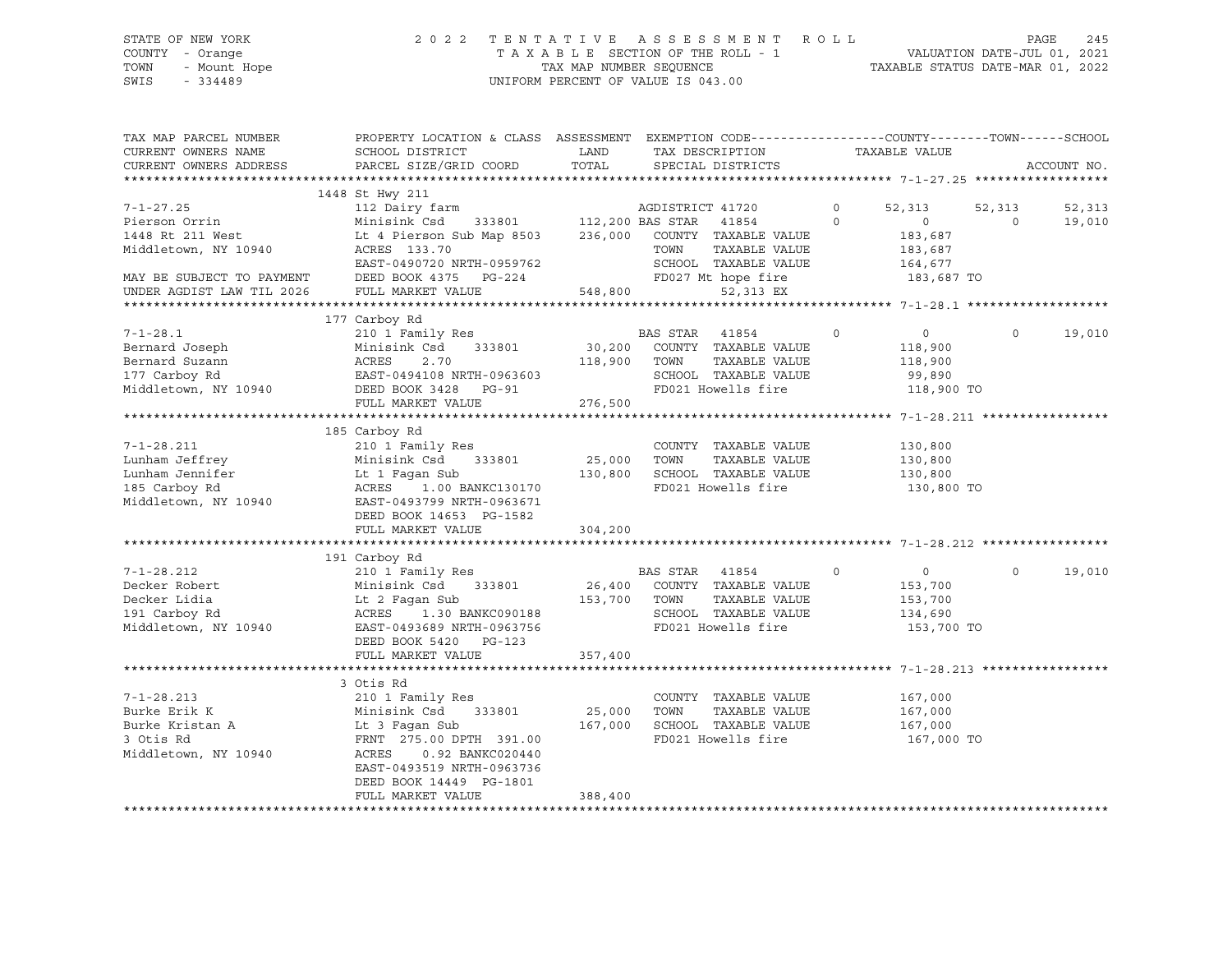# STATE OF NEW YORK 2 0 2 2 T E N T A T I V E A S S E S S M E N T R O L L PAGE 245 COUNTY - Orange T A X A B L E SECTION OF THE ROLL - 1 VALUATION DATE-JUL 01, 2021 TOWN - Mount Hope TAX MAP NUMBER SEQUENCE TAXABLE STATUS DATE-MAR 01, 2022 SWIS - 334489 UNIFORM PERCENT OF VALUE IS 043.00

| TAX MAP PARCEL NUMBER<br>CURRENT OWNERS NAME<br>CURRENT OWNERS ADDRESS                                                                                                                       | PROPERTY LOCATION & CLASS ASSESSMENT EXEMPTION CODE----------------COUNTY-------TOWN-----SCHOOL<br>SCHOOL DISTRICT<br>PARCEL SIZE/GRID COORD                                                                                                                                                                                                          | LAND<br>TOTAL                     | TAX DESCRIPTION<br>SPECIAL DISTRICTS                                                                                                                                                                                            | TAXABLE VALUE       |                                                                                                              | ACCOUNT NO.      |
|----------------------------------------------------------------------------------------------------------------------------------------------------------------------------------------------|-------------------------------------------------------------------------------------------------------------------------------------------------------------------------------------------------------------------------------------------------------------------------------------------------------------------------------------------------------|-----------------------------------|---------------------------------------------------------------------------------------------------------------------------------------------------------------------------------------------------------------------------------|---------------------|--------------------------------------------------------------------------------------------------------------|------------------|
|                                                                                                                                                                                              |                                                                                                                                                                                                                                                                                                                                                       |                                   |                                                                                                                                                                                                                                 |                     |                                                                                                              |                  |
| $7 - 1 - 27.25$<br>Pierson Orrin<br>1448 Rt 211 West<br>Middletown, NY 10940<br>MAY BE SUBJECT TO PAYMENT                                                                                    | 1448 St Hwy 211<br>112 Dairy farm<br>Minisink Csd<br>Lt 4 Pierson Sub Map 8503 236,000 COUNTY TAXABLE VALUE<br>ACRES 133.70<br>EAST-0490720 NRTH-0959762<br>DEED BOOK 4375 PG-224                                                                                                                                                                     | 333801 112,200 BAS STAR           | AGDISTRICT 41720<br>41854<br>TOWN<br>TAXABLE VALUE<br>SCHOOL TAXABLE VALUE<br>FD027 Mt hope fire                                                                                                                                | $\circ$<br>$\Omega$ | 52,313<br>52,313<br>$\Omega$<br>$\Omega$<br>183,687<br>183,687<br>164,677<br>183,687 TO                      | 52,313<br>19,010 |
| UNDER AGDIST LAW TIL 2026                                                                                                                                                                    | FULL MARKET VALUE                                                                                                                                                                                                                                                                                                                                     | 548,800                           | 52,313 EX                                                                                                                                                                                                                       |                     |                                                                                                              |                  |
|                                                                                                                                                                                              |                                                                                                                                                                                                                                                                                                                                                       |                                   |                                                                                                                                                                                                                                 |                     |                                                                                                              |                  |
| $7 - 1 - 28.1$<br>Bernard Joseph<br>Bernard Suzann                                                                                                                                           | 177 Carboy Rd<br>210 1 Family Res<br>333801<br>Minisink Csd<br>ACRES<br>2.70                                                                                                                                                                                                                                                                          | 118,900 TOWN                      | BAS STAR 41854<br>30,200 COUNTY TAXABLE VALUE<br>TAXABLE VALUE                                                                                                                                                                  | $\overline{0}$      | $\overline{0}$<br>$\circ$<br>118,900<br>118,900                                                              | 19,010           |
| 177 Carboy Rd<br>Middletown, NY 10940                                                                                                                                                        | EAST-0494108 NRTH-0963603<br>DEED BOOK 3428 PG-91<br>FULL MARKET VALUE                                                                                                                                                                                                                                                                                | 276,500                           | SCHOOL TAXABLE VALUE<br>FD021 Howells fire                                                                                                                                                                                      |                     | 99,890<br>118,900 TO                                                                                         |                  |
|                                                                                                                                                                                              |                                                                                                                                                                                                                                                                                                                                                       |                                   |                                                                                                                                                                                                                                 |                     |                                                                                                              |                  |
| $7 - 1 - 28.211$<br>Lunham Jeffrey<br>Lunham Jennifer<br>185 Carboy Rd<br>Middletown, NY 10940<br>$7 - 1 - 28.212$<br>Decker Robert<br>Decker Lidia<br>191 Carboy Rd<br>Middletown, NY 10940 | 185 Carboy Rd<br>210 1 Family Res<br>Minisink Csd<br>333801<br>Lt 1 Fagan Sub<br>ACRES<br>1.00 BANKC130170<br>EAST-0493799 NRTH-0963671<br>DEED BOOK 14653 PG-1582<br>FULL MARKET VALUE<br>191 Carboy Rd<br>210 1 Family Res<br>Minisink Csd 333801<br>Lt 2 Faqan Sub<br>ACRES 1.30 BANKC090188<br>EAST-0493689 NRTH-0963756<br>DEED BOOK 5420 PG-123 | 25,000<br>304,200<br>153,700 TOWN | COUNTY TAXABLE VALUE<br>TOWN<br>TAXABLE VALUE<br>130,800 SCHOOL TAXABLE VALUE<br>FD021 Howells fire<br>BAS STAR 41854<br>$\sim$ 0<br>26,400 COUNTY TAXABLE VALUE<br>TAXABLE VALUE<br>SCHOOL TAXABLE VALUE<br>FD021 Howells fire | 130,800             | 130,800<br>130,800<br>130,800 TO<br>$\overline{0}$<br>$\circ$<br>153,700<br>153,700<br>134,690<br>153,700 TO | 19,010           |
|                                                                                                                                                                                              | FULL MARKET VALUE                                                                                                                                                                                                                                                                                                                                     | 357,400                           |                                                                                                                                                                                                                                 |                     |                                                                                                              |                  |
|                                                                                                                                                                                              |                                                                                                                                                                                                                                                                                                                                                       |                                   |                                                                                                                                                                                                                                 |                     |                                                                                                              |                  |
| $7 - 1 - 28.213$<br>Burke Erik K<br>Burke Kristan A<br>3 Otis Rd<br>Middletown, NY 10940                                                                                                     | 3 Otis Rd<br>210 1 Family Res<br>Minisink Csd 333801<br>Lt 3 Faqan Sub<br>FRNT 275.00 DPTH 391.00<br>ACRES<br>0.92 BANKC020440<br>EAST-0493519 NRTH-0963736<br>DEED BOOK 14449 PG-1801                                                                                                                                                                | 25,000<br>167,000                 | COUNTY TAXABLE VALUE<br>TOWN<br>TAXABLE VALUE<br>SCHOOL TAXABLE VALUE<br>FD021 Howells fire                                                                                                                                     |                     | 167,000<br>167,000<br>167,000<br>167,000 TO                                                                  |                  |
|                                                                                                                                                                                              | FULL MARKET VALUE                                                                                                                                                                                                                                                                                                                                     | 388,400                           |                                                                                                                                                                                                                                 |                     |                                                                                                              |                  |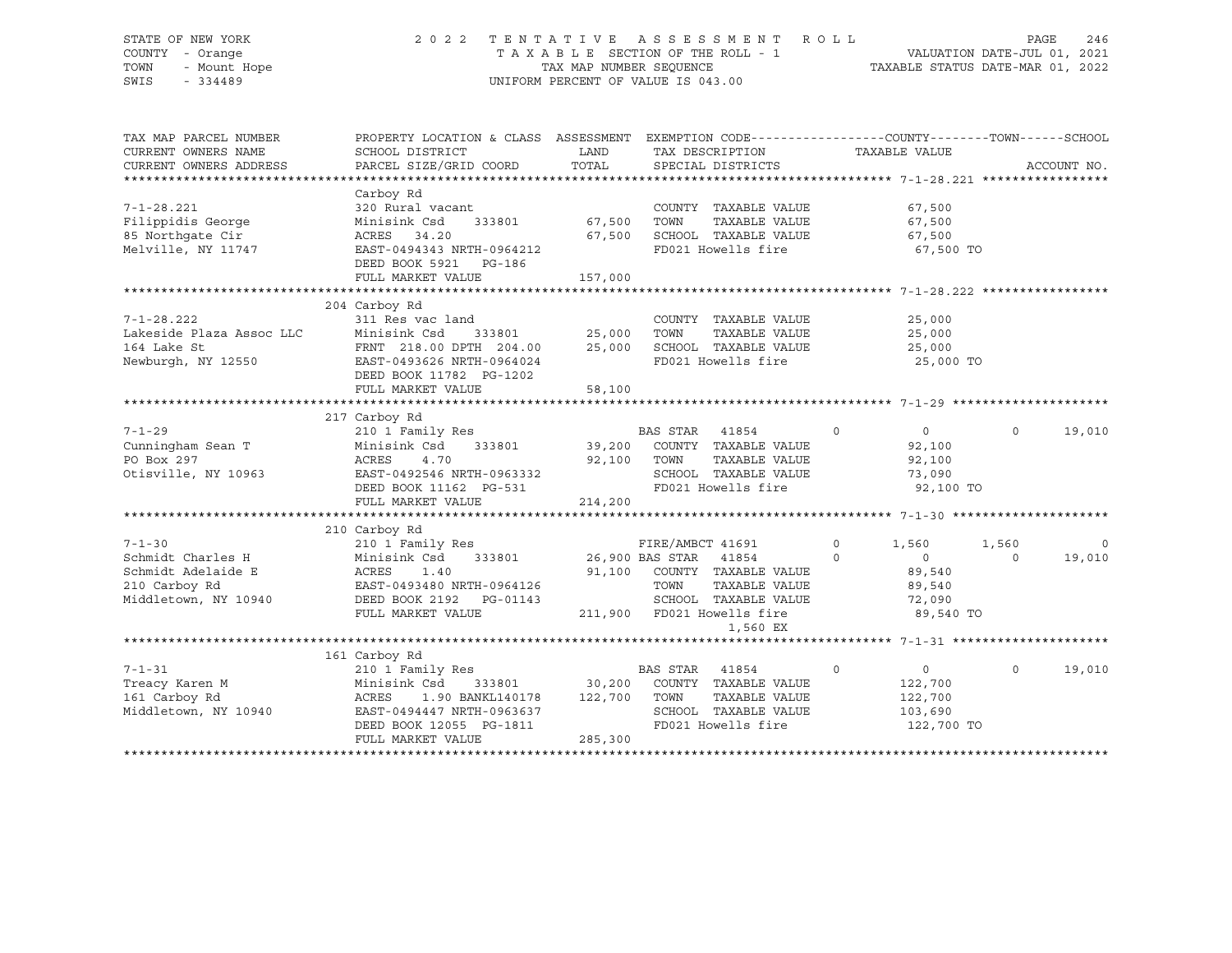# STATE OF NEW YORK 2 0 2 2 T E N T A T I V E A S S E S S M E N T R O L L PAGE 246 COUNTY - Orange T A X A B L E SECTION OF THE ROLL - 1 VALUATION DATE-JUL 01, 2021 TOWN - Mount Hope TAX MAP NUMBER SEQUENCE TAXABLE STATUS DATE-MAR 01, 2022 SWIS - 334489 UNIFORM PERCENT OF VALUE IS 043.00

| SCHOOL DISTRICT                                                                                                                                      |                                                          | TAX DESCRIPTION                                                                             | TAXABLE VALUE                                                                                                                                                                                                                                                                                                                                                                    |                                              | ACCOUNT NO.                                                                                                                                                       |
|------------------------------------------------------------------------------------------------------------------------------------------------------|----------------------------------------------------------|---------------------------------------------------------------------------------------------|----------------------------------------------------------------------------------------------------------------------------------------------------------------------------------------------------------------------------------------------------------------------------------------------------------------------------------------------------------------------------------|----------------------------------------------|-------------------------------------------------------------------------------------------------------------------------------------------------------------------|
|                                                                                                                                                      |                                                          |                                                                                             |                                                                                                                                                                                                                                                                                                                                                                                  |                                              |                                                                                                                                                                   |
| Carboy Rd<br>320 Rural vacant<br>Minisink Csd<br>333801<br>ACRES<br>34.20<br>EAST-0494343 NRTH-0964212<br>DEED BOOK 5921 PG-186<br>FULL MARKET VALUE | 157,000                                                  | COUNTY TAXABLE VALUE<br>TOWN<br>TAXABLE VALUE<br>SCHOOL TAXABLE VALUE<br>FD021 Howells fire | 67,500<br>67,500<br>67,500                                                                                                                                                                                                                                                                                                                                                       |                                              |                                                                                                                                                                   |
| 204 Carboy Rd<br>311 Res vac land<br>Minisink Csd<br>DEED BOOK 11782 PG-1202<br>FULL MARKET VALUE                                                    | 58,100                                                   | COUNTY TAXABLE VALUE<br>TOWN<br>TAXABLE VALUE<br>FD021 Howells fire                         | 25,000<br>25,000<br>25,000                                                                                                                                                                                                                                                                                                                                                       |                                              |                                                                                                                                                                   |
|                                                                                                                                                      |                                                          |                                                                                             |                                                                                                                                                                                                                                                                                                                                                                                  |                                              |                                                                                                                                                                   |
| 210 1 Family Res<br>Minisink Csd<br>ACRES<br>4.70<br>EAST-0492546 NRTH-0963332<br>FULL MARKET VALUE                                                  |                                                          | TOWN<br>TAXABLE VALUE<br>SCHOOL TAXABLE VALUE<br>FD021 Howells fire                         | $\overline{0}$<br>$\circ$<br>92,100<br>92,100<br>73,090                                                                                                                                                                                                                                                                                                                          | $\circ$                                      | 19,010                                                                                                                                                            |
|                                                                                                                                                      |                                                          |                                                                                             |                                                                                                                                                                                                                                                                                                                                                                                  |                                              |                                                                                                                                                                   |
| 210 1 Family Res<br>ACRES<br>1.40<br>EAST-0493480 NRTH-0964126<br>DEED BOOK 2192 PG-01143<br>FULL MARKET VALUE                                       |                                                          | FIRE/AMBCT 41691<br>TOWN<br>TAXABLE VALUE                                                   | $\mathbf 0$<br>1,560<br>$\overline{0}$<br>$\Omega$<br>89,540<br>89,540<br>72,090                                                                                                                                                                                                                                                                                                 | 1,560<br>$\Omega$                            | 0<br>19,010                                                                                                                                                       |
|                                                                                                                                                      |                                                          |                                                                                             |                                                                                                                                                                                                                                                                                                                                                                                  |                                              |                                                                                                                                                                   |
| 161 Carboy Rd<br>210 1 Family Res<br>ACRES 1.90 BANKL140178<br>EAST-0494447 NRTH-0963637<br>DEED BOOK 12055 PG-1811<br>FULL MARKET VALUE             |                                                          | BAS STAR<br>41854<br>TOWN<br>TAXABLE VALUE<br>SCHOOL TAXABLE VALUE<br>FD021 Howells fire    | $\circ$<br>$\overline{0}$<br>122,700<br>122,700<br>103,690                                                                                                                                                                                                                                                                                                                       | $\Omega$                                     | 19,010                                                                                                                                                            |
|                                                                                                                                                      | PARCEL SIZE/GRID COORD<br>217 Carboy Rd<br>210 Carboy Rd | FRNT 218.00 DPTH 204.00<br>EAST-0493626 NRTH-0964024<br>333801                              | LAND<br>TOTAL<br>SPECIAL DISTRICTS<br>67,500<br>67,500<br>333801 25,000<br>25,000<br>BAS STAR 41854<br>39,200 COUNTY TAXABLE VALUE<br>92,100<br>DEED BOOK 11162 PG-531<br>214,200<br>Minisink Csd 333801 26,900 BAS STAR 41854<br>91,100 COUNTY TAXABLE VALUE<br>211,900 FD021 Howells fire<br>1,560 EX<br>Minisink Csd 333801 30,200 COUNTY TAXABLE VALUE<br>122,700<br>285,300 | SCHOOL TAXABLE VALUE<br>SCHOOL TAXABLE VALUE | PROPERTY LOCATION & CLASS ASSESSMENT EXEMPTION CODE----------------COUNTY-------TOWN-----SCHOOL<br>67,500 TO<br>25,000 TO<br>92,100 TO<br>89,540 TO<br>122,700 TO |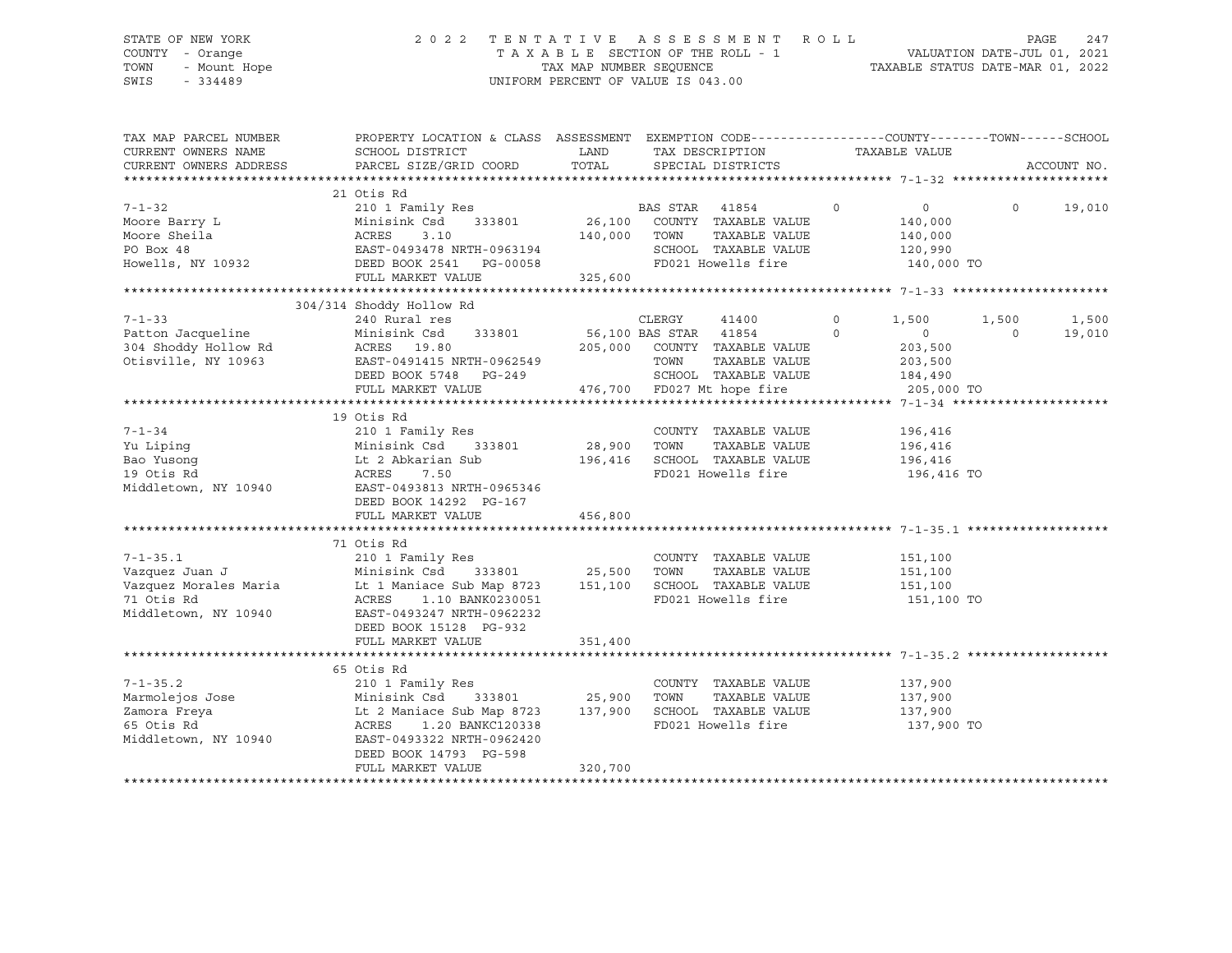# STATE OF NEW YORK 2 0 2 2 T E N T A T I V E A S S E S S M E N T R O L L PAGE 247 COUNTY - Orange T A X A B L E SECTION OF THE ROLL - 1 VALUATION DATE-JUL 01, 2021 TOWN - Mount Hope TAX MAP NUMBER SEQUENCE TAXABLE STATUS DATE-MAR 01, 2022 SWIS - 334489 UNIFORM PERCENT OF VALUE IS 043.00

| TAX MAP PARCEL NUMBER                                              | PROPERTY LOCATION & CLASS ASSESSMENT EXEMPTION CODE---------------COUNTY-------TOWN------SCHOOL                                                                                                                                      |                       |        |                                    |         |                    |         |               |
|--------------------------------------------------------------------|--------------------------------------------------------------------------------------------------------------------------------------------------------------------------------------------------------------------------------------|-----------------------|--------|------------------------------------|---------|--------------------|---------|---------------|
| CURRENT OWNERS NAME                                                | SCHOOL DISTRICT                                                                                                                                                                                                                      | LAND                  |        | TAX DESCRIPTION                    |         | TAXABLE VALUE      |         |               |
| CURRENT OWNERS ADDRESS                                             | PARCEL SIZE/GRID COORD                                                                                                                                                                                                               | TOTAL                 |        | SPECIAL DISTRICTS                  |         |                    |         | ACCOUNT NO.   |
|                                                                    |                                                                                                                                                                                                                                      |                       |        |                                    |         |                    |         |               |
|                                                                    | 21 Otis Rd                                                                                                                                                                                                                           |                       |        |                                    |         |                    |         |               |
| $7 - 1 - 32$                                                       | 210 1 Family Res 6 210 1 BAS STAR 41854 210 1 Pamily Res                                                                                                                                                                             |                       |        |                                    |         | $\overline{0}$     |         | $0 \t 19,010$ |
|                                                                    |                                                                                                                                                                                                                                      |                       |        | 333801 26,100 COUNTY TAXABLE VALUE |         | 140,000            |         |               |
|                                                                    |                                                                                                                                                                                                                                      | 140,000 TOWN          |        | TAXABLE VALUE                      |         | 140,000            |         |               |
|                                                                    |                                                                                                                                                                                                                                      |                       |        | SCHOOL TAXABLE VALUE               |         | 120,990            |         |               |
|                                                                    |                                                                                                                                                                                                                                      |                       |        | FD021 Howells fire 140,000 TO      |         |                    |         |               |
|                                                                    | 7-1-32<br>Moore Barry L Minisink Csd 333801 26,100<br>Moore Sheila ACRES 3.10 140,000<br>PO Box 48<br>Howells, NY 10932<br>Howells, NY 10932<br>PULL MARKET VALUE<br>PULL MARKET VALUE                                               |                       |        |                                    |         |                    |         |               |
|                                                                    |                                                                                                                                                                                                                                      |                       |        |                                    |         |                    |         |               |
|                                                                    | 304/314 Shoddy Hollow Rd                                                                                                                                                                                                             |                       |        |                                    |         |                    |         |               |
| $7 - 1 - 33$                                                       | 240 Rural res                                                                                                                                                                                                                        |                       | CLERGY | 41400                              | $\circ$ | 1,500              | 1,500   | 1,500         |
| Patton Jacqueline Minisink Csd<br>304 Shoddy Hollow Rd ACRES 19.80 | 333801                                                                                                                                                                                                                               | 56,100 BAS STAR 41854 |        |                                    | $\circ$ | $\overline{0}$     | $\circ$ | 19,010        |
|                                                                    |                                                                                                                                                                                                                                      |                       |        | 205,000 COUNTY TAXABLE VALUE       |         | 203,500            |         |               |
| Otisville, NY 10963                                                |                                                                                                                                                                                                                                      |                       | TOWN   | TAXABLE VALUE                      |         | 203,500            |         |               |
|                                                                    | EAST-0491415 NRTH-0962549<br>DEED BOOK 5748 PG-249                                                                                                                                                                                   |                       |        | SCHOOL TAXABLE VALUE               |         | 184,490            |         |               |
|                                                                    | FULL MARKET VALUE                                                                                                                                                                                                                    |                       |        | 476,700 FD027 Mt hope fire         |         | 205,000 TO         |         |               |
|                                                                    |                                                                                                                                                                                                                                      |                       |        |                                    |         |                    |         |               |
|                                                                    | 19 Otis Rd                                                                                                                                                                                                                           |                       |        |                                    |         |                    |         |               |
| $7 - 1 - 34$                                                       |                                                                                                                                                                                                                                      |                       |        | COUNTY TAXABLE VALUE 196,416       |         |                    |         |               |
|                                                                    |                                                                                                                                                                                                                                      |                       |        |                                    |         |                    |         |               |
|                                                                    |                                                                                                                                                                                                                                      |                       |        |                                    |         |                    |         |               |
|                                                                    |                                                                                                                                                                                                                                      |                       |        |                                    |         | 196,416 TO         |         |               |
|                                                                    | Vu Liping Minisink Csd 333801 28,900 TOWN TAXABLE VALUE 196,416<br>Bao Yusong Lt 2 Abkarian Sub 196,416 SCHOOL TAXABLE VALUE 196,416<br>196,416 FD021 Howells fire 196,416<br>Middletown, NY 10940 EAST-0493813 NRTH-0965346 FD021 H |                       |        |                                    |         |                    |         |               |
|                                                                    | DEED BOOK 14292 PG-167                                                                                                                                                                                                               |                       |        |                                    |         |                    |         |               |
|                                                                    | FULL MARKET VALUE                                                                                                                                                                                                                    | 456,800               |        |                                    |         |                    |         |               |
|                                                                    |                                                                                                                                                                                                                                      |                       |        |                                    |         |                    |         |               |
|                                                                    | 71 Otis Rd                                                                                                                                                                                                                           |                       |        |                                    |         |                    |         |               |
| $7 - 1 - 35.1$                                                     | 210 1 Family Res                                                                                                                                                                                                                     |                       |        | COUNTY TAXABLE VALUE               |         | 151,100            |         |               |
|                                                                    |                                                                                                                                                                                                                                      |                       |        |                                    |         | 151,100            |         |               |
|                                                                    |                                                                                                                                                                                                                                      |                       |        |                                    |         | 151,100            |         |               |
|                                                                    |                                                                                                                                                                                                                                      |                       |        | FD021 Howells fire                 |         | 151,100 TO         |         |               |
| Middletown, NY 10940                                               |                                                                                                                                                                                                                                      |                       |        |                                    |         |                    |         |               |
|                                                                    | DEED BOOK 15128 PG-932                                                                                                                                                                                                               |                       |        |                                    |         |                    |         |               |
|                                                                    | FULL MARKET VALUE                                                                                                                                                                                                                    | 351,400               |        |                                    |         |                    |         |               |
|                                                                    |                                                                                                                                                                                                                                      |                       |        |                                    |         |                    |         |               |
|                                                                    | 65 Otis Rd                                                                                                                                                                                                                           |                       |        |                                    |         |                    |         |               |
| $7 - 1 - 35.2$                                                     | 210 1 Family Res                                                                                                                                                                                                                     |                       |        | COUNTY TAXABLE VALUE               |         |                    |         |               |
| Marmolejos Jose                                                    | 210 1 Family Res<br>Minisink Csd        333801                  25,900                                                                                                                                                               |                       | TOWN   | TAXABLE VALUE                      |         | 137,900<br>137,900 |         |               |
|                                                                    |                                                                                                                                                                                                                                      |                       |        |                                    |         |                    |         |               |
| Zamora Freya                                                       |                                                                                                                                                                                                                                      |                       |        | SCHOOL TAXABLE VALUE 137,900       |         |                    |         |               |
| 65 Otis Rd                                                         | ACRES 1.20 BANKC120338                                                                                                                                                                                                               |                       |        | FD021 Howells fire                 |         | 137,900 TO         |         |               |
| Middletown, NY 10940                                               | EAST-0493322 NRTH-0962420                                                                                                                                                                                                            |                       |        |                                    |         |                    |         |               |
|                                                                    | DEED BOOK 14793 PG-598                                                                                                                                                                                                               |                       |        |                                    |         |                    |         |               |
|                                                                    | FULL MARKET VALUE                                                                                                                                                                                                                    | 320,700               |        |                                    |         |                    |         |               |
|                                                                    |                                                                                                                                                                                                                                      |                       |        |                                    |         |                    |         |               |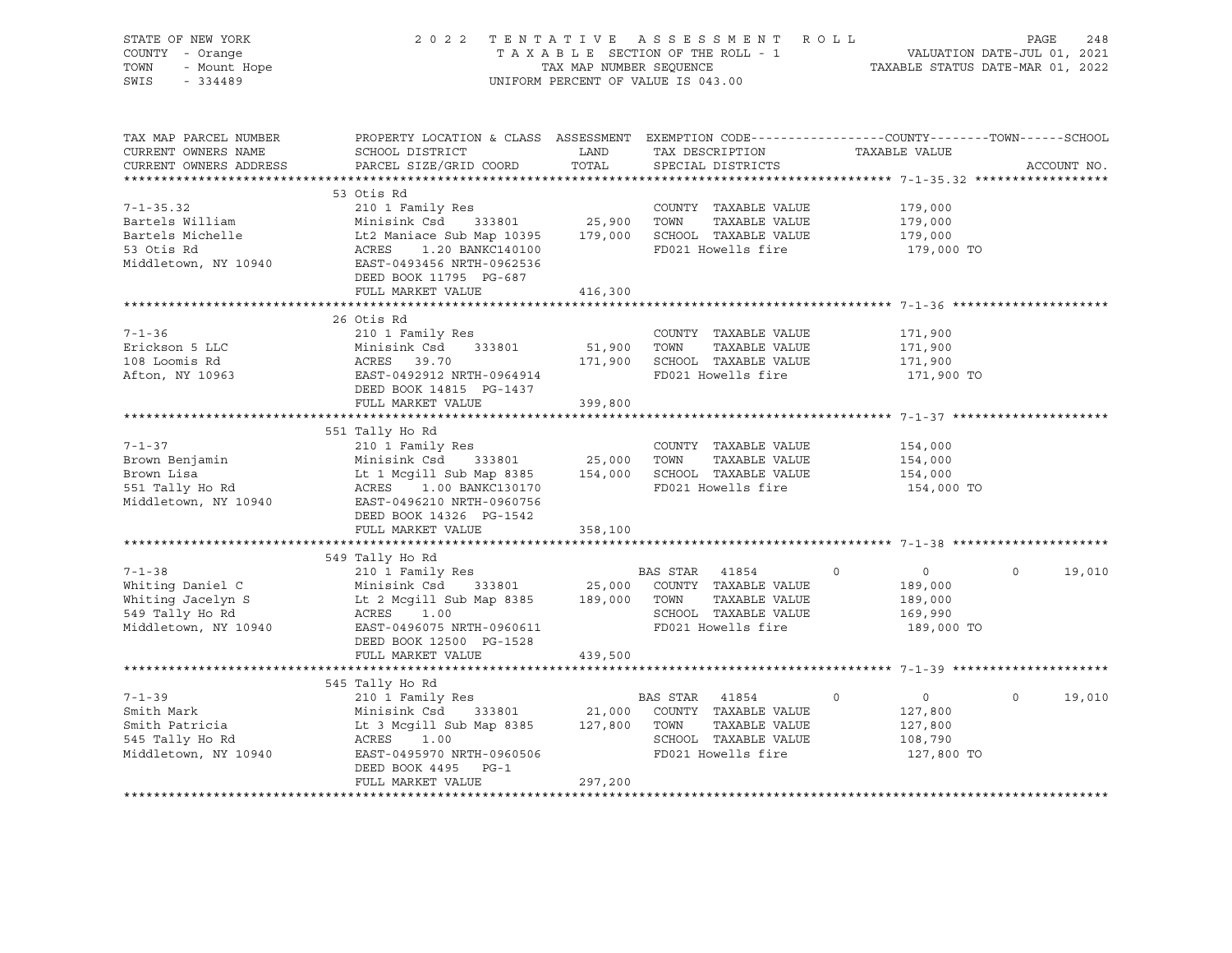| STATE OF NEW YORK<br>COUNTY - Orange<br>- Mount Hope<br>TOWN<br>SWIS<br>$-334489$                                                                                                                                                    |                                                                                                                                                               | TAX MAP NUMBER SEQUENCE | 2022 TENTATIVE ASSESSMENT ROLL<br>TAXABLE SECTION OF THE ROLL - 1<br>UNIFORM PERCENT OF VALUE IS 043.00 | N T R O L L PAGE 248<br>- 1 VALUATION DATE-JUL 01, 2021<br>TAXABLE STATUS DATE-MAR 01, 2022 |                             |
|--------------------------------------------------------------------------------------------------------------------------------------------------------------------------------------------------------------------------------------|---------------------------------------------------------------------------------------------------------------------------------------------------------------|-------------------------|---------------------------------------------------------------------------------------------------------|---------------------------------------------------------------------------------------------|-----------------------------|
| TAX MAP PARCEL NUMBER                                                                                                                                                                                                                | PROPERTY LOCATION & CLASS ASSESSMENT EXEMPTION CODE----------------COUNTY-------TOWN-----SCHOOL                                                               |                         |                                                                                                         |                                                                                             |                             |
| CURRENT OWNERS NAME                                                                                                                                                                                                                  | SCHOOL DISTRICT                                                                                                                                               | LAND                    | TAX DESCRIPTION TAXABLE VALUE                                                                           |                                                                                             |                             |
| CURRENT OWNERS ADDRESS                                                                                                                                                                                                               | PARCEL SIZE/GRID COORD                                                                                                                                        | TOTAL                   | SPECIAL DISTRICTS                                                                                       |                                                                                             | ACCOUNT NO.                 |
|                                                                                                                                                                                                                                      |                                                                                                                                                               |                         |                                                                                                         |                                                                                             |                             |
|                                                                                                                                                                                                                                      | 53 Otis Rd                                                                                                                                                    |                         |                                                                                                         |                                                                                             |                             |
| $7 - 1 - 35.32$                                                                                                                                                                                                                      | 210 1 Family Res                                                                                                                                              |                         | COUNTY TAXABLE VALUE                                                                                    | 179,000                                                                                     |                             |
|                                                                                                                                                                                                                                      |                                                                                                                                                               |                         |                                                                                                         | 179,000                                                                                     |                             |
|                                                                                                                                                                                                                                      |                                                                                                                                                               |                         |                                                                                                         | 179,000                                                                                     |                             |
| Bartels William Minisink Csd 333801 25,900 TOWN TAXABLE VALUE<br>Bartels Michelle Lt2 Maniace Sub Map 10395 179,000 SCHOOL TAXABLE VALUE<br>53 Otis Rd ACRES 1.20 BANKC140100 FD021 Howells fire<br>Middletown, NY 10940 E-1-0493456 |                                                                                                                                                               |                         |                                                                                                         | 179,000 TO                                                                                  |                             |
|                                                                                                                                                                                                                                      |                                                                                                                                                               |                         |                                                                                                         |                                                                                             |                             |
|                                                                                                                                                                                                                                      | DEED BOOK 11795 PG-687                                                                                                                                        |                         |                                                                                                         |                                                                                             |                             |
|                                                                                                                                                                                                                                      | FULL MARKET VALUE                                                                                                                                             | 416,300                 |                                                                                                         |                                                                                             |                             |
|                                                                                                                                                                                                                                      |                                                                                                                                                               |                         |                                                                                                         |                                                                                             |                             |
| $7 - 1 - 36$                                                                                                                                                                                                                         | 26 Otis Rd<br>210 1 Family Res                                                                                                                                |                         | COUNTY TAXABLE VALUE                                                                                    | 171,900                                                                                     |                             |
| Erickson 5 LLC                                                                                                                                                                                                                       |                                                                                                                                                               |                         |                                                                                                         | 171,900                                                                                     |                             |
| 108 Loomis Rd                                                                                                                                                                                                                        |                                                                                                                                                               |                         |                                                                                                         | 171,900                                                                                     |                             |
| Afton, NY 10963                                                                                                                                                                                                                      | X10 1 Family Res<br>Minisink Csd 333801 51,900 TOWN TAXABLE VALUE<br>ACRES 39.70 171,900 SCHOOL TAXABLE VALUE<br>EAST-0492912 NRTH-0964914 FD021 Howells fire |                         |                                                                                                         | 171,900 TO                                                                                  |                             |
|                                                                                                                                                                                                                                      | DEED BOOK 14815 PG-1437                                                                                                                                       |                         |                                                                                                         |                                                                                             |                             |
|                                                                                                                                                                                                                                      | FULL MARKET VALUE                                                                                                                                             | 399,800                 |                                                                                                         |                                                                                             |                             |
|                                                                                                                                                                                                                                      |                                                                                                                                                               |                         |                                                                                                         |                                                                                             |                             |
|                                                                                                                                                                                                                                      | 551 Tally Ho Rd                                                                                                                                               |                         |                                                                                                         |                                                                                             |                             |
| $7 - 1 - 37$                                                                                                                                                                                                                         | 210 1 Family Res                                                                                                                                              |                         | COUNTY TAXABLE VALUE                                                                                    | 154,000                                                                                     |                             |
| Brown Benjamin                                                                                                                                                                                                                       | Minisink Csd 333801 25,000 TOWN                                                                                                                               |                         | TAXABLE VALUE                                                                                           | 154,000                                                                                     |                             |
| Brown Lisa                                                                                                                                                                                                                           | Lt 1 Mcgill Sub Map 8385 154,000 SCHOOL TAXABLE VALUE<br>ACRES 1.00 BANKC130170 FD021 Howells fire                                                            |                         |                                                                                                         | 154,000                                                                                     |                             |
| 551 Tally Ho Rd                                                                                                                                                                                                                      |                                                                                                                                                               |                         | FD021 Howells fire                                                                                      | 154,000 TO                                                                                  |                             |
| Middletown, NY 10940                                                                                                                                                                                                                 | EAST-0496210 NRTH-0960756                                                                                                                                     |                         |                                                                                                         |                                                                                             |                             |
|                                                                                                                                                                                                                                      | DEED BOOK 14326 PG-1542                                                                                                                                       |                         |                                                                                                         |                                                                                             |                             |
|                                                                                                                                                                                                                                      | FULL MARKET VALUE                                                                                                                                             | 358,100                 |                                                                                                         |                                                                                             |                             |
|                                                                                                                                                                                                                                      | 549 Tally Ho Rd                                                                                                                                               |                         |                                                                                                         |                                                                                             |                             |
| $7 - 1 - 38$                                                                                                                                                                                                                         | 210 1 Family Res                                                                                                                                              |                         | BAS STAR 41854                                                                                          | $\circ$<br>$\overline{0}$                                                                   | $\Omega$<br>19,010          |
| Whiting Daniel C                                                                                                                                                                                                                     |                                                                                                                                                               |                         |                                                                                                         | 189,000                                                                                     |                             |
|                                                                                                                                                                                                                                      | Minisink Csd 333801 25,000 COUNTY TAXABLE VALUE<br>Lt 2 Mcgill Sub Map 8385 189,000 TOWN TAXABLE VALUE                                                        |                         |                                                                                                         | 189,000                                                                                     |                             |
|                                                                                                                                                                                                                                      | ACRES 1.00                                                                                                                                                    |                         | SCHOOL TAXABLE VALUE                                                                                    | 169,990                                                                                     |                             |
| --- Pannel C<br>Whiting Jacelyn S<br>549 Tally Ho Rd<br>Middletown<br>Middletown, NY 10940                                                                                                                                           | EAST-0496075 NRTH-0960611                                                                                                                                     |                         | FD021 Howells fire                                                                                      | 189,000 TO                                                                                  |                             |
|                                                                                                                                                                                                                                      | DEED BOOK 12500 PG-1528                                                                                                                                       |                         |                                                                                                         |                                                                                             |                             |
|                                                                                                                                                                                                                                      | FULL MARKET VALUE                                                                                                                                             | 439,500                 |                                                                                                         |                                                                                             |                             |
|                                                                                                                                                                                                                                      |                                                                                                                                                               |                         |                                                                                                         |                                                                                             |                             |
|                                                                                                                                                                                                                                      | 545 Tally Ho Rd                                                                                                                                               |                         |                                                                                                         |                                                                                             |                             |
| $7 - 1 - 39$                                                                                                                                                                                                                         | 210 1 Family Res                                                                                                                                              |                         | BAS STAR 41854                                                                                          | $\overline{0}$<br>$\circ$                                                                   | $0 \qquad \qquad$<br>19,010 |
| Smith Mark                                                                                                                                                                                                                           | Minisink Csd 333801 21,000 COUNTY TAXABLE VALUE<br>Lt 3 Mcgill Sub Map 8385 127,800 TOWN TAXABLE VALUE                                                        |                         |                                                                                                         | 127,800                                                                                     |                             |
| Smith Patricia                                                                                                                                                                                                                       |                                                                                                                                                               |                         |                                                                                                         | 127,800                                                                                     |                             |
| 545 Tally Ho Rd                                                                                                                                                                                                                      | ACRES 1.00                                                                                                                                                    |                         | SCHOOL TAXABLE VALUE                                                                                    | 108,790                                                                                     |                             |
| Middletown, NY 10940                                                                                                                                                                                                                 | EAST-0495970 NRTH-0960506                                                                                                                                     |                         | FD021 Howells fire                                                                                      | 127,800 TO                                                                                  |                             |
|                                                                                                                                                                                                                                      | DEED BOOK 4495 PG-1                                                                                                                                           |                         |                                                                                                         |                                                                                             |                             |
|                                                                                                                                                                                                                                      | FULL MARKET VALUE                                                                                                                                             | 297,200                 |                                                                                                         |                                                                                             |                             |
|                                                                                                                                                                                                                                      |                                                                                                                                                               |                         |                                                                                                         |                                                                                             |                             |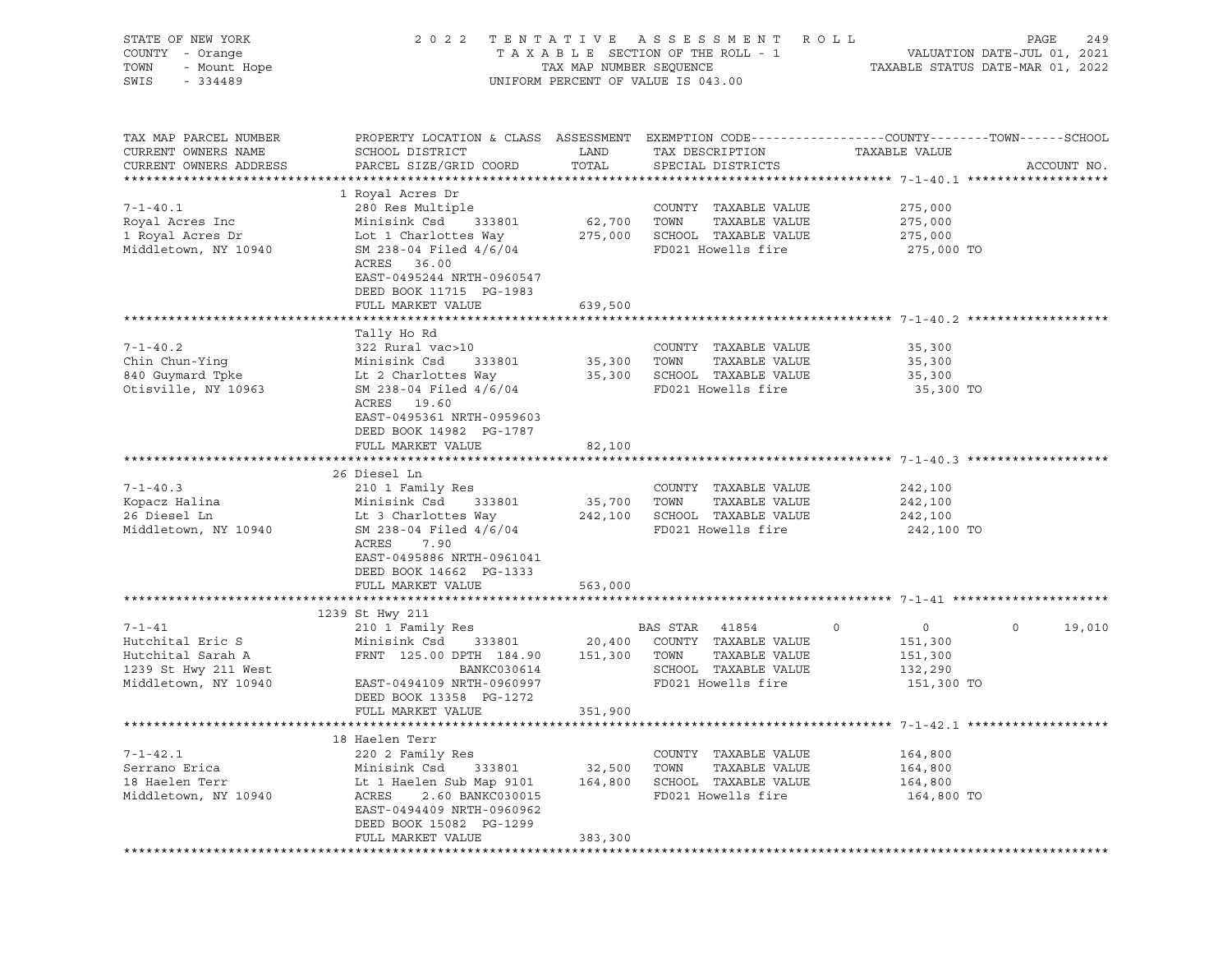| STATE OF NEW YORK<br>COUNTY - Orange<br>TOWN<br>- Mount Hope<br>SWIS<br>$-334489$                     |                                                                                                                                                                                                              |                        | 2022 TENTATIVE ASSESSMENT ROLL<br>UNIFORM PERCENT OF VALUE IS 043.00                                  |                                                             | PAGE<br>249       |
|-------------------------------------------------------------------------------------------------------|--------------------------------------------------------------------------------------------------------------------------------------------------------------------------------------------------------------|------------------------|-------------------------------------------------------------------------------------------------------|-------------------------------------------------------------|-------------------|
| TAX MAP PARCEL NUMBER<br>CURRENT OWNERS NAME<br>CURRENT OWNERS ADDRESS                                | PROPERTY LOCATION & CLASS ASSESSMENT EXEMPTION CODE----------------COUNTY-------TOWN-----SCHOOL<br>SCHOOL DISTRICT<br>PARCEL SIZE/GRID COORD                                                                 | LAND<br>TOTAL          | TAX DESCRIPTION<br>SPECIAL DISTRICTS                                                                  | TAXABLE VALUE                                               | ACCOUNT NO.       |
| $7 - 1 - 40.1$<br>Royal Acres Inc<br>1 Royal Acres Dr<br>Middletown, NY 10940                         | 1 Royal Acres Dr<br>280 Res Multiple<br>333801<br>Minisink Csd<br>Lot 1 Charlottes Way<br>SM 238-04 Filed 4/6/04<br>ACRES 36.00<br>EAST-0495244 NRTH-0960547<br>DEED BOOK 11715 PG-1983<br>FULL MARKET VALUE | 62,700 TOWN<br>639,500 | COUNTY TAXABLE VALUE<br>TAXABLE VALUE<br>275,000 SCHOOL TAXABLE VALUE<br>FD021 Howells fire           | 275,000<br>275,000<br>275,000<br>275,000 TO                 |                   |
|                                                                                                       |                                                                                                                                                                                                              |                        |                                                                                                       |                                                             |                   |
| $7 - 1 - 40.2$<br>Chin Chun-Ying<br>840 Guymard Tpke<br>Otisville, NY 10963                           | Tally Ho Rd<br>322 Rural vac>10<br>Minisink Csd<br>333801<br>Lt 2 Charlottes Way<br>SM 238-04 Filed 4/6/04<br>ACRES 19.60<br>EAST-0495361 NRTH-0959603<br>DEED BOOK 14982 PG-1787<br>FULL MARKET VALUE       | 35,300 TOWN<br>82,100  | COUNTY TAXABLE VALUE<br>TAXABLE VALUE<br>35,300 SCHOOL TAXABLE VALUE<br>FD021 Howells fire            | 35,300<br>35,300<br>35,300<br>35,300 TO                     |                   |
|                                                                                                       |                                                                                                                                                                                                              |                        |                                                                                                       |                                                             |                   |
| $7 - 1 - 40.3$<br>Kopacz Halina<br>26 Diesel Ln<br>Middletown, NY 10940                               | 26 Diesel Ln<br>210 1 Family Res<br>333801<br>Minisink Csd<br>Lt 3 Charlottes Way<br>SM 238-04 Filed 4/6/04<br>ACRES<br>7.90<br>EAST-0495886 NRTH-0961041<br>DEED BOOK 14662 PG-1333                         | 35,700 TOWN            | COUNTY TAXABLE VALUE<br>TAXABLE VALUE<br>242,100 SCHOOL TAXABLE VALUE<br>FD021 Howells fire           | 242,100<br>242,100<br>242,100<br>242,100 TO                 |                   |
|                                                                                                       | FULL MARKET VALUE                                                                                                                                                                                            | 563,000                |                                                                                                       |                                                             |                   |
|                                                                                                       |                                                                                                                                                                                                              |                        |                                                                                                       |                                                             |                   |
| $7 - 1 - 41$<br>Hutchital Eric S<br>Hutchital Sarah A<br>1239 St Hwy 211 West<br>Middletown, NY 10940 | 1239 St Hwy 211<br>210 1 Family Res<br>Minisink Csd<br>333801<br>FRNT 125.00 DPTH 184.90 151,300 TOWN<br>BANKC030614<br>EAST-0494109 NRTH-0960997<br>DEED BOOK 13358 PG-1272                                 | 20,400                 | BAS STAR 41854<br>COUNTY TAXABLE VALUE<br>TAXABLE VALUE<br>SCHOOL TAXABLE VALUE<br>FD021 Howells fire | 0<br>$\circ$<br>151,300<br>151,300<br>132,290<br>151,300 TO | 19,010<br>$\circ$ |
|                                                                                                       | FULL MARKET VALUE                                                                                                                                                                                            |                        |                                                                                                       |                                                             |                   |
|                                                                                                       |                                                                                                                                                                                                              | 351,900                |                                                                                                       |                                                             |                   |
|                                                                                                       | 18 Haelen Terr                                                                                                                                                                                               |                        |                                                                                                       |                                                             |                   |
| $7 - 1 - 42.1$<br>Serrano Erica<br>18 Haelen Terr<br>Middletown, NY 10940                             | 220 2 Family Res<br>Minisink Csd<br>333801<br>Lt 1 Haelen Sub Map 9101<br>2.60 BANKC030015<br>ACRES<br>EAST-0494409 NRTH-0960962                                                                             | 32,500<br>164,800      | COUNTY TAXABLE VALUE<br>TOWN<br>TAXABLE VALUE<br>SCHOOL TAXABLE VALUE<br>FD021 Howells fire           | 164,800<br>164,800<br>164,800<br>164,800 TO                 |                   |
|                                                                                                       | DEED BOOK 15082 PG-1299                                                                                                                                                                                      |                        |                                                                                                       |                                                             |                   |
|                                                                                                       | FULL MARKET VALUE                                                                                                                                                                                            | 383,300                |                                                                                                       |                                                             |                   |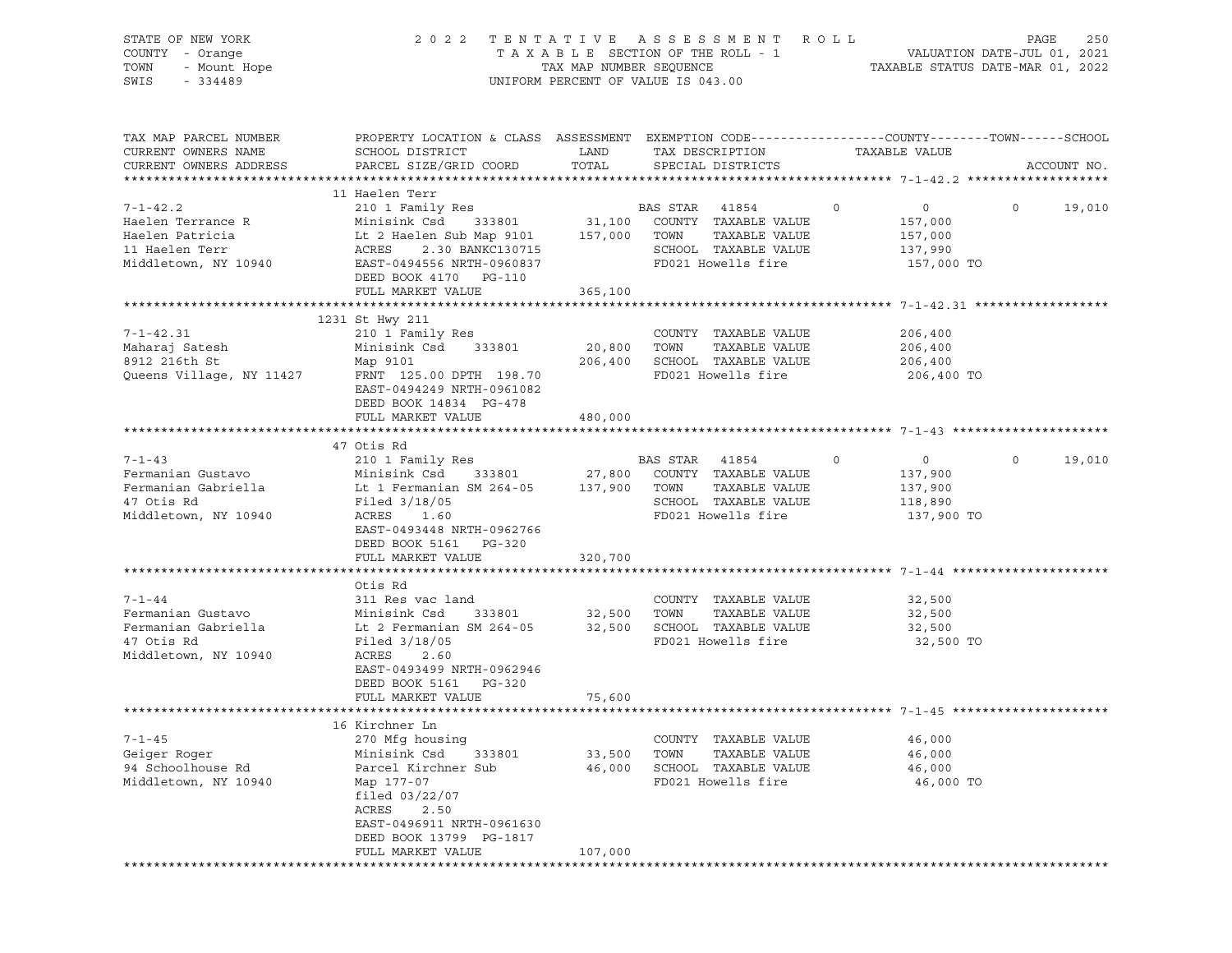| STATE OF NEW YORK<br>COUNTY - Orange<br>- Mount Hope<br>TOWN<br>SWIS<br>$-334489$                | 2 0 2 2                                                                                                                                                                                                            | TAX MAP NUMBER SEQUENCE      | TENTATIVE ASSESSMENT ROLL<br>TAXABLE SECTION OF THE ROLL - 1<br>UNIFORM PERCENT OF VALUE IS 043.00            |             | VALUATION DATE-JUL 01, 2021<br>TAXABLE STATUS DATE-MAR 01, 2022 | PAGE    | 250         |
|--------------------------------------------------------------------------------------------------|--------------------------------------------------------------------------------------------------------------------------------------------------------------------------------------------------------------------|------------------------------|---------------------------------------------------------------------------------------------------------------|-------------|-----------------------------------------------------------------|---------|-------------|
| TAX MAP PARCEL NUMBER<br>CURRENT OWNERS NAME<br>CURRENT OWNERS ADDRESS                           | PROPERTY LOCATION & CLASS ASSESSMENT EXEMPTION CODE----------------COUNTY-------TOWN-----SCHOOL<br>SCHOOL DISTRICT<br>PARCEL SIZE/GRID COORD                                                                       | LAND<br>TOTAL                | TAX DESCRIPTION<br>SPECIAL DISTRICTS                                                                          |             | TAXABLE VALUE                                                   |         | ACCOUNT NO. |
| $7 - 1 - 42.2$<br>Haelen Terrance R<br>Haelen Patricia<br>11 Haelen Terr<br>Middletown, NY 10940 | 11 Haelen Terr<br>210 1 Family Res<br>Minisink Csd<br>333801<br>Lt 2 Haelen Sub Map 9101 157,000<br>ACRES<br>2.30 BANKC130715<br>EAST-0494556 NRTH-0960837<br>DEED BOOK 4170 PG-110<br>FULL MARKET VALUE           | 31,100<br>365,100            | BAS STAR 41854<br>COUNTY TAXABLE VALUE<br>TOWN<br>TAXABLE VALUE<br>SCHOOL TAXABLE VALUE<br>FD021 Howells fire | $\mathbf 0$ | $\overline{0}$<br>157,000<br>157,000<br>137,990<br>157,000 TO   | $\circ$ | 19,010      |
|                                                                                                  | 1231 St Hwy 211                                                                                                                                                                                                    |                              |                                                                                                               |             |                                                                 |         |             |
| $7 - 1 - 42.31$<br>Maharaj Satesh<br>8912 216th St<br>Queens Village, NY 11427                   | 210 1 Family Res<br>Minisink Csd<br>333801<br>Map 9101<br>FRNT 125.00 DPTH 198.70<br>EAST-0494249 NRTH-0961082                                                                                                     | 20,800<br>206,400            | COUNTY TAXABLE VALUE<br>TOWN<br>TAXABLE VALUE<br>SCHOOL TAXABLE VALUE<br>FD021 Howells fire                   |             | 206,400<br>206,400<br>206,400<br>206,400 TO                     |         |             |
|                                                                                                  | DEED BOOK 14834 PG-478<br>FULL MARKET VALUE                                                                                                                                                                        | 480,000                      |                                                                                                               |             |                                                                 |         |             |
|                                                                                                  |                                                                                                                                                                                                                    |                              |                                                                                                               |             |                                                                 |         |             |
| $7 - 1 - 43$<br>Fermanian Gustavo<br>Fermanian Gabriella<br>47 Otis Rd<br>Middletown, NY 10940   | 47 Otis Rd<br>210 1 Family Res<br>Minisink Csd<br>333801<br>Lt 1 Fermanian SM 264-05<br>Filed $3/18/05$<br>ACRES<br>1.60<br>EAST-0493448 NRTH-0962766<br>DEED BOOK 5161 PG-320<br>FULL MARKET VALUE                | 27,800<br>137,900<br>320,700 | BAS STAR 41854<br>COUNTY TAXABLE VALUE<br>TAXABLE VALUE<br>TOWN<br>SCHOOL TAXABLE VALUE<br>FD021 Howells fire | $\circ$     | $\circ$<br>137,900<br>137,900<br>118,890<br>137,900 TO          | $\circ$ | 19,010      |
|                                                                                                  |                                                                                                                                                                                                                    |                              |                                                                                                               |             |                                                                 |         |             |
| $7 - 1 - 44$<br>Fermanian Gustavo<br>Fermanian Gabriella<br>47 Otis Rd<br>Middletown, NY 10940   | Otis Rd<br>311 Res vac land<br>Minisink Csd<br>333801<br>Lt 2 Fermanian SM 264-05<br>Filed 3/18/05<br>ACRES<br>2.60<br>EAST-0493499 NRTH-0962946<br>DEED BOOK 5161<br>PG-320<br>FULL MARKET VALUE                  | 32,500<br>32,500<br>75,600   | COUNTY TAXABLE VALUE<br>TAXABLE VALUE<br>TOWN<br>SCHOOL TAXABLE VALUE<br>FD021 Howells fire                   |             | 32,500<br>32,500<br>32,500<br>32,500 TO                         |         |             |
|                                                                                                  |                                                                                                                                                                                                                    |                              |                                                                                                               |             |                                                                 |         |             |
| $7 - 1 - 45$<br>Geiger Roger<br>94 Schoolhouse Rd<br>Middletown, NY 10940                        | 16 Kirchner Ln<br>270 Mfg housing<br>Minisink Csd<br>333801<br>Parcel Kirchner Sub<br>Map 177-07<br>filed $03/22/07$<br>ACRES<br>2.50<br>EAST-0496911 NRTH-0961630<br>DEED BOOK 13799 PG-1817<br>FULL MARKET VALUE | 33,500<br>46,000<br>107,000  | COUNTY TAXABLE VALUE<br>TOWN<br>TAXABLE VALUE<br>SCHOOL TAXABLE VALUE<br>FD021 Howells fire                   |             | 46,000<br>46,000<br>46,000<br>46,000 TO                         |         |             |
|                                                                                                  |                                                                                                                                                                                                                    |                              |                                                                                                               |             |                                                                 |         |             |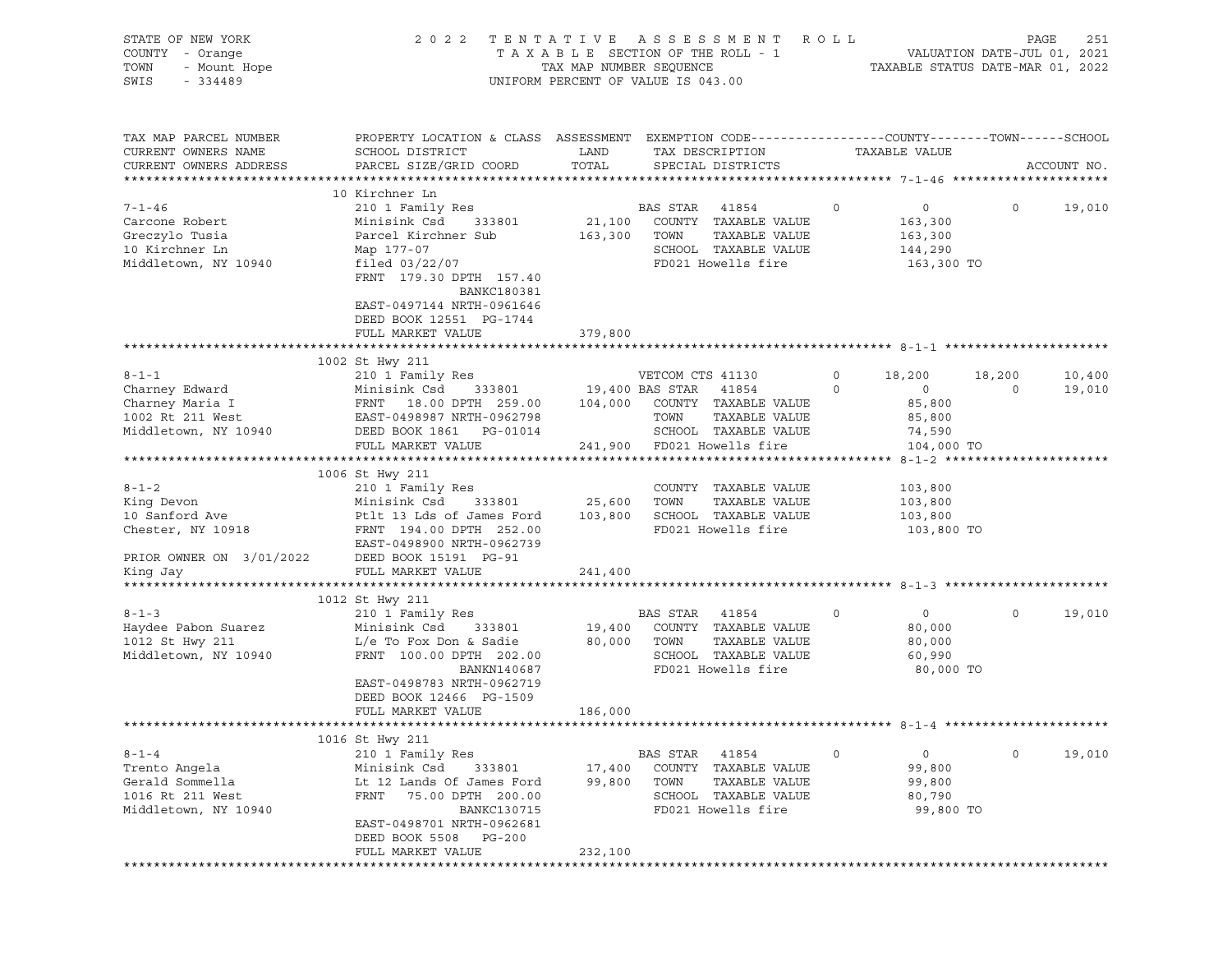| STATE OF NEW YORK<br>COUNTY - Orange<br>TOWN<br>- Mount Hope<br>SWIS<br>$-334489$ | 2 0 2 2                                                                                                                                       | UNIFORM PERCENT OF VALUE IS 043.00 |                  | TENTATIVE ASSESSMENT ROLL             |            |                          | PAGE    | 251         |
|-----------------------------------------------------------------------------------|-----------------------------------------------------------------------------------------------------------------------------------------------|------------------------------------|------------------|---------------------------------------|------------|--------------------------|---------|-------------|
| TAX MAP PARCEL NUMBER<br>CURRENT OWNERS NAME<br>CURRENT OWNERS ADDRESS            | PROPERTY LOCATION & CLASS ASSESSMENT EXEMPTION CODE----------------COUNTY-------TOWN------SCHOOL<br>SCHOOL DISTRICT<br>PARCEL SIZE/GRID COORD | LAND<br>TOTAL                      |                  | TAX DESCRIPTION<br>SPECIAL DISTRICTS  |            | TAXABLE VALUE            |         | ACCOUNT NO. |
|                                                                                   |                                                                                                                                               |                                    |                  |                                       |            |                          |         |             |
|                                                                                   | 10 Kirchner Ln                                                                                                                                |                                    |                  |                                       |            |                          |         |             |
| $7 - 1 - 46$                                                                      | 210 1 Family Res                                                                                                                              |                                    | BAS STAR         | 41854                                 | $\circ$    | $\overline{0}$           | $\circ$ | 19,010      |
| Carcone Robert                                                                    | 333801<br>Minisink Csd<br>Parcel Kirchner Sub                                                                                                 | 21,100<br>163,300 TOWN             |                  | COUNTY TAXABLE VALUE<br>TAXABLE VALUE |            | 163,300                  |         |             |
| Greczylo Tusia<br>10 Kirchner Ln                                                  | Map 177-07                                                                                                                                    |                                    |                  | SCHOOL TAXABLE VALUE                  |            | 163,300<br>144,290       |         |             |
| Middletown, NY 10940                                                              | filed $03/22/07$                                                                                                                              |                                    |                  | FD021 Howells fire                    |            | 163,300 TO               |         |             |
|                                                                                   | FRNT 179.30 DPTH 157.40<br>BANKC180381                                                                                                        |                                    |                  |                                       |            |                          |         |             |
|                                                                                   | EAST-0497144 NRTH-0961646<br>DEED BOOK 12551 PG-1744                                                                                          |                                    |                  |                                       |            |                          |         |             |
|                                                                                   | FULL MARKET VALUE                                                                                                                             | 379,800                            |                  |                                       |            |                          |         |             |
|                                                                                   |                                                                                                                                               |                                    |                  |                                       |            |                          |         |             |
|                                                                                   | 1002 St Hwy 211                                                                                                                               |                                    |                  |                                       |            |                          |         |             |
| $8 - 1 - 1$                                                                       | 210 1 Family Res                                                                                                                              |                                    | VETCOM CTS 41130 |                                       | $\circ$    | 18,200                   | 18,200  | 10,400      |
| Charney Edward                                                                    | Minisink Csd                                                                                                                                  | 333801 19,400 BAS STAR 41854       |                  |                                       | $\circ$    | $\overline{0}$<br>85,800 | $\circ$ | 19,010      |
| Charney Maria I<br>1002 Rt 211 West                                               |                                                                                                                                               |                                    |                  |                                       |            | 85,800                   |         |             |
| Middletown, NY 10940                                                              | DEED BOOK 1861  PG-01014                                                                                                                      |                                    |                  | SCHOOL TAXABLE VALUE                  |            | 74,590                   |         |             |
|                                                                                   | FULL MARKET VALUE                                                                                                                             | 241,900 FD021 Howells fire         |                  |                                       |            | 104,000 TO               |         |             |
|                                                                                   |                                                                                                                                               |                                    |                  |                                       |            |                          |         |             |
|                                                                                   | 1006 St Hwy 211                                                                                                                               |                                    |                  |                                       |            |                          |         |             |
| $8 - 1 - 2$<br>King Devon                                                         | 210 1 Family Res                                                                                                                              | 333801 25,600 TOWN                 |                  | COUNTY TAXABLE VALUE<br>TAXABLE VALUE |            | 103,800<br>103,800       |         |             |
| 10 Sanford Ave                                                                    | Minisink Csd<br>Ptlt 13 Lds of James Ford 103,800 SCHOOL TAXABLE VALUE                                                                        |                                    |                  |                                       |            | 103,800                  |         |             |
| Chester, NY 10918                                                                 | FRNT 194.00 DPTH 252.00                                                                                                                       |                                    |                  | FD021 Howells fire                    | 103,800 TO |                          |         |             |
|                                                                                   | EAST-0498900 NRTH-0962739                                                                                                                     |                                    |                  |                                       |            |                          |         |             |
| PRIOR OWNER ON 3/01/2022                                                          | DEED BOOK 15191 PG-91                                                                                                                         |                                    |                  |                                       |            |                          |         |             |
| King Jay                                                                          | FULL MARKET VALUE                                                                                                                             | 241,400                            |                  |                                       |            |                          |         |             |
|                                                                                   |                                                                                                                                               |                                    |                  |                                       |            |                          |         |             |
| $8 - 1 - 3$                                                                       | 1012 St Hwy 211<br>210 1 Family Res                                                                                                           |                                    | BAS STAR         | 41854                                 | $\circ$    | $\overline{0}$           | $\circ$ | 19,010      |
| Haydee Pabon Suarez                                                               | Minisink Csd<br>333801                                                                                                                        | 19,400                             |                  | COUNTY TAXABLE VALUE                  |            | 80,000                   |         |             |
| 1012 St Hwy 211                                                                   | L/e To Fox Don & Sadie                                                                                                                        | 80,000 TOWN                        |                  | TAXABLE VALUE                         |            | 80,000                   |         |             |
| Middletown, NY 10940                                                              | FRNT 100.00 DPTH 202.00                                                                                                                       |                                    |                  | SCHOOL TAXABLE VALUE                  |            | 60,990                   |         |             |
|                                                                                   | BANKN140687                                                                                                                                   |                                    |                  | FD021 Howells fire                    |            | 80,000 TO                |         |             |
|                                                                                   | EAST-0498783 NRTH-0962719<br>DEED BOOK 12466 PG-1509                                                                                          |                                    |                  |                                       |            |                          |         |             |
|                                                                                   | FULL MARKET VALUE                                                                                                                             | 186,000                            |                  |                                       |            |                          |         |             |
|                                                                                   |                                                                                                                                               |                                    |                  |                                       |            |                          |         |             |
|                                                                                   | 1016 St Hwy 211                                                                                                                               |                                    |                  |                                       |            |                          |         |             |
| $8 - 1 - 4$                                                                       | 210 1 Family Res                                                                                                                              |                                    | BAS STAR         | 41854                                 | $\Omega$   | 0                        | 0       | 19,010      |
| Trento Angela                                                                     | Minisink Csd<br>333801                                                                                                                        | 17,400                             | COUNTY           | TAXABLE VALUE                         |            | 99,800                   |         |             |
| Gerald Sommella<br>1016 Rt 211 West                                               | Lt 12 Lands Of James Ford<br>FRNT<br>75.00 DPTH 200.00                                                                                        | 99,800                             | TOWN             | TAXABLE VALUE<br>SCHOOL TAXABLE VALUE |            | 99,800<br>80,790         |         |             |
| Middletown, NY 10940                                                              | <b>BANKC130715</b>                                                                                                                            |                                    |                  | FD021 Howells fire                    |            | 99,800 TO                |         |             |
|                                                                                   | EAST-0498701 NRTH-0962681                                                                                                                     |                                    |                  |                                       |            |                          |         |             |
|                                                                                   | DEED BOOK 5508<br>$PG-200$                                                                                                                    |                                    |                  |                                       |            |                          |         |             |
|                                                                                   | FULL MARKET VALUE                                                                                                                             | 232,100                            |                  |                                       |            |                          |         |             |
|                                                                                   |                                                                                                                                               |                                    |                  |                                       |            |                          |         |             |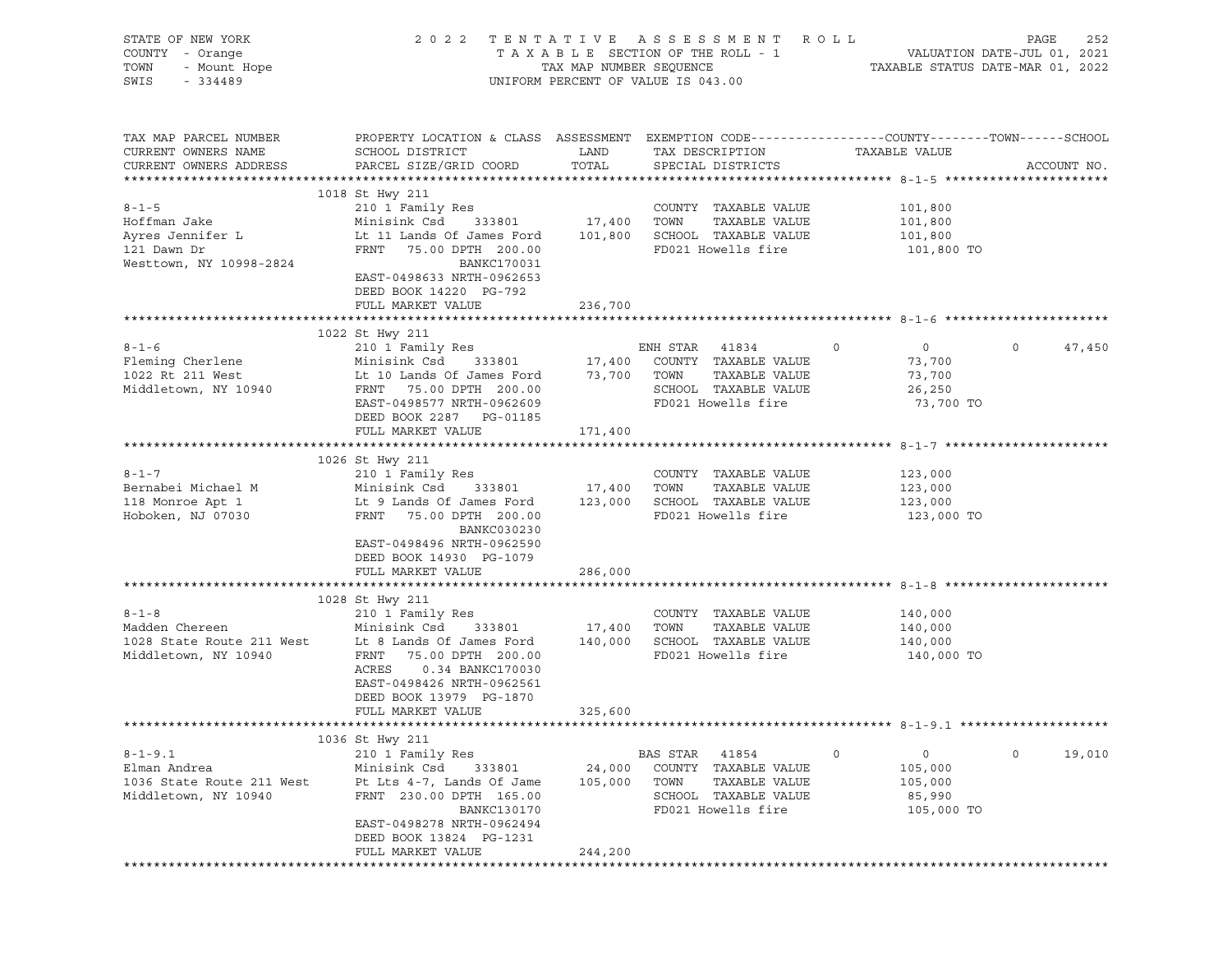| STATE OF NEW YORK<br>COUNTY - Orange<br>- Orange<br>- Mount Hope<br>TOWN<br>SWIS<br>$-334489$ | 2 0 2 2<br>TENTATIVE ASSESSMENT ROLL<br>UNIFORM PERCENT OF VALUE IS 043.00                                                                                                                                                                                        | PAGE<br>252                  |                                                                                                                  |                                                                      |                   |
|-----------------------------------------------------------------------------------------------|-------------------------------------------------------------------------------------------------------------------------------------------------------------------------------------------------------------------------------------------------------------------|------------------------------|------------------------------------------------------------------------------------------------------------------|----------------------------------------------------------------------|-------------------|
| TAX MAP PARCEL NUMBER<br>CURRENT OWNERS NAME<br>CURRENT OWNERS ADDRESS                        | PROPERTY LOCATION & CLASS ASSESSMENT EXEMPTION CODE---------------COUNTY-------TOWN-----SCHOOL<br>SCHOOL DISTRICT<br>PARCEL SIZE/GRID COORD                                                                                                                       | <b>LAND</b><br>TOTAL         | TAX DESCRIPTION<br>SPECIAL DISTRICTS                                                                             | TAXABLE VALUE                                                        | ACCOUNT NO.       |
| $8 - 1 - 5$<br>Hoffman Jake<br>Ayres Jennifer L<br>121 Dawn Dr<br>Westtown, NY 10998-2824     | 1018 St Hwy 211<br>210 1 Family Res<br>Minisink Csd 333801 17,400 TOWN<br>Lt 11 Lands Of James Ford 101,800 SCHOOL TAXABLE VALUE<br>FRNT 75.00 DPTH 200.00<br><b>BANKC170031</b><br>EAST-0498633 NRTH-0962653<br>DEED BOOK 14220 PG-792<br>FULL MARKET VALUE      | 236,700                      | COUNTY TAXABLE VALUE<br>TAXABLE VALUE<br>FD021 Howells fire                                                      | 101,800<br>101,800<br>101,800<br>101,800 TO                          |                   |
|                                                                                               |                                                                                                                                                                                                                                                                   |                              |                                                                                                                  |                                                                      |                   |
| $8 - 1 - 6$<br>Fleming Cherlene<br>1022 Rt 211 West<br>Middletown, NY 10940                   | 1022 St Hwy 211<br>Lt 10 Lands Of James Ford 73,700 TOWN<br>FRNT 75.00 DPTH 200.00<br>EAST-0498577 NRTH-0962609<br>DEED BOOK 2287 PG-01185                                                                                                                        |                              | TAXABLE VALUE<br>SCHOOL TAXABLE VALUE<br>FD021 Howells fire                                                      | $\circ$<br>$\overline{0}$<br>73,700<br>73,700<br>26,250<br>73,700 TO | $\circ$<br>47,450 |
|                                                                                               | FULL MARKET VALUE                                                                                                                                                                                                                                                 | 171,400                      |                                                                                                                  |                                                                      |                   |
|                                                                                               |                                                                                                                                                                                                                                                                   |                              |                                                                                                                  |                                                                      |                   |
| $8 - 1 - 7$<br>Bernabei Michael M<br>118 Monroe Apt 1<br>Hoboken, NJ 07030                    | 1026 St Hwy 211<br>210 1 Family Res<br>Minisink Csd 333801 17,400<br>Lt 9 Lands Of James Ford<br>FRNT 75.00 DPTH 200.00<br>BANKC030230<br>EAST-0498496 NRTH-0962590<br>DEED BOOK 14930 PG-1079                                                                    |                              | COUNTY TAXABLE VALUE<br>TOWN<br>TAXABLE VALUE<br>123,000 SCHOOL TAXABLE VALUE<br>FD021 Howells fire              | 123,000<br>123,000<br>123,000<br>123,000 TO                          |                   |
|                                                                                               | FULL MARKET VALUE                                                                                                                                                                                                                                                 | 286,000                      |                                                                                                                  |                                                                      |                   |
| $8 - 1 - 8$<br>°-1 °<br>Madden Chereen<br>1028 State Route 211 West<br>Middletown, NY 10940   | 1028 St Hwy 211<br>210 1 Family Res<br>Minisink Csd<br>333801 17,400<br>Lt 8 Lands Of James Ford 140,000 SCHOOL TAXABLE VALUE<br>FRNT 75.00 DPTH 200.00<br>ACRES<br>0.34 BANKC170030<br>EAST-0498426 NRTH-0962561<br>DEED BOOK 13979 PG-1870<br>FULL MARKET VALUE | 325,600                      | COUNTY TAXABLE VALUE<br>TOWN<br>TAXABLE VALUE<br>FD021 Howells fire                                              | 140,000<br>140,000<br>140,000<br>140,000 TO                          |                   |
|                                                                                               |                                                                                                                                                                                                                                                                   |                              |                                                                                                                  |                                                                      |                   |
| $8 - 1 - 9.1$<br>Elman Andrea<br>1036 State Route 211 West<br>Middletown, NY 10940            | 1036 St Hwy 211<br>210 1 Family Res<br>Minisink Csd<br>333801<br>Pt Lts 4-7, Lands Of Jame<br>FRNT 230.00 DPTH 165.00<br><b>BANKC130170</b><br>EAST-0498278 NRTH-0962494<br>DEED BOOK 13824 PG-1231<br>FULL MARKET VALUE                                          | 24,000<br>105,000<br>244,200 | BAS STAR<br>41854<br>COUNTY TAXABLE VALUE<br>TOWN<br>TAXABLE VALUE<br>SCHOOL TAXABLE VALUE<br>FD021 Howells fire | 0<br>$\circ$<br>105,000<br>105,000<br>85,990<br>105,000 TO           | 0<br>19,010       |
|                                                                                               |                                                                                                                                                                                                                                                                   |                              |                                                                                                                  |                                                                      |                   |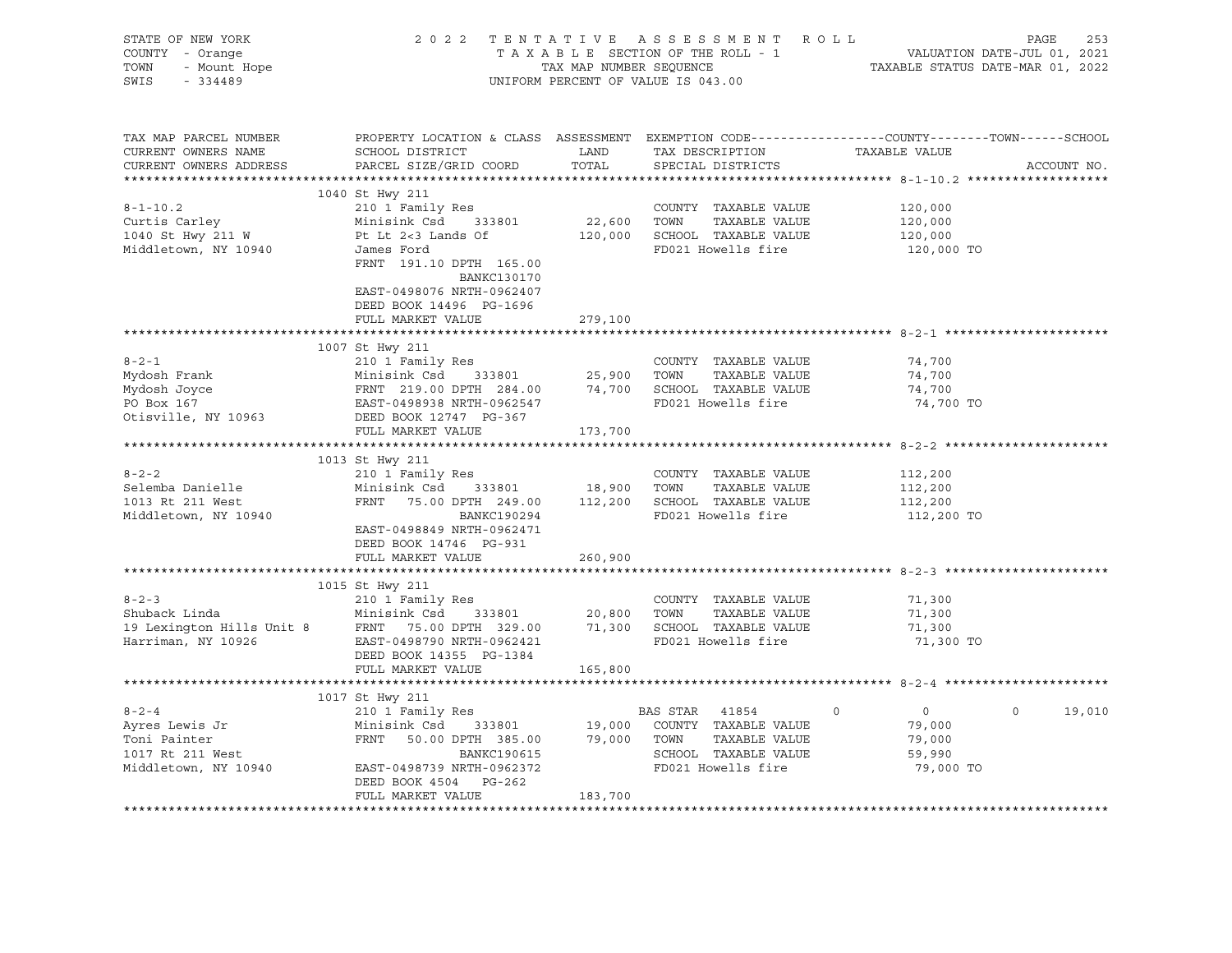| STATE OF NEW YORK<br>COUNTY - Orange<br>Y - Orange<br>- Mount Hope<br>TOWN<br>SWIS<br>$-334489$                                                                                                                                                    |                                                                                                                                                                                                                                        |         | 2022 TENTATIVE ASSESSMENT ROLL<br>TAXABLE SECTION OF THE ROLL - 1<br>TAXABLE SECTION OF THE ROLL - 1<br>TAXABLE STATUS DATE-MAR 01, 2022<br>UNIFORM PERCENT OF VALUE IS 043.00 |                                                                      | PAGE<br>253        |
|----------------------------------------------------------------------------------------------------------------------------------------------------------------------------------------------------------------------------------------------------|----------------------------------------------------------------------------------------------------------------------------------------------------------------------------------------------------------------------------------------|---------|--------------------------------------------------------------------------------------------------------------------------------------------------------------------------------|----------------------------------------------------------------------|--------------------|
| TAX MAP PARCEL NUMBER<br>CURRENT OWNERS NAME<br>CURRENT OWNERS ADDRESS                                                                                                                                                                             | PROPERTY LOCATION & CLASS ASSESSMENT EXEMPTION CODE----------------COUNTY-------TOWN------SCHOOL<br>SCHOOL DISTRICT<br>PARCEL SIZE/GRID COORD                                                                                          | TOTAL   | LAND TAX DESCRIPTION TAXABLE VALUE<br>SPECIAL DISTRICTS                                                                                                                        |                                                                      | ACCOUNT NO.        |
| $8 - 1 - 10.2$<br>Curtis Carley Curtis Carley Alinisink Csd 333801 22,600 TOWN TAXABLE VALUE<br>1040 St Hwy 211 W Pt Lt 2<3 Lands Of 120,000 SCHOOL TAXABLE VALUE<br>Middletown, NY 10940 James Ford FD021 Howells fire<br>Middletown, NY 10940    | 1040 St Hwy 211<br>210 1 Family Res<br>James Ford<br>FRNT 191.10 DPTH 165.00<br>BANKC130170<br>EAST-0498076 NRTH-0962407<br>DEED BOOK 14496 PG-1696<br>FULL MARKET VALUE                                                               | 279,100 | COUNTY TAXABLE VALUE<br>TAXABLE VALUE<br>FD021 Howells fire                                                                                                                    | 120,000<br>120,000<br>120,000<br>120,000 TO                          |                    |
|                                                                                                                                                                                                                                                    |                                                                                                                                                                                                                                        |         |                                                                                                                                                                                |                                                                      |                    |
| $8 - 2 - 1$<br>Mydosh Frank Minisink Csd 333801 25,900 TOWN TAXABLE VALUE<br>Mydosh Joyce FRNT 219.00 DPTH 284.00 74,700 SCHOOL TAXABLE VALUE<br>PO Box 167 EAST-0498938 NRTH-0962547 FD021 Howells fire<br>Otisville, NY 10963 DEED BOOK 1274,700 | 1007 St Hwy 211<br>210 1 Family Res<br>FULL MARKET VALUE                                                                                                                                                                               | 173,700 | COUNTY TAXABLE VALUE                                                                                                                                                           | 74,700<br>74,700<br>74,700<br>74,700 TO                              |                    |
|                                                                                                                                                                                                                                                    |                                                                                                                                                                                                                                        |         |                                                                                                                                                                                |                                                                      |                    |
| $8 - 2 - 2$<br>Selemba Danielle<br>1013 Rt 211 West<br>Middletown, NY 10940                                                                                                                                                                        | 1013 St Hwy 211<br>210 1 Family Res<br>Minisink Csd 333801 18,900 TOWN TAXABLE VALUE<br>FRNT 75.00 DPTH 249.00 112,200 SCHOOL TAXABLE VALUE<br>BANKC190294<br>EAST-0498849 NRTH-0962471<br>DEED BOOK 14746 PG-931<br>FULL MARKET VALUE | 260,900 | COUNTY TAXABLE VALUE<br>FD021 Howells fire                                                                                                                                     | 112,200<br>112,200<br>112,200<br>112,200 TO                          |                    |
|                                                                                                                                                                                                                                                    |                                                                                                                                                                                                                                        |         |                                                                                                                                                                                |                                                                      |                    |
| 8-2-3<br>210 1 Family Res<br>210 1 Family Res<br>210 1 Family Res<br>210 1 Family Res<br>210 1 Family Res<br>20,800 TOWN TAXABLE VALUE<br>20,800 TOWN TAXABLE VALUE<br>20,800 TOWN TAXABLE VALUE<br>20,800 TOWN TAXABLE VALUE<br>20,800 TOWN TAXAB | 1015 St Hwy 211<br>210 1 Family Res<br>DEED BOOK 14355 PG-1384<br>FULL MARKET VALUE                                                                                                                                                    | 165,800 | FD021 Howells fire                                                                                                                                                             | 71,300<br>71,300<br>71,300<br>71,300 TO                              |                    |
|                                                                                                                                                                                                                                                    |                                                                                                                                                                                                                                        |         |                                                                                                                                                                                |                                                                      |                    |
| $8 - 2 - 4$<br>Ayres Lewis Jr<br>Toni Painter<br>Toni Painter<br>$1017$ Rt $211$ West<br>EXAMENT BANKC190615<br>Middletown, NY 10940 EAST-0498739 NRTH-0962372 FD021 Howells fire<br>And EAST-0498739 NRTH-0962372                                 | 1017 St Hwy 211<br>210 1 Family Res<br>Minisink Csd 333801 19,000 COUNTY TAXABLE VALUE<br>FRNT 50.00 DPTH 385.00 79,000 TOWN TAXABLE VALUE<br>BANKC190615 SCHOOL TAXABLE VALUE<br>DEED BOOK 4504 PG-262<br>FULL MARKET VALUE           | 183,700 | BAS STAR 41854<br>FD021 Howells fire                                                                                                                                           | $\overline{0}$<br>$\circ$<br>79,000<br>79,000<br>59,990<br>79,000 TO | $\Omega$<br>19,010 |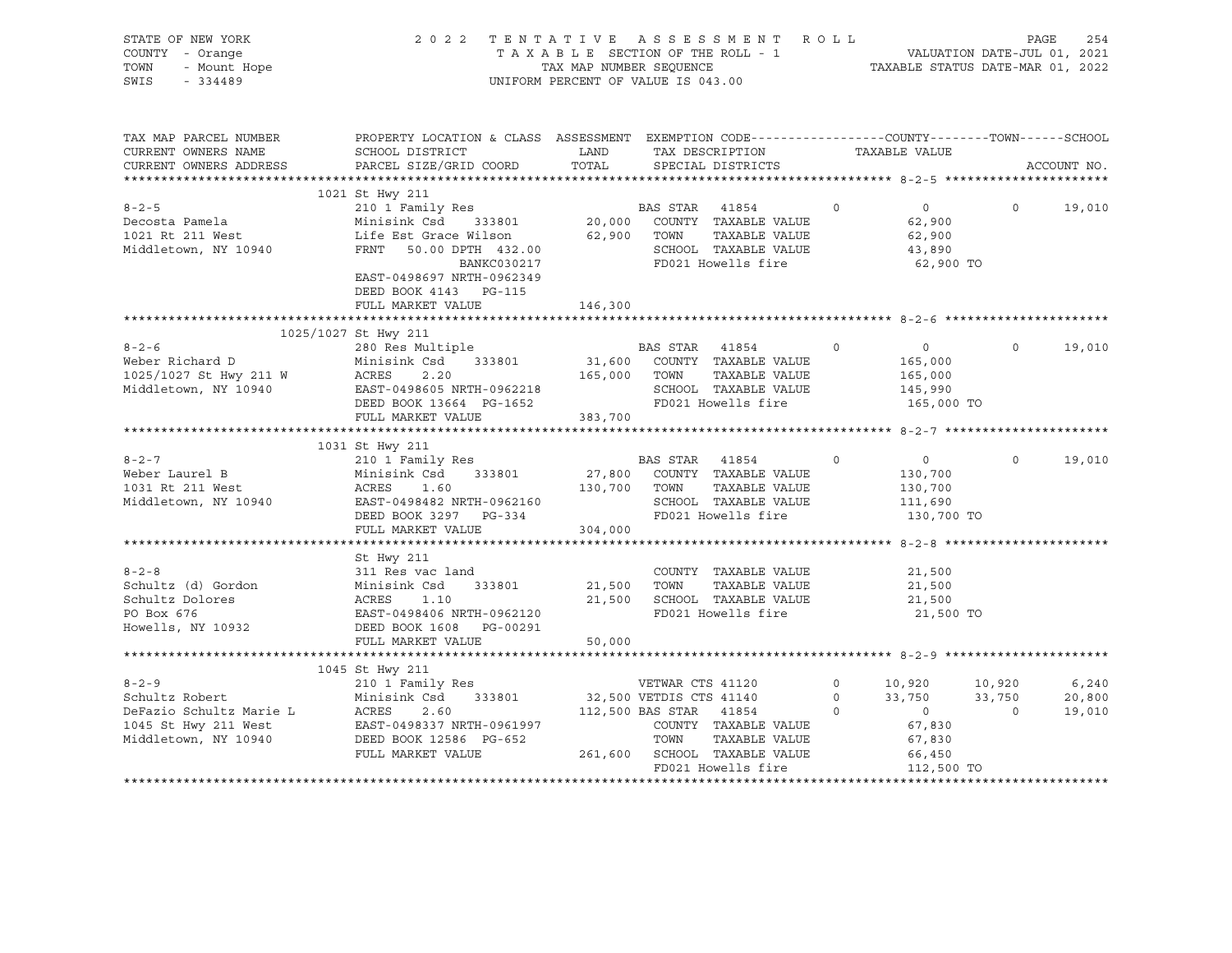| STATE OF NEW YORK<br>COUNTY - Orange<br>OF NEW YORK<br>7 - Orange<br>- Mount Hope<br>- 2109<br>TOWN<br>SWIS - 334489                                                                                                                                     | 2022 TENTATIVE ASSESSMENT ROLL PAGE 254<br>TAXABLE SECTION OF THE ROLL - 1<br>TAXABLE STATURER SEQUENCE TAXABLE STATUS DATE-JUL 01, 2021<br>TAXABLE STATUS DATE-MAR 01, 2022 | UNIFORM PERCENT OF VALUE IS 043.00 |                                                          |         |                                                                                                                                                       |                   |                           |
|----------------------------------------------------------------------------------------------------------------------------------------------------------------------------------------------------------------------------------------------------------|------------------------------------------------------------------------------------------------------------------------------------------------------------------------------|------------------------------------|----------------------------------------------------------|---------|-------------------------------------------------------------------------------------------------------------------------------------------------------|-------------------|---------------------------|
| TAX MAP PARCEL NUMBER<br>CURRENT OWNERS NAME<br>CURRENT OWNERS ADDRESS                                                                                                                                                                                   | PROPERTY LOCATION & CLASS ASSESSMENT EXEMPTION CODE-----------------COUNTY-------TOWN------SCHOOL<br>SCHOOL DISTRICT<br>PARCEL SIZE/GRID COORD TOTAL SPECIAL DISTRICTS       |                                    | LAND TAX DESCRIPTION TAXABLE VALUE                       |         |                                                                                                                                                       |                   |                           |
|                                                                                                                                                                                                                                                          |                                                                                                                                                                              |                                    |                                                          |         |                                                                                                                                                       |                   | ACCOUNT NO.               |
|                                                                                                                                                                                                                                                          | 1021 St Hwy 211                                                                                                                                                              |                                    |                                                          |         |                                                                                                                                                       |                   |                           |
|                                                                                                                                                                                                                                                          | BANKC030217<br>EAST-0498697 NRTH-0962349<br>DEED BOOK 4143 PG-115                                                                                                            |                                    | FD021 Howells fire                                       |         | $\overline{0}$<br>62,900<br>62,900<br>43,890<br>62,900 TO                                                                                             | $0 \qquad \qquad$ | 19,010                    |
|                                                                                                                                                                                                                                                          | FULL MARKET VALUE 146,300                                                                                                                                                    |                                    |                                                          |         |                                                                                                                                                       |                   |                           |
|                                                                                                                                                                                                                                                          |                                                                                                                                                                              |                                    |                                                          |         |                                                                                                                                                       |                   |                           |
|                                                                                                                                                                                                                                                          | 1025/1027 St Hwy 211                                                                                                                                                         |                                    |                                                          |         |                                                                                                                                                       |                   |                           |
| 380 Res Multiple<br>Weber Richard D<br>1025/1027 St Hwy 211 W<br>Minisink Csd 333801 31,600 COUNTY TAXABLE VALUE<br>280 Res Multiple<br>280 Res Multiple<br>230 Res Multiple<br>230 Res Multiple<br>230 Res Multiple<br>233801 31,600 COUNTY TAX         |                                                                                                                                                                              |                                    |                                                          |         | $\overline{0}$<br>165,000<br>165,000<br>145,990<br>165,000 TO                                                                                         | $\circ$           | 19,010                    |
|                                                                                                                                                                                                                                                          | FULL MARKET VALUE 383,700                                                                                                                                                    |                                    |                                                          |         |                                                                                                                                                       |                   |                           |
|                                                                                                                                                                                                                                                          |                                                                                                                                                                              |                                    |                                                          |         |                                                                                                                                                       |                   |                           |
| 1031 St Hwy 211<br>8-2-7<br>Weber Laurel B<br>1031 Rt 211 West<br>1031 Rt 211 West<br>1031 Rt 211 West<br>1031 Rt 211 West<br>1031 Rt 211 West<br>1031 Rt 211 West<br>1031 Rt 211 West<br>1031 Rt 211 West<br>1031 Rt 211 West<br>1031 Rt 211 West<br>10 | FULL MARKET VALUE 304,000                                                                                                                                                    |                                    |                                                          | $\circ$ | $\overline{0}$<br>130,700<br>130,700<br>111,690<br>130,700 TO                                                                                         | $\circ$           | 19,010                    |
|                                                                                                                                                                                                                                                          |                                                                                                                                                                              |                                    |                                                          |         |                                                                                                                                                       |                   |                           |
|                                                                                                                                                                                                                                                          | St Hwy 211<br>FULL MARKET VALUE                                                                                                                                              | 50,000                             | COUNTY TAXABLE VALUE 21,500<br>TOWN TAXABLE VALUE 21,500 |         | 21,500<br>21,500<br>21,500 TO                                                                                                                         |                   |                           |
|                                                                                                                                                                                                                                                          |                                                                                                                                                                              |                                    |                                                          |         |                                                                                                                                                       |                   |                           |
| 1045 St Hwy 211<br>8-2-9<br>Schultz Robert<br>Minisink Csd 333801<br>DeFazio Schultz Marie L<br>210 1 Family Res<br>Minisink Csd 333801<br>26 32,500 VETDIS CTS 41140<br>32,500 VETDIS CTS 41140<br>26 33,750<br>112,500 BAS STAR<br>41854<br>0 0 33,7   |                                                                                                                                                                              |                                    |                                                          |         | $\begin{array}{cccc} 0 & & 10\,,920 & & 10\,,920 \\ 0 & & 33\,,750 & & 33\,,750 \\ 0 & & & 0 & & 0 \\ & & & 67\,,830 & & & \end{array}$<br>112,500 TO |                   | 6,240<br>20,800<br>19,010 |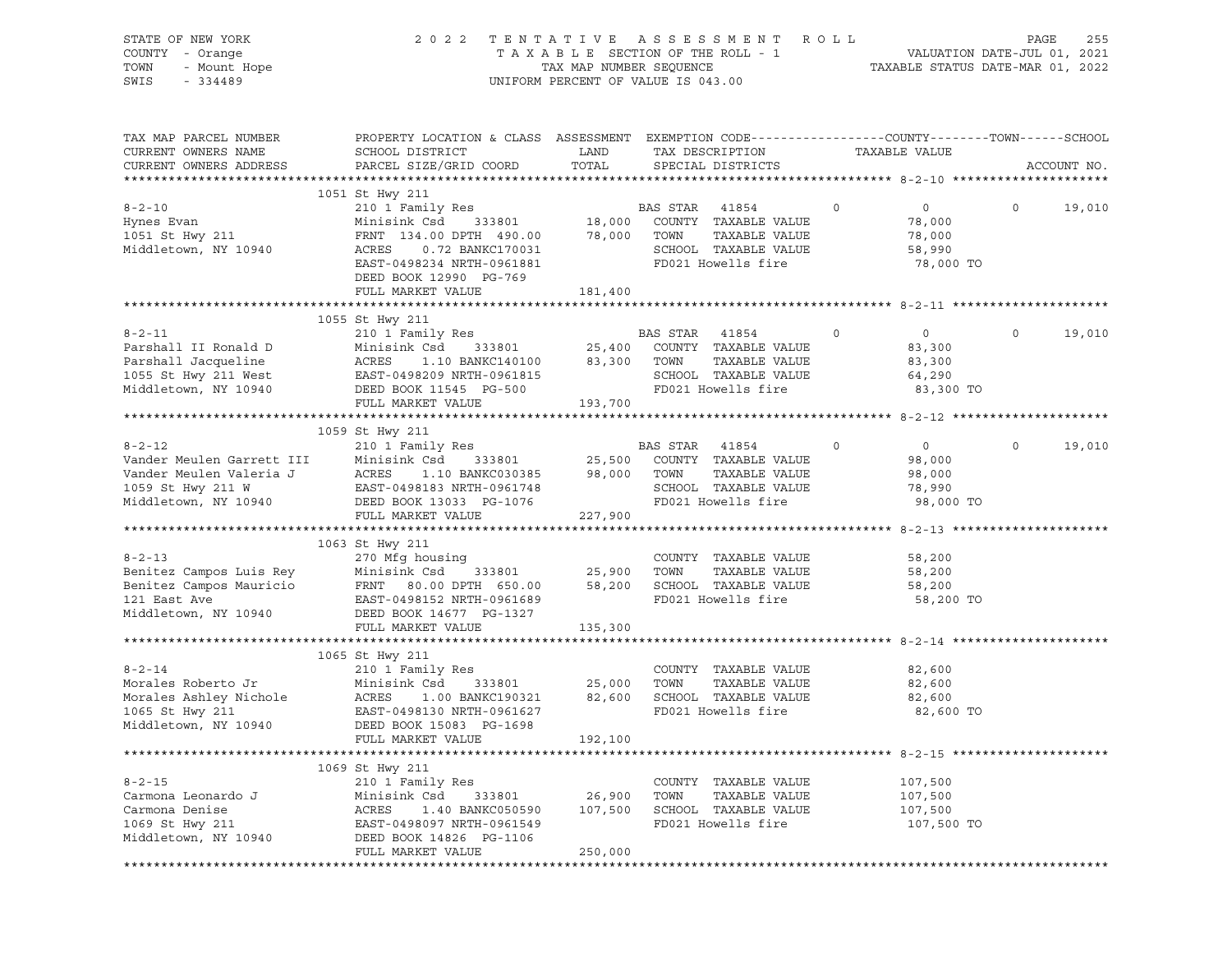| STATE OF NEW YORK<br>COUNTY - Orange<br>TOWN<br>- Mount Hope<br>SWIS<br>$-334489$ | 2 0 2 2                                                                                                             | TAX MAP NUMBER SEQUENCE<br>UNIFORM PERCENT OF VALUE IS 043.00 |                | TENTATIVE ASSESSMENT<br>TAXABLE SECTION OF THE ROLL - 1 | R O L L | VALUATION DATE-JUL 01, 2021<br>TAXABLE STATUS DATE-MAR 01, 2022 | PAGE    | 255         |
|-----------------------------------------------------------------------------------|---------------------------------------------------------------------------------------------------------------------|---------------------------------------------------------------|----------------|---------------------------------------------------------|---------|-----------------------------------------------------------------|---------|-------------|
| TAX MAP PARCEL NUMBER<br>CURRENT OWNERS NAME                                      | PROPERTY LOCATION & CLASS ASSESSMENT EXEMPTION CODE----------------COUNTY-------TOWN------SCHOOL<br>SCHOOL DISTRICT | LAND                                                          |                | TAX DESCRIPTION                                         |         | TAXABLE VALUE                                                   |         |             |
| CURRENT OWNERS ADDRESS                                                            | PARCEL SIZE/GRID COORD                                                                                              | TOTAL                                                         |                | SPECIAL DISTRICTS                                       |         |                                                                 |         | ACCOUNT NO. |
|                                                                                   | 1051 St Hwy 211                                                                                                     |                                                               |                |                                                         |         |                                                                 |         |             |
| $8 - 2 - 10$<br>Hynes Evan                                                        | 210 1 Family Res<br>Minisink Csd<br>333801                                                                          | 18,000                                                        | BAS STAR 41854 | COUNTY TAXABLE VALUE                                    | $\circ$ | $\overline{0}$<br>78,000                                        | $\circ$ | 19,010      |
| 1051 St Hwy 211                                                                   | FRNT 134.00 DPTH 490.00                                                                                             | 78,000                                                        | TOWN           | TAXABLE VALUE                                           |         | 78,000                                                          |         |             |
| Middletown, NY 10940                                                              | ACRES<br>0.72 BANKC170031                                                                                           |                                                               |                | SCHOOL TAXABLE VALUE                                    |         | 58,990                                                          |         |             |
|                                                                                   | EAST-0498234 NRTH-0961881<br>DEED BOOK 12990 PG-769                                                                 |                                                               |                | FD021 Howells fire                                      |         | 78,000 TO                                                       |         |             |
|                                                                                   | FULL MARKET VALUE                                                                                                   | 181,400                                                       |                |                                                         |         |                                                                 |         |             |
|                                                                                   |                                                                                                                     |                                                               |                |                                                         |         |                                                                 |         |             |
| $8 - 2 - 11$                                                                      | 1055 St Hwy 211<br>210 1 Family Res                                                                                 |                                                               | BAS STAR 41854 |                                                         | $\circ$ | $\overline{0}$                                                  | $\circ$ | 19,010      |
| Parshall II Ronald D                                                              | Minisink Csd<br>333801                                                                                              | 25,400                                                        |                | COUNTY TAXABLE VALUE                                    |         | 83,300                                                          |         |             |
| Parshall Jacqueline                                                               | ACRES<br>1.10 BANKC140100                                                                                           | 83,300                                                        | TOWN           | TAXABLE VALUE                                           |         | 83,300                                                          |         |             |
| 1055 St Hwy 211 West                                                              | EAST-0498209 NRTH-0961815                                                                                           |                                                               |                | SCHOOL TAXABLE VALUE                                    |         | 64,290                                                          |         |             |
| Middletown, NY 10940                                                              | DEED BOOK 11545 PG-500<br>FULL MARKET VALUE                                                                         | 193,700                                                       |                | FD021 Howells fire                                      |         | 83,300 TO                                                       |         |             |
|                                                                                   |                                                                                                                     |                                                               |                |                                                         |         |                                                                 |         |             |
|                                                                                   | 1059 St Hwy 211                                                                                                     |                                                               |                |                                                         |         |                                                                 |         |             |
| $8 - 2 - 12$                                                                      | 210 1 Family Res                                                                                                    |                                                               | BAS STAR 41854 |                                                         | $\circ$ | $\overline{0}$                                                  | $\circ$ | 19,010      |
| Vander Meulen Garrett III                                                         | Minisink Csd<br>333801                                                                                              | 25,500                                                        |                | COUNTY TAXABLE VALUE                                    |         | 98,000                                                          |         |             |
| Vander Meulen Valeria J                                                           | ACRES<br>1.10 BANKC030385                                                                                           | 98,000                                                        | TOWN           | TAXABLE VALUE                                           |         | 98,000                                                          |         |             |
| 1059 St Hwy 211 W<br>Middletown, NY 10940                                         | EAST-0498183 NRTH-0961748<br>DEED BOOK 13033 PG-1076                                                                |                                                               |                | SCHOOL TAXABLE VALUE<br>FD021 Howells fire              |         | 78,990<br>98,000 TO                                             |         |             |
|                                                                                   | FULL MARKET VALUE                                                                                                   | 227,900                                                       |                |                                                         |         |                                                                 |         |             |
|                                                                                   |                                                                                                                     |                                                               |                |                                                         |         |                                                                 |         |             |
|                                                                                   | 1063 St Hwy 211                                                                                                     |                                                               |                |                                                         |         |                                                                 |         |             |
| $8 - 2 - 13$                                                                      | 270 Mfg housing                                                                                                     |                                                               |                | COUNTY TAXABLE VALUE                                    |         | 58,200                                                          |         |             |
| Benitez Campos Luis Rey                                                           | Minisink Csd<br>333801                                                                                              | 25,900                                                        | TOWN           | TAXABLE VALUE                                           |         | 58,200                                                          |         |             |
| Benitez Campos Mauricio                                                           | FRNT<br>80.00 DPTH 650.00                                                                                           | 58,200                                                        |                | SCHOOL TAXABLE VALUE                                    |         | 58,200                                                          |         |             |
| 121 East Ave<br>Middletown, NY 10940                                              | EAST-0498152 NRTH-0961689<br>DEED BOOK 14677 PG-1327                                                                |                                                               |                | FD021 Howells fire                                      |         | 58,200 TO                                                       |         |             |
|                                                                                   | FULL MARKET VALUE                                                                                                   | 135,300                                                       |                |                                                         |         |                                                                 |         |             |
|                                                                                   |                                                                                                                     |                                                               |                |                                                         |         |                                                                 |         |             |
|                                                                                   | 1065 St Hwy 211                                                                                                     |                                                               |                |                                                         |         |                                                                 |         |             |
| $8 - 2 - 14$                                                                      | 210 1 Family Res                                                                                                    |                                                               |                | COUNTY TAXABLE VALUE                                    |         | 82,600                                                          |         |             |
| Morales Roberto Jr                                                                | Minisink Csd<br>333801<br>ACRES                                                                                     | 25,000                                                        | TOWN           | TAXABLE VALUE<br>SCHOOL TAXABLE VALUE                   |         | 82,600                                                          |         |             |
| Morales Ashley Nichole<br>1065 St Hwy 211                                         | 1.00 BANKC190321<br>EAST-0498130 NRTH-0961627                                                                       | 82,600                                                        |                | FD021 Howells fire                                      |         | 82,600<br>82,600 TO                                             |         |             |
| Middletown, NY 10940                                                              | DEED BOOK 15083 PG-1698                                                                                             |                                                               |                |                                                         |         |                                                                 |         |             |
|                                                                                   | FULL MARKET VALUE                                                                                                   | 192,100                                                       |                |                                                         |         |                                                                 |         |             |
|                                                                                   |                                                                                                                     |                                                               |                |                                                         |         |                                                                 |         |             |
|                                                                                   | 1069 St Hwy 211                                                                                                     |                                                               |                |                                                         |         |                                                                 |         |             |
| $8 - 2 - 15$                                                                      | 210 1 Family Res                                                                                                    |                                                               |                | COUNTY TAXABLE VALUE                                    |         | 107,500                                                         |         |             |
| Carmona Leonardo J<br>Carmona Denise                                              | Minisink Csd<br>333801<br>ACRES                                                                                     | 26,900                                                        | TOWN           | TAXABLE VALUE                                           |         | 107,500                                                         |         |             |
| 1069 St Hwy 211                                                                   | 1.40 BANKC050590<br>EAST-0498097 NRTH-0961549                                                                       | 107,500                                                       |                | SCHOOL TAXABLE VALUE<br>FD021 Howells fire              |         | 107,500<br>107,500 TO                                           |         |             |
| Middletown, NY 10940                                                              | DEED BOOK 14826 PG-1106                                                                                             |                                                               |                |                                                         |         |                                                                 |         |             |
|                                                                                   | FULL MARKET VALUE                                                                                                   | 250,000                                                       |                |                                                         |         |                                                                 |         |             |
|                                                                                   |                                                                                                                     |                                                               |                |                                                         |         |                                                                 |         |             |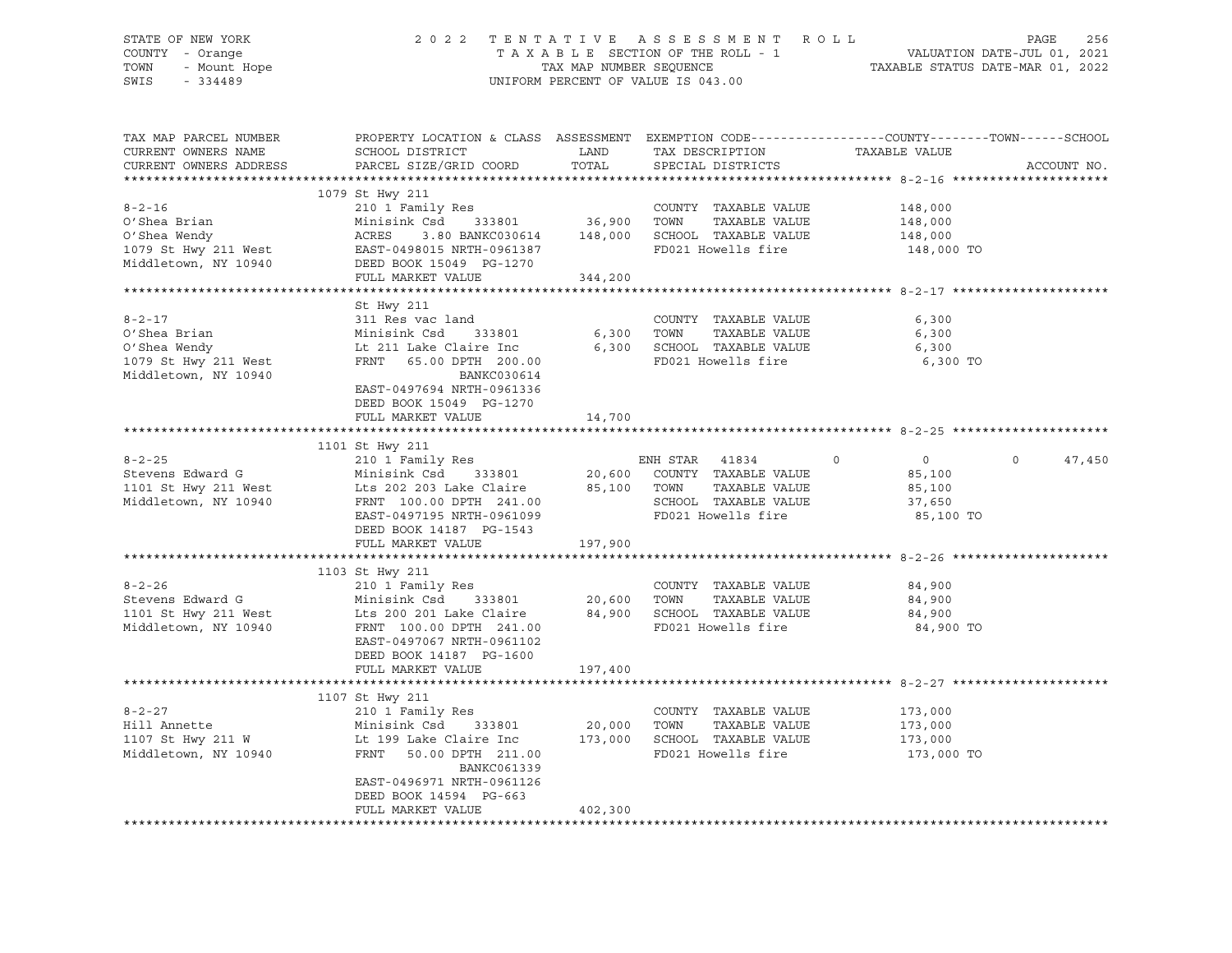| STATE OF NEW YORK<br>OF NEW YORK<br>Y - Orange<br>- Mount Hope<br>COLLOC<br>COUNTY - Orange<br>TOWN<br>SWIS<br>$-334489$                                                                                                                                             |                                                                                                                                                                                                                                                                     |                | FENTATIVE ASSESSMENT ROLL PAGE 256<br>TAXABLE SECTION OF THE ROLL - 1 VALUATION DATE-JUL 01, 2021<br>TAX MAP NUMBER SEQUENCE TAXABLE STATUS DATE-MAR 01, 2022<br>2022 TENTATIVE ASSESSMENT ROLL<br>UNIFORM PERCENT OF VALUE IS 043.00 |                                                           |                   |
|----------------------------------------------------------------------------------------------------------------------------------------------------------------------------------------------------------------------------------------------------------------------|---------------------------------------------------------------------------------------------------------------------------------------------------------------------------------------------------------------------------------------------------------------------|----------------|---------------------------------------------------------------------------------------------------------------------------------------------------------------------------------------------------------------------------------------|-----------------------------------------------------------|-------------------|
| TAX MAP PARCEL NUMBER<br>CURRENT OWNERS NAME<br>CURRENT OWNERS ADDRESS                                                                                                                                                                                               | PROPERTY LOCATION & CLASS ASSESSMENT EXEMPTION CODE---------------COUNTY-------TOWN-----SCHOOL<br>SCHOOL DISTRICT<br>PARCEL SIZE/GRID COORD                                                                                                                         |                |                                                                                                                                                                                                                                       | TAXABLE VALUE                                             | ACCOUNT NO.       |
|                                                                                                                                                                                                                                                                      |                                                                                                                                                                                                                                                                     |                |                                                                                                                                                                                                                                       |                                                           |                   |
| $8 - 2 - 16$                                                                                                                                                                                                                                                         | 1079 St Hwy 211<br>210 1 Family Res                                                                                                                                                                                                                                 |                | COUNTY TAXABLE VALUE                                                                                                                                                                                                                  | 148,000                                                   |                   |
| 8-2-16 210 1 Family Res COUNTY TAXABLE VALUE<br>O'Shea Brian Minisink Csd 333801 36,900 TOWN TAXABLE VALUE<br>O'Shea Wendy ACRES 3.80 BANKC030614 148,000 SCHOOL TAXABLE VALUE<br>1079 SCHOOL TAXABLE VALUE<br>Middletown NV 10040 REE<br>Middletown, NY 10940       | DEED BOOK 15049 PG-1270<br>FULL MARKET VALUE 344,200                                                                                                                                                                                                                |                |                                                                                                                                                                                                                                       | 148,000<br>148,000<br>148,000 TO                          |                   |
|                                                                                                                                                                                                                                                                      |                                                                                                                                                                                                                                                                     |                |                                                                                                                                                                                                                                       |                                                           |                   |
| $8 - 2 - 17$<br>O'Shea Brian<br>O'Shea Wendy<br>1079 St Hwy 211 West<br>Middletown, NY 10940                                                                                                                                                                         | USINE 211<br>311 Res vac land<br>211 November 211<br>211 November 211 November 211 November 211 November 211 November 211 November 212 November 21<br>333801<br>Lt 211 Lake Claire Inc<br>FRNT 65.00 DPTH 200.00<br>BANKC030614<br>EAST-0497694 NRTH-0961336        | 6,300 TOWN     | COUNTY TAXABLE VALUE<br>TAXABLE VALUE<br>6,300 SCHOOL TAXABLE VALUE<br>FD021 Howells fire                                                                                                                                             | 6,300<br>6,300<br>6,300<br>6,300 TO                       |                   |
|                                                                                                                                                                                                                                                                      | DEED BOOK 15049 PG-1270<br>FULL MARKET VALUE                                                                                                                                                                                                                        | 14,700         |                                                                                                                                                                                                                                       |                                                           |                   |
|                                                                                                                                                                                                                                                                      | 1101 St Hwy 211                                                                                                                                                                                                                                                     |                |                                                                                                                                                                                                                                       |                                                           |                   |
| $8 - 2 - 25$<br>Stevens Edward G<br>1101 St Hwy 211 West<br>Middletown, NY 10940                                                                                                                                                                                     | 210 1 Family Res<br>210 1 Family Res<br>Minisink Csd 333801 20,600 COUNTY TAXABLE VALUE<br>Lts 202 203 Lake Claire 85,100 TOWN TAXABLE VALUE<br>FRNT 100.00 DPTH 241.00 SCHOOL TAXABLE VALUE<br>EAST-0497195 NRTH-064199 FD021 Howells f<br>DEED BOOK 14187 PG-1543 |                |                                                                                                                                                                                                                                       | $\overline{0}$<br>85,100<br>85,100<br>37,650<br>85,100 TO | $\circ$<br>47,450 |
|                                                                                                                                                                                                                                                                      | FULL MARKET VALUE                                                                                                                                                                                                                                                   | 197,900        |                                                                                                                                                                                                                                       |                                                           |                   |
|                                                                                                                                                                                                                                                                      |                                                                                                                                                                                                                                                                     |                |                                                                                                                                                                                                                                       |                                                           |                   |
| $8 - 2 - 26$<br>Stevens Edward G<br>1101 St Hwy 211 West<br>Middletown, NY 10940                                                                                                                                                                                     | 1103 St Hwy 211<br>COUNTY<br>Minisink Csd 333801 20,600 TOWN<br>Lts 200 201 Lake Claire 84,900 SCHOOL<br>FRNT 100.00 DPTH 044 00<br>EAST-0497067 NRTH-0961102<br>DEED BOOK 14187 PG-1600<br>FULL MARKET VALUE                                                       | 197,400        | COUNTY TAXABLE VALUE<br>TAXABLE VALUE<br>84,900 SCHOOL TAXABLE VALUE<br>FD021 Howells fire                                                                                                                                            | 84,900<br>84,900<br>84,900<br>84,900 TO                   |                   |
|                                                                                                                                                                                                                                                                      |                                                                                                                                                                                                                                                                     | ************** |                                                                                                                                                                                                                                       |                                                           |                   |
|                                                                                                                                                                                                                                                                      | 1107 St Hwy 211                                                                                                                                                                                                                                                     |                |                                                                                                                                                                                                                                       | 173,000                                                   |                   |
| Hill Annette<br>Hill Annette<br>1107 St Hwy 211 W<br>1107 St Hwy 211 W<br>1107 St Hwy 211 W<br>1199 Lake Claire Inc<br>11.00<br>120,000<br>123,000<br>123,000<br>123,000<br>123,000<br>123,000<br>123,000<br>123,000<br>123,000<br>123,000<br>123,000<br>123,000<br> | BANKC061339<br>EAST-0496971 NRTH-0961126                                                                                                                                                                                                                            |                |                                                                                                                                                                                                                                       | 173,000<br>173,000<br>173,000 TO                          |                   |
|                                                                                                                                                                                                                                                                      | DEED BOOK 14594 PG-663<br>FULL MARKET VALUE                                                                                                                                                                                                                         | 402,300        |                                                                                                                                                                                                                                       |                                                           |                   |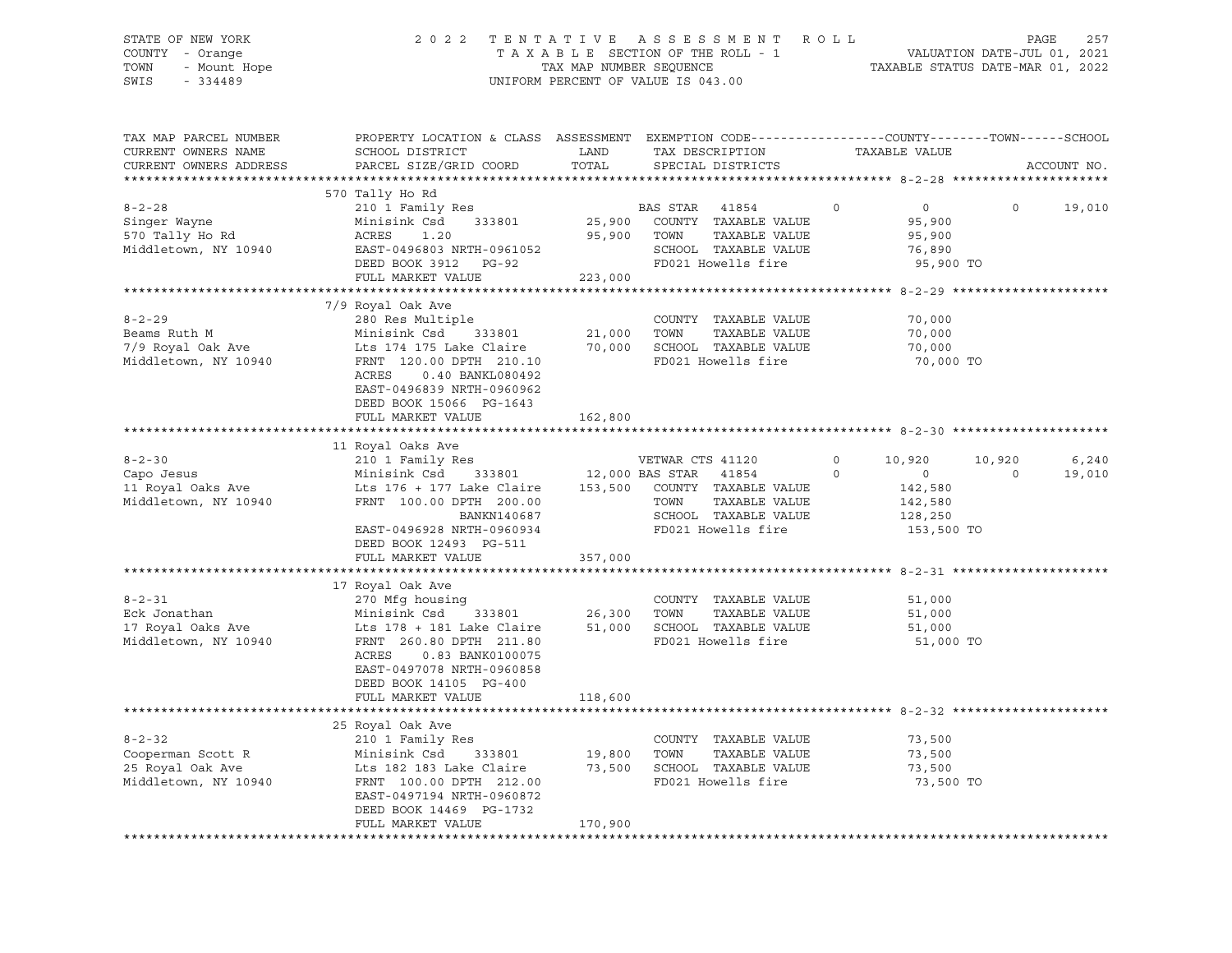STATE OF NEW YORK 2 0 2 2 T E N T A T I V E A S S E S S M E N T R O L L PAGE 257 COUNTY - Orange T A X A B L E SECTION OF THE ROLL - 1 VALUATION DATE-JUL 01, 2021 TOWN - Mount Hope TAX MAP NUMBER SEQUENCE TAXABLE STATUS DATE-MAR 01, 2022 SWIS - 334489 UNIFORM PERCENT OF VALUE IS 043.00

| TAX MAP PARCEL NUMBER<br>CURRENT OWNERS NAME<br>CURRENT OWNERS ADDRESS                                                                               | PROPERTY LOCATION & CLASS ASSESSMENT<br>SCHOOL DISTRICT<br>PARCEL SIZE/GRID COORD                                                                                                                                                                                                                                                           | LAND<br>TOTAL                                  | EXEMPTION CODE-----------------COUNTY-------TOWN------SCHOOL<br>TAX DESCRIPTION<br>SPECIAL DISTRICTS                                                                                                                            | TAXABLE VALUE                                                                                                                |                    | ACCOUNT NO.     |
|------------------------------------------------------------------------------------------------------------------------------------------------------|---------------------------------------------------------------------------------------------------------------------------------------------------------------------------------------------------------------------------------------------------------------------------------------------------------------------------------------------|------------------------------------------------|---------------------------------------------------------------------------------------------------------------------------------------------------------------------------------------------------------------------------------|------------------------------------------------------------------------------------------------------------------------------|--------------------|-----------------|
|                                                                                                                                                      |                                                                                                                                                                                                                                                                                                                                             |                                                |                                                                                                                                                                                                                                 |                                                                                                                              |                    |                 |
| $8 - 2 - 28$<br>Singer Wayne<br>570 Tally Ho Rd<br>Middletown, NY 10940                                                                              | 570 Tally Ho Rd<br>210 1 Family Res<br>Minisink Csd<br>333801<br>ACRES<br>1.20<br>EAST-0496803 NRTH-0961052<br>DEED BOOK 3912 PG-92<br>FULL MARKET VALUE                                                                                                                                                                                    | 25,900<br>95,900<br>223,000                    | BAS STAR<br>41854<br>COUNTY TAXABLE VALUE<br>TAXABLE VALUE<br>TOWN<br>SCHOOL TAXABLE VALUE<br>FD021 Howells fire                                                                                                                | $\circ$<br>0<br>95,900<br>95,900<br>76,890<br>95,900 TO                                                                      | $\Omega$           | 19,010          |
|                                                                                                                                                      |                                                                                                                                                                                                                                                                                                                                             |                                                |                                                                                                                                                                                                                                 |                                                                                                                              |                    |                 |
| $8 - 2 - 29$<br>Beams Ruth M<br>7/9 Royal Oak Ave<br>Middletown, NY 10940                                                                            | 7/9 Royal Oak Ave<br>280 Res Multiple<br>Minisink Csd<br>333801<br>Lts 174 175 Lake Claire<br>FRNT 120.00 DPTH 210.10<br>0.40 BANKL080492<br>ACRES<br>EAST-0496839 NRTH-0960962<br>DEED BOOK 15066 PG-1643<br>FULL MARKET VALUE                                                                                                             | 21,000<br>70,000<br>162,800                    | COUNTY TAXABLE VALUE<br>TOWN<br>TAXABLE VALUE<br>SCHOOL TAXABLE VALUE<br>FD021 Howells fire                                                                                                                                     | 70,000<br>70,000<br>70,000<br>70,000 TO                                                                                      |                    |                 |
|                                                                                                                                                      |                                                                                                                                                                                                                                                                                                                                             |                                                |                                                                                                                                                                                                                                 |                                                                                                                              |                    |                 |
| $8 - 2 - 30$<br>Capo Jesus<br>11 Royal Oaks Ave<br>Middletown, NY 10940<br>$8 - 2 - 31$<br>Eck Jonathan<br>17 Royal Oaks Ave<br>Middletown, NY 10940 | 11 Royal Oaks Ave<br>210 1 Family Res<br>Minisink Csd<br>333801<br>Lts 176 + 177 Lake Claire<br>FRNT 100.00 DPTH 200.00<br>BANKN140687<br>EAST-0496928 NRTH-0960934<br>DEED BOOK 12493 PG-511<br>FULL MARKET VALUE<br>17 Royal Oak Ave<br>270 Mfg housing<br>Minisink Csd<br>333801<br>Lts 178 + 181 Lake Claire<br>FRNT 260.80 DPTH 211.80 | 12,000 BAS STAR<br>357,000<br>26,300<br>51,000 | VETWAR CTS 41120<br>41854<br>153,500 COUNTY TAXABLE VALUE<br>TOWN<br>TAXABLE VALUE<br>SCHOOL TAXABLE VALUE<br>FD021 Howells fire<br>COUNTY TAXABLE VALUE<br>TAXABLE VALUE<br>TOWN<br>SCHOOL TAXABLE VALUE<br>FD021 Howells fire | 0<br>10,920<br>$\Omega$<br>$\circ$<br>142,580<br>142,580<br>128,250<br>153,500 TO<br>51,000<br>51,000<br>51,000<br>51,000 TO | 10,920<br>$\Omega$ | 6,240<br>19,010 |
|                                                                                                                                                      | 0.83 BANK0100075<br>ACRES<br>EAST-0497078 NRTH-0960858<br>DEED BOOK 14105 PG-400<br>FULL MARKET VALUE<br>25 Royal Oak Ave                                                                                                                                                                                                                   | 118,600                                        |                                                                                                                                                                                                                                 |                                                                                                                              |                    |                 |
| $8 - 2 - 32$<br>Cooperman Scott R<br>25 Royal Oak Ave<br>Middletown, NY 10940                                                                        | 210 1 Family Res<br>Minisink Csd<br>333801<br>Lts 182 183 Lake Claire<br>FRNT 100.00 DPTH 212.00<br>EAST-0497194 NRTH-0960872<br>DEED BOOK 14469 PG-1732<br>FULL MARKET VALUE                                                                                                                                                               | 19,800<br>73,500<br>170,900                    | COUNTY TAXABLE VALUE<br>TOWN<br>TAXABLE VALUE<br>SCHOOL TAXABLE VALUE<br>FD021 Howells fire                                                                                                                                     | 73,500<br>73,500<br>73,500<br>73,500 TO                                                                                      |                    |                 |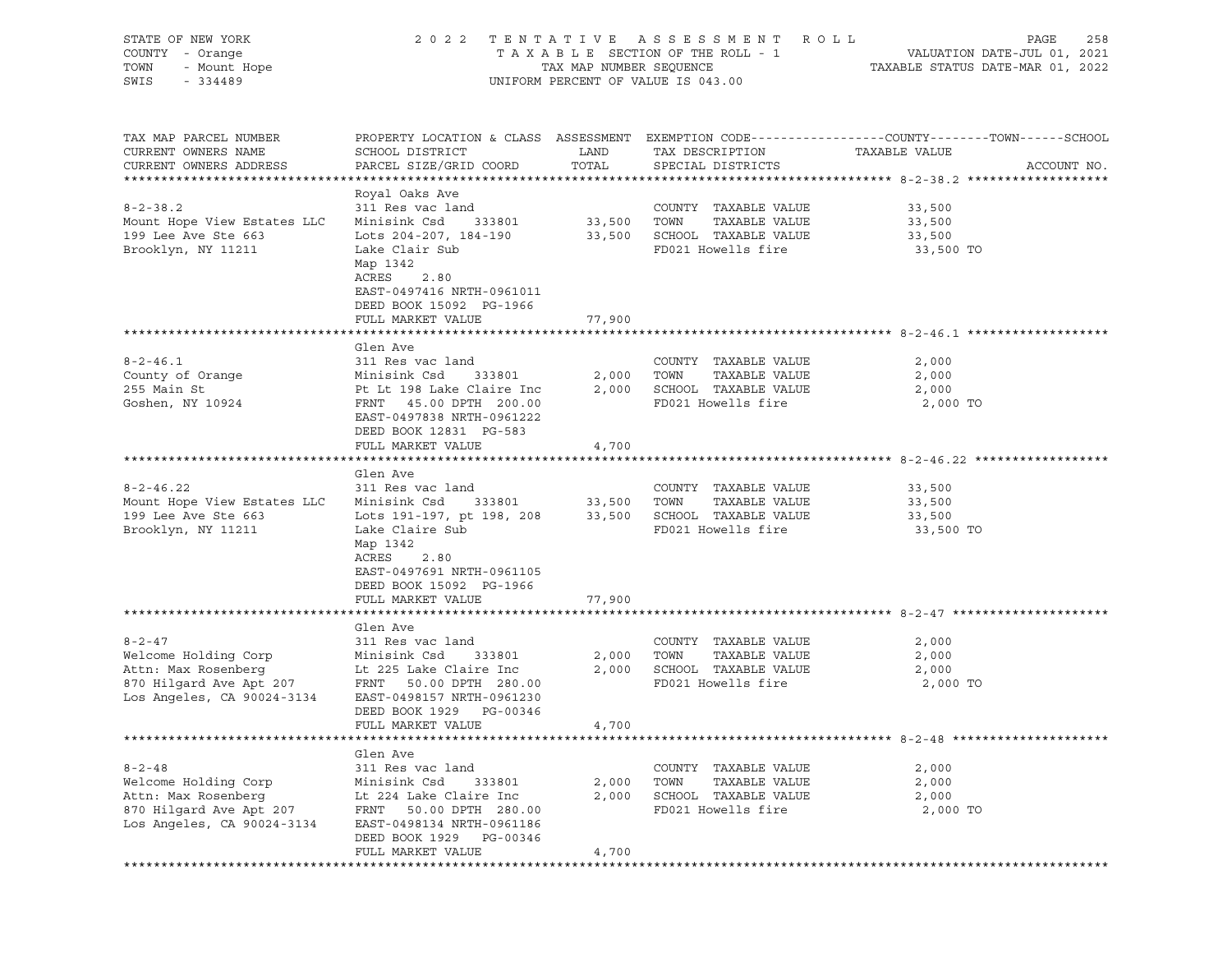| STATE OF NEW YORK<br>COUNTY - Orange<br>TOWN<br>- Mount Hope<br>SWIS<br>$-334489$ | TENTATIVE ASSESSMENT<br>2 0 2 2<br>R O L L<br>PAGE<br>TAXABLE SECTION OF THE ROLL - 1<br>VALUATION DATE-JUL 01, 2021<br>TAX MAP NUMBER SEQUENCE<br>TAXABLE STATUS DATE-MAR 01, 2022<br>UNIFORM PERCENT OF VALUE IS 043.00 |             |                                                  |                                                                                                                   |             |
|-----------------------------------------------------------------------------------|---------------------------------------------------------------------------------------------------------------------------------------------------------------------------------------------------------------------------|-------------|--------------------------------------------------|-------------------------------------------------------------------------------------------------------------------|-------------|
| TAX MAP PARCEL NUMBER<br>CURRENT OWNERS NAME                                      | SCHOOL DISTRICT                                                                                                                                                                                                           | LAND        | TAX DESCRIPTION                                  | PROPERTY LOCATION & CLASS ASSESSMENT EXEMPTION CODE----------------COUNTY-------TOWN------SCHOOL<br>TAXABLE VALUE |             |
| CURRENT OWNERS ADDRESS                                                            | PARCEL SIZE/GRID COORD                                                                                                                                                                                                    | TOTAL       | SPECIAL DISTRICTS                                |                                                                                                                   | ACCOUNT NO. |
|                                                                                   | Royal Oaks Ave                                                                                                                                                                                                            |             |                                                  |                                                                                                                   |             |
| $8 - 2 - 38.2$                                                                    | 311 Res vac land                                                                                                                                                                                                          |             | COUNTY TAXABLE VALUE                             | 33,500                                                                                                            |             |
| Mount Hope View Estates LLC                                                       | Minisink Csd<br>333801                                                                                                                                                                                                    | 33,500 TOWN | TAXABLE VALUE                                    | 33,500                                                                                                            |             |
| 199 Lee Ave Ste 663                                                               | Lots 204-207, 184-190                                                                                                                                                                                                     |             | 33,500 SCHOOL TAXABLE VALUE                      | 33,500                                                                                                            |             |
| Brooklyn, NY 11211                                                                | Lake Clair Sub<br>Map 1342<br>ACRES<br>2.80<br>EAST-0497416 NRTH-0961011<br>DEED BOOK 15092 PG-1966                                                                                                                       |             | FD021 Howells fire                               | 33,500 TO                                                                                                         |             |
|                                                                                   | FULL MARKET VALUE                                                                                                                                                                                                         | 77,900      |                                                  |                                                                                                                   |             |
|                                                                                   |                                                                                                                                                                                                                           |             |                                                  |                                                                                                                   |             |
|                                                                                   | Glen Ave                                                                                                                                                                                                                  |             |                                                  |                                                                                                                   |             |
| $8 - 2 - 46.1$                                                                    | 311 Res vac land                                                                                                                                                                                                          |             | COUNTY TAXABLE VALUE                             | 2,000                                                                                                             |             |
| County of Orange                                                                  | Minisink Csd<br>333801                                                                                                                                                                                                    | 2,000       | TOWN<br>TAXABLE VALUE                            | 2,000                                                                                                             |             |
| 255 Main St<br>Goshen, NY 10924                                                   | Pt Lt 198 Lake Claire Inc<br>FRNT 45.00 DPTH 200.00<br>EAST-0497838 NRTH-0961222<br>DEED BOOK 12831 PG-583                                                                                                                |             | 2,000 SCHOOL TAXABLE VALUE<br>FD021 Howells fire | 2,000<br>2,000 TO                                                                                                 |             |
|                                                                                   | FULL MARKET VALUE                                                                                                                                                                                                         | 4,700       |                                                  |                                                                                                                   |             |
|                                                                                   |                                                                                                                                                                                                                           |             |                                                  |                                                                                                                   |             |
|                                                                                   | Glen Ave                                                                                                                                                                                                                  |             |                                                  |                                                                                                                   |             |
| $8 - 2 - 46.22$<br>Mount Hope View Estates LLC                                    | 311 Res vac land<br>Minisink Csd<br>333801                                                                                                                                                                                | 33,500 TOWN | COUNTY TAXABLE VALUE<br>TAXABLE VALUE            | 33,500<br>33,500                                                                                                  |             |
| 199 Lee Ave Ste 663                                                               | Lots 191-197, pt 198, 208                                                                                                                                                                                                 |             | 33,500 SCHOOL TAXABLE VALUE                      | 33,500                                                                                                            |             |
| Brooklyn, NY 11211                                                                | Lake Claire Sub<br>Map 1342<br>ACRES<br>2.80                                                                                                                                                                              |             | FD021 Howells fire                               | 33,500 TO                                                                                                         |             |
|                                                                                   | EAST-0497691 NRTH-0961105                                                                                                                                                                                                 |             |                                                  |                                                                                                                   |             |
|                                                                                   | DEED BOOK 15092 PG-1966                                                                                                                                                                                                   |             |                                                  |                                                                                                                   |             |
|                                                                                   | FULL MARKET VALUE                                                                                                                                                                                                         | 77,900      |                                                  |                                                                                                                   |             |
|                                                                                   | Glen Ave                                                                                                                                                                                                                  |             |                                                  |                                                                                                                   |             |
| $8 - 2 - 47$                                                                      | 311 Res vac land                                                                                                                                                                                                          |             | COUNTY TAXABLE VALUE                             | 2,000                                                                                                             |             |
| Welcome Holding Corp                                                              | Minisink Csd<br>333801                                                                                                                                                                                                    | 2,000       | TOWN<br>TAXABLE VALUE                            | 2,000                                                                                                             |             |
| Attn: Max Rosenberg                                                               | Lt 225 Lake Claire Inc                                                                                                                                                                                                    | 2,000       | SCHOOL TAXABLE VALUE                             | 2,000                                                                                                             |             |
| 870 Hilgard Ave Apt 207                                                           | FRNT 50.00 DPTH 280.00                                                                                                                                                                                                    |             | FD021 Howells fire                               | 2,000 TO                                                                                                          |             |
| Los Angeles, CA 90024-3134                                                        | EAST-0498157 NRTH-0961230                                                                                                                                                                                                 |             |                                                  |                                                                                                                   |             |
|                                                                                   | DEED BOOK 1929<br>PG-00346<br>FULL MARKET VALUE                                                                                                                                                                           | 4,700       |                                                  |                                                                                                                   |             |
|                                                                                   |                                                                                                                                                                                                                           |             |                                                  |                                                                                                                   |             |
|                                                                                   | Glen Ave                                                                                                                                                                                                                  |             |                                                  |                                                                                                                   |             |
| $8 - 2 - 48$                                                                      | 311 Res vac land                                                                                                                                                                                                          |             | COUNTY TAXABLE VALUE                             | 2,000                                                                                                             |             |
| Welcome Holding Corp                                                              | Minisink Csd<br>333801                                                                                                                                                                                                    | 2,000       | TOWN<br>TAXABLE VALUE                            | 2,000                                                                                                             |             |
| Attn: Max Rosenberg                                                               | Lt 224 Lake Claire Inc                                                                                                                                                                                                    | 2,000       | SCHOOL TAXABLE VALUE                             | 2,000                                                                                                             |             |
| 870 Hilgard Ave Apt 207<br>Los Angeles, CA 90024-3134                             | FRNT<br>50.00 DPTH 280.00<br>EAST-0498134 NRTH-0961186<br>DEED BOOK 1929<br>PG-00346                                                                                                                                      |             | FD021 Howells fire                               | 2,000 TO                                                                                                          |             |
|                                                                                   | FULL MARKET VALUE                                                                                                                                                                                                         | 4,700       |                                                  |                                                                                                                   |             |
|                                                                                   |                                                                                                                                                                                                                           |             |                                                  |                                                                                                                   |             |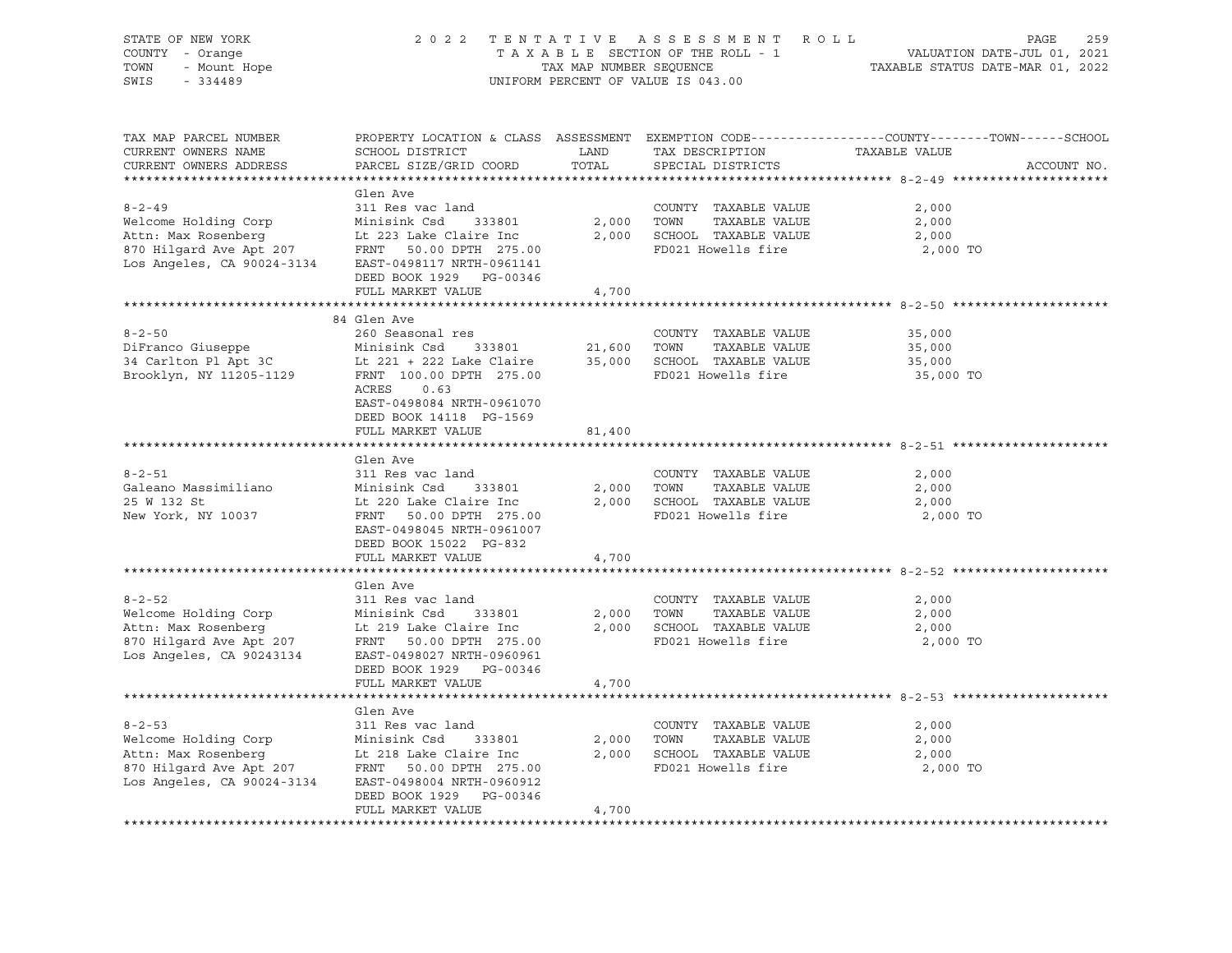| STATE OF NEW YORK<br>COUNTY - Orange<br>- Mount Hope<br>TOWN<br>SWIS<br>$-334489$ | 2022 TENTATIVE                                                                                                               | TAX MAP NUMBER SEQUENCE | ASSESSMENT ROLL<br>TAXABLE SECTION OF THE ROLL - 1<br>UNIFORM PERCENT OF VALUE IS 043.00 | PAGE<br>259<br>VALUATION DATE-JUL 01, 2021<br>TAXABLE STATUS DATE-MAR 01, 2022                                                  |
|-----------------------------------------------------------------------------------|------------------------------------------------------------------------------------------------------------------------------|-------------------------|------------------------------------------------------------------------------------------|---------------------------------------------------------------------------------------------------------------------------------|
| TAX MAP PARCEL NUMBER<br>CURRENT OWNERS NAME<br>CURRENT OWNERS ADDRESS            | SCHOOL DISTRICT<br>PARCEL SIZE/GRID COORD                                                                                    | LAND<br>TOTAL           | TAX DESCRIPTION<br>SPECIAL DISTRICTS                                                     | PROPERTY LOCATION & CLASS ASSESSMENT EXEMPTION CODE---------------COUNTY-------TOWN------SCHOOL<br>TAXABLE VALUE<br>ACCOUNT NO. |
|                                                                                   |                                                                                                                              |                         |                                                                                          |                                                                                                                                 |
| $8 - 2 - 49$                                                                      | Glen Ave<br>311 Res vac land                                                                                                 |                         | COUNTY TAXABLE VALUE                                                                     | 2,000                                                                                                                           |
| Welcome Holding Corp                                                              | Minisink Csd 333801                                                                                                          | 2,000                   | TOWN<br>TAXABLE VALUE                                                                    | 2,000                                                                                                                           |
| Attn: Max Rosenberg<br>870 Hilgard Ave Apt 207<br>Los Angeles, CA 90024-3134      | Lt 223 Lake Claire Inc<br>FRNT 50.00 DPTH 275.00<br>EAST-0498117 NRTH-0961141<br>DEED BOOK 1929 PG-00346                     |                         | 2,000 SCHOOL TAXABLE VALUE<br>FD021 Howells fire                                         | 2,000<br>2,000 TO                                                                                                               |
|                                                                                   | FULL MARKET VALUE                                                                                                            | 4,700                   |                                                                                          |                                                                                                                                 |
|                                                                                   |                                                                                                                              |                         |                                                                                          | ******************************* 8-2-50 **********                                                                               |
| $8 - 2 - 50$<br>DiFranco Giuseppe                                                 | 84 Glen Ave<br>260 Seasonal res<br>Minisink Csd 333801                                                                       | 21,600                  | COUNTY TAXABLE VALUE<br>TOWN<br>TAXABLE VALUE                                            | 35,000<br>35,000                                                                                                                |
| 34 Carlton Pl Apt 3C<br>Brooklyn, NY 11205-1129                                   | Lt 221 + 222 Lake Claire<br>FRNT 100.00 DPTH 275.00<br>ACRES<br>0.63<br>EAST-0498084 NRTH-0961070<br>DEED BOOK 14118 PG-1569 |                         | 35,000 SCHOOL TAXABLE VALUE<br>FD021 Howells fire                                        | 35,000<br>35,000 TO                                                                                                             |
|                                                                                   | FULL MARKET VALUE                                                                                                            | 81,400                  |                                                                                          |                                                                                                                                 |
|                                                                                   | Glen Ave                                                                                                                     |                         |                                                                                          |                                                                                                                                 |
| $8 - 2 - 51$                                                                      | 311 Res vac land                                                                                                             |                         | COUNTY TAXABLE VALUE                                                                     | 2,000                                                                                                                           |
| Galeano Massimiliano                                                              | Minisink Csd<br>333801                                                                                                       | 2,000                   | TAXABLE VALUE<br>TOWN                                                                    | 2,000                                                                                                                           |
| 25 W 132 St                                                                       | Lt 220 Lake Claire Inc                                                                                                       |                         | 2,000 SCHOOL TAXABLE VALUE                                                               | 2,000                                                                                                                           |
| New York, NY 10037                                                                | FRNT<br>50.00 DPTH 275.00<br>EAST-0498045 NRTH-0961007<br>DEED BOOK 15022 PG-832                                             |                         | FD021 Howells fire                                                                       | 2,000 TO                                                                                                                        |
|                                                                                   | FULL MARKET VALUE                                                                                                            | 4,700                   |                                                                                          |                                                                                                                                 |
|                                                                                   |                                                                                                                              |                         |                                                                                          |                                                                                                                                 |
|                                                                                   | Glen Ave                                                                                                                     |                         |                                                                                          |                                                                                                                                 |
| $8 - 2 - 52$                                                                      | 311 Res vac land                                                                                                             |                         | COUNTY TAXABLE VALUE                                                                     | 2,000                                                                                                                           |
| Welcome Holding Corp                                                              | Minisink Csd<br>333801                                                                                                       |                         | 2,000 TOWN<br>TAXABLE VALUE                                                              | 2,000                                                                                                                           |
| Attn: Max Rosenberg<br>870 Hilgard Ave Apt 207                                    | Lt 219 Lake Claire Inc                                                                                                       |                         | 2,000 SCHOOL TAXABLE VALUE<br>FD021 Howells fire                                         | 2,000                                                                                                                           |
| Los Angeles, CA 90243134                                                          | FRNT 50.00 DPTH 275.00<br>EAST-0498027 NRTH-0960961<br>DEED BOOK 1929 PG-00346<br>FULL MARKET VALUE                          | 4,700                   |                                                                                          | 2,000 TO                                                                                                                        |
|                                                                                   |                                                                                                                              |                         |                                                                                          |                                                                                                                                 |
|                                                                                   | Glen Ave                                                                                                                     |                         |                                                                                          |                                                                                                                                 |
| $8 - 2 - 53$                                                                      | 311 Res vac land                                                                                                             |                         | COUNTY TAXABLE VALUE                                                                     | 2,000                                                                                                                           |
| Welcome Holding Corp                                                              | Minisink Csd<br>333801                                                                                                       | 2,000                   | TOWN<br>TAXABLE VALUE                                                                    | 2,000                                                                                                                           |
| Attn: Max Rosenberg                                                               | Lt 218 Lake Claire Inc                                                                                                       |                         | 2,000 SCHOOL TAXABLE VALUE                                                               | 2,000                                                                                                                           |
| Attn: Max Rosenberg<br>870 Hilgard Ave Apt 207<br>Los Angeles, CA 90024-3134      | FRNT 50.00 DPTH 275.00<br>EAST-0498004 NRTH-0960912<br>DEED BOOK 1929 PG-00346                                               |                         | FD021 Howells fire                                                                       | 2,000 TO                                                                                                                        |
|                                                                                   | FULL MARKET VALUE                                                                                                            | 4,700                   |                                                                                          |                                                                                                                                 |
|                                                                                   |                                                                                                                              |                         |                                                                                          |                                                                                                                                 |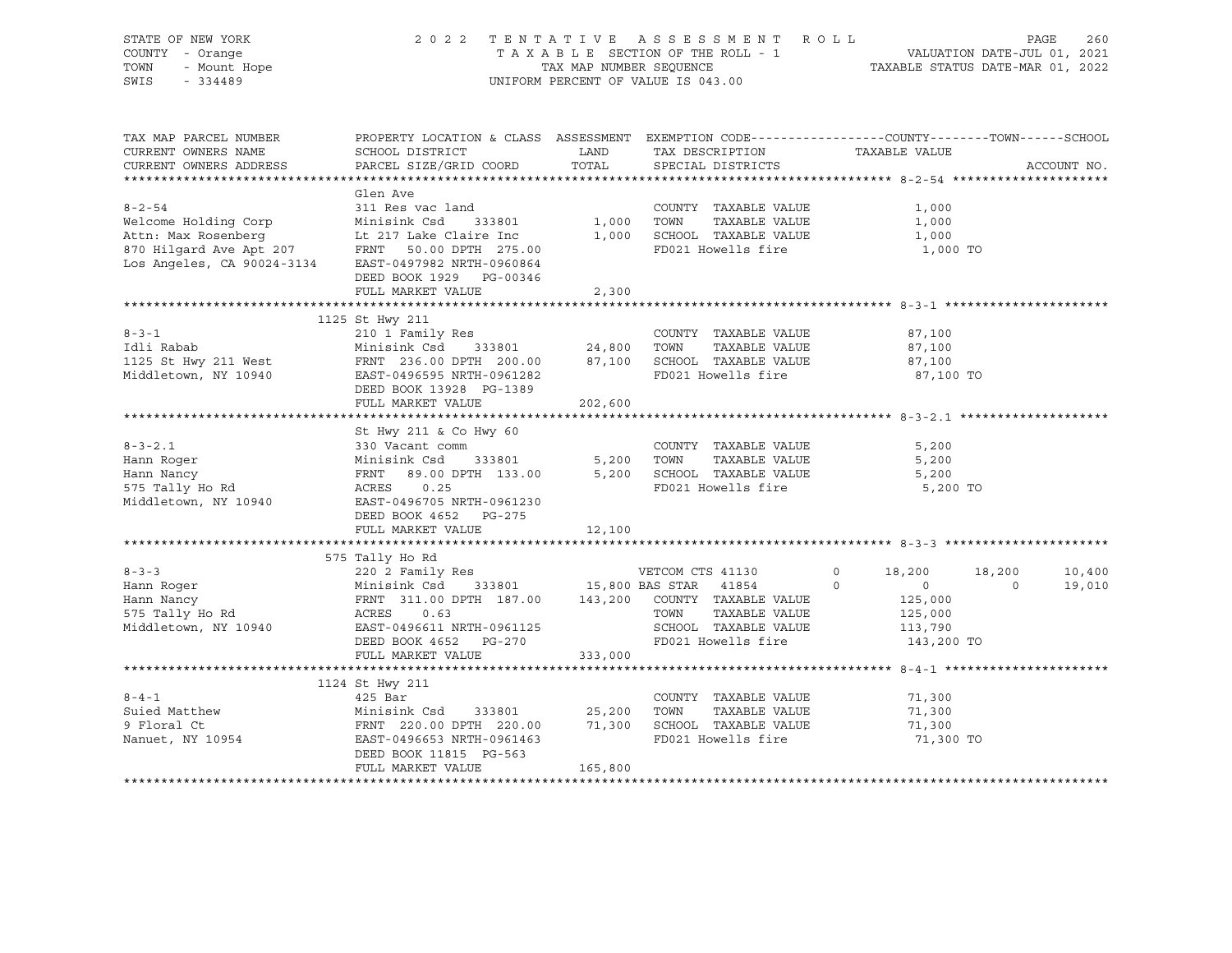| STATE OF NEW YORK                                                                                                                                    |                                                                                                                                                          |         | 2022 TENTATIVE ASSESSMENT ROLL                                  |                | PAGE     | 260         |
|------------------------------------------------------------------------------------------------------------------------------------------------------|----------------------------------------------------------------------------------------------------------------------------------------------------------|---------|-----------------------------------------------------------------|----------------|----------|-------------|
| COUNTY - Orange                                                                                                                                      |                                                                                                                                                          |         |                                                                 |                |          |             |
| TOWN<br>- Mount Hope                                                                                                                                 |                                                                                                                                                          |         |                                                                 |                |          |             |
| $-334489$<br>SWIS                                                                                                                                    |                                                                                                                                                          |         | UNIFORM PERCENT OF VALUE IS 043.00                              |                |          |             |
|                                                                                                                                                      |                                                                                                                                                          |         |                                                                 |                |          |             |
|                                                                                                                                                      |                                                                                                                                                          |         |                                                                 |                |          |             |
| TAX MAP PARCEL NUMBER                                                                                                                                | PROPERTY LOCATION & CLASS ASSESSMENT EXEMPTION CODE----------------COUNTY-------TOWN-----SCHOOL                                                          |         |                                                                 |                |          |             |
| CURRENT OWNERS NAME                                                                                                                                  | SCHOOL DISTRICT                                                                                                                                          |         | LAND TAX DESCRIPTION TAXABLE VALUE                              |                |          |             |
| CURRENT OWNERS ADDRESS                                                                                                                               | PARCEL SIZE/GRID COORD                                                                                                                                   | TOTAL   | SPECIAL DISTRICTS                                               |                |          | ACCOUNT NO. |
|                                                                                                                                                      |                                                                                                                                                          |         |                                                                 |                |          |             |
|                                                                                                                                                      | Glen Ave                                                                                                                                                 |         |                                                                 |                |          |             |
| $8 - 2 - 54$                                                                                                                                         | 311 Res vac land                                                                                                                                         |         | COUNTY TAXABLE VALUE                                            | 1,000          |          |             |
| Welcome Holding Corp                                                                                                                                 | Minisink Csd<br>333801                                                                                                                                   |         | 1,000 TOWN<br>TAXABLE VALUE                                     | 1,000          |          |             |
|                                                                                                                                                      |                                                                                                                                                          |         | 1,000 SCHOOL TAXABLE VALUE                                      | 1,000          |          |             |
| Attn: Max Rosenberg Lt 217 Lake Claire Inc<br>870 Hilgard Ave Apt 207 FRNT 50.00 DPTH 275.00<br>Los Angeles, CA 90024-3134 EAST-0497982 NRTH-0960864 |                                                                                                                                                          |         | FD021 Howells fire                                              | 1,000 TO       |          |             |
|                                                                                                                                                      |                                                                                                                                                          |         |                                                                 |                |          |             |
|                                                                                                                                                      | DEED BOOK 1929 PG-00346                                                                                                                                  |         |                                                                 |                |          |             |
|                                                                                                                                                      | FULL MARKET VALUE                                                                                                                                        | 2,300   |                                                                 |                |          |             |
|                                                                                                                                                      |                                                                                                                                                          |         |                                                                 |                |          |             |
| $8 - 3 - 1$                                                                                                                                          | 1125 St Hwy 211                                                                                                                                          |         | COUNTY TAXABLE VALUE                                            | 87,100         |          |             |
|                                                                                                                                                      | 210 1 Family Res                                                                                                                                         |         |                                                                 | 87,100         |          |             |
| Tdli Rabab<br>Minisink Csd 333801 24,800 TOWN TAXABLE VALUE<br>TAXABLE VALUE<br>TAXABLE VALUE<br>TAXABLE VALUE<br>TAXABLE VALUE                      |                                                                                                                                                          |         |                                                                 | 87,100         |          |             |
| Middletown, NY 10940                                                                                                                                 | EAST-0496595 NRTH-0961282                                                                                                                                |         | FD021 Howells fire                                              | 87,100 TO      |          |             |
|                                                                                                                                                      | DEED BOOK 13928 PG-1389                                                                                                                                  |         |                                                                 |                |          |             |
|                                                                                                                                                      | FULL MARKET VALUE                                                                                                                                        | 202,600 |                                                                 |                |          |             |
|                                                                                                                                                      |                                                                                                                                                          |         |                                                                 |                |          |             |
|                                                                                                                                                      | St Hwy 211 & Co Hwy 60                                                                                                                                   |         |                                                                 |                |          |             |
| $8 - 3 - 2 \cdot 1$                                                                                                                                  | 330 Vacant comm                                                                                                                                          |         | COUNTY TAXABLE VALUE                                            | 5,200          |          |             |
| Hann Roger                                                                                                                                           |                                                                                                                                                          |         | TAXABLE VALUE                                                   | 5,200          |          |             |
| Hann Nancy                                                                                                                                           |                                                                                                                                                          |         |                                                                 | 5,200          |          |             |
| $575$ Tally Ho Rd                                                                                                                                    | ACRES 0.25                                                                                                                                               |         | FD021 Howells fire                                              | 5,200 TO       |          |             |
| Middletown, NY 10940                                                                                                                                 | EAST-0496705 NRTH-0961230                                                                                                                                |         |                                                                 |                |          |             |
|                                                                                                                                                      | DEED BOOK 4652    PG-275                                                                                                                                 |         |                                                                 |                |          |             |
|                                                                                                                                                      | FULL MARKET VALUE                                                                                                                                        | 12,100  |                                                                 |                |          |             |
|                                                                                                                                                      |                                                                                                                                                          |         |                                                                 |                |          |             |
|                                                                                                                                                      | 575 Tally Ho Rd                                                                                                                                          |         |                                                                 |                |          |             |
| $8 - 3 - 3$                                                                                                                                          |                                                                                                                                                          |         |                                                                 | 18,200         | 18,200   | 10,400      |
| Hann Roger                                                                                                                                           | 220 2 Family Res<br>Minisink Csd 333801 15,800 BAS STAR 41854 0<br>FRNT 311.00 DPTH 187.00 143,200 COUNTY TAXABLE VALUE<br>ACRES 0.63 TOWN TAXABLE VALUE |         |                                                                 | $\overline{0}$ | $\sim$ 0 | 19,010      |
| Hann Nancy<br>575 Tally Ho Rd                                                                                                                        |                                                                                                                                                          |         |                                                                 | 125,000        |          |             |
|                                                                                                                                                      |                                                                                                                                                          |         |                                                                 | 125,000        |          |             |
| Middletown, NY 10940                                                                                                                                 | EAST-0496611 NRTH-0961125                                                                                                                                |         | VALUE على المحمد بن SCHOOL TAXABLE VALUE<br>FD021 United States | 113,790        |          |             |
|                                                                                                                                                      | DEED BOOK 4652 PG-270                                                                                                                                    |         | FD021 Howells fire                                              | 143,200 TO     |          |             |
|                                                                                                                                                      | FULL MARKET VALUE                                                                                                                                        | 333,000 |                                                                 |                |          |             |
|                                                                                                                                                      |                                                                                                                                                          |         |                                                                 |                |          |             |
|                                                                                                                                                      | 1124 St Hwy 211                                                                                                                                          |         |                                                                 |                |          |             |
| $8 - 4 - 1$                                                                                                                                          | 425 Bar                                                                                                                                                  |         | COUNTY TAXABLE VALUE                                            | 71,300         |          |             |
| Suied Matthew                                                                                                                                        |                                                                                                                                                          |         |                                                                 | 71,300         |          |             |
| 9 Floral Ct                                                                                                                                          | Minisink Csd 333801 25,200 TOWN TAXABLE VALUE<br>FRNT 220.00 DPTH 220.00 71,300 SCHOOL TAXABLE VALUE<br>EAST-0496653 NRTH-0961463 FD021 Howells fire     |         |                                                                 | 71,300         |          |             |
| Nanuet, NY 10954                                                                                                                                     |                                                                                                                                                          |         |                                                                 | 71,300 TO      |          |             |
|                                                                                                                                                      | DEED BOOK 11815 PG-563                                                                                                                                   |         |                                                                 |                |          |             |
|                                                                                                                                                      | FULL MARKET VALUE                                                                                                                                        | 165,800 |                                                                 |                |          |             |
|                                                                                                                                                      |                                                                                                                                                          |         |                                                                 |                |          |             |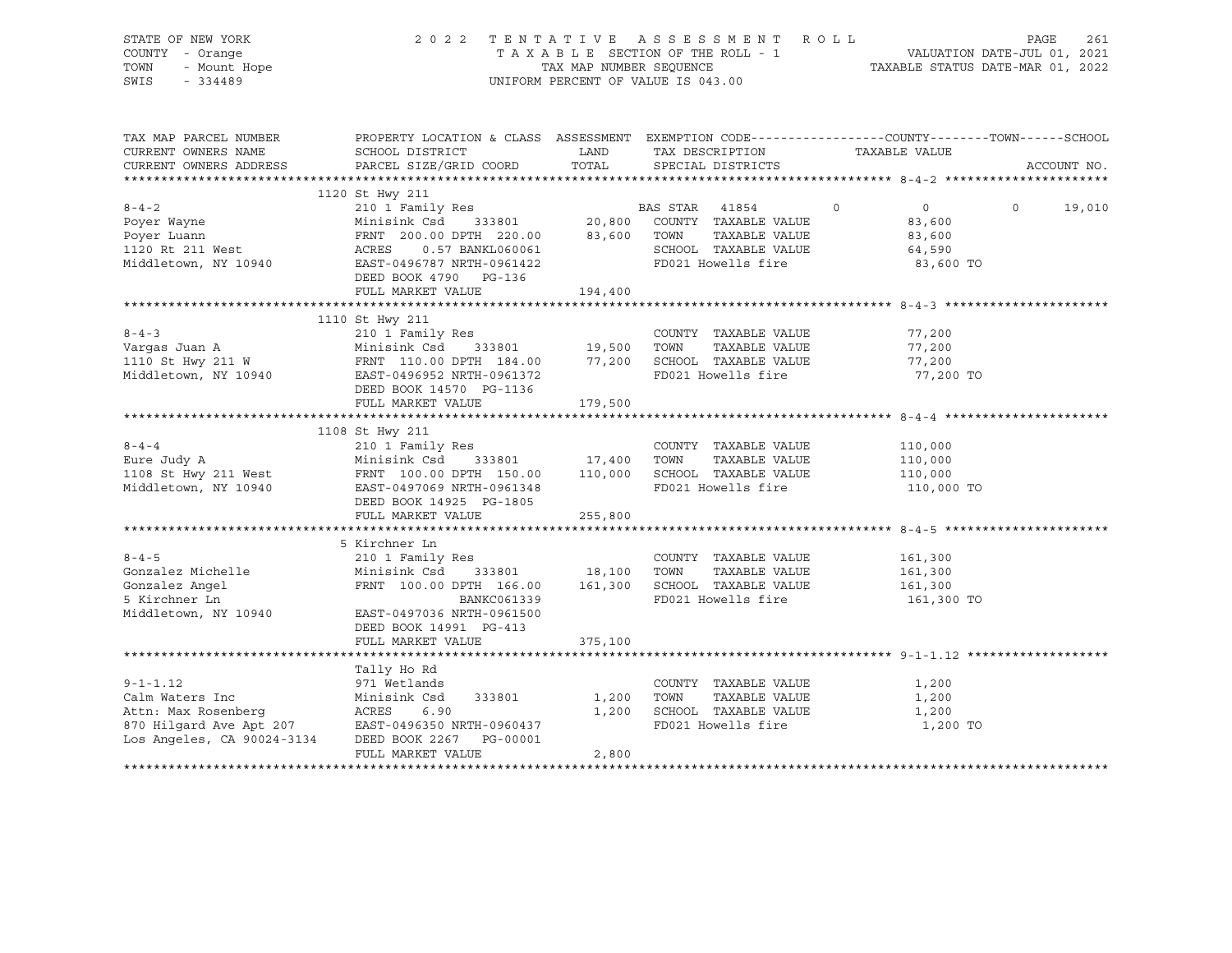| STATE OF NEW YORK<br>COUNTY - Orange<br>- Orange<br>- Mount Hope<br>- 224489<br>TOWN<br>SWIS - 334489                                                                                                                                                |                                                                                                                                    |                     | 2022 TENTATIVE ASSESSMENT ROLL<br>UNIFORM PERCENT OF VALUE IS 043.00                      |                                                                                | PAGE<br>261        |
|------------------------------------------------------------------------------------------------------------------------------------------------------------------------------------------------------------------------------------------------------|------------------------------------------------------------------------------------------------------------------------------------|---------------------|-------------------------------------------------------------------------------------------|--------------------------------------------------------------------------------|--------------------|
| TAX MAP PARCEL NUMBER<br>CURRENT OWNERS NAME                                                                                                                                                                                                         | PROPERTY LOCATION & CLASS ASSESSMENT EXEMPTION CODE-----------------COUNTY-------TOWN------SCHOOL<br>SCHOOL DISTRICT               | <b>LAND</b>         | TAX DESCRIPTION                                                                           | TAXABLE VALUE                                                                  |                    |
| CURRENT OWNERS ADDRESS                                                                                                                                                                                                                               | PARCEL SIZE/GRID COORD                                                                                                             | TOTAL               | SPECIAL DISTRICTS                                                                         |                                                                                | ACCOUNT NO.        |
|                                                                                                                                                                                                                                                      | 1120 St Hwy 211                                                                                                                    |                     |                                                                                           |                                                                                |                    |
|                                                                                                                                                                                                                                                      | DEED BOOK 4790 PG-136                                                                                                              |                     | SCHOOL TAXABLE VALUE<br>FD021 Howells fire                                                | $0 \qquad \qquad$<br>$\overline{0}$<br>83,600<br>83,600<br>64,590<br>83,600 TO | $\Omega$<br>19,010 |
|                                                                                                                                                                                                                                                      | FULL MARKET VALUE                                                                                                                  | 194,400             |                                                                                           |                                                                                |                    |
|                                                                                                                                                                                                                                                      |                                                                                                                                    |                     |                                                                                           |                                                                                |                    |
|                                                                                                                                                                                                                                                      | 1110 St Hwy 211<br>DEED BOOK 14570 PG-1136                                                                                         |                     | COUNTY TAXABLE VALUE                                                                      | 77,200<br>77,200<br>77,200<br>77,200 TO                                        |                    |
|                                                                                                                                                                                                                                                      | FULL MARKET VALUE                                                                                                                  | 179,500             |                                                                                           |                                                                                |                    |
|                                                                                                                                                                                                                                                      | 1108 St Hwy 211                                                                                                                    |                     |                                                                                           |                                                                                |                    |
| $8 - 4 - 4$<br>$8-4-4$<br>Eure Judy A Minisink Csd 333801 17,400 TOWN TAXABLE VALUE<br>1108 St Hwy 211 West FRNT 100.00 DPTH 150.00 110,000 SCHOOL TAXABLE VALUE<br>Middletown, NY 10940 EAST-0497069 NRTH-0961348 FD021 Howells fire<br>Niddletown, | 210 1 Family Res<br>DEED BOOK 14925 PG-1805<br>FULL MARKET VALUE                                                                   | 255,800             | COUNTY TAXABLE VALUE                                                                      | 110,000<br>110,000<br>110,000<br>110,000 TO                                    |                    |
|                                                                                                                                                                                                                                                      |                                                                                                                                    |                     |                                                                                           |                                                                                |                    |
| $8 - 4 - 5$<br>Gonzalez Michelle Minisink Csd 333801 18,100 TOWN<br>Gonzalez Angel FRNT 100.00 DPTH 166.00 161,300 SCHOOL<br>Gonzalez Angel<br>5 Kirchner Ln<br>5 Kirchner Ln<br>Middletown, NY 10940 EAST-0497036 NRTH-0961500                      | 5 Kirchner Ln<br>210 1 Family Res<br>FRNT 100.00 DPTH 166.00 161,300 SCHOOL TAXABLE VALUE<br>BANKC061339<br>DEED BOOK 14991 PG-413 |                     | COUNTY TAXABLE VALUE<br>TAXABLE VALUE<br>FD021 Howells fire                               | 161,300<br>161,300<br>161,300<br>161,300 TO                                    |                    |
|                                                                                                                                                                                                                                                      | FULL MARKET VALUE                                                                                                                  | 375,100             |                                                                                           |                                                                                |                    |
|                                                                                                                                                                                                                                                      |                                                                                                                                    |                     |                                                                                           |                                                                                |                    |
| Calm Waters Inc 371 Wetlands<br>Calm Waters Inc Minisink Csd 333801 1,20<br>Attn: Max Rosenberg ACRES 6.90 1,20<br>870 Hilgard Ave Apt 207 EAST-0496350 NRTH-0960437<br>Los Angeles, CA 90024-3134 DEED BOOK 2267 PG-00001                           | Tally Ho Rd<br>FULL MARKET VALUE                                                                                                   | 1,200 TOWN<br>2,800 | COUNTY TAXABLE VALUE<br>TAXABLE VALUE<br>1,200 SCHOOL TAXABLE VALUE<br>FD021 Howells fire | 1,200<br>1,200<br>1,200<br>1,200 TO                                            |                    |
|                                                                                                                                                                                                                                                      |                                                                                                                                    |                     |                                                                                           |                                                                                |                    |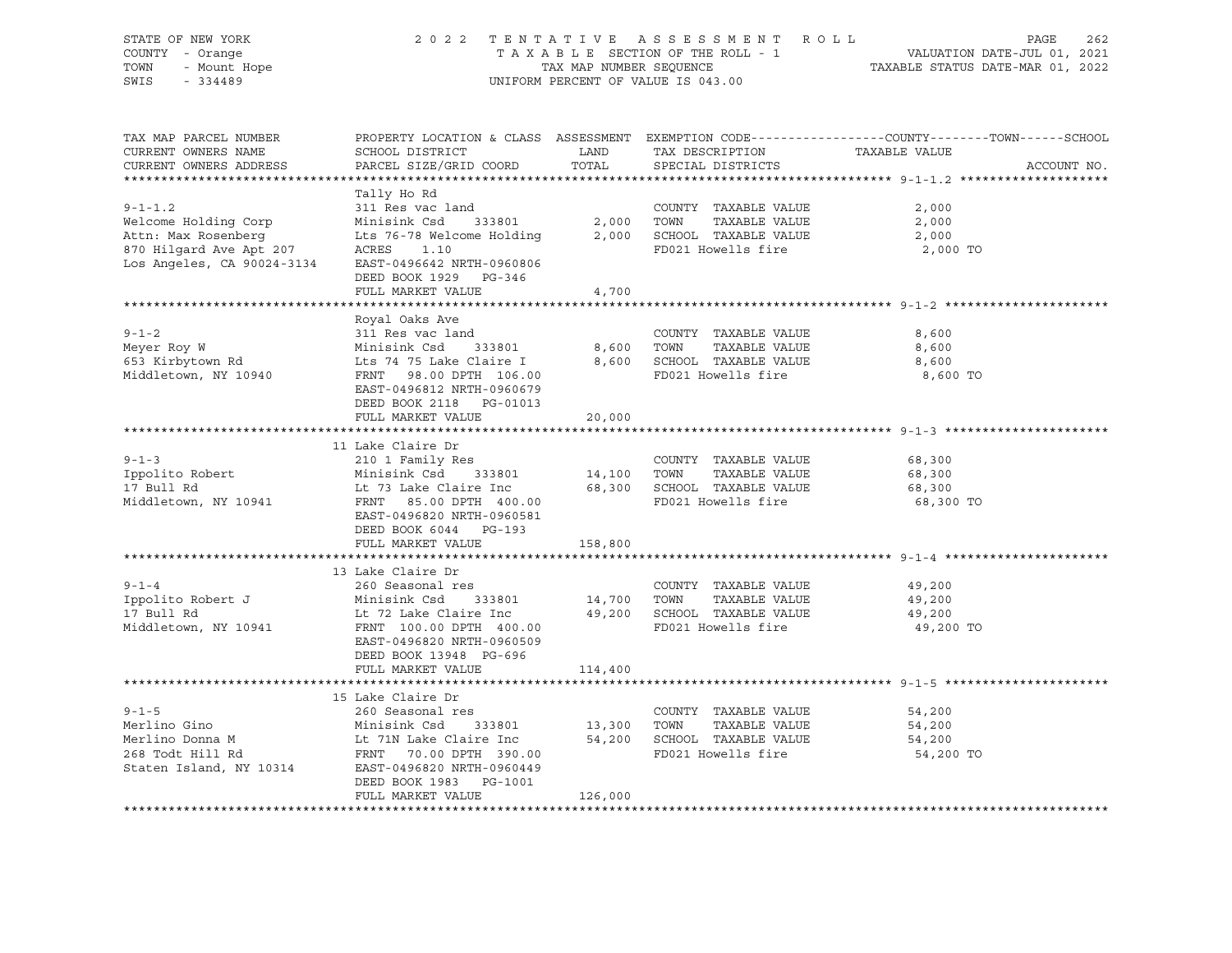| STATE OF NEW YORK<br>COUNTY - Orange<br>? - Orange<br>- Mount Hope<br>- 334489<br>TOWN<br>SWIS                                                                                                                                                                        |                                                                                                                                                                                                                                                                       |                                                                                                                                 | 2022 TENTATIVE ASSESSMENT ROLL<br>UNIFORM PERCENT OF VALUE IS 043.00                                                   | PAGE<br>262<br>TAXABLE SECTION OF THE ROLL - 1<br>TAXABLE SECTION OF THE ROLL - 1<br>TAXABLE STATUS DATE-MAR 01, 2022 |
|-----------------------------------------------------------------------------------------------------------------------------------------------------------------------------------------------------------------------------------------------------------------------|-----------------------------------------------------------------------------------------------------------------------------------------------------------------------------------------------------------------------------------------------------------------------|---------------------------------------------------------------------------------------------------------------------------------|------------------------------------------------------------------------------------------------------------------------|-----------------------------------------------------------------------------------------------------------------------|
| TAX MAP PARCEL NUMBER<br>CURRENT OWNERS NAME<br>CURRENT OWNERS ADDRESS                                                                                                                                                                                                | SCHOOL DISTRICT<br>PARCEL SIZE/GRID COORD                                                                                                                                                                                                                             | <b>EXAMPLE SERVICE SERVICE SERVICE SERVICE SERVICE SERVICE SERVICE SERVICE SERVICE SERVICE SERVICE SERVICE SERVICE</b><br>TOTAL | TAX DESCRIPTION TAXABLE VALUE<br>SPECIAL DISTRICTS                                                                     | PROPERTY LOCATION & CLASS ASSESSMENT EXEMPTION CODE----------------COUNTY-------TOWN------SCHOOL<br>ACCOUNT NO.       |
| COUNTY TAXABLE VALUE<br>ACCORDING THE SERVICE CONSULTS AGES UP:<br>TO Hilgard Ave Apt 207 ACRES 1.10<br>LOS Angeles, CA 90024-3134 EAST-0496642 NRTH-0060006                                                                                                          | Tally Ho Rd<br>DEED BOOK 1929 PG-346<br>FULL MARKET VALUE                                                                                                                                                                                                             | 4,700                                                                                                                           | FD021 Howells fire                                                                                                     | 2,000<br>2,000<br>2,000<br>2,000 TO                                                                                   |
|                                                                                                                                                                                                                                                                       |                                                                                                                                                                                                                                                                       |                                                                                                                                 |                                                                                                                        |                                                                                                                       |
| $9 - 1 - 2$<br>Meyer Roy W<br>653 Kirbytown Rd<br>Middletown, NY 10940                                                                                                                                                                                                | Royal Oaks Ave<br>311 Res vac land<br>311 Res vac Iand<br>Minisink Csd 333801<br>Lts 74 75 Lake Claire I<br>FRNT 98.00 DPTH 106.00<br>333801 8,600<br>Lts 74 75 Lake Claire I 8,600<br>FRNT 98.00 DPTH 106.00<br>EAST-0496812 NRTH-0960679<br>DEED BOOK 2118 PG-01013 |                                                                                                                                 | COUNTY TAXABLE VALUE<br>TOWN<br>TAXABLE VALUE<br>8,600 SCHOOL TAXABLE VALUE<br>FD021 Howells fire                      | 8,600<br>8,600<br>8,600<br>8,600 TO                                                                                   |
|                                                                                                                                                                                                                                                                       | FULL MARKET VALUE                                                                                                                                                                                                                                                     | 20,000                                                                                                                          |                                                                                                                        |                                                                                                                       |
|                                                                                                                                                                                                                                                                       |                                                                                                                                                                                                                                                                       |                                                                                                                                 |                                                                                                                        |                                                                                                                       |
| $9 - 1 - 3$<br>Ippolito Robert<br>17 Bull Rd<br>Middletown, NY 10941                                                                                                                                                                                                  | 11 Lake Claire Dr<br>210 1 Family Res<br>Minisink Csd 333801 14,100<br>EAST-0496820 NRTH-0960581<br>DEED BOOK 6044 PG-193                                                                                                                                             |                                                                                                                                 | COUNTY TAXABLE VALUE<br>TOWN TAXABLE VALUE                                                                             | 68,300<br>68,300<br>68,300<br>68,300 TO                                                                               |
|                                                                                                                                                                                                                                                                       | FULL MARKET VALUE                                                                                                                                                                                                                                                     | 158,800                                                                                                                         |                                                                                                                        |                                                                                                                       |
|                                                                                                                                                                                                                                                                       |                                                                                                                                                                                                                                                                       |                                                                                                                                 |                                                                                                                        |                                                                                                                       |
| $9 - 1 - 4$<br>Ippolito Robert J<br>17 Bull Rd<br>Middletown, NY 10941                                                                                                                                                                                                | 13 Lake Claire Dr<br>260 Seasonal res<br>Minisink Csd<br>Lt 72 Lake Claire Inc<br>FRNT 100.00 DPTH 400.00<br>EAST-0496820 NRTH-0960509<br>DEED BOOK 13948 PG-696                                                                                                      |                                                                                                                                 | COUNTY TAXABLE VALUE<br>333801 14,700 TOWN TAXABLE VALUE<br>aire Inc 49,200 SCHOOL TAXABLE VALUE<br>FD021 Howells fire | 49,200<br>49,200<br>49,200<br>49,200 TO                                                                               |
|                                                                                                                                                                                                                                                                       | FULL MARKET VALUE                                                                                                                                                                                                                                                     | 114,400                                                                                                                         |                                                                                                                        |                                                                                                                       |
| $9 - 1 - 5$<br>Merlino Gino<br>Minisink Csd 333801 13,300 TOWN TAXABLE VALUE<br>Merlino Donna M Lt 71N Lake Claire Inc 54,200 SCHOOL TAXABLE VALUE<br>268 Todt Hill Rd FRNT 70.00 DPTH 390.00 FD021 Howells fire<br>Staten Island, NY 10314 EAST-0496<br>Merlino Gino | 15 Lake Claire Dr<br>260 Seasonal res<br>DEED BOOK 1983 PG-1001<br>FULL MARKET VALUE                                                                                                                                                                                  | 126,000                                                                                                                         | COUNTY TAXABLE VALUE                                                                                                   | 54,200<br>54,200<br>54,200<br>54,200 TO                                                                               |
|                                                                                                                                                                                                                                                                       |                                                                                                                                                                                                                                                                       |                                                                                                                                 |                                                                                                                        |                                                                                                                       |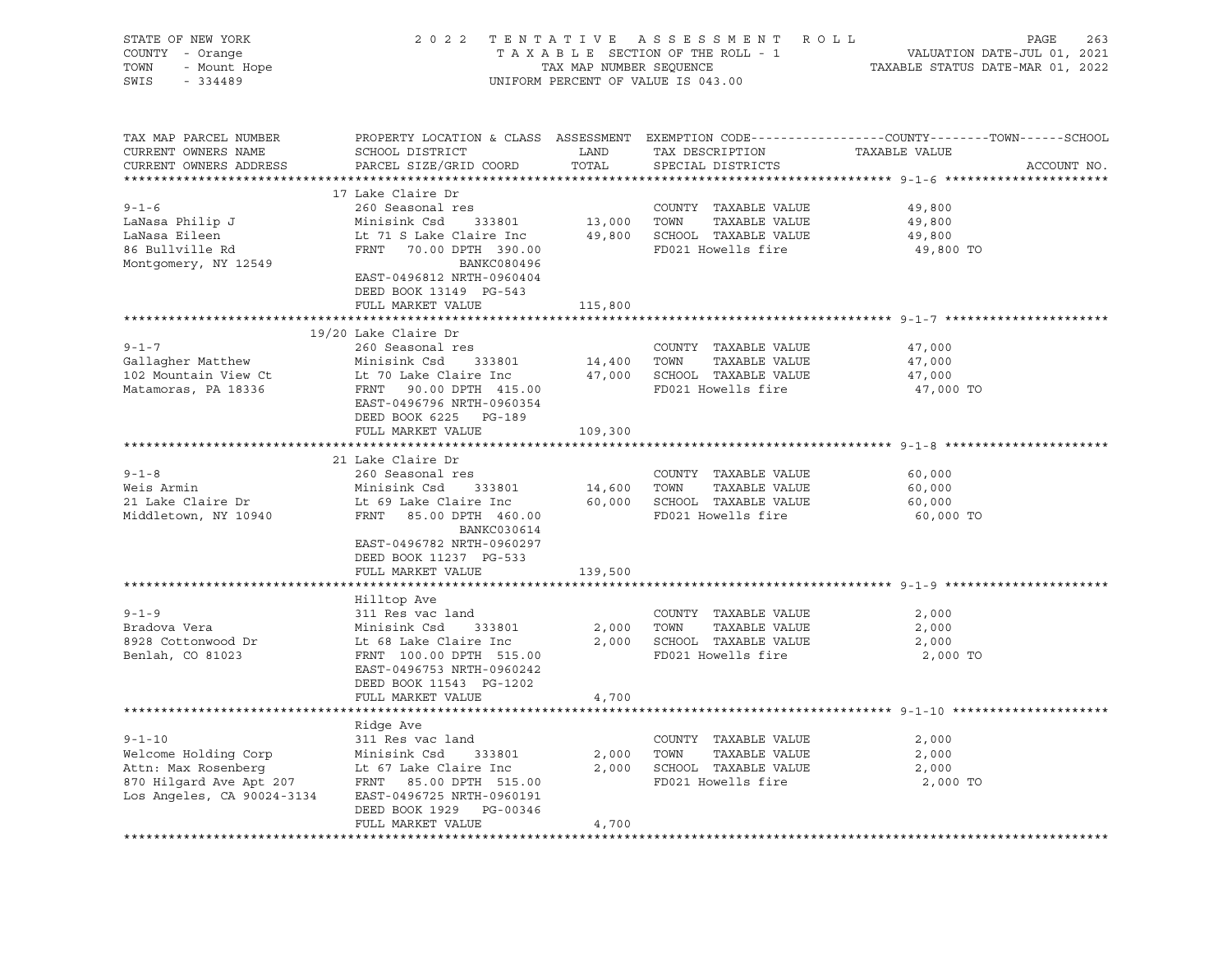| STATE OF NEW YORK<br>Y - Orange<br>- Mount Hope<br>COUNTY - Orange<br>TOWN<br>SWIS<br>$-334489$                                                                                                                                       |                                                                                                    |         | 2022 TENTATIVE ASSESSMENT ROLL<br>UNIFORM PERCENT OF VALUE IS 043.00      | PAGE<br>263<br>TAXABLE SECTION OF THE ROLL - 1<br>TAXABLE SECTION OF THE ROLL - 1<br>TAXABLE STATUS DATE-MAR 01, 2022 |
|---------------------------------------------------------------------------------------------------------------------------------------------------------------------------------------------------------------------------------------|----------------------------------------------------------------------------------------------------|---------|---------------------------------------------------------------------------|-----------------------------------------------------------------------------------------------------------------------|
| TAX MAP PARCEL NUMBER<br>CURRENT OWNERS NAME<br>CURRENT OWNERS ADDRESS                                                                                                                                                                |                                                                                                    |         |                                                                           | PROPERTY LOCATION & CLASS ASSESSMENT EXEMPTION CODE----------------COUNTY-------TOWN------SCHOOL<br>ACCOUNT NO.       |
|                                                                                                                                                                                                                                       | 17 Lake Claire Dr                                                                                  |         |                                                                           |                                                                                                                       |
| $9 - 1 - 6$                                                                                                                                                                                                                           | 260 Seasonal res                                                                                   |         | COUNTY TAXABLE VALUE<br>13,000 TOWN TAXABLE VALUE<br>COUNTY TAXABLE VALUE | 49,800                                                                                                                |
| y-1-0<br>LaNasa Philip J<br>Tiloon                                                                                                                                                                                                    | Minisink Csd 333801                                                                                |         |                                                                           | 49,800                                                                                                                |
| LaNasa Eileen                                                                                                                                                                                                                         |                                                                                                    |         |                                                                           | 49,800                                                                                                                |
| 86 Bullville Rd                                                                                                                                                                                                                       | Lt 71 S Lake Claire Inc 49,800 SCHOOL TAXABLE VALUE<br>FRNT 70.00 DPTH 390.00 FD021 Howells fire   |         |                                                                           | 49,800 TO                                                                                                             |
| Montgomery, NY 12549                                                                                                                                                                                                                  | BANKC080496                                                                                        |         |                                                                           |                                                                                                                       |
|                                                                                                                                                                                                                                       | EAST-0496812 NRTH-0960404<br>DEED BOOK 13149 PG-543                                                |         |                                                                           |                                                                                                                       |
|                                                                                                                                                                                                                                       | FULL MARKET VALUE                                                                                  | 115,800 |                                                                           |                                                                                                                       |
|                                                                                                                                                                                                                                       |                                                                                                    |         |                                                                           |                                                                                                                       |
|                                                                                                                                                                                                                                       | 19/20 Lake Claire Dr                                                                               |         |                                                                           |                                                                                                                       |
| $9 - 1 - 7$                                                                                                                                                                                                                           | 260 Seasonal res                                                                                   |         | COUNTY TAXABLE VALUE                                                      | 47,000                                                                                                                |
|                                                                                                                                                                                                                                       |                                                                                                    |         |                                                                           | 47,000                                                                                                                |
|                                                                                                                                                                                                                                       |                                                                                                    |         |                                                                           | 47,000                                                                                                                |
| 9-1-7<br>Gallagher Matthew Minisink Csd 333801 14,400 TOWN TAXABLE VALUE<br>102 Mountain View Ct Lt 70 Lake Claire Inc 47,000 SCHOOL TAXABLE VALUE<br>Matamoras, PA 18336 FRNT 90.00 PTH 415.00 FD021 Howells fire<br>The Taylor Care |                                                                                                    |         |                                                                           | 47,000 TO                                                                                                             |
|                                                                                                                                                                                                                                       | EAST-0496796 NRTH-0960354                                                                          |         |                                                                           |                                                                                                                       |
|                                                                                                                                                                                                                                       | DEED BOOK 6225 PG-189                                                                              |         |                                                                           |                                                                                                                       |
|                                                                                                                                                                                                                                       | FULL MARKET VALUE 109,300                                                                          |         |                                                                           |                                                                                                                       |
|                                                                                                                                                                                                                                       | 21 Lake Claire Dr                                                                                  |         |                                                                           |                                                                                                                       |
| $9 - 1 - 8$                                                                                                                                                                                                                           | 260 Seasonal res                                                                                   |         | COUNTY TAXABLE VALUE                                                      | 60,000                                                                                                                |
| Weis Armin                                                                                                                                                                                                                            |                                                                                                    |         |                                                                           | 60,000                                                                                                                |
| 21 Lake Claire Dr<br>Middleter                                                                                                                                                                                                        | Minisink Csd 333801 14,600 TOWN TAXABLE VALUE<br>Lt 69 Lake Claire Inc 60,000 SCHOOL TAXABLE VALUE |         |                                                                           | 60,000                                                                                                                |
| Middletown, NY 10940                                                                                                                                                                                                                  | FRNT 85.00 DPTH 460.00                                                                             |         | FD021 Howells fire                                                        | 60,000 TO                                                                                                             |
|                                                                                                                                                                                                                                       | BANKC030614                                                                                        |         |                                                                           |                                                                                                                       |
|                                                                                                                                                                                                                                       | EAST-0496782 NRTH-0960297                                                                          |         |                                                                           |                                                                                                                       |
|                                                                                                                                                                                                                                       | DEED BOOK 11237 PG-533                                                                             |         |                                                                           |                                                                                                                       |
|                                                                                                                                                                                                                                       | FULL MARKET VALUE                                                                                  | 139,500 |                                                                           |                                                                                                                       |
|                                                                                                                                                                                                                                       |                                                                                                    |         |                                                                           |                                                                                                                       |
|                                                                                                                                                                                                                                       | Hilltop Ave                                                                                        |         |                                                                           |                                                                                                                       |
| $9 - 1 - 9$                                                                                                                                                                                                                           | 311 Res vac land                                                                                   |         | COUNTY TAXABLE VALUE                                                      | 2,000                                                                                                                 |
| Bradova Vera                                                                                                                                                                                                                          | Minisink Csd 333801                                                                                |         | 2,000 TOWN<br>TAXABLE VALUE                                               | 2,000                                                                                                                 |
| 8928 Cottonwood Dr                                                                                                                                                                                                                    | Lt 68 Lake Claire Inc                                                                              |         | 2,000 SCHOOL TAXABLE VALUE                                                | 2,000                                                                                                                 |
| Benlah, CO 81023                                                                                                                                                                                                                      | FRNT 100.00 DPTH 515.00                                                                            |         | FD021 Howells fire                                                        | 2,000 TO                                                                                                              |
|                                                                                                                                                                                                                                       | EAST-0496753 NRTH-0960242                                                                          |         |                                                                           |                                                                                                                       |
|                                                                                                                                                                                                                                       | DEED BOOK 11543 PG-1202                                                                            |         |                                                                           |                                                                                                                       |
|                                                                                                                                                                                                                                       | FULL MARKET VALUE                                                                                  | 4,700   |                                                                           |                                                                                                                       |
|                                                                                                                                                                                                                                       |                                                                                                    |         |                                                                           |                                                                                                                       |
| $9 - 1 - 10$                                                                                                                                                                                                                          | Ridge Ave<br>311 Res vac land                                                                      |         | COUNTY TAXABLE VALUE                                                      | 2,000                                                                                                                 |
|                                                                                                                                                                                                                                       |                                                                                                    |         | 2,000 TOWN TAXABLE VALUE                                                  | 2,000                                                                                                                 |
|                                                                                                                                                                                                                                       |                                                                                                    |         | 2,000 SCHOOL TAXABLE VALUE                                                | 2,000                                                                                                                 |
|                                                                                                                                                                                                                                       |                                                                                                    |         | FD021 Howells fire                                                        | 2,000 TO                                                                                                              |
| Welcome Holding Corp<br>Minisink Csd 333801<br>Attn: Max Rosenberg<br>870 Hilgard Ave Apt 207<br>Los Angeles, CA 90024-3134<br>EAST-0496725 NRTH-0960191                                                                              |                                                                                                    |         |                                                                           |                                                                                                                       |
|                                                                                                                                                                                                                                       | DEED BOOK 1929 PG-00346                                                                            |         |                                                                           |                                                                                                                       |
|                                                                                                                                                                                                                                       | FULL MARKET VALUE                                                                                  | 4,700   |                                                                           |                                                                                                                       |
|                                                                                                                                                                                                                                       |                                                                                                    |         |                                                                           |                                                                                                                       |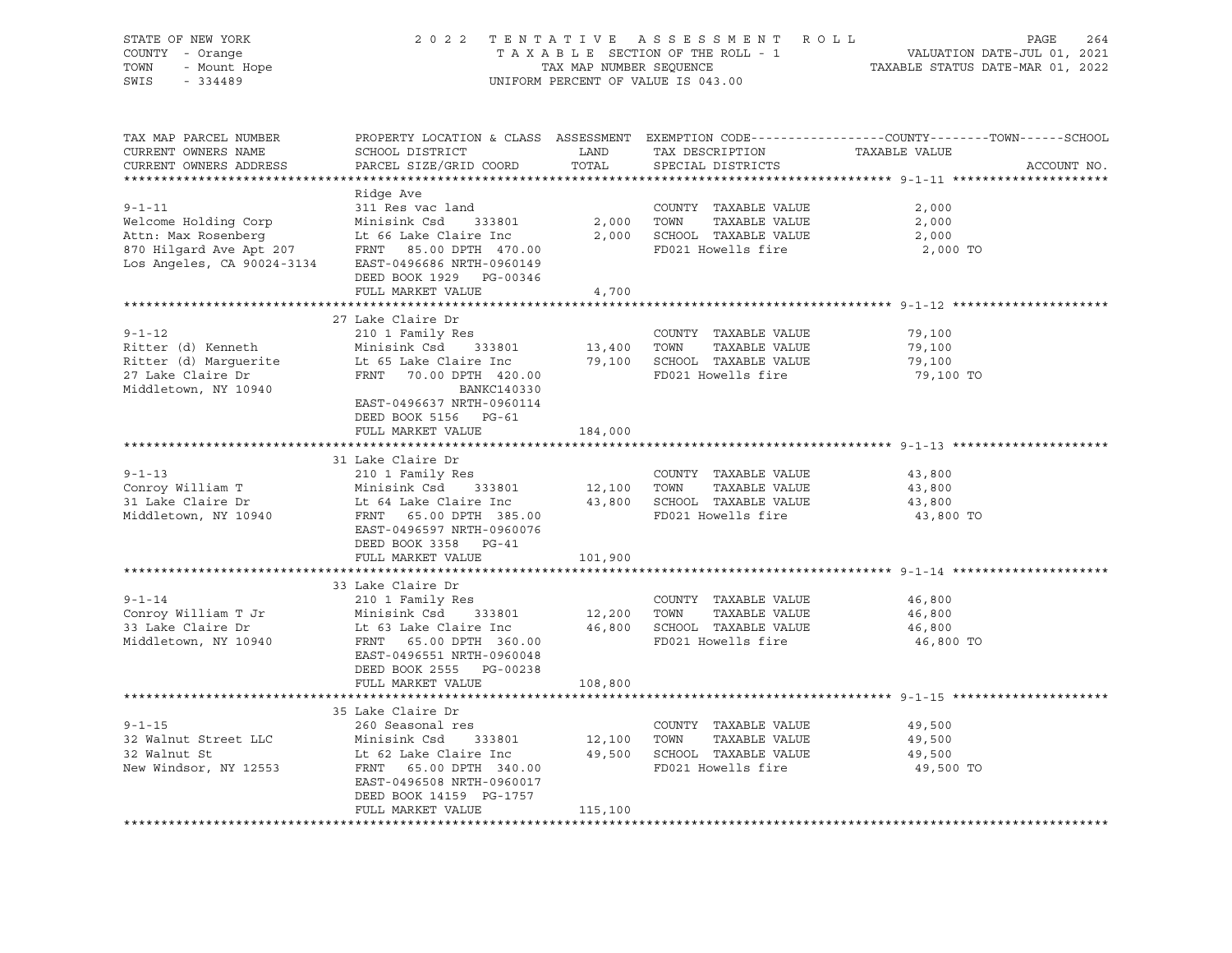| STATE OF NEW YORK<br>COUNTY - Orange<br>- Orange<br>- Mount Hope<br>- 221122<br>TOWN<br>SWIS<br>$-334489$ |                                                                                                                                                                                                                                                           | TAX MAP NUMBER SEQUENCE                                                                                                         | 2022 TENTATIVE ASSESSMENT ROLL<br>TAXABLE SECTION OF THE ROLL - 1<br>UNIFORM PERCENT OF VALUE IS 043.00             | PAGE<br>264<br>264 FAGE<br>701, VALUATION DATE-JUL 01, 2021<br>7202 TAXABLE STATUS DATE-MAR 01, 2022                           |
|-----------------------------------------------------------------------------------------------------------|-----------------------------------------------------------------------------------------------------------------------------------------------------------------------------------------------------------------------------------------------------------|---------------------------------------------------------------------------------------------------------------------------------|---------------------------------------------------------------------------------------------------------------------|--------------------------------------------------------------------------------------------------------------------------------|
| TAX MAP PARCEL NUMBER<br>CURRENT OWNERS NAME<br>CURRENT OWNERS ADDRESS                                    | SCHOOL DISTRICT<br>PARCEL SIZE/GRID COORD                                                                                                                                                                                                                 | <b>EXAMPLE SERVICE SERVICE SERVICE SERVICE SERVICE SERVICE SERVICE SERVICE SERVICE SERVICE SERVICE SERVICE SERVICE</b><br>TOTAL | TAX DESCRIPTION<br>SPECIAL DISTRICTS                                                                                | PROPERTY LOCATION & CLASS ASSESSMENT EXEMPTION CODE---------------COUNTY-------TOWN-----SCHOOL<br>TAXABLE VALUE<br>ACCOUNT NO. |
| $9 - 1 - 11$<br>Welcome Holding Corp<br>Attn: Max Rosenberg<br>Los Angeles, CA 90024-3134                 | Ridge Ave<br>311 Res vac land<br>Minisink Csd 333801<br>Lt 66 Lake Claire Inc<br>Attn: Max Rosenberg Lt 66 Lake Claire Inc<br>870 Hilgard Ave Apt 207 FRNT 85.00 DPTH 470.00<br>EAST-0496686 NRTH-0960149<br>DEED BOOK 1929 PG-00346<br>FULL MARKET VALUE | 4,700                                                                                                                           | COUNTY TAXABLE VALUE<br>2,000 TOWN TAXABLE VALUE<br>2,000 SCHOOL TAXABLE VALUE<br>FD021 Howells fire                | 2,000<br>2,000<br>2,000<br>2,000 TO                                                                                            |
|                                                                                                           |                                                                                                                                                                                                                                                           |                                                                                                                                 |                                                                                                                     |                                                                                                                                |
| $9 - 1 - 12$<br>Ritter (d) Kenneth<br>Ritter (d) Marguerite<br>27 Lake Claire Dr<br>Middletown, NY 10940  | 27 Lake Claire Dr<br>210 1 Family Res<br>Minisink Csd 333801<br>Lt 65 Lake Claire Inc<br>FRNT 70.00 DPTH 420.00<br>BANKC140330<br>EAST-0496637 NRTH-0960114                                                                                               | 13,400 TOWN                                                                                                                     | COUNTY TAXABLE VALUE<br>TAXABLE VALUE<br>79,100 SCHOOL TAXABLE VALUE<br>FD021 Howells fire                          | 79,100<br>79,100<br>79,100<br>79,100 TO                                                                                        |
|                                                                                                           | DEED BOOK 5156 PG-61                                                                                                                                                                                                                                      |                                                                                                                                 |                                                                                                                     |                                                                                                                                |
|                                                                                                           | FULL MARKET VALUE                                                                                                                                                                                                                                         | 184,000                                                                                                                         |                                                                                                                     |                                                                                                                                |
|                                                                                                           |                                                                                                                                                                                                                                                           |                                                                                                                                 |                                                                                                                     |                                                                                                                                |
| $9 - 1 - 13$<br>Conroy William T<br>31 Lake Claire Dr<br>Middletown, NY 10940                             | 31 Lake Claire Dr<br>210 1 Family Res<br>Minisink Csd 333801<br>Lt 64 Lake Claire Inc<br>FRNT 65.00 DPTH 385.00<br>EAST-0496597 NRTH-0960076<br>DEED BOOK 3358 PG-41                                                                                      | 12,100 TOWN                                                                                                                     | COUNTY TAXABLE VALUE<br>TAXABLE VALUE<br>43,800 SCHOOL TAXABLE VALUE<br>FD021 Howells fire                          | 43,800<br>43,800<br>43,800<br>43,800 TO                                                                                        |
|                                                                                                           | FULL MARKET VALUE                                                                                                                                                                                                                                         | 101,900                                                                                                                         |                                                                                                                     |                                                                                                                                |
|                                                                                                           |                                                                                                                                                                                                                                                           |                                                                                                                                 |                                                                                                                     |                                                                                                                                |
| $9 - 1 - 14$<br>Conroy William T Jr<br>33 Lake Claire Dr<br>Middletown, NY 10940                          | 33 Lake Claire Dr<br>210 1 Family Res<br>Minisink Csd 333801 12,200 TOWN<br>Lt 63 Lake Claire Inc<br>FRNT 65.00 DPTH 360.00<br>EAST-0496551 NRTH-0960048<br>DEED BOOK 2555 PG-00238<br>FULL MARKET VALUE                                                  | 108,800                                                                                                                         | COUNTY TAXABLE VALUE<br>TAXABLE VALUE<br>46,800 SCHOOL TAXABLE VALUE<br>FD021 Howells fire                          | 46,800<br>46,800<br>46,800<br>46,800 TO                                                                                        |
|                                                                                                           |                                                                                                                                                                                                                                                           |                                                                                                                                 |                                                                                                                     |                                                                                                                                |
| $9 - 1 - 15$<br>32 Walnut Street LLC<br>32 Walnut St<br>New Windsor, NY 12553                             | 35 Lake Claire Dr<br>260 Seasonal res<br>Minisink Csd<br>333801<br>Lt 62 Lake Claire Inc<br>FRNT 65.00 DPTH 340.00<br>EAST-0496508 NRTH-0960017<br>DEED BOOK 14159 PG-1757<br>FULL MARKET VALUE                                                           | 115,100                                                                                                                         | COUNTY TAXABLE VALUE<br>12,100    TOWN      TAXABLE VALUE<br>49,500    SCHOOL   TAXABLE VALUE<br>FD021 Howells fire | 49,500<br>49,500<br>49,500<br>49,500 TO                                                                                        |
|                                                                                                           |                                                                                                                                                                                                                                                           |                                                                                                                                 |                                                                                                                     |                                                                                                                                |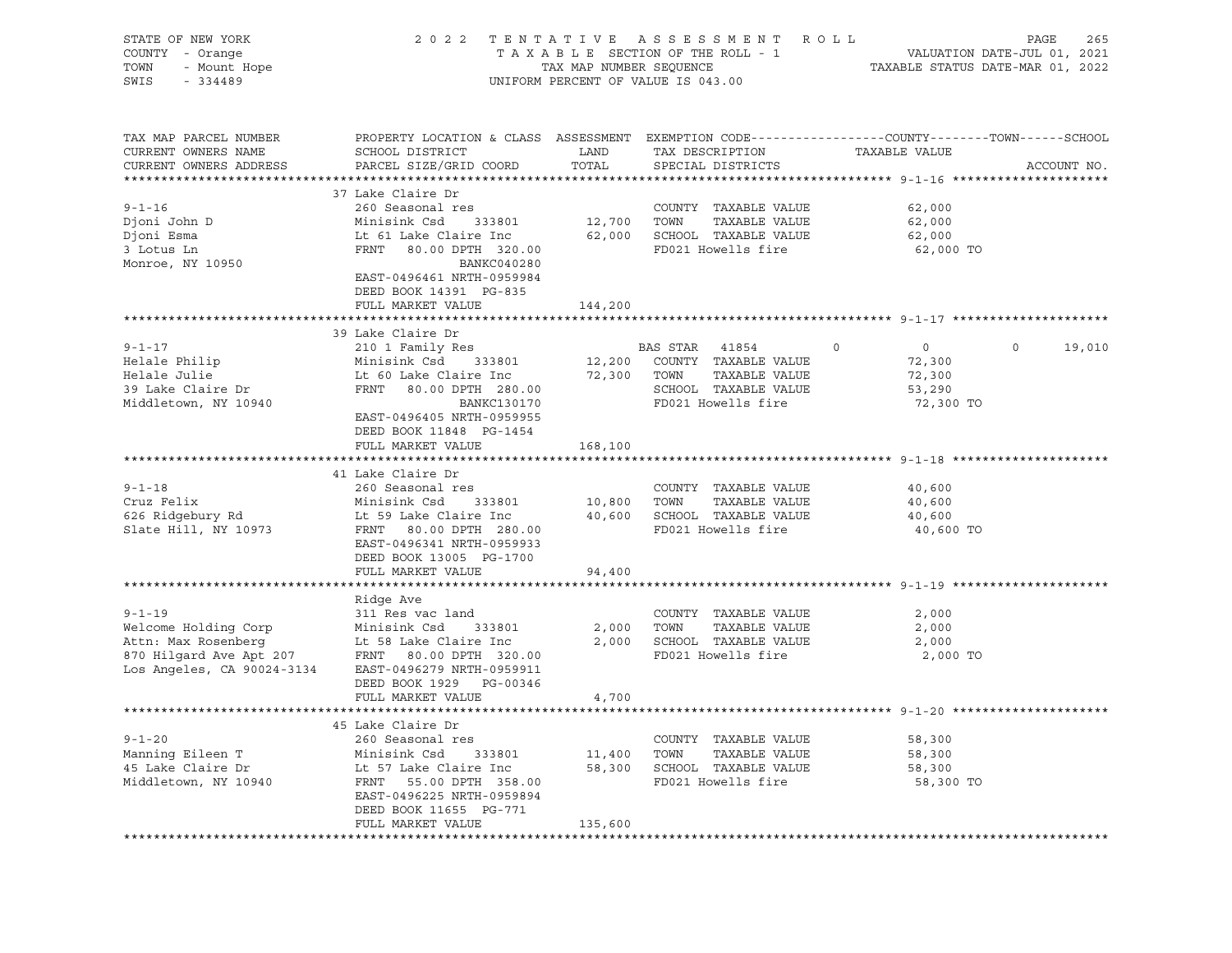| STATE OF NEW YORK<br>Y - Orange<br>- Mount Hope<br>- 334400<br>COUNTY - Orange<br>TOWN<br>SWIS<br>$-334489$                                                                                                                                         |                                                                                                                                                                                                                                                  |                | 2022 TENTATIVE ASSESSMENT ROLL<br>UNIFORM PERCENT OF VALUE IS 043.00 |                     | PAGE<br>265 |
|-----------------------------------------------------------------------------------------------------------------------------------------------------------------------------------------------------------------------------------------------------|--------------------------------------------------------------------------------------------------------------------------------------------------------------------------------------------------------------------------------------------------|----------------|----------------------------------------------------------------------|---------------------|-------------|
| TAX MAP PARCEL NUMBER<br>CURRENT OWNERS NAME<br>CURRENT OWNERS ADDRESS                                                                                                                                                                              | PROPERTY LOCATION & CLASS ASSESSMENT EXEMPTION CODE----------------COUNTY-------TOWN------SCHOOL<br>SCHOOL DISTRICT LAND<br>PARCEL SIZE/GRID COORD TOTAL                                                                                         |                | TAX DESCRIPTION<br>SPECIAL DISTRICTS                                 | TAXABLE VALUE       | ACCOUNT NO. |
|                                                                                                                                                                                                                                                     |                                                                                                                                                                                                                                                  |                |                                                                      |                     |             |
|                                                                                                                                                                                                                                                     | 37 Lake Claire Dr                                                                                                                                                                                                                                |                |                                                                      |                     |             |
| $9 - 1 - 16$                                                                                                                                                                                                                                        | 260 Seasonal res                                                                                                                                                                                                                                 |                | COUNTY TAXABLE VALUE<br>12,700 TOWN TAXABLE VALUE                    | 62,000              |             |
|                                                                                                                                                                                                                                                     |                                                                                                                                                                                                                                                  |                |                                                                      | 62,000              |             |
|                                                                                                                                                                                                                                                     |                                                                                                                                                                                                                                                  |                |                                                                      | 62,000<br>62,000 TO |             |
| Djoni John D<br>Djoni Esma<br>3 Lotus Ln ERNT 80.00 DPTH 320.00<br>3 Lotus Ln ERNT 80.00 DPTH 320.00<br>BANKC040280<br>BANKC040280                                                                                                                  |                                                                                                                                                                                                                                                  |                |                                                                      |                     |             |
|                                                                                                                                                                                                                                                     | EAST-0496461 NRTH-0959984<br>DEED BOOK 14391 PG-835                                                                                                                                                                                              |                |                                                                      |                     |             |
|                                                                                                                                                                                                                                                     | FULL MARKET VALUE                                                                                                                                                                                                                                | 144,200        |                                                                      |                     |             |
|                                                                                                                                                                                                                                                     |                                                                                                                                                                                                                                                  |                |                                                                      |                     |             |
| $9 - 1 - 17$                                                                                                                                                                                                                                        | 39 Lake Claire Dr                                                                                                                                                                                                                                |                |                                                                      | $\overline{0}$      | $\circ$     |
|                                                                                                                                                                                                                                                     |                                                                                                                                                                                                                                                  |                |                                                                      |                     | 19,010      |
| Helale Philip<br>Helale Philip<br>Helale Julie                                                                                                                                                                                                      |                                                                                                                                                                                                                                                  |                |                                                                      | 72,300<br>72,300    |             |
| neraie curre<br>39 Lake Claire Dr                                                                                                                                                                                                                   |                                                                                                                                                                                                                                                  |                |                                                                      | 53,290              |             |
| Middletown, NY 10940                                                                                                                                                                                                                                |                                                                                                                                                                                                                                                  |                |                                                                      | 72,300 TO           |             |
|                                                                                                                                                                                                                                                     | 33 BAN TION 210 1 Family Res<br>Minisink Csd 333801 12,200 COUNTY TAXABLE VALUE<br>Lt 60 Lake Claire Inc 72,300 TOWN TAXABLE VALUE<br>FRNT 80.00 DPTH 280.00 SCHOOL TAXABLE VALUE<br>BANKC130170 FD021 Howells fire<br>EAST-0496405 NRTH-0959955 |                |                                                                      |                     |             |
|                                                                                                                                                                                                                                                     | DEED BOOK 11848 PG-1454                                                                                                                                                                                                                          |                |                                                                      |                     |             |
|                                                                                                                                                                                                                                                     | FULL MARKET VALUE                                                                                                                                                                                                                                | 168,100        |                                                                      |                     |             |
|                                                                                                                                                                                                                                                     |                                                                                                                                                                                                                                                  |                |                                                                      |                     |             |
|                                                                                                                                                                                                                                                     | 41 Lake Claire Dr                                                                                                                                                                                                                                |                |                                                                      |                     |             |
| $9 - 1 - 18$                                                                                                                                                                                                                                        |                                                                                                                                                                                                                                                  |                |                                                                      | 40,600              |             |
|                                                                                                                                                                                                                                                     |                                                                                                                                                                                                                                                  |                |                                                                      | 40,600              |             |
|                                                                                                                                                                                                                                                     |                                                                                                                                                                                                                                                  |                |                                                                      | 40,600              |             |
| ) 1 10<br>626 Ridgebury Rd<br>Slate Hill, NY 10973                                                                                                                                                                                                  | COUNTY TAXABLE VALUE<br>Minisink Csd 333801 10,800 TOWN TAXABLE VALUE<br>Lt 59 Lake Claire Inc 40,600 SCHOOL TAXABLE VALUE<br>FRNT 80.00 DPTH 280.00 FD021 Howells find<br>EAST-0496341 NPTH 260.00                                              |                |                                                                      | 40,600 TO           |             |
|                                                                                                                                                                                                                                                     | EAST-0496341 NRTH-0959933                                                                                                                                                                                                                        |                |                                                                      |                     |             |
|                                                                                                                                                                                                                                                     | DEED BOOK 13005 PG-1700                                                                                                                                                                                                                          |                |                                                                      |                     |             |
|                                                                                                                                                                                                                                                     | FULL MARKET VALUE                                                                                                                                                                                                                                | 94,400         |                                                                      |                     |             |
| ************************                                                                                                                                                                                                                            | *************************                                                                                                                                                                                                                        | ************** |                                                                      |                     |             |
|                                                                                                                                                                                                                                                     | Ridge Ave                                                                                                                                                                                                                                        |                |                                                                      |                     |             |
| $9 - 1 - 19$                                                                                                                                                                                                                                        | 311 Res vac land                                                                                                                                                                                                                                 |                | COUNTY TAXABLE VALUE                                                 | 2,000               |             |
| 9-1-19<br>Welcome Holding Corp<br>Attn: Max Rosenberg<br>870 Hilgard Ave Apt 207<br>Los Angeles, CA 90024-3134<br>EAST-0496279 NRTH-0959911                                                                                                         |                                                                                                                                                                                                                                                  |                | 2,000 TOWN TAXABLE VALUE                                             | 2,000               |             |
|                                                                                                                                                                                                                                                     |                                                                                                                                                                                                                                                  |                | 2,000 SCHOOL TAXABLE VALUE<br>FD021 Howells fire                     | 2,000               |             |
|                                                                                                                                                                                                                                                     |                                                                                                                                                                                                                                                  |                |                                                                      | 2,000 TO            |             |
|                                                                                                                                                                                                                                                     | DEED BOOK 1929 PG-00346                                                                                                                                                                                                                          |                |                                                                      |                     |             |
|                                                                                                                                                                                                                                                     | FULL MARKET VALUE                                                                                                                                                                                                                                | 4,700          |                                                                      |                     |             |
|                                                                                                                                                                                                                                                     |                                                                                                                                                                                                                                                  |                |                                                                      |                     |             |
|                                                                                                                                                                                                                                                     | 45 Lake Claire Dr                                                                                                                                                                                                                                |                |                                                                      |                     |             |
| 9-1-20<br>Manning Eileen T<br>260 Seasonal res<br>260 Seasonal res<br>260 Seasonal 333801<br>260 Seasonal 333801<br>260 Seasonal 333801<br>260 Seasonal 333801<br>260 Seasonal 358.00<br>260 Seasonal 358.00<br>260 Seasonal 358.00<br>260 Seasonal |                                                                                                                                                                                                                                                  |                |                                                                      | 58,300              |             |
|                                                                                                                                                                                                                                                     |                                                                                                                                                                                                                                                  |                |                                                                      | 58,300              |             |
|                                                                                                                                                                                                                                                     |                                                                                                                                                                                                                                                  |                |                                                                      | 58,300              |             |
|                                                                                                                                                                                                                                                     |                                                                                                                                                                                                                                                  |                |                                                                      | 58,300 TO           |             |
|                                                                                                                                                                                                                                                     | EAST-0496225 NRTH-0959894                                                                                                                                                                                                                        |                |                                                                      |                     |             |
|                                                                                                                                                                                                                                                     | DEED BOOK 11655 PG-771                                                                                                                                                                                                                           |                |                                                                      |                     |             |
|                                                                                                                                                                                                                                                     | FULL MARKET VALUE                                                                                                                                                                                                                                | 135,600        |                                                                      |                     |             |
|                                                                                                                                                                                                                                                     |                                                                                                                                                                                                                                                  |                |                                                                      |                     |             |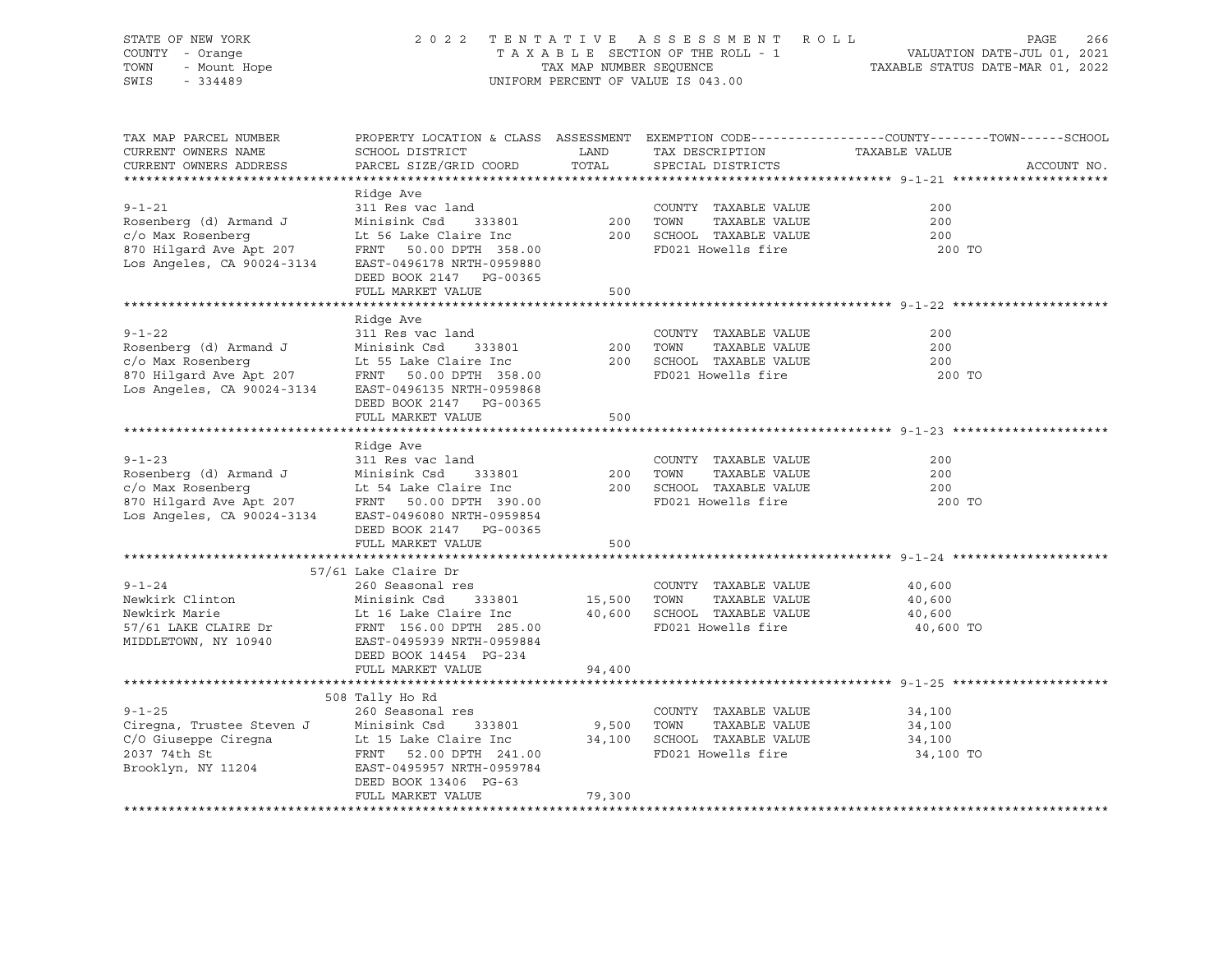| STATE OF NEW YORK<br>COUNTY - Orange<br>- Mount Hope<br>TOWN<br>SWIS<br>$-334489$                                                                                                                                                                                         |                                                                                                                                                                                             |               | 2022 TENTATIVE ASSESSMENT ROLL<br>UNIFORM PERCENT OF VALUE IS 043.00                                                    | PAGE<br>266<br>T A X A B L E SECTION OF THE ROLL - 1<br>T A X A B L E SECTION OF THE ROLL - 1<br>TAX MAP NUMBER SEQUENCE TAX MAP FOULL TAX MAP NUMBER SEQUENCE |
|---------------------------------------------------------------------------------------------------------------------------------------------------------------------------------------------------------------------------------------------------------------------------|---------------------------------------------------------------------------------------------------------------------------------------------------------------------------------------------|---------------|-------------------------------------------------------------------------------------------------------------------------|----------------------------------------------------------------------------------------------------------------------------------------------------------------|
| TAX MAP PARCEL NUMBER<br>CURRENT OWNERS NAME<br>CURRENT OWNERS ADDRESS                                                                                                                                                                                                    | SCHOOL DISTRICT<br>PARCEL SIZE/GRID COORD                                                                                                                                                   | LAND<br>TOTAL | TAX DESCRIPTION TAXABLE VALUE<br>SPECIAL DISTRICTS                                                                      | PROPERTY LOCATION & CLASS ASSESSMENT EXEMPTION CODE----------------COUNTY-------TOWN------SCHOOL<br>ACCOUNT NO.                                                |
| $9 - 1 - 21$<br>Rosenberg (d) Armand J<br>c/o Max Rosenberg<br>870 Hilgard Ave Apt 207<br>Los Angeles, CA 90024-3134                                                                                                                                                      | Ridge Ave<br>311 Res vac land<br>333801 200<br>Minisink Csd<br>Lt 56 Lake Claire Inc<br>FRNT 50.00 DPTH 358.00<br>EAST-0496178 NRTH-0959880<br>DEED BOOK 2147 PG-00365<br>FULL MARKET VALUE | 500           | COUNTY TAXABLE VALUE<br>TOWN<br>TAXABLE VALUE<br>200 SCHOOL TAXABLE VALUE<br>FD021 Howells fire                         | 200<br>200<br>200<br>200 TO                                                                                                                                    |
|                                                                                                                                                                                                                                                                           |                                                                                                                                                                                             |               |                                                                                                                         |                                                                                                                                                                |
| $9 - 1 - 22$<br>Rosenberg (d) Armand J<br>Example 2013 1990 11 1990 11 1990 11 1990 11 1990 11 1990 11 1990 11 1990 11 1990 11 1990 11 1990 11 1990 11 1<br>EAST-0496135 Number 2014 1990 11 1990 11 1990 11 1990 11 1990 11 1990 11 1990 11 1990 11 1990 11 1990 11 1990 | Ridge Ave<br>311 Res vac land<br>Minisink Csd<br>333801<br>FRNT 50.00 DPTH 358.00<br>EAST-0496135 NRTH-0959868<br>DEED BOOK 2147 PG-00365                                                   | 200           | COUNTY TAXABLE VALUE<br>TOWN<br>TAXABLE VALUE<br>200 SCHOOL TAXABLE VALUE<br>FD021 Howells fire                         | 200<br>200<br>200<br>200 TO                                                                                                                                    |
|                                                                                                                                                                                                                                                                           | FULL MARKET VALUE                                                                                                                                                                           | 500           |                                                                                                                         |                                                                                                                                                                |
| $9 - 1 - 23$<br>Posenberg (d) Armand J<br>Minisink Csd 333801<br>c/o Max Rosenberg Lt 54 Lake Claire Inc<br>870 Hilgard Ave Apt 207 FRNT 50.00 DPTH 390.00<br>Los Angeles, CA 90024-3134 EAST-0496080 NRTH-0959854                                                        | Ridge Ave<br>311 Res vac land<br>DEED BOOK 2147 PG-00365<br>FULL MARKET VALUE                                                                                                               | 200<br>500    | COUNTY TAXABLE VALUE<br>TOWN<br>TAXABLE VALUE<br>200 SCHOOL TAXABLE VALUE<br>FD021 Howells fire                         | 200<br>200<br>200<br>200 TO                                                                                                                                    |
|                                                                                                                                                                                                                                                                           |                                                                                                                                                                                             |               |                                                                                                                         |                                                                                                                                                                |
| $9 - 1 - 24$<br>Newkirk Clinton<br>Newkirk Marie<br>57/61 LAKE CLAIRE Dr<br>MIDDLETOWN, NY 10940                                                                                                                                                                          | 57/61 Lake Claire Dr<br>260 Seasonal res<br>Minisink Csd<br>333801<br>Lt 16 Lake Claire Inc<br>FRNT 156.00 DPTH 285.00<br>EAST-0495939 NRTH-0959884<br>DEED BOOK 14454 PG-234               |               | COUNTY TAXABLE VALUE<br>15,500 TOWN TAXABLE VALUE<br>40,600 SCHOOL TAXABLE VALUE<br>TAXABLE VALUE<br>FD021 Howells fire | 40,600<br>40,600<br>40,600<br>40,600 TO                                                                                                                        |
|                                                                                                                                                                                                                                                                           | FULL MARKET VALUE                                                                                                                                                                           | 94,400        |                                                                                                                         |                                                                                                                                                                |
| $9 - 1 - 25$<br>Ciregna, Trustee Steven J<br>C/O Giuseppe Ciregna<br>C/O Giuseppe Ciregna<br>2037 74th St<br>Brooklyn, NY 11204<br>E-10495957 NRTH-0959784<br>FRNT 52.00 DPTH 241.00<br>E-10495957 NRTH-0959784                                                           | 508 Tally Ho Rd<br>260 Seasonal res<br>DEED BOOK 13406 PG-63<br>FULL MARKET VALUE                                                                                                           | 79,300        | COUNTY TAXABLE VALUE<br>9,500 TOWN TAXABLE VALUE<br>34,100 SCHOOL TAXABLE VALUE<br>TAXABLE VALUE<br>FD021 Howells fire  | 34,100<br>34,100<br>34,100<br>34,100 TO                                                                                                                        |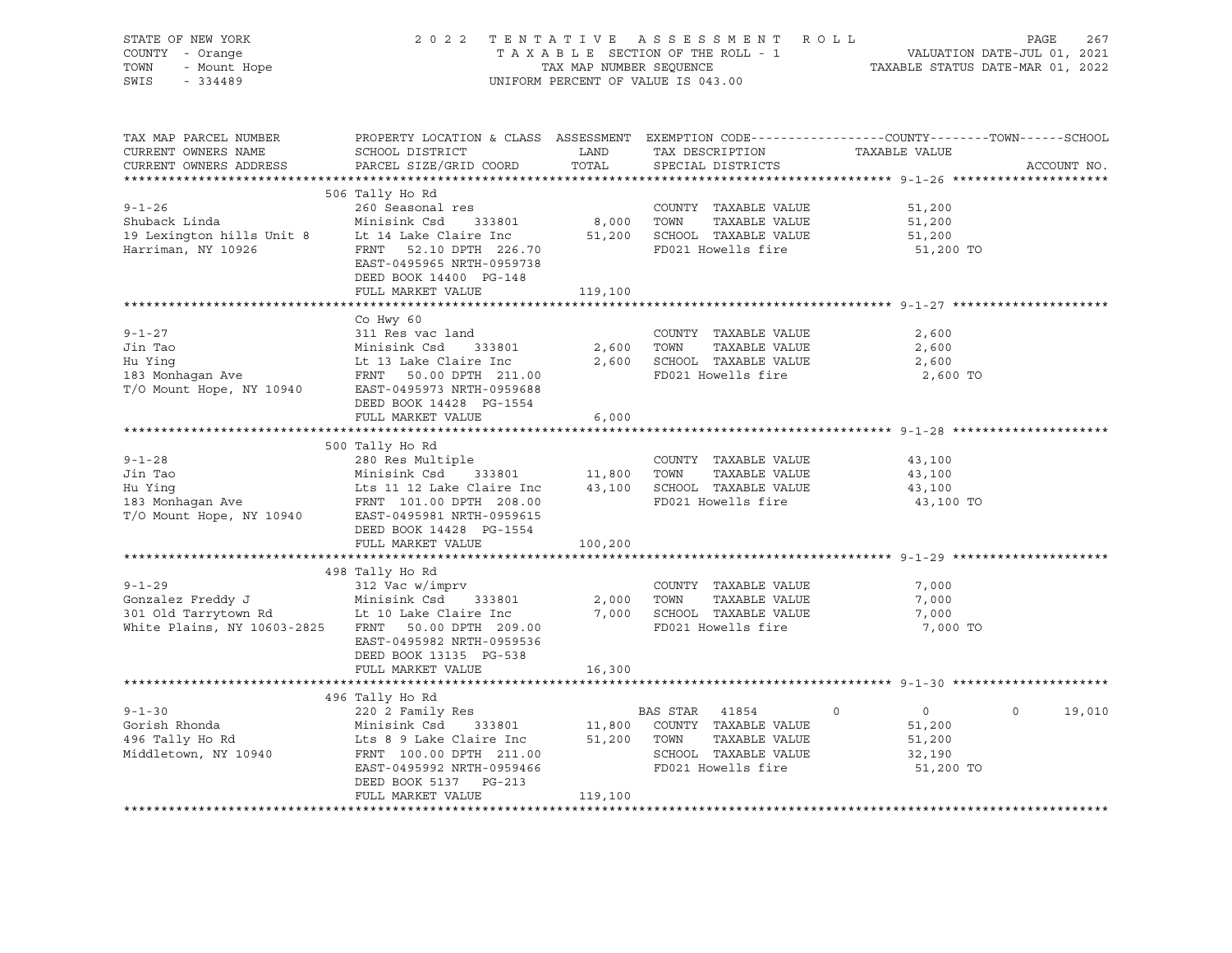| STATE OF NEW YORK<br>COUNTY - Orange<br>TOWN - Mount Hope                                                                                                                                                                                                     | 2022 TENTATIVE ASSESSMENT ROLL PAGE 267<br>TAXABLE SECTION OF THE ROLL - 1 VALUATION DATE-JUL 01, 2021<br>TAXABLE STATUS DATE-MAR 01, 2022                          |                  | UNIFORM PERCENT OF VALUE IS 043.00                                       |                                         |               |
|---------------------------------------------------------------------------------------------------------------------------------------------------------------------------------------------------------------------------------------------------------------|---------------------------------------------------------------------------------------------------------------------------------------------------------------------|------------------|--------------------------------------------------------------------------|-----------------------------------------|---------------|
| TAX MAP PARCEL NUMBER<br>CURRENT OWNERS NAME<br>CURRENT OWNERS ADDRESS                                                                                                                                                                                        | PROPERTY LOCATION & CLASS ASSESSMENT EXEMPTION CODE---------------COUNTY-------TOWN-----SCHOOL<br>SCHOOL DISTRICT<br>PARCEL SIZE/GRID COORD TOTAL SPECIAL DISTRICTS |                  | LAND TAX DESCRIPTION TAXABLE VALUE<br>LAND TAX DESCRIPTION TAXABLE VALUE |                                         | ACCOUNT NO.   |
|                                                                                                                                                                                                                                                               | 506 Tally Ho Rd                                                                                                                                                     |                  |                                                                          |                                         |               |
| 9-1-26 260 Seasonal res<br>Shuback Linda Minisink Csd 333801 8,000 TOWN TAXABLE VALUE<br>19 Lexington hills Unit 8 Lt 14 Lake Claire Inc 51,200 SCHOOL TAXABLE VALUE<br>Harriman, NY 10926 FRNT 52.10 DPTH 226.70 FD021 Howells fire                          | DEED BOOK 14400 PG-148                                                                                                                                              |                  |                                                                          | 51,200<br>51,200<br>51,200<br>51,200 TO |               |
|                                                                                                                                                                                                                                                               | FULL MARKET VALUE                                                                                                                                                   | 119,100          |                                                                          |                                         |               |
| $9 - 1 - 27$<br>9-1-27 311 Res vac land<br>311 Res vac land<br>311 Res vac land<br>333801 2,600 TOWN TAXABLE VALUE<br>43 Monhagan Ave FRNT 50.00 DPTH 211.00<br>5CHOOL TAXABLE VALUE<br>43 Monhagan Ave FRNT 50.00 DPTH 211.00<br>5CHOOL TAXABLE VALUE<br>42, | Co Hwy 60<br>311 Res vac land                                                                                                                                       |                  | COUNTY TAXABLE VALUE<br>TAXABLE VALUE<br>FD021 Howells fire              | 2,600<br>2,600<br>2,600<br>2,600 TO     |               |
|                                                                                                                                                                                                                                                               | DEED BOOK 14428 PG-1554<br>FULL MARKET VALUE                                                                                                                        |                  |                                                                          |                                         |               |
| 280 Res Multiple COUNTY TAXABLE VALUE<br>Jin Tao Minisink Csd 333801 11,800 TOWN TAXABLE VALUE<br>Hu Ying Lts 11 12 Lake Claire Inc 43,100 SCHOOL TAXABLE VALUE<br>183 Monhagan Ave FRNT 101.00 DPTH 208.00 FD021 Howells fire<br>T/O                         | FULL MARKET VALUE                                                                                                                                                   | 6,000<br>100,200 |                                                                          | 43,100<br>43,100<br>43,100<br>43,100 TO |               |
|                                                                                                                                                                                                                                                               |                                                                                                                                                                     |                  |                                                                          |                                         |               |
| 9-1-29<br>Gonzalez Freddy J<br>312 Vac w/imprv<br>312 Vac w/imprv<br>Minisink Csd<br>333801<br>2,000 TOWN TAXABLE VALUE<br>2,000 TOWN TAXABLE VALUE<br>2,000 TOWN TAXABLE VALUE<br>2,000 TOWN TAXABLE VALUE<br>2,000 TOWN TAXABLE VALUE<br>2,000 TOW          | 498 Tally Ho Rd<br>EAST-0495982 NRTH-0959536<br>DEED BOOK 13135 PG-538                                                                                              |                  | TAXABLE VALUE<br>FD021 Howells fire                                      | 7,000<br>7,000<br>7,000<br>7,000 TO     |               |
|                                                                                                                                                                                                                                                               | FULL MARKET VALUE                                                                                                                                                   | 16,300           |                                                                          |                                         |               |
|                                                                                                                                                                                                                                                               |                                                                                                                                                                     |                  |                                                                          |                                         |               |
| 496 Tally Ho Rd<br>496 Tally Ho Rd<br>496 Tally Ho Rd<br>496 Tally Ho Rd<br>496 Tally Ho Rd<br>496 Tally Ho Rd<br>496 Tally Ho Rd<br>496 Tally Ho Rd<br>496 Tally Ho Rd<br>496 Tally Ho Rd<br>496 Tally Ho Rd<br>496 Tally Ho Rd<br>496 Tally Ho Rd<br>4      | DEED BOOK 5137 PG-213<br>FULL MARKET VALUE                                                                                                                          | 119,100          |                                                                          |                                         | $0 \t 19,010$ |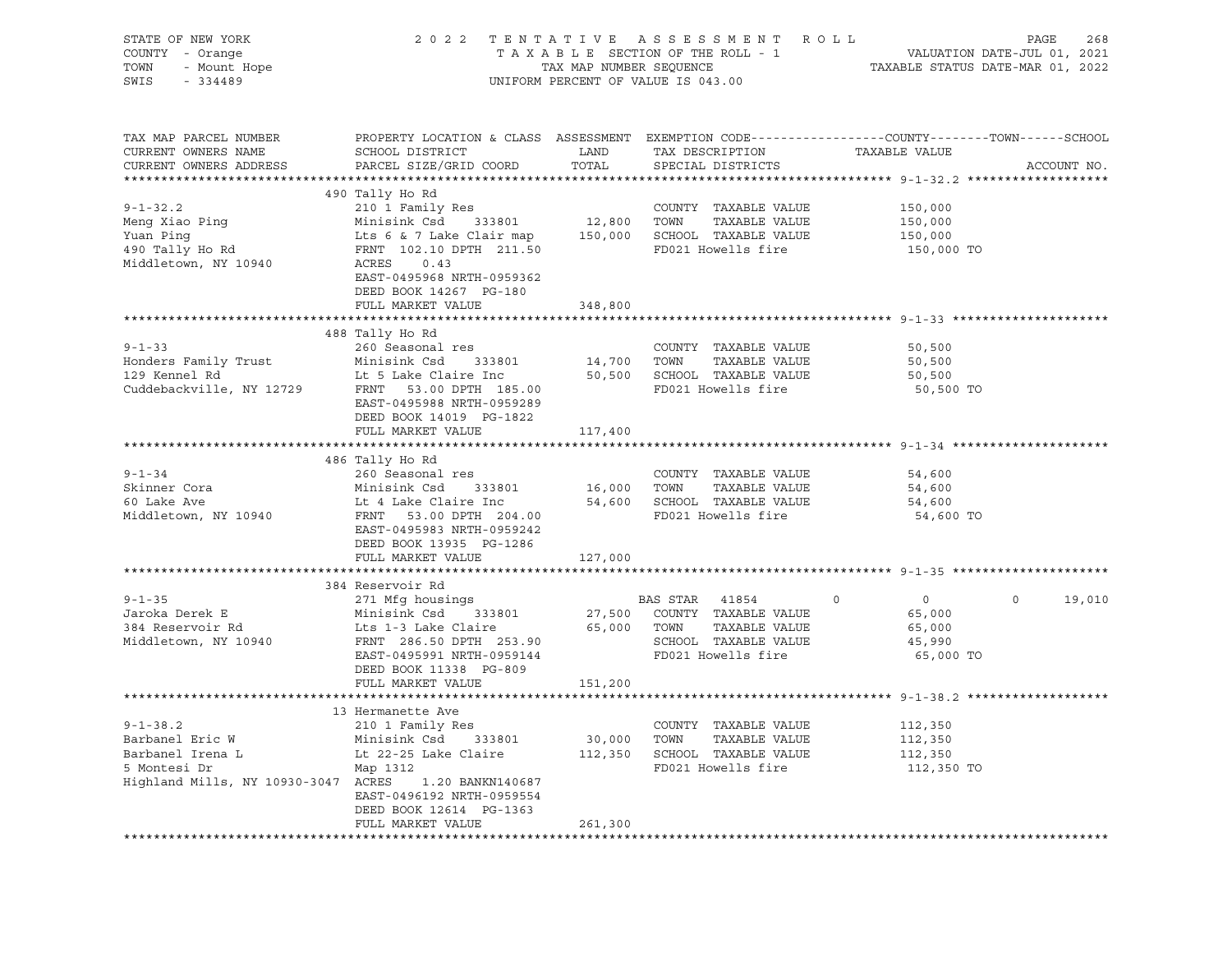| STATE OF NEW YORK<br>TENTATIVE ASSESSMENT ROLL<br>2 0 2 2<br>COUNTY - Orange<br>- Orange<br>- Mount Hope<br>- 334489<br>TOWN<br>SWIS<br>$-334489$<br>UNIFORM PERCENT OF VALUE IS 043.00                                                                                                                                                                                                                                                                                                                                                                                                                                                                      | PAGE<br>268       |
|--------------------------------------------------------------------------------------------------------------------------------------------------------------------------------------------------------------------------------------------------------------------------------------------------------------------------------------------------------------------------------------------------------------------------------------------------------------------------------------------------------------------------------------------------------------------------------------------------------------------------------------------------------------|-------------------|
| TAX MAP PARCEL NUMBER<br>PROPERTY LOCATION & CLASS ASSESSMENT EXEMPTION CODE----------------COUNTY-------TOWN------SCHOOL<br>CURRENT OWNERS NAME<br>SCHOOL DISTRICT<br>LAND<br>TAX DESCRIPTION TAXABLE VALUE<br>PARCEL SIZE/GRID COORD TOTAL<br>CURRENT OWNERS ADDRESS<br>SPECIAL DISTRICTS                                                                                                                                                                                                                                                                                                                                                                  | ACCOUNT NO.       |
|                                                                                                                                                                                                                                                                                                                                                                                                                                                                                                                                                                                                                                                              |                   |
| 490 Tally Ho Rd<br>And the set of the country that the country of the set of the set of the main of the set of the main of the set of the main of the set of the set of the set of the set of the set of the set of the set of the set of the set<br>150,000 TO<br>Middletown, NY 10940<br>ACRES<br>0.43<br>EAST-0495968 NRTH-0959362<br>DEED BOOK 14267 PG-180                                                                                                                                                                                                                                                                                              |                   |
| FULL MARKET VALUE<br>348,800                                                                                                                                                                                                                                                                                                                                                                                                                                                                                                                                                                                                                                 |                   |
|                                                                                                                                                                                                                                                                                                                                                                                                                                                                                                                                                                                                                                                              |                   |
| 488 Tally Ho Rd<br>9-1-33<br>Honders Family Trust<br>100 Trust<br>100 Trust<br>100 Trust<br>100 Trust<br>100 Trust<br>100 Trust<br>100 Trust<br>100 Trust<br>100 Trust<br>100 Trust<br>100 Trust<br>100 Trust<br>100 Trust<br>100 Trust<br>100 Trust<br>100 Trust<br>100 Trust<br>100 T<br>COUNTY TAXABLE VALUE 50,500<br>COUNTY TAXABLE VALUE<br>14,700 TOWN TAXABLE VALUE<br>50,500<br>129 Kennel Rd <sup>1</sup> 12729 Lt 5 Lake Claire Inc 50,500 SCHOOL TAXABLE VALUE 50,500 SCHOOL TAXABLE VALUE 50,500 Cuddebackville, NY 12729 FRNT 53.00 DPTH 185.00 FD021 Howells fire 50,500<br>50,500 TO<br>EAST-0495988 NRTH-0959289<br>DEED BOOK 14019 PG-1822 |                   |
| FULL MARKET VALUE<br>117,400                                                                                                                                                                                                                                                                                                                                                                                                                                                                                                                                                                                                                                 |                   |
|                                                                                                                                                                                                                                                                                                                                                                                                                                                                                                                                                                                                                                                              |                   |
| 486 Tally Ho Rd<br>$9 - 1 - 34$<br>260 Seasonal res<br>COUNTY TAXABLE VALUE<br>54,600<br>$333801$ $16,000$ TOWN TAXABLE VALUE<br>ire Inc $54,600$ SCHOOL TAXABLE VALUE<br>TAXABLE VALUE<br>54,600<br>54,600<br>FRNT 53.00 DPTH 204.00<br>FD021 Howells fire<br>Middletown, NY 10940<br>54,600 TO<br>EAST-0495983 NRTH-0959242<br>DEED BOOK 13935 PG-1286<br>FULL MARKET VALUE<br>127,000                                                                                                                                                                                                                                                                     |                   |
|                                                                                                                                                                                                                                                                                                                                                                                                                                                                                                                                                                                                                                                              |                   |
| 384 Reservoir Rd<br>$9 - 1 - 35$<br>$\overline{0}$<br>$\sim$ 0<br>Jaroka Derek E<br>65,000<br>Lts 1-3 Lake Claire 65,000 TOWN TAXABLE VALUE<br>384 Reservoir Rd<br>65,000<br>Middletown, NY 10940<br>FRNT 286.50 DPTH 253.90<br>SCHOOL TAXABLE VALUE<br>45,990<br>FD021 Howells fire<br>65,000 TO<br>EAST-0495991 NRTH-0959144<br>DEED BOOK 11338 PG-809                                                                                                                                                                                                                                                                                                     | $\circ$<br>19,010 |
| 151,200<br>FULL MARKET VALUE                                                                                                                                                                                                                                                                                                                                                                                                                                                                                                                                                                                                                                 |                   |
|                                                                                                                                                                                                                                                                                                                                                                                                                                                                                                                                                                                                                                                              |                   |
| 13 Hermanette Ave<br>$9 - 1 - 38.2$<br>210 1 Family Res<br>COUNTY TAXABLE VALUE<br>112,350<br>Barbanel Eric W<br>Minisink Csd<br>333801<br>30,000<br>TOWN<br>TAXABLE VALUE<br>112,350<br>Barbanel Irena L<br>Lt 22-25 Lake Claire<br>112,350<br>SCHOOL TAXABLE VALUE<br>112,350<br>FD021 Howells fire<br>5 Montesi Dr<br>Map 1312<br>Highland Mills, NY 10930-3047<br>ACRES<br>1.20 BANKN140687<br>EAST-0496192 NRTH-0959554<br>DEED BOOK 12614 PG-1363                                                                                                                                                                                                      | 112,350 TO        |
| FULL MARKET VALUE<br>261,300                                                                                                                                                                                                                                                                                                                                                                                                                                                                                                                                                                                                                                 |                   |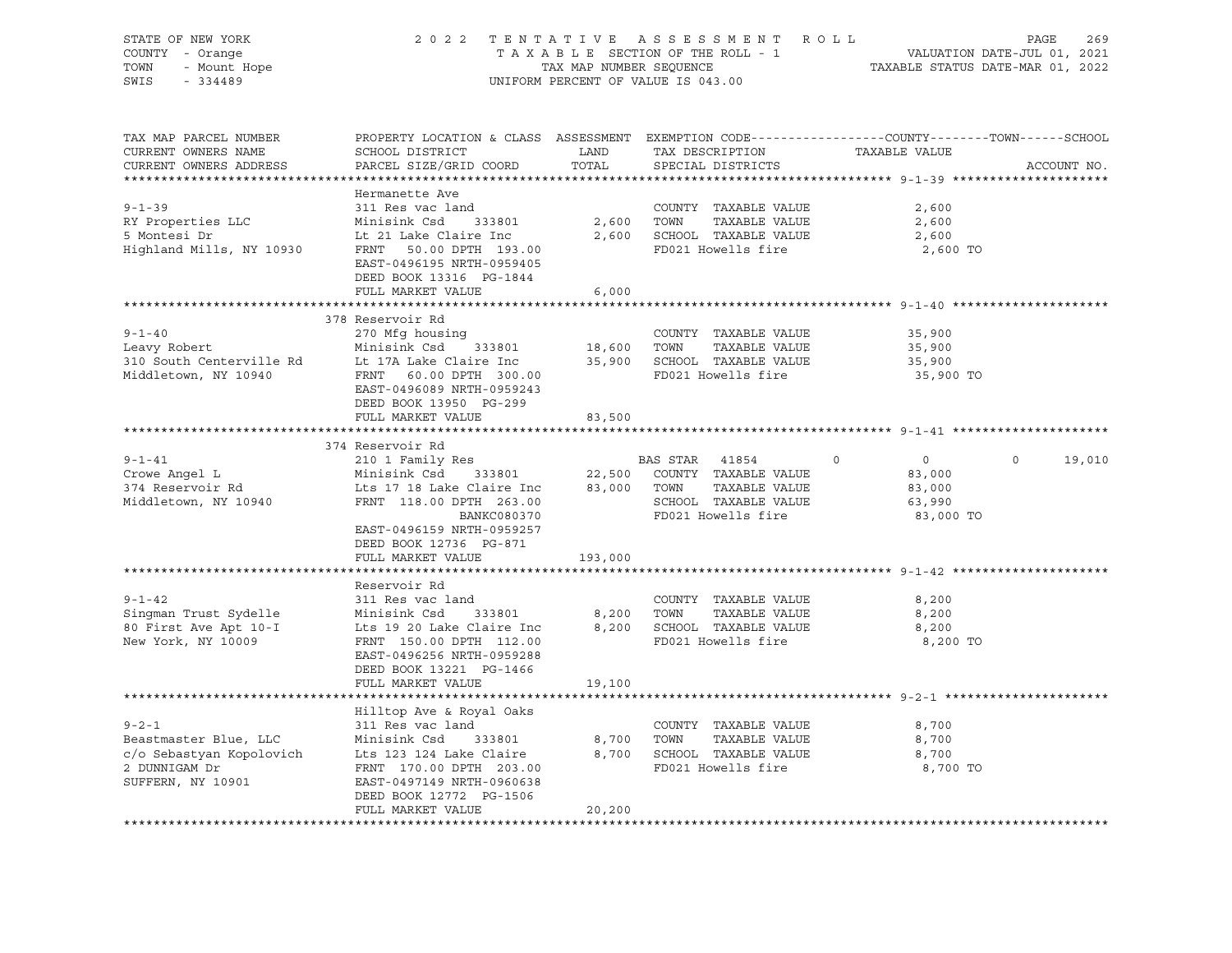| STATE OF NEW YORK<br>COUNTY - Orange<br>- Mount Hope<br>TOWN<br>SWIS<br>$-334489$ | 2 0 2 2                                                                                                                                     | TENTATIVE<br>TAX MAP NUMBER SEQUENCE | ASSESSMENT ROLL<br>TAXABLE SECTION OF THE ROLL - 1<br>UNIFORM PERCENT OF VALUE IS 043.00 | VALUATION DATE-JUL 01, 2021<br>TAXABLE STATUS DATE-MAR 01, 2022 | PAGE<br>269        |
|-----------------------------------------------------------------------------------|---------------------------------------------------------------------------------------------------------------------------------------------|--------------------------------------|------------------------------------------------------------------------------------------|-----------------------------------------------------------------|--------------------|
| TAX MAP PARCEL NUMBER<br>CURRENT OWNERS NAME<br>CURRENT OWNERS ADDRESS            | PROPERTY LOCATION & CLASS ASSESSMENT EXEMPTION CODE---------------COUNTY-------TOWN-----SCHOOL<br>SCHOOL DISTRICT<br>PARCEL SIZE/GRID COORD | LAND<br>TOTAL                        | TAX DESCRIPTION<br>SPECIAL DISTRICTS                                                     | TAXABLE VALUE                                                   | ACCOUNT NO.        |
|                                                                                   | Hermanette Ave                                                                                                                              |                                      |                                                                                          |                                                                 |                    |
| $9 - 1 - 39$                                                                      | 311 Res vac land                                                                                                                            |                                      | COUNTY TAXABLE VALUE                                                                     | 2,600                                                           |                    |
| RY Properties LLC                                                                 | Minisink Csd<br>333801                                                                                                                      |                                      | 2,600 TOWN<br>TAXABLE VALUE                                                              | 2,600                                                           |                    |
| 5 Montesi Dr                                                                      | Lt 21 Lake Claire Inc                                                                                                                       |                                      | 2,600 SCHOOL TAXABLE VALUE                                                               | 2,600                                                           |                    |
| Highland Mills, NY 10930                                                          | FRNT 50.00 DPTH 193.00<br>EAST-0496195 NRTH-0959405<br>DEED BOOK 13316 PG-1844                                                              |                                      | FD021 Howells fire                                                                       | 2,600 TO                                                        |                    |
|                                                                                   | FULL MARKET VALUE                                                                                                                           | 6,000                                |                                                                                          |                                                                 |                    |
|                                                                                   |                                                                                                                                             |                                      |                                                                                          |                                                                 |                    |
|                                                                                   | 378 Reservoir Rd                                                                                                                            |                                      |                                                                                          |                                                                 |                    |
| $9 - 1 - 40$                                                                      | 270 Mfg housing                                                                                                                             |                                      | COUNTY TAXABLE VALUE                                                                     | 35,900                                                          |                    |
| Leavy Robert                                                                      | Minisink Csd<br>333801                                                                                                                      | 18,600 TOWN                          | TAXABLE VALUE<br>35,900 SCHOOL TAXABLE VALUE                                             | 35,900                                                          |                    |
| 310 South Centerville Rd<br>Middletown, NY 10940                                  | Lt 17A Lake Claire Inc<br>FRNT 60.00 DPTH 300.00                                                                                            |                                      | FD021 Howells fire                                                                       | 35,900<br>35,900 TO                                             |                    |
|                                                                                   | EAST-0496089 NRTH-0959243<br>DEED BOOK 13950 PG-299                                                                                         |                                      |                                                                                          |                                                                 |                    |
|                                                                                   | FULL MARKET VALUE                                                                                                                           | 83,500                               |                                                                                          |                                                                 |                    |
|                                                                                   | 374 Reservoir Rd                                                                                                                            |                                      |                                                                                          |                                                                 |                    |
| $9 - 1 - 41$                                                                      | 210 1 Family Res                                                                                                                            |                                      | BAS STAR<br>41854                                                                        | $\overline{0}$<br>$\circ$                                       | $\Omega$<br>19,010 |
| Crowe Angel L                                                                     | 333801<br>Minisink Csd                                                                                                                      | 22,500                               | COUNTY TAXABLE VALUE                                                                     | 83,000                                                          |                    |
| 374 Reservoir Rd                                                                  | Lts 17 18 Lake Claire Inc                                                                                                                   | 83,000                               | TAXABLE VALUE<br>TOWN                                                                    | 83,000                                                          |                    |
| Middletown, NY 10940                                                              | FRNT 118.00 DPTH 263.00                                                                                                                     |                                      | SCHOOL TAXABLE VALUE                                                                     | 63,990                                                          |                    |
|                                                                                   | BANKC080370<br>EAST-0496159 NRTH-0959257<br>DEED BOOK 12736 PG-871                                                                          |                                      | FD021 Howells fire                                                                       | 83,000 TO                                                       |                    |
|                                                                                   | FULL MARKET VALUE                                                                                                                           | 193,000                              |                                                                                          |                                                                 |                    |
|                                                                                   |                                                                                                                                             |                                      |                                                                                          |                                                                 |                    |
|                                                                                   | Reservoir Rd                                                                                                                                |                                      |                                                                                          |                                                                 |                    |
| $9 - 1 - 42$                                                                      | 311 Res vac land<br>Minisink Csd<br>333801                                                                                                  |                                      | COUNTY TAXABLE VALUE<br>TAXABLE VALUE                                                    | 8,200                                                           |                    |
| Singman Trust Sydelle<br>80 First Ave Apt 10-I                                    | Lts 19 20 Lake Claire Inc                                                                                                                   |                                      | 8,200 TOWN<br>8,200 SCHOOL TAXABLE VALUE                                                 | 8,200<br>8,200                                                  |                    |
| New York, NY 10009                                                                | FRNT 150.00 DPTH 112.00                                                                                                                     |                                      | FD021 Howells fire                                                                       | 8,200 TO                                                        |                    |
|                                                                                   | EAST-0496256 NRTH-0959288<br>DEED BOOK 13221 PG-1466                                                                                        |                                      |                                                                                          |                                                                 |                    |
|                                                                                   | FULL MARKET VALUE                                                                                                                           | 19,100                               |                                                                                          |                                                                 |                    |
|                                                                                   |                                                                                                                                             |                                      |                                                                                          |                                                                 |                    |
|                                                                                   | Hilltop Ave & Royal Oaks                                                                                                                    |                                      |                                                                                          |                                                                 |                    |
| $9 - 2 - 1$<br>Beastmaster Blue, LLC                                              | 311 Res vac land<br>Minisink Csd<br>333801                                                                                                  | 8,700                                | COUNTY TAXABLE VALUE<br>TOWN<br>TAXABLE VALUE                                            | 8,700<br>8,700                                                  |                    |
| c/o Sebastyan Kopolovich                                                          | Lts 123 124 Lake Claire                                                                                                                     |                                      | 8,700 SCHOOL TAXABLE VALUE                                                               | 8,700                                                           |                    |
| 2 DUNNIGAM Dr                                                                     | FRNT 170.00 DPTH 203.00                                                                                                                     |                                      | FD021 Howells fire                                                                       | 8,700 TO                                                        |                    |
| SUFFERN, NY 10901                                                                 | EAST-0497149 NRTH-0960638<br>DEED BOOK 12772 PG-1506                                                                                        |                                      |                                                                                          |                                                                 |                    |
|                                                                                   | FULL MARKET VALUE                                                                                                                           | 20,200                               |                                                                                          |                                                                 |                    |
|                                                                                   |                                                                                                                                             |                                      |                                                                                          |                                                                 |                    |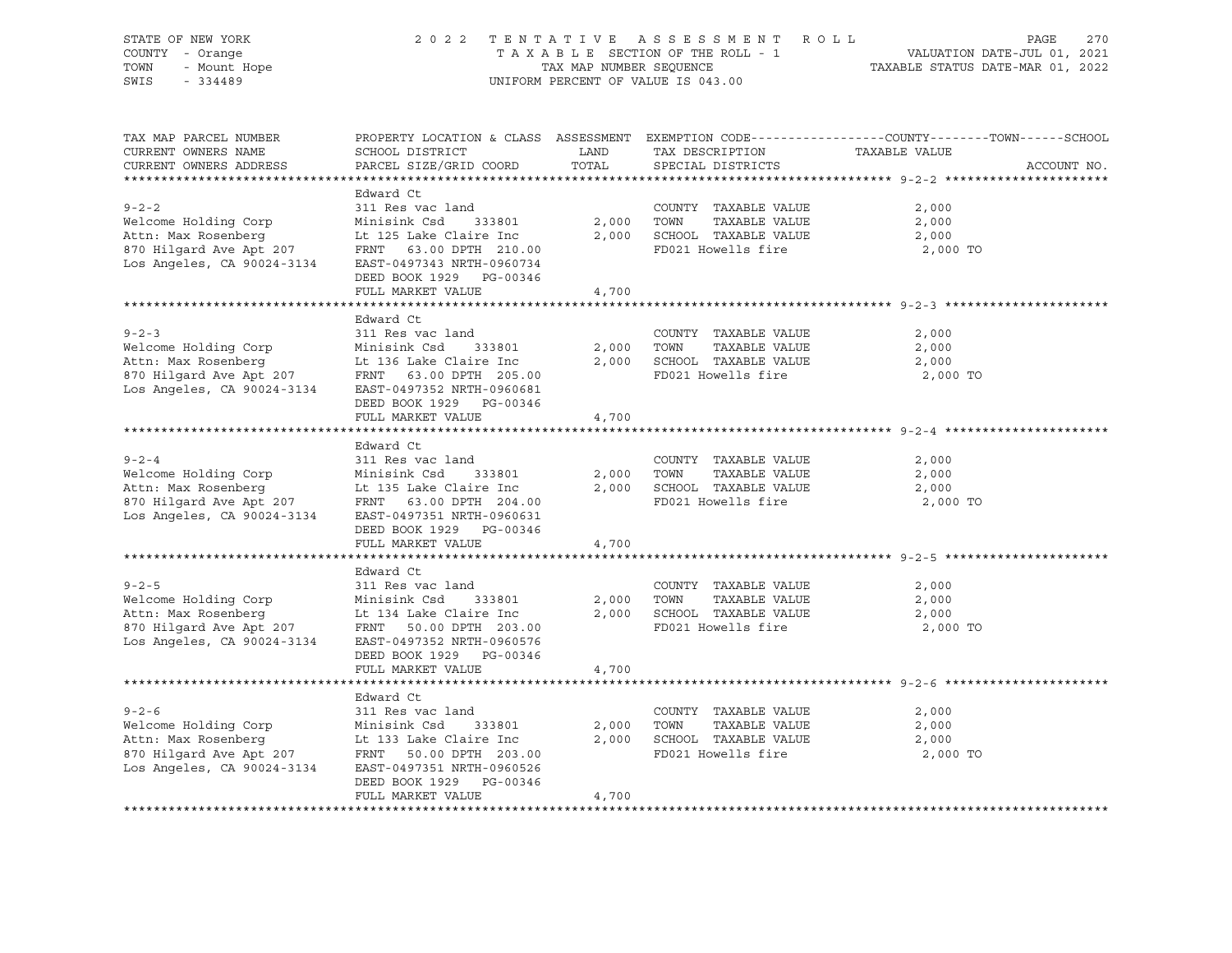| STATE OF NEW YORK<br>COUNTY - Orange<br>TOWN<br>- Mount Hope<br>SWIS<br>$-334489$                                                                                       | 2 0 2 2                                                                                                                                                                                  | TAX MAP NUMBER SEQUENCE | TENTATIVE ASSESSMENT ROLL<br>TAXABLE SECTION OF THE ROLL - 1<br>UNIFORM PERCENT OF VALUE IS 043.00 | PAGE<br>270<br>VALUATION DATE-JUL 01, 2021<br>TAXABLE STATUS DATE-MAR 01, 2022                                                   |
|-------------------------------------------------------------------------------------------------------------------------------------------------------------------------|------------------------------------------------------------------------------------------------------------------------------------------------------------------------------------------|-------------------------|----------------------------------------------------------------------------------------------------|----------------------------------------------------------------------------------------------------------------------------------|
| TAX MAP PARCEL NUMBER<br>CURRENT OWNERS NAME<br>CURRENT OWNERS ADDRESS                                                                                                  | SCHOOL DISTRICT<br>PARCEL SIZE/GRID COORD                                                                                                                                                | LAND<br>TOTAL           | TAX DESCRIPTION<br>SPECIAL DISTRICTS                                                               | PROPERTY LOCATION & CLASS ASSESSMENT EXEMPTION CODE----------------COUNTY-------TOWN------SCHOOL<br>TAXABLE VALUE<br>ACCOUNT NO. |
| $9 - 2 - 2$<br>Welcome Holding Corp<br>Attn: Max Rosenberg<br>870 Hilgard Ave Apt 207<br>Los Angeles, CA 90024-3134                                                     | Edward Ct<br>311 Res vac land<br>Minisink Csd<br>333801<br>Lt 125 Lake Claire Inc<br>FRNT 63.00 DPTH 210.00<br>EAST-0497343 NRTH-0960734<br>DEED BOOK 1929 PG-00346<br>FULL MARKET VALUE | 2,000<br>2,000<br>4,700 | COUNTY TAXABLE VALUE<br>TOWN<br>TAXABLE VALUE<br>SCHOOL TAXABLE VALUE<br>FD021 Howells fire        | 2,000<br>2,000<br>2,000<br>2,000 TO                                                                                              |
|                                                                                                                                                                         |                                                                                                                                                                                          |                         |                                                                                                    |                                                                                                                                  |
| $9 - 2 - 3$<br>Welcome Holding Corp<br>Attn: Max Rosenberg<br>Attn: Max Rosenberg<br>870 Hilgard Ave Apt 207<br>Los Angeles, CA 90024-3134                              | Edward Ct<br>311 Res vac land<br>Minisink Csd<br>333801<br>Lt 136 Lake Claire Inc<br>FRNT 63.00 DPTH 205.00<br>EAST-0497352 NRTH-0960681<br>DEED BOOK 1929 PG-00346                      | 2,000<br>2,000          | COUNTY TAXABLE VALUE<br>TOWN<br>TAXABLE VALUE<br>SCHOOL TAXABLE VALUE<br>FD021 Howells fire        | 2,000<br>2,000<br>2,000<br>2,000 TO                                                                                              |
|                                                                                                                                                                         | FULL MARKET VALUE                                                                                                                                                                        | 4,700                   |                                                                                                    |                                                                                                                                  |
|                                                                                                                                                                         |                                                                                                                                                                                          |                         |                                                                                                    |                                                                                                                                  |
| $9 - 2 - 4$<br>Welcome Holding Corp<br>Attn: Max Rosenberg<br>and workings<br>870 Hilgard Ave Apt 207<br>Los Angeles Canadas<br>Los Angeles, CA 90024-3134              | Edward Ct<br>311 Res vac land<br>Minisink Csd<br>333801<br>Lt 135 Lake Claire Inc<br>FRNT 63.00 DPTH 204.00<br>EAST-0497351 NRTH-0960631<br>DEED BOOK 1929 PG-00346<br>FULL MARKET VALUE | 2,000<br>2,000<br>4,700 | COUNTY TAXABLE VALUE<br>TOWN<br>TAXABLE VALUE<br>SCHOOL TAXABLE VALUE<br>FD021 Howells fire        | 2,000<br>2,000<br>2,000<br>2,000 TO                                                                                              |
|                                                                                                                                                                         |                                                                                                                                                                                          |                         |                                                                                                    |                                                                                                                                  |
| $9 - 2 - 5$<br>Welcome Holding Corp<br>Attn: Max Rosenberg<br>Attn: Max Rosenberg<br>870 Hilgard Ave Apt 207<br>Los Angeles, CA 90024-3134                              | Edward Ct<br>311 Res vac land<br>Minisink Csd<br>333801<br>Lt 134 Lake Claire Inc<br>FRNT 50.00 DPTH 203.00<br>EAST-0497352 NRTH-0960576<br>DEED BOOK 1929 PG-00346                      | 2,000<br>2,000          | COUNTY TAXABLE VALUE<br>TAXABLE VALUE<br>TOWN<br>SCHOOL TAXABLE VALUE<br>FD021 Howells fire        | 2,000<br>2,000<br>2,000<br>2,000 TO                                                                                              |
|                                                                                                                                                                         | FULL MARKET VALUE                                                                                                                                                                        | 4,700                   |                                                                                                    |                                                                                                                                  |
|                                                                                                                                                                         | Edward Ct                                                                                                                                                                                |                         |                                                                                                    |                                                                                                                                  |
| $9 - 2 - 6$<br>Welcome Holding Corp<br>Minisink Csd 333801<br>Attn: Max Rosenberg<br>870 Hilgard Ave Apt 207<br>Los Angeles, CA 90024-3134<br>EAST-0497351 NRTH-0960526 | 311 Res vac land<br>DEED BOOK 1929 PG-00346<br>FULL MARKET VALUE                                                                                                                         | 2,000<br>2,000<br>4,700 | COUNTY TAXABLE VALUE<br>TAXABLE VALUE<br>TOWN<br>SCHOOL TAXABLE VALUE<br>FD021 Howells fire        | 2,000<br>2,000<br>2,000<br>2,000 TO                                                                                              |
|                                                                                                                                                                         |                                                                                                                                                                                          |                         |                                                                                                    |                                                                                                                                  |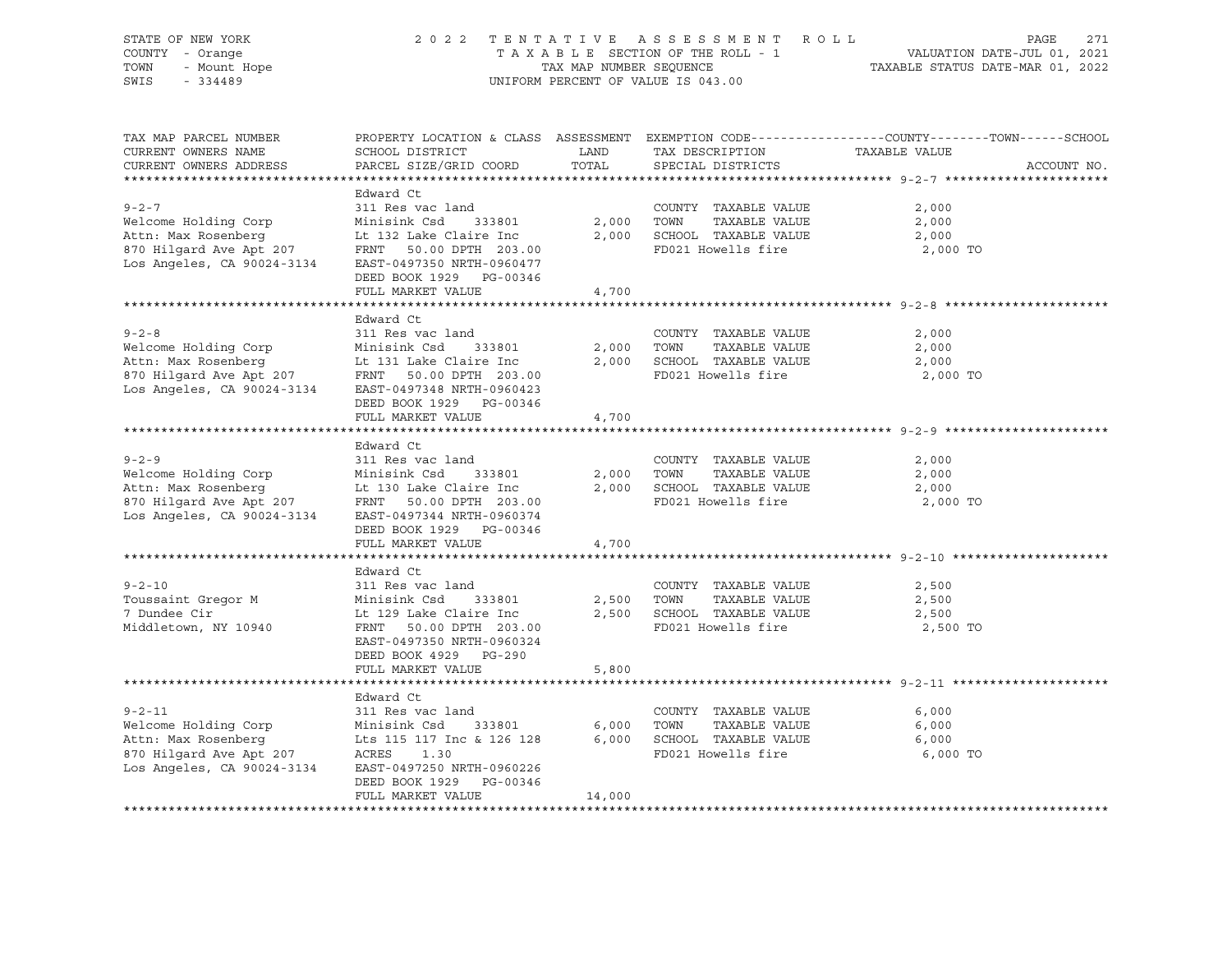| PROPERTY LOCATION & CLASS ASSESSMENT EXEMPTION CODE----------------COUNTY-------TOWN------SCHOOL<br>TAX MAP PARCEL NUMBER<br>TAX DESCRIPTION TAXABLE VALUE<br>LAND<br>CURRENT OWNERS NAME<br>SCHOOL DISTRICT<br>CURRENT OWNERS ADDRESS<br>PARCEL SIZE/GRID COORD<br>TOTAL<br>SPECIAL DISTRICTS<br>ACCOUNT NO.<br>Edward Ct<br>$9 - 2 - 7$<br>311 Res vac land<br>COUNTY TAXABLE VALUE<br>2,000<br>Welcome Holding Corp<br>Minisink Csd<br>2,000<br>TOWN<br>TAXABLE VALUE<br>333801<br>2,000<br>Attn: Max Rosenberg<br>2,000<br>SCHOOL TAXABLE VALUE<br>Lt 132 Lake Claire Inc<br>2,000<br>en Robenberg<br>870 Hilgard Ave Apt 207<br>Los Angeles, CA 90024-3134<br>FD021 Howells fire<br>FRNT 50.00 DPTH 203.00<br>2,000 TO<br>EAST-0497350 NRTH-0960477<br>DEED BOOK 1929 PG-00346<br>FULL MARKET VALUE<br>4,700 | 271<br>TENTATIVE ASSESSMENT AVILUATION DATE-JUL 01, 2021<br>TAXABLE SECTION OF THE ROLL - 1 VALUATION DATE-JUL 01, 2021<br>TAX MAP NUMBER SEQUENCE TAXABLE STATUS DATE-MAR 01, 2022 |
|-------------------------------------------------------------------------------------------------------------------------------------------------------------------------------------------------------------------------------------------------------------------------------------------------------------------------------------------------------------------------------------------------------------------------------------------------------------------------------------------------------------------------------------------------------------------------------------------------------------------------------------------------------------------------------------------------------------------------------------------------------------------------------------------------------------------|-------------------------------------------------------------------------------------------------------------------------------------------------------------------------------------|
|                                                                                                                                                                                                                                                                                                                                                                                                                                                                                                                                                                                                                                                                                                                                                                                                                   |                                                                                                                                                                                     |
|                                                                                                                                                                                                                                                                                                                                                                                                                                                                                                                                                                                                                                                                                                                                                                                                                   |                                                                                                                                                                                     |
|                                                                                                                                                                                                                                                                                                                                                                                                                                                                                                                                                                                                                                                                                                                                                                                                                   |                                                                                                                                                                                     |
| Edward Ct<br>$9 - 2 - 8$<br>311 Res vac land<br>COUNTY TAXABLE VALUE<br>2,000<br>Welcome Holding Corp<br>Minisink Csd<br>2,000<br>TOWN<br>TAXABLE VALUE<br>2,000<br>333801<br>Lt 131 Lake Claire Inc<br>2,000<br>SCHOOL TAXABLE VALUE<br>2,000<br>All Kosenberg<br>870 Hilgard Ave Apt 207<br>Los Angeles, CA 90024-3134<br>FD021 Howells fire<br>FRNT 50.00 DPTH 203.00<br>2,000 TO<br>EAST-0497348 NRTH-0960423<br>DEED BOOK 1929 PG-00346                                                                                                                                                                                                                                                                                                                                                                      |                                                                                                                                                                                     |
| FULL MARKET VALUE<br>4,700                                                                                                                                                                                                                                                                                                                                                                                                                                                                                                                                                                                                                                                                                                                                                                                        |                                                                                                                                                                                     |
|                                                                                                                                                                                                                                                                                                                                                                                                                                                                                                                                                                                                                                                                                                                                                                                                                   |                                                                                                                                                                                     |
| Edward Ct<br>$9 - 2 - 9$<br>311 Res vac land<br>COUNTY TAXABLE VALUE<br>2,000<br>Welcome Holding Corp<br>Minisink Csd<br>2,000<br>TOWN<br>TAXABLE VALUE<br>2,000<br>333801<br>Lt 130 Lake Claire Inc<br>2,000<br>SCHOOL TAXABLE VALUE<br>2,000<br>Exam Ausemberg<br>870 Hilgard Ave Apt 207<br>Los Angeles, CA 90024-3134<br>FRNT 50.00 DPTH 203.00<br>FD021 Howells fire<br>2,000 TO<br>EAST-0497344 NRTH-0960374<br>DEED BOOK 1929 PG-00346                                                                                                                                                                                                                                                                                                                                                                     |                                                                                                                                                                                     |
| FULL MARKET VALUE<br>4,700                                                                                                                                                                                                                                                                                                                                                                                                                                                                                                                                                                                                                                                                                                                                                                                        |                                                                                                                                                                                     |
| Edward Ct<br>$9 - 2 - 10$<br>COUNTY TAXABLE VALUE<br>311 Res vac land<br>2,500<br>TAXABLE VALUE<br>2,500<br>Toussaint Gregor M<br>Minisink Csd<br>2,500<br>TOWN<br>333801<br>2,500<br>SCHOOL TAXABLE VALUE<br>7 Dundee Cir<br>Lt 129 Lake Claire Inc<br>2,500<br>FD021 Howells fire<br>Middletown, NY 10940<br>FRNT 50.00 DPTH 203.00<br>2,500 TO<br>EAST-0497350 NRTH-0960324<br>DEED BOOK 4929 PG-290<br>FULL MARKET VALUE<br>5,800                                                                                                                                                                                                                                                                                                                                                                             |                                                                                                                                                                                     |
|                                                                                                                                                                                                                                                                                                                                                                                                                                                                                                                                                                                                                                                                                                                                                                                                                   |                                                                                                                                                                                     |
| Edward Ct<br>$9 - 2 - 11$<br>311 Res vac land<br>COUNTY TAXABLE VALUE<br>6,000<br>Welcome Holding Corp<br>Minisink Csd 333801<br>Attn: Max Rosenberg<br>870 Hilgard Ave Apt 207 ACRES 1.30<br>Los Angeles, CA 90024-3134 EAST-0497250 NRTH-0960226<br>333801<br>6,000<br>TOWN<br>TAXABLE VALUE<br>6,000<br>6,000<br>SCHOOL TAXABLE VALUE<br>6,000<br>FD021 Howells fire<br>6,000 TO<br>DEED BOOK 1929<br>PG-00346<br>FULL MARKET VALUE<br>14,000                                                                                                                                                                                                                                                                                                                                                                  |                                                                                                                                                                                     |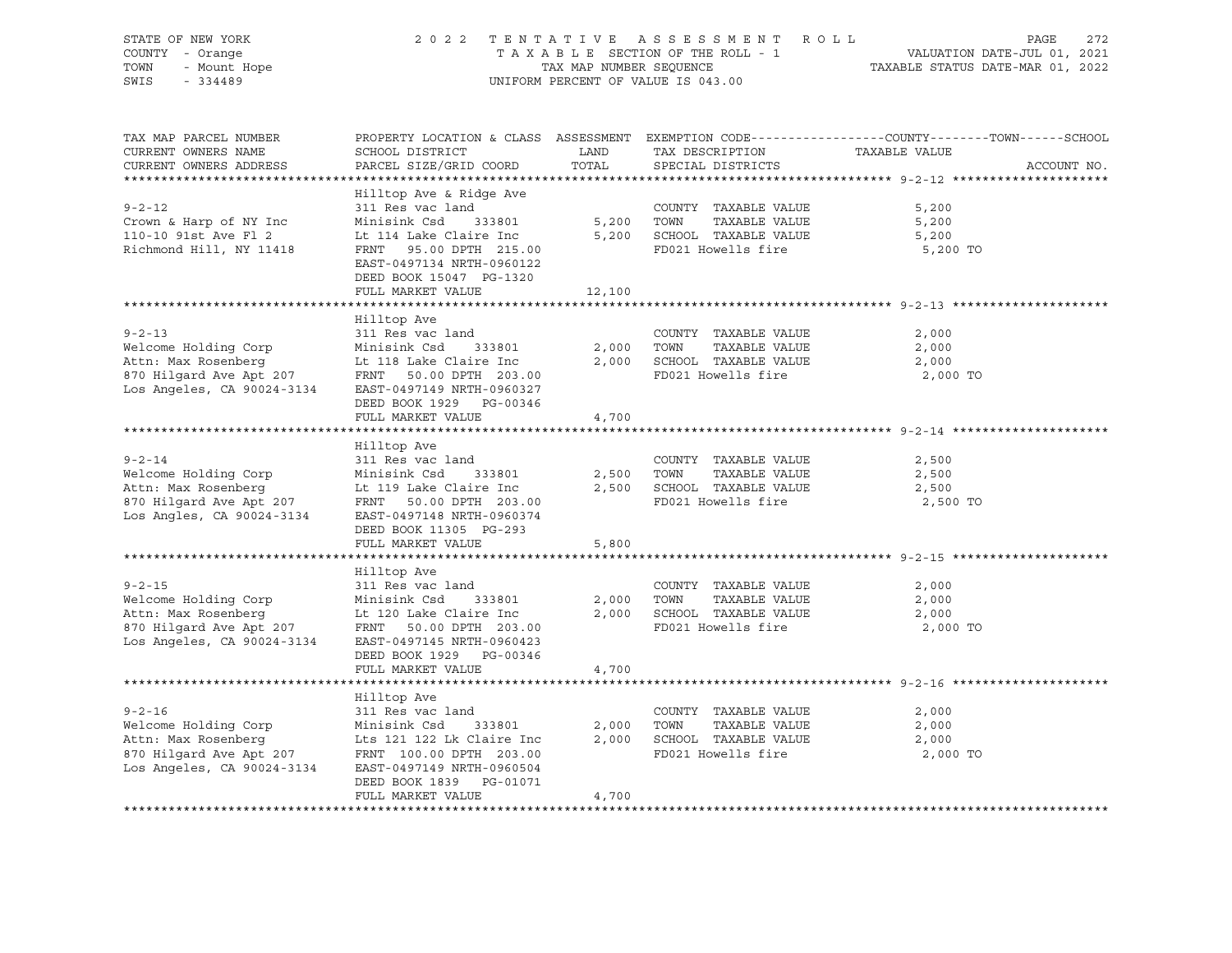| STATE OF NEW YORK<br>COUNTY - Orange<br>- Mount Hope<br>224488<br>TOWN<br>SWIS<br>$-334489$                                                                                                                                | 2 0 2 2                                                                                                                                                                                                                        | TAX MAP NUMBER SEQUENCE | TENTATIVE ASSESSMENT ROLL<br>TAXABLE SECTION OF THE ROLL - 1<br>UNIFORM PERCENT OF VALUE IS 043.00      | 272<br>PAGE<br>VALUATION DATE-JUL 01, 2021<br>TAXABLE STATUS DATE-MAR 01, 2022                                                  |
|----------------------------------------------------------------------------------------------------------------------------------------------------------------------------------------------------------------------------|--------------------------------------------------------------------------------------------------------------------------------------------------------------------------------------------------------------------------------|-------------------------|---------------------------------------------------------------------------------------------------------|---------------------------------------------------------------------------------------------------------------------------------|
| TAX MAP PARCEL NUMBER<br>CURRENT OWNERS NAME<br>CURRENT OWNERS ADDRESS                                                                                                                                                     | SCHOOL DISTRICT<br>PARCEL SIZE/GRID COORD                                                                                                                                                                                      | LAND<br>TOTAL           | TAX DESCRIPTION<br>SPECIAL DISTRICTS                                                                    | PROPERTY LOCATION & CLASS ASSESSMENT EXEMPTION CODE---------------COUNTY-------TOWN------SCHOOL<br>TAXABLE VALUE<br>ACCOUNT NO. |
| $9 - 2 - 12$<br>Crown & Harp of NY Inc<br>110-10 91st Ave Fl 2<br>Richmond Hill, NY 11418                                                                                                                                  | Hilltop Ave & Ridge Ave<br>311 Res vac land<br>Minisink Csd 333801<br>Lt 114 Lake Claire Inc 5,200 SCHOOL TAXABLE VALUE<br>FRNT 95.00 DPTH 215.00<br>EAST-0497134 NRTH-0960122<br>DEED BOOK 15047 PG-1320<br>FULL MARKET VALUE | 12,100                  | COUNTY TAXABLE VALUE<br>5,200 TOWN<br>TAXABLE VALUE<br>FD021 Howells fire                               | 5,200<br>5,200<br>5,200<br>5,200 TO                                                                                             |
|                                                                                                                                                                                                                            |                                                                                                                                                                                                                                |                         |                                                                                                         |                                                                                                                                 |
| $9 - 2 - 13$<br>Welcome Holding Corp<br>Attn: Max Rosenberg Lt 118 Lake Claire Inc<br>870 Hilgard Ave Apt 207 FRNT 50.00 DPTH 203.00<br>Los Angeles, CA 90024-3134                                                         | Hilltop Ave<br>311 Res vac land<br>Minisink Csd 333801<br>Lt 118 Lake Claire Inc<br>EAST-0497149 NRTH-0960327                                                                                                                  |                         | COUNTY TAXABLE VALUE<br>2,000 TOWN<br>TAXABLE VALUE<br>2,000 SCHOOL TAXABLE VALUE<br>FD021 Howells fire | 2,000<br>2,000<br>2,000<br>2,000 TO                                                                                             |
|                                                                                                                                                                                                                            | DEED BOOK 1929 PG-00346<br>FULL MARKET VALUE                                                                                                                                                                                   | 4,700                   |                                                                                                         |                                                                                                                                 |
|                                                                                                                                                                                                                            |                                                                                                                                                                                                                                |                         |                                                                                                         |                                                                                                                                 |
| $9 - 2 - 14$<br>- Jame Houding Corp<br>Attn: Max Rosenberg<br>870 Hilgard Ave Apt 207<br>Los Angles, CA 90024-3134                                                                                                         | Hilltop Ave<br>311 Res vac land<br>Minisink Csd<br>333801<br>Lt 119 Lake Claire Inc<br>FRNT 50.00 DPTH 203.00<br>EAST-0497148 NRTH-0960374<br>DEED BOOK 11305 PG-293<br>FULL MARKET VALUE                                      | 5,800                   | COUNTY TAXABLE VALUE<br>2,500 TOWN<br>TAXABLE VALUE<br>2,500 SCHOOL TAXABLE VALUE<br>FD021 Howells fire | 2,500<br>2,500<br>2,500<br>2,500 TO                                                                                             |
|                                                                                                                                                                                                                            |                                                                                                                                                                                                                                |                         |                                                                                                         |                                                                                                                                 |
| $9 - 2 - 15$<br>Welcome Holding Corp<br>Attn: Max Rosenberg<br>Attn: Max Rosenberg<br>870 Hilgard Ave Apt 207<br>Los Angeles, CA 90024-3134                                                                                | Hilltop Ave<br>311 Res vac land<br>Minisink Csd 333801<br>Lt 120 Lake Claire Inc<br>FRNT 50.00 DPTH 203.00<br>EAST-0497145 NRTH-0960423<br>DEED BOOK 1929 PG-00346<br>FULL MARKET VALUE                                        | 2,000<br>2,000<br>4,700 | COUNTY TAXABLE VALUE<br>TOWN<br>TAXABLE VALUE<br>2,000 SCHOOL TAXABLE VALUE<br>FD021 Howells fire       | 2,000<br>2,000<br>2,000<br>2,000 TO                                                                                             |
|                                                                                                                                                                                                                            |                                                                                                                                                                                                                                |                         |                                                                                                         |                                                                                                                                 |
| $9 - 2 - 16$<br>Welcome Holding Corp<br>Attn: Max Rosenberg<br>870 Hilgard Ave Apt 207<br>100.00 DPTH 203.00<br>100.00 DPTH 203.00<br>100.00 DPTH 203.00<br>100.00 DPTH 203.00<br>100.00 DPTH 203.00<br>100.00 DPTH 203.00 | Hilltop Ave<br>311 Res vac land<br>DEED BOOK 1839 PG-01071<br>FULL MARKET VALUE                                                                                                                                                | 2,000<br>4,700          | COUNTY TAXABLE VALUE<br>TOWN<br>TAXABLE VALUE<br>2,000 SCHOOL TAXABLE VALUE<br>FD021 Howells fire       | 2,000<br>2,000<br>2,000<br>2,000 TO                                                                                             |
|                                                                                                                                                                                                                            |                                                                                                                                                                                                                                |                         |                                                                                                         |                                                                                                                                 |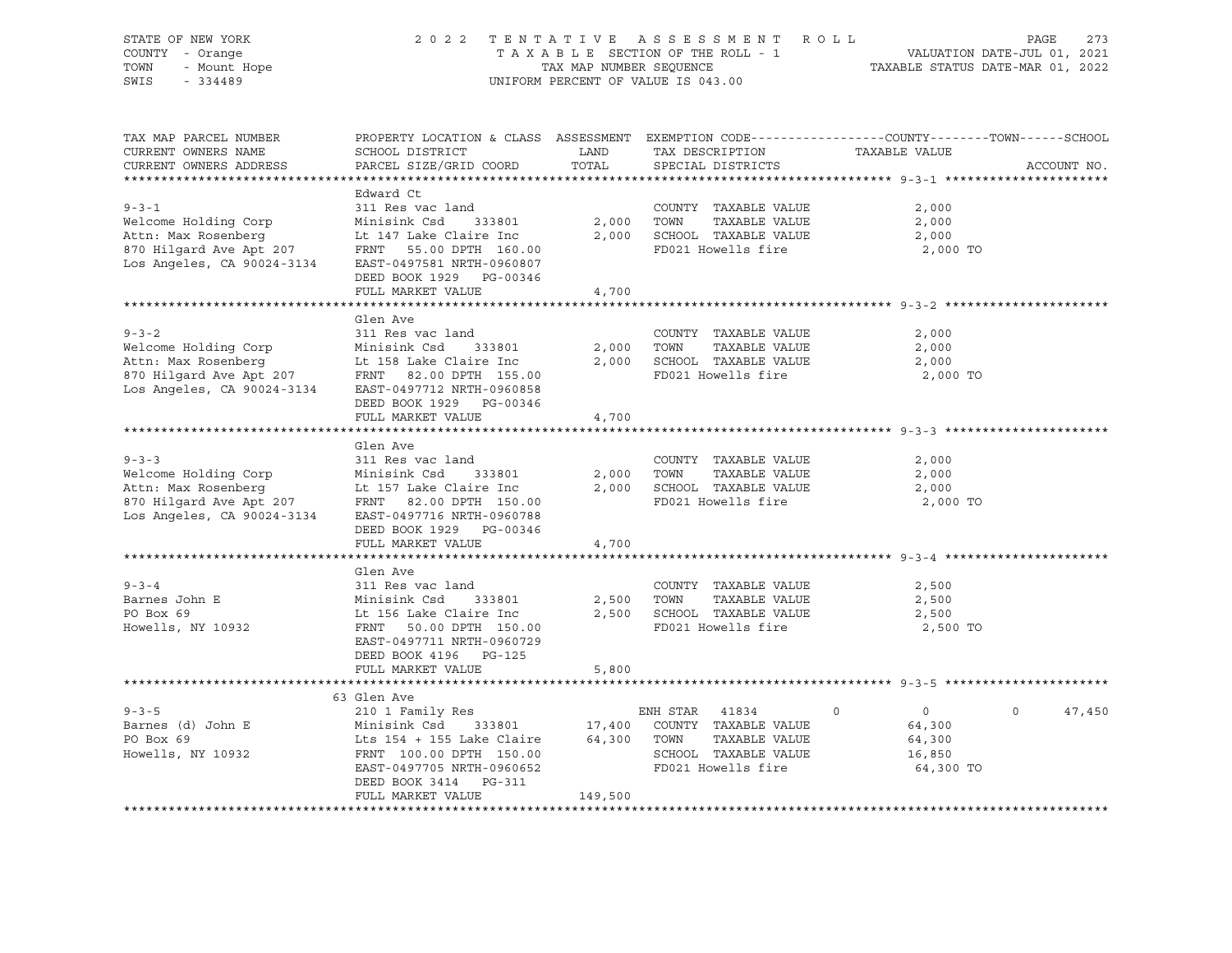| STATE OF NEW YORK<br>COUNTY - Orange<br>- Mount Hope<br>TOWN<br>SWIS<br>$-334489$                                                          | 2 0 2 2                                                                                                                                                                                  | TAX MAP NUMBER SEQUENCE     | TENTATIVE ASSESSMENT ROLL<br>TAXABLE SECTION OF THE ROLL - 1<br>UNIFORM PERCENT OF VALUE IS 043.00            | PAGE<br>273<br>VALUATION DATE-JUL 01, 2021<br>TAXABLE STATUS DATE-MAR 01, 2022                                                   |
|--------------------------------------------------------------------------------------------------------------------------------------------|------------------------------------------------------------------------------------------------------------------------------------------------------------------------------------------|-----------------------------|---------------------------------------------------------------------------------------------------------------|----------------------------------------------------------------------------------------------------------------------------------|
| TAX MAP PARCEL NUMBER<br>CURRENT OWNERS NAME<br>CURRENT OWNERS ADDRESS                                                                     | SCHOOL DISTRICT<br>PARCEL SIZE/GRID COORD                                                                                                                                                | LAND<br>TOTAL               | TAX DESCRIPTION<br>SPECIAL DISTRICTS                                                                          | PROPERTY LOCATION & CLASS ASSESSMENT EXEMPTION CODE----------------COUNTY-------TOWN------SCHOOL<br>TAXABLE VALUE<br>ACCOUNT NO. |
| $9 - 3 - 1$<br>Welcome Holding Corp<br>Attn: Max Rosenberg<br>870 Hilgard Ave Apt 207<br>Los Angeles, CA 90024-3134                        | Edward Ct<br>311 Res vac land<br>Minisink Csd<br>333801<br>Lt 147 Lake Claire Inc<br>FRNT 55.00 DPTH 160.00<br>EAST-0497581 NRTH-0960807<br>DEED BOOK 1929 PG-00346<br>FULL MARKET VALUE | 2,000<br>2,000<br>4,700     | COUNTY TAXABLE VALUE<br>TAXABLE VALUE<br>TOWN<br>SCHOOL TAXABLE VALUE<br>FD021 Howells fire                   | 2,000<br>2,000<br>2,000<br>2,000 TO                                                                                              |
|                                                                                                                                            |                                                                                                                                                                                          |                             |                                                                                                               |                                                                                                                                  |
| $9 - 3 - 2$<br>Welcome Holding Corp<br>Attn: Max Rosenberg<br>Attn: Max Rosenberg<br>870 Hilgard Ave Apt 207<br>Los Angeles, CA 90024-3134 | Glen Ave<br>311 Res vac land<br>Minisink Csd<br>333801<br>Lt 158 Lake Claire Inc<br>FRNT 82.00 DPTH 155.00<br>EAST-0497712 NRTH-0960858<br>DEED BOOK 1929 PG-00346                       | 2,000<br>2,000              | COUNTY TAXABLE VALUE<br>TAXABLE VALUE<br>TOWN<br>SCHOOL TAXABLE VALUE<br>FD021 Howells fire                   | 2,000<br>2,000<br>2,000<br>2,000 TO                                                                                              |
|                                                                                                                                            | FULL MARKET VALUE                                                                                                                                                                        | 4,700                       |                                                                                                               |                                                                                                                                  |
| $9 - 3 - 3$<br>Welcome Holding Corp<br>Attn: Max Rosenberg<br>Attn: Max Rosenberg<br>870 Hilgard Ave Apt 207<br>Los Angeles, CA 90024-3134 | Glen Ave<br>311 Res vac land<br>Minisink Csd<br>333801<br>Lt 157 Lake Claire Inc<br>FRNT 82.00 DPTH 150.00<br>EAST-0497716 NRTH-0960788                                                  | 2,000<br>2,000              | COUNTY TAXABLE VALUE<br>TOWN<br>TAXABLE VALUE<br>SCHOOL TAXABLE VALUE<br>FD021 Howells fire                   | 2,000<br>2,000<br>2,000<br>2,000 TO                                                                                              |
|                                                                                                                                            | DEED BOOK 1929 PG-00346<br>FULL MARKET VALUE                                                                                                                                             | 4,700                       |                                                                                                               |                                                                                                                                  |
| $9 - 3 - 4$<br>Barnes John E<br>PO Box 69<br>Howells, NY 10932                                                                             | Glen Ave<br>311 Res vac land<br>Minisink Csd<br>333801<br>Lt 156 Lake Claire Inc<br>FRNT 50.00 DPTH 150.00<br>EAST-0497711 NRTH-0960729<br>DEED BOOK 4196 PG-125<br>FULL MARKET VALUE    | 2,500<br>2,500<br>5,800     | COUNTY TAXABLE VALUE<br>TOWN<br>TAXABLE VALUE<br>SCHOOL TAXABLE VALUE<br>FD021 Howells fire                   | 2,500<br>2,500<br>2,500<br>2,500 TO                                                                                              |
|                                                                                                                                            |                                                                                                                                                                                          |                             |                                                                                                               |                                                                                                                                  |
|                                                                                                                                            | 63 Glen Ave                                                                                                                                                                              |                             |                                                                                                               |                                                                                                                                  |
| $9 - 3 - 5$<br>Barnes (d) John E<br>PO Box 69<br>Howells, NY 10932                                                                         | 210 1 Family Res<br>333801<br>Minisink Csd<br>Lts 154 + 155 Lake Claire<br>FRNT 100.00 DPTH 150.00<br>EAST-0497705 NRTH-0960652<br>DEED BOOK 3414<br>PG-311<br>FULL MARKET VALUE         | 17,400<br>64,300<br>149,500 | ENH STAR 41834<br>COUNTY TAXABLE VALUE<br>TOWN<br>TAXABLE VALUE<br>SCHOOL TAXABLE VALUE<br>FD021 Howells fire | $\overline{0}$<br>$\Omega$<br>47,450<br>$\Omega$<br>64,300<br>64,300<br>16,850<br>64,300 TO                                      |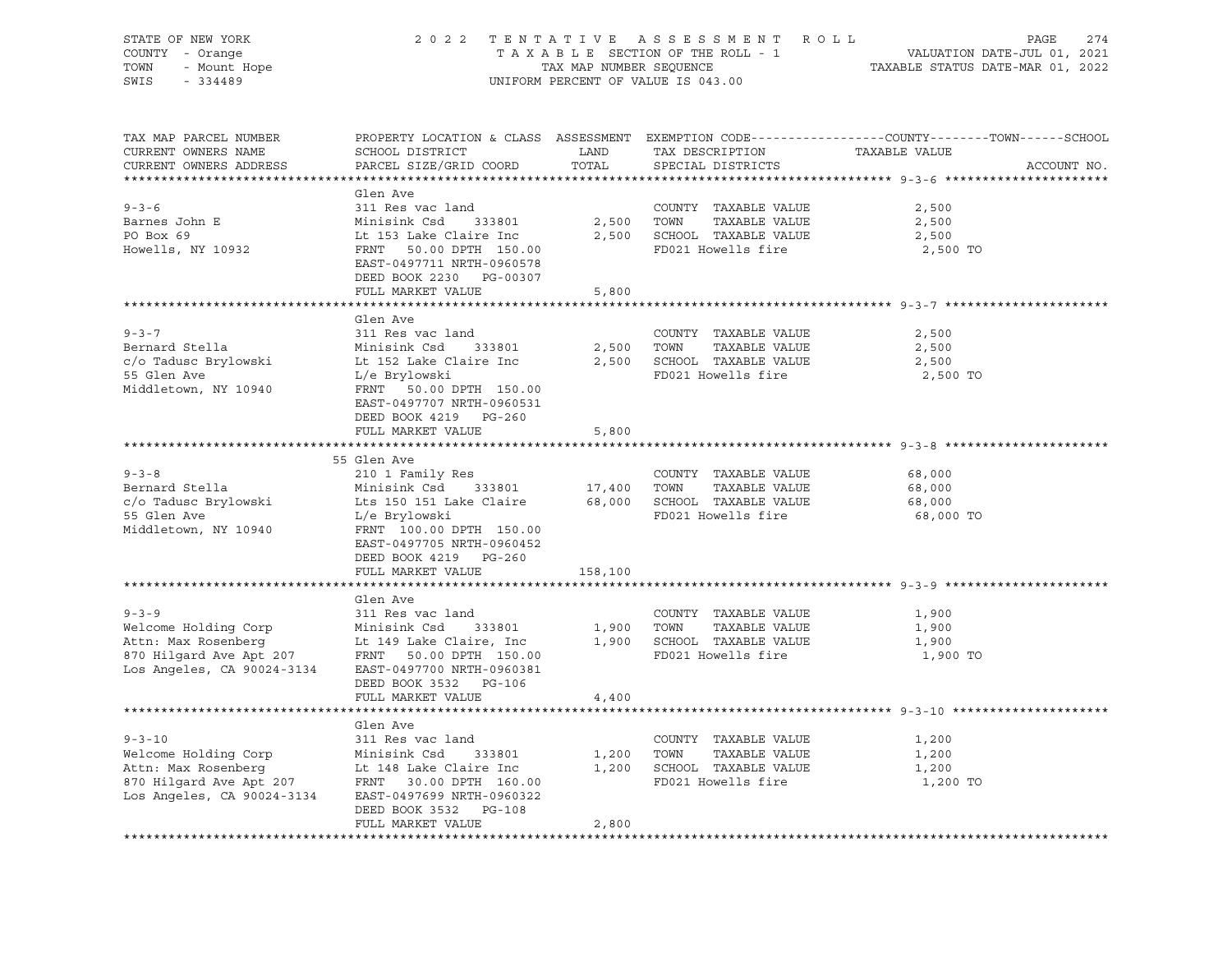| STATE OF NEW YORK<br>COUNTY - Orange<br>Y - Orange<br>- Mount Hope<br>- 334489<br>TOWN<br>SWIS<br>$-334489$                                                                                                                                                   | 2 0 2 2                                                                                                                                                                              | TENTATIVE           | ASSESSMENT ROLL<br>T A X A B L E SECTION OF THE ROLL - 1<br>TAX MAP NUMBER SEQUENCE<br>UNIFORM PERCENT OF VALUE IS 043.00 | PAGE<br>VALUATION DATE-JUL 01, 2021<br>TAXABLE STATUS DATE-MAR 01, 2022                                          | 274         |
|---------------------------------------------------------------------------------------------------------------------------------------------------------------------------------------------------------------------------------------------------------------|--------------------------------------------------------------------------------------------------------------------------------------------------------------------------------------|---------------------|---------------------------------------------------------------------------------------------------------------------------|------------------------------------------------------------------------------------------------------------------|-------------|
| TAX MAP PARCEL NUMBER<br>CURRENT OWNERS NAME<br>CURRENT OWNERS ADDRESS                                                                                                                                                                                        | SCHOOL DISTRICT LAND<br>PARCEL SIZE/GRID COORD                                                                                                                                       | TOTAL               | TAX DESCRIPTION<br>SPECIAL DISTRICTS                                                                                      | PROPERTY LOCATION & CLASS ASSESSMENT EXEMPTION CODE---------------COUNTY-------TOWN------SCHOOL<br>TAXABLE VALUE | ACCOUNT NO. |
| $9 - 3 - 6$<br>Barnes John E<br>PO Box 69<br>PO Box 69<br>Howells, NY 10932                                                                                                                                                                                   | Glen Ave<br>311 Res vac land<br>Initiank Csd 333801<br>Lt 153 Lake Claire Inc<br>FRNT 50.00 DPTH 150.00<br>EAST-0497711 NRTH-0960578<br>DEED BOOK 2230 PG-00307<br>FULL MARKET VALUE | 2,500 TOWN<br>5,800 | COUNTY TAXABLE VALUE<br>TAXABLE VALUE<br>2,500 SCHOOL TAXABLE VALUE<br>FD021 Howells fire                                 | 2,500<br>2,500<br>2,500<br>2,500 TO                                                                              |             |
|                                                                                                                                                                                                                                                               |                                                                                                                                                                                      |                     |                                                                                                                           |                                                                                                                  |             |
| $9 - 3 - 7$<br>Bernard Stella<br>$c$ /o Tadusc Brylowski bt 152 Lake Claire Inc $2,500$ SCHOOL TAXABLE VALUE<br>55 Glen Ave<br>Middletown, NY 10940                                                                                                           | Glen Ave<br>311 Res vac land<br>Minisink Csd 333801<br>L/e Brylowski<br>FRNT 50.00 DPTH 150.00<br>EAST-0497707 NRTH-0960531                                                          |                     | COUNTY TAXABLE VALUE<br>2,500 TOWN<br>TAXABLE VALUE<br>FD021 Howells fire                                                 | 2,500<br>2,500<br>2,500<br>2,500 TO                                                                              |             |
|                                                                                                                                                                                                                                                               | DEED BOOK 4219 PG-260<br>FULL MARKET VALUE                                                                                                                                           | 5,800               |                                                                                                                           |                                                                                                                  |             |
|                                                                                                                                                                                                                                                               |                                                                                                                                                                                      |                     |                                                                                                                           |                                                                                                                  |             |
| $9 - 3 - 8$<br>Bernard Stella<br>c/o Tadusc Brylowski Lts 150 151 Lake Claire 68,000 SCHOOL TAXABLE VALUE<br>55 Glen Ave<br>Middletown, NY 10940                                                                                                              | 55 Glen Ave<br>210 1 Family Res<br>Minisink Csd 333801<br>L/e Brylowski<br>FRNT 100.00 DPTH 150.00<br>EAST-0497705 NRTH-0960452<br>DEED BOOK 4219 PG-260                             | 17,400 TOWN         | COUNTY TAXABLE VALUE<br>TAXABLE VALUE<br>FD021 Howells fire                                                               | 68,000<br>68,000<br>68,000<br>68,000 TO                                                                          |             |
|                                                                                                                                                                                                                                                               | FULL MARKET VALUE                                                                                                                                                                    | 158,100             |                                                                                                                           |                                                                                                                  |             |
| $9 - 3 - 9$<br>Welcome Holding Corp Minisink Csd 333801 1,900 TOWN TAXABLE VALUE<br>Attn: Max Rosenberg Lt 149 Lake Claire, Inc 1,900 SCHOOL TAXABLE VALUE<br>870 Hilgard Ave Apt 207 FRNT 50.00 DPTH 150.00 FD021 Howells fire<br>Los Angeles, CA 90024-3134 | Glen Ave<br>311 Res vac land<br>EAST-0497700 NRTH-0960381<br>DEED BOOK 3532 PG-106<br>FULL MARKET VALUE                                                                              | 4,400               | COUNTY TAXABLE VALUE                                                                                                      | 1,900<br>1,900<br>1,900<br>1,900 TO                                                                              |             |
|                                                                                                                                                                                                                                                               |                                                                                                                                                                                      |                     |                                                                                                                           |                                                                                                                  |             |
| $9 - 3 - 10$<br>Welcome Holding Corp<br>Minisink Csd 333801<br>Attn: Max Rosenberg<br>870 Hilgard Ave Apt 207 FRNT 30.00 DPTH 160.00<br>Los Angeles, CA 90024-3134 EAST-0497699 NRTH-0960322                                                                  | Glen Ave<br>311 Res vac land<br>DEED BOOK 3532 PG-108<br>FULL MARKET VALUE                                                                                                           | 2,800               | COUNTY TAXABLE VALUE<br>1,200 TOWN TAXABLE VALUE<br>1,200 SCHOOL TAXABLE VALUE<br>FD021 Howells fire                      | 1,200<br>1,200<br>1,200<br>1,200 TO                                                                              |             |
|                                                                                                                                                                                                                                                               |                                                                                                                                                                                      |                     |                                                                                                                           |                                                                                                                  |             |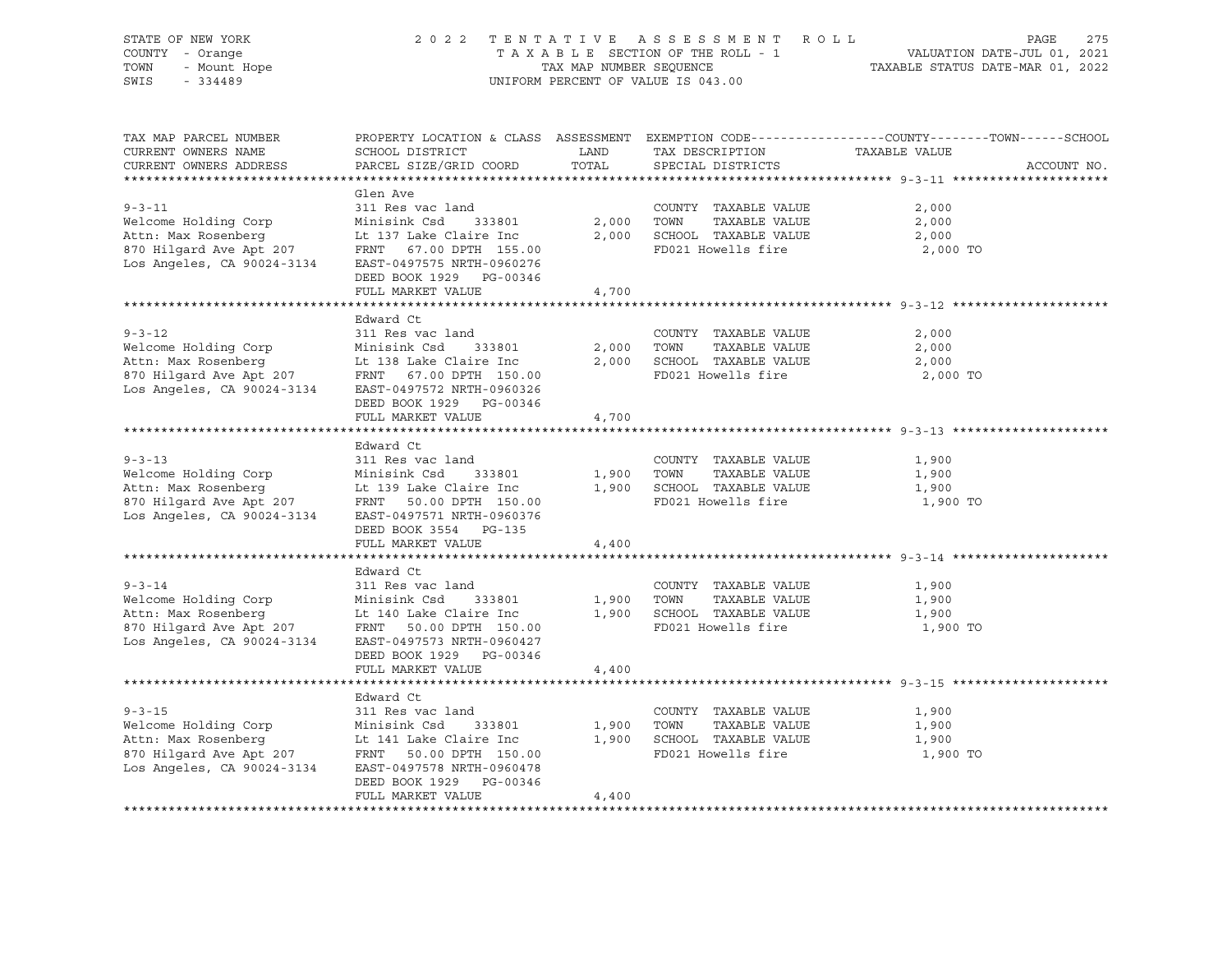| STATE OF NEW YORK                                                                                                                                                                            | 2022 TENTATIVE                                   |                         | ASSESSMENT ROLL                    | 275<br>PAGE                                                                                      |
|----------------------------------------------------------------------------------------------------------------------------------------------------------------------------------------------|--------------------------------------------------|-------------------------|------------------------------------|--------------------------------------------------------------------------------------------------|
| COUNTY - Orange                                                                                                                                                                              |                                                  |                         | TAXABLE SECTION OF THE ROLL - 1    | VALUATION DATE-JUL 01, 2021<br>TAXABLE STATUS DATE-MAR 01, 2022                                  |
| - Mount Hope<br>- Mount Hope<br>TOWN                                                                                                                                                         |                                                  | TAX MAP NUMBER SEQUENCE |                                    |                                                                                                  |
| SWIS<br>$-334489$                                                                                                                                                                            |                                                  |                         | UNIFORM PERCENT OF VALUE IS 043.00 |                                                                                                  |
|                                                                                                                                                                                              |                                                  |                         |                                    |                                                                                                  |
| TAX MAP PARCEL NUMBER                                                                                                                                                                        |                                                  |                         |                                    | PROPERTY LOCATION & CLASS ASSESSMENT EXEMPTION CODE----------------COUNTY-------TOWN------SCHOOL |
| CURRENT OWNERS NAME                                                                                                                                                                          | SCHOOL DISTRICT                                  | LAND                    | TAX DESCRIPTION                    | TAXABLE VALUE                                                                                    |
| CURRENT OWNERS ADDRESS                                                                                                                                                                       | PARCEL SIZE/GRID COORD                           | TOTAL                   | SPECIAL DISTRICTS                  | ACCOUNT NO.                                                                                      |
|                                                                                                                                                                                              |                                                  |                         |                                    |                                                                                                  |
|                                                                                                                                                                                              | Glen Ave                                         |                         |                                    |                                                                                                  |
| $9 - 3 - 11$                                                                                                                                                                                 | 311 Res vac land                                 |                         | COUNTY TAXABLE VALUE               | 2,000                                                                                            |
| Welcome Holding Corp                                                                                                                                                                         | Minisink Csd 333801                              | 2,000                   | TOWN<br>TAXABLE VALUE              | 2,000                                                                                            |
| Attn: Max Rosenberg                                                                                                                                                                          | Lt 137 Lake Claire Inc                           |                         | 2,000 SCHOOL TAXABLE VALUE         | 2,000                                                                                            |
| 870 Hilgard Ave Apt 207                                                                                                                                                                      | FRNT 67.00 DPTH 155.00                           |                         | FD021 Howells fire                 | 2,000 TO                                                                                         |
| Los Angeles, CA 90024-3134                                                                                                                                                                   | EAST-0497575 NRTH-0960276                        |                         |                                    |                                                                                                  |
|                                                                                                                                                                                              | DEED BOOK 1929 PG-00346                          |                         |                                    |                                                                                                  |
|                                                                                                                                                                                              | FULL MARKET VALUE                                | 4,700                   |                                    |                                                                                                  |
|                                                                                                                                                                                              |                                                  |                         |                                    |                                                                                                  |
|                                                                                                                                                                                              | Edward Ct                                        |                         |                                    |                                                                                                  |
| $9 - 3 - 12$                                                                                                                                                                                 | 311 Res vac land                                 |                         | COUNTY TAXABLE VALUE               | 2,000                                                                                            |
| Welcome Holding Corp                                                                                                                                                                         | Minisink Csd<br>333801                           |                         | 2,000 TOWN<br>TAXABLE VALUE        | 2,000                                                                                            |
| Attn: Max Rosenberg                                                                                                                                                                          | Lt 138 Lake Claire Inc                           |                         | 2,000 SCHOOL TAXABLE VALUE         | 2,000                                                                                            |
| 870 Hilgard Ave Apt 207                                                                                                                                                                      | Lt 138 Lake Claire Inc<br>FRNT 67.00 DPTH 150.00 |                         | FD021 Howells fire                 | 2,000 TO                                                                                         |
| Los Angeles, CA 90024-3134                                                                                                                                                                   | EAST-0497572 NRTH-0960326                        |                         |                                    |                                                                                                  |
|                                                                                                                                                                                              | DEED BOOK 1929 PG-00346                          |                         |                                    |                                                                                                  |
|                                                                                                                                                                                              | FULL MARKET VALUE                                | 4,700                   |                                    |                                                                                                  |
|                                                                                                                                                                                              |                                                  |                         |                                    |                                                                                                  |
|                                                                                                                                                                                              | Edward Ct                                        |                         |                                    |                                                                                                  |
| $9 - 3 - 13$                                                                                                                                                                                 | 311 Res vac land                                 |                         | COUNTY TAXABLE VALUE               | 1,900                                                                                            |
| Welcome Holding Corp                                                                                                                                                                         | Minisink Csd<br>333801                           | 1,900 TOWN              | TAXABLE VALUE                      | 1,900                                                                                            |
| Attn: Max Rosenberg                                                                                                                                                                          | Lt 139 Lake Claire Inc                           |                         | 1,900 SCHOOL TAXABLE VALUE         | 1,900                                                                                            |
| 870 Hilgard Ave Apt 207                                                                                                                                                                      | FRNT 50.00 DPTH 150.00                           |                         | FD021 Howells fire                 | 1,900 TO                                                                                         |
| Los Angeles, CA 90024-3134                                                                                                                                                                   | EAST-0497571 NRTH-0960376                        |                         |                                    |                                                                                                  |
|                                                                                                                                                                                              | DEED BOOK 3554 PG-135                            |                         |                                    |                                                                                                  |
|                                                                                                                                                                                              | FULL MARKET VALUE                                | 4,400                   |                                    |                                                                                                  |
|                                                                                                                                                                                              |                                                  |                         |                                    |                                                                                                  |
|                                                                                                                                                                                              | Edward Ct                                        |                         |                                    |                                                                                                  |
| $9 - 3 - 14$                                                                                                                                                                                 | 311 Res vac land                                 |                         | COUNTY TAXABLE VALUE               | 1,900                                                                                            |
| Welcome Holding Corp                                                                                                                                                                         | Minisink Csd<br>333801                           | 1,900                   | TOWN<br>TAXABLE VALUE              | 1,900                                                                                            |
| Attn: Max Rosenberg                                                                                                                                                                          | Lt 140 Lake Claire Inc                           |                         | 1,900 SCHOOL TAXABLE VALUE         | 1,900                                                                                            |
| 870 Hilgard Ave Apt 207                                                                                                                                                                      | FRNT 50.00 DPTH 150.00                           |                         | FD021 Howells fire                 | 1,900 TO                                                                                         |
| Los Angeles, CA 90024-3134                                                                                                                                                                   | EAST-0497573 NRTH-0960427                        |                         |                                    |                                                                                                  |
|                                                                                                                                                                                              | DEED BOOK 1929 PG-00346                          |                         |                                    |                                                                                                  |
|                                                                                                                                                                                              | FULL MARKET VALUE                                |                         |                                    |                                                                                                  |
|                                                                                                                                                                                              |                                                  | 4,400                   |                                    |                                                                                                  |
|                                                                                                                                                                                              | Edward Ct                                        |                         |                                    |                                                                                                  |
| $9 - 3 - 15$                                                                                                                                                                                 |                                                  |                         |                                    |                                                                                                  |
|                                                                                                                                                                                              | 311 Res vac land                                 |                         | COUNTY TAXABLE VALUE               | 1,900                                                                                            |
|                                                                                                                                                                                              | 333801                                           | 1,900                   | TOWN<br>TAXABLE VALUE              | 1,900                                                                                            |
|                                                                                                                                                                                              |                                                  |                         | 1,900 SCHOOL TAXABLE VALUE         | 1,900                                                                                            |
| Welcome Holding Corp Minisink Csd 333801<br>Attn: Max Rosenberg Lt 141 Lake Claire Inc<br>870 Hilgard Ave Apt 207 FRNT 50.00 DPTH 150.<br>Los Angeles, CA 90024-3134 EAST-0497578 NRTH-09604 | FRNT 50.00 DPTH 150.00                           |                         | FD021 Howells fire                 | 1,900 TO                                                                                         |
|                                                                                                                                                                                              | EAST-0497578 NRTH-0960478                        |                         |                                    |                                                                                                  |
|                                                                                                                                                                                              | DEED BOOK 1929 PG-00346                          |                         |                                    |                                                                                                  |
|                                                                                                                                                                                              | FULL MARKET VALUE                                | 4,400                   |                                    |                                                                                                  |
|                                                                                                                                                                                              |                                                  |                         |                                    |                                                                                                  |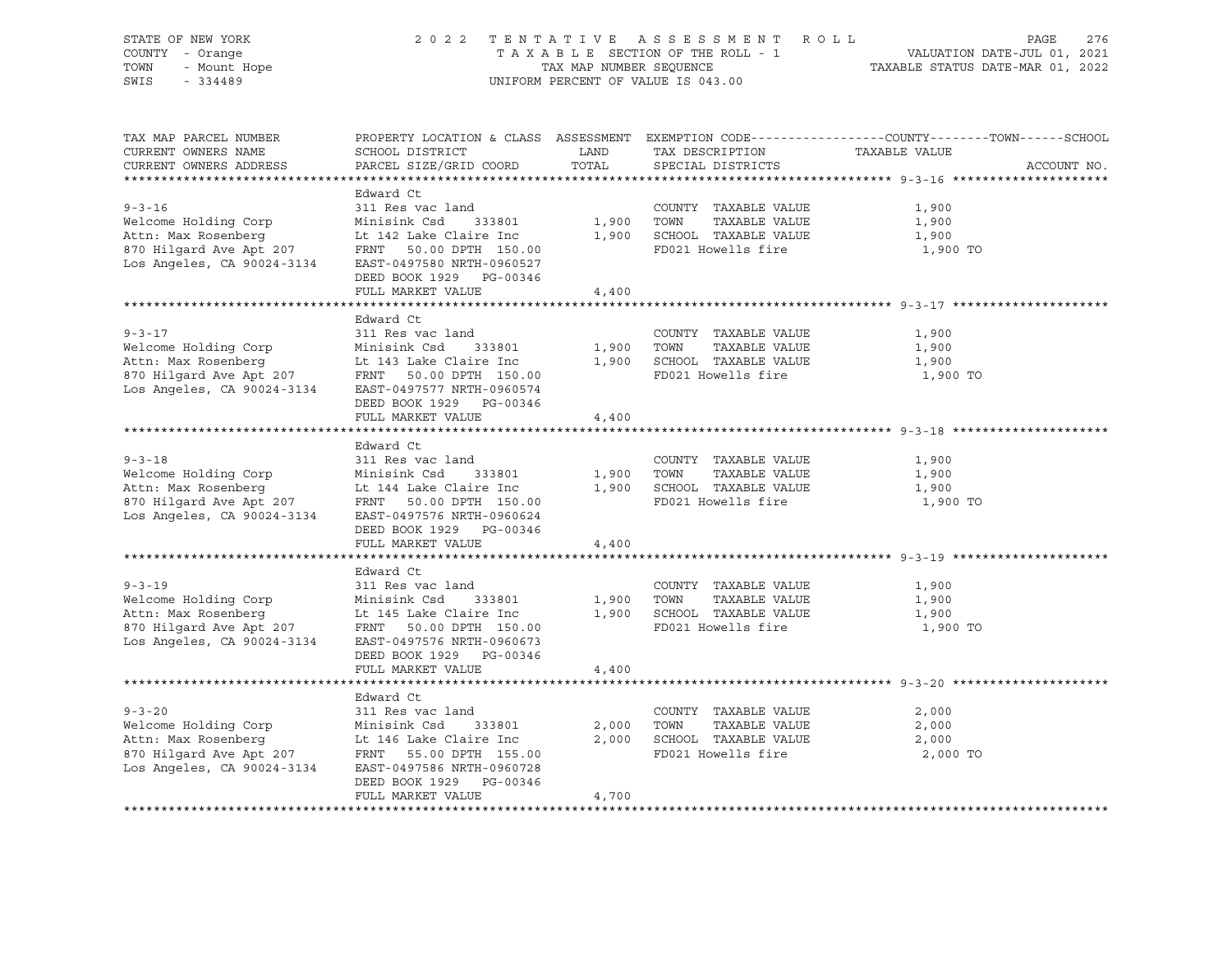| STATE OF NEW YORK<br>COUNTY - Orange<br>TOWN<br>- Mount Hope<br>$-334489$<br>SWIS                                                                 | 2 0 2 2                                                                                                                                                                                  | TAX MAP NUMBER SEQUENCE | TENTATIVE ASSESSMENT ROLL<br>TAXABLE SECTION OF THE ROLL - 1<br>UNIFORM PERCENT OF VALUE IS 043.00 | PAGE<br>276<br>VALUATION DATE-JUL 01, 2021<br>TAXABLE STATUS DATE-MAR 01, 2022                                                   |
|---------------------------------------------------------------------------------------------------------------------------------------------------|------------------------------------------------------------------------------------------------------------------------------------------------------------------------------------------|-------------------------|----------------------------------------------------------------------------------------------------|----------------------------------------------------------------------------------------------------------------------------------|
| TAX MAP PARCEL NUMBER<br>CURRENT OWNERS NAME<br>CURRENT OWNERS ADDRESS                                                                            | SCHOOL DISTRICT<br>PARCEL SIZE/GRID COORD                                                                                                                                                | LAND<br>TOTAL           | TAX DESCRIPTION<br>SPECIAL DISTRICTS                                                               | PROPERTY LOCATION & CLASS ASSESSMENT EXEMPTION CODE----------------COUNTY-------TOWN------SCHOOL<br>TAXABLE VALUE<br>ACCOUNT NO. |
| $9 - 3 - 16$<br>Welcome Holding Corp<br>Attn: Max Rosenberg<br>870 Hilgard Ave Apt 207<br>Los Angeles, CA 90024-3134                              | Edward Ct<br>311 Res vac land<br>Minisink Csd<br>333801<br>Lt 142 Lake Claire Inc<br>FRNT 50.00 DPTH 150.00<br>EAST-0497580 NRTH-0960527<br>DEED BOOK 1929 PG-00346<br>FULL MARKET VALUE | 1,900<br>1,900<br>4,400 | COUNTY TAXABLE VALUE<br>TOWN<br>TAXABLE VALUE<br>SCHOOL TAXABLE VALUE<br>FD021 Howells fire        | 1,900<br>1,900<br>1,900<br>1,900 TO                                                                                              |
|                                                                                                                                                   |                                                                                                                                                                                          |                         |                                                                                                    |                                                                                                                                  |
| $9 - 3 - 17$<br>Welcome Holding Corp<br>Attn: Max Rosenberg<br>Attn: Max Rosenberg<br>870 Hilgard Ave Apt 207<br>Los Angeles, CA 90024-3134       | Edward Ct<br>311 Res vac land<br>Minisink Csd<br>333801<br>Lt 143 Lake Claire Inc<br>FRNT 50.00 DPTH 150.00<br>EAST-0497577 NRTH-0960574<br>DEED BOOK 1929 PG-00346                      | 1,900<br>1,900          | COUNTY TAXABLE VALUE<br>TOWN<br>TAXABLE VALUE<br>SCHOOL TAXABLE VALUE<br>FD021 Howells fire        | 1,900<br>1,900<br>1,900<br>1,900 TO                                                                                              |
|                                                                                                                                                   | FULL MARKET VALUE                                                                                                                                                                        | 4,400                   |                                                                                                    |                                                                                                                                  |
| $9 - 3 - 18$<br>Welcome Holding Corp<br>Attn: Max Rosenberg<br>ALLII: Max Rosenberg<br>870 Hilgard Ave Apt 207<br>-<br>Los Angeles, CA 90024-3134 | Edward Ct<br>311 Res vac land<br>Minisink Csd<br>333801<br>Lt 144 Lake Claire Inc<br>FRNT 50.00 DPTH 150.00<br>EAST-0497576 NRTH-0960624<br>DEED BOOK 1929 PG-00346<br>FULL MARKET VALUE | 1,900<br>1,900<br>4,400 | COUNTY TAXABLE VALUE<br>TOWN<br>TAXABLE VALUE<br>SCHOOL TAXABLE VALUE<br>FD021 Howells fire        | 1,900<br>1,900<br>1,900<br>1,900 TO                                                                                              |
|                                                                                                                                                   |                                                                                                                                                                                          |                         |                                                                                                    |                                                                                                                                  |
| $9 - 3 - 19$<br>Welcome Holding Corp<br>Attn: Max Rosenberg<br>870 Hilgard Ave Apt 207<br>Los Angeles, CA 90024-3134                              | Edward Ct<br>311 Res vac land<br>Minisink Csd<br>333801<br>Lt 145 Lake Claire Inc<br>FRNT 50.00 DPTH 150.00<br>EAST-0497576 NRTH-0960673<br>DEED BOOK 1929 PG-00346<br>FULL MARKET VALUE | 1,900<br>1,900<br>4,400 | COUNTY TAXABLE VALUE<br>TOWN<br>TAXABLE VALUE<br>SCHOOL TAXABLE VALUE<br>FD021 Howells fire        | 1,900<br>1,900<br>1,900<br>1,900 TO                                                                                              |
|                                                                                                                                                   |                                                                                                                                                                                          |                         |                                                                                                    |                                                                                                                                  |
| $9 - 3 - 20$<br>Welcome Holding Corp<br>Attn: Max Rosenberg<br>Attn: Max Rosenberg<br>870 Hilgard Ave Apt 207<br>Los Angeles, CA 90024-3134       | Edward Ct<br>311 Res vac land<br>Minisink Csd<br>333801<br>Lt 146 Lake Claire Inc<br>FRNT 55.00 DPTH 155.00<br>EAST-0497586 NRTH-0960728<br>DEED BOOK 1929 PG-00346<br>FULL MARKET VALUE | 2,000<br>2,000<br>4,700 | COUNTY TAXABLE VALUE<br>TOWN<br>TAXABLE VALUE<br>SCHOOL TAXABLE VALUE<br>FD021 Howells fire        | 2,000<br>2,000<br>2,000<br>2,000 TO                                                                                              |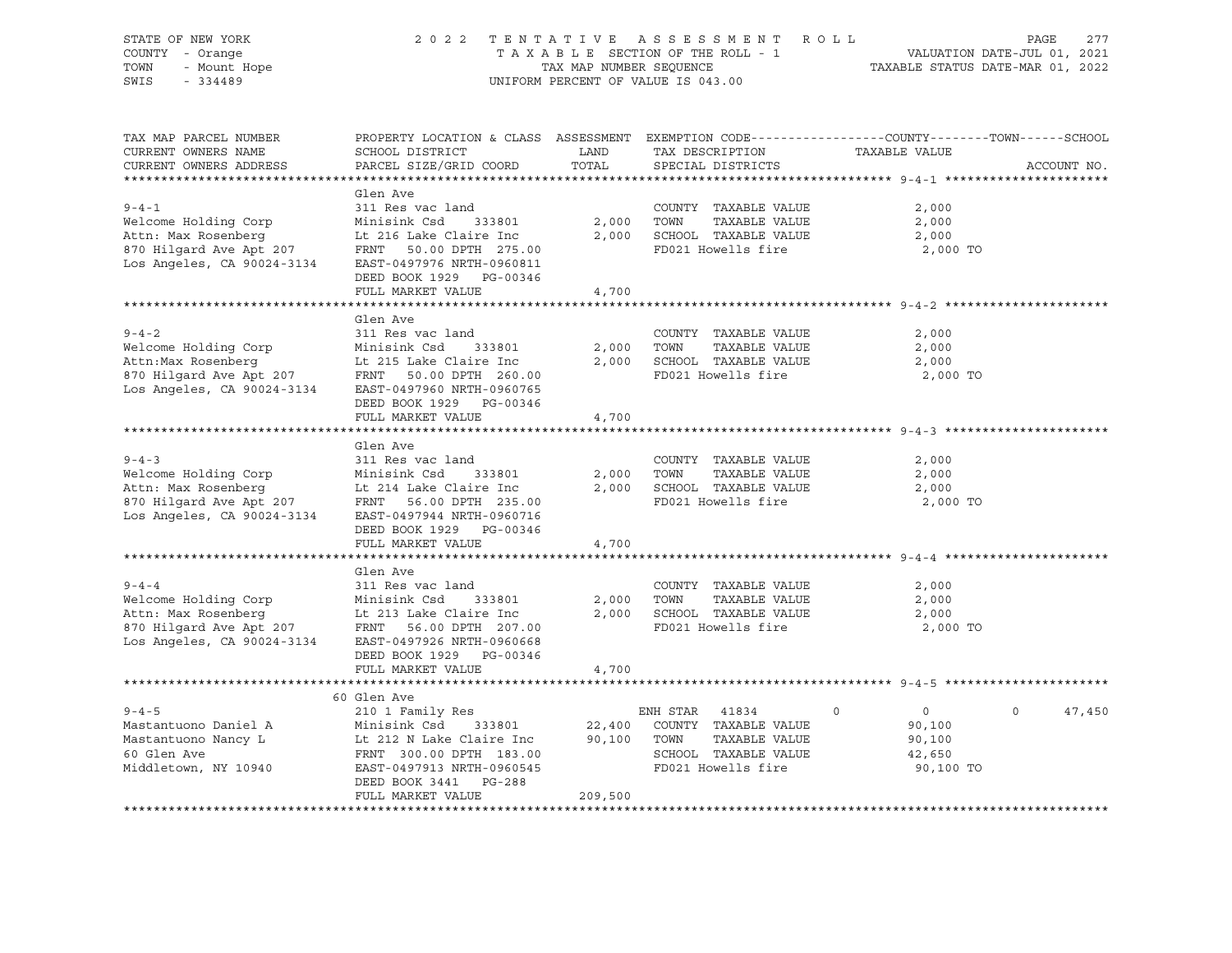| STATE OF NEW YORK<br>COUNTY - Orange<br>TOWN<br>- Mount Hope<br>SWIS<br>$-334489$                                                         | 2022 TENTATIVE                                                                                                                                                                                           | TAX MAP NUMBER SEQUENCE | ASSESSMENT ROLL<br>TAXABLE SECTION OF THE ROLL - 1<br>UNIFORM PERCENT OF VALUE IS 043.00                                    | VALUATION DATE-JUL 01, 2021<br>TAXABLE STATUS DATE-MAR 01, 2022       | 277<br>PAGE        |
|-------------------------------------------------------------------------------------------------------------------------------------------|----------------------------------------------------------------------------------------------------------------------------------------------------------------------------------------------------------|-------------------------|-----------------------------------------------------------------------------------------------------------------------------|-----------------------------------------------------------------------|--------------------|
| TAX MAP PARCEL NUMBER<br>CURRENT OWNERS NAME<br>CURRENT OWNERS ADDRESS                                                                    | PROPERTY LOCATION & CLASS ASSESSMENT EXEMPTION CODE----------------COUNTY-------TOWN-----SCHOOL<br>SCHOOL DISTRICT<br>PARCEL SIZE/GRID COORD                                                             | LAND<br>TOTAL           | TAX DESCRIPTION<br>SPECIAL DISTRICTS                                                                                        | TAXABLE VALUE                                                         | ACCOUNT NO.        |
| $9 - 4 - 1$<br>Welcome Holding Corp<br>Attn: Max Rosenberg<br>870 Hilgard Ave Apt 207<br>Los Angeles, CA 90024-3134                       | Glen Ave<br>311 Res vac land<br>Minisink Csd 333801<br>Lt 216 Lake Claire Inc<br>FRNT 50.00 DPTH 275.00<br>EAST-0497976 NRTH-0960811<br>DEED BOOK 1929 PG-00346<br>FULL MARKET VALUE                     | 2,000<br>4,700          | COUNTY TAXABLE VALUE<br>TOWN<br>TAXABLE VALUE<br>2,000 SCHOOL TAXABLE VALUE<br>FD021 Howells fire                           | 2,000<br>2,000<br>2,000<br>2,000 TO                                   |                    |
| $9 - 4 - 2$<br>Welcome Holding Corp<br>Attn: Max Rosenberg<br>Attn:Max Rosenberg<br>870 Hilgard Ave Apt 207<br>Los Angeles, CA 90024-3134 | Glen Ave<br>311 Res vac land<br>Minisink Csd<br>333801<br>Lt 215 Lake Claire Inc<br>FRNT 50.00 DPTH 260.00<br>EAST-0497960 NRTH-0960765<br>DEED BOOK 1929 PG-00346<br>FULL MARKET VALUE                  | 2,000<br>4,700          | COUNTY TAXABLE VALUE<br>TOWN<br>TAXABLE VALUE<br>2,000 SCHOOL TAXABLE VALUE<br>FD021 Howells fire                           | 2,000<br>2,000<br>2,000<br>2,000 TO                                   |                    |
| $9 - 4 - 3$<br>Welcome Holding Corp<br>Attn: Max Rosenberg<br>870 Hilgard Ave Apt 207<br>Los Angeles, CA 90024-3134                       | Glen Ave<br>311 Res vac land<br>Minisink Csd<br>333801<br>Lt 214 Lake Claire Inc<br>FRNT 56.00 DPTH 235.00<br>EAST-0497944 NRTH-0960716<br>DEED BOOK 1929 PG-00346<br>FULL MARKET VALUE                  | 2,000<br>4,700          | COUNTY TAXABLE VALUE<br>TOWN<br>TAXABLE VALUE<br>2,000 SCHOOL TAXABLE VALUE<br>FD021 Howells fire                           | 2,000<br>2,000<br>2,000<br>2,000 TO                                   |                    |
| $9 - 4 - 4$<br>Welcome Holding Corp<br>Attn: Max Rosenberg<br>870 Hilgard Ave Apt 207<br>Los Angeles, CA 90024-3134                       | Glen Ave<br>311 Res vac land<br>Minisink Csd<br>333801<br>Lt 213 Lake Claire Inc<br>FRNT 56.00 DPTH 207.00<br>EAST-0497926 NRTH-0960668<br>DEED BOOK 1929 PG-00346<br>FULL MARKET VALUE                  | 2,000<br>4,700          | COUNTY TAXABLE VALUE<br>TOWN<br>TAXABLE VALUE<br>2,000 SCHOOL TAXABLE VALUE<br>FD021 Howells fire                           | 2,000<br>2,000<br>2,000<br>2,000 TO                                   |                    |
| $9 - 4 - 5$<br>Mastantuono Daniel A<br>Mastantuono Nancy L<br>60 Glen Ave<br>Middletown, NY 10940                                         | 60 Glen Ave<br>210 1 Family Res<br>Minisink Csd<br>333801<br>laire Inc<br>Lt 212 N Lake Claire Inc<br>FRNT 300.00 DPTH 183.00<br>EAST-0497913 NRTH-0960545<br>DEED BOOK 3441 PG-288<br>FULL MARKET VALUE | 209,500                 | ENH STAR 41834<br>22,400 COUNTY TAXABLE VALUE<br>90,100 TOWN<br>TAXABLE VALUE<br>SCHOOL TAXABLE VALUE<br>FD021 Howells fire | $\overline{0}$<br>$\Omega$<br>90,100<br>90,100<br>42,650<br>90,100 TO | $\Omega$<br>47,450 |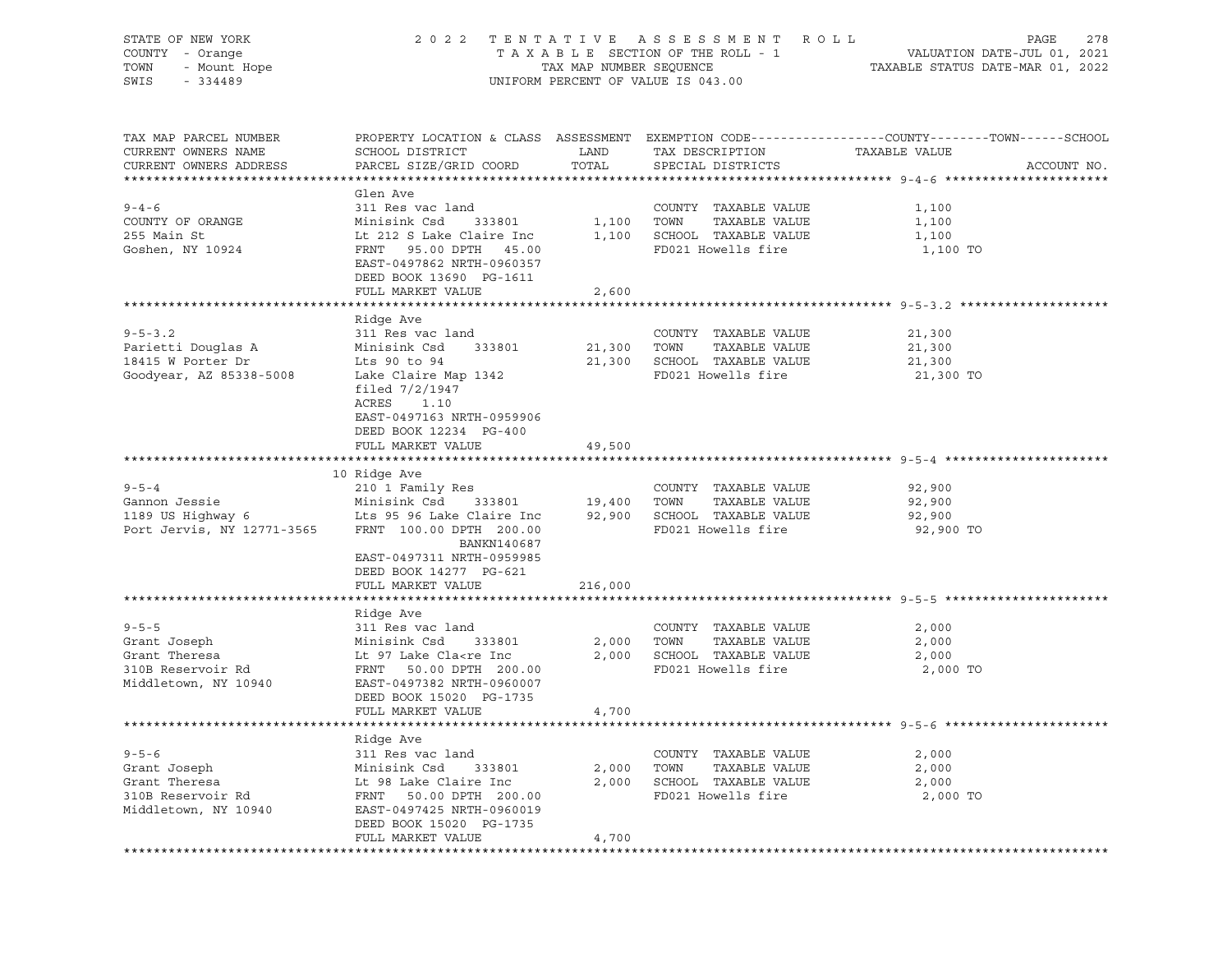| STATE OF NEW YORK<br>COUNTY - Orange | 2 0 2 2                                                                                                  |                         | TENTATIVE ASSESSMENT<br>R O L L<br>TAXABLE SECTION OF THE ROLL - 1 | PAGE<br>VALUATION DATE-JUL 01, 2021                                                              | 278         |
|--------------------------------------|----------------------------------------------------------------------------------------------------------|-------------------------|--------------------------------------------------------------------|--------------------------------------------------------------------------------------------------|-------------|
| TOWN<br>- Mount Hope                 |                                                                                                          | TAX MAP NUMBER SEQUENCE |                                                                    | TAXABLE STATUS DATE-MAR 01, 2022                                                                 |             |
| SWIS<br>$-334489$                    |                                                                                                          |                         | UNIFORM PERCENT OF VALUE IS 043.00                                 |                                                                                                  |             |
|                                      |                                                                                                          |                         |                                                                    |                                                                                                  |             |
| TAX MAP PARCEL NUMBER                |                                                                                                          |                         |                                                                    | PROPERTY LOCATION & CLASS ASSESSMENT EXEMPTION CODE----------------COUNTY-------TOWN------SCHOOL |             |
| CURRENT OWNERS NAME                  | SCHOOL DISTRICT                                                                                          | LAND                    | TAX DESCRIPTION                                                    | TAXABLE VALUE                                                                                    |             |
| CURRENT OWNERS ADDRESS               | PARCEL SIZE/GRID COORD                                                                                   | TOTAL                   | SPECIAL DISTRICTS                                                  |                                                                                                  | ACCOUNT NO. |
|                                      |                                                                                                          |                         |                                                                    |                                                                                                  |             |
|                                      | Glen Ave                                                                                                 |                         |                                                                    |                                                                                                  |             |
| $9 - 4 - 6$                          | 311 Res vac land                                                                                         |                         | COUNTY TAXABLE VALUE                                               | 1,100                                                                                            |             |
| COUNTY OF ORANGE                     | Minisink Csd<br>333801                                                                                   | 1,100                   | TOWN<br>TAXABLE VALUE                                              | 1,100                                                                                            |             |
| 255 Main St                          | Lt 212 S Lake Claire Inc                                                                                 |                         | 1,100 SCHOOL TAXABLE VALUE                                         | 1,100                                                                                            |             |
| Goshen, NY 10924                     | FRNT 95.00 DPTH 45.00                                                                                    |                         | FD021 Howells fire                                                 | 1,100 TO                                                                                         |             |
|                                      | EAST-0497862 NRTH-0960357                                                                                |                         |                                                                    |                                                                                                  |             |
|                                      | DEED BOOK 13690 PG-1611                                                                                  |                         |                                                                    |                                                                                                  |             |
|                                      | FULL MARKET VALUE                                                                                        | 2,600                   |                                                                    |                                                                                                  |             |
|                                      | Ridge Ave                                                                                                |                         |                                                                    |                                                                                                  |             |
| $9 - 5 - 3.2$                        | 311 Res vac land                                                                                         |                         | COUNTY TAXABLE VALUE                                               | 21,300                                                                                           |             |
| Parietti Douglas A                   | Minisink Csd<br>333801                                                                                   | 21,300                  | TOWN<br>TAXABLE VALUE                                              | 21,300                                                                                           |             |
| 18415 W Porter Dr                    | Lts 90 to 94                                                                                             | 21,300                  | SCHOOL TAXABLE VALUE                                               | 21,300                                                                                           |             |
| Goodyear, AZ 85338-5008              | Lake Claire Map 1342                                                                                     |                         | FD021 Howells fire                                                 | 21,300 TO                                                                                        |             |
|                                      | filed $7/2/1947$                                                                                         |                         |                                                                    |                                                                                                  |             |
|                                      | ACRES<br>1.10                                                                                            |                         |                                                                    |                                                                                                  |             |
|                                      | EAST-0497163 NRTH-0959906                                                                                |                         |                                                                    |                                                                                                  |             |
|                                      | DEED BOOK 12234 PG-400                                                                                   |                         |                                                                    |                                                                                                  |             |
|                                      | FULL MARKET VALUE                                                                                        | 49,500                  |                                                                    |                                                                                                  |             |
|                                      |                                                                                                          |                         |                                                                    |                                                                                                  |             |
|                                      | 10 Ridge Ave                                                                                             |                         |                                                                    |                                                                                                  |             |
| $9 - 5 - 4$                          | 210 1 Family Res                                                                                         |                         | COUNTY TAXABLE VALUE                                               | 92,900                                                                                           |             |
| Gannon Jessie                        | Minisink Csd<br>333801                                                                                   | 19,400 TOWN             | TAXABLE VALUE                                                      | 92,900                                                                                           |             |
| 1189 US Highway 6                    | Lts 95 96 Lake Claire Inc                                                                                |                         | 92,900 SCHOOL TAXABLE VALUE                                        | 92,900                                                                                           |             |
| Port Jervis, NY 12771-3565           | FRNT 100.00 DPTH 200.00                                                                                  |                         | FD021 Howells fire                                                 | 92,900 TO                                                                                        |             |
|                                      | BANKN140687                                                                                              |                         |                                                                    |                                                                                                  |             |
|                                      | EAST-0497311 NRTH-0959985                                                                                |                         |                                                                    |                                                                                                  |             |
|                                      | DEED BOOK 14277 PG-621                                                                                   |                         |                                                                    |                                                                                                  |             |
|                                      | FULL MARKET VALUE                                                                                        | 216,000                 |                                                                    |                                                                                                  |             |
|                                      |                                                                                                          |                         |                                                                    |                                                                                                  |             |
|                                      | Ridge Ave                                                                                                |                         |                                                                    |                                                                                                  |             |
| $9 - 5 - 5$                          | 311 Res vac land                                                                                         |                         | COUNTY TAXABLE VALUE                                               | 2,000                                                                                            |             |
| Grant Joseph                         | Minisink Csd<br>333801                                                                                   | 2,000                   | TOWN<br>TAXABLE VALUE                                              | 2,000                                                                                            |             |
| Grant Theresa                        | Lt 97 Lake Cla <re inc<="" td=""><td>2,000</td><td>SCHOOL TAXABLE VALUE</td><td>2,000</td><td></td></re> | 2,000                   | SCHOOL TAXABLE VALUE                                               | 2,000                                                                                            |             |
| 310B Reservoir Rd                    | FRNT 50.00 DPTH 200.00                                                                                   |                         | FD021 Howells fire                                                 | 2,000 TO                                                                                         |             |
| Middletown, NY 10940                 | EAST-0497382 NRTH-0960007                                                                                |                         |                                                                    |                                                                                                  |             |
|                                      | DEED BOOK 15020 PG-1735                                                                                  |                         |                                                                    |                                                                                                  |             |
|                                      | FULL MARKET VALUE                                                                                        | 4,700                   |                                                                    |                                                                                                  |             |
|                                      |                                                                                                          |                         |                                                                    |                                                                                                  |             |
|                                      | Ridge Ave                                                                                                |                         |                                                                    |                                                                                                  |             |
| $9 - 5 - 6$                          | 311 Res vac land                                                                                         |                         | COUNTY TAXABLE VALUE                                               | 2,000                                                                                            |             |
| Grant Joseph                         | Minisink Csd<br>333801                                                                                   | 2,000                   | TOWN<br>TAXABLE VALUE                                              | 2,000                                                                                            |             |
| Grant Theresa<br>310B Reservoir Rd   | Lt 98 Lake Claire Inc                                                                                    | 2,000                   | SCHOOL TAXABLE VALUE                                               | 2,000                                                                                            |             |
|                                      | 50.00 DPTH 200.00<br>FRNT                                                                                |                         | FD021 Howells fire                                                 | 2,000 TO                                                                                         |             |
| Middletown, NY 10940                 | EAST-0497425 NRTH-0960019                                                                                |                         |                                                                    |                                                                                                  |             |
|                                      | DEED BOOK 15020 PG-1735<br>FULL MARKET VALUE                                                             | 4,700                   |                                                                    |                                                                                                  |             |
|                                      |                                                                                                          |                         |                                                                    |                                                                                                  |             |
|                                      |                                                                                                          |                         |                                                                    |                                                                                                  |             |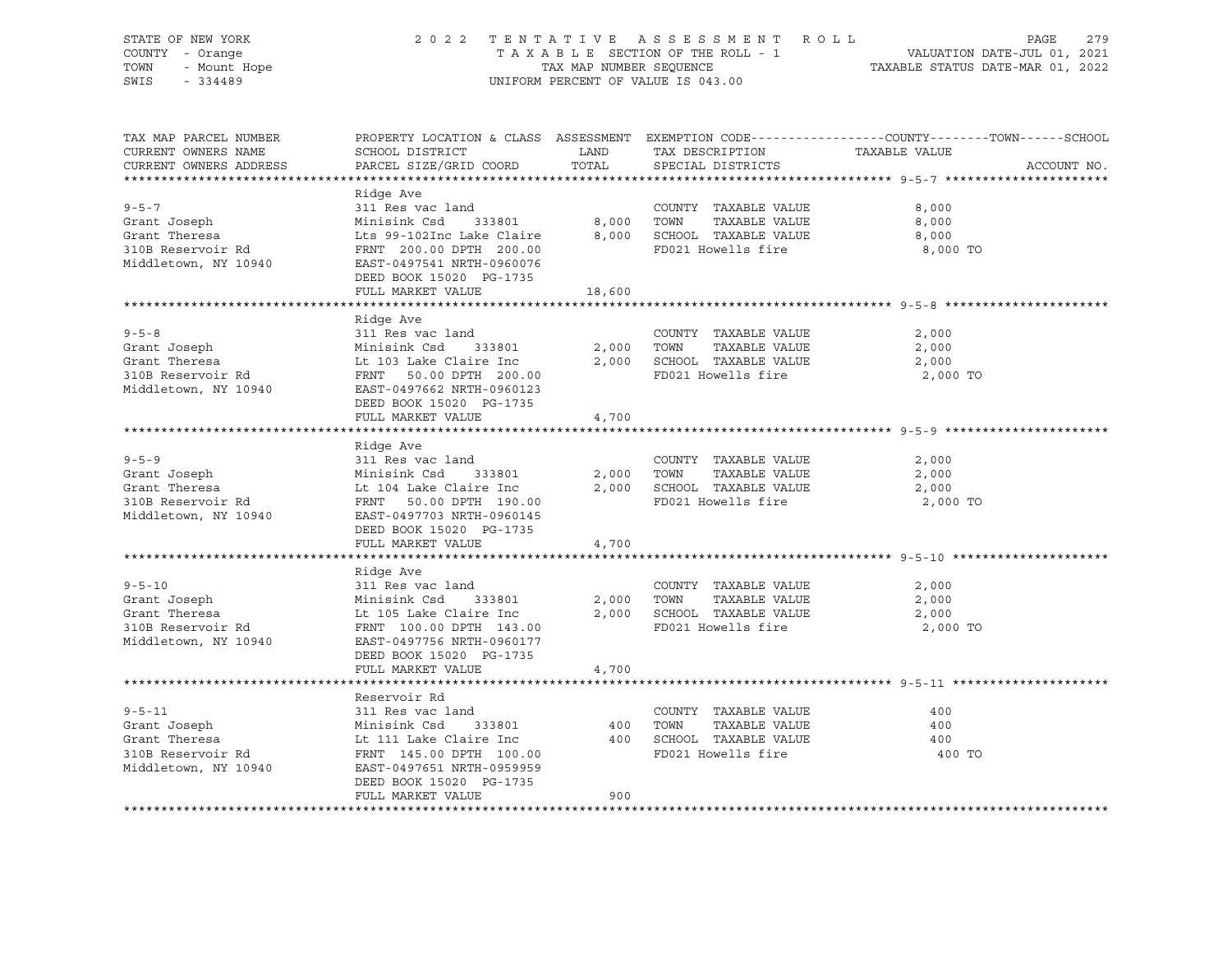| STATE OF NEW YORK<br>COUNTY - Orange<br>- Mount Hope<br>TOWN<br>SWIS<br>$-334489$ | 2 0 2 2                                              | TAX MAP NUMBER SEQUENCE | TENTATIVE ASSESSMENT ROLL<br>TAXABLE SECTION OF THE ROLL - 1<br>UNIFORM PERCENT OF VALUE IS 043.00 | PAGE<br>279<br>VALUATION DATE-JUL 01, 2021<br>TAXABLE STATUS DATE-MAR 01, 2022                                   |
|-----------------------------------------------------------------------------------|------------------------------------------------------|-------------------------|----------------------------------------------------------------------------------------------------|------------------------------------------------------------------------------------------------------------------|
|                                                                                   |                                                      |                         |                                                                                                    |                                                                                                                  |
| TAX MAP PARCEL NUMBER<br>CURRENT OWNERS NAME                                      | SCHOOL DISTRICT                                      | <b>LAND</b>             | TAX DESCRIPTION                                                                                    | PROPERTY LOCATION & CLASS ASSESSMENT EXEMPTION CODE---------------COUNTY-------TOWN------SCHOOL<br>TAXABLE VALUE |
| CURRENT OWNERS ADDRESS                                                            | PARCEL SIZE/GRID COORD TOTAL                         |                         | SPECIAL DISTRICTS                                                                                  | ACCOUNT NO.                                                                                                      |
|                                                                                   |                                                      |                         |                                                                                                    |                                                                                                                  |
|                                                                                   | Ridge Ave                                            |                         |                                                                                                    |                                                                                                                  |
| $9 - 5 - 7$                                                                       | 311 Res vac land                                     |                         | COUNTY TAXABLE VALUE                                                                               | 8,000                                                                                                            |
| Grant Joseph                                                                      | Minisink Csd 333801                                  | 8,000                   | TOWN<br>TAXABLE VALUE                                                                              | 8,000                                                                                                            |
| Grant Theresa                                                                     | Lts 99-102Inc Lake Claire 8,000 SCHOOL TAXABLE VALUE |                         |                                                                                                    | 8,000                                                                                                            |
| 310B Reservoir Rd                                                                 | FRNT 200.00 DPTH 200.00                              |                         | FD021 Howells fire                                                                                 | 8,000 TO                                                                                                         |
| Middletown, NY 10940                                                              | EAST-0497541 NRTH-0960076                            |                         |                                                                                                    |                                                                                                                  |
|                                                                                   | DEED BOOK 15020 PG-1735                              |                         |                                                                                                    |                                                                                                                  |
|                                                                                   | FULL MARKET VALUE                                    | 18,600                  |                                                                                                    |                                                                                                                  |
|                                                                                   |                                                      |                         |                                                                                                    |                                                                                                                  |
| $9 - 5 - 8$                                                                       | Ridge Ave<br>311 Res vac land                        |                         | COUNTY TAXABLE VALUE                                                                               | 2,000                                                                                                            |
| Grant Joseph                                                                      | Minisink Csd 333801                                  |                         | 2,000 TOWN<br>TAXABLE VALUE                                                                        | 2,000                                                                                                            |
| Grant Theresa                                                                     | Lt 103 Lake Claire Inc                               |                         | 2,000 SCHOOL TAXABLE VALUE                                                                         | 2,000                                                                                                            |
| 310B Reservoir Rd                                                                 | FRNT 50.00 DPTH 200.00                               |                         | FD021 Howells fire                                                                                 | 2,000 TO                                                                                                         |
| Middletown, NY 10940                                                              | EAST-0497662 NRTH-0960123                            |                         |                                                                                                    |                                                                                                                  |
|                                                                                   | DEED BOOK 15020 PG-1735                              |                         |                                                                                                    |                                                                                                                  |
|                                                                                   | FULL MARKET VALUE                                    | 4,700                   |                                                                                                    |                                                                                                                  |
|                                                                                   |                                                      |                         |                                                                                                    |                                                                                                                  |
|                                                                                   | Ridge Ave                                            |                         |                                                                                                    |                                                                                                                  |
| $9 - 5 - 9$                                                                       | 311 Res vac land                                     |                         | COUNTY TAXABLE VALUE                                                                               | 2,000                                                                                                            |
| Grant Joseph                                                                      | Minisink Csd<br>333801                               | 2,000                   | TOWN<br>TAXABLE VALUE                                                                              | 2,000                                                                                                            |
| Grant Theresa                                                                     | Lt 104 Lake Claire Inc                               |                         | 2,000 SCHOOL TAXABLE VALUE                                                                         | 2,000                                                                                                            |
| 310B Reservoir Rd                                                                 | FRNT 50.00 DPTH 190.00                               |                         | FD021 Howells fire                                                                                 | 2,000 TO                                                                                                         |
| Middletown, NY 10940                                                              | EAST-0497703 NRTH-0960145                            |                         |                                                                                                    |                                                                                                                  |
|                                                                                   | DEED BOOK 15020 PG-1735                              |                         |                                                                                                    |                                                                                                                  |
|                                                                                   | FULL MARKET VALUE                                    | 4,700                   |                                                                                                    |                                                                                                                  |
|                                                                                   |                                                      |                         |                                                                                                    |                                                                                                                  |
|                                                                                   | Ridge Ave                                            |                         |                                                                                                    |                                                                                                                  |
| $9 - 5 - 10$                                                                      | 311 Res vac land                                     |                         | COUNTY TAXABLE VALUE                                                                               | 2,000                                                                                                            |
| Grant Joseph                                                                      | Minisink Csd<br>333801                               | 2,000<br>2,000          | TOWN<br>TAXABLE VALUE                                                                              | 2,000                                                                                                            |
| Grant Theresa<br>310B Reservoir Rd                                                | Lt 105 Lake Claire Inc                               |                         | 2,000 SCHOOL TAXABLE VALUE<br>FD021 Howells fire                                                   | 2,000<br>2,000 TO                                                                                                |
| Middletown, NY 10940                                                              | FRNT 100.00 DPTH 143.00<br>EAST-0497756 NRTH-0960177 |                         |                                                                                                    |                                                                                                                  |
|                                                                                   | DEED BOOK 15020 PG-1735                              |                         |                                                                                                    |                                                                                                                  |
|                                                                                   | FULL MARKET VALUE                                    | 4,700                   |                                                                                                    |                                                                                                                  |
|                                                                                   |                                                      |                         |                                                                                                    |                                                                                                                  |
|                                                                                   | Reservoir Rd                                         |                         |                                                                                                    |                                                                                                                  |
| $9 - 5 - 11$                                                                      | 311 Res vac land                                     |                         | COUNTY TAXABLE VALUE                                                                               | 400                                                                                                              |
| Grant Joseph                                                                      | Minisink Csd<br>333801                               | 400                     | TOWN<br>TAXABLE VALUE                                                                              | 400                                                                                                              |
| Grant Theresa                                                                     | Lt 111 Lake Claire Inc                               |                         | 400 SCHOOL TAXABLE VALUE                                                                           | 400                                                                                                              |
| 310B Reservoir Rd                                                                 | FRNT 145.00 DPTH 100.00                              |                         | FD021 Howells fire                                                                                 | 400 TO                                                                                                           |
| Middletown, NY 10940                                                              | EAST-0497651 NRTH-0959959                            |                         |                                                                                                    |                                                                                                                  |
|                                                                                   | DEED BOOK 15020 PG-1735                              |                         |                                                                                                    |                                                                                                                  |
|                                                                                   | FULL MARKET VALUE                                    | 900                     |                                                                                                    |                                                                                                                  |
|                                                                                   |                                                      |                         |                                                                                                    |                                                                                                                  |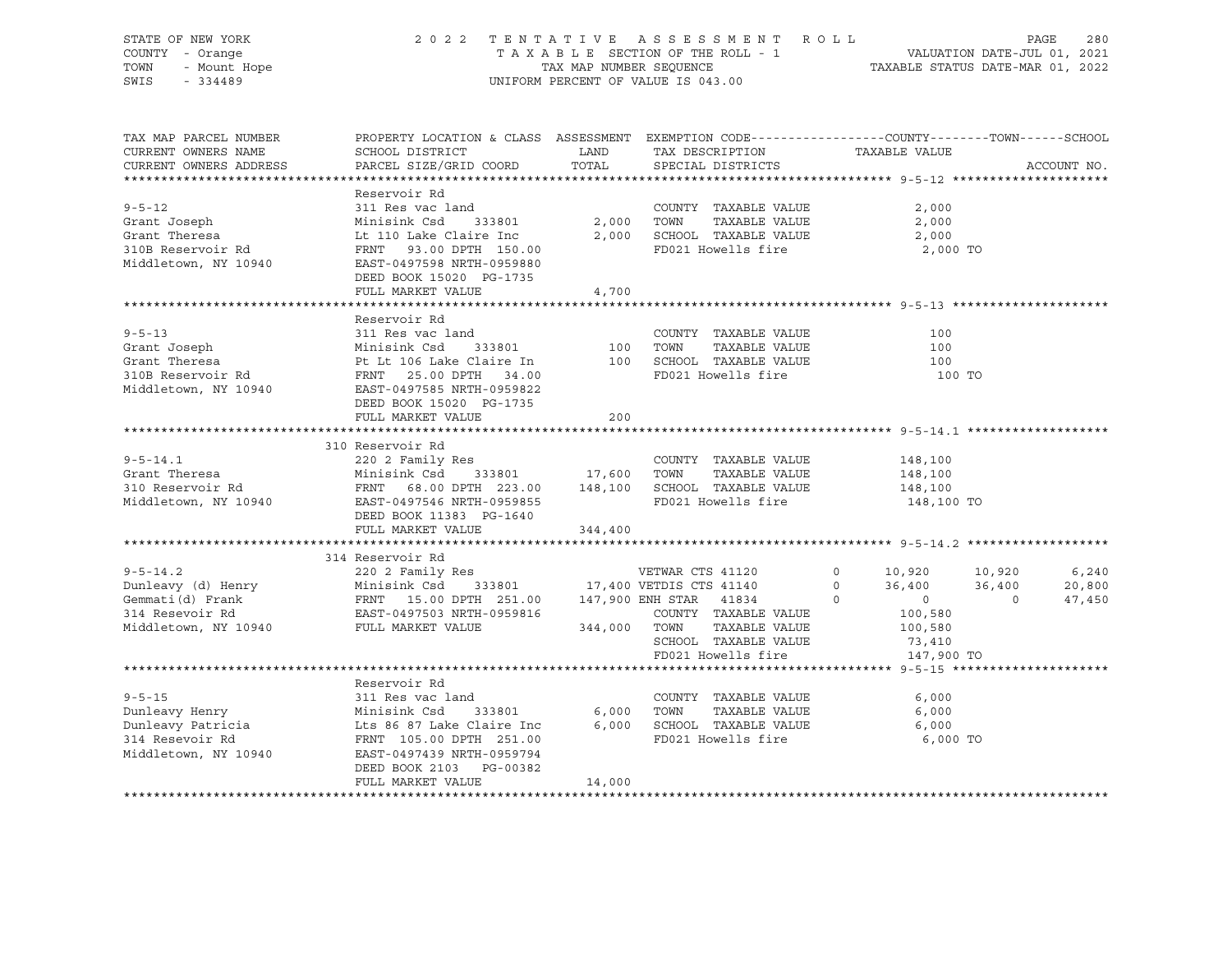| STATE OF NEW YORK<br>COUNTY - Orange<br>TOWN<br>- Mount Hope<br>SWIS<br>$-334489$                                                                                                                                                                             | 2 0 2 2                                                                                                                                                                                              |               | TENTATIVE ASSESSMENT ROLL<br>TAXABLE SECTION OF THE ROLL - 1<br>TAXABLE SECTION OF THE ROLL - 1<br>TAXABLE STATUS DATE-MAR 01, 2022<br>UNIFORM PERCENT OF VALUE IS 043.00  |                                             | PAGE | 280                       |
|---------------------------------------------------------------------------------------------------------------------------------------------------------------------------------------------------------------------------------------------------------------|------------------------------------------------------------------------------------------------------------------------------------------------------------------------------------------------------|---------------|----------------------------------------------------------------------------------------------------------------------------------------------------------------------------|---------------------------------------------|------|---------------------------|
| TAX MAP PARCEL NUMBER<br>CURRENT OWNERS NAME<br>CURRENT OWNERS ADDRESS                                                                                                                                                                                        | PROPERTY LOCATION & CLASS ASSESSMENT EXEMPTION CODE---------------COUNTY-------TOWN-----SCHOOL<br>SCHOOL DISTRICT<br>PARCEL SIZE/GRID COORD                                                          | LAND<br>TOTAL | TAX DESCRIPTION<br>SPECIAL DISTRICTS                                                                                                                                       | TAXABLE VALUE                               |      | ACCOUNT NO.               |
|                                                                                                                                                                                                                                                               |                                                                                                                                                                                                      |               |                                                                                                                                                                            |                                             |      |                           |
| $9 - 5 - 12$<br>Grant Joseph<br>Grant Theresa<br>310B Reservoir Rd<br>Middletown, NY 10940                                                                                                                                                                    | Reservoir Rd<br>311 Res vac land<br>Minisink Csd 333801<br>Lt 110 Lake Claire Inc<br>FRNT 93.00 DPTH 150.00<br>EAST-0497598 NRTH-0959880                                                             | 2,000         | COUNTY TAXABLE VALUE<br>TOWN TAXABLE VALUE<br>2,000 SCHOOL TAXABLE VALUE<br>FD021 Howells fire                                                                             | 2,000<br>2,000<br>2,000<br>2,000 TO         |      |                           |
|                                                                                                                                                                                                                                                               | DEED BOOK 15020 PG-1735<br>FULL MARKET VALUE                                                                                                                                                         | 4,700         |                                                                                                                                                                            |                                             |      |                           |
|                                                                                                                                                                                                                                                               |                                                                                                                                                                                                      |               |                                                                                                                                                                            |                                             |      |                           |
| $9 - 5 - 13$<br>Grant Joseph<br>Grant Theresa<br>310B Reservoir Rd<br>Middletown, NY 10940                                                                                                                                                                    | Reservoir Rd<br>311 Res vac land<br>Minisink Csd 333801<br>Pt Lt 106 Lake Claire In<br>FRNT 25.00 DPTH 34.00<br>EAST-0497585 NRTH-0959822<br>DEED BOOK 15020 PG-1735                                 |               | COUNTY TAXABLE VALUE<br>100 TOWN<br>TAXABLE VALUE<br>100 SCHOOL TAXABLE VALUE<br>FD021 Howells fire                                                                        | 100<br>100<br>100<br>100 TO                 |      |                           |
|                                                                                                                                                                                                                                                               | FULL MARKET VALUE                                                                                                                                                                                    | 200           |                                                                                                                                                                            |                                             |      |                           |
|                                                                                                                                                                                                                                                               |                                                                                                                                                                                                      |               |                                                                                                                                                                            |                                             |      |                           |
| $9 - 5 - 14.1$<br>Grant Theresa<br>310 Reservoir Rd<br>Middletown, NY 10940                                                                                                                                                                                   | 310 Reservoir Rd<br>220 2 Family Res<br>Minisink Csd 333801 17,600<br>FRNT 68.00 DPTH 223.00 148,100 SCHOOL TAXABLE VALUE<br>EAST-0497546 NRTH-0959855 FD021 Howells fire<br>DEED BOOK 11383 PG-1640 |               | COUNTY TAXABLE VALUE<br>TOWN<br>TAXABLE VALUE                                                                                                                              | 148,100<br>148,100<br>148,100<br>148,100 TO |      |                           |
|                                                                                                                                                                                                                                                               | FULL MARKET VALUE                                                                                                                                                                                    | 344,400       |                                                                                                                                                                            |                                             |      |                           |
|                                                                                                                                                                                                                                                               | 314 Reservoir Rd                                                                                                                                                                                     |               |                                                                                                                                                                            |                                             |      |                           |
| 9-5-14.2<br>Dunleavy (d) Henry 220 2 Family Res<br>Cemmati (d) Frank FRNT 15.00 DPTH 251.00 147,900 ENH STAR 41834<br>Middletown RM 19949 EXET 0497503 NRTH-0959816<br>Middletown RM 19949 EXET 0497503 NRTH-0959816 COUNTY TAXABLE V<br>Middletown, NY 10940 | FULL MARKET VALUE                                                                                                                                                                                    |               | VETWAR CTS 41120<br>VETDIS CTS 41140<br>ENH STAR 41834<br>0 0 0 0 0<br>COUNTY TAXABLE VALUE<br>344,000 TOWN<br>TAXABLE VALUE<br>SCHOOL TAXABLE VALUE<br>FD021 Howells fire | 100,580<br>100,580<br>73,410<br>147,900 TO  |      | 6,240<br>20,800<br>47,450 |
|                                                                                                                                                                                                                                                               |                                                                                                                                                                                                      |               |                                                                                                                                                                            |                                             |      |                           |
| $9 - 5 - 15$<br>Dunleavy Henry<br>Dunleavy Patricia<br>314 Resevoir Rd<br>Middletown, NY 10940                                                                                                                                                                | Reservoir Rd<br>311 Res vac land<br>Minisink Csd 333801<br>Lts 86 87 Lake Claire Inc<br>FRNT 105.00 DPTH 251.00<br>EAST-0497439 NRTH-0959794<br>DEED BOOK 2103 PG-00382<br>FULL MARKET VALUE         | 14,000        | COUNTY TAXABLE VALUE<br>6,000 TOWN<br>TAXABLE VALUE<br>6,000 SCHOOL TAXABLE VALUE<br>FD021 Howells fire                                                                    | 6,000<br>6,000<br>6,000<br>6,000 TO         |      |                           |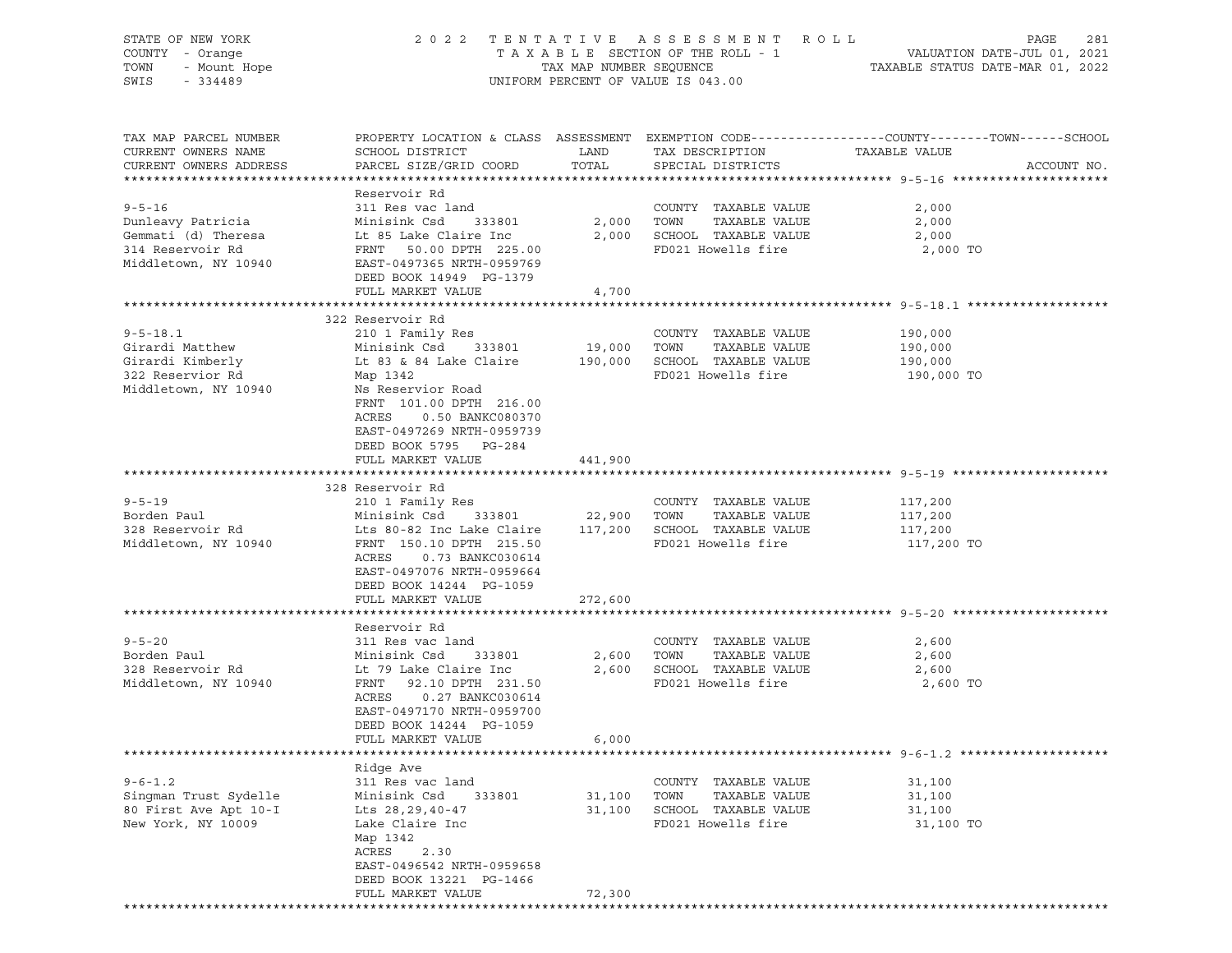| STATE OF NEW YORK<br>COUNTY - Orange<br>TOWN<br>- Mount Hope<br>SWIS<br>$-334489$ |                                                                                                                                                                                             |                  | 2022 TENTATIVE ASSESSMENT ROLL<br>UNIFORM PERCENT OF VALUE IS 043.00          |                       | PAGE<br>281 |
|-----------------------------------------------------------------------------------|---------------------------------------------------------------------------------------------------------------------------------------------------------------------------------------------|------------------|-------------------------------------------------------------------------------|-----------------------|-------------|
| TAX MAP PARCEL NUMBER<br>CURRENT OWNERS NAME<br>CURRENT OWNERS ADDRESS            | PROPERTY LOCATION & CLASS ASSESSMENT EXEMPTION CODE----------------COUNTY-------TOWN------SCHOOL<br>SCHOOL DISTRICT<br>PARCEL SIZE/GRID COORD                                               | LAND<br>TOTAL    | TAX DESCRIPTION<br>SPECIAL DISTRICTS                                          | TAXABLE VALUE         | ACCOUNT NO. |
| $9 - 5 - 16$<br>Dunleavy Patricia                                                 | Reservoir Rd<br>311 Res vac land<br>Minisink Csd<br>333801                                                                                                                                  | 2,000 TOWN       | COUNTY TAXABLE VALUE<br>TAXABLE VALUE                                         | 2,000<br>2,000        |             |
| Gemmati (d) Theresa<br>314 Reservoir Rd<br>Middletown, NY 10940                   | Lt 85 Lake Claire Inc<br>FRNT 50.00 DPTH 225.00<br>EAST-0497365 NRTH-0959769<br>DEED BOOK 14949 PG-1379                                                                                     |                  | 2,000 SCHOOL TAXABLE VALUE<br>FD021 Howells fire                              | 2,000<br>2,000 TO     |             |
|                                                                                   | FULL MARKET VALUE                                                                                                                                                                           | 4,700            |                                                                               |                       |             |
|                                                                                   | 322 Reservoir Rd                                                                                                                                                                            |                  |                                                                               |                       |             |
| $9 - 5 - 18.1$<br>Girardi Matthew                                                 | 210 1 Family Res<br>Minisink Csd 333801                                                                                                                                                     | 19,000           | COUNTY TAXABLE VALUE<br>TOWN<br>TAXABLE VALUE<br>190,000 SCHOOL TAXABLE VALUE | 190,000<br>190,000    |             |
| Girardi Kimberly<br>322 Reservior Rd<br>Middletown, NY 10940                      | Lt 83 & 84 Lake Claire<br>Map 1342<br>Ns Reservior Road<br>FRNT 101.00 DPTH 216.00<br>0.50 BANKC080370<br>ACRES<br>EAST-0497269 NRTH-0959739<br>DEED BOOK 5795 PG-284                       |                  | FD021 Howells fire                                                            | 190,000<br>190,000 TO |             |
|                                                                                   | FULL MARKET VALUE                                                                                                                                                                           | 441,900          |                                                                               |                       |             |
|                                                                                   | 328 Reservoir Rd                                                                                                                                                                            |                  |                                                                               |                       |             |
| $9 - 5 - 19$                                                                      | 210 1 Family Res                                                                                                                                                                            |                  | COUNTY TAXABLE VALUE                                                          | 117,200               |             |
| Borden Paul                                                                       | Minisink Csd<br>333801                                                                                                                                                                      | 22,900 TOWN      | TAXABLE VALUE                                                                 | 117,200               |             |
| 328 Reservoir Rd<br>Middletown, NY 10940                                          | Lts 80-82 Inc Lake Claire 117,200 SCHOOL TAXABLE VALUE<br>FRNT 150.10 DPTH 215.50<br>ACRES<br>0.73 BANKC030614<br>EAST-0497076 NRTH-0959664<br>DEED BOOK 14244 PG-1059<br>FULL MARKET VALUE | 272,600          | FD021 Howells fire                                                            | 117,200<br>117,200 TO |             |
|                                                                                   |                                                                                                                                                                                             |                  |                                                                               |                       |             |
|                                                                                   | Reservoir Rd                                                                                                                                                                                |                  |                                                                               |                       |             |
| $9 - 5 - 20$<br>Borden Paul                                                       | 311 Res vac land<br>Minisink Csd<br>333801                                                                                                                                                  | 2,600            | COUNTY TAXABLE VALUE<br>TOWN<br>TAXABLE VALUE                                 | 2,600<br>2,600        |             |
| 328 Reservoir Rd                                                                  | Lt 79 Lake Claire Inc                                                                                                                                                                       | 2,600            | SCHOOL TAXABLE VALUE                                                          | 2,600                 |             |
| Middletown, NY 10940                                                              | FRNT<br>92.10 DPTH 231.50<br>0.27 BANKC030614<br>ACRES<br>EAST-0497170 NRTH-0959700<br>DEED BOOK 14244 PG-1059<br>FULL MARKET VALUE                                                         | 6,000            | FD021 Howells fire                                                            | 2,600 TO              |             |
|                                                                                   |                                                                                                                                                                                             |                  |                                                                               |                       |             |
|                                                                                   | Ridge Ave                                                                                                                                                                                   |                  |                                                                               |                       |             |
| $9 - 6 - 1.2$                                                                     | 311 Res vac land                                                                                                                                                                            |                  | COUNTY TAXABLE VALUE                                                          | 31,100                |             |
| Singman Trust Sydelle<br>80 First Ave Apt 10-I                                    | Minisink Csd<br>333801<br>Lts 28, 29, 40-47                                                                                                                                                 | 31,100<br>31,100 | TAXABLE VALUE<br>TOWN<br>SCHOOL TAXABLE VALUE                                 | 31,100<br>31,100      |             |
| New York, NY 10009                                                                | Lake Claire Inc<br>Map 1342<br>ACRES<br>2.30<br>EAST-0496542 NRTH-0959658                                                                                                                   |                  | FD021 Howells fire                                                            | 31,100 TO             |             |
|                                                                                   | DEED BOOK 13221 PG-1466                                                                                                                                                                     |                  |                                                                               |                       |             |
|                                                                                   | FULL MARKET VALUE                                                                                                                                                                           | 72,300           |                                                                               |                       |             |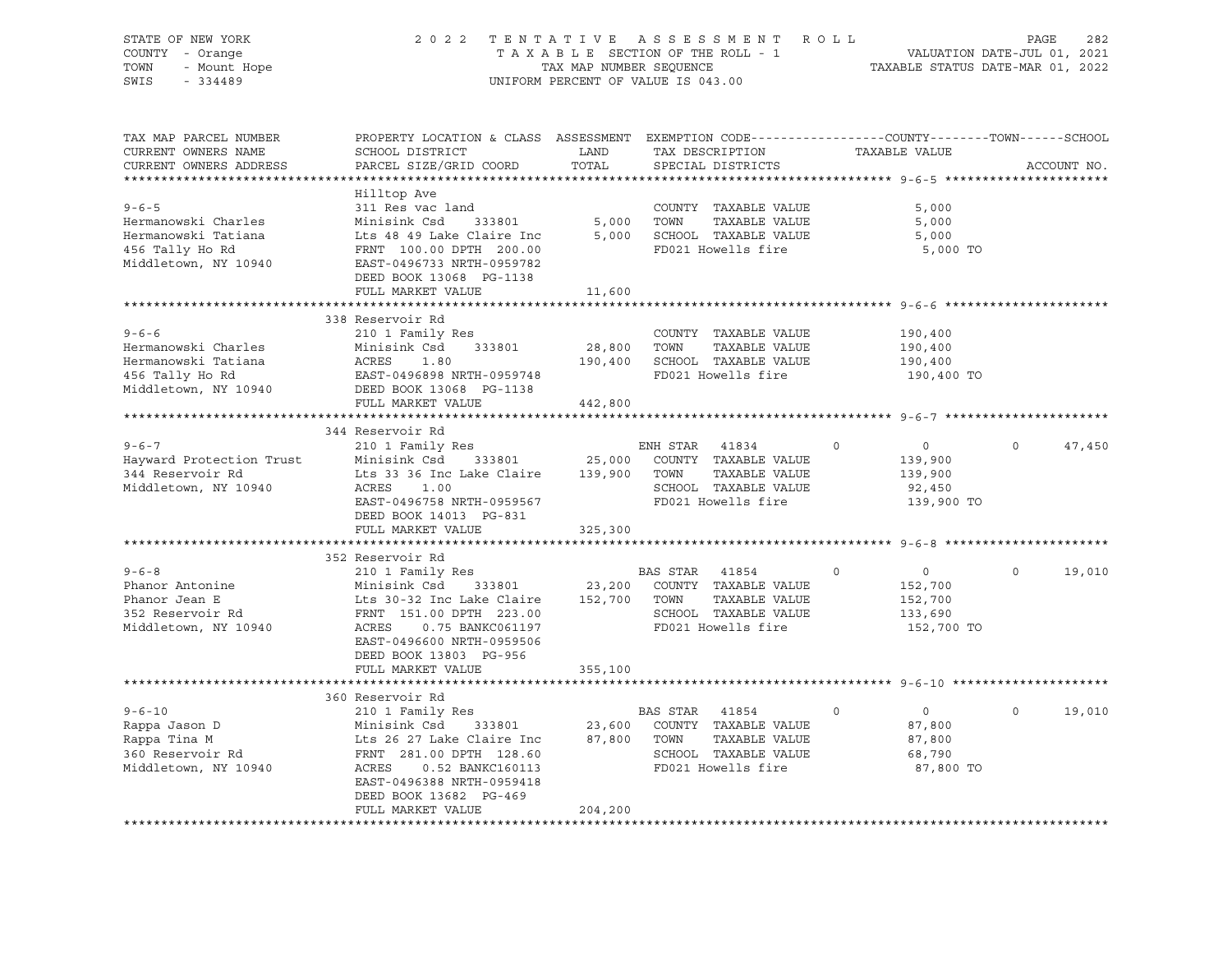| STATE OF NEW YORK<br>COUNTY - Orange<br>TOWN<br>- Mount Hope<br>SWIS<br>$-334489$                    | 2022 TENTATIVE ASSESSMENT ROLL                                                                                                                                                                             | UNIFORM PERCENT OF VALUE IS 043.00 |                |                                                                                             | TAXABLE SECTION OF THE ROLL - 1<br>TAXABLE SECTION OF THE ROLL - 1<br>TAXABLE STATUS DATE-MAR 01, 2022 |                      | PAGE<br>282 |
|------------------------------------------------------------------------------------------------------|------------------------------------------------------------------------------------------------------------------------------------------------------------------------------------------------------------|------------------------------------|----------------|---------------------------------------------------------------------------------------------|--------------------------------------------------------------------------------------------------------|----------------------|-------------|
| TAX MAP PARCEL NUMBER<br>CURRENT OWNERS NAME<br>CURRENT OWNERS ADDRESS                               | PROPERTY LOCATION & CLASS ASSESSMENT EXEMPTION CODE---------------COUNTY-------TOWN------SCHOOL<br>SCHOOL DISTRICT<br>PARCEL SIZE/GRID COORD                                                               | LAND<br>TOTAL                      |                | TAX DESCRIPTION<br>SPECIAL DISTRICTS                                                        | TAXABLE VALUE                                                                                          |                      | ACCOUNT NO. |
| $9 - 6 - 5$<br>Hermanowski Charles<br>Hermanowski Tatiana<br>456 Tally Ho Rd<br>Middletown, NY 10940 | Hilltop Ave<br>311 Res vac land<br>Minisink Csd 333801<br>Lts 48 49 Lake Claire Inc<br>FRNT 100.00 DPTH 200.00<br>EAST-0496733 NRTH-0959782<br>DEED BOOK 13068 PG-1138<br>FULL MARKET VALUE                | 5,000<br>11,600                    | TOWN           | COUNTY TAXABLE VALUE<br>TAXABLE VALUE<br>5,000 SCHOOL TAXABLE VALUE<br>FD021 Howells fire   | 5,000<br>5,000<br>5,000                                                                                | 5,000 TO             |             |
|                                                                                                      |                                                                                                                                                                                                            |                                    |                |                                                                                             |                                                                                                        |                      |             |
| $9 - 6 - 6$<br>Hermanowski Charles<br>Hermanowski Tatiana<br>456 Tally Ho Rd<br>Middletown, NY 10940 | 338 Reservoir Rd<br>210 1 Family Res<br>Minisink Csd<br>333801<br>ACRES<br>1.80<br>EAST-0496898 NRTH-0959748<br>DEED BOOK 13068 PG-1138<br>FULL MARKET VALUE                                               | 442,800                            | 28,800 TOWN    | COUNTY TAXABLE VALUE<br>TAXABLE VALUE<br>190,400 SCHOOL TAXABLE VALUE<br>FD021 Howells fire | 190,400<br>190,400<br>190,400<br>190,400 TO                                                            |                      |             |
|                                                                                                      |                                                                                                                                                                                                            |                                    |                |                                                                                             |                                                                                                        |                      |             |
| $9 - 6 - 7$<br>Hayward Protection Trust<br>344 Reservoir Rd<br>Middletown, NY 10940                  | 344 Reservoir Rd<br>210 1 Family Res<br>Minisink Csd<br>Lts 33 36 Inc Lake Claire 139,900 TOWN<br>ACRES<br>1.00<br>EAST-0496758 NRTH-0959567<br>DEED BOOK 14013 PG-831                                     | 333801 25,000                      | ENH STAR 41834 | COUNTY TAXABLE VALUE<br>TAXABLE VALUE<br>SCHOOL TAXABLE VALUE<br>FD021 Howells fire         | $\overline{0}$<br>$\Omega$<br>139,900<br>139,900<br>92,450<br>139,900 TO                               | $\Omega$             | 47,450      |
|                                                                                                      | FULL MARKET VALUE                                                                                                                                                                                          | 325,300                            |                |                                                                                             |                                                                                                        |                      |             |
|                                                                                                      |                                                                                                                                                                                                            |                                    |                |                                                                                             |                                                                                                        |                      |             |
| $9 - 6 - 8$<br>Phanor Antonine<br>Phanor Jean E<br>352 Reservoir Rd<br>Middletown, NY 10940          | 352 Reservoir Rd<br>210 1 Family Res<br>Minisink Csd<br>333801<br>Lts 30-32 Inc Lake Claire<br>FRNT 151.00 DPTH 223.00<br>ACRES<br>0.75 BANKC061197<br>EAST-0496600 NRTH-0959506<br>DEED BOOK 13803 PG-956 | 23,200<br>152,700 TOWN             | BAS STAR 41854 | COUNTY TAXABLE VALUE<br>TAXABLE VALUE<br>SCHOOL TAXABLE VALUE<br>FD021 Howells fire         | $\Omega$<br>$\overline{0}$<br>152,700<br>152,700<br>133,690<br>152,700 TO                              | $\Omega$             | 19,010      |
|                                                                                                      | FULL MARKET VALUE                                                                                                                                                                                          | 355,100                            |                |                                                                                             |                                                                                                        |                      |             |
|                                                                                                      | **********************                                                                                                                                                                                     |                                    |                |                                                                                             | ***************************** 9-6-10 ***************                                                   |                      |             |
| $9 - 6 - 10$<br>Rappa Jason D<br>Rappa Tina M<br>360 Reservoir Rd<br>Middletown, NY 10940            | 360 Reservoir Rd<br>210 1 Family Res<br>Minisink Csd<br>333801<br>Lts 26 27 Lake Claire Inc<br>FRNT 281.00 DPTH 128.60<br>ACRES<br>0.52 BANKC160113<br>EAST-0496388 NRTH-0959418<br>DEED BOOK 13682 PG-469 | 23,600<br>87,800 TOWN              | BAS STAR 41854 | COUNTY TAXABLE VALUE<br>TAXABLE VALUE<br>SCHOOL TAXABLE VALUE<br>FD021 Howells fire         | $\overline{0}$<br>$\circ$<br>87,800<br>87,800<br>68,790                                                | $\circ$<br>87,800 TO | 19,010      |
|                                                                                                      | FULL MARKET VALUE                                                                                                                                                                                          | 204,200                            |                |                                                                                             |                                                                                                        |                      |             |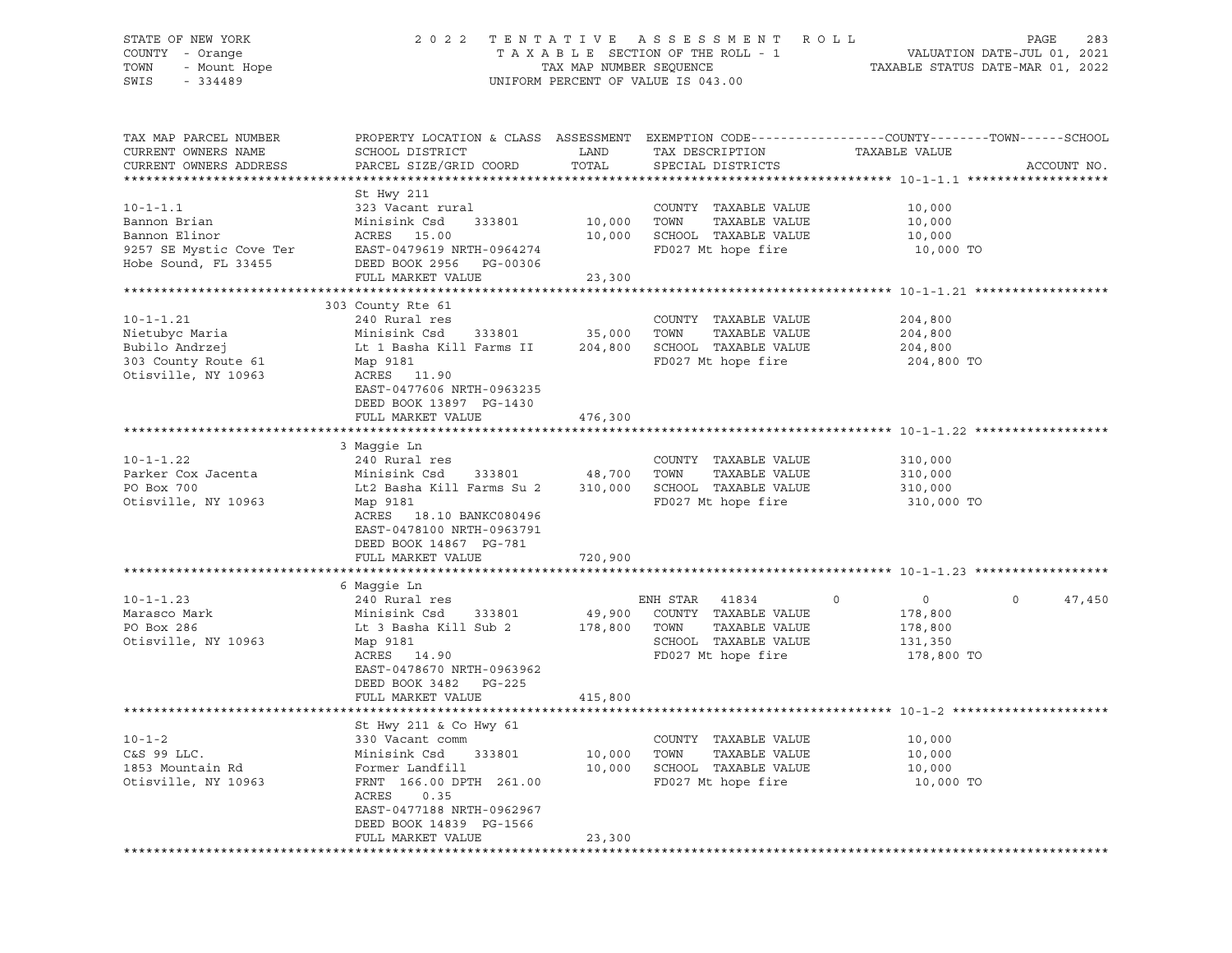## STATE OF NEW YORK 2 0 2 2 T E N T A T I V E A S S E S S M E N T R O L L PAGE 283 COUNTY - Orange T A X A B L E SECTION OF THE ROLL - 1 VALUATION DATE-JUL 01, 2021 TOWN - Mount Hope TAX NAP NUMBER SEQUENCE TAXABLE STATUS DATE-MAR 01, 2022<br>TAXABLE STATUS DATE-MAR 01, 2022 UNIFORM PERCENT OF VALUE IS 043.00

TAX MAP PARCEL NUMBER PROPERTY LOCATION & CLASS ASSESSMENT EXEMPTION CODE------------------COUNTY--------TOWN------SCHOOL CURRENT OWNERS NAME SCHOOL DISTRICT LAND TAX DESCRIPTION TAXABLE VALUE PARCEL SIZE/GRID COORD TOTAL SPECIAL DISTRICTS TO ACCOUNT NO. \*\*\*\*\*\*\*\*\*\*\*\*\*\*\*\*\*\*\*\*\*\*\*\*\*\*\*\*\*\*\*\*\*\*\*\*\*\*\*\*\*\*\*\*\*\*\*\*\*\*\*\*\*\*\*\*\*\*\*\*\*\*\*\*\*\*\*\*\*\*\*\*\*\*\*\*\*\*\*\*\*\*\*\*\*\*\*\*\*\*\*\*\*\*\*\*\*\*\*\*\*\*\* 10-1-1.1 \*\*\*\*\*\*\*\*\*\*\*\*\*\*\*\*\*\*\* St Hwy 211 10-1-1.1 323 Vacant rural COUNTY TAXABLE VALUE 10,000 Bannon Brian Minisink Csd 333801 10,000 TOWN TAXABLE VALUE 10,000 Bannon Elinor ACRES 15.00 10,000 SCHOOL TAXABLE VALUE 10,000 9257 SE Mystic Cove Ter EAST-0479619 NRTH-0964274 FD027 Mt hope fire 10,000 TO Hobe Sound, FL 33455 DEED BOOK 2956 PG-00306 FULL MARKET VALUE 23,300 \*\*\*\*\*\*\*\*\*\*\*\*\*\*\*\*\*\*\*\*\*\*\*\*\*\*\*\*\*\*\*\*\*\*\*\*\*\*\*\*\*\*\*\*\*\*\*\*\*\*\*\*\*\*\*\*\*\*\*\*\*\*\*\*\*\*\*\*\*\*\*\*\*\*\*\*\*\*\*\*\*\*\*\*\*\*\*\*\*\*\*\*\*\*\*\*\*\*\*\*\*\*\* 10-1-1.21 \*\*\*\*\*\*\*\*\*\*\*\*\*\*\*\*\*\* 303 County Rte 61 10-1-1.21 240 Rural res COUNTY TAXABLE VALUE 204,800 Nietubyc Maria Minisink Csd 333801 35,000 TOWN TAXABLE VALUE 204,800 Bubilo Andrzej Lt 1 Basha Kill Farms II 204,800 SCHOOL TAXABLE VALUE 204,800 303 County Route 61 Map 9181 FD027 Mt hope fire 204,800 TO<br>
Otisville, NY 10963 ACRES 11.90 Otisville, NY 10963 EAST-0477606 NRTH-0963235 DEED BOOK 13897 PG-1430 FULL MARKET VALUE 476,300 \*\*\*\*\*\*\*\*\*\*\*\*\*\*\*\*\*\*\*\*\*\*\*\*\*\*\*\*\*\*\*\*\*\*\*\*\*\*\*\*\*\*\*\*\*\*\*\*\*\*\*\*\*\*\*\*\*\*\*\*\*\*\*\*\*\*\*\*\*\*\*\*\*\*\*\*\*\*\*\*\*\*\*\*\*\*\*\*\*\*\*\*\*\*\*\*\*\*\*\*\*\*\* 10-1-1.22 \*\*\*\*\*\*\*\*\*\*\*\*\*\*\*\*\*\* 3 Maggie Ln 10-1-1.22 240 Rural res COUNTY TAXABLE VALUE 310,000 Parker Cox Jacenta Minisink Csd 333801 48,700 TOWN TAXABLE VALUE 310,000 PO Box 700 Lt2 Basha Kill Farms Su 2 310,000 SCHOOL TAXABLE VALUE 310,000 Otisville, NY 10963 Map 9181 FD027 Mt hope fire 310,000 TO ACRES 18.10 BANKC080496 EAST-0478100 NRTH-0963791 DEED BOOK 14867 PG-781 FULL MARKET VALUE 720,900 \*\*\*\*\*\*\*\*\*\*\*\*\*\*\*\*\*\*\*\*\*\*\*\*\*\*\*\*\*\*\*\*\*\*\*\*\*\*\*\*\*\*\*\*\*\*\*\*\*\*\*\*\*\*\*\*\*\*\*\*\*\*\*\*\*\*\*\*\*\*\*\*\*\*\*\*\*\*\*\*\*\*\*\*\*\*\*\*\*\*\*\*\*\*\*\*\*\*\*\*\*\*\* 10-1-1.23 \*\*\*\*\*\*\*\*\*\*\*\*\*\*\*\*\*\* 6 Maggie Ln 10-1-1.23 240 Rural res ENH STAR 41834 0 0 0 47,450 Marasco Mark Minisink Csd 333801 49,900 COUNTY TAXABLE VALUE 178,800 PO Box 286 Lt 3 Basha Kill Sub 2 178,800 TOWN TAXABLE VALUE 178,800 Otisville, NY 10963 Map 9181 SCHOOL TAXABLE VALUE 131,350 ACRES 14.90 FD027 Mt hope fire 178,800 TO EAST-0478670 NRTH-0963962 DEED BOOK 3482 PG-225 FULL MARKET VALUE 415,800 \*\*\*\*\*\*\*\*\*\*\*\*\*\*\*\*\*\*\*\*\*\*\*\*\*\*\*\*\*\*\*\*\*\*\*\*\*\*\*\*\*\*\*\*\*\*\*\*\*\*\*\*\*\*\*\*\*\*\*\*\*\*\*\*\*\*\*\*\*\*\*\*\*\*\*\*\*\*\*\*\*\*\*\*\*\*\*\*\*\*\*\*\*\*\*\*\*\*\*\*\*\*\* 10-1-2 \*\*\*\*\*\*\*\*\*\*\*\*\*\*\*\*\*\*\*\*\* St Hwy 211 & Co Hwy 61 10-1-2 330 Vacant comm COUNTY TAXABLE VALUE 10,000 C&S 99 LLC. Minisink Csd 333801 10,000 TOWN TAXABLE VALUE 10,000 1853 Mountain Rd Former Landfill 10,000 SCHOOL TAXABLE VALUE 10,000 Otisville, NY 10963 FRNT 166.00 DPTH 261.00 FD027 Mt hope fire 10,000 TO ACRES 0.35 EAST-0477188 NRTH-0962967 DEED BOOK 14839 PG-1566 FULL MARKET VALUE 23,300 \*\*\*\*\*\*\*\*\*\*\*\*\*\*\*\*\*\*\*\*\*\*\*\*\*\*\*\*\*\*\*\*\*\*\*\*\*\*\*\*\*\*\*\*\*\*\*\*\*\*\*\*\*\*\*\*\*\*\*\*\*\*\*\*\*\*\*\*\*\*\*\*\*\*\*\*\*\*\*\*\*\*\*\*\*\*\*\*\*\*\*\*\*\*\*\*\*\*\*\*\*\*\*\*\*\*\*\*\*\*\*\*\*\*\*\*\*\*\*\*\*\*\*\*\*\*\*\*\*\*\*\*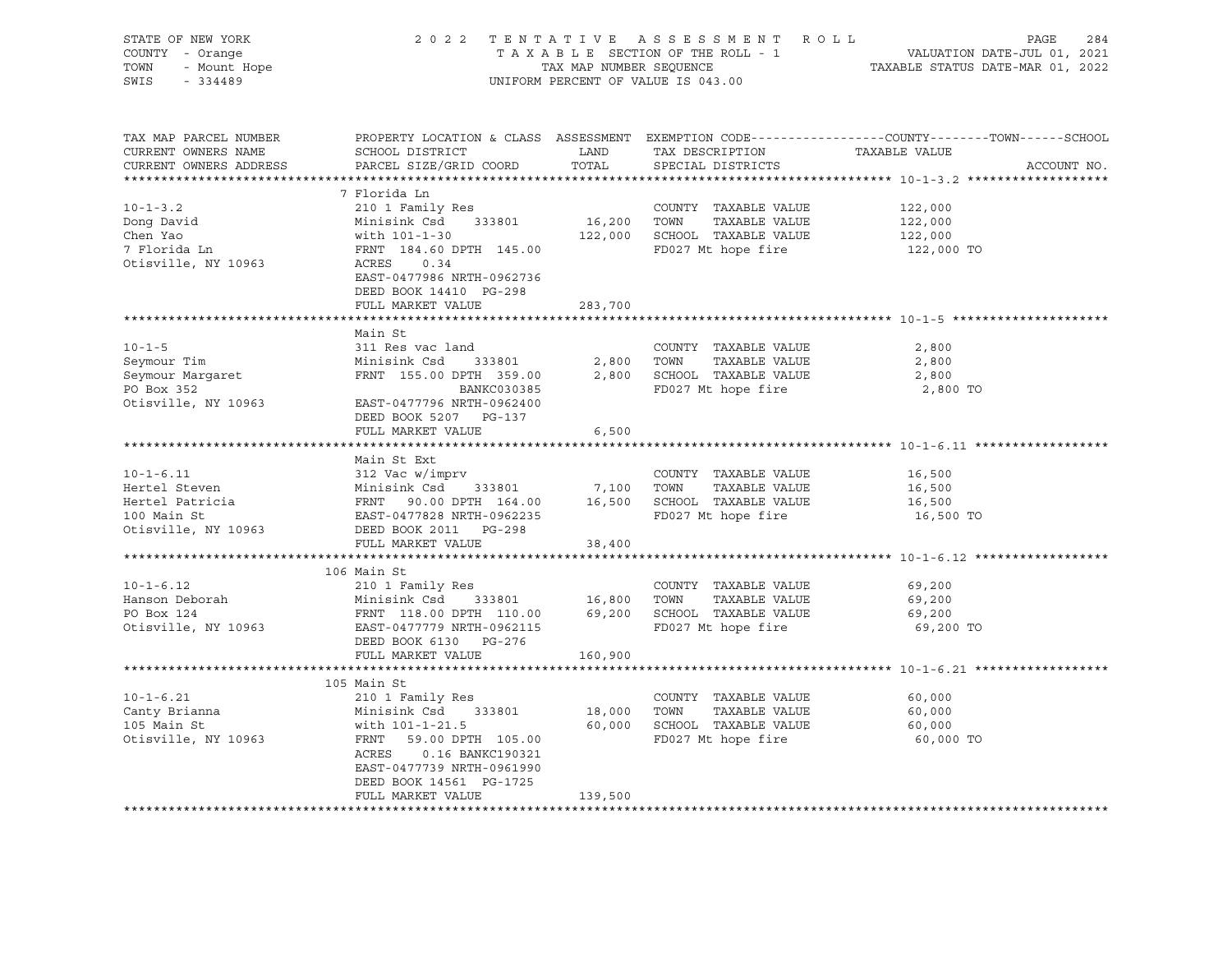| SWIS - 334489                                                                                                                                                                                                                                                                                    |                                                                                         |         | UNIFORM PERCENT OF VALUE IS 043.00 | STATE OF NEW YORK 284<br>COUNTY - Orange 284<br>TAXABLE SECTION OF THE ROLL - 1<br>TOWN - Mount Hope 1 TAXABLE STATUS DATE-JUL 01, 2021<br>TOWN - Mount Hope 1 TAXABLE STATUS DATE-MAR 01, 2022<br>SWIS - 334489 |
|--------------------------------------------------------------------------------------------------------------------------------------------------------------------------------------------------------------------------------------------------------------------------------------------------|-----------------------------------------------------------------------------------------|---------|------------------------------------|------------------------------------------------------------------------------------------------------------------------------------------------------------------------------------------------------------------|
| TAX MAP PARCEL NUMBER<br>CURRENT OWNERS NAME<br>CURRENT OWNERS ADDRESS                                                                                                                                                                                                                           | PARCEL SIZE/GRID COORD                                                                  |         | TOTAL SPECIAL DISTRICTS            | PROPERTY LOCATION & CLASS ASSESSMENT EXEMPTION CODE----------------COUNTY-------TOWN------SCHOOL<br>ACCOUNT NO.                                                                                                  |
| $10 - 1 - 3.2$<br>9 Dong David<br>22,000<br>22,000<br>22,000<br>22,000<br>7 Florida Ln<br>22,000<br>7 Florida Ln<br>22,000<br>22,000<br>22,000<br>22,000<br>22,000<br>22,000<br>22,000<br>22,000<br>22,000<br>22,000<br>22,000<br>22,000<br>22,000<br>22,000<br>22,000<br>22,000<br>22,000<br>22 | 7 Florida Ln<br>210 1 Family Res<br>EAST-0477986 NRTH-0962736<br>DEED BOOK 14410 PG-298 |         | COUNTY TAXABLE VALUE               | 122,000<br>122,000 TO                                                                                                                                                                                            |
|                                                                                                                                                                                                                                                                                                  | FULL MARKET VALUE                                                                       | 283,700 |                                    |                                                                                                                                                                                                                  |
| 10-1-5<br>Seymour Tim 311 Res vac land<br>311 Res vac land<br>Minisink Csd 333801<br>2,800 TOWN TAXABLE VALUE 2,800<br>2,800 TOWN TAXABLE VALUE 2,800<br>2,800<br>2,800 SCHOOL TAXABLE VALUE 2,800<br>2,800<br>2,800<br>2,800<br>2,800<br>2,800<br>2,800                                         | Main St                                                                                 |         |                                    |                                                                                                                                                                                                                  |
|                                                                                                                                                                                                                                                                                                  |                                                                                         |         |                                    |                                                                                                                                                                                                                  |
|                                                                                                                                                                                                                                                                                                  |                                                                                         |         |                                    |                                                                                                                                                                                                                  |
|                                                                                                                                                                                                                                                                                                  |                                                                                         |         |                                    |                                                                                                                                                                                                                  |
|                                                                                                                                                                                                                                                                                                  | DEED BOOK 5207 PG-137<br>FULL MARKET VALUE                                              | 6,500   |                                    |                                                                                                                                                                                                                  |
|                                                                                                                                                                                                                                                                                                  |                                                                                         |         |                                    |                                                                                                                                                                                                                  |
|                                                                                                                                                                                                                                                                                                  | Main St Ext                                                                             |         |                                    |                                                                                                                                                                                                                  |
| 10-1-6.11 312 Vac w/imprv<br>Hertel Steven Minisink Csd 333801 7,100 TOWN TAXABLE VALUE<br>Hertel Patricia FRNT 90.00 DPTH 164.00 16,500 SCHOOL TAXABLE VALUE<br>100 Main St EAST-0477828 NRTH-0962235<br>Otisville, NY 10963 DEED BOO                                                           |                                                                                         |         | COUNTY TAXABLE VALUE               | 16,500                                                                                                                                                                                                           |
|                                                                                                                                                                                                                                                                                                  |                                                                                         |         |                                    | 16,500                                                                                                                                                                                                           |
|                                                                                                                                                                                                                                                                                                  |                                                                                         |         |                                    | 16,500                                                                                                                                                                                                           |
|                                                                                                                                                                                                                                                                                                  |                                                                                         |         |                                    | 16,500 TO                                                                                                                                                                                                        |
|                                                                                                                                                                                                                                                                                                  | FULL MARKET VALUE                                                                       | 38,400  |                                    |                                                                                                                                                                                                                  |
|                                                                                                                                                                                                                                                                                                  |                                                                                         |         |                                    |                                                                                                                                                                                                                  |
|                                                                                                                                                                                                                                                                                                  |                                                                                         |         |                                    |                                                                                                                                                                                                                  |
|                                                                                                                                                                                                                                                                                                  |                                                                                         |         |                                    | 69,200                                                                                                                                                                                                           |
|                                                                                                                                                                                                                                                                                                  |                                                                                         |         |                                    | 69,200<br>69,200                                                                                                                                                                                                 |
|                                                                                                                                                                                                                                                                                                  |                                                                                         |         |                                    |                                                                                                                                                                                                                  |
| ANTIFY TO A COUNTY TAXABLE VALUE<br>Hanson Deborah Minisink Csd 333801 16,800 TOWN TAXABLE VALUE<br>PO Box 124 FRNT 118.00 DPTH 110.00 69,200 SCHOOL TAXABLE VALUE<br>Otisville, NY 10963 EAST-0477779 NRTH-0962115 FD027 Mt hope fi                                                             |                                                                                         |         |                                    | 69,200 TO                                                                                                                                                                                                        |
|                                                                                                                                                                                                                                                                                                  |                                                                                         |         |                                    |                                                                                                                                                                                                                  |
|                                                                                                                                                                                                                                                                                                  | 105 Main St                                                                             |         |                                    |                                                                                                                                                                                                                  |
|                                                                                                                                                                                                                                                                                                  |                                                                                         |         |                                    | 60,000                                                                                                                                                                                                           |
|                                                                                                                                                                                                                                                                                                  |                                                                                         |         |                                    | 60,000                                                                                                                                                                                                           |
|                                                                                                                                                                                                                                                                                                  |                                                                                         |         |                                    | 60,000                                                                                                                                                                                                           |
| 10-1-6.21<br>CoUNTY TAXABLE VALUE<br>Canty Brianna Minist Minist Minist Minist Minist Minist Minist Minist Minist Minist Minist Minist<br>Otisville, NY 10963<br>NAMEL AND SPACE COUNTY SPACE COUNTY TAXABLE VALUE<br>COUNTY TAXABLE VAL                                                         | ACRES   0.16 BANKC190321<br>EAST-0477739 NRTH-0961990                                   |         |                                    | 60,000 TO                                                                                                                                                                                                        |
|                                                                                                                                                                                                                                                                                                  | DEED BOOK 14561 PG-1725                                                                 |         |                                    |                                                                                                                                                                                                                  |
|                                                                                                                                                                                                                                                                                                  | FULL MARKET VALUE                                                                       | 139,500 |                                    |                                                                                                                                                                                                                  |
|                                                                                                                                                                                                                                                                                                  |                                                                                         |         |                                    |                                                                                                                                                                                                                  |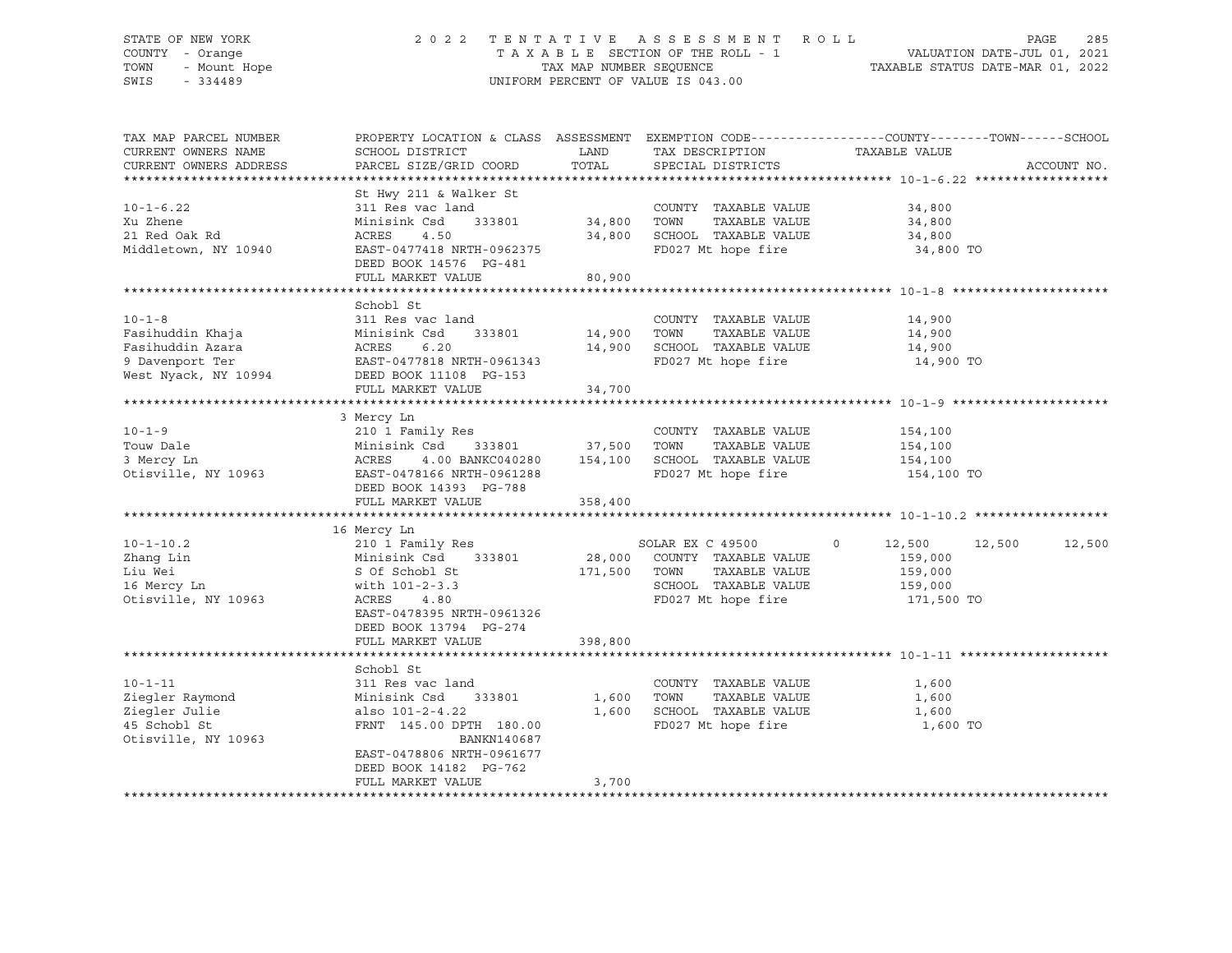## STATE OF NEW YORK 2 0 2 2 T E N T A T I V E A S S E S S M E N T R O L L PAGE 285 COUNTY - Orange T A X A B L E SECTION OF THE ROLL - 1 VALUATION DATE-JUL 01, 2021 TOWN - Mount Hope TAX MAP NUMBER SEQUENCE TAXABLE STATUS DATE-MAR 01, 2022 SWIS - 334489 UNIFORM PERCENT OF VALUE IS 043.00

| TAX MAP PARCEL NUMBER<br>CURRENT OWNERS NAME<br>CURRENT OWNERS ADDRESS                          | SCHOOL DISTRICT<br>PARCEL SIZE/GRID COORD                                                                                                                                                     | LAND<br>TOTAL                   | TAX DESCRIPTION<br>SPECIAL DISTRICTS                                                                                       | PROPERTY LOCATION & CLASS ASSESSMENT EXEMPTION CODE----------------COUNTY-------TOWN------SCHOOL<br>TAXABLE VALUE | ACCOUNT NO. |
|-------------------------------------------------------------------------------------------------|-----------------------------------------------------------------------------------------------------------------------------------------------------------------------------------------------|---------------------------------|----------------------------------------------------------------------------------------------------------------------------|-------------------------------------------------------------------------------------------------------------------|-------------|
| $10 - 1 - 6.22$<br>Xu Zhene<br>21 Red Oak Rd<br>Middletown, NY 10940                            | St Hwy 211 & Walker St<br>311 Res vac land<br>333801 34,800 TOWN<br>Minisink Csd<br>ACRES<br>4.50<br>EAST-0477418 NRTH-0962375<br>DEED BOOK 14576 PG-481<br>FULL MARKET VALUE                 | 34,800<br>80,900                | COUNTY TAXABLE VALUE<br>TAXABLE VALUE<br>SCHOOL TAXABLE VALUE<br>FD027 Mt hope fire                                        | 34,800<br>34,800<br>34,800<br>34,800 TO                                                                           |             |
| $10 - 1 - 8$<br>Fasihuddin Khaja<br>Fasihuddin Azara<br>9 Davenport Ter<br>West Nyack, NY 10994 | Schobl St<br>311 Res vac land<br>Minisink Csd<br>333801<br>ACRES<br>6.20<br>EAST-0477818 NRTH-0961343<br>DEED BOOK 11108 PG-153<br>FULL MARKET VALUE                                          | 14,900 TOWN<br>14,900<br>34,700 | COUNTY TAXABLE VALUE<br>TAXABLE VALUE<br>SCHOOL TAXABLE VALUE<br>FD027 Mt hope fire                                        | 14,900<br>14,900<br>14,900<br>14,900 TO                                                                           |             |
| $10 - 1 - 9$<br>Touw Dale<br>3 Mercy Ln<br>Otisville, NY 10963                                  | 3 Mercy Ln<br>210 1 Family Res<br>333801 37,500<br>Minisink Csd<br>ACRES<br>EAST-0478166 NRTH-0961288<br>DEED BOOK 14393 PG-788<br>FULL MARKET VALUE                                          | 358,400                         | COUNTY TAXABLE VALUE<br>TOWN<br>TAXABLE VALUE<br>4.00 BANKC040280   154,100   SCHOOL   TAXABLE VALUE<br>FD027 Mt hope fire | 154,100<br>154,100<br>154,100<br>154,100 TO                                                                       |             |
| $10 - 1 - 10.2$<br>Zhang Lin<br>Liu Wei<br>16 Mercy Ln<br>Otisville, NY 10963                   | 16 Mercy Ln<br>210 1 Family Res<br>Minisink Csd 333801<br>S Of Schobl St<br>with 101-2-3.3<br>ACRES<br>4.80<br>EAST-0478395 NRTH-0961326<br>DEED BOOK 13794 PG-274<br>FULL MARKET VALUE       | 171,500 TOWN<br>398,800         | SOLAR EX C 49500 0<br>28,000 COUNTY TAXABLE VALUE<br>TAXABLE VALUE<br>SCHOOL TAXABLE VALUE<br>FD027 Mt hope fire           | 12,500 12,500<br>159,000<br>159,000<br>159,000<br>171,500 TO                                                      | 12,500      |
| $10 - 1 - 11$<br>Ziegler Raymond<br>Ziegler Julie<br>45 Schobl St<br>Otisville, NY 10963        | Schobl St<br>311 Res vac land<br>Minisink Csd 333801<br>also 101-2-4.22<br>FRNT 145.00 DPTH 180.00<br>BANKN140687<br>EAST-0478806 NRTH-0961677<br>DEED BOOK 14182 PG-762<br>FULL MARKET VALUE | 1,600<br>1,600<br>3,700         | COUNTY TAXABLE VALUE<br>TOWN<br>TAXABLE VALUE<br>SCHOOL TAXABLE VALUE<br>FD027 Mt hope fire                                | 1,600<br>1,600<br>1,600<br>1,600 TO                                                                               |             |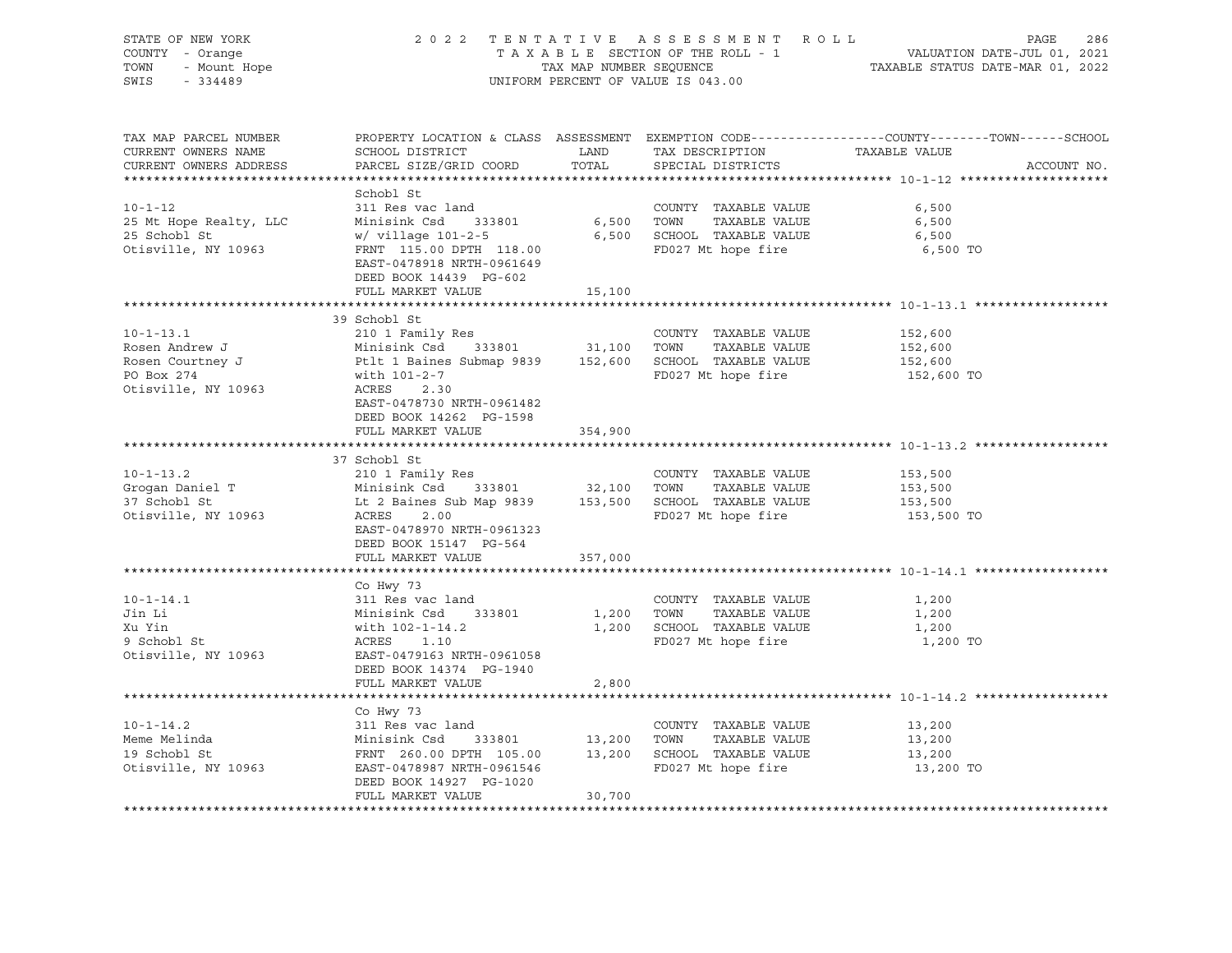| STATE OF NEW YORK<br>COUNTY - Orange<br>OF NEW TO CHERAL<br>- Orange<br>- Mount Hope<br>TOWN<br>SWIS |                                                                                                                                                                                                                                                                                          |                                      | 2022 TENTATIVE ASSESSMENT ROLL<br>UNIFORM PERCENT OF VALUE IS 043.00                       | 286<br>PAGE<br>T A X A B L E SECTION OF THE ROLL - 1 VALUATION DATE-JUL 01, 2021<br>TAX MAP NUMBER SEQUENCE TAXABLE STATUS DATE-MAR 01, 2022 |
|------------------------------------------------------------------------------------------------------|------------------------------------------------------------------------------------------------------------------------------------------------------------------------------------------------------------------------------------------------------------------------------------------|--------------------------------------|--------------------------------------------------------------------------------------------|----------------------------------------------------------------------------------------------------------------------------------------------|
| TAX MAP PARCEL NUMBER<br>CURRENT OWNERS NAME<br>CURRENT OWNERS ADDRESS                               | SCHOOL DISTRICT<br>PARCEL SIZE/GRID COORD                                                                                                                                                                                                                                                | TOTAL                                | LAND TAX DESCRIPTION<br>SPECIAL DISTRICTS                                                  | PROPERTY LOCATION & CLASS ASSESSMENT EXEMPTION CODE---------------COUNTY-------TOWN-----SCHOOL<br>TAXABLE VALUE<br>ACCOUNT NO.               |
| $10 - 1 - 12$<br>25 Mt Hope Realty, LLC<br>25 Schobl St<br>Otisville, NY 10963                       | Schobl St<br>311 Res vac land<br>Minisink Csd 333801<br>$w/$ village 101-2-5 $\qquad 6,500$ SCHOOL TAXABLE VALUE<br>FRNT 115.00 DPTH 118.00<br>EAST-0478918 NRTH-0961649<br>DEED BOOK 14439 PG-602<br>FULL MARKET VALUE                                                                  | 15,100                               | COUNTY TAXABLE VALUE<br>6,500 TOWN<br>TAXABLE VALUE<br>FD027 Mt hope fire                  | 6,500<br>6,500<br>6,500<br>6,500 TO                                                                                                          |
|                                                                                                      |                                                                                                                                                                                                                                                                                          |                                      |                                                                                            |                                                                                                                                              |
| $10 - 1 - 13.1$<br>PO Box 274<br>Otisville, NY 10963                                                 | 39 Schobl St<br>210 1 Family Res<br>Rosen Andrew J<br>Rosen Courtney J<br>Ptlt 1 Baines Submap 9839<br>Ptlt 1 Baines Submap 9839<br>152,600<br>SCHOOL TAXABLE VALUE<br>with 101-2-7<br>ACRES<br>2.30<br>EAST-0478730 NRTH-0961482                                                        |                                      | COUNTY TAXABLE VALUE<br>FD027 Mt hope fire                                                 | 152,600<br>152,600<br>152,600<br>152,600 TO                                                                                                  |
|                                                                                                      | DEED BOOK 14262 PG-1598<br>FULL MARKET VALUE                                                                                                                                                                                                                                             | 354,900                              |                                                                                            |                                                                                                                                              |
| $10 - 1 - 13.2$<br>Grogan Daniel T<br>37 Schobl St<br>37 Schobl St<br>Otisville, NY 10963            | 37 Schobl St<br>210 1 Family Res<br>Minisink Csd 333801 32,100 TOWN TAXABLE VALUE<br>Minisink Csd 333801 32,100 TOWN TAXABLE VALUE<br>Lt 2 Baines Sub Map 9839 153,500 SCHOOL TAXABLE VALUE<br>ACRES<br>2.00<br>EAST-0478970 NRTH-0961323<br>DEED BOOK 15147 PG-564<br>FULL MARKET VALUE | 357,000                              | COUNTY TAXABLE VALUE<br>FD027 Mt hope fire                                                 | 153,500<br>153,500<br>153,500<br>153,500 TO                                                                                                  |
|                                                                                                      |                                                                                                                                                                                                                                                                                          |                                      |                                                                                            |                                                                                                                                              |
| $10 - 1 - 14.1$<br>Jin Li<br>Xu Yin<br>9 Schobl St<br>Otisville, NY 10963                            | Co Hwy 73<br>311 Res vac land<br>Minisink Csd 333801<br>with 102-1-14.2<br>ACRES 1.10<br>EAST-0479163 NRTH-0961058<br>DEED BOOK 14374 PG-1940                                                                                                                                            | 1,200 TOWN                           | COUNTY TAXABLE VALUE<br>TAXABLE VALUE<br>1,200 SCHOOL TAXABLE VALUE<br>FD027 Mt hope fire  | 1,200<br>1,200<br>1,200<br>1,200 TO                                                                                                          |
|                                                                                                      | FULL MARKET VALUE                                                                                                                                                                                                                                                                        | 2,800                                |                                                                                            |                                                                                                                                              |
|                                                                                                      |                                                                                                                                                                                                                                                                                          |                                      |                                                                                            |                                                                                                                                              |
| $10 - 1 - 14.2$<br>Meme Melinda<br>19 Schobl St<br>Otisville, NY 10963                               | Co Hwy 73<br>311 Res vac land<br>311 Res vac land<br>Minisink Csd 333801 13,20<br>FRNT 260.00 DPTH 105.00 13,20<br>EAST-0478987 NRTH-0961546<br>DEED BOOK 14927 PG-1020<br>FULL MARKET VALUE                                                                                             | COUNT<br>13,200       TOWN<br>30,700 | COUNTY TAXABLE VALUE<br>TAXABLE VALUE<br>13,200 SCHOOL TAXABLE VALUE<br>FD027 Mt hope fire | 13,200<br>13,200<br>13,200<br>13,200 TO                                                                                                      |
|                                                                                                      |                                                                                                                                                                                                                                                                                          |                                      |                                                                                            |                                                                                                                                              |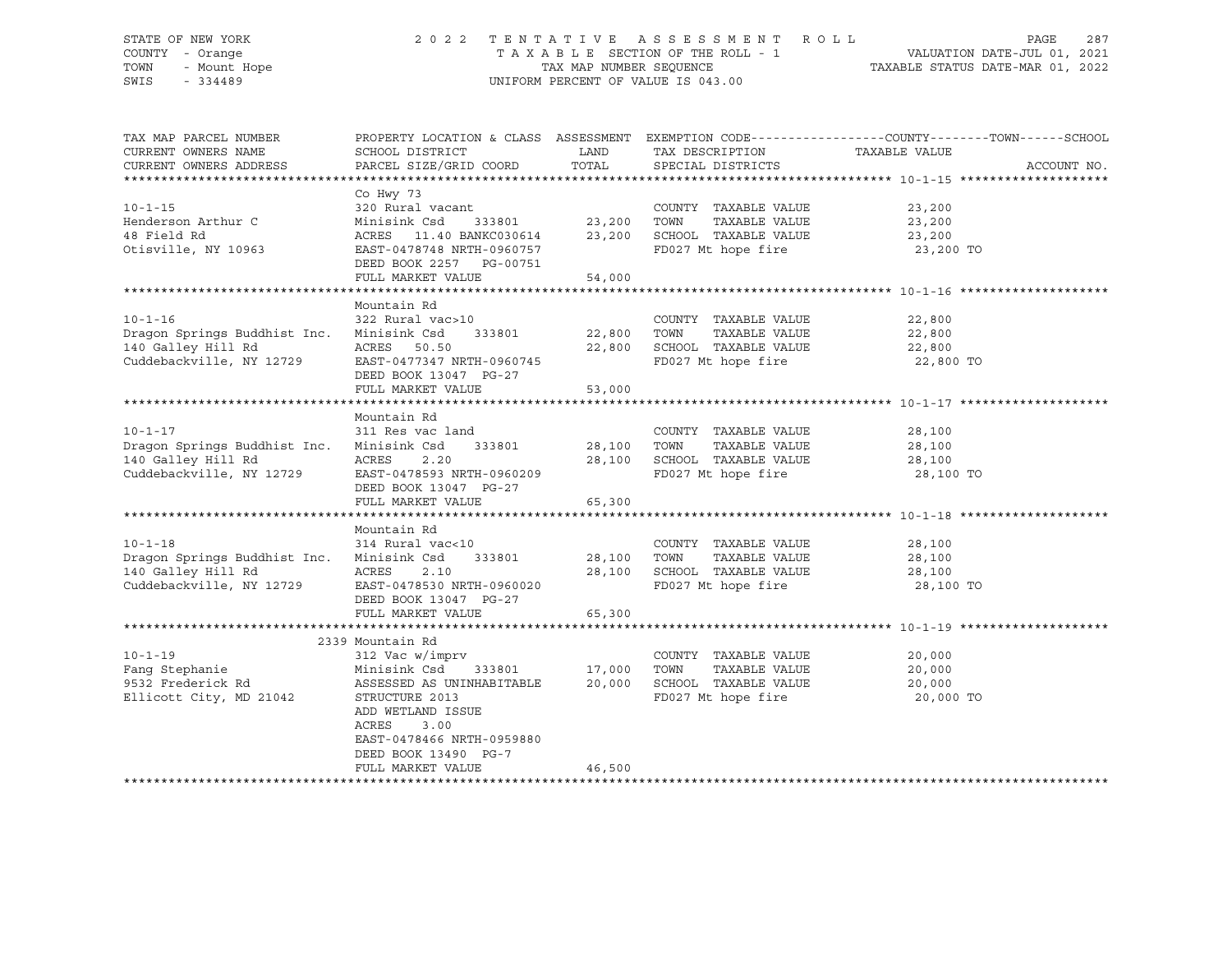## STATE OF NEW YORK 2 0 2 2 T E N T A T I V E A S S E S S M E N T R O L L PAGE 287 COUNTY - Orange T A X A B L E SECTION OF THE ROLL - 1 VALUATION DATE-JUL 01, 2021 TOWN - Mount Hope TAX NAP NUMBER SEQUENCE TAXABLE STATUS DATE-MAR 01, 2022<br>TAXABLE STATUS DATE-MAR 01, 2022 UNIFORM PERCENT OF VALUE IS 043.00

TAX MAP PARCEL NUMBER PROPERTY LOCATION & CLASS ASSESSMENT EXEMPTION CODE------------------COUNTY--------TOWN------SCHOOL CURRENT OWNERS NAME SCHOOL DISTRICT A LAND TAX DESCRIPTION TAXABLE VALUE CURRENT OWNERS ADDRESS PARCEL SIZE/GRID COORD TOTAL SPECIAL DISTRICTS ACCOUNT NO. \*\*\*\*\*\*\*\*\*\*\*\*\*\*\*\*\*\*\*\*\*\*\*\*\*\*\*\*\*\*\*\*\*\*\*\*\*\*\*\*\*\*\*\*\*\*\*\*\*\*\*\*\*\*\*\*\*\*\*\*\*\*\*\*\*\*\*\*\*\*\*\*\*\*\*\*\*\*\*\*\*\*\*\*\*\*\*\*\*\*\*\*\*\*\*\*\*\*\*\*\*\*\* 10-1-15 \*\*\*\*\*\*\*\*\*\*\*\*\*\*\*\*\*\*\*\* Co Hwy 73 10-1-15 320 Rural vacant COUNTY TAXABLE VALUE 23,200 Henderson Arthur C Minisink Csd 333801 23,200 TOWN TAXABLE VALUE 23,200 48 Field Rd ACRES 11.40 BANKC030614 23,200 SCHOOL TAXABLE VALUE 23,200 Otisville, NY 10963 EAST-0478748 NRTH-0960757 FD027 Mt hope fire 23,200 TO DEED BOOK 2257 PG-00751 FULL MARKET VALUE 54,000 \*\*\*\*\*\*\*\*\*\*\*\*\*\*\*\*\*\*\*\*\*\*\*\*\*\*\*\*\*\*\*\*\*\*\*\*\*\*\*\*\*\*\*\*\*\*\*\*\*\*\*\*\*\*\*\*\*\*\*\*\*\*\*\*\*\*\*\*\*\*\*\*\*\*\*\*\*\*\*\*\*\*\*\*\*\*\*\*\*\*\*\*\*\*\*\*\*\*\*\*\*\*\* 10-1-16 \*\*\*\*\*\*\*\*\*\*\*\*\*\*\*\*\*\*\*\* Mountain Rd 10-1-16 322 Rural vac>10 COUNTY TAXABLE VALUE 22,800 Dragon Springs Buddhist Inc. Minisink Csd 333801 22,800 TOWN TAXABLE VALUE 22,800 140 Galley Hill Rd ACRES 50.50 22,800 SCHOOL TAXABLE VALUE 22,800 Cuddebackville, NY 12729 BAST-0477347 NRTH-0960745 FD027 Mt hope fire 22,800 TO DEED BOOK 13047 PG-27 FULL MARKET VALUE 53,000 \*\*\*\*\*\*\*\*\*\*\*\*\*\*\*\*\*\*\*\*\*\*\*\*\*\*\*\*\*\*\*\*\*\*\*\*\*\*\*\*\*\*\*\*\*\*\*\*\*\*\*\*\*\*\*\*\*\*\*\*\*\*\*\*\*\*\*\*\*\*\*\*\*\*\*\*\*\*\*\*\*\*\*\*\*\*\*\*\*\*\*\*\*\*\*\*\*\*\*\*\*\*\* 10-1-17 \*\*\*\*\*\*\*\*\*\*\*\*\*\*\*\*\*\*\*\* Mountain Rd<br>311 Res vac land 10-1-17 311 Res vac land COUNTY TAXABLE VALUE 28,100 Dragon Springs Buddhist Inc. Minisink Csd 333801 28,100 TOWN TAXABLE VALUE 28,100 140 Galley Hill Rd ACRES 2.20 28,100 SCHOOL TAXABLE VALUE 28,100 Cuddebackville, NY 12729 EAST-0478593 NRTH-0960209 FD027 Mt hope fire 28,100 TO DEED BOOK 13047 PG-27 FULL MARKET VALUE 65,300 \*\*\*\*\*\*\*\*\*\*\*\*\*\*\*\*\*\*\*\*\*\*\*\*\*\*\*\*\*\*\*\*\*\*\*\*\*\*\*\*\*\*\*\*\*\*\*\*\*\*\*\*\*\*\*\*\*\*\*\*\*\*\*\*\*\*\*\*\*\*\*\*\*\*\*\*\*\*\*\*\*\*\*\*\*\*\*\*\*\*\*\*\*\*\*\*\*\*\*\*\*\*\* 10-1-18 \*\*\*\*\*\*\*\*\*\*\*\*\*\*\*\*\*\*\*\* Mountain Rd 10-1-18 314 Rural vac<10 COUNTY TAXABLE VALUE 28,100 Dragon Springs Buddhist Inc. Minisink Csd 333801 28,100 TOWN TAXABLE VALUE 28,100 140 Galley Hill Rd ACRES 2.10 28,100 SCHOOL TAXABLE VALUE 28,100 Cuddebackville, NY 12729 EAST-0478530 NRTH-0960020 FD027 Mt hope fire 28,100 TO DEED BOOK 13047 PG-27 FULL MARKET VALUE 65,300 \*\*\*\*\*\*\*\*\*\*\*\*\*\*\*\*\*\*\*\*\*\*\*\*\*\*\*\*\*\*\*\*\*\*\*\*\*\*\*\*\*\*\*\*\*\*\*\*\*\*\*\*\*\*\*\*\*\*\*\*\*\*\*\*\*\*\*\*\*\*\*\*\*\*\*\*\*\*\*\*\*\*\*\*\*\*\*\*\*\*\*\*\*\*\*\*\*\*\*\*\*\*\* 10-1-19 \*\*\*\*\*\*\*\*\*\*\*\*\*\*\*\*\*\*\*\* 2339 Mountain Rd<br>2339 Mountain Rd<br>312 Vac w/im 10-1-19 312 Vac w/imprv COUNTY TAXABLE VALUE 20,000 Fang Stephanie Minisink Csd 333801 17,000 TOWN TAXABLE VALUE 20,000 9532 Frederick Rd ASSESSED AS UNINHABITABLE 20,000 SCHOOL TAXABLE VALUE 20,000 STRUCTURE 2013 FD027 Mt hope fire 20,000 TO ADD WETLAND ISSUE ACRES 3.00 EAST-0478466 NRTH-0959880 DEED BOOK 13490 PG-7 FULL MARKET VALUE 46,500 \*\*\*\*\*\*\*\*\*\*\*\*\*\*\*\*\*\*\*\*\*\*\*\*\*\*\*\*\*\*\*\*\*\*\*\*\*\*\*\*\*\*\*\*\*\*\*\*\*\*\*\*\*\*\*\*\*\*\*\*\*\*\*\*\*\*\*\*\*\*\*\*\*\*\*\*\*\*\*\*\*\*\*\*\*\*\*\*\*\*\*\*\*\*\*\*\*\*\*\*\*\*\*\*\*\*\*\*\*\*\*\*\*\*\*\*\*\*\*\*\*\*\*\*\*\*\*\*\*\*\*\*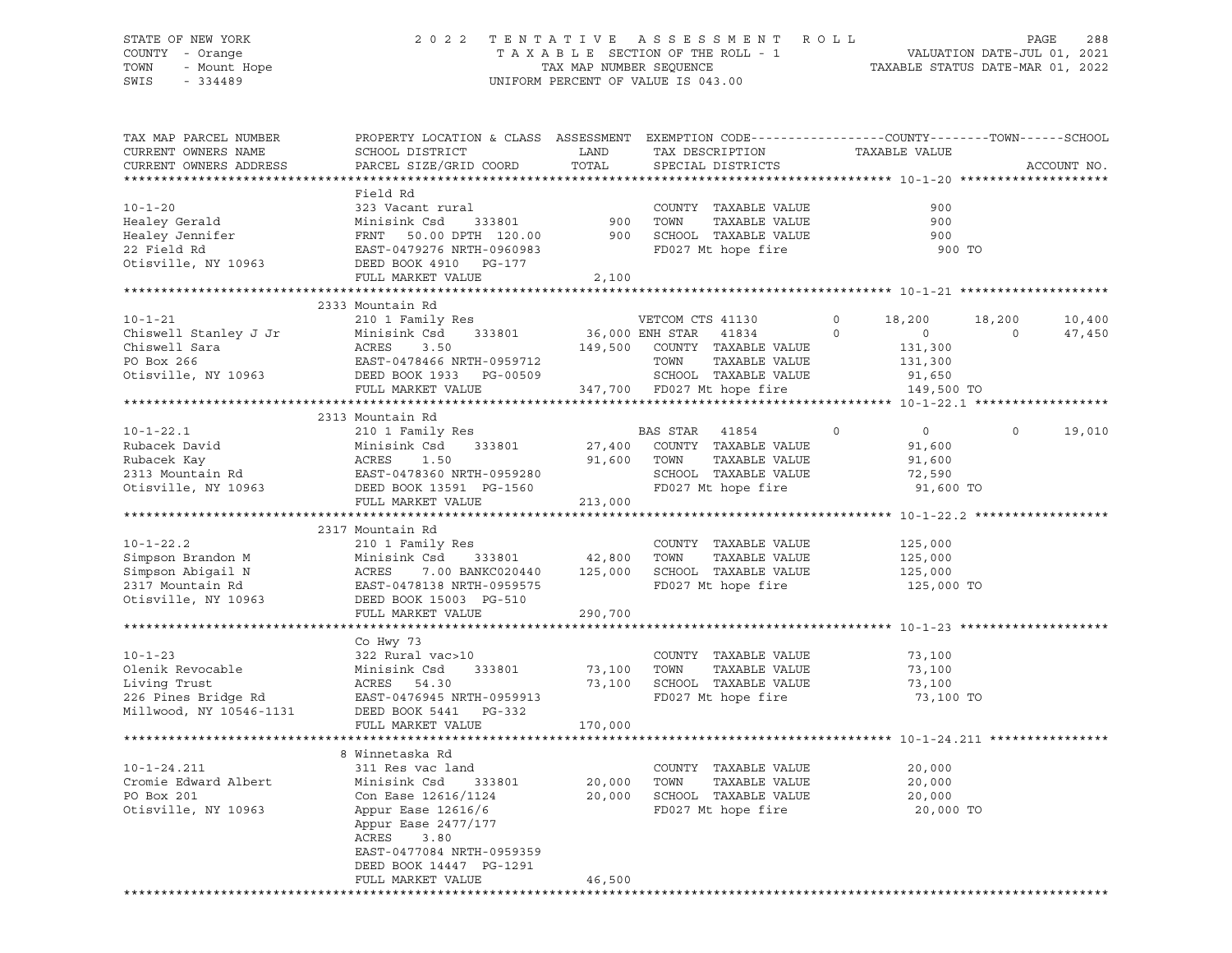## STATE OF NEW YORK 2 0 2 2 T E N T A T I V E A S S E S S M E N T R O L L PAGE 288 COUNTY - Orange T A X A B L E SECTION OF THE ROLL - 1 VALUATION DATE-JUL 01, 2021 TOWN - Mount Hope TAX MAP NUMBER SEQUENCE TAXABLE STATUS DATE-MAR 01, 2022 SWIS - 334489 UNIFORM PERCENT OF VALUE IS 043.00

| TAX MAP PARCEL NUMBER<br>CURRENT OWNERS NAME               | PROPERTY LOCATION & CLASS ASSESSMENT<br>SCHOOL DISTRICT                                    | LAND            | EXEMPTION CODE-----------------COUNTY-------TOWN------SCHOOL<br>TAX DESCRIPTION | TAXABLE VALUE             |                   |
|------------------------------------------------------------|--------------------------------------------------------------------------------------------|-----------------|---------------------------------------------------------------------------------|---------------------------|-------------------|
| CURRENT OWNERS ADDRESS                                     | PARCEL SIZE/GRID COORD                                                                     | TOTAL           | SPECIAL DISTRICTS                                                               |                           | ACCOUNT NO.       |
| ***********************                                    |                                                                                            |                 |                                                                                 |                           |                   |
|                                                            | Field Rd                                                                                   |                 |                                                                                 |                           |                   |
| $10 - 1 - 20$                                              | 323 Vacant rural                                                                           |                 | COUNTY TAXABLE VALUE                                                            | 900                       |                   |
| Healey Gerald                                              | Minisink Csd<br>333801                                                                     | 900             | TOWN<br>TAXABLE VALUE                                                           | 900                       |                   |
| Healey Jennifer                                            | FRNT 50.00 DPTH 120.00                                                                     | 900             | SCHOOL TAXABLE VALUE                                                            | 900                       |                   |
| 22 Field Rd                                                | EAST-0479276 NRTH-0960983                                                                  |                 | FD027 Mt hope fire                                                              | 900 TO                    |                   |
| Otisville, NY 10963                                        | DEED BOOK 4910 PG-177                                                                      |                 |                                                                                 |                           |                   |
|                                                            | FULL MARKET VALUE                                                                          | 2,100           |                                                                                 |                           |                   |
|                                                            |                                                                                            |                 |                                                                                 |                           |                   |
|                                                            | 2333 Mountain Rd                                                                           |                 |                                                                                 |                           |                   |
| $10 - 1 - 21$                                              | 210 1 Family Res                                                                           |                 | VETCOM CTS 41130                                                                | $\circ$<br>18,200         | 18,200<br>10,400  |
| Chiswell Stanley J Jr                                      | Minisink Csd<br>333801                                                                     | 36,000 ENH STAR | 41834                                                                           | $\circ$<br>$\circ$        | $\circ$<br>47,450 |
| Chiswell Sara                                              | ACRES<br>3.50                                                                              |                 | 149,500 COUNTY TAXABLE VALUE                                                    | 131,300                   |                   |
| PO Box 266                                                 | EAST-0478466 NRTH-0959712                                                                  |                 | TAXABLE VALUE<br>TOWN                                                           | 131,300                   |                   |
| Otisville, NY 10963                                        | DEED BOOK 1933 PG-00509                                                                    |                 | SCHOOL TAXABLE VALUE                                                            | 91,650                    |                   |
|                                                            | FULL MARKET VALUE                                                                          |                 | 347,700 FD027 Mt hope fire                                                      | 149,500 TO                |                   |
|                                                            |                                                                                            |                 |                                                                                 |                           |                   |
|                                                            | 2313 Mountain Rd                                                                           |                 |                                                                                 |                           |                   |
| $10 - 1 - 22.1$                                            | 210 1 Family Res                                                                           |                 | BAS STAR 41854                                                                  | $\circ$<br>$\overline{0}$ | $\circ$<br>19,010 |
| Rubacek David                                              | Minisink Csd<br>333801                                                                     | 27,400          | COUNTY TAXABLE VALUE                                                            | 91,600                    |                   |
|                                                            |                                                                                            | 91,600          | TOWN<br>TAXABLE VALUE                                                           | 91,600                    |                   |
| Rubacek Kay<br>2313 Mountain Rd<br>Otisvill                | Minisink Csd 333801<br>ACRES 1.50<br>EAST-0478360 NRTH-0959280<br>EAST-0478360 NRTH-035560 |                 | SCHOOL TAXABLE VALUE                                                            | 72,590                    |                   |
| Otisville, NY 10963                                        | DEED BOOK 13591 PG-1560                                                                    |                 | FD027 Mt hope fire                                                              | 91,600 TO                 |                   |
|                                                            | FULL MARKET VALUE                                                                          | 213,000         |                                                                                 |                           |                   |
|                                                            |                                                                                            |                 |                                                                                 |                           |                   |
|                                                            | 2317 Mountain Rd                                                                           |                 |                                                                                 |                           |                   |
| $10 - 1 - 22.2$                                            | 210 1 Family Res                                                                           |                 | COUNTY TAXABLE VALUE                                                            | 125,000                   |                   |
|                                                            | Minisink Csd<br>333801                                                                     | 42,800          | TOWN<br>TAXABLE VALUE                                                           | 125,000                   |                   |
|                                                            | ACRES<br>7.00 BANKC020440                                                                  |                 | 125,000 SCHOOL TAXABLE VALUE                                                    | 125,000                   |                   |
| Simpson Brandon M<br>Simpson Abigail N<br>2317 Mountain Rd | EAST-0478138 NRTH-0959575                                                                  |                 | FD027 Mt hope fire                                                              | 125,000 TO                |                   |
| Otisville, NY 10963                                        | DEED BOOK 15003 PG-510                                                                     |                 |                                                                                 |                           |                   |
|                                                            | FULL MARKET VALUE                                                                          | 290,700         |                                                                                 |                           |                   |
|                                                            |                                                                                            |                 |                                                                                 |                           |                   |
|                                                            |                                                                                            |                 |                                                                                 |                           |                   |
|                                                            | Co Hwy 73                                                                                  |                 |                                                                                 |                           |                   |
| $10 - 1 - 23$                                              | 322 Rural vac>10                                                                           |                 | COUNTY TAXABLE VALUE                                                            | 73,100                    |                   |
| Olenik Revocable                                           | 333801<br>Minisink Csd                                                                     | 73,100          | TAXABLE VALUE<br>TOWN                                                           | 73,100                    |                   |
| Living Trust                                               | ACRES 54.30                                                                                |                 | 73,100 SCHOOL TAXABLE VALUE                                                     | 73,100                    |                   |
| 226 Pines Bridge Rd                                        | EAST-0476945 NRTH-0959913                                                                  |                 | FD027 Mt hope fire                                                              | 73,100 TO                 |                   |
| Millwood, NY 10546-1131                                    | DEED BOOK 5441 PG-332                                                                      |                 |                                                                                 |                           |                   |
|                                                            | FULL MARKET VALUE                                                                          | 170,000         |                                                                                 |                           |                   |
|                                                            |                                                                                            |                 |                                                                                 |                           |                   |
|                                                            | 8 Winnetaska Rd                                                                            |                 |                                                                                 |                           |                   |
| $10 - 1 - 24.211$                                          | 311 Res vac land                                                                           |                 | COUNTY TAXABLE VALUE                                                            | 20,000                    |                   |
| Cromie Edward Albert                                       | Minisink Csd<br>333801                                                                     | 20,000          | TOWN<br>TAXABLE VALUE                                                           | 20,000                    |                   |
| PO Box 201                                                 | Con Ease 12616/1124                                                                        | 20,000          | SCHOOL TAXABLE VALUE                                                            | 20,000                    |                   |
| Otisville, NY 10963                                        | Appur Ease 12616/6                                                                         |                 | FD027 Mt hope fire                                                              | 20,000 TO                 |                   |
|                                                            | Appur Ease 2477/177                                                                        |                 |                                                                                 |                           |                   |
|                                                            | ACRES<br>3.80                                                                              |                 |                                                                                 |                           |                   |
|                                                            | EAST-0477084 NRTH-0959359                                                                  |                 |                                                                                 |                           |                   |
|                                                            | DEED BOOK 14447 PG-1291                                                                    |                 |                                                                                 |                           |                   |
|                                                            | FULL MARKET VALUE                                                                          | 46,500          |                                                                                 |                           |                   |
|                                                            |                                                                                            |                 |                                                                                 |                           |                   |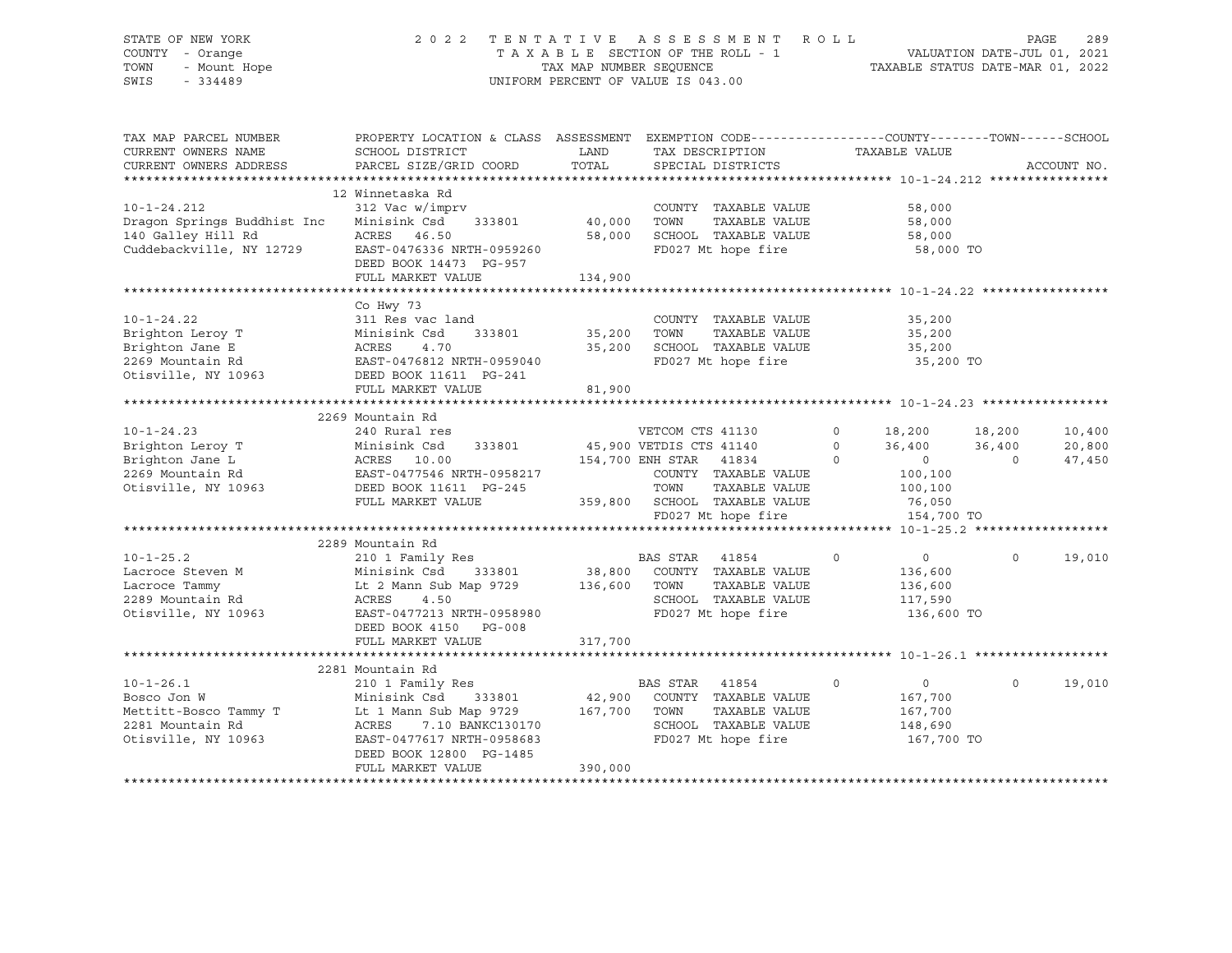# STATE OF NEW YORK 2 0 2 2 T E N T A T I V E A S S E S S M E N T R O L L PAGE 289 COUNTY - Orange T A X A B L E SECTION OF THE ROLL - 1 VALUATION DATE-JUL 01, 2021 TOWN - Mount Hope TAX MAP NUMBER SEQUENCE TAXABLE STATUS DATE-MAR 01, 2022 SWIS - 334489 UNIFORM PERCENT OF VALUE IS 043.00

| TAX MAP PARCEL NUMBER<br>CURRENT OWNERS NAME<br>CURRENT OWNERS ADDRESS                             | PROPERTY LOCATION & CLASS ASSESSMENT EXEMPTION CODE----------------COUNTY-------TOWN------SCHOOL<br>SCHOOL DISTRICT<br>PARCEL SIZE/GRID COORD                                                      | LAND<br>TOTAL                |                                             | TAX DESCRIPTION<br>SPECIAL DISTRICTS                                                              |                    | TAXABLE VALUE                                                 |                  | ACCOUNT NO.      |
|----------------------------------------------------------------------------------------------------|----------------------------------------------------------------------------------------------------------------------------------------------------------------------------------------------------|------------------------------|---------------------------------------------|---------------------------------------------------------------------------------------------------|--------------------|---------------------------------------------------------------|------------------|------------------|
| $10 - 1 - 24.212$<br>Dragon Springs Buddhist Inc<br>140 Galley Hill Rd<br>Cuddebackville, NY 12729 | 12 Winnetaska Rd<br>312 Vac w/imprv<br>Minisink Csd<br>333801<br>ACRES<br>46.50<br>EAST-0476336 NRTH-0959260<br>DEED BOOK 14473 PG-957<br>FULL MARKET VALUE                                        | 40,000<br>58,000<br>134,900  | TOWN                                        | COUNTY TAXABLE VALUE<br>TAXABLE VALUE<br>SCHOOL TAXABLE VALUE<br>FD027 Mt hope fire               |                    | 58,000<br>58,000<br>58,000<br>58,000 TO                       |                  |                  |
|                                                                                                    |                                                                                                                                                                                                    |                              |                                             |                                                                                                   |                    |                                                               |                  |                  |
| $10 - 1 - 24.22$<br>Brighton Leroy T<br>Brighton Jane E<br>2269 Mountain Rd<br>Otisville, NY 10963 | Co Hwy 73<br>311 Res vac land<br>Minisink Csd<br>333801<br>4.70<br>ACRES<br>EAST-0476812 NRTH-0959040<br>DEED BOOK 11611 PG-241                                                                    | 35,200<br>35,200             | TOWN                                        | COUNTY TAXABLE VALUE<br>TAXABLE VALUE<br>SCHOOL TAXABLE VALUE<br>FD027 Mt hope fire               |                    | 35,200<br>35,200<br>35,200<br>35,200 TO                       |                  |                  |
|                                                                                                    | FULL MARKET VALUE                                                                                                                                                                                  | 81,900                       |                                             |                                                                                                   |                    |                                                               |                  |                  |
|                                                                                                    |                                                                                                                                                                                                    |                              |                                             |                                                                                                   |                    |                                                               |                  |                  |
|                                                                                                    | 2269 Mountain Rd                                                                                                                                                                                   |                              |                                             |                                                                                                   |                    |                                                               |                  |                  |
| $10 - 1 - 24.23$<br>Brighton Leroy T                                                               | 240 Rural res<br>333801<br>Minisink Csd                                                                                                                                                            |                              | VETCOM CTS 41130<br>45,900 VETDIS CTS 41140 |                                                                                                   | $\circ$<br>$\circ$ | 18,200<br>36,400                                              | 18,200<br>36,400 | 10,400<br>20,800 |
| Brighton Jane L<br>2269 Mountain Rd<br>Otisville, NY 10963                                         | ACRES 10.00<br>EAST-0477546 NRTH-0958217<br>DEED BOOK 11611 PG-245<br>FULL MARKET VALUE                                                                                                            | 359,800                      | 154,700 ENH STAR 41834<br>TOWN              | COUNTY TAXABLE VALUE<br>TAXABLE VALUE<br>SCHOOL TAXABLE VALUE<br>FD027 Mt hope fire               | $\Omega$           | $\overline{0}$<br>100,100<br>100,100<br>76,050<br>154,700 TO  | $\Omega$         | 47,450           |
|                                                                                                    |                                                                                                                                                                                                    |                              |                                             |                                                                                                   |                    |                                                               |                  |                  |
| $10 - 1 - 25.2$<br>Lacroce Steven M<br>Lacroce Tammy<br>2289 Mountain Rd<br>Otisville, NY 10963    | 2289 Mountain Rd<br>210 1 Family Res<br>Minisink Csd<br>Lt 2 Mann Sub Map 9729<br>ACRES<br>4.50<br>EAST-0477213 NRTH-0958980<br>DEED BOOK 4150 PG-008<br>FULL MARKET VALUE                         | 136,600 TOWN<br>317,700      | BAS STAR 41854                              | 333801 38,800 COUNTY TAXABLE VALUE<br>TAXABLE VALUE<br>SCHOOL TAXABLE VALUE<br>FD027 Mt hope fire | $\Omega$           | $\overline{0}$<br>136,600<br>136,600<br>117,590<br>136,600 TO | $\Omega$         | 19,010           |
|                                                                                                    |                                                                                                                                                                                                    |                              |                                             |                                                                                                   |                    |                                                               |                  |                  |
| $10 - 1 - 26.1$<br>Bosco Jon W<br>Mettitt-Bosco Tammy T<br>2281 Mountain Rd<br>Otisville, NY 10963 | 2281 Mountain Rd<br>210 1 Family Res<br>Minisink Csd<br>333801<br>Lt 1 Mann Sub Map 9729<br>ACRES<br>7.10 BANKC130170<br>EAST-0477617 NRTH-0958683<br>DEED BOOK 12800 PG-1485<br>FULL MARKET VALUE | 42,900<br>167,700<br>390,000 | BAS STAR<br>TOWN                            | 41854<br>COUNTY TAXABLE VALUE<br>TAXABLE VALUE<br>SCHOOL TAXABLE VALUE<br>FD027 Mt hope fire      | $\mathbf 0$        | $\overline{0}$<br>167,700<br>167,700<br>148,690<br>167,700 TO | $\circ$          | 19,010           |
|                                                                                                    |                                                                                                                                                                                                    |                              |                                             |                                                                                                   |                    |                                                               |                  |                  |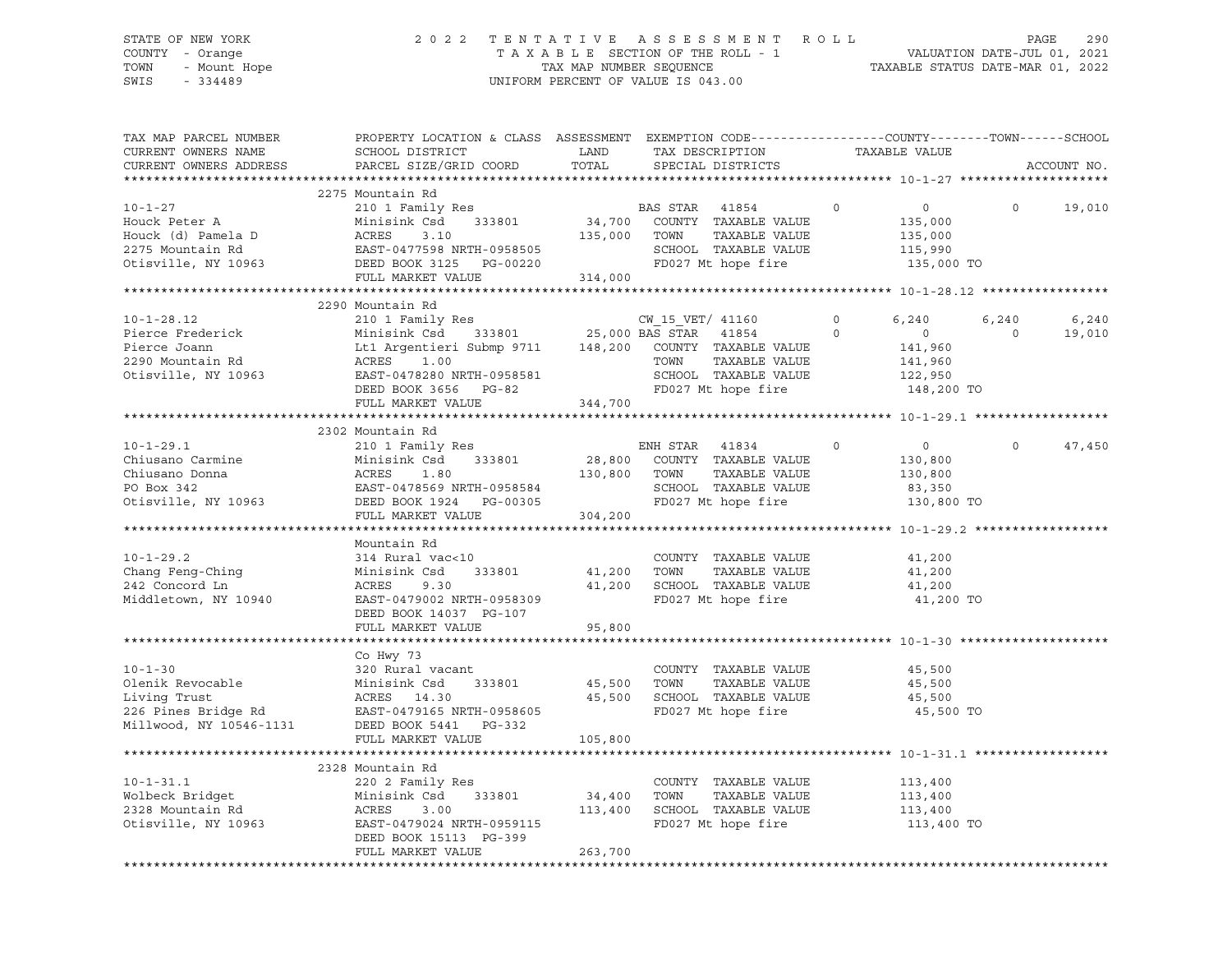# STATE OF NEW YORK 2 0 2 2 T E N T A T I V E A S S E S S M E N T R O L L PAGE 290 COUNTY - Orange T A X A B L E SECTION OF THE ROLL - 1 VALUATION DATE-JUL 01, 2021 TOWN - Mount Hope TAX MAP NUMBER SEQUENCE TAXABLE STATUS DATE-MAR 01, 2022 SWIS - 334489 UNIFORM PERCENT OF VALUE IS 043.00

| TAX MAP PARCEL NUMBER<br>CURRENT OWNERS NAME | PROPERTY LOCATION & CLASS ASSESSMENT EXEMPTION CODE----------------COUNTY-------TOWN------SCHOOL<br>SCHOOL DISTRICT                                                | LAND         | TAX DESCRIPTION                                    | TAXABLE VALUE              |                          |
|----------------------------------------------|--------------------------------------------------------------------------------------------------------------------------------------------------------------------|--------------|----------------------------------------------------|----------------------------|--------------------------|
| CURRENT OWNERS ADDRESS                       | PARCEL SIZE/GRID COORD                                                                                                                                             | TOTAL        | SPECIAL DISTRICTS                                  |                            | ACCOUNT NO.              |
|                                              |                                                                                                                                                                    |              |                                                    |                            |                          |
|                                              | 2275 Mountain Rd                                                                                                                                                   |              |                                                    |                            |                          |
| $10 - 1 - 27$                                | 210 1 Family Res                                                                                                                                                   |              | BAS STAR 41854                                     | $\Omega$<br>$\overline{0}$ | $\Omega$<br>19,010       |
| Houck Peter A                                | Minisink Csd                                                                                                                                                       |              | 333801 34,700 COUNTY TAXABLE VALUE                 | 135,000                    |                          |
| Houck (d) Pamela D                           | ACRES<br>3.10                                                                                                                                                      |              | 135,000 TOWN<br>TAXABLE VALUE                      | 135,000                    |                          |
| 2275 Mountain Rd                             |                                                                                                                                                                    |              | SCHOOL TAXABLE VALUE                               | 115,990                    |                          |
| Otisville, NY 10963                          | EAST-0477598 NRTH-0958505<br>DEED BOOK 3125 PG-00220                                                                                                               |              | FD027 Mt hope fire                                 | 135,000 TO                 |                          |
|                                              | FULL MARKET VALUE 314,000                                                                                                                                          |              |                                                    |                            |                          |
|                                              |                                                                                                                                                                    |              |                                                    |                            |                          |
|                                              | 2290 Mountain Rd                                                                                                                                                   |              |                                                    |                            |                          |
| $10 - 1 - 28.12$                             | 210 1 Family Res                                                                                                                                                   |              | CW 15 VET/ 41160                                   | $\circ$<br>6,240           | 6,240<br>6,240           |
| Pierce Frederick                             |                                                                                                                                                                    |              | 0 CW_15_VET/ 41160<br>333801 25,000 BAS STAR 41854 | $\overline{0}$             | 19,010<br>$\overline{0}$ |
| Pierce Joann                                 | Minisink Csd 333801 25,000 BAS STAR 41854 0<br>Lt1 Argentieri Submp 9711 148,200 COUNTY TAXABLE VALUE<br>ACRES 1.00 TOWN TAXABLE VALUE                             |              |                                                    | 141,960                    |                          |
| 2290 Mountain Rd                             |                                                                                                                                                                    |              |                                                    | 141,960                    |                          |
| Otisville, NY 10963                          | EAST-0478280 NRTH-0958581                                                                                                                                          |              | SCHOOL TAXABLE VALUE                               | 122,950                    |                          |
|                                              | DEED BOOK 3656 PG-82                                                                                                                                               |              | FD027 Mt hope fire                                 | 148,200 TO                 |                          |
|                                              | FULL MARKET VALUE                                                                                                                                                  | 344,700      |                                                    |                            |                          |
|                                              |                                                                                                                                                                    |              |                                                    |                            |                          |
|                                              | 2302 Mountain Rd                                                                                                                                                   |              |                                                    |                            |                          |
| $10 - 1 - 29.1$                              | 210 1 Family Res                                                                                                                                                   |              | ENH STAR<br>41834                                  | $\circ$<br>$\circ$         | $\circ$<br>47,450        |
| Chiusano Carmine                             |                                                                                                                                                                    |              | 28,800 COUNTY TAXABLE VALUE                        | 130,800                    |                          |
| Chiusano Donna                               |                                                                                                                                                                    | 130,800 TOWN | TAXABLE VALUE                                      | 130,800                    |                          |
| PO Box 342                                   |                                                                                                                                                                    |              | SCHOOL TAXABLE VALUE                               | 83,350                     |                          |
| Otisville, NY 10963                          | Minisink Csu<br>ACRES 1.80<br>EAST-0478569 NRTH-0958584<br>DEED BOOK 1924 PG-00305<br>----- MARKET VALUE                                                           |              | FD027 Mt hope fire                                 | 130,800 TO                 |                          |
|                                              | FULL MARKET VALUE 304,200                                                                                                                                          |              |                                                    |                            |                          |
|                                              |                                                                                                                                                                    |              |                                                    |                            |                          |
|                                              | Mountain Rd                                                                                                                                                        |              |                                                    |                            |                          |
| $10 - 1 - 29.2$                              | 314 Rural vac<10                                                                                                                                                   |              | COUNTY TAXABLE VALUE                               | 41,200                     |                          |
| Chang Feng-Ching                             |                                                                                                                                                                    | 41,200 TOWN  | TAXABLE VALUE                                      | 41,200                     |                          |
| 242 Concord Ln                               |                                                                                                                                                                    |              | 41,200 SCHOOL TAXABLE VALUE                        | 41,200                     |                          |
| Middletown, NY 10940                         |                                                                                                                                                                    |              | FD027 Mt hope fire                                 | 41,200 TO                  |                          |
|                                              | DEED BOOK 14037 PG-107                                                                                                                                             |              |                                                    |                            |                          |
|                                              | FULL MARKET VALUE                                                                                                                                                  | 95,800       |                                                    |                            |                          |
|                                              |                                                                                                                                                                    |              |                                                    |                            |                          |
|                                              | Co Hwy 73                                                                                                                                                          |              |                                                    |                            |                          |
| $10 - 1 - 30$                                | 320 Rural vacant                                                                                                                                                   |              | COUNTY TAXABLE VALUE                               | 45,500                     |                          |
|                                              |                                                                                                                                                                    | 45,500 TOWN  | TAXABLE VALUE                                      | 45,500                     |                          |
|                                              |                                                                                                                                                                    |              | 45,500 SCHOOL TAXABLE VALUE                        | 45,500                     |                          |
|                                              |                                                                                                                                                                    |              | FD027 Mt hope fire                                 | 45,500 TO                  |                          |
|                                              | Olenik Revocable Minisink Csd 333801<br>Living Trust ACRES 14.30<br>226 Pines Bridge Rd EAST-0479165 NRTH-0958605<br>Millwood, NY 10546-1131 DEED BOOK 5441 PG-332 |              |                                                    |                            |                          |
|                                              | FULL MARKET VALUE                                                                                                                                                  | 105,800      |                                                    |                            |                          |
|                                              |                                                                                                                                                                    |              |                                                    |                            |                          |
|                                              | 2328 Mountain Rd                                                                                                                                                   |              |                                                    |                            |                          |
| $10 - 1 - 31.1$                              | 220 2 Family Res                                                                                                                                                   |              | COUNTY TAXABLE VALUE                               | 113,400                    |                          |
| Wolbeck Bridget                              | 333801<br>Minisink Csd                                                                                                                                             | 34,400 TOWN  | TAXABLE VALUE                                      | 113,400                    |                          |
| 2328 Mountain Rd                             | ACRES<br>3.00                                                                                                                                                      |              | 113,400 SCHOOL TAXABLE VALUE                       | 113,400                    |                          |
| Otisville, NY 10963                          | EAST-0479024 NRTH-0959115                                                                                                                                          |              | FD027 Mt hope fire                                 | 113,400 TO                 |                          |
|                                              | DEED BOOK 15113 PG-399                                                                                                                                             |              |                                                    |                            |                          |
|                                              | FULL MARKET VALUE                                                                                                                                                  | 263,700      |                                                    |                            |                          |
|                                              |                                                                                                                                                                    |              |                                                    |                            |                          |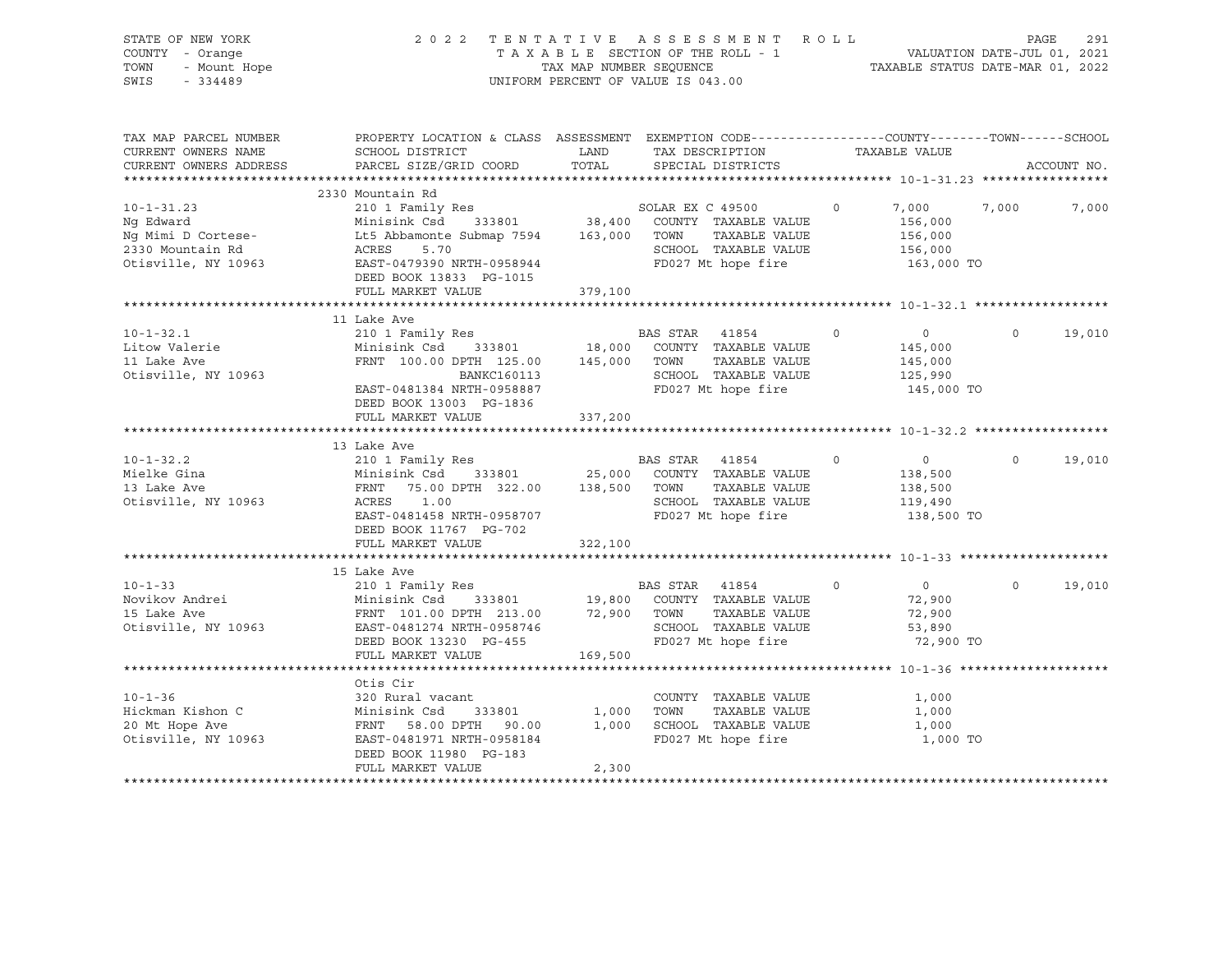| STATE OF NEW YORK            |                                                                                                                                                                                                                                                                                                                                                                                                                                          |         | 2022 TENTATIVE ASSESSMENT ROLL     |         |                             |          | 291<br>PAGE |
|------------------------------|------------------------------------------------------------------------------------------------------------------------------------------------------------------------------------------------------------------------------------------------------------------------------------------------------------------------------------------------------------------------------------------------------------------------------------------|---------|------------------------------------|---------|-----------------------------|----------|-------------|
| COUNTY - Orange              |                                                                                                                                                                                                                                                                                                                                                                                                                                          |         | TAXABLE SECTION OF THE ROLL - 1    |         | VALUATION DATE-JUL 01, 2021 |          |             |
| - Mount Hope<br>TOWN         | TAXABLE STATUS DATE-MAR 01, 2022<br>TAX MAP NUMBER SEQUENCE                                                                                                                                                                                                                                                                                                                                                                              |         |                                    |         |                             |          |             |
| $-334489$<br>SWIS            |                                                                                                                                                                                                                                                                                                                                                                                                                                          |         | UNIFORM PERCENT OF VALUE IS 043.00 |         |                             |          |             |
|                              |                                                                                                                                                                                                                                                                                                                                                                                                                                          |         |                                    |         |                             |          |             |
|                              |                                                                                                                                                                                                                                                                                                                                                                                                                                          |         |                                    |         |                             |          |             |
|                              |                                                                                                                                                                                                                                                                                                                                                                                                                                          |         |                                    |         |                             |          |             |
| TAX MAP PARCEL NUMBER        | PROPERTY LOCATION & CLASS ASSESSMENT EXEMPTION CODE---------------COUNTY-------TOWN-----SCHOOL                                                                                                                                                                                                                                                                                                                                           |         |                                    |         |                             |          |             |
| CURRENT OWNERS NAME          | SCHOOL DISTRICT                                                                                                                                                                                                                                                                                                                                                                                                                          | LAND    | TAX DESCRIPTION                    |         | TAXABLE VALUE               |          |             |
| CURRENT OWNERS ADDRESS       | PARCEL SIZE/GRID COORD                                                                                                                                                                                                                                                                                                                                                                                                                   | TOTAL   | SPECIAL DISTRICTS                  |         |                             |          | ACCOUNT NO. |
|                              |                                                                                                                                                                                                                                                                                                                                                                                                                                          |         |                                    |         |                             |          |             |
|                              | 2330 Mountain Rd                                                                                                                                                                                                                                                                                                                                                                                                                         |         |                                    |         |                             |          |             |
| $10 - 1 - 31.23$             | 210 1 Family Res                                                                                                                                                                                                                                                                                                                                                                                                                         |         | SOLAR EX C 49500                   | $\circ$ | 7,000                       | 7,000    | 7,000       |
| Ng Edward                    | Minisink Csd 333801 38,400 COUNTY TAXABLE VALUE                                                                                                                                                                                                                                                                                                                                                                                          |         |                                    |         | 156,000                     |          |             |
| Ng Mimi D Cortese-           | Lt5 Abbamonte Submap 7594 163,000 TOWN TAXABLE VALUE                                                                                                                                                                                                                                                                                                                                                                                     |         |                                    |         | 156,000                     |          |             |
| 2330 Mountain Rd             | LL5 Abbamonte Submap 7594<br>ACRES 5.70<br>EAST-0479390 NRTH-0958944                                                                                                                                                                                                                                                                                                                                                                     |         | SCHOOL TAXABLE VALUE               |         | 156,000                     |          |             |
| Otisville, NY 10963          |                                                                                                                                                                                                                                                                                                                                                                                                                                          |         | FD027 Mt hope fire                 |         | 163,000 TO                  |          |             |
|                              | DEED BOOK 13833 PG-1015                                                                                                                                                                                                                                                                                                                                                                                                                  |         |                                    |         |                             |          |             |
|                              | FULL MARKET VALUE                                                                                                                                                                                                                                                                                                                                                                                                                        | 379,100 |                                    |         |                             |          |             |
|                              |                                                                                                                                                                                                                                                                                                                                                                                                                                          |         |                                    |         |                             |          |             |
|                              | 11 Lake Ave                                                                                                                                                                                                                                                                                                                                                                                                                              |         |                                    |         |                             |          |             |
| $10 - 1 - 32.1$              |                                                                                                                                                                                                                                                                                                                                                                                                                                          |         | BAS STAR 41854                     | $\circ$ |                             | $\circ$  | 19,010      |
|                              | 210 1 Family Res                                                                                                                                                                                                                                                                                                                                                                                                                         |         |                                    |         | $\overline{0}$              |          |             |
| Litow Valerie<br>11 Lake Ave |                                                                                                                                                                                                                                                                                                                                                                                                                                          |         |                                    |         | 145,000                     |          |             |
|                              |                                                                                                                                                                                                                                                                                                                                                                                                                                          |         | TAXABLE VALUE                      |         | 145,000                     |          |             |
| Otisville, NY 10963          | BANKC160113                                                                                                                                                                                                                                                                                                                                                                                                                              |         | SCHOOL TAXABLE VALUE               |         | 125,990                     |          |             |
|                              | EAST-0481384 NRTH-0958887                                                                                                                                                                                                                                                                                                                                                                                                                |         | FD027 Mt hope fire                 |         | 145,000 TO                  |          |             |
|                              | DEED BOOK 13003 PG-1836                                                                                                                                                                                                                                                                                                                                                                                                                  |         |                                    |         |                             |          |             |
|                              | FULL MARKET VALUE                                                                                                                                                                                                                                                                                                                                                                                                                        | 337,200 |                                    |         |                             |          |             |
|                              |                                                                                                                                                                                                                                                                                                                                                                                                                                          |         |                                    |         |                             |          |             |
|                              | 13 Lake Ave                                                                                                                                                                                                                                                                                                                                                                                                                              |         |                                    |         |                             |          |             |
| $10 - 1 - 32.2$              | 210 1 Family Res                                                                                                                                                                                                                                                                                                                                                                                                                         |         | BAS STAR 41854                     | $\circ$ | $\overline{0}$              | $\circ$  | 19,010      |
| Mielke Gina                  | $\begin{array}{ccccccccc}\n\text{Minisink} & \text{C} & \text{C} & \text{C} & \text{C} & \text{C} & \text{C} & \text{C} & \text{C} & \text{C} \\ \text{Minisink} & \text{C} & \text{C} & \text{C} & \text{C} & \text{C} & \text{C} & \text{C} & \text{C} & \text{C} \\ \text{C} & \text{C} & \text{C} & \text{C} & \text{C} & \text{C} & \text{C} & \text{C} & \text{C} & \text{C} & \text{C} & \text{C} & \text{C} \\ \text{C} & \text$ |         |                                    |         | 138,500                     |          |             |
| 13 Lake Ave                  | FRNT 75.00 DPTH 322.00 138,500 TOWN                                                                                                                                                                                                                                                                                                                                                                                                      |         | TAXABLE VALUE                      |         | 138,500                     |          |             |
| Otisville, NY 10963          | ACRES<br>1.00                                                                                                                                                                                                                                                                                                                                                                                                                            |         | SCHOOL TAXABLE VALUE               |         | 119,490                     |          |             |
|                              | EAST-0481458 NRTH-0958707                                                                                                                                                                                                                                                                                                                                                                                                                |         | FD027 Mt hope fire                 |         | 138,500 TO                  |          |             |
|                              | DEED BOOK 11767 PG-702                                                                                                                                                                                                                                                                                                                                                                                                                   |         |                                    |         |                             |          |             |
|                              | FULL MARKET VALUE                                                                                                                                                                                                                                                                                                                                                                                                                        | 322,100 |                                    |         |                             |          |             |
|                              |                                                                                                                                                                                                                                                                                                                                                                                                                                          |         |                                    |         |                             |          |             |
|                              |                                                                                                                                                                                                                                                                                                                                                                                                                                          |         |                                    |         |                             |          |             |
| $10 - 1 - 33$                | 15 Lake Ave<br>210 1 Family Res                                                                                                                                                                                                                                                                                                                                                                                                          |         | BAS STAR 41854                     | $\circ$ | $\overline{0}$              | $\Omega$ | 19,010      |
|                              |                                                                                                                                                                                                                                                                                                                                                                                                                                          |         |                                    |         |                             |          |             |
| Novikov Andrei               | Minisink Csd 333801 19,800 COUNTY TAXABLE VALUE<br>FRNT 101.00 DPTH 213.00 72,900 TOWN TAXABLE VALUE                                                                                                                                                                                                                                                                                                                                     |         |                                    |         | 72,900                      |          |             |
| 15 Lake Ave                  |                                                                                                                                                                                                                                                                                                                                                                                                                                          |         | TAXABLE VALUE                      |         | 72,900                      |          |             |
| Otisville, NY 10963          | EAST-0481274 NRTH-0958746                                                                                                                                                                                                                                                                                                                                                                                                                |         | SCHOOL TAXABLE VALUE               |         | 53,890                      |          |             |
|                              | DEED BOOK 13230 PG-455                                                                                                                                                                                                                                                                                                                                                                                                                   |         | FD027 Mt hope fire                 |         | 72,900 TO                   |          |             |
|                              | FULL MARKET VALUE                                                                                                                                                                                                                                                                                                                                                                                                                        | 169,500 |                                    |         |                             |          |             |
|                              |                                                                                                                                                                                                                                                                                                                                                                                                                                          |         |                                    |         |                             |          |             |
|                              | Otis Cir                                                                                                                                                                                                                                                                                                                                                                                                                                 |         |                                    |         |                             |          |             |
| $10 - 1 - 36$                | 320 Rural vacant                                                                                                                                                                                                                                                                                                                                                                                                                         |         | COUNTY TAXABLE VALUE               |         | 1,000                       |          |             |
| Hickman Kishon C             | Minisink Csd<br>333801                                                                                                                                                                                                                                                                                                                                                                                                                   | 1,000   | TOWN<br>TAXABLE VALUE              |         | 1,000                       |          |             |
| 20 Mt Hope Ave               | FRNT 58.00 DPTH 90.00                                                                                                                                                                                                                                                                                                                                                                                                                    |         | 1,000 SCHOOL TAXABLE VALUE         |         | 1,000                       |          |             |
| Otisville, NY 10963          | EAST-0481971 NRTH-0958184                                                                                                                                                                                                                                                                                                                                                                                                                |         | FD027 Mt hope fire                 |         | 1,000 TO                    |          |             |
|                              | DEED BOOK 11980 PG-183                                                                                                                                                                                                                                                                                                                                                                                                                   |         |                                    |         |                             |          |             |
|                              | FULL MARKET VALUE                                                                                                                                                                                                                                                                                                                                                                                                                        | 2,300   |                                    |         |                             |          |             |
|                              |                                                                                                                                                                                                                                                                                                                                                                                                                                          |         |                                    |         |                             |          |             |
|                              |                                                                                                                                                                                                                                                                                                                                                                                                                                          |         |                                    |         |                             |          |             |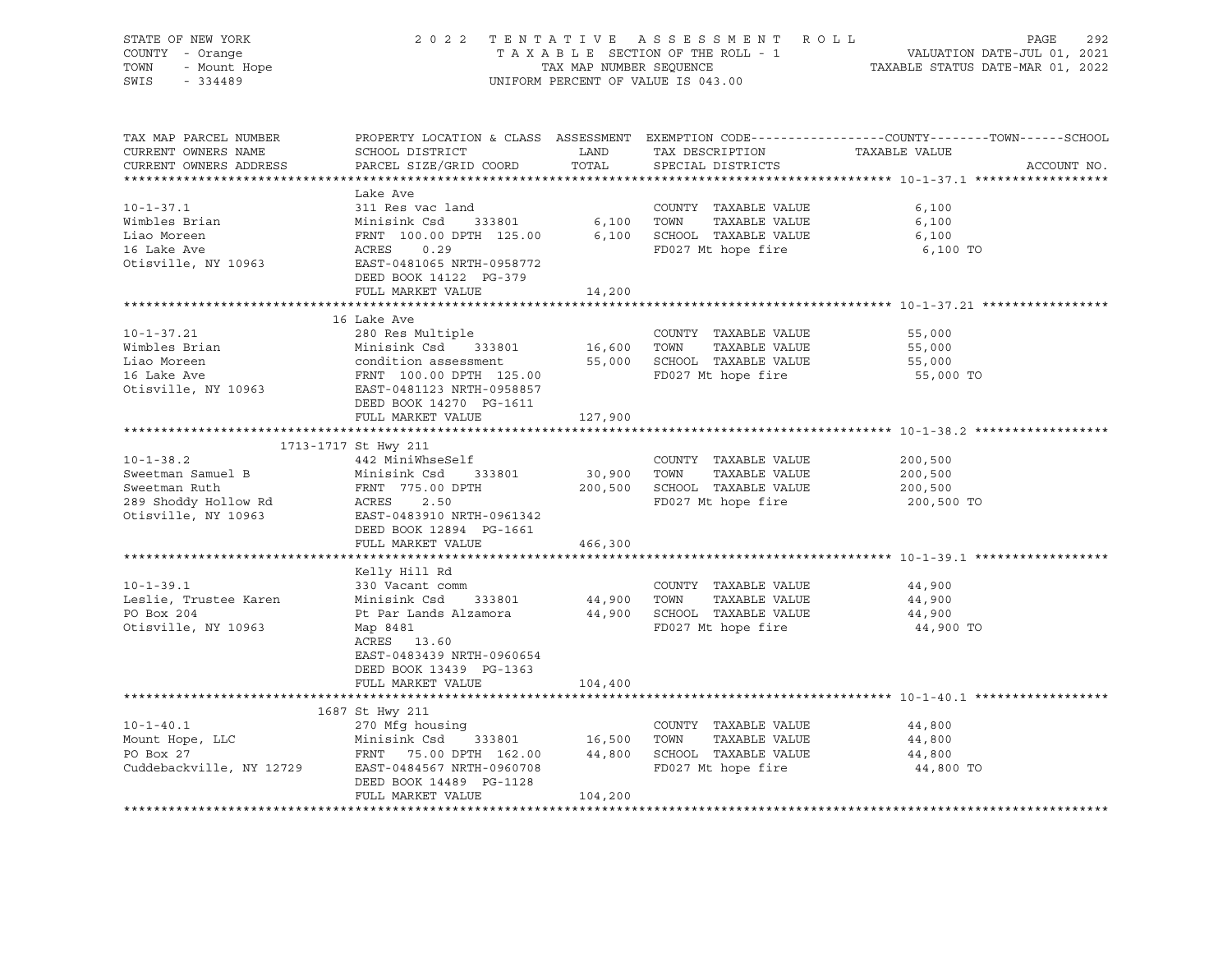| STATE OF NEW YORK<br>COUNTY - Orange<br>OF NEW TOOL<br>- Orange<br>- Mount Hope<br>TOWN<br>SWIS | 2022 TENTATIVE ASSESSMENT ROLL<br>UNIFORM PERCENT OF VALUE IS 043.00                                                                                                                       | PAGE<br>292 |                                                                       |                                                                                                                                |
|-------------------------------------------------------------------------------------------------|--------------------------------------------------------------------------------------------------------------------------------------------------------------------------------------------|-------------|-----------------------------------------------------------------------|--------------------------------------------------------------------------------------------------------------------------------|
|                                                                                                 |                                                                                                                                                                                            |             |                                                                       |                                                                                                                                |
| TAX MAP PARCEL NUMBER<br>CURRENT OWNERS NAME<br>CURRENT OWNERS ADDRESS                          | SCHOOL DISTRICT<br>PARCEL SIZE/GRID COORD                                                                                                                                                  | TOTAL       | LAND TAX DESCRIPTION<br>SPECIAL DISTRICTS                             | PROPERTY LOCATION & CLASS ASSESSMENT EXEMPTION CODE---------------COUNTY-------TOWN-----SCHOOL<br>TAXABLE VALUE<br>ACCOUNT NO. |
|                                                                                                 |                                                                                                                                                                                            |             |                                                                       |                                                                                                                                |
|                                                                                                 | Lake Ave                                                                                                                                                                                   |             |                                                                       |                                                                                                                                |
| $10 - 1 - 37.1$                                                                                 | 311 Res vac land                                                                                                                                                                           |             | COUNTY TAXABLE VALUE                                                  | 6,100                                                                                                                          |
| Wimbles Brian                                                                                   |                                                                                                                                                                                            |             |                                                                       | 6,100                                                                                                                          |
| Liao Moreen                                                                                     |                                                                                                                                                                                            |             |                                                                       | 6,100                                                                                                                          |
| 16 Lake Ave                                                                                     |                                                                                                                                                                                            |             |                                                                       | 6,100 TO                                                                                                                       |
| Otisville, NY 10963                                                                             | Minisink Csd 333801 6,100 TOWN TAXABLE VALUE<br>FRNT 100.00 DPTH 125.00 6,100 SCHOOL TAXABLE VALUE<br>ACRES 0.29 FD027 Mt hope fire<br>EAST-0481065 NRTH-0958772<br>DEED BOOK 14122 PG-379 |             |                                                                       |                                                                                                                                |
|                                                                                                 | FULL MARKET VALUE                                                                                                                                                                          | 14,200      |                                                                       |                                                                                                                                |
|                                                                                                 |                                                                                                                                                                                            |             |                                                                       |                                                                                                                                |
|                                                                                                 | 16 Lake Ave                                                                                                                                                                                |             |                                                                       |                                                                                                                                |
| $10 - 1 - 37.21$                                                                                | 280 Res Multiple                                                                                                                                                                           |             | COUNTY TAXABLE VALUE                                                  | 55,000                                                                                                                         |
| Wimbles Brian                                                                                   | Minisink Csd 333801                                                                                                                                                                        | 16,600 TOWN | TAXABLE VALUE                                                         | 55,000                                                                                                                         |
| Liao Moreen                                                                                     |                                                                                                                                                                                            |             | 55,000 SCHOOL TAXABLE VALUE                                           | 55,000                                                                                                                         |
| 16 Lake Ave                                                                                     | Minisink Csd 333801<br>condition assessment<br>FRNT 100.00 DPTH 125.00<br>EAST-0481123 NRTH-0958857                                                                                        |             | FD027 Mt hope fire                                                    | 55,000 TO                                                                                                                      |
| Otisville, NY 10963                                                                             | DEED BOOK 14270 PG-1611                                                                                                                                                                    |             |                                                                       |                                                                                                                                |
|                                                                                                 | FULL MARKET VALUE                                                                                                                                                                          | 127,900     |                                                                       |                                                                                                                                |
|                                                                                                 |                                                                                                                                                                                            |             |                                                                       |                                                                                                                                |
|                                                                                                 | 1713-1717 St Hwy 211                                                                                                                                                                       |             |                                                                       |                                                                                                                                |
| $10 - 1 - 38.2$                                                                                 | 442 MiniWhseSelf                                                                                                                                                                           |             | COUNTY TAXABLE VALUE                                                  | 200,500                                                                                                                        |
| Sweetman Samuel B                                                                               | Minisink Csd 333801                                                                                                                                                                        | 30,900 TOWN | TAXABLE VALUE                                                         | 200,500                                                                                                                        |
| Sweetman Ruth                                                                                   | FRNT 775.00 DPTH                                                                                                                                                                           |             | 200,500 SCHOOL TAXABLE VALUE                                          | 200,500                                                                                                                        |
| 289 Shoddy Hollow Rd<br>Otisville, NY 10963                                                     | ACRES 2.50                                                                                                                                                                                 |             | FD027 Mt hope fire                                                    | 200,500 TO                                                                                                                     |
|                                                                                                 | EAST-0483910 NRTH-0961342                                                                                                                                                                  |             |                                                                       |                                                                                                                                |
|                                                                                                 | DEED BOOK 12894 PG-1661                                                                                                                                                                    |             |                                                                       |                                                                                                                                |
|                                                                                                 | FULL MARKET VALUE                                                                                                                                                                          | 466,300     |                                                                       |                                                                                                                                |
|                                                                                                 | Kelly Hill Rd                                                                                                                                                                              |             |                                                                       |                                                                                                                                |
| $10 - 1 - 39.1$                                                                                 | 330 Vacant comm                                                                                                                                                                            |             | COUNTY TAXABLE VALUE                                                  | 44,900                                                                                                                         |
| Leslie, Trustee Karen                                                                           | Minisink Csd 333801                                                                                                                                                                        |             |                                                                       | 44,900                                                                                                                         |
| PO Box 204                                                                                      | Pt Par Lands Alzamora                                                                                                                                                                      |             | 44,900    TOWN      TAXABLE VALUE<br>44,900    SCHOOL   TAXABLE VALUE | 44,900                                                                                                                         |
| Otisville, NY 10963                                                                             | Map 8481                                                                                                                                                                                   |             | FD027 Mt hope fire                                                    | 44,900 TO                                                                                                                      |
|                                                                                                 | ACRES 13.60                                                                                                                                                                                |             |                                                                       |                                                                                                                                |
|                                                                                                 | EAST-0483439 NRTH-0960654                                                                                                                                                                  |             |                                                                       |                                                                                                                                |
|                                                                                                 | DEED BOOK 13439 PG-1363                                                                                                                                                                    |             |                                                                       |                                                                                                                                |
|                                                                                                 | FULL MARKET VALUE                                                                                                                                                                          | 104,400     |                                                                       |                                                                                                                                |
|                                                                                                 |                                                                                                                                                                                            |             |                                                                       |                                                                                                                                |
| $10 - 1 - 40.1$                                                                                 | 1687 St Hwy 211<br>270 Mfg housing                                                                                                                                                         |             |                                                                       |                                                                                                                                |
| Mount Hope, LLC                                                                                 |                                                                                                                                                                                            |             | COUNTY TAXABLE VALUE<br>TAXABLE VALUE                                 | 44,800<br>44,800                                                                                                               |
| PO Box 27                                                                                       | FRNT 75.00 DPTH 162.00                                                                                                                                                                     |             | 44,800 SCHOOL TAXABLE VALUE                                           | 44,800                                                                                                                         |
|                                                                                                 | Cuddebackville, NY 12729 EAST-0484567 NRTH-0960708                                                                                                                                         |             | FD027 Mt hope fire                                                    | 44,800 TO                                                                                                                      |
|                                                                                                 | DEED BOOK 14489 PG-1128                                                                                                                                                                    |             |                                                                       |                                                                                                                                |
|                                                                                                 | FULL MARKET VALUE                                                                                                                                                                          | 104,200     |                                                                       |                                                                                                                                |
|                                                                                                 |                                                                                                                                                                                            |             |                                                                       |                                                                                                                                |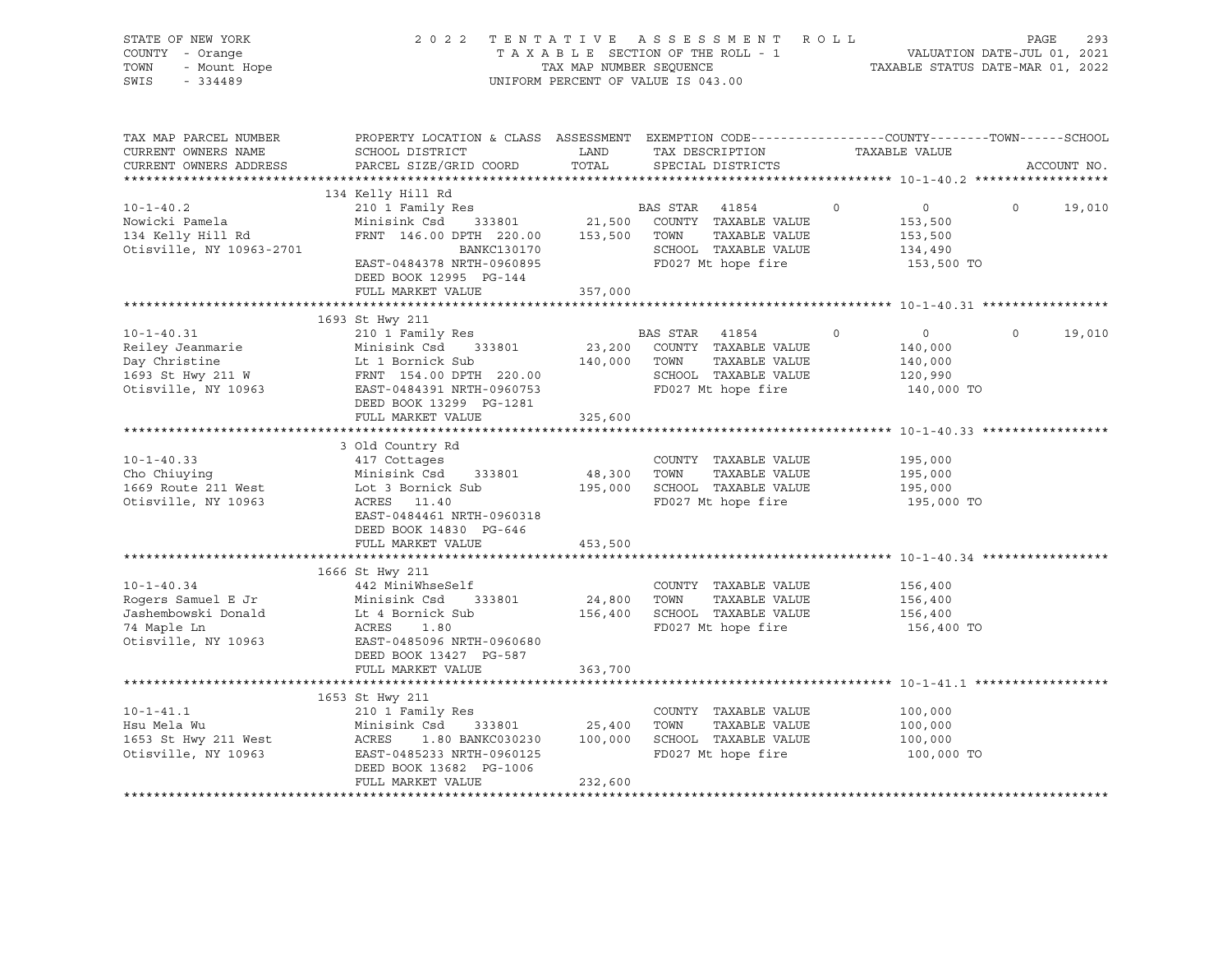| STATE OF NEW YORK<br>COUNTY - Orange<br>TOWN<br>- Mount Hope<br>SWIS<br>$-334489$                                  | 2022 TENTATIVE ASSESSMENT ROLL                                                                                                                                                                                                                                                                                                                                                                                                                                                                                                                             | TAX MAP NUMBER SEQUENCE<br>UNIFORM PERCENT OF VALUE IS 043.00 |                | TAXABLE SECTION OF THE ROLL - 1                                                                   |         | VALUATION DATE-JUL 01, 2021<br>TAXABLE STATUS DATE-MAR 01, 2022 | PAGE     | 293         |
|--------------------------------------------------------------------------------------------------------------------|------------------------------------------------------------------------------------------------------------------------------------------------------------------------------------------------------------------------------------------------------------------------------------------------------------------------------------------------------------------------------------------------------------------------------------------------------------------------------------------------------------------------------------------------------------|---------------------------------------------------------------|----------------|---------------------------------------------------------------------------------------------------|---------|-----------------------------------------------------------------|----------|-------------|
| TAX MAP PARCEL NUMBER<br>CURRENT OWNERS NAME<br>CURRENT OWNERS ADDRESS                                             | PROPERTY LOCATION & CLASS ASSESSMENT EXEMPTION CODE----------------COUNTY-------TOWN------SCHOOL<br>SCHOOL DISTRICT<br>PARCEL SIZE/GRID COORD TOTAL                                                                                                                                                                                                                                                                                                                                                                                                        | LAND                                                          |                | TAX DESCRIPTION<br>SPECIAL DISTRICTS                                                              |         | TAXABLE VALUE                                                   |          | ACCOUNT NO. |
| $10 - 1 - 40.2$<br>Nowicki Pamela<br>134 Kelly Hill Rd<br>Otisville, NY 10963-2701                                 | 134 Kelly Hill Rd<br>210 1 Family Res<br>Minisink Csd<br>$\begin{tabular}{lllllll} \multicolumn{2}{c}{\textbf{FRNT}} & 146.00 & \textbf{DPTH} & 220.00 & 153,500 & \textbf{TOWN} \\ & \multicolumn{2}{c}{\textbf{BANKC130170}} & & & \\ \multicolumn{2}{c}{\textbf{53.500}} & & & \\ \multicolumn{2}{c}{\textbf{SCHOOL}} & & & \\ \multicolumn{2}{c}{\textbf{54.50}} & & & \\ \multicolumn{2}{c}{\textbf{BANKC130170}} & & & \\ \multicolumn{2}{c}{\textbf{56.50}} & & & \\ \$<br>EAST-0484378 NRTH-0960895<br>DEED BOOK 12995 PG-144<br>FULL MARKET VALUE | 357,000                                                       | BAS STAR 41854 | 333801 21,500 COUNTY TAXABLE VALUE<br>TAXABLE VALUE<br>SCHOOL TAXABLE VALUE<br>FD027 Mt hope fire | $\circ$ | $\overline{0}$<br>153,500<br>153,500<br>134,490<br>153,500 TO   | $\circ$  | 19,010      |
|                                                                                                                    |                                                                                                                                                                                                                                                                                                                                                                                                                                                                                                                                                            |                                                               |                |                                                                                                   |         |                                                                 |          |             |
| $10 - 1 - 40.31$<br>Reiley Jeanmarie<br>Day Christine<br>Day Christine<br>1693 St Hwy 211 W<br>Otisville, NY 10963 | 1693 St Hwy 211<br>210 1 Family Res<br>Minisink Csd 333801<br>Lt 1 Bornick Sub<br>FRNT 154.00 DPTH 220.00<br>EAST-0484391 NRTH-0960753<br>DEED BOOK 13299 PG-1281                                                                                                                                                                                                                                                                                                                                                                                          | 140,000 TOWN                                                  | BAS STAR 41854 | 23,200 COUNTY TAXABLE VALUE<br>TAXABLE VALUE<br>SCHOOL TAXABLE VALUE<br>FD027 Mt hope fire        | $\circ$ | $\overline{0}$<br>140,000<br>140,000<br>120,990<br>140,000 TO   | $\Omega$ | 19,010      |
|                                                                                                                    | FULL MARKET VALUE                                                                                                                                                                                                                                                                                                                                                                                                                                                                                                                                          | 325,600                                                       |                |                                                                                                   |         |                                                                 |          |             |
| $10 - 1 - 40.33$<br>Cho Chiuying<br>1669 Route 211 West<br>Otisville, NY 10963                                     | 3 Old Country Rd<br>417 Cottages<br>Minisink Csd 333801<br>Lot 3 Bornick Sub<br>ACRES 11.40<br>EAST-0484461 NRTH-0960318<br>DEED BOOK 14830 PG-646                                                                                                                                                                                                                                                                                                                                                                                                         | 48,300 TOWN                                                   |                | COUNTY TAXABLE VALUE<br>TAXABLE VALUE<br>195,000 SCHOOL TAXABLE VALUE<br>FD027 Mt hope fire       |         | 195,000<br>195,000<br>195,000<br>195,000 TO                     |          |             |
|                                                                                                                    | FULL MARKET VALUE                                                                                                                                                                                                                                                                                                                                                                                                                                                                                                                                          | 453,500                                                       |                |                                                                                                   |         |                                                                 |          |             |
| $10 - 1 - 40.34$<br>Rogers Samuel E Jr<br>Jashembowski Donald<br>74 Maple Ln<br>Otisville, NY 10963                | 1666 St Hwy 211<br>442 MiniWhseSelf<br>Minisink Csd<br>333801<br>Minister<br>Lt 4 Bornick Sub<br>ACRES<br>1.80<br>EAST-0485096 NRTH-0960680<br>DEED BOOK 13427 PG-587                                                                                                                                                                                                                                                                                                                                                                                      | 24,800 TOWN                                                   |                | COUNTY TAXABLE VALUE<br>TAXABLE VALUE<br>156,400 SCHOOL TAXABLE VALUE<br>FD027 Mt hope fire       |         | 156,400<br>156,400<br>156,400<br>156,400 TO                     |          |             |
|                                                                                                                    | FULL MARKET VALUE                                                                                                                                                                                                                                                                                                                                                                                                                                                                                                                                          | 363,700<br>*************                                      |                | ******************************* 10-1-41.1 ********                                                |         |                                                                 |          |             |
| $10 - 1 - 41.1$<br>Hsu Mela Wu<br>1653 St Hwy 211 West<br>Otisville, NY 10963                                      | 1653 St Hwy 211<br>210 1 Family Res<br>333801 25,400<br>Minisink Csd<br>ACRES<br>1.80 BANKC030230<br>EAST-0485233 NRTH-0960125<br>DEED BOOK 13682 PG-1006<br>FULL MARKET VALUE                                                                                                                                                                                                                                                                                                                                                                             | 232,600                                                       | TOWN           | COUNTY TAXABLE VALUE<br>TAXABLE VALUE<br>100,000 SCHOOL TAXABLE VALUE<br>FD027 Mt hope fire       |         | 100,000<br>100,000<br>100,000<br>100,000 TO                     |          |             |
|                                                                                                                    |                                                                                                                                                                                                                                                                                                                                                                                                                                                                                                                                                            |                                                               |                |                                                                                                   |         |                                                                 |          |             |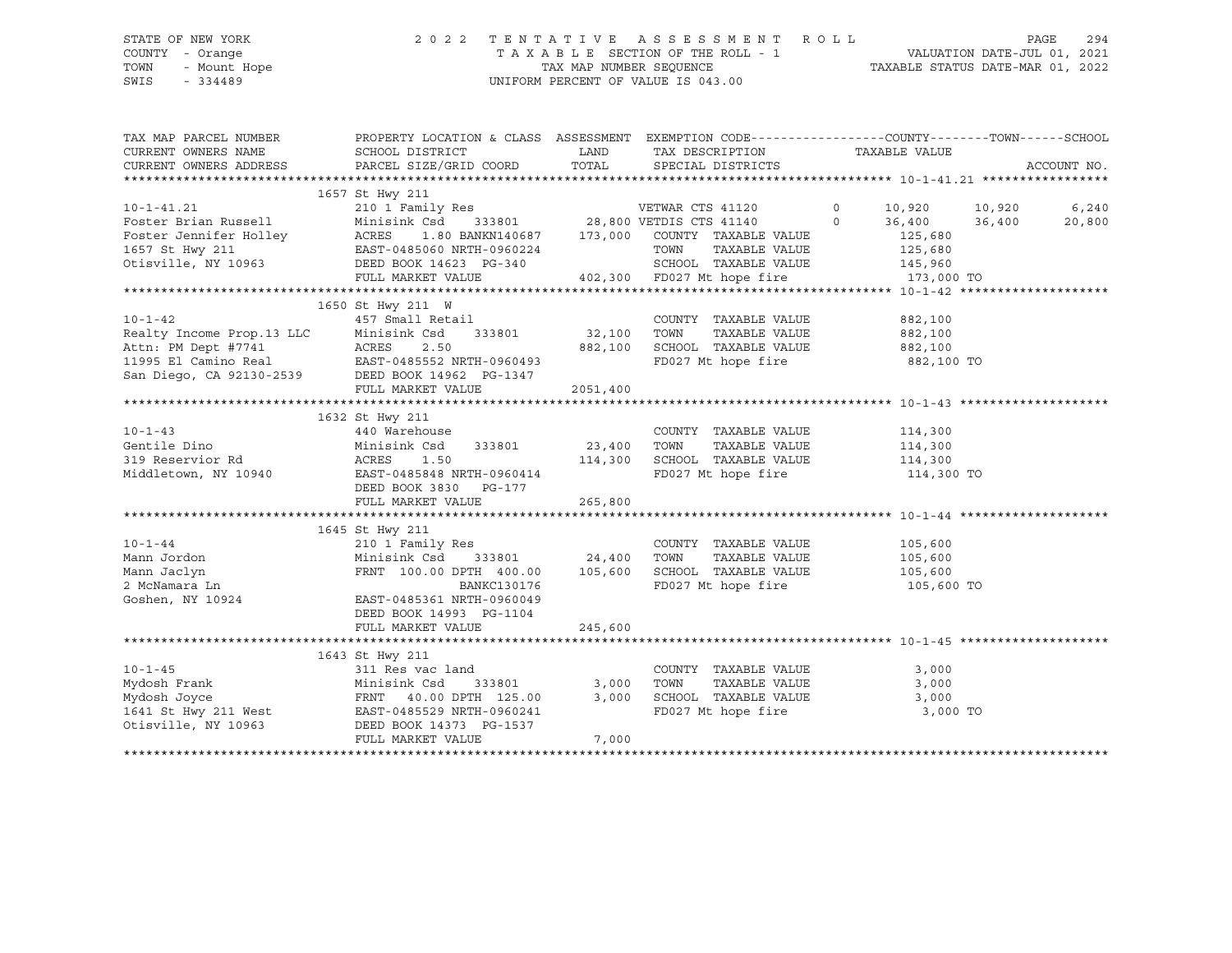# STATE OF NEW YORK 2 0 2 2 T E N T A T I V E A S S E S S M E N T R O L L PAGE 294 COUNTY - Orange T A X A B L E SECTION OF THE ROLL - 1 VALUATION DATE-JUL 01, 2021 TOWN - Mount Hope TAX MAP NUMBER SEQUENCE TAXABLE STATUS DATE-MAR 01, 2022 SWIS - 334489 UNIFORM PERCENT OF VALUE IS 043.00

| 1657 St Hwy 211<br>$10 - 1 - 41.21$<br>210 1 Family Res<br>VETWAR CTS 41120<br>$\mathbf 0$<br>10,920<br>6,240<br>10,920<br>333801 28,800 VETDIS CTS 41140<br>Foster Brian Russell<br>Minisink Csd<br>$\circ$<br>36,400<br>36,400<br>20,800<br>Foster Jennifer Holley<br>ACRES<br>1.80 BANKN140687<br>173,000<br>COUNTY TAXABLE VALUE<br>125,680<br>1657 St Hwy 211<br>EAST-0485060 NRTH-0960224<br>TOWN<br>TAXABLE VALUE<br>125,680<br>Otisville, NY 10963<br>SCHOOL TAXABLE VALUE<br>DEED BOOK 14623 PG-340<br>145,960<br>402,300 FD027 Mt hope fire<br>FULL MARKET VALUE<br>173,000 TO<br>1650 St Hwy 211 W<br>$10 - 1 - 42$<br>457 Small Retail<br>COUNTY TAXABLE VALUE<br>882,100<br>Realty Income Prop.13 LLC<br>333801<br>32,100<br>TAXABLE VALUE<br>Minisink Csd<br>TOWN<br>882,100<br>882,100<br>SCHOOL TAXABLE VALUE<br>882,100<br>Attn: PM Dept #7741 ACRES 2.50<br>11995 El Camino Real EAST-0485552 NRTH-0960493<br>San Diego, CA 92130-2539 DEED BOOK 14962 PG-1347<br>EAST-0485552 NRTH-0960493<br>FD027 Mt hope fire<br>882,100 TO<br>FULL MARKET VALUE<br>2051,400<br>1632 St Hwy 211<br>$10 - 1 - 43$<br>440 Warehouse<br>COUNTY TAXABLE VALUE<br>114,300<br>Gentile Dino<br>Minisink Csd<br>23,400<br>TOWN<br>TAXABLE VALUE<br>114,300<br>333801<br>114,300<br>SCHOOL TAXABLE VALUE<br>114,300<br>319 Reservior Rd<br>ACRES<br>1.50<br>FD027 Mt hope fire<br>Middletown, NY 10940<br>EAST-0485848 NRTH-0960414<br>114,300 TO<br>DEED BOOK 3830<br>PG-177<br>265,800<br>FULL MARKET VALUE<br>1645 St Hwy 211<br>COUNTY TAXABLE VALUE<br>$10 - 1 - 44$<br>210 1 Family Res<br>105,600<br>Mann Jordon<br>Minisink Csd<br>333801<br>24,400<br>TOWN<br>TAXABLE VALUE<br>105,600<br>105,600<br>SCHOOL TAXABLE VALUE<br>Mann Jaclyn<br>FRNT 100.00 DPTH 400.00<br>105,600<br>FD027 Mt hope fire<br>2 McNamara Ln<br>BANKC130176<br>105,600 TO<br>Goshen, NY 10924<br>EAST-0485361 NRTH-0960049<br>DEED BOOK 14993 PG-1104<br>FULL MARKET VALUE<br>245,600<br>1643 St Hwy 211<br>$10 - 1 - 45$<br>311 Res vac land<br>COUNTY TAXABLE VALUE<br>3,000<br>3,000<br>TOWN<br>TAXABLE VALUE<br>3,000<br>Mydosh Frank<br>Minisink Csd<br>333801<br>3,000<br>SCHOOL TAXABLE VALUE<br>Mydosh Joyce<br>FRNT 40.00 DPTH 125.00<br>3,000<br>1641 St Hwy 211 West<br>FD027 Mt hope fire<br>3,000 TO<br>EAST-0485529 NRTH-0960241<br>Otisville, NY 10963<br>DEED BOOK 14373 PG-1537<br>FULL MARKET VALUE<br>7,000 | TAX MAP PARCEL NUMBER<br>CURRENT OWNERS NAME<br>CURRENT OWNERS ADDRESS | PROPERTY LOCATION & CLASS ASSESSMENT EXEMPTION CODE---------------COUNTY-------TOWN-----SCHOOL<br>SCHOOL DISTRICT<br>PARCEL SIZE/GRID COORD | LAND<br>TOTAL | TAX DESCRIPTION<br>SPECIAL DISTRICTS | TAXABLE VALUE | ACCOUNT NO. |
|---------------------------------------------------------------------------------------------------------------------------------------------------------------------------------------------------------------------------------------------------------------------------------------------------------------------------------------------------------------------------------------------------------------------------------------------------------------------------------------------------------------------------------------------------------------------------------------------------------------------------------------------------------------------------------------------------------------------------------------------------------------------------------------------------------------------------------------------------------------------------------------------------------------------------------------------------------------------------------------------------------------------------------------------------------------------------------------------------------------------------------------------------------------------------------------------------------------------------------------------------------------------------------------------------------------------------------------------------------------------------------------------------------------------------------------------------------------------------------------------------------------------------------------------------------------------------------------------------------------------------------------------------------------------------------------------------------------------------------------------------------------------------------------------------------------------------------------------------------------------------------------------------------------------------------------------------------------------------------------------------------------------------------------------------------------------------------------------------------------------------------------------------------------------------------------------------------------------------------------------------------------------------------------------------------------------------------------------------------------------------------------------------------------|------------------------------------------------------------------------|---------------------------------------------------------------------------------------------------------------------------------------------|---------------|--------------------------------------|---------------|-------------|
|                                                                                                                                                                                                                                                                                                                                                                                                                                                                                                                                                                                                                                                                                                                                                                                                                                                                                                                                                                                                                                                                                                                                                                                                                                                                                                                                                                                                                                                                                                                                                                                                                                                                                                                                                                                                                                                                                                                                                                                                                                                                                                                                                                                                                                                                                                                                                                                                               |                                                                        |                                                                                                                                             |               |                                      |               |             |
|                                                                                                                                                                                                                                                                                                                                                                                                                                                                                                                                                                                                                                                                                                                                                                                                                                                                                                                                                                                                                                                                                                                                                                                                                                                                                                                                                                                                                                                                                                                                                                                                                                                                                                                                                                                                                                                                                                                                                                                                                                                                                                                                                                                                                                                                                                                                                                                                               |                                                                        |                                                                                                                                             |               |                                      |               |             |
|                                                                                                                                                                                                                                                                                                                                                                                                                                                                                                                                                                                                                                                                                                                                                                                                                                                                                                                                                                                                                                                                                                                                                                                                                                                                                                                                                                                                                                                                                                                                                                                                                                                                                                                                                                                                                                                                                                                                                                                                                                                                                                                                                                                                                                                                                                                                                                                                               |                                                                        |                                                                                                                                             |               |                                      |               |             |
|                                                                                                                                                                                                                                                                                                                                                                                                                                                                                                                                                                                                                                                                                                                                                                                                                                                                                                                                                                                                                                                                                                                                                                                                                                                                                                                                                                                                                                                                                                                                                                                                                                                                                                                                                                                                                                                                                                                                                                                                                                                                                                                                                                                                                                                                                                                                                                                                               |                                                                        |                                                                                                                                             |               |                                      |               |             |
|                                                                                                                                                                                                                                                                                                                                                                                                                                                                                                                                                                                                                                                                                                                                                                                                                                                                                                                                                                                                                                                                                                                                                                                                                                                                                                                                                                                                                                                                                                                                                                                                                                                                                                                                                                                                                                                                                                                                                                                                                                                                                                                                                                                                                                                                                                                                                                                                               |                                                                        |                                                                                                                                             |               |                                      |               |             |
|                                                                                                                                                                                                                                                                                                                                                                                                                                                                                                                                                                                                                                                                                                                                                                                                                                                                                                                                                                                                                                                                                                                                                                                                                                                                                                                                                                                                                                                                                                                                                                                                                                                                                                                                                                                                                                                                                                                                                                                                                                                                                                                                                                                                                                                                                                                                                                                                               |                                                                        |                                                                                                                                             |               |                                      |               |             |
|                                                                                                                                                                                                                                                                                                                                                                                                                                                                                                                                                                                                                                                                                                                                                                                                                                                                                                                                                                                                                                                                                                                                                                                                                                                                                                                                                                                                                                                                                                                                                                                                                                                                                                                                                                                                                                                                                                                                                                                                                                                                                                                                                                                                                                                                                                                                                                                                               |                                                                        |                                                                                                                                             |               |                                      |               |             |
|                                                                                                                                                                                                                                                                                                                                                                                                                                                                                                                                                                                                                                                                                                                                                                                                                                                                                                                                                                                                                                                                                                                                                                                                                                                                                                                                                                                                                                                                                                                                                                                                                                                                                                                                                                                                                                                                                                                                                                                                                                                                                                                                                                                                                                                                                                                                                                                                               |                                                                        |                                                                                                                                             |               |                                      |               |             |
|                                                                                                                                                                                                                                                                                                                                                                                                                                                                                                                                                                                                                                                                                                                                                                                                                                                                                                                                                                                                                                                                                                                                                                                                                                                                                                                                                                                                                                                                                                                                                                                                                                                                                                                                                                                                                                                                                                                                                                                                                                                                                                                                                                                                                                                                                                                                                                                                               |                                                                        |                                                                                                                                             |               |                                      |               |             |
|                                                                                                                                                                                                                                                                                                                                                                                                                                                                                                                                                                                                                                                                                                                                                                                                                                                                                                                                                                                                                                                                                                                                                                                                                                                                                                                                                                                                                                                                                                                                                                                                                                                                                                                                                                                                                                                                                                                                                                                                                                                                                                                                                                                                                                                                                                                                                                                                               |                                                                        |                                                                                                                                             |               |                                      |               |             |
|                                                                                                                                                                                                                                                                                                                                                                                                                                                                                                                                                                                                                                                                                                                                                                                                                                                                                                                                                                                                                                                                                                                                                                                                                                                                                                                                                                                                                                                                                                                                                                                                                                                                                                                                                                                                                                                                                                                                                                                                                                                                                                                                                                                                                                                                                                                                                                                                               |                                                                        |                                                                                                                                             |               |                                      |               |             |
|                                                                                                                                                                                                                                                                                                                                                                                                                                                                                                                                                                                                                                                                                                                                                                                                                                                                                                                                                                                                                                                                                                                                                                                                                                                                                                                                                                                                                                                                                                                                                                                                                                                                                                                                                                                                                                                                                                                                                                                                                                                                                                                                                                                                                                                                                                                                                                                                               |                                                                        |                                                                                                                                             |               |                                      |               |             |
|                                                                                                                                                                                                                                                                                                                                                                                                                                                                                                                                                                                                                                                                                                                                                                                                                                                                                                                                                                                                                                                                                                                                                                                                                                                                                                                                                                                                                                                                                                                                                                                                                                                                                                                                                                                                                                                                                                                                                                                                                                                                                                                                                                                                                                                                                                                                                                                                               |                                                                        |                                                                                                                                             |               |                                      |               |             |
|                                                                                                                                                                                                                                                                                                                                                                                                                                                                                                                                                                                                                                                                                                                                                                                                                                                                                                                                                                                                                                                                                                                                                                                                                                                                                                                                                                                                                                                                                                                                                                                                                                                                                                                                                                                                                                                                                                                                                                                                                                                                                                                                                                                                                                                                                                                                                                                                               |                                                                        |                                                                                                                                             |               |                                      |               |             |
|                                                                                                                                                                                                                                                                                                                                                                                                                                                                                                                                                                                                                                                                                                                                                                                                                                                                                                                                                                                                                                                                                                                                                                                                                                                                                                                                                                                                                                                                                                                                                                                                                                                                                                                                                                                                                                                                                                                                                                                                                                                                                                                                                                                                                                                                                                                                                                                                               |                                                                        |                                                                                                                                             |               |                                      |               |             |
|                                                                                                                                                                                                                                                                                                                                                                                                                                                                                                                                                                                                                                                                                                                                                                                                                                                                                                                                                                                                                                                                                                                                                                                                                                                                                                                                                                                                                                                                                                                                                                                                                                                                                                                                                                                                                                                                                                                                                                                                                                                                                                                                                                                                                                                                                                                                                                                                               |                                                                        |                                                                                                                                             |               |                                      |               |             |
|                                                                                                                                                                                                                                                                                                                                                                                                                                                                                                                                                                                                                                                                                                                                                                                                                                                                                                                                                                                                                                                                                                                                                                                                                                                                                                                                                                                                                                                                                                                                                                                                                                                                                                                                                                                                                                                                                                                                                                                                                                                                                                                                                                                                                                                                                                                                                                                                               |                                                                        |                                                                                                                                             |               |                                      |               |             |
|                                                                                                                                                                                                                                                                                                                                                                                                                                                                                                                                                                                                                                                                                                                                                                                                                                                                                                                                                                                                                                                                                                                                                                                                                                                                                                                                                                                                                                                                                                                                                                                                                                                                                                                                                                                                                                                                                                                                                                                                                                                                                                                                                                                                                                                                                                                                                                                                               |                                                                        |                                                                                                                                             |               |                                      |               |             |
|                                                                                                                                                                                                                                                                                                                                                                                                                                                                                                                                                                                                                                                                                                                                                                                                                                                                                                                                                                                                                                                                                                                                                                                                                                                                                                                                                                                                                                                                                                                                                                                                                                                                                                                                                                                                                                                                                                                                                                                                                                                                                                                                                                                                                                                                                                                                                                                                               |                                                                        |                                                                                                                                             |               |                                      |               |             |
|                                                                                                                                                                                                                                                                                                                                                                                                                                                                                                                                                                                                                                                                                                                                                                                                                                                                                                                                                                                                                                                                                                                                                                                                                                                                                                                                                                                                                                                                                                                                                                                                                                                                                                                                                                                                                                                                                                                                                                                                                                                                                                                                                                                                                                                                                                                                                                                                               |                                                                        |                                                                                                                                             |               |                                      |               |             |
|                                                                                                                                                                                                                                                                                                                                                                                                                                                                                                                                                                                                                                                                                                                                                                                                                                                                                                                                                                                                                                                                                                                                                                                                                                                                                                                                                                                                                                                                                                                                                                                                                                                                                                                                                                                                                                                                                                                                                                                                                                                                                                                                                                                                                                                                                                                                                                                                               |                                                                        |                                                                                                                                             |               |                                      |               |             |
|                                                                                                                                                                                                                                                                                                                                                                                                                                                                                                                                                                                                                                                                                                                                                                                                                                                                                                                                                                                                                                                                                                                                                                                                                                                                                                                                                                                                                                                                                                                                                                                                                                                                                                                                                                                                                                                                                                                                                                                                                                                                                                                                                                                                                                                                                                                                                                                                               |                                                                        |                                                                                                                                             |               |                                      |               |             |
|                                                                                                                                                                                                                                                                                                                                                                                                                                                                                                                                                                                                                                                                                                                                                                                                                                                                                                                                                                                                                                                                                                                                                                                                                                                                                                                                                                                                                                                                                                                                                                                                                                                                                                                                                                                                                                                                                                                                                                                                                                                                                                                                                                                                                                                                                                                                                                                                               |                                                                        |                                                                                                                                             |               |                                      |               |             |
|                                                                                                                                                                                                                                                                                                                                                                                                                                                                                                                                                                                                                                                                                                                                                                                                                                                                                                                                                                                                                                                                                                                                                                                                                                                                                                                                                                                                                                                                                                                                                                                                                                                                                                                                                                                                                                                                                                                                                                                                                                                                                                                                                                                                                                                                                                                                                                                                               |                                                                        |                                                                                                                                             |               |                                      |               |             |
|                                                                                                                                                                                                                                                                                                                                                                                                                                                                                                                                                                                                                                                                                                                                                                                                                                                                                                                                                                                                                                                                                                                                                                                                                                                                                                                                                                                                                                                                                                                                                                                                                                                                                                                                                                                                                                                                                                                                                                                                                                                                                                                                                                                                                                                                                                                                                                                                               |                                                                        |                                                                                                                                             |               |                                      |               |             |
|                                                                                                                                                                                                                                                                                                                                                                                                                                                                                                                                                                                                                                                                                                                                                                                                                                                                                                                                                                                                                                                                                                                                                                                                                                                                                                                                                                                                                                                                                                                                                                                                                                                                                                                                                                                                                                                                                                                                                                                                                                                                                                                                                                                                                                                                                                                                                                                                               |                                                                        |                                                                                                                                             |               |                                      |               |             |
|                                                                                                                                                                                                                                                                                                                                                                                                                                                                                                                                                                                                                                                                                                                                                                                                                                                                                                                                                                                                                                                                                                                                                                                                                                                                                                                                                                                                                                                                                                                                                                                                                                                                                                                                                                                                                                                                                                                                                                                                                                                                                                                                                                                                                                                                                                                                                                                                               |                                                                        |                                                                                                                                             |               |                                      |               |             |
|                                                                                                                                                                                                                                                                                                                                                                                                                                                                                                                                                                                                                                                                                                                                                                                                                                                                                                                                                                                                                                                                                                                                                                                                                                                                                                                                                                                                                                                                                                                                                                                                                                                                                                                                                                                                                                                                                                                                                                                                                                                                                                                                                                                                                                                                                                                                                                                                               |                                                                        |                                                                                                                                             |               |                                      |               |             |
|                                                                                                                                                                                                                                                                                                                                                                                                                                                                                                                                                                                                                                                                                                                                                                                                                                                                                                                                                                                                                                                                                                                                                                                                                                                                                                                                                                                                                                                                                                                                                                                                                                                                                                                                                                                                                                                                                                                                                                                                                                                                                                                                                                                                                                                                                                                                                                                                               |                                                                        |                                                                                                                                             |               |                                      |               |             |
|                                                                                                                                                                                                                                                                                                                                                                                                                                                                                                                                                                                                                                                                                                                                                                                                                                                                                                                                                                                                                                                                                                                                                                                                                                                                                                                                                                                                                                                                                                                                                                                                                                                                                                                                                                                                                                                                                                                                                                                                                                                                                                                                                                                                                                                                                                                                                                                                               |                                                                        |                                                                                                                                             |               |                                      |               |             |
|                                                                                                                                                                                                                                                                                                                                                                                                                                                                                                                                                                                                                                                                                                                                                                                                                                                                                                                                                                                                                                                                                                                                                                                                                                                                                                                                                                                                                                                                                                                                                                                                                                                                                                                                                                                                                                                                                                                                                                                                                                                                                                                                                                                                                                                                                                                                                                                                               |                                                                        |                                                                                                                                             |               |                                      |               |             |
|                                                                                                                                                                                                                                                                                                                                                                                                                                                                                                                                                                                                                                                                                                                                                                                                                                                                                                                                                                                                                                                                                                                                                                                                                                                                                                                                                                                                                                                                                                                                                                                                                                                                                                                                                                                                                                                                                                                                                                                                                                                                                                                                                                                                                                                                                                                                                                                                               |                                                                        |                                                                                                                                             |               |                                      |               |             |
|                                                                                                                                                                                                                                                                                                                                                                                                                                                                                                                                                                                                                                                                                                                                                                                                                                                                                                                                                                                                                                                                                                                                                                                                                                                                                                                                                                                                                                                                                                                                                                                                                                                                                                                                                                                                                                                                                                                                                                                                                                                                                                                                                                                                                                                                                                                                                                                                               |                                                                        |                                                                                                                                             |               |                                      |               |             |
|                                                                                                                                                                                                                                                                                                                                                                                                                                                                                                                                                                                                                                                                                                                                                                                                                                                                                                                                                                                                                                                                                                                                                                                                                                                                                                                                                                                                                                                                                                                                                                                                                                                                                                                                                                                                                                                                                                                                                                                                                                                                                                                                                                                                                                                                                                                                                                                                               |                                                                        |                                                                                                                                             |               |                                      |               |             |
|                                                                                                                                                                                                                                                                                                                                                                                                                                                                                                                                                                                                                                                                                                                                                                                                                                                                                                                                                                                                                                                                                                                                                                                                                                                                                                                                                                                                                                                                                                                                                                                                                                                                                                                                                                                                                                                                                                                                                                                                                                                                                                                                                                                                                                                                                                                                                                                                               |                                                                        |                                                                                                                                             |               |                                      |               |             |
|                                                                                                                                                                                                                                                                                                                                                                                                                                                                                                                                                                                                                                                                                                                                                                                                                                                                                                                                                                                                                                                                                                                                                                                                                                                                                                                                                                                                                                                                                                                                                                                                                                                                                                                                                                                                                                                                                                                                                                                                                                                                                                                                                                                                                                                                                                                                                                                                               |                                                                        |                                                                                                                                             |               |                                      |               |             |
|                                                                                                                                                                                                                                                                                                                                                                                                                                                                                                                                                                                                                                                                                                                                                                                                                                                                                                                                                                                                                                                                                                                                                                                                                                                                                                                                                                                                                                                                                                                                                                                                                                                                                                                                                                                                                                                                                                                                                                                                                                                                                                                                                                                                                                                                                                                                                                                                               |                                                                        |                                                                                                                                             |               |                                      |               |             |
|                                                                                                                                                                                                                                                                                                                                                                                                                                                                                                                                                                                                                                                                                                                                                                                                                                                                                                                                                                                                                                                                                                                                                                                                                                                                                                                                                                                                                                                                                                                                                                                                                                                                                                                                                                                                                                                                                                                                                                                                                                                                                                                                                                                                                                                                                                                                                                                                               |                                                                        |                                                                                                                                             |               |                                      |               |             |
|                                                                                                                                                                                                                                                                                                                                                                                                                                                                                                                                                                                                                                                                                                                                                                                                                                                                                                                                                                                                                                                                                                                                                                                                                                                                                                                                                                                                                                                                                                                                                                                                                                                                                                                                                                                                                                                                                                                                                                                                                                                                                                                                                                                                                                                                                                                                                                                                               |                                                                        |                                                                                                                                             |               |                                      |               |             |
|                                                                                                                                                                                                                                                                                                                                                                                                                                                                                                                                                                                                                                                                                                                                                                                                                                                                                                                                                                                                                                                                                                                                                                                                                                                                                                                                                                                                                                                                                                                                                                                                                                                                                                                                                                                                                                                                                                                                                                                                                                                                                                                                                                                                                                                                                                                                                                                                               |                                                                        |                                                                                                                                             |               |                                      |               |             |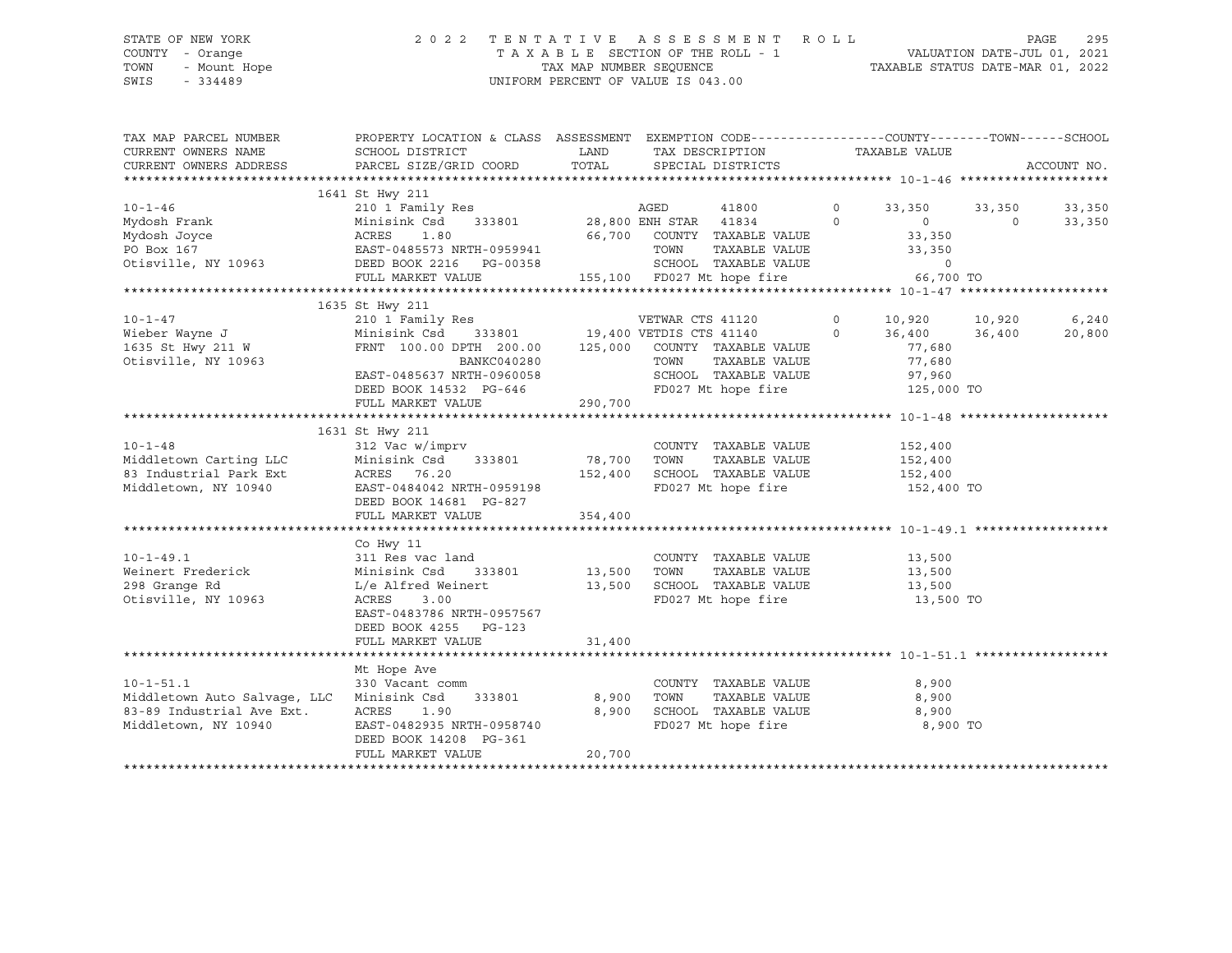# STATE OF NEW YORK 2 0 2 2 T E N T A T I V E A S S E S S M E N T R O L L PAGE 295 COUNTY - Orange T A X A B L E SECTION OF THE ROLL - 1 VALUATION DATE-JUL 01, 2021 TOWN - Mount Hope TAX MAP NUMBER SEQUENCE TAXABLE STATUS DATE-MAR 01, 2022 SWIS - 334489 UNIFORM PERCENT OF VALUE IS 043.00

| TAX MAP PARCEL NUMBER<br>CURRENT OWNERS NAME | PROPERTY LOCATION & CLASS ASSESSMENT EXEMPTION CODE---------------COUNTY-------TOWN------SCHOOL<br>SCHOOL DISTRICT | LAND    | TAX DESCRIPTION             |         | TAXABLE VALUE     |         |             |
|----------------------------------------------|--------------------------------------------------------------------------------------------------------------------|---------|-----------------------------|---------|-------------------|---------|-------------|
| CURRENT OWNERS ADDRESS                       | PARCEL SIZE/GRID COORD                                                                                             | TOTAL   | SPECIAL DISTRICTS           |         |                   |         | ACCOUNT NO. |
|                                              |                                                                                                                    |         |                             |         |                   |         |             |
| $10 - 1 - 46$                                | 1641 St Hwy 211<br>210 1 Family Res                                                                                |         |                             | $\circ$ | 33,350            | 33,350  | 33,350      |
| -- - - -<br>Mydosh Frank                     | Minisink Csd                                                                                                       |         |                             | $\circ$ | $0 \qquad \qquad$ | $\circ$ | 33,350      |
| Mydosh Joyce                                 | 1.80<br>ACRES                                                                                                      |         | 66,700 COUNTY TAXABLE VALUE |         | 33,350            |         |             |
| PO Box 167                                   |                                                                                                                    |         | TOWN<br>TAXABLE VALUE       |         | 33,350            |         |             |
| Otisville, NY 10963                          | EAST-0485573 NRTH-0959941<br>DEED BOOK 2216 PG-00358                                                               |         | SCHOOL TAXABLE VALUE        |         | $\circ$           |         |             |
|                                              | FULL MARKET VALUE                                                                                                  |         | 155,100 FD027 Mt hope fire  |         | 66,700 TO         |         |             |
|                                              |                                                                                                                    |         |                             |         |                   |         |             |
|                                              | 1635 St Hwy 211                                                                                                    |         |                             |         |                   |         |             |
| $10 - 1 - 47$                                |                                                                                                                    |         |                             | $\circ$ | 10,920 10,920     |         | 6,240       |
| Wieber Wayne J                               |                                                                                                                    |         |                             | $\circ$ | 36,400 36,400     |         | 20,800      |
| 1635 St Hwy 211 W                            | FRNT 100.00 DPTH 200.00 125,000 COUNTY TAXABLE VALUE                                                               |         |                             |         | 77,680            |         |             |
| Otisville, NY 10963                          | BANKC040280                                                                                                        |         | TAXABLE VALUE<br>TOWN       |         | 77,680            |         |             |
|                                              | EAST-0485637 NRTH-0960058                                                                                          |         | SCHOOL TAXABLE VALUE        |         | 97,960            |         |             |
|                                              | DEED BOOK 14532 PG-646                                                                                             |         | FD027 Mt hope fire          |         | 125,000 TO        |         |             |
|                                              | FULL MARKET VALUE                                                                                                  | 290,700 |                             |         |                   |         |             |
|                                              |                                                                                                                    |         |                             |         |                   |         |             |
|                                              | 1631 St Hwy 211                                                                                                    |         |                             |         |                   |         |             |
| $10 - 1 - 48$                                | 312 Vac w/imprv                                                                                                    |         | COUNTY TAXABLE VALUE        |         | 152,400           |         |             |
| Middletown Carting LLC                       | Minisink Csd<br>333801                                                                                             | 78,700  | TOWN<br>TAXABLE VALUE       |         | 152,400           |         |             |
| 83 Industrial Park Ext                       | ACRES 76.20                                                                                                        | 152,400 | SCHOOL TAXABLE VALUE        |         | 152,400           |         |             |
| Middletown, NY 10940                         | EAST-0484042 NRTH-0959198                                                                                          |         | FD027 Mt hope fire          |         | 152,400 TO        |         |             |
|                                              | DEED BOOK 14681 PG-827                                                                                             |         |                             |         |                   |         |             |
|                                              | FULL MARKET VALUE                                                                                                  | 354,400 |                             |         |                   |         |             |
|                                              |                                                                                                                    |         |                             |         |                   |         |             |
|                                              | Co Hwy 11                                                                                                          |         |                             |         |                   |         |             |
| $10 - 1 - 49.1$                              | 311 Res vac land                                                                                                   |         | COUNTY TAXABLE VALUE        |         | 13,500            |         |             |
| Weinert Frederick                            | 333801 13,500<br>Minisink Csd                                                                                      |         | TOWN<br>TAXABLE VALUE       |         | 13,500            |         |             |
| 298 Grange Rd                                | L/e Alfred Weinert                                                                                                 | 13,500  | SCHOOL TAXABLE VALUE        |         | 13,500            |         |             |
| Otisville, NY 10963                          | ACRES<br>3.00                                                                                                      |         | FD027 Mt hope fire          |         | 13,500 TO         |         |             |
|                                              | EAST-0483786 NRTH-0957567                                                                                          |         |                             |         |                   |         |             |
|                                              | DEED BOOK 4255 PG-123                                                                                              |         |                             |         |                   |         |             |
|                                              | FULL MARKET VALUE                                                                                                  | 31,400  |                             |         |                   |         |             |
|                                              |                                                                                                                    |         |                             |         |                   |         |             |
|                                              | Mt Hope Ave                                                                                                        |         |                             |         |                   |         |             |
| $10 - 1 - 51.1$                              | 330 Vacant comm                                                                                                    |         | COUNTY TAXABLE VALUE        |         | 8,900             |         |             |
| Middletown Auto Salvage, LLC                 | Minisink Csd<br>333801                                                                                             | 8,900   | TOWN<br>TAXABLE VALUE       |         | 8,900             |         |             |
| 83-89 Industrial Ave Ext.                    | ACRES<br>1.90                                                                                                      | 8,900   | SCHOOL TAXABLE VALUE        |         | 8,900             |         |             |
| Middletown, NY 10940                         | EAST-0482935 NRTH-0958740                                                                                          |         | FD027 Mt hope fire          |         | 8,900 TO          |         |             |
|                                              | DEED BOOK 14208 PG-361                                                                                             |         |                             |         |                   |         |             |
|                                              | FULL MARKET VALUE                                                                                                  | 20,700  |                             |         |                   |         |             |
|                                              |                                                                                                                    |         |                             |         |                   |         |             |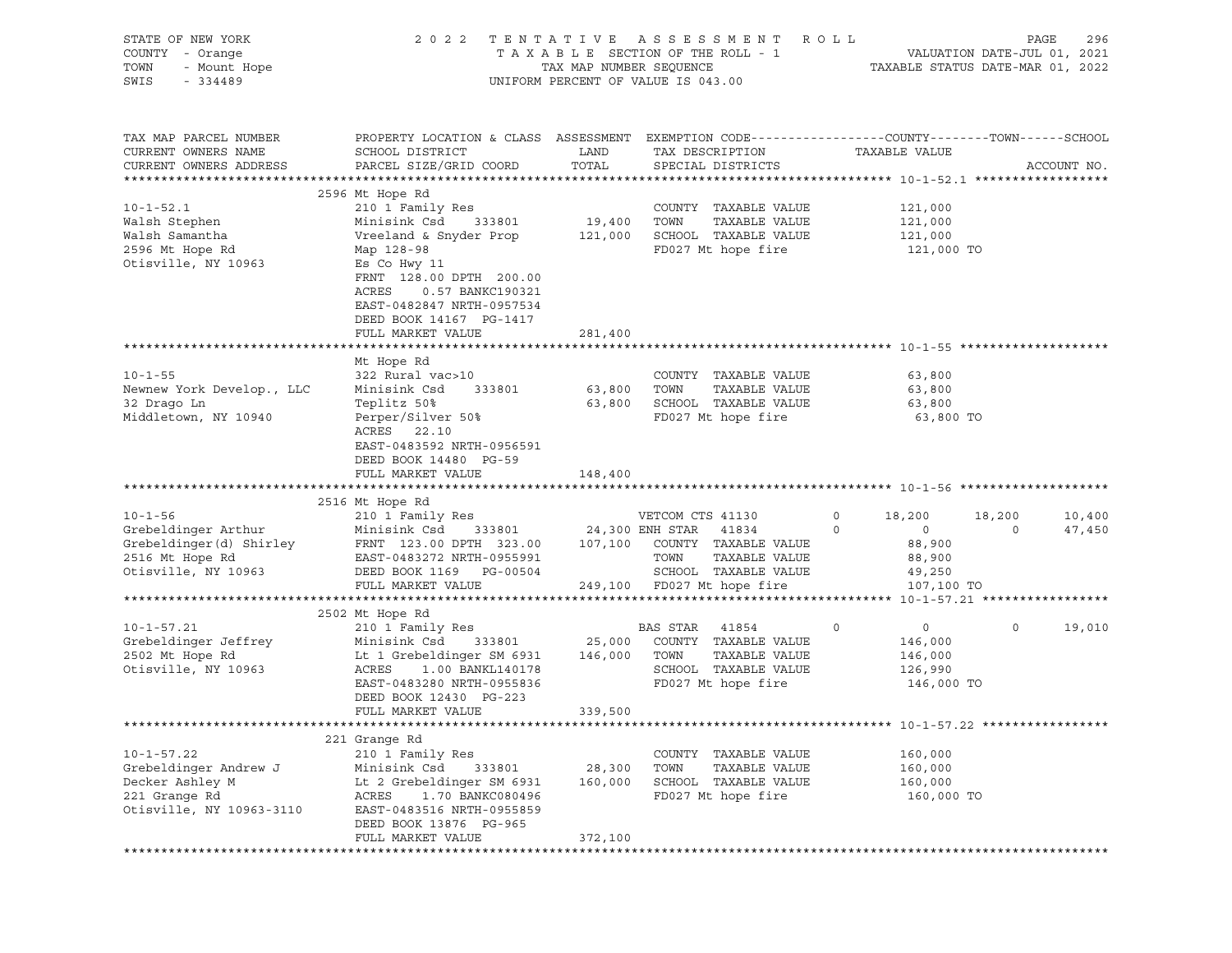| STATE OF NEW YORK<br>COUNTY - Orange<br>TOWN<br>- Mount Hope<br>SWIS<br>- 334489                          | 2 0 2 2                                                                                                                                                                                 | TAX MAP NUMBER SEQUENCE | TENTATIVE ASSESSMENT ROLL<br>T A X A B L E SECTION OF THE ROLL - 1<br>UNIFORM PERCENT OF VALUE IS 043.00                                         | TAXABLE STATUS DATE-MAR 01, 2022                                                           | PAGE<br>VALUATION DATE-JUL 01, 2021 | 296              |
|-----------------------------------------------------------------------------------------------------------|-----------------------------------------------------------------------------------------------------------------------------------------------------------------------------------------|-------------------------|--------------------------------------------------------------------------------------------------------------------------------------------------|--------------------------------------------------------------------------------------------|-------------------------------------|------------------|
| TAX MAP PARCEL NUMBER<br>CURRENT OWNERS NAME<br>CURRENT OWNERS ADDRESS                                    | PROPERTY LOCATION & CLASS ASSESSMENT EXEMPTION CODE----------------COUNTY-------TOWN------SCHOOL<br>SCHOOL DISTRICT<br>PARCEL SIZE/GRID COORD                                           | LAND<br>TOTAL           | TAX DESCRIPTION<br>SPECIAL DISTRICTS                                                                                                             | TAXABLE VALUE                                                                              |                                     | ACCOUNT NO.      |
|                                                                                                           | 2596 Mt Hope Rd                                                                                                                                                                         |                         |                                                                                                                                                  |                                                                                            |                                     |                  |
| $10 - 1 - 52.1$<br>Walsh Stephen<br>Walsh Samantha<br>2596 Mt Hope Rd<br>Otisville, NY 10963              | 210 1 Family Res<br>333801<br>Minisink Csd<br>Vreeland & Snyder Prop<br>Map 128-98<br>Es Co Hwy 11<br>FRNT 128.00 DPTH 200.00<br>ACRES<br>0.57 BANKC190321<br>EAST-0482847 NRTH-0957534 | 19,400<br>121,000       | COUNTY TAXABLE VALUE<br>TOWN<br>TAXABLE VALUE<br>SCHOOL TAXABLE VALUE<br>FD027 Mt hope fire                                                      | 121,000<br>121,000<br>121,000<br>121,000 TO                                                |                                     |                  |
|                                                                                                           | DEED BOOK 14167 PG-1417                                                                                                                                                                 |                         |                                                                                                                                                  |                                                                                            |                                     |                  |
|                                                                                                           | FULL MARKET VALUE                                                                                                                                                                       | 281,400                 |                                                                                                                                                  |                                                                                            |                                     |                  |
|                                                                                                           |                                                                                                                                                                                         |                         |                                                                                                                                                  |                                                                                            |                                     |                  |
| $10 - 1 - 55$<br>Newnew York Develop., LLC                                                                | Mt Hope Rd<br>322 Rural vac>10<br>333801<br>Minisink Csd                                                                                                                                | 63,800                  | COUNTY TAXABLE VALUE<br>TOWN<br>TAXABLE VALUE                                                                                                    | 63,800<br>63,800                                                                           |                                     |                  |
| 32 Drago Ln                                                                                               | Teplitz 50%<br>Perper/Silver 50%                                                                                                                                                        |                         | 63,800 SCHOOL TAXABLE VALUE                                                                                                                      | 63,800<br>63,800 TO                                                                        |                                     |                  |
| Middletown, NY 10940                                                                                      | ACRES 22.10<br>EAST-0483592 NRTH-0956591<br>DEED BOOK 14480 PG-59<br>FULL MARKET VALUE                                                                                                  | 148,400                 | FD027 Mt hope fire                                                                                                                               |                                                                                            |                                     |                  |
|                                                                                                           |                                                                                                                                                                                         |                         |                                                                                                                                                  |                                                                                            |                                     |                  |
|                                                                                                           | 2516 Mt Hope Rd                                                                                                                                                                         |                         |                                                                                                                                                  |                                                                                            |                                     |                  |
| $10 - 1 - 56$<br>Grebeldinger Arthur<br>Grebeldinger(d) Shirley<br>2516 Mt Hope Rd<br>Otisville, NY 10963 | 210 1 Family Res<br>Minisink Csd 333801<br>FRNT 123.00 DPTH 323.00<br>EAST-0483272 NRTH-0955991<br>DEED BOOK 1169 PG-00504<br>FULL MARKET VALUE                                         | 107,100                 | VETCOM CTS 41130<br>24,300 ENH STAR 41834<br>COUNTY TAXABLE VALUE<br>TOWN<br>TAXABLE VALUE<br>SCHOOL TAXABLE VALUE<br>249,100 FD027 Mt hope fire | 18,200<br>$\circ$<br>$\overline{0}$<br>$\circ$<br>88,900<br>88,900<br>49,250<br>107,100 TO | 18,200<br>$\mathbf 0$               | 10,400<br>47,450 |
|                                                                                                           |                                                                                                                                                                                         |                         |                                                                                                                                                  |                                                                                            |                                     |                  |
| $10 - 1 - 57.21$<br>Grebeldinger Jeffrey<br>2502 Mt Hope Rd<br>Otisville, NY 10963                        | 2502 Mt Hope Rd<br>210 1 Family Res<br>Minisink Csd<br>333801<br>Lt 1 Grebeldinger SM 6931<br>ACRES<br>1.00 BANKL140178<br>EAST-0483280 NRTH-0955836<br>DEED BOOK 12430 PG-223          | 25,000<br>146,000       | BAS STAR<br>41854<br>COUNTY TAXABLE VALUE<br>TAXABLE VALUE<br>TOWN<br>SCHOOL TAXABLE VALUE<br>FD027 Mt hope fire                                 | 0<br>$\circ$<br>146,000<br>146,000<br>126,990<br>146,000 TO                                | $\circ$                             | 19,010           |
|                                                                                                           | FULL MARKET VALUE                                                                                                                                                                       | 339,500                 |                                                                                                                                                  |                                                                                            |                                     |                  |
|                                                                                                           |                                                                                                                                                                                         |                         |                                                                                                                                                  |                                                                                            |                                     |                  |
| $10 - 1 - 57.22$                                                                                          | 221 Grange Rd<br>210 1 Family Res                                                                                                                                                       |                         | COUNTY TAXABLE VALUE                                                                                                                             | 160,000                                                                                    |                                     |                  |
| Grebeldinger Andrew J                                                                                     | Minisink Csd<br>333801                                                                                                                                                                  | 28,300                  | TOWN<br>TAXABLE VALUE                                                                                                                            | 160,000                                                                                    |                                     |                  |
| Decker Ashley M                                                                                           | Lt 2 Grebeldinger SM 6931                                                                                                                                                               | 160,000                 | SCHOOL TAXABLE VALUE                                                                                                                             | 160,000                                                                                    |                                     |                  |
| 221 Grange Rd<br>Otisville, NY 10963-3110                                                                 | ACRES<br>1.70 BANKC080496<br>EAST-0483516 NRTH-0955859<br>DEED BOOK 13876 PG-965                                                                                                        |                         | FD027 Mt hope fire                                                                                                                               | 160,000 TO                                                                                 |                                     |                  |
|                                                                                                           | FULL MARKET VALUE                                                                                                                                                                       | 372,100                 |                                                                                                                                                  |                                                                                            |                                     |                  |
|                                                                                                           |                                                                                                                                                                                         |                         |                                                                                                                                                  |                                                                                            |                                     |                  |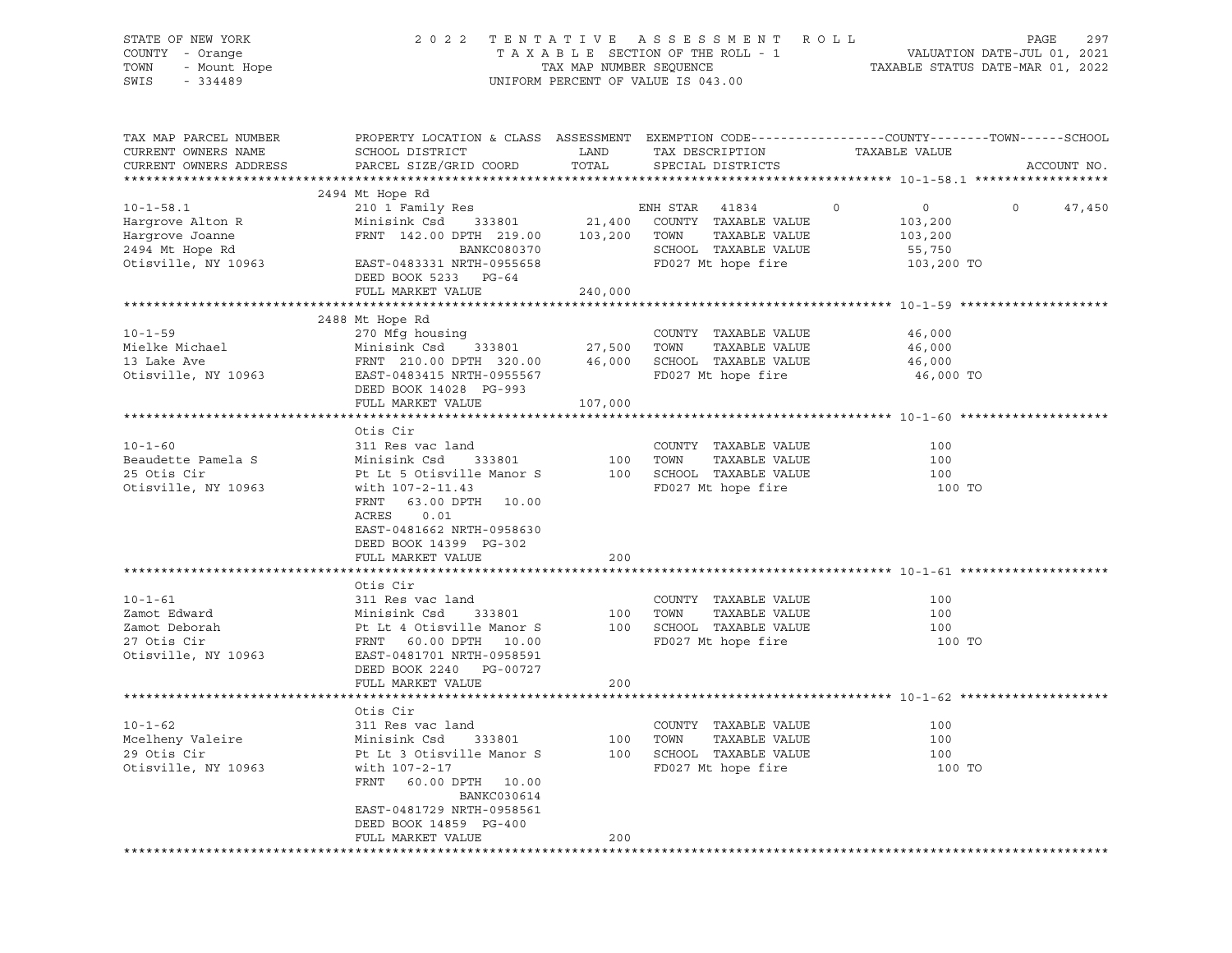| STATE OF NEW YORK<br>COUNTY - Orange<br>TOWN<br>- Mount Hope<br>SWIS<br>$-334489$ | TENTATIVE ASSESSMENT<br>2 0 2 2<br>TAXABLE SECTION OF THE ROLL - 1<br>TAX MAP NUMBER SEQUENCE<br>UNIFORM PERCENT OF VALUE IS 043.00         | R O L L<br>297<br>PAGE<br>VALUATION DATE-JUL 01, 2021<br>TAXABLE STATUS DATE-MAR 01, 2022 |                                               |                    |                   |
|-----------------------------------------------------------------------------------|---------------------------------------------------------------------------------------------------------------------------------------------|-------------------------------------------------------------------------------------------|-----------------------------------------------|--------------------|-------------------|
| TAX MAP PARCEL NUMBER<br>CURRENT OWNERS NAME<br>CURRENT OWNERS ADDRESS            | PROPERTY LOCATION & CLASS ASSESSMENT EXEMPTION CODE---------------COUNTY-------TOWN-----SCHOOL<br>SCHOOL DISTRICT<br>PARCEL SIZE/GRID COORD | LAND<br>TOTAL                                                                             | TAX DESCRIPTION<br>SPECIAL DISTRICTS          | TAXABLE VALUE      | ACCOUNT NO.       |
|                                                                                   |                                                                                                                                             |                                                                                           |                                               |                    |                   |
|                                                                                   | 2494 Mt Hope Rd                                                                                                                             |                                                                                           |                                               |                    |                   |
| $10 - 1 - 58.1$                                                                   | 210 1 Family Res                                                                                                                            |                                                                                           | ENH STAR<br>41834                             | $\circ$<br>$\circ$ | $\circ$<br>47,450 |
| Hargrove Alton R                                                                  | Minisink Csd<br>333801                                                                                                                      |                                                                                           | 21,400 COUNTY TAXABLE VALUE                   | 103,200            |                   |
| Hargrove Joanne                                                                   | FRNT 142.00 DPTH 219.00                                                                                                                     | 103,200 TOWN                                                                              | TAXABLE VALUE                                 | 103,200            |                   |
| 2494 Mt Hope Rd                                                                   | BANKC080370                                                                                                                                 |                                                                                           | SCHOOL TAXABLE VALUE                          | 55,750             |                   |
| Otisville, NY 10963                                                               | EAST-0483331 NRTH-0955658                                                                                                                   |                                                                                           | FD027 Mt hope fire                            | 103,200 TO         |                   |
|                                                                                   | DEED BOOK 5233 PG-64                                                                                                                        |                                                                                           |                                               |                    |                   |
|                                                                                   | FULL MARKET VALUE                                                                                                                           | 240,000                                                                                   |                                               |                    |                   |
|                                                                                   |                                                                                                                                             |                                                                                           |                                               |                    |                   |
| $10 - 1 - 59$                                                                     | 2488 Mt Hope Rd                                                                                                                             |                                                                                           | COUNTY TAXABLE VALUE                          | 46,000             |                   |
| Mielke Michael                                                                    | 270 Mfg housing<br>Minisink Csd<br>333801                                                                                                   | 27,500                                                                                    | TOWN<br>TAXABLE VALUE                         | 46,000             |                   |
| 13 Lake Ave                                                                       | FRNT 210.00 DPTH 320.00                                                                                                                     | 46,000                                                                                    | SCHOOL TAXABLE VALUE                          | 46,000             |                   |
| Otisville, NY 10963                                                               | EAST-0483415 NRTH-0955567                                                                                                                   |                                                                                           | FD027 Mt hope fire                            | 46,000 TO          |                   |
|                                                                                   | DEED BOOK 14028 PG-993                                                                                                                      |                                                                                           |                                               |                    |                   |
|                                                                                   | FULL MARKET VALUE                                                                                                                           | 107,000                                                                                   |                                               |                    |                   |
|                                                                                   |                                                                                                                                             |                                                                                           |                                               |                    |                   |
|                                                                                   | Otis Cir                                                                                                                                    |                                                                                           |                                               |                    |                   |
| $10 - 1 - 60$                                                                     | 311 Res vac land                                                                                                                            |                                                                                           | COUNTY TAXABLE VALUE                          | 100                |                   |
| Beaudette Pamela S                                                                | Minisink Csd<br>333801                                                                                                                      | 100                                                                                       | TOWN<br>TAXABLE VALUE                         | 100                |                   |
| 25 Otis Cir                                                                       | Pt Lt 5 Otisville Manor S                                                                                                                   | 100                                                                                       | SCHOOL TAXABLE VALUE                          | 100                |                   |
| Otisville, NY 10963                                                               | with 107-2-11.43                                                                                                                            |                                                                                           | FD027 Mt hope fire                            | 100 TO             |                   |
|                                                                                   | FRNT<br>63.00 DPTH 10.00                                                                                                                    |                                                                                           |                                               |                    |                   |
|                                                                                   | ACRES<br>0.01                                                                                                                               |                                                                                           |                                               |                    |                   |
|                                                                                   | EAST-0481662 NRTH-0958630                                                                                                                   |                                                                                           |                                               |                    |                   |
|                                                                                   | DEED BOOK 14399 PG-302                                                                                                                      |                                                                                           |                                               |                    |                   |
|                                                                                   | FULL MARKET VALUE                                                                                                                           | 200                                                                                       |                                               |                    |                   |
|                                                                                   |                                                                                                                                             |                                                                                           |                                               |                    |                   |
|                                                                                   | Otis Cir                                                                                                                                    |                                                                                           |                                               |                    |                   |
| $10 - 1 - 61$                                                                     | 311 Res vac land                                                                                                                            |                                                                                           | COUNTY TAXABLE VALUE                          | 100                |                   |
| Zamot Edward                                                                      | Minisink Csd<br>333801                                                                                                                      | 100                                                                                       | TOWN<br>TAXABLE VALUE                         | 100                |                   |
| Zamot Deborah                                                                     | Pt Lt 4 Otisville Manor S                                                                                                                   |                                                                                           | 100 SCHOOL TAXABLE VALUE                      | 100                |                   |
| 27 Otis Cir                                                                       | FRNT 60.00 DPTH 10.00                                                                                                                       |                                                                                           | FD027 Mt hope fire                            | 100 TO             |                   |
| Otisville, NY 10963                                                               | EAST-0481701 NRTH-0958591                                                                                                                   |                                                                                           |                                               |                    |                   |
|                                                                                   | DEED BOOK 2240 PG-00727                                                                                                                     |                                                                                           |                                               |                    |                   |
|                                                                                   | FULL MARKET VALUE                                                                                                                           | 200                                                                                       |                                               |                    |                   |
|                                                                                   |                                                                                                                                             |                                                                                           |                                               |                    |                   |
|                                                                                   | Otis Cir<br>311 Res vac land                                                                                                                |                                                                                           |                                               |                    |                   |
| $10 - 1 - 62$<br>Mcelheny Valeire                                                 | Minisink Csd<br>333801                                                                                                                      |                                                                                           | COUNTY TAXABLE VALUE<br>TOWN<br>TAXABLE VALUE | 100<br>100         |                   |
| 29 Otis Cir                                                                       | Pt Lt 3 Otisville Manor S                                                                                                                   | 100<br>100                                                                                | SCHOOL TAXABLE VALUE                          | 100                |                   |
| Otisville, NY 10963                                                               | with 107-2-17                                                                                                                               |                                                                                           | FD027 Mt hope fire                            | 100 TO             |                   |
|                                                                                   | FRNT<br>60.00 DPTH<br>10.00                                                                                                                 |                                                                                           |                                               |                    |                   |
|                                                                                   | BANKC030614                                                                                                                                 |                                                                                           |                                               |                    |                   |
|                                                                                   | EAST-0481729 NRTH-0958561                                                                                                                   |                                                                                           |                                               |                    |                   |
|                                                                                   | DEED BOOK 14859 PG-400                                                                                                                      |                                                                                           |                                               |                    |                   |
|                                                                                   | FULL MARKET VALUE                                                                                                                           | 200                                                                                       |                                               |                    |                   |
|                                                                                   |                                                                                                                                             |                                                                                           |                                               |                    |                   |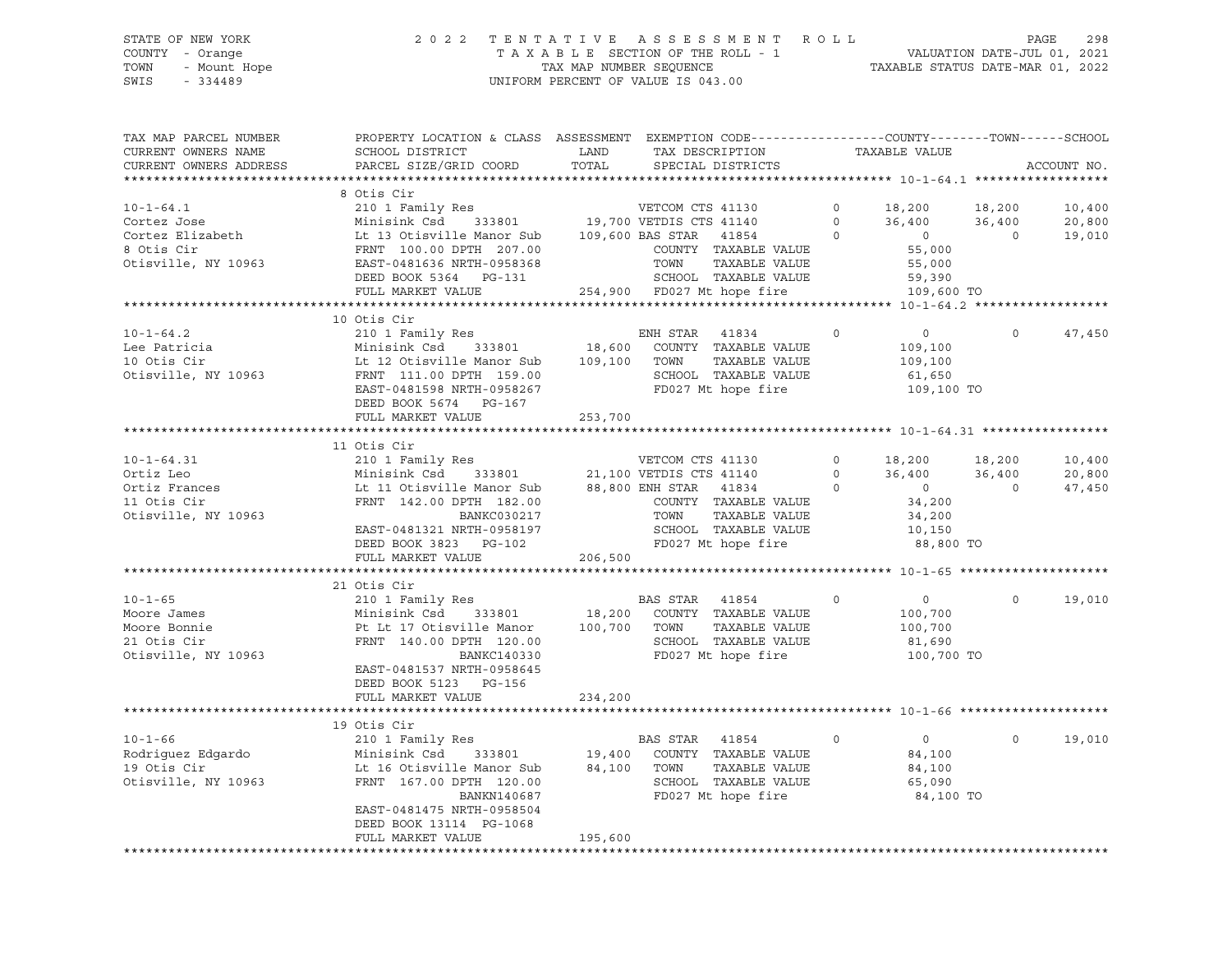# STATE OF NEW YORK 2 0 2 2 T E N T A T I V E A S S E S S M E N T R O L L PAGE 298 COUNTY - Orange T A X A B L E SECTION OF THE ROLL - 1 VALUATION DATE-JUL 01, 2021 TOWN - Mount Hope TAX MAP NUMBER SEQUENCE TAXABLE STATUS DATE-MAR 01, 2022 SWIS - 334489 UNIFORM PERCENT OF VALUE IS 043.00

| TAX MAP PARCEL NUMBER<br>CURRENT OWNERS NAME<br>CURRENT OWNERS ADDRESS                                                                              | PROPERTY LOCATION & CLASS ASSESSMENT<br>SCHOOL DISTRICT<br>PARCEL SIZE/GRID COORD                                                                                                                                                                                                                               | LAND<br>TOTAL     | EXEMPTION CODE-----------------COUNTY--------TOWN------SCHOOL<br>TAX DESCRIPTION<br>SPECIAL DISTRICTS                                                                                                                              |                                            | TAXABLE VALUE                                                                                                                   |                                                | ACCOUNT NO.                          |
|-----------------------------------------------------------------------------------------------------------------------------------------------------|-----------------------------------------------------------------------------------------------------------------------------------------------------------------------------------------------------------------------------------------------------------------------------------------------------------------|-------------------|------------------------------------------------------------------------------------------------------------------------------------------------------------------------------------------------------------------------------------|--------------------------------------------|---------------------------------------------------------------------------------------------------------------------------------|------------------------------------------------|--------------------------------------|
|                                                                                                                                                     |                                                                                                                                                                                                                                                                                                                 |                   |                                                                                                                                                                                                                                    |                                            |                                                                                                                                 |                                                |                                      |
| $10 - 1 - 64.1$<br>Cortez Jose<br>Cortez Elizabeth<br>8 Otis Cir<br>Otisville, NY 10963                                                             | 8 Otis Cir<br>210 1 Family Res<br>Minisink $\text{Csd}$ 333801<br>Lt 13 Otisville Manor Sub<br>FRNT 100.00 DPTH 207.00<br>EAST-0481636 NRTH-0958368<br>DEED BOOK 5364 PG-131<br>FULL MARKET VALUE                                                                                                               |                   | VETCOM CTS 41130<br>19,700 VETDIS CTS 41140<br>109,600 BAS STAR 41854<br>COUNTY TAXABLE VALUE<br>TOWN<br>TAXABLE VALUE<br>SCHOOL TAXABLE VALUE<br>254,900 FD027 Mt hope fire                                                       | $\circ$<br>$\circ$<br>$\Omega$             | 18,200<br>36,400<br>$0$<br>55.000<br>55,000<br>55,000<br>59,390<br>109,600 TO                                                   | 18,200<br>36,400<br>$\overline{0}$             | 10,400<br>20,800<br>19,010           |
|                                                                                                                                                     |                                                                                                                                                                                                                                                                                                                 |                   |                                                                                                                                                                                                                                    |                                            |                                                                                                                                 |                                                |                                      |
| $10 - 1 - 64.2$<br>Lee Patricia<br>10 Otis Cir<br>Otisville, NY 10963                                                                               | 10 Otis Cir<br>210 1 Family Res<br>Minisink Csd 333801<br>Lt 12 Otisville Manor Sub<br>FRNT 111.00 DPTH 159.00<br>Lt 12 Otisville Manor Sub 109,100 TOWN<br>EAST-0481598 NRTH-0958267<br>DEED BOOK 5674 PG-167                                                                                                  | 333801 18,600     | ENH STAR 41834<br>COUNTY TAXABLE VALUE<br>TAXABLE VALUE<br>SCHOOL TAXABLE VALUE<br>FD027 Mt hope fire                                                                                                                              | $\Omega$                                   | $\overline{0}$<br>109,100<br>109,100<br>61,650<br>109,100 TO                                                                    | $\Omega$                                       | 47,450                               |
|                                                                                                                                                     | FULL MARKET VALUE                                                                                                                                                                                                                                                                                               | 253,700           |                                                                                                                                                                                                                                    |                                            |                                                                                                                                 |                                                |                                      |
|                                                                                                                                                     | ****************************                                                                                                                                                                                                                                                                                    |                   |                                                                                                                                                                                                                                    |                                            |                                                                                                                                 |                                                |                                      |
| $10 - 1 - 64.31$<br>Ortiz Leo<br>Ortiz Frances<br>11 Otis Cir<br>Otisville, NY 10963<br>$10 - 1 - 65$<br>Moore James<br>Moore Bonnie<br>21 Otis Cir | 11 Otis Cir<br>210 1 Family Res<br>Lt 11 Otisville Manor Sub<br>FRNT 142.00 DPTH 182.00<br>BANKC030217<br>EAST-0481321 NRTH-0958197<br>DEED BOOK 3823 PG-102<br>FULL MARKET VALUE<br>21 Otis Cir<br>210 1 Family Res<br>Minisink Csd 333801<br>Pt Lt 17 Otisville Manor 100,700 TOWN<br>FRNT 140.00 DPTH 120.00 | 206,500           | VETCOM CTS 41130<br>88,800 ENH STAR 41834<br>COUNTY TAXABLE VALUE<br>TOWN<br>TAXABLE VALUE<br>SCHOOL TAXABLE VALUE<br>FD027 Mt hope fire<br>BAS STAR 41854<br>18,200 COUNTY TAXABLE VALUE<br>TAXABLE VALUE<br>SCHOOL TAXABLE VALUE | $\circ$<br>$\Omega$<br>$\Omega$<br>$\circ$ | 18,200<br>36,400<br>$\overline{0}$<br>34,200<br>34,200<br>10,150<br>88,800 TO<br>$\overline{0}$<br>100,700<br>100,700<br>81,690 | 18,200<br>36,400<br>$\overline{a}$<br>$\Omega$ | 10,400<br>20,800<br>47,450<br>19,010 |
| Otisville, NY 10963                                                                                                                                 | BANKC140330<br>EAST-0481537 NRTH-0958645<br>DEED BOOK 5123 PG-156<br>FULL MARKET VALUE                                                                                                                                                                                                                          | 234,200           | FD027 Mt hope fire                                                                                                                                                                                                                 |                                            | 100,700 TO                                                                                                                      |                                                |                                      |
|                                                                                                                                                     | 19 Otis Cir                                                                                                                                                                                                                                                                                                     |                   |                                                                                                                                                                                                                                    |                                            |                                                                                                                                 |                                                |                                      |
| $10 - 1 - 66$<br>Rodriguez Edgardo Minisink Csd<br>19 Otis Cir<br>Otisville, NY 10963                                                               | 210 1 Family Res<br>Lt 16 Otisville Manor Sub<br>FRNT 167.00 DPTH 120.00<br>BANKN140687<br>EAST-0481475 NRTH-0958504<br>DEED BOOK 13114 PG-1068<br>FULL MARKET VALUE                                                                                                                                            | 84,100<br>195,600 | BAS STAR 41854<br>${\small 333801} \qquad {\small 19,400} \qquad {\small  \  \, {\rm COUNTY} \quad {\small {\tt TAXABLE\ VALUE}}$<br>TOWN<br>TAXABLE VALUE<br>SCHOOL TAXABLE VALUE<br>FD027 Mt hope fire                           | $\circ$                                    | $\overline{0}$<br>84,100<br>84,100<br>65,090<br>84,100 TO                                                                       | $\Omega$                                       | 19,010                               |
|                                                                                                                                                     |                                                                                                                                                                                                                                                                                                                 |                   |                                                                                                                                                                                                                                    |                                            |                                                                                                                                 |                                                |                                      |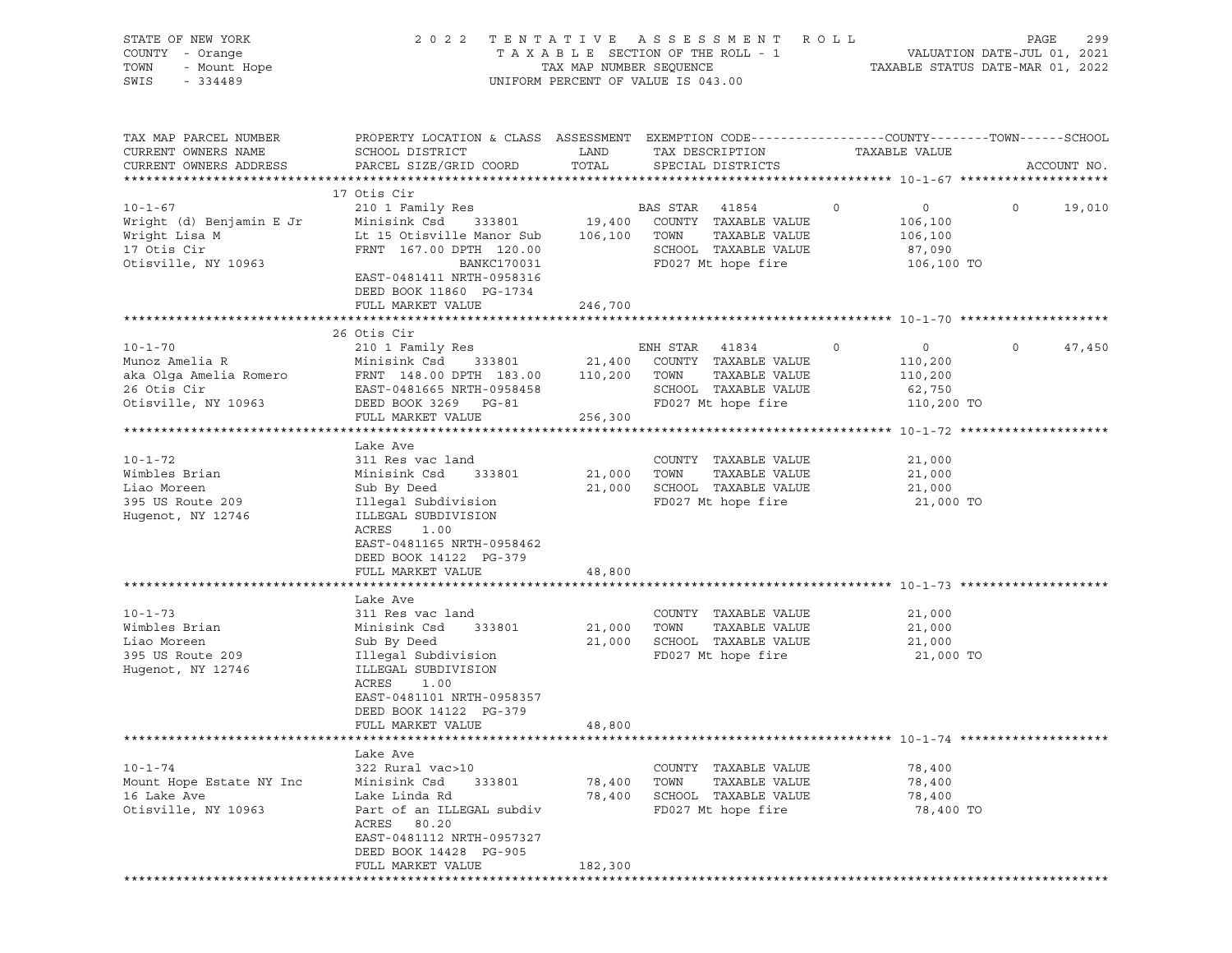| STATE OF NEW YORK<br>COUNTY - Orange<br>- Urunge<br>- Mount Hope<br>TOWN<br>SWIS<br>$-334489$ |                                                                                                                                               | TAX MAP NUMBER SEQUENCE | 2022 TENTATIVE ASSESSMENT ROLL<br>TAXABLE SECTION OF THE ROLL - 1<br>UNIFORM PERCENT OF VALUE IS 043.00 | TAXABLE STATUS DATE-MAR 01, 2022 | PAGE<br>299<br>VALUATION DATE-JUL 01, 2021 |
|-----------------------------------------------------------------------------------------------|-----------------------------------------------------------------------------------------------------------------------------------------------|-------------------------|---------------------------------------------------------------------------------------------------------|----------------------------------|--------------------------------------------|
| TAX MAP PARCEL NUMBER<br>CURRENT OWNERS NAME<br>CURRENT OWNERS ADDRESS                        | PROPERTY LOCATION & CLASS ASSESSMENT EXEMPTION CODE----------------COUNTY-------TOWN------SCHOOL<br>SCHOOL DISTRICT<br>PARCEL SIZE/GRID COORD | LAND<br>TOTAL           | TAX DESCRIPTION<br>SPECIAL DISTRICTS                                                                    | TAXABLE VALUE                    | ACCOUNT NO.                                |
|                                                                                               |                                                                                                                                               |                         |                                                                                                         |                                  |                                            |
|                                                                                               | 17 Otis Cir                                                                                                                                   |                         |                                                                                                         |                                  |                                            |
| $10 - 1 - 67$                                                                                 | 210 1 Family Res                                                                                                                              |                         | BAS STAR 41854                                                                                          | $\overline{0}$<br>$\circ$        | $\Omega$<br>19,010                         |
| Wright (d) Benjamin E Jr                                                                      | Minisink Csd<br>333801                                                                                                                        |                         | 19,400 COUNTY TAXABLE VALUE                                                                             | 106,100                          |                                            |
| Wright Lisa M                                                                                 | Lt 15 Otisville Manor Sub                                                                                                                     | 106,100 TOWN            | TAXABLE VALUE                                                                                           | 106,100                          |                                            |
| 17 Otis Cir<br>Otisville, NY 10963                                                            | FRNT 167.00 DPTH 120.00<br>BANKC170031<br>EAST-0481411 NRTH-0958316                                                                           |                         | SCHOOL TAXABLE VALUE<br>FD027 Mt hope fire                                                              | 87,090<br>106,100 TO             |                                            |
|                                                                                               | DEED BOOK 11860 PG-1734                                                                                                                       |                         |                                                                                                         |                                  |                                            |
|                                                                                               | FULL MARKET VALUE                                                                                                                             | 246,700                 |                                                                                                         |                                  |                                            |
|                                                                                               |                                                                                                                                               |                         |                                                                                                         |                                  |                                            |
| $10 - 1 - 70$                                                                                 | 26 Otis Cir<br>210 1 Family Res                                                                                                               |                         | ENH STAR 41834                                                                                          | $\circ$<br>$\circ$               | $\circ$<br>47,450                          |
| Munoz Amelia R                                                                                | Minisink Csd 333801                                                                                                                           |                         | 21,400 COUNTY TAXABLE VALUE                                                                             | 110,200                          |                                            |
| aka Olga Amelia Romero                                                                        | FRNT 148.00 DPTH 183.00                                                                                                                       | 110,200                 | TOWN<br>TAXABLE VALUE                                                                                   | 110,200                          |                                            |
| 26 Otis Cir                                                                                   | EAST-0481665 NRTH-0958458                                                                                                                     |                         | SCHOOL TAXABLE VALUE                                                                                    | 62,750                           |                                            |
| Otisville, NY 10963                                                                           | DEED BOOK 3269 PG-81                                                                                                                          |                         | FD027 Mt hope fire                                                                                      | 110,200 TO                       |                                            |
|                                                                                               | FULL MARKET VALUE                                                                                                                             | 256,300                 |                                                                                                         |                                  |                                            |
|                                                                                               |                                                                                                                                               |                         |                                                                                                         |                                  |                                            |
|                                                                                               | Lake Ave                                                                                                                                      |                         |                                                                                                         |                                  |                                            |
| $10 - 1 - 72$                                                                                 | 311 Res vac land                                                                                                                              |                         | COUNTY TAXABLE VALUE                                                                                    | 21,000                           |                                            |
| Wimbles Brian                                                                                 | Minisink Csd<br>333801                                                                                                                        | 21,000                  | TAXABLE VALUE<br>TOWN                                                                                   | 21,000                           |                                            |
| Liao Moreen                                                                                   | Sub By Deed                                                                                                                                   | 21,000                  | SCHOOL TAXABLE VALUE                                                                                    | 21,000                           |                                            |
| 395 US Route 209                                                                              | Illegal Subdivision                                                                                                                           |                         | FD027 Mt hope fire                                                                                      | 21,000 TO                        |                                            |
| Hugenot, NY 12746                                                                             | ILLEGAL SUBDIVISION<br>ACRES<br>1.00                                                                                                          |                         |                                                                                                         |                                  |                                            |
|                                                                                               | EAST-0481165 NRTH-0958462                                                                                                                     |                         |                                                                                                         |                                  |                                            |
|                                                                                               | DEED BOOK 14122 PG-379                                                                                                                        |                         |                                                                                                         |                                  |                                            |
|                                                                                               | FULL MARKET VALUE                                                                                                                             | 48,800                  |                                                                                                         |                                  |                                            |
|                                                                                               |                                                                                                                                               |                         |                                                                                                         |                                  |                                            |
|                                                                                               | Lake Ave                                                                                                                                      |                         |                                                                                                         |                                  |                                            |
| $10 - 1 - 73$                                                                                 | 311 Res vac land                                                                                                                              |                         | COUNTY TAXABLE VALUE                                                                                    | 21,000                           |                                            |
| Wimbles Brian                                                                                 | 333801<br>Minisink Csd                                                                                                                        | 21,000                  | TOWN<br>TAXABLE VALUE                                                                                   | 21,000                           |                                            |
| Liao Moreen                                                                                   | Sub By Deed                                                                                                                                   | 21,000                  | SCHOOL TAXABLE VALUE                                                                                    | 21,000                           |                                            |
| 395 US Route 209                                                                              | Illegal Subdivision                                                                                                                           |                         | FD027 Mt hope fire                                                                                      | 21,000 TO                        |                                            |
| Hugenot, NY 12746                                                                             | ILLEGAL SUBDIVISION                                                                                                                           |                         |                                                                                                         |                                  |                                            |
|                                                                                               | ACRES<br>1.00                                                                                                                                 |                         |                                                                                                         |                                  |                                            |
|                                                                                               | EAST-0481101 NRTH-0958357                                                                                                                     |                         |                                                                                                         |                                  |                                            |
|                                                                                               | DEED BOOK 14122 PG-379<br>FULL MARKET VALUE                                                                                                   |                         |                                                                                                         |                                  |                                            |
|                                                                                               |                                                                                                                                               | 48,800                  |                                                                                                         |                                  |                                            |
|                                                                                               | Lake Ave                                                                                                                                      |                         |                                                                                                         |                                  |                                            |
| $10 - 1 - 74$                                                                                 | 322 Rural vac>10                                                                                                                              |                         | COUNTY TAXABLE VALUE                                                                                    | 78,400                           |                                            |
| Mount Hope Estate NY Inc                                                                      | Minisink Csd<br>333801                                                                                                                        | 78,400                  | TOWN<br>TAXABLE VALUE                                                                                   | 78,400                           |                                            |
| 16 Lake Ave                                                                                   | Lake Linda Rd                                                                                                                                 | 78,400                  | SCHOOL TAXABLE VALUE                                                                                    | 78,400                           |                                            |
| Otisville, NY 10963                                                                           | Part of an ILLEGAL subdiv                                                                                                                     |                         | FD027 Mt hope fire                                                                                      | 78,400 TO                        |                                            |
|                                                                                               | ACRES 80.20                                                                                                                                   |                         |                                                                                                         |                                  |                                            |
|                                                                                               | EAST-0481112 NRTH-0957327                                                                                                                     |                         |                                                                                                         |                                  |                                            |
|                                                                                               | DEED BOOK 14428 PG-905                                                                                                                        |                         |                                                                                                         |                                  |                                            |
|                                                                                               | FULL MARKET VALUE                                                                                                                             | 182,300                 |                                                                                                         |                                  |                                            |
|                                                                                               |                                                                                                                                               |                         |                                                                                                         |                                  |                                            |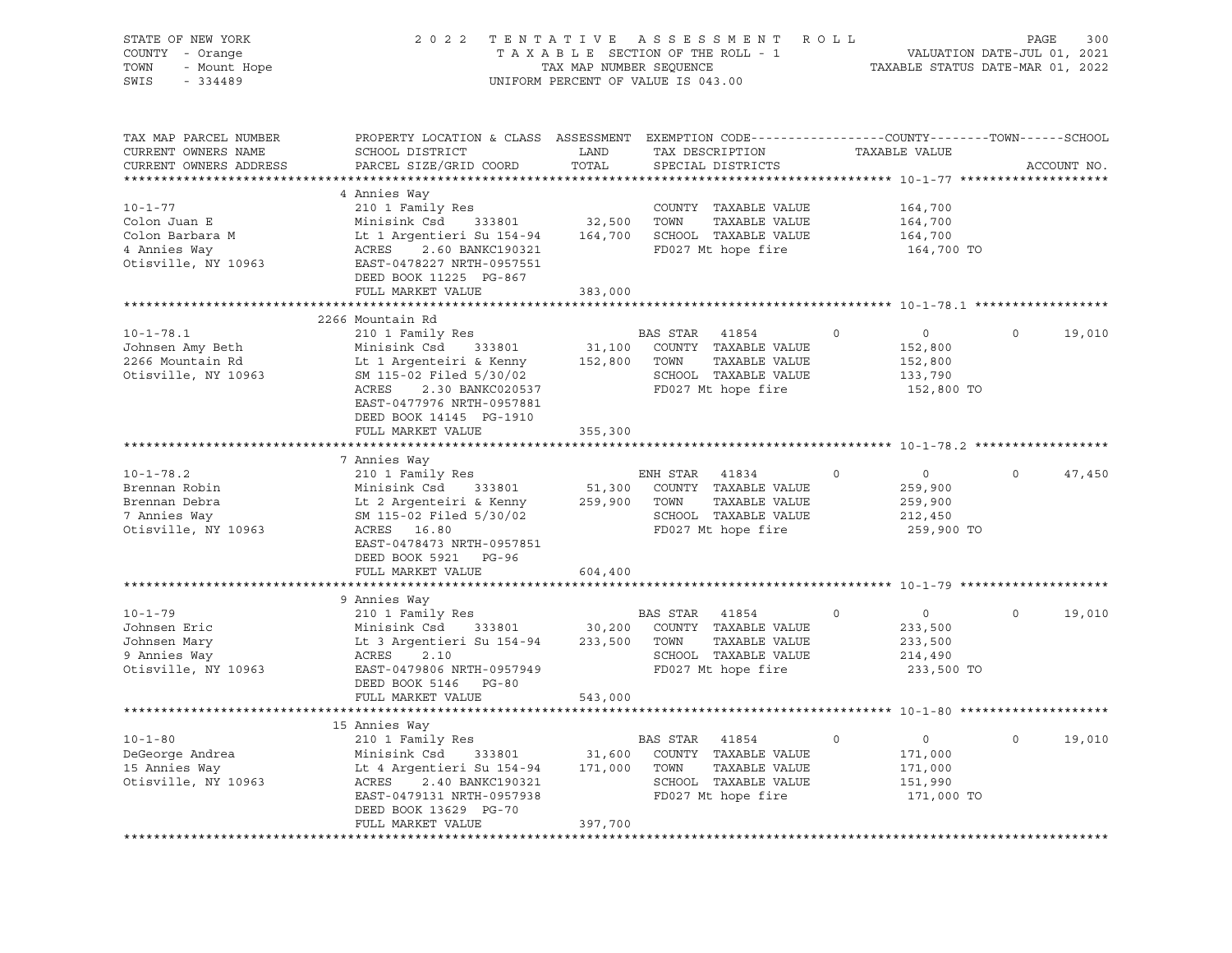|                                                                          |                                                                                                                                                                                                          |                                                                                                                                                                             |                                                                                                                                                                                                                | PAGE<br>300                                                                                                                                                                                                                                                                                                                                                                                                                                                                                                                                                                                                                                                                                                                                                                                                                                                                                                                                                                                                                                                                         |
|--------------------------------------------------------------------------|----------------------------------------------------------------------------------------------------------------------------------------------------------------------------------------------------------|-----------------------------------------------------------------------------------------------------------------------------------------------------------------------------|----------------------------------------------------------------------------------------------------------------------------------------------------------------------------------------------------------------|-------------------------------------------------------------------------------------------------------------------------------------------------------------------------------------------------------------------------------------------------------------------------------------------------------------------------------------------------------------------------------------------------------------------------------------------------------------------------------------------------------------------------------------------------------------------------------------------------------------------------------------------------------------------------------------------------------------------------------------------------------------------------------------------------------------------------------------------------------------------------------------------------------------------------------------------------------------------------------------------------------------------------------------------------------------------------------------|
|                                                                          | TOTAL                                                                                                                                                                                                    | SPECIAL DISTRICTS                                                                                                                                                           | TAXABLE VALUE                                                                                                                                                                                                  | ACCOUNT NO.                                                                                                                                                                                                                                                                                                                                                                                                                                                                                                                                                                                                                                                                                                                                                                                                                                                                                                                                                                                                                                                                         |
| DEED BOOK 11225 PG-867<br>FULL MARKET VALUE                              | 383,000                                                                                                                                                                                                  | COUNTY TAXABLE VALUE<br>TAXABLE VALUE                                                                                                                                       | 164,700<br>164,700<br>164,700<br>164,700 TO                                                                                                                                                                    |                                                                                                                                                                                                                                                                                                                                                                                                                                                                                                                                                                                                                                                                                                                                                                                                                                                                                                                                                                                                                                                                                     |
|                                                                          |                                                                                                                                                                                                          |                                                                                                                                                                             |                                                                                                                                                                                                                |                                                                                                                                                                                                                                                                                                                                                                                                                                                                                                                                                                                                                                                                                                                                                                                                                                                                                                                                                                                                                                                                                     |
| 210 1 Family Res<br>EAST-0477976 NRTH-0957881<br>DEED BOOK 14145 PG-1910 |                                                                                                                                                                                                          |                                                                                                                                                                             | $\overline{0}$<br>$\circ$<br>152,800<br>152,800<br>133,790<br>152,800 TO                                                                                                                                       | $\circ$<br>19,010                                                                                                                                                                                                                                                                                                                                                                                                                                                                                                                                                                                                                                                                                                                                                                                                                                                                                                                                                                                                                                                                   |
| FULL MARKET VALUE                                                        | 355,300                                                                                                                                                                                                  |                                                                                                                                                                             |                                                                                                                                                                                                                |                                                                                                                                                                                                                                                                                                                                                                                                                                                                                                                                                                                                                                                                                                                                                                                                                                                                                                                                                                                                                                                                                     |
| ACRES 16.80<br>EAST-0478473 NRTH-0957851<br>DEED BOOK 5921 PG-96         |                                                                                                                                                                                                          |                                                                                                                                                                             | $\overline{0}$<br>$\Omega$<br>259,900<br>259,900<br>212,450<br>259,900 TO                                                                                                                                      | $\circ$<br>47,450                                                                                                                                                                                                                                                                                                                                                                                                                                                                                                                                                                                                                                                                                                                                                                                                                                                                                                                                                                                                                                                                   |
|                                                                          |                                                                                                                                                                                                          |                                                                                                                                                                             |                                                                                                                                                                                                                |                                                                                                                                                                                                                                                                                                                                                                                                                                                                                                                                                                                                                                                                                                                                                                                                                                                                                                                                                                                                                                                                                     |
| 2.10<br>EAST-0479806 NRTH-0957949<br>DEED BOOK 5146 PG-80                |                                                                                                                                                                                                          |                                                                                                                                                                             | $\circ$<br>$\overline{0}$<br>233,500<br>233,500<br>214,490<br>233,500 TO                                                                                                                                       | 19,010<br>$\circ$                                                                                                                                                                                                                                                                                                                                                                                                                                                                                                                                                                                                                                                                                                                                                                                                                                                                                                                                                                                                                                                                   |
|                                                                          |                                                                                                                                                                                                          |                                                                                                                                                                             |                                                                                                                                                                                                                |                                                                                                                                                                                                                                                                                                                                                                                                                                                                                                                                                                                                                                                                                                                                                                                                                                                                                                                                                                                                                                                                                     |
| DEED BOOK 13629 PG-70<br>FULL MARKET VALUE                               | 397,700                                                                                                                                                                                                  |                                                                                                                                                                             | $\overline{0}$<br>$\circ$<br>171,000<br>171,000<br>151,990<br>171,000 TO                                                                                                                                       | $\circ$<br>19,010                                                                                                                                                                                                                                                                                                                                                                                                                                                                                                                                                                                                                                                                                                                                                                                                                                                                                                                                                                                                                                                                   |
|                                                                          | - Orange<br>- Mount Hope<br>4 Annies Way<br>2266 Mountain Rd<br>7 Annies Way<br>210 1 Family Res<br>FULL MARKET VALUE<br>9 Annies Way<br>210 1 Family Res<br>ACRES<br>FULL MARKET VALUE<br>15 Annies Way | SCHOOL DISTRICT LAND<br>PARCEL SIZE/GRID COORD<br>Minisink Csd 333801<br>Lt 1 Argenteiri & Kenny<br>SM 115-02 Filed 5/30/02<br>ACRES 2.30 BANKC020537<br>604,400<br>543,000 | UNIFORM PERCENT OF VALUE IS 043.00<br>BAS STAR 41854<br>ENH STAR 41834<br>Minisink Csd 333801 51,300 COUNTY<br>Lt 2 Argenteiri & Kenny 259,900 TOWN<br>SM 115-02 Filed 5/30/02 8CHOOL<br><b>BAS STAR</b> 41854 | 2022 TENTATIVE ASSESSMENT ROLL<br>TAXABLE SECTION OF THE ROLL - 1<br>TAXABLE SECTION OF THE ROLL - 1<br>TAXABLE STATUS DATE-MAR 01, 2022<br>PROPERTY LOCATION & CLASS ASSESSMENT EXEMPTION CODE----------------COUNTY-------TOWN-----SCHOOL<br>TAX DESCRIPTION<br>Minisink Csd 333801 32,500 TOWN TAXABLE VALUE<br>Lt 1 Argentieri Su 154-94 164,700 SCHOOL TAXABLE VALUE<br>ACRES 2.60 BANKC190321 FD027 Mt hope fire<br>EAST-0478227 NRTH-0957551<br>FD027 Mt hope fire<br>31,100 COUNTY TAXABLE VALUE<br>152,800 TOWN TAXABLE VALUE<br>SCHOOL TAXABLE VALUE<br>FD027 Mt hope fire<br>51,300 COUNTY TAXABLE VALUE<br>TAXABLE VALUE<br>SCHOOL TAXABLE VALUE<br>FD027 Mt hope fire<br>Minisink Csd 333801 30,200 COUNTY TAXABLE VALUE<br>Lt 3 Argentieri Su 154-94 233,500 TOWN TAXABLE VALUE<br>SCHOOL TAXABLE VALUE<br>FD027 Mt best C<br>15 Annies way<br>210 1 Family Res<br>Minisink Csd 333801 31,600 COUNTY TAXABLE VALUE<br>Lt 4 Argentieri Su 154-94 171,000 TOWN TAXABLE VALUE<br>ACRES 2.40 BANKC190321 SCHOOL TAXABLE VALUE<br>FD027 Mt hope fire<br>FD027 Mt hope fire |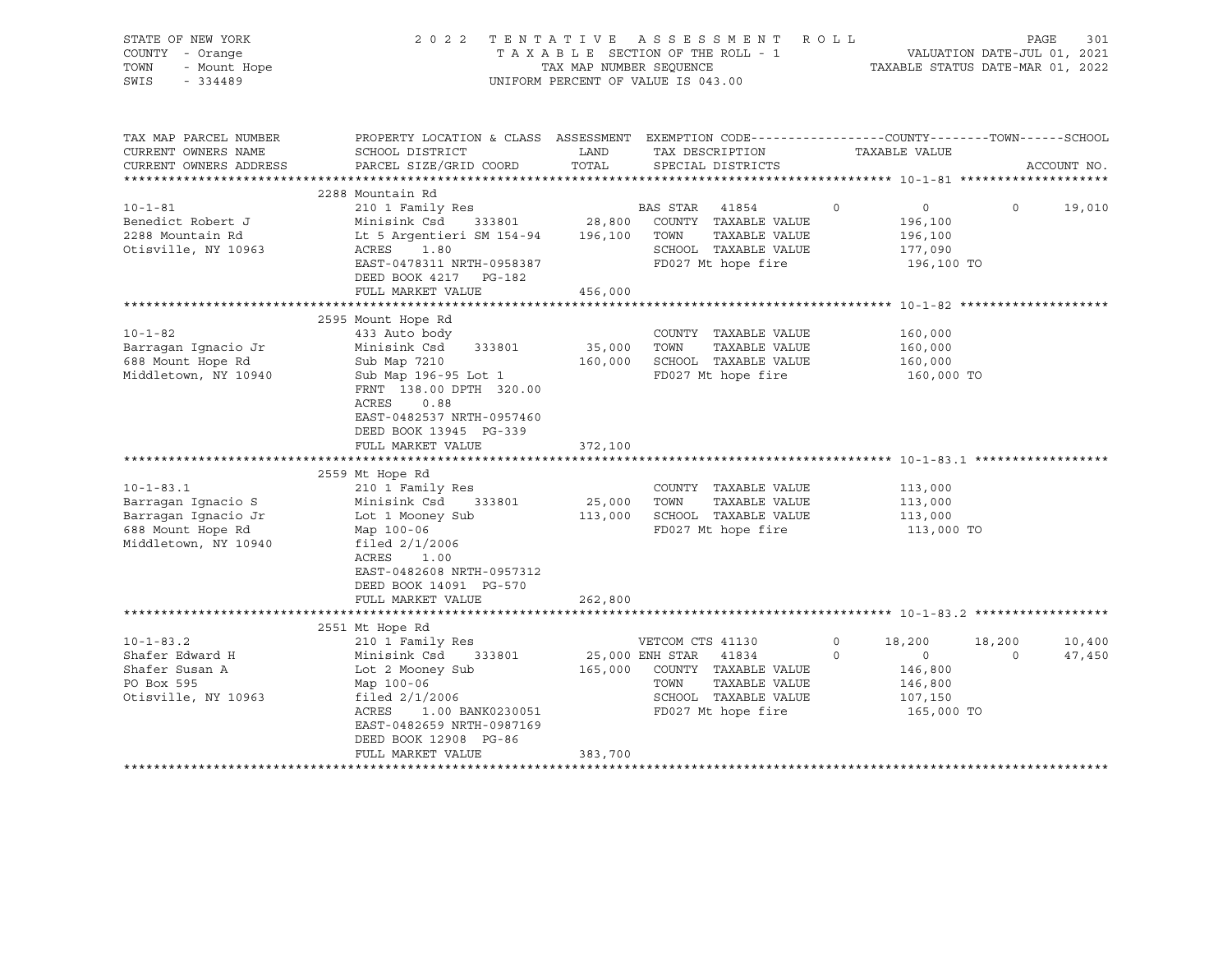| STATE OF NEW YORK<br>COUNTY - Orange<br>TOWN<br>- Mount Hope<br>SWIS<br>$-334489$                         |                                                                                                                                                                                                                                                                               | 2022 TENTATIVE ASSESSMENT<br>TAXABLE SECTION OF THE ROLL - 1<br>TAX MAP NUMBER SEQUENCE<br>UNIFORM PERCENT OF VALUE IS 043.00                               | ROLL<br>301<br>PAGE<br>VALUATION DATE-JUL 01, 2021<br>TAXABLE STATUS DATE-MAR 01, 2022                                                             |
|-----------------------------------------------------------------------------------------------------------|-------------------------------------------------------------------------------------------------------------------------------------------------------------------------------------------------------------------------------------------------------------------------------|-------------------------------------------------------------------------------------------------------------------------------------------------------------|----------------------------------------------------------------------------------------------------------------------------------------------------|
| TAX MAP PARCEL NUMBER<br>CURRENT OWNERS NAME<br>CURRENT OWNERS ADDRESS                                    | SCHOOL DISTRICT<br>PARCEL SIZE/GRID COORD                                                                                                                                                                                                                                     | LAND<br>TAX DESCRIPTION<br>TOTAL<br>SPECIAL DISTRICTS                                                                                                       | PROPERTY LOCATION & CLASS ASSESSMENT EXEMPTION CODE---------------COUNTY-------TOWN-----SCHOOL<br>TAXABLE VALUE<br>ACCOUNT NO.                     |
|                                                                                                           | 2288 Mountain Rd                                                                                                                                                                                                                                                              |                                                                                                                                                             |                                                                                                                                                    |
| $10 - 1 - 81$<br>Benedict Robert J<br>2288 Mountain Rd<br>Otisville, NY 10963                             | 210 1 Family Res<br>Minisink Csd<br>333801 28,800<br>Lt 5 Argentieri SM 154-94 196,100 TOWN<br>1.80<br>ACRES<br>EAST-0478311 NRTH-0958387<br>DEED BOOK 4217 PG-182<br>FULL MARKET VALUE                                                                                       | BAS STAR 41854<br>COUNTY TAXABLE VALUE<br>TAXABLE VALUE<br>SCHOOL TAXABLE VALUE<br>FD027 Mt hope fire<br>456,000                                            | $\circ$<br>$\circ$<br>$\circ$<br>19,010<br>196,100<br>196,100<br>177,090<br>196,100 TO                                                             |
|                                                                                                           |                                                                                                                                                                                                                                                                               |                                                                                                                                                             |                                                                                                                                                    |
| $10 - 1 - 82$<br>Barragan Ignacio Jr<br>688 Mount Hope Rd<br>Middletown, NY 10940                         | 2595 Mount Hope Rd<br>433 Auto body<br>Minisink Csd<br>333801<br>Sub Map 7210<br>Sub Map 196-95 Lot 1<br>FRNT 138.00 DPTH 320.00<br>ACRES<br>0.88<br>EAST-0482537 NRTH-0957460<br>DEED BOOK 13945 PG-339<br>FULL MARKET VALUE<br>*************************<br>2559 Mt Hope Rd | COUNTY TAXABLE VALUE<br>35,000 TOWN<br>TAXABLE VALUE<br>160,000 SCHOOL TAXABLE VALUE<br>FD027 Mt hope fire<br>372,100<br>***************                    | 160,000<br>160,000<br>160,000<br>160,000 TO<br>*********************************** 10-1-83.1 ********                                              |
| $10 - 1 - 83.1$<br>Barragan Ignacio S<br>Barragan Ignacio Jr<br>688 Mount Hope Rd<br>Middletown, NY 10940 | 210 1 Family Res<br>Minisink Csd 333801<br>Lot 1 Mooney Sub<br>Map 100-06<br>filed $2/1/2006$<br>ACRES 1.00<br>EAST-0482608 NRTH-0957312<br>DEED BOOK 14091 PG-570<br>FULL MARKET VALUE                                                                                       | COUNTY TAXABLE VALUE<br>25,000<br>TOWN<br>TAXABLE VALUE<br>113,000<br>SCHOOL TAXABLE VALUE<br>FD027 Mt hope fire<br>262,800                                 | 113,000<br>113,000<br>113,000<br>113,000 TO                                                                                                        |
|                                                                                                           |                                                                                                                                                                                                                                                                               |                                                                                                                                                             |                                                                                                                                                    |
| $10 - 1 - 83.2$<br>Shafer Edward H<br>Shafer Susan A<br>PO Box 595<br>Otisville, NY 10963                 | 2551 Mt Hope Rd<br>210 1 Family Res<br>Minisink Csd 333801<br>Lot 2 Mooney Sub<br>Map 100-06<br>filed $2/1/2006$<br>ACRES<br>1.00 BANK0230051<br>EAST-0482659 NRTH-0987169<br>DEED BOOK 12908 PG-86<br>FULL MARKET VALUE                                                      | VETCOM CTS 41130<br>25,000 ENH STAR 41834<br>165,000 COUNTY TAXABLE VALUE<br>TOWN<br>TAXABLE VALUE<br>SCHOOL TAXABLE VALUE<br>FD027 Mt hope fire<br>383,700 | 10,400<br>$\circ$<br>18,200<br>18,200<br>47,450<br>$\overline{\phantom{0}}$<br>$\Omega$<br>$\Omega$<br>146,800<br>146,800<br>107,150<br>165,000 TO |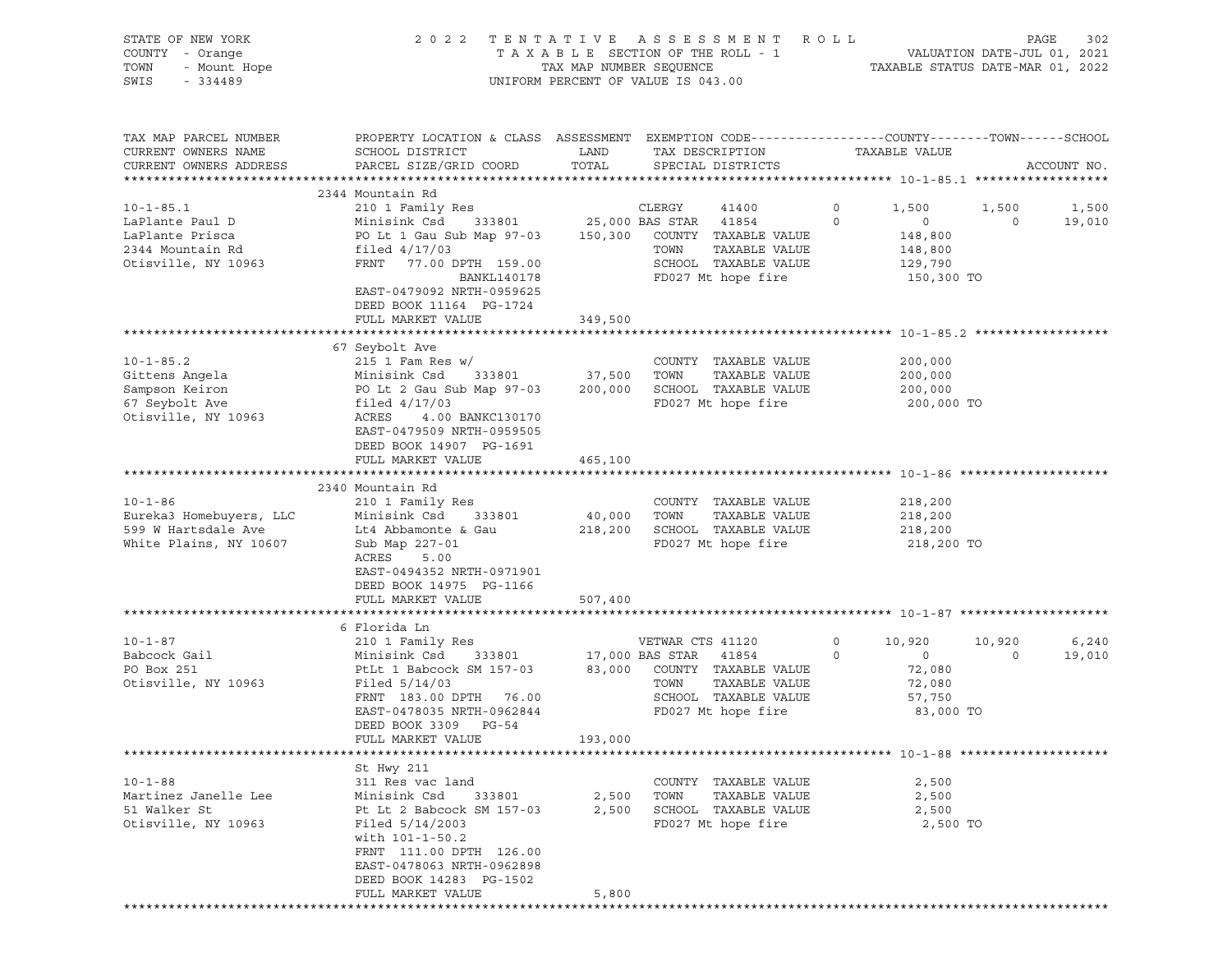| STATE OF NEW YORK<br>COUNTY - Orange<br>TOWN<br>- Mount Hope<br>SWIS<br>$-334489$                | 2022 TENTATIVE                                                                                                                                                                                                                        | TAX MAP NUMBER SEQUENCE | ASSESSMENT ROLL<br>TAXABLE SECTION OF THE ROLL - 1<br>UNIFORM PERCENT OF VALUE IS 043.00                                                               | VALUATION DATE-JUL 01, 2021<br>TAXABLE STATUS DATE-MAR 01, 2022                              |                       | PAGE<br>302     |
|--------------------------------------------------------------------------------------------------|---------------------------------------------------------------------------------------------------------------------------------------------------------------------------------------------------------------------------------------|-------------------------|--------------------------------------------------------------------------------------------------------------------------------------------------------|----------------------------------------------------------------------------------------------|-----------------------|-----------------|
| TAX MAP PARCEL NUMBER<br>CURRENT OWNERS NAME<br>CURRENT OWNERS ADDRESS                           | PROPERTY LOCATION & CLASS ASSESSMENT EXEMPTION CODE----------------COUNTY-------TOWN------SCHOOL<br>SCHOOL DISTRICT<br>PARCEL SIZE/GRID COORD                                                                                         | LAND<br>TOTAL           | TAX DESCRIPTION<br>SPECIAL DISTRICTS                                                                                                                   | TAXABLE VALUE                                                                                |                       | ACCOUNT NO.     |
| $10 - 1 - 85.1$<br>LaPlante Paul D<br>LaPlante Prisca<br>2344 Mountain Rd<br>Otisville, NY 10963 | 2344 Mountain Rd<br>210 1 Family Res<br>Minisink Csd<br>PO Lt 1 Gau Sub Map 97-03<br>filed $4/17/03$<br>FRNT 77.00 DPTH 159.00<br>BANKL140178<br>EAST-0479092 NRTH-0959625                                                            |                         | CLERGY<br>41400<br>333801 25,000 BAS STAR 41854<br>150,300 COUNTY TAXABLE VALUE<br>TOWN<br>TAXABLE VALUE<br>SCHOOL TAXABLE VALUE<br>FD027 Mt hope fire | $\circ$<br>1,500<br>$\circ$<br>$\overline{0}$<br>148,800<br>148,800<br>129,790<br>150,300 TO | 1,500<br>0            | 1,500<br>19,010 |
|                                                                                                  | DEED BOOK 11164 PG-1724<br>FULL MARKET VALUE                                                                                                                                                                                          | 349,500                 |                                                                                                                                                        |                                                                                              |                       |                 |
| $10 - 1 - 85.2$<br>Gittens Angela<br>Sampson Keiron<br>67 Seybolt Ave<br>Otisville, NY 10963     | 67 Seybolt Ave<br>$215$ 1 Fam Res w/<br>Minisink Csd<br>333801<br>PO Lt 2 Gau Sub Map 97-03<br>filed $4/17/03$<br>ACRES<br>4.00 BANKC130170<br>EAST-0479509 NRTH-0959505<br>DEED BOOK 14907 PG-1691                                   | 37,500 TOWN             | COUNTY TAXABLE VALUE<br>TAXABLE VALUE<br>200,000 SCHOOL TAXABLE VALUE<br>FD027 Mt hope fire                                                            | 200,000<br>200,000<br>200,000<br>200,000 TO                                                  |                       |                 |
|                                                                                                  | FULL MARKET VALUE                                                                                                                                                                                                                     | 465,100                 |                                                                                                                                                        |                                                                                              |                       |                 |
| $10 - 1 - 86$<br>Eureka3 Homebuyers, LLC<br>599 W Hartsdale Ave<br>White Plains, NY 10607        | 2340 Mountain Rd<br>210 1 Family Res<br>Minisink Csd 333801<br>Lt4 Abbamonte & Gau<br>Sub Map 227-01<br>ACRES<br>5.00<br>EAST-0494352 NRTH-0971901<br>DEED BOOK 14975 PG-1166<br>FULL MARKET VALUE                                    | 507,400                 | COUNTY TAXABLE VALUE<br>40,000 TOWN<br>TAXABLE VALUE<br>218,200 SCHOOL TAXABLE VALUE<br>FD027 Mt hope fire                                             | 218,200<br>218,200<br>218,200<br>218,200 TO                                                  |                       |                 |
|                                                                                                  |                                                                                                                                                                                                                                       |                         |                                                                                                                                                        |                                                                                              |                       |                 |
| $10 - 1 - 87$<br>Babcock Gail<br>PO Box 251<br>Otisville, NY 10963                               | 6 Florida Ln<br>210 1 Family Res<br>Minisink Csd<br>PtLt 1 Babcock SM 157-03<br>Filed $5/14/03$<br>FRNT 183.00 DPTH 76.00<br>EAST-0478035 NRTH-0962844<br>DEED BOOK 3309 PG-54                                                        |                         | VETWAR CTS 41120<br>333801 17,000 BAS STAR 41854<br>83,000 COUNTY TAXABLE VALUE<br>TOWN<br>TAXABLE VALUE<br>SCHOOL TAXABLE VALUE<br>FD027 Mt hope fire | 0<br>10,920<br>$\circ$<br>$\overline{0}$<br>72,080<br>72,080<br>57,750<br>83,000 TO          | 10,920<br>$\mathbf 0$ | 6,240<br>19,010 |
| ******************************                                                                   | FULL MARKET VALUE                                                                                                                                                                                                                     | 193,000                 |                                                                                                                                                        |                                                                                              |                       |                 |
| $10 - 1 - 88$<br>Martinez Janelle Lee<br>51 Walker St<br>Otisville, NY 10963                     | St Hwy 211<br>311 Res vac land<br>Minisink Csd<br>333801<br>Pt Lt 2 Babcock SM 157-03<br>Filed $5/14/2003$<br>with 101-1-50.2<br>FRNT 111.00 DPTH 126.00<br>EAST-0478063 NRTH-0962898<br>DEED BOOK 14283 PG-1502<br>FULL MARKET VALUE | 2,500<br>2,500<br>5,800 | TAXABLE VALUE<br>COUNTY<br>TOWN<br>TAXABLE VALUE<br>SCHOOL TAXABLE VALUE<br>FD027 Mt hope fire                                                         | 2,500<br>2,500<br>2,500<br>2,500 TO                                                          |                       |                 |
|                                                                                                  |                                                                                                                                                                                                                                       |                         |                                                                                                                                                        |                                                                                              |                       |                 |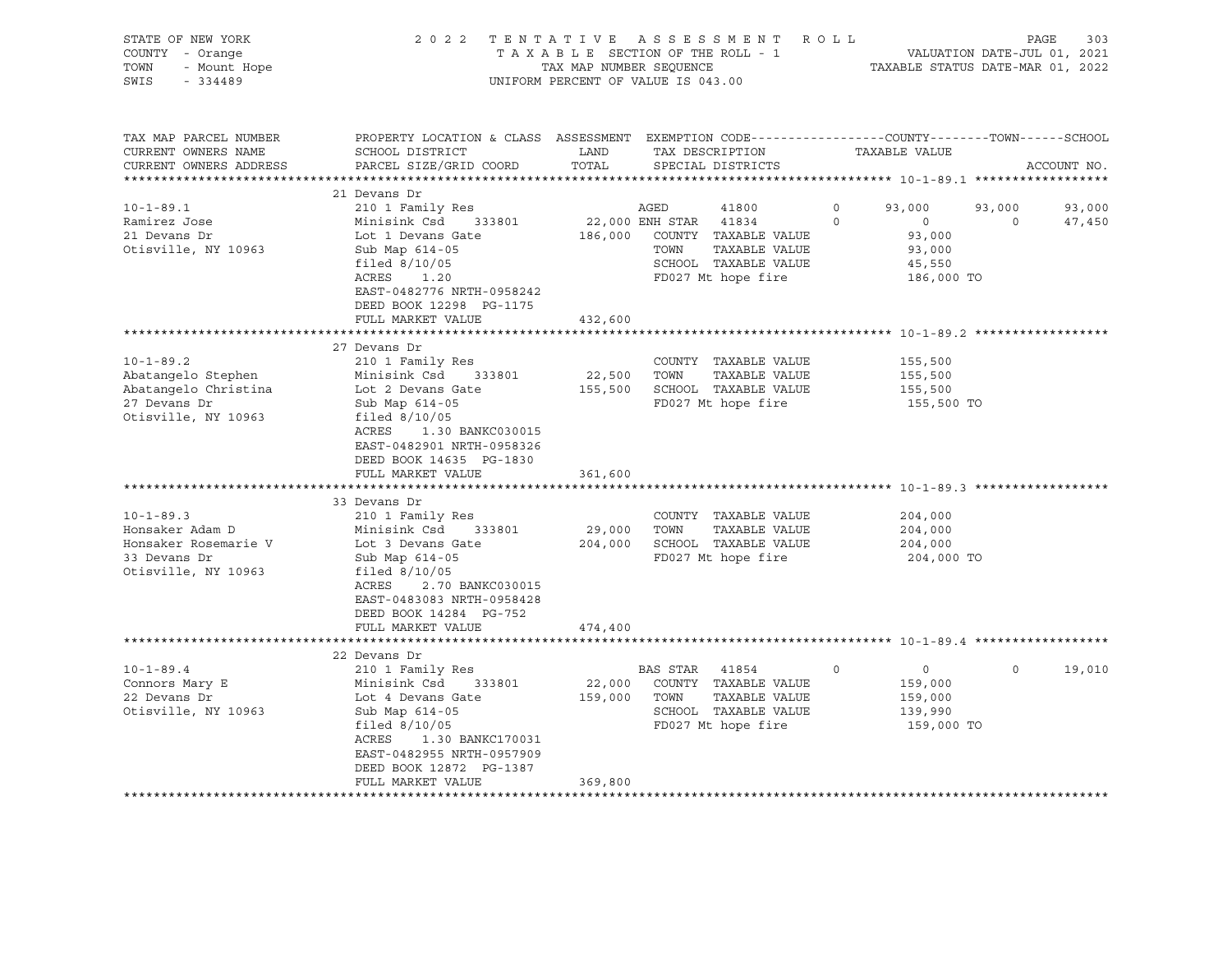| STATE OF NEW YORK                               | 2022 TENTATIVE ASSESSMENT ROLL                                                                  |                                    |                |                                                                  |         |                                                                 |          | PAGE<br>303 |
|-------------------------------------------------|-------------------------------------------------------------------------------------------------|------------------------------------|----------------|------------------------------------------------------------------|---------|-----------------------------------------------------------------|----------|-------------|
| COUNTY - Orange                                 |                                                                                                 |                                    |                | TAXABLE SECTION OF THE ROLL - 1                                  |         |                                                                 |          |             |
| TOWN                                            |                                                                                                 | TAX MAP NUMBER SEQUENCE            |                |                                                                  |         | VALUATION DATE-JUL 01, 2021<br>TAXABLE STATUS DATE-MAR 01, 2022 |          |             |
| OF NEW YORK<br>- Orange<br>- Mount Hope<br>SWIS |                                                                                                 | UNIFORM PERCENT OF VALUE IS 043.00 |                |                                                                  |         |                                                                 |          |             |
|                                                 |                                                                                                 |                                    |                |                                                                  |         |                                                                 |          |             |
|                                                 |                                                                                                 |                                    |                |                                                                  |         |                                                                 |          |             |
|                                                 |                                                                                                 |                                    |                |                                                                  |         |                                                                 |          |             |
| TAX MAP PARCEL NUMBER                           | PROPERTY LOCATION & CLASS ASSESSMENT EXEMPTION CODE----------------COUNTY-------TOWN-----SCHOOL |                                    |                |                                                                  |         |                                                                 |          |             |
| CURRENT OWNERS NAME                             | SCHOOL DISTRICT                                                                                 | LAND                               |                | TAX DESCRIPTION                                                  |         | TAXABLE VALUE                                                   |          |             |
| CURRENT OWNERS ADDRESS                          | PARCEL SIZE/GRID COORD                                                                          | TOTAL                              |                | SPECIAL DISTRICTS                                                |         |                                                                 |          | ACCOUNT NO. |
|                                                 |                                                                                                 |                                    |                |                                                                  |         |                                                                 |          |             |
|                                                 | 21 Devans Dr                                                                                    |                                    |                |                                                                  |         |                                                                 |          |             |
| $10 - 1 - 89.1$                                 | 210 1 Family Res                                                                                |                                    | AGED           | 41800                                                            | $\circ$ | 93,000                                                          | 93,000   | 93,000      |
| Ramirez Jose                                    | Minisink Csd<br>333801                                                                          | 22,000 ENH STAR 41834              |                |                                                                  | $\circ$ | $\overline{0}$                                                  | $\circ$  | 47,450      |
| 21 Devans Dr                                    | Lot 1 Devans Gate                                                                               |                                    |                | 186,000 COUNTY TAXABLE VALUE                                     |         | 93,000                                                          |          |             |
| Otisville, NY 10963                             | Sub Map 614-05                                                                                  |                                    | TOWN           | TAXABLE VALUE                                                    |         | 93,000                                                          |          |             |
|                                                 | filed $8/10/05$                                                                                 |                                    |                | SCHOOL TAXABLE VALUE                                             |         | 45,550                                                          |          |             |
|                                                 | ACRES<br>1.20                                                                                   |                                    |                | FD027 Mt hope fire                                               |         | 186,000 TO                                                      |          |             |
|                                                 | EAST-0482776 NRTH-0958242                                                                       |                                    |                |                                                                  |         |                                                                 |          |             |
|                                                 | DEED BOOK 12298 PG-1175                                                                         |                                    |                |                                                                  |         |                                                                 |          |             |
|                                                 |                                                                                                 |                                    |                |                                                                  |         |                                                                 |          |             |
|                                                 | FULL MARKET VALUE<br>************************                                                   | 432,600<br>************            |                |                                                                  |         |                                                                 |          |             |
|                                                 |                                                                                                 |                                    |                |                                                                  |         |                                                                 |          |             |
|                                                 | 27 Devans Dr                                                                                    |                                    |                |                                                                  |         |                                                                 |          |             |
| $10 - 1 - 89.2$                                 | 210 1 Family Res                                                                                |                                    |                | COUNTY TAXABLE VALUE                                             |         | 155,500                                                         |          |             |
| Abatangelo Stephen                              | Minisink Csd 333801                                                                             | 22,500 TOWN                        |                | TAXABLE VALUE                                                    |         | 155,500                                                         |          |             |
| Abatangelo Christina                            | Lot 2 Devans Gate                                                                               |                                    |                | 155,500 SCHOOL TAXABLE VALUE                                     |         | 155,500                                                         |          |             |
| 27 Devans Dr                                    | Sub Map 614-05                                                                                  |                                    |                | FD027 Mt hope fire                                               |         | 155,500 TO                                                      |          |             |
| Otisville, NY 10963                             | filed $8/10/05$                                                                                 |                                    |                |                                                                  |         |                                                                 |          |             |
|                                                 | ACRES 1.30 BANKC030015                                                                          |                                    |                |                                                                  |         |                                                                 |          |             |
|                                                 | EAST-0482901 NRTH-0958326                                                                       |                                    |                |                                                                  |         |                                                                 |          |             |
|                                                 | DEED BOOK 14635 PG-1830                                                                         |                                    |                |                                                                  |         |                                                                 |          |             |
|                                                 | FULL MARKET VALUE                                                                               | 361,600                            |                |                                                                  |         |                                                                 |          |             |
|                                                 |                                                                                                 |                                    |                |                                                                  |         |                                                                 |          |             |
|                                                 | 33 Devans Dr                                                                                    |                                    |                |                                                                  |         |                                                                 |          |             |
| $10 - 1 - 89.3$                                 | 210 1 Family Res                                                                                |                                    |                | COUNTY TAXABLE VALUE                                             |         | 204,000                                                         |          |             |
| Honsaker Adam D                                 | Minisink Csd<br>333801                                                                          | 29,000 TOWN                        |                | TAXABLE VALUE                                                    |         | 204,000                                                         |          |             |
| Honsaker Rosemarie V                            | Lot 3 Devans Gate                                                                               |                                    |                | 204,000 SCHOOL TAXABLE VALUE                                     |         | 204,000                                                         |          |             |
| 33 Devans Dr                                    | Sub Map 614-05                                                                                  |                                    |                | FD027 Mt hope fire                                               |         | 204,000 TO                                                      |          |             |
|                                                 |                                                                                                 |                                    |                |                                                                  |         |                                                                 |          |             |
| Otisville, NY 10963                             | filed $8/10/05$                                                                                 |                                    |                |                                                                  |         |                                                                 |          |             |
|                                                 | ACRES<br>2.70 BANKC030015                                                                       |                                    |                |                                                                  |         |                                                                 |          |             |
|                                                 | EAST-0483083 NRTH-0958428                                                                       |                                    |                |                                                                  |         |                                                                 |          |             |
|                                                 | DEED BOOK 14284 PG-752                                                                          |                                    |                |                                                                  |         |                                                                 |          |             |
|                                                 | FULL MARKET VALUE                                                                               | 474,400                            |                |                                                                  |         |                                                                 |          |             |
|                                                 | ****************************                                                                    |                                    |                | ************************************ 10-1-89.4 ***************** |         |                                                                 |          |             |
|                                                 | 22 Devans Dr                                                                                    |                                    |                |                                                                  |         |                                                                 |          |             |
| $10 - 1 - 89.4$                                 | 210 1 Family Res                                                                                |                                    | BAS STAR 41854 |                                                                  | $\circ$ | $\overline{0}$                                                  | $\Omega$ | 19,010      |
| Connors Mary E                                  | Minisink Csd 333801                                                                             |                                    |                | 22,000 COUNTY TAXABLE VALUE                                      |         | 159,000                                                         |          |             |
| 22 Devans Dr                                    | Lot 4 Devans Gate                                                                               | 159,000 TOWN                       |                | TAXABLE VALUE                                                    |         | 159,000                                                         |          |             |
| Otisville, NY 10963                             | Sub Map 614-05                                                                                  |                                    |                | SCHOOL TAXABLE VALUE                                             |         | 139,990                                                         |          |             |
|                                                 | filed $8/10/05$                                                                                 |                                    |                | FD027 Mt hope fire                                               |         | 159,000 TO                                                      |          |             |
|                                                 | ACRES 1.30 BANKC170031                                                                          |                                    |                |                                                                  |         |                                                                 |          |             |
|                                                 | EAST-0482955 NRTH-0957909                                                                       |                                    |                |                                                                  |         |                                                                 |          |             |
|                                                 | DEED BOOK 12872 PG-1387                                                                         |                                    |                |                                                                  |         |                                                                 |          |             |
|                                                 | FULL MARKET VALUE                                                                               | 369,800                            |                |                                                                  |         |                                                                 |          |             |
|                                                 |                                                                                                 |                                    |                |                                                                  |         |                                                                 |          |             |
|                                                 |                                                                                                 |                                    |                |                                                                  |         |                                                                 |          |             |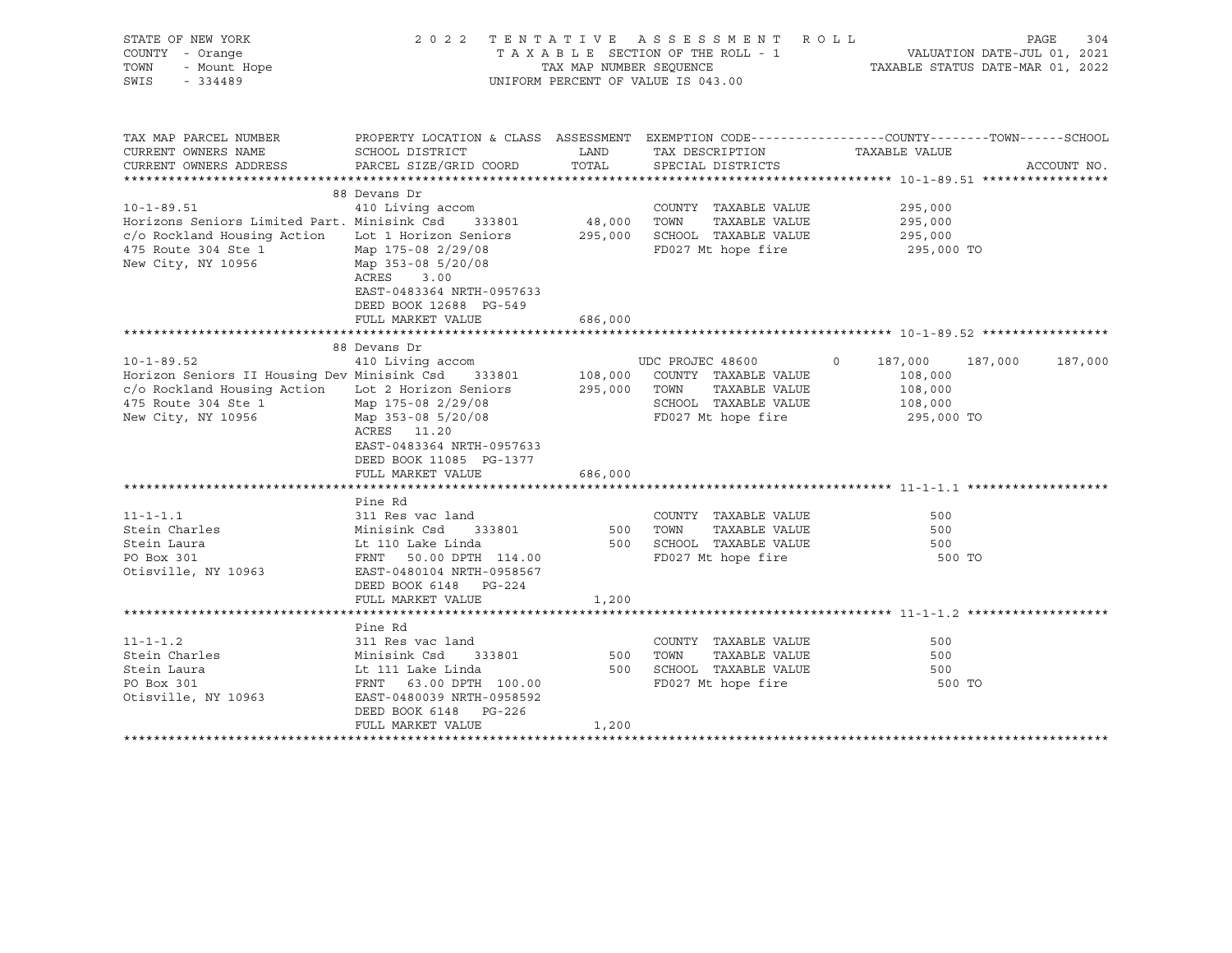| STATE OF NEW YORK<br>COUNTY - Orange<br>$V = V \times V$<br>$V = V \times V$<br>$V = V \times V$<br>$V = V \times V$<br>TOWN<br>SWIS                                     |                                                                                                                                                                                           |                        | 2022 TENTATIVE ASSESSMENT ROLL<br>UNIFORM PERCENT OF VALUE IS 043.00                                                                                    | PAGE<br>T A X A B L E SECTION OF THE ROLL - 1 VALUATION DATE-JUL 01, 2021<br>TAX MAP NUMBER SEQUENCE TAXABLE STATUS DATE-MAR 01, 2022 | 304         |
|--------------------------------------------------------------------------------------------------------------------------------------------------------------------------|-------------------------------------------------------------------------------------------------------------------------------------------------------------------------------------------|------------------------|---------------------------------------------------------------------------------------------------------------------------------------------------------|---------------------------------------------------------------------------------------------------------------------------------------|-------------|
| TAX MAP PARCEL NUMBER<br>CURRENT OWNERS NAME<br>CURRENT OWNERS ADDRESS                                                                                                   | SCHOOL DISTRICT<br>PARCEL SIZE/GRID COORD                                                                                                                                                 | LAND<br>TOTAL          | TAX DESCRIPTION<br>SPECIAL DISTRICTS                                                                                                                    | PROPERTY LOCATION & CLASS ASSESSMENT EXEMPTION CODE---------------COUNTY-------TOWN-----SCHOOL<br>TAXABLE VALUE                       | ACCOUNT NO. |
| $10 - 1 - 89.51$<br>Horizons Seniors Limited Part. Minisink Csd<br>c/o Rockland Housing Action Lot 1 Horizon Seniors<br>475 Route 304 Ste 1<br>New City, NY 10956        | 88 Devans Dr<br>410 Living accom<br>333801<br>Map 175-08 2/29/08<br>Map 353-08 5/20/08<br>ACRES<br>3.00<br>EAST-0483364 NRTH-0957633<br>DEED BOOK 12688 PG-549<br>FULL MARKET VALUE       | 48,000 TOWN<br>686,000 | COUNTY TAXABLE VALUE<br>TAXABLE VALUE<br>295,000 SCHOOL TAXABLE VALUE<br>FD027 Mt hope fire                                                             | 295,000<br>295,000<br>295,000<br>295,000 TO                                                                                           |             |
| $10 - 1 - 89.52$<br>Horizon Seniors II Housing Dev Minisink Csd 333801<br>c/o Rockland Housing Action Lot 2 Horizon Seniors<br>475 Route 304 Ste 1<br>New City, NY 10956 | 88 Devans Dr<br>410 Living accom<br>LOC 2 10011-<br>Map 175-08 2/29/08<br>11 1 152-08 5/20/08<br>ACRES 11.20<br>EAST-0483364 NRTH-0957633<br>DEED BOOK 11085 PG-1377<br>FULL MARKET VALUE | 686,000                | UDC PROJEC 48600 0 187,000<br>108,000 COUNTY TAXABLE VALUE<br>295,000 TOWN TAXABLE VALUE<br>TAXABLE VALUE<br>SCHOOL TAXABLE VALUE<br>FD027 Mt hope fire | 187,000<br>108,000<br>108,000<br>108,000<br>295,000 TO                                                                                | 187,000     |
| $11 - 1 - 1.1$<br>Stein Charles<br>Stein Laura<br>PO Box 301<br>Otisville, NY 10963                                                                                      | Pine Rd<br>311 Res vac land<br>Minisink Csd<br>333801<br>Lt 110 Lake Linda<br>FRNT 50.00 DPTH 114.00<br>EAST-0480104 NRTH-0958567<br>DEED BOOK 6148 PG-224<br>FULL MARKET VALUE           | 500 TOWN<br>1,200      | COUNTY TAXABLE VALUE<br>TAXABLE VALUE<br>500 SCHOOL TAXABLE VALUE<br>FD027 Mt hope fire                                                                 | 500<br>500<br>500<br>500 TO                                                                                                           |             |
| $11 - 1 - 1.2$<br>Stein Charles<br>Stein Laura<br>PO Box 301<br>Otisville, NY 10963                                                                                      | Pine Rd<br>311 Res vac land<br>Minisink Csd<br>333801<br>Lt 111 Lake Linda<br>FRNT 63.00 DPTH 100.00<br>EAST-0480039 NRTH-0958592<br>DEED BOOK 6148 PG-226<br>FULL MARKET VALUE           | 500<br>1,200           | COUNTY TAXABLE VALUE<br>TAXABLE VALUE<br>TOWN<br>500 SCHOOL TAXABLE VALUE<br>FD027 Mt hope fire                                                         | 500<br>500<br>500<br>500 TO                                                                                                           |             |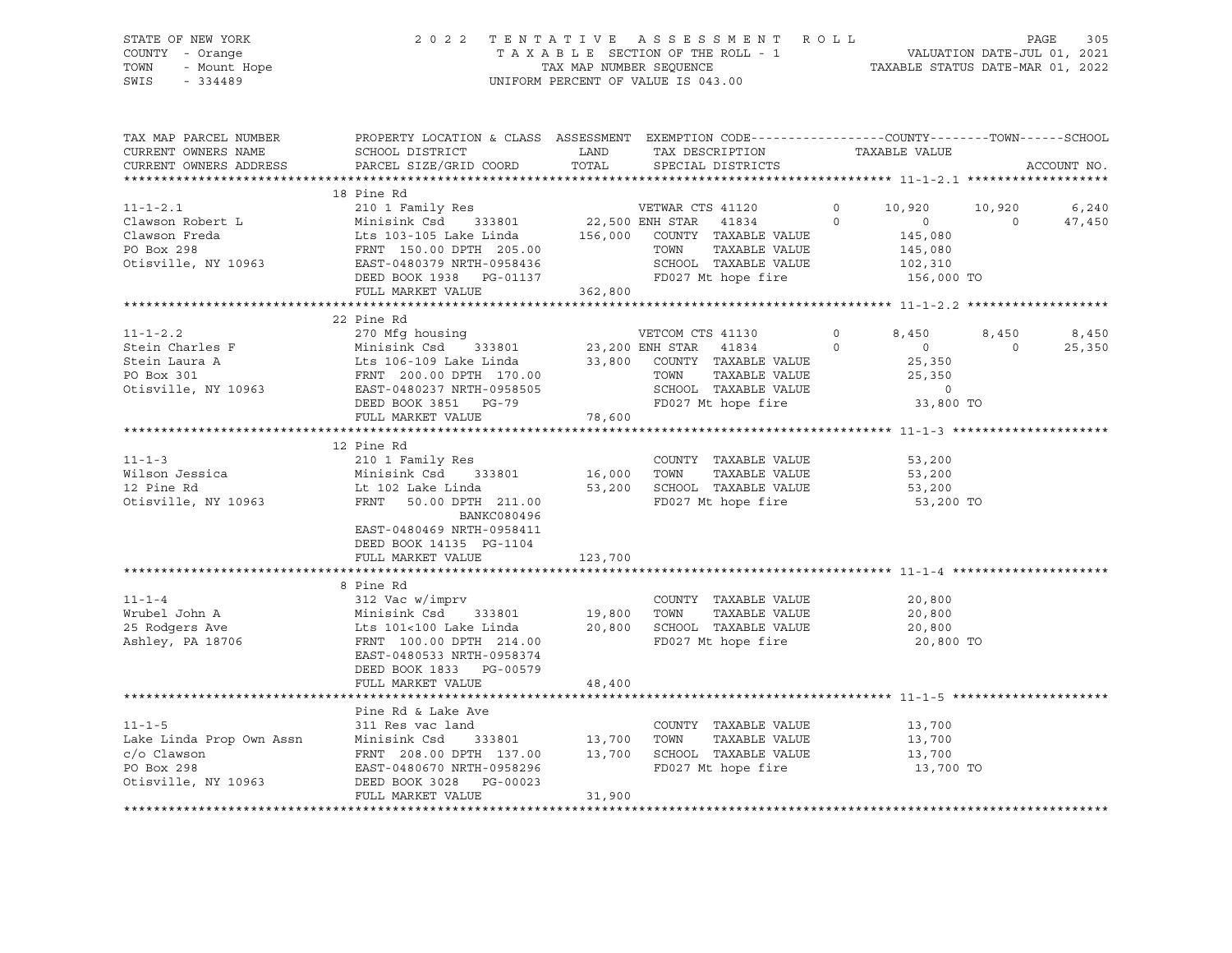STATE OF NEW YORK 2 0 2 2 T E N T A T I V E A S S E S S M E N T R O L L PAGE 305 COUNTY - Orange T A X A B L E SECTION OF THE ROLL - 1 VALUATION DATE-JUL 01, 2021 TOWN - Mount Hope TAX MAP NUMBER SEQUENCE TAXABLE STATUS DATE-MAR 01, 2022 SWIS - 334489 UNIFORM PERCENT OF VALUE IS 043.00

| CURRENT OWNERS NAME<br>SCHOOL DISTRICT<br>LAND<br>TAX DESCRIPTION TAXABLE VALUE                                                                                                                                                                                                                                                                                                                                                                                      |             |
|----------------------------------------------------------------------------------------------------------------------------------------------------------------------------------------------------------------------------------------------------------------------------------------------------------------------------------------------------------------------------------------------------------------------------------------------------------------------|-------------|
|                                                                                                                                                                                                                                                                                                                                                                                                                                                                      |             |
| TOTAL<br>CURRENT OWNERS ADDRESS<br>PARCEL SIZE/GRID COORD<br>SPECIAL DISTRICTS                                                                                                                                                                                                                                                                                                                                                                                       | ACCOUNT NO. |
|                                                                                                                                                                                                                                                                                                                                                                                                                                                                      |             |
| 18 Pine Rd                                                                                                                                                                                                                                                                                                                                                                                                                                                           |             |
| 210 1 Family Res<br>210 1 Family Res<br>Minisink Csd 333801 22,500 ENH STAR 41834<br>Lts 103-105 Lake Linda 156,000 COUNTY TAXABLE VALUE<br>$11 - 1 - 2.1$<br>VETWAR CTS 41120 0 10,920<br>10,920 6,240                                                                                                                                                                                                                                                              |             |
| $\Omega$<br>$\overline{0}$<br>Clawson Robert L<br>$\Omega$                                                                                                                                                                                                                                                                                                                                                                                                           | 47,450      |
| 145,080                                                                                                                                                                                                                                                                                                                                                                                                                                                              |             |
| Clawson Freda<br>Po Box 298<br>O Box 298<br>O Box 298<br>O DETH 205.00<br>Otisville, NY 10963<br>CAST-0480379 NRTH-0958436<br>FRNT 150.00 DPTH 205.00<br>TOWN<br>TAXABLE VALUE<br>145,080<br>102,310                                                                                                                                                                                                                                                                 |             |
| SCHOOL TAXABLE VALUE                                                                                                                                                                                                                                                                                                                                                                                                                                                 |             |
| FD027 Mt hope fire<br>156,000 TO<br>DEED BOOK 1938 PG-01137                                                                                                                                                                                                                                                                                                                                                                                                          |             |
| 362,800<br>FULL MARKET VALUE                                                                                                                                                                                                                                                                                                                                                                                                                                         |             |
|                                                                                                                                                                                                                                                                                                                                                                                                                                                                      |             |
| 22 Pine Rd                                                                                                                                                                                                                                                                                                                                                                                                                                                           |             |
| $11 - 1 - 2.2$<br>VETCOM CTS 41130<br>$\overline{0}$<br>8,450<br>8,450                                                                                                                                                                                                                                                                                                                                                                                               | 8,450       |
| $\Omega$<br>$\sim$ 0<br>Stein Charles F<br>$\Omega$                                                                                                                                                                                                                                                                                                                                                                                                                  | 25,350      |
| Stein Laura A                                                                                                                                                                                                                                                                                                                                                                                                                                                        |             |
| PO Box 301                                                                                                                                                                                                                                                                                                                                                                                                                                                           |             |
| TOWN TAXABLE VALUE<br>SCHOOL TAXABLE VALUE<br>Otisville, NY 10963<br>EAST-0480237 NRTH-0958505<br>$\overline{0}$                                                                                                                                                                                                                                                                                                                                                     |             |
| FD027 Mt hope fire<br>DEED BOOK 3851 PG-79<br>33,800 TO                                                                                                                                                                                                                                                                                                                                                                                                              |             |
| 78,600<br>FULL MARKET VALUE                                                                                                                                                                                                                                                                                                                                                                                                                                          |             |
|                                                                                                                                                                                                                                                                                                                                                                                                                                                                      |             |
| 12 Pine Rd                                                                                                                                                                                                                                                                                                                                                                                                                                                           |             |
| COUNTY TAXABLE VALUE<br>53,200                                                                                                                                                                                                                                                                                                                                                                                                                                       |             |
| 53,200<br>TAXABLE VALUE<br>TOWN                                                                                                                                                                                                                                                                                                                                                                                                                                      |             |
| 53,200                                                                                                                                                                                                                                                                                                                                                                                                                                                               |             |
| 210 1 Family Res<br>Wilson Jessica Minisink Csd 333801 16,000<br>12 Pine Rd Lt 102 Lake Linda 53,200<br>Otisville, NY 10963 FRNT 50.00 DPTH 211 00<br>SCHOOL TAXABLE VALUE<br>FD027 Mt hope fire<br>53,200 TO                                                                                                                                                                                                                                                        |             |
| BANKC080496                                                                                                                                                                                                                                                                                                                                                                                                                                                          |             |
| EAST-0480469 NRTH-0958411                                                                                                                                                                                                                                                                                                                                                                                                                                            |             |
| DEED BOOK 14135 PG-1104                                                                                                                                                                                                                                                                                                                                                                                                                                              |             |
| 123,700<br>FULL MARKET VALUE                                                                                                                                                                                                                                                                                                                                                                                                                                         |             |
|                                                                                                                                                                                                                                                                                                                                                                                                                                                                      |             |
| 8 Pine Rd                                                                                                                                                                                                                                                                                                                                                                                                                                                            |             |
| 20,800                                                                                                                                                                                                                                                                                                                                                                                                                                                               |             |
| 20,800                                                                                                                                                                                                                                                                                                                                                                                                                                                               |             |
| 20,800                                                                                                                                                                                                                                                                                                                                                                                                                                                               |             |
| $\begin{array}{lllllllllllllllll} \text{11--1--4} & & & & & & \text{212 \text{ Vac} \text{ w}/\text{imprv} & & & & \text{COUNTY} & \text{TAXABLE VALUE} \\ \text{Wrubel John A} & & & & \text{Minisink Csd} & & \text{333801} & & \text{19,800} & \text{TOWN} & \text{TAXABLE VALUE} \\ \text{25 Rodgers Ave} & & & & \text{Lts 101<100 Lake Linda} & & \text{20,800} & \text{SCHOOL TAXABLE VALUE} \\ \text{Ashley, PA 18706} & & & & \text{FRNT} & \$<br>20,800 TO |             |
| EAST-0480533 NRTH-0958374                                                                                                                                                                                                                                                                                                                                                                                                                                            |             |
| DEED BOOK 1833 PG-00579                                                                                                                                                                                                                                                                                                                                                                                                                                              |             |
| 48,400<br>FULL MARKET VALUE                                                                                                                                                                                                                                                                                                                                                                                                                                          |             |
|                                                                                                                                                                                                                                                                                                                                                                                                                                                                      |             |
| Pine Rd & Lake Ave                                                                                                                                                                                                                                                                                                                                                                                                                                                   |             |
| $11 - 1 - 5$<br>311 Res vac land<br>COUNTY TAXABLE VALUE                                                                                                                                                                                                                                                                                                                                                                                                             |             |
| 13,700<br>13,700<br>333801 13,700 TOWN<br>Minisink Csd<br>TAXABLE VALUE                                                                                                                                                                                                                                                                                                                                                                                              |             |
| 13,700                                                                                                                                                                                                                                                                                                                                                                                                                                                               |             |
| Lake Linda Prop Own Assn<br>c/o Clawson<br>PO Box 298<br>FRNT 208.00 DPTH 137.00 13,700 SCHOOL TAXABLE VALUE<br>FD027 Mt hope fire<br>PO Box 298<br>EAST-0480670 NRTH-0958296<br>13,700 TO                                                                                                                                                                                                                                                                           |             |
| Otisville, NY 10963<br>DEED BOOK 3028 PG-00023                                                                                                                                                                                                                                                                                                                                                                                                                       |             |
| 31,900<br>FULL MARKET VALUE                                                                                                                                                                                                                                                                                                                                                                                                                                          |             |
|                                                                                                                                                                                                                                                                                                                                                                                                                                                                      |             |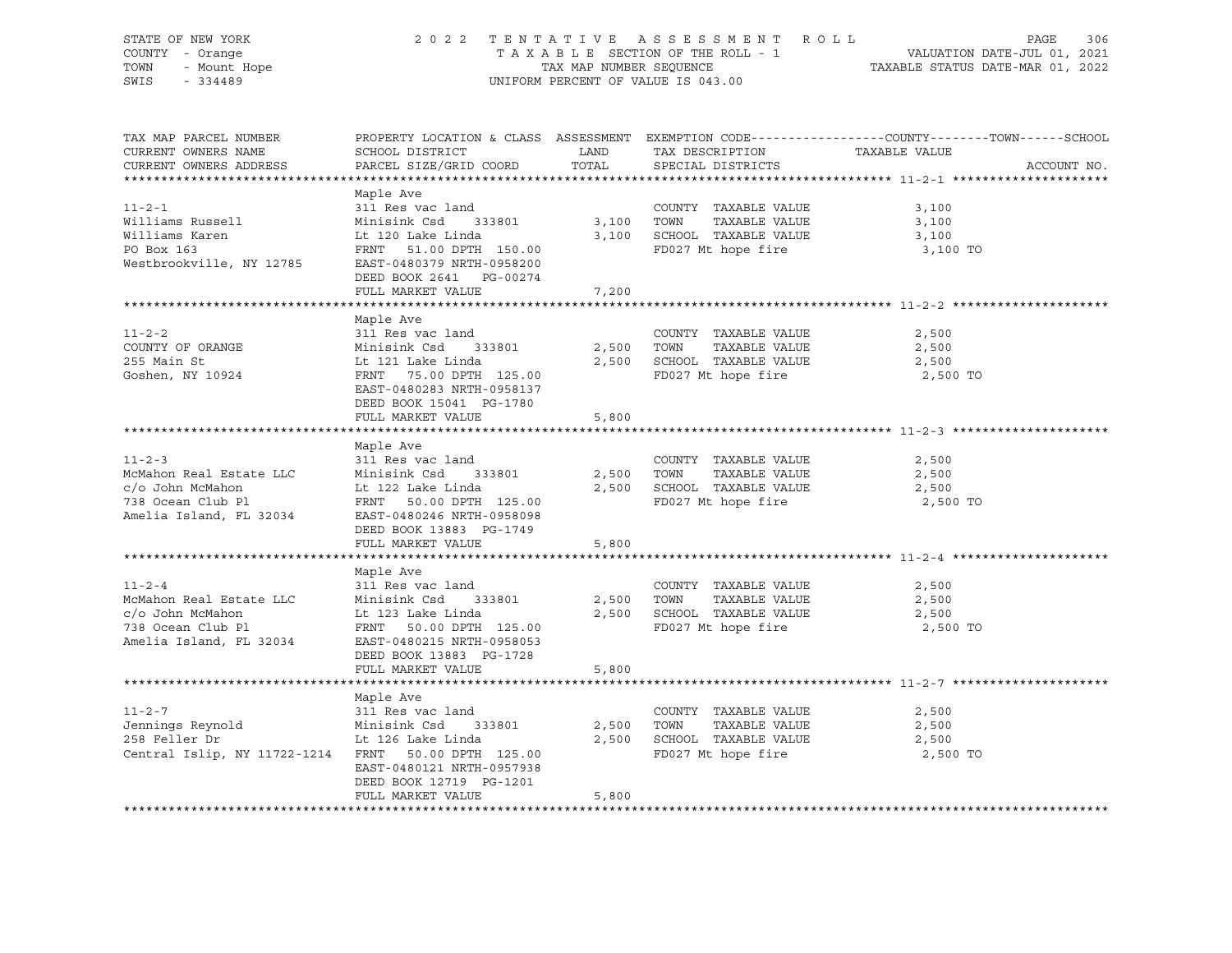| STATE OF NEW YORK<br>COUNTY - Orange<br>TOWN<br>- Mount Hope<br>SWIS<br>$-334489$                           |                                                                                                                                                                                     | TAX MAP NUMBER SEQUENCE | 2022 TENTATIVE ASSESSMENT ROLL<br>UNIFORM PERCENT OF VALUE IS 043.00                        | PAGE<br>306<br>T A X A B L E SECTION OF THE ROLL - 1 VALUATION DATE-JUL 01, 2021<br>TAXABLE STATUS DATE-MAR 01, 2022           |
|-------------------------------------------------------------------------------------------------------------|-------------------------------------------------------------------------------------------------------------------------------------------------------------------------------------|-------------------------|---------------------------------------------------------------------------------------------|--------------------------------------------------------------------------------------------------------------------------------|
| TAX MAP PARCEL NUMBER<br>CURRENT OWNERS NAME<br>CURRENT OWNERS ADDRESS                                      | SCHOOL DISTRICT<br>PARCEL SIZE/GRID COORD                                                                                                                                           | LAND<br>TOTAL           | TAX DESCRIPTION<br>SPECIAL DISTRICTS                                                        | PROPERTY LOCATION & CLASS ASSESSMENT EXEMPTION CODE---------------COUNTY-------TOWN-----SCHOOL<br>TAXABLE VALUE<br>ACCOUNT NO. |
| $11 - 2 - 1$<br>Williams Russell<br>Williams Karen<br>PO Box 163<br>Westbrookville, NY 12785                | Maple Ave<br>311 Res vac land<br>Minisink Csd<br>333801<br>Lt 120 Lake Linda<br>FRNT 51.00 DPTH 150.00<br>EAST-0480379 NRTH-0958200<br>DEED BOOK 2641 PG-00274<br>FULL MARKET VALUE | 3,100<br>3,100<br>7,200 | COUNTY TAXABLE VALUE<br>TAXABLE VALUE<br>TOWN<br>SCHOOL TAXABLE VALUE<br>FD027 Mt hope fire | 3,100<br>3,100<br>3,100<br>3,100 TO                                                                                            |
|                                                                                                             |                                                                                                                                                                                     |                         |                                                                                             |                                                                                                                                |
| $11 - 2 - 2$<br>COUNTY OF ORANGE<br>255 Main St<br>Goshen, NY 10924                                         | Maple Ave<br>311 Res vac land<br>Minisink Csd<br>333801<br>Lt 121 Lake Linda<br>FRNT 75.00 DPTH 125.00<br>EAST-0480283 NRTH-0958137<br>DEED BOOK 15041 PG-1780                      | 2,500<br>2,500          | COUNTY TAXABLE VALUE<br>TAXABLE VALUE<br>TOWN<br>SCHOOL TAXABLE VALUE<br>FD027 Mt hope fire | 2,500<br>2,500<br>2,500<br>2,500 TO                                                                                            |
|                                                                                                             | FULL MARKET VALUE                                                                                                                                                                   | 5,800                   |                                                                                             |                                                                                                                                |
|                                                                                                             | Maple Ave                                                                                                                                                                           |                         |                                                                                             |                                                                                                                                |
| $11 - 2 - 3$<br>McMahon Real Estate LLC<br>c/o John McMahon<br>738 Ocean Club Pl<br>Amelia Island, FL 32034 | 311 Res vac land<br>Minisink Csd<br>333801<br>Lt 122 Lake Linda<br>FRNT 50.00 DPTH 125.00<br>EAST-0480246 NRTH-0958098<br>DEED BOOK 13883 PG-1749<br>FULL MARKET VALUE              | 2,500<br>2,500<br>5,800 | COUNTY TAXABLE VALUE<br>TOWN<br>TAXABLE VALUE<br>SCHOOL TAXABLE VALUE<br>FD027 Mt hope fire | 2,500<br>2,500<br>2,500<br>2,500 TO                                                                                            |
|                                                                                                             |                                                                                                                                                                                     |                         |                                                                                             |                                                                                                                                |
| $11 - 2 - 4$<br>McMahon Real Estate LLC<br>c/o John McMahon<br>738 Ocean Club Pl<br>Amelia Island, FL 32034 | Maple Ave<br>311 Res vac land<br>Minisink Csd<br>333801<br>Lt 123 Lake Linda<br>FRNT 50.00 DPTH 125.00<br>EAST-0480215 NRTH-0958053<br>DEED BOOK 13883 PG-1728                      | 2,500<br>2,500          | COUNTY TAXABLE VALUE<br>TAXABLE VALUE<br>TOWN<br>SCHOOL TAXABLE VALUE<br>FD027 Mt hope fire | 2,500<br>2,500<br>2,500<br>2,500 TO                                                                                            |
|                                                                                                             | FULL MARKET VALUE                                                                                                                                                                   | 5,800                   |                                                                                             |                                                                                                                                |
|                                                                                                             | Maple Ave                                                                                                                                                                           |                         |                                                                                             |                                                                                                                                |
| $11 - 2 - 7$<br>Jennings Reynold<br>258 Feller Dr<br>Central Islip, NY 11722-1214 FRNT 50.00 DPTH 125.00    | 311 Res vac land<br>Minisink Csd<br>333801<br>Lt 126 Lake Linda<br>EAST-0480121 NRTH-0957938<br>DEED BOOK 12719 PG-1201<br>FULL MARKET VALUE                                        | 2,500<br>2,500<br>5,800 | COUNTY TAXABLE VALUE<br>TAXABLE VALUE<br>TOWN<br>SCHOOL TAXABLE VALUE<br>FD027 Mt hope fire | 2,500<br>2,500<br>2,500<br>2,500 TO                                                                                            |
|                                                                                                             |                                                                                                                                                                                     |                         |                                                                                             |                                                                                                                                |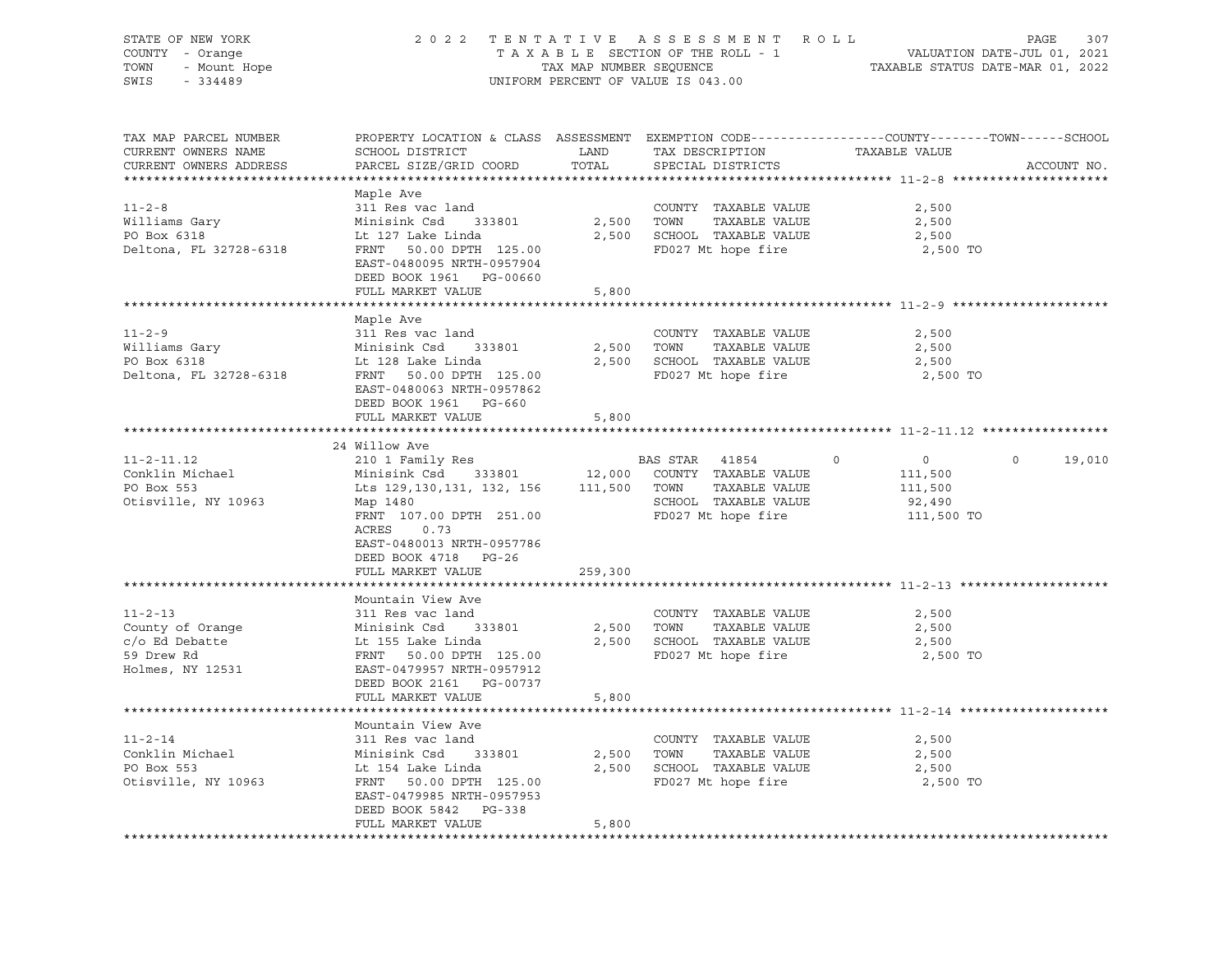| COUNTY - Orange<br>TOWN - Mount Hope<br>CWIE - 334489<br>TAX MAP NUMBER SEQUENCE<br>UNIFORM PERCENT OF VALUE IS 043.00                                                                                                                                                                                                                                                                                                                                                                            | TAXABLE STATUS DATE-MAR 01, 2022                                                  |
|---------------------------------------------------------------------------------------------------------------------------------------------------------------------------------------------------------------------------------------------------------------------------------------------------------------------------------------------------------------------------------------------------------------------------------------------------------------------------------------------------|-----------------------------------------------------------------------------------|
| PROPERTY LOCATION & CLASS ASSESSMENT EXEMPTION CODE----------------COUNTY-------TOWN------SCHOOL<br>TAX MAP PARCEL NUMBER<br>SCHOOL DISTRICT LAND<br>TAX DESCRIPTION TAXABLE VALUE<br>CURRENT OWNERS NAME<br>PARCEL SIZE/GRID COORD TOTAL<br>CURRENT OWNERS ADDRESS<br>SPECIAL DISTRICTS                                                                                                                                                                                                          | ACCOUNT NO.                                                                       |
| Maple Ave<br>$11 - 2 - 8$<br>311 Res vac land<br>COUNTY TAXABLE VALUE<br>Minisink Csd 333801<br>2,500 TOWN<br>TAXABLE VALUE<br>Williams Gary<br>DO Box 6318<br>Lt 127 Lake Linda<br>PO Box 6318<br>2,500 SCHOOL TAXABLE VALUE<br>Deltona, FL 32728-6318<br>FRNT 50.00 DPTH 125.00<br>FD027 Mt hope fire<br>EAST-0480095 NRTH-0957904<br>DEED BOOK 1961 PG-00660<br>FULL MARKET VALUE<br>5,800                                                                                                     | 2,500<br>2,500<br>2,500<br>2,500 TO                                               |
|                                                                                                                                                                                                                                                                                                                                                                                                                                                                                                   |                                                                                   |
| Maple Ave<br>$11 - 2 - 9$<br>COUNTY TAXABLE VALUE<br>311 Res vac land<br>Sir Kes vac Tanu<br>Minisink Csd 333801<br>2,500 TOWN TAXABLE VALUE<br>Williams Gary<br>PO Box 6318<br>Lt 128 Lake Linda<br>2,500 SCHOOL TAXABLE VALUE<br>FRNT 50.00 DPTH 125.00<br>FD027 Mt hope fire<br>Deltona, FL 32728-6318<br>EAST-0480063 NRTH-0957862<br>DEED BOOK 1961 PG-660                                                                                                                                   | 2,500<br>2,500<br>2,500<br>2,500 TO                                               |
| 5,800<br>FULL MARKET VALUE                                                                                                                                                                                                                                                                                                                                                                                                                                                                        |                                                                                   |
| 24 Willow Ave                                                                                                                                                                                                                                                                                                                                                                                                                                                                                     |                                                                                   |
| BAS STAR 41854<br>$11 - 2 - 11.12$<br>$\circ$<br>Conklin Michael<br>PO Box 553<br>Lts 129, 130, 131, 132, 156 111, 500 TOWN TAXABLE VALUE<br>SCHOOL TAXABLE VALUE<br>Otisville, NY 10963<br>Map 1480<br>FD027 Mt hope fire<br>FRNT 107.00 DPTH 251.00<br>ACRES 0.73<br>EAST-0480013 NRTH-0957786<br>DEED BOOK 4718 PG-26                                                                                                                                                                          | $\overline{0}$<br>$\circ$<br>19,010<br>111,500<br>111,500<br>92,490<br>111,500 TO |
| FULL MARKET VALUE<br>259,300                                                                                                                                                                                                                                                                                                                                                                                                                                                                      |                                                                                   |
| Mountain View Ave<br>COUNTY TAXABLE VALUE<br>County of Orange 511 Res vac land<br>c/o Ed Debatte 59 Drew Rd 5139 Brew Rd 59 Res Rd 5139 Brew Rd 5139 Brew Rd 5139 Brew Rd 5139 Brew Rd 5139 Brew Rd 5139 Brew Rd 5139 Brew Rd 5139 Brew Rd 5139 Brew Rd 5139 Brew Rd 5139 Bre<br>2,500 TOWN TAXABLE VALUE<br>2,500 SCHOOL TAXABLE VALUE<br>FRNT 50.00 DPTH 125.00<br>EAST-0479957 NRTH-0957912<br>FD027 Mt hope fire<br>Holmes, NY 12531<br>DEED BOOK 2161 PG-00737<br>FULL MARKET VALUE<br>5,800 | 2,500<br>2,500<br>2,500<br>2,500 TO                                               |
|                                                                                                                                                                                                                                                                                                                                                                                                                                                                                                   |                                                                                   |
| Mountain View Ave<br>$11 - 2 - 14$<br>COUNTY TAXABLE VALUE<br>311 Res vac land<br>Minisink Csd 333801<br>Conklin Michael<br>2,500 TOWN TAXABLE VALUE<br>2,500 SCHOOL TAXABLE VALUE<br>PO Box 553<br>Lt 154 Lake Linda<br>FD027 Mt hope fire<br>FRNT 50.00 DPTH 125.00<br>Otisville, NY 10963<br>EAST-0479985 NRTH-0957953<br>DEED BOOK 5842 PG-338<br>FULL MARKET VALUE<br>5,800                                                                                                                  | 2,500<br>2,500<br>2,500<br>2,500 TO                                               |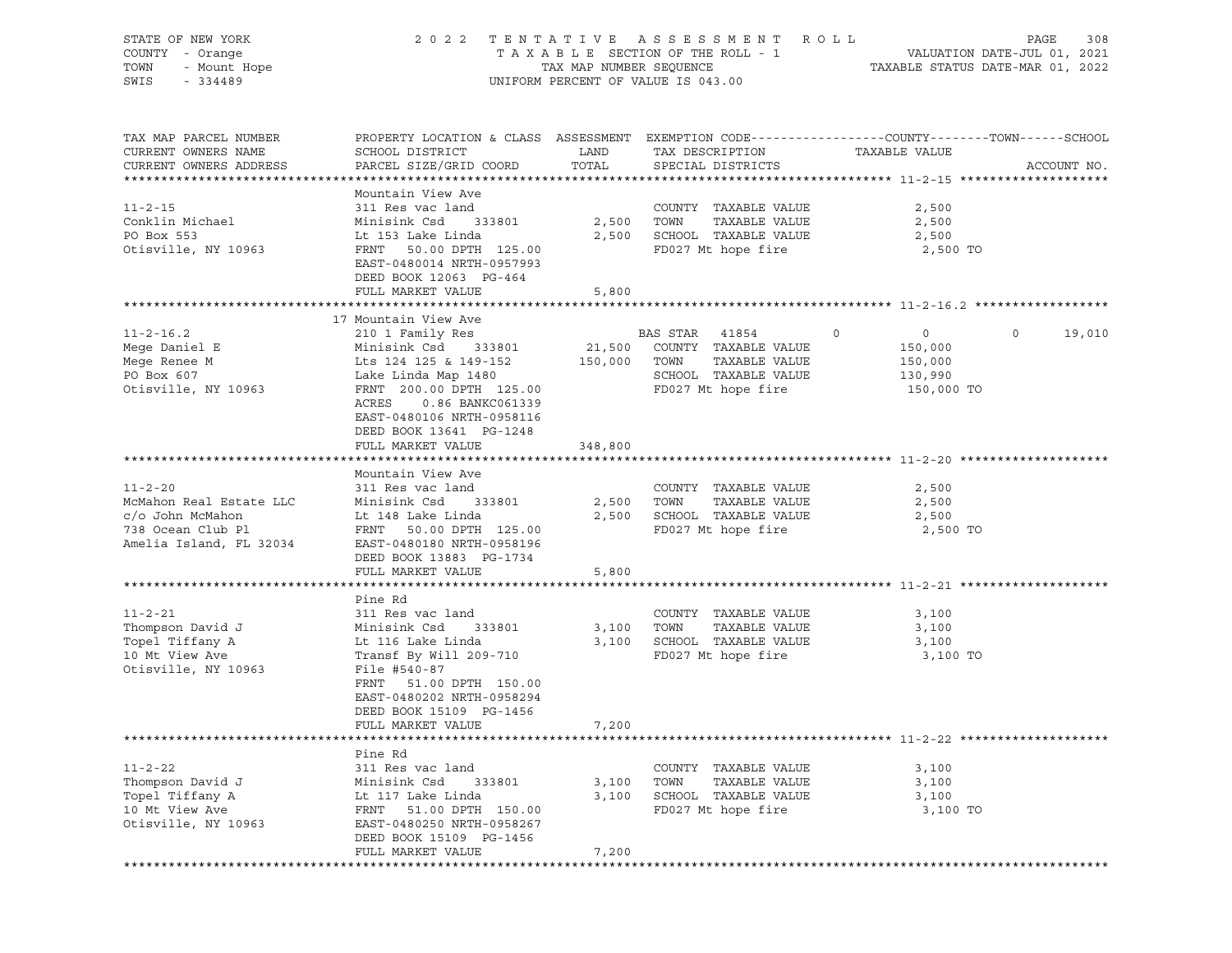| STATE OF NEW YORK<br>COUNTY - Orange<br>TOWN<br>- Mount Hope<br>SWIS<br>$-334489$                            |                                                                                                                                                                                                                                 | TAX MAP NUMBER SEQUENCE | 2022 TENTATIVE ASSESSMENT ROLL<br>TAXABLE SECTION OF THE ROLL - 1<br>UNIFORM PERCENT OF VALUE IS 043.00       | TAXABLE STATUS DATE-MAR 01, 2022                                         | PAGE<br>308<br>VALUATION DATE-JUL 01, 2021 |
|--------------------------------------------------------------------------------------------------------------|---------------------------------------------------------------------------------------------------------------------------------------------------------------------------------------------------------------------------------|-------------------------|---------------------------------------------------------------------------------------------------------------|--------------------------------------------------------------------------|--------------------------------------------|
| TAX MAP PARCEL NUMBER<br>CURRENT OWNERS NAME<br>CURRENT OWNERS ADDRESS                                       | PROPERTY LOCATION & CLASS ASSESSMENT EXEMPTION CODE----------------COUNTY-------TOWN------SCHOOL<br>SCHOOL DISTRICT<br>PARCEL SIZE/GRID COORD                                                                                   | LAND<br>TOTAL           | TAX DESCRIPTION<br>SPECIAL DISTRICTS                                                                          | TAXABLE VALUE                                                            | ACCOUNT NO.                                |
| $11 - 2 - 15$<br>Conklin Michael<br>PO Box 553<br>Otisville, NY 10963                                        | Mountain View Ave<br>311 Res vac land<br>Minisink Csd<br>333801<br>Lt 153 Lake Linda<br>FRNT<br>50.00 DPTH 125.00<br>EAST-0480014 NRTH-0957993<br>DEED BOOK 12063 PG-464<br>FULL MARKET VALUE                                   | 2,500<br>2,500<br>5,800 | COUNTY TAXABLE VALUE<br>TAXABLE VALUE<br>TOWN<br>SCHOOL TAXABLE VALUE<br>FD027 Mt hope fire                   | 2,500<br>2,500<br>2,500<br>2,500 TO                                      |                                            |
|                                                                                                              |                                                                                                                                                                                                                                 |                         |                                                                                                               |                                                                          |                                            |
| $11 - 2 - 16.2$<br>Mege Daniel E<br>Mege Renee M<br>PO Box 607<br>Otisville, NY 10963                        | 17 Mountain View Ave<br>210 1 Family Res<br>Minisink Csd 333801<br>Lts 124 125 & 149-152<br>Lake Linda Map 1480<br>FRNT 200.00 DPTH 125.00<br>ACRES<br>0.86 BANKC061339<br>EAST-0480106 NRTH-0958116<br>DEED BOOK 13641 PG-1248 | 21,500<br>150,000       | BAS STAR 41854<br>COUNTY TAXABLE VALUE<br>TAXABLE VALUE<br>TOWN<br>SCHOOL TAXABLE VALUE<br>FD027 Mt hope fire | $\circ$<br>$\overline{0}$<br>150,000<br>150,000<br>130,990<br>150,000 TO | $\circ$<br>19,010                          |
|                                                                                                              | FULL MARKET VALUE                                                                                                                                                                                                               | 348,800                 |                                                                                                               |                                                                          |                                            |
| $11 - 2 - 20$<br>McMahon Real Estate LLC<br>c/o John McMahon<br>738 Ocean Club Pl<br>Amelia Island, FL 32034 | Mountain View Ave<br>311 Res vac land<br>Minisink Csd<br>333801<br>Lt 148 Lake Linda<br>FRNT 50.00 DPTH 125.00<br>EAST-0480180 NRTH-0958196<br>DEED BOOK 13883 PG-1734<br>FULL MARKET VALUE                                     | 2,500<br>2,500<br>5,800 | COUNTY TAXABLE VALUE<br>TAXABLE VALUE<br>TOWN<br>SCHOOL TAXABLE VALUE<br>FD027 Mt hope fire                   | 2,500<br>2,500<br>2,500<br>2,500 TO                                      |                                            |
|                                                                                                              |                                                                                                                                                                                                                                 |                         |                                                                                                               |                                                                          |                                            |
| $11 - 2 - 21$<br>Thompson David J<br>Topel Tiffany A<br>10 Mt View Ave<br>Otisville, NY 10963                | Pine Rd<br>311 Res vac land<br>333801<br>Minisink Csd<br>Lt 116 Lake Linda<br>Transf By Will 209-710<br>File #540-87<br>FRNT<br>51.00 DPTH 150.00<br>EAST-0480202 NRTH-0958294<br>DEED BOOK 15109 PG-1456                       | 3,100<br>3,100          | COUNTY TAXABLE VALUE<br>TOWN<br>TAXABLE VALUE<br>SCHOOL TAXABLE VALUE<br>FD027 Mt hope fire                   | 3,100<br>3,100<br>3,100<br>3,100 TO                                      |                                            |
|                                                                                                              | FULL MARKET VALUE                                                                                                                                                                                                               | 7,200                   |                                                                                                               |                                                                          |                                            |
| $11 - 2 - 22$<br>Thompson David J<br>Topel Tiffany A<br>10 Mt View Ave<br>Otisville, NY 10963                | Pine Rd<br>311 Res vac land<br>Minisink Csd<br>333801<br>Lt 117 Lake Linda<br>51.00 DPTH 150.00<br>FRNT<br>EAST-0480250 NRTH-0958267<br>DEED BOOK 15109 PG-1456<br>FULL MARKET VALUE                                            | 3,100<br>3,100<br>7,200 | COUNTY TAXABLE VALUE<br>TAXABLE VALUE<br>TOWN<br>SCHOOL TAXABLE VALUE<br>FD027 Mt hope fire                   | 3,100<br>3,100<br>3,100<br>3,100 TO                                      |                                            |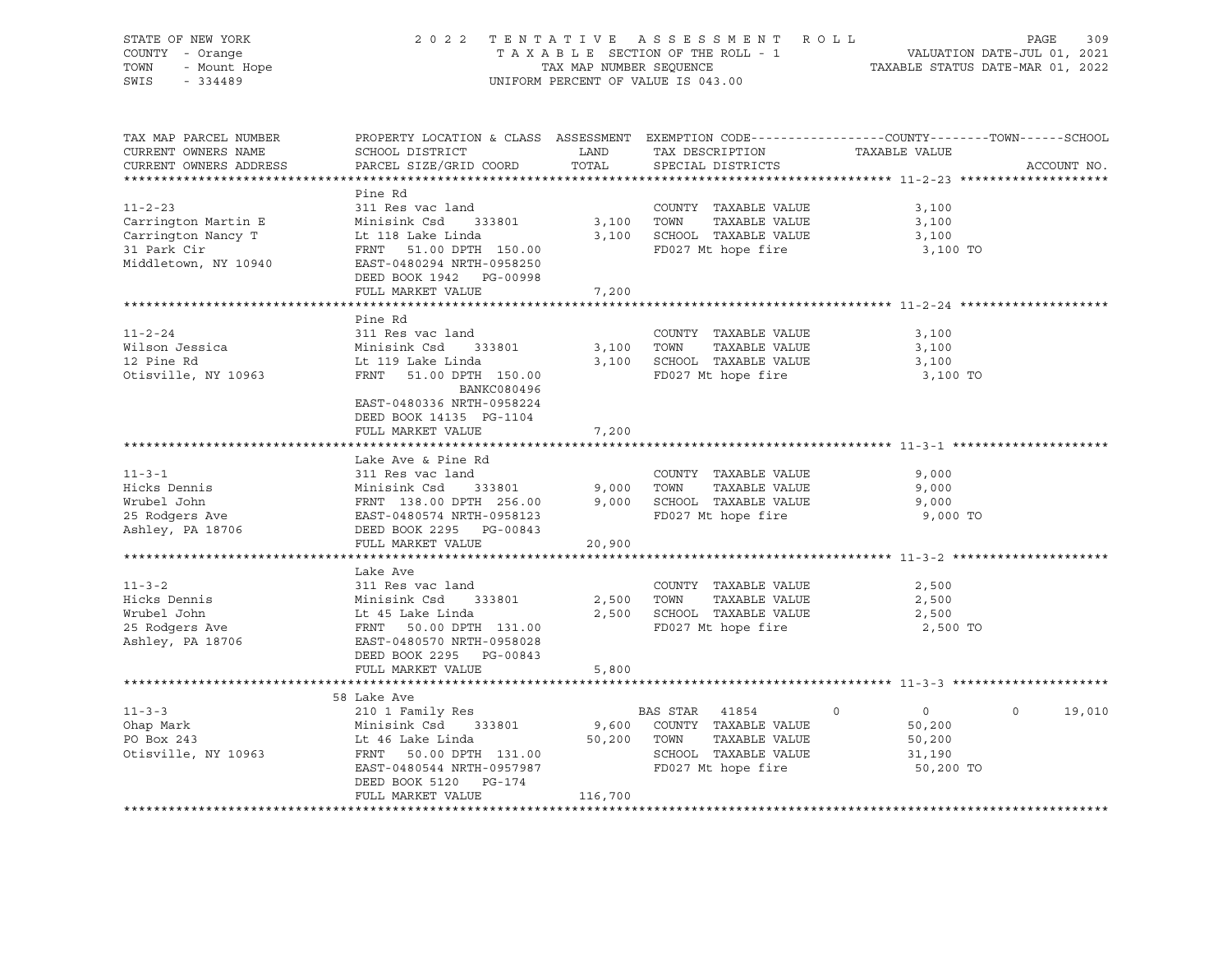| STATE OF NEW YORK<br>COUNTY - Orange<br>OF NEW YORK<br>I - Orange<br>- Mount Hope<br>11120<br>TOWN<br>SWIS                                                                                                                                               | 2 0 2 2                                                                                                                                                                                                                                                                      |         | TENTATIVE ASSESSMENT ROLL PAGE 309<br>TAXABLE SECTION OF THE ROLL - 1 VALUATION DATE-JUL 01, 2021<br>TAX MAP NUMBER SEQUENCE TAXABLE STATUS DATE-MAR 01, 2022<br>UNIFORM PERCENT OF VALUE IS 043.00 |                                                                       |                    |
|----------------------------------------------------------------------------------------------------------------------------------------------------------------------------------------------------------------------------------------------------------|------------------------------------------------------------------------------------------------------------------------------------------------------------------------------------------------------------------------------------------------------------------------------|---------|-----------------------------------------------------------------------------------------------------------------------------------------------------------------------------------------------------|-----------------------------------------------------------------------|--------------------|
| TAX MAP PARCEL NUMBER<br>CURRENT OWNERS NAME<br>CURRENT OWNERS ADDRESS                                                                                                                                                                                   | PROPERTY LOCATION & CLASS ASSESSMENT EXEMPTION CODE----------------COUNTY-------TOWN-----SCHOOL                                                                                                                                                                              |         |                                                                                                                                                                                                     |                                                                       | ACCOUNT NO.        |
| $11 - 2 - 23$<br>Carrington Martin E Minisink Csd 33801 3,100 TOWN INANDER VALUE<br>Carrington Nancy T Lt 118 Lake Linda 3,100 SCHOOL TAXABLE VALUE<br>31 Park Cir FRNT 51.00 DPTH 150.00 FD027 Mt hope fire<br>Middletown, NY 10940 EAST-0480294 NRTH-0 | Pine Rd<br>311 Res vac land                                                                                                                                                                                                                                                  |         | COUNTY TAXABLE VALUE                                                                                                                                                                                | 3,100<br>3,100<br>3,100<br>3,100 TO                                   |                    |
|                                                                                                                                                                                                                                                          | FULL MARKET VALUE                                                                                                                                                                                                                                                            | 7,200   |                                                                                                                                                                                                     |                                                                       |                    |
| $11 - 2 - 24$<br>Wilson Jessica<br>12 Pine Rd<br>12 Pine Rd<br>Otisville, NY 10963                                                                                                                                                                       | Pine Rd<br>311 Res vac land<br>Minisink Csd 333801<br>Lt 119 Lake Linda<br>FRNT 51.00 DPTH 150.00<br>BANKC080496                                                                                                                                                             |         | COUNTY TAXABLE VALUE<br>3,100 TOWN TAXABLE VALUE<br>3,100 SCHOOL TAXABLE VALUE<br>FD027 Mt hope fire                                                                                                | 3,100<br>3,100<br>3,100<br>3,100 TO                                   |                    |
|                                                                                                                                                                                                                                                          | EAST-0480336 NRTH-0958224<br>DEED BOOK 14135 PG-1104<br>FULL MARKET VALUE                                                                                                                                                                                                    | 7,200   |                                                                                                                                                                                                     |                                                                       |                    |
| 11-3-1<br>Hicks Dennis Minisink Csd 333801<br>Wrubel John FRNT 138.00 DPTH 256.00<br>25 Rodgers Ave EAST-0480574 NRTH-0958123<br>Ashley, PA 18706 DEED BOOK 2295 PG-00843<br>HERNT 138.00 DPTH 256.00<br>EAST-0480574 NRTH-0958123<br>PG-008             | Lake Ave & Pine Rd<br>FULL MARKET VALUE                                                                                                                                                                                                                                      | 20,900  |                                                                                                                                                                                                     | 9,000<br>9,000<br>9,000<br>9,000 TO                                   |                    |
|                                                                                                                                                                                                                                                          |                                                                                                                                                                                                                                                                              |         |                                                                                                                                                                                                     |                                                                       |                    |
| $11 - 3 - 2$<br>Acks Dennis<br>Hicks Dennis<br>Windel John Lt 45 Lake Linda<br>25 Rodgers Ave FRNT 50.00 DPTH 131.00<br>Ashley, PA 18706 EAST-0480570 NRTH-0958028                                                                                       | Lake Ave<br>311 Res vac land<br>DEED BOOK 2295 PG-00843<br>FULL MARKET VALUE                                                                                                                                                                                                 |         | COUNTY TAXABLE VALUE<br>2,500 TOWN<br>TAXABLE VALUE<br>2,500 SCHOOL TAXABLE VALUE<br>FD027 Mt hope fire                                                                                             | 2,500<br>2,500<br>2,500<br>2,500 TO                                   |                    |
|                                                                                                                                                                                                                                                          |                                                                                                                                                                                                                                                                              | 5,800   |                                                                                                                                                                                                     |                                                                       |                    |
| $11 - 3 - 3$<br>Ohap Mark<br>PO Box 243<br>PO Box 243<br>Otisville, NY 10963                                                                                                                                                                             | 58 Lake Ave<br>210 1 Family Res<br>Minisink Csd 333801 9,600 COUNTY TAXABLE VALUE<br>Lt 46 Lake Linda 50,200 TOWN TAXABLE VALUE<br>FRNT 50.00 DPTH 131.00 SCHOOL TAXABLE VALUE<br>EAST-0480544 NRTH-0957987 FD027 Mt hope fire<br>DEED BOOK 5120 PG-174<br>FULL MARKET VALUE | 116,700 | BAS STAR 41854                                                                                                                                                                                      | $\overline{0}$<br>$\Omega$<br>50,200<br>50,200<br>31,190<br>50,200 TO | $\Omega$<br>19,010 |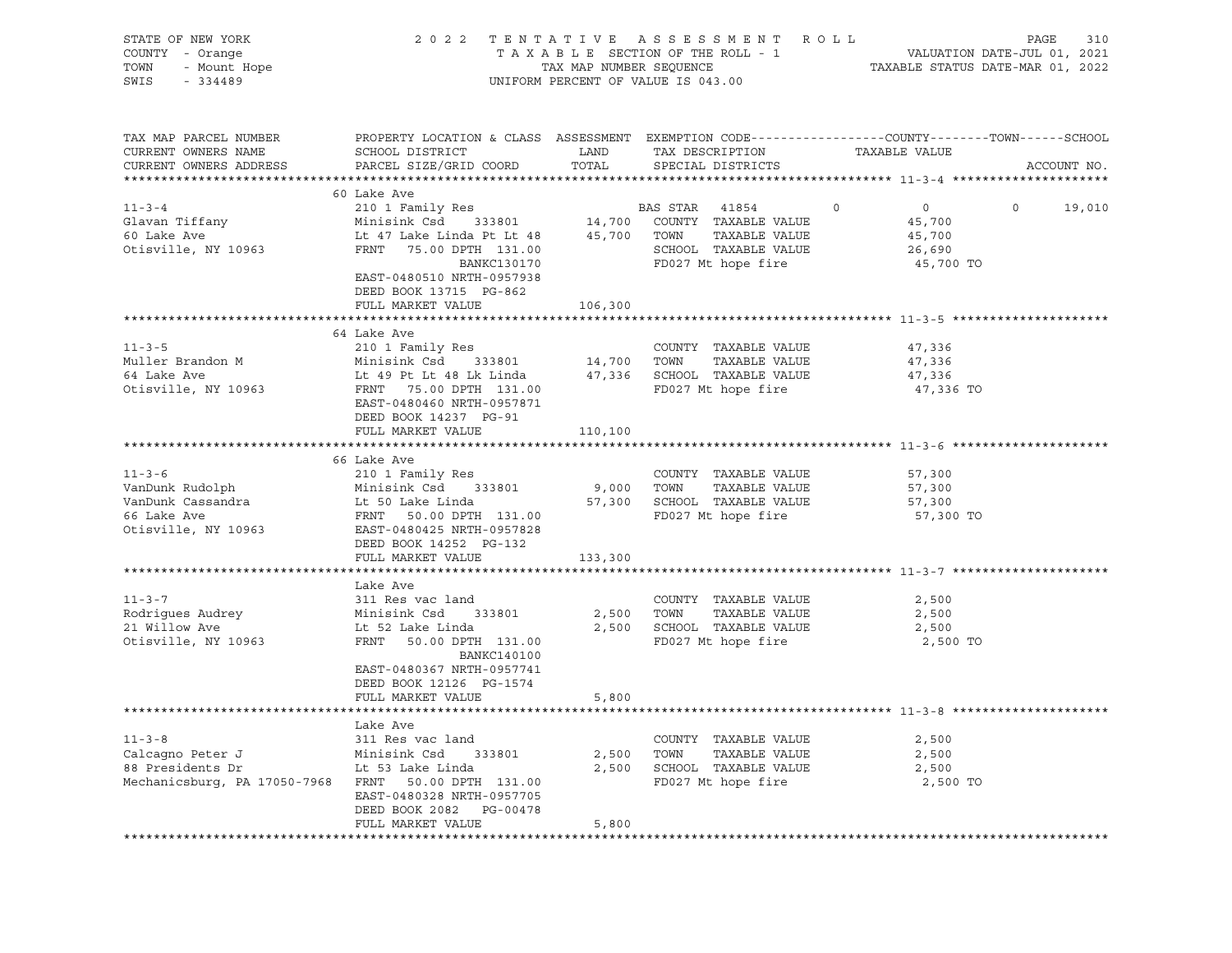| STATE OF NEW YORK<br>COUNTY - Orange<br>TOWN<br>- Mount Hope<br>SWIS<br>$-334489$                           | 2 0 2 2                                                                                                                                                        | TAX MAP NUMBER SEQUENCE | TENTATIVE ASSESSMENT ROLL<br>TAXABLE SECTION OF THE ROLL - 1<br>UNIFORM PERCENT OF VALUE IS 043.00                      | VALUATION DATE-JUL 01, 2021<br>TAXABLE STATUS DATE-MAR 01, 2022                                                 | 310<br>PAGE |
|-------------------------------------------------------------------------------------------------------------|----------------------------------------------------------------------------------------------------------------------------------------------------------------|-------------------------|-------------------------------------------------------------------------------------------------------------------------|-----------------------------------------------------------------------------------------------------------------|-------------|
| TAX MAP PARCEL NUMBER<br>CURRENT OWNERS NAME<br>CURRENT OWNERS ADDRESS                                      | SCHOOL DISTRICT<br>PARCEL SIZE/GRID COORD                                                                                                                      | LAND<br>TOTAL           | TAX DESCRIPTION<br>SPECIAL DISTRICTS                                                                                    | PROPERTY LOCATION & CLASS ASSESSMENT EXEMPTION CODE---------------COUNTY-------TOWN-----SCHOOL<br>TAXABLE VALUE | ACCOUNT NO. |
|                                                                                                             | 60 Lake Ave                                                                                                                                                    |                         |                                                                                                                         |                                                                                                                 |             |
| $11 - 3 - 4$<br>Glavan Tiffany<br>60 Lake Ave<br>Otisville, NY 10963                                        | 210 1 Family Res<br>Minisink Csd 333801<br>Lt 47 Lake Linda Pt Lt 48<br>FRNT 75.00 DPTH 131.00<br>BANKC130170<br>EAST-0480510 NRTH-0957938                     | вд<br>14,700            | BAS STAR<br>41854<br>COUNTY TAXABLE VALUE<br>45,700 TOWN<br>TAXABLE VALUE<br>SCHOOL TAXABLE VALUE<br>FD027 Mt hope fire | $\overline{0}$<br>$\circ$<br>$\circ$<br>45,700<br>45,700<br>26,690<br>45,700 TO                                 | 19,010      |
|                                                                                                             | DEED BOOK 13715 PG-862<br>FULL MARKET VALUE                                                                                                                    | 106,300                 |                                                                                                                         |                                                                                                                 |             |
|                                                                                                             |                                                                                                                                                                |                         |                                                                                                                         |                                                                                                                 |             |
| $11 - 3 - 5$<br>Muller Brandon M<br>64 Lake Ave<br>Otisville, NY 10963                                      | 64 Lake Ave<br>210 1 Family Res<br>333801 14,700 TOWN<br>Minisink Csd<br>Lt 49 Pt Lt 48 Lk Linda<br>FRNT 75.00 DPTH 131.00<br>EAST-0480460 NRTH-0957871        |                         | COUNTY TAXABLE VALUE<br>TAXABLE VALUE<br>47,336 SCHOOL TAXABLE VALUE<br>FD027 Mt hope fire                              | 47,336<br>47,336<br>47,336<br>47,336 TO                                                                         |             |
|                                                                                                             | DEED BOOK 14237 PG-91<br>FULL MARKET VALUE                                                                                                                     | 110,100                 |                                                                                                                         |                                                                                                                 |             |
| $11 - 3 - 6$<br>VanDunk Rudolph<br>VanDunk Cassandra<br>66 Lake Ave<br>Otisville, NY 10963                  | 66 Lake Ave<br>210 1 Family Res<br>333801<br>Minisink Csd<br>Lt 50 Lake Linda<br>FRNT 50.00 DPTH 131.00<br>EAST-0480425 NRTH-0957828<br>DEED BOOK 14252 PG-132 | 9,000                   | COUNTY TAXABLE VALUE<br>TOWN<br>TAXABLE VALUE<br>57,300 SCHOOL TAXABLE VALUE<br>FD027 Mt hope fire                      | 57,300<br>57,300<br>57,300<br>57,300 TO                                                                         |             |
|                                                                                                             | FULL MARKET VALUE                                                                                                                                              | 133,300                 |                                                                                                                         |                                                                                                                 |             |
| $11 - 3 - 7$<br>Rodrigues Audrey<br>21 Willow Ave<br>Otisville, NY 10963                                    | Lake Ave<br>311 Res vac land<br>Minisink Csd 333801<br>Lt 52 Lake Linda<br>FRNT<br>50.00 DPTH 131.00<br>BANKC140100<br>EAST-0480367 NRTH-0957741               | 2,500                   | COUNTY TAXABLE VALUE<br>TOWN<br>TAXABLE VALUE<br>2,500 SCHOOL TAXABLE VALUE<br>FD027 Mt hope fire                       | 2,500<br>2,500<br>2,500<br>2,500 TO                                                                             |             |
|                                                                                                             | DEED BOOK 12126 PG-1574<br>FULL MARKET VALUE<br>**********************                                                                                         | 5,800                   |                                                                                                                         |                                                                                                                 |             |
| $11 - 3 - 8$<br>Calcagno Peter J<br>88 Presidents Dr<br>Mechanicsburg, PA 17050-7968 FRNT 50.00 DPTH 131.00 | Lake Ave<br>311 Res vac land<br>Minisink Csd<br>333801<br>Lt 53 Lake Linda<br>EAST-0480328 NRTH-0957705<br>DEED BOOK 2082    PG-00478<br>FULL MARKET VALUE     | 5,800                   | COUNTY TAXABLE VALUE<br>2,500 TOWN<br>TAXABLE VALUE<br>2,500 SCHOOL TAXABLE VALUE<br>FD027 Mt hope fire                 | 2,500<br>2,500<br>2,500<br>2,500 TO                                                                             |             |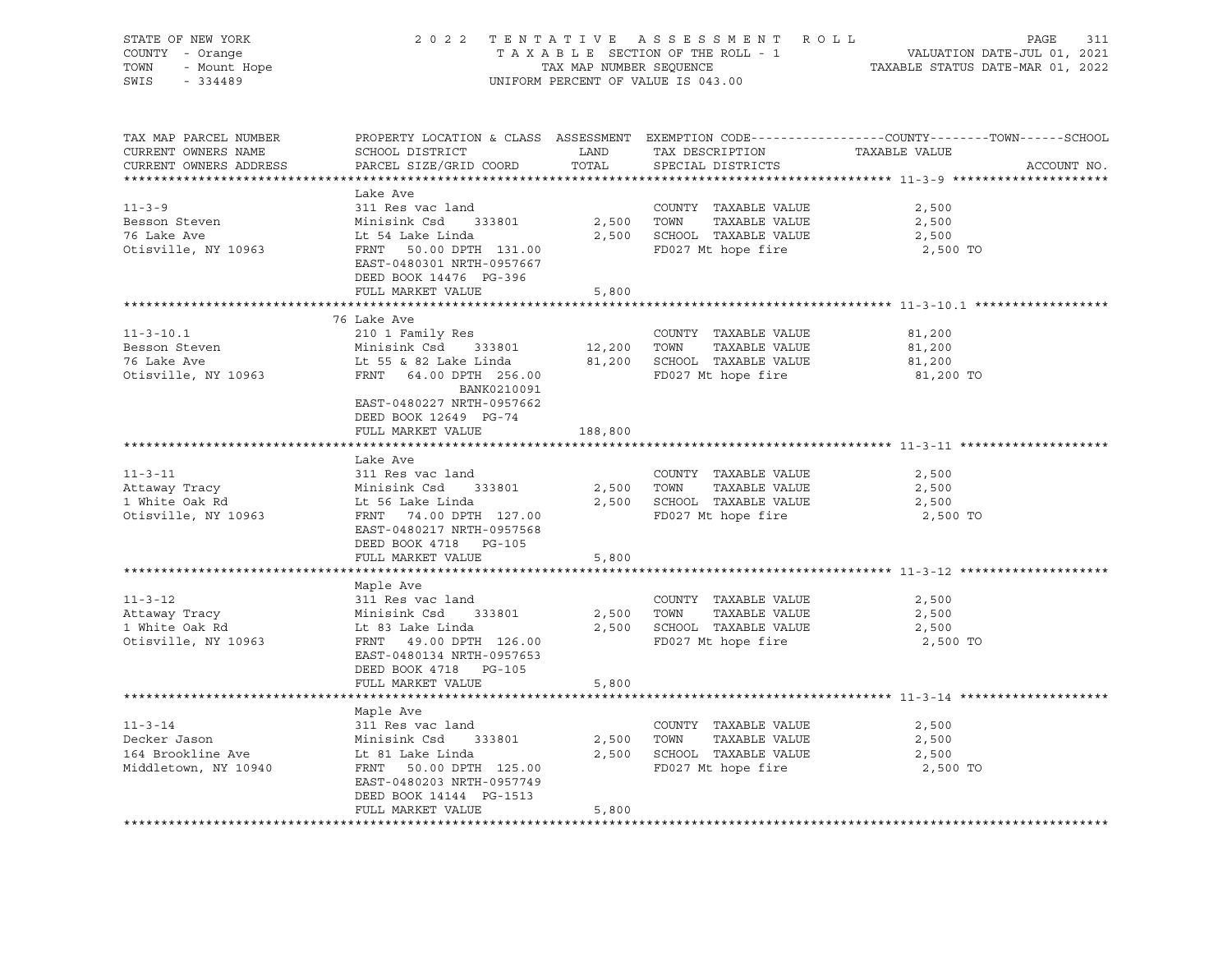| STATE OF NEW YORK<br>COUNTY - Orange<br>- Orange<br>- Mount Hope<br>- 221129<br>TOWN<br>$-334489$<br>SWIS |                                                                               | TAX MAP NUMBER SEQUENCE | 2022 TENTATIVE ASSESSMENT ROLL<br>TAXABLE SECTION OF THE ROLL - 1<br>UNIFORM PERCENT OF VALUE IS 043.00 | PAGE<br>311<br>VALUATION DATE-JUL 01, 2021<br>TAXABLE STATUS DATE-MAR 01, 2022                                                 |
|-----------------------------------------------------------------------------------------------------------|-------------------------------------------------------------------------------|-------------------------|---------------------------------------------------------------------------------------------------------|--------------------------------------------------------------------------------------------------------------------------------|
| TAX MAP PARCEL NUMBER<br>CURRENT OWNERS NAME<br>CURRENT OWNERS ADDRESS                                    | SCHOOL DISTRICT<br>PARCEL SIZE/GRID COORD                                     | <b>LAND</b><br>TOTAL    | TAX DESCRIPTION<br>SPECIAL DISTRICTS                                                                    | PROPERTY LOCATION & CLASS ASSESSMENT EXEMPTION CODE---------------COUNTY-------TOWN-----SCHOOL<br>TAXABLE VALUE<br>ACCOUNT NO. |
|                                                                                                           | Lake Ave                                                                      |                         |                                                                                                         |                                                                                                                                |
| $11 - 3 - 9$                                                                                              | 311 Res vac land                                                              |                         | COUNTY TAXABLE VALUE                                                                                    | 2,500                                                                                                                          |
| Besson Steven                                                                                             | Minisink Csd 333801                                                           |                         | 2,500 TOWN TAXABLE VALUE                                                                                | 2,500                                                                                                                          |
| 76 Lake Ave                                                                                               | Lt 54 Lake Linda                                                              |                         | 2,500 SCHOOL TAXABLE VALUE                                                                              | 2,500                                                                                                                          |
| Otisville, NY 10963                                                                                       | FRNT 50.00 DPTH 131.00<br>EAST-0480301 NRTH-0957667<br>DEED BOOK 14476 PG-396 |                         | FD027 Mt hope fire                                                                                      | 2,500 TO                                                                                                                       |
|                                                                                                           | FULL MARKET VALUE                                                             | 5,800                   |                                                                                                         |                                                                                                                                |
|                                                                                                           |                                                                               |                         |                                                                                                         | ******************************** 11-3-10.1 ******************                                                                  |
| $11 - 3 - 10.1$                                                                                           | 76 Lake Ave<br>210 1 Family Res                                               |                         | COUNTY TAXABLE VALUE                                                                                    | 81,200                                                                                                                         |
| Besson Steven                                                                                             | Minisink Csd 333801                                                           |                         | 12,200 TOWN TAXABLE VALUE                                                                               | 81,200                                                                                                                         |
| 76 Lake Ave                                                                                               | Lt 55 & 82 Lake Linda                                                         |                         | 81,200 SCHOOL TAXABLE VALUE                                                                             | 81,200                                                                                                                         |
| Otisville, NY 10963                                                                                       | FRNT 64.00 DPTH 256.00<br>BANK0210091<br>EAST-0480227 NRTH-0957662            |                         | FD027 Mt hope fire                                                                                      | 81,200 TO                                                                                                                      |
|                                                                                                           | DEED BOOK 12649 PG-74                                                         |                         |                                                                                                         |                                                                                                                                |
|                                                                                                           | FULL MARKET VALUE                                                             | 188,800                 |                                                                                                         |                                                                                                                                |
|                                                                                                           |                                                                               |                         |                                                                                                         |                                                                                                                                |
|                                                                                                           | Lake Ave                                                                      |                         |                                                                                                         |                                                                                                                                |
| $11 - 3 - 11$                                                                                             | 311 Res vac land                                                              |                         | COUNTY TAXABLE VALUE                                                                                    | 2,500                                                                                                                          |
| Attaway Tracy                                                                                             |                                                                               |                         | 2,500 TOWN TAXABLE VALUE                                                                                | 2,500                                                                                                                          |
| 1 White Oak Rd                                                                                            | Minisink Csd 333801<br>Lt 56 Lake Linda<br>FRNT 74.00 DPTH 127.00             |                         | 2,500 SCHOOL TAXABLE VALUE                                                                              | 2,500                                                                                                                          |
| Otisville, NY 10963                                                                                       | EAST-0480217 NRTH-0957568<br>DEED BOOK 4718 PG-105                            |                         | FD027 Mt hope fire                                                                                      | 2,500 TO                                                                                                                       |
|                                                                                                           | FULL MARKET VALUE                                                             | 5,800                   |                                                                                                         |                                                                                                                                |
|                                                                                                           |                                                                               |                         |                                                                                                         |                                                                                                                                |
|                                                                                                           | Maple Ave                                                                     |                         |                                                                                                         |                                                                                                                                |
| $11 - 3 - 12$                                                                                             | 311 Res vac land                                                              |                         | COUNTY TAXABLE VALUE                                                                                    | 2,500                                                                                                                          |
| Attaway Tracy                                                                                             | Minisink Csd 333801                                                           |                         | TAXABLE VALUE<br>2,500 TOWN                                                                             | 2,500                                                                                                                          |
| 1 White Oak Rd                                                                                            | Lt 83 Lake Linda<br>FRNT 49.00 DPTH 126.00                                    |                         | 2,500 SCHOOL TAXABLE VALUE<br>FD027 Mt hope fire                                                        | 2,500<br>2,500 TO                                                                                                              |
| Otisville, NY 10963                                                                                       | EAST-0480134 NRTH-0957653<br>DEED BOOK 4718 PG-105                            |                         |                                                                                                         |                                                                                                                                |
|                                                                                                           | FULL MARKET VALUE                                                             | 5,800                   |                                                                                                         |                                                                                                                                |
|                                                                                                           |                                                                               |                         |                                                                                                         |                                                                                                                                |
|                                                                                                           | Maple Ave                                                                     |                         |                                                                                                         |                                                                                                                                |
| $11 - 3 - 14$                                                                                             | 311 Res vac land                                                              |                         | COUNTY TAXABLE VALUE                                                                                    | 2,500                                                                                                                          |
| Decker Jason                                                                                              | Minisink Csd 333801                                                           |                         | 2,500 TOWN<br>TAXABLE VALUE                                                                             | 2,500                                                                                                                          |
| 164 Brookline Ave                                                                                         | Lt 81 Lake Linda                                                              |                         | 2,500 SCHOOL TAXABLE VALUE                                                                              | 2,500                                                                                                                          |
| Middletown, NY 10940                                                                                      | FRNT 50.00 DPTH 125.00                                                        |                         | FD027 Mt hope fire                                                                                      | 2,500 TO                                                                                                                       |
|                                                                                                           | EAST-0480203 NRTH-0957749                                                     |                         |                                                                                                         |                                                                                                                                |
|                                                                                                           | DEED BOOK 14144 PG-1513<br>FULL MARKET VALUE                                  | 5,800                   |                                                                                                         |                                                                                                                                |
|                                                                                                           |                                                                               |                         |                                                                                                         |                                                                                                                                |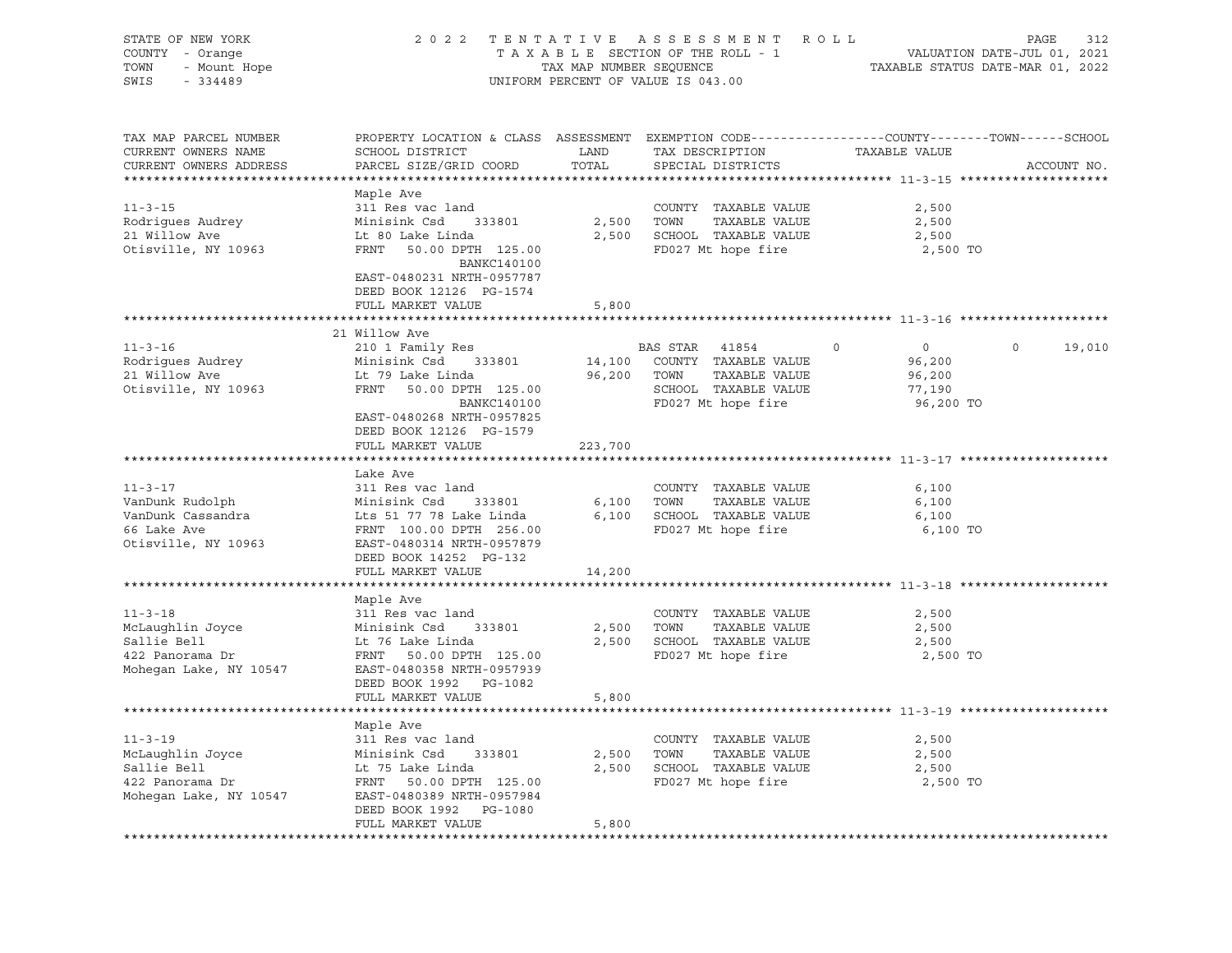| STATE OF NEW YORK<br>COUNTY - Orange<br>TOWN<br>- Mount Hope<br>SWIS<br>$-334489$ |                                                                     |               | 2022 TENTATIVE ASSESSMENT ROLL<br>UNIFORM PERCENT OF VALUE IS 043.00 | $\texttt{PAGE}$<br>TAXABLE SECTION OF THE ROLL - 1<br>TAXABLE SECTION OF THE ROLL - 1<br>TAXABLE STATUS DATE-MAR 01, 2022 | 312         |
|-----------------------------------------------------------------------------------|---------------------------------------------------------------------|---------------|----------------------------------------------------------------------|---------------------------------------------------------------------------------------------------------------------------|-------------|
| TAX MAP PARCEL NUMBER<br>CURRENT OWNERS NAME<br>CURRENT OWNERS ADDRESS            | SCHOOL DISTRICT<br>PARCEL SIZE/GRID COORD                           | LAND<br>TOTAL | TAX DESCRIPTION<br>SPECIAL DISTRICTS                                 | PROPERTY LOCATION & CLASS ASSESSMENT EXEMPTION CODE----------------COUNTY-------TOWN-----SCHOOL<br>TAXABLE VALUE          | ACCOUNT NO. |
|                                                                                   |                                                                     |               |                                                                      |                                                                                                                           |             |
| $11 - 3 - 15$                                                                     | Maple Ave<br>311 Res vac land                                       |               | COUNTY TAXABLE VALUE                                                 | 2,500                                                                                                                     |             |
| Rodrigues Audrey                                                                  | Minisink Csd 333801                                                 | 2,500         | TOWN<br>TAXABLE VALUE                                                | 2,500                                                                                                                     |             |
| 21 Willow Ave                                                                     | Lt 80 Lake Linda                                                    |               | 2,500 SCHOOL TAXABLE VALUE                                           | 2,500                                                                                                                     |             |
| Otisville, NY 10963                                                               | FRNT<br>50.00 DPTH 125.00                                           |               | FD027 Mt hope fire                                                   | 2,500 TO                                                                                                                  |             |
|                                                                                   | BANKC140100<br>EAST-0480231 NRTH-0957787<br>DEED BOOK 12126 PG-1574 |               |                                                                      |                                                                                                                           |             |
|                                                                                   | FULL MARKET VALUE                                                   | 5,800         |                                                                      |                                                                                                                           |             |
|                                                                                   |                                                                     |               |                                                                      |                                                                                                                           |             |
|                                                                                   | 21 Willow Ave                                                       |               |                                                                      | $\overline{0}$<br>$\Omega$<br>$\Omega$                                                                                    |             |
| $11 - 3 - 16$                                                                     | 210 1 Family Res                                                    |               | BAS STAR 41854                                                       |                                                                                                                           | 19,010      |
| Rodrigues Audrey<br>21 Willow Ave                                                 | Minisink Csd 333801<br>Lt 79 Lake Linda                             | 14,100        | COUNTY TAXABLE VALUE<br>TAXABLE VALUE                                | 96,200                                                                                                                    |             |
|                                                                                   |                                                                     |               | 96,200 TOWN                                                          | 96,200                                                                                                                    |             |
| Otisville, NY 10963                                                               | FRNT 50.00 DPTH 125.00                                              |               | SCHOOL TAXABLE VALUE                                                 | 77,190                                                                                                                    |             |
|                                                                                   | BANKC140100<br>EAST-0480268 NRTH-0957825                            |               | FD027 Mt hope fire                                                   | 96,200 TO                                                                                                                 |             |
|                                                                                   | DEED BOOK 12126 PG-1579                                             |               |                                                                      |                                                                                                                           |             |
|                                                                                   | FULL MARKET VALUE                                                   | 223,700       |                                                                      |                                                                                                                           |             |
|                                                                                   |                                                                     |               |                                                                      |                                                                                                                           |             |
|                                                                                   | Lake Ave                                                            |               |                                                                      |                                                                                                                           |             |
| $11 - 3 - 17$                                                                     | 311 Res vac land                                                    |               | COUNTY TAXABLE VALUE                                                 | 6,100                                                                                                                     |             |
| VanDunk Rudolph                                                                   | Minisink Csd 333801                                                 | 6,100         | TOWN<br>TAXABLE VALUE                                                | 6,100                                                                                                                     |             |
| VanDunk Cassandra                                                                 | Lts 51 77 78 Lake Linda                                             |               | 6,100 SCHOOL TAXABLE VALUE                                           | 6,100                                                                                                                     |             |
| 66 Lake Ave                                                                       | FRNT 100.00 DPTH 256.00                                             |               | FD027 Mt hope fire                                                   | 6,100 TO                                                                                                                  |             |
| Otisville, NY 10963                                                               | EAST-0480314 NRTH-0957879                                           |               |                                                                      |                                                                                                                           |             |
|                                                                                   | DEED BOOK 14252 PG-132                                              |               |                                                                      |                                                                                                                           |             |
|                                                                                   | FULL MARKET VALUE                                                   | 14,200        |                                                                      |                                                                                                                           |             |
| *****************************                                                     |                                                                     |               |                                                                      |                                                                                                                           |             |
|                                                                                   | Maple Ave                                                           |               |                                                                      |                                                                                                                           |             |
| $11 - 3 - 18$                                                                     | 311 Res vac land                                                    |               | COUNTY TAXABLE VALUE                                                 | 2,500                                                                                                                     |             |
| McLaughlin Joyce                                                                  | Minisink Csd<br>333801                                              | 2,500         | TOWN<br>TAXABLE VALUE                                                | 2,500                                                                                                                     |             |
| Sallie Bell                                                                       | Lt 76 Lake Linda                                                    | 2,500         | SCHOOL TAXABLE VALUE                                                 | 2,500                                                                                                                     |             |
| ----<br>422 Panorama Dr<br>Mohecer I                                              | FRNT 50.00 DPTH 125.00                                              |               | FD027 Mt hope fire                                                   | 2,500 TO                                                                                                                  |             |
| Mohegan Lake, NY 10547                                                            | EAST-0480358 NRTH-0957939                                           |               |                                                                      |                                                                                                                           |             |
|                                                                                   | DEED BOOK 1992 PG-1082                                              |               |                                                                      |                                                                                                                           |             |
|                                                                                   | FULL MARKET VALUE                                                   | 5,800         |                                                                      |                                                                                                                           |             |
|                                                                                   |                                                                     |               |                                                                      |                                                                                                                           |             |
|                                                                                   | Maple Ave                                                           |               |                                                                      |                                                                                                                           |             |
| $11 - 3 - 19$                                                                     | 311 Res vac land                                                    |               | COUNTY TAXABLE VALUE                                                 | 2,500                                                                                                                     |             |
| McLaughlin Joyce                                                                  | Minisink Csd<br>333801                                              | 2,500         | TAXABLE VALUE<br>TOWN                                                | 2,500                                                                                                                     |             |
| Sallie Bell                                                                       | Lt 75 Lake Linda                                                    |               | 2,500 SCHOOL TAXABLE VALUE                                           | 2,500                                                                                                                     |             |
| 422 Panorama Dr                                                                   | FRNT 50.00 DPTH 125.00                                              |               | FD027 Mt hope fire                                                   | 2,500 TO                                                                                                                  |             |
| Mohegan Lake, NY 10547                                                            | EAST-0480389 NRTH-0957984                                           |               |                                                                      |                                                                                                                           |             |
|                                                                                   | DEED BOOK 1992 PG-1080                                              |               |                                                                      |                                                                                                                           |             |
|                                                                                   | FULL MARKET VALUE                                                   | 5,800         |                                                                      |                                                                                                                           |             |
|                                                                                   |                                                                     |               |                                                                      |                                                                                                                           |             |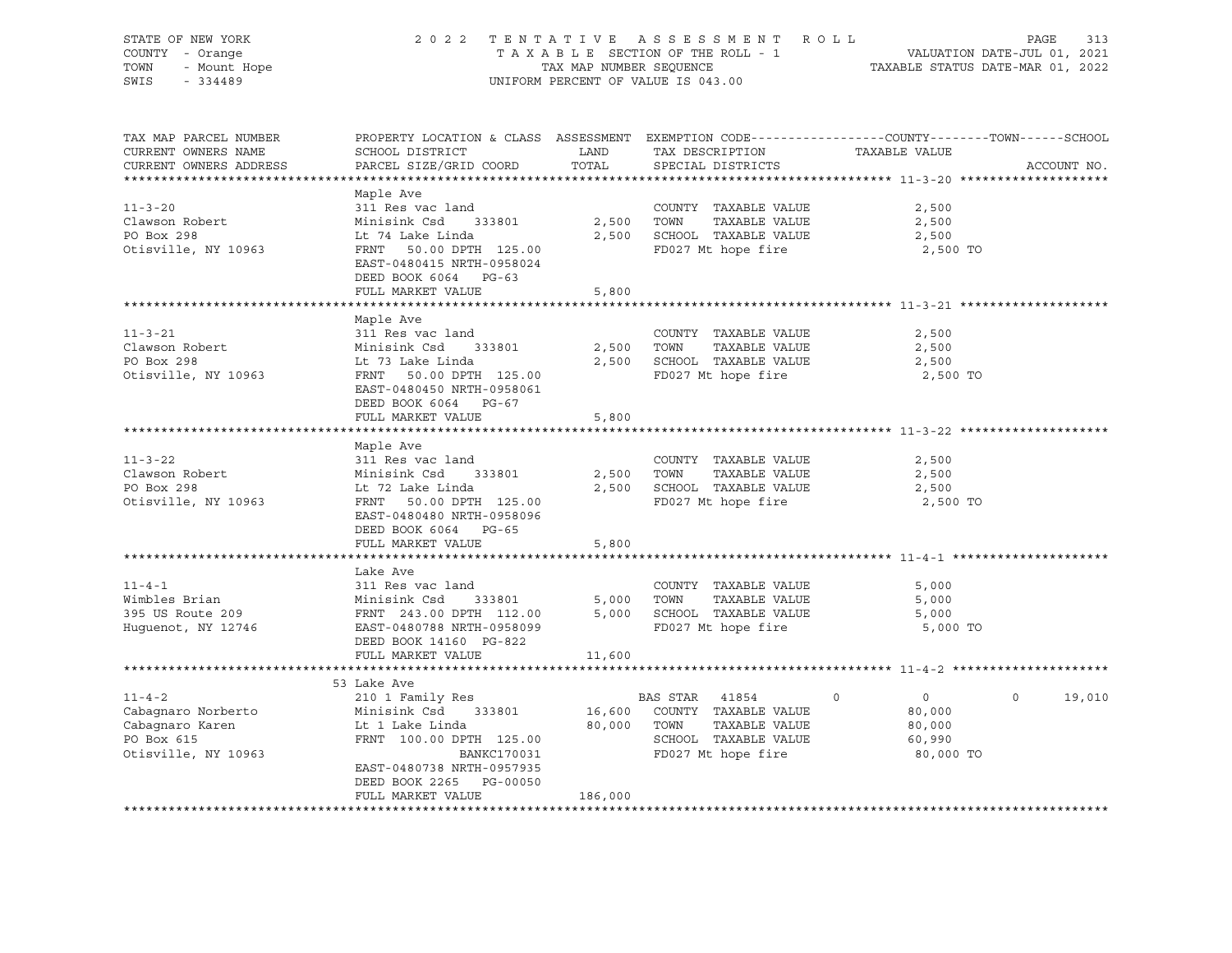| STATE OF NEW YORK<br>COUNTY - Orange<br>OF NEW YORK<br>1 - Orange<br>- Mount Hope<br>111100<br>TOWN                                                                                                                                                          | 2022 TENTATIVE ASSESSMENT ROLL PAGE 313<br>TAXABLE SECTION OF THE ROLL - 1 VALUATION DATE-JUL 01, 2021<br>TAX MAP NUMBER SEQUENCE TAXABLE STATUS DATE-MAR 01, 2022<br>UNIFORM PERCENT OF VALUE IS 043.00 |            |                             |                |                   |
|--------------------------------------------------------------------------------------------------------------------------------------------------------------------------------------------------------------------------------------------------------------|----------------------------------------------------------------------------------------------------------------------------------------------------------------------------------------------------------|------------|-----------------------------|----------------|-------------------|
| SWIS<br>$-334489$                                                                                                                                                                                                                                            |                                                                                                                                                                                                          |            |                             |                |                   |
| TAX MAP PARCEL NUMBER<br>CURRENT OWNERS NAME<br>CURRENT OWNERS ADDRESS                                                                                                                                                                                       | PROPERTY LOCATION & CLASS ASSESSMENT EXEMPTION CODE---------------COUNTY-------TOWN-----SCHOOL                                                                                                           |            |                             | TAXABLE VALUE  | ACCOUNT NO.       |
|                                                                                                                                                                                                                                                              |                                                                                                                                                                                                          |            |                             |                |                   |
|                                                                                                                                                                                                                                                              | Maple Ave                                                                                                                                                                                                |            |                             |                |                   |
| $11 - 3 - 20$                                                                                                                                                                                                                                                | 311 Res vac land                                                                                                                                                                                         |            | COUNTY TAXABLE VALUE        | 2,500          |                   |
| Clawson Robert<br>The Der 298                                                                                                                                                                                                                                |                                                                                                                                                                                                          | 2,500 TOWN | TAXABLE VALUE               | 2,500          |                   |
|                                                                                                                                                                                                                                                              |                                                                                                                                                                                                          |            | 2,500 SCHOOL TAXABLE VALUE  | 2,500          |                   |
| Otisville, NY 10963                                                                                                                                                                                                                                          | Minisink Csd 333801<br>Lt 74 Lake Linda<br>FRNT 50.00 DPTH 125.00<br>EAST-0480415 NRTH-0958024<br>DEED BOOK 6064 PG-63                                                                                   |            | FD027 Mt hope fire          | 2,500 TO       |                   |
|                                                                                                                                                                                                                                                              | FULL MARKET VALUE                                                                                                                                                                                        | 5,800      |                             |                |                   |
|                                                                                                                                                                                                                                                              |                                                                                                                                                                                                          |            |                             |                |                   |
| $11 - 3 - 21$                                                                                                                                                                                                                                                | Maple Ave<br>311 Res vac land                                                                                                                                                                            |            | COUNTY TAXABLE VALUE        | 2,500          |                   |
| Clawson Robert<br>DO Boy 298                                                                                                                                                                                                                                 |                                                                                                                                                                                                          |            | 2,500 TOWN TAXABLE VALUE    | 2,500          |                   |
| PO Box 298                                                                                                                                                                                                                                                   | 311 Nes vac Tand<br>Minisink Csd 333801<br>Lt 73 Lake Linda<br>FRNT 50.00 DPTH 125.00                                                                                                                    |            | 2,500 SCHOOL TAXABLE VALUE  | 2,500          |                   |
| Otisville, NY 10963                                                                                                                                                                                                                                          | EAST-0480450 NRTH-0958061<br>DEED BOOK 6064 PG-67                                                                                                                                                        |            | FD027 Mt hope fire          | 2,500 TO       |                   |
|                                                                                                                                                                                                                                                              | FULL MARKET VALUE                                                                                                                                                                                        | 5,800      |                             |                |                   |
|                                                                                                                                                                                                                                                              |                                                                                                                                                                                                          |            |                             |                |                   |
|                                                                                                                                                                                                                                                              | Maple Ave                                                                                                                                                                                                |            |                             |                |                   |
| $11 - 3 - 22$                                                                                                                                                                                                                                                | 311 Res vac land                                                                                                                                                                                         |            | COUNTY TAXABLE VALUE        | 2,500          |                   |
| Clawson Robert<br>PO Box 298                                                                                                                                                                                                                                 |                                                                                                                                                                                                          |            | 2,500 TOWN TAXABLE VALUE    | 2,500          |                   |
| PO Box 298                                                                                                                                                                                                                                                   | Sir New York Tand<br>Minisink Csd 333801<br>Lt 72 Lake Linda<br>FRNT 50.00 DPTH 125.00                                                                                                                   |            | 2,500 SCHOOL TAXABLE VALUE  | 2,500          |                   |
| Otisville, NY 10963                                                                                                                                                                                                                                          | EAST-0480480 NRTH-0958096<br>DEED BOOK 6064 PG-65                                                                                                                                                        |            | FD027 Mt hope fire          | 2,500 TO       |                   |
|                                                                                                                                                                                                                                                              | FULL MARKET VALUE                                                                                                                                                                                        | 5,800      |                             |                |                   |
|                                                                                                                                                                                                                                                              |                                                                                                                                                                                                          |            |                             |                |                   |
|                                                                                                                                                                                                                                                              | Lake Ave                                                                                                                                                                                                 |            |                             |                |                   |
| $11 - 4 - 1$                                                                                                                                                                                                                                                 | 311 Res vac land                                                                                                                                                                                         |            | COUNTY TAXABLE VALUE        | 5,000          |                   |
|                                                                                                                                                                                                                                                              |                                                                                                                                                                                                          |            |                             | 5,000          |                   |
|                                                                                                                                                                                                                                                              |                                                                                                                                                                                                          |            |                             | 5,000          |                   |
| 11-4-1<br>Wimbles Brian Minisink Csd 333801 5,000 TOWN TAXABLE VALUE<br>395 US Route 209 FRNT 243.00 DPTH 112.00 5,000 SCHOOL TAXABLE VALUE<br>Huguenot, NY 12746 EAST-0480788 NRTH-0958099 FD027 Mt hope fire<br>ENST-0480788 NRTH-09<br>Huguenot, NY 12746 |                                                                                                                                                                                                          |            |                             | 5,000 TO       |                   |
|                                                                                                                                                                                                                                                              | DEED BOOK 14160 PG-822                                                                                                                                                                                   |            |                             |                |                   |
|                                                                                                                                                                                                                                                              | FULL MARKET VALUE                                                                                                                                                                                        | 11,600     |                             |                |                   |
|                                                                                                                                                                                                                                                              |                                                                                                                                                                                                          |            |                             |                |                   |
|                                                                                                                                                                                                                                                              | 53 Lake Ave                                                                                                                                                                                              |            |                             |                |                   |
| $11 - 4 - 2$                                                                                                                                                                                                                                                 |                                                                                                                                                                                                          |            | BAS STAR 41854 0            | $\overline{0}$ | $\circ$<br>19,010 |
| Cabagnaro Norberto                                                                                                                                                                                                                                           |                                                                                                                                                                                                          |            | 16,600 COUNTY TAXABLE VALUE | 80,000         |                   |
| Cabagnaro Karen<br>PO Box 615                                                                                                                                                                                                                                | 210 1 Family Res<br>Minisink Csd 333801<br>Lt 1 Lake Linda<br>FRNT 100.00 DPTH 125.00                                                                                                                    |            | 80,000 TOWN TAXABLE VALUE   | 80,000         |                   |
|                                                                                                                                                                                                                                                              |                                                                                                                                                                                                          |            | SCHOOL TAXABLE VALUE        | 60,990         |                   |
| Otisville, NY 10963                                                                                                                                                                                                                                          | BANKC170031                                                                                                                                                                                              |            | FD027 Mt hope fire          | 80,000 TO      |                   |
|                                                                                                                                                                                                                                                              | EAST-0480738 NRTH-0957935<br>DEED BOOK 2265 PG-00050                                                                                                                                                     |            |                             |                |                   |
|                                                                                                                                                                                                                                                              |                                                                                                                                                                                                          |            |                             |                |                   |
|                                                                                                                                                                                                                                                              | FULL MARKET VALUE                                                                                                                                                                                        | 186,000    |                             |                |                   |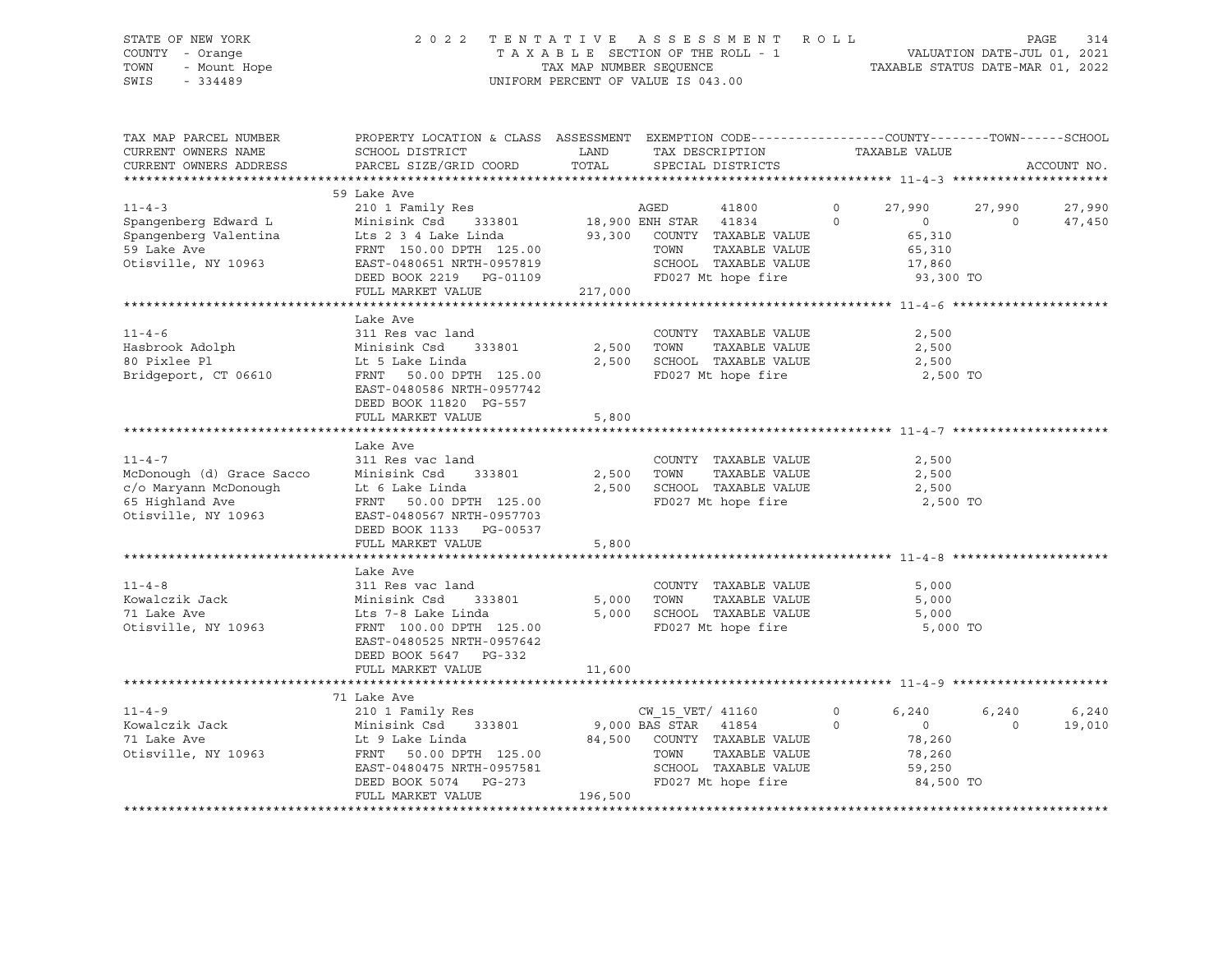### STATE OF NEW YORK 2 0 2 2 T E N T A T I V E A S S E S S M E N T R O L L PAGE 314 COUNTY - Orange T A X A B L E SECTION OF THE ROLL - 1 VALUATION DATE-JUL 01, 2021 ت السابت المسلم المسلم المسلم المسلم المسلم المسلم المسلم المسلم المسلم المسلم المسلم المسلم المسلم المسلم الم<br>TOWN - Mount Hope TAX MAP NUMBER SEQUENCE TAXABLE STATUS DATE-MAR 01, 2022<br>SWIS - 334489 UNIFORM PERCENT OF VALUE IS 043.00

TAX MAP PARCEL NUMBER PROPERTY LOCATION & CLASS ASSESSMENT EXEMPTION CODE----------------COUNTY-------TOWN-----SCHOOL CURRENT OWNERS NAME SCHOOL DISTRICT LAND TAX DESCRIPTION TAXABLE VALUE CURRENT OWNERS ADDRESS PARCEL SIZE/GRID COORD TOTAL SPECIAL DISTRICTS ACCOUNT NO. \*\*\*\*\*\*\*\*\*\*\*\*\*\*\*\*\*\*\*\*\*\*\*\*\*\*\*\*\*\*\*\*\*\*\*\*\*\*\*\*\*\*\*\*\*\*\*\*\*\*\*\*\*\*\*\*\*\*\*\*\*\*\*\*\*\*\*\*\*\*\*\*\*\*\*\*\*\*\*\*\*\*\*\*\*\*\*\*\*\*\*\*\*\*\*\*\*\*\*\*\*\*\* 11-4-3 \*\*\*\*\*\*\*\*\*\*\*\*\*\*\*\*\*\*\*\*\* 59 Lake Ave 11-4-3 210 1 Family Res AGED 41800 0 27,990 27,990 27,990 Spangenberg Edward L Minisink Csd 333801 18,900 ENH STAR 41834 0 0 0 47,450 Spangenberg Valentina Lts 2 3 4 Lake Linda 93,300 COUNTY TAXABLE VALUE 65,310 59 Lake Ave FRNT 150.00 DPTH 125.00 TOWN TAXABLE VALUE 65,310 Otisville, NY 10963 EAST-0480651 NRTH-0957819 SCHOOL TAXABLE VALUE 17,860 DEED BOOK 2219 PG-01109 FD027 Mt hope fire 93,300 TO FULL MARKET VALUE 217,000 \*\*\*\*\*\*\*\*\*\*\*\*\*\*\*\*\*\*\*\*\*\*\*\*\*\*\*\*\*\*\*\*\*\*\*\*\*\*\*\*\*\*\*\*\*\*\*\*\*\*\*\*\*\*\*\*\*\*\*\*\*\*\*\*\*\*\*\*\*\*\*\*\*\*\*\*\*\*\*\*\*\*\*\*\*\*\*\*\*\*\*\*\*\*\*\*\*\*\*\*\*\*\* 11-4-6 \*\*\*\*\*\*\*\*\*\*\*\*\*\*\*\*\*\*\*\*\* Lake Ave 11-4-6 311 Res vac land COUNTY TAXABLE VALUE 2,500 Hasbrook Adolph Minisink Csd 333801 2,500 TOWN TAXABLE VALUE 2,500 80 Pixlee Pl Lt 5 Lake Linda 2,500 SCHOOL TAXABLE VALUE 2,500 Bridgeport, CT 06610 FRNT 50.00 DPTH 125.00 FD027 Mt hope fire 2,500 TO EAST-0480586 NRTH-0957742 DEED BOOK 11820 PG-557 FULL MARKET VALUE 5,800 \*\*\*\*\*\*\*\*\*\*\*\*\*\*\*\*\*\*\*\*\*\*\*\*\*\*\*\*\*\*\*\*\*\*\*\*\*\*\*\*\*\*\*\*\*\*\*\*\*\*\*\*\*\*\*\*\*\*\*\*\*\*\*\*\*\*\*\*\*\*\*\*\*\*\*\*\*\*\*\*\*\*\*\*\*\*\*\*\*\*\*\*\*\*\*\*\*\*\*\*\*\*\* 11-4-7 \*\*\*\*\*\*\*\*\*\*\*\*\*\*\*\*\*\*\*\*\* Lake Ave<br>311 Res vac land 11-4-7 311 Res vac land COUNTY TAXABLE VALUE 2,500 McDonough (d) Grace Sacco Minisink Csd 333801 2,500 TOWN TAXABLE VALUE 2,500 c/o Maryann McDonough Lt 6 Lake Linda 2,500 SCHOOL TAXABLE VALUE 2,500 65 Highland Ave FRNT 50.00 DPTH 125.00 FD027 Mt hope fire 2,500 TO Otisville, NY 10963 EAST-0480567 NRTH-0957703 DEED BOOK 1133 PG-00537 FULL MARKET VALUE 5,800 \*\*\*\*\*\*\*\*\*\*\*\*\*\*\*\*\*\*\*\*\*\*\*\*\*\*\*\*\*\*\*\*\*\*\*\*\*\*\*\*\*\*\*\*\*\*\*\*\*\*\*\*\*\*\*\*\*\*\*\*\*\*\*\*\*\*\*\*\*\*\*\*\*\*\*\*\*\*\*\*\*\*\*\*\*\*\*\*\*\*\*\*\*\*\*\*\*\*\*\*\*\*\* 11-4-8 \*\*\*\*\*\*\*\*\*\*\*\*\*\*\*\*\*\*\*\*\* Lake Ave 11-4-8 311 Res vac land COUNTY TAXABLE VALUE 5,000 Kowalczik Jack Minisink Csd 333801 5,000 TOWN TAXABLE VALUE 5,000 71 Lake Ave Lts 7-8 Lake Linda 5,000 SCHOOL TAXABLE VALUE 5,000 Otisville, NY 10963 FRNT 100.00 DPTH 125.00 FD027 Mt hope fire 5,000 TO EAST-0480525 NRTH-0957642 DEED BOOK 5647 PG-332 FULL MARKET VALUE 11,600 \*\*\*\*\*\*\*\*\*\*\*\*\*\*\*\*\*\*\*\*\*\*\*\*\*\*\*\*\*\*\*\*\*\*\*\*\*\*\*\*\*\*\*\*\*\*\*\*\*\*\*\*\*\*\*\*\*\*\*\*\*\*\*\*\*\*\*\*\*\*\*\*\*\*\*\*\*\*\*\*\*\*\*\*\*\*\*\*\*\*\*\*\*\*\*\*\*\*\*\*\*\*\* 11-4-9 \*\*\*\*\*\*\*\*\*\*\*\*\*\*\*\*\*\*\*\*\* 71 Lake Ave 11-4-9 210 1 Family Res CW\_15\_VET/ 41160 0 6,240 6,240 6,240 Kowalczik Jack Minisink Csd 333801 9,000 BAS STAR 41854 0 0 0 19,010 71 Lake Ave Lt 9 Lake Linda 84,500 COUNTY TAXABLE VALUE 78,260 Otisville, NY 10963 FRNT 50.00 DPTH 125.00 TOWN TAXABLE VALUE 78,260 EAST-0480475 NRTH-0957581 SCHOOL TAXABLE VALUE 59,250 DEED BOOK 5074 PG-273 FD027 Mt hope fire 84,500 TO FULL MARKET VALUE 196,500 \*\*\*\*\*\*\*\*\*\*\*\*\*\*\*\*\*\*\*\*\*\*\*\*\*\*\*\*\*\*\*\*\*\*\*\*\*\*\*\*\*\*\*\*\*\*\*\*\*\*\*\*\*\*\*\*\*\*\*\*\*\*\*\*\*\*\*\*\*\*\*\*\*\*\*\*\*\*\*\*\*\*\*\*\*\*\*\*\*\*\*\*\*\*\*\*\*\*\*\*\*\*\*\*\*\*\*\*\*\*\*\*\*\*\*\*\*\*\*\*\*\*\*\*\*\*\*\*\*\*\*\*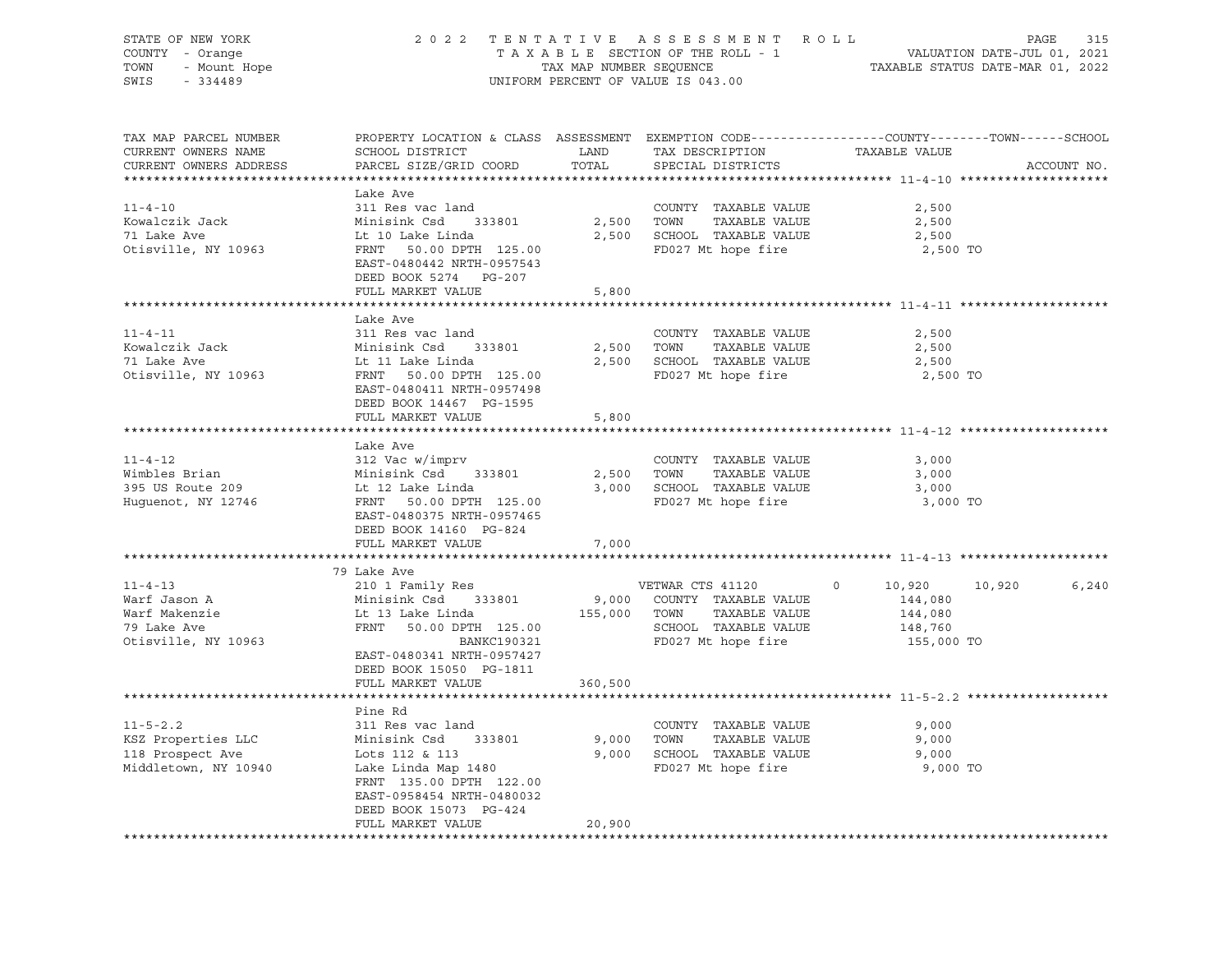| STATE OF NEW YORK<br>COUNTY - Orange                                                 | 2 0 2 2                                                                                                                                                                                                                              |         | TENTATIVE ASSESSMENT ROLL<br>TAXABLE SECTION OF THE ROLL - 1                                            | VALUATION DATE-JUL 01, 2021                 | PAGE<br>315<br>TAXABLE STATUS DATE-MAR 01, 2022 |
|--------------------------------------------------------------------------------------|--------------------------------------------------------------------------------------------------------------------------------------------------------------------------------------------------------------------------------------|---------|---------------------------------------------------------------------------------------------------------|---------------------------------------------|-------------------------------------------------|
| Y - Orange<br>- Mount Hope<br>- 334489<br>TOWN<br>SWIS<br>$-334489$                  |                                                                                                                                                                                                                                      |         | TAX MAP NUMBER SEQUENCE<br>UNIFORM PERCENT OF VALUE IS 043.00                                           |                                             |                                                 |
| TAX MAP PARCEL NUMBER<br>CURRENT OWNERS NAME<br>CURRENT OWNERS ADDRESS               | PROPERTY LOCATION & CLASS ASSESSMENT EXEMPTION CODE----------------COUNTY-------TOWN------SCHOOL<br>SCHOOL DISTRICT LAND<br>PARCEL SIZE/GRID COORD                                                                                   | TOTAL   | TAX DESCRIPTION<br>SPECIAL DISTRICTS                                                                    | TAXABLE VALUE                               | ACCOUNT NO.                                     |
|                                                                                      | Lake Ave                                                                                                                                                                                                                             |         |                                                                                                         |                                             |                                                 |
| $11 - 4 - 10$<br>Kowalczik Jack<br>71 Lake Ave<br>71 Lake Ave<br>Otisville, NY 10963 | 311 Res vac land<br>Minisink Csd 333801<br>سمند - سمار - Lt 10 Lake Linda<br>FRNT - جمعیت میں میں ہے<br>FRNT - جمعیت میں ہیں ہے<br>FRNT 50.00 DPTH 125.00<br>EAST-0480442 NRTH-0957543<br>DEED BOOK 5274 PG-207<br>FULL MARKET VALUE | 5,800   | COUNTY TAXABLE VALUE<br>2,500 TOWN<br>TAXABLE VALUE<br>2,500 SCHOOL TAXABLE VALUE<br>FD027 Mt hope fire | 2,500<br>2,500<br>2,500<br>2,500 TO         |                                                 |
|                                                                                      |                                                                                                                                                                                                                                      |         |                                                                                                         |                                             |                                                 |
| $11 - 4 - 11$<br>Kowalczik Jack<br>71 Lake Ave<br>Otisville, NY 10963                | Lake Ave<br>311 Res vac land<br>Minisink Csd 333801<br>Lt 11 Lake Linda<br>FRNT 50.00 DPTH 125.00<br>EAST-0480411 NRTH-0957498<br>DEED BOOK 14467 PG-1595                                                                            |         | COUNTY TAXABLE VALUE<br>2,500 TOWN TAXABLE VALUE<br>2,500 SCHOOL TAXABLE VALUE<br>FD027 Mt hope fire    | 2,500<br>2,500<br>2,500<br>2,500 TO         |                                                 |
|                                                                                      | FULL MARKET VALUE                                                                                                                                                                                                                    | 5,800   |                                                                                                         |                                             |                                                 |
|                                                                                      | Lake Ave                                                                                                                                                                                                                             |         |                                                                                                         |                                             |                                                 |
| $11 - 4 - 12$<br>Wimbles Brian<br>395 US Route 209<br>Huguenot, NY 12746             | 312 Vac w/imprv<br>Minisink Csd      333801<br>Lt 12 Lake Linda<br>FRNT 50.00 DPTH 125.00<br>EAST-0480375 NRTH-0957465<br>DEED BOOK 14160 PG-824<br>FULL MARKET VALUE                                                                |         | COUNTY TAXABLE VALUE<br>2,500 TOWN TAXABLE VALUE<br>3,000 SCHOOL TAXABLE VALUE<br>FD027 Mt hope fire    | 3,000<br>3,000<br>3,000<br>3,000 TO         |                                                 |
|                                                                                      |                                                                                                                                                                                                                                      | 7,000   |                                                                                                         |                                             |                                                 |
| $11 - 4 - 13$                                                                        | 79 Lake Ave<br>210 1 Family Res                                                                                                                                                                                                      |         | VETWAR CTS 41120                                                                                        | $\circ$<br>10,920 10,920                    | 6,240                                           |
| Warf Jason A<br>Warf Makenzie<br>79 Lake Ave<br>Otisville, NY 10963                  | Minisink Csd 333801<br>Lt 13 Lake Linda<br>FRNT 50.00 DPTH 125.00<br>BANKC190321<br>EAST-0480341 NRTH-0957427<br>DEED BOOK 15050 PG-1811<br>FULL MARKET VALUE                                                                        | 360,500 | 9,000 COUNTY TAXABLE VALUE<br>155,000 TOWN TAXABLE VALUE<br>SCHOOL TAXABLE VALUE<br>FD027 Mt hope fire  | 144,080<br>144,080<br>148,760<br>155,000 TO |                                                 |
|                                                                                      |                                                                                                                                                                                                                                      |         |                                                                                                         |                                             |                                                 |
| $11 - 5 - 2.2$<br>KSZ Properties LLC<br>118 Prospect Ave<br>Middletown, NY 10940     | Pine Rd<br>311 Res vac land<br>Minisink Csd 333801<br>Lots 112 & 113<br>Lake Linda Map 1480<br>FRNT 135.00 DPTH 122.00<br>EAST-0958454 NRTH-0480032<br>DEED BOOK 15073 PG-424                                                        |         | COUNTY TAXABLE VALUE<br>9,000 TOWN<br>TAXABLE VALUE<br>9,000 SCHOOL TAXABLE VALUE<br>FD027 Mt hope fire | 9,000<br>9,000<br>9,000<br>9,000 TO         |                                                 |
|                                                                                      | FULL MARKET VALUE                                                                                                                                                                                                                    | 20,900  |                                                                                                         |                                             |                                                 |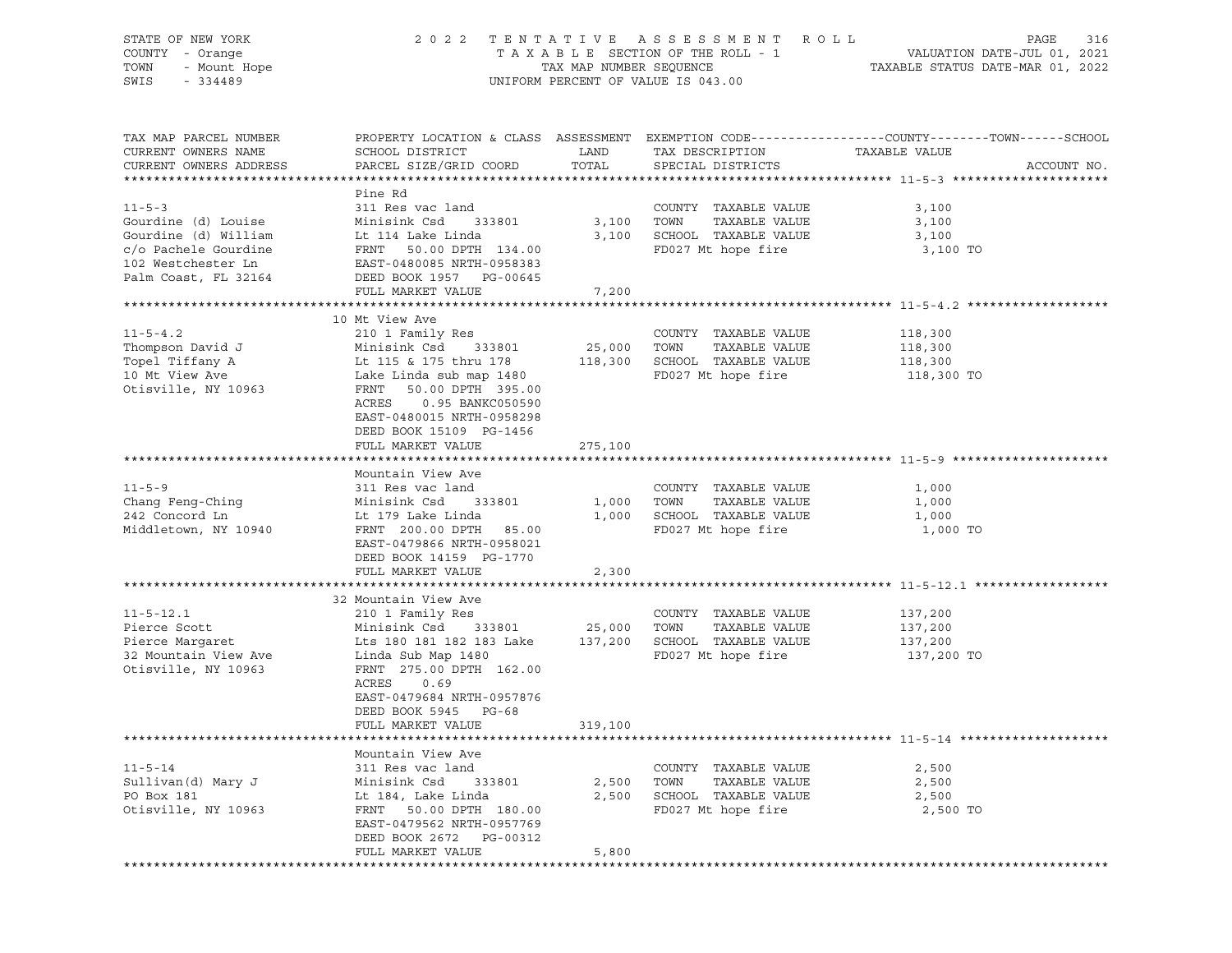| STATE OF NEW YORK<br>OF NEW YORK<br>7 - Orange<br>- Mount Hope<br>- 334489<br>COUNTY - Orange<br>TOWN<br>SWIS                                             |                                                                                                                                                                                                                                                                                   |                         | 2022 TENTATIVE ASSESSMENT ROLL<br>UNIFORM PERCENT OF VALUE IS 043.00                                    | PAGE                                                                                                              | 316         |
|-----------------------------------------------------------------------------------------------------------------------------------------------------------|-----------------------------------------------------------------------------------------------------------------------------------------------------------------------------------------------------------------------------------------------------------------------------------|-------------------------|---------------------------------------------------------------------------------------------------------|-------------------------------------------------------------------------------------------------------------------|-------------|
| TAX MAP PARCEL NUMBER<br>CURRENT OWNERS NAME<br>CURRENT OWNERS ADDRESS                                                                                    | SCHOOL DISTRICT<br>PARCEL SIZE/GRID COORD                                                                                                                                                                                                                                         | LAND<br>TOTAL           | TAX DESCRIPTION<br>SPECIAL DISTRICTS                                                                    | PROPERTY LOCATION & CLASS ASSESSMENT EXEMPTION CODE----------------COUNTY-------TOWN------SCHOOL<br>TAXABLE VALUE | ACCOUNT NO. |
| $11 - 5 - 3$<br>Gourdine (d) Louise<br>Gourdine (d) William<br>c/o Pachele Gourdine<br>102 Westchester Ln<br>Palm Coast, FL 32164 DEED BOOK 1957 PG-00645 | Pine Rd<br>311 Res vac land<br>Minisink Csd 333801<br>Minisink Csd      33<br>Lt 114 Lake Linda<br>FRNT 50.00 DPTH 134.00<br>EAST-0480085 NRTH-0958383<br>FULL MARKET VALUE                                                                                                       | 3,100 TOWN<br>7,200     | COUNTY TAXABLE VALUE<br>TAXABLE VALUE<br>3,100 SCHOOL TAXABLE VALUE<br>FD027 Mt hope fire               | 3,100<br>3,100<br>3,100<br>3,100 TO                                                                               |             |
| $11 - 5 - 4.2$<br>Thompson David J<br>Topel Tiffany A<br>10 Mt View Ave<br>Otisville, NY 10963                                                            | 10 Mt View Ave<br>210 1 Family Res<br>Minisink Csd 333801<br>Lt 115 & 175 thru 178 118,300 SCHOOL TAXABLE VALUE<br>Lake Linda sub map 1480<br>FRNT<br>50.00 DPTH 395.00<br>ACRES<br>0.95 BANKC050590<br>EAST-0480015 NRTH-0958298<br>DEED BOOK 15109 PG-1456<br>FULL MARKET VALUE | 25,000 TOWN<br>275,100  | COUNTY TAXABLE VALUE<br>TAXABLE VALUE<br>FD027 Mt hope fire                                             | 118,300<br>118,300<br>118,300<br>118,300 TO                                                                       |             |
|                                                                                                                                                           | Mountain View Ave                                                                                                                                                                                                                                                                 |                         |                                                                                                         |                                                                                                                   |             |
| $11 - 5 - 9$<br>Chang Feng-Ching<br>242 Concord Ln<br>Middletown, NY 10940                                                                                | 311 Res vac land<br>Minisink Csd 333801<br>Lt 179 Lake Linda<br>FRNT 200.00 DPTH 85.00<br>EAST-0479866 NRTH-0958021<br>DEED BOOK 14159 PG-1770<br>FULL MARKET VALUE                                                                                                               | 2,300                   | COUNTY TAXABLE VALUE<br>1,000 TOWN<br>TAXABLE VALUE<br>1,000 SCHOOL TAXABLE VALUE<br>FD027 Mt hope fire | 1,000<br>1,000<br>1,000<br>1,000 TO                                                                               |             |
| **********************                                                                                                                                    |                                                                                                                                                                                                                                                                                   |                         |                                                                                                         |                                                                                                                   |             |
| $11 - 5 - 12.1$<br>Pierce Scott<br>Pierce Margaret<br>32 Mountain View Ave<br>Otisville, NY 10963                                                         | 32 Mountain View Ave<br>210 1 Family Res<br>Minisink Csd 333801<br>Lts 180 181 182 183 Lake 137,200 SCHOOL TAXABLE VALUE<br>Linda Sub Map 1480<br>FRNT 275.00 DPTH 162.00<br>ACRES<br>0.69<br>EAST-0479684 NRTH-0957876<br>DEED BOOK 5945 PG-68                                   | 25,000 TOWN             | COUNTY TAXABLE VALUE<br>TAXABLE VALUE<br>FD027 Mt hope fire                                             | 137,200<br>137,200<br>137,200<br>137,200 TO                                                                       |             |
|                                                                                                                                                           | FULL MARKET VALUE                                                                                                                                                                                                                                                                 | 319,100                 |                                                                                                         |                                                                                                                   |             |
| $11 - 5 - 14$<br>Sullivan(d) Mary J<br>PO Box 181<br>Otisville, NY 10963                                                                                  | Mountain View Ave<br>311 Res vac land<br>Minisink Csd<br>333801<br>Lt 184, Lake Linda<br>FRNT 50.00 DPTH 180.00<br>EAST-0479562 NRTH-0957769<br>DEED BOOK 2672 PG-00312<br>FULL MARKET VALUE                                                                                      | 2,500<br>2,500<br>5,800 | COUNTY TAXABLE VALUE<br>TOWN<br>TAXABLE VALUE<br>SCHOOL TAXABLE VALUE<br>FD027 Mt hope fire             | 2,500<br>2,500<br>2,500<br>2,500 TO                                                                               |             |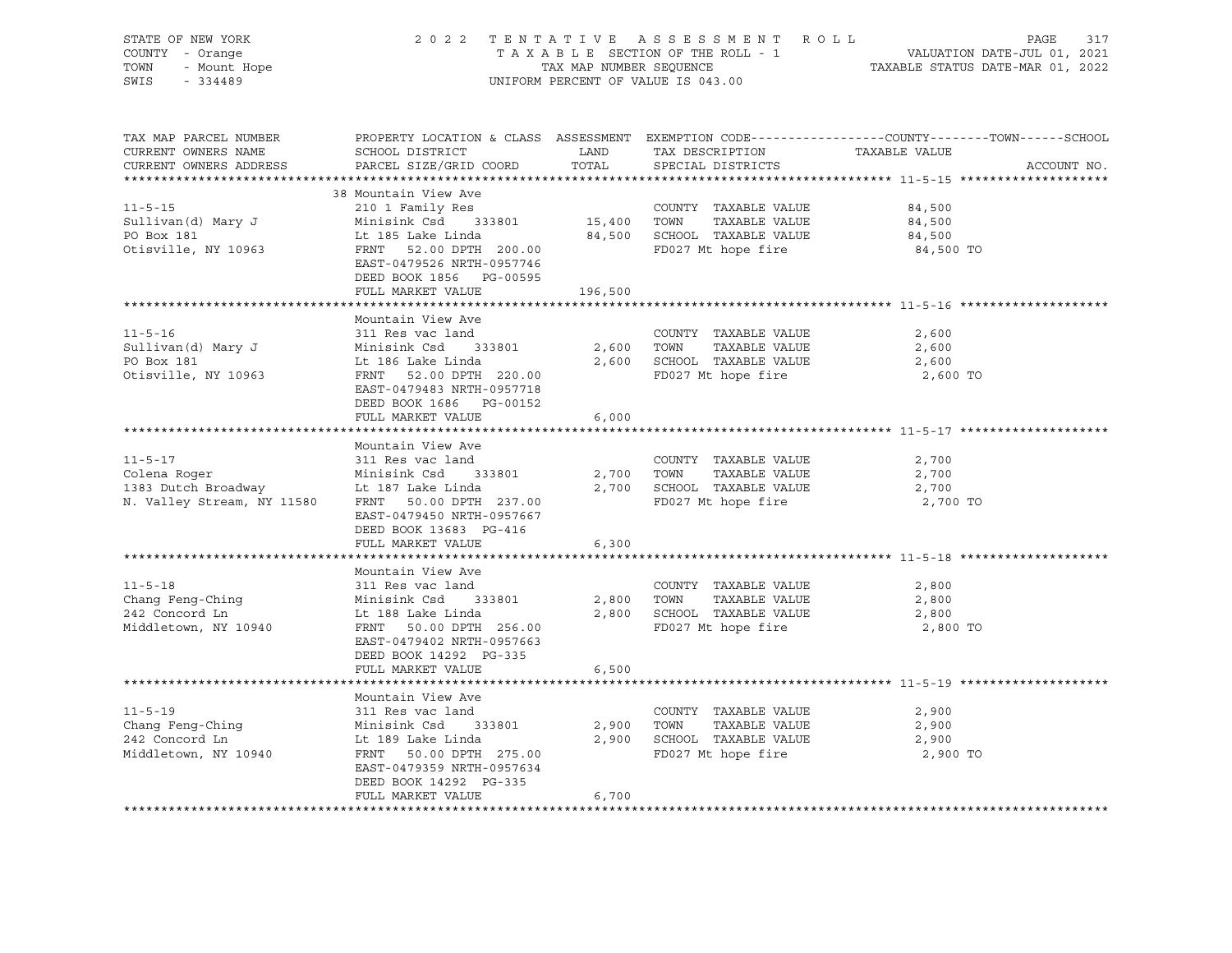| STATE OF NEW YORK<br>COUNTY - Orange<br>TOWN<br>SWIS - 334489                                                                                                                 |                                                                                                                                                                                                                                                                                                        |       | UNIFORM PERCENT OF VALUE IS 043.00                                                                   | OF NEW YORK A SO 2 2 TENTATIVE ASSESSMENT ROLL PAGE 317<br>Y - Orange TAXABLE SECTION OF THE ROLL - 1 VALUATION DATE-JUL 01, 2021<br>TAXABLE SECTION OF THE ROLL - 1 VALUATION DATE-JUL 01, 2021<br>TAXABLE STATUS DATE-MAR 01, 2022 |
|-------------------------------------------------------------------------------------------------------------------------------------------------------------------------------|--------------------------------------------------------------------------------------------------------------------------------------------------------------------------------------------------------------------------------------------------------------------------------------------------------|-------|------------------------------------------------------------------------------------------------------|--------------------------------------------------------------------------------------------------------------------------------------------------------------------------------------------------------------------------------------|
| TAX MAP PARCEL NUMBER<br>CURRENT OWNERS NAME<br>CURRENT OWNERS ADDRESS                                                                                                        |                                                                                                                                                                                                                                                                                                        |       |                                                                                                      | PROPERTY LOCATION & CLASS ASSESSMENT EXEMPTION CODE----------------COUNTY-------TOWN------SCHOOL<br>ACCOUNT NO.                                                                                                                      |
|                                                                                                                                                                               | 38 Mountain View Ave                                                                                                                                                                                                                                                                                   |       |                                                                                                      |                                                                                                                                                                                                                                      |
| $11 - 5 - 15$                                                                                                                                                                 |                                                                                                                                                                                                                                                                                                        |       |                                                                                                      | 84,500                                                                                                                                                                                                                               |
| Sullivan(d) Mary J                                                                                                                                                            |                                                                                                                                                                                                                                                                                                        |       |                                                                                                      | 84,500                                                                                                                                                                                                                               |
| PO Box 181                                                                                                                                                                    |                                                                                                                                                                                                                                                                                                        |       |                                                                                                      | 84,500                                                                                                                                                                                                                               |
| Otisville, NY 10963                                                                                                                                                           | 38 Mountain View Ave<br>210 1 Family Res<br>Minisink Csd 333801 15,400 TOWN TAXABLE VALUE<br>Lt 185 Lake Linda 84,500 SCHOOL TAXABLE VALUE<br>FRNT 52.00 DPTH 200.00 FD027 Mt hope fire<br>FRNT 52.00 DPTH 200.00<br>EAST-0479526 NRTH-0957746<br>DEED BOOK 1856 PG-00595<br>FULL MARKET VALUE 196,500 |       |                                                                                                      | 84,500 TO                                                                                                                                                                                                                            |
|                                                                                                                                                                               |                                                                                                                                                                                                                                                                                                        |       |                                                                                                      |                                                                                                                                                                                                                                      |
| $11 - 5 - 16$                                                                                                                                                                 | Mountain View Ave<br>311 Res vac land<br>EAST-0479483 NRTH-0957718                                                                                                                                                                                                                                     |       | COUNTY TAXABLE VALUE                                                                                 | 2,600<br>2,600<br>2,600<br>2,600 TO                                                                                                                                                                                                  |
|                                                                                                                                                                               | DEED BOOK 1686    PG-00152<br>FULL MARKET VALUE                                                                                                                                                                                                                                                        | 6,000 |                                                                                                      |                                                                                                                                                                                                                                      |
|                                                                                                                                                                               | Mountain View Ave                                                                                                                                                                                                                                                                                      |       |                                                                                                      |                                                                                                                                                                                                                                      |
| $11 - 5 - 17$<br>Colena Roger<br>1383 Dutch Broadway<br>1383 Dutch Broadway<br>1580 FRNT 50.00 DPTH 237.00<br>1580 FRNT 50.00 DPTH 237.00                                     | 311 Res vac land<br>EAST-0479450 NRTH-0957667<br>DEED BOOK 13683 PG-416                                                                                                                                                                                                                                |       | COUNTY TAXABLE VALUE<br>2,700 TOWN TAXABLE VALUE<br>2,700 SCHOOL TAXABLE VALUE<br>FD027 Mt hope fire | 2,700<br>2,700<br>2,700<br>2,700 TO                                                                                                                                                                                                  |
|                                                                                                                                                                               | FULL MARKET VALUE                                                                                                                                                                                                                                                                                      | 6,300 |                                                                                                      |                                                                                                                                                                                                                                      |
|                                                                                                                                                                               |                                                                                                                                                                                                                                                                                                        |       |                                                                                                      |                                                                                                                                                                                                                                      |
| $11 - 5 - 18$<br>The Teng-Ching<br>Chang Feng-Ching<br>242 Concord Ln<br>242 Concord Ln<br>242 Concord Ln<br>256.00<br>242 Concord Ln<br>256.00                               | Mountain View Ave<br>311 Res vac land<br>EAST-0479402 NRTH-0957663<br>DEED BOOK 14292 PG-335                                                                                                                                                                                                           |       | COUNTY TAXABLE VALUE<br>2,800 TOWN TAXABLE VALUE<br>2,800 SCHOOL TAXABLE VALUE<br>FD027 Mt hope fire | 2,800<br>2,800<br>2,800<br>2,800 TO                                                                                                                                                                                                  |
|                                                                                                                                                                               | FULL MARKET VALUE                                                                                                                                                                                                                                                                                      | 6,500 |                                                                                                      |                                                                                                                                                                                                                                      |
|                                                                                                                                                                               | Mountain View Ave                                                                                                                                                                                                                                                                                      |       |                                                                                                      |                                                                                                                                                                                                                                      |
| $11 - 5 - 19$<br>Chang Feng-Ching<br>2,900 TOWN<br>242 Concord Ln Linds Lake Linda<br>2,900 SCHOOL<br>2,900 SCHOOL<br>27 Middletown, NY 10940 FRNT 50.00 DPTH 275.00 FD027 Mt | 311 Res vac land<br>EAST-0479359 NRTH-0957634<br>DEED BOOK 14292 PG-335                                                                                                                                                                                                                                |       | COUNTY TAXABLE VALUE<br>TAXABLE VALUE<br>2,900 SCHOOL TAXABLE VALUE<br>FD027 Mt hope fire 2,900 TO   | 2,900<br>2,900<br>2,900                                                                                                                                                                                                              |
|                                                                                                                                                                               | FULL MARKET VALUE                                                                                                                                                                                                                                                                                      | 6,700 |                                                                                                      |                                                                                                                                                                                                                                      |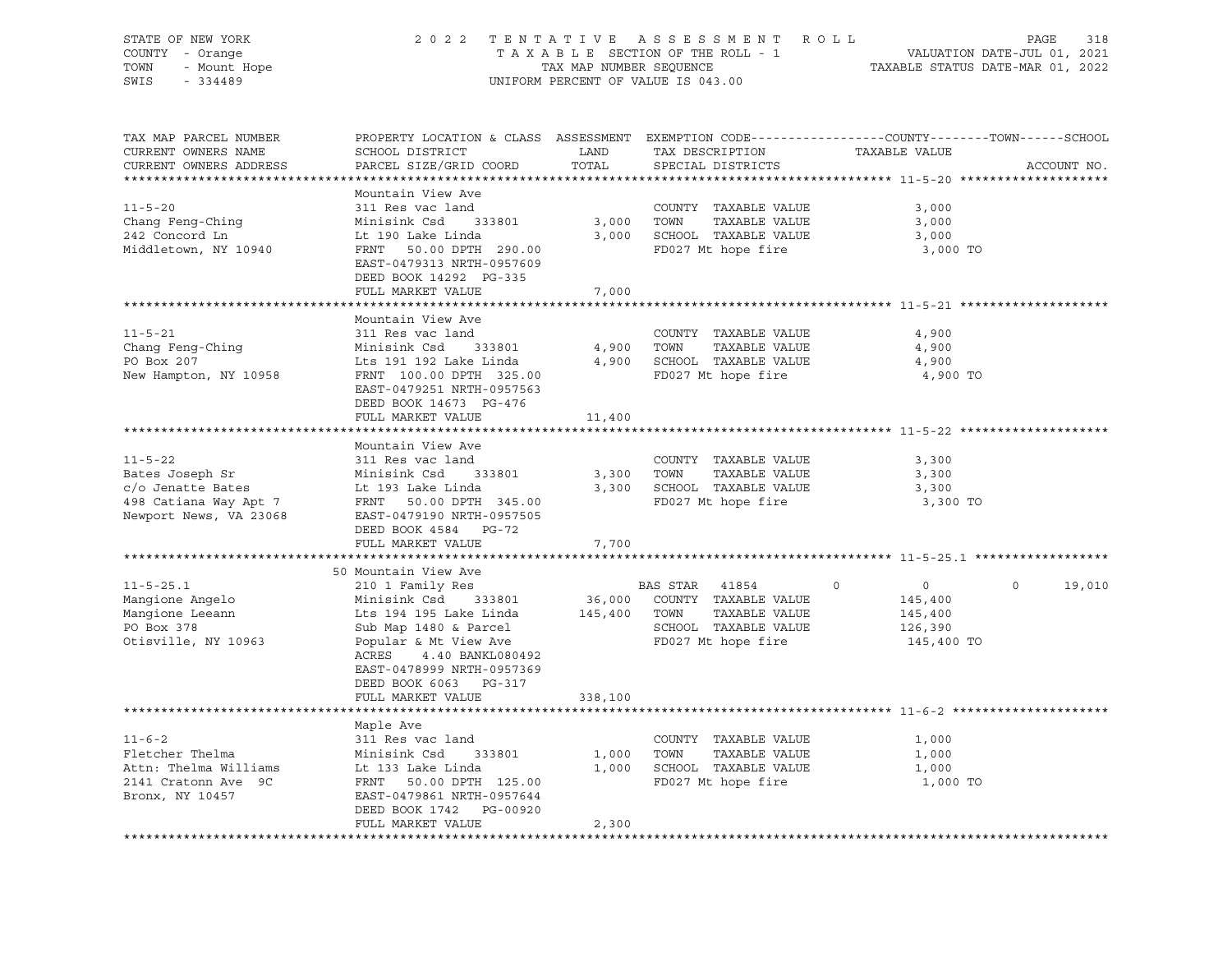| STATE OF NEW YORK<br>COUNTY - Orange<br>TOWN<br>- Mount Hope<br>SWIS<br>$-334489$ | 2 0 2 2                                                                                         | TENTATIVE<br>TAX MAP NUMBER SEQUENCE | ASSESSMENT ROLL<br>TAXABLE SECTION OF THE ROLL - 1<br>UNIFORM PERCENT OF VALUE IS 043.00 | TAXABLE STATUS DATE-MAR 01, 2022 | PAGE<br>318<br>VALUATION DATE-JUL 01, 2021 |
|-----------------------------------------------------------------------------------|-------------------------------------------------------------------------------------------------|--------------------------------------|------------------------------------------------------------------------------------------|----------------------------------|--------------------------------------------|
| TAX MAP PARCEL NUMBER                                                             | PROPERTY LOCATION & CLASS ASSESSMENT EXEMPTION CODE----------------COUNTY-------TOWN-----SCHOOL |                                      |                                                                                          |                                  |                                            |
| CURRENT OWNERS NAME                                                               | SCHOOL DISTRICT                                                                                 | LAND                                 | TAX DESCRIPTION                                                                          | TAXABLE VALUE                    |                                            |
| CURRENT OWNERS ADDRESS                                                            | PARCEL SIZE/GRID COORD                                                                          | TOTAL                                | SPECIAL DISTRICTS                                                                        |                                  | ACCOUNT NO.                                |
|                                                                                   | Mountain View Ave                                                                               |                                      |                                                                                          |                                  |                                            |
| $11 - 5 - 20$                                                                     | 311 Res vac land                                                                                |                                      | COUNTY TAXABLE VALUE                                                                     | 3,000                            |                                            |
| Chang Feng-Ching                                                                  | Minisink Csd<br>333801                                                                          | 3,000                                | TOWN<br>TAXABLE VALUE                                                                    | 3,000                            |                                            |
| 242 Concord Ln                                                                    | Lt 190 Lake Linda                                                                               |                                      | 3,000 SCHOOL TAXABLE VALUE                                                               | 3,000                            |                                            |
| Middletown, NY 10940                                                              | FRNT 50.00 DPTH 290.00                                                                          |                                      | FD027 Mt hope fire                                                                       | 3,000 TO                         |                                            |
|                                                                                   | EAST-0479313 NRTH-0957609                                                                       |                                      |                                                                                          |                                  |                                            |
|                                                                                   | DEED BOOK 14292 PG-335                                                                          |                                      |                                                                                          |                                  |                                            |
|                                                                                   | FULL MARKET VALUE                                                                               | 7,000                                |                                                                                          |                                  |                                            |
|                                                                                   |                                                                                                 |                                      |                                                                                          |                                  |                                            |
| $11 - 5 - 21$                                                                     | Mountain View Ave                                                                               |                                      |                                                                                          |                                  |                                            |
| Chang Feng-Ching                                                                  | 311 Res vac land<br>Minisink Csd 333801                                                         |                                      | COUNTY TAXABLE VALUE<br>4,900 TOWN<br>TAXABLE VALUE                                      | 4,900<br>4,900                   |                                            |
| PO Box 207                                                                        | Lts 191 192 Lake Linda                                                                          |                                      | 4,900 SCHOOL TAXABLE VALUE                                                               | 4,900                            |                                            |
| New Hampton, NY 10958                                                             | FRNT 100.00 DPTH 325.00                                                                         |                                      | FD027 Mt hope fire                                                                       | 4,900 TO                         |                                            |
|                                                                                   | EAST-0479251 NRTH-0957563                                                                       |                                      |                                                                                          |                                  |                                            |
|                                                                                   | DEED BOOK 14673 PG-476                                                                          |                                      |                                                                                          |                                  |                                            |
|                                                                                   | FULL MARKET VALUE                                                                               | 11,400                               |                                                                                          |                                  |                                            |
|                                                                                   |                                                                                                 |                                      |                                                                                          |                                  |                                            |
|                                                                                   | Mountain View Ave                                                                               |                                      |                                                                                          |                                  |                                            |
| $11 - 5 - 22$                                                                     | 311 Res vac land                                                                                |                                      | COUNTY TAXABLE VALUE                                                                     | 3,300                            |                                            |
| Bates Joseph Sr<br>c/o Jenatte Bates                                              | Minisink Csd<br>333801<br>Lt 193 Lake Linda                                                     |                                      | 3,300 TOWN<br>TAXABLE VALUE<br>3,300 SCHOOL TAXABLE VALUE                                | 3,300<br>3,300                   |                                            |
| 498 Catiana Way Apt 7                                                             | FRNT 50.00 DPTH 345.00                                                                          |                                      | FD027 Mt hope fire                                                                       | 3,300 TO                         |                                            |
| Newport News, VA 23068                                                            | EAST-0479190 NRTH-0957505                                                                       |                                      |                                                                                          |                                  |                                            |
|                                                                                   | DEED BOOK 4584 PG-72                                                                            |                                      |                                                                                          |                                  |                                            |
|                                                                                   | FULL MARKET VALUE                                                                               | 7,700                                |                                                                                          |                                  |                                            |
|                                                                                   |                                                                                                 |                                      |                                                                                          |                                  |                                            |
|                                                                                   | 50 Mountain View Ave                                                                            |                                      |                                                                                          |                                  |                                            |
| $11 - 5 - 25.1$                                                                   | 210 1 Family Res                                                                                |                                      | BAS STAR 41854                                                                           | $\Omega$<br>$\overline{0}$       | $\Omega$<br>19,010                         |
| Mangione Angelo<br>Mangione Leeann                                                | Minisink Csd<br>333801<br>Lts 194 195 Lake Linda                                                |                                      | 36,000 COUNTY TAXABLE VALUE<br>145,400 TOWN<br>TAXABLE VALUE                             | 145,400<br>145,400               |                                            |
| PO Box 378                                                                        | Sub Map 1480 & Parcel                                                                           |                                      | SCHOOL TAXABLE VALUE                                                                     | 126,390                          |                                            |
| Otisville, NY 10963                                                               | Popular & Mt View Ave                                                                           |                                      | FD027 Mt hope fire                                                                       | 145,400 TO                       |                                            |
|                                                                                   | ACRES<br>4.40 BANKL080492                                                                       |                                      |                                                                                          |                                  |                                            |
|                                                                                   | EAST-0478999 NRTH-0957369                                                                       |                                      |                                                                                          |                                  |                                            |
|                                                                                   | DEED BOOK 6063 PG-317                                                                           |                                      |                                                                                          |                                  |                                            |
|                                                                                   | FULL MARKET VALUE                                                                               | 338,100                              |                                                                                          |                                  |                                            |
|                                                                                   |                                                                                                 |                                      |                                                                                          |                                  |                                            |
|                                                                                   | Maple Ave                                                                                       |                                      |                                                                                          |                                  |                                            |
| $11 - 6 - 2$                                                                      | 311 Res vac land                                                                                |                                      | COUNTY TAXABLE VALUE                                                                     | 1,000                            |                                            |
| Fletcher Thelma<br>Attn: Thelma Williams                                          | Minisink Csd<br>333801                                                                          |                                      | 1,000 TOWN<br>TAXABLE VALUE<br>1,000 SCHOOL TAXABLE VALUE                                | 1,000                            |                                            |
| 2141 Cratonn Ave 9C                                                               | Lt 133 Lake Linda<br>FRNT 50.00 DPTH 125.00                                                     |                                      | FD027 Mt hope fire                                                                       | 1,000<br>1,000 TO                |                                            |
| Bronx, NY 10457                                                                   | EAST-0479861 NRTH-0957644                                                                       |                                      |                                                                                          |                                  |                                            |
|                                                                                   | DEED BOOK 1742 PG-00920                                                                         |                                      |                                                                                          |                                  |                                            |
|                                                                                   | FULL MARKET VALUE                                                                               | 2,300                                |                                                                                          |                                  |                                            |
|                                                                                   |                                                                                                 |                                      |                                                                                          |                                  |                                            |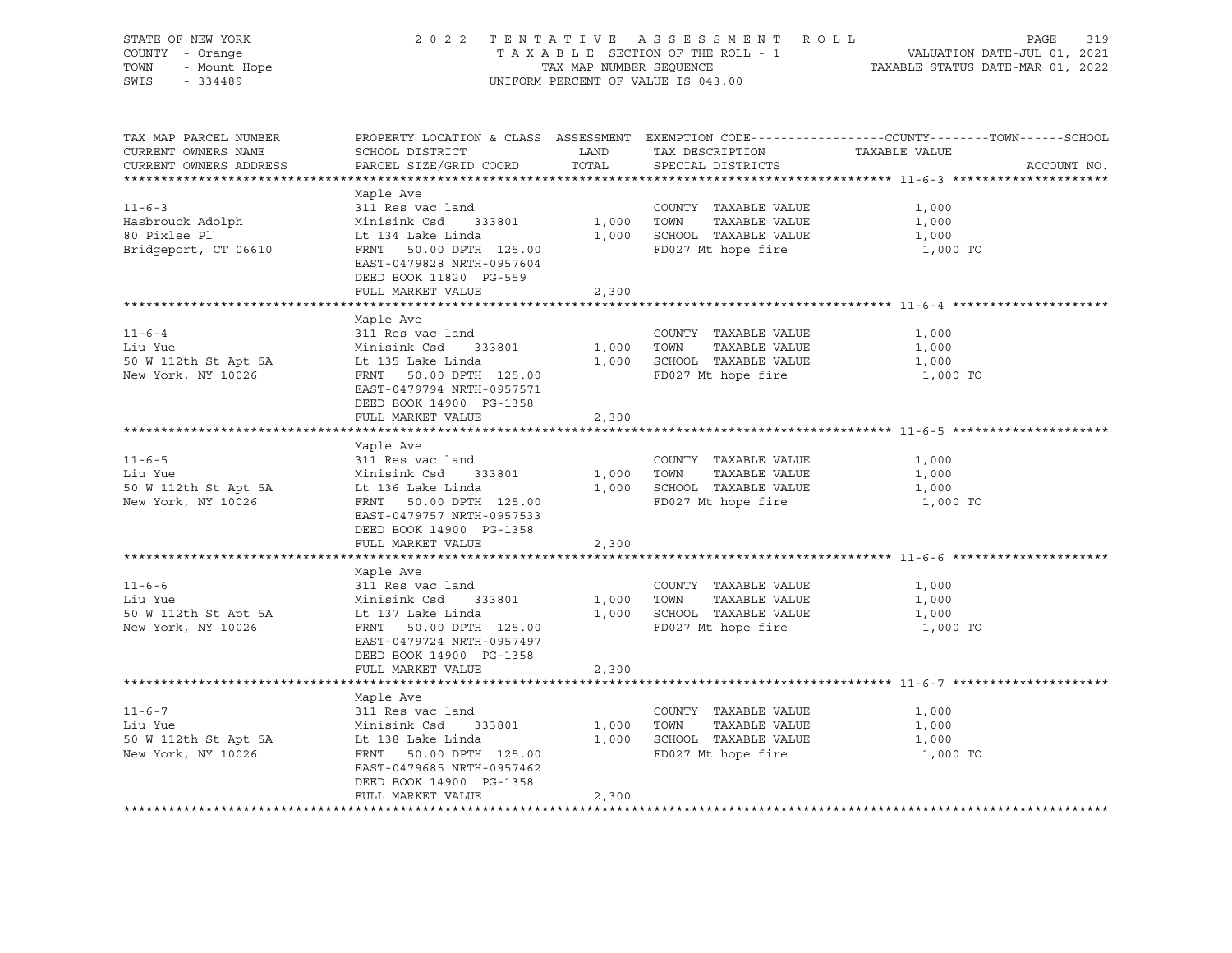| STATE OF NEW YORK<br>COUNTY - Orange<br>OF NEW TURN<br>7 - Orange<br>- Mount Hope<br>11190<br>TOWN<br>SWIS                                       |                                                                                                                                       |                                        | 2022 TENTATIVE ASSESSMENT ROLL                                                            | 319<br>PAGE<br>TAXABLE SECTION OF THE ROLL - 1<br>TAX MAP NUMBER SEQUENCE<br>UNIFORM PERCENT OF VALUE IS 043.00                |
|--------------------------------------------------------------------------------------------------------------------------------------------------|---------------------------------------------------------------------------------------------------------------------------------------|----------------------------------------|-------------------------------------------------------------------------------------------|--------------------------------------------------------------------------------------------------------------------------------|
| TAX MAP PARCEL NUMBER<br>CURRENT OWNERS NAME<br>CURRENT OWNERS ADDRESS                                                                           |                                                                                                                                       |                                        |                                                                                           | PROPERTY LOCATION & CLASS ASSESSMENT EXEMPTION CODE---------------COUNTY-------TOWN-----SCHOOL<br>TAXABLE VALUE<br>ACCOUNT NO. |
|                                                                                                                                                  |                                                                                                                                       |                                        |                                                                                           |                                                                                                                                |
| $11 - 6 - 3$                                                                                                                                     | Maple Ave<br>311 Res vac land                                                                                                         |                                        |                                                                                           |                                                                                                                                |
|                                                                                                                                                  | Minisink Csd 333801 1,000 TOWN TAXABLE VALUE                                                                                          |                                        | COUNTY TAXABLE VALUE                                                                      | 1,000<br>1,000                                                                                                                 |
| Hasbrouck Adolph<br>80 Pixlee Pl                                                                                                                 | Lt 134 Lake Linda                                                                                                                     |                                        |                                                                                           | 1,000                                                                                                                          |
| Bridgeport, CT 06610                                                                                                                             | FRNT 50.00 DPTH 125.00<br>EAST-0479828 NRTH-0957604<br>DEED BOOK 11820 PG-559                                                         |                                        | 1,000 SCHOOL TAXABLE VALUE<br>125.00 PD027 Mt hope fire                                   | 1,000 TO                                                                                                                       |
|                                                                                                                                                  | FULL MARKET VALUE                                                                                                                     | 2,300                                  |                                                                                           |                                                                                                                                |
|                                                                                                                                                  |                                                                                                                                       |                                        |                                                                                           |                                                                                                                                |
| $11 - 6 - 4$<br>Liu Yue<br>minishik csd<br>50 W 112th St Apt 5A Lt 135 Lake Linda<br>50 W 12th St Apt 5A Lt 135 Lake Linda<br>New York, NY 10026 | Maple Ave<br>311 Res vac land<br>Minisink Csd 333801<br>FRNT 50.00 DPTH 125.00                                                        | 1,000 TOWN<br>1,000 SCHOOL<br>FD027 Mt | COUNTY TAXABLE VALUE<br>TAXABLE VALUE<br>1,000 SCHOOL TAXABLE VALUE<br>FD027 Mt hope fire | 1,000<br>1,000<br>1,000<br>1,000 TO                                                                                            |
|                                                                                                                                                  | EAST-0479794 NRTH-0957571<br>DEED BOOK 14900 PG-1358<br>FULL MARKET VALUE                                                             | 2,300                                  |                                                                                           |                                                                                                                                |
|                                                                                                                                                  |                                                                                                                                       |                                        |                                                                                           |                                                                                                                                |
| $11 - 6 - 5$<br>Liu Yue<br>50 W 112th St Apt 5A Lt 136 Lake Linda<br>----- 50.00 PPTH 125.00<br>New York, NY 10026                               | Maple Ave<br>311 Res vac land<br>FRNT 50.00 DPTH 125.00<br>EAST-0479757 NRTH-0957533<br>DEED BOOK 14900 PG-1358                       | $1,000$ TOWN<br>$1,000$ SCHOOL         | COUNTY TAXABLE VALUE<br>TAXABLE VALUE<br>1,000 SCHOOL TAXABLE VALUE<br>FD027 Mt hope fire | 1,000<br>1,000<br>1,000<br>1,000 TO                                                                                            |
|                                                                                                                                                  | FULL MARKET VALUE                                                                                                                     | 2,300                                  |                                                                                           |                                                                                                                                |
|                                                                                                                                                  | Maple Ave                                                                                                                             |                                        |                                                                                           |                                                                                                                                |
| $11 - 6 - 6$<br>Liu Yue<br>50 W 112th St Apt 5A Lt 137 Lake Linda<br>150 W 112th St Apt 5A Lt 137 Like Linda<br>New York, NY 10026               | 311 Res vac land<br>Minisink Csd 333801<br>FRNT 50.00 DPTH 125.00<br>EAST-0479724 NRTH-0957497<br>DEED BOOK 14900 PG-1358             | $1,000$ TOWN                           | COUNTY TAXABLE VALUE<br>TAXABLE VALUE<br>1,000 SCHOOL TAXABLE VALUE<br>FD027 Mt hope fire | 1,000<br>1,000<br>1,000<br>1,000 TO                                                                                            |
|                                                                                                                                                  | FULL MARKET VALUE                                                                                                                     | 2,300                                  |                                                                                           |                                                                                                                                |
|                                                                                                                                                  | Maple Ave                                                                                                                             |                                        |                                                                                           |                                                                                                                                |
|                                                                                                                                                  | Minisink Csd 333801 1,000 TOWN<br>FRNT 50.00 DPTH 125.00<br>EAST-0479685 NRTH-0957462<br>DEED BOOK 14900 PG-1358<br>FULL MARKET VALUE | 2,300                                  | COUNTY TAXABLE VALUE<br>TAXABLE VALUE<br>1,000 SCHOOL TAXABLE VALUE<br>FD027 Mt hope fire | 1,000<br>1,000<br>1,000<br>1,000 TO                                                                                            |
|                                                                                                                                                  |                                                                                                                                       |                                        |                                                                                           |                                                                                                                                |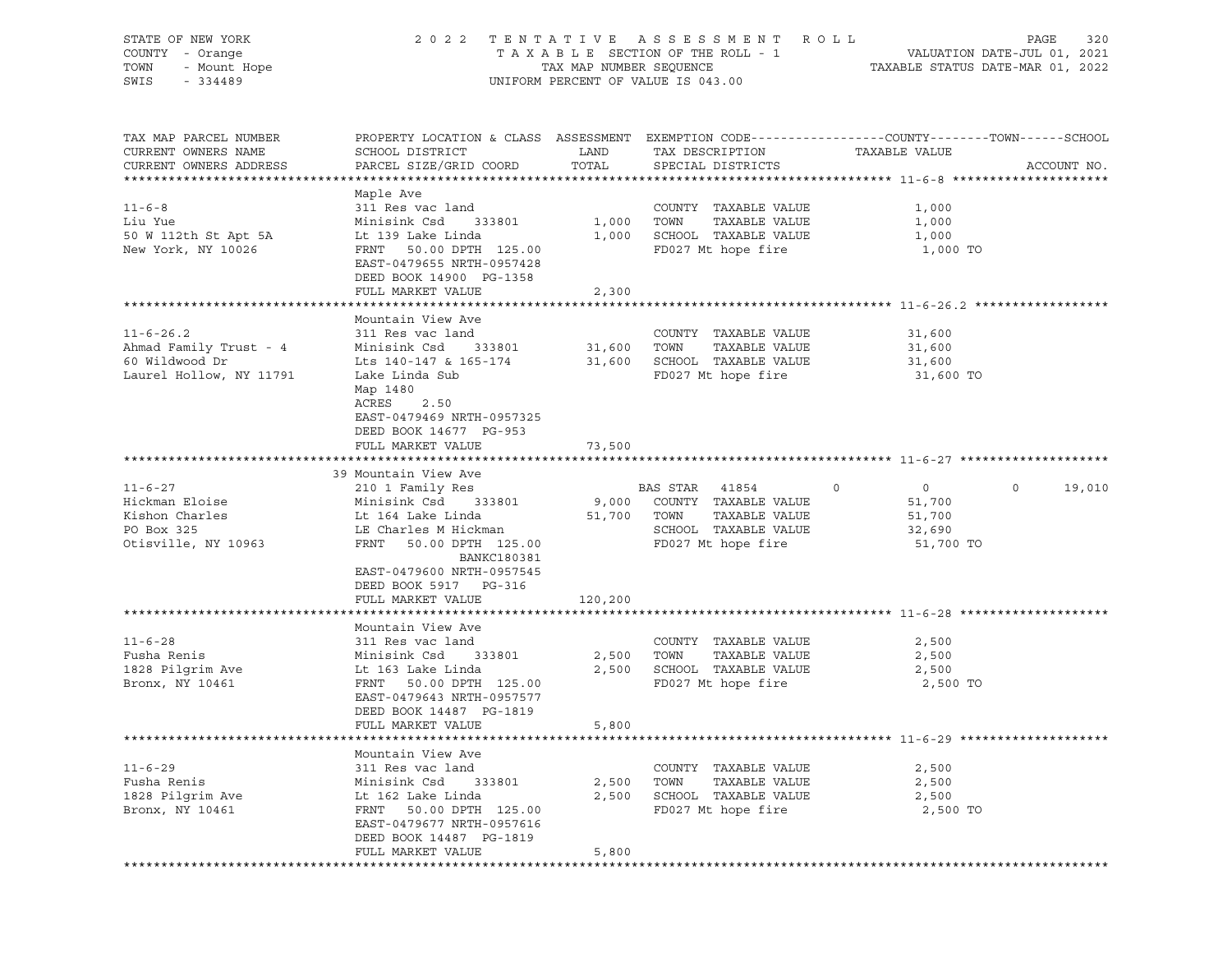| STATE OF NEW YORK<br>COUNTY - Orange<br>TOWN<br>- Mount Hope<br>SWIS<br>$-334489$ | 2 0 2 2                                                                                                            | TAX MAP NUMBER SEQUENCE | TENTATIVE ASSESSMENT<br>R O L L<br>TAXABLE SECTION OF THE ROLL - 1<br>UNIFORM PERCENT OF VALUE IS 043.00 |                           | 320<br>PAGE<br>VALUATION DATE-JUL 01, 2021<br>TAXABLE STATUS DATE-MAR 01, 2022 |
|-----------------------------------------------------------------------------------|--------------------------------------------------------------------------------------------------------------------|-------------------------|----------------------------------------------------------------------------------------------------------|---------------------------|--------------------------------------------------------------------------------|
| TAX MAP PARCEL NUMBER<br>CURRENT OWNERS NAME                                      | PROPERTY LOCATION & CLASS ASSESSMENT EXEMPTION CODE---------------COUNTY-------TOWN------SCHOOL<br>SCHOOL DISTRICT | LAND                    | TAX DESCRIPTION                                                                                          | TAXABLE VALUE             |                                                                                |
| CURRENT OWNERS ADDRESS                                                            | PARCEL SIZE/GRID COORD                                                                                             | TOTAL                   | SPECIAL DISTRICTS                                                                                        |                           | ACCOUNT NO.                                                                    |
|                                                                                   | Maple Ave                                                                                                          |                         |                                                                                                          |                           |                                                                                |
| $11 - 6 - 8$                                                                      | 311 Res vac land                                                                                                   |                         | COUNTY TAXABLE VALUE                                                                                     | 1,000                     |                                                                                |
| Liu Yue                                                                           | Minisink Csd<br>333801                                                                                             | 1,000                   | TOWN<br>TAXABLE VALUE                                                                                    | 1,000                     |                                                                                |
| 50 W 112th St Apt 5A<br>New York, NY 10026                                        | Lt 139 Lake Linda<br>FRNT 50.00 DPTH 125.00<br>EAST-0479655 NRTH-0957428<br>DEED BOOK 14900 PG-1358                | 1,000                   | SCHOOL TAXABLE VALUE<br>FD027 Mt hope fire                                                               | 1,000<br>1,000 TO         |                                                                                |
|                                                                                   | FULL MARKET VALUE                                                                                                  | 2,300                   |                                                                                                          |                           |                                                                                |
|                                                                                   | Mountain View Ave                                                                                                  |                         |                                                                                                          |                           |                                                                                |
| $11 - 6 - 26.2$                                                                   | 311 Res vac land                                                                                                   |                         | COUNTY TAXABLE VALUE                                                                                     | 31,600                    |                                                                                |
| Ahmad Family Trust - 4                                                            | Minisink Csd<br>333801                                                                                             | 31,600                  | TOWN<br>TAXABLE VALUE                                                                                    | 31,600                    |                                                                                |
| 60 Wildwood Dr                                                                    | Lts 140-147 & 165-174                                                                                              | 31,600                  | SCHOOL TAXABLE VALUE                                                                                     | 31,600                    |                                                                                |
| Laurel Hollow, NY 11791                                                           | Lake Linda Sub<br>Map 1480<br>ACRES<br>2.50<br>EAST-0479469 NRTH-0957325<br>DEED BOOK 14677 PG-953                 |                         | FD027 Mt hope fire                                                                                       | 31,600 TO                 |                                                                                |
|                                                                                   | FULL MARKET VALUE                                                                                                  | 73,500                  |                                                                                                          |                           |                                                                                |
|                                                                                   |                                                                                                                    |                         |                                                                                                          |                           |                                                                                |
| $11 - 6 - 27$                                                                     | 39 Mountain View Ave<br>210 1 Family Res                                                                           |                         | BAS STAR 41854                                                                                           | $\circ$<br>$\overline{0}$ | 19,010<br>$\circ$                                                              |
| Hickman Eloise                                                                    | Minisink Csd<br>333801                                                                                             | 9,000                   | COUNTY TAXABLE VALUE                                                                                     | 51,700                    |                                                                                |
| Kishon Charles                                                                    | Lt 164 Lake Linda                                                                                                  | 51,700 TOWN             | TAXABLE VALUE                                                                                            | 51,700                    |                                                                                |
| PO Box 325                                                                        | LE Charles M Hickman                                                                                               |                         | SCHOOL TAXABLE VALUE                                                                                     | 32,690                    |                                                                                |
| Otisville, NY 10963                                                               | FRNT<br>50.00 DPTH 125.00<br><b>BANKC180381</b><br>EAST-0479600 NRTH-0957545                                       |                         | FD027 Mt hope fire                                                                                       | 51,700 TO                 |                                                                                |
|                                                                                   | DEED BOOK 5917 PG-316                                                                                              |                         |                                                                                                          |                           |                                                                                |
|                                                                                   | FULL MARKET VALUE                                                                                                  | 120,200                 |                                                                                                          |                           |                                                                                |
|                                                                                   |                                                                                                                    |                         |                                                                                                          |                           |                                                                                |
| $11 - 6 - 28$                                                                     | Mountain View Ave<br>311 Res vac land                                                                              |                         | COUNTY TAXABLE VALUE                                                                                     | 2,500                     |                                                                                |
| Fusha Renis                                                                       | Minisink Csd<br>333801                                                                                             | 2,500                   | TOWN<br>TAXABLE VALUE                                                                                    | 2,500                     |                                                                                |
| 1828 Pilgrim Ave                                                                  | Lt 163 Lake Linda                                                                                                  | 2,500                   | SCHOOL TAXABLE VALUE                                                                                     | 2,500                     |                                                                                |
| Bronx, NY 10461                                                                   | FRNT<br>50.00 DPTH 125.00                                                                                          |                         | FD027 Mt hope fire                                                                                       | 2,500 TO                  |                                                                                |
|                                                                                   | EAST-0479643 NRTH-0957577                                                                                          |                         |                                                                                                          |                           |                                                                                |
|                                                                                   | DEED BOOK 14487 PG-1819                                                                                            |                         |                                                                                                          |                           |                                                                                |
|                                                                                   | FULL MARKET VALUE                                                                                                  | 5,800                   |                                                                                                          |                           |                                                                                |
|                                                                                   | Mountain View Ave                                                                                                  |                         |                                                                                                          |                           |                                                                                |
| $11 - 6 - 29$                                                                     | 311 Res vac land                                                                                                   |                         | COUNTY TAXABLE VALUE                                                                                     | 2,500                     |                                                                                |
| Fusha Renis                                                                       | Minisink Csd<br>333801                                                                                             | 2,500                   | TAXABLE VALUE<br>TOWN                                                                                    | 2,500                     |                                                                                |
| 1828 Pilgrim Ave                                                                  | Lt 162 Lake Linda                                                                                                  | 2,500                   | SCHOOL TAXABLE VALUE                                                                                     | 2,500                     |                                                                                |
| Bronx, NY 10461                                                                   | FRNT<br>50.00 DPTH 125.00<br>EAST-0479677 NRTH-0957616<br>DEED BOOK 14487 PG-1819                                  |                         | FD027 Mt hope fire                                                                                       | 2,500 TO                  |                                                                                |
|                                                                                   | FULL MARKET VALUE                                                                                                  | 5,800                   |                                                                                                          |                           |                                                                                |
|                                                                                   |                                                                                                                    |                         |                                                                                                          |                           |                                                                                |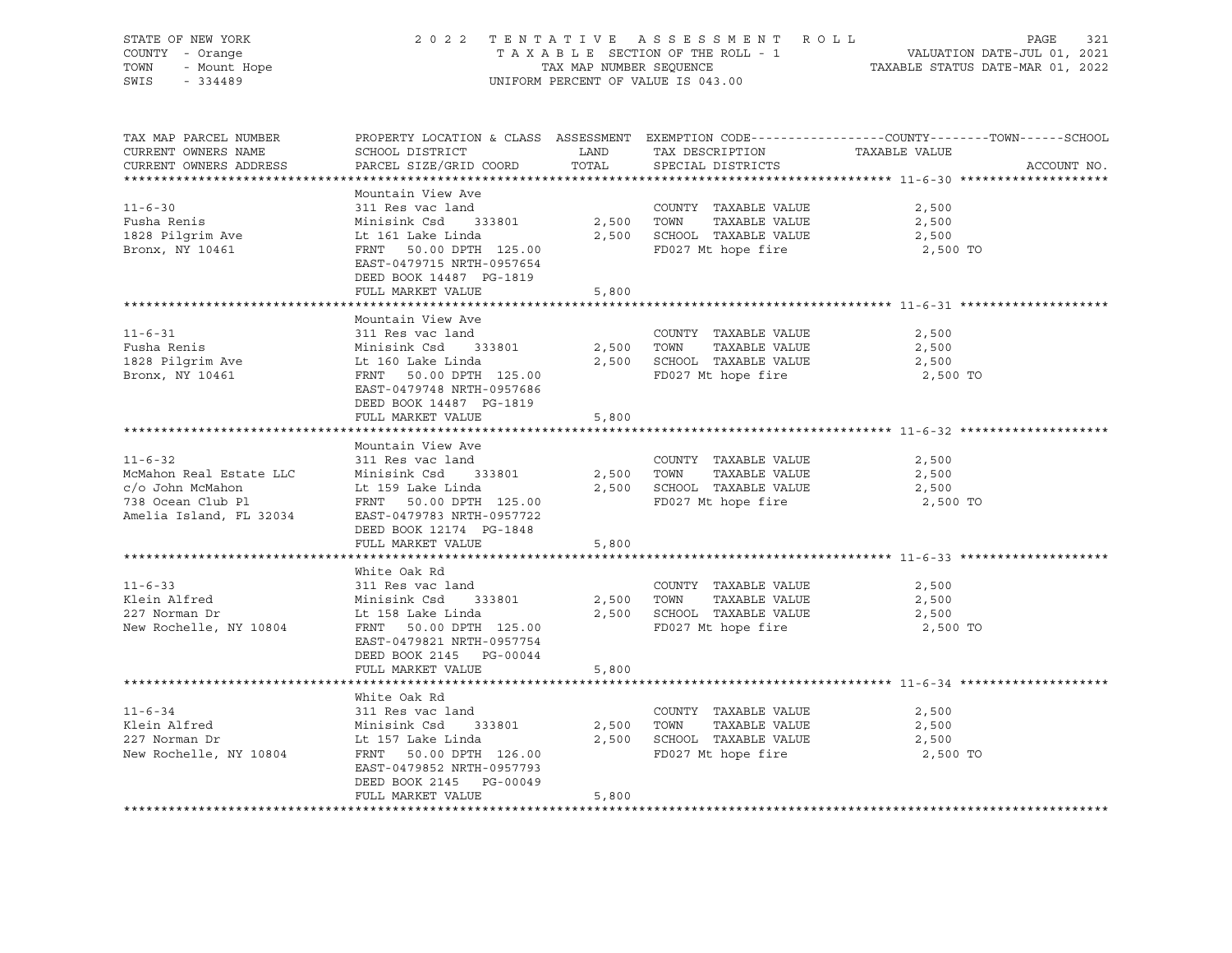|                                                                                                                                                                                                                                                                            |                                                                                                                                                                                          |       |                                                                                                                   | STATE OF NEW YORK 2022 TENTATIVE ASSESSMENT ROLL PAGE 321<br>COUNTY - Orange TAXABLE SECTION OF THE ROLL - 1 VALUATION DATE-JUL 01, 2021<br>TOWN - Mount Hope TAXABLE STATUS DATE-MAR 01, 2022<br>SWIS - 334489 |
|----------------------------------------------------------------------------------------------------------------------------------------------------------------------------------------------------------------------------------------------------------------------------|------------------------------------------------------------------------------------------------------------------------------------------------------------------------------------------|-------|-------------------------------------------------------------------------------------------------------------------|-----------------------------------------------------------------------------------------------------------------------------------------------------------------------------------------------------------------|
| TAX MAP PARCEL NUMBER                                                                                                                                                                                                                                                      |                                                                                                                                                                                          |       |                                                                                                                   | PROPERTY LOCATION & CLASS ASSESSMENT EXEMPTION CODE---------------COUNTY-------TOWN-----SCHOOL<br>ACCOUNT NO.                                                                                                   |
| $11 - 6 - 30$                                                                                                                                                                                                                                                              | Mountain View Ave<br>DEED BOOK 14487 PG-1819<br>FULL MARKET VALUE                                                                                                                        | 5,800 | COUNTY TAXABLE VALUE                                                                                              | 2,500<br>2,500<br>2,500<br>2,500 TO                                                                                                                                                                             |
| $11 - 6 - 31$                                                                                                                                                                                                                                                              | Mountain View Ave<br>311 Res vac land<br>EAST-0479748 NRTH-0957686<br>DEED BOOK 14487 PG-1819<br>FULL MARKET VALUE                                                                       | 5,800 | COUNTY TAXABLE VALUE                                                                                              | 2,500<br>2,500<br>2,500<br>2,500 TO                                                                                                                                                                             |
| $11 - 6 - 32$<br>McMahon Real Estate LLC Minisink Csd 333801 2,500 TOWN TAXABLE VALUE<br>c/o John McMahon Lt 159 Lake Linda 2,500 SCHOOL TAXABLE VALUE<br>738 Ocean Club Pl FRNT 50.00 DPTH 125.00 FD027 Mt hope fire<br>Amelia Island, FL 32034 EAST-0479783 NRTH-0957722 | Mountain View Ave<br>311 Res vac land<br>DEED BOOK 12174 PG-1848<br>FULL MARKET VALUE                                                                                                    | 5,800 | COUNTY TAXABLE VALUE                                                                                              | 2,500<br>2,500<br>2,500<br>2,500 TO                                                                                                                                                                             |
| $11 - 6 - 33$<br>Klein Alfred<br>$227$ Norman Dr<br>New Rochelle, NY 10804                                                                                                                                                                                                 | White Oak Rd<br>311 Res vac land<br>Minisink Csd      333801<br>Lt 158 Lake Linda<br>FRNT 50.00 DPTH 125.00<br>EAST-0479821 NRTH-0957754<br>DEED BOOK 2145 PG-00044<br>FULL MARKET VALUE | 5,800 | COUNTY TAXABLE VALUE<br>2,500    TOWN      TAXABLE VALUE<br>2,500    SCHOOL   TAXABLE VALUE<br>FD027 Mt hope fire | 2,500<br>2,500<br>2,500<br>2,500 TO                                                                                                                                                                             |
| $11 - 6 - 34$<br>Xlein Alfred<br>Xlein Alfred Minisink Csd 333801 2,500 TOWN TAXABLE VALUE<br>227 Norman Dr Lt 157 Lake Linda 2,500 SCHOOL TAXABLE VALUE<br>New Rochelle, NY 10804 FRNT 50.00 DPTH 126.00                                                                  | White Oak Rd<br>311 Res vac land<br>EAST-0479852 NRTH-0957793<br>DEED BOOK 2145 PG-00049<br>FULL MARKET VALUE                                                                            | 5,800 | COUNTY TAXABLE VALUE<br>FD027 Mt hope fire                                                                        | 2,500<br>2,500<br>2,500<br>2,500 TO                                                                                                                                                                             |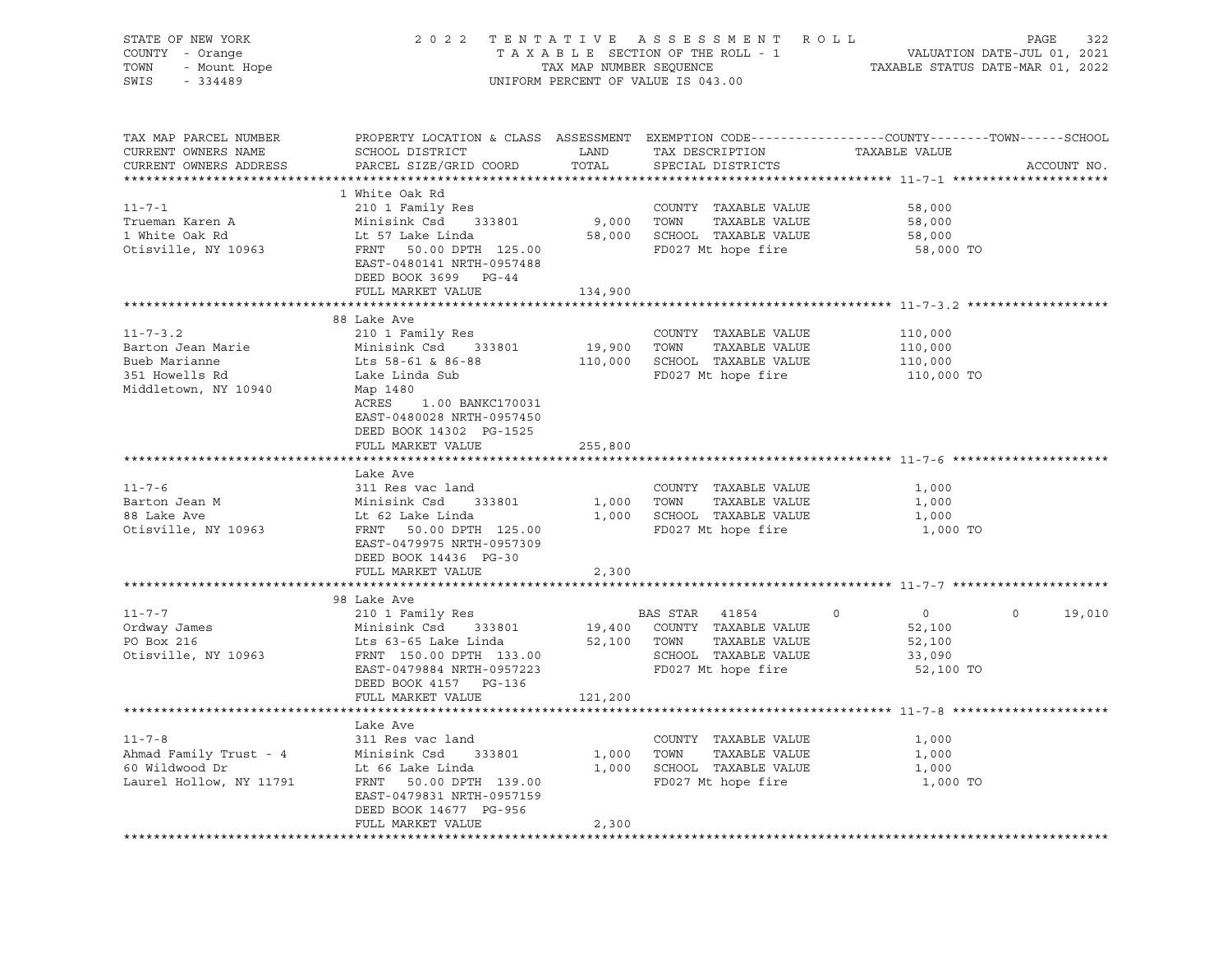| STATE OF NEW YORK<br>COUNTY - Orange<br>TOWN<br>$-334489$<br>SWIS                                                                                                                                                                                    | OF NEW YORK PAGE 322<br>FAXABLE SECTION OF THE ROLL - 1 DAGE 322<br>TAXABLE SECTION OF THE ROLL - 1 VALUATION DATE-JUL 01, 2021<br>TAX MAP NUMBER SEQUENCE TAXABLE STATUS DATE-MAR 01, 2022<br>UNIFORM PERCENT OF VALUE IS 043.00 |         | UNIFORM PERCENT OF VALUE IS 043.00                        |                           |                    |
|------------------------------------------------------------------------------------------------------------------------------------------------------------------------------------------------------------------------------------------------------|-----------------------------------------------------------------------------------------------------------------------------------------------------------------------------------------------------------------------------------|---------|-----------------------------------------------------------|---------------------------|--------------------|
| TAX MAP PARCEL NUMBER<br>CURRENT OWNERS NAME<br>CURRENT OWNERS ADDRESS                                                                                                                                                                               | PROPERTY LOCATION & CLASS ASSESSMENT EXEMPTION CODE---------------COUNTY-------TOWN-----SCHOOL<br>PARCEL SIZE/GRID COORD                                                                                                          | TOTAL   | SPECIAL DISTRICTS                                         |                           | ACCOUNT NO.        |
|                                                                                                                                                                                                                                                      | 1 White Oak Rd                                                                                                                                                                                                                    |         |                                                           |                           |                    |
| $11 - 7 - 1$                                                                                                                                                                                                                                         |                                                                                                                                                                                                                                   |         |                                                           | 58,000                    |                    |
| Trueman Karen A                                                                                                                                                                                                                                      |                                                                                                                                                                                                                                   |         |                                                           | 58,000                    |                    |
| 1 White Oak Rd                                                                                                                                                                                                                                       |                                                                                                                                                                                                                                   |         |                                                           | 58,000                    |                    |
| Otisville, NY 10963                                                                                                                                                                                                                                  | 210 1 Family Res<br>Minisink Csd 333801 9,000 TOWN TAXABLE VALUE<br>125.00 ECHOOL TAXABLE VALUE<br>210 1 FANT 50.00 DPTH 125.00<br>25.00 FD027 Mt hope fire<br>EAST-0480141 NRTH-0957488<br>DEED BOOK 3699 PG-44                  |         | FD027 Mt hope fire                                        | 58,000 TO                 |                    |
|                                                                                                                                                                                                                                                      | FULL MARKET VALUE                                                                                                                                                                                                                 | 134,900 |                                                           |                           |                    |
|                                                                                                                                                                                                                                                      |                                                                                                                                                                                                                                   |         |                                                           |                           |                    |
| $11 - 7 - 3$ . 2                                                                                                                                                                                                                                     | 88 Lake Ave<br>210 1 Family Res                                                                                                                                                                                                   |         | COUNTY TAXABLE VALUE                                      | 110,000                   |                    |
| Barton Jean Marie                                                                                                                                                                                                                                    |                                                                                                                                                                                                                                   |         |                                                           |                           |                    |
| Bueb Marianne                                                                                                                                                                                                                                        |                                                                                                                                                                                                                                   |         | 19,900 TOWN TAXABLE VALUE<br>110,000 SCHOOL TAXABLE VALUE | 110,000<br>110,000        |                    |
| 351 Howells Rd                                                                                                                                                                                                                                       | Minisink Csd 333801<br>Lts 58-61 & 86-88<br>Lake Linda Sub                                                                                                                                                                        |         | FD027 Mt hope fire                                        | 110,000 TO                |                    |
| Middletown, NY 10940                                                                                                                                                                                                                                 | Map 1480<br>ACRES 1.00 BANKC170031<br>EAST-0480028 NRTH-0957450<br>DEED BOOK 14302 PG-1525                                                                                                                                        |         |                                                           |                           |                    |
|                                                                                                                                                                                                                                                      | FULL MARKET VALUE                                                                                                                                                                                                                 | 255,800 |                                                           |                           |                    |
|                                                                                                                                                                                                                                                      | Lake Ave                                                                                                                                                                                                                          |         |                                                           |                           |                    |
|                                                                                                                                                                                                                                                      |                                                                                                                                                                                                                                   |         |                                                           | 1,000                     |                    |
|                                                                                                                                                                                                                                                      |                                                                                                                                                                                                                                   |         |                                                           | 1,000                     |                    |
|                                                                                                                                                                                                                                                      |                                                                                                                                                                                                                                   |         |                                                           | 1,000                     |                    |
| 11-7-6<br>Barton Jean M<br>Barton Jean M<br>Minisink Csd 333801<br>Minisink Csd 333801<br>Le 62 Lake Linda<br>Le 62 Lake Linda<br>Le 62 Lake Linda<br>2000 CONN TAXABLE VALUE<br>2000 CONN TAXABLE VALUE<br>2000 CONN TAXABLE VALUE<br>2000 CONN TAX | EAST-0479975 NRTH-0957309<br>DEED BOOK 14436 PG-30                                                                                                                                                                                |         |                                                           | 1,000 TO                  |                    |
|                                                                                                                                                                                                                                                      | FULL MARKET VALUE                                                                                                                                                                                                                 | 2,300   |                                                           |                           |                    |
|                                                                                                                                                                                                                                                      | 98 Lake Ave                                                                                                                                                                                                                       |         |                                                           |                           |                    |
| $11 - 7 - 7$                                                                                                                                                                                                                                         | 210 1 Family Res<br>Minisink Csd 333801 19,400 COUNTY TAXABLE VALUE<br>Lts 63-65 Lake Linda 52,100 TOWN TAXABLE VALUE<br>FRNT 150.00 DPTH 133.00 SCHOOL TAXABLE VALUE                                                             |         |                                                           | $\overline{0}$<br>$\circ$ | $\Omega$<br>19,010 |
|                                                                                                                                                                                                                                                      |                                                                                                                                                                                                                                   |         |                                                           | 52,100                    |                    |
| Ordway James<br>PO Box 216                                                                                                                                                                                                                           |                                                                                                                                                                                                                                   |         |                                                           | 52,100                    |                    |
| Otisville, NY 10963                                                                                                                                                                                                                                  |                                                                                                                                                                                                                                   |         |                                                           | 33,090                    |                    |
|                                                                                                                                                                                                                                                      | EAST-0479884 NRTH-0957223                                                                                                                                                                                                         |         |                                                           | 52,100 TO                 |                    |
|                                                                                                                                                                                                                                                      | DEED BOOK 4157 PG-136                                                                                                                                                                                                             |         |                                                           |                           |                    |
|                                                                                                                                                                                                                                                      | FULL MARKET VALUE                                                                                                                                                                                                                 | 121,200 |                                                           |                           |                    |
|                                                                                                                                                                                                                                                      |                                                                                                                                                                                                                                   |         |                                                           |                           |                    |
| $11 - 7 - 8$                                                                                                                                                                                                                                         | Lake Ave                                                                                                                                                                                                                          |         | COUNTY TAXABLE VALUE                                      |                           |                    |
| Ahmad Family Trust - 4                                                                                                                                                                                                                               | 311 Res vac land                                                                                                                                                                                                                  |         | 1,000 TOWN TAXABLE VALUE                                  | 1,000<br>1,000            |                    |
| 60 Wildwood Dr                                                                                                                                                                                                                                       | Minisink Csd 333801<br>Lt 66 Lake Linda<br>Lt 66 Lake Linda                                                                                                                                                                       |         | 1,000 SCHOOL TAXABLE VALUE                                | 1,000                     |                    |
| Laurel Hollow, NY 11791                                                                                                                                                                                                                              | FRNT 50.00 DPTH 139.00<br>EAST-0479831 NRTH-0957159<br>DEED BOOK 14677 PG-956                                                                                                                                                     |         | FD027 Mt hope fire                                        | 1,000 TO                  |                    |
|                                                                                                                                                                                                                                                      | FULL MARKET VALUE                                                                                                                                                                                                                 | 2,300   |                                                           |                           |                    |
|                                                                                                                                                                                                                                                      |                                                                                                                                                                                                                                   |         |                                                           |                           |                    |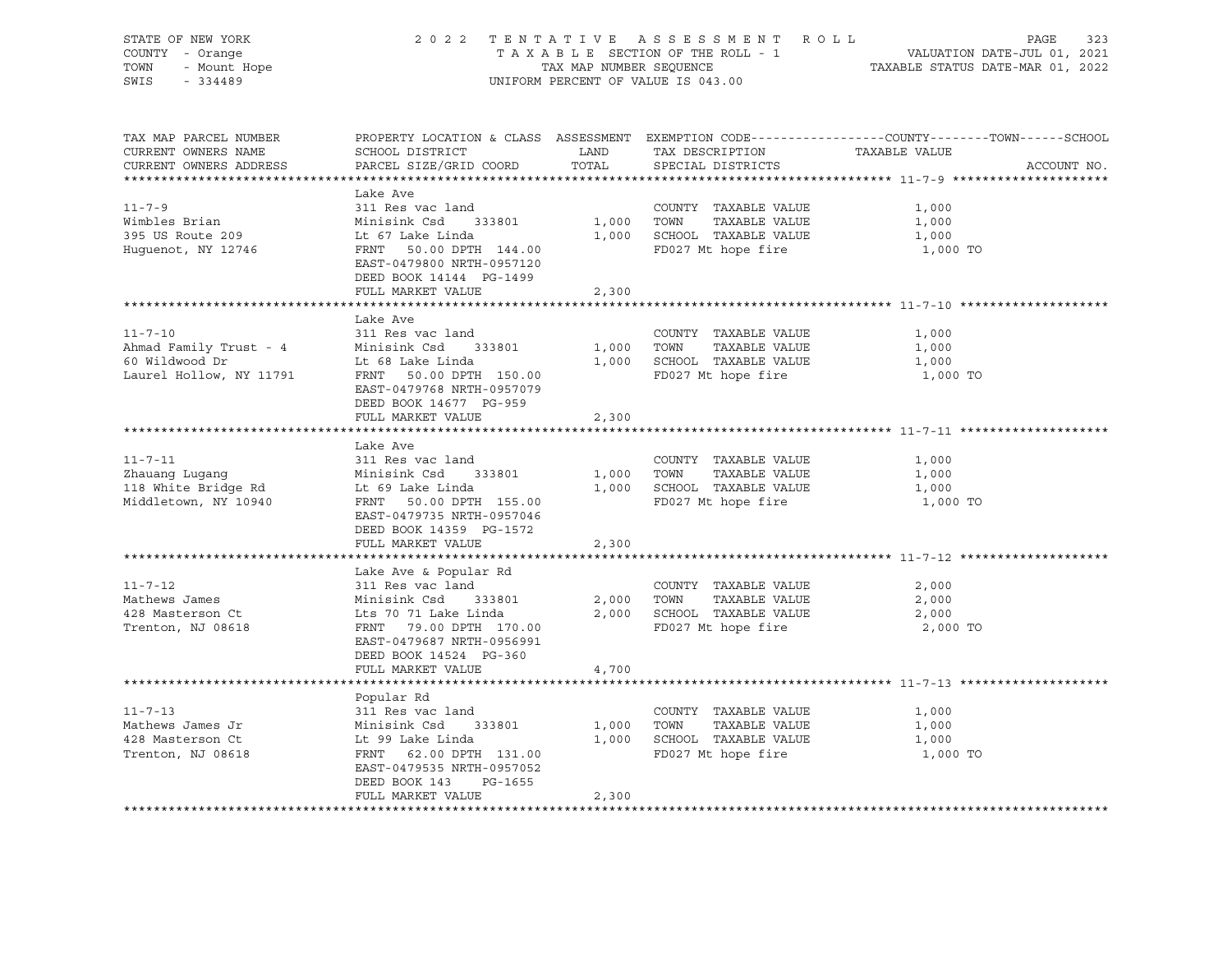| STATE OF NEW YORK<br>COUNTY - Orange<br>- Orange<br>- Mount Hope<br>- Mount A<br>TOWN<br>SWIS<br>$-334489$ | 2022 TENTATIVE ASSESSMENT ROLL<br>TAXABLE SECTION OF THE ROLL - 1<br>TAX MAP NUMBER SEQUENCE<br>UNIFORM PERCENT OF VALUE IS 043.00                                                             | PAGE<br>323<br>VALUATION DATE-JUL 01, 2021<br>TAXABLE STATUS DATE-MAR 01, 2022 |                                                                                                         |                                                                                                                                 |
|------------------------------------------------------------------------------------------------------------|------------------------------------------------------------------------------------------------------------------------------------------------------------------------------------------------|--------------------------------------------------------------------------------|---------------------------------------------------------------------------------------------------------|---------------------------------------------------------------------------------------------------------------------------------|
| TAX MAP PARCEL NUMBER<br>CURRENT OWNERS NAME<br>CURRENT OWNERS ADDRESS                                     | SCHOOL DISTRICT<br>PARCEL SIZE/GRID COORD TOTAL                                                                                                                                                |                                                                                | LAND TAX DESCRIPTION<br>SPECIAL DISTRICTS                                                               | PROPERTY LOCATION & CLASS ASSESSMENT EXEMPTION CODE----------------COUNTY-------TOWN-----SCHOOL<br>TAXABLE VALUE<br>ACCOUNT NO. |
| $11 - 7 - 9$<br>Wimbles Brian<br>395 US Route 209<br>Huguenot, NY 12746                                    | Lake Ave<br>311 Res vac land<br>Minisink Csd 333801<br>Lt 67 Lake Linda<br>FRNT 50.00 DPTH 144.00<br>EAST-0479800 NRTH-0957120<br>DEED BOOK 14144 PG-1499<br>FULL MARKET VALUE                 | 1,000<br>2,300                                                                 | COUNTY TAXABLE VALUE<br>TOWN<br>TAXABLE VALUE<br>1,000 SCHOOL TAXABLE VALUE<br>FD027 Mt hope fire       | 1,000<br>1,000<br>1,000<br>1,000 TO                                                                                             |
|                                                                                                            |                                                                                                                                                                                                |                                                                                |                                                                                                         |                                                                                                                                 |
| $11 - 7 - 10$<br>Ahmad Family Trust - 4<br>60 Wildwood Dr<br>Laurel Hollow, NY 11791                       | Lake Ave<br>311 Res vac land<br>Minisink Csd 333801<br>Lt 68 Lake Linda<br>FRNT 50.00 DPTH 150.00<br>EAST-0479768 NRTH-0957079                                                                 |                                                                                | COUNTY TAXABLE VALUE<br>1,000 TOWN<br>TAXABLE VALUE<br>1,000 SCHOOL TAXABLE VALUE<br>FD027 Mt hope fire | 1,000<br>1,000<br>1,000<br>1,000 TO                                                                                             |
|                                                                                                            | DEED BOOK 14677 PG-959<br>FULL MARKET VALUE                                                                                                                                                    | 2,300                                                                          |                                                                                                         |                                                                                                                                 |
|                                                                                                            |                                                                                                                                                                                                |                                                                                |                                                                                                         |                                                                                                                                 |
| $11 - 7 - 11$<br>Zhauang Lugang<br>118 White Bridge Rd<br>Middletown, NY 10940                             | Lake Ave<br>311 Res vac land<br>Minisink Csd 333801<br>Lt 69 Lake Linda<br>FRNT 50.00 DPTH 155.00<br>EAST-0479735 NRTH-0957046<br>DEED BOOK 14359 PG-1572<br>FULL MARKET VALUE                 | 1,000                                                                          | COUNTY TAXABLE VALUE<br>TOWN<br>TAXABLE VALUE<br>1,000 SCHOOL TAXABLE VALUE<br>FD027 Mt hope fire       | 1,000<br>1,000<br>1,000<br>1,000 TO                                                                                             |
|                                                                                                            |                                                                                                                                                                                                | 2,300                                                                          |                                                                                                         |                                                                                                                                 |
| $11 - 7 - 12$<br>Mathews James<br>428 Masterson Ct<br>Trenton, NJ 08618                                    | Lake Ave & Popular Rd<br>311 Res vac land<br>Minisink Csd 333801<br>Lts 70 71 Lake Linda<br>FRNT 79.00 DPTH 170.00<br>EAST-0479687 NRTH-0956991<br>DEED BOOK 14524 PG-360<br>FULL MARKET VALUE | 2,000<br>4,700                                                                 | COUNTY TAXABLE VALUE<br>TOWN<br>TAXABLE VALUE<br>2,000 SCHOOL TAXABLE VALUE<br>FD027 Mt hope fire       | 2,000<br>2,000<br>2,000<br>2,000 TO                                                                                             |
|                                                                                                            |                                                                                                                                                                                                |                                                                                |                                                                                                         |                                                                                                                                 |
| $11 - 7 - 13$<br>Mathews James Jr<br>428 Masterson Ct<br>Trenton, NJ 08618                                 | Popular Rd<br>311 Res vac land<br>Minisink Csd    3<br>Lt 99 Lake Linda<br>333801<br>FRNT 62.00 DPTH 131.00<br>EAST-0479535 NRTH-0957052<br>DEED BOOK 143<br>PG-1655<br>FULL MARKET VALUE      | 1,000<br>2,300                                                                 | COUNTY TAXABLE VALUE<br>TOWN<br>TAXABLE VALUE<br>1,000 SCHOOL TAXABLE VALUE<br>FD027 Mt hope fire       | 1,000<br>1,000<br>1,000<br>1,000 TO                                                                                             |
|                                                                                                            |                                                                                                                                                                                                |                                                                                |                                                                                                         |                                                                                                                                 |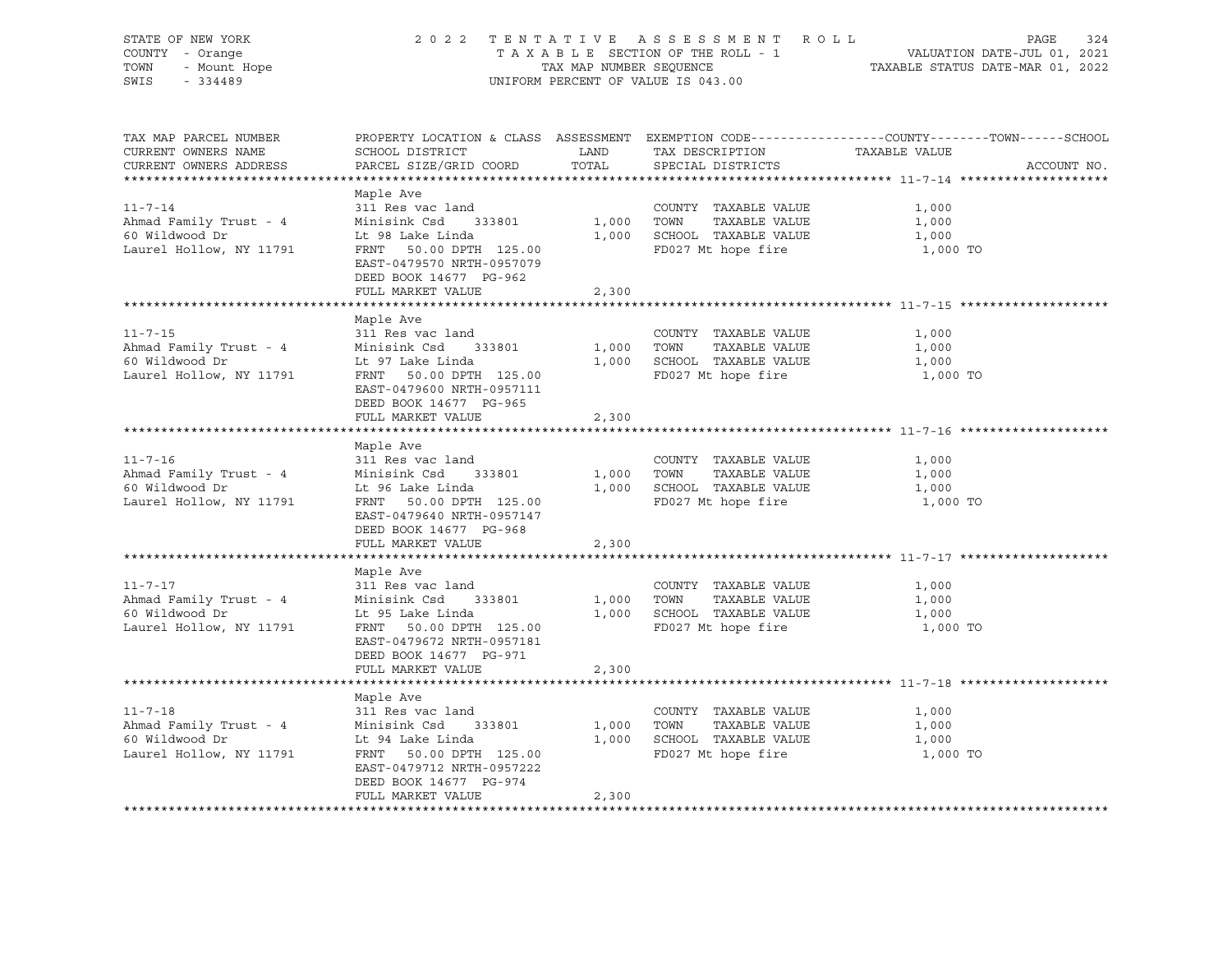| STATE OF NEW YORK<br>COUNTY - Orange<br>- Mount Hope<br>- Mount Hope<br>TOWN<br>SWIS<br>$-334489$ |                                                                                                                                                                                | TAX MAP NUMBER SEQUENCE | 2022 TENTATIVE ASSESSMENT ROLL<br>TAXABLE SECTION OF THE ROLL - 1<br>UNIFORM PERCENT OF VALUE IS 043.00 | PAGE<br>324<br>VALUATION DATE-JUL 01, 2021<br>TAXABLE STATUS DATE-MAR 01, 2022                                                  |
|---------------------------------------------------------------------------------------------------|--------------------------------------------------------------------------------------------------------------------------------------------------------------------------------|-------------------------|---------------------------------------------------------------------------------------------------------|---------------------------------------------------------------------------------------------------------------------------------|
| TAX MAP PARCEL NUMBER<br>CURRENT OWNERS NAME<br>CURRENT OWNERS ADDRESS                            | SCHOOL DISTRICT<br>PARCEL SIZE/GRID COORD TOTAL                                                                                                                                | <b>LAND</b>             | TAX DESCRIPTION<br>SPECIAL DISTRICTS                                                                    | PROPERTY LOCATION & CLASS ASSESSMENT EXEMPTION CODE---------------COUNTY-------TOWN------SCHOOL<br>TAXABLE VALUE<br>ACCOUNT NO. |
| $11 - 7 - 14$<br>Ahmad Family Trust - 4<br>60 Wildwood Dr<br>Laurel Hollow, NY 11791              | Maple Ave<br>311 Res vac land<br>Minisink Csd 333801<br>Lt 98 Lake Linda<br>FRNT 50.00 DPTH 125.00<br>EAST-0479570 NRTH-0957079<br>DEED BOOK 14677 PG-962<br>FULL MARKET VALUE | 2,300                   | COUNTY TAXABLE VALUE<br>1,000 TOWN TAXABLE VALUE<br>1,000 SCHOOL TAXABLE VALUE<br>FD027 Mt hope fire    | 1,000<br>1,000<br>1,000<br>1,000 TO                                                                                             |
|                                                                                                   |                                                                                                                                                                                |                         |                                                                                                         |                                                                                                                                 |
| $11 - 7 - 15$<br>Ahmad Family Trust - 4<br>60 Wildwood Dr<br>Laurel Hollow, NY 11791              | Maple Ave<br>311 Res vac land<br>Minisink Csd 333801<br>Lt 97 Lake Linda<br>FRNT 50.00 DPTH 125.00<br>EAST-0479600 NRTH-0957111                                                |                         | COUNTY TAXABLE VALUE<br>1,000 TOWN<br>TAXABLE VALUE<br>1,000 SCHOOL TAXABLE VALUE<br>FD027 Mt hope fire | 1,000<br>1,000<br>1,000<br>1,000 TO                                                                                             |
|                                                                                                   | DEED BOOK 14677 PG-965<br>FULL MARKET VALUE                                                                                                                                    | 2,300                   |                                                                                                         |                                                                                                                                 |
|                                                                                                   |                                                                                                                                                                                |                         |                                                                                                         |                                                                                                                                 |
| $11 - 7 - 16$<br>Ahmad Family Trust - 4<br>60 Wildwood Dr<br>Laurel Hollow, NY 11791              | Maple Ave<br>311 Res vac land<br>Minisink Csd 333801<br>Lt 96 Lake Linda<br>FRNT 50.00 DPTH 125.00<br>EAST-0479640 NRTH-0957147<br>DEED BOOK 14677 PG-968<br>FULL MARKET VALUE | 2,300                   | COUNTY TAXABLE VALUE<br>1,000 TOWN<br>TAXABLE VALUE<br>1,000 SCHOOL TAXABLE VALUE<br>FD027 Mt hope fire | 1,000<br>1,000<br>1,000<br>1,000 TO                                                                                             |
|                                                                                                   |                                                                                                                                                                                |                         |                                                                                                         |                                                                                                                                 |
| $11 - 7 - 17$<br>Ahmad Family Trust - 4<br>60 Wildwood Dr<br>Laurel Hollow, NY 11791              | Maple Ave<br>311 Res vac land<br>Minisink Csd 333801<br>Lt 95 Lake Linda<br>FRNT 50.00 DPTH 125.00<br>EAST-0479672 NRTH-0957181<br>DEED BOOK 14677 PG-971                      | 1,000                   | COUNTY TAXABLE VALUE<br>TAXABLE VALUE<br>TOWN<br>1,000 SCHOOL TAXABLE VALUE<br>FD027 Mt hope fire       | 1,000<br>1,000<br>1,000<br>1,000 TO                                                                                             |
|                                                                                                   | FULL MARKET VALUE                                                                                                                                                              | 2,300                   |                                                                                                         |                                                                                                                                 |
| $11 - 7 - 18$<br>Ahmad Family Trust - 4<br>60 Wildwood Dr<br>Laurel Hollow, NY 11791              | Maple Ave<br>311 Res vac land<br>Minisink Csd 333801<br>Lt 94 Lake Linda<br>FRNT 50.00 DPTH 125.00<br>EAST-0479712 NRTH-0957222<br>DEED BOOK 14677 PG-974<br>FULL MARKET VALUE | 1,000<br>2,300          | COUNTY TAXABLE VALUE<br>TOWN<br>TAXABLE VALUE<br>1,000 SCHOOL TAXABLE VALUE<br>FD027 Mt hope fire       | 1,000<br>1,000<br>1,000<br>1,000 TO                                                                                             |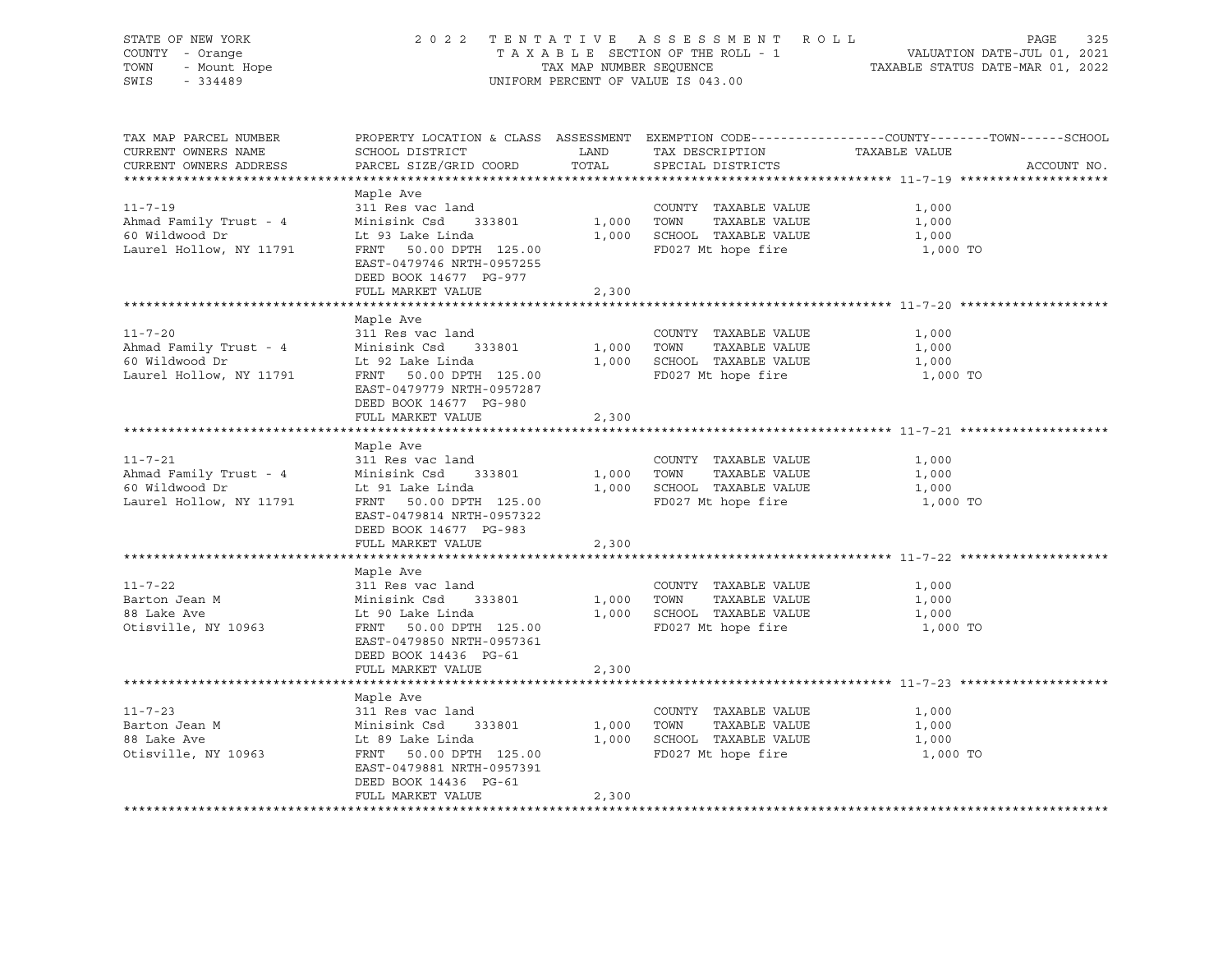| STATE OF NEW YORK<br>COUNTY - Orange<br>Ur No<br>1 - Orange<br>- Mount Hope<br>TOWN<br>SWIS |                                                                                                                                                                                |                     | 2022 TENTATIVE ASSESSMENT ROLL<br>UNIFORM PERCENT OF VALUE IS 043.00                                    | PAGE<br>325<br>T A X A B L E SECTION OF THE ROLL - 1 VALUATION DATE-JUL 01, 2021<br>TAX MAP NUMBER SEQUENCE TAXIS DATE-MAR 01, 2022 |
|---------------------------------------------------------------------------------------------|--------------------------------------------------------------------------------------------------------------------------------------------------------------------------------|---------------------|---------------------------------------------------------------------------------------------------------|-------------------------------------------------------------------------------------------------------------------------------------|
| TAX MAP PARCEL NUMBER<br>CURRENT OWNERS NAME<br>CURRENT OWNERS ADDRESS                      | SCHOOL DISTRICT<br>PARCEL SIZE/GRID COORD TOTAL                                                                                                                                | <b>LAND</b>         | TAX DESCRIPTION<br>SPECIAL DISTRICTS                                                                    | PROPERTY LOCATION & CLASS ASSESSMENT EXEMPTION CODE----------------COUNTY-------TOWN------SCHOOL<br>TAXABLE VALUE<br>ACCOUNT NO.    |
| $11 - 7 - 19$<br>Ahmad Family Trust - 4<br>60 Wildwood Dr<br>Laurel Hollow, NY 11791        | Maple Ave<br>311 Res vac land<br>Minisink Csd 333801<br>Lt 93 Lake Linda<br>FRNT 50.00 DPTH 125.00<br>EAST-0479746 NRTH-0957255<br>DEED BOOK 14677 PG-977<br>FULL MARKET VALUE | 2,300               | COUNTY TAXABLE VALUE<br>1,000 TOWN TAXABLE VALUE<br>1,000 SCHOOL TAXABLE VALUE<br>FD027 Mt hope fire    | 1,000<br>1,000<br>1,000<br>1,000 TO                                                                                                 |
|                                                                                             |                                                                                                                                                                                |                     |                                                                                                         |                                                                                                                                     |
| $11 - 7 - 20$<br>Ahmad Family Trust - 4<br>60 Wildwood Dr<br>Laurel Hollow, NY 11791        | Maple Ave<br>311 Res vac land<br>Minisink Csd 333801<br>Lt 92 Lake Linda<br>FRNT 50.00 DPTH 125.00<br>EAST-0479779 NRTH-0957287                                                |                     | COUNTY TAXABLE VALUE<br>1,000 TOWN TAXABLE VALUE<br>1,000 SCHOOL TAXABLE VALUE<br>FD027 Mt hope fire    | 1,000<br>1,000<br>1,000<br>1,000 TO                                                                                                 |
|                                                                                             | DEED BOOK 14677 PG-980<br>FULL MARKET VALUE                                                                                                                                    | 2,300               |                                                                                                         |                                                                                                                                     |
|                                                                                             |                                                                                                                                                                                |                     |                                                                                                         |                                                                                                                                     |
| $11 - 7 - 21$<br>Ahmad Family Trust - 4<br>60 Wildwood Dr<br>Laurel Hollow, NY 11791        | Maple Ave<br>311 Res vac land<br>Minisink Csd 333801<br>Lt 91 Lake Linda<br>FRNT 50.00 DPTH 125.00<br>EAST-0479814 NRTH-0957322<br>DEED BOOK 14677 PG-983<br>FULL MARKET VALUE |                     | COUNTY TAXABLE VALUE<br>1,000 TOWN<br>TAXABLE VALUE<br>1,000 SCHOOL TAXABLE VALUE<br>FD027 Mt hope fire | 1,000<br>1,000<br>1,000<br>1,000 TO                                                                                                 |
|                                                                                             |                                                                                                                                                                                | 2,300               |                                                                                                         |                                                                                                                                     |
| $11 - 7 - 22$<br>Barton Jean M<br>88 Lake Ave<br>Otisville, NY 10963                        | Maple Ave<br>311 Res vac land<br>Minisink Csd 333801<br>Lt 90 Lake Linda<br>FRNT 50.00 DPTH 125.00<br>EAST-0479850 NRTH-0957361<br>DEED BOOK 14436 PG-61<br>FULL MARKET VALUE  | 1,000 TOWN<br>2,300 | COUNTY TAXABLE VALUE<br>TAXABLE VALUE<br>1,000 SCHOOL TAXABLE VALUE<br>FD027 Mt hope fire               | 1,000<br>1,000<br>1,000<br>1,000 TO                                                                                                 |
|                                                                                             |                                                                                                                                                                                |                     |                                                                                                         |                                                                                                                                     |
| $11 - 7 - 23$<br>--<br>Barton Jean M<br>88 Lake Ave<br>Otisville, NY 10963                  | Maple Ave<br>311 Res vac land<br>Minisink Csd 333801<br>Lt 89 Lake Linda<br>FRNT 50.00 DPTH 125.00<br>EAST-0479881 NRTH-0957391<br>DEED BOOK 14436 PG-61<br>FULL MARKET VALUE  | 1,000 TOWN<br>2,300 | COUNTY TAXABLE VALUE<br>TAXABLE VALUE<br>1,000 SCHOOL TAXABLE VALUE<br>FD027 Mt hope fire               | 1,000<br>1,000<br>1,000<br>1,000 TO                                                                                                 |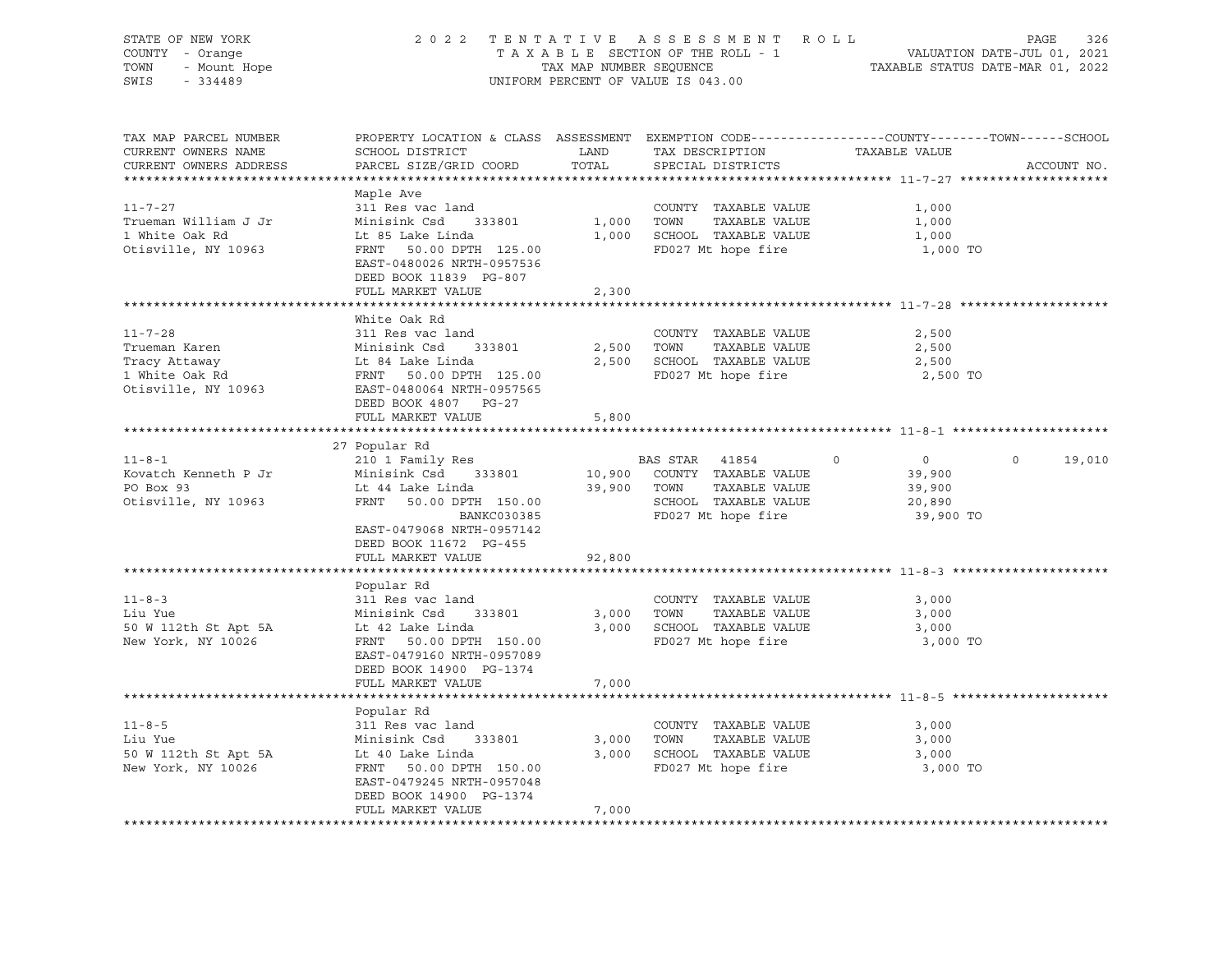| STATE OF NEW YORK<br>COUNTY - Orange<br>- Mount Hope<br>TOWN<br>SWIS<br>$-334489$ | 2 0 2 2                                                                       | TAX MAP NUMBER SEQUENCE | TENTATIVE ASSESSMENT ROLL<br>TAXABLE SECTION OF THE ROLL - 1<br>UNIFORM PERCENT OF VALUE IS 043.00 | PAGE<br>326<br>VALUATION DATE-JUL 01, 2021<br>TAXABLE STATUS DATE-MAR 01, 2022                                                  |
|-----------------------------------------------------------------------------------|-------------------------------------------------------------------------------|-------------------------|----------------------------------------------------------------------------------------------------|---------------------------------------------------------------------------------------------------------------------------------|
| TAX MAP PARCEL NUMBER<br>CURRENT OWNERS NAME<br>CURRENT OWNERS ADDRESS            | SCHOOL DISTRICT<br>PARCEL SIZE/GRID COORD                                     | LAND<br>TOTAL           | TAX DESCRIPTION<br>SPECIAL DISTRICTS                                                               | PROPERTY LOCATION & CLASS ASSESSMENT EXEMPTION CODE----------------COUNTY-------TOWN-----SCHOOL<br>TAXABLE VALUE<br>ACCOUNT NO. |
|                                                                                   | Maple Ave                                                                     |                         |                                                                                                    |                                                                                                                                 |
| $11 - 7 - 27$                                                                     | 311 Res vac land                                                              |                         | COUNTY TAXABLE VALUE                                                                               | 1,000                                                                                                                           |
| Trueman William J Jr                                                              | Minisink Csd<br>333801                                                        | 1,000                   | TAXABLE VALUE<br>TOWN                                                                              | 1,000                                                                                                                           |
| 1 White Oak Rd                                                                    | Lt 85 Lake Linda                                                              | 1,000                   | SCHOOL TAXABLE VALUE                                                                               | 1,000                                                                                                                           |
| Otisville, NY 10963                                                               | FRNT 50.00 DPTH 125.00<br>EAST-0480026 NRTH-0957536<br>DEED BOOK 11839 PG-807 |                         | FD027 Mt hope fire                                                                                 | 1,000 TO                                                                                                                        |
|                                                                                   | FULL MARKET VALUE                                                             | 2,300                   |                                                                                                    |                                                                                                                                 |
|                                                                                   |                                                                               |                         |                                                                                                    |                                                                                                                                 |
| $11 - 7 - 28$                                                                     | White Oak Rd<br>311 Res vac land                                              |                         | COUNTY TAXABLE VALUE                                                                               | 2,500                                                                                                                           |
| Trueman Karen                                                                     | Minisink Csd 333801                                                           | 2,500                   | TOWN<br>TAXABLE VALUE                                                                              | 2,500                                                                                                                           |
| Tracy Attaway                                                                     | Lt 84 Lake Linda                                                              | 2,500                   | SCHOOL TAXABLE VALUE                                                                               | 2,500                                                                                                                           |
| 1 White Oak Rd                                                                    | FRNT 50.00 DPTH 125.00                                                        |                         | FD027 Mt hope fire                                                                                 | 2,500 TO                                                                                                                        |
| Otisville, NY 10963                                                               | EAST-0480064 NRTH-0957565                                                     |                         |                                                                                                    |                                                                                                                                 |
|                                                                                   | DEED BOOK 4807 PG-27                                                          |                         |                                                                                                    |                                                                                                                                 |
|                                                                                   | FULL MARKET VALUE                                                             | 5,800                   |                                                                                                    |                                                                                                                                 |
|                                                                                   |                                                                               |                         |                                                                                                    |                                                                                                                                 |
|                                                                                   | 27 Popular Rd                                                                 |                         |                                                                                                    |                                                                                                                                 |
| $11 - 8 - 1$<br>Kovatch Kenneth P Jr                                              | 210 1 Family Res<br>Minisink Csd 333801                                       | 10,900                  | BAS STAR 41854<br>COUNTY TAXABLE VALUE                                                             | $\overline{0}$<br>$\mathsf{O}$<br>19,010<br>$\circ$<br>39,900                                                                   |
| PO Box 93                                                                         | Lt 44 Lake Linda                                                              | 39,900                  | TAXABLE VALUE<br>TOWN                                                                              | 39,900                                                                                                                          |
| Otisville, NY 10963                                                               | FRNT 50.00 DPTH 150.00                                                        |                         | SCHOOL TAXABLE VALUE                                                                               | 20,890                                                                                                                          |
|                                                                                   | BANKC030385                                                                   |                         | FD027 Mt hope fire                                                                                 | 39,900 TO                                                                                                                       |
|                                                                                   | EAST-0479068 NRTH-0957142                                                     |                         |                                                                                                    |                                                                                                                                 |
|                                                                                   | DEED BOOK 11672 PG-455                                                        |                         |                                                                                                    |                                                                                                                                 |
|                                                                                   | FULL MARKET VALUE                                                             | 92,800                  |                                                                                                    |                                                                                                                                 |
|                                                                                   |                                                                               |                         |                                                                                                    |                                                                                                                                 |
|                                                                                   | Popular Rd                                                                    |                         |                                                                                                    |                                                                                                                                 |
| $11 - 8 - 3$<br>Liu Yue                                                           | 311 Res vac land<br>Minisink Csd<br>333801                                    | 3,000                   | COUNTY TAXABLE VALUE<br>TAXABLE VALUE<br>TOWN                                                      | 3,000<br>3,000                                                                                                                  |
| 50 W 112th St Apt 5A                                                              | Lt 42 Lake Linda                                                              | 3,000                   | SCHOOL TAXABLE VALUE                                                                               | 3,000                                                                                                                           |
| New York, NY 10026                                                                | FRNT 50.00 DPTH 150.00                                                        |                         | FD027 Mt hope fire                                                                                 | 3,000 TO                                                                                                                        |
|                                                                                   | EAST-0479160 NRTH-0957089                                                     |                         |                                                                                                    |                                                                                                                                 |
|                                                                                   | DEED BOOK 14900 PG-1374                                                       |                         |                                                                                                    |                                                                                                                                 |
|                                                                                   | FULL MARKET VALUE                                                             | 7,000                   |                                                                                                    |                                                                                                                                 |
|                                                                                   |                                                                               |                         |                                                                                                    |                                                                                                                                 |
|                                                                                   | Popular Rd                                                                    |                         |                                                                                                    |                                                                                                                                 |
| $11 - 8 - 5$                                                                      | 311 Res vac land                                                              |                         | COUNTY TAXABLE VALUE                                                                               | 3,000                                                                                                                           |
| Liu Yue                                                                           | Minisink Csd<br>333801                                                        | 3,000                   | TAXABLE VALUE<br>TOWN                                                                              | 3,000                                                                                                                           |
| 50 W 112th St Apt 5A<br>New York, NY 10026                                        | Lt 40 Lake Linda<br>FRNT 50.00 DPTH 150.00                                    | 3,000                   | SCHOOL TAXABLE VALUE<br>FD027 Mt hope fire                                                         | 3,000<br>3,000 TO                                                                                                               |
|                                                                                   | EAST-0479245 NRTH-0957048                                                     |                         |                                                                                                    |                                                                                                                                 |
|                                                                                   | DEED BOOK 14900 PG-1374                                                       |                         |                                                                                                    |                                                                                                                                 |
|                                                                                   | FULL MARKET VALUE                                                             | 7,000                   |                                                                                                    |                                                                                                                                 |
|                                                                                   |                                                                               |                         |                                                                                                    |                                                                                                                                 |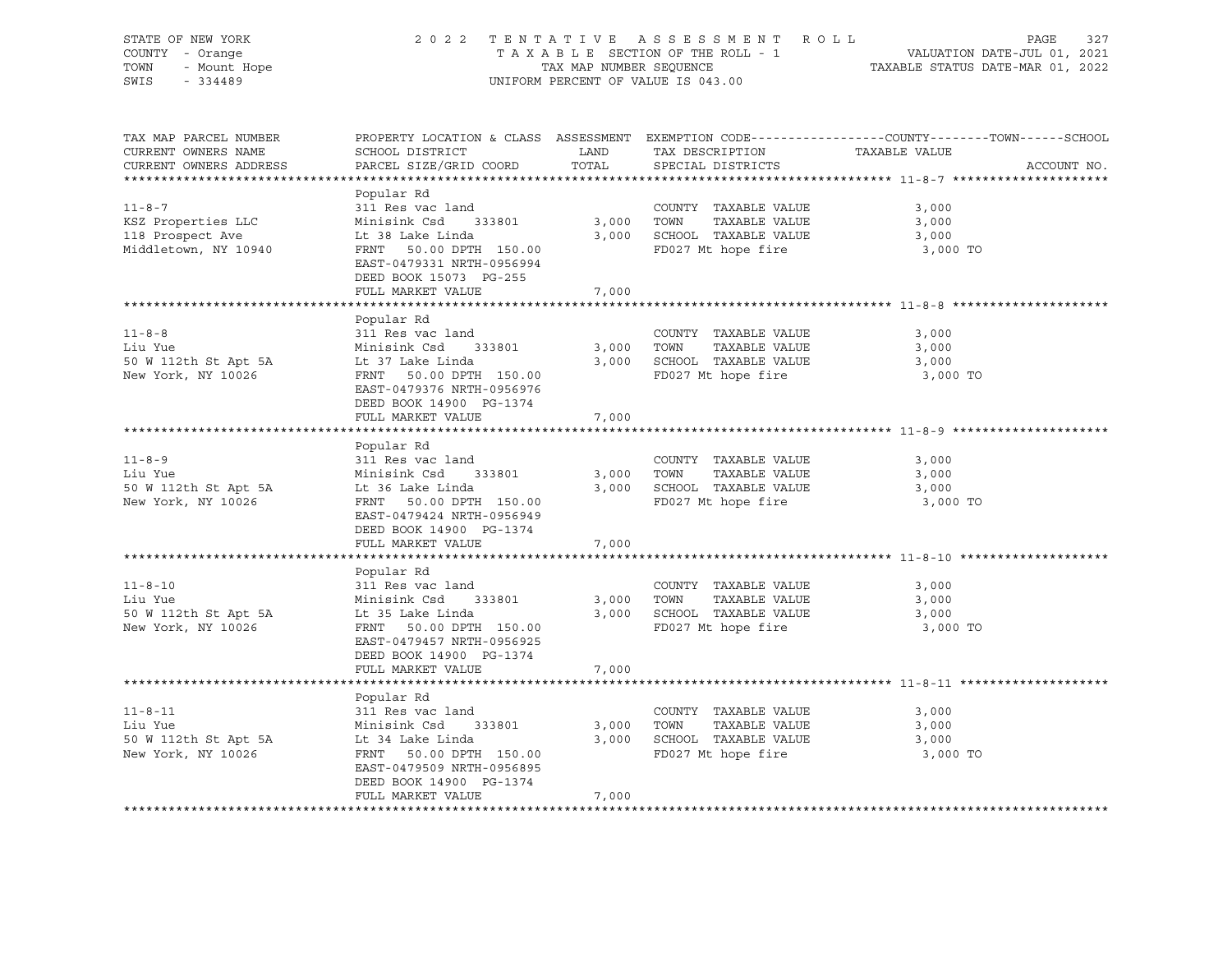| STATE OF NEW YORK<br>COUNTY - Orange<br>OF NEW TOOL<br>I - Orange<br>- Mount Hope<br>TOWN<br>SWIS                          | 2022 TENTATIVE ASSESSMENT ROLL                                                                                                                                                                                                  |                     |                                                                                                      | PAGE<br>327                                                                                                    |
|----------------------------------------------------------------------------------------------------------------------------|---------------------------------------------------------------------------------------------------------------------------------------------------------------------------------------------------------------------------------|---------------------|------------------------------------------------------------------------------------------------------|----------------------------------------------------------------------------------------------------------------|
| TAX MAP PARCEL NUMBER<br>CURRENT OWNERS NAME<br>CURRENT OWNERS ADDRESS                                                     |                                                                                                                                                                                                                                 |                     |                                                                                                      | PROPERTY LOCATION & CLASS ASSESSMENT EXEMPTION CODE----------------COUNTY-------TOWN-----SCHOOL<br>ACCOUNT NO. |
| $11 - 8 - 7$<br>KSZ Properties LLC<br>118 Prospect Ave<br>Middletown, NY 10940                                             | Popular Rd<br>311 Res vac land<br>Minisink Csd 333801<br>Lt 38 Lake Linda 3,000 SCHOOL TAXABLE VALUE<br>FRNT 50.00 DPTH 150.00 5CHOOL TAXABLE VALUE<br>EAST-0479331 NRTH-0956994<br>DEED BOOK 15073 PG-255<br>FULL MARKET VALUE | 7,000               | COUNTY TAXABLE VALUE<br>3,000 TOWN TAXABLE VALUE                                                     | 3,000<br>3,000<br>3,000<br>3,000 TO                                                                            |
|                                                                                                                            |                                                                                                                                                                                                                                 |                     |                                                                                                      |                                                                                                                |
| $11 - 8 - 8$<br>Luurue Minisink Csd 33<br>50 W 112th St Apt 5A Lt 37 Lake Linda<br>New York NY 10006<br>New York, NY 10026 | Popular Rd<br>311 Res vac land<br>Minisink Csd 333801<br>FRNT 50.00 DPTH 150.00<br>EAST-0479376 NRTH-0956976                                                                                                                    |                     | COUNTY TAXABLE VALUE<br>3,000 TOWN TAXABLE VALUE<br>3,000 SCHOOL TAXABLE VALUE<br>FD027 Mt hope fire | 3,000<br>3,000<br>3,000<br>3,000 TO                                                                            |
|                                                                                                                            | DEED BOOK 14900 PG-1374<br>FULL MARKET VALUE                                                                                                                                                                                    | 7,000               |                                                                                                      |                                                                                                                |
|                                                                                                                            |                                                                                                                                                                                                                                 |                     |                                                                                                      |                                                                                                                |
| $11 - 8 - 9$<br>Liu Yue<br>New York, NY 10026                                                                              | Popular Rd<br>311 Res vac land<br>Minisink Csd 333801<br>FRNT 50.00 DPTH 150.00<br>EAST-0479424 NRTH-0956949<br>DEED BOOK 14900 PG-1374<br>FULL MARKET VALUE                                                                    | 3,000 TOWN<br>7,000 | COUNTY TAXABLE VALUE<br>TAXABLE VALUE<br>3,000 SCHOOL TAXABLE VALUE<br>FD027 Mt hope fire            | 3,000<br>3,000<br>3,000<br>3,000 TO                                                                            |
|                                                                                                                            |                                                                                                                                                                                                                                 |                     |                                                                                                      |                                                                                                                |
| $11 - 8 - 10$<br>New York, NY 10026                                                                                        | Popular Rd<br>311 Res vac land<br>Minisink Csd 333801<br>FRNT 50.00 DPTH 150.00<br>EAST-0479457 NRTH-0956925<br>DEED BOOK 14900 PG-1374<br>FULL MARKET VALUE                                                                    | 7,000               | COUNTY TAXABLE VALUE<br>3,000 TOWN TAXABLE VALUE<br>3,000 SCHOOL TAXABLE VALUE<br>FD027 Mt hope fire | 3,000<br>3,000<br>3,000<br>3,000 TO                                                                            |
|                                                                                                                            |                                                                                                                                                                                                                                 |                     |                                                                                                      |                                                                                                                |
| 311 Res vac land<br>50 W 112th St Apt 5A Minisink Csd 333801<br>New York, NY 10026 FRNT FALL CHERNER RESERVENCE            | Popular Rd<br>FRNT 50.00 DPTH 150.00<br>EAST-0479509 NRTH-0956895<br>DEED BOOK 14900 PG-1374<br>FULL MARKET VALUE                                                                                                               | 3,000 TOWN<br>7,000 | COUNTY TAXABLE VALUE<br>TAXABLE VALUE<br>3,000 SCHOOL TAXABLE VALUE<br>FD027 Mt hope fire            | 3,000<br>3,000<br>3,000<br>3,000 TO                                                                            |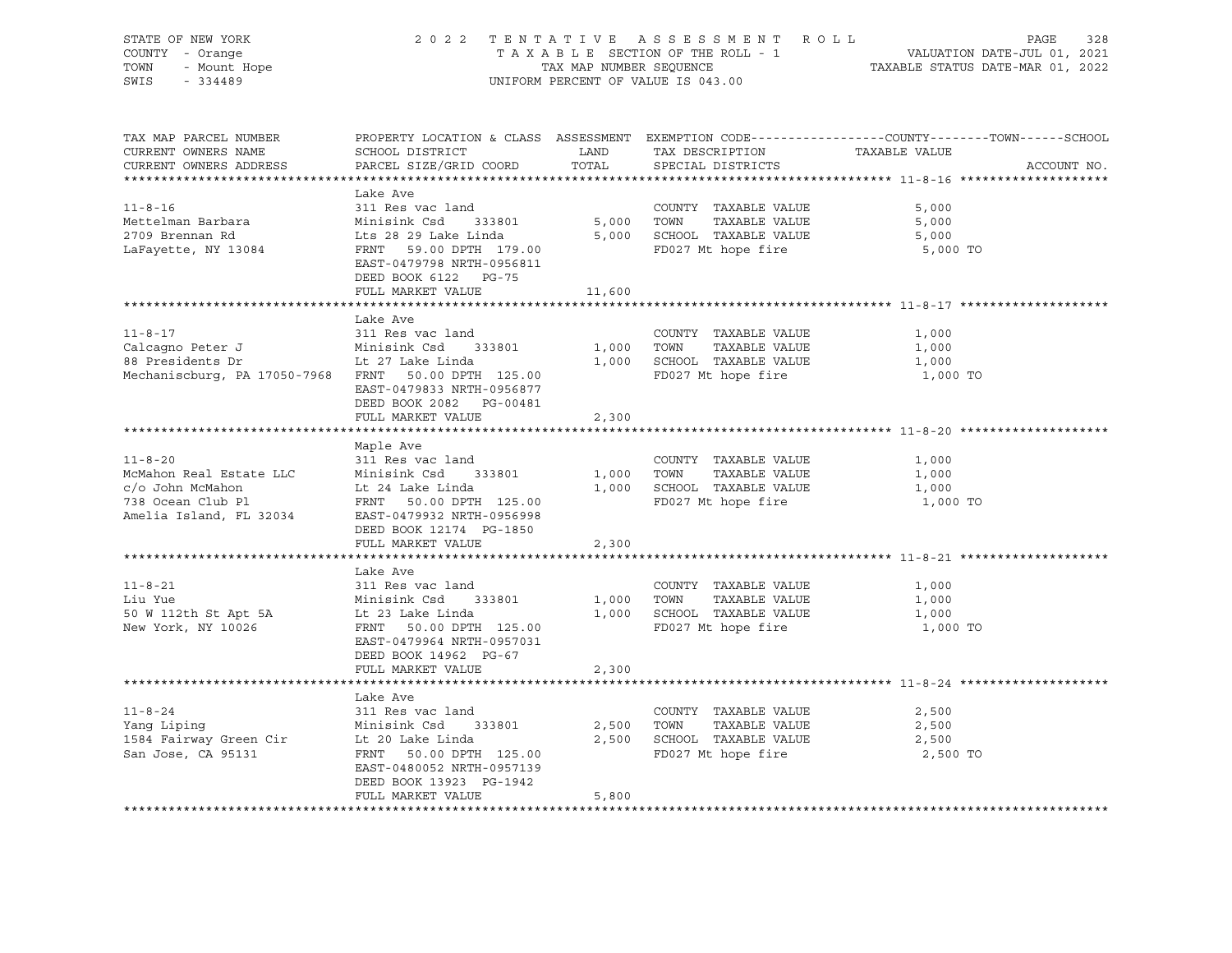| STATE OF NEW YORK<br>OF NEW YORK<br>I - Orange<br>- Mount Hope<br>- CALOO<br>COUNTY - Orange<br>TOWN<br>SWIS - 334489                                                                       |                                                                         |        | UNIFORM PERCENT OF VALUE IS 043.00                                           | 2022 TENTATIVE ASSESSMENT ROLL PAGE 328<br>TAXABLE SECTION OF THE ROLL - 1 VALUATION DATE-JUL 01, 2021<br>TAX MAP NUMBER SEQUENCE TAXABLE STATUS DATE-MAR 01, 2022 |
|---------------------------------------------------------------------------------------------------------------------------------------------------------------------------------------------|-------------------------------------------------------------------------|--------|------------------------------------------------------------------------------|--------------------------------------------------------------------------------------------------------------------------------------------------------------------|
| TAX MAP PARCEL NUMBER<br>CURRENT OWNERS NAME<br>CURRENT OWNERS ADDRESS                                                                                                                      | SCHOOL DISTRICT<br>PARCEL SIZE/GRID COORD                               |        | LAND TAX DESCRIPTION TAXABLE VALUE COORD TOTAL SPECIAL DISTRICTS             | PROPERTY LOCATION & CLASS ASSESSMENT EXEMPTION CODE----------------COUNTY-------TOWN------SCHOOL<br>ACCOUNT NO.                                                    |
|                                                                                                                                                                                             | Lake Ave                                                                |        |                                                                              |                                                                                                                                                                    |
| $11 - 8 - 16$                                                                                                                                                                               | 311 Res vac land                                                        |        | COUNTY TAXABLE VALUE                                                         | 5,000                                                                                                                                                              |
|                                                                                                                                                                                             |                                                                         |        |                                                                              | 5,000                                                                                                                                                              |
|                                                                                                                                                                                             |                                                                         |        |                                                                              | 5,000                                                                                                                                                              |
| Mettelman Barbara<br>2709 Brennan Rd<br>13084 ERNT 59.00 DPTH 179.00 5,000 SCHOOL TAXABLE VALUE<br>ELETATE SERNT 59.00 DPTH 179.00 FD027 Mt hope fire<br>ELETATE SAST-0479798 NRTH-0956811  | EAST-0479798 NRTH-0956811<br>DEED BOOK 6122 PG-75                       |        |                                                                              | 5,000 TO                                                                                                                                                           |
|                                                                                                                                                                                             | FULL MARKET VALUE                                                       | 11,600 |                                                                              |                                                                                                                                                                    |
|                                                                                                                                                                                             |                                                                         |        |                                                                              |                                                                                                                                                                    |
| $11 - 8 - 17$                                                                                                                                                                               | Lake Ave<br>311 Res vac land                                            |        | COUNTY TAXABLE VALUE                                                         | 1,000                                                                                                                                                              |
|                                                                                                                                                                                             |                                                                         |        |                                                                              | 1,000                                                                                                                                                              |
|                                                                                                                                                                                             |                                                                         |        | 1,000 TOWN TAXABLE VALUE<br>1,000 SCHOOL TAXABLE VALUE<br>FD027 Mt hope fire | 1,000                                                                                                                                                              |
| Mechaniscburg, PA 17050-7968 FRNT 50.00 DPTH 125.00                                                                                                                                         | EAST-0479833 NRTH-0956877<br>DEED BOOK 2082    PG-00481                 |        | FD027 Mt hope fire                                                           | 1,000 TO                                                                                                                                                           |
|                                                                                                                                                                                             | FULL MARKET VALUE                                                       | 2,300  |                                                                              |                                                                                                                                                                    |
|                                                                                                                                                                                             |                                                                         |        |                                                                              |                                                                                                                                                                    |
| $11 - 8 - 20$                                                                                                                                                                               | Maple Ave<br>311 Res vac land                                           |        | COUNTY TAXABLE VALUE                                                         | 1,000                                                                                                                                                              |
|                                                                                                                                                                                             |                                                                         |        |                                                                              | 1,000                                                                                                                                                              |
|                                                                                                                                                                                             |                                                                         |        | $1,000$ TOWN TAXABLE VALUE<br>1,000 SCHOOL TAXABLE VALUE                     | 1,000                                                                                                                                                              |
|                                                                                                                                                                                             |                                                                         |        | FD027 Mt hope fire                                                           | 1,000 TO                                                                                                                                                           |
| Amelia Island, FL 32034 EAST-0479932 NRTH-0956998                                                                                                                                           | DEED BOOK 12174 PG-1850<br>FULL MARKET VALUE                            | 2,300  |                                                                              |                                                                                                                                                                    |
|                                                                                                                                                                                             |                                                                         |        |                                                                              |                                                                                                                                                                    |
|                                                                                                                                                                                             | Lake Ave                                                                |        |                                                                              |                                                                                                                                                                    |
| $11 - 8 - 21$                                                                                                                                                                               | 311 Res vac land                                                        |        | COUNTY TAXABLE VALUE                                                         | 1,000                                                                                                                                                              |
|                                                                                                                                                                                             |                                                                         |        | 1,000 TOWN TAXABLE VALUE                                                     | 1,000                                                                                                                                                              |
|                                                                                                                                                                                             |                                                                         |        | 1,000 SCHOOL TAXABLE VALUE                                                   | 1,000                                                                                                                                                              |
|                                                                                                                                                                                             | EAST-0479964 NRTH-0957031<br>DEED BOOK 14962 PG-67<br>FULL MARKET VALUE | 2,300  | FD027 Mt hope fire                                                           | 1,000 TO                                                                                                                                                           |
|                                                                                                                                                                                             |                                                                         |        |                                                                              |                                                                                                                                                                    |
|                                                                                                                                                                                             | Lake Ave                                                                |        |                                                                              |                                                                                                                                                                    |
|                                                                                                                                                                                             |                                                                         |        | COUNTY TAXABLE VALUE                                                         | 2,500                                                                                                                                                              |
|                                                                                                                                                                                             |                                                                         |        | TAXABLE VALUE                                                                | 2,500                                                                                                                                                              |
|                                                                                                                                                                                             |                                                                         |        | 2,500 SCHOOL TAXABLE VALUE                                                   | 2,500                                                                                                                                                              |
| 11-8-24 311 Res vac land COUNTY<br>Yang Liping Minisink Csd 333801 2,500 TOWN<br>1584 Fairway Green Cir Lt 20 Lake Linda 2,500 SCHOOL<br>San Jose, CA 95131 FRNT 50.00 DPTH 125.00 FD027 Mt | EAST-0480052 NRTH-0957139<br>DEED BOOK 13923 PG-1942                    |        | FD027 Mt hope fire                                                           | 2,500 TO                                                                                                                                                           |
|                                                                                                                                                                                             | FULL MARKET VALUE                                                       | 5,800  |                                                                              |                                                                                                                                                                    |
|                                                                                                                                                                                             |                                                                         |        |                                                                              |                                                                                                                                                                    |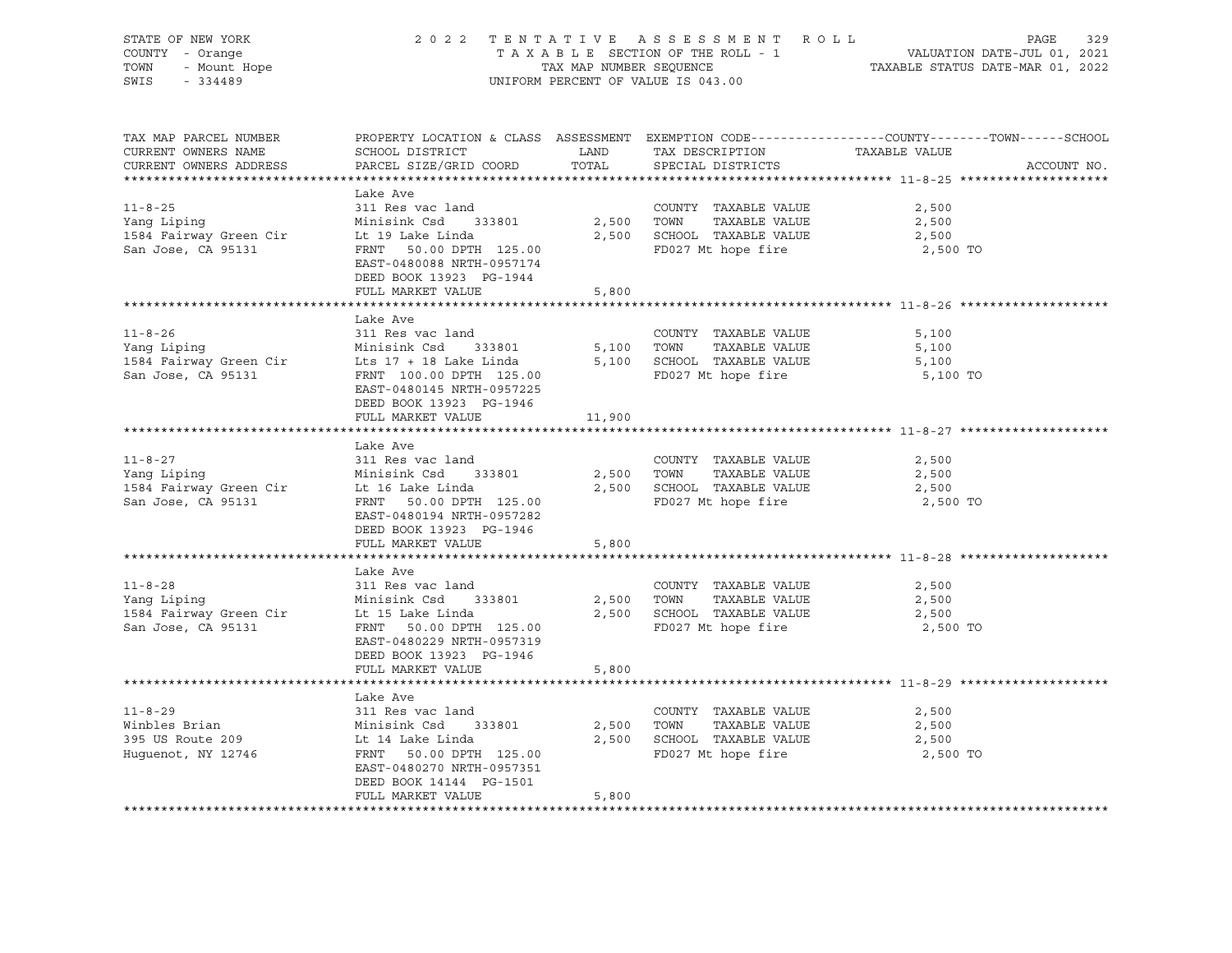| STATE OF NEW YORK<br>COUNTY - Orange<br>TOWN - Mount Hope                                                                                                                                                                    | 2022 TENTATIVE ASSESSMENT ROLL                                                                                                      |       |                                                                                                                            | PAGE<br>329<br>TAXABLE SECTION OF THE ROLL - 1<br>TAX MAP NUMBER SEQUENCE TAXABLE STATUS DATE-MAR 01, 2022<br>UNIFORM PERCENT OF VALUE IS 043.00 |
|------------------------------------------------------------------------------------------------------------------------------------------------------------------------------------------------------------------------------|-------------------------------------------------------------------------------------------------------------------------------------|-------|----------------------------------------------------------------------------------------------------------------------------|--------------------------------------------------------------------------------------------------------------------------------------------------|
|                                                                                                                                                                                                                              |                                                                                                                                     |       |                                                                                                                            |                                                                                                                                                  |
| TAX MAP PARCEL NUMBER<br>CURRENT OWNERS NAME SCHOOL DISTRICT LAND TAX DESCRIPTION TAXABLE VALUE CURRENT OWNERS ADDRESS PARCEL SIZE/GRID COORD TOTAL SPECIAL DISTRICTS                                                        |                                                                                                                                     |       |                                                                                                                            | PROPERTY LOCATION & CLASS ASSESSMENT EXEMPTION CODE----------------COUNTY-------TOWN------SCHOOL<br>ACCOUNT NO.                                  |
|                                                                                                                                                                                                                              |                                                                                                                                     |       |                                                                                                                            |                                                                                                                                                  |
| $11 - 8 - 25$<br>Vang Liping<br>1584 Fairway Green Cir Library Library Minisink Csd 333801 2,500 TOWN TAXABLE VALUE<br>1584 Fairway Green Cir Library Library 125.00 2,500 SCHOOL TAXABLE VALUE<br>125.00 PD027 Mt hope fire | Lake Ave<br>311 Res vac land<br>EAST-0480088 NRTH-0957174<br>DEED BOOK 13923 PG-1944                                                |       | COUNTY TAXABLE VALUE                                                                                                       | 2,500<br>2,500<br>2,500<br>2,500 TO                                                                                                              |
|                                                                                                                                                                                                                              | FULL MARKET VALUE                                                                                                                   | 5,800 |                                                                                                                            |                                                                                                                                                  |
| 11-8-26 311 Kes vac Ianu<br>Yang Liping Minisink Csd 333801 5,100 TOWN TAXABLE VALUE<br>1584 Fairway Green Cir Lts 17 + 18 Lake Linda 5,100 SCHOOL TAXABLE VALUE                                                             | Lake Ave<br>311 Res vac land<br>EAST-0480145 NRTH-0957225                                                                           |       |                                                                                                                            | 5,100<br>5,100<br>5,100<br>5,100 TO                                                                                                              |
|                                                                                                                                                                                                                              | DEED BOOK 13923 PG-1946<br>FULL MARKET VALUE 11,900                                                                                 |       |                                                                                                                            |                                                                                                                                                  |
| $11 - 8 - 27$<br>11-8-27<br>Yang Liping Minisink Csd 333801<br>1584 Fairway Green Cir Lt 16 Lake Linda<br>Lt 16 Lake Linda<br>San Jose, CA 95131                                                                             | Lake Ave<br>311 Res vac land<br>FRNT 50.00 DPTH 125.00<br>EAST-0480194 NRTH-0957282<br>DEED BOOK 13923 PG-1946<br>FULL MARKET VALUE | 5,800 | COUNTY TAXABLE VALUE<br>2,500 TOWN TAXABLE VALUE<br>2,500 SCHOOL TAXABLE VALUE<br>ED027 Mt bopp fire<br>FD027 Mt hope fire | 2,500<br>2,500<br>2,500<br>2,500 TO                                                                                                              |
|                                                                                                                                                                                                                              |                                                                                                                                     |       |                                                                                                                            |                                                                                                                                                  |
| $11 - 8 - 28$<br>11-8-28<br>Yang Liping Minisink Csd 333801<br>1584 Fairway Green Cir Liping Liping 19584<br>1584 Fairway Green Cir Liping 19580<br>San Jose, CA 95131                                                       | Lake Ave<br>311 Res vac land<br>FRNT 50.00 DPTH 125.00<br>EAST-0480229 NRTH-0957319<br>DEED BOOK 13923 PG-1946                      |       | COUNTY TAXABLE VALUE<br>2,500 TOWN TAXABLE VALUE<br>2,500 SCHOOL TAXABLE VALUE<br>FD027 Mt hope fire                       | 2,500<br>2,500<br>2,500<br>2,500 TO                                                                                                              |
|                                                                                                                                                                                                                              | FULL MARKET VALUE                                                                                                                   | 5,800 |                                                                                                                            |                                                                                                                                                  |
|                                                                                                                                                                                                                              | Lake Ave<br>EAST-0480270 NRTH-0957351<br>DEED BOOK 14144 PG-1501<br>FULL MARKET VALUE                                               | 5,800 | COUNTY TAXABLE VALUE<br>TAXABLE VALUE<br>2,500 SCHOOL TAXABLE VALUE<br>FD027 Mt hope fire                                  | 2,500<br>2,500<br>2,500<br>2,500 TO                                                                                                              |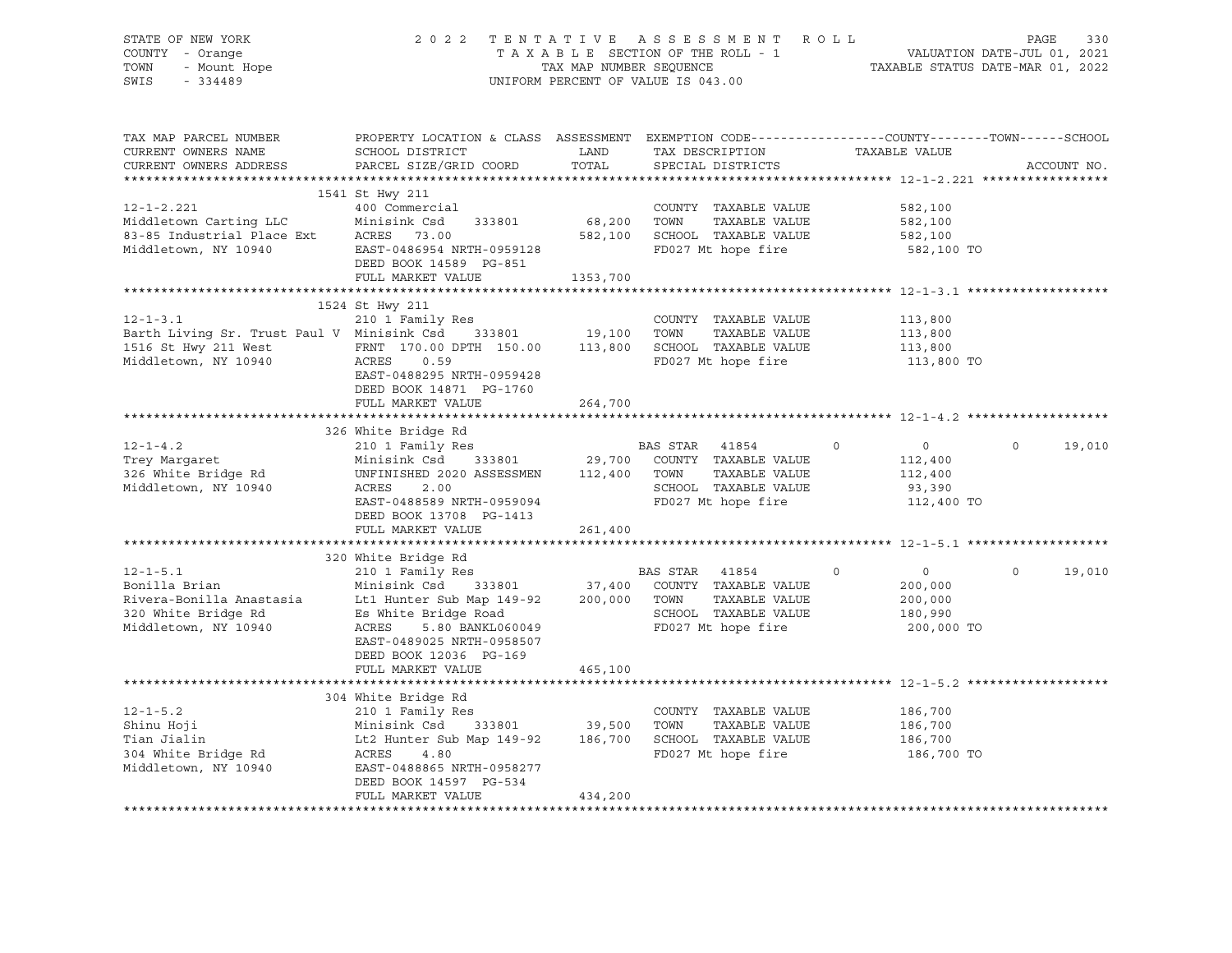| STATE OF NEW YORK<br>Y - Orange<br>- Mount Hope<br>- Mount Hope<br>COUNTY - Orange<br>TOWN<br>SWIS - 334489                                                                                                                                |                                                                                                                                                                                                                                         |          | 2022 TENTATIVE ASSESSMENT ROLL<br>UNIFORM PERCENT OF VALUE IS 043.00                        | TENTATIVE ASSESSMENT ROLL<br>TAXABLE SECTION OF THE ROLL - 1 VALUATION DATE-JUL 01, 2021<br>TAXABLE STATUS DATE-MAR 01, 2022 |             |
|--------------------------------------------------------------------------------------------------------------------------------------------------------------------------------------------------------------------------------------------|-----------------------------------------------------------------------------------------------------------------------------------------------------------------------------------------------------------------------------------------|----------|---------------------------------------------------------------------------------------------|------------------------------------------------------------------------------------------------------------------------------|-------------|
| CURRENT OWNERS NAME<br>CURRENT OWNERS ADDRESS                                                                                                                                                                                              | SCHOOL DISTRICT<br>PARCEL SIZE/GRID COORD                                                                                                                                                                                               | TOTAL    | LAND TAX DESCRIPTION TAXABLE VALUE<br>SPECIAL DISTRICTS                                     | TAX MAP PARCEL NUMBER PROPERTY LOCATION & CLASS ASSESSMENT EXEMPTION CODE---------------COUNTY-------TOWN------SCHOOL        | ACCOUNT NO. |
| $12 - 1 - 2.221$                                                                                                                                                                                                                           | 1541 St Hwy 211<br>400 Commercial<br>DEED BOOK 14589 PG-851<br>FULL MARKET VALUE                                                                                                                                                        | 1353,700 | COUNTY TAXABLE VALUE<br>TAXABLE VALUE<br>582,100 SCHOOL TAXABLE VALUE<br>FD027 Mt hope fire | 582,100<br>582,100<br>582,100<br>582,100 TO                                                                                  |             |
|                                                                                                                                                                                                                                            |                                                                                                                                                                                                                                         |          |                                                                                             |                                                                                                                              |             |
| $12 - 1 - 3.1$<br>Barth Living Sr. Trust Paul V Minisink Csd 333801 19,100 TOWN TAXABLE VALUE<br>1516 St Hwy 211 West FRNT 170.00 DPTH 150.00 113,800 SCHOOL TAXABLE VALUE<br>Middletown, NY 10940 ACRES 0.59                              | 1524 St Hwy 211<br>210 1 Family Res<br>EAST-0488295 NRTH-0959428<br>DEED BOOK 14871 PG-1760                                                                                                                                             |          | COUNTY TAXABLE VALUE                                                                        | 113,800<br>113,800<br>113,800<br>113,800 TO                                                                                  |             |
|                                                                                                                                                                                                                                            | FULL MARKET VALUE                                                                                                                                                                                                                       | 264,700  |                                                                                             |                                                                                                                              |             |
|                                                                                                                                                                                                                                            |                                                                                                                                                                                                                                         |          |                                                                                             |                                                                                                                              |             |
|                                                                                                                                                                                                                                            | 326 White Bridge Rd                                                                                                                                                                                                                     |          |                                                                                             |                                                                                                                              |             |
| 12-1-4.2<br>Trey Margaret 210 1 Family Res<br>29,700 COUNTY TAXABLE VALUE<br>326 White Bridge Rd UNFINISHED 2020 ASSESSMEN 112,400 TOWN TAXABLE VALUE<br>29,700 COUNTY TAXABLE VALUE<br>29,700 COUNTY TAXABLE VALUE<br>29,700 COUNTY TAXAB | ACRES 2.00<br>EAST-0488589 NRTH-0959094 FD027 Mt hope fire<br>DEED BOOK 13708 PG-1413<br>FULL MARKET VALUE                                                                                                                              | 261,400  |                                                                                             | $\overline{0}$<br>$\circ$<br>112,400<br>112,400<br>93,390<br>112,400 TO                                                      | 19,010      |
|                                                                                                                                                                                                                                            |                                                                                                                                                                                                                                         |          |                                                                                             |                                                                                                                              |             |
| 12-1-5.1 210 1 Family Res<br>BAS STAR 41854 0<br>Bonilla Brian Minisink Csd 333801 37,400 COUNTY TAXABLE VALUE<br>Rivera-Bonilla Anastasia Lt1 Hunter Sub Map 149-92 200,000 TOWN TAXABLE VALUE<br>320 White Bridge Rd Es White Bridge     | 320 White Bridge Rd<br>EAST-0489025 NRTH-0958507                                                                                                                                                                                        |          |                                                                                             | $\overline{0}$<br>$\circ$<br>200,000<br>200,000<br>180,990<br>200,000 TO                                                     | 19,010      |
|                                                                                                                                                                                                                                            | DEED BOOK 12036 PG-169<br>FULL MARKET VALUE 465,100                                                                                                                                                                                     |          |                                                                                             |                                                                                                                              |             |
|                                                                                                                                                                                                                                            | 304 White Bridge Rd                                                                                                                                                                                                                     |          |                                                                                             |                                                                                                                              |             |
| $12 - 1 - 5.2$<br>Shinu Hoji<br>Tian Jialin<br>304 White Bridge Rd<br>Middletown, NY 10940                                                                                                                                                 | 210 1 Family Res<br>210 I Family Res<br>Minisink Csd 333801 39,500 TOWN TAXABLE VALUE<br>Lt2 Hunter Sub Map 149-92 186,700 SCHOOL TAXABLE VALUE<br>ACRES 4.80 FD027 Mt hope fire<br>EAST-0488865 NRTH-0958277<br>DEED BOOK 14597 PG-534 |          | COUNTY TAXABLE VALUE                                                                        | 186,700<br>186,700<br>186,700<br>186,700 TO                                                                                  |             |
|                                                                                                                                                                                                                                            | FULL MARKET VALUE                                                                                                                                                                                                                       | 434,200  |                                                                                             |                                                                                                                              |             |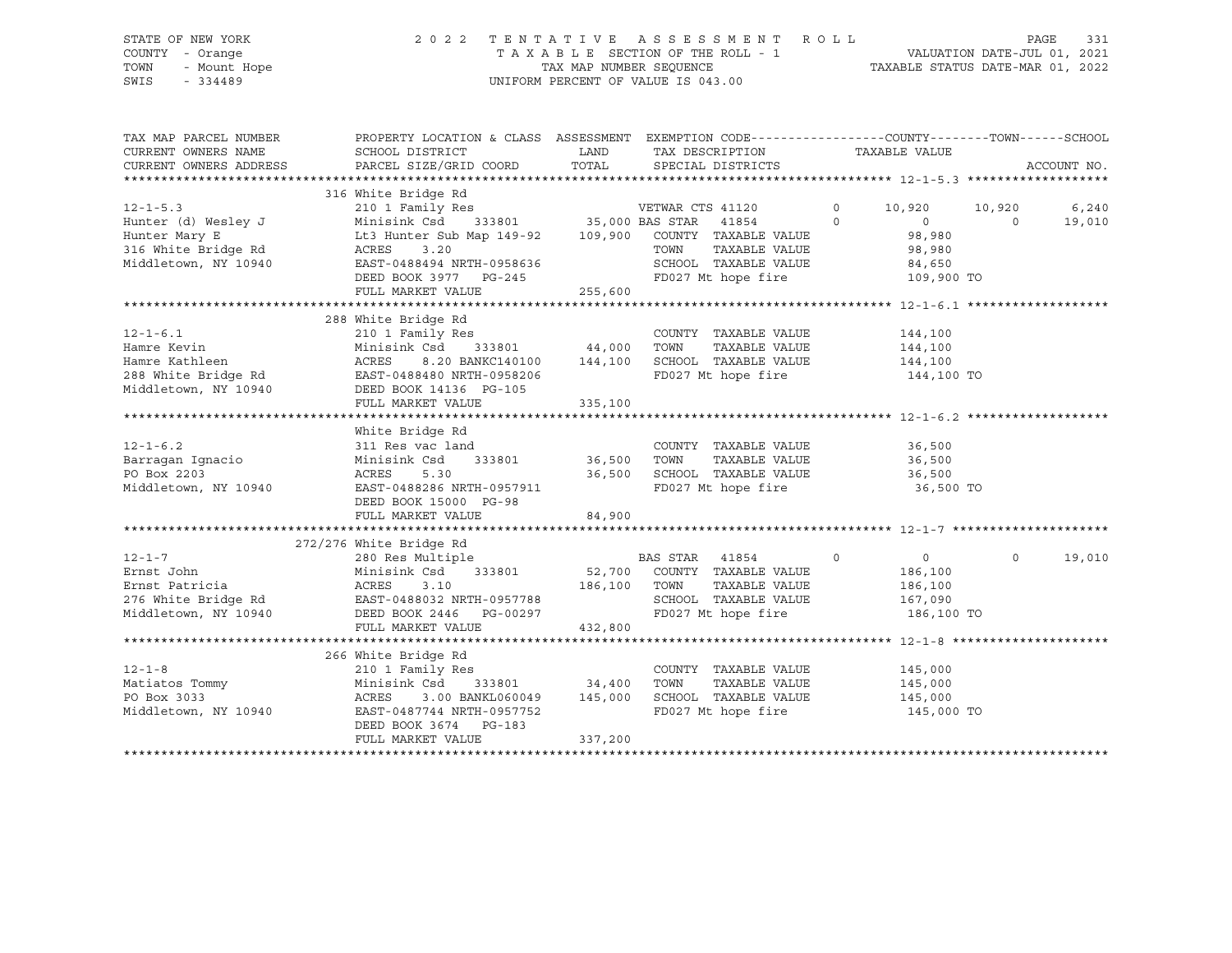# STATE OF NEW YORK 2 0 2 2 T E N T A T I V E A S S E S S M E N T R O L L PAGE 331 COUNTY - Orange T A X A B L E SECTION OF THE ROLL - 1 VALUATION DATE-JUL 01, 2021 TOWN - Mount Hope TAX MAP NUMBER SEQUENCE TAXABLE STATUS DATE-MAR 01, 2022 SWIS - 334489 UNIFORM PERCENT OF VALUE IS 043.00

| LAND TAX DESCRIPTION<br>TAXABLE VALUE<br>PARCEL SIZE/GRID COORD TOTAL SPECIAL DISTRICTS<br>ACCOUNT NO.<br>CURRENT OWNERS ADDRESS<br>12-1-5.3<br>Hunter (d) Wesley J<br>Hunter (d) Wesley J<br>Hunter Mary E<br>Lt3 Hunter Sub Map 149-92<br>316 White Bridge Rd<br>316 White Bridge Rd<br>316 White Bridge Rd<br>316 White Bridge Rd<br>316 White Bridge Rd<br>316 White Bridge Rd<br>3.<br>10,920 10,920 6,240<br>$0$ 98,980<br>19,010<br>$\Omega$<br>98,980<br>TAXABLE VALUE 98,980<br>ACRES 3.20<br>EAST-0488494 NRTH-0958636<br>Middletown, NY 10940<br>109,900 TO<br>255,600<br>FULL MARKET VALUE<br>288 White Bridge Rd<br>COUNTY TAXABLE VALUE 144,100<br>$12 - 1 - 6.1$<br>Hamre Kevin<br>Minisink Csd 333801 44,000 TOWN TAXABLE VALUE 144,100<br>ACRES 8.20 BANKC140100 144,100 SCHOOL TAXABLE VALUE 144,100<br>Hamre Kevin<br>Hamre Kathleen<br>Manic Natifiest Manicus (1994)<br>288 White Bridge Rd EAST-0488480 NRTH-0958206<br>Middletown, NY 10940 DEED BOOK 14136 PG-105 335.100<br>FD027 Mt hope fire 144,100 TO<br>White Bridge Rd<br>$12 - 1 - 6.2$<br>COUNTY TAXABLE VALUE<br>36,500<br>311 Res vac land<br>Minisink Csd 333801 36,500<br>Barragan Ignacio<br>PO Box 2203<br>TOWN<br>TAXABLE VALUE 36,500<br>PO Box 2203<br>36,500 SCHOOL TAXABLE VALUE<br>FD027 Mt hope fire<br>ACRES<br>5.30<br>36,500<br>Middletown, NY 10940<br>36,500 TO<br>EAST-0488286 NRTH-0957911<br>DEED BOOK 15000 PG-98<br>FULL MARKET VALUE<br>84,900<br>272/276 White Bridge Rd<br>$\sim$ 0<br>$\overline{0}$<br>$\Omega$<br>19,010<br>$12 - 1 - 7$<br>Ernst John<br>186,100<br>Ernst Patricia (ACRES 3.10 1999)<br>276 White Bridge Rd (BAST-0488032 NRTH-0957788 186,100 TOWN<br>Middletown, NY 10940 DEED BOOK 2446 PG-00297 FD027 Mi<br>TAXABLE VALUE<br>186,100<br>SCHOOL TAXABLE VALUE 167,090<br>FD027 Mt hope fire 186,100 TO<br>FULL MARKET VALUE<br>432,800<br>266 White Bridge Rd<br>$12 - 1 - 8$<br>COUNTY TAXABLE VALUE<br>145,000<br>12-1-8<br>Matiatos Tommy<br>PO Box 3033<br>TAXABLE VALUE<br>145,000<br>SCHOOL TAXABLE VALUE 145,000<br>3.00 BANKL060049 145,000<br>ACRES<br>Middletown, NY 10940<br>FD027 Mt hope fire 145,000 TO<br>EAST-0487744 NRTH-0957752<br>DEED BOOK 3674 PG-183<br>337,200<br>FULL MARKET VALUE | TAX MAP PARCEL NUMBER | PROPERTY LOCATION & CLASS ASSESSMENT EXEMPTION CODE----------------COUNTY-------TOWN------SCHOOL |  |  |
|-----------------------------------------------------------------------------------------------------------------------------------------------------------------------------------------------------------------------------------------------------------------------------------------------------------------------------------------------------------------------------------------------------------------------------------------------------------------------------------------------------------------------------------------------------------------------------------------------------------------------------------------------------------------------------------------------------------------------------------------------------------------------------------------------------------------------------------------------------------------------------------------------------------------------------------------------------------------------------------------------------------------------------------------------------------------------------------------------------------------------------------------------------------------------------------------------------------------------------------------------------------------------------------------------------------------------------------------------------------------------------------------------------------------------------------------------------------------------------------------------------------------------------------------------------------------------------------------------------------------------------------------------------------------------------------------------------------------------------------------------------------------------------------------------------------------------------------------------------------------------------------------------------------------------------------------------------------------------------------------------------------------------------------------------------------------------------------------------------------------------------------------------------------------------------------------------------------------------------------------------|-----------------------|--------------------------------------------------------------------------------------------------|--|--|
|                                                                                                                                                                                                                                                                                                                                                                                                                                                                                                                                                                                                                                                                                                                                                                                                                                                                                                                                                                                                                                                                                                                                                                                                                                                                                                                                                                                                                                                                                                                                                                                                                                                                                                                                                                                                                                                                                                                                                                                                                                                                                                                                                                                                                                               | CURRENT OWNERS NAME   | SCHOOL DISTRICT                                                                                  |  |  |
|                                                                                                                                                                                                                                                                                                                                                                                                                                                                                                                                                                                                                                                                                                                                                                                                                                                                                                                                                                                                                                                                                                                                                                                                                                                                                                                                                                                                                                                                                                                                                                                                                                                                                                                                                                                                                                                                                                                                                                                                                                                                                                                                                                                                                                               |                       |                                                                                                  |  |  |
|                                                                                                                                                                                                                                                                                                                                                                                                                                                                                                                                                                                                                                                                                                                                                                                                                                                                                                                                                                                                                                                                                                                                                                                                                                                                                                                                                                                                                                                                                                                                                                                                                                                                                                                                                                                                                                                                                                                                                                                                                                                                                                                                                                                                                                               |                       |                                                                                                  |  |  |
|                                                                                                                                                                                                                                                                                                                                                                                                                                                                                                                                                                                                                                                                                                                                                                                                                                                                                                                                                                                                                                                                                                                                                                                                                                                                                                                                                                                                                                                                                                                                                                                                                                                                                                                                                                                                                                                                                                                                                                                                                                                                                                                                                                                                                                               |                       |                                                                                                  |  |  |
|                                                                                                                                                                                                                                                                                                                                                                                                                                                                                                                                                                                                                                                                                                                                                                                                                                                                                                                                                                                                                                                                                                                                                                                                                                                                                                                                                                                                                                                                                                                                                                                                                                                                                                                                                                                                                                                                                                                                                                                                                                                                                                                                                                                                                                               |                       |                                                                                                  |  |  |
|                                                                                                                                                                                                                                                                                                                                                                                                                                                                                                                                                                                                                                                                                                                                                                                                                                                                                                                                                                                                                                                                                                                                                                                                                                                                                                                                                                                                                                                                                                                                                                                                                                                                                                                                                                                                                                                                                                                                                                                                                                                                                                                                                                                                                                               |                       |                                                                                                  |  |  |
|                                                                                                                                                                                                                                                                                                                                                                                                                                                                                                                                                                                                                                                                                                                                                                                                                                                                                                                                                                                                                                                                                                                                                                                                                                                                                                                                                                                                                                                                                                                                                                                                                                                                                                                                                                                                                                                                                                                                                                                                                                                                                                                                                                                                                                               |                       |                                                                                                  |  |  |
|                                                                                                                                                                                                                                                                                                                                                                                                                                                                                                                                                                                                                                                                                                                                                                                                                                                                                                                                                                                                                                                                                                                                                                                                                                                                                                                                                                                                                                                                                                                                                                                                                                                                                                                                                                                                                                                                                                                                                                                                                                                                                                                                                                                                                                               |                       |                                                                                                  |  |  |
|                                                                                                                                                                                                                                                                                                                                                                                                                                                                                                                                                                                                                                                                                                                                                                                                                                                                                                                                                                                                                                                                                                                                                                                                                                                                                                                                                                                                                                                                                                                                                                                                                                                                                                                                                                                                                                                                                                                                                                                                                                                                                                                                                                                                                                               |                       |                                                                                                  |  |  |
|                                                                                                                                                                                                                                                                                                                                                                                                                                                                                                                                                                                                                                                                                                                                                                                                                                                                                                                                                                                                                                                                                                                                                                                                                                                                                                                                                                                                                                                                                                                                                                                                                                                                                                                                                                                                                                                                                                                                                                                                                                                                                                                                                                                                                                               |                       |                                                                                                  |  |  |
|                                                                                                                                                                                                                                                                                                                                                                                                                                                                                                                                                                                                                                                                                                                                                                                                                                                                                                                                                                                                                                                                                                                                                                                                                                                                                                                                                                                                                                                                                                                                                                                                                                                                                                                                                                                                                                                                                                                                                                                                                                                                                                                                                                                                                                               |                       |                                                                                                  |  |  |
|                                                                                                                                                                                                                                                                                                                                                                                                                                                                                                                                                                                                                                                                                                                                                                                                                                                                                                                                                                                                                                                                                                                                                                                                                                                                                                                                                                                                                                                                                                                                                                                                                                                                                                                                                                                                                                                                                                                                                                                                                                                                                                                                                                                                                                               |                       |                                                                                                  |  |  |
|                                                                                                                                                                                                                                                                                                                                                                                                                                                                                                                                                                                                                                                                                                                                                                                                                                                                                                                                                                                                                                                                                                                                                                                                                                                                                                                                                                                                                                                                                                                                                                                                                                                                                                                                                                                                                                                                                                                                                                                                                                                                                                                                                                                                                                               |                       |                                                                                                  |  |  |
|                                                                                                                                                                                                                                                                                                                                                                                                                                                                                                                                                                                                                                                                                                                                                                                                                                                                                                                                                                                                                                                                                                                                                                                                                                                                                                                                                                                                                                                                                                                                                                                                                                                                                                                                                                                                                                                                                                                                                                                                                                                                                                                                                                                                                                               |                       |                                                                                                  |  |  |
|                                                                                                                                                                                                                                                                                                                                                                                                                                                                                                                                                                                                                                                                                                                                                                                                                                                                                                                                                                                                                                                                                                                                                                                                                                                                                                                                                                                                                                                                                                                                                                                                                                                                                                                                                                                                                                                                                                                                                                                                                                                                                                                                                                                                                                               |                       |                                                                                                  |  |  |
|                                                                                                                                                                                                                                                                                                                                                                                                                                                                                                                                                                                                                                                                                                                                                                                                                                                                                                                                                                                                                                                                                                                                                                                                                                                                                                                                                                                                                                                                                                                                                                                                                                                                                                                                                                                                                                                                                                                                                                                                                                                                                                                                                                                                                                               |                       |                                                                                                  |  |  |
|                                                                                                                                                                                                                                                                                                                                                                                                                                                                                                                                                                                                                                                                                                                                                                                                                                                                                                                                                                                                                                                                                                                                                                                                                                                                                                                                                                                                                                                                                                                                                                                                                                                                                                                                                                                                                                                                                                                                                                                                                                                                                                                                                                                                                                               |                       |                                                                                                  |  |  |
|                                                                                                                                                                                                                                                                                                                                                                                                                                                                                                                                                                                                                                                                                                                                                                                                                                                                                                                                                                                                                                                                                                                                                                                                                                                                                                                                                                                                                                                                                                                                                                                                                                                                                                                                                                                                                                                                                                                                                                                                                                                                                                                                                                                                                                               |                       |                                                                                                  |  |  |
|                                                                                                                                                                                                                                                                                                                                                                                                                                                                                                                                                                                                                                                                                                                                                                                                                                                                                                                                                                                                                                                                                                                                                                                                                                                                                                                                                                                                                                                                                                                                                                                                                                                                                                                                                                                                                                                                                                                                                                                                                                                                                                                                                                                                                                               |                       |                                                                                                  |  |  |
|                                                                                                                                                                                                                                                                                                                                                                                                                                                                                                                                                                                                                                                                                                                                                                                                                                                                                                                                                                                                                                                                                                                                                                                                                                                                                                                                                                                                                                                                                                                                                                                                                                                                                                                                                                                                                                                                                                                                                                                                                                                                                                                                                                                                                                               |                       |                                                                                                  |  |  |
|                                                                                                                                                                                                                                                                                                                                                                                                                                                                                                                                                                                                                                                                                                                                                                                                                                                                                                                                                                                                                                                                                                                                                                                                                                                                                                                                                                                                                                                                                                                                                                                                                                                                                                                                                                                                                                                                                                                                                                                                                                                                                                                                                                                                                                               |                       |                                                                                                  |  |  |
|                                                                                                                                                                                                                                                                                                                                                                                                                                                                                                                                                                                                                                                                                                                                                                                                                                                                                                                                                                                                                                                                                                                                                                                                                                                                                                                                                                                                                                                                                                                                                                                                                                                                                                                                                                                                                                                                                                                                                                                                                                                                                                                                                                                                                                               |                       |                                                                                                  |  |  |
|                                                                                                                                                                                                                                                                                                                                                                                                                                                                                                                                                                                                                                                                                                                                                                                                                                                                                                                                                                                                                                                                                                                                                                                                                                                                                                                                                                                                                                                                                                                                                                                                                                                                                                                                                                                                                                                                                                                                                                                                                                                                                                                                                                                                                                               |                       |                                                                                                  |  |  |
|                                                                                                                                                                                                                                                                                                                                                                                                                                                                                                                                                                                                                                                                                                                                                                                                                                                                                                                                                                                                                                                                                                                                                                                                                                                                                                                                                                                                                                                                                                                                                                                                                                                                                                                                                                                                                                                                                                                                                                                                                                                                                                                                                                                                                                               |                       |                                                                                                  |  |  |
|                                                                                                                                                                                                                                                                                                                                                                                                                                                                                                                                                                                                                                                                                                                                                                                                                                                                                                                                                                                                                                                                                                                                                                                                                                                                                                                                                                                                                                                                                                                                                                                                                                                                                                                                                                                                                                                                                                                                                                                                                                                                                                                                                                                                                                               |                       |                                                                                                  |  |  |
|                                                                                                                                                                                                                                                                                                                                                                                                                                                                                                                                                                                                                                                                                                                                                                                                                                                                                                                                                                                                                                                                                                                                                                                                                                                                                                                                                                                                                                                                                                                                                                                                                                                                                                                                                                                                                                                                                                                                                                                                                                                                                                                                                                                                                                               |                       |                                                                                                  |  |  |
|                                                                                                                                                                                                                                                                                                                                                                                                                                                                                                                                                                                                                                                                                                                                                                                                                                                                                                                                                                                                                                                                                                                                                                                                                                                                                                                                                                                                                                                                                                                                                                                                                                                                                                                                                                                                                                                                                                                                                                                                                                                                                                                                                                                                                                               |                       |                                                                                                  |  |  |
|                                                                                                                                                                                                                                                                                                                                                                                                                                                                                                                                                                                                                                                                                                                                                                                                                                                                                                                                                                                                                                                                                                                                                                                                                                                                                                                                                                                                                                                                                                                                                                                                                                                                                                                                                                                                                                                                                                                                                                                                                                                                                                                                                                                                                                               |                       |                                                                                                  |  |  |
|                                                                                                                                                                                                                                                                                                                                                                                                                                                                                                                                                                                                                                                                                                                                                                                                                                                                                                                                                                                                                                                                                                                                                                                                                                                                                                                                                                                                                                                                                                                                                                                                                                                                                                                                                                                                                                                                                                                                                                                                                                                                                                                                                                                                                                               |                       |                                                                                                  |  |  |
|                                                                                                                                                                                                                                                                                                                                                                                                                                                                                                                                                                                                                                                                                                                                                                                                                                                                                                                                                                                                                                                                                                                                                                                                                                                                                                                                                                                                                                                                                                                                                                                                                                                                                                                                                                                                                                                                                                                                                                                                                                                                                                                                                                                                                                               |                       |                                                                                                  |  |  |
|                                                                                                                                                                                                                                                                                                                                                                                                                                                                                                                                                                                                                                                                                                                                                                                                                                                                                                                                                                                                                                                                                                                                                                                                                                                                                                                                                                                                                                                                                                                                                                                                                                                                                                                                                                                                                                                                                                                                                                                                                                                                                                                                                                                                                                               |                       |                                                                                                  |  |  |
|                                                                                                                                                                                                                                                                                                                                                                                                                                                                                                                                                                                                                                                                                                                                                                                                                                                                                                                                                                                                                                                                                                                                                                                                                                                                                                                                                                                                                                                                                                                                                                                                                                                                                                                                                                                                                                                                                                                                                                                                                                                                                                                                                                                                                                               |                       |                                                                                                  |  |  |
|                                                                                                                                                                                                                                                                                                                                                                                                                                                                                                                                                                                                                                                                                                                                                                                                                                                                                                                                                                                                                                                                                                                                                                                                                                                                                                                                                                                                                                                                                                                                                                                                                                                                                                                                                                                                                                                                                                                                                                                                                                                                                                                                                                                                                                               |                       |                                                                                                  |  |  |
|                                                                                                                                                                                                                                                                                                                                                                                                                                                                                                                                                                                                                                                                                                                                                                                                                                                                                                                                                                                                                                                                                                                                                                                                                                                                                                                                                                                                                                                                                                                                                                                                                                                                                                                                                                                                                                                                                                                                                                                                                                                                                                                                                                                                                                               |                       |                                                                                                  |  |  |
|                                                                                                                                                                                                                                                                                                                                                                                                                                                                                                                                                                                                                                                                                                                                                                                                                                                                                                                                                                                                                                                                                                                                                                                                                                                                                                                                                                                                                                                                                                                                                                                                                                                                                                                                                                                                                                                                                                                                                                                                                                                                                                                                                                                                                                               |                       |                                                                                                  |  |  |
|                                                                                                                                                                                                                                                                                                                                                                                                                                                                                                                                                                                                                                                                                                                                                                                                                                                                                                                                                                                                                                                                                                                                                                                                                                                                                                                                                                                                                                                                                                                                                                                                                                                                                                                                                                                                                                                                                                                                                                                                                                                                                                                                                                                                                                               |                       |                                                                                                  |  |  |
|                                                                                                                                                                                                                                                                                                                                                                                                                                                                                                                                                                                                                                                                                                                                                                                                                                                                                                                                                                                                                                                                                                                                                                                                                                                                                                                                                                                                                                                                                                                                                                                                                                                                                                                                                                                                                                                                                                                                                                                                                                                                                                                                                                                                                                               |                       |                                                                                                  |  |  |
|                                                                                                                                                                                                                                                                                                                                                                                                                                                                                                                                                                                                                                                                                                                                                                                                                                                                                                                                                                                                                                                                                                                                                                                                                                                                                                                                                                                                                                                                                                                                                                                                                                                                                                                                                                                                                                                                                                                                                                                                                                                                                                                                                                                                                                               |                       |                                                                                                  |  |  |
|                                                                                                                                                                                                                                                                                                                                                                                                                                                                                                                                                                                                                                                                                                                                                                                                                                                                                                                                                                                                                                                                                                                                                                                                                                                                                                                                                                                                                                                                                                                                                                                                                                                                                                                                                                                                                                                                                                                                                                                                                                                                                                                                                                                                                                               |                       |                                                                                                  |  |  |
|                                                                                                                                                                                                                                                                                                                                                                                                                                                                                                                                                                                                                                                                                                                                                                                                                                                                                                                                                                                                                                                                                                                                                                                                                                                                                                                                                                                                                                                                                                                                                                                                                                                                                                                                                                                                                                                                                                                                                                                                                                                                                                                                                                                                                                               |                       |                                                                                                  |  |  |
|                                                                                                                                                                                                                                                                                                                                                                                                                                                                                                                                                                                                                                                                                                                                                                                                                                                                                                                                                                                                                                                                                                                                                                                                                                                                                                                                                                                                                                                                                                                                                                                                                                                                                                                                                                                                                                                                                                                                                                                                                                                                                                                                                                                                                                               |                       |                                                                                                  |  |  |
|                                                                                                                                                                                                                                                                                                                                                                                                                                                                                                                                                                                                                                                                                                                                                                                                                                                                                                                                                                                                                                                                                                                                                                                                                                                                                                                                                                                                                                                                                                                                                                                                                                                                                                                                                                                                                                                                                                                                                                                                                                                                                                                                                                                                                                               |                       |                                                                                                  |  |  |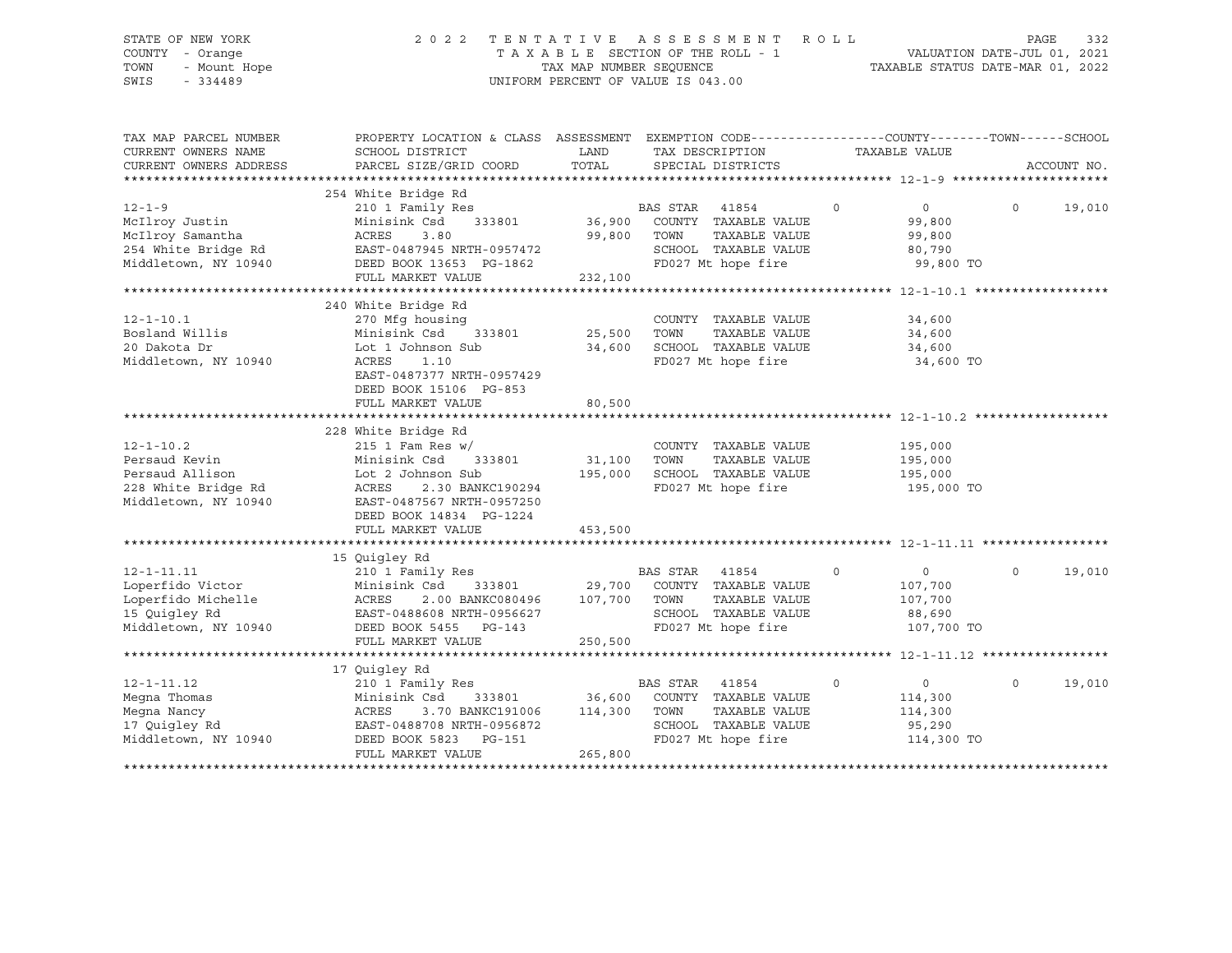# STATE OF NEW YORK 2 0 2 2 T E N T A T I V E A S S E S S M E N T R O L L PAGE 332 COUNTY - Orange T A X A B L E SECTION OF THE ROLL - 1 VALUATION DATE-JUL 01, 2021 TOWN - Mount Hope TAX MAP NUMBER SEQUENCE TAXABLE STATUS DATE-MAR 01, 2022 SWIS - 334489 UNIFORM PERCENT OF VALUE IS 043.00

| TAX MAP PARCEL NUMBER<br>CURRENT OWNERS NAME<br>CURRENT OWNERS ADDRESS                              | PROPERTY LOCATION & CLASS ASSESSMENT EXEMPTION CODE----------------COUNTY-------TOWN-----SCHOOL<br>SCHOOL DISTRICT<br>PARCEL SIZE/GRID COORD                                                       | LAND<br>TOTAL                                       | TAX DESCRIPTION<br>SPECIAL DISTRICTS                                                                                    | TAXABLE VALUE                                                           |              | ACCOUNT NO. |
|-----------------------------------------------------------------------------------------------------|----------------------------------------------------------------------------------------------------------------------------------------------------------------------------------------------------|-----------------------------------------------------|-------------------------------------------------------------------------------------------------------------------------|-------------------------------------------------------------------------|--------------|-------------|
| $12 - 1 - 9$<br>McIlroy Justin<br>McIlroy Samantha<br>254 White Bridge Rd<br>Middletown, NY 10940   | 254 White Bridge Rd<br>210 1 Family Res<br>Minisink Csd<br>333801<br>ACRES<br>3.80<br>EAST-0487945 NRTH-0957472<br>DEED BOOK 13653 PG-1862<br>FULL MARKET VALUE                                    | 36,900<br>99,800<br>232,100<br>******************** | BAS STAR<br>41854<br>COUNTY TAXABLE VALUE<br>TAXABLE VALUE<br>TOWN<br>SCHOOL TAXABLE VALUE<br>FD027 Mt hope fire        | $\mathbf 0$<br>$\circ$<br>99,800<br>99,800<br>80,790<br>99,800 TO       | $\Omega$     | 19,010      |
| $12 - 1 - 10.1$<br>Bosland Willis<br>20 Dakota Dr<br>Middletown, NY 10940                           | 240 White Bridge Rd<br>270 Mfg housing<br>333801<br>Minisink Csd<br>Lot 1 Johnson Sub<br>ACRES<br>1.10<br>EAST-0487377 NRTH-0957429<br>DEED BOOK 15106 PG-853<br>FULL MARKET VALUE                 | 25,500<br>34,600<br>80,500                          | COUNTY TAXABLE VALUE<br>TOWN<br>TAXABLE VALUE<br>SCHOOL TAXABLE VALUE<br>FD027 Mt hope fire                             | ************* 12-1-10.1 ****<br>34,600<br>34,600<br>34,600<br>34,600 TO |              |             |
| $12 - 1 - 10.2$<br>Persaud Kevin<br>Persaud Allison<br>228 White Bridge Rd<br>Middletown, NY 10940  | 228 White Bridge Rd<br>$215$ 1 Fam Res w/<br>333801<br>Minisink Csd<br>Lot 2 Johnson Sub<br>ACRES<br>2.30 BANKC190294<br>EAST-0487567 NRTH-0957250<br>DEED BOOK 14834 PG-1224<br>FULL MARKET VALUE | 31,100<br>195,000<br>453,500                        | COUNTY TAXABLE VALUE<br>TAXABLE VALUE<br>TOWN<br>SCHOOL TAXABLE VALUE<br>FD027 Mt hope fire                             | 195,000<br>195,000<br>195,000<br>195,000 TO                             |              |             |
|                                                                                                     |                                                                                                                                                                                                    |                                                     |                                                                                                                         |                                                                         |              |             |
| $12 - 1 - 11.11$<br>Loperfido Victor<br>Loperfido Michelle<br>15 Quigley Rd<br>Middletown, NY 10940 | 15 Quigley Rd<br>210 1 Family Res<br>Minisink Csd<br>333801<br>ACRES<br>2.00 BANKC080496<br>EAST-0488608 NRTH-0956627<br>DEED BOOK 5455 PG-143<br>FULL MARKET VALUE                                | 29,700<br>107,700<br>250,500                        | BAS STAR 41854<br>COUNTY TAXABLE VALUE<br>TAXABLE VALUE<br>TOWN<br>SCHOOL TAXABLE VALUE<br>FD027 Mt hope fire           | $\circ$<br>$\mathbf 0$<br>107,700<br>107,700<br>88,690<br>107,700 TO    | $\mathsf{O}$ | 19,010      |
|                                                                                                     |                                                                                                                                                                                                    |                                                     |                                                                                                                         |                                                                         |              |             |
| $12 - 1 - 11.12$<br>Megna Thomas<br>Megna Nancy<br>17 Quigley Rd<br>Middletown, NY 10940            | 17 Quigley Rd<br>210 1 Family Res<br>Minisink Csd<br>333801<br>ACRES<br>3.70 BANKC191006<br>EAST-0488708 NRTH-0956872<br>DEED BOOK 5823<br>PG-151<br>FULL MARKET VALUE                             | 36,600<br>114,300<br>265,800                        | <b>BAS STAR</b><br>41854<br>COUNTY TAXABLE VALUE<br>TOWN<br>TAXABLE VALUE<br>SCHOOL TAXABLE VALUE<br>FD027 Mt hope fire | $\circ$<br>$\mathbf 0$<br>114,300<br>114,300<br>95,290<br>114,300 TO    | $\circ$      | 19,010      |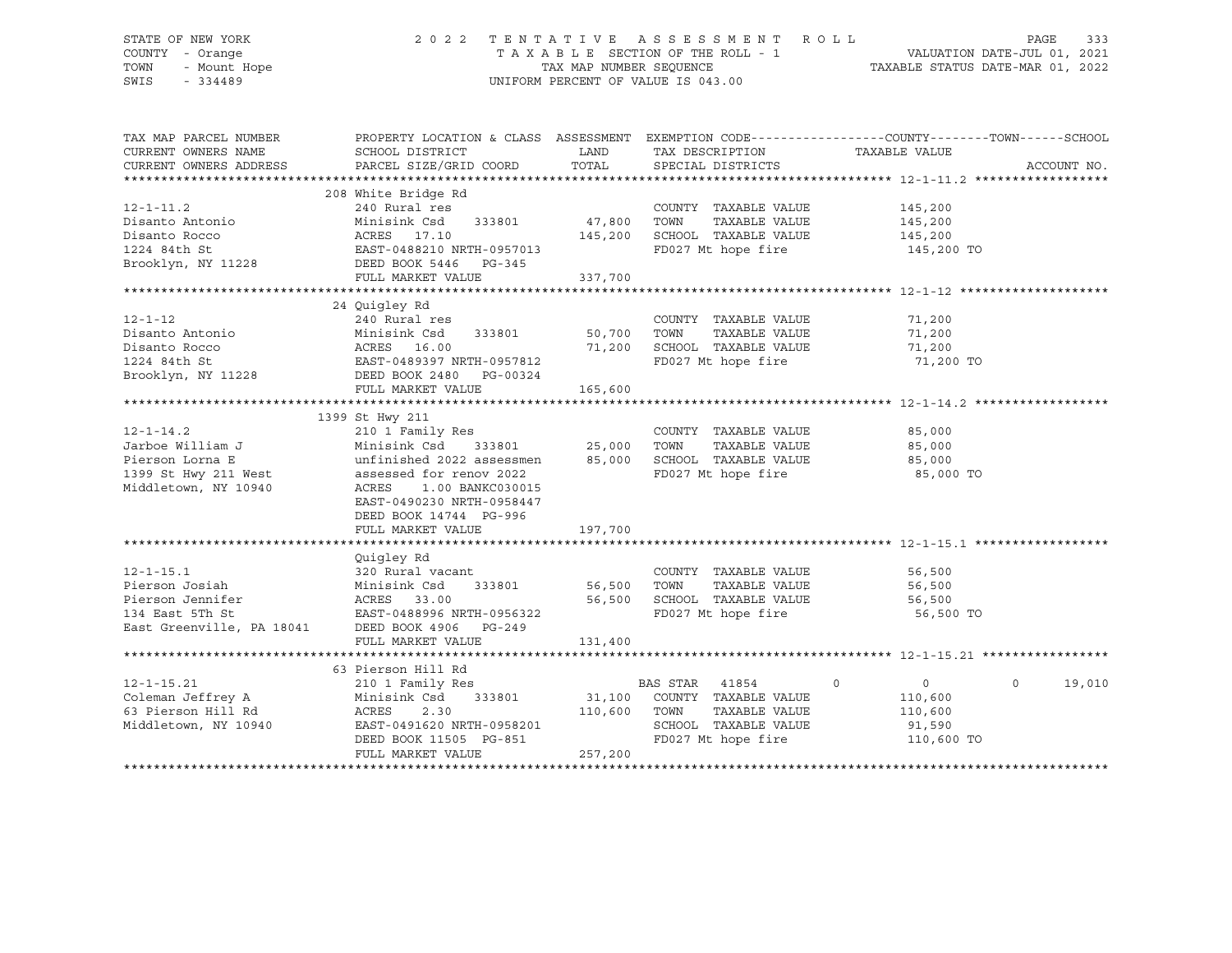### STATE OF NEW YORK 2 0 2 2 T E N T A T I V E A S S E S S M E N T R O L L PAGE 333 COUNTY - Orange T A X A B L E SECTION OF THE ROLL - 1 VALUATION DATE-JUL 01, 2021 TOWN - Mount Hope TAX NAP NUMBER SEQUENCE TAXABLE STATUS DATE-MAR 01, 2022<br>TAXABLE STATUS DATE-MAR 01, 2022 UNIFORM PERCENT OF VALUE IS 043.00

TAX MAP PARCEL NUMBER PROPERTY LOCATION & CLASS ASSESSMENT EXEMPTION CODE------------------COUNTY--------TOWN------SCHOOL CURRENT OWNERS NAME SCHOOL DISTRICT LAND TAX DESCRIPTION TAXABLE VALUE CURRENT OWNERS ADDRESS PARCEL SIZE/GRID COORD TOTAL SPECIAL DISTRICTS ACCOUNT NO. \*\*\*\*\*\*\*\*\*\*\*\*\*\*\*\*\*\*\*\*\*\*\*\*\*\*\*\*\*\*\*\*\*\*\*\*\*\*\*\*\*\*\*\*\*\*\*\*\*\*\*\*\*\*\*\*\*\*\*\*\*\*\*\*\*\*\*\*\*\*\*\*\*\*\*\*\*\*\*\*\*\*\*\*\*\*\*\*\*\*\*\*\*\*\*\*\*\*\*\*\*\*\* 12-1-11.2 \*\*\*\*\*\*\*\*\*\*\*\*\*\*\*\*\*\* 208 White Bridge Rd 12-1-11.2 240 Rural res COUNTY TAXABLE VALUE 145,200 Disanto Antonio Minisink Csd 333801 47,800 TOWN TAXABLE VALUE 145,200 Disanto Rocco ACRES 17.10 145,200 SCHOOL TAXABLE VALUE 145,200 1224 84th St EAST-0488210 NRTH-0957013 FD027 Mt hope fire 145,200 TO Brooklyn, NY 11228 DEED BOOK 5446 PG-345 FULL MARKET VALUE 337,700 \*\*\*\*\*\*\*\*\*\*\*\*\*\*\*\*\*\*\*\*\*\*\*\*\*\*\*\*\*\*\*\*\*\*\*\*\*\*\*\*\*\*\*\*\*\*\*\*\*\*\*\*\*\*\*\*\*\*\*\*\*\*\*\*\*\*\*\*\*\*\*\*\*\*\*\*\*\*\*\*\*\*\*\*\*\*\*\*\*\*\*\*\*\*\*\*\*\*\*\*\*\*\* 12-1-12 \*\*\*\*\*\*\*\*\*\*\*\*\*\*\*\*\*\*\*\* 24 Quigley Rd 12-1-12 240 Rural res COUNTY TAXABLE VALUE 71,200 Disanto Antonio Minisink Csd 333801 50,700 TOWN TAXABLE VALUE 71,200 Disanto Rocco ACRES 16.00 71,200 SCHOOL TAXABLE VALUE 71,200 1224 84th St EAST-0489397 NRTH-0957812 FD027 Mt hope fire 71,200 TO Brooklyn, NY 11228 DEED BOOK 2480 PG-00324 FULL MARKET VALUE 165,600 \*\*\*\*\*\*\*\*\*\*\*\*\*\*\*\*\*\*\*\*\*\*\*\*\*\*\*\*\*\*\*\*\*\*\*\*\*\*\*\*\*\*\*\*\*\*\*\*\*\*\*\*\*\*\*\*\*\*\*\*\*\*\*\*\*\*\*\*\*\*\*\*\*\*\*\*\*\*\*\*\*\*\*\*\*\*\*\*\*\*\*\*\*\*\*\*\*\*\*\*\*\*\* 12-1-14.2 \*\*\*\*\*\*\*\*\*\*\*\*\*\*\*\*\*\* 1399 St Hwy 211 12-1-14.2 210 1 Family Res COUNTY TAXABLE VALUE 85,000 Jarboe William J Minisink Csd 333801 25,000 TOWN TAXABLE VALUE 85,000 Pierson Lorna E unfinished 2022 assessmen 85,000 SCHOOL TAXABLE VALUE 85,000 1399 St Hwy 211 West assessed for renov 2022 FD027 Mt hope fire 85,000 TO Middletown, NY 10940 ACRES 1.00 BANKC030015 EAST-0490230 NRTH-0958447 DEED BOOK 14744 PG-996 FULL MARKET VALUE 197,700 \*\*\*\*\*\*\*\*\*\*\*\*\*\*\*\*\*\*\*\*\*\*\*\*\*\*\*\*\*\*\*\*\*\*\*\*\*\*\*\*\*\*\*\*\*\*\*\*\*\*\*\*\*\*\*\*\*\*\*\*\*\*\*\*\*\*\*\*\*\*\*\*\*\*\*\*\*\*\*\*\*\*\*\*\*\*\*\*\*\*\*\*\*\*\*\*\*\*\*\*\*\*\* 12-1-15.1 \*\*\*\*\*\*\*\*\*\*\*\*\*\*\*\*\*\* Quigley Rd 12-1-15.1 320 Rural vacant COUNTY TAXABLE VALUE 56,500 Pierson Josiah Minisink Csd 333801 56,500 TOWN TAXABLE VALUE 56,500 Pierson Jennifer ACRES 33.00 56,500 SCHOOL TAXABLE VALUE 56,500 134 East 5Th St EAST-0488996 NRTH-0956322 FD027 Mt hope fire 56,500 TO East Greenville, PA 18041 DEED BOOK 4906 PG-249 FULL MARKET VALUE 131,400 \*\*\*\*\*\*\*\*\*\*\*\*\*\*\*\*\*\*\*\*\*\*\*\*\*\*\*\*\*\*\*\*\*\*\*\*\*\*\*\*\*\*\*\*\*\*\*\*\*\*\*\*\*\*\*\*\*\*\*\*\*\*\*\*\*\*\*\*\*\*\*\*\*\*\*\*\*\*\*\*\*\*\*\*\*\*\*\*\*\*\*\*\*\*\*\*\*\*\*\*\*\*\* 12-1-15.21 \*\*\*\*\*\*\*\*\*\*\*\*\*\*\*\*\* 63 Pierson Hill Rd 12-1-15.21 210 1 Family Res BAS STAR 41854 0 0 0 19,010 Coleman Jeffrey A Minisink Csd 333801 31,100 COUNTY TAXABLE VALUE 110,600 63 Pierson Hill Rd ACRES 2.30 110,600 TOWN TAXABLE VALUE 110,600 Middletown, NY 10940 EAST-0491620 NRTH-0958201 SCHOOL TAXABLE VALUE 91,590 DEED BOOK 11505 PG-851 FD027 Mt hope fire 110,600 TO FULL MARKET VALUE 257,200 \*\*\*\*\*\*\*\*\*\*\*\*\*\*\*\*\*\*\*\*\*\*\*\*\*\*\*\*\*\*\*\*\*\*\*\*\*\*\*\*\*\*\*\*\*\*\*\*\*\*\*\*\*\*\*\*\*\*\*\*\*\*\*\*\*\*\*\*\*\*\*\*\*\*\*\*\*\*\*\*\*\*\*\*\*\*\*\*\*\*\*\*\*\*\*\*\*\*\*\*\*\*\*\*\*\*\*\*\*\*\*\*\*\*\*\*\*\*\*\*\*\*\*\*\*\*\*\*\*\*\*\*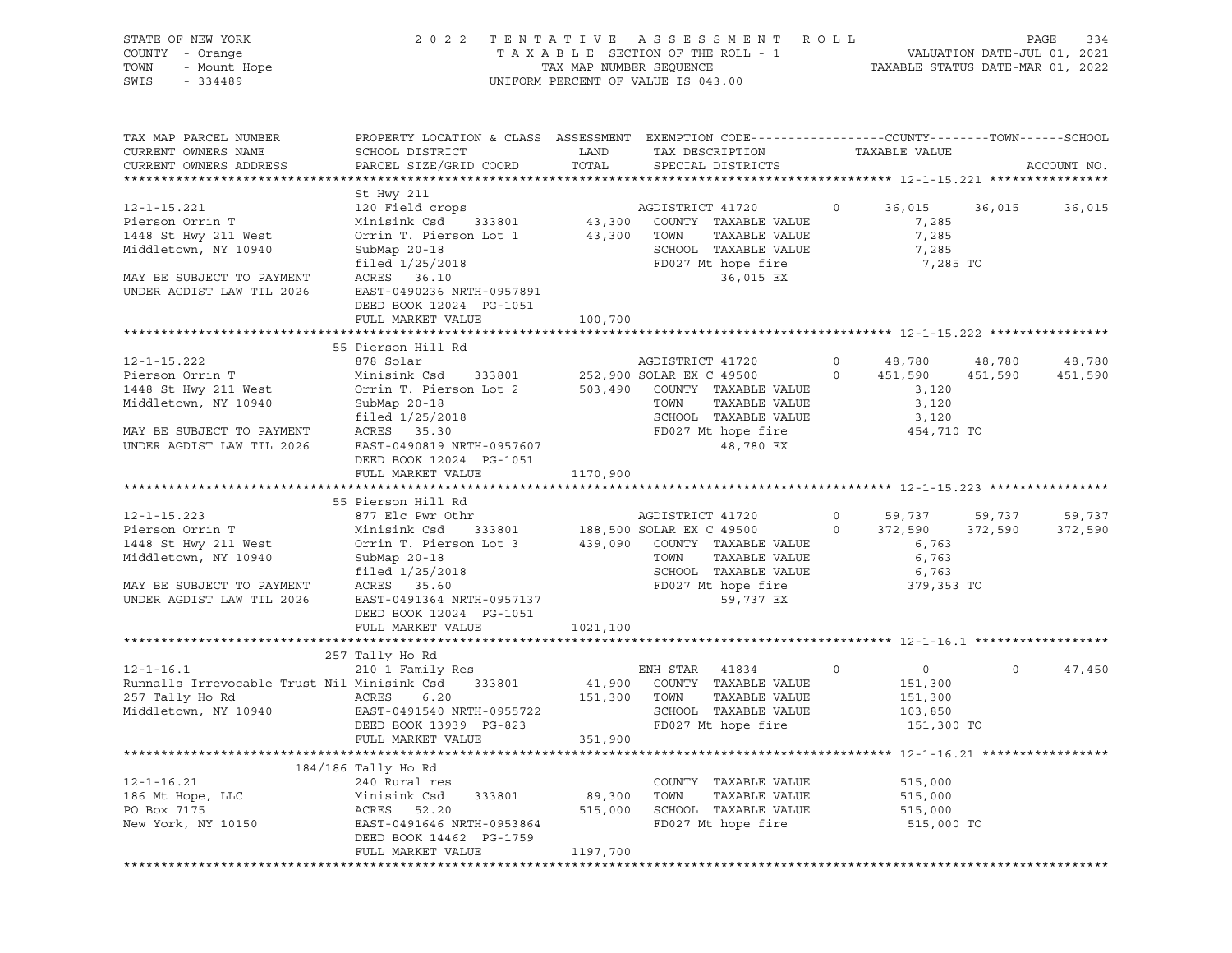| STATE OF NEW YORK                           |                                              |                         | 2022 TENTATIVE ASSESSMENT ROLL                                                                   |                |                                                                 |         | PAGE<br>334 |
|---------------------------------------------|----------------------------------------------|-------------------------|--------------------------------------------------------------------------------------------------|----------------|-----------------------------------------------------------------|---------|-------------|
| COUNTY - Orange                             |                                              |                         | TAXABLE SECTION OF THE ROLL - 1                                                                  |                | VALUATION DATE-JUL 01, 2021<br>TAXABLE STATUS DATE-MAR 01, 2022 |         |             |
| - Mount Hope<br>TOWN                        |                                              | TAX MAP NUMBER SEQUENCE |                                                                                                  |                |                                                                 |         |             |
| SWIS<br>$-334489$                           |                                              |                         | UNIFORM PERCENT OF VALUE IS 043.00                                                               |                |                                                                 |         |             |
|                                             |                                              |                         |                                                                                                  |                |                                                                 |         |             |
| TAX MAP PARCEL NUMBER                       |                                              |                         | PROPERTY LOCATION & CLASS ASSESSMENT EXEMPTION CODE----------------COUNTY-------TOWN------SCHOOL |                |                                                                 |         |             |
| CURRENT OWNERS NAME                         | SCHOOL DISTRICT                              | LAND                    | TAX DESCRIPTION                                                                                  |                | TAXABLE VALUE                                                   |         |             |
| CURRENT OWNERS ADDRESS                      | PARCEL SIZE/GRID COORD                       | TOTAL                   | SPECIAL DISTRICTS                                                                                |                |                                                                 |         | ACCOUNT NO. |
|                                             |                                              |                         |                                                                                                  |                |                                                                 |         |             |
|                                             | St Hwy 211                                   |                         |                                                                                                  |                |                                                                 |         |             |
| $12 - 1 - 15.221$                           | 120 Field crops                              |                         | AGDISTRICT 41720                                                                                 | $\overline{0}$ | 36,015 36,015                                                   |         | 36,015      |
| Pierson Orrin T                             | Minisink Csd<br>333801                       |                         | 43,300 COUNTY TAXABLE VALUE                                                                      |                | 7,285                                                           |         |             |
| 1448 St Hwy 211 West                        | Orrin T. Pierson Lot 1                       | 43,300 TOWN             | TAXABLE VALUE                                                                                    |                | 7,285                                                           |         |             |
| Middletown, NY 10940                        | SubMap $20-18$                               |                         | SCHOOL TAXABLE VALUE                                                                             |                | 7,285                                                           |         |             |
|                                             | filed 1/25/2018                              |                         | FD027 Mt hope fire                                                                               |                | 7,285 TO                                                        |         |             |
| MAY BE SUBJECT TO PAYMENT                   | ACRES 36.10                                  |                         | 36,015 EX                                                                                        |                |                                                                 |         |             |
| UNDER AGDIST LAW TIL 2026                   | EAST-0490236 NRTH-0957891                    |                         |                                                                                                  |                |                                                                 |         |             |
|                                             | DEED BOOK 12024 PG-1051                      |                         |                                                                                                  |                |                                                                 |         |             |
|                                             | FULL MARKET VALUE                            | 100,700                 |                                                                                                  |                |                                                                 |         |             |
|                                             |                                              |                         |                                                                                                  |                |                                                                 |         |             |
|                                             | 55 Pierson Hill Rd                           |                         |                                                                                                  |                |                                                                 |         |             |
| $12 - 1 - 15.222$                           | 878 Solar                                    |                         | AGDISTRICT 41720                                                                                 |                |                                                                 | 48,780  | 48,780      |
| Pierson Orrin T                             | Minisink Csd 333801 252,900 SOLAR EX C 49500 |                         |                                                                                                  |                | $0$ 48,780<br>0 451,590<br>451,590                              | 451,590 | 451,590     |
| 1448 St Hwy 211 West                        |                                              |                         | Orrin T. Pierson Lot 2 503,490 COUNTY TAXABLE VALUE                                              |                | 3,120                                                           |         |             |
| Middletown, NY 10940                        | SubMap 20-18                                 |                         | TAXABLE VALUE<br>TOWN                                                                            |                | 3,120                                                           |         |             |
|                                             | filed 1/25/2018                              |                         | SCHOOL TAXABLE VALUE                                                                             |                | 3,120                                                           |         |             |
| MAY BE SUBJECT TO PAYMENT                   | ACRES 35.30                                  |                         | FD027 Mt hope fire                                                                               |                | 454,710 TO                                                      |         |             |
| UNDER AGDIST LAW TIL 2026                   | EAST-0490819 NRTH-0957607                    |                         | 48,780 EX                                                                                        |                |                                                                 |         |             |
|                                             | DEED BOOK 12024 PG-1051                      |                         |                                                                                                  |                |                                                                 |         |             |
|                                             | FULL MARKET VALUE                            | 1170,900                |                                                                                                  |                |                                                                 |         |             |
|                                             |                                              |                         |                                                                                                  |                |                                                                 |         |             |
|                                             | 55 Pierson Hill Rd                           |                         |                                                                                                  |                |                                                                 |         |             |
| $12 - 1 - 15.223$                           | 877 Elc Pwr Othr                             |                         | AGDISTRICT 41720                                                                                 | $\overline{0}$ | 59,737                                                          | 59,737  | 59,737      |
| Pierson Orrin T                             | Minisink Csd<br>333801                       |                         | 188,500 SOLAR EX C 49500                                                                         | $\circ$        | 372,590                                                         | 372,590 | 372,590     |
| 1448 St Hwy 211 West                        | Orrin T. Pierson Lot 3                       |                         | 439,090 COUNTY TAXABLE VALUE                                                                     |                | 6,763                                                           |         |             |
| Middletown, NY 10940                        | SubMap 20-18                                 |                         | TOWN<br>TAXABLE VALUE                                                                            |                | 6,763                                                           |         |             |
|                                             | filed 1/25/2018                              |                         | SCHOOL TAXABLE VALUE                                                                             |                | 6,763                                                           |         |             |
| MAY BE SUBJECT TO PAYMENT                   | ACRES 35.60                                  |                         | FD027 Mt hope fire                                                                               |                | 379,353 TO                                                      |         |             |
| UNDER AGDIST LAW TIL 2026                   | EAST-0491364 NRTH-0957137                    |                         | 59,737 EX                                                                                        |                |                                                                 |         |             |
|                                             | DEED BOOK 12024 PG-1051                      |                         |                                                                                                  |                |                                                                 |         |             |
|                                             | FULL MARKET VALUE                            | 1021,100                |                                                                                                  |                |                                                                 |         |             |
|                                             |                                              |                         |                                                                                                  |                |                                                                 |         |             |
|                                             | 257 Tally Ho Rd                              |                         |                                                                                                  |                |                                                                 |         |             |
|                                             |                                              |                         |                                                                                                  |                |                                                                 | $\circ$ |             |
| $12 - 1 - 16.1$                             | 210 1 Family Res                             |                         | ENH STAR<br>41834                                                                                | 0              | $0 \qquad \qquad$                                               |         | 47,450      |
| Runnalls Irrevocable Trust Nil Minisink Csd | 333801                                       | 41,900                  | COUNTY TAXABLE VALUE                                                                             |                | 151,300                                                         |         |             |
| 257 Tally Ho Rd                             | ACRES<br>6.20                                | 151,300                 | TOWN<br>TAXABLE VALUE                                                                            |                | 151,300                                                         |         |             |
| Middletown, NY 10940                        | EAST-0491540 NRTH-0955722                    |                         | SCHOOL TAXABLE VALUE                                                                             |                | 103,850                                                         |         |             |
|                                             | DEED BOOK 13939 PG-823                       |                         | FD027 Mt hope fire                                                                               |                | 151,300 TO                                                      |         |             |
|                                             | FULL MARKET VALUE                            | 351,900                 |                                                                                                  |                |                                                                 |         |             |
|                                             | ******************                           |                         |                                                                                                  |                |                                                                 |         |             |
|                                             | 184/186 Tally Ho Rd                          |                         |                                                                                                  |                |                                                                 |         |             |
| $12 - 1 - 16.21$                            | 240 Rural res                                |                         | COUNTY TAXABLE VALUE                                                                             |                | 515,000                                                         |         |             |
| 186 Mt Hope, LLC                            | Minisink Csd<br>333801                       | 89,300                  | TAXABLE VALUE<br>TOWN                                                                            |                | 515,000                                                         |         |             |
| PO Box 7175                                 | ACRES<br>52.20                               | 515,000                 | SCHOOL TAXABLE VALUE                                                                             |                | 515,000                                                         |         |             |
| New York, NY 10150                          | EAST-0491646 NRTH-0953864                    |                         | FD027 Mt hope fire                                                                               |                | 515,000 TO                                                      |         |             |
|                                             | DEED BOOK 14462 PG-1759                      |                         |                                                                                                  |                |                                                                 |         |             |
|                                             | FULL MARKET VALUE                            | 1197,700                |                                                                                                  |                |                                                                 |         |             |
|                                             |                                              |                         |                                                                                                  |                |                                                                 |         |             |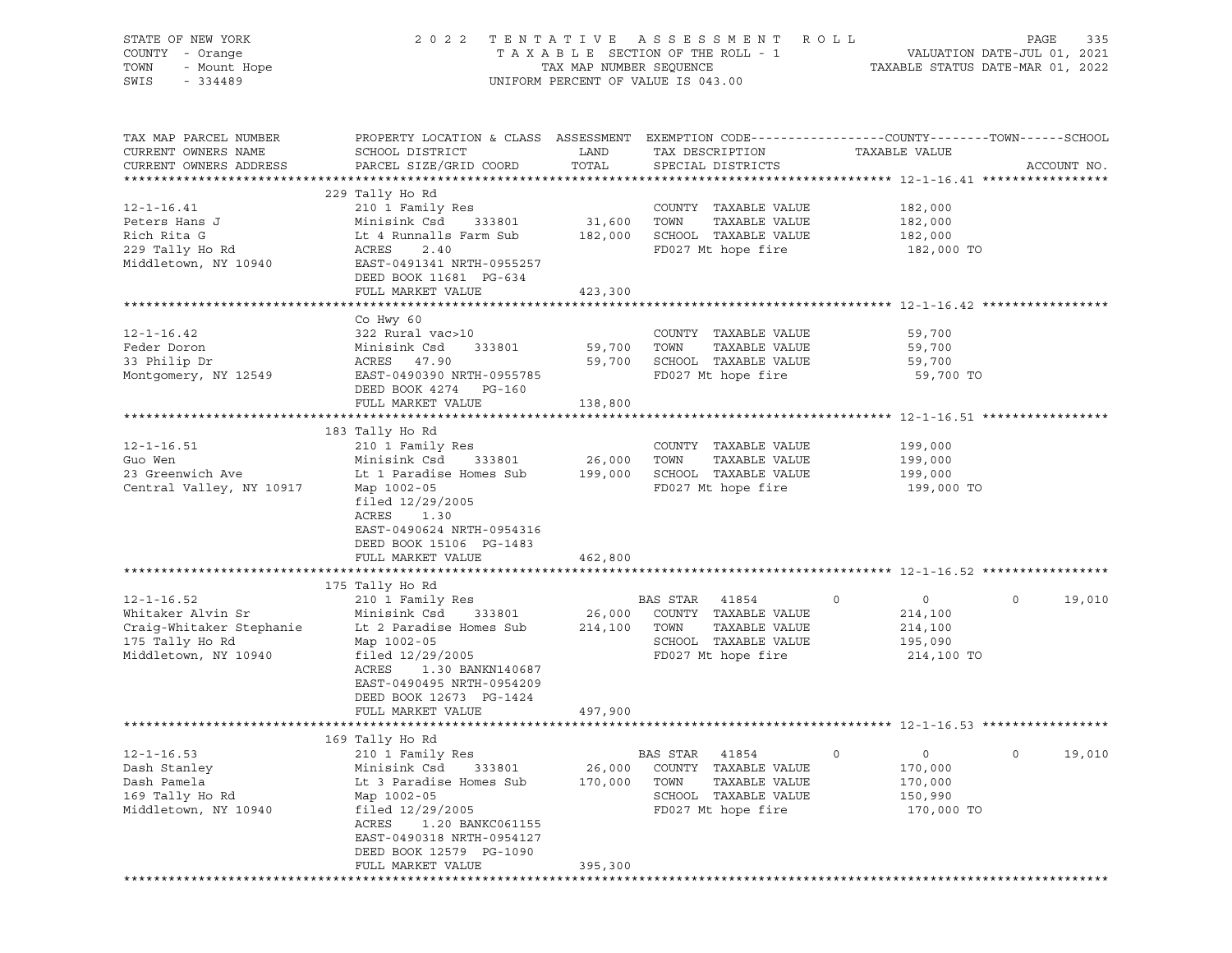| STATE OF NEW YORK        | 2 0 2 2                                                                                          |                         | TENTATIVE ASSESSMENT               | R O L L                          | 335<br>PAGE                 |
|--------------------------|--------------------------------------------------------------------------------------------------|-------------------------|------------------------------------|----------------------------------|-----------------------------|
| COUNTY - Orange          |                                                                                                  |                         | TAXABLE SECTION OF THE ROLL - 1    |                                  | VALUATION DATE-JUL 01, 2021 |
| TOWN<br>- Mount Hope     |                                                                                                  | TAX MAP NUMBER SEQUENCE |                                    | TAXABLE STATUS DATE-MAR 01, 2022 |                             |
| SWIS<br>$-334489$        |                                                                                                  |                         | UNIFORM PERCENT OF VALUE IS 043.00 |                                  |                             |
|                          |                                                                                                  |                         |                                    |                                  |                             |
| TAX MAP PARCEL NUMBER    | PROPERTY LOCATION & CLASS ASSESSMENT EXEMPTION CODE----------------COUNTY-------TOWN------SCHOOL |                         |                                    |                                  |                             |
| CURRENT OWNERS NAME      | SCHOOL DISTRICT                                                                                  | LAND                    | TAX DESCRIPTION                    | TAXABLE VALUE                    |                             |
| CURRENT OWNERS ADDRESS   | PARCEL SIZE/GRID COORD                                                                           | TOTAL                   | SPECIAL DISTRICTS                  |                                  | ACCOUNT NO.                 |
|                          |                                                                                                  |                         |                                    |                                  |                             |
|                          | 229 Tally Ho Rd                                                                                  |                         |                                    |                                  |                             |
| $12 - 1 - 16.41$         | 210 1 Family Res                                                                                 |                         | COUNTY TAXABLE VALUE               | 182,000                          |                             |
| Peters Hans J            | 333801<br>Minisink Csd                                                                           | 31,600                  | TOWN<br>TAXABLE VALUE              | 182,000                          |                             |
| Rich Rita G              | Lt 4 Runnalls Farm Sub                                                                           | 182,000                 | SCHOOL TAXABLE VALUE               | 182,000                          |                             |
| 229 Tally Ho Rd          | ACRES<br>2.40                                                                                    |                         | FD027 Mt hope fire                 | 182,000 TO                       |                             |
| Middletown, NY 10940     | EAST-0491341 NRTH-0955257                                                                        |                         |                                    |                                  |                             |
|                          | DEED BOOK 11681 PG-634                                                                           |                         |                                    |                                  |                             |
|                          | FULL MARKET VALUE                                                                                | 423,300                 |                                    |                                  |                             |
|                          |                                                                                                  |                         |                                    |                                  |                             |
|                          | Co Hwy 60                                                                                        |                         |                                    |                                  |                             |
| $12 - 1 - 16.42$         | 322 Rural vac>10                                                                                 |                         | COUNTY TAXABLE VALUE               | 59,700                           |                             |
| Feder Doron              | Minisink Csd<br>333801                                                                           | 59,700                  | TOWN<br>TAXABLE VALUE              | 59,700                           |                             |
| 33 Philip Dr             | ACRES 47.90                                                                                      | 59,700                  | SCHOOL TAXABLE VALUE               | 59,700                           |                             |
| Montgomery, NY 12549     | EAST-0490390 NRTH-0955785                                                                        |                         | FD027 Mt hope fire                 | 59,700 TO                        |                             |
|                          | DEED BOOK 4274<br>PG-160                                                                         |                         |                                    |                                  |                             |
|                          | FULL MARKET VALUE                                                                                | 138,800                 |                                    |                                  |                             |
|                          |                                                                                                  |                         |                                    |                                  |                             |
|                          | 183 Tally Ho Rd                                                                                  |                         |                                    |                                  |                             |
| $12 - 1 - 16.51$         | 210 1 Family Res                                                                                 |                         | COUNTY TAXABLE VALUE               | 199,000                          |                             |
| Guo Wen                  | 333801<br>Minisink Csd                                                                           | 26,000                  | TOWN<br>TAXABLE VALUE              | 199,000                          |                             |
| 23 Greenwich Ave         | Lt 1 Paradise Homes Sub                                                                          | 199,000                 | SCHOOL TAXABLE VALUE               | 199,000                          |                             |
| Central Valley, NY 10917 | Map 1002-05                                                                                      |                         | FD027 Mt hope fire                 | 199,000 TO                       |                             |
|                          | filed $12/29/2005$                                                                               |                         |                                    |                                  |                             |
|                          | ACRES<br>1.30                                                                                    |                         |                                    |                                  |                             |
|                          | EAST-0490624 NRTH-0954316                                                                        |                         |                                    |                                  |                             |
|                          | DEED BOOK 15106 PG-1483                                                                          |                         |                                    |                                  |                             |
|                          | FULL MARKET VALUE                                                                                | 462,800                 |                                    |                                  |                             |
|                          |                                                                                                  |                         |                                    |                                  |                             |
|                          | 175 Tally Ho Rd                                                                                  |                         |                                    |                                  |                             |
| $12 - 1 - 16.52$         | 210 1 Family Res                                                                                 |                         | BAS STAR 41854                     | 0<br>$\circ$                     | 19,010<br>$\circ$           |
| Whitaker Alvin Sr        | 333801<br>Minisink Csd                                                                           |                         | 26,000 COUNTY TAXABLE VALUE        | 214,100                          |                             |
| Craig-Whitaker Stephanie | Lt 2 Paradise Homes Sub                                                                          | 214,100                 | TOWN<br>TAXABLE VALUE              | 214,100                          |                             |
| 175 Tally Ho Rd          | Map 1002-05                                                                                      |                         | SCHOOL TAXABLE VALUE               | 195,090                          |                             |
| Middletown, NY 10940     | filed 12/29/2005                                                                                 |                         | FD027 Mt hope fire                 | 214,100 TO                       |                             |
|                          | ACRES<br>1.30 BANKN140687                                                                        |                         |                                    |                                  |                             |
|                          | EAST-0490495 NRTH-0954209                                                                        |                         |                                    |                                  |                             |
|                          | DEED BOOK 12673 PG-1424                                                                          |                         |                                    |                                  |                             |
|                          | FULL MARKET VALUE                                                                                | 497,900                 |                                    |                                  |                             |
|                          |                                                                                                  |                         |                                    |                                  |                             |
|                          | 169 Tally Ho Rd                                                                                  |                         |                                    |                                  |                             |
| $12 - 1 - 16.53$         | 210 1 Family Res                                                                                 |                         | BAS STAR<br>41854                  | 0<br>0                           | 0<br>19,010                 |
| Dash Stanley             | Minisink Csd<br>333801                                                                           | 26,000                  | COUNTY<br>TAXABLE VALUE            |                                  |                             |
| Dash Pamela              | Lt 3 Paradise Homes Sub                                                                          | 170,000                 | TOWN<br>TAXABLE VALUE              | 170,000                          |                             |
| 169 Tally Ho Rd          |                                                                                                  |                         |                                    | 170,000                          |                             |
|                          | Map 1002-05                                                                                      |                         | SCHOOL TAXABLE VALUE               | 150,990                          |                             |
| Middletown, NY 10940     | filed 12/29/2005                                                                                 |                         | FD027 Mt hope fire                 | 170,000 TO                       |                             |
|                          | ACRES<br>1.20 BANKC061155                                                                        |                         |                                    |                                  |                             |
|                          | EAST-0490318 NRTH-0954127                                                                        |                         |                                    |                                  |                             |
|                          | DEED BOOK 12579 PG-1090                                                                          |                         |                                    |                                  |                             |
|                          | FULL MARKET VALUE                                                                                | 395,300                 |                                    |                                  |                             |
|                          |                                                                                                  |                         |                                    |                                  |                             |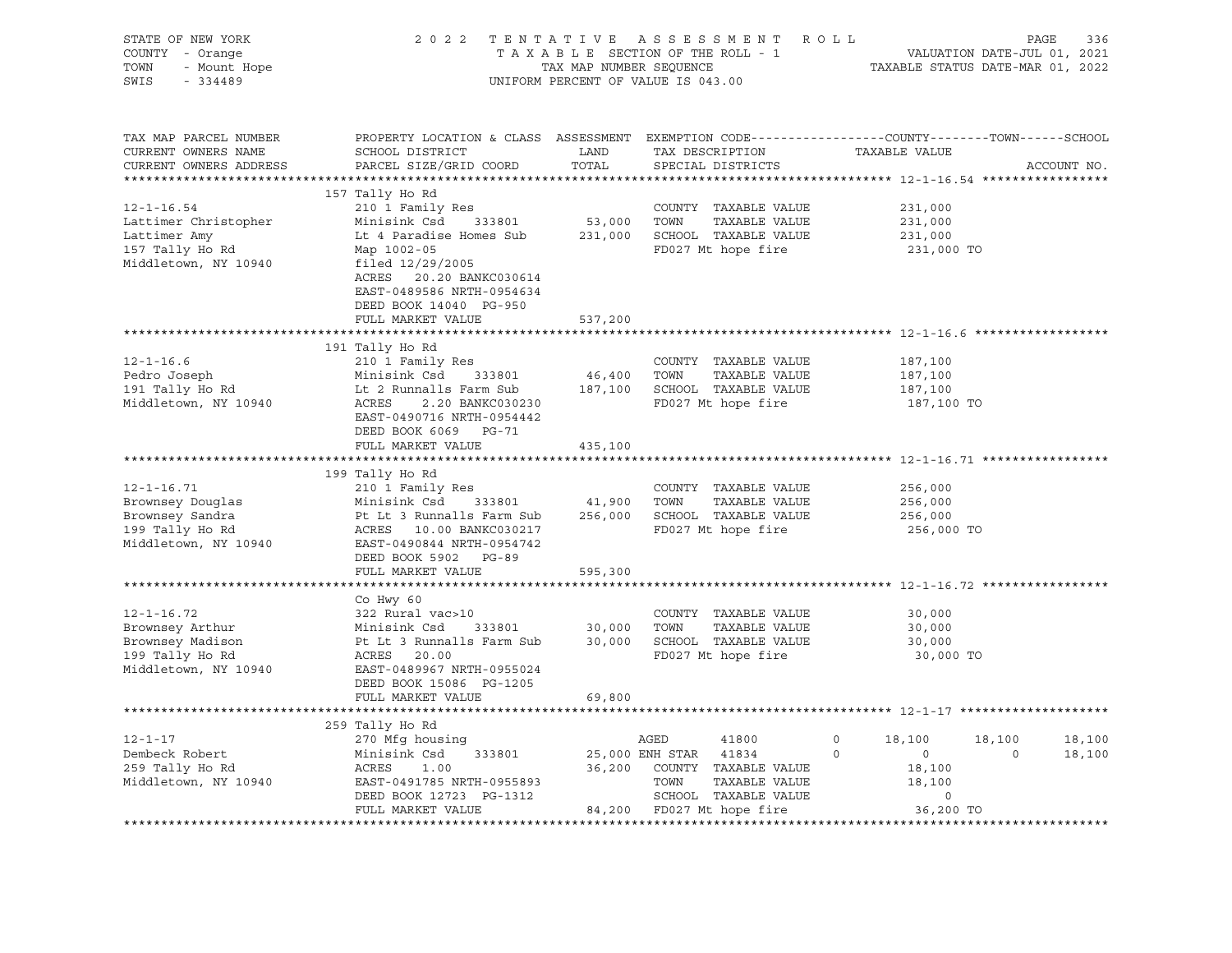| STATE OF NEW YORK<br>COUNTY - Orange<br>- Orange<br>- Mount Hope<br>TOWN<br>SWIS<br>$-334489$ |                                                                                                                                                   |               | FENTATIVE ASSESSMENT ROLL PAGE 336<br>TAXABLE SECTION OF THE ROLL - 1 VALUATION DATE-JUL 01, 2021<br>TAX MAP NUMBER SEQUENCE TAXABLE STATUS DATE-MAR 01, 2022<br>2022 TENTATIVE ASSESSMENT ROLL<br>UNIFORM PERCENT OF VALUE IS 043.00 |                           |                          |
|-----------------------------------------------------------------------------------------------|---------------------------------------------------------------------------------------------------------------------------------------------------|---------------|---------------------------------------------------------------------------------------------------------------------------------------------------------------------------------------------------------------------------------------|---------------------------|--------------------------|
| TAX MAP PARCEL NUMBER<br>CURRENT OWNERS NAME<br>CURRENT OWNERS ADDRESS                        | PROPERTY LOCATION & CLASS ASSESSMENT EXEMPTION CODE----------------COUNTY-------TOWN------SCHOOL<br>SCHOOL DISTRICT<br>PARCEL SIZE/GRID COORD     | LAND<br>TOTAL | TAX DESCRIPTION<br>SPECIAL DISTRICTS                                                                                                                                                                                                  | TAXABLE VALUE             | ACCOUNT NO.              |
|                                                                                               |                                                                                                                                                   |               |                                                                                                                                                                                                                                       |                           |                          |
| $12 - 1 - 16.54$                                                                              | 157 Tally Ho Rd<br>210 1 Family Res                                                                                                               |               | COUNTY TAXABLE VALUE                                                                                                                                                                                                                  | 231,000                   |                          |
| Lattimer Christopher                                                                          | Minisink Csd 333801                                                                                                                               |               | 53,000 TOWN TAXABLE VALUE                                                                                                                                                                                                             | 231,000                   |                          |
| Lattimer Amy                                                                                  | Lt 4 Paradise Homes Sub 231,000 SCHOOL TAXABLE VALUE                                                                                              |               |                                                                                                                                                                                                                                       | 231,000                   |                          |
| 157 Tally Ho Rd                                                                               | Map 1002-05                                                                                                                                       |               | FD027 Mt hope fire                                                                                                                                                                                                                    | 231,000 TO                |                          |
| Middletown, NY 10940                                                                          | filed 12/29/2005                                                                                                                                  |               |                                                                                                                                                                                                                                       |                           |                          |
|                                                                                               | ACRES 20.20 BANKC030614                                                                                                                           |               |                                                                                                                                                                                                                                       |                           |                          |
|                                                                                               | EAST-0489586 NRTH-0954634                                                                                                                         |               |                                                                                                                                                                                                                                       |                           |                          |
|                                                                                               | DEED BOOK 14040 PG-950<br>FULL MARKET VALUE                                                                                                       | 537,200       |                                                                                                                                                                                                                                       |                           |                          |
|                                                                                               |                                                                                                                                                   |               |                                                                                                                                                                                                                                       |                           |                          |
|                                                                                               | 191 Tally Ho Rd                                                                                                                                   |               |                                                                                                                                                                                                                                       |                           |                          |
| $12 - 1 - 16.6$                                                                               | 210 1 Family Res                                                                                                                                  |               | COUNTY TAXABLE VALUE                                                                                                                                                                                                                  | 187,100                   |                          |
| Pedro Joseph                                                                                  | Minisink Csd     333801<br>Lt 2 Runnalls Farm Sub                                                                                                 |               |                                                                                                                                                                                                                                       | 187,100                   |                          |
| $191$ Tally Ho Rd                                                                             |                                                                                                                                                   |               |                                                                                                                                                                                                                                       | 187,100                   |                          |
| Middletown, NY 10940                                                                          | Minisink Csd 333801 46,400 TOWN TAXABLE VALUE<br>Lt 2 Runnalls Farm Sub 187,100 SCHOOL TAXABLE VALUE<br>ACRES 2.20 BANKC030230 FD027 Mt hope fire |               |                                                                                                                                                                                                                                       | 187,100 TO                |                          |
|                                                                                               | EAST-0490716 NRTH-0954442                                                                                                                         |               |                                                                                                                                                                                                                                       |                           |                          |
|                                                                                               | DEED BOOK 6069 PG-71<br>FULL MARKET VALUE                                                                                                         | 435,100       |                                                                                                                                                                                                                                       |                           |                          |
|                                                                                               |                                                                                                                                                   |               |                                                                                                                                                                                                                                       |                           |                          |
|                                                                                               | 199 Tally Ho Rd                                                                                                                                   |               |                                                                                                                                                                                                                                       |                           |                          |
| $12 - 1 - 16.71$                                                                              | 210 1 Family Res                                                                                                                                  |               | COUNTY TAXABLE VALUE                                                                                                                                                                                                                  | 256,000                   |                          |
|                                                                                               |                                                                                                                                                   |               | TAXABLE VALUE                                                                                                                                                                                                                         | 256,000                   |                          |
| Brownsey Douglas<br>Brownsey Sandra<br>199 Tally Ho Rd                                        | Minisink Csd 333801 41,900 TOWN<br>Pt Lt 3 Runnalls Farm Sub 256,000 SCHOOL<br>ACRES 10.00 BANKC030217 FD027 Mt                                   |               | 256,000 SCHOOL TAXABLE VALUE                                                                                                                                                                                                          | 256,000                   |                          |
|                                                                                               |                                                                                                                                                   |               | FD027 Mt hope fire                                                                                                                                                                                                                    | 256,000 TO                |                          |
| Middletown, NY 10940                                                                          | EAST-0490844 NRTH-0954742                                                                                                                         |               |                                                                                                                                                                                                                                       |                           |                          |
|                                                                                               | DEED BOOK 5902 PG-89<br>FULL MARKET VALUE                                                                                                         | 595,300       |                                                                                                                                                                                                                                       |                           |                          |
|                                                                                               |                                                                                                                                                   |               |                                                                                                                                                                                                                                       |                           |                          |
|                                                                                               | Co Hwy 60                                                                                                                                         |               |                                                                                                                                                                                                                                       |                           |                          |
| $12 - 1 - 16.72$                                                                              | 322 Rural vac>10                                                                                                                                  |               | COUNTY TAXABLE VALUE                                                                                                                                                                                                                  | 30,000                    |                          |
| Brownsey Arthur                                                                               |                                                                                                                                                   |               |                                                                                                                                                                                                                                       | 30,000                    |                          |
| Brownsey Madison<br>199 Tally Ho Rd                                                           | Minisink Csd 333801 30,000 TOWN TAXABLE VALUE<br>Pt Lt 3 Runnalls Farm Sub 30,000 SCHOOL TAXABLE VALUE                                            |               |                                                                                                                                                                                                                                       | 30,000                    |                          |
|                                                                                               | ACRES 20.00                                                                                                                                       |               | FD027 Mt hope fire                                                                                                                                                                                                                    | 30,000 TO                 |                          |
| Middletown, NY 10940                                                                          | EAST-0489967 NRTH-0955024                                                                                                                         |               |                                                                                                                                                                                                                                       |                           |                          |
|                                                                                               | DEED BOOK 15086 PG-1205                                                                                                                           |               |                                                                                                                                                                                                                                       |                           |                          |
|                                                                                               | FULL MARKET VALUE                                                                                                                                 | 69,800        |                                                                                                                                                                                                                                       |                           |                          |
|                                                                                               | 259 Tally Ho Rd                                                                                                                                   |               |                                                                                                                                                                                                                                       |                           |                          |
| $12 - 1 - 17$                                                                                 | 270 Mfg housing                                                                                                                                   |               |                                                                                                                                                                                                                                       | $\circ$<br>18,100         | 18,100<br>18,100         |
| Dembeck Robert                                                                                | Minisink Csd 333801                                                                                                                               |               | AGED 41800<br>25,000 ENH STAR 41834                                                                                                                                                                                                   | $\overline{0}$<br>$\circ$ | $\overline{0}$<br>18,100 |
| 259 Tally Ho Rd                                                                               |                                                                                                                                                   |               | 36,200 COUNTY TAXABLE VALUE                                                                                                                                                                                                           | 18,100                    |                          |
| Middletown, NY 10940                                                                          |                                                                                                                                                   |               | TOWN<br>TAXABLE VALUE                                                                                                                                                                                                                 | 18,100                    |                          |
|                                                                                               |                                                                                                                                                   |               | SCHOOL TAXABLE VALUE                                                                                                                                                                                                                  | $\circ$                   |                          |
|                                                                                               | FULL MARKET VALUE                                                                                                                                 |               | 84,200 FD027 Mt hope fire                                                                                                                                                                                                             | 36,200 TO                 |                          |
|                                                                                               |                                                                                                                                                   |               |                                                                                                                                                                                                                                       |                           |                          |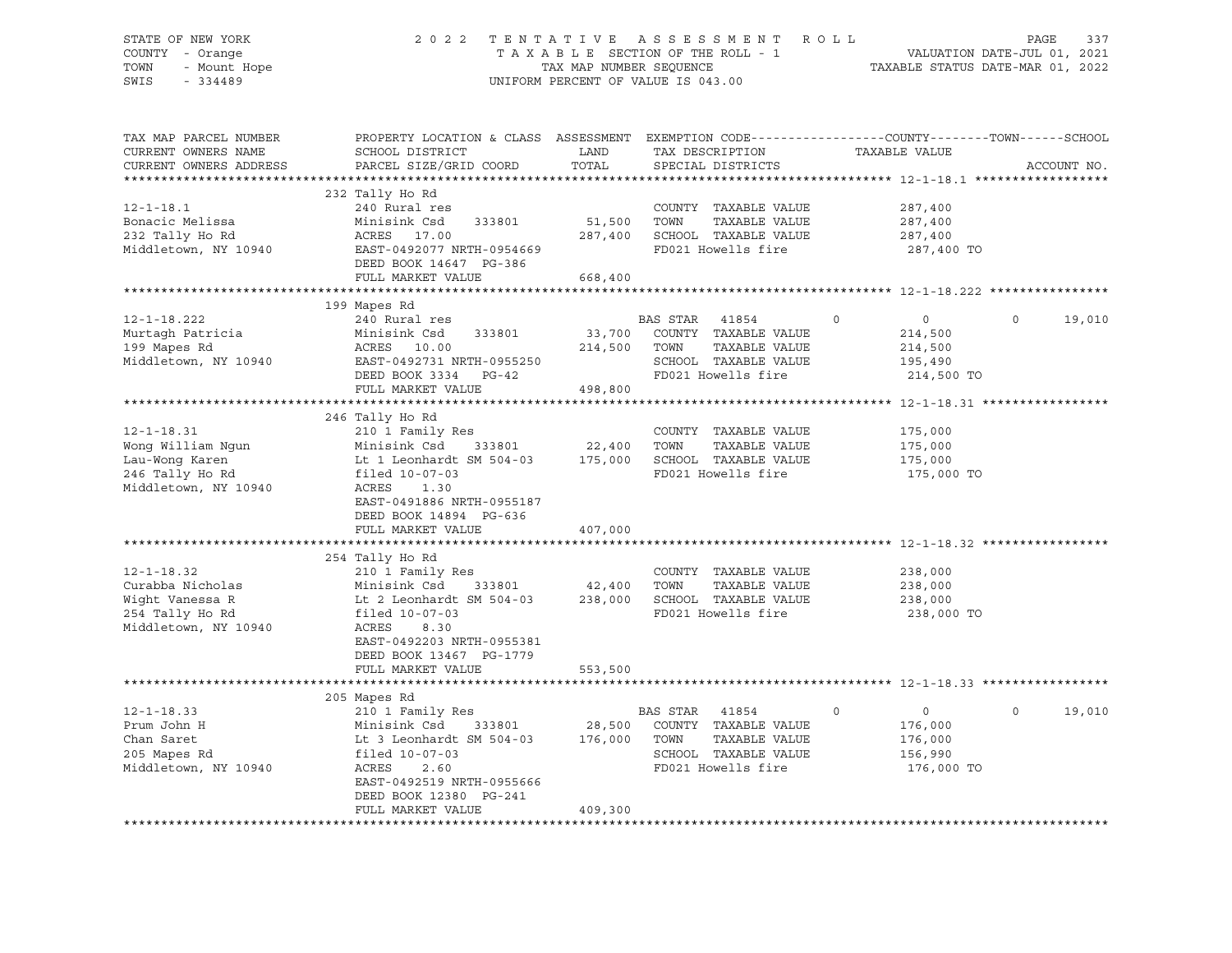| STATE OF NEW YORK<br>COUNTY - Orange<br>TOWN<br>- Mount Hope           |                                                                                                                                              | TAX MAP NUMBER SEQUENCE | 2022 TENTATIVE ASSESSMENT ROLL<br>TAXABLE SECTION OF THE ROLL - 1 | VALUATION DATE-JUL 01, 2021                              | PAGE<br>337<br>TAXABLE STATUS DATE-MAR 01, 2022 |
|------------------------------------------------------------------------|----------------------------------------------------------------------------------------------------------------------------------------------|-------------------------|-------------------------------------------------------------------|----------------------------------------------------------|-------------------------------------------------|
| SWIS<br>$-334489$                                                      |                                                                                                                                              |                         | UNIFORM PERCENT OF VALUE IS 043.00                                |                                                          |                                                 |
| TAX MAP PARCEL NUMBER<br>CURRENT OWNERS NAME<br>CURRENT OWNERS ADDRESS | PROPERTY LOCATION & CLASS ASSESSMENT EXEMPTION CODE---------------COUNTY-------TOWN------SCHOOL<br>SCHOOL DISTRICT<br>PARCEL SIZE/GRID COORD | LAND<br>TOTAL           | TAX DESCRIPTION<br>SPECIAL DISTRICTS                              | TAXABLE VALUE                                            | ACCOUNT NO.                                     |
|                                                                        |                                                                                                                                              |                         |                                                                   |                                                          |                                                 |
|                                                                        | 232 Tally Ho Rd                                                                                                                              |                         |                                                                   |                                                          |                                                 |
| $12 - 1 - 18.1$                                                        | 240 Rural res                                                                                                                                |                         | COUNTY TAXABLE VALUE                                              | 287,400                                                  |                                                 |
| Bonacic Melissa<br>232 Tally Ho Rd                                     | Minisink Csd<br>333801<br>ACRES 17.00                                                                                                        | 51,500                  | TOWN<br>TAXABLE VALUE<br>287,400 SCHOOL TAXABLE VALUE             | 287,400<br>287,400                                       |                                                 |
| Middletown, NY 10940                                                   | EAST-0492077 NRTH-0954669                                                                                                                    |                         | FD021 Howells fire                                                | 287,400 TO                                               |                                                 |
|                                                                        | DEED BOOK 14647 PG-386                                                                                                                       |                         |                                                                   |                                                          |                                                 |
|                                                                        | FULL MARKET VALUE                                                                                                                            | 668,400                 |                                                                   |                                                          |                                                 |
|                                                                        |                                                                                                                                              |                         |                                                                   |                                                          |                                                 |
|                                                                        | 199 Mapes Rd                                                                                                                                 |                         |                                                                   |                                                          |                                                 |
| $12 - 1 - 18.222$                                                      | 240 Rural res                                                                                                                                |                         | BAS STAR<br>41854                                                 | $\overline{0}$<br>$\Omega$                               | $\Omega$<br>19,010                              |
| Murtagh Patricia                                                       | Minisink Csd<br>333801                                                                                                                       | 33,700                  | COUNTY TAXABLE VALUE                                              | 214,500                                                  |                                                 |
| 199 Mapes Rd                                                           | ACRES 10.00                                                                                                                                  |                         | 214,500 TOWN<br>TAXABLE VALUE                                     | 214,500                                                  |                                                 |
| Middletown, NY 10940                                                   | EAST-0492731 NRTH-0955250                                                                                                                    |                         | SCHOOL TAXABLE VALUE                                              | 195,490                                                  |                                                 |
|                                                                        | DEED BOOK 3334 PG-42<br>FULL MARKET VALUE                                                                                                    |                         | FD021 Howells fire                                                | 214,500 TO                                               |                                                 |
|                                                                        |                                                                                                                                              | 498,800                 |                                                                   |                                                          |                                                 |
|                                                                        | 246 Tally Ho Rd                                                                                                                              |                         |                                                                   |                                                          |                                                 |
| $12 - 1 - 18.31$                                                       | 210 1 Family Res                                                                                                                             |                         | COUNTY TAXABLE VALUE                                              | 175,000                                                  |                                                 |
| Wong William Ngun                                                      | Minisink Csd<br>333801                                                                                                                       | 22,400                  | TAXABLE VALUE<br>TOWN                                             | 175,000                                                  |                                                 |
| Lau-Wong Karen                                                         | Lt 1 Leonhardt SM 504-03                                                                                                                     |                         | 175,000 SCHOOL TAXABLE VALUE                                      | 175,000                                                  |                                                 |
| 246 Tally Ho Rd                                                        | filed 10-07-03                                                                                                                               |                         | FD021 Howells fire                                                | 175,000 TO                                               |                                                 |
| Middletown, NY 10940                                                   | ACRES 1.30                                                                                                                                   |                         |                                                                   |                                                          |                                                 |
|                                                                        | EAST-0491886 NRTH-0955187                                                                                                                    |                         |                                                                   |                                                          |                                                 |
|                                                                        | DEED BOOK 14894 PG-636                                                                                                                       |                         |                                                                   |                                                          |                                                 |
|                                                                        | FULL MARKET VALUE                                                                                                                            | 407,000                 |                                                                   |                                                          |                                                 |
|                                                                        |                                                                                                                                              |                         |                                                                   |                                                          |                                                 |
|                                                                        | 254 Tally Ho Rd                                                                                                                              |                         |                                                                   |                                                          |                                                 |
| $12 - 1 - 18.32$<br>Curabba Nicholas                                   | 210 1 Family Res<br>Minisink Csd<br>333801                                                                                                   | 42,400                  | COUNTY TAXABLE VALUE<br>TOWN<br>TAXABLE VALUE                     | 238,000<br>238,000                                       |                                                 |
| Wight Vanessa R                                                        | Lt 2 Leonhardt SM 504-03                                                                                                                     |                         | 238,000 SCHOOL TAXABLE VALUE                                      | 238,000                                                  |                                                 |
| 254 Tally Ho Rd                                                        | filed 10-07-03                                                                                                                               |                         | FD021 Howells fire                                                | 238,000 TO                                               |                                                 |
| Middletown, NY 10940                                                   | ACRES<br>8.30                                                                                                                                |                         |                                                                   |                                                          |                                                 |
|                                                                        | EAST-0492203 NRTH-0955381                                                                                                                    |                         |                                                                   |                                                          |                                                 |
|                                                                        | DEED BOOK 13467 PG-1779                                                                                                                      |                         |                                                                   |                                                          |                                                 |
|                                                                        | FULL MARKET VALUE                                                                                                                            | 553,500                 |                                                                   |                                                          |                                                 |
|                                                                        |                                                                                                                                              | ************            |                                                                   | **************************** 12-1-18.33 **************** |                                                 |
|                                                                        | 205 Mapes Rd                                                                                                                                 |                         |                                                                   |                                                          |                                                 |
| $12 - 1 - 18.33$                                                       | 210 1 Family Res                                                                                                                             |                         | BAS STAR 41854                                                    | $\overline{0}$<br>$\circ$                                | $\circ$<br>19,010                               |
| Prum John H                                                            | Minisink Csd 333801                                                                                                                          | 28,500                  | COUNTY TAXABLE VALUE                                              | 176,000                                                  |                                                 |
| Chan Saret                                                             | Lt 3 Leonhardt SM 504-03                                                                                                                     | 176,000                 | TOWN<br>TAXABLE VALUE                                             | 176,000                                                  |                                                 |
| 205 Mapes Rd                                                           | filed 10-07-03                                                                                                                               |                         | SCHOOL TAXABLE VALUE<br>FD021 Howells fire                        | 156,990                                                  |                                                 |
| Middletown, NY 10940                                                   | ACRES<br>2.60<br>EAST-0492519 NRTH-0955666                                                                                                   |                         |                                                                   | 176,000 TO                                               |                                                 |
|                                                                        | DEED BOOK 12380 PG-241                                                                                                                       |                         |                                                                   |                                                          |                                                 |
|                                                                        | FULL MARKET VALUE                                                                                                                            | 409,300                 |                                                                   |                                                          |                                                 |
|                                                                        |                                                                                                                                              |                         |                                                                   |                                                          |                                                 |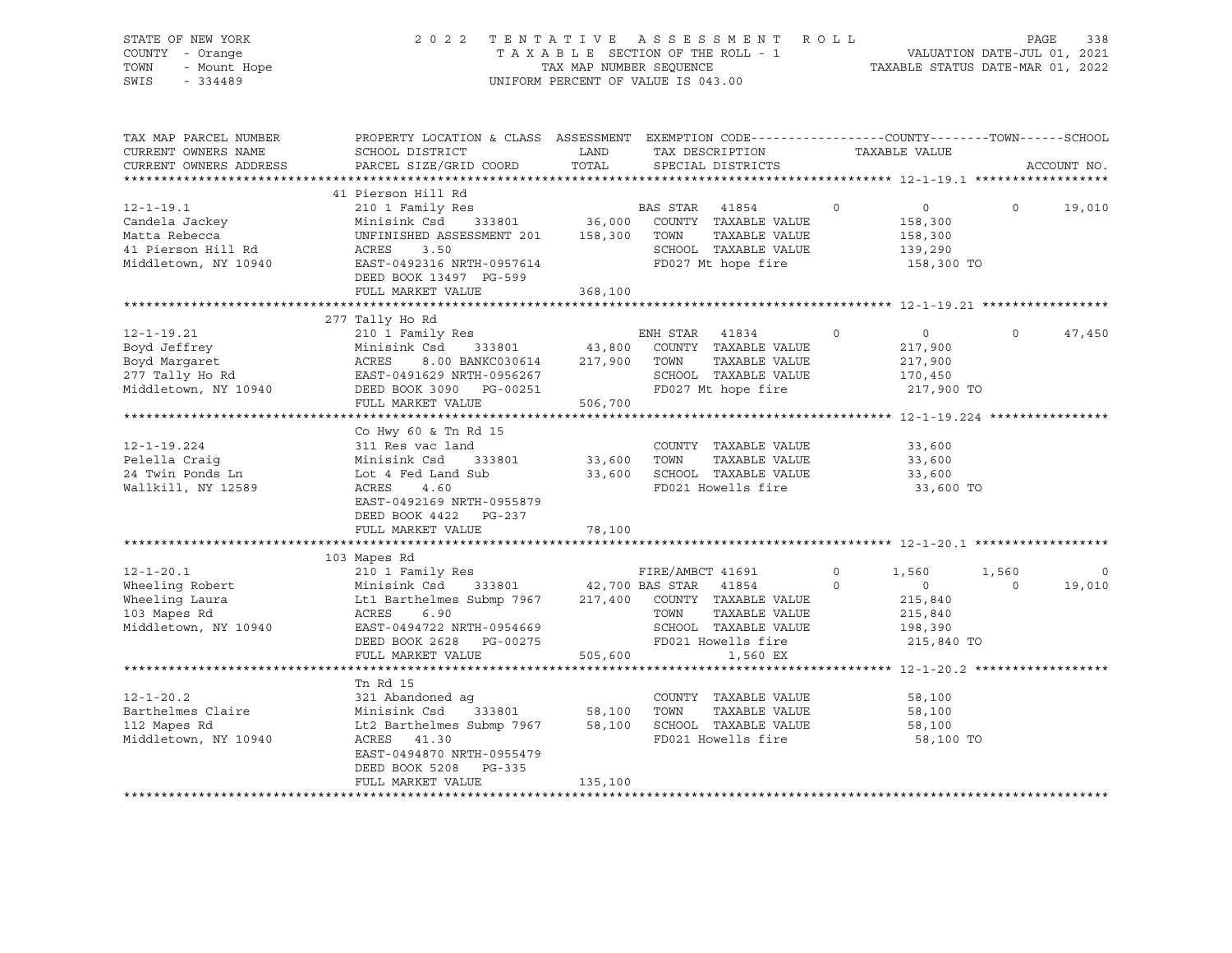| STATE OF NEW YORK<br>COUNTY - Orange<br>TOWN<br>- Mount Hope<br>$-334489$<br>SWIS                | TENTATIVE ASSESSMENT ROLL<br>2 0 2 2<br>PAGE<br>338<br>T A X A B L E SECTION OF THE ROLL - 1<br>T A X A B L E SECTION OF THE ROLL - 1<br>TAXABLE STATUS DATE-MAR 01, 2022<br>UNIFORM PERCENT OF VALUE IS 043.00 |                             |                                                                                                |                           |                        |                                                                        |                  |                   |
|--------------------------------------------------------------------------------------------------|-----------------------------------------------------------------------------------------------------------------------------------------------------------------------------------------------------------------|-----------------------------|------------------------------------------------------------------------------------------------|---------------------------|------------------------|------------------------------------------------------------------------|------------------|-------------------|
| TAX MAP PARCEL NUMBER<br>CURRENT OWNERS NAME<br>CURRENT OWNERS ADDRESS                           | PROPERTY LOCATION & CLASS ASSESSMENT EXEMPTION CODE----------------COUNTY-------TOWN-----SCHOOL<br>SCHOOL DISTRICT<br>PARCEL SIZE/GRID COORD                                                                    | LAND<br>TOTAL               | TAX DESCRIPTION<br>SPECIAL DISTRICTS                                                           |                           |                        | TAXABLE VALUE                                                          |                  | ACCOUNT NO.       |
|                                                                                                  |                                                                                                                                                                                                                 |                             |                                                                                                |                           |                        |                                                                        |                  |                   |
| $12 - 1 - 19.1$<br>Candela Jackey<br>Matta Rebecca<br>41 Pierson Hill Rd<br>Middletown, NY 10940 | 41 Pierson Hill Rd<br>210 1 Family Res<br>Minisink Csd 333801<br>UNFINISHED ASSESSMENT 201 158,300<br>ACRES<br>3.50<br>EAST-0492316 NRTH-0957614<br>DEED BOOK 13497 PG-599                                      | 36,000                      | BAS STAR 41854<br>COUNTY TAXABLE VALUE<br>TOWN<br>SCHOOL TAXABLE VALUE<br>FD027 Mt hope fire   | TAXABLE VALUE             | $\circ$                | $\overline{0}$<br>158,300<br>158,300<br>139,290<br>158,300 TO          | 0                | 19,010            |
|                                                                                                  | FULL MARKET VALUE                                                                                                                                                                                               | 368,100                     |                                                                                                |                           |                        |                                                                        |                  |                   |
|                                                                                                  |                                                                                                                                                                                                                 |                             |                                                                                                |                           |                        |                                                                        |                  |                   |
| $12 - 1 - 19.21$<br>Boyd Jeffrey<br>Boyd Margaret<br>277 Tally Ho Rd                             | 277 Tally Ho Rd<br>210 1 Family Res<br>Minisink Csd 333801<br>Minisi:<br>ACRES<br>8.00 BANKC030614 217,900                                                                                                      | 43,800                      | ENH STAR 41834<br>COUNTY TAXABLE VALUE<br>TOWN                                                 | TAXABLE VALUE             | $\circ$                | $\overline{0}$<br>217,900<br>217,900                                   | $\Omega$         | 47,450            |
|                                                                                                  | EAST-0491629 NRTH-0956267                                                                                                                                                                                       |                             | SCHOOL TAXABLE VALUE                                                                           |                           |                        | 170,450                                                                |                  |                   |
| Middletown, NY 10940                                                                             | DEED BOOK 3090 PG-00251                                                                                                                                                                                         |                             | FD027 Mt hope fire                                                                             |                           |                        | 217,900 TO                                                             |                  |                   |
|                                                                                                  | FULL MARKET VALUE                                                                                                                                                                                               | 506,700                     |                                                                                                |                           |                        |                                                                        |                  |                   |
|                                                                                                  | Co Hwy 60 & Tn Rd 15                                                                                                                                                                                            |                             |                                                                                                |                           |                        |                                                                        |                  |                   |
| $12 - 1 - 19.224$<br>Pelella Craiq<br>24 Twin Ponds Ln<br>Wallkill, NY 12589                     | 311 Res vac land<br>Minisink Csd<br>333801<br>Lot 4 Fed Land Sub<br>ACRES<br>4.60<br>EAST-0492169 NRTH-0955879                                                                                                  | 33,600<br>33,600            | COUNTY TAXABLE VALUE<br>TOWN<br>SCHOOL TAXABLE VALUE<br>FD021 Howells fire                     | TAXABLE VALUE             |                        | 33,600<br>33,600<br>33,600<br>33,600 TO                                |                  |                   |
|                                                                                                  | DEED BOOK 4422 PG-237<br>FULL MARKET VALUE                                                                                                                                                                      | 78,100                      |                                                                                                |                           |                        |                                                                        |                  |                   |
|                                                                                                  |                                                                                                                                                                                                                 |                             | ******************************* 12-1-20.1 **********                                           |                           |                        |                                                                        |                  |                   |
|                                                                                                  | 103 Mapes Rd                                                                                                                                                                                                    |                             |                                                                                                |                           |                        |                                                                        |                  |                   |
| $12 - 1 - 20.1$<br>Wheeling Robert<br>Wheeling Laura<br>103 Mapes Rd<br>Middletown, NY 10940     | 210 1 Family Res<br>Minisink Csd 333801 42,700 BAS STAR 41854<br>Lt1 Barthelmes Submp 7967 217,400<br>ACRES<br>6.90<br>EAST-0494722 NRTH-0954669<br>DEED BOOK 2628 PG-00275<br>FULL MARKET VALUE                | 505,600                     | FIRE/AMBCT 41691<br>COUNTY TAXABLE VALUE<br>TOWN<br>SCHOOL TAXABLE VALUE<br>FD021 Howells fire | TAXABLE VALUE<br>1,560 EX | $\circ$<br>$\mathbf 0$ | 1,560<br>$\overline{0}$<br>215,840<br>215,840<br>198,390<br>215,840 TO | 1,560<br>$\circ$ | $\circ$<br>19,010 |
|                                                                                                  |                                                                                                                                                                                                                 |                             |                                                                                                |                           |                        |                                                                        |                  |                   |
| $12 - 1 - 20.2$<br>Barthelmes Claire<br>112 Mapes Rd<br>Middletown, NY 10940                     | Tn Rd 15<br>321 Abandoned ag<br>Minisink Csd<br>333801<br>Lt2 Barthelmes Submp 7967<br>ACRES 41.30<br>EAST-0494870 NRTH-0955479<br>DEED BOOK 5208 PG-335<br>FULL MARKET VALUE                                   | 58,100<br>58,100<br>135,100 | COUNTY TAXABLE VALUE<br>TOWN<br>SCHOOL TAXABLE VALUE<br>FD021 Howells fire                     | TAXABLE VALUE             |                        | 58,100<br>58,100<br>58,100<br>58,100 TO                                |                  |                   |
|                                                                                                  |                                                                                                                                                                                                                 |                             |                                                                                                |                           |                        |                                                                        |                  |                   |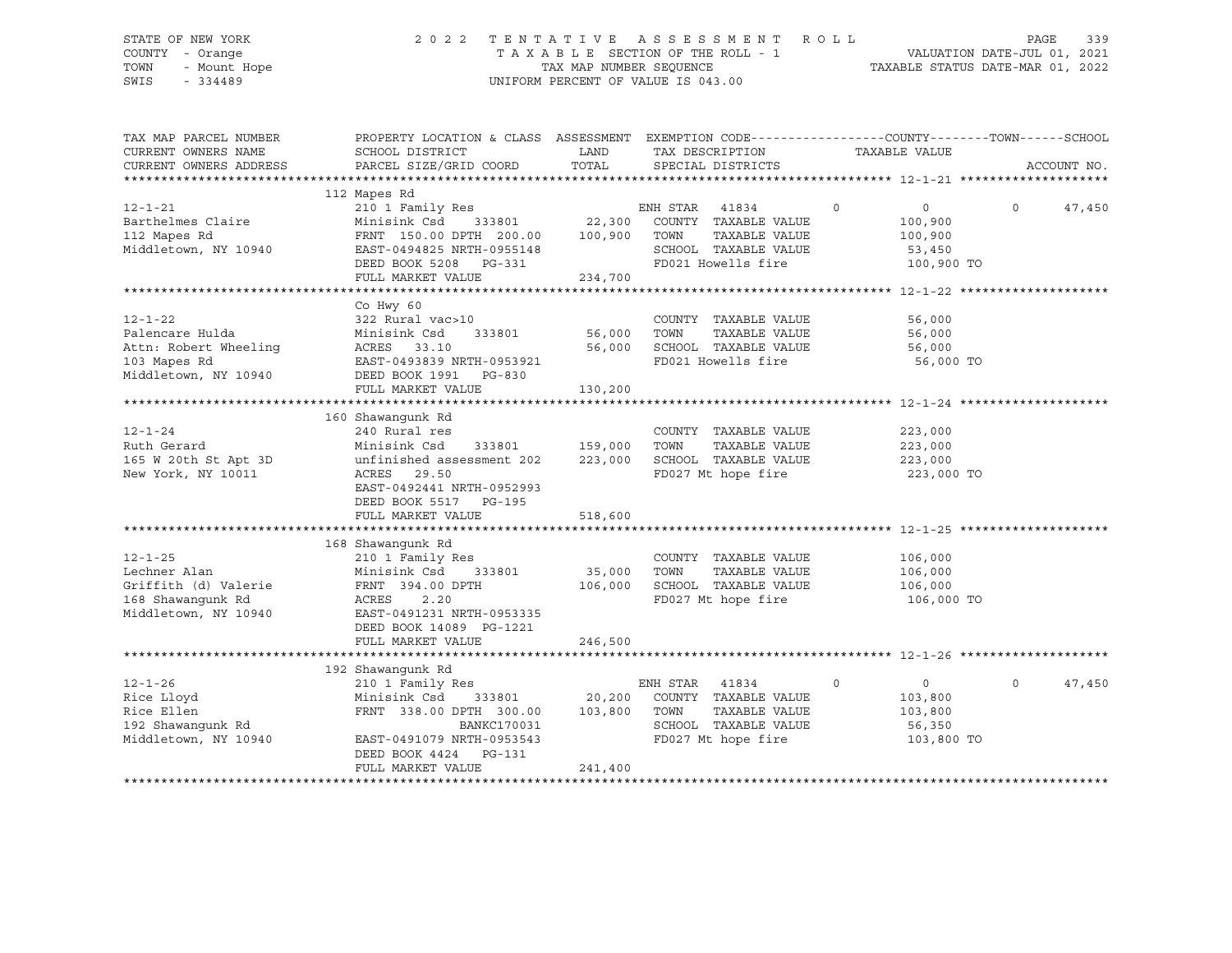# STATE OF NEW YORK 2 0 2 2 T E N T A T I V E A S S E S S M E N T R O L L PAGE 339 COUNTY - Orange T A X A B L E SECTION OF THE ROLL - 1 VALUATION DATE-JUL 01, 2021 TOWN - Mount Hope TAX MAP NUMBER SEQUENCE TAXABLE STATUS DATE-MAR 01, 2022 SWIS - 334489 UNIFORM PERCENT OF VALUE IS 043.00

| CURRENT OWNERS NAME<br>SCHOOL DISTRICT<br>LAND<br>TAX DESCRIPTION<br>TAXABLE VALUE<br>TOTAL<br>CURRENT OWNERS ADDRESS<br>PARCEL SIZE/GRID COORD<br>ACCOUNT NO.<br>SPECIAL DISTRICTS<br>112 Mapes Rd<br>210 1 Family Res<br>210 1 Family Res<br>22,300 COUNTY TAXABLE VALUE<br>$\sim$ 0<br>$\overline{0}$<br>$12 - 1 - 21$<br>$\overline{0}$<br>47,450<br>Barthelmes Claire<br>100,900<br>FRNT 150.00 DPTH 200.00 100,900 TOWN<br>112 Mapes Rd<br>TAXABLE VALUE<br>100,900<br>Middletown, NY 10940<br>SCHOOL TAXABLE VALUE<br>EAST-0494825 NRTH-0955148<br>53,450<br>FD021 Howells fire 100,900 TO<br>DEED BOOK 5208 PG-331<br>FULL MARKET VALUE 234,700<br>Co Hwy 60<br>$12 - 1 - 22$<br>322 Rural vac>10<br>COUNTY TAXABLE VALUE<br>56,000<br>333801 56,000<br>Palencare Hulda<br>TOWN<br>TAXABLE VALUE<br>56,000<br>Minisink Csd 333801<br>ACRES 33.10<br>EAST-0493839 NRTH-0953921<br>Attn: Robert Wheeling<br>103 Mapes Rd<br>56,000<br>SCHOOL TAXABLE VALUE<br>56,000<br>FD021 Howells fire 56,000 TO<br>Middletown, NY 10940 DEED BOOK 1991 PG-830<br>FULL MARKET VALUE<br>130,200 |
|------------------------------------------------------------------------------------------------------------------------------------------------------------------------------------------------------------------------------------------------------------------------------------------------------------------------------------------------------------------------------------------------------------------------------------------------------------------------------------------------------------------------------------------------------------------------------------------------------------------------------------------------------------------------------------------------------------------------------------------------------------------------------------------------------------------------------------------------------------------------------------------------------------------------------------------------------------------------------------------------------------------------------------------------------------------------------------------|
|                                                                                                                                                                                                                                                                                                                                                                                                                                                                                                                                                                                                                                                                                                                                                                                                                                                                                                                                                                                                                                                                                          |
|                                                                                                                                                                                                                                                                                                                                                                                                                                                                                                                                                                                                                                                                                                                                                                                                                                                                                                                                                                                                                                                                                          |
|                                                                                                                                                                                                                                                                                                                                                                                                                                                                                                                                                                                                                                                                                                                                                                                                                                                                                                                                                                                                                                                                                          |
|                                                                                                                                                                                                                                                                                                                                                                                                                                                                                                                                                                                                                                                                                                                                                                                                                                                                                                                                                                                                                                                                                          |
|                                                                                                                                                                                                                                                                                                                                                                                                                                                                                                                                                                                                                                                                                                                                                                                                                                                                                                                                                                                                                                                                                          |
|                                                                                                                                                                                                                                                                                                                                                                                                                                                                                                                                                                                                                                                                                                                                                                                                                                                                                                                                                                                                                                                                                          |
|                                                                                                                                                                                                                                                                                                                                                                                                                                                                                                                                                                                                                                                                                                                                                                                                                                                                                                                                                                                                                                                                                          |
|                                                                                                                                                                                                                                                                                                                                                                                                                                                                                                                                                                                                                                                                                                                                                                                                                                                                                                                                                                                                                                                                                          |
|                                                                                                                                                                                                                                                                                                                                                                                                                                                                                                                                                                                                                                                                                                                                                                                                                                                                                                                                                                                                                                                                                          |
|                                                                                                                                                                                                                                                                                                                                                                                                                                                                                                                                                                                                                                                                                                                                                                                                                                                                                                                                                                                                                                                                                          |
|                                                                                                                                                                                                                                                                                                                                                                                                                                                                                                                                                                                                                                                                                                                                                                                                                                                                                                                                                                                                                                                                                          |
|                                                                                                                                                                                                                                                                                                                                                                                                                                                                                                                                                                                                                                                                                                                                                                                                                                                                                                                                                                                                                                                                                          |
|                                                                                                                                                                                                                                                                                                                                                                                                                                                                                                                                                                                                                                                                                                                                                                                                                                                                                                                                                                                                                                                                                          |
|                                                                                                                                                                                                                                                                                                                                                                                                                                                                                                                                                                                                                                                                                                                                                                                                                                                                                                                                                                                                                                                                                          |
|                                                                                                                                                                                                                                                                                                                                                                                                                                                                                                                                                                                                                                                                                                                                                                                                                                                                                                                                                                                                                                                                                          |
|                                                                                                                                                                                                                                                                                                                                                                                                                                                                                                                                                                                                                                                                                                                                                                                                                                                                                                                                                                                                                                                                                          |
|                                                                                                                                                                                                                                                                                                                                                                                                                                                                                                                                                                                                                                                                                                                                                                                                                                                                                                                                                                                                                                                                                          |
|                                                                                                                                                                                                                                                                                                                                                                                                                                                                                                                                                                                                                                                                                                                                                                                                                                                                                                                                                                                                                                                                                          |
|                                                                                                                                                                                                                                                                                                                                                                                                                                                                                                                                                                                                                                                                                                                                                                                                                                                                                                                                                                                                                                                                                          |
| 160 Shawanqunk Rd                                                                                                                                                                                                                                                                                                                                                                                                                                                                                                                                                                                                                                                                                                                                                                                                                                                                                                                                                                                                                                                                        |
| $12 - 1 - 24$<br>240 Rural res<br>COUNTY TAXABLE VALUE<br>223,000                                                                                                                                                                                                                                                                                                                                                                                                                                                                                                                                                                                                                                                                                                                                                                                                                                                                                                                                                                                                                        |
| 333801 159,000 TOWN<br>Minisink Csd<br>TAXABLE VALUE<br>Ruth Gerard<br>223,000                                                                                                                                                                                                                                                                                                                                                                                                                                                                                                                                                                                                                                                                                                                                                                                                                                                                                                                                                                                                           |
| 223,000<br>165 W 20th St Apt 3D<br>223,000 SCHOOL TAXABLE VALUE<br>unfinished assessment 202                                                                                                                                                                                                                                                                                                                                                                                                                                                                                                                                                                                                                                                                                                                                                                                                                                                                                                                                                                                             |
| FD027 Mt hope fire 223,000 TO<br>New York, NY 10011<br>ACRES 29.50                                                                                                                                                                                                                                                                                                                                                                                                                                                                                                                                                                                                                                                                                                                                                                                                                                                                                                                                                                                                                       |
| EAST-0492441 NRTH-0952993                                                                                                                                                                                                                                                                                                                                                                                                                                                                                                                                                                                                                                                                                                                                                                                                                                                                                                                                                                                                                                                                |
| DEED BOOK 5517 PG-195                                                                                                                                                                                                                                                                                                                                                                                                                                                                                                                                                                                                                                                                                                                                                                                                                                                                                                                                                                                                                                                                    |
| 518,600<br>FULL MARKET VALUE                                                                                                                                                                                                                                                                                                                                                                                                                                                                                                                                                                                                                                                                                                                                                                                                                                                                                                                                                                                                                                                             |
|                                                                                                                                                                                                                                                                                                                                                                                                                                                                                                                                                                                                                                                                                                                                                                                                                                                                                                                                                                                                                                                                                          |
| 168 Shawanqunk Rd                                                                                                                                                                                                                                                                                                                                                                                                                                                                                                                                                                                                                                                                                                                                                                                                                                                                                                                                                                                                                                                                        |
| 210 1 Family Res<br>106,000<br>$12 - 1 - 25$<br>COUNTY TAXABLE VALUE                                                                                                                                                                                                                                                                                                                                                                                                                                                                                                                                                                                                                                                                                                                                                                                                                                                                                                                                                                                                                     |
| Lechner Alan<br>Minisink Csd 333801 35,000 TOWN<br>TAXABLE VALUE<br>106,000                                                                                                                                                                                                                                                                                                                                                                                                                                                                                                                                                                                                                                                                                                                                                                                                                                                                                                                                                                                                              |
| 106,000 SCHOOL TAXABLE VALUE<br>Griffith (d) Valerie<br>FRNT 394.00 DPTH<br>106,000                                                                                                                                                                                                                                                                                                                                                                                                                                                                                                                                                                                                                                                                                                                                                                                                                                                                                                                                                                                                      |
| FD027 Mt hope fire<br>168 Shawanqunk Rd<br>ACRES 2.20<br>106,000 TO                                                                                                                                                                                                                                                                                                                                                                                                                                                                                                                                                                                                                                                                                                                                                                                                                                                                                                                                                                                                                      |
| Middletown, NY 10940<br>EAST-0491231 NRTH-0953335                                                                                                                                                                                                                                                                                                                                                                                                                                                                                                                                                                                                                                                                                                                                                                                                                                                                                                                                                                                                                                        |
| DEED BOOK 14089 PG-1221                                                                                                                                                                                                                                                                                                                                                                                                                                                                                                                                                                                                                                                                                                                                                                                                                                                                                                                                                                                                                                                                  |
| 246,500<br>FULL MARKET VALUE                                                                                                                                                                                                                                                                                                                                                                                                                                                                                                                                                                                                                                                                                                                                                                                                                                                                                                                                                                                                                                                             |
|                                                                                                                                                                                                                                                                                                                                                                                                                                                                                                                                                                                                                                                                                                                                                                                                                                                                                                                                                                                                                                                                                          |
| 192 Shawanqunk Rd                                                                                                                                                                                                                                                                                                                                                                                                                                                                                                                                                                                                                                                                                                                                                                                                                                                                                                                                                                                                                                                                        |
| $12 - 1 - 26$<br>$\overline{0}$<br>47,450<br>210 1 Family Res<br>ENH STAR 41834<br>$\overline{0}$<br>$\Omega$                                                                                                                                                                                                                                                                                                                                                                                                                                                                                                                                                                                                                                                                                                                                                                                                                                                                                                                                                                            |
| Minisink Csd 333801 20,200 COUNTY TAXABLE VALUE<br>Rice Lloyd<br>103,800                                                                                                                                                                                                                                                                                                                                                                                                                                                                                                                                                                                                                                                                                                                                                                                                                                                                                                                                                                                                                 |
| FRNT 338.00 DPTH 300.00 103,800 TOWN<br>TAXABLE VALUE<br>103,800                                                                                                                                                                                                                                                                                                                                                                                                                                                                                                                                                                                                                                                                                                                                                                                                                                                                                                                                                                                                                         |
| Rice Ellen<br>192 Shawangunk Rd<br>SCHOOL TAXABLE VALUE<br>BANKC170031<br>56,350                                                                                                                                                                                                                                                                                                                                                                                                                                                                                                                                                                                                                                                                                                                                                                                                                                                                                                                                                                                                         |
| FD027 Mt hope fire<br>Middletown, NY 10940<br>EAST-0491079 NRTH-0953543<br>103,800 TO                                                                                                                                                                                                                                                                                                                                                                                                                                                                                                                                                                                                                                                                                                                                                                                                                                                                                                                                                                                                    |
| DEED BOOK 4424 PG-131                                                                                                                                                                                                                                                                                                                                                                                                                                                                                                                                                                                                                                                                                                                                                                                                                                                                                                                                                                                                                                                                    |
| 241,400<br>FULL MARKET VALUE                                                                                                                                                                                                                                                                                                                                                                                                                                                                                                                                                                                                                                                                                                                                                                                                                                                                                                                                                                                                                                                             |
|                                                                                                                                                                                                                                                                                                                                                                                                                                                                                                                                                                                                                                                                                                                                                                                                                                                                                                                                                                                                                                                                                          |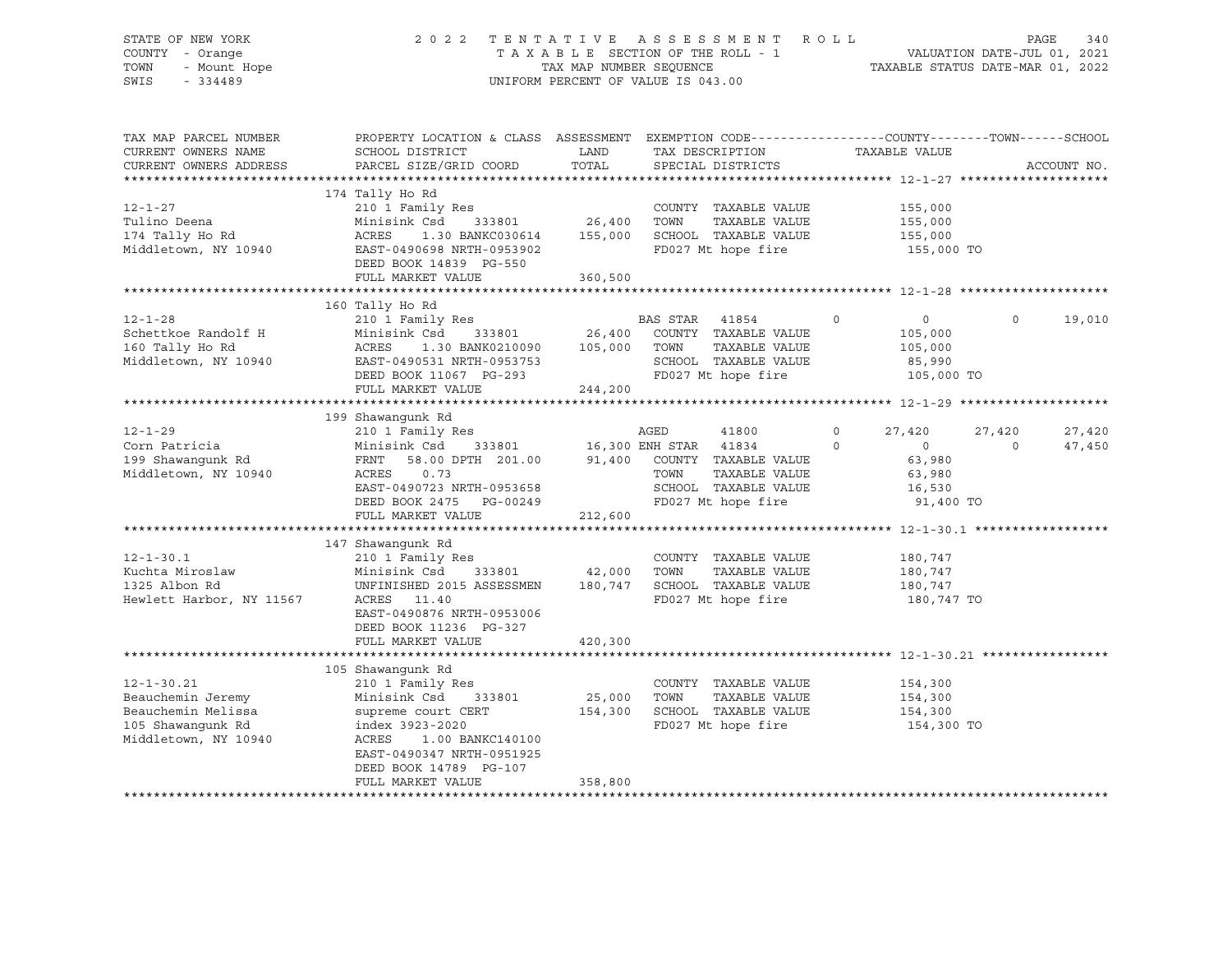### STATE OF NEW YORK 2 0 2 2 T E N T A T I V E A S S E S S M E N T R O L L PAGE 340 COUNTY - Orange T A X A B L E SECTION OF THE ROLL - 1 VALUATION DATE-JUL 01, 2021 TOWN - Mount Hope TAX NAP NUMBER SEQUENCE TAXABLE STATUS DATE-MAR 01, 2022<br>TAXABLE STATUS DATE-MAR 01, 2022 UNIFORM PERCENT OF VALUE IS 043.00

TAX MAP PARCEL NUMBER PROPERTY LOCATION & CLASS ASSESSMENT EXEMPTION CODE------------------COUNTY--------TOWN------SCHOOL CURRENT OWNERS NAME SCHOOL DISTRICT A LAND TAX DESCRIPTION TAXABLE VALUE CURRENT OWNERS ADDRESS PARCEL SIZE/GRID COORD TOTAL SPECIAL DISTRICTS ACCOUNT NO. \*\*\*\*\*\*\*\*\*\*\*\*\*\*\*\*\*\*\*\*\*\*\*\*\*\*\*\*\*\*\*\*\*\*\*\*\*\*\*\*\*\*\*\*\*\*\*\*\*\*\*\*\*\*\*\*\*\*\*\*\*\*\*\*\*\*\*\*\*\*\*\*\*\*\*\*\*\*\*\*\*\*\*\*\*\*\*\*\*\*\*\*\*\*\*\*\*\*\*\*\*\*\* 12-1-27 \*\*\*\*\*\*\*\*\*\*\*\*\*\*\*\*\*\*\*\* 174 Tally Ho Rd 12-1-27 210 1 Family Res COUNTY TAXABLE VALUE 155,000 Tulino Deena Minisink Csd 333801 26,400 TOWN TAXABLE VALUE 155,000 174 Tally Ho Rd ACRES 1.30 BANKC030614 155,000 SCHOOL TAXABLE VALUE 155,000 Middletown, NY 10940 EAST-0490698 NRTH-0953902 FD027 Mt hope fire 155,000 TO DEED BOOK 14839 PG-550 FULL MARKET VALUE 360,500 \*\*\*\*\*\*\*\*\*\*\*\*\*\*\*\*\*\*\*\*\*\*\*\*\*\*\*\*\*\*\*\*\*\*\*\*\*\*\*\*\*\*\*\*\*\*\*\*\*\*\*\*\*\*\*\*\*\*\*\*\*\*\*\*\*\*\*\*\*\*\*\*\*\*\*\*\*\*\*\*\*\*\*\*\*\*\*\*\*\*\*\*\*\*\*\*\*\*\*\*\*\*\* 12-1-28 \*\*\*\*\*\*\*\*\*\*\*\*\*\*\*\*\*\*\*\* 160 Tally Ho Rd 12-1-28 210 1 Family Res BAS STAR 41854 0 0 0 19,010 Schettkoe Randolf H Minisink Csd 333801 26,400 COUNTY TAXABLE VALUE 105,000 160 Tally Ho Rd ACRES 1.30 BANK0210090 105,000 TOWN TAXABLE VALUE 105,000 Middletown, NY 10940 EAST-0490531 NRTH-0953753 SCHOOL TAXABLE VALUE 85,990 DEED BOOK 11067 PG-293 FD027 Mt hope fire 105,000 TO EAST-0490531 NKIH VIII<br>DEED BOOK 11067 PG-293 244,200<br>FULL MARKET VALUE 244,200 \*\*\*\*\*\*\*\*\*\*\*\*\*\*\*\*\*\*\*\*\*\*\*\*\*\*\*\*\*\*\*\*\*\*\*\*\*\*\*\*\*\*\*\*\*\*\*\*\*\*\*\*\*\*\*\*\*\*\*\*\*\*\*\*\*\*\*\*\*\*\*\*\*\*\*\*\*\*\*\*\*\*\*\*\*\*\*\*\*\*\*\*\*\*\*\*\*\*\*\*\*\*\* 12-1-29 \*\*\*\*\*\*\*\*\*\*\*\*\*\*\*\*\*\*\*\* 199 Shawangunk Rd 12-1-29 210 1 Family Res AGED 41800 0 27,420 27,420 27,420 Corn Patricia Minisink Csd 333801 16,300 ENH STAR 41834 0 0 0 47,450 199 Shawangunk Rd FRNT 58.00 DPTH 201.00 91,400 COUNTY TAXABLE VALUE 63,980 Middletown, NY 10940 <br>EAST-0490723 NRTH-0953658 SCHOOL TAXABLE VALUE 16,530 EAST-0490723 NRTH-0953658 SCHOOL TAXABLE VALUE 16,530 DEED BOOK 2475 PG-00249 FD027 Mt hope fire 91,400 TO FULL MARKET VALUE 212,600 \*\*\*\*\*\*\*\*\*\*\*\*\*\*\*\*\*\*\*\*\*\*\*\*\*\*\*\*\*\*\*\*\*\*\*\*\*\*\*\*\*\*\*\*\*\*\*\*\*\*\*\*\*\*\*\*\*\*\*\*\*\*\*\*\*\*\*\*\*\*\*\*\*\*\*\*\*\*\*\*\*\*\*\*\*\*\*\*\*\*\*\*\*\*\*\*\*\*\*\*\*\*\* 12-1-30.1 \*\*\*\*\*\*\*\*\*\*\*\*\*\*\*\*\*\* 147 Shawangunk Rd 12-1-30.1 210 1 Family Res COUNTY TAXABLE VALUE 180,747 Kuchta Miroslaw Minisink Csd 333801 42,000 TOWN TAXABLE VALUE 180,747 1325 Albon Rd UNFINISHED 2015 ASSESSMEN 180,747 SCHOOL TAXABLE VALUE 180,747 Hewlett Harbor, NY 11567 ACRES 11.40 FD027 Mt hope fire 180,747 TO EAST-0490876 NRTH-0953006 DEED BOOK 11236 PG-327 FULL MARKET VALUE 420,300 \*\*\*\*\*\*\*\*\*\*\*\*\*\*\*\*\*\*\*\*\*\*\*\*\*\*\*\*\*\*\*\*\*\*\*\*\*\*\*\*\*\*\*\*\*\*\*\*\*\*\*\*\*\*\*\*\*\*\*\*\*\*\*\*\*\*\*\*\*\*\*\*\*\*\*\*\*\*\*\*\*\*\*\*\*\*\*\*\*\*\*\*\*\*\*\*\*\*\*\*\*\*\* 12-1-30.21 \*\*\*\*\*\*\*\*\*\*\*\*\*\*\*\*\* 105 Shawangunk Rd 12-1-30.21 210 1 Family Res COUNTY TAXABLE VALUE 154,300 Beauchemin Jeremy Minisink Csd 333801 25,000 TOWN TAXABLE VALUE 154,300 Beauchemin Melissa supreme court CERT 154,300 SCHOOL TAXABLE VALUE 154,300 105 Shawangunk Rd index 3923-2020 FD027 Mt hope fire 154,300 TO Middletown, NY 10940 ACRES 1.00 BANKC140100 EAST-0490347 NRTH-0951925 DEED BOOK 14789 PG-107 FULL MARKET VALUE 358,800 \*\*\*\*\*\*\*\*\*\*\*\*\*\*\*\*\*\*\*\*\*\*\*\*\*\*\*\*\*\*\*\*\*\*\*\*\*\*\*\*\*\*\*\*\*\*\*\*\*\*\*\*\*\*\*\*\*\*\*\*\*\*\*\*\*\*\*\*\*\*\*\*\*\*\*\*\*\*\*\*\*\*\*\*\*\*\*\*\*\*\*\*\*\*\*\*\*\*\*\*\*\*\*\*\*\*\*\*\*\*\*\*\*\*\*\*\*\*\*\*\*\*\*\*\*\*\*\*\*\*\*\*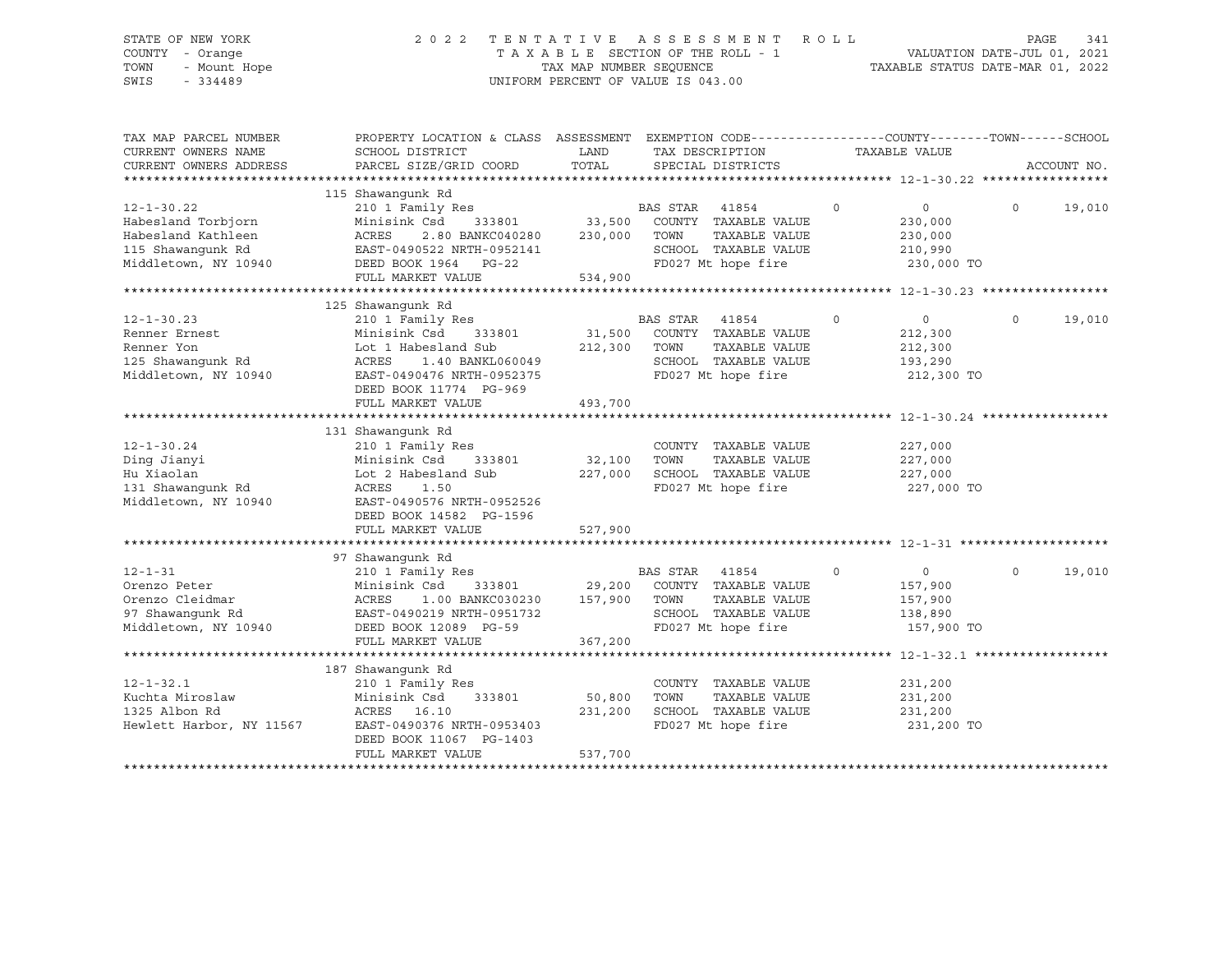# STATE OF NEW YORK 2 0 2 2 T E N T A T I V E A S S E S S M E N T R O L L PAGE 341 COUNTY - Orange T A X A B L E SECTION OF THE ROLL - 1 VALUATION DATE-JUL 01, 2021 TOWN - Mount Hope TAX MAP NUMBER SEQUENCE TAXABLE STATUS DATE-MAR 01, 2022 SWIS - 334489 UNIFORM PERCENT OF VALUE IS 043.00

| TAX MAP PARCEL NUMBER    | PROPERTY LOCATION & CLASS ASSESSMENT EXEMPTION CODE----------------COUNTY-------TOWN------SCHOOL |                       |                          |                            |                    |
|--------------------------|--------------------------------------------------------------------------------------------------|-----------------------|--------------------------|----------------------------|--------------------|
| CURRENT OWNERS NAME      | SCHOOL DISTRICT                                                                                  | LAND                  | TAX DESCRIPTION          | TAXABLE VALUE              |                    |
| CURRENT OWNERS ADDRESS   | PARCEL SIZE/GRID COORD                                                                           | TOTAL                 | SPECIAL DISTRICTS        |                            | ACCOUNT NO.        |
|                          |                                                                                                  |                       |                          |                            |                    |
|                          | 115 Shawangunk Rd                                                                                |                       |                          |                            |                    |
| $12 - 1 - 30.22$         | 210 1 Family Res                                                                                 | $3801$ B <sup>2</sup> | BAS STAR 41854           | $\Omega$<br>$\overline{0}$ | $\Omega$<br>19,010 |
| Habesland Torbjorn       | Minisink Csd<br>333801                                                                           |                       | COUNTY TAXABLE VALUE     | 230,000                    |                    |
| Habesland Kathleen       | ACRES<br>2.80 BANKC040280                                                                        | 230,000               | TOWN<br>TAXABLE VALUE    | 230,000                    |                    |
| 115 Shawanqunk Rd        | EAST-0490522 NRTH-0952141                                                                        |                       | SCHOOL TAXABLE VALUE     | 210,990                    |                    |
| Middletown, NY 10940     | DEED BOOK 1964 PG-22                                                                             |                       | FD027 Mt hope fire       | 230,000 TO                 |                    |
|                          | FULL MARKET VALUE                                                                                | 534,900               |                          |                            |                    |
|                          |                                                                                                  |                       |                          |                            |                    |
|                          | 125 Shawanqunk Rd                                                                                |                       |                          |                            |                    |
| $12 - 1 - 30.23$         | 210 1 Family Res                                                                                 |                       | <b>BAS STAR</b><br>41854 | $\circ$<br>$\overline{0}$  | $\circ$<br>19,010  |
| Renner Ernest            | Minisink Csd<br>333801                                                                           | 31,500                | COUNTY TAXABLE VALUE     | 212,300                    |                    |
| Renner Yon               | Lot 1 Habesland Sub                                                                              | 212,300               | TOWN<br>TAXABLE VALUE    | 212,300                    |                    |
| 125 Shawanqunk Rd        | ACRES<br>1.40 BANKL060049                                                                        |                       | SCHOOL TAXABLE VALUE     | 193,290                    |                    |
| Middletown, NY 10940     | EAST-0490476 NRTH-0952375                                                                        |                       | FD027 Mt hope fire       | 212,300 TO                 |                    |
|                          | DEED BOOK 11774 PG-969                                                                           |                       |                          |                            |                    |
|                          |                                                                                                  |                       |                          |                            |                    |
|                          | FULL MARKET VALUE                                                                                | 493,700               |                          |                            |                    |
|                          |                                                                                                  |                       |                          |                            |                    |
|                          | 131 Shawanqunk Rd                                                                                |                       |                          |                            |                    |
| $12 - 1 - 30.24$         | 210 1 Family Res                                                                                 |                       | COUNTY TAXABLE VALUE     | 227,000                    |                    |
| Ding Jianyi              | 333801<br>Minisink Csd                                                                           | 32,100                | TOWN<br>TAXABLE VALUE    | 227,000                    |                    |
| Hu Xiaolan               | Lot 2 Habesland Sub                                                                              | 227,000               | SCHOOL TAXABLE VALUE     | 227,000                    |                    |
| 131 Shawanqunk Rd        | ACRES<br>1.50                                                                                    |                       | FD027 Mt hope fire       | 227,000 TO                 |                    |
| Middletown, NY 10940     | EAST-0490576 NRTH-0952526                                                                        |                       |                          |                            |                    |
|                          | DEED BOOK 14582 PG-1596                                                                          |                       |                          |                            |                    |
|                          | FULL MARKET VALUE                                                                                | 527,900               |                          |                            |                    |
|                          |                                                                                                  |                       |                          |                            |                    |
|                          | 97 Shawanqunk Rd                                                                                 |                       |                          |                            |                    |
| $12 - 1 - 31$            | 210 1 Family Res                                                                                 |                       | BAS STAR<br>41854        | $\circ$<br>$\Omega$        | $\Omega$<br>19,010 |
| Orenzo Peter             | Minisink Csd<br>333801 29,200                                                                    |                       | COUNTY TAXABLE VALUE     | 157,900                    |                    |
| Orenzo Cleidmar          | ACRES<br>1.00 BANKC030230                                                                        | 157,900               | TOWN<br>TAXABLE VALUE    | 157,900                    |                    |
| 97 Shawanqunk Rd         | EAST-0490219 NRTH-0951732                                                                        |                       | SCHOOL TAXABLE VALUE     | 138,890                    |                    |
| Middletown, NY 10940     | DEED BOOK 12089 PG-59                                                                            |                       | FD027 Mt hope fire       | 157,900 TO                 |                    |
|                          | FULL MARKET VALUE                                                                                | 367,200               |                          |                            |                    |
|                          |                                                                                                  |                       |                          |                            |                    |
|                          | 187 Shawanqunk Rd                                                                                |                       |                          |                            |                    |
|                          |                                                                                                  |                       |                          |                            |                    |
| $12 - 1 - 32.1$          | 210 1 Family Res                                                                                 |                       | COUNTY TAXABLE VALUE     | 231,200                    |                    |
| Kuchta Miroslaw          | 333801<br>Minisink Csd                                                                           | 50,800                | TOWN<br>TAXABLE VALUE    | 231,200                    |                    |
| 1325 Albon Rd            | ACRES 16.10                                                                                      | 231,200               | SCHOOL TAXABLE VALUE     | 231,200                    |                    |
| Hewlett Harbor, NY 11567 | EAST-0490376 NRTH-0953403                                                                        |                       | FD027 Mt hope fire       | 231,200 TO                 |                    |
|                          | DEED BOOK 11067 PG-1403                                                                          |                       |                          |                            |                    |
|                          | FULL MARKET VALUE                                                                                | 537,700               |                          |                            |                    |
|                          |                                                                                                  |                       |                          |                            |                    |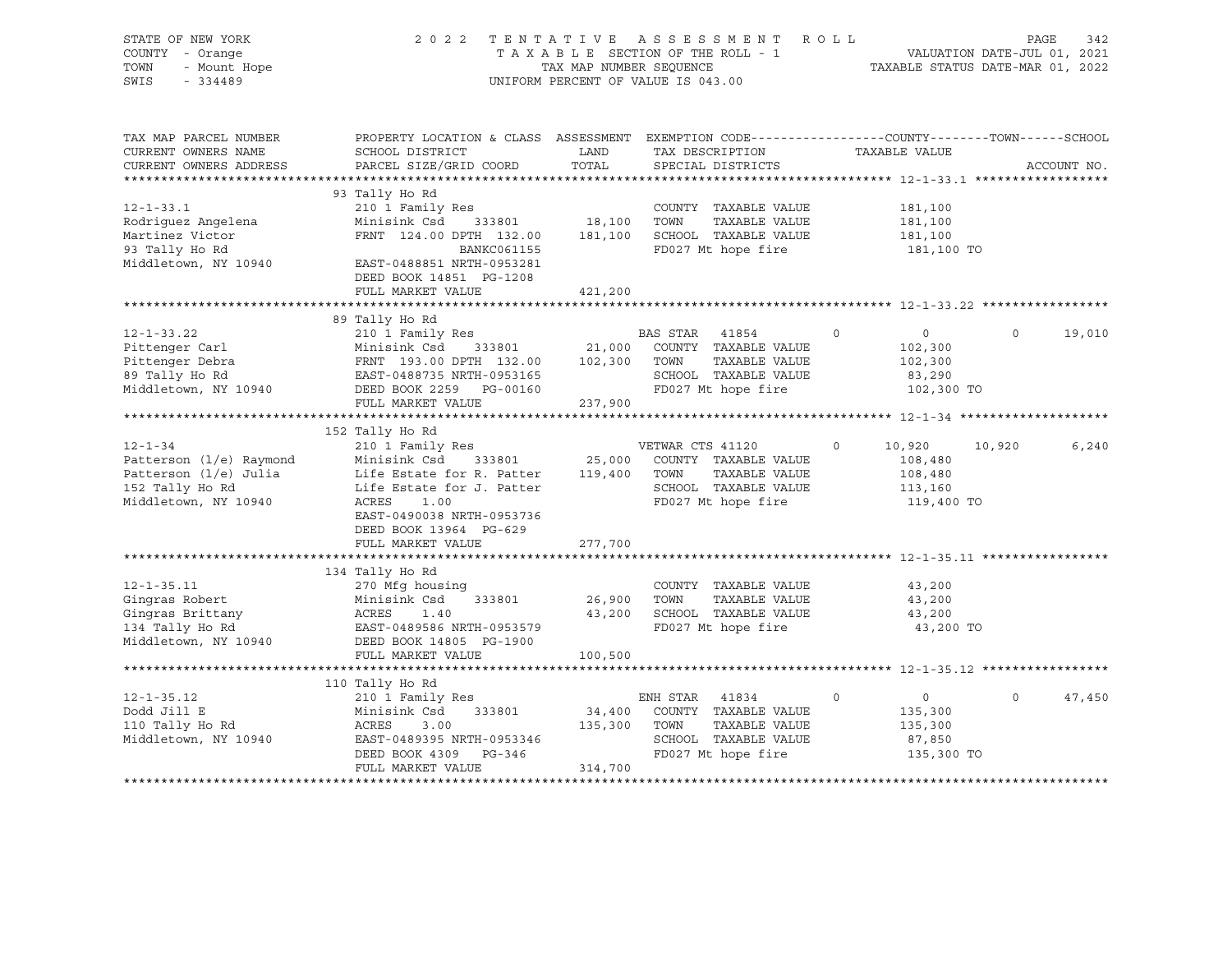| STATE OF NEW YORK<br>COUNTY - Orange<br>- Mount Hope<br>TOWN<br>SWIS<br>$-334489$                            | 2 0 2 2                                                                                                                                                                                           | TAX MAP NUMBER SEQUENCE      | TENTATIVE ASSESSMENT<br>TAXABLE SECTION OF THE ROLL - 1<br>UNIFORM PERCENT OF VALUE IS 043.00                    | R O L L                                                              | PAGE<br>VALUATION DATE-JUL 01, 2021<br>TAXABLE STATUS DATE-MAR 01, 2022 | 342   |
|--------------------------------------------------------------------------------------------------------------|---------------------------------------------------------------------------------------------------------------------------------------------------------------------------------------------------|------------------------------|------------------------------------------------------------------------------------------------------------------|----------------------------------------------------------------------|-------------------------------------------------------------------------|-------|
| TAX MAP PARCEL NUMBER<br>CURRENT OWNERS NAME<br>CURRENT OWNERS ADDRESS                                       | PROPERTY LOCATION & CLASS ASSESSMENT EXEMPTION CODE----------------COUNTY-------TOWN------SCHOOL<br>SCHOOL DISTRICT<br>PARCEL SIZE/GRID COORD                                                     | LAND<br>TOTAL                | TAX DESCRIPTION<br>SPECIAL DISTRICTS                                                                             | TAXABLE VALUE                                                        | ACCOUNT NO.                                                             |       |
|                                                                                                              |                                                                                                                                                                                                   |                              |                                                                                                                  |                                                                      |                                                                         |       |
| $12 - 1 - 33.1$<br>Rodriguez Angelena<br>Martinez Victor<br>93 Tally Ho Rd<br>Middletown, NY 10940           | 93 Tally Ho Rd<br>210 1 Family Res<br>Minisink Csd<br>333801<br>FRNT 124.00 DPTH 132.00<br><b>BANKC061155</b><br>EAST-0488851 NRTH-0953281<br>DEED BOOK 14851 PG-1208                             | 18,100                       | COUNTY TAXABLE VALUE<br>TOWN<br>TAXABLE VALUE<br>181,100 SCHOOL TAXABLE VALUE<br>FD027 Mt hope fire              | 181,100<br>181,100<br>181,100<br>181,100 TO                          |                                                                         |       |
|                                                                                                              | FULL MARKET VALUE                                                                                                                                                                                 | 421,200                      |                                                                                                                  |                                                                      |                                                                         |       |
|                                                                                                              |                                                                                                                                                                                                   |                              |                                                                                                                  |                                                                      |                                                                         |       |
|                                                                                                              | 89 Tally Ho Rd                                                                                                                                                                                    |                              |                                                                                                                  |                                                                      |                                                                         |       |
| $12 - 1 - 33.22$<br>Pittenger Carl<br>Pittenger Debra<br>89 Tally Ho Rd<br>Middletown, NY 10940              | 210 1 Family Res<br>Minisink Csd<br>333801<br>FRNT 193.00 DPTH 132.00<br>EAST-0488735 NRTH-0953165<br>DEED BOOK 2259 PG-00160                                                                     | 21,000<br>102,300            | BAS STAR 41854<br>COUNTY TAXABLE VALUE<br>TAXABLE VALUE<br>TOWN<br>SCHOOL TAXABLE VALUE<br>FD027 Mt hope fire    | $\circ$<br>$\circ$<br>102,300<br>102,300<br>83,290<br>102,300 TO     | $\mathbf 0$<br>19,010                                                   |       |
|                                                                                                              | FULL MARKET VALUE                                                                                                                                                                                 | 237,900                      |                                                                                                                  |                                                                      |                                                                         |       |
|                                                                                                              |                                                                                                                                                                                                   |                              |                                                                                                                  |                                                                      |                                                                         |       |
|                                                                                                              | 152 Tally Ho Rd                                                                                                                                                                                   |                              |                                                                                                                  |                                                                      |                                                                         |       |
| $12 - 1 - 34$<br>Patterson (1/e) Raymond<br>Patterson (1/e) Julia<br>152 Tally Ho Rd<br>Middletown, NY 10940 | 210 1 Family Res<br>Minisink Csd<br>333801<br>Life Estate for R. Patter<br>Life Estate for J. Patter<br>ACRES<br>1.00<br>EAST-0490038 NRTH-0953736<br>DEED BOOK 13964 PG-629<br>FULL MARKET VALUE | 25,000<br>119,400<br>277,700 | VETWAR CTS 41120<br>COUNTY TAXABLE VALUE<br>TOWN<br>TAXABLE VALUE<br>SCHOOL TAXABLE VALUE<br>FD027 Mt hope fire  | $\Omega$<br>10,920<br>108,480<br>108,480<br>113,160<br>119,400 TO    | 10,920                                                                  | 6,240 |
|                                                                                                              |                                                                                                                                                                                                   |                              |                                                                                                                  |                                                                      |                                                                         |       |
| $12 - 1 - 35.11$<br>Gingras Robert<br>Gingras Brittany<br>134 Tally Ho Rd<br>Middletown, NY 10940            | 134 Tally Ho Rd<br>270 Mfg housing<br>Minisink Csd<br>333801<br>ACRES<br>1.40<br>EAST-0489586 NRTH-0953579<br>DEED BOOK 14805 PG-1900                                                             | 26,900<br>43,200             | COUNTY TAXABLE VALUE<br>TOWN<br>TAXABLE VALUE<br>SCHOOL TAXABLE VALUE<br>FD027 Mt hope fire                      | 43,200<br>43,200<br>43,200<br>43,200 TO                              |                                                                         |       |
|                                                                                                              | FULL MARKET VALUE                                                                                                                                                                                 | 100,500                      |                                                                                                                  |                                                                      |                                                                         |       |
|                                                                                                              | ***************************                                                                                                                                                                       | **************               | ************************************** 12-1-35.12 ******************                                             |                                                                      |                                                                         |       |
|                                                                                                              | 110 Tally Ho Rd                                                                                                                                                                                   |                              |                                                                                                                  |                                                                      |                                                                         |       |
| $12 - 1 - 35.12$<br>Dodd Jill E<br>110 Tally Ho Rd<br>Middletown, NY 10940                                   | 210 1 Family Res<br>Minisink Csd<br>333801<br>ACRES<br>3.00<br>EAST-0489395 NRTH-0953346<br>DEED BOOK 4309<br>PG-346<br>FULL MARKET VALUE                                                         | 34,400<br>135,300<br>314,700 | ENH STAR<br>41834<br>COUNTY TAXABLE VALUE<br>TAXABLE VALUE<br>TOWN<br>SCHOOL TAXABLE VALUE<br>FD027 Mt hope fire | $\circ$<br>$\mathbf 0$<br>135,300<br>135,300<br>87,850<br>135,300 TO | $\Omega$<br>47,450                                                      |       |
|                                                                                                              |                                                                                                                                                                                                   |                              |                                                                                                                  |                                                                      |                                                                         |       |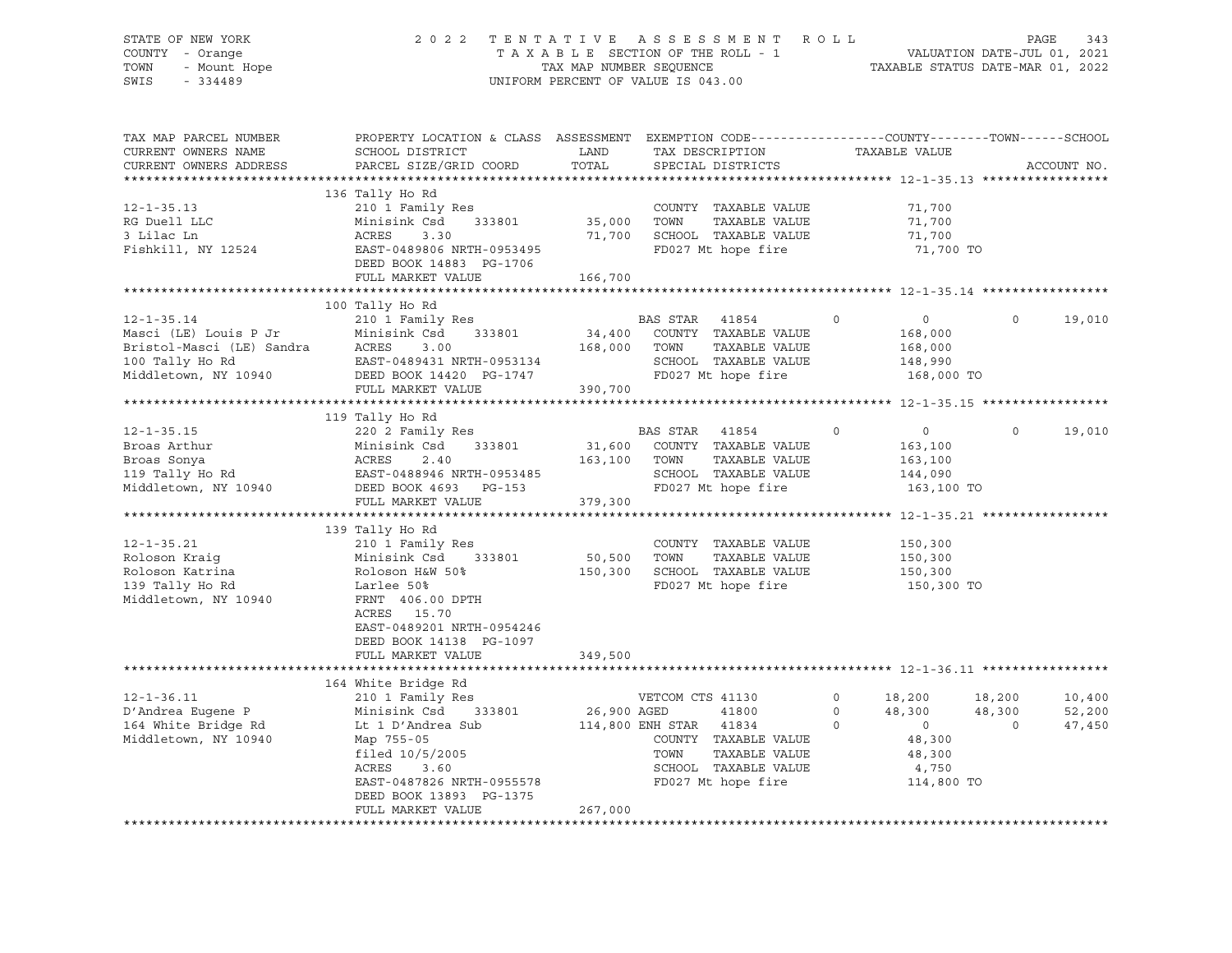# STATE OF NEW YORK 2 0 2 2 T E N T A T I V E A S S E S S M E N T R O L L PAGE 343 COUNTY - Orange T A X A B L E SECTION OF THE ROLL - 1 VALUATION DATE-JUL 01, 2021 TOWN - Mount Hope TAX MAP NUMBER SEQUENCE TAXABLE STATUS DATE-MAR 01, 2022 SWIS - 334489 UNIFORM PERCENT OF VALUE IS 043.00

| TAX MAP PARCEL NUMBER<br>CURRENT OWNERS NAME<br>CURRENT OWNERS ADDRESS                                            | PROPERTY LOCATION & CLASS ASSESSMENT<br>SCHOOL DISTRICT<br>PARCEL SIZE/GRID COORD                                                                                                                | LAND<br>TOTAL                | EXEMPTION CODE-----------------COUNTY-------TOWN------SCHOOL<br>TAX DESCRIPTION<br>SPECIAL DISTRICTS                                               | TAXABLE VALUE                                                                                            | ACCOUNT NO.                                                |
|-------------------------------------------------------------------------------------------------------------------|--------------------------------------------------------------------------------------------------------------------------------------------------------------------------------------------------|------------------------------|----------------------------------------------------------------------------------------------------------------------------------------------------|----------------------------------------------------------------------------------------------------------|------------------------------------------------------------|
| ************************                                                                                          |                                                                                                                                                                                                  |                              |                                                                                                                                                    |                                                                                                          |                                                            |
| $12 - 1 - 35.13$<br>RG Duell LLC<br>3 Lilac Ln<br>Fishkill, NY 12524                                              | 136 Tally Ho Rd<br>210 1 Family Res<br>Minisink Csd<br>333801<br>ACRES<br>3.30<br>EAST-0489806 NRTH-0953495<br>DEED BOOK 14883 PG-1706<br>FULL MARKET VALUE                                      | 35,000<br>71,700<br>166,700  | COUNTY TAXABLE VALUE<br>TOWN<br>TAXABLE VALUE<br>SCHOOL TAXABLE VALUE<br>FD027 Mt hope fire                                                        | 71,700<br>71,700<br>71,700<br>71,700 TO                                                                  |                                                            |
|                                                                                                                   |                                                                                                                                                                                                  |                              |                                                                                                                                                    |                                                                                                          |                                                            |
| $12 - 1 - 35.14$<br>Masci (LE) Louis P Jr<br>Bristol-Masci (LE) Sandra<br>100 Tally Ho Rd<br>Middletown, NY 10940 | 100 Tally Ho Rd<br>210 1 Family Res<br>Minisink Csd<br>333801<br>ACRES<br>3.00<br>EAST-0489431 NRTH-0953134<br>DEED BOOK 14420 PG-1747<br>FULL MARKET VALUE                                      | 34,400<br>168,000<br>390,700 | BAS STAR 41854<br>COUNTY TAXABLE VALUE<br>TOWN<br>TAXABLE VALUE<br>SCHOOL TAXABLE VALUE<br>FD027 Mt hope fire                                      | $\mathbf 0$<br>$\overline{0}$<br>168,000<br>168,000<br>148,990<br>168,000 TO                             | $\Omega$<br>19,010                                         |
|                                                                                                                   |                                                                                                                                                                                                  |                              |                                                                                                                                                    |                                                                                                          |                                                            |
| $12 - 1 - 35.15$<br>Broas Arthur<br>Broas Sonya<br>119 Tally Ho Rd<br>Middletown, NY 10940                        | 119 Tally Ho Rd<br>220 2 Family Res<br>333801<br>Minisink Csd<br>ACRES<br>2.40<br>EAST-0488946 NRTH-0953485<br>DEED BOOK 4693<br>PG-153<br>FULL MARKET VALUE                                     | 31,600<br>163,100<br>379,300 | BAS STAR<br>41854<br>COUNTY TAXABLE VALUE<br>TOWN<br>TAXABLE VALUE<br>SCHOOL TAXABLE VALUE<br>FD027 Mt hope fire                                   | $\overline{0}$<br>$\circ$<br>163,100<br>163,100<br>144,090<br>163,100 TO                                 | 19,010<br>$\Omega$                                         |
|                                                                                                                   |                                                                                                                                                                                                  |                              |                                                                                                                                                    |                                                                                                          |                                                            |
| $12 - 1 - 35.21$<br>Roloson Kraiq<br>Roloson Katrina<br>139 Tally Ho Rd<br>Middletown, NY 10940                   | 139 Tally Ho Rd<br>210 1 Family Res<br>Minisink Csd<br>333801<br>Roloson H&W 50%<br>Larlee 50%<br>FRNT 406.00 DPTH<br>ACRES 15.70<br>EAST-0489201 NRTH-0954246<br>DEED BOOK 14138 PG-1097        | 50,500<br>150,300            | COUNTY TAXABLE VALUE<br>TAXABLE VALUE<br>TOWN<br>SCHOOL TAXABLE VALUE<br>FD027 Mt hope fire                                                        | 150,300<br>150,300<br>150,300<br>150,300 TO                                                              |                                                            |
|                                                                                                                   | FULL MARKET VALUE                                                                                                                                                                                | 349,500                      |                                                                                                                                                    |                                                                                                          |                                                            |
|                                                                                                                   |                                                                                                                                                                                                  |                              |                                                                                                                                                    |                                                                                                          |                                                            |
| $12 - 1 - 36.11$<br>D'Andrea Eugene P<br>164 White Bridge Rd<br>Middletown, NY 10940                              | 164 White Bridge Rd<br>210 1 Family Res<br>333801<br>Minisink Csd<br>Lt 1 D'Andrea Sub<br>Map 755-05<br>filed 10/5/2005<br>ACRES<br>3.60<br>EAST-0487826 NRTH-0955578<br>DEED BOOK 13893 PG-1375 | 26,900 AGED                  | VETCOM CTS 41130<br>41800<br>114,800 ENH STAR 41834<br>COUNTY TAXABLE VALUE<br>TOWN<br>TAXABLE VALUE<br>SCHOOL TAXABLE VALUE<br>FD027 Mt hope fire | $\circ$<br>18,200<br>$\circ$<br>48,300<br>$\Omega$<br>$\circ$<br>48,300<br>48,300<br>4,750<br>114,800 TO | 18,200<br>10,400<br>48,300<br>52,200<br>$\Omega$<br>47,450 |
|                                                                                                                   | FULL MARKET VALUE                                                                                                                                                                                | 267,000                      |                                                                                                                                                    |                                                                                                          |                                                            |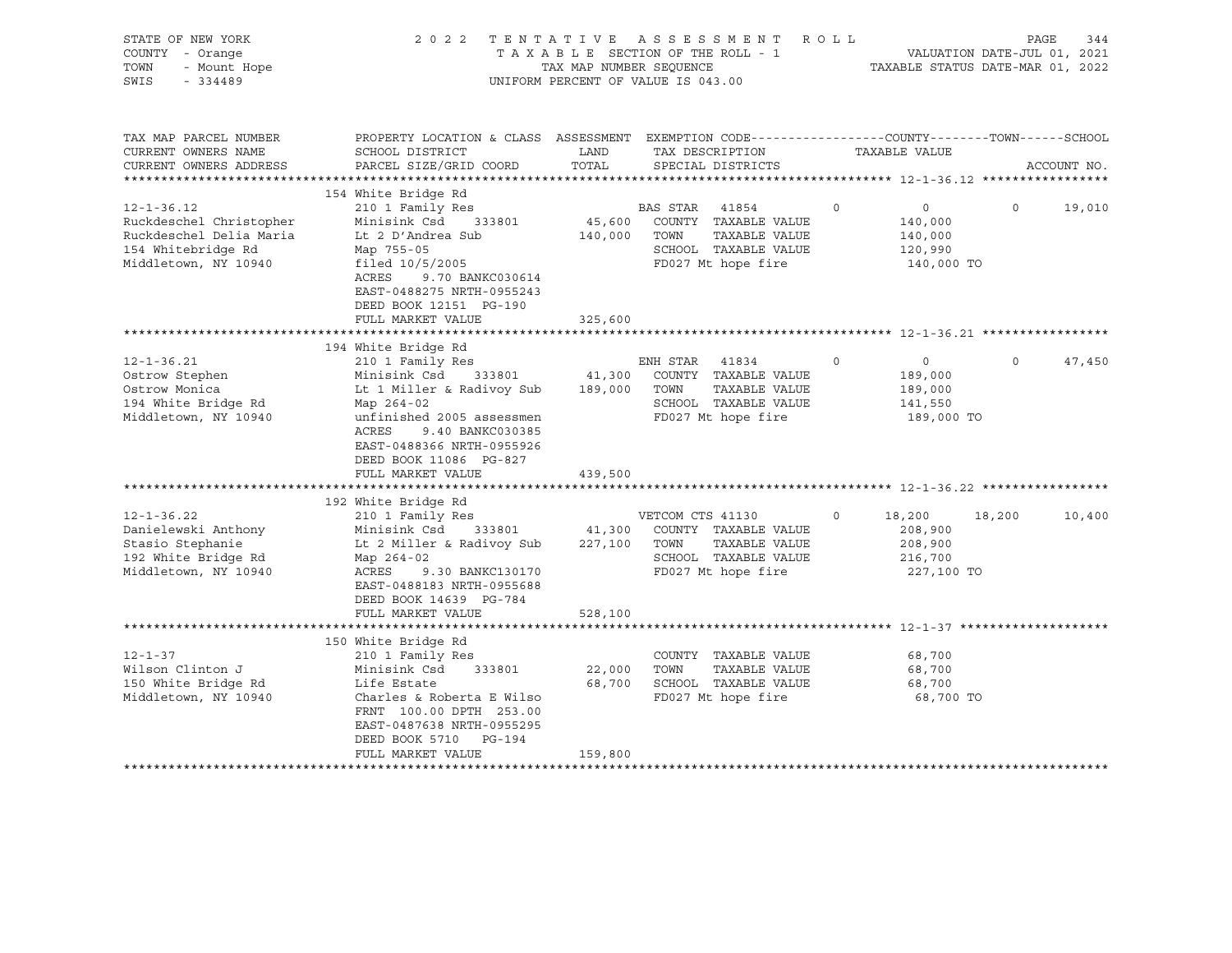| STATE OF NEW YORK<br>COUNTY - Orange<br>TOWN<br>- Mount Hope<br>SWIS<br>$-334489$                                    | 2 0 2 2                                                                                                                                                                                                                                            | TAX MAP NUMBER SEQUENCE           | TENTATIVE ASSESSMENT ROLL<br>TAXABLE SECTION OF THE ROLL - 1<br>UNIFORM PERCENT OF VALUE IS 043.00             |          | TAXABLE STATUS DATE-MAR 01, 2022                       | PAGE<br>VALUATION DATE-JUL 01, 2021 | 344         |
|----------------------------------------------------------------------------------------------------------------------|----------------------------------------------------------------------------------------------------------------------------------------------------------------------------------------------------------------------------------------------------|-----------------------------------|----------------------------------------------------------------------------------------------------------------|----------|--------------------------------------------------------|-------------------------------------|-------------|
| TAX MAP PARCEL NUMBER<br>CURRENT OWNERS NAME                                                                         | PROPERTY LOCATION & CLASS ASSESSMENT EXEMPTION CODE---------------COUNTY-------TOWN-----SCHOOL<br>SCHOOL DISTRICT                                                                                                                                  | LAND                              | TAX DESCRIPTION                                                                                                |          | TAXABLE VALUE                                          |                                     |             |
| CURRENT OWNERS ADDRESS                                                                                               | PARCEL SIZE/GRID COORD                                                                                                                                                                                                                             | TOTAL                             | SPECIAL DISTRICTS                                                                                              |          |                                                        |                                     | ACCOUNT NO. |
|                                                                                                                      | 154 White Bridge Rd                                                                                                                                                                                                                                |                                   |                                                                                                                |          |                                                        |                                     |             |
| $12 - 1 - 36.12$<br>Ruckdeschel Christopher<br>Ruckdeschel Delia Maria<br>154 Whitebridge Rd<br>Middletown, NY 10940 | 210 1 Family Res<br>Minisink Csd<br>333801<br>Lt 2 D'Andrea Sub<br>Map 755-05<br>filed $10/5/2005$<br>ACRES<br>9.70 BANKC030614<br>EAST-0488275 NRTH-0955243<br>DEED BOOK 12151 PG-190                                                             | 45,600<br>140,000                 | BAS STAR 41854<br>COUNTY TAXABLE VALUE<br>TAXABLE VALUE<br>TOWN<br>SCHOOL TAXABLE VALUE<br>FD027 Mt hope fire  | $\circ$  | $\circ$<br>140,000<br>140,000<br>120,990<br>140,000 TO | $\circ$                             | 19,010      |
|                                                                                                                      | FULL MARKET VALUE                                                                                                                                                                                                                                  | 325,600                           |                                                                                                                |          |                                                        |                                     |             |
|                                                                                                                      |                                                                                                                                                                                                                                                    |                                   |                                                                                                                |          |                                                        |                                     |             |
| $12 - 1 - 36.21$<br>Ostrow Stephen<br>Ostrow Monica<br>194 White Bridge Rd<br>Middletown, NY 10940                   | 194 White Bridge Rd<br>210 1 Family Res<br>Minisink Csd<br>333801<br>Lt 1 Miller & Radivoy Sub<br>Map 264-02<br>unfinished 2005 assessmen<br>ACRES<br>9.40 BANKC030385<br>EAST-0488366 NRTH-0955926<br>DEED BOOK 11086 PG-827<br>FULL MARKET VALUE | 41,300<br>189,000 TOWN<br>439,500 | ENH STAR 41834<br>COUNTY TAXABLE VALUE<br>TAXABLE VALUE<br>SCHOOL TAXABLE VALUE<br>FD027 Mt hope fire          | $\circ$  | $\circ$<br>189,000<br>189,000<br>141,550<br>189,000 TO | $\Omega$                            | 47,450      |
|                                                                                                                      |                                                                                                                                                                                                                                                    |                                   |                                                                                                                |          |                                                        |                                     |             |
| $12 - 1 - 36.22$<br>Danielewski Anthony<br>Stasio Stephanie<br>192 White Bridge Rd<br>Middletown, NY 10940           | 192 White Bridge Rd<br>210 1 Family Res<br>Minisink Csd<br>333801<br>Lt 2 Miller & Radivoy Sub<br>Map 264-02<br>ACRES<br>9.30 BANKC130170<br>EAST-0488183 NRTH-0955688<br>DEED BOOK 14639 PG-784                                                   | 227,100 TOWN                      | VETCOM CTS 41130<br>41,300 COUNTY TAXABLE VALUE<br>TAXABLE VALUE<br>SCHOOL TAXABLE VALUE<br>FD027 Mt hope fire | $\Omega$ | 18,200<br>208,900<br>208,900<br>216,700<br>227,100 TO  | 18,200                              | 10,400      |
|                                                                                                                      | FULL MARKET VALUE                                                                                                                                                                                                                                  | 528,100                           |                                                                                                                |          |                                                        |                                     |             |
|                                                                                                                      |                                                                                                                                                                                                                                                    |                                   |                                                                                                                |          |                                                        |                                     |             |
| $12 - 1 - 37$<br>Wilson Clinton J<br>150 White Bridge Rd<br>Middletown, NY 10940                                     | 150 White Bridge Rd<br>210 1 Family Res<br>Minisink Csd<br>333801<br>Life Estate<br>Charles & Roberta E Wilso<br>FRNT 100.00 DPTH 253.00<br>EAST-0487638 NRTH-0955295<br>DEED BOOK 5710 PG-194<br>FULL MARKET VALUE                                | 22,000<br>159,800                 | COUNTY TAXABLE VALUE<br>TOWN<br>TAXABLE VALUE<br>68,700 SCHOOL TAXABLE VALUE<br>FD027 Mt hope fire             |          | 68,700<br>68,700<br>68,700<br>68,700 TO                |                                     |             |
|                                                                                                                      |                                                                                                                                                                                                                                                    |                                   |                                                                                                                |          |                                                        |                                     |             |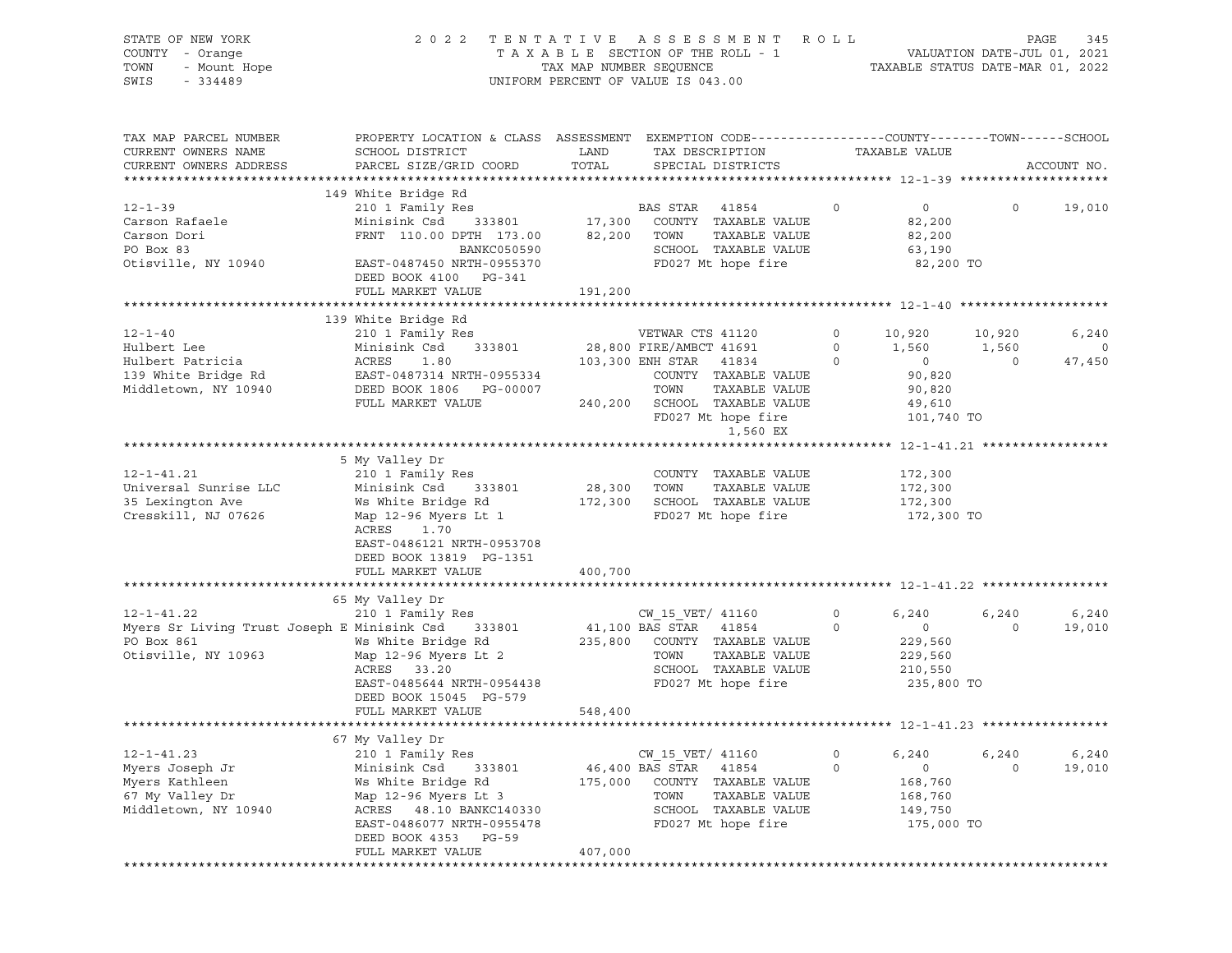| STATE OF NEW YORK<br>COUNTY - Orange<br>OF NEW YORK<br>- Orange<br>- Mount Hope<br>- 21109<br>TOWN<br>SWIS  | 2022 TENTATIVE ASSESSMENT ROLL                                                                                                                                                                                           | UNIFORM PERCENT OF VALUE IS 043.00 |                                                       |                                                                                                                                                                                              |                      |                                                                                                |                      | PAGE<br>345                       |
|-------------------------------------------------------------------------------------------------------------|--------------------------------------------------------------------------------------------------------------------------------------------------------------------------------------------------------------------------|------------------------------------|-------------------------------------------------------|----------------------------------------------------------------------------------------------------------------------------------------------------------------------------------------------|----------------------|------------------------------------------------------------------------------------------------|----------------------|-----------------------------------|
| TAX MAP PARCEL NUMBER<br>CURRENT OWNERS NAME<br>CURRENT OWNERS ADDRESS                                      | PROPERTY LOCATION & CLASS ASSESSMENT EXEMPTION CODE----------------COUNTY-------TOWN------SCHOOL<br>SCHOOL DISTRICT<br>PARCEL SIZE/GRID COORD                                                                            | LAND<br>TOTAL                      |                                                       | TAX DESCRIPTION<br>SPECIAL DISTRICTS                                                                                                                                                         |                      | TAXABLE VALUE                                                                                  |                      | ACCOUNT NO.                       |
| $12 - 1 - 39$<br>Carson Rafaele<br>Carson Dori<br>PO Box 83<br>Otisville, NY 10940                          | 149 White Bridge Rd<br>210 1 Family Res<br>Minisink Csd<br>FRNT 110.00 DPTH 173.00 82,200 TOWN<br>BANKC050590 SCHOOL<br>EAST-0487450 NRTH-0955370<br>DEED BOOK 4100 PG-341<br>FULL MARKET VALUE                          | 191,200                            | <b>BAS STAR 41854</b>                                 | ${\small 333801} \qquad {\small 17,300} \qquad {\small  \  \, {\rm COUNTY} \quad}{\small  \, {\rm TAXABLE} \ \ {\rm VALUE} }$<br>TAXABLE VALUE<br>SCHOOL TAXABLE VALUE<br>FD027 Mt hope fire | $\sim$ 0             | $\overline{0}$<br>82,200<br>82,200<br>63,190<br>82,200 TO                                      | $\overline{0}$       | 19,010                            |
|                                                                                                             |                                                                                                                                                                                                                          |                                    |                                                       |                                                                                                                                                                                              |                      |                                                                                                |                      |                                   |
| $12 - 1 - 40$<br>Hulbert Lee<br>Hulbert Patricia<br>139 White Bridge Rd<br>Middletown, NY 10940             | 139 White Bridge Rd<br>210 1 Family Res<br>Minisink Csd 333801<br>ACRES<br>1.80<br>EAST-0487314 NRTH-0955334<br>DEED BOOK 1806 PG-00007<br>FULL MARKET VALUE                                                             | 28,800 FIRE/AMBCT 41691            | VETWAR CTS 41120<br>TOWN                              | 103,300 ENH STAR 41834 0<br>COUNTY TAXABLE VALUE<br>TAXABLE VALUE<br>240,200 SCHOOL TAXABLE VALUE<br>FD027 Mt hope fire<br>FD027 Mt hope fire<br>1,560 EX                                    | $\circ$              | $0 \t 10,920 \t 10,920$<br>1,560<br>$\overline{0}$<br>90,820<br>90,820<br>49,610<br>101,740 TO | 1,560<br>$\circ$     | 6,240<br>$\overline{0}$<br>47,450 |
|                                                                                                             |                                                                                                                                                                                                                          |                                    |                                                       |                                                                                                                                                                                              |                      |                                                                                                |                      |                                   |
| $12 - 1 - 41.21$<br>Universal Sunrise LLC<br>35 Lexington Ave<br>Cresskill, NJ 07626                        | 5 My Valley Dr<br>210 1 Family Res<br>Minisink Csd 333801<br>Ws White Bridge Rd<br>Map 12-96 Myers Lt 1<br>ACRES<br>1.70<br>EAST-0486121 NRTH-0953708<br>DEED BOOK 13819 PG-1351<br>FULL MARKET VALUE                    | 28,300 TOWN<br>400,700             |                                                       | COUNTY TAXABLE VALUE<br>TAXABLE VALUE<br>172,300 SCHOOL TAXABLE VALUE<br>FD027 Mt hope fire                                                                                                  |                      | 172,300<br>172,300<br>172,300<br>172,300 TO                                                    |                      |                                   |
|                                                                                                             |                                                                                                                                                                                                                          |                                    |                                                       |                                                                                                                                                                                              |                      |                                                                                                |                      |                                   |
| $12 - 1 - 41.22$<br>Myers Sr Living Trust Joseph E Minisink Csd 333801<br>PO Box 861<br>Otisville, NY 10963 | 65 My Valley Dr<br>210 1 Family Res<br>Ws White Bridge Rd 235,800 COUNTY TAXABLE VALUE<br>Map 12-96 Myers Lt 2<br>ACPES 33.20<br>ACRES 33.20<br>EAST-0485644 NRTH-0954438<br>DEED BOOK 15045 PG-579<br>FULL MARKET VALUE | 548,400                            | CW 15 VET/ 41160<br>41,100 BAS STAR 41854<br>TOWN     | TAXABLE VALUE<br>SCHOOL TAXABLE VALUE<br>FD027 Mt hope fire                                                                                                                                  | $\circ$<br>$\circ$   | 6,240<br>$\overline{0}$<br>229,560<br>229,560<br>210,550<br>235,800 TO                         | 6,240<br>$\mathbf 0$ | 6,240<br>19,010                   |
|                                                                                                             |                                                                                                                                                                                                                          |                                    |                                                       |                                                                                                                                                                                              |                      |                                                                                                |                      |                                   |
| $12 - 1 - 41.23$<br>Myers Joseph Jr<br>Myers Kathleen<br>67 My Valley Dr<br>Middletown, NY 10940            | 67 My Valley Dr<br>210 1 Family Res<br>Minisink Csd<br>333801<br>Ws White Bridge Rd<br>Map 12-96 Myers Lt 3<br>48.10 BANKC140330<br>ACRES<br>EAST-0486077 NRTH-0955478<br>DEED BOOK 4353<br>PG-59<br>FULL MARKET VALUE   | 175,000<br>407,000                 | CW 15 VET/ 41160<br>46,400 BAS STAR<br>COUNTY<br>TOWN | 41854<br>TAXABLE VALUE<br>TAXABLE VALUE<br>SCHOOL TAXABLE VALUE<br>FD027 Mt hope fire                                                                                                        | $\Omega$<br>$\Omega$ | 6,240<br>0<br>168,760<br>168,760<br>149,750<br>175,000 TO                                      | 6,240<br>$\Omega$    | 6,240<br>19,010                   |
|                                                                                                             |                                                                                                                                                                                                                          |                                    |                                                       |                                                                                                                                                                                              |                      |                                                                                                |                      |                                   |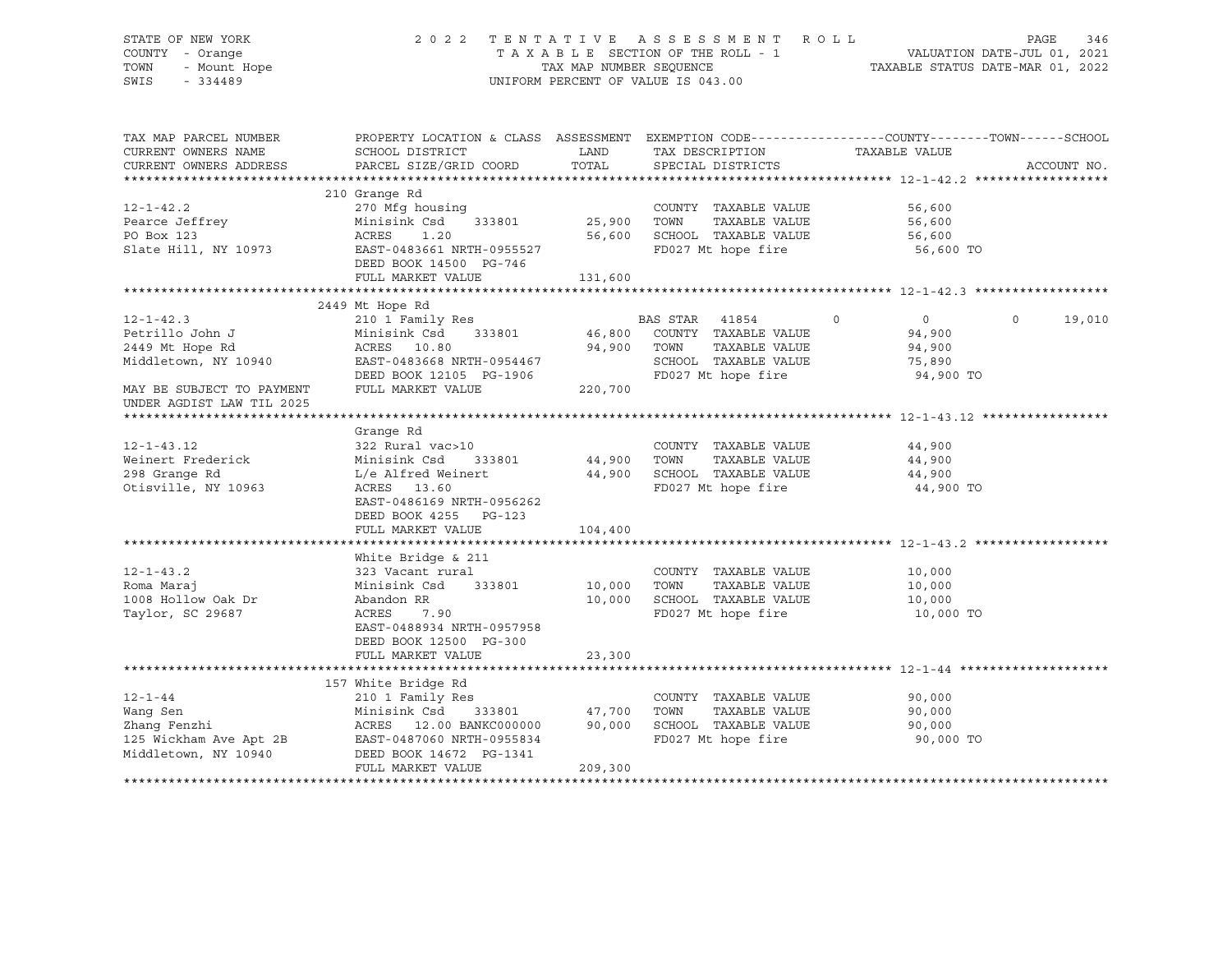STATE OF NEW YORK 2 0 2 2 T E N T A T I V E A S S E S S M E N T R O L L PAGE 346 COUNTY - Orange T A X A B L E SECTION OF THE ROLL - 1 VALUATION DATE-JUL 01, 2021 TOWN - Mount Hope TAX MAP NUMBER SEQUENCE TAXABLE STATUS DATE-MAR 01, 2022 SWIS - 334489 UNIFORM PERCENT OF VALUE IS 043.00

| TAX MAP PARCEL NUMBER<br>CURRENT OWNERS NAME | PROPERTY LOCATION & CLASS ASSESSMENT EXEMPTION CODE----------------COUNTY-------TOWN------SCHOOL<br>SCHOOL DISTRICT | LAND    | TAX DESCRIPTION       | TAXABLE VALUE      |                       |
|----------------------------------------------|---------------------------------------------------------------------------------------------------------------------|---------|-----------------------|--------------------|-----------------------|
| CURRENT OWNERS ADDRESS                       | PARCEL SIZE/GRID COORD                                                                                              | TOTAL   | SPECIAL DISTRICTS     |                    | ACCOUNT NO.           |
|                                              |                                                                                                                     |         |                       |                    |                       |
|                                              | 210 Grange Rd                                                                                                       |         |                       |                    |                       |
| $12 - 1 - 42.2$                              | 270 Mfg housing                                                                                                     |         | COUNTY TAXABLE VALUE  | 56,600             |                       |
| Pearce Jeffrey                               | Minisink Csd<br>333801                                                                                              | 25,900  | TOWN<br>TAXABLE VALUE | 56,600             |                       |
| PO Box 123                                   | ACRES<br>1.20                                                                                                       | 56,600  | SCHOOL TAXABLE VALUE  | 56,600             |                       |
| Slate Hill, NY 10973                         | EAST-0483661 NRTH-0955527                                                                                           |         | FD027 Mt hope fire    | 56,600 TO          |                       |
|                                              | DEED BOOK 14500 PG-746                                                                                              |         |                       |                    |                       |
|                                              | FULL MARKET VALUE                                                                                                   | 131,600 |                       |                    |                       |
|                                              |                                                                                                                     |         |                       |                    |                       |
|                                              | 2449 Mt Hope Rd                                                                                                     |         |                       |                    |                       |
| $12 - 1 - 42.3$                              | 210 1 Family Res                                                                                                    |         | BAS STAR 41854        | $\circ$<br>$\circ$ | $\mathbf 0$<br>19,010 |
| Petrillo John J                              | Minisink Csd<br>333801                                                                                              | 46,800  | COUNTY TAXABLE VALUE  | 94,900             |                       |
| 2449 Mt Hope Rd                              | ACRES 10.80                                                                                                         | 94,900  | TOWN<br>TAXABLE VALUE | 94,900             |                       |
| Middletown, NY 10940                         | EAST-0483668 NRTH-0954467                                                                                           |         | SCHOOL TAXABLE VALUE  | 75,890             |                       |
|                                              | DEED BOOK 12105 PG-1906                                                                                             |         | FD027 Mt hope fire    | 94,900 TO          |                       |
| MAY BE SUBJECT TO PAYMENT                    | FULL MARKET VALUE                                                                                                   | 220,700 |                       |                    |                       |
| UNDER AGDIST LAW TIL 2025                    |                                                                                                                     |         |                       |                    |                       |
|                                              |                                                                                                                     |         |                       |                    |                       |
|                                              | Grange Rd                                                                                                           |         |                       |                    |                       |
| $12 - 1 - 43.12$                             | 322 Rural vac>10                                                                                                    |         | COUNTY TAXABLE VALUE  | 44,900             |                       |
| Weinert Frederick                            | Minisink Csd<br>333801                                                                                              | 44,900  | TOWN<br>TAXABLE VALUE | 44,900             |                       |
| 298 Grange Rd                                | L/e Alfred Weinert                                                                                                  | 44,900  | SCHOOL TAXABLE VALUE  | 44,900             |                       |
| Otisville, NY 10963                          | ACRES 13.60                                                                                                         |         | FD027 Mt hope fire    | 44,900 TO          |                       |
|                                              | EAST-0486169 NRTH-0956262                                                                                           |         |                       |                    |                       |
|                                              | DEED BOOK 4255 PG-123                                                                                               |         |                       |                    |                       |
|                                              | FULL MARKET VALUE                                                                                                   | 104,400 |                       |                    |                       |
|                                              |                                                                                                                     |         |                       |                    |                       |
|                                              | White Bridge & 211                                                                                                  |         |                       |                    |                       |
| $12 - 1 - 43.2$                              | 323 Vacant rural                                                                                                    |         | COUNTY TAXABLE VALUE  | 10,000             |                       |
| Roma Marai                                   | Minisink Csd 333801                                                                                                 | 10,000  | TOWN<br>TAXABLE VALUE | 10,000             |                       |
| 1008 Hollow Oak Dr                           | Abandon RR                                                                                                          | 10,000  | SCHOOL TAXABLE VALUE  | 10,000             |                       |
| Taylor, SC 29687                             | ACRES<br>7.90                                                                                                       |         | FD027 Mt hope fire    | 10,000 TO          |                       |
|                                              | EAST-0488934 NRTH-0957958                                                                                           |         |                       |                    |                       |
|                                              | DEED BOOK 12500 PG-300                                                                                              |         |                       |                    |                       |
|                                              | FULL MARKET VALUE                                                                                                   | 23,300  |                       |                    |                       |
|                                              |                                                                                                                     |         |                       |                    |                       |
|                                              | 157 White Bridge Rd                                                                                                 |         |                       |                    |                       |
| $12 - 1 - 44$                                | 210 1 Family Res                                                                                                    |         | COUNTY TAXABLE VALUE  | 90,000             |                       |
| Wang Sen                                     | Minisink Csd<br>333801                                                                                              | 47,700  | TOWN<br>TAXABLE VALUE | 90,000             |                       |
| Zhang Fenzhi                                 | ACRES 12.00 BANKC000000                                                                                             | 90,000  | SCHOOL TAXABLE VALUE  | 90,000             |                       |
| 125 Wickham Ave Apt 2B                       | EAST-0487060 NRTH-0955834                                                                                           |         | FD027 Mt hope fire    | 90,000 TO          |                       |
| Middletown, NY 10940                         | DEED BOOK 14672 PG-1341                                                                                             |         |                       |                    |                       |
|                                              | FULL MARKET VALUE                                                                                                   | 209,300 |                       |                    |                       |
|                                              |                                                                                                                     |         |                       |                    |                       |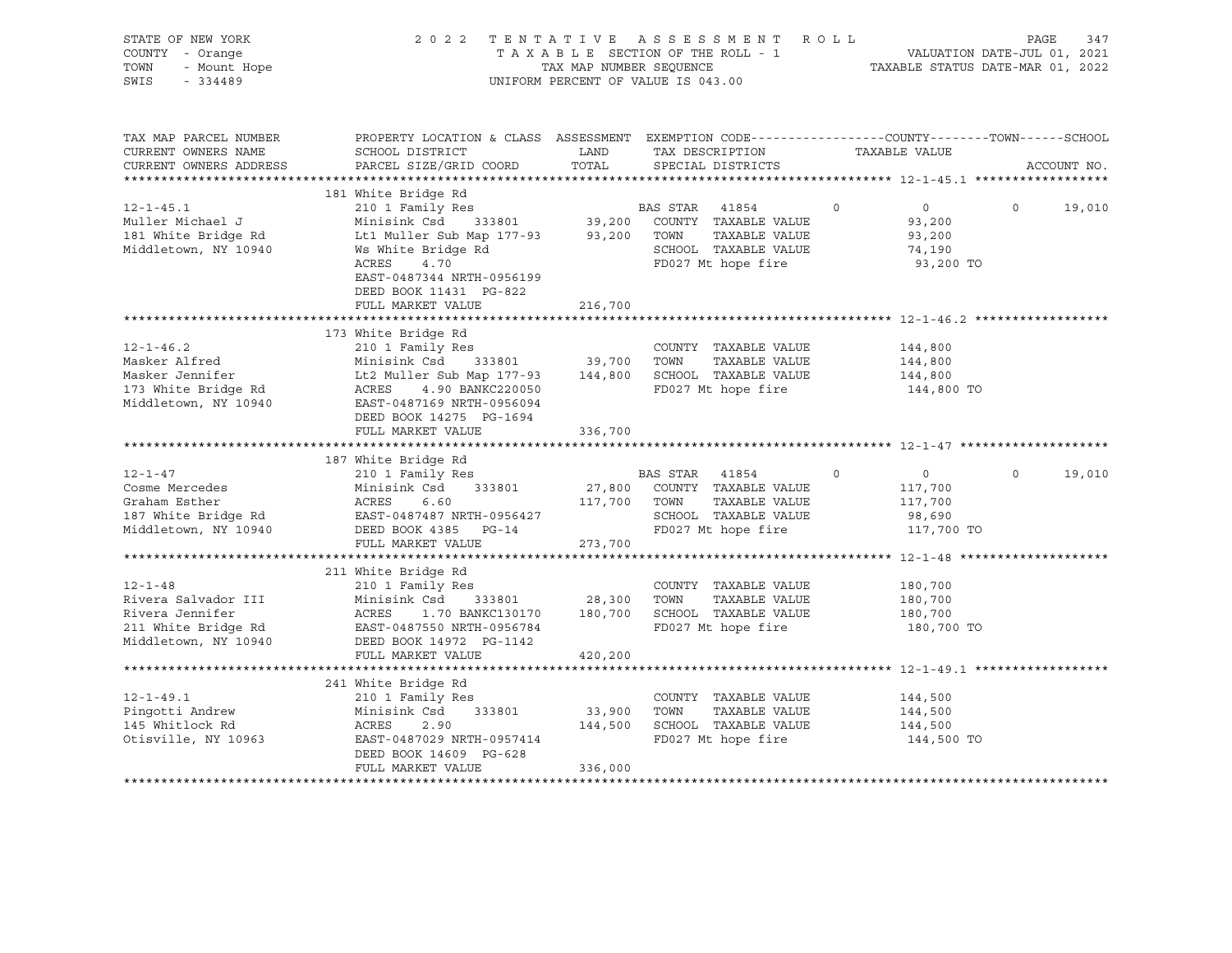| STATE OF NEW YORK<br>COUNTY - Orange<br>TOWN<br>- Mount Hope<br>SWIS<br>$-334489$                      |                                                                                                                                                                                                | TAX MAP NUMBER SEQUENCE | 2022 TENTATIVE ASSESSMENT ROLL<br>TAXABLE SECTION OF THE ROLL - 1<br>UNIFORM PERCENT OF VALUE IS 043.00      |                                                                 | PAGE<br>VALUATION DATE-JUL 01, 2021<br>TAXABLE STATUS DATE-MAR 01, 2022 | 347    |
|--------------------------------------------------------------------------------------------------------|------------------------------------------------------------------------------------------------------------------------------------------------------------------------------------------------|-------------------------|--------------------------------------------------------------------------------------------------------------|-----------------------------------------------------------------|-------------------------------------------------------------------------|--------|
| TAX MAP PARCEL NUMBER<br>CURRENT OWNERS NAME<br>CURRENT OWNERS ADDRESS                                 | PROPERTY LOCATION & CLASS ASSESSMENT EXEMPTION CODE---------------COUNTY-------TOWN------SCHOOL<br>SCHOOL DISTRICT<br>PARCEL SIZE/GRID COORD                                                   | LAND<br>TOTAL           | TAX DESCRIPTION<br>SPECIAL DISTRICTS                                                                         | TAXABLE VALUE                                                   | ACCOUNT NO.                                                             |        |
|                                                                                                        |                                                                                                                                                                                                |                         |                                                                                                              |                                                                 |                                                                         |        |
|                                                                                                        | 181 White Bridge Rd                                                                                                                                                                            |                         |                                                                                                              |                                                                 |                                                                         |        |
| $12 - 1 - 45.1$<br>Muller Michael J<br>181 White Bridge Rd<br>Middletown, NY 10940                     | 210 1 Family Res<br>Minisink Csd 333801 39,200 COUNTY TAXABLE VALUE<br>Lt1 Muller Sub Map 177-93 93,200 TOWN TAXABLE VALUE<br>Ws White Bridge Rd<br>ACRES<br>4.70<br>EAST-0487344 NRTH-0956199 |                         | BAS STAR 41854<br>SCHOOL TAXABLE VALUE<br>FD027 Mt hope fire                                                 | $\Omega$<br>$\Omega$<br>93,200<br>93,200<br>74,190<br>93,200 TO | $\Omega$                                                                | 19,010 |
|                                                                                                        | DEED BOOK 11431 PG-822                                                                                                                                                                         |                         |                                                                                                              |                                                                 |                                                                         |        |
|                                                                                                        | FULL MARKET VALUE                                                                                                                                                                              | 216,700                 |                                                                                                              |                                                                 |                                                                         |        |
|                                                                                                        | 173 White Bridge Rd                                                                                                                                                                            |                         |                                                                                                              |                                                                 |                                                                         |        |
| $12 - 1 - 46.2$                                                                                        | 210 1 Family Res                                                                                                                                                                               |                         | COUNTY TAXABLE VALUE                                                                                         | 144,800                                                         |                                                                         |        |
| Masker Alfred                                                                                          | Minisink Csd 333801                                                                                                                                                                            | 39,700 TOWN             | TAXABLE VALUE                                                                                                | 144,800                                                         |                                                                         |        |
| Masker Jennifer                                                                                        | Lt2 Muller Sub Map 177-93 144,800 SCHOOL TAXABLE VALUE                                                                                                                                         |                         |                                                                                                              | 144,800                                                         |                                                                         |        |
| 173 White Bridge Rd<br>Middletown, NY 10940                                                            | ACRES<br>4.90 BANKC220050<br>EAST-0487169 NRTH-0956094<br>DEED BOOK 14275 PG-1694                                                                                                              |                         | FD027 Mt hope fire                                                                                           | 144,800 TO                                                      |                                                                         |        |
|                                                                                                        | FULL MARKET VALUE                                                                                                                                                                              | 336,700                 |                                                                                                              |                                                                 |                                                                         |        |
|                                                                                                        | 187 White Bridge Rd                                                                                                                                                                            |                         |                                                                                                              |                                                                 |                                                                         |        |
| $12 - 1 - 47$                                                                                          | 210 1 Family Res                                                                                                                                                                               |                         | BAS STAR 41854                                                                                               | $\Omega$<br>$\overline{0}$                                      | $\Omega$                                                                | 19,010 |
| Cosme Mercedes                                                                                         | Minisink Csd<br>333801                                                                                                                                                                         |                         | 27,800 COUNTY TAXABLE VALUE                                                                                  | 117,700                                                         |                                                                         |        |
| Graham Esther                                                                                          | ACRES<br>6.60                                                                                                                                                                                  | 117,700 TOWN            | TAXABLE VALUE                                                                                                | 117,700                                                         |                                                                         |        |
| 187 White Bridge Rd                                                                                    | EAST-0487487 NRTH-0956427                                                                                                                                                                      |                         | SCHOOL TAXABLE VALUE                                                                                         | 98,690                                                          |                                                                         |        |
| Middletown, NY 10940                                                                                   | DEED BOOK 4385 PG-14                                                                                                                                                                           |                         | FD027 Mt hope fire                                                                                           | 117,700 TO                                                      |                                                                         |        |
|                                                                                                        | FULL MARKET VALUE                                                                                                                                                                              | 273,700                 |                                                                                                              |                                                                 |                                                                         |        |
|                                                                                                        | 211 White Bridge Rd                                                                                                                                                                            |                         |                                                                                                              |                                                                 |                                                                         |        |
| $12 - 1 - 48$<br>Rivera Salvador III<br>Rivera Jennifer<br>211 White Bridge Rd<br>Middletown, NY 10940 | 210 1 Family Res<br>Minisink Csd<br>333801<br>ACRES<br>EAST-0487550 NRTH-0956784<br>DEED BOOK 14972 PG-1142                                                                                    | 28,300 TOWN             | COUNTY TAXABLE VALUE<br>TAXABLE VALUE<br>1.70 BANKC130170 180,700 SCHOOL TAXABLE VALUE<br>FD027 Mt hope fire | 180,700<br>180,700<br>180,700<br>180,700 TO                     |                                                                         |        |
|                                                                                                        | FULL MARKET VALUE                                                                                                                                                                              | 420,200                 |                                                                                                              |                                                                 |                                                                         |        |
|                                                                                                        |                                                                                                                                                                                                |                         |                                                                                                              |                                                                 |                                                                         |        |
| $12 - 1 - 49.1$<br>Pingotti Andrew<br>145 Whitlock Rd<br>Otisville, NY 10963                           | 241 White Bridge Rd<br>210 1 Family Res<br>Minisink Csd<br>333801<br>ACRES<br>2.90<br>EAST-0487029 NRTH-0957414<br>DEED BOOK 14609 PG-628<br>FULL MARKET VALUE                                 | 33,900<br>336,000       | COUNTY TAXABLE VALUE<br>TOWN<br>TAXABLE VALUE<br>144,500 SCHOOL TAXABLE VALUE<br>FD027 Mt hope fire          | 144,500<br>144,500<br>144,500<br>144,500 TO                     |                                                                         |        |
|                                                                                                        |                                                                                                                                                                                                |                         |                                                                                                              |                                                                 |                                                                         |        |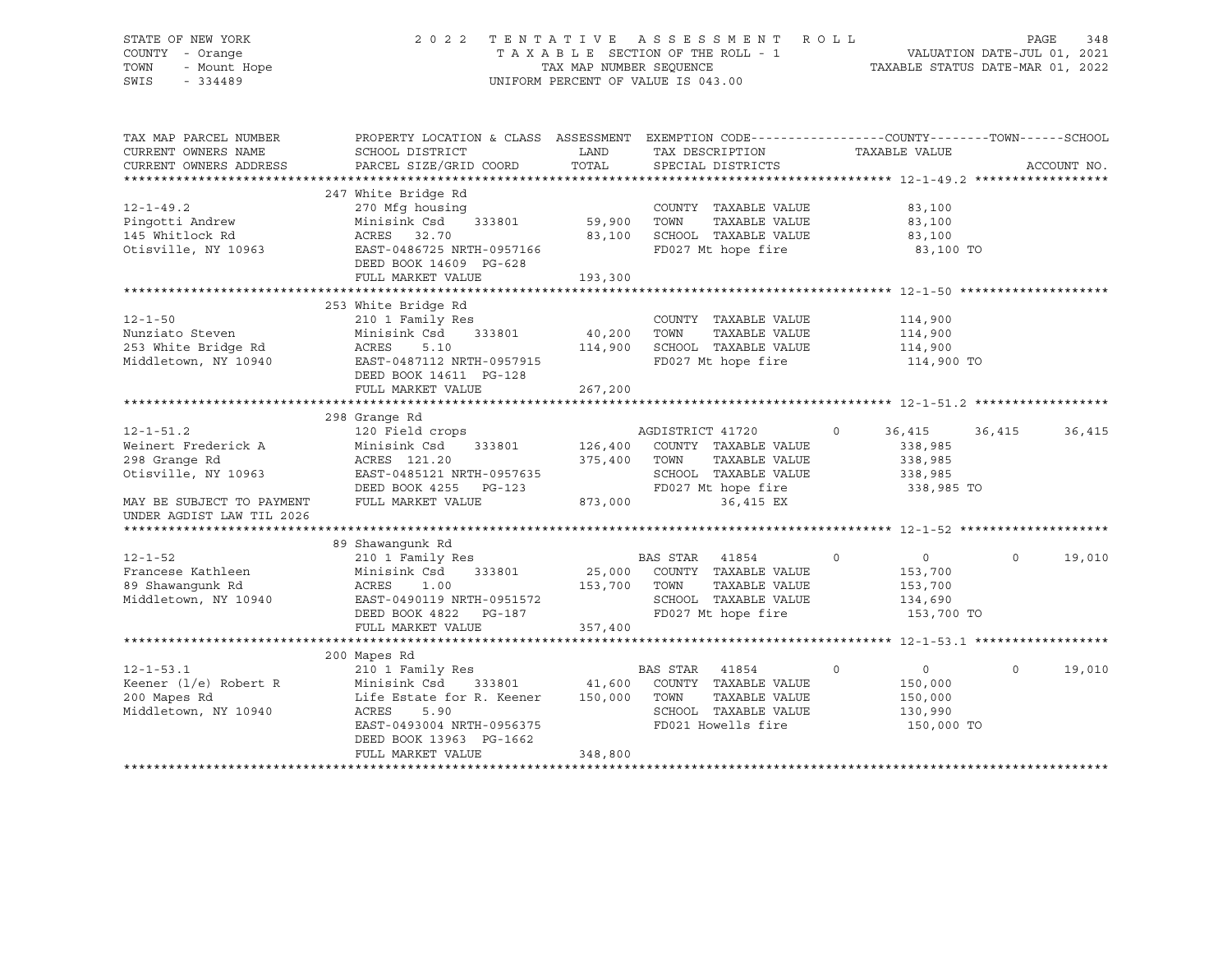STATE OF NEW YORK 2 0 2 2 T E N T A T I V E A S S E S S M E N T R O L L PAGE 348 SWIS - 334489 UNIFORM PERCENT OF VALUE IS 043.00

# COUNTY - Orange T A X A B L E SECTION OF THE ROLL - 1 VALUATION DATE-JUL 01, 2021 TOWN - Mount Hope TAX MAP NUMBER SEQUENCE TAXABLE STATUS DATE-MAR 01, 2022

| TAX MAP PARCEL NUMBER<br>CURRENT OWNERS NAME<br>CURRENT OWNERS ADDRESS                                                                   | PROPERTY LOCATION & CLASS ASSESSMENT<br>SCHOOL DISTRICT<br>PARCEL SIZE/GRID COORD                                                                                                     | LAND<br>TOTAL                 | EXEMPTION CODE----------------COUNTY-------TOWN-----SCHOOL<br>TAX DESCRIPTION<br>SPECIAL DISTRICTS                           | TAXABLE VALUE                                                                |          | ACCOUNT NO. |
|------------------------------------------------------------------------------------------------------------------------------------------|---------------------------------------------------------------------------------------------------------------------------------------------------------------------------------------|-------------------------------|------------------------------------------------------------------------------------------------------------------------------|------------------------------------------------------------------------------|----------|-------------|
| $12 - 1 - 49.2$<br>Pingotti Andrew<br>145 Whitlock Rd<br>Otisville, NY 10963                                                             | 247 White Bridge Rd<br>270 Mfg housing<br>Minisink Csd<br>333801<br>ACRES<br>32.70<br>EAST-0486725 NRTH-0957166<br>DEED BOOK 14609 PG-628<br>FULL MARKET VALUE                        | 59,900<br>83,100<br>193,300   | COUNTY TAXABLE VALUE<br>TOWN<br>TAXABLE VALUE<br>SCHOOL TAXABLE VALUE<br>FD027 Mt hope fire                                  | 83,100<br>83,100<br>83,100<br>83,100 TO                                      |          |             |
| $12 - 1 - 50$<br>Nunziato Steven<br>253 White Bridge Rd<br>Middletown, NY 10940                                                          | 253 White Bridge Rd<br>210 1 Family Res<br>333801<br>Minisink Csd<br>ACRES<br>5.10<br>EAST-0487112 NRTH-0957915<br>DEED BOOK 14611 PG-128<br>FULL MARKET VALUE                        | 40,200<br>114,900<br>267,200  | COUNTY TAXABLE VALUE<br>TOWN<br>TAXABLE VALUE<br>SCHOOL TAXABLE VALUE<br>FD027 Mt hope fire                                  | 114,900<br>114,900<br>114,900<br>114,900 TO                                  |          |             |
| $12 - 1 - 51.2$<br>Weinert Frederick A<br>298 Grange Rd<br>Otisville, NY 10963<br>MAY BE SUBJECT TO PAYMENT<br>UNDER AGDIST LAW TIL 2026 | 298 Grange Rd<br>120 Field crops<br>Minisink Csd<br>333801<br>ACRES 121.20<br>EAST-0485121 NRTH-0957635<br>DEED BOOK 4255 PG-123<br>FULL MARKET VALUE                                 | 126,400<br>375,400<br>873,000 | AGDISTRICT 41720<br>COUNTY TAXABLE VALUE<br>TOWN<br>TAXABLE VALUE<br>SCHOOL TAXABLE VALUE<br>FD027 Mt hope fire<br>36,415 EX | $\circ$<br>36,415<br>338,985<br>338,985<br>338,985<br>338,985 TO             | 36,415   | 36,415      |
|                                                                                                                                          |                                                                                                                                                                                       |                               |                                                                                                                              |                                                                              |          |             |
| $12 - 1 - 52$<br>Francese Kathleen<br>89 Shawanqunk Rd<br>Middletown, NY 10940                                                           | 89 Shawanqunk Rd<br>210 1 Family Res<br>Minisink Csd<br>333801<br>ACRES<br>1.00<br>EAST-0490119 NRTH-0951572<br>DEED BOOK 4822<br>PG-187<br>FULL MARKET VALUE                         | 25,000<br>153,700<br>357,400  | BAS STAR<br>41854<br>COUNTY TAXABLE VALUE<br>TAXABLE VALUE<br>TOWN<br>SCHOOL TAXABLE VALUE<br>FD027 Mt hope fire             | $\overline{0}$<br>$\mathbf 0$<br>153,700<br>153,700<br>134,690<br>153,700 TO | $\Omega$ | 19,010      |
|                                                                                                                                          |                                                                                                                                                                                       |                               |                                                                                                                              |                                                                              |          |             |
| $12 - 1 - 53.1$<br>Keener $(1/e)$ Robert R<br>200 Mapes Rd<br>Middletown, NY 10940                                                       | 200 Mapes Rd<br>210 1 Family Res<br>Minisink Csd<br>333801<br>Life Estate for R. Keener<br>ACRES<br>5.90<br>EAST-0493004 NRTH-0956375<br>DEED BOOK 13963 PG-1662<br>FULL MARKET VALUE | 41,600<br>150,000<br>348,800  | BAS STAR 41854<br>COUNTY TAXABLE VALUE<br>TOWN<br>TAXABLE VALUE<br>SCHOOL TAXABLE VALUE<br>FD021 Howells fire                | $\overline{0}$<br>$\circ$<br>150,000<br>150,000<br>130,990<br>150,000 TO     | $\Omega$ | 19,010      |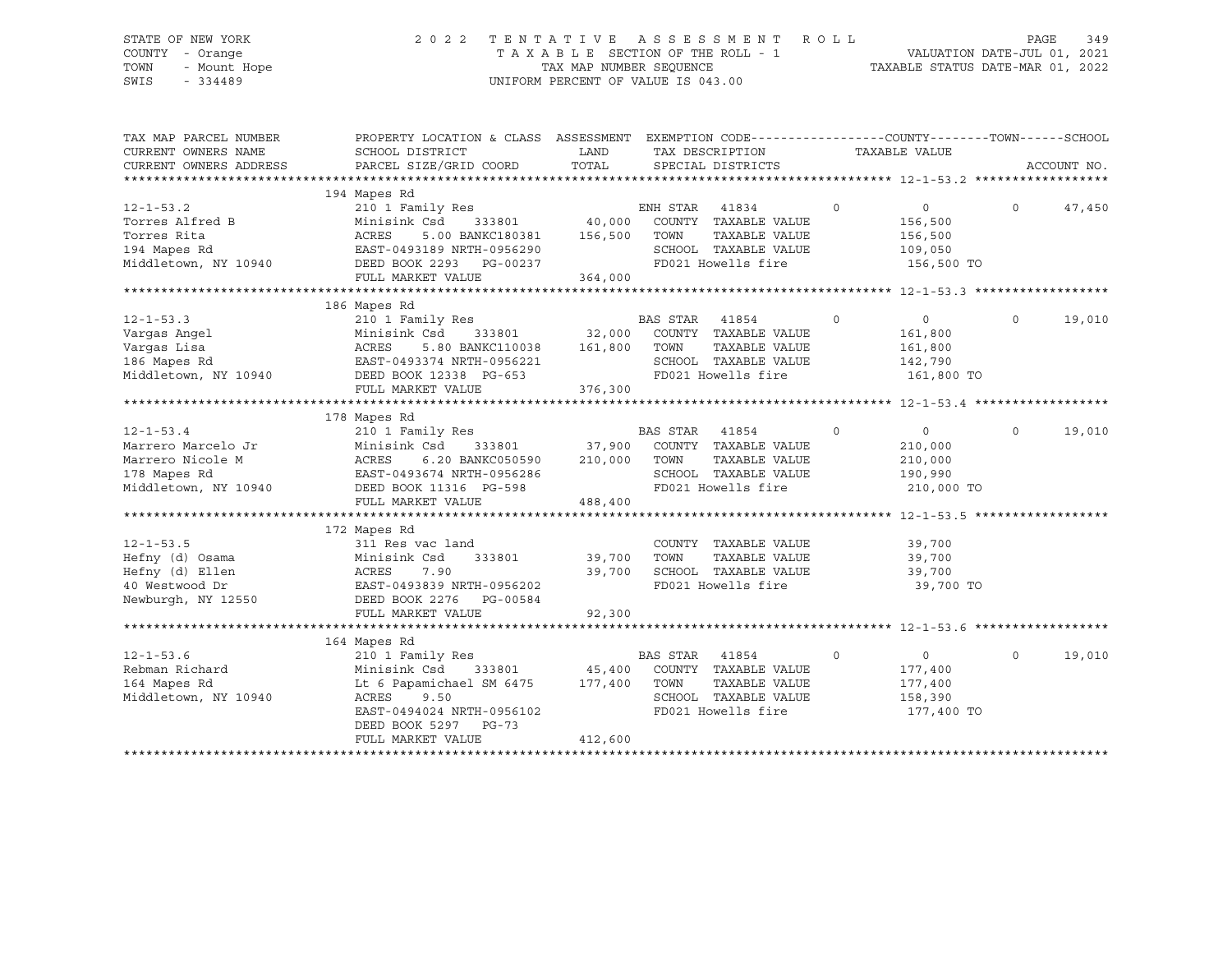# STATE OF NEW YORK 2 0 2 2 T E N T A T I V E A S S E S S M E N T R O L L PAGE 349 COUNTY - Orange T A X A B L E SECTION OF THE ROLL - 1 VALUATION DATE-JUL 01, 2021 TOWN - Mount Hope TAX MAP NUMBER SEQUENCE TAXABLE STATUS DATE-MAR 01, 2022 SWIS - 334489 UNIFORM PERCENT OF VALUE IS 043.00

| 194 Mapes Rd<br>210 1 Family Res<br>ENH STAR<br>$\circ$<br>$\Omega$<br>$12 - 1 - 53.2$<br>41834<br>$\Omega$<br>Torres Alfred B<br>333801 40,000<br>Minisink Csd<br>COUNTY TAXABLE VALUE<br>156,500<br>Torres Rita<br>ACRES<br>5.00 BANKC180381<br>156,500<br>TOWN<br>TAXABLE VALUE<br>156,500<br>SCHOOL TAXABLE VALUE<br>194 Mapes Rd<br>EAST-0493189 NRTH-0956290<br>109,050<br>FD021 Howells fire<br>Middletown, NY 10940<br>DEED BOOK 2293 PG-00237<br>156,500 TO<br>FULL MARKET VALUE<br>364,000<br>186 Mapes Rd<br>BAS STAR<br>$12 - 1 - 53.3$<br>210 1 Family Res<br>41854<br>$\circ$<br>$\overline{0}$<br>$\circ$<br>333801 32,000<br>Minisink Csd<br>COUNTY TAXABLE VALUE<br>Vargas Angel<br>161,800<br>161,800<br>Vargas Lisa<br>ACRES<br>5.80 BANKC110038<br>TOWN<br>TAXABLE VALUE<br>161,800<br>186 Mapes Rd<br>SCHOOL TAXABLE VALUE<br>EAST-0493374 NRTH-0956221<br>142,790<br>FD021 Howells fire<br>Middletown, NY 10940<br>DEED BOOK 12338 PG-653<br>161,800 TO<br>FULL MARKET VALUE<br>376,300<br>178 Mapes Rd<br>$12 - 1 - 53.4$<br>210 1 Family Res<br>BAS STAR<br>$\circ$<br>$\circ$<br>$\circ$<br>41854<br>37,900<br>COUNTY TAXABLE VALUE<br>Marrero Marcelo Jr<br>Minisink Csd<br>333801<br>210,000<br>Marrero Nicole M<br>210,000<br>TOWN<br>TAXABLE VALUE<br>ACRES<br>6.20 BANKC050590<br>210,000<br>SCHOOL TAXABLE VALUE<br>178 Mapes Rd<br>EAST-0493674 NRTH-0956286<br>190,990<br>FD021 Howells fire<br>Middletown, NY 10940<br>DEED BOOK 11316 PG-598<br>210,000 TO<br>FULL MARKET VALUE<br>488,400<br>172 Mapes Rd<br>$12 - 1 - 53.5$<br>311 Res vac land<br>COUNTY TAXABLE VALUE<br>39,700<br>Hefny (d) Osama<br>Minisink Csd<br>TAXABLE VALUE<br>333801<br>39,700<br>TOWN<br>39,700<br>SCHOOL TAXABLE VALUE<br>Hefny (d) Ellen<br>ACRES<br>7.90<br>39,700<br>39,700<br>40 Westwood Dr<br>FD021 Howells fire<br>EAST-0493839 NRTH-0956202<br>39,700 TO<br>Newburgh, NY 12550<br>DEED BOOK 2276 PG-00584<br>FULL MARKET VALUE<br>92,300<br>164 Mapes Rd<br>$12 - 1 - 53.6$<br>210 1 Family Res<br>BAS STAR<br>41854<br>$\mathbf 0$<br>$\overline{0}$<br>$\Omega$<br>45,400<br>Rebman Richard<br>Minisink Csd<br>COUNTY TAXABLE VALUE<br>333801<br>177,400<br>164 Mapes Rd<br>Lt 6 Papamichael SM 6475<br>177,400<br>TAXABLE VALUE<br>TOWN<br>177,400<br>Middletown, NY 10940<br>9.50<br>SCHOOL TAXABLE VALUE<br>ACRES<br>158,390<br>FD021 Howells fire<br>EAST-0494024 NRTH-0956102<br>177,400 TO<br>DEED BOOK 5297 PG-73 | TAX MAP PARCEL NUMBER<br>CURRENT OWNERS NAME<br>CURRENT OWNERS ADDRESS | PROPERTY LOCATION & CLASS ASSESSMENT EXEMPTION CODE----------------COUNTY-------TOWN------SCHOOL<br>SCHOOL DISTRICT<br>PARCEL SIZE/GRID COORD | LAND<br>TOTAL | TAX DESCRIPTION<br>SPECIAL DISTRICTS | TAXABLE VALUE |  | ACCOUNT NO. |
|------------------------------------------------------------------------------------------------------------------------------------------------------------------------------------------------------------------------------------------------------------------------------------------------------------------------------------------------------------------------------------------------------------------------------------------------------------------------------------------------------------------------------------------------------------------------------------------------------------------------------------------------------------------------------------------------------------------------------------------------------------------------------------------------------------------------------------------------------------------------------------------------------------------------------------------------------------------------------------------------------------------------------------------------------------------------------------------------------------------------------------------------------------------------------------------------------------------------------------------------------------------------------------------------------------------------------------------------------------------------------------------------------------------------------------------------------------------------------------------------------------------------------------------------------------------------------------------------------------------------------------------------------------------------------------------------------------------------------------------------------------------------------------------------------------------------------------------------------------------------------------------------------------------------------------------------------------------------------------------------------------------------------------------------------------------------------------------------------------------------------------------------------------------------------------------------------------------------------------------------------------------------------------------------------------------------------------------------------------------------------------------------------------------------------------------------------|------------------------------------------------------------------------|-----------------------------------------------------------------------------------------------------------------------------------------------|---------------|--------------------------------------|---------------|--|-------------|
|                                                                                                                                                                                                                                                                                                                                                                                                                                                                                                                                                                                                                                                                                                                                                                                                                                                                                                                                                                                                                                                                                                                                                                                                                                                                                                                                                                                                                                                                                                                                                                                                                                                                                                                                                                                                                                                                                                                                                                                                                                                                                                                                                                                                                                                                                                                                                                                                                                                      |                                                                        |                                                                                                                                               |               |                                      |               |  |             |
|                                                                                                                                                                                                                                                                                                                                                                                                                                                                                                                                                                                                                                                                                                                                                                                                                                                                                                                                                                                                                                                                                                                                                                                                                                                                                                                                                                                                                                                                                                                                                                                                                                                                                                                                                                                                                                                                                                                                                                                                                                                                                                                                                                                                                                                                                                                                                                                                                                                      |                                                                        |                                                                                                                                               |               |                                      |               |  | 47,450      |
|                                                                                                                                                                                                                                                                                                                                                                                                                                                                                                                                                                                                                                                                                                                                                                                                                                                                                                                                                                                                                                                                                                                                                                                                                                                                                                                                                                                                                                                                                                                                                                                                                                                                                                                                                                                                                                                                                                                                                                                                                                                                                                                                                                                                                                                                                                                                                                                                                                                      |                                                                        |                                                                                                                                               |               |                                      |               |  |             |
|                                                                                                                                                                                                                                                                                                                                                                                                                                                                                                                                                                                                                                                                                                                                                                                                                                                                                                                                                                                                                                                                                                                                                                                                                                                                                                                                                                                                                                                                                                                                                                                                                                                                                                                                                                                                                                                                                                                                                                                                                                                                                                                                                                                                                                                                                                                                                                                                                                                      |                                                                        |                                                                                                                                               |               |                                      |               |  | 19,010      |
|                                                                                                                                                                                                                                                                                                                                                                                                                                                                                                                                                                                                                                                                                                                                                                                                                                                                                                                                                                                                                                                                                                                                                                                                                                                                                                                                                                                                                                                                                                                                                                                                                                                                                                                                                                                                                                                                                                                                                                                                                                                                                                                                                                                                                                                                                                                                                                                                                                                      |                                                                        |                                                                                                                                               |               |                                      |               |  |             |
|                                                                                                                                                                                                                                                                                                                                                                                                                                                                                                                                                                                                                                                                                                                                                                                                                                                                                                                                                                                                                                                                                                                                                                                                                                                                                                                                                                                                                                                                                                                                                                                                                                                                                                                                                                                                                                                                                                                                                                                                                                                                                                                                                                                                                                                                                                                                                                                                                                                      |                                                                        |                                                                                                                                               |               |                                      |               |  | 19,010      |
|                                                                                                                                                                                                                                                                                                                                                                                                                                                                                                                                                                                                                                                                                                                                                                                                                                                                                                                                                                                                                                                                                                                                                                                                                                                                                                                                                                                                                                                                                                                                                                                                                                                                                                                                                                                                                                                                                                                                                                                                                                                                                                                                                                                                                                                                                                                                                                                                                                                      |                                                                        |                                                                                                                                               |               |                                      |               |  |             |
|                                                                                                                                                                                                                                                                                                                                                                                                                                                                                                                                                                                                                                                                                                                                                                                                                                                                                                                                                                                                                                                                                                                                                                                                                                                                                                                                                                                                                                                                                                                                                                                                                                                                                                                                                                                                                                                                                                                                                                                                                                                                                                                                                                                                                                                                                                                                                                                                                                                      |                                                                        |                                                                                                                                               |               |                                      |               |  |             |
|                                                                                                                                                                                                                                                                                                                                                                                                                                                                                                                                                                                                                                                                                                                                                                                                                                                                                                                                                                                                                                                                                                                                                                                                                                                                                                                                                                                                                                                                                                                                                                                                                                                                                                                                                                                                                                                                                                                                                                                                                                                                                                                                                                                                                                                                                                                                                                                                                                                      |                                                                        |                                                                                                                                               |               |                                      |               |  |             |
|                                                                                                                                                                                                                                                                                                                                                                                                                                                                                                                                                                                                                                                                                                                                                                                                                                                                                                                                                                                                                                                                                                                                                                                                                                                                                                                                                                                                                                                                                                                                                                                                                                                                                                                                                                                                                                                                                                                                                                                                                                                                                                                                                                                                                                                                                                                                                                                                                                                      |                                                                        | FULL MARKET VALUE                                                                                                                             | 412,600       |                                      |               |  | 19,010      |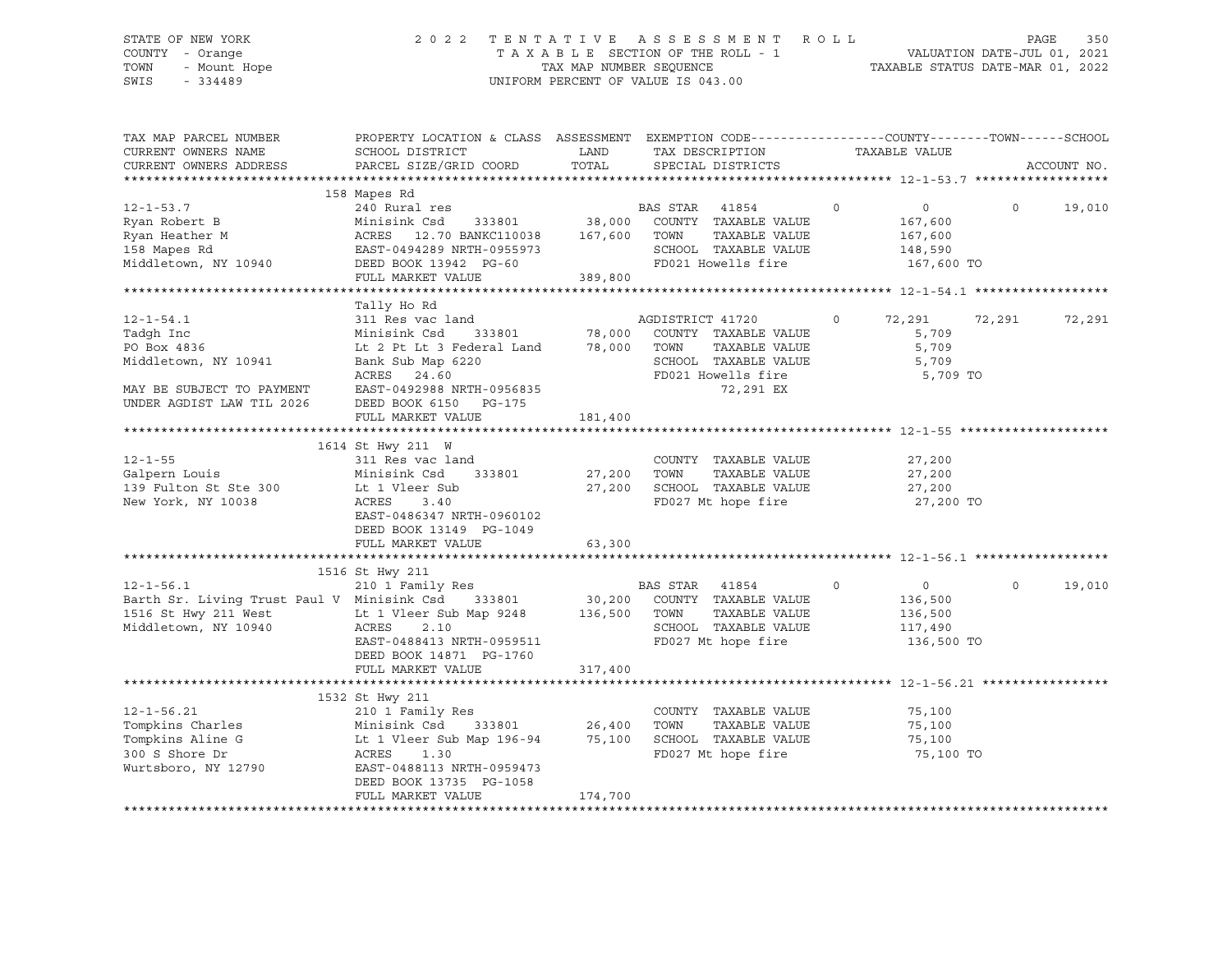# STATE OF NEW YORK 2 0 2 2 T E N T A T I V E A S S E S S M E N T R O L L PAGE 350 COUNTY - Orange T A X A B L E SECTION OF THE ROLL - 1 VALUATION DATE-JUL 01, 2021 TOWN - Mount Hope TAX MAP NUMBER SEQUENCE TAXABLE STATUS DATE-MAR 01, 2022 SWIS - 334489 UNIFORM PERCENT OF VALUE IS 043.00

| TAX MAP PARCEL NUMBER<br>CURRENT OWNERS NAME | PROPERTY LOCATION & CLASS ASSESSMENT EXEMPTION CODE----------------COUNTY-------TOWN------SCHOOL<br>SCHOOL DISTRICT | LAND         | TAX DESCRIPTION   |                                    | TAXABLE VALUE |                |          |             |
|----------------------------------------------|---------------------------------------------------------------------------------------------------------------------|--------------|-------------------|------------------------------------|---------------|----------------|----------|-------------|
| CURRENT OWNERS ADDRESS                       | PARCEL SIZE/GRID COORD                                                                                              | TOTAL        | SPECIAL DISTRICTS |                                    |               |                |          | ACCOUNT NO. |
|                                              |                                                                                                                     |              |                   |                                    |               |                |          |             |
| $12 - 1 - 53.7$                              | 158 Mapes Rd<br>240 Rural res                                                                                       |              | BAS STAR 41854    |                                    | $\circ$       | $\overline{0}$ | $\circ$  | 19,010      |
| Ryan Robert B                                | Minisink Csd                                                                                                        |              |                   | 333801 38,000 COUNTY TAXABLE VALUE |               | 167,600        |          |             |
| Ryan Heather M                               | ACRES 12.70 BANKC110038                                                                                             | 167,600 TOWN |                   | TAXABLE VALUE                      |               | 167,600        |          |             |
| 158 Mapes Rd                                 | EAST-0494289 NRTH-0955973                                                                                           |              |                   | SCHOOL TAXABLE VALUE               |               | 148,590        |          |             |
| Middletown, NY 10940                         | DEED BOOK 13942 PG-60                                                                                               |              |                   | FD021 Howells fire                 |               | 167,600 TO     |          |             |
|                                              | FULL MARKET VALUE                                                                                                   | 389,800      |                   |                                    |               |                |          |             |
|                                              |                                                                                                                     |              |                   |                                    |               |                |          |             |
|                                              | Tally Ho Rd                                                                                                         |              |                   |                                    |               |                |          |             |
| $12 - 1 - 54.1$                              | 311 Res vac land                                                                                                    |              | AGDISTRICT 41720  |                                    | $\circ$       | 72,291 72,291  |          | 72,291      |
| Tadgh Inc                                    | Minisink Csd 333801 78,000 COUNTY TAXABLE VALUE<br>Lt 2 Pt Lt 3 Federal Land 78,000 TOWN TAXABLE VALUE              |              |                   |                                    |               | 5,709          |          |             |
| PO Box 4836                                  |                                                                                                                     |              |                   | TAXABLE VALUE                      |               | 5,709          |          |             |
| Middletown, NY 10941                         | Bank Sub Map 6220                                                                                                   |              |                   | SCHOOL TAXABLE VALUE               |               | 5,709          |          |             |
|                                              | ACRES 24.60                                                                                                         |              |                   | FD021 Howells fire                 |               | 5,709 TO       |          |             |
| MAY BE SUBJECT TO PAYMENT                    | EAST-0492988 NRTH-0956835                                                                                           |              |                   | 72,291 EX                          |               |                |          |             |
| UNDER AGDIST LAW TIL 2026                    | DEED BOOK 6150 PG-175                                                                                               |              |                   |                                    |               |                |          |             |
|                                              | FULL MARKET VALUE                                                                                                   | 181,400      |                   |                                    |               |                |          |             |
|                                              |                                                                                                                     |              |                   |                                    |               |                |          |             |
|                                              | 1614 St Hwy 211 W                                                                                                   |              |                   |                                    |               |                |          |             |
| $12 - 1 - 55$                                | 311 Res vac land                                                                                                    |              |                   | COUNTY TAXABLE VALUE               |               | 27,200         |          |             |
| Galpern Louis                                | Minisink Csd<br>333801                                                                                              | 27,200       | TOWN              | TAXABLE VALUE                      |               | 27,200         |          |             |
| 139 Fulton St Ste 300                        | Lt 1 Vleer Sub                                                                                                      | 27,200       |                   | SCHOOL TAXABLE VALUE               |               | 27,200         |          |             |
| New York, NY 10038                           | ACRES<br>3.40                                                                                                       |              |                   | FD027 Mt hope fire                 |               | 27,200 TO      |          |             |
|                                              | EAST-0486347 NRTH-0960102                                                                                           |              |                   |                                    |               |                |          |             |
|                                              | DEED BOOK 13149 PG-1049                                                                                             |              |                   |                                    |               |                |          |             |
|                                              | FULL MARKET VALUE                                                                                                   | 63,300       |                   |                                    |               |                |          |             |
|                                              |                                                                                                                     |              |                   |                                    |               |                |          |             |
|                                              | 1516 St Hwy 211                                                                                                     |              |                   |                                    |               |                |          |             |
| $12 - 1 - 56.1$                              | 210 1 Family Res                                                                                                    |              | BAS STAR 41854    |                                    | $\circ$       | $\overline{0}$ | $\Omega$ | 19,010      |
| Barth Sr. Living Trust Paul V Minisink Csd   | 333801                                                                                                              |              |                   | 30,200 COUNTY TAXABLE VALUE        |               | 136,500        |          |             |
| 1516 St Hwy 211 West                         | Lt 1 Vleer Sub Map 9248 136,500 TOWN                                                                                |              |                   | TAXABLE VALUE                      |               | 136,500        |          |             |
| Middletown, NY 10940                         | ACRES<br>2.10                                                                                                       |              |                   | SCHOOL TAXABLE VALUE               |               | 117,490        |          |             |
|                                              | EAST-0488413 NRTH-0959511                                                                                           |              |                   | FD027 Mt hope fire                 |               | 136,500 TO     |          |             |
|                                              | DEED BOOK 14871 PG-1760                                                                                             |              |                   |                                    |               |                |          |             |
|                                              | FULL MARKET VALUE                                                                                                   | 317,400      |                   |                                    |               |                |          |             |
|                                              |                                                                                                                     |              |                   |                                    |               |                |          |             |
|                                              | 1532 St Hwy 211                                                                                                     |              |                   |                                    |               |                |          |             |
| $12 - 1 - 56.21$                             | 210 1 Family Res                                                                                                    |              |                   | COUNTY TAXABLE VALUE               |               | 75,100         |          |             |
| Tompkins Charles                             | 333801 26,400<br>Map 196-94 75,100<br>Minisink Csd                                                                  |              | TOWN              | TAXABLE VALUE                      |               | 75,100         |          |             |
| Tompkins Aline G                             | Minisink Csd    333801<br>Lt 1 Vleer Sub Map 196-94                                                                 |              |                   | SCHOOL TAXABLE VALUE               |               | 75,100         |          |             |
| 300 S Shore Dr                               | ACRES 1.30                                                                                                          |              |                   | FD027 Mt hope fire                 |               | 75,100 TO      |          |             |
| Wurtsboro, NY 12790                          | EAST-0488113 NRTH-0959473                                                                                           |              |                   |                                    |               |                |          |             |
|                                              | DEED BOOK 13735 PG-1058                                                                                             |              |                   |                                    |               |                |          |             |
|                                              | FULL MARKET VALUE                                                                                                   | 174,700      |                   |                                    |               |                |          |             |
|                                              |                                                                                                                     |              |                   |                                    |               |                |          |             |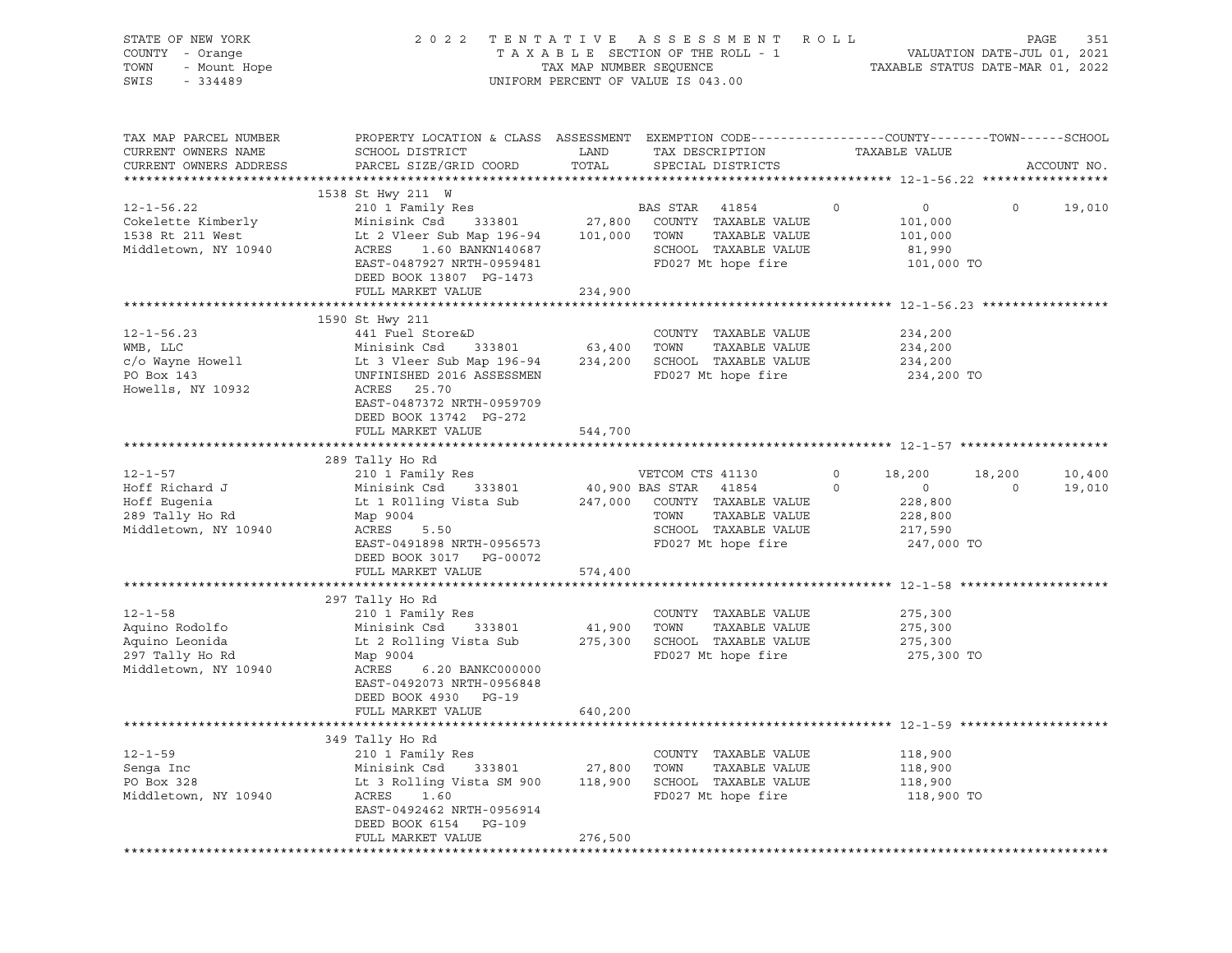| STATE OF NEW YORK<br>OF NEW YORK<br>I - Orange<br>- Mount Hope<br>Address Cardon<br>COUNTY - Orange<br>TOWN<br>SWIS                                                                                                                   |                                                                                                                                                                                                                                                                                                                  |               | 2022 TENTATIVE ASSESSMENT ROLL<br>UNIFORM PERCENT OF VALUE IS 043.00 |                    |                                                   | PAGE    | 351           |
|---------------------------------------------------------------------------------------------------------------------------------------------------------------------------------------------------------------------------------------|------------------------------------------------------------------------------------------------------------------------------------------------------------------------------------------------------------------------------------------------------------------------------------------------------------------|---------------|----------------------------------------------------------------------|--------------------|---------------------------------------------------|---------|---------------|
| TAX MAP PARCEL NUMBER<br>CURRENT OWNERS NAME<br>CURRENT OWNERS ADDRESS                                                                                                                                                                | PROPERTY LOCATION & CLASS ASSESSMENT EXEMPTION CODE-----------------COUNTY-------TOWN------SCHOOL<br>SCHOOL DISTRICT<br>PARCEL SIZE/GRID COORD                                                                                                                                                                   | LAND<br>TOTAL | TAX DESCRIPTION<br>SPECIAL DISTRICTS                                 | TAXABLE VALUE      |                                                   |         | ACCOUNT NO.   |
| $12 - 1 - 56.22$<br>Cokelette Kimberly<br>1538 Rt 211 West<br>Middletown, NY 10940                                                                                                                                                    | 1538 St Hwy 211 W<br>210 1 Family Res BAS STAR 41854 0<br>Minisink Csd 333801 27,800 COUNTY TAXABLE VALUE 101,000<br>27,800 COUNTY TAXABLE VALUE 101.000<br>Lt 2 Vleer Sub Map 196-94 101,000 TOWN<br>ACRES 1.60 BANKN140687 SCHOOL<br>EAST-0487927 NRTH-0959481<br>DEED BOOK 13807 PG-1473<br>FULL MARKET VALUE | 234,900       | TAXABLE VALUE<br>SCHOOL TAXABLE VALUE<br>FD027 Mt hope fire          |                    | $\overline{0}$<br>101,000<br>81,990<br>101,000 TO |         | $0 \t 19,010$ |
|                                                                                                                                                                                                                                       |                                                                                                                                                                                                                                                                                                                  |               |                                                                      |                    |                                                   |         |               |
| 12-1-56.23<br>WMB, LLC Minisink Csd 333801 63,400 TOWN TAXABLE VALUE<br>C/O Wayne Howell Lt 3 Vleer Sub Map 196-94 234,200 SCHOOL TAXABLE VALUE<br>PO Box 143 UNFINISHED 2016 ASSESSMEN FD027 Mt hope fire<br>Howells. NY 10932 ACRES | 1590 St Hwy 211                                                                                                                                                                                                                                                                                                  |               | FD027 Mt hope fire                                                   | 234,200<br>234,200 | 234,200<br>234,200 TO                             |         |               |
|                                                                                                                                                                                                                                       | FULL MARKET VALUE                                                                                                                                                                                                                                                                                                | 544,700       |                                                                      |                    |                                                   |         |               |
|                                                                                                                                                                                                                                       |                                                                                                                                                                                                                                                                                                                  |               |                                                                      |                    |                                                   |         |               |
|                                                                                                                                                                                                                                       | 289 Tally Ho Rd                                                                                                                                                                                                                                                                                                  |               |                                                                      |                    |                                                   |         |               |
| $12 - 1 - 57$                                                                                                                                                                                                                         | 210 1 Family Res<br>Minisink Csd 333801 40,900 BAS STAR 41854                                                                                                                                                                                                                                                    |               | VETCOM CTS 41130                                                     | $\overline{0}$     | 18,200                                            | 18,200  | 10,400        |
| Hoff Richard J                                                                                                                                                                                                                        | Lt 1 R011ing Vista Sub 247,000 COUNTY TAXABLE VALUE                                                                                                                                                                                                                                                              |               |                                                                      | $\circ$            | $\sim$ 0                                          | $\circ$ | 19,010        |
| Hoff Eugenia<br>289 Tally Ho Rd                                                                                                                                                                                                       | Map 9004                                                                                                                                                                                                                                                                                                         |               | TOWN<br>TAXABLE VALUE                                                |                    | 228,800<br>228,800                                |         |               |
| Middletown, NY 10940                                                                                                                                                                                                                  | ACRES<br>5.50                                                                                                                                                                                                                                                                                                    |               | SCHOOL TAXABLE VALUE 217,590                                         |                    |                                                   |         |               |
|                                                                                                                                                                                                                                       | EAST-0491898 NRTH-0956573<br>DEED BOOK 3017 PG-00072                                                                                                                                                                                                                                                             |               | FD027 Mt hope fire                                                   |                    | 247,000 TO                                        |         |               |
|                                                                                                                                                                                                                                       | FULL MARKET VALUE                                                                                                                                                                                                                                                                                                | 574,400       |                                                                      |                    |                                                   |         |               |
|                                                                                                                                                                                                                                       |                                                                                                                                                                                                                                                                                                                  |               |                                                                      |                    |                                                   |         |               |
|                                                                                                                                                                                                                                       | 297 Tally Ho Rd<br>210 1 Family Res                                                                                                                                                                                                                                                                              |               |                                                                      |                    |                                                   |         |               |
| $12 - 1 - 58$                                                                                                                                                                                                                         | Minisink Csd 333801                                                                                                                                                                                                                                                                                              | 41,900 TOWN   | COUNTY TAXABLE VALUE                                                 |                    | 275,300                                           |         |               |
| Aquino Rodolfo<br>Aquino Leonida                                                                                                                                                                                                      | Lt 2 Rolling Vista Sub 275,300 SCHOOL TAXABLE VALUE                                                                                                                                                                                                                                                              |               | TAXABLE VALUE                                                        | 275,300            | 275,300                                           |         |               |
| 297 Tally Ho Rd                                                                                                                                                                                                                       | Map 9004                                                                                                                                                                                                                                                                                                         |               | FD027 Mt hope fire                                                   |                    | 275,300 TO                                        |         |               |
| Middletown, NY 10940                                                                                                                                                                                                                  | ACRES<br>6.20 BANKC000000<br>EAST-0492073 NRTH-0956848                                                                                                                                                                                                                                                           |               |                                                                      |                    |                                                   |         |               |
|                                                                                                                                                                                                                                       | DEED BOOK 4930 PG-19<br>FULL MARKET VALUE                                                                                                                                                                                                                                                                        | 640,200       |                                                                      |                    |                                                   |         |               |
|                                                                                                                                                                                                                                       |                                                                                                                                                                                                                                                                                                                  |               |                                                                      |                    |                                                   |         |               |
|                                                                                                                                                                                                                                       | 349 Tally Ho Rd                                                                                                                                                                                                                                                                                                  |               |                                                                      |                    |                                                   |         |               |
| $12 - 1 - 59$                                                                                                                                                                                                                         | 210 1 Family Res                                                                                                                                                                                                                                                                                                 |               | COUNTY TAXABLE VALUE                                                 |                    | 118,900                                           |         |               |
| Senga Inc                                                                                                                                                                                                                             | Minisink Csd<br>333801                                                                                                                                                                                                                                                                                           | 27,800        | TAXABLE VALUE<br>TOWN                                                |                    | 118,900                                           |         |               |
| PO Box 328                                                                                                                                                                                                                            | Lt 3 Rolling Vista SM 900                                                                                                                                                                                                                                                                                        | 118,900       | SCHOOL TAXABLE VALUE                                                 |                    | 118,900                                           |         |               |
| Middletown, NY 10940                                                                                                                                                                                                                  | ACRES<br>1.60                                                                                                                                                                                                                                                                                                    |               | FD027 Mt hope fire                                                   |                    | 118,900 TO                                        |         |               |
|                                                                                                                                                                                                                                       | EAST-0492462 NRTH-0956914                                                                                                                                                                                                                                                                                        |               |                                                                      |                    |                                                   |         |               |
|                                                                                                                                                                                                                                       | DEED BOOK 6154<br>PG-109                                                                                                                                                                                                                                                                                         |               |                                                                      |                    |                                                   |         |               |
|                                                                                                                                                                                                                                       | FULL MARKET VALUE                                                                                                                                                                                                                                                                                                | 276,500       |                                                                      |                    |                                                   |         |               |
|                                                                                                                                                                                                                                       |                                                                                                                                                                                                                                                                                                                  |               |                                                                      |                    |                                                   |         |               |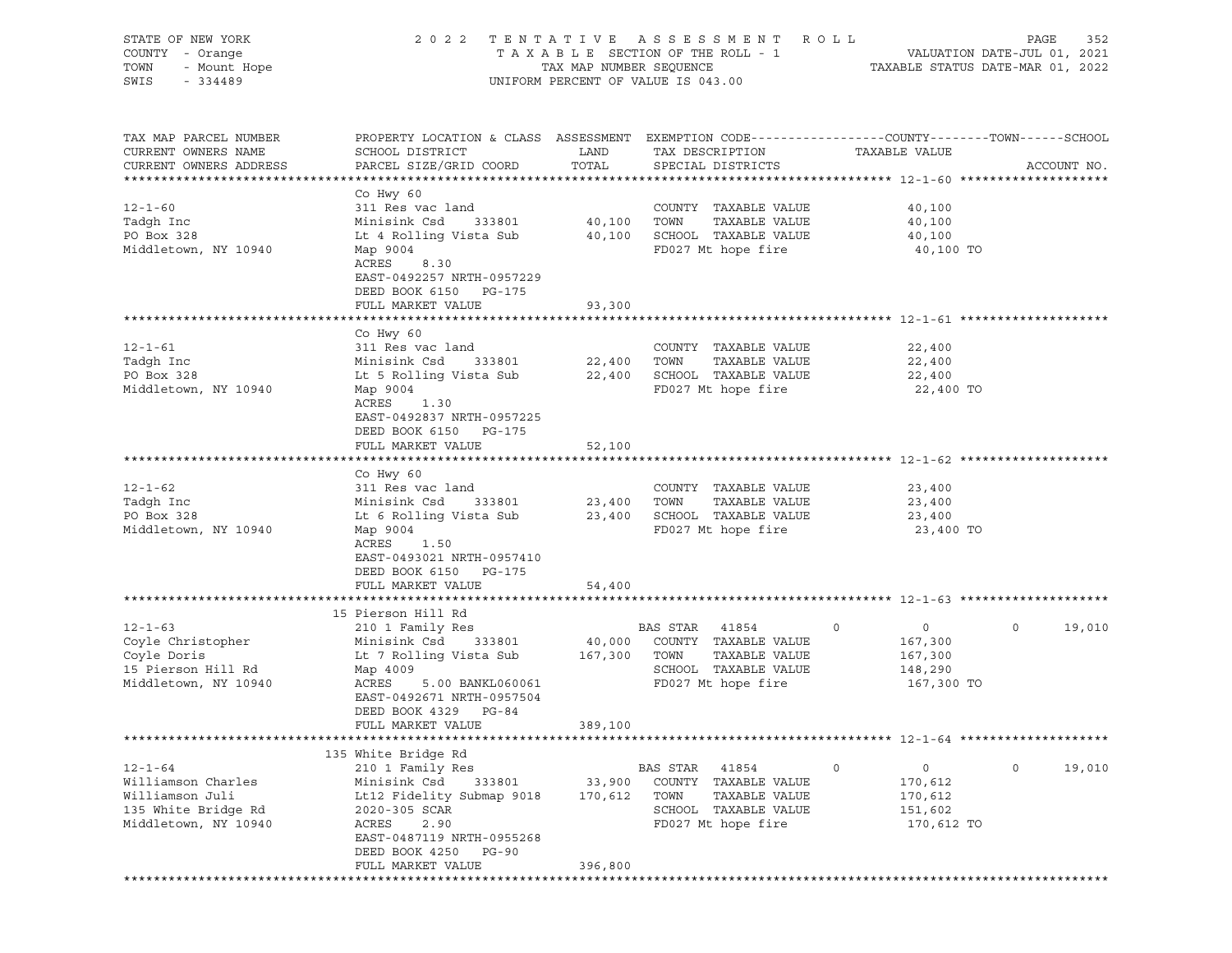| STATE OF NEW YORK<br>COUNTY - Orange<br>TOWN<br>- Mount Hope<br>SWIS<br>$-334489$                     | 2 0 2 2                                                                                                                                                                                                          | TAX MAP NUMBER SEQUENCE      | TENTATIVE ASSESSMENT<br>TAXABLE SECTION OF THE ROLL - 1<br>UNIFORM PERCENT OF VALUE IS 043.00                    | ROLL                                                             | 352<br>PAGE<br>VALUATION DATE-JUL 01, 2021<br>TAXABLE STATUS DATE-MAR 01, 2022 |
|-------------------------------------------------------------------------------------------------------|------------------------------------------------------------------------------------------------------------------------------------------------------------------------------------------------------------------|------------------------------|------------------------------------------------------------------------------------------------------------------|------------------------------------------------------------------|--------------------------------------------------------------------------------|
| TAX MAP PARCEL NUMBER<br>CURRENT OWNERS NAME<br>CURRENT OWNERS ADDRESS                                | PROPERTY LOCATION & CLASS ASSESSMENT EXEMPTION CODE---------------COUNTY-------TOWN------SCHOOL<br>SCHOOL DISTRICT<br>PARCEL SIZE/GRID COORD                                                                     | LAND<br>TOTAL                | TAX DESCRIPTION<br>SPECIAL DISTRICTS                                                                             | TAXABLE VALUE                                                    | ACCOUNT NO.                                                                    |
| $12 - 1 - 60$<br>Tadgh Inc<br>PO Box 328<br>Middletown, NY 10940                                      | Co Hwy 60<br>311 Res vac land<br>Minisink Csd<br>333801<br>Lt 4 Rolling Vista Sub<br>Map 9004<br>ACRES<br>8.30<br>EAST-0492257 NRTH-0957229<br>DEED BOOK 6150 PG-175                                             | 40,100<br>40,100             | COUNTY TAXABLE VALUE<br>TOWN<br>TAXABLE VALUE<br>SCHOOL TAXABLE VALUE<br>FD027 Mt hope fire                      | 40,100<br>40,100<br>40,100<br>40,100 TO                          |                                                                                |
|                                                                                                       | FULL MARKET VALUE                                                                                                                                                                                                | 93,300                       |                                                                                                                  |                                                                  |                                                                                |
| $12 - 1 - 61$<br>Tadgh Inc<br>PO Box 328<br>Middletown, NY 10940                                      | Co Hwy 60<br>311 Res vac land<br>Minisink Csd<br>333801<br>Lt 5 Rolling Vista Sub<br>Map 9004<br>ACRES<br>1.30<br>EAST-0492837 NRTH-0957225<br>DEED BOOK 6150<br>PG-175                                          | 22,400<br>22,400             | COUNTY TAXABLE VALUE<br>TAXABLE VALUE<br>TOWN<br>SCHOOL TAXABLE VALUE<br>FD027 Mt hope fire                      | 22,400<br>22,400<br>22,400<br>22,400 TO                          |                                                                                |
|                                                                                                       | FULL MARKET VALUE                                                                                                                                                                                                | 52,100                       |                                                                                                                  |                                                                  |                                                                                |
| $12 - 1 - 62$<br>Tadqh Inc<br>PO Box 328<br>Middletown, NY 10940                                      | Co Hwy 60<br>311 Res vac land<br>Minisink Csd<br>333801<br>Lt 6 Rolling Vista Sub<br>Map 9004<br>ACRES<br>1.50<br>EAST-0493021 NRTH-0957410<br>DEED BOOK 6150 PG-175<br>FULL MARKET VALUE                        | 23,400<br>23,400<br>54,400   | COUNTY TAXABLE VALUE<br>TAXABLE VALUE<br>TOWN<br>SCHOOL TAXABLE VALUE<br>FD027 Mt hope fire                      | 23,400<br>23,400<br>23,400<br>23,400 TO                          |                                                                                |
|                                                                                                       |                                                                                                                                                                                                                  |                              |                                                                                                                  |                                                                  |                                                                                |
| $12 - 1 - 63$<br>Coyle Christopher<br>Coyle Doris<br>15 Pierson Hill Rd<br>Middletown, NY 10940       | 15 Pierson Hill Rd<br>210 1 Family Res<br>Minisink Csd<br>333801<br>Lt 7 Rolling Vista Sub<br>Map 4009<br>ACRES<br>5.00 BANKL060061<br>EAST-0492671 NRTH-0957504<br>DEED BOOK 4329<br>PG-84<br>FULL MARKET VALUE | 40,000<br>167,300<br>389,100 | BAS STAR<br>41854<br>COUNTY TAXABLE VALUE<br>TOWN<br>TAXABLE VALUE<br>SCHOOL TAXABLE VALUE<br>FD027 Mt hope fire | 0<br>0<br>167,300<br>167,300<br>148,290<br>167,300 TO            | $\circ$<br>19,010                                                              |
|                                                                                                       |                                                                                                                                                                                                                  |                              |                                                                                                                  |                                                                  |                                                                                |
| $12 - 1 - 64$<br>Williamson Charles<br>Williamson Juli<br>135 White Bridge Rd<br>Middletown, NY 10940 | 135 White Bridge Rd<br>210 1 Family Res<br>Minisink Csd<br>333801<br>Lt12 Fidelity Submap 9018<br>2020-305 SCAR<br>ACRES<br>2.90<br>EAST-0487119 NRTH-0955268<br>DEED BOOK 4250<br>$PG-90$<br>FULL MARKET VALUE  | 33,900<br>170,612<br>396,800 | BAS STAR<br>41854<br>COUNTY TAXABLE VALUE<br>TOWN<br>TAXABLE VALUE<br>SCHOOL TAXABLE VALUE<br>FD027 Mt hope fire | 0<br>$\mathsf{O}$<br>170,612<br>170,612<br>151,602<br>170,612 TO | $\circ$<br>19,010                                                              |
|                                                                                                       |                                                                                                                                                                                                                  |                              |                                                                                                                  |                                                                  |                                                                                |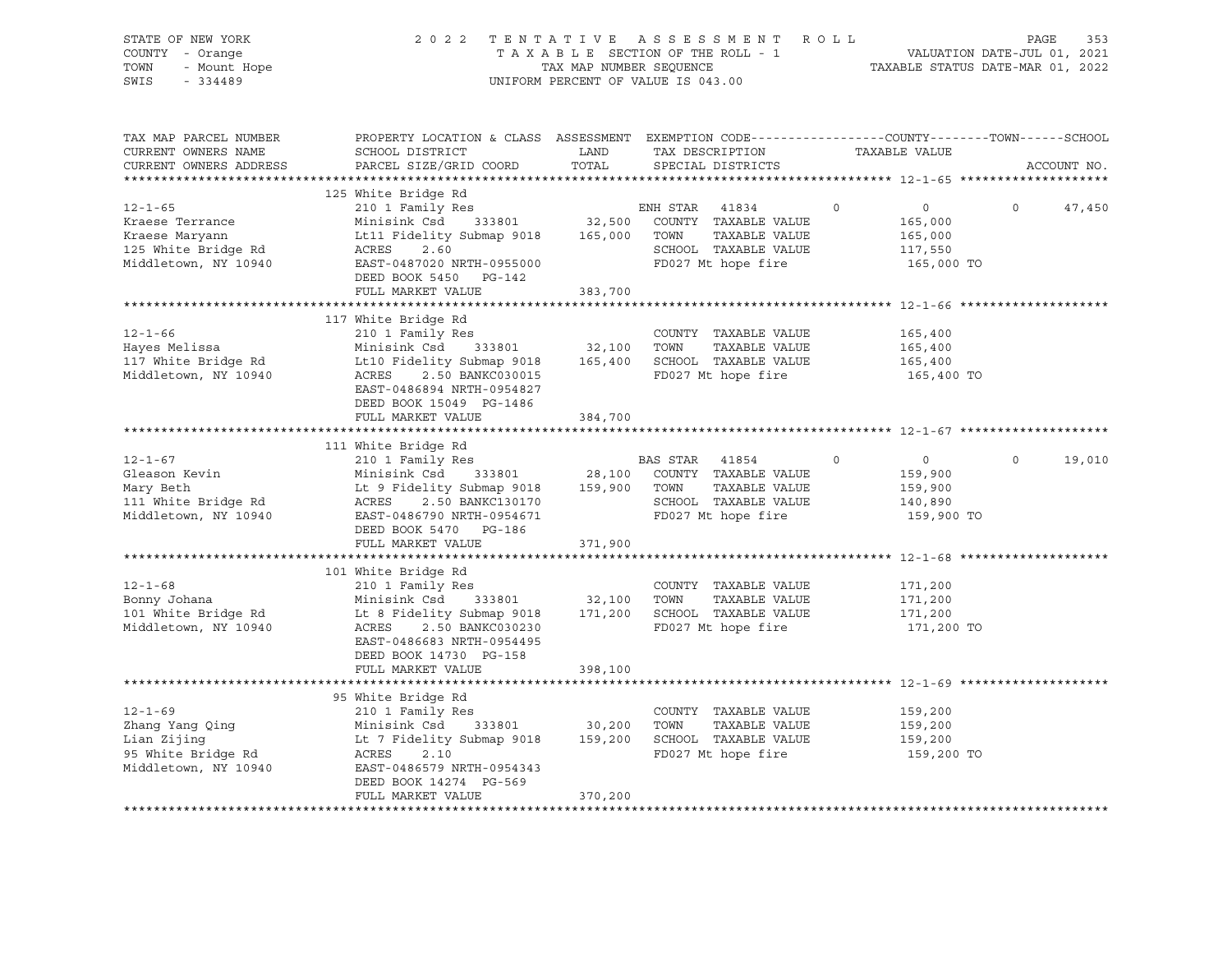| STATE OF NEW YORK<br>COUNTY - Orange<br>TOWN<br>- Mount Hope<br>$-334489$<br>SWIS                                                                                                                                                                    |                                                                                                                                                                                                                                                                                           |         | 2022 TENTATIVE ASSESSMENT ROLL<br>T A X A B L E SECTION OF THE ROLL - 1<br>T A X A B L E SECTION OF THE ROLL - 1<br>TAXABLE STATUS DATE-JUL 01, 2022<br>UNIFORM PERCENT OF VALUE IS 043.00 |                                                                          | PAGE<br>353        |
|------------------------------------------------------------------------------------------------------------------------------------------------------------------------------------------------------------------------------------------------------|-------------------------------------------------------------------------------------------------------------------------------------------------------------------------------------------------------------------------------------------------------------------------------------------|---------|--------------------------------------------------------------------------------------------------------------------------------------------------------------------------------------------|--------------------------------------------------------------------------|--------------------|
| TAX MAP PARCEL NUMBER<br>CURRENT OWNERS NAME<br>CURRENT OWNERS ADDRESS                                                                                                                                                                               | ${\small \texttt{PROBERTY}\ \texttt{LOCALION}\ \&\ \texttt{CLASS}\ \texttt{ASS} \\\ \texttt{SCHOOL} \\\texttt{DISTRICT} \\\texttt{LAND} \\\texttt{LAND} \\\texttt{PAX} \\\texttt{DESCRIPTION} \\\texttt{PAXABLE VALUE} \\\texttt{VALUE} \\\texttt{VALUE}$<br>PARCEL SIZE/GRID COORD TOTAL |         | SPECIAL DISTRICTS                                                                                                                                                                          |                                                                          | ACCOUNT NO.        |
| 12-1-65<br>Xraese Terrance<br>Xraese Maryann Lt11 Fidelity Submap 9018 32,500 COUNTY TAXABLE VALUE<br>Xraese Maryann Lt11 Fidelity Submap 9018 165,000 TOWN TAXABLE VALUE<br>125 White Bridge Rd ACRES 2.60 SCHOOL TAXABLE VALUE<br>Midd             | 125 White Bridge Rd<br>DEED BOOK 5450 PG-142<br>FULL MARKET VALUE 383,700                                                                                                                                                                                                                 |         | FD027 Mt hope fire                                                                                                                                                                         | $\circ$<br>$\overline{0}$<br>165,000<br>165,000<br>117,550<br>165,000 TO | $\Omega$<br>47,450 |
|                                                                                                                                                                                                                                                      |                                                                                                                                                                                                                                                                                           |         |                                                                                                                                                                                            |                                                                          |                    |
| $12 - 1 - 66$<br>Hayes Melissa (Allo Extra 1980)<br>117 White Bridge Rd Lt10 Fidelity Submap 9018 165,400 SCHOOL TAXABLE VALUE<br>117 White Bridge Rd Lt10 Fidelity Submap 9018 165,400 SCHOOL TAXABLE VALUE<br>165,400 SCHOOL TAXABLE VALUE         | 117 White Bridge Rd<br>210 1 Family Res<br>EAST-0486894 NRTH-0954827<br>DEED BOOK 15049 PG-1486                                                                                                                                                                                           |         | COUNTY TAXABLE VALUE                                                                                                                                                                       | 165,400<br>165,400<br>165,400<br>165,400 TO                              |                    |
|                                                                                                                                                                                                                                                      | FULL MARKET VALUE                                                                                                                                                                                                                                                                         | 384,700 |                                                                                                                                                                                            |                                                                          |                    |
|                                                                                                                                                                                                                                                      |                                                                                                                                                                                                                                                                                           |         |                                                                                                                                                                                            |                                                                          |                    |
| 12-1-67<br>Cleason Kevin<br>Minisink Csd 333801<br>Minisink Csd 333801<br>28,100 COUNTY TAXABLE VALUE<br>Mary Beth<br>111 White Bridge Rd<br>111 White Bridge Rd<br>12-1-67<br>Minisink Csd 333801<br>28,100 COUNTY TAXABLE VALUE<br>28,100 COUNTY T | 111 White Bridge Rd<br>DEED BOOK 5470 PG-186<br>FULL MARKET VALUE                                                                                                                                                                                                                         | 371,900 |                                                                                                                                                                                            | $\overline{0}$<br>159,900<br>159,900<br>140,890<br>159,900 TO            | $\Omega$<br>19,010 |
|                                                                                                                                                                                                                                                      |                                                                                                                                                                                                                                                                                           |         |                                                                                                                                                                                            |                                                                          |                    |
| $12 - 1 - 68$                                                                                                                                                                                                                                        | 101 White Bridge Rd<br>210 1 Family Res<br>EAST-0486683 NRTH-0954495<br>DEED BOOK 14730 PG-158<br>FULL MARKET VALUE                                                                                                                                                                       | 398,100 | COUNTY TAXABLE VALUE<br>TOWN TAXABLE VALUE<br>SCHOOL TAXABLE VALUE<br>FD027 Mt hope fire                                                                                                   | 171,200<br>171,200<br>171,200<br>171,200 TO                              |                    |
|                                                                                                                                                                                                                                                      |                                                                                                                                                                                                                                                                                           |         |                                                                                                                                                                                            |                                                                          |                    |
| $12 - 1 - 69$<br>Middletown, NY 10940                                                                                                                                                                                                                | 95 White Bridge Rd<br>210 1 Family Res<br>EAST-0486579 NRTH-0954343<br>DEED BOOK 14274 PG-569<br>FULL MARKET VALUE                                                                                                                                                                        | 370,200 | COUNTY TAXABLE VALUE<br>TOWN<br>TAXABLE VALUE<br>SCHOOL TAXABLE VALUE<br>FD027 Mt hope fire                                                                                                | 159,200<br>159,200<br>159,200<br>159,200 TO                              |                    |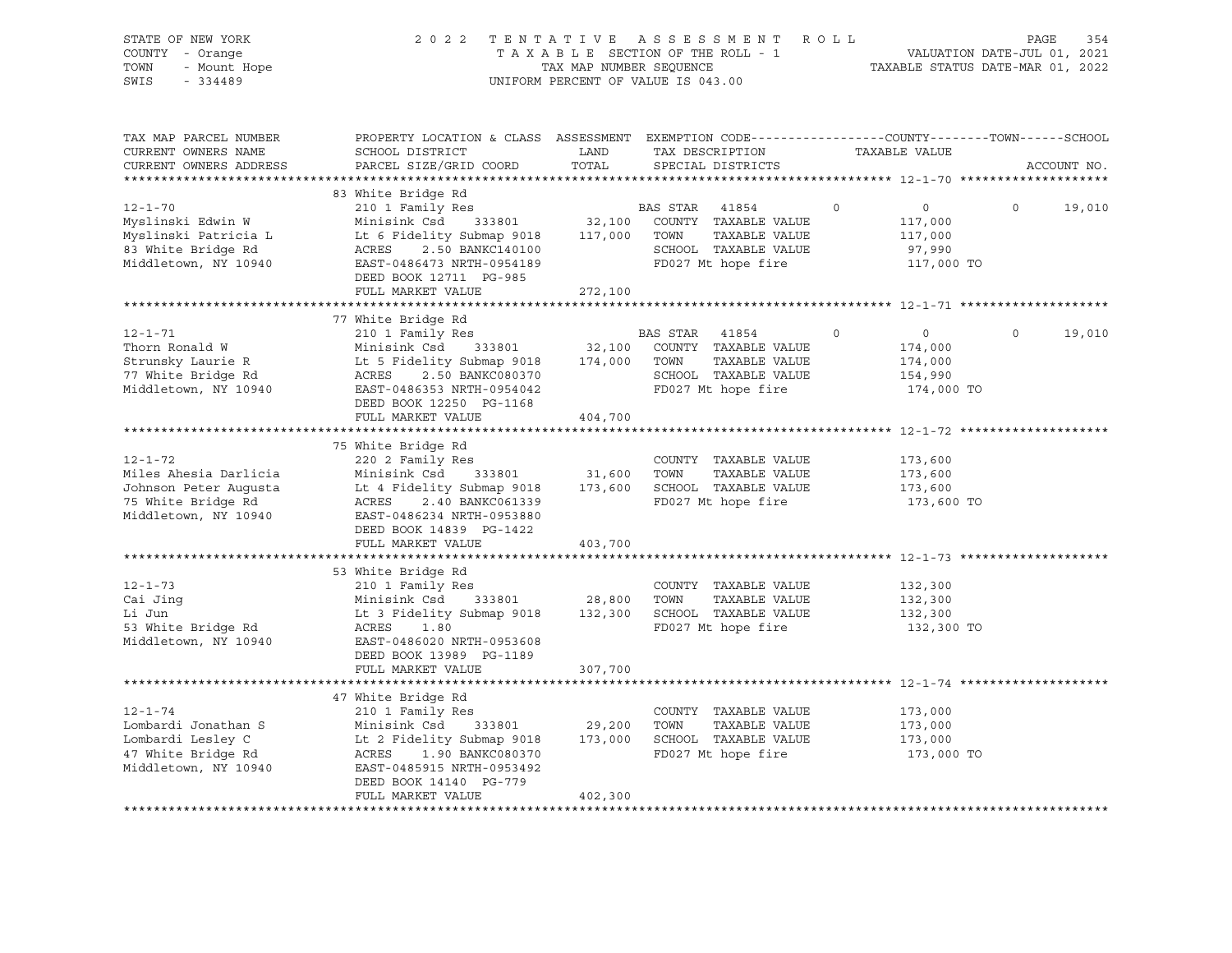| STATE OF NEW YORK<br>COUNTY - Orange<br>UP Num<br>- Orange<br>- Mount Hope<br>TOWN<br>$-334489$<br>SWIS |                                                                                                                                                                                                                                                                                                                                                 |                                                                                                  | 2022 TENTATIVE ASSESSMENT ROLL<br>TAXABLE SECTION OF THE ROLL - 1<br>TAXABLE STATUS DATE-JUL 01, 2021<br>TAX MAP NUMBER SEQUENCE TAXABLE STATUS DATE-MAR 01, 2022<br>UNIFORM PERCENT OF VALUE IS 043.00 |                                                               | PAGE<br>354        |
|---------------------------------------------------------------------------------------------------------|-------------------------------------------------------------------------------------------------------------------------------------------------------------------------------------------------------------------------------------------------------------------------------------------------------------------------------------------------|--------------------------------------------------------------------------------------------------|---------------------------------------------------------------------------------------------------------------------------------------------------------------------------------------------------------|---------------------------------------------------------------|--------------------|
| TAX MAP PARCEL NUMBER<br>CURRENT OWNERS NAME<br>CURRENT OWNERS ADDRESS                                  | PROPERTY LOCATION & CLASS ASSESSMENT EXEMPTION CODE---------------COUNTY-------TOWN-----SCHOOL<br>SCHOOL DISTRICT<br>PARCEL SIZE/GRID COORD                                                                                                                                                                                                     | <b>EXAMPLE THE STATE OF STATE OF STATE OF STATE OF STATE OF STATE OF STATE OF STATE</b><br>TOTAL | TAX DESCRIPTION TAXABLE VALUE<br>SPECIAL DISTRICTS                                                                                                                                                      |                                                               | ACCOUNT NO.        |
|                                                                                                         | 83 White Bridge Rd<br>12-1-70<br>Myslinski Edwin W 210 1 Family Res<br>Myslinski Edwin W Minisink Csd 333801<br>Myslinski Patricia L Lt 6 Fidelity Submap 9018<br>117,000 TOWN TAXABLE VALUE<br>83 White Bridge Rd ACRES 2.50 BANKC140100<br>Middletown, NY 1094<br>DEED BOOK 12711 PG-985<br>FULL MARKET VALUE                                 | 272,100                                                                                          | FD027 Mt hope fire 117,000 TO                                                                                                                                                                           | $\overline{0}$<br>117,000<br>117,000<br>97,990                | $\Omega$<br>19,010 |
|                                                                                                         |                                                                                                                                                                                                                                                                                                                                                 |                                                                                                  |                                                                                                                                                                                                         |                                                               |                    |
|                                                                                                         | 77 White Bridge Rd<br>DEED BOOK 12250 PG-1168                                                                                                                                                                                                                                                                                                   |                                                                                                  | FD027 Mt hope fire                                                                                                                                                                                      | $\overline{0}$<br>174,000<br>174,000<br>154,990<br>174,000 TO | $\Omega$<br>19,010 |
|                                                                                                         | FULL MARKET VALUE                                                                                                                                                                                                                                                                                                                               | 404,700                                                                                          |                                                                                                                                                                                                         |                                                               |                    |
| $12 - 1 - 72$                                                                                           | 75 White Bridge Rd<br>220 2 Family Res<br>VIDER Ahesia Darlicia Minisink Csd 333801 31,600 TOWN TAXABLE VALUE<br>Johnson Peter Augusta Lt 4 Fidelity Submap 9018 173,600 SCHOOL TAXABLE VALUE<br>75 White Bridge Rd ACRES 2.40 BANKC061339 PD027 Mt hope fire<br>Middletown, N<br>DEED BOOK 14839 PG-1422<br>FULL MARKET VALUE                  | 403,700                                                                                          | COUNTY TAXABLE VALUE                                                                                                                                                                                    | 173,600<br>173,600<br>173,600<br>173,600 TO                   |                    |
|                                                                                                         |                                                                                                                                                                                                                                                                                                                                                 |                                                                                                  |                                                                                                                                                                                                         |                                                               |                    |
| $12 - 1 - 73$                                                                                           | 53 White Bridge Rd<br>210 1 Family Res<br>Cai Jing<br>Cai Jing<br>Cai Jing<br>Count TAXABLE VALUE<br>Li Jun<br>Li 3 Fidelity Submap 9018<br>Li 3 Fidelity Submap 9018<br>Li 3 Fidelity Submap 9018<br>28,800 TOWN TAXABLE VALUE<br>COUNT TAXABLE VALUE<br>COUNT TAXABLE VALUE<br>TO027 Mt hope<br>DEED BOOK 13989 PG-1189<br>FULL MARKET VALUE  | 307,700                                                                                          | COUNTY TAXABLE VALUE                                                                                                                                                                                    | 132,300<br>132,300<br>132,300<br>132,300 TO                   |                    |
|                                                                                                         |                                                                                                                                                                                                                                                                                                                                                 |                                                                                                  |                                                                                                                                                                                                         |                                                               |                    |
| $12 - 1 - 74$                                                                                           | 47 White Bridge Rd<br>210 1 Family Res<br>Lombardi Jonathan S<br>Lombardi Lesley C<br>Lesley C<br>Compared Lesley C<br>Compared Lesley C<br>Lesley C<br>Les Pidelity Submap 9018<br>173,000<br>SCHOOL TAXABLE VALUE<br>FD027 Mt hope fire<br>Middletown, NY 10940<br>RES 1.90 BANKC080370<br>RES<br>DEED BOOK 14140 PG-779<br>FULL MARKET VALUE | 402,300                                                                                          | COUNTY TAXABLE VALUE<br>FD027 Mt hope fire                                                                                                                                                              | 173,000<br>173,000<br>173,000<br>173,000 TO                   |                    |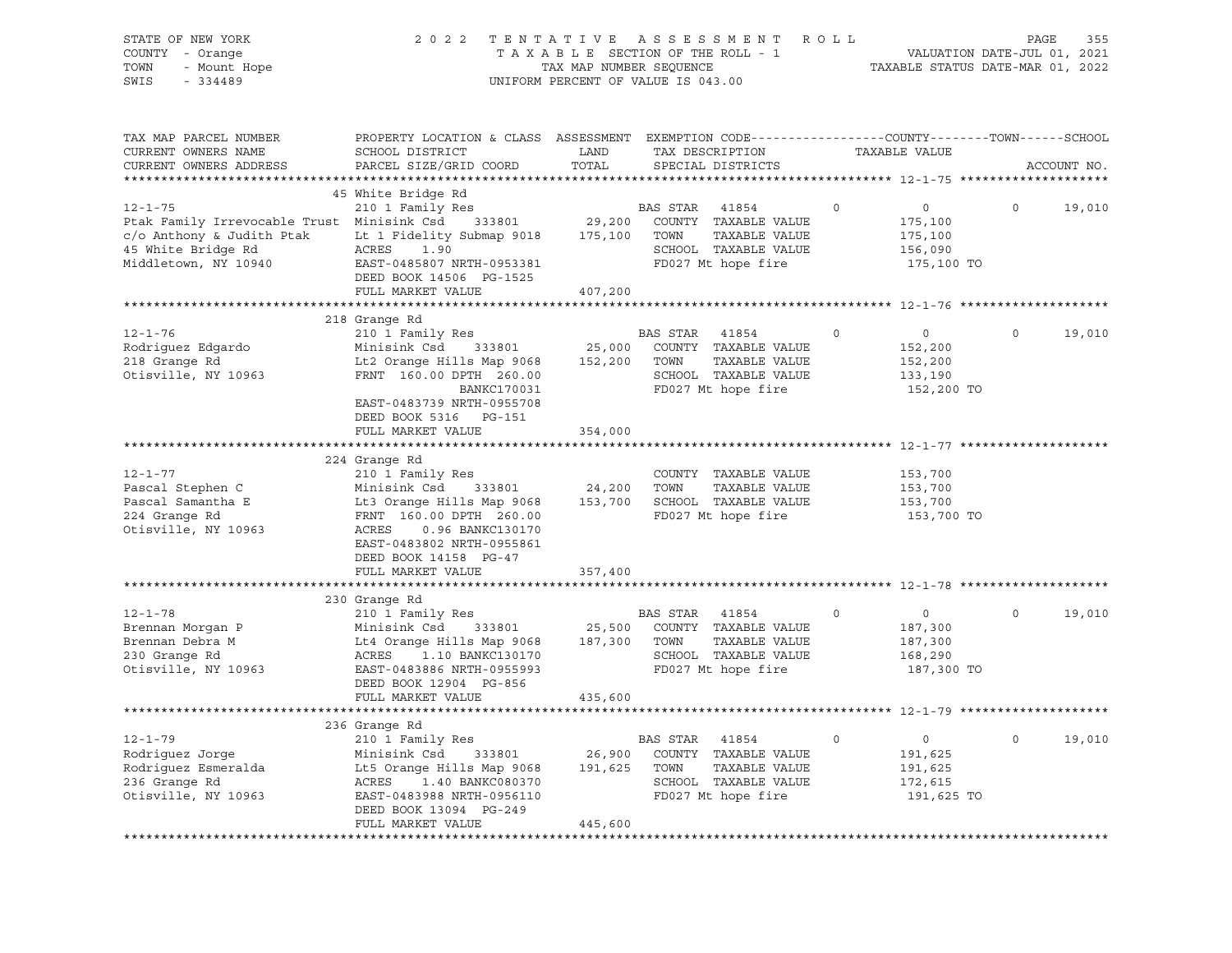| STATE OF NEW YORK<br>COUNTY - Orange<br>TOWN<br>- Mount Hope<br>SWIS<br>$-334489$                                                                                                           | 2 0 2 2                                                                                                                                                                                                                  | TAX MAP NUMBER SEQUENCE | TENTATIVE ASSESSMENT<br>TAXABLE SECTION OF THE ROLL - 1<br>UNIFORM PERCENT OF VALUE IS 043.00                | ROLL        | VALUATION DATE-JUL 01, 2021<br>TAXABLE STATUS DATE-MAR 01, 2022 | PAGE     | 355         |
|---------------------------------------------------------------------------------------------------------------------------------------------------------------------------------------------|--------------------------------------------------------------------------------------------------------------------------------------------------------------------------------------------------------------------------|-------------------------|--------------------------------------------------------------------------------------------------------------|-------------|-----------------------------------------------------------------|----------|-------------|
| TAX MAP PARCEL NUMBER<br>CURRENT OWNERS NAME<br>CURRENT OWNERS ADDRESS                                                                                                                      | PROPERTY LOCATION & CLASS ASSESSMENT EXEMPTION CODE---------------COUNTY-------TOWN------SCHOOL<br>SCHOOL DISTRICT<br>PARCEL SIZE/GRID COORD                                                                             | LAND<br>TOTAL           | TAX DESCRIPTION<br>SPECIAL DISTRICTS                                                                         |             | TAXABLE VALUE                                                   |          | ACCOUNT NO. |
| $12 - 1 - 75$<br>Ptak Family Irrevocable Trust Minisink Csd 333801 29,200<br>c/o Anthony & Judith Ptak Lt 1 Fidelity Submap 9018 175,100 TOWN<br>45 White Bridge Rd<br>Middletown, NY 10940 | 45 White Bridge Rd<br>210 1 Family Res<br>ACRES 1.90<br>EAST-0485807 NRTH-0953381<br>DEED BOOK 14506 PG-1525<br>FULL MARKET VALUE                                                                                        | 407,200                 | BAS STAR<br>41854<br>COUNTY TAXABLE VALUE<br>TAXABLE VALUE<br>SCHOOL TAXABLE VALUE<br>FD027 Mt hope fire     | $\circ$     | $\circ$<br>175,100<br>175,100<br>156,090<br>175,100 TO          | $\circ$  | 19,010      |
|                                                                                                                                                                                             |                                                                                                                                                                                                                          |                         |                                                                                                              |             |                                                                 |          |             |
| $12 - 1 - 76$<br>Rodriguez Edgardo<br>218 Grange Rd<br>Otisville, NY 10963                                                                                                                  | 218 Grange Rd<br>210 1 Family Res<br>Minisink Csd 333801<br>Lt2 Orange Hills Map 9068<br>FRNT 160.00 DPTH 260.00<br>BANKC170031<br>EAST-0483739 NRTH-0955708<br>DEED BOOK 5316 PG-151                                    | 152,200 TOWN            | BAS STAR 41854<br>25,000 COUNTY TAXABLE VALUE<br>TAXABLE VALUE<br>SCHOOL TAXABLE VALUE<br>FD027 Mt hope fire | $\Omega$    | $\circ$<br>152,200<br>152,200<br>133,190<br>152,200 TO          | $\Omega$ | 19,010      |
|                                                                                                                                                                                             | FULL MARKET VALUE                                                                                                                                                                                                        | 354,000                 |                                                                                                              |             |                                                                 |          |             |
| $12 - 1 - 77$<br>Pascal Stephen C<br>Pascal Samantha E<br>224 Grange Rd<br>Otisville, NY 10963                                                                                              | 224 Grange Rd<br>210 1 Family Res<br>Minisink Csd 333801<br>Lt3 Orange Hills Map 9068<br>FRNT 160.00 DPTH 260.00<br>ACRES<br>0.96 BANKC130170<br>EAST-0483802 NRTH-0955861<br>DEED BOOK 14158 PG-47<br>FULL MARKET VALUE | 24,200 TOWN<br>357,400  | COUNTY TAXABLE VALUE<br>TAXABLE VALUE<br>153,700 SCHOOL TAXABLE VALUE<br>FD027 Mt hope fire                  |             | 153,700<br>153,700<br>153,700<br>153,700 TO                     |          |             |
|                                                                                                                                                                                             |                                                                                                                                                                                                                          |                         |                                                                                                              |             |                                                                 |          |             |
| $12 - 1 - 78$<br>Brennan Morgan P<br>Brennan Debra M<br>230 Grange Rd<br>Otisville, NY 10963                                                                                                | 230 Grange Rd<br>210 1 Family Res<br>Minisink Csd 333801<br>Lt4 Orange Hills Map 9068 187,300 TOWN<br>ACRES<br>1.10 BANKC130170<br>EAST-0483886 NRTH-0955993<br>DEED BOOK 12904 PG-856                                   |                         | BAS STAR 41854<br>25,500 COUNTY TAXABLE VALUE<br>TAXABLE VALUE<br>SCHOOL TAXABLE VALUE<br>FD027 Mt hope fire | $\mathbf 0$ | $\overline{0}$<br>187,300<br>187,300<br>168,290<br>187,300 TO   | $\Omega$ | 19,010      |
|                                                                                                                                                                                             | FULL MARKET VALUE                                                                                                                                                                                                        | 435,600                 |                                                                                                              |             |                                                                 |          |             |
|                                                                                                                                                                                             |                                                                                                                                                                                                                          |                         |                                                                                                              |             |                                                                 |          |             |
| $12 - 1 - 79$<br>Rodriguez Jorge<br>Rodriguez Esmeralda<br>236 Grange Rd<br>Otisville, NY 10963                                                                                             | 236 Grange Rd<br>210 1 Family Res<br>333801<br>Minisink Csd<br>Lt5 Orange Hills Map 9068 191,625 TOWN<br>ACRES<br>1.40 BANKC080370<br>EAST-0483988 NRTH-0956110<br>DEED BOOK 13094 PG-249<br>FULL MARKET VALUE           | 26,900<br>445,600       | BAS STAR<br>41854<br>COUNTY TAXABLE VALUE<br>TAXABLE VALUE<br>SCHOOL TAXABLE VALUE<br>FD027 Mt hope fire     | $\circ$     | $\overline{0}$<br>191,625<br>191,625<br>172,615<br>191,625 TO   | $\circ$  | 19,010      |
|                                                                                                                                                                                             |                                                                                                                                                                                                                          |                         |                                                                                                              |             |                                                                 |          |             |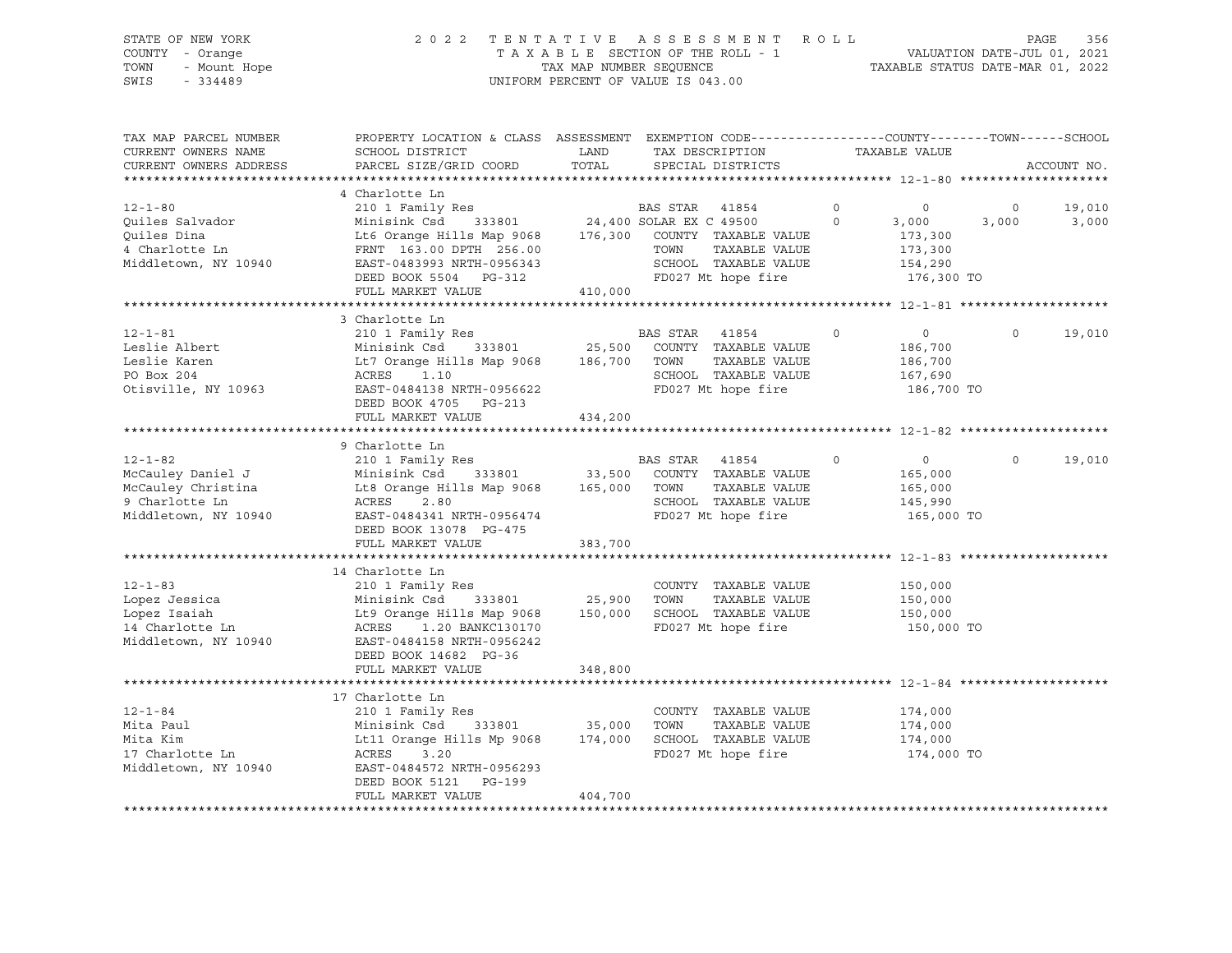# STATE OF NEW YORK 2 0 2 2 T E N T A T I V E A S S E S S M E N T R O L L PAGE 356 COUNTY - Orange T A X A B L E SECTION OF THE ROLL - 1 VALUATION DATE-JUL 01, 2021 TOWN - Mount Hope TAX MAP NUMBER SEQUENCE TAXABLE STATUS DATE-MAR 01, 2022 SWIS - 334489 UNIFORM PERCENT OF VALUE IS 043.00

| TAX MAP PARCEL NUMBER<br>CURRENT OWNERS NAME<br>CURRENT OWNERS ADDRESS | PROPERTY LOCATION & CLASS ASSESSMENT EXEMPTION CODE---------------COUNTY-------TOWN------SCHOOL<br>SCHOOL DISTRICT<br>PARCEL SIZE/GRID COORD | LAND<br>TOTAL |                | TAX DESCRIPTION<br>SPECIAL DISTRICTS             |          | TAXABLE VALUE  |          | ACCOUNT NO. |
|------------------------------------------------------------------------|----------------------------------------------------------------------------------------------------------------------------------------------|---------------|----------------|--------------------------------------------------|----------|----------------|----------|-------------|
|                                                                        |                                                                                                                                              |               |                |                                                  |          |                |          |             |
|                                                                        | 4 Charlotte Ln                                                                                                                               |               |                |                                                  |          |                |          |             |
| $12 - 1 - 80$                                                          | 210 1 Family Res                                                                                                                             |               |                |                                                  | $\circ$  | $\circ$        | $\circ$  | 19,010      |
| Ouiles Salvador                                                        | Minisink Csd                                                                                                                                 |               |                | BAS STAR 41854<br>333801 24,400 SOLAR EX C 49500 | $\Omega$ | 3,000          | 3,000    | 3,000       |
| Quiles Dina                                                            | Lt6 Orange Hills Map 9068 176,300 COUNTY TAXABLE VALUE                                                                                       |               |                |                                                  |          | 173,300        |          |             |
| 4 Charlotte Ln                                                         | FRNT 163.00 DPTH 256.00                                                                                                                      |               | TOWN           | TAXABLE VALUE                                    |          | 173,300        |          |             |
| Middletown, NY 10940                                                   | EAST-0483993 NRTH-0956343                                                                                                                    |               |                | SCHOOL TAXABLE VALUE                             |          | 154,290        |          |             |
|                                                                        | DEED BOOK 5504 PG-312                                                                                                                        |               |                | FD027 Mt hope fire                               |          | 176,300 TO     |          |             |
|                                                                        | FULL MARKET VALUE                                                                                                                            | 410,000       |                |                                                  |          |                |          |             |
|                                                                        |                                                                                                                                              |               |                |                                                  |          |                |          |             |
|                                                                        | 3 Charlotte Ln                                                                                                                               |               |                |                                                  |          |                |          |             |
| $12 - 1 - 81$                                                          | 210 1 Family Res                                                                                                                             |               | BAS STAR 41854 |                                                  | $\circ$  | $\overline{0}$ | $\Omega$ | 19,010      |
| Leslie Albert                                                          | Minisink Csd                                                                                                                                 |               |                | 333801 25,500 COUNTY TAXABLE VALUE               |          | 186,700        |          |             |
| Leslie Karen                                                           | Lt7 Orange Hills Map 9068                                                                                                                    | 186,700 TOWN  |                | TAXABLE VALUE                                    |          | 186,700        |          |             |
| PO Box 204                                                             | ACRES 1.10                                                                                                                                   |               |                | SCHOOL TAXABLE VALUE                             |          | 167,690        |          |             |
| Otisville, NY 10963                                                    | EAST-0484138 NRTH-0956622                                                                                                                    |               |                | FD027 Mt hope fire                               |          | 186,700 TO     |          |             |
|                                                                        | DEED BOOK 4705 PG-213                                                                                                                        |               |                |                                                  |          |                |          |             |
|                                                                        | FULL MARKET VALUE                                                                                                                            | 434,200       |                |                                                  |          |                |          |             |
|                                                                        |                                                                                                                                              |               |                |                                                  |          |                |          |             |
|                                                                        | 9 Charlotte Ln                                                                                                                               |               |                |                                                  |          |                |          |             |
| $12 - 1 - 82$                                                          |                                                                                                                                              |               |                |                                                  | $\circ$  | $\overline{0}$ | $\circ$  | 19,010      |
| McCauley Daniel J                                                      | 210 1 Family Res                                                                                                                             |               |                | BAS STAR 41854<br>33,500 COUNTY TAXABLE VALUE    |          |                |          |             |
| McCauley Christina                                                     | Minisink Csd 333801<br>Lt8 Orange Hills Map 9068 165,000 TOWN                                                                                |               |                | TAXABLE VALUE                                    |          | 165,000        |          |             |
| 9 Charlotte Ln                                                         | ACRES 2.80                                                                                                                                   |               |                | SCHOOL TAXABLE VALUE                             |          | 165,000        |          |             |
|                                                                        |                                                                                                                                              |               |                |                                                  |          | 145,990        |          |             |
| Middletown, NY 10940                                                   | EAST-0484341 NRTH-0956474                                                                                                                    |               |                | FD027 Mt hope fire                               |          | 165,000 TO     |          |             |
|                                                                        | DEED BOOK 13078 PG-475                                                                                                                       |               |                |                                                  |          |                |          |             |
|                                                                        | FULL MARKET VALUE                                                                                                                            | 383,700       |                |                                                  |          |                |          |             |
|                                                                        |                                                                                                                                              |               |                |                                                  |          |                |          |             |
|                                                                        | 14 Charlotte Ln                                                                                                                              |               |                |                                                  |          |                |          |             |
| $12 - 1 - 83$                                                          | 210 1 Family Res                                                                                                                             |               |                | COUNTY TAXABLE VALUE                             |          | 150,000        |          |             |
| Lopez Jessica                                                          | Minisink Csd 333801 25,900                                                                                                                   |               | TOWN           | TAXABLE VALUE                                    |          | 150,000        |          |             |
| Lopez Isaiah                                                           | Lt9 Orange Hills Map 9068 150,000                                                                                                            |               |                | SCHOOL TAXABLE VALUE                             |          | 150,000        |          |             |
| 14 Charlotte Ln                                                        | ACRES 1.20 BANKC130170                                                                                                                       |               |                | FD027 Mt hope fire                               |          | 150,000 TO     |          |             |
| Middletown, NY 10940                                                   | EAST-0484158 NRTH-0956242                                                                                                                    |               |                |                                                  |          |                |          |             |
|                                                                        | DEED BOOK 14682 PG-36                                                                                                                        |               |                |                                                  |          |                |          |             |
|                                                                        | FULL MARKET VALUE                                                                                                                            | 348,800       |                |                                                  |          |                |          |             |
|                                                                        |                                                                                                                                              |               |                |                                                  |          |                |          |             |
|                                                                        | 17 Charlotte Ln                                                                                                                              |               |                |                                                  |          |                |          |             |
| $12 - 1 - 84$                                                          | 210 1 Family Res                                                                                                                             |               |                | COUNTY TAXABLE VALUE                             |          | 174,000        |          |             |
| Mita Paul                                                              | 333801 35,000<br>Minisink Csd                                                                                                                |               | TOWN           | TAXABLE VALUE                                    |          | 174,000        |          |             |
| Mita Kim                                                               | Lt11 Orange Hills Mp 9068                                                                                                                    | 174,000       |                | SCHOOL TAXABLE VALUE                             |          | 174,000        |          |             |
| 17 Charlotte Ln                                                        | ACRES<br>3.20                                                                                                                                |               |                | FD027 Mt hope fire                               |          | 174,000 TO     |          |             |
| Middletown, NY 10940                                                   | EAST-0484572 NRTH-0956293                                                                                                                    |               |                |                                                  |          |                |          |             |
|                                                                        | DEED BOOK 5121<br>PG-199                                                                                                                     |               |                |                                                  |          |                |          |             |
|                                                                        | FULL MARKET VALUE                                                                                                                            | 404,700       |                |                                                  |          |                |          |             |
|                                                                        |                                                                                                                                              |               |                |                                                  |          |                |          |             |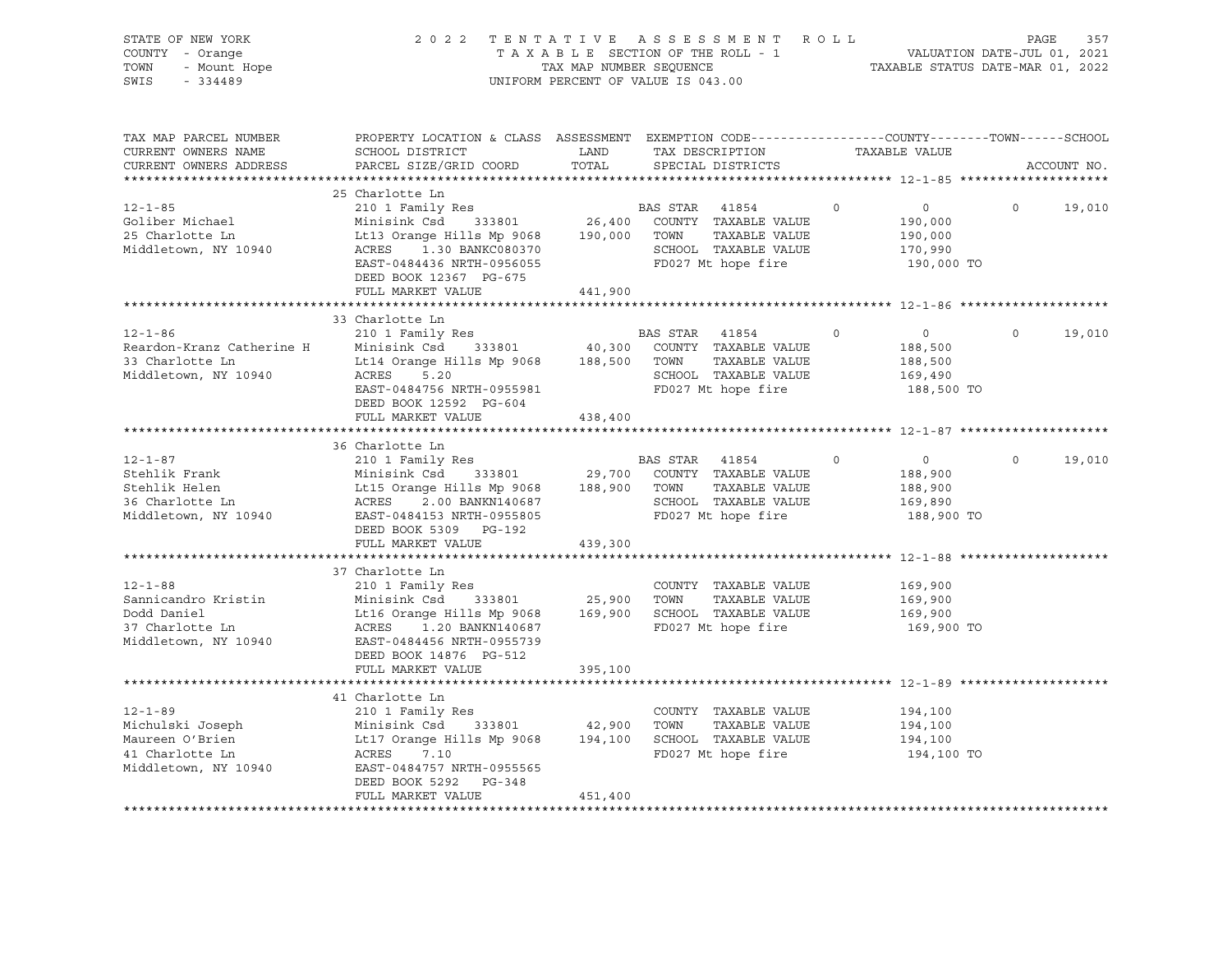| STATE OF NEW YORK<br>COUNTY - Orange<br>--<br>- Orange<br>- Mount Hope<br>TOWN<br>SWIS            |                                                                                                                                                                                                                                                                                                                                                      | TAX MAP NUMBER SEQUENCE | 2022 TENTATIVE ASSESSMENT ROLL<br>TAXABLE SECTION OF THE ROLL - 1<br>UNIFORM PERCENT OF VALUE IS 043.00 |                   | VALUATION DATE-JUL 01, 2021<br>TAXABLE STATUS DATE-MAR 01, 2022 |                | 357<br>PAGE |
|---------------------------------------------------------------------------------------------------|------------------------------------------------------------------------------------------------------------------------------------------------------------------------------------------------------------------------------------------------------------------------------------------------------------------------------------------------------|-------------------------|---------------------------------------------------------------------------------------------------------|-------------------|-----------------------------------------------------------------|----------------|-------------|
| TAX MAP PARCEL NUMBER<br>CURRENT OWNERS NAME<br>CURRENT OWNERS ADDRESS                            | PROPERTY LOCATION & CLASS ASSESSMENT EXEMPTION CODE----------------COUNTY-------TOWN-----SCHOOL<br>SCHOOL DISTRICT<br>PARCEL SIZE/GRID COORD                                                                                                                                                                                                         | LAND<br>TOTAL           | TAX DESCRIPTION<br>SPECIAL DISTRICTS                                                                    |                   | TAXABLE VALUE                                                   |                | ACCOUNT NO. |
| $12 - 1 - 85$<br>Goliber Michael<br>25 Charlotte Ln<br>Middletown, NY 10940                       | 25 Charlotte Ln<br>210 1 Family Res<br>Minisink Csd 333801 26,400 COUNTY TAXABLE VALUE<br>ACRES 1.30 BANKC080370 SCHOOL TAXABLE VALUE<br>EAST-0484436 NRTH-0956055 FD027 Mt hope fire<br>DEED BOOK 12367 PG-675                                                                                                                                      |                         | <b>BAS STAR</b> 41854<br>TAXABLE VALUE                                                                  | $0 \qquad \qquad$ | $\overline{0}$<br>190,000<br>190,000<br>170,990<br>190,000 TO   | $\circ$        | 19,010      |
|                                                                                                   | FULL MARKET VALUE                                                                                                                                                                                                                                                                                                                                    | 441,900                 |                                                                                                         |                   |                                                                 |                |             |
| Middletown, NY 10940                                                                              | 33 Charlotte Ln<br>33 Charlotte Lui (12-1-86 BAS STAR 41854 (1854)<br>210 1 Family Res (210 1 Family Res (210 1 Family Res (210 1 Family Res (210 1 Family Res (210 1 Family Res (21<br>33 Charlotte Ln (214 Orange Hills Mp 9068 188,500 2000 1000 100<br>ACRES<br>5.20<br>EAST-0484756 NRTH-0955981<br>DEED BOOK 12592 PG-604<br>FULL MARKET VALUE | 438,400                 | SCHOOL TAXABLE VALUE<br>FD027 Mt hope fire                                                              | $\circ$           | $\overline{0}$<br>188,500<br>188,500<br>169,490<br>188,500 TO   | $\overline{0}$ | 19,010      |
|                                                                                                   |                                                                                                                                                                                                                                                                                                                                                      |                         |                                                                                                         |                   |                                                                 |                |             |
| $12 - 1 - 87$<br>Stehlik Frank<br>stenlik Helen<br>36 Charlotte Ln<br>---<br>Middletown, NY 10940 | 36 Charlotte Ln<br>210 1 Family Res<br>Minisink Csd 333801 29,700 COUNTY TAXABLE VALUE<br>Lt15 Orange Hills Mp 9068 188,900 TOWN TAXABLE VALUE<br>ACRES 2.00 BANKN140687 SCHOOL TAXABLE VALUE<br>EAST-0484153 NRTH-0955805 FD027 Mt hope fire<br>DEED BOOK 5309 PG-192<br>FULL MARKET VALUE                                                          | 439,300                 | BAS STAR 41854                                                                                          | $\circ$           | $\overline{0}$<br>188,900<br>188,900<br>169,890<br>188,900 TO   | $\Omega$       | 19,010      |
|                                                                                                   |                                                                                                                                                                                                                                                                                                                                                      |                         |                                                                                                         |                   |                                                                 |                |             |
| $12 - 1 - 88$<br>Sannicandro Kristin<br>Dodd Daniel<br>37 Charlotte Ln<br>Middletown, NY 10940    | 37 Charlotte Ln<br>210 1 Family Res<br>ACRES 1.20 BANKN140687<br>EAST-0484456 NRTH-0955739<br>DEED BOOK 14876 PG-512<br>FULL MARKET VALUE                                                                                                                                                                                                            | 395,100                 | COUNTY TAXABLE VALUE<br>FD027 Mt hope fire                                                              |                   | 169,900<br>169,900<br>169,900<br>169,900 TO                     |                |             |
|                                                                                                   |                                                                                                                                                                                                                                                                                                                                                      |                         |                                                                                                         |                   |                                                                 |                |             |
| $12 - 1 - 89$<br>Michulski Joseph<br>Maureen O'Brien<br>41 Charlotte Ln                           | 41 Charlotte Ln<br>210 1 Family Res<br>Minisink Csd 333801 42,900 TOWN TAXABLE VALUE<br>Lt17 Orange Hills Mp 9068 194,100 SCHOOL TAXABLE VALUE<br>ACRES 7.10 FD027 Mt hope fire<br>Middletown, NY 10940 EAST-0484757 NRTH-0955565<br>DEED BOOK 5292 PG-348<br>FULL MARKET VALUE                                                                      | 451,400                 | COUNTY TAXABLE VALUE                                                                                    |                   | 194,100<br>194,100<br>194, 100<br>194,100 TO                    |                |             |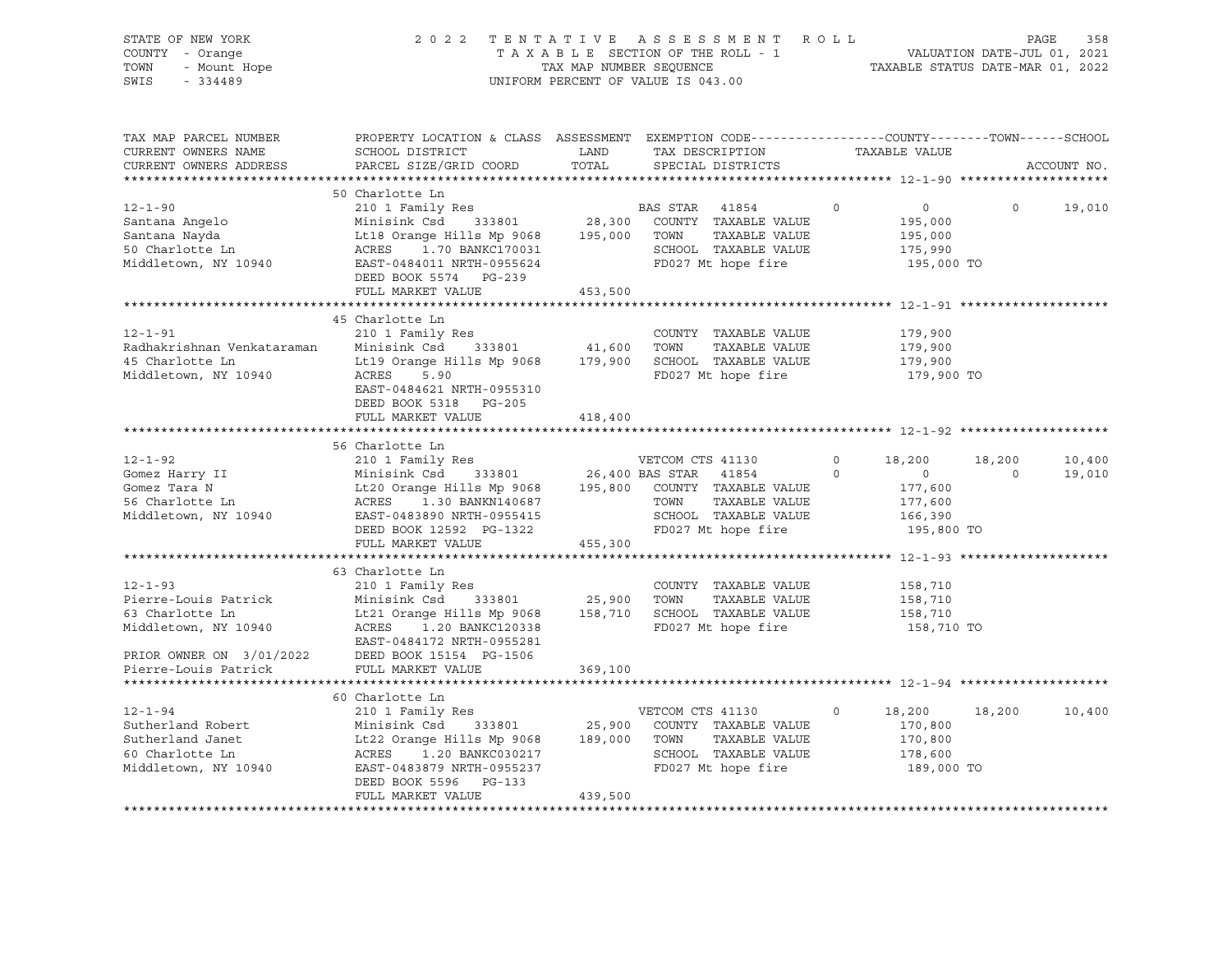| STATE OF NEW YORK<br>OF NEW YORK<br>' - Orange<br>- Mount Hope<br>COUNTY - Orange<br>TOWN<br>SWIS<br>$-334489$ |                                                                                                                                                                                                                                                                                                                                                                                                                                                                                                             |         | 2022 TENTATIVE ASSESSMENT ROLL<br>TAXABLE SECTION OF THE ROLL - 1<br>TAXABLE SECTION OF THE ROLL - 1<br>TAXABLE STATUS DATE-MAR 01, 2022<br>UNIFORM PERCENT OF VALUE IS 043.00 |          |                                                                                   | PAGE<br>358                        |
|----------------------------------------------------------------------------------------------------------------|-------------------------------------------------------------------------------------------------------------------------------------------------------------------------------------------------------------------------------------------------------------------------------------------------------------------------------------------------------------------------------------------------------------------------------------------------------------------------------------------------------------|---------|--------------------------------------------------------------------------------------------------------------------------------------------------------------------------------|----------|-----------------------------------------------------------------------------------|------------------------------------|
| TAX MAP PARCEL NUMBER<br>CURRENT OWNERS NAME<br>CURRENT OWNERS ADDRESS<br>**********************               | PROPERTY LOCATION & CLASS ASSESSMENT EXEMPTION CODE----------------COUNTY-------TOWN------SCHOOL<br>SCHOOL DISTRICT<br>PARCEL SIZE/GRID COORD                                                                                                                                                                                                                                                                                                                                                               | TOTAL   | LAND TAX DESCRIPTION TAXABLE VALUE<br>SPECIAL DISTRICTS                                                                                                                        |          |                                                                                   | ACCOUNT NO.                        |
| $12 - 1 - 90$                                                                                                  | 50 Charlotte Ln<br>210 1 Family Res<br>$\begin{tabular}{lcccc} 12-1-90 & 2101 Family Res & BAS STAR & 41854 & 0 & 0.000 \\ Santana Angelo & Minisink Csd & 333801 & 28,300 COUNTY TAXABLE VALUE & 195,000 \\ Santana Nayda & Lt18 Orange Hills Mp 9068 & 195,000 TOWN & TAXABLE VALUE & 195,000 \\ 50 Charlotte Ln & ACRES & 1.70 BANKC170031 & SCHOOL TAXABLE VALUE & 175,990 \\ Niddletown, NY 10940 & EAST-048401 INTH-0955624 & FD027 Mt hope fire & 195$<br>DEED BOOK 5574 PG-239<br>FULL MARKET VALUE | 453,500 | BAS STAR 41854                                                                                                                                                                 | $\Omega$ | $\overline{0}$<br>195,000 TO                                                      | $\Omega$<br>19,010                 |
|                                                                                                                |                                                                                                                                                                                                                                                                                                                                                                                                                                                                                                             |         |                                                                                                                                                                                |          |                                                                                   |                                    |
| $12 - 1 - 91$<br>Radhakrishnan Venkataraman<br>45 Charlotte Ln<br>Middletown, NY 10940                         | 45 Charlotte Ln<br>210 1 Family Res<br>Minisink Csd 333801 41,600 TOWN TAXABLE VALUE<br>Lt19 Orange Hills Mp 9068 179,900 SCHOOL TAXABLE VALUE<br>ACRES 5.90<br>EAST-0484621 NRTH-0955310<br>DEED BOOK 5318 PG-205                                                                                                                                                                                                                                                                                          |         | COUNTY TAXABLE VALUE<br>FD027 Mt hope fire                                                                                                                                     |          | 179,900<br>179,900<br>179,900<br>179,900 TO                                       |                                    |
|                                                                                                                | FULL MARKET VALUE                                                                                                                                                                                                                                                                                                                                                                                                                                                                                           | 418,400 |                                                                                                                                                                                |          |                                                                                   |                                    |
|                                                                                                                |                                                                                                                                                                                                                                                                                                                                                                                                                                                                                                             |         |                                                                                                                                                                                |          |                                                                                   |                                    |
|                                                                                                                | 56 Charlotte Ln<br>210 1 Family Res<br>12-1-92 210 1 Family Res<br>Gomez Harry II Minisink Csd 333801 26,400 BAS STAR 41854 0<br>Gomez Tara N Lt20 Orange Hills Mp 9068 195,800 COUNTY TAXABLE VALUE<br>56 Charlotte Ln ACRES 1.30 BANKN140687 TOWN TAXABLE VALUE<br>Middleto<br>FULL MARKET VALUE                                                                                                                                                                                                          | 455,300 |                                                                                                                                                                                |          | 18,200<br>18,200<br>$\overline{0}$<br>177,600<br>177,600<br>166,390<br>195,800 TO | 10,400<br>19,010<br>$\overline{0}$ |
|                                                                                                                |                                                                                                                                                                                                                                                                                                                                                                                                                                                                                                             |         |                                                                                                                                                                                |          |                                                                                   |                                    |
| $12 - 1 - 93$<br>Pierre-Louis Patrick<br>63 Charlotte Ln<br>Middletown, NY 10940<br>*********************      | 63 Charlotte Ln<br>210 1 Family Res<br>Minisink Csd 333801 25,900 TOWN TAXABLE VALUE<br>Lt21 Orange Hills Mp 9068 158,710 SCHOOL TAXABLE VALUE<br>ACRES 1.20 BANKC120338 FD027 Mt hope fire<br>EAST-0484172 NRTH-0955281<br>951-0404172 NKTH-0955281 PRIOR OWNER ON 3/01/2022 DEED BOOK 15154 PG-1506<br>Pierre-Louis Patrick FULL MARKET VALUE                                                                                                                                                             | 369,100 | COUNTY TAXABLE VALUE                                                                                                                                                           |          | 158,710<br>158,710<br>158,710<br>158,710 TO                                       |                                    |
|                                                                                                                |                                                                                                                                                                                                                                                                                                                                                                                                                                                                                                             |         |                                                                                                                                                                                |          |                                                                                   |                                    |
| $12 - 1 - 94$<br>Sutherland Robert<br>Sutherland Janet<br>60 Charlotte Ln                                      | 60 Charlotte Ln<br>210 1 Family Res<br>Minisink Csd 333801 25,900 COUNTY TAXABLE VALUE<br>Lt22 Orange Hills Mp 9068 189,000 TOWN TAXABLE VALUE<br>ACRES 1.20 BANKC030217 SCHOOL TAXABLE VALUE<br>EAST-0483879 NRTH-0955237 FD027 Mt hope fire<br>Middletown, NY 10940 EAST-0483879 NRTH-0955237<br>DEED BOOK 5596 PG-133<br>FULL MARKET VALUE                                                                                                                                                               | 439,500 | VETCOM CTS 41130                                                                                                                                                               | $\circ$  | 18,200<br>170,800<br>170,800<br>178,600<br>189,000 TO                             | 18,200<br>10,400                   |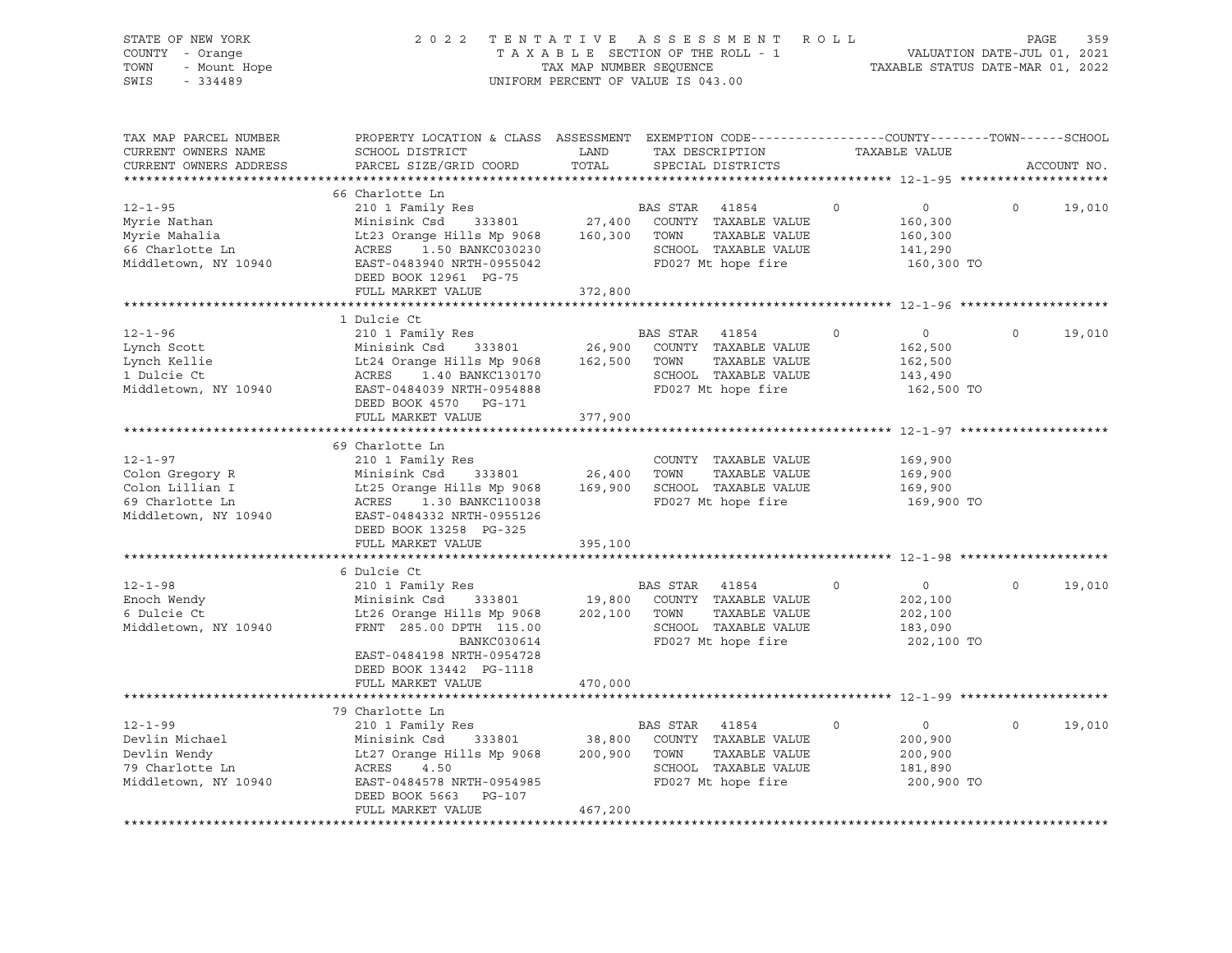| STATE OF NEW YORK<br>COUNTY - Orange<br>TOWN<br>- Mount Hope<br>SWIS<br>$-334489$ | 2 0 2 2                                                                                                                                     | TENTATIVE<br>TAXABLE SECTION OF THE ROLL - 1<br>TAX MAP NUMBER SEQUENCE<br>UNIFORM PERCENT OF VALUE IS 043.00 |          | A S S E S S M E N T                        | ROLL        | VALUATION DATE-JUL 01, 2021<br>TAXABLE STATUS DATE-MAR 01, 2022 | PAGE        | 359         |
|-----------------------------------------------------------------------------------|---------------------------------------------------------------------------------------------------------------------------------------------|---------------------------------------------------------------------------------------------------------------|----------|--------------------------------------------|-------------|-----------------------------------------------------------------|-------------|-------------|
| TAX MAP PARCEL NUMBER<br>CURRENT OWNERS NAME<br>CURRENT OWNERS ADDRESS            | PROPERTY LOCATION & CLASS ASSESSMENT EXEMPTION CODE---------------COUNTY-------TOWN-----SCHOOL<br>SCHOOL DISTRICT<br>PARCEL SIZE/GRID COORD | LAND<br>TOTAL                                                                                                 |          | TAX DESCRIPTION<br>SPECIAL DISTRICTS       |             | TAXABLE VALUE                                                   |             | ACCOUNT NO. |
| ***********************                                                           |                                                                                                                                             |                                                                                                               |          |                                            |             |                                                                 |             |             |
| $12 - 1 - 95$                                                                     | 66 Charlotte Ln<br>210 1 Family Res                                                                                                         |                                                                                                               | BAS STAR | 41854                                      | $\mathbf 0$ | $\overline{0}$                                                  | $\mathbf 0$ | 19,010      |
| Myrie Nathan                                                                      | Minisink Csd<br>333801                                                                                                                      | 27,400                                                                                                        |          | COUNTY TAXABLE VALUE                       |             | 160,300                                                         |             |             |
| Myrie Mahalia                                                                     | Lt23 Orange Hills Mp 9068                                                                                                                   | 160,300                                                                                                       | TOWN     | TAXABLE VALUE                              |             | 160,300                                                         |             |             |
| 66 Charlotte Ln                                                                   | 1.50 BANKC030230<br>ACRES                                                                                                                   |                                                                                                               |          | SCHOOL TAXABLE VALUE                       |             | 141,290                                                         |             |             |
| Middletown, NY 10940                                                              | EAST-0483940 NRTH-0955042                                                                                                                   |                                                                                                               |          | FD027 Mt hope fire                         |             | 160,300 TO                                                      |             |             |
|                                                                                   | DEED BOOK 12961 PG-75                                                                                                                       |                                                                                                               |          |                                            |             |                                                                 |             |             |
|                                                                                   | FULL MARKET VALUE                                                                                                                           | 372,800                                                                                                       |          |                                            |             |                                                                 |             |             |
|                                                                                   |                                                                                                                                             |                                                                                                               |          |                                            |             | ********** 12-1-96 ********                                     |             |             |
|                                                                                   | 1 Dulcie Ct                                                                                                                                 |                                                                                                               |          |                                            |             |                                                                 |             |             |
| $12 - 1 - 96$                                                                     | 210 1 Family Res                                                                                                                            |                                                                                                               | BAS STAR | 41854                                      | $\circ$     | $\circ$                                                         | $\Omega$    | 19,010      |
| Lynch Scott                                                                       | Minisink Csd<br>333801                                                                                                                      | 26,900                                                                                                        |          | COUNTY TAXABLE VALUE                       |             | 162,500                                                         |             |             |
| Lynch Kellie                                                                      | Lt24 Orange Hills Mp 9068                                                                                                                   | 162,500                                                                                                       | TOWN     | TAXABLE VALUE                              |             | 162,500                                                         |             |             |
| 1 Dulcie Ct                                                                       | ACRES<br>1.40 BANKC130170                                                                                                                   |                                                                                                               |          | SCHOOL TAXABLE VALUE                       |             | 143,490                                                         |             |             |
| Middletown, NY 10940                                                              | EAST-0484039 NRTH-0954888                                                                                                                   |                                                                                                               |          | FD027 Mt hope fire                         |             | 162,500 TO                                                      |             |             |
|                                                                                   | DEED BOOK 4570 PG-171                                                                                                                       |                                                                                                               |          |                                            |             |                                                                 |             |             |
|                                                                                   | FULL MARKET VALUE<br>***********************                                                                                                | 377,900<br>***********                                                                                        |          |                                            |             |                                                                 |             |             |
|                                                                                   | 69 Charlotte Ln                                                                                                                             |                                                                                                               |          |                                            |             |                                                                 |             |             |
| $12 - 1 - 97$                                                                     | 210 1 Family Res                                                                                                                            |                                                                                                               |          | COUNTY TAXABLE VALUE                       |             | 169,900                                                         |             |             |
| Colon Gregory R                                                                   | Minisink Csd<br>333801                                                                                                                      | 26,400                                                                                                        | TOWN     | TAXABLE VALUE                              |             | 169,900                                                         |             |             |
| Colon Lillian I                                                                   | Lt25 Orange Hills Mp 9068                                                                                                                   | 169,900                                                                                                       |          | SCHOOL TAXABLE VALUE                       |             | 169,900                                                         |             |             |
| 69 Charlotte Ln                                                                   | ACRES<br>1.30 BANKC110038                                                                                                                   |                                                                                                               |          | FD027 Mt hope fire                         |             | 169,900 TO                                                      |             |             |
| Middletown, NY 10940                                                              | EAST-0484332 NRTH-0955126                                                                                                                   |                                                                                                               |          |                                            |             |                                                                 |             |             |
|                                                                                   | DEED BOOK 13258 PG-325                                                                                                                      |                                                                                                               |          |                                            |             |                                                                 |             |             |
|                                                                                   | FULL MARKET VALUE                                                                                                                           | 395,100                                                                                                       |          |                                            |             |                                                                 |             |             |
|                                                                                   |                                                                                                                                             |                                                                                                               |          |                                            |             |                                                                 |             |             |
|                                                                                   | 6 Dulcie Ct                                                                                                                                 |                                                                                                               |          |                                            |             |                                                                 |             |             |
| $12 - 1 - 98$                                                                     | 210 1 Family Res                                                                                                                            |                                                                                                               | BAS STAR | 41854                                      | $\mathbf 0$ | $\circ$                                                         | $\circ$     | 19,010      |
| Enoch Wendy                                                                       | Minisink Csd<br>333801                                                                                                                      | 19,800                                                                                                        |          | COUNTY TAXABLE VALUE                       |             | 202,100                                                         |             |             |
| 6 Dulcie Ct                                                                       | Lt26 Orange Hills Mp 9068                                                                                                                   | 202,100                                                                                                       | TOWN     | TAXABLE VALUE                              |             | 202,100                                                         |             |             |
| Middletown, NY 10940                                                              | FRNT 285.00 DPTH 115.00                                                                                                                     |                                                                                                               |          | SCHOOL TAXABLE VALUE<br>FD027 Mt hope fire |             | 183,090                                                         |             |             |
|                                                                                   | BANKC030614<br>EAST-0484198 NRTH-0954728                                                                                                    |                                                                                                               |          |                                            |             | 202,100 TO                                                      |             |             |
|                                                                                   | DEED BOOK 13442 PG-1118                                                                                                                     |                                                                                                               |          |                                            |             |                                                                 |             |             |
|                                                                                   | FULL MARKET VALUE                                                                                                                           | 470,000                                                                                                       |          |                                            |             |                                                                 |             |             |
|                                                                                   |                                                                                                                                             |                                                                                                               |          |                                            |             |                                                                 |             |             |
|                                                                                   | 79 Charlotte Ln                                                                                                                             |                                                                                                               |          |                                            |             |                                                                 |             |             |
| $12 - 1 - 99$                                                                     | 210 1 Family Res                                                                                                                            |                                                                                                               | BAS STAR | 41854                                      | $\mathbf 0$ | $\overline{0}$                                                  | $\Omega$    | 19,010      |
| Devlin Michael                                                                    | Minisink Csd<br>333801                                                                                                                      | 38,800                                                                                                        |          | COUNTY TAXABLE VALUE                       |             | 200,900                                                         |             |             |
| Devlin Wendy                                                                      | Lt27 Orange Hills Mp 9068                                                                                                                   | 200,900                                                                                                       | TOWN     | TAXABLE VALUE                              |             | 200,900                                                         |             |             |
| 79 Charlotte Ln                                                                   | ACRES<br>4.50                                                                                                                               |                                                                                                               |          | SCHOOL TAXABLE VALUE                       |             | 181,890                                                         |             |             |
| Middletown, NY 10940                                                              | EAST-0484578 NRTH-0954985                                                                                                                   |                                                                                                               |          | FD027 Mt hope fire                         |             | 200,900 TO                                                      |             |             |
|                                                                                   | DEED BOOK 5663<br>PG-107                                                                                                                    |                                                                                                               |          |                                            |             |                                                                 |             |             |
|                                                                                   | FULL MARKET VALUE                                                                                                                           | 467,200                                                                                                       |          |                                            |             |                                                                 |             |             |
|                                                                                   |                                                                                                                                             |                                                                                                               |          |                                            |             |                                                                 |             |             |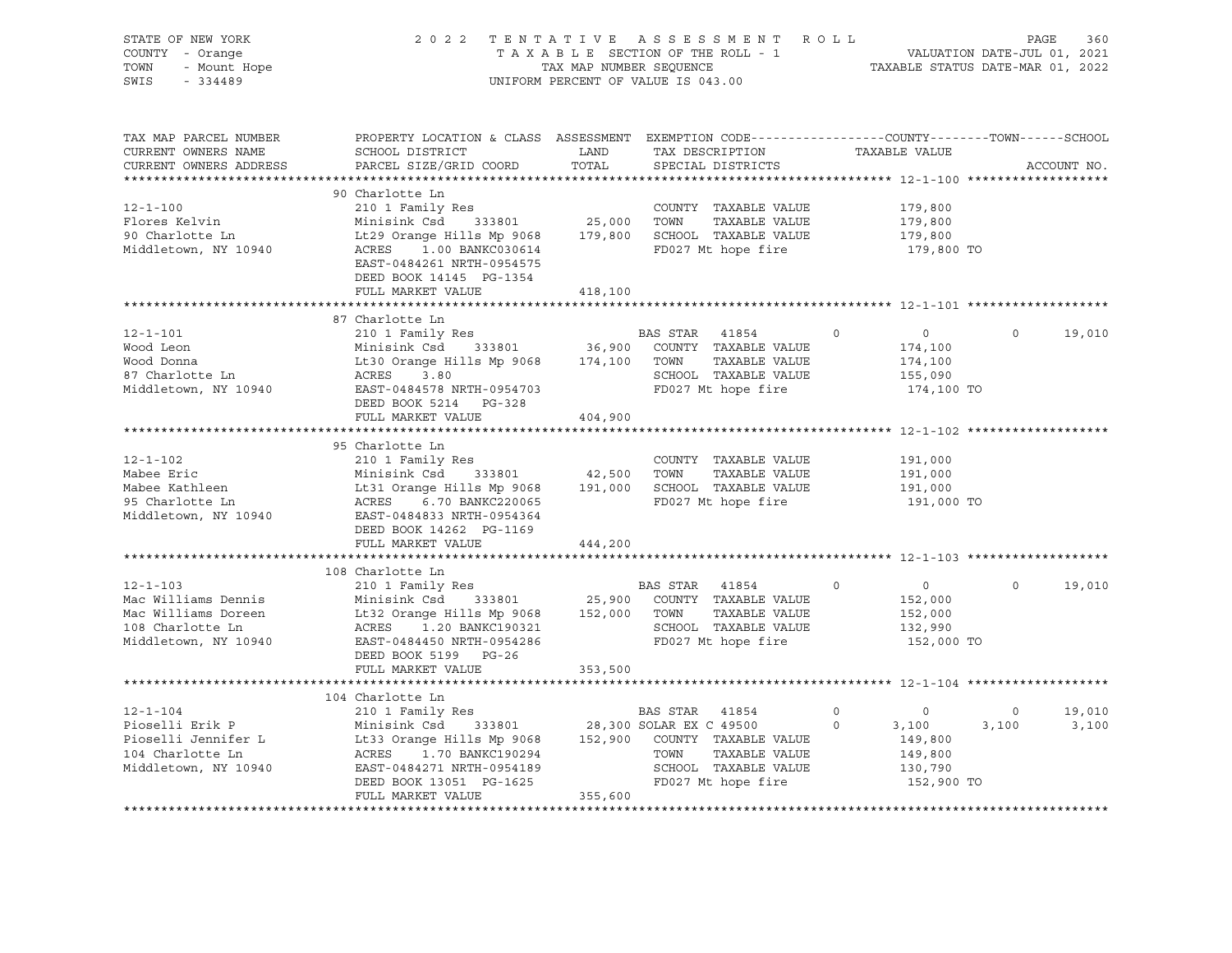| STATE OF NEW YORK<br>COUNTY - Orange<br>- Mount Hope<br>TOWN<br>$-334489$<br>SWIS                                                                     |                                                                                                                                                                                                                                                                                                         |               | 2022 TENTATIVE ASSESSMENT ROLL<br>TAXABLE SECTION OF THE ROLL - 1<br>TAXABLE STATUS DATE-JUL 01, 2021<br>TAXABLE STATUS DATE-MAR 01, 2022<br>UNIFORM PERCENT OF VALUE IS 043.00 |                                                                                                     | PAGE<br>360                                |
|-------------------------------------------------------------------------------------------------------------------------------------------------------|---------------------------------------------------------------------------------------------------------------------------------------------------------------------------------------------------------------------------------------------------------------------------------------------------------|---------------|---------------------------------------------------------------------------------------------------------------------------------------------------------------------------------|-----------------------------------------------------------------------------------------------------|--------------------------------------------|
| TAX MAP PARCEL NUMBER<br>CURRENT OWNERS NAME<br>CURRENT OWNERS ADDRESS                                                                                | PROPERTY LOCATION & CLASS ASSESSMENT EXEMPTION CODE---------------COUNTY-------TOWN-----SCHOOL<br>SCHOOL DISTRICT<br>PARCEL SIZE/GRID COORD                                                                                                                                                             | LAND<br>TOTAL | TAX DESCRIPTION<br>SPECIAL DISTRICTS                                                                                                                                            | TAXABLE VALUE                                                                                       | ACCOUNT NO.                                |
| $12 - 1 - 100$<br>Flores Kelvin<br>90 Charlotte Ln<br>Middletown, NY 10940                                                                            | 90 Charlotte Ln<br>210 1 Family Res<br>COUNTY TAXABLE VALUE<br>Minisink Csd 333801 25,000 TOWN TAXABLE VALUE<br>Lt29 Orange Hills Mp 9068 179,800 SCHOOL TAXABLE VALUE<br>ACRES 1.00 BANKC030614<br>ACRES 1.00 BANKC030614<br>EAST-0484261 NRTH-0954575<br>DEED BOOK 14145 PG-1354<br>FULL MARKET VALUE | 418,100       | COUNTY TAXABLE VALUE<br>FD027 Mt hope fire                                                                                                                                      | 179,800<br>179,800<br>179,800<br>179,800 TO                                                         |                                            |
|                                                                                                                                                       |                                                                                                                                                                                                                                                                                                         |               |                                                                                                                                                                                 |                                                                                                     |                                            |
| $12 - 1 - 101$<br>Wood Leon<br>Wood Donna<br>87 Charlotte Ln<br>Middletown, NY 10940 EAST-0484578 NRTH-0954703                                        | 87 Charlotte Ln<br>BAS STAR 41854<br>Minisink Csd 333801 36,900 COUNTY TAXABLE VALUE<br>Lt30 Orange Hills Mp 9068 174,100 TOWN TAXABLE VALUE<br>ACRES 3.80<br>ACRES 3.80<br>DEED BOOK 5214 PG-328                                                                                                       |               | BAS STAR 41854<br>TAXABLE VALUE<br>SCHOOL TAXABLE VALUE<br>FD027 Mt hope fire                                                                                                   | $\overline{0}$<br>$\overline{0}$<br>174,100<br>174,100<br>155,090<br>174,100 TO                     | $\overline{0}$<br>19,010                   |
|                                                                                                                                                       | FULL MARKET VALUE                                                                                                                                                                                                                                                                                       | 404,900       |                                                                                                                                                                                 |                                                                                                     |                                            |
| $12 - 1 - 102$<br>Mabee Eric<br>Mabee Kathleen<br>95 Charlotte Ln<br>Middletown, NY 10940 EAST-0484833 NRTH-0954364                                   | 95 Charlotte Ln<br>210 1 Family Res<br>COUNTY TAXABLE VALUE<br>Minisink Csd 333801 42,500 TOWN TAXABLE VALUE<br>Lt31 Orange Hills Mp 9068 191,000 SCHOOL TAXABLE VALUE<br>ACRES 6.70 BANKC220065<br>ACRES 6.70 BANKC220065<br>DEED BOOK 14262 PG-1169<br>FULL MARKET VALUE                              | 444,200       | COUNTY TAXABLE VALUE<br>FD027 Mt hope fire                                                                                                                                      | 191,000<br>191,000<br>191,000<br>191,000 TO                                                         |                                            |
|                                                                                                                                                       |                                                                                                                                                                                                                                                                                                         |               |                                                                                                                                                                                 |                                                                                                     |                                            |
| $12 - 1 - 103$<br>Mac Williams Dennis<br>Mac Williams Doreen<br>108 Charlotte Ln<br>Middletown, NY 10940 EAST-0484450 NRTH-0954286                    | 108 Charlotte Ln<br>210 1 Family Res<br>Minisink Csd 333801 25,900 COUNTY TAXABLE VALUE<br>Lt32 Orange Hills Mp 9068 152,000 TOWN TAXABLE VALUE<br>ACRES 1.20 BANKC190321 SCHOOL TAXABLE VALUE<br>DEED BOOK 5199 PG-26<br>FULL MARKET VALUE                                                             | 353,500       | BAS STAR 41854<br>FD027 Mt hope fire                                                                                                                                            | $\overline{0}$<br>$\circ$<br>152,000<br>152,000<br>132,990<br>152,000 TO                            | $\circ$<br>19,010                          |
|                                                                                                                                                       |                                                                                                                                                                                                                                                                                                         |               |                                                                                                                                                                                 |                                                                                                     |                                            |
| $12 - 1 - 104$<br>Pioselli Erik P<br>Pioselli Jennifer L<br>104 Charlotte Ln MCRES 1.70 BANACIPUZZE<br>Middletown, NY 10940 EAST-0484271 NRTH-0954189 | 104 Charlotte Ln<br>210 1 Family Res<br>DEED BOOK 13051 PG-1625<br>FULL MARKET VALUE                                                                                                                                                                                                                    | 355,600       | BAS STAR 41854<br>TOWN<br>TAXABLE VALUE<br>SCHOOL TAXABLE VALUE<br>FD027 Mt hope fire                                                                                           | $\overline{0}$<br>$\overline{0}$<br>3,100<br>149,800<br>$\circ$<br>149,800<br>130,790<br>152,900 TO | 19,010<br>$\overline{0}$<br>3,100<br>3,100 |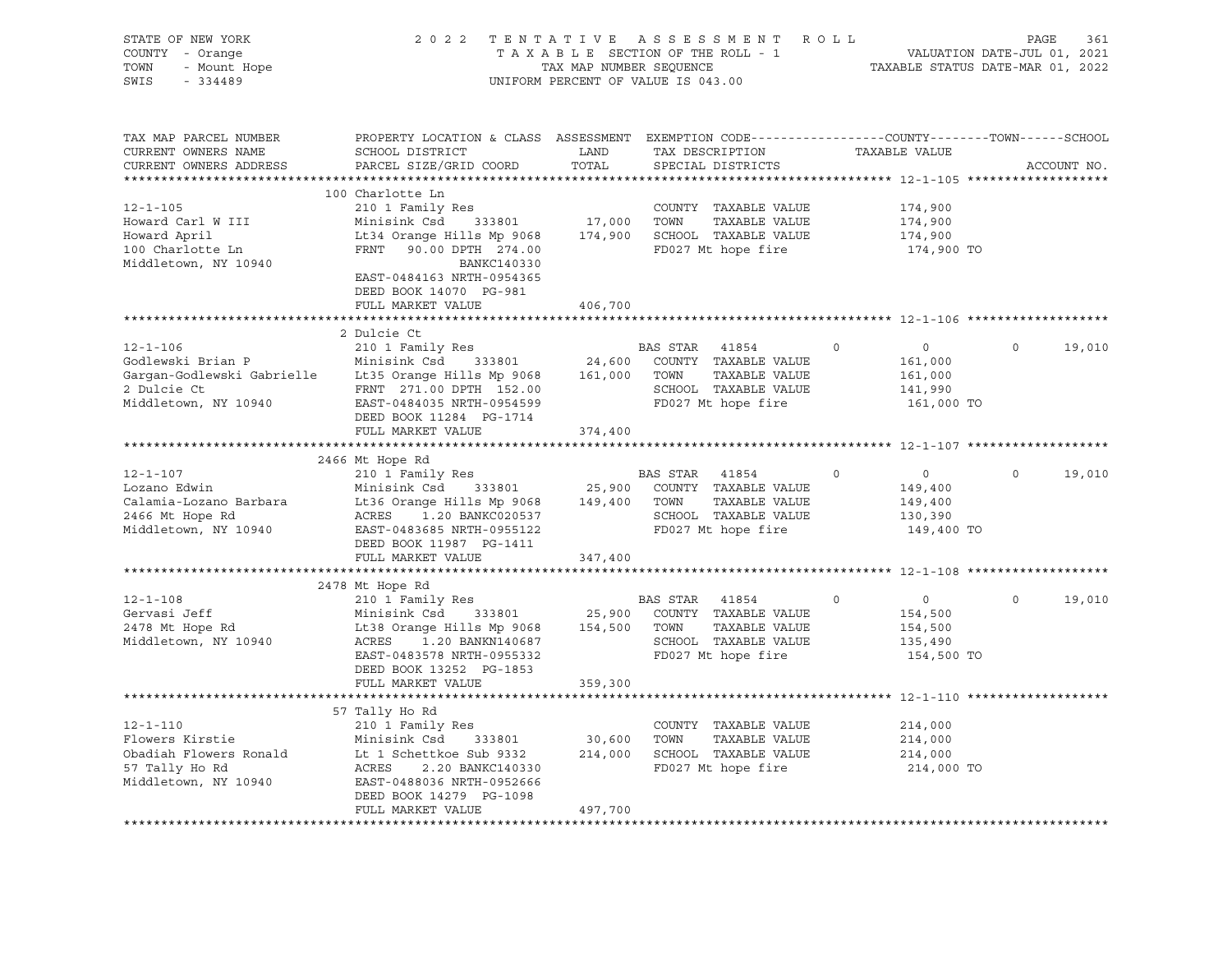| STATE OF NEW YORK<br>COUNTY - Orange<br>7 - Orange<br>- Mount Hope<br>TOWN<br>SWIS<br>$-334489$ |                                                                                                                                                                                                                                                                                             |               | 2022 TENTATIVE ASSESSMENT ROLL<br>TAXABLE SECTION OF THE ROLL - 1<br>TAXABLE SECTION OF THE ROLL - 1<br>TAXABLE STATUS DATE-MAR 01, 2022<br>UNIFORM PERCENT OF VALUE IS 043.00 |             |                                      | PAGE     | 361         |
|-------------------------------------------------------------------------------------------------|---------------------------------------------------------------------------------------------------------------------------------------------------------------------------------------------------------------------------------------------------------------------------------------------|---------------|--------------------------------------------------------------------------------------------------------------------------------------------------------------------------------|-------------|--------------------------------------|----------|-------------|
| TAX MAP PARCEL NUMBER<br>CURRENT OWNERS NAME<br>CURRENT OWNERS ADDRESS                          | PROPERTY LOCATION & CLASS ASSESSMENT EXEMPTION CODE---------------COUNTY-------TOWN-----SCHOOL<br>SCHOOL DISTRICT<br>PARCEL SIZE/GRID COORD                                                                                                                                                 | LAND<br>TOTAL | TAX DESCRIPTION<br>SPECIAL DISTRICTS                                                                                                                                           |             | TAXABLE VALUE                        |          | ACCOUNT NO. |
|                                                                                                 |                                                                                                                                                                                                                                                                                             |               |                                                                                                                                                                                |             |                                      |          |             |
| $12 - 1 - 105$                                                                                  | 100 Charlotte Ln<br>210 1 Family Res                                                                                                                                                                                                                                                        |               | COUNTY TAXABLE VALUE                                                                                                                                                           |             | 174,900                              |          |             |
|                                                                                                 | Minisink Csd 333801 17,000 TOWN TAXABLE VALUE                                                                                                                                                                                                                                               |               |                                                                                                                                                                                |             | 174,900                              |          |             |
| Howard Carl W III<br>Howard April<br>100 Charlotte Ln                                           | Lt34 Orange Hills Mp 9068 174,900 SCHOOL TAXABLE VALUE                                                                                                                                                                                                                                      |               |                                                                                                                                                                                |             | 174,900                              |          |             |
| Middletown, NY 10940                                                                            | FRNT 90.00 DPTH 274.00<br>BANKC140330<br>EAST-0484163 NRTH-0954365<br>DEED BOOK 14070 PG-981                                                                                                                                                                                                |               | FD027 Mt hope fire                                                                                                                                                             |             | 174,900 TO                           |          |             |
|                                                                                                 | FULL MARKET VALUE                                                                                                                                                                                                                                                                           | 406,700       |                                                                                                                                                                                |             |                                      |          |             |
|                                                                                                 |                                                                                                                                                                                                                                                                                             |               |                                                                                                                                                                                |             |                                      |          |             |
| $12 - 1 - 106$                                                                                  | 2 Dulcie Ct<br>210 1 Family Res                                                                                                                                                                                                                                                             |               | <b>BAS STAR 41854</b>                                                                                                                                                          | $\circ$     | $\overline{0}$<br>161,000<br>161,000 | $\Omega$ | 19,010      |
| 2 Dulcie Ct<br>Middletown, NY 10940                                                             | FRNT 271.00 DPTH 152.00<br>EAST-0484035 NRTH-0954599<br>DEED BOOK 11284 PG-1714<br>FULL MARKET VALUE                                                                                                                                                                                        | 374,400       | IAXABLE VALUE<br>SCHOOL TAXABLE VALUE<br>FD027 Mt bors fi                                                                                                                      |             | 141,990<br>161,000 TO                |          |             |
|                                                                                                 |                                                                                                                                                                                                                                                                                             |               |                                                                                                                                                                                |             |                                      |          |             |
|                                                                                                 | 2466 Mt Hope Rd                                                                                                                                                                                                                                                                             |               |                                                                                                                                                                                |             |                                      |          |             |
| $12 - 1 - 107$                                                                                  | 210 1 Family Res<br>Minisink Csd 333801 25,900 COUNTY TAXABLE VALUE<br>Lt36 Orange Hills Mp 9068 149,400 TOWN TAXABLE VALUE<br>ACRES 1.20 BANKC020537                                                                                                                                       |               |                                                                                                                                                                                | $\circ$     | $\overline{0}$                       | $\circ$  | 19,010      |
| Lozano Edwin<br>Calamia-Lozano Barbara                                                          |                                                                                                                                                                                                                                                                                             |               |                                                                                                                                                                                |             | 149,400<br>149,400                   |          |             |
| 2466 Mt Hope Rd                                                                                 | ACRES 1.20 BANKC020537                                                                                                                                                                                                                                                                      |               |                                                                                                                                                                                |             | 130,390                              |          |             |
| Middletown, NY 10940                                                                            | EAST-0483685 NRTH-0955122                                                                                                                                                                                                                                                                   |               | SCHOOL TAXABLE VALUE<br>FD027 Mt hope fire                                                                                                                                     |             | 149,400 TO                           |          |             |
|                                                                                                 | DEED BOOK 11987 PG-1411                                                                                                                                                                                                                                                                     |               |                                                                                                                                                                                |             |                                      |          |             |
|                                                                                                 | FULL MARKET VALUE                                                                                                                                                                                                                                                                           | 347,400       |                                                                                                                                                                                |             |                                      |          |             |
|                                                                                                 | 2478 Mt Hope Rd                                                                                                                                                                                                                                                                             |               |                                                                                                                                                                                |             |                                      |          |             |
| $12 - 1 - 108$                                                                                  |                                                                                                                                                                                                                                                                                             |               |                                                                                                                                                                                | $\mathbf 0$ | $\overline{0}$                       | $\circ$  | 19,010      |
| Gervasi Jeff                                                                                    |                                                                                                                                                                                                                                                                                             |               |                                                                                                                                                                                |             | 154,500                              |          |             |
| 2478 Mt Hope Rd                                                                                 |                                                                                                                                                                                                                                                                                             |               |                                                                                                                                                                                |             | 154,500                              |          |             |
| Middletown, NY 10940                                                                            |                                                                                                                                                                                                                                                                                             |               |                                                                                                                                                                                |             | 135,490                              |          |             |
|                                                                                                 | Mt Hope ka<br>210 1 Family Res<br>Minisink Csd 333801 25,900 COUNTY TAXABLE VALUE<br>Lt38 Orange Hills Mp 9068 154,500 TOWN TAXABLE VALUE<br>ACRES 1.20 BANKN140687 SCHOOL TAXABLE VALUE<br>ACRES 1.20 BANKN140687 SCHOOL TAXABLE VALUE<br><br>DEED BOOK 13252 PG-1853<br>FULL MARKET VALUE | 359,300       |                                                                                                                                                                                |             | 154,500 TO                           |          |             |
|                                                                                                 |                                                                                                                                                                                                                                                                                             |               |                                                                                                                                                                                |             |                                      |          |             |
|                                                                                                 | 57 Tally Ho Rd                                                                                                                                                                                                                                                                              |               |                                                                                                                                                                                |             |                                      |          |             |
| $12 - 1 - 110$<br>Flowers Kirstie                                                               |                                                                                                                                                                                                                                                                                             |               | COUNTY TAXABLE VALUE                                                                                                                                                           |             | 214,000                              |          |             |
| Chadiah Flowers Ronald                                                                          |                                                                                                                                                                                                                                                                                             |               | TAXABLE VALUE<br>214,000 SCHOOL TAXABLE VALUE                                                                                                                                  |             | 214,000<br>214,000                   |          |             |
| 57 Tally Ho Rd                                                                                  | 210 1 Family Res<br>Minisink Csd 333801 30,600 TOWN<br>Lt 1 Schettkoe Sub 9332 214,000 SCHOOL<br>ACRES 2.20 BANKC140330 FD027 Mt                                                                                                                                                            |               | FD027 Mt hope fire                                                                                                                                                             |             | 214,000 TO                           |          |             |
| Middletown, NY 10940 EAST-0488036 NRTH-0952666                                                  | DEED BOOK 14279 PG-1098                                                                                                                                                                                                                                                                     |               |                                                                                                                                                                                |             |                                      |          |             |
|                                                                                                 | FULL MARKET VALUE                                                                                                                                                                                                                                                                           | 497,700       |                                                                                                                                                                                |             |                                      |          |             |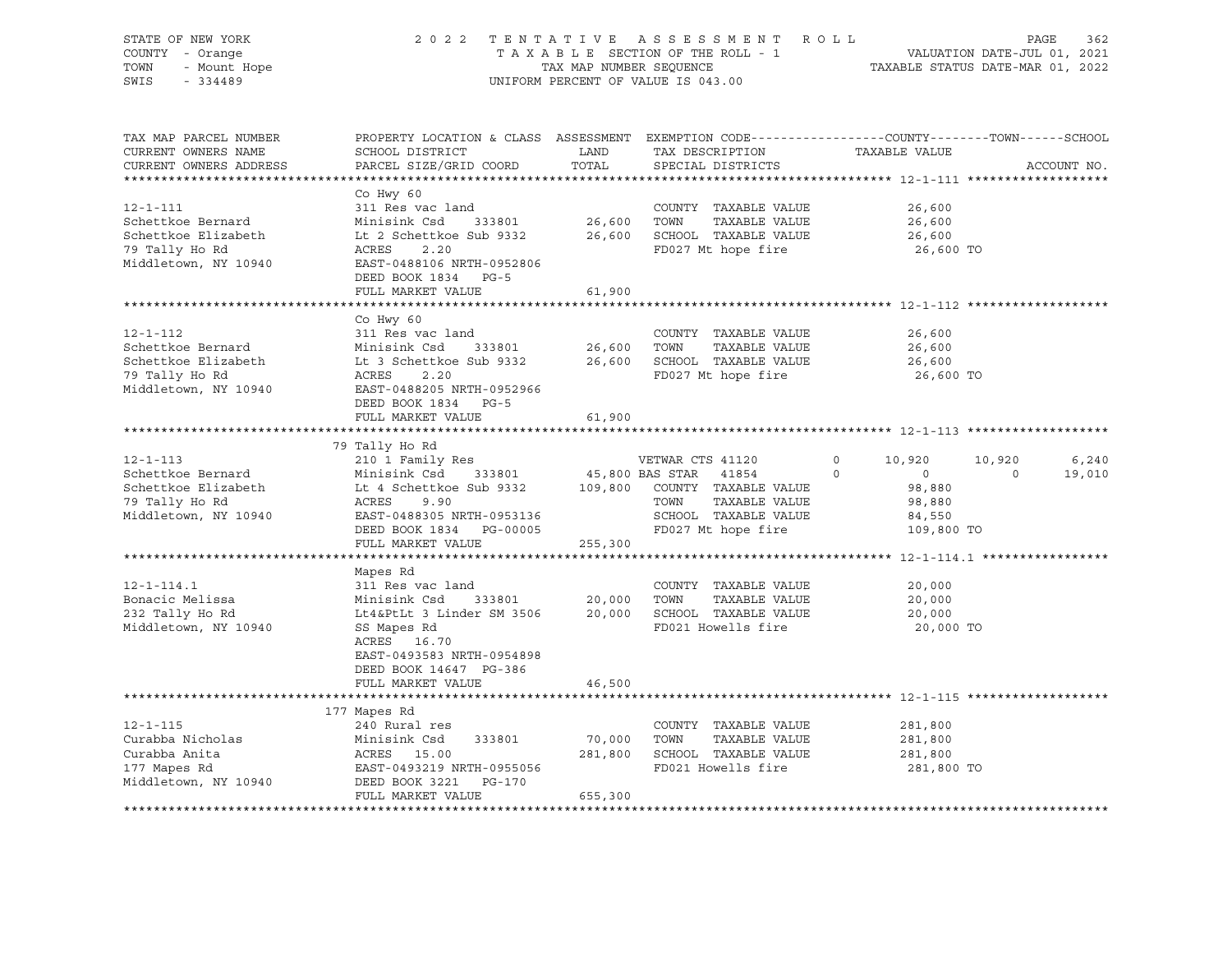| STATE OF NEW YORK<br>COUNTY - Orange<br>TOWN<br>- Mount Hope<br>SWIS<br>$-334489$                    | 2 0 2 2                                                                                                                                                                      |                              | TENTATIVE ASSESSMENT ROLL<br>T A X A B L E SECTION OF THE ROLL - 1 VALUATION DATE-JUL 01, 2021<br>TAX MAP NUMBER SEQUENCE TAXIBLE STATUS DATE-MAR 01, 2022<br>UNIFORM PERCENT OF VALUE IS 043.00 |                                                                                     | PAGE<br>362                           |
|------------------------------------------------------------------------------------------------------|------------------------------------------------------------------------------------------------------------------------------------------------------------------------------|------------------------------|--------------------------------------------------------------------------------------------------------------------------------------------------------------------------------------------------|-------------------------------------------------------------------------------------|---------------------------------------|
| TAX MAP PARCEL NUMBER<br>CURRENT OWNERS NAME<br>CURRENT OWNERS ADDRESS<br>***********************    | PROPERTY LOCATION & CLASS ASSESSMENT EXEMPTION CODE----------------COUNTY-------TOWN------SCHOOL<br>SCHOOL DISTRICT<br>PARCEL SIZE/GRID COORD                                | LAND<br>TOTAL                | TAX DESCRIPTION<br>SPECIAL DISTRICTS                                                                                                                                                             | TAXABLE VALUE                                                                       | ACCOUNT NO.                           |
| 12-1-111<br>Schettkoe Bernard<br>Schettkoe Elizabeth<br>79 Tally Ho Rd<br>Middletown, NY 10940       | Co Hwy 60<br>311 Res vac land<br>Minisink Csd<br>333801<br>Lt 2 Schettkoe Sub 9332<br>ACRES<br>2.20<br>EAST-0488106 NRTH-0952806<br>DEED BOOK 1834 PG-5<br>FULL MARKET VALUE | 26,600<br>26,600<br>61,900   | COUNTY TAXABLE VALUE<br>TOWN<br>TAXABLE VALUE<br>SCHOOL TAXABLE VALUE<br>FD027 Mt hope fire                                                                                                      | 26,600<br>26,600<br>26,600<br>26,600 TO                                             |                                       |
|                                                                                                      |                                                                                                                                                                              |                              |                                                                                                                                                                                                  |                                                                                     |                                       |
| $12 - 1 - 112$<br>Schettkoe Bernard<br>Schettkoe Elizabeth<br>79 Tally Ho Rd<br>Middletown, NY 10940 | Co Hwy 60<br>311 Res vac land<br>Minisink Csd<br>333801<br>Lt 3 Schettkoe Sub 9332<br>ACRES<br>2.20<br>EAST-0488205 NRTH-0952966<br>DEED BOOK 1834 PG-5                      | 26,600<br>26,600             | COUNTY TAXABLE VALUE<br>TOWN<br>TAXABLE VALUE<br>SCHOOL TAXABLE VALUE<br>FD027 Mt hope fire                                                                                                      | 26,600<br>26,600<br>26,600<br>26,600 TO                                             |                                       |
|                                                                                                      | FULL MARKET VALUE                                                                                                                                                            | 61,900                       |                                                                                                                                                                                                  |                                                                                     |                                       |
|                                                                                                      |                                                                                                                                                                              |                              |                                                                                                                                                                                                  |                                                                                     |                                       |
| $12 - 1 - 113$<br>Schettkoe Bernard<br>Schettkoe Elizabeth<br>79 Tally Ho Rd<br>Middletown, NY 10940 | 79 Tally Ho Rd<br>210 1 Family Res<br>Minisink Csd<br>333801<br>Lt 4 Schettkoe Sub 9332<br>ACRES 9.90<br>EAST-0488305 NRTH-0953136<br>DEED BOOK 1834 PG-00005                |                              | VETWAR CTS 41120<br>45,800 BAS STAR 41854<br>109,800 COUNTY TAXABLE VALUE<br>TAXABLE VALUE<br>TOWN<br>SCHOOL TAXABLE VALUE<br>FD027 Mt hope fire                                                 | 10,920<br>$\circ$<br>$\circ$<br>$\circ$<br>98,880<br>98,880<br>84,550<br>109,800 TO | 10,920<br>6,240<br>19,010<br>$\Omega$ |
|                                                                                                      | FULL MARKET VALUE                                                                                                                                                            | 255,300                      |                                                                                                                                                                                                  |                                                                                     |                                       |
| $12 - 1 - 114.1$<br>Bonacic Melissa<br>232 Tally Ho Rd<br>Middletown, NY 10940                       | Mapes Rd<br>311 Res vac land<br>Minisink Csd<br>333801<br>Lt4&PtLt 3 Linder SM 3506<br>SS Mapes Rd<br>ACRES 16.70<br>EAST-0493583 NRTH-0954898<br>DEED BOOK 14647 PG-386     | 20,000<br>20,000             | COUNTY TAXABLE VALUE<br>TOWN<br>TAXABLE VALUE<br>SCHOOL TAXABLE VALUE<br>FD021 Howells fire                                                                                                      | 20,000<br>20,000<br>20,000<br>20,000 TO                                             |                                       |
|                                                                                                      | FULL MARKET VALUE                                                                                                                                                            | 46,500                       |                                                                                                                                                                                                  |                                                                                     |                                       |
| $12 - 1 - 115$<br>Curabba Nicholas<br>Curabba Anita<br>177 Mapes Rd<br>Middletown, NY 10940          | 177 Mapes Rd<br>240 Rural res<br>Minisink Csd<br>333801<br>ACRES 15.00<br>EAST-0493219 NRTH-0955056<br>DEED BOOK 3221<br>PG-170<br>FULL MARKET VALUE                         | 70,000<br>281,800<br>655,300 | COUNTY TAXABLE VALUE<br>TOWN<br>TAXABLE VALUE<br>SCHOOL TAXABLE VALUE<br>FD021 Howells fire                                                                                                      | 281,800<br>281,800<br>281,800<br>281,800 TO                                         |                                       |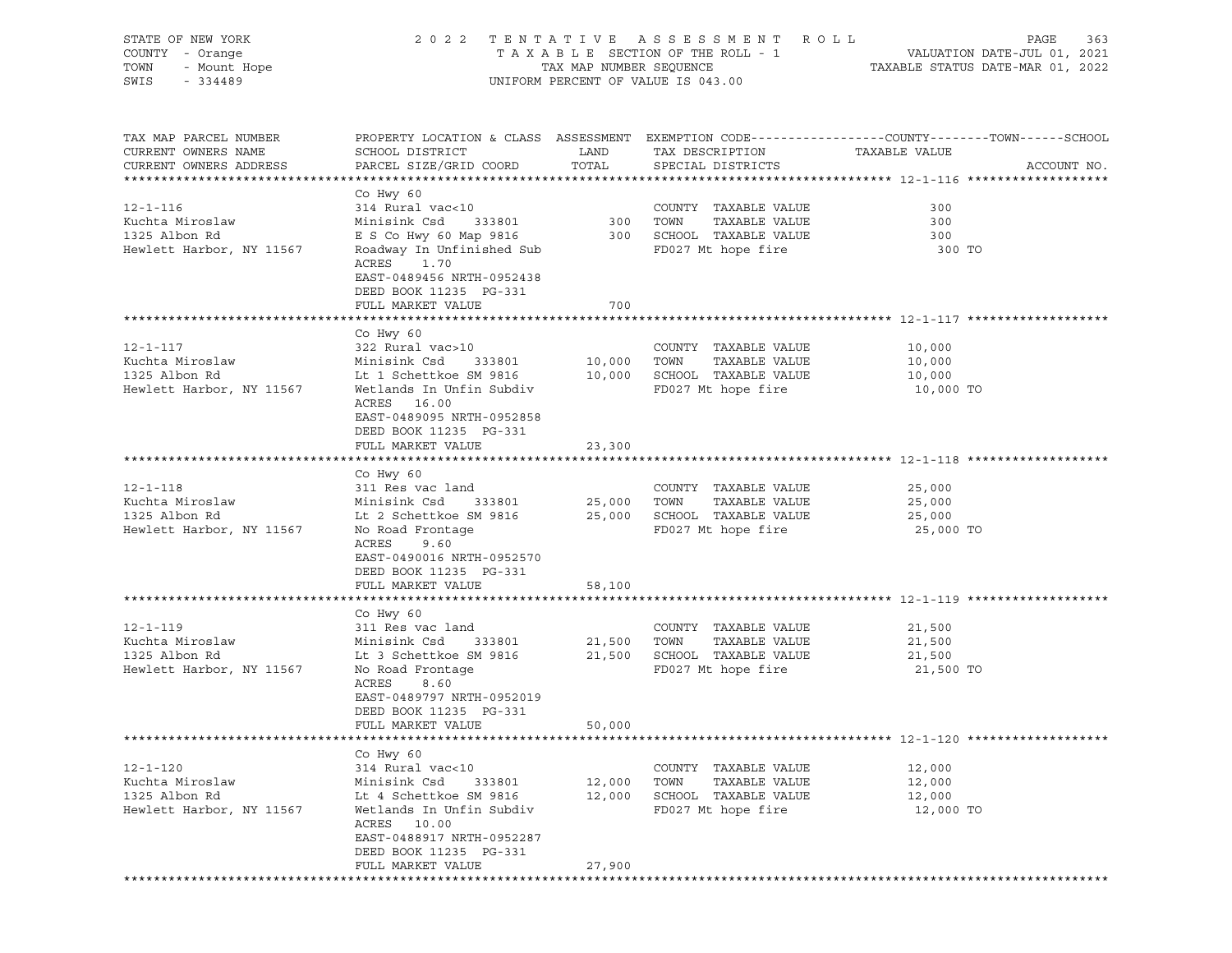| STATE OF NEW YORK<br>COUNTY - Orange<br>Y - Orange<br>- Mount Hope<br>- 334489<br>TOWN<br>SWIS<br>$-334489$ | 2022 TENTATIVE ASSESSMENT ROLL<br>UNIFORM PERCENT OF VALUE IS 043.00                                                                                                                                             |                                 |                                                                                                           | PAGE<br>363                                                                                                    |  |  |
|-------------------------------------------------------------------------------------------------------------|------------------------------------------------------------------------------------------------------------------------------------------------------------------------------------------------------------------|---------------------------------|-----------------------------------------------------------------------------------------------------------|----------------------------------------------------------------------------------------------------------------|--|--|
| TAX MAP PARCEL NUMBER<br>CURRENT OWNERS NAME<br>CURRENT OWNERS ADDRESS                                      | SCHOOL DISTRICT<br>PARCEL SIZE/GRID COORD                                                                                                                                                                        | <b>Example 12</b> LAND<br>TOTAL | TAX DESCRIPTION TAXABLE VALUE<br>SPECIAL DISTRICTS<br>SPECIAL DISTRICTS                                   | PROPERTY LOCATION & CLASS ASSESSMENT EXEMPTION CODE---------------COUNTY-------TOWN------SCHOOL<br>ACCOUNT NO. |  |  |
| $12 - 1 - 116$<br>Kuchta Miroslaw<br>1325 Albon Rd<br>Hewlett Harbor, NY 11567                              | Co Hwy 60<br>314 Rural vac<10<br>Minisink Csd 333801<br>E S Co Hwy 60 Map 9816 300 SCHOOL TAXABLE VALUE<br>Roadway In Unfinished Sub<br>ACRES<br>1.70<br>EAST-0489456 NRTH-0952438<br>DEED BOOK 11235 PG-331     |                                 | COUNTY TAXABLE VALUE<br>300 TOWN TAXABLE VALUE<br>FD027 Mt hope fire                                      | 300<br>300<br>300<br>300 TO                                                                                    |  |  |
|                                                                                                             | FULL MARKET VALUE                                                                                                                                                                                                | 700                             |                                                                                                           |                                                                                                                |  |  |
| $12 - 1 - 117$<br>Kuchta Miroslaw<br>1325 Albon Rd<br>Hewlett Harbor, NY 11567                              | Co Hwy 60<br>322 Rural vac>10<br>Minisink Csd 333801<br>Lt 1 Schettkoe SM 9816 10,000 SCHOOL TAXABLE VALUE 10,000 Wetlands In Unfin Subdiv FD027 Mt hope fire 10,000<br>ACRES 16.00<br>EAST-0489095 NRTH-0952858 |                                 | COUNTY TAXABLE VALUE<br>10,000    TOWN      TAXABLE VALUE<br>COUNTY TAXABLE VALUE 10,000                  | 10,000<br>10,000 TO                                                                                            |  |  |
|                                                                                                             | DEED BOOK 11235 PG-331<br>FULL MARKET VALUE                                                                                                                                                                      | 23,300                          |                                                                                                           |                                                                                                                |  |  |
|                                                                                                             |                                                                                                                                                                                                                  |                                 |                                                                                                           |                                                                                                                |  |  |
| $12 - 1 - 118$<br>Kuchta Miroslaw<br>1325 Albon Rd<br>Hewlett Harbor, NY 11567                              | Co Hwy 60<br>311 Res vac land<br>Minisink Csd 333801<br>Lt 2 Schettkoe SM 9816 25,000 SCHOOL TAXABLE VALUE 25,000<br>No Road Frontage<br>ACRES<br>9.60<br>EAST-0490016 NRTH-0952570<br>DEED BOOK 11235 PG-331    |                                 | COUNTY TAXABLE VALUE<br>25,000 TOWN TAXABLE VALUE<br>FD027 Mt hope fire                                   | 25,000<br>25,000<br>25,000 TO                                                                                  |  |  |
|                                                                                                             | FULL MARKET VALUE                                                                                                                                                                                                | 58,100                          |                                                                                                           |                                                                                                                |  |  |
| $12 - 1 - 119$<br>Kuchta Miroslaw<br>1325 Albon Rd<br>Hewlett Harbor, NY 11567                              | Co Hwy 60<br>311 Res vac land<br>Minisink Csd 333801<br>Lt 3 Schettkoe SM 9816 21,500<br>No Road Frontage<br>ACRES<br>8.60<br>EAST-0489797 NRTH-0952019<br>DEED BOOK 11235 PG-331<br>FULL MARKET VALUE           | 21,500<br>50,000                | COUNTY TAXABLE VALUE 21,500<br>TOWN<br>TAXABLE VALUE<br>SCHOOL TAXABLE VALUE 21,500<br>FD027 Mt hope fire | 21,500<br>21,500 TO                                                                                            |  |  |
|                                                                                                             |                                                                                                                                                                                                                  |                                 |                                                                                                           |                                                                                                                |  |  |
| $12 - 1 - 120$<br>Kuchta Miroslaw<br>1325 Albon Rd<br>Hewlett Harbor, NY 11567                              | Co Hwy 60<br>314 Rural vac<10<br>Minisink Csd<br>333801<br>Lt 4 Schettkoe SM 9816<br>Wetlands In Unfin Subdiv<br>ACRES 10.00<br>EAST-0488917 NRTH-0952287<br>DEED BOOK 11235 PG-331<br>FULL MARKET VALUE         | 12,000<br>12,000<br>27,900      | COUNTY TAXABLE VALUE<br>TOWN<br>TAXABLE VALUE<br>SCHOOL TAXABLE VALUE<br>FD027 Mt hope fire               | 12,000<br>12,000<br>12,000<br>12,000 TO                                                                        |  |  |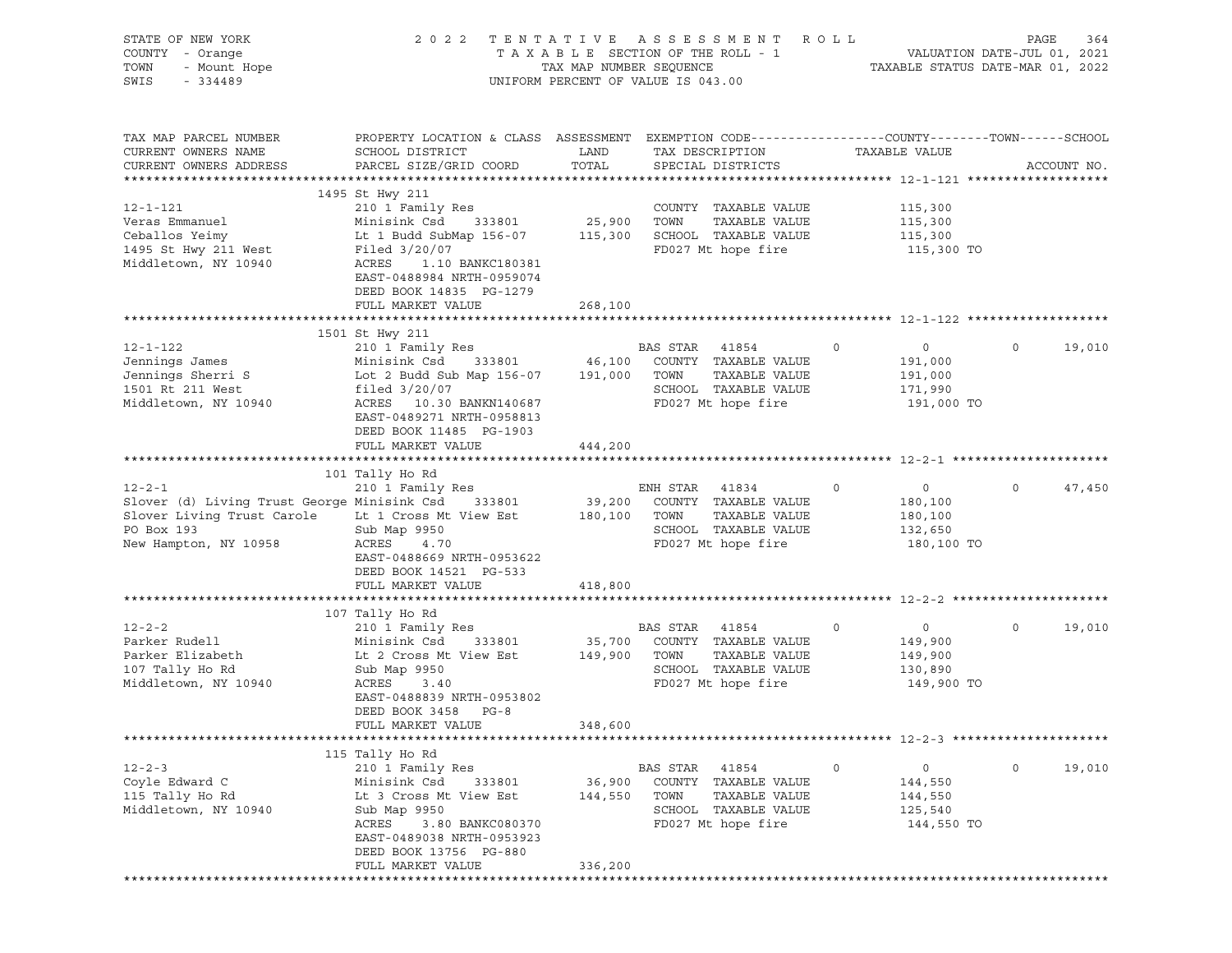| STATE OF NEW YORK<br>COUNTY - Orange<br>TOWN<br>- Mount Hope<br>$-334489$<br>SWIS                                                       | 2 0 2 2                                                                                                                                                                                                                                       | TAX MAP NUMBER SEQUENCE | TENTATIVE ASSESSMENT ROLL<br>TAXABLE SECTION OF THE ROLL - 1<br>UNIFORM PERCENT OF VALUE IS 043.00               |                | VALUATION DATE-JUL 01, 2021<br>TAXABLE STATUS DATE-MAR 01, 2022 | PAGE    | 364         |
|-----------------------------------------------------------------------------------------------------------------------------------------|-----------------------------------------------------------------------------------------------------------------------------------------------------------------------------------------------------------------------------------------------|-------------------------|------------------------------------------------------------------------------------------------------------------|----------------|-----------------------------------------------------------------|---------|-------------|
| TAX MAP PARCEL NUMBER<br>CURRENT OWNERS NAME<br>CURRENT OWNERS ADDRESS                                                                  | PROPERTY LOCATION & CLASS ASSESSMENT EXEMPTION CODE---------------COUNTY-------TOWN------SCHOOL<br>SCHOOL DISTRICT<br>PARCEL SIZE/GRID COORD                                                                                                  | LAND<br>TOTAL           | TAX DESCRIPTION<br>SPECIAL DISTRICTS                                                                             |                | TAXABLE VALUE                                                   |         | ACCOUNT NO. |
| $12 - 1 - 121$<br>Veras Emmanuel<br>Ceballos Yeimy<br>1495 St Hwy 211 West<br>Middletown, NY 10940                                      | 1495 St Hwy 211<br>210 1 Family Res<br>Minisink Csd 333801<br>Lt 1 Budd SubMap 156-07 115,300 SCHOOL TAXABLE VALUE<br>Filed 3/20/07<br>ACRES<br>1.10 BANKC180381<br>EAST-0488984 NRTH-0959074<br>DEED BOOK 14835 PG-1279<br>FULL MARKET VALUE | 25,900<br>268,100       | COUNTY TAXABLE VALUE<br>TOWN<br>TAXABLE VALUE<br>FD027 Mt hope fire                                              |                | 115,300<br>115,300<br>115,300<br>115,300 TO                     |         |             |
|                                                                                                                                         |                                                                                                                                                                                                                                               |                         |                                                                                                                  |                |                                                                 |         |             |
| $12 - 1 - 122$<br>Jennings James<br>Jennings Sherri S<br>1501 Rt 211 West<br>Middletown, NY 10940                                       | 1501 St Hwy 211<br>210 1 Family Res<br>Minisink Csd 333801<br>Lot 2 Budd Sub Map 156-07<br>filed $3/20/07$<br>ACRES 10.30 BANKN140687<br>EAST-0489271 NRTH-0958813<br>DEED BOOK 11485 PG-1903                                                 | 46,100<br>191,000       | BAS STAR<br>41854<br>COUNTY TAXABLE VALUE<br>TAXABLE VALUE<br>TOWN<br>SCHOOL TAXABLE VALUE<br>FD027 Mt hope fire | $\overline{0}$ | $\overline{0}$<br>191,000<br>191,000<br>171,990<br>191,000 TO   | 0       | 19,010      |
|                                                                                                                                         | FULL MARKET VALUE                                                                                                                                                                                                                             | 444,200                 |                                                                                                                  |                |                                                                 |         |             |
|                                                                                                                                         |                                                                                                                                                                                                                                               |                         |                                                                                                                  |                |                                                                 |         |             |
| $12 - 2 - 1$<br>Slover (d) Living Trust George Minisink Csd 333801<br>Slover Living Trust Carole<br>PO Box 193<br>New Hampton, NY 10958 | 101 Tally Ho Rd<br>210 1 Family Res<br>Lt 1 Cross Mt View Est 180,100<br>Sub Map 9950<br>ACRES<br>4.70<br>EAST-0488669 NRTH-0953622<br>DEED BOOK 14521 PG-533                                                                                 | 39,200                  | ENH STAR 41834<br>COUNTY TAXABLE VALUE<br>TAXABLE VALUE<br>TOWN<br>SCHOOL TAXABLE VALUE<br>FD027 Mt hope fire    | $\circ$        | $\overline{0}$<br>180,100<br>180,100<br>132,650<br>180,100 TO   | $\circ$ | 47,450      |
|                                                                                                                                         | FULL MARKET VALUE                                                                                                                                                                                                                             | 418,800                 |                                                                                                                  |                |                                                                 |         |             |
|                                                                                                                                         |                                                                                                                                                                                                                                               |                         |                                                                                                                  |                |                                                                 |         |             |
| $12 - 2 - 2$<br>Parker Rudell<br>Parker Elizabeth<br>107 Tally Ho Rd<br>Middletown, NY 10940                                            | 107 Tally Ho Rd<br>210 1 Family Res<br>Minisink Csd<br>333801<br>Lt 2 Cross Mt View Est 149,900<br>Sub Map 9950<br>ACRES<br>3.40<br>EAST-0488839 NRTH-0953802<br>DEED BOOK 3458 PG-8                                                          | 35,700                  | BAS STAR<br>41854<br>COUNTY TAXABLE VALUE<br>TAXABLE VALUE<br>TOWN<br>SCHOOL TAXABLE VALUE<br>FD027 Mt hope fire | $\circ$        | $\overline{0}$<br>149,900<br>149,900<br>130,890<br>149,900 TO   | 0       | 19,010      |
|                                                                                                                                         | FULL MARKET VALUE                                                                                                                                                                                                                             | 348,600                 |                                                                                                                  |                |                                                                 |         |             |
|                                                                                                                                         | 115 Tally Ho Rd                                                                                                                                                                                                                               |                         |                                                                                                                  |                |                                                                 |         |             |
| $12 - 2 - 3$<br>Coyle Edward C<br>115 Tally Ho Rd<br>Middletown, NY 10940                                                               | 210 1 Family Res<br>Minisink Csd<br>333801<br>Lt 3 Cross Mt View Est<br>Sub Map 9950<br>ACRES<br>3.80 BANKC080370<br>EAST-0489038 NRTH-0953923<br>DEED BOOK 13756 PG-880                                                                      | 36,900<br>144,550       | BAS STAR<br>41854<br>COUNTY TAXABLE VALUE<br>TOWN<br>TAXABLE VALUE<br>SCHOOL TAXABLE VALUE<br>FD027 Mt hope fire | $\circ$        | 0<br>144,550<br>144,550<br>125,540<br>144,550 TO                | 0       | 19,010      |
|                                                                                                                                         | FULL MARKET VALUE                                                                                                                                                                                                                             | 336,200                 |                                                                                                                  |                |                                                                 |         |             |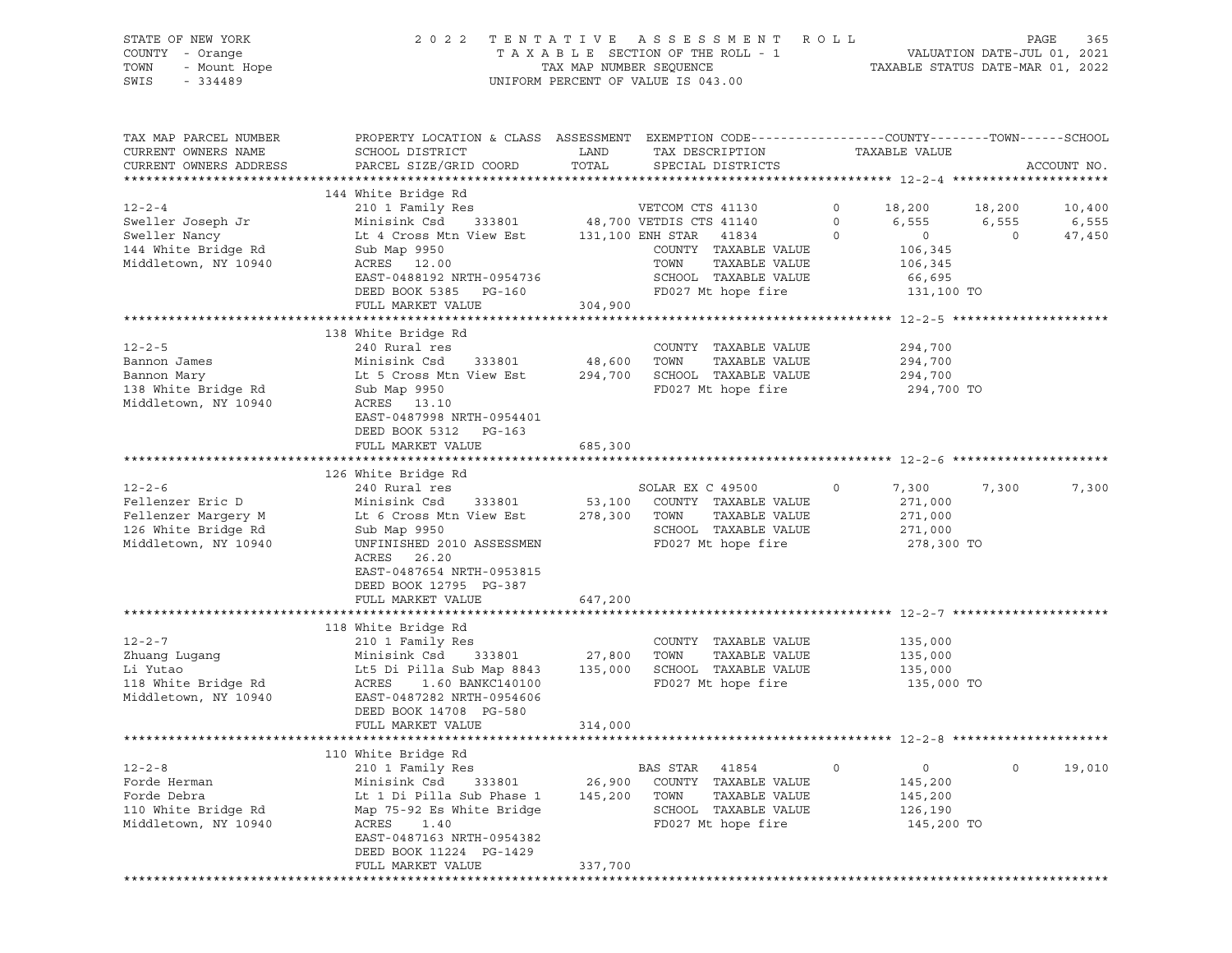# STATE OF NEW YORK 2 0 2 2 T E N T A T I V E A S S E S S M E N T R O L L PAGE 365 COUNTY - Orange T A X A B L E SECTION OF THE ROLL - 1 VALUATION DATE-JUL 01, 2021 TOWN - Mount Hope TAX MAP NUMBER SEQUENCE TAXABLE STATUS DATE-MAR 01, 2022 SWIS - 334489 UNIFORM PERCENT OF VALUE IS 043.00

| TAX MAP PARCEL NUMBER<br>CURRENT OWNERS NAME<br>CURRENT OWNERS ADDRESS                            | PROPERTY LOCATION & CLASS ASSESSMENT EXEMPTION CODE----------------COUNTY-------TOWN-----SCHOOL<br>SCHOOL DISTRICT<br>PARCEL SIZE/GRID COORD                                                                           | LAND<br>TOTAL                | TAX DESCRIPTION<br>SPECIAL DISTRICTS                                                                                                                                 | TAXABLE VALUE                                                                                              |                                   | ACCOUNT NO.               |
|---------------------------------------------------------------------------------------------------|------------------------------------------------------------------------------------------------------------------------------------------------------------------------------------------------------------------------|------------------------------|----------------------------------------------------------------------------------------------------------------------------------------------------------------------|------------------------------------------------------------------------------------------------------------|-----------------------------------|---------------------------|
|                                                                                                   |                                                                                                                                                                                                                        |                              |                                                                                                                                                                      |                                                                                                            |                                   |                           |
| $12 - 2 - 4$<br>Sweller Joseph Jr<br>Sweller Nancy<br>144 White Bridge Rd<br>Middletown, NY 10940 | 144 White Bridge Rd<br>210 1 Family Res<br>Minisink Csd<br>333801<br>Lt 4 Cross Mtn View Est<br>Sub Map 9950<br>ACRES 12.00<br>EAST-0488192 NRTH-0954736<br>DEED BOOK 5385<br>PG-160<br>FULL MARKET VALUE              | 304,900                      | VETCOM CTS 41130<br>48,700 VETDIS CTS 41140<br>131,100 ENH STAR 41834<br>COUNTY TAXABLE VALUE<br>TOWN<br>TAXABLE VALUE<br>SCHOOL TAXABLE VALUE<br>FD027 Mt hope fire | 0<br>18,200<br>$\circ$<br>6,555<br>$\circ$<br>$\overline{0}$<br>106,345<br>106,345<br>66,695<br>131,100 TO | 18,200<br>6,555<br>$\overline{0}$ | 10,400<br>6,555<br>47,450 |
|                                                                                                   |                                                                                                                                                                                                                        |                              |                                                                                                                                                                      |                                                                                                            |                                   |                           |
| $12 - 2 - 5$<br>Bannon James<br>Bannon Mary<br>138 White Bridge Rd<br>Middletown, NY 10940        | 138 White Bridge Rd<br>240 Rural res<br>Minisink Csd<br>333801<br>Lt 5 Cross Mtn View Est<br>Sub Map 9950<br>ACRES 13.10<br>EAST-0487998 NRTH-0954401<br>DEED BOOK 5312 PG-163<br>FULL MARKET VALUE                    | 48,600<br>294,700<br>685,300 | COUNTY TAXABLE VALUE<br>TOWN<br>TAXABLE VALUE<br>SCHOOL TAXABLE VALUE<br>FD027 Mt hope fire                                                                          | 294,700<br>294,700<br>294,700<br>294,700 TO                                                                |                                   |                           |
|                                                                                                   |                                                                                                                                                                                                                        |                              |                                                                                                                                                                      |                                                                                                            |                                   |                           |
| $12 - 2 - 6$                                                                                      | 126 White Bridge Rd<br>240 Rural res                                                                                                                                                                                   |                              | SOLAR EX C 49500                                                                                                                                                     | 7,300<br>$\circ$                                                                                           | 7,300                             | 7,300                     |
| Fellenzer Eric D<br>Fellenzer Margery M<br>126 White Bridge Rd<br>Middletown, NY 10940            | Minisink Csd<br>333801<br>Lt 6 Cross Mtn View Est<br>Sub Map 9950<br>UNFINISHED 2010 ASSESSMEN<br>ACRES<br>26.20<br>EAST-0487654 NRTH-0953815<br>DEED BOOK 12795 PG-387                                                | 53,100<br>278,300            | COUNTY TAXABLE VALUE<br>TOWN<br>TAXABLE VALUE<br>SCHOOL TAXABLE VALUE<br>FD027 Mt hope fire                                                                          | 271,000<br>271,000<br>271,000<br>278,300 TO                                                                |                                   |                           |
|                                                                                                   | FULL MARKET VALUE                                                                                                                                                                                                      | 647,200                      |                                                                                                                                                                      |                                                                                                            |                                   |                           |
| $12 - 2 - 7$<br>Zhuang Lugang<br>Li Yutao<br>118 White Bridge Rd<br>Middletown, NY 10940          | 118 White Bridge Rd<br>210 1 Family Res<br>Minisink Csd<br>333801<br>Lt5 Di Pilla Sub Map 8843<br>ACRES<br>1.60 BANKC140100<br>EAST-0487282 NRTH-0954606<br>DEED BOOK 14708 PG-580                                     | 27,800<br>135,000            | COUNTY TAXABLE VALUE<br>TAXABLE VALUE<br>TOWN<br>SCHOOL TAXABLE VALUE<br>FD027 Mt hope fire                                                                          | 135,000<br>135,000<br>135,000<br>135,000 TO                                                                |                                   |                           |
|                                                                                                   | FULL MARKET VALUE                                                                                                                                                                                                      | 314,000                      |                                                                                                                                                                      |                                                                                                            |                                   |                           |
| $12 - 2 - 8$<br>Forde Herman<br>Forde Debra<br>110 White Bridge Rd<br>Middletown, NY 10940        | 110 White Bridge Rd<br>210 1 Family Res<br>Minisink Csd<br>333801<br>Lt 1 Di Pilla Sub Phase 1<br>Map 75-92 Es White Bridge<br>ACRES 1.40<br>EAST-0487163 NRTH-0954382<br>DEED BOOK 11224 PG-1429<br>FULL MARKET VALUE | 26,900<br>145,200<br>337,700 | BAS STAR<br>41854<br>COUNTY TAXABLE VALUE<br>TAXABLE VALUE<br>TOWN<br>SCHOOL TAXABLE VALUE<br>FD027 Mt hope fire                                                     | 0<br>0<br>145,200<br>145,200<br>126,190<br>145,200 TO                                                      | $\circ$                           | 19,010                    |
|                                                                                                   |                                                                                                                                                                                                                        |                              |                                                                                                                                                                      |                                                                                                            |                                   |                           |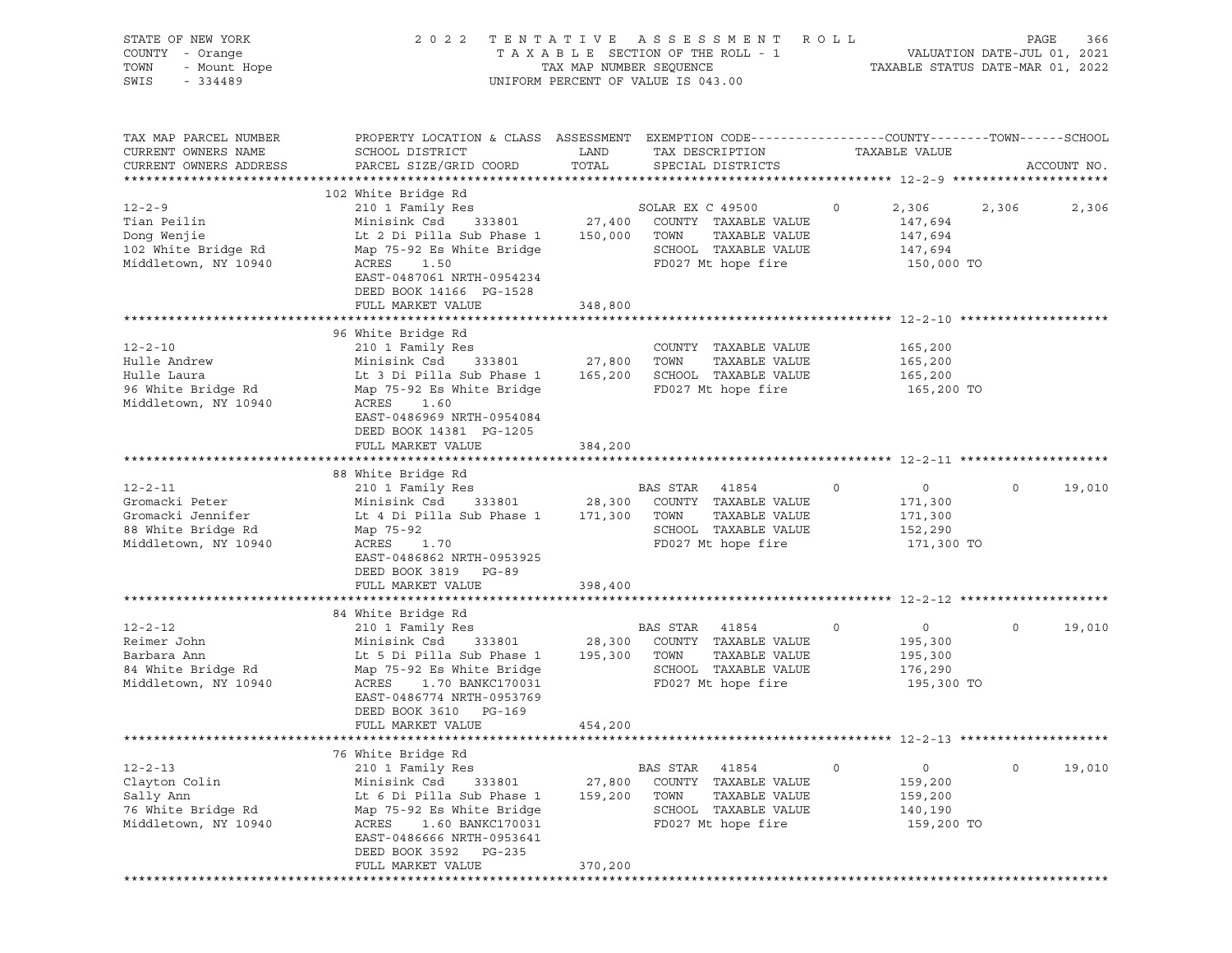| STATE OF NEW YORK<br>OF NEW YORK<br>- Orange<br>- Mount Hope<br>COUNTY - Orange<br>TOWN<br>SWIS    |                                                                                                                                                                                                                                                             |                              | 2022 TENTATIVE ASSESSMENT<br>UNIFORM PERCENT OF VALUE IS 043.00                                                       | R O L L                                                    |                       | PAGE<br>366 |
|----------------------------------------------------------------------------------------------------|-------------------------------------------------------------------------------------------------------------------------------------------------------------------------------------------------------------------------------------------------------------|------------------------------|-----------------------------------------------------------------------------------------------------------------------|------------------------------------------------------------|-----------------------|-------------|
| TAX MAP PARCEL NUMBER<br>CURRENT OWNERS NAME<br>CURRENT OWNERS ADDRESS                             | PROPERTY LOCATION & CLASS ASSESSMENT EXEMPTION CODE----------------COUNTY-------TOWN------SCHOOL<br>SCHOOL DISTRICT<br>PARCEL SIZE/GRID COORD                                                                                                               | LAND<br>TOTAL                | TAX DESCRIPTION<br>SPECIAL DISTRICTS                                                                                  | TAXABLE VALUE                                              |                       | ACCOUNT NO. |
| $12 - 2 - 9$<br>Tian Peilin<br>Dong Wenjie<br>102 White Bridge Rd<br>Middletown, NY 10940          | 102 White Bridge Rd<br>210 1 Family Res<br>Minisink Csd<br>Lt 2 Di Pilla Sub Phase 1<br>Map 75-92 Es White Bridge<br>ACRES 1.50<br>EAST-0487061 NRTH-0954234<br>DEED BOOK 14166 PG-1528<br>FULL MARKET VALUE                                                | 150,000 TOWN<br>348,800      | SOLAR EX C 49500<br>333801 27,400 COUNTY TAXABLE VALUE<br>TAXABLE VALUE<br>SCHOOL TAXABLE VALUE<br>FD027 Mt hope fire | $\circ$<br>2,306<br>147,694<br>147,694<br>147,694          | 2,306<br>150,000 TO   | 2,306       |
| $12 - 2 - 10$<br>Hulle Andrew<br>Hulle Laura<br>96 White Bridge Rd<br>Middletown, NY 10940         | 96 White Bridge Rd<br>210 1 Family Res<br>Minisink Csd 333801 27,800 TOWN<br>Lt 3 Di Pilla Sub Phase 1<br>Map 75-92 Es White Bridge<br>ACRES<br>1.60<br>EAST-0486969 NRTH-0954084<br>DEED BOOK 14381 PG-1205<br>FULL MARKET VALUE                           | 384,200                      | COUNTY TAXABLE VALUE<br>TAXABLE VALUE<br>165,200 SCHOOL TAXABLE VALUE<br>FD027 Mt hope fire                           | 165,200<br>165,200<br>165,200                              | 165,200 TO            |             |
| $12 - 2 - 11$<br>Gromacki Peter<br>Gromacki Jennifer<br>88 White Bridge Rd<br>Middletown, NY 10940 | 88 White Bridge Rd<br>210 1 Family Res<br>Minisink Csd<br>Lt 4 Di Pilla Sub Phase 1 171,300 TOWN<br>Map 75-92<br>ACRES 1.70<br>EAST-0486862 NRTH-0953925<br>DEED BOOK 3819 PG-89                                                                            |                              | BAS STAR 41854<br>333801 28,300 COUNTY TAXABLE VALUE<br>TAXABLE VALUE<br>SCHOOL TAXABLE VALUE<br>FD027 Mt hope fire   | $\overline{0}$<br>$\circ$<br>171,300<br>171,300<br>152,290 | $\circ$<br>171,300 TO | 19,010      |
|                                                                                                    | FULL MARKET VALUE                                                                                                                                                                                                                                           | 398,400                      |                                                                                                                       |                                                            |                       |             |
| $12 - 2 - 12$<br>Reimer John<br>Barbara Ann<br>84 White Bridge Rd<br>Middletown, NY 10940          | 84 White Bridge Rd<br>210 1 Family Res<br>Minisink Csd 333801 28,300 COUNTY TAXABLE VALUE<br>Lt 5 Di Pilla Sub Phase 1<br>Map 75-92 Es White Bridge<br>ACRES<br>1.70 BANKC170031<br>EAST-0486774 NRTH-0953769<br>DEED BOOK 3610 PG-169<br>FULL MARKET VALUE | 195,300 TOWN<br>454,200      | BAS STAR 41854<br>TAXABLE VALUE<br>SCHOOL TAXABLE VALUE<br>FD027 Mt hope fire                                         | $\circ$<br>$\overline{0}$<br>195,300<br>195,300<br>176,290 | $\circ$<br>195,300 TO | 19,010      |
|                                                                                                    |                                                                                                                                                                                                                                                             |                              |                                                                                                                       |                                                            |                       |             |
| $12 - 2 - 13$<br>Clayton Colin<br>Sally Ann<br>76 White Bridge Rd<br>Middletown, NY 10940          | 76 White Bridge Rd<br>210 1 Family Res<br>Minisink Csd<br>333801<br>Lt 6 Di Pilla Sub Phase 1<br>Map 75-92 Es White Bridge<br>ACRES<br>1.60 BANKC170031<br>EAST-0486666 NRTH-0953641<br>DEED BOOK 3592 PG-235<br>FULL MARKET VALUE                          | 27,800<br>159,200<br>370,200 | BAS STAR<br>41854<br>COUNTY TAXABLE VALUE<br>TOWN<br>TAXABLE VALUE<br>SCHOOL TAXABLE VALUE<br>FD027 Mt hope fire      | $\circ$<br>0<br>159,200<br>159,200<br>140,190              | $\circ$<br>159,200 TO | 19,010      |
|                                                                                                    |                                                                                                                                                                                                                                                             |                              |                                                                                                                       |                                                            |                       |             |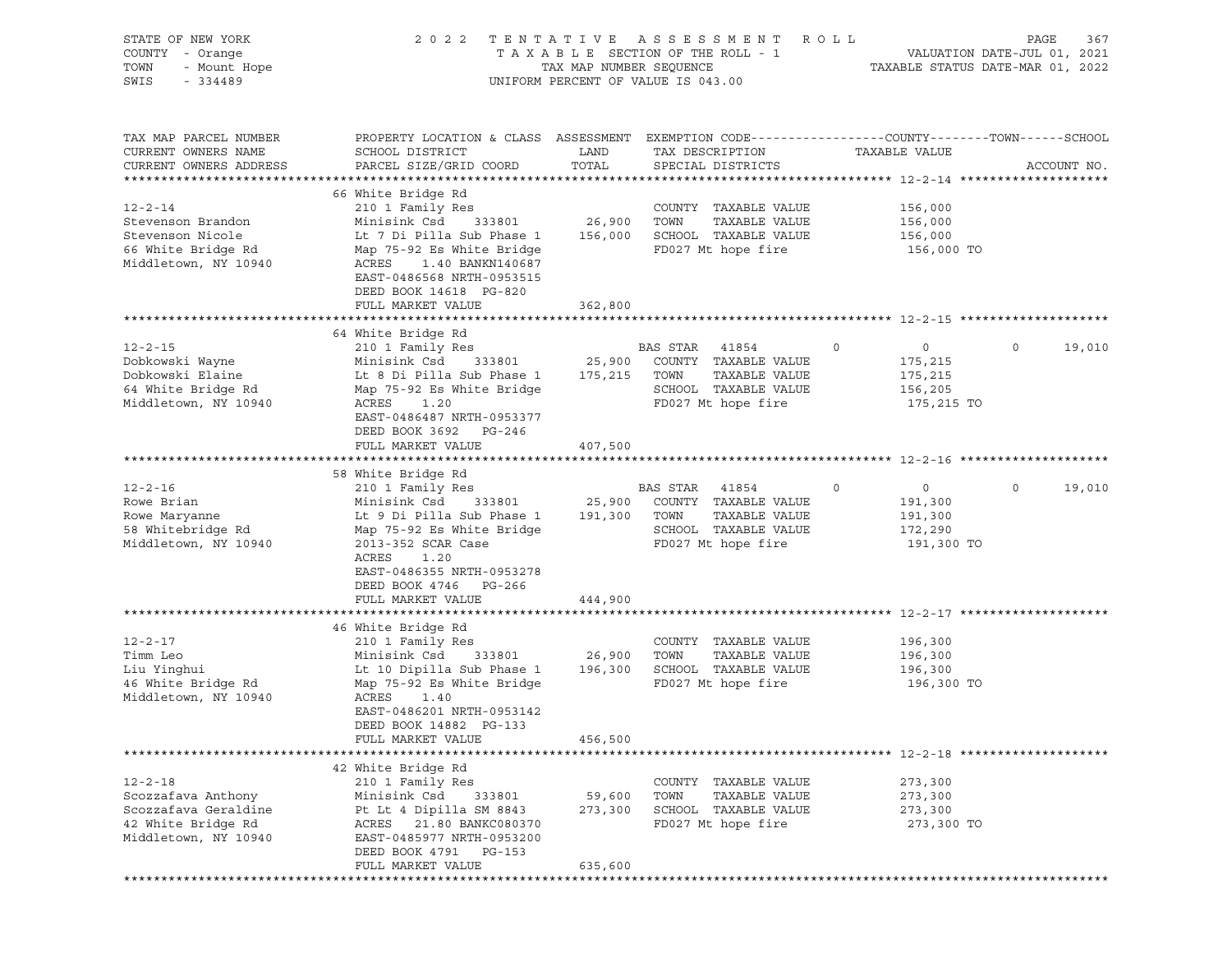| STATE OF NEW YORK<br>OF NEW YORK<br>! - Orange<br>- Mount Hope<br><br>COUNTY - Orange<br>TOWN<br>SWIS     |                                                                                                                                                                                                                                                              |                               | 2022 TENTATIVE ASSESSMENT ROLL<br>T A X A B L E SECTION OF THE ROLL - 1 VALUATION DATE-JUL 01, 2021<br>TAX MAP NUMBER SEQUENCE TAXABLE STATUS DATE-MAR 01, 2022<br>UNIFORM PERCENT OF VALUE IS 043.00 |                                                                          | PAGE<br>367       |
|-----------------------------------------------------------------------------------------------------------|--------------------------------------------------------------------------------------------------------------------------------------------------------------------------------------------------------------------------------------------------------------|-------------------------------|-------------------------------------------------------------------------------------------------------------------------------------------------------------------------------------------------------|--------------------------------------------------------------------------|-------------------|
| TAX MAP PARCEL NUMBER<br>CURRENT OWNERS NAME<br>CURRENT OWNERS ADDRESS                                    | PROPERTY LOCATION & CLASS ASSESSMENT EXEMPTION CODE----------------COUNTY-------TOWN------SCHOOL<br>SCHOOL DISTRICT<br>PARCEL SIZE/GRID COORD                                                                                                                | LAND<br>TOTAL                 | TAX DESCRIPTION<br>SPECIAL DISTRICTS                                                                                                                                                                  | TAXABLE VALUE                                                            | ACCOUNT NO.       |
| $12 - 2 - 14$<br>Stevenson Brandon<br>Stevenson Nicole<br>66 White Bridge Rd<br>Middletown, NY 10940      | 66 White Bridge Rd<br>210 1 Family Res<br>Minisink Csd<br>Lt 7 Di Pilla Sub Phase 1<br>Map 75-92 Es White Bridge<br>ACRES 1.40 BANKN140687<br>EAST-0486568 NRTH-0953515<br>DEED BOOK 14618 PG-820<br>FULL MARKET VALUE                                       | 333801 26,900 TOWN<br>362,800 | COUNTY TAXABLE VALUE<br>TAXABLE VALUE<br>156,000 SCHOOL TAXABLE VALUE<br>FD027 Mt hope fire                                                                                                           | 156,000<br>156,000<br>156,000<br>156,000 TO                              |                   |
| $12 - 2 - 15$<br>Dobkowski Wayne<br>Dobkowski Elaine<br>64 White Bridge Rd<br>Middletown, NY 10940        | 64 White Bridge Rd<br>210 1 Family Res<br>Minisink Csd 333801 25,900 COUNTY TAXABLE VALUE<br>Lt 8 Di Pilla Sub Phase 1 175,215 TOWN<br>Map 75-92 Es White Bridge<br>ACRES<br>1.20<br>EAST-0486487 NRTH-0953377<br>DEED BOOK 3692 PG-246<br>FULL MARKET VALUE | 407,500                       | BAS STAR 41854<br>TAXABLE VALUE<br>SCHOOL TAXABLE VALUE<br>FD027 Mt hope fire                                                                                                                         | $\circ$<br>$\overline{0}$<br>175,215<br>175,215<br>156,205<br>175,215 TO | $\circ$<br>19,010 |
| $12 - 2 - 16$<br>Rowe Brian<br>Rowe Maryanne<br>58 Whitebridge Rd<br>Middletown, NY 10940                 | 58 White Bridge Rd<br>210 1 Family Res<br>Minisink Csd<br>Lt 9 Di Pilla Sub Phase 1 191,300 TOWN<br>Map 75-92 Es White Bridge<br>2013-352 SCAR Case<br>ACRES<br>1.20<br>EAST-0486355 NRTH-0953278<br>DEED BOOK 4746 PG-266<br>FULL MARKET VALUE              |                               | BAS STAR 41854<br>333801 25,900 COUNTY TAXABLE VALUE<br>TAXABLE VALUE<br>SCHOOL TAXABLE VALUE<br>FD027 Mt hope fire                                                                                   | $\circ$<br>$\overline{0}$<br>191,300<br>191,300<br>172,290<br>191,300 TO | $\circ$<br>19,010 |
|                                                                                                           |                                                                                                                                                                                                                                                              | 444,900                       |                                                                                                                                                                                                       |                                                                          |                   |
| $12 - 2 - 17$<br>Timm Leo<br>Liu Yinghui<br>46 White Bridge Rd<br>Middletown, NY 10940                    | 46 White Bridge Rd<br>210 1 Family Res<br>Minisink Csd 333801 26,900 TOWN<br>Lt 10 Dipilla Sub Phase 1 196,300 SCHOOL TAXABLE VALUE<br>Map 75-92 Es White Bridge<br>ACRES<br>1.40<br>EAST-0486201 NRTH-0953142<br>DEED BOOK 14882 PG-133                     |                               | COUNTY TAXABLE VALUE<br>TAXABLE VALUE<br>FD027 Mt hope fire                                                                                                                                           | 196,300<br>196,300<br>196,300<br>196,300 TO                              |                   |
|                                                                                                           | FULL MARKET VALUE                                                                                                                                                                                                                                            | 456,500                       |                                                                                                                                                                                                       |                                                                          |                   |
| $12 - 2 - 18$<br>Scozzafava Anthony<br>Scozzafava Geraldine<br>42 White Bridge Rd<br>Middletown, NY 10940 | 42 White Bridge Rd<br>210 1 Family Res<br>Minisink Csd<br>333801<br>Pt Lt 4 Dipilla SM 8843<br>21.80 BANKC080370<br>ACRES<br>EAST-0485977 NRTH-0953200<br>DEED BOOK 4791 PG-153<br>FULL MARKET VALUE                                                         | 59,600<br>273,300<br>635,600  | COUNTY TAXABLE VALUE<br>TOWN<br>TAXABLE VALUE<br>SCHOOL TAXABLE VALUE<br>FD027 Mt hope fire                                                                                                           | 273,300<br>273,300<br>273,300<br>273,300 TO                              |                   |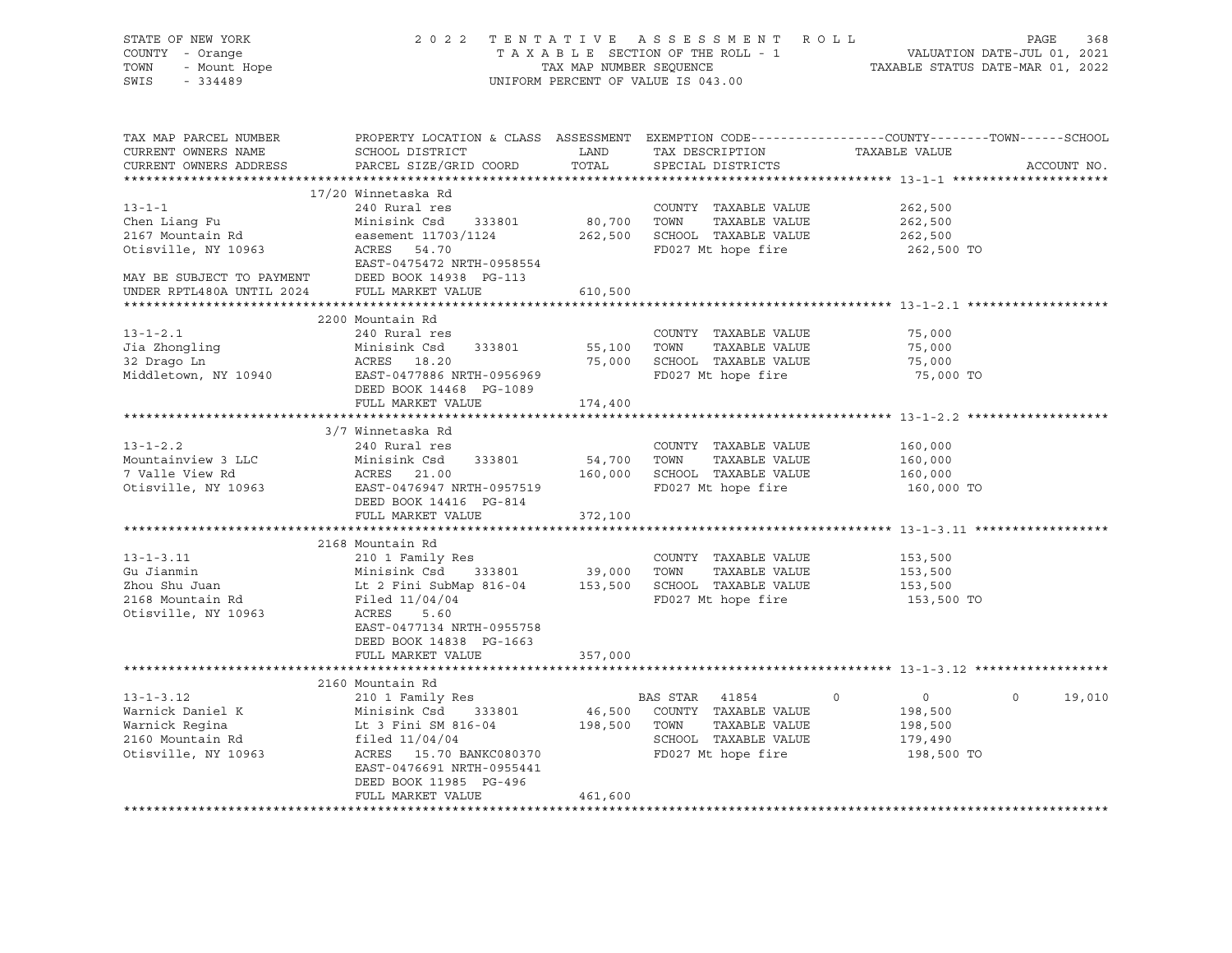| STATE OF NEW YORK                                            | 2 0 2 2                                                                                                                               |         | TENTATIVE ASSESSMENT ROLL          |                           | PAGE<br>368       |
|--------------------------------------------------------------|---------------------------------------------------------------------------------------------------------------------------------------|---------|------------------------------------|---------------------------|-------------------|
| COUNTY - Orange<br>Verkender<br>1 - Orange<br>1 - Mount Hope |                                                                                                                                       |         |                                    |                           |                   |
| TOWN                                                         |                                                                                                                                       |         |                                    |                           |                   |
| SWIS<br>$-334489$                                            |                                                                                                                                       |         | UNIFORM PERCENT OF VALUE IS 043.00 |                           |                   |
|                                                              |                                                                                                                                       |         |                                    |                           |                   |
| TAX MAP PARCEL NUMBER                                        | PROPERTY LOCATION & CLASS ASSESSMENT EXEMPTION CODE---------------COUNTY-------TOWN------SCHOOL                                       |         |                                    |                           |                   |
| CURRENT OWNERS NAME                                          | SCHOOL DISTRICT                                                                                                                       |         | LAND TAX DESCRIPTION               | TAXABLE VALUE             |                   |
| CURRENT OWNERS ADDRESS                                       | PARCEL SIZE/GRID COORD TOTAL                                                                                                          |         | SPECIAL DISTRICTS                  |                           | ACCOUNT NO.       |
|                                                              |                                                                                                                                       |         |                                    |                           |                   |
|                                                              | 17/20 Winnetaska Rd                                                                                                                   |         |                                    |                           |                   |
| $13 - 1 - 1$                                                 | 240 Rural res                                                                                                                         |         | COUNTY TAXABLE VALUE               | 262,500                   |                   |
| Chen Liang Fu                                                | Minisink Csd 333801                                                                                                                   |         | 80,700 TOWN TAXABLE VALUE          | 262,500                   |                   |
| 2167 Mountain Rd                                             |                                                                                                                                       |         |                                    | 262,500                   |                   |
| Otisville, NY 10963                                          |                                                                                                                                       |         | FD027 Mt hope fire                 | 262,500 TO                |                   |
|                                                              | EAST-0475472 NRTH-0958554                                                                                                             |         |                                    |                           |                   |
|                                                              |                                                                                                                                       |         |                                    |                           |                   |
|                                                              |                                                                                                                                       | 610,500 |                                    |                           |                   |
|                                                              |                                                                                                                                       |         |                                    |                           |                   |
|                                                              | 2200 Mountain Rd                                                                                                                      |         |                                    |                           |                   |
| $13 - 1 - 2.1$                                               | 240 Rural res                                                                                                                         |         | COUNTY TAXABLE VALUE               | 75,000                    |                   |
| Jia Zhongling                                                | Minisink Csd 333801                                                                                                                   |         | 55,100 TOWN TAXABLE VALUE          | 75,000                    |                   |
| 32 Drago Ln                                                  | ACRES 18.20                                                                                                                           |         | 75,000 SCHOOL TAXABLE VALUE        | 75,000                    |                   |
| Middletown, NY 10940                                         | EAST-0477886 NRTH-0956969                                                                                                             |         | FD027 Mt hope fire                 | 75,000 TO                 |                   |
|                                                              | DEED BOOK 14468 PG-1089                                                                                                               |         |                                    |                           |                   |
|                                                              | FULL MARKET VALUE                                                                                                                     | 174,400 |                                    |                           |                   |
|                                                              | 3/7 Winnetaska Rd                                                                                                                     |         |                                    |                           |                   |
| $13 - 1 - 2.2$                                               | 240 Rural res                                                                                                                         |         | COUNTY TAXABLE VALUE               | 160,000                   |                   |
| Mountainview 3 LLC                                           | Minisink Csd 333801                                                                                                                   |         | 54,700 TOWN TAXABLE VALUE          | 160,000                   |                   |
| 7 Valle View Rd                                              |                                                                                                                                       |         |                                    | 160,000                   |                   |
| Otisville, NY 10963                                          | ACRES 21.00 160,000 SCHOOL TAXABLE VALUE<br>EAST-0476947 NRTH-0957519 FD027 Mt hope fire                                              |         |                                    | 160,000 TO                |                   |
|                                                              | DEED BOOK 14416 PG-814                                                                                                                |         |                                    |                           |                   |
|                                                              | FULL MARKET VALUE                                                                                                                     | 372,100 |                                    |                           |                   |
|                                                              |                                                                                                                                       |         |                                    |                           |                   |
|                                                              | 2168 Mountain Rd                                                                                                                      |         |                                    |                           |                   |
| $13 - 1 - 3.11$                                              | 210 1 Family Res                                                                                                                      |         | COUNTY TAXABLE VALUE               | 153,500                   |                   |
| Gu Jianmin                                                   |                                                                                                                                       |         | TAXABLE VALUE                      | 153,500                   |                   |
| Zhou Shu Juan                                                | Minisink Csd 333801 39,000 TOWN<br>Lt 2 Fini SubMap 816-04 153,500 SCHOOL                                                             |         | 153,500 SCHOOL TAXABLE VALUE       | 153,500                   |                   |
| 2168 Mountain Rd                                             | Filed 11/04/04                                                                                                                        |         | FD027 Mt hope fire                 | 153,500 TO                |                   |
| Otisville, NY 10963                                          | ACRES<br>5.60                                                                                                                         |         |                                    |                           |                   |
|                                                              | EAST-0477134 NRTH-0955758                                                                                                             |         |                                    |                           |                   |
|                                                              | DEED BOOK 14838 PG-1663                                                                                                               |         |                                    |                           |                   |
|                                                              | FULL MARKET VALUE                                                                                                                     | 357,000 |                                    |                           |                   |
|                                                              |                                                                                                                                       |         |                                    |                           |                   |
|                                                              | 2160 Mountain Rd                                                                                                                      |         |                                    |                           |                   |
| $13 - 1 - 3.12$                                              | 210 1 Family Res                                                                                                                      |         | BAS STAR 41854                     | $\overline{0}$<br>$\circ$ | $\circ$<br>19,010 |
| Warnick Daniel K                                             | Minisink Csd 333801 40,000 COONSTRAINE VALUE<br>Lt 3 Fini SM 816-04 198,500 TOWN TAXABLE VALUE<br>filed 11/04/04 8CHOOL TAXABLE VALUE |         | 46,500 COUNTY TAXABLE VALUE        | 198,500                   |                   |
| Warnick Regina                                               |                                                                                                                                       |         |                                    | 198,500                   |                   |
| 2160 Mountain Rd                                             |                                                                                                                                       |         |                                    | 179,490                   |                   |
| Otisville, NY 10963                                          | ACRES 15.70 BANKC080370                                                                                                               |         | FD027 Mt hope fire                 | 198,500 TO                |                   |
|                                                              | EAST-0476691 NRTH-0955441                                                                                                             |         |                                    |                           |                   |
|                                                              | DEED BOOK 11985 PG-496                                                                                                                |         |                                    |                           |                   |
|                                                              | FULL MARKET VALUE                                                                                                                     | 461,600 |                                    |                           |                   |
|                                                              |                                                                                                                                       |         |                                    |                           |                   |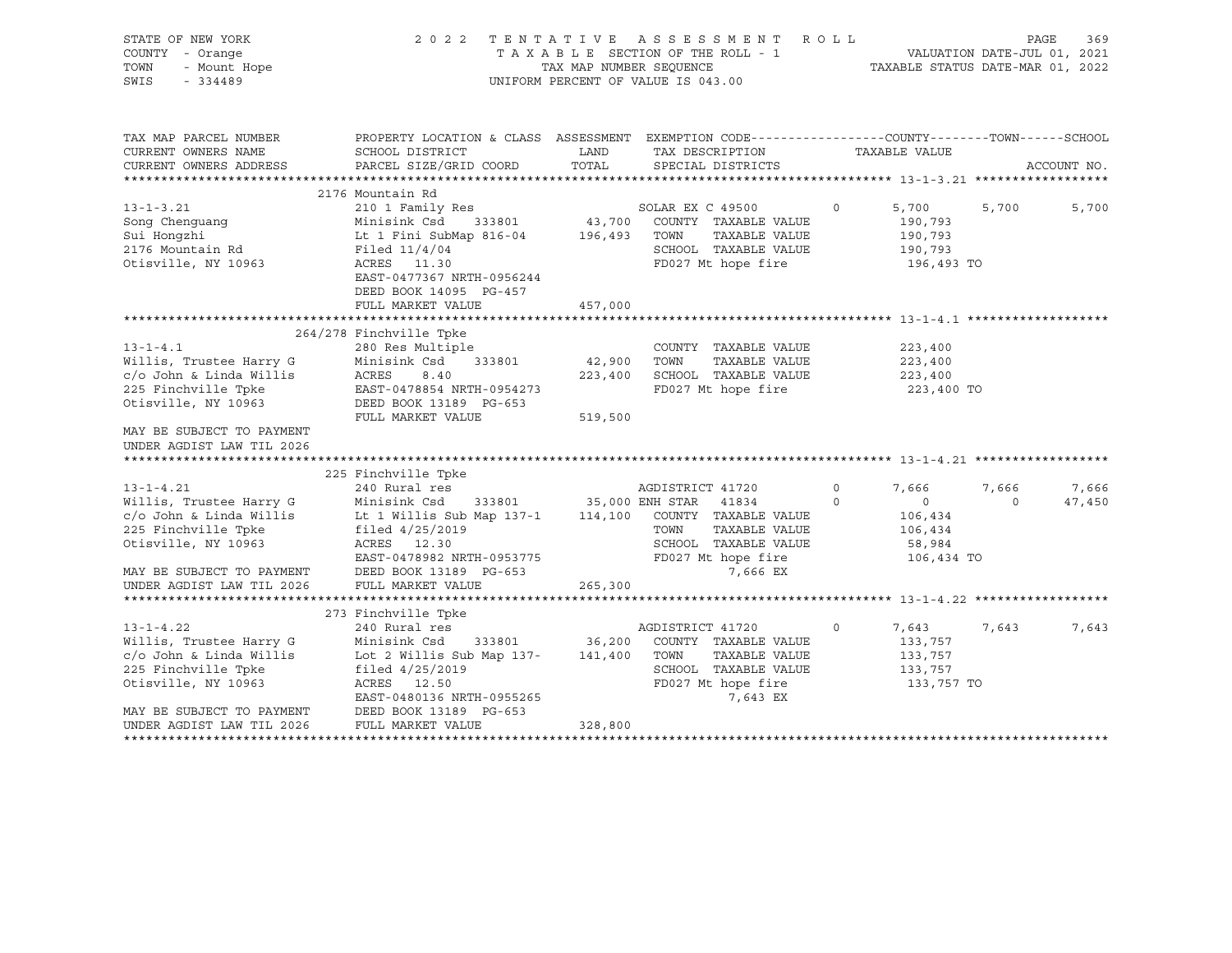| STATE OF NEW YORK<br>COUNTY - Orange<br>TOWN<br>- Mount Hope<br>SWIS<br>$-334489$                                                                |                                                                                                                                                                    |                   | 2022 TENTATIVE ASSESSMENT ROLL<br>T A X A B L E SECTION OF THE ROLL - 1 VALUATION DATE-JUL 01, 2021<br>TAX MAP NUMBER SEQUENCE TAXABLE STATUS DATE-MAR 01, 2022<br>UNIFORM PERCENT OF VALUE IS 043.00 |                     |                                                                       | PAGE              | 369             |
|--------------------------------------------------------------------------------------------------------------------------------------------------|--------------------------------------------------------------------------------------------------------------------------------------------------------------------|-------------------|-------------------------------------------------------------------------------------------------------------------------------------------------------------------------------------------------------|---------------------|-----------------------------------------------------------------------|-------------------|-----------------|
| TAX MAP PARCEL NUMBER<br>CURRENT OWNERS NAME                                                                                                     | PROPERTY LOCATION & CLASS ASSESSMENT EXEMPTION CODE----------------COUNTY-------TOWN-----SCHOOL<br>SCHOOL DISTRICT                                                 | LAND              | TAX DESCRIPTION                                                                                                                                                                                       |                     | TAXABLE VALUE                                                         |                   |                 |
| CURRENT OWNERS ADDRESS                                                                                                                           | PARCEL SIZE/GRID COORD                                                                                                                                             | TOTAL             | SPECIAL DISTRICTS                                                                                                                                                                                     |                     |                                                                       |                   | ACCOUNT NO.     |
|                                                                                                                                                  | 2176 Mountain Rd                                                                                                                                                   |                   |                                                                                                                                                                                                       |                     |                                                                       |                   |                 |
| $13 - 1 - 3.21$<br>Song Chenguang<br>Sui Hongzhi<br>2176 Mountain Rd<br>Otisville, NY 10963                                                      | 210 1 Family Res<br>Minisink Csd<br>333801<br>Lt 1 Fini SubMap 816-04<br>Filed $11/4/04$<br>ACRES 11.30<br>EAST-0477367 NRTH-0956244<br>DEED BOOK 14095 PG-457     | 196,493 TOWN      | SOLAR EX C 49500<br>43,700 COUNTY TAXABLE VALUE<br>TAXABLE VALUE<br>SCHOOL TAXABLE VALUE<br>FD027 Mt hope fire                                                                                        | $\circ$             | 5,700<br>190,793<br>190,793<br>190,793<br>196,493 TO                  | 5,700             | 5,700           |
|                                                                                                                                                  | FULL MARKET VALUE                                                                                                                                                  | 457,000           |                                                                                                                                                                                                       |                     |                                                                       |                   |                 |
|                                                                                                                                                  |                                                                                                                                                                    |                   |                                                                                                                                                                                                       |                     |                                                                       |                   |                 |
| $13 - 1 - 4.1$<br>Willis, Trustee Harry G<br>c/o John & Linda Willis<br>225 Finchville Tpke<br>Otisville, NY 10963                               | 264/278 Finchville Tpke<br>280 Res Multiple<br>Minisink Csd<br>333801<br>ACRES<br>8.40<br>EAST-0478854 NRTH-0954273<br>DEED BOOK 13189 PG-653<br>FULL MARKET VALUE | 42,900<br>519,500 | COUNTY TAXABLE VALUE<br>TOWN<br>TAXABLE VALUE<br>223,400 SCHOOL TAXABLE VALUE<br>FD027 Mt hope fire                                                                                                   |                     | 223,400<br>223,400<br>223,400<br>223,400 TO                           |                   |                 |
| MAY BE SUBJECT TO PAYMENT<br>UNDER AGDIST LAW TIL 2026                                                                                           |                                                                                                                                                                    |                   |                                                                                                                                                                                                       |                     |                                                                       |                   |                 |
|                                                                                                                                                  | 225 Finchville Tpke                                                                                                                                                |                   |                                                                                                                                                                                                       |                     |                                                                       |                   |                 |
| $13 - 1 - 4.21$<br>Willis, Trustee Harry G<br>c/o John & Linda Willis<br>225 Finchville Tpke<br>Otisville, NY 10963<br>MAY BE SUBJECT TO PAYMENT | 240 Rural res<br>Minisink Csd<br>Lt 1 Willis Sub Map 137-1<br>filed $4/25/2019$<br>ACRES 12.30<br>EAST-0478982 NRTH-0953775<br>DEED BOOK 13189 PG-653              |                   | AGDISTRICT 41720<br>333801 35,000 ENH STAR 41834<br>114,100 COUNTY TAXABLE VALUE<br>TOWN<br>TAXABLE VALUE<br>SCHOOL TAXABLE VALUE<br>FD027 Mt hope fire<br>7,666 EX                                   | $\circ$<br>$\Omega$ | 7,666<br>$\overline{0}$<br>106,434<br>106,434<br>58,984<br>106,434 TO | 7,666<br>$\Omega$ | 7,666<br>47,450 |
| UNDER AGDIST LAW TIL 2026                                                                                                                        | FULL MARKET VALUE                                                                                                                                                  | 265,300           |                                                                                                                                                                                                       |                     |                                                                       |                   |                 |
|                                                                                                                                                  | 273 Finchville Tpke                                                                                                                                                |                   |                                                                                                                                                                                                       |                     |                                                                       |                   |                 |
| $13 - 1 - 4.22$<br>Willis, Trustee Harry G<br>c/o John & Linda Willis<br>225 Finchville Tpke<br>Otisville, NY 10963<br>MAY BE SUBJECT TO PAYMENT | 240 Rural res<br>Minisink Csd<br>333801<br>Lot 2 Willis Sub Map 137-<br>filed $4/25/2019$<br>ACRES 12.50<br>EAST-0480136 NRTH-0955265<br>DEED BOOK 13189 PG-653    | 141,400           | AGDISTRICT 41720<br>36,200 COUNTY TAXABLE VALUE<br>TOWN<br>TAXABLE VALUE<br>SCHOOL TAXABLE VALUE<br>FD027 Mt hope fire<br>7,643 EX                                                                    | $\circ$             | 7,643<br>133,757<br>133,757<br>133,757<br>133,757 TO                  | 7,643             | 7,643           |
| UNDER AGDIST LAW TIL 2026                                                                                                                        | FULL MARKET VALUE                                                                                                                                                  | 328,800           |                                                                                                                                                                                                       |                     |                                                                       |                   |                 |
|                                                                                                                                                  |                                                                                                                                                                    |                   |                                                                                                                                                                                                       |                     |                                                                       |                   |                 |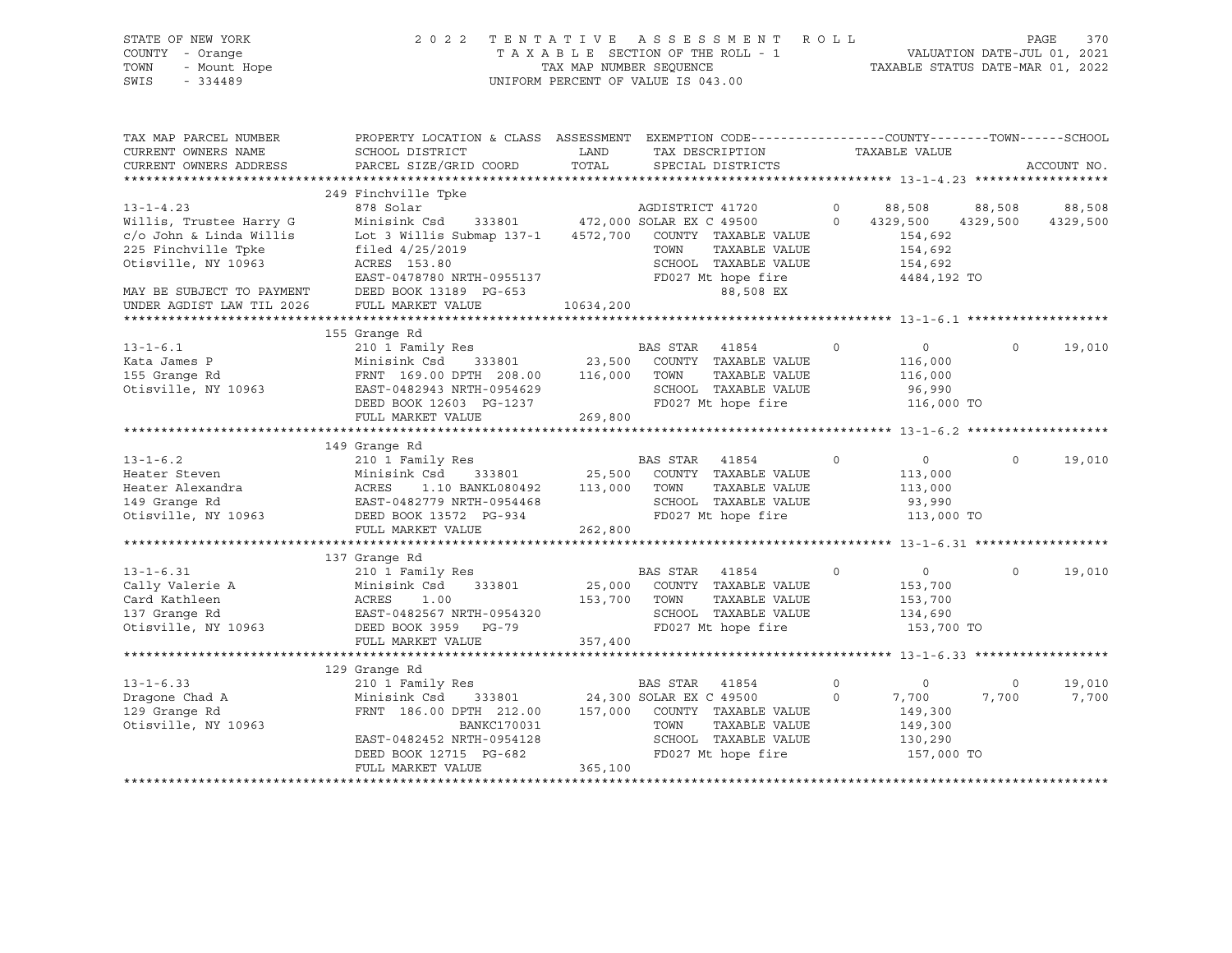# STATE OF NEW YORK 2 0 2 2 T E N T A T I V E A S S E S S M E N T R O L L PAGE 370 COUNTY - Orange T A X A B L E SECTION OF THE ROLL - 1 VALUATION DATE-JUL 01, 2021 TOWN - Mount Hope TAX MAP NUMBER SEQUENCE TAXABLE STATUS DATE-MAR 01, 2022 SWIS - 334489 UNIFORM PERCENT OF VALUE IS 043.00

| TAX MAP PARCEL NUMBER<br>CURRENT OWNERS NAME<br>CURRENT OWNERS ADDRESS                      | PROPERTY LOCATION & CLASS ASSESSMENT<br>SCHOOL DISTRICT<br>PARCEL SIZE/GRID COORD                                                     | LAND<br>TOTAL      | EXEMPTION CODE----------------COUNTY-------TOWN-----SCHOOL<br>TAX DESCRIPTION<br>SPECIAL DISTRICTS                           |                      | TAXABLE VALUE                                                 |                      | ACCOUNT NO.        |
|---------------------------------------------------------------------------------------------|---------------------------------------------------------------------------------------------------------------------------------------|--------------------|------------------------------------------------------------------------------------------------------------------------------|----------------------|---------------------------------------------------------------|----------------------|--------------------|
|                                                                                             |                                                                                                                                       |                    |                                                                                                                              |                      |                                                               |                      |                    |
| $13 - 1 - 4.23$<br>Willis, Trustee Harry G                                                  | 249 Finchville Tpke<br>878 Solar<br>Minisink Csd                                                                                      |                    | AGDISTRICT 41720<br>333801 472,000 SOLAR EX C 49500                                                                          | $\Omega$<br>$\Omega$ | 88,508<br>4329,500                                            | 88,508<br>4329,500   | 88,508<br>4329,500 |
| c/o John & Linda Willis<br>225 Finchville Tpke<br>Otisville, NY 10963                       | Lot 3 Willis Submap 137-1<br>filed 4/25/2019<br>ACRES 153.80                                                                          | 4572,700           | COUNTY TAXABLE VALUE<br>TOWN<br>TAXABLE VALUE<br>SCHOOL TAXABLE VALUE                                                        |                      | 154,692<br>154,692<br>154,692                                 |                      |                    |
| MAY BE SUBJECT TO PAYMENT<br>UNDER AGDIST LAW TIL 2026                                      | EAST-0478780 NRTH-0955137<br>DEED BOOK 13189 PG-653<br>FULL MARKET VALUE                                                              | 10634,200          | FD027 Mt hope fire<br>88,508 EX                                                                                              |                      | 4484,192 TO                                                   |                      |                    |
|                                                                                             |                                                                                                                                       |                    |                                                                                                                              |                      |                                                               |                      |                    |
|                                                                                             | 155 Grange Rd                                                                                                                         |                    |                                                                                                                              |                      |                                                               |                      |                    |
| $13 - 1 - 6.1$<br>Kata James P<br>155 Grange Rd<br>Otisville, NY 10963                      | 210 1 Family Res<br>Minisink Csd<br>333801<br>FRNT 169.00 DPTH 208.00<br>EAST-0482943 NRTH-0954629<br>DEED BOOK 12603 PG-1237         | 23,500<br>116,000  | BAS STAR<br>41854<br>COUNTY TAXABLE VALUE<br>TOWN<br>TAXABLE VALUE<br>SCHOOL TAXABLE VALUE<br>FD027 Mt hope fire             | $\mathbf 0$          | $\circ$<br>116,000<br>116,000<br>96,990<br>116,000 TO         | $\Omega$             | 19,010             |
|                                                                                             | FULL MARKET VALUE                                                                                                                     | 269,800            |                                                                                                                              |                      |                                                               |                      |                    |
|                                                                                             |                                                                                                                                       |                    |                                                                                                                              |                      |                                                               |                      |                    |
|                                                                                             | 149 Grange Rd                                                                                                                         |                    |                                                                                                                              |                      |                                                               |                      |                    |
| $13 - 1 - 6.2$<br>Heater Steven<br>Heater Alexandra<br>149 Grange Rd<br>Otisville, NY 10963 | 210 1 Family Res<br>Minisink Csd<br>333801<br>1.10 BANKL080492<br>ACRES<br>EAST-0482779 NRTH-0954468<br>DEED BOOK 13572 PG-934        | 25,500<br>113,000  | BAS STAR<br>41854<br>COUNTY TAXABLE VALUE<br>TOWN<br>TAXABLE VALUE<br>SCHOOL TAXABLE VALUE<br>FD027 Mt hope fire             | $\Omega$             | $\circ$<br>113,000<br>113,000<br>93,990<br>113,000 TO         | $\Omega$             | 19,010             |
|                                                                                             | FULL MARKET VALUE                                                                                                                     | 262,800            |                                                                                                                              |                      |                                                               |                      |                    |
|                                                                                             |                                                                                                                                       |                    |                                                                                                                              |                      |                                                               |                      |                    |
|                                                                                             | 137 Grange Rd                                                                                                                         |                    |                                                                                                                              |                      |                                                               |                      |                    |
| $13 - 1 - 6.31$<br>Cally Valerie A<br>Card Kathleen<br>137 Granqe Rd<br>Otisville, NY 10963 | 210 1 Family Res<br>333801<br>Minisink Csd<br>ACRES<br>1.00<br>EAST-0482567 NRTH-0954320<br>DEED BOOK 3959 PG-79<br>FULL MARKET VALUE | 153,700<br>357,400 | BAS STAR<br>41854<br>25,000 COUNTY TAXABLE VALUE<br>TOWN<br>TAXABLE VALUE<br>SCHOOL TAXABLE VALUE<br>FD027 Mt hope fire      | $\circ$              | $\overline{0}$<br>153,700<br>153,700<br>134,690<br>153,700 TO | $\Omega$             | 19,010             |
|                                                                                             |                                                                                                                                       |                    |                                                                                                                              |                      |                                                               |                      |                    |
| $13 - 1 - 6.33$<br>Dragone Chad A<br>129 Grange Rd<br>Otisville, NY 10963                   | 129 Grange Rd<br>210 1 Family Res<br>Minisink Csd<br>333801<br>FRNT 186.00 DPTH 212.00<br>BANKC170031<br>EAST-0482452 NRTH-0954128    | 157,000            | <b>BAS STAR</b><br>41854<br>24,300 SOLAR EX C 49500<br>COUNTY TAXABLE VALUE<br>TAXABLE VALUE<br>TOWN<br>SCHOOL TAXABLE VALUE | 0<br>$\circ$         | $\circ$<br>7,700<br>149,300<br>149,300<br>130,290             | $\mathbf 0$<br>7,700 | 19,010<br>7,700    |
|                                                                                             | DEED BOOK 12715 PG-682<br>FULL MARKET VALUE                                                                                           | 365,100            | FD027 Mt hope fire                                                                                                           |                      | 157,000 TO                                                    |                      |                    |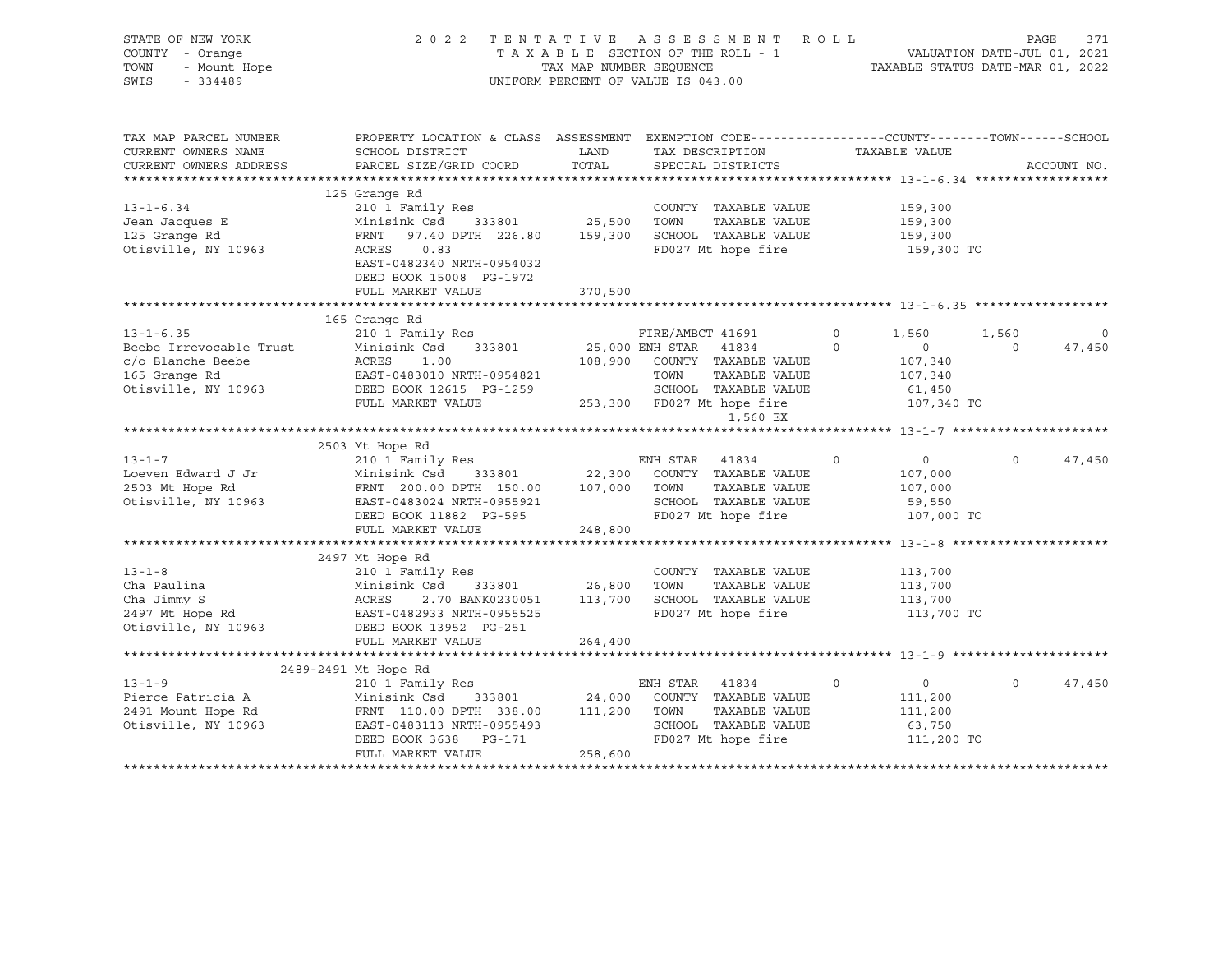| STATE OF NEW YORK<br>COUNTY - Orange<br>- Urange<br>- Mount Hope<br>TOWN<br>SWIS<br>$-334489$                                                                                                                                                                                                                                                                                                                                                |                                                                                                                                                                                                                |             | TENTATIVE ASSESSMENT ROLL PAGE 371<br>TAXABLE SECTION OF THE ROLL - 1 VALUATION DATE-JUL 01, 2021<br>TAX MAP NUMBER SEQUENCE TAXABLE STATUS DATE-MAR 01, 2022<br>2022 TENTATIVE ASSESSMENT ROLL<br>UNIFORM PERCENT OF VALUE IS 043.00 |                                      |            |                          |
|----------------------------------------------------------------------------------------------------------------------------------------------------------------------------------------------------------------------------------------------------------------------------------------------------------------------------------------------------------------------------------------------------------------------------------------------|----------------------------------------------------------------------------------------------------------------------------------------------------------------------------------------------------------------|-------------|---------------------------------------------------------------------------------------------------------------------------------------------------------------------------------------------------------------------------------------|--------------------------------------|------------|--------------------------|
| TAX MAP PARCEL NUMBER<br>CURRENT OWNERS NAME                                                                                                                                                                                                                                                                                                                                                                                                 | PROPERTY LOCATION & CLASS ASSESSMENT EXEMPTION CODE----------------COUNTY-------TOWN------SCHOOL<br>SCHOOL DISTRICT                                                                                            | <b>LAND</b> | TAX DESCRIPTION                                                                                                                                                                                                                       | TAXABLE VALUE                        |            |                          |
| CURRENT OWNERS ADDRESS                                                                                                                                                                                                                                                                                                                                                                                                                       | PARCEL SIZE/GRID COORD                                                                                                                                                                                         | TOTAL       | SPECIAL DISTRICTS                                                                                                                                                                                                                     |                                      |            | ACCOUNT NO.              |
|                                                                                                                                                                                                                                                                                                                                                                                                                                              |                                                                                                                                                                                                                |             |                                                                                                                                                                                                                                       |                                      |            |                          |
|                                                                                                                                                                                                                                                                                                                                                                                                                                              | 125 Grange Rd                                                                                                                                                                                                  |             |                                                                                                                                                                                                                                       |                                      |            |                          |
| $13 - 1 - 6.34$                                                                                                                                                                                                                                                                                                                                                                                                                              | 210 1 Family Res                                                                                                                                                                                               |             | COUNTY TAXABLE VALUE                                                                                                                                                                                                                  | 159,300                              |            |                          |
| Jean Jacques E<br>125 Grange Rd                                                                                                                                                                                                                                                                                                                                                                                                              | $\begin{array}{lllllllll} \text{Minisink Cs} & 333801 & 25,500 & \text{TONN} & \text{TAXABLE VALUE} \\ \text{FRNT} & 97.40 \text{ DPTH} & 226.80 & 159,300 & \text{SCHOOL} & \text{TAXABLE VALUE} \end{array}$ |             |                                                                                                                                                                                                                                       | 159,300<br>159,300                   |            |                          |
| Otisville, NY 10963                                                                                                                                                                                                                                                                                                                                                                                                                          | ACRES 0.83                                                                                                                                                                                                     |             | FD027 Mt hope fire                                                                                                                                                                                                                    | 159,300 TO                           |            |                          |
|                                                                                                                                                                                                                                                                                                                                                                                                                                              | EAST-0482340 NRTH-0954032<br>DEED BOOK 15008 PG-1972                                                                                                                                                           |             |                                                                                                                                                                                                                                       |                                      |            |                          |
|                                                                                                                                                                                                                                                                                                                                                                                                                                              | FULL MARKET VALUE                                                                                                                                                                                              | 370,500     |                                                                                                                                                                                                                                       |                                      |            |                          |
|                                                                                                                                                                                                                                                                                                                                                                                                                                              |                                                                                                                                                                                                                |             |                                                                                                                                                                                                                                       |                                      |            |                          |
|                                                                                                                                                                                                                                                                                                                                                                                                                                              |                                                                                                                                                                                                                |             |                                                                                                                                                                                                                                       |                                      |            |                          |
|                                                                                                                                                                                                                                                                                                                                                                                                                                              |                                                                                                                                                                                                                |             |                                                                                                                                                                                                                                       | 1,560                                | 1,560      | $\overline{\phantom{0}}$ |
|                                                                                                                                                                                                                                                                                                                                                                                                                                              |                                                                                                                                                                                                                |             |                                                                                                                                                                                                                                       | $\overline{0}$                       | $\Omega$   | 47,450                   |
|                                                                                                                                                                                                                                                                                                                                                                                                                                              |                                                                                                                                                                                                                |             |                                                                                                                                                                                                                                       | 107,340                              |            |                          |
|                                                                                                                                                                                                                                                                                                                                                                                                                                              |                                                                                                                                                                                                                |             |                                                                                                                                                                                                                                       | 107,340                              |            |                          |
|                                                                                                                                                                                                                                                                                                                                                                                                                                              |                                                                                                                                                                                                                |             |                                                                                                                                                                                                                                       | 61,450                               |            |                          |
|                                                                                                                                                                                                                                                                                                                                                                                                                                              |                                                                                                                                                                                                                |             |                                                                                                                                                                                                                                       | 107,340 TO                           |            |                          |
| $\begin{tabular}{lllllllllllll} \multicolumn{1}{l}{{\small 13\text{-}1\text{-}6.35}} & & & & & & & & & \\ \hline \multicolumn{1}{c}{\small 13\text{-}1\text{-}6.35} & & & & & & & \\ \hline \multicolumn{1}{c}{\small 13\text{-}1\text{-}6.35} & & & & & & & \\ \multicolumn{1}{c}{\small 13\text{-}1\text{-}6.35} & & & & & & & \\ \multicolumn{1}{c}{\small 13\text{-}1\text{-}6.35} & & & & & & & \\ \multicolumn{1}{c}{\small 13\text{-$ |                                                                                                                                                                                                                |             |                                                                                                                                                                                                                                       |                                      |            |                          |
|                                                                                                                                                                                                                                                                                                                                                                                                                                              |                                                                                                                                                                                                                |             |                                                                                                                                                                                                                                       |                                      |            |                          |
|                                                                                                                                                                                                                                                                                                                                                                                                                                              |                                                                                                                                                                                                                |             |                                                                                                                                                                                                                                       |                                      |            |                          |
| $13 - 1 - 7$<br>Loeven Edward J Jr                                                                                                                                                                                                                                                                                                                                                                                                           | 210 1 Family Res<br>Minisink Csd 333801 22,300 COUNTY TAXABLE VALUE                                                                                                                                            |             | ENH STAR 41834                                                                                                                                                                                                                        | $\circ$<br>$\overline{0}$<br>107,000 | $\circ$    | 47,450                   |
|                                                                                                                                                                                                                                                                                                                                                                                                                                              |                                                                                                                                                                                                                |             | TAXABLE VALUE                                                                                                                                                                                                                         | 107,000                              |            |                          |
| 2503 Mt Hope Rd<br>0tisville, NY 10963<br>26.00 DPTH 150.00 107,000 TOWN<br>2503 Mt Hope Rd<br>2503 Mt Hope Rd<br>2503 Mt Hope Rd<br>2503 Mt Hope Rd<br>2503 Mt Hope Rd<br>2503 Mt Hope Rd<br>2503 Mt Hope Rd<br>2503 Mt Hope Rd<br>2503 Mt Hope Rd<br>                                                                                                                                                                                      |                                                                                                                                                                                                                |             | SCHOOL TAXABLE VALUE                                                                                                                                                                                                                  | 59,550                               |            |                          |
|                                                                                                                                                                                                                                                                                                                                                                                                                                              |                                                                                                                                                                                                                |             | FD027 Mt hope fire                                                                                                                                                                                                                    |                                      | 107,000 TO |                          |
|                                                                                                                                                                                                                                                                                                                                                                                                                                              | FULL MARKET VALUE                                                                                                                                                                                              | 248,800     |                                                                                                                                                                                                                                       |                                      |            |                          |
|                                                                                                                                                                                                                                                                                                                                                                                                                                              |                                                                                                                                                                                                                |             |                                                                                                                                                                                                                                       |                                      |            |                          |
|                                                                                                                                                                                                                                                                                                                                                                                                                                              | 2497 Mt Hope Rd                                                                                                                                                                                                |             |                                                                                                                                                                                                                                       |                                      |            |                          |
| $13 - 1 - 8$                                                                                                                                                                                                                                                                                                                                                                                                                                 | 210 1 Family Res                                                                                                                                                                                               |             | COUNTY TAXABLE VALUE                                                                                                                                                                                                                  | 113,700                              |            |                          |
| Cha Paulina                                                                                                                                                                                                                                                                                                                                                                                                                                  | Minisink Csd 333801 26,800 TOWN                                                                                                                                                                                |             | TAXABLE VALUE                                                                                                                                                                                                                         | 113,700                              |            |                          |
|                                                                                                                                                                                                                                                                                                                                                                                                                                              | ACRES                                                                                                                                                                                                          |             | 2.70 BANK0230051 113,700 SCHOOL TAXABLE VALUE                                                                                                                                                                                         | 113,700                              |            |                          |
| Cha Faulina<br>Cha Jimmy S<br>2497 Mt Hope Rd<br>Otisville, NY 10963                                                                                                                                                                                                                                                                                                                                                                         | AURED 2<br>EAST-0482933 NRTH-0955525                                                                                                                                                                           |             | FD027 Mt hope fire                                                                                                                                                                                                                    | 113,700 TO                           |            |                          |
|                                                                                                                                                                                                                                                                                                                                                                                                                                              | DEED BOOK 13952 PG-251                                                                                                                                                                                         |             |                                                                                                                                                                                                                                       |                                      |            |                          |
|                                                                                                                                                                                                                                                                                                                                                                                                                                              | FULL MARKET VALUE                                                                                                                                                                                              | 264,400     |                                                                                                                                                                                                                                       |                                      |            |                          |
|                                                                                                                                                                                                                                                                                                                                                                                                                                              |                                                                                                                                                                                                                |             |                                                                                                                                                                                                                                       |                                      |            |                          |
|                                                                                                                                                                                                                                                                                                                                                                                                                                              | 2489-2491 Mt Hope Rd                                                                                                                                                                                           |             |                                                                                                                                                                                                                                       |                                      |            |                          |
| 13-1-9<br>Pierce Patricia A<br>2491 Mount Hope Rd<br>111-1110. NY 10963                                                                                                                                                                                                                                                                                                                                                                      | 210 1 Family Res                                                                                                                                                                                               |             | ENH STAR 41834                                                                                                                                                                                                                        | $\overline{0}$<br>$\circ$            | $\circ$    | 47,450                   |
|                                                                                                                                                                                                                                                                                                                                                                                                                                              | Minisink Csd 333801 24,000 COUNTY TAXABLE VALUE<br>FRNT 110.00 DPTH 338.00 111,200 TOWN TAXABLE VALUE                                                                                                          |             |                                                                                                                                                                                                                                       | 111,200                              |            |                          |
|                                                                                                                                                                                                                                                                                                                                                                                                                                              |                                                                                                                                                                                                                |             | TAXABLE VALUE<br>SCHOOL TAXABLE VALUE                                                                                                                                                                                                 | 111,200<br>63,750                    |            |                          |
|                                                                                                                                                                                                                                                                                                                                                                                                                                              | EAST-0483113 NRTH-0955493<br>DEED BOOK 3638 PG-171                                                                                                                                                             |             | FD027 Mt hope fire                                                                                                                                                                                                                    |                                      | 111,200 TO |                          |
|                                                                                                                                                                                                                                                                                                                                                                                                                                              | FULL MARKET VALUE                                                                                                                                                                                              | 258,600     |                                                                                                                                                                                                                                       |                                      |            |                          |
|                                                                                                                                                                                                                                                                                                                                                                                                                                              |                                                                                                                                                                                                                |             |                                                                                                                                                                                                                                       |                                      |            |                          |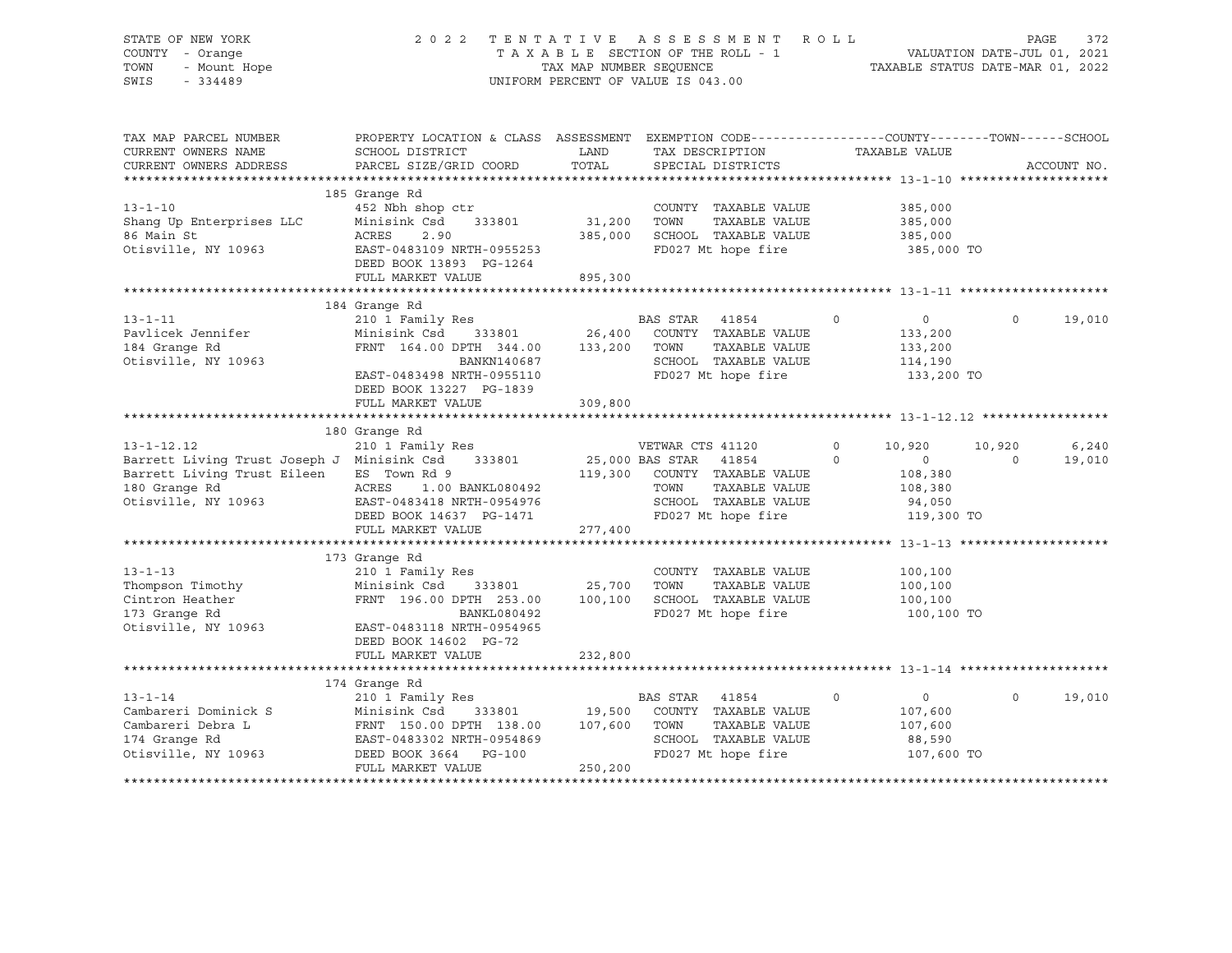### STATE OF NEW YORK 2 0 2 2 T E N T A T I V E A S S E S S M E N T R O L L PAGE 372 COUNTY - Orange T A X A B L E SECTION OF THE ROLL - 1 VALUATION DATE-JUL 01, 2021 TOWN - Mount Hope TAX NAP NUMBER SEQUENCE TAXABLE STATUS DATE-MAR 01, 2022<br>TAXABLE STATUS DATE-MAR 01, 2022 UNIFORM PERCENT OF VALUE IS 043.00

TAX MAP PARCEL NUMBER PROPERTY LOCATION & CLASS ASSESSMENT EXEMPTION CODE------------------COUNTY--------TOWN------SCHOOL CURRENT OWNERS NAME SCHOOL DISTRICT TAX DESCRIPTION TAXABLE VALUE CURRENT OWNERS ADDRESS PARCEL SIZE/GRID COORD TOTAL SPECIAL DISTRICTS ACCOUNT NO. \*\*\*\*\*\*\*\*\*\*\*\*\*\*\*\*\*\*\*\*\*\*\*\*\*\*\*\*\*\*\*\*\*\*\*\*\*\*\*\*\*\*\*\*\*\*\*\*\*\*\*\*\*\*\*\*\*\*\*\*\*\*\*\*\*\*\*\*\*\*\*\*\*\*\*\*\*\*\*\*\*\*\*\*\*\*\*\*\*\*\*\*\*\*\*\*\*\*\*\*\*\*\* 13-1-10 \*\*\*\*\*\*\*\*\*\*\*\*\*\*\*\*\*\*\*\* 185 Grange Rd 13-1-10 452 Nbh shop ctr COUNTY TAXABLE VALUE 385,000 Shang Up Enterprises LLC Minisink Csd 333801 31,200 TOWN TAXABLE VALUE 385,000 86 Main St ACRES 2.90 385,000 SCHOOL TAXABLE VALUE 385,000 Otisville, NY 10963 EAST-0483109 NRTH-0955253 FD027 Mt hope fire 385,000 TO DEED BOOK 13893 PG-1264 FULL MARKET VALUE 895,300 \*\*\*\*\*\*\*\*\*\*\*\*\*\*\*\*\*\*\*\*\*\*\*\*\*\*\*\*\*\*\*\*\*\*\*\*\*\*\*\*\*\*\*\*\*\*\*\*\*\*\*\*\*\*\*\*\*\*\*\*\*\*\*\*\*\*\*\*\*\*\*\*\*\*\*\*\*\*\*\*\*\*\*\*\*\*\*\*\*\*\*\*\*\*\*\*\*\*\*\*\*\*\* 13-1-11 \*\*\*\*\*\*\*\*\*\*\*\*\*\*\*\*\*\*\*\* 184 Grange Rd 13-1-11 210 1 Family Res BAS STAR 41854 0 0 0 19,010 Pavlicek Jennifer Minisink Csd 333801 26,400 COUNTY TAXABLE VALUE 133,200 184 Grange Rd FRNT 164.00 DPTH 344.00 133,200 TOWN TAXABLE VALUE 133,200 Otisville, NY 10963 BANKN140687 BANKN140687 SCHOOL TAXABLE VALUE<br>EAST-0483498 NRTH-0955110 FD027 Mt hope fire EAST-0483498 NRTH-0955110 FD027 Mt hope fire 133,200 TO DEED BOOK 13227 PG-1839 FULL MARKET VALUE 309,800 \*\*\*\*\*\*\*\*\*\*\*\*\*\*\*\*\*\*\*\*\*\*\*\*\*\*\*\*\*\*\*\*\*\*\*\*\*\*\*\*\*\*\*\*\*\*\*\*\*\*\*\*\*\*\*\*\*\*\*\*\*\*\*\*\*\*\*\*\*\*\*\*\*\*\*\*\*\*\*\*\*\*\*\*\*\*\*\*\*\*\*\*\*\*\*\*\*\*\*\*\*\*\* 13-1-12.12 \*\*\*\*\*\*\*\*\*\*\*\*\*\*\*\*\* 180 Grange Rd 13-1-12.12 210 1 Family Res VETWAR CTS 41120 0 10,920 10,920 6,240 Barrett Living Trust Joseph J Minisink Csd 333801 25,000 BAS STAR 41854 0 0 0 19,010 Barrett Living Trust Eileen ES Town Rd 9 119,300 COUNTY TAXABLE VALUE 108,380 180 Grange Rd ACRES 1.00 BANKL080492 TOWN TAXABLE VALUE 108,380 180 Grange Rd<sup>3</sup> (ACRES 1.00 BANKL080492 (CHOOL TAXABLE VALUE 108,380<br>Otisville, NY 10963 (EAST-0483418 NRTH-0954976 (SCHOOL TAXABLE VALUE 94,050<br>DEED BOOK 14637 PG-1471 (PD027 Mt hope fire 119,300 DEED BOOK 14637 PG-1471 FD027 Mt hope fire 119,300 TO FULL MARKET VALUE 277,400 \*\*\*\*\*\*\*\*\*\*\*\*\*\*\*\*\*\*\*\*\*\*\*\*\*\*\*\*\*\*\*\*\*\*\*\*\*\*\*\*\*\*\*\*\*\*\*\*\*\*\*\*\*\*\*\*\*\*\*\*\*\*\*\*\*\*\*\*\*\*\*\*\*\*\*\*\*\*\*\*\*\*\*\*\*\*\*\*\*\*\*\*\*\*\*\*\*\*\*\*\*\*\* 13-1-13 \*\*\*\*\*\*\*\*\*\*\*\*\*\*\*\*\*\*\*\* 173 Grange Rd 13-1-13 210 1 Family Res COUNTY TAXABLE VALUE 100,100 Thompson Timothy Minisink Csd 333801 25,700 TOWN TAXABLE VALUE 100,100 Cintron Heather FRNT 196.00 DPTH 253.00 100,100 SCHOOL TAXABLE VALUE 100,100 173 Grange Rd BANKL080492 FD027 Mt hope fire 100,100 TO Otisville, NY 10963 EAST-0483118 NRTH-0954965 DEED BOOK 14602 PG-72 FULL MARKET VALUE 232,800 \*\*\*\*\*\*\*\*\*\*\*\*\*\*\*\*\*\*\*\*\*\*\*\*\*\*\*\*\*\*\*\*\*\*\*\*\*\*\*\*\*\*\*\*\*\*\*\*\*\*\*\*\*\*\*\*\*\*\*\*\*\*\*\*\*\*\*\*\*\*\*\*\*\*\*\*\*\*\*\*\*\*\*\*\*\*\*\*\*\*\*\*\*\*\*\*\*\*\*\*\*\*\* 13-1-14 \*\*\*\*\*\*\*\*\*\*\*\*\*\*\*\*\*\*\*\* 174 Grange Rd 13-1-14 210 1 Family Res BAS STAR 41854 0 0 0 19,010 Cambareri Dominick S Minisink Csd 333801 19,500 COUNTY TAXABLE VALUE 107,600 Cambareri Debra L FRNT 150.00 DPTH 138.00 107,600 TOWN TAXABLE VALUE 107,600 174 Grange Rd EAST-0483302 NRTH-0954869 SCHOOL TAXABLE VALUE 88,590 Otisville, NY 10963 DEED BOOK 3664 PG-100 FD027 Mt hope fire 107,600 TO FULL MARKET VALUE 250,200 \*\*\*\*\*\*\*\*\*\*\*\*\*\*\*\*\*\*\*\*\*\*\*\*\*\*\*\*\*\*\*\*\*\*\*\*\*\*\*\*\*\*\*\*\*\*\*\*\*\*\*\*\*\*\*\*\*\*\*\*\*\*\*\*\*\*\*\*\*\*\*\*\*\*\*\*\*\*\*\*\*\*\*\*\*\*\*\*\*\*\*\*\*\*\*\*\*\*\*\*\*\*\*\*\*\*\*\*\*\*\*\*\*\*\*\*\*\*\*\*\*\*\*\*\*\*\*\*\*\*\*\*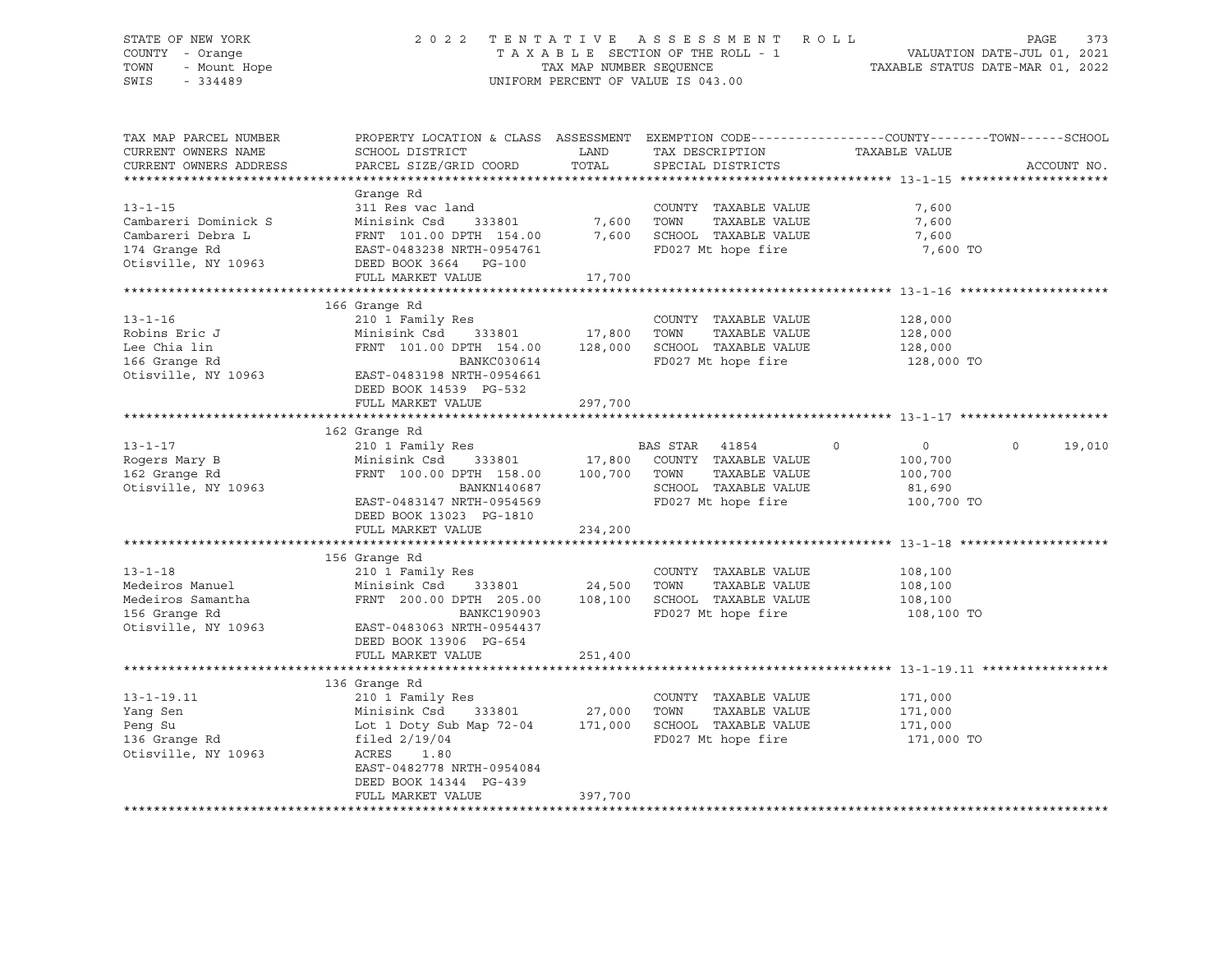# STATE OF NEW YORK 2 0 2 2 T E N T A T I V E A S S E S S M E N T R O L L PAGE 373 COUNTY - Orange T A X A B L E SECTION OF THE ROLL - 1 VALUATION DATE-JUL 01, 2021 TOWN - Mount Hope TAX MAP NUMBER SEQUENCE TAXABLE STATUS DATE-MAR 01, 2022 SWIS - 334489 UNIFORM PERCENT OF VALUE IS 043.00

| TAX MAP PARCEL NUMBER  | PROPERTY LOCATION & CLASS ASSESSMENT EXEMPTION CODE----------------COUNTY-------TOWN------SCHOOL |               |                               |                                  |                    |
|------------------------|--------------------------------------------------------------------------------------------------|---------------|-------------------------------|----------------------------------|--------------------|
| CURRENT OWNERS NAME    | SCHOOL DISTRICT                                                                                  | LAND          | TAX DESCRIPTION               | TAXABLE VALUE                    |                    |
| CURRENT OWNERS ADDRESS | PARCEL SIZE/GRID COORD                                                                           | TOTAL         | SPECIAL DISTRICTS             |                                  | ACCOUNT NO.        |
|                        |                                                                                                  |               |                               |                                  |                    |
|                        | Grange Rd                                                                                        |               |                               |                                  |                    |
| $13 - 1 - 15$          | 311 Res vac land                                                                                 |               | COUNTY TAXABLE VALUE          | 7,600                            |                    |
| Cambareri Dominick S   | Minisink Csd<br>333801                                                                           | 7,600         | TOWN<br>TAXABLE VALUE         | 7,600                            |                    |
| Cambareri Debra L      | FRNT 101.00 DPTH 154.00                                                                          |               | 7,600 SCHOOL TAXABLE VALUE    | 7,600                            |                    |
| 174 Grange Rd          | EAST-0483238 NRTH-0954761                                                                        |               | FD027 Mt hope fire            | 7,600 TO                         |                    |
| Otisville, NY 10963    | DEED BOOK 3664 PG-100                                                                            |               |                               |                                  |                    |
|                        | FULL MARKET VALUE                                                                                | 17,700        |                               |                                  |                    |
|                        |                                                                                                  |               |                               |                                  |                    |
|                        | 166 Grange Rd                                                                                    |               |                               |                                  |                    |
| $13 - 1 - 16$          | 210 1 Family Res                                                                                 |               | COUNTY TAXABLE VALUE          | 128,000                          |                    |
| Robins Eric J          | Minisink Csd                                                                                     | 333801 17,800 | TOWN<br>TAXABLE VALUE         | 128,000                          |                    |
| Lee Chia lin           | FRNT 101.00 DPTH 154.00 128,000 SCHOOL TAXABLE VALUE                                             |               |                               | 128,000                          |                    |
| 166 Grange Rd          | BANKC030614                                                                                      |               | FD027 Mt hope fire            | 128,000 TO                       |                    |
| Otisville, NY 10963    | EAST-0483198 NRTH-0954661                                                                        |               |                               |                                  |                    |
|                        | DEED BOOK 14539 PG-532                                                                           |               |                               |                                  |                    |
|                        | FULL MARKET VALUE                                                                                | 297,700       |                               |                                  |                    |
|                        |                                                                                                  |               |                               |                                  |                    |
|                        | 162 Grange Rd                                                                                    |               |                               |                                  |                    |
| $13 - 1 - 17$          | 210 1 Family Res                                                                                 |               | BAS STAR 41854                | $\overline{0}$<br>$\overline{0}$ | $\Omega$<br>19,010 |
| Rogers Mary B          | Minisink Csd 333801 17,800 COUNTY TAXABLE VALUE                                                  |               |                               | 100,700                          |                    |
| 162 Grange Rd          | FRNT 100.00 DPTH 158.00                                                                          |               | 100,700 TOWN<br>TAXABLE VALUE | 100,700                          |                    |
| Otisville, NY 10963    | BANKN140687                                                                                      |               | SCHOOL TAXABLE VALUE          | 81,690                           |                    |
|                        | EAST-0483147 NRTH-0954569                                                                        |               | FD027 Mt hope fire            | 100,700 TO                       |                    |
|                        | DEED BOOK 13023 PG-1810                                                                          |               |                               |                                  |                    |
|                        | FULL MARKET VALUE                                                                                | 234,200       |                               |                                  |                    |
|                        |                                                                                                  |               |                               |                                  |                    |
|                        | 156 Grange Rd                                                                                    |               |                               |                                  |                    |
| $13 - 1 - 18$          | 210 1 Family Res                                                                                 |               | COUNTY TAXABLE VALUE          | 108,100                          |                    |
| Medeiros Manuel        | Minisink Csd 333801                                                                              | 24,500 TOWN   | TAXABLE VALUE                 | 108,100                          |                    |
| Medeiros Samantha      | FRNT 200.00 DPTH 205.00 108,100 SCHOOL TAXABLE VALUE                                             |               |                               | 108,100                          |                    |
| 156 Grange Rd          | BANKC190903                                                                                      |               | FD027 Mt hope fire            | 108,100 TO                       |                    |
| Otisville, NY 10963    | EAST-0483063 NRTH-0954437                                                                        |               |                               |                                  |                    |
|                        | DEED BOOK 13906 PG-654                                                                           |               |                               |                                  |                    |
|                        | FULL MARKET VALUE                                                                                | 251,400       |                               |                                  |                    |
|                        |                                                                                                  |               |                               |                                  |                    |
|                        | 136 Grange Rd                                                                                    |               |                               |                                  |                    |
| $13 - 1 - 19.11$       | 210 1 Family Res                                                                                 |               | COUNTY TAXABLE VALUE          | 171,000                          |                    |
| Yang Sen               | Minisink Csd                                                                                     | 333801 27,000 | TOWN<br>TAXABLE VALUE         | 171,000                          |                    |
| Peng Su                | Lot 1 Doty Sub Map 72-04 171,000                                                                 |               | SCHOOL TAXABLE VALUE          | 171,000                          |                    |
| 136 Granqe Rd          | filed $2/19/04$                                                                                  |               | FD027 Mt hope fire            | 171,000 TO                       |                    |
| Otisville, NY 10963    | ACRES 1.80                                                                                       |               |                               |                                  |                    |
|                        | EAST-0482778 NRTH-0954084                                                                        |               |                               |                                  |                    |
|                        | DEED BOOK 14344 PG-439                                                                           |               |                               |                                  |                    |
|                        | FULL MARKET VALUE                                                                                | 397,700       |                               |                                  |                    |
|                        |                                                                                                  |               |                               |                                  |                    |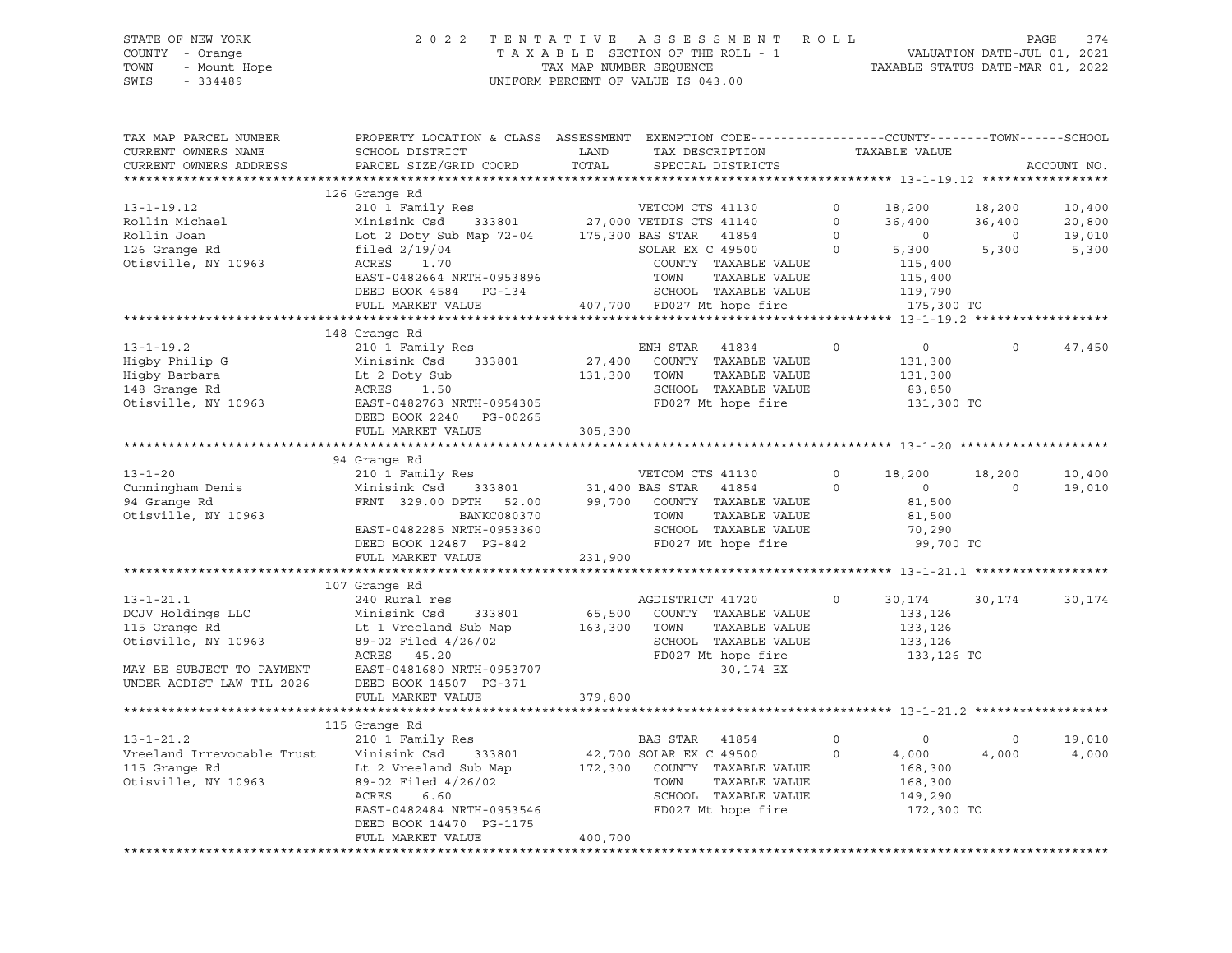# STATE OF NEW YORK 2 0 2 2 T E N T A T I V E A S S E S S M E N T R O L L PAGE 374 COUNTY - Orange T A X A B L E SECTION OF THE ROLL - 1 VALUATION DATE-JUL 01, 2021 TOWN - Mount Hope TAX MAP NUMBER SEQUENCE TAXABLE STATUS DATE-MAR 01, 2022 SWIS - 334489 UNIFORM PERCENT OF VALUE IS 043.00

| TAX MAP PARCEL NUMBER<br>CURRENT OWNERS NAME<br>CURRENT OWNERS ADDRESS                                                                                                           | PROPERTY LOCATION & CLASS ASSESSMENT EXEMPTION CODE---------------COUNTY-------TOWN------SCHOOL<br>SCHOOL DISTRICT<br>PARCEL SIZE/GRID COORD                                                                                                                                                              | LAND<br>TOTAL | COUNTY---                                                                                                                                        |                                       |                                                                                                        |                                   | ACCOUNT NO.                         |
|----------------------------------------------------------------------------------------------------------------------------------------------------------------------------------|-----------------------------------------------------------------------------------------------------------------------------------------------------------------------------------------------------------------------------------------------------------------------------------------------------------|---------------|--------------------------------------------------------------------------------------------------------------------------------------------------|---------------------------------------|--------------------------------------------------------------------------------------------------------|-----------------------------------|-------------------------------------|
|                                                                                                                                                                                  |                                                                                                                                                                                                                                                                                                           |               |                                                                                                                                                  |                                       |                                                                                                        |                                   |                                     |
| $13 - 1 - 19.12$<br>Rollin Michael<br>Rollin Joan<br>126 Granqe Rd<br>Otisville, NY 10963                                                                                        | 126 Grange Rd<br>210 1 Family Res<br>Minisink Csd 333801 27,000 VETDIS CTS 41140<br>Lot 2 Doty Sub Map 72-04 175,300 BAS STAR 41854<br>filed $2/19/04$<br>ACRES 1.70<br>EAST-0482664 NRTH-0953896<br>DEED BOOK 4584 PG-134<br>FULL MARKET VALUE                                                           |               | SOLAR EX $C$ 49500<br>COUNTY TAXABLE VALUE<br>TOWN<br>TAXABLE VALUE<br>SCHOOL TAXABLE VALUE 119,790<br>407,700 FD027 Mt hope fire 175,300 TO     | $\circ$<br>$\Omega$<br>$\overline{0}$ | $0 \t 18,200 \t 18,200$<br>36,400<br>5,300<br>115,400<br>115,400                                       | 36,400<br>$\overline{0}$<br>5,300 | 10,400<br>20,800<br>19,010<br>5,300 |
|                                                                                                                                                                                  |                                                                                                                                                                                                                                                                                                           |               |                                                                                                                                                  |                                       |                                                                                                        |                                   |                                     |
| $13 - 1 - 19.2$<br>Higby Philip G Minisink Csd 333801 27,400<br>Higby Barbara Lt 2 Doty Sub 131,300<br>148 Grange Rd ACRES 1.50<br>Otisville, NY 10963 EAST-0482763 NRTH-0954305 | 148 Grange Rd<br>210 1 Family Res<br>Minisink Csd 333801 27,400 COUNTY TAXABLE VALUE<br>DEED BOOK 2240 PG-00265                                                                                                                                                                                           | 131,300 TOWN  | $\sim$ 0<br>ENH STAR 41834<br>TAXABLE VALUE<br>SCHOOL TAXABLE VALUE<br>FD027 Mt hope fire                                                        |                                       | $\overline{0}$<br>131,300<br>131,300<br>83,850<br>131,300 TO                                           | $\Omega$                          | 47,450                              |
|                                                                                                                                                                                  | FULL MARKET VALUE                                                                                                                                                                                                                                                                                         | 305,300       |                                                                                                                                                  |                                       |                                                                                                        |                                   |                                     |
|                                                                                                                                                                                  |                                                                                                                                                                                                                                                                                                           |               |                                                                                                                                                  |                                       |                                                                                                        |                                   |                                     |
| $13 - 1 - 20$<br>Cunningham Denis<br>94 Grange Rd<br>Otisville, NY 10963<br>$13 - 1 - 21.1$                                                                                      | 94 Grange Rd<br>210 1 Family Res<br>Minisink Csd 333801 31,400 BAS STAR 41854 0<br>FRNT 329.00 DPTH 52.00 99,700 COUNTY TAXABLE VALUE<br>EAST-0482285 NRTH-0953360<br>EAST-0482285 NRTH-0953360<br>EAST-0482285 NRTH-0953360<br>ED027 Mt hope fire<br>FULL MARKET VALUE<br>107 Grange Rd<br>240 Rural res | 231,900       | VETCOM CTS 41130<br>SCHOOL TAXABLE VALUE<br>AGDISTRICT 41720                                                                                     | $\circ$<br>$\circ$                    | 18,200<br>$\begin{array}{c} 0 \\ 81,500 \end{array}$<br>81,500<br>70,290<br>99,700 TO<br>30,174 30,174 | 18,200<br>$\overline{0}$          | 10,400<br>19,010<br>30,174          |
| DCJV Holdings LLC<br>115 Grange Rd<br>115 Grange Rd<br>Otisville, NY 10963<br>MAY BE SUBJECT TO PAYMENT<br>UNDER AGDIST LAW TIL 2026                                             | Minisink Csd 333801<br>Lt 1 Vreeland Sub Map 163,300 TOWN<br>89-02 Filed 4/26/02<br>ACRES 45.20<br>EAST-0481680 NRTH-0953707<br>DEED BOOK 14507 PG-371<br>FULL MARKET VALUE                                                                                                                               | 379,800       | 65,500 COUNTY TAXABLE VALUE<br>TAXABLE VALUE<br>SCHOOL TAXABLE VALUE<br>FD027 Mt hope fire 133,126 TO<br>30,174 EX                               |                                       | 133,126<br>133,126<br>133,126                                                                          |                                   |                                     |
|                                                                                                                                                                                  | 115 Grange Rd                                                                                                                                                                                                                                                                                             |               |                                                                                                                                                  |                                       |                                                                                                        |                                   |                                     |
| $13 - 1 - 21.2$<br>Vreeland Irrevocable Trust<br>115 Grange Rd<br>Otisville, NY 10963                                                                                            | 210 1 Family Res<br>Minisink Csd<br>333801<br>Lt 2 Vreeland Sub Map<br>89-02 Filed 4/26/02<br>ACRES 6.60<br>ACRES<br>6.60<br>EAST-0482484 NRTH-0953546<br>DEED BOOK 14470 PG-1175<br>FULL MARKET VALUE                                                                                                    | 400,700       | BAS STAR 41854<br>42,700 SOLAR EX C 49500<br>172,300 COUNTY TAXABLE VALUE<br>TOWN<br>TAXABLE VALUE<br>SCHOOL TAXABLE VALUE<br>FD027 Mt hope fire | $\circ$<br>$\circ$                    | $\sim$ 0<br>4,000<br>168,300<br>168,300<br>149,290<br>172,300 TO                                       | $\circ$<br>4,000                  | 19,010<br>4,000                     |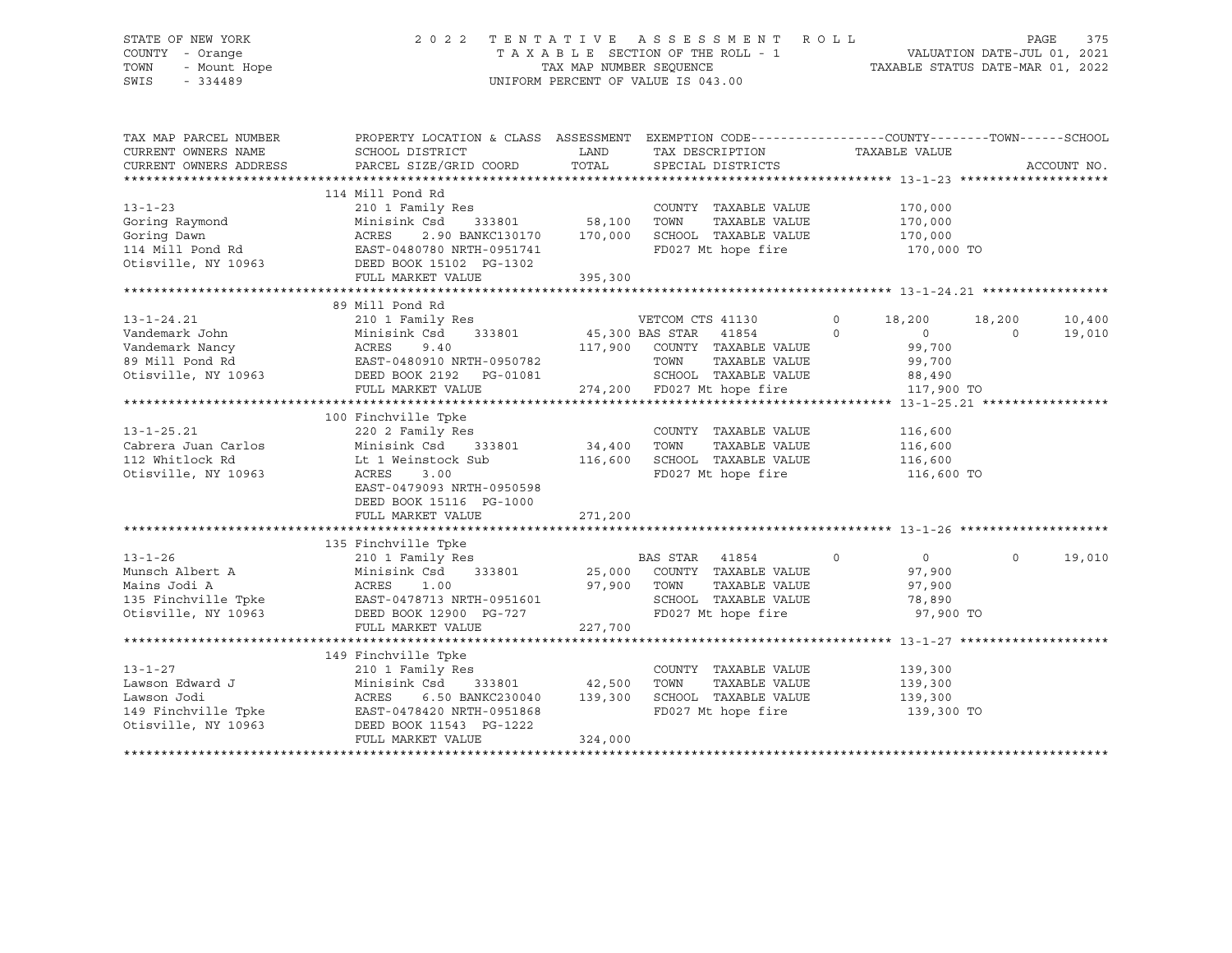### STATE OF NEW YORK 2 0 2 2 T E N T A T I V E A S S E S S M E N T R O L L PAGE 375 COUNTY - Orange T A X A B L E SECTION OF THE ROLL - 1 VALUATION DATE-JUL 01, 2021 TOWN - Mount Hope TAX NAP NUMBER SEQUENCE TAXABLE STATUS DATE-MAR 01, 2022<br>TAXABLE STATUS DATE-MAR 01, 2022 UNIFORM PERCENT OF VALUE IS 043.00

TAX MAP PARCEL NUMBER PROPERTY LOCATION & CLASS ASSESSMENT EXEMPTION CODE------------------COUNTY--------TOWN------SCHOOL CURRENT OWNERS NAME SCHOOL DISTRICT LAND TAX DESCRIPTION TAXABLE VALUE CURRENT OWNERS ADDRESS PARCEL SIZE/GRID COORD TOTAL SPECIAL DISTRICTS ACCOUNT NO. \*\*\*\*\*\*\*\*\*\*\*\*\*\*\*\*\*\*\*\*\*\*\*\*\*\*\*\*\*\*\*\*\*\*\*\*\*\*\*\*\*\*\*\*\*\*\*\*\*\*\*\*\*\*\*\*\*\*\*\*\*\*\*\*\*\*\*\*\*\*\*\*\*\*\*\*\*\*\*\*\*\*\*\*\*\*\*\*\*\*\*\*\*\*\*\*\*\*\*\*\*\*\* 13-1-23 \*\*\*\*\*\*\*\*\*\*\*\*\*\*\*\*\*\*\*\* 114 Mill Pond Rd 13-1-23 210 1 Family Res COUNTY TAXABLE VALUE 170,000 Goring Raymond Minisink Csd 333801 58,100 TOWN TAXABLE VALUE 170,000 Goring Dawn ACRES 2.90 BANKC130170 170,000 SCHOOL TAXABLE VALUE 170,000 114 Mill Pond Rd EAST-0480780 NRTH-0951741 FD027 Mt hope fire 170,000 TO Otisville, NY 10963 DEED BOOK 15102 PG-1302 FULL MARKET VALUE 395,300 \*\*\*\*\*\*\*\*\*\*\*\*\*\*\*\*\*\*\*\*\*\*\*\*\*\*\*\*\*\*\*\*\*\*\*\*\*\*\*\*\*\*\*\*\*\*\*\*\*\*\*\*\*\*\*\*\*\*\*\*\*\*\*\*\*\*\*\*\*\*\*\*\*\*\*\*\*\*\*\*\*\*\*\*\*\*\*\*\*\*\*\*\*\*\*\*\*\*\*\*\*\*\* 13-1-24.21 \*\*\*\*\*\*\*\*\*\*\*\*\*\*\*\*\* 89 Mill Pond Rd 13-1-24.21 210 1 Family Res VETCOM CTS 41130 0 18,200 18,200 10,400 Vandemark John Minisink Csd 333801 45,300 BAS STAR 41854 0 0 0 19,010 Vandemark Nancy ACRES 9.40 117,900 COUNTY TAXABLE VALUE 99,700 89 Mill Pond Rd EAST-0480910 NRTH-0950782 TOWN TAXABLE VALUE 99,700 Otisville, NY 10963 DEED BOOK 2192 PG-01081 SCHOOL TAXABLE VALUE 88,490 FULL MARKET VALUE 274,200 FD027 Mt hope fire 117,900 TO \*\*\*\*\*\*\*\*\*\*\*\*\*\*\*\*\*\*\*\*\*\*\*\*\*\*\*\*\*\*\*\*\*\*\*\*\*\*\*\*\*\*\*\*\*\*\*\*\*\*\*\*\*\*\*\*\*\*\*\*\*\*\*\*\*\*\*\*\*\*\*\*\*\*\*\*\*\*\*\*\*\*\*\*\*\*\*\*\*\*\*\*\*\*\*\*\*\*\*\*\*\*\* 13-1-25.21 \*\*\*\*\*\*\*\*\*\*\*\*\*\*\*\*\* 100 Finchville Tpke 13-1-25.21 220 2 Family Res COUNTY TAXABLE VALUE 116,600 Cabrera Juan Carlos Minisink Csd 333801 34,400 TOWN TAXABLE VALUE 116,600 112 Whitlock Rd Lt 1 Weinstock Sub 116,600 SCHOOL TAXABLE VALUE 116,600 Otisville, NY 10963 ACRES 3.00 FD027 Mt hope fire 116,600 TO EAST-0479093 NRTH-0950598 DEED BOOK 15116 PG-1000 PEED BOOK ISIIN FU-IOOO<br>FULL MARKET VALUE 271,200 \*\*\*\*\*\*\*\*\*\*\*\*\*\*\*\*\*\*\*\*\*\*\*\*\*\*\*\*\*\*\*\*\*\*\*\*\*\*\*\*\*\*\*\*\*\*\*\*\*\*\*\*\*\*\*\*\*\*\*\*\*\*\*\*\*\*\*\*\*\*\*\*\*\*\*\*\*\*\*\*\*\*\*\*\*\*\*\*\*\*\*\*\*\*\*\*\*\*\*\*\*\*\* 13-1-26 \*\*\*\*\*\*\*\*\*\*\*\*\*\*\*\*\*\*\*\* 135 Finchville Tpke 13-1-26 210 1 Family Res BAS STAR 41854 0 0 0 19,010 Munsch Albert A Minisink Csd 333801 25,000 COUNTY TAXABLE VALUE 97,900 Mains Jodi A ACRES 1.00 97,900 TOWN TAXABLE VALUE 97,900 135 Finchville Tpke EAST-0478713 NRTH-0951601 SCHOOL TAXABLE VALUE 78,890 Otisville, NY 10963 DEED BOOK 12900 PG-727 FD027 Mt hope fire 97,900 TO FULL MARKET VALUE 227,700 \*\*\*\*\*\*\*\*\*\*\*\*\*\*\*\*\*\*\*\*\*\*\*\*\*\*\*\*\*\*\*\*\*\*\*\*\*\*\*\*\*\*\*\*\*\*\*\*\*\*\*\*\*\*\*\*\*\*\*\*\*\*\*\*\*\*\*\*\*\*\*\*\*\*\*\*\*\*\*\*\*\*\*\*\*\*\*\*\*\*\*\*\*\*\*\*\*\*\*\*\*\*\* 13-1-27 \*\*\*\*\*\*\*\*\*\*\*\*\*\*\*\*\*\*\*\* 149 Finchville Tpke 13-1-27 210 1 Family Res COUNTY TAXABLE VALUE 139,300 Lawson Edward J Minisink Csd 333801 42,500 TOWN TAXABLE VALUE 139,300 Lawson Jodi ACRES 6.50 BANKC230040 139,300 SCHOOL TAXABLE VALUE 139,300 149 Finchville Tpke EAST-0478420 NRTH-0951868 FD027 Mt hope fire 139,300 TO Otisville, NY 10963 DEED BOOK 11543 PG-1222 FULL MARKET VALUE 324,000 \*\*\*\*\*\*\*\*\*\*\*\*\*\*\*\*\*\*\*\*\*\*\*\*\*\*\*\*\*\*\*\*\*\*\*\*\*\*\*\*\*\*\*\*\*\*\*\*\*\*\*\*\*\*\*\*\*\*\*\*\*\*\*\*\*\*\*\*\*\*\*\*\*\*\*\*\*\*\*\*\*\*\*\*\*\*\*\*\*\*\*\*\*\*\*\*\*\*\*\*\*\*\*\*\*\*\*\*\*\*\*\*\*\*\*\*\*\*\*\*\*\*\*\*\*\*\*\*\*\*\*\*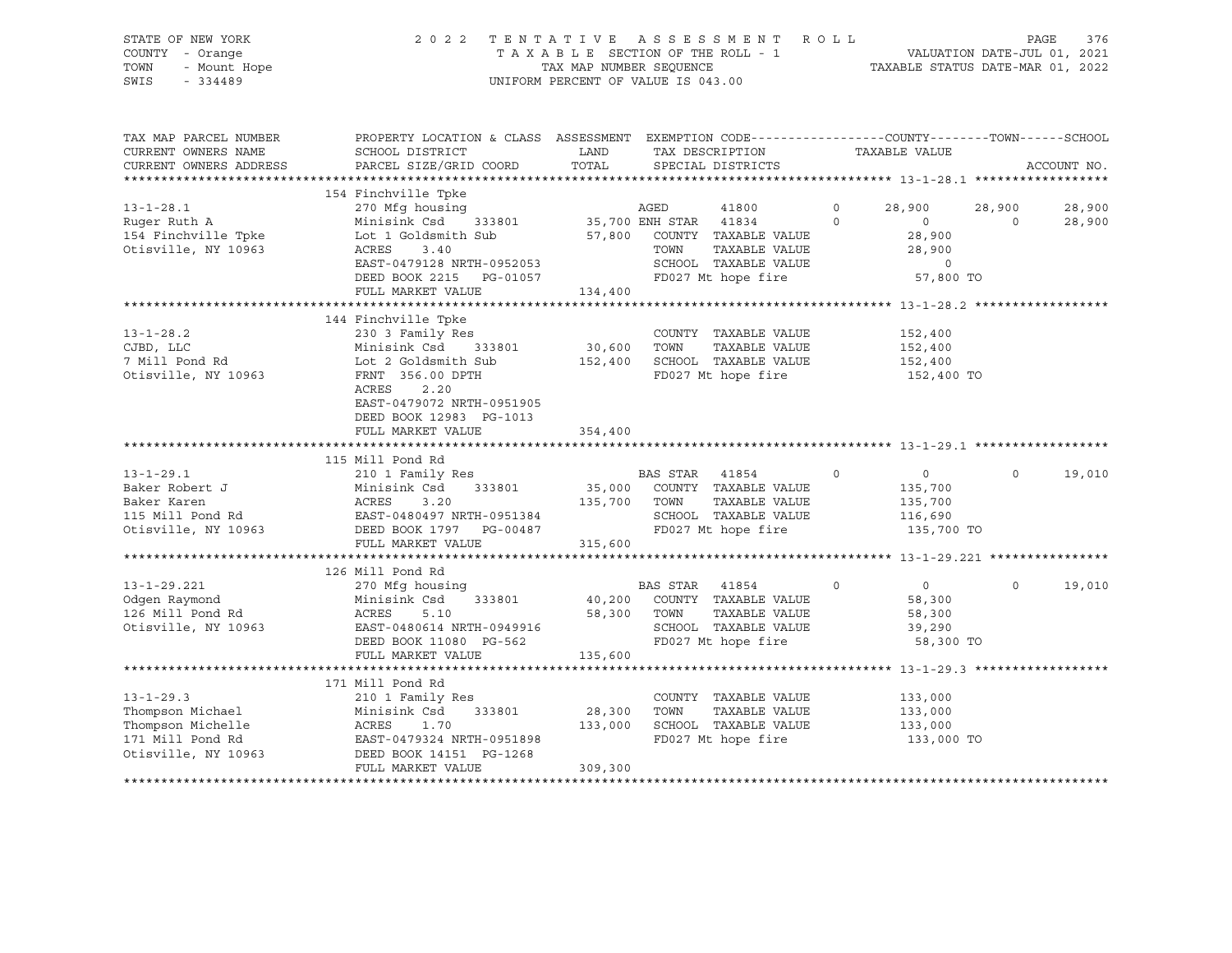| STATE OF NEW YORK<br>COUNTY - Orange<br>TOWN<br>- Mount Hope<br>SWIS<br>$-334489$                                             |                                                                                                                                                                                                         | TAX MAP NUMBER SEQUENCE | 2022 TENTATIVE ASSESSMENT ROLL<br>TAXABLE SECTION OF THE ROLL - 1<br>UNIFORM PERCENT OF VALUE IS 043.00                                      |                                      | - 1 VALUATION DATE-JUL 01, 2021<br>TAXABLE STATUS DATE-MAR 01, 2022                     | PAGE<br>376      |
|-------------------------------------------------------------------------------------------------------------------------------|---------------------------------------------------------------------------------------------------------------------------------------------------------------------------------------------------------|-------------------------|----------------------------------------------------------------------------------------------------------------------------------------------|--------------------------------------|-----------------------------------------------------------------------------------------|------------------|
| TAX MAP PARCEL NUMBER<br>CURRENT OWNERS NAME<br>CURRENT OWNERS ADDRESS                                                        | PROPERTY LOCATION & CLASS ASSESSMENT EXEMPTION CODE----------------COUNTY-------TOWN------SCHOOL<br>SCHOOL DISTRICT<br>PARCEL SIZE/GRID COORD                                                           | LAND<br>TOTAL           | TAX DESCRIPTION<br>SPECIAL DISTRICTS                                                                                                         | TAXABLE VALUE                        |                                                                                         | ACCOUNT NO.      |
|                                                                                                                               |                                                                                                                                                                                                         |                         |                                                                                                                                              |                                      |                                                                                         |                  |
| $13 - 1 - 28.1$<br>Ruger Ruth A<br>154 Finchville Tpke<br>Otisville, NY 10963                                                 | 154 Finchville Tpke<br>270 Mfg housing<br>Minisink Csd 333801<br>Lot 1 Goldsmith Sub<br>ACRES<br>3.40<br>EAST-0479128 NRTH-0952053<br>DEED BOOK 2215 PG-01057                                           |                         | AGED<br>41800<br>35,700 ENH STAR 41834<br>57,800 COUNTY TAXABLE VALUE<br>TOWN<br>TAXABLE VALUE<br>SCHOOL TAXABLE VALUE<br>FD027 Mt hope fire | $\circ$<br>28,900<br>$\Omega$        | 28,900<br>$\overline{0}$<br>$\sim$ 0<br>28,900<br>28,900<br>$\overline{0}$<br>57,800 TO | 28,900<br>28,900 |
|                                                                                                                               | FULL MARKET VALUE                                                                                                                                                                                       | 134,400                 |                                                                                                                                              |                                      |                                                                                         |                  |
| $13 - 1 - 28.2$<br>CJBD, LLC<br>7 Mill Pond Rd<br>Otisville, NY 10963                                                         | 144 Finchville Tpke<br>230 3 Family Res<br>Minisink Csd 333801<br>Lot 2 Goldsmith Sub<br>FRNT 356.00 DPTH<br>ACRES<br>2.20<br>EAST-0479072 NRTH-0951905<br>DEED BOOK 12983 PG-1013<br>FULL MARKET VALUE | 30,600 TOWN<br>354,400  | COUNTY TAXABLE VALUE<br>TAXABLE VALUE<br>152,400 SCHOOL TAXABLE VALUE<br>FD027 Mt hope fire                                                  | 152,400<br>152,400                   | 152,400<br>152,400 TO                                                                   |                  |
|                                                                                                                               |                                                                                                                                                                                                         |                         |                                                                                                                                              |                                      |                                                                                         |                  |
| $13 - 1 - 29.1$<br>Baker Robert J<br>Baker Karen<br>115 Mill Pond Rd<br>Otisville, NY 10963                                   | 115 Mill Pond Rd<br>210 1 Family Res<br>Minisink Csu<br>ACRES 3.20 137, 20<br>EAST-0480497 NRTH-0951384<br>--- POOK 1797 PG-00487 315,600                                                               | 315,600                 | BAS STAR 41854<br>35,000 COUNTY TAXABLE VALUE<br>135,700 TOWN TAXABLE VALUE<br>TAXABLE VALUE<br>SCHOOL TAXABLE VALUE<br>FD027 Mt hope fire   | $\circ$<br>$\overline{0}$<br>116,690 | $\Omega$<br>135,700<br>135,700<br>135,700 TO                                            | 19,010           |
|                                                                                                                               | 126 Mill Pond Rd                                                                                                                                                                                        |                         |                                                                                                                                              |                                      |                                                                                         |                  |
| $13 - 1 - 29.221$<br>Odgen Raymond<br>126 Mill Pond Rd<br>Otisville, NY 10963                                                 | 270 Mfg housing<br>Minisink Csd<br>333801<br>ACRES<br>5.10<br>EAST-0480614 NRTH-0949916<br>DEED BOOK 11080 PG-562                                                                                       |                         | BAS STAR 41854<br>40,200 COUNTY TAXABLE VALUE<br>58,300 TOWN<br>TAXABLE VALUE<br>SCHOOL TAXABLE VALUE<br>FD027 Mt hope fire                  | $\circ$                              | $\overline{0}$<br>$\Omega$<br>58,300<br>58,300<br>39,290<br>58,300 TO                   | 19,010           |
|                                                                                                                               | FULL MARKET VALUE                                                                                                                                                                                       | 135,600                 |                                                                                                                                              |                                      |                                                                                         |                  |
| **********************<br>$13 - 1 - 29.3$<br>Thompson Michael<br>Thompson Michelle<br>171 Mill Pond Rd<br>Otisville, NY 10963 | 171 Mill Pond Rd<br>210 1 Family Res<br>Minisink Csd<br>333801<br>ACRES<br>1.70<br>EAST-0479324 NRTH-0951898<br>DEED BOOK 14151 PG-1268<br>DEED BOOK 14151 PG-1268<br>FULL MARKET VALUE                 | 28,300<br>309,300       | COUNTY TAXABLE VALUE<br>TOWN<br>TAXABLE VALUE<br>133,000 SCHOOL TAXABLE VALUE<br>FD027 Mt hope fire                                          | 133,000<br>133,000<br>133,000        | 133,000 TO                                                                              |                  |
|                                                                                                                               |                                                                                                                                                                                                         |                         |                                                                                                                                              |                                      |                                                                                         |                  |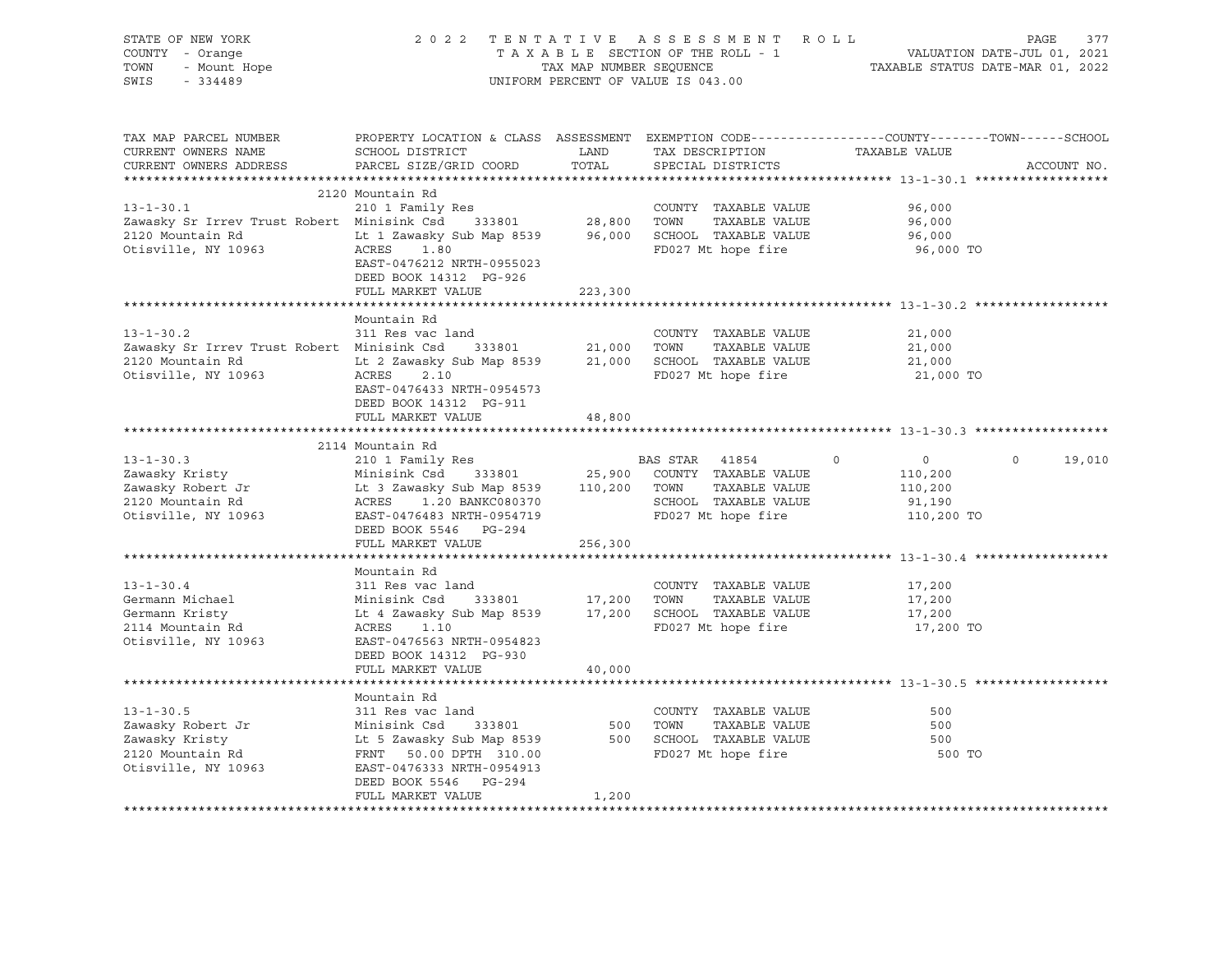| STATE OF NEW YORK<br>COUNTY - Orange<br>- Orange<br>- Mount Hope<br>TOWN<br>SWIS<br>$-334489$                                                                                                                                                                                                                           | 2022 TENTATIVE ASSESSMENT ROLL                                                                                                                                                                                                                                                                                                                                    | UNIFORM PERCENT OF VALUE IS 043.00 | PAGE<br>377<br>TAXABLE SECTION OF THE ROLL - 1<br>TAXABLE SECTION OF THE ROLL - 1<br>TAXABLE STATUS DATE-JUL 01, 2021<br>TAXABLE STATUS DATE-MAR 01, 2022 |                                                                         |                    |  |
|-------------------------------------------------------------------------------------------------------------------------------------------------------------------------------------------------------------------------------------------------------------------------------------------------------------------------|-------------------------------------------------------------------------------------------------------------------------------------------------------------------------------------------------------------------------------------------------------------------------------------------------------------------------------------------------------------------|------------------------------------|-----------------------------------------------------------------------------------------------------------------------------------------------------------|-------------------------------------------------------------------------|--------------------|--|
| TAX MAP PARCEL NUMBER<br>CURRENT OWNERS NAME<br>CURRENT OWNERS ADDRESS                                                                                                                                                                                                                                                  | PROPERTY LOCATION & CLASS ASSESSMENT EXEMPTION CODE----------------COUNTY-------TOWN------SCHOOL<br>SCHOOL DISTRICT<br>PARCEL SIZE/GRID COORD                                                                                                                                                                                                                     | LAND<br>TOTAL                      | TAX DESCRIPTION<br>SPECIAL DISTRICTS                                                                                                                      | TAXABLE VALUE                                                           | ACCOUNT NO.        |  |
|                                                                                                                                                                                                                                                                                                                         | 2120 Mountain Rd                                                                                                                                                                                                                                                                                                                                                  |                                    |                                                                                                                                                           |                                                                         |                    |  |
| 210 1 Family Res<br>210 1 Family Res<br>28,800 TOWN TAXABLE VALUE<br>28,800 TOWN TAXABLE VALUE<br>2120 Markoville NY 19969<br>2120 Markoville NY 19969<br>2120 Markoville NY 19969<br>2120 Markoville NY 19969<br>2120 Markoville NY 19969<br>21<br>Zawasky Srifter<br>2120 Mountain Rd<br>10063<br>Otisville, NY 10963 | ACRES 1.80<br>EAST-0476212 NRTH-0955023<br>DEED BOOK 14312 PG-926                                                                                                                                                                                                                                                                                                 |                                    | FD027 Mt hope fire                                                                                                                                        | 96,000<br>96,000<br>96,000<br>96,000 TO                                 |                    |  |
|                                                                                                                                                                                                                                                                                                                         | FULL MARKET VALUE                                                                                                                                                                                                                                                                                                                                                 | 223,300                            |                                                                                                                                                           |                                                                         |                    |  |
| $13 - 1 - 30.2$<br>Zawasky Sr Irrev Trust Robert Minisink Csd 333801 21,000 TOWN TAXABLE VALUE<br>2120 Mountain Rd Lt 2 Zawasky Sub Map 8539 21,000 SCHOOL TAXABLE VALUE<br>0tisville, NY 10963 ACRES 2.10 FD027 Mt hone fire                                                                                           | Mountain Rd<br>311 Res vac land<br>EAST-0476433 NRTH-0954573                                                                                                                                                                                                                                                                                                      |                                    | COUNTY TAXABLE VALUE<br>FD027 Mt hope fire                                                                                                                | 21,000<br>21,000<br>21,000<br>21,000 TO                                 |                    |  |
|                                                                                                                                                                                                                                                                                                                         | DEED BOOK 14312 PG-911<br>FULL MARKET VALUE                                                                                                                                                                                                                                                                                                                       | 48,800                             |                                                                                                                                                           |                                                                         |                    |  |
| $13 - 1 - 30.3$<br>Zawasky Kristy<br>Zawasky Robert Jr<br>2120 Mountain Rd<br>Otisville, NY 10963 EAST-0476483 NRTH-0954719                                                                                                                                                                                             | 2114 Mountain Rd<br>210 1 Family Res<br>Minisink Csd 333801 25,900 COUNTY TAXABLE VALUE<br>Lt 3 Zawasky Sub Map 8539 110,200 TOWN TAXABLE VALUE<br>ACRES 1.20 BANKC080370 SCHOOL TAXABLE VALUE<br>DEED BOOK 5546 PG-294<br>FULL MARKET VALUE                                                                                                                      | 256,300                            | BAS STAR 41854<br>SCHOOL TAXABLE VALUE<br>FD027 Mt hope fire                                                                                              | $\circ$<br>$\overline{0}$<br>110,200<br>110,200<br>91,190<br>110,200 TO | $\Omega$<br>19,010 |  |
|                                                                                                                                                                                                                                                                                                                         |                                                                                                                                                                                                                                                                                                                                                                   |                                    |                                                                                                                                                           |                                                                         |                    |  |
| $13 - 1 - 30.4$<br>Germann Michael<br>Germann Kristy<br>2114 Mountain Rd<br>Otisville, NY 10963                                                                                                                                                                                                                         | Mountain Rd<br>311 Res vac land<br>911 No. 1200 1000 1000 1000 1000 10000 10000 10000 10000 10000 10000 10000 10000 10000 10000 10000 10000 1000<br>17,200 17,200 17,200 17000 17000 18000 18000 18000 18000 18000 18000 18000 10000 10000 10000 10000 10000 1000<br>1.<br>ACRES 1.10<br>EAST-0476563 NRTH-0954823<br>DEED BOOK 14312 PG-930<br>FULL MARKET VALUE | 40,000                             | COUNTY TAXABLE VALUE<br>FD027 Mt hope fire                                                                                                                | 17,200<br>17,200<br>17,200<br>17,200 TO                                 |                    |  |
|                                                                                                                                                                                                                                                                                                                         |                                                                                                                                                                                                                                                                                                                                                                   |                                    |                                                                                                                                                           |                                                                         |                    |  |
| $13 - 1 - 30.5$<br>21 1999 13-1-30.3<br>Zawasky Robert Jr Minisink Csd 333801 500 TOWN TAXABLE VALUE<br>Zawasky Kristy Lt 5 Zawasky Sub Map 8539 500 SCHOOL TAXABLE VALUE<br>2120 Mountain Rd FRNT 50.00 DPTH 310.00 FD027 Mt hope fire<br>Otisville, NY 10963                                                          | Mountain Rd<br>311 Res vac land<br>EAST-0476333 NRTH-0954913<br>DEED BOOK 5546 PG-294<br>FULL MARKET VALUE                                                                                                                                                                                                                                                        | 1,200                              | COUNTY TAXABLE VALUE                                                                                                                                      | 500<br>500<br>500<br>500 TO                                             |                    |  |
|                                                                                                                                                                                                                                                                                                                         |                                                                                                                                                                                                                                                                                                                                                                   |                                    |                                                                                                                                                           |                                                                         |                    |  |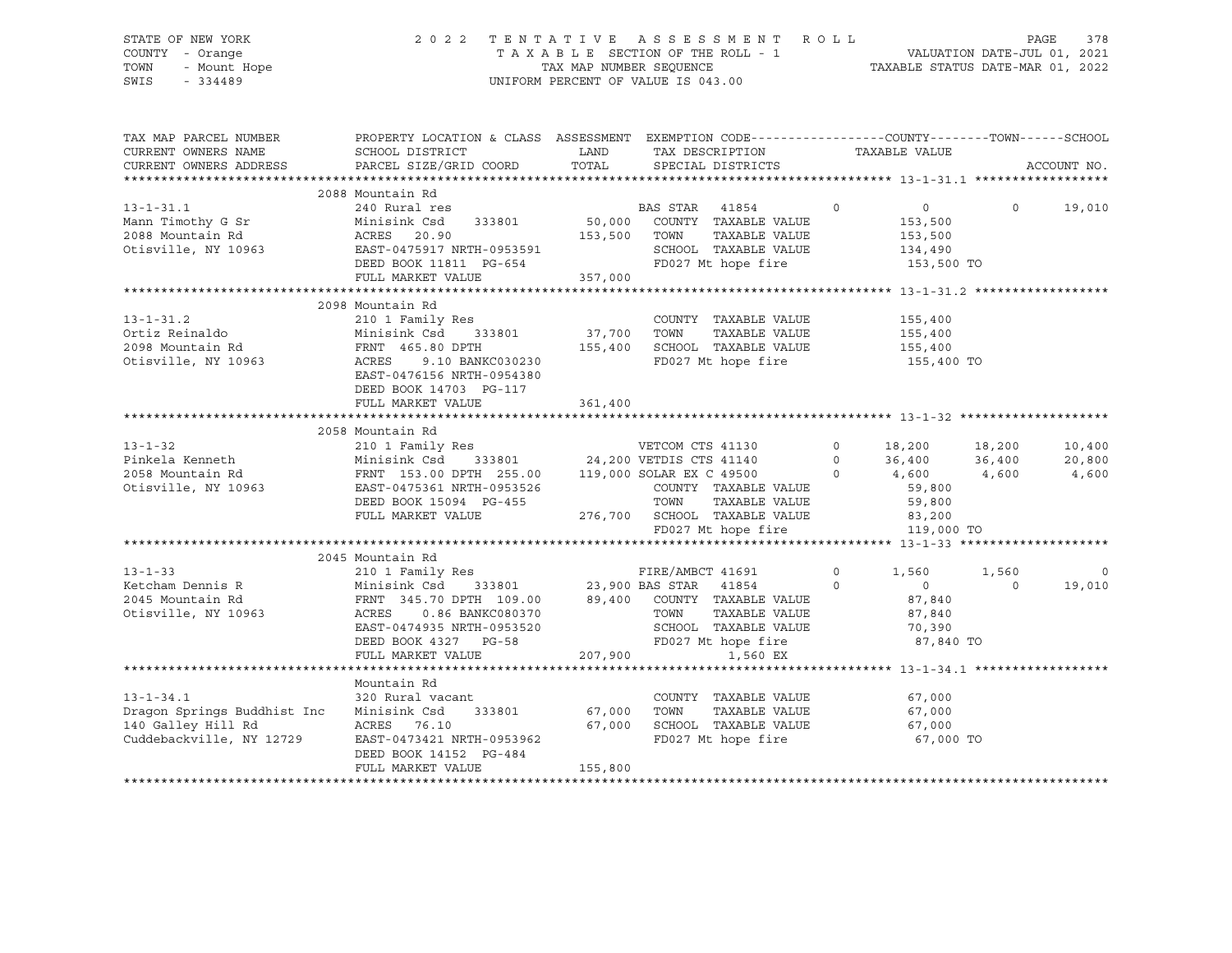# STATE OF NEW YORK 2 0 2 2 T E N T A T I V E A S S E S S M E N T R O L L PAGE 378 COUNTY - Orange T A X A B L E SECTION OF THE ROLL - 1 VALUATION DATE-JUL 01, 2021 TOWN - Mount Hope TAX MAP NUMBER SEQUENCE TAXABLE STATUS DATE-MAR 01, 2022 SWIS - 334489 UNIFORM PERCENT OF VALUE IS 043.00

| TAX MAP PARCEL NUMBER              | PROPERTY LOCATION & CLASS ASSESSMENT EXEMPTION CODE----------------COUNTY-------TOWN------SCHOOL                                                                                                                                         |         |                                                    |               |                    |         |               |
|------------------------------------|------------------------------------------------------------------------------------------------------------------------------------------------------------------------------------------------------------------------------------------|---------|----------------------------------------------------|---------------|--------------------|---------|---------------|
| CURRENT OWNERS NAME                | SCHOOL DISTRICT                                                                                                                                                                                                                          | LAND    | TAX DESCRIPTION                                    | TAXABLE VALUE |                    |         |               |
| CURRENT OWNERS ADDRESS             | PARCEL SIZE/GRID COORD                                                                                                                                                                                                                   |         | TOTAL SPECIAL DISTRICTS                            |               |                    |         | ACCOUNT NO.   |
|                                    |                                                                                                                                                                                                                                          |         |                                                    |               |                    |         |               |
|                                    | 2088 Mountain Rd                                                                                                                                                                                                                         |         |                                                    |               |                    |         |               |
| $13 - 1 - 31.1$                    |                                                                                                                                                                                                                                          |         |                                                    |               | $\overline{0}$     |         | $0 \t 19,010$ |
| Mann Timothy G Sr                  |                                                                                                                                                                                                                                          |         |                                                    |               | 153,500            |         |               |
|                                    | $153,500$ TOWN                                                                                                                                                                                                                           |         | TOWN      TAXABLE VALUE<br>SCHOOL   TAXABLE VALUE  |               | 153,500<br>134,490 |         |               |
|                                    |                                                                                                                                                                                                                                          |         |                                                    |               |                    |         |               |
|                                    |                                                                                                                                                                                                                                          |         | FD027 Mt hope fire 153,500 TO                      |               |                    |         |               |
|                                    |                                                                                                                                                                                                                                          |         |                                                    |               |                    |         |               |
|                                    | Mann Timothy o 31<br>2088 Mountain Rd<br>Otisville, NY 10963<br>DEED BOOK 11811 PG-654<br>FULL MARKET VALUE 357,000<br>FULL MARKET VALUE 357,000                                                                                         |         |                                                    |               |                    |         |               |
|                                    | 2098 Mountain Rd                                                                                                                                                                                                                         |         |                                                    |               |                    |         |               |
| $13 - 1 - 31.2$                    | 210 1 Family Res                                                                                                                                                                                                                         |         | COUNTY TAXABLE VALUE                               |               | 155,400            |         |               |
| Ortiz Reinaldo<br>2098 Mountain Rd | Minisink Csd 333801 37,700                                                                                                                                                                                                               |         | TOWN<br>TAXABLE VALUE                              |               | 155,400            |         |               |
| 2098 Mountain Rd                   | FRNT 465.80 DPTH                                                                                                                                                                                                                         | 155,400 | SCHOOL TAXABLE VALUE                               |               | 155,400            |         |               |
| Otisville, NY 10963                | 9.10 BANKC030230<br>ACRES                                                                                                                                                                                                                |         | FD027 Mt hope fire                                 |               | 155,400 TO         |         |               |
|                                    | EAST-0476156 NRTH-0954380                                                                                                                                                                                                                |         |                                                    |               |                    |         |               |
|                                    | DEED BOOK 14703 PG-117                                                                                                                                                                                                                   |         |                                                    |               |                    |         |               |
|                                    | FULL MARKET VALUE                                                                                                                                                                                                                        | 361,400 |                                                    |               |                    |         |               |
|                                    |                                                                                                                                                                                                                                          |         |                                                    |               |                    |         |               |
|                                    | 2058 Mountain Rd                                                                                                                                                                                                                         |         |                                                    |               |                    |         |               |
|                                    |                                                                                                                                                                                                                                          |         |                                                    |               |                    |         | 10,400        |
|                                    |                                                                                                                                                                                                                                          |         |                                                    |               |                    |         | 20,800        |
|                                    |                                                                                                                                                                                                                                          |         |                                                    |               |                    |         | 4,600         |
|                                    | 13-1-32<br>Pinkela Kenneth Minisink Csd 333801<br>24,200 VETDIS CTS 41130 0 18,200 18,200<br>2658 Mountain Rd FRNT 153.00 DPTH 255.00 119,000 SOLAR EX C 49500 0 4,600 4,600<br>2015 COLAR EX C 49500 0 4,600 4,600 4,600<br>261 COLAR E |         |                                                    |               |                    |         |               |
|                                    |                                                                                                                                                                                                                                          |         | TAXABLE VALUE 59,800<br>TOWN                       |               |                    |         |               |
|                                    | DEED BOOK 15094 PG-455                                                                                                                                                                                                                   |         |                                                    |               |                    |         |               |
|                                    | FULL MARKET VALUE                                                                                                                                                                                                                        |         | 276,700 SCHOOL TAXABLE VALUE<br>FD027 Mt hope fire |               | 83,200             |         |               |
|                                    |                                                                                                                                                                                                                                          |         |                                                    |               | 119,000 TO         |         |               |
|                                    |                                                                                                                                                                                                                                          |         |                                                    |               |                    |         |               |
|                                    | 2045 Mountain Rd                                                                                                                                                                                                                         |         |                                                    |               |                    |         |               |
|                                    |                                                                                                                                                                                                                                          |         |                                                    |               | 1,560              | 1,560   | $\mathbf 0$   |
|                                    | 13-1-33<br>TIRE/AMBCT 41691 210 1 Family Res<br>EIRE/AMBCT 41691 23,900 BAS STAR 41854 0<br>2045 Mountain Rd FRNT 345.70 DPTH 109.00 89,400 COUNTY TAXABLE VALUE                                                                         |         |                                                    |               | $\overline{0}$     | $\circ$ | 19,010        |
|                                    |                                                                                                                                                                                                                                          |         |                                                    |               | 87,840             |         |               |
| Otisville, NY 10963                | ACRES<br>0.86 BANKC080370                                                                                                                                                                                                                |         | TOWN      TAXABLE VALUE<br>SCHOOL   TAXABLE VALUE  |               | 87,840             |         |               |
|                                    | EAST-0474935 NRTH-0953520                                                                                                                                                                                                                |         |                                                    |               | 70,390             |         |               |
|                                    | DEED BOOK 4327 PG-58                                                                                                                                                                                                                     |         | FD027 Mt hope fire 87,840 TO                       |               |                    |         |               |
|                                    | FULL MARKET VALUE                                                                                                                                                                                                                        | 207,900 | 1,560 EX                                           |               |                    |         |               |
|                                    |                                                                                                                                                                                                                                          |         |                                                    |               |                    |         |               |
|                                    | Mountain Rd                                                                                                                                                                                                                              |         |                                                    |               |                    |         |               |
| $13 - 1 - 34.1$                    | 320 Rural vacant                                                                                                                                                                                                                         |         | COUNTY TAXABLE VALUE 67,000                        |               |                    |         |               |
| Dragon Springs Buddhist Inc        | 333801<br>Minisink Csd                                                                                                                                                                                                                   | 67,000  | TOWN<br>TAXABLE VALUE                              |               | 67,000             |         |               |
| 140 Galley Hill Rd                 | ACRES 76.10                                                                                                                                                                                                                              | 67,000  |                                                    |               | 67,000             |         |               |
| Cuddebackville, NY 12729           | EAST-0473421 NRTH-0953962                                                                                                                                                                                                                |         | SCHOOL TAXABLE VALUE<br>FD027 Mt hope fire         |               | 67,000 TO          |         |               |
|                                    | DEED BOOK 14152 PG-484                                                                                                                                                                                                                   |         |                                                    |               |                    |         |               |
|                                    | FULL MARKET VALUE                                                                                                                                                                                                                        | 155,800 |                                                    |               |                    |         |               |
|                                    |                                                                                                                                                                                                                                          |         |                                                    |               |                    |         |               |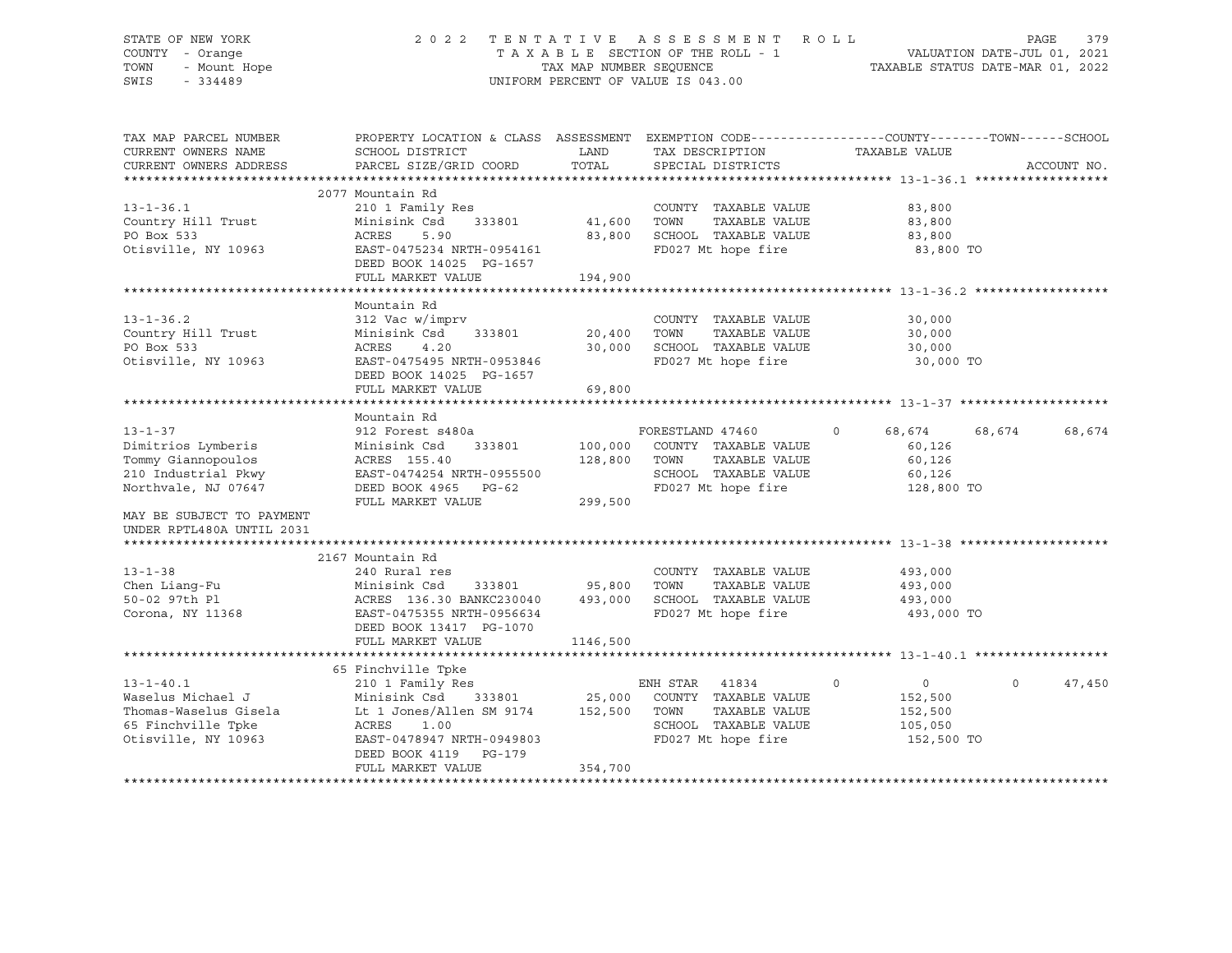# STATE OF NEW YORK 2 0 2 2 T E N T A T I V E A S S E S S M E N T R O L L PAGE 379 COUNTY - Orange T A X A B L E SECTION OF THE ROLL - 1 VALUATION DATE-JUL 01, 2021 TOWN - Mount Hope TAX MAP NUMBER SEQUENCE TAXABLE STATUS DATE-MAR 01, 2022 SWIS - 334489 UNIFORM PERCENT OF VALUE IS 043.00

| TAX MAP PARCEL NUMBER     | PROPERTY LOCATION & CLASS ASSESSMENT EXEMPTION CODE----------------COUNTY-------TOWN------SCHOOL |          |                              |                             |                   |
|---------------------------|--------------------------------------------------------------------------------------------------|----------|------------------------------|-----------------------------|-------------------|
| CURRENT OWNERS NAME       | SCHOOL DISTRICT                                                                                  | LAND     | TAX DESCRIPTION              | TAXABLE VALUE               |                   |
| CURRENT OWNERS ADDRESS    | PARCEL SIZE/GRID COORD                                                                           | TOTAL    | SPECIAL DISTRICTS            |                             | ACCOUNT NO.       |
|                           |                                                                                                  |          |                              |                             |                   |
|                           | 2077 Mountain Rd                                                                                 |          |                              |                             |                   |
| $13 - 1 - 36.1$           | 210 1 Family Res                                                                                 |          | COUNTY TAXABLE VALUE         | 83,800                      |                   |
| Country Hill Trust        | Minisink Csd<br>333801                                                                           | 41,600   | TOWN<br>TAXABLE VALUE        | 83,800                      |                   |
| PO Box 533                | ACRES<br>5.90                                                                                    | 83,800   | SCHOOL TAXABLE VALUE         | 83,800                      |                   |
| Otisville, NY 10963       | EAST-0475234 NRTH-0954161                                                                        |          | FD027 Mt hope fire           | 83,800 TO                   |                   |
|                           | DEED BOOK 14025 PG-1657                                                                          |          |                              |                             |                   |
|                           | FULL MARKET VALUE                                                                                | 194,900  |                              |                             |                   |
|                           |                                                                                                  |          |                              |                             |                   |
|                           | Mountain Rd                                                                                      |          |                              |                             |                   |
| $13 - 1 - 36.2$           | 312 Vac w/imprv                                                                                  |          | COUNTY TAXABLE VALUE         | 30,000                      |                   |
| Country Hill Trust        | Minisink Csd<br>333801                                                                           | 20,400   | TOWN<br>TAXABLE VALUE        | 30,000                      |                   |
| PO Box 533                | ACRES<br>4.20                                                                                    | 30,000   | SCHOOL TAXABLE VALUE         | 30,000                      |                   |
| Otisville, NY 10963       | EAST-0475495 NRTH-0953846                                                                        |          | FD027 Mt hope fire           | 30,000 TO                   |                   |
|                           | DEED BOOK 14025 PG-1657                                                                          |          |                              |                             |                   |
|                           | FULL MARKET VALUE                                                                                | 69,800   |                              |                             |                   |
|                           |                                                                                                  |          |                              |                             |                   |
|                           | Mountain Rd                                                                                      |          |                              |                             |                   |
| $13 - 1 - 37$             | 912 Forest s480a                                                                                 |          | FORESTLAND 47460             | 68,674<br>$\circ$<br>68,674 | 68,674            |
| Dimitrios Lymberis        | 333801<br>Minisink Csd                                                                           |          | 100,000 COUNTY TAXABLE VALUE | 60,126                      |                   |
| Tommy Giannopoulos        | ACRES 155.40                                                                                     | 128,800  | TOWN<br>TAXABLE VALUE        | 60,126                      |                   |
| 210 Industrial Pkwy       | EAST-0474254 NRTH-0955500                                                                        |          | SCHOOL TAXABLE VALUE         | 60,126                      |                   |
| Northvale, NJ 07647       | DEED BOOK 4965 PG-62                                                                             |          | FD027 Mt hope fire           | 128,800 TO                  |                   |
|                           | FULL MARKET VALUE                                                                                | 299,500  |                              |                             |                   |
| MAY BE SUBJECT TO PAYMENT |                                                                                                  |          |                              |                             |                   |
| UNDER RPTL480A UNTIL 2031 |                                                                                                  |          |                              |                             |                   |
|                           |                                                                                                  |          |                              |                             |                   |
|                           | 2167 Mountain Rd                                                                                 |          |                              |                             |                   |
| $13 - 1 - 38$             | 240 Rural res                                                                                    |          | COUNTY TAXABLE VALUE         | 493,000                     |                   |
| Chen Liang-Fu             | 333801 95,800 TOWN<br>Minisink Csd                                                               |          | TAXABLE VALUE                | 493,000                     |                   |
| 50-02 97th Pl             |                                                                                                  | 493,000  | SCHOOL TAXABLE VALUE         |                             |                   |
|                           | ACRES 136.30 BANKC230040                                                                         |          | FD027 Mt hope fire           | 493,000                     |                   |
| Corona, NY 11368          | EAST-0475355 NRTH-0956634                                                                        |          |                              | 493,000 TO                  |                   |
|                           | DEED BOOK 13417 PG-1070                                                                          |          |                              |                             |                   |
|                           | FULL MARKET VALUE                                                                                | 1146,500 |                              |                             |                   |
|                           |                                                                                                  |          |                              |                             |                   |
|                           | 65 Finchville Tpke                                                                               |          |                              |                             |                   |
| $13 - 1 - 40.1$           | 210 1 Family Res                                                                                 |          | ENH STAR 41834               | $\circ$<br>$\overline{0}$   | $\circ$<br>47,450 |
| Waselus Michael J         | Minisink Csd<br>333801                                                                           | 25,000   | COUNTY TAXABLE VALUE         | 152,500                     |                   |
| Thomas-Waselus Gisela     | Lt 1 Jones/Allen SM 9174 152,500                                                                 |          | TOWN<br>TAXABLE VALUE        | 152,500                     |                   |
| 65 Finchville Tpke        | ACRES<br>1.00                                                                                    |          | SCHOOL TAXABLE VALUE         | 105,050                     |                   |
| Otisville, NY 10963       | EAST-0478947 NRTH-0949803                                                                        |          | FD027 Mt hope fire           | 152,500 TO                  |                   |
|                           | DEED BOOK 4119 PG-179                                                                            |          |                              |                             |                   |
|                           | FULL MARKET VALUE                                                                                | 354,700  |                              |                             |                   |
|                           |                                                                                                  |          |                              |                             |                   |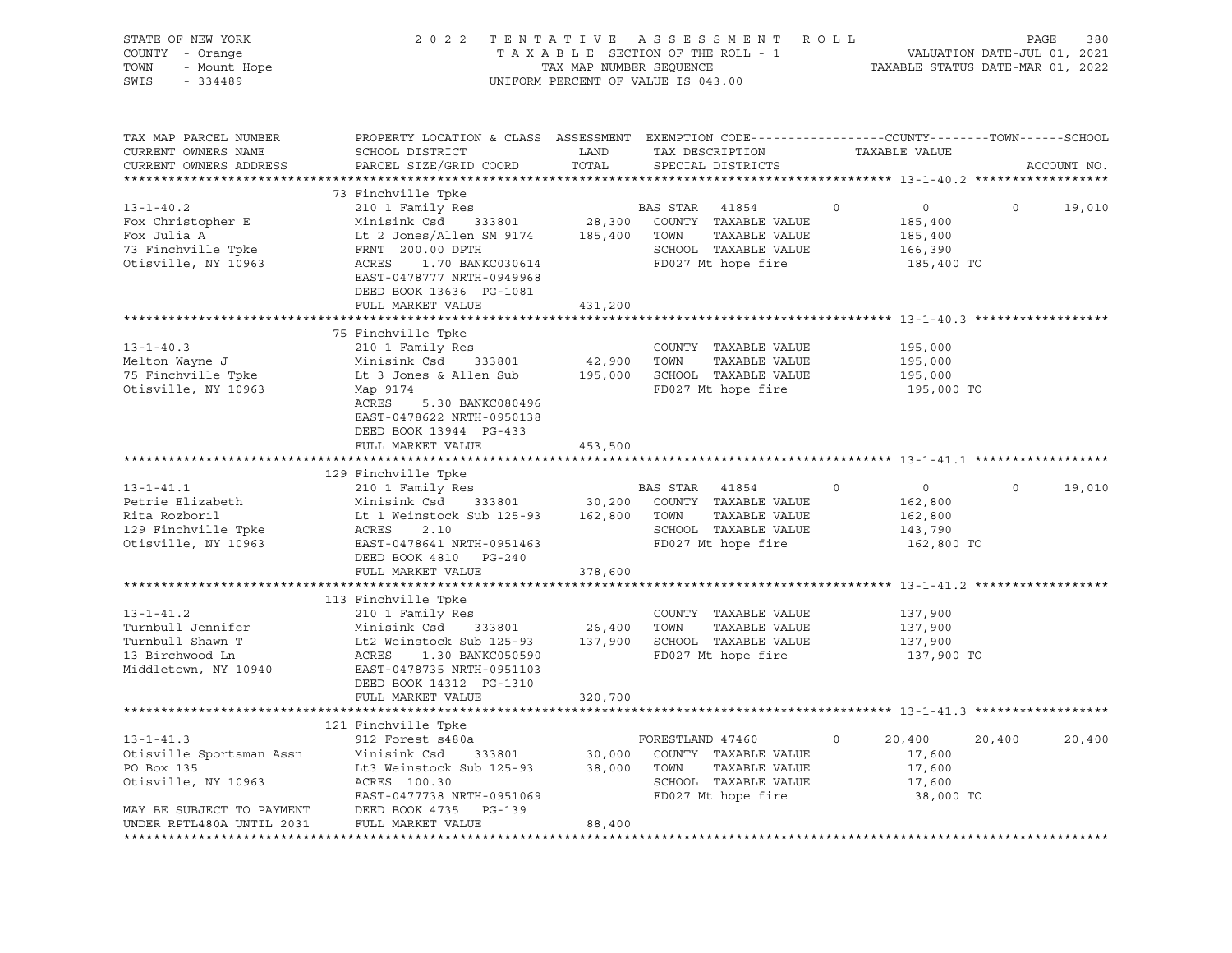| STATE OF NEW YORK<br>COUNTY - Orange<br>TOWN - Mount Hope<br>TOWN - Mount Hope<br>SWIS - 334489                                                                           |                                                                                                                                                                                                                                                                                                                                                                                                                                                                                                     |         | TENTATIVE ASSESSMENT ROLL<br>TAXABLE SECTION OF THE ROLL - 1 VALUATION DATE-JUL 01, 2021<br>TAX MAP NUMBER SEQUENCE TAXABLE STATUS DATE-MAR 01, 2022<br>2022 TENTATIVE ASSESSMENT ROLL<br>UNIFORM PERCENT OF VALUE IS 043.00 |                                                                                 |         |             |
|---------------------------------------------------------------------------------------------------------------------------------------------------------------------------|-----------------------------------------------------------------------------------------------------------------------------------------------------------------------------------------------------------------------------------------------------------------------------------------------------------------------------------------------------------------------------------------------------------------------------------------------------------------------------------------------------|---------|------------------------------------------------------------------------------------------------------------------------------------------------------------------------------------------------------------------------------|---------------------------------------------------------------------------------|---------|-------------|
| TAX MAP PARCEL NUMBER<br>CURRENT OWNERS NAME<br>CURRENT OWNERS ADDRESS                                                                                                    | PROPERTY LOCATION & CLASS ASSESSMENT EXEMPTION CODE----------------COUNTY-------TOWN------SCHOOL                                                                                                                                                                                                                                                                                                                                                                                                    |         |                                                                                                                                                                                                                              |                                                                                 |         | ACCOUNT NO. |
|                                                                                                                                                                           | 73 Finchville Tpke<br>EAST-0478777 NRTH-0949968<br>DEED BOOK 13636 PG-1081<br>FULL MARKET VALUE                                                                                                                                                                                                                                                                                                                                                                                                     | 431,200 |                                                                                                                                                                                                                              | $\overline{0}$<br>$\overline{0}$<br>185,400<br>185,400<br>166,390<br>185,400 TO | $\circ$ | 19,010      |
|                                                                                                                                                                           |                                                                                                                                                                                                                                                                                                                                                                                                                                                                                                     |         |                                                                                                                                                                                                                              |                                                                                 |         |             |
|                                                                                                                                                                           | 75 Finchville Tpke<br>13-1-40.3<br>Melton Wayne J<br>Minisink Csd 333801<br>Minisink Csd 333801<br>Minisink Csd 333801<br>Minisink Csd 333801<br>42,900 TOWN TAXABLE VALUE<br>TOWN TAXABLE VALUE<br>TAXABLE VALUE<br>195,000<br>195,000<br>195,000<br>210 1 Family Res<br>Mini<br>ACRES<br>5.30 BANKC080496<br>EAST-0478622 NRTH-0950138                                                                                                                                                            |         |                                                                                                                                                                                                                              |                                                                                 |         |             |
|                                                                                                                                                                           | DEED BOOK 13944 PG-433<br>FULL MARKET VALUE                                                                                                                                                                                                                                                                                                                                                                                                                                                         | 453,500 |                                                                                                                                                                                                                              |                                                                                 |         |             |
|                                                                                                                                                                           | 129 Finchville Tpke<br>$\begin{tabular}{lllllllllllll} \multicolumn{3.5}{lcll} \multicolumn{3.5}{lcll} \multicolumn{3.5}{lcll} \multicolumn{3.5}{lcll} \multicolumn{3.5}{lcll} \multicolumn{3.5}{lcll} \multicolumn{3.5}{lcll} \multicolumn{3.5}{lcll} \multicolumn{3.5}{lcll} \multicolumn{3.5}{lcll} \multicolumn{3.5}{lcll} \multicolumn{3.5}{lcll} \multicolumn{3.5}{lcll} \multicolumn{3.5}{lcll} \multicolumn{3.5}{lcll} \multicolumn{3.5}{lcl$<br>DEED BOOK 4810 PG-240<br>FULL MARKET VALUE | 378,600 |                                                                                                                                                                                                                              | 162,800 TO                                                                      | $\circ$ | 19,010      |
|                                                                                                                                                                           |                                                                                                                                                                                                                                                                                                                                                                                                                                                                                                     |         |                                                                                                                                                                                                                              |                                                                                 |         |             |
|                                                                                                                                                                           | 113 Finchville Tpke<br>13-1-41.2<br>Turnbull Jennifer<br>Turnbull Shawn T<br>Turnbull Shawn T<br>13 Birchwood Ln<br>13 Birchwood Ln<br>13 Birchwood Ln<br>13 Birchwood Ln<br>13 Birchwood Ln<br>13 Birchwood Ln<br>13 Birchwood Ln<br>13 Birchwood Ln<br>13 Birchwood Ln<br>13<br>DEED BOOK 14312 PG-1310                                                                                                                                                                                           |         |                                                                                                                                                                                                                              | 137,900<br>137,900<br>137,900<br>137,900 TO                                     |         |             |
|                                                                                                                                                                           | FULL MARKET VALUE                                                                                                                                                                                                                                                                                                                                                                                                                                                                                   | 320,700 |                                                                                                                                                                                                                              |                                                                                 |         |             |
|                                                                                                                                                                           |                                                                                                                                                                                                                                                                                                                                                                                                                                                                                                     |         |                                                                                                                                                                                                                              |                                                                                 |         |             |
| $13 - 1 - 41.3$<br>13-1-41.3<br>Otisville Sportsman Assn<br>PO Box 135<br>Otisville, NY 10963<br>ACRES 100.30<br>ACRES 100.30<br>PAST-047738<br>UNDER RPTL480A UNTIL 2031 | 121 Finchville Tpke<br>912 Forest s480a<br>MAY BE SUBJECT TO PAYMENT DEED BOOK 4735 PG-139<br>FULL MARKET VALUE                                                                                                                                                                                                                                                                                                                                                                                     | 88,400  | FORESTLAND 47460                                                                                                                                                                                                             | 20,400<br>$\circ$<br>17,600<br>17,600<br>17,600<br>38,000 TO                    | 20,400  | 20,400      |
|                                                                                                                                                                           |                                                                                                                                                                                                                                                                                                                                                                                                                                                                                                     |         |                                                                                                                                                                                                                              |                                                                                 |         |             |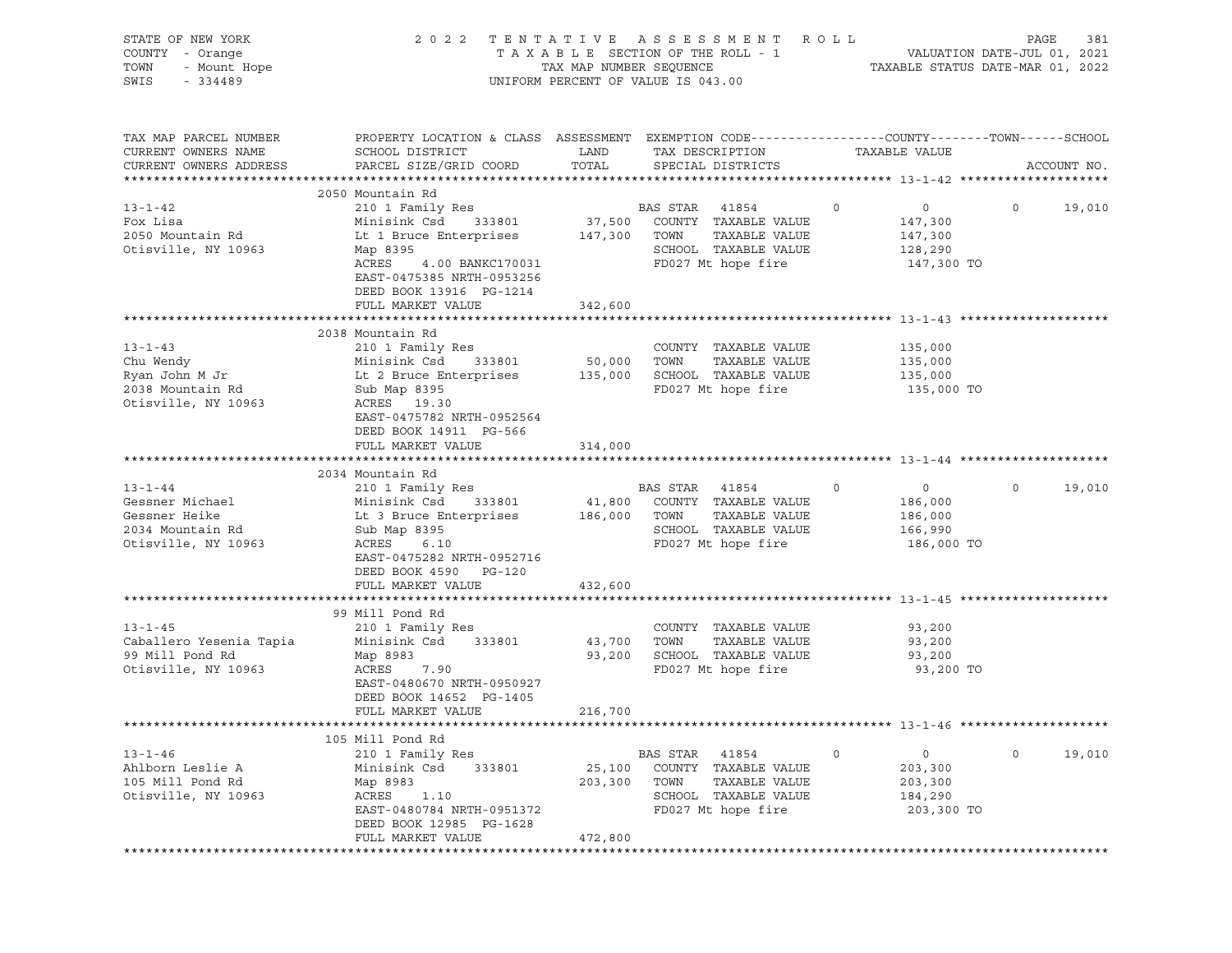| STATE OF NEW YORK<br>COUNTY - Orange<br>TOWN<br>- Mount Hope<br>SWIS<br>$-334489$            |                                                                                                                                                                                                     |                              | 2022 TENTATIVE ASSESSMENT ROLL<br>UNIFORM PERCENT OF VALUE IS 043.00                                                   |               |                                                               | PAGE    | 381         |
|----------------------------------------------------------------------------------------------|-----------------------------------------------------------------------------------------------------------------------------------------------------------------------------------------------------|------------------------------|------------------------------------------------------------------------------------------------------------------------|---------------|---------------------------------------------------------------|---------|-------------|
| TAX MAP PARCEL NUMBER<br>CURRENT OWNERS NAME<br>CURRENT OWNERS ADDRESS                       | PROPERTY LOCATION & CLASS ASSESSMENT EXEMPTION CODE---------------COUNTY-------TOWN-----SCHOOL<br>SCHOOL DISTRICT<br>PARCEL SIZE/GRID COORD TOTAL                                                   | LAND                         | TAX DESCRIPTION<br>SPECIAL DISTRICTS                                                                                   | TAXABLE VALUE |                                                               |         | ACCOUNT NO. |
|                                                                                              | 2050 Mountain Rd                                                                                                                                                                                    |                              |                                                                                                                        |               |                                                               |         |             |
| $13 - 1 - 42$<br>Fox Lisa<br>2050 Mountain Rd<br>Otisville, NY 10963                         | 210 1 Family Res<br>Minisink Csd<br>Lt 1 Bruce Enterprises 147,300 TOWN<br>Map 8395<br>ACRES<br>4.00 BANKC170031<br>EAST-0475385 NRTH-0953256<br>DEED BOOK 13916 PG-1214                            |                              | BAS STAR 41854<br>333801 37,500 COUNTY TAXABLE VALUE<br>TAXABLE VALUE<br>SCHOOL TAXABLE VALUE<br>FD027 Mt hope fire    | $\circ$       | $\overline{0}$<br>147,300<br>147,300<br>128,290<br>147,300 TO | $\circ$ | 19,010      |
|                                                                                              | FULL MARKET VALUE                                                                                                                                                                                   | 342,600                      |                                                                                                                        |               |                                                               |         |             |
| $13 - 1 - 43$<br>Chu Wendy<br>Ryan John M Jr<br>2038 Mountain Rd<br>Otisville, NY 10963      | 2038 Mountain Rd<br>210 1 Family Res<br>Minisink Csd<br>333801<br>Lt 2 Bruce Enterprises<br>Sub Map 8395<br>ACRES 19.30<br>EAST-0475782 NRTH-0952564<br>DEED BOOK 14911 PG-566<br>FULL MARKET VALUE | 50,000<br>135,000<br>314,000 | COUNTY TAXABLE VALUE<br>TOWN<br>TAXABLE VALUE<br>SCHOOL TAXABLE VALUE<br>FD027 Mt hope fire                            |               | 135,000<br>135,000<br>135,000<br>135,000 TO                   |         |             |
|                                                                                              | 2034 Mountain Rd                                                                                                                                                                                    |                              |                                                                                                                        |               |                                                               |         |             |
| $13 - 1 - 44$<br>Gessner Michael<br>Gessner Heike<br>2034 Mountain Rd<br>Otisville, NY 10963 | 210 1 Family Res<br>333801<br>Minisink Csd<br>Lt 3 Bruce Enterprises 186,000 TOWN<br>Sub Map 8395<br>ACRES<br>6.10<br>EAST-0475282 NRTH-0952716<br>DEED BOOK 4590 PG-120<br>FULL MARKET VALUE       | 432,600                      | BAS STAR 41854<br>41,800 COUNTY TAXABLE VALUE<br>TAXABLE VALUE<br>SCHOOL TAXABLE VALUE<br>FD027 Mt hope fire           | $\circ$       | $\overline{0}$<br>186,000<br>186,000<br>166,990<br>186,000 TO | $\circ$ | 19,010      |
|                                                                                              |                                                                                                                                                                                                     |                              |                                                                                                                        |               |                                                               |         |             |
| $13 - 1 - 45$<br>Caballero Yesenia Tapia<br>99 Mill Pond Rd<br>Otisville, NY 10963           | 99 Mill Pond Rd<br>210 1 Family Res<br>Minisink Csd 333801<br>Map 8983<br>ACRES 7.90<br>EAST-0480670 NRTH-0950927                                                                                   | 43,700<br>93,200             | COUNTY TAXABLE VALUE<br>TOWN<br>TAXABLE VALUE<br>SCHOOL TAXABLE VALUE<br>FD027 Mt hope fire                            |               | 93,200<br>93,200<br>93,200<br>93,200 TO                       |         |             |
|                                                                                              | DEED BOOK 14652 PG-1405<br>FULL MARKET VALUE                                                                                                                                                        | 216,700                      |                                                                                                                        |               |                                                               |         |             |
|                                                                                              |                                                                                                                                                                                                     |                              |                                                                                                                        |               |                                                               |         |             |
|                                                                                              | 105 Mill Pond Rd                                                                                                                                                                                    |                              |                                                                                                                        |               |                                                               |         |             |
| $13 - 1 - 46$<br>Ahlborn Leslie A<br>105 Mill Pond Rd<br>Otisville, NY 10963                 | 210 1 Family Res<br>Minisink Csd<br>333801<br>Map 8983<br>ACRES<br>1.10<br>EAST-0480784 NRTH-0951372<br>DEED BOOK 12985 PG-1628                                                                     | 25,100<br>203,300            | BAS STAR<br>41854<br>COUNTY<br>TAXABLE VALUE<br>TOWN<br>TAXABLE VALUE<br>SCHOOL<br>TAXABLE VALUE<br>FD027 Mt hope fire | 0             | 0<br>203,300<br>203,300<br>184,290<br>203,300 TO              | 0       | 19,010      |
|                                                                                              | FULL MARKET VALUE                                                                                                                                                                                   | 472,800                      |                                                                                                                        |               |                                                               |         |             |
|                                                                                              |                                                                                                                                                                                                     |                              |                                                                                                                        |               |                                                               |         |             |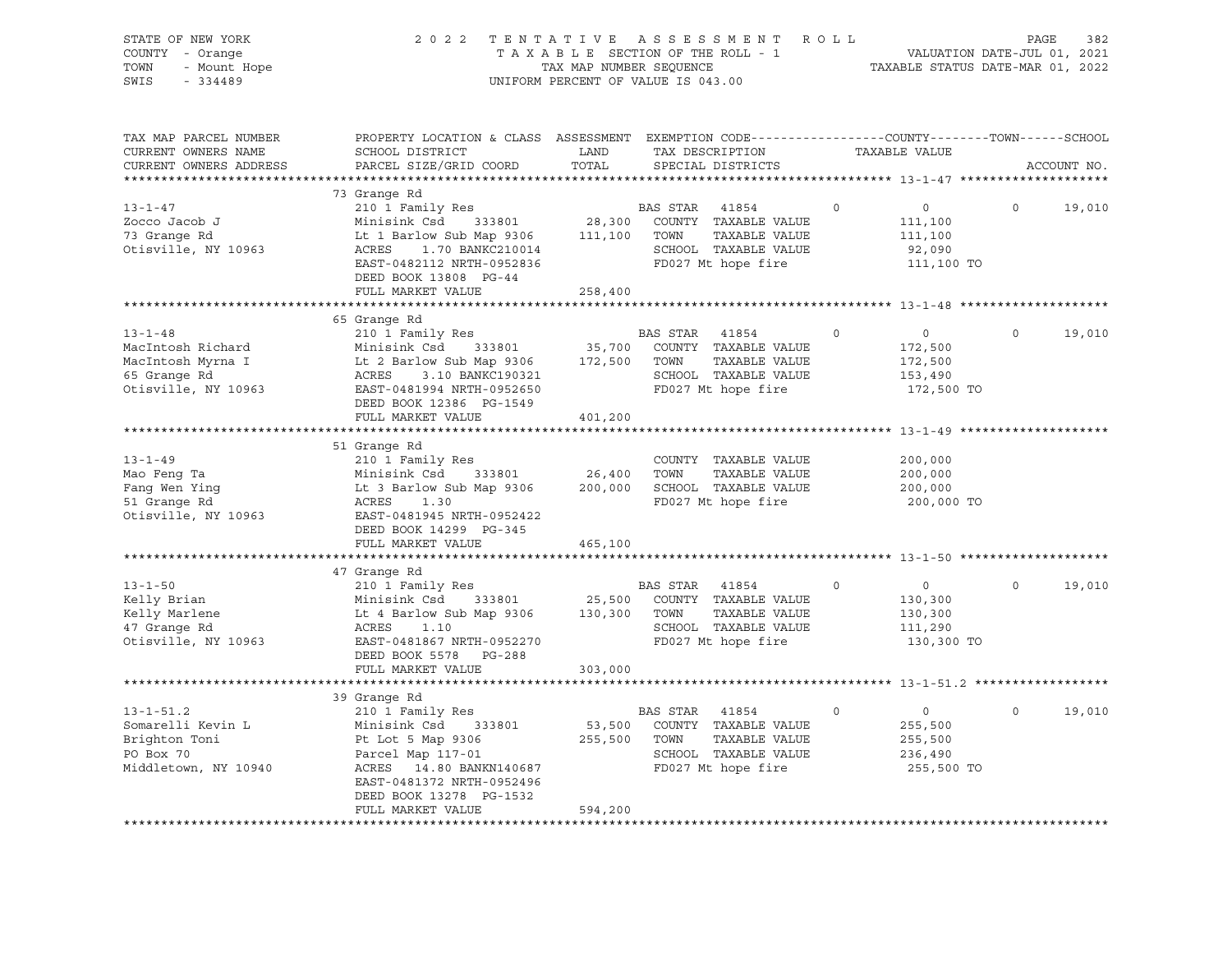| STATE OF NEW YORK<br>COUNTY - Orange<br>TOWN<br>- Mount Hope<br>SWIS<br>$-334489$                  | 2 0 2 2<br>ASSESSMENT<br>R O L L<br>TENTATIVE<br>TAXABLE SECTION OF THE ROLL - 1<br>TAX MAP NUMBER SEQUENCE<br>UNIFORM PERCENT OF VALUE IS 043.00                                                                             |                              |                  |                                                                                              |          | PAGE<br>382<br>VALUATION DATE-JUL 01, 2021<br>TAXABLE STATUS DATE-MAR 01, 2022 |          |             |  |
|----------------------------------------------------------------------------------------------------|-------------------------------------------------------------------------------------------------------------------------------------------------------------------------------------------------------------------------------|------------------------------|------------------|----------------------------------------------------------------------------------------------|----------|--------------------------------------------------------------------------------|----------|-------------|--|
| TAX MAP PARCEL NUMBER<br>CURRENT OWNERS NAME<br>CURRENT OWNERS ADDRESS<br>************************ | PROPERTY LOCATION & CLASS ASSESSMENT EXEMPTION CODE---------------COUNTY-------TOWN------SCHOOL<br>SCHOOL DISTRICT<br>PARCEL SIZE/GRID COORD                                                                                  | LAND<br>TOTAL                |                  | TAX DESCRIPTION<br>SPECIAL DISTRICTS                                                         |          | TAXABLE VALUE                                                                  |          | ACCOUNT NO. |  |
| $13 - 1 - 47$<br>Zocco Jacob J<br>73 Grange Rd<br>Otisville, NY 10963                              | 73 Grange Rd<br>210 1 Family Res<br>Minisink Csd 333801<br>Lt 1 Barlow Sub Map 9306 111,100<br>ACRES 1.70 BANKC210014<br>ACRES<br>1.70 BANKC210014<br>EAST-0482112 NRTH-0952836<br>DEED BOOK 13808 PG-44<br>FULL MARKET VALUE | 28,300<br>258,400            | BAS STAR<br>TOWN | 41854<br>COUNTY TAXABLE VALUE<br>TAXABLE VALUE<br>SCHOOL TAXABLE VALUE<br>FD027 Mt hope fire | $\circ$  | $\overline{0}$<br>111,100<br>111,100<br>92,090<br>111,100 TO                   | $\circ$  | 19,010      |  |
|                                                                                                    |                                                                                                                                                                                                                               |                              |                  |                                                                                              |          |                                                                                |          |             |  |
| $13 - 1 - 48$<br>MacIntosh Richard<br>MacIntosh Myrna I<br>65 Grange Rd<br>Otisville, NY 10963     | 65 Grange Rd<br>210 1 Family Res<br>Minisink Csd 333801<br>Lt 2 Barlow Sub Map 9306<br>ACRES<br>3.10 BANKC190321<br>EAST-0481994 NRTH-0952650<br>DEED BOOK 12386 PG-1549<br>FULL MARKET VALUE                                 | 35,700<br>172,500<br>401,200 | BAS STAR<br>TOWN | 41854<br>COUNTY TAXABLE VALUE<br>TAXABLE VALUE<br>SCHOOL TAXABLE VALUE<br>FD027 Mt hope fire | $\circ$  | $\overline{0}$<br>172,500<br>172,500<br>153,490<br>172,500 TO                  | $\circ$  | 19,010      |  |
|                                                                                                    |                                                                                                                                                                                                                               |                              |                  |                                                                                              |          |                                                                                |          |             |  |
| $13 - 1 - 49$<br>Mao Feng Ta<br>Fang Wen Ying<br>51 Grange Rd<br>Otisville, NY 10963               | 51 Grange Rd<br>210 1 Family Res<br>Minisink Csd 333801<br>Lt 3 Barlow Sub Map 9306<br>ACRES<br>1.30<br>EAST-0481945 NRTH-0952422<br>DEED BOOK 14299 PG-345                                                                   | 26,400                       | TOWN             | COUNTY TAXABLE VALUE<br>TAXABLE VALUE<br>200,000 SCHOOL TAXABLE VALUE<br>FD027 Mt hope fire  |          | 200,000<br>200,000<br>200,000<br>200,000 TO                                    |          |             |  |
|                                                                                                    | FULL MARKET VALUE                                                                                                                                                                                                             | 465,100                      |                  |                                                                                              |          |                                                                                |          |             |  |
| $13 - 1 - 50$<br>Kelly Brian<br>Kelly Marlene<br>47 Grange Rd<br>Otisville, NY 10963               | 47 Grange Rd<br>210 1 Family Res<br>Minisink Csd<br>333801<br>Lt 4 Barlow Sub Map 9306<br>ACRES<br>1.10<br>EAST-0481867 NRTH-0952270<br>DEED BOOK 5578<br>PG-288                                                              | 25,500<br>130,300 TOWN       | BAS STAR         | 41854<br>COUNTY TAXABLE VALUE<br>TAXABLE VALUE<br>SCHOOL TAXABLE VALUE<br>FD027 Mt hope fire | $\Omega$ | $\overline{0}$<br>130,300<br>130,300<br>111,290<br>130,300 TO                  | $\Omega$ | 19,010      |  |
|                                                                                                    | FULL MARKET VALUE                                                                                                                                                                                                             | 303,000                      |                  |                                                                                              |          |                                                                                |          |             |  |
|                                                                                                    |                                                                                                                                                                                                                               |                              |                  |                                                                                              |          |                                                                                |          |             |  |
| $13 - 1 - 51.2$<br>Somarelli Kevin L<br>Brighton Toni<br>PO Box 70<br>Middletown, NY 10940         | 39 Grange Rd<br>210 1 Family Res<br>Minisink Csd 333801<br>Pt Lot 5 Map 9306<br>Parcel Map 117-01<br>ACRES 14.80 BANKN140687<br>EAST-0481372 NRTH-0952496<br>DEED BOOK 13278 PG-1532                                          | 53,500<br>255,500            | BAS STAR<br>TOWN | 41854<br>COUNTY TAXABLE VALUE<br>TAXABLE VALUE<br>SCHOOL TAXABLE VALUE<br>FD027 Mt hope fire | $\circ$  | $\overline{0}$<br>255,500<br>255,500<br>236,490<br>255,500 TO                  | $\circ$  | 19,010      |  |
|                                                                                                    | FULL MARKET VALUE                                                                                                                                                                                                             | 594,200                      |                  |                                                                                              |          |                                                                                |          |             |  |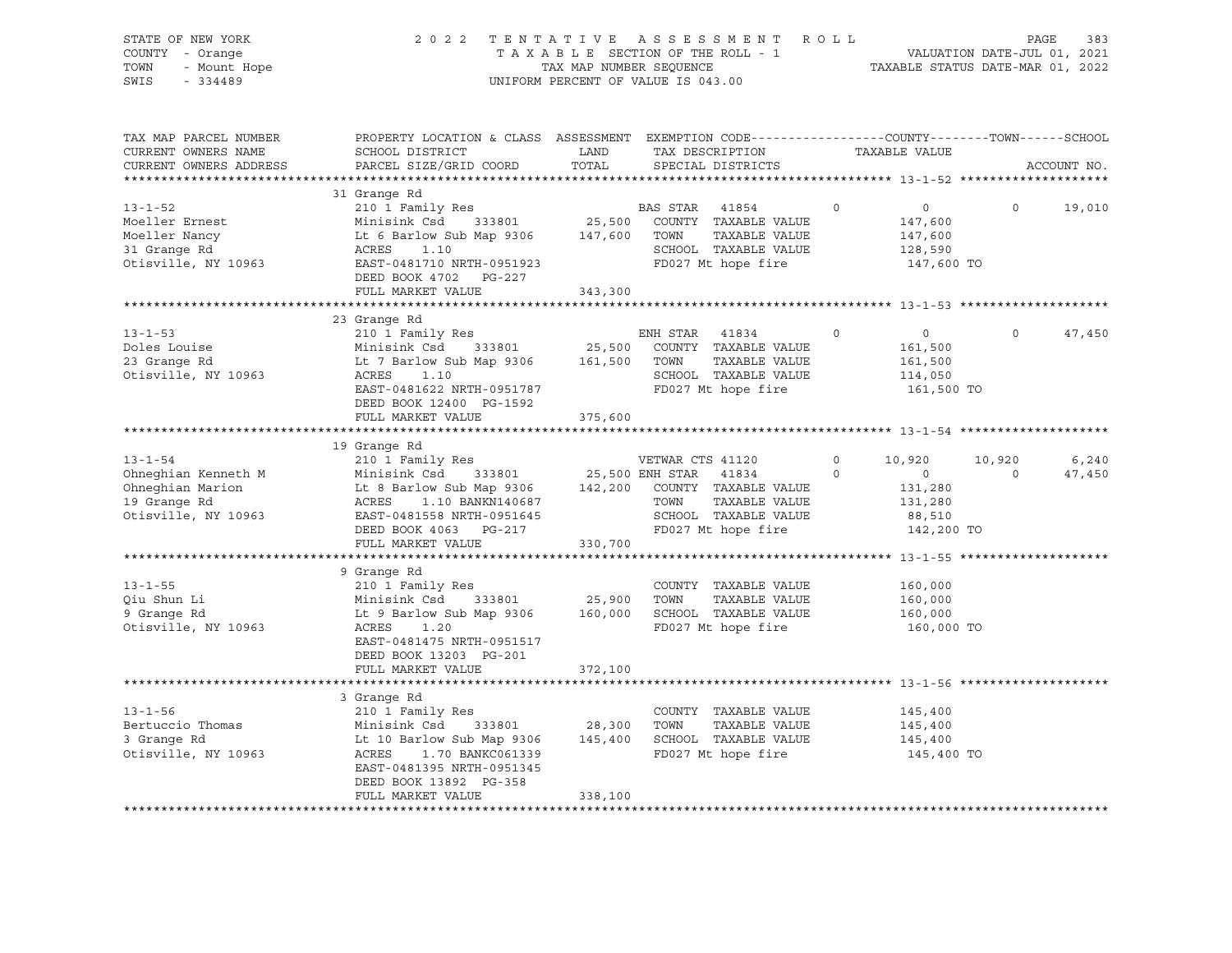| STATE OF NEW YORK<br>COUNTY - Orange<br>TOWN<br>- Mount Hope<br>SWIS<br>$-334489$               | 2 0 2 2                                                                                                                                                                                                     |               | TENTATIVE ASSESSMENT ROLL<br>TAXABLE SECTION OF THE ROLL - 1<br>TAXABLE SECTION OF THE ROLL - 1<br>TAXABLE STATUS DATE-MAR 01, 2022<br>UNIFORM PERCENT OF VALUE IS 043.00 |                     |                                                                           | PAGE               | 383             |
|-------------------------------------------------------------------------------------------------|-------------------------------------------------------------------------------------------------------------------------------------------------------------------------------------------------------------|---------------|---------------------------------------------------------------------------------------------------------------------------------------------------------------------------|---------------------|---------------------------------------------------------------------------|--------------------|-----------------|
| TAX MAP PARCEL NUMBER<br>CURRENT OWNERS NAME<br>CURRENT OWNERS ADDRESS                          | PROPERTY LOCATION & CLASS ASSESSMENT EXEMPTION CODE----------------COUNTY-------TOWN-----SCHOOL<br>SCHOOL DISTRICT<br>PARCEL SIZE/GRID COORD                                                                | LAND<br>TOTAL | TAX DESCRIPTION TAXABLE VALUE<br>SPECIAL DISTRICTS                                                                                                                        |                     |                                                                           |                    | ACCOUNT NO.     |
| $13 - 1 - 52$<br>Moeller Ernest<br>Moeller Nancy<br>31 Grange Rd<br>Otisville, NY 10963         | 31 Grange Rd<br>210 1 Family Res<br>333801 25,500<br>Minisink Csd<br>Lt 6 Barlow Sub Map 9306 147,600<br>ACRES 1.10<br>ACRES<br>1.10<br>EAST-0481710 NRTH-0951923<br>FULL MARKET VALUE                      | 343,300       | BAS STAR 41854<br>COUNTY TAXABLE VALUE<br>TAXABLE VALUE<br>TOWN<br>SCHOOL TAXABLE VALUE<br>FD027 Mt hope fire                                                             | $\circ$             | $\overline{0}$<br>147,600<br>147,600<br>128,590<br>147,600 TO             | $\Omega$           | 19,010          |
|                                                                                                 |                                                                                                                                                                                                             |               |                                                                                                                                                                           |                     |                                                                           |                    |                 |
| $13 - 1 - 53$<br>Doles Louise<br>23 Grange Rd<br>Otisville, NY 10963                            | 23 Grange Rd<br>210 1 Family Res<br>333801 25,500<br>Minisink Csd<br>Lt 7 Barlow Sub Map 9306<br>ACRES<br>1.10<br>EAST-0481622 NRTH-0951787<br>DEED BOOK 12400 PG-1592                                      | 161,500       | ENH STAR 41834<br>COUNTY TAXABLE VALUE<br>TAXABLE VALUE<br>TOWN<br>SCHOOL TAXABLE VALUE<br>FD027 Mt hope fire                                                             | $\circ$             | $\overline{0}$<br>161,500<br>161,500<br>114,050<br>161,500 TO             | $\Omega$           | 47,450          |
|                                                                                                 | FULL MARKET VALUE                                                                                                                                                                                           | 375,600       |                                                                                                                                                                           |                     |                                                                           |                    |                 |
|                                                                                                 |                                                                                                                                                                                                             |               |                                                                                                                                                                           |                     |                                                                           |                    |                 |
| $13 - 1 - 54$<br>Ohneghian Kenneth M<br>Ohneghian Marion<br>19 Grange Rd<br>Otisville, NY 10963 | 19 Grange Rd<br>210 1 Family Res<br>Minisink Csd<br>Lt 8 Barlow Sub Map 9306 142,200<br>ACRES 1.10 BANKN140687<br>EAST-0481558 NRTH-0951645<br>DEED BOOK 4063 PG-217<br>FULL MARKET VALUE                   | 330,700       | VETWAR CTS 41120<br>333801 25,500 ENH STAR 41834<br>COUNTY TAXABLE VALUE<br>TAXABLE VALUE<br>TOWN<br>SCHOOL TAXABLE VALUE<br>FD027 Mt hope fire                           | $\circ$<br>$\Omega$ | 10,920<br>$0 \qquad \qquad$<br>131,280<br>131,280<br>88,510<br>142,200 TO | 10,920<br>$\Omega$ | 6,240<br>47,450 |
|                                                                                                 |                                                                                                                                                                                                             |               |                                                                                                                                                                           |                     |                                                                           |                    |                 |
| $13 - 1 - 55$<br>Qiu Shun Li<br>9 Grange Rd<br>Otisville, NY 10963                              | 9 Grange Rd<br>210 1 Family Res<br>Minisink Csd<br>333801 25,900<br>Lt 9 Barlow Sub Map 9306<br>ACRES<br>1.20<br>EAST-0481475 NRTH-0951517<br>DEED BOOK 13203 PG-201                                        | 160,000       | COUNTY TAXABLE VALUE<br>TOWN<br>TAXABLE VALUE<br>SCHOOL TAXABLE VALUE<br>FD027 Mt hope fire                                                                               |                     | 160,000<br>160,000<br>160,000<br>160,000 TO                               |                    |                 |
|                                                                                                 | FULL MARKET VALUE                                                                                                                                                                                           | 372,100       |                                                                                                                                                                           |                     |                                                                           |                    |                 |
| $13 - 1 - 56$<br>Bertuccio Thomas<br>3 Grange Rd<br>Otisville, NY 10963                         | 3 Grange Rd<br>210 1 Family Res<br>333801 28,300<br>Minisink Csd<br>Lt 10 Barlow Sub Map 9306 145,400<br>ACRES 1.70 BANKC061339<br>EAST-0481395 NRTH-0951345<br>DEED BOOK 13892 PG-358<br>FULL MARKET VALUE | 338,100       | COUNTY TAXABLE VALUE<br>TOWN<br>TAXABLE VALUE<br>SCHOOL TAXABLE VALUE<br>FD027 Mt hope fire                                                                               |                     | 145,400<br>145,400<br>145,400<br>145,400 TO                               |                    |                 |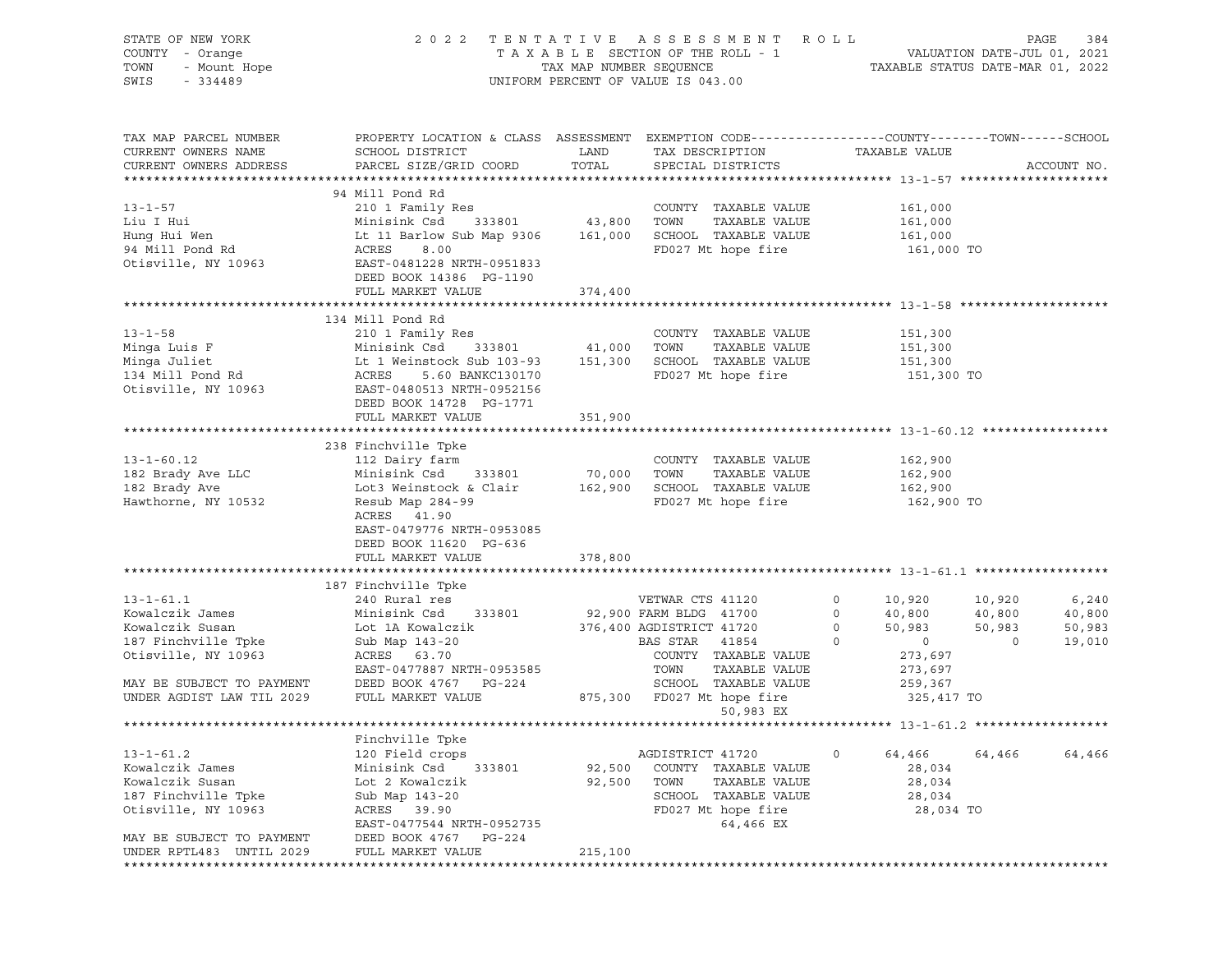| STATE OF NEW YORK<br>OF NEW YORK<br>I - Orange<br>- Mount Hope<br>Address Cardon<br>COUNTY - Orange<br>TOWN<br>SWIS | 2022 TENTATIVE ASSESSMENT ROLL<br>UNIFORM PERCENT OF VALUE IS 043.00                                                                                                                                 | PAGE<br>384<br>TAXABLE SECTION OF THE ROLL - 1<br>TAXABLE STATUS DATE-JUL 01, 2021<br>TAXABLE STATUS DATE-MAR 01, 2022 |                                                                                                                                   |                                                                                               |                                        |                                     |
|---------------------------------------------------------------------------------------------------------------------|------------------------------------------------------------------------------------------------------------------------------------------------------------------------------------------------------|------------------------------------------------------------------------------------------------------------------------|-----------------------------------------------------------------------------------------------------------------------------------|-----------------------------------------------------------------------------------------------|----------------------------------------|-------------------------------------|
| TAX MAP PARCEL NUMBER<br>CURRENT OWNERS NAME<br>CURRENT OWNERS ADDRESS                                              | PROPERTY LOCATION & CLASS ASSESSMENT EXEMPTION CODE----------------COUNTY-------TOWN------SCHOOL<br>SCHOOL DISTRICT<br>PARCEL SIZE/GRID COORD                                                        | LAND<br>TOTAL                                                                                                          | TAX DESCRIPTION<br>SPECIAL DISTRICTS                                                                                              | TAXABLE VALUE                                                                                 |                                        | ACCOUNT NO.                         |
| $13 - 1 - 57$<br>Liu I Hui<br>Hung Hui Wen<br>94 Mill Pond Rd<br>Otisville, NY 10963                                | 94 Mill Pond Rd<br>210 1 Family Res<br>Minisink Csd<br>Lt 11 Barlow Sub Map 9306<br>ACRES<br>8.00<br>EAST-0481228 NRTH-0951833<br>DEED BOOK 14386 PG-1190<br>FULL MARKET VALUE                       | 333801 43,800 TOWN<br>374,400                                                                                          | COUNTY TAXABLE VALUE<br>TAXABLE VALUE<br>161,000 SCHOOL TAXABLE VALUE<br>FD027 Mt hope fire                                       | 161,000<br>161,000<br>161,000<br>161,000 TO                                                   |                                        |                                     |
|                                                                                                                     |                                                                                                                                                                                                      |                                                                                                                        |                                                                                                                                   |                                                                                               |                                        |                                     |
| $13 - 1 - 58$<br>Minga Luis F<br>Minga Juliet<br>134 Mill Pond Rd<br>Otisville, NY 10963                            | 134 Mill Pond Rd<br>210 1 Family Res<br>Minisink Csd 333801 41,000 TOWN<br>-------<br>EAST-0480513 NRTH-0952156<br>DEED BOOK 14728 PG-1771<br>FULL MARKET VALUE                                      | 351,900                                                                                                                | COUNTY TAXABLE VALUE<br>TAXABLE VALUE<br>FD027 Mt hope fire                                                                       | 151,300<br>151,300<br>151,300<br>151,300 TO                                                   |                                        |                                     |
|                                                                                                                     |                                                                                                                                                                                                      |                                                                                                                        |                                                                                                                                   |                                                                                               |                                        |                                     |
| $13 - 1 - 60.12$<br>182 Brady Ave LLC<br>182 Brady Ave<br>Hawthorne, NY 10532                                       | 238 Finchville Tpke<br>112 Dairy farm<br>Minisink Csd 333801 70,000 TOWN<br>Lot3 Weinstock & Clair<br>Resub Map 284-99<br>ACRES 41.90<br>EAST-0479776 NRTH-0953085<br>DEED BOOK 11620 PG-636         |                                                                                                                        | COUNTY TAXABLE VALUE<br>TAXABLE VALUE<br>162,900 SCHOOL TAXABLE VALUE<br>FD027 Mt hope fire                                       | 162,900<br>162,900<br>162,900<br>162,900 TO                                                   |                                        |                                     |
|                                                                                                                     | FULL MARKET VALUE                                                                                                                                                                                    | 378,800                                                                                                                |                                                                                                                                   |                                                                                               |                                        |                                     |
| $13 - 1 - 61.1$<br>Kowalczik James<br>Kowalczik Susan<br>187 Finchville Tpke<br>Otisville, NY 10963                 | 187 Finchville Tpke<br>240 Rural res<br>240 Rural res<br>Minisink Csd 333801 92,900 FARM BLDG 41700<br>Lot 1A Kowalczik<br>Sub Map 143-20<br>ACRES 63.70<br>ACRES 63.70<br>EAST-0477887 NRTH-0953585 |                                                                                                                        | VETWAR CTS 41120<br>376,400 AGDISTRICT 41720<br>$\overline{a}$<br>BAS STAR 41854<br>COUNTY TAXABLE VALUE<br>TOWN<br>TAXABLE VALUE | $\circ$<br>10,920<br>40,800<br>$\circ$<br>$\circ$<br>50,983<br>$\sim$ 0<br>273,697<br>273,697 | 10,920<br>40,800<br>50,983<br>$\Omega$ | 6,240<br>40,800<br>50,983<br>19,010 |
| MAY BE SUBJECT TO PAYMENT<br>UNDER AGDIST LAW TIL 2029                                                              | DEED BOOK 4767 PG-224<br>FULL MARKET VALUE                                                                                                                                                           |                                                                                                                        | SCHOOL TAXABLE VALUE<br>875,300 FD027 Mt hope fire                                                                                | 259,367<br>325,417 TO                                                                         |                                        |                                     |
|                                                                                                                     |                                                                                                                                                                                                      |                                                                                                                        | 50,983 EX                                                                                                                         |                                                                                               |                                        |                                     |
|                                                                                                                     | Finchville Tpke                                                                                                                                                                                      |                                                                                                                        |                                                                                                                                   |                                                                                               |                                        |                                     |
| $13 - 1 - 61.2$<br>Kowalczik James<br>Kowalczik Susan<br>187 Finchville Tpke<br>Otisville, NY 10963                 | 120 Field crops<br>Minisink Csd<br>333801<br>Lot 2 Kowalczik<br>Sub Map 143-20<br>ACRES<br>39.90<br>EAST-0477544 NRTH-0952735                                                                        | 92,500<br>92,500                                                                                                       | AGDISTRICT 41720<br>COUNTY TAXABLE VALUE<br>TOWN<br>TAXABLE VALUE<br>SCHOOL TAXABLE VALUE<br>FD027 Mt hope fire<br>64,466 EX      | $\Omega$<br>64,466<br>28,034<br>28,034<br>28,034<br>28,034 TO                                 | 64,466                                 | 64,466                              |
| MAY BE SUBJECT TO PAYMENT<br>UNDER RPTL483 UNTIL 2029                                                               | DEED BOOK 4767<br>PG-224<br>FULL MARKET VALUE                                                                                                                                                        | 215,100                                                                                                                |                                                                                                                                   |                                                                                               |                                        |                                     |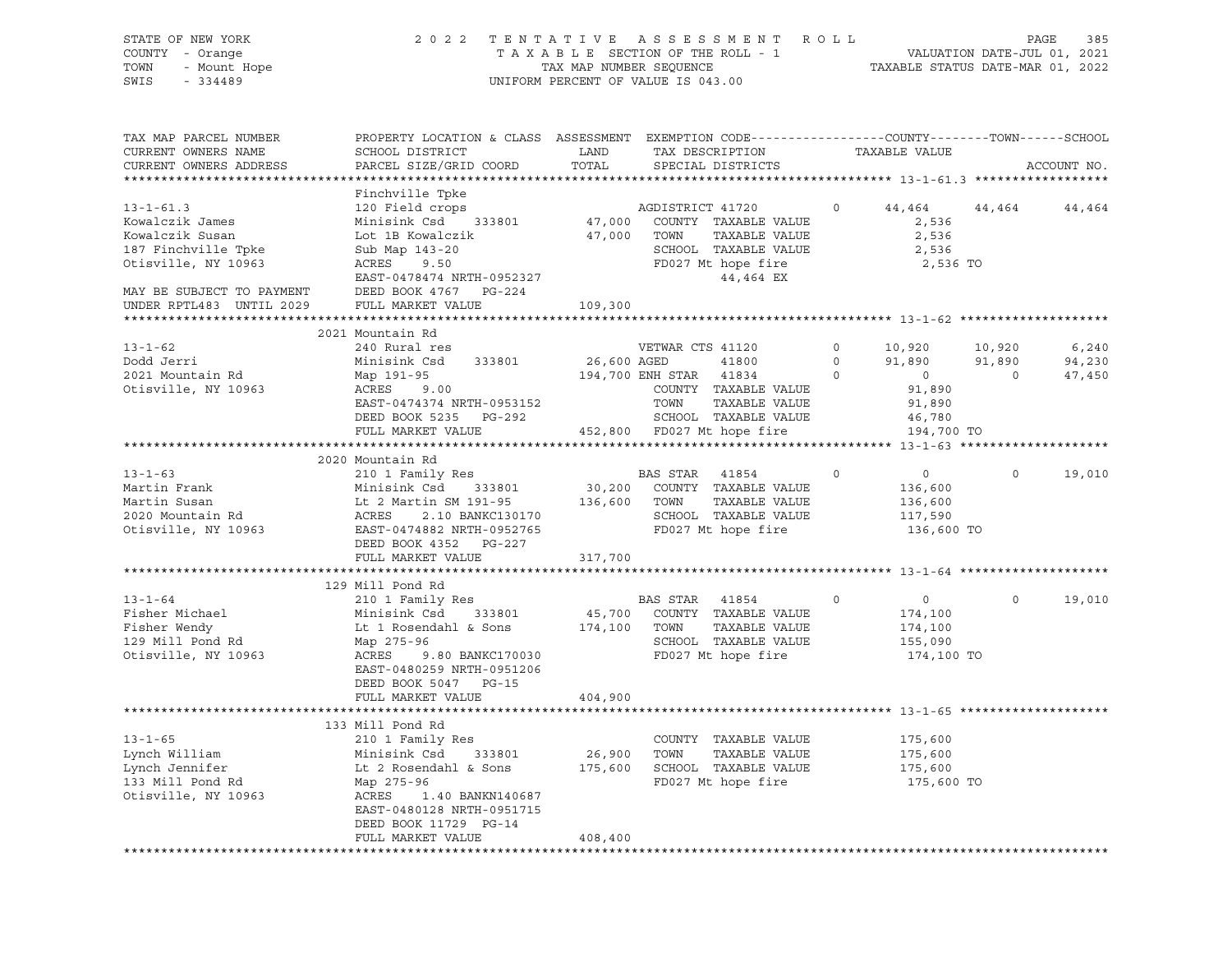| PROPERTY LOCATION & CLASS ASSESSMENT EXEMPTION CODE----------------COUNTY-------TOWN-----SCHOOL<br>TAX MAP PARCEL NUMBER<br>CURRENT OWNERS NAME<br>SCHOOL DISTRICT<br>LAND<br>TAX DESCRIPTION<br>TAXABLE VALUE<br>TOTAL<br>CURRENT OWNERS ADDRESS<br>PARCEL SIZE/GRID COORD<br>SPECIAL DISTRICTS<br>ACCOUNT NO.<br>Finchville Tpke<br>$13 - 1 - 61.3$<br>120 Field crops<br>AGDISTRICT 41720 0<br>44,464 44,464 44,464<br>Minisink Csd 333801 47,000<br>COUNTY TAXABLE VALUE<br>Kowalczik James<br>2,536<br>47,000 TOWN<br>Kowalczik Susan<br>Lot 1B Kowalczik<br>TAXABLE VALUE<br>2,536<br>187 Finchville Tpke<br>SCHOOL TAXABLE VALUE<br>Sub Map 143-20<br>2,536<br>Otisville, NY 10963<br>ACRES 9.50<br>FD027 Mt hope fire<br>2,536 TO<br>44,464 EX<br>EAST-0478474 NRTH-0952327<br>MAY BE SUBJECT TO PAYMENT<br>DEED BOOK 4767 PG-224<br>UNDER RPTL483 UNTIL 2029<br>FULL MARKET VALUE<br>109,300<br>2021 Mountain Rd<br>$13 - 1 - 62$<br>240 Rural res<br>VETWAR CTS 41120<br>$0 \qquad \qquad$<br>10,920<br>10,920<br>6,240<br>Minisink Csd 333801 26,600 AGED<br>41800 0<br>Dodd Jerri<br>91,890 91,890<br>94,230<br>194,700 ENH STAR 41834<br>$\overline{0}$<br>$\overline{0}$<br>2021 Mountain Rd<br>Map 191-95<br>95<br>9.00<br>$\overline{0}$<br>47,450<br>91,890<br>COUNTY TAXABLE VALUE<br>Otisville, NY 10963<br>ACRES<br>EAST-0474374 NRTH-0953152<br>TOWN<br>TAXABLE VALUE<br>91,890<br>DEED BOOK 5235 PG-292<br>SCHOOL TAXABLE VALUE<br>46,780<br>FULL MARKET VALUE<br>452,800 FD027 Mt hope fire<br>194,700 TO<br>2020 Mountain Rd<br>$13 - 1 - 63$<br>$\circ$<br>$\overline{0}$<br>$\circ$<br>19,010<br>13-1-63<br>Martin Frank Minisink Csd 333801 30,200 COUNTY TAXABLE VALUE<br>Martin Susan Lt 2 Martin SM 191-95 136,600 TOWN TAXABLE VALUE<br>2020 Mountain Rd ACRES 2.10 BANKC130170 SCHOOL TAXABLE VALUE<br>2020 Mountain Rd ACRES 2.1<br>136,600<br>136,600<br>SCHOOL TAXABLE VALUE<br>117,590<br>136,600 TO<br>DEED BOOK 4352 PG-227<br>FULL MARKET VALUE<br>317,700<br>129 Mill Pond Rd<br>210 1 Family Res<br>BAS STAR 41854<br>$13 - 1 - 64$<br>$\sim$ 0<br>$\overline{0}$<br>$\Omega$<br>19,010<br>Fisher Michael<br>333801 45,700 COUNTY TAXABLE VALUE<br>Minisink Csd<br>174,100<br>Lt 1 Rosendahl & Sons<br>174,100 TOWN<br>TAXABLE VALUE<br>Fisher Wendy<br>174,100<br>129 Mill Pond Rd<br>SCHOOL TAXABLE VALUE<br>Map 275-96<br>155,090<br>9.80 BANKC170030<br>FD027 Mt hope fire<br>Otisville, NY 10963<br>ACRES<br>174,100 TO<br>EAST-0480259 NRTH-0951206<br>DEED BOOK 5047 PG-15<br>FULL MARKET VALUE<br>404,900<br>133 Mill Pond Rd<br>210 1 Family Res<br>$13 - 1 - 65$<br>COUNTY TAXABLE VALUE<br>175,600<br>Lynch William<br>Minisink Csd<br>333801<br>26,900<br>TOWN<br>TAXABLE VALUE<br>175,600<br>Lynch Jennifer<br>SCHOOL TAXABLE VALUE<br>Lt 2 Rosendahl & Sons<br>175,600<br>175,600<br>133 Mill Pond Rd<br>FD027 Mt hope fire<br>Map 275-96<br>175,600 TO<br>Otisville, NY 10963<br>ACRES<br>1.40 BANKN140687<br>EAST-0480128 NRTH-0951715<br>DEED BOOK 11729 PG-14<br>FULL MARKET VALUE<br>408,400 | STATE OF NEW YORK<br>COUNTY - Orange<br>JF NEW YORK<br>- Orange<br>- Mount Hope<br>- Adoa<br>TOWN<br>SWIS |  | 2022 TENTATIVE ASSESSMENT ROLL<br>TAXABLE SECTION OF THE ROLL - 1<br>TAXABLE SECTION OF THE ROLL - 1<br>TAXABLE STATUS DATE-MAR 01, 2022<br>UNIFORM PERCENT OF VALUE IS 043.00 |  | PAGE<br>385 |
|----------------------------------------------------------------------------------------------------------------------------------------------------------------------------------------------------------------------------------------------------------------------------------------------------------------------------------------------------------------------------------------------------------------------------------------------------------------------------------------------------------------------------------------------------------------------------------------------------------------------------------------------------------------------------------------------------------------------------------------------------------------------------------------------------------------------------------------------------------------------------------------------------------------------------------------------------------------------------------------------------------------------------------------------------------------------------------------------------------------------------------------------------------------------------------------------------------------------------------------------------------------------------------------------------------------------------------------------------------------------------------------------------------------------------------------------------------------------------------------------------------------------------------------------------------------------------------------------------------------------------------------------------------------------------------------------------------------------------------------------------------------------------------------------------------------------------------------------------------------------------------------------------------------------------------------------------------------------------------------------------------------------------------------------------------------------------------------------------------------------------------------------------------------------------------------------------------------------------------------------------------------------------------------------------------------------------------------------------------------------------------------------------------------------------------------------------------------------------------------------------------------------------------------------------------------------------------------------------------------------------------------------------------------------------------------------------------------------------------------------------------------------------------------------------------------------------------------------------------------------------------------------------------------------------------------------------------------------------------------------------------------------------------------------------------|-----------------------------------------------------------------------------------------------------------|--|--------------------------------------------------------------------------------------------------------------------------------------------------------------------------------|--|-------------|
|                                                                                                                                                                                                                                                                                                                                                                                                                                                                                                                                                                                                                                                                                                                                                                                                                                                                                                                                                                                                                                                                                                                                                                                                                                                                                                                                                                                                                                                                                                                                                                                                                                                                                                                                                                                                                                                                                                                                                                                                                                                                                                                                                                                                                                                                                                                                                                                                                                                                                                                                                                                                                                                                                                                                                                                                                                                                                                                                                                                                                                                          |                                                                                                           |  |                                                                                                                                                                                |  |             |
|                                                                                                                                                                                                                                                                                                                                                                                                                                                                                                                                                                                                                                                                                                                                                                                                                                                                                                                                                                                                                                                                                                                                                                                                                                                                                                                                                                                                                                                                                                                                                                                                                                                                                                                                                                                                                                                                                                                                                                                                                                                                                                                                                                                                                                                                                                                                                                                                                                                                                                                                                                                                                                                                                                                                                                                                                                                                                                                                                                                                                                                          |                                                                                                           |  |                                                                                                                                                                                |  |             |
|                                                                                                                                                                                                                                                                                                                                                                                                                                                                                                                                                                                                                                                                                                                                                                                                                                                                                                                                                                                                                                                                                                                                                                                                                                                                                                                                                                                                                                                                                                                                                                                                                                                                                                                                                                                                                                                                                                                                                                                                                                                                                                                                                                                                                                                                                                                                                                                                                                                                                                                                                                                                                                                                                                                                                                                                                                                                                                                                                                                                                                                          |                                                                                                           |  |                                                                                                                                                                                |  |             |
|                                                                                                                                                                                                                                                                                                                                                                                                                                                                                                                                                                                                                                                                                                                                                                                                                                                                                                                                                                                                                                                                                                                                                                                                                                                                                                                                                                                                                                                                                                                                                                                                                                                                                                                                                                                                                                                                                                                                                                                                                                                                                                                                                                                                                                                                                                                                                                                                                                                                                                                                                                                                                                                                                                                                                                                                                                                                                                                                                                                                                                                          |                                                                                                           |  |                                                                                                                                                                                |  |             |
|                                                                                                                                                                                                                                                                                                                                                                                                                                                                                                                                                                                                                                                                                                                                                                                                                                                                                                                                                                                                                                                                                                                                                                                                                                                                                                                                                                                                                                                                                                                                                                                                                                                                                                                                                                                                                                                                                                                                                                                                                                                                                                                                                                                                                                                                                                                                                                                                                                                                                                                                                                                                                                                                                                                                                                                                                                                                                                                                                                                                                                                          |                                                                                                           |  |                                                                                                                                                                                |  |             |
|                                                                                                                                                                                                                                                                                                                                                                                                                                                                                                                                                                                                                                                                                                                                                                                                                                                                                                                                                                                                                                                                                                                                                                                                                                                                                                                                                                                                                                                                                                                                                                                                                                                                                                                                                                                                                                                                                                                                                                                                                                                                                                                                                                                                                                                                                                                                                                                                                                                                                                                                                                                                                                                                                                                                                                                                                                                                                                                                                                                                                                                          |                                                                                                           |  |                                                                                                                                                                                |  |             |
|                                                                                                                                                                                                                                                                                                                                                                                                                                                                                                                                                                                                                                                                                                                                                                                                                                                                                                                                                                                                                                                                                                                                                                                                                                                                                                                                                                                                                                                                                                                                                                                                                                                                                                                                                                                                                                                                                                                                                                                                                                                                                                                                                                                                                                                                                                                                                                                                                                                                                                                                                                                                                                                                                                                                                                                                                                                                                                                                                                                                                                                          |                                                                                                           |  |                                                                                                                                                                                |  |             |
|                                                                                                                                                                                                                                                                                                                                                                                                                                                                                                                                                                                                                                                                                                                                                                                                                                                                                                                                                                                                                                                                                                                                                                                                                                                                                                                                                                                                                                                                                                                                                                                                                                                                                                                                                                                                                                                                                                                                                                                                                                                                                                                                                                                                                                                                                                                                                                                                                                                                                                                                                                                                                                                                                                                                                                                                                                                                                                                                                                                                                                                          |                                                                                                           |  |                                                                                                                                                                                |  |             |
|                                                                                                                                                                                                                                                                                                                                                                                                                                                                                                                                                                                                                                                                                                                                                                                                                                                                                                                                                                                                                                                                                                                                                                                                                                                                                                                                                                                                                                                                                                                                                                                                                                                                                                                                                                                                                                                                                                                                                                                                                                                                                                                                                                                                                                                                                                                                                                                                                                                                                                                                                                                                                                                                                                                                                                                                                                                                                                                                                                                                                                                          |                                                                                                           |  |                                                                                                                                                                                |  |             |
|                                                                                                                                                                                                                                                                                                                                                                                                                                                                                                                                                                                                                                                                                                                                                                                                                                                                                                                                                                                                                                                                                                                                                                                                                                                                                                                                                                                                                                                                                                                                                                                                                                                                                                                                                                                                                                                                                                                                                                                                                                                                                                                                                                                                                                                                                                                                                                                                                                                                                                                                                                                                                                                                                                                                                                                                                                                                                                                                                                                                                                                          |                                                                                                           |  |                                                                                                                                                                                |  |             |
|                                                                                                                                                                                                                                                                                                                                                                                                                                                                                                                                                                                                                                                                                                                                                                                                                                                                                                                                                                                                                                                                                                                                                                                                                                                                                                                                                                                                                                                                                                                                                                                                                                                                                                                                                                                                                                                                                                                                                                                                                                                                                                                                                                                                                                                                                                                                                                                                                                                                                                                                                                                                                                                                                                                                                                                                                                                                                                                                                                                                                                                          |                                                                                                           |  |                                                                                                                                                                                |  |             |
|                                                                                                                                                                                                                                                                                                                                                                                                                                                                                                                                                                                                                                                                                                                                                                                                                                                                                                                                                                                                                                                                                                                                                                                                                                                                                                                                                                                                                                                                                                                                                                                                                                                                                                                                                                                                                                                                                                                                                                                                                                                                                                                                                                                                                                                                                                                                                                                                                                                                                                                                                                                                                                                                                                                                                                                                                                                                                                                                                                                                                                                          |                                                                                                           |  |                                                                                                                                                                                |  |             |
|                                                                                                                                                                                                                                                                                                                                                                                                                                                                                                                                                                                                                                                                                                                                                                                                                                                                                                                                                                                                                                                                                                                                                                                                                                                                                                                                                                                                                                                                                                                                                                                                                                                                                                                                                                                                                                                                                                                                                                                                                                                                                                                                                                                                                                                                                                                                                                                                                                                                                                                                                                                                                                                                                                                                                                                                                                                                                                                                                                                                                                                          |                                                                                                           |  |                                                                                                                                                                                |  |             |
|                                                                                                                                                                                                                                                                                                                                                                                                                                                                                                                                                                                                                                                                                                                                                                                                                                                                                                                                                                                                                                                                                                                                                                                                                                                                                                                                                                                                                                                                                                                                                                                                                                                                                                                                                                                                                                                                                                                                                                                                                                                                                                                                                                                                                                                                                                                                                                                                                                                                                                                                                                                                                                                                                                                                                                                                                                                                                                                                                                                                                                                          |                                                                                                           |  |                                                                                                                                                                                |  |             |
|                                                                                                                                                                                                                                                                                                                                                                                                                                                                                                                                                                                                                                                                                                                                                                                                                                                                                                                                                                                                                                                                                                                                                                                                                                                                                                                                                                                                                                                                                                                                                                                                                                                                                                                                                                                                                                                                                                                                                                                                                                                                                                                                                                                                                                                                                                                                                                                                                                                                                                                                                                                                                                                                                                                                                                                                                                                                                                                                                                                                                                                          |                                                                                                           |  |                                                                                                                                                                                |  |             |
|                                                                                                                                                                                                                                                                                                                                                                                                                                                                                                                                                                                                                                                                                                                                                                                                                                                                                                                                                                                                                                                                                                                                                                                                                                                                                                                                                                                                                                                                                                                                                                                                                                                                                                                                                                                                                                                                                                                                                                                                                                                                                                                                                                                                                                                                                                                                                                                                                                                                                                                                                                                                                                                                                                                                                                                                                                                                                                                                                                                                                                                          |                                                                                                           |  |                                                                                                                                                                                |  |             |
|                                                                                                                                                                                                                                                                                                                                                                                                                                                                                                                                                                                                                                                                                                                                                                                                                                                                                                                                                                                                                                                                                                                                                                                                                                                                                                                                                                                                                                                                                                                                                                                                                                                                                                                                                                                                                                                                                                                                                                                                                                                                                                                                                                                                                                                                                                                                                                                                                                                                                                                                                                                                                                                                                                                                                                                                                                                                                                                                                                                                                                                          |                                                                                                           |  |                                                                                                                                                                                |  |             |
|                                                                                                                                                                                                                                                                                                                                                                                                                                                                                                                                                                                                                                                                                                                                                                                                                                                                                                                                                                                                                                                                                                                                                                                                                                                                                                                                                                                                                                                                                                                                                                                                                                                                                                                                                                                                                                                                                                                                                                                                                                                                                                                                                                                                                                                                                                                                                                                                                                                                                                                                                                                                                                                                                                                                                                                                                                                                                                                                                                                                                                                          |                                                                                                           |  |                                                                                                                                                                                |  |             |
|                                                                                                                                                                                                                                                                                                                                                                                                                                                                                                                                                                                                                                                                                                                                                                                                                                                                                                                                                                                                                                                                                                                                                                                                                                                                                                                                                                                                                                                                                                                                                                                                                                                                                                                                                                                                                                                                                                                                                                                                                                                                                                                                                                                                                                                                                                                                                                                                                                                                                                                                                                                                                                                                                                                                                                                                                                                                                                                                                                                                                                                          |                                                                                                           |  |                                                                                                                                                                                |  |             |
|                                                                                                                                                                                                                                                                                                                                                                                                                                                                                                                                                                                                                                                                                                                                                                                                                                                                                                                                                                                                                                                                                                                                                                                                                                                                                                                                                                                                                                                                                                                                                                                                                                                                                                                                                                                                                                                                                                                                                                                                                                                                                                                                                                                                                                                                                                                                                                                                                                                                                                                                                                                                                                                                                                                                                                                                                                                                                                                                                                                                                                                          |                                                                                                           |  |                                                                                                                                                                                |  |             |
|                                                                                                                                                                                                                                                                                                                                                                                                                                                                                                                                                                                                                                                                                                                                                                                                                                                                                                                                                                                                                                                                                                                                                                                                                                                                                                                                                                                                                                                                                                                                                                                                                                                                                                                                                                                                                                                                                                                                                                                                                                                                                                                                                                                                                                                                                                                                                                                                                                                                                                                                                                                                                                                                                                                                                                                                                                                                                                                                                                                                                                                          |                                                                                                           |  |                                                                                                                                                                                |  |             |
|                                                                                                                                                                                                                                                                                                                                                                                                                                                                                                                                                                                                                                                                                                                                                                                                                                                                                                                                                                                                                                                                                                                                                                                                                                                                                                                                                                                                                                                                                                                                                                                                                                                                                                                                                                                                                                                                                                                                                                                                                                                                                                                                                                                                                                                                                                                                                                                                                                                                                                                                                                                                                                                                                                                                                                                                                                                                                                                                                                                                                                                          |                                                                                                           |  |                                                                                                                                                                                |  |             |
|                                                                                                                                                                                                                                                                                                                                                                                                                                                                                                                                                                                                                                                                                                                                                                                                                                                                                                                                                                                                                                                                                                                                                                                                                                                                                                                                                                                                                                                                                                                                                                                                                                                                                                                                                                                                                                                                                                                                                                                                                                                                                                                                                                                                                                                                                                                                                                                                                                                                                                                                                                                                                                                                                                                                                                                                                                                                                                                                                                                                                                                          |                                                                                                           |  |                                                                                                                                                                                |  |             |
|                                                                                                                                                                                                                                                                                                                                                                                                                                                                                                                                                                                                                                                                                                                                                                                                                                                                                                                                                                                                                                                                                                                                                                                                                                                                                                                                                                                                                                                                                                                                                                                                                                                                                                                                                                                                                                                                                                                                                                                                                                                                                                                                                                                                                                                                                                                                                                                                                                                                                                                                                                                                                                                                                                                                                                                                                                                                                                                                                                                                                                                          |                                                                                                           |  |                                                                                                                                                                                |  |             |
|                                                                                                                                                                                                                                                                                                                                                                                                                                                                                                                                                                                                                                                                                                                                                                                                                                                                                                                                                                                                                                                                                                                                                                                                                                                                                                                                                                                                                                                                                                                                                                                                                                                                                                                                                                                                                                                                                                                                                                                                                                                                                                                                                                                                                                                                                                                                                                                                                                                                                                                                                                                                                                                                                                                                                                                                                                                                                                                                                                                                                                                          |                                                                                                           |  |                                                                                                                                                                                |  |             |
|                                                                                                                                                                                                                                                                                                                                                                                                                                                                                                                                                                                                                                                                                                                                                                                                                                                                                                                                                                                                                                                                                                                                                                                                                                                                                                                                                                                                                                                                                                                                                                                                                                                                                                                                                                                                                                                                                                                                                                                                                                                                                                                                                                                                                                                                                                                                                                                                                                                                                                                                                                                                                                                                                                                                                                                                                                                                                                                                                                                                                                                          |                                                                                                           |  |                                                                                                                                                                                |  |             |
|                                                                                                                                                                                                                                                                                                                                                                                                                                                                                                                                                                                                                                                                                                                                                                                                                                                                                                                                                                                                                                                                                                                                                                                                                                                                                                                                                                                                                                                                                                                                                                                                                                                                                                                                                                                                                                                                                                                                                                                                                                                                                                                                                                                                                                                                                                                                                                                                                                                                                                                                                                                                                                                                                                                                                                                                                                                                                                                                                                                                                                                          |                                                                                                           |  |                                                                                                                                                                                |  |             |
|                                                                                                                                                                                                                                                                                                                                                                                                                                                                                                                                                                                                                                                                                                                                                                                                                                                                                                                                                                                                                                                                                                                                                                                                                                                                                                                                                                                                                                                                                                                                                                                                                                                                                                                                                                                                                                                                                                                                                                                                                                                                                                                                                                                                                                                                                                                                                                                                                                                                                                                                                                                                                                                                                                                                                                                                                                                                                                                                                                                                                                                          |                                                                                                           |  |                                                                                                                                                                                |  |             |
|                                                                                                                                                                                                                                                                                                                                                                                                                                                                                                                                                                                                                                                                                                                                                                                                                                                                                                                                                                                                                                                                                                                                                                                                                                                                                                                                                                                                                                                                                                                                                                                                                                                                                                                                                                                                                                                                                                                                                                                                                                                                                                                                                                                                                                                                                                                                                                                                                                                                                                                                                                                                                                                                                                                                                                                                                                                                                                                                                                                                                                                          |                                                                                                           |  |                                                                                                                                                                                |  |             |
|                                                                                                                                                                                                                                                                                                                                                                                                                                                                                                                                                                                                                                                                                                                                                                                                                                                                                                                                                                                                                                                                                                                                                                                                                                                                                                                                                                                                                                                                                                                                                                                                                                                                                                                                                                                                                                                                                                                                                                                                                                                                                                                                                                                                                                                                                                                                                                                                                                                                                                                                                                                                                                                                                                                                                                                                                                                                                                                                                                                                                                                          |                                                                                                           |  |                                                                                                                                                                                |  |             |
|                                                                                                                                                                                                                                                                                                                                                                                                                                                                                                                                                                                                                                                                                                                                                                                                                                                                                                                                                                                                                                                                                                                                                                                                                                                                                                                                                                                                                                                                                                                                                                                                                                                                                                                                                                                                                                                                                                                                                                                                                                                                                                                                                                                                                                                                                                                                                                                                                                                                                                                                                                                                                                                                                                                                                                                                                                                                                                                                                                                                                                                          |                                                                                                           |  |                                                                                                                                                                                |  |             |
|                                                                                                                                                                                                                                                                                                                                                                                                                                                                                                                                                                                                                                                                                                                                                                                                                                                                                                                                                                                                                                                                                                                                                                                                                                                                                                                                                                                                                                                                                                                                                                                                                                                                                                                                                                                                                                                                                                                                                                                                                                                                                                                                                                                                                                                                                                                                                                                                                                                                                                                                                                                                                                                                                                                                                                                                                                                                                                                                                                                                                                                          |                                                                                                           |  |                                                                                                                                                                                |  |             |
|                                                                                                                                                                                                                                                                                                                                                                                                                                                                                                                                                                                                                                                                                                                                                                                                                                                                                                                                                                                                                                                                                                                                                                                                                                                                                                                                                                                                                                                                                                                                                                                                                                                                                                                                                                                                                                                                                                                                                                                                                                                                                                                                                                                                                                                                                                                                                                                                                                                                                                                                                                                                                                                                                                                                                                                                                                                                                                                                                                                                                                                          |                                                                                                           |  |                                                                                                                                                                                |  |             |
|                                                                                                                                                                                                                                                                                                                                                                                                                                                                                                                                                                                                                                                                                                                                                                                                                                                                                                                                                                                                                                                                                                                                                                                                                                                                                                                                                                                                                                                                                                                                                                                                                                                                                                                                                                                                                                                                                                                                                                                                                                                                                                                                                                                                                                                                                                                                                                                                                                                                                                                                                                                                                                                                                                                                                                                                                                                                                                                                                                                                                                                          |                                                                                                           |  |                                                                                                                                                                                |  |             |
|                                                                                                                                                                                                                                                                                                                                                                                                                                                                                                                                                                                                                                                                                                                                                                                                                                                                                                                                                                                                                                                                                                                                                                                                                                                                                                                                                                                                                                                                                                                                                                                                                                                                                                                                                                                                                                                                                                                                                                                                                                                                                                                                                                                                                                                                                                                                                                                                                                                                                                                                                                                                                                                                                                                                                                                                                                                                                                                                                                                                                                                          |                                                                                                           |  |                                                                                                                                                                                |  |             |
|                                                                                                                                                                                                                                                                                                                                                                                                                                                                                                                                                                                                                                                                                                                                                                                                                                                                                                                                                                                                                                                                                                                                                                                                                                                                                                                                                                                                                                                                                                                                                                                                                                                                                                                                                                                                                                                                                                                                                                                                                                                                                                                                                                                                                                                                                                                                                                                                                                                                                                                                                                                                                                                                                                                                                                                                                                                                                                                                                                                                                                                          |                                                                                                           |  |                                                                                                                                                                                |  |             |
|                                                                                                                                                                                                                                                                                                                                                                                                                                                                                                                                                                                                                                                                                                                                                                                                                                                                                                                                                                                                                                                                                                                                                                                                                                                                                                                                                                                                                                                                                                                                                                                                                                                                                                                                                                                                                                                                                                                                                                                                                                                                                                                                                                                                                                                                                                                                                                                                                                                                                                                                                                                                                                                                                                                                                                                                                                                                                                                                                                                                                                                          |                                                                                                           |  |                                                                                                                                                                                |  |             |
|                                                                                                                                                                                                                                                                                                                                                                                                                                                                                                                                                                                                                                                                                                                                                                                                                                                                                                                                                                                                                                                                                                                                                                                                                                                                                                                                                                                                                                                                                                                                                                                                                                                                                                                                                                                                                                                                                                                                                                                                                                                                                                                                                                                                                                                                                                                                                                                                                                                                                                                                                                                                                                                                                                                                                                                                                                                                                                                                                                                                                                                          |                                                                                                           |  |                                                                                                                                                                                |  |             |
|                                                                                                                                                                                                                                                                                                                                                                                                                                                                                                                                                                                                                                                                                                                                                                                                                                                                                                                                                                                                                                                                                                                                                                                                                                                                                                                                                                                                                                                                                                                                                                                                                                                                                                                                                                                                                                                                                                                                                                                                                                                                                                                                                                                                                                                                                                                                                                                                                                                                                                                                                                                                                                                                                                                                                                                                                                                                                                                                                                                                                                                          |                                                                                                           |  |                                                                                                                                                                                |  |             |
|                                                                                                                                                                                                                                                                                                                                                                                                                                                                                                                                                                                                                                                                                                                                                                                                                                                                                                                                                                                                                                                                                                                                                                                                                                                                                                                                                                                                                                                                                                                                                                                                                                                                                                                                                                                                                                                                                                                                                                                                                                                                                                                                                                                                                                                                                                                                                                                                                                                                                                                                                                                                                                                                                                                                                                                                                                                                                                                                                                                                                                                          |                                                                                                           |  |                                                                                                                                                                                |  |             |
|                                                                                                                                                                                                                                                                                                                                                                                                                                                                                                                                                                                                                                                                                                                                                                                                                                                                                                                                                                                                                                                                                                                                                                                                                                                                                                                                                                                                                                                                                                                                                                                                                                                                                                                                                                                                                                                                                                                                                                                                                                                                                                                                                                                                                                                                                                                                                                                                                                                                                                                                                                                                                                                                                                                                                                                                                                                                                                                                                                                                                                                          |                                                                                                           |  |                                                                                                                                                                                |  |             |
|                                                                                                                                                                                                                                                                                                                                                                                                                                                                                                                                                                                                                                                                                                                                                                                                                                                                                                                                                                                                                                                                                                                                                                                                                                                                                                                                                                                                                                                                                                                                                                                                                                                                                                                                                                                                                                                                                                                                                                                                                                                                                                                                                                                                                                                                                                                                                                                                                                                                                                                                                                                                                                                                                                                                                                                                                                                                                                                                                                                                                                                          |                                                                                                           |  |                                                                                                                                                                                |  |             |
|                                                                                                                                                                                                                                                                                                                                                                                                                                                                                                                                                                                                                                                                                                                                                                                                                                                                                                                                                                                                                                                                                                                                                                                                                                                                                                                                                                                                                                                                                                                                                                                                                                                                                                                                                                                                                                                                                                                                                                                                                                                                                                                                                                                                                                                                                                                                                                                                                                                                                                                                                                                                                                                                                                                                                                                                                                                                                                                                                                                                                                                          |                                                                                                           |  |                                                                                                                                                                                |  |             |
|                                                                                                                                                                                                                                                                                                                                                                                                                                                                                                                                                                                                                                                                                                                                                                                                                                                                                                                                                                                                                                                                                                                                                                                                                                                                                                                                                                                                                                                                                                                                                                                                                                                                                                                                                                                                                                                                                                                                                                                                                                                                                                                                                                                                                                                                                                                                                                                                                                                                                                                                                                                                                                                                                                                                                                                                                                                                                                                                                                                                                                                          |                                                                                                           |  |                                                                                                                                                                                |  |             |
|                                                                                                                                                                                                                                                                                                                                                                                                                                                                                                                                                                                                                                                                                                                                                                                                                                                                                                                                                                                                                                                                                                                                                                                                                                                                                                                                                                                                                                                                                                                                                                                                                                                                                                                                                                                                                                                                                                                                                                                                                                                                                                                                                                                                                                                                                                                                                                                                                                                                                                                                                                                                                                                                                                                                                                                                                                                                                                                                                                                                                                                          |                                                                                                           |  |                                                                                                                                                                                |  |             |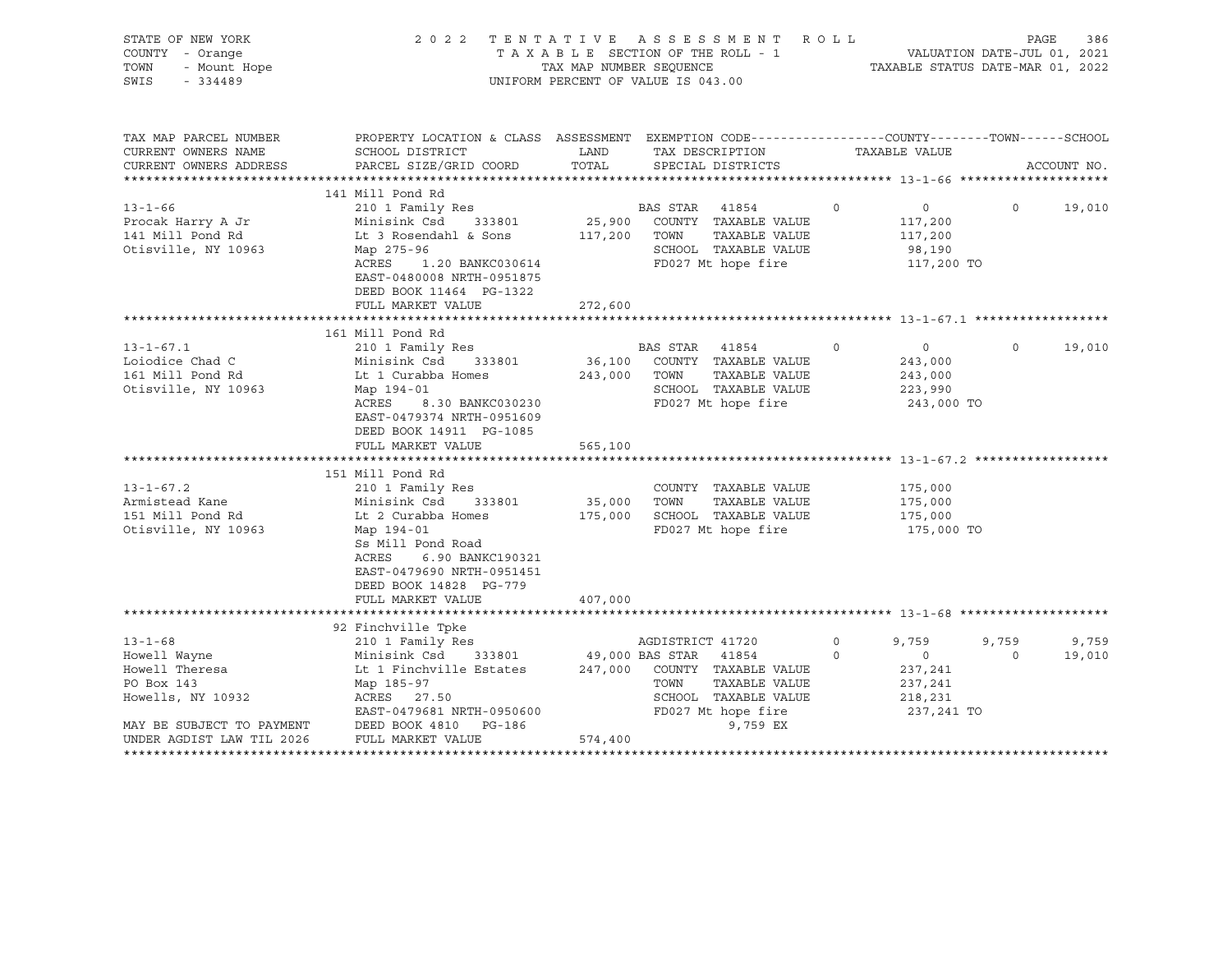| STATE OF NEW YORK<br>COUNTY - Orange<br>7 - Orange<br>- Mount Hope<br>- 334489<br>TOWN<br>SWIS                                                                | 2022 TENTATIVE ASSESSMENT                                                                                                                                                                                                                                                                                                                                                                                                | UNIFORM PERCENT OF VALUE IS 043.00     |                          |                                                                                                                                                                                                             | <b>ROLL</b>         |                                                                                                              | PAGE              | 386             |
|---------------------------------------------------------------------------------------------------------------------------------------------------------------|--------------------------------------------------------------------------------------------------------------------------------------------------------------------------------------------------------------------------------------------------------------------------------------------------------------------------------------------------------------------------------------------------------------------------|----------------------------------------|--------------------------|-------------------------------------------------------------------------------------------------------------------------------------------------------------------------------------------------------------|---------------------|--------------------------------------------------------------------------------------------------------------|-------------------|-----------------|
| TAX MAP PARCEL NUMBER<br>CURRENT OWNERS NAME<br>CURRENT OWNERS ADDRESS                                                                                        | PROPERTY LOCATION & CLASS ASSESSMENT EXEMPTION CODE---------------COUNTY-------TOWN-----SCHOOL<br>SCHOOL DISTRICT<br>PARCEL SIZE/GRID COORD                                                                                                                                                                                                                                                                              | LAND<br>TOTAL                          |                          | TAX DESCRIPTION<br>SPECIAL DISTRICTS                                                                                                                                                                        |                     | TAXABLE VALUE                                                                                                |                   | ACCOUNT NO.     |
|                                                                                                                                                               | 141 Mill Pond Rd                                                                                                                                                                                                                                                                                                                                                                                                         |                                        |                          |                                                                                                                                                                                                             |                     |                                                                                                              |                   |                 |
| $13 - 1 - 66$<br>Procak Harry A Jr<br>141 Mill Pond Rd<br>Otisville, NY 10963                                                                                 | 210 1 Family Res<br>Minisink Csd 333801<br>Lt 3 Rosendahl & Sons<br>Map 275-96<br>ACRES 1.20 BANKC030614<br>EAST-0480008 NRTH-0951875<br>DEED BOOK 11464 PG-1322<br>FULL MARKET VALUE                                                                                                                                                                                                                                    | 117,200 TOWN<br>272,600                | BAS STAR                 | 41854<br>25,900 COUNTY TAXABLE VALUE<br>TAXABLE VALUE<br>SCHOOL TAXABLE VALUE<br>FD027 Mt hope fire                                                                                                         | $\circ$             | $\overline{0}$<br>117,200<br>117,200<br>98,190<br>117,200 TO                                                 | $\circ$           | 19,010          |
|                                                                                                                                                               |                                                                                                                                                                                                                                                                                                                                                                                                                          |                                        |                          |                                                                                                                                                                                                             |                     |                                                                                                              |                   |                 |
| $13 - 1 - 67.1$<br>Loiodice Chad C<br>161 Mill Pond Rd<br>Otisville, NY 10963<br>$13 - 1 - 67.2$<br>Armistead Kane<br>151 Mill Pond Rd<br>Otisville, NY 10963 | 161 Mill Pond Rd<br>210 1 Family Res<br>Minisink Csd 333801<br>Lt 1 Curabba Homes<br>Map 194-01<br>ACRES<br>8.30 BANKC030230<br>EAST-0479374 NRTH-0951609<br>DEED BOOK 14911 PG-1085<br>FULL MARKET VALUE<br>151 Mill Pond Rd<br>210 1 Family Res<br>Minisink Csd<br>333801<br>Lt 2 Curabba Homes<br>Map 194-01<br>Ss Mill Pond Road<br>ACRES<br>6.90 BANKC190321<br>EAST-0479690 NRTH-0951451<br>DEED BOOK 14828 PG-779 | 243,000 TOWN<br>565,100<br>35,000 TOWN |                          | BAS STAR 41854<br>36,100 COUNTY TAXABLE VALUE<br>TAXABLE VALUE<br>SCHOOL TAXABLE VALUE<br>FD027 Mt hope fire<br>COUNTY TAXABLE VALUE<br>TAXABLE VALUE<br>175,000 SCHOOL TAXABLE VALUE<br>FD027 Mt hope fire | $\circ$             | $\overline{0}$<br>243,000<br>243,000<br>223,990<br>243,000 TO<br>175,000<br>175,000<br>175,000<br>175,000 TO | $\circ$           | 19,010          |
|                                                                                                                                                               | FULL MARKET VALUE                                                                                                                                                                                                                                                                                                                                                                                                        | 407,000                                |                          |                                                                                                                                                                                                             |                     |                                                                                                              |                   |                 |
| $13 - 1 - 68$<br>Howell Wayne<br>Howell Theresa<br>PO Box 143<br>Howells, NY 10932<br>UNDER AGDIST LAW TIL 2026                                               | 92 Finchville Tpke<br>210 1 Family Res<br>Minisink Code (1994)<br>Lt 1 Finchville Estates<br>Map 185-97<br>ACRES 27.50<br>EAST-0479681 NRTH-0950600<br>MAY BE SUBJECT TO PAYMENT DEED BOOK 4810 PG-186<br>FULL MARKET VALUE                                                                                                                                                                                              | 574,400                                | AGDISTRICT 41720<br>TOWN | 49,000 BAS STAR 41854<br>247,000 COUNTY TAXABLE VALUE<br>TAXABLE VALUE<br>SCHOOL TAXABLE VALUE<br>FD027 Mt hope fire<br>9,759 EX                                                                            | $\circ$<br>$\Omega$ | 9,759<br>$\overline{0}$<br>237,241<br>237,241<br>218,231<br>237,241 TO                                       | 9,759<br>$\Omega$ | 9,759<br>19,010 |
|                                                                                                                                                               |                                                                                                                                                                                                                                                                                                                                                                                                                          |                                        |                          |                                                                                                                                                                                                             |                     |                                                                                                              |                   |                 |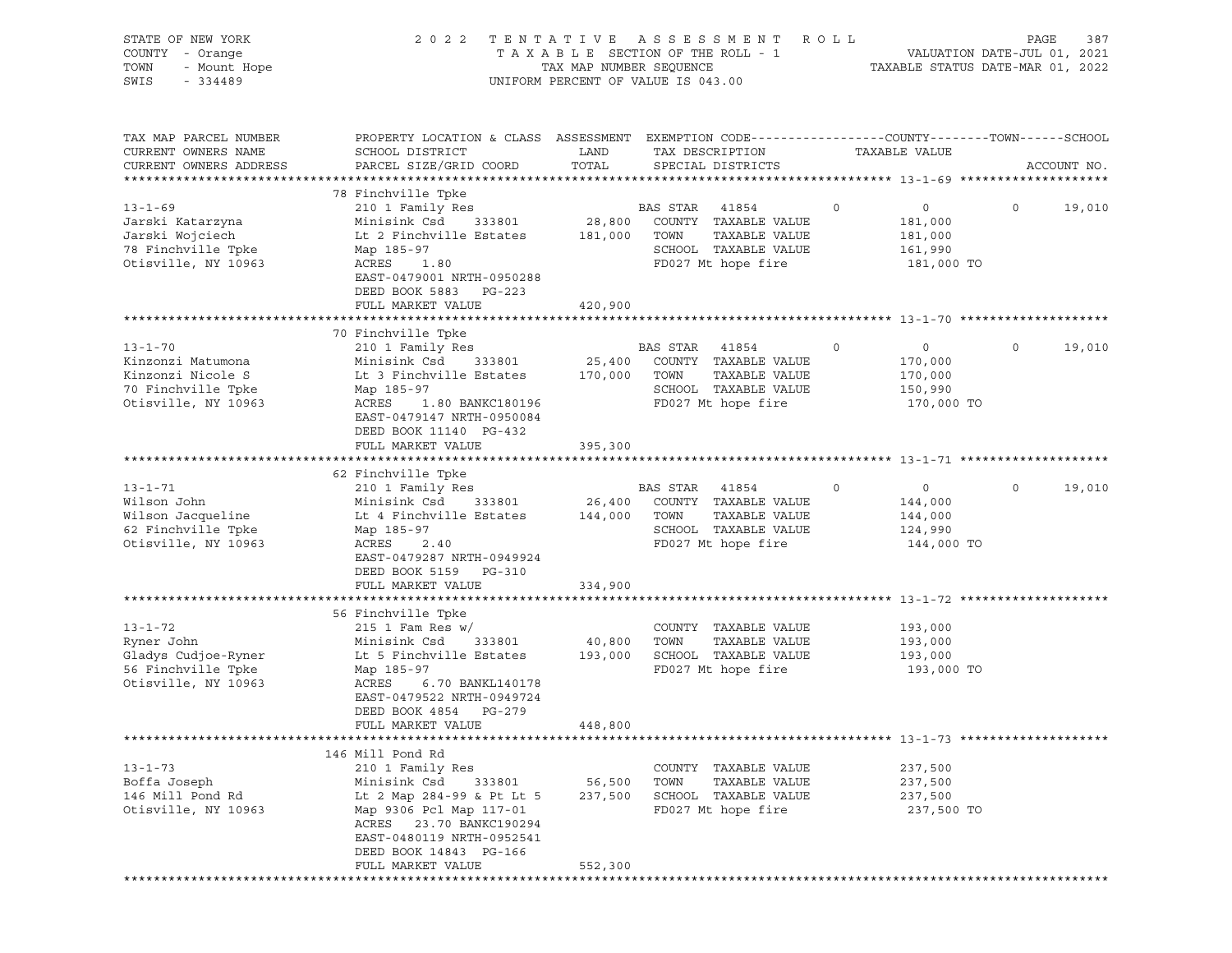| STATE OF NEW YORK<br>COUNTY - Orange<br>- Ulungu<br>- Mount Hope<br>TOWN<br>SWIS<br>$-334489$ |                                                                                                                     |                   | 2022 TENTATIVE ASSESSMENT ROLL<br>UNIFORM PERCENT OF VALUE IS 043.00 |                                      | 387<br>PAGE        |
|-----------------------------------------------------------------------------------------------|---------------------------------------------------------------------------------------------------------------------|-------------------|----------------------------------------------------------------------|--------------------------------------|--------------------|
| TAX MAP PARCEL NUMBER<br>CURRENT OWNERS NAME                                                  | PROPERTY LOCATION & CLASS ASSESSMENT EXEMPTION CODE----------------COUNTY-------TOWN------SCHOOL<br>SCHOOL DISTRICT | LAND              | TAX DESCRIPTION                                                      | TAXABLE VALUE                        |                    |
| CURRENT OWNERS ADDRESS                                                                        | PARCEL SIZE/GRID COORD                                                                                              | TOTAL             | SPECIAL DISTRICTS                                                    |                                      | ACCOUNT NO.        |
|                                                                                               | 78 Finchville Tpke                                                                                                  |                   |                                                                      |                                      |                    |
| $13 - 1 - 69$                                                                                 | 210 1 Family Res                                                                                                    |                   | BAS STAR 41854                                                       | $\circ$<br>$\overline{0}$            | $\Omega$<br>19,010 |
| Jarski Katarzyna                                                                              | Minisink Csd                                                                                                        |                   | 333801 28,800 COUNTY TAXABLE VALUE                                   | 181,000                              |                    |
| Jarski Wojciech                                                                               | Lt 2 Finchville Estates 181,000 TOWN                                                                                |                   | TAXABLE VALUE                                                        | 181,000                              |                    |
| 78 Finchville Tpke                                                                            | Map 185-97                                                                                                          |                   | SCHOOL TAXABLE VALUE                                                 | 161,990                              |                    |
| Otisville, NY 10963                                                                           | ACRES 1.80<br>EAST-0479001 NRTH-0950288                                                                             |                   | FD027 Mt hope fire                                                   | 181,000 TO                           |                    |
|                                                                                               | DEED BOOK 5883 PG-223<br>FULL MARKET VALUE                                                                          | 420,900           |                                                                      |                                      |                    |
|                                                                                               |                                                                                                                     |                   |                                                                      |                                      |                    |
|                                                                                               | 70 Finchville Tpke                                                                                                  |                   |                                                                      |                                      |                    |
| $13 - 1 - 70$                                                                                 | 210 1 Family Res                                                                                                    |                   | BAS STAR 41854                                                       | $\circ$<br>$\circ$                   | $\circ$<br>19,010  |
| Kinzonzi Matumona                                                                             | Minisink Csd 333801                                                                                                 |                   | 25,400 COUNTY TAXABLE VALUE                                          | 170,000                              |                    |
| Kinzonzi Nicole S                                                                             | Lt 3 Finchville Estates 170,000 TOWN                                                                                |                   | TAXABLE VALUE                                                        | 170,000                              |                    |
| 70 Finchville Tpke                                                                            | Map 185-97                                                                                                          |                   | SCHOOL TAXABLE VALUE                                                 | 150,990                              |                    |
| Otisville, NY 10963                                                                           | ACRES 1.80 BANKC180196<br>EAST-0479147 NRTH-0950084<br>DEED BOOK 11140 PG-432                                       |                   | FD027 Mt hope fire                                                   | 170,000 TO                           |                    |
|                                                                                               | FULL MARKET VALUE                                                                                                   | 395,300           |                                                                      |                                      |                    |
|                                                                                               |                                                                                                                     |                   |                                                                      |                                      |                    |
|                                                                                               | 62 Finchville Tpke                                                                                                  |                   |                                                                      |                                      |                    |
| $13 - 1 - 71$<br>Wilson John                                                                  | 210 1 Family Res<br>Minisink Csd                                                                                    |                   | BAS STAR 41854<br>333801 26,400 COUNTY TAXABLE VALUE                 | $\overline{0}$<br>$\circ$<br>144,000 | $\circ$<br>19,010  |
| Wilson Jacqueline                                                                             | Lt 4 Finchville Estates 144,000 TOWN                                                                                |                   | TAXABLE VALUE                                                        | 144,000                              |                    |
| 62 Finchville Tpke                                                                            | Map 185-97                                                                                                          |                   | SCHOOL TAXABLE VALUE                                                 | 124,990                              |                    |
| Otisville, NY 10963                                                                           | ACRES 2.40                                                                                                          |                   | FD027 Mt hope fire                                                   | 144,000 TO                           |                    |
|                                                                                               | EAST-0479287 NRTH-0949924<br>DEED BOOK 5159 PG-310                                                                  |                   |                                                                      |                                      |                    |
|                                                                                               | FULL MARKET VALUE                                                                                                   | 334,900           |                                                                      |                                      |                    |
|                                                                                               |                                                                                                                     |                   |                                                                      |                                      |                    |
|                                                                                               | 56 Finchville Tpke                                                                                                  |                   |                                                                      |                                      |                    |
| $13 - 1 - 72$<br>Ryner John                                                                   | $215$ 1 Fam Res w/<br>Minisink Csd<br>333801                                                                        | 40,800            | COUNTY TAXABLE VALUE<br>TOWN<br>TAXABLE VALUE                        | 193,000<br>193,000                   |                    |
| Gladys Cudjoe-Ryner                                                                           | Lt 5 Finchville Estates                                                                                             | 193,000           | SCHOOL TAXABLE VALUE                                                 | 193,000                              |                    |
| 56 Finchville Tpke                                                                            | Map 185-97                                                                                                          |                   | FD027 Mt hope fire                                                   | 193,000 TO                           |                    |
| Otisville, NY 10963                                                                           | 6.70 BANKL140178<br>ACRES                                                                                           |                   |                                                                      |                                      |                    |
|                                                                                               | EAST-0479522 NRTH-0949724                                                                                           |                   |                                                                      |                                      |                    |
|                                                                                               | DEED BOOK 4854 PG-279                                                                                               |                   |                                                                      |                                      |                    |
|                                                                                               | FULL MARKET VALUE                                                                                                   | 448,800           |                                                                      |                                      |                    |
|                                                                                               |                                                                                                                     |                   |                                                                      |                                      |                    |
|                                                                                               | 146 Mill Pond Rd                                                                                                    |                   |                                                                      |                                      |                    |
| $13 - 1 - 73$                                                                                 | 210 1 Family Res                                                                                                    |                   | COUNTY TAXABLE VALUE                                                 | 237,500                              |                    |
| Boffa Joseph<br>146 Mill Pond Rd                                                              | Minisink Csd<br>333801<br>Lt 2 Map 284-99 & Pt Lt 5                                                                 | 56,500<br>237,500 | TOWN<br>TAXABLE VALUE<br>SCHOOL TAXABLE VALUE                        | 237,500<br>237,500                   |                    |
| Otisville, NY 10963                                                                           | Map 9306 Pcl Map 117-01                                                                                             |                   | FD027 Mt hope fire                                                   | 237,500 TO                           |                    |
|                                                                                               | ACRES 23.70 BANKC190294                                                                                             |                   |                                                                      |                                      |                    |
|                                                                                               | EAST-0480119 NRTH-0952541                                                                                           |                   |                                                                      |                                      |                    |
|                                                                                               | DEED BOOK 14843 PG-166                                                                                              |                   |                                                                      |                                      |                    |
|                                                                                               | FULL MARKET VALUE                                                                                                   | 552,300           |                                                                      |                                      |                    |
|                                                                                               |                                                                                                                     |                   |                                                                      |                                      |                    |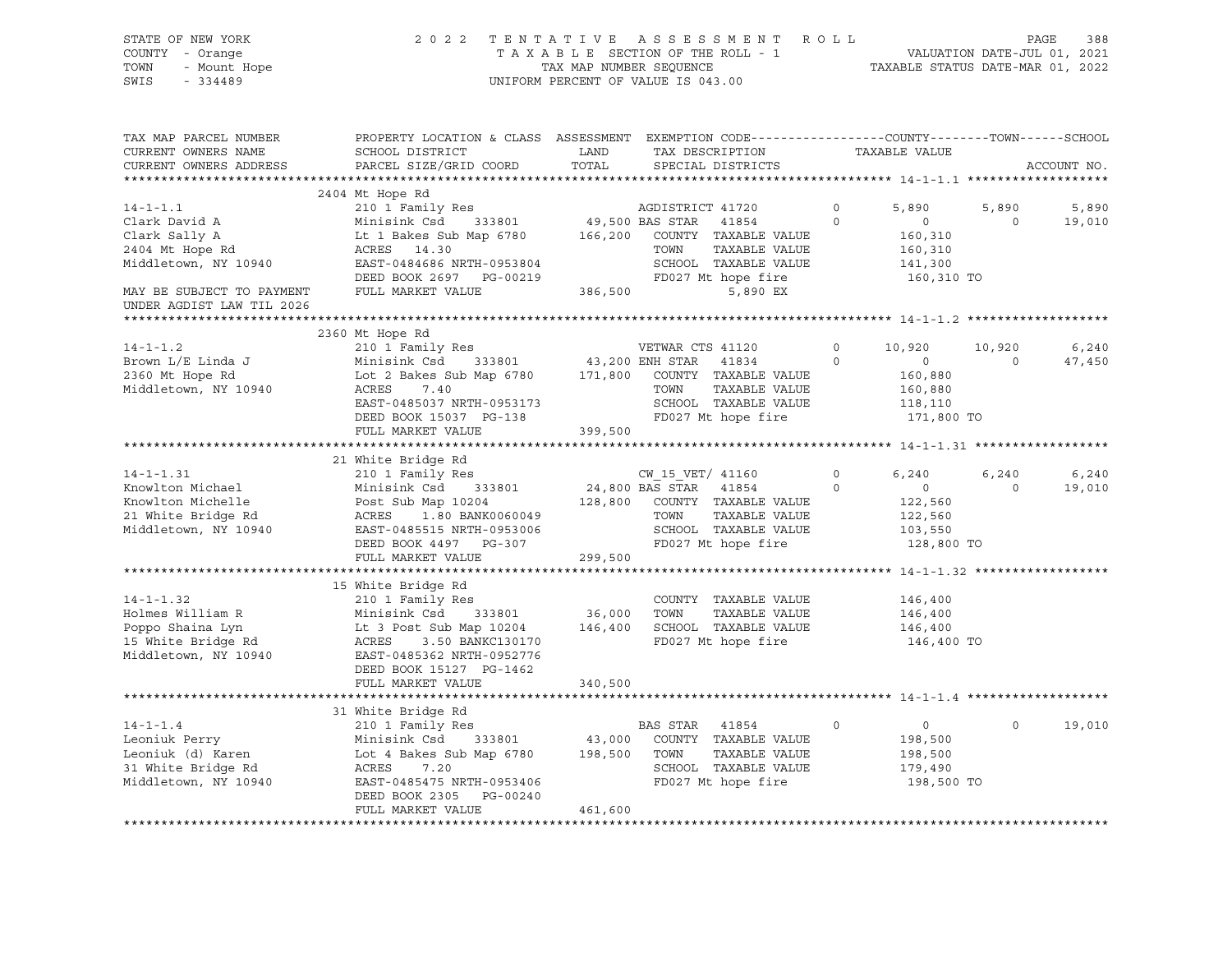| PROPERTY LOCATION & CLASS ASSESSMENT EXEMPTION CODE---------------COUNTY-------TOWN-----SCHOOL<br>TAX MAP PARCEL NUMBER<br>TAX DESCRIPTION TAXABLE VALUE<br>CURRENT OWNERS NAME<br>SCHOOL DISTRICT<br>LAND<br>PARCEL SIZE/GRID COORD<br>TOTAL SPECIAL DISTRICTS<br>CURRENT OWNERS ADDRESS<br>ACCOUNT NO.<br>2404 Mt Hope Rd<br>210 1 Family Res<br>210 1 Family Res<br>233801 49,500 BAS STAR 41854<br>$14 - 1 - 1.1$<br>$\overline{0}$<br>5,890<br>5,890<br>5,890<br>Clark David A<br>$\overline{0}$<br>$\overline{0}$<br>19,010<br>Minisink Csd 333801 (166,200 محمد محمد محمد محمد المسلم السلم محمد 166,200 متفرد 1980 Minisink Csd<br>Lt 1 Bakes Sub Map 6780 (2000 Mown TAXABLE VALUE<br>Clark Sally A<br>2404 Mt Hope Rd<br>160,310<br>160,310<br>ACRES 14.30 TOWN TAXABLE VALUE<br>EAST-0484686 NRTH-0953804 SCHOOL TAXABLE VALUE<br>DEED BOOK 2697 PG-00219 FD027 Mt hope fire<br>FULL MARKET VALUE 386,500 5,890 EX<br>Middletown, NY 10940<br>141,300<br>160,310 TO<br>MAY BE SUBJECT TO PAYMENT<br>UNDER AGDIST LAW TIL 2026<br>2360 Mt Hope Rd<br>$14 - 1 - 1.2$<br>210 1 Family Res<br>VETWAR CTS 41120<br>$\circ$<br>10,920<br>10,920<br>6,240<br>Minisink Csd 333801 43,200 ENH STAR 41834 0<br>Lot 2 Bakes Sub Map 6780 171,800 COUNTY TAXABLE VALUE<br>ACRES 7.40 TOWN TAXABLE VALUE<br>Brown L/E Linda J<br>$\overline{0}$<br>$\overline{0}$<br>47,450<br>2360 Mt Hope Rd<br>160,880<br>Middletown, NY 10940<br>160,880<br>ACRES 7.40<br>EAST-0485037 NRTH-0953173 SCHOOL TAXABLE VALUE<br>DEED BOOK 15037 PG-138 SCHOOL TAXABLE VALUE<br>118,110<br>171,800 TO<br>399,500<br>FULL MARKET VALUE<br>6,240<br>$0 \qquad \qquad$<br>6,240<br>6,240<br>XOU 1 Family Res<br>XOU 1 Family Res<br>XOU 15 VET/41160 0<br>XOU 15 VET/41160 0<br>XOU 128,800 BAS STAR 41854 0<br>XOUNTY TAXABLE VALUE<br>21 White Bridge Rd<br>21 White Bridge Rd<br>21 White Bridge Rd<br>21 White Bridge Rd<br>21 Middletown,<br>$\overline{0}$<br>19,010<br>$\overline{0}$<br>$122,560$<br>$122,560$<br>103,550<br>128,800 TO<br>FULL MARKET VALUE<br>299,500<br>146,400<br>14-1-1.32<br>Holmes William R<br>Holmes William R<br>Poppo Shaina Lyn<br>15 White Bridge Rd<br>15 White Bridge Rd<br>16 ACRES<br>210 1 Family Res<br>210 1 Family Res<br>210 1 Family Res<br>210 1 Family Res<br>233801<br>26,000 TOWN<br>26,000 TOWN<br>2<br>146,400<br>146,400<br>146,400 TO<br>DEED BOOK 15127 PG-1462<br>FULL MARKET VALUE<br>340,500<br>31 White Bridge Rd<br>$14 - 1 - 1.4$<br>210 1 Family Res BAS STAR<br>Minisink Csd 333801 43,000 COUNTY<br>Lot 4 Bakes Sub Map 6780 198,500 TOWN<br>ACRES 7.20 SCHOOL<br>BAS STAR 41854<br>$\overline{0}$<br>$\circ$<br>19,010<br>$\circ$<br>Leoniuk Perry<br>333801 43,000 COUNTY TAXABLE VALUE<br>198,500<br>Leoniuk (d) Karen<br>31 White Bridge Rd<br>Middletown, NY 10940<br>TAXABLE VALUE<br>198,500<br>SCHOOL TAXABLE VALUE<br>179,490<br>FD027 Mt hope fire<br>198,500 TO<br>EAST-0485475 NRTH-0953406<br>DEED BOOK 2305 PG-00240<br>461,600<br>FULL MARKET VALUE | STATE OF NEW YORK<br>COUNTY - Orange<br>- Mount Hope<br>TOWN<br>SWIS<br>$-334489$ |  | 2022 TENTATIVE ASSESSMENT ROLL<br>TAXABLE SECTION OF THE ROLL - 1<br>TAXABLE SECTION OF THE ROLL - 1<br>TAXABLE STATUS DATE-JUL 01, 2021<br>TAXABLE STATUS DATE-MAR 01, 2022<br>UNIFORM PERCENT OF VALUE IS 043.00 |  | PAGE | 388 |
|---------------------------------------------------------------------------------------------------------------------------------------------------------------------------------------------------------------------------------------------------------------------------------------------------------------------------------------------------------------------------------------------------------------------------------------------------------------------------------------------------------------------------------------------------------------------------------------------------------------------------------------------------------------------------------------------------------------------------------------------------------------------------------------------------------------------------------------------------------------------------------------------------------------------------------------------------------------------------------------------------------------------------------------------------------------------------------------------------------------------------------------------------------------------------------------------------------------------------------------------------------------------------------------------------------------------------------------------------------------------------------------------------------------------------------------------------------------------------------------------------------------------------------------------------------------------------------------------------------------------------------------------------------------------------------------------------------------------------------------------------------------------------------------------------------------------------------------------------------------------------------------------------------------------------------------------------------------------------------------------------------------------------------------------------------------------------------------------------------------------------------------------------------------------------------------------------------------------------------------------------------------------------------------------------------------------------------------------------------------------------------------------------------------------------------------------------------------------------------------------------------------------------------------------------------------------------------------------------------------------------------------------------------------------------------------------------------------------------------------------------------------------------------------------------------------------------------------------------------------------------------------------------------------------------------------------------------------------------------------------------------------|-----------------------------------------------------------------------------------|--|--------------------------------------------------------------------------------------------------------------------------------------------------------------------------------------------------------------------|--|------|-----|
|                                                                                                                                                                                                                                                                                                                                                                                                                                                                                                                                                                                                                                                                                                                                                                                                                                                                                                                                                                                                                                                                                                                                                                                                                                                                                                                                                                                                                                                                                                                                                                                                                                                                                                                                                                                                                                                                                                                                                                                                                                                                                                                                                                                                                                                                                                                                                                                                                                                                                                                                                                                                                                                                                                                                                                                                                                                                                                                                                                                                               |                                                                                   |  |                                                                                                                                                                                                                    |  |      |     |
|                                                                                                                                                                                                                                                                                                                                                                                                                                                                                                                                                                                                                                                                                                                                                                                                                                                                                                                                                                                                                                                                                                                                                                                                                                                                                                                                                                                                                                                                                                                                                                                                                                                                                                                                                                                                                                                                                                                                                                                                                                                                                                                                                                                                                                                                                                                                                                                                                                                                                                                                                                                                                                                                                                                                                                                                                                                                                                                                                                                                               |                                                                                   |  |                                                                                                                                                                                                                    |  |      |     |
|                                                                                                                                                                                                                                                                                                                                                                                                                                                                                                                                                                                                                                                                                                                                                                                                                                                                                                                                                                                                                                                                                                                                                                                                                                                                                                                                                                                                                                                                                                                                                                                                                                                                                                                                                                                                                                                                                                                                                                                                                                                                                                                                                                                                                                                                                                                                                                                                                                                                                                                                                                                                                                                                                                                                                                                                                                                                                                                                                                                                               |                                                                                   |  |                                                                                                                                                                                                                    |  |      |     |
|                                                                                                                                                                                                                                                                                                                                                                                                                                                                                                                                                                                                                                                                                                                                                                                                                                                                                                                                                                                                                                                                                                                                                                                                                                                                                                                                                                                                                                                                                                                                                                                                                                                                                                                                                                                                                                                                                                                                                                                                                                                                                                                                                                                                                                                                                                                                                                                                                                                                                                                                                                                                                                                                                                                                                                                                                                                                                                                                                                                                               |                                                                                   |  |                                                                                                                                                                                                                    |  |      |     |
|                                                                                                                                                                                                                                                                                                                                                                                                                                                                                                                                                                                                                                                                                                                                                                                                                                                                                                                                                                                                                                                                                                                                                                                                                                                                                                                                                                                                                                                                                                                                                                                                                                                                                                                                                                                                                                                                                                                                                                                                                                                                                                                                                                                                                                                                                                                                                                                                                                                                                                                                                                                                                                                                                                                                                                                                                                                                                                                                                                                                               |                                                                                   |  |                                                                                                                                                                                                                    |  |      |     |
|                                                                                                                                                                                                                                                                                                                                                                                                                                                                                                                                                                                                                                                                                                                                                                                                                                                                                                                                                                                                                                                                                                                                                                                                                                                                                                                                                                                                                                                                                                                                                                                                                                                                                                                                                                                                                                                                                                                                                                                                                                                                                                                                                                                                                                                                                                                                                                                                                                                                                                                                                                                                                                                                                                                                                                                                                                                                                                                                                                                                               |                                                                                   |  |                                                                                                                                                                                                                    |  |      |     |
|                                                                                                                                                                                                                                                                                                                                                                                                                                                                                                                                                                                                                                                                                                                                                                                                                                                                                                                                                                                                                                                                                                                                                                                                                                                                                                                                                                                                                                                                                                                                                                                                                                                                                                                                                                                                                                                                                                                                                                                                                                                                                                                                                                                                                                                                                                                                                                                                                                                                                                                                                                                                                                                                                                                                                                                                                                                                                                                                                                                                               |                                                                                   |  |                                                                                                                                                                                                                    |  |      |     |
|                                                                                                                                                                                                                                                                                                                                                                                                                                                                                                                                                                                                                                                                                                                                                                                                                                                                                                                                                                                                                                                                                                                                                                                                                                                                                                                                                                                                                                                                                                                                                                                                                                                                                                                                                                                                                                                                                                                                                                                                                                                                                                                                                                                                                                                                                                                                                                                                                                                                                                                                                                                                                                                                                                                                                                                                                                                                                                                                                                                                               |                                                                                   |  |                                                                                                                                                                                                                    |  |      |     |
|                                                                                                                                                                                                                                                                                                                                                                                                                                                                                                                                                                                                                                                                                                                                                                                                                                                                                                                                                                                                                                                                                                                                                                                                                                                                                                                                                                                                                                                                                                                                                                                                                                                                                                                                                                                                                                                                                                                                                                                                                                                                                                                                                                                                                                                                                                                                                                                                                                                                                                                                                                                                                                                                                                                                                                                                                                                                                                                                                                                                               |                                                                                   |  |                                                                                                                                                                                                                    |  |      |     |
|                                                                                                                                                                                                                                                                                                                                                                                                                                                                                                                                                                                                                                                                                                                                                                                                                                                                                                                                                                                                                                                                                                                                                                                                                                                                                                                                                                                                                                                                                                                                                                                                                                                                                                                                                                                                                                                                                                                                                                                                                                                                                                                                                                                                                                                                                                                                                                                                                                                                                                                                                                                                                                                                                                                                                                                                                                                                                                                                                                                                               |                                                                                   |  |                                                                                                                                                                                                                    |  |      |     |
|                                                                                                                                                                                                                                                                                                                                                                                                                                                                                                                                                                                                                                                                                                                                                                                                                                                                                                                                                                                                                                                                                                                                                                                                                                                                                                                                                                                                                                                                                                                                                                                                                                                                                                                                                                                                                                                                                                                                                                                                                                                                                                                                                                                                                                                                                                                                                                                                                                                                                                                                                                                                                                                                                                                                                                                                                                                                                                                                                                                                               |                                                                                   |  |                                                                                                                                                                                                                    |  |      |     |
|                                                                                                                                                                                                                                                                                                                                                                                                                                                                                                                                                                                                                                                                                                                                                                                                                                                                                                                                                                                                                                                                                                                                                                                                                                                                                                                                                                                                                                                                                                                                                                                                                                                                                                                                                                                                                                                                                                                                                                                                                                                                                                                                                                                                                                                                                                                                                                                                                                                                                                                                                                                                                                                                                                                                                                                                                                                                                                                                                                                                               |                                                                                   |  |                                                                                                                                                                                                                    |  |      |     |
|                                                                                                                                                                                                                                                                                                                                                                                                                                                                                                                                                                                                                                                                                                                                                                                                                                                                                                                                                                                                                                                                                                                                                                                                                                                                                                                                                                                                                                                                                                                                                                                                                                                                                                                                                                                                                                                                                                                                                                                                                                                                                                                                                                                                                                                                                                                                                                                                                                                                                                                                                                                                                                                                                                                                                                                                                                                                                                                                                                                                               |                                                                                   |  |                                                                                                                                                                                                                    |  |      |     |
|                                                                                                                                                                                                                                                                                                                                                                                                                                                                                                                                                                                                                                                                                                                                                                                                                                                                                                                                                                                                                                                                                                                                                                                                                                                                                                                                                                                                                                                                                                                                                                                                                                                                                                                                                                                                                                                                                                                                                                                                                                                                                                                                                                                                                                                                                                                                                                                                                                                                                                                                                                                                                                                                                                                                                                                                                                                                                                                                                                                                               |                                                                                   |  |                                                                                                                                                                                                                    |  |      |     |
|                                                                                                                                                                                                                                                                                                                                                                                                                                                                                                                                                                                                                                                                                                                                                                                                                                                                                                                                                                                                                                                                                                                                                                                                                                                                                                                                                                                                                                                                                                                                                                                                                                                                                                                                                                                                                                                                                                                                                                                                                                                                                                                                                                                                                                                                                                                                                                                                                                                                                                                                                                                                                                                                                                                                                                                                                                                                                                                                                                                                               |                                                                                   |  |                                                                                                                                                                                                                    |  |      |     |
|                                                                                                                                                                                                                                                                                                                                                                                                                                                                                                                                                                                                                                                                                                                                                                                                                                                                                                                                                                                                                                                                                                                                                                                                                                                                                                                                                                                                                                                                                                                                                                                                                                                                                                                                                                                                                                                                                                                                                                                                                                                                                                                                                                                                                                                                                                                                                                                                                                                                                                                                                                                                                                                                                                                                                                                                                                                                                                                                                                                                               |                                                                                   |  |                                                                                                                                                                                                                    |  |      |     |
|                                                                                                                                                                                                                                                                                                                                                                                                                                                                                                                                                                                                                                                                                                                                                                                                                                                                                                                                                                                                                                                                                                                                                                                                                                                                                                                                                                                                                                                                                                                                                                                                                                                                                                                                                                                                                                                                                                                                                                                                                                                                                                                                                                                                                                                                                                                                                                                                                                                                                                                                                                                                                                                                                                                                                                                                                                                                                                                                                                                                               |                                                                                   |  |                                                                                                                                                                                                                    |  |      |     |
|                                                                                                                                                                                                                                                                                                                                                                                                                                                                                                                                                                                                                                                                                                                                                                                                                                                                                                                                                                                                                                                                                                                                                                                                                                                                                                                                                                                                                                                                                                                                                                                                                                                                                                                                                                                                                                                                                                                                                                                                                                                                                                                                                                                                                                                                                                                                                                                                                                                                                                                                                                                                                                                                                                                                                                                                                                                                                                                                                                                                               |                                                                                   |  |                                                                                                                                                                                                                    |  |      |     |
|                                                                                                                                                                                                                                                                                                                                                                                                                                                                                                                                                                                                                                                                                                                                                                                                                                                                                                                                                                                                                                                                                                                                                                                                                                                                                                                                                                                                                                                                                                                                                                                                                                                                                                                                                                                                                                                                                                                                                                                                                                                                                                                                                                                                                                                                                                                                                                                                                                                                                                                                                                                                                                                                                                                                                                                                                                                                                                                                                                                                               |                                                                                   |  |                                                                                                                                                                                                                    |  |      |     |
|                                                                                                                                                                                                                                                                                                                                                                                                                                                                                                                                                                                                                                                                                                                                                                                                                                                                                                                                                                                                                                                                                                                                                                                                                                                                                                                                                                                                                                                                                                                                                                                                                                                                                                                                                                                                                                                                                                                                                                                                                                                                                                                                                                                                                                                                                                                                                                                                                                                                                                                                                                                                                                                                                                                                                                                                                                                                                                                                                                                                               |                                                                                   |  |                                                                                                                                                                                                                    |  |      |     |
|                                                                                                                                                                                                                                                                                                                                                                                                                                                                                                                                                                                                                                                                                                                                                                                                                                                                                                                                                                                                                                                                                                                                                                                                                                                                                                                                                                                                                                                                                                                                                                                                                                                                                                                                                                                                                                                                                                                                                                                                                                                                                                                                                                                                                                                                                                                                                                                                                                                                                                                                                                                                                                                                                                                                                                                                                                                                                                                                                                                                               |                                                                                   |  |                                                                                                                                                                                                                    |  |      |     |
|                                                                                                                                                                                                                                                                                                                                                                                                                                                                                                                                                                                                                                                                                                                                                                                                                                                                                                                                                                                                                                                                                                                                                                                                                                                                                                                                                                                                                                                                                                                                                                                                                                                                                                                                                                                                                                                                                                                                                                                                                                                                                                                                                                                                                                                                                                                                                                                                                                                                                                                                                                                                                                                                                                                                                                                                                                                                                                                                                                                                               |                                                                                   |  |                                                                                                                                                                                                                    |  |      |     |
|                                                                                                                                                                                                                                                                                                                                                                                                                                                                                                                                                                                                                                                                                                                                                                                                                                                                                                                                                                                                                                                                                                                                                                                                                                                                                                                                                                                                                                                                                                                                                                                                                                                                                                                                                                                                                                                                                                                                                                                                                                                                                                                                                                                                                                                                                                                                                                                                                                                                                                                                                                                                                                                                                                                                                                                                                                                                                                                                                                                                               |                                                                                   |  |                                                                                                                                                                                                                    |  |      |     |
|                                                                                                                                                                                                                                                                                                                                                                                                                                                                                                                                                                                                                                                                                                                                                                                                                                                                                                                                                                                                                                                                                                                                                                                                                                                                                                                                                                                                                                                                                                                                                                                                                                                                                                                                                                                                                                                                                                                                                                                                                                                                                                                                                                                                                                                                                                                                                                                                                                                                                                                                                                                                                                                                                                                                                                                                                                                                                                                                                                                                               |                                                                                   |  |                                                                                                                                                                                                                    |  |      |     |
|                                                                                                                                                                                                                                                                                                                                                                                                                                                                                                                                                                                                                                                                                                                                                                                                                                                                                                                                                                                                                                                                                                                                                                                                                                                                                                                                                                                                                                                                                                                                                                                                                                                                                                                                                                                                                                                                                                                                                                                                                                                                                                                                                                                                                                                                                                                                                                                                                                                                                                                                                                                                                                                                                                                                                                                                                                                                                                                                                                                                               |                                                                                   |  |                                                                                                                                                                                                                    |  |      |     |
|                                                                                                                                                                                                                                                                                                                                                                                                                                                                                                                                                                                                                                                                                                                                                                                                                                                                                                                                                                                                                                                                                                                                                                                                                                                                                                                                                                                                                                                                                                                                                                                                                                                                                                                                                                                                                                                                                                                                                                                                                                                                                                                                                                                                                                                                                                                                                                                                                                                                                                                                                                                                                                                                                                                                                                                                                                                                                                                                                                                                               |                                                                                   |  |                                                                                                                                                                                                                    |  |      |     |
|                                                                                                                                                                                                                                                                                                                                                                                                                                                                                                                                                                                                                                                                                                                                                                                                                                                                                                                                                                                                                                                                                                                                                                                                                                                                                                                                                                                                                                                                                                                                                                                                                                                                                                                                                                                                                                                                                                                                                                                                                                                                                                                                                                                                                                                                                                                                                                                                                                                                                                                                                                                                                                                                                                                                                                                                                                                                                                                                                                                                               |                                                                                   |  |                                                                                                                                                                                                                    |  |      |     |
|                                                                                                                                                                                                                                                                                                                                                                                                                                                                                                                                                                                                                                                                                                                                                                                                                                                                                                                                                                                                                                                                                                                                                                                                                                                                                                                                                                                                                                                                                                                                                                                                                                                                                                                                                                                                                                                                                                                                                                                                                                                                                                                                                                                                                                                                                                                                                                                                                                                                                                                                                                                                                                                                                                                                                                                                                                                                                                                                                                                                               |                                                                                   |  |                                                                                                                                                                                                                    |  |      |     |
|                                                                                                                                                                                                                                                                                                                                                                                                                                                                                                                                                                                                                                                                                                                                                                                                                                                                                                                                                                                                                                                                                                                                                                                                                                                                                                                                                                                                                                                                                                                                                                                                                                                                                                                                                                                                                                                                                                                                                                                                                                                                                                                                                                                                                                                                                                                                                                                                                                                                                                                                                                                                                                                                                                                                                                                                                                                                                                                                                                                                               |                                                                                   |  |                                                                                                                                                                                                                    |  |      |     |
|                                                                                                                                                                                                                                                                                                                                                                                                                                                                                                                                                                                                                                                                                                                                                                                                                                                                                                                                                                                                                                                                                                                                                                                                                                                                                                                                                                                                                                                                                                                                                                                                                                                                                                                                                                                                                                                                                                                                                                                                                                                                                                                                                                                                                                                                                                                                                                                                                                                                                                                                                                                                                                                                                                                                                                                                                                                                                                                                                                                                               |                                                                                   |  |                                                                                                                                                                                                                    |  |      |     |
|                                                                                                                                                                                                                                                                                                                                                                                                                                                                                                                                                                                                                                                                                                                                                                                                                                                                                                                                                                                                                                                                                                                                                                                                                                                                                                                                                                                                                                                                                                                                                                                                                                                                                                                                                                                                                                                                                                                                                                                                                                                                                                                                                                                                                                                                                                                                                                                                                                                                                                                                                                                                                                                                                                                                                                                                                                                                                                                                                                                                               |                                                                                   |  |                                                                                                                                                                                                                    |  |      |     |
|                                                                                                                                                                                                                                                                                                                                                                                                                                                                                                                                                                                                                                                                                                                                                                                                                                                                                                                                                                                                                                                                                                                                                                                                                                                                                                                                                                                                                                                                                                                                                                                                                                                                                                                                                                                                                                                                                                                                                                                                                                                                                                                                                                                                                                                                                                                                                                                                                                                                                                                                                                                                                                                                                                                                                                                                                                                                                                                                                                                                               |                                                                                   |  |                                                                                                                                                                                                                    |  |      |     |
|                                                                                                                                                                                                                                                                                                                                                                                                                                                                                                                                                                                                                                                                                                                                                                                                                                                                                                                                                                                                                                                                                                                                                                                                                                                                                                                                                                                                                                                                                                                                                                                                                                                                                                                                                                                                                                                                                                                                                                                                                                                                                                                                                                                                                                                                                                                                                                                                                                                                                                                                                                                                                                                                                                                                                                                                                                                                                                                                                                                                               |                                                                                   |  |                                                                                                                                                                                                                    |  |      |     |
|                                                                                                                                                                                                                                                                                                                                                                                                                                                                                                                                                                                                                                                                                                                                                                                                                                                                                                                                                                                                                                                                                                                                                                                                                                                                                                                                                                                                                                                                                                                                                                                                                                                                                                                                                                                                                                                                                                                                                                                                                                                                                                                                                                                                                                                                                                                                                                                                                                                                                                                                                                                                                                                                                                                                                                                                                                                                                                                                                                                                               |                                                                                   |  |                                                                                                                                                                                                                    |  |      |     |
|                                                                                                                                                                                                                                                                                                                                                                                                                                                                                                                                                                                                                                                                                                                                                                                                                                                                                                                                                                                                                                                                                                                                                                                                                                                                                                                                                                                                                                                                                                                                                                                                                                                                                                                                                                                                                                                                                                                                                                                                                                                                                                                                                                                                                                                                                                                                                                                                                                                                                                                                                                                                                                                                                                                                                                                                                                                                                                                                                                                                               |                                                                                   |  |                                                                                                                                                                                                                    |  |      |     |
|                                                                                                                                                                                                                                                                                                                                                                                                                                                                                                                                                                                                                                                                                                                                                                                                                                                                                                                                                                                                                                                                                                                                                                                                                                                                                                                                                                                                                                                                                                                                                                                                                                                                                                                                                                                                                                                                                                                                                                                                                                                                                                                                                                                                                                                                                                                                                                                                                                                                                                                                                                                                                                                                                                                                                                                                                                                                                                                                                                                                               |                                                                                   |  |                                                                                                                                                                                                                    |  |      |     |
|                                                                                                                                                                                                                                                                                                                                                                                                                                                                                                                                                                                                                                                                                                                                                                                                                                                                                                                                                                                                                                                                                                                                                                                                                                                                                                                                                                                                                                                                                                                                                                                                                                                                                                                                                                                                                                                                                                                                                                                                                                                                                                                                                                                                                                                                                                                                                                                                                                                                                                                                                                                                                                                                                                                                                                                                                                                                                                                                                                                                               |                                                                                   |  |                                                                                                                                                                                                                    |  |      |     |
|                                                                                                                                                                                                                                                                                                                                                                                                                                                                                                                                                                                                                                                                                                                                                                                                                                                                                                                                                                                                                                                                                                                                                                                                                                                                                                                                                                                                                                                                                                                                                                                                                                                                                                                                                                                                                                                                                                                                                                                                                                                                                                                                                                                                                                                                                                                                                                                                                                                                                                                                                                                                                                                                                                                                                                                                                                                                                                                                                                                                               |                                                                                   |  |                                                                                                                                                                                                                    |  |      |     |
|                                                                                                                                                                                                                                                                                                                                                                                                                                                                                                                                                                                                                                                                                                                                                                                                                                                                                                                                                                                                                                                                                                                                                                                                                                                                                                                                                                                                                                                                                                                                                                                                                                                                                                                                                                                                                                                                                                                                                                                                                                                                                                                                                                                                                                                                                                                                                                                                                                                                                                                                                                                                                                                                                                                                                                                                                                                                                                                                                                                                               |                                                                                   |  |                                                                                                                                                                                                                    |  |      |     |
|                                                                                                                                                                                                                                                                                                                                                                                                                                                                                                                                                                                                                                                                                                                                                                                                                                                                                                                                                                                                                                                                                                                                                                                                                                                                                                                                                                                                                                                                                                                                                                                                                                                                                                                                                                                                                                                                                                                                                                                                                                                                                                                                                                                                                                                                                                                                                                                                                                                                                                                                                                                                                                                                                                                                                                                                                                                                                                                                                                                                               |                                                                                   |  |                                                                                                                                                                                                                    |  |      |     |
|                                                                                                                                                                                                                                                                                                                                                                                                                                                                                                                                                                                                                                                                                                                                                                                                                                                                                                                                                                                                                                                                                                                                                                                                                                                                                                                                                                                                                                                                                                                                                                                                                                                                                                                                                                                                                                                                                                                                                                                                                                                                                                                                                                                                                                                                                                                                                                                                                                                                                                                                                                                                                                                                                                                                                                                                                                                                                                                                                                                                               |                                                                                   |  |                                                                                                                                                                                                                    |  |      |     |
|                                                                                                                                                                                                                                                                                                                                                                                                                                                                                                                                                                                                                                                                                                                                                                                                                                                                                                                                                                                                                                                                                                                                                                                                                                                                                                                                                                                                                                                                                                                                                                                                                                                                                                                                                                                                                                                                                                                                                                                                                                                                                                                                                                                                                                                                                                                                                                                                                                                                                                                                                                                                                                                                                                                                                                                                                                                                                                                                                                                                               |                                                                                   |  |                                                                                                                                                                                                                    |  |      |     |
|                                                                                                                                                                                                                                                                                                                                                                                                                                                                                                                                                                                                                                                                                                                                                                                                                                                                                                                                                                                                                                                                                                                                                                                                                                                                                                                                                                                                                                                                                                                                                                                                                                                                                                                                                                                                                                                                                                                                                                                                                                                                                                                                                                                                                                                                                                                                                                                                                                                                                                                                                                                                                                                                                                                                                                                                                                                                                                                                                                                                               |                                                                                   |  |                                                                                                                                                                                                                    |  |      |     |
|                                                                                                                                                                                                                                                                                                                                                                                                                                                                                                                                                                                                                                                                                                                                                                                                                                                                                                                                                                                                                                                                                                                                                                                                                                                                                                                                                                                                                                                                                                                                                                                                                                                                                                                                                                                                                                                                                                                                                                                                                                                                                                                                                                                                                                                                                                                                                                                                                                                                                                                                                                                                                                                                                                                                                                                                                                                                                                                                                                                                               |                                                                                   |  |                                                                                                                                                                                                                    |  |      |     |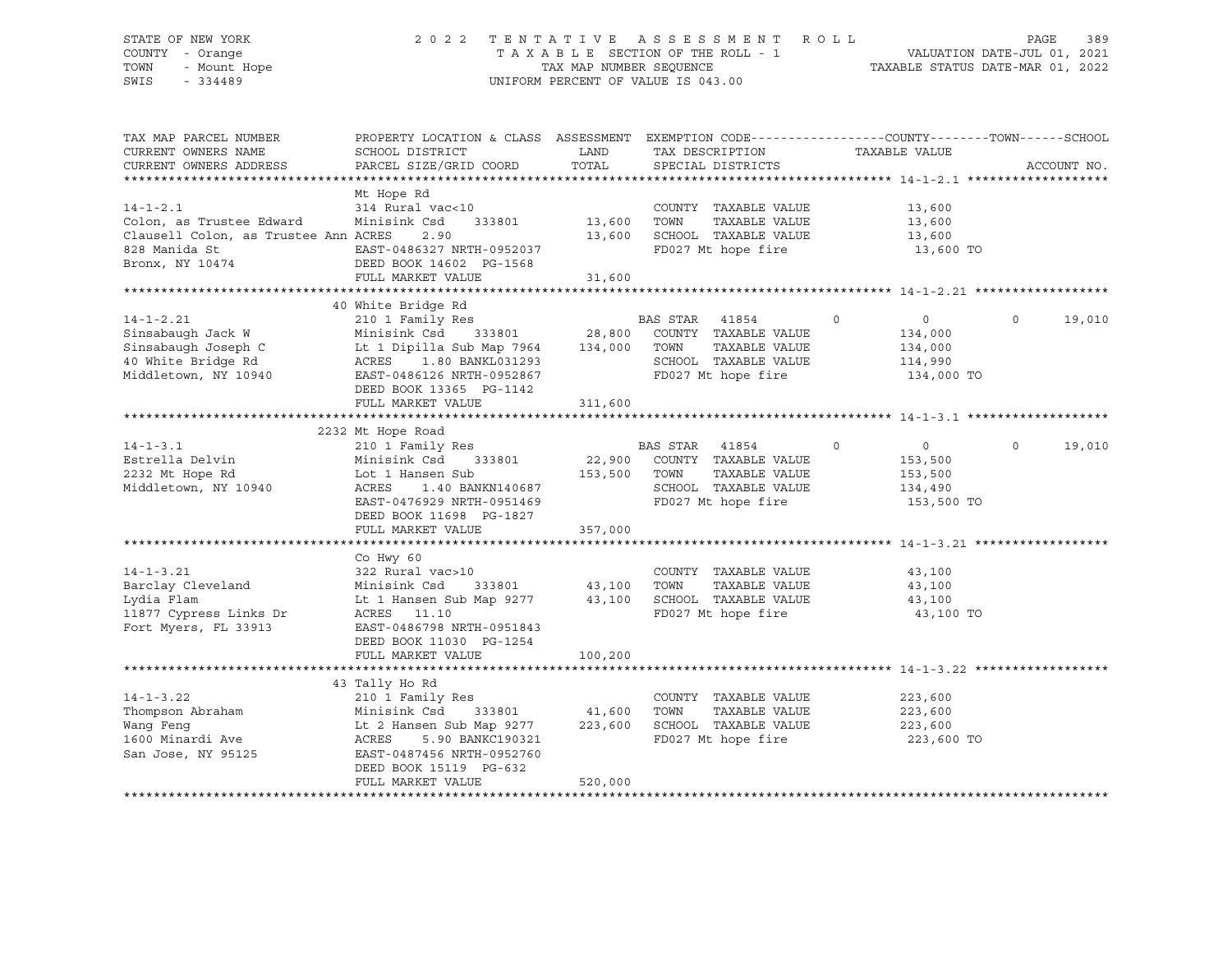### STATE OF NEW YORK 2 0 2 2 T E N T A T I V E A S S E S S M E N T R O L L PAGE 389 COUNTY - Orange T A X A B L E SECTION OF THE ROLL - 1 VALUATION DATE-JUL 01, 2021 TOWN - Mount Hope TAX NAP NUMBER SEQUENCE TAXABLE STATUS DATE-MAR 01, 2022<br>TAXABLE STATUS DATE-MAR 01, 2022 UNIFORM PERCENT OF VALUE IS 043.00

TAX MAP PARCEL NUMBER PROPERTY LOCATION & CLASS ASSESSMENT EXEMPTION CODE------------------COUNTY--------TOWN------SCHOOL CURRENT OWNERS NAME SCHOOL DISTRICT LAND TAX DESCRIPTION TAXABLE VALUE CURRENT OWNERS ADDRESS PARCEL SIZE/GRID COORD TOTAL SPECIAL DISTRICTS ACCOUNT NO. \*\*\*\*\*\*\*\*\*\*\*\*\*\*\*\*\*\*\*\*\*\*\*\*\*\*\*\*\*\*\*\*\*\*\*\*\*\*\*\*\*\*\*\*\*\*\*\*\*\*\*\*\*\*\*\*\*\*\*\*\*\*\*\*\*\*\*\*\*\*\*\*\*\*\*\*\*\*\*\*\*\*\*\*\*\*\*\*\*\*\*\*\*\*\*\*\*\*\*\*\*\*\* 14-1-2.1 \*\*\*\*\*\*\*\*\*\*\*\*\*\*\*\*\*\*\* Mt Hope Rd<br>314 Rural vac<10 14-1-2.1 314 Rural vac<10 COUNTY TAXABLE VALUE 13,600 Colon, as Trustee Edward Minisink Csd 333801 13,600 TOWN TAXABLE VALUE 13,600 Clausell Colon, as Trustee Ann ACRES 2.90 13,600 SCHOOL TAXABLE VALUE 13,600 828 Manida St EAST-0486327 NRTH-0952037 FD027 Mt hope fire 13,600 TO DEED BOOK 14602 PG-1568 FULL MARKET VALUE 31,600 \*\*\*\*\*\*\*\*\*\*\*\*\*\*\*\*\*\*\*\*\*\*\*\*\*\*\*\*\*\*\*\*\*\*\*\*\*\*\*\*\*\*\*\*\*\*\*\*\*\*\*\*\*\*\*\*\*\*\*\*\*\*\*\*\*\*\*\*\*\*\*\*\*\*\*\*\*\*\*\*\*\*\*\*\*\*\*\*\*\*\*\*\*\*\*\*\*\*\*\*\*\*\* 14-1-2.21 \*\*\*\*\*\*\*\*\*\*\*\*\*\*\*\*\*\* 40 White Bridge Rd 14-1-2.21 210 1 Family Res BAS STAR 41854 0 0 0 19,010 Sinsabaugh Jack W Minisink Csd 333801 28,800 COUNTY TAXABLE VALUE 134,000 Sinsabaugh Joseph C Lt 1 Dipilla Sub Map 7964 134,000 TOWN TAXABLE VALUE 134,000 40 White Bridge Rd ACRES 1.80 BANKL031293 SCHOOL TAXABLE VALUE 114,990 Middletown, NY 10940 EAST-0486126 NRTH-0952867 FD027 Mt hope fire 134,000 TO DEED BOOK 13365 PG-1142 FULL MARKET VALUE 311,600 \*\*\*\*\*\*\*\*\*\*\*\*\*\*\*\*\*\*\*\*\*\*\*\*\*\*\*\*\*\*\*\*\*\*\*\*\*\*\*\*\*\*\*\*\*\*\*\*\*\*\*\*\*\*\*\*\*\*\*\*\*\*\*\*\*\*\*\*\*\*\*\*\*\*\*\*\*\*\*\*\*\*\*\*\*\*\*\*\*\*\*\*\*\*\*\*\*\*\*\*\*\*\* 14-1-3.1 \*\*\*\*\*\*\*\*\*\*\*\*\*\*\*\*\*\*\* 2232 Mt Hope Road 14-1-3.1 210 1 Family Res BAS STAR 41854 0 0 0 19,010 Estrella Delvin Minisink Csd 333801 22,900 COUNTY TAXABLE VALUE 153,500 2232 Mt Hope Rd Lot 1 Hansen Sub 153,500 TOWN TAXABLE VALUE 153,500 2232 Mt Hope Rd<br>Middletown, NY 10940 ACRES 1.40 BANKN140687 SCHOOL TAXABLE VALUE 153,500<br>Middletown, NY 10940 ACRES 1.40 BANKN140687 SCHOOL TAXABLE VALUE 134,490 EAST-0476929 NRTH-0951469 FD027 Mt hope fire 153,500 TO DEED BOOK 11698 PG-1827 FULL MARKET VALUE 357,000 \*\*\*\*\*\*\*\*\*\*\*\*\*\*\*\*\*\*\*\*\*\*\*\*\*\*\*\*\*\*\*\*\*\*\*\*\*\*\*\*\*\*\*\*\*\*\*\*\*\*\*\*\*\*\*\*\*\*\*\*\*\*\*\*\*\*\*\*\*\*\*\*\*\*\*\*\*\*\*\*\*\*\*\*\*\*\*\*\*\*\*\*\*\*\*\*\*\*\*\*\*\*\* 14-1-3.21 \*\*\*\*\*\*\*\*\*\*\*\*\*\*\*\*\*\* Co Hwy 60 14-1-3.21 322 Rural vac>10 COUNTY TAXABLE VALUE 43,100 Barclay Cleveland Minisink Csd 333801 43,100 TOWN TAXABLE VALUE 43,100 Lydia Flam Lt 1 Hansen Sub Map 9277 43,100 SCHOOL TAXABLE VALUE 43,100 11877 Cypress Links Dr ACRES 11.10 FD027 Mt hope fire 43,100 TO Fort Myers, FL 33913 EAST-0486798 NRTH-0951843 DEED BOOK 11030 PG-1254 FULL MARKET VALUE 100,200 \*\*\*\*\*\*\*\*\*\*\*\*\*\*\*\*\*\*\*\*\*\*\*\*\*\*\*\*\*\*\*\*\*\*\*\*\*\*\*\*\*\*\*\*\*\*\*\*\*\*\*\*\*\*\*\*\*\*\*\*\*\*\*\*\*\*\*\*\*\*\*\*\*\*\*\*\*\*\*\*\*\*\*\*\*\*\*\*\*\*\*\*\*\*\*\*\*\*\*\*\*\*\* 14-1-3.22 \*\*\*\*\*\*\*\*\*\*\*\*\*\*\*\*\*\* 43 Tally Ho Rd 14-1-3.22 210 1 Family Res COUNTY TAXABLE VALUE 223,600 Thompson Abraham Minisink Csd 333801 41,600 TOWN TAXABLE VALUE 223,600 Wang Feng Lt 2 Hansen Sub Map 9277 223,600 SCHOOL TAXABLE VALUE 223,600 1600 Minardi Ave ACRES 5.90 BANKC190321 FD027 Mt hope fire 223,600 TO San Jose, NY 95125 EAST-0487456 NRTH-0952760 DEED BOOK 15119 PG-632 FULL MARKET VALUE 520,000 \*\*\*\*\*\*\*\*\*\*\*\*\*\*\*\*\*\*\*\*\*\*\*\*\*\*\*\*\*\*\*\*\*\*\*\*\*\*\*\*\*\*\*\*\*\*\*\*\*\*\*\*\*\*\*\*\*\*\*\*\*\*\*\*\*\*\*\*\*\*\*\*\*\*\*\*\*\*\*\*\*\*\*\*\*\*\*\*\*\*\*\*\*\*\*\*\*\*\*\*\*\*\*\*\*\*\*\*\*\*\*\*\*\*\*\*\*\*\*\*\*\*\*\*\*\*\*\*\*\*\*\*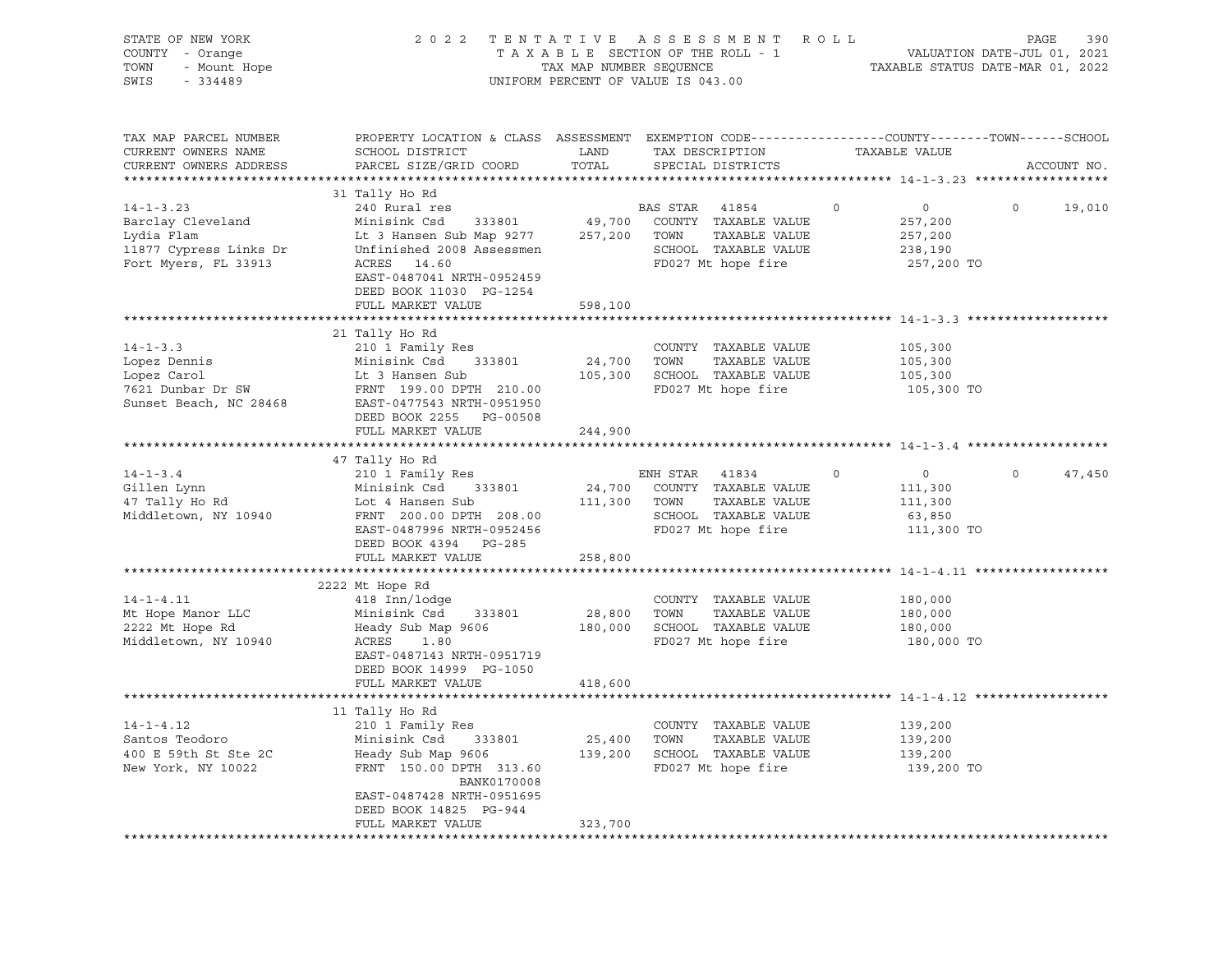| STATE OF NEW YORK<br>COUNTY - Orange<br>- Mount Hope<br>TOWN<br>SWIS<br>$-334489$                    |                                                                                                                                                                                                          | TAX MAP NUMBER SEQUENCE | 2022 TENTATIVE ASSESSMENT ROLL<br>TAXABLE SECTION OF THE ROLL - 1<br>UNIFORM PERCENT OF VALUE IS 043.00          |                                          | VALUATION DATE-JUL 01, 2021<br>TAXABLE STATUS DATE-MAR 01, 2022 | 390<br>PAGE |
|------------------------------------------------------------------------------------------------------|----------------------------------------------------------------------------------------------------------------------------------------------------------------------------------------------------------|-------------------------|------------------------------------------------------------------------------------------------------------------|------------------------------------------|-----------------------------------------------------------------|-------------|
| TAX MAP PARCEL NUMBER<br>CURRENT OWNERS NAME<br>CURRENT OWNERS ADDRESS                               | PROPERTY LOCATION & CLASS ASSESSMENT EXEMPTION CODE---------------COUNTY-------TOWN-----SCHOOL<br>SCHOOL DISTRICT<br>PARCEL SIZE/GRID COORD                                                              | LAND<br>TOTAL           | TAX DESCRIPTION<br>SPECIAL DISTRICTS                                                                             | TAXABLE VALUE                            |                                                                 | ACCOUNT NO. |
|                                                                                                      | 31 Tally Ho Rd                                                                                                                                                                                           |                         |                                                                                                                  |                                          |                                                                 |             |
| $14 - 1 - 3.23$<br>Barclay Cleveland<br>Lydia Flam<br>11877 Cypress Links Dr<br>Fort Myers, FL 33913 | 240 Rural res<br>Minisink Csd 333801<br>Lt 3 Hansen Sub Map 9277<br>Unfinished 2008 Assessmen<br>ACRES 14.60<br>EAST-0487041 NRTH-0952459<br>DEED BOOK 11030 PG-1254                                     | 49,700<br>257,200       | BAS STAR<br>41854<br>COUNTY TAXABLE VALUE<br>TOWN<br>TAXABLE VALUE<br>SCHOOL TAXABLE VALUE<br>FD027 Mt hope fire | $\circ$<br>257,200<br>257,200<br>238,190 | $\circ$<br>$\overline{0}$<br>257,200 TO                         | 19,010      |
|                                                                                                      | FULL MARKET VALUE                                                                                                                                                                                        | 598,100                 |                                                                                                                  |                                          |                                                                 |             |
| $14 - 1 - 3.3$<br>Lopez Dennis<br>Lopez Carol<br>7621 Dunbar Dr SW                                   | 21 Tally Ho Rd<br>210 1 Family Res<br>Minisink Csd 333801<br>Lt 3 Hansen Sub<br>FRNT 199.00 DPTH 210.00<br>Sunset Beach, NC 28468 EAST-0477543 NRTH-0951950<br>DEED BOOK 2255 PG-00508                   | 24,700 TOWN             | COUNTY TAXABLE VALUE<br>TAXABLE VALUE<br>105,300 SCHOOL TAXABLE VALUE<br>FD027 Mt hope fire                      | 105,300<br>105,300<br>105,300            | 105,300 TO                                                      |             |
|                                                                                                      | FULL MARKET VALUE                                                                                                                                                                                        | 244,900                 |                                                                                                                  |                                          |                                                                 |             |
|                                                                                                      |                                                                                                                                                                                                          |                         |                                                                                                                  |                                          |                                                                 |             |
| $14 - 1 - 3.4$<br>Gillen Lynn<br>47 Tally Ho Rd<br>Middletown, NY 10940                              | 47 Tally Ho Rd<br>210 1 Family Res<br>333801<br>Minisink Csd<br>Lot 4 Hansen Sub<br>FRNT 200.00 DPTH 208.00<br>EAST-0487996 NRTH-0952456<br>DEED BOOK 4394 PG-285                                        | 111,300 TOWN            | ENH STAR 41834<br>24,700 COUNTY TAXABLE VALUE<br>TAXABLE VALUE<br>SCHOOL TAXABLE VALUE<br>FD027 Mt hope fire     | $\circ$<br>111,300<br>111,300<br>63,850  | $\circ$<br>$\overline{0}$<br>111,300 TO                         | 47,450      |
|                                                                                                      | FULL MARKET VALUE                                                                                                                                                                                        | 258,800                 |                                                                                                                  |                                          |                                                                 |             |
| $14 - 1 - 4.11$<br>Mt Hope Manor LLC<br>2222 Mt Hope Rd<br>Middletown, NY 10940                      | 2222 Mt Hope Rd<br>418 Inn/lodge<br>Minisink Csd 333801<br>Heady Sub Map 9606<br>ACRES<br>1.80<br>EAST-0487143 NRTH-0951719<br>DEED BOOK 14999 PG-1050                                                   | 28,800 TOWN             | COUNTY TAXABLE VALUE<br>TAXABLE VALUE<br>180,000 SCHOOL TAXABLE VALUE<br>FD027 Mt hope fire                      | 180,000<br>180,000<br>180,000            | 180,000 TO                                                      |             |
|                                                                                                      | FULL MARKET VALUE                                                                                                                                                                                        | 418,600                 |                                                                                                                  |                                          |                                                                 |             |
| $14 - 1 - 4.12$<br>Santos Teodoro<br>400 E 59th St Ste 2C<br>New York, NY 10022                      | 11 Tally Ho Rd<br>210 1 Family Res<br>Minisink Csd<br>333801<br>Heady Sub Map 9606<br>FRNT 150.00 DPTH 313.60<br>BANK0170008<br>EAST-0487428 NRTH-0951695<br>DEED BOOK 14825 PG-944<br>FULL MARKET VALUE | 25,400 TOWN<br>323,700  | COUNTY TAXABLE VALUE<br>TAXABLE VALUE<br>139,200 SCHOOL TAXABLE VALUE<br>FD027 Mt hope fire                      | 139,200<br>139,200<br>139,200            | 139,200 TO                                                      |             |
|                                                                                                      |                                                                                                                                                                                                          |                         |                                                                                                                  |                                          |                                                                 |             |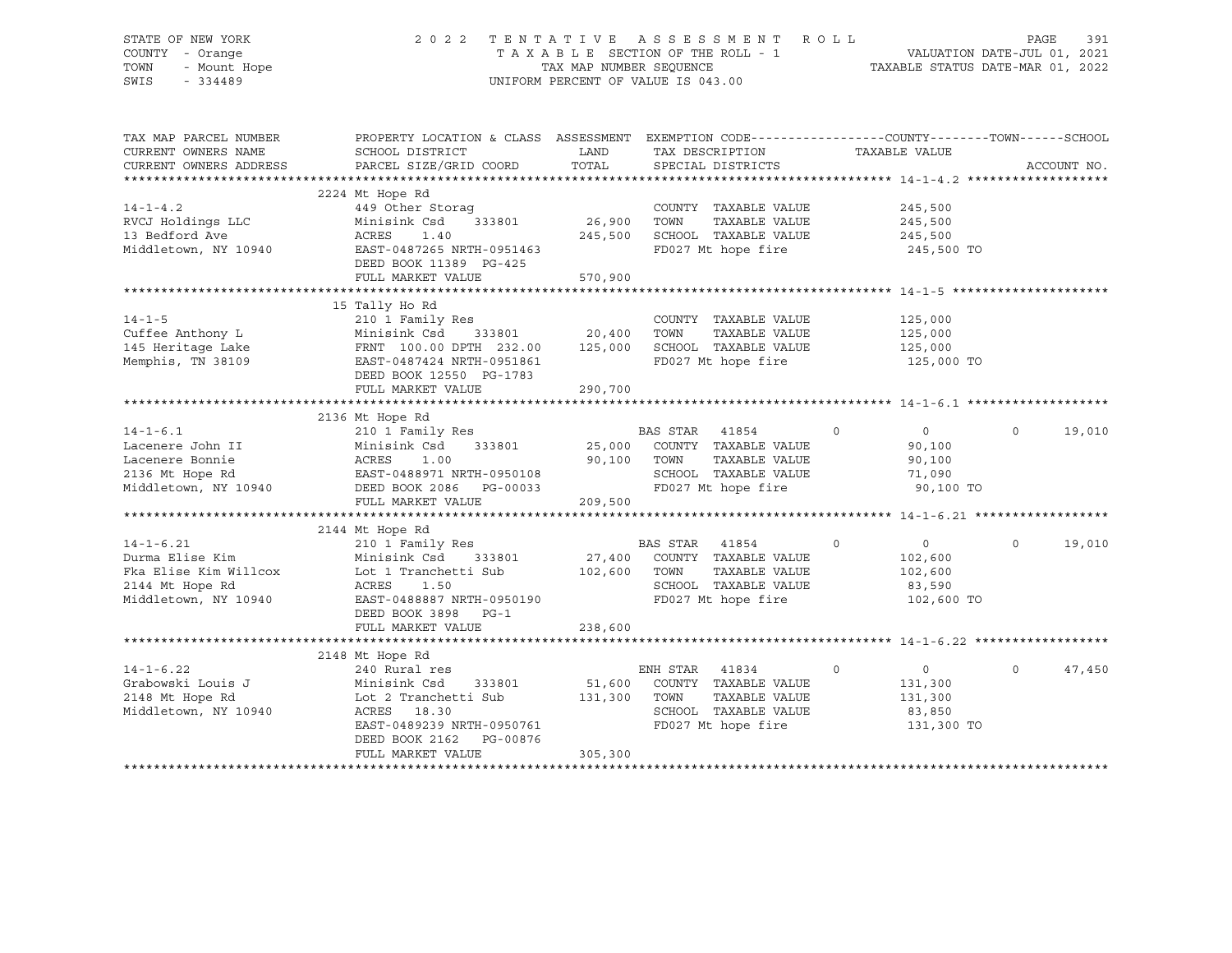# STATE OF NEW YORK 2 0 2 2 T E N T A T I V E A S S E S S M E N T R O L L PAGE 391 COUNTY - Orange T A X A B L E SECTION OF THE ROLL - 1 VALUATION DATE-JUL 01, 2021 TOWN - Mount Hope TAX MAP NUMBER SEQUENCE TAXABLE STATUS DATE-MAR 01, 2022 SWIS - 334489 UNIFORM PERCENT OF VALUE IS 043.00

| TAX MAP PARCEL NUMBER<br>CURRENT OWNERS NAME<br>CURRENT OWNERS ADDRESS                                 | PROPERTY LOCATION & CLASS ASSESSMENT<br>SCHOOL DISTRICT<br>PARCEL SIZE/GRID COORD                                                                                                 | LAND<br>TOTAL                | EXEMPTION CODE-----------------COUNTY-------TOWN------SCHOOL<br>TAX DESCRIPTION<br>SPECIAL DISTRICTS             | TAXABLE VALUE                                                               |          | ACCOUNT NO. |
|--------------------------------------------------------------------------------------------------------|-----------------------------------------------------------------------------------------------------------------------------------------------------------------------------------|------------------------------|------------------------------------------------------------------------------------------------------------------|-----------------------------------------------------------------------------|----------|-------------|
| $14 - 1 - 4.2$<br>RVCJ Holdings LLC<br>13 Bedford Ave<br>Middletown, NY 10940                          | 2224 Mt Hope Rd<br>449 Other Storag<br>Minisink Csd<br>333801<br>ACRES<br>1.40<br>EAST-0487265 NRTH-0951463<br>DEED BOOK 11389 PG-425<br>FULL MARKET VALUE                        | 26,900<br>245,500<br>570,900 | COUNTY TAXABLE VALUE<br>TOWN<br>TAXABLE VALUE<br>SCHOOL TAXABLE VALUE<br>FD027 Mt hope fire                      | 245,500<br>245,500<br>245,500<br>245,500 TO                                 |          |             |
| $14 - 1 - 5$<br>Cuffee Anthony L<br>145 Heritage Lake<br>Memphis, TN 38109                             | 15 Tally Ho Rd<br>210 1 Family Res<br>Minisink Csd 333801 20,400<br>FRNT 100.00 DPTH 232.00<br>EAST-0487424 NRTH-0951861<br>DEED BOOK 12550 PG-1783<br>FULL MARKET VALUE          | 125,000<br>290,700           | COUNTY TAXABLE VALUE<br>TOWN<br>TAXABLE VALUE<br>SCHOOL TAXABLE VALUE<br>FD027 Mt hope fire                      | 125,000<br>125,000<br>125,000<br>125,000 TO                                 |          |             |
| $14 - 1 - 6.1$<br>Lacenere John II<br>Lacenere Bonnie<br>2136 Mt Hope Rd<br>Middletown, NY 10940       | 2136 Mt Hope Rd<br>210 1 Family Res<br>Minisink Csd<br>333801<br>ACRES<br>1.00<br>EAST-0488971 NRTH-0950108<br>DEED BOOK 2086    PG-00033<br>FULL MARKET VALUE                    | 25,000<br>90,100<br>209,500  | BAS STAR<br>41854<br>COUNTY TAXABLE VALUE<br>TAXABLE VALUE<br>TOWN<br>SCHOOL TAXABLE VALUE<br>FD027 Mt hope fire | $\circ$<br>$\circ$<br>90,100<br>90,100<br>71,090<br>90,100 TO               | $\Omega$ | 19,010      |
|                                                                                                        |                                                                                                                                                                                   |                              |                                                                                                                  |                                                                             |          |             |
| $14 - 1 - 6.21$<br>Durma Elise Kim<br>Fka Elise Kim Willcox<br>2144 Mt Hope Rd<br>Middletown, NY 10940 | 2144 Mt Hope Rd<br>210 1 Family Res<br>Minisink Csd<br>333801<br>Lot 1 Tranchetti Sub<br>ACRES<br>1.50<br>EAST-0488887 NRTH-0950190<br>DEED BOOK 3898<br>$PG-1$                   | 27,400<br>102,600            | BAS STAR<br>41854<br>COUNTY TAXABLE VALUE<br>TAXABLE VALUE<br>TOWN<br>SCHOOL TAXABLE VALUE<br>FD027 Mt hope fire | $\circ$<br>$\overline{0}$<br>102,600<br>102,600<br>83,590<br>102,600 TO     | $\circ$  | 19,010      |
|                                                                                                        | FULL MARKET VALUE                                                                                                                                                                 | 238,600                      |                                                                                                                  |                                                                             |          |             |
| $14 - 1 - 6.22$<br>Grabowski Louis J<br>2148 Mt Hope Rd<br>Middletown, NY 10940                        | 2148 Mt Hope Rd<br>240 Rural res<br>Minisink Csd<br>333801<br>Lot 2 Tranchetti Sub<br>ACRES 18.30<br>EAST-0489239 NRTH-0950761<br>DEED BOOK 2162<br>PG-00876<br>FULL MARKET VALUE | 51,600<br>131,300<br>305,300 | ENH STAR 41834<br>COUNTY TAXABLE VALUE<br>TAXABLE VALUE<br>TOWN<br>SCHOOL TAXABLE VALUE<br>FD027 Mt hope fire    | $\overline{0}$<br>$\mathbf 0$<br>131,300<br>131,300<br>83,850<br>131,300 TO | $\Omega$ | 47,450      |
|                                                                                                        |                                                                                                                                                                                   |                              |                                                                                                                  |                                                                             |          |             |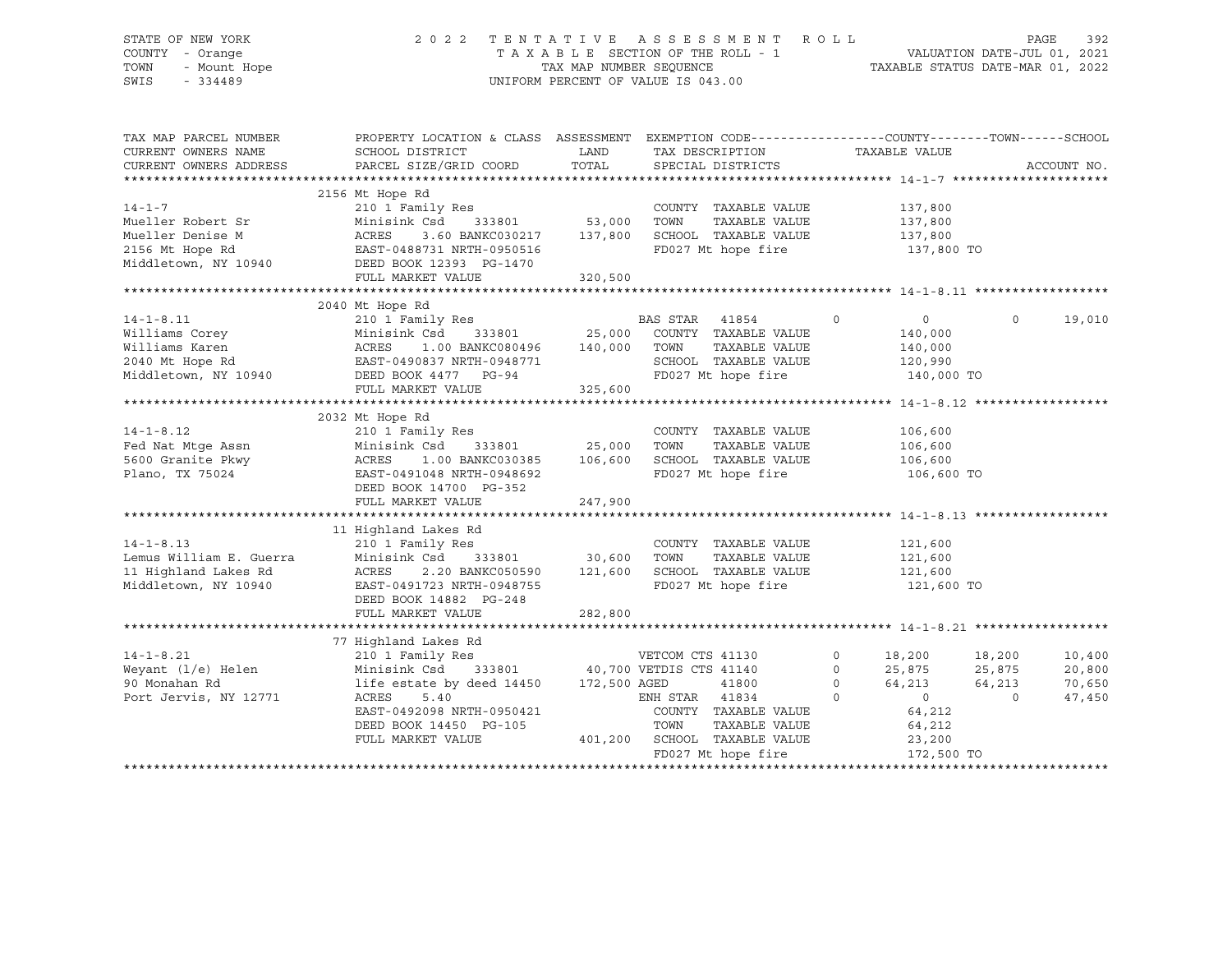# STATE OF NEW YORK 2 0 2 2 T E N T A T I V E A S S E S S M E N T R O L L PAGE 392 COUNTY - Orange T A X A B L E SECTION OF THE ROLL - 1 VALUATION DATE-JUL 01, 2021 TOWN - Mount Hope TAX MAP NUMBER SEQUENCE TAXABLE STATUS DATE-MAR 01, 2022 SWIS - 334489 UNIFORM PERCENT OF VALUE IS 043.00

| 2156 Mt Hope Rd<br>$14 - 1 - 7$<br>210 1 Family Res<br>COUNTY TAXABLE VALUE<br>137,800<br>Minisink Csd 333801 53,000<br>Mueller Robert Sr<br>TOWN<br>TAXABLE VALUE<br>137,800<br>137,800<br>3.60 BANKC030217<br>Mueller Denise M<br>SCHOOL TAXABLE VALUE<br>ACRES<br>137,800<br>FD027 Mt hope fire<br>137,800 TO<br>FULL MARKET VALUE<br>320,500<br>2040 Mt Hope Rd<br>19,010<br>$\sim$ 0<br>$\overline{0}$<br>$\circ$<br>14-1-8.11 210 1 Family Res E<br>Williams Corey Minisink Csd 333801 25,000<br>Williams Karen ACRES 1.00 BANKC080496 140,000<br>2040 Mt Hope Rd EAST-0490837 NRTH-0948771<br>Middletown, NY 10940 DEED BOOK 4477 PG-94<br>140,000<br>ACRES 1.00 BANKC080496 140,000 TOWN<br>140,000<br>TAXABLE VALUE<br>SCHOOL TAXABLE VALUE<br>120,990<br>FD027 Mt hope fire<br>140,000 TO<br>325,600<br>FULL MARKET VALUE<br>2032 Mt Hope Rd<br>$14 - 1 - 8.12$<br>210 1 Family Res<br>COUNTY TAXABLE VALUE<br>106,600<br>Fed Nat Mtge Assn<br>5600 Granite Pkwy<br>Plano, TX 75024<br>Minisink Csd 333801 25,000<br>TAXABLE VALUE<br>TOWN<br>106,600<br>106,600<br>1.00 BANKC030385 106,600<br>SCHOOL TAXABLE VALUE<br>ACRES<br>FD027 Mt hope fire<br>Plano, TX 75024<br>EAST-0491048 NRTH-0948692<br>106,600 TO<br>DEED BOOK 14700 PG-352<br>FULL MARKET VALUE<br>247,900<br>11 Highland Lakes Rd<br>210 1 Family Res<br>Minisink Csd 333801 30,600<br>$14 - 1 - 8.13$<br>COUNTY TAXABLE VALUE<br>121,600<br>14-1-8.13<br>Lemus William E. Guerra<br>11 Highland Lakes Rd<br>TOWN<br>TAXABLE VALUE<br>121,600<br>SCHOOL TAXABLE VALUE 121,600<br>2.20 BANKC050590 121,600<br>ACRES<br>Middletown, NY 10940<br>FD027 Mt hope fire<br>EAST-0491723 NRTH-0948755<br>121,600 TO<br>DEED BOOK 14882 PG-248<br>282,800<br>FULL MARKET VALUE<br>77 Highland Lakes Rd<br>$14 - 1 - 8.21$<br>$\circ$<br>18,200 18,200<br>10,400<br>Weyant (1/e) Helen<br>$\Omega$<br>25,875<br>25,875<br>20,800<br>life estate by deed $14450$ 172,500 AGED<br>90 Monahan Rd<br>64,213<br>41800<br>$\circ$<br>64,213<br>70,650<br>Port Jervis, NY 12771<br>ACRES<br>ENH STAR 41834<br>$\overline{0}$<br>$\overline{0}$<br>$\sim$ 0<br>47,450<br>5.40<br>EAST-0492098 NRTH-0950421<br>64,212<br>COUNTY TAXABLE VALUE<br>DEED BOOK 14450 PG-105<br>TOWN<br>TAXABLE VALUE<br>64,212<br>401,200 SCHOOL TAXABLE VALUE<br>FULL MARKET VALUE<br>23,200<br>FD027 Mt hope fire<br>172,500 TO | TAX MAP PARCEL NUMBER<br>CURRENT OWNERS NAME<br>CURRENT OWNERS ADDRESS | PROPERTY LOCATION & CLASS ASSESSMENT EXEMPTION CODE---------------COUNTY-------TOWN------SCHOOL<br>SCHOOL DISTRICT<br>PARCEL SIZE/GRID COORD | LAND<br>TOTAL | TAX DESCRIPTION<br>SPECIAL DISTRICTS | TAXABLE VALUE | ACCOUNT NO. |
|------------------------------------------------------------------------------------------------------------------------------------------------------------------------------------------------------------------------------------------------------------------------------------------------------------------------------------------------------------------------------------------------------------------------------------------------------------------------------------------------------------------------------------------------------------------------------------------------------------------------------------------------------------------------------------------------------------------------------------------------------------------------------------------------------------------------------------------------------------------------------------------------------------------------------------------------------------------------------------------------------------------------------------------------------------------------------------------------------------------------------------------------------------------------------------------------------------------------------------------------------------------------------------------------------------------------------------------------------------------------------------------------------------------------------------------------------------------------------------------------------------------------------------------------------------------------------------------------------------------------------------------------------------------------------------------------------------------------------------------------------------------------------------------------------------------------------------------------------------------------------------------------------------------------------------------------------------------------------------------------------------------------------------------------------------------------------------------------------------------------------------------------------------------------------------------------------------------------------------------------------------------------------------------------------------------------------------------------------------------------|------------------------------------------------------------------------|----------------------------------------------------------------------------------------------------------------------------------------------|---------------|--------------------------------------|---------------|-------------|
|                                                                                                                                                                                                                                                                                                                                                                                                                                                                                                                                                                                                                                                                                                                                                                                                                                                                                                                                                                                                                                                                                                                                                                                                                                                                                                                                                                                                                                                                                                                                                                                                                                                                                                                                                                                                                                                                                                                                                                                                                                                                                                                                                                                                                                                                                                                                                                        |                                                                        |                                                                                                                                              |               |                                      |               |             |
|                                                                                                                                                                                                                                                                                                                                                                                                                                                                                                                                                                                                                                                                                                                                                                                                                                                                                                                                                                                                                                                                                                                                                                                                                                                                                                                                                                                                                                                                                                                                                                                                                                                                                                                                                                                                                                                                                                                                                                                                                                                                                                                                                                                                                                                                                                                                                                        |                                                                        |                                                                                                                                              |               |                                      |               |             |
|                                                                                                                                                                                                                                                                                                                                                                                                                                                                                                                                                                                                                                                                                                                                                                                                                                                                                                                                                                                                                                                                                                                                                                                                                                                                                                                                                                                                                                                                                                                                                                                                                                                                                                                                                                                                                                                                                                                                                                                                                                                                                                                                                                                                                                                                                                                                                                        |                                                                        |                                                                                                                                              |               |                                      |               |             |
|                                                                                                                                                                                                                                                                                                                                                                                                                                                                                                                                                                                                                                                                                                                                                                                                                                                                                                                                                                                                                                                                                                                                                                                                                                                                                                                                                                                                                                                                                                                                                                                                                                                                                                                                                                                                                                                                                                                                                                                                                                                                                                                                                                                                                                                                                                                                                                        |                                                                        |                                                                                                                                              |               |                                      |               |             |
|                                                                                                                                                                                                                                                                                                                                                                                                                                                                                                                                                                                                                                                                                                                                                                                                                                                                                                                                                                                                                                                                                                                                                                                                                                                                                                                                                                                                                                                                                                                                                                                                                                                                                                                                                                                                                                                                                                                                                                                                                                                                                                                                                                                                                                                                                                                                                                        |                                                                        |                                                                                                                                              |               |                                      |               |             |
|                                                                                                                                                                                                                                                                                                                                                                                                                                                                                                                                                                                                                                                                                                                                                                                                                                                                                                                                                                                                                                                                                                                                                                                                                                                                                                                                                                                                                                                                                                                                                                                                                                                                                                                                                                                                                                                                                                                                                                                                                                                                                                                                                                                                                                                                                                                                                                        |                                                                        |                                                                                                                                              |               |                                      |               |             |
|                                                                                                                                                                                                                                                                                                                                                                                                                                                                                                                                                                                                                                                                                                                                                                                                                                                                                                                                                                                                                                                                                                                                                                                                                                                                                                                                                                                                                                                                                                                                                                                                                                                                                                                                                                                                                                                                                                                                                                                                                                                                                                                                                                                                                                                                                                                                                                        |                                                                        |                                                                                                                                              |               |                                      |               |             |
|                                                                                                                                                                                                                                                                                                                                                                                                                                                                                                                                                                                                                                                                                                                                                                                                                                                                                                                                                                                                                                                                                                                                                                                                                                                                                                                                                                                                                                                                                                                                                                                                                                                                                                                                                                                                                                                                                                                                                                                                                                                                                                                                                                                                                                                                                                                                                                        |                                                                        |                                                                                                                                              |               |                                      |               |             |
|                                                                                                                                                                                                                                                                                                                                                                                                                                                                                                                                                                                                                                                                                                                                                                                                                                                                                                                                                                                                                                                                                                                                                                                                                                                                                                                                                                                                                                                                                                                                                                                                                                                                                                                                                                                                                                                                                                                                                                                                                                                                                                                                                                                                                                                                                                                                                                        |                                                                        |                                                                                                                                              |               |                                      |               |             |
|                                                                                                                                                                                                                                                                                                                                                                                                                                                                                                                                                                                                                                                                                                                                                                                                                                                                                                                                                                                                                                                                                                                                                                                                                                                                                                                                                                                                                                                                                                                                                                                                                                                                                                                                                                                                                                                                                                                                                                                                                                                                                                                                                                                                                                                                                                                                                                        |                                                                        |                                                                                                                                              |               |                                      |               |             |
|                                                                                                                                                                                                                                                                                                                                                                                                                                                                                                                                                                                                                                                                                                                                                                                                                                                                                                                                                                                                                                                                                                                                                                                                                                                                                                                                                                                                                                                                                                                                                                                                                                                                                                                                                                                                                                                                                                                                                                                                                                                                                                                                                                                                                                                                                                                                                                        |                                                                        |                                                                                                                                              |               |                                      |               |             |
|                                                                                                                                                                                                                                                                                                                                                                                                                                                                                                                                                                                                                                                                                                                                                                                                                                                                                                                                                                                                                                                                                                                                                                                                                                                                                                                                                                                                                                                                                                                                                                                                                                                                                                                                                                                                                                                                                                                                                                                                                                                                                                                                                                                                                                                                                                                                                                        |                                                                        |                                                                                                                                              |               |                                      |               |             |
|                                                                                                                                                                                                                                                                                                                                                                                                                                                                                                                                                                                                                                                                                                                                                                                                                                                                                                                                                                                                                                                                                                                                                                                                                                                                                                                                                                                                                                                                                                                                                                                                                                                                                                                                                                                                                                                                                                                                                                                                                                                                                                                                                                                                                                                                                                                                                                        |                                                                        |                                                                                                                                              |               |                                      |               |             |
|                                                                                                                                                                                                                                                                                                                                                                                                                                                                                                                                                                                                                                                                                                                                                                                                                                                                                                                                                                                                                                                                                                                                                                                                                                                                                                                                                                                                                                                                                                                                                                                                                                                                                                                                                                                                                                                                                                                                                                                                                                                                                                                                                                                                                                                                                                                                                                        |                                                                        |                                                                                                                                              |               |                                      |               |             |
|                                                                                                                                                                                                                                                                                                                                                                                                                                                                                                                                                                                                                                                                                                                                                                                                                                                                                                                                                                                                                                                                                                                                                                                                                                                                                                                                                                                                                                                                                                                                                                                                                                                                                                                                                                                                                                                                                                                                                                                                                                                                                                                                                                                                                                                                                                                                                                        |                                                                        |                                                                                                                                              |               |                                      |               |             |
|                                                                                                                                                                                                                                                                                                                                                                                                                                                                                                                                                                                                                                                                                                                                                                                                                                                                                                                                                                                                                                                                                                                                                                                                                                                                                                                                                                                                                                                                                                                                                                                                                                                                                                                                                                                                                                                                                                                                                                                                                                                                                                                                                                                                                                                                                                                                                                        |                                                                        |                                                                                                                                              |               |                                      |               |             |
|                                                                                                                                                                                                                                                                                                                                                                                                                                                                                                                                                                                                                                                                                                                                                                                                                                                                                                                                                                                                                                                                                                                                                                                                                                                                                                                                                                                                                                                                                                                                                                                                                                                                                                                                                                                                                                                                                                                                                                                                                                                                                                                                                                                                                                                                                                                                                                        |                                                                        |                                                                                                                                              |               |                                      |               |             |
|                                                                                                                                                                                                                                                                                                                                                                                                                                                                                                                                                                                                                                                                                                                                                                                                                                                                                                                                                                                                                                                                                                                                                                                                                                                                                                                                                                                                                                                                                                                                                                                                                                                                                                                                                                                                                                                                                                                                                                                                                                                                                                                                                                                                                                                                                                                                                                        |                                                                        |                                                                                                                                              |               |                                      |               |             |
|                                                                                                                                                                                                                                                                                                                                                                                                                                                                                                                                                                                                                                                                                                                                                                                                                                                                                                                                                                                                                                                                                                                                                                                                                                                                                                                                                                                                                                                                                                                                                                                                                                                                                                                                                                                                                                                                                                                                                                                                                                                                                                                                                                                                                                                                                                                                                                        |                                                                        |                                                                                                                                              |               |                                      |               |             |
|                                                                                                                                                                                                                                                                                                                                                                                                                                                                                                                                                                                                                                                                                                                                                                                                                                                                                                                                                                                                                                                                                                                                                                                                                                                                                                                                                                                                                                                                                                                                                                                                                                                                                                                                                                                                                                                                                                                                                                                                                                                                                                                                                                                                                                                                                                                                                                        |                                                                        |                                                                                                                                              |               |                                      |               |             |
|                                                                                                                                                                                                                                                                                                                                                                                                                                                                                                                                                                                                                                                                                                                                                                                                                                                                                                                                                                                                                                                                                                                                                                                                                                                                                                                                                                                                                                                                                                                                                                                                                                                                                                                                                                                                                                                                                                                                                                                                                                                                                                                                                                                                                                                                                                                                                                        |                                                                        |                                                                                                                                              |               |                                      |               |             |
|                                                                                                                                                                                                                                                                                                                                                                                                                                                                                                                                                                                                                                                                                                                                                                                                                                                                                                                                                                                                                                                                                                                                                                                                                                                                                                                                                                                                                                                                                                                                                                                                                                                                                                                                                                                                                                                                                                                                                                                                                                                                                                                                                                                                                                                                                                                                                                        |                                                                        |                                                                                                                                              |               |                                      |               |             |
|                                                                                                                                                                                                                                                                                                                                                                                                                                                                                                                                                                                                                                                                                                                                                                                                                                                                                                                                                                                                                                                                                                                                                                                                                                                                                                                                                                                                                                                                                                                                                                                                                                                                                                                                                                                                                                                                                                                                                                                                                                                                                                                                                                                                                                                                                                                                                                        |                                                                        |                                                                                                                                              |               |                                      |               |             |
|                                                                                                                                                                                                                                                                                                                                                                                                                                                                                                                                                                                                                                                                                                                                                                                                                                                                                                                                                                                                                                                                                                                                                                                                                                                                                                                                                                                                                                                                                                                                                                                                                                                                                                                                                                                                                                                                                                                                                                                                                                                                                                                                                                                                                                                                                                                                                                        |                                                                        |                                                                                                                                              |               |                                      |               |             |
|                                                                                                                                                                                                                                                                                                                                                                                                                                                                                                                                                                                                                                                                                                                                                                                                                                                                                                                                                                                                                                                                                                                                                                                                                                                                                                                                                                                                                                                                                                                                                                                                                                                                                                                                                                                                                                                                                                                                                                                                                                                                                                                                                                                                                                                                                                                                                                        |                                                                        |                                                                                                                                              |               |                                      |               |             |
|                                                                                                                                                                                                                                                                                                                                                                                                                                                                                                                                                                                                                                                                                                                                                                                                                                                                                                                                                                                                                                                                                                                                                                                                                                                                                                                                                                                                                                                                                                                                                                                                                                                                                                                                                                                                                                                                                                                                                                                                                                                                                                                                                                                                                                                                                                                                                                        |                                                                        |                                                                                                                                              |               |                                      |               |             |
|                                                                                                                                                                                                                                                                                                                                                                                                                                                                                                                                                                                                                                                                                                                                                                                                                                                                                                                                                                                                                                                                                                                                                                                                                                                                                                                                                                                                                                                                                                                                                                                                                                                                                                                                                                                                                                                                                                                                                                                                                                                                                                                                                                                                                                                                                                                                                                        |                                                                        |                                                                                                                                              |               |                                      |               |             |
|                                                                                                                                                                                                                                                                                                                                                                                                                                                                                                                                                                                                                                                                                                                                                                                                                                                                                                                                                                                                                                                                                                                                                                                                                                                                                                                                                                                                                                                                                                                                                                                                                                                                                                                                                                                                                                                                                                                                                                                                                                                                                                                                                                                                                                                                                                                                                                        |                                                                        |                                                                                                                                              |               |                                      |               |             |
|                                                                                                                                                                                                                                                                                                                                                                                                                                                                                                                                                                                                                                                                                                                                                                                                                                                                                                                                                                                                                                                                                                                                                                                                                                                                                                                                                                                                                                                                                                                                                                                                                                                                                                                                                                                                                                                                                                                                                                                                                                                                                                                                                                                                                                                                                                                                                                        |                                                                        |                                                                                                                                              |               |                                      |               |             |
|                                                                                                                                                                                                                                                                                                                                                                                                                                                                                                                                                                                                                                                                                                                                                                                                                                                                                                                                                                                                                                                                                                                                                                                                                                                                                                                                                                                                                                                                                                                                                                                                                                                                                                                                                                                                                                                                                                                                                                                                                                                                                                                                                                                                                                                                                                                                                                        |                                                                        |                                                                                                                                              |               |                                      |               |             |
|                                                                                                                                                                                                                                                                                                                                                                                                                                                                                                                                                                                                                                                                                                                                                                                                                                                                                                                                                                                                                                                                                                                                                                                                                                                                                                                                                                                                                                                                                                                                                                                                                                                                                                                                                                                                                                                                                                                                                                                                                                                                                                                                                                                                                                                                                                                                                                        |                                                                        |                                                                                                                                              |               |                                      |               |             |
|                                                                                                                                                                                                                                                                                                                                                                                                                                                                                                                                                                                                                                                                                                                                                                                                                                                                                                                                                                                                                                                                                                                                                                                                                                                                                                                                                                                                                                                                                                                                                                                                                                                                                                                                                                                                                                                                                                                                                                                                                                                                                                                                                                                                                                                                                                                                                                        |                                                                        |                                                                                                                                              |               |                                      |               |             |
|                                                                                                                                                                                                                                                                                                                                                                                                                                                                                                                                                                                                                                                                                                                                                                                                                                                                                                                                                                                                                                                                                                                                                                                                                                                                                                                                                                                                                                                                                                                                                                                                                                                                                                                                                                                                                                                                                                                                                                                                                                                                                                                                                                                                                                                                                                                                                                        |                                                                        |                                                                                                                                              |               |                                      |               |             |
|                                                                                                                                                                                                                                                                                                                                                                                                                                                                                                                                                                                                                                                                                                                                                                                                                                                                                                                                                                                                                                                                                                                                                                                                                                                                                                                                                                                                                                                                                                                                                                                                                                                                                                                                                                                                                                                                                                                                                                                                                                                                                                                                                                                                                                                                                                                                                                        |                                                                        |                                                                                                                                              |               |                                      |               |             |
|                                                                                                                                                                                                                                                                                                                                                                                                                                                                                                                                                                                                                                                                                                                                                                                                                                                                                                                                                                                                                                                                                                                                                                                                                                                                                                                                                                                                                                                                                                                                                                                                                                                                                                                                                                                                                                                                                                                                                                                                                                                                                                                                                                                                                                                                                                                                                                        |                                                                        |                                                                                                                                              |               |                                      |               |             |
|                                                                                                                                                                                                                                                                                                                                                                                                                                                                                                                                                                                                                                                                                                                                                                                                                                                                                                                                                                                                                                                                                                                                                                                                                                                                                                                                                                                                                                                                                                                                                                                                                                                                                                                                                                                                                                                                                                                                                                                                                                                                                                                                                                                                                                                                                                                                                                        |                                                                        |                                                                                                                                              |               |                                      |               |             |
|                                                                                                                                                                                                                                                                                                                                                                                                                                                                                                                                                                                                                                                                                                                                                                                                                                                                                                                                                                                                                                                                                                                                                                                                                                                                                                                                                                                                                                                                                                                                                                                                                                                                                                                                                                                                                                                                                                                                                                                                                                                                                                                                                                                                                                                                                                                                                                        |                                                                        |                                                                                                                                              |               |                                      |               |             |
|                                                                                                                                                                                                                                                                                                                                                                                                                                                                                                                                                                                                                                                                                                                                                                                                                                                                                                                                                                                                                                                                                                                                                                                                                                                                                                                                                                                                                                                                                                                                                                                                                                                                                                                                                                                                                                                                                                                                                                                                                                                                                                                                                                                                                                                                                                                                                                        |                                                                        |                                                                                                                                              |               |                                      |               |             |
|                                                                                                                                                                                                                                                                                                                                                                                                                                                                                                                                                                                                                                                                                                                                                                                                                                                                                                                                                                                                                                                                                                                                                                                                                                                                                                                                                                                                                                                                                                                                                                                                                                                                                                                                                                                                                                                                                                                                                                                                                                                                                                                                                                                                                                                                                                                                                                        |                                                                        |                                                                                                                                              |               |                                      |               |             |
|                                                                                                                                                                                                                                                                                                                                                                                                                                                                                                                                                                                                                                                                                                                                                                                                                                                                                                                                                                                                                                                                                                                                                                                                                                                                                                                                                                                                                                                                                                                                                                                                                                                                                                                                                                                                                                                                                                                                                                                                                                                                                                                                                                                                                                                                                                                                                                        |                                                                        |                                                                                                                                              |               |                                      |               |             |
|                                                                                                                                                                                                                                                                                                                                                                                                                                                                                                                                                                                                                                                                                                                                                                                                                                                                                                                                                                                                                                                                                                                                                                                                                                                                                                                                                                                                                                                                                                                                                                                                                                                                                                                                                                                                                                                                                                                                                                                                                                                                                                                                                                                                                                                                                                                                                                        |                                                                        |                                                                                                                                              |               |                                      |               |             |
|                                                                                                                                                                                                                                                                                                                                                                                                                                                                                                                                                                                                                                                                                                                                                                                                                                                                                                                                                                                                                                                                                                                                                                                                                                                                                                                                                                                                                                                                                                                                                                                                                                                                                                                                                                                                                                                                                                                                                                                                                                                                                                                                                                                                                                                                                                                                                                        |                                                                        |                                                                                                                                              |               |                                      |               |             |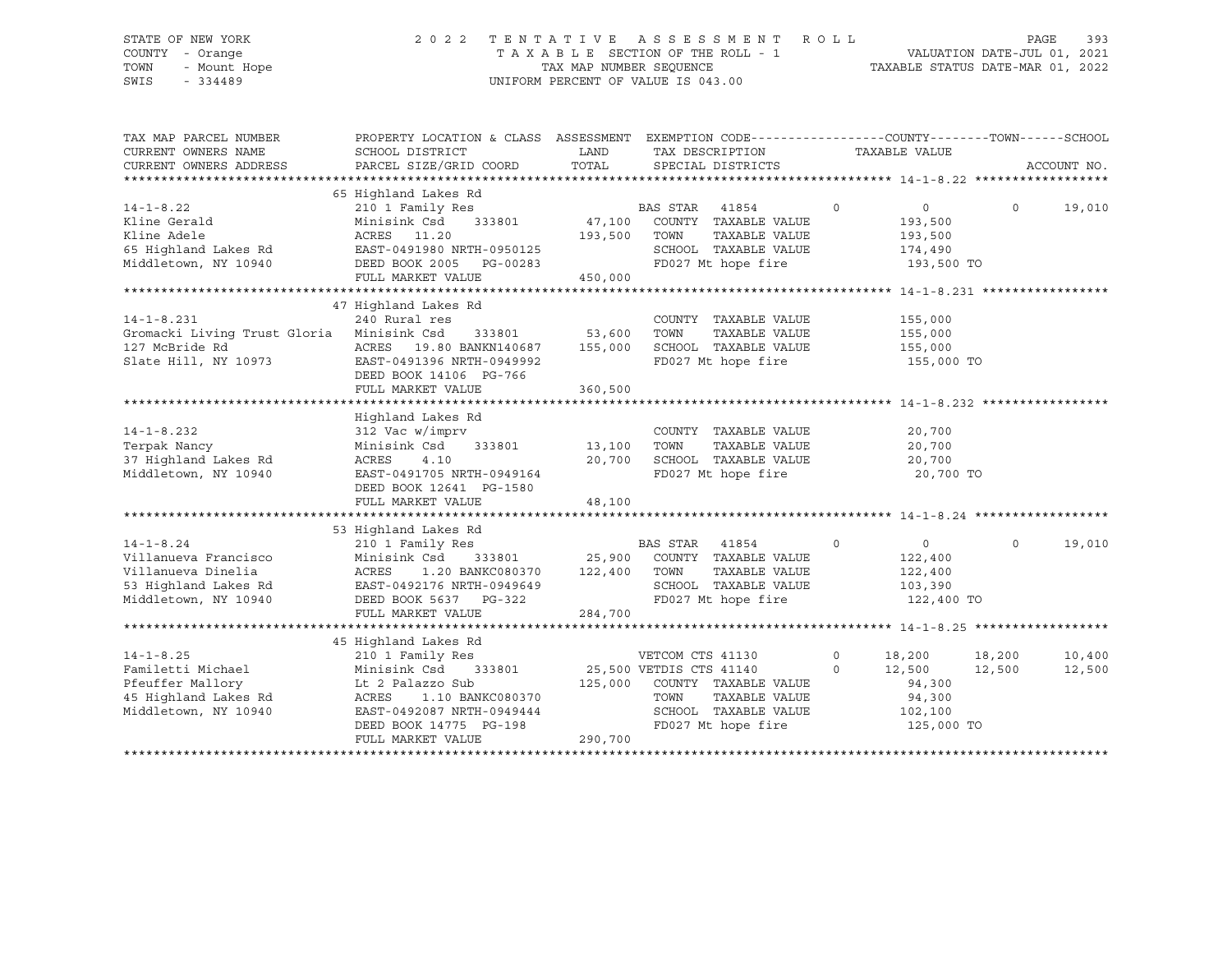### STATE OF NEW YORK 2 0 2 2 T E N T A T I V E A S S E S S M E N T R O L L PAGE 393 COUNTY - Orange T A X A B L E SECTION OF THE ROLL - 1 VALUATION DATE-JUL 01, 2021 TOWN - Mount Hope TAX NAP NUMBER SEQUENCE TAXABLE STATUS DATE-MAR 01, 2022<br>TAXABLE STATUS DATE-MAR 01, 2022 UNIFORM PERCENT OF VALUE IS 043.00

TAX MAP PARCEL NUMBER PROPERTY LOCATION & CLASS ASSESSMENT EXEMPTION CODE------------------COUNTY--------TOWN------SCHOOL CURRENT OWNERS NAME SCHOOL DISTRICT LAND TAX DESCRIPTION TAXABLE VALUE CURRENT OWNERS ADDRESS PARCEL SIZE/GRID COORD TOTAL SPECIAL DISTRICTS ACCOUNT NO. \*\*\*\*\*\*\*\*\*\*\*\*\*\*\*\*\*\*\*\*\*\*\*\*\*\*\*\*\*\*\*\*\*\*\*\*\*\*\*\*\*\*\*\*\*\*\*\*\*\*\*\*\*\*\*\*\*\*\*\*\*\*\*\*\*\*\*\*\*\*\*\*\*\*\*\*\*\*\*\*\*\*\*\*\*\*\*\*\*\*\*\*\*\*\*\*\*\*\*\*\*\*\* 14-1-8.22 \*\*\*\*\*\*\*\*\*\*\*\*\*\*\*\*\*\* 65 Highland Lakes Rd 14-1-8.22 210 1 Family Res BAS STAR 41854 0 0 0 19,010 Kline Gerald Minisink Csd 333801 47,100 COUNTY TAXABLE VALUE 193,500 Kline Adele ACRES 11.20 193,500 TOWN TAXABLE VALUE 193,500 65 Highland Lakes Rd EAST-0491980 NRTH-0950125 SCHOOL TAXABLE VALUE 174,490 Middletown, NY 10940 DEED BOOK 2005 PG-00283 FD027 Mt hope fire 193,500 TO FULL MARKET VALUE 450,000 \*\*\*\*\*\*\*\*\*\*\*\*\*\*\*\*\*\*\*\*\*\*\*\*\*\*\*\*\*\*\*\*\*\*\*\*\*\*\*\*\*\*\*\*\*\*\*\*\*\*\*\*\*\*\*\*\*\*\*\*\*\*\*\*\*\*\*\*\*\*\*\*\*\*\*\*\*\*\*\*\*\*\*\*\*\*\*\*\*\*\*\*\*\*\*\*\*\*\*\*\*\*\* 14-1-8.231 \*\*\*\*\*\*\*\*\*\*\*\*\*\*\*\*\* 47 Highland Lakes Rd 14-1-8.231 240 Rural res COUNTY TAXABLE VALUE 155,000 Gromacki Living Trust Gloria Minisink Csd 333801 53,600 TOWN TAXABLE VALUE 155,000 127 McBride Rd ACRES 19.80 BANKN140687 155,000 SCHOOL TAXABLE VALUE 155,000 EAST-0491396 NRTH-0949992 FD027 Mt hope fire 155,000 TO DEED BOOK 14106 PG-766 FULL MARKET VALUE 360,500 \*\*\*\*\*\*\*\*\*\*\*\*\*\*\*\*\*\*\*\*\*\*\*\*\*\*\*\*\*\*\*\*\*\*\*\*\*\*\*\*\*\*\*\*\*\*\*\*\*\*\*\*\*\*\*\*\*\*\*\*\*\*\*\*\*\*\*\*\*\*\*\*\*\*\*\*\*\*\*\*\*\*\*\*\*\*\*\*\*\*\*\*\*\*\*\*\*\*\*\*\*\*\* 14-1-8.232 \*\*\*\*\*\*\*\*\*\*\*\*\*\*\*\*\* Highland Lakes Rd 14-1-8.232 312 Vac w/imprv COUNTY TAXABLE VALUE 20,700 Terpak Nancy Minisink Csd 333801 13,100 TOWN TAXABLE VALUE 20,700 37 Highland Lakes Rd ACRES 4.10 20,700 SCHOOL TAXABLE VALUE 20,700 Middletown, NY 10940 EAST-0491705 NRTH-0949164 FD027 Mt hope fire 20,700 TO DEED BOOK 12641 PG-1580 ERRY BOOK IZONI FORIJOO ARABI 48,100 \*\*\*\*\*\*\*\*\*\*\*\*\*\*\*\*\*\*\*\*\*\*\*\*\*\*\*\*\*\*\*\*\*\*\*\*\*\*\*\*\*\*\*\*\*\*\*\*\*\*\*\*\*\*\*\*\*\*\*\*\*\*\*\*\*\*\*\*\*\*\*\*\*\*\*\*\*\*\*\*\*\*\*\*\*\*\*\*\*\*\*\*\*\*\*\*\*\*\*\*\*\*\* 14-1-8.24 \*\*\*\*\*\*\*\*\*\*\*\*\*\*\*\*\*\* 53 Highland Lakes Rd 14-1-8.24 210 1 Family Res BAS STAR 41854 0 0 0 19,010 Villanueva Francisco Minisink Csd 333801 25,900 COUNTY TAXABLE VALUE 122,400 Villanueva Dinelia ACRES 1.20 BANKC080370 122,400 TOWN TAXABLE VALUE 122,400 53 Highland Lakes Rd EAST-0492176 NRTH-0949649 SCHOOL TAXABLE VALUE 103,390 Middletown, NY 10940 DEED BOOK 5637 PG-322 FD027 Mt hope fire 122,400 TO FULL MARKET VALUE 284,700 \*\*\*\*\*\*\*\*\*\*\*\*\*\*\*\*\*\*\*\*\*\*\*\*\*\*\*\*\*\*\*\*\*\*\*\*\*\*\*\*\*\*\*\*\*\*\*\*\*\*\*\*\*\*\*\*\*\*\*\*\*\*\*\*\*\*\*\*\*\*\*\*\*\*\*\*\*\*\*\*\*\*\*\*\*\*\*\*\*\*\*\*\*\*\*\*\*\*\*\*\*\*\* 14-1-8.25 \*\*\*\*\*\*\*\*\*\*\*\*\*\*\*\*\*\* 45 Highland Lakes Rd 14-1-8.25 210 1 Family Res VETCOM CTS 41130 0 18,200 18,200 10,400 Familetti Michael Minisink Csd 333801 25,500 VETDIS CTS 41140 0 12,500 12,500 12,500 Pfeuffer Mallory Lt 2 Palazzo Sub 125,000 COUNTY TAXABLE VALUE 94,300 45 Highland Lakes Rd ACRES 1.10 BANKC080370 TOWN TAXABLE VALUE 94,300 Middletown, NY 10940 EAST-0492087 NRTH-0949444 SCHOOL TAXABLE VALUE 102,100 DEED BOOK 14775 PG-198 FD027 Mt hope fire 125,000 TO FULL MARKET VALUE 290,700 \*\*\*\*\*\*\*\*\*\*\*\*\*\*\*\*\*\*\*\*\*\*\*\*\*\*\*\*\*\*\*\*\*\*\*\*\*\*\*\*\*\*\*\*\*\*\*\*\*\*\*\*\*\*\*\*\*\*\*\*\*\*\*\*\*\*\*\*\*\*\*\*\*\*\*\*\*\*\*\*\*\*\*\*\*\*\*\*\*\*\*\*\*\*\*\*\*\*\*\*\*\*\*\*\*\*\*\*\*\*\*\*\*\*\*\*\*\*\*\*\*\*\*\*\*\*\*\*\*\*\*\*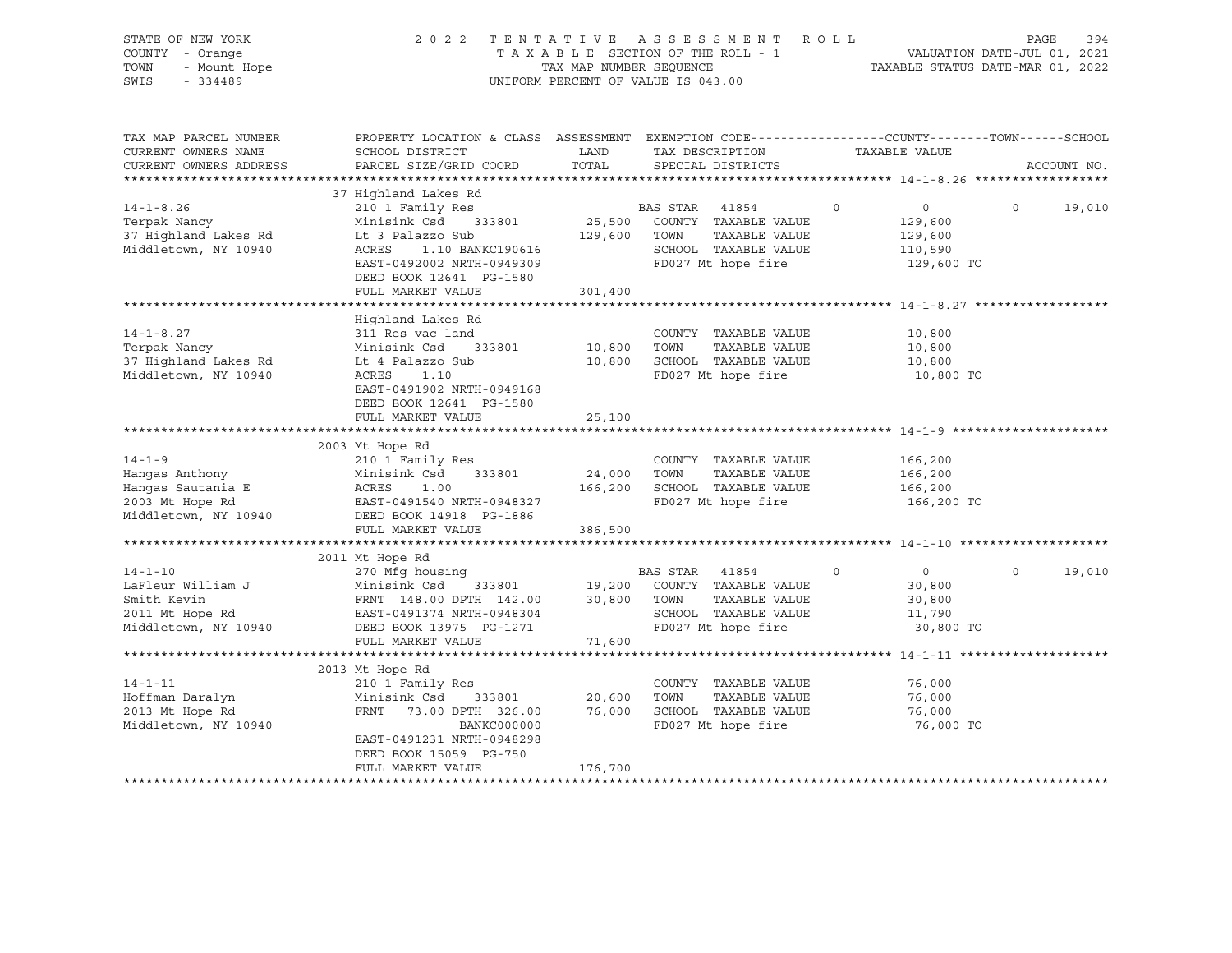| STATE OF NEW YORK<br>COUNTY - Orange<br>- Mount Hope<br>TOWN<br>$-334489$<br>SWIS              | 2 0 2 2                                                                                                                                                                               | TAX MAP NUMBER SEQUENCE | TENTATIVE ASSESSMENT ROLL<br>TAXABLE SECTION OF THE ROLL - 1<br>UNIFORM PERCENT OF VALUE IS 043.00           |                                                                      | PAGE<br>394<br>VALUATION DATE-JUL 01, 2021<br>TAXABLE STATUS DATE-MAR 01, 2022 |
|------------------------------------------------------------------------------------------------|---------------------------------------------------------------------------------------------------------------------------------------------------------------------------------------|-------------------------|--------------------------------------------------------------------------------------------------------------|----------------------------------------------------------------------|--------------------------------------------------------------------------------|
| TAX MAP PARCEL NUMBER<br>CURRENT OWNERS NAME<br>CURRENT OWNERS ADDRESS                         | PROPERTY LOCATION & CLASS ASSESSMENT EXEMPTION CODE----------------COUNTY-------TOWN------SCHOOL<br>SCHOOL DISTRICT<br>PARCEL SIZE/GRID COORD                                         | LAND<br>TOTAL           | TAX DESCRIPTION<br>SPECIAL DISTRICTS                                                                         | TAXABLE VALUE                                                        | ACCOUNT NO.                                                                    |
|                                                                                                |                                                                                                                                                                                       |                         |                                                                                                              |                                                                      |                                                                                |
| $14 - 1 - 8.26$<br>Terpak Nancy<br>37 Highland Lakes Rd<br>Middletown, NY 10940                | 37 Highland Lakes Rd<br>210 1 Family Res<br>Minisink Csd 333801<br>Lt 3 Palazzo Sub<br>ACRES<br>1.10 BANKC190616<br>EAST-0492002 NRTH-0949309<br>DEED BOOK 12641 PG-1580              | 129,600 TOWN            | BAS STAR 41854<br>25,500 COUNTY TAXABLE VALUE<br>TAXABLE VALUE<br>SCHOOL TAXABLE VALUE<br>FD027 Mt hope fire | $\circ$<br>0<br>129,600<br>129,600<br>110,590<br>129,600 TO          | $\Omega$<br>19,010                                                             |
|                                                                                                | FULL MARKET VALUE                                                                                                                                                                     | 301,400                 |                                                                                                              |                                                                      |                                                                                |
| $14 - 1 - 8.27$<br>Terpak Nancy<br>37 Highland Lakes Rd<br>Middletown, NY 10940                | Highland Lakes Rd<br>311 Res vac land<br>Minisink Csd<br>333801<br>Lt 4 Palazzo Sub<br>ACRES<br>1.10<br>EAST-0491902 NRTH-0949168<br>DEED BOOK 12641 PG-1580                          | 10,800 TOWN             | COUNTY TAXABLE VALUE<br>TAXABLE VALUE<br>10,800 SCHOOL TAXABLE VALUE<br>FD027 Mt hope fire                   | 10,800<br>10,800<br>10,800<br>10,800 TO                              |                                                                                |
|                                                                                                | FULL MARKET VALUE                                                                                                                                                                     | 25,100                  |                                                                                                              |                                                                      |                                                                                |
|                                                                                                |                                                                                                                                                                                       |                         |                                                                                                              |                                                                      |                                                                                |
| $14 - 1 - 9$<br>Hangas Anthony<br>Hangas Sautania E<br>2003 Mt Hope Rd<br>Middletown, NY 10940 | 2003 Mt Hope Rd<br>210 1 Family Res<br>Minisink Csd 333801<br>ACRES<br>1.00<br>EAST-0491540 NRTH-0948327<br>DEED BOOK 14918 PG-1886                                                   | 24,000 TOWN             | COUNTY TAXABLE VALUE<br>TAXABLE VALUE<br>166,200 SCHOOL TAXABLE VALUE<br>FD027 Mt hope fire                  | 166,200<br>166,200<br>166,200<br>166,200 TO                          |                                                                                |
|                                                                                                | FULL MARKET VALUE                                                                                                                                                                     | 386,500                 |                                                                                                              |                                                                      |                                                                                |
| $14 - 1 - 10$<br>LaFleur William J<br>Smith Kevin<br>2011 Mt Hope Rd<br>Middletown, NY 10940   | 2011 Mt Hope Rd<br>BAS STAR 41854<br>FRNT 148.00 DPTH 142.00 19,200 COUNTY TAXABLE VALUE<br>FRNT 148.00 DPTH 142.00 30,800 TOWN TAXABLE VALUE<br>DEED BOOK 13975 PC-1055              |                         | SCHOOL TAXABLE VALUE                                                                                         | $\circ$<br>$\overline{0}$<br>30,800<br>30,800<br>11,790<br>30,800 TO | $\Omega$<br>19,010                                                             |
|                                                                                                | FULL MARKET VALUE                                                                                                                                                                     | 71,600                  |                                                                                                              |                                                                      |                                                                                |
|                                                                                                |                                                                                                                                                                                       |                         |                                                                                                              |                                                                      |                                                                                |
| $14 - 1 - 11$<br>Hoffman Daralyn<br>2013 Mt Hope Rd<br>Middletown, NY 10940                    | 2013 Mt Hope Rd<br>210 1 Family Res<br>Minisink Csd<br>333801<br>FRNT<br>73.00 DPTH 326.00<br>BANKC000000<br>EAST-0491231 NRTH-0948298<br>DEED BOOK 15059 PG-750<br>FULL MARKET VALUE | 20,600<br>176,700       | COUNTY TAXABLE VALUE<br>TOWN<br>TAXABLE VALUE<br>76,000 SCHOOL TAXABLE VALUE<br>FD027 Mt hope fire           | 76,000<br>76,000<br>76,000<br>76,000 TO                              |                                                                                |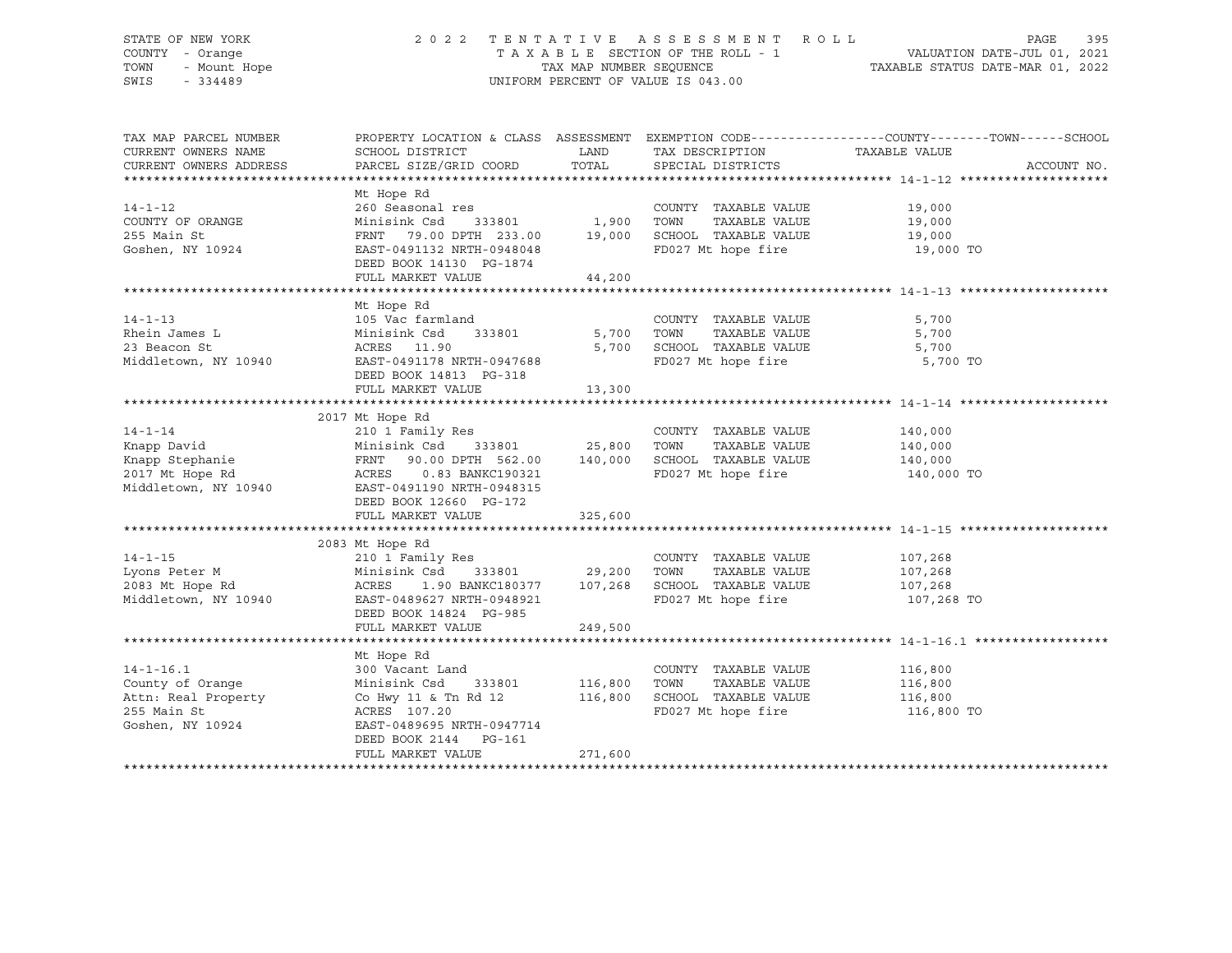# STATE OF NEW YORK 2 0 2 2 T E N T A T I V E A S S E S S M E N T R O L L PAGE 395 COUNTY - Orange T A X A B L E SECTION OF THE ROLL - 1 VALUATION DATE-JUL 01, 2021 TOWN - Mount Hope TAX MAP NUMBER SEQUENCE TAXABLE STATUS DATE-MAR 01, 2022 SWIS - 334489 UNIFORM PERCENT OF VALUE IS 043.00

| TAX MAP PARCEL NUMBER<br>CURRENT OWNERS NAME<br>CURRENT OWNERS ADDRESS | PROPERTY LOCATION & CLASS ASSESSMENT<br>SCHOOL DISTRICT<br>PARCEL SIZE/GRID COORD | LAND<br>TOTAL | EXEMPTION CODE----------------COUNTY-------TOWN-----SCHOOL<br>TAX DESCRIPTION TAXABLE VALUE<br>SPECIAL DISTRICTS |            | ACCOUNT NO. |
|------------------------------------------------------------------------|-----------------------------------------------------------------------------------|---------------|------------------------------------------------------------------------------------------------------------------|------------|-------------|
|                                                                        | Mt Hope Rd                                                                        |               |                                                                                                                  |            |             |
| $14 - 1 - 12$                                                          | 260 Seasonal res                                                                  |               | COUNTY TAXABLE VALUE                                                                                             | 19,000     |             |
| COUNTY OF ORANGE                                                       | Minisink Csd<br>333801 1,900                                                      |               | TAXABLE VALUE<br>TOWN                                                                                            | 19,000     |             |
| 255 Main St                                                            | FRNT 79.00 DPTH 233.00                                                            | 19,000        | SCHOOL TAXABLE VALUE                                                                                             | 19,000     |             |
| Goshen, NY 10924                                                       | EAST-0491132 NRTH-0948048                                                         |               | FD027 Mt hope fire                                                                                               | 19,000 TO  |             |
|                                                                        | DEED BOOK 14130 PG-1874                                                           |               |                                                                                                                  |            |             |
|                                                                        | FULL MARKET VALUE                                                                 | 44,200        |                                                                                                                  |            |             |
|                                                                        |                                                                                   |               |                                                                                                                  |            |             |
|                                                                        | Mt Hope Rd                                                                        |               |                                                                                                                  |            |             |
| $14 - 1 - 13$                                                          | 105 Vac farmland                                                                  |               | COUNTY TAXABLE VALUE                                                                                             | 5,700      |             |
| Rhein James L                                                          | Minisink Csd 333801                                                               | 5,700         | TOWN<br>TAXABLE VALUE                                                                                            | 5,700      |             |
| 23 Beacon St                                                           | ACRES 11.90                                                                       | 5,700         | SCHOOL TAXABLE VALUE                                                                                             | 5,700      |             |
| Middletown, NY 10940                                                   | EAST-0491178 NRTH-0947688                                                         |               | FD027 Mt hope fire                                                                                               | 5,700 TO   |             |
|                                                                        | DEED BOOK 14813 PG-318                                                            |               |                                                                                                                  |            |             |
|                                                                        | FULL MARKET VALUE                                                                 | 13,300        |                                                                                                                  |            |             |
|                                                                        | 2017 Mt Hope Rd                                                                   |               |                                                                                                                  |            |             |
| $14 - 1 - 14$                                                          | 210 1 Family Res                                                                  |               | COUNTY TAXABLE VALUE                                                                                             | 140,000    |             |
| Knapp David                                                            |                                                                                   |               | TAXABLE VALUE<br>TOWN                                                                                            | 140,000    |             |
| Knapp Stephanie                                                        | Minisink Csd 333801 25,800<br>FRNT 90.00 DPTH 562.00 140,000                      |               | SCHOOL TAXABLE VALUE                                                                                             | 140,000    |             |
| 2017 Mt Hope Rd                                                        | ACRES<br>0.83 BANKC190321                                                         |               | FD027 Mt hope fire                                                                                               | 140,000 TO |             |
| Middletown, NY 10940                                                   | EAST-0491190 NRTH-0948315                                                         |               |                                                                                                                  |            |             |
|                                                                        | DEED BOOK 12660 PG-172                                                            |               |                                                                                                                  |            |             |
|                                                                        | FULL MARKET VALUE                                                                 | 325,600       |                                                                                                                  |            |             |
|                                                                        |                                                                                   |               |                                                                                                                  |            |             |
|                                                                        | 2083 Mt Hope Rd                                                                   |               |                                                                                                                  |            |             |
| $14 - 1 - 15$                                                          | 210 1 Family Res                                                                  |               | COUNTY TAXABLE VALUE                                                                                             | 107,268    |             |
| Lyons Peter M                                                          | 333801 29,200<br>Minisink Csd                                                     |               | TOWN<br>TAXABLE VALUE                                                                                            | 107,268    |             |
| 2083 Mt Hope Rd                                                        | 1.90 BANKC180377 107,268<br>ACRES                                                 |               | SCHOOL TAXABLE VALUE                                                                                             | 107,268    |             |
| Middletown, NY 10940                                                   | EAST-0489627 NRTH-0948921                                                         |               | FD027 Mt hope fire                                                                                               | 107,268 TO |             |
|                                                                        | DEED BOOK 14824 PG-985                                                            |               |                                                                                                                  |            |             |
|                                                                        | FULL MARKET VALUE                                                                 | 249,500       |                                                                                                                  |            |             |
|                                                                        | Mt Hope Rd                                                                        |               |                                                                                                                  |            |             |
| $14 - 1 - 16.1$                                                        | 300 Vacant Land                                                                   |               | COUNTY TAXABLE VALUE                                                                                             | 116,800    |             |
| County of Orange                                                       | Minisink Csd<br>333801 116,800                                                    |               | TOWN<br>TAXABLE VALUE                                                                                            | 116,800    |             |
| Attn: Real Property                                                    | Co Hwy 11 & Tn Rd 12                                                              | 116,800       | SCHOOL TAXABLE VALUE                                                                                             | 116,800    |             |
| 255 Main St                                                            | ACRES 107.20                                                                      |               | FD027 Mt hope fire                                                                                               | 116,800 TO |             |
| Goshen, NY 10924                                                       | EAST-0489695 NRTH-0947714                                                         |               |                                                                                                                  |            |             |
|                                                                        | DEED BOOK 2144 PG-161                                                             |               |                                                                                                                  |            |             |
|                                                                        | FULL MARKET VALUE                                                                 | 271,600       |                                                                                                                  |            |             |
|                                                                        |                                                                                   |               |                                                                                                                  |            |             |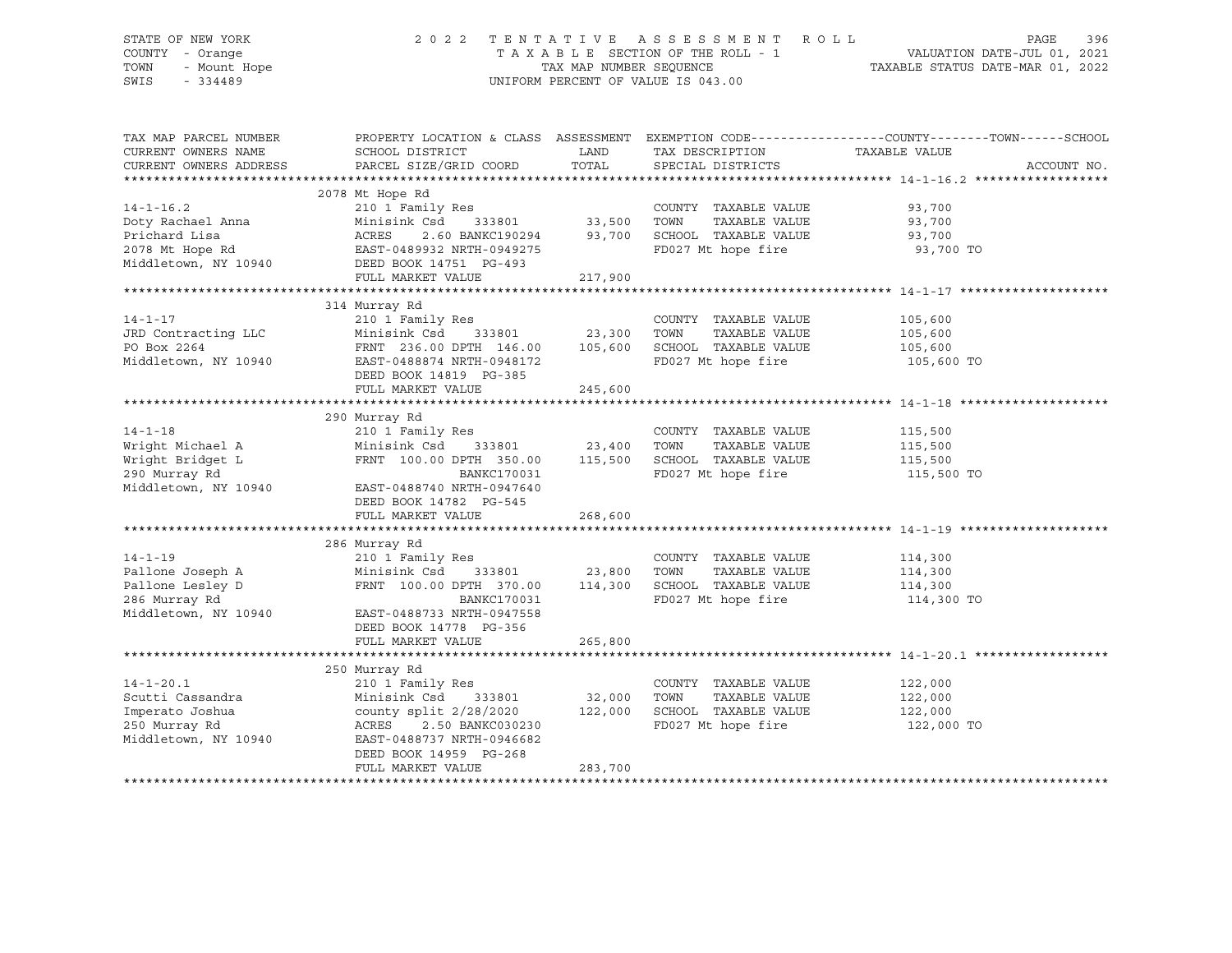# STATE OF NEW YORK 2 0 2 2 T E N T A T I V E A S S E S S M E N T R O L L PAGE 396 COUNTY - Orange T A X A B L E SECTION OF THE ROLL - 1 VALUATION DATE-JUL 01, 2021 TOWN - Mount Hope TAX MAP NUMBER SEQUENCE TAXABLE STATUS DATE-MAR 01, 2022 SWIS - 334489 UNIFORM PERCENT OF VALUE IS 043.00

| TAX MAP PARCEL NUMBER  |                                                             |                    |                               | PROPERTY LOCATION & CLASS ASSESSMENT EXEMPTION CODE---------------COUNTY-------TOWN-----SCHOOL |
|------------------------|-------------------------------------------------------------|--------------------|-------------------------------|------------------------------------------------------------------------------------------------|
| CURRENT OWNERS NAME    | SCHOOL DISTRICT                                             | LAND               | TAX DESCRIPTION TAXABLE VALUE |                                                                                                |
| CURRENT OWNERS ADDRESS | PARCEL SIZE/GRID COORD                                      | TOTAL              | SPECIAL DISTRICTS             | ACCOUNT NO.                                                                                    |
|                        |                                                             |                    |                               |                                                                                                |
|                        | 2078 Mt Hope Rd                                             |                    |                               |                                                                                                |
| $14 - 1 - 16.2$        | 210 1 Family Res                                            |                    | COUNTY TAXABLE VALUE          | 93,700                                                                                         |
|                        | Minisink Csd 333801 33,500<br>ACRES 2.60 BANKC190294 93,700 |                    | TAXABLE VALUE<br>TOWN         | 93,700                                                                                         |
|                        |                                                             |                    | SCHOOL TAXABLE VALUE 93,700   |                                                                                                |
|                        |                                                             |                    | FD027 Mt hope fire            | 93,700 TO                                                                                      |
|                        |                                                             |                    |                               |                                                                                                |
|                        | FULL MARKET VALUE                                           | 217,900            |                               |                                                                                                |
|                        |                                                             |                    |                               |                                                                                                |
|                        | 314 Murray Rd                                               |                    |                               |                                                                                                |
| $14 - 1 - 17$          | 210 1 Family Res                                            |                    | COUNTY TAXABLE VALUE          | 105,600                                                                                        |
| JRD Contracting LLC    |                                                             |                    | TOWN<br>TAXABLE VALUE         | 105,600                                                                                        |
| PO Box 2264            | FRNT 236.00 DPTH 146.00 105,600                             |                    | SCHOOL TAXABLE VALUE 105,600  |                                                                                                |
| Middletown, NY 10940   | EAST-0488874 NRTH-0948172                                   |                    | FD027 Mt hope fire            | 105,600 TO                                                                                     |
|                        | DEED BOOK 14819 PG-385                                      |                    |                               |                                                                                                |
|                        | FULL MARKET VALUE                                           | 245,600            |                               |                                                                                                |
|                        |                                                             |                    |                               |                                                                                                |
|                        | 290 Murray Rd                                               |                    |                               |                                                                                                |
| $14 - 1 - 18$          | 210 1 Family Res                                            |                    | COUNTY TAXABLE VALUE          | 115,500                                                                                        |
| Wright Michael A       | Minisink Csd                                                | 333801 23,400      | TOWN                          | TAXABLE VALUE 115,500                                                                          |
| Wright Bridget L       | FRNT 100.00 DPTH 350.00 115,500                             |                    | SCHOOL TAXABLE VALUE          | 115,500                                                                                        |
| 290 Murray Rd          | BANKC170031                                                 |                    | FD027 Mt hope fire 115,500 TO |                                                                                                |
| Middletown, NY 10940   | EAST-0488740 NRTH-0947640                                   |                    |                               |                                                                                                |
|                        | DEED BOOK 14782 PG-545                                      |                    |                               |                                                                                                |
|                        | FULL MARKET VALUE                                           | 268,600            |                               |                                                                                                |
|                        |                                                             |                    |                               |                                                                                                |
|                        | 286 Murray Rd                                               |                    |                               |                                                                                                |
| $14 - 1 - 19$          | 210 1 Family Res                                            |                    | COUNTY TAXABLE VALUE          | 114,300                                                                                        |
| Pallone Joseph A       | Minisink Csd                                                | 333801 23,800 TOWN | TAXABLE VALUE                 | 114,300                                                                                        |
| Pallone Lesley D       | FRNT 100.00 DPTH 370.00 114,300                             |                    | SCHOOL TAXABLE VALUE          | 114,300                                                                                        |
| 286 Murray Rd          | BANKC170031                                                 |                    | FD027 Mt hope fire            | 114,300 TO                                                                                     |
| Middletown, NY 10940   | EAST-0488733 NRTH-0947558                                   |                    |                               |                                                                                                |
|                        | DEED BOOK 14778 PG-356                                      |                    |                               |                                                                                                |
|                        | FULL MARKET VALUE                                           | 265,800            |                               |                                                                                                |
|                        |                                                             |                    |                               |                                                                                                |
|                        | 250 Murray Rd                                               |                    |                               |                                                                                                |
| $14 - 1 - 20.1$        | 210 1 Family Res                                            |                    | COUNTY TAXABLE VALUE          | 122,000                                                                                        |
| Scutti Cassandra       | $333801$ $32,000$<br>Minisink Csd                           |                    | TAXABLE VALUE<br>TOWN         | 122,000                                                                                        |
| Imperato Joshua        | county split 2/28/2020 122,000                              |                    | SCHOOL TAXABLE VALUE 122,000  |                                                                                                |
| 250 Murray Rd          | ACRES<br>2.50 BANKC030230                                   |                    | FD027 Mt hope fire            | 122,000 TO                                                                                     |
| Middletown, NY 10940   | EAST-0488737 NRTH-0946682                                   |                    |                               |                                                                                                |
|                        | DEED BOOK 14959 PG-268                                      |                    |                               |                                                                                                |
|                        | FULL MARKET VALUE                                           | 283,700            |                               |                                                                                                |
|                        |                                                             |                    |                               |                                                                                                |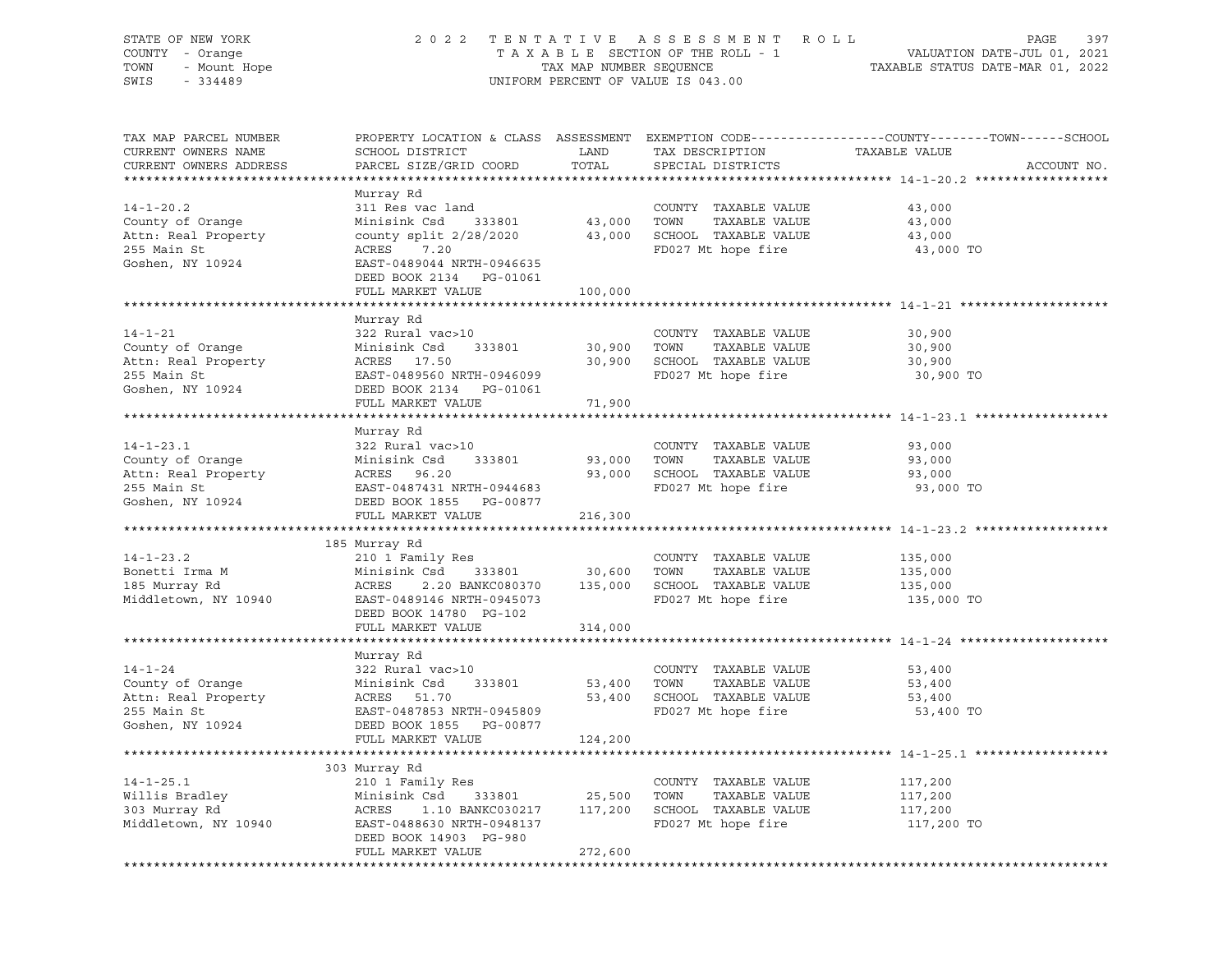# STATE OF NEW YORK 2 0 2 2 T E N T A T I V E A S S E S S M E N T R O L L PAGE 397 COUNTY - Orange T A X A B L E SECTION OF THE ROLL - 1 VALUATION DATE-JUL 01, 2021 TOWN - Mount Hope TAX MAP NUMBER SEQUENCE TAXABLE STATUS DATE-MAR 01, 2022 SWIS - 334489 UNIFORM PERCENT OF VALUE IS 043.00

| TAX MAP PARCEL NUMBER<br>CURRENT OWNERS NAME<br>CURRENT OWNERS ADDRESS                                  | SCHOOL DISTRICT<br>PARCEL SIZE/GRID COORD                                                                                                                            | LAND<br>TOTAL                | TAX DESCRIPTION<br>SPECIAL DISTRICTS                                                                         | PROPERTY LOCATION & CLASS ASSESSMENT EXEMPTION CODE----------------COUNTY-------TOWN------SCHOOL<br>TAXABLE VALUE<br>ACCOUNT NO. |
|---------------------------------------------------------------------------------------------------------|----------------------------------------------------------------------------------------------------------------------------------------------------------------------|------------------------------|--------------------------------------------------------------------------------------------------------------|----------------------------------------------------------------------------------------------------------------------------------|
|                                                                                                         |                                                                                                                                                                      |                              |                                                                                                              |                                                                                                                                  |
| $14 - 1 - 20.2$<br>County of Orange<br>Attn: Real Property<br>255 Main St<br>Goshen, NY 10924           | Murray Rd<br>311 Res vac land<br>Minisink Csd<br>333801<br>county split $2/28/2020$<br>ACRES<br>7.20<br>EAST-0489044 NRTH-0946635                                    | 43,000<br>43,000             | COUNTY TAXABLE VALUE<br>TOWN<br>TAXABLE VALUE<br>SCHOOL TAXABLE VALUE<br>FD027 Mt hope fire                  | 43,000<br>43,000<br>43,000<br>43,000 TO                                                                                          |
|                                                                                                         | DEED BOOK 2134 PG-01061                                                                                                                                              |                              |                                                                                                              |                                                                                                                                  |
|                                                                                                         | FULL MARKET VALUE                                                                                                                                                    | 100,000                      |                                                                                                              |                                                                                                                                  |
|                                                                                                         |                                                                                                                                                                      |                              |                                                                                                              |                                                                                                                                  |
| $14 - 1 - 21$<br>County of Orange<br>Attn: Real Property<br>255 Main St<br>Goshen, NY 10924             | Murray Rd<br>322 Rural vac>10<br>333801<br>Minisink Csd<br>ACRES 17.50<br>EAST-0489560 NRTH-0946099<br>DEED BOOK 2134    PG-01061                                    | 30,900                       | COUNTY TAXABLE VALUE<br>TOWN<br>TAXABLE VALUE<br>30,900 SCHOOL TAXABLE VALUE<br>FD027 Mt hope fire           | 30,900<br>30,900<br>30,900<br>30,900 TO                                                                                          |
|                                                                                                         | FULL MARKET VALUE                                                                                                                                                    | 71,900                       |                                                                                                              |                                                                                                                                  |
|                                                                                                         |                                                                                                                                                                      | **************               |                                                                                                              | ************************************** 14-1-23.1 *****                                                                           |
|                                                                                                         | Murray Rd                                                                                                                                                            |                              |                                                                                                              |                                                                                                                                  |
| $14 - 1 - 23.1$<br>County of Orange<br>Attn: Real Property<br>255 Main St<br>Goshen, NY 10924           | 322 Rural vac>10<br>Minisink Csd<br>333801<br>ACRES 96.20<br>EAST-0487431 NRTH-0944683<br>DEED BOOK 1855 PG-00877                                                    | 93,000<br>93,000             | COUNTY TAXABLE VALUE<br>TOWN<br>TAXABLE VALUE<br>SCHOOL TAXABLE VALUE<br>FD027 Mt hope fire                  | 93,000<br>93,000<br>93,000<br>93,000 TO                                                                                          |
|                                                                                                         | FULL MARKET VALUE                                                                                                                                                    | 216,300                      |                                                                                                              |                                                                                                                                  |
|                                                                                                         |                                                                                                                                                                      |                              |                                                                                                              |                                                                                                                                  |
|                                                                                                         | 185 Murray Rd                                                                                                                                                        |                              |                                                                                                              |                                                                                                                                  |
| $14 - 1 - 23.2$<br>Bonetti Irma M<br>185 Murray Rd<br>Middletown, NY 10940                              | 210 1 Family Res<br>Minisink Csd<br>333801<br>ACRES<br>EAST-0489146 NRTH-0945073<br>DEED BOOK 14780 PG-102<br>FULL MARKET VALUE                                      | 30,600 TOWN<br>314,000       | COUNTY TAXABLE VALUE<br>TAXABLE VALUE<br>2.20 BANKC080370 135,000 SCHOOL TAXABLE VALUE<br>FD027 Mt hope fire | 135,000<br>135,000<br>135,000<br>135,000 TO                                                                                      |
|                                                                                                         |                                                                                                                                                                      |                              |                                                                                                              |                                                                                                                                  |
| $14 - 1 - 24$<br>County of Orange<br>Attn: Real Property ACRES 51.70<br>255 Main St<br>Goshen, NY 10924 | Murray Rd<br>322 Rural vac>10<br>333801<br>Minisink Csd<br>EAST-0487853 NRTH-0945809<br>DEED BOOK 1855 PG-00877                                                      | 53,400 TOWN                  | COUNTY TAXABLE VALUE<br>TAXABLE VALUE<br>53,400 SCHOOL TAXABLE VALUE<br>FD027 Mt hope fire                   | 53,400<br>53,400<br>53,400<br>53,400 TO                                                                                          |
|                                                                                                         | FULL MARKET VALUE                                                                                                                                                    | 124,200                      |                                                                                                              |                                                                                                                                  |
|                                                                                                         |                                                                                                                                                                      |                              |                                                                                                              |                                                                                                                                  |
| $14 - 1 - 25.1$<br>Willis Bradley<br>303 Murray Rd<br>Middletown, NY 10940                              | 303 Murray Rd<br>210 1 Family Res<br>Minisink Csd<br>333801<br>ACRES<br>1.10 BANKC030217<br>EAST-0488630 NRTH-0948137<br>DEED BOOK 14903 PG-980<br>FULL MARKET VALUE | 25,500<br>117,200<br>272,600 | COUNTY TAXABLE VALUE<br>TOWN<br>TAXABLE VALUE<br>SCHOOL TAXABLE VALUE<br>FD027 Mt hope fire                  | 117,200<br>117,200<br>117,200<br>117,200 TO                                                                                      |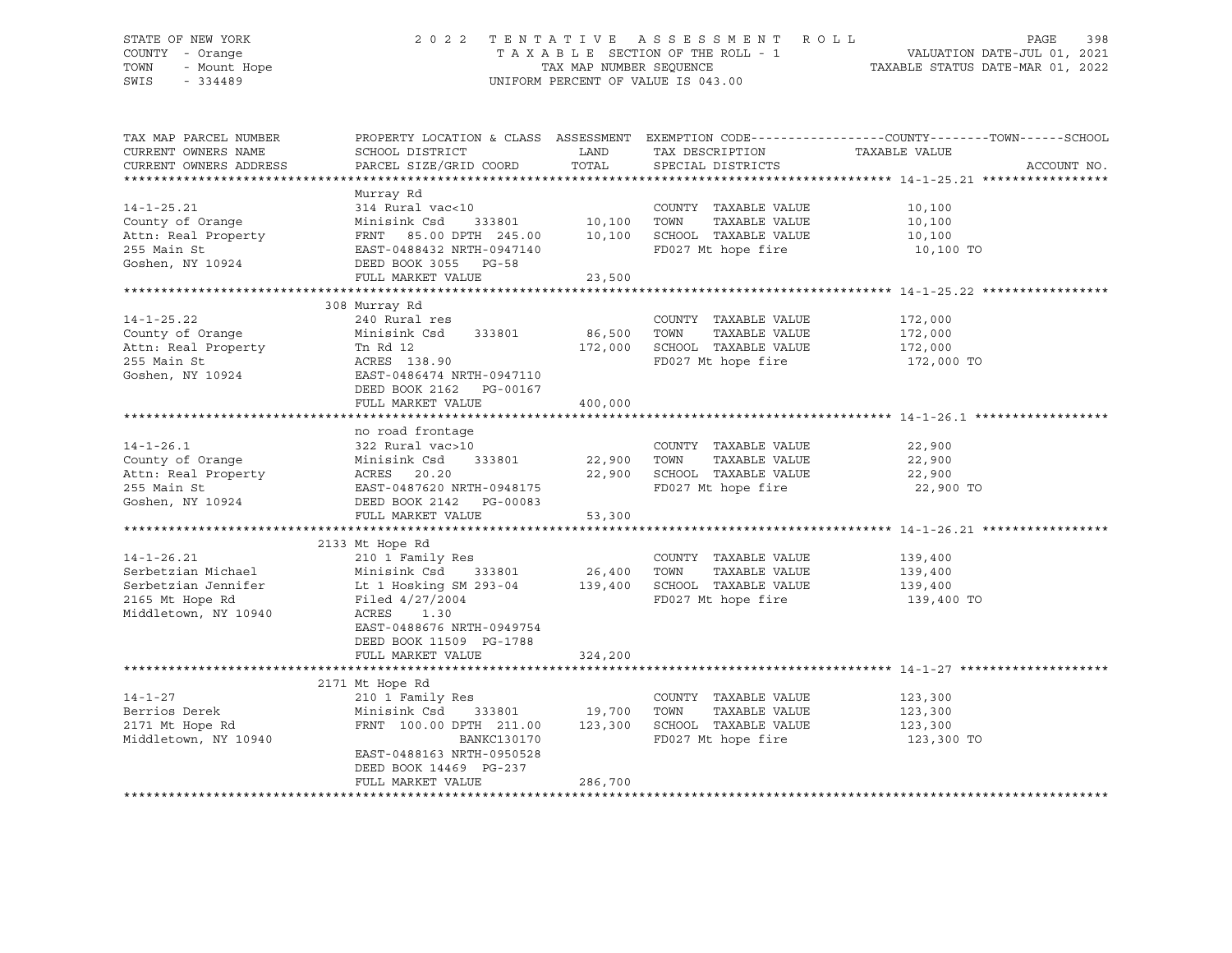# STATE OF NEW YORK 2 0 2 2 T E N T A T I V E A S S E S S M E N T R O L L PAGE 398 COUNTY - Orange T A X A B L E SECTION OF THE ROLL - 1 VALUATION DATE-JUL 01, 2021 TOWN - Mount Hope TAX MAP NUMBER SEQUENCE TAXABLE STATUS DATE-MAR 01, 2022 SWIS - 334489 UNIFORM PERCENT OF VALUE IS 043.00

| TAX MAP PARCEL NUMBER<br>CURRENT OWNERS NAME<br>CURRENT OWNERS ADDRESS                                   | SCHOOL DISTRICT<br>PARCEL SIZE/GRID COORD                                                                                                                         | LAND<br>TOTAL                     | TAX DESCRIPTION<br>SPECIAL DISTRICTS                                                        | PROPERTY LOCATION & CLASS ASSESSMENT EXEMPTION CODE----------------COUNTY-------TOWN------SCHOOL<br>TAXABLE VALUE<br>ACCOUNT NO. |
|----------------------------------------------------------------------------------------------------------|-------------------------------------------------------------------------------------------------------------------------------------------------------------------|-----------------------------------|---------------------------------------------------------------------------------------------|----------------------------------------------------------------------------------------------------------------------------------|
|                                                                                                          |                                                                                                                                                                   |                                   |                                                                                             |                                                                                                                                  |
| $14 - 1 - 25.21$<br>County of Orange<br>Attn: Real Property<br>255 Main St<br>Goshen, NY 10924           | Murray Rd<br>314 Rural vac<10<br>Minisink Csd<br>FRNT 85.00 DPTH 245.00<br>EAST-0488432 NRTH-0947140<br>DEED BOOK 3055 PG-58<br>FULL MARKET VALUE                 | 333801 10,100<br>10,100<br>23,500 | COUNTY TAXABLE VALUE<br>TOWN<br>TAXABLE VALUE<br>SCHOOL TAXABLE VALUE<br>FD027 Mt hope fire | 10,100<br>10,100<br>10,100<br>10,100 TO                                                                                          |
|                                                                                                          |                                                                                                                                                                   |                                   |                                                                                             |                                                                                                                                  |
| $14 - 1 - 25.22$<br>County of Orange<br>Attn: Real Property<br>255 Main St<br>Goshen, NY 10924           | 308 Murray Rd<br>240 Rural res<br>Minisink Csd<br>333801<br>Tn Rd 12<br>ACRES 138.90<br>EAST-0486474 NRTH-0947110<br>DEED BOOK 2162 PG-00167<br>FULL MARKET VALUE | 86,500<br>172,000<br>400,000      | COUNTY TAXABLE VALUE<br>TOWN<br>TAXABLE VALUE<br>SCHOOL TAXABLE VALUE<br>FD027 Mt hope fire | 172,000<br>172,000<br>172,000<br>172,000 TO                                                                                      |
|                                                                                                          | no road frontage                                                                                                                                                  |                                   |                                                                                             |                                                                                                                                  |
| $14 - 1 - 26.1$<br>County of Orange<br>Attn: Real Property<br>255 Main St<br>Goshen, NY 10924            | 322 Rural vac>10<br>Minisink Csd<br>333801<br>ACRES<br>20.20<br>EAST-0487620 NRTH-0948175<br>DEED BOOK 2142    PG-00083<br>FULL MARKET VALUE                      | 22,900<br>22,900<br>53,300        | COUNTY TAXABLE VALUE<br>TAXABLE VALUE<br>TOWN<br>SCHOOL TAXABLE VALUE<br>FD027 Mt hope fire | 22,900<br>22,900<br>22,900<br>22,900 TO                                                                                          |
|                                                                                                          | 2133 Mt Hope Rd                                                                                                                                                   |                                   |                                                                                             |                                                                                                                                  |
| $14 - 1 - 26.21$<br>Serbetzian Michael<br>Serbetzian Jennifer<br>2165 Mt Hope Rd<br>Middletown, NY 10940 | 210 1 Family Res<br>Minisink Csd<br>Lt 1 Hosking SM 293-04<br>Filed 4/27/2004<br>ACRES<br>1.30<br>EAST-0488676 NRTH-0949754<br>DEED BOOK 11509 PG-1788            | 333801 26,400<br>139,400          | COUNTY TAXABLE VALUE<br>TOWN<br>TAXABLE VALUE<br>SCHOOL TAXABLE VALUE<br>FD027 Mt hope fire | 139,400<br>139,400<br>139,400<br>139,400 TO                                                                                      |
|                                                                                                          | FULL MARKET VALUE                                                                                                                                                 | 324,200                           |                                                                                             |                                                                                                                                  |
| $14 - 1 - 27$<br>Berrios Derek<br>2171 Mt Hope Rd<br>Middletown, NY 10940                                | 2171 Mt Hope Rd<br>210 1 Family Res<br>Minisink Csd 333801<br>FRNT 100.00 DPTH 211.00<br>BANKC130170                                                              | 19,700<br>123,300                 | COUNTY TAXABLE VALUE<br>TAXABLE VALUE<br>TOWN<br>SCHOOL TAXABLE VALUE<br>FD027 Mt hope fire | 123,300<br>123,300<br>123,300<br>123,300 TO                                                                                      |
|                                                                                                          | EAST-0488163 NRTH-0950528<br>DEED BOOK 14469 PG-237<br>FULL MARKET VALUE                                                                                          | 286,700                           |                                                                                             |                                                                                                                                  |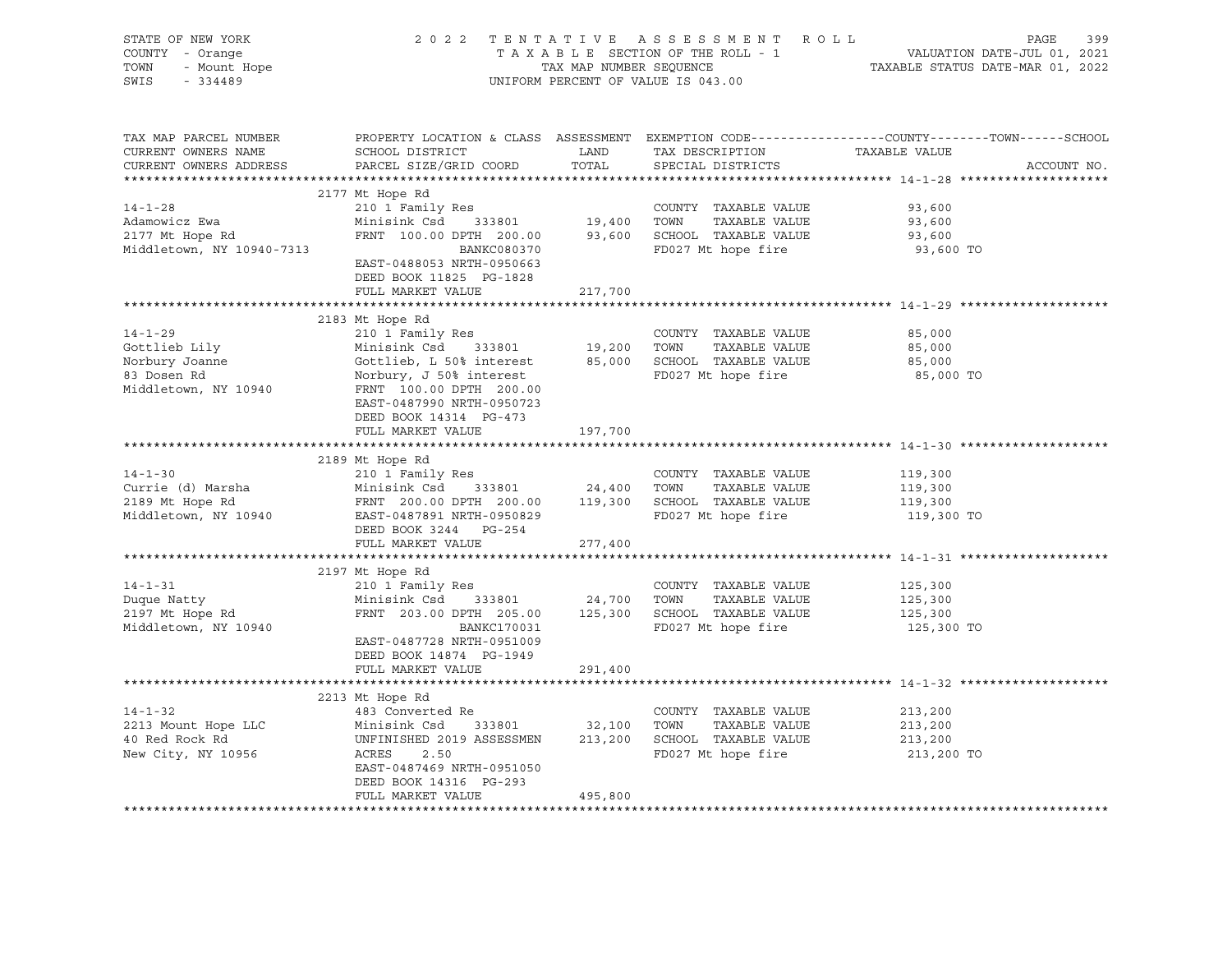| STATE OF NEW YORK<br>Y - Orange<br>- Mount Hope<br>- 221122<br>COUNTY - Orange<br>TOWN<br>SWIS<br>$-334489$ |                                                                                                                                                                                                                                                                                                        |                      | 2022 TENTATIVE ASSESSMENT ROLL<br>UNIFORM PERCENT OF VALUE IS 043.00                                                      | PAGE<br>399<br>TAXABLE SECTION OF THE ROLL - 1<br>TAXABLE SECTION OF THE ROLL - 1<br>TAXABLE STATUS DATE-MAR 01, 2022 |
|-------------------------------------------------------------------------------------------------------------|--------------------------------------------------------------------------------------------------------------------------------------------------------------------------------------------------------------------------------------------------------------------------------------------------------|----------------------|---------------------------------------------------------------------------------------------------------------------------|-----------------------------------------------------------------------------------------------------------------------|
| TAX MAP PARCEL NUMBER<br>CURRENT OWNERS NAME<br>CURRENT OWNERS ADDRESS                                      | SCHOOL DISTRICT<br>PARCEL SIZE/GRID COORD                                                                                                                                                                                                                                                              | <b>LAND</b><br>TOTAL | TAX DESCRIPTION TAXABLE VALUE<br>SPECIAL DISTRICTS                                                                        | PROPERTY LOCATION & CLASS ASSESSMENT EXEMPTION CODE----------------COUNTY-------TOWN------SCHOOL<br>ACCOUNT NO.       |
| $14 - 1 - 28$<br>Adamowicz Ewa<br>2177 Mt Hope Rd<br>Middletown, NY 10940-7313                              | 2177 Mt Hope Rd<br>--- - ramily Res<br>Minisink Csd 333801 19,400 TOWN TAXABLE VALUE<br>FRNT 100.00 DPTH 200.00 93,600 SCHOOL TAXABLE VALUE<br>BANKC080370 FD027 Mt hono<br>EAST-0488053 NRTH-0950663<br>DEED BOOK 11825 PG-1828<br>FULL MARKET VALUE 217,700                                          |                      |                                                                                                                           | 93,600<br>93,600<br>93,600<br>93,600 TO                                                                               |
|                                                                                                             |                                                                                                                                                                                                                                                                                                        |                      |                                                                                                                           |                                                                                                                       |
| $14 - 1 - 29$<br>Gottlieb Lily<br>Norbury Joanne<br>83 Dosen Rd<br>Middletown, NY 10940                     | 2183 Mt Hope Rd<br>210 1 Family Res<br>Minisink Csd 333801<br>Gottlieb, L 50% interest<br>Norbury, J 50% interest<br>Norbury, J 50% interest<br>FRNT 100.00 DPTH 200.00<br>EAST-0487990 NRTH-0950723                                                                                                   |                      | Res<br>333801 19,200 TOWN TAXABLE VALUE<br>0% interest 85,000 SCHOOL TAXABLE VALUE<br>TAXABLE VALUE<br>FD027 Mt hope fire | 85,000<br>85,000<br>85,000<br>85,000 TO                                                                               |
|                                                                                                             | DEED BOOK 14314 PG-473<br>FULL MARKET VALUE                                                                                                                                                                                                                                                            | 197,700              |                                                                                                                           |                                                                                                                       |
|                                                                                                             | 2189 Mt Hope Rd<br>14-1-30<br>Currie (d) Marsha 2103 At Hope Rd Minisink Csd 333801<br>2189 Mt Hope Rd FRNT 200.00 DPTH 200.00 119,300 SCHOOL TAXABLE VALUE<br>Middletown, NY 10940 EAST-0487891 NRTH-0950829<br>REST-0487891 NRTH-0950829 FD027 Mt hope<br>DEED BOOK 3244 PG-254<br>FULL MARKET VALUE | 277,400              | COUNTY TAXABLE VALUE<br>FD027 Mt hope fire                                                                                | 119,300<br>119,300<br>119,300<br>119,300 TO                                                                           |
|                                                                                                             |                                                                                                                                                                                                                                                                                                        |                      |                                                                                                                           |                                                                                                                       |
| $14 - 1 - 31$<br>Duque Natty<br>2197 Mt Hope Rd<br>Middletown, NY 10940                                     | 2197 Mt Hope Rd<br>210 1 Family Res<br>Minisink Csd 333801 24,700 TOWN TAXABLE VALUE<br>FRNT 203.00 DPTH 205.00 125,300 SCHOOL TAXABLE VALUE<br>BANKC170031<br>EAST-0487728 NRTH-0951009<br>DEED BOOK 14874 PG-1949                                                                                    |                      | COUNTY TAXABLE VALUE<br>TAXABLE VALUE<br>FD027 Mt hope fire                                                               | 125,300<br>125,300<br>125,300<br>125,300 TO                                                                           |
|                                                                                                             | FULL MARKET VALUE                                                                                                                                                                                                                                                                                      | 291,400              |                                                                                                                           |                                                                                                                       |
|                                                                                                             | 2213 Mt Hope Rd                                                                                                                                                                                                                                                                                        |                      |                                                                                                                           |                                                                                                                       |
| 14-1-32<br>2213 Mount Hope LLC<br>40 Red Rock Rd<br>- NV 10956                                              | 483 Converted Re<br>Minisink Csd 333801 32,100 TOWN TAXABLE VALUE<br>UNFINISHED 2019 ASSESSMEN 213,200 SCHOOL TAXABLE VALUE<br>ACRES<br>2.50<br>EAST-0487469 NRTH-0951050<br>DEED BOOK 14316 PG-293<br>FULL MARKET VALUE                                                                               | 495,800              | COUNTY TAXABLE VALUE<br>TAXABLE VALUE<br>FD027 Mt hope fire                                                               | 213,200<br>213,200<br>213,200<br>213,200 TO                                                                           |
|                                                                                                             |                                                                                                                                                                                                                                                                                                        |                      |                                                                                                                           |                                                                                                                       |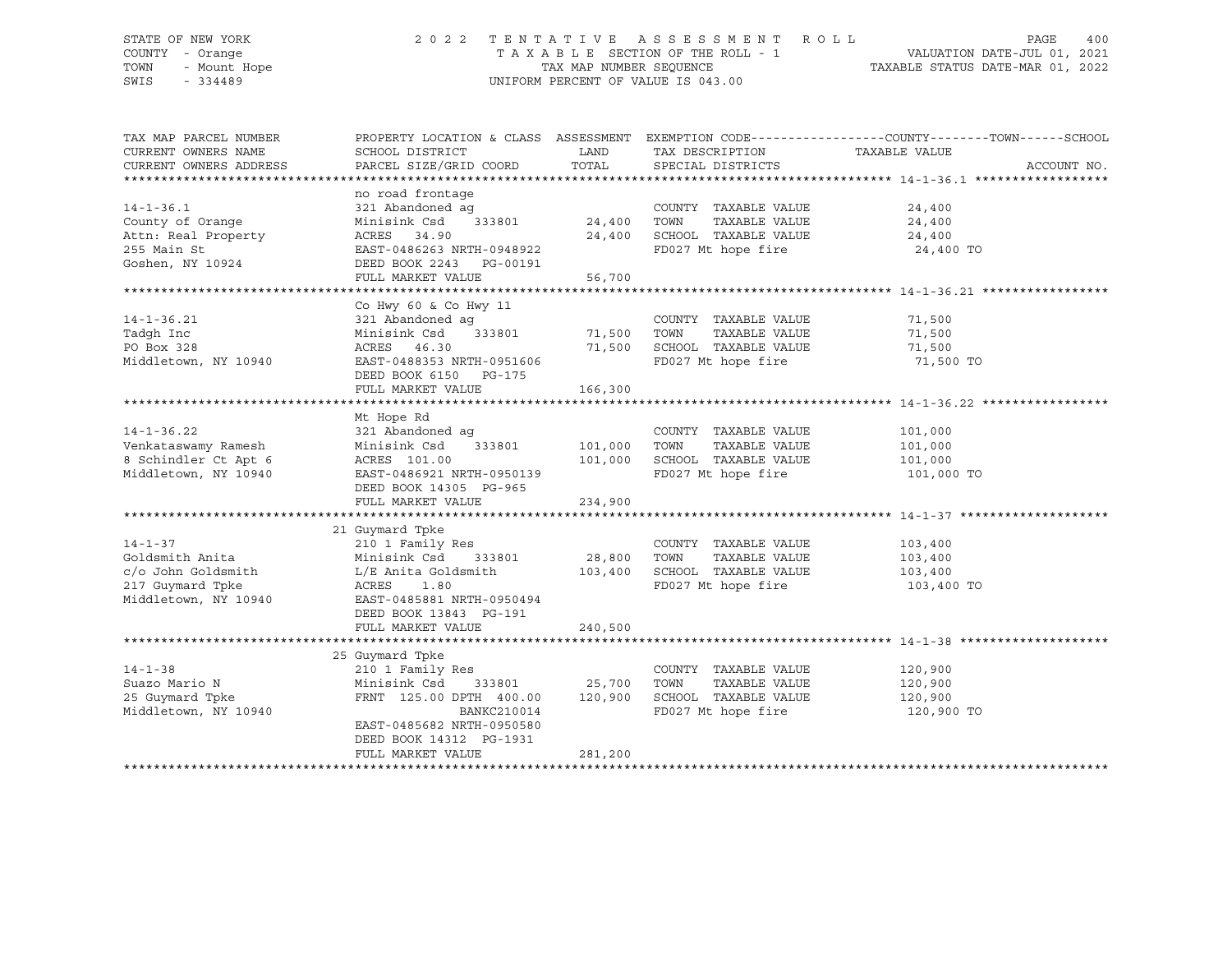# STATE OF NEW YORK 2 0 2 2 T E N T A T I V E A S S E S S M E N T R O L L PAGE 400 COUNTY - Orange T A X A B L E SECTION OF THE ROLL - 1 VALUATION DATE-JUL 01, 2021 TOWN - Mount Hope TAX MAP NUMBER SEQUENCE TAXABLE STATUS DATE-MAR 01, 2022 SWIS - 334489 UNIFORM PERCENT OF VALUE IS 043.00

| TAX MAP PARCEL NUMBER  |                                      |               |                              | PROPERTY LOCATION & CLASS ASSESSMENT EXEMPTION CODE----------------COUNTY-------TOWN------SCHOOL |
|------------------------|--------------------------------------|---------------|------------------------------|--------------------------------------------------------------------------------------------------|
| CURRENT OWNERS NAME    | SCHOOL DISTRICT                      | LAND          | TAX DESCRIPTION              | TAXABLE VALUE                                                                                    |
| CURRENT OWNERS ADDRESS | PARCEL SIZE/GRID COORD               | TOTAL         | SPECIAL DISTRICTS            | ACCOUNT NO.                                                                                      |
|                        |                                      |               |                              |                                                                                                  |
| $14 - 1 - 36.1$        | no road frontage<br>321 Abandoned ag |               | COUNTY TAXABLE VALUE         |                                                                                                  |
| County of Orange       | 333801<br>Minisink Csd               |               | TAXABLE VALUE                | 24,400<br>24,400                                                                                 |
| Attn: Real Property    | ACRES 34.90                          | 24,400        | SCHOOL TAXABLE VALUE         | 24,400                                                                                           |
| 255 Main St            | EAST-0486263 NRTH-0948922            |               | FD027 Mt hope fire           | 24,400 TO                                                                                        |
| Goshen, NY 10924       | DEED BOOK 2243 PG-00191              |               |                              |                                                                                                  |
|                        | FULL MARKET VALUE                    | 56,700        |                              |                                                                                                  |
|                        |                                      |               |                              |                                                                                                  |
|                        | Co Hwy 60 & Co Hwy 11                |               |                              |                                                                                                  |
| $14 - 1 - 36.21$       | 321 Abandoned ag                     |               | COUNTY TAXABLE VALUE         | 71,500                                                                                           |
| Tadgh Inc              | Minisink Csd 333801                  | 71,500        | TAXABLE VALUE<br>TOWN        | 71,500                                                                                           |
| PO Box 328             | ACRES 46.30                          |               | 71,500 SCHOOL TAXABLE VALUE  | 71,500                                                                                           |
| Middletown, NY 10940   | EAST-0488353 NRTH-0951606            |               | FD027 Mt hope fire           | 71,500 TO                                                                                        |
|                        | DEED BOOK 6150 PG-175                |               |                              |                                                                                                  |
|                        | FULL MARKET VALUE                    | 166,300       |                              |                                                                                                  |
|                        |                                      |               |                              |                                                                                                  |
|                        | Mt Hope Rd                           |               |                              |                                                                                                  |
| $14 - 1 - 36.22$       | 321 Abandoned ag                     |               | COUNTY TAXABLE VALUE         | 101,000                                                                                          |
| Venkataswamy Ramesh    | Minisink Csd 333801                  | 101,000       | TOWN<br>TAXABLE VALUE        | 101,000                                                                                          |
| 8 Schindler Ct Apt 6   | ACRES 101.00                         | 101,000       | SCHOOL TAXABLE VALUE         | 101,000                                                                                          |
| Middletown, NY 10940   | EAST-0486921 NRTH-0950139            |               | FD027 Mt hope fire           | 101,000 TO                                                                                       |
|                        | DEED BOOK 14305 PG-965               |               |                              |                                                                                                  |
|                        | FULL MARKET VALUE                    | 234,900       |                              |                                                                                                  |
|                        |                                      |               |                              |                                                                                                  |
|                        | 21 Guymard Tpke                      |               |                              |                                                                                                  |
| $14 - 1 - 37$          | 210 1 Family Res                     |               | COUNTY TAXABLE VALUE         | 103,400                                                                                          |
| Goldsmith Anita        | Minisink Csd<br>333801               | 28,800        | TOWN<br>TAXABLE VALUE        | 103,400                                                                                          |
| c/o John Goldsmith     | L/E Anita Goldsmith 103,400          |               | SCHOOL TAXABLE VALUE 103,400 |                                                                                                  |
| 217 Guymard Tpke       | ACRES<br>1.80                        |               | FD027 Mt hope fire           | 103,400 TO                                                                                       |
| Middletown, NY 10940   | EAST-0485881 NRTH-0950494            |               |                              |                                                                                                  |
|                        | DEED BOOK 13843 PG-191               |               |                              |                                                                                                  |
|                        | FULL MARKET VALUE                    | 240,500       |                              |                                                                                                  |
|                        |                                      |               |                              |                                                                                                  |
|                        | 25 Guymard Tpke                      |               |                              |                                                                                                  |
| $14 - 1 - 38$          | 210 1 Family Res                     |               | COUNTY TAXABLE VALUE         | 120,900                                                                                          |
| Suazo Mario N          | Minisink Csd                         | 333801 25,700 | TOWN<br>TAXABLE VALUE        | 120,900                                                                                          |
| 25 Guymard Tpke        | FRNT 125.00 DPTH 400.00 120,900      |               | SCHOOL TAXABLE VALUE         | 120,900                                                                                          |
| Middletown, NY 10940   | BANKC210014                          |               | FD027 Mt hope fire           | 120,900 TO                                                                                       |
|                        | EAST-0485682 NRTH-0950580            |               |                              |                                                                                                  |
|                        | DEED BOOK 14312 PG-1931              |               |                              |                                                                                                  |
|                        | FULL MARKET VALUE                    | 281,200       |                              |                                                                                                  |
|                        |                                      |               |                              |                                                                                                  |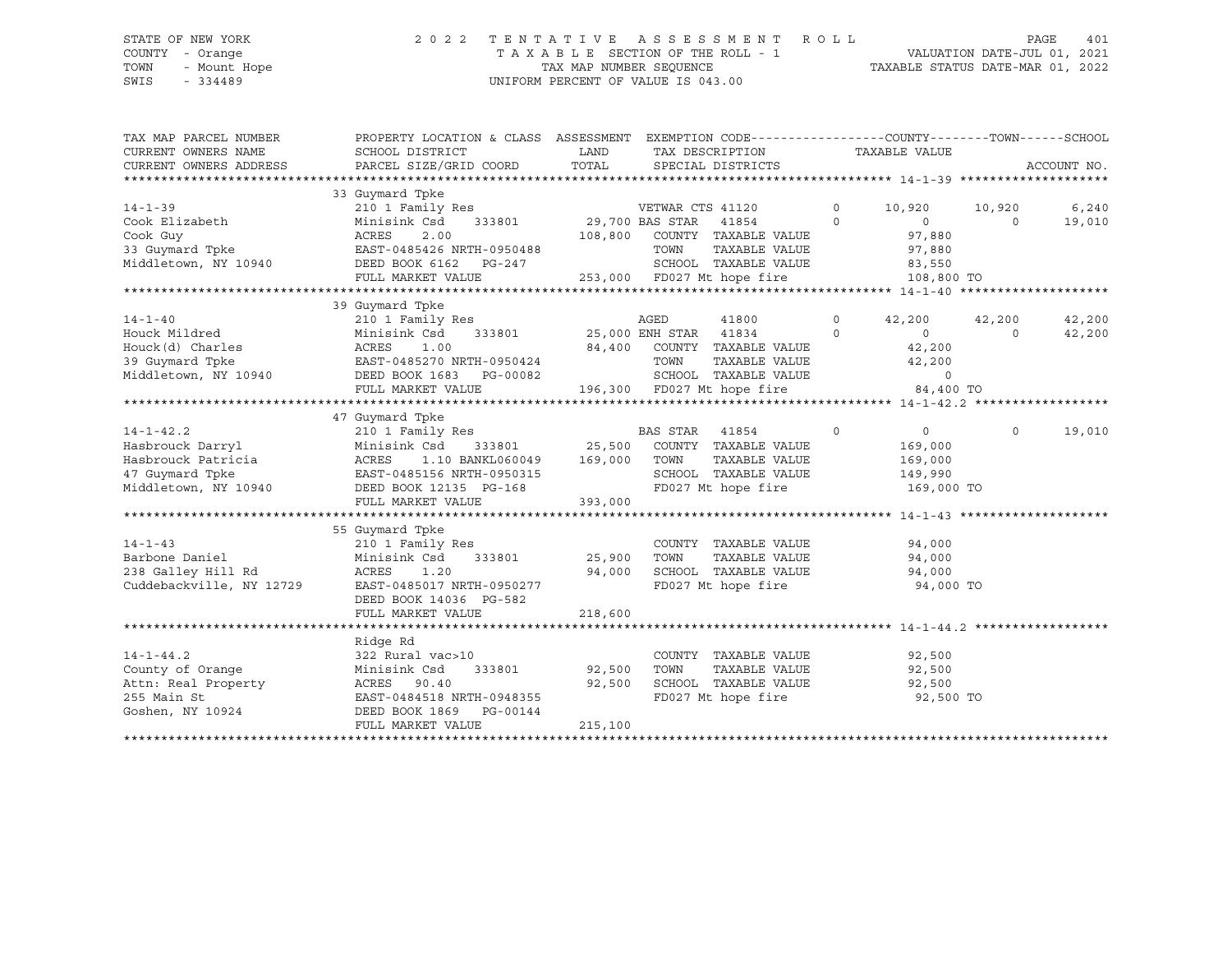# STATE OF NEW YORK 2 0 2 2 T E N T A T I V E A S S E S S M E N T R O L L PAGE 401 COUNTY - Orange T A X A B L E SECTION OF THE ROLL - 1 VALUATION DATE-JUL 01, 2021 TOWN - Mount Hope TAX MAP NUMBER SEQUENCE TAXABLE STATUS DATE-MAR 01, 2022 SWIS - 334489 UNIFORM PERCENT OF VALUE IS 043.00

| TAX MAP PARCEL NUMBER    | PROPERTY LOCATION & CLASS ASSESSMENT EXEMPTION CODE----------------COUNTY-------TOWN-----SCHOOL |               |                                                    |          |                |          |             |
|--------------------------|-------------------------------------------------------------------------------------------------|---------------|----------------------------------------------------|----------|----------------|----------|-------------|
| CURRENT OWNERS NAME      | SCHOOL DISTRICT                                                                                 | LAND          | TAX DESCRIPTION                                    |          | TAXABLE VALUE  |          |             |
| CURRENT OWNERS ADDRESS   | PARCEL SIZE/GRID COORD                                                                          | TOTAL         | SPECIAL DISTRICTS                                  |          |                |          | ACCOUNT NO. |
|                          |                                                                                                 |               |                                                    |          |                |          |             |
|                          | 33 Guymard Tpke                                                                                 |               |                                                    |          |                |          |             |
| $14 - 1 - 39$            | 210 1 Family Res                                                                                |               | VETWAR CTS 41120                                   | $\Omega$ | 10,920         | 10,920   | 6,240       |
| Cook Elizabeth           | Minisink Csd<br>333801                                                                          |               | 29,700 BAS STAR 41854                              | $\Omega$ | $\overline{0}$ | $\Omega$ | 19,010      |
| Cook Guy                 | ACRES<br>2.00                                                                                   |               | 108,800 COUNTY TAXABLE VALUE                       |          | 97,880         |          |             |
| 33 Guymard Tpke          | EAST-0485426 NRTH-0950488                                                                       |               | TOWN<br>TAXABLE VALUE                              |          | 97,880         |          |             |
| Middletown, NY 10940     | DEED BOOK 6162<br>PG-247                                                                        |               | SCHOOL TAXABLE VALUE                               |          | 83,550         |          |             |
|                          | FULL MARKET VALUE                                                                               |               | 253,000 FD027 Mt hope fire                         |          | 108,800 TO     |          |             |
|                          |                                                                                                 |               |                                                    |          |                |          |             |
|                          | 39 Guymard Tpke                                                                                 |               |                                                    |          |                |          |             |
| $14 - 1 - 40$            | 210 1 Family Res                                                                                |               | AGED<br>41800                                      | $\circ$  | 42,200         | 42,200   | 42,200      |
| Houck Mildred            | Minisink Csd<br>333801                                                                          |               | 25,000 ENH STAR 41834                              | $\Omega$ | 0              | $\Omega$ | 42,200      |
| Houck(d) Charles         | ACRES<br>1.00                                                                                   |               | 84,400 COUNTY TAXABLE VALUE                        |          | 42,200         |          |             |
| 39 Guymard Tpke          | EAST-0485270 NRTH-0950424                                                                       |               | TOWN<br>TAXABLE VALUE                              |          | 42,200         |          |             |
| Middletown, NY 10940     | DEED BOOK 1683 PG-00082                                                                         |               |                                                    |          | $\Omega$       |          |             |
|                          | FULL MARKET VALUE                                                                               |               | SCHOOL TAXABLE VALUE<br>196,300 FD027 Mt hope fire |          | 84,400 TO      |          |             |
|                          |                                                                                                 |               |                                                    |          |                |          |             |
|                          | 47 Guymard Tpke                                                                                 |               |                                                    |          |                |          |             |
| $14 - 1 - 42.2$          | 210 1 Family Res                                                                                |               | BAS STAR 41854                                     | $\circ$  | $\overline{0}$ | $\Omega$ | 19,010      |
| Hasbrouck Darryl         | Minisink Csd                                                                                    | 333801 25,500 | COUNTY TAXABLE VALUE                               |          | 169,000        |          |             |
| Hasbrouck Patricia       | 1.10 BANKL060049 169,000<br>ACRES                                                               |               | TAXABLE VALUE<br>TOWN                              |          | 169,000        |          |             |
| 47 Guymard Tpke          | EAST-0485156 NRTH-0950315                                                                       |               | SCHOOL TAXABLE VALUE                               |          | 149,990        |          |             |
| Middletown, NY 10940     | DEED BOOK 12135 PG-168                                                                          |               | FD027 Mt hope fire                                 |          | 169,000 TO     |          |             |
|                          | FULL MARKET VALUE                                                                               | 393,000       |                                                    |          |                |          |             |
|                          |                                                                                                 |               |                                                    |          |                |          |             |
|                          | 55 Guymard Tpke                                                                                 |               |                                                    |          |                |          |             |
| $14 - 1 - 43$            | 210 1 Family Res                                                                                |               | COUNTY TAXABLE VALUE                               |          | 94,000         |          |             |
| Barbone Daniel           | Minisink Csd<br>333801                                                                          | 25,900        | TOWN<br>TAXABLE VALUE                              |          | 94,000         |          |             |
| 238 Galley Hill Rd       | ACRES<br>1.20                                                                                   | 94,000        | SCHOOL TAXABLE VALUE                               |          | 94,000         |          |             |
| Cuddebackville, NY 12729 | EAST-0485017 NRTH-0950277                                                                       |               | FD027 Mt hope fire                                 |          | 94,000 TO      |          |             |
|                          |                                                                                                 |               |                                                    |          |                |          |             |
|                          | DEED BOOK 14036 PG-582<br>FULL MARKET VALUE                                                     | 218,600       |                                                    |          |                |          |             |
|                          |                                                                                                 |               |                                                    |          |                |          |             |
|                          |                                                                                                 |               |                                                    |          |                |          |             |
| $14 - 1 - 44.2$          | Ridge Rd                                                                                        |               |                                                    |          |                |          |             |
|                          | 322 Rural vac>10                                                                                |               | COUNTY TAXABLE VALUE<br>TOWN<br>TAXABLE VALUE      |          | 92,500         |          |             |
| County of Orange         | 333801<br>Minisink Csd                                                                          | 92,500        | SCHOOL TAXABLE VALUE                               |          | 92,500         |          |             |
| Attn: Real Property      | 90.40<br>ACRES                                                                                  | 92,500        |                                                    |          | 92,500         |          |             |
| 255 Main St              | EAST-0484518 NRTH-0948355                                                                       |               | FD027 Mt hope fire                                 |          | 92,500 TO      |          |             |
| Goshen, NY 10924         | DEED BOOK 1869 PG-00144                                                                         |               |                                                    |          |                |          |             |
|                          | FULL MARKET VALUE                                                                               | 215,100       |                                                    |          |                |          |             |
|                          |                                                                                                 |               |                                                    |          |                |          |             |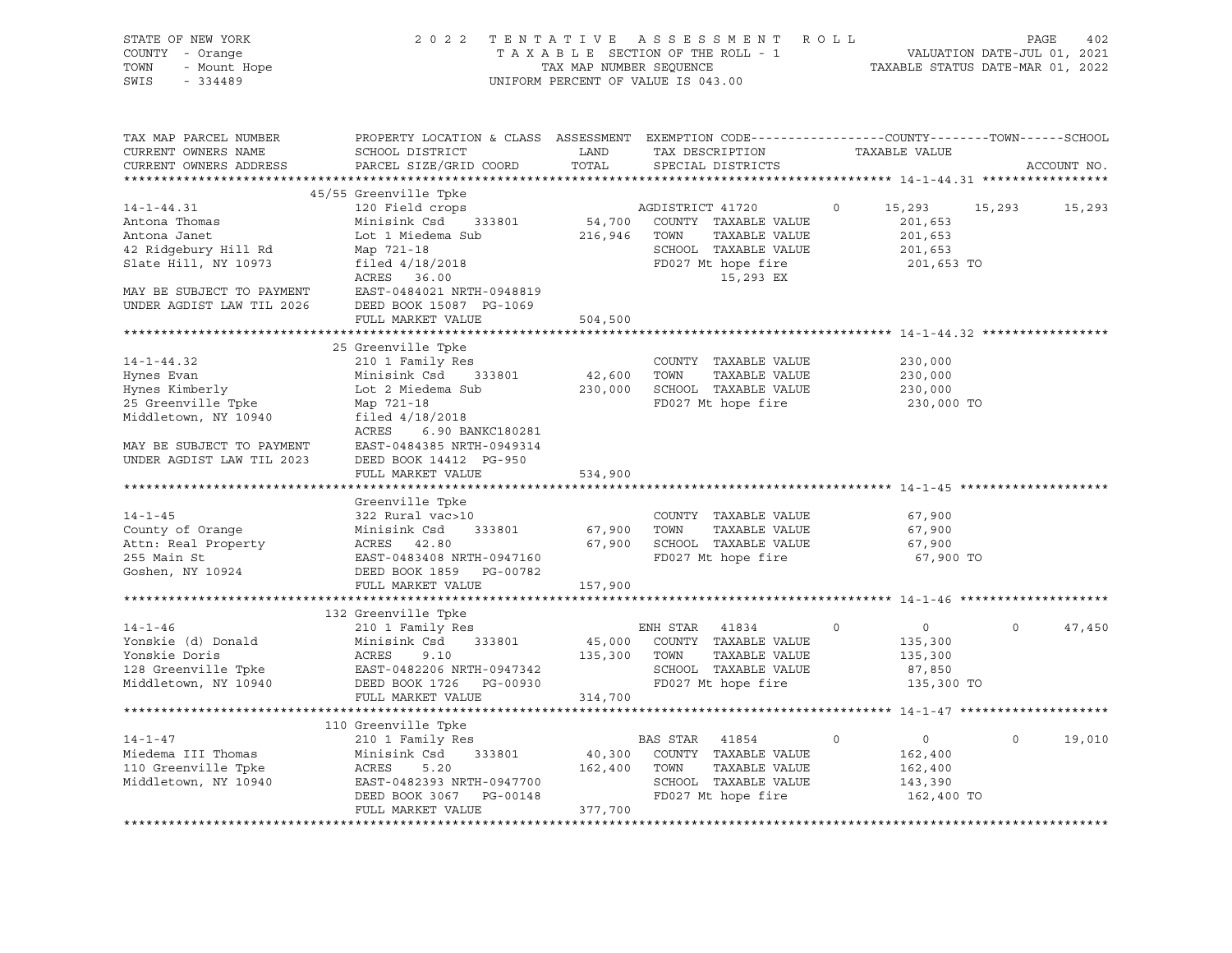| STATE OF NEW YORK<br>COUNTY - Orange<br>- Mount Hope<br>TOWN<br>SWIS<br>$-334489$ | 2 0 2 2                                                                                                                                      | TAX MAP NUMBER SEQUENCE | TENTATIVE ASSESSMENT ROLL<br>TAXABLE SECTION OF THE ROLL - 1<br>UNIFORM PERCENT OF VALUE IS 043.00 |             | VALUATION DATE-JUL 01, 2021<br>TAXABLE STATUS DATE-MAR 01, 2022 | 402<br>PAGE        |
|-----------------------------------------------------------------------------------|----------------------------------------------------------------------------------------------------------------------------------------------|-------------------------|----------------------------------------------------------------------------------------------------|-------------|-----------------------------------------------------------------|--------------------|
| TAX MAP PARCEL NUMBER<br>CURRENT OWNERS NAME<br>CURRENT OWNERS ADDRESS            | PROPERTY LOCATION & CLASS ASSESSMENT EXEMPTION CODE----------------COUNTY-------TOWN-----SCHOOL<br>SCHOOL DISTRICT<br>PARCEL SIZE/GRID COORD | LAND<br>TOTAL           | TAX DESCRIPTION<br>SPECIAL DISTRICTS                                                               |             | TAXABLE VALUE                                                   | ACCOUNT NO.        |
|                                                                                   | 45/55 Greenville Tpke                                                                                                                        |                         |                                                                                                    |             |                                                                 |                    |
| $14 - 1 - 44.31$                                                                  | 120 Field crops                                                                                                                              |                         | AGDISTRICT 41720                                                                                   | $\circ$     | 15,293<br>15,293                                                | 15,293             |
| Antona Thomas                                                                     | Minisink Csd 333801                                                                                                                          | 54,700                  | COUNTY TAXABLE VALUE                                                                               |             | 201,653                                                         |                    |
| Antona Janet                                                                      | Lot 1 Miedema Sub                                                                                                                            | 216,946                 | TOWN<br>TAXABLE VALUE                                                                              |             | 201,653                                                         |                    |
| 42 Ridgebury Hill Rd                                                              | Map 721-18                                                                                                                                   |                         | SCHOOL TAXABLE VALUE                                                                               |             | 201,653                                                         |                    |
| Slate Hill, NY 10973                                                              | filed $4/18/2018$                                                                                                                            |                         | FD027 Mt hope fire                                                                                 |             | 201,653 TO                                                      |                    |
|                                                                                   | ACRES 36.00                                                                                                                                  |                         | 15,293 EX                                                                                          |             |                                                                 |                    |
| MAY BE SUBJECT TO PAYMENT<br>UNDER AGDIST LAW TIL 2026                            | EAST-0484021 NRTH-0948819<br>DEED BOOK 15087 PG-1069                                                                                         |                         |                                                                                                    |             |                                                                 |                    |
|                                                                                   | FULL MARKET VALUE                                                                                                                            | 504,500                 | ************************ 14-1-44.32 **                                                             |             |                                                                 |                    |
|                                                                                   | 25 Greenville Tpke                                                                                                                           |                         |                                                                                                    |             |                                                                 |                    |
| $14 - 1 - 44.32$                                                                  | 210 1 Family Res                                                                                                                             |                         | COUNTY TAXABLE VALUE                                                                               |             | 230,000                                                         |                    |
| Hynes Evan                                                                        | Minisink Csd<br>333801                                                                                                                       | 42,600                  | TOWN<br>TAXABLE VALUE                                                                              |             | 230,000                                                         |                    |
| Hynes Kimberly                                                                    | Lot 2 Miedema Sub                                                                                                                            | 230,000                 | SCHOOL TAXABLE VALUE                                                                               |             | 230,000                                                         |                    |
| 25 Greenville Tpke                                                                | Map 721-18                                                                                                                                   |                         | FD027 Mt hope fire                                                                                 |             | 230,000 TO                                                      |                    |
| Middletown, NY 10940                                                              | filed 4/18/2018<br>ACRES<br>6.90 BANKC180281                                                                                                 |                         |                                                                                                    |             |                                                                 |                    |
| MAY BE SUBJECT TO PAYMENT<br>UNDER AGDIST LAW TIL 2023                            | EAST-0484385 NRTH-0949314<br>DEED BOOK 14412 PG-950                                                                                          |                         |                                                                                                    |             |                                                                 |                    |
|                                                                                   | FULL MARKET VALUE                                                                                                                            | 534,900                 |                                                                                                    |             |                                                                 |                    |
|                                                                                   | Greenville Tpke                                                                                                                              |                         |                                                                                                    |             |                                                                 |                    |
| $14 - 1 - 45$                                                                     | 322 Rural vac>10                                                                                                                             |                         | COUNTY TAXABLE VALUE                                                                               |             | 67,900                                                          |                    |
| County of Orange                                                                  | Minisink Csd<br>333801                                                                                                                       | 67,900                  | TAXABLE VALUE<br>TOWN                                                                              |             | 67,900                                                          |                    |
| Attn: Real Property                                                               | ACRES 42.80                                                                                                                                  |                         | 67,900 SCHOOL TAXABLE VALUE                                                                        |             | 67,900                                                          |                    |
| 255 Main St                                                                       | EAST-0483408 NRTH-0947160                                                                                                                    |                         | FD027 Mt hope fire                                                                                 |             | 67,900 TO                                                       |                    |
| Goshen, NY 10924                                                                  | DEED BOOK 1859 PG-00782                                                                                                                      |                         |                                                                                                    |             |                                                                 |                    |
|                                                                                   | FULL MARKET VALUE                                                                                                                            | 157,900                 |                                                                                                    |             |                                                                 |                    |
|                                                                                   |                                                                                                                                              |                         |                                                                                                    |             |                                                                 |                    |
|                                                                                   | 132 Greenville Tpke                                                                                                                          |                         |                                                                                                    |             |                                                                 |                    |
| $14 - 1 - 46$                                                                     | 210 1 Family Res                                                                                                                             |                         | ENH STAR 41834                                                                                     | $\circ$     | $\overline{0}$                                                  | 47,450<br>$\Omega$ |
| Yonskie (d) Donald                                                                | Minisink Csd<br>333801                                                                                                                       | 45,000                  | COUNTY TAXABLE VALUE                                                                               |             | 135,300                                                         |                    |
| Yonskie Doris                                                                     | ACRES<br>9.10                                                                                                                                | 135,300                 | TAXABLE VALUE<br>TOWN                                                                              |             | 135,300                                                         |                    |
| 128 Greenville Tpke                                                               | EAST-0482206 NRTH-0947342                                                                                                                    |                         | SCHOOL TAXABLE VALUE                                                                               |             | 87,850                                                          |                    |
| Middletown, NY 10940                                                              | DEED BOOK 1726 PG-00930<br>FULL MARKET VALUE                                                                                                 | 314,700                 | FD027 Mt hope fire                                                                                 |             | 135,300 TO                                                      |                    |
|                                                                                   |                                                                                                                                              |                         |                                                                                                    |             |                                                                 |                    |
|                                                                                   | 110 Greenville Tpke                                                                                                                          |                         |                                                                                                    |             |                                                                 |                    |
| $14 - 1 - 47$                                                                     | 210 1 Family Res                                                                                                                             |                         | BAS STAR<br>41854                                                                                  | $\mathbf 0$ | $\circ$                                                         | $\circ$<br>19,010  |
| Miedema III Thomas                                                                | Minisink Csd<br>333801                                                                                                                       | 40,300                  | COUNTY TAXABLE VALUE                                                                               |             | 162,400                                                         |                    |
| 110 Greenville Tpke                                                               | ACRES<br>5.20                                                                                                                                | 162,400                 | TOWN<br>TAXABLE VALUE                                                                              |             | 162,400                                                         |                    |
| Middletown, NY 10940                                                              | EAST-0482393 NRTH-0947700                                                                                                                    |                         | SCHOOL TAXABLE VALUE                                                                               |             | 143,390                                                         |                    |
|                                                                                   | DEED BOOK 3067 PG-00148                                                                                                                      |                         | FD027 Mt hope fire                                                                                 |             | 162,400 TO                                                      |                    |
|                                                                                   | FULL MARKET VALUE                                                                                                                            | 377,700                 |                                                                                                    |             |                                                                 |                    |
|                                                                                   |                                                                                                                                              |                         |                                                                                                    |             |                                                                 |                    |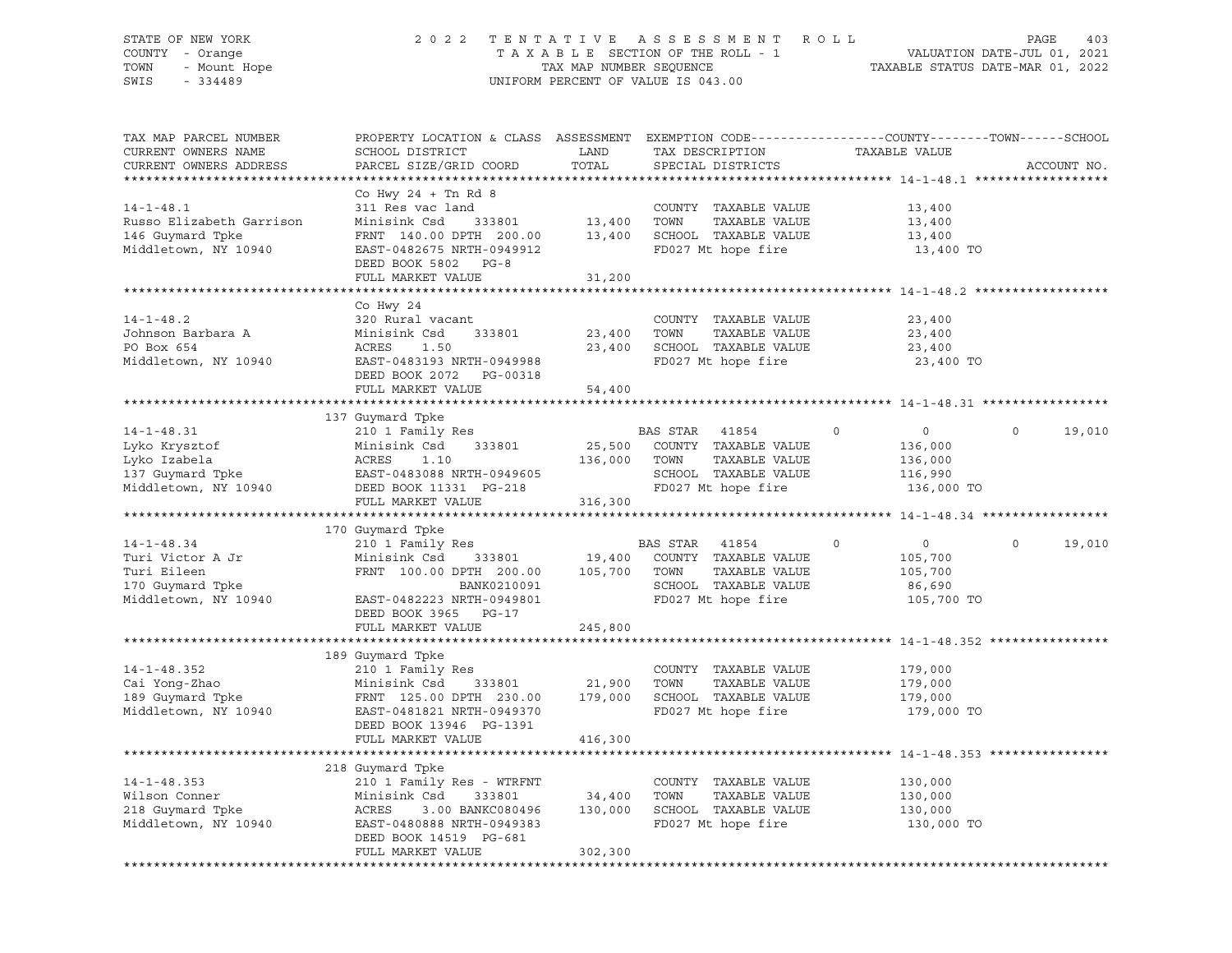### STATE OF NEW YORK 2 0 2 2 T E N T A T I V E A S S E S S M E N T R O L L PAGE 403 COUNTY - Orange T A X A B L E SECTION OF THE ROLL - 1 VALUATION DATE-JUL 01, 2021 TOWN - UNIT HOUSE TAX MAP NUMBER SEQUENCE TAXABLE STATUS DATE-MAR 01, 2022<br>TOWN - Mount Hope TAXABLE STATUS DATE-MAR 01, 2022<br>SWIS - 334489 UNIFORM PERCENT OF VALUE IS 043.00

TAX MAP PARCEL NUMBER PROPERTY LOCATION & CLASS ASSESSMENT EXEMPTION CODE------------------COUNTY--------TOWN------SCHOOL

CURRENT OWNERS NAME SCHOOL DISTRICT LAND TAX DESCRIPTION TAXABLE VALUE CURRENT OWNERS ADDRESS PARCEL SIZE/GRID COORD TOTAL SPECIAL DISTRICTS ACCOUNT NO. \*\*\*\*\*\*\*\*\*\*\*\*\*\*\*\*\*\*\*\*\*\*\*\*\*\*\*\*\*\*\*\*\*\*\*\*\*\*\*\*\*\*\*\*\*\*\*\*\*\*\*\*\*\*\*\*\*\*\*\*\*\*\*\*\*\*\*\*\*\*\*\*\*\*\*\*\*\*\*\*\*\*\*\*\*\*\*\*\*\*\*\*\*\*\*\*\*\*\*\*\*\*\* 14-1-48.1 \*\*\*\*\*\*\*\*\*\*\*\*\*\*\*\*\*\* Co Hwy 24 + Tn Rd 8 14-1-48.1 311 Res vac land COUNTY TAXABLE VALUE 13,400 Russo Elizabeth Garrison Minisink Csd 333801 13,400 TOWN TAXABLE VALUE 13,400 146 Guymard Tpke FRNT 140.00 DPTH 200.00 13,400 SCHOOL TAXABLE VALUE 13,400 Middletown, NY 10940 EAST-0482675 NRTH-0949912 FD027 Mt hope fire 13,400 TO DEED BOOK 5802 PG-8 FULL MARKET VALUE 31,200 \*\*\*\*\*\*\*\*\*\*\*\*\*\*\*\*\*\*\*\*\*\*\*\*\*\*\*\*\*\*\*\*\*\*\*\*\*\*\*\*\*\*\*\*\*\*\*\*\*\*\*\*\*\*\*\*\*\*\*\*\*\*\*\*\*\*\*\*\*\*\*\*\*\*\*\*\*\*\*\*\*\*\*\*\*\*\*\*\*\*\*\*\*\*\*\*\*\*\*\*\*\*\* 14-1-48.2 \*\*\*\*\*\*\*\*\*\*\*\*\*\*\*\*\*\* Co Hwy 24 14-1-48.2 320 Rural vacant COUNTY TAXABLE VALUE 23,400 Johnson Barbara A Minisink Csd 333801 23,400 TOWN TAXABLE VALUE 23,400 PO Box 654 ACRES 1.50 23,400 SCHOOL TAXABLE VALUE 23,400 Middletown, NY 10940 EAST-0483193 NRTH-0949988 FD027 Mt hope fire 23,400 TO DEED BOOK 2072 PG-00318 FULL MARKET VALUE 54,400 \*\*\*\*\*\*\*\*\*\*\*\*\*\*\*\*\*\*\*\*\*\*\*\*\*\*\*\*\*\*\*\*\*\*\*\*\*\*\*\*\*\*\*\*\*\*\*\*\*\*\*\*\*\*\*\*\*\*\*\*\*\*\*\*\*\*\*\*\*\*\*\*\*\*\*\*\*\*\*\*\*\*\*\*\*\*\*\*\*\*\*\*\*\*\*\*\*\*\*\*\*\*\* 14-1-48.31 \*\*\*\*\*\*\*\*\*\*\*\*\*\*\*\*\* 137 Guymard Tpke 14-1-48.31 210 1 Family Res BAS STAR 41854 0 0 0 19,010 Lyko Krysztof Minisink Csd 333801 25,500 COUNTY TAXABLE VALUE 136,000 Lyko Izabela ACRES 1.10 136,000 TOWN TAXABLE VALUE 136,000 137 Guymard Tpke EAST-0483088 NRTH-0949605 SCHOOL TAXABLE VALUE 116,990 Middletown, NY 10940 DEED BOOK 11331 PG-218 FD027 Mt hope fire 136,000 TO FULL MARKET VALUE 316,300 \*\*\*\*\*\*\*\*\*\*\*\*\*\*\*\*\*\*\*\*\*\*\*\*\*\*\*\*\*\*\*\*\*\*\*\*\*\*\*\*\*\*\*\*\*\*\*\*\*\*\*\*\*\*\*\*\*\*\*\*\*\*\*\*\*\*\*\*\*\*\*\*\*\*\*\*\*\*\*\*\*\*\*\*\*\*\*\*\*\*\*\*\*\*\*\*\*\*\*\*\*\*\* 14-1-48.34 \*\*\*\*\*\*\*\*\*\*\*\*\*\*\*\*\* 170 Guymard Tpke 14-1-48.34 210 1 Family Res BAS STAR 41854 0 0 0 19,010 Turi Victor A Jr Minisink Csd 333801 19,400 COUNTY TAXABLE VALUE 105,700 Turi Eileen FRNT 100.00 DPTH 200.00 105,700 TOWN TAXABLE VALUE 105,700 170 Guymard Tpke BANK0210091 SCHOOL TAXABLE VALUE 86,690 Middletown, NY 10940 EAST-0482223 NRTH-0949801 FD027 Mt hope fire 105,700 TO DEED BOOK 3965 PG-17 FULL MARKET VALUE 245,800 \*\*\*\*\*\*\*\*\*\*\*\*\*\*\*\*\*\*\*\*\*\*\*\*\*\*\*\*\*\*\*\*\*\*\*\*\*\*\*\*\*\*\*\*\*\*\*\*\*\*\*\*\*\*\*\*\*\*\*\*\*\*\*\*\*\*\*\*\*\*\*\*\*\*\*\*\*\*\*\*\*\*\*\*\*\*\*\*\*\*\*\*\*\*\*\*\*\*\*\*\*\*\* 14-1-48.352 \*\*\*\*\*\*\*\*\*\*\*\*\*\*\*\* 189 Guymard Tpke 14-1-48.352 210 1 Family Res COUNTY TAXABLE VALUE 179,000 Cai Yong-Zhao Minisink Csd 333801 21,900 TOWN TAXABLE VALUE 179,000 189 Guymard Tpke FRNT 125.00 DPTH 230.00 179,000 SCHOOL TAXABLE VALUE 179,000 Middletown, NY 10940 EAST-0481821 NRTH-0949370 FD027 Mt hope fire 179,000 TO DEED BOOK 13946 PG-1391 FULL MARKET VALUE 416,300 \*\*\*\*\*\*\*\*\*\*\*\*\*\*\*\*\*\*\*\*\*\*\*\*\*\*\*\*\*\*\*\*\*\*\*\*\*\*\*\*\*\*\*\*\*\*\*\*\*\*\*\*\*\*\*\*\*\*\*\*\*\*\*\*\*\*\*\*\*\*\*\*\*\*\*\*\*\*\*\*\*\*\*\*\*\*\*\*\*\*\*\*\*\*\*\*\*\*\*\*\*\*\* 14-1-48.353 \*\*\*\*\*\*\*\*\*\*\*\*\*\*\*\* 218 Guymard Tpke 14-1-48.353 210 1 Family Res - WTRFNT COUNTY TAXABLE VALUE 130,000 Wilson Conner Minisink Csd 333801 34,400 TOWN TAXABLE VALUE 130,000 218 Guymard Tpke ACRES 3.00 BANKC080496 130,000 SCHOOL TAXABLE VALUE 130,000 EAST-0480888 NRTH-0949383 FD027 Mt hope fire 130,000 TO DEED BOOK 14519 PG-681 FULL MARKET VALUE 302,300 \*\*\*\*\*\*\*\*\*\*\*\*\*\*\*\*\*\*\*\*\*\*\*\*\*\*\*\*\*\*\*\*\*\*\*\*\*\*\*\*\*\*\*\*\*\*\*\*\*\*\*\*\*\*\*\*\*\*\*\*\*\*\*\*\*\*\*\*\*\*\*\*\*\*\*\*\*\*\*\*\*\*\*\*\*\*\*\*\*\*\*\*\*\*\*\*\*\*\*\*\*\*\*\*\*\*\*\*\*\*\*\*\*\*\*\*\*\*\*\*\*\*\*\*\*\*\*\*\*\*\*\*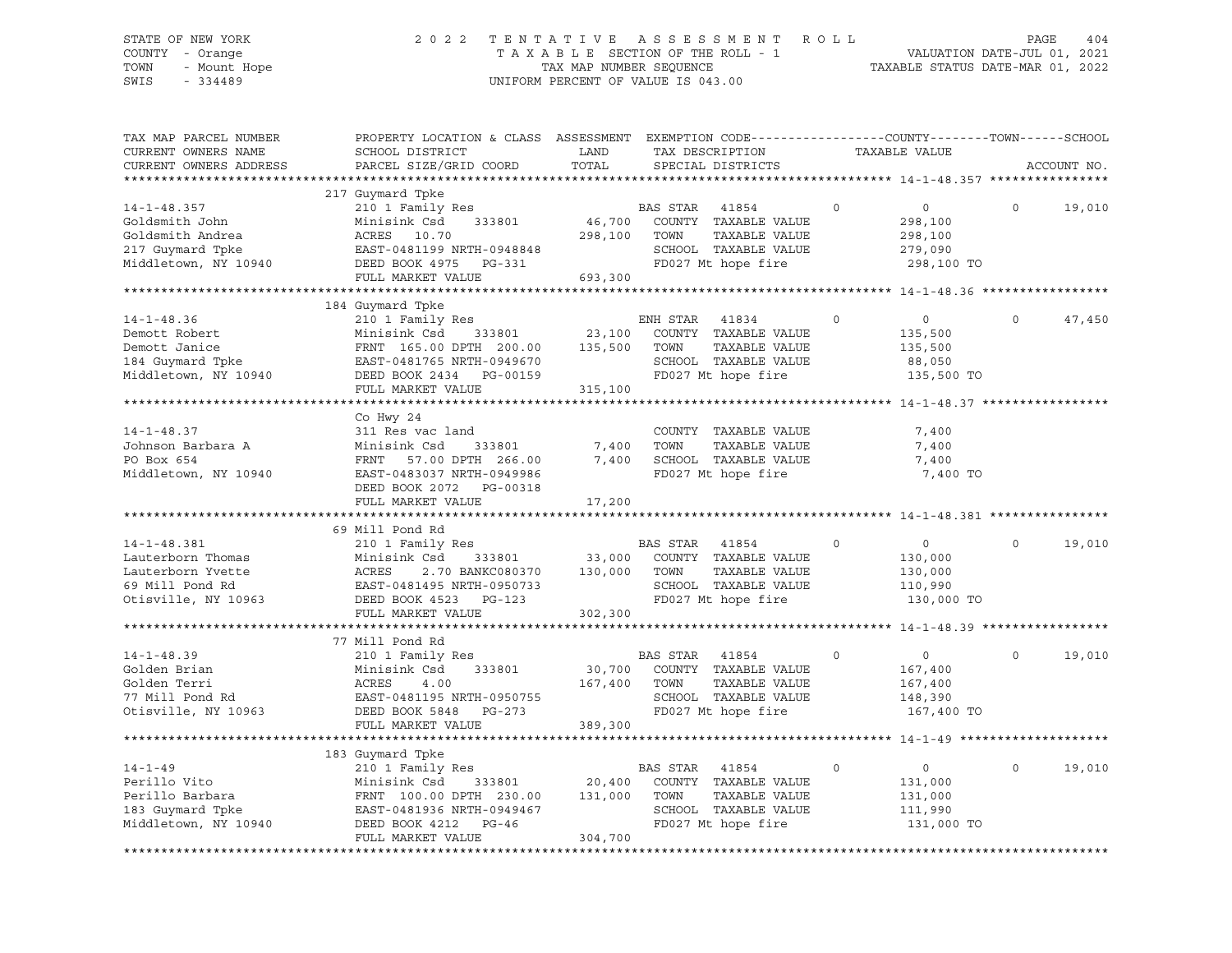# STATE OF NEW YORK 2 0 2 2 T E N T A T I V E A S S E S S M E N T R O L L PAGE 404 COUNTY - Orange T A X A B L E SECTION OF THE ROLL - 1 VALUATION DATE-JUL 01, 2021 TOWN - Mount Hope TAX MAP NUMBER SEQUENCE TAXABLE STATUS DATE-MAR 01, 2022 SWIS - 334489 UNIFORM PERCENT OF VALUE IS 043.00

| TAX MAP PARCEL NUMBER<br>CURRENT OWNERS NAME<br>CURRENT OWNERS ADDRESS                                | PROPERTY LOCATION & CLASS ASSESSMENT EXEMPTION CODE----------------COUNTY-------TOWN------SCHOOL<br>SCHOOL DISTRICT<br>PARCEL SIZE/GRID COORD                          | LAND<br>TOTAL                | TAX DESCRIPTION<br>SPECIAL DISTRICTS                                                                                    |             | TAXABLE VALUE                                                 |          | ACCOUNT NO. |
|-------------------------------------------------------------------------------------------------------|------------------------------------------------------------------------------------------------------------------------------------------------------------------------|------------------------------|-------------------------------------------------------------------------------------------------------------------------|-------------|---------------------------------------------------------------|----------|-------------|
|                                                                                                       |                                                                                                                                                                        |                              |                                                                                                                         |             |                                                               |          |             |
| $14 - 1 - 48.357$<br>Goldsmith John<br>Goldsmith Andrea<br>217 Guymard Tpke<br>Middletown, NY 10940   | 217 Guymard Tpke<br>210 1 Family Res<br>Minisink Csd<br>333801<br>ACRES 10.70<br>EAST-0481199 NRTH-0948848<br>DEED BOOK 4975 PG-331<br>FULL MARKET VALUE               | 46,700<br>298,100<br>693,300 | <b>BAS STAR</b><br>41854<br>COUNTY TAXABLE VALUE<br>TAXABLE VALUE<br>TOWN<br>SCHOOL TAXABLE VALUE<br>FD027 Mt hope fire | $\mathbf 0$ | $\circ$<br>298,100<br>298,100<br>279,090<br>298,100 TO        | $\circ$  | 19,010      |
|                                                                                                       |                                                                                                                                                                        |                              |                                                                                                                         |             |                                                               |          |             |
| $14 - 1 - 48.36$<br>Demott Robert<br>Demott Janice<br>184 Guymard Tpke<br>Middletown, NY 10940        | 184 Guymard Tpke<br>210 1 Family Res<br>Minisink Csd<br>333801<br>FRNT 165.00 DPTH 200.00<br>EAST-0481765 NRTH-0949670<br>DEED BOOK 2434 PG-00159                      | 23,100<br>135,500            | ENH STAR<br>41834<br>COUNTY TAXABLE VALUE<br>TOWN<br>TAXABLE VALUE<br>SCHOOL TAXABLE VALUE<br>FD027 Mt hope fire        | $\Omega$    | $\circ$<br>135,500<br>135,500<br>88,050<br>135,500 TO         | $\Omega$ | 47,450      |
|                                                                                                       | FULL MARKET VALUE                                                                                                                                                      | 315,100                      |                                                                                                                         |             |                                                               |          |             |
| $14 - 1 - 48.37$<br>Johnson Barbara A<br>PO Box 654<br>Middletown, NY 10940                           | Co Hwy 24<br>311 Res vac land<br>Minisink Csd<br>333801<br>FRNT<br>57.00 DPTH 266.00<br>EAST-0483037 NRTH-0949986<br>DEED BOOK 2072 PG-00318                           | 7,400<br>7,400               | COUNTY TAXABLE VALUE<br>TAXABLE VALUE<br>TOWN<br>SCHOOL TAXABLE VALUE<br>FD027 Mt hope fire                             |             | 7,400<br>7,400<br>7,400<br>7,400 TO                           |          |             |
|                                                                                                       | FULL MARKET VALUE                                                                                                                                                      | 17,200                       |                                                                                                                         |             |                                                               |          |             |
|                                                                                                       | 69 Mill Pond Rd                                                                                                                                                        |                              |                                                                                                                         |             |                                                               |          |             |
| $14 - 1 - 48.381$<br>Lauterborn Thomas<br>Lauterborn Yvette<br>69 Mill Pond Rd<br>Otisville, NY 10963 | 210 1 Family Res<br>Minisink Csd<br>333801<br>ACRES<br>2.70 BANKC080370<br>EAST-0481495 NRTH-0950733<br>DEED BOOK 4523<br>PG-123<br>FULL MARKET VALUE                  | 33,000<br>130,000<br>302,300 | BAS STAR 41854<br>COUNTY TAXABLE VALUE<br>TOWN<br>TAXABLE VALUE<br>SCHOOL TAXABLE VALUE<br>FD027 Mt hope fire           | $\circ$     | $\overline{0}$<br>130,000<br>130,000<br>110,990<br>130,000 TO | $\Omega$ | 19,010      |
|                                                                                                       |                                                                                                                                                                        |                              |                                                                                                                         |             |                                                               |          |             |
| $14 - 1 - 48.39$<br>Golden Brian<br>Golden Terri<br>77 Mill Pond Rd<br>Otisville, NY 10963            | 77 Mill Pond Rd<br>210 1 Family Res<br>Minisink Csd<br>333801<br>ACRES<br>4.00<br>EAST-0481195 NRTH-0950755<br>DEED BOOK 5848 PG-273<br>FULL MARKET VALUE              | 30,700<br>167,400<br>389,300 | BAS STAR<br>41854<br>COUNTY TAXABLE VALUE<br>TAXABLE VALUE<br>TOWN<br>SCHOOL TAXABLE VALUE<br>FD027 Mt hope fire        | $\circ$     | $\circ$<br>167,400<br>167,400<br>148,390<br>167,400 TO        | $\circ$  | 19,010      |
|                                                                                                       |                                                                                                                                                                        |                              |                                                                                                                         |             |                                                               |          |             |
| $14 - 1 - 49$<br>Perillo Vito<br>Perillo Barbara<br>183 Guymard Tpke<br>Middletown, NY 10940          | 183 Guymard Tpke<br>210 1 Family Res<br>Minisink Csd<br>333801<br>FRNT 100.00 DPTH 230.00<br>EAST-0481936 NRTH-0949467<br>DEED BOOK 4212<br>PG-46<br>FULL MARKET VALUE | 20,400<br>131,000<br>304,700 | BAS STAR 41854<br>COUNTY TAXABLE VALUE<br>TOWN<br>TAXABLE VALUE<br>SCHOOL TAXABLE VALUE<br>FD027 Mt hope fire           | $\circ$     | $\circ$<br>131,000<br>131,000<br>111,990<br>131,000 TO        | $\Omega$ | 19,010      |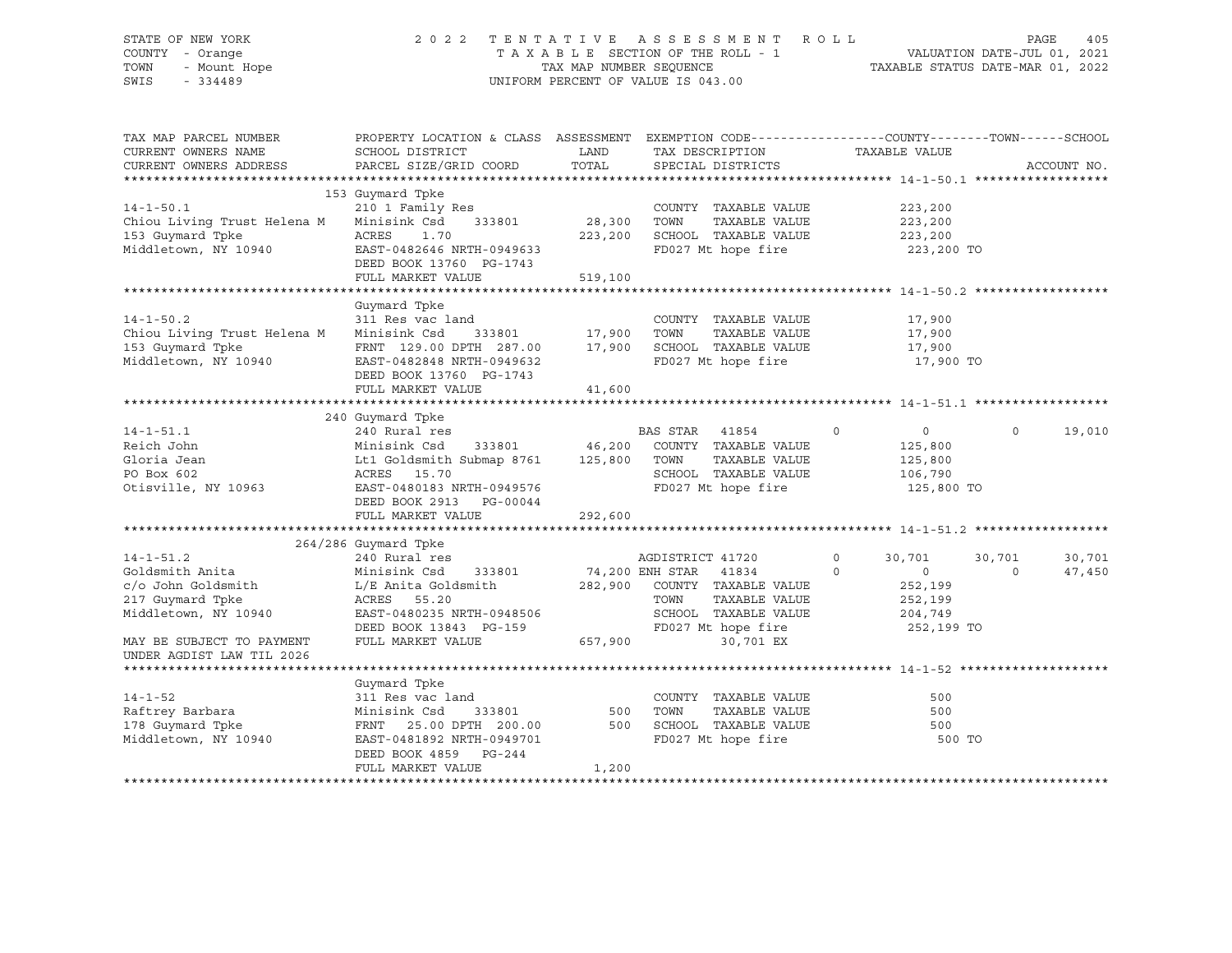### STATE OF NEW YORK 2 0 2 2 T E N T A T I V E A S S E S S M E N T R O L L PAGE 405 COUNTY - Orange T A X A B L E SECTION OF THE ROLL - 1 VALUATION DATE-JUL 01, 2021 TOWN - Mount Hope TAX NAP NUMBER SEQUENCE TAXABLE STATUS DATE-MAR 01, 2022<br>TAXABLE STATUS DATE-MAR 01, 2022 UNIFORM PERCENT OF VALUE IS 043.00

TAX MAP PARCEL NUMBER PROPERTY LOCATION & CLASS ASSESSMENT EXEMPTION CODE------------------COUNTY--------TOWN------SCHOOL CURRENT OWNERS NAME SCHOOL DISTRICT TAX DESCRIPTION TAXABLE VALUE CURRENT OWNERS ADDRESS PARCEL SIZE/GRID COORD TOTAL SPECIAL DISTRICTS ACCOUNT NO. \*\*\*\*\*\*\*\*\*\*\*\*\*\*\*\*\*\*\*\*\*\*\*\*\*\*\*\*\*\*\*\*\*\*\*\*\*\*\*\*\*\*\*\*\*\*\*\*\*\*\*\*\*\*\*\*\*\*\*\*\*\*\*\*\*\*\*\*\*\*\*\*\*\*\*\*\*\*\*\*\*\*\*\*\*\*\*\*\*\*\*\*\*\*\*\*\*\*\*\*\*\*\* 14-1-50.1 \*\*\*\*\*\*\*\*\*\*\*\*\*\*\*\*\*\* 153 Guymard Tpke 14-1-50.1 210 1 Family Res COUNTY TAXABLE VALUE 223,200 Chiou Living Trust Helena M Minisink Csd 333801 28,300 TOWN TAXABLE VALUE 223,200 153 Guymard Tpke ACRES 1.70 223,200 SCHOOL TAXABLE VALUE 223,200 Middletown, NY 10940 EAST-0482646 NRTH-0949633 FD027 Mt hope fire 223,200 TO DEED BOOK 13760 PG-1743 FULL MARKET VALUE 519,100 \*\*\*\*\*\*\*\*\*\*\*\*\*\*\*\*\*\*\*\*\*\*\*\*\*\*\*\*\*\*\*\*\*\*\*\*\*\*\*\*\*\*\*\*\*\*\*\*\*\*\*\*\*\*\*\*\*\*\*\*\*\*\*\*\*\*\*\*\*\*\*\*\*\*\*\*\*\*\*\*\*\*\*\*\*\*\*\*\*\*\*\*\*\*\*\*\*\*\*\*\*\*\* 14-1-50.2 \*\*\*\*\*\*\*\*\*\*\*\*\*\*\*\*\*\* Guymard Tpke 14-1-50.2 311 Res vac land COUNTY TAXABLE VALUE 17,900 Chiou Living Trust Helena M Minisink Csd 333801 17,900 TOWN TAXABLE VALUE 17,900 153 Guymard Tpke FRNT 129.00 DPTH 287.00 17,900 SCHOOL TAXABLE VALUE 17,900 ------ ----- --<br>EAST-0482848 NRTH-0949632 FD027 Mt hope fire 17,900 TO DEED BOOK 13760 PG-1743 FULL MARKET VALUE 41,600 \*\*\*\*\*\*\*\*\*\*\*\*\*\*\*\*\*\*\*\*\*\*\*\*\*\*\*\*\*\*\*\*\*\*\*\*\*\*\*\*\*\*\*\*\*\*\*\*\*\*\*\*\*\*\*\*\*\*\*\*\*\*\*\*\*\*\*\*\*\*\*\*\*\*\*\*\*\*\*\*\*\*\*\*\*\*\*\*\*\*\*\*\*\*\*\*\*\*\*\*\*\*\* 14-1-51.1 \*\*\*\*\*\*\*\*\*\*\*\*\*\*\*\*\*\* 240 Guymard Tpke 14-1-51.1 240 Rural res BAS STAR 41854 0 0 0 19,010 Reich John Minisink Csd 333801 46,200 COUNTY TAXABLE VALUE 125,800 Gloria Jean Lt1 Goldsmith Submap 8761 125,800 TOWN TAXABLE VALUE 125,800 PO Box 602 ACRES 15.70 SCHOOL TAXABLE VALUE 106,790 FD027 Mt hope fire 125,800 TO DEED BOOK 2913 PG-00044 FULL MARKET VALUE 292,600 \*\*\*\*\*\*\*\*\*\*\*\*\*\*\*\*\*\*\*\*\*\*\*\*\*\*\*\*\*\*\*\*\*\*\*\*\*\*\*\*\*\*\*\*\*\*\*\*\*\*\*\*\*\*\*\*\*\*\*\*\*\*\*\*\*\*\*\*\*\*\*\*\*\*\*\*\*\*\*\*\*\*\*\*\*\*\*\*\*\*\*\*\*\*\*\*\*\*\*\*\*\*\* 14-1-51.2 \*\*\*\*\*\*\*\*\*\*\*\*\*\*\*\*\*\* 264/286 Guymard Tpke 14-1-51.2 240 Rural res AGDISTRICT 41720 0 30,701 30,701 30,701 Goldsmith Anita Minisink Csd 333801 74,200 ENH STAR 41834 0 0 0 47,450 c/o John Goldsmith L/E Anita Goldsmith 282,900 COUNTY TAXABLE VALUE 252,199 217 Guymard Tpke ACRES 55.20 TOWN TAXABLE VALUE 252,199 Middletown, NY 10940 EAST-0480235 NRTH-0948506 SCHOOL TAXABLE VALUE 204,749 DEED BOOK 13843 PG-159 FD027 Mt hope fire 252,199 TO MAY BE SUBJECT TO PAYMENT FULL MARKET VALUE 657,900 657,900 30,701 EX UNDER AGDIST LAW TIL 2026 \*\*\*\*\*\*\*\*\*\*\*\*\*\*\*\*\*\*\*\*\*\*\*\*\*\*\*\*\*\*\*\*\*\*\*\*\*\*\*\*\*\*\*\*\*\*\*\*\*\*\*\*\*\*\*\*\*\*\*\*\*\*\*\*\*\*\*\*\*\*\*\*\*\*\*\*\*\*\*\*\*\*\*\*\*\*\*\*\*\*\*\*\*\*\*\*\*\*\*\*\*\*\* 14-1-52 \*\*\*\*\*\*\*\*\*\*\*\*\*\*\*\*\*\*\*\* Guymard Tpke<br>311 Res vac land 14-1-52 311 Res vac land COUNTY TAXABLE VALUE 500 Raftrey Barbara Minisink Csd 333801 500 TOWN TAXABLE VALUE 500 178 Guymard Tpke FRNT 25.00 DPTH 200.00 500 SCHOOL TAXABLE VALUE 500 Middletown, NY 10940 EAST-0481892 NRTH-0949701 FD027 Mt hope fire 500 TO DEED BOOK 4859 PG-244 FULL MARKET VALUE 1,200 \*\*\*\*\*\*\*\*\*\*\*\*\*\*\*\*\*\*\*\*\*\*\*\*\*\*\*\*\*\*\*\*\*\*\*\*\*\*\*\*\*\*\*\*\*\*\*\*\*\*\*\*\*\*\*\*\*\*\*\*\*\*\*\*\*\*\*\*\*\*\*\*\*\*\*\*\*\*\*\*\*\*\*\*\*\*\*\*\*\*\*\*\*\*\*\*\*\*\*\*\*\*\*\*\*\*\*\*\*\*\*\*\*\*\*\*\*\*\*\*\*\*\*\*\*\*\*\*\*\*\*\*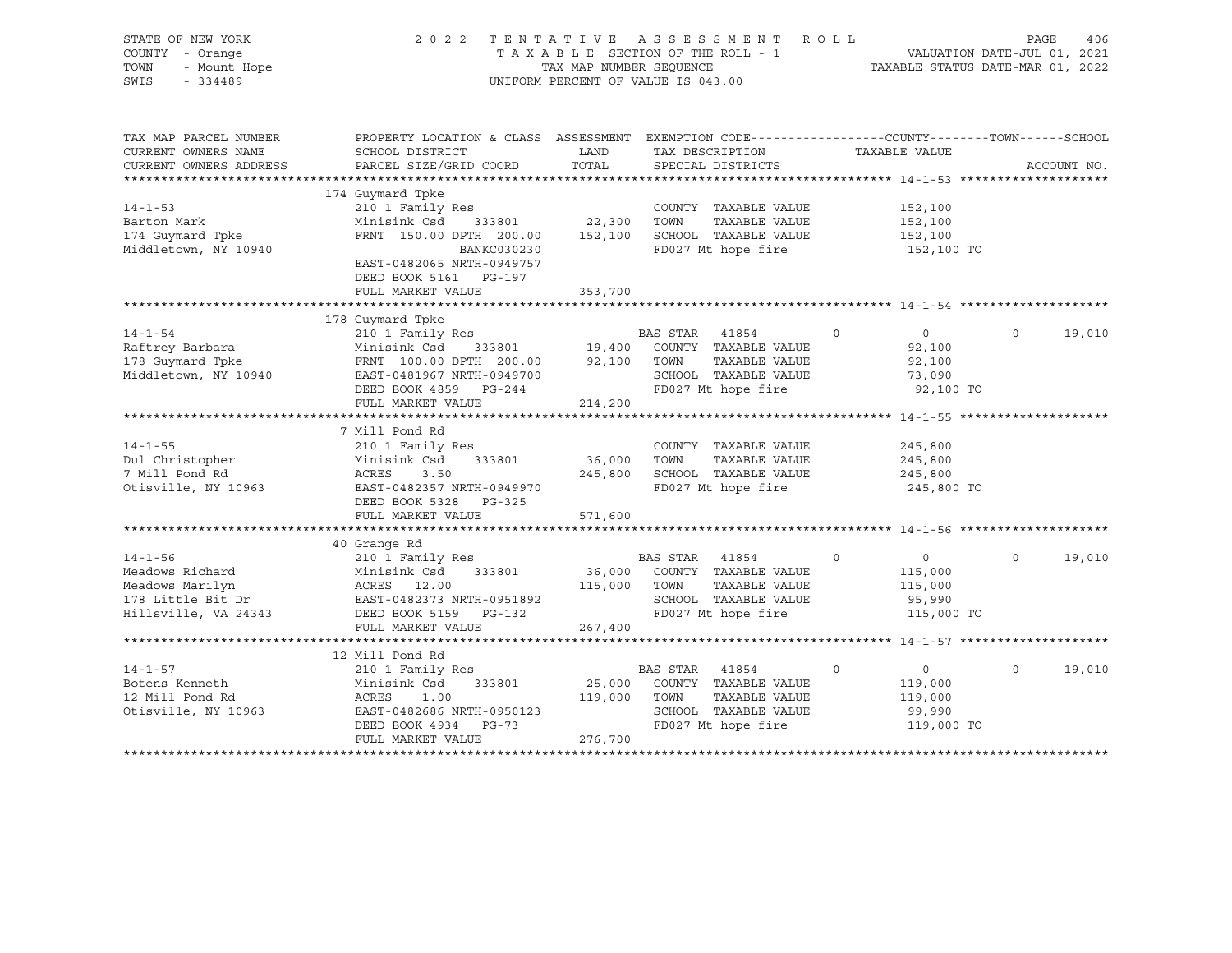| STATE OF NEW YORK<br>COUNTY - Orange<br>TOWN<br>- Mount Hope<br>SWIS<br>$-334489$                |                                                                                                                                                                                                                                                                                                                                                                                                                                                               |                              | PAGE 406 PAGE 406 PAGE 406 PAGE 406 PAGE 406 PAGE 406 PAGE 406 PAGE 406 PAGE 406 PAGE 406 PAGE 406 PAGE 406 PAGE 406 PAGE 406 PAGE 406 PAGE 406 PAGE 406 PAGE 406 PAGE 406 PAGE 406 PAGE 406 PAGE 406 PAGE 406 PAGE 406 PAGE 4<br>2022 TENTATIVE ASSESSMENT ROLL<br>UNIFORM PERCENT OF VALUE IS 043.00 |                                                                         |                    |        |
|--------------------------------------------------------------------------------------------------|---------------------------------------------------------------------------------------------------------------------------------------------------------------------------------------------------------------------------------------------------------------------------------------------------------------------------------------------------------------------------------------------------------------------------------------------------------------|------------------------------|--------------------------------------------------------------------------------------------------------------------------------------------------------------------------------------------------------------------------------------------------------------------------------------------------------|-------------------------------------------------------------------------|--------------------|--------|
| TAX MAP PARCEL NUMBER<br>CURRENT OWNERS NAME<br>CURRENT OWNERS ADDRESS                           | PROPERTY LOCATION & CLASS ASSESSMENT EXEMPTION CODE----------------COUNTY-------TOWN------SCHOOL<br>SCHOOL DISTRICT<br>PARCEL SIZE/GRID COORD                                                                                                                                                                                                                                                                                                                 | LAND<br>TOTAL                | TAX DESCRIPTION<br>SPECIAL DISTRICTS                                                                                                                                                                                                                                                                   | TAXABLE VALUE                                                           | ACCOUNT NO.        |        |
| $14 - 1 - 53$<br>Barton Mark<br>174 Guymard Tpke<br>Middletown, NY 10940                         | 174 Guymard Tpke<br>210 1 Family Res<br>333801 22,300 TOWN<br>Minisink Csd<br>FRNT 150.00 DPTH 200.00<br>BANKC030230<br>EAST-0482065 NRTH-0949757<br>DEED BOOK 5161 PG-197<br>FULL MARKET VALUE                                                                                                                                                                                                                                                               | 152,100<br>353,700           | COUNTY TAXABLE VALUE<br>TAXABLE VALUE<br>SCHOOL TAXABLE VALUE<br>FD027 Mt hope fire                                                                                                                                                                                                                    | 152,100<br>152,100<br>152,100<br>152,100 TO                             |                    |        |
|                                                                                                  |                                                                                                                                                                                                                                                                                                                                                                                                                                                               |                              |                                                                                                                                                                                                                                                                                                        |                                                                         |                    |        |
| $14 - 1 - 54$<br>Raftrey Barbara<br>178 Guymard Tpke<br>Middletown, NY 10940                     | 178 Guymard Tpke<br>210 1 Family Res<br>$\begin{tabular}{lllllllllllllllllllllll} \hline 210&1 &\text{Fam11y} &\text{kes} &\text{Bam11x} &\text{Bam12y} &\text{Bam13x} \\ \hline \text{Minisink Csd} & 333801 & 19,400 & \text{COUNTY} & \text{TAXABLE VALUE} \\ \text{FRNT} & 100.00 & \text{DPTH} & 200.00 & 92,100 & \text{TOWN} & \text{TAXABLE VALUE} \\ \text{EAST-0481967 NRTH-0949700 & & & & & & & \\ \text{DEED BOK 4859} & \$<br>FULL MARKET VALUE | 214,200                      | BAS STAR 41854<br>TAXABLE VALUE<br>SCHOOL TAXABLE VALUE<br>FD027 Mt hope fire                                                                                                                                                                                                                          | $\overline{0}$<br>$\circ$<br>92,100<br>92,100<br>73,090<br>92,100 TO    | $\Omega$<br>19,010 |        |
| $14 - 1 - 55$<br>Dul Christopher<br>- 1111 Pond Rd<br>7 Mill Pond Rd<br>Otisville, NY 10963      | 7 Mill Pond Rd<br>210 1 Family Res<br>Minisink Csd<br>333801<br>ACRES<br>3.50<br>EAST-0482357 NRTH-0949970<br>DEED BOOK 5328 PG-325<br>FULL MARKET VALUE                                                                                                                                                                                                                                                                                                      | 36,000<br>571,600            | COUNTY TAXABLE VALUE<br>TOWN<br>TAXABLE VALUE<br>245,800 SCHOOL TAXABLE VALUE<br>FD027 Mt hope fire                                                                                                                                                                                                    | 245,800<br>245,800<br>245,800<br>245,800 TO                             |                    |        |
|                                                                                                  |                                                                                                                                                                                                                                                                                                                                                                                                                                                               |                              |                                                                                                                                                                                                                                                                                                        |                                                                         |                    |        |
| $14 - 1 - 56$<br>Meadows Richard<br>Meadows Marilyn<br>178 Little Bit Dr<br>Hillsville, VA 24343 | 40 Grange Rd<br>210 1 Family Res<br>-- .<br>Minisink Csd 333801<br>ACRES 12.00<br>EAST-0482373 NRTH-0951892<br>----- --- PG-132<br>DEED BOOK 5159 PG-132<br>FULL MARKET VALUE                                                                                                                                                                                                                                                                                 | 267,400                      | BAS STAR 41854<br>36,000 COUNTY TAXABLE VALUE<br>115,000 TOWN<br>TAXABLE VALUE<br>SCHOOL TAXABLE VALUE<br>FD027 Mt hope fire                                                                                                                                                                           | $\circ$<br>$\overline{0}$<br>115,000<br>115,000<br>95,990<br>115,000 TO | $\Omega$           | 19,010 |
|                                                                                                  |                                                                                                                                                                                                                                                                                                                                                                                                                                                               |                              |                                                                                                                                                                                                                                                                                                        |                                                                         |                    |        |
| $14 - 1 - 57$<br>Botens Kenneth<br>12 Mill Pond Rd<br>Otisville, NY 10963                        | 12 Mill Pond Rd<br>210 1 Family Res<br>Minisink Csd<br>333801<br>$\begin{array}{c}\n\texttt{M}_{\perp\perp} \\ \texttt{ACRES} \\ \hline\n\end{array}$<br>1.00<br>EAST-0482686 NRTH-0950123<br>DEED BOOK 4934 PG-73<br>FULL MARKET VALUE                                                                                                                                                                                                                       | 25,000<br>119,000<br>276,700 | BAS STAR 41854<br>COUNTY TAXABLE VALUE<br>TOWN<br>TAXABLE VALUE<br>SCHOOL TAXABLE VALUE<br>FD027 Mt hope fire                                                                                                                                                                                          | $\overline{0}$<br>$\circ$<br>119,000<br>119,000<br>99,990<br>119,000 TO | $\circ$            | 19,010 |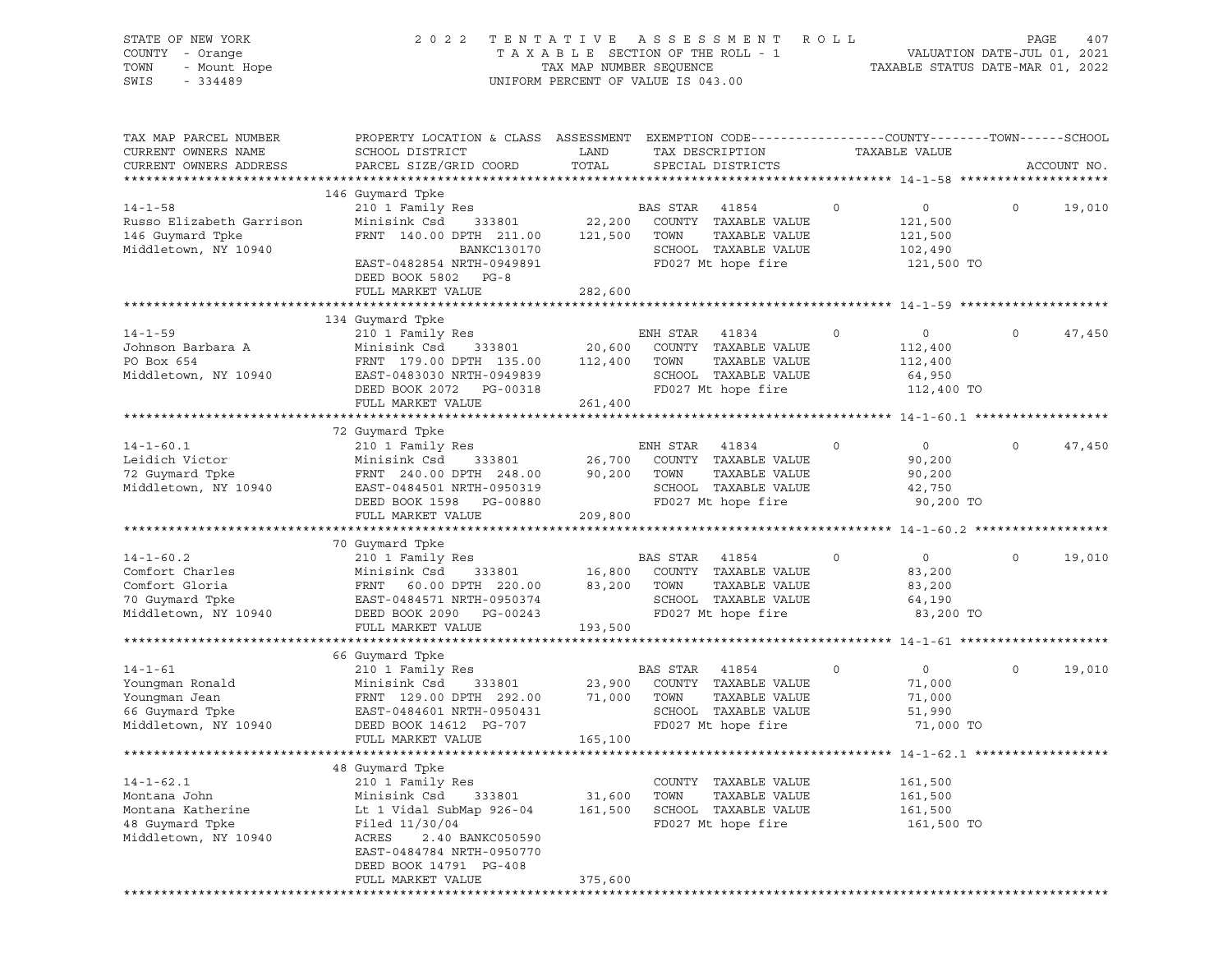| STATE OF NEW YORK<br>COUNTY - Orange<br>TOWN<br>- Mount Hope<br>SWIS<br>$-334489$ | 2 0 2 2                                                 | TENTATIVE<br>TAX MAP NUMBER SEQUENCE | A S S E S S M E N T<br>TAXABLE SECTION OF THE ROLL - 1<br>UNIFORM PERCENT OF VALUE IS 043.00 | ROLL        | VALUATION DATE-JUL 01, 2021<br>TAXABLE STATUS DATE-MAR 01, 2022 | PAGE    | 407         |
|-----------------------------------------------------------------------------------|---------------------------------------------------------|--------------------------------------|----------------------------------------------------------------------------------------------|-------------|-----------------------------------------------------------------|---------|-------------|
| TAX MAP PARCEL NUMBER<br>CURRENT OWNERS NAME                                      | PROPERTY LOCATION & CLASS ASSESSMENT<br>SCHOOL DISTRICT | LAND<br>TOTAL                        | EXEMPTION CODE-----------------COUNTY-------TOWN------SCHOOL<br>TAX DESCRIPTION              |             | TAXABLE VALUE                                                   |         |             |
| CURRENT OWNERS ADDRESS                                                            | PARCEL SIZE/GRID COORD                                  |                                      | SPECIAL DISTRICTS                                                                            |             |                                                                 |         | ACCOUNT NO. |
|                                                                                   | 146 Guymard Tpke                                        |                                      |                                                                                              |             |                                                                 |         |             |
| $14 - 1 - 58$                                                                     | 210 1 Family Res                                        |                                      | BAS STAR<br>41854                                                                            | $\mathbf 0$ | $\circ$                                                         | 0       | 19,010      |
| Russo Elizabeth Garrison                                                          | Minisink Csd<br>333801                                  | 22,200                               | COUNTY TAXABLE VALUE                                                                         |             | 121,500                                                         |         |             |
| 146 Guymard Tpke                                                                  | FRNT 140.00 DPTH 211.00                                 | 121,500                              | TAXABLE VALUE<br>TOWN                                                                        |             | 121,500                                                         |         |             |
| Middletown, NY 10940                                                              | BANKC130170                                             |                                      | SCHOOL TAXABLE VALUE                                                                         |             | 102,490                                                         |         |             |
|                                                                                   | EAST-0482854 NRTH-0949891                               |                                      | FD027 Mt hope fire                                                                           |             | 121,500 TO                                                      |         |             |
|                                                                                   | DEED BOOK 5802<br>$PG-8$                                |                                      |                                                                                              |             |                                                                 |         |             |
|                                                                                   | FULL MARKET VALUE                                       | 282,600                              |                                                                                              |             |                                                                 |         |             |
|                                                                                   | 134 Guymard Tpke                                        |                                      |                                                                                              |             |                                                                 |         |             |
| $14 - 1 - 59$                                                                     | 210 1 Family Res                                        |                                      | ENH STAR<br>41834                                                                            | 0           | $\circ$                                                         | $\circ$ | 47,450      |
| Johnson Barbara A                                                                 | Minisink Csd<br>333801                                  | 20,600                               | COUNTY TAXABLE VALUE                                                                         |             | 112,400                                                         |         |             |
| PO Box 654                                                                        | FRNT 179.00 DPTH 135.00                                 | 112,400                              | TAXABLE VALUE<br>TOWN                                                                        |             | 112,400                                                         |         |             |
| Middletown, NY 10940                                                              | EAST-0483030 NRTH-0949839                               |                                      | SCHOOL TAXABLE VALUE                                                                         |             | 64,950                                                          |         |             |
|                                                                                   | DEED BOOK 2072<br>PG-00318                              |                                      | FD027 Mt hope fire                                                                           |             | 112,400 TO                                                      |         |             |
|                                                                                   | FULL MARKET VALUE                                       | 261,400                              |                                                                                              |             |                                                                 |         |             |
|                                                                                   |                                                         |                                      |                                                                                              |             |                                                                 |         |             |
|                                                                                   | 72 Guymard Tpke                                         |                                      |                                                                                              |             |                                                                 |         |             |
| $14 - 1 - 60.1$                                                                   | 210 1 Family Res                                        |                                      | ENH STAR<br>41834                                                                            | $\mathbf 0$ | $\circ$                                                         | $\circ$ | 47,450      |
| Leidich Victor<br>72 Guymard Tpke                                                 | Minisink Csd<br>333801<br>FRNT 240.00 DPTH 248.00       | 26,700<br>90,200                     | COUNTY TAXABLE VALUE<br>TOWN<br>TAXABLE VALUE                                                |             | 90,200<br>90,200                                                |         |             |
| Middletown, NY 10940                                                              | EAST-0484501 NRTH-0950319                               |                                      | SCHOOL TAXABLE VALUE                                                                         |             | 42,750                                                          |         |             |
|                                                                                   | DEED BOOK 1598<br>PG-00880                              |                                      | FD027 Mt hope fire                                                                           |             | 90,200 TO                                                       |         |             |
|                                                                                   | FULL MARKET VALUE                                       | 209,800                              |                                                                                              |             |                                                                 |         |             |
|                                                                                   |                                                         |                                      |                                                                                              |             |                                                                 |         |             |
|                                                                                   | 70 Guymard Tpke                                         |                                      |                                                                                              |             |                                                                 |         |             |
| $14 - 1 - 60.2$                                                                   | 210 1 Family Res                                        |                                      | BAS STAR<br>41854                                                                            | $\mathbf 0$ | $\circ$                                                         | 0       | 19,010      |
| Comfort Charles                                                                   | Minisink Csd<br>333801                                  | 16,800                               | COUNTY TAXABLE VALUE                                                                         |             | 83,200                                                          |         |             |
| Comfort Gloria                                                                    | FRNT<br>60.00 DPTH 220.00                               | 83,200                               | TOWN<br>TAXABLE VALUE                                                                        |             | 83,200                                                          |         |             |
| 70 Guymard Tpke                                                                   | EAST-0484571 NRTH-0950374<br>PG-00243                   |                                      | SCHOOL TAXABLE VALUE                                                                         |             | 64,190<br>83,200 TO                                             |         |             |
| Middletown, NY 10940                                                              | DEED BOOK 2090<br>FULL MARKET VALUE                     | 193,500                              | FD027 Mt hope fire                                                                           |             |                                                                 |         |             |
|                                                                                   |                                                         |                                      |                                                                                              |             |                                                                 |         |             |
|                                                                                   | 66 Guymard Tpke                                         |                                      |                                                                                              |             |                                                                 |         |             |
| $14 - 1 - 61$                                                                     | 210 1 Family Res                                        |                                      | BAS STAR<br>41854                                                                            | $\mathbf 0$ | $\circ$                                                         | 0       | 19,010      |
| Youngman Ronald                                                                   | Minisink Csd<br>333801                                  | 23,900                               | COUNTY TAXABLE VALUE                                                                         |             | 71,000                                                          |         |             |
| Youngman Jean                                                                     | FRNT 129.00 DPTH 292.00                                 | 71,000                               | TOWN<br>TAXABLE VALUE                                                                        |             | 71,000                                                          |         |             |
| 66 Guymard Tpke                                                                   | EAST-0484601 NRTH-0950431                               |                                      | SCHOOL TAXABLE VALUE                                                                         |             | 51,990                                                          |         |             |
| Middletown, NY 10940                                                              | DEED BOOK 14612 PG-707                                  |                                      | FD027 Mt hope fire                                                                           |             | 71,000 TO                                                       |         |             |
|                                                                                   | FULL MARKET VALUE                                       | 165,100                              |                                                                                              |             |                                                                 |         |             |
|                                                                                   | 48 Guymard Tpke                                         |                                      |                                                                                              |             |                                                                 |         |             |
| $14 - 1 - 62.1$                                                                   | 210 1 Family Res                                        |                                      | COUNTY TAXABLE VALUE                                                                         |             | 161,500                                                         |         |             |
| Montana John                                                                      | Minisink Csd<br>333801                                  | 31,600                               | TOWN<br>TAXABLE VALUE                                                                        |             | 161,500                                                         |         |             |
| Montana Katherine                                                                 | Lt 1 Vidal SubMap 926-04                                | 161,500                              | SCHOOL TAXABLE VALUE                                                                         |             | 161,500                                                         |         |             |
| 48 Guymard Tpke                                                                   | Filed 11/30/04                                          |                                      | FD027 Mt hope fire                                                                           |             | 161,500 TO                                                      |         |             |
| Middletown, NY 10940                                                              | ACRES<br>2.40 BANKC050590                               |                                      |                                                                                              |             |                                                                 |         |             |
|                                                                                   | EAST-0484784 NRTH-0950770                               |                                      |                                                                                              |             |                                                                 |         |             |
|                                                                                   | DEED BOOK 14791 PG-408                                  |                                      |                                                                                              |             |                                                                 |         |             |
|                                                                                   | FULL MARKET VALUE                                       | 375,600                              |                                                                                              |             |                                                                 |         |             |
|                                                                                   |                                                         |                                      |                                                                                              |             |                                                                 |         |             |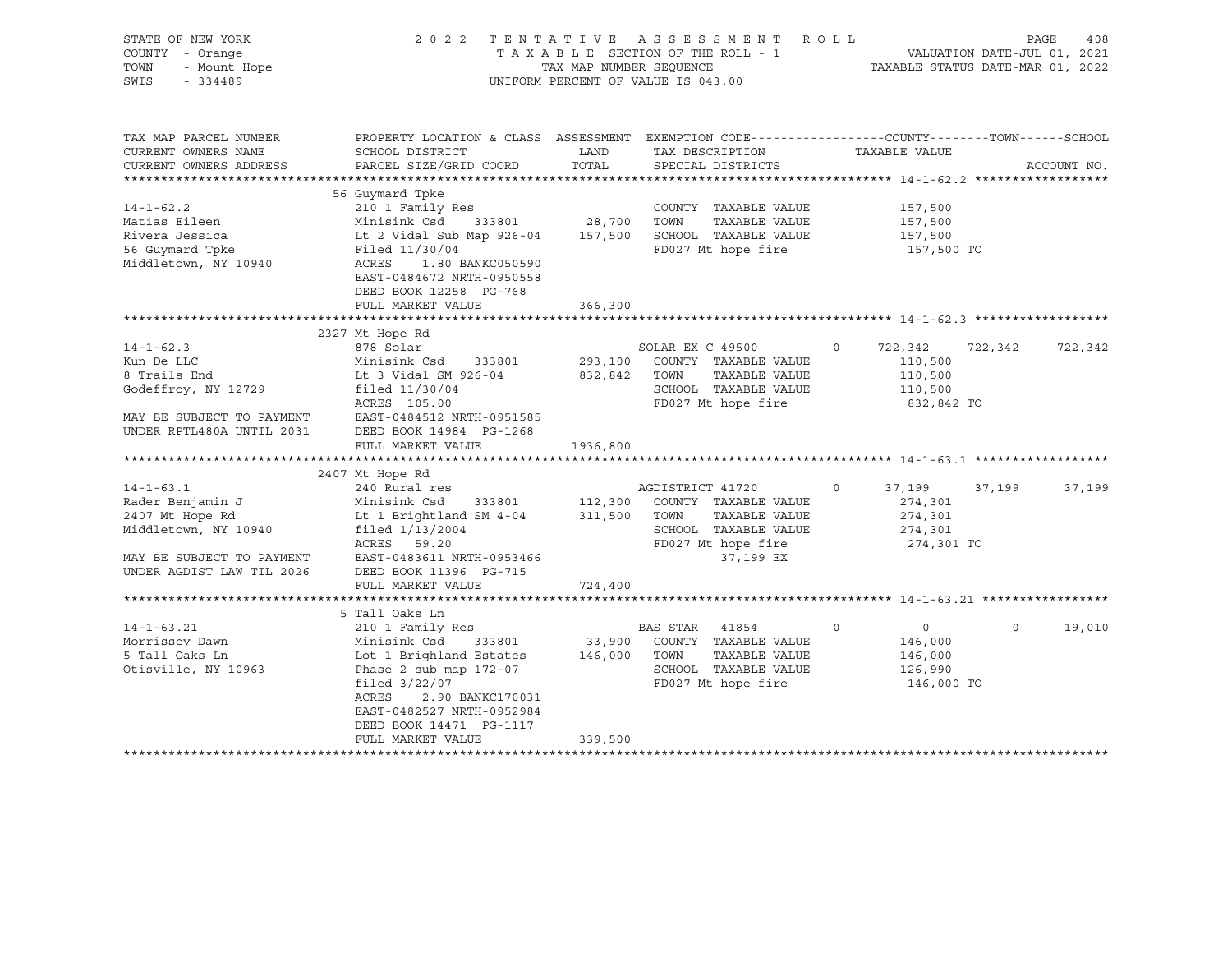| STATE OF NEW YORK<br>COUNTY - Orange<br>- Mount Hope<br>TOWN<br>SWIS<br>$-334489$ |                                                                                                                                              | TAX MAP NUMBER SEQUENCE | 2022 TENTATIVE ASSESSMENT ROLL<br>T A X A B L E SECTION OF THE ROLL - 1<br>TAX MAP NUMBER SEQUENCE TAXAI<br>UNIFORM PERCENT OF VALUE IS 043.00 | TAXABLE STATUS DATE-MAR 01, 2022 | VALUATION DATE-JUL 01, 2021 | PAGE<br>408 |
|-----------------------------------------------------------------------------------|----------------------------------------------------------------------------------------------------------------------------------------------|-------------------------|------------------------------------------------------------------------------------------------------------------------------------------------|----------------------------------|-----------------------------|-------------|
| TAX MAP PARCEL NUMBER<br>CURRENT OWNERS NAME<br>CURRENT OWNERS ADDRESS            | PROPERTY LOCATION & CLASS ASSESSMENT EXEMPTION CODE----------------COUNTY-------TOWN-----SCHOOL<br>SCHOOL DISTRICT<br>PARCEL SIZE/GRID COORD | LAND<br>TOTAL           | TAX DESCRIPTION<br>SPECIAL DISTRICTS                                                                                                           | TAXABLE VALUE                    |                             | ACCOUNT NO. |
|                                                                                   | 56 Guymard Tpke                                                                                                                              |                         |                                                                                                                                                |                                  |                             |             |
| $14 - 1 - 62.2$                                                                   | 210 1 Family Res                                                                                                                             |                         | COUNTY TAXABLE VALUE                                                                                                                           | 157,500                          |                             |             |
| Matias Eileen                                                                     | Minisink Csd<br>333801                                                                                                                       | 28,700                  | TOWN<br>TAXABLE VALUE                                                                                                                          | 157,500                          |                             |             |
| Rivera Jessica                                                                    | Lt 2 Vidal Sub Map 926-04                                                                                                                    | 157,500                 | SCHOOL TAXABLE VALUE                                                                                                                           | 157,500                          |                             |             |
| 56 Guymard Tpke                                                                   | Filed 11/30/04                                                                                                                               |                         | FD027 Mt hope fire                                                                                                                             | 157,500 TO                       |                             |             |
| Middletown, NY 10940                                                              | ACRES<br>1.80 BANKC050590<br>EAST-0484672 NRTH-0950558<br>DEED BOOK 12258 PG-768                                                             |                         |                                                                                                                                                |                                  |                             |             |
|                                                                                   | FULL MARKET VALUE                                                                                                                            | 366,300                 |                                                                                                                                                |                                  |                             |             |
|                                                                                   |                                                                                                                                              |                         |                                                                                                                                                |                                  |                             |             |
|                                                                                   | 2327 Mt Hope Rd                                                                                                                              |                         |                                                                                                                                                |                                  |                             |             |
| $14 - 1 - 62.3$                                                                   | 878 Solar                                                                                                                                    |                         | SOLAR EX C 49500                                                                                                                               | $\circ$<br>722,342               | 722,342                     | 722,342     |
| Kun De LLC                                                                        | Minisink Csd 333801                                                                                                                          |                         | 293,100 COUNTY TAXABLE VALUE                                                                                                                   | 110,500                          |                             |             |
| 8 Trails End                                                                      | Lt 3 Vidal SM 926-04                                                                                                                         | 832,842 TOWN            | TAXABLE VALUE                                                                                                                                  | 110,500                          |                             |             |
| Godeffroy, NY 12729                                                               | filed $11/30/04$                                                                                                                             |                         | SCHOOL TAXABLE VALUE                                                                                                                           | 110,500                          |                             |             |
|                                                                                   | ACRES 105.00                                                                                                                                 |                         | FD027 Mt hope fire                                                                                                                             | 832,842 TO                       |                             |             |
| MAY BE SUBJECT TO PAYMENT                                                         | EAST-0484512 NRTH-0951585                                                                                                                    |                         |                                                                                                                                                |                                  |                             |             |
| UNDER RPTL480A UNTIL 2031                                                         | DEED BOOK 14984 PG-1268                                                                                                                      |                         |                                                                                                                                                |                                  |                             |             |
|                                                                                   | FULL MARKET VALUE                                                                                                                            | 1936,800                |                                                                                                                                                |                                  |                             |             |
|                                                                                   |                                                                                                                                              |                         |                                                                                                                                                |                                  |                             |             |
| $14 - 1 - 63.1$                                                                   | 2407 Mt Hope Rd<br>240 Rural res                                                                                                             |                         | AGDISTRICT 41720                                                                                                                               | $\circ$<br>37,199                | 37,199                      | 37,199      |
| Rader Benjamin J                                                                  | 333801 112,300<br>Minisink Csd                                                                                                               |                         | COUNTY TAXABLE VALUE                                                                                                                           | 274,301                          |                             |             |
| 2407 Mt Hope Rd                                                                   | Lt 1 Brightland SM 4-04                                                                                                                      | 311,500 TOWN            | TAXABLE VALUE                                                                                                                                  | 274,301                          |                             |             |
| Middletown, NY 10940                                                              | filed $1/13/2004$                                                                                                                            |                         | SCHOOL TAXABLE VALUE                                                                                                                           | 274,301                          |                             |             |
|                                                                                   | ACRES 59.20                                                                                                                                  |                         | FD027 Mt hope fire                                                                                                                             | 274,301 TO                       |                             |             |
| MAY BE SUBJECT TO PAYMENT                                                         | EAST-0483611 NRTH-0953466                                                                                                                    |                         | 37,199 EX                                                                                                                                      |                                  |                             |             |
| UNDER AGDIST LAW TIL 2026                                                         | DEED BOOK 11396 PG-715                                                                                                                       |                         |                                                                                                                                                |                                  |                             |             |
|                                                                                   | FULL MARKET VALUE                                                                                                                            | 724,400                 |                                                                                                                                                |                                  |                             |             |
|                                                                                   |                                                                                                                                              |                         |                                                                                                                                                |                                  |                             |             |
|                                                                                   | 5 Tall Oaks Ln                                                                                                                               |                         |                                                                                                                                                |                                  |                             |             |
| $14 - 1 - 63.21$                                                                  | 210 1 Family Res                                                                                                                             |                         | BAS STAR 41854                                                                                                                                 | $\mathsf{O}$<br>$\overline{0}$   | $\mathbf 0$                 | 19,010      |
| Morrissey Dawn                                                                    | Minisink Csd<br>333801                                                                                                                       | 33,900                  | COUNTY TAXABLE VALUE                                                                                                                           | 146,000                          |                             |             |
| 5 Tall Oaks Ln                                                                    | Lot 1 Brighland Estates                                                                                                                      | 146,000                 | TOWN<br>TAXABLE VALUE                                                                                                                          | 146,000                          |                             |             |
| Otisville, NY 10963                                                               | Phase $2$ sub map $172-07$                                                                                                                   |                         | SCHOOL TAXABLE VALUE                                                                                                                           | 126,990                          |                             |             |
|                                                                                   | filed $3/22/07$                                                                                                                              |                         | FD027 Mt hope fire                                                                                                                             | 146,000 TO                       |                             |             |
|                                                                                   | ACRES<br>2.90 BANKC170031                                                                                                                    |                         |                                                                                                                                                |                                  |                             |             |
|                                                                                   | EAST-0482527 NRTH-0952984                                                                                                                    |                         |                                                                                                                                                |                                  |                             |             |
|                                                                                   | DEED BOOK 14471 PG-1117                                                                                                                      |                         |                                                                                                                                                |                                  |                             |             |
|                                                                                   | FULL MARKET VALUE<br>****************************                                                                                            | 339,500                 |                                                                                                                                                |                                  |                             |             |
|                                                                                   |                                                                                                                                              |                         |                                                                                                                                                |                                  |                             |             |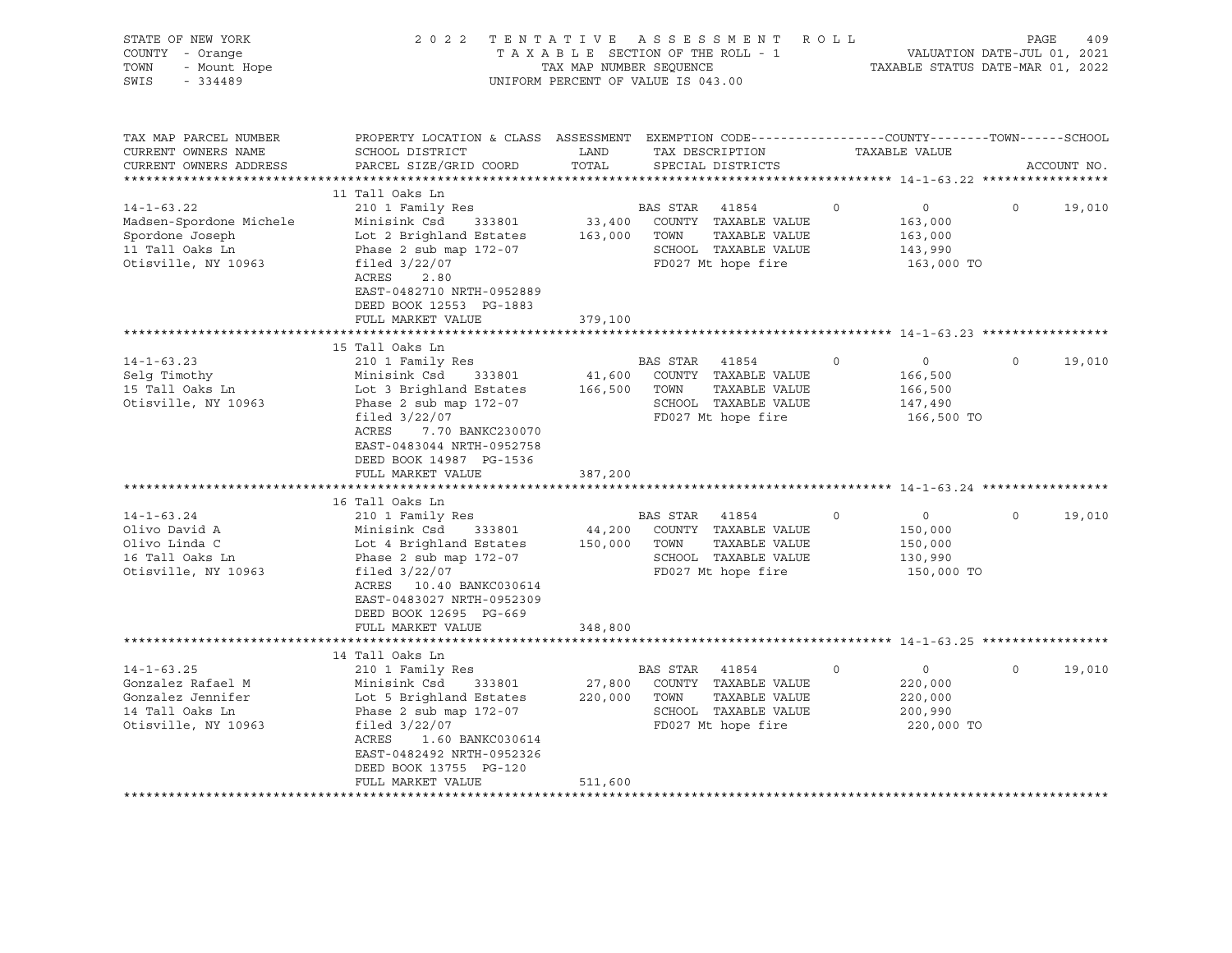| STATE OF NEW YORK<br>COUNTY - Orange<br>- Mount Hope<br>TOWN<br>SWIS<br>$-334489$                                                                                          | 2022 TENTATIVE                                                                                                                                                                                                                                                                                                                                                                                                                                             | TAX MAP NUMBER SEQUENCE                           | ASSESSMENT ROLL<br>TAXABLE SECTION OF THE ROLL - 1<br>UNIFORM PERCENT OF VALUE IS 043.00                                                                                                                                                                                              |                                                                                                                                         | PAGE<br>409<br>VALUATION DATE-JUL 01, 2021<br>TAXABLE STATUS DATE-MAR 01, 2022 |
|----------------------------------------------------------------------------------------------------------------------------------------------------------------------------|------------------------------------------------------------------------------------------------------------------------------------------------------------------------------------------------------------------------------------------------------------------------------------------------------------------------------------------------------------------------------------------------------------------------------------------------------------|---------------------------------------------------|---------------------------------------------------------------------------------------------------------------------------------------------------------------------------------------------------------------------------------------------------------------------------------------|-----------------------------------------------------------------------------------------------------------------------------------------|--------------------------------------------------------------------------------|
| TAX MAP PARCEL NUMBER<br>CURRENT OWNERS NAME<br>CURRENT OWNERS ADDRESS<br>****************                                                                                 | PROPERTY LOCATION & CLASS ASSESSMENT EXEMPTION CODE----------------COUNTY-------TOWN-----SCHOOL<br>SCHOOL DISTRICT<br>PARCEL SIZE/GRID COORD                                                                                                                                                                                                                                                                                                               | LAND<br>TOTAL                                     | TAX DESCRIPTION<br>SPECIAL DISTRICTS                                                                                                                                                                                                                                                  | TAXABLE VALUE                                                                                                                           | ACCOUNT NO.                                                                    |
| $14 - 1 - 63.22$<br>Madsen-Spordone Michele<br>Spordone Joseph<br>11 Tall Oaks Ln<br>Otisville, NY 10963                                                                   | 11 Tall Oaks Ln<br>210 1 Family Res<br>Minisink Csd<br>333801<br>Lot 2 Brighland Estates<br>Phase 2 sub map 172-07<br>filed $3/22/07$<br>ACRES<br>2.80<br>EAST-0482710 NRTH-0952889<br>DEED BOOK 12553 PG-1883<br>FULL MARKET VALUE                                                                                                                                                                                                                        | 33,400<br>163,000<br>379,100                      | BAS STAR<br>41854<br>COUNTY TAXABLE VALUE<br>TOWN<br>TAXABLE VALUE<br>SCHOOL TAXABLE VALUE<br>FD027 Mt hope fire                                                                                                                                                                      | $\circ$<br>$\circ$<br>163,000<br>163,000<br>143,990<br>163,000 TO                                                                       | 19,010<br>$\mathsf{O}$                                                         |
|                                                                                                                                                                            |                                                                                                                                                                                                                                                                                                                                                                                                                                                            |                                                   |                                                                                                                                                                                                                                                                                       |                                                                                                                                         |                                                                                |
| $14 - 1 - 63.23$<br>Selg Timothy<br>15 Tall Oaks Ln<br>Otisville, NY 10963<br>$14 - 1 - 63.24$<br>Olivo David A<br>Olivo Linda C<br>16 Tall Oaks Ln<br>Otisville, NY 10963 | 15 Tall Oaks Ln<br>210 1 Family Res<br>Minisink Csd<br>333801<br>Lot 3 Brighland Estates<br>Phase $2$ sub map $172-07$<br>filed $3/22/07$<br>ACRES<br>7.70 BANKC230070<br>EAST-0483044 NRTH-0952758<br>DEED BOOK 14987 PG-1536<br>FULL MARKET VALUE<br>16 Tall Oaks Ln<br>210 1 Family Res<br>Minisink Csd<br>333801<br>Lot 4 Brighland Estates<br>Phase $2$ sub map $172-07$<br>filed $3/22/07$<br>ACRES   10.40 BANKC030614<br>EAST-0483027 NRTH-0952309 | 41,600<br>166,500<br>387,200<br>44,200<br>150,000 | BAS STAR<br>41854<br>COUNTY TAXABLE VALUE<br>TOWN<br>TAXABLE VALUE<br>SCHOOL TAXABLE VALUE<br>FD027 Mt hope fire<br>******************************* 14-1-63.24 *****<br>BAS STAR 41854<br>COUNTY TAXABLE VALUE<br>TOWN<br>TAXABLE VALUE<br>SCHOOL TAXABLE VALUE<br>FD027 Mt hope fire | $\circ$<br>$\circ$<br>166,500<br>166,500<br>147,490<br>166,500 TO<br>$\circ$<br>$\Omega$<br>150,000<br>150,000<br>130,990<br>150,000 TO | $\Omega$<br>19,010<br>19,010<br>$\Omega$                                       |
|                                                                                                                                                                            | DEED BOOK 12695 PG-669<br>FULL MARKET VALUE                                                                                                                                                                                                                                                                                                                                                                                                                | 348,800                                           |                                                                                                                                                                                                                                                                                       |                                                                                                                                         |                                                                                |
|                                                                                                                                                                            | ******************                                                                                                                                                                                                                                                                                                                                                                                                                                         |                                                   |                                                                                                                                                                                                                                                                                       | **************************** 14-1-63.25 *************                                                                                   |                                                                                |
| $14 - 1 - 63.25$<br>Gonzalez Rafael M<br>Gonzalez Jennifer<br>14 Tall Oaks Ln<br>Otisville, NY 10963                                                                       | 14 Tall Oaks Ln<br>210 1 Family Res<br>Minisink Csd<br>333801<br>Lot 5 Brighland Estates<br>Phase $2$ sub map $172-07$<br>filed $3/22/07$<br>ACRES<br>1.60 BANKC030614<br>EAST-0482492 NRTH-0952326<br>DEED BOOK 13755 PG-120<br>FULL MARKET VALUE                                                                                                                                                                                                         | 27,800<br>220,000<br>511,600                      | BAS STAR 41854<br>COUNTY TAXABLE VALUE<br>TAXABLE VALUE<br>TOWN<br>SCHOOL TAXABLE VALUE<br>FD027 Mt hope fire                                                                                                                                                                         | $\mathbf 0$<br>$\circ$<br>220,000<br>220,000<br>200,990<br>220,000 TO                                                                   | $\circ$<br>19,010                                                              |
|                                                                                                                                                                            | ***************************                                                                                                                                                                                                                                                                                                                                                                                                                                |                                                   |                                                                                                                                                                                                                                                                                       |                                                                                                                                         |                                                                                |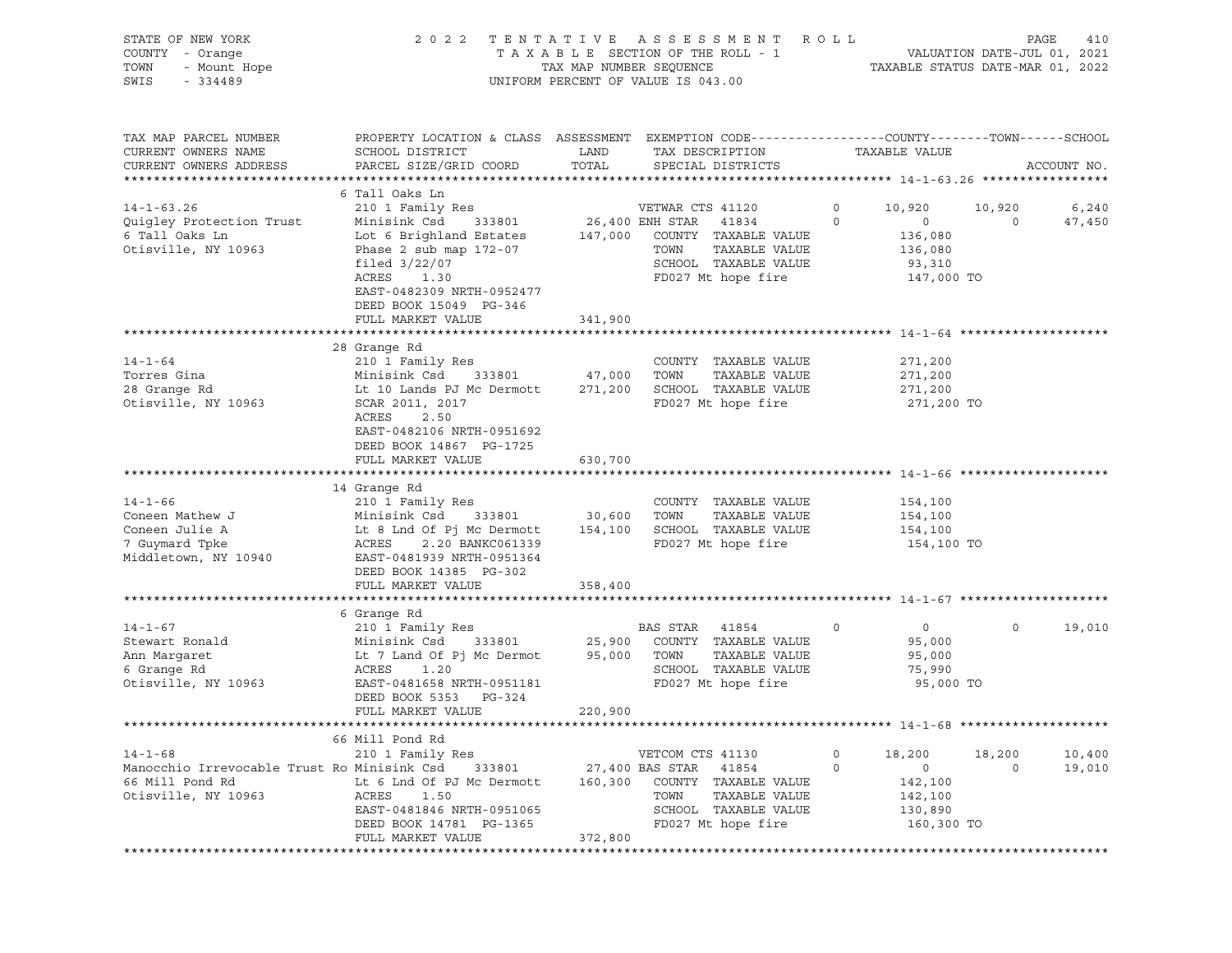| STATE OF NEW YORK<br>COUNTY - Orange<br>TOWN<br>- Mount Hope<br>SWIS<br>$-334489$ | 2 0 2 2                                                                                                                                       | TAX MAP NUMBER SEQUENCE | TENTATIVE ASSESSMENT<br>TAXABLE SECTION OF THE ROLL - 1<br>UNIFORM PERCENT OF VALUE IS 043.00 | R O L L          | TAXABLE STATUS DATE-MAR 01, 2022 | PAGE<br>VALUATION DATE-JUL 01, 2021 | 410             |
|-----------------------------------------------------------------------------------|-----------------------------------------------------------------------------------------------------------------------------------------------|-------------------------|-----------------------------------------------------------------------------------------------|------------------|----------------------------------|-------------------------------------|-----------------|
| TAX MAP PARCEL NUMBER<br>CURRENT OWNERS NAME<br>CURRENT OWNERS ADDRESS            | PROPERTY LOCATION & CLASS ASSESSMENT EXEMPTION CODE----------------COUNTY-------TOWN------SCHOOL<br>SCHOOL DISTRICT<br>PARCEL SIZE/GRID COORD | LAND<br>TOTAL           | TAX DESCRIPTION<br>SPECIAL DISTRICTS                                                          |                  | TAXABLE VALUE                    |                                     | ACCOUNT NO.     |
|                                                                                   |                                                                                                                                               |                         |                                                                                               |                  |                                  |                                     |                 |
|                                                                                   | 6 Tall Oaks Ln                                                                                                                                |                         |                                                                                               |                  |                                  |                                     |                 |
| $14 - 1 - 63.26$<br>Quigley Protection Trust                                      | 210 1 Family Res<br>Minisink Csd<br>333801                                                                                                    |                         | VETWAR CTS 41120<br>26,400 ENH STAR<br>41834                                                  | 0<br>$\mathbf 0$ | 10,920<br>$\mathsf{O}$           | 10,920<br>$\circ$                   | 6,240<br>47,450 |
| 6 Tall Oaks Ln                                                                    | Lot 6 Brighland Estates                                                                                                                       | 147,000                 | COUNTY TAXABLE VALUE                                                                          |                  | 136,080                          |                                     |                 |
| Otisville, NY 10963                                                               | Phase $2$ sub map $172-07$                                                                                                                    |                         | TOWN<br>TAXABLE VALUE                                                                         |                  | 136,080                          |                                     |                 |
|                                                                                   | filed $3/22/07$                                                                                                                               |                         | SCHOOL TAXABLE VALUE                                                                          |                  | 93,310                           |                                     |                 |
|                                                                                   | ACRES<br>1.30                                                                                                                                 |                         | FD027 Mt hope fire                                                                            |                  | 147,000 TO                       |                                     |                 |
|                                                                                   | EAST-0482309 NRTH-0952477                                                                                                                     |                         |                                                                                               |                  |                                  |                                     |                 |
|                                                                                   | DEED BOOK 15049 PG-346                                                                                                                        |                         |                                                                                               |                  |                                  |                                     |                 |
|                                                                                   | FULL MARKET VALUE                                                                                                                             | 341,900                 |                                                                                               |                  |                                  |                                     |                 |
|                                                                                   |                                                                                                                                               |                         |                                                                                               |                  |                                  |                                     |                 |
|                                                                                   | 28 Grange Rd                                                                                                                                  |                         |                                                                                               |                  |                                  |                                     |                 |
| $14 - 1 - 64$                                                                     | 210 1 Family Res                                                                                                                              |                         | COUNTY TAXABLE VALUE                                                                          |                  | 271,200                          |                                     |                 |
| Torres Gina                                                                       | Minisink Csd<br>333801                                                                                                                        | 47,000                  | TAXABLE VALUE<br>TOWN                                                                         |                  | 271,200                          |                                     |                 |
| 28 Grange Rd                                                                      | Lt 10 Lands PJ Mc Dermott                                                                                                                     | 271,200                 | SCHOOL TAXABLE VALUE                                                                          |                  | 271,200                          |                                     |                 |
| Otisville, NY 10963                                                               | SCAR 2011, 2017                                                                                                                               |                         | FD027 Mt hope fire                                                                            |                  | 271,200 TO                       |                                     |                 |
|                                                                                   | ACRES<br>2.50                                                                                                                                 |                         |                                                                                               |                  |                                  |                                     |                 |
|                                                                                   | EAST-0482106 NRTH-0951692                                                                                                                     |                         |                                                                                               |                  |                                  |                                     |                 |
|                                                                                   | DEED BOOK 14867 PG-1725                                                                                                                       |                         |                                                                                               |                  |                                  |                                     |                 |
|                                                                                   | FULL MARKET VALUE                                                                                                                             | 630,700                 |                                                                                               |                  |                                  |                                     |                 |
|                                                                                   |                                                                                                                                               |                         |                                                                                               |                  |                                  |                                     |                 |
| $14 - 1 - 66$                                                                     | 14 Grange Rd                                                                                                                                  |                         |                                                                                               |                  |                                  |                                     |                 |
| Coneen Mathew J                                                                   | 210 1 Family Res<br>Minisink Csd<br>333801                                                                                                    |                         | COUNTY TAXABLE VALUE<br>TOWN<br>TAXABLE VALUE                                                 |                  | 154,100                          |                                     |                 |
| Coneen Julie A                                                                    | Lt 8 Lnd Of Pj Mc Dermott                                                                                                                     | 30,600<br>154,100       | SCHOOL TAXABLE VALUE                                                                          |                  | 154,100<br>154,100               |                                     |                 |
| 7 Guymard Tpke                                                                    | ACRES<br>2.20 BANKC061339                                                                                                                     |                         | FD027 Mt hope fire                                                                            |                  | 154,100 TO                       |                                     |                 |
| Middletown, NY 10940                                                              | EAST-0481939 NRTH-0951364                                                                                                                     |                         |                                                                                               |                  |                                  |                                     |                 |
|                                                                                   | DEED BOOK 14385 PG-302                                                                                                                        |                         |                                                                                               |                  |                                  |                                     |                 |
|                                                                                   | FULL MARKET VALUE                                                                                                                             | 358,400                 |                                                                                               |                  |                                  |                                     |                 |
|                                                                                   |                                                                                                                                               |                         |                                                                                               |                  |                                  |                                     |                 |
|                                                                                   | 6 Grange Rd                                                                                                                                   |                         |                                                                                               |                  |                                  |                                     |                 |
| $14 - 1 - 67$                                                                     | 210 1 Family Res                                                                                                                              |                         | BAS STAR<br>41854                                                                             | 0                | $\circ$                          | 0                                   | 19,010          |
| Stewart Ronald                                                                    | Minisink Csd<br>333801                                                                                                                        | 25,900                  | COUNTY TAXABLE VALUE                                                                          |                  | 95,000                           |                                     |                 |
| Ann Margaret                                                                      | Lt 7 Land Of Pj Mc Dermot                                                                                                                     | 95,000                  | TAXABLE VALUE<br>TOWN                                                                         |                  | 95,000                           |                                     |                 |
| 6 Grange Rd                                                                       | ACRES<br>1.20                                                                                                                                 |                         | SCHOOL TAXABLE VALUE                                                                          |                  | 75,990                           |                                     |                 |
| Otisville, NY 10963                                                               | EAST-0481658 NRTH-0951181                                                                                                                     |                         | FD027 Mt hope fire                                                                            |                  | 95,000 TO                        |                                     |                 |
|                                                                                   | DEED BOOK 5353<br>PG-324                                                                                                                      |                         |                                                                                               |                  |                                  |                                     |                 |
|                                                                                   | FULL MARKET VALUE                                                                                                                             | 220,900                 |                                                                                               |                  |                                  |                                     |                 |
|                                                                                   |                                                                                                                                               |                         |                                                                                               |                  |                                  |                                     |                 |
|                                                                                   | 66 Mill Pond Rd                                                                                                                               |                         |                                                                                               |                  |                                  |                                     |                 |
| $14 - 1 - 68$                                                                     | 210 1 Family Res                                                                                                                              |                         | VETCOM CTS 41130                                                                              | 0                | 18,200                           | 18,200                              | 10,400          |
| Manocchio Irrevocable Trust Ro Minisink Csd                                       | 333801                                                                                                                                        |                         | 27,400 BAS STAR<br>41854                                                                      | $\mathbf 0$      | 0                                | $\circ$                             | 19,010          |
| 66 Mill Pond Rd                                                                   | Lt 6 Lnd Of PJ Mc Dermott                                                                                                                     | 160,300                 | COUNTY TAXABLE VALUE                                                                          |                  | 142,100                          |                                     |                 |
| Otisville, NY 10963                                                               | ACRES<br>1.50                                                                                                                                 |                         | TOWN<br>TAXABLE VALUE                                                                         |                  | 142,100                          |                                     |                 |
|                                                                                   | EAST-0481846 NRTH-0951065                                                                                                                     |                         | SCHOOL TAXABLE VALUE                                                                          |                  | 130,890                          |                                     |                 |
|                                                                                   | DEED BOOK 14781 PG-1365                                                                                                                       |                         | FD027 Mt hope fire                                                                            |                  | 160,300 TO                       |                                     |                 |
|                                                                                   | FULL MARKET VALUE                                                                                                                             | 372,800                 |                                                                                               |                  |                                  |                                     |                 |
|                                                                                   |                                                                                                                                               |                         |                                                                                               |                  |                                  |                                     |                 |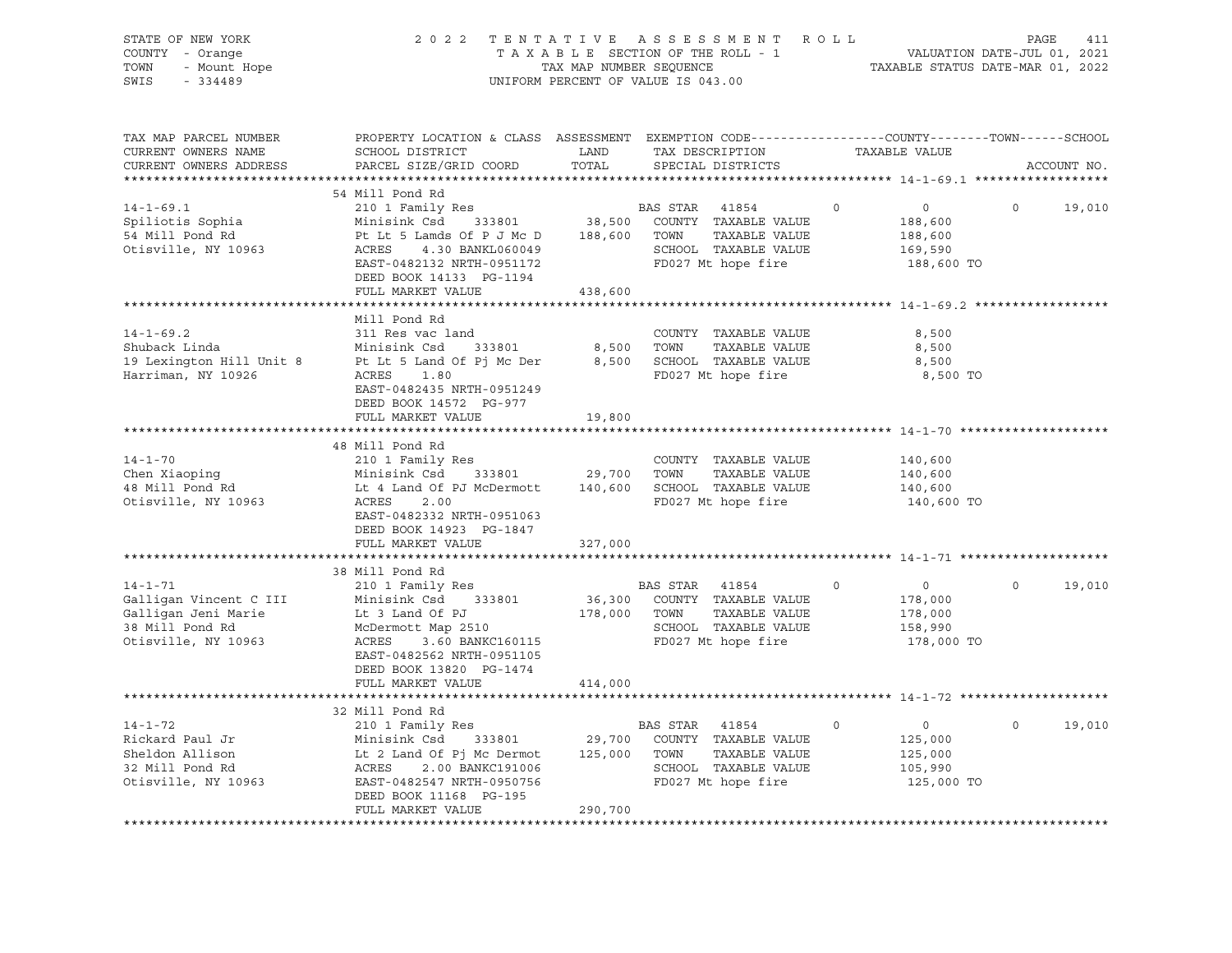| STATE OF NEW YORK<br>2 0 2 2<br>TENTATIVE<br>ASSESSMENT<br>ROLL<br>COUNTY - Orange<br>TAXABLE SECTION OF THE ROLL - 1<br>- Mount Hope<br>TAX MAP NUMBER SEQUENCE<br>TOWN<br>SWIS<br>$-334489$<br>UNIFORM PERCENT OF VALUE IS 043.00 |                                                                                                                                                                                                                     |                                   |                                                                                                                                                 | PAGE<br>411<br>VALUATION DATE-JUL 01, 2021<br>TAXABLE STATUS DATE-MAR 01, 2022 |                    |  |  |
|-------------------------------------------------------------------------------------------------------------------------------------------------------------------------------------------------------------------------------------|---------------------------------------------------------------------------------------------------------------------------------------------------------------------------------------------------------------------|-----------------------------------|-------------------------------------------------------------------------------------------------------------------------------------------------|--------------------------------------------------------------------------------|--------------------|--|--|
| TAX MAP PARCEL NUMBER<br>CURRENT OWNERS NAME<br>CURRENT OWNERS ADDRESS                                                                                                                                                              | PROPERTY LOCATION & CLASS ASSESSMENT EXEMPTION CODE----------------COUNTY-------TOWN------SCHOOL<br>SCHOOL DISTRICT<br>PARCEL SIZE/GRID COORD                                                                       | LAND<br>TOTAL                     | TAX DESCRIPTION<br>SPECIAL DISTRICTS                                                                                                            | TAXABLE VALUE                                                                  | ACCOUNT NO.        |  |  |
| $14 - 1 - 69.1$<br>Spiliotis Sophia<br>54 Mill Pond Rd<br>Otisville, NY 10963                                                                                                                                                       | 54 Mill Pond Rd<br>210 1 Family Res<br>Minisink Csd<br>333801<br>Pt Lt 5 Lamds Of P J Mc D<br>ACRES<br>4.30 BANKL060049<br>EAST-0482132 NRTH-0951172<br>DEED BOOK 14133 PG-1194<br>FULL MARKET VALUE                | 38,500<br>188,600<br>438,600      | BAS STAR<br>41854<br>COUNTY TAXABLE VALUE<br>TOWN<br>TAXABLE VALUE<br>SCHOOL TAXABLE VALUE<br>FD027 Mt hope fire                                | $\circ$<br>$\circ$<br>188,600<br>188,600<br>169,590<br>188,600 TO              | $\circ$<br>19,010  |  |  |
| $14 - 1 - 69.2$<br>Shuback Linda<br>19 Lexington Hill Unit 8<br>Harriman, NY 10926                                                                                                                                                  | ***************************<br>Mill Pond Rd<br>311 Res vac land<br>Minisink Csd<br>333801<br>Pt Lt 5 Land Of Pj Mc Der<br>ACRES<br>1.80<br>EAST-0482435 NRTH-0951249<br>DEED BOOK 14572 PG-977<br>FULL MARKET VALUE | 8,500<br>8,500<br>19,800          | COUNTY TAXABLE VALUE<br>TOWN<br>TAXABLE VALUE<br>SCHOOL TAXABLE VALUE<br>FD027 Mt hope fire                                                     | 8,500<br>8,500<br>8,500<br>8,500 TO<br>****************** 14-1-70 **           |                    |  |  |
| $14 - 1 - 70$<br>Chen Xiaoping<br>48 Mill Pond Rd<br>Otisville, NY 10963                                                                                                                                                            | 48 Mill Pond Rd<br>210 1 Family Res<br>Minisink Csd<br>333801<br>Lt 4 Land Of PJ McDermott<br>ACRES<br>2.00<br>EAST-0482332 NRTH-0951063<br>DEED BOOK 14923 PG-1847<br>FULL MARKET VALUE                            | 29,700<br>140,600<br>327,000      | COUNTY TAXABLE VALUE<br>TOWN<br>TAXABLE VALUE<br>SCHOOL TAXABLE VALUE<br>FD027 Mt hope fire                                                     | 140,600<br>140,600<br>140,600<br>140,600 TO                                    |                    |  |  |
| $14 - 1 - 71$<br>Galligan Vincent C III<br>Galligan Jeni Marie<br>38 Mill Pond Rd<br>Otisville, NY 10963                                                                                                                            | 38 Mill Pond Rd<br>210 1 Family Res<br>Minisink Csd 333801<br>Lt 3 Land Of PJ<br>McDermott Map 2510<br>ACRES<br>3.60 BANKC160115<br>EAST-0482562 NRTH-0951105<br>DEED BOOK 13820 PG-1474<br>FULL MARKET VALUE       | 178,000 TOWN<br>414,000           | BAS STAR 41854<br>36,300 COUNTY TAXABLE VALUE<br>TAXABLE VALUE<br>SCHOOL TAXABLE VALUE<br>FD027 Mt hope fire                                    | $\Omega$<br>$\overline{0}$<br>178,000<br>178,000<br>158,990<br>178,000 TO      | $\Omega$<br>19,010 |  |  |
| $14 - 1 - 72$<br>Rickard Paul Jr<br>Sheldon Allison<br>32 Mill Pond Rd<br>Otisville, NY 10963                                                                                                                                       | 32 Mill Pond Rd<br>210 1 Family Res<br>Minisink Csd<br>333801<br>Lt 2 Land Of Pj Mc Dermot<br>ACRES<br>2.00 BANKC191006<br>EAST-0482547 NRTH-0950756<br>DEED BOOK 11168 PG-195<br>FULL MARKET VALUE                 | 29,700<br>125,000 TOWN<br>290,700 | ****************************** 14-1-72<br>BAS STAR 41854<br>COUNTY TAXABLE VALUE<br>TAXABLE VALUE<br>SCHOOL TAXABLE VALUE<br>FD027 Mt hope fire | $\circ$<br>$\overline{0}$<br>125,000<br>125,000<br>105,990<br>125,000 TO       | $\circ$<br>19,010  |  |  |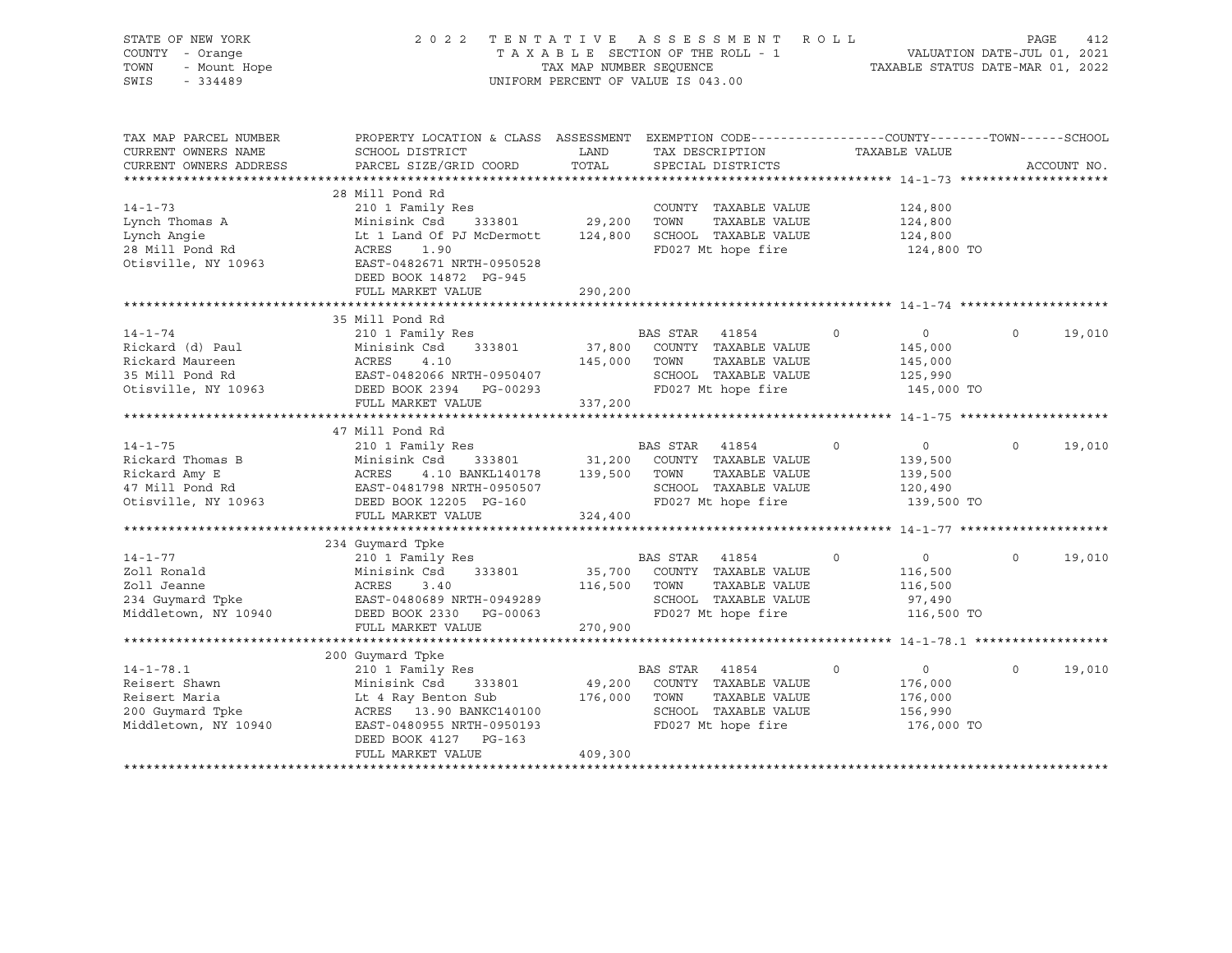| STATE OF NEW YORK<br>COUNTY - Orange<br>- Mount Hope<br>TOWN<br>SWIS<br>$-334489$             | 2 0 2 2                                                                                                                                                                                     | TAXABLE SECTION OF THE ROLL - 1<br>TAX MAP NUMBER SEOUENCE<br>UNIFORM PERCENT OF VALUE IS 043.00 |                        | TENTATIVE ASSESSMENT                                                                         | ROLL        | TAXABLE STATUS DATE-MAR 01, 2022                                | PAGE<br>VALUATION DATE-JUL 01, 2021 | 412         |
|-----------------------------------------------------------------------------------------------|---------------------------------------------------------------------------------------------------------------------------------------------------------------------------------------------|--------------------------------------------------------------------------------------------------|------------------------|----------------------------------------------------------------------------------------------|-------------|-----------------------------------------------------------------|-------------------------------------|-------------|
| TAX MAP PARCEL NUMBER<br>CURRENT OWNERS NAME<br>CURRENT OWNERS ADDRESS                        | PROPERTY LOCATION & CLASS ASSESSMENT EXEMPTION CODE---------------COUNTY-------TOWN------SCHOOL<br>SCHOOL DISTRICT<br>PARCEL SIZE/GRID COORD                                                | LAND<br>TOTAL                                                                                    |                        | TAX DESCRIPTION<br>SPECIAL DISTRICTS                                                         |             | TAXABLE VALUE                                                   |                                     | ACCOUNT NO. |
| $14 - 1 - 73$<br>Lynch Thomas A<br>Lynch Angie<br>28 Mill Pond Rd<br>Otisville, NY 10963      | 28 Mill Pond Rd<br>210 1 Family Res<br>Minisink Csd<br>333801<br>Lt 1 Land Of PJ McDermott<br>ACRES<br>1.90<br>EAST-0482671 NRTH-0950528<br>DEED BOOK 14872 PG-945<br>FULL MARKET VALUE     | 29,200<br>124,800<br>290,200                                                                     | TOWN                   | COUNTY TAXABLE VALUE<br>TAXABLE VALUE<br>SCHOOL TAXABLE VALUE<br>FD027 Mt hope fire          |             | 124,800<br>124,800<br>124,800<br>124,800 TO                     |                                     |             |
|                                                                                               |                                                                                                                                                                                             |                                                                                                  |                        |                                                                                              |             |                                                                 |                                     |             |
| $14 - 1 - 74$                                                                                 | 35 Mill Pond Rd<br>210 1 Family Res                                                                                                                                                         |                                                                                                  | BAS STAR               | 41854                                                                                        | $\circ$     | $\overline{0}$                                                  | $\circ$                             | 19,010      |
| Rickard (d) Paul<br>Rickard Maureen<br>35 Mill Pond Rd<br>Otisville, NY 10963                 | Minisink Csd<br>333801<br>ACRES 4.10<br>EAST-0482066 NRTH-0950407<br>CASA PG-00293<br>DEED BOOK 2394 PG-00293<br>FULL MARKET VALUE                                                          | 145,000<br>337,200                                                                               | TOWN                   | 37,800 COUNTY TAXABLE VALUE<br>TAXABLE VALUE<br>SCHOOL TAXABLE VALUE<br>FD027 Mt hope fire   |             | 145,000<br>145,000<br>125,990<br>145,000 TO                     |                                     |             |
|                                                                                               |                                                                                                                                                                                             |                                                                                                  |                        |                                                                                              |             |                                                                 |                                     |             |
|                                                                                               | 47 Mill Pond Rd                                                                                                                                                                             |                                                                                                  |                        |                                                                                              |             |                                                                 |                                     |             |
| $14 - 1 - 75$<br>Rickard Thomas B<br>Rickard Amy E<br>47 Mill Pond Rd<br>Otisville, NY 10963  | 210 1 Family Res<br>Minisink Csd<br>4.10 BANKL140178 139,500<br>ACRES<br>EAST-0481798 NRTH-0950507<br>DEED BOOK 12205 PG-160                                                                | 333801 31,200                                                                                    | BAS STAR 41854<br>TOWN | COUNTY TAXABLE VALUE<br>TAXABLE VALUE<br>SCHOOL TAXABLE VALUE<br>FD027 Mt hope fire          | $\mathbf 0$ | $\circ$<br>139,500<br>139,500<br>120,490<br>139,500 TO          | $\circ$                             | 19,010      |
|                                                                                               | FULL MARKET VALUE                                                                                                                                                                           | 324,400                                                                                          |                        |                                                                                              |             |                                                                 |                                     |             |
|                                                                                               |                                                                                                                                                                                             |                                                                                                  |                        |                                                                                              |             |                                                                 |                                     |             |
| $14 - 1 - 77$<br>Zoll Ronald<br>Zoll Jeanne<br>234 Guymard Tpke<br>Middletown, NY 10940       | 234 Guymard Tpke<br>210 1 Family Res<br>Minisink Csd<br>333801<br>ACRES<br>3.40<br>EAST-0480689 NRTH-0949289<br>DEED BOOK 2330<br>PG-00063<br>FULL MARKET VALUE                             | 35,700<br>116,500<br>270,900                                                                     | BAS STAR<br>TOWN       | 41854<br>COUNTY TAXABLE VALUE<br>TAXABLE VALUE<br>SCHOOL TAXABLE VALUE<br>FD027 Mt hope fire | $\Omega$    | $0 \qquad \qquad$<br>116,500<br>116,500<br>97,490<br>116,500 TO | $\Omega$                            | 19,010      |
|                                                                                               |                                                                                                                                                                                             |                                                                                                  |                        |                                                                                              |             |                                                                 |                                     |             |
| $14 - 1 - 78.1$<br>Reisert Shawn<br>Reisert Maria<br>200 Guymard Tpke<br>Middletown, NY 10940 | 200 Guymard Tpke<br>210 1 Family Res<br>Minisink Csd<br>333801<br>Lt 4 Ray Benton Sub<br>ACRES 13.90 BANKC140100<br>EAST-0480955 NRTH-0950193<br>DEED BOOK 4127 PG-163<br>FULL MARKET VALUE | 49,200<br>176,000<br>409,300                                                                     | BAS STAR<br>TOWN       | 41854<br>COUNTY TAXABLE VALUE<br>TAXABLE VALUE<br>SCHOOL TAXABLE VALUE<br>FD027 Mt hope fire | $\circ$     | $\overline{0}$<br>176,000<br>176,000<br>156,990<br>176,000 TO   | $\mathbf 0$                         | 19,010      |
|                                                                                               |                                                                                                                                                                                             |                                                                                                  |                        |                                                                                              |             |                                                                 |                                     |             |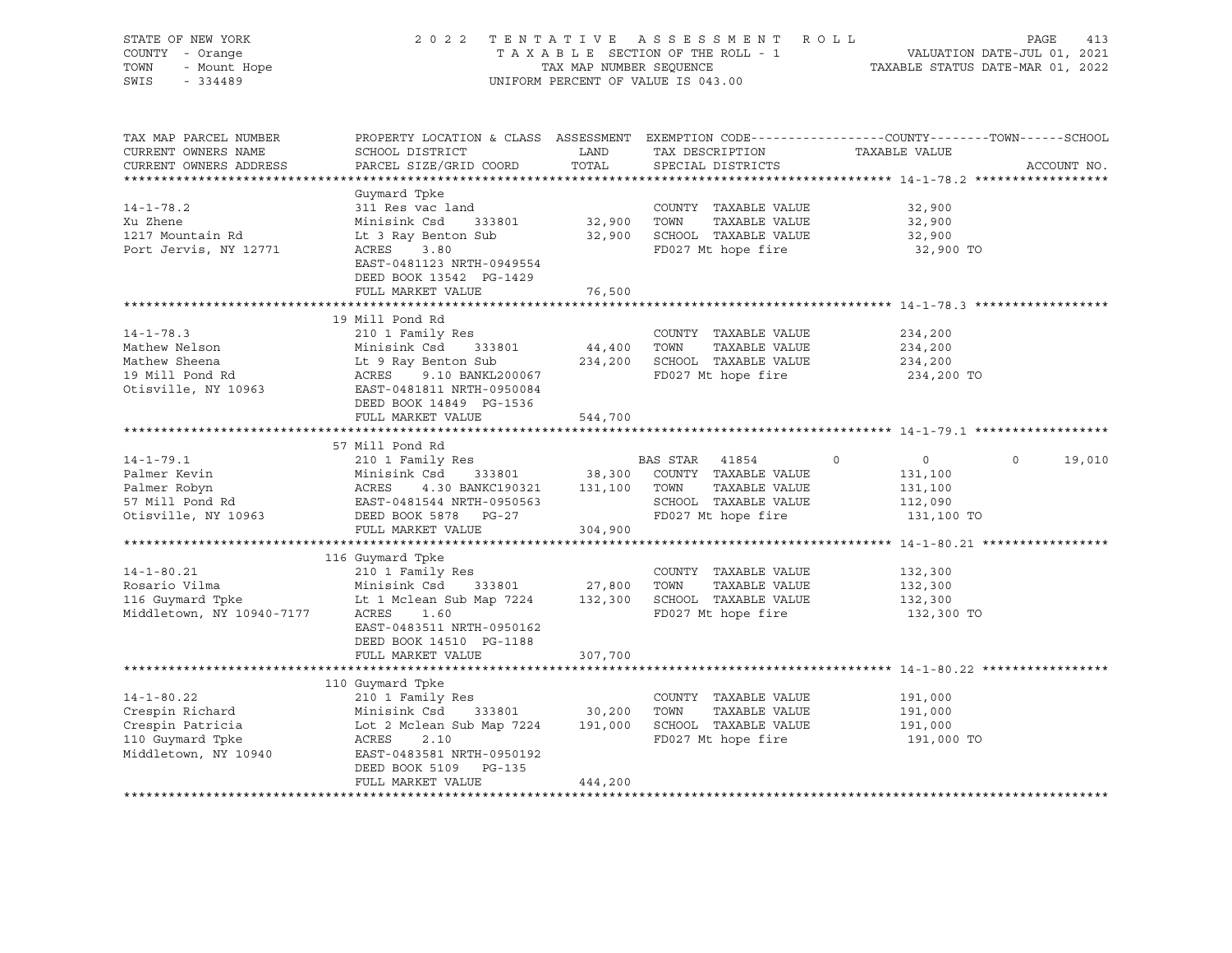| STATE OF NEW YORK<br>COUNTY - Orange<br>- Mount Hope<br>TOWN<br>SWIS<br>$-334489$                   | 2022 TENTATIVE<br>TAXABLE SECTION OF THE ROLL - 1<br>TAX MAP NUMBER SEQUENCE<br>UNIFORM PERCENT OF VALUE IS 043.00                                                                       | ASSESSMENT ROLL<br>PAGE<br>413<br>VALUATION DATE-JUL 01, 2021<br>TAXABLE STATUS DATE-MAR 01, 2022 |                                                                                                               |                                                                   |                   |
|-----------------------------------------------------------------------------------------------------|------------------------------------------------------------------------------------------------------------------------------------------------------------------------------------------|---------------------------------------------------------------------------------------------------|---------------------------------------------------------------------------------------------------------------|-------------------------------------------------------------------|-------------------|
| TAX MAP PARCEL NUMBER<br>CURRENT OWNERS NAME<br>CURRENT OWNERS ADDRESS                              | PROPERTY LOCATION & CLASS ASSESSMENT EXEMPTION CODE---------------COUNTY-------TOWN-----SCHOOL<br>SCHOOL DISTRICT<br>PARCEL SIZE/GRID COORD                                              | LAND<br>TOTAL                                                                                     | TAX DESCRIPTION<br>SPECIAL DISTRICTS                                                                          | TAXABLE VALUE                                                     | ACCOUNT NO.       |
|                                                                                                     | Guymard Tpke                                                                                                                                                                             |                                                                                                   |                                                                                                               |                                                                   |                   |
| $14 - 1 - 78.2$<br>Xu Zhene<br>1217 Mountain Rd<br>Port Jervis, NY 12771                            | 311 Res vac land<br>Minisink Csd<br>333801<br>Lt 3 Ray Benton Sub<br>ACRES<br>3.80<br>EAST-0481123 NRTH-0949554<br>DEED BOOK 13542 PG-1429                                               | 32,900                                                                                            | COUNTY TAXABLE VALUE<br>TOWN<br>TAXABLE VALUE<br>32,900 SCHOOL TAXABLE VALUE<br>FD027 Mt hope fire            | 32,900<br>32,900<br>32,900<br>32,900 TO                           |                   |
|                                                                                                     | FULL MARKET VALUE                                                                                                                                                                        | 76,500                                                                                            |                                                                                                               |                                                                   |                   |
| $14 - 1 - 78.3$<br>Mathew Nelson                                                                    | 19 Mill Pond Rd<br>210 1 Family Res<br>Minisink Csd<br>333801                                                                                                                            | 44,400 TOWN                                                                                       | COUNTY TAXABLE VALUE<br>TAXABLE VALUE                                                                         | 234,200<br>234,200                                                |                   |
| Mathew Sheena<br>19 Mill Pond Rd<br>Otisville, NY 10963                                             | Lt 9 Ray Benton Sub<br>ACRES<br>9.10 BANKL200067<br>EAST-0481811 NRTH-0950084<br>DEED BOOK 14849 PG-1536                                                                                 |                                                                                                   | 234,200 SCHOOL TAXABLE VALUE<br>FD027 Mt hope fire                                                            | 234,200<br>234,200 TO                                             |                   |
|                                                                                                     | FULL MARKET VALUE                                                                                                                                                                        | 544,700                                                                                           |                                                                                                               |                                                                   |                   |
|                                                                                                     | 57 Mill Pond Rd                                                                                                                                                                          |                                                                                                   |                                                                                                               |                                                                   |                   |
| $14 - 1 - 79.1$<br>Palmer Kevin<br>Palmer Robyn<br>57 Mill Pond Rd<br>Otisville, NY 10963           | 210 1 Family Res<br>Minisink Csd<br>333801<br>4.30 BANKC190321 131,100<br>ACRES<br>EAST-0481544 NRTH-0950563<br>DEED BOOK 5878 PG-27                                                     | 38,300                                                                                            | BAS STAR 41854<br>COUNTY TAXABLE VALUE<br>TOWN<br>TAXABLE VALUE<br>SCHOOL TAXABLE VALUE<br>FD027 Mt hope fire | $\circ$<br>$\circ$<br>131,100<br>131,100<br>112,090<br>131,100 TO | $\circ$<br>19,010 |
|                                                                                                     | FULL MARKET VALUE                                                                                                                                                                        | 304,900                                                                                           |                                                                                                               |                                                                   |                   |
| $14 - 1 - 80.21$<br>Rosario Vilma<br>116 Guymard Tpke<br>Middletown, NY 10940-7177                  | 116 Guymard Tpke<br>210 1 Family Res<br>Minisink Csd<br>333801<br>Lt 1 Mclean Sub Map 7224<br>ACRES<br>1.60<br>EAST-0483511 NRTH-0950162<br>DEED BOOK 14510 PG-1188<br>FULL MARKET VALUE | 27,800<br>307,700                                                                                 | COUNTY TAXABLE VALUE<br>TOWN<br>TAXABLE VALUE<br>132,300 SCHOOL TAXABLE VALUE<br>FD027 Mt hope fire           | 132,300<br>132,300<br>132,300<br>132,300 TO                       |                   |
|                                                                                                     |                                                                                                                                                                                          |                                                                                                   |                                                                                                               |                                                                   |                   |
| $14 - 1 - 80.22$<br>Crespin Richard<br>Crespin Patricia<br>110 Guymard Tpke<br>Middletown, NY 10940 | 110 Guymard Tpke<br>210 1 Family Res<br>Minisink Csd<br>333801<br>Lot 2 Mclean Sub Map 7224<br>2.10<br>ACRES<br>EAST-0483581 NRTH-0950192<br>DEED BOOK 5109 PG-135<br>FULL MARKET VALUE  | 30,200<br>444,200                                                                                 | COUNTY TAXABLE VALUE<br>TOWN<br>TAXABLE VALUE<br>191,000 SCHOOL TAXABLE VALUE<br>FD027 Mt hope fire           | 191,000<br>191,000<br>191,000<br>191,000 TO                       |                   |
|                                                                                                     |                                                                                                                                                                                          |                                                                                                   |                                                                                                               |                                                                   |                   |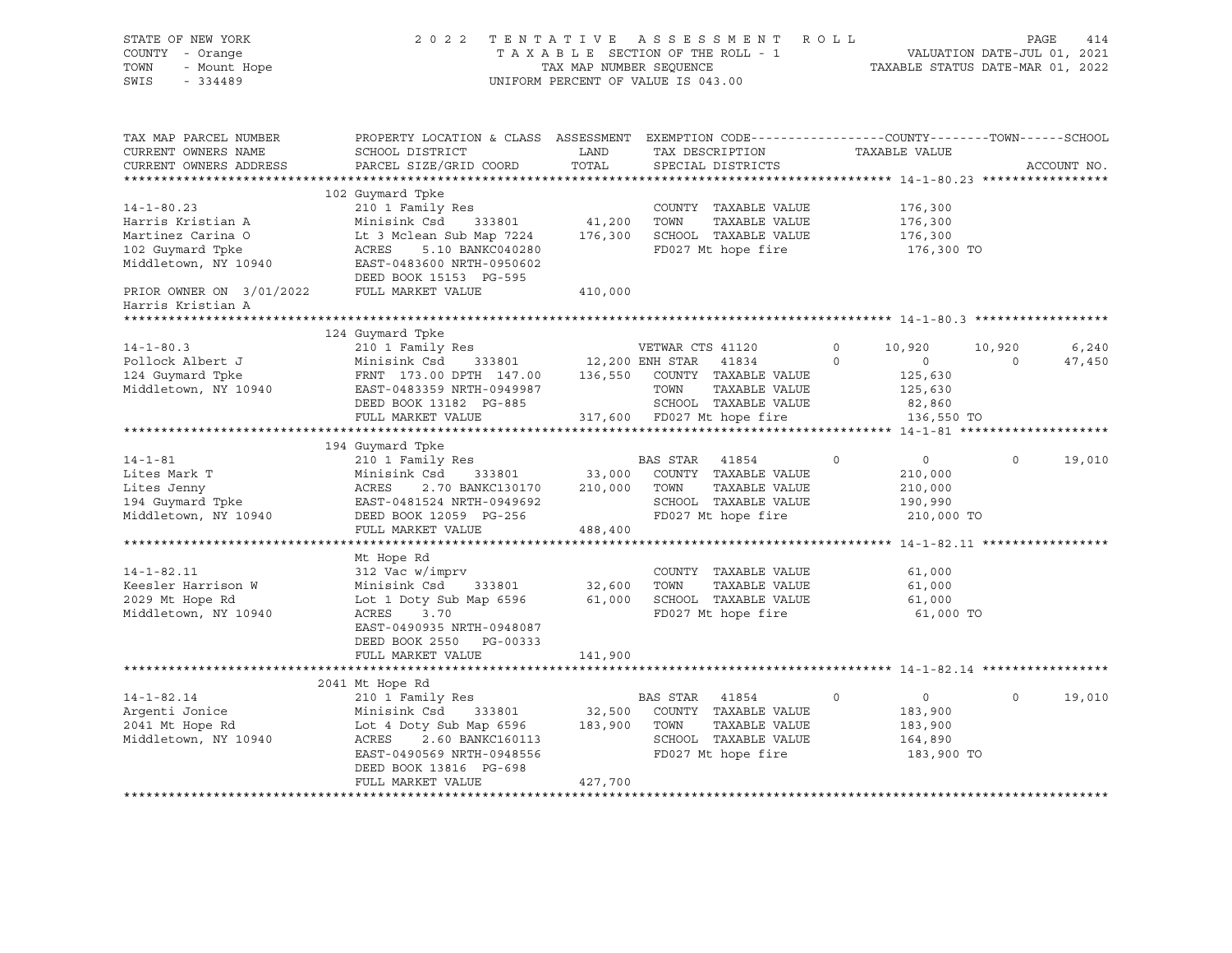| STATE OF NEW YORK<br>COUNTY - Orange<br>- Mount Hope<br>TOWN<br>SWIS<br>$-334489$                                                                       |                                                                                                                                                                                                     | TAX MAP NUMBER SEQUENCE      | 2022 TENTATIVE ASSESSMENT ROLL<br>TAXABLE SECTION OF THE ROLL - 1<br>UNIFORM PERCENT OF VALUE IS 043.00                       |                     | TAXABLE STATUS DATE-MAR 01, 2022                              | PAGE<br>VALUATION DATE-JUL 01, 2021 | 414             |
|---------------------------------------------------------------------------------------------------------------------------------------------------------|-----------------------------------------------------------------------------------------------------------------------------------------------------------------------------------------------------|------------------------------|-------------------------------------------------------------------------------------------------------------------------------|---------------------|---------------------------------------------------------------|-------------------------------------|-----------------|
| TAX MAP PARCEL NUMBER<br>CURRENT OWNERS NAME<br>CURRENT OWNERS ADDRESS<br>************************                                                      | PROPERTY LOCATION & CLASS ASSESSMENT EXEMPTION CODE---------------COUNTY-------TOWN-----SCHOOL<br>SCHOOL DISTRICT<br>PARCEL SIZE/GRID COORD                                                         | LAND<br>TOTAL                | TAX DESCRIPTION<br>SPECIAL DISTRICTS                                                                                          |                     | TAXABLE VALUE                                                 |                                     | ACCOUNT NO.     |
| $14 - 1 - 80.23$<br>Harris Kristian A<br>Martinez Carina O<br>102 Guymard Tpke<br>Middletown, NY 10940<br>PRIOR OWNER ON 3/01/2022<br>Harris Kristian A | 102 Guymard Tpke<br>210 1 Family Res<br>Minisink Csd<br>333801<br>Lt 3 Mclean Sub Map 7224<br>ACRES<br>5.10 BANKC040280<br>EAST-0483600 NRTH-0950602<br>DEED BOOK 15153 PG-595<br>FULL MARKET VALUE | 41,200<br>176,300<br>410,000 | COUNTY TAXABLE VALUE<br>TAXABLE VALUE<br>TOWN<br>SCHOOL TAXABLE VALUE<br>FD027 Mt hope fire                                   |                     | 176,300<br>176,300<br>176,300<br>176,300 TO                   |                                     |                 |
|                                                                                                                                                         |                                                                                                                                                                                                     |                              |                                                                                                                               |                     |                                                               |                                     |                 |
| $14 - 1 - 80.3$<br>Pollock Albert J<br>124 Guymard Tpke<br>Middletown, NY 10940                                                                         | 124 Guymard Tpke<br>210 1 Family Res<br>Minisink Csd<br>333801<br>FRNT 173.00 DPTH 147.00<br>EAST-0483359 NRTH-0949987<br>DEED BOOK 13182 PG-885                                                    |                              | VETWAR CTS 41120<br>12,200 ENH STAR<br>41834<br>136,550 COUNTY TAXABLE VALUE<br>TOWN<br>TAXABLE VALUE<br>SCHOOL TAXABLE VALUE | $\circ$<br>$\Omega$ | 10,920<br>$\circ$<br>125,630<br>125,630<br>82,860             | 10,920<br>$\Omega$                  | 6,240<br>47,450 |
|                                                                                                                                                         | FULL MARKET VALUE                                                                                                                                                                                   |                              | 317,600 FD027 Mt hope fire                                                                                                    |                     | 136,550 TO                                                    |                                     |                 |
|                                                                                                                                                         |                                                                                                                                                                                                     |                              |                                                                                                                               |                     |                                                               |                                     |                 |
| $14 - 1 - 81$<br>Lites Mark T<br>Lites Jenny<br>194 Guymard Tpke<br>Middletown, NY 10940                                                                | 194 Guymard Tpke<br>210 1 Family Res<br>Minisink Csd<br>333801<br>ACRES<br>2.70 BANKC130170<br>EAST-0481524 NRTH-0949692<br>DEED BOOK 12059 PG-256<br>FULL MARKET VALUE                             | 33,000<br>210,000<br>488,400 | BAS STAR 41854<br>COUNTY TAXABLE VALUE<br>TOWN<br>TAXABLE VALUE<br>SCHOOL TAXABLE VALUE<br>FD027 Mt hope fire                 | $\Omega$            | $\circ$<br>210,000<br>210,000<br>190,990<br>210,000 TO        | $\Omega$                            | 19,010          |
|                                                                                                                                                         |                                                                                                                                                                                                     |                              |                                                                                                                               |                     |                                                               |                                     |                 |
| $14 - 1 - 82.11$<br>Keesler Harrison W<br>2029 Mt Hope Rd<br>Middletown, NY 10940                                                                       | Mt Hope Rd<br>312 Vac w/imprv<br>Minisink Csd<br>333801<br>Lot 1 Doty Sub Map 6596<br>ACRES<br>3.70<br>EAST-0490935 NRTH-0948087<br>DEED BOOK 2550 PG-00333                                         | 32,600<br>61,000             | COUNTY TAXABLE VALUE<br>TOWN<br>TAXABLE VALUE<br>SCHOOL TAXABLE VALUE<br>FD027 Mt hope fire                                   |                     | 61,000<br>61,000<br>61,000<br>61,000 TO                       |                                     |                 |
|                                                                                                                                                         | FULL MARKET VALUE                                                                                                                                                                                   | 141,900                      |                                                                                                                               |                     |                                                               |                                     |                 |
|                                                                                                                                                         | 2041 Mt Hope Rd                                                                                                                                                                                     |                              |                                                                                                                               |                     |                                                               |                                     |                 |
| $14 - 1 - 82.14$<br>Argenti Jonice<br>2041 Mt Hope Rd<br>Middletown, NY 10940                                                                           | 210 1 Family Res<br>Minisink Csd 333801<br>Lot 4 Doty Sub Map 6596<br>2.60 BANKC160113<br>ACRES<br>EAST-0490569 NRTH-0948556<br>DEED BOOK 13816 PG-698<br>FULL MARKET VALUE                         | 32,500<br>183,900<br>427,700 | BAS STAR<br>41854<br>COUNTY TAXABLE VALUE<br>TOWN<br>TAXABLE VALUE<br>SCHOOL TAXABLE VALUE<br>FD027 Mt hope fire              | $\circ$             | $\overline{0}$<br>183,900<br>183,900<br>164,890<br>183,900 TO | $\circ$                             | 19,010          |
|                                                                                                                                                         |                                                                                                                                                                                                     |                              |                                                                                                                               |                     |                                                               |                                     |                 |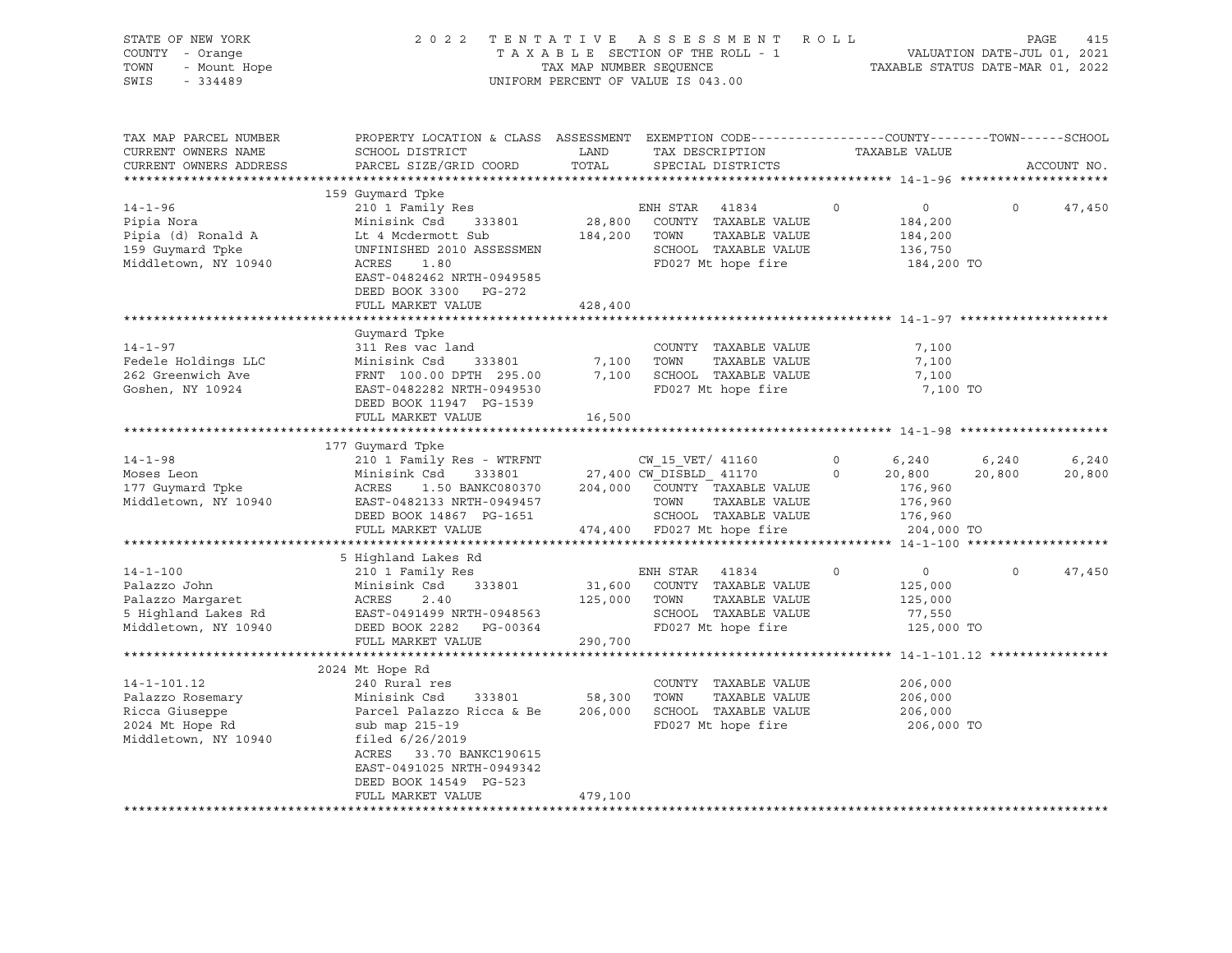| STATE OF NEW YORK<br>COUNTY - Orange<br>TOWN<br>- Mount Hope<br>SWIS<br>$-334489$                  | 2 0 2 2<br>TENTATIVE<br>TAXABLE SECTION OF THE ROLL - 1<br>TAX MAP NUMBER SEQUENCE<br>UNIFORM PERCENT OF VALUE IS 043.00                                                                                                              | ROLL                         | PAGE<br>415<br>VALUATION DATE-JUL 01, 2021<br>TAXABLE STATUS DATE-MAR 01, 2022                                                                             |                             |                                                                          |                 |
|----------------------------------------------------------------------------------------------------|---------------------------------------------------------------------------------------------------------------------------------------------------------------------------------------------------------------------------------------|------------------------------|------------------------------------------------------------------------------------------------------------------------------------------------------------|-----------------------------|--------------------------------------------------------------------------|-----------------|
| TAX MAP PARCEL NUMBER<br>CURRENT OWNERS NAME<br>CURRENT OWNERS ADDRESS                             | PROPERTY LOCATION & CLASS ASSESSMENT EXEMPTION CODE----------------COUNTY-------TOWN-----SCHOOL<br>SCHOOL DISTRICT<br>PARCEL SIZE/GRID COORD                                                                                          | LAND<br>TOTAL                | TAX DESCRIPTION<br>SPECIAL DISTRICTS                                                                                                                       | TAXABLE VALUE               |                                                                          | ACCOUNT NO.     |
|                                                                                                    | 159 Guymard Tpke                                                                                                                                                                                                                      |                              |                                                                                                                                                            |                             |                                                                          |                 |
| $14 - 1 - 96$<br>Pipia Nora<br>Pipia (d) Ronald A<br>159 Guymard Tpke<br>Middletown, NY 10940      | 210 1 Family Res<br>Minisink Csd 333801<br>Lt 4 Mcdermott Sub<br>UNFINISHED 2010 ASSESSMEN<br>ACRES<br>1.80<br>EAST-0482462 NRTH-0949585<br>DEED BOOK 3300 PG-272                                                                     | 28,800<br>184,200 TOWN       | ENH STAR<br>41834<br>COUNTY TAXABLE VALUE<br>TAXABLE VALUE<br>SCHOOL TAXABLE VALUE<br>FD027 Mt hope fire                                                   | $\circ$                     | $\overline{0}$<br>$\circ$<br>184,200<br>184,200<br>136,750<br>184,200 TO | 47,450          |
|                                                                                                    | FULL MARKET VALUE                                                                                                                                                                                                                     | 428,400                      |                                                                                                                                                            |                             |                                                                          |                 |
| $14 - 1 - 97$<br>Fedele Holdings LLC<br>262 Greenwich Ave<br>Goshen, NY 10924                      | Guymard Tpke<br>311 Res vac land<br>Minisink Csd<br>333801<br>FRNT 100.00 DPTH 295.00<br>EAST-0482282 NRTH-0949530<br>DEED BOOK 11947 PG-1539                                                                                         | 7,100<br>7,100               | COUNTY TAXABLE VALUE<br>TOWN<br>TAXABLE VALUE<br>SCHOOL TAXABLE VALUE<br>FD027 Mt hope fire                                                                |                             | 7,100<br>7,100<br>7,100<br>7,100 TO                                      |                 |
|                                                                                                    | FULL MARKET VALUE                                                                                                                                                                                                                     | 16,500                       |                                                                                                                                                            |                             |                                                                          |                 |
|                                                                                                    |                                                                                                                                                                                                                                       |                              |                                                                                                                                                            |                             |                                                                          |                 |
| $14 - 1 - 98$<br>Moses Leon<br>177 Guymard Tpke<br>Middletown, NY 10940                            | 177 Guymard Tpke<br>210 1 Family Res - WTRFNT<br>Minisink Csd<br>333801<br>ACRES<br>1.50 BANKC080370<br>EAST-0482133 NRTH-0949457<br>DEED BOOK 14867 PG-1651<br>FULL MARKET VALUE                                                     |                              | CW 15 VET/ 41160<br>27,400 CW DISBLD_ 41170<br>204,000 COUNTY TAXABLE VALUE<br>TAXABLE VALUE<br>TOWN<br>SCHOOL TAXABLE VALUE<br>474,400 FD027 Mt hope fire | $\circ$<br>6,240<br>$\circ$ | 6,240<br>20,800<br>20,800<br>176,960<br>176,960<br>176,960<br>204,000 TO | 6,240<br>20,800 |
|                                                                                                    |                                                                                                                                                                                                                                       |                              |                                                                                                                                                            |                             |                                                                          |                 |
| $14 - 1 - 100$<br>Palazzo John<br>Palazzo Margaret<br>5 Highland Lakes Rd<br>Middletown, NY 10940  | 5 Highland Lakes Rd<br>210 1 Family Res<br>Minisink Csd<br>333801<br>ACRES<br>2.40<br>EAST-0491499 NRTH-0948563<br>DEED BOOK 2282 PG-00364<br>FULL MARKET VALUE                                                                       | 31,600<br>125,000<br>290,700 | ENH STAR<br>41834<br>COUNTY TAXABLE VALUE<br>TOWN<br>TAXABLE VALUE<br>SCHOOL TAXABLE VALUE<br>FD027 Mt hope fire                                           | $\circ$                     | $\circ$<br>$\Omega$<br>125,000<br>125,000<br>77,550<br>125,000 TO        | 47,450          |
|                                                                                                    |                                                                                                                                                                                                                                       |                              |                                                                                                                                                            |                             |                                                                          |                 |
| $14 - 1 - 101.12$<br>Palazzo Rosemary<br>Ricca Giuseppe<br>2024 Mt Hope Rd<br>Middletown, NY 10940 | 2024 Mt Hope Rd<br>240 Rural res<br>Minisink Csd<br>333801<br>Parcel Palazzo Ricca & Be<br>sub map 215-19<br>filed $6/26/2019$<br>ACRES 33.70 BANKC190615<br>EAST-0491025 NRTH-0949342<br>DEED BOOK 14549 PG-523<br>FULL MARKET VALUE | 58,300<br>206,000<br>479,100 | COUNTY TAXABLE VALUE<br>TOWN<br>TAXABLE VALUE<br>SCHOOL TAXABLE VALUE<br>FD027 Mt hope fire                                                                |                             | 206,000<br>206,000<br>206,000<br>206,000 TO                              |                 |
|                                                                                                    |                                                                                                                                                                                                                                       |                              |                                                                                                                                                            |                             |                                                                          |                 |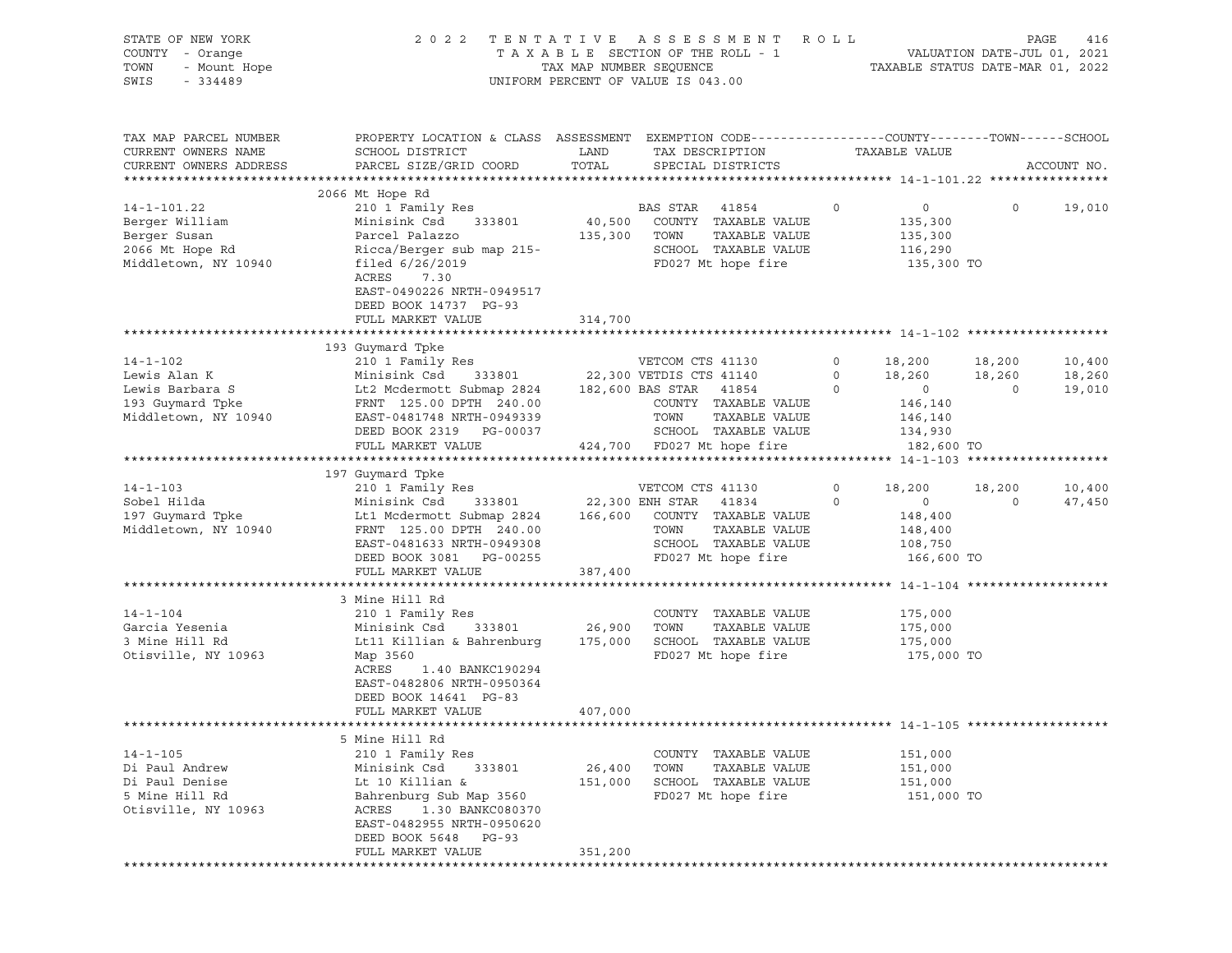| STATE OF NEW YORK<br>COUNTY - Orange<br>TOWN<br>- Mount Hope                                |                                                                                                                                                                                                                                 | 2022 TENTATIVE ASSESSMENT<br>R O L L<br>VALUATION DATE-JUL 01, 2021<br>TAXABLE STATUS DATE-MAR 01, 2022<br>TAXABLE SECTION OF THE ROLL - 1<br>TAX MAP NUMBER SEQUENCE |                                                                                                                              |                    |                                                                                                        |                    |                            |
|---------------------------------------------------------------------------------------------|---------------------------------------------------------------------------------------------------------------------------------------------------------------------------------------------------------------------------------|-----------------------------------------------------------------------------------------------------------------------------------------------------------------------|------------------------------------------------------------------------------------------------------------------------------|--------------------|--------------------------------------------------------------------------------------------------------|--------------------|----------------------------|
| SWIS<br>$-334489$                                                                           |                                                                                                                                                                                                                                 |                                                                                                                                                                       | UNIFORM PERCENT OF VALUE IS 043.00                                                                                           |                    |                                                                                                        |                    |                            |
| TAX MAP PARCEL NUMBER<br>CURRENT OWNERS NAME<br>CURRENT OWNERS ADDRESS                      | PROPERTY LOCATION & CLASS ASSESSMENT EXEMPTION CODE---------------COUNTY-------TOWN------SCHOOL<br>SCHOOL DISTRICT<br>PARCEL SIZE/GRID COORD                                                                                    | LAND<br>TOTAL                                                                                                                                                         | TAX DESCRIPTION<br>SPECIAL DISTRICTS                                                                                         |                    | TAXABLE VALUE                                                                                          |                    | ACCOUNT NO.                |
| 14-1-101.22<br>Berger William<br>Berger Susan<br>2066 Mt Hope Rd<br>Middletown, NY 10940    | 2066 Mt Hope Rd<br>210 1 Family Res<br>Minisink Csd 333801<br>Parcel Palazzo<br>Ricca/Berger sub map 215-<br>filed 6/26/2019<br>ACRES<br>7.30<br>EAST-0490226 NRTH-0949517<br>DEED BOOK 14737 PG-93                             |                                                                                                                                                                       | BAS STAR 41854<br>40,500 COUNTY TAXABLE VALUE<br>135,300 TOWN<br>TAXABLE VALUE<br>SCHOOL TAXABLE VALUE<br>FD027 Mt hope fire | $\circ$            | $\overline{0}$<br>135,300<br>135,300<br>116,290<br>135,300 TO                                          |                    | $0 \t 19,010$              |
|                                                                                             | FULL MARKET VALUE                                                                                                                                                                                                               | 314,700                                                                                                                                                               |                                                                                                                              |                    |                                                                                                        |                    |                            |
| $14 - 1 - 102$<br>Lewis Alan K<br>Lewis Barbara S                                           | 193 Guymard Tpke<br>210 1 Family Res<br>Minisink Csd 333801<br>Lt2 Mcdermott Submap 2824 182,600 BAS STAR 41854                                                                                                                 |                                                                                                                                                                       | VETCOM CTS 41130<br>22,300 VETDIS CTS 41140                                                                                  | $\Omega$           | $\begin{array}{cccc} 0 & & 18,200 & & 18,200 \\ 0 & & 18,260 & & 18,260 \end{array}$<br>$\overline{0}$ | $\overline{0}$     | 10,400<br>18,260<br>19,010 |
| 193 Guymard Tpke<br>Middletown, NY 10940                                                    | FRNT 125.00 DPTH 240.00<br>EAST-0481748 NRTH-0949339<br>DEED BOOK 2319 PG-00037<br>FULL MARKET VALUE                                                                                                                            |                                                                                                                                                                       | COUNTY TAXABLE VALUE<br>TOWN<br>TAXABLE VALUE<br>SCHOOL TAXABLE VALUE<br>424,700 FD027 Mt hope fire                          |                    | 146,140<br>146,140<br>134,930<br>182,600 TO                                                            |                    |                            |
|                                                                                             | 197 Guymard Tpke                                                                                                                                                                                                                |                                                                                                                                                                       |                                                                                                                              |                    |                                                                                                        |                    |                            |
| $14 - 1 - 103$<br>Sobel Hilda<br>197 Guymard Tpke<br>Middletown, NY 10940                   | 210 1 Family Res<br>Minisink Csd 333801 22,300 ENH STAR 41834<br>Lt1 Mcdermott Submap 2824 166,600 COUNTY TAXABLE VALUE<br>FRNT 125.00 DPTH 240.00<br>EAST-0481633 NRTH-0949308<br>DEED BOOK 3081 PG-00255<br>FULL MARKET VALUE | 387,400                                                                                                                                                               | VETCOM CTS 41130<br>TOWN<br>TAXABLE VALUE<br>SCHOOL TAXABLE VALUE<br>FD027 Mt hope fire                                      | $\circ$<br>$\circ$ | 18,200<br>$\overline{0}$<br>148,400<br>148,400<br>108,750<br>166,600 TO                                | 18,200<br>$\Omega$ | 10,400<br>47,450           |
|                                                                                             |                                                                                                                                                                                                                                 |                                                                                                                                                                       |                                                                                                                              |                    |                                                                                                        |                    |                            |
| $14 - 1 - 104$<br>Garcia Yesenia<br>3 Mine Hill Rd<br>Otisville, NY 10963                   | 3 Mine Hill Rd<br>210 1 Family Res<br>333801<br>Minisink Csd<br>Lt11 Killian & Bahrenburg 175,000<br>Map 3560<br>1.40 BANKC190294<br>ACRES<br>EAST-0482806 NRTH-0950364<br>DEED BOOK 14641 PG-83<br>FULL MARKET VALUE           | 26,900<br>407,000                                                                                                                                                     | COUNTY TAXABLE VALUE<br>TOWN<br>TAXABLE VALUE<br>SCHOOL TAXABLE VALUE<br>FD027 Mt hope fire                                  |                    | 175,000<br>175,000<br>175,000<br>175,000 TO                                                            |                    |                            |
|                                                                                             |                                                                                                                                                                                                                                 |                                                                                                                                                                       |                                                                                                                              |                    |                                                                                                        |                    |                            |
| $14 - 1 - 105$<br>Di Paul Andrew<br>Di Paul Denise<br>5 Mine Hill Rd<br>Otisville, NY 10963 | 5 Mine Hill Rd<br>210 1 Family Res<br>Minisink Csd<br>333801<br>Lt 10 Killian &<br>Bahrenburg Sub Map 3560<br>ACRES<br>1.30 BANKC080370<br>EAST-0482955 NRTH-0950620<br>DEED BOOK 5648<br>PG-93<br>FULL MARKET VALUE            | 26,400<br>151,000<br>351,200                                                                                                                                          | COUNTY TAXABLE VALUE<br>TAXABLE VALUE<br>TOWN<br>SCHOOL TAXABLE VALUE<br>FD027 Mt hope fire                                  |                    | 151,000<br>151,000<br>151,000<br>151,000 TO                                                            |                    |                            |
|                                                                                             |                                                                                                                                                                                                                                 |                                                                                                                                                                       |                                                                                                                              |                    |                                                                                                        |                    |                            |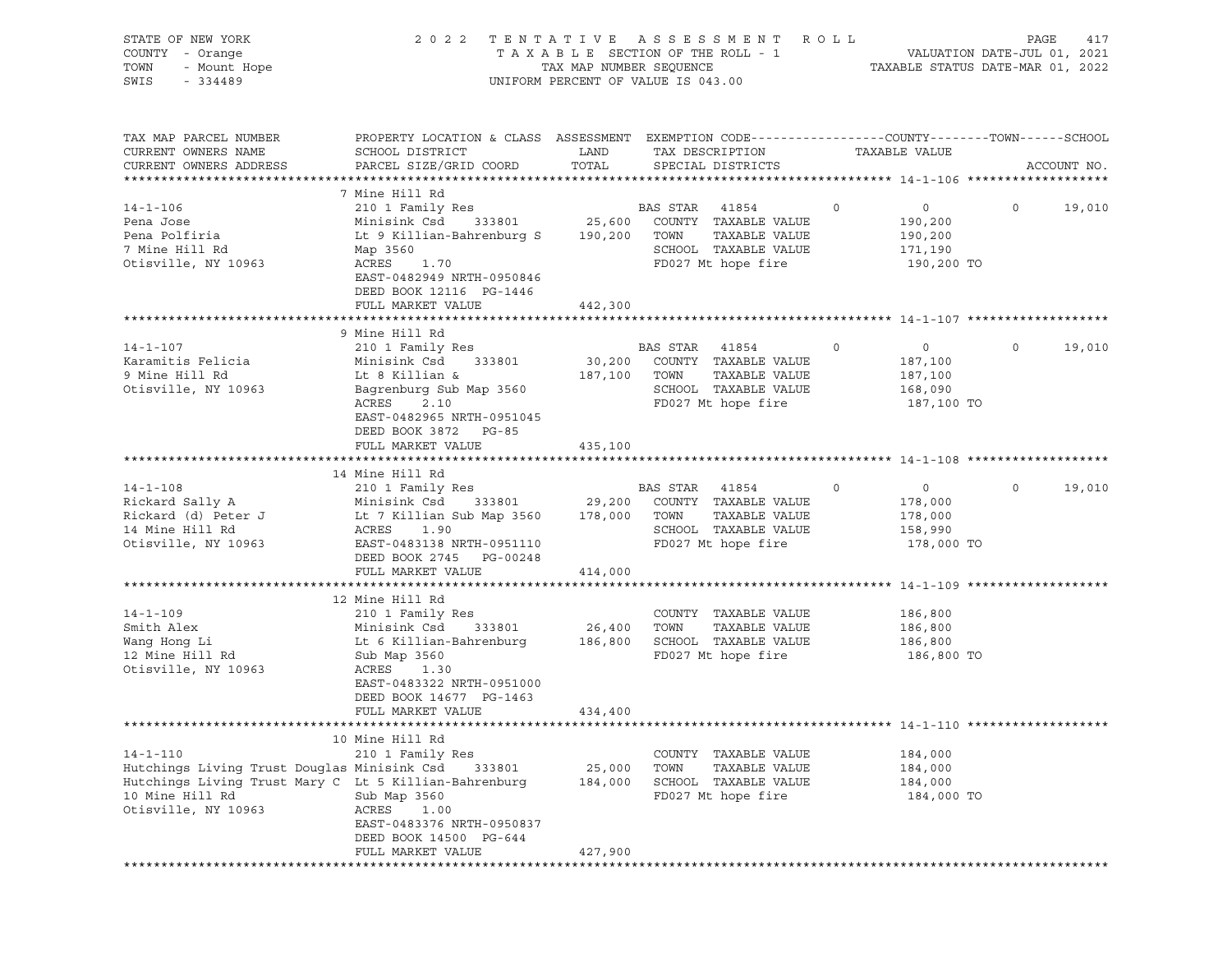| STATE OF NEW YORK<br>OF NEW YORK<br>Y - Orange<br>- Mount Hope<br>201199<br>COUNTY - Orange<br>TOWN<br>SWIS                                                                                                                             | 2022 TENTATIVE ASSESSMENT ROLL                                                                                                                                                                                                                                                                                                  | $\begin{tabular}{lllllllllll} \texttt{T A X A B L E} & \texttt{SECTION OF THE ROLL} & - & - & - & \texttt{VALUATION DATE-JUL 01, 2021} \\ & \texttt{TAX MAP NUMBER SEQUENCE} & & \texttt{TAXABLE STATUS DATE-MAR 01, 2022} \\ \end{tabular}$ | PAGE                                                                                                                      | 417            |                                                               |          |             |
|-----------------------------------------------------------------------------------------------------------------------------------------------------------------------------------------------------------------------------------------|---------------------------------------------------------------------------------------------------------------------------------------------------------------------------------------------------------------------------------------------------------------------------------------------------------------------------------|----------------------------------------------------------------------------------------------------------------------------------------------------------------------------------------------------------------------------------------------|---------------------------------------------------------------------------------------------------------------------------|----------------|---------------------------------------------------------------|----------|-------------|
| TAX MAP PARCEL NUMBER<br>CURRENT OWNERS NAME<br>CURRENT OWNERS ADDRESS                                                                                                                                                                  | PROPERTY LOCATION & CLASS ASSESSMENT EXEMPTION CODE----------------COUNTY-------TOWN------SCHOOL<br>SCHOOL DISTRICT<br>PARCEL SIZE/GRID COORD                                                                                                                                                                                   | LAND<br>TOTAL                                                                                                                                                                                                                                | TAX DESCRIPTION<br>SPECIAL DISTRICTS                                                                                      |                | TAXABLE VALUE                                                 |          | ACCOUNT NO. |
| $14 - 1 - 106$<br>Pena Jose<br>Pena Polfiria<br>7 Mine Hill Rd<br>Otisville, NY 10963                                                                                                                                                   | 7 Mine Hill Rd<br>210 1 Family Res BAS STAR 41854<br>Minisink Csd<br>Lt 9 Killian-Bahrenburg S 190,200 TOWN TAXABLE VALUE<br>Map 3560<br>nap<br>ACRES 1.70<br>EAST-0482949 NRTH-0950846<br>DEED BOOK 12116 PG-1446                                                                                                              |                                                                                                                                                                                                                                              | 333801 25,600 COUNTY TAXABLE VALUE<br>SCHOOL TAXABLE VALUE<br>FD027 Mt hope fire                                          | $\overline{0}$ | $\overline{0}$<br>190,200<br>190,200<br>171,190<br>190,200 TO | $\Omega$ | 19,010      |
|                                                                                                                                                                                                                                         | FULL MARKET VALUE                                                                                                                                                                                                                                                                                                               | 442,300                                                                                                                                                                                                                                      |                                                                                                                           |                |                                                               |          |             |
| $14 - 1 - 107$<br>Karamitis Felicia<br>9 Mine Hill Rd<br>Otisville, NY 10963                                                                                                                                                            | 9 Mine Hill Rd<br>210 1 Family Res<br>Minisink Csd 333801<br>Lt 8 Killian &<br>Bagrenburg Sub Map 3560<br>ACRES<br>2.10<br>EAST-0482965 NRTH-0951045<br>DEED BOOK 3872 PG-85                                                                                                                                                    |                                                                                                                                                                                                                                              | BAS STAR 41854<br>30,200 COUNTY TAXABLE VALUE<br>187,100 TOWN TAXABLE VALUE<br>SCHOOL TAXABLE VALUE<br>FD027 Mt hope fire | $\circ$        | $\overline{0}$<br>187,100<br>187,100<br>168,090<br>187,100 TO | $\Omega$ | 19,010      |
|                                                                                                                                                                                                                                         | FULL MARKET VALUE                                                                                                                                                                                                                                                                                                               | 435,100                                                                                                                                                                                                                                      |                                                                                                                           |                |                                                               |          |             |
| $14 - 1 - 108$<br>Rickard Sally A Minisink Csd 333801 29,200 COUNTY TAXABLE VALUE<br>Rickard (d) Peter J Lt 7 Killian Sub Map 3560 178,000 TOWN TAXABLE VALUE<br>14 Mine Hill Rd ACRES 1.90 SCHOOL TAXABLE VALUE<br>Otisville, NY 10963 | Mine Hill Rd<br>210 1 Family Res<br>14 Mine Hill Rd<br>EAST-0483138 NRTH-0951110<br>DEED BOOK 2745 PG-00248                                                                                                                                                                                                                     |                                                                                                                                                                                                                                              | BAS STAR 41854<br>333801 29,200 COUNTY TAXABLE VALUE<br>SCHOOL TAXABLE VALUE 158,990<br>FD027 Mt hope fire                | $\overline{0}$ | $\overline{0}$<br>178,000<br>178,000<br>178,000 TO            | $\Omega$ | 19,010      |
|                                                                                                                                                                                                                                         | FULL MARKET VALUE                                                                                                                                                                                                                                                                                                               | 414,000                                                                                                                                                                                                                                      |                                                                                                                           |                |                                                               |          |             |
| $14 - 1 - 109$<br>Smith Alex<br>smith Alex<br>Wang Hong Li<br>12 Mine Hill Rd<br>Otisville, NY 10963                                                                                                                                    | 12 Mine Hill Rd<br>210 1 Family Res<br>Minisink Csd 333801<br>Minisink Csd       333801                 26,400     TOWN      TAXABLE VALUE<br>Lt 6 Killian-Bahrenburg           186,800    SCHOOL   TAXABLE VALUE<br>Sub Map 3560<br>ACRES<br>1.30<br>EAST-0483322 NRTH-0951000<br>DEED BOOK 14677 PG-1463<br>FULL MARKET VALUE | 26,400 TOWN<br>434,400                                                                                                                                                                                                                       | COUNTY TAXABLE VALUE 186,800<br>FD027 Mt hope fire                                                                        |                | 186,800<br>186,800<br>186,800 TO                              |          |             |
|                                                                                                                                                                                                                                         |                                                                                                                                                                                                                                                                                                                                 |                                                                                                                                                                                                                                              |                                                                                                                           |                |                                                               |          |             |
| $14 - 1 - 110$<br>Hutchings Living Trust Douglas Minisink Csd<br>Hutchings Living Trust Mary C Lt 5 Killian-Bahrenburg<br>10 Mine Hill Rd<br>Otisville, NY 10963                                                                        | 10 Mine Hill Rd<br>210 1 Family Res<br>333801<br>Sub Map 3560<br>ACRES<br>1.00<br>EAST-0483376 NRTH-0950837<br>DEED BOOK 14500 PG-644<br>FULL MARKET VALUE                                                                                                                                                                      | 25,000<br>184,000<br>427,900                                                                                                                                                                                                                 | COUNTY TAXABLE VALUE<br>TAXABLE VALUE<br>TOWN<br>SCHOOL TAXABLE VALUE<br>FD027 Mt hope fire                               |                | 184,000<br>184,000<br>184,000<br>184,000 TO                   |          |             |
|                                                                                                                                                                                                                                         |                                                                                                                                                                                                                                                                                                                                 |                                                                                                                                                                                                                                              |                                                                                                                           |                |                                                               |          |             |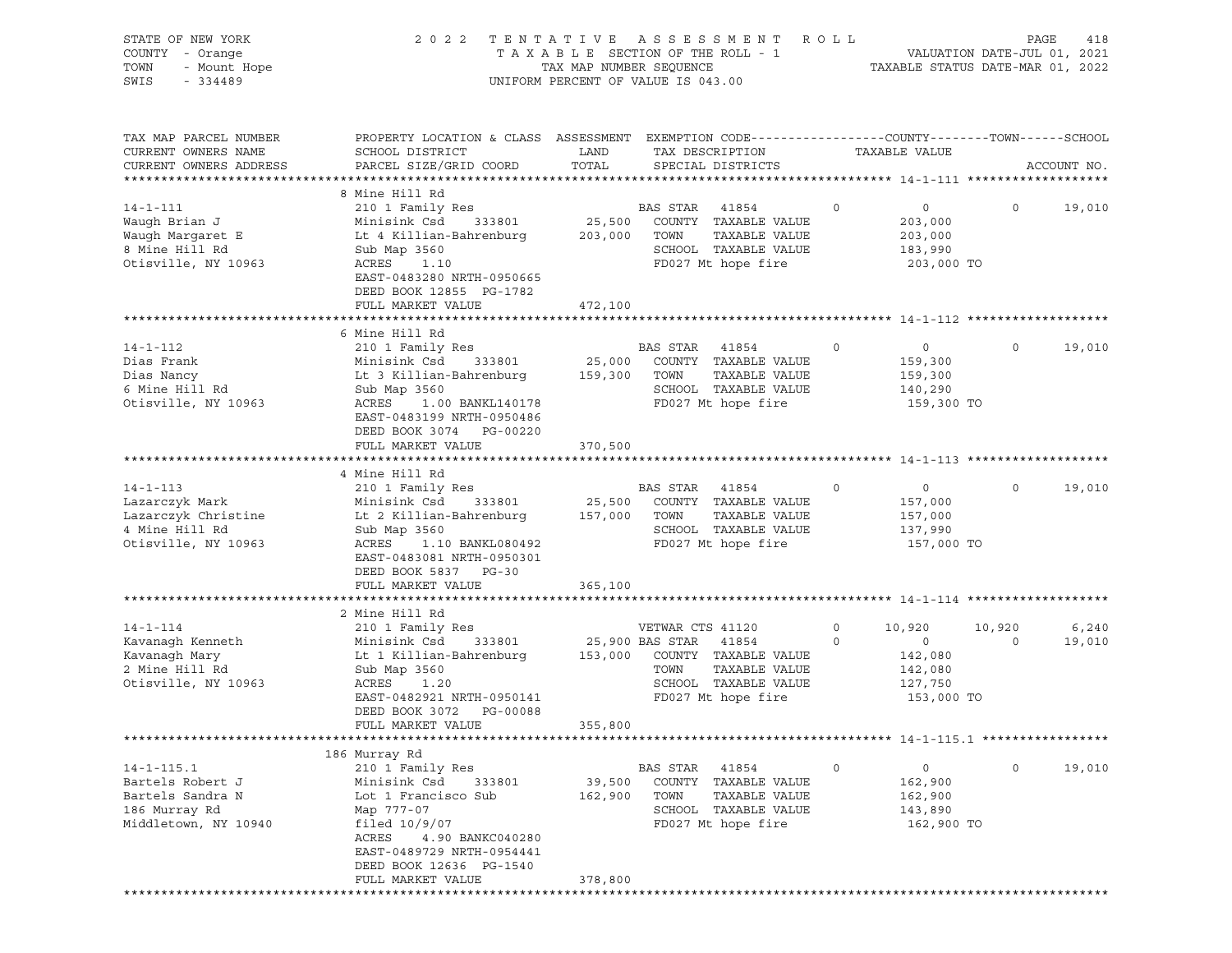| STATE OF NEW YORK<br>COUNTY - Orange<br>- Mount Hope<br>TOWN<br>SWIS<br>$-334489$                 | 2022 TENTATIVE ASSESSMENT ROLL<br>TAXABLE SECTION OF THE ROLL - 1<br>TAX MAP NUMBER SEQUENCE<br>UNIFORM PERCENT OF VALUE IS 043.00                                                                                          | PAGE<br>418<br>VALUATION DATE-JUL 01, 2021<br>TAXABLE STATUS DATE-MAR 01, 2022 |                                                                                                                                                  |                                                                                                   |                   |                 |
|---------------------------------------------------------------------------------------------------|-----------------------------------------------------------------------------------------------------------------------------------------------------------------------------------------------------------------------------|--------------------------------------------------------------------------------|--------------------------------------------------------------------------------------------------------------------------------------------------|---------------------------------------------------------------------------------------------------|-------------------|-----------------|
| TAX MAP PARCEL NUMBER<br>CURRENT OWNERS NAME<br>CURRENT OWNERS ADDRESS                            | PROPERTY LOCATION & CLASS ASSESSMENT EXEMPTION CODE---------------COUNTY-------TOWN-----SCHOOL<br>SCHOOL DISTRICT<br>PARCEL SIZE/GRID COORD                                                                                 | LAND<br>TOTAL                                                                  | TAX DESCRIPTION<br>SPECIAL DISTRICTS                                                                                                             | TAXABLE VALUE                                                                                     |                   | ACCOUNT NO.     |
| $14 - 1 - 111$<br>Waugh Brian J<br>Waugh Margaret E<br>8 Mine Hill Rd<br>Otisville, NY 10963      | 8 Mine Hill Rd<br>210 1 Family Res<br>Minisink Csd<br>Lt 4 Killian-Bahrenburg<br>Sub Map 3560<br>ACRES 1.10<br>EAST-0483280 NRTH-0950665<br>DEED BOOK 12855 PG-1782<br>FULL MARKET VALUE                                    | 203,000 TOWN<br>472,100                                                        | BAS STAR 41854<br>333801 25,500 COUNTY TAXABLE VALUE<br>TAXABLE VALUE<br>SCHOOL TAXABLE VALUE<br>FD027 Mt hope fire                              | $\circ$<br>$\overline{0}$<br>203,000<br>203,000<br>183,990<br>203,000 TO                          | $\circ$           | 19,010          |
|                                                                                                   |                                                                                                                                                                                                                             |                                                                                |                                                                                                                                                  |                                                                                                   |                   |                 |
| $14 - 1 - 112$<br>Dias Frank<br>Dias Nancy<br>6 Mine Hill Rd<br>Otisville, NY 10963               | 6 Mine Hill Rd<br>210 1 Family Res<br>Minisink Csd<br>333801<br>Lt 3 Killian-Bahrenburg<br>Sub Map 3560<br>ACRES 1.00 BANKL140178<br>EAST-0483199 NRTH-0950486<br>DEED BOOK 3074 PG-00220<br>FULL MARKET VALUE              | 25,000<br>159,300 TOWN<br>370,500                                              | BAS STAR 41854<br>COUNTY TAXABLE VALUE<br>TAXABLE VALUE<br>SCHOOL TAXABLE VALUE<br>FD027 Mt hope fire                                            | $\circ$<br>$\overline{0}$<br>159,300<br>159,300<br>140,290<br>159,300 TO                          | $\circ$           | 19,010          |
|                                                                                                   |                                                                                                                                                                                                                             |                                                                                |                                                                                                                                                  |                                                                                                   |                   |                 |
| $14 - 1 - 113$<br>Lazarczyk Mark<br>Lazarczyk Christine<br>4 Mine Hill Rd<br>Otisville, NY 10963  | 4 Mine Hill Rd<br>210 1 Family Res<br>Minisink Csd<br>Lt 2 Killian-Bahrenburg<br>Sub Map 3560<br>ACRES<br>1.10 BANKL080492<br>EAST-0483081 NRTH-0950301<br>DEED BOOK 5837 PG-30<br>FULL MARKET VALUE                        | 157,000 TOWN<br>365,100                                                        | BAS STAR 41854<br>333801 25,500 COUNTY TAXABLE VALUE<br>TAXABLE VALUE<br>SCHOOL TAXABLE VALUE<br>FD027 Mt hope fire                              | $\circ$<br>$\overline{0}$<br>157,000<br>157,000<br>137,990<br>157,000 TO                          | $\circ$           | 19,010          |
|                                                                                                   |                                                                                                                                                                                                                             |                                                                                |                                                                                                                                                  |                                                                                                   |                   |                 |
| $14 - 1 - 114$<br>Kavanagh Kenneth<br>Kavanagh Mary<br>2 Mine Hill Rd<br>Otisville, NY 10963      | 2 Mine Hill Rd<br>210 1 Family Res<br>Minisink Csd<br>333801<br>Lt 1 Killian-Bahrenburg<br>Sub Map 3560<br>ACRES<br>1.20<br>EAST-0482921 NRTH-0950141<br>DEED BOOK 3072 PG-00088<br>FULL MARKET VALUE                       | 355,800                                                                        | VETWAR CTS 41120<br>25,900 BAS STAR 41854<br>153,000 COUNTY TAXABLE VALUE<br>TOWN<br>TAXABLE VALUE<br>SCHOOL TAXABLE VALUE<br>FD027 Mt hope fire | 0<br>10,920<br>$\circ$<br>$\overline{\phantom{0}}$<br>142,080<br>142,080<br>127,750<br>153,000 TO | 10,920<br>$\circ$ | 6,240<br>19,010 |
|                                                                                                   |                                                                                                                                                                                                                             |                                                                                |                                                                                                                                                  |                                                                                                   |                   |                 |
| $14 - 1 - 115.1$<br>Bartels Robert J<br>Bartels Sandra N<br>186 Murray Rd<br>Middletown, NY 10940 | 186 Murray Rd<br>210 1 Family Res<br>Minisink Csd<br>333801<br>Lot 1 Francisco Sub<br>Map 777-07<br>filed 10/9/07<br>ACRES<br>4.90 BANKC040280<br>EAST-0489729 NRTH-0954441<br>DEED BOOK 12636 PG-1540<br>FULL MARKET VALUE | 39,500<br>162,900<br>378,800                                                   | BAS STAR<br>41854<br>COUNTY<br>TAXABLE VALUE<br>TOWN<br>TAXABLE VALUE<br>SCHOOL TAXABLE VALUE<br>FD027 Mt hope fire                              | 0<br>0<br>162,900<br>162,900<br>143,890<br>162,900 TO                                             | $\circ$           | 19,010          |
|                                                                                                   |                                                                                                                                                                                                                             |                                                                                |                                                                                                                                                  |                                                                                                   |                   |                 |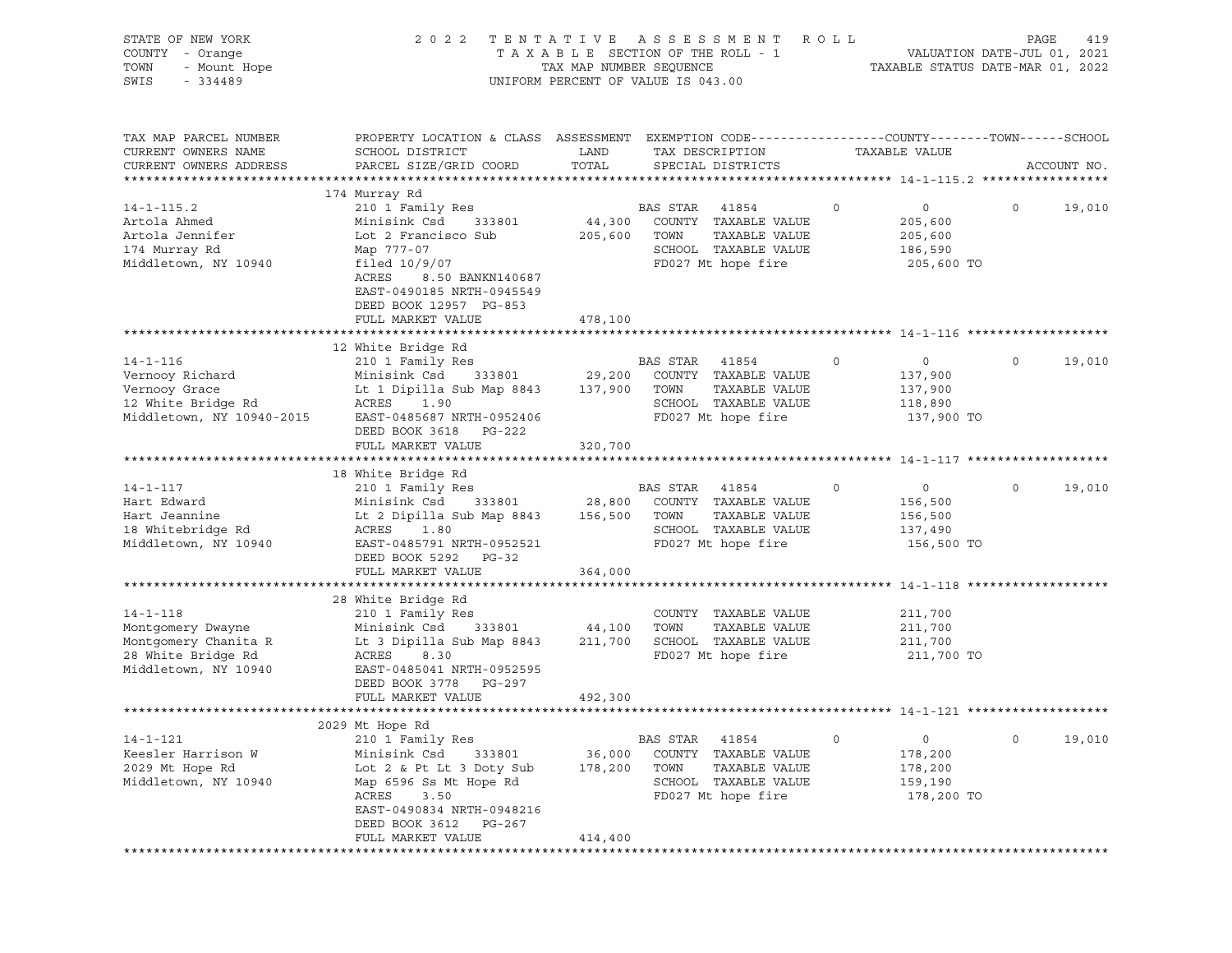| STATE OF NEW YORK<br>COUNTY - Orange<br>TOWN<br>- Mount Hope<br>SWIS<br>$-334489$                     | 2 0 2 2                                                                                                                                                                                   | TAX MAP NUMBER SEQUENCE      | TENTATIVE ASSESSMENT<br>TAXABLE SECTION OF THE ROLL - 1<br>UNIFORM PERCENT OF VALUE IS 043.00                           | R O L L     | VALUATION DATE-JUL 01, 2021<br>TAXABLE STATUS DATE-MAR 01, 2022    | PAGE | 419         |
|-------------------------------------------------------------------------------------------------------|-------------------------------------------------------------------------------------------------------------------------------------------------------------------------------------------|------------------------------|-------------------------------------------------------------------------------------------------------------------------|-------------|--------------------------------------------------------------------|------|-------------|
| TAX MAP PARCEL NUMBER<br>CURRENT OWNERS NAME<br>CURRENT OWNERS ADDRESS                                | PROPERTY LOCATION & CLASS ASSESSMENT EXEMPTION CODE----------------COUNTY-------TOWN------SCHOOL<br>SCHOOL DISTRICT<br>PARCEL SIZE/GRID COORD                                             | LAND<br>TOTAL                | TAX DESCRIPTION<br>SPECIAL DISTRICTS                                                                                    |             | TAXABLE VALUE                                                      |      | ACCOUNT NO. |
|                                                                                                       | 174 Murray Rd                                                                                                                                                                             |                              |                                                                                                                         |             |                                                                    |      |             |
| $14 - 1 - 115.2$<br>Artola Ahmed<br>Artola Jennifer<br>174 Murray Rd<br>Middletown, NY 10940          | 210 1 Family Res<br>Minisink Csd<br>333801<br>Lot 2 Francisco Sub<br>Map 777-07<br>filed $10/9/07$<br>ACRES<br>8.50 BANKN140687<br>EAST-0490185 NRTH-0945549<br>DEED BOOK 12957 PG-853    | 44,300<br>205,600            | <b>BAS STAR</b><br>41854<br>COUNTY TAXABLE VALUE<br>TAXABLE VALUE<br>TOWN<br>SCHOOL TAXABLE VALUE<br>FD027 Mt hope fire | $\mathbf 0$ | $\circ$<br>205,600<br>205,600<br>186,590<br>205,600 TO             | 0    | 19,010      |
|                                                                                                       | FULL MARKET VALUE                                                                                                                                                                         | 478,100                      |                                                                                                                         |             |                                                                    |      |             |
|                                                                                                       |                                                                                                                                                                                           |                              |                                                                                                                         |             |                                                                    |      |             |
| $14 - 1 - 116$<br>Vernooy Richard<br>Vernooy Grace<br>12 White Bridge Rd<br>Middletown, NY 10940-2015 | 12 White Bridge Rd<br>210 1 Family Res<br>Minisink Csd<br>333801<br>Lt 1 Dipilla Sub Map 8843<br>ACRES<br>1.90<br>EAST-0485687 NRTH-0952406<br>DEED BOOK 3618 PG-222<br>FULL MARKET VALUE | 29,200<br>137,900<br>320,700 | BAS STAR<br>41854<br>COUNTY TAXABLE VALUE<br>TOWN<br>TAXABLE VALUE<br>SCHOOL TAXABLE VALUE<br>FD027 Mt hope fire        | $\circ$     | $\circ$<br>137,900<br>137,900<br>118,890<br>137,900 TO             | 0    | 19,010      |
|                                                                                                       |                                                                                                                                                                                           |                              |                                                                                                                         |             |                                                                    |      |             |
|                                                                                                       | 18 White Bridge Rd                                                                                                                                                                        |                              |                                                                                                                         |             |                                                                    |      |             |
| $14 - 1 - 117$<br>Hart Edward<br>Hart Jeannine<br>18 Whitebridge Rd<br>Middletown, NY 10940           | 210 1 Family Res<br>Minisink Csd<br>333801<br>Lt 2 Dipilla Sub Map 8843<br>ACRES<br>1.80<br>EAST-0485791 NRTH-0952521<br>DEED BOOK 5292<br>$PG-32$                                        | 28,800<br>156,500            | <b>BAS STAR</b><br>41854<br>COUNTY TAXABLE VALUE<br>TOWN<br>TAXABLE VALUE<br>SCHOOL TAXABLE VALUE<br>FD027 Mt hope fire | $\circ$     | $\circ$<br>156,500<br>156,500<br>137,490<br>156,500 TO             | 0    | 19,010      |
|                                                                                                       | FULL MARKET VALUE                                                                                                                                                                         | 364,000                      |                                                                                                                         |             |                                                                    |      |             |
| $14 - 1 - 118$                                                                                        | 28 White Bridge Rd<br>210 1 Family Res                                                                                                                                                    |                              | COUNTY TAXABLE VALUE<br>TOWN<br>TAXABLE VALUE                                                                           |             | 211,700                                                            |      |             |
| Montgomery Dwayne<br>Montgomery Chanita R<br>28 White Bridge Rd<br>Middletown, NY 10940               | Minisink Csd<br>333801<br>Lt 3 Dipilla Sub Map 8843<br>ACRES<br>8.30<br>EAST-0485041 NRTH-0952595<br>DEED BOOK 3778<br>PG-297                                                             | 44,100<br>211,700            | SCHOOL TAXABLE VALUE<br>FD027 Mt hope fire                                                                              |             | 211,700<br>211,700<br>211,700 TO                                   |      |             |
|                                                                                                       | FULL MARKET VALUE                                                                                                                                                                         | 492,300                      |                                                                                                                         |             |                                                                    |      |             |
|                                                                                                       | 2029 Mt Hope Rd                                                                                                                                                                           |                              |                                                                                                                         |             |                                                                    |      |             |
| $14 - 1 - 121$<br>Keesler Harrison W<br>2029 Mt Hope Rd<br>Middletown, NY 10940                       | 210 1 Family Res<br>Minisink Csd<br>333801<br>Lot 2 & Pt Lt 3 Doty Sub<br>Map 6596 Ss Mt Hope Rd<br>ACRES<br>3.50<br>EAST-0490834 NRTH-0948216<br>DEED BOOK 3612<br>PG-267                | 36,000<br>178,200            | 41854<br><b>BAS STAR</b><br>COUNTY TAXABLE VALUE<br>TOWN<br>TAXABLE VALUE<br>SCHOOL TAXABLE VALUE<br>FD027 Mt hope fire | $\circ$     | $\mathsf{O}\xspace$<br>178,200<br>178,200<br>159,190<br>178,200 TO | 0    | 19,010      |
|                                                                                                       | FULL MARKET VALUE                                                                                                                                                                         | 414,400                      |                                                                                                                         |             |                                                                    |      |             |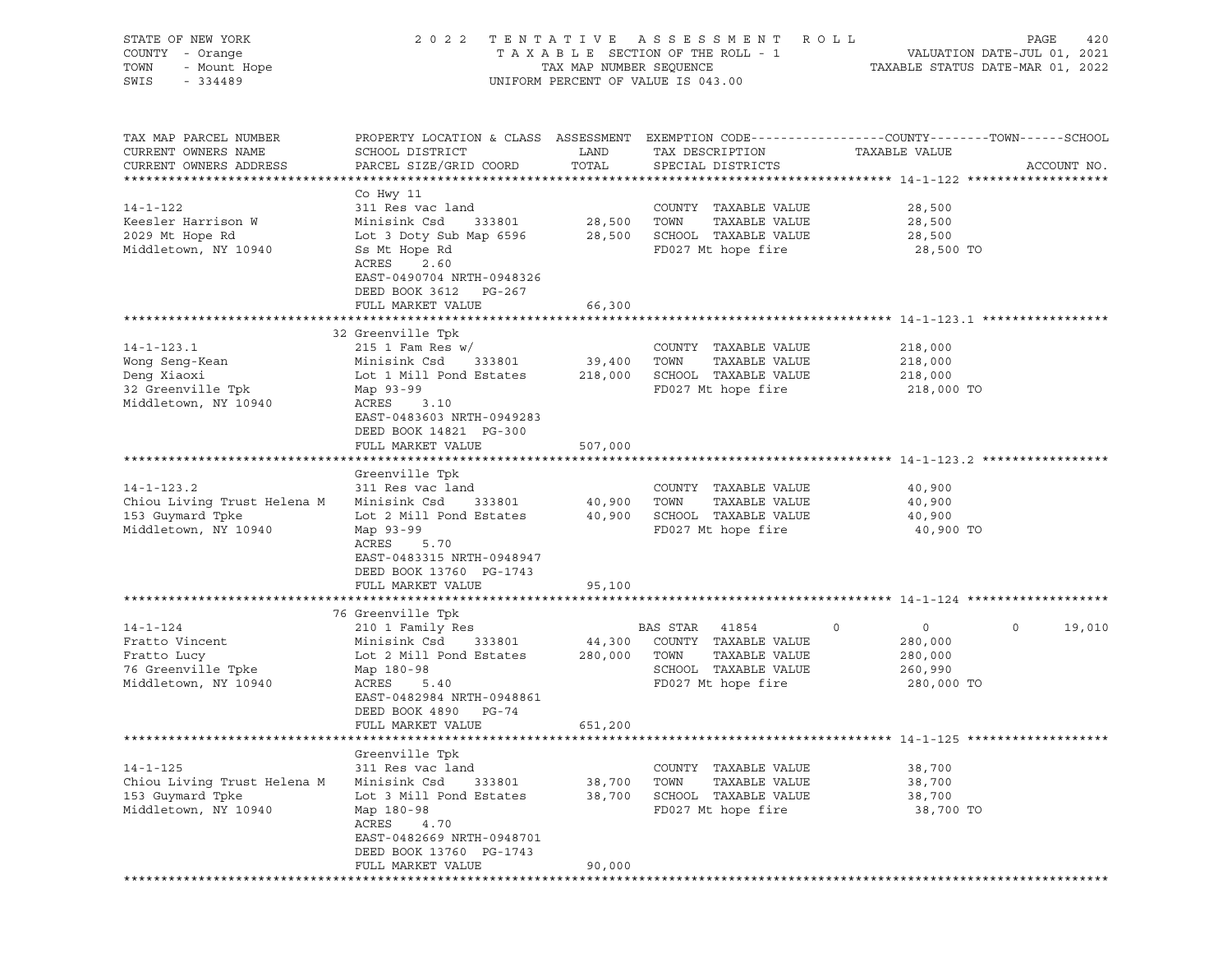| STATE OF NEW YORK<br>COUNTY - Orange<br>TOWN<br>- Mount Hope<br>SWIS<br>$-334489$              |                                                                                                                                                                                                        | TAX MAP NUMBER SEQUENCE      | 2022 TENTATIVE ASSESSMENT ROLL<br>TAXABLE SECTION OF THE ROLL - 1<br>UNIFORM PERCENT OF VALUE IS 043.00          | TAXABLE STATUS DATE-MAR 01, 2022                            | PAGE<br>420<br>VALUATION DATE-JUL 01, 2021 |
|------------------------------------------------------------------------------------------------|--------------------------------------------------------------------------------------------------------------------------------------------------------------------------------------------------------|------------------------------|------------------------------------------------------------------------------------------------------------------|-------------------------------------------------------------|--------------------------------------------|
| TAX MAP PARCEL NUMBER<br>CURRENT OWNERS NAME<br>CURRENT OWNERS ADDRESS                         | PROPERTY LOCATION & CLASS ASSESSMENT EXEMPTION CODE----------------COUNTY-------TOWN------SCHOOL<br>SCHOOL DISTRICT<br>PARCEL SIZE/GRID COORD                                                          | LAND<br>TOTAL                | TAX DESCRIPTION<br>SPECIAL DISTRICTS                                                                             | TAXABLE VALUE                                               | ACCOUNT NO.                                |
| $14 - 1 - 122$<br>Keesler Harrison W<br>2029 Mt Hope Rd<br>Middletown, NY 10940                | Co Hwy 11<br>311 Res vac land<br>333801<br>Minisink Csd<br>Lot 3 Doty Sub Map 6596<br>Ss Mt Hope Rd<br>ACRES<br>2.60<br>EAST-0490704 NRTH-0948326<br>DEED BOOK 3612<br>PG-267                          | 28,500                       | COUNTY TAXABLE VALUE<br>TAXABLE VALUE<br>TOWN<br>28,500 SCHOOL TAXABLE VALUE<br>FD027 Mt hope fire               | 28,500<br>28,500<br>28,500<br>28,500 TO                     |                                            |
|                                                                                                | FULL MARKET VALUE                                                                                                                                                                                      | 66,300                       |                                                                                                                  |                                                             |                                            |
| $14 - 1 - 123.1$<br>Wong Seng-Kean<br>Deng Xiaoxi<br>32 Greenville Tpk<br>Middletown, NY 10940 | 32 Greenville Tpk<br>$215$ 1 Fam Res w/<br>Minisink Csd<br>333801<br>Lot 1 Mill Pond Estates<br>Map 93-99<br>ACRES<br>3.10<br>EAST-0483603 NRTH-0949283                                                | 39,400<br>218,000            | COUNTY TAXABLE VALUE<br>TAXABLE VALUE<br>TOWN<br>SCHOOL TAXABLE VALUE<br>FD027 Mt hope fire                      | 218,000<br>218,000<br>218,000<br>218,000 TO                 |                                            |
|                                                                                                | DEED BOOK 14821 PG-300<br>FULL MARKET VALUE                                                                                                                                                            | 507,000                      |                                                                                                                  |                                                             |                                            |
| $14 - 1 - 123.2$<br>Chiou Living Trust Helena M<br>153 Guymard Tpke<br>Middletown, NY 10940    | Greenville Tpk<br>311 Res vac land<br>Minisink Csd<br>333801<br>Lot 2 Mill Pond Estates<br>Map 93-99<br>ACRES<br>5.70<br>EAST-0483315 NRTH-0948947<br>DEED BOOK 13760 PG-1743                          | 40,900                       | COUNTY TAXABLE VALUE<br>TAXABLE VALUE<br>TOWN<br>40,900 SCHOOL TAXABLE VALUE<br>FD027 Mt hope fire               | 40,900<br>40,900<br>40,900<br>40,900 TO                     |                                            |
|                                                                                                | FULL MARKET VALUE                                                                                                                                                                                      | 95,100                       |                                                                                                                  |                                                             |                                            |
| $14 - 1 - 124$<br>Fratto Vincent<br>Fratto Lucy<br>76 Greenville Tpke<br>Middletown, NY 10940  | 76 Greenville Tpk<br>210 1 Family Res<br>Minisink Csd<br>333801<br>Lot 2 Mill Pond Estates<br>Map 180-98<br>ACRES<br>5.40<br>EAST-0482984 NRTH-0948861<br>PG-74<br>DEED BOOK 4890<br>FULL MARKET VALUE | 44,300<br>280,000<br>651,200 | BAS STAR<br>41854<br>COUNTY TAXABLE VALUE<br>TAXABLE VALUE<br>TOWN<br>SCHOOL TAXABLE VALUE<br>FD027 Mt hope fire | 0<br>$\circ$<br>280,000<br>280,000<br>260,990<br>280,000 TO | $\circ$<br>19,010                          |
|                                                                                                |                                                                                                                                                                                                        |                              |                                                                                                                  |                                                             |                                            |
| $14 - 1 - 125$<br>Chiou Living Trust Helena M<br>153 Guymard Tpke<br>Middletown, NY 10940      | Greenville Tpk<br>311 Res vac land<br>Minisink Csd<br>333801<br>Lot 3 Mill Pond Estates<br>Map 180-98<br>ACRES<br>4.70<br>EAST-0482669 NRTH-0948701<br>DEED BOOK 13760 PG-1743                         | 38,700<br>38,700             | COUNTY TAXABLE VALUE<br>TOWN<br>TAXABLE VALUE<br>SCHOOL TAXABLE VALUE<br>FD027 Mt hope fire                      | 38,700<br>38,700<br>38,700<br>38,700 TO                     |                                            |
|                                                                                                | FULL MARKET VALUE                                                                                                                                                                                      | 90,000                       |                                                                                                                  |                                                             |                                            |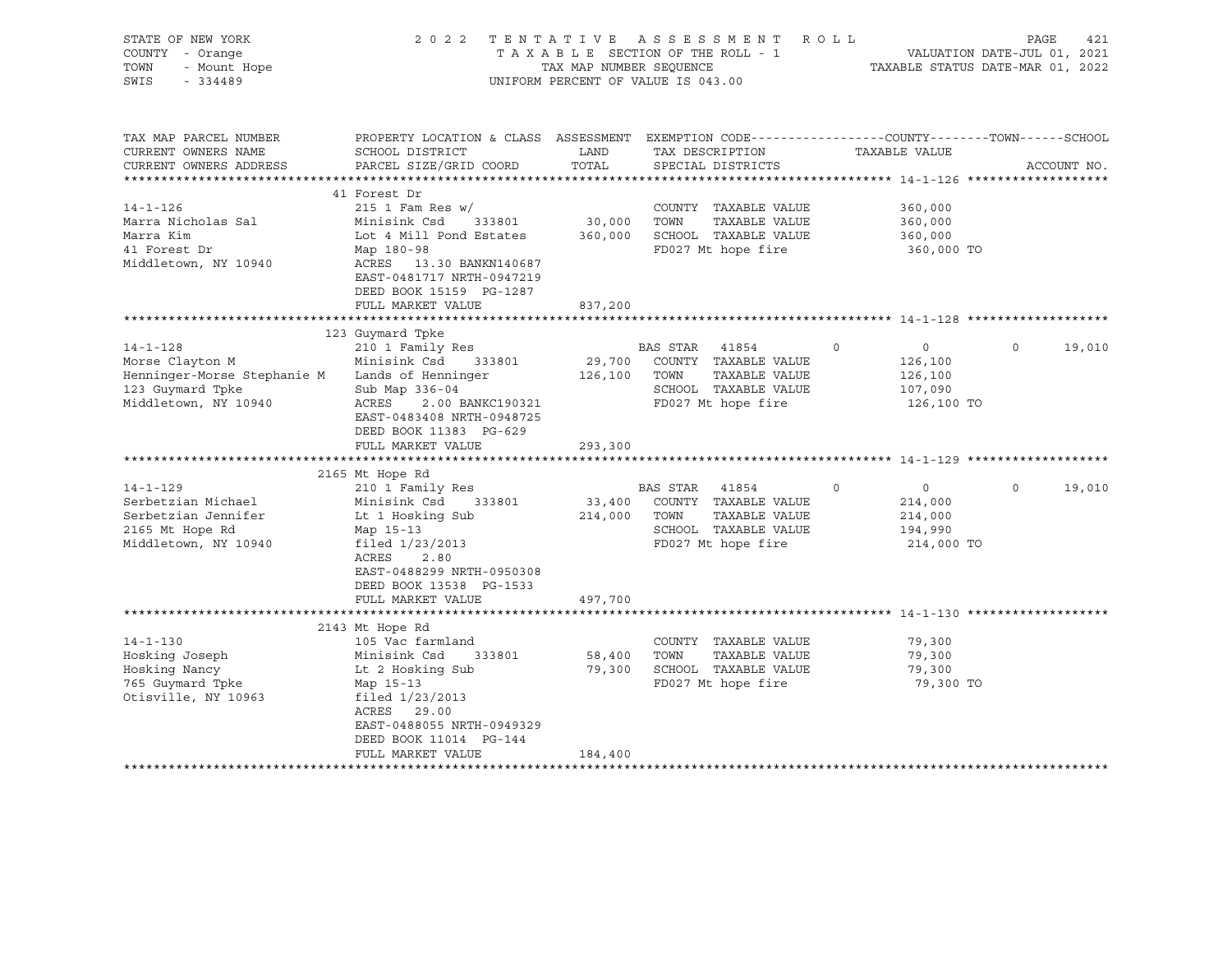| STATE OF NEW YORK<br>COUNTY - Orange<br>TOWN<br>- Mount Hope<br>SWIS<br>$-334489$                                                                                                                                      |                                                                                                                                                                                                                                                                                                                                                                                                              |                                                           | 2022 TENTATIVE ASSESSMENT<br>T E N T A T I V B A B B B SECTION OF THE ROLL - 1<br>T A X A B L E SECTION OF THE ROLL - 1<br>TAXABLE STATUS DATE-MAR 01, 2022<br>UNIFORM PERCENT OF VALUE IS 043.00                                     | R O L L                                                                                                                                                                                                 | PAGE<br>421                                 |
|------------------------------------------------------------------------------------------------------------------------------------------------------------------------------------------------------------------------|--------------------------------------------------------------------------------------------------------------------------------------------------------------------------------------------------------------------------------------------------------------------------------------------------------------------------------------------------------------------------------------------------------------|-----------------------------------------------------------|---------------------------------------------------------------------------------------------------------------------------------------------------------------------------------------------------------------------------------------|---------------------------------------------------------------------------------------------------------------------------------------------------------------------------------------------------------|---------------------------------------------|
| TAX MAP PARCEL NUMBER<br>CURRENT OWNERS NAME<br>CURRENT OWNERS ADDRESS                                                                                                                                                 | PROPERTY LOCATION & CLASS ASSESSMENT EXEMPTION CODE----------------COUNTY-------TOWN-----SCHOOL<br>SCHOOL DISTRICT<br>PARCEL SIZE/GRID COORD                                                                                                                                                                                                                                                                 | LAND<br>TOTAL                                             | TAX DESCRIPTION<br>SPECIAL DISTRICTS                                                                                                                                                                                                  | TAXABLE VALUE                                                                                                                                                                                           | ACCOUNT NO.                                 |
| $14 - 1 - 126$<br>Marra Nicholas Sal<br>Marra Kim<br>41 Forest Dr<br>Middletown, NY 10940                                                                                                                              | 41 Forest Dr<br>215 1 Fam Res $w/$<br>Minisink Csd<br>333801<br>Lot 4 Mill Pond Estates<br>Map 180-98<br>ACRES 13.30 BANKN140687<br>EAST-0481717 NRTH-0947219<br>DEED BOOK 15159 PG-1287<br>FULL MARKET VALUE                                                                                                                                                                                                | 30,000<br>360,000<br>837,200                              | COUNTY TAXABLE VALUE<br>TAXABLE VALUE<br>TOWN<br>SCHOOL TAXABLE VALUE<br>FD027 Mt hope fire                                                                                                                                           | 360,000<br>360,000<br>360,000<br>360,000 TO                                                                                                                                                             |                                             |
|                                                                                                                                                                                                                        |                                                                                                                                                                                                                                                                                                                                                                                                              |                                                           |                                                                                                                                                                                                                                       |                                                                                                                                                                                                         |                                             |
| $14 - 1 - 128$<br>Morse Clayton M<br>Henninger-Morse Stephanie M<br>123 Guymard Tpke<br>Middletown, NY 10940<br>$14 - 1 - 129$<br>Serbetzian Michael<br>Serbetzian Jennifer<br>2165 Mt Hope Rd<br>Middletown, NY 10940 | 123 Guymard Tpke<br>210 1 Family Res<br>Minisink Csd<br>333801<br>Lands of Henninger<br>Sub Map 336-04<br>ACRES<br>2.00 BANKC190321<br>EAST-0483408 NRTH-0948725<br>DEED BOOK 11383 PG-629<br>FULL MARKET VALUE<br>*************************<br>2165 Mt Hope Rd<br>210 1 Family Res<br>Minisink Csd 333801<br>Lt 1 Hosking Sub<br>Map 15-13<br>filed 1/23/2013<br>ACRES<br>2.80<br>EAST-0488299 NRTH-0950308 | 29,700<br>126,100<br>293,300<br>**************<br>214,000 | BAS STAR 41854<br>COUNTY TAXABLE VALUE<br>TOWN<br>TAXABLE VALUE<br>SCHOOL TAXABLE VALUE<br>FD027 Mt hope fire<br>BAS STAR 41854<br>33,400 COUNTY TAXABLE VALUE<br>TOWN<br>TAXABLE VALUE<br>SCHOOL TAXABLE VALUE<br>FD027 Mt hope fire | $\circ$<br>$\overline{0}$<br>126,100<br>126,100<br>107,090<br>126,100 TO<br>****************************** 14-1-129 ****************<br>0<br>$\mathbf 0$<br>214,000<br>214,000<br>194,990<br>214,000 TO | $\Omega$<br>19,010<br>$\mathbf 0$<br>19,010 |
|                                                                                                                                                                                                                        | DEED BOOK 13538 PG-1533<br>FULL MARKET VALUE                                                                                                                                                                                                                                                                                                                                                                 | 497,700                                                   |                                                                                                                                                                                                                                       |                                                                                                                                                                                                         |                                             |
|                                                                                                                                                                                                                        |                                                                                                                                                                                                                                                                                                                                                                                                              |                                                           |                                                                                                                                                                                                                                       |                                                                                                                                                                                                         |                                             |
| $14 - 1 - 130$<br>Hosking Joseph<br>Hosking Nancy<br>765 Guymard Tpke<br>Otisville, NY 10963                                                                                                                           | 2143 Mt Hope Rd<br>105 Vac farmland<br>Minisink Csd 333801<br>Lt 2 Hosking Sub<br>Map 15-13<br>filed 1/23/2013<br>ACRES 29.00<br>EAST-0488055 NRTH-0949329<br>DEED BOOK 11014 PG-144<br>FULL MARKET VALUE                                                                                                                                                                                                    | 58,400<br>184,400                                         | COUNTY TAXABLE VALUE<br>TAXABLE VALUE<br>TOWN<br>79,300 SCHOOL TAXABLE VALUE<br>FD027 Mt hope fire                                                                                                                                    | 79,300<br>79,300<br>79,300<br>79,300 TO                                                                                                                                                                 |                                             |
|                                                                                                                                                                                                                        |                                                                                                                                                                                                                                                                                                                                                                                                              |                                                           |                                                                                                                                                                                                                                       |                                                                                                                                                                                                         |                                             |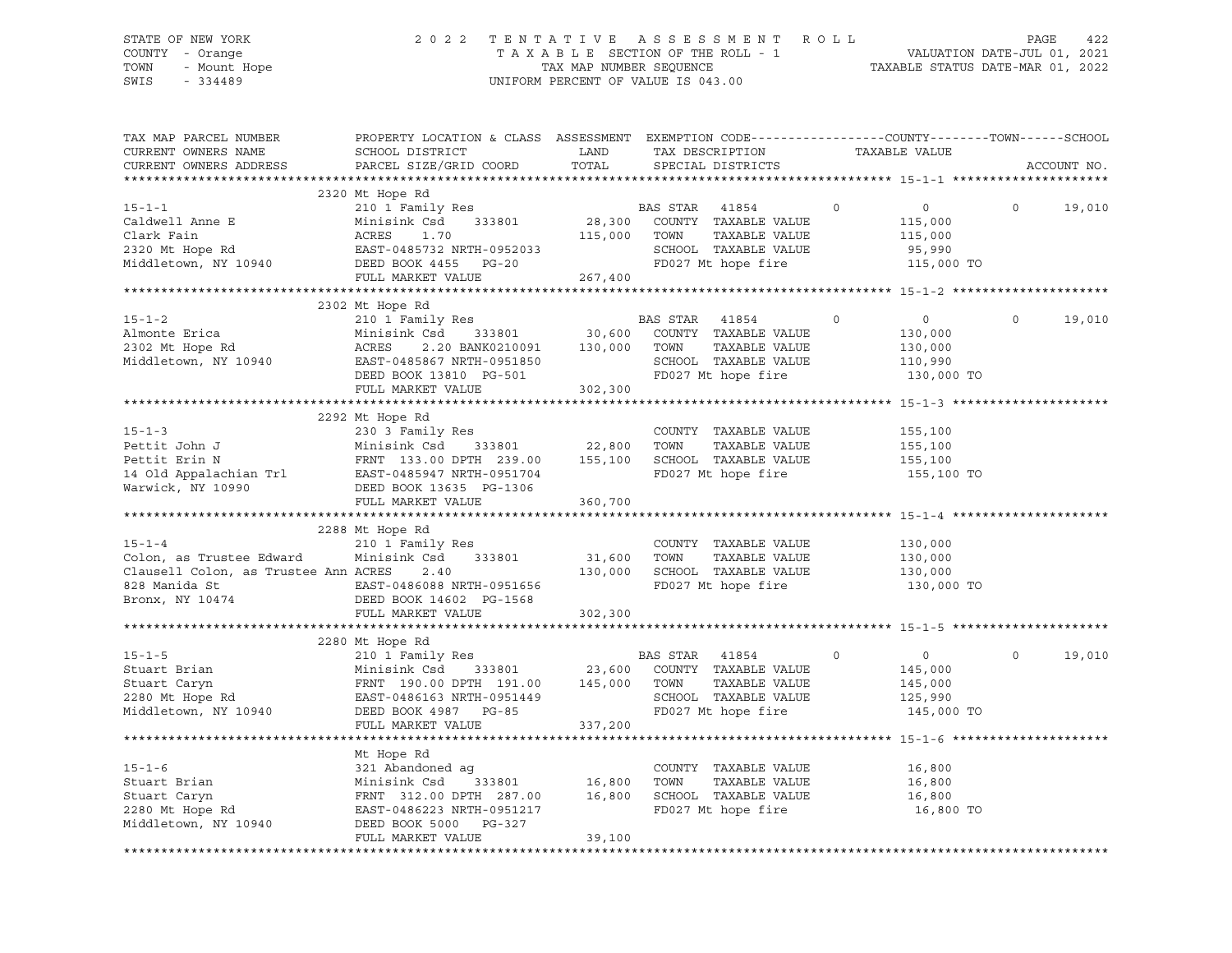# STATE OF NEW YORK 2 0 2 2 T E N T A T I V E A S S E S S M E N T R O L L PAGE 422 COUNTY - Orange T A X A B L E SECTION OF THE ROLL - 1 VALUATION DATE-JUL 01, 2021 TOWN - Mount Hope TAX MAP NUMBER SEQUENCE TAXABLE STATUS DATE-MAR 01, 2022 SWIS - 334489 UNIFORM PERCENT OF VALUE IS 043.00

| TAX MAP PARCEL NUMBER<br>CURRENT OWNERS NAME<br>CURRENT OWNERS ADDRESS                                                                                                                                                                        | PROPERTY LOCATION & CLASS ASSESSMENT EXEMPTION CODE---------------COUNTY-------TOWN------SCHOOL<br>SCHOOL DISTRICT<br>PARCEL SIZE/GRID COORD                                                                                                               | LAND<br>TOTAL           | TAX DESCRIPTION<br>SPECIAL DISTRICTS                                                                         |         | TAXABLE VALUE                                                   |             | ACCOUNT NO. |
|-----------------------------------------------------------------------------------------------------------------------------------------------------------------------------------------------------------------------------------------------|------------------------------------------------------------------------------------------------------------------------------------------------------------------------------------------------------------------------------------------------------------|-------------------------|--------------------------------------------------------------------------------------------------------------|---------|-----------------------------------------------------------------|-------------|-------------|
|                                                                                                                                                                                                                                               |                                                                                                                                                                                                                                                            |                         |                                                                                                              |         |                                                                 |             |             |
| $15 - 1 - 1$<br>Middletown, NY 10940                                                                                                                                                                                                          | 2320 Mt Hope Rd<br>210 1 Family Res<br>210 1 Family Res<br>Minisink Csd 333801<br>DEED BOOK 4455 PG-20<br>FULL MARKET VALUE                                                                                                                                | 115,000 TOWN<br>267,400 | BAS STAR 41854<br>28,300 COUNTY TAXABLE VALUE<br>TAXABLE VALUE<br>SCHOOL TAXABLE VALUE<br>FD027 Mt hope fire | $\circ$ | $0 \qquad \qquad$<br>115,000<br>115,000<br>95,990<br>115,000 TO | $\circ$     | 19,010      |
|                                                                                                                                                                                                                                               |                                                                                                                                                                                                                                                            |                         |                                                                                                              |         |                                                                 |             |             |
| $15 - 1 - 2$<br>Middletown, NY 10940                                                                                                                                                                                                          | 2302 Mt Hope Rd<br>210 1 Family Res<br>Csd 333801 30,600 COUNTY<br>2.20 BANK0210091 130,000 TOWN<br>Minisink Csd<br>EAST-0485867 NRTH-0951850<br>DEED BOOK 13810 PG-501<br>FULL MARKET VALUE                                                               | 302,300                 | BAS STAR 41854<br>COUNTY TAXABLE VALUE<br>TAXABLE VALUE<br>SCHOOL TAXABLE VALUE<br>FD027 Mt hope fire        | $\circ$ | $\overline{0}$<br>130,000<br>130,000<br>110,990<br>130,000 TO   | $\mathbf 0$ | 19,010      |
|                                                                                                                                                                                                                                               |                                                                                                                                                                                                                                                            |                         |                                                                                                              |         |                                                                 |             |             |
| $15 - 1 - 3$<br>Pettit John J Minisink Csd 333801 22,800 TOWN TAXABLE VALUE<br>Pettit Erin N FRNT 133.00 DPTH 239.00 155,100 SCHOOL TAXABLE VALUE<br>14 Old Appalachian Trl EAST-0485947 NRTH-0951704 FD027 Mt hope fire<br>Warwick, NY 10990 | 2292 Mt Hope Rd<br>230 3 Family Res<br>DEED BOOK 13635 PG-1306<br>FULL MARKET VALUE                                                                                                                                                                        | 360,700                 | COUNTY TAXABLE VALUE                                                                                         |         | 155,100<br>155,100<br>155,100<br>155,100<br>155,100 TO          |             |             |
|                                                                                                                                                                                                                                               |                                                                                                                                                                                                                                                            |                         |                                                                                                              |         |                                                                 |             |             |
| COUNTY TAXABLE VALUE<br>13,600 TOWN TAXABLE VALUE<br>828 Manida St EAST-0486088 NRTH-0951656 130,000 SCHOOL TAXABLE VALUE<br>Bronx, NY 10474 DEED BOOK 14602 PG-1568<br>FULL MARKET VALUE<br>2.40 130,000 SCHOOL TAXABLE VALUE<br>FD027 Mt    | 2288 Mt Hope Rd                                                                                                                                                                                                                                            |                         |                                                                                                              |         | 130,000<br>130,000<br>130,000<br>130,000 TO                     |             |             |
|                                                                                                                                                                                                                                               |                                                                                                                                                                                                                                                            |                         |                                                                                                              |         |                                                                 |             |             |
|                                                                                                                                                                                                                                               |                                                                                                                                                                                                                                                            |                         |                                                                                                              |         |                                                                 |             |             |
| $15 - 1 - 5$<br>310 1 Family Res 51A<br>310 1 Family Res 51A<br>333801 23,600 COUNT<br>3280 Mt Hope Rd EAST-0486163 NRTH-0951449 SCHOO<br>2280 Mt Hope Rd EAST-0486163 NRTH-0951449 SCHOO<br>2280 Mt Hope Rd EAST-0486163 NRTH-0951449 SCHOO  | 2280 Mt Hope Rd<br>$\begin{tabular}{lllllllllllll} \bf 210 & \bar{I} & \bar{F}amily Res & & & \bf BAS STAR & 41854 & \\ \hline \texttt{Minisink Csd} & \tt 333801 & & \tt 23,600 & \tt COUNTY & \tt TAXABLE VALUE & \\ \end{tabular}$<br>FULL MARKET VALUE | 337,200                 | TAXABLE VALUE<br>SCHOOL TAXABLE VALUE<br>FD027 Mt hope fire                                                  | $\circ$ | $\sim$ 0<br>145,000<br>145,000<br>125,990<br>145,000 TO         | $\circ$     | 19,010      |
|                                                                                                                                                                                                                                               |                                                                                                                                                                                                                                                            |                         |                                                                                                              |         |                                                                 |             |             |
| $15 - 1 - 6$<br>Stuart Brian<br>Stuart Caryn<br>2280 Mt Hope Rd<br>Middletown, NY 10940                                                                                                                                                       | Mt Hope Rd<br>321 Abandoned ag<br>Minisink Csd 333801 16,800<br>FRNT 312.00 DPTH 287.00 16,800<br>EAST-0486223 NRTH-0951217<br>DEED BOOK 5000 PG-327<br>----- '' '' '' '' '' ''<br>FULL MARKET VALUE                                                       | 39,100                  | COUNTY TAXABLE VALUE<br>TOWN<br>TAXABLE VALUE<br>SCHOOL TAXABLE VALUE<br>FD027 Mt hope fire                  |         | 16,800<br>16,800<br>16,800<br>16,800 TO                         |             |             |
|                                                                                                                                                                                                                                               |                                                                                                                                                                                                                                                            |                         |                                                                                                              |         |                                                                 |             |             |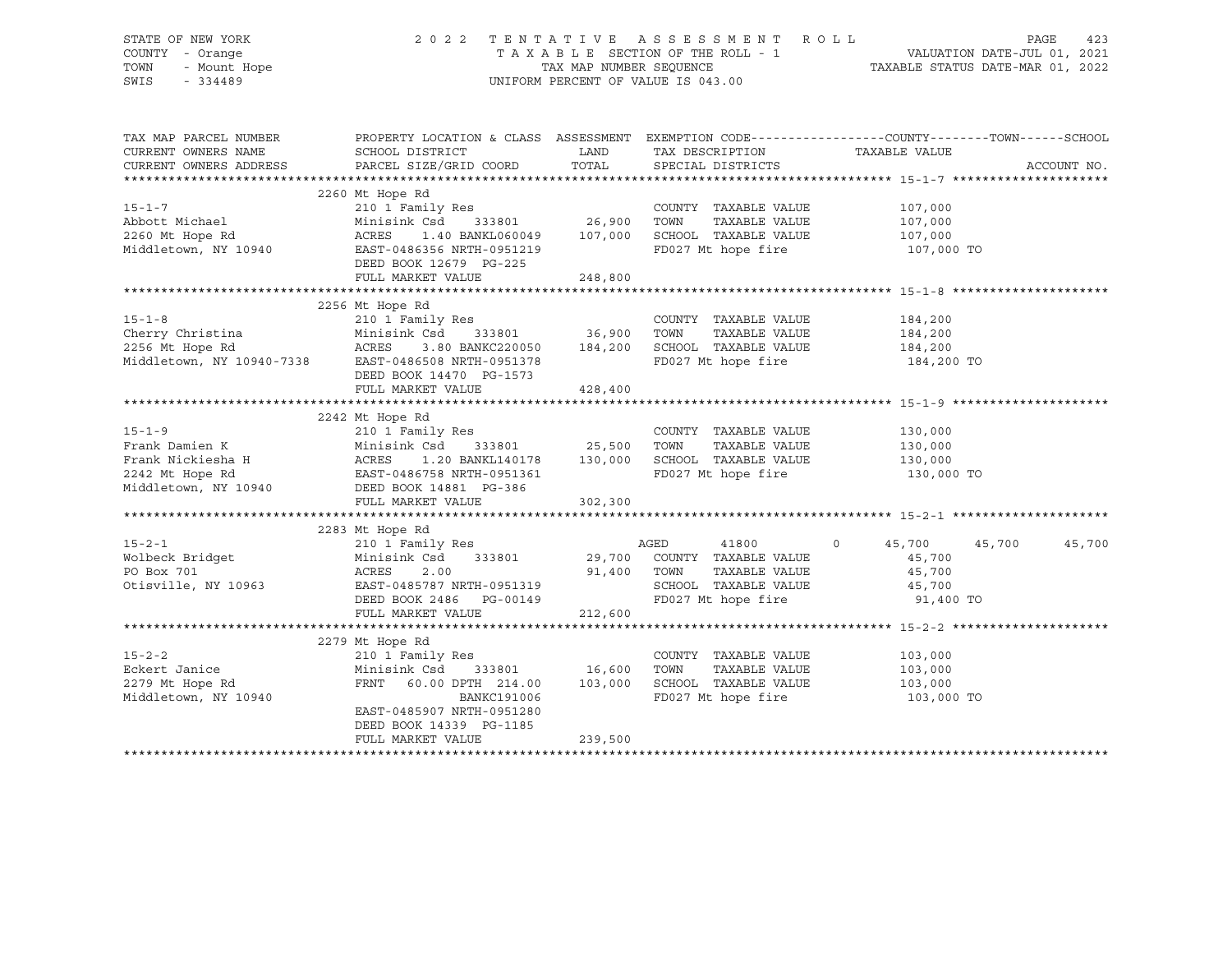# STATE OF NEW YORK 2 0 2 2 T E N T A T I V E A S S E S S M E N T R O L L PAGE 423 COUNTY - Orange T A X A B L E SECTION OF THE ROLL - 1 VALUATION DATE-JUL 01, 2021 TOWN - Mount Hope TAX MAP NUMBER SEQUENCE TAXABLE STATUS DATE-MAR 01, 2022 SWIS - 334489 UNIFORM PERCENT OF VALUE IS 043.00

| TAX MAP PARCEL NUMBER<br>CURRENT OWNERS NAME<br>CURRENT OWNERS ADDRESS                         | PROPERTY LOCATION & CLASS ASSESSMENT EXEMPTION CODE---------------COUNTY-------TOWN------SCHOOL<br>SCHOOL DISTRICT<br>PARCEL SIZE/GRID COORD                                               | LAND<br>TOTAL                       | TAX DESCRIPTION TAXABLE VALUE<br>SPECIAL DISTRICTS                                                           |                                                                        | ACCOUNT NO. |
|------------------------------------------------------------------------------------------------|--------------------------------------------------------------------------------------------------------------------------------------------------------------------------------------------|-------------------------------------|--------------------------------------------------------------------------------------------------------------|------------------------------------------------------------------------|-------------|
| $15 - 1 - 7$<br>Abbott Michael<br>2260 Mt Hope Rd<br>Middletown, NY 10940                      | 2260 Mt Hope Rd<br>210 1 Family Res<br>Minisink Csd<br>ACRES<br>1.40 BANKL060049<br>EAST-0486356 NRTH-0951219<br>DEED BOOK 12679 PG-225<br>FULL MARKET VALUE                               | 333801 26,900<br>107,000<br>248,800 | COUNTY TAXABLE VALUE<br>TOWN<br>TAXABLE VALUE<br>SCHOOL TAXABLE VALUE<br>FD027 Mt hope fire                  | 107,000<br>107,000<br>107,000<br>107,000 TO                            |             |
| $15 - 1 - 8$<br>Cherry Christina<br>2256 Mt Hope Rd<br>Middletown, NY 10940-7338               | 2256 Mt Hope Rd<br>210 1 Family Res<br>Minisink Csd<br>ACRES<br>3.80 BANKC220050 184,200<br>EAST-0486508 NRTH-0951378<br>DEED BOOK 14470 PG-1573<br>FULL MARKET VALUE                      | 333801 36,900<br>428,400            | COUNTY TAXABLE VALUE<br>TOWN<br>TAXABLE VALUE<br>SCHOOL TAXABLE VALUE<br>FD027 Mt hope fire                  | 184,200<br>184,200<br>184,200<br>184,200 TO                            |             |
| $15 - 1 - 9$<br>Frank Damien K<br>Frank Nickiesha H<br>2242 Mt Hope Rd<br>Middletown, NY 10940 | 2242 Mt Hope Rd<br>210 1 Family Res<br>Minisink Csd<br>ACRES<br>1.20 BANKL140178<br>EAST-0486758 NRTH-0951361<br>DEED BOOK 14881 PG-386<br>FULL MARKET VALUE                               | 333801 25,500<br>130,000<br>302,300 | COUNTY TAXABLE VALUE<br>TOWN<br>TAXABLE VALUE<br>SCHOOL TAXABLE VALUE<br>FD027 Mt hope fire                  | 130,000<br>130,000<br>130,000<br>130,000 TO                            |             |
| $15 - 2 - 1$<br>Wolbeck Bridget<br>PO Box 701<br>Otisville, NY 10963                           | 2283 Mt Hope Rd<br>210 1 Family Res<br>Minisink Csd<br>333801<br>ACRES<br>2.00<br>EAST-0485787 NRTH-0951319<br>DEED BOOK 2486 PG-00149<br>FULL MARKET VALUE                                | 29,700<br>91,400<br>212,600         | AGED<br>41800<br>COUNTY TAXABLE VALUE<br>TOWN<br>TAXABLE VALUE<br>SCHOOL TAXABLE VALUE<br>FD027 Mt hope fire | $\circ$<br>45,700<br>45,700<br>45,700<br>45,700<br>45,700<br>91,400 TO | 45,700      |
| $15 - 2 - 2$<br>Eckert Janice<br>2279 Mt Hope Rd<br>Middletown, NY 10940                       | 2279 Mt Hope Rd<br>210 1 Family Res<br>Minisink Csd<br>333801<br>FRNT 60.00 DPTH 214.00<br><b>BANKC191006</b><br>EAST-0485907 NRTH-0951280<br>DEED BOOK 14339 PG-1185<br>FULL MARKET VALUE | 16,600<br>103,000<br>239,500        | COUNTY TAXABLE VALUE<br>TOWN<br>TAXABLE VALUE<br>SCHOOL TAXABLE VALUE<br>FD027 Mt hope fire                  | 103,000<br>103,000<br>103,000<br>103,000 TO                            |             |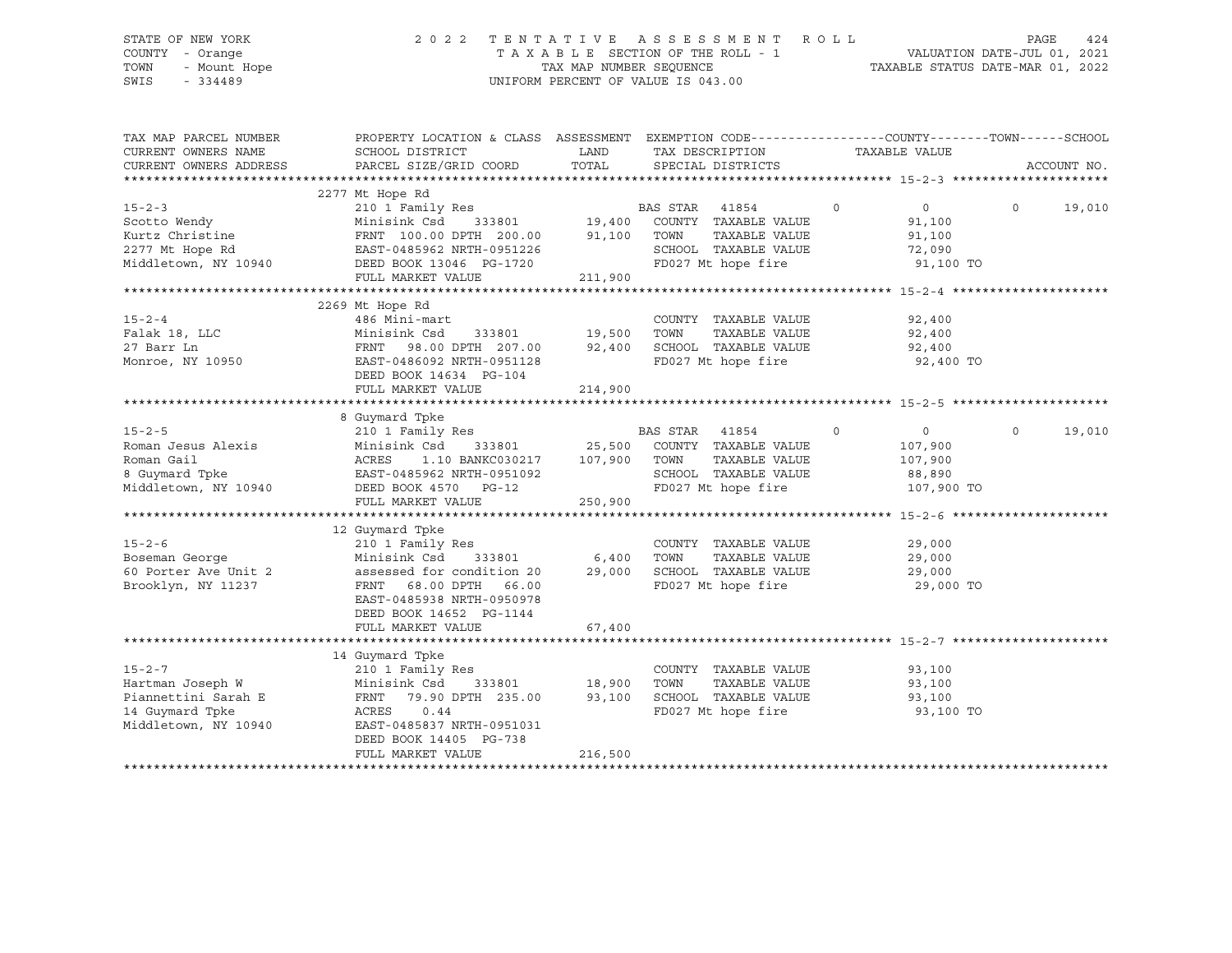# STATE OF NEW YORK 2 0 2 2 T E N T A T I V E A S S E S S M E N T R O L L PAGE 424 COUNTY - Orange T A X A B L E SECTION OF THE ROLL - 1 VALUATION DATE-JUL 01, 2021 TOWN - Mount Hope TAX MAP NUMBER SEQUENCE TAXABLE STATUS DATE-MAR 01, 2022 SWIS - 334489 UNIFORM PERCENT OF VALUE IS 043.00

| TAX MAP PARCEL NUMBER<br>CURRENT OWNERS NAME<br>CURRENT OWNERS ADDRESS                                                  | PROPERTY LOCATION & CLASS ASSESSMENT EXEMPTION CODE---------------COUNTY-------TOWN------SCHOOL<br>SCHOOL DISTRICT<br>PARCEL SIZE/GRID COORD                                                                                                                                                                                                                                    | LAND<br>TOTAL                      | TAX DESCRIPTION<br>SPECIAL DISTRICTS                                                                                       | TAXABLE VALUE                                                           | ACCOUNT NO.        |
|-------------------------------------------------------------------------------------------------------------------------|---------------------------------------------------------------------------------------------------------------------------------------------------------------------------------------------------------------------------------------------------------------------------------------------------------------------------------------------------------------------------------|------------------------------------|----------------------------------------------------------------------------------------------------------------------------|-------------------------------------------------------------------------|--------------------|
|                                                                                                                         |                                                                                                                                                                                                                                                                                                                                                                                 |                                    |                                                                                                                            |                                                                         |                    |
| $15 - 2 - 3$<br>Scotto Wendy<br>Kurtz Christine<br>2277 Mt Hope Rd<br>Middletown, NY 10940                              | 2277 Mt Hope Rd<br>Mt Hope Rd<br>210 1 Family Res<br>Minisink Csd 333801 19,400 COUNTY TAXABLE VALUE<br>70000 91,100 TOWN TAXABLE VALUE<br>MINISINA CSC 333801<br>FRNT 100.00 DPTH 200.00<br>EAST-0485962 NRTH-0951226<br>DEED BOOK 13046 PG-1720<br>FULL MARKET VALUE                                                                                                          | 211,900                            | TAXABLE VALUE<br>SCHOOL TAXABLE VALUE<br>FD027 Mt hope fire                                                                | $\overline{0}$<br>$\circ$<br>91,100<br>91,100<br>72,090<br>91,100 TO    | $\Omega$<br>19,010 |
|                                                                                                                         |                                                                                                                                                                                                                                                                                                                                                                                 |                                    |                                                                                                                            |                                                                         |                    |
| $15 - 2 - 4$<br>15-2-4<br>Falak 18, LLC<br>Monroe, NY 10950                                                             | 2269 Mt Hope Rd<br>486 Mini-mart<br>333801 19,500 TOWN<br>Minisink Csd 333801<br>FRNT 98.00 DPTH 207.00<br>EAST-0486092 NRTH-0951128<br>DEED BOOK 14634 PG-104<br>FULL MARKET VALUE                                                                                                                                                                                             | 214,900                            | COUNTY TAXABLE VALUE 92,400<br>19,500    TOWN      TAXABLE VALUE<br>92,400    SCHOOL   TAXABLE VALUE<br>FD027 Mt hope fire | 92,400<br>92,400<br>92,400 TO                                           |                    |
|                                                                                                                         |                                                                                                                                                                                                                                                                                                                                                                                 |                                    |                                                                                                                            |                                                                         |                    |
| $15 - 2 - 5$<br>Roman Jesus Alexis<br>Roman Gail<br>8 Guymard Tpke<br>EAST-0485962 NRTH-0951092<br>Middletown, NY 10940 | 8 Guymard Tpke<br>210 1 Family Res<br>DEED BOOK 4570 PG-12<br>FULL MARKET VALUE                                                                                                                                                                                                                                                                                                 | 250,900                            | BAS STAR 41854<br>TAXABLE VALUE<br>SCHOOL TAXABLE VALUE<br>FD027 Mt hope fire                                              | $\circ$<br>$\overline{0}$<br>107,900<br>107,900<br>88,890<br>107,900 TO | 19,010<br>$\Omega$ |
|                                                                                                                         |                                                                                                                                                                                                                                                                                                                                                                                 |                                    |                                                                                                                            |                                                                         |                    |
| $15 - 2 - 6$<br>Boseman George<br>60 Porter Ave Unit 2<br>Brooklyn, NY 11237                                            | 12 Guymard Tpke<br>$\begin{tabular}{llllll} 210&\texttt{1 Family Res} & \multicolumn{2}{c}{\texttt{COUNTY}}\\ \texttt{Minisink Csd} & \multicolumn{2}{c}{\texttt{333801}} & \multicolumn{2}{c}{\texttt{6,400}} & \multicolumn{2}{c}{\texttt{TOWN}} \end{tabular}$<br>assessed for condition 20<br>FRNT 68.00 DPTH 66.00<br>EAST-0485938 NRTH-0950978<br>DEED BOOK 14652 PG-1144 |                                    | COUNTY TAXABLE VALUE<br>TAXABLE VALUE<br>29,000 SCHOOL TAXABLE VALUE<br>FD027 Mt hope fire                                 | 29,000<br>29,000<br>29,000<br>29,000 TO                                 |                    |
|                                                                                                                         | FULL MARKET VALUE                                                                                                                                                                                                                                                                                                                                                               | 67,400                             |                                                                                                                            |                                                                         |                    |
|                                                                                                                         |                                                                                                                                                                                                                                                                                                                                                                                 |                                    |                                                                                                                            |                                                                         |                    |
| $15 - 2 - 7$<br>Hartman Joseph W<br>Piannettini Sarah E<br>14 Guymard Tpke<br>Middletown, NY 10940                      | 14 Guymard Tpke<br>210 1 Family Res<br>Minisink Csd<br>FRNT 79.90 DPTH 235.00<br>ACRES 0.44<br>EAST-0485837 NRTH-0951031<br>DEED BOOK 14405 PG-738<br>FULL MARKET VALUE                                                                                                                                                                                                         | 333801 18,900<br>93,100<br>216,500 | COUNTY TAXABLE VALUE<br>TOWN<br>TAXABLE VALUE<br>SCHOOL TAXABLE VALUE<br>FD027 Mt hope fire                                | 93,100<br>93,100<br>93,100<br>93,100 TO                                 |                    |
|                                                                                                                         |                                                                                                                                                                                                                                                                                                                                                                                 |                                    |                                                                                                                            |                                                                         |                    |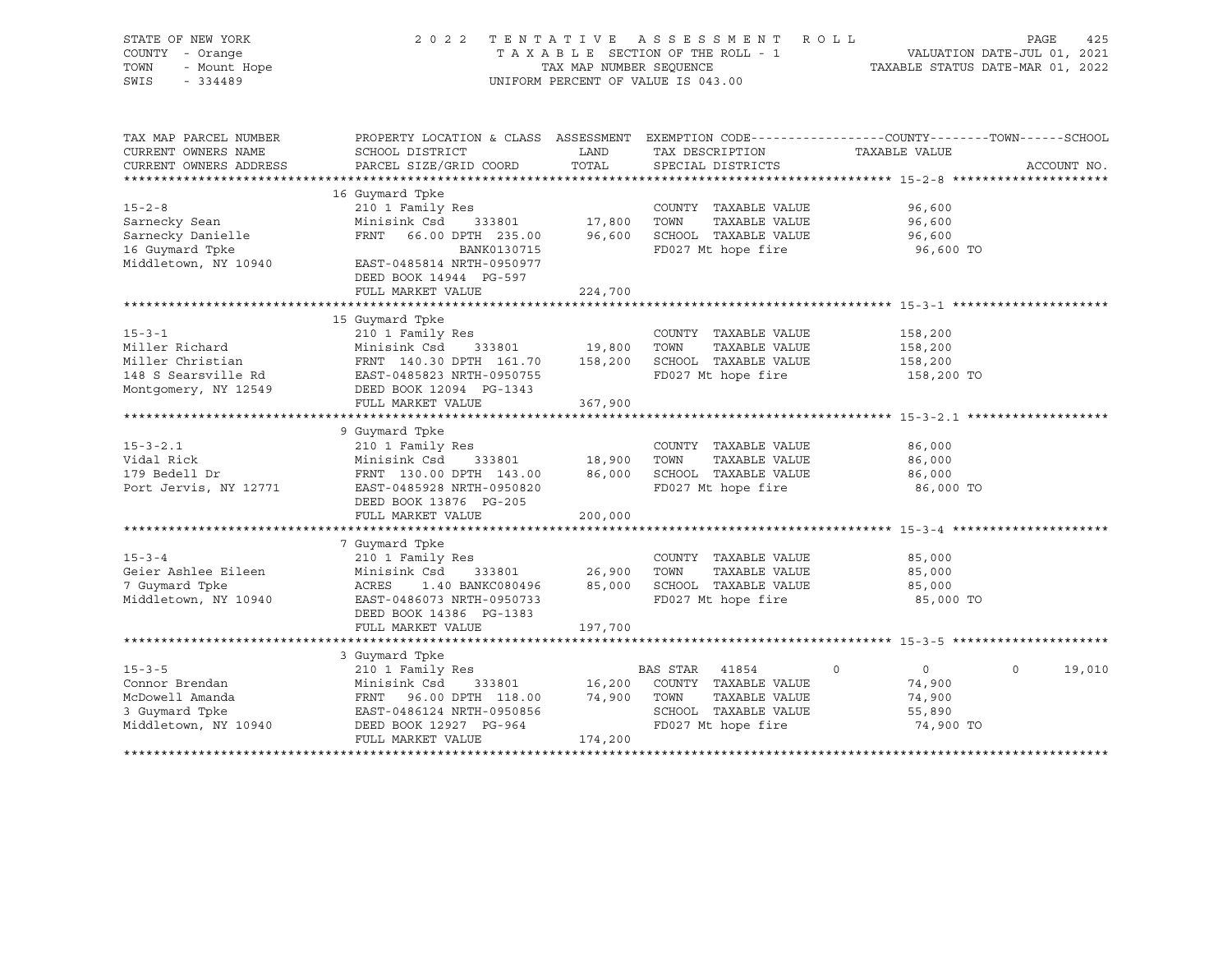| STATE OF NEW YORK<br>COUNTY - Orange<br>TOWN<br>- Mount Hope<br>SWIS<br>$-334489$                 | 2 0 2 2                                                                                                                                                                | TAX MAP NUMBER SEQUENCE     | TENTATIVE ASSESSMENT<br>TAXABLE SECTION OF THE ROLL - 1<br>UNIFORM PERCENT OF VALUE IS 043.00                 | R O L L                                                           | PAGE<br>425<br>VALUATION DATE-JUL 01, 2021<br>TAXABLE STATUS DATE-MAR 01, 2022 |
|---------------------------------------------------------------------------------------------------|------------------------------------------------------------------------------------------------------------------------------------------------------------------------|-----------------------------|---------------------------------------------------------------------------------------------------------------|-------------------------------------------------------------------|--------------------------------------------------------------------------------|
| TAX MAP PARCEL NUMBER<br>CURRENT OWNERS NAME<br>CURRENT OWNERS ADDRESS                            | PROPERTY LOCATION & CLASS ASSESSMENT EXEMPTION CODE----------------COUNTY-------TOWN------SCHOOL<br>SCHOOL DISTRICT<br>PARCEL SIZE/GRID COORD                          | LAND<br>TOTAL               | TAX DESCRIPTION<br>SPECIAL DISTRICTS                                                                          | TAXABLE VALUE                                                     | ACCOUNT NO.                                                                    |
|                                                                                                   |                                                                                                                                                                        |                             |                                                                                                               |                                                                   |                                                                                |
| $15 - 2 - 8$<br>Sarnecky Sean<br>Sarnecky Danielle<br>16 Guymard Tpke<br>Middletown, NY 10940     | 16 Guymard Tpke<br>210 1 Family Res<br>Minisink Csd<br>333801<br>FRNT 66.00 DPTH 235.00<br>BANK0130715<br>EAST-0485814 NRTH-0950977                                    | 17,800<br>96,600            | COUNTY TAXABLE VALUE<br>TOWN<br>TAXABLE VALUE<br>SCHOOL TAXABLE VALUE<br>FD027 Mt hope fire                   | 96,600<br>96,600<br>96,600<br>96,600 TO                           |                                                                                |
|                                                                                                   | DEED BOOK 14944 PG-597                                                                                                                                                 |                             |                                                                                                               |                                                                   |                                                                                |
|                                                                                                   | FULL MARKET VALUE                                                                                                                                                      | 224,700                     |                                                                                                               |                                                                   |                                                                                |
| $15 - 3 - 1$<br>Miller Richard<br>Miller Christian<br>148 S Searsville Rd<br>Montgomery, NY 12549 | 15 Guymard Tpke<br>210 1 Family Res<br>Minisink Csd<br>333801<br>FRNT 140.30 DPTH 161.70<br>EAST-0485823 NRTH-0950755<br>DEED BOOK 12094 PG-1343                       | 19,800<br>158,200           | COUNTY TAXABLE VALUE<br>TOWN<br>TAXABLE VALUE<br>SCHOOL TAXABLE VALUE<br>FD027 Mt hope fire                   | 158,200<br>158,200<br>158,200<br>158,200 TO                       |                                                                                |
|                                                                                                   | FULL MARKET VALUE                                                                                                                                                      | 367,900                     |                                                                                                               |                                                                   |                                                                                |
|                                                                                                   |                                                                                                                                                                        |                             |                                                                                                               |                                                                   |                                                                                |
| $15 - 3 - 2.1$<br>Vidal Rick<br>179 Bedell Dr<br>Port Jervis, NY 12771                            | 9 Guymard Tpke<br>210 1 Family Res<br>Minisink Csd<br>333801<br>FRNT 130.00 DPTH 143.00<br>EAST-0485928 NRTH-0950820<br>DEED BOOK 13876 PG-205                         | 18,900<br>86,000            | COUNTY TAXABLE VALUE<br>TOWN<br>TAXABLE VALUE<br>SCHOOL TAXABLE VALUE<br>FD027 Mt hope fire                   | 86,000<br>86,000<br>86,000<br>86,000 TO                           |                                                                                |
|                                                                                                   | FULL MARKET VALUE                                                                                                                                                      | 200,000                     |                                                                                                               |                                                                   |                                                                                |
|                                                                                                   |                                                                                                                                                                        |                             |                                                                                                               |                                                                   |                                                                                |
| $15 - 3 - 4$<br>Geier Ashlee Eileen<br>7 Guymard Tpke<br>Middletown, NY 10940                     | 7 Guymard Tpke<br>210 1 Family Res<br>Minisink Csd<br>333801<br>ACRES<br>1.40 BANKC080496<br>EAST-0486073 NRTH-0950733<br>DEED BOOK 14386 PG-1383<br>FULL MARKET VALUE | 26,900<br>85,000<br>197,700 | COUNTY TAXABLE VALUE<br>TOWN<br>TAXABLE VALUE<br>SCHOOL TAXABLE VALUE<br>FD027 Mt hope fire                   | 85,000<br>85,000<br>85,000<br>85,000 TO                           |                                                                                |
|                                                                                                   |                                                                                                                                                                        |                             |                                                                                                               |                                                                   |                                                                                |
| $15 - 3 - 5$<br>Connor Brendan<br>McDowell Amanda<br>3 Guymard Tpke<br>Middletown, NY 10940       | 3 Guymard Tpke<br>210 1 Family Res<br>Minisink Csd<br>333801<br>FRNT<br>96.00 DPTH 118.00<br>EAST-0486124 NRTH-0950856<br>DEED BOOK 12927 PG-964<br>FULL MARKET VALUE  | 16,200<br>74,900<br>174,200 | BAS STAR 41854<br>COUNTY TAXABLE VALUE<br>TAXABLE VALUE<br>TOWN<br>SCHOOL TAXABLE VALUE<br>FD027 Mt hope fire | $\circ$<br>$\mathbf 0$<br>74,900<br>74,900<br>55,890<br>74,900 TO | $\circ$<br>19,010                                                              |
|                                                                                                   |                                                                                                                                                                        |                             |                                                                                                               |                                                                   |                                                                                |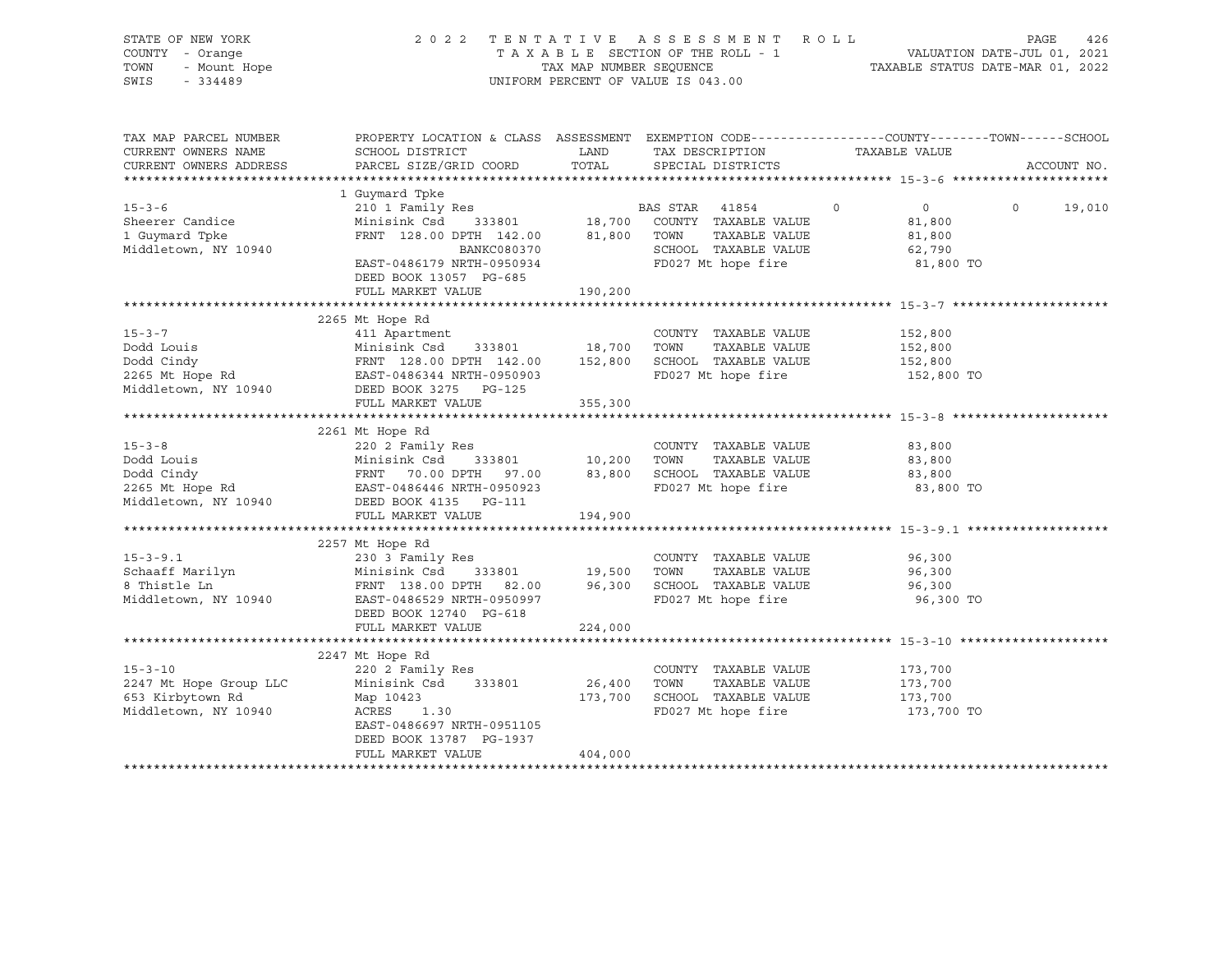| STATE OF NEW YORK<br>COUNTY - Orange    |                                                                                                                                                                                                                                                               |             | 2022 TENTATIVE ASSESSMENT ROLL                     |                           | 426<br>PAGE       |
|-----------------------------------------|---------------------------------------------------------------------------------------------------------------------------------------------------------------------------------------------------------------------------------------------------------------|-------------|----------------------------------------------------|---------------------------|-------------------|
| TOWN<br>- Mount Hope                    |                                                                                                                                                                                                                                                               |             |                                                    |                           |                   |
| $-334489$<br>SWIS                       |                                                                                                                                                                                                                                                               |             | UNIFORM PERCENT OF VALUE IS 043.00                 |                           |                   |
| TAX MAP PARCEL NUMBER                   | PROPERTY LOCATION & CLASS ASSESSMENT EXEMPTION CODE-----------------COUNTY-------TOWN------SCHOOL                                                                                                                                                             |             |                                                    |                           |                   |
| CURRENT OWNERS NAME                     | SCHOOL DISTRICT                                                                                                                                                                                                                                               | <b>LAND</b> | TAX DESCRIPTION                                    | TAXABLE VALUE             |                   |
| CURRENT OWNERS ADDRESS                  | PARCEL SIZE/GRID COORD                                                                                                                                                                                                                                        | TOTAL       | SPECIAL DISTRICTS                                  |                           | ACCOUNT NO.       |
|                                         | 1 Guymard Tpke                                                                                                                                                                                                                                                |             |                                                    |                           |                   |
| $15 - 3 - 6$                            |                                                                                                                                                                                                                                                               |             |                                                    | $\overline{0}$<br>$\circ$ | $\circ$<br>19,010 |
| Sheerer Candice                         |                                                                                                                                                                                                                                                               |             |                                                    | 81,800                    |                   |
| 1 Guymard Tpke                          | 210 1 Family Res<br>Minisink Csd 333801 18,700 COUNTY TAXABLE VALUE<br>FRNT 128.00 DPTH 142.00 81,800 TOWN TAXABLE VALUE                                                                                                                                      |             |                                                    | 81,800                    |                   |
| Middletown, NY 10940                    | BANKC080370                                                                                                                                                                                                                                                   |             | SCHOOL TAXABLE VALUE<br>FD027 Mt hope fire         | 62,790                    |                   |
|                                         | EAST-0486179 NRTH-0950934<br>DEED BOOK 13057 PG-685                                                                                                                                                                                                           |             |                                                    | 81,800 TO                 |                   |
|                                         | FULL MARKET VALUE                                                                                                                                                                                                                                             | 190,200     |                                                    |                           |                   |
|                                         |                                                                                                                                                                                                                                                               |             |                                                    |                           |                   |
|                                         | 2265 Mt Hope Rd                                                                                                                                                                                                                                               |             |                                                    |                           |                   |
|                                         |                                                                                                                                                                                                                                                               |             |                                                    | 152,800                   |                   |
|                                         |                                                                                                                                                                                                                                                               |             |                                                    | 152,800<br>152,800        |                   |
|                                         |                                                                                                                                                                                                                                                               |             |                                                    | 152,800 TO                |                   |
|                                         |                                                                                                                                                                                                                                                               |             |                                                    |                           |                   |
|                                         | 15-3-7<br>Dodd Louis 411 Apartment<br>Dodd Cindy FRNT 128.00 DPTH 142.00 152,800 SCHOOL TAXABLE VALUE<br>2265 Mt Hope Rd EAST-0486344 NRTH-0950903 FD027 Mt hope fire<br>Middletown, NY 10940 DEED BOOK 3275 PG-125<br>FURNIC PROST PROF<br>FULL MARKET VALUE | 355,300     |                                                    |                           |                   |
|                                         |                                                                                                                                                                                                                                                               |             |                                                    |                           |                   |
|                                         | 2261 Mt Hope Rd                                                                                                                                                                                                                                               |             |                                                    |                           |                   |
|                                         |                                                                                                                                                                                                                                                               |             |                                                    | 83,800                    |                   |
|                                         |                                                                                                                                                                                                                                                               |             |                                                    | 83,800                    |                   |
|                                         |                                                                                                                                                                                                                                                               |             |                                                    | 83,800                    |                   |
|                                         | 15-3-8 220 2 Family Res<br>Dodd Louis Minisink Csd 333801 10,200 TOWN TAXABLE VALUE<br>Dodd Cindy FRNT 70.00 DPTH 97.00 83,800 SCHOOL TAXABLE VALUE<br>2265 Mt Hope Rd EAST-0486446 NRTH-0950923 FD027 Mt hope fire<br>Middletown, NY                         |             |                                                    | 83,800 TO                 |                   |
|                                         | FULL MARKET VALUE                                                                                                                                                                                                                                             | 194,900     |                                                    |                           |                   |
|                                         |                                                                                                                                                                                                                                                               |             |                                                    |                           |                   |
|                                         | 2257 Mt Hope Rd                                                                                                                                                                                                                                               |             |                                                    |                           |                   |
| $15 - 3 - 9.1$                          | 230 3 Family Res                                                                                                                                                                                                                                              |             | COUNTY TAXABLE VALUE                               | 96,300                    |                   |
|                                         |                                                                                                                                                                                                                                                               |             | TAXABLE VALUE                                      | 96,300                    |                   |
|                                         |                                                                                                                                                                                                                                                               |             |                                                    | 96,300                    |                   |
|                                         | Schaaff Marilyn<br>8 Thistle Ln<br>8 Thistle Ln<br>Minisink Csd 333801 19,500 TOWN TAXABLE VALUE<br>8 Thistle Ln<br>Minisink Csd 333801 19,500 TOWN TAXABLE VALUE<br>8 Thistle Ln<br>Middletown, NY 10940 EAST-0486529 NRTH-0950997<br>THE CON                |             | FD027 Mt hope fire                                 | 96,300 TO                 |                   |
|                                         | DEED BOOK 12740 PG-618                                                                                                                                                                                                                                        |             |                                                    |                           |                   |
|                                         | FULL MARKET VALUE                                                                                                                                                                                                                                             | 224,000     |                                                    |                           |                   |
|                                         |                                                                                                                                                                                                                                                               |             |                                                    |                           |                   |
|                                         | 2247 Mt Hope Rd                                                                                                                                                                                                                                               |             |                                                    |                           |                   |
| $15 - 3 - 10$<br>2247 Mt Hope Group LLC | 220 2 Family Res<br>Minisink Csd 333801                                                                                                                                                                                                                       | 26,400 TOWN | COUNTY TAXABLE VALUE<br>TAXABLE VALUE              | 173,700<br>173,700        |                   |
| 653 Kirbytown Rd                        | Map 10423                                                                                                                                                                                                                                                     |             |                                                    | 173,700                   |                   |
| Middletown, NY 10940                    | 1.30<br>ACRES                                                                                                                                                                                                                                                 |             | 173,700 SCHOOL TAXABLE VALUE<br>FD027 Mt hope fire | 173,700 TO                |                   |
|                                         | EAST-0486697 NRTH-0951105                                                                                                                                                                                                                                     |             |                                                    |                           |                   |
|                                         | DEED BOOK 13787 PG-1937                                                                                                                                                                                                                                       |             |                                                    |                           |                   |
|                                         | FULL MARKET VALUE                                                                                                                                                                                                                                             | 404,000     |                                                    |                           |                   |
|                                         |                                                                                                                                                                                                                                                               |             |                                                    |                           |                   |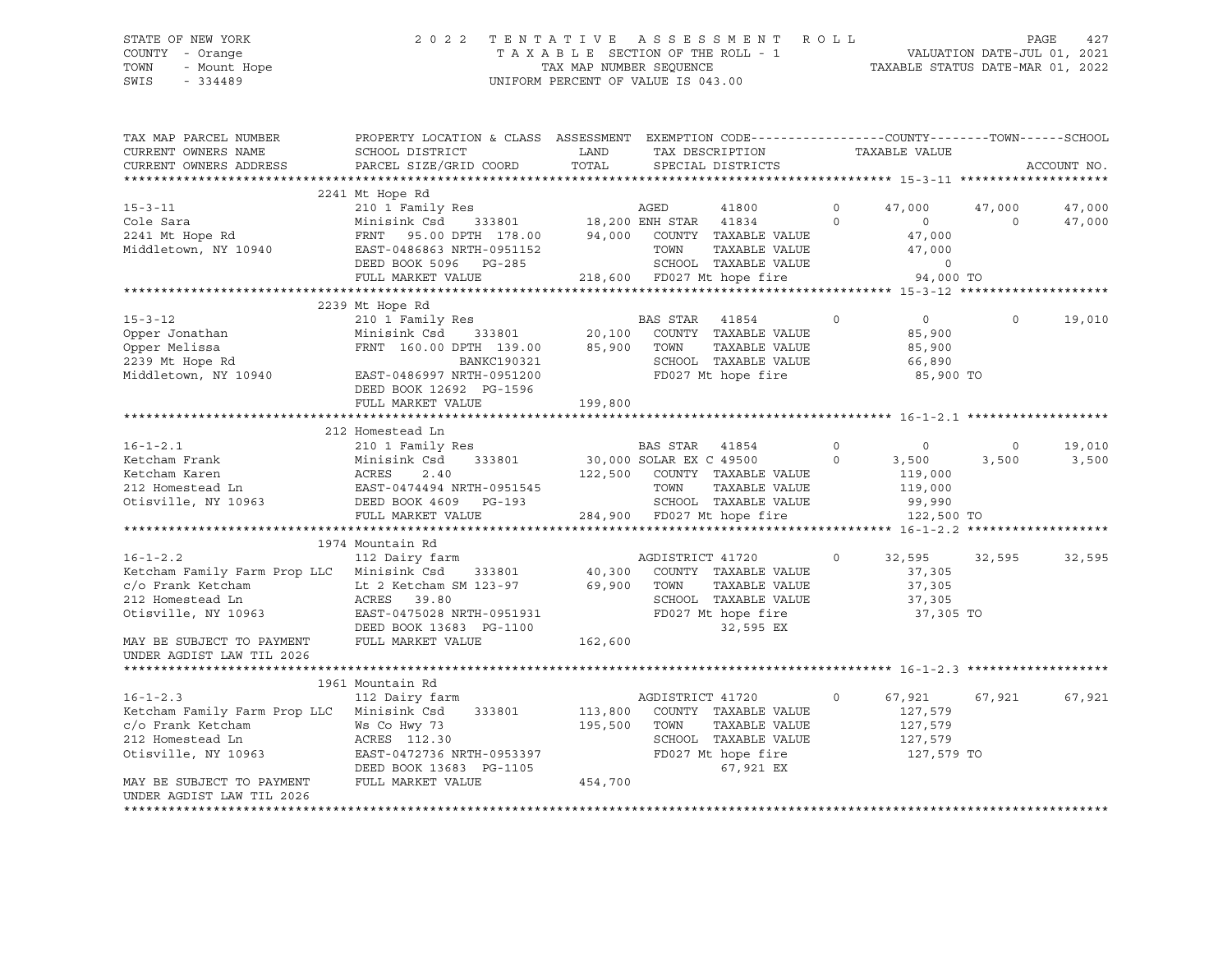# STATE OF NEW YORK 2 0 2 2 T E N T A T I V E A S S E S S M E N T R O L L PAGE 427 COUNTY - Orange T A X A B L E SECTION OF THE ROLL - 1 VALUATION DATE-JUL 01, 2021 TOWN - Mount Hope TAX MAP NUMBER SEQUENCE TAXABLE STATUS DATE-MAR 01, 2022 SWIS - 334489 UNIFORM PERCENT OF VALUE IS 043.00

| TAX MAP PARCEL NUMBER<br>CURRENT OWNERS NAME<br>CURRENT OWNERS ADDRESS                                                                                                   | PROPERTY LOCATION & CLASS ASSESSMENT EXEMPTION CODE----------------COUNTY-------TOWN-----SCHOOL<br>SCHOOL DISTRICT<br>PARCEL SIZE/GRID COORD                                         | LAND<br>TOTAL                 | TAX DESCRIPTION<br>SPECIAL DISTRICTS                                                                                                |                     | TAXABLE VALUE                                         |                    | ACCOUNT NO.      |
|--------------------------------------------------------------------------------------------------------------------------------------------------------------------------|--------------------------------------------------------------------------------------------------------------------------------------------------------------------------------------|-------------------------------|-------------------------------------------------------------------------------------------------------------------------------------|---------------------|-------------------------------------------------------|--------------------|------------------|
| $15 - 3 - 11$<br>Cole Sara<br>2241 Mt Hope Rd<br>Middletown, NY 10940                                                                                                    | 2241 Mt Hope Rd<br>210 1 Family Res<br>Minisink Csd<br>FRNT<br>95.00 DPTH 178.00<br>EAST-0486863 NRTH-0951152                                                                        | 333801 18,200 ENH STAR        | AGED<br>41800<br>41834<br>94,000 COUNTY TAXABLE VALUE<br>TOWN<br>TAXABLE VALUE                                                      | $\circ$<br>$\Omega$ | 47,000<br>$\circ$<br>47,000<br>47,000                 | 47,000<br>$\Omega$ | 47,000<br>47,000 |
|                                                                                                                                                                          | DEED BOOK 5096 PG-285<br>FULL MARKET VALUE                                                                                                                                           |                               | SCHOOL TAXABLE VALUE<br>218,600 FD027 Mt hope fire                                                                                  |                     | $\circ$<br>94,000 TO                                  |                    |                  |
|                                                                                                                                                                          |                                                                                                                                                                                      |                               |                                                                                                                                     |                     |                                                       |                    |                  |
| $15 - 3 - 12$<br>Opper Jonathan<br>Opper Melissa<br>2239 Mt Hope Rd<br>Middletown, NY 10940                                                                              | 2239 Mt Hope Rd<br>210 1 Family Res<br>Minisink Csd<br>333801<br>FRNT 160.00 DPTH 139.00<br>BANKC190321<br>EAST-0486997 NRTH-0951200<br>DEED BOOK 12692 PG-1596<br>FULL MARKET VALUE | 20,100<br>85,900<br>199,800   | <b>BAS STAR</b><br>41854<br>COUNTY TAXABLE VALUE<br>TOWN<br>TAXABLE VALUE<br>SCHOOL TAXABLE VALUE<br>FD027 Mt hope fire             | $\circ$             | $\circ$<br>85,900<br>85,900<br>66,890<br>85,900 TO    | $\Omega$           | 19,010           |
|                                                                                                                                                                          |                                                                                                                                                                                      |                               |                                                                                                                                     |                     |                                                       |                    |                  |
|                                                                                                                                                                          | 212 Homestead Ln                                                                                                                                                                     |                               |                                                                                                                                     |                     |                                                       |                    |                  |
| $16 - 1 - 2.1$<br>Ketcham Frank<br>Ketcham Karen<br>212 Homestead Ln<br>Otisville, NY 10963                                                                              | 210 1 Family Res<br>Minisink Csd<br>333801<br>ACRES<br>2.40<br>EAST-0474494 NRTH-0951545<br>DEED BOOK 4609 PG-193                                                                    |                               | BAS STAR 41854<br>30,000 SOLAR EX C 49500<br>122,500 COUNTY TAXABLE VALUE<br>TAXABLE VALUE<br>TOWN<br>SCHOOL TAXABLE VALUE          | $\circ$<br>$\circ$  | $\circ$<br>3,500<br>119,000<br>119,000<br>99,990      | $\circ$<br>3,500   | 19,010<br>3,500  |
|                                                                                                                                                                          | FULL MARKET VALUE                                                                                                                                                                    |                               | 284,900 FD027 Mt hope fire                                                                                                          |                     | 122,500 TO                                            |                    |                  |
|                                                                                                                                                                          | 1974 Mountain Rd                                                                                                                                                                     |                               |                                                                                                                                     |                     |                                                       |                    |                  |
| $16 - 1 - 2.2$<br>Ketcham Family Farm Prop LLC<br>c/o Frank Ketcham<br>212 Homestead Ln<br>Otisville, NY 10963<br>MAY BE SUBJECT TO PAYMENT                              | 112 Dairy farm<br>Minisink Csd<br>333801<br>Lt 2 Ketcham SM 123-97<br>ACRES 39.80<br>EAST-0475028 NRTH-0951931<br>DEED BOOK 13683 PG-1100<br>FULL MARKET VALUE                       | 40,300<br>162,600             | AGDISTRICT 41720<br>COUNTY TAXABLE VALUE<br>69,900 TOWN<br>TAXABLE VALUE<br>SCHOOL TAXABLE VALUE<br>FD027 Mt hope fire<br>32,595 EX | $\circ$             | 32,595<br>37,305<br>37,305<br>37,305<br>37,305 TO     | 32,595             | 32,595           |
| UNDER AGDIST LAW TIL 2026                                                                                                                                                |                                                                                                                                                                                      |                               |                                                                                                                                     |                     |                                                       |                    |                  |
|                                                                                                                                                                          |                                                                                                                                                                                      |                               |                                                                                                                                     |                     |                                                       |                    |                  |
| $16 - 1 - 2.3$<br>Ketcham Family Farm Prop LLC<br>c/o Frank Ketcham<br>212 Homestead Ln<br>Otisville, NY 10963<br>MAY BE SUBJECT TO PAYMENT<br>UNDER AGDIST LAW TIL 2026 | 1961 Mountain Rd<br>112 Dairy farm<br>Minisink Csd<br>333801<br>Ws Co Hwy 73<br>ACRES 112.30<br>EAST-0472736 NRTH-0953397<br>DEED BOOK 13683 PG-1105<br>FULL MARKET VALUE            | 113,800<br>195,500<br>454,700 | AGDISTRICT 41720<br>COUNTY TAXABLE VALUE<br>TOWN<br>TAXABLE VALUE<br>SCHOOL TAXABLE VALUE<br>FD027 Mt hope fire<br>67,921 EX        | $\circ$             | 67,921<br>127,579<br>127,579<br>127,579<br>127,579 TO | 67,921             | 67,921           |
|                                                                                                                                                                          |                                                                                                                                                                                      |                               |                                                                                                                                     |                     |                                                       |                    |                  |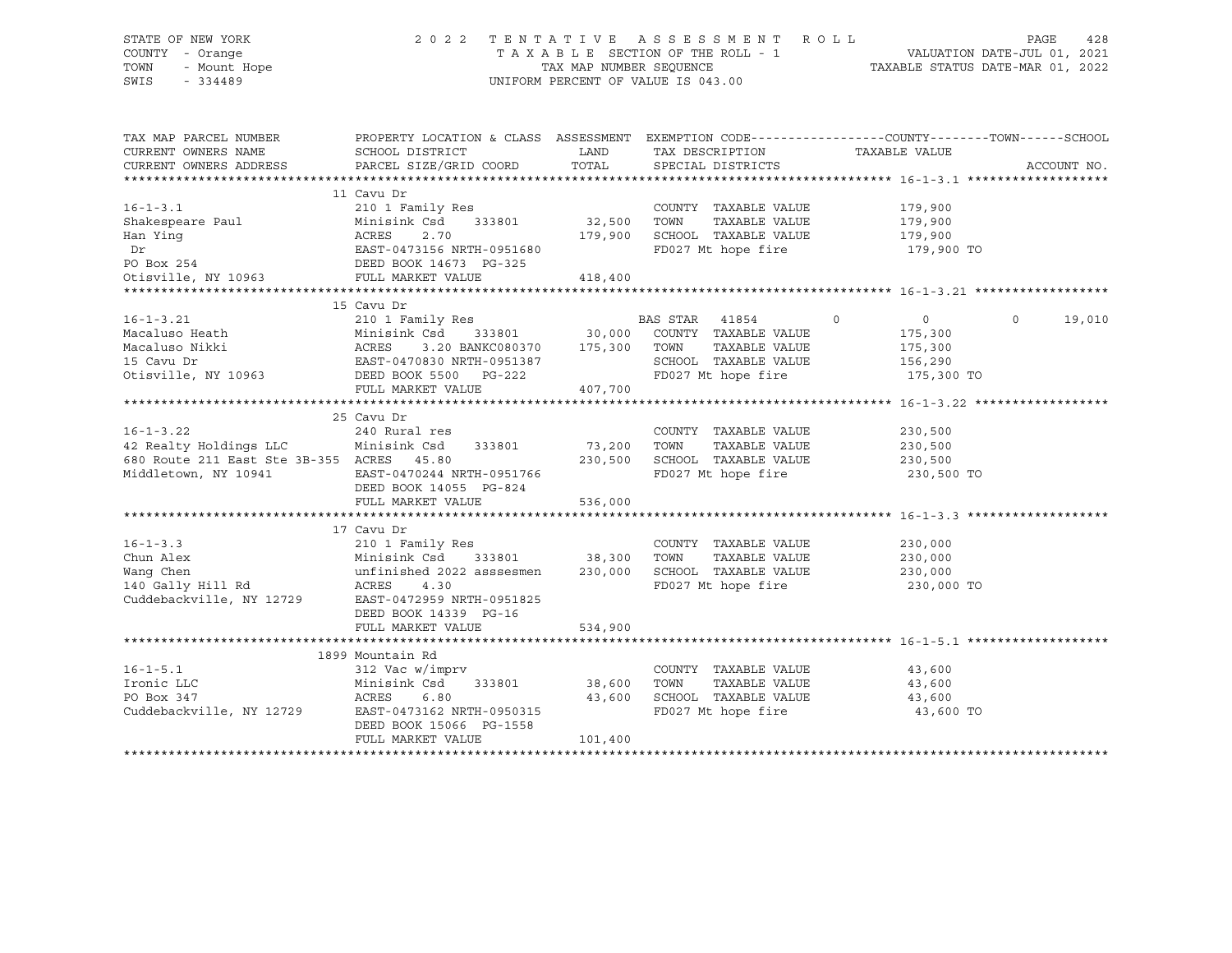# STATE OF NEW YORK 2 0 2 2 T E N T A T I V E A S S E S S M E N T R O L L PAGE 428 COUNTY - Orange T A X A B L E SECTION OF THE ROLL - 1 VALUATION DATE-JUL 01, 2021 TOWN - Mount Hope TAX MAP NUMBER SEQUENCE TAXABLE STATUS DATE-MAR 01, 2022 SWIS - 334489 UNIFORM PERCENT OF VALUE IS 043.00

| TAX MAP PARCEL NUMBER<br>CURRENT OWNERS NAME<br>CURRENT OWNERS ADDRESS | PROPERTY LOCATION & CLASS ASSESSMENT<br>SCHOOL DISTRICT<br>PARCEL SIZE/GRID COORD | LAND<br>TOTAL | EXEMPTION CODE----------------COUNTY-------TOWN-----SCHOOL<br>TAX DESCRIPTION TAXABLE VALUE<br>SPECIAL DISTRICTS |                | ACCOUNT NO.        |
|------------------------------------------------------------------------|-----------------------------------------------------------------------------------|---------------|------------------------------------------------------------------------------------------------------------------|----------------|--------------------|
|                                                                        | 11 Cavu Dr                                                                        |               |                                                                                                                  |                |                    |
| $16 - 1 - 3.1$                                                         | 210 1 Family Res                                                                  |               | COUNTY TAXABLE VALUE                                                                                             | 179,900        |                    |
| Shakespeare Paul                                                       | Minisink Csd<br>333801                                                            | 32,500        | TOWN<br>TAXABLE VALUE                                                                                            | 179,900        |                    |
| Han Ying                                                               | ACRES<br>2.70                                                                     | 179,900       | SCHOOL TAXABLE VALUE                                                                                             | 179,900        |                    |
| Dr                                                                     | EAST-0473156 NRTH-0951680                                                         |               | FD027 Mt hope fire                                                                                               | 179,900 TO     |                    |
| PO Box 254                                                             | DEED BOOK 14673 PG-325                                                            |               |                                                                                                                  |                |                    |
| Otisville, NY 10963                                                    | FULL MARKET VALUE                                                                 | 418,400       |                                                                                                                  |                |                    |
|                                                                        |                                                                                   |               |                                                                                                                  |                |                    |
|                                                                        | 15 Cavu Dr                                                                        |               |                                                                                                                  |                |                    |
| $16 - 1 - 3.21$                                                        | 210 1 Family Res                                                                  |               | BAS STAR 41854<br>$\overline{0}$                                                                                 | $\overline{0}$ | $\Omega$<br>19,010 |
| Macaluso Heath                                                         | Minisink Csd                                                                      | 333801 30,000 | COUNTY TAXABLE VALUE                                                                                             | 175,300        |                    |
| Macaluso Nikki                                                         | 3.20 BANKC080370 175,300<br>ACRES                                                 |               | TOWN<br>TAXABLE VALUE                                                                                            | 175,300        |                    |
| 15 Cavu Dr                                                             | EAST-0470830 NRTH-0951387                                                         |               | SCHOOL TAXABLE VALUE                                                                                             | 156,290        |                    |
| Otisville, NY 10963                                                    | DEED BOOK 5500 PG-222                                                             |               | FD027 Mt hope fire                                                                                               | 175,300 TO     |                    |
|                                                                        | FULL MARKET VALUE                                                                 | 407,700       |                                                                                                                  |                |                    |
|                                                                        |                                                                                   |               |                                                                                                                  |                |                    |
|                                                                        | 25 Cavu Dr                                                                        |               |                                                                                                                  |                |                    |
| $16 - 1 - 3.22$                                                        | 240 Rural res                                                                     |               | COUNTY TAXABLE VALUE                                                                                             | 230,500        |                    |
| 42 Realty Holdings LLC                                                 | Minisink Csd<br>333801                                                            | 73,200        | TAXABLE VALUE<br>TOWN                                                                                            | 230,500        |                    |
| 680 Route 211 East Ste 3B-355 ACRES                                    | 45.80                                                                             | 230,500       | SCHOOL TAXABLE VALUE                                                                                             | 230,500        |                    |
| Middletown, NY 10941                                                   | EAST-0470244 NRTH-0951766                                                         |               | FD027 Mt hope fire                                                                                               | 230,500 TO     |                    |
|                                                                        | DEED BOOK 14055 PG-824                                                            |               |                                                                                                                  |                |                    |
|                                                                        | FULL MARKET VALUE                                                                 | 536,000       |                                                                                                                  |                |                    |
|                                                                        |                                                                                   |               |                                                                                                                  |                |                    |
|                                                                        | 17 Cavu Dr                                                                        |               |                                                                                                                  |                |                    |
| $16 - 1 - 3.3$                                                         | 210 1 Family Res                                                                  |               | COUNTY TAXABLE VALUE                                                                                             | 230,000        |                    |
| Chun Alex                                                              | Minisink Csd<br>333801 38,300                                                     |               | TOWN<br>TAXABLE VALUE                                                                                            | 230,000        |                    |
| Wang Chen                                                              | unfinished 2022 asssesmen                                                         | 230,000       | SCHOOL TAXABLE VALUE                                                                                             | 230,000        |                    |
| 140 Gally Hill Rd                                                      | ACRES<br>4.30                                                                     |               | FD027 Mt hope fire                                                                                               | 230,000 TO     |                    |
| Cuddebackville, NY 12729                                               | EAST-0472959 NRTH-0951825                                                         |               |                                                                                                                  |                |                    |
|                                                                        | DEED BOOK 14339 PG-16                                                             |               |                                                                                                                  |                |                    |
|                                                                        | FULL MARKET VALUE                                                                 | 534,900       |                                                                                                                  |                |                    |
|                                                                        |                                                                                   |               |                                                                                                                  |                |                    |
|                                                                        | 1899 Mountain Rd                                                                  |               |                                                                                                                  |                |                    |
| $16 - 1 - 5.1$                                                         | 312 Vac w/imprv                                                                   |               | COUNTY TAXABLE VALUE                                                                                             | 43,600         |                    |
| Ironic LLC                                                             | Minisink Csd<br>333801                                                            | 38,600        | TOWN<br>TAXABLE VALUE                                                                                            | 43,600         |                    |
| PO Box 347                                                             | ACRES<br>6.80                                                                     | 43,600        | SCHOOL TAXABLE VALUE                                                                                             | 43,600         |                    |
| Cuddebackville, NY 12729                                               | EAST-0473162 NRTH-0950315                                                         |               | FD027 Mt hope fire                                                                                               | 43,600 TO      |                    |
|                                                                        | DEED BOOK 15066 PG-1558                                                           |               |                                                                                                                  |                |                    |
|                                                                        | FULL MARKET VALUE                                                                 | 101,400       |                                                                                                                  |                |                    |
|                                                                        |                                                                                   |               |                                                                                                                  |                |                    |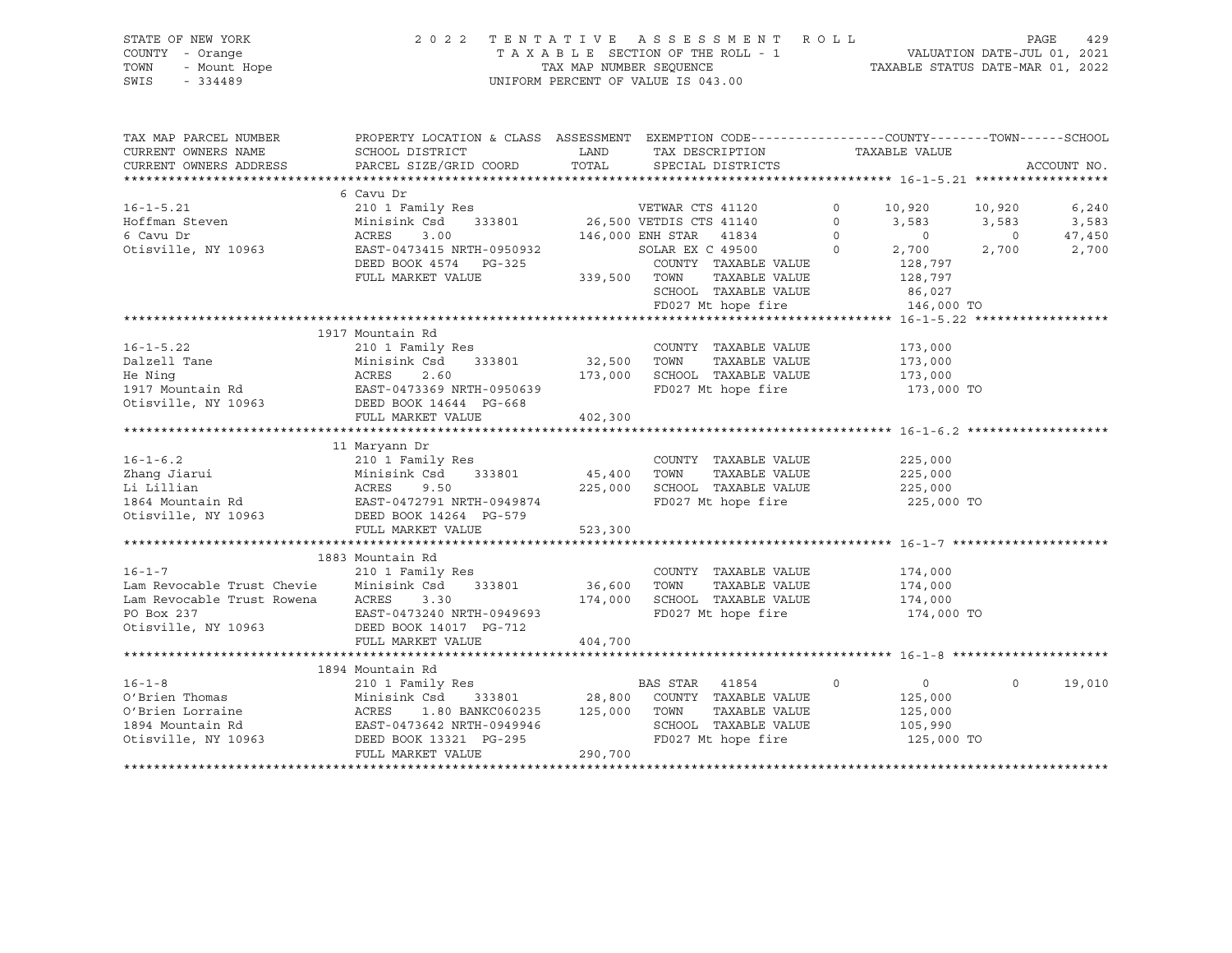# STATE OF NEW YORK 2 0 2 2 T E N T A T I V E A S S E S S M E N T R O L L PAGE 429 COUNTY - Orange T A X A B L E SECTION OF THE ROLL - 1 VALUATION DATE-JUL 01, 2021 TOWN - Mount Hope TAX MAP NUMBER SEQUENCE TAXABLE STATUS DATE-MAR 01, 2022 SWIS - 334489 UNIFORM PERCENT OF VALUE IS 043.00

| TAX MAP PARCEL NUMBER<br>CURRENT OWNERS NAME<br>CURRENT OWNERS ADDRESS | PROPERTY LOCATION & CLASS ASSESSMENT EXEMPTION CODE----------------COUNTY-------TOWN-----SCHOOL<br>SCHOOL DISTRICT<br>PARCEL SIZE/GRID COORD | LAND<br>TOTAL | TAX DESCRIPTION TAXABLE VALUE<br>SPECIAL DISTRICTS |          |            |          | ACCOUNT NO. |
|------------------------------------------------------------------------|----------------------------------------------------------------------------------------------------------------------------------------------|---------------|----------------------------------------------------|----------|------------|----------|-------------|
|                                                                        | 6 Cavu Dr                                                                                                                                    |               |                                                    |          |            |          |             |
| $16 - 1 - 5.21$                                                        |                                                                                                                                              |               |                                                    | $\circ$  |            |          |             |
|                                                                        | 210 1 Family Res                                                                                                                             |               | VETWAR CTS 41120                                   |          | 10,920     | 10,920   | 6,240       |
| Hoffman Steven                                                         | Minisink Csd<br>333801                                                                                                                       |               | 26,500 VETDIS CTS 41140                            | $\circ$  | 3,583      | 3,583    | 3,583       |
| 6 Cavu Dr                                                              | ACRES<br>3.00                                                                                                                                |               | 146,000 ENH STAR<br>41834                          | $\Omega$ | $\circ$    | $\circ$  | 47,450      |
| Otisville, NY 10963                                                    | EAST-0473415 NRTH-0950932                                                                                                                    |               | SOLAR EX C 49500                                   | $\Omega$ | 2,700      | 2,700    | 2,700       |
|                                                                        | DEED BOOK 4574<br>PG-325                                                                                                                     |               | COUNTY TAXABLE VALUE                               |          | 128,797    |          |             |
|                                                                        | FULL MARKET VALUE                                                                                                                            | 339,500       | TOWN<br>TAXABLE VALUE                              |          | 128,797    |          |             |
|                                                                        |                                                                                                                                              |               | SCHOOL TAXABLE VALUE                               |          | 86,027     |          |             |
|                                                                        |                                                                                                                                              |               | FD027 Mt hope fire                                 |          | 146,000 TO |          |             |
|                                                                        |                                                                                                                                              |               |                                                    |          |            |          |             |
|                                                                        | 1917 Mountain Rd                                                                                                                             |               |                                                    |          |            |          |             |
| $16 - 1 - 5.22$                                                        | 210 1 Family Res                                                                                                                             |               | COUNTY TAXABLE VALUE                               |          | 173,000    |          |             |
| Dalzell Tane                                                           | Minisink Csd<br>333801                                                                                                                       | 32,500        | TOWN<br>TAXABLE VALUE                              |          | 173,000    |          |             |
| He Ning                                                                | ACRES<br>2.60                                                                                                                                | 173,000       | SCHOOL TAXABLE VALUE                               |          | 173,000    |          |             |
| 1917 Mountain Rd                                                       | EAST-0473369 NRTH-0950639                                                                                                                    |               | FD027 Mt hope fire                                 |          | 173,000 TO |          |             |
| Otisville, NY 10963                                                    | DEED BOOK 14644 PG-668                                                                                                                       |               |                                                    |          |            |          |             |
|                                                                        | FULL MARKET VALUE                                                                                                                            | 402,300       |                                                    |          |            |          |             |
|                                                                        |                                                                                                                                              |               |                                                    |          |            |          |             |
|                                                                        | 11 Maryann Dr                                                                                                                                |               |                                                    |          |            |          |             |
| $16 - 1 - 6.2$                                                         | 210 1 Family Res                                                                                                                             |               | COUNTY TAXABLE VALUE                               |          | 225,000    |          |             |
| Zhang Jiarui                                                           | Minisink Csd<br>333801                                                                                                                       | 45,400        | TOWN<br>TAXABLE VALUE                              |          | 225,000    |          |             |
| Li Lillian                                                             | ACRES<br>9.50                                                                                                                                | 225,000       | SCHOOL TAXABLE VALUE                               |          | 225,000    |          |             |
| 1864 Mountain Rd                                                       | EAST-0472791 NRTH-0949874                                                                                                                    |               | FD027 Mt hope fire                                 |          | 225,000 TO |          |             |
| Otisville, NY 10963                                                    | DEED BOOK 14264 PG-579                                                                                                                       |               |                                                    |          |            |          |             |
|                                                                        | FULL MARKET VALUE                                                                                                                            | 523,300       |                                                    |          |            |          |             |
|                                                                        |                                                                                                                                              |               |                                                    |          |            |          |             |
|                                                                        |                                                                                                                                              |               |                                                    |          |            |          |             |
|                                                                        | 1883 Mountain Rd                                                                                                                             |               |                                                    |          |            |          |             |
| $16 - 1 - 7$                                                           | 210 1 Family Res                                                                                                                             |               | COUNTY TAXABLE VALUE                               |          | 174,000    |          |             |
| Lam Revocable Trust Chevie                                             | Minisink Csd<br>333801                                                                                                                       | 36,600        | TOWN<br>TAXABLE VALUE                              |          | 174,000    |          |             |
| Lam Revocable Trust Rowena                                             | ACRES<br>3.30                                                                                                                                | 174,000       | SCHOOL TAXABLE VALUE                               |          | 174,000    |          |             |
| PO Box 237                                                             | EAST-0473240 NRTH-0949693                                                                                                                    |               | FD027 Mt hope fire                                 |          | 174,000 TO |          |             |
| Otisville, NY 10963                                                    | DEED BOOK 14017 PG-712                                                                                                                       |               |                                                    |          |            |          |             |
|                                                                        | FULL MARKET VALUE                                                                                                                            | 404,700       |                                                    |          |            |          |             |
|                                                                        |                                                                                                                                              |               |                                                    |          |            |          |             |
|                                                                        | 1894 Mountain Rd                                                                                                                             |               |                                                    |          |            |          |             |
| $16 - 1 - 8$                                                           | 210 1 Family Res                                                                                                                             |               | BAS STAR<br>41854                                  | $\circ$  | $\circ$    | $\Omega$ | 19,010      |
| O'Brien Thomas                                                         | Minisink Csd<br>333801                                                                                                                       | 28,800        | COUNTY TAXABLE VALUE                               |          | 125,000    |          |             |
| O'Brien Lorraine                                                       | ACRES<br>1.80 BANKC060235                                                                                                                    | 125,000       | TOWN<br>TAXABLE VALUE                              |          | 125,000    |          |             |
| 1894 Mountain Rd                                                       | EAST-0473642 NRTH-0949946                                                                                                                    |               | SCHOOL TAXABLE VALUE                               |          | 105,990    |          |             |
| Otisville, NY 10963                                                    | DEED BOOK 13321 PG-295                                                                                                                       |               | FD027 Mt hope fire                                 |          | 125,000 TO |          |             |
|                                                                        | FULL MARKET VALUE                                                                                                                            | 290,700       |                                                    |          |            |          |             |
|                                                                        |                                                                                                                                              |               |                                                    |          |            |          |             |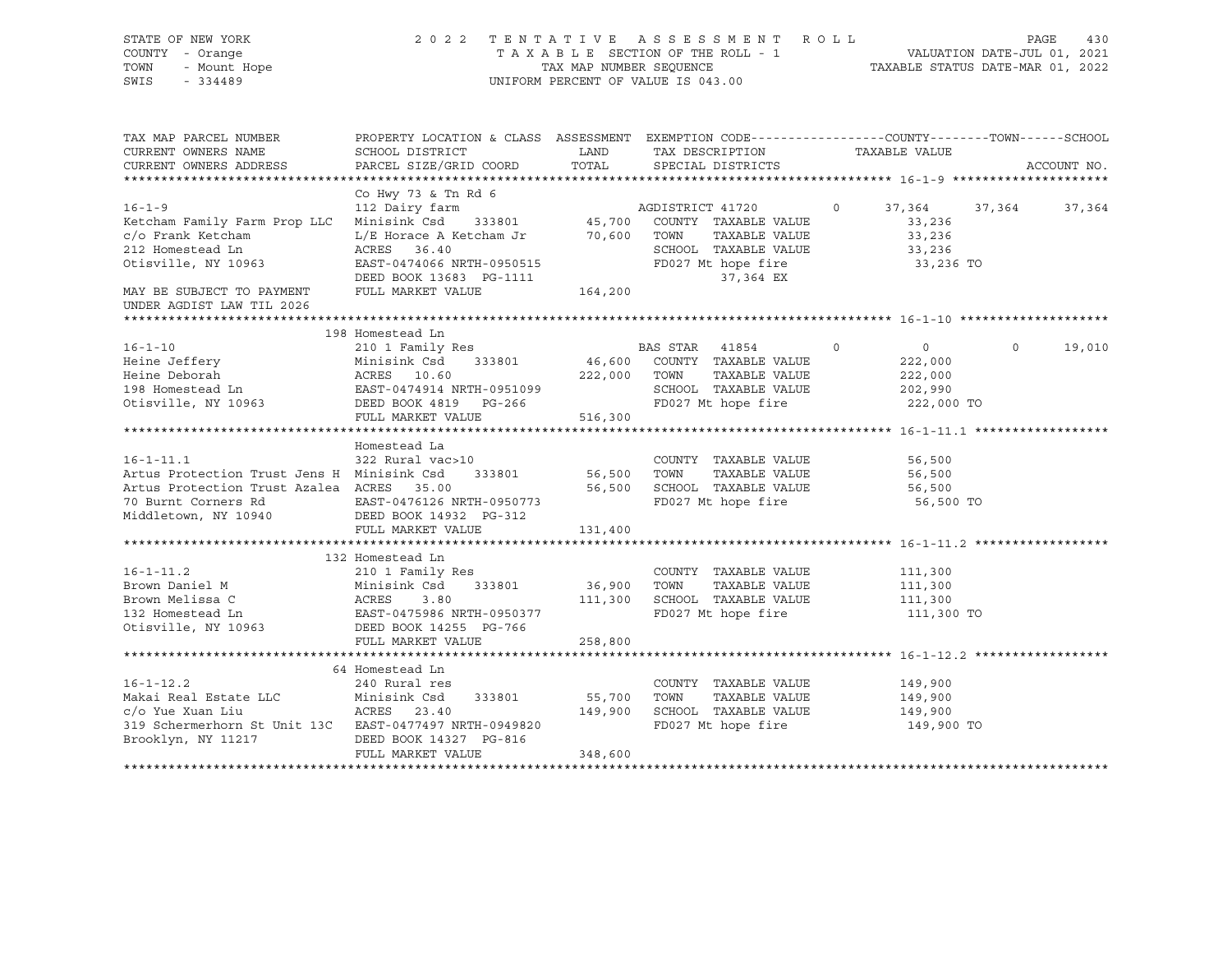| STATE OF NEW YORK<br>COUNTY - Orange<br>- Mount Hope<br>TOWN<br>SWIS<br>$-334489$ | 2 0 2 2<br>TENTATIVE ASSESSMENT ROLL<br>PAGE<br>VALUATION DATE-JUL 01, 2021<br>TAXABLE SECTION OF THE ROLL - 1<br>TAXABLE STATUS DATE-MAR 01, 2022<br>TAX MAP NUMBER SEQUENCE<br>UNIFORM PERCENT OF VALUE IS 043.00 |             |                                       |         |                     |         | 430         |
|-----------------------------------------------------------------------------------|---------------------------------------------------------------------------------------------------------------------------------------------------------------------------------------------------------------------|-------------|---------------------------------------|---------|---------------------|---------|-------------|
| TAX MAP PARCEL NUMBER<br>CURRENT OWNERS NAME                                      | PROPERTY LOCATION & CLASS ASSESSMENT EXEMPTION CODE----------------COUNTY-------TOWN-----SCHOOL<br>SCHOOL DISTRICT                                                                                                  | LAND        | TAX DESCRIPTION                       |         | TAXABLE VALUE       |         |             |
| CURRENT OWNERS ADDRESS                                                            | PARCEL SIZE/GRID COORD                                                                                                                                                                                              | TOTAL       | SPECIAL DISTRICTS                     |         |                     |         | ACCOUNT NO. |
|                                                                                   |                                                                                                                                                                                                                     |             |                                       |         |                     |         |             |
|                                                                                   | Co Hwy 73 & Tn Rd 6                                                                                                                                                                                                 |             |                                       |         |                     |         |             |
| $16 - 1 - 9$                                                                      | 112 Dairy farm                                                                                                                                                                                                      |             | AGDISTRICT 41720                      |         | 37,364              | 37,364  | 37,364      |
| Ketcham Family Farm Prop LLC Minisink Csd 333801                                  |                                                                                                                                                                                                                     |             | 45,700 COUNTY TAXABLE VALUE           |         | 33,236              |         |             |
| c/o Frank Ketcham<br>212 Homestead Ln                                             | L/E Horace A Ketcham Jr<br>ACRES 36.40                                                                                                                                                                              | 70,600 TOWN | TAXABLE VALUE<br>SCHOOL TAXABLE VALUE |         | 33,236              |         |             |
| Otisville, NY 10963                                                               | EAST-0474066 NRTH-0950515                                                                                                                                                                                           |             | FD027 Mt hope fire                    |         | 33,236<br>33,236 TO |         |             |
|                                                                                   | DEED BOOK 13683 PG-1111                                                                                                                                                                                             |             | 37,364 EX                             |         |                     |         |             |
| MAY BE SUBJECT TO PAYMENT<br>UNDER AGDIST LAW TIL 2026                            | FULL MARKET VALUE                                                                                                                                                                                                   | 164,200     |                                       |         |                     |         |             |
|                                                                                   |                                                                                                                                                                                                                     |             |                                       |         |                     |         |             |
|                                                                                   | 198 Homestead Ln                                                                                                                                                                                                    |             |                                       |         |                     |         |             |
| $16 - 1 - 10$                                                                     | 210 1 Family Res                                                                                                                                                                                                    |             | BAS STAR 41854                        | $\circ$ | $\overline{0}$      | $\circ$ | 19,010      |
| Heine Jeffery                                                                     | Minisink Csd<br>333801<br>Minisink Csd<br>ACRES    10.60                                                                                                                                                            |             | 46,600 COUNTY TAXABLE VALUE           |         | 222,000             |         |             |
| Heine Deborah                                                                     |                                                                                                                                                                                                                     | 222,000     | TAXABLE VALUE<br>TOWN                 |         | 222,000             |         |             |
| 198 Homestead Ln                                                                  | EAST-0474914 NRTH-0951099<br>DEED BOOK 4819 PG-266                                                                                                                                                                  |             | SCHOOL TAXABLE VALUE                  |         | 202,990             |         |             |
| Otisville, NY 10963                                                               |                                                                                                                                                                                                                     |             | FD027 Mt hope fire                    |         | 222,000 TO          |         |             |
|                                                                                   | FULL MARKET VALUE                                                                                                                                                                                                   | 516,300     |                                       |         |                     |         |             |
|                                                                                   | Homestead La                                                                                                                                                                                                        |             |                                       |         |                     |         |             |
| $16 - 1 - 11.1$                                                                   | 322 Rural vac>10                                                                                                                                                                                                    |             | COUNTY TAXABLE VALUE                  |         | 56,500              |         |             |
| Artus Protection Trust Jens H Minisink Csd                                        | 333801                                                                                                                                                                                                              | 56,500 TOWN | TAXABLE VALUE                         |         | 56,500              |         |             |
| Artus Protection Trust Azalea ACRES 35.00                                         |                                                                                                                                                                                                                     |             | 56,500 SCHOOL TAXABLE VALUE           |         | 56,500              |         |             |
| 70 Burnt Corners Rd                                                               | EAST-0476126 NRTH-0950773                                                                                                                                                                                           |             | FD027 Mt hope fire                    |         | 56,500 TO           |         |             |
| Middletown, NY 10940                                                              | DEED BOOK 14932 PG-312                                                                                                                                                                                              |             |                                       |         |                     |         |             |
|                                                                                   | FULL MARKET VALUE                                                                                                                                                                                                   | 131,400     |                                       |         |                     |         |             |
|                                                                                   |                                                                                                                                                                                                                     |             |                                       |         |                     |         |             |
|                                                                                   | 132 Homestead Ln                                                                                                                                                                                                    |             |                                       |         |                     |         |             |
| $16 - 1 - 11.2$                                                                   | 210 1 Family Res                                                                                                                                                                                                    |             | COUNTY TAXABLE VALUE                  |         | 111,300             |         |             |
| Brown Daniel M                                                                    | Minisink Csd<br>333801                                                                                                                                                                                              |             | 36,900 TOWN<br>TAXABLE VALUE          |         | 111,300             |         |             |
| Brown Melissa C                                                                   | ACRES       3.80<br>EAST-0475986 NRTH-0950377                                                                                                                                                                       |             | 111,300 SCHOOL TAXABLE VALUE          |         | 111,300             |         |             |
| 132 Homestead Ln                                                                  |                                                                                                                                                                                                                     |             | FD027 Mt hope fire                    |         | 111,300 TO          |         |             |
| Otisville, NY 10963                                                               | DEED BOOK 14255 PG-766                                                                                                                                                                                              |             |                                       |         |                     |         |             |
|                                                                                   | FULL MARKET VALUE                                                                                                                                                                                                   | 258,800     |                                       |         |                     |         |             |
|                                                                                   | 64 Homestead Ln                                                                                                                                                                                                     |             |                                       |         |                     |         |             |
| $16 - 1 - 12.2$                                                                   | 240 Rural res                                                                                                                                                                                                       |             | COUNTY TAXABLE VALUE                  |         | 149,900             |         |             |
| Makai Real Estate LLC                                                             | LC<br>Minisink Csd<br>Acres<br>333801                                                                                                                                                                               | 55,700      | TOWN<br>TAXABLE VALUE                 |         | 149,900             |         |             |
| c/o Yue Xuan Liu                                                                  | ACRES 23.40                                                                                                                                                                                                         | 149,900     | SCHOOL TAXABLE VALUE                  |         | 149,900             |         |             |
| 319 Schermerhorn St Unit 13C EAST-0477497 NRTH-0949820                            |                                                                                                                                                                                                                     |             | FD027 Mt hope fire                    |         | 149,900 TO          |         |             |
| Brooklyn, NY 11217                                                                | DEED BOOK 14327 PG-816                                                                                                                                                                                              |             |                                       |         |                     |         |             |
|                                                                                   | FULL MARKET VALUE                                                                                                                                                                                                   | 348,600     |                                       |         |                     |         |             |
|                                                                                   |                                                                                                                                                                                                                     |             |                                       |         |                     |         |             |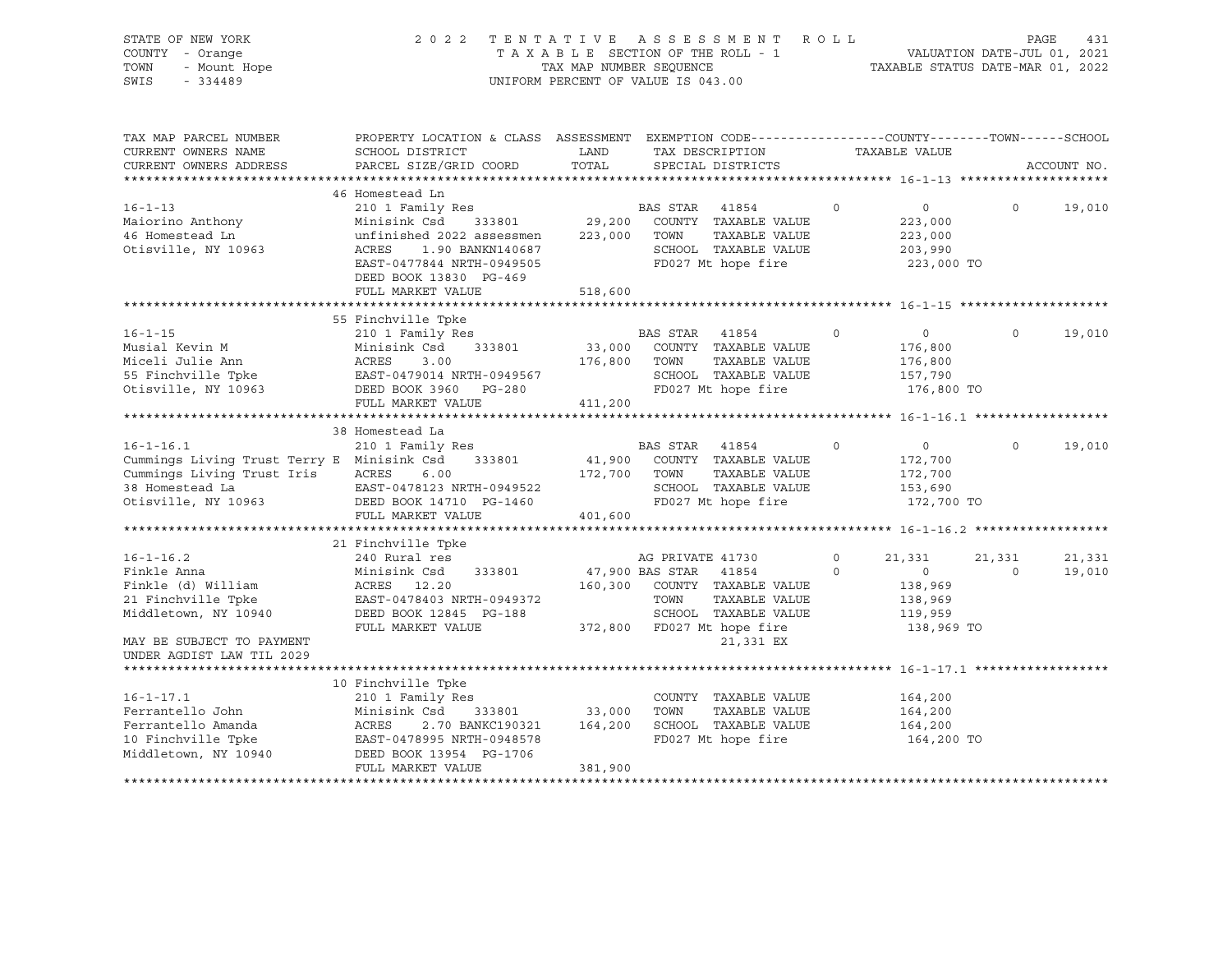| STATE OF NEW YORK<br>COUNTY - Orange<br>TOWN<br>- Mount Hope<br>$-334489$<br>SWIS                                                           |                                                                                                                                                                                                                                                                                                                                       | TAX MAP NUMBER SEOUENCE | 2022 TENTATIVE ASSESSMENT ROLL<br>TAXABLE SECTION OF THE ROLL - 1<br>UNIFORM PERCENT OF VALUE IS 043.00                                                               |                     | TAXABLE STATUS DATE-MAR 01, 2022                                  | VALUATION DATE-JUL 01, 2021 | PAGE<br>431      |
|---------------------------------------------------------------------------------------------------------------------------------------------|---------------------------------------------------------------------------------------------------------------------------------------------------------------------------------------------------------------------------------------------------------------------------------------------------------------------------------------|-------------------------|-----------------------------------------------------------------------------------------------------------------------------------------------------------------------|---------------------|-------------------------------------------------------------------|-----------------------------|------------------|
| TAX MAP PARCEL NUMBER<br>CURRENT OWNERS NAME<br>CURRENT OWNERS ADDRESS                                                                      | PROPERTY LOCATION & CLASS ASSESSMENT EXEMPTION CODE----------------COUNTY-------TOWN------SCHOOL<br>SCHOOL DISTRICT<br>PARCEL SIZE/GRID COORD                                                                                                                                                                                         | LAND<br>TOTAL           | TAX DESCRIPTION<br>SPECIAL DISTRICTS                                                                                                                                  |                     | TAXABLE VALUE                                                     |                             | ACCOUNT NO.      |
|                                                                                                                                             |                                                                                                                                                                                                                                                                                                                                       |                         |                                                                                                                                                                       |                     |                                                                   |                             |                  |
| $16 - 1 - 13$<br>Maiorino Anthony<br>46 Homestead Ln<br>Otisville, NY 10963                                                                 | 46 Homestead Ln<br>210 1 Family Res<br>Minisink Csd 333801<br>unfinished 2022 assessmen 223,000 TOWN<br>ACRES<br>1.90 BANKN140687<br>EAST-0477844 NRTH-0949505<br>DEED BOOK 13830 PG-469<br>FULL MARKET VALUE                                                                                                                         | 518,600                 | BAS STAR 41854<br>29,200 COUNTY TAXABLE VALUE<br>TAXABLE VALUE<br>SCHOOL TAXABLE VALUE<br>FD027 Mt hope fire                                                          | $\mathsf{O}\xspace$ | $\overline{0}$<br>223,000<br>223,000<br>203,990<br>223,000 TO     | $\Omega$                    | 19,010           |
|                                                                                                                                             |                                                                                                                                                                                                                                                                                                                                       |                         |                                                                                                                                                                       |                     |                                                                   |                             |                  |
| $16 - 1 - 15$                                                                                                                               | 55 Finchville Tpke<br>210 1 Family Res<br>Musial Kevin M<br>Miceli Julie Ann<br>55 Finchville Tpke<br>65 Finchville Tpke<br>61 EAST-0479014 NRTH-0949567<br>61 EAST-0479014 NRTH-0949567<br>62 EAST-0479014 NRTH-0949567<br>62 EAST-0479014 NRTH-0949567<br>72 EAST-0479014 NRTH-0949567                                              | 176,800 TOWN            | BAS STAR 41854<br>33,000 COUNTY TAXABLE VALUE<br>TAXABLE VALUE<br>SCHOOL TAXABLE VALUE<br>FD027 Mt hope fire                                                          | $\circ$             | $\overline{0}$<br>176,800<br>176,800<br>157,790<br>176,800 TO     | $\circ$                     | 19,010           |
|                                                                                                                                             | FULL MARKET VALUE                                                                                                                                                                                                                                                                                                                     | 411,200                 |                                                                                                                                                                       |                     |                                                                   |                             |                  |
|                                                                                                                                             |                                                                                                                                                                                                                                                                                                                                       |                         |                                                                                                                                                                       |                     |                                                                   |                             |                  |
| $16 - 1 - 16.1$<br>Cummings Living Trust Terry E Minisink Csd<br>Cummings Living Trust Iris ACRES<br>38 Homestead La<br>Otisville, NY 10963 | 38 Homestead La<br>210 1 Family Res<br>333801<br>6.00<br>EAST-0478123 NRTH-0949522<br>DEED BOOK 14710 PG-1460<br>FULL MARKET VALUE                                                                                                                                                                                                    | 172,700 TOWN<br>401,600 | BAS STAR 41854<br>41,900 COUNTY TAXABLE VALUE<br>TAXABLE VALUE<br>SCHOOL TAXABLE VALUE<br>FD027 Mt hope fire                                                          | $\circ$             | $\overline{0}$<br>172,700<br>172,700<br>153,690<br>172,700 TO     | $\Omega$                    | 19,010           |
|                                                                                                                                             |                                                                                                                                                                                                                                                                                                                                       |                         |                                                                                                                                                                       |                     |                                                                   |                             |                  |
| $16 - 1 - 16.2$<br>Finkle Anna<br>MAY BE SUBJECT TO PAYMENT<br>UNDER AGDIST LAW TIL 2029                                                    | 21 Finchville Tpke<br>240 Rural res<br>Minisink Csd<br>ACRES 12.20<br>333801<br>Finkle (d) William<br>21 Finchville Tpke<br>21 Finchville Tpke<br>21 Finchville Tpke<br>21 Finchville Tpke<br>22 Finchville Tpke<br>23 BAST-0478403 NRTH-0949372<br>23 BAST-0478403 NRTH-0949372<br>23 BAST-0478403 NRTH-0949372<br>FULL MARKET VALUE |                         | AG PRIVATE 41730<br>47,900 BAS STAR 41854<br>160,300 COUNTY TAXABLE VALUE<br>TOWN<br>TAXABLE VALUE<br>SCHOOL TAXABLE VALUE<br>372,800 FD027 Mt hope fire<br>21,331 EX | $\circ$<br>$\Omega$ | 21,331<br>$\sim$ 0<br>138,969<br>138,969<br>119,959<br>138,969 TO | 21,331<br>$\Omega$          | 21,331<br>19,010 |
|                                                                                                                                             |                                                                                                                                                                                                                                                                                                                                       |                         |                                                                                                                                                                       |                     |                                                                   |                             |                  |
| $16 - 1 - 17.1$<br>Ferrantello John<br>Ferrantello Amanda<br>refranceiro Amanda<br>10 Finchville Tpke<br>Middletown, NY 10940               | 10 Finchville Tpke<br>210 1 Family Res<br>Minisink Csd<br>333801<br>ACRES<br>2.70 BANKC190321<br>EAST-0478995 NRTH-0948578<br>DEED BOOK 13954 PG-1706<br>FULL MARKET VALUE                                                                                                                                                            | 33,000<br>381,900       | COUNTY TAXABLE VALUE<br>TOWN<br>TAXABLE VALUE<br>164,200 SCHOOL TAXABLE VALUE<br>FD027 Mt hope fire                                                                   |                     | 164,200<br>164,200<br>164,200<br>164,200 TO                       |                             |                  |
|                                                                                                                                             |                                                                                                                                                                                                                                                                                                                                       |                         |                                                                                                                                                                       |                     |                                                                   |                             |                  |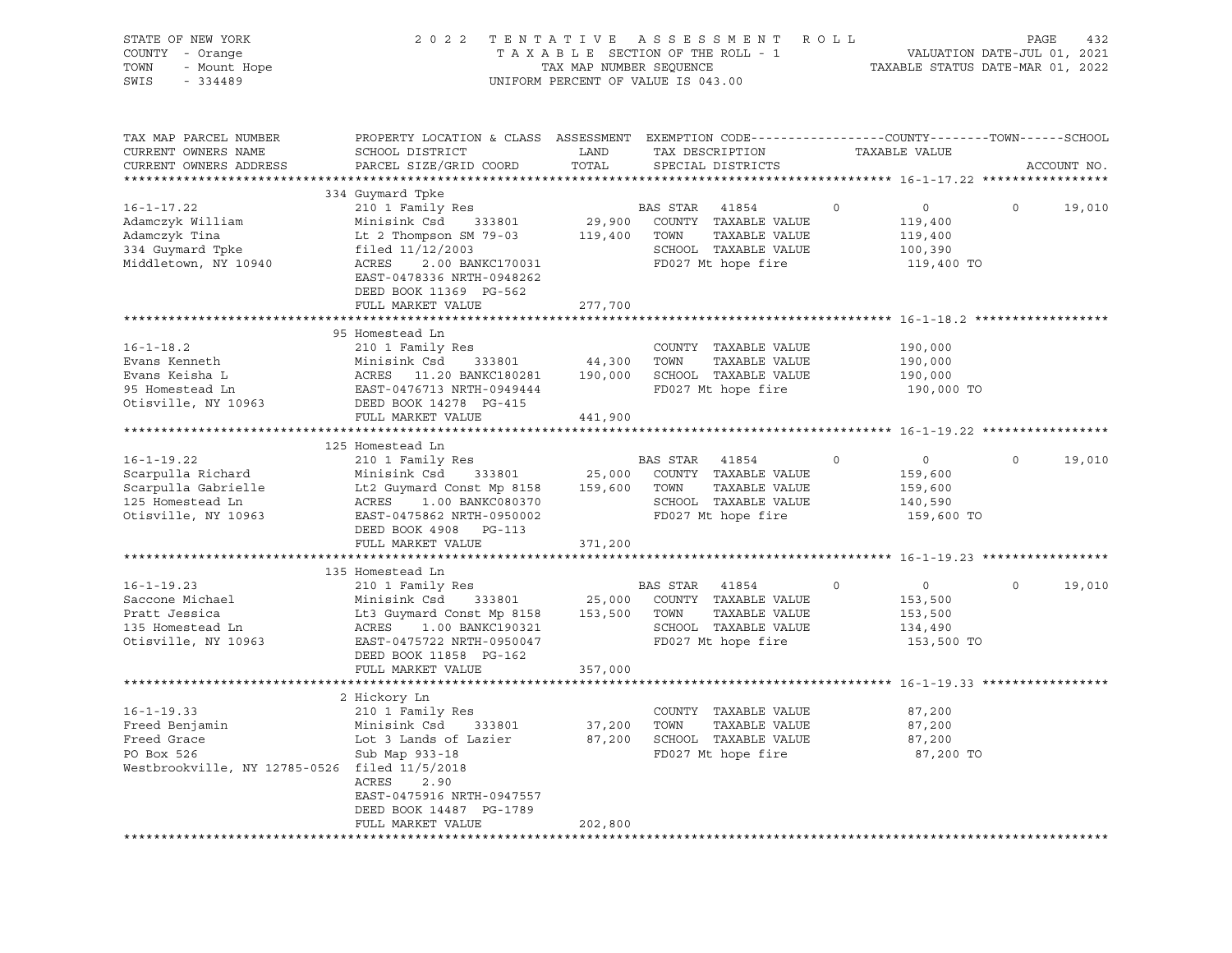| STATE OF NEW YORK<br>COUNTY - Orange<br>TOWN<br>- Mount Hope<br>$-334489$<br>SWIS                                | 2022 TENTATIVE ASSESSMENT ROLL                                                                                                                                                                                              | TAXABLE SECTION OF THE ROLL - 1<br>TAX MAP NUMBER SEQUENCE<br>UNIFORM PERCENT OF VALUE IS 043.00 |                |                                                                                                   |             | VALUATION DATE-JUL 01, 2021<br>TAXABLE STATUS DATE-MAR 01, 2022        | PAGE     | 432         |
|------------------------------------------------------------------------------------------------------------------|-----------------------------------------------------------------------------------------------------------------------------------------------------------------------------------------------------------------------------|--------------------------------------------------------------------------------------------------|----------------|---------------------------------------------------------------------------------------------------|-------------|------------------------------------------------------------------------|----------|-------------|
| TAX MAP PARCEL NUMBER<br>CURRENT OWNERS NAME<br>CURRENT OWNERS ADDRESS                                           | PROPERTY LOCATION & CLASS ASSESSMENT EXEMPTION CODE----------------COUNTY-------TOWN------SCHOOL<br>SCHOOL DISTRICT<br>PARCEL SIZE/GRID COORD                                                                               | LAND<br>TOTAL                                                                                    |                | TAX DESCRIPTION<br>SPECIAL DISTRICTS                                                              |             | TAXABLE VALUE                                                          |          | ACCOUNT NO. |
| $16 - 1 - 17.22$<br>Adamczyk William<br>Adamczyk Tina<br>334 Guymard Tpke<br>Middletown, NY 10940                | 334 Guymard Tpke<br>210 1 Family Res<br>Minisink Csd 333801<br>Lt 2 Thompson SM 79-03<br>filed 11/12/2003<br>ACRES<br>2.00 BANKC170031<br>EAST-0478336 NRTH-0948262<br>DEED BOOK 11369 PG-562                               | 29,900<br>119,400 TOWN                                                                           | BAS STAR       | 41854<br>COUNTY TAXABLE VALUE<br>TAXABLE VALUE<br>SCHOOL TAXABLE VALUE<br>FD027 Mt hope fire      | $\circ$     | $\overline{0}$<br>119,400<br>119,400<br>100,390<br>119,400 TO          | $\circ$  | 19,010      |
|                                                                                                                  | FULL MARKET VALUE                                                                                                                                                                                                           | 277,700                                                                                          |                |                                                                                                   |             |                                                                        |          |             |
| $16 - 1 - 18.2$<br>Evans Kenneth<br>Evans Keisha L<br>95 Homestead Ln<br>Otisville, NY 10963                     | 95 Homestead Ln<br>210 1 Family Res<br>Minisink Csd 333801 44, 300 10mm 10mm<br>ACRES 11.20 BANKC180281 190,000 SCHOOL TAXABLE VALUE<br>EAST-0476713 NRTH-0949444 FD027 Mt hope fire<br>FULL MARKET VALUE                   | 44,300 TOWN<br>441,900                                                                           |                | COUNTY TAXABLE VALUE                                                                              |             | 190,000<br>190,000<br>190,000<br>190,000 TO                            |          |             |
|                                                                                                                  |                                                                                                                                                                                                                             |                                                                                                  |                |                                                                                                   |             |                                                                        |          |             |
| $16 - 1 - 19.22$<br>Scarpulla Richard<br>Scarpulla Gabrielle<br>125 Homestead Ln<br>Otisville, NY 10963          | 125 Homestead Ln<br>210 1 Family Res<br>Minisink Csd 333801<br>Lt2 Guymard Const Mp 8158 159,600 TOWN TAXABLE VALUE<br>ACRES<br>1.00 BANKC080370<br>EAST-0475862 NRTH-0950002<br>DEED BOOK 4908 PG-113<br>FULL MARKET VALUE | 371,200                                                                                          | BAS STAR 41854 | 25,000 COUNTY TAXABLE VALUE<br>SCHOOL TAXABLE VALUE<br>FD027 Mt hope fire                         | $\circ$     | $\overline{\mathbf{0}}$<br>159,600<br>159,600<br>140,590<br>159,600 TO | $\circ$  | 19,010      |
|                                                                                                                  | 135 Homestead Ln                                                                                                                                                                                                            |                                                                                                  |                |                                                                                                   |             |                                                                        |          |             |
| $16 - 1 - 19.23$<br>Saccone Michael<br>Pratt Jessica<br>135 Homestead Ln<br>Otisville, NY 10963                  | 210 1 Family Res<br>Minisink Csd<br>Lt3 Guymard Const Mp 8158 153,500 TOWN<br>ACRES 1.00 BANKC190321<br>EAST-0475722 NRTH-0950047<br>DEED BOOK 11858 PG-162                                                                 |                                                                                                  | BAS STAR 41854 | 333801 25,000 COUNTY TAXABLE VALUE<br>TAXABLE VALUE<br>SCHOOL TAXABLE VALUE<br>FD027 Mt hope fire | $\mathbf 0$ | $\overline{0}$<br>153,500<br>153,500<br>134,490<br>153,500 TO          | $\Omega$ | 19,010      |
|                                                                                                                  | FULL MARKET VALUE                                                                                                                                                                                                           | 357,000                                                                                          |                |                                                                                                   |             |                                                                        |          |             |
|                                                                                                                  | ***************************                                                                                                                                                                                                 |                                                                                                  |                |                                                                                                   |             |                                                                        |          |             |
| $16 - 1 - 19.33$<br>Freed Benjamin<br>Freed Grace<br>PO Box 526<br>Westbrookville, NY 12785-0526 filed 11/5/2018 | 2 Hickory Ln<br>210 1 Family Res<br>Minisink Csd 333801<br>Lot 3 Lands of Lazier<br>Sub Map 933-18<br>ACRES<br>2.90<br>EAST-0475916 NRTH-0947557<br>DEED BOOK 14487 PG-1789                                                 | 37,200 TOWN                                                                                      |                | COUNTY TAXABLE VALUE<br>TAXABLE VALUE<br>87,200 SCHOOL TAXABLE VALUE<br>FD027 Mt hope fire        |             | 87,200<br>87,200<br>87,200<br>87,200 TO                                |          |             |
|                                                                                                                  | FULL MARKET VALUE                                                                                                                                                                                                           | 202,800                                                                                          |                |                                                                                                   |             |                                                                        |          |             |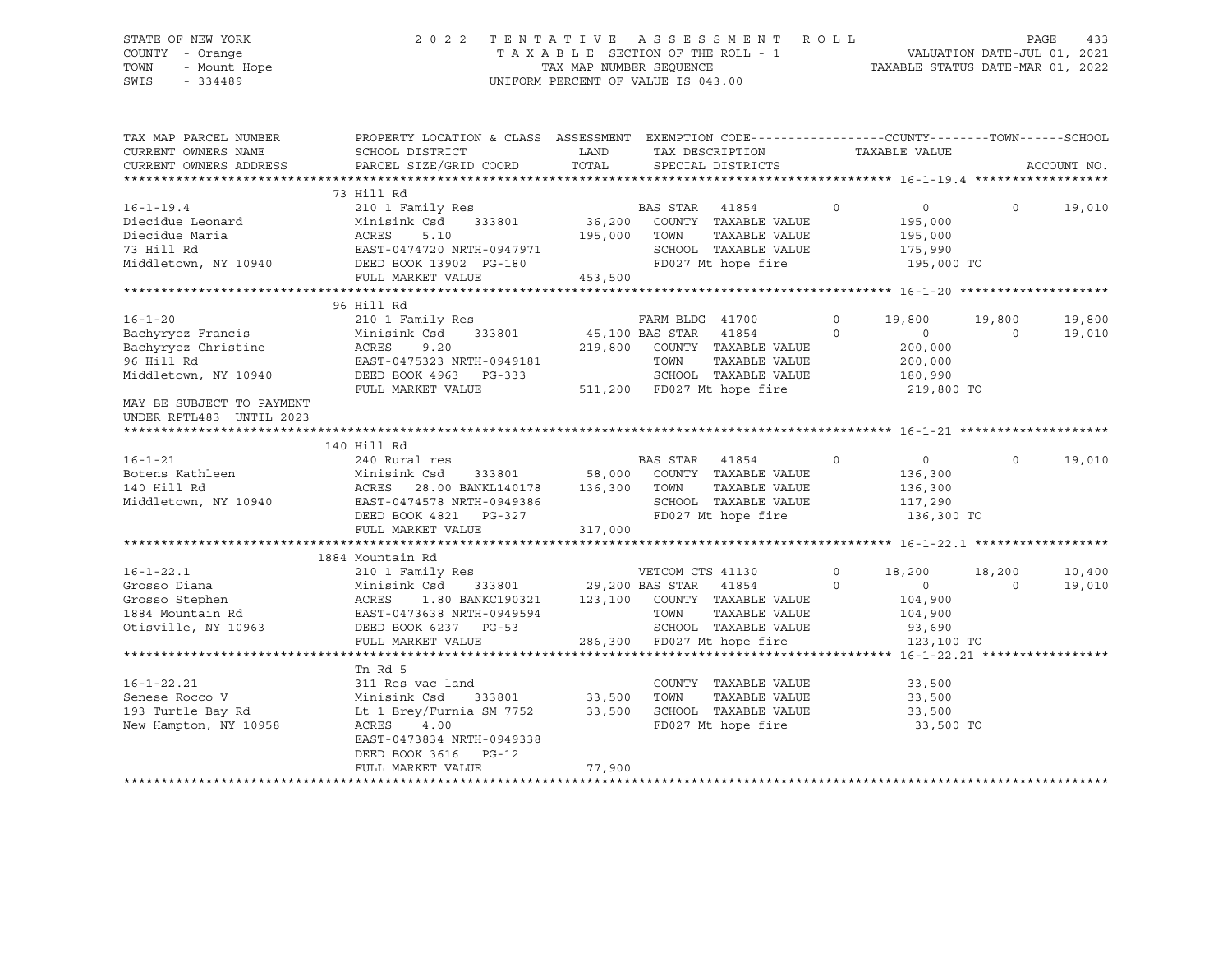# STATE OF NEW YORK 2 0 2 2 T E N T A T I V E A S S E S S M E N T R O L L PAGE 433 COUNTY - Orange T A X A B L E SECTION OF THE ROLL - 1 VALUATION DATE-JUL 01, 2021 TOWN - Mount Hope TAX MAP NUMBER SEQUENCE TAXABLE STATUS DATE-MAR 01, 2022 SWIS - 334489 UNIFORM PERCENT OF VALUE IS 043.00

| TAX MAP PARCEL NUMBER                                  | PROPERTY LOCATION & CLASS ASSESSMENT EXEMPTION CODE---------------COUNTY-------TOWN-----SCHOOL                     |                |                                                                                                           |          |                        |          |             |
|--------------------------------------------------------|--------------------------------------------------------------------------------------------------------------------|----------------|-----------------------------------------------------------------------------------------------------------|----------|------------------------|----------|-------------|
| CURRENT OWNERS NAME                                    | SCHOOL DISTRICT                                                                                                    | LAND           | TAX DESCRIPTION                                                                                           |          | TAXABLE VALUE          |          |             |
| CURRENT OWNERS ADDRESS                                 | PARCEL SIZE/GRID COORD                                                                                             | TOTAL          | SPECIAL DISTRICTS                                                                                         |          |                        |          | ACCOUNT NO. |
|                                                        | 73 Hill Rd                                                                                                         |                |                                                                                                           |          |                        |          |             |
| $16 - 1 - 19.4$                                        |                                                                                                                    |                | $\overline{0}$                                                                                            |          | $\overline{0}$         | $\Omega$ | 19,010      |
| Diecidue Leonard                                       | 210 1 Family Res<br>210 1 Family Res<br>Minisink Csd 333801 36,200 COUNTY TAXABLE VALUE                            |                |                                                                                                           |          | 195,000                |          |             |
|                                                        |                                                                                                                    | $195,000$ TOWN | TAXABLE VALUE                                                                                             |          |                        |          |             |
|                                                        |                                                                                                                    |                | SCHOOL TAXABLE VALUE                                                                                      |          | $195,000$<br>$175,990$ |          |             |
|                                                        |                                                                                                                    |                | FD027 Mt hope fire 195,000 TO                                                                             |          |                        |          |             |
|                                                        | FULL MARKET VALUE                                                                                                  | 453,500        |                                                                                                           |          |                        |          |             |
|                                                        |                                                                                                                    |                |                                                                                                           |          |                        |          |             |
|                                                        | 96 Hill Rd                                                                                                         |                |                                                                                                           |          |                        |          |             |
| $16 - 1 - 20$                                          | 210 1 Family Res                                                                                                   |                | FARM BLDG 41700                                                                                           | $\circ$  | 19,800                 | 19,800   | 19,800      |
|                                                        |                                                                                                                    |                | 333801 45,100 BAS STAR 41854<br>$\sim$ 0                                                                  |          | $\overline{0}$         | $\Omega$ | 19,010      |
|                                                        | Bachyrycz Francis<br>Bachyrycz Christine<br>9.20<br>96 Hill Rd<br>9.20<br>96 Hill Rd<br>8.8ST-0475323 NRTH-0949181 |                | 219,800 COUNTY TAXABLE VALUE                                                                              |          | 200,000                |          |             |
|                                                        |                                                                                                                    |                | TAXABLE VALUE<br>TOWN                                                                                     |          | 200,000                |          |             |
| Middletown, NY 10940                                   |                                                                                                                    |                | SCHOOL TAXABLE VALUE                                                                                      |          |                        |          |             |
|                                                        |                                                                                                                    |                |                                                                                                           |          | 180,990<br>219,800 TO  |          |             |
| MAY BE SUBJECT TO PAYMENT                              |                                                                                                                    |                |                                                                                                           |          |                        |          |             |
| UNDER RPTL483 UNTIL 2023                               |                                                                                                                    |                |                                                                                                           |          |                        |          |             |
|                                                        |                                                                                                                    |                |                                                                                                           |          |                        |          |             |
|                                                        | 140 Hill Rd                                                                                                        |                |                                                                                                           |          |                        |          |             |
| $16 - 1 - 21$                                          | 240 Rural res                                                                                                      |                | BAS STAR 41854                                                                                            | $\circ$  | $\overline{0}$         | $\Omega$ | 19,010      |
|                                                        | Minisink Csd                                                                                                       |                |                                                                                                           |          | 136,300                |          |             |
| Botens Kathleen<br>140 Uill Pd<br>140 Uill Pd<br>ACRES |                                                                                                                    |                | k Csd 333801 58,000 COUNTY TAXABLE VALUE<br>28.00 BANKL140178 136,300 TOWN TAXABLE VALUE<br>TAXABLE VALUE |          | 136,300                |          |             |
|                                                        |                                                                                                                    |                | SCHOOL TAXABLE VALUE 117,290                                                                              |          |                        |          |             |
|                                                        |                                                                                                                    |                | FD027 Mt hope fire                                                                                        |          | 136,300 TO             |          |             |
|                                                        | FULL MARKET VALUE                                                                                                  | 317,000        |                                                                                                           |          |                        |          |             |
|                                                        |                                                                                                                    |                |                                                                                                           |          |                        |          |             |
|                                                        | 1884 Mountain Rd                                                                                                   |                |                                                                                                           |          |                        |          |             |
|                                                        | 210 1 Family Res                                                                                                   |                | VETCOM CTS 41130                                                                                          | $\circ$  | 18,200                 | 18,200   | 10,400      |
|                                                        | Minisink Csd 333801 29,200 BAS STAR 41854                                                                          |                |                                                                                                           | $\Omega$ | $\Omega$               | $\Omega$ | 19,010      |
|                                                        |                                                                                                                    |                |                                                                                                           |          | 104,900                |          |             |
|                                                        |                                                                                                                    |                |                                                                                                           |          | 104,900                |          |             |
|                                                        |                                                                                                                    |                | TOWN      TAXABLE VALUE<br>SCHOOL   TAXABLE VALUE                                                         |          | 93,690                 |          |             |
|                                                        | FULL MARKET VALUE                                                                                                  |                | 286,300 FD027 Mt hope fire                                                                                |          | 123,100 TO             |          |             |
|                                                        |                                                                                                                    |                |                                                                                                           |          |                        |          |             |
|                                                        | Tn Rd 5                                                                                                            |                |                                                                                                           |          |                        |          |             |
| $16 - 1 - 22.21$                                       | 311 Res vac land                                                                                                   |                | COUNTY TAXABLE VALUE                                                                                      |          | 33,500                 |          |             |
| Senese Rocco V                                         | 333801 33,500 TOWN<br>Minisink Csd                                                                                 |                | TAXABLE VALUE                                                                                             |          | 33,500                 |          |             |
| 193 Turtle Bay Rd                                      | Lt 1 Brey/Furnia SM 7752 33,500                                                                                    |                | SCHOOL TAXABLE VALUE 33,500                                                                               |          |                        |          |             |
| New Hampton, NY 10958                                  | ACRES 4.00                                                                                                         |                | FD027 Mt hope fire                                                                                        |          | 33,500 TO              |          |             |
|                                                        | EAST-0473834 NRTH-0949338                                                                                          |                |                                                                                                           |          |                        |          |             |
|                                                        | DEED BOOK 3616 PG-12                                                                                               |                |                                                                                                           |          |                        |          |             |
|                                                        |                                                                                                                    |                |                                                                                                           |          |                        |          |             |
|                                                        | FULL MARKET VALUE                                                                                                  | 77,900         |                                                                                                           |          |                        |          |             |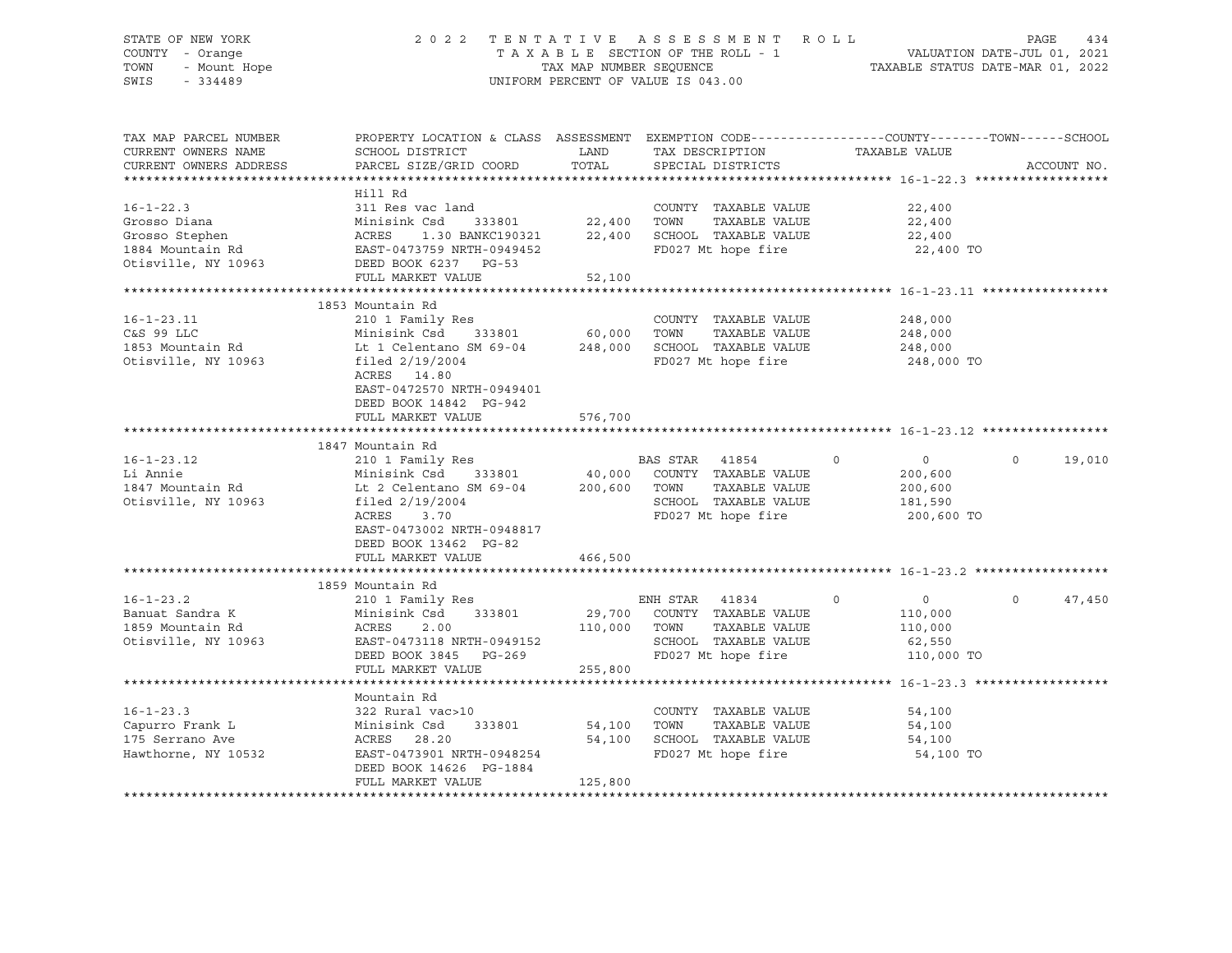## STATE OF NEW YORK 2 0 2 2 T E N T A T I V E A S S E S S M E N T R O L L PAGE 434 COUNTY - Orange T A X A B L E SECTION OF THE ROLL - 1 VALUATION DATE-JUL 01, 2021 TOWN - Mount Hope TAX ARE NUMBER SEQUENCE TAX AND NUMBER SEQUENCE TAXABLE STATUS DATE-MAR 01, 2022<br>The Samillary of the Samillary Company of Taxable States of Taxable Status Date-Mar 01, 2022 UNIFORM PERCENT OF VALUE IS 043.00

TAX MAP PARCEL NUMBER PROPERTY LOCATION & CLASS ASSESSMENT EXEMPTION CODE------------------COUNTY--------TOWN------SCHOOL CURRENT OWNERS NAME SCHOOL DISTRICT TAX DESCRIPTION TAXABLE VALUE CURRENT OWNERS ADDRESS PARCEL SIZE/GRID COORD TOTAL SPECIAL DISTRICTS ACCOUNT NO. \*\*\*\*\*\*\*\*\*\*\*\*\*\*\*\*\*\*\*\*\*\*\*\*\*\*\*\*\*\*\*\*\*\*\*\*\*\*\*\*\*\*\*\*\*\*\*\*\*\*\*\*\*\*\*\*\*\*\*\*\*\*\*\*\*\*\*\*\*\*\*\*\*\*\*\*\*\*\*\*\*\*\*\*\*\*\*\*\*\*\*\*\*\*\*\*\*\*\*\*\*\*\* 16-1-22.3 \*\*\*\*\*\*\*\*\*\*\*\*\*\*\*\*\*\* Hill Rd 16-1-22.3 311 Res vac land COUNTY TAXABLE VALUE 22,400 Grosso Diana Minisink Csd 333801 22,400 TOWN TAXABLE VALUE 22,400 Grosso Stephen ACRES 1.30 BANKC190321 22,400 SCHOOL TAXABLE VALUE 22,400 1884 Mountain Rd EAST-0473759 NRTH-0949452 FD027 Mt hope fire 22,400 TO 1884 Mountain Rd<br>
Otisville, NY 10963 DEED BOOK 6237 PG-53 FULL MARKET VALUE 52,100 \*\*\*\*\*\*\*\*\*\*\*\*\*\*\*\*\*\*\*\*\*\*\*\*\*\*\*\*\*\*\*\*\*\*\*\*\*\*\*\*\*\*\*\*\*\*\*\*\*\*\*\*\*\*\*\*\*\*\*\*\*\*\*\*\*\*\*\*\*\*\*\*\*\*\*\*\*\*\*\*\*\*\*\*\*\*\*\*\*\*\*\*\*\*\*\*\*\*\*\*\*\*\* 16-1-23.11 \*\*\*\*\*\*\*\*\*\*\*\*\*\*\*\*\* 1853 Mountain Rd 16-1-23.11 210 1 Family Res COUNTY TAXABLE VALUE 248,000 C&S 99 LLC Minisink Csd 333801 60,000 TOWN TAXABLE VALUE 248,000 1853 Mountain Rd Lt 1 Celentano SM 69-04 248,000 SCHOOL TAXABLE VALUE 248,000 Otisville, NY 10963 filed 2/19/2004 FD027 Mt hope fire 248,000 TO ACRES 14.80 EAST-0472570 NRTH-0949401 DEED BOOK 14842 PG-942 FULL MARKET VALUE 576,700 \*\*\*\*\*\*\*\*\*\*\*\*\*\*\*\*\*\*\*\*\*\*\*\*\*\*\*\*\*\*\*\*\*\*\*\*\*\*\*\*\*\*\*\*\*\*\*\*\*\*\*\*\*\*\*\*\*\*\*\*\*\*\*\*\*\*\*\*\*\*\*\*\*\*\*\*\*\*\*\*\*\*\*\*\*\*\*\*\*\*\*\*\*\*\*\*\*\*\*\*\*\*\* 16-1-23.12 \*\*\*\*\*\*\*\*\*\*\*\*\*\*\*\*\* 1847 Mountain Rd 16-1-23.12 210 1 Family Res BAS STAR 41854 0 0 0 19,010 Li Annie Minisink Csd 333801 40,000 COUNTY TAXABLE VALUE 200,600 1847 Mountain Rd Lt 2 Celentano SM 69-04 200,600 TOWN TAXABLE VALUE 200,600 Otisville, NY 10963 filed 2/19/2004 SCHOOL TAXABLE VALUE 181,590 ACRES 3.70 FD027 Mt hope fire 200,600 TO EAST-0473002 NRTH-0948817 DEED BOOK 13462 PG-82 FULL MARKET VALUE 466,500 \*\*\*\*\*\*\*\*\*\*\*\*\*\*\*\*\*\*\*\*\*\*\*\*\*\*\*\*\*\*\*\*\*\*\*\*\*\*\*\*\*\*\*\*\*\*\*\*\*\*\*\*\*\*\*\*\*\*\*\*\*\*\*\*\*\*\*\*\*\*\*\*\*\*\*\*\*\*\*\*\*\*\*\*\*\*\*\*\*\*\*\*\*\*\*\*\*\*\*\*\*\*\* 16-1-23.2 \*\*\*\*\*\*\*\*\*\*\*\*\*\*\*\*\*\* 1859 Mountain Rd 16-1-23.2 210 1 Family Res ENH STAR 41834 0 0 0 47,450 Banuat Sandra K Minisink Csd 333801 29,700 COUNTY TAXABLE VALUE 110,000 1859 Mountain Rd ACRES 2.00 110,000 TOWN TAXABLE VALUE 110,000 Otisville, NY 10963 EAST-0473118 NRTH-0949152 SCHOOL TAXABLE VALUE 62,550<br>Otisville, NY 10963 SCHOOL DEED POOK 3945 DC 369 SCHOOL ED037 Mt bopp fire 110,000 DEED BOOK 3845 PG-269 FD027 Mt hope fire 110,000 TO FULL MARKET VALUE 255,800 \*\*\*\*\*\*\*\*\*\*\*\*\*\*\*\*\*\*\*\*\*\*\*\*\*\*\*\*\*\*\*\*\*\*\*\*\*\*\*\*\*\*\*\*\*\*\*\*\*\*\*\*\*\*\*\*\*\*\*\*\*\*\*\*\*\*\*\*\*\*\*\*\*\*\*\*\*\*\*\*\*\*\*\*\*\*\*\*\*\*\*\*\*\*\*\*\*\*\*\*\*\*\* 16-1-23.3 \*\*\*\*\*\*\*\*\*\*\*\*\*\*\*\*\*\* Mountain Rd 16-1-23.3 322 Rural vac>10 COUNTY TAXABLE VALUE 54,100 Capurro Frank L Minisink Csd 333801 54,100 TOWN TAXABLE VALUE 54,100 175 Serrano Ave ACRES 28.20 54,100 SCHOOL TAXABLE VALUE 54,100 Hawthorne, NY 10532 EAST-0473901 NRTH-0948254 FD027 Mt hope fire 54,100 TO DEED BOOK 14626 PG-1884 FULL MARKET VALUE 125,800 \*\*\*\*\*\*\*\*\*\*\*\*\*\*\*\*\*\*\*\*\*\*\*\*\*\*\*\*\*\*\*\*\*\*\*\*\*\*\*\*\*\*\*\*\*\*\*\*\*\*\*\*\*\*\*\*\*\*\*\*\*\*\*\*\*\*\*\*\*\*\*\*\*\*\*\*\*\*\*\*\*\*\*\*\*\*\*\*\*\*\*\*\*\*\*\*\*\*\*\*\*\*\*\*\*\*\*\*\*\*\*\*\*\*\*\*\*\*\*\*\*\*\*\*\*\*\*\*\*\*\*\*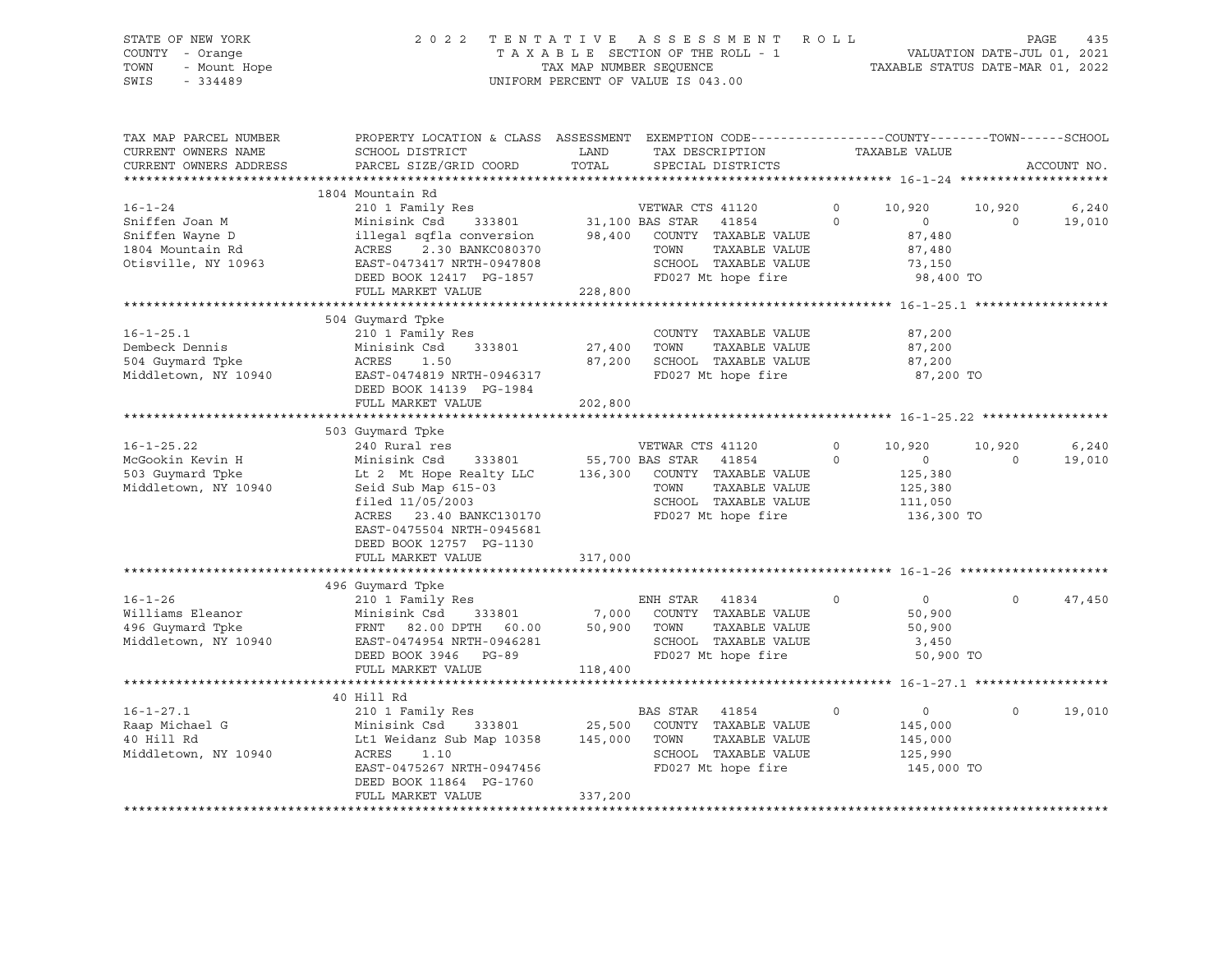|      | STATE OF NEW YORK | 2022 TENTATIVE ASSESSMENT ROLL     | PAGE                             | 435 |
|------|-------------------|------------------------------------|----------------------------------|-----|
|      | COUNTY - Orange   | TAXABLE SECTION OF THE ROLL - 1    | VALUATION DATE-JUL 01, 2021      |     |
| TOWN | - Mount Hope      | TAX MAP NUMBER SEOUENCE            | TAXABLE STATUS DATE-MAR 01, 2022 |     |
| SWIS | - 334489          | UNIFORM PERCENT OF VALUE IS 043.00 |                                  |     |

| ۰ | ۰. |
|---|----|
| ┍ |    |
|   |    |

| TAX MAP PARCEL NUMBER                      | PROPERTY LOCATION & CLASS ASSESSMENT EXEMPTION CODE----------------COUNTY-------TOWN-----SCHOOL                                                                                                                                        |         |                                    |                   |                |                |             |
|--------------------------------------------|----------------------------------------------------------------------------------------------------------------------------------------------------------------------------------------------------------------------------------------|---------|------------------------------------|-------------------|----------------|----------------|-------------|
| CURRENT OWNERS NAME                        | SCHOOL DISTRICT                                                                                                                                                                                                                        | LAND    | TAX DESCRIPTION                    |                   | TAXABLE VALUE  |                |             |
| CURRENT OWNERS ADDRESS                     | PARCEL SIZE/GRID COORD                                                                                                                                                                                                                 |         | TOTAL SPECIAL DISTRICTS            |                   |                |                | ACCOUNT NO. |
|                                            |                                                                                                                                                                                                                                        |         |                                    |                   |                |                |             |
|                                            | 1804 Mountain Rd                                                                                                                                                                                                                       |         |                                    |                   |                |                |             |
| $16 - 1 - 24$                              |                                                                                                                                                                                                                                        |         |                                    | $0 \qquad \qquad$ | 10,920         | 10,920         | 6,240       |
|                                            | 16-1-24 210 1 Family Res VETWAR CTS 41120 0<br>Sniffen Joan M Minisink Csd 333801 31,100 BAS STAR 41854 0<br>Sniffen Wayne D illegal sqfla conversion 98,400 COUNTY TAXABLE VALUE<br>1804 Mountain Rd ACRES 2.30 BANKC080370 TOWN TA   |         |                                    |                   | $\overline{0}$ | $\overline{0}$ | 19,010      |
|                                            |                                                                                                                                                                                                                                        |         |                                    |                   | 87,480         |                |             |
|                                            |                                                                                                                                                                                                                                        |         |                                    |                   | 87,480         |                |             |
|                                            |                                                                                                                                                                                                                                        |         |                                    |                   | 73,150         |                |             |
|                                            | DEED BOOK 12417 PG-1857                                                                                                                                                                                                                |         | FD027 Mt hope fire                 |                   | 98,400 TO      |                |             |
|                                            | FULL MARKET VALUE                                                                                                                                                                                                                      | 228,800 |                                    |                   |                |                |             |
|                                            |                                                                                                                                                                                                                                        |         |                                    |                   |                |                |             |
|                                            | 504 Guymard Tpke                                                                                                                                                                                                                       |         |                                    |                   |                |                |             |
|                                            |                                                                                                                                                                                                                                        |         | COUNTY TAXABLE VALUE               |                   | 87,200         |                |             |
|                                            |                                                                                                                                                                                                                                        |         | TAXABLE VALUE                      |                   | 87,200         |                |             |
|                                            |                                                                                                                                                                                                                                        |         |                                    |                   |                |                |             |
|                                            |                                                                                                                                                                                                                                        |         | 87,200 SCHOOL TAXABLE VALUE 87,200 |                   |                |                |             |
|                                            |                                                                                                                                                                                                                                        |         | FD027 Mt hope fire                 |                   | 87,200 TO      |                |             |
|                                            | DEED BOOK 14139 PG-1984                                                                                                                                                                                                                |         |                                    |                   |                |                |             |
|                                            | FULL MARKET VALUE                                                                                                                                                                                                                      | 202,800 |                                    |                   |                |                |             |
|                                            |                                                                                                                                                                                                                                        |         |                                    |                   |                |                |             |
|                                            | 503 Guymard Tpke                                                                                                                                                                                                                       |         |                                    |                   |                |                |             |
|                                            |                                                                                                                                                                                                                                        |         |                                    | $0 \qquad \qquad$ | 10,920 10,920  |                | 6,240       |
|                                            |                                                                                                                                                                                                                                        |         |                                    |                   | $\overline{0}$ | $\overline{0}$ | 19,010      |
|                                            |                                                                                                                                                                                                                                        |         |                                    |                   | 125,380        |                |             |
| Middletown, NY 10940                       | Seid Sub Map 615-03<br>03 <sup>1</sup>                                                                                                                                                                                                 |         | TOWN<br>TAXABLE VALUE              |                   | 125,380        |                |             |
|                                            | filed 11/05/2003                                                                                                                                                                                                                       |         | SCHOOL TAXABLE VALUE               |                   | 111,050        |                |             |
|                                            | ACRES 23.40 BANKC130170                                                                                                                                                                                                                |         | FD027 Mt hope fire                 |                   | 136,300 TO     |                |             |
|                                            | EAST-0475504 NRTH-0945681                                                                                                                                                                                                              |         |                                    |                   |                |                |             |
|                                            | DEED BOOK 12757 PG-1130                                                                                                                                                                                                                |         |                                    |                   |                |                |             |
|                                            | FULL MARKET VALUE                                                                                                                                                                                                                      | 317,000 |                                    |                   |                |                |             |
|                                            |                                                                                                                                                                                                                                        |         |                                    |                   |                |                |             |
|                                            | 496 Guymard Tpke                                                                                                                                                                                                                       |         |                                    |                   |                |                |             |
|                                            |                                                                                                                                                                                                                                        |         |                                    | $\circ$           | $\overline{0}$ | $\circ$        | 47,450      |
|                                            |                                                                                                                                                                                                                                        |         |                                    |                   | 50,900         |                |             |
|                                            |                                                                                                                                                                                                                                        |         | TAXABLE VALUE                      |                   | 50,900         |                |             |
|                                            | 16-1-26 210 1 Family Res<br>Williams Eleanor 210 1 Family Res<br>496 Guymard Tpke FRNT 82.00 DPTH 60.00 50,900 TOWN TAXABLE VALUE<br>496 Guymard Tpke FRNT 82.00 DPTH 60.00 50,900 TOWN TAXABLE VALUE<br>20.00 Middletown, NY 10940 EA |         |                                    |                   |                |                |             |
|                                            |                                                                                                                                                                                                                                        |         |                                    |                   |                |                |             |
|                                            | FULL MARKET VALUE                                                                                                                                                                                                                      | 118,400 |                                    |                   |                |                |             |
|                                            |                                                                                                                                                                                                                                        |         |                                    |                   |                |                |             |
|                                            | 40 Hill Rd                                                                                                                                                                                                                             |         |                                    |                   |                |                |             |
| $16 - 1 - 27.1$                            |                                                                                                                                                                                                                                        |         |                                    | $\circ$           | $\overline{0}$ | $\Omega$       | 19,010      |
|                                            | 210 1 Family Res                                BAS STAR   41854<br>Minisink Csd     333801            25,500   COUNTY  TAXABLE VALUE<br>Lt1 Weidanz Sub Map 10358      145,000   TOWN    TAXABLE VALUE                                |         |                                    |                   | 145,000        |                |             |
| Raap Michael G<br>40 Hill Pd<br>40 Hill Rd |                                                                                                                                                                                                                                        |         |                                    |                   | 145,000        |                |             |
| Middletown, NY 10940                       |                                                                                                                                                                                                                                        |         | SCHOOL TAXABLE VALUE               |                   |                |                |             |
|                                            | ACRES 1.10 SCHOOL TAXABLE VALUE<br>EAST-0475267 NRTH-0947456 FD027 Mt hope fire                                                                                                                                                        |         |                                    |                   | 125,990        |                |             |
|                                            |                                                                                                                                                                                                                                        |         |                                    |                   | 145,000 TO     |                |             |
|                                            | DEED BOOK 11864 PG-1760                                                                                                                                                                                                                | 337,200 |                                    |                   |                |                |             |
|                                            | FULL MARKET VALUE                                                                                                                                                                                                                      |         |                                    |                   |                |                |             |
|                                            |                                                                                                                                                                                                                                        |         |                                    |                   |                |                |             |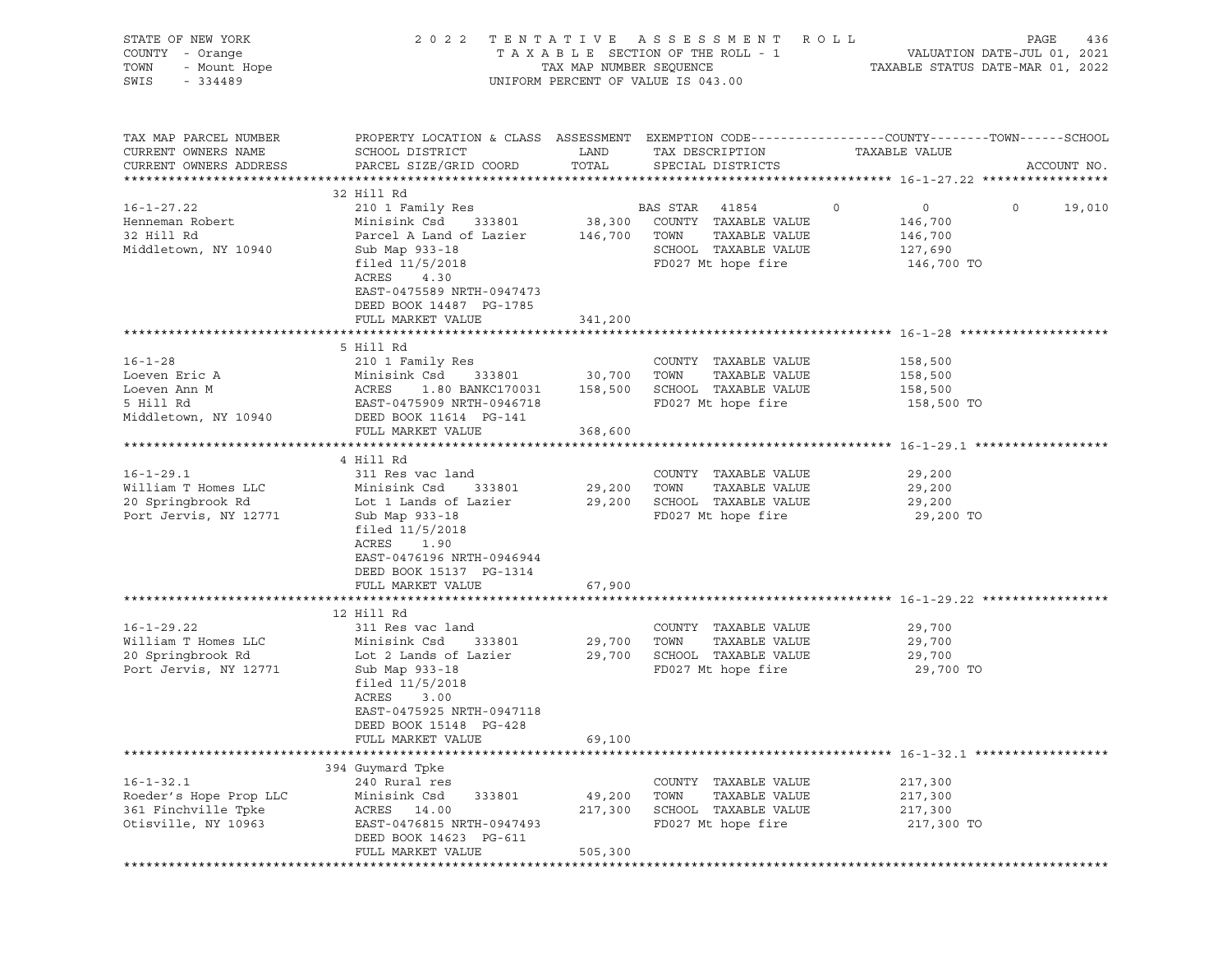| STATE OF NEW YORK<br>COUNTY - Orange     | 2 0 2 2                                                                                         |                         | TENTATIVE ASSESSMENT<br>TAXABLE SECTION OF THE ROLL - 1 | R O L L                          | PAGE<br>436<br>VALUATION DATE-JUL 01, 2021 |
|------------------------------------------|-------------------------------------------------------------------------------------------------|-------------------------|---------------------------------------------------------|----------------------------------|--------------------------------------------|
| TOWN<br>- Mount Hope                     |                                                                                                 | TAX MAP NUMBER SEQUENCE |                                                         | TAXABLE STATUS DATE-MAR 01, 2022 |                                            |
| SWIS<br>$-334489$                        |                                                                                                 |                         | UNIFORM PERCENT OF VALUE IS 043.00                      |                                  |                                            |
| TAX MAP PARCEL NUMBER                    | PROPERTY LOCATION & CLASS ASSESSMENT EXEMPTION CODE---------------COUNTY-------TOWN------SCHOOL |                         |                                                         |                                  |                                            |
| CURRENT OWNERS NAME                      | SCHOOL DISTRICT                                                                                 | LAND                    | TAX DESCRIPTION                                         | TAXABLE VALUE                    |                                            |
| CURRENT OWNERS ADDRESS                   | PARCEL SIZE/GRID COORD                                                                          | TOTAL                   | SPECIAL DISTRICTS                                       |                                  | ACCOUNT NO.                                |
|                                          | 32 Hill Rd                                                                                      |                         |                                                         |                                  |                                            |
| $16 - 1 - 27.22$                         | 210 1 Family Res                                                                                |                         | BAS STAR<br>41854                                       | 0<br>$\overline{0}$              | $\circ$<br>19,010                          |
| Henneman Robert                          | 333801<br>Minisink Csd                                                                          |                         | 38,300 COUNTY TAXABLE VALUE                             | 146,700                          |                                            |
| 32 Hill Rd                               | Parcel A Land of Lazier                                                                         | 146,700 TOWN            | TAXABLE VALUE                                           | 146,700                          |                                            |
| Middletown, NY 10940                     | Sub Map 933-18                                                                                  |                         | SCHOOL TAXABLE VALUE                                    | 127,690                          |                                            |
|                                          | filed $11/5/2018$                                                                               |                         | FD027 Mt hope fire                                      | 146,700 TO                       |                                            |
|                                          | ACRES<br>4.30                                                                                   |                         |                                                         |                                  |                                            |
|                                          | EAST-0475589 NRTH-0947473                                                                       |                         |                                                         |                                  |                                            |
|                                          | DEED BOOK 14487 PG-1785                                                                         |                         |                                                         |                                  |                                            |
|                                          | FULL MARKET VALUE                                                                               | 341,200                 |                                                         |                                  |                                            |
|                                          | 5 Hill Rd                                                                                       |                         |                                                         |                                  |                                            |
| $16 - 1 - 28$                            | 210 1 Family Res                                                                                |                         | COUNTY TAXABLE VALUE                                    | 158,500                          |                                            |
| Loeven Eric A                            | Minisink Csd<br>333801                                                                          | 30,700                  | TAXABLE VALUE<br>TOWN                                   | 158,500                          |                                            |
| Loeven Ann M                             | ACRES<br>1.80 BANKC170031                                                                       | 158,500                 | SCHOOL TAXABLE VALUE                                    | 158,500                          |                                            |
| 5 Hill Rd                                | EAST-0475909 NRTH-0946718                                                                       |                         | FD027 Mt hope fire                                      | 158,500 TO                       |                                            |
| Middletown, NY 10940                     | DEED BOOK 11614 PG-141                                                                          |                         |                                                         |                                  |                                            |
|                                          | FULL MARKET VALUE                                                                               | 368,600                 |                                                         |                                  |                                            |
|                                          |                                                                                                 |                         |                                                         |                                  |                                            |
|                                          | 4 Hill Rd                                                                                       |                         |                                                         |                                  |                                            |
| $16 - 1 - 29.1$<br>William T Homes LLC   | 311 Res vac land<br>333801<br>Minisink Csd                                                      | 29,200                  | COUNTY TAXABLE VALUE<br>TAXABLE VALUE<br>TOWN           | 29,200<br>29,200                 |                                            |
| 20 Springbrook Rd                        | Lot 1 Lands of Lazier                                                                           |                         | 29,200 SCHOOL TAXABLE VALUE                             | 29,200                           |                                            |
| Port Jervis, NY 12771                    | Sub Map 933-18                                                                                  |                         | FD027 Mt hope fire                                      | 29,200 TO                        |                                            |
|                                          | filed $11/5/2018$                                                                               |                         |                                                         |                                  |                                            |
|                                          | ACRES<br>1.90                                                                                   |                         |                                                         |                                  |                                            |
|                                          | EAST-0476196 NRTH-0946944                                                                       |                         |                                                         |                                  |                                            |
|                                          | DEED BOOK 15137 PG-1314                                                                         |                         |                                                         |                                  |                                            |
|                                          | FULL MARKET VALUE                                                                               | 67,900                  |                                                         |                                  |                                            |
|                                          |                                                                                                 |                         |                                                         |                                  |                                            |
|                                          | 12 Hill Rd                                                                                      |                         |                                                         |                                  |                                            |
| $16 - 1 - 29.22$                         | 311 Res vac land                                                                                |                         | COUNTY TAXABLE VALUE                                    | 29,700                           |                                            |
| William T Homes LLC<br>20 Springbrook Rd | Minisink Csd<br>333801<br>Lot 2 Lands of Lazier                                                 | 29,700<br>29,700        | TAXABLE VALUE<br>TOWN<br>SCHOOL TAXABLE VALUE           | 29,700<br>29,700                 |                                            |
| Port Jervis, NY 12771                    | Sub Map 933-18                                                                                  |                         | FD027 Mt hope fire                                      | 29,700 TO                        |                                            |
|                                          | filed $11/5/2018$                                                                               |                         |                                                         |                                  |                                            |
|                                          | ACRES<br>3.00                                                                                   |                         |                                                         |                                  |                                            |
|                                          | EAST-0475925 NRTH-0947118                                                                       |                         |                                                         |                                  |                                            |
|                                          | DEED BOOK 15148 PG-428                                                                          |                         |                                                         |                                  |                                            |
|                                          | FULL MARKET VALUE                                                                               | 69,100                  |                                                         |                                  |                                            |
|                                          |                                                                                                 |                         |                                                         |                                  |                                            |
|                                          | 394 Guymard Tpke                                                                                |                         |                                                         |                                  |                                            |
| $16 - 1 - 32.1$                          | 240 Rural res                                                                                   |                         | COUNTY TAXABLE VALUE                                    | 217,300                          |                                            |
| Roeder's Hope Prop LLC                   | 333801<br>Minisink Csd                                                                          | 49,200                  | TOWN<br>TAXABLE VALUE                                   | 217,300                          |                                            |
| 361 Finchville Tpke                      | ACRES<br>14.00<br>EAST-0476815 NRTH-0947493                                                     | 217,300                 | SCHOOL TAXABLE VALUE                                    | 217,300                          |                                            |
| Otisville, NY 10963                      | DEED BOOK 14623 PG-611                                                                          |                         | FD027 Mt hope fire                                      | 217,300 TO                       |                                            |
|                                          | FULL MARKET VALUE                                                                               | 505,300                 |                                                         |                                  |                                            |
|                                          |                                                                                                 |                         |                                                         |                                  |                                            |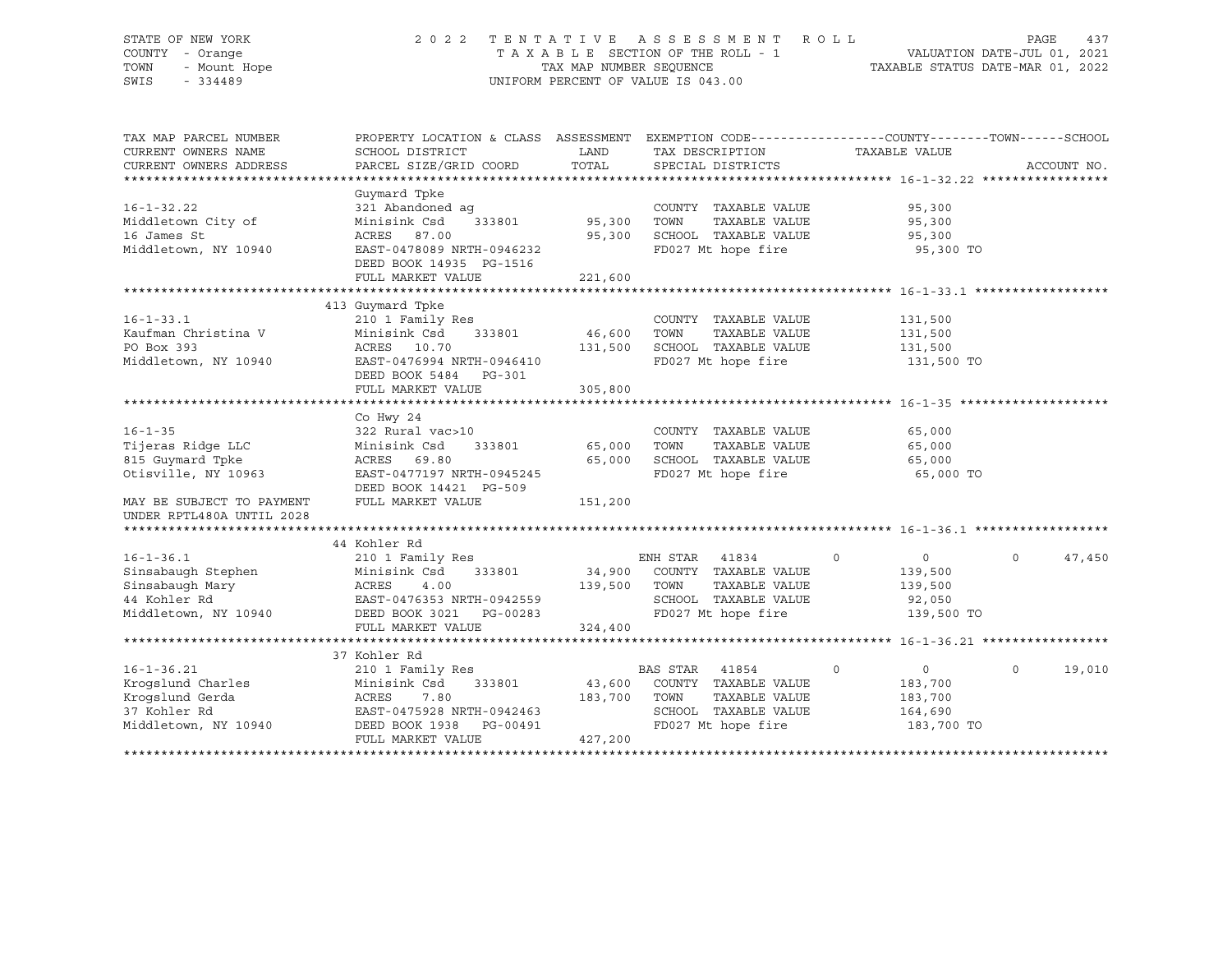# STATE OF NEW YORK 2 0 2 2 T E N T A T I V E A S S E S S M E N T R O L L PAGE 437 COUNTY - Orange T A X A B L E SECTION OF THE ROLL - 1 VALUATION DATE-JUL 01, 2021 TOWN - Mount Hope TAX MAP NUMBER SEQUENCE TAXABLE STATUS DATE-MAR 01, 2022 SWIS - 334489 UNIFORM PERCENT OF VALUE IS 043.00

| TAX MAP PARCEL NUMBER     | PROPERTY LOCATION & CLASS ASSESSMENT       |         | EXEMPTION CODE-----------------COUNTY-------TOWN------SCHOOL |                              |                    |
|---------------------------|--------------------------------------------|---------|--------------------------------------------------------------|------------------------------|--------------------|
| CURRENT OWNERS NAME       | SCHOOL DISTRICT                            | LAND    | TAX DESCRIPTION                                              | TAXABLE VALUE                |                    |
| CURRENT OWNERS ADDRESS    | PARCEL SIZE/GRID COORD                     | TOTAL   | SPECIAL DISTRICTS                                            |                              | ACCOUNT NO.        |
|                           |                                            |         |                                                              |                              |                    |
|                           | Guymard Tpke                               |         |                                                              |                              |                    |
| $16 - 1 - 32.22$          | 321 Abandoned aq                           |         | COUNTY TAXABLE VALUE                                         | 95,300                       |                    |
| Middletown City of        | Minisink Csd<br>333801                     | 95,300  | TOWN<br>TAXABLE VALUE                                        | 95,300                       |                    |
| 16 James St               | ACRES 87.00                                | 95,300  | SCHOOL TAXABLE VALUE                                         | 95,300                       |                    |
| Middletown, NY 10940      | EAST-0478089 NRTH-0946232                  |         | FD027 Mt hope fire                                           | 95,300 TO                    |                    |
|                           | DEED BOOK 14935 PG-1516                    |         |                                                              |                              |                    |
|                           | FULL MARKET VALUE                          | 221,600 |                                                              |                              |                    |
|                           | 413 Guymard Tpke                           |         |                                                              |                              |                    |
| $16 - 1 - 33.1$           | 210 1 Family Res                           |         | COUNTY TAXABLE VALUE                                         | 131,500                      |                    |
| Kaufman Christina V       | 333801<br>Minisink Csd                     | 46,600  | TOWN<br>TAXABLE VALUE                                        | 131,500                      |                    |
| PO Box 393                | ACRES 10.70                                | 131,500 | SCHOOL TAXABLE VALUE                                         | 131,500                      |                    |
| Middletown, NY 10940      | EAST-0476994 NRTH-0946410                  |         | FD027 Mt hope fire                                           | 131,500 TO                   |                    |
|                           | DEED BOOK 5484 PG-301                      |         |                                                              |                              |                    |
|                           | FULL MARKET VALUE                          | 305,800 |                                                              |                              |                    |
|                           |                                            |         |                                                              |                              |                    |
|                           | Co Hwy 24                                  |         |                                                              |                              |                    |
| $16 - 1 - 35$             | 322 Rural vac>10                           |         | COUNTY TAXABLE VALUE                                         | 65,000                       |                    |
| Tijeras Ridge LLC         | 333801<br>Minisink Csd                     | 65,000  | TOWN<br>TAXABLE VALUE                                        | 65,000                       |                    |
| 815 Guymard Tpke          | ACRES 69.80                                | 65,000  | SCHOOL TAXABLE VALUE                                         | 65,000                       |                    |
| Otisville, NY 10963       | EAST-0477197 NRTH-0945245                  |         | FD027 Mt hope fire                                           | 65,000 TO                    |                    |
|                           | DEED BOOK 14421 PG-509                     |         |                                                              |                              |                    |
| MAY BE SUBJECT TO PAYMENT | FULL MARKET VALUE                          | 151,200 |                                                              |                              |                    |
| UNDER RPTL480A UNTIL 2028 |                                            |         |                                                              |                              |                    |
|                           |                                            |         |                                                              |                              |                    |
|                           | 44 Kohler Rd                               |         |                                                              |                              |                    |
| $16 - 1 - 36.1$           | 210 1 Family Res                           |         | ENH STAR 41834                                               | $0 \qquad \qquad$<br>$\circ$ | $\Omega$<br>47,450 |
| Sinsabaugh Stephen        | Minisink Csd<br>333801                     | 34,900  | COUNTY TAXABLE VALUE                                         | 139,500                      |                    |
| Sinsabaugh Mary           | ACRES<br>4.00                              | 139,500 | TOWN<br>TAXABLE VALUE                                        | 139,500                      |                    |
| 44 Kohler Rd              | EAST-0476353 NRTH-0942559                  |         | SCHOOL TAXABLE VALUE                                         | 92,050                       |                    |
| Middletown, NY 10940      | DEED BOOK 3021    PG-00283                 |         | FD027 Mt hope fire                                           | 139,500 TO                   |                    |
|                           | FULL MARKET VALUE                          | 324,400 |                                                              |                              |                    |
|                           |                                            |         |                                                              |                              |                    |
| $16 - 1 - 36.21$          | 37 Kohler Rd                               |         |                                                              | $\circ$                      | 19,010<br>$\Omega$ |
| Krogslund Charles         | 210 1 Family Res<br>Minisink Csd<br>333801 | 43,600  | BAS STAR<br>41854<br>COUNTY TAXABLE VALUE                    | $\overline{0}$               |                    |
| Krogslund Gerda           | 7.80<br>ACRES                              | 183,700 | TOWN<br>TAXABLE VALUE                                        | 183,700<br>183,700           |                    |
| 37 Kohler Rd              | EAST-0475928 NRTH-0942463                  |         | SCHOOL TAXABLE VALUE                                         | 164,690                      |                    |
| Middletown, NY 10940      | DEED BOOK 1938<br>PG-00491                 |         | FD027 Mt hope fire                                           | 183,700 TO                   |                    |
|                           | FULL MARKET VALUE                          | 427,200 |                                                              |                              |                    |
|                           |                                            |         |                                                              |                              |                    |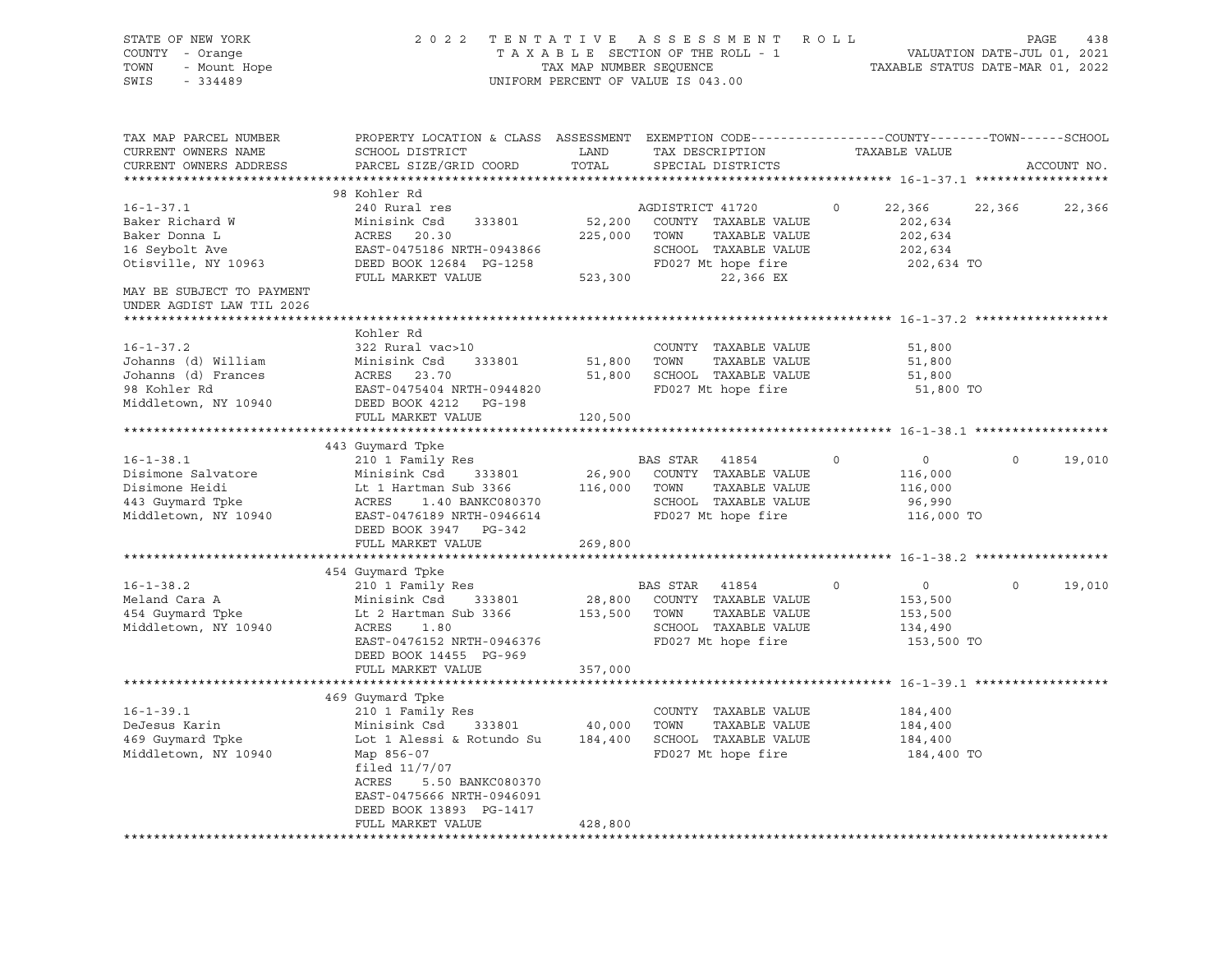| STATE OF NEW YORK<br>COUNTY - Orange<br>- Mount Hope<br>TOWN<br>SWIS<br>$-334489$                   |                                                                                                                                                                                                                                                                       |               | 2022 TENTATIVE ASSESSMENT ROLL<br>TAXABLE SECTION OF THE ROLL - 1 VALUATION DATE-JUL 01, 2021<br>TAX MAP NUMBER SEQUENCE TAXABLE STATUS DATE-MAR 01, 2022<br>UNIFORM PERCENT OF VALUE IS 043.00 |               |                                                                          | PAGE<br>438 |
|-----------------------------------------------------------------------------------------------------|-----------------------------------------------------------------------------------------------------------------------------------------------------------------------------------------------------------------------------------------------------------------------|---------------|-------------------------------------------------------------------------------------------------------------------------------------------------------------------------------------------------|---------------|--------------------------------------------------------------------------|-------------|
| TAX MAP PARCEL NUMBER<br>CURRENT OWNERS NAME<br>CURRENT OWNERS ADDRESS                              | PROPERTY LOCATION & CLASS ASSESSMENT EXEMPTION CODE---------------COUNTY-------TOWN------SCHOOL<br>SCHOOL DISTRICT<br>PARCEL SIZE/GRID COORD                                                                                                                          | LAND<br>TOTAL | TAX DESCRIPTION<br>SPECIAL DISTRICTS                                                                                                                                                            | TAXABLE VALUE |                                                                          | ACCOUNT NO. |
|                                                                                                     | 98 Kohler Rd                                                                                                                                                                                                                                                          |               |                                                                                                                                                                                                 |               |                                                                          |             |
| $16 - 1 - 37.1$<br>Baker Richard W<br>Baker Donna L<br>16 Seybolt Ave                               | 240 Rural res<br>Minisink Csd<br>333801<br>ACRES 20.30<br>EAST-0475186 NRTH-0943866                                                                                                                                                                                   | 225,000 TOWN  | AGDISTRICT 41720<br>52,200 COUNTY TAXABLE VALUE<br>TAXABLE VALUE<br>SCHOOL TAXABLE VALUE                                                                                                        | $\circ$       | 22,366<br>22,366<br>202,634<br>202,634<br>202,634                        | 22,366      |
| Otisville, NY 10963                                                                                 | EAST-0475186 NRTH-0943866<br>DEED BOOK 12684 PG-1258<br>FULL MARKET VALUE                                                                                                                                                                                             |               | FD027 Mt hope fire<br>523,300<br>22,366 EX                                                                                                                                                      |               | 202,634 TO                                                               |             |
| MAY BE SUBJECT TO PAYMENT<br>UNDER AGDIST LAW TIL 2026                                              |                                                                                                                                                                                                                                                                       |               |                                                                                                                                                                                                 |               |                                                                          |             |
| $16 - 1 - 37.2$<br>Johanns (d) William<br>Johanns (d) Frances<br>98 Kohler Rd                       | Kohler Rd<br>322 Rural vac>10<br>Minisink Csd<br>ACRES 23.70<br>333801<br>EAST-0475404 NRTH-0944820                                                                                                                                                                   | 51,800 TOWN   | COUNTY TAXABLE VALUE<br>TAXABLE VALUE<br>51,800 SCHOOL TAXABLE VALUE<br>FD027 Mt hope fire                                                                                                      |               | 51,800<br>51,800<br>51,800<br>51,800 TO                                  |             |
| Middletown, NY 10940                                                                                | DEED BOOK 4212 PG-198<br>FULL MARKET VALUE                                                                                                                                                                                                                            | 120,500       |                                                                                                                                                                                                 |               |                                                                          |             |
|                                                                                                     |                                                                                                                                                                                                                                                                       |               |                                                                                                                                                                                                 |               |                                                                          |             |
| $16 - 1 - 38.1$<br>Disimone Salvatore<br>Disimone Heidi<br>443 Guymard Tpke<br>Middletown, NY 10940 | 443 Guymard Tpke<br>210 1 Family Res<br>Minisink Csd 333801 26,900 COUNTY TAXABLE VALUE<br>Lt 1 Hartman Sub 3366 116,000 TOWN TAXABLE VALUE<br>ACRES 1.40 BANKC080370 SCHOOL TAXABLE VALUE<br>EAST-0476189 NRTH-0946614<br>DEED BOOK 3947 PG-342<br>FULL MARKET VALUE | 269,800       | BAS STAR 41854<br>SCHOOL TAXABLE VALUE<br>FD027 Mt hope fire                                                                                                                                    | $\Omega$      | $\overline{0}$<br>$\circ$<br>116,000<br>116,000<br>96,990<br>116,000 TO  | 19,010      |
|                                                                                                     | 454 Guymard Tpke                                                                                                                                                                                                                                                      |               |                                                                                                                                                                                                 |               |                                                                          |             |
| $16 - 1 - 38.2$<br>Meland Cara A<br>454 Guymard Tpke<br>Middletown, NY 10940                        | 210 1 Family Res<br>Minisink Csd<br>333801<br>Lt 2 Hartman Sub 3366<br>ACRES 1.80<br>EAST-0476152 NRTH-0946376<br>DEED BOOK 14455 PG-969                                                                                                                              | 153,500 TOWN  | BAS STAR 41854<br>28,800 COUNTY TAXABLE VALUE<br>TAXABLE VALUE<br>SCHOOL TAXABLE VALUE<br>FD027 Mt hope fire                                                                                    | 0             | $\overline{0}$<br>$\circ$<br>153,500<br>153,500<br>134,490<br>153,500 TO | 19,010      |
|                                                                                                     | FULL MARKET VALUE                                                                                                                                                                                                                                                     | 357,000       |                                                                                                                                                                                                 |               |                                                                          |             |
|                                                                                                     | 469 Guymard Tpke                                                                                                                                                                                                                                                      |               |                                                                                                                                                                                                 |               |                                                                          |             |
| $16 - 1 - 39.1$<br>DeJesus Karin<br>469 Guymard Tpke<br>Middletown, NY 10940                        | 210 1 Family Res<br>Minisink Csd 333801 40,000 TOWN<br>Lot 1 Alessi & Rotundo Su<br>Map 856-07<br>filed $11/7/07$<br>ACRES 5.50 BANKC080370<br>EAST-0475666 NRTH-0946091<br>DEED BOOK 13893 PG-1417<br>FULL MARKET VALUE                                              | 428,800       | COUNTY TAXABLE VALUE<br>TAXABLE VALUE<br>184,400 SCHOOL TAXABLE VALUE<br>FD027 Mt hope fire                                                                                                     |               | 184,400<br>184,400<br>184,400<br>184,400 TO                              |             |
|                                                                                                     |                                                                                                                                                                                                                                                                       |               |                                                                                                                                                                                                 |               |                                                                          |             |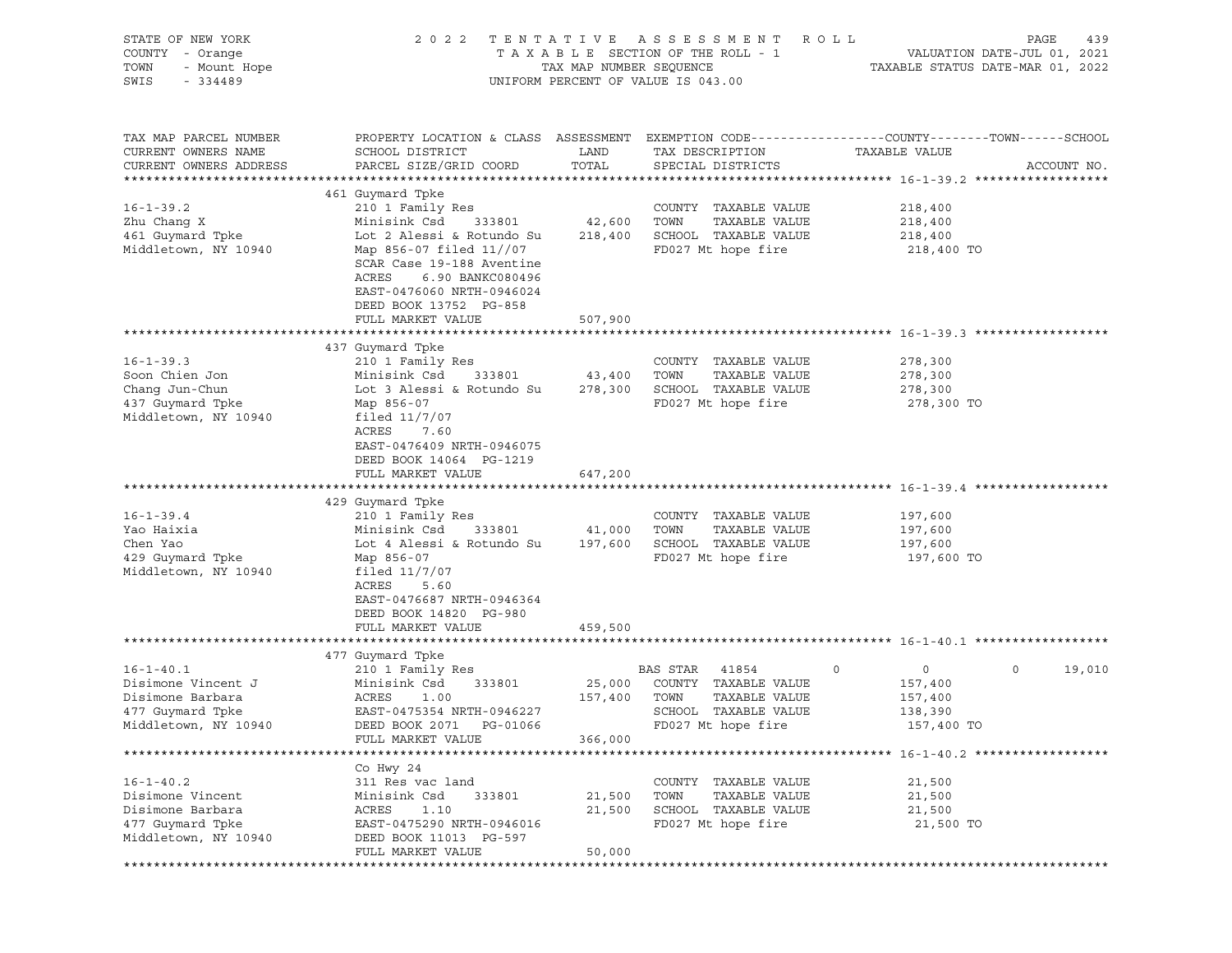| STATE OF NEW YORK<br>COUNTY - Orange<br>TOWN<br>- Mount Hope<br>SWIS<br>$-334489$                                                                                                        | 2 0 2 2                                                                                                                                                                                                                                                                                                                                                                                                                            | TENTATIVE<br>TAX MAP NUMBER SEQUENCE              | A S S E S S M E N T<br>TAXABLE SECTION OF THE ROLL - 1<br>UNIFORM PERCENT OF VALUE IS 043.00                                                                                               | ROLL                                                                                       | PAGE<br>439<br>VALUATION DATE-JUL 01, 2021<br>TAXABLE STATUS DATE-MAR 01, 2022 |
|------------------------------------------------------------------------------------------------------------------------------------------------------------------------------------------|------------------------------------------------------------------------------------------------------------------------------------------------------------------------------------------------------------------------------------------------------------------------------------------------------------------------------------------------------------------------------------------------------------------------------------|---------------------------------------------------|--------------------------------------------------------------------------------------------------------------------------------------------------------------------------------------------|--------------------------------------------------------------------------------------------|--------------------------------------------------------------------------------|
| TAX MAP PARCEL NUMBER<br>CURRENT OWNERS NAME<br>CURRENT OWNERS ADDRESS                                                                                                                   | PROPERTY LOCATION & CLASS ASSESSMENT EXEMPTION CODE---------------COUNTY-------TOWN------SCHOOL<br>SCHOOL DISTRICT<br>PARCEL SIZE/GRID COORD                                                                                                                                                                                                                                                                                       | LAND<br>TOTAL                                     | TAX DESCRIPTION<br>SPECIAL DISTRICTS                                                                                                                                                       | TAXABLE VALUE                                                                              | ACCOUNT NO.                                                                    |
|                                                                                                                                                                                          | 461 Guymard Tpke                                                                                                                                                                                                                                                                                                                                                                                                                   |                                                   |                                                                                                                                                                                            |                                                                                            |                                                                                |
| $16 - 1 - 39.2$<br>Zhu Chang X<br>461 Guymard Tpke<br>Middletown, NY 10940                                                                                                               | 210 1 Family Res<br>Minisink Csd<br>333801<br>Lot 2 Alessi & Rotundo Su<br>Map 856-07 filed 11//07<br>SCAR Case 19-188 Aventine<br>ACRES<br>6.90 BANKC080496<br>EAST-0476060 NRTH-0946024<br>DEED BOOK 13752 PG-858                                                                                                                                                                                                                | 42,600<br>218,400                                 | COUNTY TAXABLE VALUE<br>TOWN<br>TAXABLE VALUE<br>SCHOOL TAXABLE VALUE<br>FD027 Mt hope fire                                                                                                | 218,400<br>218,400<br>218,400<br>218,400 TO                                                |                                                                                |
|                                                                                                                                                                                          | FULL MARKET VALUE                                                                                                                                                                                                                                                                                                                                                                                                                  | 507,900                                           |                                                                                                                                                                                            |                                                                                            |                                                                                |
| $16 - 1 - 39.3$<br>Soon Chien Jon<br>Chang Jun-Chun<br>437 Guymard Tpke<br>Middletown, NY 10940<br>$16 - 1 - 39.4$<br>Yao Haixia<br>Chen Yao<br>429 Guymard Tpke<br>Middletown, NY 10940 | 437 Guymard Tpke<br>210 1 Family Res<br>Minisink Csd<br>333801<br>Lot 3 Alessi & Rotundo Su<br>Map 856-07<br>filed $11/7/07$<br>ACRES<br>7.60<br>EAST-0476409 NRTH-0946075<br>DEED BOOK 14064 PG-1219<br>FULL MARKET VALUE<br>429 Guymard Tpke<br>210 1 Family Res<br>Minisink Csd<br>333801<br>Lot 4 Alessi & Rotundo Su<br>Map 856-07<br>filed $11/7/07$<br>ACRES<br>5.60<br>EAST-0476687 NRTH-0946364<br>DEED BOOK 14820 PG-980 | 43,400<br>278,300<br>647,200<br>41,000<br>197,600 | COUNTY TAXABLE VALUE<br>TAXABLE VALUE<br>TOWN<br>SCHOOL TAXABLE VALUE<br>FD027 Mt hope fire<br>COUNTY TAXABLE VALUE<br>TOWN<br>TAXABLE VALUE<br>SCHOOL TAXABLE VALUE<br>FD027 Mt hope fire | 278,300<br>278,300<br>278,300<br>278,300 TO<br>197,600<br>197,600<br>197,600<br>197,600 TO |                                                                                |
|                                                                                                                                                                                          | FULL MARKET VALUE                                                                                                                                                                                                                                                                                                                                                                                                                  | 459,500                                           |                                                                                                                                                                                            |                                                                                            |                                                                                |
|                                                                                                                                                                                          |                                                                                                                                                                                                                                                                                                                                                                                                                                    |                                                   |                                                                                                                                                                                            |                                                                                            |                                                                                |
| $16 - 1 - 40.1$<br>Disimone Vincent J<br>Disimone Barbara<br>477 Guymard Tpke<br>Middletown, NY 10940                                                                                    | 477 Guymard Tpke<br>210 1 Family Res<br>Minisink Csd<br>333801<br>ACRES<br>1.00<br>EAST-0475354 NRTH-0946227<br>DEED BOOK 2071 PG-01066<br>FULL MARKET VALUE                                                                                                                                                                                                                                                                       | 25,000<br>157,400<br>366,000                      | BAS STAR<br>41854<br>COUNTY TAXABLE VALUE<br>TOWN<br>TAXABLE VALUE<br>SCHOOL TAXABLE VALUE<br>FD027 Mt hope fire                                                                           | $\circ$<br>0<br>157,400<br>157,400<br>138,390<br>157,400 TO                                | 0<br>19,010                                                                    |
|                                                                                                                                                                                          |                                                                                                                                                                                                                                                                                                                                                                                                                                    |                                                   |                                                                                                                                                                                            |                                                                                            |                                                                                |
| $16 - 1 - 40.2$<br>Disimone Vincent<br>Disimone Barbara<br>477 Guymard Tpke<br>Middletown, NY 10940                                                                                      | Co Hwy 24<br>311 Res vac land<br>Minisink Csd<br>333801<br>ACRES<br>1.10<br>EAST-0475290 NRTH-0946016<br>DEED BOOK 11013 PG-597<br>FULL MARKET VALUE                                                                                                                                                                                                                                                                               | 21,500<br>21,500<br>50,000                        | COUNTY TAXABLE VALUE<br>TAXABLE VALUE<br>TOWN<br>SCHOOL TAXABLE VALUE<br>FD027 Mt hope fire                                                                                                | 21,500<br>21,500<br>21,500<br>21,500 TO                                                    |                                                                                |
|                                                                                                                                                                                          |                                                                                                                                                                                                                                                                                                                                                                                                                                    |                                                   |                                                                                                                                                                                            |                                                                                            |                                                                                |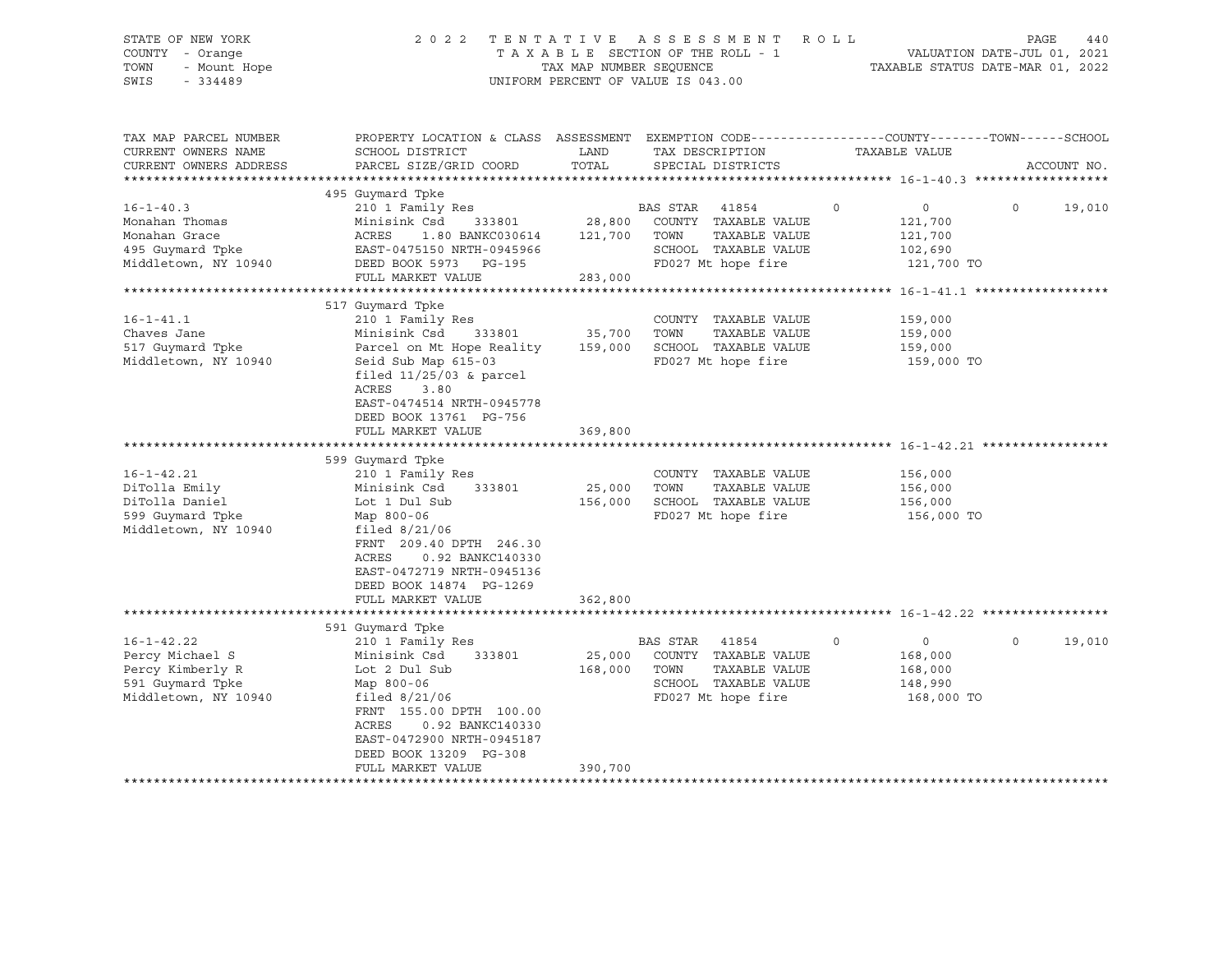# STATE OF NEW YORK 2 0 2 2 T E N T A T I V E A S S E S S M E N T R O L L PAGE 440 COUNTY - Orange T A X A B L E SECTION OF THE ROLL - 1 VALUATION DATE-JUL 01, 2021 TOWN - Mount Hope TAX MAP NUMBER SEQUENCE TAXABLE STATUS DATE-MAR 01, 2022 SWIS - 334489 UNIFORM PERCENT OF VALUE IS 043.00

| TAX MAP PARCEL NUMBER<br>CURRENT OWNERS NAME | PROPERTY LOCATION & CLASS ASSESSMENT EXEMPTION CODE----------------COUNTY-------TOWN------SCHOOL<br>SCHOOL DISTRICT | LAND    | TAX DESCRIPTION       | TAXABLE VALUE             |         |             |
|----------------------------------------------|---------------------------------------------------------------------------------------------------------------------|---------|-----------------------|---------------------------|---------|-------------|
| CURRENT OWNERS ADDRESS                       | PARCEL SIZE/GRID COORD                                                                                              | TOTAL   | SPECIAL DISTRICTS     |                           |         | ACCOUNT NO. |
|                                              |                                                                                                                     |         |                       |                           |         |             |
|                                              | 495 Guymard Tpke                                                                                                    |         |                       |                           |         |             |
| $16 - 1 - 40.3$                              | 210 1 Family Res                                                                                                    |         | BAS STAR<br>41854     | $\circ$<br>$\overline{0}$ | $\circ$ | 19,010      |
| Monahan Thomas                               | Minisink Csd<br>333801                                                                                              | 28,800  | COUNTY TAXABLE VALUE  | 121,700                   |         |             |
| Monahan Grace                                | ACRES<br>1.80 BANKC030614                                                                                           | 121,700 | TOWN<br>TAXABLE VALUE | 121,700                   |         |             |
| 495 Guymard Tpke                             | EAST-0475150 NRTH-0945966                                                                                           |         | SCHOOL TAXABLE VALUE  | 102,690                   |         |             |
| Middletown, NY 10940                         | DEED BOOK 5973 PG-195                                                                                               |         | FD027 Mt hope fire    | 121,700 TO                |         |             |
|                                              | FULL MARKET VALUE                                                                                                   | 283,000 |                       |                           |         |             |
|                                              |                                                                                                                     |         |                       |                           |         |             |
|                                              | 517 Guymard Tpke                                                                                                    |         |                       |                           |         |             |
| $16 - 1 - 41.1$                              | 210 1 Family Res                                                                                                    |         | COUNTY TAXABLE VALUE  | 159,000                   |         |             |
| Chaves Jane                                  | Minisink Csd<br>333801                                                                                              | 35,700  | TAXABLE VALUE<br>TOWN | 159,000                   |         |             |
| 517 Guymard Tpke                             | Parcel on Mt Hope Reality                                                                                           | 159,000 | SCHOOL TAXABLE VALUE  | 159,000                   |         |             |
| Middletown, NY 10940                         | Seid Sub Map 615-03                                                                                                 |         | FD027 Mt hope fire    | 159,000 TO                |         |             |
|                                              | filed $11/25/03$ & parcel                                                                                           |         |                       |                           |         |             |
|                                              | ACRES<br>3.80                                                                                                       |         |                       |                           |         |             |
|                                              | EAST-0474514 NRTH-0945778                                                                                           |         |                       |                           |         |             |
|                                              | DEED BOOK 13761 PG-756                                                                                              |         |                       |                           |         |             |
|                                              | FULL MARKET VALUE                                                                                                   | 369,800 |                       |                           |         |             |
|                                              |                                                                                                                     |         |                       |                           |         |             |
|                                              | 599 Guymard Tpke                                                                                                    |         |                       |                           |         |             |
| $16 - 1 - 42.21$                             | 210 1 Family Res                                                                                                    |         | COUNTY TAXABLE VALUE  | 156,000                   |         |             |
| DiTolla Emily                                | 333801<br>Minisink Csd                                                                                              | 25,000  | TOWN<br>TAXABLE VALUE | 156,000                   |         |             |
| DiTolla Daniel                               | Lot 1 Dul Sub                                                                                                       | 156,000 | SCHOOL TAXABLE VALUE  | 156,000                   |         |             |
| 599 Guymard Tpke                             | Map 800-06                                                                                                          |         | FD027 Mt hope fire    | 156,000 TO                |         |             |
| Middletown, NY 10940                         | filed $8/21/06$                                                                                                     |         |                       |                           |         |             |
|                                              | FRNT 209.40 DPTH 246.30                                                                                             |         |                       |                           |         |             |
|                                              | ACRES<br>0.92 BANKC140330                                                                                           |         |                       |                           |         |             |
|                                              | EAST-0472719 NRTH-0945136                                                                                           |         |                       |                           |         |             |
|                                              |                                                                                                                     |         |                       |                           |         |             |
|                                              | DEED BOOK 14874 PG-1269<br>FULL MARKET VALUE                                                                        | 362,800 |                       |                           |         |             |
|                                              |                                                                                                                     |         |                       |                           |         |             |
|                                              | 591 Guymard Tpke                                                                                                    |         |                       |                           |         |             |
| $16 - 1 - 42.22$                             |                                                                                                                     |         | BAS STAR              | $\circ$<br>$\mathbf 0$    | $\circ$ | 19,010      |
| Percy Michael S                              | 210 1 Family Res<br>333801                                                                                          |         | 41854                 |                           |         |             |
|                                              | Minisink Csd                                                                                                        | 25,000  | COUNTY TAXABLE VALUE  | 168,000                   |         |             |
| Percy Kimberly R                             | Lot 2 Dul Sub                                                                                                       | 168,000 | TOWN<br>TAXABLE VALUE | 168,000                   |         |             |
| 591 Guymard Tpke                             | Map 800-06                                                                                                          |         | SCHOOL TAXABLE VALUE  | 148,990                   |         |             |
| Middletown, NY 10940                         | filed $8/21/06$                                                                                                     |         | FD027 Mt hope fire    | 168,000 TO                |         |             |
|                                              | FRNT 155.00 DPTH 100.00                                                                                             |         |                       |                           |         |             |
|                                              | ACRES<br>0.92 BANKC140330                                                                                           |         |                       |                           |         |             |
|                                              | EAST-0472900 NRTH-0945187                                                                                           |         |                       |                           |         |             |
|                                              | DEED BOOK 13209 PG-308                                                                                              |         |                       |                           |         |             |
|                                              | FULL MARKET VALUE                                                                                                   | 390,700 |                       |                           |         |             |
|                                              | ******************************                                                                                      |         |                       |                           |         |             |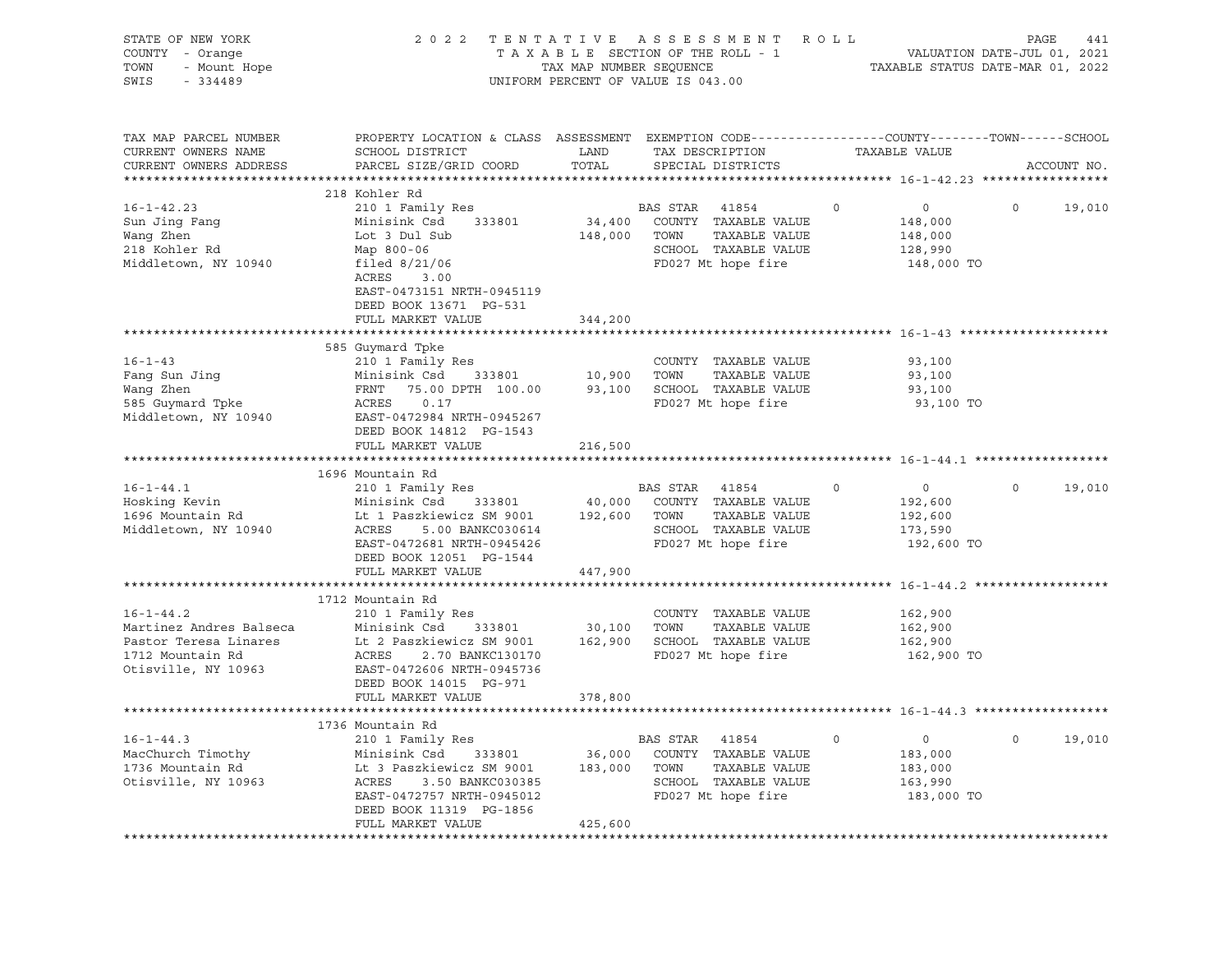| STATE OF NEW YORK<br>COUNTY - Orange<br>TOWN<br>- Mount Hope<br>$-334489$<br>SWIS | 2 0 2 2                                                                                                                                       | TAX MAP NUMBER SEQUENCE | TENTATIVE ASSESSMENT ROLL<br>TAXABLE SECTION OF THE ROLL - 1<br>UNIFORM PERCENT OF VALUE IS 043.00 |         | VALUATION DATE-JUL 01, 2021<br>TAXABLE STATUS DATE-MAR 01, 2022 | PAGE     | 441         |
|-----------------------------------------------------------------------------------|-----------------------------------------------------------------------------------------------------------------------------------------------|-------------------------|----------------------------------------------------------------------------------------------------|---------|-----------------------------------------------------------------|----------|-------------|
| TAX MAP PARCEL NUMBER<br>CURRENT OWNERS NAME<br>CURRENT OWNERS ADDRESS            | PROPERTY LOCATION & CLASS ASSESSMENT EXEMPTION CODE----------------COUNTY-------TOWN------SCHOOL<br>SCHOOL DISTRICT<br>PARCEL SIZE/GRID COORD | LAND<br>TOTAL           | TAX DESCRIPTION<br>SPECIAL DISTRICTS                                                               |         | TAXABLE VALUE                                                   |          | ACCOUNT NO. |
|                                                                                   | 218 Kohler Rd                                                                                                                                 |                         |                                                                                                    |         |                                                                 |          |             |
| $16 - 1 - 42.23$                                                                  | 210 1 Family Res                                                                                                                              |                         | BAS STAR<br>41854                                                                                  | $\circ$ | $\circ$                                                         | $\Omega$ | 19,010      |
| Sun Jing Fang                                                                     | Minisink Csd 333801                                                                                                                           | 34,400                  | COUNTY TAXABLE VALUE                                                                               |         | 148,000                                                         |          |             |
| Wang Zhen                                                                         | Lot 3 Dul Sub                                                                                                                                 | 148,000                 | TOWN<br>TAXABLE VALUE                                                                              |         | 148,000                                                         |          |             |
| 218 Kohler Rd                                                                     | Map 800-06                                                                                                                                    |                         | SCHOOL TAXABLE VALUE                                                                               |         | 128,990                                                         |          |             |
| Middletown, NY 10940                                                              | filed $8/21/06$                                                                                                                               |                         | FD027 Mt hope fire                                                                                 |         | 148,000 TO                                                      |          |             |
|                                                                                   | ACRES<br>3.00                                                                                                                                 |                         |                                                                                                    |         |                                                                 |          |             |
|                                                                                   | EAST-0473151 NRTH-0945119                                                                                                                     |                         |                                                                                                    |         |                                                                 |          |             |
|                                                                                   | DEED BOOK 13671 PG-531                                                                                                                        |                         |                                                                                                    |         |                                                                 |          |             |
|                                                                                   | FULL MARKET VALUE                                                                                                                             | 344,200                 |                                                                                                    |         |                                                                 |          |             |
|                                                                                   |                                                                                                                                               |                         |                                                                                                    |         |                                                                 |          |             |
| $16 - 1 - 43$                                                                     | 585 Guymard Tpke<br>210 1 Family Res                                                                                                          |                         | COUNTY TAXABLE VALUE                                                                               |         | 93,100                                                          |          |             |
| Fang Sun Jing                                                                     | Minisink Csd 333801                                                                                                                           | 10,900 TOWN             | TAXABLE VALUE                                                                                      |         | 93,100                                                          |          |             |
| Wang Zhen                                                                         | FRNT<br>75.00 DPTH 100.00                                                                                                                     |                         | 93,100 SCHOOL TAXABLE VALUE                                                                        |         | 93,100                                                          |          |             |
| 585 Guymard Tpke                                                                  | ACRES<br>0.17                                                                                                                                 |                         | FD027 Mt hope fire                                                                                 |         | 93,100 TO                                                       |          |             |
| Middletown, NY 10940                                                              | EAST-0472984 NRTH-0945267                                                                                                                     |                         |                                                                                                    |         |                                                                 |          |             |
|                                                                                   | DEED BOOK 14812 PG-1543                                                                                                                       |                         |                                                                                                    |         |                                                                 |          |             |
|                                                                                   | FULL MARKET VALUE                                                                                                                             | 216,500                 |                                                                                                    |         |                                                                 |          |             |
|                                                                                   |                                                                                                                                               |                         |                                                                                                    |         |                                                                 |          |             |
|                                                                                   | 1696 Mountain Rd                                                                                                                              |                         |                                                                                                    |         |                                                                 |          |             |
| $16 - 1 - 44.1$                                                                   | 210 1 Family Res                                                                                                                              |                         | BAS STAR<br>41854                                                                                  | $\circ$ | $\circ$                                                         | $\circ$  | 19,010      |
| Hosking Kevin                                                                     | Minisink Csd<br>333801                                                                                                                        | 40,000                  | COUNTY TAXABLE VALUE                                                                               |         | 192,600                                                         |          |             |
| 1696 Mountain Rd                                                                  | Lt 1 Paszkiewicz SM 9001                                                                                                                      | 192,600                 | TAXABLE VALUE<br>TOWN                                                                              |         | 192,600                                                         |          |             |
| Middletown, NY 10940                                                              | ACRES<br>5.00 BANKC030614                                                                                                                     |                         | SCHOOL TAXABLE VALUE                                                                               |         | 173,590                                                         |          |             |
|                                                                                   | EAST-0472681 NRTH-0945426                                                                                                                     |                         | FD027 Mt hope fire                                                                                 |         | 192,600 TO                                                      |          |             |
|                                                                                   | DEED BOOK 12051 PG-1544                                                                                                                       |                         |                                                                                                    |         |                                                                 |          |             |
|                                                                                   | FULL MARKET VALUE                                                                                                                             | 447,900                 |                                                                                                    |         |                                                                 |          |             |
|                                                                                   |                                                                                                                                               |                         |                                                                                                    |         |                                                                 |          |             |
| $16 - 1 - 44.2$                                                                   | 1712 Mountain Rd<br>210 1 Family Res                                                                                                          |                         | COUNTY TAXABLE VALUE                                                                               |         | 162,900                                                         |          |             |
| Martinez Andres Balseca                                                           | Minisink Csd 333801                                                                                                                           | 30,100 TOWN             | TAXABLE VALUE                                                                                      |         | 162,900                                                         |          |             |
| Pastor Teresa Linares                                                             | Lt 2 Paszkiewicz SM 9001                                                                                                                      |                         | 162,900 SCHOOL TAXABLE VALUE                                                                       |         | 162,900                                                         |          |             |
| 1712 Mountain Rd                                                                  | ACRES<br>2.70 BANKC130170                                                                                                                     |                         | FD027 Mt hope fire                                                                                 |         | 162,900 TO                                                      |          |             |
| Otisville, NY 10963                                                               | EAST-0472606 NRTH-0945736                                                                                                                     |                         |                                                                                                    |         |                                                                 |          |             |
|                                                                                   | DEED BOOK 14015 PG-971                                                                                                                        |                         |                                                                                                    |         |                                                                 |          |             |
|                                                                                   | FULL MARKET VALUE                                                                                                                             | 378,800                 |                                                                                                    |         |                                                                 |          |             |
|                                                                                   |                                                                                                                                               |                         |                                                                                                    |         |                                                                 |          |             |
|                                                                                   | 1736 Mountain Rd                                                                                                                              |                         |                                                                                                    |         |                                                                 |          |             |
| $16 - 1 - 44.3$                                                                   | 210 1 Family Res                                                                                                                              |                         | BAS STAR<br>41854                                                                                  | 0       | $\circ$                                                         | $\circ$  | 19,010      |
| MacChurch Timothy                                                                 | Minisink Csd<br>333801                                                                                                                        | 36,000                  | COUNTY TAXABLE VALUE                                                                               |         | 183,000                                                         |          |             |
| 1736 Mountain Rd                                                                  | Lt 3 Paszkiewicz SM 9001                                                                                                                      | 183,000                 | TOWN<br>TAXABLE VALUE                                                                              |         | 183,000                                                         |          |             |
| Otisville, NY 10963                                                               | ACRES<br>3.50 BANKC030385                                                                                                                     |                         | SCHOOL TAXABLE VALUE                                                                               |         | 163,990                                                         |          |             |
|                                                                                   | EAST-0472757 NRTH-0945012                                                                                                                     |                         | FD027 Mt hope fire                                                                                 |         | 183,000 TO                                                      |          |             |
|                                                                                   | DEED BOOK 11319 PG-1856                                                                                                                       |                         |                                                                                                    |         |                                                                 |          |             |
|                                                                                   | FULL MARKET VALUE                                                                                                                             | 425,600                 |                                                                                                    |         |                                                                 |          |             |
|                                                                                   |                                                                                                                                               |                         |                                                                                                    |         |                                                                 |          |             |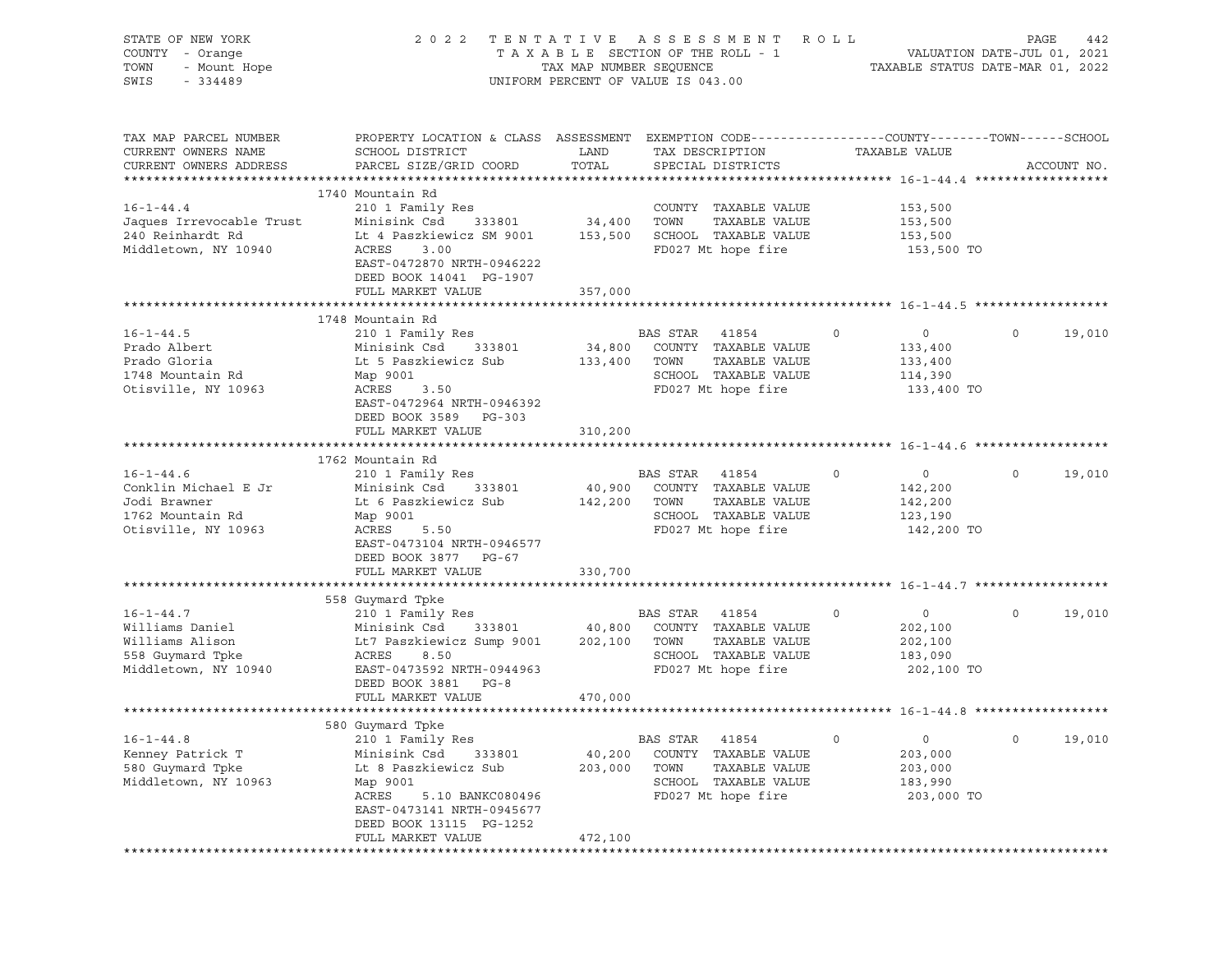| STATE OF NEW YORK<br>COUNTY - Orange<br>TOWN<br>- Mount Hope<br>SWIS<br>$-334489$ |                                                                                                                                               | TAX MAP NUMBER SEQUENCE | 2022 TENTATIVE ASSESSMENT ROLL<br>TAXABLE SECTION OF THE ROLL - 1<br>UNIFORM PERCENT OF VALUE IS 043.00 |         | VALUATION DATE-JUL 01, 2021<br>TAXABLE STATUS DATE-MAR 01, 2022 | PAGE        | 442         |
|-----------------------------------------------------------------------------------|-----------------------------------------------------------------------------------------------------------------------------------------------|-------------------------|---------------------------------------------------------------------------------------------------------|---------|-----------------------------------------------------------------|-------------|-------------|
| TAX MAP PARCEL NUMBER<br>CURRENT OWNERS NAME<br>CURRENT OWNERS ADDRESS            | PROPERTY LOCATION & CLASS ASSESSMENT EXEMPTION CODE----------------COUNTY-------TOWN------SCHOOL<br>SCHOOL DISTRICT<br>PARCEL SIZE/GRID COORD | LAND<br>TOTAL           | TAX DESCRIPTION<br>SPECIAL DISTRICTS                                                                    |         | TAXABLE VALUE                                                   |             | ACCOUNT NO. |
|                                                                                   | 1740 Mountain Rd                                                                                                                              |                         |                                                                                                         |         |                                                                 |             |             |
| $16 - 1 - 44.4$                                                                   | 210 1 Family Res                                                                                                                              |                         | COUNTY TAXABLE VALUE                                                                                    |         | 153,500                                                         |             |             |
| Jaques Irrevocable Trust                                                          | Minisink Csd<br>333801                                                                                                                        | 34,400 TOWN             | TAXABLE VALUE                                                                                           |         | 153,500                                                         |             |             |
| 240 Reinhardt Rd                                                                  | Lt 4 Paszkiewicz SM 9001                                                                                                                      |                         | 153,500 SCHOOL TAXABLE VALUE                                                                            |         | 153,500                                                         |             |             |
| Middletown, NY 10940                                                              | ACRES<br>3.00<br>EAST-0472870 NRTH-0946222<br>DEED BOOK 14041 PG-1907                                                                         |                         | FD027 Mt hope fire                                                                                      |         | 153,500 TO                                                      |             |             |
|                                                                                   | FULL MARKET VALUE                                                                                                                             | 357,000                 |                                                                                                         |         |                                                                 |             |             |
|                                                                                   | 1748 Mountain Rd                                                                                                                              |                         |                                                                                                         |         |                                                                 |             |             |
| $16 - 1 - 44.5$                                                                   | 210 1 Family Res                                                                                                                              |                         | BAS STAR 41854                                                                                          | $\circ$ | $\overline{0}$                                                  | $\Omega$    | 19,010      |
| Prado Albert                                                                      | Minisink Csd<br>333801                                                                                                                        |                         | 34,800 COUNTY TAXABLE VALUE                                                                             |         | 133,400                                                         |             |             |
| Prado Gloria                                                                      | Lt 5 Paszkiewicz Sub                                                                                                                          | 133,400                 | TOWN<br>TAXABLE VALUE                                                                                   |         | 133,400                                                         |             |             |
| 1748 Mountain Rd                                                                  | Map 9001                                                                                                                                      |                         | SCHOOL TAXABLE VALUE                                                                                    |         | 114,390                                                         |             |             |
| Otisville, NY 10963                                                               | ACRES<br>3.50                                                                                                                                 |                         | FD027 Mt hope fire                                                                                      |         | 133,400 TO                                                      |             |             |
|                                                                                   | EAST-0472964 NRTH-0946392                                                                                                                     |                         |                                                                                                         |         |                                                                 |             |             |
|                                                                                   | DEED BOOK 3589 PG-303                                                                                                                         |                         |                                                                                                         |         |                                                                 |             |             |
|                                                                                   | FULL MARKET VALUE                                                                                                                             | 310,200                 |                                                                                                         |         |                                                                 |             |             |
|                                                                                   |                                                                                                                                               |                         |                                                                                                         |         |                                                                 |             |             |
| $16 - 1 - 44.6$                                                                   | 1762 Mountain Rd                                                                                                                              |                         | BAS STAR 41854                                                                                          | $\circ$ | $\overline{0}$                                                  | $\mathbf 0$ | 19,010      |
| Conklin Michael E Jr                                                              | 210 1 Family Res<br>Minisink Csd<br>333801                                                                                                    | 40,900                  | COUNTY TAXABLE VALUE                                                                                    |         | 142,200                                                         |             |             |
| Jodi Brawner                                                                      | Lt 6 Paszkiewicz Sub                                                                                                                          | 142,200                 | TOWN<br>TAXABLE VALUE                                                                                   |         | 142,200                                                         |             |             |
| 1762 Mountain Rd                                                                  | Map 9001                                                                                                                                      |                         | SCHOOL TAXABLE VALUE                                                                                    |         | 123,190                                                         |             |             |
| Otisville, NY 10963                                                               | ACRES<br>5.50                                                                                                                                 |                         | FD027 Mt hope fire                                                                                      |         | 142,200 TO                                                      |             |             |
|                                                                                   | EAST-0473104 NRTH-0946577                                                                                                                     |                         |                                                                                                         |         |                                                                 |             |             |
|                                                                                   | DEED BOOK 3877 PG-67                                                                                                                          |                         |                                                                                                         |         |                                                                 |             |             |
|                                                                                   | FULL MARKET VALUE                                                                                                                             | 330,700                 |                                                                                                         |         |                                                                 |             |             |
|                                                                                   |                                                                                                                                               |                         |                                                                                                         |         |                                                                 |             |             |
|                                                                                   | 558 Guymard Tpke                                                                                                                              |                         |                                                                                                         |         |                                                                 |             |             |
| $16 - 1 - 44.7$                                                                   | 210 1 Family Res                                                                                                                              |                         | BAS STAR 41854                                                                                          | $\circ$ | $\overline{0}$                                                  | $\circ$     | 19,010      |
| Williams Daniel                                                                   | Minisink Csd<br>333801                                                                                                                        |                         | 40,800 COUNTY TAXABLE VALUE                                                                             |         | 202,100                                                         |             |             |
| Williams Alison<br>558 Guymard Tpke                                               | Lt7 Paszkiewicz Sump 9001<br>ACRES<br>8.50                                                                                                    | 202,100                 | TOWN<br>TAXABLE VALUE<br>SCHOOL TAXABLE VALUE                                                           |         | 202,100<br>183,090                                              |             |             |
| Middletown, NY 10940                                                              | EAST-0473592 NRTH-0944963                                                                                                                     |                         | FD027 Mt hope fire                                                                                      |         | 202,100 TO                                                      |             |             |
|                                                                                   | DEED BOOK 3881 PG-8                                                                                                                           |                         |                                                                                                         |         |                                                                 |             |             |
|                                                                                   | FULL MARKET VALUE                                                                                                                             | 470,000                 |                                                                                                         |         |                                                                 |             |             |
|                                                                                   |                                                                                                                                               |                         |                                                                                                         |         |                                                                 |             |             |
|                                                                                   | 580 Guymard Tpke                                                                                                                              |                         |                                                                                                         |         |                                                                 |             |             |
| $16 - 1 - 44.8$                                                                   | 210 1 Family Res                                                                                                                              |                         | BAS STAR<br>41854                                                                                       | 0       | $\circ$                                                         | 0           | 19,010      |
| Kenney Patrick T                                                                  | Minisink Csd<br>333801                                                                                                                        | 40,200                  | COUNTY TAXABLE VALUE                                                                                    |         | 203,000                                                         |             |             |
| 580 Guymard Tpke                                                                  | Lt 8 Paszkiewicz Sub                                                                                                                          | 203,000                 | TOWN<br>TAXABLE VALUE                                                                                   |         | 203,000                                                         |             |             |
| Middletown, NY 10963                                                              | Map 9001                                                                                                                                      |                         | SCHOOL TAXABLE VALUE                                                                                    |         | 183,990                                                         |             |             |
|                                                                                   | ACRES<br>5.10 BANKC080496                                                                                                                     |                         | FD027 Mt hope fire                                                                                      |         | 203,000 TO                                                      |             |             |
|                                                                                   | EAST-0473141 NRTH-0945677                                                                                                                     |                         |                                                                                                         |         |                                                                 |             |             |
|                                                                                   | DEED BOOK 13115 PG-1252<br>FULL MARKET VALUE                                                                                                  | 472,100                 |                                                                                                         |         |                                                                 |             |             |
|                                                                                   |                                                                                                                                               |                         |                                                                                                         |         |                                                                 |             |             |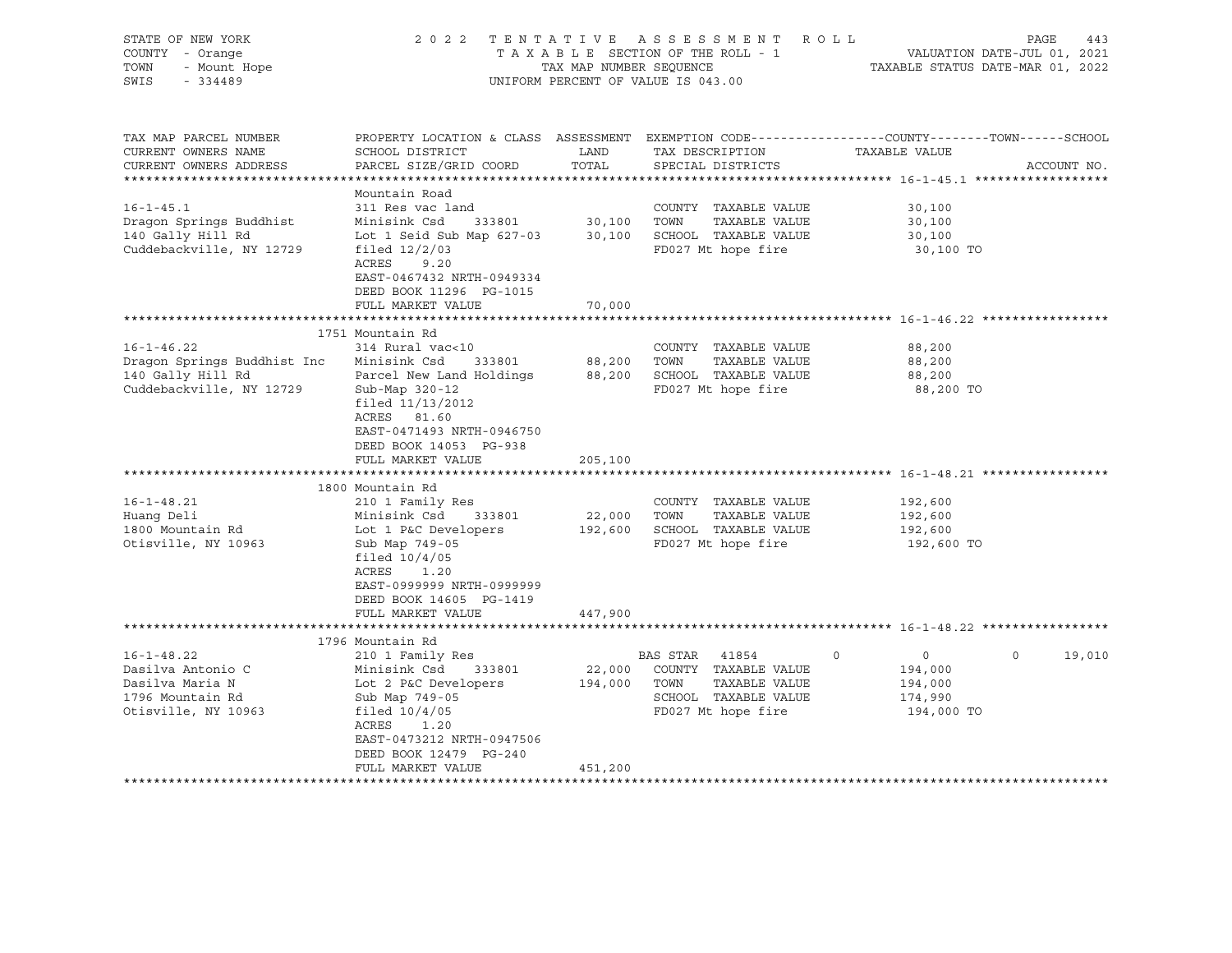| STATE OF NEW YORK<br>COUNTY - Orange<br>- Mount Hope<br>TOWN<br>SWIS<br>$-334489$                                                                                             |                                                                                                                                                                                                                                                                                                                                                                                                                                            | TAX MAP NUMBER SEQUENCE                                           | 2022 TENTATIVE ASSESSMENT ROLL<br>TAXABLE SECTION OF THE ROLL - 1<br>UNIFORM PERCENT OF VALUE IS 043.00                                                                                                                                       |                                                                                        | PAGE<br>443<br>VALUATION DATE-JUL 01, 2021<br>TAXABLE STATUS DATE-MAR 01, 2022 |
|-------------------------------------------------------------------------------------------------------------------------------------------------------------------------------|--------------------------------------------------------------------------------------------------------------------------------------------------------------------------------------------------------------------------------------------------------------------------------------------------------------------------------------------------------------------------------------------------------------------------------------------|-------------------------------------------------------------------|-----------------------------------------------------------------------------------------------------------------------------------------------------------------------------------------------------------------------------------------------|----------------------------------------------------------------------------------------|--------------------------------------------------------------------------------|
| TAX MAP PARCEL NUMBER<br>CURRENT OWNERS NAME<br>CURRENT OWNERS ADDRESS                                                                                                        | PROPERTY LOCATION & CLASS ASSESSMENT EXEMPTION CODE----------------COUNTY-------TOWN------SCHOOL<br>SCHOOL DISTRICT<br>PARCEL SIZE/GRID COORD                                                                                                                                                                                                                                                                                              | LAND<br>TOTAL                                                     | TAX DESCRIPTION<br>SPECIAL DISTRICTS                                                                                                                                                                                                          | TAXABLE VALUE                                                                          | ACCOUNT NO.                                                                    |
|                                                                                                                                                                               |                                                                                                                                                                                                                                                                                                                                                                                                                                            |                                                                   |                                                                                                                                                                                                                                               |                                                                                        |                                                                                |
| $16 - 1 - 45.1$<br>Dragon Springs Buddhist<br>140 Gally Hill Rd<br>Cuddebackville, NY 12729                                                                                   | Mountain Road<br>311 Res vac land<br>Minisink Csd 333801<br>Lot 1 Seid Sub Map 627-03<br>filed $12/2/03$<br>ACRES 9.20                                                                                                                                                                                                                                                                                                                     | 30,100                                                            | COUNTY TAXABLE VALUE<br>TAXABLE VALUE<br>TOWN<br>30,100 SCHOOL TAXABLE VALUE<br>FD027 Mt hope fire                                                                                                                                            | 30,100<br>30,100<br>30,100<br>30,100 TO                                                |                                                                                |
|                                                                                                                                                                               | EAST-0467432 NRTH-0949334<br>DEED BOOK 11296 PG-1015<br>FULL MARKET VALUE                                                                                                                                                                                                                                                                                                                                                                  | 70,000                                                            |                                                                                                                                                                                                                                               |                                                                                        |                                                                                |
|                                                                                                                                                                               |                                                                                                                                                                                                                                                                                                                                                                                                                                            |                                                                   |                                                                                                                                                                                                                                               |                                                                                        |                                                                                |
| $16 - 1 - 46.22$<br>Dragon Springs Buddhist Inc<br>140 Gally Hill Rd<br>Cuddebackville, NY 12729<br>$16 - 1 - 48.21$<br>Huang Deli<br>1800 Mountain Rd<br>Otisville, NY 10963 | 1751 Mountain Rd<br>314 Rural vac<10<br>Minisink Csd<br>333801<br>Parcel New Land Holdings<br>Sub-Map 320-12<br>filed 11/13/2012<br>ACRES 81.60<br>EAST-0471493 NRTH-0946750<br>DEED BOOK 14053 PG-938<br>FULL MARKET VALUE<br>******************************<br>1800 Mountain Rd<br>210 1 Family Res<br>Minisink Csd<br>333801<br>Lot 1 P&C Developers<br>Sub Map 749-05<br>filed $10/4/05$<br>ACRES<br>1.20<br>EAST-0999999 NRTH-0999999 | 88,200<br>88,200<br>205,100<br>*************<br>22,000<br>192,600 | COUNTY TAXABLE VALUE<br>TOWN<br>TAXABLE VALUE<br>SCHOOL TAXABLE VALUE<br>FD027 Mt hope fire<br>******************************* 16-1-48.21 ****<br>COUNTY TAXABLE VALUE<br>TOWN<br>TAXABLE VALUE<br>SCHOOL TAXABLE VALUE<br>FD027 Mt hope fire | 88,200<br>88,200<br>88,200<br>88,200 TO<br>192,600<br>192,600<br>192,600<br>192,600 TO |                                                                                |
|                                                                                                                                                                               | DEED BOOK 14605 PG-1419<br>FULL MARKET VALUE                                                                                                                                                                                                                                                                                                                                                                                               | 447,900                                                           |                                                                                                                                                                                                                                               |                                                                                        |                                                                                |
|                                                                                                                                                                               |                                                                                                                                                                                                                                                                                                                                                                                                                                            |                                                                   |                                                                                                                                                                                                                                               |                                                                                        |                                                                                |
| $16 - 1 - 48.22$<br>Dasilva Antonio C<br>Dasilva Maria N<br>1796 Mountain Rd<br>Otisville, NY 10963                                                                           | 1796 Mountain Rd<br>210 1 Family Res<br>Minisink Csd<br>333801<br>Lot 2 P&C Developers<br>Sub Map 749-05<br>filed $10/4/05$<br>ACRES<br>1.20<br>EAST-0473212 NRTH-0947506<br>DEED BOOK 12479 PG-240                                                                                                                                                                                                                                        | 22,000<br>194,000                                                 | BAS STAR 41854<br>COUNTY TAXABLE VALUE<br>TOWN<br>TAXABLE VALUE<br>SCHOOL TAXABLE VALUE<br>FD027 Mt hope fire                                                                                                                                 | $\Omega$<br>$\circ$<br>194,000<br>194,000<br>174,990<br>194,000 TO                     | 0<br>19,010                                                                    |
|                                                                                                                                                                               | FULL MARKET VALUE                                                                                                                                                                                                                                                                                                                                                                                                                          | 451,200                                                           |                                                                                                                                                                                                                                               |                                                                                        |                                                                                |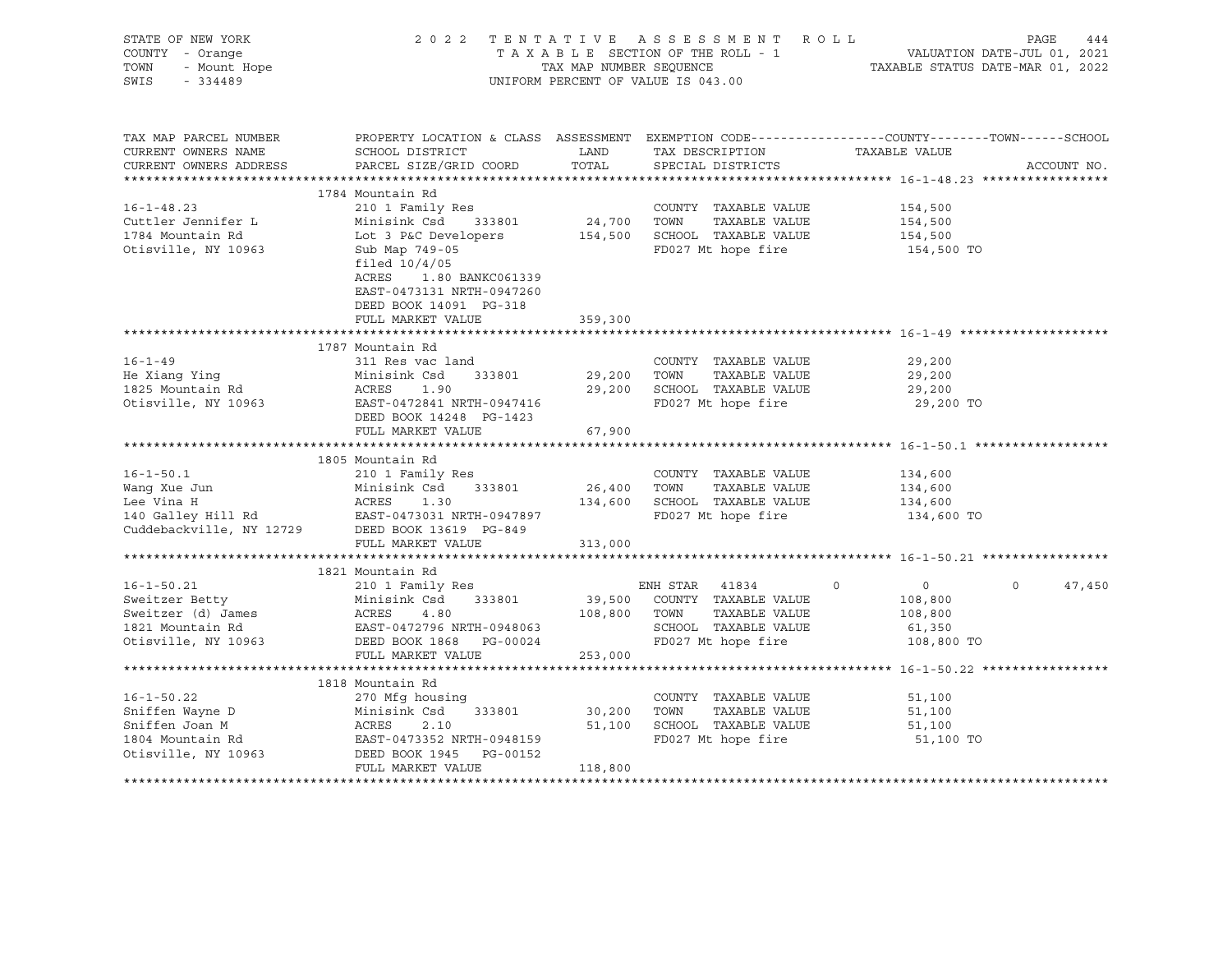| STATE OF NEW YORK<br>COUNTY - Orange<br>7 - Orange<br>- Mount Hope<br>- 334489<br>TOWN<br>SWIS<br>$-334489$ |                                                                                                                                                                                                                                        |                        | 2022 TENTATIVE ASSESSMENT ROLL<br>UNIFORM PERCENT OF VALUE IS 043.00                                         | PAGE<br>T A X A B L E SECTION OF THE ROLL - 1<br>T A X A B L E SECTION OF THE ROLL - 1<br>TAX MAP NUMBER SEQUENCE TAX MAP FOUND TAX A B L E SECTION OF THE ROLL - 1 | 444 |
|-------------------------------------------------------------------------------------------------------------|----------------------------------------------------------------------------------------------------------------------------------------------------------------------------------------------------------------------------------------|------------------------|--------------------------------------------------------------------------------------------------------------|---------------------------------------------------------------------------------------------------------------------------------------------------------------------|-----|
| TAX MAP PARCEL NUMBER<br>CURRENT OWNERS NAME<br>CURRENT OWNERS ADDRESS                                      | SCHOOL DISTRICT<br>PARCEL SIZE/GRID COORD                                                                                                                                                                                              | LAND<br>TOTAL          | TAX DESCRIPTION<br>SPECIAL DISTRICTS                                                                         | PROPERTY LOCATION & CLASS ASSESSMENT EXEMPTION CODE----------------COUNTY-------TOWN------SCHOOL<br>TAXABLE VALUE<br>ACCOUNT NO.                                    |     |
|                                                                                                             |                                                                                                                                                                                                                                        |                        |                                                                                                              |                                                                                                                                                                     |     |
|                                                                                                             | 1784 Mountain Rd                                                                                                                                                                                                                       |                        |                                                                                                              |                                                                                                                                                                     |     |
| $16 - 1 - 48.23$<br>Cuttler Jennifer L<br>1784 Mountain Rd<br>Otisville, NY 10963                           | 210 1 Family Res<br>Minisink Csd 333801<br>Lot 3 P&C Developers 154,500 SCHOOL TAXABLE VALUE<br>Sub Map 749-05<br>filed $10/4/05$<br>ACRES<br>1.80 BANKC061339<br>EAST-0473131 NRTH-0947260<br>DEED BOOK 14091 PG-318                  | 24,700 TOWN            | COUNTY TAXABLE VALUE<br>TAXABLE VALUE<br>FD027 Mt hope fire                                                  | 154,500<br>154,500<br>154,500<br>154,500 TO                                                                                                                         |     |
|                                                                                                             | FULL MARKET VALUE                                                                                                                                                                                                                      | 359,300                |                                                                                                              |                                                                                                                                                                     |     |
|                                                                                                             |                                                                                                                                                                                                                                        |                        |                                                                                                              |                                                                                                                                                                     |     |
| $16 - 1 - 49$<br>He Xiang Ying<br>1825 Mountain Rd<br>Otisville, NY 10963                                   | 1787 Mountain Rd<br>311 Res vac land<br>Minisink Csd<br>333801<br>Minisi<br>ACRES<br>1.90<br>EAST-0472841 NRTH-0947416                                                                                                                 | 29,200 TOWN            | COUNTY TAXABLE VALUE<br>TAXABLE VALUE<br>29,200 SCHOOL TAXABLE VALUE<br>FD027 Mt hope fire                   | 29,200<br>29,200<br>29,200<br>29,200 TO                                                                                                                             |     |
|                                                                                                             | DEED BOOK 14248 PG-1423                                                                                                                                                                                                                |                        |                                                                                                              |                                                                                                                                                                     |     |
|                                                                                                             | FULL MARKET VALUE                                                                                                                                                                                                                      | 67,900                 |                                                                                                              |                                                                                                                                                                     |     |
|                                                                                                             |                                                                                                                                                                                                                                        |                        |                                                                                                              |                                                                                                                                                                     |     |
| $16 - 1 - 50.1$                                                                                             | 1805 Mountain Rd<br>210 1 Family Res<br>Wang Xue Jun Minisink Csd 333801 26,40<br>Lee Vina H ACRES 1.30 134,60<br>140 Galley Hill Rd EAST-0473031 NRTH-0947897<br>Cuddebackville, NY 12729 DEED BOOK 13619 PG-849<br>FULL MARKET VALUE | 26,400<br>313,000      | COUNTY TAXABLE VALUE<br>TOWN<br>TAXABLE VALUE<br>134,600 SCHOOL TAXABLE VALUE<br>FD027 Mt hope fire          | 134,600<br>134,600<br>134,600<br>134,600 TO                                                                                                                         |     |
|                                                                                                             |                                                                                                                                                                                                                                        |                        |                                                                                                              |                                                                                                                                                                     |     |
| $16 - 1 - 50.21$<br>Sweitzer Betty<br>Sweitzer (d) James<br>1821 Mountain Rd<br>Otisville, NY 10963         | 1821 Mountain Rd<br>210 1 Family Res<br>333801<br>Minisink Csd<br>ACRES 4.80<br>EAST-0472796 NRTH-0948063<br>DEED BOOK 1868 PG-00024                                                                                                   | 108,800 TOWN           | ENH STAR 41834<br>39,500 COUNTY TAXABLE VALUE<br>TAXABLE VALUE<br>SCHOOL TAXABLE VALUE<br>FD027 Mt hope fire | $\overline{0}$<br>$\Omega$<br>$\circ$<br>47,450<br>108,800<br>108,800<br>61,350<br>108,800 TO                                                                       |     |
|                                                                                                             | FULL MARKET VALUE                                                                                                                                                                                                                      | 253,000                |                                                                                                              |                                                                                                                                                                     |     |
|                                                                                                             | *****************************                                                                                                                                                                                                          |                        |                                                                                                              |                                                                                                                                                                     |     |
| $16 - 1 - 50.22$<br>Sniffen Wayne D<br>Sniffen Joan M<br>1804 Mountain Rd<br>Otisville, NY 10963            | 1818 Mountain Rd<br>270 Mfg housing<br>Minisink Csd<br>ACRES 2.10<br>333801<br>EAST-0473352 NRTH-0948159<br>DEED BOOK 1945<br>DEED BOOK 1945 PG-00152<br>FULL MARKET VALUE                                                             | 30,200 TOWN<br>118,800 | COUNTY TAXABLE VALUE<br>TAXABLE VALUE<br>51,100 SCHOOL TAXABLE VALUE<br>FD027 Mt hope fire                   | 51,100<br>51,100<br>51,100<br>51,100 TO                                                                                                                             |     |
|                                                                                                             |                                                                                                                                                                                                                                        |                        |                                                                                                              |                                                                                                                                                                     |     |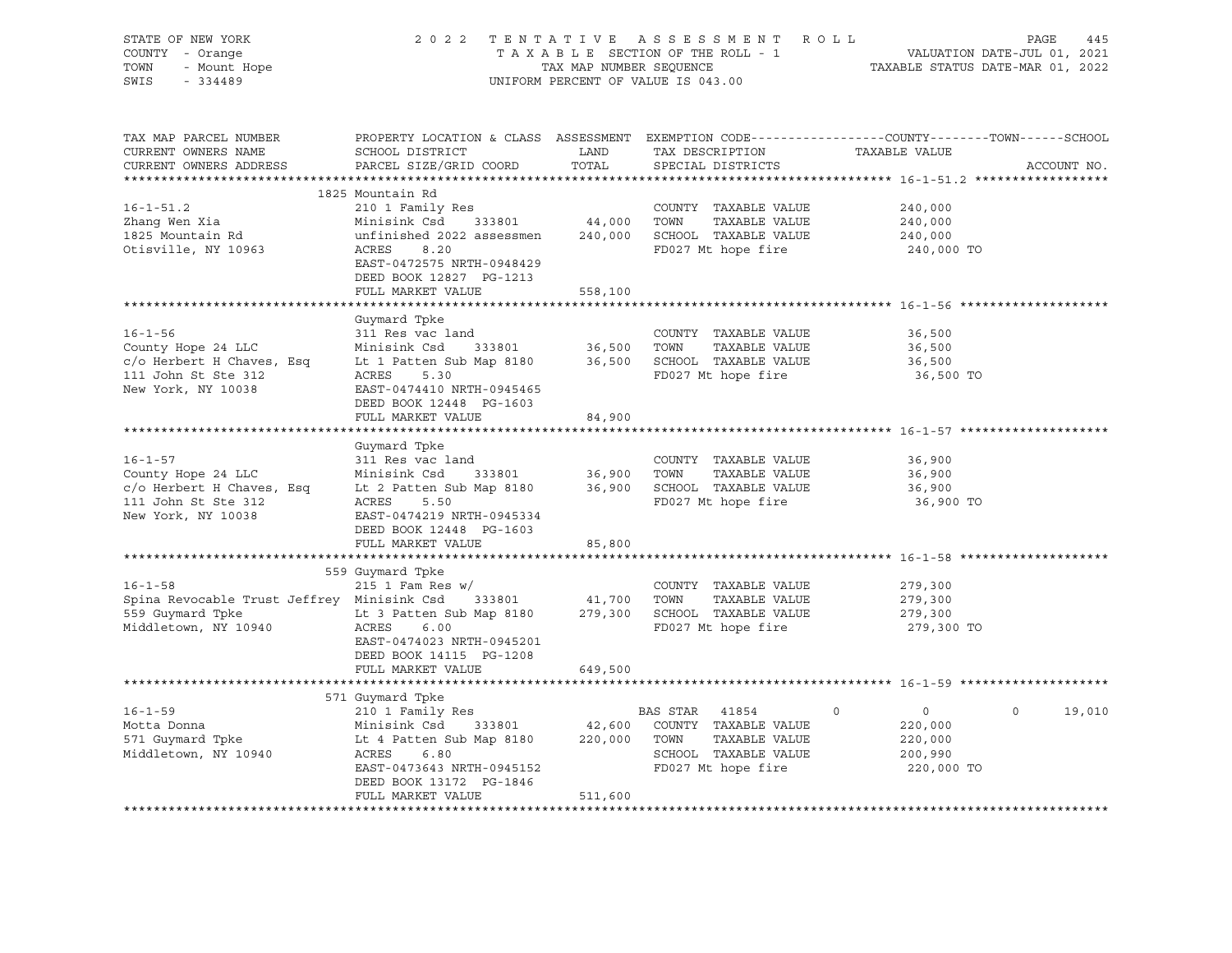| STATE OF NEW YORK<br>VF NEW LOAD<br>Y - Orange<br>- Mount Hope<br>COUNTY - Orange<br>TOWN<br>SWIS - 334489                                                                                                                                                                                      | 2022 TENTATIVE ASSESSMENT ROLL PAGE 445<br>TAXABLE SECTION OF THE ROLL - 1 VALUATION DATE-JUL 01, 2021<br>TAX MAP NUMBER SEQUENCE .                                                               |               | UNIFORM PERCENT OF VALUE IS 043.00                                   |                                                                          |                    |
|-------------------------------------------------------------------------------------------------------------------------------------------------------------------------------------------------------------------------------------------------------------------------------------------------|---------------------------------------------------------------------------------------------------------------------------------------------------------------------------------------------------|---------------|----------------------------------------------------------------------|--------------------------------------------------------------------------|--------------------|
| TAX MAP PARCEL NUMBER<br>CURRENT OWNERS NAME<br>CURRENT OWNERS ADDRESS                                                                                                                                                                                                                          | PROPERTY LOCATION & CLASS ASSESSMENT EXEMPTION CODE----------------COUNTY-------TOWN------SCHOOL<br>SCHOOL DISTRICT<br>PARCEL SIZE/GRID COORD                                                     | LAND<br>TOTAL | TAX DESCRIPTION TAXABLE VALUE SPECIAL DISTRICTS<br>SPECIAL DISTRICTS |                                                                          | ACCOUNT NO.        |
|                                                                                                                                                                                                                                                                                                 | 1825 Mountain Rd                                                                                                                                                                                  |               |                                                                      |                                                                          |                    |
| $16 - 1 - 51.2$<br>Zhang Wen Xia<br>1825 Mountain Rd<br>Otisville, NY 10963                                                                                                                                                                                                                     | 210 1 Family Res<br>Minisink Csd 333801 44,000 TOWN TAXABLE VALUE<br>unfinished 2022 assessmen 240,000 SCHOOL TAXABLE VALUE<br>ACRES 8.20<br>EAST-0472575 NRTH-0948429<br>DEED BOOK 12827 PG-1213 |               | COUNTY TAXABLE VALUE<br>FD027 Mt hope fire                           | 240,000<br>240,000<br>240,000<br>240,000 TO                              |                    |
|                                                                                                                                                                                                                                                                                                 | FULL MARKET VALUE                                                                                                                                                                                 | 558,100       |                                                                      |                                                                          |                    |
| $16 - 1 - 56$<br>County Hope 24 LLC<br>County Hope 24 LLC<br>County Hope 24 LLC<br>County Hope 24 LLC<br>Minisink Csd<br>Call 2333801<br>26,500<br>36,500<br>36,500<br>27 Mthope fire<br>211 John St Ste 312<br>2027 Mthope fire<br>211 John St Ste 312<br>2027 Mthope fi<br>New York, NY 10038 | Guymard Tpke<br>311 Res vac land<br>EAST-0474410 NRTH-0945465                                                                                                                                     |               | COUNTY TAXABLE VALUE<br>TAXABLE VALUE                                | 36,500<br>36,500<br>36,500<br>36,500 TO                                  |                    |
|                                                                                                                                                                                                                                                                                                 | DEED BOOK 12448 PG-1603                                                                                                                                                                           |               |                                                                      |                                                                          |                    |
|                                                                                                                                                                                                                                                                                                 | FULL MARKET VALUE                                                                                                                                                                                 | 84,900        |                                                                      |                                                                          |                    |
| COUNTY TAXABLE VALUE<br>County Hope 24 LLC<br>C/O Herbert H Chaves, Esq<br>Lt 2 Patten Sub Map 8180<br>11 John St Ste 312<br>New York, NY 10038<br>EAST-0474219 NRTH-0945334<br>EAST-0474219 NRTH-0945334                                                                                       | Guymard Tpke<br>DEED BOOK 12448 PG-1603                                                                                                                                                           |               |                                                                      | 36,900<br>36,900<br>36,900<br>36,900<br>36,900 TO                        |                    |
|                                                                                                                                                                                                                                                                                                 | FULL MARKET VALUE                                                                                                                                                                                 | 85,800        |                                                                      |                                                                          |                    |
|                                                                                                                                                                                                                                                                                                 |                                                                                                                                                                                                   |               |                                                                      |                                                                          |                    |
| $16 - 1 - 58$<br>Spina Revocable Trust Jeffrey Minisink Csd 333801 41,700 TOWN TAXABLE VALUE<br>559 Guymard Tpke Lt 3 Patten Sub Map 8180 279,300 SCHOOL TAXABLE VALUE<br>Middletown, NY 10940 ACRES 6.00 FD027 Mt hope fire                                                                    | 559 Guymard Tpke<br>EAST-0474023 NRTH-0945201<br>DEED BOOK 14115 PG-1208<br>FULL MARKET VALUE                                                                                                     | 649,500       | COUNTY TAXABLE VALUE                                                 | 279,300<br>279,300<br>279,300<br>279,300 TO                              |                    |
|                                                                                                                                                                                                                                                                                                 |                                                                                                                                                                                                   |               |                                                                      |                                                                          |                    |
| Middletown, NY 10940                                                                                                                                                                                                                                                                            | 571 Guymard Tpke<br>ACRES 6.80<br>EAST-0473643 NRTH-0945152<br>DEED BOOK 13172 PG-1846<br>FULL MARKET VALUE                                                                                       | 511,600       | SCHOOL TAXABLE VALUE<br>FD027 Mt hope fire                           | $\overline{0}$<br>$\circ$<br>220,000<br>220,000<br>200,990<br>220,000 TO | $\Omega$<br>19,010 |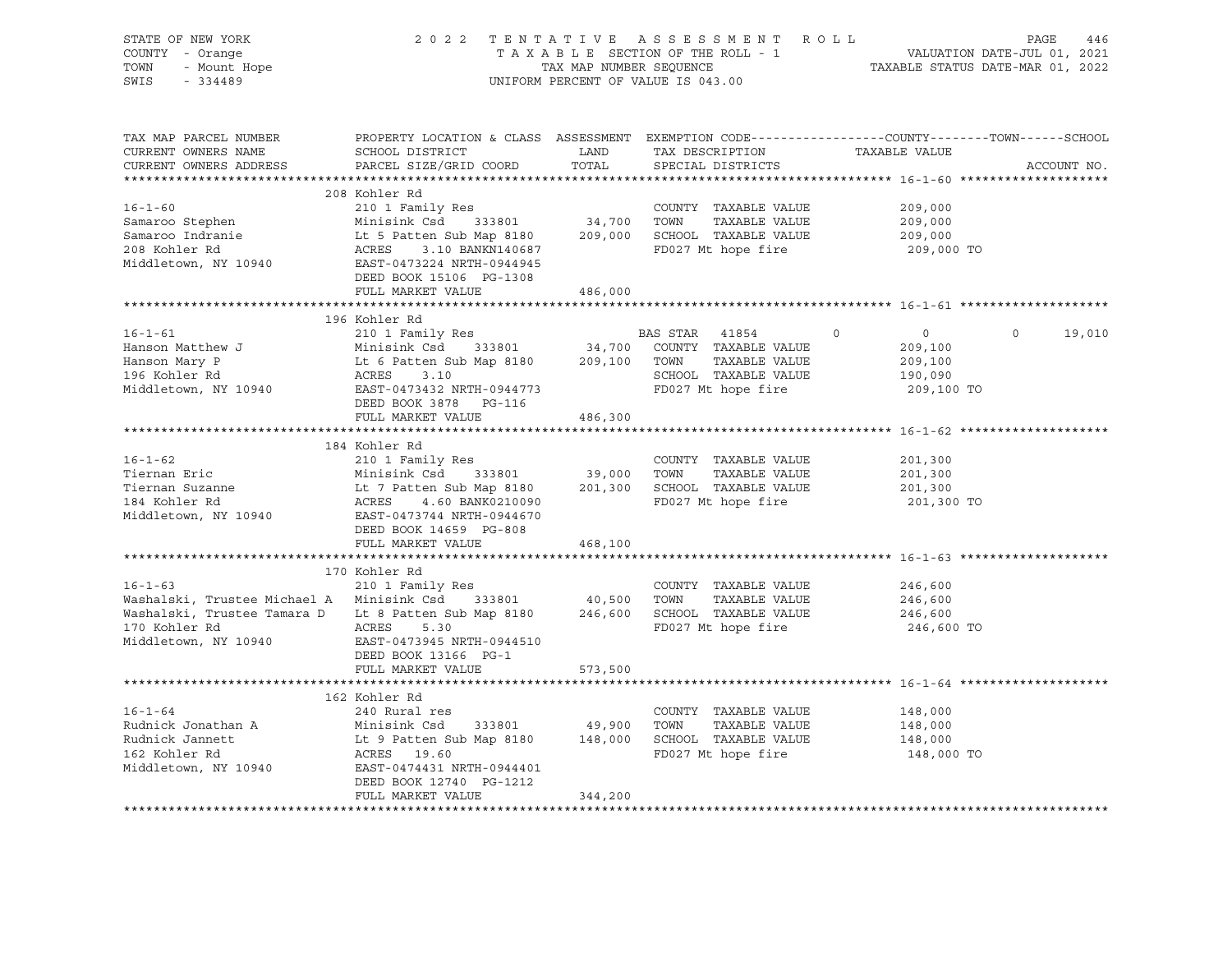| STATE OF NEW YORK<br>F NEW YORK<br>- Orange<br>- Mount Hope<br>COUNTY - Orange<br>TOWN<br>SWIS<br>$-334489$                                                                                                                          |                                                                                                                                               |         | 2022 TENTATIVE ASSESSMENT ROLL PAGE 446<br>TAXABLE SECTION OF THE ROLL - 1<br>TAX MAP NUMBER SEQUENCE SECTION OF THE ROLL - 1<br>TAXABLE STATUS DATE-MAR 01, 2022<br>UNIFORM PERCENT OF VALUE IS 043.00 |                                                |               |
|--------------------------------------------------------------------------------------------------------------------------------------------------------------------------------------------------------------------------------------|-----------------------------------------------------------------------------------------------------------------------------------------------|---------|---------------------------------------------------------------------------------------------------------------------------------------------------------------------------------------------------------|------------------------------------------------|---------------|
| TAX MAP PARCEL NUMBER<br>CURRENT OWNERS NAME<br>CURRENT OWNERS ADDRESS                                                                                                                                                               | PROPERTY LOCATION & CLASS ASSESSMENT EXEMPTION CODE----------------COUNTY-------TOWN------SCHOOL<br>SCHOOL DISTRICT<br>PARCEL SIZE/GRID COORD |         | LAND TAX DESCRIPTION TAXABLE VALUE COORD TOTAL SPECIAL DISTRICTS                                                                                                                                        |                                                | ACCOUNT NO.   |
|                                                                                                                                                                                                                                      | 208 Kohler Rd                                                                                                                                 |         |                                                                                                                                                                                                         |                                                |               |
| $16 - 1 - 60$                                                                                                                                                                                                                        | 210 1 Family Res                                                                                                                              |         | COUNTY TAXABLE VALUE                                                                                                                                                                                    | 209,000                                        |               |
|                                                                                                                                                                                                                                      |                                                                                                                                               |         |                                                                                                                                                                                                         | 209,000                                        |               |
|                                                                                                                                                                                                                                      |                                                                                                                                               |         |                                                                                                                                                                                                         | 209,000                                        |               |
| Samaroo Stephen Minisink Csd 333801 34,700 TOWN TAXABLE VALUE<br>Samaroo Indranie Lt 5 Patten Sub Map 8180 209,000 SCHOOL TAXABLE VALUE<br>208 Kohler Rd ACRES 3.10 BANKN140687 FD027 Mt hope fire<br>Middletown, NY 10940 EAST-0442 | DEED BOOK 15106 PG-1308                                                                                                                       |         |                                                                                                                                                                                                         | 209,000 TO                                     |               |
|                                                                                                                                                                                                                                      | FULL MARKET VALUE                                                                                                                             | 486,000 |                                                                                                                                                                                                         |                                                |               |
|                                                                                                                                                                                                                                      |                                                                                                                                               |         |                                                                                                                                                                                                         |                                                |               |
| $16 - 1 - 61$                                                                                                                                                                                                                        | 196 Kohler Rd<br>210 1 Family Res 60 BAS STAR 41854                                                                                           |         |                                                                                                                                                                                                         |                                                |               |
|                                                                                                                                                                                                                                      |                                                                                                                                               |         |                                                                                                                                                                                                         | $\overline{0}$                                 | $0 \t 19,010$ |
|                                                                                                                                                                                                                                      |                                                                                                                                               |         |                                                                                                                                                                                                         | 209,100<br>209,100                             |               |
|                                                                                                                                                                                                                                      |                                                                                                                                               |         |                                                                                                                                                                                                         | 190,090                                        |               |
| 196 Kohler Rd<br>Middletown, NY 10940<br>EAST-0473432 NRTH-0944773<br>TD027 Mthope fire                                                                                                                                              |                                                                                                                                               |         |                                                                                                                                                                                                         | 209,100 TO                                     |               |
|                                                                                                                                                                                                                                      | DEED BOOK 3878 PG-116                                                                                                                         |         |                                                                                                                                                                                                         |                                                |               |
|                                                                                                                                                                                                                                      | FULL MARKET VALUE                                                                                                                             | 486,300 |                                                                                                                                                                                                         |                                                |               |
|                                                                                                                                                                                                                                      |                                                                                                                                               |         |                                                                                                                                                                                                         |                                                |               |
|                                                                                                                                                                                                                                      | 184 Kohler Rd                                                                                                                                 |         |                                                                                                                                                                                                         |                                                |               |
| $16 - 1 - 62$                                                                                                                                                                                                                        | 210 1 Family Res                                                                                                                              |         |                                                                                                                                                                                                         | 201,300                                        |               |
|                                                                                                                                                                                                                                      |                                                                                                                                               |         |                                                                                                                                                                                                         | 201,300<br>201,300                             |               |
|                                                                                                                                                                                                                                      |                                                                                                                                               |         |                                                                                                                                                                                                         |                                                |               |
| 16-1-62 210 1 Family Res COUNTY TAXABLE VALUE<br>Tiernan Eric Minisink Csd 333801 39,000 TOWN TAXABLE VALUE<br>Tiernan Suzanne Lt 7 Patten Sub Map 8180 201,300 SCHOOL TAXABLE VALUE<br>184 Kohler Rd ACRES 4.60 BANK0210090 FD027 M |                                                                                                                                               |         |                                                                                                                                                                                                         | 201,300 TO                                     |               |
|                                                                                                                                                                                                                                      | DEED BOOK 14659 PG-808                                                                                                                        |         |                                                                                                                                                                                                         |                                                |               |
|                                                                                                                                                                                                                                      | FULL MARKET VALUE                                                                                                                             | 468,100 |                                                                                                                                                                                                         |                                                |               |
|                                                                                                                                                                                                                                      |                                                                                                                                               |         |                                                                                                                                                                                                         |                                                |               |
|                                                                                                                                                                                                                                      | 170 Kohler Rd                                                                                                                                 |         |                                                                                                                                                                                                         |                                                |               |
| $16 - 1 - 63$                                                                                                                                                                                                                        | 210 1 Family Res                                                                                                                              |         | COUNTY TAXABLE VALUE                                                                                                                                                                                    | 246,600                                        |               |
|                                                                                                                                                                                                                                      |                                                                                                                                               |         |                                                                                                                                                                                                         |                                                |               |
| Washalski, Trustee Michael A Minisink Csd 333801 40,500 TOWN TAXABLE VALUE<br>Washalski, Trustee Tamara D Lt 8 Patten Sub Map 8180 246,600 SCHOOL TAXABLE VALUE                                                                      |                                                                                                                                               |         |                                                                                                                                                                                                         | 246,600<br>246,600                             |               |
|                                                                                                                                                                                                                                      |                                                                                                                                               |         | FD027 Mt hope fire                                                                                                                                                                                      | 246,600 TO                                     |               |
|                                                                                                                                                                                                                                      |                                                                                                                                               |         |                                                                                                                                                                                                         |                                                |               |
|                                                                                                                                                                                                                                      | DEED BOOK 13166 PG-1                                                                                                                          |         |                                                                                                                                                                                                         |                                                |               |
|                                                                                                                                                                                                                                      | FULL MARKET VALUE                                                                                                                             | 573,500 |                                                                                                                                                                                                         |                                                |               |
|                                                                                                                                                                                                                                      |                                                                                                                                               |         |                                                                                                                                                                                                         |                                                |               |
| $16 - 1 - 64$                                                                                                                                                                                                                        | 162 Kohler Rd<br>240 Rural res                                                                                                                |         | COUNTY TAXABLE VALUE                                                                                                                                                                                    |                                                |               |
|                                                                                                                                                                                                                                      |                                                                                                                                               |         |                                                                                                                                                                                                         | 148,000                                        |               |
|                                                                                                                                                                                                                                      |                                                                                                                                               |         |                                                                                                                                                                                                         | TAXABLE VALUE 148,000<br>TAXABLE VALUE 148,000 |               |
|                                                                                                                                                                                                                                      |                                                                                                                                               |         | FD027 Mt hope fire                                                                                                                                                                                      | 148,000 TO                                     |               |
| Middletown, NY 10940 EAST-0474431 NRTH-0944401                                                                                                                                                                                       |                                                                                                                                               |         |                                                                                                                                                                                                         |                                                |               |
|                                                                                                                                                                                                                                      | DEED BOOK 12740 PG-1212                                                                                                                       |         |                                                                                                                                                                                                         |                                                |               |
|                                                                                                                                                                                                                                      | FULL MARKET VALUE                                                                                                                             | 344,200 |                                                                                                                                                                                                         |                                                |               |
|                                                                                                                                                                                                                                      |                                                                                                                                               |         |                                                                                                                                                                                                         |                                                |               |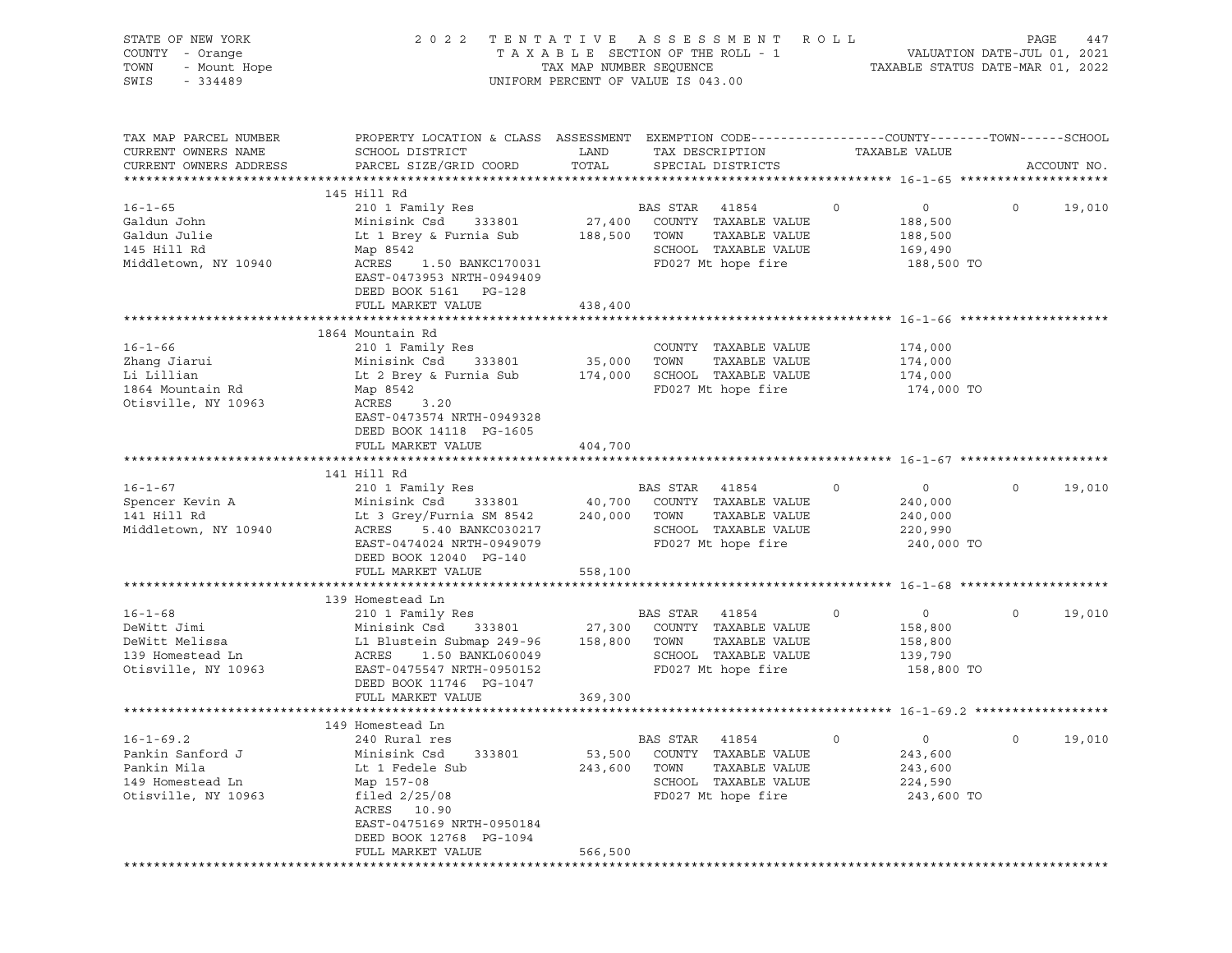| STATE OF NEW YORK<br>COUNTY - Orange<br>OF NEW YORK<br>- Orange<br>- Mount Hope<br>TOWN<br>SWIS | 2022 TENTATIVE ASSESSMENT ROLL<br>UNIFORM PERCENT OF VALUE IS 043.00                                                                                                                                                                                                 | PAGE                         |                                                                                                                     |                                                                             |                          |
|-------------------------------------------------------------------------------------------------|----------------------------------------------------------------------------------------------------------------------------------------------------------------------------------------------------------------------------------------------------------------------|------------------------------|---------------------------------------------------------------------------------------------------------------------|-----------------------------------------------------------------------------|--------------------------|
| TAX MAP PARCEL NUMBER<br>CURRENT OWNERS NAME<br>CURRENT OWNERS ADDRESS                          | PROPERTY LOCATION & CLASS ASSESSMENT EXEMPTION CODE----------------COUNTY-------TOWN------SCHOOL<br>SCHOOL DISTRICT<br>PARCEL SIZE/GRID COORD                                                                                                                        | LAND<br>TOTAL                | TAX DESCRIPTION<br>SPECIAL DISTRICTS                                                                                | TAXABLE VALUE                                                               | ACCOUNT NO.              |
|                                                                                                 | 145 Hill Rd                                                                                                                                                                                                                                                          |                              |                                                                                                                     |                                                                             |                          |
| $16 - 1 - 65$<br>Galdun John<br>Galdun Julie<br>145 Hill Rd<br>Middletown, NY 10940             | 210 1 Family Res<br>Minisink Csd<br>Lt 1 Brey & Furnia Sub<br>Map 8542<br>ACRES 1.50 BANKC170031<br>EAST-0473953 NRTH-0949409<br>DEED BOOK 5161 PG-128                                                                                                               | 188,500 TOWN                 | BAS STAR 41854<br>333801 27,400 COUNTY TAXABLE VALUE<br>TAXABLE VALUE<br>SCHOOL TAXABLE VALUE<br>FD027 Mt hope fire | $\circ$<br>$\overline{0}$<br>188,500<br>188,500<br>169,490<br>188,500 TO    | $\overline{0}$<br>19,010 |
|                                                                                                 | FULL MARKET VALUE                                                                                                                                                                                                                                                    | 438,400                      |                                                                                                                     |                                                                             |                          |
| $16 - 1 - 66$<br>Zhang Jiarui<br>Li Lillian<br>1864 Mountain Rd<br>Otisville, NY 10963          | 1864 Mountain Rd<br>210 1 Family Res<br>Minisink Csd 333801 35,000 TOWN<br>Lt 2 Brey & Furnia Sub<br>Map 8542<br>ACRES 3.20<br>EAST-0473574 NRTH-0949328<br>DEED BOOK 14118 PG-1605                                                                                  |                              | COUNTY TAXABLE VALUE<br>TAXABLE VALUE<br>174,000 SCHOOL TAXABLE VALUE<br>FD027 Mt hope fire                         | 174,000<br>174,000<br>174,000<br>174,000 TO                                 |                          |
|                                                                                                 | FULL MARKET VALUE                                                                                                                                                                                                                                                    | 404,700                      |                                                                                                                     |                                                                             |                          |
|                                                                                                 |                                                                                                                                                                                                                                                                      |                              |                                                                                                                     |                                                                             |                          |
| $16 - 1 - 67$<br>Spencer Kevin A<br>141 Hill Rd<br>Middletown, NY 10940                         | 141 Hill Rd<br>210 1 Family Res<br>Minisink Csd 333801 40,700 COUNTY TAXABLE VALUE<br>Lt 3 Grey/Furnia SM 8542 240,000 TOWN TAXABLE VALUE<br>ACRES 5.40 BANKC030217 SCHOOL TAXABLE VALUE<br>EAST-0474024 NRTH-0949079<br>DEED BOOK 12040 PG-140<br>FULL MARKET VALUE | 558,100                      | BAS STAR 41854<br>FD027 Mt hope fire                                                                                | $\circ$<br>$\overline{0}$<br>240,000<br>240,000<br>220,990<br>240,000 TO    | $\Omega$<br>19,010       |
|                                                                                                 |                                                                                                                                                                                                                                                                      |                              |                                                                                                                     |                                                                             |                          |
| $16 - 1 - 68$<br>DeWitt Jimi<br>DeWitt Melissa<br>139 Homestead Ln<br>Otisville, NY 10963       | 139 Homestead Ln<br>210 1 Family Res<br>Minisink Csd 333801 27,300 COUNTY TAXABLE VALUE<br>L1 Blustein Submap 249-96 158,800 TOWN<br>ACRES 1.50 BANKL060049<br>EAST-0475547 NRTH-0950152<br>DEED BOOK 11746 PG-1047<br>FULL MARKET VALUE                             | 369,300                      | BAS STAR 41854<br>TAXABLE VALUE<br>SCHOOL TAXABLE VALUE<br>FD027 Mt hope fire                                       | $\circ$<br>$\overline{0}$<br>158,800<br>158,800<br>139,790<br>158,800 TO    | $\circ$<br>19,010        |
|                                                                                                 |                                                                                                                                                                                                                                                                      |                              |                                                                                                                     |                                                                             |                          |
| $16 - 1 - 69.2$<br>Pankin Sanford J<br>Pankin Mila<br>149 Homestead Ln<br>Otisville, NY 10963   | 149 Homestead Ln<br>240 Rural res<br>Minisink Csd<br>333801<br>Lt 1 Fedele Sub<br>Map 157-08<br>filed $2/25/08$<br>ACRES 10.90<br>EAST-0475169 NRTH-0950184<br>DEED BOOK 12768 PG-1094                                                                               | 53,500<br>243,600<br>566,500 | BAS STAR<br>41854<br>COUNTY TAXABLE VALUE<br>TAXABLE VALUE<br>TOWN<br>SCHOOL TAXABLE VALUE<br>FD027 Mt hope fire    | $\mathsf{O}$<br>$\mathsf{O}$<br>243,600<br>243,600<br>224,590<br>243,600 TO | $\circ$<br>19,010        |
|                                                                                                 | FULL MARKET VALUE                                                                                                                                                                                                                                                    |                              |                                                                                                                     |                                                                             |                          |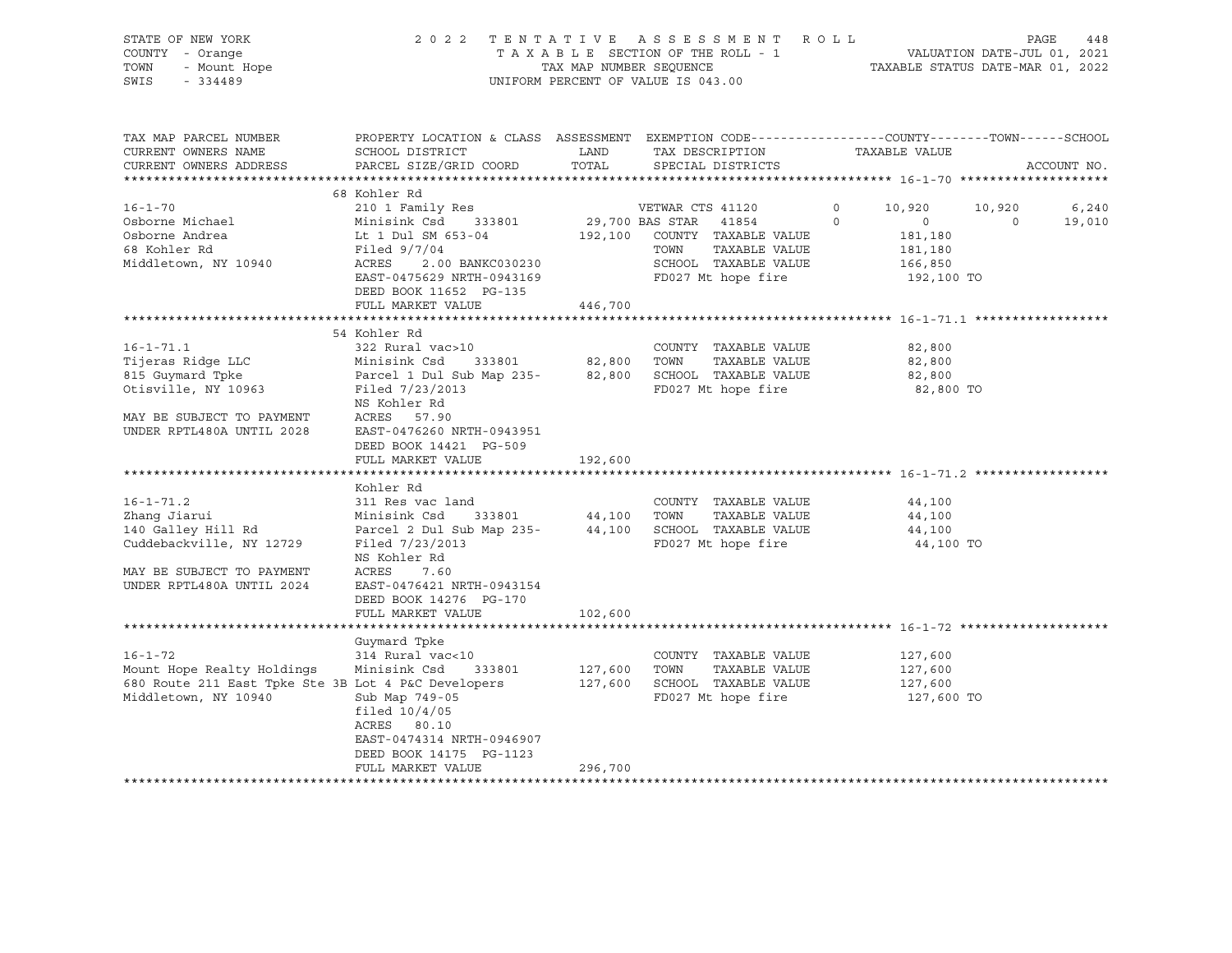| STATE OF NEW YORK<br>COUNTY - Orange<br>- Mount Hope<br>TOWN<br>SWIS<br>$-334489$                                                                                                                                                                                                        |                                                                                                                                                                                                                                                                                                                                                                                                                                                                                       |               | 2022 TENTATIVE ASSESSMENT ROLL<br>UNIFORM PERCENT OF VALUE IS 043.00                                                                             |                                                                                                      | 448<br>PAGE                           |
|------------------------------------------------------------------------------------------------------------------------------------------------------------------------------------------------------------------------------------------------------------------------------------------|---------------------------------------------------------------------------------------------------------------------------------------------------------------------------------------------------------------------------------------------------------------------------------------------------------------------------------------------------------------------------------------------------------------------------------------------------------------------------------------|---------------|--------------------------------------------------------------------------------------------------------------------------------------------------|------------------------------------------------------------------------------------------------------|---------------------------------------|
| TAX MAP PARCEL NUMBER<br>CURRENT OWNERS NAME<br>CURRENT OWNERS ADDRESS                                                                                                                                                                                                                   | PROPERTY LOCATION & CLASS ASSESSMENT EXEMPTION CODE----------------COUNTY-------TOWN------SCHOOL<br>SCHOOL DISTRICT<br>PARCEL SIZE/GRID COORD                                                                                                                                                                                                                                                                                                                                         | LAND<br>TOTAL | TAX DESCRIPTION<br>SPECIAL DISTRICTS                                                                                                             | TAXABLE VALUE                                                                                        | ACCOUNT NO.                           |
|                                                                                                                                                                                                                                                                                          | 68 Kohler Rd                                                                                                                                                                                                                                                                                                                                                                                                                                                                          |               |                                                                                                                                                  |                                                                                                      |                                       |
| $16 - 1 - 70$<br>Osborne Michael<br>Osborne Andrea<br>68 Kohler Rd<br>Middletown, NY 10940                                                                                                                                                                                               | 210 1 Family Res<br>Minisink Csd 333801<br>Lt 1 Dul SM 653-04<br>Filed 9/7/04<br>ACRES 2.00 BANKC030230<br>EAST-0475629 NRTH-0943169<br>DEED BOOK 11652 PG-135                                                                                                                                                                                                                                                                                                                        |               | VETWAR CTS 41120<br>29,700 BAS STAR 41854<br>192,100 COUNTY TAXABLE VALUE<br>TOWN<br>TAXABLE VALUE<br>SCHOOL TAXABLE VALUE<br>FD027 Mt hope fire | 10,920<br>$\circ$<br>$\overline{0}$<br>$\overline{0}$<br>181,180<br>181,180<br>166,850<br>192,100 TO | 10,920<br>6,240<br>$\sim$ 0<br>19,010 |
|                                                                                                                                                                                                                                                                                          | FULL MARKET VALUE 446,700                                                                                                                                                                                                                                                                                                                                                                                                                                                             |               |                                                                                                                                                  |                                                                                                      |                                       |
| $16 - 1 - 71.1$<br>Tijeras Ridge LLC<br>815 Guymard Tpke<br>Otisville, NY 10963<br>MAY BE SUBJECT TO PAYMENT<br>UNDER RPTL480A UNTIL 2028<br>$16 - 1 - 71.2$<br>Zhang Jiarui<br>140 Galley Hill Rd<br>Cuddebackville, NY 12729<br>MAY BE SUBJECT TO PAYMENT<br>UNDER RPTL480A UNTIL 2024 | 54 Kohler Rd<br>322 Rural vac>10<br>Minisink Csd 333801 82,800 TOWN TAXABLE VALUE<br>Parcel 1 Dul Sub Map 235- 82,800 SCHOOL TAXABLE VALUE<br>Filed 7/23/2013<br>NS Kohler Rd<br>ACRES 57.90<br>EAST-0476260 NRTH-0943951<br>DEED BOOK 14421 PG-509<br>FULL MARKET VALUE<br>Kohler Rd<br>311 Res vac land<br>Minisink Csd 333801 44,100 TOWN<br>Parcel 2 Dul Sub Map 235-44,100 SCHOOL TAXABLE VALUE<br>Filed 7/23/2013<br>NS Kohler Rd<br>ACRES<br>7.60<br>EAST-0476421 NRTH-0943154 | 192,600       | COUNTY TAXABLE VALUE<br>FD027 Mt hope fire<br>COUNTY TAXABLE VALUE<br>TAXABLE VALUE<br>FD027 Mt hope fire                                        | 82,800<br>82,800<br>82,800<br>82,800 TO<br>44,100<br>44,100<br>44,100<br>44,100 TO                   |                                       |
|                                                                                                                                                                                                                                                                                          | DEED BOOK 14276 PG-170                                                                                                                                                                                                                                                                                                                                                                                                                                                                |               |                                                                                                                                                  |                                                                                                      |                                       |
|                                                                                                                                                                                                                                                                                          | FULL MARKET VALUE                                                                                                                                                                                                                                                                                                                                                                                                                                                                     | 102,600       |                                                                                                                                                  |                                                                                                      |                                       |
| $16 - 1 - 72$<br>Mount Hope Realty Holdings<br>680 Route 211 East Tpke Ste 3B Lot 4 P&C Developers<br>Middletown, NY 10940                                                                                                                                                               | Guymard Tpke<br>314 Rural vac<10<br>Minisink Csd<br>333801<br>Sub Map 749-05<br>filed $10/4/05$<br>ACRES 80.10<br>EAST-0474314 NRTH-0946907<br>DEED BOOK 14175 PG-1123<br>FULL MARKET VALUE                                                                                                                                                                                                                                                                                           | 296,700       | COUNTY TAXABLE VALUE<br>127,600   TOWN    TAXABLE VALUE<br>127,600   SCHOOL  TAXABLE VALUE<br>FD027 Mt hope fire                                 | 127,600<br>127,600<br>127,600<br>127,600 TO                                                          |                                       |
|                                                                                                                                                                                                                                                                                          |                                                                                                                                                                                                                                                                                                                                                                                                                                                                                       |               |                                                                                                                                                  |                                                                                                      |                                       |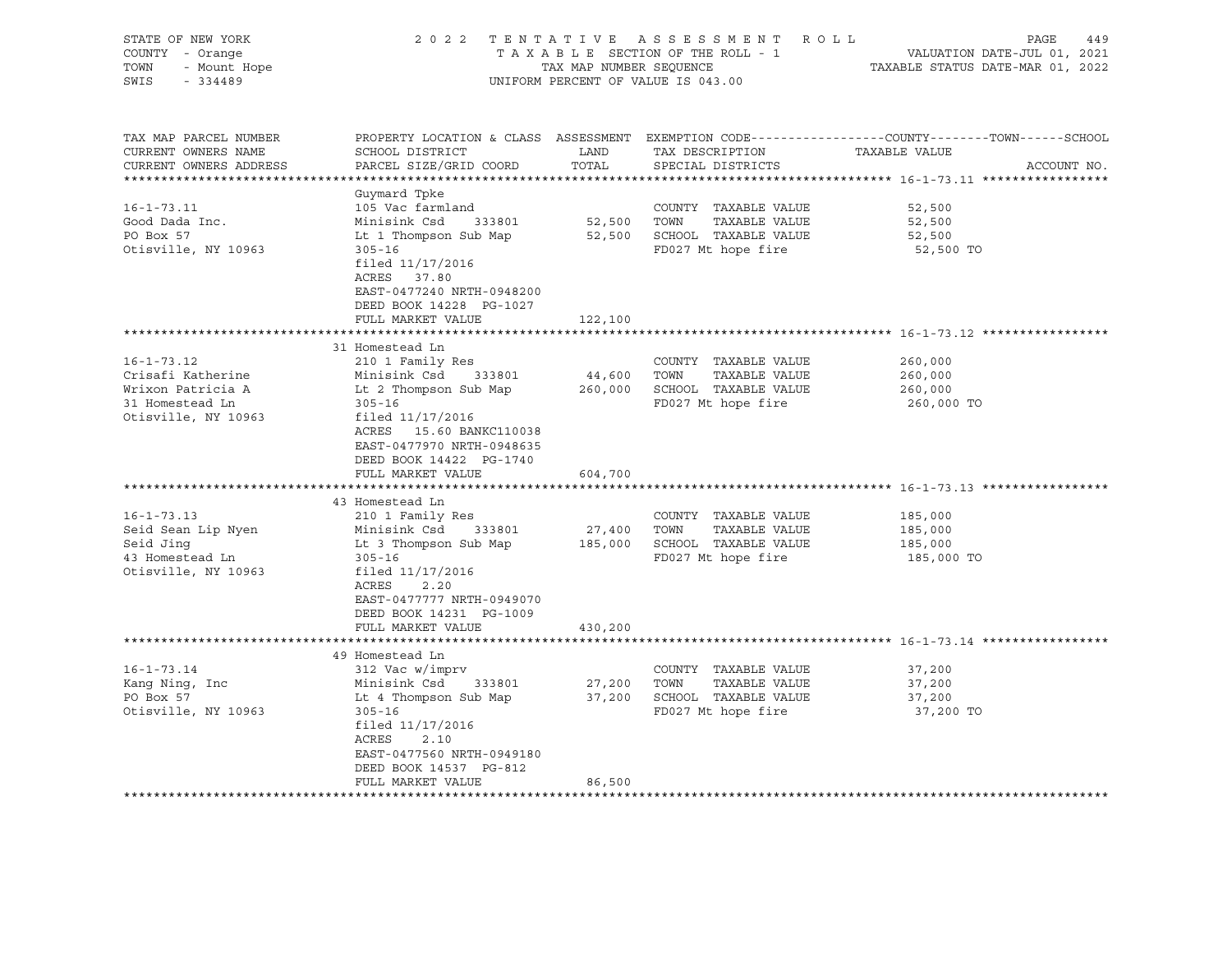| STATE OF NEW YORK<br>COUNTY - Orange<br>TOWN<br>- Mount Hope<br>SWIS<br>$-334489$                                                                           | 2 0 2 2                                                                                                                                                                                                                                                                                           | TAX MAP NUMBER SEQUENCE                | TENTATIVE ASSESSMENT ROLL<br>TAXABLE SECTION OF THE ROLL - 1<br>UNIFORM PERCENT OF VALUE IS 043.00                                                                           | PAGE<br>449<br>VALUATION DATE-JUL 01, 2021<br>TAXABLE STATUS DATE-MAR 01, 2022                                                   |
|-------------------------------------------------------------------------------------------------------------------------------------------------------------|---------------------------------------------------------------------------------------------------------------------------------------------------------------------------------------------------------------------------------------------------------------------------------------------------|----------------------------------------|------------------------------------------------------------------------------------------------------------------------------------------------------------------------------|----------------------------------------------------------------------------------------------------------------------------------|
| TAX MAP PARCEL NUMBER<br>CURRENT OWNERS NAME<br>CURRENT OWNERS ADDRESS                                                                                      | SCHOOL DISTRICT<br>PARCEL SIZE/GRID COORD                                                                                                                                                                                                                                                         | LAND<br>TOTAL                          | TAX DESCRIPTION<br>SPECIAL DISTRICTS                                                                                                                                         | PROPERTY LOCATION & CLASS ASSESSMENT EXEMPTION CODE----------------COUNTY-------TOWN------SCHOOL<br>TAXABLE VALUE<br>ACCOUNT NO. |
| $16 - 1 - 73.11$<br>Good Dada Inc.<br>PO Box 57<br>Otisville, NY 10963                                                                                      | Guymard Tpke<br>105 Vac farmland<br>Minisink Csd<br>333801<br>Lt 1 Thompson Sub Map<br>$305 - 16$<br>filed 11/17/2016<br>ACRES<br>37.80<br>EAST-0477240 NRTH-0948200<br>DEED BOOK 14228 PG-1027<br>FULL MARKET VALUE                                                                              | 52,500 TOWN<br>122,100                 | COUNTY TAXABLE VALUE<br>TAXABLE VALUE<br>52,500 SCHOOL TAXABLE VALUE<br>FD027 Mt hope fire                                                                                   | 52,500<br>52,500<br>52,500<br>52,500 TO                                                                                          |
|                                                                                                                                                             |                                                                                                                                                                                                                                                                                                   |                                        |                                                                                                                                                                              |                                                                                                                                  |
| $16 - 1 - 73.12$<br>Crisafi Katherine<br>Wrixon Patricia A<br>31 Homestead Ln<br>Otisville, NY 10963<br>$16 - 1 - 73.13$<br>Seid Sean Lip Nyen<br>Seid Jing | 31 Homestead Ln<br>210 1 Family Res<br>Minisink Csd<br>333801<br>Lt 2 Thompson Sub Map<br>$305 - 16$<br>filed 11/17/2016<br>ACRES 15.60 BANKC110038<br>EAST-0477970 NRTH-0948635<br>DEED BOOK 14422 PG-1740<br>FULL MARKET VALUE<br>43 Homestead Ln<br>210 1 Family Res<br>Minisink Csd<br>333801 | 44,600<br>260,000<br>604,700<br>27,400 | COUNTY TAXABLE VALUE<br>TOWN<br>TAXABLE VALUE<br>SCHOOL TAXABLE VALUE<br>FD027 Mt hope fire<br>COUNTY TAXABLE VALUE<br>TOWN<br>TAXABLE VALUE<br>185,000 SCHOOL TAXABLE VALUE | 260,000<br>260,000<br>260,000<br>260,000 TO<br>185,000<br>185,000<br>185,000                                                     |
| 43 Homestead Ln<br>Otisville, NY 10963                                                                                                                      | Lt 3 Thompson Sub Map<br>$305 - 16$<br>filed $11/17/2016$<br>ACRES<br>2.20<br>EAST-0477777 NRTH-0949070<br>DEED BOOK 14231 PG-1009<br>FULL MARKET VALUE                                                                                                                                           | 430,200                                | FD027 Mt hope fire                                                                                                                                                           | 185,000 TO                                                                                                                       |
|                                                                                                                                                             |                                                                                                                                                                                                                                                                                                   |                                        |                                                                                                                                                                              |                                                                                                                                  |
| $16 - 1 - 73.14$<br>Kang Ning, Inc<br>PO Box 57<br>Otisville, NY 10963                                                                                      | 49 Homestead Ln<br>312 Vac w/imprv<br>Minisink Csd<br>333801<br>Lt 4 Thompson Sub Map<br>$305 - 16$<br>filed $11/17/2016$<br>ACRES<br>2.10<br>EAST-0477560 NRTH-0949180<br>DEED BOOK 14537 PG-812<br>FULL MARKET VALUE                                                                            | 27,200<br>37,200<br>86,500             | COUNTY TAXABLE VALUE<br>TOWN<br>TAXABLE VALUE<br>SCHOOL TAXABLE VALUE<br>FD027 Mt hope fire                                                                                  | 37,200<br>37,200<br>37,200<br>37,200 TO                                                                                          |
| ******************                                                                                                                                          |                                                                                                                                                                                                                                                                                                   |                                        |                                                                                                                                                                              |                                                                                                                                  |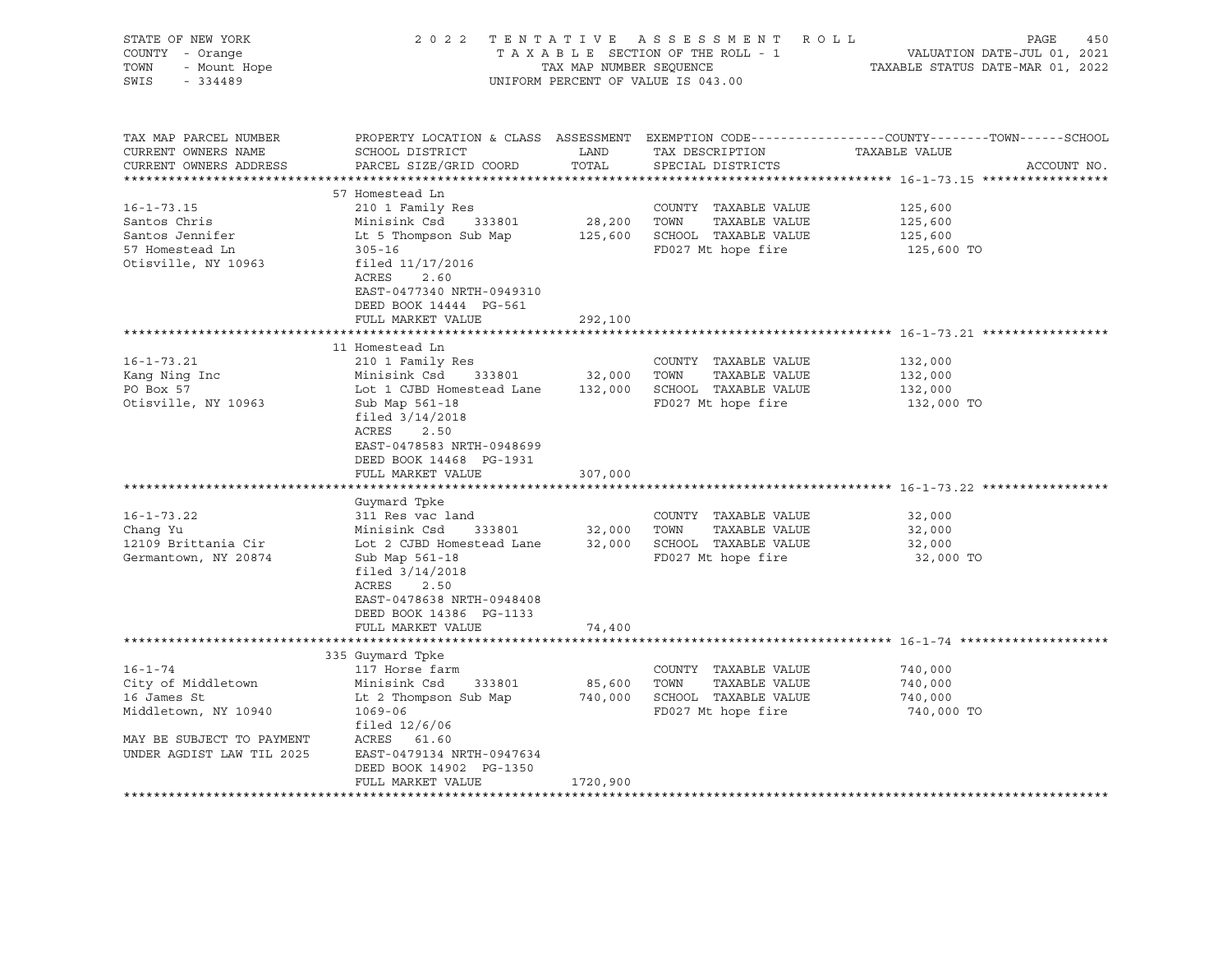| STATE OF NEW YORK<br>COUNTY - Orange<br>TOWN<br>- Mount Hope<br>SWIS<br>$-334489$                                                                    |                                                                                                                                                                                                                                                                                                                                                                                                                                         | TAX MAP NUMBER SEQUENCE               | 2022 TENTATIVE ASSESSMENT ROLL<br>TAXABLE SECTION OF THE ROLL - 1<br>UNIFORM PERCENT OF VALUE IS 043.00                                                                                   | PAGE<br>450<br>VALUATION DATE-JUL 01, 2021<br>TAXABLE STATUS DATE-MAR 01, 2022                                                  |
|------------------------------------------------------------------------------------------------------------------------------------------------------|-----------------------------------------------------------------------------------------------------------------------------------------------------------------------------------------------------------------------------------------------------------------------------------------------------------------------------------------------------------------------------------------------------------------------------------------|---------------------------------------|-------------------------------------------------------------------------------------------------------------------------------------------------------------------------------------------|---------------------------------------------------------------------------------------------------------------------------------|
| TAX MAP PARCEL NUMBER<br>CURRENT OWNERS NAME<br>CURRENT OWNERS ADDRESS                                                                               | SCHOOL DISTRICT<br>PARCEL SIZE/GRID COORD                                                                                                                                                                                                                                                                                                                                                                                               | LAND<br>TOTAL                         | TAX DESCRIPTION<br>SPECIAL DISTRICTS                                                                                                                                                      | PROPERTY LOCATION & CLASS ASSESSMENT EXEMPTION CODE---------------COUNTY-------TOWN------SCHOOL<br>TAXABLE VALUE<br>ACCOUNT NO. |
| $16 - 1 - 73.15$<br>Santos Chris<br>Santos Jennifer<br>57 Homestead Ln<br>Otisville, NY 10963                                                        | 57 Homestead Ln<br>210 1 Family Res<br>Minisink Csd<br>333801<br>Lt 5 Thompson Sub Map<br>$305 - 16$<br>filed 11/17/2016<br>ACRES<br>2.60<br>EAST-0477340 NRTH-0949310<br>DEED BOOK 14444 PG-561<br>FULL MARKET VALUE                                                                                                                                                                                                                   | 292,100                               | COUNTY TAXABLE VALUE<br>28,200 TOWN<br>TAXABLE VALUE<br>125,600 SCHOOL TAXABLE VALUE<br>FD027 Mt hope fire                                                                                | 125,600<br>125,600<br>125,600<br>125,600 TO                                                                                     |
|                                                                                                                                                      |                                                                                                                                                                                                                                                                                                                                                                                                                                         |                                       |                                                                                                                                                                                           |                                                                                                                                 |
| $16 - 1 - 73.21$<br>Kang Ning Inc<br>PO Box 57<br>Otisville, NY 10963<br>$16 - 1 - 73.22$<br>Chang Yu<br>12109 Brittania Cir<br>Germantown, NY 20874 | 11 Homestead Ln<br>210 1 Family Res<br>Minisink Csd 333801<br>Lot 1 CJBD Homestead Lane<br>Sub Map 561-18<br>filed $3/14/2018$<br>ACRES<br>2.50<br>EAST-0478583 NRTH-0948699<br>DEED BOOK 14468 PG-1931<br>FULL MARKET VALUE<br>Guymard Tpke<br>311 Res vac land<br>Minisink Csd<br>333801<br>Lot 2 CJBD Homestead Lane<br>Sub Map 561-18<br>filed $3/14/2018$<br>ACRES<br>2.50<br>EAST-0478638 NRTH-0948408<br>DEED BOOK 14386 PG-1133 | 32,000 TOWN<br>307,000<br>32,000 TOWN | COUNTY TAXABLE VALUE<br>TAXABLE VALUE<br>132,000 SCHOOL TAXABLE VALUE<br>FD027 Mt hope fire<br>COUNTY TAXABLE VALUE<br>TAXABLE VALUE<br>32,000 SCHOOL TAXABLE VALUE<br>FD027 Mt hope fire | 132,000<br>132,000<br>132,000<br>132,000 TO<br>32,000<br>32,000<br>32,000<br>32,000 TO                                          |
|                                                                                                                                                      | FULL MARKET VALUE                                                                                                                                                                                                                                                                                                                                                                                                                       | 74,400                                |                                                                                                                                                                                           |                                                                                                                                 |
|                                                                                                                                                      | 335 Guymard Tpke                                                                                                                                                                                                                                                                                                                                                                                                                        |                                       |                                                                                                                                                                                           |                                                                                                                                 |
| $16 - 1 - 74$<br>City of Middletown<br>16 James St<br>Middletown, NY 10940<br>MAY BE SUBJECT TO PAYMENT<br>UNDER AGDIST LAW TIL 2025                 | 117 Horse farm<br>Minisink Csd<br>333801<br>Lt 2 Thompson Sub Map<br>$1069 - 06$<br>filed $12/6/06$<br>ACRES 61.60<br>EAST-0479134 NRTH-0947634<br>DEED BOOK 14902 PG-1350<br>FULL MARKET VALUE                                                                                                                                                                                                                                         | 85,600<br>1720,900                    | COUNTY TAXABLE VALUE<br>TOWN<br>TAXABLE VALUE<br>740,000 SCHOOL TAXABLE VALUE<br>FD027 Mt hope fire                                                                                       | 740,000<br>740,000<br>740,000<br>740,000 TO                                                                                     |
|                                                                                                                                                      |                                                                                                                                                                                                                                                                                                                                                                                                                                         |                                       |                                                                                                                                                                                           |                                                                                                                                 |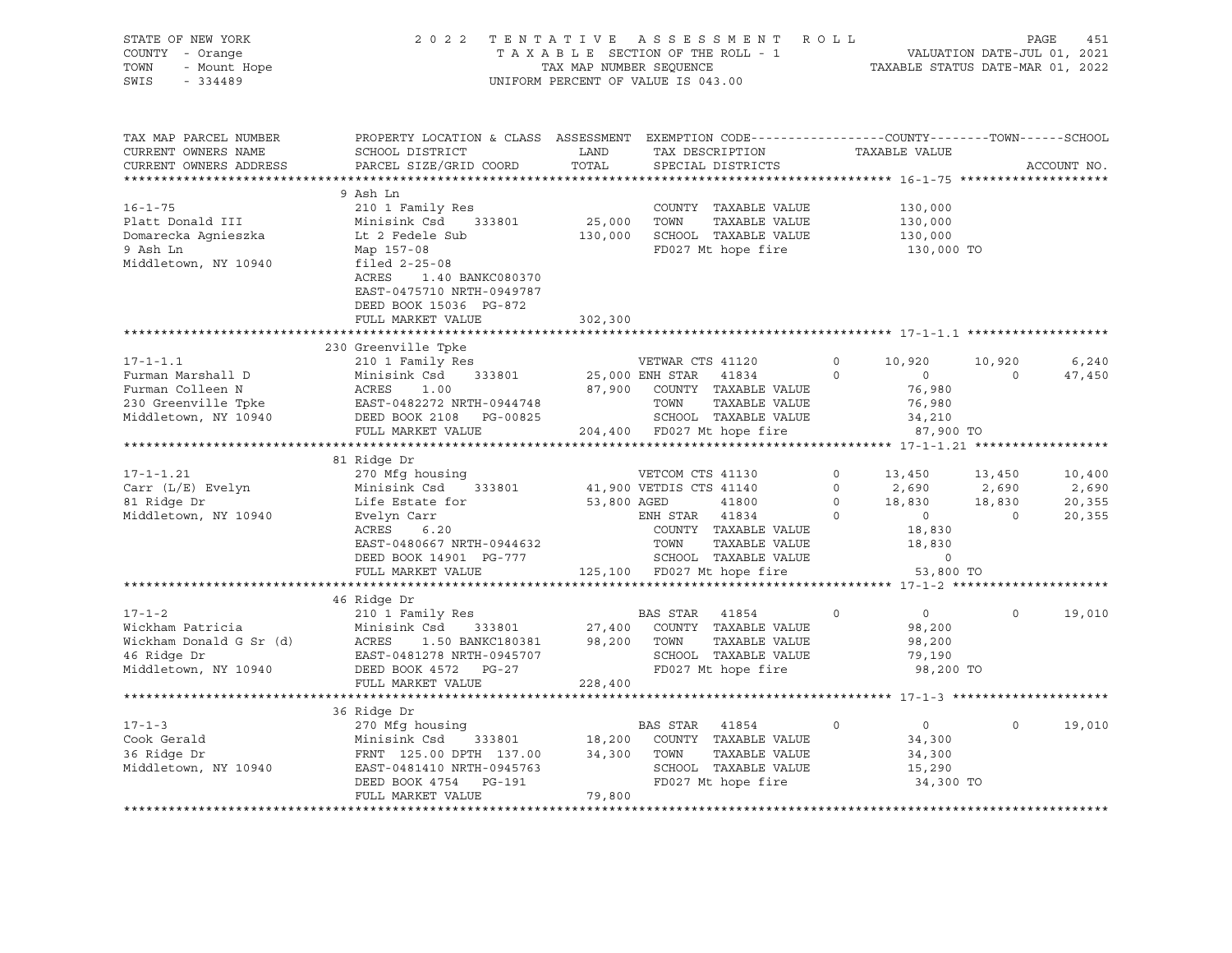| STATE OF NEW YORK<br>COUNTY - Orange<br>TOWN<br>- Mount Hope<br>SWIS<br>$-334489$                      | 2022                                                                                                                                                                                                                |                              | TENTATIVE ASSESSMENT ROLL<br>T A X A B L E SECTION OF THE ROLL - 1<br>TAX MAP NUMBER SEQUENCE<br>UNIFORM PERCENT OF VALUE IS 043.00             |                                                                                         | VALUATION DATE-JUL 01, 2021<br>TAXABLE STATUS DATE-MAR 01, 2022     | PAGE<br>451                         |
|--------------------------------------------------------------------------------------------------------|---------------------------------------------------------------------------------------------------------------------------------------------------------------------------------------------------------------------|------------------------------|-------------------------------------------------------------------------------------------------------------------------------------------------|-----------------------------------------------------------------------------------------|---------------------------------------------------------------------|-------------------------------------|
| TAX MAP PARCEL NUMBER<br>CURRENT OWNERS NAME<br>CURRENT OWNERS ADDRESS                                 | PROPERTY LOCATION & CLASS ASSESSMENT EXEMPTION CODE----------------COUNTY-------TOWN------SCHOOL<br>SCHOOL DISTRICT<br>PARCEL SIZE/GRID COORD                                                                       | LAND<br>TOTAL                | TAX DESCRIPTION<br>SPECIAL DISTRICTS                                                                                                            | TAXABLE VALUE                                                                           |                                                                     | ACCOUNT NO.                         |
| $16 - 1 - 75$<br>Platt Donald III<br>Domarecka Agnieszka<br>9 Ash Ln<br>Middletown, NY 10940           | 9 Ash Ln<br>210 1 Family Res<br>Minisink Csd<br>333801<br>Lt 2 Fedele Sub<br>Map 157-08<br>filed $2-25-08$<br>ACRES<br>1.40 BANKC080370<br>EAST-0475710 NRTH-0949787<br>DEED BOOK 15036 PG-872<br>FULL MARKET VALUE | 25,000<br>130,000<br>302,300 | COUNTY TAXABLE VALUE<br>TAXABLE VALUE<br>TOWN<br>SCHOOL TAXABLE VALUE<br>FD027 Mt hope fire                                                     |                                                                                         | 130,000<br>130,000<br>130,000<br>130,000 TO                         |                                     |
|                                                                                                        | ***********************                                                                                                                                                                                             | ***********                  |                                                                                                                                                 |                                                                                         |                                                                     |                                     |
| $17 - 1 - 1.1$<br>Furman Marshall D<br>Furman Colleen N<br>230 Greenville Tpke<br>Middletown, NY 10940 | 230 Greenville Tpke<br>210 1 Family Res<br>Minisink Csd<br>333801<br>ACRES<br>1.00<br>EAST-0482272 NRTH-0944748<br>DEED BOOK 2108 PG-00825                                                                          | 87,900                       | VETWAR CTS 41120<br>25,000 ENH STAR 41834<br>COUNTY TAXABLE VALUE<br>TOWN<br>TAXABLE VALUE<br>SCHOOL TAXABLE VALUE                              | $\circ$<br>10,920<br>$\circ$<br>$\overline{0}$                                          | 10,920<br>$\circ$<br>76,980<br>76,980<br>34,210                     | 6,240<br>47,450                     |
|                                                                                                        | FULL MARKET VALUE                                                                                                                                                                                                   |                              | 204,400 FD027 Mt hope fire                                                                                                                      |                                                                                         | 87,900 TO                                                           |                                     |
|                                                                                                        |                                                                                                                                                                                                                     |                              |                                                                                                                                                 |                                                                                         |                                                                     |                                     |
| $17 - 1 - 1.21$<br>Carr (L/E) Evelyn<br>81 Ridge Dr<br>Middletown, NY 10940                            | 81 Ridge Dr<br>270 Mfg housing<br>Minisink Csd<br>333801<br>Life Estate for<br>Evelyn Carr<br>ACRES<br>6.20<br>EAST-0480667 NRTH-0944632<br>DEED BOOK 14901 PG-777                                                  | 53,800 AGED                  | VETCOM CTS 41130<br>41,900 VETDIS CTS 41140<br>41800<br>ENH STAR 41834<br>COUNTY TAXABLE VALUE<br>TOWN<br>TAXABLE VALUE<br>SCHOOL TAXABLE VALUE | $\circ$<br>13,450<br>$\circ$<br>2,690<br>18,830<br>$\circ$<br>$\circ$<br>$\overline{0}$ | 13,450<br>2,690<br>18,830<br>$\circ$<br>18,830<br>18,830<br>$\circ$ | 10,400<br>2,690<br>20,355<br>20,355 |
|                                                                                                        | FULL MARKET VALUE                                                                                                                                                                                                   |                              | 125,100 FD027 Mt hope fire                                                                                                                      |                                                                                         | 53,800 TO                                                           |                                     |
|                                                                                                        | **********************                                                                                                                                                                                              |                              | ***********************************                                                                                                             |                                                                                         | ****** 17-1-2 *********                                             |                                     |
| $17 - 1 - 2$<br>Wickham Patricia<br>Wickham Donald G Sr (d)<br>46 Ridge Dr<br>Middletown, NY 10940     | 46 Ridge Dr<br>210 1 Family Res<br>Minisink Csd<br>333801<br>ACRES<br>1.50 BANKC180381<br>EAST-0481278 NRTH-0945707<br>DEED BOOK 4572 PG-27                                                                         | 27,400<br>98,200             | BAS STAR<br>41854<br>COUNTY TAXABLE VALUE<br>TAXABLE VALUE<br>TOWN<br>SCHOOL TAXABLE VALUE<br>FD027 Mt hope fire                                | $\Omega$                                                                                | $\circ$<br>$\Omega$<br>98,200<br>98,200<br>79,190<br>98,200 TO      | 19,010                              |
|                                                                                                        | FULL MARKET VALUE                                                                                                                                                                                                   | 228,400                      |                                                                                                                                                 |                                                                                         |                                                                     |                                     |
| $17 - 1 - 3$                                                                                           | 36 Ridge Dr<br>270 Mfg housing                                                                                                                                                                                      |                              | BAS STAR 41854                                                                                                                                  | $\mathbf 0$                                                                             | 0<br>$\circ$                                                        | 19,010                              |
| Cook Gerald<br>36 Ridge Dr<br>Middletown, NY 10940                                                     | Minisink Csd<br>333801<br>FRNT 125.00 DPTH 137.00<br>EAST-0481410 NRTH-0945763<br>DEED BOOK 4754 PG-191<br>FULL MARKET VALUE                                                                                        | 18,200<br>34,300<br>79,800   | COUNTY TAXABLE VALUE<br>TOWN<br>TAXABLE VALUE<br>SCHOOL TAXABLE VALUE<br>FD027 Mt hope fire                                                     |                                                                                         | 34,300<br>34,300<br>15,290<br>34,300 TO                             |                                     |
|                                                                                                        |                                                                                                                                                                                                                     |                              |                                                                                                                                                 |                                                                                         |                                                                     |                                     |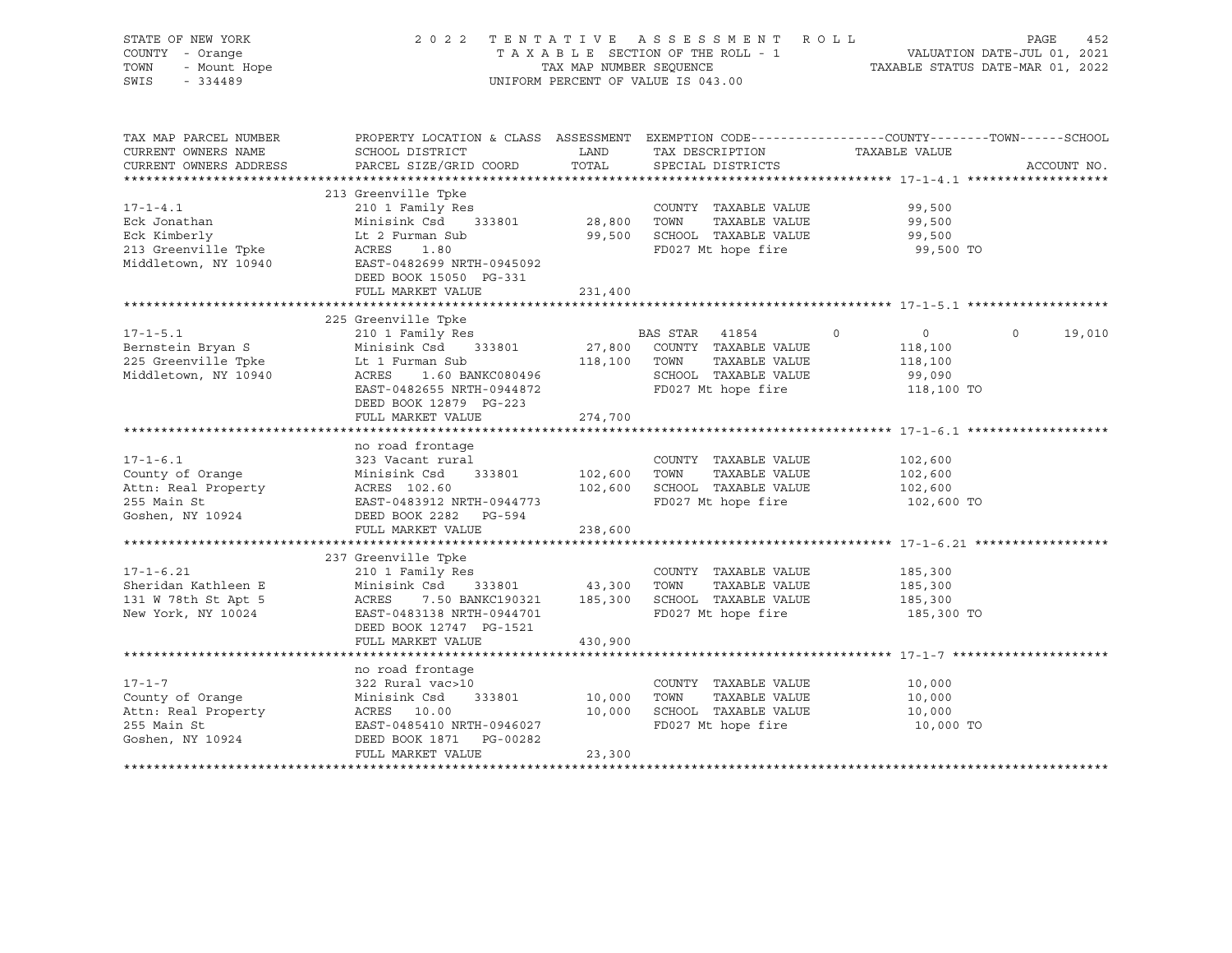| STATE OF NEW YORK<br>COUNTY - Orange<br>TOWN<br>- Mount Hope<br>SWIS<br>$-334489$ | 2 0 2 2                                                                                                                                      | TAX MAP NUMBER SEQUENCE | TENTATIVE ASSESSMENT ROLL<br>TAXABLE SECTION OF THE ROLL - 1<br>UNIFORM PERCENT OF VALUE IS 043.00 | 452<br>VALUATION DATE-JUL 01, 2021<br>TAXABLE STATIIS DATE-MAR 01 0000 | PAGE<br>452       |
|-----------------------------------------------------------------------------------|----------------------------------------------------------------------------------------------------------------------------------------------|-------------------------|----------------------------------------------------------------------------------------------------|------------------------------------------------------------------------|-------------------|
| TAX MAP PARCEL NUMBER<br>CURRENT OWNERS NAME<br>CURRENT OWNERS ADDRESS            | PROPERTY LOCATION & CLASS ASSESSMENT EXEMPTION CODE---------------COUNTY-------TOWN------SCHOOL<br>SCHOOL DISTRICT<br>PARCEL SIZE/GRID COORD | LAND<br>TOTAL           | TAX DESCRIPTION<br>SPECIAL DISTRICTS                                                               | TAXABLE VALUE                                                          | ACCOUNT NO.       |
|                                                                                   |                                                                                                                                              |                         |                                                                                                    |                                                                        |                   |
|                                                                                   | 213 Greenville Tpke                                                                                                                          |                         |                                                                                                    |                                                                        |                   |
| $17 - 1 - 4.1$                                                                    | 210 1 Family Res                                                                                                                             |                         | COUNTY TAXABLE VALUE                                                                               | 99,500                                                                 |                   |
| Eck Jonathan                                                                      | Minisink Csd 333801                                                                                                                          | 28,800 TOWN             | TAXABLE VALUE                                                                                      | 99,500                                                                 |                   |
| Eck Kimberly                                                                      | Lt 2 Furman Sub                                                                                                                              |                         | 99,500 SCHOOL TAXABLE VALUE                                                                        | 99,500                                                                 |                   |
| 213 Greenville Tpke                                                               | ACRES<br>1.80                                                                                                                                |                         | FD027 Mt hope fire                                                                                 | 99,500 TO                                                              |                   |
| Middletown, NY 10940                                                              | EAST-0482699 NRTH-0945092<br>DEED BOOK 15050 PG-331                                                                                          |                         |                                                                                                    |                                                                        |                   |
|                                                                                   | FULL MARKET VALUE                                                                                                                            | 231,400                 |                                                                                                    |                                                                        |                   |
|                                                                                   |                                                                                                                                              |                         |                                                                                                    |                                                                        |                   |
|                                                                                   | 225 Greenville Tpke                                                                                                                          |                         |                                                                                                    |                                                                        |                   |
| $17 - 1 - 5.1$                                                                    | 210 1 Family Res                                                                                                                             |                         | BAS STAR 41854                                                                                     | $\circ$<br>$\overline{0}$                                              | $\circ$<br>19,010 |
| Bernstein Bryan S                                                                 | Minisink Csd 333801                                                                                                                          | 27,800                  | COUNTY TAXABLE VALUE                                                                               | 118,100                                                                |                   |
| 225 Greenville Tpke                                                               | Lt 1 Furman Sub                                                                                                                              | 118,100                 | TOWN<br>TAXABLE VALUE                                                                              | 118,100                                                                |                   |
| Middletown, NY 10940                                                              | 1.60 BANKC080496<br>ACRES                                                                                                                    |                         | SCHOOL TAXABLE VALUE                                                                               | 99,090                                                                 |                   |
|                                                                                   | EAST-0482655 NRTH-0944872                                                                                                                    |                         | FD027 Mt hope fire                                                                                 | 118,100 TO                                                             |                   |
|                                                                                   | DEED BOOK 12879 PG-223                                                                                                                       |                         |                                                                                                    |                                                                        |                   |
|                                                                                   | FULL MARKET VALUE                                                                                                                            | 274,700                 |                                                                                                    |                                                                        |                   |
|                                                                                   |                                                                                                                                              |                         |                                                                                                    |                                                                        |                   |
|                                                                                   | no road frontage                                                                                                                             |                         |                                                                                                    |                                                                        |                   |
| $17 - 1 - 6.1$                                                                    | 323 Vacant rural<br>Minisink Csd<br>333801                                                                                                   | 102,600                 | COUNTY TAXABLE VALUE<br>TAXABLE VALUE<br>TOWN                                                      | 102,600<br>102,600                                                     |                   |
| County of Orange<br>Attn: Real Property                                           | ACRES 102.60                                                                                                                                 | 102,600                 | SCHOOL TAXABLE VALUE                                                                               | 102,600                                                                |                   |
| 255 Main St                                                                       | EAST-0483912 NRTH-0944773                                                                                                                    |                         | FD027 Mt hope fire                                                                                 | 102,600 TO                                                             |                   |
| Goshen, NY 10924                                                                  | DEED BOOK 2282 PG-594                                                                                                                        |                         |                                                                                                    |                                                                        |                   |
|                                                                                   | FULL MARKET VALUE                                                                                                                            | 238,600                 |                                                                                                    |                                                                        |                   |
|                                                                                   |                                                                                                                                              |                         |                                                                                                    |                                                                        |                   |
|                                                                                   | 237 Greenville Tpke                                                                                                                          |                         |                                                                                                    |                                                                        |                   |
| $17 - 1 - 6.21$                                                                   | 210 1 Family Res                                                                                                                             |                         | COUNTY TAXABLE VALUE                                                                               | 185,300                                                                |                   |
| Sheridan Kathleen E                                                               | Minisink Csd 333801                                                                                                                          | 43,300 TOWN             | TAXABLE VALUE                                                                                      | 185,300                                                                |                   |
| 131 W 78th St Apt 5                                                               | ACRES<br>7.50 BANKC190321                                                                                                                    |                         | 185,300 SCHOOL TAXABLE VALUE                                                                       | 185,300                                                                |                   |
| New York, NY 10024                                                                | EAST-0483138 NRTH-0944701                                                                                                                    |                         | FD027 Mt hope fire                                                                                 | 185,300 TO                                                             |                   |
|                                                                                   | DEED BOOK 12747 PG-1521                                                                                                                      |                         |                                                                                                    |                                                                        |                   |
|                                                                                   | FULL MARKET VALUE                                                                                                                            | 430,900                 |                                                                                                    |                                                                        |                   |
|                                                                                   |                                                                                                                                              |                         |                                                                                                    |                                                                        |                   |
|                                                                                   | no road frontage                                                                                                                             |                         |                                                                                                    |                                                                        |                   |
| $17 - 1 - 7$                                                                      | 322 Rural vac>10                                                                                                                             |                         | COUNTY TAXABLE VALUE<br>TOWN                                                                       | 10,000                                                                 |                   |
| County of Orange<br>Attn: Real Property                                           | Minisink Csd<br>333801<br>ACRES 10.00                                                                                                        | 10,000<br>10,000        | TAXABLE VALUE<br>SCHOOL TAXABLE VALUE                                                              | 10,000<br>10,000                                                       |                   |
| 255 Main St                                                                       | EAST-0485410 NRTH-0946027                                                                                                                    |                         | FD027 Mt hope fire                                                                                 | 10,000 TO                                                              |                   |
| Goshen, NY 10924                                                                  | DEED BOOK 1871 PG-00282                                                                                                                      |                         |                                                                                                    |                                                                        |                   |
|                                                                                   | FULL MARKET VALUE                                                                                                                            | 23,300                  |                                                                                                    |                                                                        |                   |
|                                                                                   |                                                                                                                                              |                         |                                                                                                    |                                                                        |                   |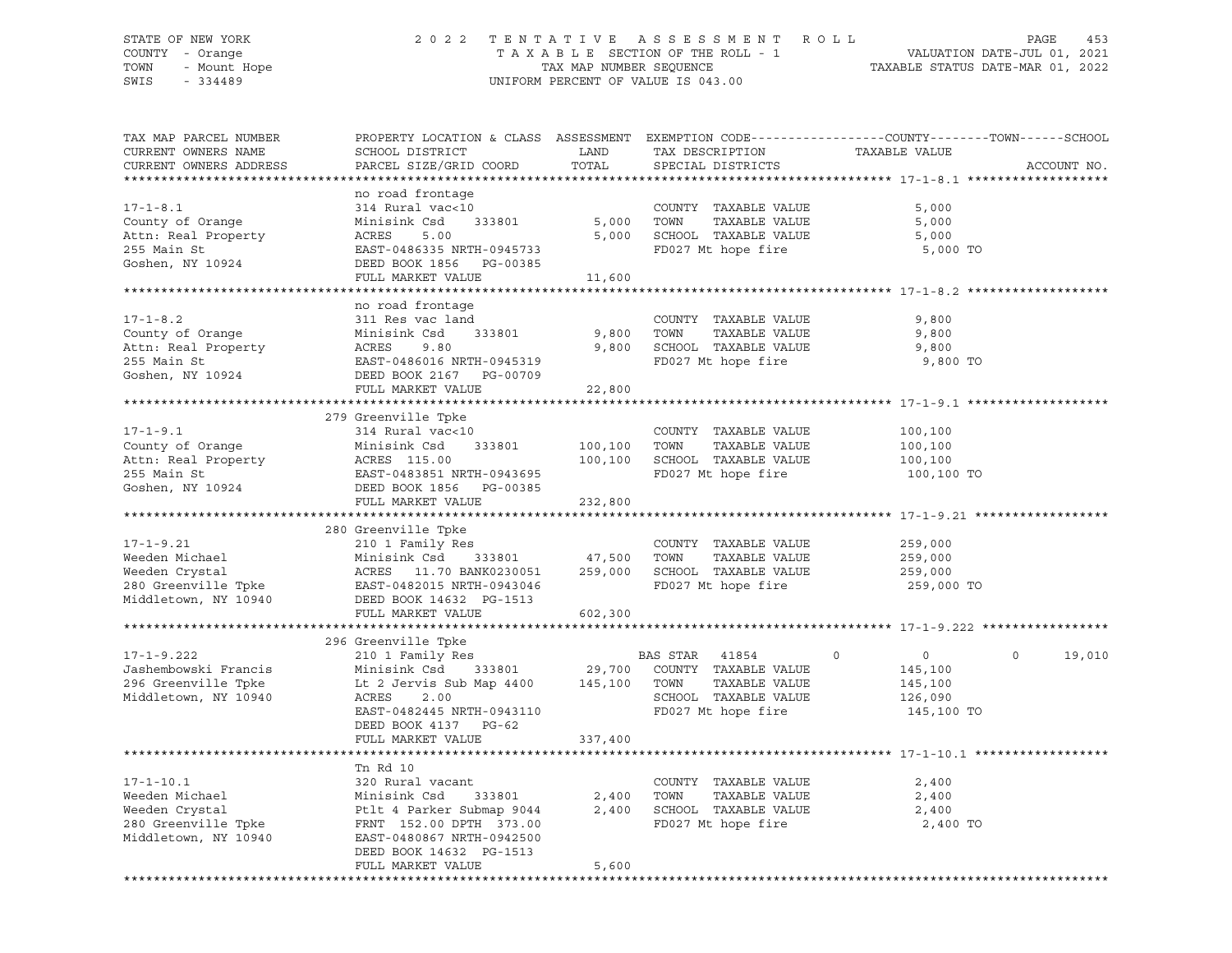# STATE OF NEW YORK 2 0 2 2 T E N T A T I V E A S S E S S M E N T R O L L PAGE 453 COUNTY - Orange T A X A B L E SECTION OF THE ROLL - 1 VALUATION DATE-JUL 01, 2021 TOWN - Mount Hope TAX MAP NUMBER SEQUENCE TAXABLE STATUS DATE-MAR 01, 2022 SWIS - 334489 UNIFORM PERCENT OF VALUE IS 043.00

| TAX MAP PARCEL NUMBER<br>CURRENT OWNERS NAME<br>CURRENT OWNERS ADDRESS                             | PROPERTY LOCATION & CLASS ASSESSMENT<br>SCHOOL DISTRICT<br>PARCEL SIZE/GRID COORD                                                                                                           | LAND<br>TOTAL                | EXEMPTION CODE-----------------COUNTY-------TOWN-----SCHOOL<br>TAX DESCRIPTION<br>SPECIAL DISTRICTS           | TAXABLE VALUE                                               | ACCOUNT NO.                   |
|----------------------------------------------------------------------------------------------------|---------------------------------------------------------------------------------------------------------------------------------------------------------------------------------------------|------------------------------|---------------------------------------------------------------------------------------------------------------|-------------------------------------------------------------|-------------------------------|
| $17 - 1 - 8.1$<br>County of Orange<br>Attn: Real Property<br>255 Main St<br>Goshen, NY 10924       | no road frontage<br>314 Rural vac<10<br>Minisink Csd<br>333801<br>ACRES<br>5.00<br>EAST-0486335 NRTH-0945733<br>DEED BOOK 1856 PG-00385<br>FULL MARKET VALUE                                | 5,000<br>5,000<br>11,600     | COUNTY TAXABLE VALUE<br>TOWN<br>TAXABLE VALUE<br>SCHOOL TAXABLE VALUE<br>FD027 Mt hope fire                   | 5,000<br>5,000<br>5,000<br>5,000 TO                         |                               |
| $17 - 1 - 8.2$<br>County of Orange<br>Attn: Real Property<br>255 Main St<br>Goshen, NY 10924       | no road frontage<br>311 Res vac land<br>Minisink Csd<br>333801<br>ACRES<br>9.80<br>EAST-0486016 NRTH-0945319<br>DEED BOOK 2167 PG-00709<br>FULL MARKET VALUE                                | 9,800<br>9,800<br>22,800     | COUNTY TAXABLE VALUE<br>TAXABLE VALUE<br>TOWN<br>SCHOOL TAXABLE VALUE<br>FD027 Mt hope fire                   | 9,800<br>9,800<br>9,800<br>9,800 TO                         |                               |
|                                                                                                    |                                                                                                                                                                                             |                              |                                                                                                               |                                                             |                               |
| $17 - 1 - 9.1$<br>County of Orange<br>Attn: Real Property<br>255 Main St                           | 279 Greenville Tpke<br>314 Rural vac<10<br>Minisink Csd 333801<br>ACRES 115.00<br>EAST-0483851 NRTH-0943695                                                                                 | 100,100<br>100,100           | COUNTY TAXABLE VALUE<br>TAXABLE VALUE<br>TOWN<br>SCHOOL TAXABLE VALUE<br>FD027 Mt hope fire                   | 100,100<br>100,100<br>100,100<br>100,100 TO                 |                               |
| Goshen, NY 10924                                                                                   | DEED BOOK 1856 PG-00385<br>FULL MARKET VALUE                                                                                                                                                | 232,800                      |                                                                                                               |                                                             |                               |
| $17 - 1 - 9.21$<br>Weeden Michael<br>Weeden Crystal<br>280 Greenville Tpke<br>Middletown, NY 10940 | 280 Greenville Tpke<br>210 1 Family Res<br>Minisink Csd<br>333801<br>ACRES 11.70 BANK0230051<br>EAST-0482015 NRTH-0943046<br>DEED BOOK 14632 PG-1513<br>FULL MARKET VALUE                   | 47,500<br>259,000<br>602,300 | COUNTY TAXABLE VALUE<br>TAXABLE VALUE<br>TOWN<br>SCHOOL TAXABLE VALUE<br>FD027 Mt hope fire                   | 259,000<br>259,000<br>259,000<br>259,000 TO                 |                               |
|                                                                                                    |                                                                                                                                                                                             |                              |                                                                                                               |                                                             |                               |
| $17 - 1 - 9.222$<br>Jashembowski Francis<br>296 Greenville Tpke<br>Middletown, NY 10940            | 296 Greenville Tpke<br>210 1 Family Res<br>333801<br>Minisink Csd<br>Lt 2 Jervis Sub Map 4400<br>ACRES<br>2.00<br>EAST-0482445 NRTH-0943110<br>DEED BOOK 4137 PG-62<br>FULL MARKET VALUE    | 29,700<br>145,100<br>337,400 | BAS STAR 41854<br>COUNTY TAXABLE VALUE<br>TAXABLE VALUE<br>TOWN<br>SCHOOL TAXABLE VALUE<br>FD027 Mt hope fire | $\circ$<br>0<br>145,100<br>145,100<br>126,090<br>145,100 TO | $\mathsf{O}\xspace$<br>19,010 |
|                                                                                                    |                                                                                                                                                                                             |                              |                                                                                                               |                                                             |                               |
| $17 - 1 - 10.1$<br>Weeden Michael<br>Weeden Crystal<br>280 Greenville Tpke<br>Middletown, NY 10940 | Tn Rd 10<br>320 Rural vacant<br>Minisink Csd<br>333801<br>Ptlt 4 Parker Submap 9044<br>FRNT 152.00 DPTH 373.00<br>EAST-0480867 NRTH-0942500<br>DEED BOOK 14632 PG-1513<br>FULL MARKET VALUE | 2,400<br>2,400<br>5,600      | COUNTY TAXABLE VALUE<br>TOWN<br>TAXABLE VALUE<br>SCHOOL TAXABLE VALUE<br>FD027 Mt hope fire                   | 2,400<br>2,400<br>2,400<br>2,400 TO                         |                               |
|                                                                                                    |                                                                                                                                                                                             |                              |                                                                                                               |                                                             |                               |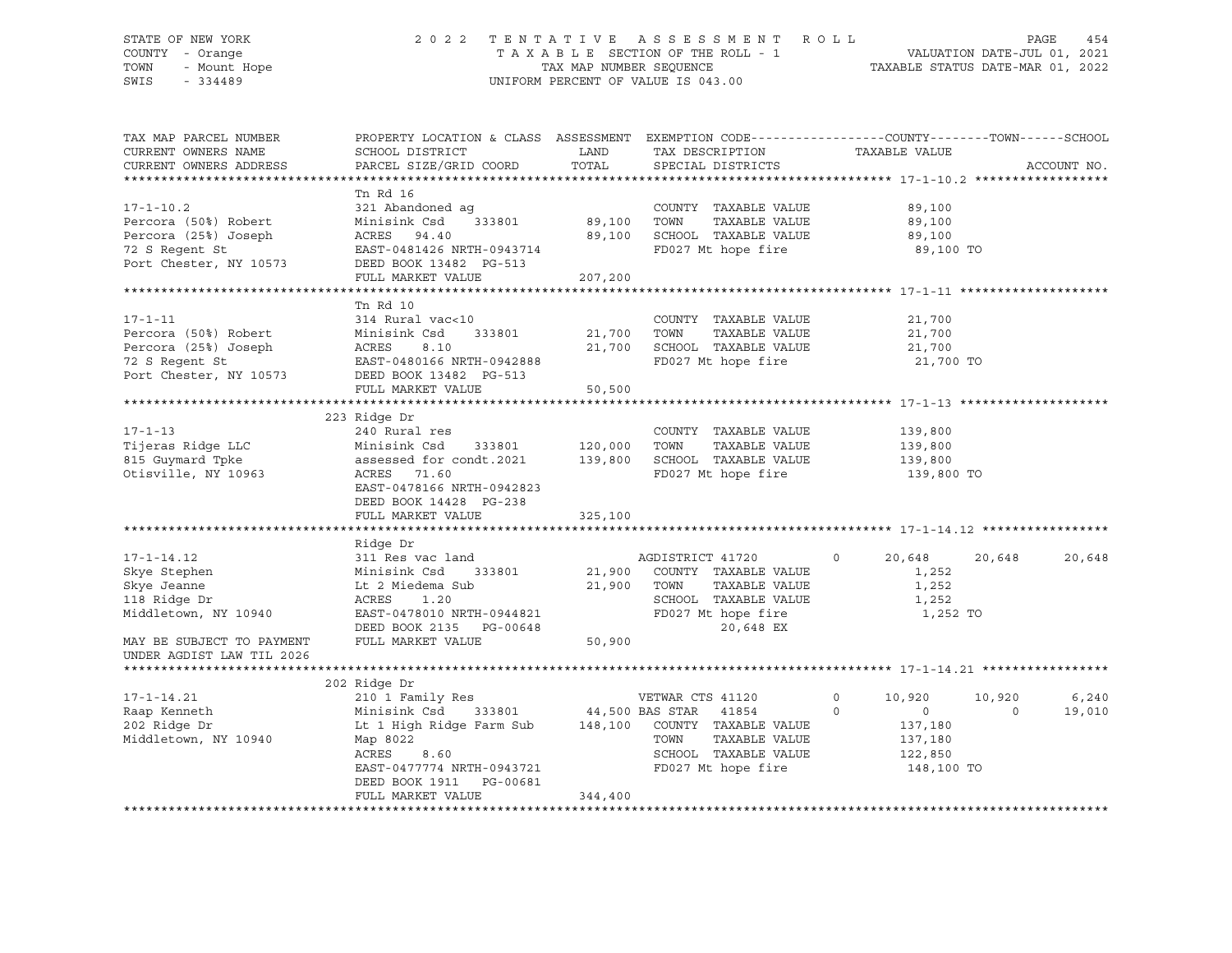# STATE OF NEW YORK 2 0 2 2 T E N T A T I V E A S S E S S M E N T R O L L PAGE 454 COUNTY - Orange T A X A B L E SECTION OF THE ROLL - 1 VALUATION DATE-JUL 01, 2021 TOWN - Mount Hope TAX MAP NUMBER SEQUENCE TAXABLE STATUS DATE-MAR 01, 2022 SWIS - 334489 UNIFORM PERCENT OF VALUE IS 043.00

| TAX MAP PARCEL NUMBER<br>CURRENT OWNERS NAME<br>CURRENT OWNERS ADDRESS                                                                                                                                                             | SCHOOL DISTRICT<br>PARCEL SIZE/GRID COORD                                                                                                                                                                                                                                                                                                                      | LAND<br>TOTAL                                         | TAX DESCRIPTION<br>SPECIAL DISTRICTS                                                                                                                                                                                | PROPERTY LOCATION & CLASS ASSESSMENT EXEMPTION CODE---------------COUNTY-------TOWN------SCHOOL<br>TAXABLE VALUE    | ACCOUNT NO.     |
|------------------------------------------------------------------------------------------------------------------------------------------------------------------------------------------------------------------------------------|----------------------------------------------------------------------------------------------------------------------------------------------------------------------------------------------------------------------------------------------------------------------------------------------------------------------------------------------------------------|-------------------------------------------------------|---------------------------------------------------------------------------------------------------------------------------------------------------------------------------------------------------------------------|---------------------------------------------------------------------------------------------------------------------|-----------------|
|                                                                                                                                                                                                                                    |                                                                                                                                                                                                                                                                                                                                                                |                                                       |                                                                                                                                                                                                                     |                                                                                                                     |                 |
| $17 - 1 - 10.2$<br>Percora (50%) Robert<br>Percora (25%) Joseph<br>72 S Regent St                                                                                                                                                  | Tn Rd 16<br>321 Abandoned ag<br>Minisink Csd<br>333801<br>ACRES 94.40<br>EAST-0481426 NRTH-0943714                                                                                                                                                                                                                                                             | 89,100<br>89,100                                      | COUNTY TAXABLE VALUE<br>TOWN<br>TAXABLE VALUE<br>SCHOOL TAXABLE VALUE<br>FD027 Mt hope fire                                                                                                                         | 89,100<br>89,100<br>89,100<br>89,100 TO                                                                             |                 |
| Port Chester, NY 10573                                                                                                                                                                                                             | DEED BOOK 13482 PG-513<br>FULL MARKET VALUE                                                                                                                                                                                                                                                                                                                    | 207,200                                               |                                                                                                                                                                                                                     |                                                                                                                     |                 |
|                                                                                                                                                                                                                                    |                                                                                                                                                                                                                                                                                                                                                                |                                                       |                                                                                                                                                                                                                     |                                                                                                                     |                 |
| $17 - 1 - 11$<br>Percora (50%) Robert<br>Percora (25%) Joseph<br>72 S Regent St<br>Port Chester, NY 10573                                                                                                                          | Tn Rd 10<br>314 Rural vac<10<br>Minisink Csd<br>333801<br>ACRES<br>8.10<br>EAST-0480166 NRTH-0942888<br>DEED BOOK 13482 PG-513<br>FULL MARKET VALUE                                                                                                                                                                                                            | 21,700<br>21,700<br>50,500                            | COUNTY TAXABLE VALUE<br>TAXABLE VALUE<br>TOWN<br>SCHOOL TAXABLE VALUE<br>FD027 Mt hope fire                                                                                                                         | 21,700<br>21,700<br>21,700<br>21,700 TO                                                                             |                 |
|                                                                                                                                                                                                                                    |                                                                                                                                                                                                                                                                                                                                                                |                                                       |                                                                                                                                                                                                                     |                                                                                                                     |                 |
| $17 - 1 - 13$<br>Tijeras Ridge LLC<br>815 Guymard Tpke<br>Otisville, NY 10963<br>$17 - 1 - 14.12$<br>Skye Stephen<br>Skye Jeanne<br>118 Ridge Dr<br>Middletown, NY 10940<br>MAY BE SUBJECT TO PAYMENT<br>UNDER AGDIST LAW TIL 2026 | 223 Ridge Dr<br>240 Rural res<br>Minisink Csd 333801<br>assessed for condt.2021 139,800<br>ACRES 71.60<br>EAST-0478166 NRTH-0942823<br>DEED BOOK 14428 PG-238<br>FULL MARKET VALUE<br>Ridge Dr<br>311 Res vac land<br>333801<br>Minisink Csd<br>Lt 2 Miedema Sub<br>ACRES<br>1.20<br>EAST-0478010 NRTH-0944821<br>DEED BOOK 2135 PG-00648<br>FULL MARKET VALUE | 120,000<br>325,100<br>21,900<br>21,900 TOWN<br>50,900 | COUNTY TAXABLE VALUE<br>TAXABLE VALUE<br>TOWN<br>SCHOOL TAXABLE VALUE<br>FD027 Mt hope fire<br>AGDISTRICT 41720<br>COUNTY TAXABLE VALUE<br>TAXABLE VALUE<br>SCHOOL TAXABLE VALUE<br>FD027 Mt hope fire<br>20,648 EX | 139,800<br>139,800<br>139,800<br>139,800 TO<br>20,648<br>$\Omega$<br>20,648<br>1,252<br>1,252<br>1,252<br>1,252 TO  | 20,648          |
|                                                                                                                                                                                                                                    |                                                                                                                                                                                                                                                                                                                                                                |                                                       |                                                                                                                                                                                                                     |                                                                                                                     |                 |
|                                                                                                                                                                                                                                    | 202 Ridge Dr                                                                                                                                                                                                                                                                                                                                                   |                                                       |                                                                                                                                                                                                                     |                                                                                                                     |                 |
| $17 - 1 - 14.21$<br>Raap Kenneth<br>202 Ridge Dr<br>Middletown, NY 10940                                                                                                                                                           | 210 1 Family Res<br>Minisink Csd<br>Lt 1 High Ridge Farm Sub<br>Map 8022<br>ACRES<br>8.60<br>EAST-0477774 NRTH-0943721<br>DEED BOOK 1911    PG-00681<br>FULL MARKET VALUE                                                                                                                                                                                      | 344,400                                               | VETWAR CTS 41120<br>333801 44,500 BAS STAR 41854<br>148,100 COUNTY TAXABLE VALUE<br>TAXABLE VALUE<br>TOWN<br>SCHOOL TAXABLE VALUE<br>FD027 Mt hope fire                                                             | $\circ$<br>10,920<br>10,920<br>$\circ$<br>$\overline{0}$<br>$\Omega$<br>137,180<br>137,180<br>122,850<br>148,100 TO | 6,240<br>19,010 |
|                                                                                                                                                                                                                                    |                                                                                                                                                                                                                                                                                                                                                                |                                                       |                                                                                                                                                                                                                     |                                                                                                                     |                 |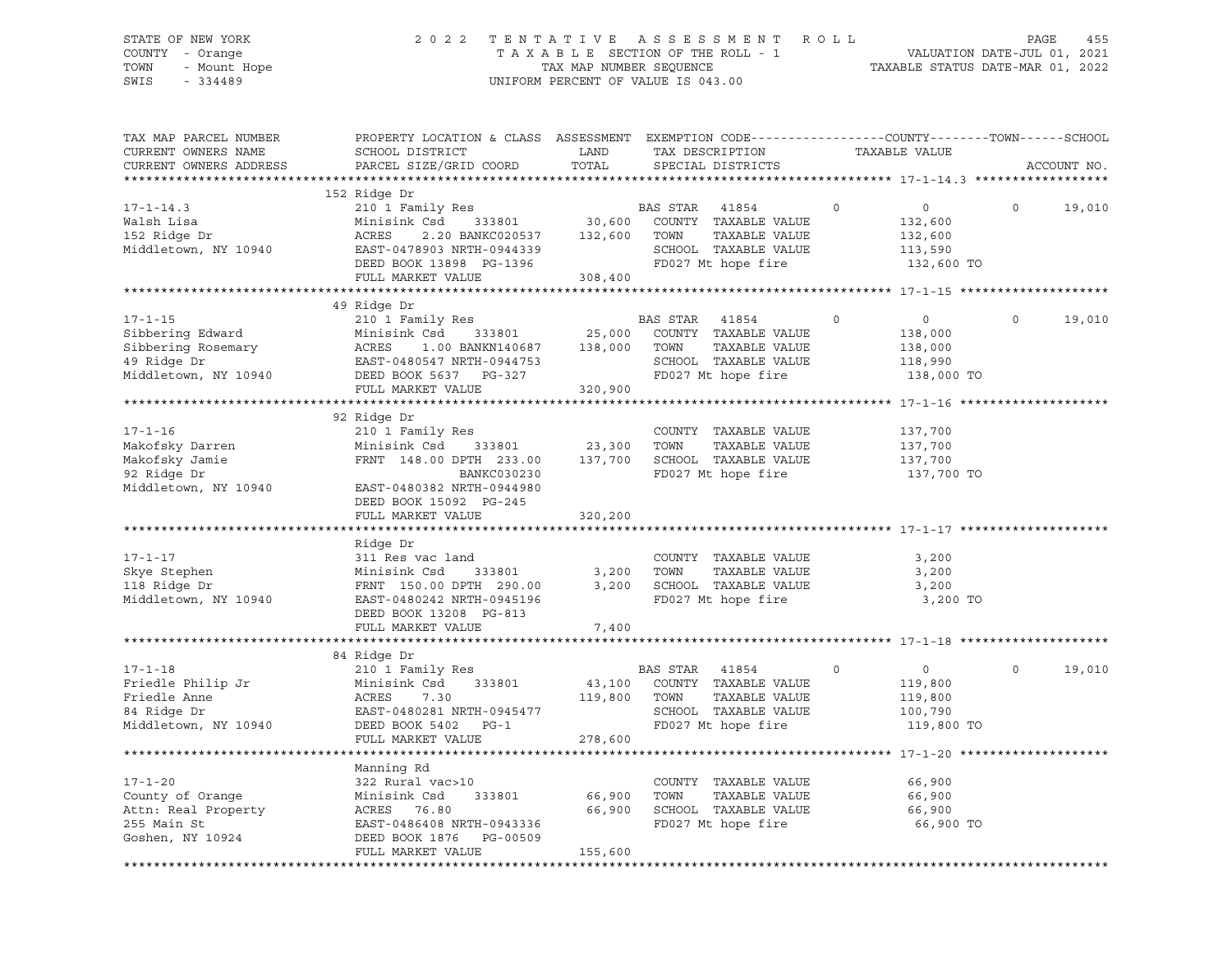# STATE OF NEW YORK 2 0 2 2 T E N T A T I V E A S S E S S M E N T R O L L PAGE 455 COUNTY - Orange T A X A B L E SECTION OF THE ROLL - 1 VALUATION DATE-JUL 01, 2021 TOWN - Mount Hope TAX MAP NUMBER SEQUENCE TAXABLE STATUS DATE-MAR 01, 2022 SWIS - 334489 UNIFORM PERCENT OF VALUE IS 043.00

| TAX MAP PARCEL NUMBER<br>CURRENT OWNERS NAME<br>CURRENT OWNERS ADDRESS | PROPERTY LOCATION & CLASS ASSESSMENT EXEMPTION CODE----------------COUNTY-------TOWN------SCHOOL<br>SCHOOL DISTRICT<br>PARCEL SIZE/GRID COORD | LAND<br>TOTAL | TAX DESCRIPTION<br>SPECIAL DISTRICTS |             | TAXABLE VALUE |          | ACCOUNT NO. |
|------------------------------------------------------------------------|-----------------------------------------------------------------------------------------------------------------------------------------------|---------------|--------------------------------------|-------------|---------------|----------|-------------|
|                                                                        |                                                                                                                                               |               |                                      |             |               |          |             |
|                                                                        | 152 Ridge Dr                                                                                                                                  |               |                                      |             |               |          |             |
| $17 - 1 - 14.3$                                                        | 210 1 Family Res                                                                                                                              |               | BAS STAR<br>41854                    | $\Omega$    | $\circ$       | $\Omega$ | 19,010      |
| Walsh Lisa                                                             | 333801<br>Minisink Csd                                                                                                                        | 30,600        | COUNTY TAXABLE VALUE                 |             | 132,600       |          |             |
| 152 Ridge Dr                                                           | ACRES<br>2.20 BANKC020537                                                                                                                     | 132,600       | TOWN<br>TAXABLE VALUE                |             | 132,600       |          |             |
| Middletown, NY 10940                                                   | EAST-0478903 NRTH-0944339                                                                                                                     |               | SCHOOL TAXABLE VALUE                 |             | 113,590       |          |             |
|                                                                        | DEED BOOK 13898 PG-1396                                                                                                                       |               | FD027 Mt hope fire                   |             | 132,600 TO    |          |             |
|                                                                        | FULL MARKET VALUE                                                                                                                             | 308,400       |                                      |             |               |          |             |
|                                                                        |                                                                                                                                               |               |                                      |             |               |          |             |
|                                                                        | 49 Ridge Dr                                                                                                                                   |               |                                      |             |               |          |             |
| $17 - 1 - 15$                                                          | 210 1 Family Res                                                                                                                              |               | BAS STAR<br>41854                    | $\Omega$    | $\circ$       | $\Omega$ | 19,010      |
| Sibbering Edward                                                       | Minisink Csd<br>333801                                                                                                                        | 25,000        | COUNTY TAXABLE VALUE                 |             | 138,000       |          |             |
| Sibbering Rosemary                                                     | 1.00 BANKN140687 138,000<br>ACRES                                                                                                             |               | TOWN<br>TAXABLE VALUE                |             | 138,000       |          |             |
| 49 Ridge Dr                                                            | EAST-0480547 NRTH-0944753                                                                                                                     |               | SCHOOL TAXABLE VALUE                 |             | 118,990       |          |             |
| Middletown, NY 10940                                                   | DEED BOOK 5637 PG-327                                                                                                                         |               | FD027 Mt hope fire                   |             | 138,000 TO    |          |             |
|                                                                        | FULL MARKET VALUE                                                                                                                             | 320,900       |                                      |             |               |          |             |
|                                                                        |                                                                                                                                               |               |                                      |             |               |          |             |
|                                                                        | 92 Ridge Dr                                                                                                                                   |               |                                      |             |               |          |             |
| $17 - 1 - 16$                                                          | 210 1 Family Res                                                                                                                              |               | COUNTY TAXABLE VALUE                 |             | 137,700       |          |             |
|                                                                        | Minisink Csd<br>333801                                                                                                                        | 23,300        | TOWN<br>TAXABLE VALUE                |             | 137,700       |          |             |
| Makofsky Darren<br>Die Terry Tamie                                     | FRNT 148.00 DPTH 233.00                                                                                                                       | 137,700       | SCHOOL TAXABLE VALUE                 |             | 137,700       |          |             |
| 92 Ridge Dr                                                            | BANKC030230                                                                                                                                   |               | FD027 Mt hope fire                   |             | 137,700 TO    |          |             |
| Middletown, NY 10940                                                   | EAST-0480382 NRTH-0944980                                                                                                                     |               |                                      |             |               |          |             |
|                                                                        | DEED BOOK 15092 PG-245                                                                                                                        |               |                                      |             |               |          |             |
|                                                                        | FULL MARKET VALUE                                                                                                                             | 320,200       |                                      |             |               |          |             |
|                                                                        |                                                                                                                                               |               |                                      |             |               |          |             |
|                                                                        | Ridge Dr                                                                                                                                      |               |                                      |             |               |          |             |
| $17 - 1 - 17$                                                          | 311 Res vac land                                                                                                                              |               | COUNTY TAXABLE VALUE                 |             | 3,200         |          |             |
| Skye Stephen                                                           | Minisink Csd<br>333801                                                                                                                        | 3,200         | TOWN<br>TAXABLE VALUE                |             | 3,200         |          |             |
| 118 Ridge Dr                                                           | FRNT 150.00 DPTH 290.00                                                                                                                       | 3,200         | SCHOOL TAXABLE VALUE                 |             | 3,200         |          |             |
| Middletown, NY 10940                                                   | EAST-0480242 NRTH-0945196                                                                                                                     |               | FD027 Mt hope fire                   |             | 3,200 TO      |          |             |
|                                                                        | DEED BOOK 13208 PG-813                                                                                                                        |               |                                      |             |               |          |             |
|                                                                        | FULL MARKET VALUE                                                                                                                             | 7,400         |                                      |             |               |          |             |
|                                                                        |                                                                                                                                               |               |                                      |             |               |          |             |
|                                                                        | 84 Ridge Dr                                                                                                                                   |               |                                      |             |               |          |             |
| $17 - 1 - 18$                                                          | 210 1 Family Res                                                                                                                              |               | BAS STAR 41854                       | $\mathbf 0$ | $\circ$       | $\Omega$ | 19,010      |
| Friedle Philip Jr                                                      | Minisink Csd<br>333801                                                                                                                        |               | 43,100 COUNTY TAXABLE VALUE          |             | 119,800       |          |             |
| Friedle Anne                                                           | ACRES<br>7.30                                                                                                                                 | 119,800       | TAXABLE VALUE<br>TOWN                |             | 119,800       |          |             |
| 84 Ridge Dr                                                            | EAST-0480281 NRTH-0945477                                                                                                                     |               | SCHOOL TAXABLE VALUE                 |             | 100,790       |          |             |
| Middletown, NY 10940                                                   | DEED BOOK 5402 PG-1                                                                                                                           |               | FD027 Mt hope fire                   |             | 119,800 TO    |          |             |
|                                                                        | FULL MARKET VALUE                                                                                                                             | 278,600       |                                      |             |               |          |             |
|                                                                        |                                                                                                                                               |               |                                      |             |               |          |             |
|                                                                        | Manning Rd                                                                                                                                    |               |                                      |             |               |          |             |
| $17 - 1 - 20$                                                          | 322 Rural vac>10                                                                                                                              |               | COUNTY TAXABLE VALUE                 |             | 66,900        |          |             |
| County of Orange                                                       | Minisink Csd<br>333801                                                                                                                        | 66,900        | TOWN<br>TAXABLE VALUE                |             | 66,900        |          |             |
| Attn: Real Property                                                    | ACRES 76.80                                                                                                                                   | 66,900        | SCHOOL TAXABLE VALUE                 |             | 66,900        |          |             |
| 255 Main St                                                            | EAST-0486408 NRTH-0943336                                                                                                                     |               | FD027 Mt hope fire                   |             | 66,900 TO     |          |             |
| Goshen, NY 10924                                                       | DEED BOOK 1876<br>PG-00509                                                                                                                    |               |                                      |             |               |          |             |
|                                                                        | FULL MARKET VALUE                                                                                                                             | 155,600       |                                      |             |               |          |             |
|                                                                        |                                                                                                                                               |               |                                      |             |               |          |             |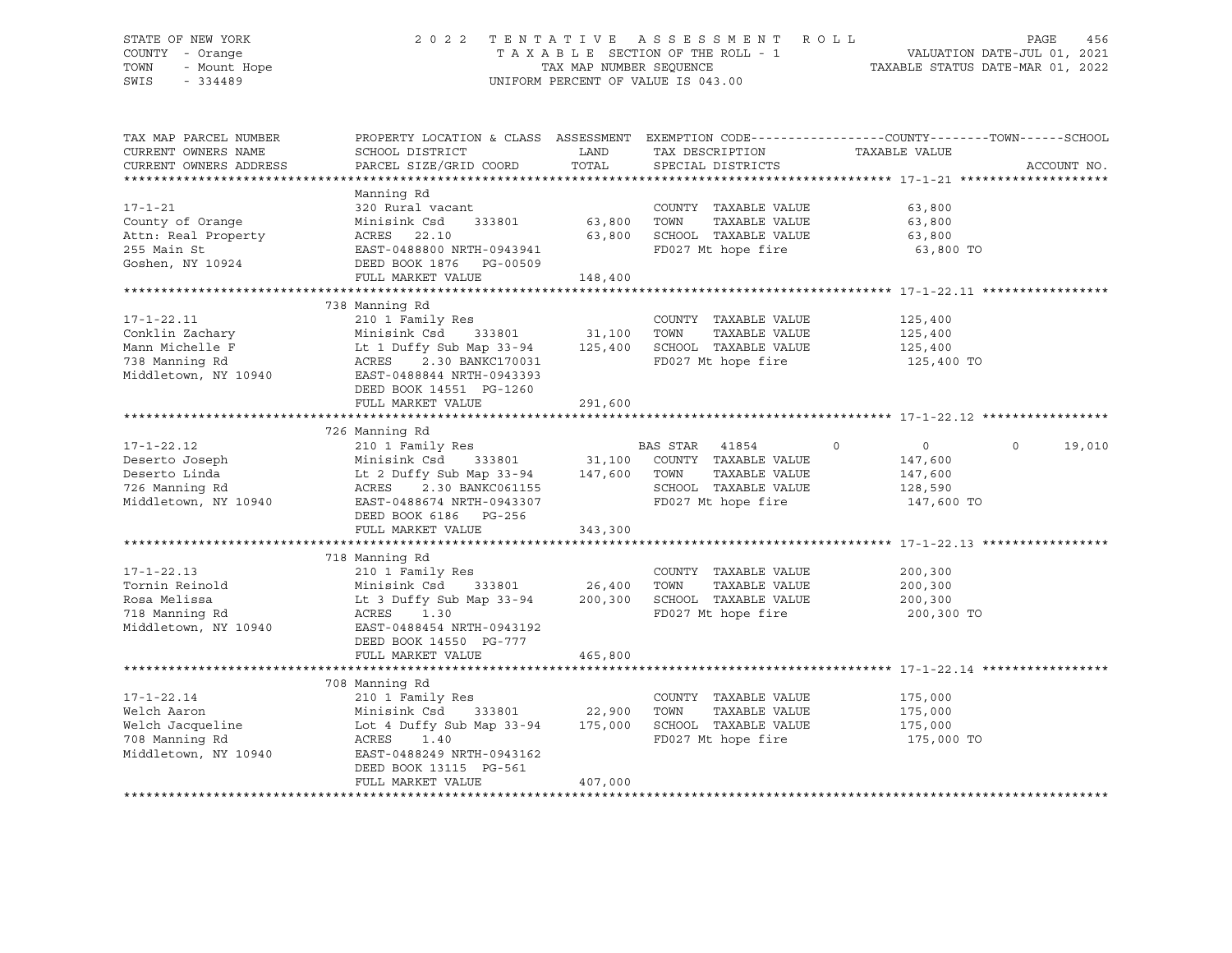# STATE OF NEW YORK 2 0 2 2 T E N T A T I V E A S S E S S M E N T R O L L PAGE 456 COUNTY - Orange T A X A B L E SECTION OF THE ROLL - 1 VALUATION DATE-JUL 01, 2021 TOWN - Mount Hope TAX MAP NUMBER SEQUENCE TAXABLE STATUS DATE-MAR 01, 2022 SWIS - 334489 UNIFORM PERCENT OF VALUE IS 043.00

| TAX MAP PARCEL NUMBER<br>CURRENT OWNERS NAME<br>CURRENT OWNERS ADDRESS                           | PROPERTY LOCATION & CLASS ASSESSMENT<br>SCHOOL DISTRICT<br>PARCEL SIZE/GRID COORD                                                                                                                     | LAND<br>TOTAL               | TAX DESCRIPTION<br>SPECIAL DISTRICTS                                                                          | EXEMPTION CODE-----------------COUNTY-------TOWN------SCHOOL<br>TAXABLE VALUE | ACCOUNT NO.        |
|--------------------------------------------------------------------------------------------------|-------------------------------------------------------------------------------------------------------------------------------------------------------------------------------------------------------|-----------------------------|---------------------------------------------------------------------------------------------------------------|-------------------------------------------------------------------------------|--------------------|
| $17 - 1 - 21$<br>County of Orange<br>Attn: Real Property<br>255 Main St<br>Goshen, NY 10924      | Manning Rd<br>320 Rural vacant<br>333801<br>Minisink Csd<br>ACRES 22.10<br>EAST-0488800 NRTH-0943941<br>DEED BOOK 1876 PG-00509<br>FULL MARKET VALUE                                                  | 63,800<br>63,800<br>148,400 | COUNTY TAXABLE VALUE<br>TOWN<br>TAXABLE VALUE<br>SCHOOL TAXABLE VALUE<br>FD027 Mt hope fire                   | 63,800<br>63,800<br>63,800<br>63,800 TO                                       |                    |
|                                                                                                  | 738 Manning Rd                                                                                                                                                                                        |                             |                                                                                                               |                                                                               |                    |
| $17 - 1 - 22.11$<br>Conklin Zachary<br>Mann Michelle F<br>738 Manning Rd<br>Middletown, NY 10940 | 210 1 Family Res<br>Minisink Csd<br>333801 31,100<br>Lt 1 Duffy Sub Map 33-94<br>ACRES<br>2.30 BANKC170031<br>EAST-0488844 NRTH-0943393<br>DEED BOOK 14551 PG-1260<br>FULL MARKET VALUE               | 125,400<br>291,600          | COUNTY TAXABLE VALUE<br>TOWN<br>TAXABLE VALUE<br>SCHOOL TAXABLE VALUE<br>FD027 Mt hope fire                   | 125,400<br>125,400<br>125,400<br>125,400 TO                                   |                    |
|                                                                                                  | 726 Manning Rd                                                                                                                                                                                        |                             |                                                                                                               |                                                                               |                    |
| $17 - 1 - 22.12$<br>Deserto Joseph<br>Deserto Linda<br>726 Manning Rd<br>Middletown, NY 10940    | 210 1 Family Res<br>Minisink Csd<br>333801 31,100<br>Lt 2 Duffy Sub Map 33-94<br>2.30 BANKC061155<br>ACRES<br>EAST-0488674 NRTH-0943307<br>DEED BOOK 6186 PG-256<br>FULL MARKET VALUE                 | 147,600<br>343,300          | BAS STAR 41854<br>COUNTY TAXABLE VALUE<br>TAXABLE VALUE<br>TOWN<br>SCHOOL TAXABLE VALUE<br>FD027 Mt hope fire | $\Omega$<br>$\circ$<br>147,600<br>147,600<br>128,590<br>147,600 TO            | $\Omega$<br>19,010 |
|                                                                                                  | 718 Manning Rd                                                                                                                                                                                        |                             |                                                                                                               |                                                                               |                    |
| $17 - 1 - 22.13$<br>Tornin Reinold<br>Rosa Melissa<br>718 Manning Rd<br>Middletown, NY 10940     | 210 1 Family Res<br>Minisink Csd<br>333801 26,400<br>Lt 3 Duffy Sub Map 33-94<br>ACRES<br>1.30<br>EAST-0488454 NRTH-0943192<br>DEED BOOK 14550 PG-777<br>FULL MARKET VALUE                            | 200,300<br>465,800          | COUNTY TAXABLE VALUE<br>TOWN<br>TAXABLE VALUE<br>SCHOOL TAXABLE VALUE<br>FD027 Mt hope fire                   | 200,300<br>200,300<br>200,300<br>200,300 TO                                   |                    |
|                                                                                                  |                                                                                                                                                                                                       |                             |                                                                                                               |                                                                               |                    |
| $17 - 1 - 22.14$<br>Welch Aaron<br>Welch Jacqueline<br>708 Manning Rd<br>Middletown, NY 10940    | 708 Manning Rd<br>210 1 Family Res<br>Minisink Csd<br>333801 22,900<br>Lot 4 Duffy Sub Map 33-94 175,000<br>ACRES<br>1.40<br>EAST-0488249 NRTH-0943162<br>DEED BOOK 13115 PG-561<br>FULL MARKET VALUE | 407,000                     | COUNTY TAXABLE VALUE<br>TOWN<br>TAXABLE VALUE<br>SCHOOL TAXABLE VALUE<br>FD027 Mt hope fire                   | 175,000<br>175,000<br>175,000<br>175,000 TO                                   |                    |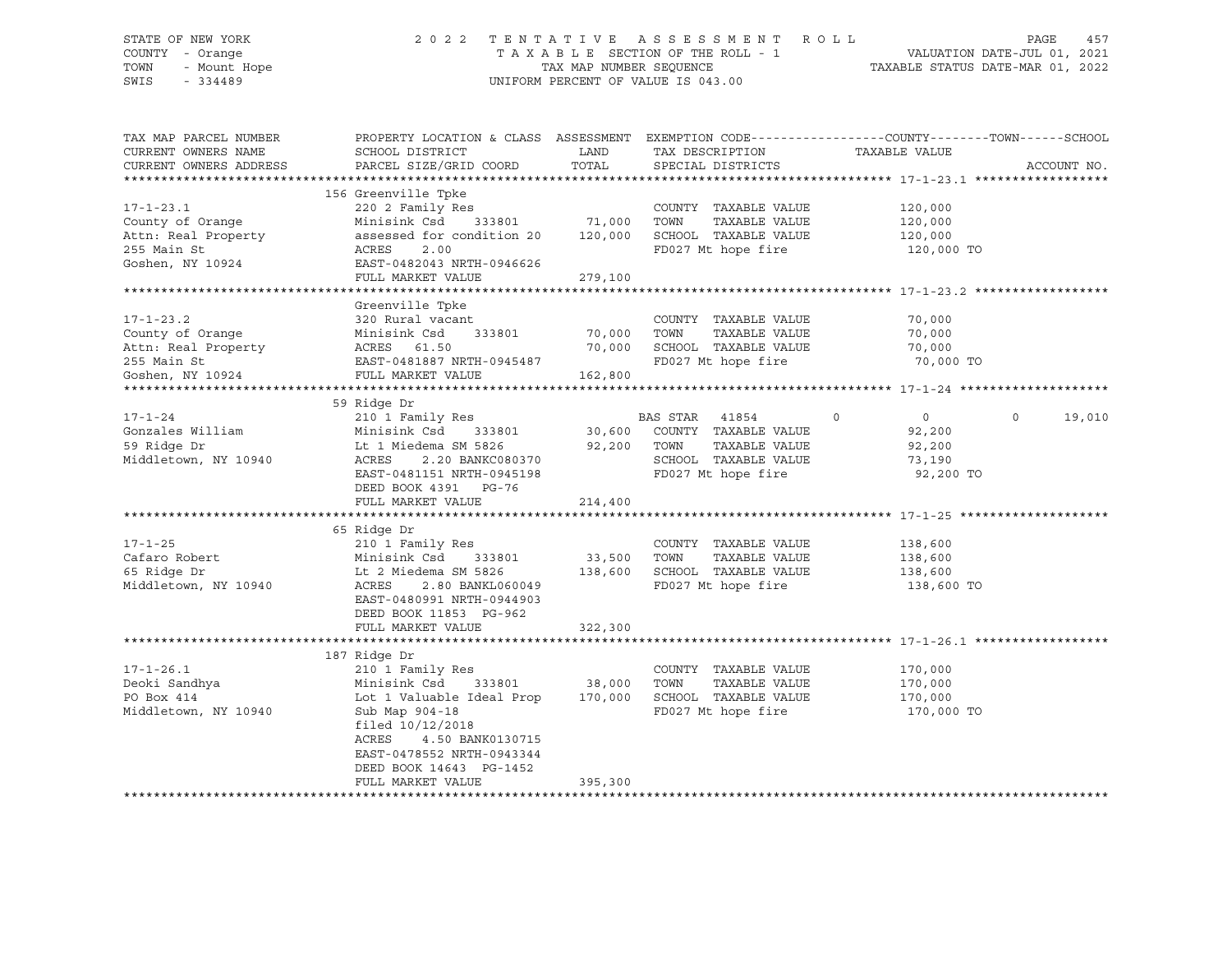# STATE OF NEW YORK 2 0 2 2 T E N T A T I V E A S S E S S M E N T R O L L PAGE 457 COUNTY - Orange T A X A B L E SECTION OF THE ROLL - 1 VALUATION DATE-JUL 01, 2021 TOWN - Mount Hope TAX MAP NUMBER SEQUENCE TAXABLE STATUS DATE-MAR 01, 2022 SWIS - 334489 UNIFORM PERCENT OF VALUE IS 043.00

| TAX MAP PARCEL NUMBER<br>CURRENT OWNERS NAME<br>CURRENT OWNERS ADDRESS                                       | PROPERTY LOCATION & CLASS ASSESSMENT<br>SCHOOL DISTRICT<br>PARCEL SIZE/GRID COORD                                                                                                                                                      | LAND<br>TOTAL                | TAX DESCRIPTION<br>SPECIAL DISTRICTS                                                                                    | EXEMPTION CODE-----------------COUNTY-------TOWN------SCHOOL<br>TAXABLE VALUE | ACCOUNT NO.       |
|--------------------------------------------------------------------------------------------------------------|----------------------------------------------------------------------------------------------------------------------------------------------------------------------------------------------------------------------------------------|------------------------------|-------------------------------------------------------------------------------------------------------------------------|-------------------------------------------------------------------------------|-------------------|
| $17 - 1 - 23.1$<br>County of Orange<br>Attn: Real Property<br>255 Main St<br>Goshen, NY 10924                | 156 Greenville Tpke<br>220 2 Family Res<br>Minisink Csd<br>333801<br>assessed for condition 20<br>ACRES<br>2.00<br>EAST-0482043 NRTH-0946626<br>FULL MARKET VALUE                                                                      | 71,000<br>120,000<br>279,100 | COUNTY TAXABLE VALUE<br>TOWN<br>TAXABLE VALUE<br>SCHOOL TAXABLE VALUE<br>FD027 Mt hope fire                             | 120,000<br>120,000<br>120,000<br>120,000 TO                                   |                   |
| $17 - 1 - 23.2$<br>County of Orange<br>Attn: Real Property<br>255 Main St<br>255 Main St<br>Goshen, NY 10924 | Greenville Tpke<br>320 Rural vacant<br>333801<br>Minisink Csd<br><br>ACRES 61.50<br>EAST-0481887 NRTH-0945487<br>FULL MARKET VALUE                                                                                                     | 70,000<br>70,000<br>162,800  | COUNTY TAXABLE VALUE<br>TAXABLE VALUE<br>TOWN<br>SCHOOL TAXABLE VALUE<br>FD027 Mt hope fire                             | 70,000<br>70,000<br>70,000<br>70,000 TO                                       |                   |
| $17 - 1 - 24$<br>Gonzales William<br>59 Ridge Dr<br>Middletown, NY 10940                                     | 59 Ridge Dr<br>210 1 Family Res<br>Minisink Csd 333801<br>Lt 1 Miedema SM 5826<br>ACRES<br>2.20 BANKC080370<br>EAST-0481151 NRTH-0945198<br>DEED BOOK 4391 PG-76<br>FULL MARKET VALUE                                                  | 92,200<br>214,400            | BAS STAR<br>41854<br>30,600 COUNTY TAXABLE VALUE<br>TOWN<br>TAXABLE VALUE<br>SCHOOL TAXABLE VALUE<br>FD027 Mt hope fire | $\circ$<br>$\overline{0}$<br>92,200<br>92,200<br>73,190<br>92,200 TO          | $\circ$<br>19,010 |
| $17 - 1 - 25$<br>Cafaro Robert<br>65 Ridge Dr<br>Middletown, NY 10940                                        | 65 Ridge Dr<br>210 1 Family Res<br>Minisink Csd 333801<br>Lt 2 Miedema SM 5826<br>ACRES<br>2.80 BANKL060049<br>EAST-0480991 NRTH-0944903<br>DEED BOOK 11853 PG-962<br>FULL MARKET VALUE                                                | 33,500<br>138,600<br>322,300 | COUNTY TAXABLE VALUE<br>TAXABLE VALUE<br>TOWN<br>SCHOOL TAXABLE VALUE<br>FD027 Mt hope fire                             | 138,600<br>138,600<br>138,600<br>138,600 TO                                   |                   |
| $17 - 1 - 26.1$<br>Deoki Sandhya<br>PO Box 414<br>Middletown, NY 10940                                       | 187 Ridge Dr<br>210 1 Family Res<br>Minisink Csd 333801<br>Lot 1 Valuable Ideal Prop<br>Sub Map 904-18<br>filed $10/12/2018$<br>ACRES<br>4.50 BANK0130715<br>EAST-0478552 NRTH-0943344<br>DEED BOOK 14643 PG-1452<br>FULL MARKET VALUE | 38,000<br>170,000<br>395,300 | COUNTY TAXABLE VALUE<br>TAXABLE VALUE<br>TOWN<br>SCHOOL TAXABLE VALUE<br>FD027 Mt hope fire                             | 170,000<br>170,000<br>170,000<br>170,000 TO                                   |                   |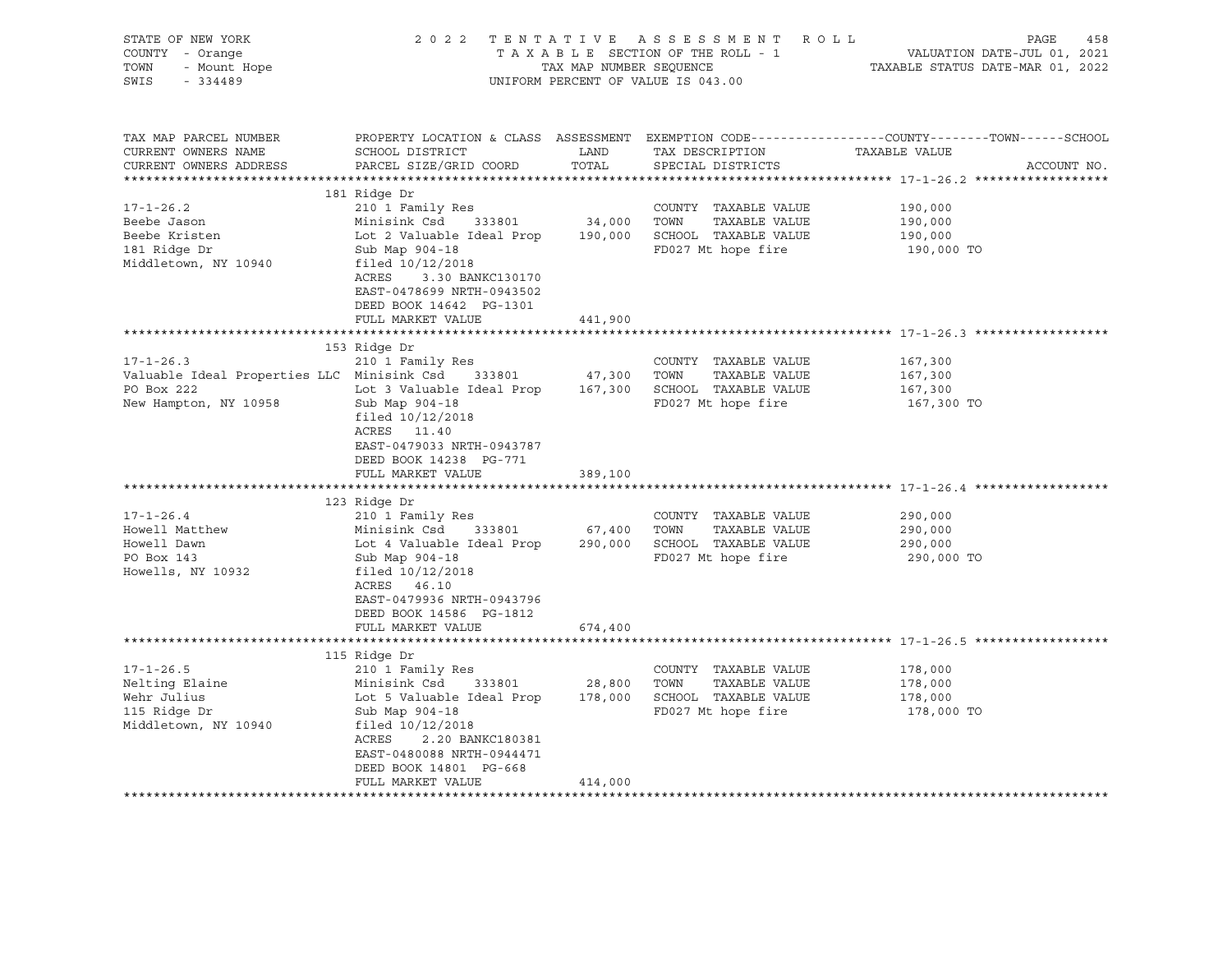| STATE OF NEW YORK<br>Y - Orange<br>- Mount Hope<br>- Notified<br>COUNTY - Orange<br>TOWN<br>SWIS<br>$-334489$                                                                                      |                                                                                                                                                                                                                                                                                                                                                                                                                             |                                              | 2022 TENTATIVE ASSESSMENT ROLL<br>UNIFORM PERCENT OF VALUE IS 043.00                                                                                       | PAGE<br>458<br>T A X A B L E SECTION OF THE ROLL - 1<br>T A X A B L E SECTION OF THE ROLL - 1<br>TAXABLE STATUS DATE-MAR 01, 2022 |
|----------------------------------------------------------------------------------------------------------------------------------------------------------------------------------------------------|-----------------------------------------------------------------------------------------------------------------------------------------------------------------------------------------------------------------------------------------------------------------------------------------------------------------------------------------------------------------------------------------------------------------------------|----------------------------------------------|------------------------------------------------------------------------------------------------------------------------------------------------------------|-----------------------------------------------------------------------------------------------------------------------------------|
| TAX MAP PARCEL NUMBER<br>CURRENT OWNERS NAME<br>CURRENT OWNERS ADDRESS                                                                                                                             | SCHOOL DISTRICT<br>PARCEL SIZE/GRID COORD                                                                                                                                                                                                                                                                                                                                                                                   | LAND<br>TOTAL                                | TAX DESCRIPTION<br>SPECIAL DISTRICTS                                                                                                                       | PROPERTY LOCATION & CLASS ASSESSMENT EXEMPTION CODE----------------COUNTY-------TOWN-----SCHOOL<br>TAXABLE VALUE<br>ACCOUNT NO.   |
|                                                                                                                                                                                                    |                                                                                                                                                                                                                                                                                                                                                                                                                             |                                              |                                                                                                                                                            |                                                                                                                                   |
| $17 - 1 - 26.2$<br>Beebe Jason<br>Beebe Kristen<br>181 Ridge Dr<br>Middletown, NY 10940                                                                                                            | 181 Ridge Dr<br>210 1 Family Res<br>Minisink Csd<br>333801<br>Lot 2 Valuable Ideal Prop 190,000 SCHOOL TAXABLE VALUE<br>Sub Map 904-18<br>filed 10/12/2018<br>ACRES<br>3.30 BANKC130170<br>EAST-0478699 NRTH-0943502<br>DEED BOOK 14642 PG-1301                                                                                                                                                                             | 34,000 TOWN                                  | COUNTY TAXABLE VALUE<br>TAXABLE VALUE<br>FD027 Mt hope fire                                                                                                | 190,000<br>190,000<br>190,000<br>190,000 TO                                                                                       |
|                                                                                                                                                                                                    | FULL MARKET VALUE                                                                                                                                                                                                                                                                                                                                                                                                           | 441,900                                      |                                                                                                                                                            |                                                                                                                                   |
|                                                                                                                                                                                                    |                                                                                                                                                                                                                                                                                                                                                                                                                             |                                              |                                                                                                                                                            |                                                                                                                                   |
| $17 - 1 - 26.3$<br>Valuable Ideal Properties LLC Minisink Csd 333801<br>PO Box 222<br>New Hampton, NY 10958<br>$17 - 1 - 26.4$<br>Howell Matthew<br>Howell Dawn<br>PO Box 143<br>Howells, NY 10932 | 153 Ridge Dr<br>210 1 Family Res<br>Lot 3 Valuable Ideal Prop 167,300 SCHOOL TAXABLE VALUE<br>Sub Map 904-18<br>filed $10/12/2018$<br>ACRES 11.40<br>EAST-0479033 NRTH-0943787<br>DEED BOOK 14238 PG-771<br>FULL MARKET VALUE<br>123 Ridge Dr<br>210 1 Family Res<br>Minisink Csd<br>Lot 4 Valuable Ideal Prop<br>Sub Map 904-18<br>filed 10/12/2018<br>ACRES 46.10<br>EAST-0479936 NRTH-0943796<br>DEED BOOK 14586 PG-1812 | 47,300 TOWN<br>389,100<br>333801 67,400 TOWN | COUNTY TAXABLE VALUE<br>TAXABLE VALUE<br>FD027 Mt hope fire<br>COUNTY TAXABLE VALUE<br>TAXABLE VALUE<br>290,000 SCHOOL TAXABLE VALUE<br>FD027 Mt hope fire | 167,300<br>167,300<br>167,300<br>167,300 TO<br>290,000<br>290,000<br>290,000<br>290,000 TO                                        |
|                                                                                                                                                                                                    | FULL MARKET VALUE                                                                                                                                                                                                                                                                                                                                                                                                           | 674,400                                      |                                                                                                                                                            |                                                                                                                                   |
|                                                                                                                                                                                                    |                                                                                                                                                                                                                                                                                                                                                                                                                             |                                              |                                                                                                                                                            |                                                                                                                                   |
| $17 - 1 - 26.5$<br>Nelting Elaine<br>Wehr Julius<br>115 Ridge Dr<br>Middletown, NY 10940                                                                                                           | 115 Ridge Dr<br>210 1 Family Res<br>Minisink Csd<br>333801<br>Lot 5 Valuable Ideal Prop<br>Sub Map 904-18<br>filed 10/12/2018<br>ACRES<br>2.20 BANKC180381<br>EAST-0480088 NRTH-0944471<br>DEED BOOK 14801 PG-668<br>FULL MARKET VALUE                                                                                                                                                                                      | 28,800<br>414,000                            | COUNTY TAXABLE VALUE<br>TOWN<br>TAXABLE VALUE<br>178,000 SCHOOL TAXABLE VALUE<br>FD027 Mt hope fire                                                        | 178,000<br>178,000<br>178,000<br>178,000 TO                                                                                       |
|                                                                                                                                                                                                    |                                                                                                                                                                                                                                                                                                                                                                                                                             |                                              |                                                                                                                                                            |                                                                                                                                   |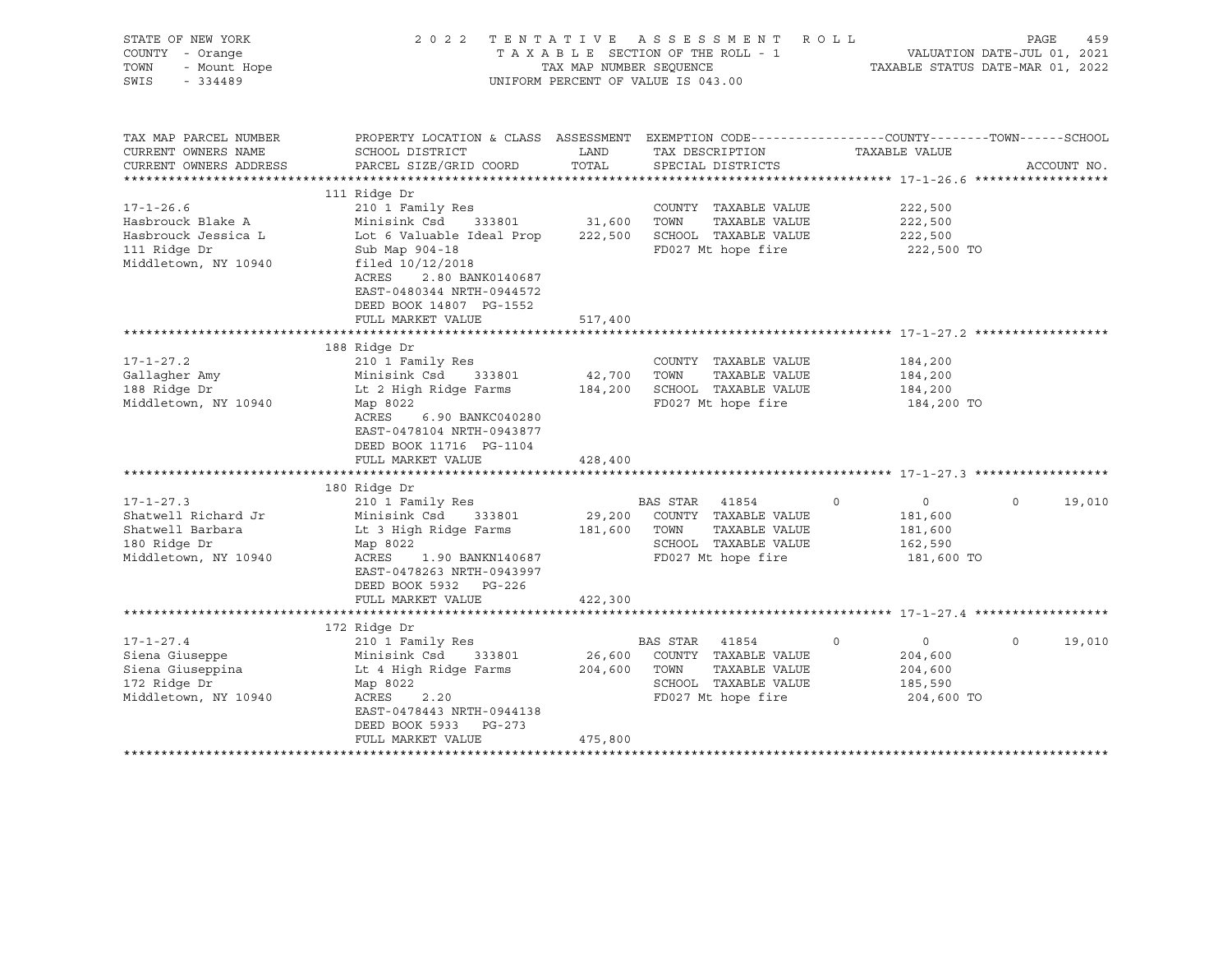| STATE OF NEW YORK<br>COUNTY - Orange<br>- Mount Hope<br>TOWN<br>SWIS<br>$-334489$                   | 2 0 2 2                                                                                                                                                                                                              | TAX MAP NUMBER SEOUENCE      | TENTATIVE ASSESSMENT<br>TAXABLE SECTION OF THE ROLL - 1<br>UNIFORM PERCENT OF VALUE IS 043.00                    | ROLL        | VALUATION DATE-JUL 01, 2021<br>TAXABLE STATUS DATE-MAR 01, 2022 | PAGE    | 459         |
|-----------------------------------------------------------------------------------------------------|----------------------------------------------------------------------------------------------------------------------------------------------------------------------------------------------------------------------|------------------------------|------------------------------------------------------------------------------------------------------------------|-------------|-----------------------------------------------------------------|---------|-------------|
| TAX MAP PARCEL NUMBER<br>CURRENT OWNERS NAME<br>CURRENT OWNERS ADDRESS                              | PROPERTY LOCATION & CLASS ASSESSMENT EXEMPTION CODE----------------COUNTY-------TOWN------SCHOOL<br>SCHOOL DISTRICT<br>PARCEL SIZE/GRID COORD                                                                        | LAND<br>TOTAL                | TAX DESCRIPTION<br>SPECIAL DISTRICTS                                                                             |             | TAXABLE VALUE                                                   |         | ACCOUNT NO. |
| $17 - 1 - 26.6$<br>Hasbrouck Blake A<br>Hasbrouck Jessica L<br>111 Ridge Dr<br>Middletown, NY 10940 | 111 Ridge Dr<br>210 1 Family Res<br>Minisink Csd<br>333801<br>Lot 6 Valuable Ideal Prop<br>Sub Map 904-18<br>filed $10/12/2018$<br>ACRES<br>2.80 BANK0140687<br>EAST-0480344 NRTH-0944572<br>DEED BOOK 14807 PG-1552 | 31,600<br>222,500            | COUNTY TAXABLE VALUE<br>TOWN<br>TAXABLE VALUE<br>SCHOOL TAXABLE VALUE<br>FD027 Mt hope fire                      |             | 222,500<br>222,500<br>222,500<br>222,500 TO                     |         |             |
|                                                                                                     | FULL MARKET VALUE                                                                                                                                                                                                    | 517,400                      |                                                                                                                  |             |                                                                 |         |             |
|                                                                                                     | 188 Ridge Dr                                                                                                                                                                                                         |                              |                                                                                                                  |             |                                                                 |         |             |
| $17 - 1 - 27.2$<br>Gallagher Amy<br>188 Ridge Dr<br>Middletown, NY 10940                            | 210 1 Family Res<br>Minisink Csd 333801<br>Lt 2 High Ridge Farms<br>Map 8022<br>ACRES<br>6.90 BANKC040280<br>EAST-0478104 NRTH-0943877<br>DEED BOOK 11716 PG-1104<br>FULL MARKET VALUE                               | 42,700<br>184,200<br>428,400 | COUNTY TAXABLE VALUE<br>TOWN<br>TAXABLE VALUE<br>SCHOOL TAXABLE VALUE<br>FD027 Mt hope fire                      |             | 184,200<br>184,200<br>184,200<br>184,200 TO                     |         |             |
|                                                                                                     |                                                                                                                                                                                                                      |                              |                                                                                                                  |             |                                                                 |         |             |
| $17 - 1 - 27.3$<br>Shatwell Richard Jr<br>Shatwell Barbara<br>180 Ridge Dr<br>Middletown, NY 10940  | 180 Ridge Dr<br>210 1 Family Res<br>Minisink Csd 333801<br>Lt 3 High Ridge Farms<br>Map 8022<br>ACRES<br>1.90 BANKN140687<br>EAST-0478263 NRTH-0943997<br>DEED BOOK 5932 PG-226                                      | 29,200<br>181,600            | BAS STAR<br>41854<br>COUNTY TAXABLE VALUE<br>TOWN<br>TAXABLE VALUE<br>SCHOOL TAXABLE VALUE<br>FD027 Mt hope fire | $\mathbf 0$ | $\circ$<br>181,600<br>181,600<br>162,590<br>181,600 TO          | $\circ$ | 19,010      |
|                                                                                                     | FULL MARKET VALUE                                                                                                                                                                                                    | 422,300                      |                                                                                                                  |             |                                                                 |         |             |
|                                                                                                     |                                                                                                                                                                                                                      |                              |                                                                                                                  |             |                                                                 |         |             |
| $17 - 1 - 27.4$<br>Siena Giuseppe<br>Siena Giuseppina<br>172 Ridge Dr<br>Middletown, NY 10940       | 172 Ridge Dr<br>210 1 Family Res<br>Minisink Csd<br>333801<br>Lt 4 High Ridge Farms<br>Map 8022<br>ACRES<br>2.20<br>EAST-0478443 NRTH-0944138<br>DEED BOOK 5933<br>PG-273                                            | 26,600<br>204,600            | BAS STAR 41854<br>COUNTY TAXABLE VALUE<br>TOWN<br>TAXABLE VALUE<br>SCHOOL TAXABLE VALUE<br>FD027 Mt hope fire    | $\circ$     | $\overline{0}$<br>204,600<br>204,600<br>185,590<br>204,600 TO   | $\circ$ | 19,010      |
|                                                                                                     | FULL MARKET VALUE                                                                                                                                                                                                    | 475,800                      |                                                                                                                  |             |                                                                 |         |             |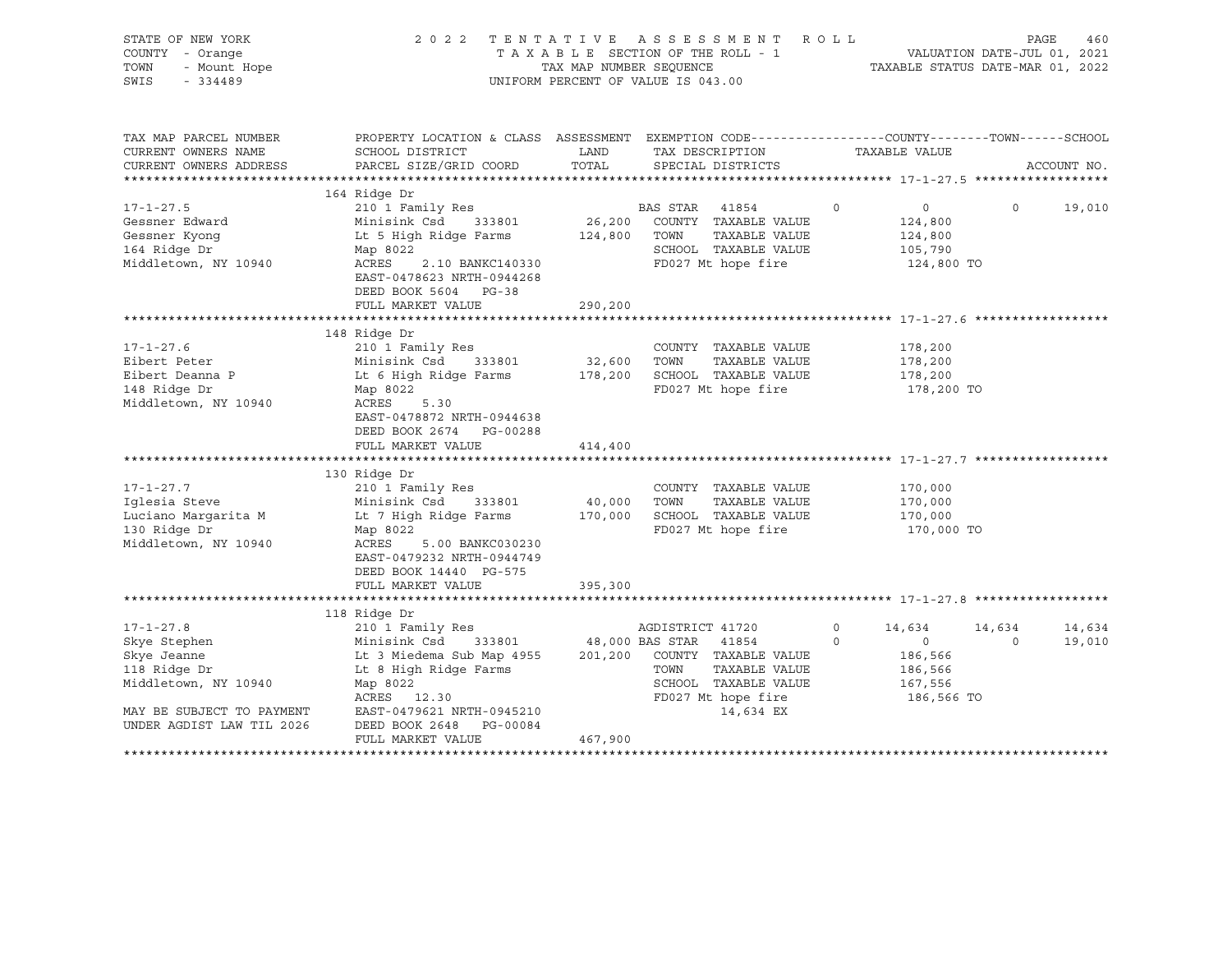| STATE OF NEW YORK<br>COUNTY - Orange<br>- Mount Hope<br>TOWN<br>$-334489$<br>SWIS                                                                                                             |                                                                                                                                                                                                                                                                                                                                                                                                                | TAX MAP NUMBER SEQUENCE          | 2022 TENTATIVE ASSESSMENT ROLL<br>TAXABLE SECTION OF THE ROLL - 1<br>UNIFORM PERCENT OF VALUE IS 043.00                                                            |               | TAXABLE STATUS DATE-MAR 01, 2022                                                           | PAGE<br>VALUATION DATE-JUL 01, 2021 | 460              |
|-----------------------------------------------------------------------------------------------------------------------------------------------------------------------------------------------|----------------------------------------------------------------------------------------------------------------------------------------------------------------------------------------------------------------------------------------------------------------------------------------------------------------------------------------------------------------------------------------------------------------|----------------------------------|--------------------------------------------------------------------------------------------------------------------------------------------------------------------|---------------|--------------------------------------------------------------------------------------------|-------------------------------------|------------------|
| TAX MAP PARCEL NUMBER<br>CURRENT OWNERS NAME<br>CURRENT OWNERS ADDRESS<br>************************                                                                                            | PROPERTY LOCATION & CLASS ASSESSMENT EXEMPTION CODE---------------COUNTY-------TOWN------SCHOOL<br>SCHOOL DISTRICT<br>PARCEL SIZE/GRID COORD                                                                                                                                                                                                                                                                   | LAND<br>TOTAL                    | TAX DESCRIPTION<br>SPECIAL DISTRICTS                                                                                                                               |               | TAXABLE VALUE                                                                              |                                     | ACCOUNT NO.      |
| $17 - 1 - 27.5$<br>Gessner Edward<br>Gessner Kyonq<br>164 Ridge Dr<br>Middletown, NY 10940                                                                                                    | 164 Ridge Dr<br>210 1 Family Res<br>Minisink Csd 333801<br>Lt 5 High Ridge Farms<br>Map 8022<br>2.10 BANKC140330<br>ACRES<br>EAST-0478623 NRTH-0944268<br>DEED BOOK 5604 PG-38                                                                                                                                                                                                                                 | 124,800                          | BAS STAR<br>41854<br>26,200 COUNTY TAXABLE VALUE<br>TOWN<br>TAXABLE VALUE<br>SCHOOL TAXABLE VALUE<br>FD027 Mt hope fire                                            | $\circ$       | $\overline{0}$<br>124,800<br>124,800<br>105,790<br>124,800 TO                              | $\circ$                             | 19,010           |
|                                                                                                                                                                                               | FULL MARKET VALUE                                                                                                                                                                                                                                                                                                                                                                                              | 290,200                          |                                                                                                                                                                    |               |                                                                                            |                                     |                  |
| $17 - 1 - 27.6$<br>Eibert Peter<br>Eibert Deanna P<br>148 Ridge Dr<br>Middletown, NY 10940<br>$17 - 1 - 27.7$<br>Iqlesia Steve<br>Luciano Margarita M<br>130 Ridge Dr<br>Middletown, NY 10940 | 148 Ridge Dr<br>210 1 Family Res<br>Minisink Csd 333801<br>Lt 6 High Ridge Farms 178,200 SCHOOL TAXABLE VALUE<br>Map 8022<br>ACRES<br>5.30<br>EAST-0478872 NRTH-0944638<br>DEED BOOK 2674 PG-00288<br>FULL MARKET VALUE<br>130 Ridge Dr<br>210 1 Family Res<br>Minisink Csd<br>333801<br>Lt 7 High Ridge Farms<br>Map 8022<br>ACRES<br>5.00 BANKC030230<br>EAST-0479232 NRTH-0944749<br>DEED BOOK 14440 PG-575 | 32,600 TOWN<br>414,400<br>40,000 | COUNTY TAXABLE VALUE<br>TAXABLE VALUE<br>FD027 Mt hope fire<br>COUNTY TAXABLE VALUE<br>TOWN<br>TAXABLE VALUE<br>170,000 SCHOOL TAXABLE VALUE<br>FD027 Mt hope fire |               | 178,200<br>178,200<br>178,200<br>178,200 TO<br>170,000<br>170,000<br>170,000<br>170,000 TO |                                     |                  |
|                                                                                                                                                                                               | FULL MARKET VALUE                                                                                                                                                                                                                                                                                                                                                                                              | 395,300                          |                                                                                                                                                                    |               |                                                                                            |                                     |                  |
|                                                                                                                                                                                               |                                                                                                                                                                                                                                                                                                                                                                                                                |                                  |                                                                                                                                                                    |               |                                                                                            |                                     |                  |
| $17 - 1 - 27.8$<br>Skye Stephen<br>Skye Jeanne<br>118 Ridge Dr<br>Middletown, NY 10940<br>MAY BE SUBJECT TO PAYMENT<br>UNDER AGDIST LAW TIL 2026<br>**************************                | 118 Ridge Dr<br>210 1 Family Res<br>Minisink Csd<br>333801<br>Lt 3 Miedema Sub Map 4955<br>Lt 8 High Ridge Farms<br>Map 8022<br>ACRES 12.30<br>EAST-0479621 NRTH-0945210<br>DEED BOOK 2648 PG-00084<br>FULL MARKET VALUE                                                                                                                                                                                       | 467,900                          | AGDISTRICT 41720<br>48,000 BAS STAR 41854<br>201,200 COUNTY TAXABLE VALUE<br>TOWN<br>TAXABLE VALUE<br>SCHOOL TAXABLE VALUE<br>FD027 Mt hope fire<br>14,634 EX      | 0<br>$\Omega$ | 14,634<br>$\overline{0}$<br>186,566<br>186,566<br>167,556<br>186,566 TO                    | 14,634<br>$\Omega$                  | 14,634<br>19,010 |
|                                                                                                                                                                                               |                                                                                                                                                                                                                                                                                                                                                                                                                |                                  |                                                                                                                                                                    |               |                                                                                            |                                     |                  |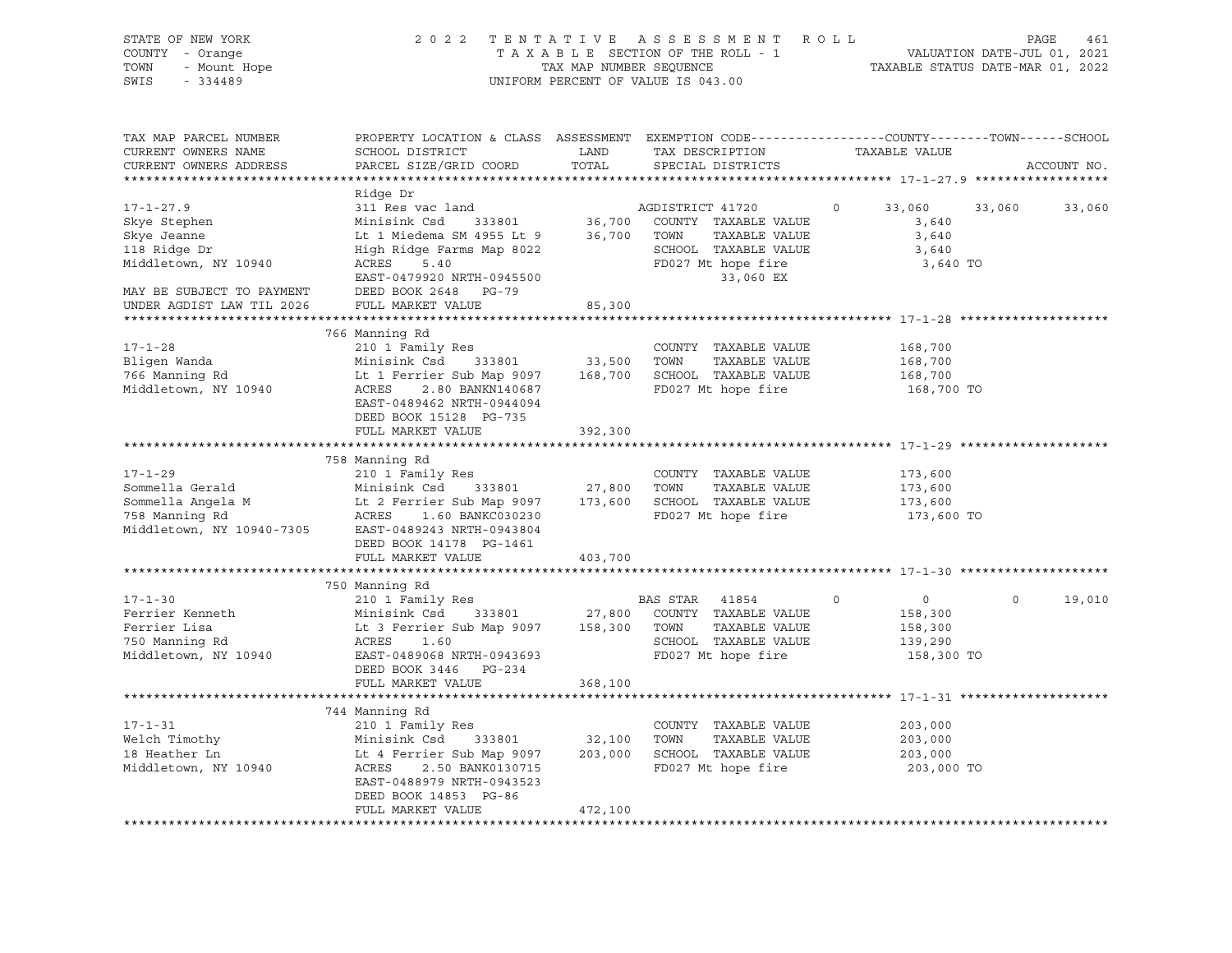| STATE OF NEW YORK<br>COUNTY - Orange<br>- Mount Hope<br>TOWN<br>SWIS<br>$-334489$                                                                | 2022 TENTATIVE ASSESSMENT ROLL<br>TAXABLE SECTION OF THE ROLL - 1<br>TAX MAP NUMBER SEQUENCE<br>UNIFORM PERCENT OF VALUE IS 043.00                                                                                                                   |                                 |                                                                                                                                                        |                                                                          | PAGE<br>461<br>VALUATION DATE-JUL 01, 2021<br>TAXABLE STATUS DATE-MAR 01, 2022 |  |  |
|--------------------------------------------------------------------------------------------------------------------------------------------------|------------------------------------------------------------------------------------------------------------------------------------------------------------------------------------------------------------------------------------------------------|---------------------------------|--------------------------------------------------------------------------------------------------------------------------------------------------------|--------------------------------------------------------------------------|--------------------------------------------------------------------------------|--|--|
| TAX MAP PARCEL NUMBER<br>CURRENT OWNERS NAME<br>CURRENT OWNERS ADDRESS                                                                           | PROPERTY LOCATION & CLASS ASSESSMENT EXEMPTION CODE---------------COUNTY-------TOWN------SCHOOL<br>SCHOOL DISTRICT<br>PARCEL SIZE/GRID COORD                                                                                                         | LAND<br>TOTAL                   | TAX DESCRIPTION<br>SPECIAL DISTRICTS                                                                                                                   | TAXABLE VALUE                                                            | ACCOUNT NO.                                                                    |  |  |
| $17 - 1 - 27.9$<br>Skye Stephen<br>Skye Jeanne<br>118 Ridge Dr<br>Middletown, NY 10940<br>MAY BE SUBJECT TO PAYMENT<br>UNDER AGDIST LAW TIL 2026 | Ridge Dr<br>311 Res vac land<br>Minisink Csd 333801<br>Lt 1 Miedema SM 4955 Lt 9<br>High Ridge Farms Map 8022<br>ACRES<br>5.40<br>EAST-0479920 NRTH-0945500<br>DEED BOOK 2648 PG-79<br>FULL MARKET VALUE                                             | 36,700<br>36,700 TOWN<br>85,300 | AGDISTRICT 41720<br>COUNTY TAXABLE VALUE<br>TAXABLE VALUE<br>SCHOOL TAXABLE VALUE<br>FD027 Mt hope fire<br>33,060 EX                                   | 33,060<br>33,060<br>$\circ$<br>3,640<br>3,640<br>3,640<br>3,640 TO       | 33,060                                                                         |  |  |
| $17 - 1 - 28$<br>Bligen Wanda<br>766 Manning Rd<br>Middletown, NY 10940                                                                          | 766 Manning Rd<br>210 1 Family Res<br>Minisink Csd 333801<br>Lt 1 Ferrier Sub Map 9097 168,700 SCHOOL TAXABLE VALUE<br>2.80 BANKN140687<br>ACRES<br>EAST-0489462 NRTH-0944094<br>DEED BOOK 15128 PG-735<br>FULL MARKET VALUE                         | 33,500 TOWN<br>392,300          | COUNTY TAXABLE VALUE<br>TAXABLE VALUE<br>FD027 Mt hope fire                                                                                            | 168,700<br>168,700<br>168,700<br>168,700 TO                              |                                                                                |  |  |
| $17 - 1 - 29$                                                                                                                                    | 758 Manning Rd<br>210 1 Family Res<br>Middletown, NY 10940-7305 EAST-0489243 NRTH-0943804<br>DEED BOOK 14178 PG-1461<br>FULL MARKET VALUE                                                                                                            | 403,700                         | COUNTY TAXABLE VALUE                                                                                                                                   | 173,600<br>173,600<br>173,600<br>173,600 TO                              |                                                                                |  |  |
| $17 - 1 - 30$<br>Ferrier Kenneth<br>Ferrier Lisa<br>750 Manning Rd<br>Middletown, NY 10940                                                       | 750 Manning Rd<br>210 1 Family Res<br>Minisink Csd<br>Lt 3 Ferrier Sub Map 9097 158,300 TOWN<br>ACRES 1.60<br>EAST-0489068 NRTH-0943693<br>DEED BOOK 3446 PG-234<br>FULL MARKET VALUE                                                                | 333801 27,800<br>368,100        | BAS STAR<br>41854<br>COUNTY TAXABLE VALUE<br>TAXABLE VALUE<br>SCHOOL TAXABLE VALUE<br>FD027 Mt hope fire<br>********************************** 17-1-31 | $\circ$<br>$\overline{0}$<br>158,300<br>158,300<br>139,290<br>158,300 TO | $\circ$<br>19,010                                                              |  |  |
| $17 - 1 - 31$<br>Welch Timothy<br>18 Heather Ln<br>Middletown, NY 10940                                                                          | 744 Manning Rd<br>210 1 Family Res<br>Minisink Csd      333801                32,100    TOWN<br>Lt 4 Ferrier Sub Map 9097      203,000    SCHOC<br>ACRES 2.50 BANK0130715<br>EAST-0488979 NRTH-0943523<br>DEED BOOK 14853 PG-86<br>FULL MARKET VALUE | 472,100                         | COUNTY TAXABLE VALUE<br>TAXABLE VALUE<br>203,000 SCHOOL TAXABLE VALUE<br>FD027 Mt hope fire                                                            | 203,000<br>203,000<br>203,000<br>203,000 TO                              |                                                                                |  |  |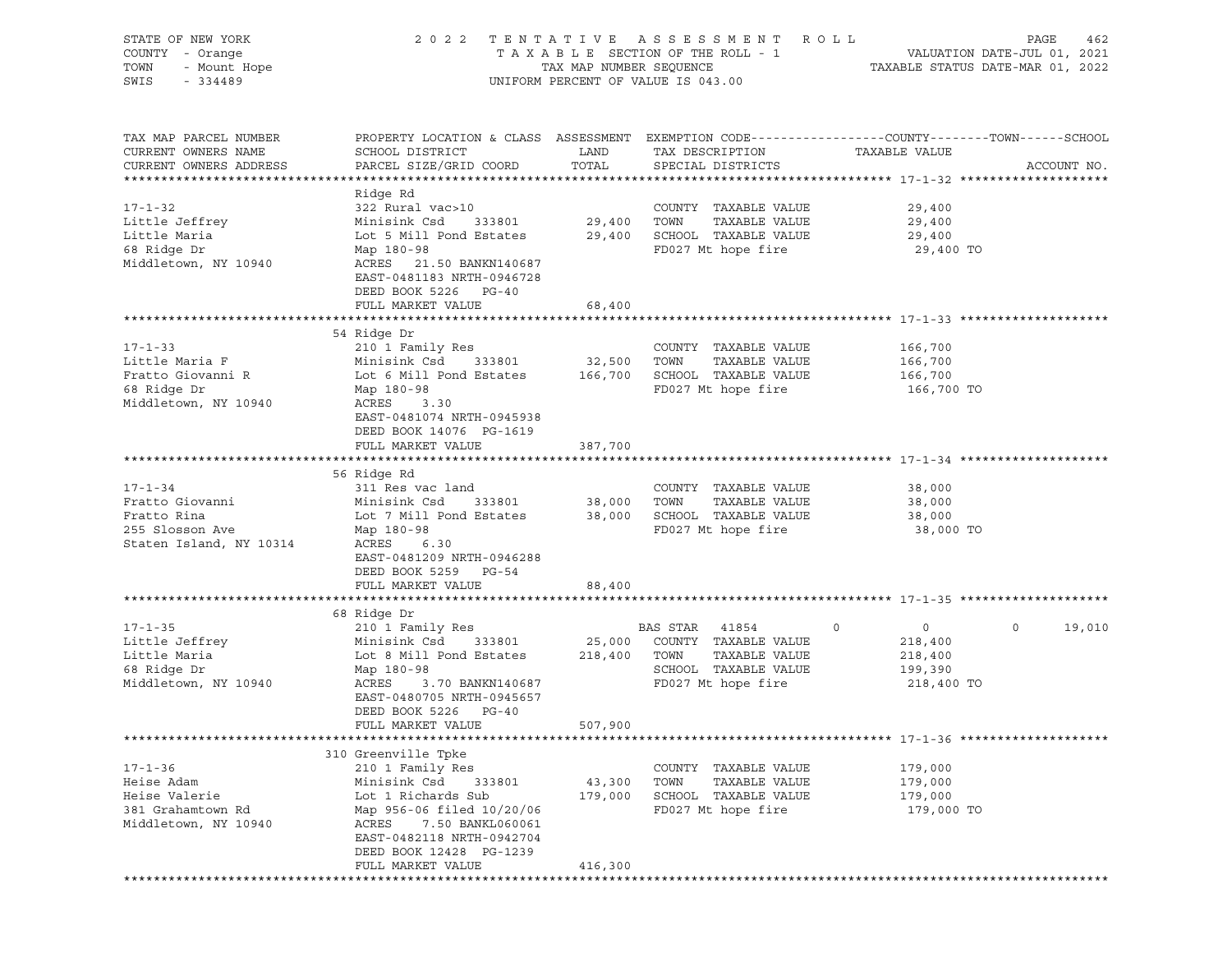| STATE OF NEW YORK<br>COUNTY - Orange<br>TOWN<br>- Mount Hope<br>SWIS<br>$-334489$ | 2 0 2 2                                                                                                             | TAX MAP NUMBER SEQUENCE | TENTATIVE ASSESSMENT ROLL<br>TAXABLE SECTION OF THE ROLL - 1<br>UNIFORM PERCENT OF VALUE IS 043.00 | TAXABLE STATUS DATE-MAR 01, 2022  | PAGE<br>462<br>VALUATION DATE-JUL 01, 2021 |
|-----------------------------------------------------------------------------------|---------------------------------------------------------------------------------------------------------------------|-------------------------|----------------------------------------------------------------------------------------------------|-----------------------------------|--------------------------------------------|
| TAX MAP PARCEL NUMBER<br>CURRENT OWNERS NAME                                      | PROPERTY LOCATION & CLASS ASSESSMENT EXEMPTION CODE----------------COUNTY-------TOWN------SCHOOL<br>SCHOOL DISTRICT | LAND                    | TAX DESCRIPTION                                                                                    | TAXABLE VALUE                     |                                            |
| CURRENT OWNERS ADDRESS                                                            | PARCEL SIZE/GRID COORD                                                                                              | TOTAL                   | SPECIAL DISTRICTS                                                                                  |                                   | ACCOUNT NO.                                |
|                                                                                   | Ridge Rd                                                                                                            |                         |                                                                                                    |                                   |                                            |
| $17 - 1 - 32$                                                                     | 322 Rural vac>10                                                                                                    |                         | COUNTY TAXABLE VALUE                                                                               | 29,400                            |                                            |
| Little Jeffrey                                                                    | Minisink Csd<br>333801                                                                                              | 29,400                  | TOWN<br>TAXABLE VALUE                                                                              | 29,400                            |                                            |
| Little Maria                                                                      | Lot 5 Mill Pond Estates                                                                                             |                         | 29,400 SCHOOL TAXABLE VALUE                                                                        | 29,400                            |                                            |
| 68 Ridge Dr                                                                       | Map 180-98                                                                                                          |                         | FD027 Mt hope fire                                                                                 | 29,400 TO                         |                                            |
| Middletown, NY 10940                                                              | ACRES 21.50 BANKN140687<br>EAST-0481183 NRTH-0946728<br>DEED BOOK 5226 PG-40                                        |                         |                                                                                                    |                                   |                                            |
|                                                                                   | FULL MARKET VALUE                                                                                                   | 68,400                  |                                                                                                    |                                   |                                            |
|                                                                                   |                                                                                                                     |                         |                                                                                                    |                                   |                                            |
|                                                                                   | 54 Ridge Dr                                                                                                         |                         |                                                                                                    |                                   |                                            |
| $17 - 1 - 33$<br>Little Maria F                                                   | 210 1 Family Res<br>Minisink Csd<br>333801                                                                          | 32,500                  | COUNTY TAXABLE VALUE<br>TOWN<br>TAXABLE VALUE                                                      | 166,700<br>166,700                |                                            |
| Fratto Giovanni R                                                                 | Lot 6 Mill Pond Estates                                                                                             | 166,700                 | SCHOOL TAXABLE VALUE                                                                               | 166,700                           |                                            |
| 68 Ridge Dr                                                                       | Map 180-98                                                                                                          |                         | FD027 Mt hope fire                                                                                 | 166,700 TO                        |                                            |
| Middletown, NY 10940                                                              | ACRES<br>3.30                                                                                                       |                         |                                                                                                    |                                   |                                            |
|                                                                                   | EAST-0481074 NRTH-0945938                                                                                           |                         |                                                                                                    |                                   |                                            |
|                                                                                   | DEED BOOK 14076 PG-1619                                                                                             |                         |                                                                                                    |                                   |                                            |
|                                                                                   | FULL MARKET VALUE                                                                                                   | 387,700                 |                                                                                                    |                                   |                                            |
|                                                                                   |                                                                                                                     |                         |                                                                                                    |                                   |                                            |
|                                                                                   | 56 Ridge Rd                                                                                                         |                         |                                                                                                    |                                   |                                            |
| $17 - 1 - 34$<br>Fratto Giovanni                                                  | 311 Res vac land<br>Minisink Csd<br>333801                                                                          | 38,000                  | COUNTY TAXABLE VALUE<br>TAXABLE VALUE<br>TOWN                                                      | 38,000<br>38,000                  |                                            |
| Fratto Rina                                                                       | Lot 7 Mill Pond Estates                                                                                             |                         | 38,000 SCHOOL TAXABLE VALUE                                                                        | 38,000                            |                                            |
| 255 Slosson Ave                                                                   | Map 180-98                                                                                                          |                         | FD027 Mt hope fire                                                                                 | 38,000 TO                         |                                            |
| Staten Island, NY 10314                                                           | ACRES 6.30                                                                                                          |                         |                                                                                                    |                                   |                                            |
|                                                                                   | EAST-0481209 NRTH-0946288                                                                                           |                         |                                                                                                    |                                   |                                            |
|                                                                                   | DEED BOOK 5259 PG-54                                                                                                |                         |                                                                                                    |                                   |                                            |
|                                                                                   | FULL MARKET VALUE                                                                                                   | 88,400                  |                                                                                                    |                                   |                                            |
|                                                                                   |                                                                                                                     |                         |                                                                                                    |                                   |                                            |
|                                                                                   | 68 Ridge Dr                                                                                                         |                         |                                                                                                    |                                   | $\circ$                                    |
| $17 - 1 - 35$<br>Little Jeffrey                                                   | 210 1 Family Res<br>Minisink Csd<br>333801                                                                          | 25,000                  | BAS STAR 41854<br>COUNTY TAXABLE VALUE                                                             | $\mathbf 0$<br>$\circ$<br>218,400 | 19,010                                     |
| Little Maria                                                                      | Lot 8 Mill Pond Estates                                                                                             | 218,400                 | TOWN<br>TAXABLE VALUE                                                                              | 218,400                           |                                            |
| 68 Ridge Dr                                                                       | Map 180-98                                                                                                          |                         | SCHOOL TAXABLE VALUE                                                                               | 199,390                           |                                            |
| Middletown, NY 10940                                                              | ACRES<br>3.70 BANKN140687                                                                                           |                         | FD027 Mt hope fire                                                                                 | 218,400 TO                        |                                            |
|                                                                                   | EAST-0480705 NRTH-0945657                                                                                           |                         |                                                                                                    |                                   |                                            |
|                                                                                   | DEED BOOK 5226 PG-40                                                                                                |                         |                                                                                                    |                                   |                                            |
|                                                                                   | FULL MARKET VALUE                                                                                                   | 507,900                 |                                                                                                    |                                   |                                            |
|                                                                                   |                                                                                                                     |                         |                                                                                                    |                                   |                                            |
|                                                                                   | 310 Greenville Tpke                                                                                                 |                         |                                                                                                    |                                   |                                            |
| $17 - 1 - 36$                                                                     | 210 1 Family Res                                                                                                    |                         | COUNTY TAXABLE VALUE                                                                               | 179,000                           |                                            |
| Heise Adam<br>Heise Valerie                                                       | Minisink Csd<br>333801<br>Lot 1 Richards Sub                                                                        | 43,300<br>179,000       | TAXABLE VALUE<br>TOWN<br>SCHOOL TAXABLE VALUE                                                      | 179,000<br>179,000                |                                            |
| 381 Grahamtown Rd                                                                 | Map 956-06 filed 10/20/06                                                                                           |                         | FD027 Mt hope fire                                                                                 | 179,000 TO                        |                                            |
| Middletown, NY 10940                                                              | ACRES<br>7.50 BANKL060061                                                                                           |                         |                                                                                                    |                                   |                                            |
|                                                                                   | EAST-0482118 NRTH-0942704                                                                                           |                         |                                                                                                    |                                   |                                            |
|                                                                                   | DEED BOOK 12428 PG-1239                                                                                             |                         |                                                                                                    |                                   |                                            |
|                                                                                   | FULL MARKET VALUE                                                                                                   | 416,300                 |                                                                                                    |                                   |                                            |
|                                                                                   |                                                                                                                     |                         |                                                                                                    |                                   |                                            |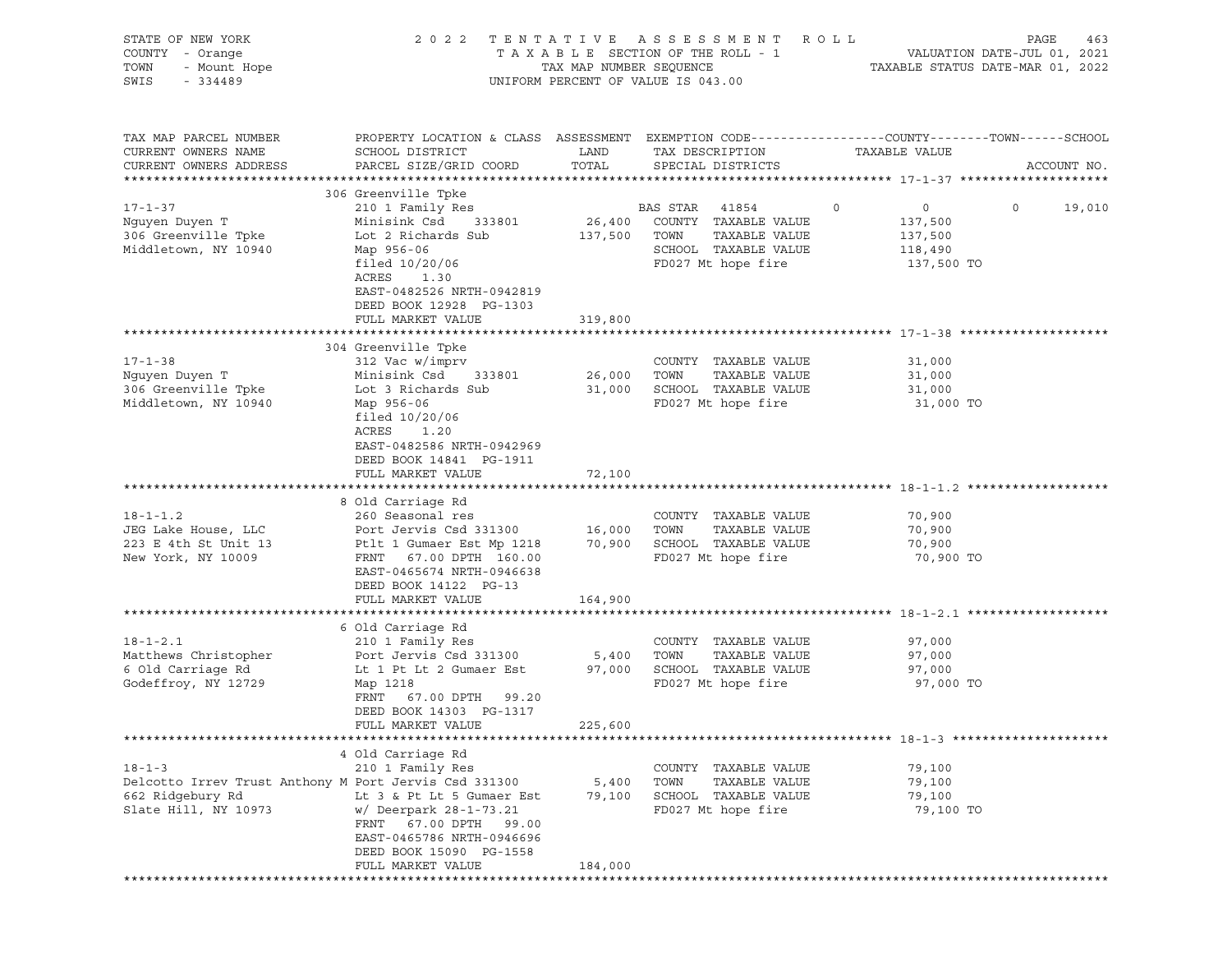| STATE OF NEW YORK<br>COUNTY - Orange<br>F NEW LOW:<br>- Orange<br>- Mount Hope<br>TOWN<br>SWIS                    |                                                                                                                                                                                                                   | TAX MAP NUMBER SEQUENCE    | 2022 TENTATIVE ASSESSMENT<br>UNIFORM PERCENT OF VALUE IS 043.00                                                     | <b>ROLL</b><br>PAGE<br>463<br>T A X A B L E SECTION OF THE ROLL - 1 VALUATION DATE-JUL 01, 2021<br>TAXABLE STATUS DATE-MAR 01, 2022 |
|-------------------------------------------------------------------------------------------------------------------|-------------------------------------------------------------------------------------------------------------------------------------------------------------------------------------------------------------------|----------------------------|---------------------------------------------------------------------------------------------------------------------|-------------------------------------------------------------------------------------------------------------------------------------|
| TAX MAP PARCEL NUMBER<br>CURRENT OWNERS NAME<br>CURRENT OWNERS ADDRESS                                            | SCHOOL DISTRICT<br>PARCEL SIZE/GRID COORD                                                                                                                                                                         | LAND<br>TOTAL              | TAX DESCRIPTION<br>SPECIAL DISTRICTS                                                                                | PROPERTY LOCATION & CLASS ASSESSMENT EXEMPTION CODE----------------COUNTY-------TOWN------SCHOOL<br>TAXABLE VALUE<br>ACCOUNT NO.    |
| $17 - 1 - 37$<br>Nguyen Duyen T<br>306 Greenville Tpke<br>Middletown, NY 10940                                    | 306 Greenville Tpke<br>210 1 Family Res<br>Minisink Csd<br>Lot 2 Richards Sub<br>Map 956-06<br>filed $10/20/06$<br>ACRES<br>1.30<br>EAST-0482526 NRTH-0942819<br>DEED BOOK 12928 PG-1303<br>FULL MARKET VALUE     | 137,500 TOWN<br>319,800    | BAS STAR 41854<br>333801 26,400 COUNTY TAXABLE VALUE<br>TAXABLE VALUE<br>SCHOOL TAXABLE VALUE<br>FD027 Mt hope fire | $\circ$<br>$\overline{0}$<br>$\Omega$<br>19,010<br>137,500<br>137,500<br>118,490<br>137,500 TO                                      |
| $17 - 1 - 38$<br>Nguyen Duyen T<br>306 Greenville Tpke<br>Middletown, NY 10940                                    | 304 Greenville Tpke<br>312 Vac w/imprv<br>Minisink Csd 333801<br>Lot 3 Richards Sub<br>Map 956-06<br>filed 10/20/06<br>ACRES<br>1.20<br>EAST-0482586 NRTH-0942969<br>DEED BOOK 14841 PG-1911<br>FULL MARKET VALUE | 26,000 TOWN<br>72,100      | COUNTY TAXABLE VALUE<br>TAXABLE VALUE<br>31,000 SCHOOL TAXABLE VALUE<br>FD027 Mt hope fire                          | 31,000<br>31,000<br>31,000<br>31,000 TO                                                                                             |
| $18 - 1 - 1.2$<br>JEG Lake House, LLC<br>223 E 4th St Unit 13<br>New York, NY 10009                               | 8 Old Carriage Rd<br>260 Seasonal res<br>Port Jervis Csd 331300<br>Ptlt 1 Gumaer Est Mp 1218<br>FRNT 67.00 DPTH 160.00<br>EAST-0465674 NRTH-0946638<br>DEED BOOK 14122 PG-13<br>FULL MARKET VALUE                 | 16,000 TOWN<br>164,900     | COUNTY TAXABLE VALUE<br>TAXABLE VALUE<br>70,900 SCHOOL TAXABLE VALUE<br>FD027 Mt hope fire                          | 70,900<br>70,900<br>70,900<br>70,900 TO                                                                                             |
| $18 - 1 - 2.1$<br>Matthews Christopher<br>6 Old Carriage Rd<br>Godeffroy, NY 12729                                | 6 Old Carriage Rd<br>210 1 Family Res<br>Port Jervis Csd 331300<br>Lt 1 Pt Lt 2 Gumaer Est<br>Map 1218<br>FRNT<br>67.00 DPTH 99.20<br>DEED BOOK 14303 PG-1317<br>FULL MARKET VALUE                                | 5,400 TOWN<br>225,600      | COUNTY TAXABLE VALUE<br>TAXABLE VALUE<br>97,000 SCHOOL TAXABLE VALUE<br>FD027 Mt hope fire                          | 97,000<br>97,000<br>97,000<br>97,000 TO                                                                                             |
| $18 - 1 - 3$<br>Delcotto Irrev Trust Anthony M Port Jervis Csd 331300<br>662 Ridgebury Rd<br>Slate Hill, NY 10973 | 4 Old Carriage Rd<br>210 1 Family Res<br>Lt 3 & Pt Lt 5 Gumaer Est<br>w/ Deerpark 28-1-73.21<br>FRNT<br>67.00 DPTH 99.00<br>EAST-0465786 NRTH-0946696<br>DEED BOOK 15090 PG-1558<br>FULL MARKET VALUE             | 5,400<br>79,100<br>184,000 | COUNTY TAXABLE VALUE<br>TOWN<br>TAXABLE VALUE<br>SCHOOL TAXABLE VALUE<br>FD027 Mt hope fire                         | 79,100<br>79,100<br>79,100<br>79,100 TO                                                                                             |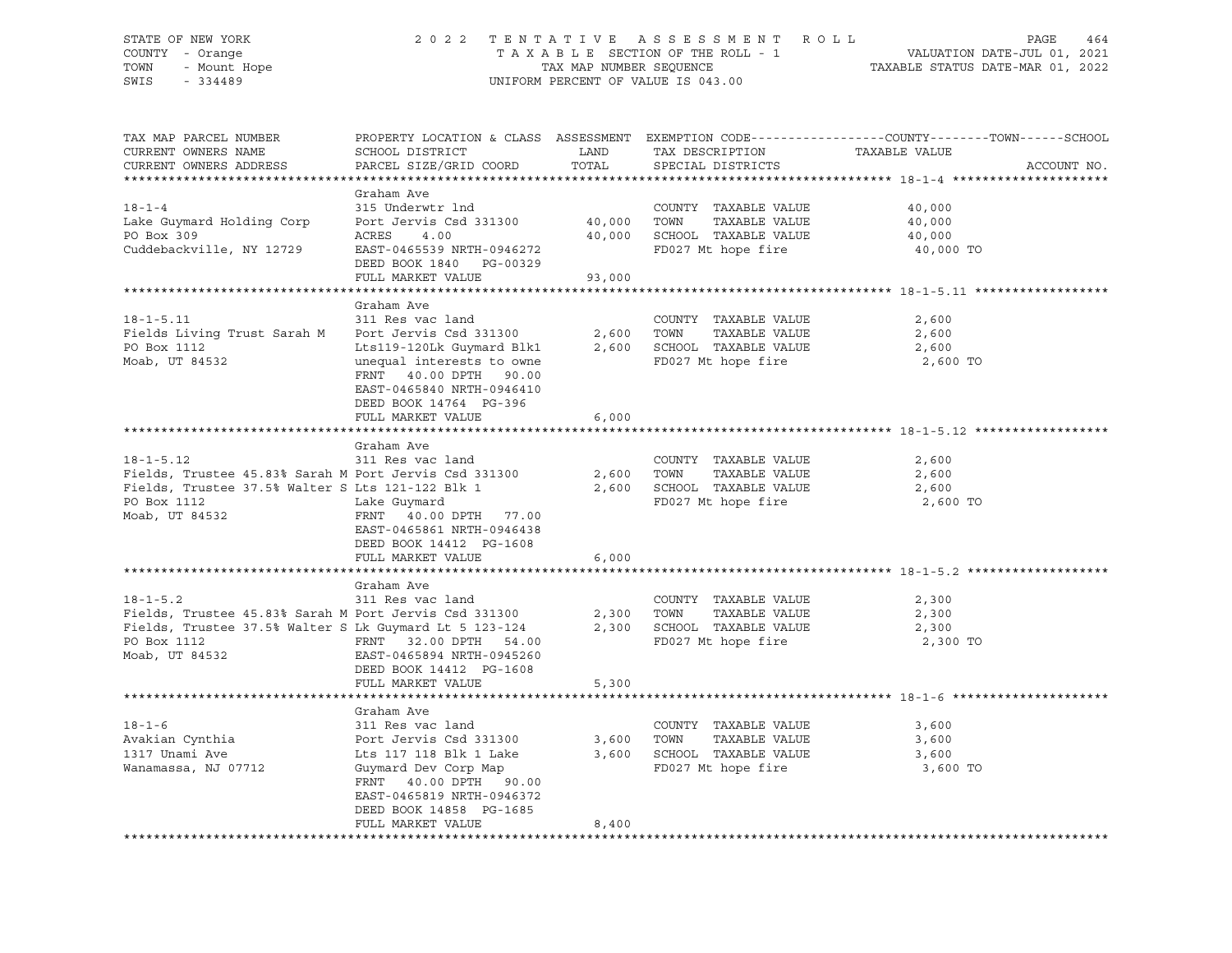# STATE OF NEW YORK 2 0 2 2 T E N T A T I V E A S S E S S M E N T R O L L PAGE 464 COUNTY - Orange T A X A B L E SECTION OF THE ROLL - 1 VALUATION DATE-JUL 01, 2021 TOWN - Mount Hope TAX MAP NUMBER SEQUENCE TAXABLE STATUS DATE-MAR 01, 2022 SWIS - 334489 UNIFORM PERCENT OF VALUE IS 043.00

| TAX MAP PARCEL NUMBER                                  |                               |        |                             | PROPERTY LOCATION & CLASS ASSESSMENT EXEMPTION CODE----------------COUNTY-------TOWN-----SCHOOL |
|--------------------------------------------------------|-------------------------------|--------|-----------------------------|-------------------------------------------------------------------------------------------------|
| CURRENT OWNERS NAME                                    | SCHOOL DISTRICT               | LAND   | TAX DESCRIPTION             | TAXABLE VALUE                                                                                   |
| CURRENT OWNERS ADDRESS                                 | PARCEL SIZE/GRID COORD        | TOTAL  | SPECIAL DISTRICTS           | ACCOUNT NO.                                                                                     |
|                                                        |                               |        |                             |                                                                                                 |
|                                                        | Graham Ave                    |        |                             |                                                                                                 |
| $18 - 1 - 4$                                           | 315 Underwtr lnd              |        | COUNTY TAXABLE VALUE        | 40,000                                                                                          |
| Lake Guymard Holding Corp                              | Port Jervis Csd 331300 40,000 |        | TOWN<br>TAXABLE VALUE       | 40,000                                                                                          |
| PO Box 309                                             | ACRES<br>4.00                 | 40,000 | SCHOOL TAXABLE VALUE        | 40,000                                                                                          |
| Cuddebackville, NY 12729                               | EAST-0465539 NRTH-0946272     |        | FD027 Mt hope fire          | 40,000 TO                                                                                       |
|                                                        | DEED BOOK 1840 PG-00329       |        |                             |                                                                                                 |
|                                                        | FULL MARKET VALUE             | 93,000 |                             |                                                                                                 |
|                                                        |                               |        |                             |                                                                                                 |
|                                                        | Graham Ave                    |        |                             |                                                                                                 |
| $18 - 1 - 5.11$                                        | 311 Res vac land              |        | COUNTY TAXABLE VALUE        | 2,600                                                                                           |
| Fields Living Trust Sarah M                            | Port Jervis Csd 331300        | 2,600  | TOWN<br>TAXABLE VALUE       | 2,600                                                                                           |
| PO Box 1112                                            | Lts119-120Lk Guymard Blk1     | 2,600  | SCHOOL TAXABLE VALUE        | 2,600                                                                                           |
| Moab, UT 84532                                         | unequal interests to owne     |        | FD027 Mt hope fire          | 2,600 TO                                                                                        |
|                                                        | FRNT 40.00 DPTH 90.00         |        |                             |                                                                                                 |
|                                                        | EAST-0465840 NRTH-0946410     |        |                             |                                                                                                 |
|                                                        | DEED BOOK 14764 PG-396        |        |                             |                                                                                                 |
|                                                        | FULL MARKET VALUE             | 6,000  |                             |                                                                                                 |
|                                                        |                               |        |                             |                                                                                                 |
|                                                        | Graham Ave                    |        |                             |                                                                                                 |
| $18 - 1 - 5.12$                                        | 311 Res vac land              |        | COUNTY TAXABLE VALUE        | 2,600                                                                                           |
| Fields, Trustee 45.83% Sarah M Port Jervis Csd 331300  |                               |        | 2,600 TOWN<br>TAXABLE VALUE | 2,600                                                                                           |
| Fields, Trustee 37.5% Walter S Lts 121-122 Blk 1       |                               |        | 2,600 SCHOOL TAXABLE VALUE  | 2,600                                                                                           |
| PO Box 1112                                            | Lake Guymard                  |        | FD027 Mt hope fire          | 2,600 TO                                                                                        |
| Moab, UT 84532                                         | FRNT 40.00 DPTH 77.00         |        |                             |                                                                                                 |
|                                                        | EAST-0465861 NRTH-0946438     |        |                             |                                                                                                 |
|                                                        | DEED BOOK 14412 PG-1608       |        |                             |                                                                                                 |
|                                                        | FULL MARKET VALUE             | 6,000  |                             |                                                                                                 |
|                                                        |                               |        |                             |                                                                                                 |
|                                                        | Graham Ave                    |        |                             |                                                                                                 |
| $18 - 1 - 5.2$                                         | 311 Res vac land              |        | COUNTY TAXABLE VALUE        | 2,300                                                                                           |
| Fields, Trustee 45.83% Sarah M Port Jervis Csd 331300  |                               |        | TAXABLE VALUE<br>2,300 TOWN | 2,300                                                                                           |
| Fields, Trustee 37.5% Walter S Lk Guymard Lt 5 123-124 |                               |        | 2,300 SCHOOL TAXABLE VALUE  | 2,300                                                                                           |
| PO Box 1112                                            | FRNT 32.00 DPTH 54.00         |        | FD027 Mt hope fire          | 2,300 TO                                                                                        |
| Moab, UT 84532                                         | EAST-0465894 NRTH-0945260     |        |                             |                                                                                                 |
|                                                        | DEED BOOK 14412 PG-1608       |        |                             |                                                                                                 |
|                                                        | FULL MARKET VALUE             | 5,300  |                             |                                                                                                 |
|                                                        |                               |        |                             |                                                                                                 |
|                                                        | Graham Ave                    |        |                             |                                                                                                 |
| $18 - 1 - 6$                                           | 311 Res vac land              |        | COUNTY TAXABLE VALUE        | 3,600                                                                                           |
| Avakian Cynthia                                        | Port Jervis Csd 331300        |        | 3,600 TOWN<br>TAXABLE VALUE | 3,600                                                                                           |
| 1317 Unami Ave                                         | Lts 117 118 Blk 1 Lake        |        | 3,600 SCHOOL TAXABLE VALUE  | 3,600                                                                                           |
| Wanamassa, NJ 07712                                    | Guymard Dev Corp Map          |        | FD027 Mt hope fire          | 3,600 TO                                                                                        |
|                                                        | FRNT 40.00 DPTH 90.00         |        |                             |                                                                                                 |
|                                                        | EAST-0465819 NRTH-0946372     |        |                             |                                                                                                 |
|                                                        | DEED BOOK 14858 PG-1685       |        |                             |                                                                                                 |
|                                                        | FULL MARKET VALUE             | 8,400  |                             |                                                                                                 |
|                                                        |                               |        |                             |                                                                                                 |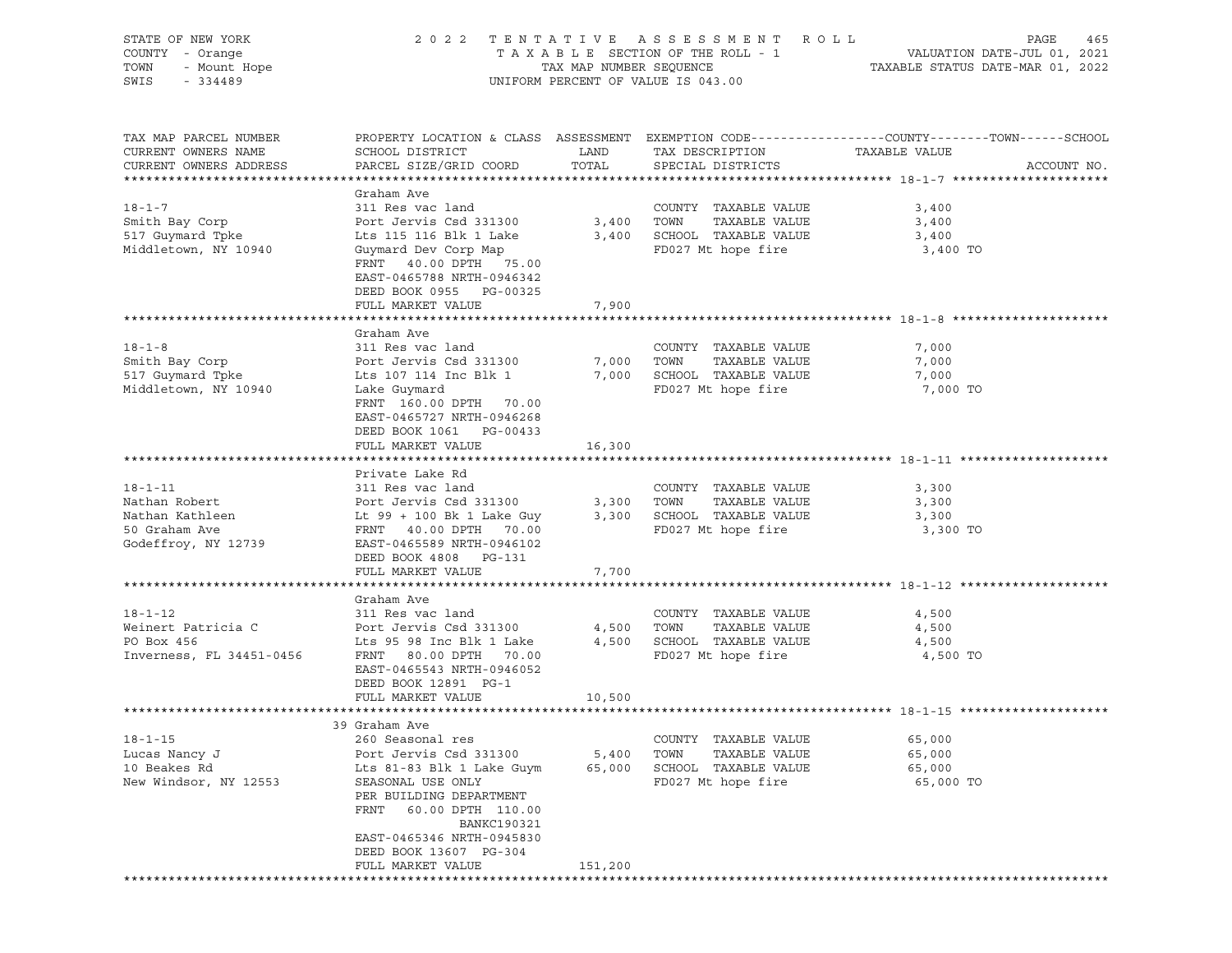| STATE OF NEW YORK        |                           |                         | 2022 TENTATIVE ASSESSMENT ROLL     |                                                                                                | PAGE<br>465 |
|--------------------------|---------------------------|-------------------------|------------------------------------|------------------------------------------------------------------------------------------------|-------------|
| COUNTY - Orange          |                           |                         | TAXABLE SECTION OF THE ROLL - 1    | VALUATION DATE-JUL 01, 2021<br>TAXABLE STATUS DATE-MAR 01, 2022                                |             |
| TOWN<br>- Mount Hope     |                           | TAX MAP NUMBER SEQUENCE |                                    |                                                                                                |             |
| SWIS<br>$-334489$        |                           |                         | UNIFORM PERCENT OF VALUE IS 043.00 |                                                                                                |             |
|                          |                           |                         |                                    |                                                                                                |             |
|                          |                           |                         |                                    |                                                                                                |             |
| TAX MAP PARCEL NUMBER    |                           |                         |                                    | PROPERTY LOCATION & CLASS ASSESSMENT EXEMPTION CODE---------------COUNTY-------TOWN-----SCHOOL |             |
| CURRENT OWNERS NAME      | SCHOOL DISTRICT           | LAND                    | TAX DESCRIPTION                    | TAXABLE VALUE                                                                                  |             |
| CURRENT OWNERS ADDRESS   | PARCEL SIZE/GRID COORD    | TOTAL                   | SPECIAL DISTRICTS                  |                                                                                                | ACCOUNT NO. |
|                          |                           |                         |                                    |                                                                                                |             |
|                          | Graham Ave                |                         |                                    |                                                                                                |             |
| $18 - 1 - 7$             | 311 Res vac land          |                         | COUNTY TAXABLE VALUE               | 3,400                                                                                          |             |
| Smith Bay Corp           | Port Jervis Csd 331300    | 3,400 TOWN              | TAXABLE VALUE                      | 3,400                                                                                          |             |
| 517 Guymard Tpke         | Lts 115 116 Blk 1 Lake    |                         | 3,400 SCHOOL TAXABLE VALUE         | 3,400                                                                                          |             |
| Middletown, NY 10940     | Guymard Dev Corp Map      |                         | FD027 Mt hope fire                 | 3,400 TO                                                                                       |             |
|                          | FRNT 40.00 DPTH 75.00     |                         |                                    |                                                                                                |             |
|                          | EAST-0465788 NRTH-0946342 |                         |                                    |                                                                                                |             |
|                          | DEED BOOK 0955 PG-00325   |                         |                                    |                                                                                                |             |
|                          | FULL MARKET VALUE         | 7,900                   |                                    |                                                                                                |             |
|                          |                           |                         |                                    |                                                                                                |             |
|                          | Graham Ave                |                         |                                    |                                                                                                |             |
| $18 - 1 - 8$             | 311 Res vac land          |                         | COUNTY TAXABLE VALUE               | 7,000                                                                                          |             |
| Smith Bay Corp           | Port Jervis Csd 331300    | 7,000                   | TAXABLE VALUE<br>TOWN              | 7,000                                                                                          |             |
| 517 Guymard Tpke         | Lts 107 114 Inc Blk 1     | 7,000                   | SCHOOL TAXABLE VALUE               | 7,000                                                                                          |             |
| Middletown, NY 10940     | Lake Guymard              |                         | FD027 Mt hope fire                 | 7,000 TO                                                                                       |             |
|                          | FRNT 160.00 DPTH 70.00    |                         |                                    |                                                                                                |             |
|                          | EAST-0465727 NRTH-0946268 |                         |                                    |                                                                                                |             |
|                          | DEED BOOK 1061 PG-00433   |                         |                                    |                                                                                                |             |
|                          | FULL MARKET VALUE         | 16,300                  |                                    |                                                                                                |             |
|                          |                           |                         |                                    |                                                                                                |             |
|                          | Private Lake Rd           |                         |                                    |                                                                                                |             |
| $18 - 1 - 11$            | 311 Res vac land          |                         | COUNTY TAXABLE VALUE               | 3,300                                                                                          |             |
| Nathan Robert            | Port Jervis Csd 331300    | 3,300 TOWN              | TAXABLE VALUE                      | 3,300                                                                                          |             |
| Nathan Kathleen          | Lt 99 + 100 Bk 1 Lake Guy |                         | 3,300 SCHOOL TAXABLE VALUE         | 3,300                                                                                          |             |
| 50 Graham Ave            | FRNT 40.00 DPTH 70.00     |                         | FD027 Mt hope fire                 | 3,300 TO                                                                                       |             |
| Godeffroy, NY 12739      | EAST-0465589 NRTH-0946102 |                         |                                    |                                                                                                |             |
|                          | DEED BOOK 4808 PG-131     |                         |                                    |                                                                                                |             |
|                          | FULL MARKET VALUE         | 7,700                   |                                    |                                                                                                |             |
|                          |                           |                         |                                    |                                                                                                |             |
|                          | Graham Ave                |                         |                                    |                                                                                                |             |
| $18 - 1 - 12$            | 311 Res vac land          |                         | COUNTY TAXABLE VALUE               | 4,500                                                                                          |             |
| Weinert Patricia C       | Port Jervis Csd 331300    |                         | 4,500 TOWN<br>TAXABLE VALUE        | 4,500                                                                                          |             |
| PO Box 456               | Lts 95 98 Inc Blk 1 Lake  |                         | 4,500 SCHOOL TAXABLE VALUE         | 4,500                                                                                          |             |
| Inverness, FL 34451-0456 | FRNT 80.00 DPTH 70.00     |                         | FD027 Mt hope fire                 | 4,500 TO                                                                                       |             |
|                          | EAST-0465543 NRTH-0946052 |                         |                                    |                                                                                                |             |
|                          | DEED BOOK 12891 PG-1      |                         |                                    |                                                                                                |             |
|                          | FULL MARKET VALUE         | 10,500                  |                                    |                                                                                                |             |
|                          |                           |                         |                                    |                                                                                                |             |
|                          | 39 Graham Ave             |                         |                                    |                                                                                                |             |
| $18 - 1 - 15$            | 260 Seasonal res          |                         | COUNTY TAXABLE VALUE               | 65,000                                                                                         |             |
| Lucas Nancy J            | Port Jervis Csd 331300    | 5,400                   | TOWN<br>TAXABLE VALUE              | 65,000                                                                                         |             |
| 10 Beakes Rd             | Lts 81-83 Blk 1 Lake Guym | 65,000                  | SCHOOL TAXABLE VALUE               | 65,000                                                                                         |             |
| New Windsor, NY 12553    | SEASONAL USE ONLY         |                         | FD027 Mt hope fire                 | 65,000 TO                                                                                      |             |
|                          | PER BUILDING DEPARTMENT   |                         |                                    |                                                                                                |             |
|                          | FRNT<br>60.00 DPTH 110.00 |                         |                                    |                                                                                                |             |
|                          | <b>BANKC190321</b>        |                         |                                    |                                                                                                |             |
|                          | EAST-0465346 NRTH-0945830 |                         |                                    |                                                                                                |             |
|                          | DEED BOOK 13607 PG-304    |                         |                                    |                                                                                                |             |
|                          | FULL MARKET VALUE         | 151,200                 |                                    |                                                                                                |             |
|                          |                           |                         |                                    |                                                                                                |             |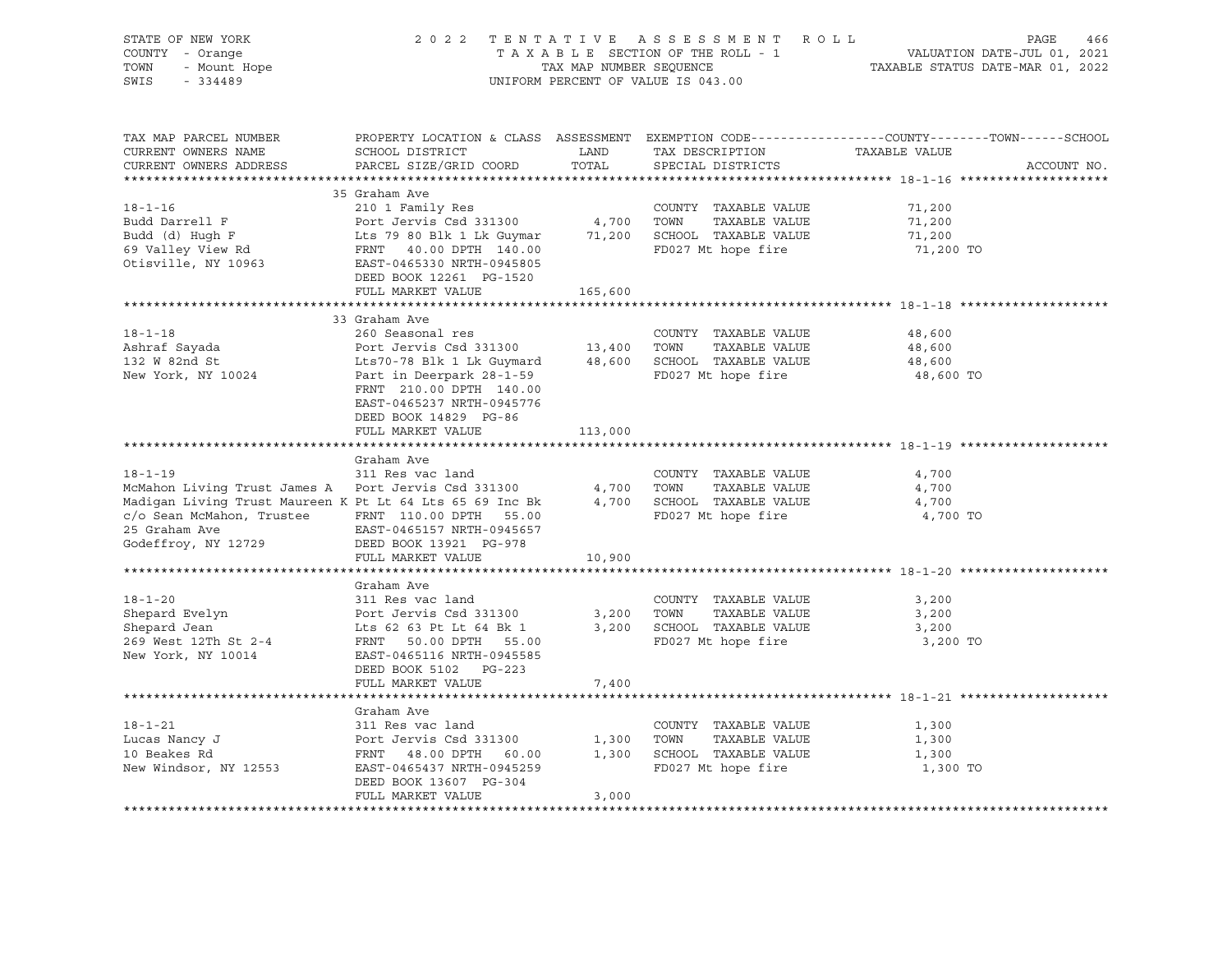| PROPERTY LOCATION & CLASS ASSESSMENT EXEMPTION CODE---------------COUNTY-------TOWN-----SCHOOL<br>TAX MAP PARCEL NUMBER<br>TAX DESCRIPTION TAXABLE VALUE<br><b>LAND</b><br>CURRENT OWNERS NAME<br>SCHOOL DISTRICT<br>TOTAL<br>CURRENT OWNERS ADDRESS<br>PARCEL SIZE/GRID COORD<br>SPECIAL DISTRICTS<br>ACCOUNT NO.<br>35 Graham Ave<br>$18 - 1 - 16$<br>210 1 Family Res<br>COUNTY TAXABLE VALUE<br>71,200<br>Budd Darrell F<br>Budd (d) Hugh F<br>Budd (d) Hugh F<br>Example 2011 Example 2021 and the Gauge of School TAXABLE VALUE<br>Example 2022 Mt hope fire<br>Otisville, NY 10963<br>EXAMPLE 2012 200 DPTH 140.00<br>EXAMPLE 2027 Mt hope fire<br>Ot<br>71,200<br>71,200<br>71,200 TO<br>DEED BOOK 12261 PG-1520<br>FULL MARKET VALUE<br>165,600<br>33 Graham Ave<br>$18 - 1 - 18$<br>260 Seasonal res<br>COUNTY TAXABLE VALUE<br>48,600<br>Ashraf Sayada<br>132 W 82nd St<br>48,600 |
|----------------------------------------------------------------------------------------------------------------------------------------------------------------------------------------------------------------------------------------------------------------------------------------------------------------------------------------------------------------------------------------------------------------------------------------------------------------------------------------------------------------------------------------------------------------------------------------------------------------------------------------------------------------------------------------------------------------------------------------------------------------------------------------------------------------------------------------------------------------------------------------------|
|                                                                                                                                                                                                                                                                                                                                                                                                                                                                                                                                                                                                                                                                                                                                                                                                                                                                                              |
|                                                                                                                                                                                                                                                                                                                                                                                                                                                                                                                                                                                                                                                                                                                                                                                                                                                                                              |
|                                                                                                                                                                                                                                                                                                                                                                                                                                                                                                                                                                                                                                                                                                                                                                                                                                                                                              |
| COUNTY TAXABLE VALUE<br>Lts70-78 Blk 1 Lk Guymard<br>Part in Deerpark 28-1-59<br>Part in Deerpark 28-1-59<br>Part in Deerpark 28-1-59<br>Part in Deerpark 28-1-59<br>Part in Deerpark 28-1-59<br>Part in Deerpark 28-1-59<br>Part in Deerpark<br>48,600<br>New York, NY 10024<br>FD027 Mt hope fire<br>48,600 TO<br>FRNT 210.00 DPTH 140.00<br>EAST-0465237 NRTH-0945776<br>DEED BOOK 14829 PG-86                                                                                                                                                                                                                                                                                                                                                                                                                                                                                            |
| FULL MARKET VALUE<br>113,000                                                                                                                                                                                                                                                                                                                                                                                                                                                                                                                                                                                                                                                                                                                                                                                                                                                                 |
| Graham Ave<br>311 Res vac land<br>$18 - 1 - 19$<br>COUNTY TAXABLE VALUE<br>4,700<br>McMahon Living Trust James A Port Jervis Csd 331300 4,700 TOWN TAXABLE VALUE<br>4,700<br>Madigan Living Trust Maureen K Pt Lt 64 Lts 65 69 Inc Bk 4,700 SCHOOL TAXABLE VALUE<br>c/o Sean McMahon. Trustee FRNT 110.00 DPTH 55.00 FD027 Mt hope fire<br>4,700<br>FD027 Mt hope fire<br>c/o Sean McMahon, Trustee FRNT 110.00 DPTH 55.00<br>4,700 TO<br>25 Graham Ave<br>EAST-0465157 NRTH-0945657<br>Godeffroy, NY 12729<br>DEED BOOK 13921 PG-978<br>10,900<br>FULL MARKET VALUE                                                                                                                                                                                                                                                                                                                         |
|                                                                                                                                                                                                                                                                                                                                                                                                                                                                                                                                                                                                                                                                                                                                                                                                                                                                                              |
| Graham Ave<br>311 Res vac land<br>$18 - 1 - 20$<br>COUNTY TAXABLE VALUE<br>3,200<br>Port Jervis Csd 331300<br>Shepard Evelyn<br>Chanard Jean<br>3,200 TOWN<br>3,200<br>TAXABLE VALUE<br>Shepard Jean<br>3,200 SCHOOL TAXABLE VALUE<br>Lts 62 63 Pt Lt 64 Bk 1<br>FRNT - 50.00 DPTH - 55.00<br>3,200<br>FD027 Mt hope fire<br>269 West 12Th St 2-4<br>FRNT 50.00 DPTH 55.00<br>3,200 TO<br>New York, NY 10014<br>EAST-0465116 NRTH-0945585<br>DEED BOOK 5102 PG-223                                                                                                                                                                                                                                                                                                                                                                                                                           |
| FULL MARKET VALUE<br>7,400                                                                                                                                                                                                                                                                                                                                                                                                                                                                                                                                                                                                                                                                                                                                                                                                                                                                   |
|                                                                                                                                                                                                                                                                                                                                                                                                                                                                                                                                                                                                                                                                                                                                                                                                                                                                                              |
| Graham Ave<br>311 Res vac land<br>$18 - 1 - 21$<br>COUNTY TAXABLE VALUE<br>1,300<br>POLITICS Vac Iana<br>POLITICS CSO 331300<br>PONE CARD DEEL CARD<br>18-1-21<br>Lucas Nancy J<br>Local Pd<br>1,300 TOWN<br>TAXABLE VALUE<br>1,300<br>1,300 SCHOOL TAXABLE VALUE<br>FRNT     48.00 DPTH    60.00<br>EAST-0465437 NRTH-0945259<br>1,300<br>FD027 Mt hope fire<br>New Windsor, NY 12553<br>EAST-0465437 NRTH-0945259<br>1,300 TO<br>DEED BOOK 13607 PG-304<br>FULL MARKET VALUE<br>3,000                                                                                                                                                                                                                                                                                                                                                                                                      |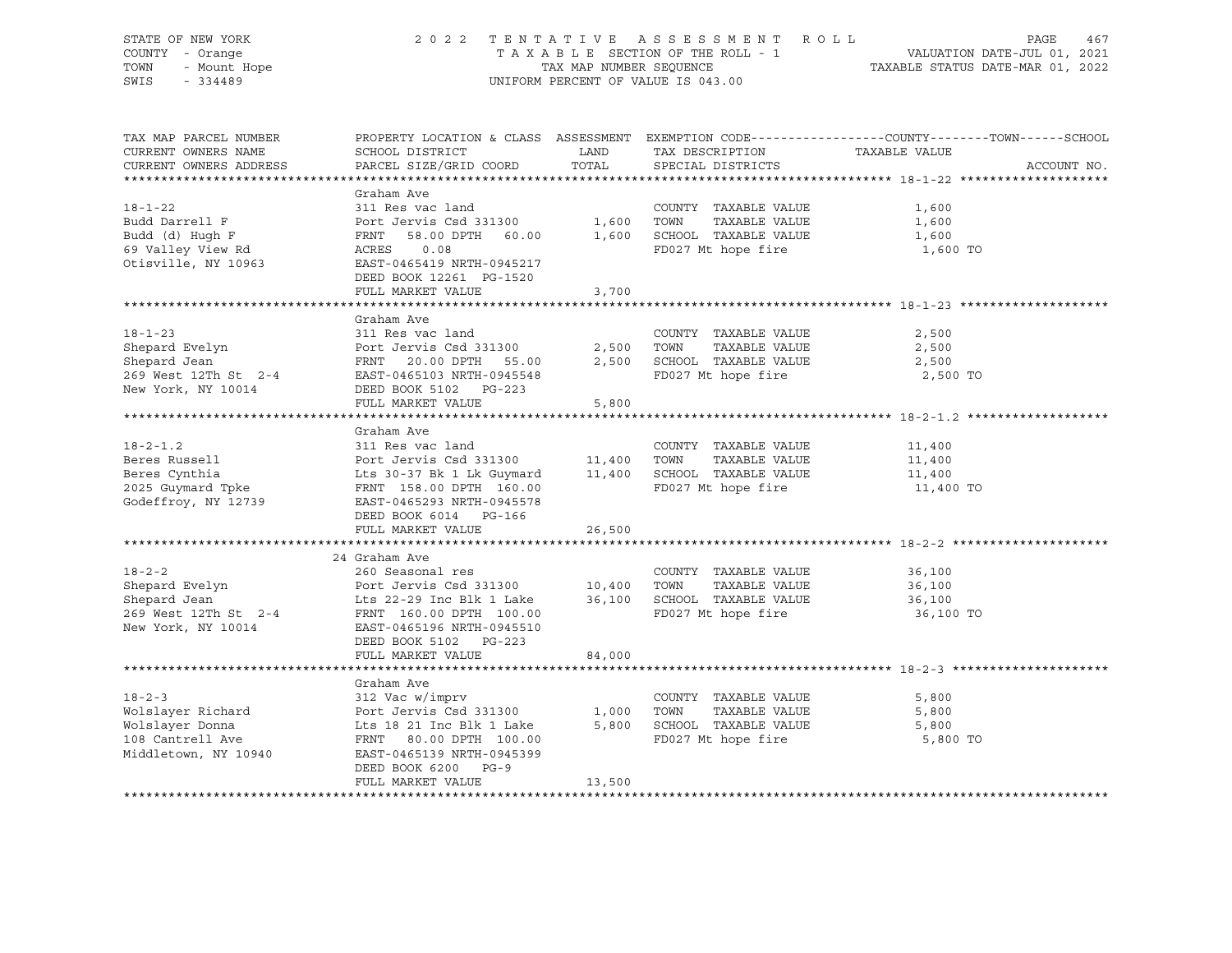| STATE OF NEW YORK      | 2 0 2 2<br>TENTATIVE             |                         | ASSESSMENT ROLL                    |                                                                                                 |
|------------------------|----------------------------------|-------------------------|------------------------------------|-------------------------------------------------------------------------------------------------|
| COUNTY - Orange        |                                  |                         | TAXABLE SECTION OF THE ROLL - 1    | PAGE 467<br>VALUATION DATE-JUL 01, 2021<br>TAXABLE STATIIS DATE 11-                             |
| TOWN<br>- Mount Hope   |                                  | TAX MAP NUMBER SEQUENCE |                                    |                                                                                                 |
| SWIS<br>$-334489$      |                                  |                         | UNIFORM PERCENT OF VALUE IS 043.00 |                                                                                                 |
|                        |                                  |                         |                                    |                                                                                                 |
|                        |                                  |                         |                                    |                                                                                                 |
|                        |                                  |                         |                                    |                                                                                                 |
| TAX MAP PARCEL NUMBER  |                                  |                         |                                    | PROPERTY LOCATION & CLASS ASSESSMENT EXEMPTION CODE----------------COUNTY-------TOWN-----SCHOOL |
| CURRENT OWNERS NAME    | SCHOOL DISTRICT                  | LAND                    | TAX DESCRIPTION                    | TAXABLE VALUE                                                                                   |
| CURRENT OWNERS ADDRESS | PARCEL SIZE/GRID COORD           | TOTAL                   | SPECIAL DISTRICTS                  | ACCOUNT NO.                                                                                     |
|                        |                                  |                         |                                    |                                                                                                 |
|                        | Graham Ave                       |                         |                                    |                                                                                                 |
| $18 - 1 - 22$          | 311 Res vac land                 |                         | COUNTY TAXABLE VALUE               | 1,600                                                                                           |
| Budd Darrell F         | Port Jervis Csd 331300 1,600     |                         | TAXABLE VALUE<br>TOWN              | 1,600                                                                                           |
| Budd (d) Hugh F        | 58.00 DPTH 60.00<br>FRNT         | 1,600                   | SCHOOL TAXABLE VALUE               | 1,600                                                                                           |
| 69 Valley View Rd      | ACRES<br>0.08                    |                         | FD027 Mt hope fire                 | 1,600 TO                                                                                        |
|                        |                                  |                         |                                    |                                                                                                 |
| Otisville, NY 10963    | EAST-0465419 NRTH-0945217        |                         |                                    |                                                                                                 |
|                        | DEED BOOK 12261 PG-1520          |                         |                                    |                                                                                                 |
|                        | FULL MARKET VALUE                | 3,700                   |                                    |                                                                                                 |
|                        |                                  |                         |                                    |                                                                                                 |
|                        | Graham Ave                       |                         |                                    |                                                                                                 |
| $18 - 1 - 23$          | 311 Res vac land                 |                         | COUNTY TAXABLE VALUE               | 2,500                                                                                           |
| Shepard Evelyn         | Port Jervis Csd 331300           | 2,500                   | TOWN<br>TAXABLE VALUE              | 2,500                                                                                           |
| Shepard Jean           | 20.00 DPTH 55.00<br>FRNT         | 2,500                   | SCHOOL TAXABLE VALUE               | 2,500                                                                                           |
| 269 West 12Th St 2-4   | EAST-0465103 NRTH-0945548        |                         | FD027 Mt hope fire                 | 2,500 TO                                                                                        |
| New York, NY 10014     | DEED BOOK 5102 PG-223            |                         |                                    |                                                                                                 |
|                        | FULL MARKET VALUE                | 5,800                   |                                    |                                                                                                 |
|                        |                                  |                         |                                    |                                                                                                 |
|                        | Graham Ave                       |                         |                                    |                                                                                                 |
| $18 - 2 - 1.2$         | 311 Res vac land                 |                         | COUNTY TAXABLE VALUE               | 11,400                                                                                          |
| Beres Russell          | Port Jervis Csd 331300 11,400    |                         | TAXABLE VALUE<br>TOWN              | 11,400                                                                                          |
| Beres Cynthia          | Lts 30-37 Bk 1 Lk Guymard 11,400 |                         | SCHOOL TAXABLE VALUE               | 11,400                                                                                          |
| 2025 Guymard Tpke      | FRNT 158.00 DPTH 160.00          |                         | FD027 Mt hope fire                 | 11,400 TO                                                                                       |
| Godeffroy, NY 12739    | EAST-0465293 NRTH-0945578        |                         |                                    |                                                                                                 |
|                        | DEED BOOK 6014 PG-166            |                         |                                    |                                                                                                 |
|                        | FULL MARKET VALUE                | 26,500                  |                                    |                                                                                                 |
|                        |                                  |                         |                                    |                                                                                                 |
|                        | 24 Graham Ave                    |                         |                                    |                                                                                                 |
| $18 - 2 - 2$           | 260 Seasonal res                 |                         | COUNTY TAXABLE VALUE               | 36,100                                                                                          |
| Shepard Evelyn         | Port Jervis Csd 331300 10,400    |                         | TOWN<br>TAXABLE VALUE              | 36,100                                                                                          |
| Shepard Jean           | Lts 22-29 Inc Blk 1 Lake         | 36,100                  | SCHOOL TAXABLE VALUE               | 36,100                                                                                          |
| 269 West 12Th St 2-4   | FRNT 160.00 DPTH 100.00          |                         | FD027 Mt hope fire                 | 36,100 TO                                                                                       |
| New York, NY 10014     | EAST-0465196 NRTH-0945510        |                         |                                    |                                                                                                 |
|                        |                                  |                         |                                    |                                                                                                 |
|                        | DEED BOOK 5102 PG-223            |                         |                                    |                                                                                                 |
|                        | FULL MARKET VALUE                | 84,000                  |                                    |                                                                                                 |
|                        |                                  |                         |                                    |                                                                                                 |
|                        | Graham Ave                       |                         |                                    |                                                                                                 |
| $18 - 2 - 3$           | 312 Vac w/imprv                  |                         | COUNTY TAXABLE VALUE               | 5,800                                                                                           |

Wolslayer Richard Port Jervis Csd 331300 1,000 TOWN TAXABLE VALUE 5,800 5,800 SCHOOL TAXABLE VALUE 108 Cantrell Ave FRNT 80.00 DPTH 100.00 FD027 Mt hope fire 5,800 TO EAST-0465139 NRTH-0945399 DEED BOOK 6200 PG-9 FULL MARKET VALUE 13,500

\*\*\*\*\*\*\*\*\*\*\*\*\*\*\*\*\*\*\*\*\*\*\*\*\*\*\*\*\*\*\*\*\*\*\*\*\*\*\*\*\*\*\*\*\*\*\*\*\*\*\*\*\*\*\*\*\*\*\*\*\*\*\*\*\*\*\*\*\*\*\*\*\*\*\*\*\*\*\*\*\*\*\*\*\*\*\*\*\*\*\*\*\*\*\*\*\*\*\*\*\*\*\*\*\*\*\*\*\*\*\*\*\*\*\*\*\*\*\*\*\*\*\*\*\*\*\*\*\*\*\*\*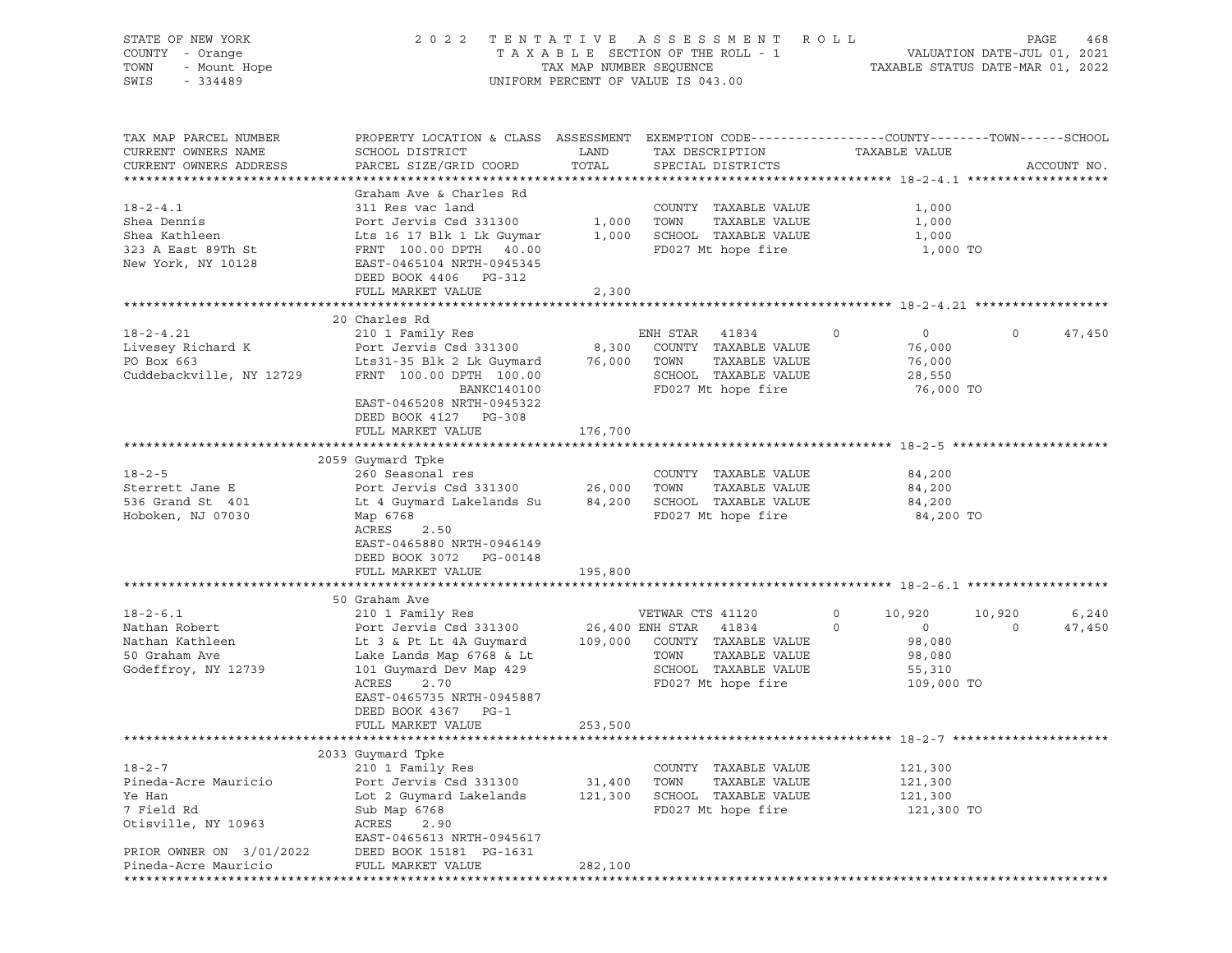| STATE OF NEW YORK<br>COUNTY - Orange<br>TOWN<br>- Mount Hope<br>SWIS<br>$-334489$                                                       | 2 0 2 2                                                                                                                                                                                                                                 | TAX MAP NUMBER SEQUENCE      | TENTATIVE ASSESSMENT<br>TAXABLE SECTION OF THE ROLL - 1<br>UNIFORM PERCENT OF VALUE IS 043.00                                    | R O L L                                                                       | PAGE<br>468<br>VALUATION DATE-JUL 01, 2021<br>TAXABLE STATUS DATE-MAR 01, 2022 |
|-----------------------------------------------------------------------------------------------------------------------------------------|-----------------------------------------------------------------------------------------------------------------------------------------------------------------------------------------------------------------------------------------|------------------------------|----------------------------------------------------------------------------------------------------------------------------------|-------------------------------------------------------------------------------|--------------------------------------------------------------------------------|
| TAX MAP PARCEL NUMBER<br>CURRENT OWNERS NAME<br>CURRENT OWNERS ADDRESS                                                                  | PROPERTY LOCATION & CLASS ASSESSMENT EXEMPTION CODE----------------COUNTY-------TOWN------SCHOOL<br>SCHOOL DISTRICT<br>PARCEL SIZE/GRID COORD                                                                                           | LAND<br>TOTAL                | TAX DESCRIPTION<br>SPECIAL DISTRICTS                                                                                             | TAXABLE VALUE                                                                 | ACCOUNT NO.                                                                    |
| $18 - 2 - 4.1$<br>Shea Dennis<br>Shea Kathleen<br>323 A East 89Th St<br>New York, NY 10128                                              | Graham Ave & Charles Rd<br>311 Res vac land<br>Port Jervis Csd 331300<br>Lts 16 17 Blk 1 Lk Guymar<br>FRNT 100.00 DPTH 40.00<br>EAST-0465104 NRTH-0945345<br>DEED BOOK 4406 PG-312<br>FULL MARKET VALUE                                 | 2,300                        | COUNTY TAXABLE VALUE<br>1,000 TOWN<br>TAXABLE VALUE<br>1,000 SCHOOL TAXABLE VALUE<br>FD027 Mt hope fire                          | 1,000<br>1,000<br>1,000<br>1,000 TO                                           |                                                                                |
|                                                                                                                                         |                                                                                                                                                                                                                                         |                              |                                                                                                                                  |                                                                               |                                                                                |
| $18 - 2 - 4.21$<br>Livesey Richard K<br>PO Box 663<br>Cuddebackville, NY 12729                                                          | 20 Charles Rd<br>210 1 Family Res<br>Port Jervis Csd 331300<br>Lts31-35 Blk 2 Lk Guymard<br>FRNT 100.00 DPTH 100.00<br>BANKC140100<br>EAST-0465208 NRTH-0945322                                                                         | 8,300<br>76,000              | ENH STAR<br>41834<br>COUNTY TAXABLE VALUE<br>TAXABLE VALUE<br>TOWN<br>SCHOOL TAXABLE VALUE<br>FD027 Mt hope fire                 | $\overline{0}$<br>$\circ$<br>76,000<br>76,000<br>28,550<br>76,000 TO          | $\circ$<br>47,450                                                              |
|                                                                                                                                         | DEED BOOK 4127 PG-308<br>FULL MARKET VALUE                                                                                                                                                                                              | 176,700                      |                                                                                                                                  |                                                                               |                                                                                |
| $18 - 2 - 5$<br>Sterrett Jane E<br>536 Grand St 401<br>Hoboken, NJ 07030                                                                | 2059 Guymard Tpke<br>260 Seasonal res<br>Port Jervis Csd 331300<br>Lt 4 Guymard Lakelands Su<br>Map 6768<br>ACRES<br>2.50<br>EAST-0465880 NRTH-0946149<br>DEED BOOK 3072 PG-00148<br>FULL MARKET VALUE                                  | 26,000 TOWN<br>195,800       | COUNTY TAXABLE VALUE<br>TAXABLE VALUE<br>84,200 SCHOOL TAXABLE VALUE<br>FD027 Mt hope fire                                       | 84,200<br>84,200<br>84,200<br>84,200 TO                                       |                                                                                |
|                                                                                                                                         |                                                                                                                                                                                                                                         |                              |                                                                                                                                  |                                                                               |                                                                                |
| $18 - 2 - 6.1$<br>Nathan Robert<br>Nathan Kathleen<br>50 Graham Ave<br>Godeffroy, NY 12739                                              | 50 Graham Ave<br>210 1 Family Res<br>Port Jervis Csd 331300<br>Lt 3 & Pt Lt 4A Guymard<br>Lake Lands Map 6768 & Lt<br>101 Guymard Dev Map 429<br>ACRES<br>2.70<br>EAST-0465735 NRTH-0945887<br>DEED BOOK 4367 PG-1<br>FULL MARKET VALUE | 26,400 ENH STAR<br>253,500   | VETWAR CTS 41120<br>41834<br>109,000 COUNTY TAXABLE VALUE<br>TAXABLE VALUE<br>TOWN<br>SCHOOL TAXABLE VALUE<br>FD027 Mt hope fire | $\circ$<br>10,920<br>0<br>$\circ$<br>98,080<br>98,080<br>55,310<br>109,000 TO | 6,240<br>10,920<br>47,450<br>$\circ$                                           |
|                                                                                                                                         |                                                                                                                                                                                                                                         |                              |                                                                                                                                  |                                                                               |                                                                                |
| $18 - 2 - 7$<br>Pineda-Acre Mauricio<br>Ye Han<br>7 Field Rd<br>Otisville, NY 10963<br>PRIOR OWNER ON 3/01/2022<br>Pineda-Acre Mauricio | 2033 Guymard Tpke<br>210 1 Family Res<br>Port Jervis Csd 331300<br>Lot 2 Guymard Lakelands<br>Sub Map 6768<br>ACRES<br>2.90<br>EAST-0465613 NRTH-0945617<br>DEED BOOK 15181 PG-1631<br>FULL MARKET VALUE                                | 31,400<br>121,300<br>282,100 | COUNTY TAXABLE VALUE<br>TOWN<br>TAXABLE VALUE<br>SCHOOL TAXABLE VALUE<br>FD027 Mt hope fire                                      | 121,300<br>121,300<br>121,300<br>121,300 TO                                   |                                                                                |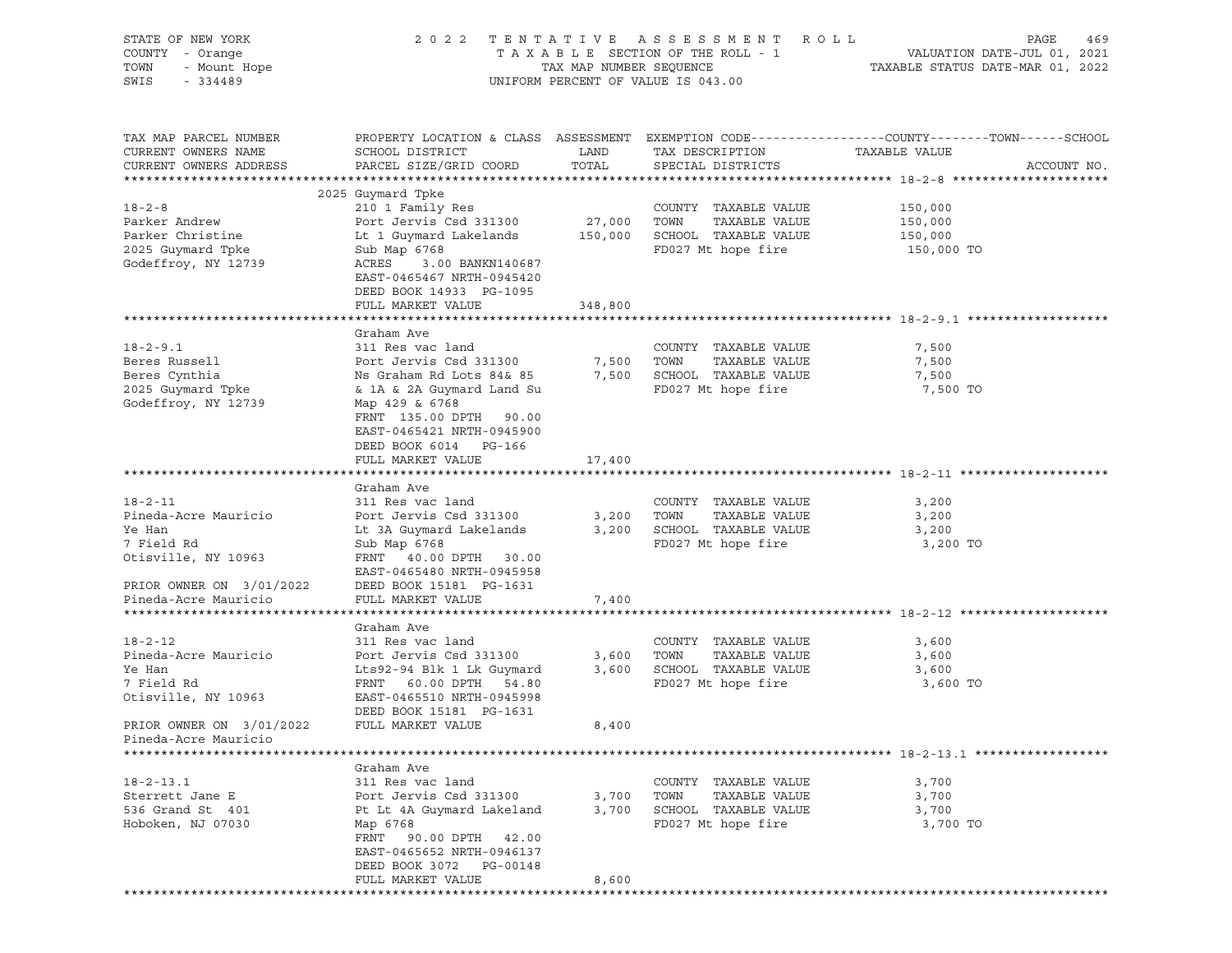| STATE OF NEW YORK<br>COUNTY - Orange<br>TOWN<br>- Mount Hope<br>SWIS<br>$-334489$                                | 2 0 2 2                                                                                                                                                                                                             | TAX MAP NUMBER SEQUENCE      | TENTATIVE ASSESSMENT ROLL<br>TAXABLE SECTION OF THE ROLL - 1<br>UNIFORM PERCENT OF VALUE IS 043.00 | PAGE<br>469<br>VALUATION DATE-JUL 01, 2021<br>TAXABLE STATUS DATE-MAR 01, 2022                                                  |
|------------------------------------------------------------------------------------------------------------------|---------------------------------------------------------------------------------------------------------------------------------------------------------------------------------------------------------------------|------------------------------|----------------------------------------------------------------------------------------------------|---------------------------------------------------------------------------------------------------------------------------------|
| TAX MAP PARCEL NUMBER<br>CURRENT OWNERS NAME<br>CURRENT OWNERS ADDRESS                                           | SCHOOL DISTRICT<br>PARCEL SIZE/GRID COORD                                                                                                                                                                           | LAND<br>TOTAL                | TAX DESCRIPTION<br>SPECIAL DISTRICTS                                                               | PROPERTY LOCATION & CLASS ASSESSMENT EXEMPTION CODE---------------COUNTY-------TOWN------SCHOOL<br>TAXABLE VALUE<br>ACCOUNT NO. |
| $18 - 2 - 8$<br>Parker Andrew<br>Parker Christine<br>2025 Guymard Tpke<br>Godeffroy, NY 12739                    | 2025 Guymard Tpke<br>210 1 Family Res<br>Port Jervis Csd 331300<br>Lt 1 Guymard Lakelands<br>Sub Map 6768<br>ACRES<br>3.00 BANKN140687<br>EAST-0465467 NRTH-0945420<br>DEED BOOK 14933 PG-1095<br>FULL MARKET VALUE | 27,000<br>150,000<br>348,800 | COUNTY TAXABLE VALUE<br>TAXABLE VALUE<br>TOWN<br>SCHOOL TAXABLE VALUE<br>FD027 Mt hope fire        | 150,000<br>150,000<br>150,000<br>150,000 TO                                                                                     |
|                                                                                                                  |                                                                                                                                                                                                                     |                              |                                                                                                    |                                                                                                                                 |
| $18 - 2 - 9.1$<br>Beres Russell<br>Beres Cynthia<br>2025 Guymard Tpke<br>Godeffroy, NY 12739                     | Graham Ave<br>311 Res vac land<br>Port Jervis Csd 331300<br>Ns Graham Rd Lots 84& 85<br>& 1A & 2A Guymard Land Su<br>Map 429 & 6768<br>FRNT 135.00 DPTH 90.00<br>EAST-0465421 NRTH-0945900<br>DEED BOOK 6014 PG-166 | 7,500<br>7,500               | COUNTY TAXABLE VALUE<br>TAXABLE VALUE<br>TOWN<br>SCHOOL TAXABLE VALUE<br>FD027 Mt hope fire        | 7,500<br>7,500<br>7,500<br>7,500 TO                                                                                             |
|                                                                                                                  | FULL MARKET VALUE                                                                                                                                                                                                   | 17,400                       |                                                                                                    |                                                                                                                                 |
|                                                                                                                  | Graham Ave                                                                                                                                                                                                          |                              |                                                                                                    |                                                                                                                                 |
| $18 - 2 - 11$<br>Pineda-Acre Mauricio<br>Ye Han<br>7 Field Rd<br>Otisville, NY 10963<br>PRIOR OWNER ON 3/01/2022 | 311 Res vac land<br>Port Jervis Csd 331300<br>Lt 3A Guymard Lakelands<br>Sub Map 6768<br>FRNT 40.00 DPTH 30.00<br>EAST-0465480 NRTH-0945958<br>DEED BOOK 15181 PG-1631                                              | 3,200<br>3,200               | COUNTY TAXABLE VALUE<br>TAXABLE VALUE<br>TOWN<br>SCHOOL TAXABLE VALUE<br>FD027 Mt hope fire        | 3,200<br>3,200<br>3,200<br>3,200 TO                                                                                             |
| Pineda-Acre Mauricio                                                                                             | FULL MARKET VALUE                                                                                                                                                                                                   | 7,400                        |                                                                                                    |                                                                                                                                 |
|                                                                                                                  |                                                                                                                                                                                                                     |                              |                                                                                                    |                                                                                                                                 |
| $18 - 2 - 12$<br>Pineda-Acre Mauricio<br>Ye Han<br>7 Field Rd<br>Otisville, NY 10963<br>PRIOR OWNER ON 3/01/2022 | Graham Ave<br>311 Res vac land<br>Port Jervis Csd 331300<br>Lts92-94 Blk 1 Lk Guymard<br>FRNT 60.00 DPTH 54.80<br>EAST-0465510 NRTH-0945998<br>DEED BOOK 15181 PG-1631<br>FULL MARKET VALUE                         | 3,600<br>3,600<br>8,400      | COUNTY TAXABLE VALUE<br>TAXABLE VALUE<br>TOWN<br>SCHOOL TAXABLE VALUE<br>FD027 Mt hope fire        | 3,600<br>3,600<br>3,600<br>3,600 TO                                                                                             |
| Pineda-Acre Mauricio                                                                                             |                                                                                                                                                                                                                     |                              |                                                                                                    |                                                                                                                                 |
| $18 - 2 - 13.1$<br>Sterrett Jane E<br>536 Grand St 401<br>Hoboken, NJ 07030                                      | Graham Ave<br>311 Res vac land<br>Port Jervis Csd 331300<br>Pt Lt 4A Guymard Lakeland<br>Map 6768<br>FRNT<br>90.00 DPTH<br>42.00<br>EAST-0465652 NRTH-0946137<br>DEED BOOK 3072<br>PG-00148<br>FULL MARKET VALUE    | 3,700<br>3,700<br>8,600      | COUNTY TAXABLE VALUE<br>TAXABLE VALUE<br>TOWN<br>SCHOOL TAXABLE VALUE<br>FD027 Mt hope fire        | 3,700<br>3,700<br>3,700<br>3,700 TO                                                                                             |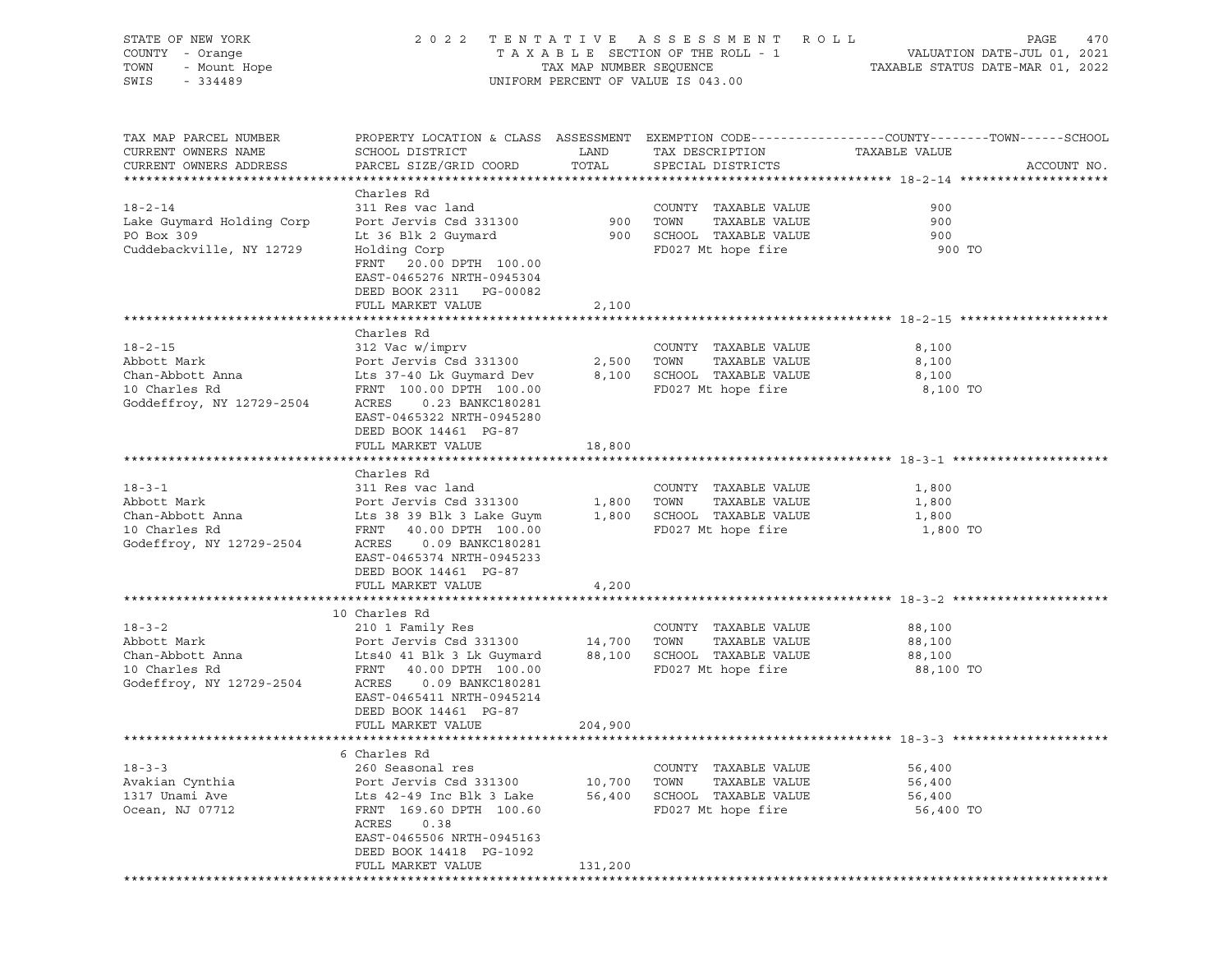| STATE OF NEW YORK<br>OF NEW YORK<br>I - Orange<br>- Mount Hope<br>- Alang<br>COUNTY - Orange<br>TOWN<br>SWIS |                                                                                                                                                                                                                                          |                             | 2022 TENTATIVE ASSESSMENT ROLL<br>UNIFORM PERCENT OF VALUE IS 043.00                        | PAGE<br>470                                                                                                                      |
|--------------------------------------------------------------------------------------------------------------|------------------------------------------------------------------------------------------------------------------------------------------------------------------------------------------------------------------------------------------|-----------------------------|---------------------------------------------------------------------------------------------|----------------------------------------------------------------------------------------------------------------------------------|
| TAX MAP PARCEL NUMBER<br>CURRENT OWNERS NAME<br>CURRENT OWNERS ADDRESS                                       | SCHOOL DISTRICT<br>PARCEL SIZE/GRID COORD                                                                                                                                                                                                | LAND<br>TOTAL               | TAX DESCRIPTION<br>SPECIAL DISTRICTS                                                        | PROPERTY LOCATION & CLASS ASSESSMENT EXEMPTION CODE----------------COUNTY-------TOWN------SCHOOL<br>TAXABLE VALUE<br>ACCOUNT NO. |
| $18 - 2 - 14$<br>Lake Guymard Holding Corp<br>PO Box 309<br>Cuddebackville, NY 12729                         | Charles Rd<br>311 Res vac land<br>Port Jervis Csd 331300 900 TOWN<br>Lt 36 Blk 2 Guymard<br>Holding Corp<br>FRNT 20.00 DPTH 100.00<br>EAST-0465276 NRTH-0945304<br>DEED BOOK 2311 PG-00082                                               |                             | COUNTY TAXABLE VALUE<br>TAXABLE VALUE<br>900 SCHOOL TAXABLE VALUE<br>FD027 Mt hope fire     | 900<br>900<br>900<br>900 TO                                                                                                      |
|                                                                                                              | FULL MARKET VALUE                                                                                                                                                                                                                        | 2,100                       |                                                                                             |                                                                                                                                  |
| $18 - 2 - 15$<br>Abbott Mark<br>Chan-Abbott Anna<br>10 Charles Rd<br>Goddeffroy, NY 12729-2504               | Charles Rd<br>312 Vac w/imprv<br>Port Jervis Csd 331300<br>Lts 37-40 Lk Guymard Dev<br>FRNT 100.00 DPTH 100.00<br>ACRES<br>0.23 BANKC180281<br>EAST-0465322 NRTH-0945280                                                                 | 2,500<br>8,100              | COUNTY TAXABLE VALUE<br>TOWN<br>TAXABLE VALUE<br>SCHOOL TAXABLE VALUE<br>FD027 Mt hope fire | 8,100<br>8,100<br>8,100<br>8,100 TO                                                                                              |
|                                                                                                              | DEED BOOK 14461 PG-87<br>FULL MARKET VALUE                                                                                                                                                                                               | 18,800                      |                                                                                             |                                                                                                                                  |
| $18 - 3 - 1$<br>Abbott Mark<br>Chan-Abbott Anna<br>10 Charles Rd<br>Godeffroy, NY 12729-2504                 | Charles Rd<br>311 Res vac land<br>Port Jervis Csd 331300 1,800 TOWN<br>Lts 38 39 Blk 3 Lake Guym 1,800 SCHOOL TAXABLE VALUE<br>FRNT 40.00 DPTH 100.00<br>ACRES<br>0.09 BANKC180281<br>EAST-0465374 NRTH-0945233<br>DEED BOOK 14461 PG-87 |                             | COUNTY TAXABLE VALUE<br>TAXABLE VALUE<br>FD027 Mt hope fire                                 | 1,800<br>1,800<br>1,800<br>1,800 TO                                                                                              |
|                                                                                                              | FULL MARKET VALUE                                                                                                                                                                                                                        | 4,200                       |                                                                                             |                                                                                                                                  |
|                                                                                                              |                                                                                                                                                                                                                                          |                             |                                                                                             |                                                                                                                                  |
| $18 - 3 - 2$<br>Abbott Mark<br>The Charles Rd<br>10 Charles Rd<br>Godeffroy, NY 12729-2504                   | 10 Charles Rd<br>210 1 Family Res<br>Port Jervis Csd 331300<br>Lts40 41 Blk 3 Lk Guymard<br>FRNT 40.00 DPTH 100.00<br>EAST-0465411 NRTH-0945214<br>DEED BOOK 14461 PG-87<br>FULL MARKET VALUE                                            | 14,700<br>88,100<br>204,900 | COUNTY TAXABLE VALUE<br>TOWN<br>TAXABLE VALUE<br>SCHOOL TAXABLE VALUE<br>FD027 Mt hope fire | 88,100<br>88,100<br>88,100<br>88,100 TO                                                                                          |
|                                                                                                              |                                                                                                                                                                                                                                          |                             |                                                                                             |                                                                                                                                  |
|                                                                                                              | 6 Charles Rd                                                                                                                                                                                                                             |                             |                                                                                             |                                                                                                                                  |
| $18 - 3 - 3$<br>Avakian Cynthia<br>1317 Unami Ave<br>Ocean, NJ 07712                                         | 260 Seasonal res<br>Port Jervis Csd 331300<br>Lts 42-49 Inc Blk 3 Lake<br>FRNT 169.60 DPTH 100.60<br>ACRES<br>0.38<br>EAST-0465506 NRTH-0945163<br>DEED BOOK 14418 PG-1092<br>FULL MARKET VALUE                                          | 10,700<br>56,400<br>131,200 | COUNTY TAXABLE VALUE<br>TAXABLE VALUE<br>TOWN<br>SCHOOL TAXABLE VALUE<br>FD027 Mt hope fire | 56,400<br>56,400<br>56,400<br>56,400 TO                                                                                          |
|                                                                                                              |                                                                                                                                                                                                                                          |                             |                                                                                             |                                                                                                                                  |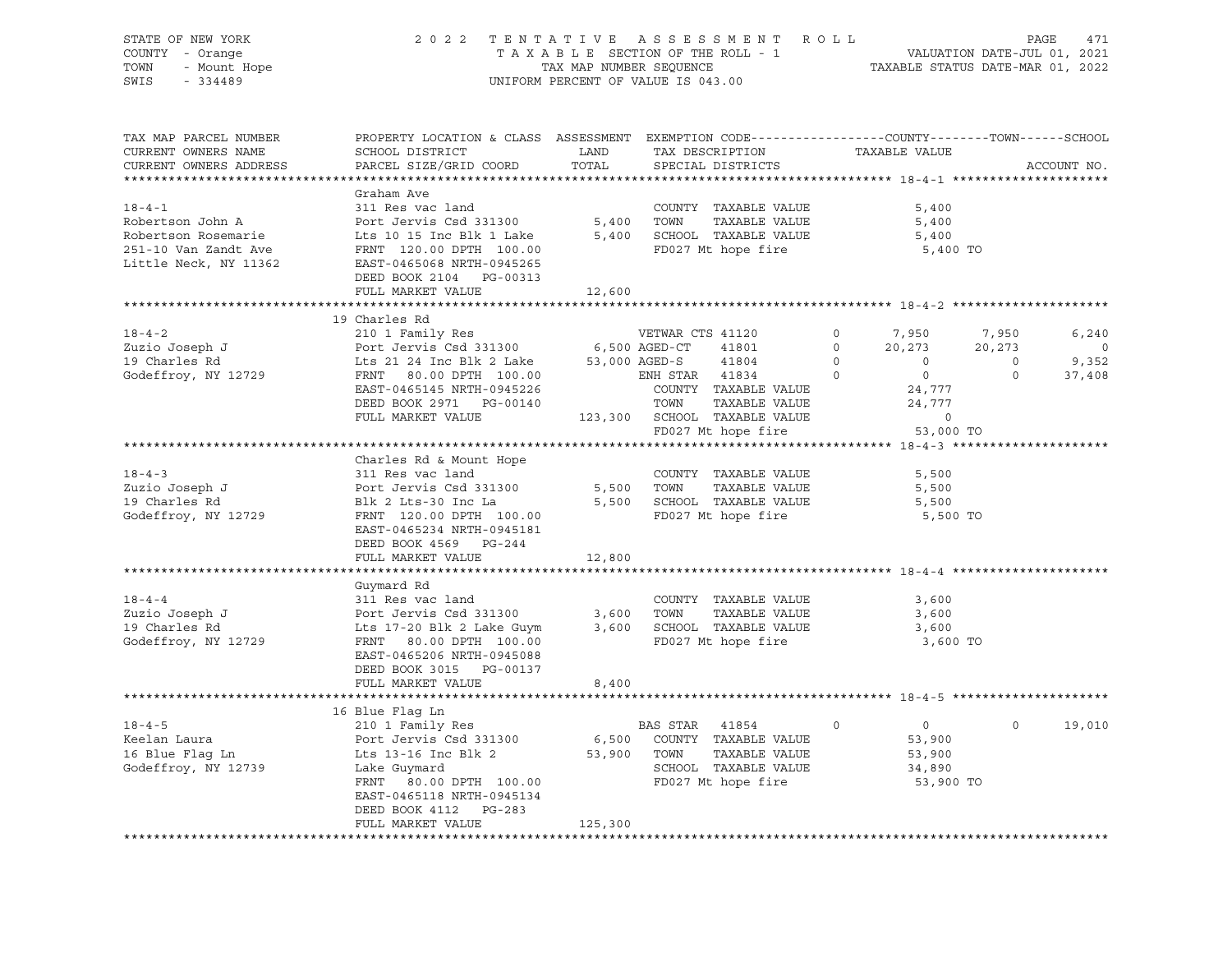| STATE OF NEW YORK<br>COUNTY - Orange                        | 2 0 2 2                                                                                         |                         | TENTATIVE ASSESSMENT ROLL<br>TAXABLE SECTION OF THE ROLL - 1             |                | VALUATION DATE-JUL 01, 2021      |                | PAGE<br>471    |
|-------------------------------------------------------------|-------------------------------------------------------------------------------------------------|-------------------------|--------------------------------------------------------------------------|----------------|----------------------------------|----------------|----------------|
| TOWN                                                        |                                                                                                 | TAX MAP NUMBER SEQUENCE |                                                                          |                | TAXABLE STATUS DATE-MAR 01, 2022 |                |                |
| 7 - Orange<br>- Mount Hope<br>- 334489<br>SWIS<br>$-334489$ |                                                                                                 |                         | UNIFORM PERCENT OF VALUE IS 043.00                                       |                |                                  |                |                |
|                                                             |                                                                                                 |                         |                                                                          |                |                                  |                |                |
| TAX MAP PARCEL NUMBER                                       | PROPERTY LOCATION & CLASS ASSESSMENT EXEMPTION CODE---------------COUNTY-------TOWN------SCHOOL |                         |                                                                          |                |                                  |                |                |
| CURRENT OWNERS NAME                                         | SCHOOL DISTRICT                                                                                 | LAND                    | TAX DESCRIPTION                                                          |                | TAXABLE VALUE                    |                |                |
| CURRENT OWNERS ADDRESS                                      | PARCEL SIZE/GRID COORD                                                                          | TOTAL                   | SPECIAL DISTRICTS                                                        |                |                                  |                | ACCOUNT NO.    |
|                                                             |                                                                                                 |                         |                                                                          |                |                                  |                |                |
|                                                             | Graham Ave                                                                                      |                         |                                                                          |                |                                  |                |                |
| $18 - 4 - 1$                                                | 311 Res vac land                                                                                |                         | COUNTY TAXABLE VALUE                                                     |                | 5,400                            |                |                |
| Robertson John A                                            | Port Jervis Csd 331300                                                                          | 5,400 TOWN              | TAXABLE VALUE                                                            |                | 5,400                            |                |                |
| Robertson Rosemarie                                         | Lts 10 15 Inc Blk 1 Lake                                                                        |                         | 5,400 SCHOOL TAXABLE VALUE                                               |                | 5,400                            |                |                |
| 251-10 Van Zandt Ave                                        | FRNT 120.00 DPTH 100.00                                                                         |                         | FD027 Mt hope fire                                                       |                | 5,400 TO                         |                |                |
| Little Neck, NY 11362                                       | EAST-0465068 NRTH-0945265                                                                       |                         |                                                                          |                |                                  |                |                |
|                                                             | DEED BOOK 2104 PG-00313                                                                         |                         |                                                                          |                |                                  |                |                |
|                                                             | FULL MARKET VALUE                                                                               | 12,600                  |                                                                          |                |                                  |                |                |
|                                                             |                                                                                                 |                         |                                                                          |                |                                  |                |                |
|                                                             | 19 Charles Rd                                                                                   |                         |                                                                          |                |                                  |                |                |
| $18 - 4 - 2$                                                | 210 1 Family Res                                                                                |                         | VETWAR CTS 41120                                                         | $\circ$        | 7,950                            | 7,950          | 6,240          |
| Zuzio Joseph J<br>19 Charles Rd                             | Port Jervis Csd 331300                                                                          |                         | 6,500 AGED-CT 41801                                                      | $\circ$        | 20,273                           | 20,273         | $\overline{0}$ |
|                                                             | Lts 21 24 Inc Blk 2 Lake 53,000 AGED-S                                                          |                         | 41804                                                                    | $\overline{O}$ | $\overline{0}$                   | $\overline{0}$ | 9,352          |
| Godeffroy, NY 12729                                         | FRNT 80.00 DPTH 100.00                                                                          |                         | ENH STAR 41834                                                           | $\overline{0}$ | $\overline{0}$                   | $\circ$        | 37,408         |
|                                                             | EAST-0465145 NRTH-0945226                                                                       |                         | COUNTY TAXABLE VALUE                                                     |                | 24,777                           |                |                |
|                                                             | DEED BOOK 2971 PG-00140<br>FULL MARKET VALUE                                                    |                         | TOWN TAXABLE VALUE<br>123,300 SCHOOL TAXABLE VALUE<br>FD027 Mt hope fire |                | 24,777<br>$\circ$                |                |                |
|                                                             |                                                                                                 |                         |                                                                          |                | 53,000 TO                        |                |                |
|                                                             |                                                                                                 |                         |                                                                          |                |                                  |                |                |
|                                                             | Charles Rd & Mount Hope                                                                         |                         |                                                                          |                |                                  |                |                |
| $18 - 4 - 3$                                                | 311 Res vac land                                                                                |                         | COUNTY TAXABLE VALUE                                                     |                | 5,500                            |                |                |
| Zuzio Joseph J                                              | Port Jervis Csd 331300                                                                          |                         | 5,500 TOWN<br>TAXABLE VALUE                                              |                | 5,500                            |                |                |
| 19 Charles Rd                                               | Blk 2 Lts-30 Inc La                                                                             |                         | 5,500 SCHOOL TAXABLE VALUE                                               |                | 5,500                            |                |                |
| Godeffroy, NY 12729                                         | FRNT 120.00 DPTH 100.00                                                                         |                         | FD027 Mt hope fire                                                       |                | 5,500 TO                         |                |                |
|                                                             | EAST-0465234 NRTH-0945181                                                                       |                         |                                                                          |                |                                  |                |                |
|                                                             | DEED BOOK 4569 PG-244                                                                           |                         |                                                                          |                |                                  |                |                |
|                                                             | FULL MARKET VALUE                                                                               | 12,800                  |                                                                          |                |                                  |                |                |
|                                                             |                                                                                                 |                         |                                                                          |                |                                  |                |                |
|                                                             | Guymard Rd                                                                                      |                         |                                                                          |                |                                  |                |                |
| $18 - 4 - 4$                                                | 311 Res vac land                                                                                |                         | COUNTY TAXABLE VALUE                                                     |                | 3,600                            |                |                |
| Zuzio Joseph J                                              | Port Jervis Csd 331300                                                                          |                         | 3,600 TOWN<br>TAXABLE VALUE                                              |                | 3,600                            |                |                |
| 19 Charles Rd                                               | Lts 17-20 Blk 2 Lake Guym                                                                       |                         | 3,600 SCHOOL TAXABLE VALUE                                               |                | 3,600                            |                |                |
| Godeffroy, NY 12729                                         | FRNT 80.00 DPTH 100.00                                                                          |                         | FD027 Mt hope fire                                                       |                | 3,600 TO                         |                |                |
|                                                             | EAST-0465206 NRTH-0945088                                                                       |                         |                                                                          |                |                                  |                |                |
|                                                             | DEED BOOK 3015 PG-00137                                                                         |                         |                                                                          |                |                                  |                |                |
|                                                             | FULL MARKET VALUE                                                                               | 8,400                   |                                                                          |                |                                  |                |                |
|                                                             |                                                                                                 |                         |                                                                          |                |                                  |                |                |
| $18 - 4 - 5$                                                | 16 Blue Flag Ln<br>210 1 Family Res                                                             |                         | BAS STAR 41854                                                           | $\circ$        | $\overline{0}$                   | $\circ$        | 19,010         |
| Keelan Laura                                                | Port Jervis Csd 331300                                                                          |                         |                                                                          |                | 53,900                           |                |                |
| $16 \text{ Blue Flag}$<br>$16 \text{ Blue Flag}$            |                                                                                                 |                         | 6,500 COUNTY TAXABLE VALUE<br>53,900 TOWN TAXABLE VALUE<br>TAXABLE VALUE |                | 53,900                           |                |                |
| Godeffroy, NY 12739                                         | Lits 13-16 Inc Blk 2<br>Lake Guymard                                                            |                         | SCHOOL TAXABLE VALUE                                                     |                | 34,890                           |                |                |
|                                                             | FRNT 80.00 DPTH 100.00                                                                          |                         | FD027 Mt hope fire                                                       |                | 53,900 TO                        |                |                |
|                                                             | EAST-0465118 NRTH-0945134                                                                       |                         |                                                                          |                |                                  |                |                |
|                                                             | DEED BOOK 4112 PG-283                                                                           |                         |                                                                          |                |                                  |                |                |
|                                                             | FULL MARKET VALUE                                                                               | 125,300                 |                                                                          |                |                                  |                |                |
|                                                             |                                                                                                 |                         |                                                                          |                |                                  |                |                |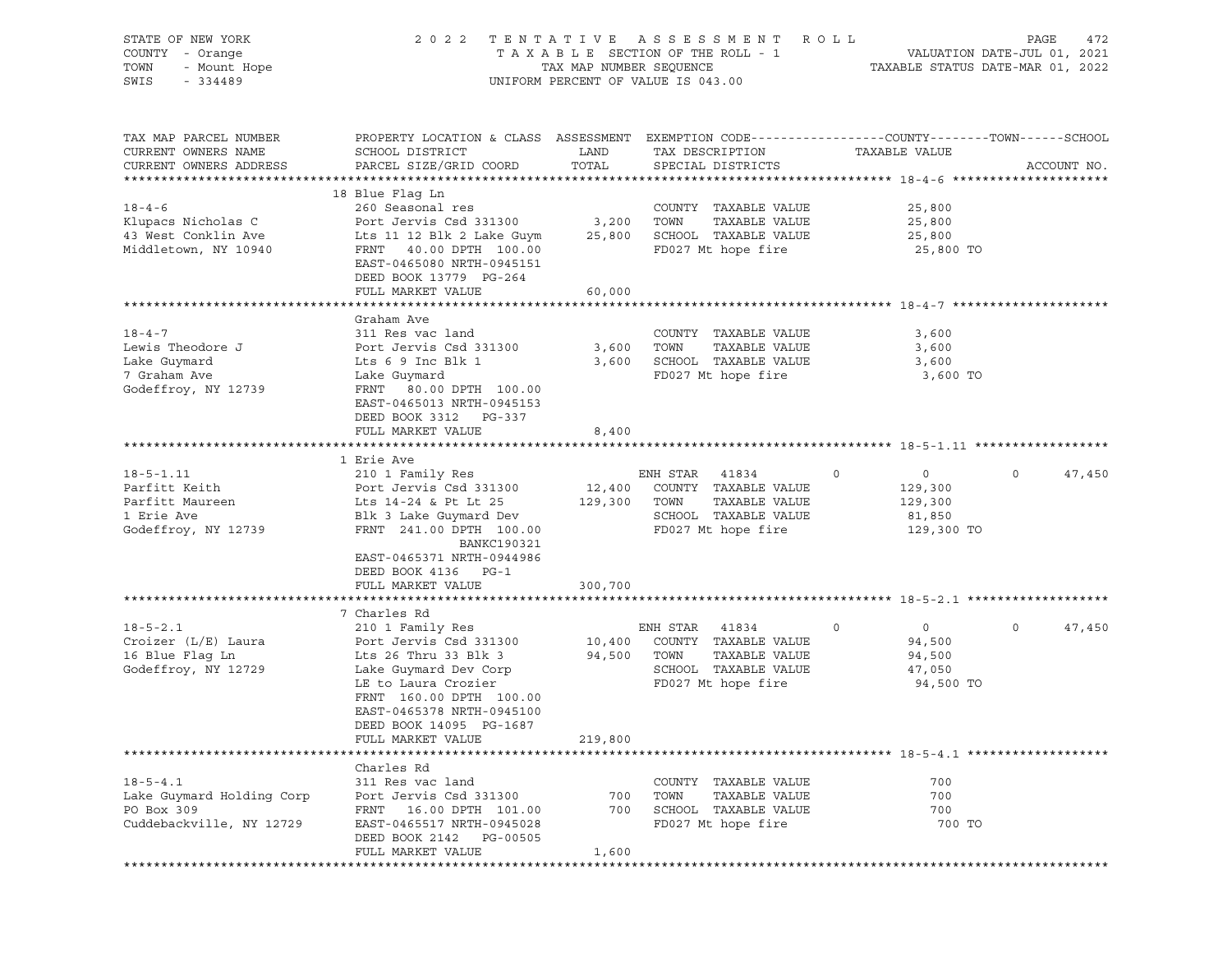| STATE OF NEW YORK<br>COUNTY - Orange<br>TOWN<br>- Mount Hope<br>SWIS<br>$-334489$        |                                                                                                                                                                                                                       | TAX MAP NUMBER SEQUENCE   | 2022 TENTATIVE ASSESSMENT ROLL<br>TAXABLE SECTION OF THE ROLL - 1<br>UNIFORM PERCENT OF VALUE IS 043.00          |                                                                  | PAGE<br>472<br>VALUATION DATE-JUL 01, 2021<br>TAXABLE STATUS DATE-MAR 01, 2022 |
|------------------------------------------------------------------------------------------|-----------------------------------------------------------------------------------------------------------------------------------------------------------------------------------------------------------------------|---------------------------|------------------------------------------------------------------------------------------------------------------|------------------------------------------------------------------|--------------------------------------------------------------------------------|
| TAX MAP PARCEL NUMBER<br>CURRENT OWNERS NAME<br>CURRENT OWNERS ADDRESS                   | PROPERTY LOCATION & CLASS ASSESSMENT EXEMPTION CODE----------------COUNTY-------TOWN------SCHOOL<br>SCHOOL DISTRICT<br>PARCEL SIZE/GRID COORD                                                                         | LAND<br>TOTAL             | TAX DESCRIPTION<br>SPECIAL DISTRICTS                                                                             | TAXABLE VALUE                                                    | ACCOUNT NO.                                                                    |
| $18 - 4 - 6$<br>Klupacs Nicholas C<br>43 West Conklin Ave<br>Middletown, NY 10940        | 18 Blue Flaq Ln<br>260 Seasonal res<br>Port Jervis Csd 331300<br>Lts 11 12 Blk 2 Lake Guym<br>FRNT 40.00 DPTH 100.00<br>EAST-0465080 NRTH-0945151<br>DEED BOOK 13779 PG-264<br>FULL MARKET VALUE                      | 3,200<br>25,800<br>60,000 | COUNTY TAXABLE VALUE<br>TAXABLE VALUE<br>TOWN<br>SCHOOL TAXABLE VALUE<br>FD027 Mt hope fire                      | 25,800<br>25,800<br>25,800<br>25,800 TO                          |                                                                                |
|                                                                                          |                                                                                                                                                                                                                       |                           |                                                                                                                  |                                                                  |                                                                                |
| $18 - 4 - 7$<br>Lewis Theodore J<br>Lake Guymard<br>7 Graham Ave<br>Godeffroy, NY 12739  | Graham Ave<br>311 Res vac land<br>Port Jervis Csd 331300<br>Lts 6 9 Inc Blk 1<br>Lake Guymard<br>FRNT<br>80.00 DPTH 100.00<br>EAST-0465013 NRTH-0945153<br>DEED BOOK 3312 PG-337<br>FULL MARKET VALUE                 | 3,600<br>8,400            | COUNTY TAXABLE VALUE<br>TOWN<br>TAXABLE VALUE<br>3,600 SCHOOL TAXABLE VALUE<br>FD027 Mt hope fire                | 3,600<br>3,600<br>3,600<br>3,600 TO                              |                                                                                |
|                                                                                          |                                                                                                                                                                                                                       |                           |                                                                                                                  |                                                                  |                                                                                |
|                                                                                          | 1 Erie Ave                                                                                                                                                                                                            |                           |                                                                                                                  |                                                                  |                                                                                |
| $18 - 5 - 1.11$<br>Parfitt Keith<br>Parfitt Maureen<br>1 Erie Ave<br>Godeffroy, NY 12739 | 210 1 Family Res<br>Port Jervis Csd 331300<br>Lts 14-24 & Pt Lt 25<br>Blk 3 Lake Guymard Dev<br>FRNT 241.00 DPTH 100.00<br>BANKC190321<br>EAST-0465371 NRTH-0944986<br>DEED BOOK 4136 PG-1                            | 12,400<br>129,300         | ENH STAR 41834<br>COUNTY TAXABLE VALUE<br>TAXABLE VALUE<br>TOWN<br>SCHOOL TAXABLE VALUE<br>FD027 Mt hope fire    | $\circ$<br>$\circ$<br>129,300<br>129,300<br>81,850<br>129,300 TO | $\circ$<br>47,450                                                              |
|                                                                                          | FULL MARKET VALUE                                                                                                                                                                                                     | 300,700                   |                                                                                                                  |                                                                  |                                                                                |
|                                                                                          |                                                                                                                                                                                                                       |                           |                                                                                                                  |                                                                  |                                                                                |
| $18 - 5 - 2.1$<br>Croizer (L/E) Laura<br>16 Blue Flaq Ln<br>Godeffroy, NY 12729          | 7 Charles Rd<br>210 1 Family Res<br>Port Jervis Csd 331300<br>Lts 26 Thru 33 Blk 3<br>Lake Guymard Dev Corp<br>LE to Laura Crozier<br>FRNT 160.00 DPTH 100.00<br>EAST-0465378 NRTH-0945100<br>DEED BOOK 14095 PG-1687 | 10,400<br>94,500          | ENH STAR<br>41834<br>COUNTY TAXABLE VALUE<br>TAXABLE VALUE<br>TOWN<br>SCHOOL TAXABLE VALUE<br>FD027 Mt hope fire | 0<br>$\overline{0}$<br>94,500<br>94,500<br>47,050<br>94,500 TO   | $\mathbf 0$<br>47,450                                                          |
|                                                                                          | FULL MARKET VALUE                                                                                                                                                                                                     | 219,800                   |                                                                                                                  |                                                                  |                                                                                |
|                                                                                          |                                                                                                                                                                                                                       |                           |                                                                                                                  |                                                                  |                                                                                |
| $18 - 5 - 4.1$<br>Lake Guymard Holding Corp<br>PO Box 309<br>Cuddebackville, NY 12729    | Charles Rd<br>311 Res vac land<br>Port Jervis Csd 331300<br>16.00 DPTH 101.00<br>FRNT<br>EAST-0465517 NRTH-0945028<br>DEED BOOK 2142<br>PG-00505<br>FULL MARKET VALUE                                                 | 700<br>700<br>1,600       | COUNTY TAXABLE VALUE<br>TAXABLE VALUE<br>TOWN<br>SCHOOL TAXABLE VALUE<br>FD027 Mt hope fire                      | 700<br>700<br>700<br>700 TO                                      |                                                                                |
|                                                                                          |                                                                                                                                                                                                                       |                           |                                                                                                                  |                                                                  |                                                                                |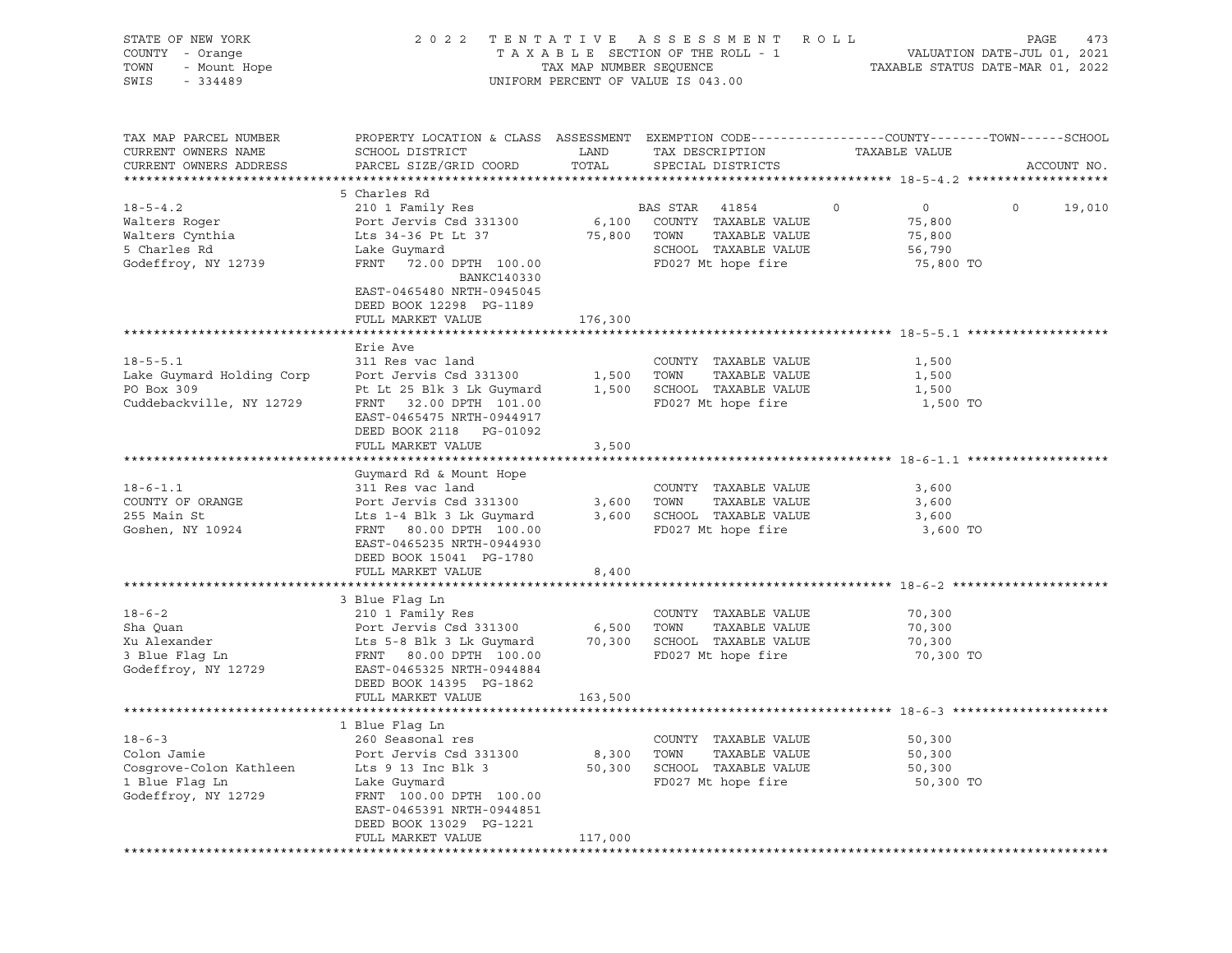| STATE OF NEW YORK<br>COUNTY - Orange<br>TOWN<br>- Mount Hope<br>SWIS<br>$-334489$         |                                                                                                                                                                                     | TAX MAP NUMBER SEQUENCE | 2022 TENTATIVE ASSESSMENT ROLL<br>TAXABLE SECTION OF THE ROLL - 1<br>UNIFORM PERCENT OF VALUE IS 043.00       |                                                                      | PAGE<br>473<br>VALUATION DATE-JUL 01, 2021<br>TAXABLE STATUS DATE-MAR 01, 2022 |
|-------------------------------------------------------------------------------------------|-------------------------------------------------------------------------------------------------------------------------------------------------------------------------------------|-------------------------|---------------------------------------------------------------------------------------------------------------|----------------------------------------------------------------------|--------------------------------------------------------------------------------|
| TAX MAP PARCEL NUMBER<br>CURRENT OWNERS NAME<br>CURRENT OWNERS ADDRESS                    | PROPERTY LOCATION & CLASS ASSESSMENT EXEMPTION CODE----------------COUNTY-------TOWN------SCHOOL<br>SCHOOL DISTRICT<br>PARCEL SIZE/GRID COORD                                       | LAND<br>TOTAL           | TAX DESCRIPTION<br>SPECIAL DISTRICTS                                                                          | TAXABLE VALUE                                                        | ACCOUNT NO.                                                                    |
|                                                                                           | 5 Charles Rd                                                                                                                                                                        |                         |                                                                                                               |                                                                      |                                                                                |
| $18 - 5 - 4.2$<br>Walters Roger<br>Walters Cynthia<br>5 Charles Rd<br>Godeffroy, NY 12739 | 210 1 Family Res<br>Port Jervis Csd 331300<br>Lts 34-36 Pt Lt 37<br>Lake Guymard<br>FRNT<br>72.00 DPTH 100.00<br>BANKC140330<br>EAST-0465480 NRTH-0945045                           | 6,100<br>75,800         | BAS STAR 41854<br>COUNTY TAXABLE VALUE<br>TAXABLE VALUE<br>TOWN<br>SCHOOL TAXABLE VALUE<br>FD027 Mt hope fire | $\circ$<br>$\overline{0}$<br>75,800<br>75,800<br>56,790<br>75,800 TO | $\circ$<br>19,010                                                              |
|                                                                                           | DEED BOOK 12298 PG-1189                                                                                                                                                             |                         |                                                                                                               |                                                                      |                                                                                |
|                                                                                           | FULL MARKET VALUE                                                                                                                                                                   | 176,300                 |                                                                                                               |                                                                      |                                                                                |
| $18 - 5 - 5.1$<br>Lake Guymard Holding Corp                                               | Erie Ave<br>311 Res vac land<br>Port Jervis Csd 331300                                                                                                                              | 1,500                   | COUNTY TAXABLE VALUE<br>TOWN<br>TAXABLE VALUE                                                                 | 1,500<br>1,500                                                       |                                                                                |
| PO Box 309<br>Cuddebackville, NY 12729                                                    | Pt Lt 25 Blk 3 Lk Guymard<br>FRNT 32.00 DPTH 101.00<br>EAST-0465475 NRTH-0944917<br>DEED BOOK 2118 PG-01092<br>FULL MARKET VALUE                                                    | 1,500<br>3,500          | SCHOOL TAXABLE VALUE<br>FD027 Mt hope fire                                                                    | 1,500<br>1,500 TO                                                    |                                                                                |
|                                                                                           |                                                                                                                                                                                     |                         |                                                                                                               |                                                                      |                                                                                |
| $18 - 6 - 1.1$<br>COUNTY OF ORANGE<br>255 Main St<br>Goshen, NY 10924                     | Guymard Rd & Mount Hope<br>311 Res vac land<br>Port Jervis Csd 331300<br>Lts 1-4 Blk 3 Lk Guymard<br>FRNT 80.00 DPTH 100.00<br>EAST-0465235 NRTH-0944930<br>DEED BOOK 15041 PG-1780 | 3,600                   | COUNTY TAXABLE VALUE<br>TOWN<br>TAXABLE VALUE<br>3,600 SCHOOL TAXABLE VALUE<br>FD027 Mt hope fire             | 3,600<br>3,600<br>3,600<br>3,600 TO                                  |                                                                                |
|                                                                                           | FULL MARKET VALUE                                                                                                                                                                   | 8,400                   |                                                                                                               |                                                                      |                                                                                |
| $18 - 6 - 2$<br>Sha Quan<br>Xu Alexander<br>3 Blue Flag Ln<br>Godeffroy, NY 12729         | 3 Blue Flaq Ln<br>210 1 Family Res<br>Port Jervis Csd 331300<br>Lts 5-8 Blk 3 Lk Guymard<br>FRNT 80.00 DPTH 100.00<br>EAST-0465325 NRTH-0944884                                     | 6,500                   | COUNTY TAXABLE VALUE<br>TOWN<br>TAXABLE VALUE<br>70,300 SCHOOL TAXABLE VALUE<br>FD027 Mt hope fire            | 70,300<br>70,300<br>70,300<br>70,300 TO                              |                                                                                |
|                                                                                           | DEED BOOK 14395 PG-1862<br>FULL MARKET VALUE                                                                                                                                        | 163,500                 |                                                                                                               |                                                                      |                                                                                |
|                                                                                           |                                                                                                                                                                                     |                         |                                                                                                               |                                                                      |                                                                                |
| $18 - 6 - 3$<br>Colon Jamie<br>Cosgrove-Colon Kathleen                                    | 1 Blue Flag Ln<br>260 Seasonal res<br>Port Jervis Csd 331300<br>Lts 9 13 Inc Blk 3                                                                                                  | 8,300<br>50,300         | COUNTY TAXABLE VALUE<br>TAXABLE VALUE<br>TOWN<br>SCHOOL TAXABLE VALUE                                         | 50,300<br>50,300<br>50,300                                           |                                                                                |
| 1 Blue Flaq Ln<br>Godeffroy, NY 12729                                                     | Lake Guymard<br>FRNT 100.00 DPTH 100.00<br>EAST-0465391 NRTH-0944851<br>DEED BOOK 13029 PG-1221<br>FULL MARKET VALUE                                                                | 117,000                 | FD027 Mt hope fire                                                                                            | 50,300 TO                                                            |                                                                                |
|                                                                                           |                                                                                                                                                                                     |                         |                                                                                                               |                                                                      |                                                                                |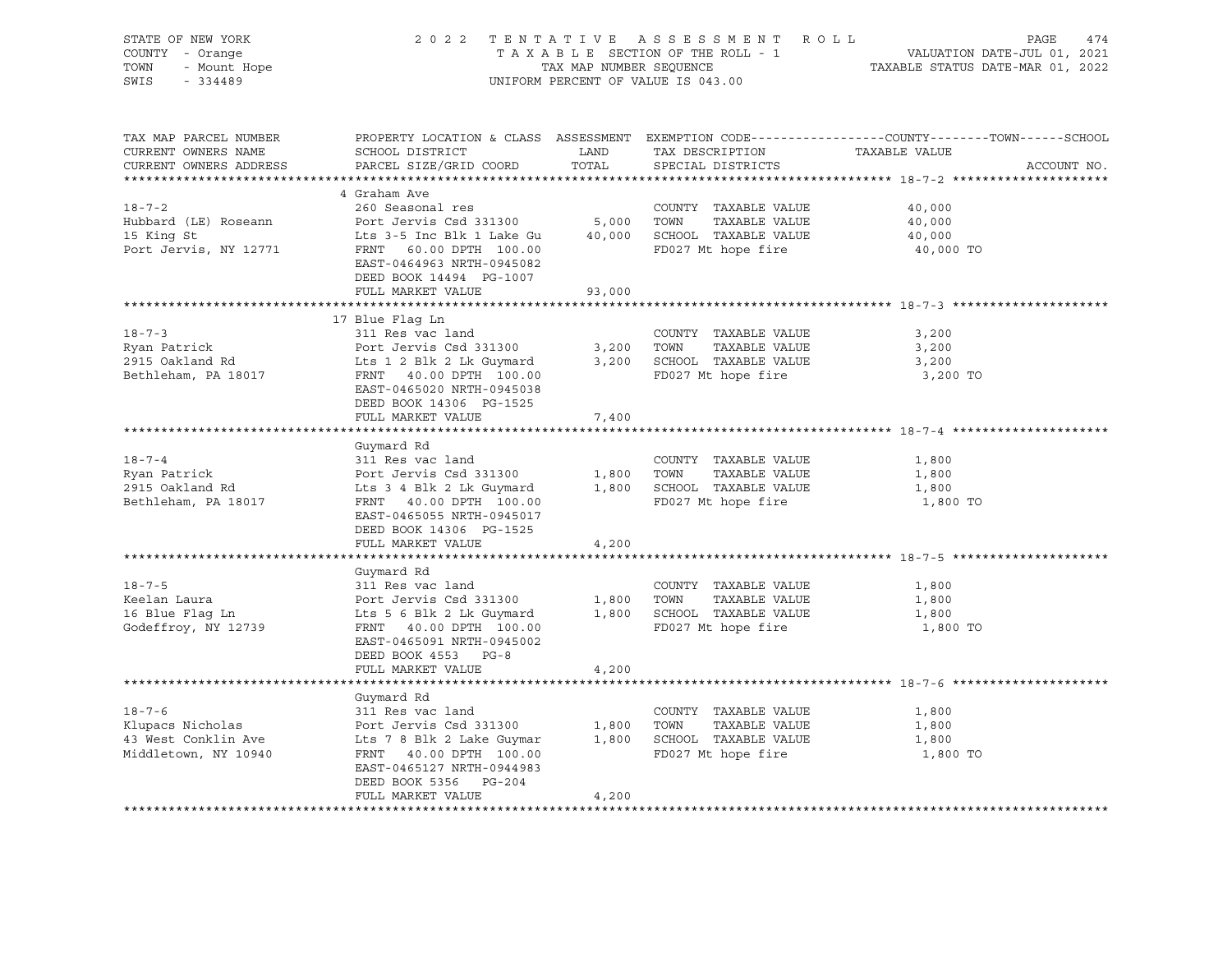| STATE OF NEW YORK<br>COUNTY - Orange<br>$\gamma$ - Orange<br>- Mount Hope<br>- Mount Hope<br>TOWN<br>SWIS - 334489                                                                                    |                                                                                                                                     |               | UNIFORM PERCENT OF VALUE IS 043.00                                      | 2022 TENTATIVE ASSESSMENT ROLL PAGE 474<br>TAXABLE SECTION OF THE ROLL - 1 VALUATION DATE-JUL 01, 2021<br>TAX MAP NUMBER SEQUENCE TAXABLE STATUS DATE-MAR 01, 2022 |
|-------------------------------------------------------------------------------------------------------------------------------------------------------------------------------------------------------|-------------------------------------------------------------------------------------------------------------------------------------|---------------|-------------------------------------------------------------------------|--------------------------------------------------------------------------------------------------------------------------------------------------------------------|
| TAX MAP PARCEL NUMBER<br>CURRENT OWNERS NAME<br>CURRENT OWNERS ADDRESS                                                                                                                                | SCHOOL DISTRICT<br>PARCEL SIZE/GRID COORD                                                                                           | LAND<br>TOTAL | TAX DESCRIPTION TAXABLE VALUE<br>SPECIAL DISTRICTS<br>SPECIAL DISTRICTS | PROPERTY LOCATION & CLASS ASSESSMENT EXEMPTION CODE---------------COUNTY-------TOWN-----SCHOOL<br>ACCOUNT NO.                                                      |
|                                                                                                                                                                                                       | 4 Graham Ave                                                                                                                        |               |                                                                         |                                                                                                                                                                    |
| $18 - 7 - 2$<br>Port Jervis, NY 12771                                                                                                                                                                 | 260 Seasonal res<br>FRNT 60.00 DPTH 100.00<br>EAST-0464963 NRTH-0945082                                                             |               | COUNTY TAXABLE VALUE<br>FD027 Mt hope fire                              | 40,000<br>40,000<br>40,000<br>40,000 TO                                                                                                                            |
|                                                                                                                                                                                                       | DEED BOOK 14494 PG-1007<br>FULL MARKET VALUE                                                                                        | 93,000        |                                                                         |                                                                                                                                                                    |
|                                                                                                                                                                                                       |                                                                                                                                     |               |                                                                         |                                                                                                                                                                    |
| $18 - 7 - 3$<br>Bethleham, PA 18017                                                                                                                                                                   | 17 Blue Flag Ln<br>311 Res vac land<br>FRNT 40.00 DPTH 100.00<br>EAST-0465020 NRTH-0945038                                          |               | COUNTY TAXABLE VALUE<br>TAXABLE VALUE<br>FD027 Mt hope fire             | 3,200<br>3,200<br>3,200<br>3,200 TO                                                                                                                                |
|                                                                                                                                                                                                       | DEED BOOK 14306 PG-1525                                                                                                             |               |                                                                         |                                                                                                                                                                    |
|                                                                                                                                                                                                       | FULL MARKET VALUE                                                                                                                   | 7,400         |                                                                         |                                                                                                                                                                    |
| $18 - 7 - 4$<br>Bethleham, PA 18017                                                                                                                                                                   | Guymard Rd<br>311 Res vac land<br>FRNT 40.00 DPTH 100.00<br>EAST-0465055 NRTH-0945017<br>DEED BOOK 14306 PG-1525                    |               | COUNTY TAXABLE VALUE<br>TAXABLE VALUE<br>FD027 Mt hope fire             | 1,800<br>1,800<br>1,800<br>1,800 TO                                                                                                                                |
|                                                                                                                                                                                                       | FULL MARKET VALUE                                                                                                                   | 4,200         |                                                                         |                                                                                                                                                                    |
| $18 - 7 - 5$<br>Godeffroy, NY 12739                                                                                                                                                                   | Guymard Rd<br>311 Res vac land<br>FRNT 40.00 DPTH 100.00<br>EAST-0465091 NRTH-0945002<br>DEED BOOK 4553 PG-8<br>FULL MARKET VALUE   | 4,200         | COUNTY TAXABLE VALUE<br>FD027 Mt hope fire                              | 1,800<br>1,800<br>1,800<br>1,800 TO                                                                                                                                |
|                                                                                                                                                                                                       |                                                                                                                                     |               |                                                                         |                                                                                                                                                                    |
| $18 - 7 - 6$<br>Xing the Contract of the Contract of the Section of the MAGNE CONN TAXABLE VALUE<br>43 West Conklin Ave List 7 8 Blk 2 Lake Guymar 1,800 SCHOOL TAXABLE VALUE<br>Middletown, NY 10940 | Guymard Rd<br>311 Res vac land<br>FRNT 40.00 DPTH 100.00<br>EAST-0465127 NRTH-0944983<br>DEED BOOK 5356 PG-204<br>FULL MARKET VALUE | 4,200         | COUNTY TAXABLE VALUE<br>TAXABLE VALUE<br>FD027 Mt hope fire             | 1,800<br>1,800<br>1,800<br>1,800 TO                                                                                                                                |
|                                                                                                                                                                                                       |                                                                                                                                     |               |                                                                         |                                                                                                                                                                    |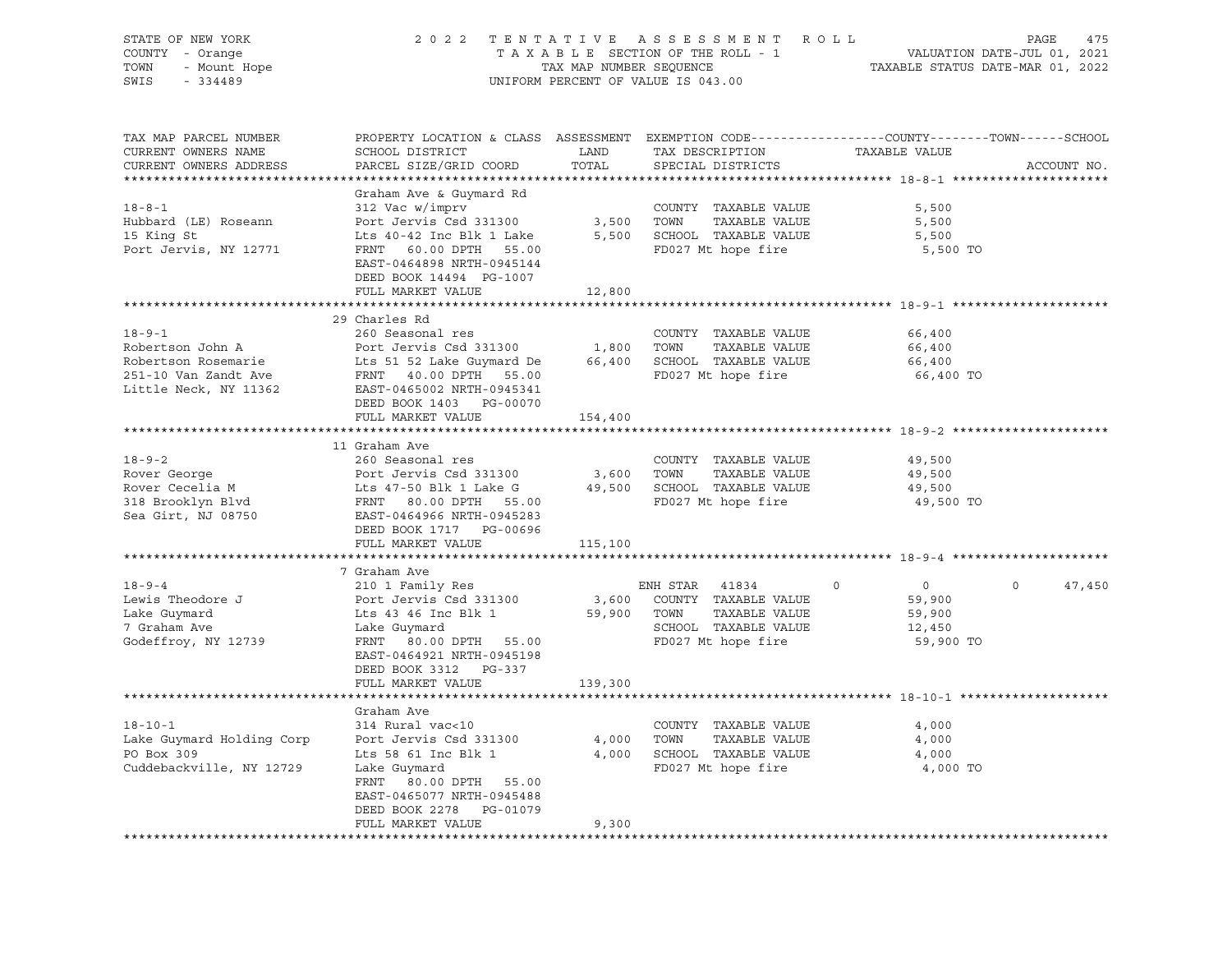| STATE OF NEW YORK<br>COUNTY - Orange<br>OF NEW TURN<br>- Orange<br>- Mount Hope<br>TOWN |                                                                                                                    | TAX MAP NUMBER SEQUENCE | 2022 TENTATIVE ASSESSMENT ROLL<br>TAXABLE SECTION OF THE ROLL - 1 | VALUATION DATE-JUL 01, 2021<br>TAXABLE STATUS DATE-MAR 01, 2022 | PAGE<br>475        |
|-----------------------------------------------------------------------------------------|--------------------------------------------------------------------------------------------------------------------|-------------------------|-------------------------------------------------------------------|-----------------------------------------------------------------|--------------------|
| SWIS                                                                                    |                                                                                                                    |                         | UNIFORM PERCENT OF VALUE IS 043.00                                |                                                                 |                    |
| TAX MAP PARCEL NUMBER<br>CURRENT OWNERS NAME                                            | PROPERTY LOCATION & CLASS ASSESSMENT EXEMPTION CODE---------------COUNTY-------TOWN------SCHOOL<br>SCHOOL DISTRICT | LAND                    | TAX DESCRIPTION                                                   | TAXABLE VALUE                                                   |                    |
| CURRENT OWNERS ADDRESS                                                                  | PARCEL SIZE/GRID COORD                                                                                             | TOTAL                   | SPECIAL DISTRICTS                                                 |                                                                 | ACCOUNT NO.        |
|                                                                                         |                                                                                                                    |                         |                                                                   |                                                                 |                    |
|                                                                                         | Graham Ave & Guymard Rd                                                                                            |                         |                                                                   |                                                                 |                    |
| $18 - 8 - 1$                                                                            | 312 Vac w/imprv                                                                                                    |                         | COUNTY TAXABLE VALUE                                              | 5,500                                                           |                    |
| Hubbard (LE) Roseann                                                                    | Port Jervis Csd 331300                                                                                             | 3,500 TOWN              | TAXABLE VALUE                                                     | 5,500                                                           |                    |
| 15 King St                                                                              | Lts 40-42 Inc Blk 1 Lake                                                                                           |                         | 5,500 SCHOOL TAXABLE VALUE<br>FD027 Mt hope fire                  | 5,500                                                           |                    |
| Port Jervis, NY 12771                                                                   | FRNT 60.00 DPTH 55.00<br>EAST-0464898 NRTH-0945144                                                                 |                         |                                                                   | 5,500 TO                                                        |                    |
|                                                                                         | DEED BOOK 14494 PG-1007                                                                                            |                         |                                                                   |                                                                 |                    |
|                                                                                         | FULL MARKET VALUE                                                                                                  | 12,800                  |                                                                   |                                                                 |                    |
|                                                                                         | *************************                                                                                          | ************            |                                                                   | ************************* 18-9-1 *******************            |                    |
|                                                                                         | 29 Charles Rd                                                                                                      |                         |                                                                   |                                                                 |                    |
| $18 - 9 - 1$                                                                            | 260 Seasonal res                                                                                                   |                         | COUNTY TAXABLE VALUE                                              | 66,400                                                          |                    |
| Robertson John A                                                                        | Port Jervis Csd 331300                                                                                             | 1,800 TOWN              | TAXABLE VALUE                                                     | 66,400                                                          |                    |
| Robertson Rosemarie                                                                     | Lts 51 52 Lake Guymard De                                                                                          |                         | 66,400 SCHOOL TAXABLE VALUE                                       | 66,400                                                          |                    |
| 251-10 Van Zandt Ave                                                                    | FRNT 40.00 DPTH 55.00                                                                                              |                         | FD027 Mt hope fire                                                | 66,400 TO                                                       |                    |
| Little Neck, NY 11362                                                                   | EAST-0465002 NRTH-0945341                                                                                          |                         |                                                                   |                                                                 |                    |
|                                                                                         | DEED BOOK 1403 PG-00070<br>FULL MARKET VALUE                                                                       | 154,400                 |                                                                   |                                                                 |                    |
|                                                                                         |                                                                                                                    |                         |                                                                   |                                                                 |                    |
|                                                                                         | 11 Graham Ave                                                                                                      |                         |                                                                   |                                                                 |                    |
| $18 - 9 - 2$                                                                            | 260 Seasonal res                                                                                                   |                         | COUNTY TAXABLE VALUE                                              | 49,500                                                          |                    |
| Rover George                                                                            | Port Jervis Csd 331300                                                                                             |                         | 3,600 TOWN<br>TAXABLE VALUE                                       | 49,500                                                          |                    |
| Rover Cecelia M<br>318 Brooklyn Blvd                                                    | Lts 47-50 Blk 1 Lake G                                                                                             |                         | 49,500 SCHOOL TAXABLE VALUE                                       | 49,500                                                          |                    |
|                                                                                         | FRNT 80.00 DPTH 55.00                                                                                              |                         | FD027 Mt hope fire                                                | 49,500 TO                                                       |                    |
| Sea Girt, NJ 08750                                                                      | EAST-0464966 NRTH-0945283                                                                                          |                         |                                                                   |                                                                 |                    |
|                                                                                         | DEED BOOK 1717 PG-00696<br>FULL MARKET VALUE                                                                       | 115,100                 |                                                                   |                                                                 |                    |
|                                                                                         |                                                                                                                    |                         |                                                                   |                                                                 |                    |
|                                                                                         | 7 Graham Ave                                                                                                       |                         |                                                                   |                                                                 |                    |
| $18 - 9 - 4$                                                                            | 210 1 Family Res                                                                                                   |                         | ENH STAR 41834                                                    | $\overline{0}$<br>$\Omega$                                      | $\Omega$<br>47,450 |
| Lewis Theodore J                                                                        | Port Jervis Csd 331300                                                                                             |                         | 3,600 COUNTY TAXABLE VALUE                                        | 59,900                                                          |                    |
| Lake Guymard                                                                            | Lts 43 46 Inc Blk 1<br>Iako Guymard                                                                                | 59,900 TOWN             | TAXABLE VALUE                                                     | 59,900                                                          |                    |
| 7 Graham Ave                                                                            | Lake Guymard                                                                                                       |                         | SCHOOL TAXABLE VALUE                                              | 12,450                                                          |                    |
| Godeffroy, NY 12739                                                                     | FRNT 80.00 DPTH 55.00                                                                                              |                         | FD027 Mt hope fire                                                | 59,900 TO                                                       |                    |
|                                                                                         | EAST-0464921 NRTH-0945198                                                                                          |                         |                                                                   |                                                                 |                    |
|                                                                                         | DEED BOOK 3312 PG-337                                                                                              |                         |                                                                   |                                                                 |                    |
|                                                                                         | FULL MARKET VALUE                                                                                                  | 139,300                 |                                                                   |                                                                 |                    |
|                                                                                         | Graham Ave                                                                                                         |                         |                                                                   |                                                                 |                    |
| $18 - 10 - 1$                                                                           | 314 Rural vac<10                                                                                                   |                         | COUNTY TAXABLE VALUE                                              | 4,000                                                           |                    |
| Lake Guymard Holding Corp                                                               | Port Jervis Csd 331300                                                                                             | 4,000                   | TAXABLE VALUE<br>TOWN                                             | 4,000                                                           |                    |
| PO Box 309                                                                              | Lts 58 61 Inc Blk 1<br>Lake Guvmard                                                                                |                         | 4,000 SCHOOL TAXABLE VALUE                                        | 4,000                                                           |                    |
| Cuddebackville, NY 12729                                                                | Lake Guymard                                                                                                       |                         | FD027 Mt hope fire                                                | 4,000 TO                                                        |                    |
|                                                                                         | FRNT 80.00 DPTH 55.00                                                                                              |                         |                                                                   |                                                                 |                    |
|                                                                                         | EAST-0465077 NRTH-0945488                                                                                          |                         |                                                                   |                                                                 |                    |
|                                                                                         | DEED BOOK 2278 PG-01079<br>FULL MARKET VALUE                                                                       | 9,300                   |                                                                   |                                                                 |                    |
|                                                                                         |                                                                                                                    |                         |                                                                   |                                                                 |                    |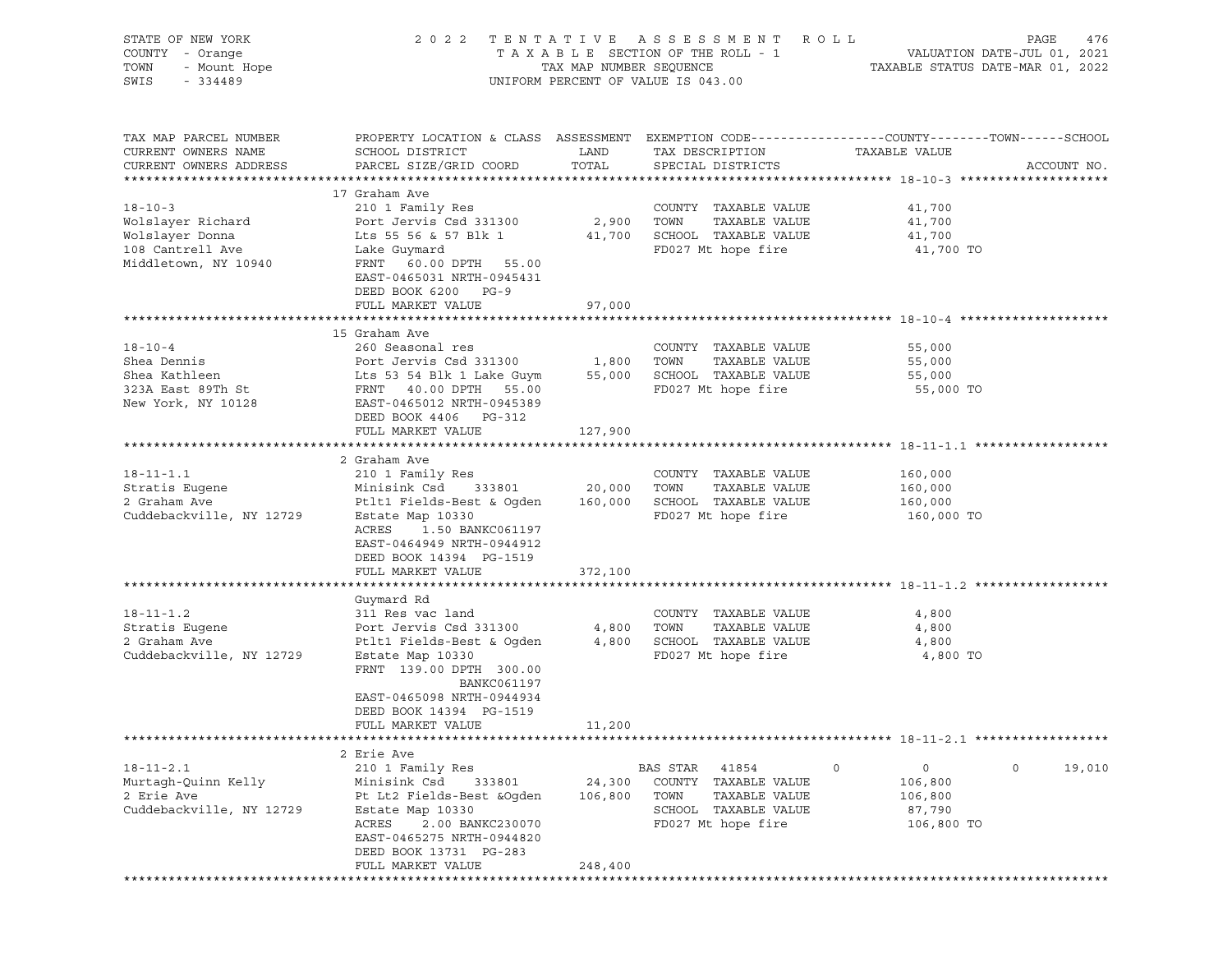| STATE OF NEW YORK<br>COUNTY - Orange<br>TOWN<br>- Mount Hope<br>SWIS<br>$-334489$                 |                                                                                                                                                                                                                                         |                              | 2022 TENTATIVE ASSESSMENT ROLL<br>UNIFORM PERCENT OF VALUE IS 043.00                                             |                                                                  | PAGE<br>476            |
|---------------------------------------------------------------------------------------------------|-----------------------------------------------------------------------------------------------------------------------------------------------------------------------------------------------------------------------------------------|------------------------------|------------------------------------------------------------------------------------------------------------------|------------------------------------------------------------------|------------------------|
| TAX MAP PARCEL NUMBER<br>CURRENT OWNERS NAME<br>CURRENT OWNERS ADDRESS                            | PROPERTY LOCATION & CLASS ASSESSMENT EXEMPTION CODE----------------COUNTY-------TOWN------SCHOOL<br>SCHOOL DISTRICT<br>PARCEL SIZE/GRID COORD                                                                                           | LAND<br>TOTAL                | TAX DESCRIPTION<br>SPECIAL DISTRICTS                                                                             | TAXABLE VALUE                                                    | ACCOUNT NO.            |
| $18 - 10 - 3$<br>Wolslayer Richard<br>Wolslayer Donna<br>108 Cantrell Ave<br>Middletown, NY 10940 | 17 Graham Ave<br>210 1 Family Res<br>Port Jervis Csd 331300<br>Lts 55 56 & 57 Blk 1<br>Lake Guymard<br>FRNT 60.00 DPTH 55.00<br>EAST-0465031 NRTH-0945431<br>DEED BOOK 6200 PG-9<br>FULL MARKET VALUE                                   | 2,900 TOWN<br>97,000         | COUNTY TAXABLE VALUE<br>TAXABLE VALUE<br>41,700 SCHOOL TAXABLE VALUE<br>FD027 Mt hope fire                       | 41,700<br>41,700<br>41,700<br>41,700 TO                          |                        |
|                                                                                                   |                                                                                                                                                                                                                                         |                              |                                                                                                                  |                                                                  |                        |
| $18 - 10 - 4$<br>Shea Dennis<br>Shea Kathleen<br>323A East 89Th St<br>New York, NY 10128          | 15 Graham Ave<br>260 Seasonal res<br>Port Jervis Csd 331300<br>Lts 53 54 Blk 1 Lake Guym<br>FRNT 40.00 DPTH 55.00<br>EAST-0465012 NRTH-0945389                                                                                          | 1,800<br>55,000              | COUNTY TAXABLE VALUE<br>TOWN<br>TAXABLE VALUE<br>SCHOOL TAXABLE VALUE<br>FD027 Mt hope fire                      | 55,000<br>55,000<br>55,000<br>55,000 TO                          |                        |
|                                                                                                   | DEED BOOK 4406 PG-312<br>FULL MARKET VALUE                                                                                                                                                                                              | 127,900                      |                                                                                                                  |                                                                  |                        |
| $18 - 11 - 1.1$<br>Stratis Eugene<br>2 Graham Ave<br>Cuddebackville, NY 12729                     | 2 Graham Ave<br>210 1 Family Res<br>Minisink Csd<br>333801<br>Ptlt1 Fields-Best & Ogden<br>Estate Map 10330<br>ACRES<br>1.50 BANKC061197<br>EAST-0464949 NRTH-0944912<br>DEED BOOK 14394 PG-1519<br>FULL MARKET VALUE                   | 20,000<br>160,000<br>372,100 | COUNTY TAXABLE VALUE<br>TAXABLE VALUE<br>TOWN<br>SCHOOL TAXABLE VALUE<br>FD027 Mt hope fire                      | 160,000<br>160,000<br>160,000<br>160,000 TO                      |                        |
|                                                                                                   |                                                                                                                                                                                                                                         |                              |                                                                                                                  |                                                                  |                        |
| $18 - 11 - 1.2$<br>Stratis Eugene<br>2 Graham Ave<br>Cuddebackville, NY 12729                     | Guymard Rd<br>311 Res vac land<br>Port Jervis Csd 331300<br>Ptlt1 Fields-Best & Ogden<br>Estate Map 10330<br>FRNT 139.00 DPTH 300.00<br><b>BANKC061197</b><br>EAST-0465098 NRTH-0944934<br>DEED BOOK 14394 PG-1519<br>FULL MARKET VALUE | 4,800<br>4,800<br>11,200     | COUNTY TAXABLE VALUE<br>TOWN<br>TAXABLE VALUE<br>SCHOOL TAXABLE VALUE<br>FD027 Mt hope fire                      | 4,800<br>4,800<br>4,800<br>4,800 TO                              |                        |
|                                                                                                   |                                                                                                                                                                                                                                         |                              |                                                                                                                  |                                                                  |                        |
| $18 - 11 - 2.1$<br>Murtagh-Quinn Kelly<br>2 Erie Ave<br>Cuddebackville, NY 12729                  | 2 Erie Ave<br>210 1 Family Res<br>Minisink Csd<br>333801<br>Pt Lt2 Fields-Best & Oqden<br>Estate Map 10330<br>ACRES<br>2.00 BANKC230070<br>EAST-0465275 NRTH-0944820<br>DEED BOOK 13731 PG-283<br>FULL MARKET VALUE                     | 24,300<br>106,800<br>248,400 | BAS STAR<br>41854<br>COUNTY TAXABLE VALUE<br>TOWN<br>TAXABLE VALUE<br>SCHOOL TAXABLE VALUE<br>FD027 Mt hope fire | $\circ$<br>$\circ$<br>106,800<br>106,800<br>87,790<br>106,800 TO | $\mathsf{O}$<br>19,010 |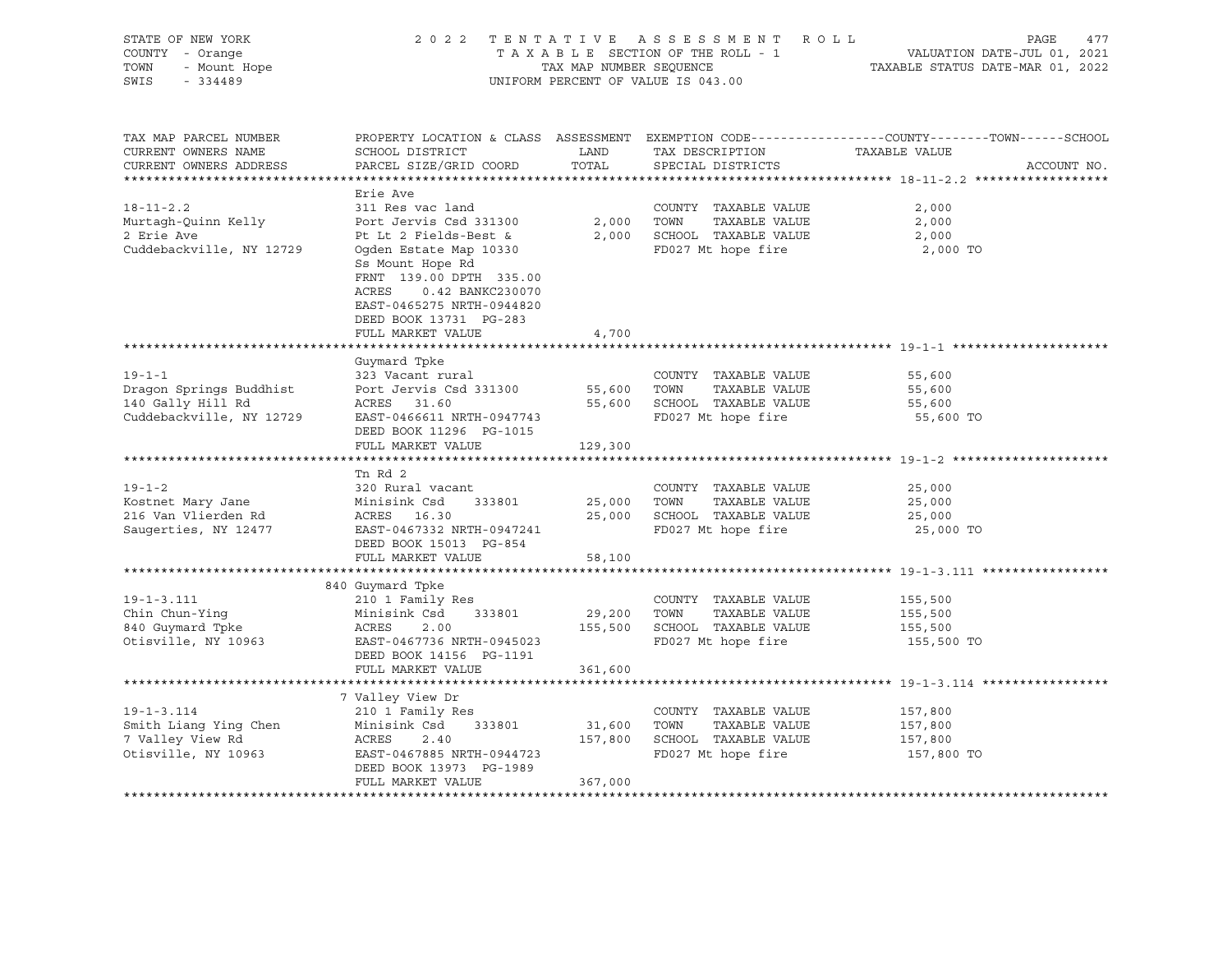|                                                                                                                                                                                                                                                                   |                                                                                                     |                                                                                             | R O L L<br>PAGE<br>477<br>VALUATION DATE-JUL 01, 2021<br>TAXABLE STATUS DATE-MAR 01, 2022                                                                                                                                                                          |
|-------------------------------------------------------------------------------------------------------------------------------------------------------------------------------------------------------------------------------------------------------------------|-----------------------------------------------------------------------------------------------------|---------------------------------------------------------------------------------------------|--------------------------------------------------------------------------------------------------------------------------------------------------------------------------------------------------------------------------------------------------------------------|
| SCHOOL DISTRICT<br>PARCEL SIZE/GRID COORD                                                                                                                                                                                                                         | LAND<br>TOTAL                                                                                       | TAX DESCRIPTION<br>SPECIAL DISTRICTS                                                        | TAXABLE VALUE<br>ACCOUNT NO.                                                                                                                                                                                                                                       |
| Erie Ave<br>311 Res vac land<br>Port Jervis Csd 331300<br>Pt Lt 2 Fields-Best &<br>Ogden Estate Map 10330<br>Ss Mount Hope Rd<br>FRNT 139.00 DPTH 335.00<br>ACRES<br>0.42 BANKC230070<br>EAST-0465275 NRTH-0944820<br>DEED BOOK 13731 PG-283<br>FULL MARKET VALUE | 2,000<br>2,000<br>4,700                                                                             | COUNTY TAXABLE VALUE<br>TOWN<br>TAXABLE VALUE<br>SCHOOL TAXABLE VALUE<br>FD027 Mt hope fire | 2,000<br>2,000<br>2,000<br>2,000 TO                                                                                                                                                                                                                                |
| Guymard Tpke<br>323 Vacant rural<br>Port Jervis Csd 331300<br>ACRES 31.60<br>EAST-0466611 NRTH-0947743<br>DEED BOOK 11296 PG-1015                                                                                                                                 | 55,600<br>55,600                                                                                    | COUNTY TAXABLE VALUE<br>TAXABLE VALUE<br>TOWN<br>FD027 Mt hope fire                         | 55,600<br>55,600<br>55,600<br>55,600 TO                                                                                                                                                                                                                            |
| ************************<br>Tn Rd 2<br>320 Rural vacant<br>Minisink Csd<br>333801<br>ACRES 16.30<br>EAST-0467332 NRTH-0947241<br>DEED BOOK 15013 PG-854                                                                                                           | 25,000<br>25,000                                                                                    | COUNTY TAXABLE VALUE<br>TOWN<br>TAXABLE VALUE<br>SCHOOL TAXABLE VALUE<br>FD027 Mt hope fire | 25,000<br>25,000<br>25,000<br>25,000 TO                                                                                                                                                                                                                            |
|                                                                                                                                                                                                                                                                   | 58,100                                                                                              |                                                                                             |                                                                                                                                                                                                                                                                    |
| 210 1 Family Res<br>Minisink Csd<br>333801<br>ACRES<br>2.00<br>EAST-0467736 NRTH-0945023<br>DEED BOOK 14156 PG-1191                                                                                                                                               | 155,500                                                                                             | COUNTY TAXABLE VALUE<br>TOWN<br>TAXABLE VALUE<br>SCHOOL TAXABLE VALUE<br>FD027 Mt hope fire | 155,500<br>155,500<br>155,500<br>155,500 TO                                                                                                                                                                                                                        |
|                                                                                                                                                                                                                                                                   |                                                                                                     |                                                                                             |                                                                                                                                                                                                                                                                    |
| 210 1 Family Res<br>Minisink Csd<br>333801<br>ACRES<br>2.40<br>EAST-0467885 NRTH-0944723<br>DEED BOOK 13973 PG-1989<br>FULL MARKET VALUE                                                                                                                          | 31,600<br>157,800<br>367,000                                                                        | COUNTY TAXABLE VALUE<br>TOWN<br>TAXABLE VALUE<br>SCHOOL TAXABLE VALUE<br>FD027 Mt hope fire | 157,800<br>157,800<br>157,800<br>157,800 TO                                                                                                                                                                                                                        |
|                                                                                                                                                                                                                                                                   | FULL MARKET VALUE<br>FULL MARKET VALUE<br>840 Guymard Tpke<br>FULL MARKET VALUE<br>7 Valley View Dr | 129,300<br>361,600                                                                          | 2022 TENTATIVE ASSESSMENT<br>TAXABLE SECTION OF THE ROLL - 1<br>TAX MAP NUMBER SEQUENCE<br>UNIFORM PERCENT OF VALUE IS 043.00<br>PROPERTY LOCATION & CLASS ASSESSMENT EXEMPTION CODE----------------COUNTY-------TOWN-----SCHOOL<br>SCHOOL TAXABLE VALUE<br>29,200 |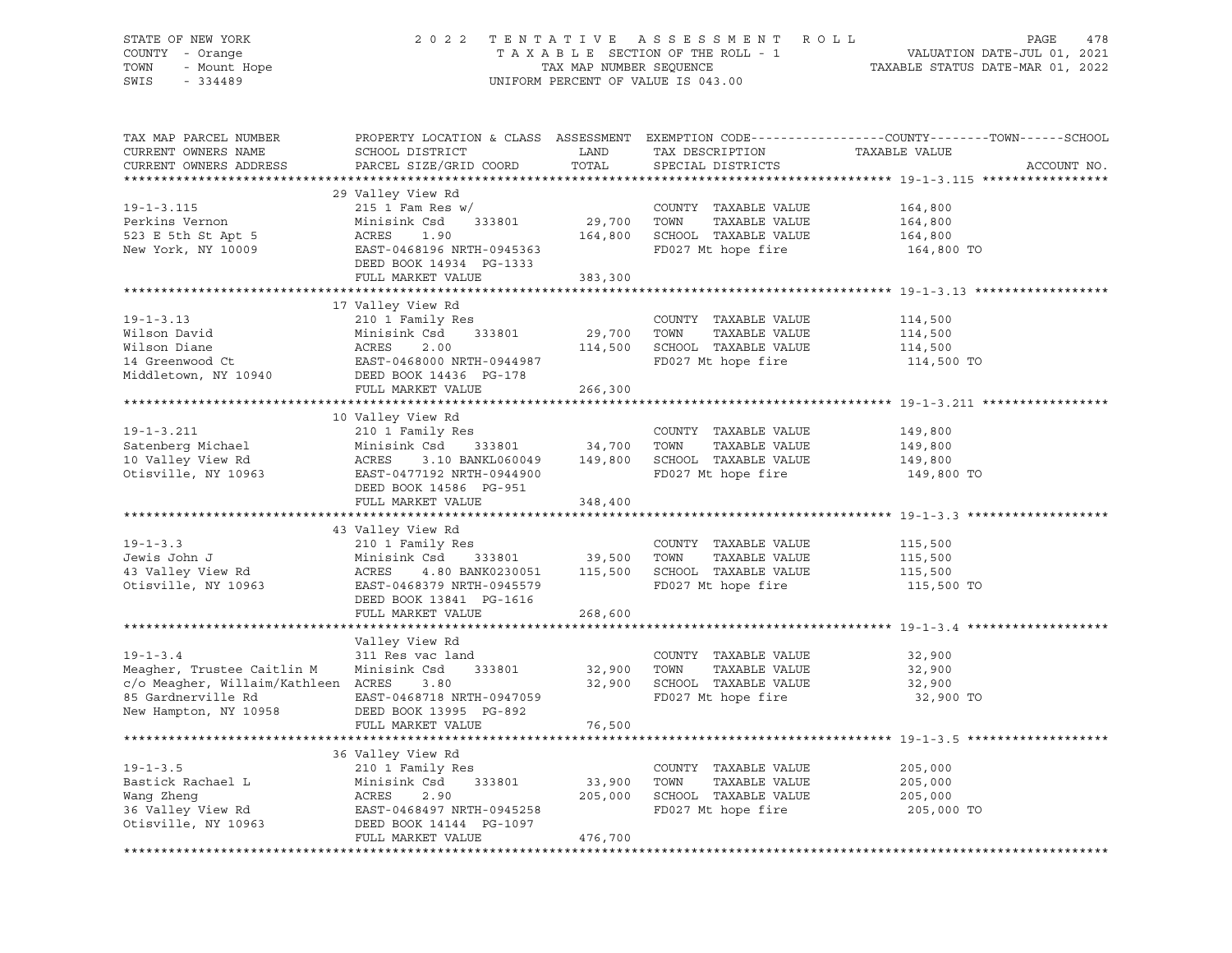# STATE OF NEW YORK 2 0 2 2 T E N T A T I V E A S S E S S M E N T R O L L PAGE 478 COUNTY - Orange T A X A B L E SECTION OF THE ROLL - 1 VALUATION DATE-JUL 01, 2021 TOWN - Mount Hope TAX MAP NUMBER SEQUENCE TAXABLE STATUS DATE-MAR 01, 2022 SWIS - 334489 UNIFORM PERCENT OF VALUE IS 043.00

| TAX MAP PARCEL NUMBER<br>CURRENT OWNERS NAME<br>CURRENT OWNERS ADDRESS                                                             | SCHOOL DISTRICT<br>PARCEL SIZE/GRID COORD                                                                                                                     | LAND<br>TOTAL                | TAX DESCRIPTION<br>SPECIAL DISTRICTS                                                        | PROPERTY LOCATION & CLASS ASSESSMENT EXEMPTION CODE----------------COUNTY-------TOWN------SCHOOL<br>TAXABLE VALUE<br>ACCOUNT NO. |
|------------------------------------------------------------------------------------------------------------------------------------|---------------------------------------------------------------------------------------------------------------------------------------------------------------|------------------------------|---------------------------------------------------------------------------------------------|----------------------------------------------------------------------------------------------------------------------------------|
|                                                                                                                                    |                                                                                                                                                               |                              |                                                                                             |                                                                                                                                  |
| $19 - 1 - 3.115$<br>Perkins Vernon<br>523 E 5th St Apt 5<br>New York, NY 10009                                                     | 29 Valley View Rd<br>215 1 Fam Res w/<br>Minisink Csd<br>333801<br>ACRES<br>1.90<br>EAST-0468196 NRTH-0945363<br>DEED BOOK 14934 PG-1333                      | 29,700<br>164,800            | COUNTY TAXABLE VALUE<br>TOWN<br>TAXABLE VALUE<br>SCHOOL TAXABLE VALUE<br>FD027 Mt hope fire | 164,800<br>164,800<br>164,800<br>164,800 TO                                                                                      |
|                                                                                                                                    | FULL MARKET VALUE                                                                                                                                             | 383,300                      |                                                                                             |                                                                                                                                  |
|                                                                                                                                    |                                                                                                                                                               |                              |                                                                                             |                                                                                                                                  |
|                                                                                                                                    | 17 Valley View Rd                                                                                                                                             |                              |                                                                                             |                                                                                                                                  |
| $19 - 1 - 3.13$<br>Wilson David<br>Wilson Diane<br>14 Greenwood Ct<br>Middletown, NY 10940                                         | 210 1 Family Res<br>Minisink Csd<br>333801<br>ACRES<br>2.00<br>EAST-0468000 NRTH-0944987<br>DEED BOOK 14436 PG-178                                            | 29,700<br>114,500            | COUNTY TAXABLE VALUE<br>TOWN<br>TAXABLE VALUE<br>SCHOOL TAXABLE VALUE<br>FD027 Mt hope fire | 114,500<br>114,500<br>114,500<br>114,500 TO                                                                                      |
|                                                                                                                                    | FULL MARKET VALUE                                                                                                                                             | 266,300                      |                                                                                             |                                                                                                                                  |
|                                                                                                                                    |                                                                                                                                                               |                              |                                                                                             |                                                                                                                                  |
|                                                                                                                                    | 10 Valley View Rd                                                                                                                                             |                              |                                                                                             |                                                                                                                                  |
| $19 - 1 - 3.211$<br>Satenberg Michael<br>10 Valley View Rd<br>Otisville, NY 10963                                                  | 210 1 Family Res<br>Minisink Csd<br>333801<br>3.10 BANKL060049<br>ACRES<br>EAST-0477192 NRTH-0944900<br>DEED BOOK 14586 PG-951                                | 34,700<br>149,800            | COUNTY TAXABLE VALUE<br>TOWN<br>TAXABLE VALUE<br>SCHOOL TAXABLE VALUE<br>FD027 Mt hope fire | 149,800<br>149,800<br>149,800<br>149,800 TO                                                                                      |
|                                                                                                                                    | FULL MARKET VALUE                                                                                                                                             | 348,400                      |                                                                                             |                                                                                                                                  |
|                                                                                                                                    |                                                                                                                                                               |                              |                                                                                             |                                                                                                                                  |
|                                                                                                                                    | 43 Valley View Rd                                                                                                                                             |                              |                                                                                             |                                                                                                                                  |
| $19 - 1 - 3.3$<br>Jewis John J<br>43 Valley View Rd<br>Otisville, NY 10963                                                         | 210 1 Family Res<br>Minisink Csd<br>ACRES<br>4.80 BANK0230051<br>EAST-0468379 NRTH-0945579<br>DEED BOOK 13841 PG-1616                                         | 333801 39,500<br>115,500     | COUNTY TAXABLE VALUE<br>TOWN<br>TAXABLE VALUE<br>SCHOOL TAXABLE VALUE<br>FD027 Mt hope fire | 115,500<br>115,500<br>115,500<br>115,500 TO                                                                                      |
|                                                                                                                                    | FULL MARKET VALUE                                                                                                                                             | 268,600                      |                                                                                             |                                                                                                                                  |
|                                                                                                                                    |                                                                                                                                                               |                              |                                                                                             |                                                                                                                                  |
| $19 - 1 - 3.4$<br>Meagher, Trustee Caitlin M<br>c/o Meagher, Willaim/Kathleen ACRES<br>85 Gardnerville Rd<br>New Hampton, NY 10958 | Valley View Rd<br>311 Res vac land<br>Minisink Csd<br>333801<br>3.80<br>EAST-0468718 NRTH-0947059<br>DEED BOOK 13995 PG-892                                   | 32,900<br>32,900             | COUNTY TAXABLE VALUE<br>TOWN<br>TAXABLE VALUE<br>SCHOOL TAXABLE VALUE<br>FD027 Mt hope fire | 32,900<br>32,900<br>32,900<br>32,900 TO                                                                                          |
|                                                                                                                                    | FULL MARKET VALUE                                                                                                                                             | 76,500                       |                                                                                             |                                                                                                                                  |
|                                                                                                                                    |                                                                                                                                                               |                              |                                                                                             |                                                                                                                                  |
| $19 - 1 - 3.5$<br>Bastick Rachael L<br>Wang Zheng<br>36 Valley View Rd<br>Otisville, NY 10963                                      | 36 Valley View Rd<br>210 1 Family Res<br>Minisink Csd<br>333801<br>ACRES<br>2.90<br>EAST-0468497 NRTH-0945258<br>DEED BOOK 14144 PG-1097<br>FULL MARKET VALUE | 33,900<br>205,000<br>476,700 | COUNTY TAXABLE VALUE<br>TOWN<br>TAXABLE VALUE<br>SCHOOL TAXABLE VALUE<br>FD027 Mt hope fire | 205,000<br>205,000<br>205,000<br>205,000 TO                                                                                      |
|                                                                                                                                    |                                                                                                                                                               |                              |                                                                                             |                                                                                                                                  |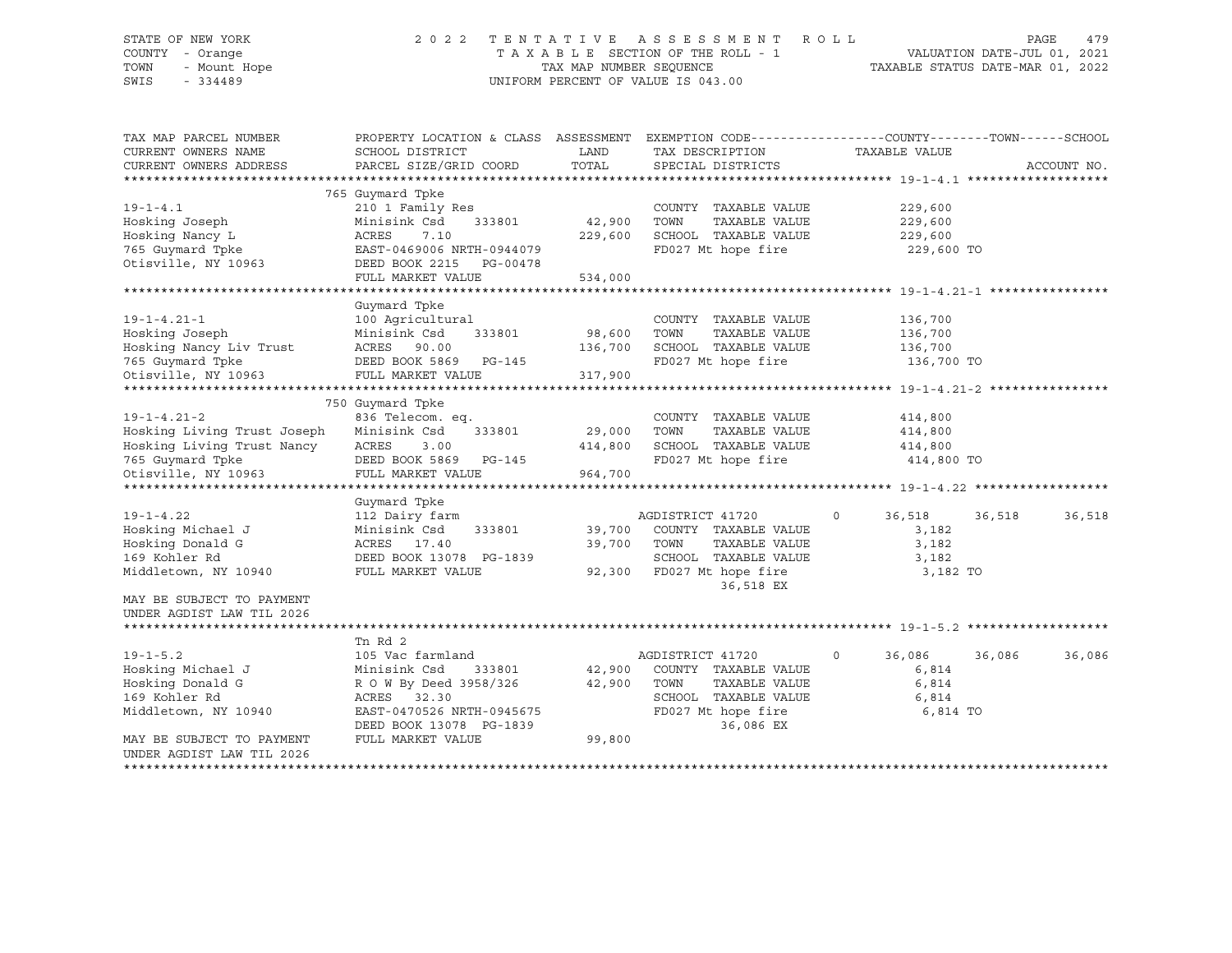# STATE OF NEW YORK 2 0 2 2 T E N T A T I V E A S S E S S M E N T R O L L PAGE 479 COUNTY - Orange T A X A B L E SECTION OF THE ROLL - 1 VALUATION DATE-JUL 01, 2021 TOWN - Mount Hope TAX MAP NUMBER SEQUENCE TAXABLE STATUS DATE-MAR 01, 2022 SWIS - 334489 UNIFORM PERCENT OF VALUE IS 043.00

| TAX MAP PARCEL NUMBER<br>CURRENT OWNERS NAME<br>CURRENT OWNERS ADDRESS | PROPERTY LOCATION & CLASS ASSESSMENT<br>SCHOOL DISTRICT<br>PARCEL SIZE/GRID COORD | LAND<br>TOTAL | TAX DESCRIPTION<br>SPECIAL DISTRICTS | EXEMPTION CODE-----------------COUNTY-------TOWN------SCHOOL<br>TAXABLE VALUE | ACCOUNT NO. |
|------------------------------------------------------------------------|-----------------------------------------------------------------------------------|---------------|--------------------------------------|-------------------------------------------------------------------------------|-------------|
|                                                                        |                                                                                   |               |                                      |                                                                               |             |
| $19 - 1 - 4.1$                                                         | 765 Guymard Tpke<br>210 1 Family Res                                              |               | COUNTY TAXABLE VALUE                 | 229,600                                                                       |             |
| Hosking Joseph                                                         | Minisink Csd<br>333801                                                            | 42,900        | TOWN<br>TAXABLE VALUE                | 229,600                                                                       |             |
| Hosking Nancy L                                                        | ACRES<br>7.10                                                                     | 229,600       | SCHOOL TAXABLE VALUE                 | 229,600                                                                       |             |
| 765 Guymard Tpke                                                       | EAST-0469006 NRTH-0944079                                                         |               | FD027 Mt hope fire                   | 229,600 TO                                                                    |             |
| Otisville, NY 10963                                                    | DEED BOOK 2215 PG-00478                                                           |               |                                      |                                                                               |             |
|                                                                        | FULL MARKET VALUE                                                                 | 534,000       |                                      |                                                                               |             |
|                                                                        |                                                                                   |               |                                      |                                                                               |             |
|                                                                        | Guymard Tpke                                                                      |               |                                      |                                                                               |             |
| $19 - 1 - 4.21 - 1$                                                    | 100 Agricultural                                                                  |               | COUNTY TAXABLE VALUE                 | 136,700                                                                       |             |
| Hosking Joseph                                                         | Minisink Csd<br>333801                                                            | 98,600        | TOWN<br>TAXABLE VALUE                | 136,700                                                                       |             |
| Hosking Nancy Liv Trust                                                | ACRES<br>90.00                                                                    | 136,700       | SCHOOL TAXABLE VALUE                 | 136,700                                                                       |             |
| 765 Guymard Tpke                                                       | DEED BOOK 5869 PG-145                                                             |               | FD027 Mt hope fire                   | 136,700 TO                                                                    |             |
| Otisville, NY 10963                                                    | FULL MARKET VALUE                                                                 | 317,900       |                                      |                                                                               |             |
|                                                                        |                                                                                   |               |                                      |                                                                               |             |
|                                                                        | 750 Guymard Tpke                                                                  |               |                                      |                                                                               |             |
| $19 - 1 - 4.21 - 2$                                                    | 836 Telecom. eq.                                                                  |               | COUNTY TAXABLE VALUE                 | 414,800                                                                       |             |
| Hosking Living Trust Joseph                                            | Minisink Csd<br>333801                                                            | 29,000        | TOWN<br>TAXABLE VALUE                | 414,800                                                                       |             |
| Hosking Living Trust Nancy                                             | ACRES<br>3.00                                                                     | 414,800       | SCHOOL TAXABLE VALUE                 | 414,800                                                                       |             |
| 765 Guymard Tpke                                                       | DEED BOOK 5869<br>PG-145                                                          |               | FD027 Mt hope fire                   | 414,800 TO                                                                    |             |
| Otisville, NY 10963                                                    | FULL MARKET VALUE                                                                 | 964,700       |                                      |                                                                               |             |
|                                                                        |                                                                                   |               |                                      |                                                                               |             |
|                                                                        | Guymard Tpke                                                                      |               |                                      |                                                                               |             |
| $19 - 1 - 4.22$                                                        | 112 Dairy farm                                                                    |               | AGDISTRICT 41720                     | 36,518<br>36,518<br>$\circ$                                                   | 36,518      |
| Hosking Michael J                                                      | Minisink Csd<br>333801                                                            | 39,700        | COUNTY TAXABLE VALUE                 | 3,182                                                                         |             |
| Hosking Donald G                                                       | ACRES 17.40                                                                       | 39,700        | TOWN<br>TAXABLE VALUE                | 3,182                                                                         |             |
| 169 Kohler Rd                                                          | DEED BOOK 13078 PG-1839                                                           |               | SCHOOL TAXABLE VALUE                 | 3,182                                                                         |             |
| Middletown, NY 10940                                                   | FULL MARKET VALUE                                                                 | 92,300        | FD027 Mt hope fire                   | 3,182 TO                                                                      |             |
|                                                                        |                                                                                   |               | 36,518 EX                            |                                                                               |             |
| MAY BE SUBJECT TO PAYMENT                                              |                                                                                   |               |                                      |                                                                               |             |
| UNDER AGDIST LAW TIL 2026                                              |                                                                                   |               |                                      |                                                                               |             |
|                                                                        |                                                                                   |               |                                      |                                                                               |             |
|                                                                        | Tn Rd 2                                                                           |               |                                      |                                                                               |             |
| $19 - 1 - 5.2$                                                         | 105 Vac farmland                                                                  |               | AGDISTRICT 41720                     | 36,086<br>36,086<br>0                                                         | 36,086      |
| Hosking Michael J                                                      | Minisink Csd<br>333801                                                            | 42,900        | COUNTY TAXABLE VALUE                 | 6,814                                                                         |             |
| Hosking Donald G                                                       | R O W By Deed 3958/326                                                            | 42,900        | TOWN<br>TAXABLE VALUE                | 6,814                                                                         |             |
| 169 Kohler Rd                                                          | ACRES 32.30                                                                       |               | SCHOOL TAXABLE VALUE                 | 6,814                                                                         |             |
| Middletown, NY 10940                                                   | EAST-0470526 NRTH-0945675                                                         |               | FD027 Mt hope fire                   | 6,814 TO                                                                      |             |
|                                                                        | DEED BOOK 13078 PG-1839                                                           |               | 36,086 EX                            |                                                                               |             |
| MAY BE SUBJECT TO PAYMENT                                              | FULL MARKET VALUE                                                                 | 99,800        |                                      |                                                                               |             |
| UNDER AGDIST LAW TIL 2026                                              |                                                                                   |               |                                      |                                                                               |             |
|                                                                        |                                                                                   |               |                                      |                                                                               |             |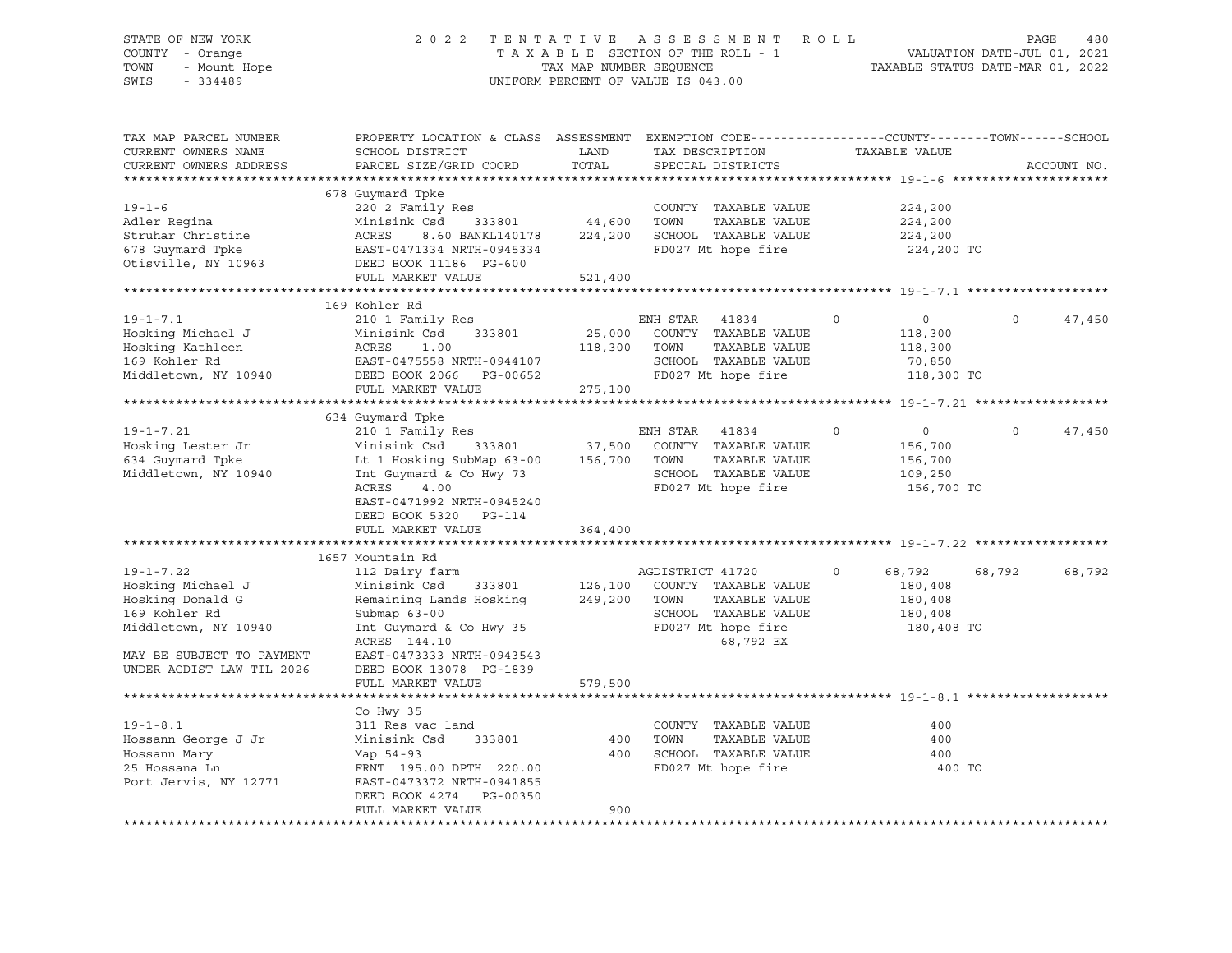## STATE OF NEW YORK 2 0 2 2 T E N T A T I V E A S S E S S M E N T R O L L PAGE 480 COUNTY - Orange T A X A B L E SECTION OF THE ROLL - 1 VALUATION DATE-JUL 01, 2021 TOWN - Mount Hope TAX NAP NUMBER SEQUENCE TAXABLE STATUS DATE-MAR 01, 2022<br>TAXABLE STATUS DATE-MAR 01, 2022 UNIFORM PERCENT OF VALUE IS 043.00

TAX MAP PARCEL NUMBER PROPERTY LOCATION & CLASS ASSESSMENT EXEMPTION CODE------------------COUNTY--------TOWN------SCHOOL CURRENT OWNERS NAME SCHOOL DISTRICT LAND TAX DESCRIPTION TAXABLE VALUE CURRENT OWNERS ADDRESS PARCEL SIZE/GRID COORD TOTAL SPECIAL DISTRICTS ACCOUNT NO. \*\*\*\*\*\*\*\*\*\*\*\*\*\*\*\*\*\*\*\*\*\*\*\*\*\*\*\*\*\*\*\*\*\*\*\*\*\*\*\*\*\*\*\*\*\*\*\*\*\*\*\*\*\*\*\*\*\*\*\*\*\*\*\*\*\*\*\*\*\*\*\*\*\*\*\*\*\*\*\*\*\*\*\*\*\*\*\*\*\*\*\*\*\*\*\*\*\*\*\*\*\*\* 19-1-6 \*\*\*\*\*\*\*\*\*\*\*\*\*\*\*\*\*\*\*\*\* 678 Guymard Tpke 19-1-6 220 2 Family Res COUNTY TAXABLE VALUE 224,200 Adler Regina Minisink Csd 333801 44,600 TOWN TAXABLE VALUE 224,200 Struhar Christine ACRES 8.60 BANKL140178 224,200 SCHOOL TAXABLE VALUE 224,200 678 Guymard Tpke EAST-0471334 NRTH-0945334 FD027 Mt hope fire 224,200 TO Otisville, NY 10963 DEED BOOK 11186 PG-600 FULL MARKET VALUE 521,400 \*\*\*\*\*\*\*\*\*\*\*\*\*\*\*\*\*\*\*\*\*\*\*\*\*\*\*\*\*\*\*\*\*\*\*\*\*\*\*\*\*\*\*\*\*\*\*\*\*\*\*\*\*\*\*\*\*\*\*\*\*\*\*\*\*\*\*\*\*\*\*\*\*\*\*\*\*\*\*\*\*\*\*\*\*\*\*\*\*\*\*\*\*\*\*\*\*\*\*\*\*\*\* 19-1-7.1 \*\*\*\*\*\*\*\*\*\*\*\*\*\*\*\*\*\*\* 169 Kohler Rd 19-1-7.1 210 1 Family Res ENH STAR 41834 0 0 0 47,450 Hosking Michael J Minisink Csd 333801 25,000 COUNTY TAXABLE VALUE 118,300 Hosking Kathleen ACRES 1.00 118,300 TOWN TAXABLE VALUE 118,300 169 Kohler Rd EAST-0475558 NRTH-0944107 SCHOOL TAXABLE VALUE 70,850 Middletown, NY 10940 DEED BOOK 2066 PG-00652 FD027 Mt hope fire 118,300 TO FULL MARKET VALUE 275,100 \*\*\*\*\*\*\*\*\*\*\*\*\*\*\*\*\*\*\*\*\*\*\*\*\*\*\*\*\*\*\*\*\*\*\*\*\*\*\*\*\*\*\*\*\*\*\*\*\*\*\*\*\*\*\*\*\*\*\*\*\*\*\*\*\*\*\*\*\*\*\*\*\*\*\*\*\*\*\*\*\*\*\*\*\*\*\*\*\*\*\*\*\*\*\*\*\*\*\*\*\*\*\* 19-1-7.21 \*\*\*\*\*\*\*\*\*\*\*\*\*\*\*\*\*\* 634 Guymard Tpke 19-1-7.21 210 1 Family Res ENH STAR 41834 0 0 0 47,450 Hosking Lester Jr Minisink Csd 333801 37,500 COUNTY TAXABLE VALUE 156,700 634 Guymard Tpke Lt 1 Hosking SubMap 63-00 156,700 TOWN TAXABLE VALUE 156,700 Middletown, NY 10940 Int Guymard & Co Hwy 73 SCHOOL TAXABLE VALUE 109,250 ACRES 4.00 FD027 Mt hope fire 156,700 TO EAST-0471992 NRTH-0945240 DEED BOOK 5320 PG-114 FULL MARKET VALUE 364,400 \*\*\*\*\*\*\*\*\*\*\*\*\*\*\*\*\*\*\*\*\*\*\*\*\*\*\*\*\*\*\*\*\*\*\*\*\*\*\*\*\*\*\*\*\*\*\*\*\*\*\*\*\*\*\*\*\*\*\*\*\*\*\*\*\*\*\*\*\*\*\*\*\*\*\*\*\*\*\*\*\*\*\*\*\*\*\*\*\*\*\*\*\*\*\*\*\*\*\*\*\*\*\* 19-1-7.22 \*\*\*\*\*\*\*\*\*\*\*\*\*\*\*\*\*\* 1657 Mountain Rd 19-1-7.22 112 Dairy farm AGDISTRICT 41720 0 68,792 68,792 68,792 Hosking Michael J Minisink Csd 333801 126,100 COUNTY TAXABLE VALUE 180,408 Hosking Donald G Remaining Lands Hosking 249,200 TOWN TAXABLE VALUE 180,408 169 Kohler Rd Submap 63-00 SCHOOL TAXABLE VALUE 180,408 Middletown, NY 10940 Int Guymard & Co Hwy 35 FD027 Mt hope fire 180,408 TO ACRES 144.10 68,792 EX MAY BE SUBJECT TO PAYMENT EAST-0473333 NRTH-0943543 UNDER AGDIST LAW TIL 2026 DEED BOOK 13078 PG-1839 FULL MARKET VALUE 579,500 \*\*\*\*\*\*\*\*\*\*\*\*\*\*\*\*\*\*\*\*\*\*\*\*\*\*\*\*\*\*\*\*\*\*\*\*\*\*\*\*\*\*\*\*\*\*\*\*\*\*\*\*\*\*\*\*\*\*\*\*\*\*\*\*\*\*\*\*\*\*\*\*\*\*\*\*\*\*\*\*\*\*\*\*\*\*\*\*\*\*\*\*\*\*\*\*\*\*\*\*\*\*\* 19-1-8.1 \*\*\*\*\*\*\*\*\*\*\*\*\*\*\*\*\*\*\* Co Hwy 35 19-1-8.1 311 Res vac land COUNTY TAXABLE VALUE 400 Hossann George J Jr Minisink Csd 333801 400 TOWN TAXABLE VALUE 400 Hossann Mary Map 54-93 400 SCHOOL TAXABLE VALUE 400 25 Hossana Ln FRNT 195.00 DPTH 220.00 FD027 Mt hope fire 400 TO Port Jervis, NY 12771 EAST-0473372 NRTH-0941855 DEED BOOK 4274 PG-00350 FULL MARKET VALUE 800 \*\*\*\*\*\*\*\*\*\*\*\*\*\*\*\*\*\*\*\*\*\*\*\*\*\*\*\*\*\*\*\*\*\*\*\*\*\*\*\*\*\*\*\*\*\*\*\*\*\*\*\*\*\*\*\*\*\*\*\*\*\*\*\*\*\*\*\*\*\*\*\*\*\*\*\*\*\*\*\*\*\*\*\*\*\*\*\*\*\*\*\*\*\*\*\*\*\*\*\*\*\*\*\*\*\*\*\*\*\*\*\*\*\*\*\*\*\*\*\*\*\*\*\*\*\*\*\*\*\*\*\*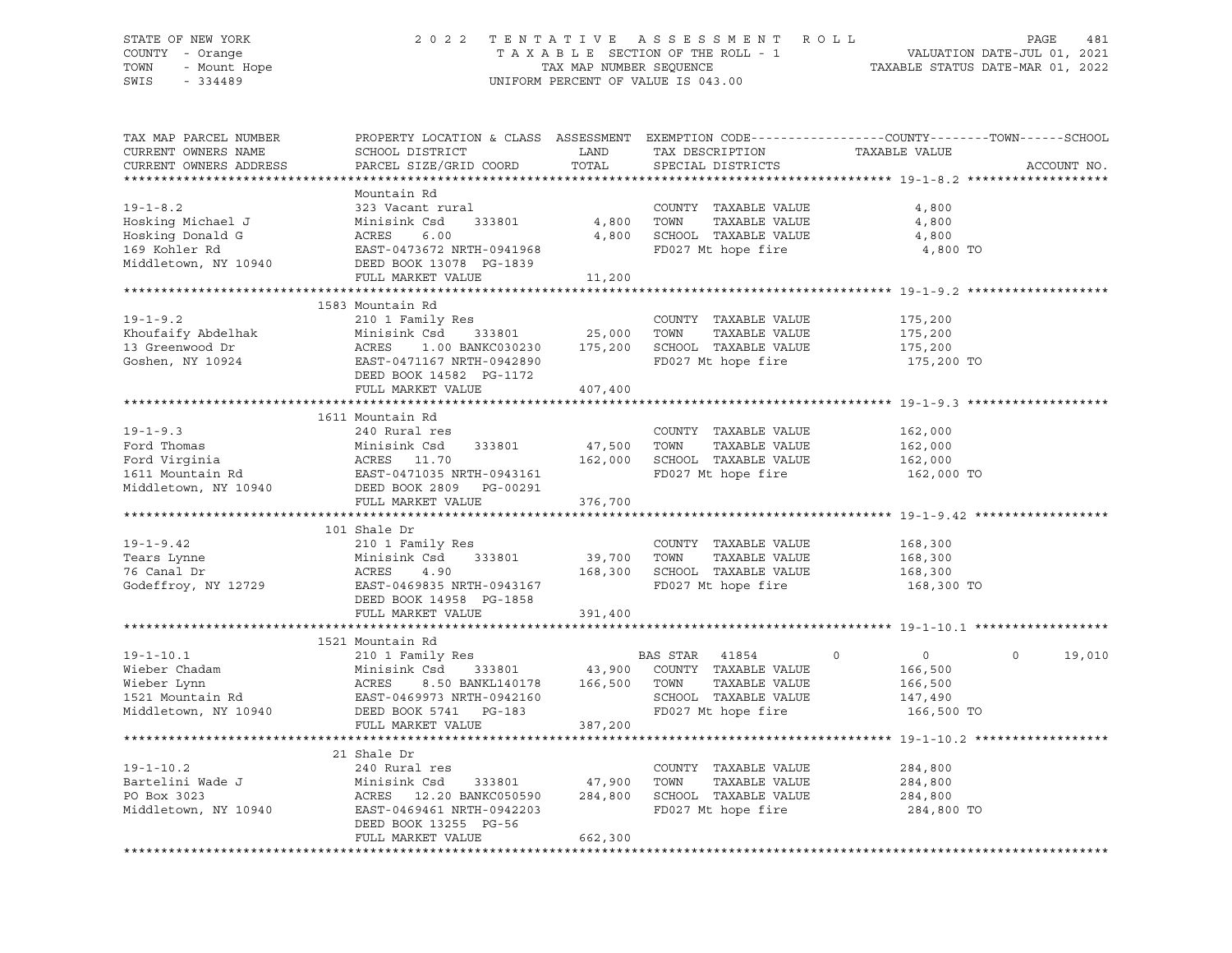# STATE OF NEW YORK 2 0 2 2 T E N T A T I V E A S S E S S M E N T R O L L PAGE 481 COUNTY - Orange T A X A B L E SECTION OF THE ROLL - 1 VALUATION DATE-JUL 01, 2021 TOWN - Mount Hope TAX MAP NUMBER SEQUENCE TAXABLE STATUS DATE-MAR 01, 2022 SWIS - 334489 UNIFORM PERCENT OF VALUE IS 043.00

| TAX MAP PARCEL NUMBER<br>CURRENT OWNERS NAME<br>CURRENT OWNERS ADDRESS                           | PROPERTY LOCATION & CLASS ASSESSMENT<br>SCHOOL DISTRICT<br>PARCEL SIZE/GRID COORD                                                                                      | LAND<br>TOTAL                | EXEMPTION CODE-----------------COUNTY-------TOWN------SCHOOL<br>TAX DESCRIPTION<br>SPECIAL DISTRICTS             | TAXABLE VALUE                                                                | ACCOUNT NO.        |
|--------------------------------------------------------------------------------------------------|------------------------------------------------------------------------------------------------------------------------------------------------------------------------|------------------------------|------------------------------------------------------------------------------------------------------------------|------------------------------------------------------------------------------|--------------------|
|                                                                                                  |                                                                                                                                                                        |                              |                                                                                                                  |                                                                              |                    |
| $19 - 1 - 8.2$<br>Hosking Michael J<br>Hosking Donald G<br>169 Kohler Rd<br>Middletown, NY 10940 | Mountain Rd<br>323 Vacant rural<br>Minisink Csd<br>333801<br>ACRES<br>6.00<br>EAST-0473672 NRTH-0941968<br>DEED BOOK 13078 PG-1839<br>FULL MARKET VALUE                | 4,800<br>4,800<br>11,200     | COUNTY TAXABLE VALUE<br>TOWN<br>TAXABLE VALUE<br>SCHOOL TAXABLE VALUE<br>FD027 Mt hope fire                      | 4,800<br>4,800<br>4,800<br>4,800 TO                                          |                    |
|                                                                                                  |                                                                                                                                                                        |                              |                                                                                                                  |                                                                              |                    |
| $19 - 1 - 9.2$<br>Khoufaify Abdelhak<br>13 Greenwood Dr                                          | 1583 Mountain Rd<br>210 1 Family Res<br>Minisink Csd<br>333801<br>ACRES<br>1.00 BANKC030230                                                                            | 25,000<br>175,200            | COUNTY TAXABLE VALUE<br>TOWN<br>TAXABLE VALUE<br>SCHOOL TAXABLE VALUE                                            | 175,200<br>175,200<br>175,200                                                |                    |
| Goshen, NY 10924                                                                                 | EAST-0471167 NRTH-0942890<br>DEED BOOK 14582 PG-1172<br>FULL MARKET VALUE                                                                                              | 407,400                      | FD027 Mt hope fire                                                                                               | 175,200 TO                                                                   |                    |
|                                                                                                  | 1611 Mountain Rd                                                                                                                                                       |                              |                                                                                                                  |                                                                              |                    |
| $19 - 1 - 9.3$<br>Ford Thomas<br>Ford Virginia<br>1611 Mountain Rd<br>Middletown, NY 10940       | 240 Rural res<br>Minisink Csd<br>333801<br>ACRES 11.70<br>EAST-0471035 NRTH-0943161<br>DEED BOOK 2809 PG-00291<br>FULL MARKET VALUE                                    | 47,500<br>162,000<br>376,700 | COUNTY TAXABLE VALUE<br>TAXABLE VALUE<br>TOWN<br>SCHOOL TAXABLE VALUE<br>FD027 Mt hope fire                      | 162,000<br>162,000<br>162,000<br>162,000 TO                                  |                    |
|                                                                                                  |                                                                                                                                                                        |                              |                                                                                                                  |                                                                              |                    |
|                                                                                                  | 101 Shale Dr                                                                                                                                                           |                              |                                                                                                                  |                                                                              |                    |
| $19 - 1 - 9.42$<br>Tears Lynne<br>76 Canal Dr<br>Godeffroy, NY 12729                             | 210 1 Family Res<br>Minisink Csd<br>333801<br>ACRES<br>4.90<br>EAST-0469835 NRTH-0943167<br>DEED BOOK 14958 PG-1858                                                    | 39,700<br>168,300            | COUNTY TAXABLE VALUE<br>TOWN<br>TAXABLE VALUE<br>SCHOOL TAXABLE VALUE<br>FD027 Mt hope fire                      | 168,300<br>168,300<br>168,300<br>168,300 TO                                  |                    |
|                                                                                                  | FULL MARKET VALUE                                                                                                                                                      | 391,400                      |                                                                                                                  |                                                                              |                    |
|                                                                                                  |                                                                                                                                                                        |                              |                                                                                                                  |                                                                              |                    |
| $19 - 1 - 10.1$<br>Wieber Chadam<br>Wieber Lynn<br>1521 Mountain Rd<br>Middletown, NY 10940      | 1521 Mountain Rd<br>210 1 Family Res<br>Minisink Csd<br>333801<br>ACRES<br>8.50 BANKL140178<br>EAST-0469973 NRTH-0942160<br>DEED BOOK 5741 PG-183<br>FULL MARKET VALUE | 43,900<br>166,500<br>387,200 | BAS STAR<br>41854<br>COUNTY TAXABLE VALUE<br>TAXABLE VALUE<br>TOWN<br>SCHOOL TAXABLE VALUE<br>FD027 Mt hope fire | $\mathbf 0$<br>$\overline{0}$<br>166,500<br>166,500<br>147,490<br>166,500 TO | $\Omega$<br>19,010 |
|                                                                                                  |                                                                                                                                                                        |                              |                                                                                                                  |                                                                              |                    |
| $19 - 1 - 10.2$<br>Bartelini Wade J<br>PO Box 3023<br>Middletown, NY 10940                       | 21 Shale Dr<br>240 Rural res<br>Minisink Csd<br>333801<br>ACRES 12.20 BANKC050590<br>EAST-0469461 NRTH-0942203<br>DEED BOOK 13255 PG-56<br>FULL MARKET VALUE           | 47,900<br>284,800<br>662,300 | COUNTY TAXABLE VALUE<br>TAXABLE VALUE<br>TOWN<br>SCHOOL TAXABLE VALUE<br>FD027 Mt hope fire                      | 284,800<br>284,800<br>284,800<br>284,800 TO                                  |                    |
|                                                                                                  |                                                                                                                                                                        |                              |                                                                                                                  |                                                                              |                    |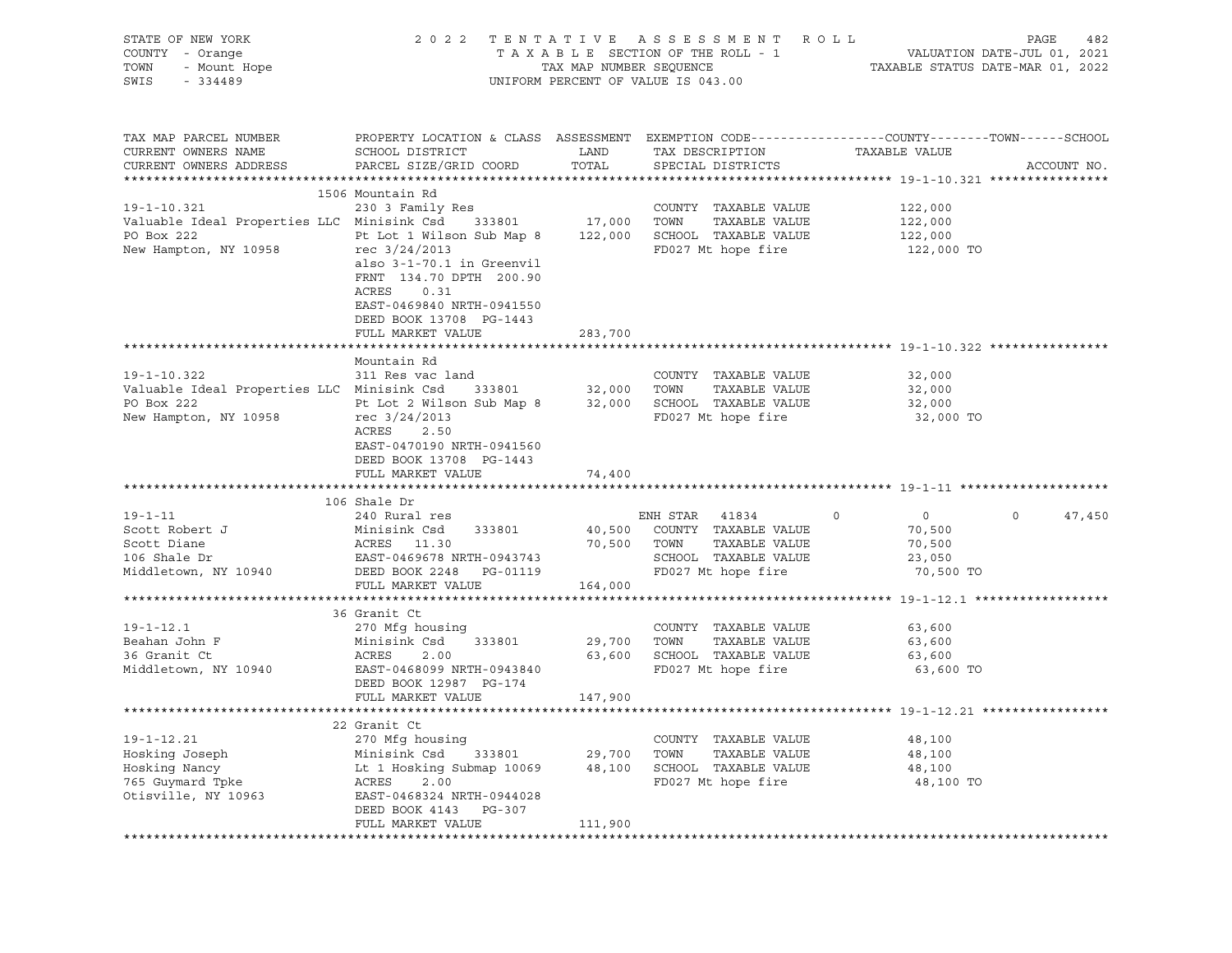| STATE OF NEW YORK<br>COUNTY - Orange<br>7 - Orange<br>- Mount Hope<br>TOWN<br>SWIS<br>$-334489$               |                                                                                                                                                                                                                                    |                          | 2022 TENTATIVE ASSESSMENT ROLL<br>TAXABLE SECTION OF THE ROLL - 1<br>TAXABLE SECTION OF THE ROLL - 1<br>TAXABLE STATUS DATE-MAR 01, 2022<br>UNIFORM PERCENT OF VALUE IS 043.00 |                                             | PAGE<br>482       |
|---------------------------------------------------------------------------------------------------------------|------------------------------------------------------------------------------------------------------------------------------------------------------------------------------------------------------------------------------------|--------------------------|--------------------------------------------------------------------------------------------------------------------------------------------------------------------------------|---------------------------------------------|-------------------|
| TAX MAP PARCEL NUMBER<br>CURRENT OWNERS NAME<br>CURRENT OWNERS ADDRESS                                        | PROPERTY LOCATION & CLASS ASSESSMENT EXEMPTION CODE---------------COUNTY-------TOWN-----SCHOOL<br>SCHOOL DISTRICT<br>PARCEL SIZE/GRID COORD                                                                                        | LAND<br>TOTAL            | TAX DESCRIPTION<br>SPECIAL DISTRICTS                                                                                                                                           | TAXABLE VALUE                               | ACCOUNT NO.       |
|                                                                                                               |                                                                                                                                                                                                                                    |                          |                                                                                                                                                                                |                                             |                   |
| $19 - 1 - 10.321$<br>Valuable Ideal Properties LLC Minisink Csd 333801<br>PO Box 222<br>New Hampton, NY 10958 | 1506 Mountain Rd<br>230 3 Family Res<br>Pt Lot 1 Wilson Sub Map 8<br>rec 3/24/2013<br>also 3-1-70.1 in Greenvil<br>FRNT 134.70 DPTH 200.90<br>ACRES<br>0.31                                                                        |                          | COUNTY TAXABLE VALUE<br>17,000 TOWN TAXABLE VALUE<br>122,000 SCHOOL TAXABLE VALUE<br>FD027 Mt hope fire                                                                        | 122,000<br>122,000<br>122,000<br>122,000 TO |                   |
|                                                                                                               | EAST-0469840 NRTH-0941550<br>DEED BOOK 13708 PG-1443                                                                                                                                                                               |                          |                                                                                                                                                                                |                                             |                   |
|                                                                                                               | FULL MARKET VALUE                                                                                                                                                                                                                  | 283,700                  |                                                                                                                                                                                |                                             |                   |
|                                                                                                               |                                                                                                                                                                                                                                    |                          |                                                                                                                                                                                |                                             |                   |
| $19 - 1 - 10.322$<br>Valuable Ideal Properties LLC Minisink Csd<br>PO Box 222<br>New Hampton, NY 10958        | Mountain Rd<br>311 Res vac land<br>1 Properties LLC Minisink Csd 333801 32,000 TOWN TAXABLE VALUE<br>Pt Lot 2 Wilson Sub Map 8 32,000 SCHOOL TAXABLE VALUE<br>rec 3/24/2013<br>ACRES 2.50<br>EAST-0470190 NRTH-0941560             |                          | COUNTY TAXABLE VALUE<br>FD027 Mt hope fire                                                                                                                                     | 32,000<br>32,000<br>32,000<br>32,000 TO     |                   |
|                                                                                                               | DEED BOOK 13708 PG-1443                                                                                                                                                                                                            |                          |                                                                                                                                                                                |                                             |                   |
|                                                                                                               | FULL MARKET VALUE                                                                                                                                                                                                                  | 74,400                   |                                                                                                                                                                                |                                             |                   |
|                                                                                                               | 106 Shale Dr                                                                                                                                                                                                                       |                          |                                                                                                                                                                                |                                             |                   |
| $19 - 1 - 11$                                                                                                 | 240 Rural res                                                                                                                                                                                                                      |                          | ENH STAR 41834                                                                                                                                                                 | $\overline{0}$<br>$\circ$                   | $\circ$<br>47,450 |
| Scott Robert J<br>scott Diane<br>106 Shale Dr<br>Middletown, NY 10940                                         | Minisink Csd 333801<br>ACRES 11.30<br>EAST-0469678 NRTH-0943743<br>DEED BOOK 2248 PG-01119                                                                                                                                         | 70,500 TOWN              | 40,500 COUNTY TAXABLE VALUE<br>TAXABLE VALUE<br>SCHOOL TAXABLE VALUE<br>FD027 Mt hope fire                                                                                     | 70,500<br>70,500<br>23,050<br>70,500 TO     |                   |
|                                                                                                               | FULL MARKET VALUE                                                                                                                                                                                                                  | 164,000                  |                                                                                                                                                                                |                                             |                   |
|                                                                                                               |                                                                                                                                                                                                                                    |                          |                                                                                                                                                                                |                                             |                   |
| $19 - 1 - 12.1$<br>Beahan John F<br>36 Granit Ct<br>Middletown, NY 10940                                      | 36 Granit Ct<br>270 Mfg housing<br>Minisink Csd<br>ACRES<br>2.00<br>EAST-0468099 NRTH-0943840<br>DEED BOOK 12987 PG-174<br>FULL MARKET VALUE                                                                                       | 333801 29,700<br>147,900 | COUNTY TAXABLE VALUE<br>TAXABLE VALUE<br>TOWN<br>63,600 SCHOOL TAXABLE VALUE<br>FD027 Mt hope fire                                                                             | 63,600<br>63,600<br>63,600<br>63,600 TO     |                   |
|                                                                                                               |                                                                                                                                                                                                                                    |                          |                                                                                                                                                                                |                                             |                   |
|                                                                                                               | 22 Granit Ct                                                                                                                                                                                                                       |                          |                                                                                                                                                                                |                                             |                   |
| $19 - 1 - 12.21$<br>Hosking Joseph<br>Hosking Nancy<br>765 Guymard Tpke<br>Otisville, NY 10963                | 270 Mfg housing<br>Minisink Csd 333801 29,700 TOWN TAXABLE VALUE<br>Lt 1 Hosking Submap 10069 48,100 SCHOOL TAXABLE VALUE<br>ACRES 200<br>ACRES<br>2.00<br>EAST-0468324 NRTH-0944028<br>DEED BOOK 4143 PG-307<br>FULL MARKET VALUE | 111,900                  | FD027 Mt hope fire                                                                                                                                                             | 48,100<br>48,100<br>48,100<br>48,100 TO     |                   |
|                                                                                                               |                                                                                                                                                                                                                                    |                          |                                                                                                                                                                                |                                             |                   |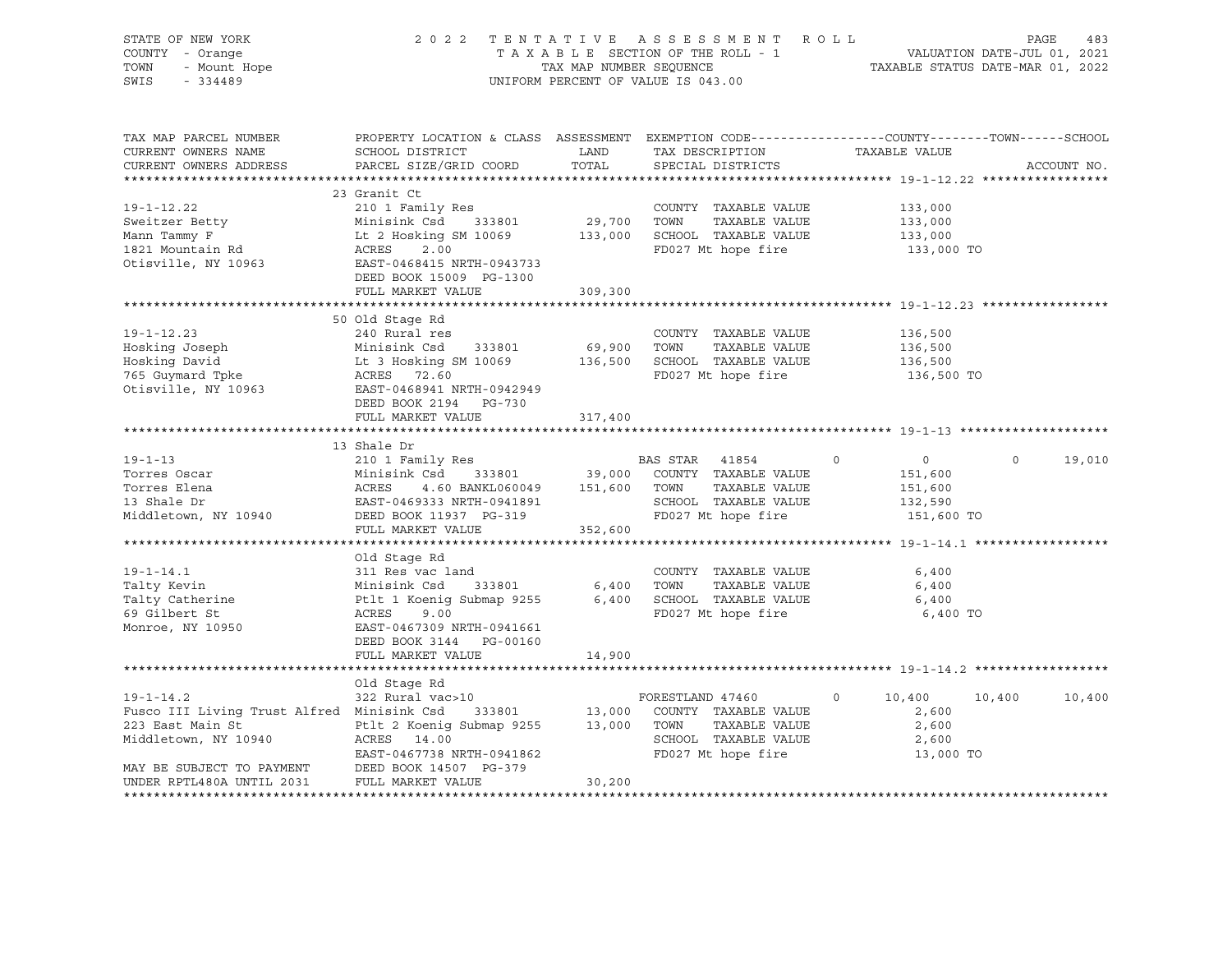| STATE OF NEW IORA<br>COUNTY - Orange<br>TOWN - Mount Hope                                                                                                                                                                                        | 2022 TENTATIVE ASSESSMENT ROLL PAGE 483<br>TAXABLE SECTION OF THE ROLL - 1 VALUATION DATE-JUL 01, 2021<br>TAX MAP NUMBER SEQUENCE TAXABLE STATUS DATE-MAR 01, 2022<br>UNIFORM PERCENT OF VALUE IS 043.00 |         |                                         |            |                |             |
|--------------------------------------------------------------------------------------------------------------------------------------------------------------------------------------------------------------------------------------------------|----------------------------------------------------------------------------------------------------------------------------------------------------------------------------------------------------------|---------|-----------------------------------------|------------|----------------|-------------|
|                                                                                                                                                                                                                                                  |                                                                                                                                                                                                          |         |                                         |            |                |             |
| TAX MAP PARCEL NUMBER<br>CURRENT OWNERS NAME                                                                                                                                                                                                     | PROPERTY LOCATION & CLASS ASSESSMENT EXEMPTION CODE---------------COUNTY-------TOWN-----SCHOOL                                                                                                           |         |                                         |            |                |             |
| CURRENT OWNERS ADDRESS                                                                                                                                                                                                                           | PARCEL SIZE/GRID COORD TOTAL SPECIAL DISTRICTS                                                                                                                                                           |         |                                         |            |                | ACCOUNT NO. |
|                                                                                                                                                                                                                                                  |                                                                                                                                                                                                          |         |                                         |            |                |             |
| 19-1-12.22 210 1 Family Res<br>Sweitzer Betty Minisink Csd 333801 29,700 TOWN TAXABLE VALUE 133,000<br>Mann Tammy F Lt 2 Hosking SM 10069 133,000 SCHOOL TAXABLE VALUE 133,000<br>1821 Mountain Rd ACRES 2.00 FD027 Mt hope fire 133             |                                                                                                                                                                                                          |         |                                         |            |                |             |
|                                                                                                                                                                                                                                                  |                                                                                                                                                                                                          |         |                                         |            |                |             |
|                                                                                                                                                                                                                                                  |                                                                                                                                                                                                          |         |                                         |            |                |             |
|                                                                                                                                                                                                                                                  |                                                                                                                                                                                                          |         |                                         |            |                |             |
|                                                                                                                                                                                                                                                  |                                                                                                                                                                                                          |         |                                         |            |                |             |
|                                                                                                                                                                                                                                                  |                                                                                                                                                                                                          |         |                                         |            |                |             |
|                                                                                                                                                                                                                                                  | DEED BOOK 15009 PG-1300                                                                                                                                                                                  |         |                                         |            |                |             |
|                                                                                                                                                                                                                                                  | FULL MARKET VALUE 309,300                                                                                                                                                                                |         |                                         |            |                |             |
|                                                                                                                                                                                                                                                  |                                                                                                                                                                                                          |         |                                         |            |                |             |
|                                                                                                                                                                                                                                                  | 50 Old Stage Rd                                                                                                                                                                                          |         |                                         |            |                |             |
|                                                                                                                                                                                                                                                  |                                                                                                                                                                                                          |         |                                         |            |                |             |
|                                                                                                                                                                                                                                                  |                                                                                                                                                                                                          |         |                                         |            |                |             |
|                                                                                                                                                                                                                                                  |                                                                                                                                                                                                          |         |                                         |            |                |             |
|                                                                                                                                                                                                                                                  |                                                                                                                                                                                                          |         |                                         |            |                |             |
| 19-1-12.23<br>Hosking Joseph 240 Rural res<br>Hosking David It 3 Hosking SM 10069 136,500<br>TOWN TAXABLE VALUE 136,500<br>Hosking David Lt 3 Hosking SM 10069 136,500<br>765 Guymard Tpke ACRES 72.60<br>Otisville, NY 10963 EAST-0468941       |                                                                                                                                                                                                          |         |                                         |            |                |             |
|                                                                                                                                                                                                                                                  | FULL MARKET VALUE                                                                                                                                                                                        | 317,400 |                                         |            |                |             |
|                                                                                                                                                                                                                                                  |                                                                                                                                                                                                          |         |                                         |            |                |             |
|                                                                                                                                                                                                                                                  | 13 Shale Dr                                                                                                                                                                                              |         |                                         |            |                |             |
|                                                                                                                                                                                                                                                  |                                                                                                                                                                                                          |         |                                         |            | $\overline{O}$ | 19,010      |
|                                                                                                                                                                                                                                                  |                                                                                                                                                                                                          |         |                                         |            |                |             |
|                                                                                                                                                                                                                                                  |                                                                                                                                                                                                          |         |                                         |            |                |             |
| 19-1-13<br>Torres Oscar<br>Torres Elena<br>Torres Elena<br>210 1 Family Res<br>Minisink Csd 333801<br>ACRES 4.60 BANKL060049 151,600 TOWN TAXABLE VALUE<br>13 Shale Dr<br>EAST-0469333 NRTH-0941891<br>Middletown, NY 10940 DEED BOOK 11937 PG-3 |                                                                                                                                                                                                          |         |                                         |            |                |             |
|                                                                                                                                                                                                                                                  |                                                                                                                                                                                                          |         |                                         | 151,600 TO |                |             |
|                                                                                                                                                                                                                                                  |                                                                                                                                                                                                          |         |                                         |            |                |             |
|                                                                                                                                                                                                                                                  |                                                                                                                                                                                                          |         |                                         |            |                |             |
|                                                                                                                                                                                                                                                  |                                                                                                                                                                                                          |         |                                         |            |                |             |
|                                                                                                                                                                                                                                                  |                                                                                                                                                                                                          |         |                                         |            |                |             |
|                                                                                                                                                                                                                                                  |                                                                                                                                                                                                          |         |                                         |            |                |             |
| 19-1-14.1 311 Res vac land<br>Talty Kevin Minisink Csd 333801 6,400 TOWNTY TAXABLE VALUE 6,400<br>Talty Catherine Ptlt 1 Koenig Submap 9255 6,400 SCHOOL TAXABLE VALUE 6,400<br>6,400 SCHOOL TAXABLE VALUE 6,400<br>6,400 SCHOOL TAXA            |                                                                                                                                                                                                          |         |                                         |            |                |             |
|                                                                                                                                                                                                                                                  |                                                                                                                                                                                                          |         |                                         | 6,400 TO   |                |             |
|                                                                                                                                                                                                                                                  |                                                                                                                                                                                                          |         |                                         |            |                |             |
|                                                                                                                                                                                                                                                  |                                                                                                                                                                                                          |         |                                         |            |                |             |
|                                                                                                                                                                                                                                                  | FULL MARKET VALUE                                                                                                                                                                                        | 14,900  |                                         |            |                |             |
|                                                                                                                                                                                                                                                  |                                                                                                                                                                                                          |         |                                         |            |                |             |
| $19 - 1 - 14.2$                                                                                                                                                                                                                                  | Old Stage Rd<br>322 Rural vac>10                                                                                                                                                                         |         | FORESTLAND 47460 0 10,400 10,400 10,400 |            |                |             |
|                                                                                                                                                                                                                                                  |                                                                                                                                                                                                          |         |                                         |            |                |             |
| Fusco III Living Trust Alfred Minisink Csd 333801 13,000 COUNTY TAXABLE VALUE 2.600<br>223 East Main St Ptlt 2 Koenig Submap 9255 13,000 TOWN TAXABLE VALUE 2.600<br>233 East Main St Ptlt 2 Koenig Submap 9255 13,000 TOWN TAXABL               |                                                                                                                                                                                                          |         |                                         |            |                |             |
|                                                                                                                                                                                                                                                  |                                                                                                                                                                                                          |         |                                         |            |                |             |
|                                                                                                                                                                                                                                                  |                                                                                                                                                                                                          |         |                                         |            |                |             |
| MAY BE SUBJECT TO PAYMENT DEED BOOK 14507 PG-379                                                                                                                                                                                                 |                                                                                                                                                                                                          |         |                                         |            |                |             |
| UNDER RPTL480A UNTIL 2031                                                                                                                                                                                                                        | FULL MARKET VALUE                                                                                                                                                                                        | 30,200  |                                         |            |                |             |
|                                                                                                                                                                                                                                                  |                                                                                                                                                                                                          |         |                                         |            |                |             |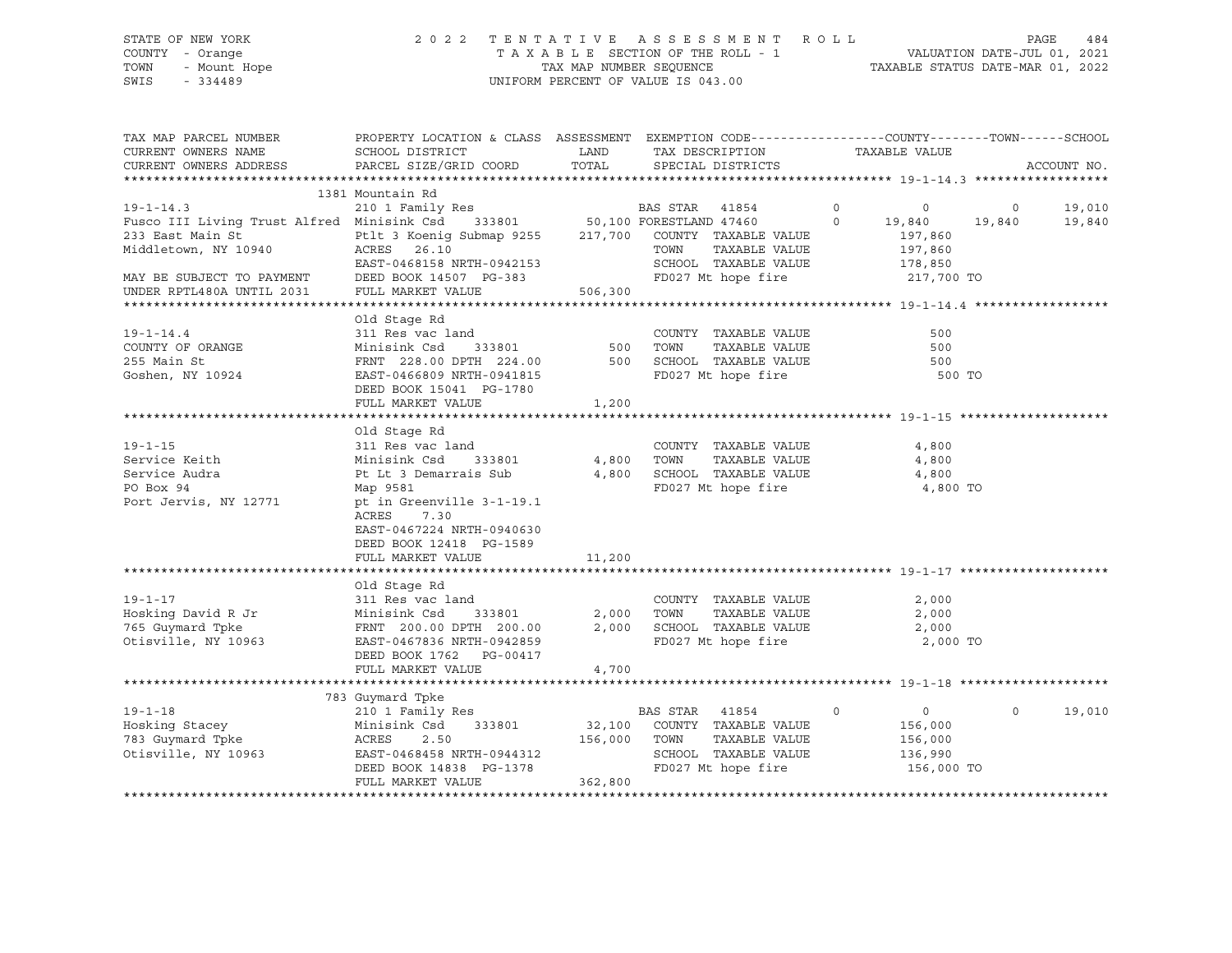# STATE OF NEW YORK 2 0 2 2 T E N T A T I V E A S S E S S M E N T R O L L PAGE 484 COUNTY - Orange T A X A B L E SECTION OF THE ROLL - 1 VALUATION DATE-JUL 01, 2021 TOWN - Mount Hope TAX MAP NUMBER SEQUENCE TAXABLE STATUS DATE-MAR 01, 2022 SWIS - 334489 UNIFORM PERCENT OF VALUE IS 043.00

| TAX MAP PARCEL NUMBER<br>CURRENT OWNERS NAME<br>CURRENT OWNERS ADDRESS | PROPERTY LOCATION & CLASS ASSESSMENT EXEMPTION CODE----------------COUNTY-------TOWN------SCHOOL<br>SCHOOL DISTRICT<br>PARCEL SIZE/GRID COORD              | <b>EXAMPLE THE STATE OF STATE OF STATE</b><br>TOTAL | TAX DESCRIPTION<br>SPECIAL DISTRICTS                   | TAXABLE VALUE      | ACCOUNT NO.        |
|------------------------------------------------------------------------|------------------------------------------------------------------------------------------------------------------------------------------------------------|-----------------------------------------------------|--------------------------------------------------------|--------------------|--------------------|
|                                                                        |                                                                                                                                                            |                                                     |                                                        |                    |                    |
|                                                                        | 1381 Mountain Rd                                                                                                                                           |                                                     |                                                        |                    |                    |
| $19 - 1 - 14.3$                                                        | 210 1 Family Res<br>210 1 Family Res<br>210 1 Family Res<br>210 1 Family Res<br>210 19,840<br>233801<br>20,000 FORESTLAND 47460<br>20,000 19,840<br>21,840 |                                                     |                                                        |                    | 19,010             |
| Fusco III Living Trust Alfred Minisink Csd                             |                                                                                                                                                            |                                                     |                                                        |                    | 19,840             |
| 233 East Main St                                                       |                                                                                                                                                            |                                                     |                                                        |                    |                    |
| Middletown, NY 10940                                                   | Ptlt 3 Koenig Submap 9255 217,700 COUNTY TAXABLE VALUE<br>ACRES 26.10 TOWN TAXABLE VALUE                                                                   |                                                     |                                                        | 197,860<br>197,860 |                    |
|                                                                        |                                                                                                                                                            |                                                     |                                                        |                    |                    |
|                                                                        | EAST-0468158 NRTH-0942153 SCHOOL TAXABLE VALUE<br>DEED BOOK 14507 PG-383 FD027 Mt hope fire                                                                |                                                     | SCHOOL TAXABLE VALUE                                   | 178,850            |                    |
| MAY BE SUBJECT TO PAYMENT                                              |                                                                                                                                                            |                                                     |                                                        | 217,700 TO         |                    |
| UNDER RPTL480A UNTIL 2031                                              | FULL MARKET VALUE                                                                                                                                          | 506, 300                                            |                                                        |                    |                    |
|                                                                        |                                                                                                                                                            |                                                     |                                                        |                    |                    |
|                                                                        | Old Stage Rd                                                                                                                                               |                                                     |                                                        |                    |                    |
| $19 - 1 - 14.4$                                                        | 311 Res vac land                                                                                                                                           |                                                     | COUNTY TAXABLE VALUE                                   | 500                |                    |
| COUNTY OF ORANGE                                                       | Minisink Csd                                                                                                                                               | - 333801 500                                        | TAXABLE VALUE<br>TOWN                                  | 500                |                    |
| 255 Main St                                                            |                                                                                                                                                            |                                                     |                                                        | 500                |                    |
| Goshen, NY 10924                                                       | FRNT 228.00 DPTH 224.00 500 SCHOOL TAXABLE VALUE<br>EAST-0466809 NRTH-0941815 FD027 Mt hope fire                                                           |                                                     |                                                        | 500 TO             |                    |
|                                                                        | DEED BOOK 15041 PG-1780                                                                                                                                    |                                                     |                                                        |                    |                    |
|                                                                        | FULL MARKET VALUE                                                                                                                                          | 1,200                                               |                                                        |                    |                    |
|                                                                        |                                                                                                                                                            |                                                     |                                                        |                    |                    |
|                                                                        |                                                                                                                                                            |                                                     |                                                        |                    |                    |
|                                                                        | Old Stage Rd                                                                                                                                               |                                                     |                                                        |                    |                    |
| $19 - 1 - 15$                                                          | 311 Res vac land                                                                                                                                           |                                                     | COUNTY TAXABLE VALUE                                   | 4,800              |                    |
| Service Keith                                                          | Minisink Csd 333801 4,800                                                                                                                                  |                                                     | TAXABLE VALUE<br>TOWN                                  | 4,800              |                    |
| Service Audra                                                          | Pt Lt 3 Demarrais Sub 4,800                                                                                                                                |                                                     | SCHOOL TAXABLE VALUE                                   | 4,800              |                    |
| PO Box 94                                                              | Map 9581                                                                                                                                                   |                                                     | FD027 Mt hope fire                                     | 4,800 TO           |                    |
| Port Jervis, NY 12771                                                  | pt in Greenville 3-1-19.1                                                                                                                                  |                                                     |                                                        |                    |                    |
|                                                                        | ACRES<br>7.30                                                                                                                                              |                                                     |                                                        |                    |                    |
|                                                                        | EAST-0467224 NRTH-0940630                                                                                                                                  |                                                     |                                                        |                    |                    |
|                                                                        | DEED BOOK 12418 PG-1589                                                                                                                                    |                                                     |                                                        |                    |                    |
|                                                                        | FULL MARKET VALUE                                                                                                                                          | 11,200                                              |                                                        |                    |                    |
|                                                                        |                                                                                                                                                            |                                                     |                                                        |                    |                    |
|                                                                        |                                                                                                                                                            |                                                     |                                                        |                    |                    |
|                                                                        | Old Stage Rd                                                                                                                                               |                                                     |                                                        |                    |                    |
| $19 - 1 - 17$                                                          | 311 Res vac land                                                                                                                                           |                                                     | COUNTY TAXABLE VALUE                                   | 2,000              |                    |
| Hosking David R Jr                                                     | Minisink Csd 333801<br>FRNT 200.00 DPTH 200.00                                                                                                             |                                                     | 2,000 TOWN TAXABLE VALUE<br>2,000 SCHOOL TAXABLE VALUE | 2,000              |                    |
| 765 Guymard Tpke                                                       |                                                                                                                                                            |                                                     |                                                        | 2,000              |                    |
| Otisville, NY 10963                                                    | EAST-0467836 NRTH-0942859                                                                                                                                  |                                                     | FD027 Mt hope fire 2,000 TO                            |                    |                    |
|                                                                        | DEED BOOK 1762 PG-00417                                                                                                                                    |                                                     |                                                        |                    |                    |
|                                                                        | FULL MARKET VALUE                                                                                                                                          | 4,700                                               |                                                        |                    |                    |
|                                                                        |                                                                                                                                                            |                                                     |                                                        |                    |                    |
|                                                                        | 783 Guymard Tpke                                                                                                                                           |                                                     |                                                        |                    |                    |
| $19 - 1 - 18$                                                          | Guymard Tpke<br>210 1 Family Res                                                                                                                           |                                                     | BAS STAR 41854<br>$\overline{0}$                       | $\overline{0}$     | $\Omega$<br>19,010 |
| Hosking Stacey                                                         | Minisink Csd                                                                                                                                               |                                                     | 333801 32,100 COUNTY TAXABLE VALUE                     | 156,000            |                    |
| 783 Guymard Tpke                                                       | ACRES<br>2.50                                                                                                                                              |                                                     | TAXABLE VALUE                                          | 156,000            |                    |
| 1963                                                                   | 156,000 TOWN                                                                                                                                               |                                                     | SCHOOL TAXABLE VALUE                                   | 136,990            |                    |
| Otisville, NY 10963                                                    | ACKED 2.50<br>EAST-0468458 NRTH-0944312<br>2000 DOOF 14838 PG-1378                                                                                         |                                                     |                                                        |                    |                    |
|                                                                        |                                                                                                                                                            | 78<br>362,800                                       | FD027 Mt hope fire                                     | 156,000 TO         |                    |
|                                                                        | FULL MARKET VALUE                                                                                                                                          |                                                     |                                                        |                    |                    |
|                                                                        |                                                                                                                                                            |                                                     |                                                        |                    |                    |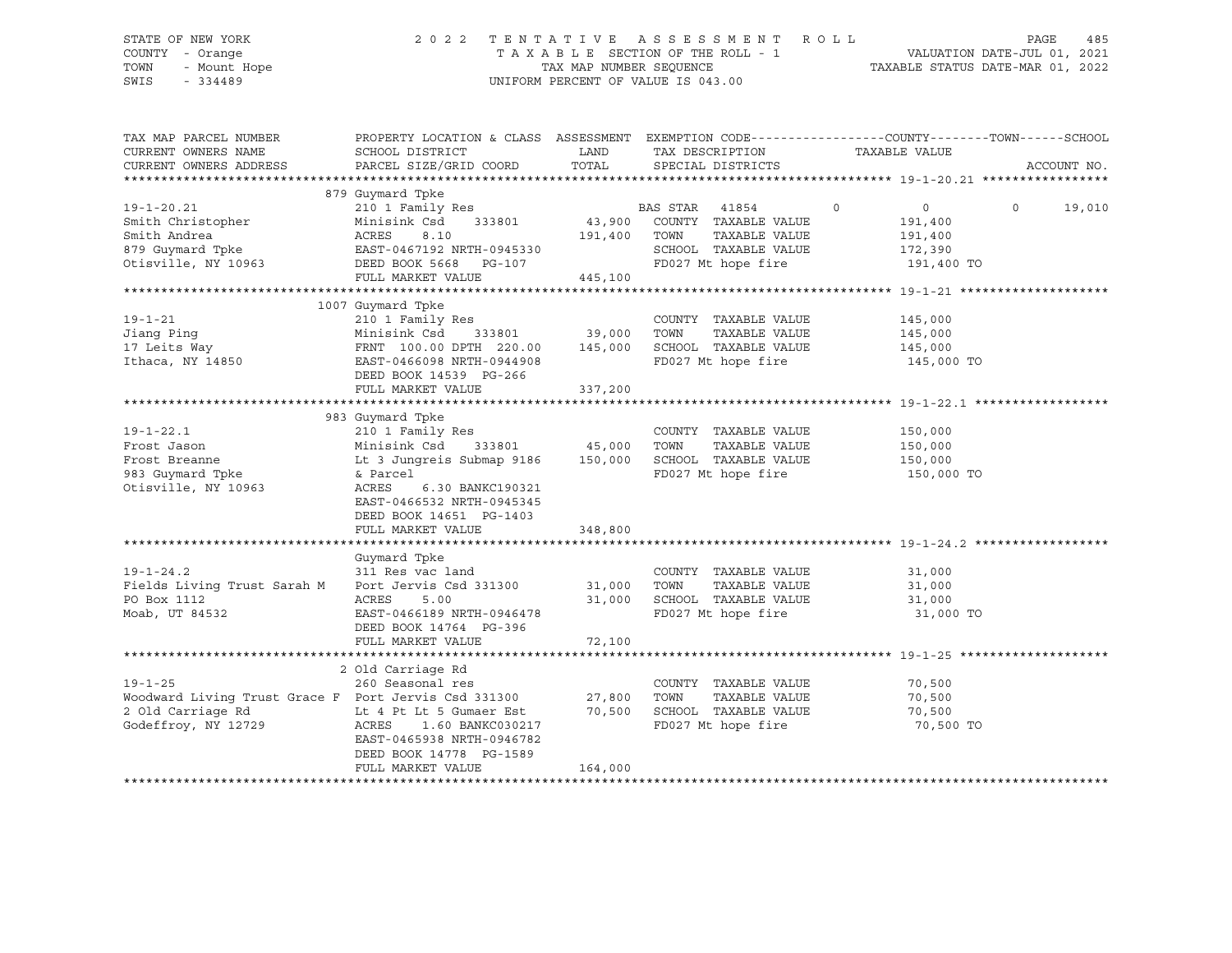# STATE OF NEW YORK 2 0 2 2 T E N T A T I V E A S S E S S M E N T R O L L PAGE 485 COUNTY - Orange T A X A B L E SECTION OF THE ROLL - 1 VALUATION DATE-JUL 01, 2021 TOWN - Mount Hope TAX MAP NUMBER SEQUENCE TAXABLE STATUS DATE-MAR 01, 2022 SWIS - 334489 UNIFORM PERCENT OF VALUE IS 043.00

| TAX MAP PARCEL NUMBER                                | PROPERTY LOCATION & CLASS ASSESSMENT  |         |                       | EXEMPTION CODE-----------------COUNTY-------TOWN------SCHOOL |             |
|------------------------------------------------------|---------------------------------------|---------|-----------------------|--------------------------------------------------------------|-------------|
| CURRENT OWNERS NAME                                  | SCHOOL DISTRICT                       | LAND    | TAX DESCRIPTION       | TAXABLE VALUE                                                |             |
| CURRENT OWNERS ADDRESS                               | PARCEL SIZE/GRID COORD                | TOTAL   | SPECIAL DISTRICTS     |                                                              | ACCOUNT NO. |
|                                                      |                                       |         |                       |                                                              |             |
|                                                      | 879 Guymard Tpke                      |         |                       |                                                              | $\Omega$    |
| $19 - 1 - 20.21$                                     | 210 1 Family Res                      |         | BAS STAR<br>41854     | $\circ$<br>$\overline{0}$                                    | 19,010      |
| Smith Christopher                                    | Minisink Csd<br>333801                | 43,900  | COUNTY TAXABLE VALUE  | 191,400                                                      |             |
| Smith Andrea                                         | ACRES<br>8.10                         | 191,400 | TOWN<br>TAXABLE VALUE | 191,400                                                      |             |
| 879 Guymard Tpke                                     | EAST-0467192 NRTH-0945330             |         | SCHOOL TAXABLE VALUE  | 172,390                                                      |             |
| Otisville, NY 10963                                  | DEED BOOK 5668 PG-107                 |         | FD027 Mt hope fire    | 191,400 TO                                                   |             |
|                                                      | FULL MARKET VALUE                     | 445,100 |                       |                                                              |             |
|                                                      |                                       |         |                       |                                                              |             |
|                                                      | 1007 Guymard Tpke                     |         |                       |                                                              |             |
| $19 - 1 - 21$                                        | 210 1 Family Res                      |         | COUNTY TAXABLE VALUE  | 145,000                                                      |             |
| Jiang Ping                                           | Minisink Csd<br>333801                | 39,000  | TAXABLE VALUE<br>TOWN | 145,000                                                      |             |
| 17 Leits Way                                         | FRNT 100.00 DPTH 220.00               | 145,000 | SCHOOL TAXABLE VALUE  | 145,000                                                      |             |
| Ithaca, NY 14850                                     | EAST-0466098 NRTH-0944908             |         | FD027 Mt hope fire    | 145,000 TO                                                   |             |
|                                                      | DEED BOOK 14539 PG-266                |         |                       |                                                              |             |
|                                                      | FULL MARKET VALUE                     | 337,200 |                       |                                                              |             |
|                                                      |                                       |         |                       |                                                              |             |
|                                                      | 983 Guymard Tpke                      |         |                       |                                                              |             |
| $19 - 1 - 22.1$                                      | 210 1 Family Res                      |         | COUNTY TAXABLE VALUE  | 150,000                                                      |             |
| Frost Jason                                          | Minisink Csd<br>333801                | 45,000  | TOWN<br>TAXABLE VALUE | 150,000                                                      |             |
| Frost Breanne                                        | Lt 3 Jungreis Submap 9186             | 150,000 | SCHOOL TAXABLE VALUE  | 150,000                                                      |             |
| 983 Guymard Tpke                                     | & Parcel                              |         | FD027 Mt hope fire    | 150,000 TO                                                   |             |
| Otisville, NY 10963                                  | ACRES<br>6.30 BANKC190321             |         |                       |                                                              |             |
|                                                      | EAST-0466532 NRTH-0945345             |         |                       |                                                              |             |
|                                                      | DEED BOOK 14651 PG-1403               |         |                       |                                                              |             |
|                                                      | FULL MARKET VALUE                     | 348,800 |                       |                                                              |             |
|                                                      |                                       |         |                       |                                                              |             |
|                                                      | Guymard Tpke                          |         |                       |                                                              |             |
| $19 - 1 - 24.2$                                      | 311 Res vac land                      |         | COUNTY TAXABLE VALUE  | 31,000                                                       |             |
| Fields Living Trust Sarah M                          | Port Jervis Csd 331300                | 31,000  | TOWN<br>TAXABLE VALUE | 31,000                                                       |             |
| PO Box 1112                                          | ACRES<br>5.00                         | 31,000  | SCHOOL TAXABLE VALUE  | 31,000                                                       |             |
| Moab, UT 84532                                       | EAST-0466189 NRTH-0946478             |         | FD027 Mt hope fire    | 31,000 TO                                                    |             |
|                                                      | DEED BOOK 14764 PG-396                |         |                       |                                                              |             |
|                                                      | FULL MARKET VALUE                     | 72,100  |                       |                                                              |             |
|                                                      |                                       |         |                       |                                                              |             |
|                                                      |                                       |         |                       |                                                              |             |
| $19 - 1 - 25$                                        | 2 Old Carriage Rd<br>260 Seasonal res |         |                       |                                                              |             |
|                                                      |                                       |         | COUNTY TAXABLE VALUE  | 70,500                                                       |             |
| Woodward Living Trust Grace F Port Jervis Csd 331300 |                                       | 27,800  | TOWN<br>TAXABLE VALUE | 70,500                                                       |             |
| 2 Old Carriage Rd                                    | Lt 4 Pt Lt 5 Gumaer Est               | 70,500  | SCHOOL TAXABLE VALUE  | 70,500                                                       |             |
| Godeffroy, NY 12729                                  | ACRES<br>1.60 BANKC030217             |         | FD027 Mt hope fire    | 70,500 TO                                                    |             |
|                                                      | EAST-0465938 NRTH-0946782             |         |                       |                                                              |             |
|                                                      | DEED BOOK 14778 PG-1589               |         |                       |                                                              |             |
|                                                      | FULL MARKET VALUE                     | 164,000 |                       |                                                              |             |
|                                                      |                                       |         |                       |                                                              |             |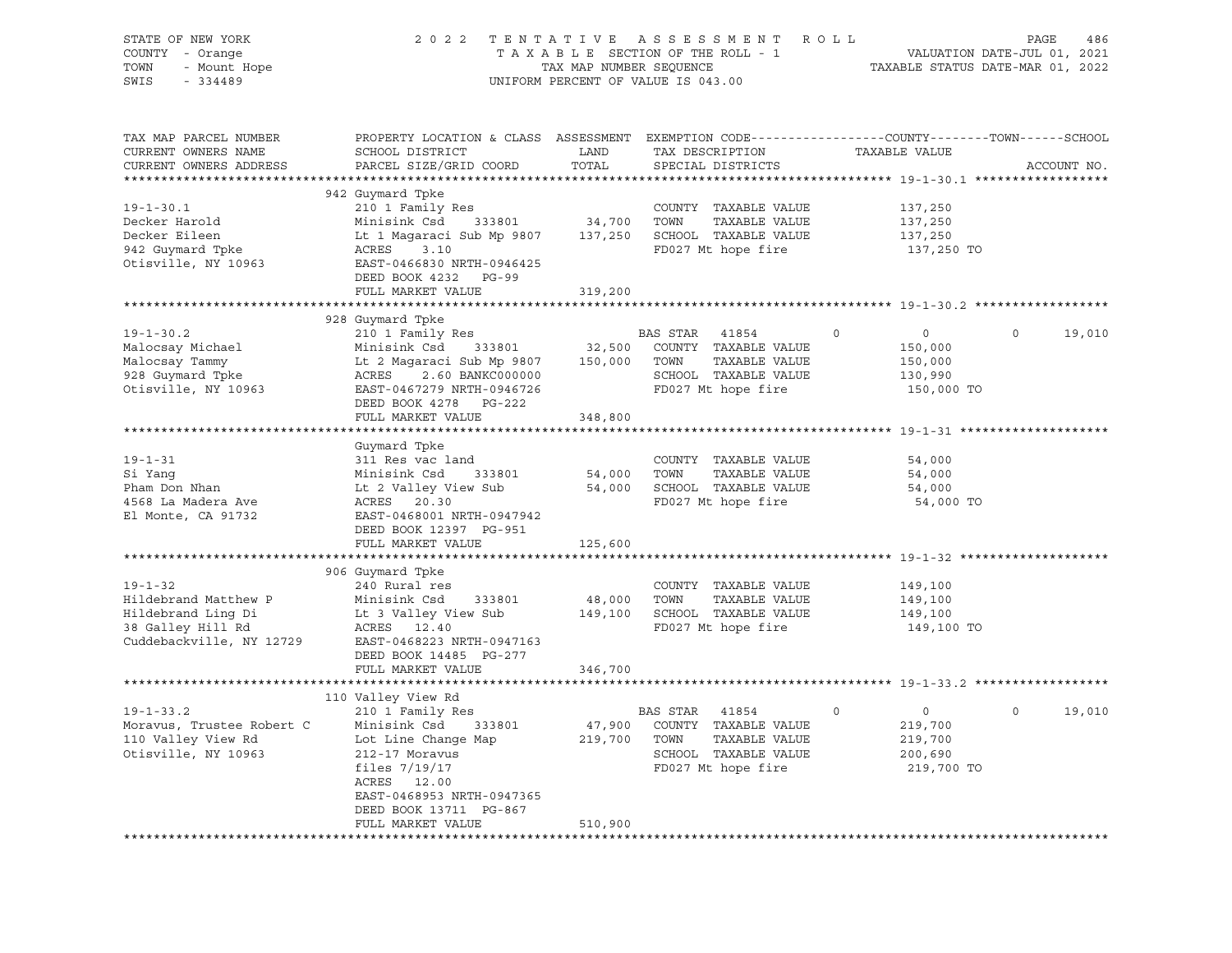| STATE OF NEW YORK<br>COUNTY - Orange<br>TOWN<br>- Mount Hope<br>SWIS<br>$-334489$                            |                                                                                                                                                                                                                          | TAX MAP NUMBER SEQUENCE | 2022 TENTATIVE ASSESSMENT ROLL<br>TAXABLE SECTION OF THE ROLL - 1<br>UNIFORM PERCENT OF VALUE IS 043.00              |                                                                              | PAGE<br>486<br>VALUATION DATE-JUL 01, 2021<br>TAXABLE STATUS DATE-MAR 01, 2022 |
|--------------------------------------------------------------------------------------------------------------|--------------------------------------------------------------------------------------------------------------------------------------------------------------------------------------------------------------------------|-------------------------|----------------------------------------------------------------------------------------------------------------------|------------------------------------------------------------------------------|--------------------------------------------------------------------------------|
| TAX MAP PARCEL NUMBER<br>CURRENT OWNERS NAME<br>CURRENT OWNERS ADDRESS                                       | PROPERTY LOCATION & CLASS ASSESSMENT EXEMPTION CODE----------------COUNTY-------TOWN-----SCHOOL<br>SCHOOL DISTRICT<br>PARCEL SIZE/GRID COORD                                                                             | LAND<br>TOTAL           | TAX DESCRIPTION<br>SPECIAL DISTRICTS                                                                                 | TAXABLE VALUE                                                                | ACCOUNT NO.                                                                    |
|                                                                                                              | 942 Guymard Tpke                                                                                                                                                                                                         |                         |                                                                                                                      |                                                                              |                                                                                |
| $19 - 1 - 30.1$<br>Decker Harold<br>Decker Eileen<br>942 Guymard Tpke<br>Otisville, NY 10963                 | 210 1 Family Res<br>333801<br>Minisink Csd<br>Lt 1 Magaraci Sub Mp 9807 137,250 SCHOOL TAXABLE VALUE<br>ACRES<br>3.10<br>EAST-0466830 NRTH-0946425<br>DEED BOOK 4232 PG-99                                               | 34,700 TOWN             | COUNTY TAXABLE VALUE<br>TAXABLE VALUE<br>FD027 Mt hope fire                                                          | 137,250<br>137,250<br>137,250<br>137,250 TO                                  |                                                                                |
|                                                                                                              | FULL MARKET VALUE                                                                                                                                                                                                        | 319,200                 |                                                                                                                      |                                                                              |                                                                                |
|                                                                                                              |                                                                                                                                                                                                                          |                         |                                                                                                                      |                                                                              |                                                                                |
| $19 - 1 - 30.2$<br>Malocsay Michael<br>Malocsay Tammy<br>928 Guymard Tpke<br>Otisville, NY 10963             | 928 Guymard Tpke<br>210 1 Family Res<br>Minisink Csd 333801<br>Lt 2 Magaraci Sub Mp 9807 150,000 TOWN TAXABLE VALUE<br>ACRES 2.60 BANKC000000<br>EAST-0467279 NRTH-0946726<br>DEED BOOK 4278 PG-222<br>FULL MARKET VALUE | 32,500<br>348,800       | BAS STAR 41854<br>COUNTY TAXABLE VALUE<br>SCHOOL TAXABLE VALUE<br>FD027 Mt hope fire                                 | $\circ$<br>$\Omega$<br>150,000<br>150,000<br>130,990<br>150,000 TO           | $\Omega$<br>19,010                                                             |
|                                                                                                              |                                                                                                                                                                                                                          |                         |                                                                                                                      |                                                                              |                                                                                |
| $19 - 1 - 31$<br>Si Yanq<br>Pham Don Nhan<br>4568 La Madera Ave<br>El Monte, CA 91732                        | Guymard Tpke<br>311 Res vac land<br>Minisink Csd 333801<br>Lt 2 Valley View Sub<br>ACRES 20.30<br>EAST-0468001 NRTH-0947942<br>DEED BOOK 12397 PG-951<br>FULL MARKET VALUE                                               | 125,600                 | COUNTY TAXABLE VALUE<br>54,000 TOWN<br>TAXABLE VALUE<br>54,000 SCHOOL TAXABLE VALUE<br>FD027 Mt hope fire            | 54,000<br>54,000<br>54,000<br>54,000 TO                                      |                                                                                |
|                                                                                                              | 906 Guymard Tpke                                                                                                                                                                                                         |                         |                                                                                                                      |                                                                              |                                                                                |
| $19 - 1 - 32$<br>Hildebrand Matthew P<br>Hildebrand Ling Di<br>38 Galley Hill Rd<br>Cuddebackville, NY 12729 | 240 Rural res<br>Minisink Csd 333801<br>Lt 3 Valley View Sub<br>ACRES 12.40<br>EAST-0468223 NRTH-0947163<br>DEED BOOK 14485 PG-277                                                                                       | 48,000                  | COUNTY TAXABLE VALUE<br>TOWN<br>TAXABLE VALUE<br>149,100 SCHOOL TAXABLE VALUE<br>FD027 Mt hope fire                  | 149,100<br>149,100<br>149,100<br>149,100 TO                                  |                                                                                |
|                                                                                                              | FULL MARKET VALUE                                                                                                                                                                                                        | 346,700                 |                                                                                                                      |                                                                              |                                                                                |
| ******************                                                                                           |                                                                                                                                                                                                                          |                         |                                                                                                                      |                                                                              |                                                                                |
| $19 - 1 - 33.2$<br>Moravus, Trustee Robert C<br>110 Valley View Rd<br>Otisville, NY 10963                    | 110 Valley View Rd<br>210 1 Family Res<br>Minisink Csd<br>333801<br>Lot Line Change Map<br>212-17 Moravus<br>files $7/19/17$<br>ACRES 12.00<br>EAST-0468953 NRTH-0947365<br>DEED BOOK 13711 PG-867<br>FULL MARKET VALUE  | 219,700<br>510,900      | BAS STAR 41854<br>47,900 COUNTY TAXABLE VALUE<br>TAXABLE VALUE<br>TOWN<br>SCHOOL TAXABLE VALUE<br>FD027 Mt hope fire | $\mathbf 0$<br>$\overline{0}$<br>219,700<br>219,700<br>200,690<br>219,700 TO | 19,010<br>$\circ$                                                              |
|                                                                                                              |                                                                                                                                                                                                                          |                         |                                                                                                                      |                                                                              |                                                                                |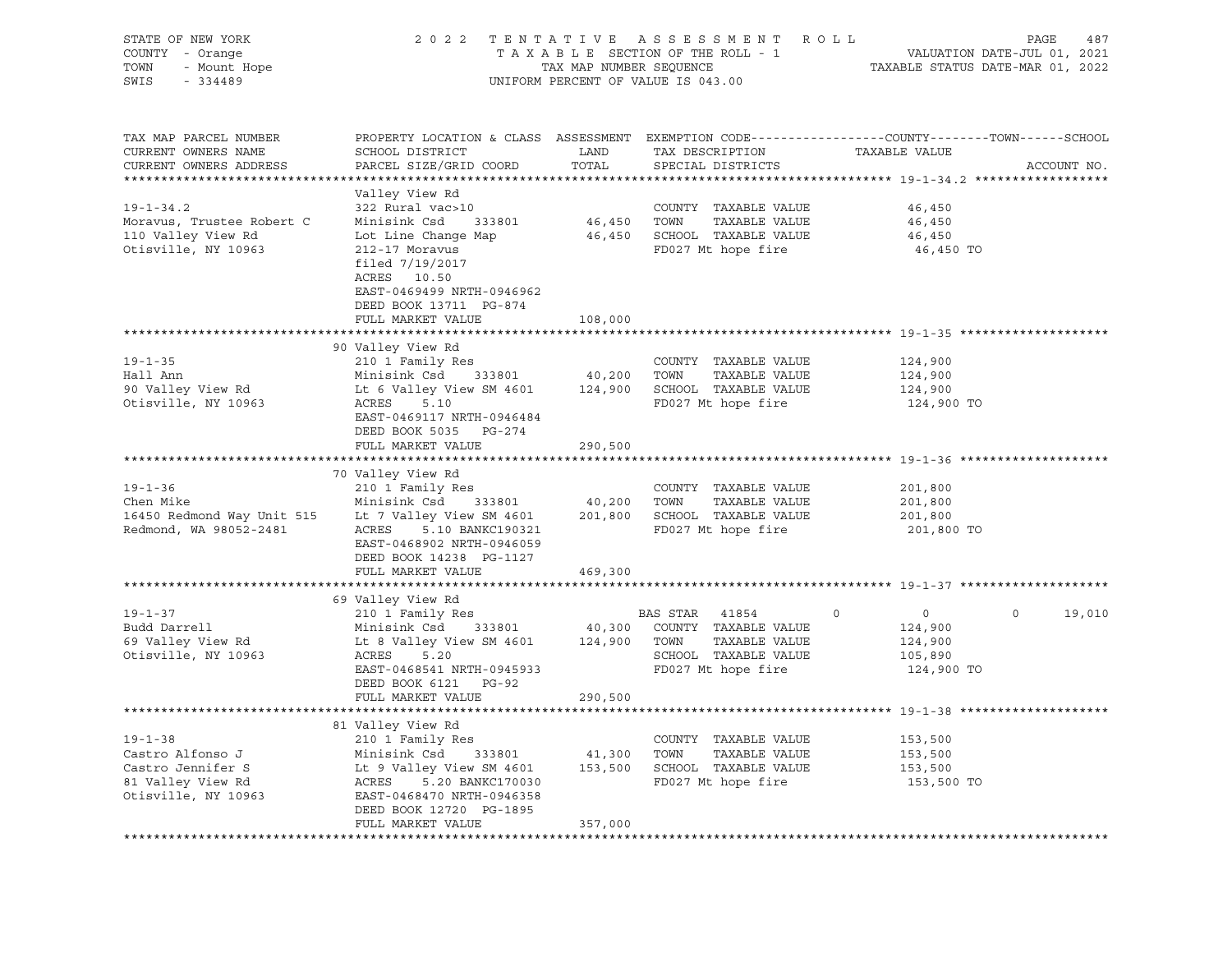| STATE OF NEW YORK<br>COUNTY - Orange<br>TOWN<br>- Mount Hope<br>SWIS<br>$-334489$                  | 2 0 2 2                                                                                                                                                                                                                              | TENTATIVE<br>TAX MAP NUMBER SEQUENCE | ASSESSMENT ROLL<br>TAXABLE SECTION OF THE ROLL - 1<br>UNIFORM PERCENT OF VALUE IS 043.00                     |                                                                          | 487<br>PAGE<br>VALUATION DATE-JUL 01, 2021<br>TAXABLE STATUS DATE-MAR 01, 2022 |  |  |  |
|----------------------------------------------------------------------------------------------------|--------------------------------------------------------------------------------------------------------------------------------------------------------------------------------------------------------------------------------------|--------------------------------------|--------------------------------------------------------------------------------------------------------------|--------------------------------------------------------------------------|--------------------------------------------------------------------------------|--|--|--|
| TAX MAP PARCEL NUMBER<br>CURRENT OWNERS NAME<br>CURRENT OWNERS ADDRESS<br>***********************  | PROPERTY LOCATION & CLASS ASSESSMENT EXEMPTION CODE---------------COUNTY-------TOWN-----SCHOOL<br>SCHOOL DISTRICT<br>PARCEL SIZE/GRID COORD                                                                                          | LAND<br>TOTAL                        | TAX DESCRIPTION<br>SPECIAL DISTRICTS                                                                         | TAXABLE VALUE                                                            | ACCOUNT NO.                                                                    |  |  |  |
| $19 - 1 - 34.2$<br>Moravus, Trustee Robert C<br>110 Valley View Rd<br>Otisville, NY 10963          | Valley View Rd<br>322 Rural vac>10<br>Minisink Csd<br>333801<br>Lot Line Change Map<br>212-17 Moravus<br>filed 7/19/2017<br>ACRES 10.50<br>EAST-0469499 NRTH-0946962<br>DEED BOOK 13711 PG-874<br>FULL MARKET VALUE                  | 108,000                              | COUNTY TAXABLE VALUE<br>46,450 TOWN TAXABLE VALUE<br>46,450 SCHOOL TAXABLE VALUE<br>FD027 Mt hope fire       | 46,450<br>46,450<br>46,450<br>46,450 TO                                  |                                                                                |  |  |  |
|                                                                                                    |                                                                                                                                                                                                                                      |                                      |                                                                                                              |                                                                          |                                                                                |  |  |  |
| $19 - 1 - 35$<br>Hall Ann<br>90 Valley View Rd<br>Otisville, NY 10963                              | 90 Valley View Rd<br>210 1 Family Res<br>Minisink Csd 333801 40,200 TOWN<br>Lt 6 Valley View SM 4601 124,900 SCHOOL TAXABLE VALUE<br>ACRES<br>5.10<br>EAST-0469117 NRTH-0946484<br>DEED BOOK 5035 PG-274<br>FULL MARKET VALUE        | 290,500                              | COUNTY TAXABLE VALUE<br>TAXABLE VALUE<br>FD027 Mt hope fire                                                  | 124,900<br>124,900<br>124,900<br>124,900 TO                              |                                                                                |  |  |  |
|                                                                                                    |                                                                                                                                                                                                                                      |                                      |                                                                                                              |                                                                          |                                                                                |  |  |  |
| $19 - 1 - 36$<br>Chen Mike<br>Redmond, WA 98052-2481                                               | 70 Valley View Rd<br>210 1 Family Res<br>Minisink Csd 333801<br>16450 Redmond Way Unit 515 Lt 7 Valley View SM 4601<br>ACRES<br>5.10 BANKC190321<br>EAST-0468902 NRTH-0946059<br>DEED BOOK 14238 PG-1127                             | 40,200 TOWN                          | COUNTY TAXABLE VALUE<br>TAXABLE VALUE<br>201,800 SCHOOL TAXABLE VALUE<br>FD027 Mt hope fire                  | 201,800<br>201,800<br>201,800<br>201,800 TO                              |                                                                                |  |  |  |
|                                                                                                    | FULL MARKET VALUE                                                                                                                                                                                                                    | 469,300                              |                                                                                                              |                                                                          |                                                                                |  |  |  |
|                                                                                                    | 69 Valley View Rd                                                                                                                                                                                                                    |                                      |                                                                                                              |                                                                          |                                                                                |  |  |  |
| $19 - 1 - 37$<br>Budd Darrell<br>69 Valley View Rd<br>Otisville, NY 10963                          | 210 1 Family Res<br>Minisink Csd 333801<br>Lt 8 Valley View SM 4601 124,900 TOWN<br>ACRES<br>5.20<br>EAST-0468541 NRTH-0945933<br>DEED BOOK 6121 PG-92                                                                               |                                      | BAS STAR 41854<br>40,300 COUNTY TAXABLE VALUE<br>TAXABLE VALUE<br>SCHOOL TAXABLE VALUE<br>FD027 Mt hope fire | $\circ$<br>$\overline{0}$<br>124,900<br>124,900<br>105,890<br>124,900 TO | $\circ$<br>19,010                                                              |  |  |  |
|                                                                                                    | FULL MARKET VALUE                                                                                                                                                                                                                    | 290,500                              |                                                                                                              |                                                                          |                                                                                |  |  |  |
|                                                                                                    |                                                                                                                                                                                                                                      |                                      |                                                                                                              |                                                                          |                                                                                |  |  |  |
| $19 - 1 - 38$<br>Castro Alfonso J<br>Castro Jennifer S<br>81 Valley View Rd<br>Otisville, NY 10963 | 81 Valley View Rd<br>210 1 Family Res<br>Minisink Csd 333801 41,300 TOWN TAXABLE VALUE<br>Lt 9 Valley View SM 4601 153,500 SCHOOL TAXABLE VALUE<br>ACRES<br>5.20 BANKC170030<br>EAST-0468470 NRTH-0946358<br>DEED BOOK 12720 PG-1895 | 41,300 TOWN                          | COUNTY TAXABLE VALUE<br>FD027 Mt hope fire                                                                   | 153,500<br>153,500<br>153,500<br>153,500 TO                              |                                                                                |  |  |  |
|                                                                                                    | FULL MARKET VALUE                                                                                                                                                                                                                    | 357,000                              |                                                                                                              |                                                                          |                                                                                |  |  |  |
|                                                                                                    |                                                                                                                                                                                                                                      |                                      |                                                                                                              |                                                                          |                                                                                |  |  |  |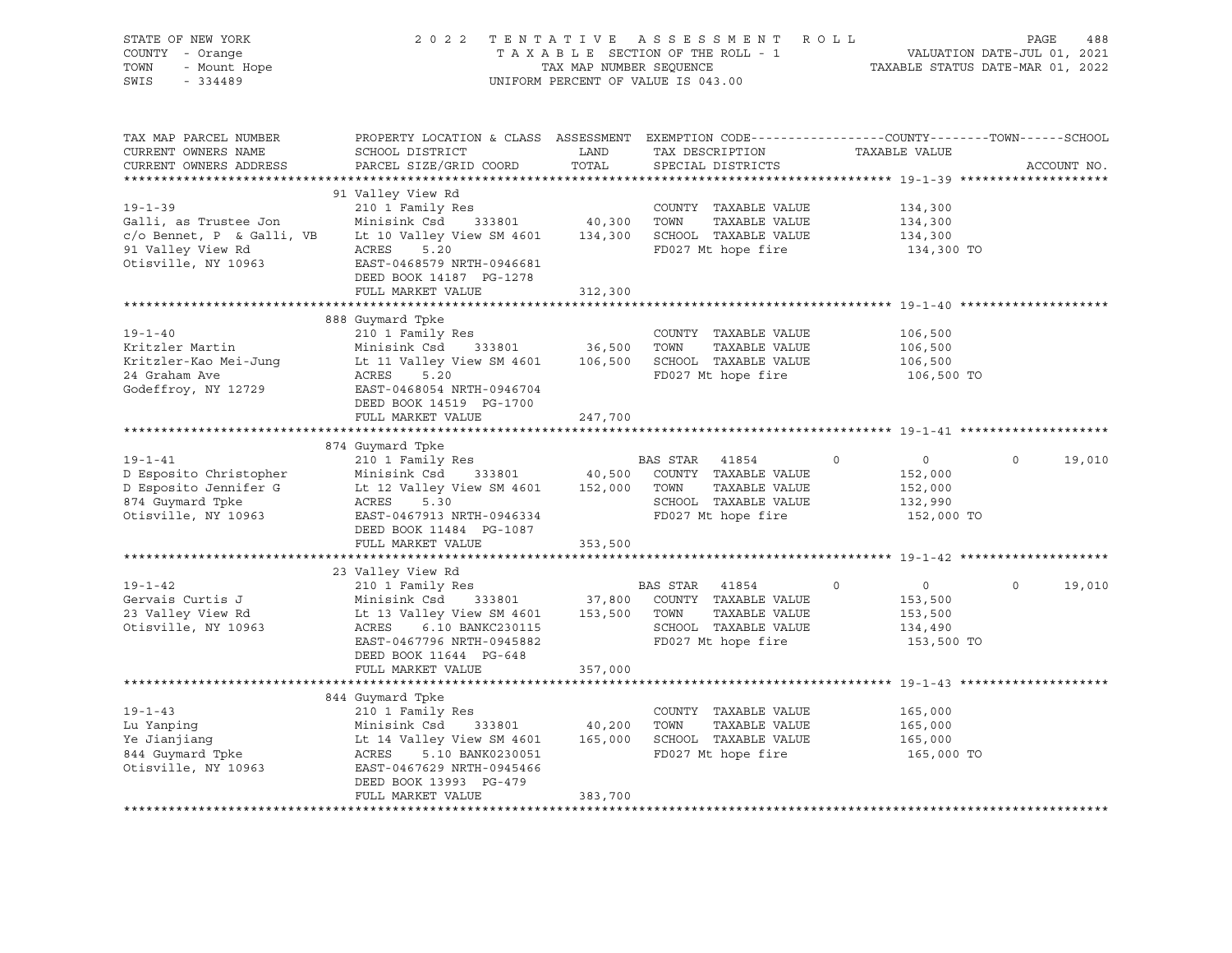| STATE OF NEW YORK<br>COUNTY - Orange<br>TOWN<br>- Mount Hope<br>SWIS<br>$-334489$                                                                                                                                    | 2 0 2 2                                                                                                                                                                                                                                                                                |               | TENTATIVE ASSESSMENT ROLL<br>TAXABLE SECTION OF THE ROLL - 1 VALUATION DATE-JUL 01, 2021<br>TAX MAP NUMBER SEQUENCE TAXABLE STATUS DATE-MAR 01, 2022<br>UNIFORM PERCENT OF VALUE IS 043.00 |                                                                          | PAGE<br>488        |
|----------------------------------------------------------------------------------------------------------------------------------------------------------------------------------------------------------------------|----------------------------------------------------------------------------------------------------------------------------------------------------------------------------------------------------------------------------------------------------------------------------------------|---------------|--------------------------------------------------------------------------------------------------------------------------------------------------------------------------------------------|--------------------------------------------------------------------------|--------------------|
| TAX MAP PARCEL NUMBER<br>CURRENT OWNERS NAME<br>CURRENT OWNERS ADDRESS                                                                                                                                               | PROPERTY LOCATION & CLASS ASSESSMENT EXEMPTION CODE---------------COUNTY-------TOWN------SCHOOL<br>SCHOOL DISTRICT<br>PARCEL SIZE/GRID COORD                                                                                                                                           | LAND<br>TOTAL | TAX DESCRIPTION<br>SPECIAL DISTRICTS                                                                                                                                                       | TAXABLE VALUE                                                            | ACCOUNT NO.        |
|                                                                                                                                                                                                                      | 91 Valley View Rd                                                                                                                                                                                                                                                                      |               |                                                                                                                                                                                            |                                                                          |                    |
| $19 - 1 - 39$<br>Galli, as Trustee Jon Minisink Csd 333801 40,300 TOWN TAXABLE VALUE<br>c/o Bennet, P & Galli, VB Lt 10 Valley View SM 4601 134,300 SCHOOL TAXABLE VALUE<br>91 Valley View Rd<br>Otisville, NY 10963 | 210 1 Family Res<br>ACRES<br>5.20<br>EAST-0468579 NRTH-0946681                                                                                                                                                                                                                         |               | COUNTY TAXABLE VALUE<br>FD027 Mt hope fire                                                                                                                                                 | 134,300<br>134,300<br>134,300<br>134,300 TO                              |                    |
|                                                                                                                                                                                                                      | DEED BOOK 14187 PG-1278                                                                                                                                                                                                                                                                |               |                                                                                                                                                                                            |                                                                          |                    |
|                                                                                                                                                                                                                      | FULL MARKET VALUE                                                                                                                                                                                                                                                                      | 312,300       |                                                                                                                                                                                            |                                                                          |                    |
| $19 - 1 - 40$<br>Kritzler Martin Minisink Csd 333801 36,500 TOWN TAXABLE VALUE<br>Kritzler-Kao Mei-Jung Lt 11 Valley View SM 4601 106,500 SCHOOL TAXABLE VALUE<br>24 Graham Ave<br>Godeffroy, NY 12729               | 888 Guymard Tpke<br>210 1 Family Res<br>ACRES<br>5.20<br>EAST-0468054 NRTH-0946704                                                                                                                                                                                                     |               | COUNTY TAXABLE VALUE<br>FD027 Mt hope fire                                                                                                                                                 | 106,500<br>106,500<br>106,500<br>106,500 TO                              |                    |
|                                                                                                                                                                                                                      | DEED BOOK 14519 PG-1700                                                                                                                                                                                                                                                                |               |                                                                                                                                                                                            |                                                                          |                    |
|                                                                                                                                                                                                                      | FULL MARKET VALUE                                                                                                                                                                                                                                                                      | 247,700       |                                                                                                                                                                                            |                                                                          |                    |
|                                                                                                                                                                                                                      | 874 Guymard Tpke                                                                                                                                                                                                                                                                       |               |                                                                                                                                                                                            |                                                                          |                    |
| $19 - 1 - 41$<br>D Esposito Christopher<br>D Esposito Jennifer G<br>874 Guymard Tpke<br>Otisville, NY 10963                                                                                                          | 210 1 Family Res<br>Minisink Csd 333801 40,500 COUNTY TAXABLE VALUE<br>Lt 12 Valley View SM 4601 152,000 TOWN TAXABLE VALUE<br>ACRES<br>5.30<br>EAST-0467913 NRTH-0946334<br>DEED BOOK 11484 PG-1087                                                                                   |               | BAS STAR 41854<br>TAXABLE VALUE<br>SCHOOL TAXABLE VALUE<br>FD027 Mt hope fire                                                                                                              | $\circ$<br>$\overline{0}$<br>152,000<br>152,000<br>132,990<br>152,000 TO | $\circ$<br>19,010  |
|                                                                                                                                                                                                                      | FULL MARKET VALUE                                                                                                                                                                                                                                                                      | 353,500       |                                                                                                                                                                                            |                                                                          |                    |
|                                                                                                                                                                                                                      |                                                                                                                                                                                                                                                                                        |               |                                                                                                                                                                                            |                                                                          |                    |
| $19 - 1 - 42$<br>Gervais Curtis J<br>23 Valley View Rd<br>Otisville, NY 10963                                                                                                                                        | 23 Valley View Rd<br>210 1 Family Res<br>Minisink Csd 333801 37,800 COUNTY TAXABLE VALUE<br>Lt 13 Valley View SM 4601 153,500 TOWN TAXABLE VALUE<br>Minisink Csd<br>Lt 13 Valley<br>ACRES 6.10 BANKC230115<br>EAST-0467796 NRTH-0945882<br>DEED BOOK 11644 PG-648<br>FULL MARKET VALUE | 357,000       | BAS STAR 41854<br>SCHOOL TAXABLE VALUE<br>FD027 Mt hope fire                                                                                                                               | $\circ$<br>$\overline{0}$<br>153,500<br>153,500<br>134,490<br>153,500 TO | $\Omega$<br>19,010 |
|                                                                                                                                                                                                                      |                                                                                                                                                                                                                                                                                        |               |                                                                                                                                                                                            |                                                                          |                    |
| $19 - 1 - 43$<br>Lu Yanping<br>Ye Jianjiang<br>844 Guymard Tpke<br>Otisville, NY 10963                                                                                                                               | 844 Guymard Tpke<br>210 1 Family Res<br>Minisink Csd 333801 40,200 TOWN TAXABLE VALUE<br>Lt 14 Valley View SM 4601 165,000 SCHOOL TAXABLE VALUE<br>ACRES<br>5.10 BANK0230051<br>EAST-0467629 NRTH-0945466<br>DEED BOOK 13993 PG-479<br>FULL MARKET VALUE                               | 383,700       | COUNTY TAXABLE VALUE<br>FD027 Mt hope fire                                                                                                                                                 | 165,000<br>165,000<br>165,000<br>165,000 TO                              |                    |
|                                                                                                                                                                                                                      |                                                                                                                                                                                                                                                                                        |               |                                                                                                                                                                                            |                                                                          |                    |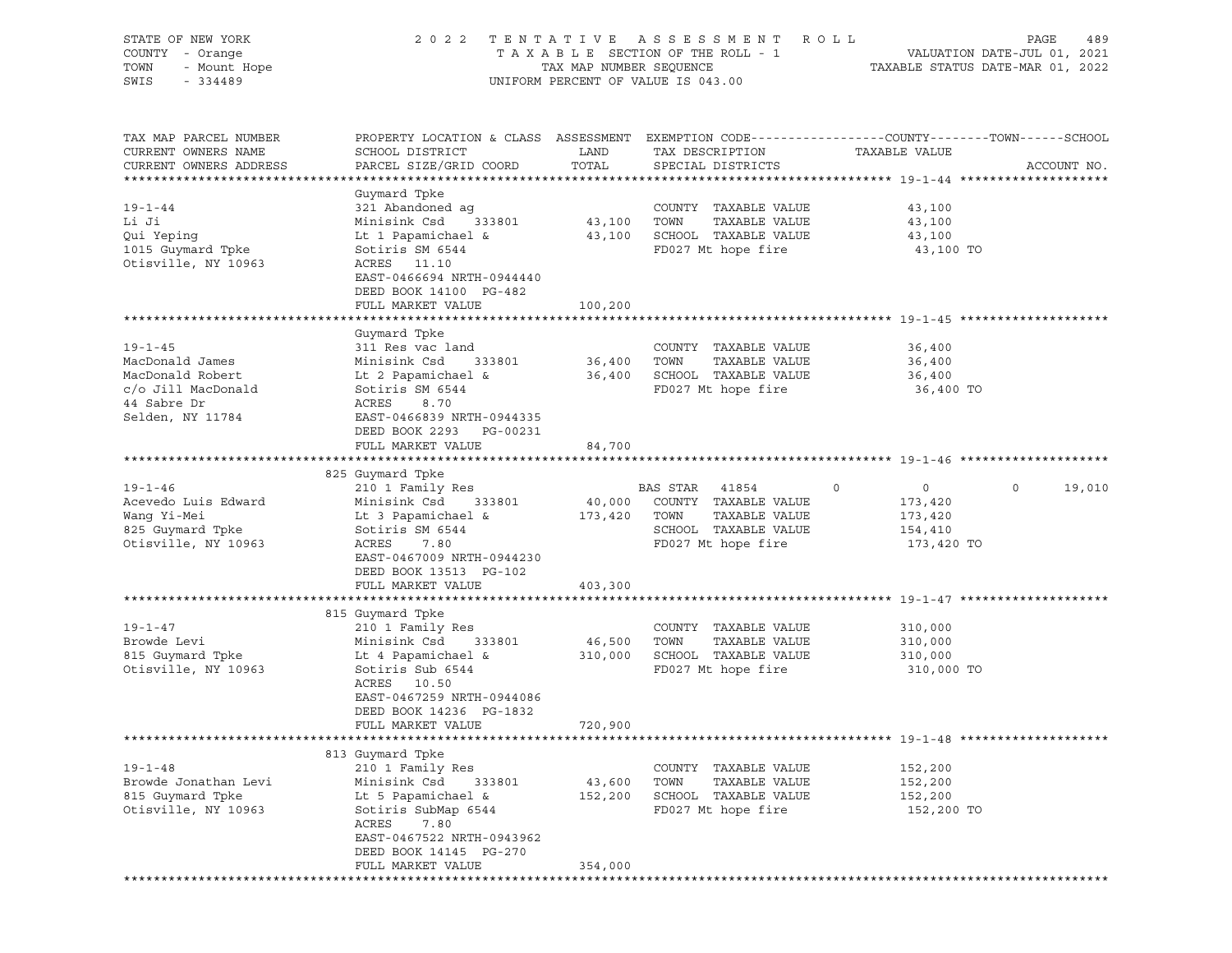| STATE OF NEW YORK<br>COUNTY - Orange<br>- Mount Hope<br>TOWN<br>SWIS<br>$-334489$ |                                                                                                                    | TAX MAP NUMBER SEQUENCE | 2022 TENTATIVE ASSESSMENT ROLL<br>TAXABLE SECTION OF THE ROLL - 1<br>UNIFORM PERCENT OF VALUE IS 043.00 |                           | PAGE<br>489<br>VALUATION DATE-JUL 01, 2021<br>TAXABLE STATUS DATE-MAR 01, 2022 |
|-----------------------------------------------------------------------------------|--------------------------------------------------------------------------------------------------------------------|-------------------------|---------------------------------------------------------------------------------------------------------|---------------------------|--------------------------------------------------------------------------------|
|                                                                                   |                                                                                                                    |                         |                                                                                                         |                           |                                                                                |
| TAX MAP PARCEL NUMBER<br>CURRENT OWNERS NAME                                      | PROPERTY LOCATION & CLASS ASSESSMENT EXEMPTION CODE---------------COUNTY-------TOWN------SCHOOL<br>SCHOOL DISTRICT | LAND                    | TAX DESCRIPTION                                                                                         | TAXABLE VALUE             |                                                                                |
| CURRENT OWNERS ADDRESS                                                            | PARCEL SIZE/GRID COORD                                                                                             | TOTAL                   | SPECIAL DISTRICTS                                                                                       |                           | ACCOUNT NO.                                                                    |
|                                                                                   | Guymard Tpke                                                                                                       |                         |                                                                                                         |                           |                                                                                |
| $19 - 1 - 44$                                                                     | 321 Abandoned aq                                                                                                   |                         | COUNTY TAXABLE VALUE                                                                                    | 43,100                    |                                                                                |
| Li Ji                                                                             | Minisink Csd<br>333801                                                                                             | 43,100 TOWN             | TAXABLE VALUE                                                                                           | 43,100                    |                                                                                |
| Qui Yepinq                                                                        | Lt 1 Papamichael &                                                                                                 |                         | 43,100 SCHOOL TAXABLE VALUE                                                                             | 43,100                    |                                                                                |
| 1015 Guymard Tpke                                                                 | Sotiris SM 6544                                                                                                    |                         | FD027 Mt hope fire                                                                                      | 43,100 TO                 |                                                                                |
| Otisville, NY 10963                                                               | ACRES 11.10                                                                                                        |                         |                                                                                                         |                           |                                                                                |
|                                                                                   | EAST-0466694 NRTH-0944440                                                                                          |                         |                                                                                                         |                           |                                                                                |
|                                                                                   | DEED BOOK 14100 PG-482<br>FULL MARKET VALUE                                                                        | 100,200                 |                                                                                                         |                           |                                                                                |
|                                                                                   |                                                                                                                    |                         |                                                                                                         |                           |                                                                                |
|                                                                                   | Guymard Tpke                                                                                                       |                         |                                                                                                         |                           |                                                                                |
| $19 - 1 - 45$                                                                     | 311 Res vac land                                                                                                   |                         | COUNTY TAXABLE VALUE                                                                                    | 36,400                    |                                                                                |
| MacDonald James                                                                   | Minisink Csd<br>333801                                                                                             | 36,400 TOWN             | TAXABLE VALUE                                                                                           | 36,400                    |                                                                                |
| MacDonald Robert                                                                  | Lt 2 Papamichael &                                                                                                 |                         | 36,400 SCHOOL TAXABLE VALUE                                                                             | 36,400                    |                                                                                |
| c/o Jill MacDonald                                                                | Sotiris SM 6544                                                                                                    |                         | FD027 Mt hope fire                                                                                      | 36,400 TO                 |                                                                                |
| 44 Sabre Dr                                                                       | 8.70<br>ACRES                                                                                                      |                         |                                                                                                         |                           |                                                                                |
| Selden, NY 11784                                                                  | EAST-0466839 NRTH-0944335<br>DEED BOOK 2293 PG-00231                                                               |                         |                                                                                                         |                           |                                                                                |
|                                                                                   | FULL MARKET VALUE                                                                                                  | 84,700                  |                                                                                                         |                           |                                                                                |
|                                                                                   |                                                                                                                    |                         |                                                                                                         |                           |                                                                                |
|                                                                                   | 825 Guymard Tpke                                                                                                   |                         |                                                                                                         |                           |                                                                                |
| $19 - 1 - 46$                                                                     | 210 1 Family Res                                                                                                   |                         | BAS STAR 41854                                                                                          | $\circ$<br>$\overline{0}$ | $\circ$<br>19,010                                                              |
| Acevedo Luis Edward                                                               | Minisink Csd 333801                                                                                                |                         | 40,000 COUNTY TAXABLE VALUE                                                                             | 173,420                   |                                                                                |
| Wang Yi-Mei                                                                       | Lt 3 Papamichael &                                                                                                 | 173,420 TOWN            | TAXABLE VALUE                                                                                           | 173,420                   |                                                                                |
| 825 Guymard Tpke                                                                  | Sotiris SM 6544                                                                                                    |                         | SCHOOL TAXABLE VALUE                                                                                    | 154,410                   |                                                                                |
| Otisville, NY 10963                                                               | ACRES<br>7.80                                                                                                      |                         | FD027 Mt hope fire                                                                                      | 173,420 TO                |                                                                                |
|                                                                                   | EAST-0467009 NRTH-0944230<br>DEED BOOK 13513 PG-102                                                                |                         |                                                                                                         |                           |                                                                                |
|                                                                                   | FULL MARKET VALUE                                                                                                  | 403,300                 |                                                                                                         |                           |                                                                                |
|                                                                                   |                                                                                                                    |                         |                                                                                                         |                           |                                                                                |
|                                                                                   | 815 Guymard Tpke                                                                                                   |                         |                                                                                                         |                           |                                                                                |
| $19 - 1 - 47$                                                                     | 210 1 Family Res                                                                                                   |                         | COUNTY TAXABLE VALUE                                                                                    | 310,000                   |                                                                                |
| Browde Levi                                                                       | Minisink Csd 333801                                                                                                | 46,500                  | TOWN<br>TAXABLE VALUE                                                                                   | 310,000                   |                                                                                |
| 815 Guymard Tpke                                                                  | Lt 4 Papamichael &                                                                                                 |                         | 310,000 SCHOOL TAXABLE VALUE                                                                            | 310,000                   |                                                                                |
| Otisville, NY 10963                                                               | Sotiris Sub 6544                                                                                                   |                         | FD027 Mt hope fire                                                                                      | 310,000 TO                |                                                                                |
|                                                                                   | ACRES 10.50                                                                                                        |                         |                                                                                                         |                           |                                                                                |
|                                                                                   | EAST-0467259 NRTH-0944086<br>DEED BOOK 14236 PG-1832                                                               |                         |                                                                                                         |                           |                                                                                |
|                                                                                   | FULL MARKET VALUE                                                                                                  | 720,900                 |                                                                                                         |                           |                                                                                |
|                                                                                   |                                                                                                                    |                         |                                                                                                         |                           |                                                                                |
|                                                                                   | 813 Guymard Tpke                                                                                                   |                         |                                                                                                         |                           |                                                                                |
| $19 - 1 - 48$                                                                     | 210 1 Family Res                                                                                                   |                         | COUNTY TAXABLE VALUE                                                                                    | 152,200                   |                                                                                |
| Browde Jonathan Levi                                                              | Minisink Csd<br>333801                                                                                             | 43,600                  | TOWN<br>TAXABLE VALUE                                                                                   | 152,200                   |                                                                                |
| 815 Guymard Tpke                                                                  | Lt 5 Papamichael &                                                                                                 | 152,200                 | SCHOOL TAXABLE VALUE                                                                                    | 152,200                   |                                                                                |
| Otisville, NY 10963                                                               | Sotiris SubMap 6544                                                                                                |                         | FD027 Mt hope fire                                                                                      | 152,200 TO                |                                                                                |
|                                                                                   | 7.80<br>ACRES                                                                                                      |                         |                                                                                                         |                           |                                                                                |
|                                                                                   | EAST-0467522 NRTH-0943962                                                                                          |                         |                                                                                                         |                           |                                                                                |
|                                                                                   | DEED BOOK 14145 PG-270<br>FULL MARKET VALUE                                                                        | 354,000                 |                                                                                                         |                           |                                                                                |
|                                                                                   |                                                                                                                    |                         |                                                                                                         |                           |                                                                                |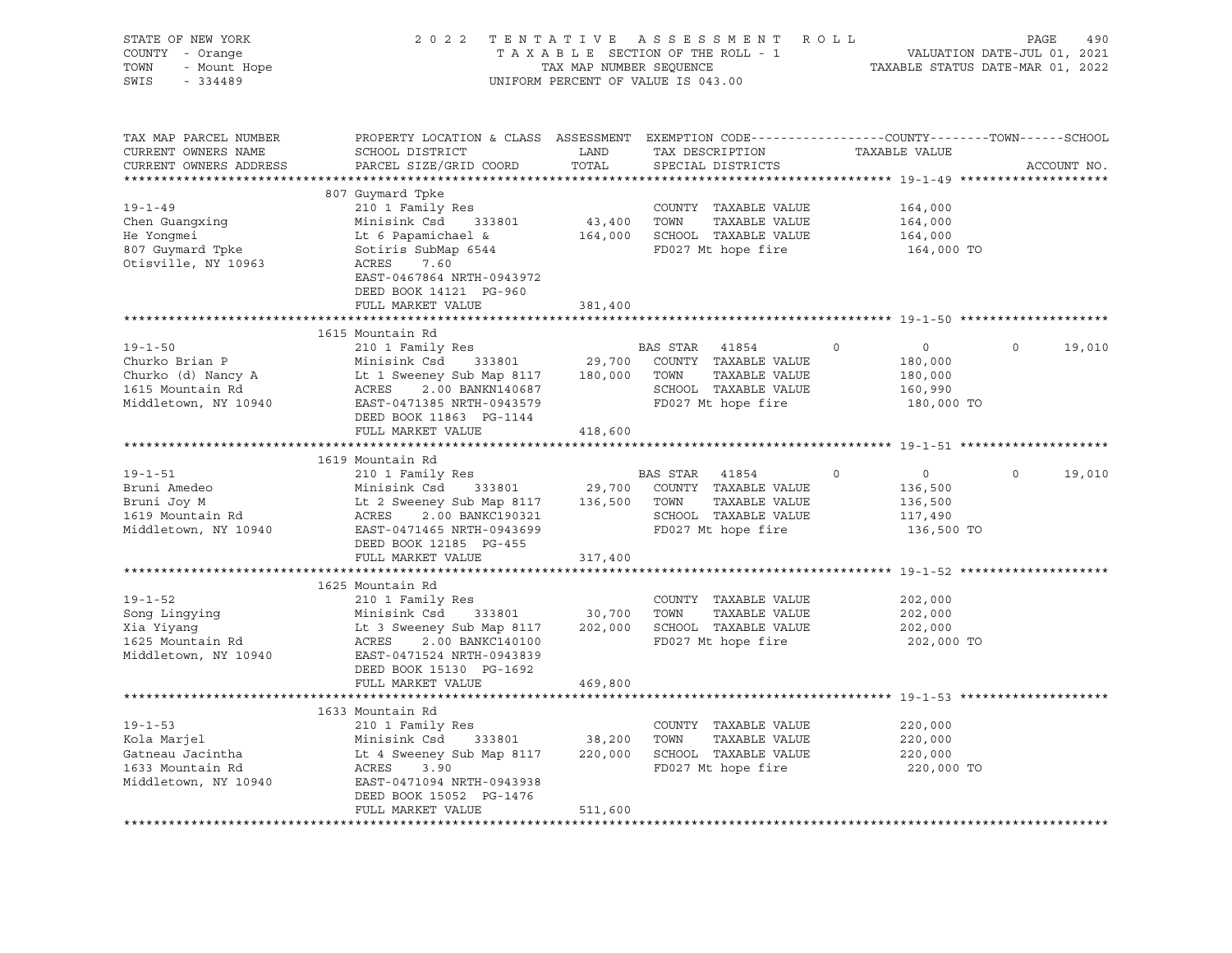| STATE OF NEW YORK<br>COUNTY - Orange<br>TOWN<br>- Mount Hope<br>SWIS<br>$-334489$                 |                                                                                                                                                                                                                     |               | 2022 TENTATIVE ASSESSMENT ROLL<br>TAXABLE SECTION OF THE ROLL - 1<br>TAXABLE SECTION OF THE ROLL - 1<br>TAXABLE STATUS DATE-MAR 01, 2022<br>UNIFORM PERCENT OF VALUE IS 043.00 |                                                                          | PAGE<br>490           |
|---------------------------------------------------------------------------------------------------|---------------------------------------------------------------------------------------------------------------------------------------------------------------------------------------------------------------------|---------------|--------------------------------------------------------------------------------------------------------------------------------------------------------------------------------|--------------------------------------------------------------------------|-----------------------|
| TAX MAP PARCEL NUMBER<br>CURRENT OWNERS NAME<br>CURRENT OWNERS ADDRESS                            | PROPERTY LOCATION & CLASS ASSESSMENT EXEMPTION CODE----------------COUNTY-------TOWN-----SCHOOL<br>SCHOOL DISTRICT<br>PARCEL SIZE/GRID COORD                                                                        | LAND<br>TOTAL | TAX DESCRIPTION TAXABLE VALUE<br>SPECIAL DISTRICTS                                                                                                                             |                                                                          | ACCOUNT NO.           |
|                                                                                                   | 807 Guymard Tpke                                                                                                                                                                                                    |               |                                                                                                                                                                                |                                                                          |                       |
| $19 - 1 - 49$<br>Chen Guangxing<br>He Yongmei<br>807 Guymard Tpke<br>Otisville, NY 10963          | 210 1 Family Res<br>Minisink Csd 333801<br>Lt 6 Papamichael &<br>Sotiris SubMap 6544<br>ACRES<br>7.60<br>EAST-0467864 NRTH-0943972                                                                                  |               | COUNTY TAXABLE VALUE<br>43,400 TOWN<br>TAXABLE VALUE<br>164,000 SCHOOL TAXABLE VALUE<br>FD027 Mt hope fire                                                                     | 164,000<br>164,000<br>164,000<br>164,000 TO                              |                       |
|                                                                                                   | DEED BOOK 14121 PG-960<br>FULL MARKET VALUE                                                                                                                                                                         | 381,400       |                                                                                                                                                                                |                                                                          |                       |
|                                                                                                   |                                                                                                                                                                                                                     |               |                                                                                                                                                                                |                                                                          |                       |
| $19 - 1 - 50$<br>Churko Brian P<br>Churko (d) Nancy A<br>1615 Mountain Rd<br>Middletown, NY 10940 | 1615 Mountain Rd<br>210 1 Family Res<br>Minisink Csd 333801<br>Lt 1 Sweeney Sub Map 8117<br>ACRES 2.00 BANKN140687<br>EAST-0471385 NRTH-0943579                                                                     |               | BAS STAR 41854<br>29,700 COUNTY TAXABLE VALUE<br>180,000 TOWN<br>TAXABLE VALUE<br>SCHOOL TAXABLE VALUE<br>FD027 Mt hope fire                                                   | $\overline{0}$<br>$\circ$<br>180,000<br>180,000<br>160,990<br>180,000 TO | $\mathbf 0$<br>19,010 |
|                                                                                                   | DEED BOOK 11863 PG-1144<br>FULL MARKET VALUE                                                                                                                                                                        | 418,600       |                                                                                                                                                                                |                                                                          |                       |
|                                                                                                   |                                                                                                                                                                                                                     |               |                                                                                                                                                                                |                                                                          |                       |
| $19 - 1 - 51$<br>Bruni Amedeo<br>Bruni Joy M<br>1619 Mountain Rd<br>Middletown, NY 10940          | 1619 Mountain Rd<br>210 1 Family Res<br>Minisink Csd 333801<br>Minisink Csd 333801 29,700 COUNTY<br>Lt 2 Sweeney Sub Map 8117 136,500 TOWN<br>ACRES<br>2.00 BANKC190321<br>EAST-0471465 NRTH-0943699                |               | BAS STAR 41854<br>COUNTY TAXABLE VALUE<br>TAXABLE VALUE<br>SCHOOL TAXABLE VALUE<br>FD027 Mt hope fire                                                                          | $\circ$<br>$\overline{0}$<br>136,500<br>136,500<br>117,490<br>136,500 TO | $\mathbf 0$<br>19,010 |
|                                                                                                   | DEED BOOK 12185 PG-455<br>FULL MARKET VALUE                                                                                                                                                                         | 317,400       |                                                                                                                                                                                |                                                                          |                       |
|                                                                                                   |                                                                                                                                                                                                                     |               |                                                                                                                                                                                |                                                                          |                       |
| $19 - 1 - 52$<br>Song Lingying<br>Xia Yiyang<br>1625 Mountain Rd<br>Middletown, NY 10940          | 1625 Mountain Rd<br>210 1 Family Res<br>Minisink Csd 333801 30,700 TOWN<br>Lt 3 Sweeney Sub Map 8117 202,000 SCHOOL TAXABLE VALUE<br>ACRES 2.00 BANKC140100<br>EAST-0471524 NRTH-0943839<br>DEED BOOK 15130 PG-1692 |               | COUNTY TAXABLE VALUE<br>TAXABLE VALUE<br>FD027 Mt hope fire                                                                                                                    | 202,000<br>202,000<br>202,000<br>202,000 TO                              |                       |
|                                                                                                   | FULL MARKET VALUE                                                                                                                                                                                                   | 469,800       |                                                                                                                                                                                |                                                                          |                       |
| $19 - 1 - 53$<br>kola Marjel<br>Gatneau Jacintha<br>1633 Mountain Rd<br>Middletown, NY 10940      | 1633 Mountain Rd<br>210 1 Family Res<br>333801 38,200<br>Minisink Csd<br>Lt 4 Sweeney Sub Map 8117<br>ACRES 3.90<br>EAST-0471094 NRTH-0943938                                                                       | 220,000       | COUNTY TAXABLE VALUE<br>TOWN<br>TAXABLE VALUE<br>SCHOOL TAXABLE VALUE<br>FD027 Mt hope fire                                                                                    | 220,000<br>220,000<br>220,000<br>220,000 TO                              |                       |
|                                                                                                   | DEED BOOK 15052 PG-1476<br>FULL MARKET VALUE                                                                                                                                                                        | 511,600       |                                                                                                                                                                                |                                                                          |                       |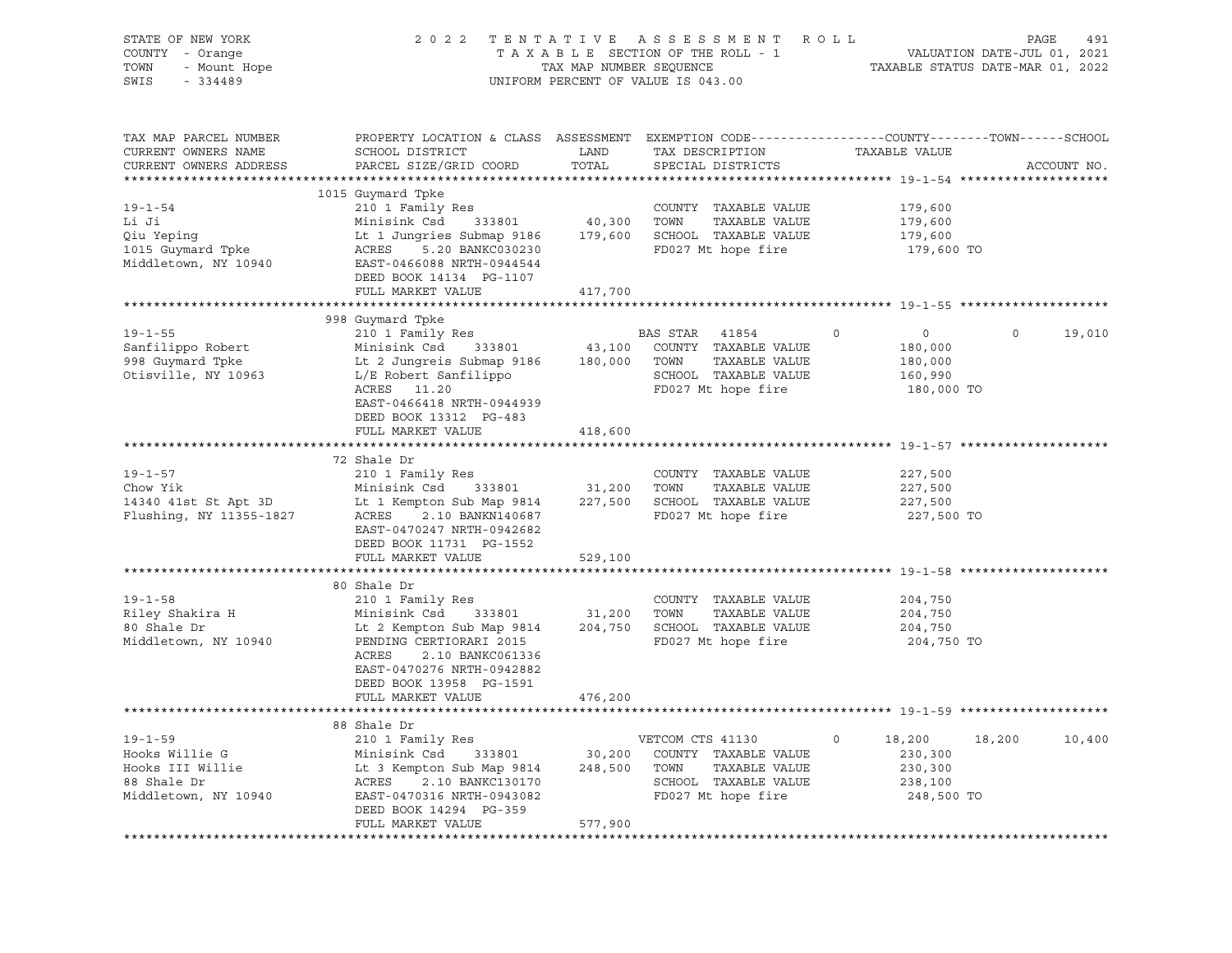| STATE OF NEW YORK<br>Y - Orange<br>- Mount Hope<br>COUNTY - Orange<br>TOWN<br>SWIS - 334489                                                                                                                                                                |                                                                                                                                                                                                             |         | 2022 TENTATIVE ASSESSMENT ROLL PAGE 491<br>TAXABLE SECTION OF THE ROLL - 1 VALUATION DATE-JUL 01, 2021<br>TAX MAP NUMBER SEQUENCE TAXABLE STATUS DATE-MAR 01, 2022<br>UNIFORM PERCENT OF VALUE IS 043.00 |                         |                   |
|------------------------------------------------------------------------------------------------------------------------------------------------------------------------------------------------------------------------------------------------------------|-------------------------------------------------------------------------------------------------------------------------------------------------------------------------------------------------------------|---------|----------------------------------------------------------------------------------------------------------------------------------------------------------------------------------------------------------|-------------------------|-------------------|
| TAX MAP PARCEL NUMBER<br>CURRENT OWNERS NAME<br>CURRENT OWNERS ADDRESS                                                                                                                                                                                     | PROPERTY LOCATION & CLASS ASSESSMENT EXEMPTION CODE---------------COUNTY-------TOWN-----SCHOOL                                                                                                              |         |                                                                                                                                                                                                          |                         | ACCOUNT NO.       |
|                                                                                                                                                                                                                                                            |                                                                                                                                                                                                             |         |                                                                                                                                                                                                          |                         |                   |
| 19-1-54<br>210 1 Family Res<br>210 1 Family Res<br>210 1 Family Res<br>210 1 Family Res<br>210 1 Family Res<br>210 1 Family Res<br>210 1 Family Res<br>210 2001 2001 2003<br>210 2001 2003<br>210 2001 2003<br>210 2003<br>210 2003<br>210 2003<br>210 200 | 1015 Guymard Tpke                                                                                                                                                                                           |         |                                                                                                                                                                                                          |                         |                   |
|                                                                                                                                                                                                                                                            |                                                                                                                                                                                                             |         | COUNTY TAXABLE VALUE 179,600                                                                                                                                                                             | 179,600                 |                   |
|                                                                                                                                                                                                                                                            |                                                                                                                                                                                                             |         |                                                                                                                                                                                                          | 179,600                 |                   |
|                                                                                                                                                                                                                                                            |                                                                                                                                                                                                             |         |                                                                                                                                                                                                          | 179,600 TO              |                   |
|                                                                                                                                                                                                                                                            |                                                                                                                                                                                                             |         |                                                                                                                                                                                                          |                         |                   |
|                                                                                                                                                                                                                                                            | DEED BOOK 14134 PG-1107                                                                                                                                                                                     |         |                                                                                                                                                                                                          |                         |                   |
|                                                                                                                                                                                                                                                            | FULL MARKET VALUE                                                                                                                                                                                           | 417,700 |                                                                                                                                                                                                          |                         |                   |
|                                                                                                                                                                                                                                                            |                                                                                                                                                                                                             |         |                                                                                                                                                                                                          |                         |                   |
|                                                                                                                                                                                                                                                            | 998 Guymard Tpke                                                                                                                                                                                            |         |                                                                                                                                                                                                          |                         |                   |
| $19 - 1 - 55$                                                                                                                                                                                                                                              |                                                                                                                                                                                                             |         |                                                                                                                                                                                                          | $\overline{0}$          | $\circ$<br>19,010 |
| Sanfilippo Robert<br>998 Guymard Tpke                                                                                                                                                                                                                      |                                                                                                                                                                                                             |         |                                                                                                                                                                                                          |                         |                   |
|                                                                                                                                                                                                                                                            |                                                                                                                                                                                                             |         |                                                                                                                                                                                                          | ں<br>180,000<br>180,000 |                   |
| Otisville, NY 10963                                                                                                                                                                                                                                        |                                                                                                                                                                                                             |         |                                                                                                                                                                                                          | 160,990                 |                   |
|                                                                                                                                                                                                                                                            | 210 1 Family Res<br>Minisink Csd 333801 43,100 COUNTY TAXABLE VALUE<br>Lt 2 Jungreis Submap 9186 180,000 TOWN TAXABLE VALUE<br>L/E Robert Sanfilippo 5CHOOL TAXABLE VALUE<br>ACRES 11.20 FD027 Mt hope fire |         |                                                                                                                                                                                                          | 180,000 TO              |                   |
|                                                                                                                                                                                                                                                            | EAST-0466418 NRTH-0944939                                                                                                                                                                                   |         |                                                                                                                                                                                                          |                         |                   |
|                                                                                                                                                                                                                                                            | DEED BOOK 13312 PG-483                                                                                                                                                                                      |         |                                                                                                                                                                                                          |                         |                   |
|                                                                                                                                                                                                                                                            | FULL MARKET VALUE                                                                                                                                                                                           | 418,600 |                                                                                                                                                                                                          |                         |                   |
|                                                                                                                                                                                                                                                            | 72 Shale Dr                                                                                                                                                                                                 |         |                                                                                                                                                                                                          |                         |                   |
| $19 - 1 - 57$                                                                                                                                                                                                                                              | 210 1 Family Res                                                                                                                                                                                            |         | COUNTY TAXABLE VALUE                                                                                                                                                                                     | 227,500                 |                   |
|                                                                                                                                                                                                                                                            |                                                                                                                                                                                                             |         |                                                                                                                                                                                                          |                         |                   |
|                                                                                                                                                                                                                                                            |                                                                                                                                                                                                             |         |                                                                                                                                                                                                          | 227,500<br>227,500      |                   |
| 19-1-57<br>Chow Yik Minisink Csd 333801 31,200 TOWN TAXABLE VALUE<br>14340 41st St Apt 3D Lt 1 Kempton Sub Map 9814 227,500 SCHOOL TAXABLE VALUE<br>Flushing, NY 11355-1827 ACRES 2.10 BANKN140687 FD027 Mt hope fire<br>TAGES 2.10 BA                     |                                                                                                                                                                                                             |         |                                                                                                                                                                                                          | 227,500 TO              |                   |
|                                                                                                                                                                                                                                                            | EAST-0470247 NRTH-0942682                                                                                                                                                                                   |         |                                                                                                                                                                                                          |                         |                   |
|                                                                                                                                                                                                                                                            | DEED BOOK 11731 PG-1552                                                                                                                                                                                     |         |                                                                                                                                                                                                          |                         |                   |
|                                                                                                                                                                                                                                                            | FULL MARKET VALUE                                                                                                                                                                                           | 529,100 |                                                                                                                                                                                                          |                         |                   |
|                                                                                                                                                                                                                                                            |                                                                                                                                                                                                             |         |                                                                                                                                                                                                          |                         |                   |
|                                                                                                                                                                                                                                                            | 80 Shale Dr                                                                                                                                                                                                 |         |                                                                                                                                                                                                          |                         |                   |
| $19 - 1 - 58$                                                                                                                                                                                                                                              |                                                                                                                                                                                                             |         |                                                                                                                                                                                                          | 204,750                 |                   |
|                                                                                                                                                                                                                                                            |                                                                                                                                                                                                             |         |                                                                                                                                                                                                          | 204,750                 |                   |
|                                                                                                                                                                                                                                                            |                                                                                                                                                                                                             |         |                                                                                                                                                                                                          | 204,750                 |                   |
| 19-1-58 COUNTY TAXABLE VALUE<br>Riley Shakira H Minisink Csd 333801 31,200 TOWN TAXABLE VALUE<br>80 Shale Dr Lt 2 Kempton Sub Map 9814 204,750 SCHOOL TAXABLE VALUE<br>Middletown, NY 10940 PENDING CERTIORARI 2015<br>PENDING CERTIOR                     |                                                                                                                                                                                                             |         |                                                                                                                                                                                                          | 204,750 TO              |                   |
|                                                                                                                                                                                                                                                            | ACRES<br>2.10 BANKC061336                                                                                                                                                                                   |         |                                                                                                                                                                                                          |                         |                   |
|                                                                                                                                                                                                                                                            | EAST-0470276 NRTH-0942882                                                                                                                                                                                   |         |                                                                                                                                                                                                          |                         |                   |
|                                                                                                                                                                                                                                                            | DEED BOOK 13958 PG-1591                                                                                                                                                                                     |         |                                                                                                                                                                                                          |                         |                   |
|                                                                                                                                                                                                                                                            | FULL MARKET VALUE                                                                                                                                                                                           | 476,200 |                                                                                                                                                                                                          |                         |                   |
|                                                                                                                                                                                                                                                            |                                                                                                                                                                                                             |         |                                                                                                                                                                                                          |                         |                   |
|                                                                                                                                                                                                                                                            |                                                                                                                                                                                                             |         |                                                                                                                                                                                                          | $\circ$<br>18,200       | 18,200<br>10,400  |
|                                                                                                                                                                                                                                                            |                                                                                                                                                                                                             |         |                                                                                                                                                                                                          | 230,300                 |                   |
|                                                                                                                                                                                                                                                            |                                                                                                                                                                                                             |         |                                                                                                                                                                                                          | 230,300                 |                   |
|                                                                                                                                                                                                                                                            |                                                                                                                                                                                                             |         |                                                                                                                                                                                                          | 238,100                 |                   |
|                                                                                                                                                                                                                                                            |                                                                                                                                                                                                             |         |                                                                                                                                                                                                          | 248,500 TO              |                   |
|                                                                                                                                                                                                                                                            | DEED BOOK 14294 PG-359                                                                                                                                                                                      |         |                                                                                                                                                                                                          |                         |                   |
|                                                                                                                                                                                                                                                            | FULL MARKET VALUE                                                                                                                                                                                           | 577,900 |                                                                                                                                                                                                          |                         |                   |
|                                                                                                                                                                                                                                                            |                                                                                                                                                                                                             |         |                                                                                                                                                                                                          |                         |                   |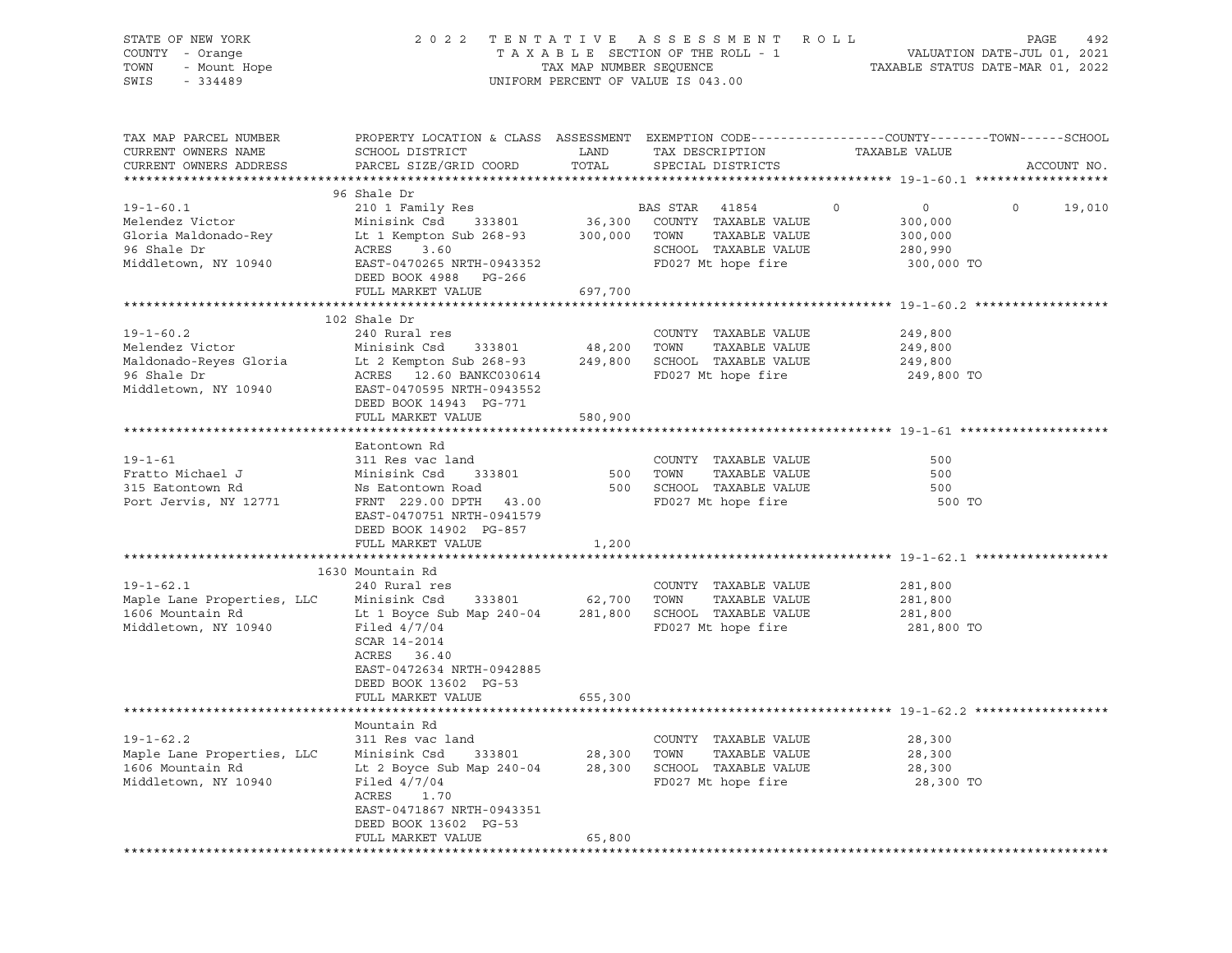| STATE OF NEW YORK<br>COUNTY - Orange<br>- Mount Hope<br>TOWN<br>SWIS<br>$-334489$                   | 2 0 2 2                                                                                                                                                                                         | TAX MAP NUMBER SEQUENCE      | TENTATIVE ASSESSMENT ROLL<br>TAXABLE SECTION OF THE ROLL - 1<br>UNIFORM PERCENT OF VALUE IS 043.00            | TAXABLE STATUS DATE-MAR 01, 2022                                  | PAGE<br>492<br>VALUATION DATE-JUL 01, 2021 |
|-----------------------------------------------------------------------------------------------------|-------------------------------------------------------------------------------------------------------------------------------------------------------------------------------------------------|------------------------------|---------------------------------------------------------------------------------------------------------------|-------------------------------------------------------------------|--------------------------------------------|
| TAX MAP PARCEL NUMBER<br>CURRENT OWNERS NAME<br>CURRENT OWNERS ADDRESS                              | PROPERTY LOCATION & CLASS ASSESSMENT EXEMPTION CODE----------------COUNTY-------TOWN-----SCHOOL<br>SCHOOL DISTRICT<br>PARCEL SIZE/GRID COORD                                                    | LAND<br>TOTAL                | TAX DESCRIPTION<br>SPECIAL DISTRICTS                                                                          | TAXABLE VALUE                                                     | ACCOUNT NO.                                |
|                                                                                                     | 96 Shale Dr                                                                                                                                                                                     |                              |                                                                                                               |                                                                   |                                            |
| $19 - 1 - 60.1$<br>Melendez Victor<br>Gloria Maldonado-Rey<br>96 Shale Dr<br>Middletown, NY 10940   | 210 1 Family Res<br>333801<br>Minisink Csd<br>Lt 1 Kempton Sub 268-93<br>3.60<br>ACRES<br>EAST-0470265 NRTH-0943352<br>DEED BOOK 4988 PG-266<br>FULL MARKET VALUE                               | 36,300<br>300,000<br>697,700 | BAS STAR 41854<br>COUNTY TAXABLE VALUE<br>TOWN<br>TAXABLE VALUE<br>SCHOOL TAXABLE VALUE<br>FD027 Mt hope fire | $\circ$<br>$\circ$<br>300,000<br>300,000<br>280,990<br>300,000 TO | $\circ$<br>19,010                          |
|                                                                                                     |                                                                                                                                                                                                 |                              |                                                                                                               |                                                                   |                                            |
| $19 - 1 - 60.2$<br>Melendez Victor<br>Maldonado-Reyes Gloria<br>96 Shale Dr<br>Middletown, NY 10940 | 102 Shale Dr<br>240 Rural res<br>Minisink Csd<br>333801<br>Lt 2 Kempton Sub 268-93<br>ACRES 12.60 BANKC030614<br>EAST-0470595 NRTH-0943552<br>DEED BOOK 14943 PG-771                            | 48,200<br>249,800            | COUNTY TAXABLE VALUE<br>TOWN<br>TAXABLE VALUE<br>SCHOOL TAXABLE VALUE<br>FD027 Mt hope fire                   | 249,800<br>249,800<br>249,800<br>249,800 TO                       |                                            |
|                                                                                                     | FULL MARKET VALUE                                                                                                                                                                               | 580,900                      |                                                                                                               |                                                                   |                                            |
|                                                                                                     |                                                                                                                                                                                                 |                              |                                                                                                               |                                                                   |                                            |
| $19 - 1 - 61$<br>Fratto Michael J<br>315 Eatontown Rd<br>Port Jervis, NY 12771                      | Eatontown Rd<br>311 Res vac land<br>Minisink Csd<br>333801<br>Ns Eatontown Road<br>FRNT 229.00 DPTH<br>43.00<br>EAST-0470751 NRTH-0941579<br>DEED BOOK 14902 PG-857                             | 500<br>500                   | COUNTY TAXABLE VALUE<br>TOWN<br>TAXABLE VALUE<br>SCHOOL TAXABLE VALUE<br>FD027 Mt hope fire                   | 500<br>500<br>500<br>500 TO                                       |                                            |
|                                                                                                     | FULL MARKET VALUE                                                                                                                                                                               | 1,200                        |                                                                                                               |                                                                   |                                            |
|                                                                                                     |                                                                                                                                                                                                 |                              |                                                                                                               |                                                                   |                                            |
| $19 - 1 - 62.1$<br>Maple Lane Properties, LLC<br>1606 Mountain Rd<br>Middletown, NY 10940           | 1630 Mountain Rd<br>240 Rural res<br>Minisink Csd<br>333801<br>Lt 1 Boyce Sub Map 240-04<br>Filed $4/7/04$<br>SCAR 14-2014<br>ACRES 36.40<br>EAST-0472634 NRTH-0942885<br>DEED BOOK 13602 PG-53 | 62,700<br>281,800            | COUNTY TAXABLE VALUE<br>TOWN<br>TAXABLE VALUE<br>SCHOOL TAXABLE VALUE<br>FD027 Mt hope fire                   | 281,800<br>281,800<br>281,800<br>281,800 TO                       |                                            |
|                                                                                                     | FULL MARKET VALUE                                                                                                                                                                               | 655,300                      |                                                                                                               |                                                                   |                                            |
| $19 - 1 - 62.2$<br>Maple Lane Properties, LLC<br>1606 Mountain Rd<br>Middletown, NY 10940           | Mountain Rd<br>311 Res vac land<br>Minisink Csd<br>333801<br>Lt 2 Boyce Sub Map 240-04<br>Filed $4/7/04$<br>ACRES<br>1.70<br>EAST-0471867 NRTH-0943351<br>DEED BOOK 13602 PG-53                 | 28,300<br>28,300             | COUNTY TAXABLE VALUE<br>TOWN<br>TAXABLE VALUE<br>SCHOOL TAXABLE VALUE<br>FD027 Mt hope fire                   | 28,300<br>28,300<br>28,300<br>28,300 TO                           |                                            |
|                                                                                                     | FULL MARKET VALUE                                                                                                                                                                               | 65,800                       |                                                                                                               |                                                                   |                                            |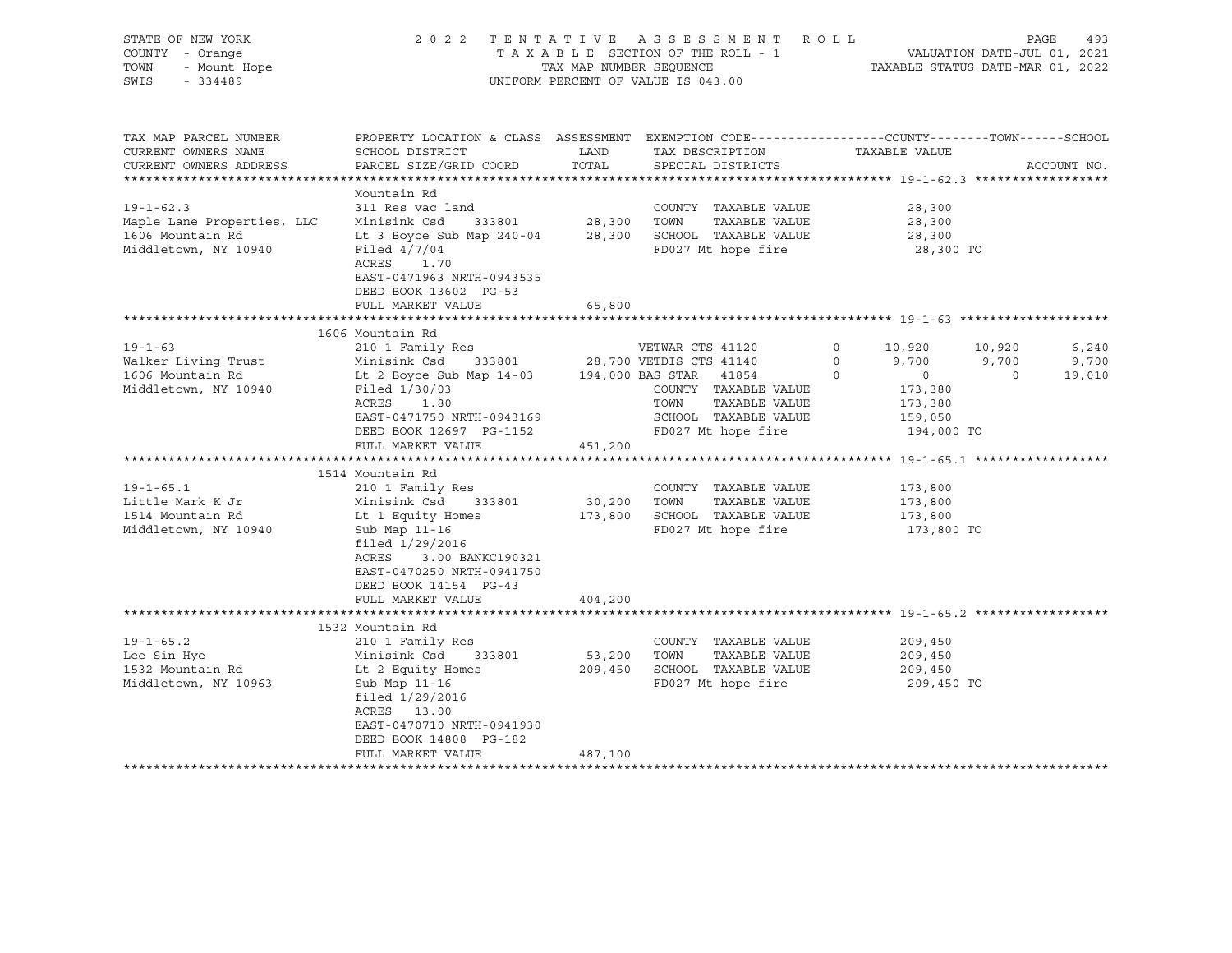| STATE OF NEW YORK<br>COUNTY - Orange<br>- Mount Hope<br>- Mount Hope<br>TOWN<br>SWIS<br>$-334489$                                                                   |                                                                                                                                                                                                                                                                                                                                                                                                                                                                    | TAX MAP NUMBER SEQUENCE                 | 2022 TENTATIVE ASSESSMENT ROLL<br>TAXABLE SECTION OF THE ROLL - 1<br>UNIFORM PERCENT OF VALUE IS 043.00                                                                                                                                                                    |                                      | TAXABLE STATUS DATE-MAR 01, 2022                                                                                                | VALUATION DATE-JUL 01, 2021 | PAGE        | 493                      |
|---------------------------------------------------------------------------------------------------------------------------------------------------------------------|--------------------------------------------------------------------------------------------------------------------------------------------------------------------------------------------------------------------------------------------------------------------------------------------------------------------------------------------------------------------------------------------------------------------------------------------------------------------|-----------------------------------------|----------------------------------------------------------------------------------------------------------------------------------------------------------------------------------------------------------------------------------------------------------------------------|--------------------------------------|---------------------------------------------------------------------------------------------------------------------------------|-----------------------------|-------------|--------------------------|
| TAX MAP PARCEL NUMBER<br>CURRENT OWNERS NAME<br>CURRENT OWNERS ADDRESS                                                                                              | PROPERTY LOCATION & CLASS ASSESSMENT EXEMPTION CODE---------------COUNTY-------TOWN------SCHOOL<br>SCHOOL DISTRICT<br>PARCEL SIZE/GRID COORD                                                                                                                                                                                                                                                                                                                       | LAND<br>TOTAL                           | TAX DESCRIPTION<br>SPECIAL DISTRICTS                                                                                                                                                                                                                                       |                                      | TAXABLE VALUE                                                                                                                   |                             | ACCOUNT NO. |                          |
| $19 - 1 - 62.3$<br>Maple Lane Properties, LLC<br>1606 Mountain Rd<br>Middletown, NY 10940                                                                           | Mountain Rd<br>311 Res vac land<br>333801 28,300<br>Map 240-04 28,300<br>Minisink Csd<br>Lt 3 Boyce Sub Map 240-04<br>Filed $4/7/04$<br>ACRES<br>1.70<br>EAST-0471963 NRTH-0943535<br>DEED BOOK 13602 PG-53<br>FULL MARKET VALUE                                                                                                                                                                                                                                   | 65,800                                  | COUNTY TAXABLE VALUE<br>TOWN<br>TAXABLE VALUE<br>28,300 SCHOOL TAXABLE VALUE<br>FD027 Mt hope fire                                                                                                                                                                         |                                      | 28,300<br>28,300<br>28,300<br>28,300 TO                                                                                         |                             |             |                          |
|                                                                                                                                                                     |                                                                                                                                                                                                                                                                                                                                                                                                                                                                    |                                         |                                                                                                                                                                                                                                                                            |                                      |                                                                                                                                 |                             |             |                          |
| $19 - 1 - 63$<br>Walker Living Trust<br>1606 Mountain Rd<br>Middletown, NY 10940<br>$19 - 1 - 65.1$<br>Little Mark K Jr<br>1514 Mountain Rd<br>Middletown, NY 10940 | 1606 Mountain Rd<br>210 1 Family Res<br>Minisink Csd<br>Lt 2 Boyce Sub Map 14-03<br>Filed $1/30/03$<br>ACRES<br>1.80<br>EAST-0471750 NRTH-0943169<br>DEED BOOK 12697 PG-1152<br>FULL MARKET VALUE<br>***************************<br>1514 Mountain Rd<br>210 1 Family Res<br>Minisink Csd 333801<br>Lt 1 Equity Homes<br>Sub Map 11-16<br>filed $1/29/2016$<br>ACRES<br>3.00 BANKC190321<br>EAST-0470250 NRTH-0941750<br>DEED BOOK 14154 PG-43<br>FULL MARKET VALUE | 451,200<br>30,200<br>173,800<br>404,200 | VETWAR CTS 41120<br>333801 28,700 VETDIS CTS 41140<br>194,000 BAS STAR 41854<br>COUNTY TAXABLE VALUE<br>TAXABLE VALUE<br>TOWN<br>SCHOOL TAXABLE VALUE<br>FD027 Mt hope fire<br>COUNTY TAXABLE VALUE<br>TAXABLE VALUE<br>TOWN<br>SCHOOL TAXABLE VALUE<br>FD027 Mt hope fire | $\circ$<br>$\circ$<br>$\overline{0}$ | 10,920<br>9,700<br>$\overline{0}$<br>173,380<br>173,380<br>159,050<br>194,000 TO<br>173,800<br>173,800<br>173,800<br>173,800 TO | 10,920<br>9,700<br>$\circ$  |             | 6,240<br>9,700<br>19,010 |
|                                                                                                                                                                     | 1532 Mountain Rd                                                                                                                                                                                                                                                                                                                                                                                                                                                   |                                         |                                                                                                                                                                                                                                                                            |                                      |                                                                                                                                 |                             |             |                          |
| $19 - 1 - 65.2$<br>Lee Sin Hye<br>1532 Mountain Rd<br>Middletown, NY 10963                                                                                          | 210 1 Family Res<br>Minisink Csd 333801<br>Lt 2 Equity Homes<br>Sub Map 11-16<br>filed 1/29/2016<br>ACRES 13.00<br>EAST-0470710 NRTH-0941930<br>DEED BOOK 14808 PG-182<br>FULL MARKET VALUE                                                                                                                                                                                                                                                                        | 53,200<br>487,100                       | COUNTY TAXABLE VALUE<br>TAXABLE VALUE<br>TOWN<br>209,450 SCHOOL TAXABLE VALUE<br>FD027 Mt hope fire                                                                                                                                                                        |                                      | 209,450<br>209,450<br>209,450<br>209,450 TO                                                                                     |                             |             |                          |
|                                                                                                                                                                     |                                                                                                                                                                                                                                                                                                                                                                                                                                                                    |                                         |                                                                                                                                                                                                                                                                            |                                      |                                                                                                                                 |                             |             |                          |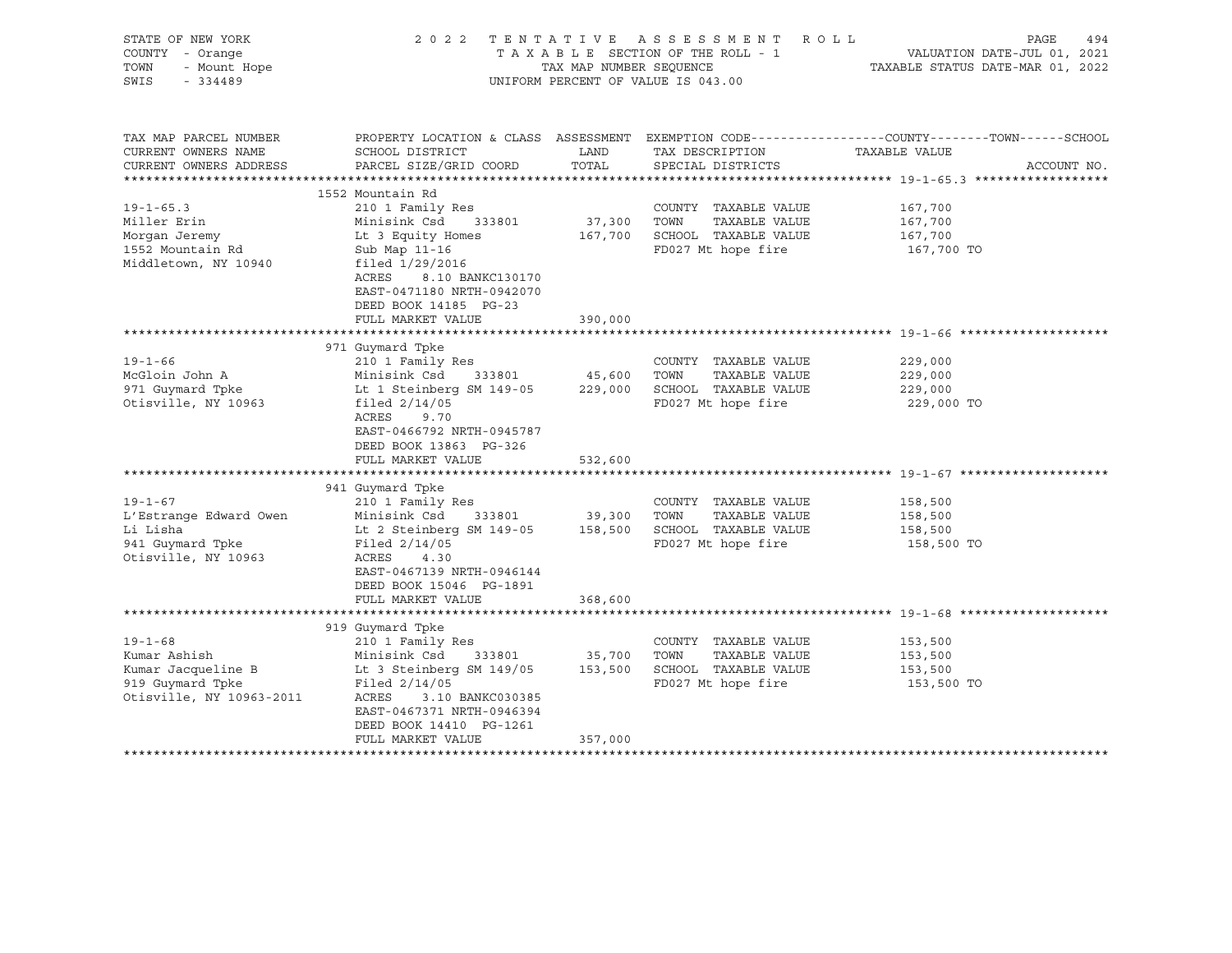| STATE OF NEW YORK<br>COUNTY - Orange<br>TOWN<br>- Mount Hope<br>SWIS<br>$-334489$                   |                                                                                                                                                                                                                         | TAX MAP NUMBER SEQUENCE      | 2022 TENTATIVE ASSESSMENT ROLL<br>TAXABLE SECTION OF THE ROLL - 1<br>UNIFORM PERCENT OF VALUE IS 043.00                       | PAGE<br>494<br>VALUATION DATE-JUL 01, 2021<br>TAXABLE STATUS DATE-MAR 01, 2022                                                   |
|-----------------------------------------------------------------------------------------------------|-------------------------------------------------------------------------------------------------------------------------------------------------------------------------------------------------------------------------|------------------------------|-------------------------------------------------------------------------------------------------------------------------------|----------------------------------------------------------------------------------------------------------------------------------|
| TAX MAP PARCEL NUMBER<br>CURRENT OWNERS NAME<br>CURRENT OWNERS ADDRESS                              | SCHOOL DISTRICT<br>PARCEL SIZE/GRID COORD                                                                                                                                                                               | LAND<br>TOTAL                | TAX DESCRIPTION<br>SPECIAL DISTRICTS                                                                                          | PROPERTY LOCATION & CLASS ASSESSMENT EXEMPTION CODE----------------COUNTY-------TOWN------SCHOOL<br>TAXABLE VALUE<br>ACCOUNT NO. |
|                                                                                                     | 1552 Mountain Rd                                                                                                                                                                                                        |                              |                                                                                                                               |                                                                                                                                  |
| $19 - 1 - 65.3$<br>Miller Erin<br>Morgan Jeremy<br>1552 Mountain Rd<br>Middletown, NY 10940         | 210 1 Family Res<br>Minisink Csd 333801<br>Lt 3 Equity Homes<br>Sub Map 11-16<br>filed 1/29/2016<br>ACRES<br>8.10 BANKC130170<br>EAST-0471180 NRTH-0942070<br>DEED BOOK 14185 PG-23                                     | 37,300<br>167,700            | COUNTY TAXABLE VALUE<br>TOWN<br>TAXABLE VALUE<br>SCHOOL TAXABLE VALUE<br>FD027 Mt hope fire                                   | 167,700<br>167,700<br>167,700<br>167,700 TO                                                                                      |
|                                                                                                     | FULL MARKET VALUE                                                                                                                                                                                                       | 390,000                      |                                                                                                                               |                                                                                                                                  |
|                                                                                                     |                                                                                                                                                                                                                         |                              |                                                                                                                               |                                                                                                                                  |
| $19 - 1 - 66$<br>McGloin John A<br>971 Guymard Tpke<br>Otisville, NY 10963                          | 971 Guymard Tpke<br>210 1 Family Res<br>Minisink Csd<br>333801<br>Lt 1 Steinberg SM 149-05<br>filed $2/14/05$<br>ACRES<br>9.70<br>EAST-0466792 NRTH-0945787<br>DEED BOOK 13863 PG-326<br>FULL MARKET VALUE              | 45,600<br>229,000            | COUNTY TAXABLE VALUE<br>TAXABLE VALUE<br>TOWN<br>SCHOOL TAXABLE VALUE<br>FD027 Mt hope fire                                   | 229,000<br>229,000<br>229,000<br>229,000 TO                                                                                      |
|                                                                                                     |                                                                                                                                                                                                                         | 532,600                      |                                                                                                                               |                                                                                                                                  |
| $19 - 1 - 67$<br>L'Estrange Edward Owen<br>Li Lisha<br>941 Guymard Tpke<br>Otisville, NY 10963      | 941 Guymard Tpke<br>210 1 Family Res<br>Minisink Csd<br>333801<br>Lt 2 Steinberg SM 149-05<br>Filed $2/14/05$<br>ACRES<br>4.30<br>EAST-0467139 NRTH-0946144<br>DEED BOOK 15046 PG-1891<br>FULL MARKET VALUE             | 39,300<br>158,500<br>368,600 | COUNTY TAXABLE VALUE<br>TOWN<br>TAXABLE VALUE<br>SCHOOL TAXABLE VALUE<br>FD027 Mt hope fire                                   | 158,500<br>158,500<br>158,500<br>158,500 TO                                                                                      |
|                                                                                                     |                                                                                                                                                                                                                         |                              |                                                                                                                               |                                                                                                                                  |
| $19 - 1 - 68$<br>Kumar Ashish<br>Kumar Jacqueline B<br>919 Guymard Tpke<br>Otisville, NY 10963-2011 | 919 Guymard Tpke<br>210 1 Family Res<br>Minisink Csd<br>333801<br>Lt 3 Steinberg SM 149/05<br>Filed $2/14/05$<br>3.10 BANKC030385<br>ACRES<br>EAST-0467371 NRTH-0946394<br>DEED BOOK 14410 PG-1261<br>FULL MARKET VALUE | 35,700<br>153,500<br>357,000 | COUNTY TAXABLE VALUE<br>TOWN<br>TAXABLE VALUE<br>SCHOOL TAXABLE VALUE<br>FD027 Mt hope fire<br>****************************** | 153,500<br>153,500<br>153,500<br>153,500 TO                                                                                      |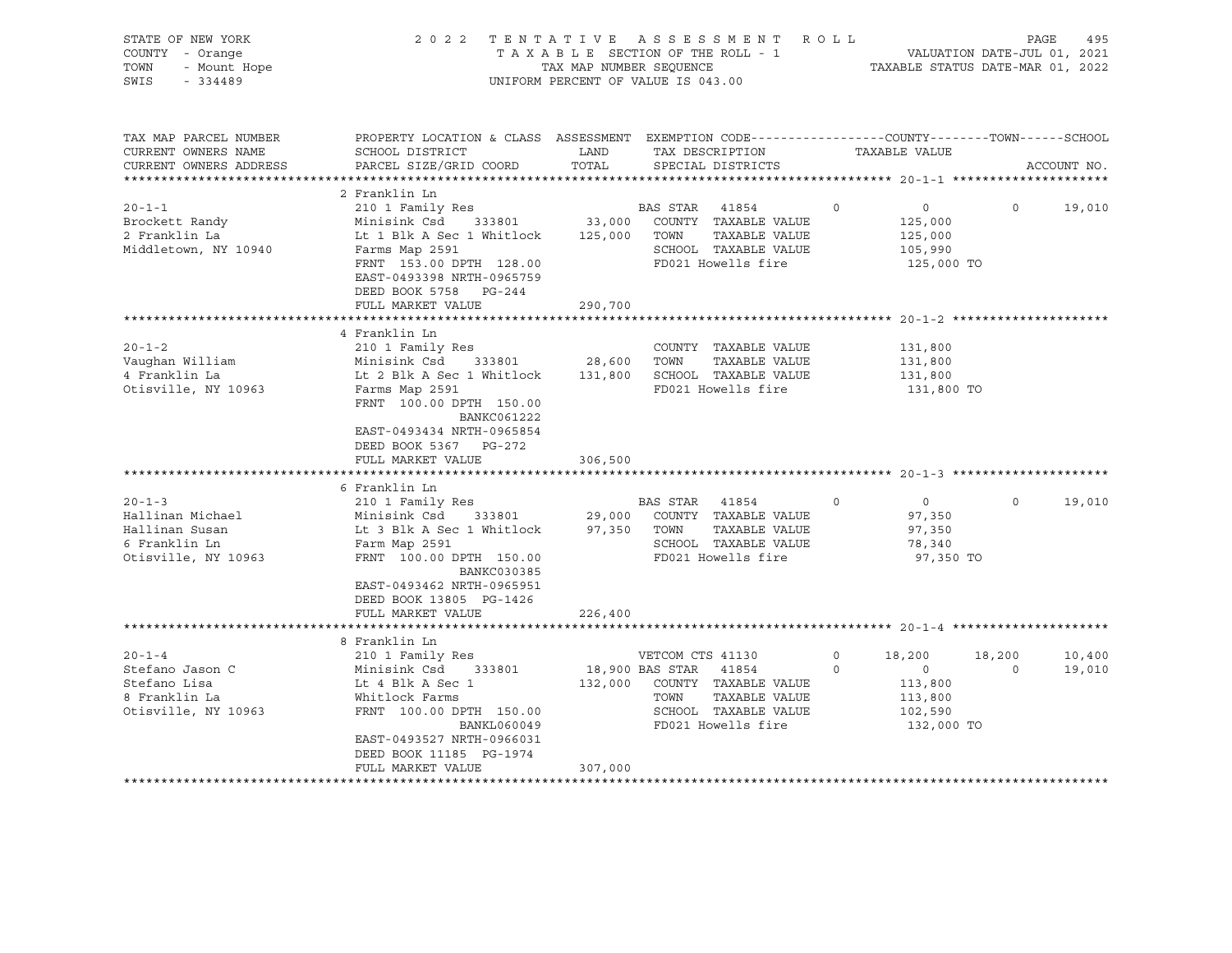| STATE OF NEW YORK<br>COUNTY - Orange<br>TOWN<br>- Mount Hope<br>SWIS<br>$-334489$          |                                                                                                                                                                                                                                                           | TAX MAP NUMBER SEOUENCE | 2022 TENTATIVE ASSESSMENT<br>TAXABLE SECTION OF THE ROLL - 1<br>UNIFORM PERCENT OF VALUE IS 043.00                                               | ROLL               | VALUATION DATE-JUL 01, 2021<br>TAXABLE STATUS DATE-MAR 01, 2022                   | PAGE                     | 495              |
|--------------------------------------------------------------------------------------------|-----------------------------------------------------------------------------------------------------------------------------------------------------------------------------------------------------------------------------------------------------------|-------------------------|--------------------------------------------------------------------------------------------------------------------------------------------------|--------------------|-----------------------------------------------------------------------------------|--------------------------|------------------|
| TAX MAP PARCEL NUMBER<br>CURRENT OWNERS NAME<br>CURRENT OWNERS ADDRESS                     | PROPERTY LOCATION & CLASS ASSESSMENT EXEMPTION CODE---------------COUNTY-------TOWN-----SCHOOL<br>SCHOOL DISTRICT<br>PARCEL SIZE/GRID COORD                                                                                                               | LAND<br>TOTAL           | TAX DESCRIPTION<br>SPECIAL DISTRICTS                                                                                                             |                    | TAXABLE VALUE                                                                     |                          | ACCOUNT NO.      |
|                                                                                            |                                                                                                                                                                                                                                                           |                         |                                                                                                                                                  |                    |                                                                                   |                          |                  |
| $20 - 1 - 1$<br>Brockett Randy<br>2 Franklin La<br>Middletown, NY 10940                    | 2 Franklin Ln<br>210 1 Family Res<br>Minisink Csd 333801<br>Lt 1 Blk A Sec 1 Whitlock 125,000 TOWN<br>Farms Map 2591<br>FRNT 153.00 DPTH 128.00<br>EAST-0493398 NRTH-0965759<br>DEED BOOK 5758 PG-244<br>FULL MARKET VALUE                                | 33,000<br>290,700       | BAS STAR 41854<br>COUNTY TAXABLE VALUE<br>TAXABLE VALUE<br>SCHOOL TAXABLE VALUE<br>FD021 Howells fire                                            | $\circ$            | $\overline{0}$<br>125,000<br>125,000<br>105,990<br>125,000 TO                     | $\Omega$                 | 19,010           |
|                                                                                            |                                                                                                                                                                                                                                                           |                         |                                                                                                                                                  |                    |                                                                                   |                          |                  |
| $20 - 1 - 2$<br>Vaughan William<br>4 Franklin La<br>Otisville, NY 10963                    | 4 Franklin Ln<br>210 1 Family Res<br>Minisink Csd 333801<br>Lt 2 Blk A Sec 1 Whitlock 131,800 SCHOOL TAXABLE VALUE<br>Farms Map 2591<br>FRNT 100.00 DPTH 150.00<br>BANKC061222<br>EAST-0493434 NRTH-0965854<br>DEED BOOK 5367 PG-272<br>FULL MARKET VALUE | 28,600 TOWN<br>306,500  | COUNTY TAXABLE VALUE<br>TAXABLE VALUE<br>FD021 Howells fire                                                                                      |                    | 131,800<br>131,800<br>131,800<br>131,800 TO                                       |                          |                  |
|                                                                                            |                                                                                                                                                                                                                                                           |                         |                                                                                                                                                  |                    |                                                                                   |                          |                  |
| $20 - 1 - 3$<br>Hallinan Michael<br>Hallinan Susan<br>6 Franklin Ln<br>Otisville, NY 10963 | 6 Franklin Ln<br>210 1 Family Res<br>Minisink Csd 333801<br>Lt 3 Blk A Sec 1 Whitlock 97,350 TOWN<br>Farm Map 2591<br>FRNT 100.00 DPTH 150.00<br>BANKC030385<br>EAST-0493462 NRTH-0965951<br>DEED BOOK 13805 PG-1426                                      |                         | BAS STAR 41854<br>29,000 COUNTY TAXABLE VALUE<br>TAXABLE VALUE<br>SCHOOL TAXABLE VALUE<br>FD021 Howells fire                                     | $\Omega$           | $\overline{0}$<br>97,350<br>97,350<br>78,340<br>97,350 TO                         | $\Omega$                 | 19,010           |
|                                                                                            | FULL MARKET VALUE                                                                                                                                                                                                                                         | 226,400                 |                                                                                                                                                  |                    |                                                                                   |                          |                  |
|                                                                                            | 8 Franklin Ln                                                                                                                                                                                                                                             |                         |                                                                                                                                                  |                    |                                                                                   |                          |                  |
| $20 - 1 - 4$<br>Stefano Jason C<br>Stefano Lisa<br>8 Franklin La<br>Otisville, NY 10963    | 210 1 Family Res<br>Minisink Csd 333801<br>Lt 4 Blk A Sec 1<br>Whitlock Farms<br>FRNT 100.00 DPTH 150.00<br>BANKL060049<br>EAST-0493527 NRTH-0966031<br>DEED BOOK 11185 PG-1974                                                                           |                         | VETCOM CTS 41130<br>18,900 BAS STAR 41854<br>132,000 COUNTY TAXABLE VALUE<br>TOWN<br>TAXABLE VALUE<br>SCHOOL TAXABLE VALUE<br>FD021 Howells fire | $\circ$<br>$\circ$ | 18,200<br>$\overline{\phantom{0}}$<br>113,800<br>113,800<br>102,590<br>132,000 TO | 18,200<br>$\overline{0}$ | 10,400<br>19,010 |
|                                                                                            | FULL MARKET VALUE                                                                                                                                                                                                                                         | 307,000                 |                                                                                                                                                  |                    |                                                                                   |                          |                  |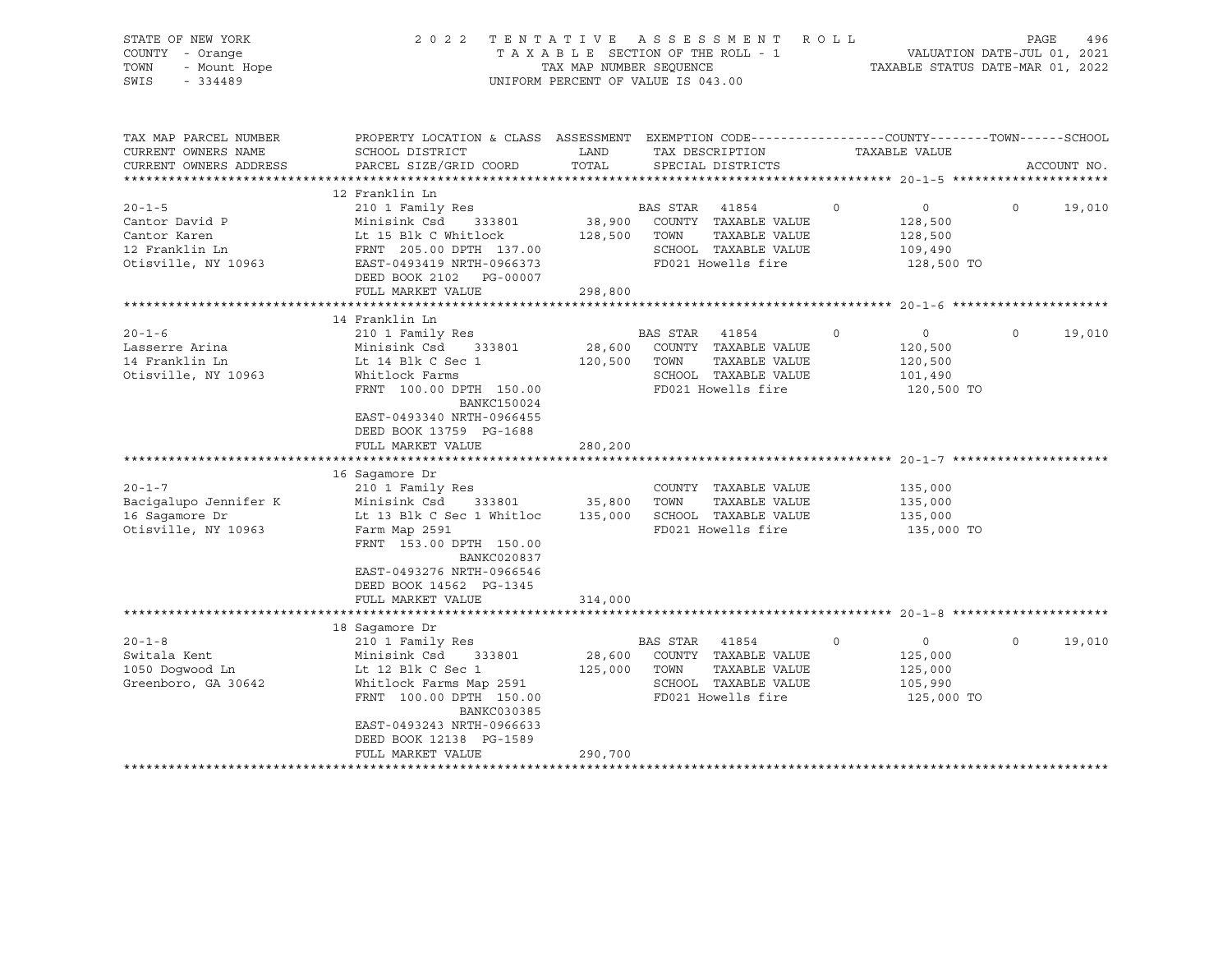| STATE OF NEW YORK<br>COUNTY - Orange<br>TOWN<br>- Mount Hope<br>SWIS<br>$-334489$       | 2 0 2 2                                                                                                                                                                                                                               | TAXABLE SECTION OF THE ROLL - 1<br>TAX MAP NUMBER SEQUENCE<br>UNIFORM PERCENT OF VALUE IS 043.00 | TENTATIVE ASSESSMENT ROLL                                                                                    |         | VALUATION DATE-JUL 01, 2021<br>TAXABLE STATUS DATE-MAR 01, 2022 | PAGE     | 496         |
|-----------------------------------------------------------------------------------------|---------------------------------------------------------------------------------------------------------------------------------------------------------------------------------------------------------------------------------------|--------------------------------------------------------------------------------------------------|--------------------------------------------------------------------------------------------------------------|---------|-----------------------------------------------------------------|----------|-------------|
| TAX MAP PARCEL NUMBER<br>CURRENT OWNERS NAME<br>CURRENT OWNERS ADDRESS                  | PROPERTY LOCATION & CLASS ASSESSMENT EXEMPTION CODE---------------COUNTY-------TOWN-----SCHOOL<br>SCHOOL DISTRICT<br>PARCEL SIZE/GRID COORD                                                                                           | LAND<br>TOTAL                                                                                    | TAX DESCRIPTION<br>SPECIAL DISTRICTS                                                                         |         | TAXABLE VALUE                                                   |          | ACCOUNT NO. |
| $20 - 1 - 5$<br>Cantor David P<br>Cantor Karen<br>12 Franklin Ln<br>Otisville, NY 10963 | 12 Franklin Ln<br>210 1 Family Res<br>Minisink Csd 333801<br>Lt 15 Blk C Whitlock<br>FRNT 205.00 DPTH 137.00<br>EAST-0493419 NRTH-0966373<br>DEED BOOK 2102 PG-00007<br>FULL MARKET VALUE                                             | 128,500 TOWN<br>298,800                                                                          | BAS STAR 41854<br>38,900 COUNTY TAXABLE VALUE<br>TAXABLE VALUE<br>SCHOOL TAXABLE VALUE<br>FD021 Howells fire | $\circ$ | $\overline{0}$<br>128,500<br>128,500<br>109,490<br>128,500 TO   | $\Omega$ | 19,010      |
|                                                                                         |                                                                                                                                                                                                                                       |                                                                                                  |                                                                                                              |         |                                                                 |          |             |
| $20 - 1 - 6$<br>Lasserre Arina<br>14 Franklin Ln<br>Otisville, NY 10963                 | 14 Franklin Ln<br>210 1 Family Res<br>Minisink Csd 333801<br>Lt 14 Blk C Sec 1<br>Whitlock Farms<br>FRNT 100.00 DPTH 150.00<br><b>BANKC150024</b><br>EAST-0493340 NRTH-0966455<br>DEED BOOK 13759 PG-1688<br>FULL MARKET VALUE        | BAS STAR<br>120,500 TOWN<br>280,200                                                              | 41854<br>28,600 COUNTY TAXABLE VALUE<br>TAXABLE VALUE<br>SCHOOL TAXABLE VALUE<br>FD021 Howells fire          | $\circ$ | $\overline{0}$<br>120,500<br>120,500<br>101,490<br>120,500 TO   | $\circ$  | 19,010      |
| $20 - 1 - 7$<br>Bacigalupo Jennifer K<br>16 Saqamore Dr<br>Otisville, NY 10963          | 16 Saqamore Dr<br>210 1 Family Res<br>Minisink Csd 333801<br>Lt 13 Blk C Sec 1 Whitloc<br>Farm Map 2591<br>FRNT 153.00 DPTH 150.00<br><b>BANKC020837</b><br>EAST-0493276 NRTH-0966546<br>DEED BOOK 14562 PG-1345<br>FULL MARKET VALUE | 35,800<br>TOWN<br>314,000                                                                        | COUNTY TAXABLE VALUE<br>TAXABLE VALUE<br>135,000 SCHOOL TAXABLE VALUE<br>FD021 Howells fire                  |         | 135,000<br>135,000<br>135,000<br>135,000 TO                     |          |             |
|                                                                                         |                                                                                                                                                                                                                                       |                                                                                                  |                                                                                                              |         |                                                                 |          |             |
| $20 - 1 - 8$<br>Switala Kent<br>1050 Doqwood Ln<br>Greenboro, GA 30642                  | 18 Sagamore Dr<br>210 1 Family Res<br>Minisink Csd 333801<br>Lt 12 Blk C Sec 1<br>Whitlock Farms Map 2591<br>FRNT 100.00 DPTH 150.00<br>BANKC030385<br>EAST-0493243 NRTH-0966633<br>DEED BOOK 12138 PG-1589<br>FULL MARKET VALUE      | 28,600<br>125,000<br>TOWN<br>290,700                                                             | BAS STAR 41854<br>COUNTY TAXABLE VALUE<br>TAXABLE VALUE<br>SCHOOL TAXABLE VALUE<br>FD021 Howells fire        | $\circ$ | $\circ$<br>125,000<br>125,000<br>105,990<br>125,000 TO          | $\circ$  | 19,010      |
|                                                                                         |                                                                                                                                                                                                                                       |                                                                                                  |                                                                                                              |         |                                                                 |          |             |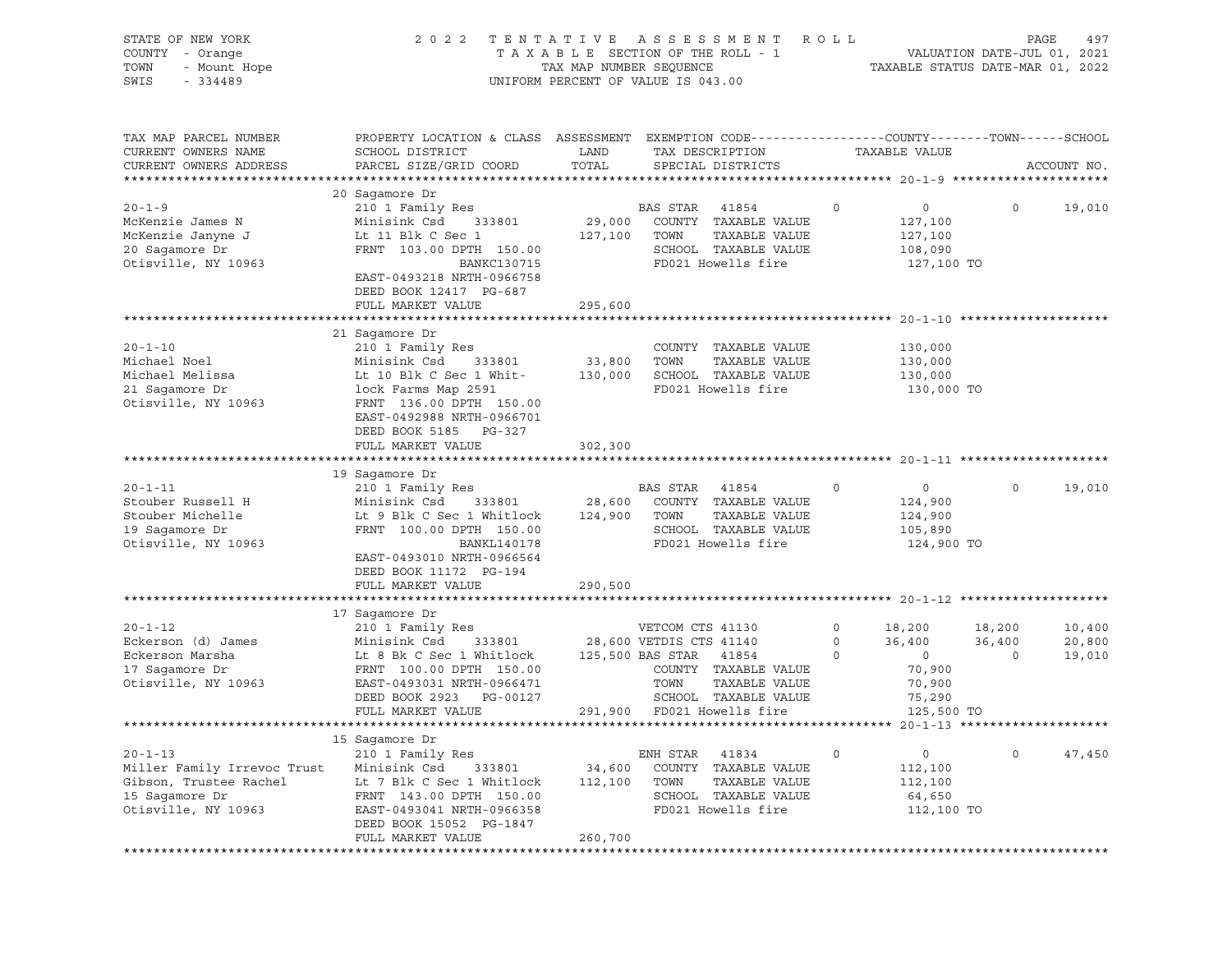| STATE OF NEW YORK<br>COUNTY - Orange<br>TOWN<br>- Mount Hope<br>SWIS<br>$-334489$                                                                                     |                                                                                                                                                                                                                                                                                                                                              | TAX MAP NUMBER SEQUENCE                           | 2022 TENTATIVE ASSESSMENT ROLL<br>TAXABLE SECTION OF THE ROLL - 1<br>UNIFORM PERCENT OF VALUE IS 043.00                                                                                   |                               | TAXABLE STATUS DATE-MAR 01, 2022                                                        | PAGE<br>VALUATION DATE-JUL 01, 2021 | 497                        |
|-----------------------------------------------------------------------------------------------------------------------------------------------------------------------|----------------------------------------------------------------------------------------------------------------------------------------------------------------------------------------------------------------------------------------------------------------------------------------------------------------------------------------------|---------------------------------------------------|-------------------------------------------------------------------------------------------------------------------------------------------------------------------------------------------|-------------------------------|-----------------------------------------------------------------------------------------|-------------------------------------|----------------------------|
| TAX MAP PARCEL NUMBER<br>CURRENT OWNERS NAME<br>CURRENT OWNERS ADDRESS                                                                                                | PROPERTY LOCATION & CLASS ASSESSMENT EXEMPTION CODE----------------COUNTY-------TOWN------SCHOOL<br>SCHOOL DISTRICT<br>PARCEL SIZE/GRID COORD                                                                                                                                                                                                | LAND<br>TOTAL                                     | TAX DESCRIPTION<br>SPECIAL DISTRICTS                                                                                                                                                      |                               | TAXABLE VALUE                                                                           |                                     | ACCOUNT NO.                |
|                                                                                                                                                                       | 20 Sagamore Dr                                                                                                                                                                                                                                                                                                                               |                                                   |                                                                                                                                                                                           |                               |                                                                                         |                                     |                            |
| $20 - 1 - 9$<br>McKenzie James N<br>McKenzie Janyne J<br>20 Sagamore Dr<br>Otisville, NY 10963                                                                        | 210 1 Family Res<br>Minisink Csd<br>333801<br>Lt 11 Blk C Sec 1<br>FRNT 103.00 DPTH 150.00<br>BANKC130715<br>EAST-0493218 NRTH-0966758<br>DEED BOOK 12417 PG-687                                                                                                                                                                             | 29,000<br>127,100                                 | BAS STAR<br>41854<br>COUNTY TAXABLE VALUE<br>TOWN<br>TAXABLE VALUE<br>SCHOOL TAXABLE VALUE<br>FD021 Howells fire                                                                          | 0                             | $\overline{0}$<br>127,100<br>127,100<br>108,090<br>127,100 TO                           | $\circ$                             | 19,010                     |
|                                                                                                                                                                       | FULL MARKET VALUE                                                                                                                                                                                                                                                                                                                            | 295,600                                           |                                                                                                                                                                                           |                               |                                                                                         |                                     |                            |
| $20 - 1 - 10$<br>Michael Noel<br>Michael Melissa<br>21 Sagamore Dr<br>Otisville, NY 10963<br>$20 - 1 - 11$<br>Stouber Russell H<br>Stouber Michelle<br>19 Sagamore Dr | 21 Sagamore Dr<br>210 1 Family Res<br>Minisink Csd<br>333801<br>Lt 10 Blk C Sec 1 Whit-<br>lock Farms Map 2591<br>FRNT 136.00 DPTH 150.00<br>EAST-0492988 NRTH-0966701<br>DEED BOOK 5185 PG-327<br>FULL MARKET VALUE<br>19 Sagamore Dr<br>210 1 Family Res<br>Minisink Csd<br>333801<br>Lt 9 Blk C Sec 1 Whitlock<br>FRNT 100.00 DPTH 150.00 | 33,800<br>130,000<br>302,300<br>28,600<br>124,900 | COUNTY TAXABLE VALUE<br>TOWN<br>TAXABLE VALUE<br>SCHOOL TAXABLE VALUE<br>FD021 Howells fire<br>BAS STAR<br>41854<br>COUNTY TAXABLE VALUE<br>TOWN<br>TAXABLE VALUE<br>SCHOOL TAXABLE VALUE | 0                             | 130,000<br>130,000<br>130,000<br>130,000 TO<br>$\circ$<br>124,900<br>124,900<br>105,890 | $\circ$                             | 19,010                     |
| Otisville, NY 10963                                                                                                                                                   | BANKL140178<br>EAST-0493010 NRTH-0966564<br>DEED BOOK 11172 PG-194<br>FULL MARKET VALUE                                                                                                                                                                                                                                                      | 290,500                                           | FD021 Howells fire                                                                                                                                                                        |                               | 124,900 TO                                                                              |                                     |                            |
|                                                                                                                                                                       |                                                                                                                                                                                                                                                                                                                                              |                                                   |                                                                                                                                                                                           |                               |                                                                                         |                                     |                            |
| $20 - 1 - 12$<br>Eckerson (d) James<br>Eckerson Marsha<br>17 Sagamore Dr<br>Otisville, NY 10963                                                                       | 17 Sagamore Dr<br>210 1 Family Res<br>Minisink Csd<br>333801<br>Lt 8 Bk C Sec 1 Whitlock<br>FRNT 100.00 DPTH 150.00<br>EAST-0493031 NRTH-0966471<br>DEED BOOK 2923 PG-00127                                                                                                                                                                  |                                                   | VETCOM CTS 41130<br>28,600 VETDIS CTS 41140<br>125,500 BAS STAR 41854<br>COUNTY TAXABLE VALUE<br>TOWN<br>TAXABLE VALUE<br>SCHOOL TAXABLE VALUE                                            | $\circ$<br>$\circ$<br>$\circ$ | 18,200<br>36,400<br>$\overline{\mathbf{0}}$<br>70,900<br>70,900<br>75,290               | 18,200<br>36,400<br>$\circ$         | 10,400<br>20,800<br>19,010 |
|                                                                                                                                                                       | FULL MARKET VALUE                                                                                                                                                                                                                                                                                                                            |                                                   | 291,900 FD021 Howells fire                                                                                                                                                                |                               | 125,500 TO                                                                              |                                     |                            |
|                                                                                                                                                                       |                                                                                                                                                                                                                                                                                                                                              |                                                   |                                                                                                                                                                                           |                               |                                                                                         |                                     |                            |
|                                                                                                                                                                       | 15 Sagamore Dr                                                                                                                                                                                                                                                                                                                               |                                                   |                                                                                                                                                                                           |                               |                                                                                         |                                     |                            |
| $20 - 1 - 13$<br>Miller Family Irrevoc Trust<br>Gibson, Trustee Rachel<br>15 Sagamore Dr<br>Otisville, NY 10963                                                       | 210 1 Family Res<br>Minisink Csd<br>333801<br>Lt 7 Blk C Sec 1 Whitlock<br>FRNT 143.00 DPTH 150.00<br>EAST-0493041 NRTH-0966358<br>DEED BOOK 15052 PG-1847<br>FULL MARKET VALUE                                                                                                                                                              | 34,600<br>112,100<br>260,700                      | ENH STAR<br>41834<br>TAXABLE VALUE<br>COUNTY<br>TOWN<br>TAXABLE VALUE<br>SCHOOL<br>TAXABLE VALUE<br>FD021 Howells fire                                                                    | 0                             | 0<br>112,100<br>112,100<br>64,650<br>112,100 TO                                         | 0                                   | 47,450                     |
|                                                                                                                                                                       |                                                                                                                                                                                                                                                                                                                                              |                                                   |                                                                                                                                                                                           |                               |                                                                                         |                                     |                            |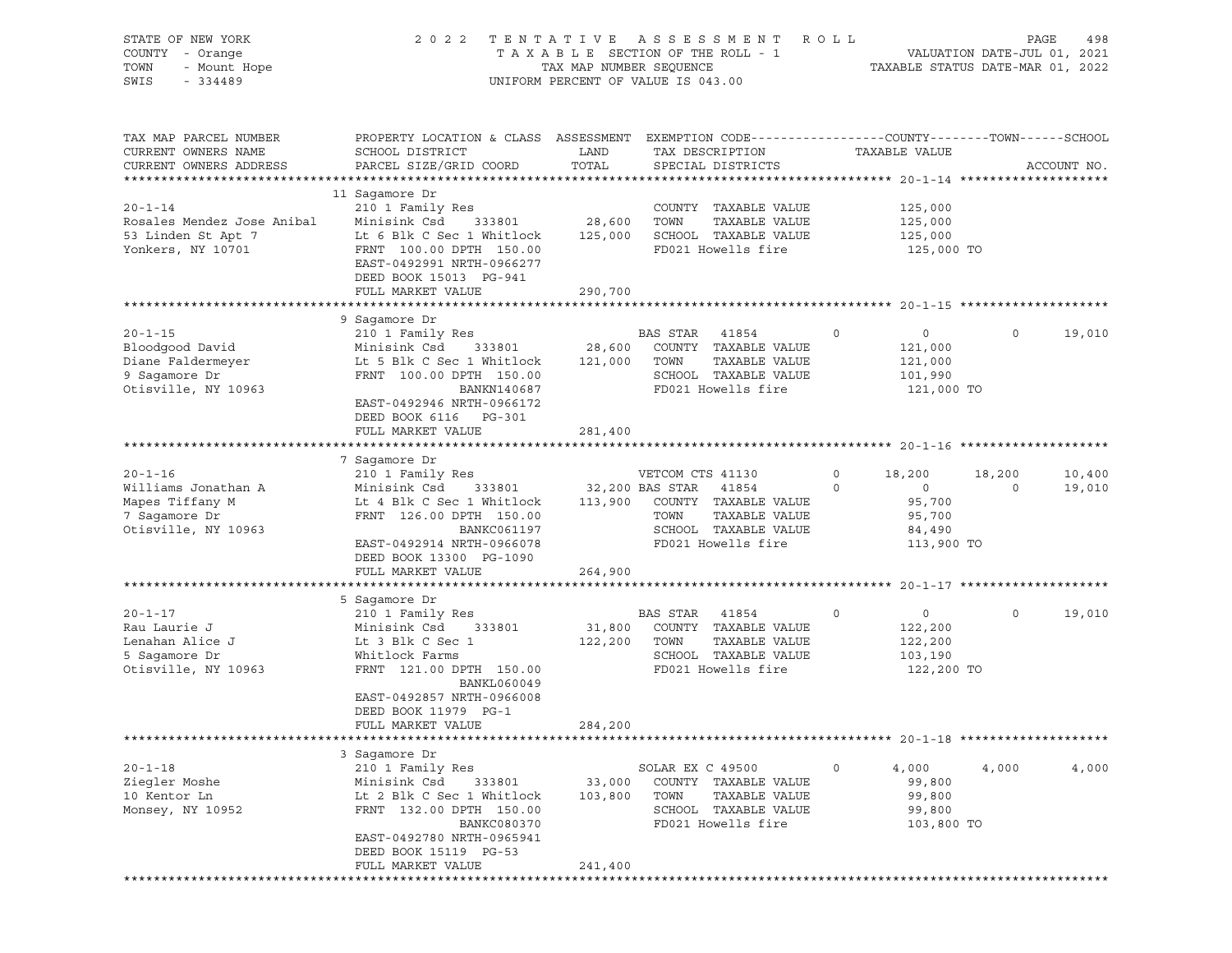| STATE OF NEW YORK<br>COUNTY - Orange<br>TOWN<br>- Mount Hope<br>SWIS<br>$-334489$        | 2 0 2 2                                                                                                                                                                                          | TAX MAP NUMBER SEQUENCE      | TENTATIVE ASSESSMENT<br>TAXABLE SECTION OF THE ROLL - 1<br>UNIFORM PERCENT OF VALUE IS 043.00                    | R O L L                                                                  | PAGE<br>498<br>VALUATION DATE-JUL 01, 2021<br>TAXABLE STATUS DATE-MAR 01, 2022 |
|------------------------------------------------------------------------------------------|--------------------------------------------------------------------------------------------------------------------------------------------------------------------------------------------------|------------------------------|------------------------------------------------------------------------------------------------------------------|--------------------------------------------------------------------------|--------------------------------------------------------------------------------|
| TAX MAP PARCEL NUMBER<br>CURRENT OWNERS NAME<br>CURRENT OWNERS ADDRESS                   | PROPERTY LOCATION & CLASS ASSESSMENT<br>SCHOOL DISTRICT<br>PARCEL SIZE/GRID COORD                                                                                                                | LAND<br>TOTAL                | EXEMPTION CODE-----------------COUNTY-------TOWN------SCHOOL<br>TAX DESCRIPTION<br>SPECIAL DISTRICTS             | TAXABLE VALUE                                                            | ACCOUNT NO.                                                                    |
| $20 - 1 - 14$<br>Rosales Mendez Jose Anibal<br>53 Linden St Apt 7<br>Yonkers, NY 10701   | 11 Sagamore Dr<br>210 1 Family Res<br>Minisink Csd<br>333801<br>Lt 6 Blk C Sec 1 Whitlock<br>FRNT 100.00 DPTH 150.00<br>EAST-0492991 NRTH-0966277<br>DEED BOOK 15013 PG-941<br>FULL MARKET VALUE | 28,600<br>125,000<br>290,700 | COUNTY TAXABLE VALUE<br>TOWN<br>TAXABLE VALUE<br>SCHOOL TAXABLE VALUE<br>FD021 Howells fire                      | 125,000<br>125,000<br>125,000<br>125,000 TO                              |                                                                                |
|                                                                                          |                                                                                                                                                                                                  |                              |                                                                                                                  |                                                                          |                                                                                |
| $20 - 1 - 15$<br>Bloodgood David<br>Diane Faldermeyer                                    | 9 Saqamore Dr<br>210 1 Family Res<br>Minisink Csd<br>333801<br>Lt 5 Blk C Sec 1 Whitlock                                                                                                         | 28,600<br>121,000            | BAS STAR<br>41854<br>COUNTY TAXABLE VALUE<br>TOWN<br>TAXABLE VALUE                                               | $\circ$<br>$\overline{0}$<br>121,000<br>121,000                          | $\circ$<br>19,010                                                              |
| 9 Sagamore Dr<br>Otisville, NY 10963                                                     | FRNT 100.00 DPTH 150.00<br>BANKN140687<br>EAST-0492946 NRTH-0966172<br>DEED BOOK 6116 PG-301<br>FULL MARKET VALUE                                                                                | 281,400                      | SCHOOL TAXABLE VALUE<br>FD021 Howells fire                                                                       | 101,990<br>121,000 TO                                                    |                                                                                |
|                                                                                          |                                                                                                                                                                                                  |                              |                                                                                                                  |                                                                          |                                                                                |
|                                                                                          | 7 Sagamore Dr                                                                                                                                                                                    |                              |                                                                                                                  |                                                                          |                                                                                |
| $20 - 1 - 16$<br>Williams Jonathan A                                                     | 210 1 Family Res<br>Minisink Csd<br>333801                                                                                                                                                       |                              | VETCOM CTS 41130<br>32,200 BAS STAR<br>41854                                                                     | 0<br>18,200<br>$\circ$<br>$\circ$                                        | 18,200<br>10,400<br>$\circ$<br>19,010                                          |
| Mapes Tiffany M<br>7 Sagamore Dr<br>Otisville, NY 10963                                  | Lt 4 Blk C Sec 1 Whitlock<br>FRNT 126.00 DPTH 150.00<br>BANKC061197<br>EAST-0492914 NRTH-0966078<br>DEED BOOK 13300 PG-1090<br>FULL MARKET VALUE                                                 | 113,900<br>264,900           | COUNTY TAXABLE VALUE<br>TOWN<br>TAXABLE VALUE<br>SCHOOL TAXABLE VALUE<br>FD021 Howells fire                      | 95,700<br>95,700<br>84,490<br>113,900 TO                                 |                                                                                |
|                                                                                          |                                                                                                                                                                                                  |                              |                                                                                                                  |                                                                          |                                                                                |
| $20 - 1 - 17$<br>Rau Laurie J<br>Lenahan Alice J<br>5 Sagamore Dr<br>Otisville, NY 10963 | 5 Saqamore Dr<br>210 1 Family Res<br>333801<br>Minisink Csd<br>Lt 3 Blk C Sec 1<br>Whitlock Farms<br>FRNT 121.00 DPTH 150.00                                                                     | 31,800<br>122,200            | BAS STAR<br>41854<br>COUNTY TAXABLE VALUE<br>TOWN<br>TAXABLE VALUE<br>SCHOOL TAXABLE VALUE<br>FD021 Howells fire | $\circ$<br>$\overline{0}$<br>122,200<br>122,200<br>103,190<br>122,200 TO | $\circ$<br>19,010                                                              |
|                                                                                          | <b>BANKL060049</b><br>EAST-0492857 NRTH-0966008<br>DEED BOOK 11979 PG-1<br>FULL MARKET VALUE                                                                                                     | 284,200                      |                                                                                                                  |                                                                          |                                                                                |
|                                                                                          |                                                                                                                                                                                                  |                              |                                                                                                                  |                                                                          |                                                                                |
| $20 - 1 - 18$<br>Ziegler Moshe<br>10 Kentor Ln<br>Monsey, NY 10952                       | 3 Sagamore Dr<br>210 1 Family Res<br>Minisink Csd<br>333801<br>Lt 2 Blk C Sec 1 Whitlock<br>FRNT 132.00 DPTH 150.00<br>BANKC080370<br>EAST-0492780 NRTH-0965941<br>DEED BOOK 15119 PG-53         | 33,000<br>103,800            | SOLAR EX C 49500<br>COUNTY TAXABLE VALUE<br>TOWN<br>TAXABLE VALUE<br>SCHOOL TAXABLE VALUE<br>FD021 Howells fire  | 0<br>4,000<br>99,800<br>99,800<br>99,800<br>103,800 TO                   | 4,000<br>4,000                                                                 |
|                                                                                          | FULL MARKET VALUE                                                                                                                                                                                | 241,400                      |                                                                                                                  |                                                                          |                                                                                |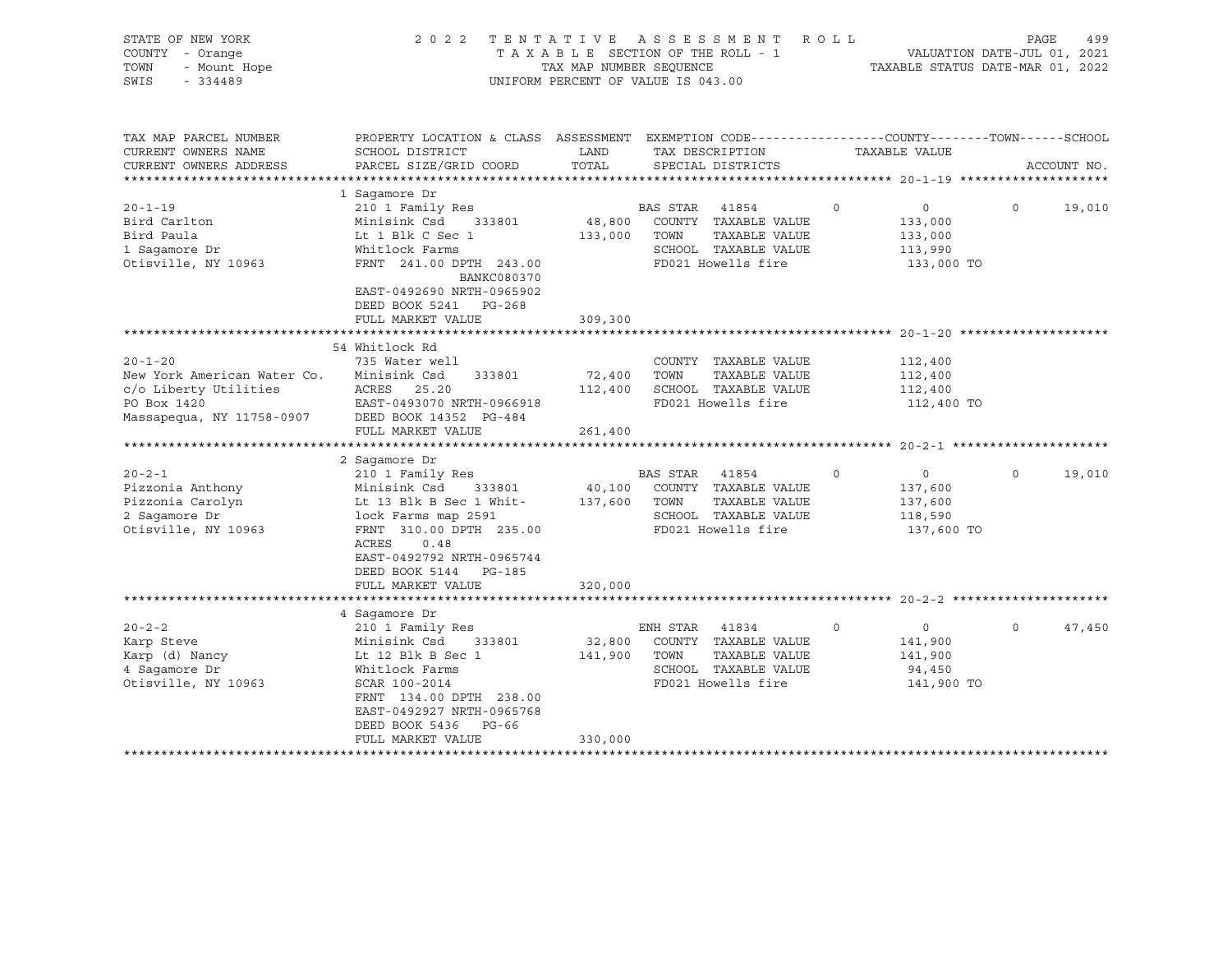| STATE OF NEW YORK<br>COUNTY - Orange<br>- Mount Hope<br>TOWN<br>SWIS<br>$-334489$                                                                                                                                 | 2 0 2 2                                                                                                                                                                                                                                                                                                            | TENTATIVE ASSESSMENT<br>TAXABLE SECTION OF THE ROLL - 1<br>TAX MAP NUMBER SEQUENCE<br>UNIFORM PERCENT OF VALUE IS 043.00 |                                |                                                                                                                                                                            | ROLL    | VALUATION DATE-JUL 01, 2021<br>TAXABLE STATUS DATE-MAR 01, 2022                                       | PAGE     | 499         |
|-------------------------------------------------------------------------------------------------------------------------------------------------------------------------------------------------------------------|--------------------------------------------------------------------------------------------------------------------------------------------------------------------------------------------------------------------------------------------------------------------------------------------------------------------|--------------------------------------------------------------------------------------------------------------------------|--------------------------------|----------------------------------------------------------------------------------------------------------------------------------------------------------------------------|---------|-------------------------------------------------------------------------------------------------------|----------|-------------|
| TAX MAP PARCEL NUMBER<br>CURRENT OWNERS NAME<br>CURRENT OWNERS ADDRESS<br>*************************                                                                                                               | PROPERTY LOCATION & CLASS ASSESSMENT EXEMPTION CODE----------------COUNTY-------TOWN-----SCHOOL<br>SCHOOL DISTRICT<br>PARCEL SIZE/GRID COORD                                                                                                                                                                       | LAND<br>TOTAL                                                                                                            | TAX DESCRIPTION                | SPECIAL DISTRICTS                                                                                                                                                          |         | TAXABLE VALUE                                                                                         |          | ACCOUNT NO. |
| $20 - 1 - 19$<br>Bird Carlton<br>Bird Paula<br>1 Sagamore Dr<br>Otisville, NY 10963                                                                                                                               | 1 Saqamore Dr<br>210 1 Family Res<br>Minisink Csd 333801<br>Lt 1 Blk C Sec 1<br>Whitlock Farms<br>FRNT 241.00 DPTH 243.00<br>BANKC080370<br>EAST-0492690 NRTH-0965902<br>DEED BOOK 5241<br>PG-268                                                                                                                  | 48,800<br>133,000                                                                                                        | BAS STAR<br>TOWN               | 41854<br>COUNTY TAXABLE VALUE<br>TAXABLE VALUE<br>SCHOOL TAXABLE VALUE<br>FD021 Howells fire                                                                               | $\circ$ | 0<br>133,000<br>133,000<br>113,990<br>133,000 TO                                                      | $\circ$  | 19,010      |
|                                                                                                                                                                                                                   | FULL MARKET VALUE<br>*********************                                                                                                                                                                                                                                                                         | 309,300<br>************                                                                                                  |                                | ******************************* 20-1-20 *********                                                                                                                          |         |                                                                                                       |          |             |
| $20 - 1 - 20$<br>New York American Water Co.<br>c/o Liberty Utilities<br>PO Box 1420<br>Massapequa, NY 11758-0907<br>$20 - 2 - 1$<br>Pizzonia Anthony<br>Pizzonia Carolyn<br>2 Sagamore Dr<br>Otisville, NY 10963 | 54 Whitlock Rd<br>735 Water well<br>Minisink Csd<br>333801<br>ACRES 25.20<br>EAST-0493070 NRTH-0966918<br>DEED BOOK 14352 PG-484<br>FULL MARKET VALUE<br>2 Sagamore Dr<br>210 1 Family Res<br>Minisink Csd<br>333801<br>Lt 13 Blk B Sec 1 Whit-<br>lock Farms map 2591<br>FRNT 310.00 DPTH 235.00<br>ACRES<br>0.48 | 72,400<br>112,400<br>261,400<br>40,100<br>137,600                                                                        | TOWN<br>BAS STAR 41854<br>TOWN | COUNTY TAXABLE VALUE<br>TAXABLE VALUE<br>SCHOOL TAXABLE VALUE<br>FD021 Howells fire<br>COUNTY TAXABLE VALUE<br>TAXABLE VALUE<br>SCHOOL TAXABLE VALUE<br>FD021 Howells fire | $\circ$ | 112,400<br>112,400<br>112,400<br>112,400 TO<br>$\circ$<br>137,600<br>137,600<br>118,590<br>137,600 TO | $\circ$  | 19,010      |
|                                                                                                                                                                                                                   | EAST-0492792 NRTH-0965744<br>DEED BOOK 5144 PG-185<br>FULL MARKET VALUE                                                                                                                                                                                                                                            | 320,000                                                                                                                  |                                |                                                                                                                                                                            |         |                                                                                                       |          |             |
|                                                                                                                                                                                                                   | 4 Saqamore Dr                                                                                                                                                                                                                                                                                                      |                                                                                                                          |                                |                                                                                                                                                                            |         |                                                                                                       |          |             |
| $20 - 2 - 2$<br>Karp Steve<br>Karp (d) Nancy<br>4 Saqamore Dr<br>Otisville, NY 10963                                                                                                                              | 210 1 Family Res<br>Minisink Csd<br>333801<br>Lt 12 Blk B Sec 1<br>Whitlock Farms<br>SCAR 100-2014<br>FRNT 134.00 DPTH 238.00<br>EAST-0492927 NRTH-0965768<br>DEED BOOK 5436<br>PG-66                                                                                                                              | 32,800<br>141,900                                                                                                        | ENH STAR<br>TOWN               | 41834<br>COUNTY TAXABLE VALUE<br>TAXABLE VALUE<br>SCHOOL TAXABLE VALUE<br>FD021 Howells fire                                                                               | $\circ$ | $\circ$<br>141,900<br>141,900<br>94,450<br>141,900 TO                                                 | $\Omega$ | 47,450      |
|                                                                                                                                                                                                                   | FULL MARKET VALUE                                                                                                                                                                                                                                                                                                  | 330,000                                                                                                                  |                                |                                                                                                                                                                            |         |                                                                                                       |          |             |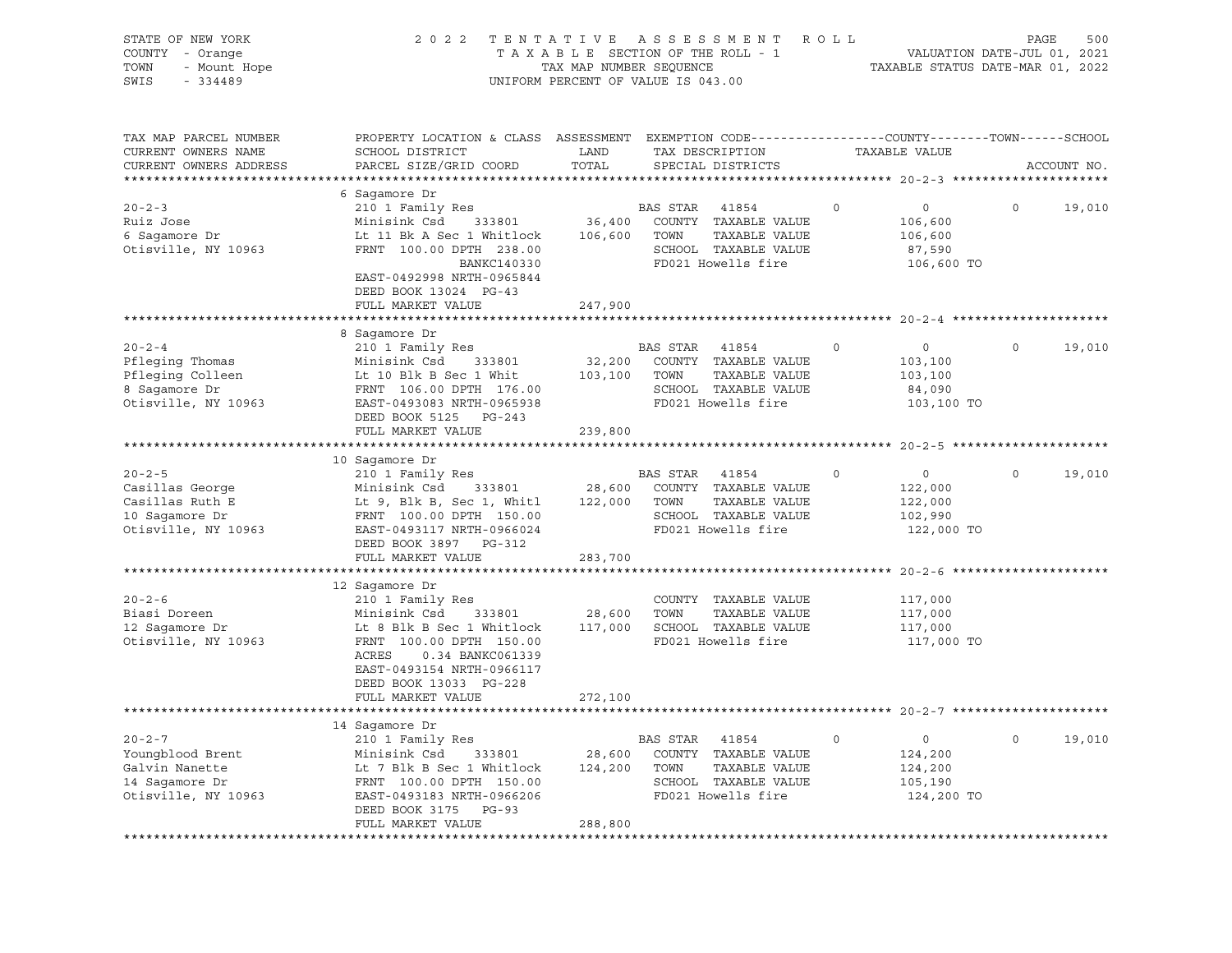| STATE OF NEW YORK<br>COUNTY - Orange<br>- Mount Hope<br>TOWN<br>SWIS<br>$-334489$                  | 2 0 2 2<br>TENTATIVE<br>TAXABLE SECTION OF THE ROLL - 1<br>TAX MAP NUMBER SEQUENCE<br>UNIFORM PERCENT OF VALUE IS 043.00                                                                                 | ROLL                         | VALUATION DATE-JUL 01, 2021<br>TAXABLE STATUS DATE-MAR 01, 2022                               | PAGE                                  | 500      |                                                               |              |             |
|----------------------------------------------------------------------------------------------------|----------------------------------------------------------------------------------------------------------------------------------------------------------------------------------------------------------|------------------------------|-----------------------------------------------------------------------------------------------|---------------------------------------|----------|---------------------------------------------------------------|--------------|-------------|
| TAX MAP PARCEL NUMBER<br>CURRENT OWNERS NAME<br>CURRENT OWNERS ADDRESS<br>************************ | PROPERTY LOCATION & CLASS ASSESSMENT EXEMPTION CODE---------------COUNTY-------TOWN-----SCHOOL<br>SCHOOL DISTRICT<br>PARCEL SIZE/GRID COORD                                                              | LAND<br>TOTAL                | TAX DESCRIPTION<br>SPECIAL DISTRICTS                                                          |                                       |          | TAXABLE VALUE                                                 |              | ACCOUNT NO. |
|                                                                                                    | 6 Sagamore Dr                                                                                                                                                                                            |                              |                                                                                               |                                       |          |                                                               |              |             |
| $20 - 2 - 3$<br>Ruiz Jose<br>6 Sagamore Dr<br>Otisville, NY 10963                                  | 210 1 Family Res<br>Minisink Csd<br>333801<br>Lt 11 Bk A Sec 1 Whitlock<br>FRNT 100.00 DPTH 238.00<br>BANKC140330<br>EAST-0492998 NRTH-0965844<br>DEED BOOK 13024 PG-43                                  | 36,400<br>106,600            | BAS STAR<br>COUNTY TAXABLE VALUE<br>TOWN<br>SCHOOL TAXABLE VALUE<br>FD021 Howells fire        | 41854<br>TAXABLE VALUE                | 0        | $\circ$<br>106,600<br>106,600<br>87,590<br>106,600 TO         | $\circ$      | 19,010      |
|                                                                                                    | FULL MARKET VALUE                                                                                                                                                                                        | 247,900                      |                                                                                               |                                       |          |                                                               |              |             |
|                                                                                                    |                                                                                                                                                                                                          |                              |                                                                                               |                                       |          |                                                               |              |             |
| $20 - 2 - 4$<br>Pfleging Thomas<br>Pfleging Colleen<br>8 Saqamore Dr<br>Otisville, NY 10963        | 8 Sagamore Dr<br>210 1 Family Res<br>Minisink Csd<br>333801<br>Lt 10 Blk B Sec 1 Whit<br>FRNT 106.00 DPTH 176.00<br>EAST-0493083 NRTH-0965938<br>DEED BOOK 5125 PG-243                                   | 32,200<br>103,100            | <b>BAS STAR</b><br>COUNTY TAXABLE VALUE<br>TOWN<br>SCHOOL TAXABLE VALUE<br>FD021 Howells fire | 41854<br>TAXABLE VALUE                | $\Omega$ | $\circ$<br>103,100<br>103,100<br>84,090<br>103,100 TO         | $\Omega$     | 19,010      |
|                                                                                                    | FULL MARKET VALUE                                                                                                                                                                                        | 239,800                      |                                                                                               |                                       |          |                                                               |              |             |
|                                                                                                    |                                                                                                                                                                                                          |                              |                                                                                               | ****************************** 20-2-5 |          |                                                               |              |             |
| $20 - 2 - 5$<br>Casillas George<br>Casillas Ruth E<br>10 Sagamore Dr<br>Otisville, NY 10963        | 10 Sagamore Dr<br>210 1 Family Res<br>333801<br>Minisink Csd<br>Lt 9, Blk B, Sec 1, Whitl<br>FRNT 100.00 DPTH 150.00<br>EAST-0493117 NRTH-0966024<br>DEED BOOK 3897 PG-312                               | 28,600<br>122,000            | BAS STAR<br>COUNTY TAXABLE VALUE<br>TOWN<br>SCHOOL TAXABLE VALUE<br>FD021 Howells fire        | 41854<br>TAXABLE VALUE                | $\circ$  | $\overline{0}$<br>122,000<br>122,000<br>102,990<br>122,000 TO | $\Omega$     | 19,010      |
|                                                                                                    | FULL MARKET VALUE                                                                                                                                                                                        | 283,700                      |                                                                                               |                                       |          |                                                               |              |             |
| $20 - 2 - 6$<br>Biasi Doreen<br>12 Sagamore Dr<br>Otisville, NY 10963                              | 12 Saqamore Dr<br>210 1 Family Res<br>Minisink Csd<br>333801<br>Lt 8 Blk B Sec 1 Whitlock<br>FRNT 100.00 DPTH 150.00<br>ACRES<br>0.34 BANKC061339<br>EAST-0493154 NRTH-0966117<br>DEED BOOK 13033 PG-228 | 28,600<br>117,000            | COUNTY TAXABLE VALUE<br>TOWN<br>SCHOOL TAXABLE VALUE<br>FD021 Howells fire                    | TAXABLE VALUE                         |          | 117,000<br>117,000<br>117,000<br>117,000 TO                   |              |             |
|                                                                                                    | FULL MARKET VALUE                                                                                                                                                                                        | 272,100                      |                                                                                               |                                       |          |                                                               |              |             |
|                                                                                                    |                                                                                                                                                                                                          |                              |                                                                                               |                                       |          |                                                               |              |             |
| $20 - 2 - 7$<br>Youngblood Brent<br>Galvin Nanette<br>14 Sagamore Dr<br>Otisville, NY 10963        | 14 Sagamore Dr<br>210 1 Family Res<br>Minisink Csd<br>333801<br>Lt 7 Blk B Sec 1 Whitlock<br>FRNT 100.00 DPTH 150.00<br>EAST-0493183 NRTH-0966206<br>DEED BOOK 3175<br>PG-93<br>FULL MARKET VALUE        | 28,600<br>124,200<br>288,800 | BAS STAR<br>COUNTY TAXABLE VALUE<br>TOWN<br>SCHOOL TAXABLE VALUE<br>FD021 Howells fire        | 41854<br>TAXABLE VALUE                | 0        | $\circ$<br>124,200<br>124,200<br>105,190<br>124,200 TO        | $\mathsf{O}$ | 19,010      |
|                                                                                                    | **********************************                                                                                                                                                                       |                              |                                                                                               |                                       |          |                                                               |              |             |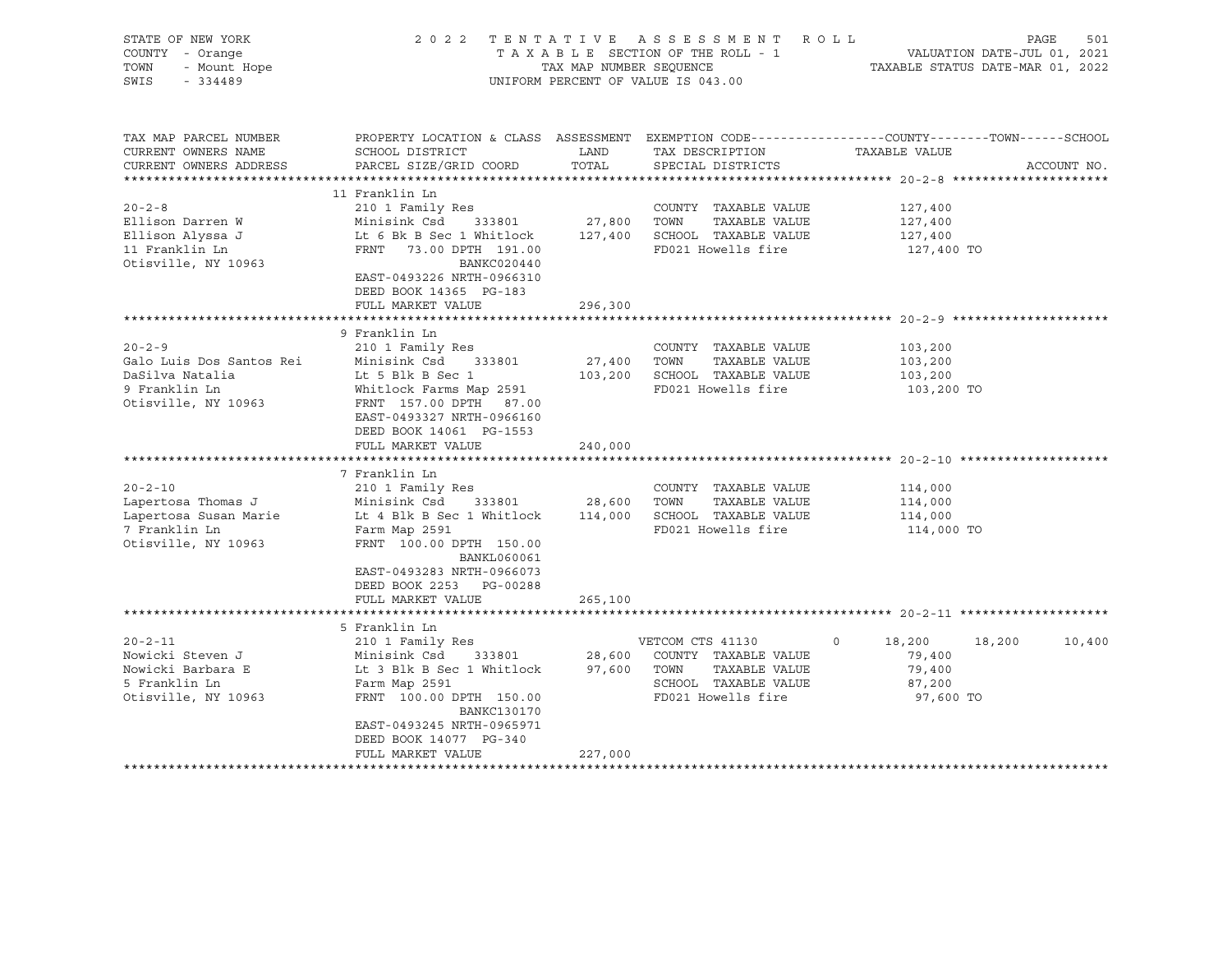| STATE OF NEW YORK<br>COUNTY - Orange<br>TOWN<br>- Mount Hope<br>SWIS<br>$-334489$                    |                                                                                                                                                                                                                                           | TAX MAP NUMBER SEQUENCE                     | 2022 TENTATIVE ASSESSMENT ROLL<br>TAXABLE SECTION OF THE ROLL - 1<br>UNIFORM PERCENT OF VALUE IS 043.00         | PAGE<br>VALUATION DATE-JUL 01, 2021<br>TAXABLE STATUS DATE-MAR 01, 2022                                          | 501         |
|------------------------------------------------------------------------------------------------------|-------------------------------------------------------------------------------------------------------------------------------------------------------------------------------------------------------------------------------------------|---------------------------------------------|-----------------------------------------------------------------------------------------------------------------|------------------------------------------------------------------------------------------------------------------|-------------|
| TAX MAP PARCEL NUMBER<br>CURRENT OWNERS NAME<br>CURRENT OWNERS ADDRESS                               | SCHOOL DISTRICT<br>PARCEL SIZE/GRID COORD                                                                                                                                                                                                 | LAND<br>TOTAL                               | TAX DESCRIPTION<br>SPECIAL DISTRICTS                                                                            | PROPERTY LOCATION & CLASS ASSESSMENT EXEMPTION CODE----------------COUNTY-------TOWN-----SCHOOL<br>TAXABLE VALUE | ACCOUNT NO. |
| $20 - 2 - 8$<br>Ellison Darren W<br>Ellison Alyssa J<br>11 Franklin Ln<br>Otisville, NY 10963        | 11 Franklin Ln<br>210 1 Family Res<br>Minisink Csd<br>333801<br>Lt 6 Bk B Sec 1 Whitlock<br>FRNT 73.00 DPTH 191.00<br>BANKC020440<br>EAST-0493226 NRTH-0966310<br>DEED BOOK 14365 PG-183<br>FULL MARKET VALUE                             | 27,800<br>127,400<br>296,300                | COUNTY TAXABLE VALUE<br>TOWN<br>TAXABLE VALUE<br>SCHOOL TAXABLE VALUE<br>FD021 Howells fire                     | 127,400<br>127,400<br>127,400<br>127,400 TO                                                                      |             |
| $20 - 2 - 9$<br>Galo Luis Dos Santos Rei<br>DaSilva Natalia<br>9 Franklin Ln<br>Otisville, NY 10963  | ***********************<br>9 Franklin Ln<br>210 1 Family Res<br>Minisink Csd 333801<br>Lt 5 Blk B Sec 1<br>Whitlock Farms Map 2591<br>FRNT 157.00 DPTH 87.00<br>EAST-0493327 NRTH-0966160<br>DEED BOOK 14061 PG-1553<br>FULL MARKET VALUE | ***********<br>27,400<br>103,200<br>240,000 | COUNTY TAXABLE VALUE<br>TOWN<br>TAXABLE VALUE<br>SCHOOL TAXABLE VALUE<br>FD021 Howells fire                     | 103,200<br>103,200<br>103,200<br>103,200 TO                                                                      |             |
| $20 - 2 - 10$<br>Lapertosa Thomas J<br>Lapertosa Susan Marie<br>7 Franklin Ln<br>Otisville, NY 10963 | 7 Franklin Ln<br>210 1 Family Res<br>Minisink Csd<br>333801<br>Lt 4 Blk B Sec 1 Whitlock<br>Farm Map 2591<br>FRNT 100.00 DPTH 150.00<br><b>BANKL060061</b><br>EAST-0493283 NRTH-0966073<br>DEED BOOK 2253 PG-00288<br>FULL MARKET VALUE   | 28,600<br>114,000<br>265,100                | COUNTY TAXABLE VALUE<br>TOWN<br>TAXABLE VALUE<br>SCHOOL TAXABLE VALUE<br>FD021 Howells fire                     | 114,000<br>114,000<br>114,000<br>114,000 TO                                                                      |             |
| $20 - 2 - 11$<br>Nowicki Steven J<br>Nowicki Barbara E<br>5 Franklin Ln<br>Otisville, NY 10963       | 5 Franklin Ln<br>210 1 Family Res<br>Minisink Csd 333801<br>Lt 3 Blk B Sec 1 Whitlock<br>Farm Map 2591<br>FRNT 100.00 DPTH 150.00<br>BANKC130170<br>EAST-0493245 NRTH-0965971<br>DEED BOOK 14077 PG-340<br>FULL MARKET VALUE              | 28,600<br>97,600<br>227,000                 | VETCOM CTS 41130<br>COUNTY TAXABLE VALUE<br>TOWN<br>TAXABLE VALUE<br>SCHOOL TAXABLE VALUE<br>FD021 Howells fire | 18,200<br>18,200<br>$\circ$<br>79,400<br>79,400<br>87,200<br>97,600 TO                                           | 10,400      |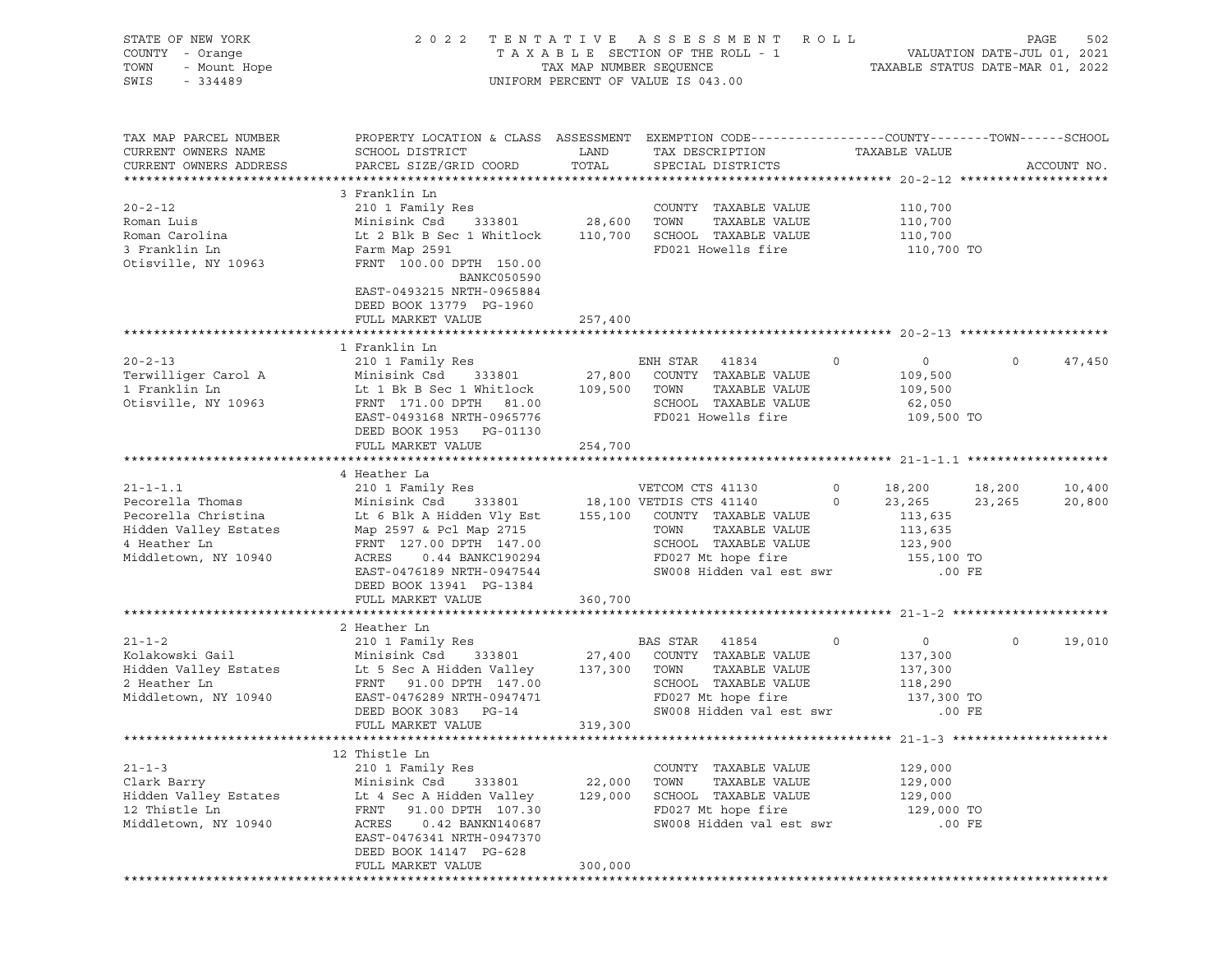| STATE OF NEW YORK<br>COUNTY - Orange<br>TOWN<br>- Mount Hope<br>SWIS<br>$-334489$ |                                                                                                                     |               | 2022 TENTATIVE ASSESSMENT ROLL<br>UNIFORM PERCENT OF VALUE IS 043.00 |             |                       |          | PAGE<br>502 |
|-----------------------------------------------------------------------------------|---------------------------------------------------------------------------------------------------------------------|---------------|----------------------------------------------------------------------|-------------|-----------------------|----------|-------------|
| TAX MAP PARCEL NUMBER<br>CURRENT OWNERS NAME                                      | PROPERTY LOCATION & CLASS ASSESSMENT EXEMPTION CODE----------------COUNTY-------TOWN------SCHOOL<br>SCHOOL DISTRICT | LAND          | TAX DESCRIPTION                                                      |             | TAXABLE VALUE         |          |             |
| CURRENT OWNERS ADDRESS                                                            | PARCEL SIZE/GRID COORD                                                                                              | TOTAL         | SPECIAL DISTRICTS                                                    |             |                       |          | ACCOUNT NO. |
|                                                                                   | 3 Franklin Ln                                                                                                       |               |                                                                      |             |                       |          |             |
| $20 - 2 - 12$                                                                     | 210 1 Family Res                                                                                                    |               | COUNTY TAXABLE VALUE                                                 |             | 110,700               |          |             |
| Roman Luis                                                                        | Minisink Csd                                                                                                        | 333801 28,600 | TAXABLE VALUE<br>TOWN                                                |             | 110,700               |          |             |
| Roman Carolina                                                                    | Lt 2 Blk B Sec 1 Whitlock 110,700 SCHOOL TAXABLE VALUE                                                              |               |                                                                      |             | 110,700               |          |             |
| 3 Franklin Ln<br>Otisville, NY 10963                                              | Farm Map 2591<br>FRNT 100.00 DPTH 150.00<br>BANKC050590<br>EAST-0493215 NRTH-0965884<br>DEED BOOK 13779 PG-1960     |               | FD021 Howells fire                                                   |             | 110,700 TO            |          |             |
|                                                                                   | FULL MARKET VALUE                                                                                                   | 257,400       |                                                                      |             |                       |          |             |
|                                                                                   |                                                                                                                     |               |                                                                      |             |                       |          |             |
|                                                                                   | 1 Franklin Ln                                                                                                       |               |                                                                      |             |                       |          |             |
| $20 - 2 - 13$                                                                     | 210 1 Family Res                                                                                                    |               | ENH STAR 41834                                                       | $\circ$     | $\overline{0}$        | $\Omega$ | 47,450      |
| Terwilliger Carol A<br>1 Franklin Ln                                              | Minisink Csd 333801 27,800<br>Lt 1 Bk B Sec 1 Whitlock 109,500 TOWN                                                 |               | COUNTY TAXABLE VALUE<br>TAXABLE VALUE                                |             | 109,500<br>109,500    |          |             |
| Otisville, NY 10963                                                               | FRNT 171.00 DPTH 81.00                                                                                              |               | SCHOOL TAXABLE VALUE                                                 |             | 62,050                |          |             |
|                                                                                   | EAST-0493168 NRTH-0965776                                                                                           |               | FD021 Howells fire                                                   |             | 109,500 TO            |          |             |
|                                                                                   | DEED BOOK 1953 PG-01130                                                                                             |               |                                                                      |             |                       |          |             |
|                                                                                   | FULL MARKET VALUE                                                                                                   | 254,700       |                                                                      |             |                       |          |             |
|                                                                                   | 4 Heather La                                                                                                        |               |                                                                      |             |                       |          |             |
| $21 - 1 - 1.1$                                                                    | 210 1 Family Res                                                                                                    |               | VETCOM CTS 41130                                                     | $\circ$     | 18,200 18,200         |          | 10,400      |
| Pecorella Thomas                                                                  | Minisink Csd                                                                                                        |               | 333801 18,100 VETDIS CTS 41140                                       | $\circ$     | 23,265                | 23,265   | 20,800      |
| Pecorella Christina                                                               | Lt 6 Blk A Hidden Vly Est 155,100 COUNTY TAXABLE VALUE                                                              |               |                                                                      |             | 113,635               |          |             |
| Hidden Valley Estates                                                             | Map 2597 & Pcl Map 2715                                                                                             |               | TOWN<br>TAXABLE VALUE                                                |             | 113,635               |          |             |
| 4 Heather Ln<br>Middletown, NY 10940                                              | FRNT 127.00 DPTH 147.00<br>ACRES<br>0.44 BANKC190294                                                                |               | SCHOOL TAXABLE VALUE<br>FD027 Mt hope fire                           |             | 123,900<br>155,100 TO |          |             |
|                                                                                   | EAST-0476189 NRTH-0947544                                                                                           |               | SW008 Hidden val est swr                                             |             | $.00$ FE              |          |             |
|                                                                                   | DEED BOOK 13941 PG-1384                                                                                             |               |                                                                      |             |                       |          |             |
|                                                                                   | FULL MARKET VALUE                                                                                                   | 360,700       |                                                                      |             |                       |          |             |
|                                                                                   |                                                                                                                     |               |                                                                      |             |                       |          |             |
| $21 - 1 - 2$                                                                      | 2 Heather Ln<br>210 1 Family Res                                                                                    |               | BAS STAR<br>41854                                                    | $\mathbf 0$ | $\overline{0}$        | $\circ$  | 19,010      |
| Kolakowski Gail                                                                   | Minisink Csd<br>333801                                                                                              | 27,400        | COUNTY TAXABLE VALUE                                                 |             | 137,300               |          |             |
| Hidden Valley Estates                                                             | Lt 5 Sec A Hidden Valley 137,300                                                                                    |               | TOWN<br>TAXABLE VALUE                                                |             | 137,300               |          |             |
| 2 Heather Ln                                                                      | FRNT 91.00 DPTH 147.00                                                                                              |               | SCHOOL TAXABLE VALUE                                                 |             | 118,290               |          |             |
| Middletown, NY 10940                                                              | EAST-0476289 NRTH-0947471                                                                                           |               | FD027 Mt hope fire                                                   |             | 137,300 TO            |          |             |
|                                                                                   | DEED BOOK 3083 PG-14                                                                                                |               | SW008 Hidden val est swr                                             |             | $.00$ FE              |          |             |
|                                                                                   | FULL MARKET VALUE                                                                                                   | 319,300       |                                                                      |             |                       |          |             |
|                                                                                   | 12 Thistle Ln                                                                                                       |               |                                                                      |             |                       |          |             |
| $21 - 1 - 3$                                                                      | 210 1 Family Res                                                                                                    |               | COUNTY TAXABLE VALUE                                                 |             | 129,000               |          |             |
| Clark Barry                                                                       | Minisink Csd<br>333801                                                                                              | 22,000        | TOWN<br>TAXABLE VALUE                                                |             | 129,000               |          |             |
| Hidden Valley Estates                                                             | Lt 4 Sec A Hidden Valley                                                                                            | 129,000       | SCHOOL TAXABLE VALUE                                                 |             | 129,000               |          |             |
| 12 Thistle Ln                                                                     | 91.00 DPTH 107.30<br>FRNT                                                                                           |               | FD027 Mt hope fire<br>SW008 Hidden val est swr                       |             | 129,000 TO            |          |             |
| Middletown, NY 10940                                                              | ACRES<br>0.42 BANKN140687<br>EAST-0476341 NRTH-0947370                                                              |               |                                                                      |             | $.00$ FE              |          |             |
|                                                                                   | DEED BOOK 14147 PG-628                                                                                              |               |                                                                      |             |                       |          |             |
|                                                                                   | FULL MARKET VALUE                                                                                                   | 300,000       |                                                                      |             |                       |          |             |
|                                                                                   |                                                                                                                     |               |                                                                      |             |                       |          |             |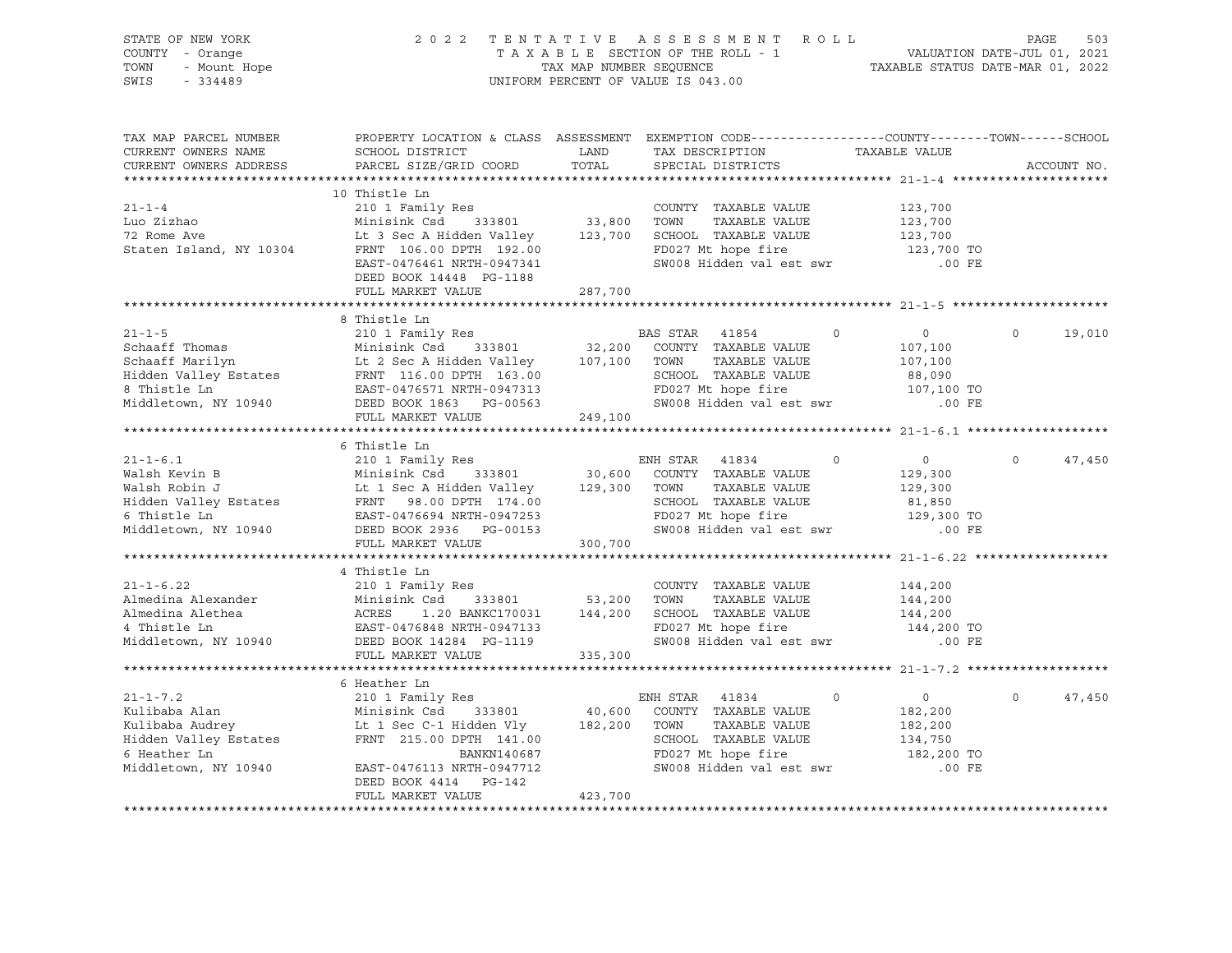| $21 - 1 - 6.22$                                                                            | 4 Thistle Ln<br>210 1 Family Res<br>21-1-6.22 210 1 Family Res<br>Almedina Alexander Minisink Csd 333801 53,200 TOWN TAXABLE VALUE 144,200<br>Almedina Alethea ACRES 1.20 BANKC170031 144,200 SCHOOL TAXABLE VALUE 144,200<br>4 Thistle Ln EAST-0476848 NRTH-0947133 EVA<br>6 Heather Ln | SW008 Hidden val est swr .00 FE                                                                                                                                                                          | $\overline{0}$<br>182,200<br>182,200<br>134,750<br>182,200 TO | 47,450<br>$\circ$  |
|--------------------------------------------------------------------------------------------|------------------------------------------------------------------------------------------------------------------------------------------------------------------------------------------------------------------------------------------------------------------------------------------|----------------------------------------------------------------------------------------------------------------------------------------------------------------------------------------------------------|---------------------------------------------------------------|--------------------|
|                                                                                            |                                                                                                                                                                                                                                                                                          |                                                                                                                                                                                                          |                                                               |                    |
|                                                                                            |                                                                                                                                                                                                                                                                                          |                                                                                                                                                                                                          |                                                               |                    |
|                                                                                            |                                                                                                                                                                                                                                                                                          |                                                                                                                                                                                                          |                                                               |                    |
|                                                                                            |                                                                                                                                                                                                                                                                                          |                                                                                                                                                                                                          |                                                               |                    |
|                                                                                            |                                                                                                                                                                                                                                                                                          |                                                                                                                                                                                                          |                                                               |                    |
|                                                                                            |                                                                                                                                                                                                                                                                                          |                                                                                                                                                                                                          |                                                               |                    |
|                                                                                            |                                                                                                                                                                                                                                                                                          |                                                                                                                                                                                                          |                                                               |                    |
|                                                                                            |                                                                                                                                                                                                                                                                                          |                                                                                                                                                                                                          |                                                               |                    |
|                                                                                            |                                                                                                                                                                                                                                                                                          |                                                                                                                                                                                                          |                                                               |                    |
|                                                                                            |                                                                                                                                                                                                                                                                                          |                                                                                                                                                                                                          |                                                               |                    |
|                                                                                            |                                                                                                                                                                                                                                                                                          |                                                                                                                                                                                                          |                                                               |                    |
|                                                                                            |                                                                                                                                                                                                                                                                                          |                                                                                                                                                                                                          |                                                               |                    |
|                                                                                            |                                                                                                                                                                                                                                                                                          |                                                                                                                                                                                                          |                                                               |                    |
|                                                                                            |                                                                                                                                                                                                                                                                                          |                                                                                                                                                                                                          |                                                               |                    |
|                                                                                            |                                                                                                                                                                                                                                                                                          |                                                                                                                                                                                                          |                                                               |                    |
|                                                                                            |                                                                                                                                                                                                                                                                                          |                                                                                                                                                                                                          |                                                               |                    |
|                                                                                            |                                                                                                                                                                                                                                                                                          |                                                                                                                                                                                                          |                                                               |                    |
|                                                                                            |                                                                                                                                                                                                                                                                                          |                                                                                                                                                                                                          |                                                               |                    |
|                                                                                            |                                                                                                                                                                                                                                                                                          |                                                                                                                                                                                                          |                                                               |                    |
|                                                                                            |                                                                                                                                                                                                                                                                                          |                                                                                                                                                                                                          |                                                               |                    |
|                                                                                            |                                                                                                                                                                                                                                                                                          |                                                                                                                                                                                                          |                                                               |                    |
|                                                                                            |                                                                                                                                                                                                                                                                                          |                                                                                                                                                                                                          |                                                               |                    |
|                                                                                            |                                                                                                                                                                                                                                                                                          |                                                                                                                                                                                                          |                                                               |                    |
|                                                                                            |                                                                                                                                                                                                                                                                                          |                                                                                                                                                                                                          |                                                               |                    |
|                                                                                            |                                                                                                                                                                                                                                                                                          |                                                                                                                                                                                                          |                                                               |                    |
|                                                                                            |                                                                                                                                                                                                                                                                                          |                                                                                                                                                                                                          |                                                               |                    |
|                                                                                            |                                                                                                                                                                                                                                                                                          |                                                                                                                                                                                                          |                                                               | $0 \t 47,450$      |
|                                                                                            | 6 Thistle Ln                                                                                                                                                                                                                                                                             |                                                                                                                                                                                                          |                                                               |                    |
|                                                                                            |                                                                                                                                                                                                                                                                                          |                                                                                                                                                                                                          |                                                               |                    |
|                                                                                            |                                                                                                                                                                                                                                                                                          |                                                                                                                                                                                                          |                                                               |                    |
|                                                                                            |                                                                                                                                                                                                                                                                                          |                                                                                                                                                                                                          |                                                               |                    |
|                                                                                            |                                                                                                                                                                                                                                                                                          |                                                                                                                                                                                                          |                                                               |                    |
|                                                                                            |                                                                                                                                                                                                                                                                                          |                                                                                                                                                                                                          |                                                               |                    |
|                                                                                            |                                                                                                                                                                                                                                                                                          |                                                                                                                                                                                                          |                                                               |                    |
|                                                                                            |                                                                                                                                                                                                                                                                                          |                                                                                                                                                                                                          |                                                               |                    |
|                                                                                            |                                                                                                                                                                                                                                                                                          |                                                                                                                                                                                                          |                                                               | $\Omega$<br>19,010 |
|                                                                                            | 8 Thistle Ln                                                                                                                                                                                                                                                                             |                                                                                                                                                                                                          |                                                               |                    |
|                                                                                            |                                                                                                                                                                                                                                                                                          |                                                                                                                                                                                                          |                                                               |                    |
|                                                                                            |                                                                                                                                                                                                                                                                                          |                                                                                                                                                                                                          |                                                               |                    |
|                                                                                            | DEED BOOK 14448 PG-1188<br>FULL MARKET VALUE 287,700                                                                                                                                                                                                                                     |                                                                                                                                                                                                          |                                                               |                    |
|                                                                                            | 10 Thistle Ln<br>210 1 Family Res<br>Minisink Csd 333801 33,800 TOWN TAXABLE VALUE 123,700<br>Lt 3 Sec A Hidden Valley 123,700 SCHOOL TAXABLE VALUE 123,700<br>FRNT 106.00 DPTH 192.00 FD027 Mt hope fire 123,700 TO<br>EAST-0476461 NRT                                                 |                                                                                                                                                                                                          |                                                               |                    |
|                                                                                            |                                                                                                                                                                                                                                                                                          |                                                                                                                                                                                                          |                                                               |                    |
| Staten Island, NY 10304                                                                    |                                                                                                                                                                                                                                                                                          |                                                                                                                                                                                                          |                                                               |                    |
| nuo ziznao<br>72 Rome Ave                                                                  |                                                                                                                                                                                                                                                                                          |                                                                                                                                                                                                          |                                                               |                    |
| Luo Zizhao                                                                                 |                                                                                                                                                                                                                                                                                          |                                                                                                                                                                                                          |                                                               |                    |
| $21 - 1 - 4$                                                                               |                                                                                                                                                                                                                                                                                          |                                                                                                                                                                                                          |                                                               |                    |
|                                                                                            | 10 Thistle Ln                                                                                                                                                                                                                                                                            |                                                                                                                                                                                                          |                                                               |                    |
|                                                                                            |                                                                                                                                                                                                                                                                                          |                                                                                                                                                                                                          |                                                               |                    |
| CURRENT OWNERS ADDRESS                                                                     |                                                                                                                                                                                                                                                                                          |                                                                                                                                                                                                          |                                                               | ACCOUNT NO.        |
| CURRENT OWNERS NAME                                                                        |                                                                                                                                                                                                                                                                                          |                                                                                                                                                                                                          |                                                               |                    |
| TAX MAP PARCEL NUMBER                                                                      |                                                                                                                                                                                                                                                                                          | PROPERTY LOCATION & CLASS ASSESSMENT EXEMPTION CODE----------------COUNTY-------TOWN------SCHOOL                                                                                                         |                                                               |                    |
|                                                                                            |                                                                                                                                                                                                                                                                                          |                                                                                                                                                                                                          |                                                               |                    |
|                                                                                            |                                                                                                                                                                                                                                                                                          |                                                                                                                                                                                                          |                                                               |                    |
|                                                                                            |                                                                                                                                                                                                                                                                                          |                                                                                                                                                                                                          |                                                               |                    |
|                                                                                            |                                                                                                                                                                                                                                                                                          |                                                                                                                                                                                                          |                                                               |                    |
|                                                                                            |                                                                                                                                                                                                                                                                                          |                                                                                                                                                                                                          |                                                               |                    |
| SWIS                                                                                       |                                                                                                                                                                                                                                                                                          |                                                                                                                                                                                                          |                                                               |                    |
| TOWN                                                                                       |                                                                                                                                                                                                                                                                                          |                                                                                                                                                                                                          |                                                               |                    |
| STATE OF NEW YORK<br>COUNTY - Orange<br>OF NEW YURA<br>- Orange<br>- Mount Hope<br>- 21109 |                                                                                                                                                                                                                                                                                          | 2022 TENTATIVE ASSESSMENT ROLL PAGE 503<br>TAXABLE SECTION OF THE ROLL - 1 VALUATION DATE-JUL 01, 2021<br>TAX MAP NUMBER SEQUENCE TAXABLE STATUS DATE-MAR 01, 2022<br>UNIFORM PERCENT OF VALUE IS 043.00 |                                                               |                    |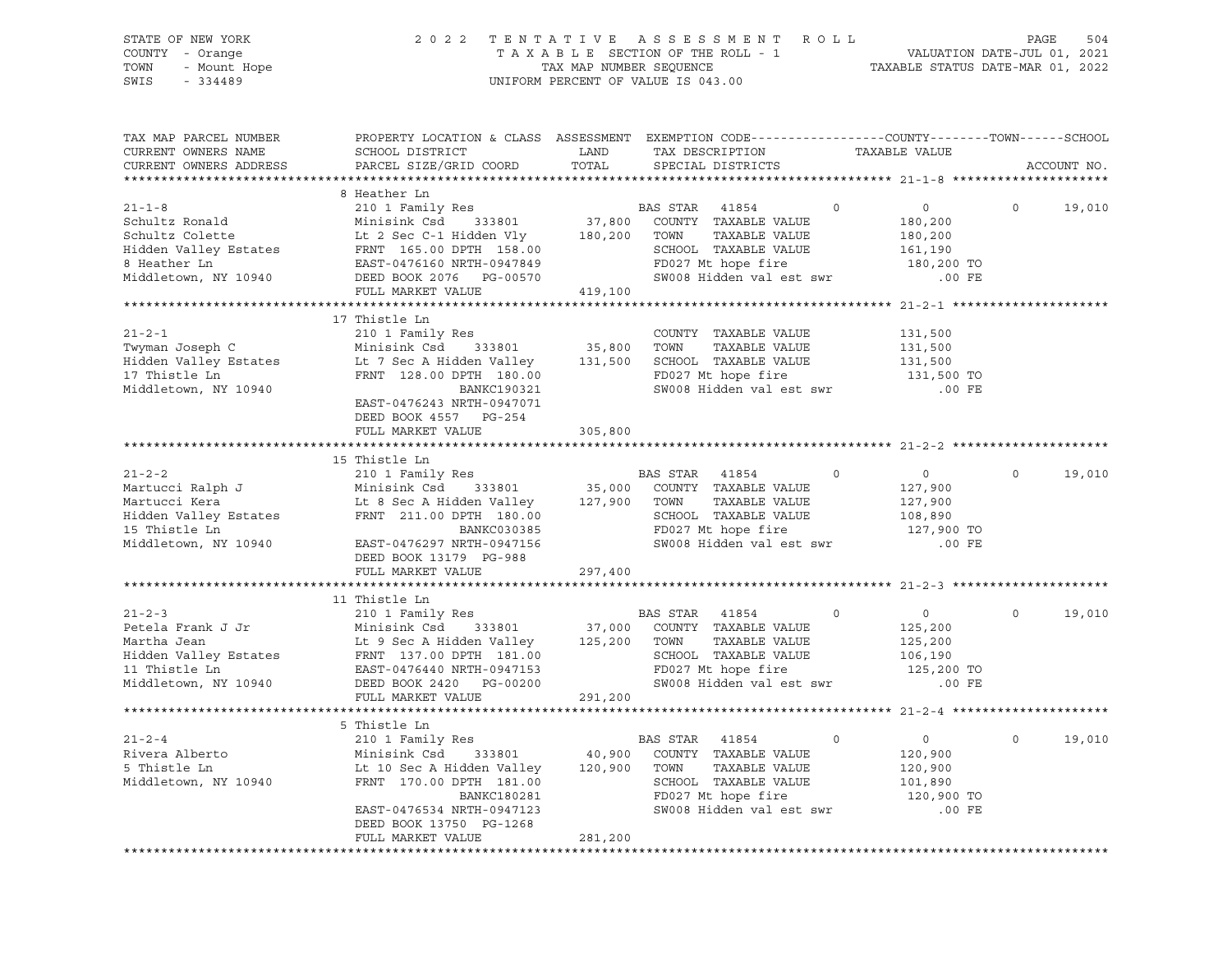| STATE OF NEW YORK<br>OF NEW YORK<br>I - Orange<br>- Mount Hope<br>- 21109<br>COUNTY - Orange<br>TOWN<br>SWIS                                                                                                                                                                                                                                                                                                                                                                                                       |                                                                                                                                                                                    |                   | 2022 TENTATIVE ASSESSMENT ROLL<br>TAXABLE SECTION OF THE ROLL - 1<br>TAXABLE STATUS DATE-JUL 01, 2021<br>TAXABLE STATUS DATE-MAR 01, 2022<br>UNIFORM PERCENT OF VALUE IS 043.00 |         |                                                                         | PAGE     | 504         |
|--------------------------------------------------------------------------------------------------------------------------------------------------------------------------------------------------------------------------------------------------------------------------------------------------------------------------------------------------------------------------------------------------------------------------------------------------------------------------------------------------------------------|------------------------------------------------------------------------------------------------------------------------------------------------------------------------------------|-------------------|---------------------------------------------------------------------------------------------------------------------------------------------------------------------------------|---------|-------------------------------------------------------------------------|----------|-------------|
| TAX MAP PARCEL NUMBER<br>CURRENT OWNERS NAME<br>CURRENT OWNERS ADDRESS                                                                                                                                                                                                                                                                                                                                                                                                                                             | PROPERTY LOCATION & CLASS ASSESSMENT EXEMPTION CODE----------------COUNTY-------TOWN------SCHOOL<br>SCHOOL DISTRICT<br>PARCEL SIZE/GRID COORD                                      | LAND<br>TOTAL     | TAX DESCRIPTION<br>SPECIAL DISTRICTS                                                                                                                                            |         | TAXABLE VALUE                                                           |          | ACCOUNT NO. |
| 21-1-8<br>21-1-8<br>210 1 Family Res<br>210 1 Family Res<br>210 1 Family Res<br>210 1 Family Res<br>210 1 Family Res<br>210 1 Family Res<br>210 1 Family Res<br>210 37,800 COUNTY TAXABLE VALUE<br>210 37,800 COUNTY TAXABLE VALUE<br>2180,200 TOWN<br>Middletown, NY 10940                                                                                                                                                                                                                                        | 8 Heather Ln<br>FULL MARKET VALUE                                                                                                                                                  | 419,100           | $\overline{0}$<br>SCHOOL TAXABLE VALUE<br>FD027 Mt hope fire                                                                                                                    |         | $\overline{0}$<br>180,200<br>180,200<br>161,190<br>180,200 TO           | $\Omega$ | 19,010      |
|                                                                                                                                                                                                                                                                                                                                                                                                                                                                                                                    |                                                                                                                                                                                    |                   |                                                                                                                                                                                 |         |                                                                         |          |             |
| $21 - 2 - 1$<br>Twyman Joseph C<br>Hidden Valley Estates<br>17 Thistle Ln<br>Middletown, NY 10940                                                                                                                                                                                                                                                                                                                                                                                                                  | 17 Thistle Ln<br>Lt 7 Sec A Hidden Valley $131,500$ SCHOOL TAXABLE VALUE $131,500$<br>FRNT 128.00 DPTH 180.00<br>BANKC190321<br>EAST-0476243 NRTH-0947071<br>DEED BOOK 4557 PG-254 |                   | COUNTY TAXABLE VALUE<br>TAXABLE VALUE<br>FD027 Mt hope fire<br>SW008 Hidden val est swr                                                                                         |         | 131,500<br>131,500<br>131,500 TO<br>$.00$ FE                            |          |             |
|                                                                                                                                                                                                                                                                                                                                                                                                                                                                                                                    | FULL MARKET VALUE                                                                                                                                                                  | 305,800           |                                                                                                                                                                                 |         |                                                                         |          |             |
|                                                                                                                                                                                                                                                                                                                                                                                                                                                                                                                    |                                                                                                                                                                                    |                   |                                                                                                                                                                                 |         |                                                                         |          |             |
|                                                                                                                                                                                                                                                                                                                                                                                                                                                                                                                    |                                                                                                                                                                                    |                   |                                                                                                                                                                                 |         |                                                                         |          |             |
| Antucci Ralph J (210 1 Family Res)<br>Martucci Ralph J (210 1 Family Res)<br>Minisink Csd (333801 (35,000 COUNTY TAXABLE VALUE Martucci Kera (211.00 DPTH 180.00 (2000)<br>Minisim Csd (333801 (27,900 COUNTY TAXABLE VALUE Hidden V<br>Middletown, NY 10940                                                                                                                                                                                                                                                       | EAST-0476297 NRTH-0947156<br>DEED BOOK 13179 PG-988                                                                                                                                |                   | SCHOOL TAXABLE VALUE<br>FD027 Mt hope fire<br>SW008 Hidden val est swr                                                                                                          | $\circ$ | $\overline{0}$<br>127,900<br>127,900<br>108,890<br>127,900 TO<br>.00 FE | $\Omega$ | 19,010      |
|                                                                                                                                                                                                                                                                                                                                                                                                                                                                                                                    | FULL MARKET VALUE                                                                                                                                                                  | 297,400           |                                                                                                                                                                                 |         |                                                                         |          |             |
|                                                                                                                                                                                                                                                                                                                                                                                                                                                                                                                    |                                                                                                                                                                                    |                   |                                                                                                                                                                                 |         |                                                                         |          |             |
|                                                                                                                                                                                                                                                                                                                                                                                                                                                                                                                    |                                                                                                                                                                                    |                   |                                                                                                                                                                                 | $\circ$ | $\overline{0}$<br>125,200                                               | $\circ$  | 19,010      |
| $\begin{tabular}{lllllllllllllllllllll} $\text{$\mathsf{A}$ & \textit{unscale}\; In$ & \textit{unscale}\; In$ & \textit{unscale}\; In$ & \textit{unscale}\; In$ & \textit{unscale}\; In$ & \textit{unscale}\; In$ & \textit{unscale}\; In$ & \textit{unscale}\; In$ & \textit{unscale}\; In$ & \textit{unscale}\; In$ & \textit{unscale}\; In$ & \textit{unscale}\; In$ & \textit{unscale}\; In$ & \textit{unscale}\; In$ & \textit{unscale}\; In$ & \textit{unscale}\; In$ & \textit{unscale}\; In$ & \textit{un$ | FULL MARKET VALUE                                                                                                                                                                  | 291,200           | SCHOOL TAXABLE VALUE<br>FD027 Mt hope fire 125,200 TO<br>SW008 Hidden val est swr                                                                                               |         | 125,200<br>106,190<br>$.00$ FE                                          |          |             |
|                                                                                                                                                                                                                                                                                                                                                                                                                                                                                                                    |                                                                                                                                                                                    |                   |                                                                                                                                                                                 |         |                                                                         |          |             |
|                                                                                                                                                                                                                                                                                                                                                                                                                                                                                                                    | 5 Thistle Ln                                                                                                                                                                       |                   |                                                                                                                                                                                 |         |                                                                         |          |             |
| $21 - 2 - 4$<br>Rivera Alberto<br>5 Thistle Ln<br>Middletown, NY 10940                                                                                                                                                                                                                                                                                                                                                                                                                                             | 210 1 Family Res<br>Minisink Csd<br>333801<br>Lt 10 Sec A Hidden Valley<br>FRNT 170.00 DPTH 181.00<br>BANKC180281<br>EAST-0476534 NRTH-0947123                                     | 40,900<br>120,900 | BAS STAR<br>41854<br>COUNTY TAXABLE VALUE<br>TOWN<br>TAXABLE VALUE<br>SCHOOL TAXABLE VALUE<br>FD027 Mt hope fire<br>SW008 Hidden val est swr                                    | 0       | $\circ$<br>120,900<br>120,900<br>101,890<br>120,900 TO<br>$.00$ FE      | $\circ$  | 19,010      |
|                                                                                                                                                                                                                                                                                                                                                                                                                                                                                                                    | DEED BOOK 13750 PG-1268<br>FULL MARKET VALUE                                                                                                                                       | 281,200           |                                                                                                                                                                                 |         |                                                                         |          |             |
|                                                                                                                                                                                                                                                                                                                                                                                                                                                                                                                    |                                                                                                                                                                                    |                   |                                                                                                                                                                                 |         |                                                                         |          |             |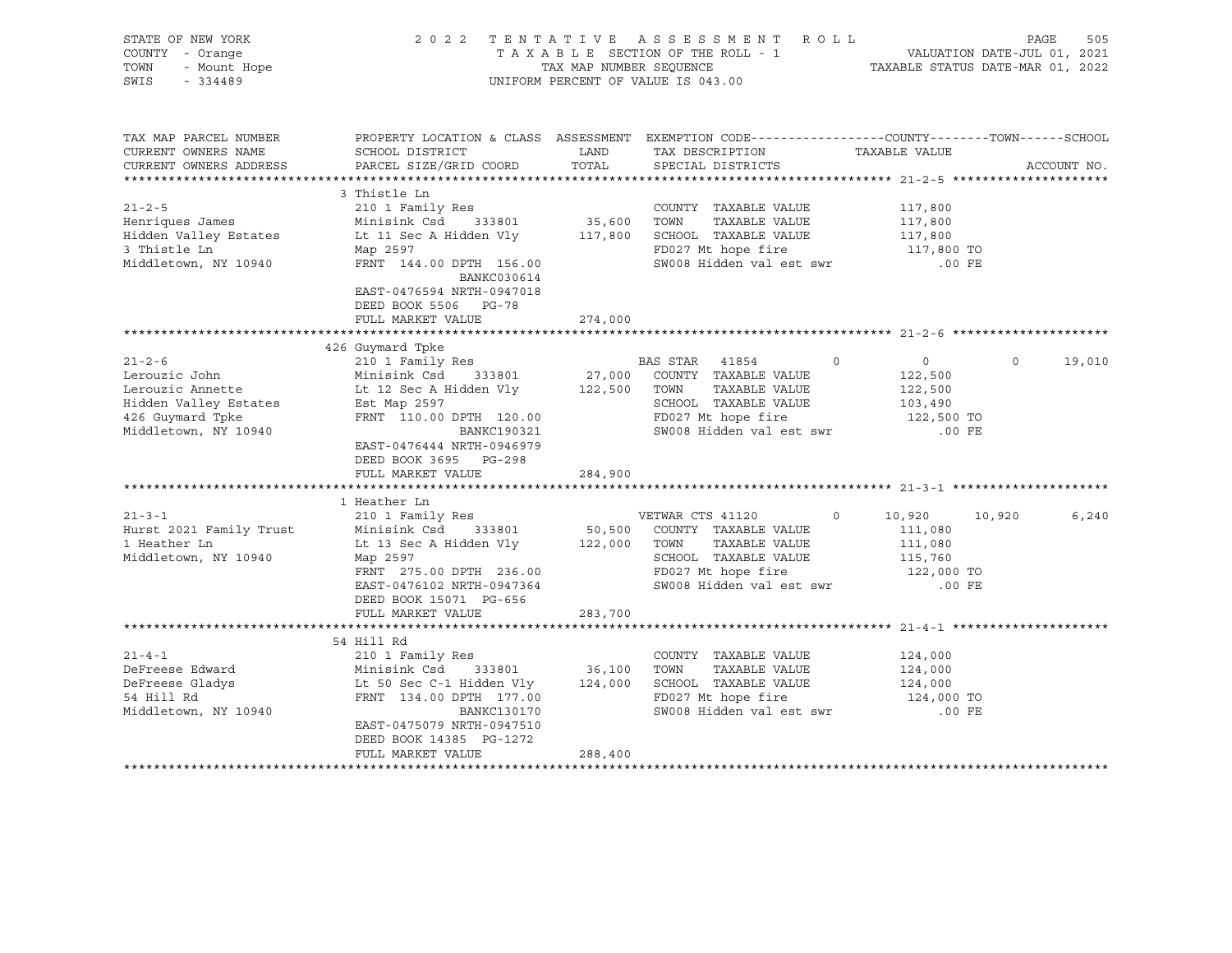| STATE OF NEW YORK<br>COUNTY - Orange<br>Y - Orange<br>- Mount Hope<br>- 334489<br>TOWN<br>SWIS - 334489 |                                                                                                                                                                                                                                                           |         | TENTATIVE ASSESSMENT ROLL PAGE 505 PAGE 505<br>TAXABLE SECTION OF THE ROLL - 1 VALUATION DATE-JUL 01, 2021<br>TAXABLE STATUS DATE-MAR 01, 2022<br>2022 TENTATIVE ASSESSMENT ROLL<br>UNIFORM PERCENT OF VALUE IS 043.00 |                                                 |                    |
|---------------------------------------------------------------------------------------------------------|-----------------------------------------------------------------------------------------------------------------------------------------------------------------------------------------------------------------------------------------------------------|---------|------------------------------------------------------------------------------------------------------------------------------------------------------------------------------------------------------------------------|-------------------------------------------------|--------------------|
| TAX MAP PARCEL NUMBER<br>CURRENT OWNERS NAME<br>CURRENT OWNERS ADDRESS                                  | PROPERTY LOCATION & CLASS ASSESSMENT EXEMPTION CODE----------------COUNTY--------TOWN------SCHOOL<br>SCHOOL DISTRICT<br>PARCEL SIZE/GRID COORD                                                                                                            |         | LAND TAX DESCRIPTION<br>COORD TOTAL SPECIAL DISTRICTS                                                                                                                                                                  | TAXABLE VALUE                                   | ACCOUNT NO.        |
|                                                                                                         |                                                                                                                                                                                                                                                           |         |                                                                                                                                                                                                                        |                                                 |                    |
|                                                                                                         | 3 Thistle Ln                                                                                                                                                                                                                                              |         |                                                                                                                                                                                                                        |                                                 |                    |
| $21 - 2 - 5$                                                                                            | 210 1 Family Res                                                                                                                                                                                                                                          |         | COUNTY TAXABLE VALUE                                                                                                                                                                                                   | 117,800                                         |                    |
| Henriques James                                                                                         | Minisink Csd 333801 35,600 TOWN TAXABLE VALUE<br>Lt 11 Sec A Hidden Vly 117,800 SCHOOL TAXABLE VALUE                                                                                                                                                      |         | TAXABLE VALUE                                                                                                                                                                                                          | 117,800<br>117,800                              |                    |
| Hidden Valley Estates                                                                                   |                                                                                                                                                                                                                                                           |         |                                                                                                                                                                                                                        |                                                 |                    |
| 3 Thistle Ln                                                                                            | Map 2597<br>FRNT 144.00 DPTH 156.00                                                                                                                                                                                                                       |         | FD027 Mt hope fire 117,800 TO<br>SW008 Hidden val est swr 117,800 TO                                                                                                                                                   |                                                 |                    |
| Middletown, NY 10940                                                                                    | BANKC030614<br>EAST-0476594 NRTH-0947018<br>DEED BOOK 5506 PG-78                                                                                                                                                                                          |         |                                                                                                                                                                                                                        |                                                 |                    |
|                                                                                                         | FULL MARKET VALUE                                                                                                                                                                                                                                         | 274,000 |                                                                                                                                                                                                                        |                                                 |                    |
|                                                                                                         | 426 Guymard Tpke                                                                                                                                                                                                                                          |         |                                                                                                                                                                                                                        |                                                 |                    |
|                                                                                                         |                                                                                                                                                                                                                                                           |         |                                                                                                                                                                                                                        | $\overline{0}$<br>122,500                       | $\Omega$<br>19,010 |
| Middletown, NY 10940                                                                                    | 21-2-6<br>210 1 Family Res<br>Lerouzic John Minisink Csd 333801<br>27,000 COUNTY TAXABLE VALUE<br>Lerouzic Annette Lt 12 Sec A Hidden Vly 122,500 TOWN TAXABLE VALUE<br>Hidden Valley Estates Est Map 2597<br>426 Guymard Tpke FRNT 110.00<br>BANKC190321 |         | SW008 Hidden val est swr                                                                                                                                                                                               | 122,500<br>103,490<br>122,500 TO<br>$.00$ FE    |                    |
|                                                                                                         | EAST-0476444 NRTH-0946979<br>DEED BOOK 3695 PG-298<br>FULL MARKET VALUE                                                                                                                                                                                   | 284,900 |                                                                                                                                                                                                                        |                                                 |                    |
|                                                                                                         |                                                                                                                                                                                                                                                           |         |                                                                                                                                                                                                                        |                                                 |                    |
|                                                                                                         | 1 Heather Ln                                                                                                                                                                                                                                              |         |                                                                                                                                                                                                                        |                                                 |                    |
| Middletown, NY 10940                                                                                    | Map 2597<br>FRNT 275.00 DPTH 236.00<br>EAST-0476102 NRTH-0947364<br>DEED BOOK 15071 PG-656                                                                                                                                                                |         | SCHOOL TAXABLE VALUE 115,760<br>FD027 Mt hope fire 122,000 TO<br>SW008 Hidden val est swr                                                                                                                              | 10,920 10,920<br>111,080<br>111,080<br>$.00$ FE | 6,240              |
|                                                                                                         | FULL MARKET VALUE                                                                                                                                                                                                                                         | 283,700 |                                                                                                                                                                                                                        |                                                 |                    |
|                                                                                                         |                                                                                                                                                                                                                                                           |         |                                                                                                                                                                                                                        |                                                 |                    |
| $21 - 4 - 1$                                                                                            | 54 Hill Rd                                                                                                                                                                                                                                                |         |                                                                                                                                                                                                                        |                                                 |                    |
| DeFreese Edward                                                                                         | 210 1 Family Res                                                                                                                                                                                                                                          |         | COUNTY TAXABLE VALUE                                                                                                                                                                                                   | 124,000<br>124,000                              |                    |
|                                                                                                         |                                                                                                                                                                                                                                                           |         |                                                                                                                                                                                                                        | 124,000                                         |                    |
| Derreese Gladys<br>DeFreese Gladys<br>Middletown, NY 10940                                              | 210 1 Family Res<br>Minisink Csd 333801 36,100 TOWN TAXABLE VALUE<br>Lt 50 Sec C-1 Hidden Vly 124,000 SCHOOL TAXABLE VALUE<br>FRNT 134.00 DPTH 177.00 FD027 Mt hope fire<br>DANKC130170 SW008 Hidden valest swr                                           |         | FD027 Mt hope fire<br>SW008 Hidden val est swr                                                                                                                                                                         | 124,000 TO<br>$.00$ FE                          |                    |
|                                                                                                         | EAST-0475079 NRTH-0947510<br>DEED BOOK 14385 PG-1272<br>FULL MARKET VALUE                                                                                                                                                                                 | 288,400 |                                                                                                                                                                                                                        |                                                 |                    |
|                                                                                                         |                                                                                                                                                                                                                                                           |         |                                                                                                                                                                                                                        |                                                 |                    |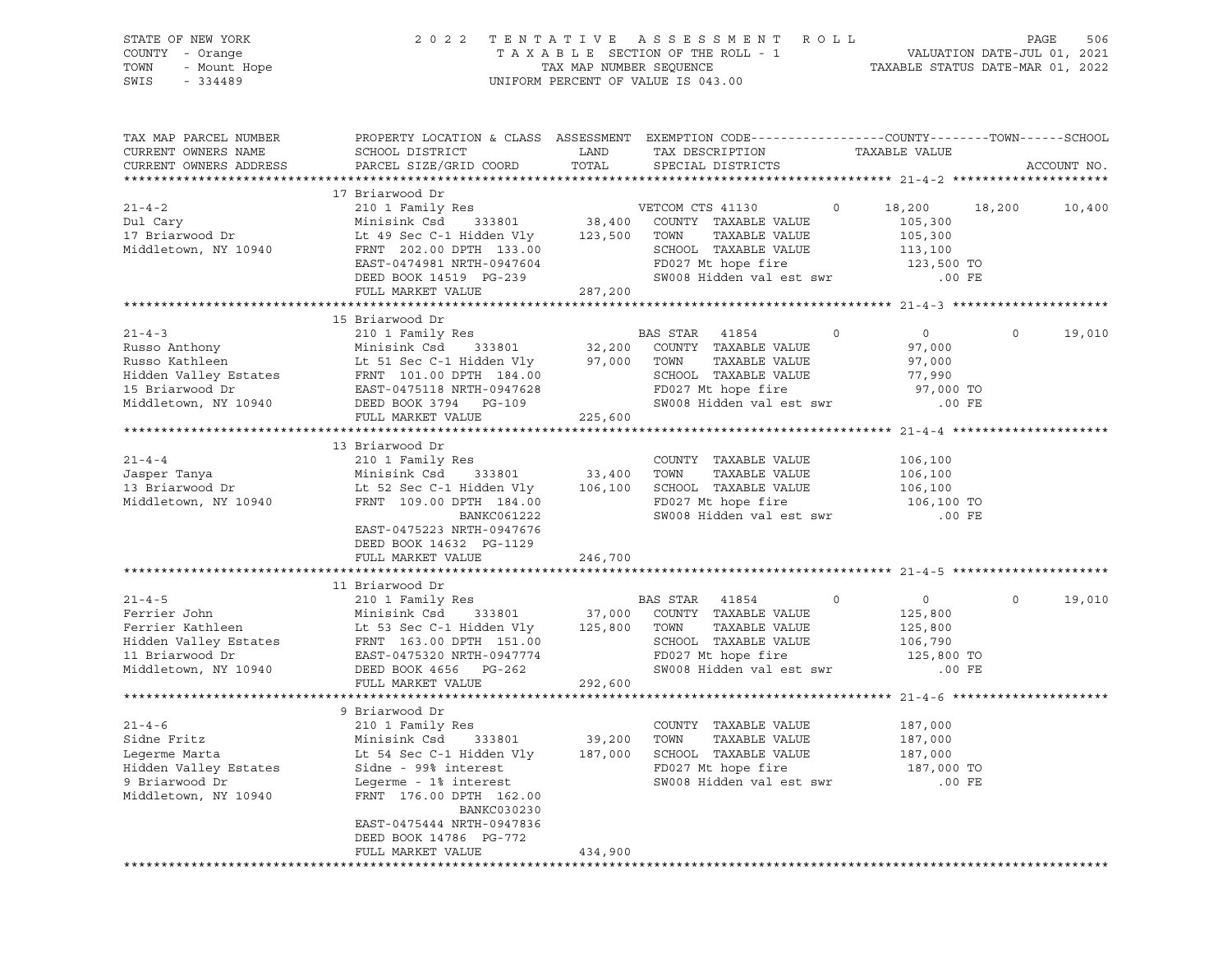| STATE OF NEW YORK<br>COUNTY - Orange<br>TOWN<br>- Mount Hope<br>SWIS<br>$-334489$                                    | 2 0 2 2                                                                                                                                                                                                                                                         | TAX MAP NUMBER SEQUENCE      | TENTATIVE ASSESSMENT<br>TAXABLE SECTION OF THE ROLL - 1<br>UNIFORM PERCENT OF VALUE IS 043.00                                                    | R O L L | TAXABLE STATUS DATE-MAR 01, 2022                                      |         | 506<br>PAGE<br>VALUATION DATE-JUL 01, 2021 |
|----------------------------------------------------------------------------------------------------------------------|-----------------------------------------------------------------------------------------------------------------------------------------------------------------------------------------------------------------------------------------------------------------|------------------------------|--------------------------------------------------------------------------------------------------------------------------------------------------|---------|-----------------------------------------------------------------------|---------|--------------------------------------------|
| TAX MAP PARCEL NUMBER<br>CURRENT OWNERS NAME<br>CURRENT OWNERS ADDRESS                                               | PROPERTY LOCATION & CLASS ASSESSMENT EXEMPTION CODE---------------COUNTY-------TOWN-----SCHOOL<br>SCHOOL DISTRICT<br>PARCEL SIZE/GRID COORD                                                                                                                     | LAND<br>TOTAL                | TAX DESCRIPTION<br>SPECIAL DISTRICTS                                                                                                             |         | TAXABLE VALUE                                                         |         | ACCOUNT NO.                                |
| $21 - 4 - 2$<br>Dul Cary<br>17 Briarwood Dr<br>Middletown, NY 10940                                                  | 17 Briarwood Dr<br>210 1 Family Res<br>333801<br>Minisink Csd<br>Lt 49 Sec C-1 Hidden Vly<br>FRNT 202.00 DPTH 133.00<br>EAST-0474981 NRTH-0947604<br>DEED BOOK 14519 PG-239<br>FULL MARKET VALUE                                                                | 123,500 TOWN<br>287,200      | VETCOM CTS 41130<br>38,400 COUNTY TAXABLE VALUE<br>TAXABLE VALUE<br>SCHOOL TAXABLE VALUE<br>FD027 Mt hope fire<br>SW008 Hidden val est swr       | $\circ$ | 18,200<br>105,300<br>105,300<br>113,100<br>123,500 TO<br>$.00$ FE     | 18,200  | 10,400                                     |
|                                                                                                                      |                                                                                                                                                                                                                                                                 |                              |                                                                                                                                                  |         |                                                                       |         |                                            |
| $21 - 4 - 3$<br>Russo Anthony<br>Russo Kathleen<br>Hidden Valley Estates<br>15 Briarwood Dr<br>Middletown, NY 10940  | 15 Briarwood Dr<br>210 1 Family Res<br>Minisink Csd<br>333801<br>Lt 51 Sec C-1 Hidden Vly<br>FRNT 101.00 DPTH 184.00<br>EAST-0475118 NRTH-0947628<br>DEED BOOK 3794 PG-109<br>FULL MARKET VALUE                                                                 | 32,200<br>97,000<br>225,600  | BAS STAR<br>41854<br>COUNTY TAXABLE VALUE<br>TOWN<br>TAXABLE VALUE<br>SCHOOL TAXABLE VALUE<br>FD027 Mt hope fire<br>SW008 Hidden val est swr     | $\circ$ | $\overline{0}$<br>97,000<br>97,000<br>77,990<br>97,000 TO<br>$.00$ FE | $\circ$ | 19,010                                     |
| $21 - 4 - 4$<br>Jasper Tanya<br>13 Briarwood Dr<br>Middletown, NY 10940                                              | 13 Briarwood Dr<br>210 1 Family Res<br>Minisink Csd<br>333801<br>Lt 52 Sec C-1 Hidden Vly<br>FRNT 109.00 DPTH 184.00<br>BANKC061222<br>EAST-0475223 NRTH-0947676<br>DEED BOOK 14632 PG-1129<br>FULL MARKET VALUE                                                | 33,400<br>106,100<br>246,700 | COUNTY TAXABLE VALUE<br>TAXABLE VALUE<br>TOWN<br>SCHOOL TAXABLE VALUE<br>FD027 Mt hope fire<br>SW008 Hidden val est swr                          |         | 106,100<br>106,100<br>106,100<br>106,100 TO<br>.00 FE                 |         |                                            |
|                                                                                                                      |                                                                                                                                                                                                                                                                 |                              |                                                                                                                                                  |         |                                                                       |         |                                            |
| $21 - 4 - 5$<br>Ferrier John<br>Ferrier Kathleen<br>Hidden Valley Estates<br>11 Briarwood Dr<br>Middletown, NY 10940 | 11 Briarwood Dr<br>210 1 Family Res<br>333801<br>Minisink Csd<br>Lt 53 Sec C-1 Hidden Vly<br>FRNT 163.00 DPTH 151.00<br>EAST-0475320 NRTH-0947774<br>DEED BOOK 4656 PG-262                                                                                      | 125,800                      | BAS STAR 41854<br>37,000 COUNTY TAXABLE VALUE<br>TOWN<br>TAXABLE VALUE<br>SCHOOL TAXABLE VALUE<br>FD027 Mt hope fire<br>SW008 Hidden val est swr | $\circ$ | $\circ$<br>125,800<br>125,800<br>106,790<br>125,800 TO<br>$.00$ FE    | $\circ$ | 19,010                                     |
|                                                                                                                      | FULL MARKET VALUE                                                                                                                                                                                                                                               | 292,600                      |                                                                                                                                                  |         |                                                                       |         |                                            |
| $21 - 4 - 6$<br>Sidne Fritz<br>Legerme Marta<br>Hidden Valley Estates<br>9 Briarwood Dr<br>Middletown, NY 10940      | 9 Briarwood Dr<br>210 1 Family Res<br>Minisink Csd<br>333801<br>Lt 54 Sec C-1 Hidden Vly<br>Sidne - 99% interest<br>Legerme - 1% interest<br>FRNT 176.00 DPTH 162.00<br>BANKC030230<br>EAST-0475444 NRTH-0947836<br>DEED BOOK 14786 PG-772<br>FULL MARKET VALUE | 39,200<br>187,000<br>434,900 | COUNTY TAXABLE VALUE<br>TOWN<br>TAXABLE VALUE<br>SCHOOL TAXABLE VALUE<br>FD027 Mt hope fire<br>SW008 Hidden val est swr                          |         | 187,000<br>187,000<br>187,000<br>187,000 TO<br>$.00$ FE               |         |                                            |
|                                                                                                                      |                                                                                                                                                                                                                                                                 |                              |                                                                                                                                                  |         |                                                                       |         |                                            |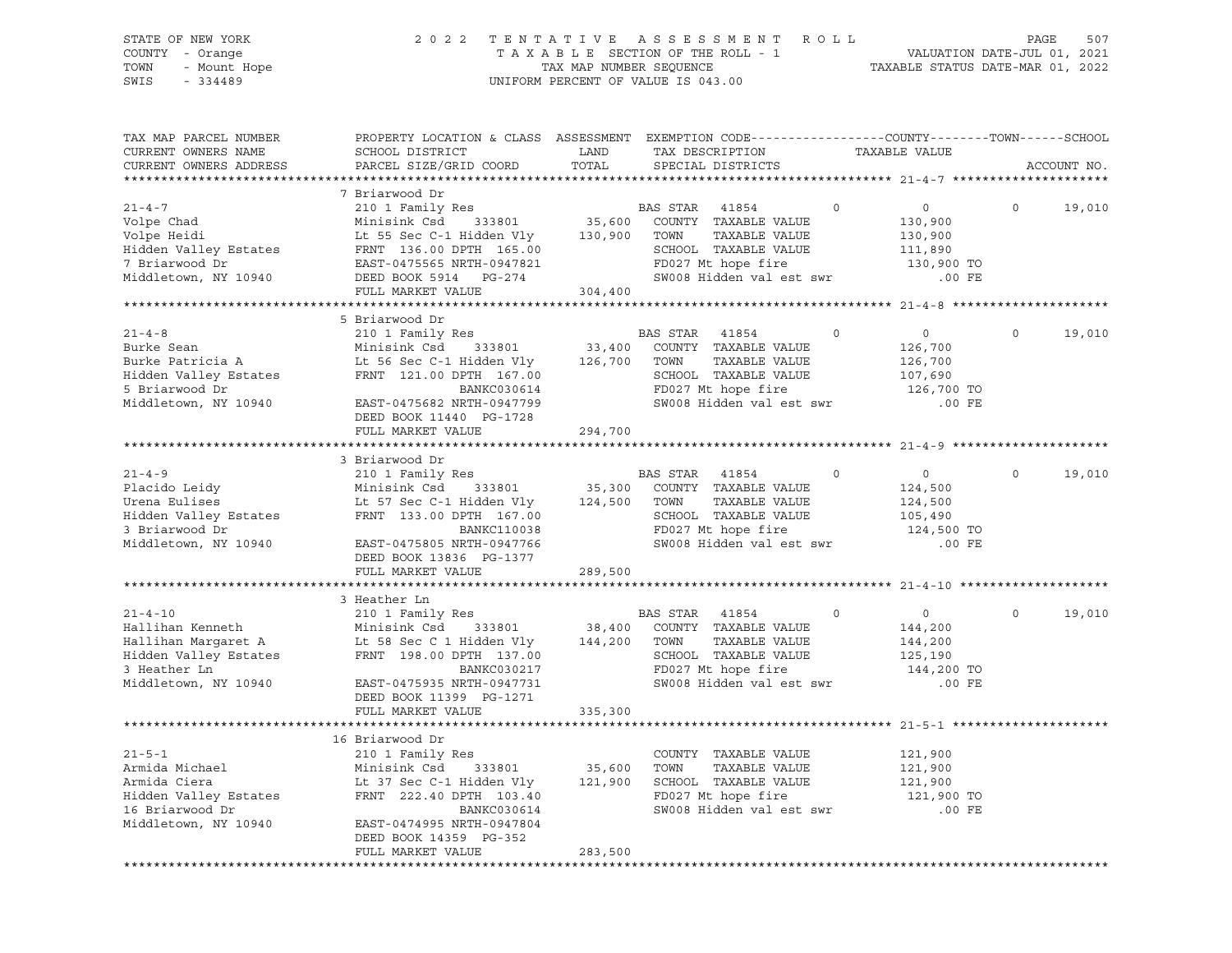| STATE OF NEW YORK<br>COUNTY - Orange<br>TOWN<br>- Mount Hope<br>$-334489$<br>SWIS |                                                      | TAX MAP NUMBER SEQUENCE | 2022 TENTATIVE ASSESSMENT ROLL<br>TAXABLE SECTION OF THE ROLL - 1<br>UNIFORM PERCENT OF VALUE IS 043.00                                 | VALUATION DATE-JUL 01, 2021<br>TAXABLE STATUS DATE-MAR 01, 2022 | PAGE<br>507        |
|-----------------------------------------------------------------------------------|------------------------------------------------------|-------------------------|-----------------------------------------------------------------------------------------------------------------------------------------|-----------------------------------------------------------------|--------------------|
| TAX MAP PARCEL NUMBER<br>CURRENT OWNERS NAME<br>CURRENT OWNERS ADDRESS            | SCHOOL DISTRICT<br>PARCEL SIZE/GRID COORD            | LAND<br>TOTAL           | PROPERTY LOCATION & CLASS ASSESSMENT EXEMPTION CODE----------------COUNTY-------TOWN-----SCHOOL<br>TAX DESCRIPTION<br>SPECIAL DISTRICTS | TAXABLE VALUE                                                   | ACCOUNT NO.        |
|                                                                                   |                                                      |                         |                                                                                                                                         |                                                                 |                    |
|                                                                                   | 7 Briarwood Dr                                       |                         |                                                                                                                                         |                                                                 |                    |
| $21 - 4 - 7$<br>Volpe Chad                                                        | 210 1 Family Res<br>Minisink Csd<br>333801           |                         | BAS STAR<br>$\Omega$<br>41854<br>35,600 COUNTY TAXABLE VALUE                                                                            | 0<br>130,900                                                    | $\Omega$<br>19,010 |
| Volpe Heidi                                                                       | Lt 55 Sec C-1 Hidden Vly                             | 130,900                 | TOWN<br>TAXABLE VALUE                                                                                                                   | 130,900                                                         |                    |
|                                                                                   | Hidden Valley Estates FRNT 136.00 DPTH 165.00        |                         | SCHOOL TAXABLE VALUE                                                                                                                    | 111,890                                                         |                    |
| 7 Briarwood Dr                                                                    | EAST-0475565 NRTH-0947821                            |                         | FD027 Mt hope fire                                                                                                                      | 130,900 TO                                                      |                    |
| Middletown, NY 10940                                                              | DEED BOOK 5914 PG-274                                |                         | SW008 Hidden val est swr                                                                                                                | $.00$ FE                                                        |                    |
|                                                                                   | FULL MARKET VALUE                                    | 304,400                 |                                                                                                                                         |                                                                 |                    |
|                                                                                   |                                                      |                         |                                                                                                                                         |                                                                 |                    |
|                                                                                   | 5 Briarwood Dr                                       |                         |                                                                                                                                         |                                                                 |                    |
| $21 - 4 - 8$                                                                      | 210 1 Family Res                                     |                         | BAS STAR<br>41854<br>$\mathsf{O}$                                                                                                       | $\overline{0}$                                                  | $\circ$<br>19,010  |
| Burke Sean                                                                        | Minisink Csd<br>333801                               | 33,400                  | COUNTY TAXABLE VALUE                                                                                                                    | 126,700                                                         |                    |
| Burke Patricia A                                                                  | Lt 56 Sec C-1 Hidden Vly                             | 126,700                 | TAXABLE VALUE<br>TOWN                                                                                                                   | 126,700                                                         |                    |
| Hidden Valley Estates                                                             | FRNT 121.00 DPTH 167.00                              |                         | SCHOOL TAXABLE VALUE<br>FD027 Mt hope fire                                                                                              | 107,690                                                         |                    |
| 5 Briarwood Dr<br>Middletown, NY 10940                                            | BANKC030614<br>EAST-0475682 NRTH-0947799             |                         | SW008 Hidden val est swr                                                                                                                | 126,700 TO<br>$.00$ FE                                          |                    |
|                                                                                   | DEED BOOK 11440 PG-1728                              |                         |                                                                                                                                         |                                                                 |                    |
|                                                                                   | FULL MARKET VALUE                                    | 294,700                 |                                                                                                                                         |                                                                 |                    |
|                                                                                   |                                                      |                         |                                                                                                                                         |                                                                 |                    |
|                                                                                   | 3 Briarwood Dr                                       |                         |                                                                                                                                         |                                                                 |                    |
| $21 - 4 - 9$                                                                      | 210 1 Family Res                                     |                         | BAS STAR 41854<br>$\Omega$                                                                                                              | $\overline{0}$                                                  | $\Omega$<br>19,010 |
|                                                                                   |                                                      |                         | 35,300 COUNTY TAXABLE VALUE                                                                                                             | 124,500                                                         |                    |
|                                                                                   |                                                      |                         | TAXABLE VALUE                                                                                                                           | 124,500                                                         |                    |
|                                                                                   |                                                      |                         | SCHOOL TAXABLE VALUE                                                                                                                    | 105,490                                                         |                    |
| 3 Briarwood Dr                                                                    | BANKC110038                                          |                         | FD027 Mt hope fire                                                                                                                      | 124,500 TO                                                      |                    |
| Middletown, NY 10940                                                              | EAST-0475805 NRTH-0947766<br>DEED BOOK 13836 PG-1377 |                         | SW008 Hidden val est swr                                                                                                                | $.00$ FE                                                        |                    |
|                                                                                   | FULL MARKET VALUE                                    | 289,500                 |                                                                                                                                         |                                                                 |                    |
|                                                                                   |                                                      |                         |                                                                                                                                         |                                                                 |                    |
|                                                                                   | 3 Heather Ln                                         |                         |                                                                                                                                         |                                                                 |                    |
| $21 - 4 - 10$                                                                     | 210 1 Family Res                                     |                         | BAS STAR 41854<br>$\circ$                                                                                                               | $\overline{0}$                                                  | $\circ$<br>19,010  |
| Hallihan Kenneth                                                                  | Minisink Csd 333801                                  | 38,400                  | COUNTY TAXABLE VALUE                                                                                                                    | 144,200                                                         |                    |
| Hallihan Margaret A                                                               | Lt 58 Sec C 1 Hidden Vly 144,200                     |                         | TOWN<br>TAXABLE VALUE                                                                                                                   | 144,200                                                         |                    |
| Hidden Valley Estates                                                             | FRNT 198.00 DPTH 137.00                              |                         | SCHOOL TAXABLE VALUE                                                                                                                    | 125,190                                                         |                    |
| 3 Heather Ln                                                                      | BANKC030217                                          |                         | FD027 Mt hope fire                                                                                                                      | 144,200 TO                                                      |                    |
| Middletown, NY 10940                                                              | EAST-0475935 NRTH-0947731                            |                         | SW008 Hidden val est swr                                                                                                                | $.00$ FE                                                        |                    |
|                                                                                   | DEED BOOK 11399 PG-1271                              |                         |                                                                                                                                         |                                                                 |                    |
|                                                                                   | FULL MARKET VALUE                                    | 335,300                 |                                                                                                                                         |                                                                 |                    |
|                                                                                   | 16 Briarwood Dr                                      |                         |                                                                                                                                         |                                                                 |                    |
| $21 - 5 - 1$                                                                      | 210 1 Family Res                                     |                         | COUNTY TAXABLE VALUE                                                                                                                    | 121,900                                                         |                    |
| Armida Michael                                                                    | Minisink Csd<br>333801                               | 35,600                  | TOWN<br>TAXABLE VALUE                                                                                                                   | 121,900                                                         |                    |
| Armida Ciera                                                                      |                                                      | 121,900                 | SCHOOL TAXABLE VALUE                                                                                                                    | 121,900                                                         |                    |
| Hidden Valley Estates                                                             | Lt 37 Sec C-1 Hidden Vly<br>FRNT 222.40 DPTH 103.40  |                         | FD027 Mt hope fire                                                                                                                      | 121,900 TO                                                      |                    |
| 16 Briarwood Dr                                                                   | BANKC030614                                          |                         | SW008 Hidden val est swr                                                                                                                | $.00$ FE                                                        |                    |
| Middletown, NY 10940                                                              | EAST-0474995 NRTH-0947804                            |                         |                                                                                                                                         |                                                                 |                    |

FULL MARKET VALUE 283,500 \*\*\*\*\*\*\*\*\*\*\*\*\*\*\*\*\*\*\*\*\*\*\*\*\*\*\*\*\*\*\*\*\*\*\*\*\*\*\*\*\*\*\*\*\*\*\*\*\*\*\*\*\*\*\*\*\*\*\*\*\*\*\*\*\*\*\*\*\*\*\*\*\*\*\*\*\*\*\*\*\*\*\*\*\*\*\*\*\*\*\*\*\*\*\*\*\*\*\*\*\*\*\*\*\*\*\*\*\*\*\*\*\*\*\*\*\*\*\*\*\*\*\*\*\*\*\*\*\*\*\*\*

DEED BOOK 14359 PG-352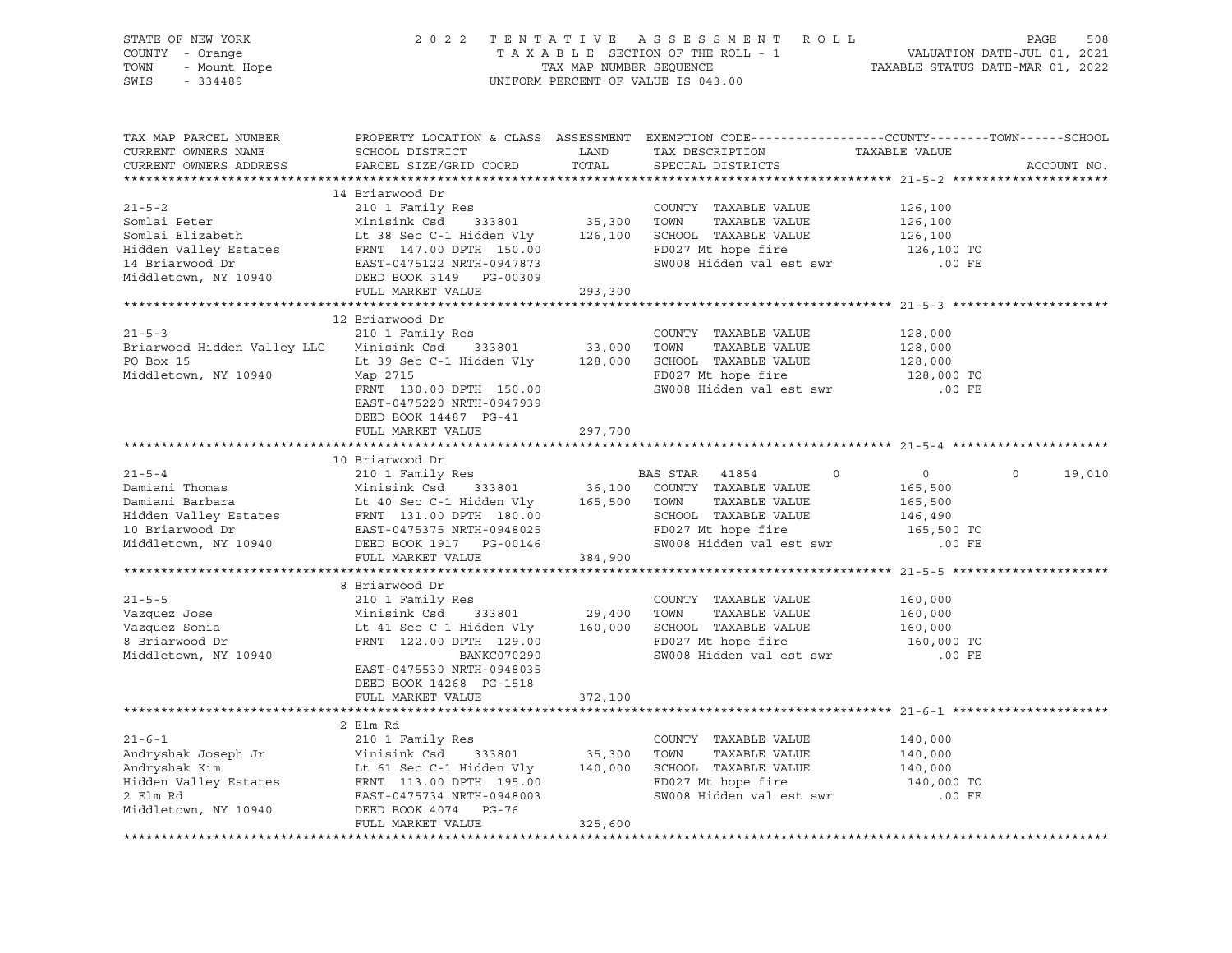| F NEW YORK 2022<br>- Orange 2022<br>- Mount Hope<br>224499<br>STATE OF NEW YORK<br>COUNTY - Orange<br>TOWN<br>SWIS                                                                                                                     |                                                |         | 2022 TENTATIVE ASSESSMENT ROLL PAGE 508<br>TAXABLE SECTION OF THE ROLL - 1 VALUATION DATE-JUL 01, 2021<br>TAX MAP NUMBER SEQUENCE TAXABLE STATUS DATE-MAR 01, 2022<br>UNIFORM PERCENT OF VALUE IS 043.00 |                                             |             |
|----------------------------------------------------------------------------------------------------------------------------------------------------------------------------------------------------------------------------------------|------------------------------------------------|---------|----------------------------------------------------------------------------------------------------------------------------------------------------------------------------------------------------------|---------------------------------------------|-------------|
| TAX MAP PARCEL NUMBER<br>CURRENT OWNERS NAME<br>CURRENT OWNERS ADDRESS                                                                                                                                                                 | SCHOOL DISTRICT LAND<br>PARCEL SIZE/GRID COORD | TOTAL   | PROPERTY LOCATION & CLASS ASSESSMENT EXEMPTION CODE----------------COUNTY-------TOWN------SCHOOL<br>TAX DESCRIPTION<br>TAX DESCRIPTION TAXABLE VALUE                                                     |                                             | ACCOUNT NO. |
|                                                                                                                                                                                                                                        |                                                |         |                                                                                                                                                                                                          |                                             |             |
|                                                                                                                                                                                                                                        |                                                |         |                                                                                                                                                                                                          |                                             |             |
|                                                                                                                                                                                                                                        |                                                |         |                                                                                                                                                                                                          |                                             |             |
|                                                                                                                                                                                                                                        |                                                |         |                                                                                                                                                                                                          |                                             |             |
|                                                                                                                                                                                                                                        |                                                |         |                                                                                                                                                                                                          |                                             |             |
|                                                                                                                                                                                                                                        |                                                |         |                                                                                                                                                                                                          |                                             |             |
|                                                                                                                                                                                                                                        |                                                |         |                                                                                                                                                                                                          |                                             |             |
|                                                                                                                                                                                                                                        |                                                |         |                                                                                                                                                                                                          |                                             |             |
|                                                                                                                                                                                                                                        |                                                |         |                                                                                                                                                                                                          |                                             |             |
| $21 - 5 - 3$                                                                                                                                                                                                                           | 12 Briarwood Dr<br>210 1 Family Res            |         | COUNTY TAXABLE VALUE                                                                                                                                                                                     |                                             |             |
|                                                                                                                                                                                                                                        |                                                |         |                                                                                                                                                                                                          |                                             |             |
|                                                                                                                                                                                                                                        |                                                |         |                                                                                                                                                                                                          |                                             |             |
| Briarwood Hidden Valley LLC Minisink Csd 333801 33,000 TOWN TAXABLE VALUE<br>PO Box 15 Lt 39 Sec C-1 Hidden Vly 128,000 SCHOOL TAXABLE VALUE<br>Middletown, NY 10940 Map 2715 128,000 SCHOOL TAXABLE VALUE                             |                                                |         |                                                                                                                                                                                                          | 128,000<br>128,000<br>128,000<br>128,000 TO |             |
|                                                                                                                                                                                                                                        |                                                |         | Map 2715<br>FD027 Mt hope fire<br>FRNT 130.00 DPTH 150.00 SW008 Hidden val est swr<br>SW008 Hidden val est swr                                                                                           | .00 FE                                      |             |
|                                                                                                                                                                                                                                        | EAST-0475220 NRTH-0947939                      |         |                                                                                                                                                                                                          |                                             |             |
|                                                                                                                                                                                                                                        | DEED BOOK 14487 PG-41                          |         |                                                                                                                                                                                                          |                                             |             |
|                                                                                                                                                                                                                                        | FULL MARKET VALUE                              | 297,700 |                                                                                                                                                                                                          |                                             |             |
|                                                                                                                                                                                                                                        |                                                |         |                                                                                                                                                                                                          |                                             |             |
|                                                                                                                                                                                                                                        | 10 Briarwood Dr                                |         |                                                                                                                                                                                                          |                                             |             |
| $21 - 5 - 4$                                                                                                                                                                                                                           |                                                |         | $\overline{0}$                                                                                                                                                                                           | $\overline{0}$                              | 0<br>19,010 |
|                                                                                                                                                                                                                                        |                                                |         |                                                                                                                                                                                                          |                                             |             |
|                                                                                                                                                                                                                                        |                                                |         |                                                                                                                                                                                                          |                                             |             |
|                                                                                                                                                                                                                                        |                                                |         |                                                                                                                                                                                                          |                                             |             |
|                                                                                                                                                                                                                                        |                                                |         |                                                                                                                                                                                                          |                                             |             |
|                                                                                                                                                                                                                                        | FULL MARKET VALUE 384,900                      |         |                                                                                                                                                                                                          |                                             |             |
|                                                                                                                                                                                                                                        |                                                |         |                                                                                                                                                                                                          |                                             |             |
|                                                                                                                                                                                                                                        |                                                |         |                                                                                                                                                                                                          |                                             |             |
|                                                                                                                                                                                                                                        |                                                |         |                                                                                                                                                                                                          |                                             |             |
|                                                                                                                                                                                                                                        |                                                |         |                                                                                                                                                                                                          |                                             |             |
|                                                                                                                                                                                                                                        |                                                |         |                                                                                                                                                                                                          |                                             |             |
|                                                                                                                                                                                                                                        |                                                |         |                                                                                                                                                                                                          |                                             |             |
| 8 Briarwood Dr<br>21-5-5 210 1 Family Res<br>Vazquez Jose Minisink Csd 333801 29,400 TOWN TAXABLE VALUE 160,000<br>Vazquez Sonia Lt 41 Sec C 1 Hidden Vly 160,000 SCHOOL TAXABLE VALUE 160,000<br>8 Briarwood Dr FRNT 122.00 DFTH 129. |                                                |         |                                                                                                                                                                                                          |                                             |             |
|                                                                                                                                                                                                                                        | EAST-0475530 NRTH-0948035                      |         |                                                                                                                                                                                                          |                                             |             |
|                                                                                                                                                                                                                                        | DEED BOOK 14268 PG-1518                        |         |                                                                                                                                                                                                          |                                             |             |
|                                                                                                                                                                                                                                        | FULL MARKET VALUE                              | 372,100 |                                                                                                                                                                                                          |                                             |             |
|                                                                                                                                                                                                                                        |                                                |         |                                                                                                                                                                                                          |                                             |             |
|                                                                                                                                                                                                                                        | 2 Elm Rd                                       |         |                                                                                                                                                                                                          |                                             |             |
|                                                                                                                                                                                                                                        |                                                |         |                                                                                                                                                                                                          |                                             |             |
|                                                                                                                                                                                                                                        |                                                |         |                                                                                                                                                                                                          |                                             |             |
|                                                                                                                                                                                                                                        |                                                |         |                                                                                                                                                                                                          |                                             |             |
|                                                                                                                                                                                                                                        |                                                |         |                                                                                                                                                                                                          |                                             |             |
|                                                                                                                                                                                                                                        |                                                |         |                                                                                                                                                                                                          |                                             |             |
|                                                                                                                                                                                                                                        |                                                |         |                                                                                                                                                                                                          |                                             |             |
|                                                                                                                                                                                                                                        | FULL MARKET VALUE                              | 325,600 |                                                                                                                                                                                                          |                                             |             |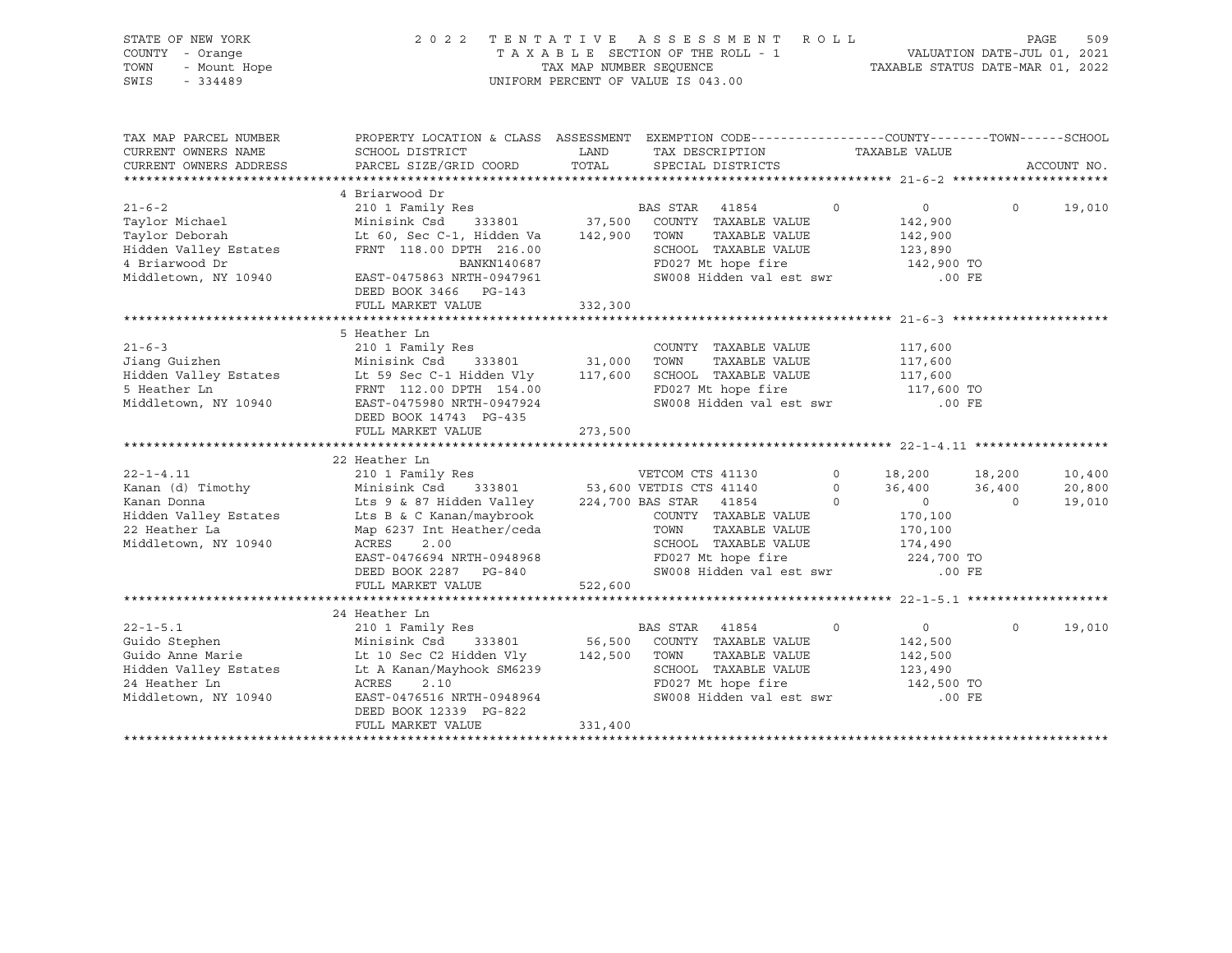| STATE OF NEW YORK<br>COUNTY - Orange<br>TOWN<br>- Mount Hope<br>SWIS<br>$-334489$                                     | 2 0 2 2                                                                                                                                                                                                                                                          | TAX MAP NUMBER SEQUENCE  | TENTATIVE ASSESSMENT<br>TAXABLE SECTION OF THE ROLL - 1<br>UNIFORM PERCENT OF VALUE IS 043.00                                                                          | R O L L                        | TAXABLE STATUS DATE-MAR 01, 2022                                                              | VALUATION DATE-JUL 01, 2021  | 509<br>PAGE                |
|-----------------------------------------------------------------------------------------------------------------------|------------------------------------------------------------------------------------------------------------------------------------------------------------------------------------------------------------------------------------------------------------------|--------------------------|------------------------------------------------------------------------------------------------------------------------------------------------------------------------|--------------------------------|-----------------------------------------------------------------------------------------------|------------------------------|----------------------------|
| TAX MAP PARCEL NUMBER<br>CURRENT OWNERS NAME<br>CURRENT OWNERS ADDRESS<br>**************************                  | PROPERTY LOCATION & CLASS ASSESSMENT EXEMPTION CODE----------------COUNTY-------TOWN-----SCHOOL<br>SCHOOL DISTRICT<br>PARCEL SIZE/GRID COORD                                                                                                                     | LAND<br>TOTAL            | TAX DESCRIPTION<br>SPECIAL DISTRICTS                                                                                                                                   |                                | TAXABLE VALUE                                                                                 |                              | ACCOUNT NO.                |
| $21 - 6 - 2$<br>Taylor Michael<br>Taylor Deborah<br>Hidden Valley Estates<br>4 Briarwood Dr<br>Middletown, NY 10940   | 4 Briarwood Dr<br>210 1 Family Res<br>Minisink Csd 333801<br>Lt 60, Sec C-1, Hidden Va<br>FRNT 118.00 DPTH 216.00<br>BANKN140687<br>EAST-0475863 NRTH-0947961<br>DEED BOOK 3466 PG-143<br>FULL MARKET VALUE                                                      | 142,900<br>332,300       | BAS STAR 41854<br>37,500 COUNTY TAXABLE VALUE<br>TAXABLE VALUE<br>TOWN<br>SCHOOL TAXABLE VALUE<br>FD027 Mt hope fire<br>SW008 Hidden val est swr                       | $\circ$                        | $\overline{0}$<br>142,900<br>142,900<br>123,890<br>142,900 TO<br>$.00$ FE                     | $\circ$                      | 19,010                     |
| $21 - 6 - 3$<br>Jiang Guizhen<br>Hidden Valley Estates<br>5 Heather Ln<br>Middletown, NY 10940                        | 5 Heather Ln<br>210 1 Family Res<br>Minisink Csd<br>Lt 59 Sec C-1 Hidden Vly 117,600<br>FRNT 112.00 DPTH 154.00<br>EAST-0475980 NRTH-0947924<br>DEED BOOK 14743 PG-435<br>FULL MARKET VALUE                                                                      | 333801 31,000<br>273,500 | COUNTY TAXABLE VALUE<br>TOWN<br>TAXABLE VALUE<br>SCHOOL TAXABLE VALUE<br>FD027 Mt hope fire<br>SW008 Hidden val est swr                                                |                                | 117,600<br>117,600<br>117,600<br>117,600 TO<br>.00 FE                                         |                              |                            |
| $22 - 1 - 4.11$<br>Kanan (d) Timothy<br>Kanan Donna<br>Hidden Valley Estates<br>22 Heather La<br>Middletown, NY 10940 | 22 Heather Ln<br>210 1 Family Res<br>Minisink Csd 333801<br>Lts 9 & 87 Hidden Valley 224,700 BAS STAR 41854<br>Lts B & C Kanan/maybrook<br>Map 6237 Int Heather/ceda<br>ACRES<br>2.00<br>EAST-0476694 NRTH-0948968<br>DEED BOOK 2287 PG-840<br>FULL MARKET VALUE | 522,600                  | VETCOM CTS 41130<br>53,600 VETDIS CTS 41140<br>COUNTY TAXABLE VALUE<br>TOWN<br>TAXABLE VALUE<br>SCHOOL TAXABLE VALUE<br>FD027 Mt hope fire<br>SW008 Hidden val est swr | $\circ$<br>$\circ$<br>$\Omega$ | 18,200<br>36,400<br>$\overline{0}$<br>170,100<br>170,100<br>174,490<br>224,700 TO<br>$.00$ FE | 18,200<br>36,400<br>$\Omega$ | 10,400<br>20,800<br>19,010 |
| $22 - 1 - 5.1$<br>Guido Stephen<br>Guido Anne Marie<br>Hidden Valley Estates<br>24 Heather Ln<br>Middletown, NY 10940 | 24 Heather Ln<br>210 1 Family Res<br>Minisink Csd 333801<br>Lt 10 Sec C2 Hidden Vly<br>Lt A Kanan/Mayhook SM6239<br>ACRES<br>2.10<br>EAST-0476516 NRTH-0948964<br>DEED BOOK 12339 PG-822<br>FULL MARKET VALUE                                                    | 142,500<br>331,400       | BAS STAR<br>41854<br>56,500 COUNTY TAXABLE VALUE<br>TOWN<br>TAXABLE VALUE<br>SCHOOL TAXABLE VALUE<br>FD027 Mt hope fire<br>SW008 Hidden val est swr                    | $\Omega$                       | $\overline{0}$<br>142,500<br>142,500<br>123,490<br>142,500 TO<br>.00 FE                       | $\Omega$                     | 19,010                     |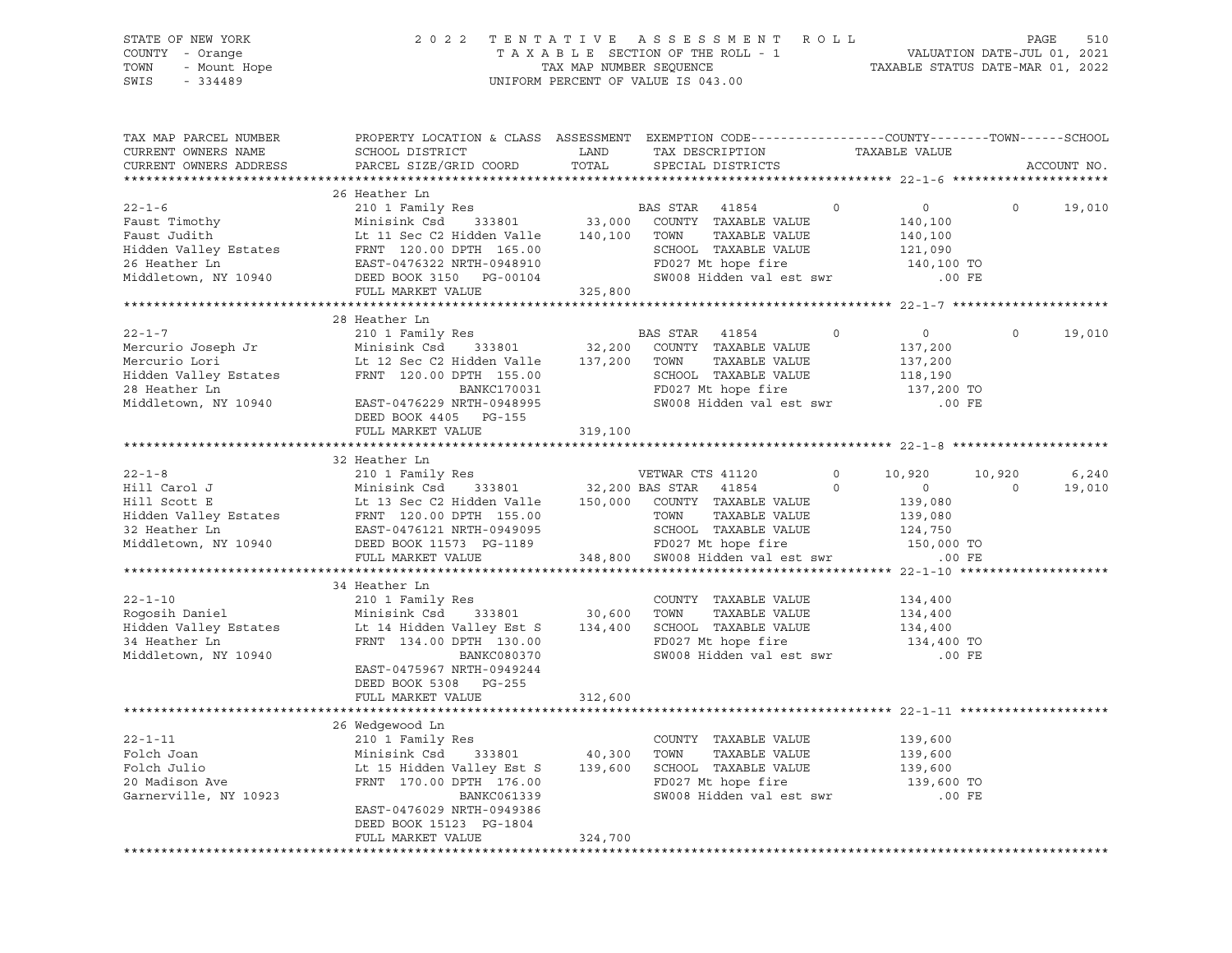STATE OF NEW YORK 2 0 2 2 T E N T A T I V E A S S E S S M E N T R O L L PAGE 510 COUNTY - Orange T A X A B L E SECTION OF THE ROLL - 1 VALUATION DATE-JUL 01, 2021 TOWN - Mount Hope TAX NAP NUMBER SEQUENCE TAXABLE STATUS DATE-MAR 01, 2022<br>TAXABLE STATUS DATE-MAR 01, 2022 UNIFORM PERCENT OF VALUE IS 043.00 TAX MAP PARCEL NUMBER PROPERTY LOCATION & CLASS ASSESSMENT EXEMPTION CODE------------------COUNTY--------TOWN------SCHOOL CURRENT OWNERS NAME SCHOOL DISTRICT LAND TAX DESCRIPTION TAXABLE VALUE CURRENT OWNERS ADDRESS PARCEL SIZE/GRID COORD TOTAL SPECIAL DISTRICTS ACCOUNT NO. \*\*\*\*\*\*\*\*\*\*\*\*\*\*\*\*\*\*\*\*\*\*\*\*\*\*\*\*\*\*\*\*\*\*\*\*\*\*\*\*\*\*\*\*\*\*\*\*\*\*\*\*\*\*\*\*\*\*\*\*\*\*\*\*\*\*\*\*\*\*\*\*\*\*\*\*\*\*\*\*\*\*\*\*\*\*\*\*\*\*\*\*\*\*\*\*\*\*\*\*\*\*\* 22-1-6 \*\*\*\*\*\*\*\*\*\*\*\*\*\*\*\*\*\*\*\*\* 26 Heather Ln 22-1-6 210 1 Family Res BAS STAR 41854 0 0 0 19,010 Faust Timothy Minisink Csd 333801 33,000 COUNTY TAXABLE VALUE 140,100 Faust Judith Lt 11 Sec C2 Hidden Valle 140,100 TOWN TAXABLE VALUE 140,100 Hidden Valley Estates FRNT 120.00 DPTH 165.00 SCHOOL TAXABLE VALUE 121,090 26 Heather Ln EAST-0476322 NRTH-0948910 FD027 Mt hope fire 140,100 TO Middletown, NY 10940 DEED BOOK 3150 PG-00104 SW008 Hidden val est swr .00 FE FULL MARKET VALUE 325,800 \*\*\*\*\*\*\*\*\*\*\*\*\*\*\*\*\*\*\*\*\*\*\*\*\*\*\*\*\*\*\*\*\*\*\*\*\*\*\*\*\*\*\*\*\*\*\*\*\*\*\*\*\*\*\*\*\*\*\*\*\*\*\*\*\*\*\*\*\*\*\*\*\*\*\*\*\*\*\*\*\*\*\*\*\*\*\*\*\*\*\*\*\*\*\*\*\*\*\*\*\*\*\* 22-1-7 \*\*\*\*\*\*\*\*\*\*\*\*\*\*\*\*\*\*\*\*\* 28 Heather Ln 22-1-7 210 1 Family Res BAS STAR 41854 0 0 0 19,010 Mercurio Joseph Jr Minisink Csd 333801 32,200 COUNTY TAXABLE VALUE 137,200 Mercurio Lori Lt 12 Sec C2 Hidden Valle 137,200 TOWN TAXABLE VALUE 137,200 Hidden Valley Estates FRNT 120.00 DPTH 155.00 SCHOOL TAXABLE VALUE 118,190 28 Heather Ln BANKC170031 FD027 Mt hope fire 137,200 TO Middletown, NY 10940 EAST-0476229 NRTH-0948995 SW008 Hidden val est swr .00 FE DEED BOOK 4405 PG-155 FULL MARKET VALUE 319,100 \*\*\*\*\*\*\*\*\*\*\*\*\*\*\*\*\*\*\*\*\*\*\*\*\*\*\*\*\*\*\*\*\*\*\*\*\*\*\*\*\*\*\*\*\*\*\*\*\*\*\*\*\*\*\*\*\*\*\*\*\*\*\*\*\*\*\*\*\*\*\*\*\*\*\*\*\*\*\*\*\*\*\*\*\*\*\*\*\*\*\*\*\*\*\*\*\*\*\*\*\*\*\* 22-1-8 \*\*\*\*\*\*\*\*\*\*\*\*\*\*\*\*\*\*\*\*\* 32 Heather Ln 22-1-8 210 1 Family Res VETWAR CTS 41120 0 10,920 10,920 6,240 Hill Carol J Minisink Csd 333801 32,200 BAS STAR 41854 0 0 0 19,010 Hill Scott E Lt 13 Sec C2 Hidden Valle 150,000 COUNTY TAXABLE VALUE 139,080 Hidden Valley Estates FRNT 120.00 DPTH 155.00 TOWN TAXABLE VALUE 139,080 32 Heather Ln EAST-0476121 NRTH-0949095 SCHOOL TAXABLE VALUE 124,750 Middletown, NY 10940 DEED BOOK 11573 PG-1189 FD027 Mt hope fire 150,000 TO FULL MARKET VALUE 348,800 SW008 Hidden val est swr .00 FE \*\*\*\*\*\*\*\*\*\*\*\*\*\*\*\*\*\*\*\*\*\*\*\*\*\*\*\*\*\*\*\*\*\*\*\*\*\*\*\*\*\*\*\*\*\*\*\*\*\*\*\*\*\*\*\*\*\*\*\*\*\*\*\*\*\*\*\*\*\*\*\*\*\*\*\*\*\*\*\*\*\*\*\*\*\*\*\*\*\*\*\*\*\*\*\*\*\*\*\*\*\*\* 22-1-10 \*\*\*\*\*\*\*\*\*\*\*\*\*\*\*\*\*\*\*\* 34 Heather Ln 22-1-10 210 1 Family Res COUNTY TAXABLE VALUE 134,400 Rogosih Daniel Minisink Csd 333801 30,600 TOWN TAXABLE VALUE 134,400 Hidden Valley Estates Lt 14 Hidden Valley Est S 134,400 SCHOOL TAXABLE VALUE 134,400 34 Heather Ln FRNT 134.00 DPTH 130.00 FD027 Mt hope fire 134,400 TO Middletown, NY 10940 BANKC080370 SW008 Hidden val est swr .00 FE EAST-0475967 NRTH-0949244 DEED BOOK 5308 PG-255 FULL MARKET VALUE 312,600 \*\*\*\*\*\*\*\*\*\*\*\*\*\*\*\*\*\*\*\*\*\*\*\*\*\*\*\*\*\*\*\*\*\*\*\*\*\*\*\*\*\*\*\*\*\*\*\*\*\*\*\*\*\*\*\*\*\*\*\*\*\*\*\*\*\*\*\*\*\*\*\*\*\*\*\*\*\*\*\*\*\*\*\*\*\*\*\*\*\*\*\*\*\*\*\*\*\*\*\*\*\*\* 22-1-11 \*\*\*\*\*\*\*\*\*\*\*\*\*\*\*\*\*\*\*\* 26 Wedgewood Ln<br>210 1 Family Res 22-1-11 210 1 Family Res COUNTY TAXABLE VALUE 139,600 Folch Joan Minisink Csd 333801 40,300 TOWN TAXABLE VALUE 139,600 Folch Julio Lt 15 Hidden Valley Est S 139,600 SCHOOL TAXABLE VALUE 139,600 20 Madison Ave FRNT 170.00 DPTH 176.00 FD027 Mt hope fire 139,600 TO Garnerville, NY 10923 BANKC061339 SW008 Hidden val est swr .00 FE EAST-0476029 NRTH-0949386 DEED BOOK 15123 PG-1804 FULL MARKET VALUE 324,700 \*\*\*\*\*\*\*\*\*\*\*\*\*\*\*\*\*\*\*\*\*\*\*\*\*\*\*\*\*\*\*\*\*\*\*\*\*\*\*\*\*\*\*\*\*\*\*\*\*\*\*\*\*\*\*\*\*\*\*\*\*\*\*\*\*\*\*\*\*\*\*\*\*\*\*\*\*\*\*\*\*\*\*\*\*\*\*\*\*\*\*\*\*\*\*\*\*\*\*\*\*\*\*\*\*\*\*\*\*\*\*\*\*\*\*\*\*\*\*\*\*\*\*\*\*\*\*\*\*\*\*\*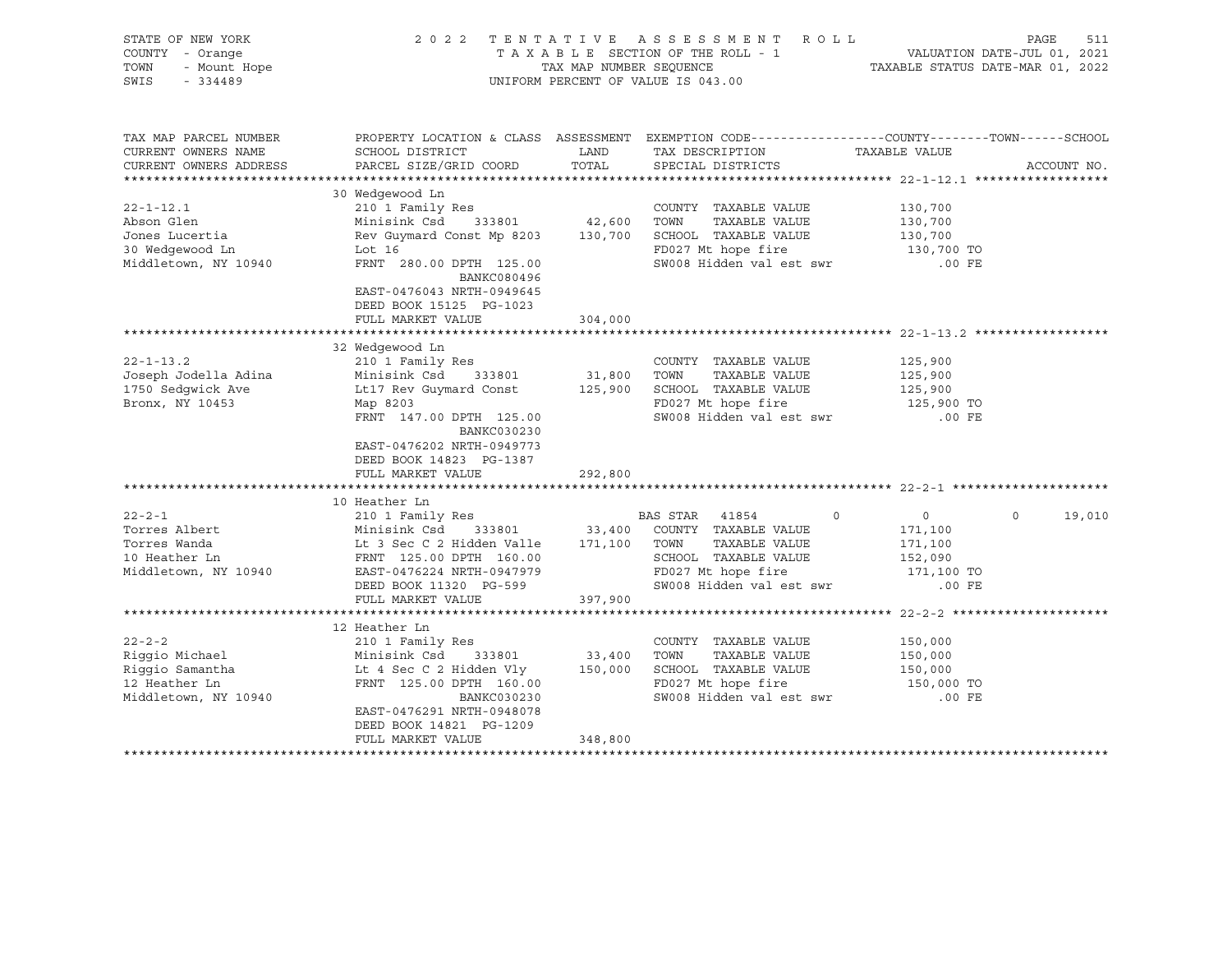| STATE OF NEW YORK<br>COUNTY - Orange<br>- Mount Hope<br>TOWN<br>SWIS<br>$-334489$          |                                                                                                                                                                                                               |                                          | 2022 TENTATIVE ASSESSMENT ROLL<br>UNIFORM PERCENT OF VALUE IS 043.00                                                                         |                                                                    | PAGE<br>511       |
|--------------------------------------------------------------------------------------------|---------------------------------------------------------------------------------------------------------------------------------------------------------------------------------------------------------------|------------------------------------------|----------------------------------------------------------------------------------------------------------------------------------------------|--------------------------------------------------------------------|-------------------|
| TAX MAP PARCEL NUMBER<br>CURRENT OWNERS NAME<br>CURRENT OWNERS ADDRESS                     | SCHOOL DISTRICT<br>PARCEL SIZE/GRID COORD                                                                                                                                                                     | LAND<br>TOTAL                            | PROPERTY LOCATION & CLASS ASSESSMENT EXEMPTION CODE---------------COUNTY-------TOWN------SCHOOL<br>TAX DESCRIPTION<br>SPECIAL DISTRICTS      | TAXABLE VALUE                                                      | ACCOUNT NO.       |
| $22 - 1 - 12.1$<br>Abson Glen<br>Jones Lucertia<br>30 Wedgewood Ln<br>Middletown, NY 10940 | 30 Wedgewood Ln<br>210 1 Family Res<br>Minisink Csd 333801<br>Rev Guymard Const Mp 8203<br>Lot 16<br>FRNT 280.00 DPTH 125.00<br>BANKC080496<br>EAST-0476043 NRTH-0949645                                      | 42,600                                   | COUNTY TAXABLE VALUE<br>TOWN<br>TAXABLE VALUE<br>130,700 SCHOOL TAXABLE VALUE<br>FD027 Mt hope fire<br>SW008 Hidden val est swr              | 130,700<br>130,700<br>130,700<br>130,700 TO<br>.00 FE              |                   |
|                                                                                            | DEED BOOK 15125 PG-1023<br>FULL MARKET VALUE<br>**************************                                                                                                                                    | 304,000<br>******************            | ****************************** 22-1-13.2 ***********                                                                                         |                                                                    |                   |
| $22 - 1 - 13.2$<br>Joseph Jodella Adina<br>1750 Sedgwick Ave<br>Bronx, NY 10453            | 32 Wedgewood Ln<br>210 1 Family Res<br>Minisink Csd<br>333801<br>Lt17 Rev Guymard Const<br>Map 8203<br>FRNT 147.00 DPTH 125.00<br>BANKC030230<br>EAST-0476202 NRTH-0949773<br>DEED BOOK 14823 PG-1387         | 31,800<br>125,900                        | COUNTY TAXABLE VALUE<br>TAXABLE VALUE<br>TOWN<br>SCHOOL TAXABLE VALUE<br>FD027 Mt hope fire<br>SW008 Hidden val est swr                      | 125,900<br>125,900<br>125,900<br>125,900 TO<br>.00 FE              |                   |
|                                                                                            | FULL MARKET VALUE                                                                                                                                                                                             | 292,800                                  |                                                                                                                                              |                                                                    |                   |
| $22 - 2 - 1$<br>Torres Albert<br>Torres Wanda<br>10 Heather Ln<br>Middletown, NY 10940     | 10 Heather Ln<br>210 1 Family Res<br>Minisink Csd<br>Lt 3 Sec C 2 Hidden Valle<br>FRNT 125.00 DPTH 160.00<br>EAST-0476224 NRTH-0947979<br>DEED BOOK 11320 PG-599<br>FULL MARKET VALUE                         | 333801 33,400<br>171,100 TOWN<br>397,900 | BAS STAR 41854<br>$\circ$<br>COUNTY TAXABLE VALUE<br>TAXABLE VALUE<br>SCHOOL TAXABLE VALUE<br>FD027 Mt hope fire<br>SW008 Hidden val est swr | $\circ$<br>171,100<br>171,100<br>152,090<br>171,100 TO<br>$.00$ FE | $\circ$<br>19,010 |
| $22 - 2 - 2$<br>Riggio Michael<br>Riggio Samantha<br>12 Heather Ln<br>Middletown, NY 10940 | 12 Heather Ln<br>210 1 Family Res<br>Minisink Csd<br>333801<br>Lt 4 Sec C 2 Hidden Vly<br>FRNT 125.00 DPTH 160.00<br>BANKC030230<br>EAST-0476291 NRTH-0948078<br>DEED BOOK 14821 PG-1209<br>FULL MARKET VALUE | 33,400<br>348,800                        | COUNTY TAXABLE VALUE<br>TOWN<br>TAXABLE VALUE<br>150,000 SCHOOL TAXABLE VALUE<br>FD027 Mt hope fire<br>SW008 Hidden val est swr              | 150,000<br>150,000<br>150,000<br>150,000 TO<br>$.00$ FE            |                   |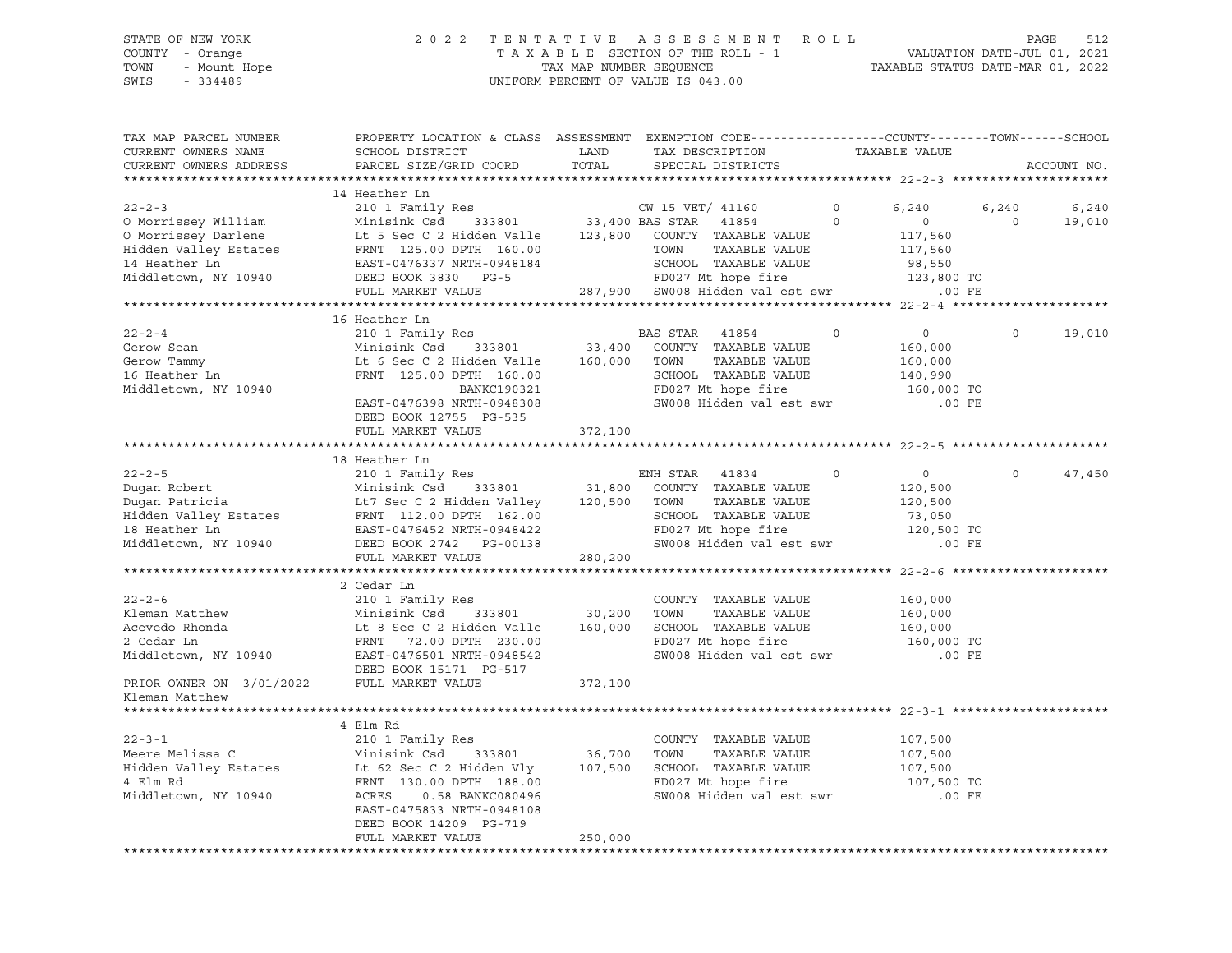#### STATE OF NEW YORK 2 0 2 2 T E N T A T I V E A S S E S S M E N T R O L L PAGE 512 COUNTY - Orange T A X A B L E SECTION OF THE ROLL - 1 VALUATION DATE-JUL 01, 2021 TOWN - Mount Hope TAX MAP NUMBER SEQUENCE TAXABLE STATUS DATE-MAR 01, 2022 SWIS - 334489 UNIFORM PERCENT OF VALUE IS 043.00

| TAX MAP PARCEL NUMBER<br>CURRENT OWNERS NAME<br>CURRENT OWNERS ADDRESS                                                                                                                                                                                   | PROPERTY LOCATION & CLASS ASSESSMENT EXEMPTION CODE----------------COUNTY-------TOWN-----SCHOOL<br>SCHOOL DISTRICT<br>PARCEL SIZE/GRID COORD           | LAND<br>TOTAL | TAX DESCRIPTION TAXABLE VALUE SPECIAL DISTRICTS |                    |                                      | ACCOUNT NO.        |
|----------------------------------------------------------------------------------------------------------------------------------------------------------------------------------------------------------------------------------------------------------|--------------------------------------------------------------------------------------------------------------------------------------------------------|---------------|-------------------------------------------------|--------------------|--------------------------------------|--------------------|
|                                                                                                                                                                                                                                                          |                                                                                                                                                        |               |                                                 |                    |                                      |                    |
|                                                                                                                                                                                                                                                          | 14 Heather Ln                                                                                                                                          |               |                                                 |                    | 6,240                                | 6,240<br>6,240     |
| 22-2-3<br>210 1 Family Res<br>210 1 Family Res<br>210 1 Family Res<br>210 1 Family Res<br>210 1 Family Res<br>210 1 Family Res<br>210 1 Family Res<br>210 1 Family Res<br>210 23,800<br>33,400 BAS STAR<br>21854<br>22,800 COUNTY TAXABLE VALUE<br>23,80 |                                                                                                                                                        |               |                                                 |                    | $\overline{0}$<br>117,560<br>117,560 | $\Omega$<br>19,010 |
|                                                                                                                                                                                                                                                          |                                                                                                                                                        |               | 287,900 SW008 Hidden val est swr .00 FE         |                    | 98,550<br>123,800 TO                 |                    |
|                                                                                                                                                                                                                                                          | FULL MARKET VALUE                                                                                                                                      |               |                                                 |                    |                                      |                    |
|                                                                                                                                                                                                                                                          | 16 Heather Ln                                                                                                                                          |               |                                                 |                    |                                      |                    |
| $22 - 2 - 4$<br>Gerow Sean                                                                                                                                                                                                                               | 210 1 Family Res<br>Minisink Csd 333801 33,400 COUNTY TAXABLE VALUE<br>Lt 6 Sec C 2 Hidden Valle 160,000 TOWN TAXABLE VALUE<br>FRNT 125.00 DPTH 160.00 |               |                                                 | $\Omega$           | 0<br>160,000                         | $\Omega$<br>19,010 |
| Gerow Sean<br>Gerow Tammy<br>16 Heather Ln<br>Middletown, NY 10940                                                                                                                                                                                       |                                                                                                                                                        |               | SCHOOL TAXABLE VALUE                            |                    | 160,000<br>140,990                   |                    |
|                                                                                                                                                                                                                                                          |                                                                                                                                                        |               |                                                 |                    | 160,000 TO                           |                    |
|                                                                                                                                                                                                                                                          | DEED BOOK 12755 PG-535                                                                                                                                 | 372,100       | FD027 Mt hope fire<br>SW008 Hidden val est swr  |                    | .00 FE                               |                    |
|                                                                                                                                                                                                                                                          | FULL MARKET VALUE                                                                                                                                      |               |                                                 |                    |                                      |                    |
|                                                                                                                                                                                                                                                          | 18 Heather Ln                                                                                                                                          |               |                                                 |                    |                                      |                    |
| $22 - 2 - 5$                                                                                                                                                                                                                                             | 210 1 Family Res                                                                                                                                       |               | ENH STAR 41834                                  | $\circ$            | $\circ$                              | $\Omega$<br>47,450 |
|                                                                                                                                                                                                                                                          |                                                                                                                                                        |               | COUNTY TAXABLE VALUE                            |                    |                                      |                    |
|                                                                                                                                                                                                                                                          |                                                                                                                                                        |               | TAXABLE VALUE                                   |                    | 120,500<br>120,500                   |                    |
|                                                                                                                                                                                                                                                          |                                                                                                                                                        |               | SCHOOL TAXABLE VALUE                            |                    | 73,050                               |                    |
|                                                                                                                                                                                                                                                          |                                                                                                                                                        |               | FD027 Mt hope fire                              |                    | 120,500 TO                           |                    |
|                                                                                                                                                                                                                                                          |                                                                                                                                                        |               | SW008 Hidden val est swr                        |                    | .00 FE                               |                    |
|                                                                                                                                                                                                                                                          | FULL MARKET VALUE                                                                                                                                      | 280,200       |                                                 |                    |                                      |                    |
|                                                                                                                                                                                                                                                          |                                                                                                                                                        |               |                                                 |                    |                                      |                    |
|                                                                                                                                                                                                                                                          | 2 Cedar Ln                                                                                                                                             |               |                                                 |                    |                                      |                    |
| $22 - 2 - 6$                                                                                                                                                                                                                                             | 210 1 Family Res                                                                                                                                       |               | COUNTY TAXABLE VALUE                            |                    | 160,000                              |                    |
|                                                                                                                                                                                                                                                          |                                                                                                                                                        |               | TOWN<br>TAXABLE VALUE                           |                    | 160,000<br>160,000                   |                    |
|                                                                                                                                                                                                                                                          |                                                                                                                                                        |               | SCHOOL TAXABLE VALUE                            |                    |                                      |                    |
|                                                                                                                                                                                                                                                          |                                                                                                                                                        |               | FD027 Mt hope fire                              |                    | 160,000 TO                           |                    |
| Fileman Matthew Minisink Csd 333801 30,200<br>Acevedo Rhonda Lt 8 Sec C 2 Hidden Valle 160,000<br>2 Cedar Ln FRNT 72.00 DPTH 230.00<br>Middletown, NY 10940 EAST-0476501 NRTH-0948542                                                                    | DEED BOOK 15171 PG-517                                                                                                                                 |               | SW008 Hidden val est swr .00 FE                 |                    |                                      |                    |
| PRIOR OWNER ON 3/01/2022 FULL MARKET VALUE<br>Kleman Matthew                                                                                                                                                                                             |                                                                                                                                                        | 372,100       |                                                 |                    |                                      |                    |
|                                                                                                                                                                                                                                                          |                                                                                                                                                        |               |                                                 |                    |                                      |                    |
|                                                                                                                                                                                                                                                          | 4 Elm Rd                                                                                                                                               |               |                                                 |                    |                                      |                    |
| $22 - 3 - 1$                                                                                                                                                                                                                                             | 210 1 Family Res                                                                                                                                       |               | COUNTY TAXABLE VALUE                            |                    | 107,500                              |                    |
|                                                                                                                                                                                                                                                          |                                                                                                                                                        |               |                                                 | 107,500<br>107,500 |                                      |                    |
|                                                                                                                                                                                                                                                          |                                                                                                                                                        |               |                                                 |                    |                                      |                    |
| Meere Melissa C Minisink Csd 333801 36,700 TOWN TAXABLE VALUE<br>Hidden Valley Estates Lt 62 Sec C 2 Hidden Vly 107,500 SCHOOL TAXABLE VALUE<br>4 Elm Rd FRNT 130.00 DPTH 188.00 FD027 Mt hope fire<br>Middletown, NY 10940 ACRES 0.                     |                                                                                                                                                        |               | FD027 Mt hope fire<br>SW008 Hidden val est swr  |                    | 107,500 TO<br>.00 FE                 |                    |
|                                                                                                                                                                                                                                                          | EAST-0475833 NRTH-0948108                                                                                                                              |               |                                                 |                    |                                      |                    |
|                                                                                                                                                                                                                                                          | DEED BOOK 14209 PG-719<br>FULL MARKET VALUE                                                                                                            | 250,000       |                                                 |                    |                                      |                    |
|                                                                                                                                                                                                                                                          |                                                                                                                                                        |               |                                                 |                    |                                      |                    |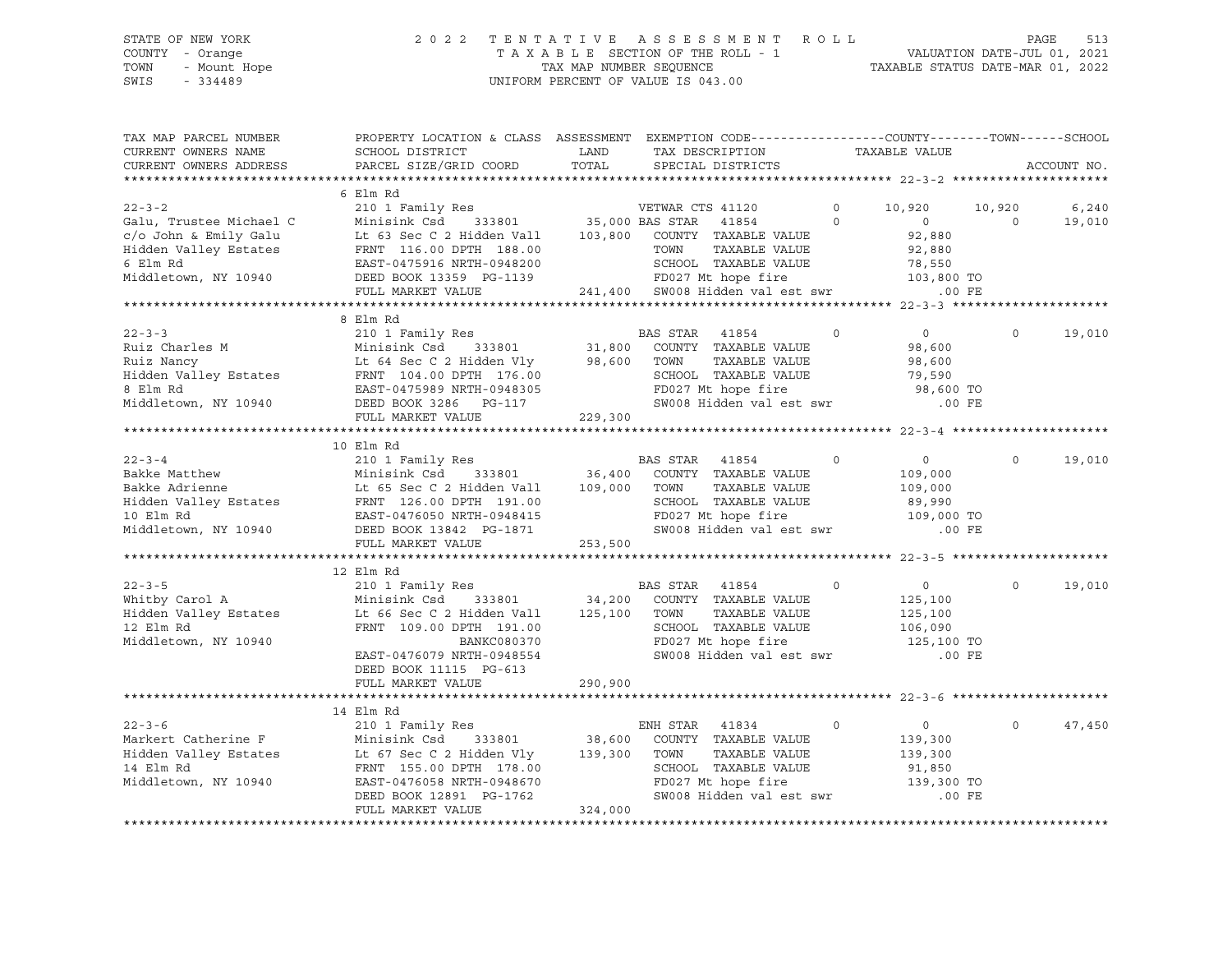#### STATE OF NEW YORK 2 0 2 2 T E N T A T I V E A S S E S S M E N T R O L L PAGE 513 COUNTY - Orange T A X A B L E SECTION OF THE ROLL - 1 VALUATION DATE-JUL 01, 2021 TOWN - Mount Hope TAX MAP NUMBER SEQUENCE TAXABLE STATUS DATE-MAR 01, 2022 SWIS - 334489 UNIFORM PERCENT OF VALUE IS 043.00

| TAX MAP PARCEL NUMBER                                                                                                                                                                                                                  | PROPERTY LOCATION & CLASS ASSESSMENT EXEMPTION CODE---------------COUNTY-------TOWN-----SCHOOL |         |                               |                                                                                     |                |             |
|----------------------------------------------------------------------------------------------------------------------------------------------------------------------------------------------------------------------------------------|------------------------------------------------------------------------------------------------|---------|-------------------------------|-------------------------------------------------------------------------------------|----------------|-------------|
|                                                                                                                                                                                                                                        |                                                                                                |         | TAX DESCRIPTION TAXABLE VALUE |                                                                                     |                |             |
|                                                                                                                                                                                                                                        |                                                                                                |         |                               |                                                                                     |                | ACCOUNT NO. |
|                                                                                                                                                                                                                                        |                                                                                                |         |                               |                                                                                     |                |             |
|                                                                                                                                                                                                                                        | 6 Elm Rd                                                                                       |         |                               |                                                                                     |                |             |
|                                                                                                                                                                                                                                        |                                                                                                |         |                               |                                                                                     | 10,920         | 6,240       |
|                                                                                                                                                                                                                                        |                                                                                                |         |                               |                                                                                     | $\overline{0}$ | 19,010      |
|                                                                                                                                                                                                                                        |                                                                                                |         |                               |                                                                                     |                |             |
|                                                                                                                                                                                                                                        |                                                                                                |         |                               |                                                                                     |                |             |
|                                                                                                                                                                                                                                        |                                                                                                |         |                               |                                                                                     |                |             |
|                                                                                                                                                                                                                                        |                                                                                                |         |                               |                                                                                     |                |             |
|                                                                                                                                                                                                                                        |                                                                                                |         |                               |                                                                                     |                |             |
|                                                                                                                                                                                                                                        |                                                                                                |         |                               |                                                                                     |                |             |
|                                                                                                                                                                                                                                        | 8 Elm Rd                                                                                       |         |                               |                                                                                     |                |             |
|                                                                                                                                                                                                                                        |                                                                                                |         |                               |                                                                                     | $\circ$        | 19,010      |
|                                                                                                                                                                                                                                        |                                                                                                |         |                               |                                                                                     |                |             |
|                                                                                                                                                                                                                                        |                                                                                                |         |                               |                                                                                     |                |             |
|                                                                                                                                                                                                                                        |                                                                                                |         |                               |                                                                                     |                |             |
|                                                                                                                                                                                                                                        |                                                                                                |         |                               |                                                                                     |                |             |
|                                                                                                                                                                                                                                        |                                                                                                |         |                               |                                                                                     |                |             |
|                                                                                                                                                                                                                                        |                                                                                                |         |                               |                                                                                     |                |             |
|                                                                                                                                                                                                                                        |                                                                                                |         |                               |                                                                                     |                |             |
|                                                                                                                                                                                                                                        | 10 Elm Rd                                                                                      |         |                               |                                                                                     |                |             |
|                                                                                                                                                                                                                                        |                                                                                                |         |                               |                                                                                     | $\circ$        | 19,010      |
|                                                                                                                                                                                                                                        |                                                                                                |         |                               |                                                                                     |                |             |
|                                                                                                                                                                                                                                        |                                                                                                |         |                               |                                                                                     |                |             |
|                                                                                                                                                                                                                                        |                                                                                                |         |                               |                                                                                     |                |             |
|                                                                                                                                                                                                                                        |                                                                                                |         |                               |                                                                                     |                |             |
|                                                                                                                                                                                                                                        |                                                                                                |         |                               |                                                                                     |                |             |
|                                                                                                                                                                                                                                        |                                                                                                |         |                               |                                                                                     |                |             |
|                                                                                                                                                                                                                                        |                                                                                                |         |                               |                                                                                     |                |             |
| 210 1 Family Res<br>Whitby Carol A Minisink Csd 333801 34,200 COUNTY TAXABLE VALUE<br>Hidden Valley Estates Lt 66 Sec C 2 Hidden Vall 125,100 TOWN TAXABLE VALUE<br>12 Elm Rd FRNT 109.00 DPTH 191.00 COUNTY TAXABLE VALUE<br>Middleto |                                                                                                |         |                               |                                                                                     |                |             |
|                                                                                                                                                                                                                                        |                                                                                                |         |                               | $\overline{0}$                                                                      | $\circ$        | 19,010      |
|                                                                                                                                                                                                                                        |                                                                                                |         |                               |                                                                                     |                |             |
|                                                                                                                                                                                                                                        |                                                                                                |         |                               | 125,100<br>125,100                                                                  |                |             |
|                                                                                                                                                                                                                                        |                                                                                                |         |                               |                                                                                     |                |             |
|                                                                                                                                                                                                                                        |                                                                                                |         | FD027 Mt hope fire            | TOWN TAXABLE VALUE<br>SCHOOL TAXABLE VALUE 106,090<br>TRAST Mt bone fire 125,100 TO |                |             |
|                                                                                                                                                                                                                                        | EAST-0476079 NRTH-0948554                                                                      |         |                               | SW008 Hidden val est swr .00 FE                                                     |                |             |
|                                                                                                                                                                                                                                        | DEED BOOK 11115 PG-613                                                                         |         |                               |                                                                                     |                |             |
|                                                                                                                                                                                                                                        | FULL MARKET VALUE                                                                              | 290,900 |                               |                                                                                     |                |             |
|                                                                                                                                                                                                                                        |                                                                                                |         |                               |                                                                                     |                |             |
|                                                                                                                                                                                                                                        | 14 Elm Rd                                                                                      |         |                               |                                                                                     |                |             |
|                                                                                                                                                                                                                                        |                                                                                                |         |                               |                                                                                     | $\circ$        | 47,450      |
|                                                                                                                                                                                                                                        |                                                                                                |         |                               |                                                                                     |                |             |
|                                                                                                                                                                                                                                        |                                                                                                |         |                               |                                                                                     |                |             |
|                                                                                                                                                                                                                                        |                                                                                                |         |                               |                                                                                     |                |             |
|                                                                                                                                                                                                                                        |                                                                                                |         |                               |                                                                                     |                |             |
|                                                                                                                                                                                                                                        |                                                                                                |         |                               |                                                                                     |                |             |
|                                                                                                                                                                                                                                        |                                                                                                |         |                               |                                                                                     |                |             |
|                                                                                                                                                                                                                                        |                                                                                                |         |                               |                                                                                     |                |             |
|                                                                                                                                                                                                                                        |                                                                                                |         |                               |                                                                                     |                |             |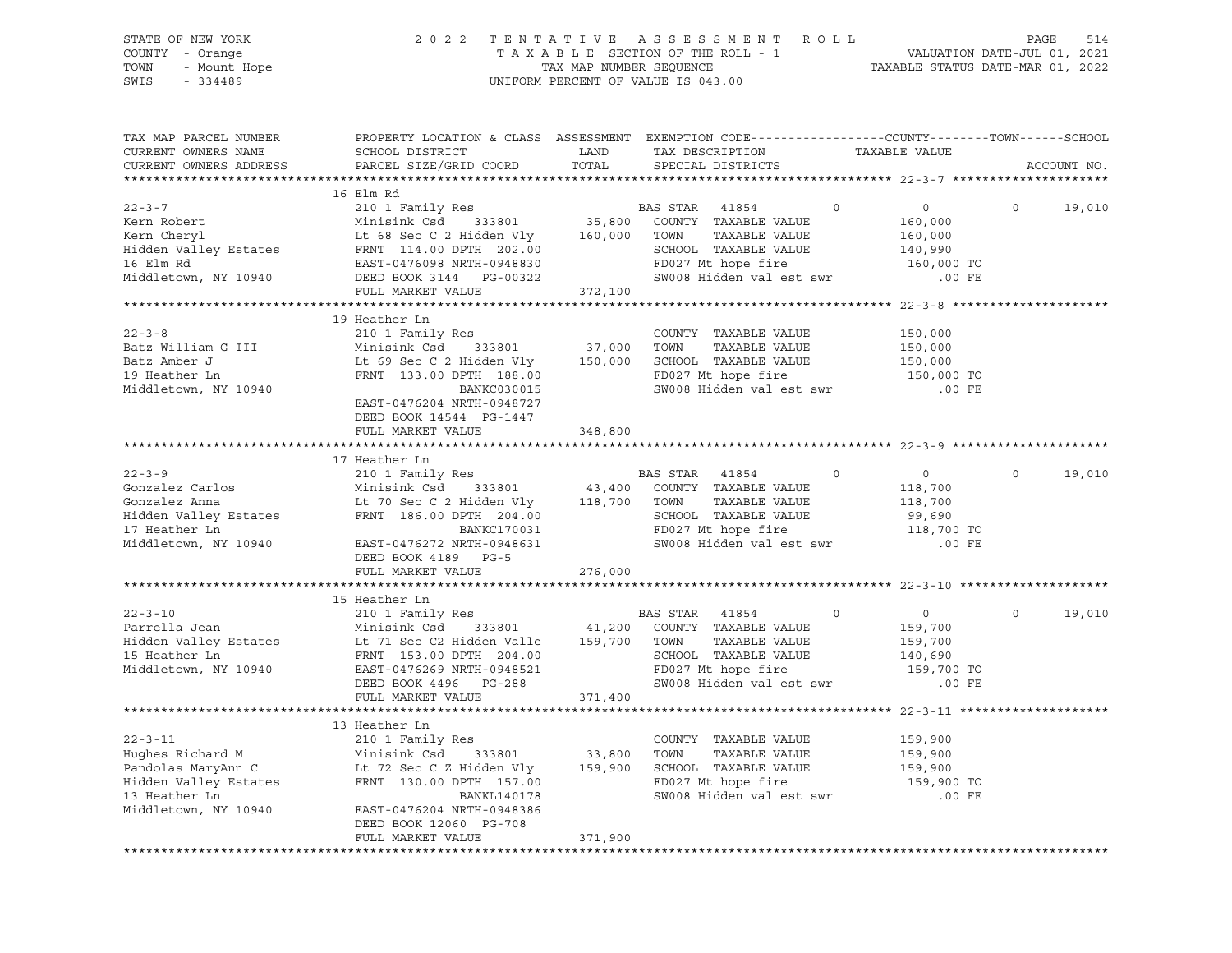| STATE OF NEW YORK<br>OF NEW YORK<br>I - Orange<br>- Mount Hope<br>- 21199<br>COUNTY - Orange<br>TOWN<br>SWIS                                                                                                                                                                             |                                                                                                                                                                       |                   | 2022 TENTATIVE ASSESSMENT ROLL PAGE 514<br>TAXABLE SECTION OF THE ROLL - 1<br>TAXABLE SECTION OF THE ROLL - 1<br>TAXABLE STATUS DATE-MAR 01, 2022<br>UNIFORM PERCENT OF VALUE IS 043.00 |                                                            |                   |
|------------------------------------------------------------------------------------------------------------------------------------------------------------------------------------------------------------------------------------------------------------------------------------------|-----------------------------------------------------------------------------------------------------------------------------------------------------------------------|-------------------|-----------------------------------------------------------------------------------------------------------------------------------------------------------------------------------------|------------------------------------------------------------|-------------------|
| TAX MAP PARCEL NUMBER<br>CURRENT OWNERS NAME<br>CURRENT OWNERS ADDRESS                                                                                                                                                                                                                   | SCHOOL DISTRICT<br>PARCEL SIZE/GRID COORD                                                                                                                             | LAND<br>TOTAL     | PROPERTY LOCATION & CLASS ASSESSMENT EXEMPTION CODE----------------COUNTY-------TOWN------SCHOOL<br>TAX DESCRIPTION TAXABLE VALUE SPECIAL DISTRICTS                                     |                                                            | ACCOUNT NO.       |
| 16 Elm Rd 22-3-7<br>210 1 Family Res 22-3-7<br>Kern Robert Minisink Csd 333801<br>210 1 Family Res 22 Hidden Vly 25,800 COUNTY TAXABLE VALUE<br>23,800 COUNTY TAXABLE VALUE<br>23,800 COUNTY TAXABLE VALUE<br>23,800 COUNTY TAXABLE VALUE<br>                                            | 16 Elm Rd<br>FULL MARKET VALUE                                                                                                                                        | 372,100           |                                                                                                                                                                                         |                                                            | 0 19,010          |
|                                                                                                                                                                                                                                                                                          |                                                                                                                                                                       |                   |                                                                                                                                                                                         |                                                            |                   |
| $22 - 3 - 8$<br>Batz William G III<br>Batz Amber J<br>19 Heather Ln<br>Middletown, NY 10940                                                                                                                                                                                              | 19 Heather Ln<br>FRNT 133.00 DPTH 188.00<br><b>BANKC030015</b><br>EAST-0476204 NRTH-0948727<br>DEED BOOK 14544 PG-1447<br>FULL MARKET VALUE 348,800                   |                   | COUNTY TAXABLE VALUE 150,000<br>TAXABLE VALUE<br>Lt 69 Sec C 2 Hidden Vly 150,000 SCHOOL TAXABLE VALUE 150,000<br>FD027 Mt hope fire<br>SW008 Hidden val est swr .00 FE                 | 150,000<br>150,000 TO                                      |                   |
|                                                                                                                                                                                                                                                                                          |                                                                                                                                                                       |                   |                                                                                                                                                                                         |                                                            |                   |
|                                                                                                                                                                                                                                                                                          |                                                                                                                                                                       |                   |                                                                                                                                                                                         |                                                            |                   |
| BAS STAR 41854<br>Gonzalez Carlos Minisink Csd 333801 43,400 COUNTY TAXABLE VALUE<br>Hidden Valley Estates FRNT 186.00 DPTH 204.00<br>THE COUNTY SETAR MINISIPY STARBLE VALUE<br>Hidden Valley Estates FRNT 186.00 DPTH 204.00<br>Middletown, NY 10940                                   | FRNT 186.00 DPTH 204.00<br>BANKC170031<br>EAST-0476272 NRTH-0948631<br>DEED BOOK 4189 PG-5                                                                            |                   | $\circ$<br>TAXABLE VALUE<br>SCHOOL TAXABLE VALUE<br>FD027 Mt hope fire 118,700 TO<br>SW008 Hidden val est swr                                                                           | $\overline{0}$<br>118,700<br>118,700<br>99,690<br>$.00$ FE | $\circ$<br>19,010 |
|                                                                                                                                                                                                                                                                                          | FULL MARKET VALUE                                                                                                                                                     | 276,000           |                                                                                                                                                                                         |                                                            |                   |
|                                                                                                                                                                                                                                                                                          |                                                                                                                                                                       |                   |                                                                                                                                                                                         |                                                            |                   |
| $22 - 3 - 10$<br>Parrella Jean<br>Hidden Valley Estates<br>15 Heather Ln<br>15 Heather Ln<br>15 Heather Ln<br>15 Heather Ln<br>15 Heather Ln<br>15 Heather Ln<br>15 Heather Ln<br>15 PRNT<br>153.00 DPTH<br>204.00<br>204.00<br>204.00<br>Middletown, NY 10940 EAST-0476269 NRTH-0948521 | 15 Heather Ln<br>DEED BOOK 4496 PG-288                                                                                                                                |                   | $\sim$ 0<br>TAXABLE VALUE<br>SCHOOL TAXABLE VALUE 140,690<br>FD027 Mt hope fire 159,700 TO<br>SW008 Hidden val est swr                                                                  | $\overline{0}$<br>159,700<br>159,700<br>.00 FE             | $\circ$<br>19,010 |
|                                                                                                                                                                                                                                                                                          | FULL MARKET VALUE                                                                                                                                                     | 371,400           |                                                                                                                                                                                         |                                                            |                   |
|                                                                                                                                                                                                                                                                                          |                                                                                                                                                                       |                   |                                                                                                                                                                                         |                                                            |                   |
| $22 - 3 - 11$<br>Hughes Richard M<br>Pandolas MaryAnn C<br>Hidden Valley Estates<br>13 Heather Ln<br>Middletown, NY 10940                                                                                                                                                                | 13 Heather Ln<br>210 1 Family Res<br>Minisink Csd<br>333801<br>Lt 72 Sec C Z Hidden Vly<br>FRNT 130.00 DPTH 157.00<br><b>BANKL140178</b><br>EAST-0476204 NRTH-0948386 | 33,800<br>159,900 | COUNTY TAXABLE VALUE<br>TOWN<br>TAXABLE VALUE<br>SCHOOL TAXABLE VALUE<br>FD027 Mt hope fire<br>SW008 Hidden val est swr                                                                 | 159,900<br>159,900<br>159,900<br>159,900 TO<br>$.00$ FE    |                   |
|                                                                                                                                                                                                                                                                                          | DEED BOOK 12060 PG-708<br>FULL MARKET VALUE                                                                                                                           | 371,900           |                                                                                                                                                                                         |                                                            |                   |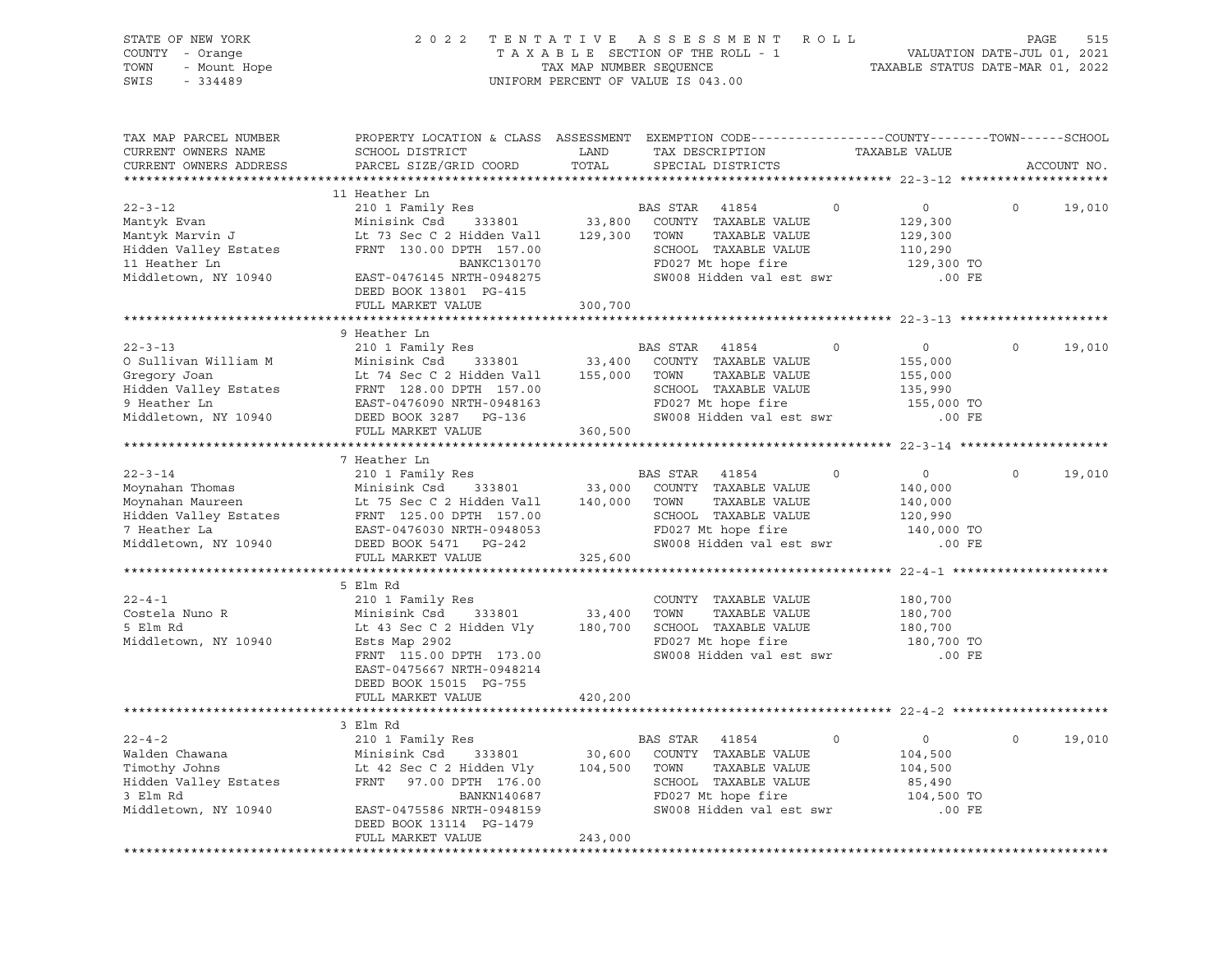| STATE OF NEW YORK<br>COUNTY - Orange<br>- Mount Hope<br>TOWN<br>SWIS<br>$-334489$                                     | 2 0 2 2                                                                                                                                                                               |                              | TENTATIVE ASSESSMENT ROLL<br>T A X A B L E SECTION OF THE ROLL - 1<br>TAX MAP NUMBER SEQUENCE T.<br>UNIFORM PERCENT OF VALUE IS 043.00       |             | VALUATION DATE-JUL 01, 2021<br>TAXABLE STATUS DATE-MAR 01, 2022              | PAGE    | 515         |
|-----------------------------------------------------------------------------------------------------------------------|---------------------------------------------------------------------------------------------------------------------------------------------------------------------------------------|------------------------------|----------------------------------------------------------------------------------------------------------------------------------------------|-------------|------------------------------------------------------------------------------|---------|-------------|
| TAX MAP PARCEL NUMBER<br>CURRENT OWNERS NAME<br>CURRENT OWNERS ADDRESS                                                | PROPERTY LOCATION & CLASS ASSESSMENT EXEMPTION CODE----------------COUNTY-------TOWN-----SCHOOL<br>SCHOOL DISTRICT<br>PARCEL SIZE/GRID COORD                                          | LAND<br>TOTAL                | TAX DESCRIPTION TAXABLE VALUE<br>SPECIAL DISTRICTS                                                                                           |             |                                                                              |         | ACCOUNT NO. |
|                                                                                                                       | 11 Heather Ln                                                                                                                                                                         |                              |                                                                                                                                              |             |                                                                              |         |             |
| $22 - 3 - 12$<br>Mantyk Evan<br>Mantyk Marvin J<br>Hidden Valley Estates<br>11 Heather Ln<br>Middletown, NY 10940     | 210 1 Family Res<br>Minisink Csd<br>333801<br>Lt 73 Sec C 2 Hidden Vall<br>FRNT 130.00 DPTH 157.00<br>BANKC130170<br>EAST-0476145 NRTH-0948275<br>DEED BOOK 13801 PG-415              | 33,800<br>129,300            | BAS STAR 41854<br>COUNTY TAXABLE VALUE<br>TOWN<br>TAXABLE VALUE<br>SCHOOL TAXABLE VALUE<br>FD027 Mt hope fire<br>SW008 Hidden val est swr    | $\mathbf 0$ | $0 \qquad \qquad$<br>129,300<br>129,300<br>110,290<br>129,300 TO<br>$.00$ FE | $\circ$ | 19,010      |
|                                                                                                                       | FULL MARKET VALUE                                                                                                                                                                     | 300,700                      |                                                                                                                                              |             |                                                                              |         |             |
| $22 - 3 - 13$                                                                                                         | 9 Heather Ln<br>210 1 Family Res                                                                                                                                                      |                              | BAS STAR 41854                                                                                                                               | $\circ$     | $\circ$                                                                      | $\circ$ | 19,010      |
| O Sullivan William M<br>Gregory Joan<br>Hidden Valley Estates<br>9 Heather Ln<br>Middletown, NY 10940                 | Minisink Csd<br>333801<br>Lt 74 Sec C 2 Hidden Vall<br>FRNT 128.00 DPTH 157.00<br>EAST-0476090 NRTH-0948163<br>DEED BOOK 3287 PG-136<br>FULL MARKET VALUE                             | 33,400<br>155,000<br>360,500 | COUNTY TAXABLE VALUE<br>TOWN<br>TAXABLE VALUE<br>SCHOOL TAXABLE VALUE<br>FD027 Mt hope fire<br>SW008 Hidden val est swr                      |             | 155,000<br>155,000<br>135,990<br>155,000 TO<br>$.00$ FE                      |         |             |
|                                                                                                                       |                                                                                                                                                                                       |                              |                                                                                                                                              |             |                                                                              |         |             |
|                                                                                                                       | 7 Heather Ln                                                                                                                                                                          |                              |                                                                                                                                              |             |                                                                              |         |             |
| $22 - 3 - 14$<br>Moynahan Thomas<br>Moynahan Maureen<br>Hidden Valley Estates<br>7 Heather La<br>Middletown, NY 10940 | 210 1 Family Res<br>Minisink Csd<br>333801<br>Lt 75 Sec C 2 Hidden Vall<br>FRNT 125.00 DPTH 157.00<br>EAST-0476030 NRTH-0948053<br>DEED BOOK 5471 PG-242<br>FULL MARKET VALUE         | 33,000<br>140,000<br>325,600 | BAS STAR 41854<br>COUNTY TAXABLE VALUE<br>TAXABLE VALUE<br>TOWN<br>SCHOOL TAXABLE VALUE<br>FD027 Mt hope fire<br>SW008 Hidden val est swr    | $\circ$     | $\circ$<br>140,000<br>140,000<br>120,990<br>140,000 TO<br>.00 FE             | $\circ$ | 19,010      |
|                                                                                                                       |                                                                                                                                                                                       |                              |                                                                                                                                              |             |                                                                              |         |             |
| $22 - 4 - 1$<br>Costela Nuno R<br>5 Elm Rd<br>Middletown, NY 10940                                                    | 5 Elm Rd<br>210 1 Family Res<br>333801<br>Minisink Csd<br>Lt 43 Sec C 2 Hidden Vly<br>Ests Map 2902<br>FRNT 115.00 DPTH 173.00<br>EAST-0475667 NRTH-0948214<br>DEED BOOK 15015 PG-755 | 33,400<br>180,700            | COUNTY TAXABLE VALUE<br>TAXABLE VALUE<br>TOWN<br>SCHOOL TAXABLE VALUE<br>FD027 Mt hope fire<br>SW008 Hidden val est swr                      |             | 180,700<br>180,700<br>180,700<br>180,700 TO<br>$.00$ FE                      |         |             |
|                                                                                                                       | FULL MARKET VALUE                                                                                                                                                                     | 420,200                      |                                                                                                                                              |             |                                                                              |         |             |
|                                                                                                                       | 3 Elm Rd                                                                                                                                                                              |                              |                                                                                                                                              |             |                                                                              |         |             |
| $22 - 4 - 2$<br>Walden Chawana<br>Timothy Johns<br>Hidden Valley Estates<br>3 Elm Rd<br>Middletown, NY 10940          | 210 1 Family Res<br>Minisink Csd<br>333801<br>Lt 42 Sec C 2 Hidden Vly<br>FRNT<br>97.00 DPTH 176.00<br>BANKN140687<br>EAST-0475586 NRTH-0948159<br>DEED BOOK 13114 PG-1479            | 30,600<br>104,500            | 41854<br>BAS STAR<br>COUNTY TAXABLE VALUE<br>TOWN<br>TAXABLE VALUE<br>SCHOOL TAXABLE VALUE<br>FD027 Mt hope fire<br>SW008 Hidden val est swr | $\circ$     | $\circ$<br>104,500<br>104,500<br>85,490<br>104,500 TO<br>$.00$ FE            | 0       | 19,010      |
|                                                                                                                       | FULL MARKET VALUE                                                                                                                                                                     | 243,000                      |                                                                                                                                              |             |                                                                              |         |             |
|                                                                                                                       |                                                                                                                                                                                       |                              |                                                                                                                                              |             |                                                                              |         |             |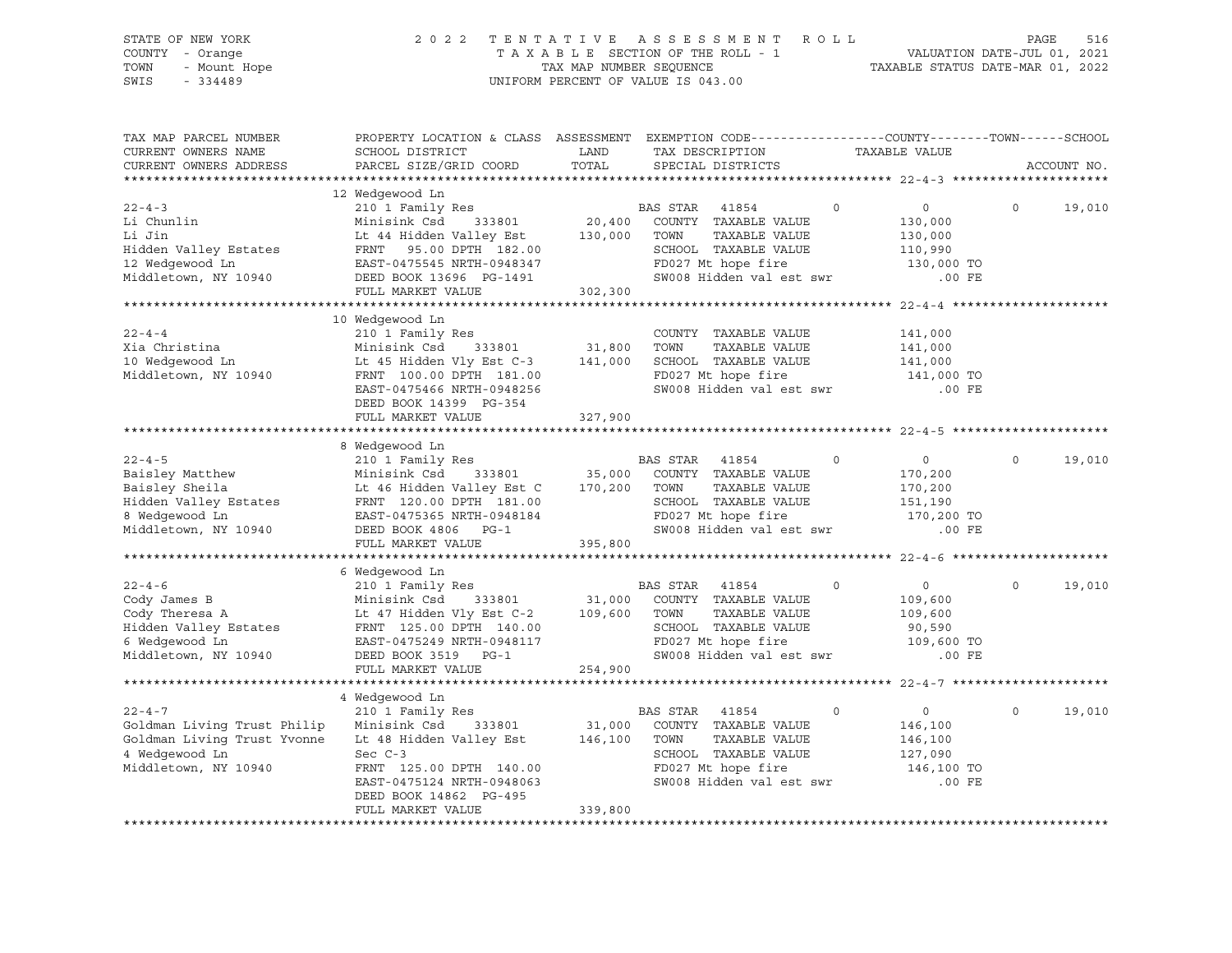| STATE OF NEW YORK<br>COUNTY - Orange<br>or ---<br>' - Orange<br>- Mount Hope<br>TOWN<br>SWIS<br>$-334489$                                                                                                                                            |                                                                                                                                                                                                                                                                                                                                         |         | TENTATIVE ASSESSMENT ROLL PAGE 516<br>TAXABLE SECTION OF THE ROLL - 1 VALUATION DATE-JUL 01, 2021<br>TAX MAP NUMBER SEQUENCE TAXABLE STATUS DATE-MAR 01, 2022<br>2022 TENTATIVE ASSESSMENT ROLL<br>UNIFORM PERCENT OF VALUE IS 043.00 |                                                            |                    |
|------------------------------------------------------------------------------------------------------------------------------------------------------------------------------------------------------------------------------------------------------|-----------------------------------------------------------------------------------------------------------------------------------------------------------------------------------------------------------------------------------------------------------------------------------------------------------------------------------------|---------|---------------------------------------------------------------------------------------------------------------------------------------------------------------------------------------------------------------------------------------|------------------------------------------------------------|--------------------|
| TAX MAP PARCEL NUMBER<br>CURRENT OWNERS NAME<br>CURRENT OWNERS ADDRESS                                                                                                                                                                               | PROPERTY LOCATION & CLASS ASSESSMENT EXEMPTION CODE---------------COUNTY-------TOWN-----SCHOOL<br>SCHOOL DISTRICT<br>PARCEL SIZE/GRID COORD TOTAL                                                                                                                                                                                       | LAND    | TAX DESCRIPTION<br>TAX DESCRIPTION TAXABLE VALUE<br>SPECIAL DISTRICTS                                                                                                                                                                 |                                                            | ACCOUNT NO.        |
|                                                                                                                                                                                                                                                      |                                                                                                                                                                                                                                                                                                                                         |         |                                                                                                                                                                                                                                       |                                                            |                    |
|                                                                                                                                                                                                                                                      | 12 Wedgewood Ln                                                                                                                                                                                                                                                                                                                         |         |                                                                                                                                                                                                                                       |                                                            | $\Omega$<br>19,010 |
|                                                                                                                                                                                                                                                      |                                                                                                                                                                                                                                                                                                                                         |         |                                                                                                                                                                                                                                       |                                                            |                    |
| $22 - 4 - 4$                                                                                                                                                                                                                                         | 10 Wedgewood Ln<br>210 1 Family Res<br>DEED BOOK 14399 PG-354                                                                                                                                                                                                                                                                           |         | COUNTY TAXABLE VALUE<br>FD027 Mt hope fire 141,000 TO<br>SW008 Hidden val est swr 141,000 FE                                                                                                                                          | 141,000                                                    |                    |
|                                                                                                                                                                                                                                                      | FULL MARKET VALUE                                                                                                                                                                                                                                                                                                                       | 327,900 |                                                                                                                                                                                                                                       |                                                            |                    |
| $22 - 4 - 5$<br>22-4-5 210 1 Family Res BAS STAR 41854 0<br>Baisley Matthew Minisink Csd 333801 35,000 COUNTY TAXABLE VALUE 170,200<br>Baisley Sheila Lt 46 Hidden Valley Est C 170,200 TOWN TAXABLE VALUE 170,200<br>Hidden Valley Estates FRNT 120 | 8 Wedgewood Ln<br>210 1 Family Res                                                                                                                                                                                                                                                                                                      |         | BAS STAR 41854<br>$\overline{0}$                                                                                                                                                                                                      | $\overline{0}$                                             | $\Omega$<br>19,010 |
|                                                                                                                                                                                                                                                      | FULL MARKET VALUE 395,800                                                                                                                                                                                                                                                                                                               |         |                                                                                                                                                                                                                                       |                                                            |                    |
|                                                                                                                                                                                                                                                      |                                                                                                                                                                                                                                                                                                                                         |         |                                                                                                                                                                                                                                       |                                                            |                    |
| $22 - 4 - 6$<br>22-4-6 210 1 Family Res BAS STAR 41854 0<br>Cody James B Minisink Csd 333801 31,000 COUNTY TAXABLE VALUE 109,600<br>Cody Theresa A Lt 47 Hidden Vly Est C-2 109,600 TOWN TAXABLE VALUE 109,600<br>FRINT 125.00 DPTH 140.00 SCHOOL TA | 6 Wedqewood Ln<br>210 1 Family Res<br>FULL MARKET VALUE 254,900                                                                                                                                                                                                                                                                         |         | BAS STAR 41854 0                                                                                                                                                                                                                      | $\overline{0}$                                             | $\Omega$<br>19,010 |
|                                                                                                                                                                                                                                                      |                                                                                                                                                                                                                                                                                                                                         |         |                                                                                                                                                                                                                                       |                                                            |                    |
| $22 - 4 - 7$<br>Goldman Living Trust Philip<br>Goldman Living Trust Yvonne<br>4 Wedgewood Ln<br>Middletown, NY 10940                                                                                                                                 | 4 Wedgewood Ln<br>210 1 Family Res<br>Minisink Csd 333801 31,000 COUNTY TAXABLE VALUE<br>Lt 48 Hidden Valley Est 146,100 TOWN TAXABLE VALUE<br>Sec $C-3$<br>FRNT 125.00 DPTH 140.00<br>FD027 Mt hope fire 146,100 TO<br>ED027 Mt hope fire 146,100 TO<br>SW008 Hidden val est swr .00 FE<br>DEED BOOK 14862 PG-495<br>FULL MARKET VALUE | 339,800 | BAS STAR 41854<br>TAXABLE VALUE<br>SCHOOL TAXABLE VALUE                                                                                                                                                                               | $\circ$<br>$\overline{0}$<br>146,100<br>146,100<br>127,090 | $\Omega$<br>19,010 |

\*\*\*\*\*\*\*\*\*\*\*\*\*\*\*\*\*\*\*\*\*\*\*\*\*\*\*\*\*\*\*\*\*\*\*\*\*\*\*\*\*\*\*\*\*\*\*\*\*\*\*\*\*\*\*\*\*\*\*\*\*\*\*\*\*\*\*\*\*\*\*\*\*\*\*\*\*\*\*\*\*\*\*\*\*\*\*\*\*\*\*\*\*\*\*\*\*\*\*\*\*\*\*\*\*\*\*\*\*\*\*\*\*\*\*\*\*\*\*\*\*\*\*\*\*\*\*\*\*\*\*\*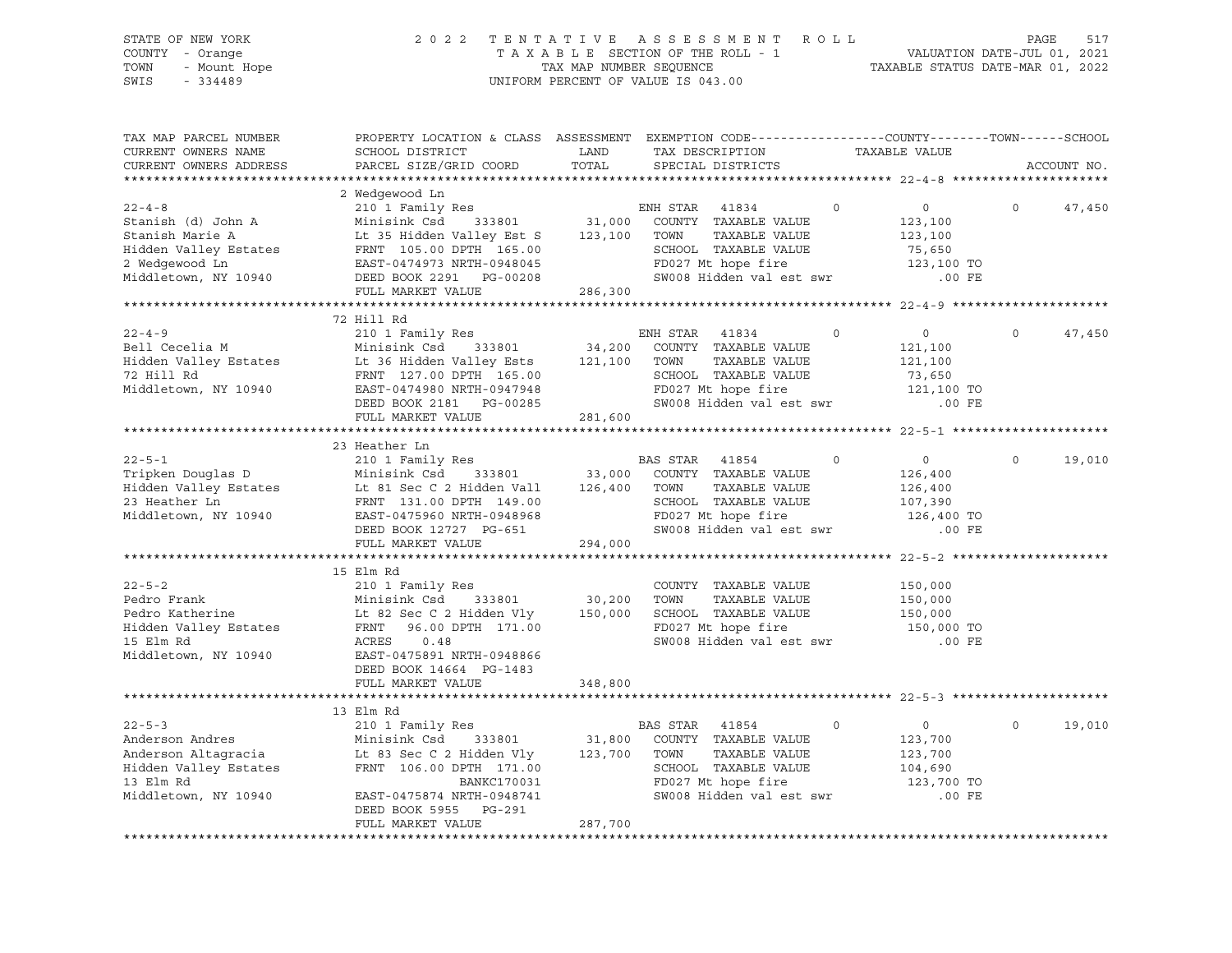| STATE OF NEW YORK<br>COUNTY - Orange<br>- Mount Hope<br>TOWN<br>$-334489$<br>SWIS                                      |                                                                                                                                             | TAX MAP NUMBER SEQUENCE           | 2022 TENTATIVE ASSESSMENT ROLL<br>TAXABLE SECTION OF THE ROLL - 1<br>UNIFORM PERCENT OF VALUE IS 043.00 | VALUATION DATE-JUL 01, 2021<br>TAXABLE STATUS DATE-MAR 01, 2022 | PAGE<br>517        |
|------------------------------------------------------------------------------------------------------------------------|---------------------------------------------------------------------------------------------------------------------------------------------|-----------------------------------|---------------------------------------------------------------------------------------------------------|-----------------------------------------------------------------|--------------------|
| TAX MAP PARCEL NUMBER<br>CURRENT OWNERS NAME                                                                           | PROPERTY LOCATION & CLASS ASSESSMENT EXEMPTION CODE---------------COUNTY-------TOWN-----SCHOOL<br>SCHOOL DISTRICT<br>PARCEL SIZE/GRID COORD | LAND<br>TOTAL                     | TAX DESCRIPTION<br>SPECIAL DISTRICTS                                                                    | TAXABLE VALUE                                                   |                    |
| CURRENT OWNERS ADDRESS                                                                                                 |                                                                                                                                             |                                   |                                                                                                         |                                                                 | ACCOUNT NO.        |
|                                                                                                                        | 2 Wedgewood Ln                                                                                                                              |                                   |                                                                                                         |                                                                 |                    |
| $22 - 4 - 8$                                                                                                           | 210 1 Family Res                                                                                                                            |                                   | ENH STAR<br>41834                                                                                       | $\circ$<br>$\circ$                                              | $\Omega$<br>47,450 |
| Stanish (d) John A                                                                                                     | Minisink Csd<br>333801                                                                                                                      | 31,000                            | COUNTY TAXABLE VALUE                                                                                    | 123,100                                                         |                    |
| Stanish Marie A                                                                                                        | Lt 35 Hidden Valley Est S                                                                                                                   | 123,100                           | TOWN<br>TAXABLE VALUE                                                                                   | 123,100                                                         |                    |
| Hidden Valley Estates<br>2 Wedgewood Ln                                                                                | LE 35 HIGGH VALLE<br>FRNT 105.00 DPTH 165.00<br>EAST-0474973 NRTH-0948045                                                                   |                                   | SCHOOL TAXABLE VALUE                                                                                    | 75,650                                                          |                    |
|                                                                                                                        |                                                                                                                                             |                                   | FD027 Mt hope fire                                                                                      | 123,100 TO                                                      |                    |
| Middletown, NY 10940                                                                                                   |                                                                                                                                             |                                   | SW008 Hidden val est swr                                                                                | $.00$ FE                                                        |                    |
|                                                                                                                        | FULL MARKET VALUE                                                                                                                           | 286,300<br>********************** |                                                                                                         | *********************** 22-4-9 ****************                 |                    |
|                                                                                                                        | 72 Hill Rd                                                                                                                                  |                                   |                                                                                                         |                                                                 |                    |
| $22 - 4 - 9$                                                                                                           | 210 1 Family Res                                                                                                                            |                                   | ENH STAR<br>41834                                                                                       | $\circ$<br>$\overline{0}$                                       | $\circ$<br>47,450  |
|                                                                                                                        |                                                                                                                                             | 34,200                            | COUNTY TAXABLE VALUE                                                                                    | 121,100                                                         |                    |
|                                                                                                                        |                                                                                                                                             | 121,100                           | TOWN<br>TAXABLE VALUE                                                                                   | 121,100                                                         |                    |
| 72 Hill Rd                                                                                                             | FRNT 127.00 DPTH 165.00                                                                                                                     |                                   | SCHOOL TAXABLE VALUE                                                                                    | 73,650                                                          |                    |
| Middletown, NY 10940                                                                                                   | EAST-0474980 NRTH-0947948                                                                                                                   |                                   | FD027 Mt hope fire                                                                                      | 121,100 TO                                                      |                    |
|                                                                                                                        | DEED BOOK 2181    PG-00285                                                                                                                  |                                   | SW008 Hidden val est swr                                                                                | .00 FE                                                          |                    |
|                                                                                                                        | FULL MARKET VALUE                                                                                                                           | 281,600                           |                                                                                                         |                                                                 |                    |
|                                                                                                                        | 23 Heather Ln                                                                                                                               |                                   |                                                                                                         |                                                                 |                    |
| $22 - 5 - 1$                                                                                                           | 210 1 Family Res                                                                                                                            |                                   | BAS STAR 41854                                                                                          | $\circ$<br>$\circ$                                              | $\circ$<br>19,010  |
| Tripken Douglas D                                                                                                      | Minisink Csd 333801                                                                                                                         | 33,000                            | COUNTY TAXABLE VALUE                                                                                    | 126,400                                                         |                    |
| Hidden Valley Estates<br>23 Heather Ln                                                                                 | Lt 81 Sec C 2 Hidden Vall 126,400 TOWN                                                                                                      |                                   | TAXABLE VALUE                                                                                           | 126,400                                                         |                    |
|                                                                                                                        | FRNT 131.00 DPTH 149.00                                                                                                                     |                                   | SCHOOL TAXABLE VALUE                                                                                    | 107,390                                                         |                    |
| Middletown, NY 10940                                                                                                   | EAST-0475960 NRTH-0948968                                                                                                                   |                                   | FD027 Mt hope fire                                                                                      | 126,400 TO                                                      |                    |
|                                                                                                                        | DEED BOOK 12727 PG-651<br>FULL MARKET VALUE                                                                                                 | 294,000                           | SW008 Hidden val est swr                                                                                | $.00$ FE                                                        |                    |
|                                                                                                                        |                                                                                                                                             |                                   |                                                                                                         |                                                                 |                    |
|                                                                                                                        | 15 Elm Rd                                                                                                                                   |                                   |                                                                                                         |                                                                 |                    |
| $22 - 5 - 2$                                                                                                           | 210 1 Family Res                                                                                                                            |                                   | COUNTY TAXABLE VALUE                                                                                    | 150,000                                                         |                    |
| Pedro Frank                                                                                                            | 333801<br>Minisink Csd                                                                                                                      | 30,200                            | TOWN<br>TAXABLE VALUE                                                                                   | 150,000                                                         |                    |
| Pedro Katherine                                                                                                        | Lt 82 Sec C 2 Hidden Vly                                                                                                                    |                                   | 150,000 SCHOOL TAXABLE VALUE                                                                            | 150,000                                                         |                    |
| Hidden Valley Estates                                                                                                  | FRNT 96.00 DPTH 171.00                                                                                                                      |                                   | FD027 Mt hope fire                                                                                      | 150,000 TO                                                      |                    |
| 15 Elm Rd                                                                                                              | ACRES<br>0.48                                                                                                                               |                                   | SW008 Hidden val est swr                                                                                | .00 FE                                                          |                    |
| Middletown, NY 10940                                                                                                   | EAST-0475891 NRTH-0948866<br>DEED BOOK 14664 PG-1483                                                                                        |                                   |                                                                                                         |                                                                 |                    |
|                                                                                                                        | FULL MARKET VALUE                                                                                                                           | 348,800                           |                                                                                                         |                                                                 |                    |
|                                                                                                                        |                                                                                                                                             |                                   |                                                                                                         |                                                                 |                    |
|                                                                                                                        | 13 Elm Rd                                                                                                                                   |                                   |                                                                                                         |                                                                 |                    |
| $22 - 5 - 3$                                                                                                           | 210 1 Family Res                                                                                                                            |                                   | BAS STAR 41854                                                                                          | $\Omega$<br>$\circ$                                             | $\Omega$<br>19,010 |
|                                                                                                                        |                                                                                                                                             | 31,800                            | COUNTY TAXABLE VALUE                                                                                    | 123,700                                                         |                    |
| Altragracia<br>Et 83 Sec C 2 Hidden Vly<br>Hidden Valley Estates<br>FRNT 106.00 DPTH 107<br>Middll<br>Middll<br>Middll |                                                                                                                                             | 123,700                           | TAXABLE VALUE<br>TOWN                                                                                   | 123,700                                                         |                    |
|                                                                                                                        | FRNT 106.00 DPTH 171.00                                                                                                                     |                                   | SCHOOL TAXABLE VALUE                                                                                    | 104,690                                                         |                    |
| Middletown, NY 10940                                                                                                   | EAST-0475874 NRTH-0948741                                                                                                                   |                                   | FD027 Mt hope fire<br>SW008 Hidden val est swr                                                          | 123,700 TO<br>.00 FE                                            |                    |
|                                                                                                                        | DEED BOOK 5955 PG-291                                                                                                                       |                                   |                                                                                                         |                                                                 |                    |
|                                                                                                                        | FULL MARKET VALUE                                                                                                                           | 287,700                           |                                                                                                         |                                                                 |                    |
|                                                                                                                        |                                                                                                                                             |                                   |                                                                                                         |                                                                 |                    |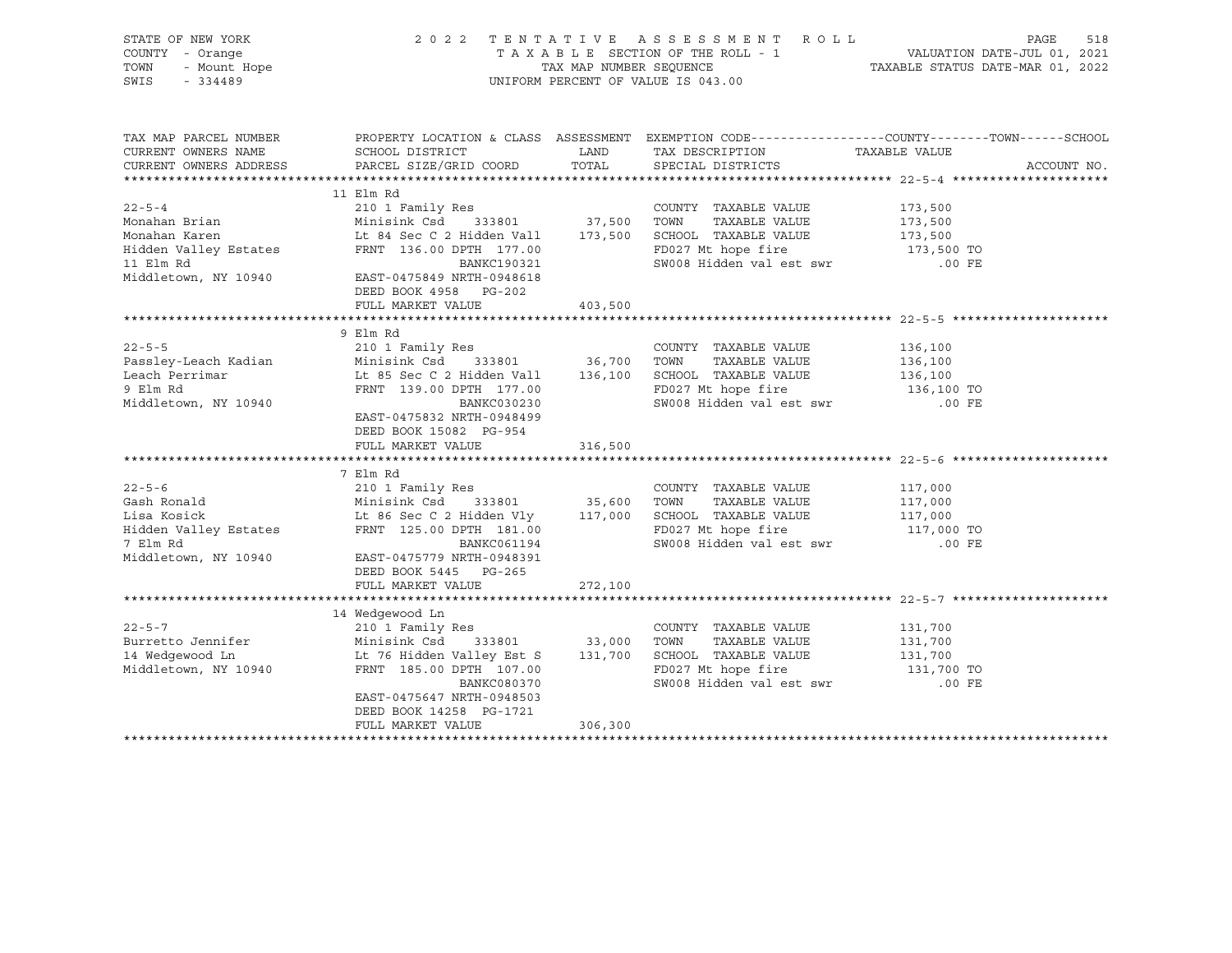| STATE OF NEW YORK<br>$\gamma$ - Orange<br>- Mount Hope<br>- 334489<br>COUNTY - Orange<br>TOWN<br>SWIS                              | 2022 TENTATIVE ASSESSMENT ROLL<br>UNIFORM PERCENT OF VALUE IS 043.00                                                                                                                                                                 | PAGE<br>518<br>TAXABLE SECTION OF THE ROLL - 1 VALUATION DATE-JUL 01, 2021<br>TAXABLE SEQUENCE SEQUENCE . TAXABLE STATUS DATE-MAR 01, 2022<br>TAXABLE STATUS DATE-MAR 01, 2022 |                                                                                         |                                                                                                                                 |
|------------------------------------------------------------------------------------------------------------------------------------|--------------------------------------------------------------------------------------------------------------------------------------------------------------------------------------------------------------------------------------|--------------------------------------------------------------------------------------------------------------------------------------------------------------------------------|-----------------------------------------------------------------------------------------|---------------------------------------------------------------------------------------------------------------------------------|
| TAX MAP PARCEL NUMBER<br>CURRENT OWNERS NAME<br>CURRENT OWNERS ADDRESS                                                             | SCHOOL DISTRICT<br>PARCEL SIZE/GRID COORD                                                                                                                                                                                            | LAND<br>TOTAL                                                                                                                                                                  | TAX DESCRIPTION<br>SPECIAL DISTRICTS                                                    | PROPERTY LOCATION & CLASS ASSESSMENT EXEMPTION CODE----------------COUNTY-------TOWN-----SCHOOL<br>TAXABLE VALUE<br>ACCOUNT NO. |
|                                                                                                                                    |                                                                                                                                                                                                                                      |                                                                                                                                                                                |                                                                                         |                                                                                                                                 |
| $22 - 5 - 4$<br>Monahan Brian<br>Monahan Karen<br>Hidden Valley Estates                                                            | 11 Elm Rd<br>FRNT 136.00 DPTH 177.00                                                                                                                                                                                                 |                                                                                                                                                                                | COUNTY TAXABLE VALUE 173,500<br>FD027 Mt hope fire                                      | 173,500<br>173,500<br>173,500 TO                                                                                                |
| 11 Elm Rd<br>Middletown, NY 10940                                                                                                  | BANKC190321<br>EAST-0475849 NRTH-0948618<br>DEED BOOK 4958 PG-202<br>FULL MARKET VALUE                                                                                                                                               | 403,500                                                                                                                                                                        | SW008 Hidden val est swr .00 FE                                                         |                                                                                                                                 |
|                                                                                                                                    |                                                                                                                                                                                                                                      |                                                                                                                                                                                |                                                                                         |                                                                                                                                 |
| $22 - 5 - 5$<br>Leach Perrimar<br>° Flm Rd<br>9 Elm Rd<br>Middletown, NY 10940                                                     | 9 Elm Rd<br>210 1 Family Res<br>Lt 85 Sec C 2 Hidden Vall 136,100 SCHOOL TAXABLE VALUE<br>FRNT 139.00 DPTH 177.00<br>BANKC030230<br>EAST-0475832 NRTH-0948499<br>DEED BOOK 15082 PG-954<br>FULL MARKET VALUE                         | 316,500                                                                                                                                                                        | COUNTY TAXABLE VALUE<br>TAXABLE VALUE<br>FD027 Mt hope fire<br>SW008 Hidden val est swr | 136,100<br>136,100<br>136,100<br>136,100 TO<br>$.00$ FE                                                                         |
|                                                                                                                                    |                                                                                                                                                                                                                                      |                                                                                                                                                                                |                                                                                         |                                                                                                                                 |
| $22 - 5 - 6$<br>Gash Ronald<br>Lisa Kosick<br>Hidden Valley Estates<br>FRNT 125.00 DPTH 181.00<br>7 Elm Rd<br>Middletown, NY 10940 | 7 Elm Rd<br>210 1 Family Res<br>Minisink Csd 333801 35,000 10mm 112.<br>Lt 86 Sec C 2 Hidden Vly 117,000 SCHOOL TAXABLE VALUE<br>BANKC061194<br>EAST-0475779 NRTH-0948391<br>DEED BOOK 5445 PG-265                                   |                                                                                                                                                                                | COUNTY TAXABLE VALUE<br>FD027 Mt hope fire 117,000 TO<br>SW008 Hidden val est swr       | 117,000<br>117,000<br>117,000<br>$.00$ FE                                                                                       |
|                                                                                                                                    | FULL MARKET VALUE                                                                                                                                                                                                                    | 272,100                                                                                                                                                                        |                                                                                         |                                                                                                                                 |
|                                                                                                                                    |                                                                                                                                                                                                                                      |                                                                                                                                                                                |                                                                                         |                                                                                                                                 |
| $22 - 5 - 7$<br>Burretto Jennifer<br>14 Wedgewood Ln<br>Middletown, NY 10940                                                       | 14 Wedgewood Ln<br>210 1 Family Res<br>Minisink Csd 333801 33,000 IOWN IGAD BL 76 Hidden Valley Est S 131,700 SCHOOL TAXABLE VALUE<br>FRNT 185.00 DPTH 107.00<br>BANKC080370<br>EAST-0475647 NRTH-0948503<br>DEED BOOK 14258 PG-1721 |                                                                                                                                                                                | COUNTY TAXABLE VALUE 131,700<br>FD027 Mt hope fire<br>SW008 Hidden val est swr          | 131,700<br>131,700<br>131,700 TO<br>.00 FE                                                                                      |
|                                                                                                                                    | FULL MARKET VALUE                                                                                                                                                                                                                    | 306,300                                                                                                                                                                        |                                                                                         |                                                                                                                                 |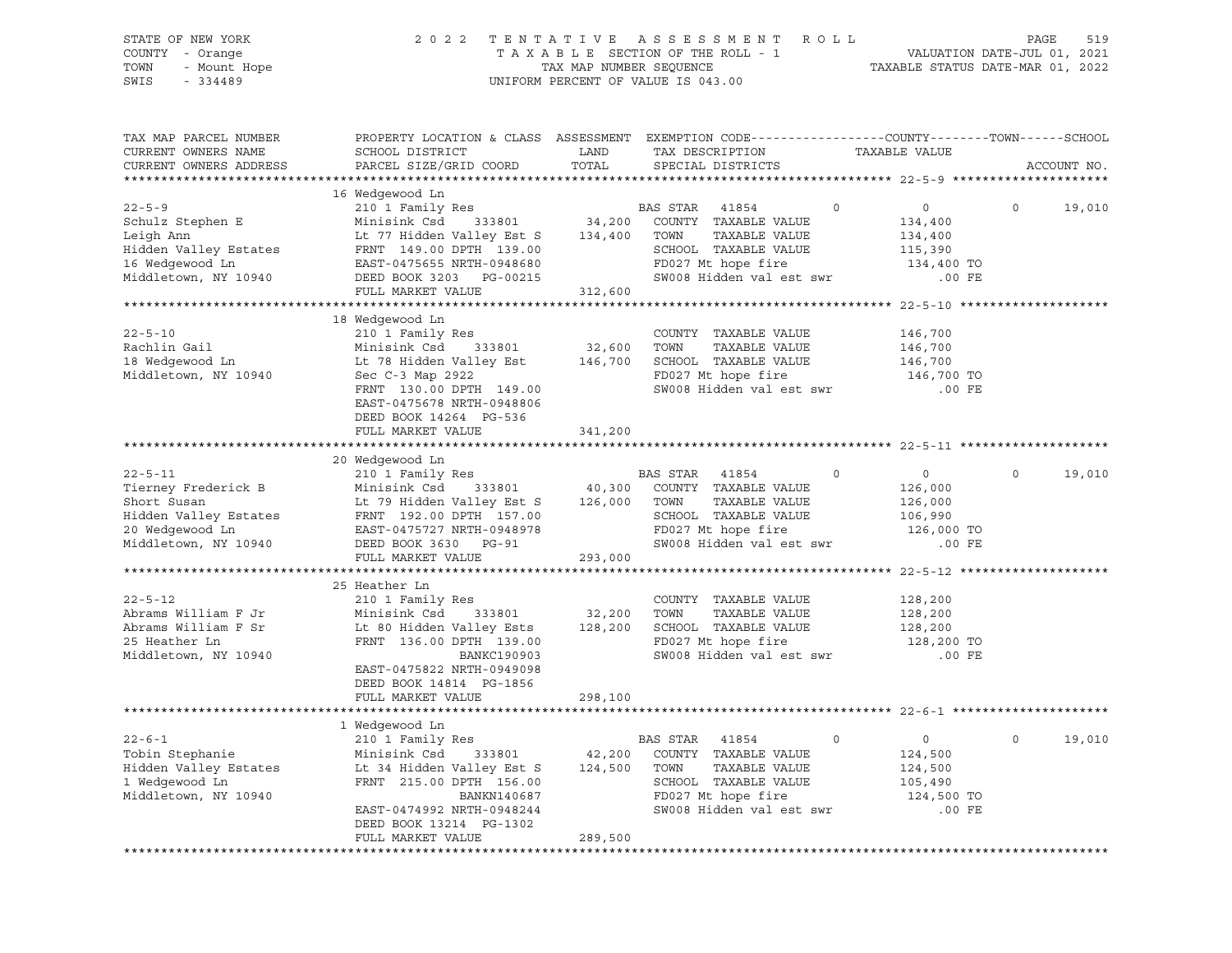| STATE OF NEW YORK<br>COUNTY - Orange<br>TOWN<br>- Mount Hope<br>SWIS<br>$-334489$                                                                                                                                  | 2022 TENTATIVE ASSESSMENT ROLL                                                                                                                                                                                                           | UNIFORM PERCENT OF VALUE IS 043.00 | PAGE<br>519<br>T A X A B L E SECTION OF THE ROLL - 1 VALUATION DATE-JUL 01, 2021<br>TAX MAP NUMBER SEQUENCE TAXABLE STATUS DATE-MAR 01, 2022                                        |                                                                           |                        |
|--------------------------------------------------------------------------------------------------------------------------------------------------------------------------------------------------------------------|------------------------------------------------------------------------------------------------------------------------------------------------------------------------------------------------------------------------------------------|------------------------------------|-------------------------------------------------------------------------------------------------------------------------------------------------------------------------------------|---------------------------------------------------------------------------|------------------------|
| TAX MAP PARCEL NUMBER<br>CURRENT OWNERS NAME<br>CURRENT OWNERS ADDRESS                                                                                                                                             | SCHOOL DISTRICT<br>PARCEL SIZE/GRID COORD                                                                                                                                                                                                | LAND<br>TOTAL                      | PROPERTY LOCATION & CLASS ASSESSMENT EXEMPTION CODE----------------COUNTY-------TOWN------SCHOOL<br>TAX DESCRIPTION<br>SPECIAL DISTRICTS                                            | TAXABLE VALUE                                                             | ACCOUNT NO.            |
| $22 - 5 - 9$<br>Schulz Stephen E<br>Leigh Ann<br>Hidden Valley Estates<br>16 Wedgewood Ln<br>Middletown, NY 10940                                                                                                  | 16 Wedgewood Ln<br>neugewood in the media of the BAS STAR 41854<br>Minisink Csd<br>Lt 77 Hidden Valley Est S 134,400 TOWN<br>FRNT 149.00 DPTH 139.00 SCHOOL<br>EAST-0475655 NRTH-0948680<br>DEED BOOK 3203 PG-00215<br>FULL MARKET VALUE | 312,600                            | $\overline{0}$<br>$333801 \qquad 34,200 \qquad \text{COUNTY} \quad \text{TAXABLE VALUE}$<br>TAXABLE VALUE<br>SCHOOL TAXABLE VALUE<br>FD027 Mt hope fire<br>SW008 Hidden val est swr | $\overline{0}$<br>134,400<br>134,400<br>115,390<br>134,400 TO<br>$.00$ FE | $\circ$<br>19,010      |
|                                                                                                                                                                                                                    |                                                                                                                                                                                                                                          |                                    |                                                                                                                                                                                     |                                                                           |                        |
| $22 - 5 - 10$<br>Rachlin Gail<br>18 Wedgewood Ln<br>Middletown, NY 10940                                                                                                                                           | 18 Wedgewood Ln<br>210 1 Family Res<br>Minisink Csd 333801<br>Sec C-3 Map 2922<br>FRNT 130.00 DPTH 149.00<br>EAST-0475678 NRTH-0948806<br>DEED BOOK 14264 PG-536                                                                         | COUNTY<br>32,600 TOWN              | COUNTY TAXABLE VALUE<br>TAXABLE VALUE<br>Lt 78 Hidden Valley Est 146,700 SCHOOL TAXABLE VALUE<br>FD027 Mt hope fire<br>SW008 Hidden val est swr                                     | 146,700<br>146,700<br>146,700<br>146,700 TO<br>$.00$ FE                   |                        |
|                                                                                                                                                                                                                    | FULL MARKET VALUE                                                                                                                                                                                                                        | 341,200                            |                                                                                                                                                                                     |                                                                           |                        |
|                                                                                                                                                                                                                    |                                                                                                                                                                                                                                          |                                    |                                                                                                                                                                                     |                                                                           |                        |
|                                                                                                                                                                                                                    | 20 Wedgewood Ln                                                                                                                                                                                                                          |                                    |                                                                                                                                                                                     |                                                                           |                        |
| $22 - 5 - 11$<br>Tierney Frederick B Minisink Csd 333801<br>Short Susan Lt 79 Hidden Valley Est S<br>Hidden Valley Estates FRNT 192.00 DPTH 157.00<br>20 Medgewood In FAST-0475727 NPTH-0948978<br>20 Wedgewood Ln | 210 1 Family Res BA<br>Minisink Csd 333801 40,300<br>Lt 79 Hidden Valley Est S 126,000 TOWN<br>EAST-0475727 NRTH-0948978                                                                                                                 |                                    | BAS STAR 41854<br>$\circ$<br>COUNTY TAXABLE VALUE<br>TAXABLE VALUE<br>SCHOOL TAXABLE VALUE<br>FD027 Mt hope fire<br>SW008 Hidden val est swr                                        | $\overline{0}$<br>126,000<br>126,000<br>106,990<br>126,000 TO             | $\mathsf{O}$<br>19,010 |
| Middletown, NY 10940                                                                                                                                                                                               | DEED BOOK 3630 PG-91                                                                                                                                                                                                                     |                                    |                                                                                                                                                                                     | .00 FE                                                                    |                        |
|                                                                                                                                                                                                                    | FULL MARKET VALUE                                                                                                                                                                                                                        | 293,000                            |                                                                                                                                                                                     |                                                                           |                        |
| $22 - 5 - 12$<br>Abrams William F Jr<br>Abrams William F Sr<br>25 Heather Ln<br>Middletown, NY 10940                                                                                                               | 25 Heather Ln<br>210 1 Family Res<br>333801 32,200<br>Minisink Csd<br>Lt 80 Hidden Valley Ests 128,200<br>FRNT 136.00 DPTH 139.00<br>BANKC190903<br>EAST-0475822 NRTH-0949098<br>DEED BOOK 14814 PG-1856<br>FULL MARKET VALUE            | 298,100                            | COUNTY TAXABLE VALUE<br>TOWN<br>TAXABLE VALUE<br>SCHOOL TAXABLE VALUE<br>FD027 Mt hope fire<br>SW008 Hidden val est swr                                                             | 128,200<br>128,200<br>128,200<br>128,200 TO<br>.00 FE                     |                        |
|                                                                                                                                                                                                                    |                                                                                                                                                                                                                                          |                                    |                                                                                                                                                                                     |                                                                           |                        |
|                                                                                                                                                                                                                    | 1 Wedgewood Ln                                                                                                                                                                                                                           |                                    |                                                                                                                                                                                     |                                                                           |                        |
| $22 - 6 - 1$<br>Tobin Stephanie<br>Hidden Valley Estates<br>1 Wedgewood Ln<br>Middletown, NY 10940                                                                                                                 | 210 1 Family Res<br>Minisink Csd<br>333801<br>Lt 34 Hidden Valley Est S<br>FRNT 215.00 DPTH 156.00<br>BANKN140687<br>EAST-0474992 NRTH-0948244<br>DEED BOOK 13214 PG-1302                                                                | 42,200<br>124,500                  | BAS STAR<br>41854<br>0<br>COUNTY TAXABLE VALUE<br>TAXABLE VALUE<br>TOWN<br>SCHOOL TAXABLE VALUE<br>FD027 Mt hope fire<br>SW008 Hidden val est swr                                   | 0<br>124,500<br>124,500<br>105,490<br>124,500 TO<br>$.00$ FE              | $\circ$<br>19,010      |
|                                                                                                                                                                                                                    | FULL MARKET VALUE                                                                                                                                                                                                                        | 289,500                            |                                                                                                                                                                                     |                                                                           |                        |
|                                                                                                                                                                                                                    |                                                                                                                                                                                                                                          |                                    |                                                                                                                                                                                     |                                                                           |                        |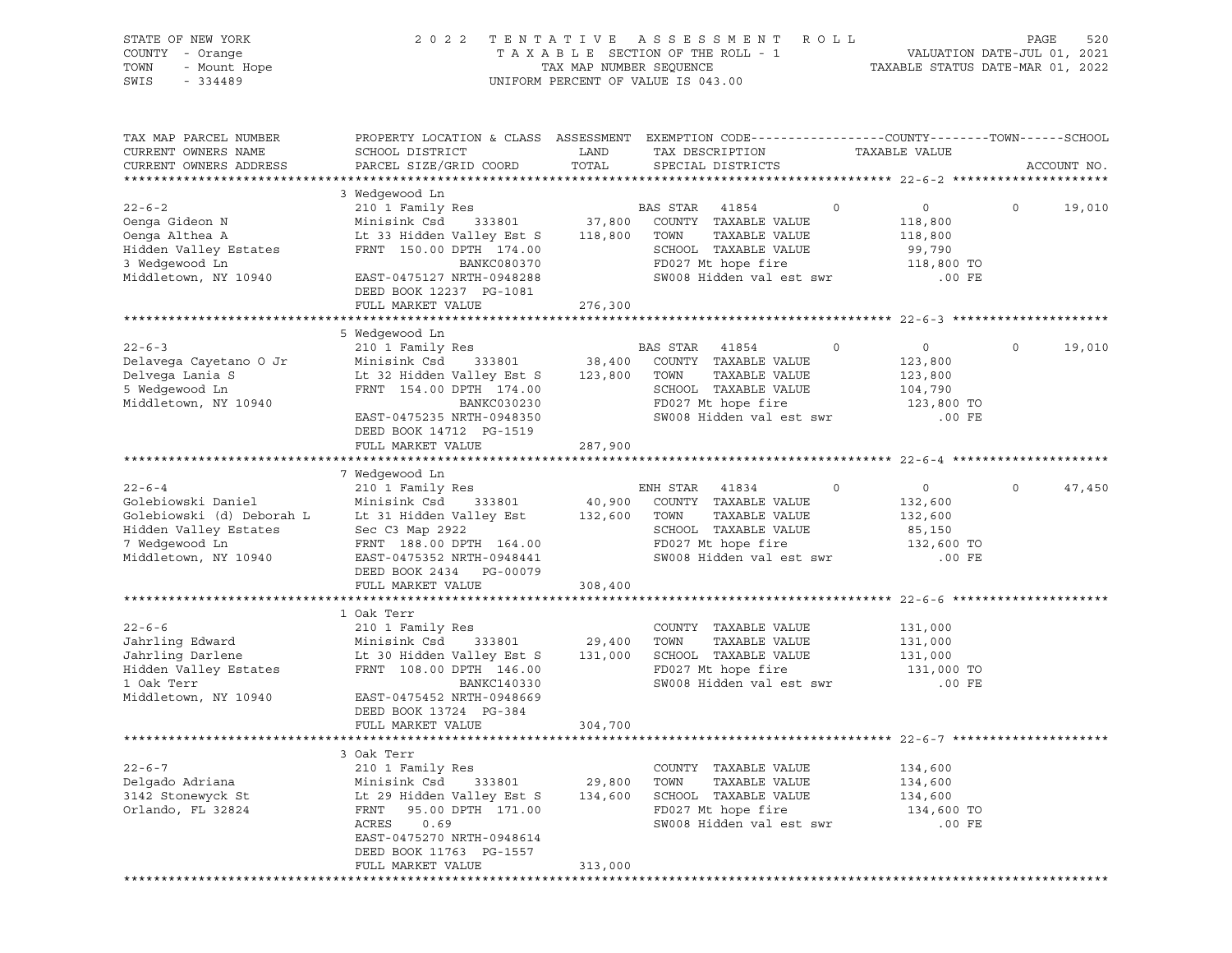| STATE OF NEW YORK<br>COUNTY - Orange<br>TOWN<br>- Mount Hope<br>SWIS<br>$-334489$                                                  | 2 0 2 2                                                                                                                                                                                                          | TENTATIVE ASSESSMENT<br>R O L L<br>TAXABLE SECTION OF THE ROLL - 1<br>TAX MAP NUMBER SEQUENCE<br>UNIFORM PERCENT OF VALUE IS 043.00 | 520<br>PAGE<br>VALUATION DATE-JUL 01, 2021<br>TAXABLE STATUS DATE-MAR 01, 2022                                                                                 |                                                                          |             |             |
|------------------------------------------------------------------------------------------------------------------------------------|------------------------------------------------------------------------------------------------------------------------------------------------------------------------------------------------------------------|-------------------------------------------------------------------------------------------------------------------------------------|----------------------------------------------------------------------------------------------------------------------------------------------------------------|--------------------------------------------------------------------------|-------------|-------------|
| TAX MAP PARCEL NUMBER<br>CURRENT OWNERS NAME<br>CURRENT OWNERS ADDRESS                                                             | SCHOOL DISTRICT<br>PARCEL SIZE/GRID COORD                                                                                                                                                                        | LAND<br>TOTAL                                                                                                                       | PROPERTY LOCATION & CLASS ASSESSMENT EXEMPTION CODE----------------COUNTY-------TOWN------SCHOOL<br>TAX DESCRIPTION<br>SPECIAL DISTRICTS                       | TAXABLE VALUE                                                            |             | ACCOUNT NO. |
| $22 - 6 - 2$<br>Oenga Gideon N<br>Oenga Althea A<br>Hidden Valley Estates<br>3 Wedgewood Ln<br>Middletown, NY 10940                | 3 Wedgewood Ln<br>210 1 Family Res<br>333801<br>Minisink Csd<br>Lt 33 Hidden Valley Est S<br>FRNT 150.00 DPTH 174.00<br>BANKC080370<br>EAST-0475127 NRTH-0948288<br>DEED BOOK 12237 PG-1081<br>FULL MARKET VALUE | 118,800<br>276,300                                                                                                                  | $\circ$<br>BAS STAR<br>41854<br>37,800 COUNTY TAXABLE VALUE<br>TOWN<br>TAXABLE VALUE<br>SCHOOL TAXABLE VALUE<br>FD027 Mt hope fire<br>SW008 Hidden val est swr | $\overline{0}$<br>118,800<br>118,800<br>99,790<br>118,800 TO<br>$.00$ FE | $\circ$     | 19,010      |
| $22 - 6 - 3$<br>Delavega Cayetano O Jr<br>Delvega Lania S<br>5 Wedgewood Ln<br>Middletown, NY 10940                                | 5 Wedgewood Ln<br>210 1 Family Res<br>Minisink Csd<br>333801<br>Lt 32 Hidden Valley Est S<br>FRNT 154.00 DPTH 174.00<br>BANKC030230<br>EAST-0475235 NRTH-0948350<br>DEED BOOK 14712 PG-1519<br>FULL MARKET VALUE | 38,400<br>123,800<br>287,900                                                                                                        | BAS STAR<br>41854<br>$\circ$<br>COUNTY TAXABLE VALUE<br>TOWN<br>TAXABLE VALUE<br>SCHOOL TAXABLE VALUE<br>FD027 Mt hope fire<br>SW008 Hidden val est swr        | $\circ$<br>123,800<br>123,800<br>104,790<br>123,800 TO<br>$.00$ FE       | $\mathbf 0$ | 19,010      |
|                                                                                                                                    |                                                                                                                                                                                                                  |                                                                                                                                     |                                                                                                                                                                |                                                                          |             |             |
| $22 - 6 - 4$<br>Golebiowski Daniel<br>Golebiowski (d) Deborah L<br>Hidden Valley Estates<br>7 Wedgewood Ln<br>Middletown, NY 10940 | 7 Wedgewood Ln<br>210 1 Family Res<br>333801<br>Minisink Csd<br>Lt 31 Hidden Valley Est<br>Sec C3 Map 2922<br>FRNT 188.00 DPTH 164.00<br>EAST-0475352 NRTH-0948441<br>DEED BOOK 2434 PG-00079                    | 40,900<br>132,600                                                                                                                   | ENH STAR<br>41834<br>$\circ$<br>COUNTY TAXABLE VALUE<br>TOWN<br>TAXABLE VALUE<br>SCHOOL TAXABLE VALUE<br>FD027 Mt hope fire<br>SW008 Hidden val est swr        | $\circ$<br>132,600<br>132,600<br>85,150<br>132,600 TO<br>$.00$ FE        | $\circ$     | 47,450      |
|                                                                                                                                    | FULL MARKET VALUE                                                                                                                                                                                                | 308,400                                                                                                                             |                                                                                                                                                                |                                                                          |             |             |
| $22 - 6 - 6$<br>Jahrling Edward<br>Jahrling Darlene<br>Hidden Valley Estates<br>1 Oak Terr<br>Middletown, NY 10940                 | 1 Oak Terr<br>210 1 Family Res<br>Minisink Csd<br>333801<br>Lt 30 Hidden Valley Est S<br>FRNT 108.00 DPTH 146.00<br>BANKC140330<br>EAST-0475452 NRTH-0948669<br>DEED BOOK 13724 PG-384<br>FULL MARKET VALUE      | 29,400<br>131,000<br>304,700                                                                                                        | COUNTY TAXABLE VALUE<br>TAXABLE VALUE<br>TOWN<br>SCHOOL TAXABLE VALUE<br>FD027 Mt hope fire<br>SW008 Hidden val est swr                                        | 131,000<br>131,000<br>131,000<br>131,000 TO<br>$.00$ FE                  |             |             |
|                                                                                                                                    |                                                                                                                                                                                                                  |                                                                                                                                     |                                                                                                                                                                |                                                                          |             |             |
| $22 - 6 - 7$<br>Delgado Adriana<br>3142 Stonewyck St<br>Orlando, FL 32824                                                          | 3 Oak Terr<br>210 1 Family Res<br>Minisink Csd<br>333801<br>Lt 29 Hidden Valley Est S<br>FRNT<br>95.00 DPTH 171.00<br>ACRES<br>0.69<br>EAST-0475270 NRTH-0948614<br>DEED BOOK 11763 PG-1557<br>FULL MARKET VALUE | 29,800<br>134,600<br>313,000                                                                                                        | COUNTY TAXABLE VALUE<br>TOWN<br>TAXABLE VALUE<br>SCHOOL TAXABLE VALUE<br>FD027 Mt hope fire<br>SW008 Hidden val est swr                                        | 134,600<br>134,600<br>134,600<br>134,600 TO<br>$.00$ FE                  |             |             |
|                                                                                                                                    |                                                                                                                                                                                                                  |                                                                                                                                     |                                                                                                                                                                |                                                                          |             |             |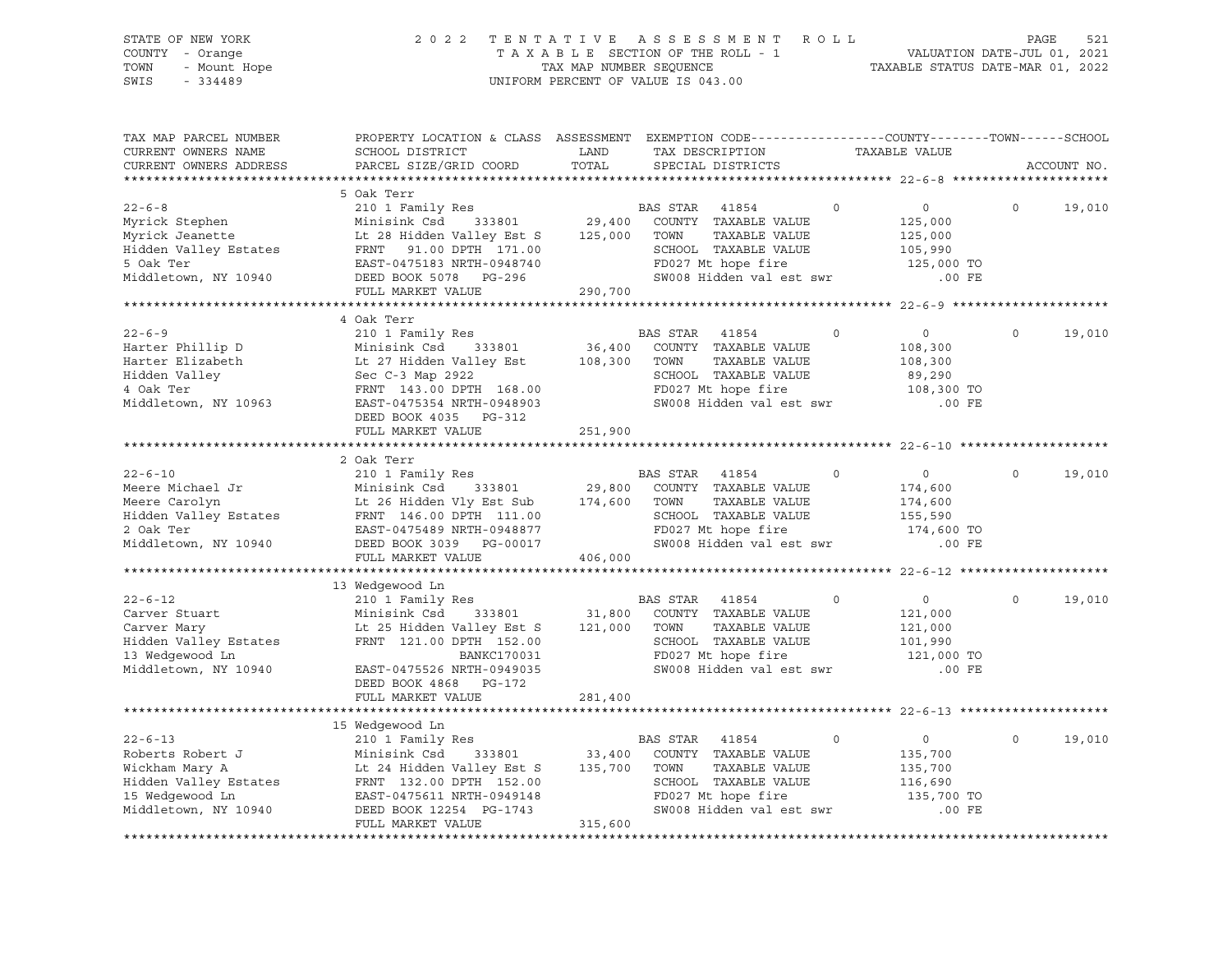| STATE OF NEW YORK<br>COUNTY - Orange<br>- Mount Hope<br>TOWN<br>$-334489$<br>SWIS                                       |                                                                                                                                                                                                                                                                                                  |               | 2022 TENTATIVE ASSESSMENT ROLL<br>UNIFORM PERCENT OF VALUE IS 043.00                                                                                               |                                                                            | PAGE        | 521    |
|-------------------------------------------------------------------------------------------------------------------------|--------------------------------------------------------------------------------------------------------------------------------------------------------------------------------------------------------------------------------------------------------------------------------------------------|---------------|--------------------------------------------------------------------------------------------------------------------------------------------------------------------|----------------------------------------------------------------------------|-------------|--------|
| TAX MAP PARCEL NUMBER<br>CURRENT OWNERS NAME<br>CURRENT OWNERS ADDRESS                                                  | SCHOOL DISTRICT<br>PARCEL SIZE/GRID COORD                                                                                                                                                                                                                                                        | LAND<br>TOTAL | PROPERTY LOCATION & CLASS ASSESSMENT EXEMPTION CODE----------------COUNTY-------TOWN------SCHOOL<br>TAX DESCRIPTION TAXABLE VALUE<br>SPECIAL DISTRICTS             |                                                                            | ACCOUNT NO. |        |
|                                                                                                                         | 5 Oak Terr                                                                                                                                                                                                                                                                                       |               |                                                                                                                                                                    |                                                                            |             |        |
| $22 - 6 - 8$                                                                                                            | 210 1 Family Res<br>Minisink Csd      333801<br>% 22-6-8<br>Myrick Stephen Minisink Csd 333801 23,400<br>Myrick Jeanette Lt 28 Hidden Valley Est S 125,000 TOWN<br>Hidden Valley Estates FRNT 91.00 DPTH 171.00 SCHOOL<br>5 Oak Ter BAST-0475183 NRTH-0948740 FD027 Mt<br>PRPP BOOK 507          |               | BAS STAR 41854<br>29,400 COUNTY TAXABLE VALUE<br>$\Omega$<br>TAXABLE VALUE<br>SCHOOL TAXABLE VALUE<br>FD027 Mt hope fire<br>SW008 Hidden val est swr               | $\overline{0}$<br>125,000<br>125,000<br>105,990<br>125,000 TO<br>$.00$ FE  | $\Omega$    | 19,010 |
|                                                                                                                         | FULL MARKET VALUE                                                                                                                                                                                                                                                                                | 290,700       |                                                                                                                                                                    |                                                                            |             |        |
| $22 - 6 - 9$<br>Harter Phillip D<br>Harter Elizabeth<br>Hidden Valley<br>1.00k Ter<br>4 Oak Ter<br>Middletown, NY 10963 | 4 Oak Terr<br>210 1 Family Res<br>210 1 Family Res<br>Minisink Csd 333801 36,400 COUNTY<br>Lt 27 Hidden Valley Est 108,300 TOWN<br>Sec C-3 Map 2922 SCHOOL<br>FRNT 143.00 DPTH 168.00 FD027 M<br>EAST-0475354 NRTH-0948903 SW008 H<br>DEED BOOK 4035 PG-312                                      | 36,400        | BAS STAR 41854<br>$\circ$<br>COUNTY TAXABLE VALUE<br>TAXABLE VALUE<br>SCHOOL TAXABLE VALUE<br>FD027 Mt hope fire<br>SW008 Hidden val est swr                       | $\overline{0}$<br>108,300<br>108,300<br>89,290<br>108,300 TO<br>.00 FE     | $\circ$     | 19,010 |
|                                                                                                                         | FULL MARKET VALUE                                                                                                                                                                                                                                                                                | 251,900       |                                                                                                                                                                    |                                                                            |             |        |
|                                                                                                                         |                                                                                                                                                                                                                                                                                                  |               |                                                                                                                                                                    |                                                                            |             |        |
| Middletown, NY 10940                                                                                                    | 2 Oak Terr<br>DEED BOOK 3039 PG-00017                                                                                                                                                                                                                                                            |               | $\Omega$<br>BAS STAR 41854<br>COUNTY TAXABLE VALUE<br>TAXABLE VALUE<br>SCHOOL TAXABLE VALUE<br>FD027 Mt hope fire<br>SW008 Hidden val est swr                      | $\overline{0}$<br>174,600<br>174,600<br>155,590<br>174,600 TO<br>$.00$ FE  | $\Omega$    | 19,010 |
|                                                                                                                         | FULL MARKET VALUE                                                                                                                                                                                                                                                                                | 406,000       |                                                                                                                                                                    |                                                                            |             |        |
|                                                                                                                         |                                                                                                                                                                                                                                                                                                  |               |                                                                                                                                                                    |                                                                            |             |        |
| $22 - 6 - 12$<br>13 Wedgewood Ln<br>Middletown, NY 10940                                                                | 13 Wedgewood Ln<br>210 1 Family Res<br>es<br>333801 31,800<br>Carver Stuart<br>Carver Mary Minisink Csd 333801 31,800 COUNTY<br>Carver Mary Lt 25 Hidden Valley Est S 121,000 TOWN<br>Hidden Valley Estates FRNT 121.00 DPTH 152.00 SCHOOL<br>SCHOOL<br>BANKC170031<br>EAST-0475526 NRTH-0949035 |               | BAS STAR 41854<br>$\circ$<br>COUNTY TAXABLE VALUE<br>TAXABLE VALUE<br>SCHOOL TAXABLE VALUE<br>FD027 Mt hope fire<br>FD027 Mt hope fire<br>SW008 Hidden val est swr | $0 \qquad \qquad$<br>121,000<br>121,000<br>101,990<br>121,000 TO<br>.00 FE | $\circ$     | 19,010 |
|                                                                                                                         | DEED BOOK 4868 PG-172<br>FULL MARKET VALUE                                                                                                                                                                                                                                                       | 281,400       |                                                                                                                                                                    |                                                                            |             |        |
|                                                                                                                         |                                                                                                                                                                                                                                                                                                  |               |                                                                                                                                                                    |                                                                            |             |        |
| Middletown, NY 10940                                                                                                    | 15 Wedgewood Ln<br>22-6-13<br>Roberts Robert J<br>Minisink Csd<br>333801<br>Minisink Csd<br>333801<br>23,400 COUNTY TAXABLE VALUE<br>Minisink Csd<br>333801<br>23,400 COUNTY TAXABLE VALUE<br>Mickham Mary A<br>Le 24 Hidden Valley Est S<br>FRNT 132.00<br>DEED BOOK 12254 PG-1743              |               | $\circ$<br>FD027 Mt hope fire<br>SW008 Hidden val est swr                                                                                                          | $\overline{0}$<br>135,700<br>135,700<br>116,690<br>135,700 TO<br>$.00$ FE  | $\Omega$    | 19,010 |
|                                                                                                                         | FULL MARKET VALUE                                                                                                                                                                                                                                                                                | 315,600       |                                                                                                                                                                    |                                                                            |             |        |

\*\*\*\*\*\*\*\*\*\*\*\*\*\*\*\*\*\*\*\*\*\*\*\*\*\*\*\*\*\*\*\*\*\*\*\*\*\*\*\*\*\*\*\*\*\*\*\*\*\*\*\*\*\*\*\*\*\*\*\*\*\*\*\*\*\*\*\*\*\*\*\*\*\*\*\*\*\*\*\*\*\*\*\*\*\*\*\*\*\*\*\*\*\*\*\*\*\*\*\*\*\*\*\*\*\*\*\*\*\*\*\*\*\*\*\*\*\*\*\*\*\*\*\*\*\*\*\*\*\*\*\*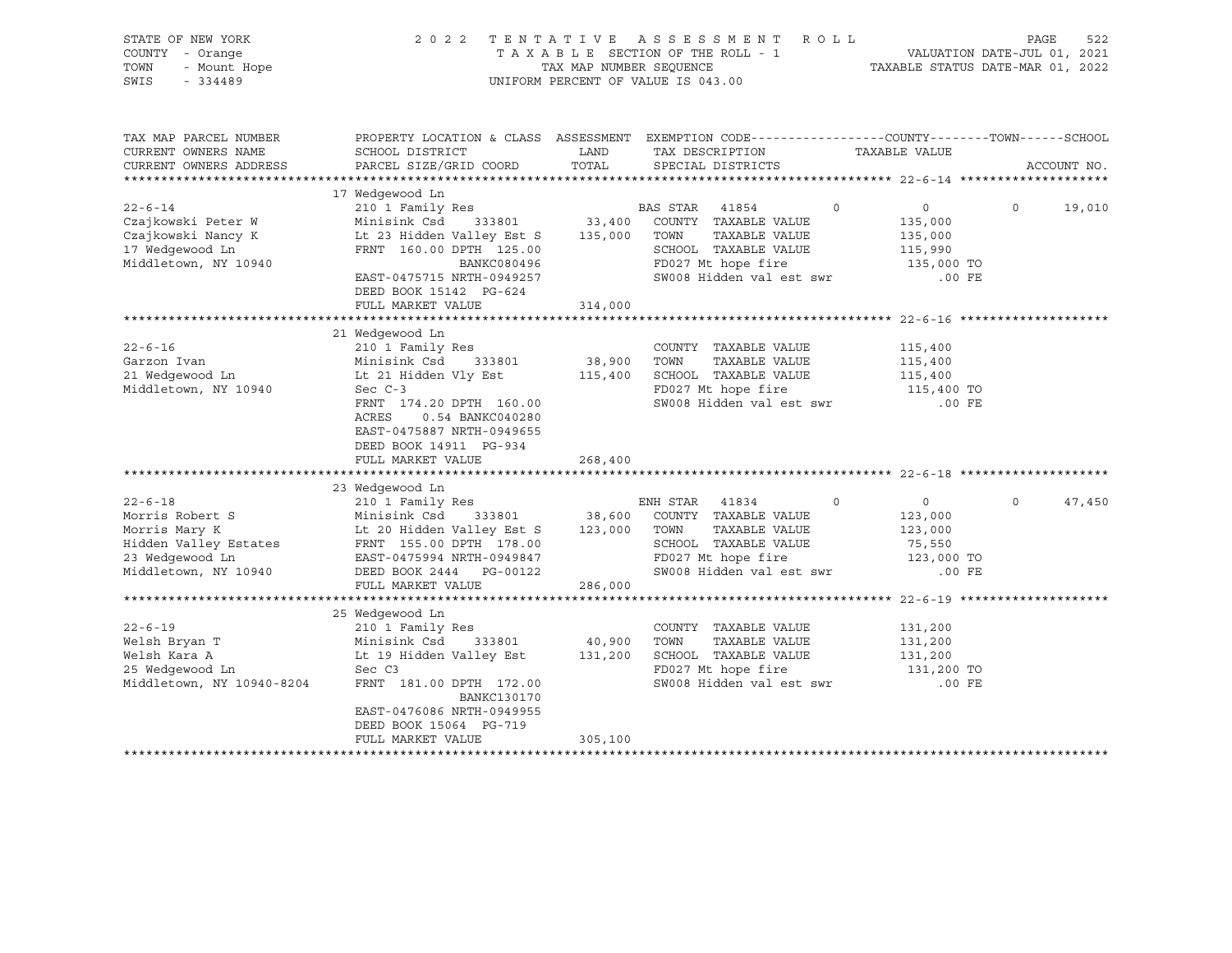| STATE OF NEW YORK<br>COUNTY - Orange<br>TOWN<br>- Mount Hope<br>$-334489$<br>SWIS                                     | 2022 TENTATIVE                                                                                                                                                                                                                  | TAX MAP NUMBER SEQUENCE      | ASSESSMENT<br>R O L L<br>TAXABLE SECTION OF THE ROLL - 1<br>UNIFORM PERCENT OF VALUE IS 043.00                                                    |                                                                        | PAGE<br>522<br>VALUATION DATE-JUL 01, 2021<br>TAXABLE STATUS DATE-MAR 01, 2022 |
|-----------------------------------------------------------------------------------------------------------------------|---------------------------------------------------------------------------------------------------------------------------------------------------------------------------------------------------------------------------------|------------------------------|---------------------------------------------------------------------------------------------------------------------------------------------------|------------------------------------------------------------------------|--------------------------------------------------------------------------------|
| TAX MAP PARCEL NUMBER<br>CURRENT OWNERS NAME<br>CURRENT OWNERS ADDRESS                                                | SCHOOL DISTRICT<br>PARCEL SIZE/GRID COORD                                                                                                                                                                                       | LAND<br>TOTAL                | PROPERTY LOCATION & CLASS ASSESSMENT EXEMPTION CODE---------------COUNTY-------TOWN------SCHOOL<br>TAX DESCRIPTION<br>SPECIAL DISTRICTS           | TAXABLE VALUE                                                          | ACCOUNT NO.                                                                    |
| $22 - 6 - 14$<br>Czajkowski Peter W<br>Czajkowski Nancy K<br>17 Wedgewood Ln<br>Middletown, NY 10940                  | 17 Wedgewood Ln<br>210 1 Family Res<br>Minisink Csd<br>333801<br>Lt 23 Hidden Valley Est S 135,000<br>FRNT 160.00 DPTH 125.00<br>BANKC080496<br>EAST-0475715 NRTH-0949257<br>DEED BOOK 15142 PG-624                             | 33,400                       | BAS STAR<br>41854<br>0<br>COUNTY TAXABLE VALUE<br>TOWN<br>TAXABLE VALUE<br>SCHOOL TAXABLE VALUE<br>FD027 Mt hope fire<br>SW008 Hidden val est swr | 0<br>135,000<br>135,000<br>115,990<br>135,000 TO<br>.00 FE             | 19,010<br>$\circ$                                                              |
|                                                                                                                       | FULL MARKET VALUE                                                                                                                                                                                                               | 314,000                      |                                                                                                                                                   |                                                                        |                                                                                |
| $22 - 6 - 16$<br>Garzon Ivan<br>21 Wedgewood Ln<br>Middletown, NY 10940                                               | 21 Wedgewood Ln<br>210 1 Family Res<br>Minisink Csd 333801<br>Lt 21 Hidden Vly Est<br>Sec $C-3$<br>FRNT 174.20 DPTH 160.00<br>ACRES<br>0.54 BANKC040280<br>EAST-0475887 NRTH-0949655<br>DEED BOOK 14911 PG-934                  | 38,900 TOWN                  | COUNTY TAXABLE VALUE<br>TAXABLE VALUE<br>115,400 SCHOOL TAXABLE VALUE<br>FD027 Mt hope fire<br>SW008 Hidden val est swr                           | 115,400<br>115,400<br>115,400<br>115,400 TO<br>$.00$ FE                |                                                                                |
|                                                                                                                       | FULL MARKET VALUE                                                                                                                                                                                                               | 268,400                      |                                                                                                                                                   |                                                                        |                                                                                |
|                                                                                                                       |                                                                                                                                                                                                                                 |                              |                                                                                                                                                   |                                                                        |                                                                                |
| $22 - 6 - 18$<br>Morris Robert S<br>Morris Mary K<br>Hidden Valley Estates<br>23 Wedgewood Ln<br>Middletown, NY 10940 | 23 Wedgewood Ln<br>210 1 Family Res<br>Minisink Csd 333801<br>Lt 20 Hidden Valley Est S 123,000 TOWN<br>-<br>FRNT 155.00 DPTH 178.00<br>EAST-0475994 NRTH-0949847<br>DEED BOOK 2444 PG-00122<br>FULL MARKET VALUE               | EN<br>38,600<br>286,000      | ENH STAR 41834<br>$\circ$<br>COUNTY TAXABLE VALUE<br>TAXABLE VALUE<br>SCHOOL TAXABLE VALUE<br>FD027 Mt hope fire<br>SW008 Hidden val est swr      | $\overline{0}$<br>123,000<br>123,000<br>75,550<br>123,000 TO<br>.00 FE | $\Omega$<br>47,450                                                             |
|                                                                                                                       |                                                                                                                                                                                                                                 |                              |                                                                                                                                                   |                                                                        |                                                                                |
| $22 - 6 - 19$<br>Welsh Bryan T<br>Welsh Kara A<br>25 Wedgewood Ln<br>Middletown, NY 10940-8204                        | 25 Wedgewood Ln<br>210 1 Family Res<br>333801<br>Minisink Csd<br>Lt 19 Hidden Valley Est<br>Sec C3<br>FRNT 181.00 DPTH 172.00<br><b>BANKC130170</b><br>EAST-0476086 NRTH-0949955<br>DEED BOOK 15064 PG-719<br>FULL MARKET VALUE | 40,900<br>131,200<br>305,100 | COUNTY TAXABLE VALUE<br>TAXABLE VALUE<br>TOWN<br>SCHOOL TAXABLE VALUE<br>FD027 Mt hope fire<br>SW008 Hidden val est swr                           | 131,200<br>131,200<br>131,200<br>131,200 TO<br>.00 FE                  |                                                                                |
|                                                                                                                       |                                                                                                                                                                                                                                 |                              |                                                                                                                                                   |                                                                        |                                                                                |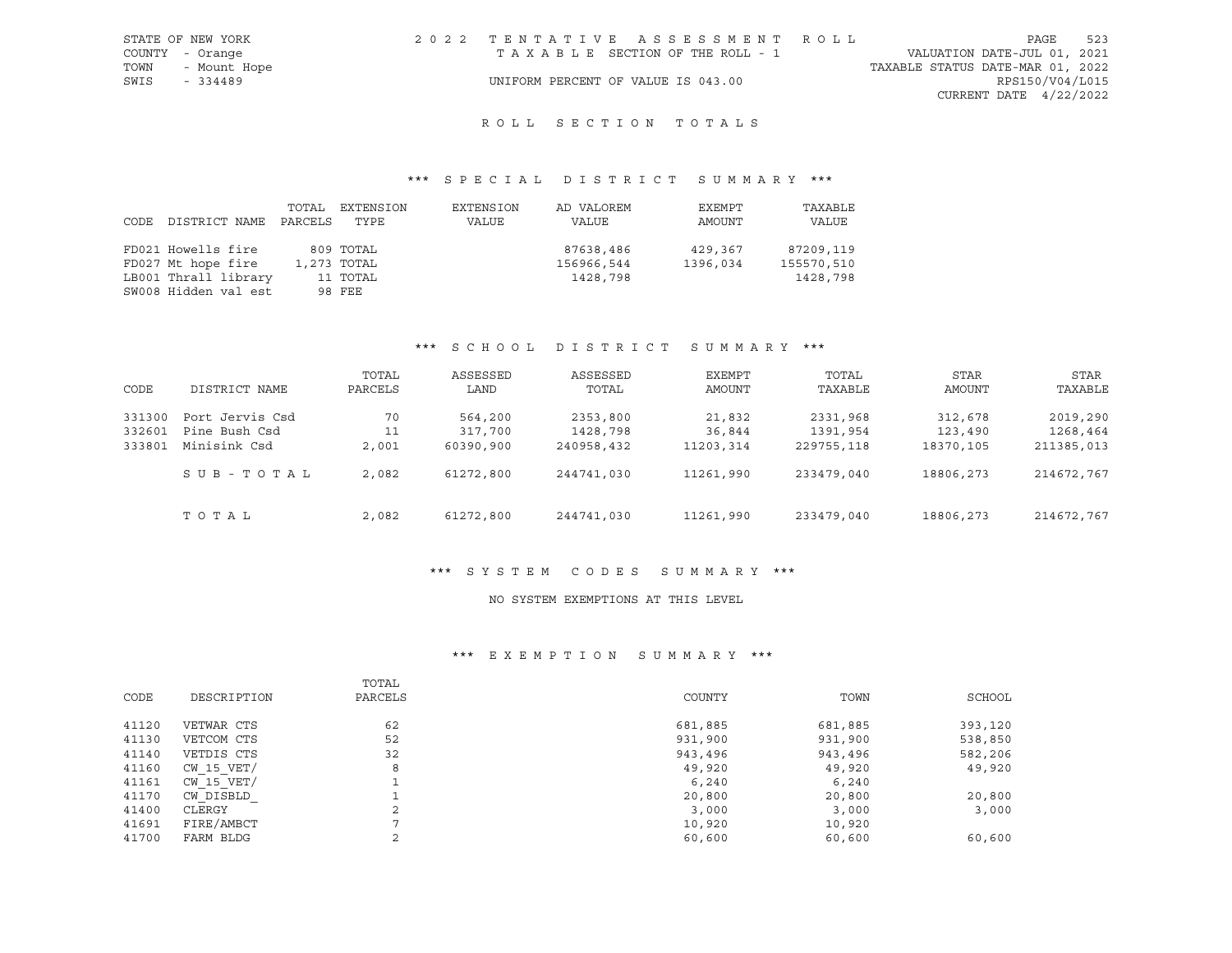|      | STATE OF NEW YORK | 2022 TENTATIVE ASSESSMENT ROLL     |  |  |                                  | PAGE                     | 523 |
|------|-------------------|------------------------------------|--|--|----------------------------------|--------------------------|-----|
|      | COUNTY - Orange   | TAXABLE SECTION OF THE ROLL - 1    |  |  | VALUATION DATE-JUL 01, 2021      |                          |     |
| TOWN | - Mount Hope      |                                    |  |  | TAXABLE STATUS DATE-MAR 01, 2022 |                          |     |
| SWIS | - 334489          | UNIFORM PERCENT OF VALUE IS 043.00 |  |  |                                  | RPS150/V04/L015          |     |
|      |                   |                                    |  |  |                                  | CURRENT DATE $4/22/2022$ |     |

## \*\*\* S P E C I A L D I S T R I C T S U M M A R Y \*\*\*

| CODE | DISTRICT NAME        | TOTAL<br>PARCELS | EXTENSION<br>TYPE | EXTENSION<br>VALUE | AD VALOREM<br>VALUE | EXEMPT<br>AMOUNT | TAXABLE<br><b>VALUE</b> |
|------|----------------------|------------------|-------------------|--------------------|---------------------|------------------|-------------------------|
|      | FD021 Howells fire   |                  | 809 TOTAL         |                    | 87638,486           | 429,367          | 87209,119               |
|      | FD027 Mt hope fire   |                  | 1,273 TOTAL       |                    | 156966,544          | 1396,034         | 155570,510              |
|      | LB001 Thrall library |                  | 11 TOTAL          |                    | 1428,798            |                  | 1428,798                |
|      | SW008 Hidden val est |                  | 98 FEE            |                    |                     |                  |                         |

## \*\*\* S C H O O L D I S T R I C T S U M M A R Y \*\*\*

| CODE   | DISTRICT NAME   | TOTAL<br>PARCELS | ASSESSED<br>LAND | ASSESSED<br>TOTAL | EXEMPT<br>AMOUNT | TOTAL<br>TAXABLE | STAR<br>AMOUNT | STAR<br>TAXABLE |
|--------|-----------------|------------------|------------------|-------------------|------------------|------------------|----------------|-----------------|
| 331300 | Port Jervis Csd | 70               | 564,200          | 2353,800          | 21,832           | 2331,968         | 312,678        | 2019,290        |
| 332601 | Pine Bush Csd   | 11               | 317,700          | 1428,798          | 36,844           | 1391,954         | 123,490        | 1268,464        |
| 333801 | Minisink Csd    | 2,001            | 60390,900        | 240958,432        | 11203,314        | 229755,118       | 18370,105      | 211385,013      |
|        | SUB-TOTAL       | 2,082            | 61272,800        | 244741,030        | 11261,990        | 233479,040       | 18806,273      | 214672,767      |
|        | TOTAL           | 2,082            | 61272,800        | 244741,030        | 11261,990        | 233479,040       | 18806,273      | 214672,767      |

## \*\*\* S Y S T E M C O D E S S U M M A R Y \*\*\*

#### NO SYSTEM EXEMPTIONS AT THIS LEVEL

## \*\*\* E X E M P T I O N S U M M A R Y \*\*\*

|       |                | TOTAL        |         |         |         |
|-------|----------------|--------------|---------|---------|---------|
| CODE  | DESCRIPTION    | PARCELS      | COUNTY  | TOWN    | SCHOOL  |
|       |                |              |         |         |         |
| 41120 | VETWAR CTS     | 62           | 681,885 | 681,885 | 393,120 |
| 41130 | VETCOM CTS     | 52           | 931,900 | 931,900 | 538,850 |
| 41140 | VETDIS CTS     | 32           | 943,496 | 943,496 | 582,206 |
| 41160 | CW 15 VET/     | 8            | 49,920  | 49,920  | 49,920  |
| 41161 | $CW$ 15 $VET/$ |              | 6,240   | 6,240   |         |
| 41170 | CW DISBLD      |              | 20,800  | 20,800  | 20,800  |
| 41400 | CLERGY         | $\sim$<br>z. | 3,000   | 3,000   | 3,000   |
| 41691 | FIRE/AMBCT     | o            | 10,920  | 10,920  |         |
| 41700 | FARM BLDG      | $\sim$       | 60,600  | 60,600  | 60,600  |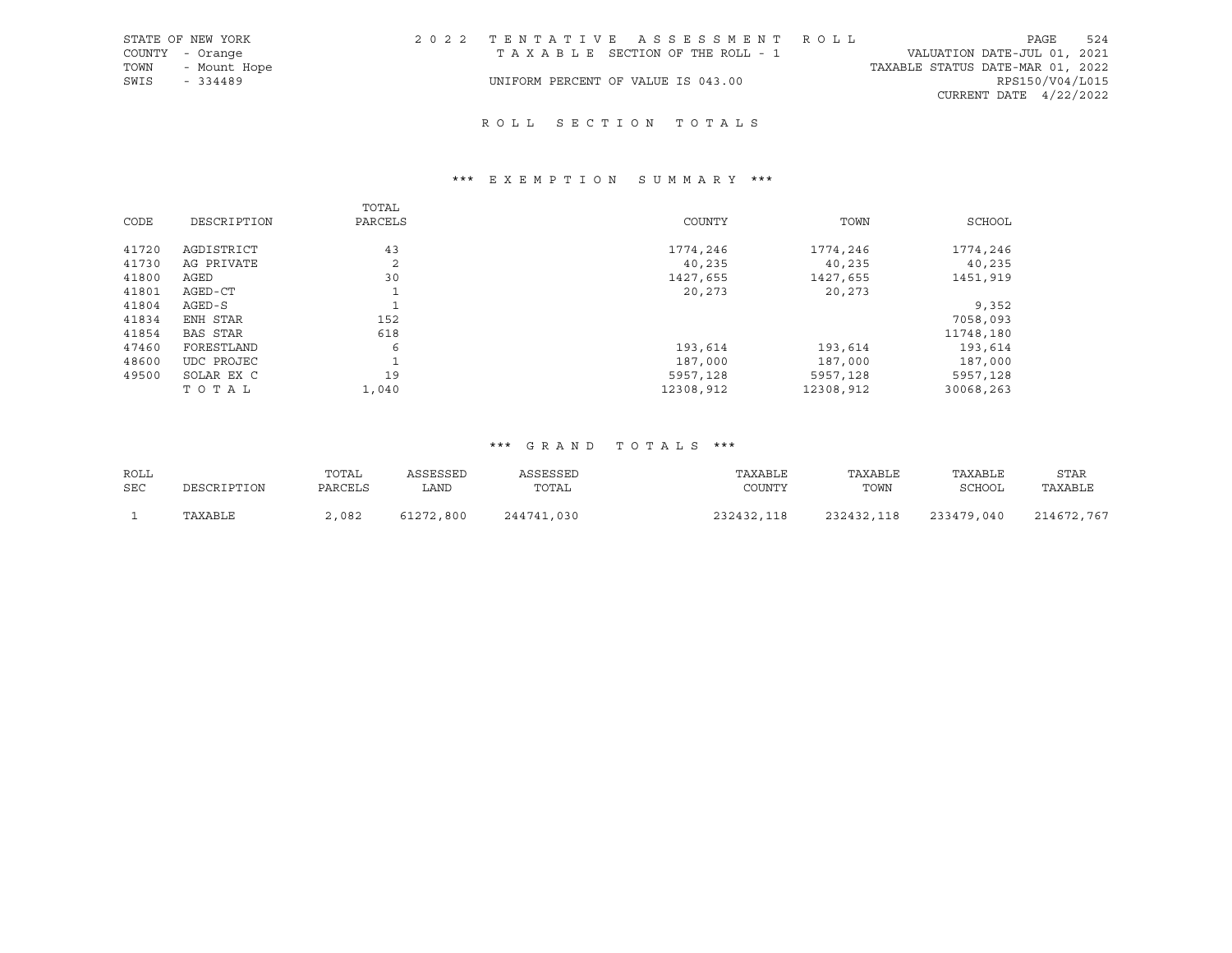|      | STATE OF NEW YORK | 2022 TENTATIVE ASSESSMENT ROLL     |  |                                  |                          | PAGE | 524 |
|------|-------------------|------------------------------------|--|----------------------------------|--------------------------|------|-----|
|      | COUNTY - Orange   | TAXABLE SECTION OF THE ROLL - 1    |  | VALUATION DATE-JUL 01, 2021      |                          |      |     |
| TOWN | - Mount Hope      |                                    |  | TAXABLE STATUS DATE-MAR 01, 2022 |                          |      |     |
| SWIS | - 334489          | UNIFORM PERCENT OF VALUE IS 043.00 |  |                                  | RPS150/V04/L015          |      |     |
|      |                   |                                    |  |                                  | CURRENT DATE $4/22/2022$ |      |     |

# R O L L S E C T I O N T O T A L S

# \*\*\* E X E M P T I O N S U M M A R Y \*\*\*

|       |                 | TOTAL   |           |           |           |
|-------|-----------------|---------|-----------|-----------|-----------|
| CODE  | DESCRIPTION     | PARCELS | COUNTY    | TOWN      | SCHOOL    |
|       |                 |         |           |           |           |
| 41720 | AGDISTRICT      | 43      | 1774,246  | 1774,246  | 1774,246  |
| 41730 | AG PRIVATE      | 2       | 40,235    | 40,235    | 40,235    |
| 41800 | AGED            | 30      | 1427,655  | 1427,655  | 1451,919  |
| 41801 | AGED-CT         |         | 20,273    | 20,273    |           |
| 41804 | $AGED-S$        |         |           |           | 9,352     |
| 41834 | ENH STAR        | 152     |           |           | 7058,093  |
| 41854 | <b>BAS STAR</b> | 618     |           |           | 11748,180 |
| 47460 | FORESTLAND      | 6       | 193,614   | 193,614   | 193,614   |
| 48600 | UDC PROJEC      |         | 187,000   | 187,000   | 187,000   |
| 49500 | SOLAR EX C      | 19      | 5957,128  | 5957,128  | 5957,128  |
|       | TOTAL           | 1,040   | 12308,912 | 12308,912 | 30068,263 |

| ROLL | DESCRIPTION | TOTAL   | ASSESSED  | ASSESSED   | TAXABLE    | TAXABLE    | TAXABLE    | <b>STAR</b> |
|------|-------------|---------|-----------|------------|------------|------------|------------|-------------|
| SEC  |             | PARCELS | LAND      | TOTAL      | COUNTY     | TOWN       | SCHOOL     | TAXABLE     |
|      | TAXABLE     | 2,082   | 61272,800 | 244741,030 | 232432,118 | 232432,118 | 233479,040 | 214672,767  |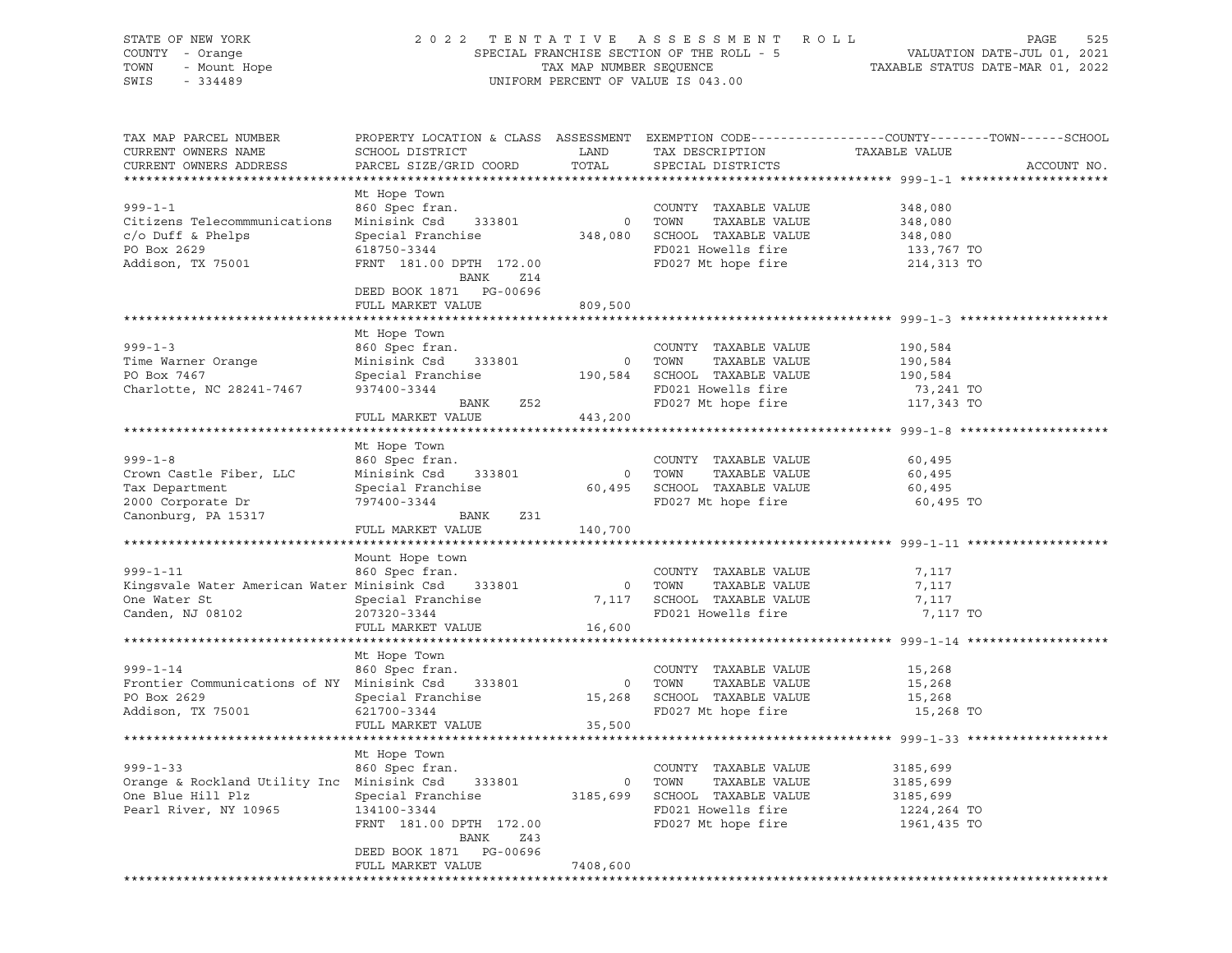#### STATE OF NEW YORK 2 0 2 2 T E N T A T I V E A S S E S S M E N T R O L L PAGE 525 COUNTY - Orange SPECIAL FRANCHISE SECTION OF THE ROLL - 5 VALUATION DATE-JUL 01, 2021 TOWN - Mount Hope TAX MAP NUMBER SEQUENCE TAXABLE STATUS DATE-MAR 01, 2022 SWIS - 334489 UNIFORM PERCENT OF VALUE IS 043.00

| TAX MAP PARCEL NUMBER<br>CURRENT OWNERS NAME<br>CURRENT OWNERS ADDRESS                                                                                                                                                                                                                                                                                                                                                          | PROPERTY LOCATION & CLASS ASSESSMENT EXEMPTION CODE---------------COUNTY-------TOWN-----SCHOOL<br>SCHOOL DISTRICT<br>PARCEL SIZE/GRID COORD                                                                 | LAND<br>TOTAL | TAX DESCRIPTION<br>SPECIAL DISTRICTS                                                                                         | TAXABLE VALUE                                                  | ACCOUNT NO. |
|---------------------------------------------------------------------------------------------------------------------------------------------------------------------------------------------------------------------------------------------------------------------------------------------------------------------------------------------------------------------------------------------------------------------------------|-------------------------------------------------------------------------------------------------------------------------------------------------------------------------------------------------------------|---------------|------------------------------------------------------------------------------------------------------------------------------|----------------------------------------------------------------|-------------|
|                                                                                                                                                                                                                                                                                                                                                                                                                                 |                                                                                                                                                                                                             |               |                                                                                                                              |                                                                |             |
| $999 - 1 - 1$<br>Citizens Telecommmunications<br>$c/O$ Duff & Phelps<br>PO Box 2629<br>Addison, TX 75001                                                                                                                                                                                                                                                                                                                        | Mt Hope Town<br>860 Spec fran. COUNTY<br>Minisink Csd 333801 0 TOWN<br>Special Franchise<br>Special Franchise<br>618750-3344<br>FD021 Howells fire<br>618750-3344<br>FRNT 181.00 DPTH 172.00<br>BANK<br>Z14 |               | COUNTY TAXABLE VALUE 348,080<br>TOWN TAXABLE VALUE 348,080<br>FD027 Mt hope fire                                             | 348,080<br>133,767 TO<br>214,313 TO                            |             |
|                                                                                                                                                                                                                                                                                                                                                                                                                                 | DEED BOOK 1871 PG-00696<br>FULL MARKET VALUE                                                                                                                                                                | 809,500       |                                                                                                                              |                                                                |             |
|                                                                                                                                                                                                                                                                                                                                                                                                                                 |                                                                                                                                                                                                             |               |                                                                                                                              |                                                                |             |
| $\begin{tabular}{lllllllllllllllllll} \hline 999-1-3 && \hline \text{ML HUPE } & 0 & \text{COWITY} & 14AADID & \text{VILU} & 190,584 \\ \hline \text{Time Warner Orange} && \hline \text{Minisink Csd} && 333801 && 0 && \text{TONNN} & \text{TAXABLE VALUE} && 190,584 \\ \text{PO Box 7467 && Special Francis & 190,584 && \text{SCHOOL TAXABLE VALUE} && 190,584 \\ \text{Charlotte, NC 28241-7467 && 937400-3344 && \text{$ |                                                                                                                                                                                                             |               |                                                                                                                              |                                                                |             |
|                                                                                                                                                                                                                                                                                                                                                                                                                                 |                                                                                                                                                                                                             |               |                                                                                                                              |                                                                |             |
|                                                                                                                                                                                                                                                                                                                                                                                                                                 |                                                                                                                                                                                                             |               |                                                                                                                              |                                                                |             |
| $999 - 1 - 8$<br>Crown Castle Fiber, LLC<br>Tax Department<br>2000 Corporate Dr<br>Canonburg, PA 15317                                                                                                                                                                                                                                                                                                                          | Mt Hope Town<br>860 Spec fram.<br>Minisink Csd 333801 0 TOWN TAXABLE VALUE<br>Special Franchise 60,495 SCHOOL TAXABLE VALUE<br>797400-3344 FD027 Mt hope fire                                               |               |                                                                                                                              | 60,495<br>TAXABLE VALUE 60,495<br>60,495<br>60,495 TO          |             |
|                                                                                                                                                                                                                                                                                                                                                                                                                                 | BANK Z31<br>FULL MARKET VALUE                                                                                                                                                                               | 140,700       |                                                                                                                              |                                                                |             |
|                                                                                                                                                                                                                                                                                                                                                                                                                                 |                                                                                                                                                                                                             |               |                                                                                                                              |                                                                |             |
| 999-1-11 			 860 Spec fran. COUNTY<br>Kingsvale Water American Water Minisink Csd 333801 0 TOWN<br>One Water St<br>Canden, NJ 08102<br>207320-3344                                                                                                                                                                                                                                                                              | Mount Hope town<br>FULL MARKET VALUE 16,600                                                                                                                                                                 |               | COUNTY TAXABLE VALUE<br>TAXABLE VALUE<br>7,117 SCHOOL TAXABLE VALUE<br>FD021 Howells fire<br>FD021 Howells fire 7,117 TO     | 7,117<br>7,117<br>7,117                                        |             |
|                                                                                                                                                                                                                                                                                                                                                                                                                                 |                                                                                                                                                                                                             |               |                                                                                                                              |                                                                |             |
| 999-1-14 860 Spec fran. COUNTY TAXABLE VALUE 15,268<br>Frontier Communications of NY Minisink Csd 333801 0 TOWN TAXABLE VALUE 15,268<br>PO Box 2629 Special Franchise 15,268 SCHOOL TAXABLE VALUE 15,268<br>Prontier Community<br>PO Box 2629<br>Addison, TX 75001                                                                                                                                                              | Mt Hope Town<br>$621700 - 3344$ FULL MARKET VALUE $35,500$                                                                                                                                                  |               | FD027 Mt hope fire                                                                                                           | 15,268 TO                                                      |             |
|                                                                                                                                                                                                                                                                                                                                                                                                                                 |                                                                                                                                                                                                             |               |                                                                                                                              |                                                                |             |
| 999-1-33 860 Spec fran.<br>Orange & Rockland Utility Inc Minisink Csd 333801<br>One Blue Hill Plz<br>Pearl River, NY 10965                                                                                                                                                                                                                                                                                                      | Mt Hope Town<br>Special Franchise<br>134100-3344<br>134100-3344<br>FRNT 181.00 DPTH 172.00                                                                                                                  |               | COUNTY TAXABLE VALUE<br>0 TOWN<br>TAXABLE VALUE<br>3185,699 SCHOOL TAXABLE VALUE<br>FD021 Howells fire<br>FD027 Mt hope fire | 3185,699<br>3185,699<br>3185,699<br>1224,264 TO<br>1961,435 TO |             |
|                                                                                                                                                                                                                                                                                                                                                                                                                                 | BANK<br>Z43<br>DEED BOOK 1871 PG-00696<br>FULL MARKET VALUE                                                                                                                                                 | 7408,600      |                                                                                                                              |                                                                |             |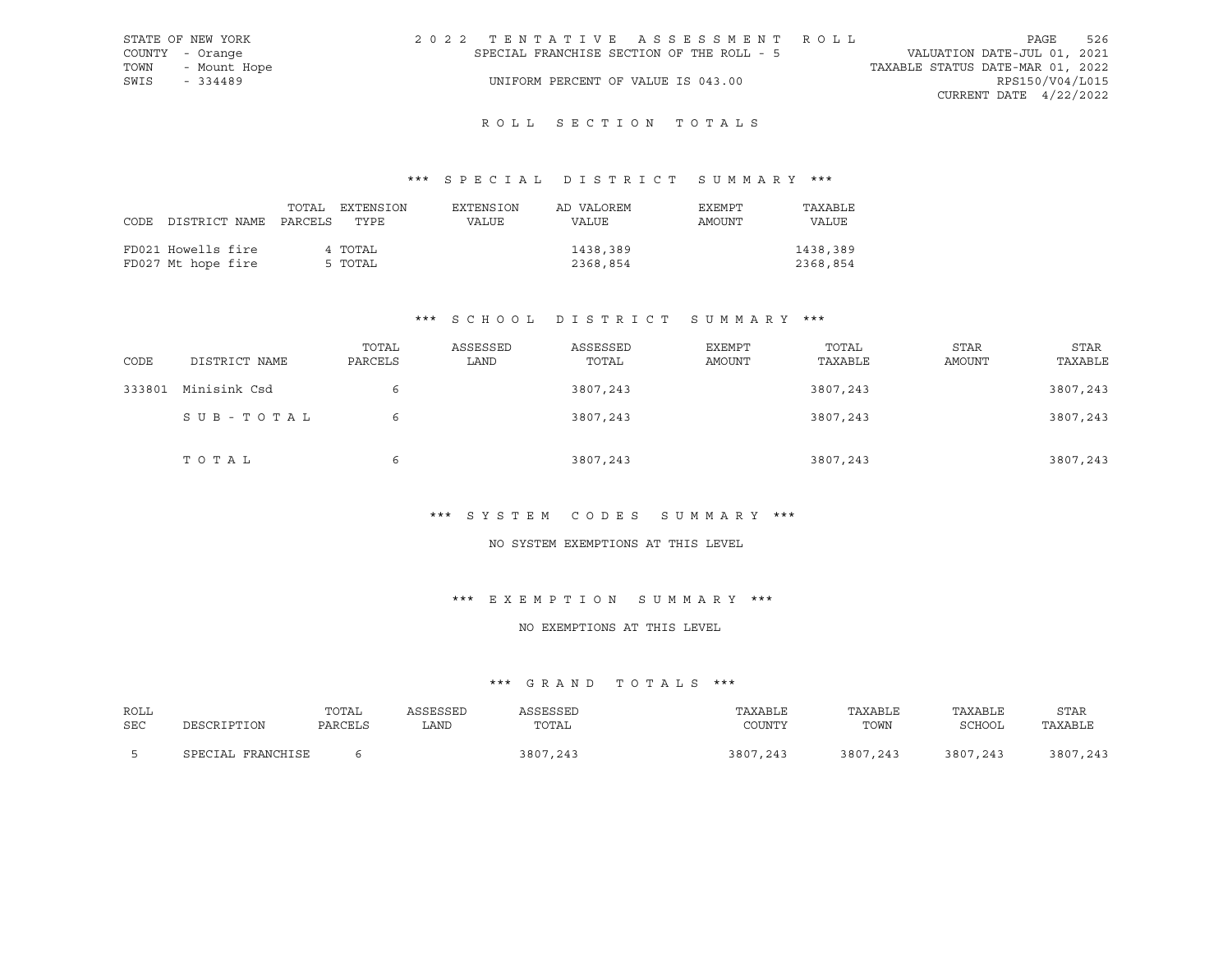| STATE OF NEW YORK | 2022 TENTATIVE ASSESSMENT ROLL |                                           |  |  |  |                                  |                          | PAGE | 526 |
|-------------------|--------------------------------|-------------------------------------------|--|--|--|----------------------------------|--------------------------|------|-----|
| COUNTY - Orange   |                                | SPECIAL FRANCHISE SECTION OF THE ROLL - 5 |  |  |  | VALUATION DATE-JUL 01, 2021      |                          |      |     |
| TOWN - Mount Hope |                                |                                           |  |  |  | TAXABLE STATUS DATE-MAR 01, 2022 |                          |      |     |
| SWIS<br>$-334489$ |                                | UNIFORM PERCENT OF VALUE IS 043.00        |  |  |  |                                  | RPS150/V04/L015          |      |     |
|                   |                                |                                           |  |  |  |                                  | CURRENT DATE $4/22/2022$ |      |     |
|                   |                                |                                           |  |  |  |                                  |                          |      |     |

## \*\*\* S P E C I A L D I S T R I C T S U M M A R Y \*\*\*

|                                 | TOTAL | EXTENSION | EXTENSION | AD VALOREM | EXEMPT | TAXABLE  |
|---------------------------------|-------|-----------|-----------|------------|--------|----------|
| CODE DISTRICT NAME PARCELS TYPE |       |           | VALUE     | VALUE      | AMOUNT | VALUE    |
|                                 |       |           |           |            |        |          |
| FD021 Howells fire              |       | 4 TOTAL   |           | 1438,389   |        | 1438,389 |
| FD027 Mt hope fire              |       | 5 TOTAL   |           | 2368,854   |        | 2368,854 |

## \*\*\* S C H O O L D I S T R I C T S U M M A R Y \*\*\*

| CODE   | DISTRICT NAME | TOTAL<br>PARCELS | ASSESSED<br>LAND | ASSESSED<br>TOTAL | EXEMPT<br>AMOUNT | TOTAL<br>TAXABLE | STAR<br><b>AMOUNT</b> | STAR<br>TAXABLE |
|--------|---------------|------------------|------------------|-------------------|------------------|------------------|-----------------------|-----------------|
| 333801 | Minisink Csd  | 6                |                  | 3807,243          |                  | 3807,243         |                       | 3807,243        |
|        | SUB-TOTAL     | 6                |                  | 3807,243          |                  | 3807,243         |                       | 3807,243        |
|        | TOTAL         | 6                |                  | 3807,243          |                  | 3807,243         |                       | 3807,243        |

#### \*\*\* S Y S T E M C O D E S S U M M A R Y \*\*\*

#### NO SYSTEM EXEMPTIONS AT THIS LEVEL

#### \*\*\* E X E M P T I O N S U M M A R Y \*\*\*

#### NO EXEMPTIONS AT THIS LEVEL

| ROLL | DESCRIPTION       | TOTAL   | ASSESSED | ASSESSED | TAXABLE  | TAXABLE  | TAXABLE  | <b>STAR</b> |
|------|-------------------|---------|----------|----------|----------|----------|----------|-------------|
| SEC  |                   | PARCELS | LAND.    | TOTAL    | COUNTY   | TOWN     | SCHOOL   | TAXABLE     |
|      | SPECIAL FRANCHISE |         |          | 3807,243 | 3807,243 | 3807,243 | 3807,243 | 3807,243    |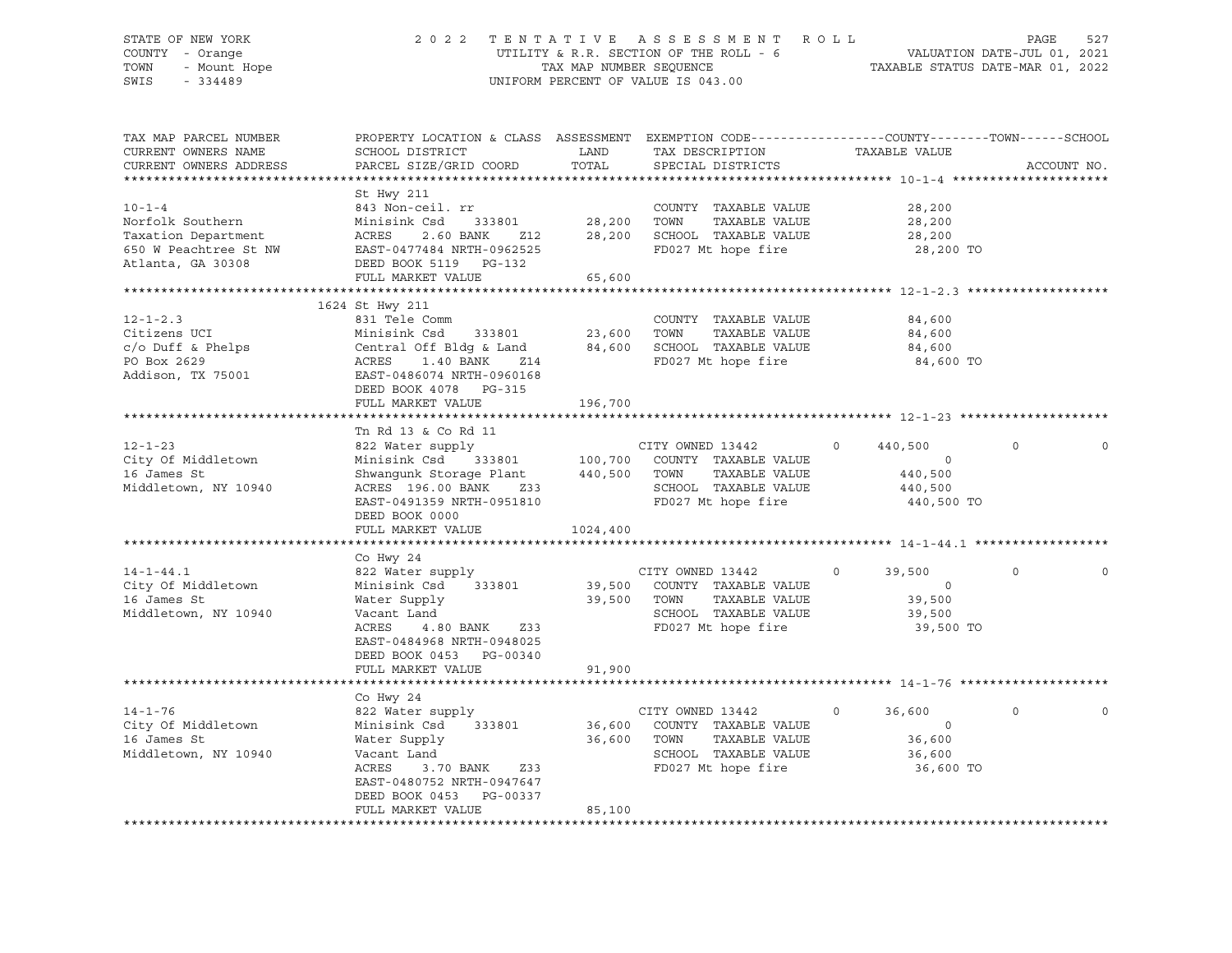#### STATE OF NEW YORK 2 0 2 2 T E N T A T I V E A S S E S S M E N T R O L L PAGE 527 COUNTY - Orange UTILITY & R.R. SECTION OF THE ROLL - 6 VALUATION DATE-JUL 01, 2021 TOWN - Mount Hope TAX MAP NUMBER SEQUENCE TAXABLE STATUS DATE-MAR 01, 2022 SWIS - 334489 UNIFORM PERCENT OF VALUE IS 043.00

| TAX MAP PARCEL NUMBER<br>CURRENT OWNERS NAME<br>CURRENT OWNERS ADDRESS                  | PROPERTY LOCATION & CLASS ASSESSMENT<br>SCHOOL DISTRICT<br>PARCEL SIZE/GRID COORD                                                                                                                           | LAND<br>TOTAL                     | EXEMPTION CODE-----------------COUNTY-------TOWN------SCHOOL<br>TAX DESCRIPTION<br>SPECIAL DISTRICTS                     | TAXABLE VALUE                                                      | ACCOUNT NO.             |
|-----------------------------------------------------------------------------------------|-------------------------------------------------------------------------------------------------------------------------------------------------------------------------------------------------------------|-----------------------------------|--------------------------------------------------------------------------------------------------------------------------|--------------------------------------------------------------------|-------------------------|
| $10 - 1 - 4$<br>Norfolk Southern<br>Taxation Department                                 | St Hwy 211<br>843 Non-ceil. rr<br>Minisink Csd<br>ACRES<br>2.60 BANK<br>Z12<br>FULL MARKET VALUE                                                                                                            | 333801 28,200<br>28,200<br>65,600 | COUNTY TAXABLE VALUE<br>TOWN<br>TAXABLE VALUE<br>SCHOOL TAXABLE VALUE<br>FD027 Mt hope fire                              | 28,200<br>28,200<br>28,200<br>28,200 TO                            |                         |
|                                                                                         |                                                                                                                                                                                                             |                                   |                                                                                                                          |                                                                    |                         |
| $12 - 1 - 2.3$<br>Citizens UCI<br>c/o Duff & Phelps<br>PO Box 2629<br>Addison, TX 75001 | 1624 St Hwy 211<br>831 Tele Comm<br>Minisink Csd<br>Central Off Bldq & Land<br>ACRES 1.40 BANK Z14<br>EAST-0486074 NRTH-0960168<br>DEED BOOK 4078 PG-315<br>FULL MARKET VALUE                               | 196,700                           | COUNTY TAXABLE VALUE<br>333801 23,600 TOWN TAXABLE VALUE<br>1dg & Land 84,600 SCHOOL TAXABLE VALUE<br>FD027 Mt hope fire | 84,600<br>84,600<br>84,600<br>84,600 TO                            |                         |
|                                                                                         |                                                                                                                                                                                                             |                                   |                                                                                                                          |                                                                    |                         |
| $12 - 1 - 23$<br>City Of Middletown<br>16 James St<br>Middletown, NY 10940              | Tn Rd 13 & Co Rd 11<br>822 Water supply<br>Minisink Csd 333801 100,700<br>Shwangunk Storage Plant 440,500 TOWN<br>ACRES 196.00 BANK 233<br>EAST-0491359 NRTH-0951810<br>DEED BOOK 0000<br>FULL MARKET VALUE | 1024,400                          | CITY OWNED 13442<br>COUNTY TAXABLE VALUE<br>TAXABLE VALUE<br>SCHOOL TAXABLE VALUE<br>FD027 Mt hope fire                  | 440,500<br>$\circ$<br>$\sim$ 0<br>440,500<br>440,500<br>440,500 TO | 0<br>0                  |
|                                                                                         |                                                                                                                                                                                                             |                                   |                                                                                                                          |                                                                    |                         |
| $14 - 1 - 44.1$<br>City Of Middletown<br>16 James St<br>Middletown, NY 10940            | Co Hwy 24<br>822 Water supply<br>Minisink Csd 333801<br>Water Supply<br>Vacant Land<br>ACRES<br>4.80 BANK<br>Z33<br>EAST-0484968 NRTH-0948025<br>DEED BOOK 0453 PG-00340                                    | 39,500<br>39,500 TOWN             | CITY OWNED 13442<br>COUNTY TAXABLE VALUE<br>TAXABLE VALUE<br>SCHOOL TAXABLE VALUE<br>FD027 Mt hope fire                  | $\Omega$<br>39,500<br>$\Omega$<br>39,500<br>39,500<br>39,500 TO    | $\Omega$<br>$\mathbf 0$ |
|                                                                                         | FULL MARKET VALUE                                                                                                                                                                                           | 91,900                            |                                                                                                                          |                                                                    |                         |
| $14 - 1 - 76$<br>City Of Middletown<br>16 James St<br>Middletown, NY 10940              | Co Hwy 24<br>822 Water supply<br>Minisink Csd 333801<br>Water Supply<br>Vacant Land<br>ACRES<br>3.70 BANK Z33<br>EAST-0480752 NRTH-0947647<br>DEED BOOK 0453 PG-00337<br>FULL MARKET VALUE                  | 36,600<br>85,100                  | CITY OWNED 13442<br>36,600 COUNTY TAXABLE VALUE<br>TOWN<br>TAXABLE VALUE<br>SCHOOL TAXABLE VALUE<br>FD027 Mt hope fire   | $\circ$<br>36,600<br>$\circ$<br>36,600<br>36,600<br>36,600 TO      | $\mathbf 0$             |
|                                                                                         |                                                                                                                                                                                                             |                                   |                                                                                                                          |                                                                    |                         |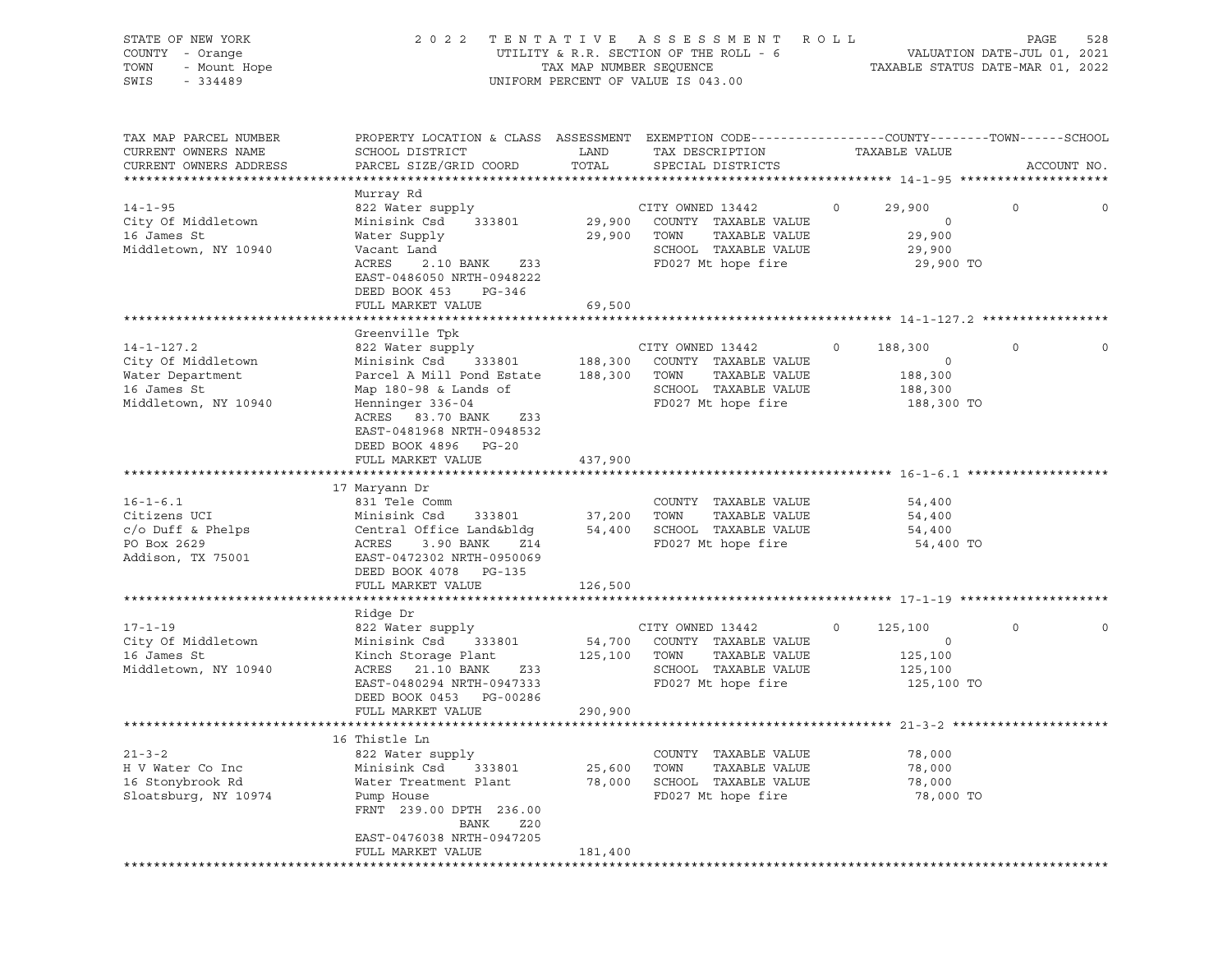| STATE OF NEW YORK<br>COUNTY - Orange<br>TOWN<br>- Mount Hope<br>SWIS<br>$-334489$                 | 2 0 2 2                                                                                                                                                                                                | TAX MAP NUMBER SEQUENCE      | TENTATIVE ASSESSMENT<br>UTILITY & R.R. SECTION OF THE ROLL - 6<br>UNIFORM PERCENT OF VALUE IS 043.00            | ROLL<br>TAXABLE STATUS DATE-MAR 01, 2022                          | PAGE<br>VALUATION DATE-JUL 01, 2021 | 528         |
|---------------------------------------------------------------------------------------------------|--------------------------------------------------------------------------------------------------------------------------------------------------------------------------------------------------------|------------------------------|-----------------------------------------------------------------------------------------------------------------|-------------------------------------------------------------------|-------------------------------------|-------------|
| TAX MAP PARCEL NUMBER<br>CURRENT OWNERS NAME<br>CURRENT OWNERS ADDRESS                            | PROPERTY LOCATION & CLASS ASSESSMENT EXEMPTION CODE----------------COUNTY-------TOWN------SCHOOL<br>SCHOOL DISTRICT<br>PARCEL SIZE/GRID COORD                                                          | LAND<br>TOTAL                | TAX DESCRIPTION<br>SPECIAL DISTRICTS                                                                            | TAXABLE VALUE                                                     |                                     | ACCOUNT NO. |
|                                                                                                   | Murray Rd                                                                                                                                                                                              |                              |                                                                                                                 |                                                                   |                                     |             |
| $14 - 1 - 95$<br>City Of Middletown<br>16 James St<br>Middletown, NY 10940                        | 822 Water supply<br>Minisink Csd 333801<br>Water Supply<br>Vacant Land<br>ACRES<br>2.10 BANK<br>Z33                                                                                                    | 29,900 TOWN                  | CITY OWNED 13442<br>29,900 COUNTY TAXABLE VALUE<br>TAXABLE VALUE<br>SCHOOL TAXABLE VALUE<br>FD027 Mt hope fire  | 29,900<br>$\circ$<br>$\circ$<br>29,900<br>29,900<br>29,900 TO     | $\circ$                             | 0           |
|                                                                                                   | EAST-0486050 NRTH-0948222<br>DEED BOOK 453<br>PG-346<br>FULL MARKET VALUE                                                                                                                              | 69,500                       |                                                                                                                 |                                                                   |                                     |             |
|                                                                                                   |                                                                                                                                                                                                        |                              |                                                                                                                 |                                                                   |                                     |             |
| $14 - 1 - 127.2$<br>City Of Middletown<br>Water Department<br>16 James St<br>Middletown, NY 10940 | Greenville Tpk<br>822 Water supply<br>Minisink Csd<br>333801 188,300<br>Parcel A Mill Pond Estate<br>Map 180-98 & Lands of<br>Henninger 336-04<br>ACRES 83.70 BANK<br>Z33<br>EAST-0481968 NRTH-0948532 | 188,300 TOWN                 | CITY OWNED 13442<br>COUNTY TAXABLE VALUE<br>TAXABLE VALUE<br>SCHOOL TAXABLE VALUE<br>FD027 Mt hope fire         | $\circ$<br>188,300<br>$\circ$<br>188,300<br>188,300<br>188,300 TO | 0                                   |             |
|                                                                                                   | DEED BOOK 4896 PG-20<br>FULL MARKET VALUE                                                                                                                                                              | 437,900                      |                                                                                                                 |                                                                   |                                     |             |
|                                                                                                   | 17 Maryann Dr                                                                                                                                                                                          |                              |                                                                                                                 |                                                                   |                                     |             |
| $16 - 1 - 6.1$<br>Citizens UCI<br>$c/O$ Duff & Phelps<br>PO Box 2629<br>Addison, TX 75001         | 831 Tele Comm<br>Minisink Csd<br>333801<br>Central Office Land&bldq<br>ACRES<br>3.90 BANK<br>Z14<br>EAST-0472302 NRTH-0950069<br>DEED BOOK 4078 PG-135                                                 | 37,200<br>54,400             | COUNTY TAXABLE VALUE<br>TOWN<br>TAXABLE VALUE<br>SCHOOL TAXABLE VALUE<br>FD027 Mt hope fire                     | 54,400<br>54,400<br>54,400<br>54,400 TO                           |                                     |             |
|                                                                                                   | FULL MARKET VALUE                                                                                                                                                                                      | 126,500                      |                                                                                                                 |                                                                   |                                     |             |
|                                                                                                   |                                                                                                                                                                                                        |                              |                                                                                                                 |                                                                   |                                     |             |
| $17 - 1 - 19$<br>City Of Middletown<br>16 James St<br>Middletown, NY 10940                        | Ridge Dr<br>822 Water supply<br>Minisink Csd<br>333801<br>Kinch Storage Plant<br>ACRES 21.10 BANK<br>Z33<br>EAST-0480294 NRTH-0947333<br>DEED BOOK 0453 PG-00286<br>FULL MARKET VALUE                  | 54,700<br>125,100<br>290,900 | CITY OWNED 13442<br>COUNTY TAXABLE VALUE<br>TOWN<br>TAXABLE VALUE<br>SCHOOL TAXABLE VALUE<br>FD027 Mt hope fire | $\circ$<br>125,100<br>$\circ$<br>125,100<br>125,100<br>125,100 TO | 0                                   |             |
|                                                                                                   |                                                                                                                                                                                                        |                              |                                                                                                                 |                                                                   |                                     |             |
| $21 - 3 - 2$<br>H V Water Co Inc<br>16 Stonybrook Rd<br>Sloatsburg, NY 10974                      | 16 Thistle Ln<br>822 Water supply<br>Minisink Csd<br>333801<br>Water Treatment Plant<br>Pump House<br>FRNT 239.00 DPTH 236.00<br>Z20<br>BANK<br>EAST-0476038 NRTH-0947205                              | 25,600<br>78,000             | COUNTY<br>TAXABLE VALUE<br>TOWN<br>TAXABLE VALUE<br>SCHOOL TAXABLE VALUE<br>FD027 Mt hope fire                  | 78,000<br>78,000<br>78,000<br>78,000 TO                           |                                     |             |
|                                                                                                   | FULL MARKET VALUE                                                                                                                                                                                      | 181,400                      |                                                                                                                 |                                                                   |                                     |             |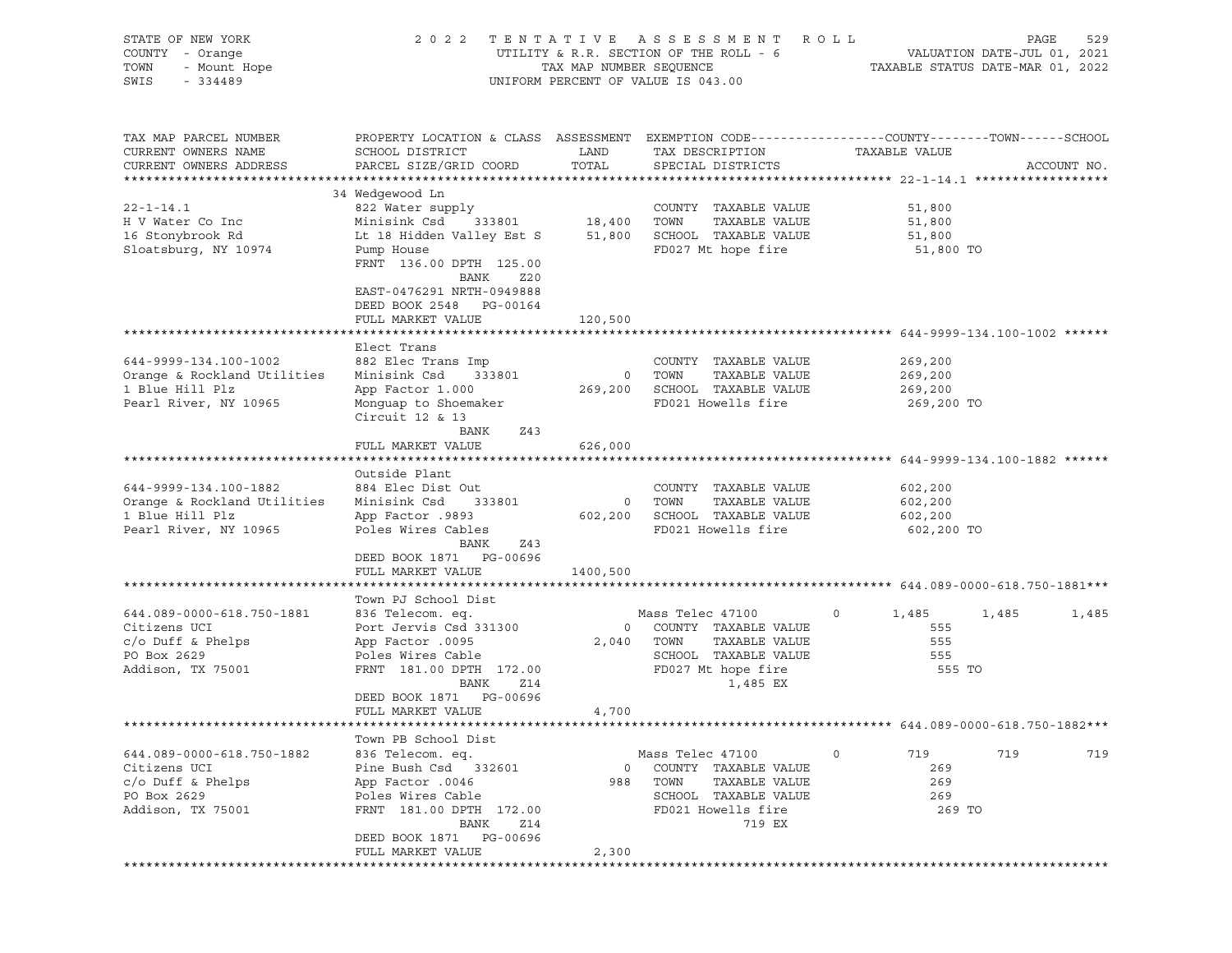| STATE OF NEW YORK<br>COUNTY - Orange<br>TOWN<br>- Mount Hope<br>SWIS<br>$-334489$                     | 2 0 2 2                                                                                                                                                                                                    | TAX MAP NUMBER SEQUENCE  | TENTATIVE ASSESSMENT ROLL<br>UTILITY & R.R. SECTION OF THE ROLL - 6<br>UNIFORM PERCENT OF VALUE IS 043.00                   | TAXABLE STATUS DATE-MAR 01, 2022                | PAGE<br>VALUATION DATE-JUL 01, 2021 | 529         |
|-------------------------------------------------------------------------------------------------------|------------------------------------------------------------------------------------------------------------------------------------------------------------------------------------------------------------|--------------------------|-----------------------------------------------------------------------------------------------------------------------------|-------------------------------------------------|-------------------------------------|-------------|
| TAX MAP PARCEL NUMBER<br>CURRENT OWNERS NAME<br>CURRENT OWNERS ADDRESS                                | PROPERTY LOCATION & CLASS ASSESSMENT EXEMPTION CODE----------------COUNTY-------TOWN------SCHOOL<br>SCHOOL DISTRICT<br>PARCEL SIZE/GRID COORD                                                              | LAND<br>TOTAL            | TAX DESCRIPTION<br>SPECIAL DISTRICTS                                                                                        | TAXABLE VALUE                                   |                                     | ACCOUNT NO. |
| $22 - 1 - 14.1$<br>H V Water Co Inc<br>16 Stonybrook Rd<br>Sloatsburg, NY 10974                       | 34 Wedgewood Ln<br>822 Water supply<br>Minisink Csd<br>333801<br>Lt 18 Hidden Valley Est S<br>Pump House<br>FRNT 136.00 DPTH 125.00<br>BANK<br>Z20<br>EAST-0476291 NRTH-0949888<br>DEED BOOK 2548 PG-00164 | 18,400<br>51,800         | COUNTY TAXABLE VALUE<br>TAXABLE VALUE<br>TOWN<br>SCHOOL TAXABLE VALUE<br>FD027 Mt hope fire                                 | 51,800<br>51,800<br>51,800<br>51,800 TO         |                                     |             |
|                                                                                                       | FULL MARKET VALUE<br>Elect Trans                                                                                                                                                                           | 120,500                  |                                                                                                                             |                                                 |                                     |             |
| 644-9999-134.100-1002<br>Orange & Rockland Utilities<br>1 Blue Hill Plz<br>Pearl River, NY 10965      | 882 Elec Trans Imp<br>Minisink Csd<br>333801<br>App Factor 1.000<br>Monquap to Shoemaker<br>Circuit $12$ & $13$<br>BANK<br>Z43                                                                             | $\overline{\phantom{0}}$ | COUNTY TAXABLE VALUE<br>TOWN<br>TAXABLE VALUE<br>269,200 SCHOOL TAXABLE VALUE<br>FD021 Howells fire                         | 269,200<br>269,200<br>269,200<br>269,200 TO     |                                     |             |
|                                                                                                       | FULL MARKET VALUE                                                                                                                                                                                          | 626,000                  |                                                                                                                             |                                                 |                                     |             |
| 644-9999-134.100-1882<br>Orange & Rockland Utilities<br>1 Blue Hill Plz<br>Pearl River, NY 10965      | Outside Plant<br>884 Elec Dist Out<br>Minisink Csd<br>333801<br>9893. App Factor<br>Poles Wires Cables<br>BANK<br>Z43<br>DEED BOOK 1871 PG-00696<br>FULL MARKET VALUE                                      | 1400,500                 | COUNTY TAXABLE VALUE<br>TAXABLE VALUE<br>0 TOWN<br>602,200 SCHOOL TAXABLE VALUE<br>FD021 Howells fire                       | 602,200<br>602,200<br>602,200<br>602,200 TO     |                                     |             |
|                                                                                                       |                                                                                                                                                                                                            |                          |                                                                                                                             |                                                 |                                     |             |
| 644.089-0000-618.750-1881<br>Citizens UCI<br>$c$ /o Duff & Phelps<br>PO Box 2629<br>Addison, TX 75001 | Town PJ School Dist<br>836 Telecom. eq.<br>Port Jervis Csd 331300<br>App Factor .0095<br>Poles Wires Cable<br>FRNT 181.00 DPTH 172.00<br>BANK<br>Z14                                                       | $\overline{0}$<br>2,040  | Mass Telec 47100<br>COUNTY TAXABLE VALUE<br>TOWN<br>TAXABLE VALUE<br>SCHOOL TAXABLE VALUE<br>FD027 Mt hope fire<br>1,485 EX | 1,485<br>$\circ$<br>555<br>555<br>555<br>555 TO | 1,485                               | 1,485       |
|                                                                                                       | DEED BOOK 1871 PG-00696<br>FULL MARKET VALUE                                                                                                                                                               | 4,700                    |                                                                                                                             |                                                 |                                     |             |
|                                                                                                       | Town PB School Dist                                                                                                                                                                                        |                          |                                                                                                                             |                                                 |                                     |             |
| 644.089-0000-618.750-1882<br>Citizens UCI<br>$c/O$ Duff & Phelps<br>PO Box 2629<br>Addison, TX 75001  | 836 Telecom. eq.<br>Pine Bush Csd<br>332601<br>App Factor .0046<br>Poles Wires Cable<br>FRNT 181.00 DPTH 172.00<br>BANK<br>Z14                                                                             | $\circ$<br>988           | Mass Telec 47100<br>COUNTY TAXABLE VALUE<br>TOWN<br>TAXABLE VALUE<br>SCHOOL TAXABLE VALUE<br>FD021 Howells fire<br>719 EX   | 719<br>0<br>269<br>269<br>269<br>269 TO         | 719                                 | 719         |
|                                                                                                       | PG-00696<br>DEED BOOK 1871<br>FULL MARKET VALUE                                                                                                                                                            | 2,300                    |                                                                                                                             |                                                 |                                     |             |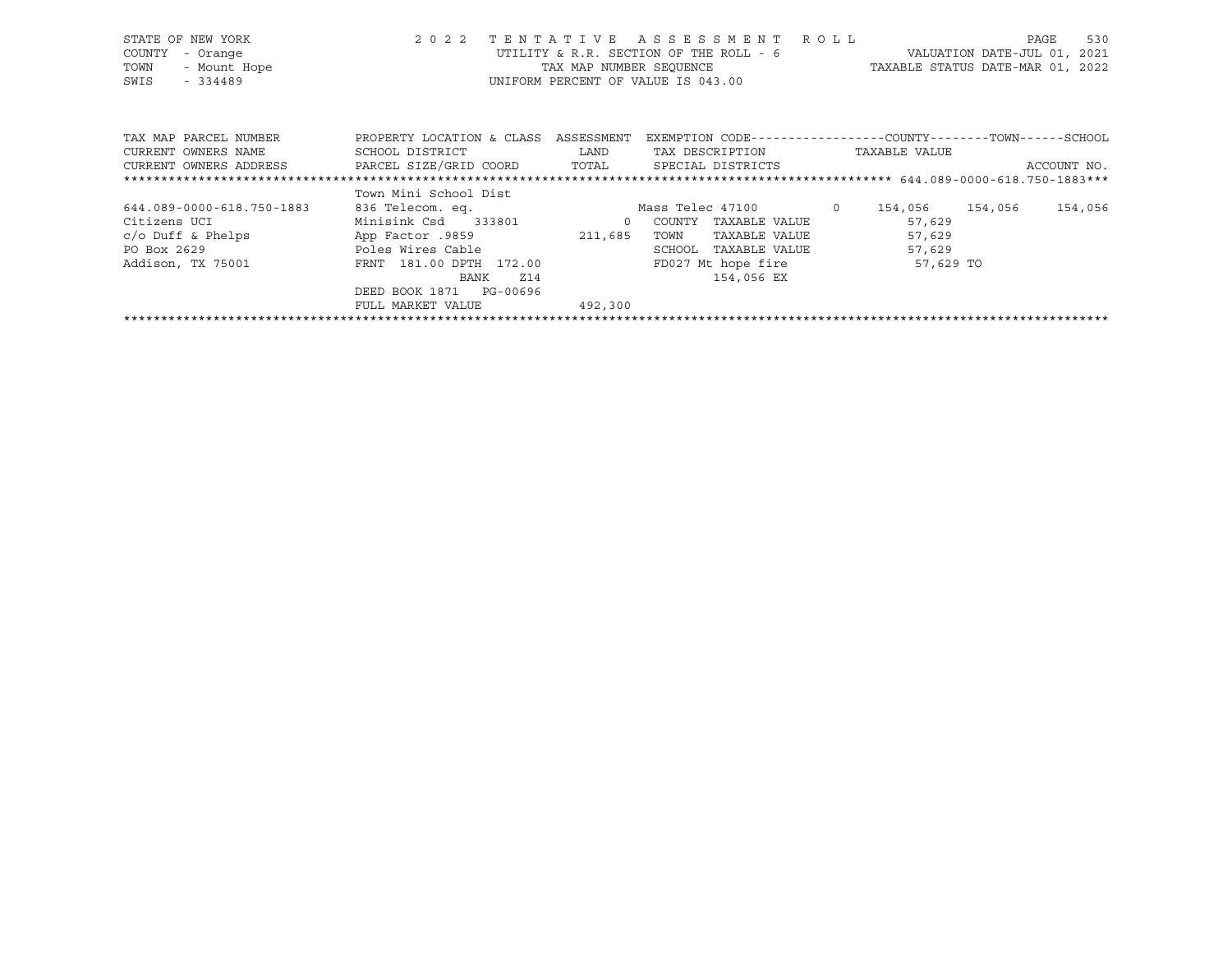|      | STATE OF NEW YORK     | 2 0 2 2                              |      | TENTATIVE ASSESSMENT ROLL                                     |                                  | PAGE | 530 |
|------|-----------------------|--------------------------------------|------|---------------------------------------------------------------|----------------------------------|------|-----|
|      | COUNTY - Orange       |                                      |      | UTILITY & R.R. SECTION OF THE ROLL - 6                        | VALUATION DATE-JUL 01, 2021      |      |     |
| TOWN | - Mount Hope          |                                      |      | TAX MAP NUMBER SEOUENCE                                       | TAXABLE STATUS DATE-MAR 01, 2022 |      |     |
| SWIS | $-334489$             |                                      |      | UNIFORM PERCENT OF VALUE IS 043.00                            |                                  |      |     |
|      |                       |                                      |      |                                                               |                                  |      |     |
|      |                       |                                      |      |                                                               |                                  |      |     |
|      |                       |                                      |      |                                                               |                                  |      |     |
|      | TAX MAP PARCEL NUMBER | PROPERTY LOCATION & CLASS ASSESSMENT |      | EXEMPTION CODE-----------------COUNTY--------TOWN------SCHOOL |                                  |      |     |
|      | CURRENT OWNERS NAME   | SCHOOL DISTRICT                      | LAND | TAX DESCRIPTION                                               | TAXABLE VALUE                    |      |     |

| CURRENT OWNERS ADDRESS    | PARCEL SIZE/GRID COORD     | TOTAL    | SPECIAL DISTRICTS  |               |           |         | ACCOUNT NO. |
|---------------------------|----------------------------|----------|--------------------|---------------|-----------|---------|-------------|
|                           |                            |          |                    |               |           |         |             |
|                           | Town Mini School Dist      |          |                    |               |           |         |             |
| 644.089-0000-618.750-1883 | 836 Telecom. eq.           |          | Mass Telec 47100   |               | 154,056   | 154,056 | 154,056     |
| Citizens UCI              | Minisink Csd<br>333801     | $\Omega$ | COUNTY             | TAXABLE VALUE | 57,629    |         |             |
| $c$ /o Duff & Phelps      | App Factor .9859           | 211,685  | TOWN               | TAXABLE VALUE | 57,629    |         |             |
| PO Box 2629               | Poles Wires Cable          |          | SCHOOL             | TAXABLE VALUE | 57,629    |         |             |
| Addison, TX 75001         | FRNT 181.00 DPTH 172.00    |          | FD027 Mt hope fire |               | 57,629 TO |         |             |
|                           | Z14<br>BANK                |          |                    | 154,056 EX    |           |         |             |
|                           | PG-00696<br>DEED BOOK 1871 |          |                    |               |           |         |             |
|                           | FULL MARKET VALUE          | 492,300  |                    |               |           |         |             |
|                           |                            |          |                    |               |           |         |             |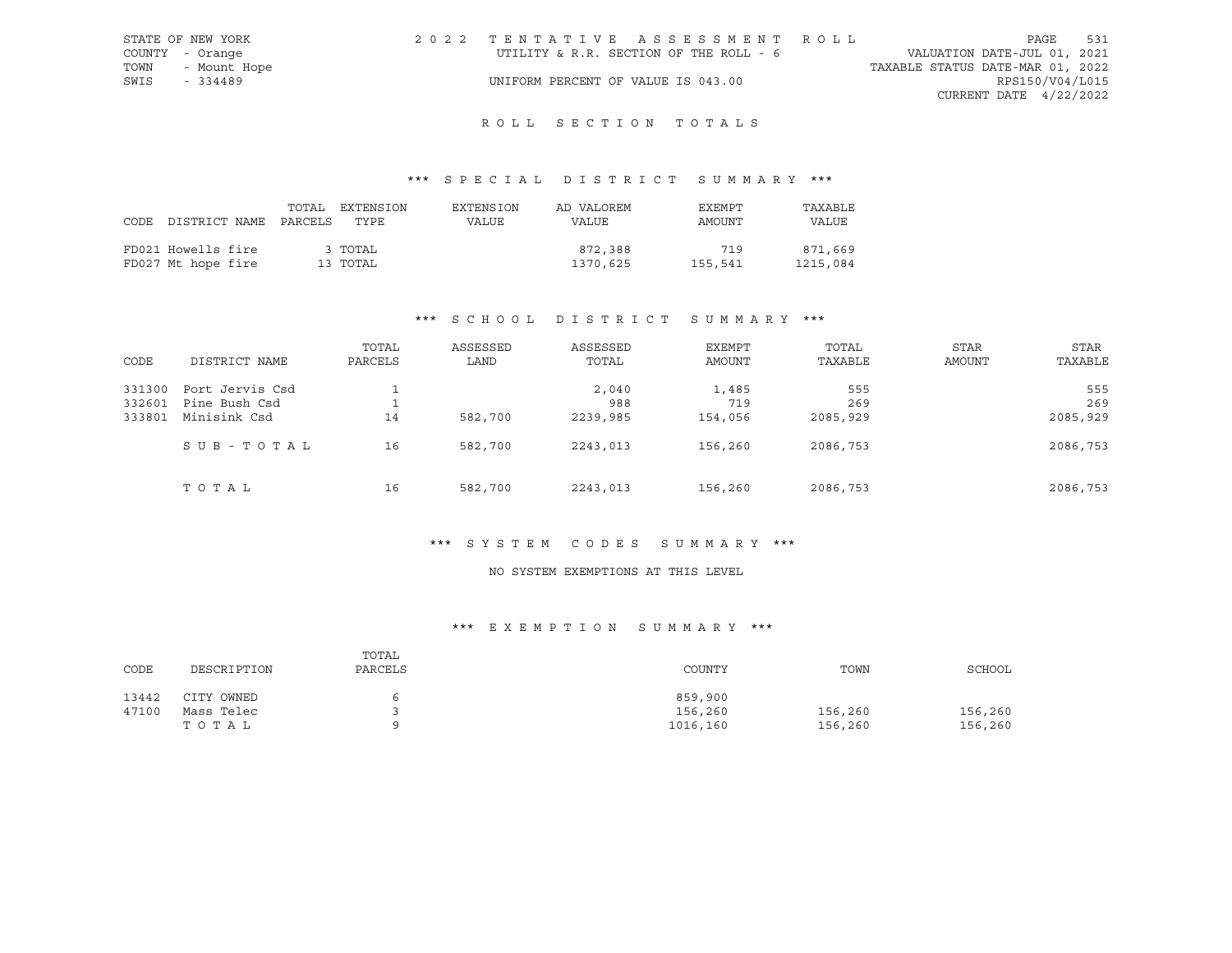|      | STATE OF NEW YORK | 2022 TENTATIVE ASSESSMENT ROLL         |  |                                  |                        | PAGE | 531 |
|------|-------------------|----------------------------------------|--|----------------------------------|------------------------|------|-----|
|      | COUNTY - Orange   | UTILITY & R.R. SECTION OF THE ROLL - 6 |  | VALUATION DATE-JUL 01, 2021      |                        |      |     |
| TOWN | - Mount Hope      |                                        |  | TAXABLE STATUS DATE-MAR 01, 2022 |                        |      |     |
| SWIS | - 334489          | UNIFORM PERCENT OF VALUE IS 043.00     |  |                                  | RPS150/V04/L015        |      |     |
|      |                   |                                        |  |                                  | CURRENT DATE 4/22/2022 |      |     |

## \*\*\* S P E C I A L D I S T R I C T S U M M A R Y \*\*\*

| FD021 Howells fire<br>3 TOTAL<br>FD027 Mt hope fire<br>13 TOTAL | 872,388<br>1370,625 | 719<br>155,541 | 871,669<br>1215,084 |
|-----------------------------------------------------------------|---------------------|----------------|---------------------|

## \*\*\* S C H O O L D I S T R I C T S U M M A R Y \*\*\*

| CODE   | DISTRICT NAME   | TOTAL<br>PARCELS | ASSESSED<br>LAND | ASSESSED<br>TOTAL | <b>EXEMPT</b><br>AMOUNT | TOTAL<br>TAXABLE | <b>STAR</b><br>AMOUNT | STAR<br>TAXABLE |
|--------|-----------------|------------------|------------------|-------------------|-------------------------|------------------|-----------------------|-----------------|
| 331300 | Port Jervis Csd |                  |                  | 2,040             | 1,485                   | 555              |                       | 555             |
| 332601 | Pine Bush Csd   |                  |                  | 988               | 719                     | 269              |                       | 269             |
| 333801 | Minisink Csd    | 14               | 582,700          | 2239,985          | 154,056                 | 2085,929         |                       | 2085,929        |
|        | SUB-TOTAL       | 16               | 582,700          | 2243,013          | 156,260                 | 2086,753         |                       | 2086,753        |
|        | TOTAL           | 16               | 582,700          | 2243,013          | 156,260                 | 2086,753         |                       | 2086,753        |

## \*\*\* S Y S T E M C O D E S S U M M A R Y \*\*\*

#### NO SYSTEM EXEMPTIONS AT THIS LEVEL

## \*\*\* E X E M P T I O N S U M M A R Y \*\*\*

| CODE  | DESCRIPTION | TOTAL<br>PARCELS | COUNTY   | TOWN    | SCHOOL  |
|-------|-------------|------------------|----------|---------|---------|
| 13442 | CITY OWNED  | 6                | 859,900  |         |         |
| 47100 | Mass Telec  |                  | 156,260  | 156,260 | 156,260 |
|       | тотаь       | $\circ$          | 1016,160 | 156,260 | 156,260 |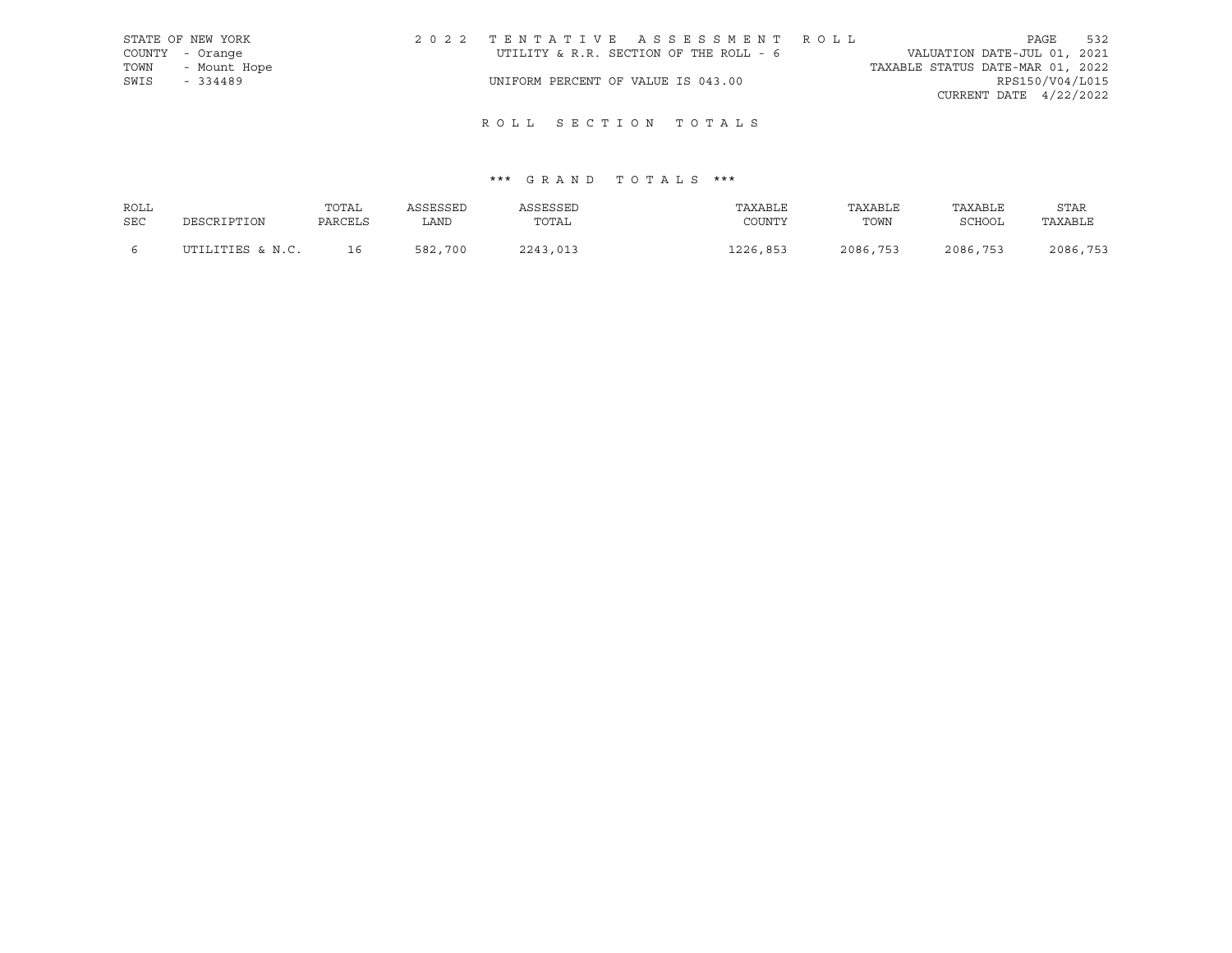|      | STATE OF NEW YORK | 2022 TENTATIVE ASSESSMENT ROLL         |                                  | PAGE                     | 532 |
|------|-------------------|----------------------------------------|----------------------------------|--------------------------|-----|
|      | COUNTY - Orange   | UTILITY & R.R. SECTION OF THE ROLL - 6 | VALUATION DATE-JUL 01, 2021      |                          |     |
|      | TOWN - Mount Hope |                                        | TAXABLE STATUS DATE-MAR 01, 2022 |                          |     |
| SWIS | $-334489$         | UNIFORM PERCENT OF VALUE IS 043.00     |                                  | RPS150/V04/L015          |     |
|      |                   |                                        |                                  | CURRENT DATE $4/22/2022$ |     |

| ROLL       |                  | TOTAL   | ASSESSED | ASSESSED | TAXABLE  | TAXABLE  | TAXABLE       | <b>STAR</b> |
|------------|------------------|---------|----------|----------|----------|----------|---------------|-------------|
| <b>SEC</b> | DESCRIPTION      | PARCELS | LAND     | TOTAL    | COUNTY   | TOWN     | <b>SCHOOL</b> | TAXABLE     |
|            | UTILITIES & N.C. | 16      | 582,700  | 2243,013 | 1226,853 | 2086,753 | 2086,753      | 2086,753    |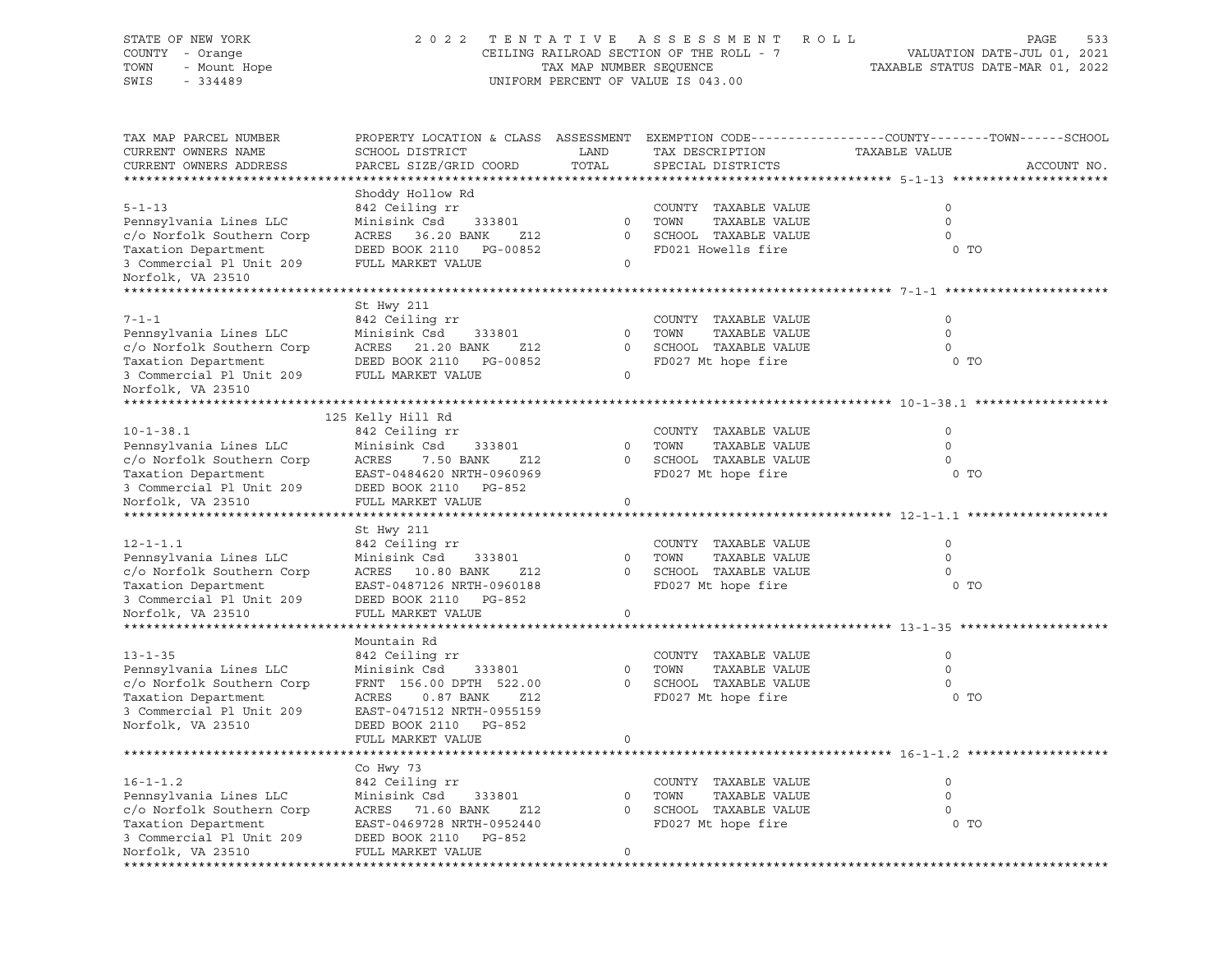#### STATE OF NEW YORK 2 0 2 2 T E N T A T I V E A S S E S S M E N T R O L L PAGE 533 COUNTY - Orange CEILING RAILROAD SECTION OF THE ROLL - 7 VALUATION DATE-JUL 01, 2021 TOWN - Mount Hope TAX MAP NUMBER SEQUENCE TAXABLE STATUS DATE-MAR 01, 2022 SWIS - 334489 UNIFORM PERCENT OF VALUE IS 043.00

| TAX MAP PARCEL NUMBER<br>CURRENT OWNERS NAME<br>CURRENT OWNERS ADDRESS                                                                                                         | PROPERTY LOCATION & CLASS ASSESSMENT<br>SCHOOL DISTRICT<br>PARCEL SIZE/GRID COORD                                                                                                          | LAND<br>TOTAL                          | TAX DESCRIPTION<br>SPECIAL DISTRICTS                                                        | EXEMPTION CODE-----------------COUNTY-------TOWN------SCHOOL<br>TAXABLE VALUE<br>ACCOUNT NO. |
|--------------------------------------------------------------------------------------------------------------------------------------------------------------------------------|--------------------------------------------------------------------------------------------------------------------------------------------------------------------------------------------|----------------------------------------|---------------------------------------------------------------------------------------------|----------------------------------------------------------------------------------------------|
| *********************                                                                                                                                                          |                                                                                                                                                                                            |                                        |                                                                                             |                                                                                              |
| $5 - 1 - 13$<br>Pennsylvania Lines LLC<br>c/o Norfolk Southern Corp<br>Taxation Department<br>3 Commercial Pl Unit 209<br>Norfolk, VA 23510<br>******************************* | Shoddy Hollow Rd<br>842 Ceiling rr<br>Minisink Csd<br>333801<br>ACRES 36.20 BANK<br>Z12<br>DEED BOOK 2110<br>PG-00852<br>FULL MARKET VALUE                                                 | $\mathbf{0}$<br>$\circ$<br>$\mathbf 0$ | COUNTY TAXABLE VALUE<br>TOWN<br>TAXABLE VALUE<br>SCHOOL TAXABLE VALUE<br>FD021 Howells fire | $\mathsf{O}$<br>$\Omega$<br>$\mathbf 0$<br>0 <sub>T</sub>                                    |
|                                                                                                                                                                                |                                                                                                                                                                                            |                                        |                                                                                             |                                                                                              |
| $7 - 1 - 1$<br>Pennsylvania Lines LLC<br>c/o Norfolk Southern Corp<br>Taxation Department<br>3 Commercial Pl Unit 209<br>Norfolk, VA 23510                                     | St Hwy 211<br>842 Ceiling rr<br>Minisink Csd<br>333801<br>ACRES 21.20 BANK<br>Z12<br>DEED BOOK 2110<br>PG-00852<br>FULL MARKET VALUE                                                       | $\mathbf 0$<br>0<br>$\mathbf 0$        | COUNTY TAXABLE VALUE<br>TAXABLE VALUE<br>TOWN<br>SCHOOL TAXABLE VALUE<br>FD027 Mt hope fire | $\circ$<br>$\mathbf 0$<br>0<br>0 <sub>T</sub>                                                |
|                                                                                                                                                                                |                                                                                                                                                                                            |                                        |                                                                                             |                                                                                              |
| $10 - 1 - 38.1$<br>Pennsylvania Lines LLC<br>c/o Norfolk Southern Corp<br>Taxation Department<br>3 Commercial Pl Unit 209<br>Norfolk, VA 23510                                 | 125 Kelly Hill Rd<br>842 Ceiling rr<br>Minisink Csd<br>333801<br>ACRES<br>7.50 BANK<br>Z12<br>EAST-0484620 NRTH-0960969<br>DEED BOOK 2110 PG-852<br>FULL MARKET VALUE                      | $\circ$<br>$\Omega$<br>$\mathbf{0}$    | COUNTY TAXABLE VALUE<br>TOWN<br>TAXABLE VALUE<br>SCHOOL TAXABLE VALUE<br>FD027 Mt hope fire | 0<br>$\circ$<br>$\Omega$<br>$0$ TO                                                           |
|                                                                                                                                                                                |                                                                                                                                                                                            |                                        |                                                                                             |                                                                                              |
| $12 - 1 - 1.1$<br>Pennsylvania Lines LLC<br>c/o Norfolk Southern Corp<br>Taxation Department<br>3 Commercial Pl Unit 209                                                       | St Hwy 211<br>842 Ceiling rr<br>Minisink Csd<br>333801<br>ACRES 10.80 BANK<br>Z12<br>EAST-0487126 NRTH-0960188<br>DEED BOOK 2110 PG-852                                                    | $\Omega$<br>$\mathbf 0$                | COUNTY TAXABLE VALUE<br>TOWN<br>TAXABLE VALUE<br>SCHOOL TAXABLE VALUE<br>FD027 Mt hope fire | $\mathbf 0$<br>$\mathbf 0$<br>0<br>0 <sub>T</sub>                                            |
| Norfolk, VA 23510                                                                                                                                                              | FULL MARKET VALUE                                                                                                                                                                          | $\mathbf{0}$                           |                                                                                             |                                                                                              |
| ******************************                                                                                                                                                 |                                                                                                                                                                                            |                                        |                                                                                             |                                                                                              |
| $13 - 1 - 35$<br>Pennsylvania Lines LLC<br>c/o Norfolk Southern Corp<br>Taxation Department<br>3 Commercial Pl Unit 209<br>Norfolk, VA 23510                                   | Mountain Rd<br>842 Ceiling rr<br>Minisink Csd<br>333801<br>FRNT 156.00 DPTH 522.00<br>ACRES<br>0.87 BANK<br>Z12<br>EAST-0471512 NRTH-0955159<br>DEED BOOK 2110 PG-852<br>FULL MARKET VALUE | $\Omega$<br>$\Omega$<br>0              | COUNTY TAXABLE VALUE<br>TAXABLE VALUE<br>TOWN<br>SCHOOL TAXABLE VALUE<br>FD027 Mt hope fire | 0<br>$\Omega$<br>0<br>$0$ TO                                                                 |
| ******************************                                                                                                                                                 |                                                                                                                                                                                            |                                        |                                                                                             |                                                                                              |
| $16 - 1 - 1.2$<br>Pennsylvania Lines LLC<br>c/o Norfolk Southern Corp<br>Taxation Department<br>3 Commercial Pl Unit 209<br>Norfolk, VA 23510                                  | Co Hwy 73<br>842 Ceiling rr<br>Minisink Csd<br>333801<br>ACRES 71.60 BANK<br>Z12<br>EAST-0469728 NRTH-0952440<br>DEED BOOK 2110 PG-852<br>FULL MARKET VALUE                                | 0<br>$\Omega$<br>$\mathbf 0$           | COUNTY TAXABLE VALUE<br>TOWN<br>TAXABLE VALUE<br>SCHOOL TAXABLE VALUE<br>FD027 Mt hope fire | $\mathbf 0$<br>$\circ$<br>$\Omega$<br>0 <sub>T</sub>                                         |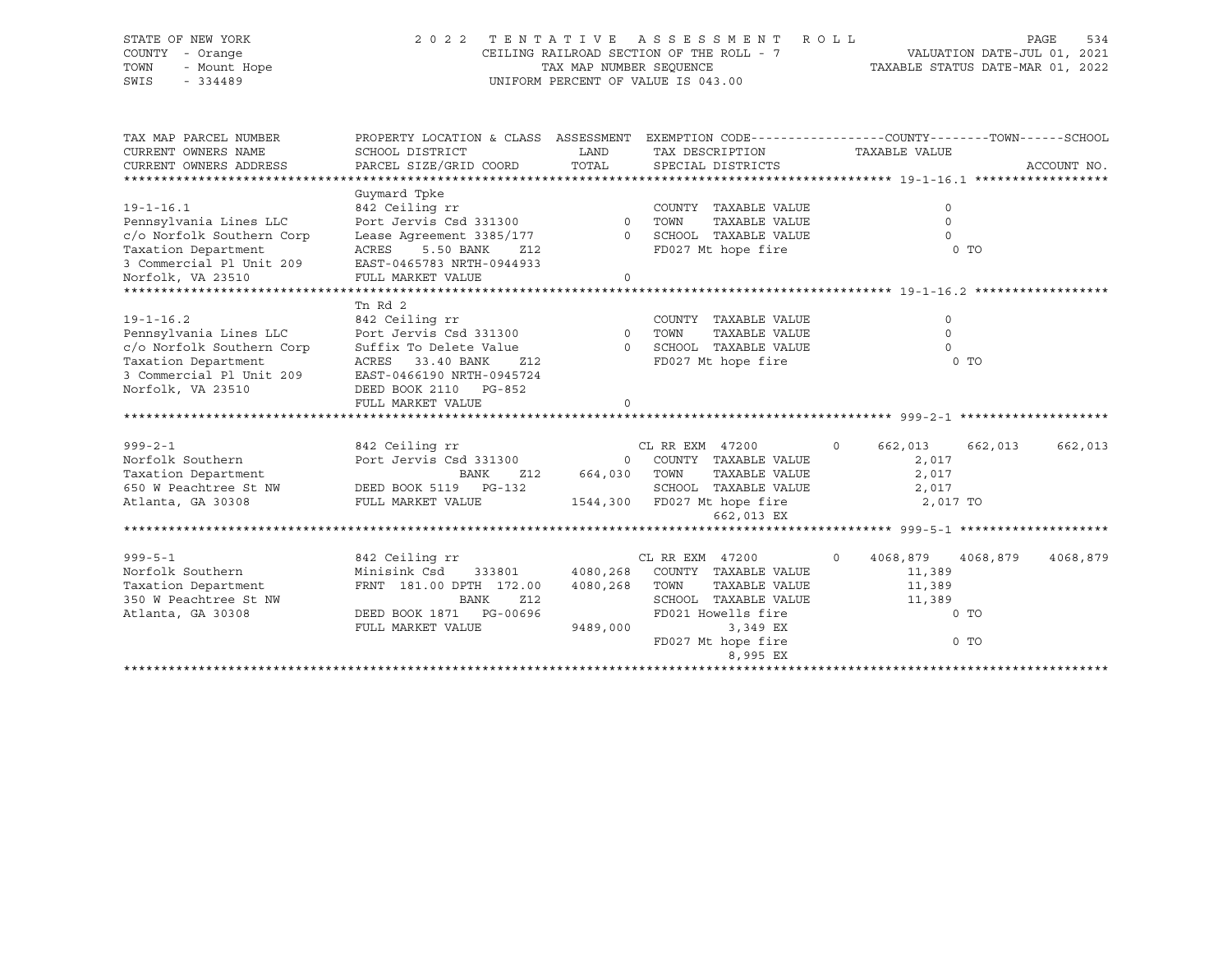#### STATE OF NEW YORK 2 0 2 2 T E N T A T I V E A S S E S S M E N T R O L L PAGE 534 COUNTY - Orange CEILING RAILROAD SECTION OF THE ROLL - 7 VALUATION DATE-JUL 01, 2021 TOWN - Mount Hope TAX MAP NUMBER SEQUENCE TAXABLE STATUS DATE-MAR 01, 2022 SWIS - 334489 UNIFORM PERCENT OF VALUE IS 043.00

| TAX MAP PARCEL NUMBER<br>CURRENT OWNERS NAME<br>CURRENT OWNERS ADDRESS | SCHOOL DISTRICT<br>PARCEL SIZE/GRID COORD | PROPERTY LOCATION & CLASS ASSESSMENT EXEMPTION CODE----------------COUNTY-------TOWN------SCHOOL<br>LAND<br>TAX DESCRIPTION<br>TOTAL<br>SPECIAL DISTRICTS |                               | TAXABLE VALUE        |                | ACCOUNT NO. |
|------------------------------------------------------------------------|-------------------------------------------|-----------------------------------------------------------------------------------------------------------------------------------------------------------|-------------------------------|----------------------|----------------|-------------|
|                                                                        | Guymard Tpke                              |                                                                                                                                                           |                               |                      |                |             |
| $19 - 1 - 16.1$                                                        | 842 Ceiling rr                            |                                                                                                                                                           | COUNTY TAXABLE VALUE          |                      | $\Omega$       |             |
| Pennsylvania Lines LLC                                                 | Port Jervis Csd 331300                    |                                                                                                                                                           | TAXABLE VALUE<br>0 TOWN       |                      | $\mathbf 0$    |             |
| c/o Norfolk Southern Corp                                              | Lease Agreement 3385/177                  | $\Omega$                                                                                                                                                  | SCHOOL TAXABLE VALUE          |                      | $\Omega$       |             |
| Taxation Department                                                    | 5.50 BANK<br>ACRES<br>Z12                 |                                                                                                                                                           | FD027 Mt hope fire            |                      | 0 <sub>T</sub> |             |
| 3 Commercial Pl Unit 209                                               | EAST-0465783 NRTH-0944933                 |                                                                                                                                                           |                               |                      |                |             |
| Norfolk, VA 23510                                                      | FULL MARKET VALUE                         | $\Omega$                                                                                                                                                  |                               |                      |                |             |
|                                                                        |                                           |                                                                                                                                                           |                               |                      |                |             |
|                                                                        | Tn Rd 2                                   |                                                                                                                                                           |                               |                      |                |             |
| $19 - 1 - 16.2$                                                        | 842 Ceiling rr                            |                                                                                                                                                           | COUNTY TAXABLE VALUE          |                      | $\Omega$       |             |
| Pennsylvania Lines LLC                                                 | Port Jervis Csd 331300                    | $\overline{0}$                                                                                                                                            | TOWN<br>TAXABLE VALUE         |                      | $\Omega$       |             |
| c/o Norfolk Southern Corp                                              | Suffix To Delete Value                    |                                                                                                                                                           | 0 SCHOOL TAXABLE VALUE        |                      | $\Omega$       |             |
| Taxation Department                                                    | 33.40 BANK<br>ACRES<br>Z12                |                                                                                                                                                           | FD027 Mt hope fire            |                      | 0 <sub>T</sub> |             |
| 3 Commercial Pl Unit 209                                               | EAST-0466190 NRTH-0945724                 |                                                                                                                                                           |                               |                      |                |             |
| Norfolk, VA 23510                                                      | DEED BOOK 2110 PG-852                     |                                                                                                                                                           |                               |                      |                |             |
|                                                                        | FULL MARKET VALUE                         |                                                                                                                                                           |                               |                      |                |             |
|                                                                        |                                           |                                                                                                                                                           |                               |                      |                |             |
| $999 - 2 - 1$                                                          | 842 Ceiling rr                            |                                                                                                                                                           | CL RR EXM 47200               | $\circ$<br>662,013   | 662,013        | 662,013     |
| Norfolk Southern                                                       | Port Jervis Csd 331300                    |                                                                                                                                                           | 0 COUNTY TAXABLE VALUE        | 2,017                |                |             |
| Taxation Department                                                    | <b>BANK</b><br>Z12                        | 664,030 TOWN                                                                                                                                              | TAXABLE VALUE                 | 2,017                |                |             |
| 650 W Peachtree St NW                                                  | DEED BOOK 5119 PG-132                     |                                                                                                                                                           | SCHOOL TAXABLE VALUE          | 2,017                |                |             |
| Atlanta, GA 30308                                                      | FULL MARKET VALUE                         |                                                                                                                                                           | 1544,300 FD027 Mt hope fire   |                      | 2,017 TO       |             |
|                                                                        |                                           |                                                                                                                                                           | 662,013 EX                    |                      |                |             |
|                                                                        |                                           |                                                                                                                                                           |                               |                      |                |             |
|                                                                        |                                           |                                                                                                                                                           |                               |                      |                |             |
| $999 - 5 - 1$                                                          | 842 Ceiling rr                            |                                                                                                                                                           | CL RR EXM 47200               | $\Omega$<br>4068,879 | 4068,879       | 4068,879    |
| Norfolk Southern                                                       | Minisink Csd<br>333801                    |                                                                                                                                                           | 4080,268 COUNTY TAXABLE VALUE | 11,389               |                |             |
| Taxation Department                                                    | FRNT 181.00 DPTH 172.00                   | 4080,268                                                                                                                                                  | TAXABLE VALUE<br>TOWN         | 11,389               |                |             |
| 350 W Peachtree St NW                                                  | Z12<br>BANK                               |                                                                                                                                                           | SCHOOL TAXABLE VALUE          | 11,389               |                |             |
| Atlanta, GA 30308                                                      | DEED BOOK 1871    PG-00696                |                                                                                                                                                           | FD021 Howells fire            |                      | 0 <sub>T</sub> |             |
|                                                                        | FULL MARKET VALUE                         | 9489,000                                                                                                                                                  | 3,349 EX                      |                      |                |             |
|                                                                        |                                           |                                                                                                                                                           | FD027 Mt hope fire            |                      | $0$ TO         |             |
|                                                                        |                                           |                                                                                                                                                           | 8,995 EX                      |                      |                |             |
|                                                                        |                                           |                                                                                                                                                           |                               |                      |                |             |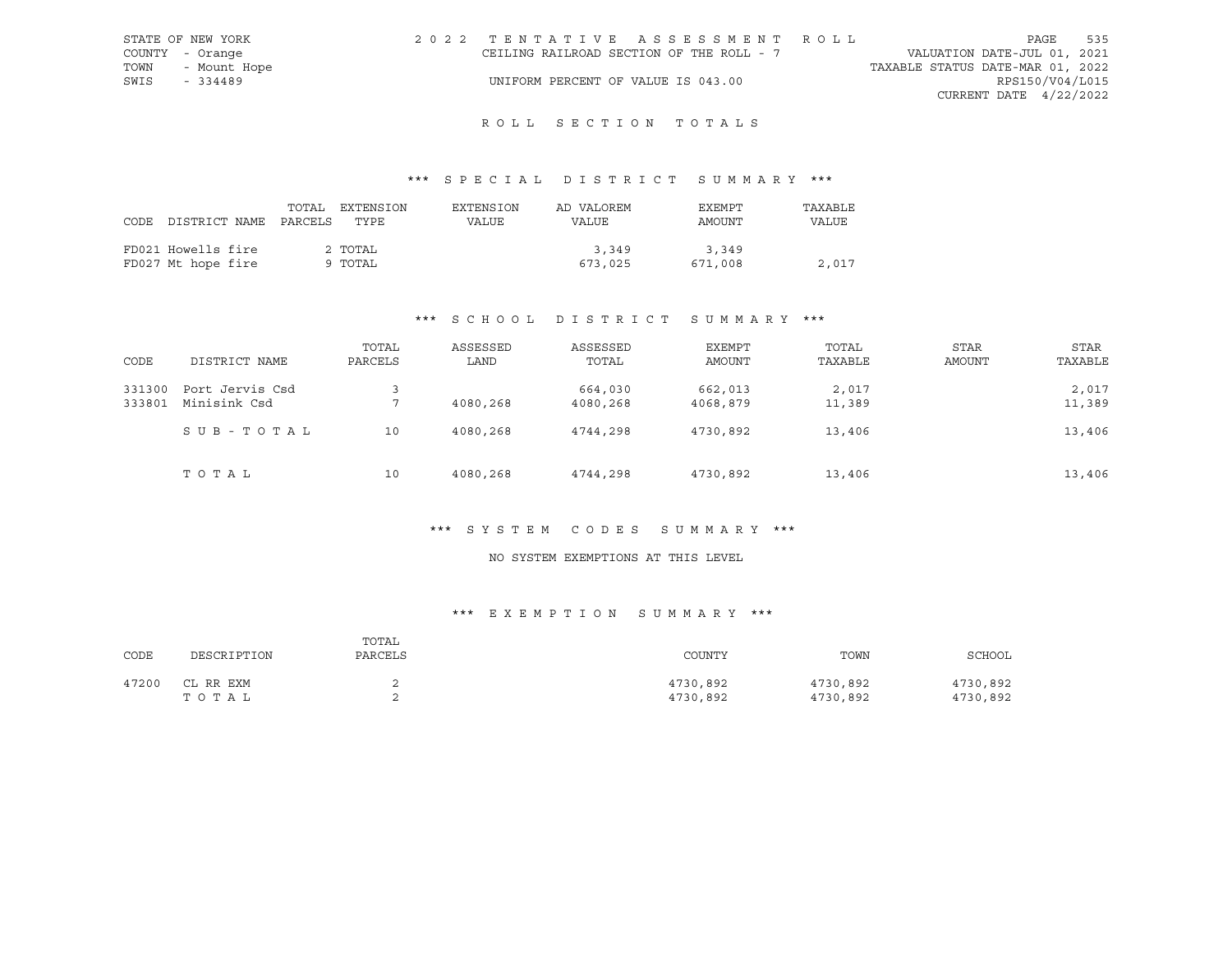| STATE OF NEW YORK | 2022 TENTATIVE ASSESSMENT ROLL           |                                  | PAGE                        | 535 |
|-------------------|------------------------------------------|----------------------------------|-----------------------------|-----|
| COUNTY - Orange   | CEILING RAILROAD SECTION OF THE ROLL - 7 |                                  | VALUATION DATE-JUL 01, 2021 |     |
| TOWN - Mount Hope |                                          | TAXABLE STATUS DATE-MAR 01, 2022 |                             |     |
| SWIS - 334489     | UNIFORM PERCENT OF VALUE IS 043.00       |                                  | RPS150/V04/L015             |     |
|                   |                                          |                                  | CURRENT DATE 4/22/2022      |     |

# R O L L S E C T I O N T O T A L S

## \*\*\* S P E C I A L D I S T R I C T S U M M A R Y \*\*\*

| CODE DISTRICT NAME PARCELS               | TOTAL | EXTENSION<br>TYPE  | EXTENSION<br>VALUE | AD VALOREM<br><b>VALUE</b> | EXEMPT<br>AMOUNT | TAXABLE<br>VALUE |
|------------------------------------------|-------|--------------------|--------------------|----------------------------|------------------|------------------|
| FD021 Howells fire<br>FD027 Mt hope fire |       | 2 TOTAL<br>9 TOTAL |                    | 3,349<br>673,025           | 3,349<br>671,008 | 2,017            |

## \*\*\* S C H O O L D I S T R I C T S U M M A R Y \*\*\*

| CODE             | DISTRICT NAME                   | TOTAL<br>PARCELS | ASSESSED<br>LAND | ASSESSED<br>TOTAL   | EXEMPT<br>AMOUNT    | TOTAL<br>TAXABLE | STAR<br>AMOUNT | STAR<br>TAXABLE |
|------------------|---------------------------------|------------------|------------------|---------------------|---------------------|------------------|----------------|-----------------|
| 331300<br>333801 | Port Jervis Csd<br>Minisink Csd | п.               | 4080,268         | 664,030<br>4080,268 | 662,013<br>4068,879 | 2,017<br>11,389  |                | 2,017<br>11,389 |
|                  | SUB-TOTAL                       | 10               | 4080,268         | 4744,298            | 4730,892            | 13,406           |                | 13,406          |
|                  | TOTAL                           | 10               | 4080,268         | 4744,298            | 4730,892            | 13,406           |                | 13,406          |

#### \*\*\* S Y S T E M C O D E S S U M M A R Y \*\*\*

## NO SYSTEM EXEMPTIONS AT THIS LEVEL

## \*\*\* E X E M P T I O N S U M M A R Y \*\*\*

| CODE  | DESCRIPTION        | TOTAL<br>PARCELS | COUNTY               | TOWN                 | SCHOOL               |
|-------|--------------------|------------------|----------------------|----------------------|----------------------|
| 47200 | CL RR EXM<br>TOTAL |                  | 4730,892<br>4730,892 | 4730,892<br>4730,892 | 4730,892<br>4730,892 |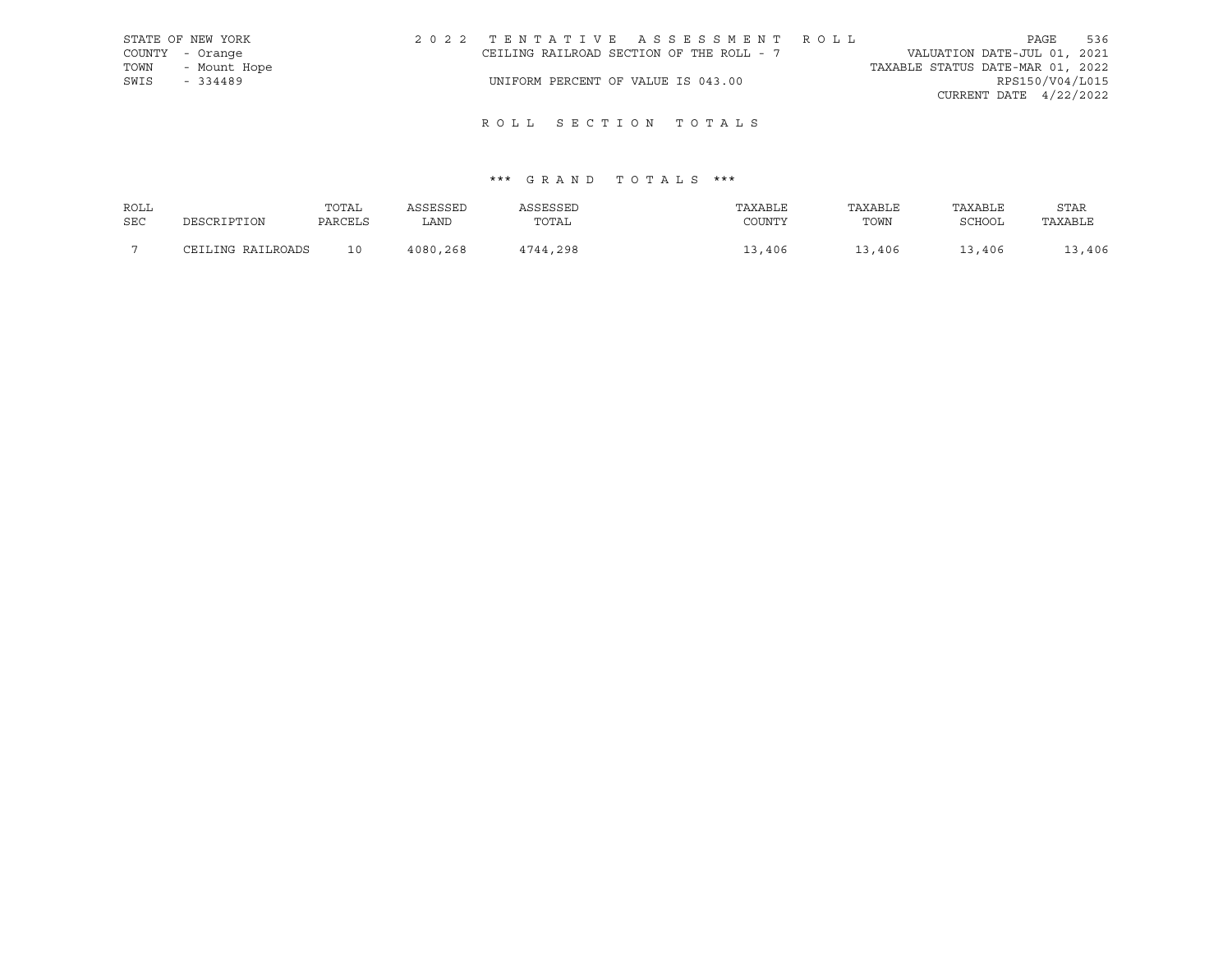|      | STATE OF NEW YORK | 2022 TENTATIVE ASSESSMENT ROLL           |  |                                  | PAGE                     | 536 |
|------|-------------------|------------------------------------------|--|----------------------------------|--------------------------|-----|
|      | COUNTY - Orange   | CEILING RAILROAD SECTION OF THE ROLL - 7 |  | VALUATION DATE-JUL 01, 2021      |                          |     |
| TOWN | - Mount Hope      |                                          |  | TAXABLE STATUS DATE-MAR 01, 2022 |                          |     |
| SWIS | - 334489          | UNIFORM PERCENT OF VALUE IS 043.00       |  |                                  | RPS150/V04/L015          |     |
|      |                   |                                          |  |                                  | CURRENT DATE $4/22/2022$ |     |

| ROLL       |                   | TOTAL   | ASSESSED | ASSESSED | TAXABLE | TAXABLE | TAXABLE | <b>STAR</b> |
|------------|-------------------|---------|----------|----------|---------|---------|---------|-------------|
| <b>SEC</b> | DESCRIPTION       | PARCELS | LAND     | TOTAL    | COUNTY  | TOWN    | SCHOOL  | TAXABLE     |
|            | CEILING RAILROADS | 10      | 4080,268 | 4744,298 | 13,406  | 13,406  | 13,406  | 13,406      |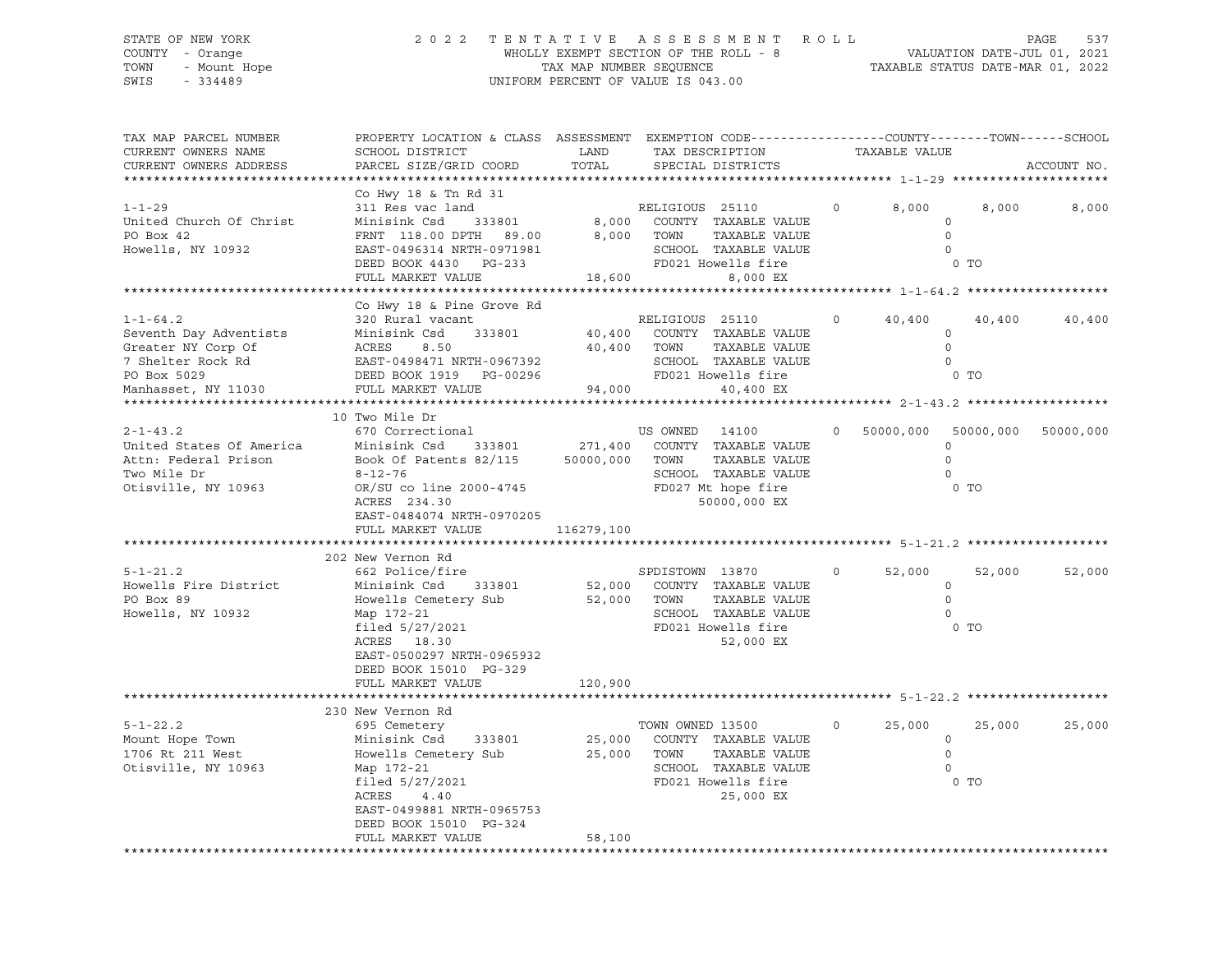#### STATE OF NEW YORK 2 0 2 2 T E N T A T I V E A S S E S S M E N T R O L L PAGE 537 COUNTY - Orange WHOLLY EXEMPT SECTION OF THE ROLL - 8 VALUATION DATE-JUL 01, 2021 TOWN - Mount Hope TAX MAP NUMBER SEQUENCE TAXABLE STATUS DATE-MAR 01, 2022 SWIS - 334489 UNIFORM PERCENT OF VALUE IS 043.00

| TAX MAP PARCEL NUMBER<br>CURRENT OWNERS NAME<br>CURRENT OWNERS ADDRESS                                                                                                                                                                                 | PROPERTY LOCATION & CLASS ASSESSMENT EXEMPTION CODE----------------COUNTY-------TOWN-----SCHOOL<br>SCHOOL DISTRICT<br>PARCEL SIZE/GRID COORD                                                                                                                                                                                     | TOTAL      | LAND TAX DESCRIPTION<br>SPECIAL DISTRICTS                                                                        | TAXABLE VALUE                              |                                                                         | ACCOUNT NO.         |
|--------------------------------------------------------------------------------------------------------------------------------------------------------------------------------------------------------------------------------------------------------|----------------------------------------------------------------------------------------------------------------------------------------------------------------------------------------------------------------------------------------------------------------------------------------------------------------------------------|------------|------------------------------------------------------------------------------------------------------------------|--------------------------------------------|-------------------------------------------------------------------------|---------------------|
|                                                                                                                                                                                                                                                        |                                                                                                                                                                                                                                                                                                                                  |            |                                                                                                                  |                                            |                                                                         |                     |
| $1 - 1 - 29$<br>United Church Of Christ<br>PO Box 42<br>Howells, NY 10932                                                                                                                                                                              | Co Hwy 18 & Tn Rd 31<br>311 Res vac land<br>Minisink Csd      333801<br>FRNT 118.00 DPTH 89.00 8,000 TOWN<br>EAST-0496314 NRTH-0971981<br>DEED BOOK 4430 PG-233<br>FULL MARKET VALUE                                                                                                                                             |            | RELIGIOUS 25110<br>8,000 COUNTY TAXABLE VALUE<br>TAAADDE<br>TAXABLE VALUE<br>SCHOOL TAXABLE VALUE                | 8,000<br>$\circ$                           | 8,000<br>$\circ$<br>$\overline{0}$<br>$\overline{0}$<br>0 <sub>T</sub>  | 8,000               |
|                                                                                                                                                                                                                                                        |                                                                                                                                                                                                                                                                                                                                  |            |                                                                                                                  |                                            |                                                                         |                     |
| $1 - 1 - 64.2$<br>Exercise Minisink Csd 333801 40,400 COUNTY TAXABLE VAI<br>Greater NY Corp Of ACRES 8.50 40,400 TOWN TAXABLE VAI<br>7 Shelter Rock Rd EAST-0498471 NRTH-0967392 SCHOOL TAXABLE VAI<br>PO Box 5029 DEED BOOK 1919 PG-00296 FD021 Howel | Co Hwy 18 & Pine Grove Rd<br>320 Rural vacant                                                                                                                                                                                                                                                                                    |            | RELIGIOUS 25110<br>40,400 COUNTY TAXABLE VALUE<br>TAXABLE VALUE<br>SCHOOL TAXABLE VALUE                          | 40,400<br>$0 \qquad \qquad$                | 40,400<br>$\circ$<br>$\Omega$                                           | 40,400              |
|                                                                                                                                                                                                                                                        |                                                                                                                                                                                                                                                                                                                                  |            |                                                                                                                  |                                            |                                                                         |                     |
|                                                                                                                                                                                                                                                        | 10 Two Mile Dr                                                                                                                                                                                                                                                                                                                   |            |                                                                                                                  |                                            |                                                                         |                     |
| $2 - 1 - 43.2$<br>United States Of America<br>Attn: Federal Prison<br>Two Mile Dr<br>Otisville, NY 10963<br>$5 - 1 - 21.2$                                                                                                                             | 670 Correctional<br>Minisink Csd 333801 271,400 COUNTY TAXABLE VALUE<br>Book Of Patents 82/115 50000,000 TOWN<br>$8 - 12 - 76$<br>OR/SU co line 2000-4745<br>ACRES 234.30<br>EAST-0484074 NRTH-0970205<br>FULL MARKET VALUE<br>202 New Vernon Rd<br>662 Police/fire                                                              | 116279,100 | US OWNED 14100<br>TAXABLE VALUE<br>SCHOOL TAXABLE VALUE<br>FD027 Mt hope fire<br>50000,000 EX<br>SPDISTOWN 13870 | 0 50000,000 50000,000<br>52,000<br>$\circ$ | $\Omega$<br>$\Omega$<br>$\Omega$<br>0 <sub>T</sub><br>52,000<br>$\circ$ | 50000,000<br>52,000 |
| Howells Fire District Minisink Csd 333801 52,000 COUNTY TAXABLE VALUE PO Box 89 61 Howells Cemetery Sub 52,000 TOWN TAXABLE VALUE<br>Howells, NY 10932                                                                                                 | Map 172-21<br>filed 5/27/2021<br>ACRES 18.20<br>ACRES 18.30<br>EAST-0500297 NRTH-0965932<br>DEED BOOK 15010 PG-329<br>FULL MARKET VALUE                                                                                                                                                                                          | 120,900    | TAXABLE VALUE<br>SCHOOL TAXABLE VALUE<br>FD021 Howells fire<br>52,000 EX                                         |                                            | $\Omega$<br>$\overline{0}$<br>0 <sub>T</sub>                            |                     |
|                                                                                                                                                                                                                                                        | 230 New Vernon Rd                                                                                                                                                                                                                                                                                                                |            |                                                                                                                  |                                            |                                                                         |                     |
| $5 - 1 - 22.2$<br>Mount Hope Town<br>1706 Rt 211 West<br>Otisville, NY 10963                                                                                                                                                                           | 695 Cemetery<br>or שטכנ שטאט שמעט אוויט א פון דעם פון דעם פון דעם פון דעם פון דעם פון דעם פון דעם פון דעם פון דעם פון דעם פון<br>25,000 COUNTY TAXABLE VALUE<br>Howells Cemetery Sub 25,000 TOWN<br>Map 172-21<br>filed $5/27/2021$<br>ACRES<br>4.40<br>EAST-0499881 NRTH-0965753<br>DEED BOOK 15010 PG-324<br>FULL MARKET VALUE | 58,100     | TOWN OWNED 13500<br>TAXABLE VALUE<br>SCHOOL TAXABLE VALUE<br>FD021 Howells fire<br>25,000 EX                     | $\circ$<br>25,000                          | 25,000<br>$\circ$<br>$\overline{0}$<br>$\overline{0}$<br>$0$ TO         | 25,000              |
|                                                                                                                                                                                                                                                        |                                                                                                                                                                                                                                                                                                                                  |            |                                                                                                                  |                                            |                                                                         |                     |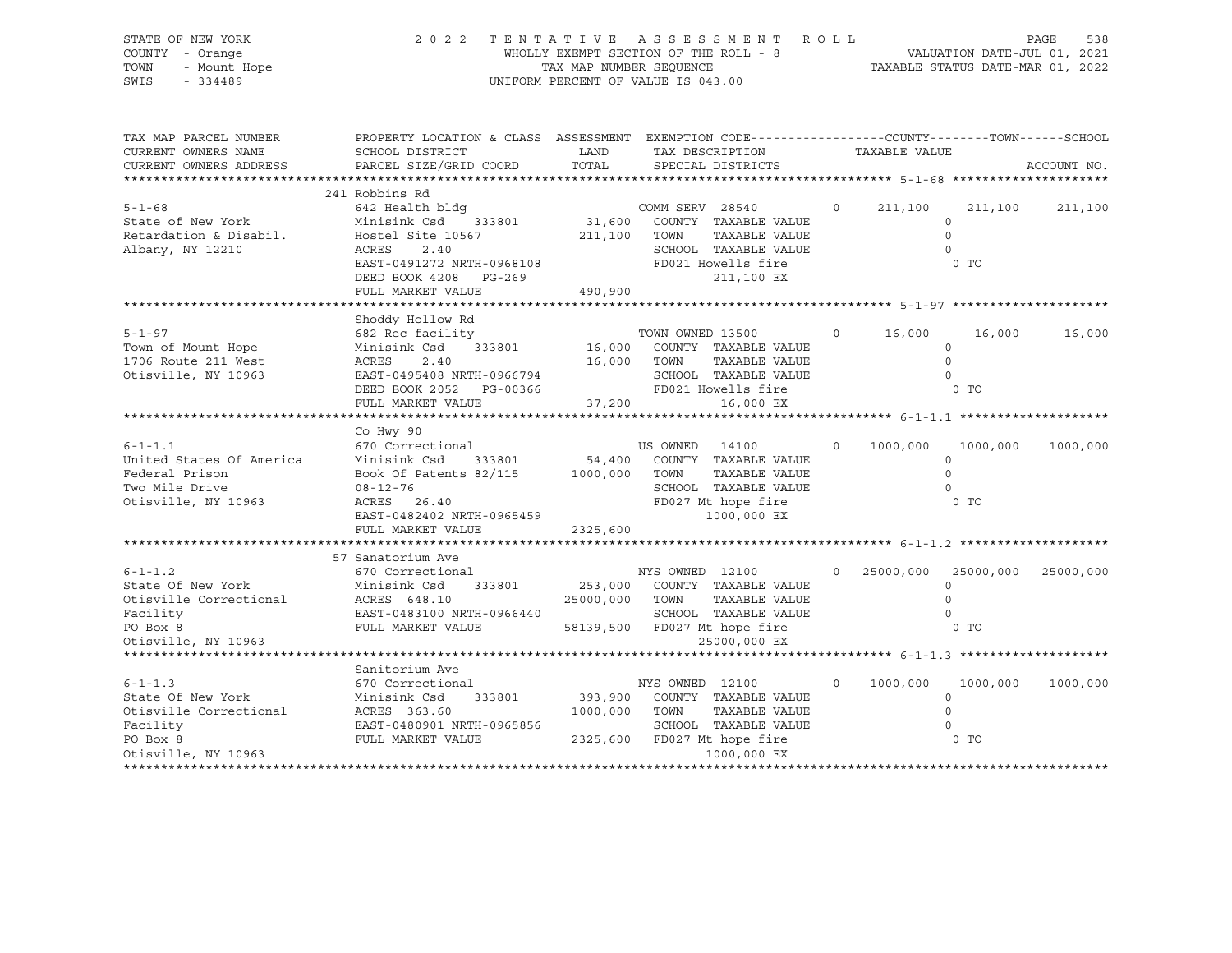STATE OF NEW YORK 2 0 2 2 T E N T A T I V E A S S E S S M E N T R O L L PAGE 538 COUNTY - Orange WHOLLY EXEMPT SECTION OF THE ROLL - 8 VALUATION DATE-JUL 01, 2021 TOWN - Mount Hope TAX MAP NUMBER SEQUENCE TAXABLE STATUS DATE-MAR 01, 2022 SWIS - 334489 UNIFORM PERCENT OF VALUE IS 043.00

| TAX MAP PARCEL NUMBER<br>CURRENT OWNERS NAME<br>CURRENT OWNERS ADDRESS                                      | PROPERTY LOCATION & CLASS ASSESSMENT EXEMPTION CODE----------------COUNTY-------TOWN------SCHOOL<br>SCHOOL DISTRICT<br>PARCEL SIZE/GRID COORD                                                                | LAND<br>TOTAL                | TAX DESCRIPTION TAXABLE VALUE<br>SPECIAL DISTRICTS                                                                                                      |          |          |                                                                 | ACCOUNT NO. |
|-------------------------------------------------------------------------------------------------------------|--------------------------------------------------------------------------------------------------------------------------------------------------------------------------------------------------------------|------------------------------|---------------------------------------------------------------------------------------------------------------------------------------------------------|----------|----------|-----------------------------------------------------------------|-------------|
|                                                                                                             |                                                                                                                                                                                                              |                              |                                                                                                                                                         |          |          |                                                                 |             |
| $5 - 1 - 68$<br>State of New York<br>Retardation & Disabil.<br>Albany, NY 12210                             | 241 Robbins Rd<br>642 Health bldg<br>Minisink Csd<br>333801<br>Hostel Site 10567<br>ACRES<br>2.40<br>EAST-0491272 NRTH-0968108<br>DEED BOOK 4208 PG-269<br>FULL MARKET VALUE                                 | 31,600<br>211,100<br>490,900 | COMM SERV 28540<br>COUNTY TAXABLE VALUE<br>TOWN<br>TAXABLE VALUE<br>SCHOOL TAXABLE VALUE<br>FD021 Howells fire<br>211,100 EX                            | $\circ$  | 211,100  | 211,100<br>$\circ$<br>$\Omega$<br>$\Omega$<br>0 <sub>T</sub>    | 211,100     |
|                                                                                                             |                                                                                                                                                                                                              |                              |                                                                                                                                                         |          |          |                                                                 |             |
| $5 - 1 - 97$<br>Town of Mount Hope<br>1706 Route 211 West<br>Otisville, NY 10963                            | Shoddy Hollow Rd<br>682 Rec facility<br>682 Kec Lacility<br>Minisink Csd 333801 16,000 COUNTY TAXABLE VALUE<br>2.40<br>ACRES<br>EAST-0495408 NRTH-0966794<br>DEED BOOK 2052    PG-00366<br>FULL MARKET VALUE | 16,000 TOWN<br>37,200        | TOWN OWNED 13500<br>TAXABLE VALUE<br>SCHOOL TAXABLE VALUE<br>FD021 Howells fire<br>16,000 EX                                                            | $\circ$  | 16,000   | 16,000<br>$\Omega$<br>$\circ$<br>$\Omega$<br>$0$ TO             | 16,000      |
|                                                                                                             |                                                                                                                                                                                                              |                              |                                                                                                                                                         |          |          |                                                                 |             |
| $6 - 1 - 1.1$<br>United States Of America<br>Federal Prison<br>Two Mile Drive<br>Otisville, NY 10963        | Co Hwy 90<br>670 Correctional<br>Minisink Csd<br>Book Of Patents 82/115 1000,000 TOWN<br>$08 - 12 - 76$<br>ACRES 26.40<br>EAST-0482402 NRTH-0965459<br>FULL MARKET VALUE                                     | 2325,600                     | US OWNED 14100<br>333801 54,400 COUNTY TAXABLE VALUE<br>TAXABLE VALUE<br>SCHOOL TAXABLE VALUE<br>FD027 Mt hope fire<br>1000,000 EX                      | $\Omega$ | 1000,000 | 1000,000<br>$\Omega$<br>$\Omega$<br>$\Omega$<br>0 <sub>T</sub>  | 1000,000    |
|                                                                                                             |                                                                                                                                                                                                              |                              |                                                                                                                                                         |          |          |                                                                 |             |
| $6 - 1 - 1.2$<br>State Of New York<br>Otisville Correctional<br>Facility<br>PO Box 8<br>Otisville, NY 10963 | 57 Sanatorium Ave<br>670 Correctional<br>Minisink Csd<br>ACRES 648.10<br>EAST-0483100 NRTH-0966440<br>FULL MARKET VALUE                                                                                      | 25000,000                    | NYS OWNED 12100<br>333801 253,000 COUNTY TAXABLE VALUE<br>TAXABLE VALUE<br>TOWN<br>SCHOOL TAXABLE VALUE<br>58139,500 FD027 Mt hope fire<br>25000,000 EX |          |          | 0 25000,000 25000,000<br>$\circ$<br>$\circ$<br>$\Omega$<br>0 TO | 25000,000   |
|                                                                                                             |                                                                                                                                                                                                              |                              |                                                                                                                                                         |          |          |                                                                 |             |
| $6 - 1 - 1.3$<br>State Of New York<br>Otisville Correctional<br>Facility<br>PO Box 8<br>Otisville, NY 10963 | Sanitorium Ave<br>670 Correctional<br>333801<br>Minisink Csd<br>ACRES 363.60<br>EAST-0480901 NRTH-0965856<br>FULL MARKET VALUE                                                                               | 1000,000                     | NYS OWNED 12100<br>393,900 COUNTY TAXABLE VALUE<br>TOWN<br>TAXABLE VALUE<br>SCHOOL TAXABLE VALUE<br>2325,600 FD027 Mt hope fire<br>1000,000 EX          | $\circ$  | 1000,000 | 1000,000<br>$\Omega$<br>$\circ$<br>$\Omega$<br>0 TO             | 1000,000    |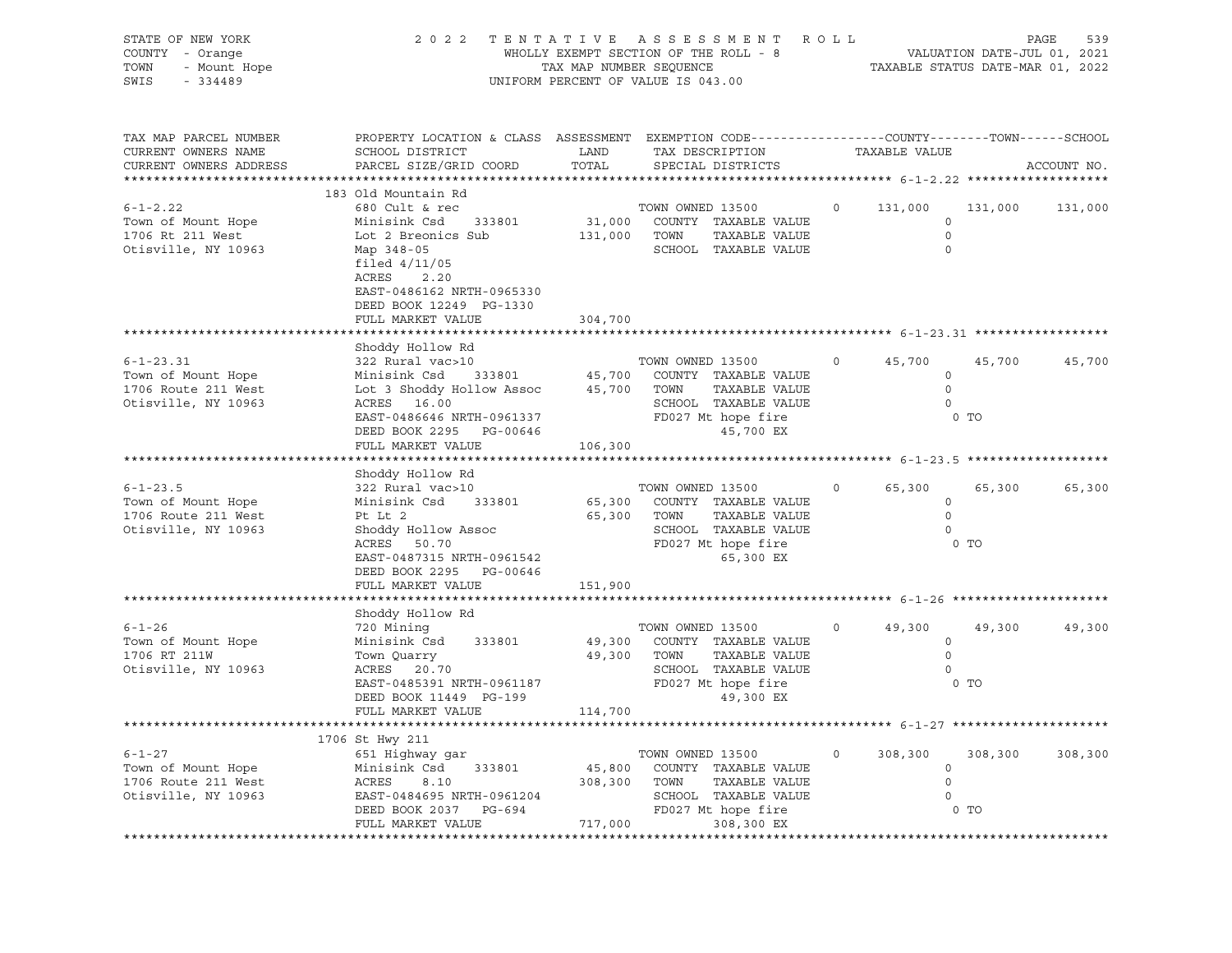| STATE OF NEW YORK<br>COUNTY - Orange<br>TOWN<br>- Mount Hope<br>SWIS<br>$-334489$                | 2 0 2 2<br>A S S E S S M E N T<br>ROLL<br>TENTATIVE<br>WHOLLY EXEMPT SECTION OF THE ROLL - 8<br>TAX MAP NUMBER SEQUENCE<br>UNIFORM PERCENT OF VALUE IS 043.00                                                     |                              |                                                                                                                               |         | PAGE<br>539<br>VALUATION DATE-JUL 01, 2021<br>TAXABLE STATUS DATE-MAR 01, 2022 |                   |             |  |
|--------------------------------------------------------------------------------------------------|-------------------------------------------------------------------------------------------------------------------------------------------------------------------------------------------------------------------|------------------------------|-------------------------------------------------------------------------------------------------------------------------------|---------|--------------------------------------------------------------------------------|-------------------|-------------|--|
| TAX MAP PARCEL NUMBER<br>CURRENT OWNERS NAME<br>CURRENT OWNERS ADDRESS<br>********************** | PROPERTY LOCATION & CLASS ASSESSMENT EXEMPTION CODE----------------COUNTY-------TOWN------SCHOOL<br>SCHOOL DISTRICT<br>PARCEL SIZE/GRID COORD                                                                     | LAND<br>TOTAL                | TAX DESCRIPTION<br>SPECIAL DISTRICTS                                                                                          |         | TAXABLE VALUE                                                                  |                   | ACCOUNT NO. |  |
| $6 - 1 - 2.22$<br>Town of Mount Hope<br>1706 Rt 211 West<br>Otisville, NY 10963                  | 183 Old Mountain Rd<br>680 Cult & rec<br>Minisink Csd 333801<br>Lot 2 Breonics Sub<br>Map 348-05<br>filed $4/11/05$<br>ACRES<br>2.20<br>EAST-0486162 NRTH-0965330<br>DEED BOOK 12249 PG-1330<br>FULL MARKET VALUE | 31,000<br>131,000<br>304,700 | TOWN OWNED 13500<br>COUNTY TAXABLE VALUE<br>TOWN<br>TAXABLE VALUE<br>SCHOOL TAXABLE VALUE                                     | $\circ$ | 131,000<br>$\circ$<br>$\mathbf 0$<br>$\mathbf 0$                               | 131,000           | 131,000     |  |
|                                                                                                  | ***********************                                                                                                                                                                                           |                              |                                                                                                                               |         |                                                                                |                   |             |  |
| $6 - 1 - 23.31$<br>Town of Mount Hope<br>1706 Route 211 West<br>Otisville, NY 10963              | Shoddy Hollow Rd<br>322 Rural vac>10<br>Minisink Csd<br>333801<br>Lot 3 Shoddy Hollow Assoc<br>ACRES 16.00<br>EAST-0486646 NRTH-0961337<br>DEED BOOK 2295 PG-00646<br>FULL MARKET VALUE                           | 45,700<br>45,700<br>106,300  | TOWN OWNED 13500<br>COUNTY TAXABLE VALUE<br>TAXABLE VALUE<br>TOWN<br>SCHOOL TAXABLE VALUE<br>FD027 Mt hope fire<br>45,700 EX  | $\circ$ | 45,700<br>$\circ$<br>$\circ$<br>$\circ$                                        | 45,700<br>0 TO    | 45,700      |  |
|                                                                                                  |                                                                                                                                                                                                                   |                              |                                                                                                                               |         |                                                                                |                   |             |  |
| $6 - 1 - 23.5$<br>Town of Mount Hope<br>1706 Route 211 West<br>Otisville, NY 10963               | Shoddy Hollow Rd<br>322 Rural vac>10<br>Minisink Csd<br>333801<br>Pt Lt 2<br>Shoddy Hollow Assoc<br>ACRES 50.70<br>EAST-0487315 NRTH-0961542<br>DEED BOOK 2295 PG-00646                                           | 65,300<br>65,300             | TOWN OWNED 13500<br>COUNTY TAXABLE VALUE<br>TAXABLE VALUE<br>TOWN<br>SCHOOL TAXABLE VALUE<br>FD027 Mt hope fire<br>65,300 EX  | $\circ$ | 65,300<br>$\circ$<br>$\Omega$<br>$\circ$                                       | 65,300<br>$0$ TO  | 65,300      |  |
|                                                                                                  | FULL MARKET VALUE                                                                                                                                                                                                 | 151,900                      |                                                                                                                               |         |                                                                                |                   |             |  |
| $6 - 1 - 26$<br>Town of Mount Hope<br>1706 RT 211W<br>Otisville, NY 10963                        | Shoddy Hollow Rd<br>720 Mining<br>Minisink Csd<br>333801<br>Town Quarry<br>ACRES 20.70<br>EAST-0485391 NRTH-0961187                                                                                               | 49,300<br>49,300 TOWN        | TOWN OWNED 13500<br>COUNTY TAXABLE VALUE<br>TAXABLE VALUE<br>SCHOOL TAXABLE VALUE<br>FD027 Mt hope fire                       | $\circ$ | 49,300<br>$\circ$<br>$\circ$<br>$\circ$                                        | 49,300<br>$0$ TO  | 49,300      |  |
|                                                                                                  | DEED BOOK 11449 PG-199<br>FULL MARKET VALUE                                                                                                                                                                       | 114,700                      | 49,300 EX                                                                                                                     |         |                                                                                |                   |             |  |
|                                                                                                  |                                                                                                                                                                                                                   |                              |                                                                                                                               |         |                                                                                |                   |             |  |
| $6 - 1 - 27$<br>Town of Mount Hope<br>1706 Route 211 West<br>Otisville, NY 10963                 | 1706 St Hwy 211<br>651 Highway gar<br>Minisink Csd<br>333801<br>ACRES<br>8.10<br>EAST-0484695 NRTH-0961204<br>RAST-0484695 NRTH-0961204<br>DEED BOOK 2037 PG-694<br>FULL MARKET VALUE                             | 45,800<br>308,300<br>717,000 | TOWN OWNED 13500<br>COUNTY TAXABLE VALUE<br>TOWN<br>TAXABLE VALUE<br>SCHOOL TAXABLE VALUE<br>FD027 Mt hope fire<br>308,300 EX | $\circ$ | 308,300<br>$\circ$<br>$\mathbf 0$<br>$\Omega$                                  | 308,300<br>$0$ TO | 308,300     |  |
|                                                                                                  |                                                                                                                                                                                                                   |                              |                                                                                                                               |         |                                                                                |                   |             |  |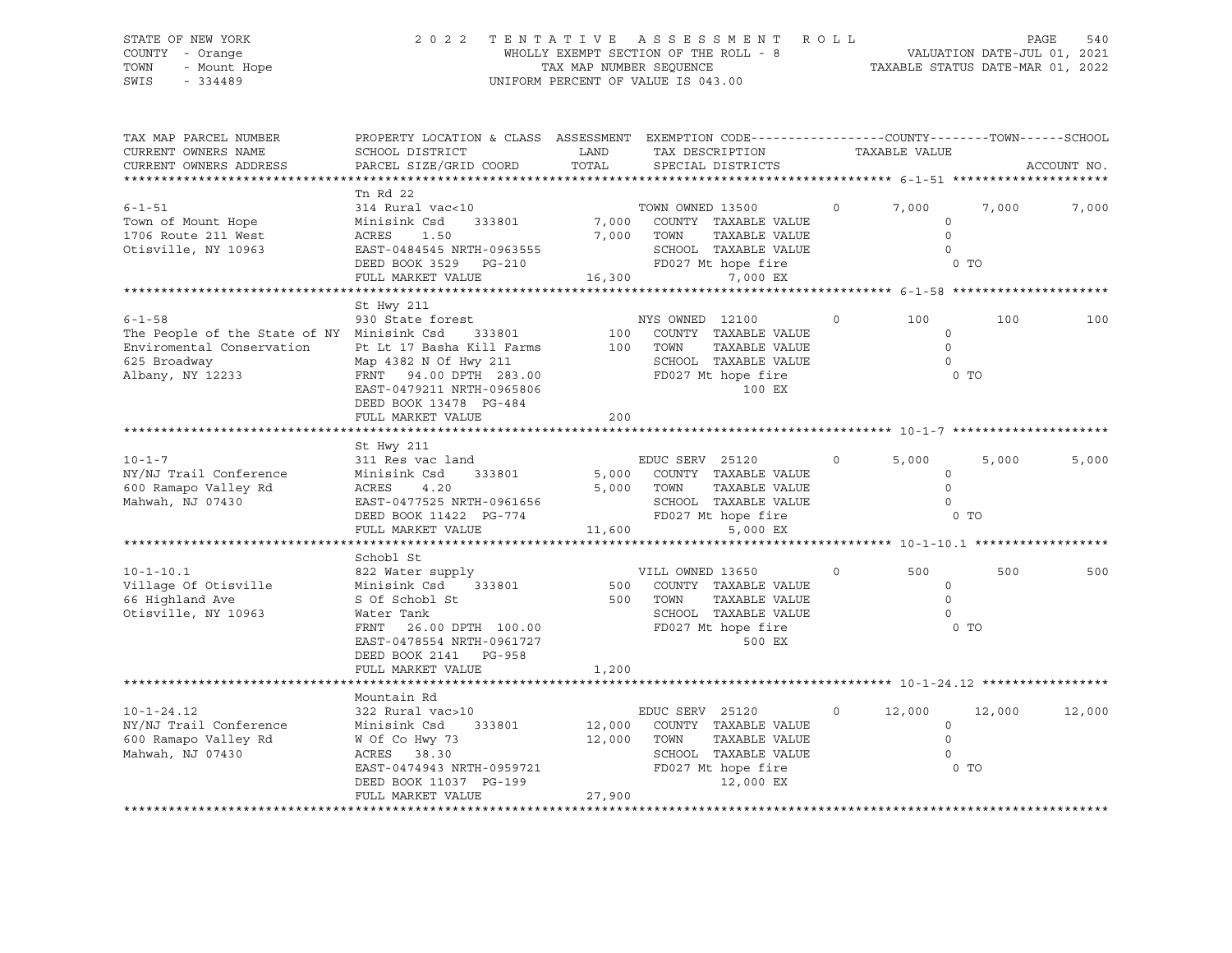#### STATE OF NEW YORK 2 0 2 2 T E N T A T I V E A S S E S S M E N T R O L L PAGE 540 COUNTY - Orange WHOLLY EXEMPT SECTION OF THE ROLL - 8 VALUATION DATE-JUL 01, 2021 TOWN - Mount Hope TAX MAP NUMBER SEQUENCE TAXABLE STATUS DATE-MAR 01, 2022 SWIS - 334489 UNIFORM PERCENT OF VALUE IS 043.00

| ACCOUNT NO. |
|-------------|
|             |
| 7,000       |
|             |
| 100         |
|             |
| 5,000       |
|             |
| 500         |
|             |
|             |
| 12,000      |
|             |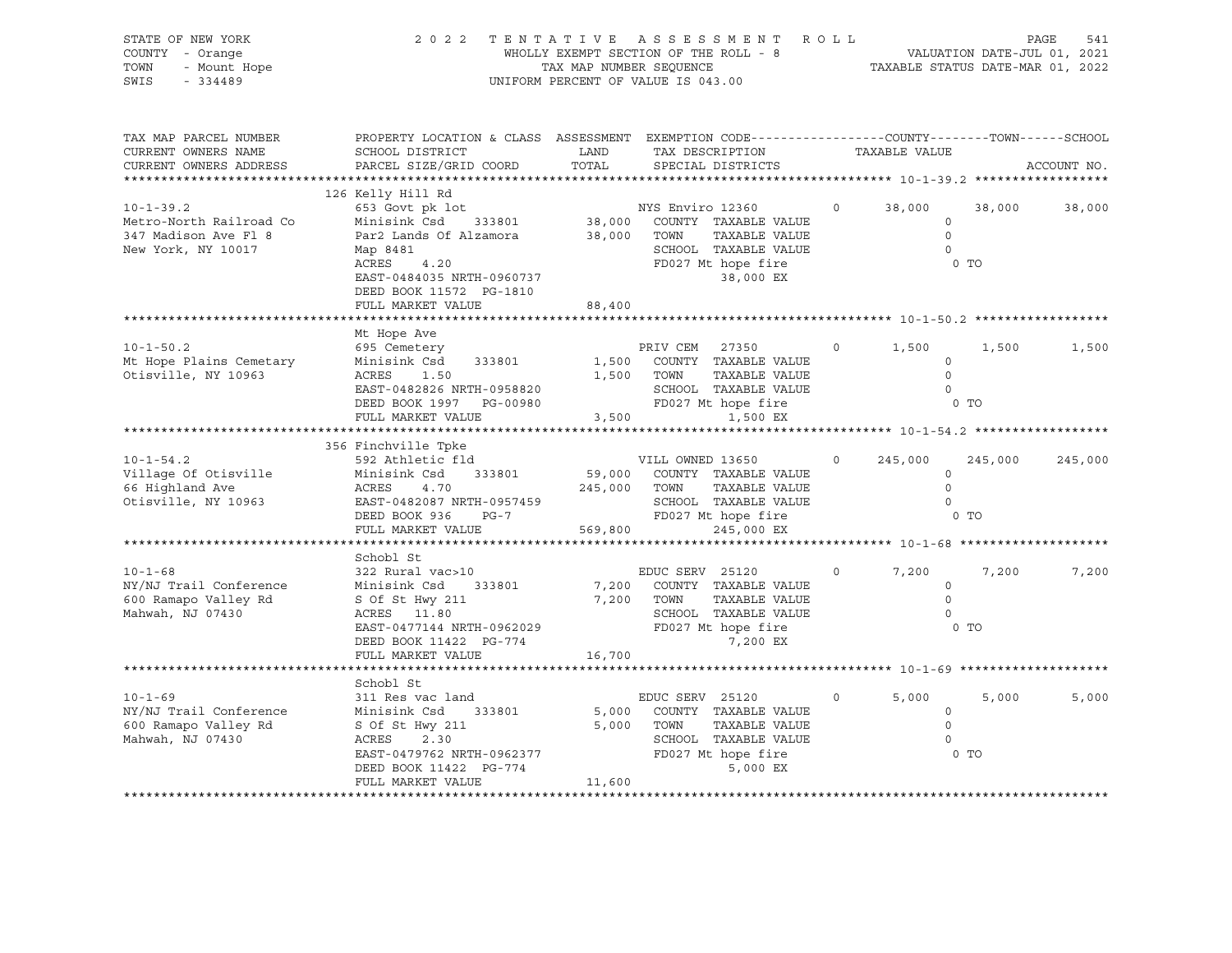|                                                                                                                        |                                                                            |                                                                                                        |                                                                                                                                                                                                                                                                                                                                                                                                   |                                                                                                                                                                                                                                                                                                                                                                                                                                                                                                                                                       |                                                                                         | 541<br>PAGE                                                                                                                                                                                                                                                                                                                                                                                                                                                                                                                                                 |
|------------------------------------------------------------------------------------------------------------------------|----------------------------------------------------------------------------|--------------------------------------------------------------------------------------------------------|---------------------------------------------------------------------------------------------------------------------------------------------------------------------------------------------------------------------------------------------------------------------------------------------------------------------------------------------------------------------------------------------------|-------------------------------------------------------------------------------------------------------------------------------------------------------------------------------------------------------------------------------------------------------------------------------------------------------------------------------------------------------------------------------------------------------------------------------------------------------------------------------------------------------------------------------------------------------|-----------------------------------------------------------------------------------------|-------------------------------------------------------------------------------------------------------------------------------------------------------------------------------------------------------------------------------------------------------------------------------------------------------------------------------------------------------------------------------------------------------------------------------------------------------------------------------------------------------------------------------------------------------------|
| SCHOOL DISTRICT<br>PARCEL SIZE/GRID COORD                                                                              | LAND<br>TOTAL                                                              | SPECIAL DISTRICTS                                                                                      |                                                                                                                                                                                                                                                                                                                                                                                                   |                                                                                                                                                                                                                                                                                                                                                                                                                                                                                                                                                       |                                                                                         | ACCOUNT NO.                                                                                                                                                                                                                                                                                                                                                                                                                                                                                                                                                 |
| 126 Kelly Hill Rd<br>Minisink Csd<br>Par2 Lands Of Alzamora<br>Map 8481<br>4.20<br>ACRES<br>DEED BOOK 11572 PG-1810    |                                                                            | 38,000 EX                                                                                              |                                                                                                                                                                                                                                                                                                                                                                                                   |                                                                                                                                                                                                                                                                                                                                                                                                                                                                                                                                                       | 38,000                                                                                  | 38,000                                                                                                                                                                                                                                                                                                                                                                                                                                                                                                                                                      |
|                                                                                                                        |                                                                            |                                                                                                        |                                                                                                                                                                                                                                                                                                                                                                                                   |                                                                                                                                                                                                                                                                                                                                                                                                                                                                                                                                                       |                                                                                         |                                                                                                                                                                                                                                                                                                                                                                                                                                                                                                                                                             |
| Mt Hope Ave<br>695 Cemetery<br>Minisink Csd 333801<br>ACRES<br>1.50<br>DEED BOOK 1997 PG-00980<br>FULL MARKET VALUE    |                                                                            | 1,500 EX                                                                                               |                                                                                                                                                                                                                                                                                                                                                                                                   |                                                                                                                                                                                                                                                                                                                                                                                                                                                                                                                                                       | 1,500                                                                                   | 1,500                                                                                                                                                                                                                                                                                                                                                                                                                                                                                                                                                       |
|                                                                                                                        |                                                                            |                                                                                                        |                                                                                                                                                                                                                                                                                                                                                                                                   |                                                                                                                                                                                                                                                                                                                                                                                                                                                                                                                                                       |                                                                                         |                                                                                                                                                                                                                                                                                                                                                                                                                                                                                                                                                             |
| 592 Athletic fld<br>Minisink Csd 333801<br>ACRES<br>4.70<br>DEED BOOK 936<br>$PG-7$<br>FULL MARKET VALUE               |                                                                            | 245,000 EX                                                                                             |                                                                                                                                                                                                                                                                                                                                                                                                   | 245,000                                                                                                                                                                                                                                                                                                                                                                                                                                                                                                                                               | 245,000                                                                                 | 245,000                                                                                                                                                                                                                                                                                                                                                                                                                                                                                                                                                     |
|                                                                                                                        |                                                                            |                                                                                                        |                                                                                                                                                                                                                                                                                                                                                                                                   |                                                                                                                                                                                                                                                                                                                                                                                                                                                                                                                                                       |                                                                                         |                                                                                                                                                                                                                                                                                                                                                                                                                                                                                                                                                             |
| 322 Rural vac>10<br>Minisink Csd 333801                                                                                |                                                                            |                                                                                                        |                                                                                                                                                                                                                                                                                                                                                                                                   |                                                                                                                                                                                                                                                                                                                                                                                                                                                                                                                                                       | 7,200                                                                                   | 7,200                                                                                                                                                                                                                                                                                                                                                                                                                                                                                                                                                       |
|                                                                                                                        |                                                                            |                                                                                                        |                                                                                                                                                                                                                                                                                                                                                                                                   |                                                                                                                                                                                                                                                                                                                                                                                                                                                                                                                                                       |                                                                                         |                                                                                                                                                                                                                                                                                                                                                                                                                                                                                                                                                             |
| Schobl St<br>311 Res vac land<br>Minisink Csd 333801<br>S Of St Hwy 211<br>DEED BOOK 11422 PG-774<br>FULL MARKET VALUE | 11,600                                                                     |                                                                                                        |                                                                                                                                                                                                                                                                                                                                                                                                   |                                                                                                                                                                                                                                                                                                                                                                                                                                                                                                                                                       | 5,000                                                                                   | 5,000                                                                                                                                                                                                                                                                                                                                                                                                                                                                                                                                                       |
|                                                                                                                        | FULL MARKET VALUE<br>356 Finchville Tpke<br>Schobl St<br>FULL MARKET VALUE | 653 Govt pk lot<br>EAST-0484035 NRTH-0960737<br>EAST-0482826 NRTH-0958820<br>EAST-0482087 NRTH-0957459 | WHOLLY EXEMPT SECTION OF THE ROLL - 8<br>TAX MAP NUMBER SEQUENCE<br>UNIFORM PERCENT OF VALUE IS 043.00<br>NYS Enviro 12360<br>38,000 TOWN<br>FD027 Mt hope fire<br>88,400<br>PRIV CEM 27350<br>1,500 TOWN<br>3,500<br>VILL OWNED 13650<br>245,000 TOWN<br>569,800<br>EDUC SERV 25120<br>7,200<br>S Of St Hwy 211 7,200 TOWN ACRES 11.80 SCHOC<br>16,700<br>EDUC SERV 25120<br>5,000<br>5,000 TOWN | 333801 38,000 COUNTY TAXABLE VALUE<br>TAXABLE VALUE<br>SCHOOL TAXABLE VALUE<br>1,500 COUNTY TAXABLE VALUE<br>TAXABLE VALUE<br>SCHOOL TAXABLE VALUE<br>FD027 Mt hope fire<br>59,000 COUNTY TAXABLE VALUE<br>TAXABLE VALUE<br>SCHOOL TAXABLE VALUE<br>FD027 Mt hope fire<br>COUNTY TAXABLE VALUE<br>TAXABLE VALUE<br>SCHOOL TAXABLE VALUE<br>EAST-0477144 NRTH-0962029<br>EAST-0477144 NRTH-0962029<br>DEED BOOK 11422 PG-774<br>COUNTY TAXABLE VALUE<br>TAXABLE VALUE<br>EAST-0479762 NRTH-0962377<br>DEED BOOK 11422 PG-774<br>DEED BOOK 11422 PG-774 | 2022 TENTATIVE ASSESSMENT ROLL<br>$0 \qquad \qquad$<br>$\overline{0}$<br>$\overline{0}$ | VALUATION DATE-JUL 01, 2021<br>TAXABLE STATUS DATE-MAR 01, 2022<br>PROPERTY LOCATION & CLASS ASSESSMENT EXEMPTION CODE----------------COUNTY-------TOWN------SCHOOL<br>TAX DESCRIPTION TAXABLE VALUE<br>$0 \t 38,000$<br>$\circ$<br>$\overline{0}$<br>$\overline{0}$<br>$0$ TO<br>1,500<br>$\circ$<br>$\overline{0}$<br>$\overline{0}$<br>$\frac{1}{2}$ o to<br>$\circ$<br>$\circ$<br>$\overline{0}$<br>$0$ TO<br>7,200<br>$\circ$<br>$\overline{0}$<br>$\overline{0}$<br>0 TO<br>5,000<br>$\overline{0}$<br>$\bigcirc$<br>$\overline{0}$<br>0 <sub>T</sub> |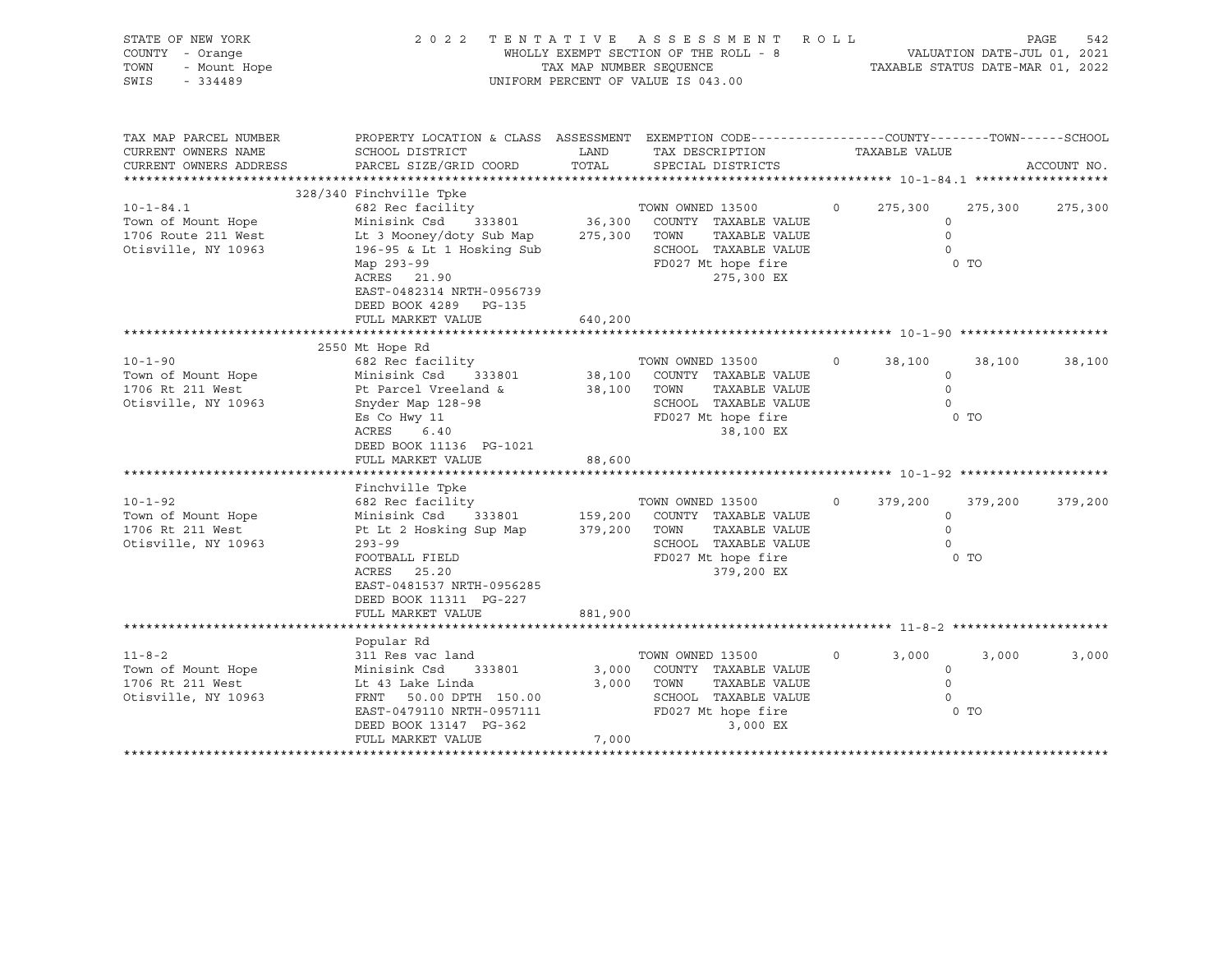| STATE OF NEW YORK<br>COUNTY - Orange<br>- Orange<br>- Mount Hope<br>- 334489<br>TOWN<br>SWIS<br>$-334489$ | 2022 TENTATIVE ASSESSMENT<br>WHOLLY EXEMPT SECTION OF THE ROLL - 8<br>TAX MAP NUMBER SEOUENCE<br>UNIFORM PERCENT OF VALUE IS 043.00                                                      | ROLL<br>PAGE<br>542<br>VALUATION DATE-JUL 01, 2021<br>TAXABLE STATUS DATE-MAR 01, 2022 |                                                                                                                               |         |                                                    |                 |             |
|-----------------------------------------------------------------------------------------------------------|------------------------------------------------------------------------------------------------------------------------------------------------------------------------------------------|----------------------------------------------------------------------------------------|-------------------------------------------------------------------------------------------------------------------------------|---------|----------------------------------------------------|-----------------|-------------|
| TAX MAP PARCEL NUMBER<br>CURRENT OWNERS NAME<br>CURRENT OWNERS ADDRESS<br>***********************         | PROPERTY LOCATION & CLASS ASSESSMENT EXEMPTION CODE---------------COUNTY-------TOWN-----SCHOOL<br>SCHOOL DISTRICT<br>PARCEL SIZE/GRID COORD                                              | LAND<br>TOTAL                                                                          | TAX DESCRIPTION<br>SPECIAL DISTRICTS                                                                                          |         | TAXABLE VALUE                                      |                 | ACCOUNT NO. |
|                                                                                                           | 328/340 Finchville Tpke                                                                                                                                                                  |                                                                                        |                                                                                                                               |         |                                                    |                 |             |
| $10 - 1 - 84.1$<br>Town of Mount Hope<br>1706 Route 211 West<br>Otisville, NY 10963                       | 682 Rec facility<br>Minisink Csd 333801<br>Lt 3 Mooney/doty Sub Map<br>196-95 & Lt 1 Hosking Sub<br>Map 293-99<br>ACRES 21.90<br>EAST-0482314 NRTH-0956739<br>DEED BOOK 4289 PG-135      | 275,300 TOWN                                                                           | TOWN OWNED 13500<br>36,300 COUNTY TAXABLE VALUE<br>TAXABLE VALUE<br>SCHOOL TAXABLE VALUE<br>FD027 Mt hope fire<br>275,300 EX  | $\circ$ | 275,300<br>$\circ$<br>$\circ$<br>$\Omega$          | 275,300<br>0 TO | 275,300     |
|                                                                                                           | FULL MARKET VALUE                                                                                                                                                                        | 640,200                                                                                |                                                                                                                               |         |                                                    |                 |             |
|                                                                                                           |                                                                                                                                                                                          |                                                                                        |                                                                                                                               |         |                                                    |                 |             |
| $10 - 1 - 90$<br>Town of Mount Hope<br>1706 Rt 211 West<br>Otisville, NY 10963                            | 2550 Mt Hope Rd<br>682 Rec facility<br>Minisink Csd 333801<br>Pt Parcel Vreeland &<br>Snyder Map 128-98<br>Es Co Hwy 11<br>ACRES<br>6.40<br>DEED BOOK 11136 PG-1021<br>FULL MARKET VALUE | 38,100 TOWN<br>88,600                                                                  | TOWN OWNED 13500<br>38,100 COUNTY TAXABLE VALUE<br>TAXABLE VALUE<br>SCHOOL TAXABLE VALUE<br>FD027 Mt hope fire<br>38,100 EX   | $\circ$ | 38,100<br>$\Omega$<br>$\Omega$<br>$\Omega$<br>0 TO | 38,100          | 38,100      |
|                                                                                                           | Finchville Tpke                                                                                                                                                                          |                                                                                        |                                                                                                                               |         |                                                    |                 |             |
| $10 - 1 - 92$<br>Town of Mount Hope<br>1706 Rt 211 West<br>Otisville, NY 10963                            | 682 Rec facility<br>Minisink Csd 333801<br>Pt Lt 2 Hosking Sup Map 379,200 TOWN<br>$293 - 99$<br>FOOTBALL FIELD<br>ACRES 25.20<br>EAST-0481537 NRTH-0956285<br>DEED BOOK 11311 PG-227    |                                                                                        | TOWN OWNED 13500<br>159,200 COUNTY TAXABLE VALUE<br>TAXABLE VALUE<br>SCHOOL TAXABLE VALUE<br>FD027 Mt hope fire<br>379,200 EX | $\circ$ | 379,200<br>$\circ$<br>$\circ$<br>$\circ$<br>$0$ TO | 379,200         | 379,200     |
|                                                                                                           | FULL MARKET VALUE                                                                                                                                                                        | 881,900                                                                                |                                                                                                                               |         |                                                    |                 |             |
| $11 - 8 - 2$<br>Town of Mount Hope<br>1706 Rt 211 West<br>Otisville, NY 10963                             | Popular Rd<br>311 Res vac land<br>Minisink Csd 333801<br>Lt 43 Lake Linda<br>FRNT 50.00 DPTH 150.00<br>EAST-0479110 NRTH-0957111<br>DEED BOOK 13147 PG-362<br>FULL MARKET VALUE          | 3,000<br>3,000<br>7,000                                                                | TOWN OWNED 13500<br>COUNTY TAXABLE VALUE<br>TAXABLE VALUE<br>TOWN<br>SCHOOL TAXABLE VALUE<br>FD027 Mt hope fire<br>3,000 EX   | $\circ$ | 3,000<br>$\circ$<br>$\circ$<br>$\circ$             | 3,000<br>0 TO   | 3,000       |
|                                                                                                           |                                                                                                                                                                                          |                                                                                        |                                                                                                                               |         |                                                    |                 |             |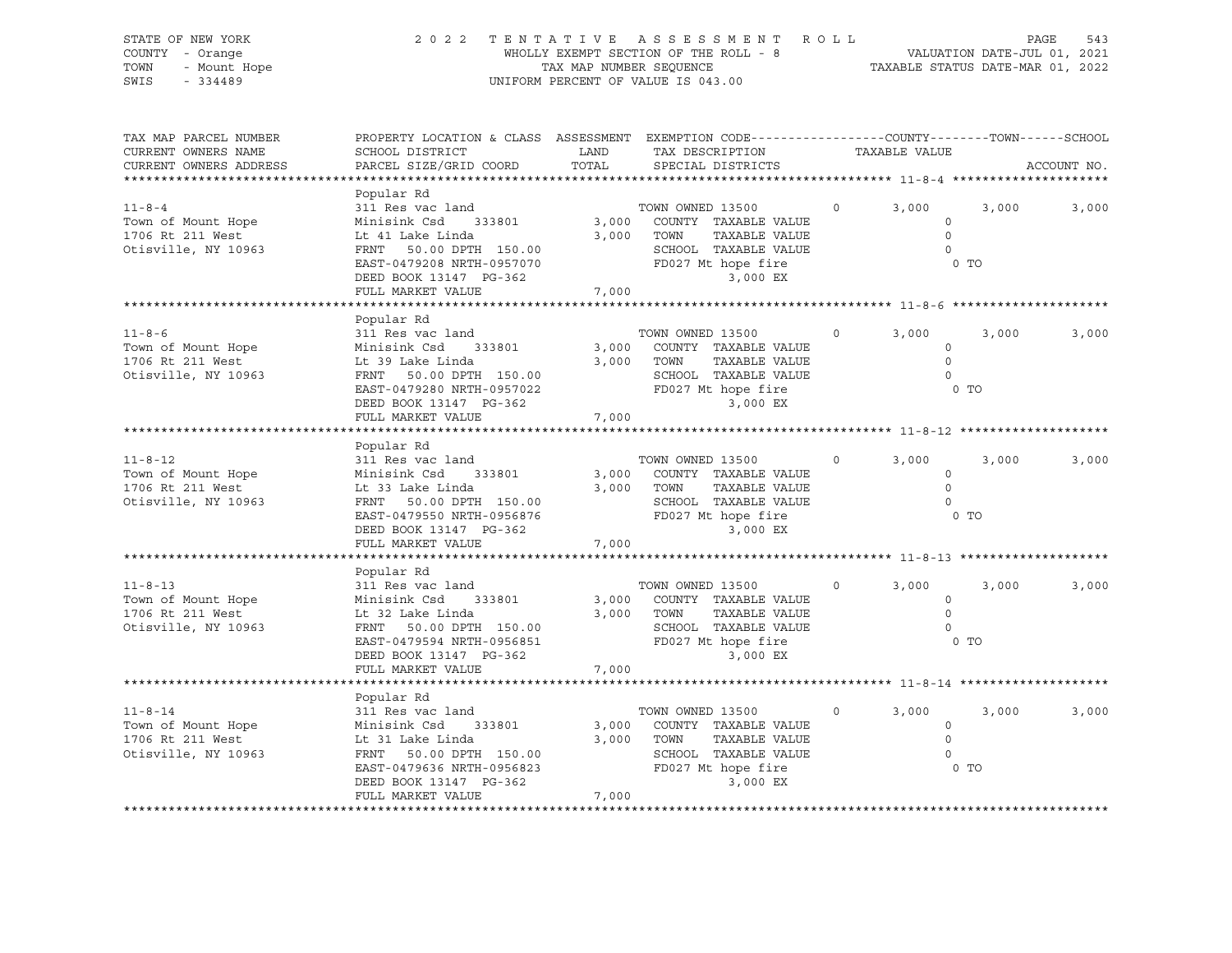| STATE OF NEW YORK<br>COUNTY - Orange<br>TOWN<br>- Mount Hope<br>SWIS<br>$-334489$ |                                                                                                                                                                                 |                | 2022 TENTATIVE ASSESSMENT ROLL<br>WHOLLY EXEMPT SECTION OF THE ROLL - 8<br>TAX MAP NUMBER SEQUENCE<br>TAXABLE STATUS DATE-MAR 01, 2022<br>UNIFORM PERCENT OF VALUE IS 043.00 |         |                                                                 |       | PAGE<br>543 |
|-----------------------------------------------------------------------------------|---------------------------------------------------------------------------------------------------------------------------------------------------------------------------------|----------------|------------------------------------------------------------------------------------------------------------------------------------------------------------------------------|---------|-----------------------------------------------------------------|-------|-------------|
| TAX MAP PARCEL NUMBER<br>CURRENT OWNERS NAME<br>CURRENT OWNERS ADDRESS            | PROPERTY LOCATION & CLASS ASSESSMENT EXEMPTION CODE----------------COUNTY-------TOWN------SCHOOL<br>SCHOOL DISTRICT<br>PARCEL SIZE/GRID COORD                                   | LAND<br>TOTAL  | TAX DESCRIPTION<br>SPECIAL DISTRICTS                                                                                                                                         |         | TAXABLE VALUE                                                   |       | ACCOUNT NO. |
| $11 - 8 - 4$<br>Town of Mount Hope<br>1706 Rt 211 West<br>Otisville, NY 10963     | Popular Rd<br>311 Res vac land<br>Minisink Csd 333801<br>Lt 41 Lake Linda<br>FRNT 50.00 DPTH 150.00<br>EAST-0479208 NRTH-0957070<br>DEED BOOK 13147 PG-362<br>FULL MARKET VALUE | 7,000          | TOWN OWNED 13500<br>3,000 COUNTY TAXABLE VALUE<br>3,000 TOWN<br>TAXABLE VALUE<br>SCHOOL TAXABLE VALUE<br>SCHOOL TAXABLE VALUE<br>FD027 Mt hope fire<br>3 000 FX<br>3,000 EX  | $\circ$ | 3,000<br>$\circ$<br>$\circ$<br>$\overline{0}$<br>0 <sub>T</sub> | 3,000 | 3,000       |
|                                                                                   |                                                                                                                                                                                 |                |                                                                                                                                                                              |         |                                                                 |       |             |
| $11 - 8 - 6$<br>Town of Mount Hope<br>1706 Rt 211 West<br>Otisville, NY 10963     | Popular Rd<br>311 Res vac land<br>Minisink Csd 333801<br>Lt 39 Lake Linda<br>FRNT 50.00 DPTH 150.00<br>EAST-0479280 NRTH-0957022<br>DEED BOOK 13147 PG-362                      | 3,000          | TOWN OWNED 13500<br>COUNTY TAXABLE VALUE<br>3,000 TOWN<br>TAXABLE VALUE<br>SCHOOL TAXABLE VALUE<br>FD027 Mt hope fire<br>3,000 EX                                            | $\circ$ | 3,000<br>$\circ$<br>$\Omega$<br>$\overline{0}$<br>$0$ TO        | 3,000 | 3,000       |
|                                                                                   | FULL MARKET VALUE                                                                                                                                                               | 7,000          |                                                                                                                                                                              |         |                                                                 |       |             |
| $11 - 8 - 12$<br>Town of Mount Hope<br>1706 Rt 211 West<br>Otisville, NY 10963    | Popular Rd<br>311 Res vac land<br>Minisink Csd 333801<br>Lt 33 Lake Linda<br>FRNT 50.00 DPTH 150.00<br>EAST-0479550 NRTH-0956876<br>DEED BOOK 13147 PG-362<br>FULL MARKET VALUE | 3,000<br>7,000 | TOWN OWNED 13500<br>COUNTY TAXABLE VALUE<br>3,000 TOWN<br>TAXABLE VALUE<br>SCHOOL TAXABLE VALUE<br>SCHOOL TAXABLE VAL<br>FD027 Mt hope fire<br>2 000 FX<br>$3,000$ EX        | $\circ$ | 3,000<br>$\circ$<br>$\circ$<br>$\Omega$<br>$0$ TO               | 3,000 | 3,000       |
|                                                                                   |                                                                                                                                                                                 |                |                                                                                                                                                                              |         |                                                                 |       |             |
| $11 - 8 - 13$<br>Town of Mount Hope<br>1706 Rt 211 West<br>Otisville, NY 10963    | Popular Rd<br>311 Res vac land<br>Minisink Csd<br>333801<br>Lt 32 Lake Linda<br>FRNT 50.00 DPTH 150.00<br>EAST-0479594 NRTH-0956851<br>DEED BOOK 13147 PG-362                   | 3,000          | TOWN OWNED 13500<br>COUNTY TAXABLE VALUE<br>3,000 TOWN<br>TAXABLE VALUE<br>SCHOOL TAXABLE VALUE<br>FD027 Mt hope fire<br>3,000 EX                                            | $\circ$ | 3,000<br>$\circ$<br>$\circ$<br>$\circ$<br>0 <sub>T</sub>        | 3,000 | 3,000       |
|                                                                                   | FULL MARKET VALUE                                                                                                                                                               | 7,000          |                                                                                                                                                                              |         |                                                                 |       |             |
|                                                                                   | Popular Rd                                                                                                                                                                      |                |                                                                                                                                                                              |         |                                                                 |       |             |
| $11 - 8 - 14$<br>Town of Mount Hope<br>1706 Rt 211 West<br>Otisville, NY 10963    | 311 Res vac land<br>Minisink Csd<br>333801<br>Lt 31 Lake Linda<br>FRNT 50.00 DPTH 150.00<br>EAST-0479636 NRTH-0956823<br>DEED BOOK 13147 PG-362<br>FULL MARKET VALUE            | 7,000          | TOWN OWNED 13500<br>3,000 COUNTY TAXABLE VALUE<br>3,000 TOWN<br>TAXABLE VALUE<br>SCHOOL TAXABLE VALUE<br>FD027 Mt hope fire<br>3,000 EX                                      | $\circ$ | 3,000<br>$\circ$<br>$\circ$<br>$\Omega$<br>0 <sub>T</sub>       | 3,000 | 3,000       |
|                                                                                   |                                                                                                                                                                                 |                |                                                                                                                                                                              |         |                                                                 |       |             |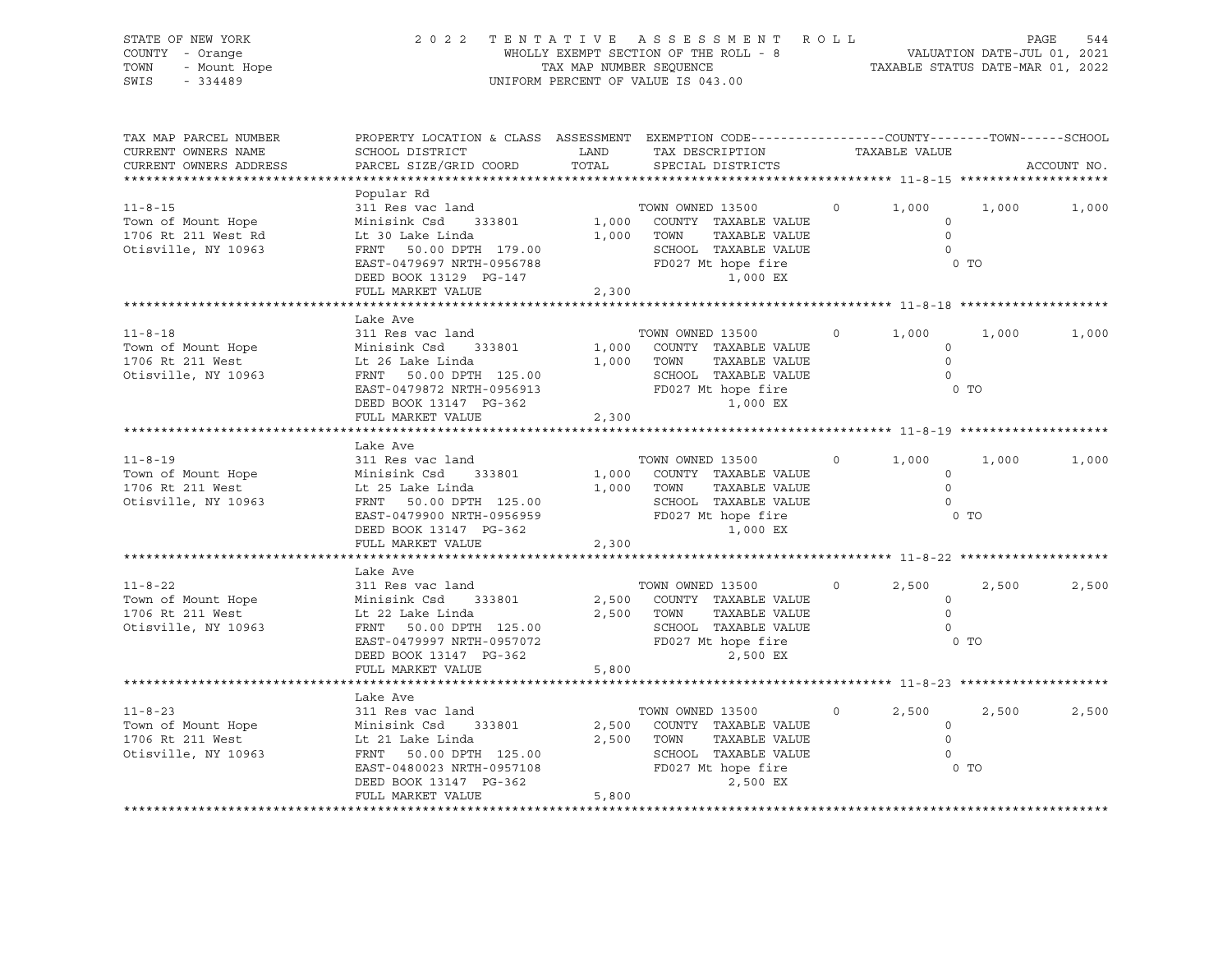| STATE OF NEW YORK<br>COUNTY - Orange<br>- Mount Hope<br>TOWN<br>SWIS<br>$-334489$                                                                             |                                                                                                                                                                                                                                                                                                                                            |       | ENTATIVE ASSESSMENT ROLL PAGE 544<br>WHOLLY EXEMPT SECTION OF THE ROLL - 8 VALUATION DATE-JUL 01, 2021<br>TAX MAP NUMBER SEQUENCE TAXABLE STATUS DATE-MAR 01, 2022<br>VIEORM PERCENT OF VALUE TO 042 00<br>2022 TENTATIVE ASSESSMENT ROLL<br>UNIFORM PERCENT OF VALUE IS 043.00 |                   |                                                                                      |       |             |
|---------------------------------------------------------------------------------------------------------------------------------------------------------------|--------------------------------------------------------------------------------------------------------------------------------------------------------------------------------------------------------------------------------------------------------------------------------------------------------------------------------------------|-------|---------------------------------------------------------------------------------------------------------------------------------------------------------------------------------------------------------------------------------------------------------------------------------|-------------------|--------------------------------------------------------------------------------------|-------|-------------|
| TAX MAP PARCEL NUMBER<br>CURRENT OWNERS NAME<br>CURRENT OWNERS ADDRESS                                                                                        | PROPERTY LOCATION & CLASS ASSESSMENT EXEMPTION CODE----------------COUNTY-------TOWN-----SCHOOL<br>SCHOOL DISTRICT<br>PARCEL SIZE/GRID COORD                                                                                                                                                                                               |       |                                                                                                                                                                                                                                                                                 |                   |                                                                                      |       | ACCOUNT NO. |
| $11 - 8 - 15$<br>Town of Mount Hope<br>1706 Rt 211 West Rd<br>Otisville, NY 10963                                                                             | Popular Rd<br>311 Res vac land<br>Minisink Csd 333801<br>Lt 30 Lake Linda<br>FRNT 50.00 DPTH 179.00<br>EAST-0479697 NRTH-0956788<br>DEED BOOK 13129 PG-147<br>FULL MARKET VALUE                                                                                                                                                            | 2,300 | TOWN OWNED 13500<br>1,000 COUNTY TAXABLE VALUE<br>TAXABLE VALUE<br>TAXABLE VALUE<br>1,000 TOWN<br>SCHOOL TAXABLE VALUE<br>FD027 Mt hope fire<br>1,000 EX                                                                                                                        | $\overline{0}$    | 1,000<br>$\circ$<br>$\overline{0}$<br>$\overline{0}$<br>0 <sub>T</sub>               | 1,000 | 1,000       |
|                                                                                                                                                               |                                                                                                                                                                                                                                                                                                                                            |       |                                                                                                                                                                                                                                                                                 |                   |                                                                                      |       |             |
| $11 - 8 - 18$<br>Town of Mount Hope<br>1706 Rt 211 West<br>Otisville, NY 10963                                                                                | Lake Ave<br>311 Res vac land<br>Minisink Csd 333801<br>It 26 Jake Linda<br>Lt 26 Lake Linda<br>FRNT 50.00 DPTH 125.00<br>EAST-0479872 NRTH-0956913<br>DEED BOOK 13147 PG-362                                                                                                                                                               |       | TOWN OWNED 13500<br>1,000 COUNTY TAXABLE VALUE<br>1,000 TOWN TAXABLE VALUE<br>SCHOOL TAXABLE VALUE<br>FD027 Mt hope fire<br>1.000 EY<br>1,000 EX                                                                                                                                | $\overline{0}$    | 1,000<br>$\circ$<br>$\overline{0}$<br>$\overline{0}$<br>0 <sub>T</sub>               | 1,000 | 1,000       |
|                                                                                                                                                               | FULL MARKET VALUE                                                                                                                                                                                                                                                                                                                          | 2,300 |                                                                                                                                                                                                                                                                                 |                   |                                                                                      |       |             |
|                                                                                                                                                               |                                                                                                                                                                                                                                                                                                                                            |       |                                                                                                                                                                                                                                                                                 |                   |                                                                                      |       |             |
| $11 - 8 - 19$<br>Town of Mount Hope<br>1706 Rt 211 West<br>Otisville, NY 10963                                                                                | Lake Ave<br>311 Res vac land<br>Minisink Csd 333801<br>Lt 25 Lake Linda<br>EAST-0479900 NRTH-0956959<br>DEED BOOK 13147 PG-362<br>FILL: MARKET WALLUE TRANSLE VALUE<br>FILL: MARKET WALLUE TRANSLE PROPERTY TRANSPARED BOOK<br>FILL: MARKET WALLUE TRANSPARED BOOK<br>FILL: MARKET WALLUE TRANSPARED BOOK<br>FILL: MA<br>FULL MARKET VALUE | 2,300 | TOWN OWNED 13500<br>1,000 COUNTY TAXABLE VALUE<br>1,000 TOWN<br>TAXABLE VALUE                                                                                                                                                                                                   | $\overline{0}$    | 1,000<br>$\circ$<br>$\overline{0}$<br>$\overline{0}$<br>0 <sub>T</sub>               | 1,000 | 1,000       |
|                                                                                                                                                               |                                                                                                                                                                                                                                                                                                                                            |       | ********************************** 11-8-22 *********                                                                                                                                                                                                                            |                   |                                                                                      |       |             |
| $11 - 8 - 22$<br>Town of Mount Hope Minisink Csd 333801<br>1706 Rt 211 West<br>Otisville, NY 10963                                                            | Lake Ave<br>311 Res vac land<br>Lt 22 Lake Linda<br>FRNT 50.00 DPTH 125.00<br>EAST-0479997 NRTH-0957072<br>DEED BOOK 13147 PG-362<br>FULL MARKET VALUE                                                                                                                                                                                     | 5,800 | TOWN OWNED 13500<br>2,500 COUNTY TAXABLE VALUE<br>TAXABLE VALUE<br>2,500 TOWN<br>SCHOOL TAXABLE VALUE<br>FD027 Mt hope fire<br>PD027 Mt hope fire                                                                                                                               | $0 \qquad \qquad$ | 2,500<br>$\overline{0}$<br>$\overline{0}$<br>$\overline{0}$<br>$0$ TO                | 2,500 | 2,500       |
|                                                                                                                                                               |                                                                                                                                                                                                                                                                                                                                            |       |                                                                                                                                                                                                                                                                                 |                   |                                                                                      |       |             |
| $11 - 8 - 23$<br>Town of Mount Hope<br>Town of Mount Hope<br>1706 Rt 211 West<br>1706 Rt 211 West<br>1706 Rt 211 West<br>18963<br>1897 FRNT 50.00 DPTH 125.00 | Lake Ave<br>311 Res vac land<br>FRNT 50.00 DPTH 125.00<br>EAST-0480023 NRTH-0957108<br>FILE BOOK 10147 DC 363<br>DEED BOOK 13147 PG-362<br>FULL MARKET VALUE                                                                                                                                                                               | 5,800 | TOWN OWNED 13500<br>2,500 COUNTY TAXABLE VALUE<br>2,500 TOWN<br>TAXABLE VALUE<br>SCHOOL TAXABLE VALUE<br>2,500 EX                                                                                                                                                               | $0 \qquad \qquad$ | 2,500<br>$\begin{array}{c}\n0 \\ 0\n\end{array}$<br>$\overline{0}$<br>$\overline{0}$ | 2,500 | 2,500       |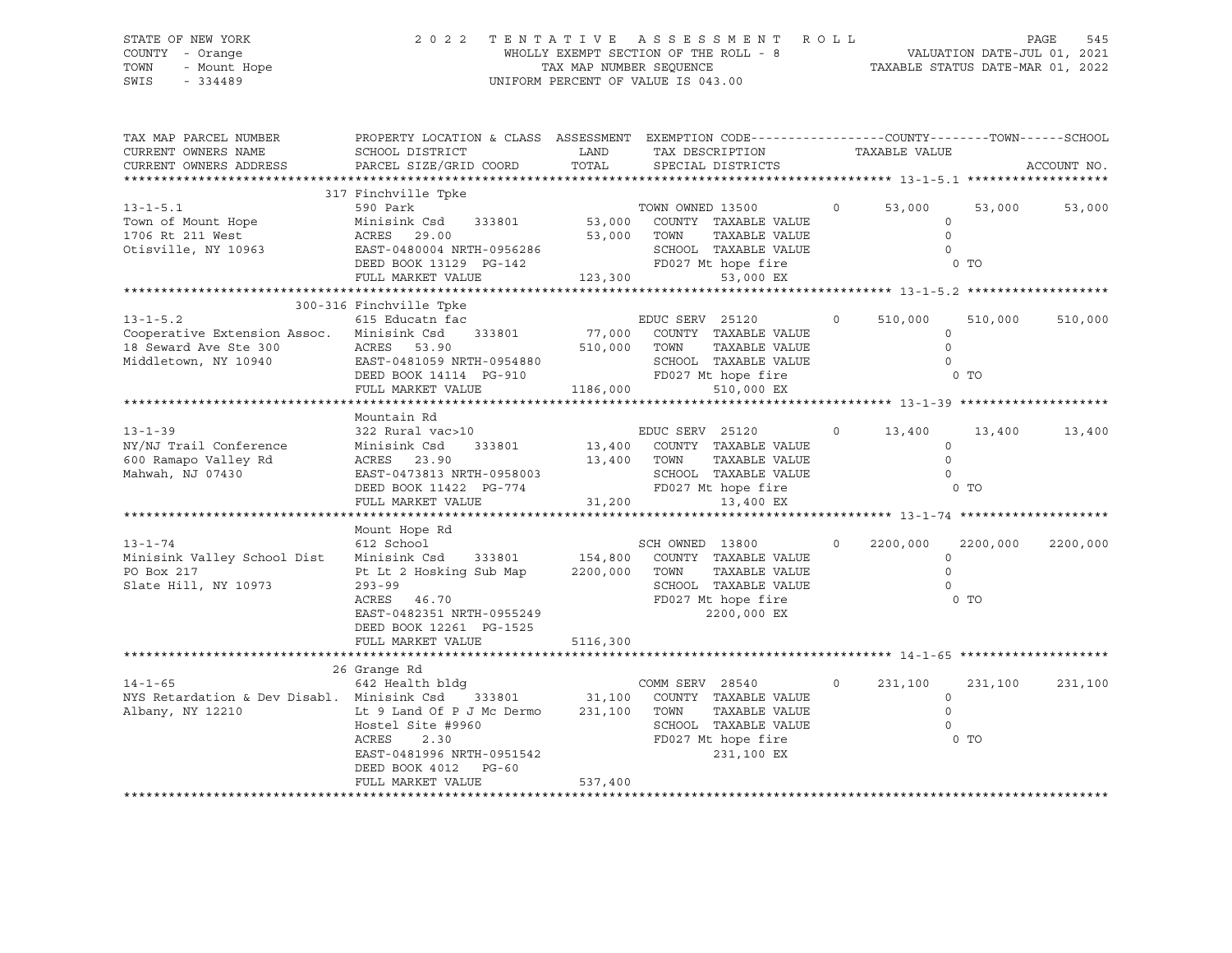### STATE OF NEW YORK 2 0 2 2 T E N T A T I V E A S S E S S M E N T R O L L PAGE 545 COUNTY - Orange WHOLLY EXEMPT SECTION OF THE ROLL - 8 VALUATION DATE-JUL 01, 2021 TOWN - Mount Hope TAX MAP NUMBER SEQUENCE TAXABLE STATUS DATE-MAR 01, 2022 SWIS - 334489 UNIFORM PERCENT OF VALUE IS 043.00

| TAX MAP PARCEL NUMBER<br>CURRENT OWNERS NAME<br>CURRENT OWNERS ADDRESS                                              | PROPERTY LOCATION & CLASS ASSESSMENT EXEMPTION CODE----------------COUNTY-------TOWN-----SCHOOL<br>SCHOOL DISTRICT<br>PARCEL SIZE/GRID COORD                                                                      | LAND<br>TOTAL                | TAX DESCRIPTION<br>SPECIAL DISTRICTS                                                                                                | TAXABLE VALUE        |                                                                | ACCOUNT NO. |
|---------------------------------------------------------------------------------------------------------------------|-------------------------------------------------------------------------------------------------------------------------------------------------------------------------------------------------------------------|------------------------------|-------------------------------------------------------------------------------------------------------------------------------------|----------------------|----------------------------------------------------------------|-------------|
| $13 - 1 - 5.1$<br>Town of Mount Hope<br>1706 Rt 211 West<br>Otisville, NY 10963                                     | 317 Finchville Tpke<br>590 Park<br>Minisink Csd<br>333801<br>ACRES 29.00<br>EAST-0480004 NRTH-0956286<br>DEED BOOK 13129 PG-142<br>FULL MARKET VALUE                                                              | 53,000 TOWN<br>123,300       | TOWN OWNED 13500<br>53,000 COUNTY TAXABLE VALUE<br>TAXABLE VALUE<br>SCHOOL TAXABLE VALUE<br>FD027 Mt hope fire<br>53,000 EX         | 53,000<br>$\circ$    | 53,000<br>$\circ$<br>$\Omega$<br>$\Omega$<br>0 <sub>T</sub>    | 53,000      |
|                                                                                                                     | 300-316 Finchville Tpke                                                                                                                                                                                           |                              |                                                                                                                                     |                      |                                                                |             |
| $13 - 1 - 5.2$<br>Cooperative Extension Assoc. Minisink Csd 333801<br>18 Seward Ave Ste 300<br>Middletown, NY 10940 | 615 Educatn fac<br>ACRES 53.90<br>EAST-0481059 NRTH-0954880<br>DEED BOOK 14114 PG-910<br>FULL MARKET VALUE                                                                                                        | 510,000<br>1186,000          | EDUC SERV 25120<br>77,000 COUNTY TAXABLE VALUE<br>TOWN<br>TAXABLE VALUE<br>SCHOOL TAXABLE VALUE<br>FD027 Mt hope fire<br>510,000 EX | $\circ$<br>510,000   | 510,000<br>$\circ$<br>$\Omega$<br>$\Omega$<br>$0$ TO           | 510,000     |
|                                                                                                                     | Mountain Rd                                                                                                                                                                                                       |                              |                                                                                                                                     |                      |                                                                |             |
| $13 - 1 - 39$<br>NY/NJ Trail Conference<br>600 Ramapo Valley Rd<br>Mahwah, NJ 07430                                 | 322 Rural vac>10<br>Minisink Csd<br>333801<br>ACRES 23.90<br>EAST-0473813 NRTH-0958003<br>DEED BOOK 11422 PG-774<br>FULL MARKET VALUE                                                                             | 13,400<br>31,200             | EDUC SERV 25120<br>13,400 COUNTY TAXABLE VALUE<br>TOWN<br>TAXABLE VALUE<br>SCHOOL TAXABLE VALUE<br>FD027 Mt hope fire<br>13,400 EX  | $\circ$<br>13,400    | 13,400<br>$\Omega$<br>$\circ$<br>$\Omega$<br>0 <sub>T</sub>    | 13,400      |
|                                                                                                                     | Mount Hope Rd                                                                                                                                                                                                     |                              |                                                                                                                                     |                      |                                                                |             |
| $13 - 1 - 74$<br>Minisink Valley School Dist<br>PO Box 217<br>Slate Hill, NY 10973                                  | 612 School<br>Minisink Csd 333801 154,800 COUNTY TAXABLE VALUE<br>Pt Lt 2 Hosking Sub Map 2200,000 TOWN<br>$293 - 99$<br>ACRES 46.70<br>EAST-0482351 NRTH-0955249<br>DEED BOOK 12261 PG-1525<br>FULL MARKET VALUE | 5116,300                     | SCH OWNED 13800<br>TAXABLE VALUE<br>SCHOOL TAXABLE VALUE<br>FD027 Mt hope fire<br>2200,000 EX                                       | 2200,000<br>$\Omega$ | 2200,000<br>$\Omega$<br>$\Omega$<br>$\Omega$<br>0 <sub>T</sub> | 2200,000    |
|                                                                                                                     |                                                                                                                                                                                                                   |                              |                                                                                                                                     |                      |                                                                |             |
| $14 - 1 - 65$<br>NYS Retardation & Dev Disabl. Minisink Csd 333801<br>Albany, NY 12210                              | 26 Grange Rd<br>642 Health bldg<br>Lt 9 Land Of P J Mc Dermo<br>Hostel Site #9960<br>ACRES<br>2.30<br>EAST-0481996 NRTH-0951542<br>DEED BOOK 4012<br>PG-60<br>FULL MARKET VALUE                                   | 31,100<br>231,100<br>537,400 | COMM SERV 28540<br>COUNTY TAXABLE VALUE<br>TOWN<br>TAXABLE VALUE<br>SCHOOL TAXABLE VALUE<br>FD027 Mt hope fire<br>231,100 EX        | $\circ$<br>231,100   | 231,100<br>$\Omega$<br>$\Omega$<br>$\Omega$<br>0 TO            | 231,100     |
|                                                                                                                     |                                                                                                                                                                                                                   |                              |                                                                                                                                     |                      |                                                                |             |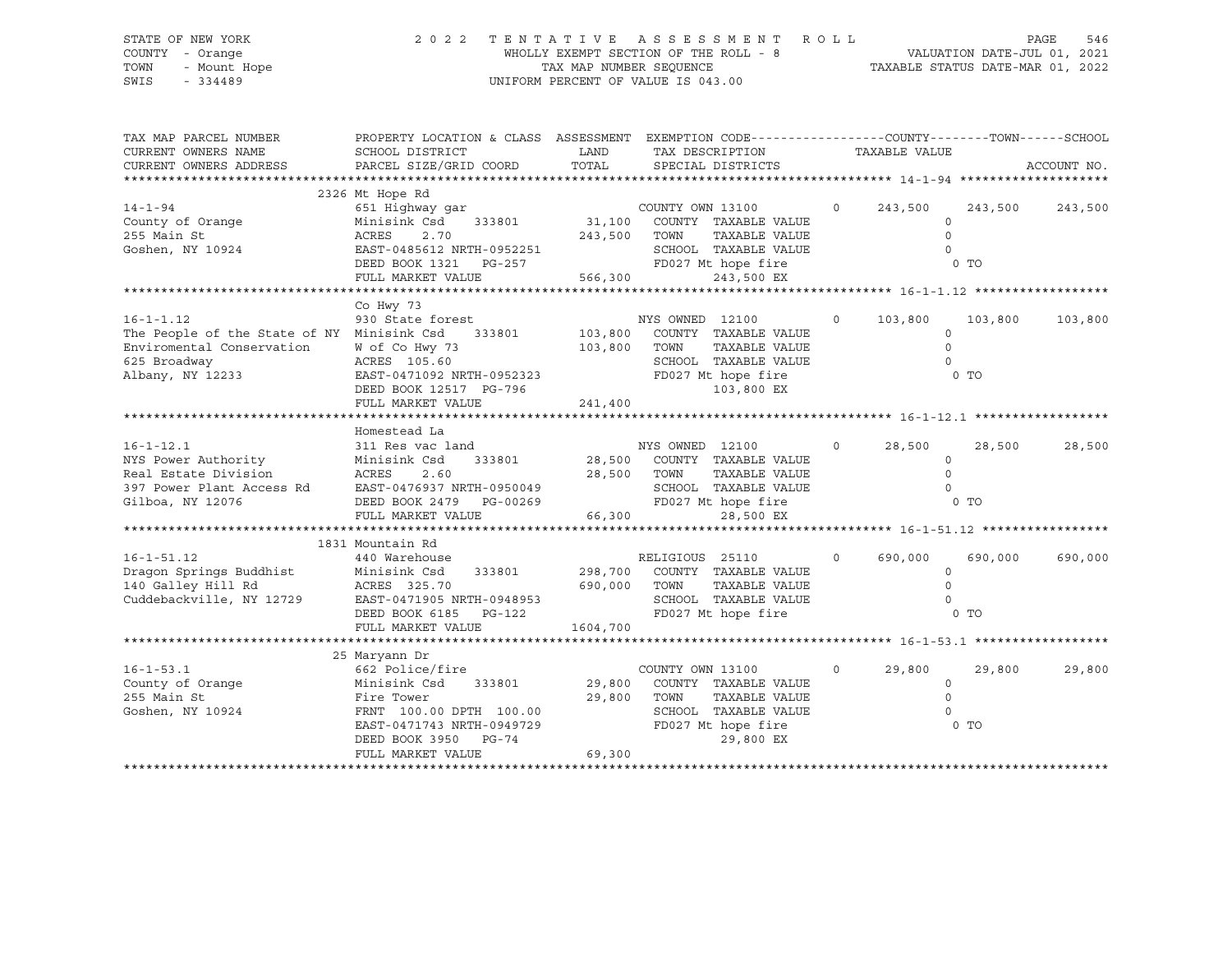### STATE OF NEW YORK 2 0 2 2 T E N T A T I V E A S S E S S M E N T R O L L PAGE 546 COUNTY - Orange WHOLLY EXEMPT SECTION OF THE ROLL - 8 VALUATION DATE-JUL 01, 2021 TOWN - Mount Hope TAX MAP NUMBER SEQUENCE TAXABLE STATUS DATE-MAR 01, 2022 SWIS - 334489 UNIFORM PERCENT OF VALUE IS 043.00

| TAX MAP PARCEL NUMBER                                                                                                                                                                      | PROPERTY LOCATION & CLASS ASSESSMENT EXEMPTION CODE----------------COUNTY-------TOWN-----SCHOOL |              |                                                        |                |                |                 |             |
|--------------------------------------------------------------------------------------------------------------------------------------------------------------------------------------------|-------------------------------------------------------------------------------------------------|--------------|--------------------------------------------------------|----------------|----------------|-----------------|-------------|
| CURRENT OWNERS NAME                                                                                                                                                                        | SCHOOL DISTRICT                                                                                 | LAND         | TAX DESCRIPTION                                        |                | TAXABLE VALUE  |                 |             |
| CURRENT OWNERS ADDRESS                                                                                                                                                                     | PARCEL SIZE/GRID COORD                                                                          | TOTAL        | SPECIAL DISTRICTS                                      |                |                |                 | ACCOUNT NO. |
|                                                                                                                                                                                            |                                                                                                 |              |                                                        |                |                |                 |             |
| $14 - 1 - 94$                                                                                                                                                                              | 2326 Mt Hope Rd<br>651 Highway gar                                                              |              | COUNTY OWN 13100<br>333801 31,100 COUNTY TAXABLE VALUE | $\overline{0}$ | 243,500        | 243,500 243,500 |             |
| County of Orange                                                                                                                                                                           | 333801<br>Minisink Csd                                                                          |              |                                                        |                | $\Omega$       |                 |             |
| 255 Main St                                                                                                                                                                                | ACRES<br>2.70                                                                                   | 243,500 TOWN | TAXABLE VALUE                                          |                | $\Omega$       |                 |             |
| Goshen, NY 10924                                                                                                                                                                           | EAST-0485612 NRTH-0952251                                                                       |              | SCHOOL TAXABLE VALUE                                   |                |                |                 |             |
|                                                                                                                                                                                            | LED: 0300012 NRIH-0952251<br>DEED BOOK 1321 PG-257                                              |              | FD027 Mt hope fire                                     |                | $0$ TO         |                 |             |
|                                                                                                                                                                                            | FULL MARKET VALUE                                                                               | 566,300      | 243,500 EX                                             |                |                |                 |             |
|                                                                                                                                                                                            |                                                                                                 |              |                                                        |                |                |                 |             |
|                                                                                                                                                                                            | Co Hwy 73                                                                                       |              |                                                        |                |                |                 |             |
|                                                                                                                                                                                            |                                                                                                 |              |                                                        | $\circ$        | 103,800        | 103,800         | 103,800     |
| 16-1-1.12 930 State forest MYS OWNED 12100<br>The People of the State of NY Minisink Csd 333801 103,800 COUNTY TAXABLE VALUE                                                               |                                                                                                 |              |                                                        |                | $\Omega$       |                 |             |
| Enviromental Conservation                                                                                                                                                                  | W of Co Hwy 73                                                                                  | 103,800 TOWN | TAXABLE VALUE                                          |                | $\Omega$       |                 |             |
| 625 Broadway                                                                                                                                                                               | ACRES 105.60                                                                                    |              | SCHOOL TAXABLE VALUE                                   |                | $\Omega$       |                 |             |
| Albany, NY 12233                                                                                                                                                                           | EAST-0471092 NRTH-0952323                                                                       |              | FD027 Mt hope fire                                     |                | 0 <sub>T</sub> |                 |             |
|                                                                                                                                                                                            | DEED BOOK 12517 PG-796                                                                          |              | 103,800 EX                                             |                |                |                 |             |
|                                                                                                                                                                                            | FULL MARKET VALUE                                                                               | 241,400      |                                                        |                |                |                 |             |
|                                                                                                                                                                                            |                                                                                                 |              |                                                        |                |                |                 |             |
|                                                                                                                                                                                            | Homestead La                                                                                    |              |                                                        |                |                |                 |             |
| $16 - 1 - 12.1$                                                                                                                                                                            | 311 Res vac land                                                                                |              | NYS OWNED 12100                                        | $\overline{0}$ | 28,500         | 28,500          | 28,500      |
| NYS Power Authority                                                                                                                                                                        | Minisink Csd                                                                                    |              | 333801 28,500 COUNTY TAXABLE VALUE                     |                | $\Omega$       |                 |             |
|                                                                                                                                                                                            |                                                                                                 |              | TAXABLE VALUE                                          |                | $\circ$        |                 |             |
|                                                                                                                                                                                            |                                                                                                 |              | SCHOOL TAXABLE VALUE                                   |                | $\Omega$       |                 |             |
| Real Estate Division ACRES 2.60 28,500 TOWN<br>397 Power Plant Access Rd EAST-0476937 NRTH-0950049 SCHOOL<br>Gilboa, NY 12076 DEED BOOK 2479 PG-00269 FD027 Mt<br>FULL MARKET VALUE 66,300 |                                                                                                 |              | FD027 Mt hope fire                                     |                |                | 0 <sub>T</sub>  |             |
|                                                                                                                                                                                            |                                                                                                 |              | 28,500 EX                                              |                |                |                 |             |
|                                                                                                                                                                                            |                                                                                                 |              |                                                        |                |                |                 |             |
|                                                                                                                                                                                            | 1831 Mountain Rd                                                                                |              |                                                        |                |                |                 |             |
| $16 - 1 - 51.12$                                                                                                                                                                           | 440 Warehouse                                                                                   |              | RELIGIOUS 25110                                        | $\circ$        | 690,000        | 690,000         | 690,000     |
| Dragon Springs Buddhist                                                                                                                                                                    | Minisink Csd                                                                                    |              | 333801 298,700 COUNTY TAXABLE VALUE                    |                | $\circ$        |                 |             |
| 140 Galley Hill Rd                                                                                                                                                                         | ACRES 325.70                                                                                    | 690,000      | TAXABLE VALUE<br>TOWN                                  |                | $\circ$        |                 |             |
| Cuddebackville, NY 12729                                                                                                                                                                   | AURES 323<br>EAST-0471905 NRTH-0948953                                                          |              | SCHOOL TAXABLE VALUE                                   |                | $\circ$        |                 |             |
|                                                                                                                                                                                            | DEED BOOK 6185 PG-122                                                                           |              | FD027 Mt hope fire                                     |                |                | 0 <sub>T</sub>  |             |
|                                                                                                                                                                                            | FULL MARKET VALUE                                                                               | 1604,700     |                                                        |                |                |                 |             |
|                                                                                                                                                                                            |                                                                                                 |              |                                                        |                |                |                 |             |
|                                                                                                                                                                                            | 25 Maryann Dr                                                                                   |              |                                                        |                |                |                 |             |
| $16 - 1 - 53.1$                                                                                                                                                                            | 662 Police/fire                                                                                 |              | COUNTY OWN 13100                                       | $\overline{0}$ | 29,800         | 29,800          | 29,800      |
| County of Orange                                                                                                                                                                           | Minisink Csd<br>333801                                                                          |              | 29,800 COUNTY TAXABLE VALUE                            |                | $\Omega$       |                 |             |
| 255 Main St                                                                                                                                                                                | Fire Tower                                                                                      |              | 29,800 TOWN<br>TAXABLE VALUE                           |                | $\circ$        |                 |             |
| Goshen, NY 10924                                                                                                                                                                           | FRNT 100.00 DPTH 100.00                                                                         |              | SCHOOL TAXABLE VALUE                                   |                | $\Omega$       |                 |             |
|                                                                                                                                                                                            | EAST-0471743 NRTH-0949729                                                                       |              | FD027 Mt hope fire                                     |                | $0$ TO         |                 |             |
|                                                                                                                                                                                            | DEED BOOK 3950 PG-74                                                                            | 69,300       | 29,800 EX                                              |                |                |                 |             |
|                                                                                                                                                                                            | FULL MARKET VALUE                                                                               |              |                                                        |                |                |                 |             |
|                                                                                                                                                                                            |                                                                                                 |              |                                                        |                |                |                 |             |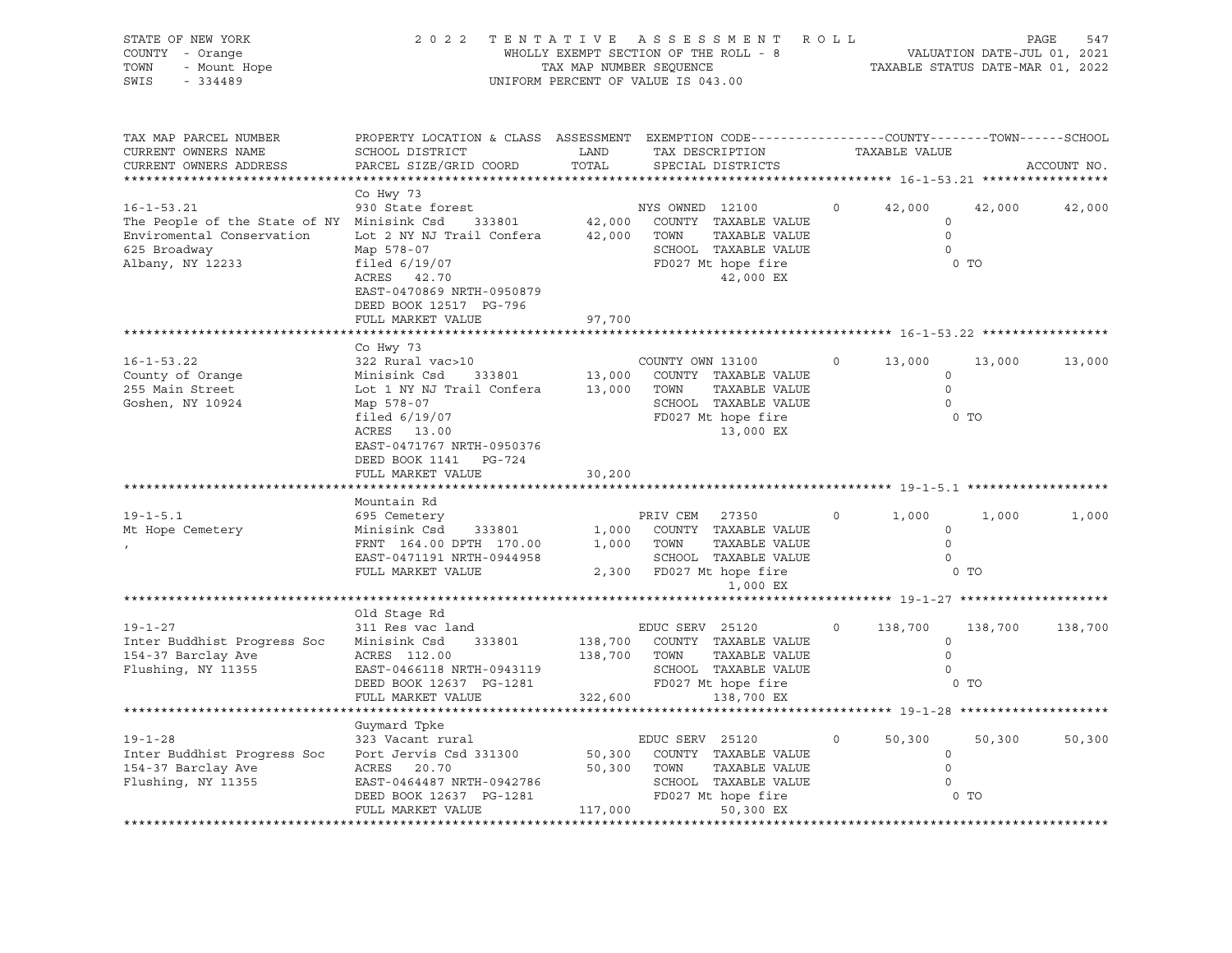| STATE OF NEW YORK<br>COUNTY - Orange<br>- Mount Hope<br>TOWN<br>$-334489$<br>SWIS | 2022 TENTATIVE ASSESSMENT ROLL                                                                                                              | WHOLLY EXEMPT SECTION OF THE ROLL - 8<br>TAX MAP NUMBER SEQUENCE<br>UNIFORM PERCENT OF VALUE IS 043.00 |                  |                                                |          |                    | VALUATION DATE-JUL 01, 2021<br>TAXABLE STATUS DATE-MAR 01, 2022 | PAGE<br>547 |
|-----------------------------------------------------------------------------------|---------------------------------------------------------------------------------------------------------------------------------------------|--------------------------------------------------------------------------------------------------------|------------------|------------------------------------------------|----------|--------------------|-----------------------------------------------------------------|-------------|
| TAX MAP PARCEL NUMBER<br>CURRENT OWNERS NAME<br>CURRENT OWNERS ADDRESS            | PROPERTY LOCATION & CLASS ASSESSMENT EXEMPTION CODE---------------COUNTY-------TOWN-----SCHOOL<br>SCHOOL DISTRICT<br>PARCEL SIZE/GRID COORD | LAND<br>TOTAL                                                                                          |                  | TAX DESCRIPTION<br>SPECIAL DISTRICTS           |          | TAXABLE VALUE      |                                                                 | ACCOUNT NO. |
|                                                                                   | Co Hwy 73                                                                                                                                   |                                                                                                        |                  |                                                |          |                    |                                                                 |             |
| $16 - 1 - 53.21$                                                                  | 930 State forest                                                                                                                            |                                                                                                        | NYS OWNED 12100  |                                                | $\circ$  | 42,000             | 42,000                                                          | 42,000      |
| The People of the State of NY Minisink Csd 333801                                 |                                                                                                                                             |                                                                                                        |                  | 42,000 COUNTY TAXABLE VALUE                    |          | $\circ$<br>$\circ$ |                                                                 |             |
| Enviromental Conservation<br>625 Broadway                                         | Lot 2 NY NJ Trail Confera 42,000 TOWN<br>Map 578-07                                                                                         |                                                                                                        |                  | TAXABLE VALUE<br>SCHOOL TAXABLE VALUE          |          | $\overline{0}$     |                                                                 |             |
| Albany, NY 12233                                                                  | filed $6/19/07$                                                                                                                             |                                                                                                        |                  | FD027 Mt hope fire                             |          |                    | 0 <sub>T</sub>                                                  |             |
|                                                                                   | ACRES 42.70                                                                                                                                 |                                                                                                        |                  | 42,000 EX                                      |          |                    |                                                                 |             |
|                                                                                   | EAST-0470869 NRTH-0950879                                                                                                                   |                                                                                                        |                  |                                                |          |                    |                                                                 |             |
|                                                                                   | DEED BOOK 12517 PG-796                                                                                                                      |                                                                                                        |                  |                                                |          |                    |                                                                 |             |
|                                                                                   | FULL MARKET VALUE                                                                                                                           | 97,700                                                                                                 |                  |                                                |          |                    |                                                                 |             |
|                                                                                   |                                                                                                                                             |                                                                                                        |                  |                                                |          |                    |                                                                 |             |
|                                                                                   | Co Hwy 73                                                                                                                                   |                                                                                                        |                  |                                                |          |                    |                                                                 |             |
| $16 - 1 - 53.22$                                                                  | 322 Rural vac>10                                                                                                                            |                                                                                                        | COUNTY OWN 13100 |                                                | $\Omega$ | 13,000             | 13,000                                                          | 13,000      |
| County of Orange                                                                  | Minisink Csd 333801 13,000 COUNTY TAXABLE VALUE<br>Lot 1 NY NJ Trail Confera 13,000 TOWN TAXABLE VALUE<br>Minisink Csd                      |                                                                                                        |                  |                                                |          | $\circ$            |                                                                 |             |
| 255 Main Street                                                                   |                                                                                                                                             |                                                                                                        |                  |                                                |          | $\Omega$           |                                                                 |             |
| Goshen, NY 10924                                                                  | Map 578-07<br>filed $6/19/07$                                                                                                               |                                                                                                        |                  | SCHOOL TAXABLE VALUE<br>FD027 Mt hope fire     |          | $\circ$            | $0$ TO                                                          |             |
|                                                                                   | ACRES 13.00                                                                                                                                 |                                                                                                        |                  | 13,000 EX                                      |          |                    |                                                                 |             |
|                                                                                   | EAST-0471767 NRTH-0950376                                                                                                                   |                                                                                                        |                  |                                                |          |                    |                                                                 |             |
|                                                                                   | DEED BOOK 1141 PG-724                                                                                                                       |                                                                                                        |                  |                                                |          |                    |                                                                 |             |
|                                                                                   | FULL MARKET VALUE                                                                                                                           | 30,200                                                                                                 |                  |                                                |          |                    |                                                                 |             |
|                                                                                   |                                                                                                                                             |                                                                                                        |                  |                                                |          |                    |                                                                 |             |
|                                                                                   | Mountain Rd                                                                                                                                 |                                                                                                        |                  |                                                |          |                    |                                                                 |             |
| $19 - 1 - 5.1$                                                                    |                                                                                                                                             |                                                                                                        |                  |                                                | $\circ$  | 1,000              | 1,000                                                           | 1,000       |
| Mt Hope Cemetery                                                                  | Minisink Csd 333801                                                                                                                         |                                                                                                        |                  |                                                |          | $\circ$            |                                                                 |             |
|                                                                                   |                                                                                                                                             |                                                                                                        |                  |                                                |          | $\circ$            |                                                                 |             |
|                                                                                   | FRNT 164.00 DPTH 170.00 1,000 COUNTY TAXABLE VALUE<br>FRNT 164.00 DPTH 170.00 1,000 TOWN TAXABLE VALUE<br>EAST-0471191 NRTH-0944959         |                                                                                                        |                  | SCHOOL TAXABLE VALUE                           |          | $\circ$            |                                                                 |             |
|                                                                                   | FULL MARKET VALUE                                                                                                                           |                                                                                                        |                  | 2,300 FD027 Mt hope fire                       |          |                    | $0$ TO                                                          |             |
|                                                                                   |                                                                                                                                             |                                                                                                        |                  | 1,000 EX                                       |          |                    |                                                                 |             |
|                                                                                   |                                                                                                                                             |                                                                                                        |                  |                                                |          |                    |                                                                 |             |
| $19 - 1 - 27$                                                                     | Old Stage Rd<br>311 Res vac land                                                                                                            |                                                                                                        | EDUC SERV 25120  |                                                | $\circ$  | 138,700            | 138,700                                                         | 138,700     |
| Inter Buddhist Progress Soc                                                       | Minisink Csd 333801                                                                                                                         |                                                                                                        |                  | 138,700 COUNTY TAXABLE VALUE                   |          | $\circ$            |                                                                 |             |
| 154-37 Barclay Ave                                                                | ACRES 112.00                                                                                                                                | 138,700 TOWN                                                                                           |                  | TAXABLE VALUE                                  |          | $\Omega$           |                                                                 |             |
| Flushing, NY 11355                                                                |                                                                                                                                             |                                                                                                        |                  | SCHOOL TAXABLE VALUE                           |          | $\Omega$           |                                                                 |             |
|                                                                                   | EAST-0466118 NRTH-0943119<br>DEED BOOK 12637 PG-1281                                                                                        |                                                                                                        |                  | FD027 Mt hope fire                             |          |                    | $0$ TO                                                          |             |
|                                                                                   | FULL MARKET VALUE                                                                                                                           | 322,600                                                                                                |                  | 138,700 EX                                     |          |                    |                                                                 |             |
|                                                                                   |                                                                                                                                             |                                                                                                        |                  |                                                |          |                    |                                                                 |             |
|                                                                                   | Guymard Tpke                                                                                                                                |                                                                                                        |                  |                                                |          |                    |                                                                 |             |
| $19 - 1 - 28$                                                                     | 323 Vacant rural                                                                                                                            |                                                                                                        |                  | EDUC SERV 25120<br>50,300 COUNTY TAXABLE VALUE | $\Omega$ | 50,300             | 50,300                                                          | 50,300      |
| Inter Buddhist Progress Soc                                                       | Port Jervis Csd 331300                                                                                                                      |                                                                                                        |                  |                                                |          | $\circ$            |                                                                 |             |
| 154-37 Barclay Ave                                                                | ACRES 20.70                                                                                                                                 |                                                                                                        | TOWN             | TAXABLE VALUE                                  |          | $\circ$            |                                                                 |             |
| Flushing, NY 11355                                                                | EAST-0464487 NRTH-0942786                                                                                                                   | 50,300<br>—                                                                                            |                  | SCHOOL TAXABLE VALUE                           |          | $\Omega$           |                                                                 |             |
|                                                                                   | DEED BOOK 12637 PG-1281                                                                                                                     | 117,000                                                                                                |                  | FD027 Mt hope fire                             |          |                    | 0 <sub>T</sub>                                                  |             |
|                                                                                   | FULL MARKET VALUE                                                                                                                           |                                                                                                        |                  | 50,300 EX                                      |          |                    |                                                                 |             |
|                                                                                   |                                                                                                                                             |                                                                                                        |                  |                                                |          |                    |                                                                 |             |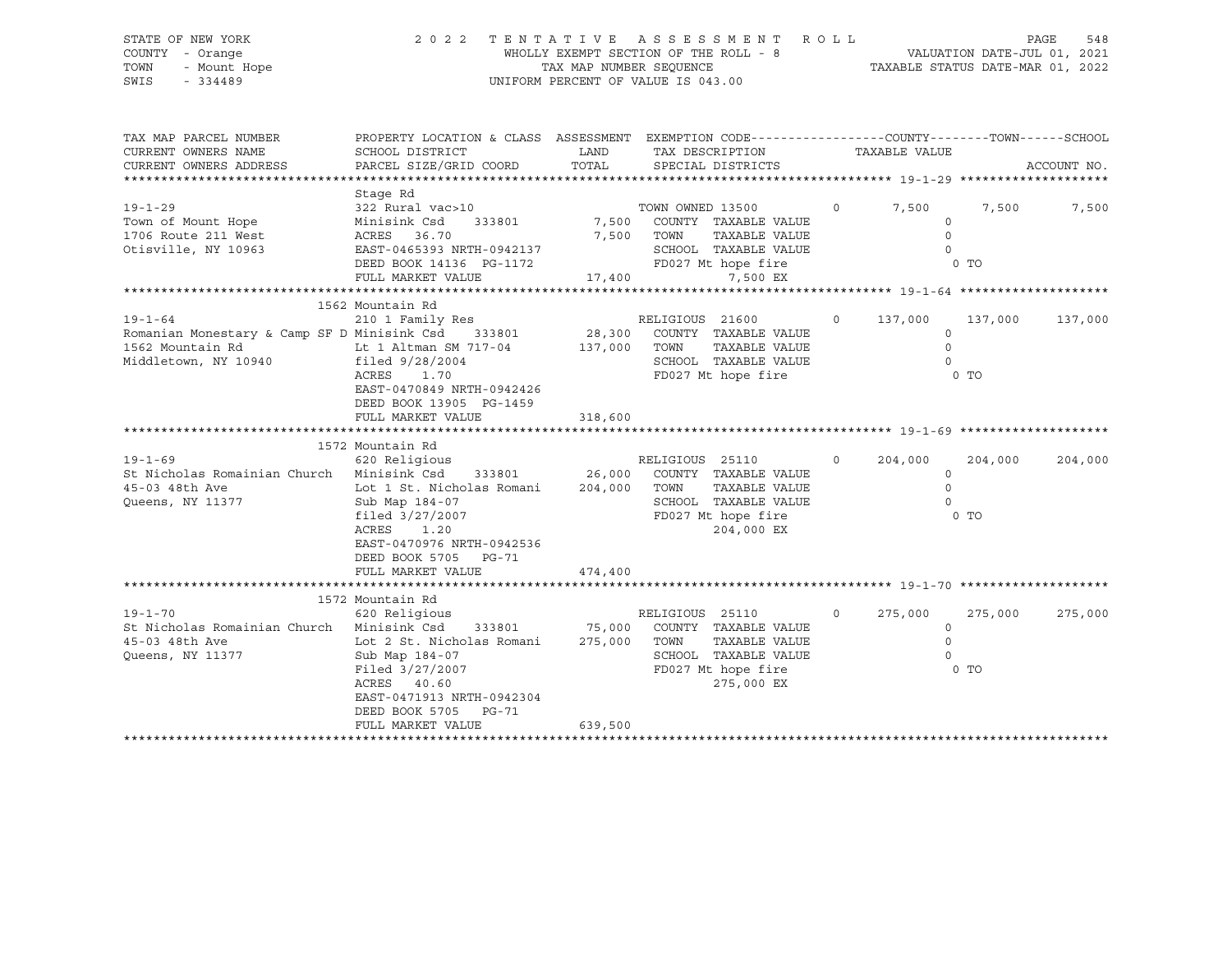### STATE OF NEW YORK 2 0 2 2 T E N T A T I V E A S S E S S M E N T R O L L PAGE 548 COUNTY - Orange WHOLLY EXEMPT SECTION OF THE ROLL - 8 VALUATION DATE-JUL 01, 2021 TOWN - Mount Hope TAX MAP NUMBER SEQUENCE TAXABLE STATUS DATE-MAR 01, 2022 SWIS - 334489 UNIFORM PERCENT OF VALUE IS 043.00

| TAX MAP PARCEL NUMBER<br>CURRENT OWNERS NAME<br>CURRENT OWNERS ADDRESS | PROPERTY LOCATION & CLASS ASSESSMENT<br>SCHOOL DISTRICT<br>PARCEL SIZE/GRID COORD | LAND<br>TOTAL | EXEMPTION CODE-----------------COUNTY-------TOWN------SCHOOL<br>TAX DESCRIPTION<br>SPECIAL DISTRICTS |          | TAXABLE VALUE |                | ACCOUNT NO. |
|------------------------------------------------------------------------|-----------------------------------------------------------------------------------|---------------|------------------------------------------------------------------------------------------------------|----------|---------------|----------------|-------------|
|                                                                        | Stage Rd                                                                          |               |                                                                                                      |          |               |                |             |
|                                                                        |                                                                                   |               |                                                                                                      |          |               |                |             |
| $19 - 1 - 29$                                                          | 322 Rural vac>10                                                                  |               | TOWN OWNED 13500                                                                                     | $\circ$  | 7,500         | 7,500          | 7,500       |
| Town of Mount Hope                                                     | Minisink Csd<br>333801                                                            | 7,500         | COUNTY TAXABLE VALUE                                                                                 |          | $\Omega$      |                |             |
| 1706 Route 211 West                                                    | ACRES 36.70                                                                       | 7,500         | TOWN<br>TAXABLE VALUE                                                                                |          | $\Omega$      |                |             |
| Otisville, NY 10963                                                    | EAST-0465393 NRTH-0942137                                                         |               | SCHOOL TAXABLE VALUE                                                                                 |          | $\Omega$      |                |             |
|                                                                        | DEED BOOK 14136 PG-1172                                                           |               | FD027 Mt hope fire                                                                                   |          |               | 0 <sub>T</sub> |             |
|                                                                        | FULL MARKET VALUE                                                                 | 17,400        | 7,500 EX                                                                                             |          |               |                |             |
|                                                                        |                                                                                   |               |                                                                                                      |          |               |                |             |
|                                                                        | 1562 Mountain Rd                                                                  |               |                                                                                                      |          |               |                |             |
| $19 - 1 - 64$                                                          | 210 1 Family Res                                                                  |               | RELIGIOUS 21600                                                                                      | $\circ$  | 137,000       | 137,000        | 137,000     |
| Romanian Monestary & Camp SF D Minisink Csd                            | 333801                                                                            | 28,300        | COUNTY TAXABLE VALUE                                                                                 |          | 0             |                |             |
| 1562 Mountain Rd                                                       | Lt 1 Altman SM 717-04                                                             | 137,000       | TOWN<br>TAXABLE VALUE                                                                                |          | $\Omega$      |                |             |
| Middletown, NY 10940                                                   | filed 9/28/2004                                                                   |               | SCHOOL TAXABLE VALUE                                                                                 |          |               |                |             |
|                                                                        | ACRES<br>1.70                                                                     |               | FD027 Mt hope fire                                                                                   |          |               | $0$ TO         |             |
|                                                                        | EAST-0470849 NRTH-0942426                                                         |               |                                                                                                      |          |               |                |             |
|                                                                        | DEED BOOK 13905 PG-1459                                                           |               |                                                                                                      |          |               |                |             |
|                                                                        | FULL MARKET VALUE                                                                 | 318,600       |                                                                                                      |          |               |                |             |
|                                                                        |                                                                                   |               |                                                                                                      |          |               |                |             |
|                                                                        | 1572 Mountain Rd                                                                  |               |                                                                                                      |          |               |                |             |
| $19 - 1 - 69$                                                          | 620 Religious                                                                     |               | RELIGIOUS 25110                                                                                      | $\circ$  | 204,000       | 204,000        | 204,000     |
| St Nicholas Romainian Church Minisink Csd                              | 333801                                                                            | 26,000        | COUNTY TAXABLE VALUE                                                                                 |          | $\circ$       |                |             |
| 45-03 48th Ave                                                         | Lot 1 St. Nicholas Romani                                                         | 204,000       | TAXABLE VALUE<br>TOWN                                                                                |          | $\Omega$      |                |             |
| Queens, NY 11377                                                       | Sub Map 184-07                                                                    |               | SCHOOL TAXABLE VALUE                                                                                 |          |               |                |             |
|                                                                        | filed 3/27/2007                                                                   |               | FD027 Mt hope fire                                                                                   |          |               | $0$ TO         |             |
|                                                                        | ACRES<br>1.20                                                                     |               | 204,000 EX                                                                                           |          |               |                |             |
|                                                                        | EAST-0470976 NRTH-0942536                                                         |               |                                                                                                      |          |               |                |             |
|                                                                        | DEED BOOK 5705<br>PG-71                                                           |               |                                                                                                      |          |               |                |             |
|                                                                        | FULL MARKET VALUE                                                                 | 474,400       |                                                                                                      |          |               |                |             |
|                                                                        |                                                                                   |               |                                                                                                      |          |               |                |             |
|                                                                        | 1572 Mountain Rd                                                                  |               |                                                                                                      |          |               |                |             |
| $19 - 1 - 70$                                                          | 620 Religious                                                                     |               | RELIGIOUS 25110                                                                                      | $\Omega$ | 275,000       | 275,000        | 275,000     |
| St Nicholas Romainian Church Minisink Csd                              |                                                                                   | 333801 75,000 | COUNTY TAXABLE VALUE                                                                                 |          | $\Omega$      |                |             |
| 45-03 48th Ave                                                         | Lot 2 St. Nicholas Romani                                                         | 275,000       | TOWN<br>TAXABLE VALUE                                                                                |          | $\Omega$      |                |             |
| Queens, NY 11377                                                       | Sub Map 184-07                                                                    |               | SCHOOL TAXABLE VALUE                                                                                 |          |               |                |             |
|                                                                        |                                                                                   |               | FD027 Mt hope fire                                                                                   |          |               | $0$ TO         |             |
|                                                                        | Filed 3/27/2007<br>ACRES 40.60                                                    |               | 275,000 EX                                                                                           |          |               |                |             |
|                                                                        |                                                                                   |               |                                                                                                      |          |               |                |             |
|                                                                        | EAST-0471913 NRTH-0942304                                                         |               |                                                                                                      |          |               |                |             |
|                                                                        | DEED BOOK 5705<br><b>PG-71</b>                                                    |               |                                                                                                      |          |               |                |             |
|                                                                        | FULL MARKET VALUE                                                                 | 639,500       |                                                                                                      |          |               |                |             |
|                                                                        |                                                                                   |               |                                                                                                      |          |               |                |             |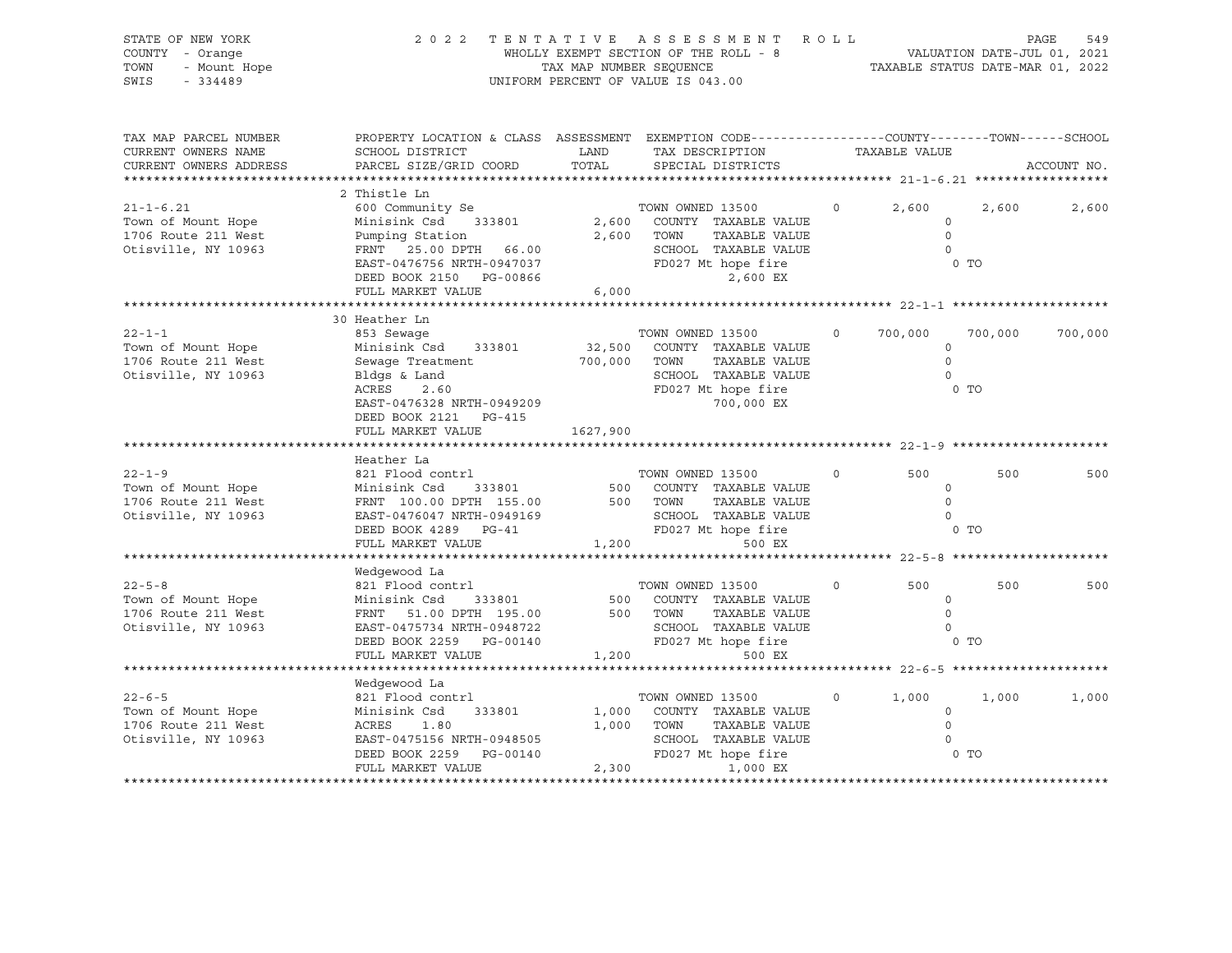| STATE OF NEW YORK<br>COUNTY - Orange<br>TOWN<br>- Mount Hope<br>SWIS<br>$-334489$   |                                                                                                                                                                                                                                                              |                                                   | 2022 TENTATIVE ASSESSMENT ROLL<br>WHOLLY EXEMPT SECTION OF THE ROLL - 8 VALUATION DATE-JUL 01, 2021<br>TAX MAP NUMBER SEQUENCE TAXABLE STATUS DATE-MAR 01, 2022<br>UNIFORM PERCENT OF VALUE IS 043.00 |         |                                                             |                         | PAGE<br>549 |
|-------------------------------------------------------------------------------------|--------------------------------------------------------------------------------------------------------------------------------------------------------------------------------------------------------------------------------------------------------------|---------------------------------------------------|-------------------------------------------------------------------------------------------------------------------------------------------------------------------------------------------------------|---------|-------------------------------------------------------------|-------------------------|-------------|
| TAX MAP PARCEL NUMBER<br>CURRENT OWNERS NAME<br>CURRENT OWNERS ADDRESS              | PROPERTY LOCATION & CLASS ASSESSMENT EXEMPTION CODE----------------COUNTY-------TOWN------SCHOOL<br>SCHOOL DISTRICT<br>PARCEL SIZE/GRID COORD                                                                                                                | <b>LAND</b><br>TOTAL                              | TAX DESCRIPTION<br>SPECIAL DISTRICTS                                                                                                                                                                  |         | TAXABLE VALUE                                               |                         | ACCOUNT NO. |
| $21 - 1 - 6.21$<br>Town of Mount Hope<br>1706 Route 211 West<br>Otisville, NY 10963 | 2 Thistle Ln<br>600 Community Se<br>Minisink Csd 333801<br>Pumping Station<br>FRNT   25.00 DPTH   66.00<br>EAST-0476756 NRTH-0947037<br>DEED BOOK 2150 PG-00866<br>FULL MARKET VALUE                                                                         | 6,000                                             | TOWN OWNED 13500<br>2,600 COUNTY TAXABLE VALUE<br>2,600 TOWN<br>TAXABLE VALUE<br>SCHOOL TAXABLE VALUE<br>FD027 Mt hope fire<br>2 600 PY                                                               | $\circ$ | 2,600<br>$\circ$<br>$\Omega$<br>$\bigcap$                   | 2,600<br>0 <sub>T</sub> | 2,600       |
|                                                                                     |                                                                                                                                                                                                                                                              |                                                   |                                                                                                                                                                                                       |         |                                                             |                         |             |
| $22 - 1 - 1$<br>Town of Mount Hope<br>1706 Route 211 West<br>Otisville, NY 10963    | 30 Heather Ln<br>853 Sewaqe<br>Minisink Csd 333801<br>Sewaqe Treatment<br>Bldgs & Land<br>ACRES<br>2.60<br>EAST-0476328 NRTH-0949209<br>DEED BOOK 2121 PG-415<br>FULL MARKET VALUE                                                                           | 32,500     COUNTY<br>700,000     TOWN<br>1627,900 | TOWN OWNED 13500<br>COUNTY TAXABLE VALUE<br>TAXABLE VALUE<br>SCHOOL TAXABLE VALUE<br>FD027 Mt hope fire<br>700,000 EX                                                                                 | $\circ$ | 700,000<br>$\circ$<br>$\circ$<br>$\Omega$<br>0 <sub>T</sub> | 700,000                 | 700,000     |
|                                                                                     |                                                                                                                                                                                                                                                              |                                                   |                                                                                                                                                                                                       |         |                                                             |                         |             |
| $22 - 1 - 9$<br>Town of Mount Hope<br>1706 Route 211 West<br>Otisville, NY 10963    | Heather La<br>821 Flood contrl<br>Minisink Csd 333801 500 COUNTY TAXABLE VALUE<br>FRNT 100.00 DPTH 155.00 500 TOWN TAXABLE VALUE<br>FAST-0476047 NPTH-0949169 SCHOOL TAXABLE VALUE<br>EAST-0476047 NRTH-0949169<br>DEED BOOK 4289 PG-41<br>FULL MARKET VALUE |                                                   | TOWN OWNED 13500<br>TAXABLE VALUE<br>SCHOOL TAXABLE VALUE<br>FD027 Mt hope fire<br>1,200<br>500 EX                                                                                                    | $\circ$ | 500<br>$\circ$<br>$\Omega$<br>$\overline{0}$<br>0 TO        | 500                     | 500         |
|                                                                                     |                                                                                                                                                                                                                                                              |                                                   |                                                                                                                                                                                                       |         |                                                             |                         |             |
| $22 - 5 - 8$<br>Town of Mount Hope<br>1706 Route 211 West<br>Otisville, NY 10963    | Wedgewood La<br>821 Flood contrl<br>Minisink Csd 333801<br>FRNT 51.00 DPTH 195.00<br>EAST-0475734 NRTH-0948722<br>DEED BOOK 2259 PG-00140<br>FULL MARKET VALUE                                                                                               |                                                   | TOWN OWNED 13500<br>500 COUNTY TAXABLE VALUE<br>500 TOWN  TAXABLE VALUE<br>TAXABLE VALUE<br>SCHOOL TAXABLE VALUE<br>1,200<br>500 EX                                                                   | $\circ$ | 500<br>$\circ$<br>$\Omega$<br>$\Omega$                      | 500                     | 500         |
|                                                                                     |                                                                                                                                                                                                                                                              |                                                   |                                                                                                                                                                                                       |         |                                                             |                         |             |
| $22 - 6 - 5$<br>Town of Mount Hope<br>1706 Route 211 West<br>Otisville, NY 10963    | Wedgewood La<br>821 Flood contrl<br>Minisink Csd<br>333801<br>ACRES 1.80<br>EAST-0475156 NRTH-0948505<br>DEED BOOK 2259 PG-00140<br>FULL MARKET VALUE                                                                                                        |                                                   | TOWN OWNED 13500<br>1,000 COUNTY TAXABLE VALUE<br>1,000 TOWN<br>TAXABLE VALUE<br>SCHOOL TAXABLE VALUE<br>FD027 Mt hope fire<br>2,300<br>1,000 EX                                                      | $\circ$ | 1,000<br>$\circ$<br>$\circ$<br>$\circ$<br>O TO              | 1,000                   | 1,000       |
|                                                                                     |                                                                                                                                                                                                                                                              |                                                   |                                                                                                                                                                                                       |         |                                                             |                         |             |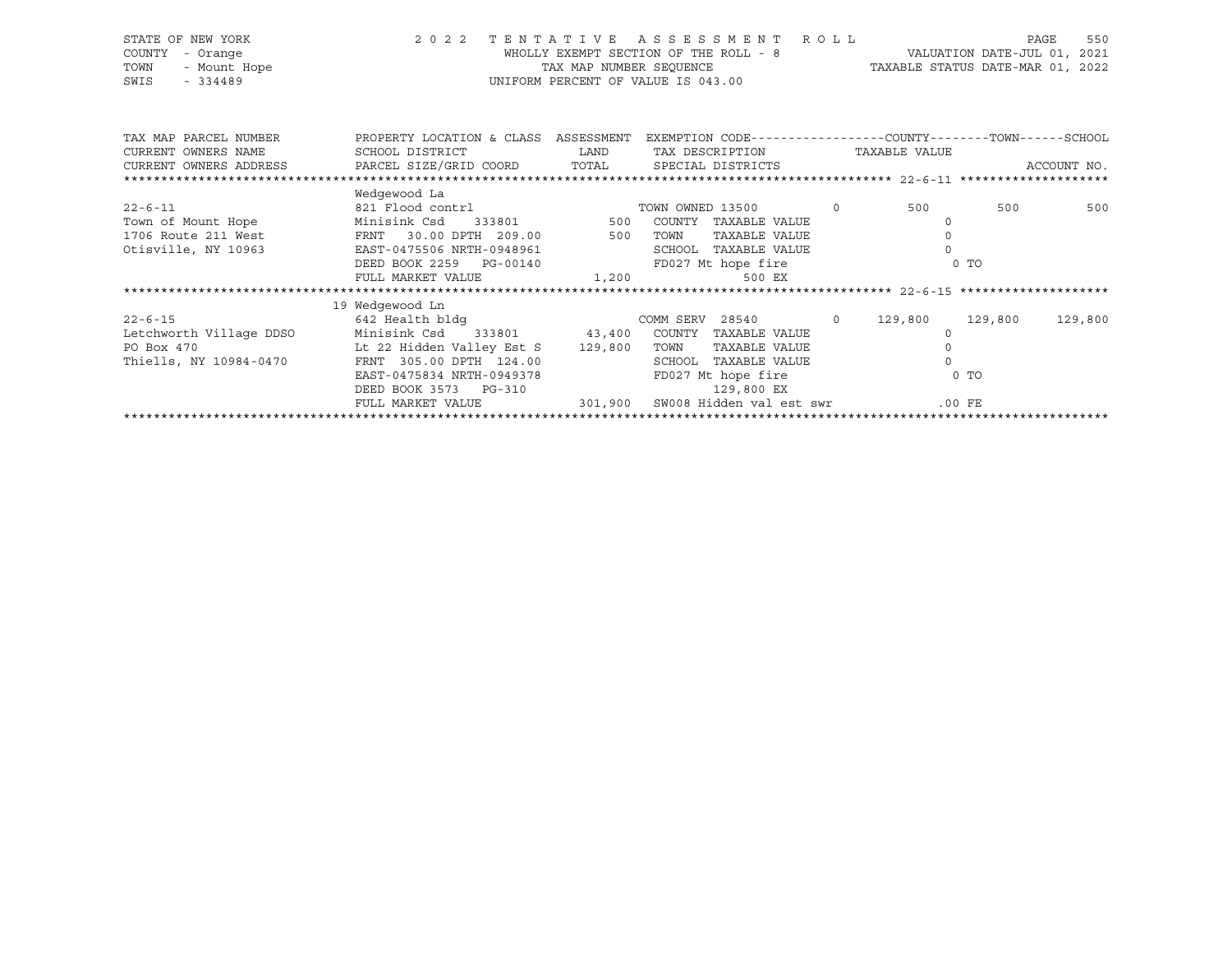| STATE OF NEW YORK     |                                    | 2022 TENTATIVE ASSESSMENT ROLL                                                                  |                                  | PAGE                        | 550 |
|-----------------------|------------------------------------|-------------------------------------------------------------------------------------------------|----------------------------------|-----------------------------|-----|
| COUNTY - Orange       |                                    | WHOLLY EXEMPT SECTION OF THE ROLL - 8                                                           |                                  | VALUATION DATE-JUL 01, 2021 |     |
| TOWN<br>- Mount Hope  | TAX MAP NUMBER SEOUENCE            |                                                                                                 | TAXABLE STATUS DATE-MAR 01, 2022 |                             |     |
| SWIS<br>$-334489$     | UNIFORM PERCENT OF VALUE IS 043.00 |                                                                                                 |                                  |                             |     |
|                       |                                    |                                                                                                 |                                  |                             |     |
|                       |                                    |                                                                                                 |                                  |                             |     |
|                       |                                    |                                                                                                 |                                  |                             |     |
| TAX MAP PARCEL NUMBER |                                    | PROPERTY LOCATION & CLASS ASSESSMENT EXEMPTION CODE---------------COUNTY-------TOWN------SCHOOL |                                  |                             |     |

| CURRENT OWNERS NAME     | SCHOOL DISTRICT LAND                                      | TAX DESCRIPTION       |     | TAXABLE VALUE |                    |
|-------------------------|-----------------------------------------------------------|-----------------------|-----|---------------|--------------------|
|                         |                                                           |                       |     |               |                    |
|                         |                                                           |                       |     |               |                    |
|                         | Wedgewood La                                              |                       |     |               |                    |
| $22 - 6 - 11$           |                                                           |                       | 500 |               | 500<br>500         |
|                         | Town of Mount Hope Minisink Csd 333801 500 COUNTY         | TAXABLE VALUE         |     |               |                    |
|                         | 1706 Route 211 West FRNT 30.00 DPTH 209.00 500            | TOWN<br>TAXABLE VALUE |     |               |                    |
| Otisville, NY 10963     | EAST-0475506 NRTH-0948961                                 | SCHOOL TAXABLE VALUE  |     |               |                    |
|                         | DEED BOOK 2259 PG-00140                                   | FD027 Mt hope fire    |     | $0$ TO        |                    |
|                         | FULL MARKET VALUE $1,200$ 500 EX                          |                       |     |               |                    |
|                         |                                                           |                       |     |               |                    |
|                         |                                                           |                       |     |               |                    |
|                         | 19 Wedgewood Ln                                           |                       |     |               |                    |
| $22 - 6 - 15$           |                                                           |                       |     |               | 129,800<br>129,800 |
| Letchworth Village DDSO | Minisink Csd 333801 43,400                                | COUNTY TAXABLE VALUE  |     |               |                    |
| PO Box 470              | Lt 22 Hidden Valley Est S 129,800                         | TOWN<br>TAXABLE VALUE |     |               |                    |
| Thiells, NY 10984-0470  | FRNT 305.00 DPTH 124.00                                   | SCHOOL TAXABLE VALUE  |     |               |                    |
|                         | EAST-0475834 NRTH-0949378                                 | FD027 Mt hope fire    |     | $0$ TO        |                    |
|                         | DEED BOOK 3573 PG-310                                     | 129,800 EX            |     |               |                    |
|                         | FULL MARKET VALUE 301,900 SW008 Hidden val est swr .00 FE |                       |     |               |                    |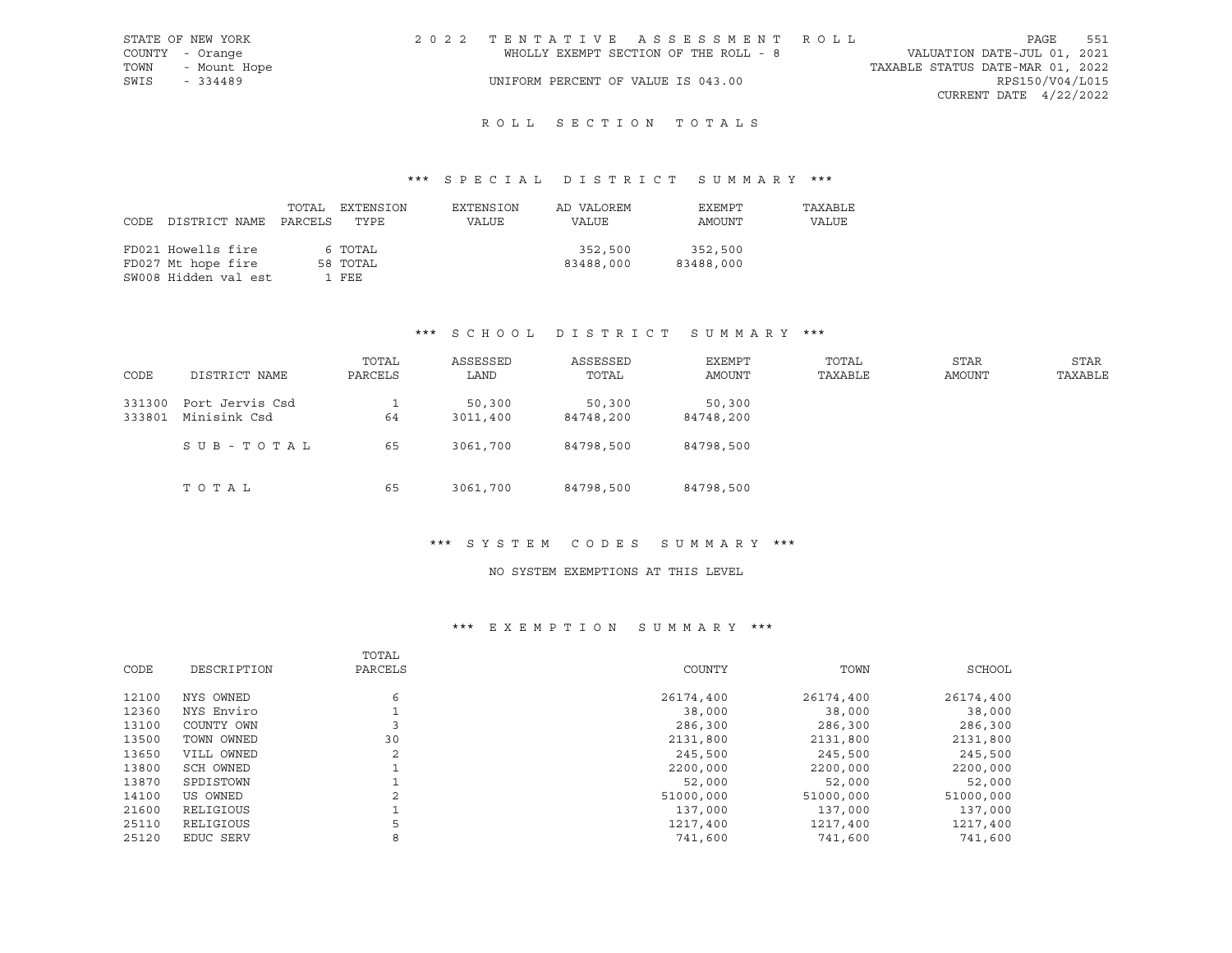| STATE OF NEW YORK | 2022 TENTATIVE ASSESSMENT ROLL        |  |                                  | PAGE                     | 551 |
|-------------------|---------------------------------------|--|----------------------------------|--------------------------|-----|
| COUNTY - Orange   | WHOLLY EXEMPT SECTION OF THE ROLL - 8 |  | VALUATION DATE-JUL 01, 2021      |                          |     |
| TOWN - Mount Hope |                                       |  | TAXABLE STATUS DATE-MAR 01, 2022 |                          |     |
| SWIS<br>$-334489$ | UNIFORM PERCENT OF VALUE IS 043.00    |  |                                  | RPS150/V04/L015          |     |
|                   |                                       |  |                                  | CURRENT DATE $4/22/2022$ |     |
|                   |                                       |  |                                  |                          |     |

# ROLL SECTION TOTALS

## \*\*\* S P E C I A L D I S T R I C T S U M M A R Y \*\*\*

| CODE | DISTRICT NAME        | TOTAL<br>PARCELS | EXTENSION<br>TYPE | EXTENSION<br>VALUE | AD VALOREM<br>VALUE | EXEMPT<br>AMOUNT | TAXABLE<br>VALUE |
|------|----------------------|------------------|-------------------|--------------------|---------------------|------------------|------------------|
|      | FD021 Howells fire   |                  | 6 TOTAL           |                    | 352,500             | 352,500          |                  |
|      | FD027 Mt hope fire   |                  | 58 TOTAL          |                    | 83488,000           | 83488,000        |                  |
|      | SW008 Hidden val est |                  | 1 FEE             |                    |                     |                  |                  |

#### \*\*\* S C H O O L D I S T R I C T S U M M A R Y \*\*\*

| CODE             | DISTRICT NAME                   | TOTAL<br>PARCELS | ASSESSED<br>LAND   | ASSESSED<br>TOTAL   | EXEMPT<br>AMOUNT    | TOTAL<br>TAXABLE | STAR<br>AMOUNT | STAR<br>TAXABLE |
|------------------|---------------------------------|------------------|--------------------|---------------------|---------------------|------------------|----------------|-----------------|
| 331300<br>333801 | Port Jervis Csd<br>Minisink Csd | 64               | 50,300<br>3011,400 | 50,300<br>84748,200 | 50,300<br>84748,200 |                  |                |                 |
|                  | SUB-TOTAL                       | 65               | 3061,700           | 84798,500           | 84798,500           |                  |                |                 |
|                  | TOTAL                           | 65               | 3061,700           | 84798,500           | 84798,500           |                  |                |                 |

#### \*\*\* S Y S T E M C O D E S S U M M A R Y \*\*\*

#### NO SYSTEM EXEMPTIONS AT THIS LEVEL

| CODE  | DESCRIPTION | TOTAL<br>PARCELS | COUNTY    | TOWN      | SCHOOL    |
|-------|-------------|------------------|-----------|-----------|-----------|
| 12100 | NYS OWNED   | 6                | 26174,400 | 26174,400 | 26174,400 |
| 12360 | NYS Enviro  |                  | 38,000    | 38,000    | 38,000    |
| 13100 | COUNTY OWN  |                  | 286,300   | 286,300   | 286,300   |
| 13500 | TOWN OWNED  | 30               | 2131,800  | 2131,800  | 2131,800  |
| 13650 | VILL OWNED  | 2                | 245,500   | 245,500   | 245,500   |
| 13800 | SCH OWNED   |                  | 2200,000  | 2200,000  | 2200,000  |
| 13870 | SPDISTOWN   |                  | 52,000    | 52,000    | 52,000    |
| 14100 | US OWNED    | 2                | 51000,000 | 51000,000 | 51000,000 |
| 21600 | RELIGIOUS   |                  | 137,000   | 137,000   | 137,000   |
| 25110 | RELIGIOUS   | 5                | 1217,400  | 1217,400  | 1217,400  |
| 25120 | EDUC SERV   | 8                | 741,600   | 741,600   | 741,600   |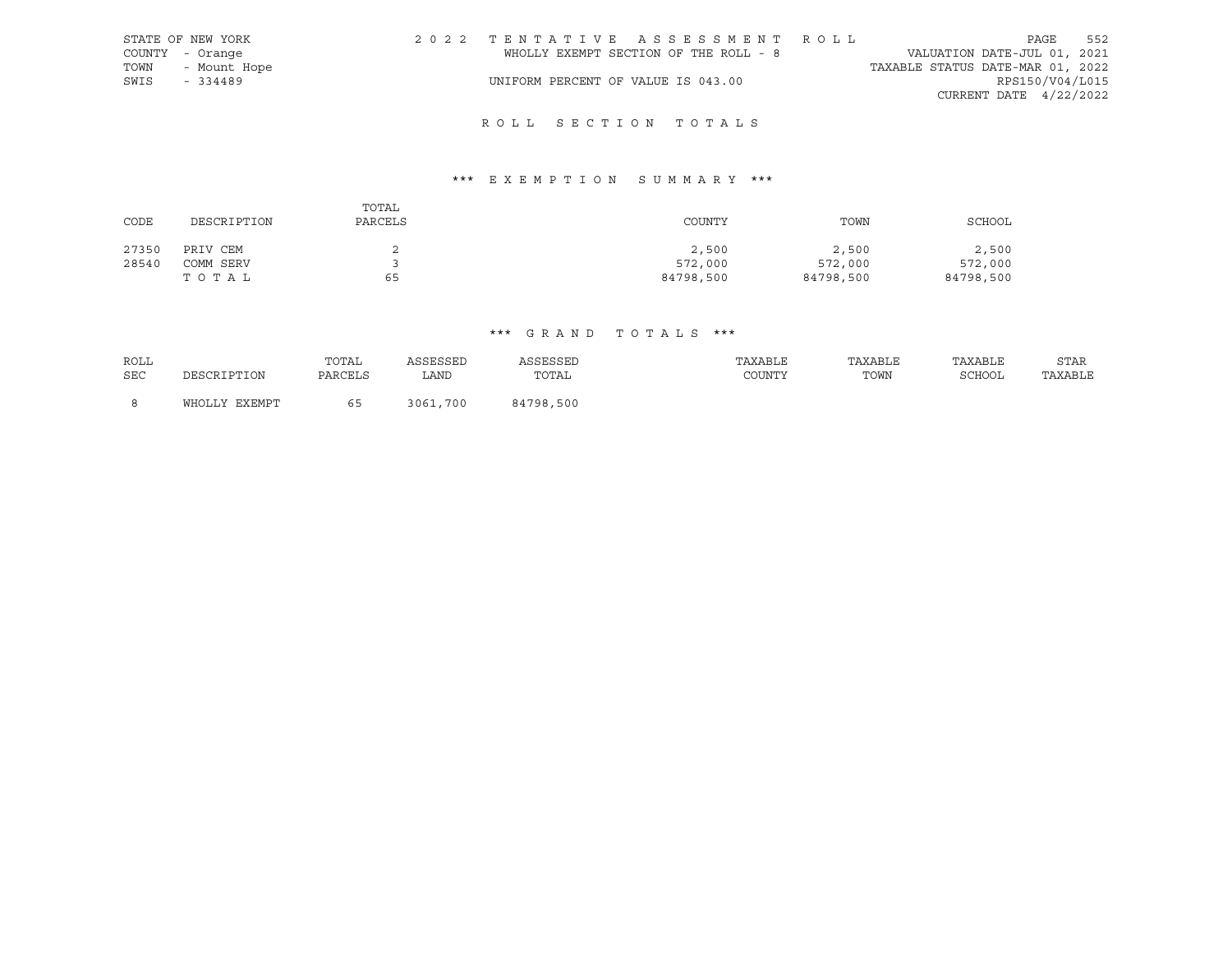|      | STATE OF NEW YORK | 2022 TENTATIVE ASSESSMENT ROLL        |  |                                  | PAGE                     | 552 |
|------|-------------------|---------------------------------------|--|----------------------------------|--------------------------|-----|
|      | COUNTY - Orange   | WHOLLY EXEMPT SECTION OF THE ROLL - 8 |  | VALUATION DATE-JUL 01, 2021      |                          |     |
| TOWN | - Mount Hope      |                                       |  | TAXABLE STATUS DATE-MAR 01, 2022 |                          |     |
| SWIS | $-334489$         | UNIFORM PERCENT OF VALUE IS 043.00    |  |                                  | RPS150/V04/L015          |     |
|      |                   |                                       |  |                                  | CURRENT DATE $4/22/2022$ |     |

# ROLL SECTION TOTALS

# \*\*\* E X E M P T I O N S U M M A R Y \*\*\*

| CODE  | DESCRIPTION | TOTAL<br>PARCELS | COUNTY    | TOWN      | SCHOOL    |
|-------|-------------|------------------|-----------|-----------|-----------|
| 27350 | PRIV CEM    |                  | 2,500     | 2,500     | 2,500     |
| 28540 | COMM SERV   |                  | 572,000   | 572,000   | 572,000   |
|       | тотаь       | 65               | 84798,500 | 84798,500 | 84798,500 |

## \*\*\* G R A N D T O T A L S \*\*\*

| ROLL       |               | TOTAL   | ACCECCEP     | <b>\SSESSEL</b> | TAXABLE | TAXABLE | TAXABLE       | STAR    |
|------------|---------------|---------|--------------|-----------------|---------|---------|---------------|---------|
| <b>SEC</b> | DESCRIPTION   | PARCELS | LAND         | TOTAL           | COUNTY  | TOWN    | <b>SCHOOL</b> | TAXABLE |
|            |               |         |              |                 |         |         |               |         |
| -8         | WHOLLY EXEMPT | h h     | .700<br>3061 | 84798,500       |         |         |               |         |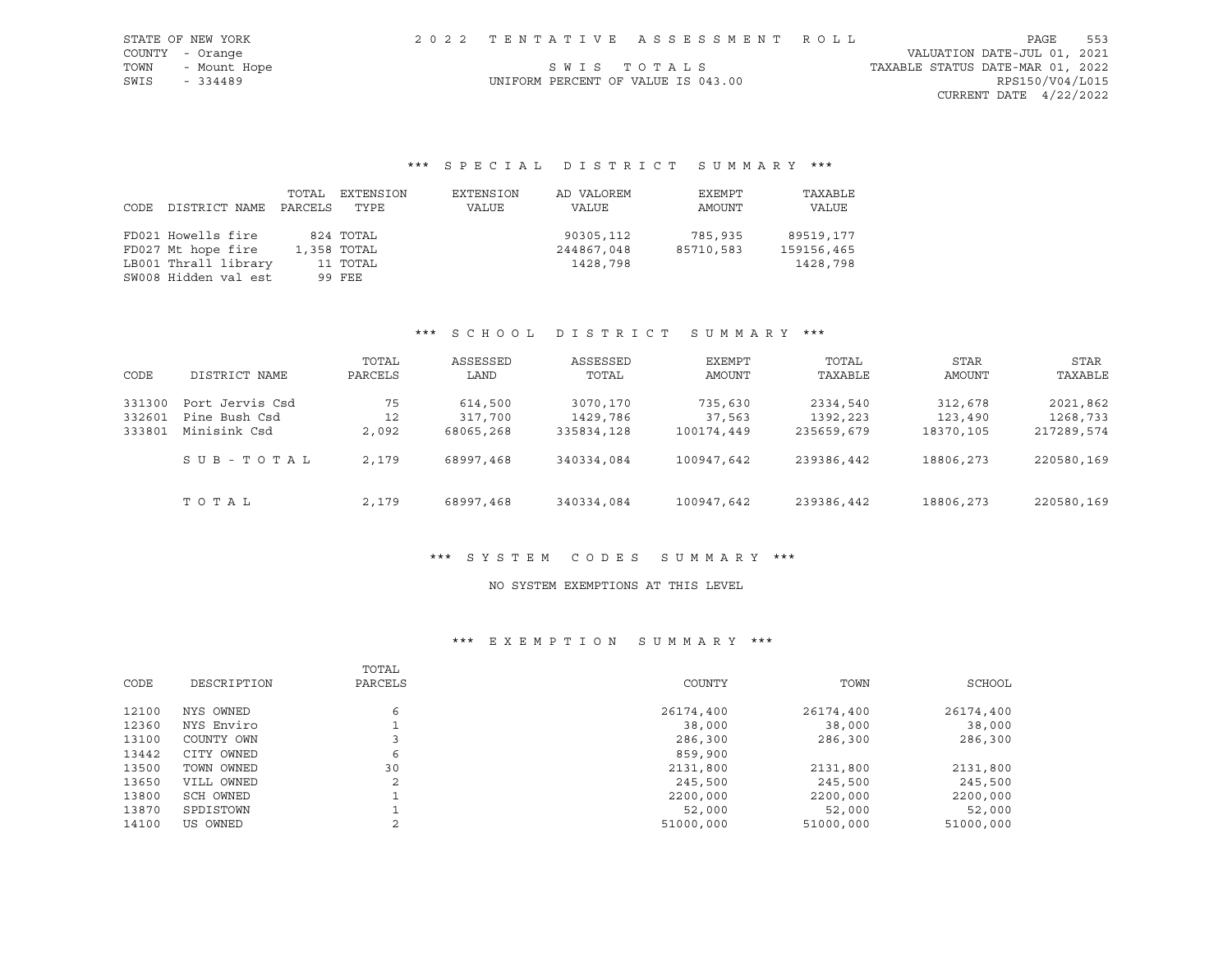|      | STATE OF NEW YORK | 2022 TENTATIVE ASSESSMENT ROLL     |             |                                  | PAGE | 553 |
|------|-------------------|------------------------------------|-------------|----------------------------------|------|-----|
|      | COUNTY - Orange   |                                    |             | VALUATION DATE-JUL 01, 2021      |      |     |
| TOWN | - Mount Hope      |                                    | SWIS TOTALS | TAXABLE STATUS DATE-MAR 01, 2022 |      |     |
| SWIS | $-334489$         | UNIFORM PERCENT OF VALUE IS 043.00 |             | RPS150/V04/L015                  |      |     |
|      |                   |                                    |             | CURRENT DATE 4/22/2022           |      |     |

\*\*\* S P E C I A L D I S T R I C T S U M M A R Y \*\*\*

| CODE | DISTRICT NAME        | TOTAL<br>PARCELS | EXTENSION<br>TYPE | EXTENSION<br>VALUE | AD VALOREM<br>VALUE | EXEMPT<br>AMOUNT | TAXABLE<br>VALUE |
|------|----------------------|------------------|-------------------|--------------------|---------------------|------------------|------------------|
|      | FD021 Howells fire   |                  | 824 TOTAL         |                    | 90305,112           | 785,935          | 89519,177        |
|      | FD027 Mt hope fire   |                  | 1,358 TOTAL       |                    | 244867,048          | 85710,583        | 159156,465       |
|      | LB001 Thrall library |                  | 11 TOTAL          |                    | 1428,798            |                  | 1428,798         |
|      | SW008 Hidden val est |                  | 99 FEE            |                    |                     |                  |                  |

## \*\*\* S C H O O L D I S T R I C T S U M M A R Y \*\*\*

| CODE   | DISTRICT NAME   | TOTAL<br>PARCELS | ASSESSED<br>LAND | ASSESSED<br>TOTAL | EXEMPT<br>AMOUNT | TOTAL<br>TAXABLE | <b>STAR</b><br>AMOUNT | STAR<br>TAXABLE |
|--------|-----------------|------------------|------------------|-------------------|------------------|------------------|-----------------------|-----------------|
|        |                 |                  |                  |                   |                  |                  |                       |                 |
| 331300 | Port Jervis Csd | 75               | 614,500          | 3070,170          | 735,630          | 2334,540         | 312,678               | 2021,862        |
| 332601 | Pine Bush Csd   | 12               | 317,700          | 1429,786          | 37,563           | 1392,223         | 123,490               | 1268,733        |
| 333801 | Minisink Csd    | 2,092            | 68065,268        | 335834,128        | 100174,449       | 235659,679       | 18370,105             | 217289,574      |
|        | SUB-TOTAL       | 2,179            | 68997,468        | 340334,084        | 100947,642       | 239386,442       | 18806,273             | 220580,169      |
|        | TOTAL           | 2,179            | 68997,468        | 340334,084        | 100947,642       | 239386,442       | 18806,273             | 220580,169      |

## \*\*\* S Y S T E M C O D E S S U M M A R Y \*\*\*

#### NO SYSTEM EXEMPTIONS AT THIS LEVEL

|       |             | TOTAL   |           |           |           |
|-------|-------------|---------|-----------|-----------|-----------|
| CODE  | DESCRIPTION | PARCELS | COUNTY    | TOWN      | SCHOOL    |
| 12100 | NYS OWNED   | 6       | 26174,400 | 26174,400 | 26174,400 |
| 12360 | NYS Enviro  |         | 38,000    | 38,000    | 38,000    |
| 13100 | COUNTY OWN  |         | 286,300   | 286,300   | 286,300   |
| 13442 | CITY OWNED  | 6       | 859,900   |           |           |
| 13500 | TOWN OWNED  | 30      | 2131,800  | 2131,800  | 2131,800  |
| 13650 | VILL OWNED  | 2       | 245,500   | 245,500   | 245,500   |
| 13800 | SCH OWNED   |         | 2200,000  | 2200,000  | 2200,000  |
| 13870 | SPDISTOWN   |         | 52,000    | 52,000    | 52,000    |
| 14100 | US OWNED    |         | 51000,000 | 51000,000 | 51000,000 |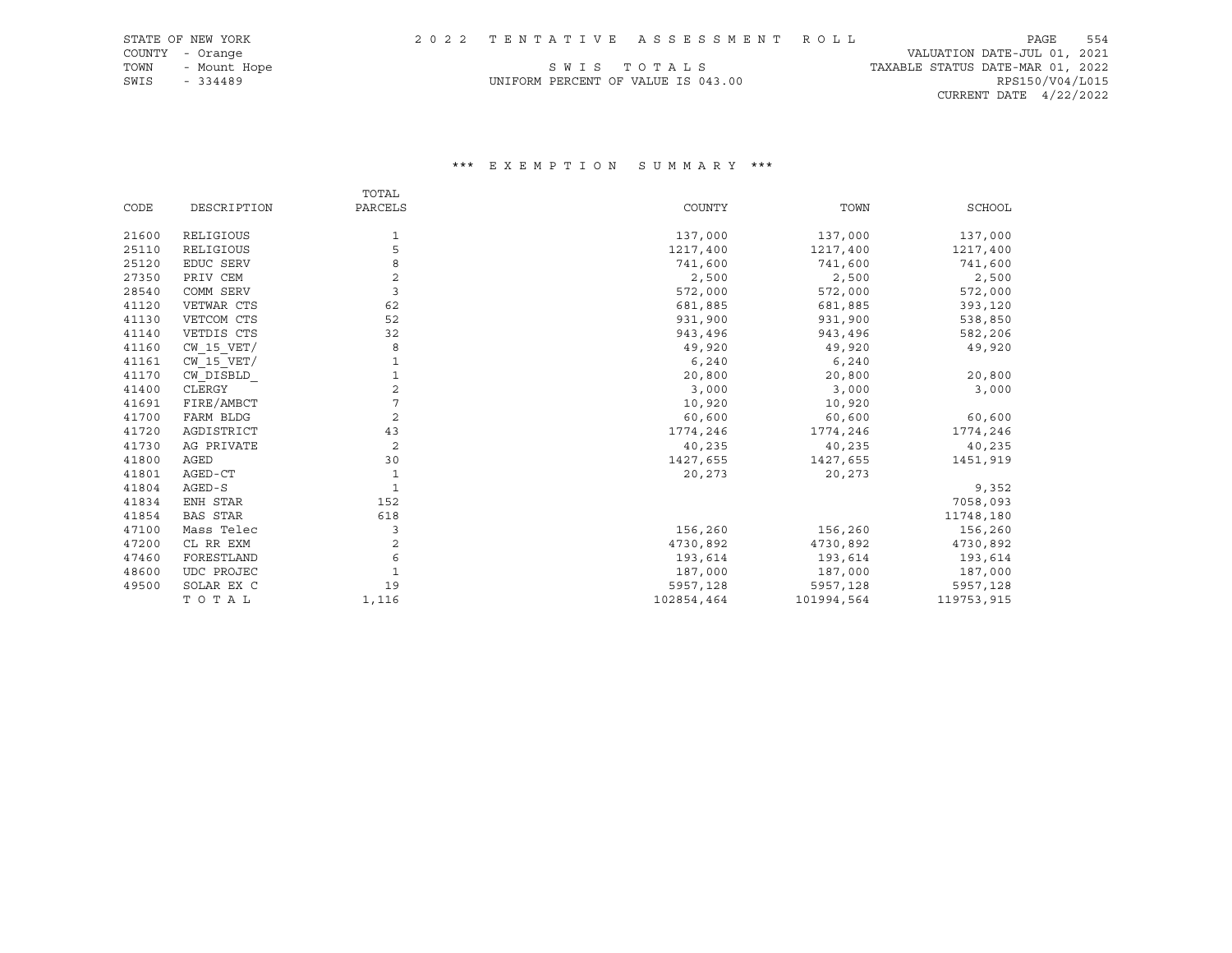COUNTY - Orange VALUATION DATE-JUL 01, 2021 CURRENT DATE 4/22/2022

# TOWN - Mount Hope S W I S T O T A L S TO T A L S TAXABLE STATUS DATE-MAR 01, 2022  $\begin{array}{lllllllll} \text{SWE} & \text{SWE} & \text{SWE} & \text{SWE} & \text{SWE} & \text{SWE} & \text{SWE} & \text{SWE} & \text{SWE} & \text{SWE} & \text{SWE} & \text{SWE} & \text{SWE} & \text{SWE} & \text{SWE} & \text{SWE} & \text{SWE} & \text{SWE} & \text{SWE} & \text{SWE} & \text{SWE} & \text{SWE} & \text{SWE} & \text{SWE} & \text{SWE} & \text{SWE} & \text{SWE} & \text{SWE} & \text{SWE} & \text{SWE} &$

|       |                 | TOTAL          |            |            |               |
|-------|-----------------|----------------|------------|------------|---------------|
| CODE  | DESCRIPTION     | PARCELS        | COUNTY     | TOWN       | <b>SCHOOL</b> |
| 21600 | RELIGIOUS       | 1              | 137,000    | 137,000    | 137,000       |
| 25110 | RELIGIOUS       | 5              | 1217,400   | 1217,400   | 1217,400      |
| 25120 | EDUC SERV       | 8              | 741,600    | 741,600    | 741,600       |
| 27350 | PRIV CEM        | 2              | 2,500      | 2,500      | 2,500         |
| 28540 | COMM SERV       | 3              | 572,000    | 572,000    | 572,000       |
| 41120 | VETWAR CTS      | 62             | 681,885    | 681,885    | 393,120       |
| 41130 | VETCOM CTS      | 52             | 931,900    | 931,900    | 538,850       |
| 41140 | VETDIS CTS      | 32             | 943,496    | 943,496    | 582,206       |
| 41160 | $CW$ 15 $VET/$  | 8              | 49,920     | 49,920     | 49,920        |
| 41161 | $CW$ 15 $VET/$  |                | 6,240      | 6,240      |               |
| 41170 | CW DISBLD       |                | 20,800     | 20,800     | 20,800        |
| 41400 | CLERGY          | 2              | 3,000      | 3,000      | 3,000         |
| 41691 | FIRE/AMBCT      |                | 10,920     | 10,920     |               |
| 41700 | FARM BLDG       | 2              | 60,600     | 60,600     | 60,600        |
| 41720 | AGDISTRICT      | 43             | 1774,246   | 1774,246   | 1774,246      |
| 41730 | AG PRIVATE      | $\overline{c}$ | 40,235     | 40,235     | 40,235        |
| 41800 | AGED            | 30             | 1427,655   | 1427,655   | 1451,919      |
| 41801 | AGED-CT         | 1              | 20,273     | 20,273     |               |
| 41804 | AGED-S          | $\mathbf{1}$   |            |            | 9,352         |
| 41834 | ENH STAR        | 152            |            |            | 7058,093      |
| 41854 | <b>BAS STAR</b> | 618            |            |            | 11748,180     |
| 47100 | Mass Telec      | 3              | 156,260    | 156,260    | 156,260       |
| 47200 | CL RR EXM       | 2              | 4730,892   | 4730,892   | 4730,892      |
| 47460 | FORESTLAND      | 6              | 193,614    | 193,614    | 193,614       |
| 48600 | UDC PROJEC      |                | 187,000    | 187,000    | 187,000       |
| 49500 | SOLAR EX C      | 19             | 5957,128   | 5957,128   | 5957,128      |
|       | TOTAL           | 1,116          | 102854,464 | 101994,564 | 119753,915    |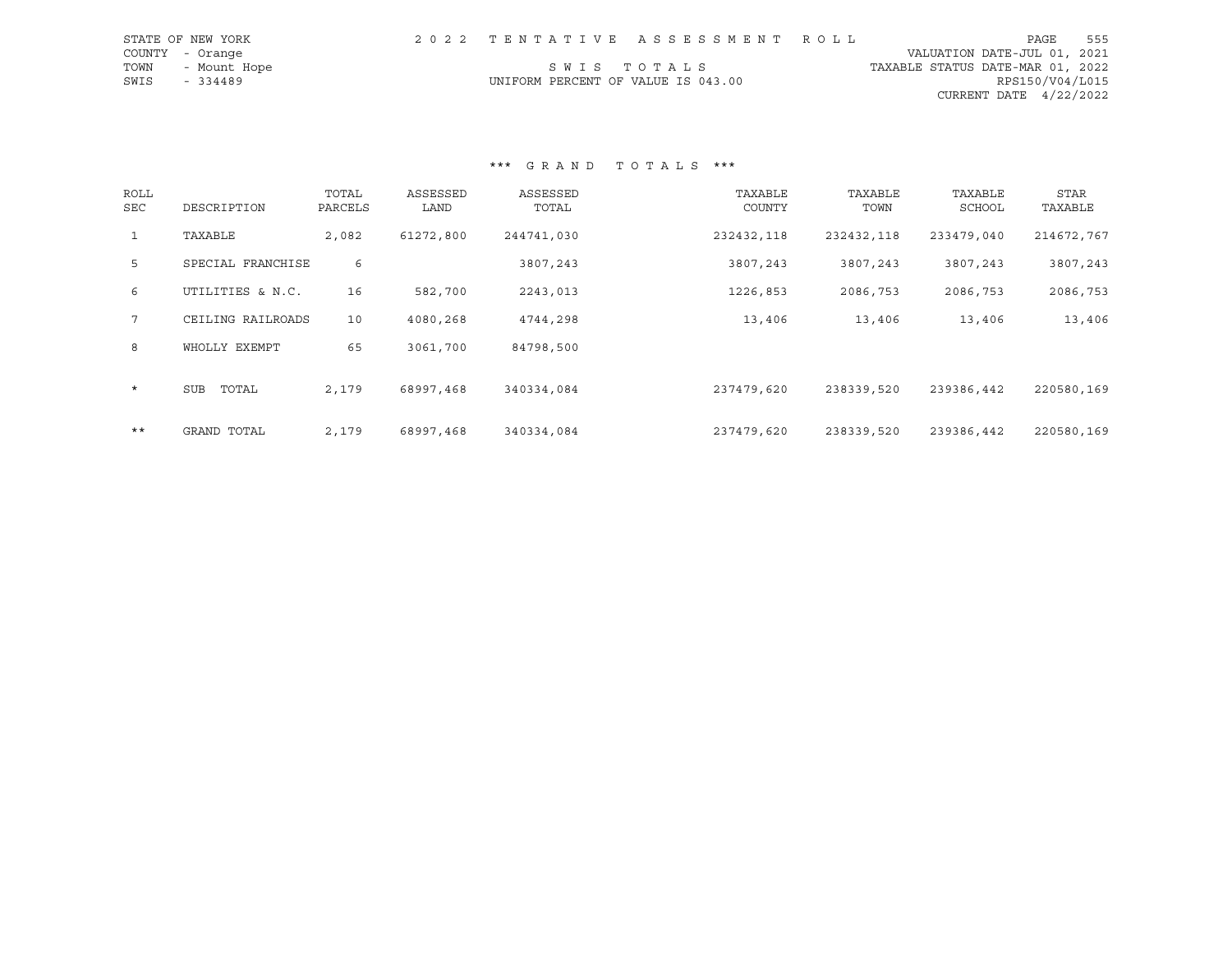| STATE OF NEW YORK    |                                    | 2022 TENTATIVE ASSESSMENT ROLL |                                  | PAGE                     | 555 |
|----------------------|------------------------------------|--------------------------------|----------------------------------|--------------------------|-----|
| COUNTY - Orange      |                                    |                                | VALUATION DATE-JUL 01, 2021      |                          |     |
| TOWN<br>- Mount Hope |                                    | SWIS TOTALS                    | TAXABLE STATUS DATE-MAR 01, 2022 |                          |     |
| SWIS<br>$-334489$    | UNIFORM PERCENT OF VALUE IS 043.00 |                                |                                  | RPS150/V04/L015          |     |
|                      |                                    |                                |                                  | CURRENT DATE $4/22/2022$ |     |

\*\*\* G R A N D T O T A L S \*\*\*

| ROLL<br>SEC     | DESCRIPTION         | TOTAL<br>PARCELS | ASSESSED<br>LAND | ASSESSED<br>TOTAL | TAXABLE<br>COUNTY | TAXABLE<br>TOWN | TAXABLE<br>SCHOOL | STAR<br>TAXABLE |
|-----------------|---------------------|------------------|------------------|-------------------|-------------------|-----------------|-------------------|-----------------|
| $\mathbf{1}$    | TAXABLE             | 2,082            | 61272,800        | 244741,030        | 232432,118        | 232432,118      | 233479,040        | 214672,767      |
| 5               | SPECIAL FRANCHISE   | 6                |                  | 3807,243          | 3807,243          | 3807,243        | 3807,243          | 3807,243        |
| 6               | UTILITIES & N.C.    | 16               | 582,700          | 2243,013          | 1226,853          | 2086,753        | 2086,753          | 2086,753        |
| $7\overline{ }$ | CEILING RAILROADS   | 10               | 4080,268         | 4744,298          | 13,406            | 13,406          | 13,406            | 13,406          |
| 8               | WHOLLY EXEMPT       | 65               | 3061,700         | 84798,500         |                   |                 |                   |                 |
| $\star$         | <b>SUB</b><br>TOTAL | 2,179            | 68997,468        | 340334,084        | 237479,620        | 238339,520      | 239386,442        | 220580,169      |
| $***$           | GRAND TOTAL         | 2,179            | 68997,468        | 340334,084        | 237479,620        | 238339,520      | 239386,442        | 220580,169      |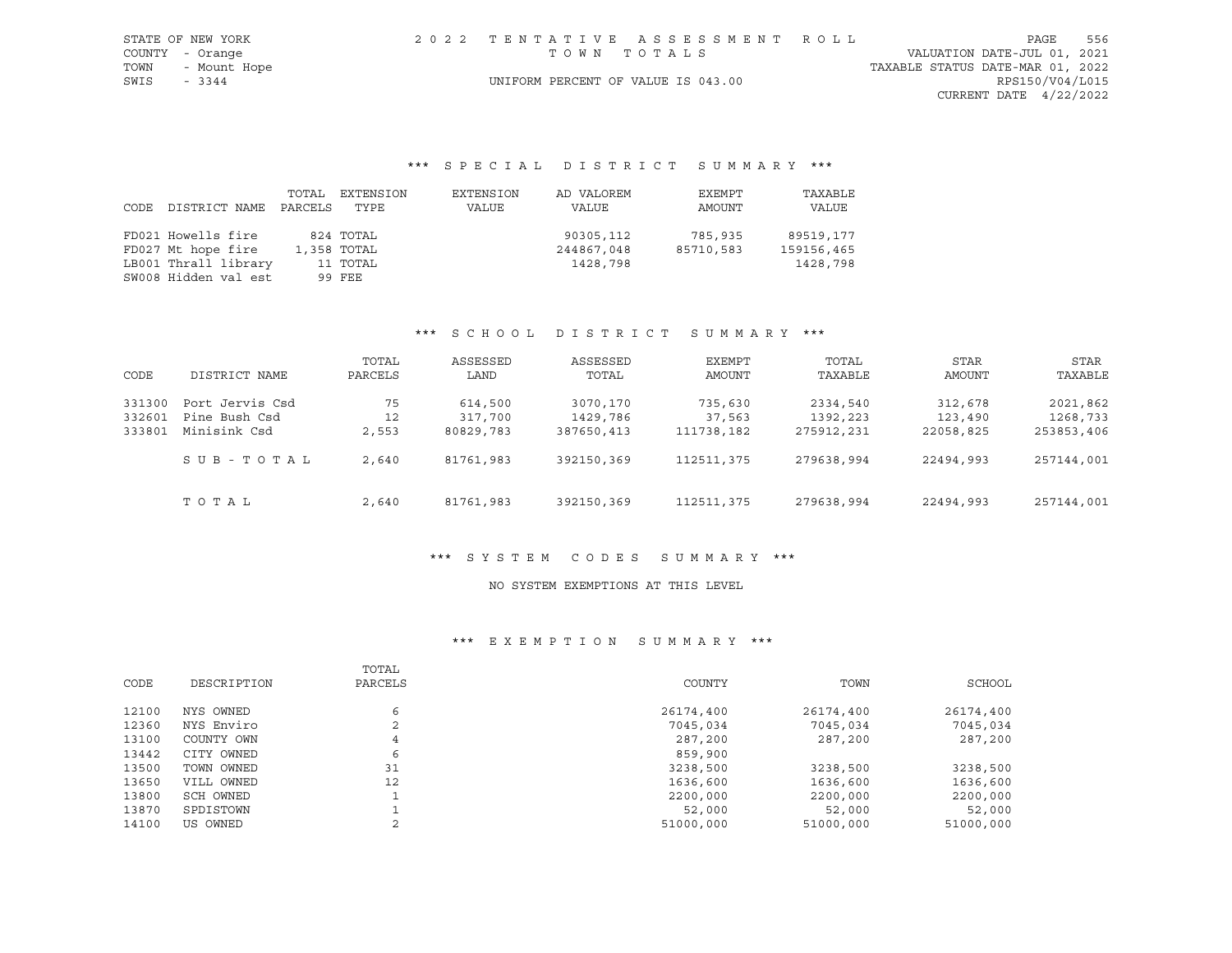|                 | STATE OF NEW YORK |                                    | 2022 TENTATIVE ASSESSMENT ROLL |                                  |                 | PAGE | 556 |
|-----------------|-------------------|------------------------------------|--------------------------------|----------------------------------|-----------------|------|-----|
| COUNTY - Orange |                   | TOWN TOTALS                        |                                | VALUATION DATE-JUL 01, 2021      |                 |      |     |
|                 | TOWN - Mount Hope |                                    |                                | TAXABLE STATUS DATE-MAR 01, 2022 |                 |      |     |
| SWIS            | $-3344$           | UNIFORM PERCENT OF VALUE IS 043.00 |                                |                                  | RPS150/V04/L015 |      |     |
|                 |                   |                                    |                                | CURRENT DATE 4/22/2022           |                 |      |     |

# \*\*\* S P E C I A L D I S T R I C T S U M M A R Y \*\*\*

| CODE | DISTRICT NAME        | TOTAL<br>PARCELS | EXTENSION<br>TYPE | EXTENSION<br>VALUE | AD VALOREM<br>VALUE | EXEMPT<br>AMOUNT | TAXABLE<br>VALUE |
|------|----------------------|------------------|-------------------|--------------------|---------------------|------------------|------------------|
|      | FD021 Howells fire   |                  | 824 TOTAL         |                    | 90305,112           | 785,935          | 89519,177        |
|      | FD027 Mt hope fire   |                  | 1,358 TOTAL       |                    | 244867,048          | 85710,583        | 159156,465       |
|      | LB001 Thrall library |                  | 11 TOTAL          |                    | 1428,798            |                  | 1428,798         |
|      | SW008 Hidden val est |                  | 99 FEE            |                    |                     |                  |                  |

#### \*\*\* S C H O O L D I S T R I C T S U M M A R Y \*\*\*

| CODE   | DISTRICT NAME   | TOTAL<br>PARCELS | ASSESSED<br>LAND | ASSESSED<br>TOTAL | EXEMPT<br><b>AMOUNT</b> | TOTAL<br>TAXABLE | STAR<br>AMOUNT | STAR<br>TAXABLE |
|--------|-----------------|------------------|------------------|-------------------|-------------------------|------------------|----------------|-----------------|
| 331300 | Port Jervis Csd | 75               | 614,500          | 3070,170          | 735,630                 | 2334,540         | 312,678        | 2021,862        |
| 332601 | Pine Bush Csd   | 12               | 317,700          | 1429,786          | 37,563                  | 1392,223         | 123,490        | 1268,733        |
| 333801 | Minisink Csd    | 2,553            | 80829,783        | 387650,413        | 111738,182              | 275912,231       | 22058,825      | 253853,406      |
|        | SUB-TOTAL       | 2,640            | 81761,983        | 392150,369        | 112511,375              | 279638,994       | 22494,993      | 257144,001      |
|        | TOTAL           | 2,640            | 81761,983        | 392150,369        | 112511,375              | 279638,994       | 22494,993      | 257144,001      |

## \*\*\* S Y S T E M C O D E S S U M M A R Y \*\*\*

#### NO SYSTEM EXEMPTIONS AT THIS LEVEL

|       |             | TOTAL                    |           |           |           |
|-------|-------------|--------------------------|-----------|-----------|-----------|
| CODE  | DESCRIPTION | PARCELS                  | COUNTY    | TOWN      | SCHOOL    |
| 12100 | NYS OWNED   | 6                        | 26174,400 | 26174,400 | 26174,400 |
| 12360 | NYS Enviro  | $\overline{\phantom{a}}$ | 7045,034  | 7045,034  | 7045,034  |
| 13100 | COUNTY OWN  | 4                        | 287,200   | 287,200   | 287,200   |
| 13442 | CITY OWNED  | 6                        | 859,900   |           |           |
| 13500 | TOWN OWNED  | 31                       | 3238,500  | 3238,500  | 3238,500  |
| 13650 | VILL OWNED  | 12                       | 1636,600  | 1636,600  | 1636,600  |
| 13800 | SCH OWNED   |                          | 2200,000  | 2200,000  | 2200,000  |
| 13870 | SPDISTOWN   |                          | 52,000    | 52,000    | 52,000    |
| 14100 | US OWNED    |                          | 51000,000 | 51000,000 | 51000,000 |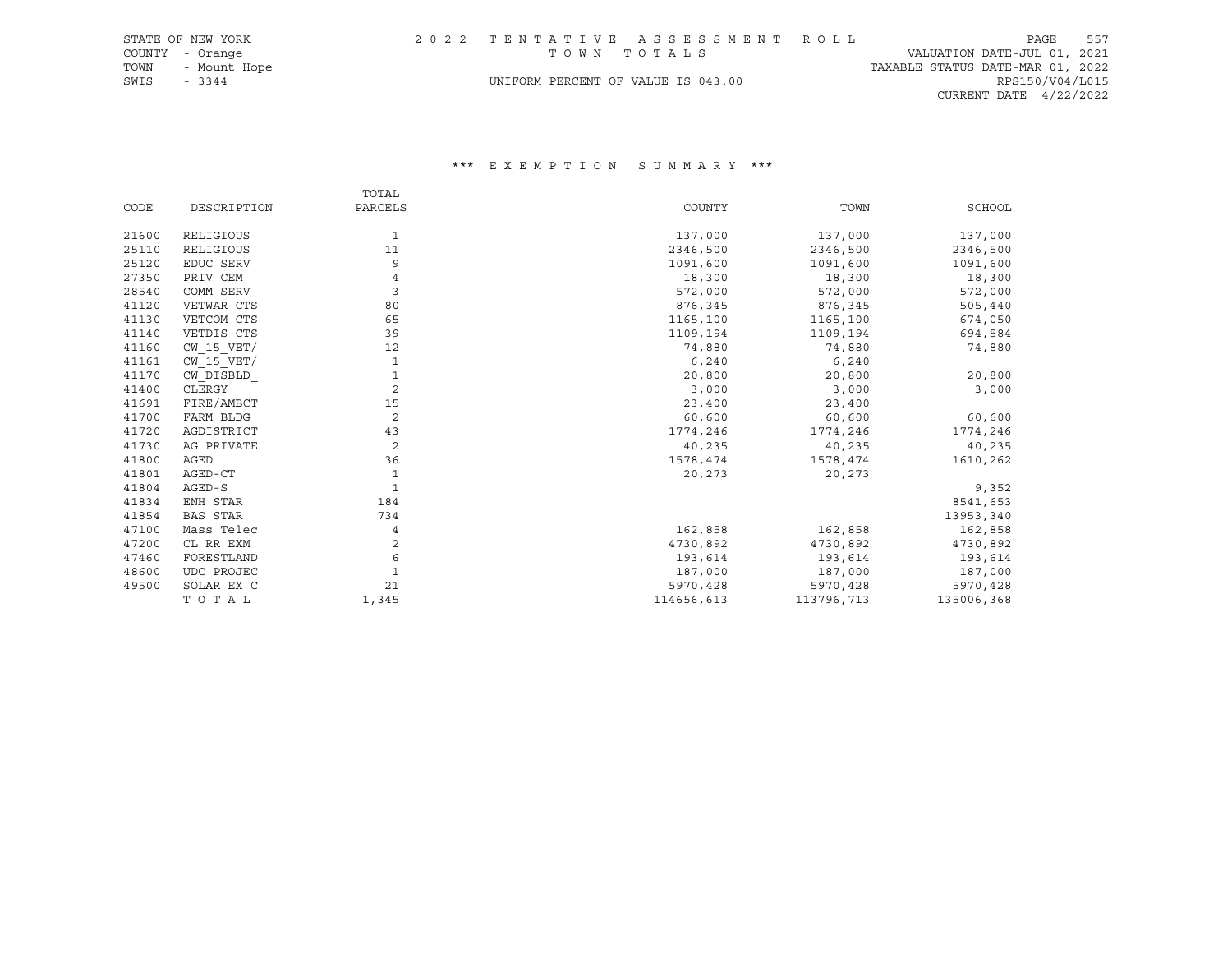|             | STATE OF NEW YORK |                                    | 2022 TENTATIVE ASSESSMENT ROLL |                                  | PAGE            | 557 |
|-------------|-------------------|------------------------------------|--------------------------------|----------------------------------|-----------------|-----|
|             | COUNTY - Orange   | TOWN TOTALS                        |                                | VALUATION DATE-JUL 01, 2021      |                 |     |
|             | TOWN - Mount Hope |                                    |                                | TAXABLE STATUS DATE-MAR 01, 2022 |                 |     |
| SWIS - 3344 |                   | UNIFORM PERCENT OF VALUE IS 043.00 |                                |                                  | RPS150/V04/L015 |     |
|             |                   |                                    |                                | CURRENT DATE $4/22/2022$         |                 |     |

|       |                 | TOTAL          |            |            |               |
|-------|-----------------|----------------|------------|------------|---------------|
| CODE  | DESCRIPTION     | PARCELS        | COUNTY     | TOWN       | <b>SCHOOL</b> |
| 21600 | RELIGIOUS       | 1              | 137,000    | 137,000    | 137,000       |
| 25110 | RELIGIOUS       | 11             | 2346,500   | 2346,500   | 2346,500      |
| 25120 | EDUC SERV       | 9              | 1091,600   | 1091,600   | 1091,600      |
| 27350 | PRIV CEM        |                | 18,300     | 18,300     | 18,300        |
| 28540 | COMM SERV       | 3              | 572,000    | 572,000    | 572,000       |
| 41120 | VETWAR CTS      | 80             | 876,345    | 876,345    | 505,440       |
| 41130 | VETCOM CTS      | 65             | 1165,100   | 1165,100   | 674,050       |
| 41140 | VETDIS CTS      | 39             | 1109,194   | 1109,194   | 694,584       |
| 41160 | $CW$ 15 $VET/$  | 12             | 74,880     | 74,880     | 74,880        |
| 41161 | $CW$ 15 $VET/$  |                | 6,240      | 6,240      |               |
| 41170 | CW DISBLD       | 1              | 20,800     | 20,800     | 20,800        |
| 41400 | CLERGY          | 2              | 3,000      | 3,000      | 3,000         |
| 41691 | FIRE/AMBCT      | 15             | 23,400     | 23,400     |               |
| 41700 | FARM BLDG       | $\overline{c}$ | 60,600     | 60,600     | 60,600        |
| 41720 | AGDISTRICT      | 43             | 1774,246   | 1774,246   | 1774,246      |
| 41730 | AG PRIVATE      | $\overline{c}$ | 40,235     | 40,235     | 40,235        |
| 41800 | AGED            | 36             | 1578,474   | 1578,474   | 1610,262      |
| 41801 | AGED-CT         | 1              | 20,273     | 20,273     |               |
| 41804 | AGED-S          | 1              |            |            | 9,352         |
| 41834 | ENH STAR        | 184            |            |            | 8541,653      |
| 41854 | <b>BAS STAR</b> | 734            |            |            | 13953,340     |
| 47100 | Mass Telec      | 4              | 162,858    | 162,858    | 162,858       |
| 47200 | CL RR EXM       | 2              | 4730,892   | 4730,892   | 4730,892      |
| 47460 | FORESTLAND      | 6              | 193,614    | 193,614    | 193,614       |
| 48600 | UDC PROJEC      |                | 187,000    | 187,000    | 187,000       |
| 49500 | SOLAR EX C      | 21             | 5970,428   | 5970,428   | 5970,428      |
|       | TOTAL           | 1,345          | 114656,613 | 113796,713 | 135006,368    |